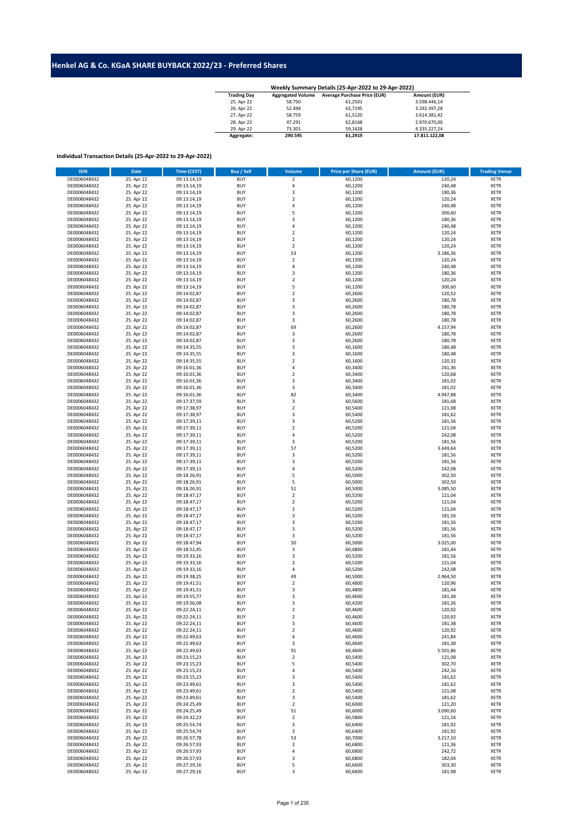## **Henkel AG & Co. KGaA SHARE BUYBACK 2022/23 - Preferred Shares**

| Weekly Summary Details (25-Apr-2022 to 29-Apr-2022) |                          |                                     |               |  |  |  |  |  |  |
|-----------------------------------------------------|--------------------------|-------------------------------------|---------------|--|--|--|--|--|--|
| <b>Trading Day</b>                                  | <b>Aggregated Volume</b> | <b>Average Purchase Price (EUR)</b> | Amount (EUR)  |  |  |  |  |  |  |
| 25. Apr 22                                          | 58.750                   | 61.2501                             | 3.598.446.14  |  |  |  |  |  |  |
| 26. Apr 22                                          | 52.494                   | 62.7195                             | 3.292.397.28  |  |  |  |  |  |  |
| 27. Apr 22                                          | 58.759                   | 61,5120                             | 3.614.381.42  |  |  |  |  |  |  |
| 28. Apr 22                                          | 47.291                   | 62.8168                             | 2.970.670.00  |  |  |  |  |  |  |
| 29. Apr 22                                          | 73.301                   | 59.1428                             | 4.335.227.24  |  |  |  |  |  |  |
| Aggregate:                                          | 290.595                  | 61.2919                             | 17.811.122.08 |  |  |  |  |  |  |

## **Individual Transaction Details (25-Apr-2022 to 29-Apr-2022)**

| <b>ISIN</b>  | Date                     | Time (CEST) | Buy / Sell | Volume                  | <b>Price per Share (EUR)</b> | <b>Amount (EUR)</b> | <b>Trading Venue</b> |
|--------------|--------------------------|-------------|------------|-------------------------|------------------------------|---------------------|----------------------|
| DE0006048432 | 25. Apr 22               | 09:13:14,19 | <b>BUY</b> | $\mathbf 2$             | 60,1200                      | 120,24              | <b>XETR</b>          |
| DE0006048432 | 25. Apr 22               | 09:13:14,19 | <b>BUY</b> | $\sqrt{4}$              | 60,1200                      | 240,48              | XETR                 |
| DE0006048432 | 25. Apr 22               | 09:13:14,19 | <b>BUY</b> | 3                       | 60,1200                      | 180,36              | <b>XETR</b>          |
| DE0006048432 | 25. Apr 22               | 09:13:14,19 | <b>BUY</b> | $\mathbf 2$             | 60,1200                      | 120,24              | <b>XETR</b>          |
| DE0006048432 | 25. Apr 22               | 09:13:14,19 | <b>BUY</b> | 4                       | 60,1200                      | 240,48              | <b>XETR</b>          |
| DE0006048432 | 25. Apr 22               | 09:13:14,19 | <b>BUY</b> | 5                       | 60,1200                      | 300,60              | <b>XETR</b>          |
| DE0006048432 | 25. Apr 22               | 09:13:14.19 | <b>BUY</b> | 3                       | 60,1200                      | 180,36              | <b>XETR</b>          |
| DE0006048432 | 25. Apr 22               | 09:13:14,19 | <b>BUY</b> | $\sqrt{4}$              | 60,1200                      | 240,48              | <b>XETR</b>          |
| DE0006048432 | 25. Apr 22               | 09:13:14,19 | <b>BUY</b> | $\overline{2}$          | 60,1200                      | 120,24              | <b>XETR</b>          |
| DE0006048432 | 25. Apr 22               | 09:13:14,19 | <b>BUY</b> | $\overline{2}$          | 60,1200                      | 120,24              | <b>XETR</b>          |
| DE0006048432 | 25. Apr 22               | 09:13:14,19 | <b>BUY</b> | $\overline{2}$          | 60,1200                      | 120,24              | <b>XETR</b>          |
| DE0006048432 | 25. Apr 22               | 09:13:14,19 | <b>BUY</b> | 53                      | 60,1200                      | 3.186,36            | <b>XETR</b>          |
| DE0006048432 | 25. Apr 22               | 09:13:14,19 | <b>BUY</b> | $\mathbf 2$             | 60,1200                      | 120,24              | <b>XETR</b>          |
| DE0006048432 | 25. Apr 22               | 09:13:14,19 | <b>BUY</b> | 4                       | 60,1200                      | 240,48              | <b>XETR</b>          |
| DE0006048432 | 25. Apr 22               | 09:13:14,19 | <b>BUY</b> | 3                       | 60,1200                      | 180,36              | <b>XETR</b>          |
| DE0006048432 | 25. Apr 22               | 09:13:14,19 | <b>BUY</b> | $\overline{2}$          | 60,1200                      | 120,24              | <b>XETR</b>          |
| DE0006048432 | 25. Apr 22               | 09:13:14,19 | <b>BUY</b> | 5                       | 60,1200                      | 300,60              | <b>XETR</b>          |
| DE0006048432 | 25. Apr 22               | 09:14:02,87 | <b>BUY</b> | $\overline{2}$          | 60,2600                      | 120,52              | <b>XETR</b>          |
| DE0006048432 | 25. Apr 22               | 09:14:02,87 | <b>BUY</b> | 3                       | 60,2600                      | 180,78              | <b>XETR</b>          |
| DE0006048432 | 25. Apr 22               | 09:14:02,87 | <b>BUY</b> | 3                       | 60,2600                      | 180,78              | <b>XETR</b>          |
| DE0006048432 | 25. Apr 22               | 09:14:02,87 | <b>BUY</b> | 3                       | 60,2600                      | 180,78              | <b>XETR</b>          |
| DE0006048432 | 25. Apr 22               | 09:14:02,87 | <b>BUY</b> | 3                       | 60,2600                      | 180,78              | <b>XETR</b>          |
| DE0006048432 | 25. Apr 22               | 09:14:02,87 | <b>BUY</b> | 69                      | 60,2600                      | 4.157,94            | <b>XETR</b>          |
| DE0006048432 | 25. Apr 22               | 09:14:02,87 | <b>BUY</b> | $\mathsf 3$             | 60,2600                      | 180,78              | <b>XETR</b>          |
| DE0006048432 | 25. Apr 22               | 09:14:02,87 | <b>BUY</b> | $\mathsf 3$             | 60,2600                      | 180,78              | <b>XETR</b>          |
| DE0006048432 | 25. Apr 22               | 09:14:35,55 | <b>BUY</b> | 3                       | 60,1600                      | 180,48              | <b>XETR</b>          |
| DE0006048432 | 25. Apr 22               | 09:14:35,55 | <b>BUY</b> | 3                       | 60,1600                      | 180,48              | <b>XETR</b>          |
| DE0006048432 | 25. Apr 22               | 09:14:35,55 | <b>BUY</b> | $\mathbf 2$             | 60,1600                      | 120,32              | <b>XETR</b>          |
| DE0006048432 | 25. Apr 22               | 09:16:01,36 | <b>BUY</b> | 4                       | 60,3400                      | 241,36              | <b>XETR</b>          |
| DE0006048432 | 25. Apr 22               | 09:16:01,36 | <b>BUY</b> | $\overline{\mathbf{2}}$ | 60,3400                      | 120,68              | <b>XETR</b>          |
| DE0006048432 | 25. Apr 22               | 09:16:01,36 | <b>BUY</b> | 3                       | 60,3400                      | 181,02              | <b>XETR</b>          |
| DE0006048432 | 25. Apr 22               | 09:16:01,36 | <b>BUY</b> | 3                       | 60,3400                      | 181,02              | <b>XETR</b>          |
|              |                          |             |            | 82                      |                              |                     |                      |
| DE0006048432 | 25. Apr 22               | 09:16:01,36 | <b>BUY</b> |                         | 60,3400                      | 4.947,88            | <b>XETR</b>          |
| DE0006048432 | 25. Apr 22<br>25. Apr 22 | 09:17:37,59 | <b>BUY</b> | 3<br>$\mathbf 2$        | 60,5600                      | 181,68              | <b>XETR</b>          |
| DE0006048432 |                          | 09:17:38,97 | <b>BUY</b> |                         | 60,5400                      | 121,08              | <b>XETR</b>          |
| DE0006048432 | 25. Apr 22               | 09:17:38,97 | <b>BUY</b> | 3                       | 60,5400                      | 181,62              | <b>XETR</b>          |
| DE0006048432 | 25. Apr 22               | 09:17:39,11 | <b>BUY</b> | 3                       | 60,5200                      | 181,56              | <b>XETR</b>          |
| DE0006048432 | 25. Apr 22               | 09:17:39,11 | <b>BUY</b> | $\mathbf 2$             | 60,5200                      | 121,04              | <b>XETR</b>          |
| DE0006048432 | 25. Apr 22               | 09:17:39,11 | <b>BUY</b> | $\pmb{4}$               | 60,5200                      | 242,08              | <b>XETR</b>          |
| DE0006048432 | 25. Apr 22               | 09:17:39,11 | <b>BUY</b> | 3                       | 60,5200                      | 181,56              | <b>XETR</b>          |
| DE0006048432 | 25. Apr 22               | 09:17:39,11 | <b>BUY</b> | 57                      | 60,5200                      | 3.449,64            | <b>XETR</b>          |
| DE0006048432 | 25. Apr 22               | 09:17:39,11 | <b>BUY</b> | 3                       | 60,5200                      | 181,56              | <b>XETR</b>          |
| DE0006048432 | 25. Apr 22               | 09:17:39,11 | <b>BUY</b> | 3                       | 60,5200                      | 181,56              | <b>XETR</b>          |
| DE0006048432 | 25. Apr 22               | 09:17:39,11 | <b>BUY</b> | 4                       | 60,5200                      | 242,08              | <b>XETR</b>          |
| DE0006048432 | 25. Apr 22               | 09:18:26,91 | <b>BUY</b> | 5                       | 60,5000                      | 302,50              | <b>XETR</b>          |
| DE0006048432 | 25. Apr 22               | 09:18:26,91 | <b>BUY</b> | 5                       | 60,5000                      | 302,50              | <b>XETR</b>          |
| DE0006048432 | 25. Apr 22               | 09:18:26,91 | <b>BUY</b> | 51                      | 60,5000                      | 3.085,50            | <b>XETR</b>          |
| DE0006048432 | 25. Apr 22               | 09:18:47,17 | <b>BUY</b> | $\overline{2}$          | 60,5200                      | 121,04              | <b>XETR</b>          |
| DE0006048432 | 25. Apr 22               | 09:18:47,17 | <b>BUY</b> | $\mathbf 2$             | 60,5200                      | 121,04              | <b>XETR</b>          |
| DE0006048432 | 25. Apr 22               | 09:18:47,17 | <b>BUY</b> | $\overline{2}$          | 60,5200                      | 121,04              | <b>XETR</b>          |
| DE0006048432 | 25. Apr 22               | 09:18:47,17 | <b>BUY</b> | 3                       | 60,5200                      | 181,56              | <b>XETR</b>          |
| DE0006048432 | 25. Apr 22               | 09:18:47,17 | <b>BUY</b> | 3                       | 60,5200                      | 181,56              | <b>XETR</b>          |
| DE0006048432 | 25. Apr 22               | 09:18:47,17 | <b>BUY</b> | 3                       | 60,5200                      | 181,56              | <b>XETR</b>          |
| DE0006048432 | 25. Apr 22               | 09:18:47,17 | <b>BUY</b> | $\mathsf 3$             | 60,5200                      | 181,56              | <b>XETR</b>          |
| DE0006048432 | 25. Apr 22               | 09:18:47,94 | <b>BUY</b> | 50                      | 60,5000                      | 3.025,00            | <b>XETR</b>          |
| DE0006048432 | 25. Apr 22               | 09:18:52,45 | <b>BUY</b> | 3                       | 60,4800                      | 181,44              | <b>XETR</b>          |
| DE0006048432 | 25. Apr 22               | 09:19:33,16 | <b>BUY</b> | 3                       | 60,5200                      | 181,56              | <b>XETR</b>          |
| DE0006048432 | 25. Apr 22               | 09:19:33,16 | <b>BUY</b> | $\mathbf 2$             | 60,5200                      | 121,04              | <b>XETR</b>          |
| DE0006048432 | 25. Apr 22               | 09:19:33,16 | <b>BUY</b> | $\overline{4}$          | 60,5200                      | 242,08              | <b>XETR</b>          |
| DE0006048432 | 25. Apr 22               | 09:19:38,25 | <b>BUY</b> | 49                      | 60,5000                      | 2.964,50            | <b>XETR</b>          |
| DE0006048432 | 25. Apr 22               | 09:19:41,51 | <b>BUY</b> | $\mathbf 2$             | 60,4800                      | 120,96              | <b>XETR</b>          |
| DE0006048432 | 25. Apr 22               | 09:19:41,51 | <b>BUY</b> | 3                       | 60,4800                      | 181,44              | <b>XETR</b>          |
| DE0006048432 | 25. Apr 22               | 09:19:55,77 | <b>BUY</b> | 3                       | 60,4600                      | 181,38              | <b>XETR</b>          |
| DE0006048432 | 25. Apr 22               | 09:19:56,08 | <b>BUY</b> | $\overline{\mathbf{3}}$ | 60,4200                      | 181,26              | <b>XETR</b>          |
| DE0006048432 | 25. Apr 22               | 09:22:24,11 | <b>BUY</b> | 2                       | 60,4600                      | 120,92              | XETR                 |
| DE0006048432 | 25. Apr 22               | 09:22:24,11 | <b>BUY</b> | $\mathbf 2$             | 60,4600                      | 120,92              | XETR                 |
| DE0006048432 | 25. Apr 22               | 09:22:24,11 | <b>BUY</b> | 3                       | 60,4600                      | 181,38              | <b>XETR</b>          |
| DE0006048432 | 25. Apr 22               | 09:22:24,11 | <b>BUY</b> | $\overline{2}$          | 60,4600                      | 120,92              | XETR                 |
| DE0006048432 | 25. Apr 22               | 09:22:49,63 | <b>BUY</b> | 4                       | 60,4600                      | 241,84              | <b>XETR</b>          |
| DE0006048432 | 25. Apr 22               | 09:22:49,63 | <b>BUY</b> | 3                       | 60,4600                      | 181,38              | <b>XETR</b>          |
| DE0006048432 | 25. Apr 22               | 09:22:49,63 | <b>BUY</b> | 91                      | 60,4600                      | 5.501,86            | <b>XETR</b>          |
| DE0006048432 | 25. Apr 22               | 09:23:15,23 | <b>BUY</b> | $\mathbf 2$             | 60,5400                      | 121,08              | <b>XETR</b>          |
| DE0006048432 | 25. Apr 22               | 09:23:15,23 | <b>BUY</b> | 5                       | 60,5400                      | 302,70              | XETR                 |
| DE0006048432 | 25. Apr 22               | 09:23:15,23 | <b>BUY</b> | 4                       | 60,5400                      | 242,16              | <b>XETR</b>          |
| DE0006048432 | 25. Apr 22               | 09:23:15,23 | <b>BUY</b> | 3                       | 60,5400                      | 181,62              | XETR                 |
| DE0006048432 | 25. Apr 22               | 09:23:49,61 | <b>BUY</b> | 3                       | 60,5400                      | 181,62              | <b>XETR</b>          |
| DE0006048432 | 25. Apr 22               | 09:23:49,61 | <b>BUY</b> | $\overline{2}$          | 60,5400                      | 121,08              | XETR                 |
| DE0006048432 | 25. Apr 22               | 09:23:49,61 | <b>BUY</b> | 3                       | 60,5400                      | 181,62              | <b>XETR</b>          |
| DE0006048432 | 25. Apr 22               | 09:24:25,49 | <b>BUY</b> | $\mathbf 2$             | 60,6000                      | 121,20              | <b>XETR</b>          |
| DE0006048432 | 25. Apr 22               | 09:24:25,49 | <b>BUY</b> | 51                      | 60,6000                      | 3.090,60            | XETR                 |
| DE0006048432 | 25. Apr 22               | 09:24:32,23 | <b>BUY</b> | $\mathbf 2$             | 60,5800                      | 121,16              | <b>XETR</b>          |
| DE0006048432 | 25. Apr 22               | 09:25:54,74 | <b>BUY</b> | 3                       | 60,6400                      | 181,92              | XETR                 |
| DE0006048432 | 25. Apr 22               | 09:25:54,74 | <b>BUY</b> | 3                       | 60,6400                      | 181,92              | XETR                 |
| DE0006048432 | 25. Apr 22               | 09:26:57,78 | <b>BUY</b> | 53                      | 60,7000                      | 3.217,10            | XETR                 |
| DE0006048432 | 25. Apr 22               | 09:26:57,93 | <b>BUY</b> | $\overline{2}$          | 60,6800                      | 121,36              | <b>XETR</b>          |
| DE0006048432 | 25. Apr 22               | 09:26:57,93 | <b>BUY</b> | 4                       | 60,6800                      | 242,72              | <b>XETR</b>          |
| DE0006048432 | 25. Apr 22               | 09:26:57,93 | <b>BUY</b> | 3                       | 60,6800                      | 182,04              | XETR                 |
| DE0006048432 | 25. Apr 22               | 09:27:29,16 | <b>BUY</b> | 5                       | 60,6600                      | 303,30              | <b>XETR</b>          |
| DE0006048432 | 25. Apr 22               | 09:27:29,16 | BUY        | 3                       | 60,6600                      | 181,98              | XETR                 |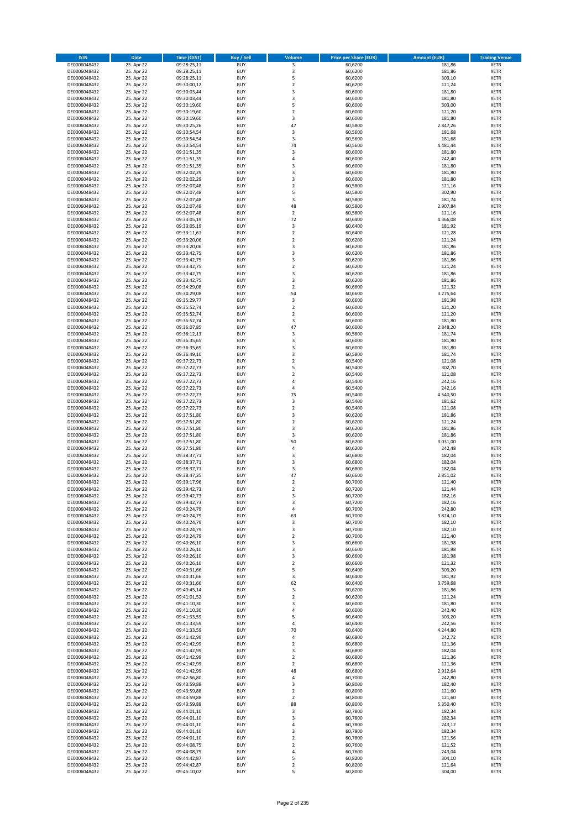| <b>ISIN</b>                  | <b>Date</b>              | <b>Time (CEST)</b>         | <b>Buy / Sell</b>        | Volume                                 | <b>Price per Share (EUR)</b> | <b>Amount (EUR)</b> | <b>Trading Venue</b>       |
|------------------------------|--------------------------|----------------------------|--------------------------|----------------------------------------|------------------------------|---------------------|----------------------------|
| DE0006048432                 | 25. Apr 22               | 09:28:25,11                | <b>BUY</b>               | 3                                      | 60,6200                      | 181,86              | <b>XETR</b>                |
| DE0006048432                 | 25. Apr 22               | 09:28:25,11                | <b>BUY</b>               | 3                                      | 60,6200                      | 181,86              | <b>XETR</b>                |
| DE0006048432                 | 25. Apr 22               | 09:28:25,11                | <b>BUY</b>               | 5                                      | 60,6200                      | 303,10              | <b>XETR</b>                |
| DE0006048432                 | 25. Apr 22               | 09:30:00,12                | <b>BUY</b>               | $\mathbf 2$                            | 60,6200                      | 121,24              | <b>XETR</b>                |
| DE0006048432<br>DE0006048432 | 25. Apr 22<br>25. Apr 22 | 09:30:03,44<br>09:30:03,44 | <b>BUY</b><br><b>BUY</b> | 3<br>3                                 | 60,6000<br>60,6000           | 181,80<br>181,80    | <b>XETR</b><br><b>XETR</b> |
| DE0006048432                 | 25. Apr 22               | 09:30:19,60                | <b>BUY</b>               | 5                                      | 60,6000                      | 303,00              | <b>XETR</b>                |
| DE0006048432                 | 25. Apr 22               | 09:30:19,60                | <b>BUY</b>               | $\overline{2}$                         | 60,6000                      | 121,20              | <b>XETR</b>                |
| DE0006048432                 | 25. Apr 22               | 09:30:19,60                | BUY                      | 3                                      | 60,6000                      | 181,80              | <b>XETR</b>                |
| DE0006048432                 | 25. Apr 22               | 09:30:25,26                | <b>BUY</b>               | 47                                     | 60,5800                      | 2.847,26            | <b>XETR</b>                |
| DE0006048432                 | 25. Apr 22               | 09:30:54,54                | <b>BUY</b>               | 3                                      | 60,5600                      | 181,68              | <b>XETR</b>                |
| DE0006048432                 | 25. Apr 22               | 09:30:54,54                | <b>BUY</b>               | 3<br>74                                | 60,5600                      | 181,68              | <b>XETR</b>                |
| DE0006048432<br>DE0006048432 | 25. Apr 22<br>25. Apr 22 | 09:30:54,54<br>09:31:51,35 | <b>BUY</b><br><b>BUY</b> | 3                                      | 60,5600<br>60,6000           | 4.481,44<br>181,80  | <b>XETR</b><br><b>XETR</b> |
| DE0006048432                 | 25. Apr 22               | 09:31:51,35                | <b>BUY</b>               | 4                                      | 60,6000                      | 242,40              | <b>XETR</b>                |
| DE0006048432                 | 25. Apr 22               | 09:31:51,35                | BUY                      | $\overline{3}$                         | 60,6000                      | 181,80              | <b>XETR</b>                |
| DE0006048432                 | 25. Apr 22               | 09:32:02,29                | <b>BUY</b>               | 3                                      | 60,6000                      | 181,80              | <b>XETR</b>                |
| DE0006048432                 | 25. Apr 22               | 09:32:02,29                | <b>BUY</b>               | 3                                      | 60,6000                      | 181,80              | <b>XETR</b>                |
| DE0006048432                 | 25. Apr 22               | 09:32:07,48                | <b>BUY</b>               | $\overline{2}$                         | 60,5800                      | 121,16              | <b>XETR</b>                |
| DE0006048432<br>DE0006048432 | 25. Apr 22<br>25. Apr 22 | 09:32:07,48<br>09:32:07,48 | <b>BUY</b><br><b>BUY</b> | 5<br>$\overline{\mathbf{3}}$           | 60,5800<br>60,5800           | 302,90<br>181,74    | <b>XETR</b><br><b>XETR</b> |
| DE0006048432                 | 25. Apr 22               | 09:32:07,48                | <b>BUY</b>               | 48                                     | 60,5800                      | 2.907,84            | <b>XETR</b>                |
| DE0006048432                 | 25. Apr 22               | 09:32:07,48                | <b>BUY</b>               | $\overline{2}$                         | 60,5800                      | 121,16              | <b>XETR</b>                |
| DE0006048432                 | 25. Apr 22               | 09:33:05,19                | <b>BUY</b>               | 72                                     | 60,6400                      | 4.366,08            | <b>XETR</b>                |
| DE0006048432                 | 25. Apr 22               | 09:33:05,19                | <b>BUY</b>               | 3                                      | 60,6400                      | 181,92              | <b>XETR</b>                |
| DE0006048432                 | 25. Apr 22               | 09:33:11,61                | <b>BUY</b>               | $\mathbf 2$                            | 60,6400                      | 121,28              | <b>XETR</b>                |
| DE0006048432                 | 25. Apr 22               | 09:33:20,06                | <b>BUY</b><br><b>BUY</b> | $\mathbf 2$<br>$\overline{\mathbf{3}}$ | 60,6200                      | 121,24              | <b>XETR</b><br><b>XETR</b> |
| DE0006048432<br>DE0006048432 | 25. Apr 22<br>25. Apr 22 | 09:33:20,06<br>09:33:42,75 | <b>BUY</b>               | 3                                      | 60,6200<br>60,6200           | 181,86<br>181,86    | <b>XETR</b>                |
| DE0006048432                 | 25. Apr 22               | 09:33:42,75                | <b>BUY</b>               | $\overline{\mathbf{3}}$                | 60,6200                      | 181,86              | <b>XETR</b>                |
| DE0006048432                 | 25. Apr 22               | 09:33:42,75                | <b>BUY</b>               | $\overline{2}$                         | 60,6200                      | 121,24              | <b>XETR</b>                |
| DE0006048432                 | 25. Apr 22               | 09:33:42,75                | <b>BUY</b>               | 3                                      | 60,6200                      | 181,86              | <b>XETR</b>                |
| DE0006048432                 | 25. Apr 22               | 09:33:42,75                | <b>BUY</b>               | 3                                      | 60,6200                      | 181,86              | <b>XETR</b>                |
| DE0006048432                 | 25. Apr 22               | 09:34:29,08                | <b>BUY</b>               | $\mathbf 2$                            | 60,6600                      | 121,32              | <b>XETR</b>                |
| DE0006048432<br>DE0006048432 | 25. Apr 22<br>25. Apr 22 | 09:34:29,08<br>09:35:29,77 | <b>BUY</b><br><b>BUY</b> | 54<br>3                                | 60,6600<br>60,6600           | 3.275,64<br>181,98  | <b>XETR</b><br><b>XETR</b> |
| DE0006048432                 | 25. Apr 22               | 09:35:52,74                | <b>BUY</b>               | $\overline{2}$                         | 60,6000                      | 121,20              | <b>XETR</b>                |
| DE0006048432                 | 25. Apr 22               | 09:35:52,74                | BUY                      | $\mathbf 2$                            | 60,6000                      | 121,20              | <b>XETR</b>                |
| DE0006048432                 | 25. Apr 22               | 09:35:52,74                | <b>BUY</b>               | 3                                      | 60,6000                      | 181,80              | <b>XETR</b>                |
| DE0006048432                 | 25. Apr 22               | 09:36:07,85                | <b>BUY</b>               | 47                                     | 60,6000                      | 2.848,20            | <b>XETR</b>                |
| DE0006048432                 | 25. Apr 22               | 09:36:12,13                | <b>BUY</b>               | 3                                      | 60,5800                      | 181,74              | <b>XETR</b>                |
| DE0006048432                 | 25. Apr 22               | 09:36:35,65                | <b>BUY</b>               | 3                                      | 60,6000                      | 181,80              | <b>XETR</b>                |
| DE0006048432<br>DE0006048432 | 25. Apr 22<br>25. Apr 22 | 09:36:35,65<br>09:36:49,10 | <b>BUY</b><br><b>BUY</b> | 3<br>$\overline{\mathbf{3}}$           | 60,6000<br>60,5800           | 181,80<br>181,74    | <b>XETR</b><br><b>XETR</b> |
| DE0006048432                 | 25. Apr 22               | 09:37:22,73                | <b>BUY</b>               | $\mathbf 2$                            | 60,5400                      | 121,08              | <b>XETR</b>                |
| DE0006048432                 | 25. Apr 22               | 09:37:22,73                | <b>BUY</b>               | 5                                      | 60,5400                      | 302,70              | <b>XETR</b>                |
| DE0006048432                 | 25. Apr 22               | 09:37:22,73                | <b>BUY</b>               | $\overline{2}$                         | 60,5400                      | 121,08              | <b>XETR</b>                |
| DE0006048432                 | 25. Apr 22               | 09:37:22,73                | <b>BUY</b>               | $\overline{a}$                         | 60,5400                      | 242,16              | <b>XETR</b>                |
| DE0006048432                 | 25. Apr 22               | 09:37:22,73                | <b>BUY</b><br><b>BUY</b> | 4<br>75                                | 60,5400                      | 242,16              | <b>XETR</b><br><b>XETR</b> |
| DE0006048432<br>DE0006048432 | 25. Apr 22<br>25. Apr 22 | 09:37:22,73<br>09:37:22,73 | <b>BUY</b>               | $\overline{\mathbf{3}}$                | 60,5400<br>60,5400           | 4.540,50<br>181,62  | <b>XETR</b>                |
| DE0006048432                 | 25. Apr 22               | 09:37:22,73                | <b>BUY</b>               | $\overline{2}$                         | 60,5400                      | 121,08              | <b>XETR</b>                |
| DE0006048432                 | 25. Apr 22               | 09:37:51,80                | <b>BUY</b>               | 3                                      | 60,6200                      | 181,86              | <b>XETR</b>                |
| DE0006048432                 | 25. Apr 22               | 09:37:51,80                | <b>BUY</b>               | $\mathbf 2$                            | 60,6200                      | 121,24              | <b>XETR</b>                |
| DE0006048432                 | 25. Apr 22               | 09:37:51,80                | <b>BUY</b>               | $\overline{\mathbf{3}}$                | 60,6200                      | 181,86              | <b>XETR</b>                |
| DE0006048432                 | 25. Apr 22               | 09:37:51,80                | <b>BUY</b>               | $\overline{\mathbf{3}}$                | 60,6200                      | 181,86              | <b>XETR</b>                |
| DE0006048432<br>DE0006048432 | 25. Apr 22<br>25. Apr 22 | 09:37:51,80<br>09:37:51,80 | <b>BUY</b><br><b>BUY</b> | 50<br>4                                | 60,6200<br>60,6200           | 3.031,00<br>242,48  | <b>XETR</b><br><b>XETR</b> |
| DE0006048432                 | 25. Apr 22               | 09:38:37,71                | BUY                      | $\overline{\mathbf{3}}$                | 60,6800                      | 182,04              | <b>XETR</b>                |
| DE0006048432                 | 25. Apr 22               | 09:38:37,71                | <b>BUY</b>               | 3                                      | 60,6800                      | 182,04              | <b>XETR</b>                |
| DE0006048432                 | 25. Apr 22               | 09:38:37,71                | <b>BUY</b>               | 3                                      | 60,6800                      | 182,04              | <b>XETR</b>                |
| DE0006048432                 | 25. Apr 22               | 09:38:47,35                | BUY                      | 47                                     | 60,6600                      | 2.851,02            | <b>XETR</b>                |
| DE0006048432                 | 25. Apr 22               | 09:39:17,96                | BUY                      | $\mathbf 2$                            | 60,7000                      | 121,40              | <b>XETR</b>                |
| DE0006048432<br>DE0006048432 | 25. Apr 22<br>25. Apr 22 | 09:39:42,73<br>09:39:42,73 | <b>BUY</b><br><b>BUY</b> | $\overline{2}$<br>3                    | 60,7200<br>60,7200           | 121,44<br>182,16    | <b>XETR</b><br><b>XETR</b> |
| DE0006048432                 | 25. Apr 22               | 09:39:42,73                | <b>BUY</b>               | 3                                      | 60,7200                      | 182,16              | <b>XETR</b>                |
| DE0006048432                 | 25. Apr 22               | 09:40:24,79                | <b>BUY</b>               | 4                                      | 60,7000                      | 242,80              | <b>XETR</b>                |
| DE0006048432                 | 25. Apr 22               | 09:40:24,79                | <b>BUY</b>               | 63                                     | 60,7000                      | 3.824,10            | <b>XETR</b>                |
| DE0006048432                 | 25. Apr 22               | 09:40:24,79                | <b>BUY</b>               | 3                                      | 60,7000                      | 182,10              | <b>XETR</b>                |
| DE0006048432                 | 25. Apr 22               | 09:40:24,79                | <b>BUY</b>               | 3                                      | 60,7000                      | 182,10              | <b>XETR</b>                |
| DE0006048432<br>DE0006048432 | 25. Apr 22<br>25. Apr 22 | 09:40:24,79<br>09:40:26,10 | <b>BUY</b><br><b>BUY</b> | 2<br>3                                 | 60,7000<br>60,6600           | 121,40<br>181,98    | <b>XETR</b><br><b>XETR</b> |
| DE0006048432                 | 25. Apr 22               | 09:40:26,10                | <b>BUY</b>               | 3                                      | 60,6600                      | 181,98              | <b>XETR</b>                |
| DE0006048432                 | 25. Apr 22               | 09:40:26,10                | <b>BUY</b>               | 3                                      | 60,6600                      | 181,98              | <b>XETR</b>                |
| DE0006048432                 | 25. Apr 22               | 09:40:26,10                | <b>BUY</b>               | $\mathbf 2$                            | 60,6600                      | 121,32              | <b>XETR</b>                |
| DE0006048432                 | 25. Apr 22               | 09:40:31,66                | <b>BUY</b>               | 5                                      | 60,6400                      | 303,20              | <b>XETR</b>                |
| DE0006048432                 | 25. Apr 22               | 09:40:31,66                | <b>BUY</b>               | 3                                      | 60,6400                      | 181,92              | <b>XETR</b>                |
| DE0006048432<br>DE0006048432 | 25. Apr 22<br>25. Apr 22 | 09:40:31,66<br>09:40:45,14 | <b>BUY</b><br><b>BUY</b> | 62<br>3                                | 60,6400<br>60,6200           | 3.759,68<br>181,86  | <b>XETR</b><br><b>XETR</b> |
| DE0006048432                 | 25. Apr 22               | 09:41:01,52                | <b>BUY</b>               | $\mathbf 2$                            | 60,6200                      | 121,24              | <b>XETR</b>                |
| DE0006048432                 | 25. Apr 22               | 09:41:10,30                | <b>BUY</b>               | 3                                      | 60,6000                      | 181,80              | <b>XETR</b>                |
| DE0006048432                 | 25. Apr 22               | 09:41:10,30                | <b>BUY</b>               | 4                                      | 60,6000                      | 242,40              | <b>XETR</b>                |
| DE0006048432                 | 25. Apr 22               | 09:41:33,59                | <b>BUY</b>               | 5                                      | 60,6400                      | 303,20              | <b>XETR</b>                |
| DE0006048432                 | 25. Apr 22               | 09:41:33,59                | <b>BUY</b>               | $\overline{4}$                         | 60,6400                      | 242,56              | <b>XETR</b>                |
| DE0006048432<br>DE0006048432 | 25. Apr 22<br>25. Apr 22 | 09:41:33,59<br>09:41:42,99 | <b>BUY</b><br><b>BUY</b> | 70<br>4                                | 60,6400<br>60,6800           | 4.244,80<br>242,72  | <b>XETR</b><br><b>XETR</b> |
| DE0006048432                 | 25. Apr 22               | 09:41:42,99                | <b>BUY</b>               | $\overline{2}$                         | 60,6800                      | 121,36              | <b>XETR</b>                |
| DE0006048432                 | 25. Apr 22               | 09:41:42,99                | <b>BUY</b>               | 3                                      | 60,6800                      | 182,04              | <b>XETR</b>                |
| DE0006048432                 | 25. Apr 22               | 09:41:42,99                | <b>BUY</b>               | $\mathbf 2$                            | 60,6800                      | 121,36              | <b>XETR</b>                |
| DE0006048432                 | 25. Apr 22               | 09:41:42,99                | <b>BUY</b>               | $\mathbf 2$                            | 60,6800                      | 121,36              | <b>XETR</b>                |
| DE0006048432                 | 25. Apr 22               | 09:41:42,99                | <b>BUY</b>               | 48                                     | 60,6800                      | 2.912,64            | <b>XETR</b>                |
| DE0006048432                 | 25. Apr 22               | 09:42:56,80                | <b>BUY</b>               | $\overline{4}$                         | 60,7000                      | 242,80              | <b>XETR</b>                |
| DE0006048432<br>DE0006048432 | 25. Apr 22<br>25. Apr 22 | 09:43:59,88<br>09:43:59,88 | <b>BUY</b><br><b>BUY</b> | 3<br>$\overline{2}$                    | 60,8000<br>60,8000           | 182,40<br>121,60    | <b>XETR</b><br><b>XETR</b> |
| DE0006048432                 | 25. Apr 22               | 09:43:59,88                | <b>BUY</b>               | $\mathbf 2$                            | 60,8000                      | 121,60              | <b>XETR</b>                |
| DE0006048432                 | 25. Apr 22               | 09:43:59,88                | <b>BUY</b>               | 88                                     | 60,8000                      | 5.350,40            | <b>XETR</b>                |
| DE0006048432                 | 25. Apr 22               | 09:44:01,10                | <b>BUY</b>               | 3                                      | 60,7800                      | 182,34              | <b>XETR</b>                |
| DE0006048432                 | 25. Apr 22               | 09:44:01,10                | <b>BUY</b>               | $\overline{3}$                         | 60,7800                      | 182,34              | <b>XETR</b>                |
| DE0006048432                 | 25. Apr 22               | 09:44:01,10                | <b>BUY</b>               | 4                                      | 60,7800                      | 243,12              | <b>XETR</b>                |
| DE0006048432<br>DE0006048432 | 25. Apr 22<br>25. Apr 22 | 09:44:01,10<br>09:44:01,10 | <b>BUY</b><br><b>BUY</b> | 3<br>$\overline{2}$                    | 60,7800<br>60,7800           | 182,34<br>121,56    | <b>XETR</b><br><b>XETR</b> |
| DE0006048432                 | 25. Apr 22               | 09:44:08,75                | <b>BUY</b>               | $\mathbf 2$                            | 60,7600                      | 121,52              | <b>XETR</b>                |
| DE0006048432                 | 25. Apr 22               | 09:44:08,75                | <b>BUY</b>               | 4                                      | 60,7600                      | 243,04              | <b>XETR</b>                |
| DE0006048432                 | 25. Apr 22               | 09:44:42,87                | <b>BUY</b>               | 5                                      | 60,8200                      | 304,10              | <b>XETR</b>                |
| DE0006048432                 | 25. Apr 22               | 09:44:42,87                | <b>BUY</b>               | $\mathbf 2$                            | 60,8200                      | 121,64              | <b>XETR</b>                |
| DE0006048432                 | 25. Apr 22               | 09:45:10,02                | <b>BUY</b>               | 5                                      | 60,8000                      | 304,00              | <b>XETR</b>                |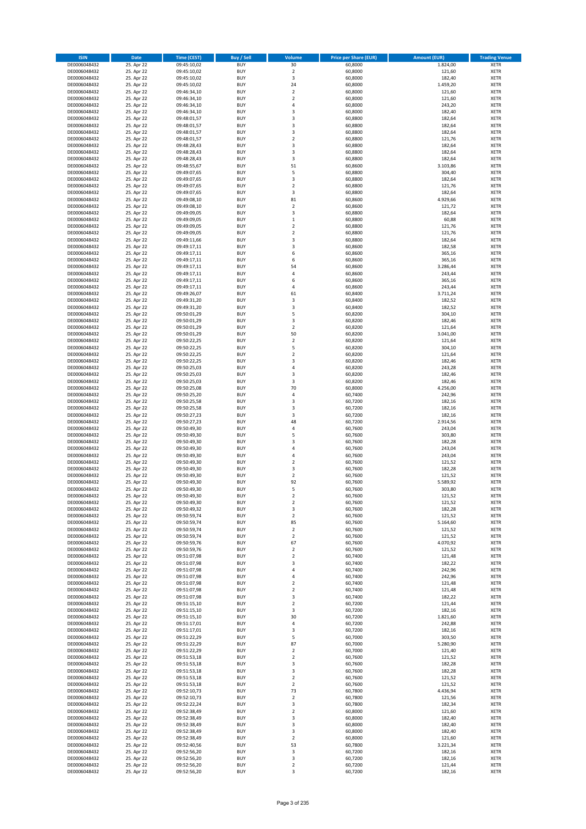| <b>ISIN</b>                  | <b>Date</b>              | <b>Time (CEST)</b>         | <b>Buy / Sell</b>        | <b>Volume</b>                 | <b>Price per Share (EUR)</b> | <b>Amount (EUR)</b> | <b>Trading Venue</b>       |
|------------------------------|--------------------------|----------------------------|--------------------------|-------------------------------|------------------------------|---------------------|----------------------------|
| DE0006048432                 | 25. Apr 22               | 09:45:10,02                | <b>BUY</b>               | 30                            | 60,8000                      | 1.824,00            | <b>XETR</b>                |
| DE0006048432                 | 25. Apr 22               | 09:45:10,02                | <b>BUY</b>               | $\mathbf 2$                   | 60,8000                      | 121,60              | <b>XETR</b>                |
| DE0006048432                 | 25. Apr 22               | 09:45:10.02                | <b>BUY</b>               | 3                             | 60,8000                      | 182,40              | <b>XETR</b>                |
| DE0006048432<br>DE0006048432 | 25. Apr 22<br>25. Apr 22 | 09:45:10,02<br>09:46:34,10 | <b>BUY</b><br><b>BUY</b> | 24<br>$\overline{\mathbf{c}}$ | 60,8000<br>60,8000           | 1.459,20<br>121,60  | <b>XETR</b><br><b>XETR</b> |
| DE0006048432                 | 25. Apr 22               | 09:46:34,10                | <b>BUY</b>               | $\mathbf 2$                   | 60,8000                      | 121,60              | <b>XETR</b>                |
| DE0006048432                 | 25. Apr 22               | 09:46:34,10                | <b>BUY</b>               | 4                             | 60,8000                      | 243,20              | <b>XETR</b>                |
| DE0006048432                 | 25. Apr 22               | 09:46:34,10                | <b>BUY</b>               | 3                             | 60,8000                      | 182,40              | <b>XETR</b>                |
| DE0006048432                 | 25. Apr 22               | 09:48:01,57                | <b>BUY</b>               | 3                             | 60,8800                      | 182,64              | <b>XETR</b>                |
| DE0006048432                 | 25. Apr 22               | 09:48:01,57                | <b>BUY</b><br><b>BUY</b> | 3                             | 60,8800                      | 182,64              | <b>XETR</b>                |
| DE0006048432<br>DE0006048432 | 25. Apr 22<br>25. Apr 22 | 09:48:01,57<br>09:48:01,57 | <b>BUY</b>               | 3<br>$\overline{\mathbf{c}}$  | 60,8800<br>60,8800           | 182,64<br>121,76    | <b>XETR</b><br><b>XETR</b> |
| DE0006048432                 | 25. Apr 22               | 09:48:28,43                | <b>BUY</b>               | 3                             | 60,8800                      | 182,64              | <b>XETR</b>                |
| DE0006048432                 | 25. Apr 22               | 09:48:28,43                | <b>BUY</b>               | 3                             | 60,8800                      | 182,64              | <b>XETR</b>                |
| DE0006048432                 | 25. Apr 22               | 09:48:28,43                | <b>BUY</b>               | 3                             | 60,8800                      | 182,64              | <b>XETR</b>                |
| DE0006048432                 | 25. Apr 22               | 09:48:55,67                | <b>BUY</b>               | 51                            | 60,8600                      | 3.103,86            | <b>XETR</b>                |
| DE0006048432<br>DE0006048432 | 25. Apr 22<br>25. Apr 22 | 09:49:07,65<br>09:49:07,65 | <b>BUY</b><br><b>BUY</b> | 5<br>3                        | 60,8800<br>60,8800           | 304,40<br>182,64    | <b>XETR</b><br><b>XETR</b> |
| DE0006048432                 | 25. Apr 22               | 09:49:07,65                | <b>BUY</b>               | $\overline{\mathbf{c}}$       | 60,8800                      | 121,76              | <b>XETR</b>                |
| DE0006048432                 | 25. Apr 22               | 09:49:07,65                | <b>BUY</b>               | 3                             | 60,8800                      | 182,64              | <b>XETR</b>                |
| DE0006048432                 | 25. Apr 22               | 09:49:08,10                | <b>BUY</b>               | 81                            | 60,8600                      | 4.929,66            | <b>XETR</b>                |
| DE0006048432                 | 25. Apr 22               | 09:49:08,10                | <b>BUY</b>               | $\mathbf 2$                   | 60,8600                      | 121,72              | <b>XETR</b>                |
| DE0006048432                 | 25. Apr 22               | 09:49:09,05                | <b>BUY</b>               | 3                             | 60,8800                      | 182,64              | <b>XETR</b>                |
| DE0006048432<br>DE0006048432 | 25. Apr 22<br>25. Apr 22 | 09:49:09,05<br>09:49:09,05 | <b>BUY</b><br><b>BUY</b> | $\mathbf 1$<br>$\mathbf 2$    | 60,8800<br>60,8800           | 60,88<br>121,76     | <b>XETR</b><br><b>XETR</b> |
| DE0006048432                 | 25. Apr 22               | 09:49:09,05                | <b>BUY</b>               | $\mathbf 2$                   | 60,8800                      | 121,76              | <b>XETR</b>                |
| DE0006048432                 | 25. Apr 22               | 09:49:11,66                | <b>BUY</b>               | 3                             | 60,8800                      | 182,64              | <b>XETR</b>                |
| DE0006048432                 | 25. Apr 22               | 09:49:17,11                | <b>BUY</b>               | 3                             | 60,8600                      | 182,58              | <b>XETR</b>                |
| DE0006048432                 | 25. Apr 22               | 09:49:17,11                | <b>BUY</b>               | 6                             | 60,8600                      | 365,16              | <b>XETR</b>                |
| DE0006048432<br>DE0006048432 | 25. Apr 22<br>25. Apr 22 | 09:49:17,11<br>09:49:17,11 | <b>BUY</b><br><b>BUY</b> | 6<br>54                       | 60,8600<br>60,8600           | 365,16<br>3.286,44  | <b>XETR</b><br><b>XETR</b> |
| DE0006048432                 | 25. Apr 22               | 09:49:17,11                | <b>BUY</b>               | 4                             | 60,8600                      | 243,44              | <b>XETR</b>                |
| DE0006048432                 | 25. Apr 22               | 09:49:17,11                | <b>BUY</b>               | 6                             | 60,8600                      | 365,16              | <b>XETR</b>                |
| DE0006048432                 | 25. Apr 22               | 09:49:17,11                | <b>BUY</b>               | 4                             | 60,8600                      | 243,44              | <b>XETR</b>                |
| DE0006048432                 | 25. Apr 22               | 09:49:26,07                | <b>BUY</b>               | 61                            | 60,8400                      | 3.711,24            | <b>XETR</b>                |
| DE0006048432                 | 25. Apr 22               | 09:49:31,20                | <b>BUY</b>               | 3                             | 60,8400                      | 182,52              | <b>XETR</b>                |
| DE0006048432<br>DE0006048432 | 25. Apr 22<br>25. Apr 22 | 09:49:31,20<br>09:50:01,29 | <b>BUY</b><br><b>BUY</b> | 3<br>5                        | 60,8400<br>60,8200           | 182,52<br>304,10    | <b>XETR</b><br><b>XETR</b> |
| DE0006048432                 | 25. Apr 22               | 09:50:01,29                | <b>BUY</b>               | 3                             | 60,8200                      | 182,46              | <b>XETR</b>                |
| DE0006048432                 | 25. Apr 22               | 09:50:01,29                | <b>BUY</b>               | $\mathbf 2$                   | 60,8200                      | 121,64              | <b>XETR</b>                |
| DE0006048432                 | 25. Apr 22               | 09:50:01,29                | <b>BUY</b>               | 50                            | 60,8200                      | 3.041,00            | <b>XETR</b>                |
| DE0006048432                 | 25. Apr 22               | 09:50:22,25                | <b>BUY</b>               | $\mathbf 2$                   | 60,8200                      | 121,64              | <b>XETR</b>                |
| DE0006048432<br>DE0006048432 | 25. Apr 22<br>25. Apr 22 | 09:50:22,25                | <b>BUY</b><br><b>BUY</b> | 5<br>$\overline{\mathbf{c}}$  | 60,8200<br>60,8200           | 304,10<br>121,64    | <b>XETR</b><br><b>XETR</b> |
| DE0006048432                 | 25. Apr 22               | 09:50:22,25<br>09:50:22,25 | <b>BUY</b>               | 3                             | 60,8200                      | 182,46              | <b>XETR</b>                |
| DE0006048432                 | 25. Apr 22               | 09:50:25,03                | <b>BUY</b>               | 4                             | 60,8200                      | 243,28              | <b>XETR</b>                |
| DE0006048432                 | 25. Apr 22               | 09:50:25,03                | <b>BUY</b>               | 3                             | 60,8200                      | 182,46              | <b>XETR</b>                |
| DE0006048432                 | 25. Apr 22               | 09:50:25,03                | <b>BUY</b>               | 3                             | 60,8200                      | 182,46              | <b>XETR</b>                |
| DE0006048432                 | 25. Apr 22               | 09:50:25,08                | <b>BUY</b>               | 70                            | 60,8000                      | 4.256,00            | <b>XETR</b>                |
| DE0006048432<br>DE0006048432 | 25. Apr 22<br>25. Apr 22 | 09:50:25,20<br>09:50:25,58 | <b>BUY</b><br><b>BUY</b> | 4<br>3                        | 60,7400<br>60,7200           | 242,96<br>182,16    | <b>XETR</b><br><b>XETR</b> |
| DE0006048432                 | 25. Apr 22               | 09:50:25,58                | <b>BUY</b>               | 3                             | 60,7200                      | 182,16              | <b>XETR</b>                |
| DE0006048432                 | 25. Apr 22               | 09:50:27,23                | <b>BUY</b>               | 3                             | 60,7200                      | 182,16              | <b>XETR</b>                |
| DE0006048432                 | 25. Apr 22               | 09:50:27,23                | <b>BUY</b>               | 48                            | 60,7200                      | 2.914,56            | <b>XETR</b>                |
| DE0006048432                 | 25. Apr 22               | 09:50:49,30                | <b>BUY</b>               | 4                             | 60,7600                      | 243,04              | <b>XETR</b>                |
| DE0006048432                 | 25. Apr 22               | 09:50:49,30                | <b>BUY</b>               | 5                             | 60,7600                      | 303,80              | <b>XETR</b>                |
| DE0006048432<br>DE0006048432 | 25. Apr 22<br>25. Apr 22 | 09:50:49,30<br>09:50:49,30 | <b>BUY</b><br><b>BUY</b> | 3<br>4                        | 60,7600<br>60,7600           | 182,28<br>243,04    | <b>XETR</b><br><b>XETR</b> |
| DE0006048432                 | 25. Apr 22               | 09:50:49,30                | <b>BUY</b>               | 4                             | 60,7600                      | 243,04              | <b>XETR</b>                |
| DE0006048432                 | 25. Apr 22               | 09:50:49,30                | <b>BUY</b>               | $\overline{\mathbf{c}}$       | 60,7600                      | 121,52              | <b>XETR</b>                |
| DE0006048432                 | 25. Apr 22               | 09:50:49,30                | <b>BUY</b>               | 3                             | 60,7600                      | 182,28              | <b>XETR</b>                |
| DE0006048432                 | 25. Apr 22               | 09:50:49,30                | <b>BUY</b>               | $\overline{\mathbf{c}}$       | 60,7600                      | 121,52              | <b>XETR</b>                |
| DE0006048432<br>DE0006048432 | 25. Apr 22<br>25. Apr 22 | 09:50:49,30<br>09:50:49,30 | <b>BUY</b><br><b>BUY</b> | 92<br>5                       | 60,7600<br>60,7600           | 5.589,92<br>303,80  | <b>XETR</b><br><b>XETR</b> |
| DE0006048432                 | 25. Apr 22               | 09:50:49,30                | BUY                      | 2                             | 60,7600                      | 121,52              | <b>XETR</b>                |
| DE0006048432                 | 25. Apr 22               | 09:50:49,30                | <b>BUY</b>               | $\mathbf 2$                   | 60,7600                      | 121,52              | <b>XETR</b>                |
| DE0006048432                 | 25. Apr 22               | 09:50:49,32                | <b>BUY</b>               | 3                             | 60,7600                      | 182,28              | <b>XETR</b>                |
| DE0006048432                 | 25. Apr 22               | 09:50:59,74                | <b>BUY</b>               | $\mathbf 2$                   | 60,7600                      | 121,52              | XETR                       |
| DE0006048432<br>DE0006048432 | 25. Apr 22<br>25. Apr 22 | 09:50:59,74                | <b>BUY</b><br><b>BUY</b> | 85<br>$\mathbf 2$             | 60,7600<br>60,7600           | 5.164,60<br>121,52  | <b>XETR</b><br><b>XETR</b> |
| DE0006048432                 | 25. Apr 22               | 09:50:59,74<br>09:50:59,74 | <b>BUY</b>               | $\mathbf 2$                   | 60,7600                      | 121,52              | <b>XETR</b>                |
| DE0006048432                 | 25. Apr 22               | 09:50:59,76                | <b>BUY</b>               | 67                            | 60,7600                      | 4.070,92            | <b>XETR</b>                |
| DE0006048432                 | 25. Apr 22               | 09:50:59,76                | <b>BUY</b>               | $\mathbf 2$                   | 60,7600                      | 121,52              | <b>XETR</b>                |
| DE0006048432                 | 25. Apr 22               | 09:51:07,98                | <b>BUY</b>               | $\mathbf 2$                   | 60,7400                      | 121,48              | <b>XETR</b>                |
| DE0006048432<br>DE0006048432 | 25. Apr 22<br>25. Apr 22 | 09:51:07,98<br>09:51:07,98 | <b>BUY</b><br><b>BUY</b> | 3<br>4                        | 60,7400<br>60,7400           | 182,22<br>242,96    | <b>XETR</b><br><b>XETR</b> |
| DE0006048432                 | 25. Apr 22               | 09:51:07,98                | <b>BUY</b>               | 4                             | 60,7400                      | 242,96              | <b>XETR</b>                |
| DE0006048432                 | 25. Apr 22               | 09:51:07,98                | <b>BUY</b>               | $\overline{\mathbf{c}}$       | 60,7400                      | 121,48              | <b>XETR</b>                |
| DE0006048432                 | 25. Apr 22               | 09:51:07,98                | <b>BUY</b>               | $\mathbf 2$                   | 60,7400                      | 121,48              | <b>XETR</b>                |
| DE0006048432                 | 25. Apr 22               | 09:51:07,98                | <b>BUY</b>               | 3                             | 60,7400                      | 182,22              | <b>XETR</b>                |
| DE0006048432<br>DE0006048432 | 25. Apr 22<br>25. Apr 22 | 09:51:15,10<br>09:51:15,10 | <b>BUY</b><br><b>BUY</b> | $\overline{2}$<br>3           | 60,7200<br>60,7200           | 121,44<br>182,16    | <b>XETR</b><br><b>XETR</b> |
| DE0006048432                 | 25. Apr 22               | 09:51:15,10                | <b>BUY</b>               | 30                            | 60,7200                      | 1.821,60            | XETR                       |
| DE0006048432                 | 25. Apr 22               | 09:51:17,01                | <b>BUY</b>               | 4                             | 60,7200                      | 242,88              | <b>XETR</b>                |
| DE0006048432                 | 25. Apr 22               | 09:51:17,01                | <b>BUY</b>               | 3                             | 60,7200                      | 182,16              | <b>XETR</b>                |
| DE0006048432                 | 25. Apr 22               | 09:51:22,29                | <b>BUY</b>               | 5                             | 60,7000                      | 303,50              | <b>XETR</b>                |
| DE0006048432                 | 25. Apr 22               | 09:51:22,29                | <b>BUY</b><br><b>BUY</b> | 87<br>$\mathbf 2$             | 60,7000<br>60,7000           | 5.280,90            | <b>XETR</b><br><b>XETR</b> |
| DE0006048432<br>DE0006048432 | 25. Apr 22<br>25. Apr 22 | 09:51:22,29<br>09:51:53,18 | <b>BUY</b>               | $\mathbf 2$                   | 60,7600                      | 121,40<br>121,52    | <b>XETR</b>                |
| DE0006048432                 | 25. Apr 22               | 09:51:53,18                | <b>BUY</b>               | 3                             | 60,7600                      | 182,28              | <b>XETR</b>                |
| DE0006048432                 | 25. Apr 22               | 09:51:53,18                | <b>BUY</b>               | 3                             | 60,7600                      | 182,28              | <b>XETR</b>                |
| DE0006048432                 | 25. Apr 22               | 09:51:53,18                | <b>BUY</b>               | $\overline{2}$                | 60,7600                      | 121,52              | <b>XETR</b>                |
| DE0006048432                 | 25. Apr 22               | 09:51:53,18                | <b>BUY</b>               | 2                             | 60,7600                      | 121,52              | <b>XETR</b>                |
| DE0006048432<br>DE0006048432 | 25. Apr 22<br>25. Apr 22 | 09:52:10,73<br>09:52:10,73 | <b>BUY</b><br><b>BUY</b> | 73<br>$\mathbf 2$             | 60,7800<br>60,7800           | 4.436,94<br>121,56  | XETR<br><b>XETR</b>        |
| DE0006048432                 | 25. Apr 22               | 09:52:22,24                | <b>BUY</b>               | 3                             | 60,7800                      | 182,34              | <b>XETR</b>                |
| DE0006048432                 | 25. Apr 22               | 09:52:38,49                | <b>BUY</b>               | $\mathbf 2$                   | 60,8000                      | 121,60              | <b>XETR</b>                |
| DE0006048432                 | 25. Apr 22               | 09:52:38,49                | <b>BUY</b>               | 3                             | 60,8000                      | 182,40              | <b>XETR</b>                |
| DE0006048432                 | 25. Apr 22               | 09:52:38,49                | <b>BUY</b>               | 3                             | 60,8000                      | 182,40              | <b>XETR</b>                |
| DE0006048432<br>DE0006048432 | 25. Apr 22<br>25. Apr 22 | 09:52:38,49<br>09:52:38,49 | <b>BUY</b><br><b>BUY</b> | 3<br>$\overline{2}$           | 60,8000<br>60,8000           | 182,40<br>121,60    | <b>XETR</b><br><b>XETR</b> |
| DE0006048432                 | 25. Apr 22               | 09:52:40,56                | <b>BUY</b>               | 53                            | 60,7800                      | 3.221,34            | XETR                       |
| DE0006048432                 | 25. Apr 22               | 09:52:56,20                | <b>BUY</b>               | 3                             | 60,7200                      | 182,16              | <b>XETR</b>                |
| DE0006048432                 | 25. Apr 22               | 09:52:56,20                | <b>BUY</b>               | 3                             | 60,7200                      | 182,16              | <b>XETR</b>                |
| DE0006048432                 | 25. Apr 22               | 09:52:56,20                | <b>BUY</b>               | $\mathbf 2$                   | 60,7200                      | 121,44              | <b>XETR</b>                |
| DE0006048432                 | 25. Apr 22               | 09:52:56,20                | <b>BUY</b>               | 3                             | 60,7200                      | 182,16              | XETR                       |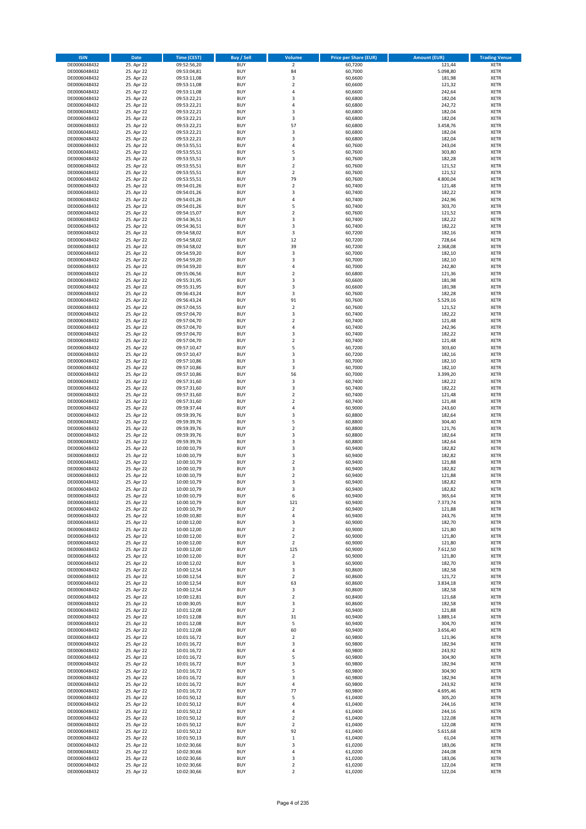| <b>ISIN</b>                  | Date                     | Time (CEST)                | <b>Buy / Sell</b>        | <b>Volume</b>                    | <b>Price per Share (EUR)</b> | <b>Amount (EUR)</b> | <b>Trading Venue</b>       |
|------------------------------|--------------------------|----------------------------|--------------------------|----------------------------------|------------------------------|---------------------|----------------------------|
| DE0006048432                 | 25. Apr 22               | 09:52:56,20                | <b>BUY</b>               | $\overline{2}$                   | 60,7200                      | 121,44              | <b>XETR</b>                |
| DE0006048432                 | 25. Apr 22               | 09:53:04,81                | <b>BUY</b>               | 84                               | 60,7000                      | 5.098,80            | XETR                       |
| DE0006048432                 | 25. Apr 22               | 09:53:11,08                | <b>BUY</b>               | 3                                | 60,6600                      | 181,98              | <b>XETR</b>                |
| DE0006048432<br>DE0006048432 | 25. Apr 22<br>25. Apr 22 | 09:53:11,08<br>09:53:11,08 | <b>BUY</b><br><b>BUY</b> | $\mathbf 2$<br>4                 | 60,6600<br>60,6600           | 121,32<br>242,64    | XETR<br><b>XETR</b>        |
| DE0006048432                 | 25. Apr 22               | 09:53:22,21                | <b>BUY</b>               | 3                                | 60,6800                      | 182,04              | <b>XETR</b>                |
| DE0006048432                 | 25. Apr 22               | 09:53:22,21                | <b>BUY</b>               | $\overline{4}$                   | 60,6800                      | 242,72              | <b>XETR</b>                |
| DE0006048432                 | 25. Apr 22               | 09:53:22,21                | <b>BUY</b>               | 3                                | 60,6800                      | 182,04              | <b>XETR</b>                |
| DE0006048432                 | 25. Apr 22               | 09:53:22,21                | <b>BUY</b>               | 3                                | 60,6800                      | 182,04              | <b>XETR</b>                |
| DE0006048432<br>DE0006048432 | 25. Apr 22<br>25. Apr 22 | 09:53:22,21<br>09:53:22,21 | <b>BUY</b><br><b>BUY</b> | 57<br>$\mathsf 3$                | 60,6800<br>60,6800           | 3.458,76<br>182,04  | <b>XETR</b><br><b>XETR</b> |
| DE0006048432                 | 25. Apr 22               | 09:53:22,21                | <b>BUY</b>               | 3                                | 60,6800                      | 182,04              | <b>XETR</b>                |
| DE0006048432                 | 25. Apr 22               | 09:53:55,51                | <b>BUY</b>               | $\overline{4}$                   | 60,7600                      | 243,04              | <b>XETR</b>                |
| DE0006048432                 | 25. Apr 22               | 09:53:55,51                | <b>BUY</b>               | 5                                | 60,7600                      | 303,80              | <b>XETR</b>                |
| DE0006048432                 | 25. Apr 22               | 09:53:55,51                | <b>BUY</b>               | 3                                | 60,7600                      | 182,28              | <b>XETR</b>                |
| DE0006048432<br>DE0006048432 | 25. Apr 22<br>25. Apr 22 | 09:53:55,51<br>09:53:55,51 | <b>BUY</b><br><b>BUY</b> | $\overline{2}$<br>$\overline{2}$ | 60,7600<br>60,7600           | 121,52<br>121,52    | <b>XETR</b><br><b>XETR</b> |
| DE0006048432                 | 25. Apr 22               | 09:53:55,51                | <b>BUY</b>               | 79                               | 60,7600                      | 4.800,04            | <b>XETR</b>                |
| DE0006048432                 | 25. Apr 22               | 09:54:01,26                | <b>BUY</b>               | $\overline{2}$                   | 60,7400                      | 121,48              | <b>XETR</b>                |
| DE0006048432                 | 25. Apr 22               | 09:54:01,26                | <b>BUY</b>               | 3                                | 60,7400                      | 182,22              | <b>XETR</b>                |
| DE0006048432                 | 25. Apr 22               | 09:54:01,26                | <b>BUY</b>               | 4                                | 60,7400                      | 242,96              | <b>XETR</b>                |
| DE0006048432<br>DE0006048432 | 25. Apr 22<br>25. Apr 22 | 09:54:01,26<br>09:54:15,07 | <b>BUY</b><br><b>BUY</b> | 5<br>$\overline{2}$              | 60,7400<br>60,7600           | 303,70<br>121,52    | <b>XETR</b><br><b>XETR</b> |
| DE0006048432                 | 25. Apr 22               | 09:54:36,51                | <b>BUY</b>               | 3                                | 60,7400                      | 182,22              | <b>XETR</b>                |
| DE0006048432                 | 25. Apr 22               | 09:54:36,51                | <b>BUY</b>               | 3                                | 60,7400                      | 182,22              | <b>XETR</b>                |
| DE0006048432                 | 25. Apr 22               | 09:54:58,02                | <b>BUY</b>               | 3                                | 60,7200                      | 182,16              | <b>XETR</b>                |
| DE0006048432                 | 25. Apr 22               | 09:54:58,02                | <b>BUY</b>               | 12                               | 60,7200                      | 728,64              | <b>XETR</b>                |
| DE0006048432                 | 25. Apr 22               | 09:54:58,02<br>09:54:59,20 | <b>BUY</b><br><b>BUY</b> | 39<br>$\mathsf 3$                | 60,7200                      | 2.368,08<br>182,10  | <b>XETR</b>                |
| DE0006048432<br>DE0006048432 | 25. Apr 22<br>25. Apr 22 | 09:54:59,20                | <b>BUY</b>               | 3                                | 60,7000<br>60,7000           | 182,10              | <b>XETR</b><br><b>XETR</b> |
| DE0006048432                 | 25. Apr 22               | 09:54:59,20                | <b>BUY</b>               | $\pmb{4}$                        | 60,7000                      | 242,80              | <b>XETR</b>                |
| DE0006048432                 | 25. Apr 22               | 09:55:06,56                | <b>BUY</b>               | $\mathbf 2$                      | 60,6800                      | 121,36              | <b>XETR</b>                |
| DE0006048432                 | 25. Apr 22               | 09:55:31,95                | <b>BUY</b>               | 3                                | 60,6600                      | 181,98              | <b>XETR</b>                |
| DE0006048432                 | 25. Apr 22               | 09:55:31,95                | <b>BUY</b>               | 3                                | 60,6600                      | 181,98              | <b>XETR</b>                |
| DE0006048432<br>DE0006048432 | 25. Apr 22<br>25. Apr 22 | 09:56:43,24<br>09:56:43,24 | <b>BUY</b><br><b>BUY</b> | 3<br>91                          | 60,7600<br>60,7600           | 182,28<br>5.529,16  | <b>XETR</b><br><b>XETR</b> |
| DE0006048432                 | 25. Apr 22               | 09:57:04,55                | <b>BUY</b>               | $\overline{2}$                   | 60,7600                      | 121,52              | <b>XETR</b>                |
| DE0006048432                 | 25. Apr 22               | 09:57:04,70                | <b>BUY</b>               | 3                                | 60,7400                      | 182,22              | <b>XETR</b>                |
| DE0006048432                 | 25. Apr 22               | 09:57:04,70                | <b>BUY</b>               | $\mathbf 2$                      | 60,7400                      | 121,48              | <b>XETR</b>                |
| DE0006048432                 | 25. Apr 22               | 09:57:04,70                | <b>BUY</b>               | 4                                | 60,7400                      | 242,96              | <b>XETR</b>                |
| DE0006048432                 | 25. Apr 22<br>25. Apr 22 | 09:57:04,70                | <b>BUY</b><br><b>BUY</b> | 3<br>$\mathbf 2$                 | 60,7400<br>60,7400           | 182,22<br>121,48    | <b>XETR</b>                |
| DE0006048432<br>DE0006048432 | 25. Apr 22               | 09:57:04,70<br>09:57:10,47 | <b>BUY</b>               | 5                                | 60,7200                      | 303,60              | <b>XETR</b><br><b>XETR</b> |
| DE0006048432                 | 25. Apr 22               | 09:57:10,47                | <b>BUY</b>               | 3                                | 60,7200                      | 182,16              | <b>XETR</b>                |
| DE0006048432                 | 25. Apr 22               | 09:57:10,86                | <b>BUY</b>               | 3                                | 60,7000                      | 182,10              | <b>XETR</b>                |
| DE0006048432                 | 25. Apr 22               | 09:57:10,86                | <b>BUY</b>               | 3                                | 60,7000                      | 182,10              | <b>XETR</b>                |
| DE0006048432                 | 25. Apr 22               | 09:57:10,86                | <b>BUY</b>               | 56                               | 60,7000                      | 3.399,20            | <b>XETR</b>                |
| DE0006048432<br>DE0006048432 | 25. Apr 22<br>25. Apr 22 | 09:57:31,60<br>09:57:31,60 | <b>BUY</b><br><b>BUY</b> | 3<br>3                           | 60,7400<br>60,7400           | 182,22<br>182,22    | <b>XETR</b><br><b>XETR</b> |
| DE0006048432                 | 25. Apr 22               | 09:57:31,60                | <b>BUY</b>               | $\overline{2}$                   | 60,7400                      | 121,48              | <b>XETR</b>                |
| DE0006048432                 | 25. Apr 22               | 09:57:31,60                | <b>BUY</b>               | $\overline{2}$                   | 60,7400                      | 121,48              | <b>XETR</b>                |
| DE0006048432                 | 25. Apr 22               | 09:59:37,44                | <b>BUY</b>               | $\overline{4}$                   | 60,9000                      | 243,60              | <b>XETR</b>                |
| DE0006048432                 | 25. Apr 22               | 09:59:39,76                | <b>BUY</b>               | 3                                | 60,8800                      | 182,64              | <b>XETR</b>                |
| DE0006048432<br>DE0006048432 | 25. Apr 22<br>25. Apr 22 | 09:59:39,76<br>09:59:39,76 | <b>BUY</b><br><b>BUY</b> | 5<br>$\mathbf 2$                 | 60,8800<br>60,8800           | 304,40<br>121,76    | <b>XETR</b><br><b>XETR</b> |
| DE0006048432                 | 25. Apr 22               | 09:59:39,76                | <b>BUY</b>               | 3                                | 60,8800                      | 182,64              | <b>XETR</b>                |
| DE0006048432                 | 25. Apr 22               | 09:59:39,76                | <b>BUY</b>               | 3                                | 60,8800                      | 182,64              | <b>XETR</b>                |
| DE0006048432                 | 25. Apr 22               | 10:00:10,79                | <b>BUY</b>               | 3                                | 60,9400                      | 182,82              | <b>XETR</b>                |
| DE0006048432                 | 25. Apr 22               | 10:00:10,79                | <b>BUY</b>               | 3                                | 60,9400                      | 182,82              | <b>XETR</b>                |
| DE0006048432<br>DE0006048432 | 25. Apr 22<br>25. Apr 22 | 10:00:10,79                | <b>BUY</b><br><b>BUY</b> | $\mathbf 2$<br>3                 | 60,9400<br>60,9400           | 121,88<br>182,82    | <b>XETR</b><br><b>XETR</b> |
| DE0006048432                 | 25. Apr 22               | 10:00:10,79<br>10:00:10,79 | <b>BUY</b>               | $\overline{2}$                   | 60,9400                      | 121,88              | <b>XETR</b>                |
| DE0006048432                 | 25. Apr 22               | 10:00:10,79                | <b>BUY</b>               | 3                                | 60,9400                      | 182,82              | <b>XETR</b>                |
| DE0006048432                 | 25. Apr 22               | 10:00:10,79                | <b>BUY</b>               | 3                                | 60,9400                      | 182,82              | <b>XETR</b>                |
| DE0006048432                 | 25. Apr 22               | 10:00:10,79                | BUY                      | 6                                | 60,9400                      | 365,64              | XETR                       |
| DE0006048432<br>DE0006048432 | 25. Apr 22<br>25. Apr 22 | 10:00:10,79<br>10:00:10,79 | <b>BUY</b><br><b>BUY</b> | 121<br>$\overline{2}$            | 60,9400<br>60,9400           | 7.373,74<br>121,88  | <b>XETR</b><br><b>XETR</b> |
| DE0006048432                 | 25. Apr 22               | 10:00:10,80                | <b>BUY</b>               | $\pmb{4}$                        | 60,9400                      | 243,76              | <b>XETR</b>                |
| DE0006048432                 | 25. Apr 22               | 10:00:12,00                | <b>BUY</b>               | 3                                | 60,9000                      | 182,70              | <b>XETR</b>                |
| DE0006048432                 | 25. Apr 22               | 10:00:12,00                | <b>BUY</b>               | $\mathbf 2$                      | 60,9000                      | 121,80              | <b>XETR</b>                |
| DE0006048432                 | 25. Apr 22               | 10:00:12,00                | <b>BUY</b>               | $\overline{2}$                   | 60,9000                      | 121,80              | <b>XETR</b>                |
| DE0006048432<br>DE0006048432 | 25. Apr 22<br>25. Apr 22 | 10:00:12,00<br>10:00:12,00 | <b>BUY</b><br><b>BUY</b> | $\overline{2}$<br>125            | 60,9000<br>60,9000           | 121,80<br>7.612,50  | <b>XETR</b><br>XETR        |
| DE0006048432                 | 25. Apr 22               | 10:00:12,00                | <b>BUY</b>               | $\mathbf 2$                      | 60,9000                      | 121,80              | <b>XETR</b>                |
| DE0006048432                 | 25. Apr 22               | 10:00:12,02                | <b>BUY</b>               | 3                                | 60,9000                      | 182,70              | XETR                       |
| DE0006048432                 | 25. Apr 22               | 10:00:12,54                | <b>BUY</b>               | 3                                | 60,8600                      | 182,58              | <b>XETR</b>                |
| DE0006048432                 | 25. Apr 22               | 10:00:12,54                | <b>BUY</b>               | $\mathbf 2$                      | 60,8600                      | 121,72              | XETR                       |
| DE0006048432<br>DE0006048432 | 25. Apr 22<br>25. Apr 22 | 10:00:12,54<br>10:00:12,54 | <b>BUY</b><br><b>BUY</b> | 63<br>3                          | 60,8600<br>60,8600           | 3.834,18<br>182,58  | <b>XETR</b><br>XETR        |
| DE0006048432                 | 25. Apr 22               | 10:00:12,81                | <b>BUY</b>               | $\mathbf 2$                      | 60,8400                      | 121,68              | <b>XETR</b>                |
| DE0006048432                 | 25. Apr 22               | 10:00:30,05                | <b>BUY</b>               | 3                                | 60,8600                      | 182,58              | <b>XETR</b>                |
| DE0006048432                 | 25. Apr 22               | 10:01:12,08                | <b>BUY</b>               | $\overline{2}$                   | 60,9400                      | 121,88              | <b>XETR</b>                |
| DE0006048432                 | 25. Apr 22               | 10:01:12,08                | <b>BUY</b>               | 31                               | 60,9400                      | 1.889,14            | XETR                       |
| DE0006048432<br>DE0006048432 | 25. Apr 22<br>25. Apr 22 | 10:01:12,08<br>10:01:12,08 | <b>BUY</b><br><b>BUY</b> | 5<br>60                          | 60,9400<br>60,9400           | 304,70<br>3.656,40  | XETR<br><b>XETR</b>        |
| DE0006048432                 | 25. Apr 22               | 10:01:16,72                | <b>BUY</b>               | $\mathbf 2$                      | 60,9800                      | 121,96              | <b>XETR</b>                |
| DE0006048432                 | 25. Apr 22               | 10:01:16,72                | <b>BUY</b>               | 3                                | 60,9800                      | 182,94              | XETR                       |
| DE0006048432                 | 25. Apr 22               | 10:01:16,72                | <b>BUY</b>               | 4                                | 60,9800                      | 243,92              | <b>XETR</b>                |
| DE0006048432                 | 25. Apr 22               | 10:01:16,72                | <b>BUY</b>               | 5                                | 60,9800                      | 304,90              | XETR                       |
| DE0006048432<br>DE0006048432 | 25. Apr 22               | 10:01:16,72                | <b>BUY</b><br><b>BUY</b> | 3<br>5                           | 60,9800<br>60,9800           | 182,94<br>304,90    | <b>XETR</b><br><b>XETR</b> |
| DE0006048432                 | 25. Apr 22<br>25. Apr 22 | 10:01:16,72<br>10:01:16,72 | <b>BUY</b>               | 3                                | 60,9800                      | 182,94              | <b>XETR</b>                |
| DE0006048432                 | 25. Apr 22               | 10:01:16,72                | <b>BUY</b>               | 4                                | 60,9800                      | 243,92              | <b>XETR</b>                |
| DE0006048432                 | 25. Apr 22               | 10:01:16,72                | <b>BUY</b>               | 77                               | 60,9800                      | 4.695,46            | <b>XETR</b>                |
| DE0006048432                 | 25. Apr 22               | 10:01:50,12                | <b>BUY</b>               | 5                                | 61,0400                      | 305,20              | XETR                       |
| DE0006048432                 | 25. Apr 22               | 10:01:50,12                | <b>BUY</b>               | 4                                | 61,0400                      | 244,16              | XETR                       |
| DE0006048432<br>DE0006048432 | 25. Apr 22<br>25. Apr 22 | 10:01:50,12<br>10:01:50,12 | <b>BUY</b><br><b>BUY</b> | 4<br>$\mathbf 2$                 | 61,0400<br>61,0400           | 244,16<br>122,08    | <b>XETR</b><br><b>XETR</b> |
| DE0006048432                 | 25. Apr 22               | 10:01:50,12                | <b>BUY</b>               | $\mathbf 2$                      | 61,0400                      | 122,08              | <b>XETR</b>                |
| DE0006048432                 | 25. Apr 22               | 10:01:50,12                | <b>BUY</b>               | 92                               | 61,0400                      | 5.615,68            | <b>XETR</b>                |
| DE0006048432                 | 25. Apr 22               | 10:01:50,13                | <b>BUY</b>               | $\,1\,$                          | 61,0400                      | 61,04               | XETR                       |
| DE0006048432                 | 25. Apr 22               | 10:02:30,66                | <b>BUY</b>               | $\mathsf 3$                      | 61,0200                      | 183,06              | XETR                       |
| DE0006048432<br>DE0006048432 | 25. Apr 22<br>25. Apr 22 | 10:02:30,66<br>10:02:30,66 | <b>BUY</b><br><b>BUY</b> | $\sqrt{4}$<br>3                  | 61,0200<br>61,0200           | 244,08<br>183,06    | <b>XETR</b><br>XETR        |
| DE0006048432                 | 25. Apr 22               | 10:02:30,66                | <b>BUY</b>               | $\mathbf 2$                      | 61,0200                      | 122,04              | <b>XETR</b>                |
| DE0006048432                 | 25. Apr 22               | 10:02:30,66                | <b>BUY</b>               | $\overline{2}$                   | 61,0200                      | 122,04              | <b>XETR</b>                |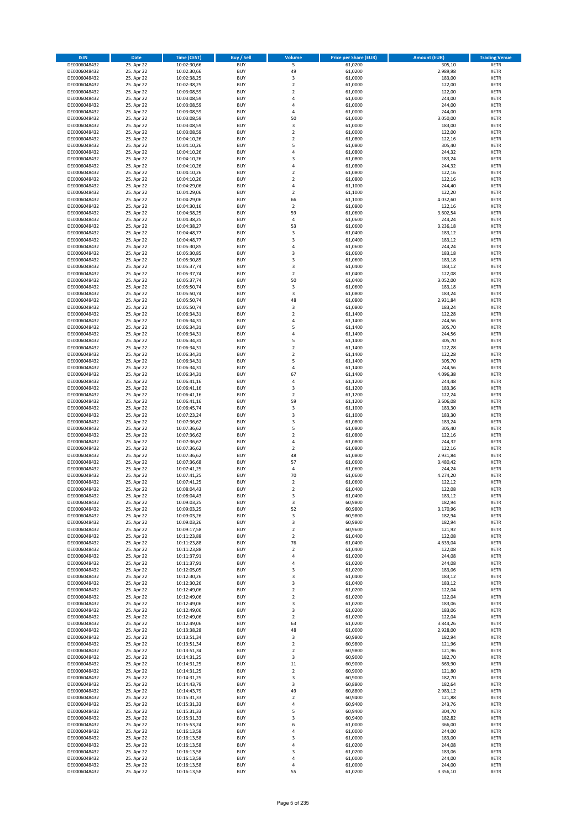| <b>ISIN</b>                  | Date                     | Time (CEST)                | <b>Buy / Sell</b>        | <b>Volume</b>                          | <b>Price per Share (EUR)</b> | <b>Amount (EUR)</b>  | <b>Trading Venue</b>       |
|------------------------------|--------------------------|----------------------------|--------------------------|----------------------------------------|------------------------------|----------------------|----------------------------|
| DE0006048432                 | 25. Apr 22               | 10:02:30,66                | <b>BUY</b>               | 5                                      | 61,0200                      | 305,10               | <b>XETR</b>                |
| DE0006048432                 | 25. Apr 22               | 10:02:30,66                | <b>BUY</b>               | 49                                     | 61,0200                      | 2.989,98             | XETR                       |
| DE0006048432                 | 25. Apr 22               | 10:02:38,25                | <b>BUY</b>               | 3                                      | 61,0000                      | 183,00               | <b>XETR</b>                |
| DE0006048432<br>DE0006048432 | 25. Apr 22<br>25. Apr 22 | 10:02:38,25<br>10:03:08,59 | <b>BUY</b><br><b>BUY</b> | $\mathbf 2$<br>$\overline{\mathbf{2}}$ | 61,0000<br>61,0000           | 122,00<br>122,00     | XETR<br><b>XETR</b>        |
| DE0006048432                 | 25. Apr 22               | 10:03:08,59                | <b>BUY</b>               | $\overline{4}$                         | 61,0000                      | 244,00               | <b>XETR</b>                |
| DE0006048432                 | 25. Apr 22               | 10:03:08,59                | <b>BUY</b>               | $\overline{4}$                         | 61,0000                      | 244,00               | <b>XETR</b>                |
| DE0006048432                 | 25. Apr 22               | 10:03:08,59                | <b>BUY</b>               | 4                                      | 61,0000                      | 244,00               | <b>XETR</b>                |
| DE0006048432                 | 25. Apr 22               | 10:03:08,59                | <b>BUY</b>               | 50                                     | 61,0000                      | 3.050,00             | <b>XETR</b>                |
| DE0006048432                 | 25. Apr 22               | 10:03:08,59                | <b>BUY</b>               | 3                                      | 61,0000                      | 183,00               | <b>XETR</b>                |
| DE0006048432                 | 25. Apr 22               | 10:03:08,59                | <b>BUY</b>               | $\mathbf 2$                            | 61,0000                      | 122,00               | <b>XETR</b>                |
| DE0006048432<br>DE0006048432 | 25. Apr 22<br>25. Apr 22 | 10:04:10,26                | <b>BUY</b><br><b>BUY</b> | $\overline{2}$<br>5                    | 61,0800<br>61,0800           | 122,16<br>305,40     | <b>XETR</b><br><b>XETR</b> |
| DE0006048432                 | 25. Apr 22               | 10:04:10,26<br>10:04:10,26 | <b>BUY</b>               | 4                                      | 61,0800                      | 244,32               | <b>XETR</b>                |
| DE0006048432                 | 25. Apr 22               | 10:04:10,26                | <b>BUY</b>               | 3                                      | 61,0800                      | 183,24               | <b>XETR</b>                |
| DE0006048432                 | 25. Apr 22               | 10:04:10,26                | <b>BUY</b>               | $\overline{4}$                         | 61,0800                      | 244,32               | <b>XETR</b>                |
| DE0006048432                 | 25. Apr 22               | 10:04:10,26                | <b>BUY</b>               | $\overline{2}$                         | 61,0800                      | 122,16               | <b>XETR</b>                |
| DE0006048432                 | 25. Apr 22               | 10:04:10,26                | <b>BUY</b>               | $\overline{2}$                         | 61,0800                      | 122,16               | <b>XETR</b>                |
| DE0006048432                 | 25. Apr 22               | 10:04:29,06                | <b>BUY</b>               | 4                                      | 61,1000                      | 244,40               | <b>XETR</b>                |
| DE0006048432                 | 25. Apr 22               | 10:04:29,06                | <b>BUY</b>               | $\mathbf 2$                            | 61,1000                      | 122,20               | <b>XETR</b>                |
| DE0006048432<br>DE0006048432 | 25. Apr 22<br>25. Apr 22 | 10:04:29,06<br>10:04:30,16 | <b>BUY</b><br><b>BUY</b> | 66<br>$\mathbf 2$                      | 61,1000<br>61,0800           | 4.032,60<br>122,16   | <b>XETR</b><br><b>XETR</b> |
| DE0006048432                 | 25. Apr 22               | 10:04:38,25                | <b>BUY</b>               | 59                                     | 61,0600                      | 3.602,54             | <b>XETR</b>                |
| DE0006048432                 | 25. Apr 22               | 10:04:38,25                | <b>BUY</b>               | $\sqrt{4}$                             | 61,0600                      | 244,24               | <b>XETR</b>                |
| DE0006048432                 | 25. Apr 22               | 10:04:38,27                | <b>BUY</b>               | 53                                     | 61,0600                      | 3.236,18             | <b>XETR</b>                |
| DE0006048432                 | 25. Apr 22               | 10:04:48,77                | <b>BUY</b>               | $\mathsf 3$                            | 61,0400                      | 183,12               | <b>XETR</b>                |
| DE0006048432                 | 25. Apr 22               | 10:04:48,77                | <b>BUY</b>               | 3                                      | 61,0400                      | 183,12               | <b>XETR</b>                |
| DE0006048432                 | 25. Apr 22               | 10:05:30,85                | <b>BUY</b>               | 4                                      | 61,0600                      | 244,24               | <b>XETR</b>                |
| DE0006048432<br>DE0006048432 | 25. Apr 22<br>25. Apr 22 | 10:05:30,85<br>10:05:30,85 | <b>BUY</b><br><b>BUY</b> | 3<br>3                                 | 61,0600<br>61,0600           | 183,18<br>183,18     | <b>XETR</b><br><b>XETR</b> |
| DE0006048432                 | 25. Apr 22               | 10:05:37,74                | <b>BUY</b>               | 3                                      | 61,0400                      | 183,12               | <b>XETR</b>                |
| DE0006048432                 | 25. Apr 22               | 10:05:37,74                | <b>BUY</b>               | $\overline{2}$                         | 61,0400                      | 122,08               | <b>XETR</b>                |
| DE0006048432                 | 25. Apr 22               | 10:05:37,74                | <b>BUY</b>               | 50                                     | 61,0400                      | 3.052,00             | <b>XETR</b>                |
| DE0006048432                 | 25. Apr 22               | 10:05:50,74                | <b>BUY</b>               | 3                                      | 61,0600                      | 183,18               | <b>XETR</b>                |
| DE0006048432                 | 25. Apr 22               | 10:05:50,74                | <b>BUY</b>               | 3                                      | 61,0800                      | 183,24               | <b>XETR</b>                |
| DE0006048432                 | 25. Apr 22               | 10:05:50,74                | <b>BUY</b>               | 48                                     | 61,0800                      | 2.931,84             | <b>XETR</b>                |
| DE0006048432<br>DE0006048432 | 25. Apr 22               | 10:05:50,74<br>10:06:34,31 | <b>BUY</b>               | 3<br>$\overline{2}$                    | 61,0800                      | 183,24               | <b>XETR</b>                |
| DE0006048432                 | 25. Apr 22<br>25. Apr 22 | 10:06:34,31                | <b>BUY</b><br><b>BUY</b> | $\sqrt{4}$                             | 61,1400<br>61,1400           | 122,28<br>244,56     | <b>XETR</b><br><b>XETR</b> |
| DE0006048432                 | 25. Apr 22               | 10:06:34,31                | <b>BUY</b>               | 5                                      | 61,1400                      | 305,70               | <b>XETR</b>                |
| DE0006048432                 | 25. Apr 22               | 10:06:34,31                | <b>BUY</b>               | 4                                      | 61,1400                      | 244,56               | <b>XETR</b>                |
| DE0006048432                 | 25. Apr 22               | 10:06:34,31                | <b>BUY</b>               | 5                                      | 61,1400                      | 305,70               | <b>XETR</b>                |
| DE0006048432                 | 25. Apr 22               | 10:06:34,31                | <b>BUY</b>               | $\mathbf 2$                            | 61,1400                      | 122,28               | <b>XETR</b>                |
| DE0006048432                 | 25. Apr 22               | 10:06:34,31                | <b>BUY</b>               | $\overline{2}$                         | 61,1400                      | 122,28               | <b>XETR</b>                |
| DE0006048432                 | 25. Apr 22               | 10:06:34,31                | <b>BUY</b>               | 5                                      | 61,1400                      | 305,70               | <b>XETR</b>                |
| DE0006048432                 | 25. Apr 22               | 10:06:34,31                | <b>BUY</b>               | $\sqrt{4}$                             | 61,1400                      | 244,56               | <b>XETR</b>                |
| DE0006048432<br>DE0006048432 | 25. Apr 22<br>25. Apr 22 | 10:06:34,31<br>10:06:41,16 | <b>BUY</b><br><b>BUY</b> | 67<br>4                                | 61,1400<br>61,1200           | 4.096,38<br>244,48   | <b>XETR</b><br><b>XETR</b> |
| DE0006048432                 | 25. Apr 22               | 10:06:41,16                | <b>BUY</b>               | 3                                      | 61,1200                      | 183,36               | <b>XETR</b>                |
| DE0006048432                 | 25. Apr 22               | 10:06:41,16                | <b>BUY</b>               | $\mathbf 2$                            | 61,1200                      | 122,24               | <b>XETR</b>                |
| DE0006048432                 | 25. Apr 22               | 10:06:41,16                | <b>BUY</b>               | 59                                     | 61,1200                      | 3.606,08             | <b>XETR</b>                |
| DE0006048432                 | 25. Apr 22               | 10:06:45,74                | <b>BUY</b>               | $\mathsf 3$                            | 61,1000                      | 183,30               | <b>XETR</b>                |
| DE0006048432                 | 25. Apr 22               | 10:07:23,24                | <b>BUY</b>               | 3                                      | 61,1000                      | 183,30               | <b>XETR</b>                |
| DE0006048432<br>DE0006048432 | 25. Apr 22<br>25. Apr 22 | 10:07:36,62<br>10:07:36,62 | <b>BUY</b><br><b>BUY</b> | $\mathsf 3$<br>5                       | 61,0800<br>61,0800           | 183,24<br>305,40     | <b>XETR</b><br><b>XETR</b> |
| DE0006048432                 | 25. Apr 22               | 10:07:36,62                | <b>BUY</b>               | $\mathbf 2$                            | 61,0800                      | 122,16               | <b>XETR</b>                |
| DE0006048432                 | 25. Apr 22               | 10:07:36,62                | <b>BUY</b>               | $\overline{4}$                         | 61,0800                      | 244,32               | <b>XETR</b>                |
| DE0006048432                 | 25. Apr 22               | 10:07:36,62                | <b>BUY</b>               | $\mathbf 2$                            | 61,0800                      | 122,16               | <b>XETR</b>                |
| DE0006048432                 | 25. Apr 22               | 10:07:36,62                | <b>BUY</b>               | 48                                     | 61,0800                      | 2.931,84             | <b>XETR</b>                |
| DE0006048432                 | 25. Apr 22               | 10:07:36,68                | <b>BUY</b>               | 57                                     | 61,0600                      | 3.480,42             | <b>XETR</b>                |
| DE0006048432                 | 25. Apr 22               | 10:07:41,25                | <b>BUY</b>               | 4                                      | 61,0600                      | 244,24               | <b>XETR</b>                |
| DE0006048432<br>DE0006048432 | 25. Apr 22<br>25. Apr 22 | 10:07:41,25<br>10:07:41,25 | <b>BUY</b><br><b>BUY</b> | 70<br>$\overline{2}$                   | 61,0600<br>61,0600           | 4.274,20<br>122,12   | <b>XETR</b><br><b>XETR</b> |
| DE0006048432                 | 25. Apr 22               | 10:08:04,43                | <b>BUY</b>               | 2                                      | 61,0400                      | 122,08               | <b>XETR</b>                |
| DE0006048432                 | 25. Apr 22               | 10:08:04,43                | BUY                      | 3                                      | 61,0400                      | 183,12               | XETR                       |
| DE0006048432                 | 25. Apr 22               | 10:09:03,25                | <b>BUY</b>               | 3                                      | 60,9800                      | 182,94               | <b>XETR</b>                |
| DE0006048432                 | 25. Apr 22               | 10:09:03,25                | <b>BUY</b>               | 52                                     | 60,9800                      | 3.170,96             | <b>XETR</b>                |
| DE0006048432                 | 25. Apr 22               | 10:09:03,26                | <b>BUY</b>               | 3                                      | 60,9800                      | 182,94               | <b>XETR</b>                |
| DE0006048432<br>DE0006048432 | 25. Apr 22<br>25. Apr 22 | 10:09:03,26                | <b>BUY</b><br><b>BUY</b> | 3<br>$\mathbf 2$                       | 60,9800<br>60,9600           | 182,94<br>121,92     | <b>XETR</b><br><b>XETR</b> |
| DE0006048432                 | 25. Apr 22               | 10:09:17,58<br>10:11:23,88 | <b>BUY</b>               | $\overline{2}$                         | 61,0400                      | 122,08               | <b>XETR</b>                |
| DE0006048432                 | 25. Apr 22               | 10:11:23,88                | <b>BUY</b>               | 76                                     | 61,0400                      | 4.639,04             | <b>XETR</b>                |
| DE0006048432                 | 25. Apr 22               | 10:11:23,88                | <b>BUY</b>               | $\mathbf 2$                            | 61,0400                      | 122,08               | XETR                       |
| DE0006048432                 | 25. Apr 22               | 10:11:37,91                | <b>BUY</b>               | $\sqrt{4}$                             | 61,0200                      | 244,08               | <b>XETR</b>                |
| DE0006048432                 | 25. Apr 22               | 10:11:37,91                | <b>BUY</b>               | 4                                      | 61,0200                      | 244,08               | XETR                       |
| DE0006048432                 | 25. Apr 22               | 10:12:05,05                | <b>BUY</b>               | 3                                      | 61,0200                      | 183,06               | <b>XETR</b>                |
| DE0006048432<br>DE0006048432 | 25. Apr 22<br>25. Apr 22 | 10:12:30,26<br>10:12:30,26 | <b>BUY</b><br><b>BUY</b> | 3<br>3                                 | 61,0400<br>61,0400           | 183,12<br>183,12     | XETR<br><b>XETR</b>        |
| DE0006048432                 | 25. Apr 22               | 10:12:49,06                | <b>BUY</b>               | $\mathbf 2$                            | 61,0200                      | 122,04               | XETR                       |
| DE0006048432                 | 25. Apr 22               | 10:12:49,06                | <b>BUY</b>               | $\overline{2}$                         | 61,0200                      | 122,04               | <b>XETR</b>                |
| DE0006048432                 | 25. Apr 22               | 10:12:49,06                | <b>BUY</b>               | 3                                      | 61,0200                      | 183,06               | <b>XETR</b>                |
| DE0006048432                 | 25. Apr 22               | 10:12:49,06                | <b>BUY</b>               | 3                                      | 61,0200                      | 183,06               | <b>XETR</b>                |
| DE0006048432                 | 25. Apr 22               | 10:12:49,06                | <b>BUY</b>               | $\mathbf 2$                            | 61,0200                      | 122,04               | XETR                       |
| DE0006048432<br>DE0006048432 | 25. Apr 22<br>25. Apr 22 | 10:12:49,06<br>10:13:38,28 | <b>BUY</b><br><b>BUY</b> | 63<br>48                               | 61,0200<br>61,0000           | 3.844,26<br>2.928,00 | XETR<br><b>XETR</b>        |
| DE0006048432                 | 25. Apr 22               | 10:13:51,34                | <b>BUY</b>               | 3                                      | 60,9800                      | 182,94               | <b>XETR</b>                |
| DE0006048432                 | 25. Apr 22               | 10:13:51,34                | <b>BUY</b>               | $\overline{2}$                         | 60,9800                      | 121,96               | XETR                       |
| DE0006048432                 | 25. Apr 22               | 10:13:51,34                | <b>BUY</b>               | $\mathbf 2$                            | 60,9800                      | 121,96               | <b>XETR</b>                |
| DE0006048432                 | 25. Apr 22               | 10:14:31,25                | <b>BUY</b>               | 3                                      | 60,9000                      | 182,70               | XETR                       |
| DE0006048432                 | 25. Apr 22               | 10:14:31,25                | <b>BUY</b>               | 11                                     | 60,9000                      | 669,90               | <b>XETR</b>                |
| DE0006048432                 | 25. Apr 22               | 10:14:31,25                | <b>BUY</b>               | $\overline{2}$                         | 60,9000                      | 121,80               | XETR                       |
| DE0006048432<br>DE0006048432 | 25. Apr 22<br>25. Apr 22 | 10:14:31,25                | <b>BUY</b><br><b>BUY</b> | 3<br>3                                 | 60,9000<br>60,8800           | 182,70<br>182,64     | <b>XETR</b><br><b>XETR</b> |
| DE0006048432                 | 25. Apr 22               | 10:14:43,79<br>10:14:43,79 | <b>BUY</b>               | 49                                     | 60,8800                      | 2.983,12             | <b>XETR</b>                |
| DE0006048432                 | 25. Apr 22               | 10:15:31,33                | <b>BUY</b>               | $\mathbf 2$                            | 60,9400                      | 121,88               | XETR                       |
| DE0006048432                 | 25. Apr 22               | 10:15:31,33                | <b>BUY</b>               | $\pmb{4}$                              | 60,9400                      | 243,76               | XETR                       |
| DE0006048432                 | 25. Apr 22               | 10:15:31,33                | <b>BUY</b>               | 5                                      | 60,9400                      | 304,70               | XETR                       |
| DE0006048432                 | 25. Apr 22               | 10:15:31,33                | <b>BUY</b>               | 3                                      | 60,9400                      | 182,82               | XETR                       |
| DE0006048432                 | 25. Apr 22               | 10:15:53,24                | <b>BUY</b>               | 6<br>$\sqrt{4}$                        | 61,0000                      | 366,00               | <b>XETR</b>                |
| DE0006048432<br>DE0006048432 | 25. Apr 22<br>25. Apr 22 | 10:16:13,58<br>10:16:13,58 | <b>BUY</b><br><b>BUY</b> | 3                                      | 61,0000<br>61,0000           | 244,00<br>183,00     | XETR<br>XETR               |
| DE0006048432                 | 25. Apr 22               | 10:16:13,58                | <b>BUY</b>               | $\overline{4}$                         | 61,0200                      | 244,08               | XETR                       |
| DE0006048432                 | 25. Apr 22               | 10:16:13,58                | <b>BUY</b>               | 3                                      | 61,0200                      | 183,06               | <b>XETR</b>                |
| DE0006048432                 | 25. Apr 22               | 10:16:13,58                | <b>BUY</b>               | 4                                      | 61,0000                      | 244,00               | XETR                       |
| DE0006048432                 | 25. Apr 22               | 10:16:13,58                | <b>BUY</b>               | $\sqrt{4}$                             | 61,0000                      | 244,00               | <b>XETR</b>                |
| DE0006048432                 | 25. Apr 22               | 10:16:13,58                | <b>BUY</b>               | 55                                     | 61,0200                      | 3.356,10             | XETR                       |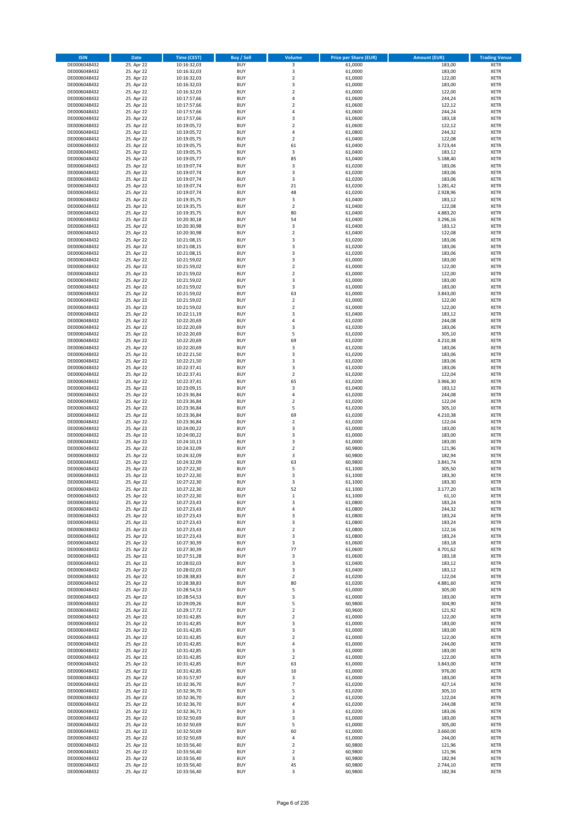| <b>ISIN</b>                  | <b>Date</b>              | <b>Time (CEST)</b>         | <b>Buy / Sell</b>        | Volume                        | <b>Price per Share (EUR)</b> | <b>Amount (EUR)</b> | <b>Trading Venue</b>       |
|------------------------------|--------------------------|----------------------------|--------------------------|-------------------------------|------------------------------|---------------------|----------------------------|
| DE0006048432                 | 25. Apr 22               | 10:16:32,03                | <b>BUY</b>               | 3                             | 61,0000                      | 183,00              | <b>XETR</b>                |
| DE0006048432                 | 25. Apr 22               | 10:16:32,03                | <b>BUY</b>               | 3                             | 61,0000                      | 183,00              | <b>XETR</b>                |
| DE0006048432                 | 25. Apr 22               | 10:16:32,03                | <b>BUY</b>               | $\overline{2}$                | 61,0000                      | 122,00              | <b>XETR</b>                |
| DE0006048432<br>DE0006048432 | 25. Apr 22<br>25. Apr 22 | 10:16:32,03<br>10:16:32,03 | <b>BUY</b><br><b>BUY</b> | 3<br>$\overline{\mathbf{c}}$  | 61,0000<br>61,0000           | 183,00<br>122,00    | <b>XETR</b><br><b>XETR</b> |
| DE0006048432                 | 25. Apr 22               | 10:17:57,66                | <b>BUY</b>               | 4                             | 61,0600                      | 244,24              | <b>XETR</b>                |
| DE0006048432                 | 25. Apr 22               | 10:17:57,66                | <b>BUY</b>               | $\overline{\mathbf{c}}$       | 61,0600                      | 122,12              | <b>XETR</b>                |
| DE0006048432                 | 25. Apr 22               | 10:17:57,66                | <b>BUY</b>               | 4                             | 61,0600                      | 244,24              | <b>XETR</b>                |
| DE0006048432                 | 25. Apr 22               | 10:17:57,66                | <b>BUY</b>               | 3                             | 61,0600                      | 183,18              | <b>XETR</b>                |
| DE0006048432                 | 25. Apr 22               | 10:19:05,72                | <b>BUY</b>               | $\mathbf 2$                   | 61,0600                      | 122,12              | <b>XETR</b>                |
| DE0006048432                 | 25. Apr 22               | 10:19:05,72                | <b>BUY</b>               | 4                             | 61,0800                      | 244,32              | <b>XETR</b>                |
| DE0006048432<br>DE0006048432 | 25. Apr 22<br>25. Apr 22 | 10:19:05,75                | <b>BUY</b><br><b>BUY</b> | $\overline{\mathbf{c}}$<br>61 | 61,0400<br>61,0400           | 122,08<br>3.723,44  | <b>XETR</b><br><b>XETR</b> |
| DE0006048432                 | 25. Apr 22               | 10:19:05,75<br>10:19:05,75 | <b>BUY</b>               | 3                             | 61,0400                      | 183,12              | <b>XETR</b>                |
| DE0006048432                 | 25. Apr 22               | 10:19:05,77                | <b>BUY</b>               | 85                            | 61,0400                      | 5.188,40            | <b>XETR</b>                |
| DE0006048432                 | 25. Apr 22               | 10:19:07,74                | <b>BUY</b>               | 3                             | 61,0200                      | 183,06              | <b>XETR</b>                |
| DE0006048432                 | 25. Apr 22               | 10:19:07,74                | <b>BUY</b>               | 3                             | 61,0200                      | 183,06              | <b>XETR</b>                |
| DE0006048432                 | 25. Apr 22               | 10:19:07,74                | <b>BUY</b>               | 3                             | 61,0200                      | 183,06              | <b>XETR</b>                |
| DE0006048432                 | 25. Apr 22               | 10:19:07,74                | <b>BUY</b>               | 21                            | 61,0200                      | 1.281,42            | <b>XETR</b>                |
| DE0006048432                 | 25. Apr 22               | 10:19:07,74                | <b>BUY</b>               | 48                            | 61,0200                      | 2.928,96            | <b>XETR</b>                |
| DE0006048432<br>DE0006048432 | 25. Apr 22<br>25. Apr 22 | 10:19:35,75<br>10:19:35,75 | <b>BUY</b><br><b>BUY</b> | 3<br>$\mathbf 2$              | 61,0400<br>61,0400           | 183,12<br>122,08    | <b>XETR</b><br><b>XETR</b> |
| DE0006048432                 | 25. Apr 22               | 10:19:35,75                | <b>BUY</b>               | 80                            | 61,0400                      | 4.883,20            | <b>XETR</b>                |
| DE0006048432                 | 25. Apr 22               | 10:20:30,18                | <b>BUY</b>               | 54                            | 61,0400                      | 3.296,16            | <b>XETR</b>                |
| DE0006048432                 | 25. Apr 22               | 10:20:30,98                | <b>BUY</b>               | 3                             | 61,0400                      | 183,12              | <b>XETR</b>                |
| DE0006048432                 | 25. Apr 22               | 10:20:30,98                | <b>BUY</b>               | $\mathbf 2$                   | 61,0400                      | 122,08              | <b>XETR</b>                |
| DE0006048432                 | 25. Apr 22               | 10:21:08,15                | <b>BUY</b>               | 3                             | 61,0200                      | 183,06              | <b>XETR</b>                |
| DE0006048432                 | 25. Apr 22               | 10:21:08,15                | <b>BUY</b>               | 3                             | 61,0200                      | 183,06              | <b>XETR</b>                |
| DE0006048432<br>DE0006048432 | 25. Apr 22<br>25. Apr 22 | 10:21:08,15<br>10:21:59,02 | <b>BUY</b><br><b>BUY</b> | 3<br>3                        | 61,0200<br>61,0000           | 183,06<br>183,00    | <b>XETR</b><br><b>XETR</b> |
| DE0006048432                 | 25. Apr 22               | 10:21:59,02                | <b>BUY</b>               | $\overline{2}$                | 61,0000                      | 122,00              | <b>XETR</b>                |
| DE0006048432                 | 25. Apr 22               | 10:21:59,02                | <b>BUY</b>               | $\overline{\mathbf{2}}$       | 61,0000                      | 122,00              | <b>XETR</b>                |
| DE0006048432                 | 25. Apr 22               | 10:21:59,02                | <b>BUY</b>               | 3                             | 61,0000                      | 183,00              | <b>XETR</b>                |
| DE0006048432                 | 25. Apr 22               | 10:21:59,02                | <b>BUY</b>               | 3                             | 61,0000                      | 183,00              | <b>XETR</b>                |
| DE0006048432                 | 25. Apr 22               | 10:21:59,02                | <b>BUY</b>               | 63                            | 61.0000                      | 3.843,00            | <b>XETR</b>                |
| DE0006048432                 | 25. Apr 22               | 10:21:59,02                | <b>BUY</b>               | $\mathbf 2$                   | 61,0000                      | 122,00              | <b>XETR</b>                |
| DE0006048432                 | 25. Apr 22<br>25. Apr 22 | 10:21:59,02                | <b>BUY</b><br><b>BUY</b> | $\overline{\mathbf{c}}$<br>3  | 61,0000<br>61,0400           | 122,00<br>183,12    | <b>XETR</b><br><b>XETR</b> |
| DE0006048432<br>DE0006048432 | 25. Apr 22               | 10:22:11,19<br>10:22:20,69 | <b>BUY</b>               | 4                             | 61,0200                      | 244,08              | <b>XETR</b>                |
| DE0006048432                 | 25. Apr 22               | 10:22:20,69                | <b>BUY</b>               | 3                             | 61,0200                      | 183,06              | <b>XETR</b>                |
| DE0006048432                 | 25. Apr 22               | 10:22:20,69                | <b>BUY</b>               | 5                             | 61,0200                      | 305,10              | <b>XETR</b>                |
| DE0006048432                 | 25. Apr 22               | 10:22:20,69                | <b>BUY</b>               | 69                            | 61,0200                      | 4.210,38            | <b>XETR</b>                |
| DE0006048432                 | 25. Apr 22               | 10:22:20,69                | <b>BUY</b>               | 3                             | 61,0200                      | 183,06              | <b>XETR</b>                |
| DE0006048432                 | 25. Apr 22               | 10:22:21,50                | <b>BUY</b>               | 3                             | 61,0200                      | 183,06              | <b>XETR</b>                |
| DE0006048432                 | 25. Apr 22               | 10:22:21,50                | <b>BUY</b>               | 3                             | 61,0200                      | 183,06              | <b>XETR</b>                |
| DE0006048432<br>DE0006048432 | 25. Apr 22<br>25. Apr 22 | 10:22:37,41<br>10:22:37,41 | <b>BUY</b><br><b>BUY</b> | 3<br>$\mathbf 2$              | 61,0200<br>61,0200           | 183,06<br>122,04    | <b>XETR</b><br><b>XETR</b> |
| DE0006048432                 | 25. Apr 22               | 10:22:37,41                | <b>BUY</b>               | 65                            | 61,0200                      | 3.966,30            | <b>XETR</b>                |
| DE0006048432                 | 25. Apr 22               | 10:23:09,15                | <b>BUY</b>               | 3                             | 61,0400                      | 183,12              | <b>XETR</b>                |
| DE0006048432                 | 25. Apr 22               | 10:23:36,84                | <b>BUY</b>               | 4                             | 61,0200                      | 244,08              | <b>XETR</b>                |
| DE0006048432                 | 25. Apr 22               | 10:23:36,84                | <b>BUY</b>               | $\overline{\mathbf{c}}$       | 61,0200                      | 122,04              | <b>XETR</b>                |
| DE0006048432                 | 25. Apr 22               | 10:23:36,84                | <b>BUY</b>               | 5                             | 61,0200                      | 305,10              | <b>XETR</b>                |
| DE0006048432                 | 25. Apr 22               | 10:23:36,84                | <b>BUY</b>               | 69                            | 61,0200                      | 4.210,38            | <b>XETR</b>                |
| DE0006048432<br>DE0006048432 | 25. Apr 22<br>25. Apr 22 | 10:23:36,84<br>10:24:00,22 | <b>BUY</b><br><b>BUY</b> | $\mathbf 2$<br>3              | 61,0200<br>61,0000           | 122,04<br>183,00    | <b>XETR</b><br><b>XETR</b> |
| DE0006048432                 | 25. Apr 22               | 10:24:00,22                | <b>BUY</b>               | 3                             | 61,0000                      | 183,00              | <b>XETR</b>                |
| DE0006048432                 | 25. Apr 22               | 10:24:10,13                | <b>BUY</b>               | 3                             | 61,0000                      | 183,00              | <b>XETR</b>                |
| DE0006048432                 | 25. Apr 22               | 10:24:32,09                | <b>BUY</b>               | $\overline{\mathbf{c}}$       | 60,9800                      | 121,96              | <b>XETR</b>                |
| DE0006048432                 | 25. Apr 22               | 10:24:32,09                | <b>BUY</b>               | 3                             | 60,9800                      | 182,94              | <b>XETR</b>                |
| DE0006048432                 | 25. Apr 22               | 10:24:32,09                | <b>BUY</b>               | 63                            | 60,9800                      | 3.841,74            | <b>XETR</b>                |
| DE0006048432<br>DE0006048432 | 25. Apr 22               | 10:27:22,30                | <b>BUY</b><br><b>BUY</b> | 5<br>3                        | 61,1000                      | 305,50              | <b>XETR</b><br><b>XETR</b> |
| DE0006048432                 | 25. Apr 22<br>25. Apr 22 | 10:27:22,30<br>10:27:22,30 | <b>BUY</b>               | 3                             | 61,1000<br>61,1000           | 183,30<br>183,30    | <b>XETR</b>                |
| DE0006048432                 | 25. Apr 22               | 10:27:22,30                | <b>BUY</b>               | 52                            | 61,1000                      | 3.177,20            | <b>XETR</b>                |
| DE0006048432                 | 25. Apr 22               | 10:27:22,30                | BUY                      | $\mathbf 1$                   | 61,1000                      | 61,10               | <b>XETR</b>                |
| DE0006048432                 | 25. Apr 22               | 10:27:23,43                | <b>BUY</b>               | 3                             | 61,0800                      | 183,24              | <b>XETR</b>                |
| DE0006048432                 | 25. Apr 22               | 10:27:23,43                | <b>BUY</b>               | 4                             | 61,0800                      | 244,32              | <b>XETR</b>                |
| DE0006048432                 | 25. Apr 22               | 10:27:23,43                | <b>BUY</b>               | 3                             | 61,0800                      | 183,24              | <b>XETR</b>                |
| DE0006048432<br>DE0006048432 | 25. Apr 22<br>25. Apr 22 | 10:27:23,43<br>10:27:23,43 | <b>BUY</b><br><b>BUY</b> | 3<br>$\mathbf 2$              | 61,0800<br>61,0800           | 183,24<br>122,16    | <b>XETR</b><br><b>XETR</b> |
| DE0006048432                 | 25. Apr 22               | 10:27:23,43                | <b>BUY</b>               | 3                             | 61,0800                      | 183,24              | <b>XETR</b>                |
| DE0006048432                 | 25. Apr 22               | 10:27:30,39                | <b>BUY</b>               | 3                             | 61,0600                      | 183,18              | <b>XETR</b>                |
| DE0006048432                 | 25. Apr 22               | 10:27:30,39                | <b>BUY</b>               | 77                            | 61,0600                      | 4.701,62            | <b>XETR</b>                |
| DE0006048432                 | 25. Apr 22               | 10:27:51,28                | <b>BUY</b>               | 3                             | 61,0600                      | 183,18              | <b>XETR</b>                |
| DE0006048432                 | 25. Apr 22               | 10:28:02,03                | <b>BUY</b>               | 3                             | 61,0400                      | 183,12              | <b>XETR</b>                |
| DE0006048432<br>DE0006048432 | 25. Apr 22<br>25. Apr 22 | 10:28:02,03<br>10:28:38,83 | <b>BUY</b><br><b>BUY</b> | 3<br>$\mathbf 2$              | 61,0400<br>61,0200           | 183,12<br>122,04    | <b>XETR</b><br><b>XETR</b> |
| DE0006048432                 | 25. Apr 22               | 10:28:38,83                | <b>BUY</b>               | 80                            | 61,0200                      | 4.881,60            | <b>XETR</b>                |
| DE0006048432                 | 25. Apr 22               | 10:28:54,53                | <b>BUY</b>               | 5                             | 61,0000                      | 305,00              | <b>XETR</b>                |
| DE0006048432                 | 25. Apr 22               | 10:28:54,53                | <b>BUY</b>               | 3                             | 61,0000                      | 183,00              | <b>XETR</b>                |
| DE0006048432                 | 25. Apr 22               | 10:29:09,26                | <b>BUY</b>               | 5                             | 60,9800                      | 304,90              | <b>XETR</b>                |
| DE0006048432                 | 25. Apr 22               | 10:29:17,72                | <b>BUY</b>               | $\mathbf 2$                   | 60,9600                      | 121,92              | <b>XETR</b>                |
| DE0006048432                 | 25. Apr 22               | 10:31:42,85                | <b>BUY</b>               | $\mathbf 2$                   | 61,0000                      | 122,00              | <b>XETR</b><br><b>XETR</b> |
| DE0006048432<br>DE0006048432 | 25. Apr 22<br>25. Apr 22 | 10:31:42,85<br>10:31:42,85 | <b>BUY</b><br><b>BUY</b> | 3<br>3                        | 61,0000<br>61,0000           | 183,00<br>183,00    | <b>XETR</b>                |
| DE0006048432                 | 25. Apr 22               | 10:31:42,85                | <b>BUY</b>               | $\mathbf 2$                   | 61,0000                      | 122,00              | <b>XETR</b>                |
| DE0006048432                 | 25. Apr 22               | 10:31:42,85                | <b>BUY</b>               | 4                             | 61,0000                      | 244,00              | <b>XETR</b>                |
| DE0006048432                 | 25. Apr 22               | 10:31:42,85                | <b>BUY</b>               | 3                             | 61,0000                      | 183,00              | <b>XETR</b>                |
| DE0006048432                 | 25. Apr 22               | 10:31:42,85                | <b>BUY</b>               | $\mathbf 2$                   | 61,0000                      | 122,00              | <b>XETR</b>                |
| DE0006048432                 | 25. Apr 22               | 10:31:42,85                | <b>BUY</b>               | 63                            | 61,0000                      | 3.843,00            | <b>XETR</b>                |
| DE0006048432                 | 25. Apr 22               | 10:31:42,85                | <b>BUY</b><br><b>BUY</b> | 16                            | 61,0000                      | 976,00              | <b>XETR</b><br><b>XETR</b> |
| DE0006048432<br>DE0006048432 | 25. Apr 22<br>25. Apr 22 | 10:31:57,97<br>10:32:36,70 | <b>BUY</b>               | 3<br>7                        | 61,0000<br>61,0200           | 183,00<br>427,14    | <b>XETR</b>                |
| DE0006048432                 | 25. Apr 22               | 10:32:36,70                | <b>BUY</b>               | 5                             | 61,0200                      | 305,10              | <b>XETR</b>                |
| DE0006048432                 | 25. Apr 22               | 10:32:36,70                | <b>BUY</b>               | $\mathbf 2$                   | 61,0200                      | 122,04              | <b>XETR</b>                |
| DE0006048432                 | 25. Apr 22               | 10:32:36,70                | <b>BUY</b>               | 4                             | 61,0200                      | 244,08              | <b>XETR</b>                |
| DE0006048432                 | 25. Apr 22               | 10:32:36,71                | <b>BUY</b>               | 3                             | 61,0200                      | 183,06              | <b>XETR</b>                |
| DE0006048432                 | 25. Apr 22               | 10:32:50,69                | <b>BUY</b>               | 3                             | 61,0000                      | 183,00              | <b>XETR</b>                |
| DE0006048432<br>DE0006048432 | 25. Apr 22<br>25. Apr 22 | 10:32:50,69<br>10:32:50,69 | <b>BUY</b><br><b>BUY</b> | 5<br>60                       | 61,0000<br>61,0000           | 305,00<br>3.660,00  | <b>XETR</b><br><b>XETR</b> |
| DE0006048432                 | 25. Apr 22               | 10:32:50,69                | <b>BUY</b>               | 4                             | 61,0000                      | 244,00              | <b>XETR</b>                |
| DE0006048432                 | 25. Apr 22               | 10:33:56,40                | <b>BUY</b>               | $\overline{\mathbf{c}}$       | 60,9800                      | 121,96              | <b>XETR</b>                |
| DE0006048432                 | 25. Apr 22               | 10:33:56,40                | <b>BUY</b>               | $\overline{2}$                | 60,9800                      | 121,96              | <b>XETR</b>                |
| DE0006048432                 | 25. Apr 22               | 10:33:56,40                | <b>BUY</b>               | 3                             | 60,9800                      | 182,94              | <b>XETR</b>                |
| DE0006048432                 | 25. Apr 22               | 10:33:56,40                | <b>BUY</b>               | 45                            | 60,9800                      | 2.744,10            | <b>XETR</b>                |
| DE0006048432                 | 25. Apr 22               | 10:33:56,40                | <b>BUY</b>               | 3                             | 60,9800                      | 182,94              | <b>XETR</b>                |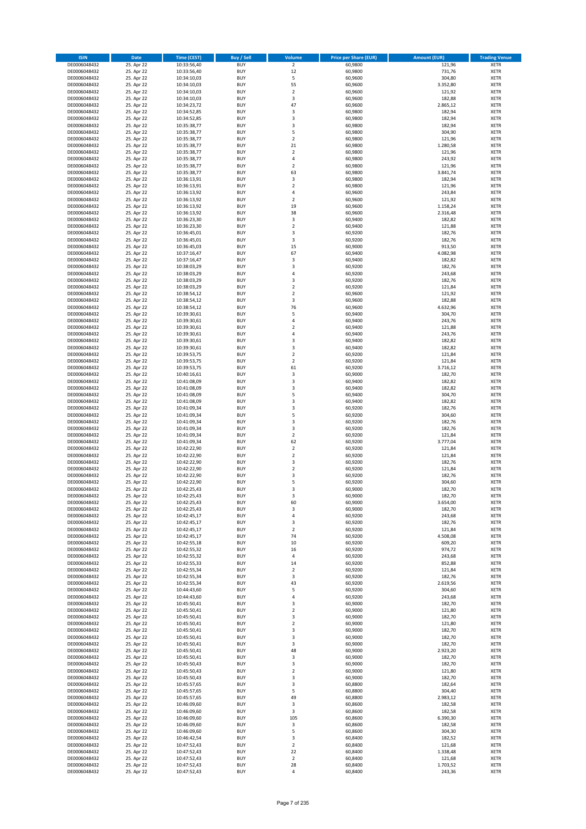| <b>ISIN</b>                  | <b>Date</b>              | <b>Time (CEST)</b>         | <b>Buy / Sell</b>        | <b>Volume</b>                 | <b>Price per Share (EUR)</b> | <b>Amount (EUR)</b> | <b>Trading Venue</b>       |
|------------------------------|--------------------------|----------------------------|--------------------------|-------------------------------|------------------------------|---------------------|----------------------------|
| DE0006048432                 | 25. Apr 22               | 10:33:56,40                | <b>BUY</b>               | $\overline{2}$                | 60,9800                      | 121,96              | <b>XETR</b>                |
| DE0006048432                 | 25. Apr 22               | 10:33:56,40                | <b>BUY</b>               | 12                            | 60,9800                      | 731,76              | <b>XETR</b>                |
| DE0006048432                 | 25. Apr 22               | 10:34:10,03                | <b>BUY</b>               | 5                             | 60,9600                      | 304,80              | <b>XETR</b>                |
| DE0006048432<br>DE0006048432 | 25. Apr 22<br>25. Apr 22 | 10:34:10,03<br>10:34:10,03 | <b>BUY</b><br><b>BUY</b> | 55<br>$\overline{\mathbf{c}}$ | 60,9600<br>60,9600           | 3.352,80<br>121,92  | <b>XETR</b><br><b>XETR</b> |
| DE0006048432                 | 25. Apr 22               | 10:34:10,03                | <b>BUY</b>               | 3                             | 60,9600                      | 182,88              | <b>XETR</b>                |
| DE0006048432                 | 25. Apr 22               | 10:34:23,72                | <b>BUY</b>               | 47                            | 60,9600                      | 2.865,12            | <b>XETR</b>                |
| DE0006048432                 | 25. Apr 22               | 10:34:52,85                | <b>BUY</b>               | 3                             | 60,9800                      | 182,94              | <b>XETR</b>                |
| DE0006048432                 | 25. Apr 22               | 10:34:52,85                | <b>BUY</b>               | 3                             | 60,9800                      | 182,94              | <b>XETR</b>                |
| DE0006048432                 | 25. Apr 22               | 10:35:38,77                | <b>BUY</b>               | 3                             | 60,9800                      | 182,94              | <b>XETR</b>                |
| DE0006048432                 | 25. Apr 22               | 10:35:38,77                | <b>BUY</b>               | 5                             | 60,9800                      | 304,90              | <b>XETR</b>                |
| DE0006048432                 | 25. Apr 22<br>25. Apr 22 | 10:35:38,77                | <b>BUY</b><br><b>BUY</b> | $\overline{\mathbf{c}}$<br>21 | 60,9800                      | 121,96              | <b>XETR</b><br><b>XETR</b> |
| DE0006048432<br>DE0006048432 | 25. Apr 22               | 10:35:38,77<br>10:35:38,77 | <b>BUY</b>               | $\overline{2}$                | 60,9800<br>60,9800           | 1.280,58<br>121,96  | <b>XETR</b>                |
| DE0006048432                 | 25. Apr 22               | 10:35:38,77                | <b>BUY</b>               | 4                             | 60,9800                      | 243,92              | <b>XETR</b>                |
| DE0006048432                 | 25. Apr 22               | 10:35:38,77                | <b>BUY</b>               | $\overline{\mathbf{c}}$       | 60,9800                      | 121,96              | <b>XETR</b>                |
| DE0006048432                 | 25. Apr 22               | 10:35:38,77                | <b>BUY</b>               | 63                            | 60,9800                      | 3.841,74            | <b>XETR</b>                |
| DE0006048432                 | 25. Apr 22               | 10:36:13,91                | <b>BUY</b>               | 3                             | 60,9800                      | 182,94              | <b>XETR</b>                |
| DE0006048432                 | 25. Apr 22               | 10:36:13,91                | <b>BUY</b>               | $\overline{\mathbf{c}}$       | 60,9800                      | 121,96              | <b>XETR</b>                |
| DE0006048432                 | 25. Apr 22               | 10:36:13,92                | <b>BUY</b>               | 4                             | 60,9600                      | 243,84              | <b>XETR</b>                |
| DE0006048432<br>DE0006048432 | 25. Apr 22<br>25. Apr 22 | 10:36:13,92<br>10:36:13,92 | <b>BUY</b><br><b>BUY</b> | $\overline{\mathbf{c}}$<br>19 | 60,9600<br>60,9600           | 121,92<br>1.158,24  | <b>XETR</b><br><b>XETR</b> |
| DE0006048432                 | 25. Apr 22               | 10:36:13,92                | <b>BUY</b>               | 38                            | 60,9600                      | 2.316,48            | <b>XETR</b>                |
| DE0006048432                 | 25. Apr 22               | 10:36:23,30                | <b>BUY</b>               | 3                             | 60,9400                      | 182,82              | <b>XETR</b>                |
| DE0006048432                 | 25. Apr 22               | 10:36:23,30                | <b>BUY</b>               | $\mathbf 2$                   | 60,9400                      | 121,88              | <b>XETR</b>                |
| DE0006048432                 | 25. Apr 22               | 10:36:45,01                | <b>BUY</b>               | 3                             | 60,9200                      | 182,76              | <b>XETR</b>                |
| DE0006048432                 | 25. Apr 22               | 10:36:45,01                | <b>BUY</b>               | 3                             | 60,9200                      | 182,76              | <b>XETR</b>                |
| DE0006048432                 | 25. Apr 22               | 10:36:45,03                | <b>BUY</b>               | 15                            | 60,9000                      | 913,50              | <b>XETR</b>                |
| DE0006048432<br>DE0006048432 | 25. Apr 22<br>25. Apr 22 | 10:37:16,47<br>10:37:16,47 | <b>BUY</b><br><b>BUY</b> | 67<br>3                       | 60,9400<br>60,9400           | 4.082,98<br>182,82  | <b>XETR</b><br><b>XETR</b> |
| DE0006048432                 | 25. Apr 22               | 10:38:03,29                | <b>BUY</b>               | 3                             | 60,9200                      | 182,76              | <b>XETR</b>                |
| DE0006048432                 | 25. Apr 22               | 10:38:03,29                | <b>BUY</b>               | 4                             | 60,9200                      | 243,68              | <b>XETR</b>                |
| DE0006048432                 | 25. Apr 22               | 10:38:03,29                | <b>BUY</b>               | 3                             | 60,9200                      | 182,76              | <b>XETR</b>                |
| DE0006048432                 | 25. Apr 22               | 10:38:03,29                | <b>BUY</b>               | $\mathbf 2$                   | 60,9200                      | 121,84              | <b>XETR</b>                |
| DE0006048432                 | 25. Apr 22               | 10:38:54,12                | <b>BUY</b>               | $\overline{\mathbf{c}}$       | 60,9600                      | 121,92              | <b>XETR</b>                |
| DE0006048432                 | 25. Apr 22               | 10:38:54,12                | <b>BUY</b>               | 3                             | 60,9600                      | 182,88              | <b>XETR</b>                |
| DE0006048432                 | 25. Apr 22               | 10:38:54,12                | <b>BUY</b><br><b>BUY</b> | 76<br>5                       | 60,9600                      | 4.632,96            | <b>XETR</b>                |
| DE0006048432<br>DE0006048432 | 25. Apr 22<br>25. Apr 22 | 10:39:30,61<br>10:39:30,61 | <b>BUY</b>               | 4                             | 60,9400<br>60,9400           | 304,70<br>243,76    | <b>XETR</b><br><b>XETR</b> |
| DE0006048432                 | 25. Apr 22               | 10:39:30,61                | <b>BUY</b>               | $\overline{\mathbf{c}}$       | 60,9400                      | 121,88              | <b>XETR</b>                |
| DE0006048432                 | 25. Apr 22               | 10:39:30,61                | <b>BUY</b>               | 4                             | 60,9400                      | 243,76              | <b>XETR</b>                |
| DE0006048432                 | 25. Apr 22               | 10:39:30,61                | <b>BUY</b>               | 3                             | 60,9400                      | 182,82              | <b>XETR</b>                |
| DE0006048432                 | 25. Apr 22               | 10:39:30,61                | <b>BUY</b>               | 3                             | 60,9400                      | 182,82              | <b>XETR</b>                |
| DE0006048432                 | 25. Apr 22               | 10:39:53,75                | <b>BUY</b>               | $\overline{\mathbf{c}}$       | 60,9200                      | 121,84              | <b>XETR</b>                |
| DE0006048432                 | 25. Apr 22               | 10:39:53,75                | <b>BUY</b>               | $\mathbf 2$                   | 60,9200                      | 121,84              | <b>XETR</b>                |
| DE0006048432                 | 25. Apr 22<br>25. Apr 22 | 10:39:53,75                | <b>BUY</b><br><b>BUY</b> | 61<br>3                       | 60,9200<br>60,9000           | 3.716,12<br>182,70  | <b>XETR</b><br><b>XETR</b> |
| DE0006048432<br>DE0006048432 | 25. Apr 22               | 10:40:16,61<br>10:41:08,09 | <b>BUY</b>               | 3                             | 60,9400                      | 182,82              | <b>XETR</b>                |
| DE0006048432                 | 25. Apr 22               | 10:41:08,09                | <b>BUY</b>               | 3                             | 60,9400                      | 182,82              | <b>XETR</b>                |
| DE0006048432                 | 25. Apr 22               | 10:41:08,09                | <b>BUY</b>               | 5                             | 60,9400                      | 304,70              | <b>XETR</b>                |
| DE0006048432                 | 25. Apr 22               | 10:41:08,09                | <b>BUY</b>               | 3                             | 60,9400                      | 182,82              | <b>XETR</b>                |
| DE0006048432                 | 25. Apr 22               | 10:41:09,34                | <b>BUY</b>               | 3                             | 60,9200                      | 182,76              | <b>XETR</b>                |
| DE0006048432                 | 25. Apr 22               | 10:41:09,34                | <b>BUY</b>               | 5                             | 60,9200                      | 304,60              | <b>XETR</b>                |
| DE0006048432<br>DE0006048432 | 25. Apr 22<br>25. Apr 22 | 10:41:09,34<br>10:41:09,34 | <b>BUY</b><br><b>BUY</b> | 3<br>3                        | 60,9200<br>60,9200           | 182,76<br>182,76    | <b>XETR</b><br><b>XETR</b> |
| DE0006048432                 | 25. Apr 22               | 10:41:09,34                | <b>BUY</b>               | $\mathbf 2$                   | 60,9200                      | 121,84              | <b>XETR</b>                |
| DE0006048432                 | 25. Apr 22               | 10:41:09,34                | <b>BUY</b>               | 62                            | 60,9200                      | 3.777,04            | <b>XETR</b>                |
| DE0006048432                 | 25. Apr 22               | 10:42:22,90                | <b>BUY</b>               | $\overline{\mathbf{c}}$       | 60,9200                      | 121,84              | <b>XETR</b>                |
| DE0006048432                 | 25. Apr 22               | 10:42:22,90                | <b>BUY</b>               | $\mathbf 2$                   | 60,9200                      | 121,84              | <b>XETR</b>                |
| DE0006048432                 | 25. Apr 22               | 10:42:22,90                | <b>BUY</b>               | 3                             | 60,9200                      | 182,76              | <b>XETR</b>                |
| DE0006048432                 | 25. Apr 22               | 10:42:22,90                | <b>BUY</b>               | $\mathbf 2$                   | 60,9200                      | 121,84              | <b>XETR</b>                |
| DE0006048432<br>DE0006048432 | 25. Apr 22<br>25. Apr 22 | 10:42:22,90<br>10:42:22,90 | <b>BUY</b><br><b>BUY</b> | 3<br>5                        | 60,9200<br>60,9200           | 182,76<br>304,60    | <b>XETR</b><br><b>XETR</b> |
| DE0006048432                 | 25. Apr 22               | 10:42:25,43                | <b>BUY</b>               | 3                             | 60,9000                      | 182,70              | <b>XETR</b>                |
| DE0006048432                 | 25. Apr 22               | 10:42:25,43                | BUY                      | 3                             | 60,9000                      | 182,70              | <b>XETR</b>                |
| DE0006048432                 | 25. Apr 22               | 10:42:25,43                | <b>BUY</b>               | 60                            | 60,9000                      | 3.654,00            | <b>XETR</b>                |
| DE0006048432                 | 25. Apr 22               | 10:42:25,43                | <b>BUY</b>               | 3                             | 60,9000                      | 182,70              | <b>XETR</b>                |
| DE0006048432                 | 25. Apr 22               | 10:42:45,17                | <b>BUY</b>               | 4                             | 60,9200                      | 243,68              | XETR                       |
| DE0006048432<br>DE0006048432 | 25. Apr 22<br>25. Apr 22 | 10:42:45,17<br>10:42:45,17 | <b>BUY</b><br><b>BUY</b> | 3<br>$\mathbf 2$              | 60,9200<br>60,9200           | 182,76<br>121,84    | <b>XETR</b><br><b>XETR</b> |
| DE0006048432                 | 25. Apr 22               | 10:42:45,17                | <b>BUY</b>               | 74                            | 60,9200                      | 4.508,08            | <b>XETR</b>                |
| DE0006048432                 | 25. Apr 22               | 10:42:55,18                | <b>BUY</b>               | 10                            | 60,9200                      | 609,20              | <b>XETR</b>                |
| DE0006048432                 | 25. Apr 22               | 10:42:55,32                | <b>BUY</b>               | 16                            | 60,9200                      | 974,72              | <b>XETR</b>                |
| DE0006048432                 | 25. Apr 22               | 10:42:55,32                | <b>BUY</b>               | 4                             | 60,9200                      | 243,68              | <b>XETR</b>                |
| DE0006048432                 | 25. Apr 22               | 10:42:55,33                | <b>BUY</b>               | 14                            | 60,9200                      | 852,88              | <b>XETR</b>                |
| DE0006048432                 | 25. Apr 22<br>25. Apr 22 | 10:42:55,34                | <b>BUY</b>               | $\overline{\mathbf{c}}$       | 60,9200                      | 121,84              | <b>XETR</b>                |
| DE0006048432<br>DE0006048432 | 25. Apr 22               | 10:42:55,34<br>10:42:55,34 | <b>BUY</b><br><b>BUY</b> | 3<br>43                       | 60,9200<br>60,9200           | 182,76<br>2.619,56  | <b>XETR</b><br><b>XETR</b> |
| DE0006048432                 | 25. Apr 22               | 10:44:43,60                | <b>BUY</b>               | 5                             | 60,9200                      | 304,60              | <b>XETR</b>                |
| DE0006048432                 | 25. Apr 22               | 10:44:43,60                | <b>BUY</b>               | 4                             | 60,9200                      | 243,68              | <b>XETR</b>                |
| DE0006048432                 | 25. Apr 22               | 10:45:50,41                | <b>BUY</b>               | 3                             | 60,9000                      | 182,70              | <b>XETR</b>                |
| DE0006048432                 | 25. Apr 22               | 10:45:50,41                | <b>BUY</b>               | $\overline{2}$                | 60,9000                      | 121,80              | <b>XETR</b>                |
| DE0006048432                 | 25. Apr 22               | 10:45:50,41                | <b>BUY</b>               | 3                             | 60,9000                      | 182,70              | XETR                       |
| DE0006048432<br>DE0006048432 | 25. Apr 22<br>25. Apr 22 | 10:45:50,41<br>10:45:50,41 | <b>BUY</b><br><b>BUY</b> | $\mathbf 2$<br>3              | 60,9000<br>60,9000           | 121,80<br>182,70    | <b>XETR</b><br><b>XETR</b> |
| DE0006048432                 | 25. Apr 22               | 10:45:50,41                | <b>BUY</b>               | 3                             | 60,9000                      | 182,70              | <b>XETR</b>                |
| DE0006048432                 | 25. Apr 22               | 10:45:50,41                | <b>BUY</b>               | 3                             | 60,9000                      | 182,70              | <b>XETR</b>                |
| DE0006048432                 | 25. Apr 22               | 10:45:50,41                | <b>BUY</b>               | 48                            | 60,9000                      | 2.923,20            | <b>XETR</b>                |
| DE0006048432                 | 25. Apr 22               | 10:45:50,41                | <b>BUY</b>               | 3                             | 60,9000                      | 182,70              | <b>XETR</b>                |
| DE0006048432                 | 25. Apr 22               | 10:45:50,43                | <b>BUY</b>               | 3                             | 60,9000                      | 182,70              | <b>XETR</b>                |
| DE0006048432                 | 25. Apr 22               | 10:45:50,43                | <b>BUY</b>               | $\mathbf 2$                   | 60,9000                      | 121,80              | <b>XETR</b>                |
| DE0006048432<br>DE0006048432 | 25. Apr 22<br>25. Apr 22 | 10:45:50,43                | <b>BUY</b><br><b>BUY</b> | 3                             | 60,9000<br>60,8800           | 182,70<br>182,64    | <b>XETR</b><br><b>XETR</b> |
| DE0006048432                 | 25. Apr 22               | 10:45:57,65<br>10:45:57,65 | <b>BUY</b>               | 3<br>5                        | 60,8800                      | 304,40              | XETR                       |
| DE0006048432                 | 25. Apr 22               | 10:45:57,65                | <b>BUY</b>               | 49                            | 60,8800                      | 2.983,12            | <b>XETR</b>                |
| DE0006048432                 | 25. Apr 22               | 10:46:09,60                | <b>BUY</b>               | 3                             | 60,8600                      | 182,58              | <b>XETR</b>                |
| DE0006048432                 | 25. Apr 22               | 10:46:09,60                | <b>BUY</b>               | 3                             | 60,8600                      | 182,58              | <b>XETR</b>                |
| DE0006048432                 | 25. Apr 22               | 10:46:09,60                | <b>BUY</b>               | 105                           | 60,8600                      | 6.390,30            | <b>XETR</b>                |
| DE0006048432                 | 25. Apr 22               | 10:46:09,60                | <b>BUY</b><br><b>BUY</b> | 3                             | 60,8600                      | 182,58              | <b>XETR</b>                |
| DE0006048432<br>DE0006048432 | 25. Apr 22<br>25. Apr 22 | 10:46:09,60<br>10:46:42,54 | <b>BUY</b>               | 5<br>3                        | 60,8600<br>60,8400           | 304,30<br>182,52    | <b>XETR</b><br><b>XETR</b> |
| DE0006048432                 | 25. Apr 22               | 10:47:52,43                | <b>BUY</b>               | $\overline{2}$                | 60,8400                      | 121,68              | XETR                       |
| DE0006048432                 | 25. Apr 22               | 10:47:52,43                | <b>BUY</b>               | 22                            | 60,8400                      | 1.338,48            | <b>XETR</b>                |
| DE0006048432                 | 25. Apr 22               | 10:47:52,43                | <b>BUY</b>               | $\mathbf 2$                   | 60,8400                      | 121,68              | <b>XETR</b>                |
| DE0006048432                 | 25. Apr 22               | 10:47:52,43                | <b>BUY</b>               | 28                            | 60,8400                      | 1.703,52            | <b>XETR</b>                |
| DE0006048432                 | 25. Apr 22               | 10:47:52,43                | <b>BUY</b>               | 4                             | 60,8400                      | 243,36              | XETR                       |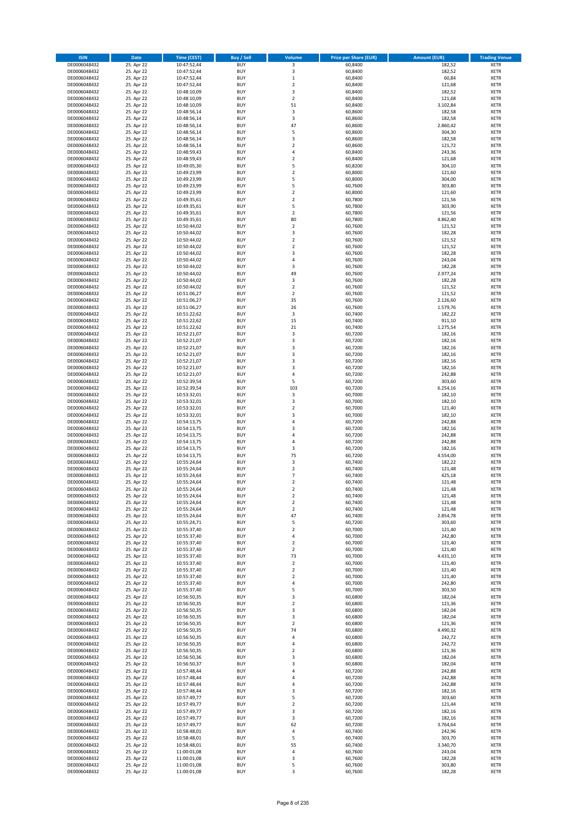| <b>ISIN</b>                  | <b>Date</b>              | <b>Time (CEST)</b>         | <b>Buy / Sell</b>        | Volume                                    | <b>Price per Share (EUR)</b> | <b>Amount (EUR)</b> | <b>Trading Venue</b>       |
|------------------------------|--------------------------|----------------------------|--------------------------|-------------------------------------------|------------------------------|---------------------|----------------------------|
| DE0006048432                 | 25. Apr 22               | 10:47:52,44                | <b>BUY</b>               | 3                                         | 60,8400                      | 182,52              | <b>XETR</b>                |
| DE0006048432                 | 25. Apr 22               | 10:47:52,44                | <b>BUY</b>               | 3                                         | 60,8400                      | 182,52              | <b>XETR</b>                |
| DE0006048432                 | 25. Apr 22               | 10:47:52,44                | <b>BUY</b>               | $\mathbf 1$                               | 60,8400                      | 60,84               | <b>XETR</b>                |
| DE0006048432<br>DE0006048432 | 25. Apr 22<br>25. Apr 22 | 10:47:52,44<br>10:48:10,09 | <b>BUY</b><br><b>BUY</b> | $\mathbf 2$<br>3                          | 60,8400<br>60,8400           | 121,68<br>182,52    | <b>XETR</b><br><b>XETR</b> |
| DE0006048432                 | 25. Apr 22               | 10:48:10,09                | <b>BUY</b>               | $\mathbf 2$                               | 60,8400                      | 121,68              | <b>XETR</b>                |
| DE0006048432                 | 25. Apr 22               | 10:48:10,09                | <b>BUY</b>               | 51                                        | 60,8400                      | 3.102,84            | <b>XETR</b>                |
| DE0006048432                 | 25. Apr 22               | 10:48:56,14                | <b>BUY</b>               | 3                                         | 60,8600                      | 182,58              | <b>XETR</b>                |
| DE0006048432                 | 25. Apr 22               | 10:48:56,14                | <b>BUY</b>               | 3                                         | 60,8600                      | 182,58              | <b>XETR</b>                |
| DE0006048432                 | 25. Apr 22               | 10:48:56,14                | <b>BUY</b><br><b>BUY</b> | 47                                        | 60,8600                      | 2.860,42            | <b>XETR</b>                |
| DE0006048432<br>DE0006048432 | 25. Apr 22<br>25. Apr 22 | 10:48:56,14<br>10:48:56,14 | <b>BUY</b>               | 5<br>3                                    | 60,8600<br>60,8600           | 304,30<br>182,58    | <b>XETR</b><br><b>XETR</b> |
| DE0006048432                 | 25. Apr 22               | 10:48:56,14                | <b>BUY</b>               | $\mathbf 2$                               | 60,8600                      | 121,72              | <b>XETR</b>                |
| DE0006048432                 | 25. Apr 22               | 10:48:59,43                | <b>BUY</b>               | 4                                         | 60,8400                      | 243,36              | <b>XETR</b>                |
| DE0006048432                 | 25. Apr 22               | 10:48:59,43                | <b>BUY</b>               | $\overline{\mathbf{c}}$                   | 60,8400                      | 121,68              | <b>XETR</b>                |
| DE0006048432                 | 25. Apr 22               | 10:49:05,30                | <b>BUY</b>               | 5                                         | 60,8200                      | 304,10              | <b>XETR</b>                |
| DE0006048432<br>DE0006048432 | 25. Apr 22<br>25. Apr 22 | 10:49:23,99<br>10:49:23,99 | <b>BUY</b><br><b>BUY</b> | $\mathbf 2$<br>5                          | 60,8000<br>60,8000           | 121,60<br>304,00    | <b>XETR</b><br><b>XETR</b> |
| DE0006048432                 | 25. Apr 22               | 10:49:23,99                | <b>BUY</b>               | 5                                         | 60,7600                      | 303,80              | <b>XETR</b>                |
| DE0006048432                 | 25. Apr 22               | 10:49:23,99                | <b>BUY</b>               | $\mathbf 2$                               | 60,8000                      | 121,60              | <b>XETR</b>                |
| DE0006048432                 | 25. Apr 22               | 10:49:35,61                | <b>BUY</b>               | $\overline{\mathbf{c}}$                   | 60,7800                      | 121,56              | <b>XETR</b>                |
| DE0006048432                 | 25. Apr 22               | 10:49:35,61                | <b>BUY</b>               | 5                                         | 60,7800                      | 303,90              | <b>XETR</b>                |
| DE0006048432                 | 25. Apr 22               | 10:49:35,61                | <b>BUY</b>               | $\mathbf 2$                               | 60,7800                      | 121,56              | <b>XETR</b>                |
| DE0006048432<br>DE0006048432 | 25. Apr 22<br>25. Apr 22 | 10:49:35,61<br>10:50:44,02 | <b>BUY</b><br><b>BUY</b> | 80<br>$\mathbf 2$                         | 60,7800<br>60,7600           | 4.862,40<br>121,52  | <b>XETR</b><br><b>XETR</b> |
| DE0006048432                 | 25. Apr 22               | 10:50:44,02                | <b>BUY</b>               | 3                                         | 60,7600                      | 182,28              | <b>XETR</b>                |
| DE0006048432                 | 25. Apr 22               | 10:50:44,02                | <b>BUY</b>               | $\mathbf 2$                               | 60,7600                      | 121,52              | <b>XETR</b>                |
| DE0006048432                 | 25. Apr 22               | 10:50:44,02                | <b>BUY</b>               | $\overline{\mathbf{c}}$                   | 60,7600                      | 121,52              | <b>XETR</b>                |
| DE0006048432                 | 25. Apr 22               | 10:50:44,02                | <b>BUY</b>               | 3                                         | 60,7600                      | 182,28              | <b>XETR</b>                |
| DE0006048432<br>DE0006048432 | 25. Apr 22<br>25. Apr 22 | 10:50:44,02<br>10:50:44,02 | <b>BUY</b><br><b>BUY</b> | 4<br>3                                    | 60,7600<br>60,7600           | 243,04<br>182,28    | <b>XETR</b><br><b>XETR</b> |
| DE0006048432                 | 25. Apr 22               | 10:50:44,02                | <b>BUY</b>               | 49                                        | 60,7600                      | 2.977,24            | <b>XETR</b>                |
| DE0006048432                 | 25. Apr 22               | 10:50:44,02                | <b>BUY</b>               | 3                                         | 60,7600                      | 182,28              | <b>XETR</b>                |
| DE0006048432                 | 25. Apr 22               | 10:50:44,02                | <b>BUY</b>               | $\mathbf 2$                               | 60,7600                      | 121,52              | <b>XETR</b>                |
| DE0006048432                 | 25. Apr 22               | 10:51:06,27                | <b>BUY</b>               | $\overline{2}$                            | 60,7600                      | 121,52              | <b>XETR</b>                |
| DE0006048432                 | 25. Apr 22               | 10:51:06,27                | <b>BUY</b>               | 35                                        | 60,7600                      | 2.126,60            | <b>XETR</b>                |
| DE0006048432<br>DE0006048432 | 25. Apr 22<br>25. Apr 22 | 10:51:06,27<br>10:51:22,62 | <b>BUY</b><br><b>BUY</b> | 26<br>$\mathsf 3$                         | 60,7600<br>60,7400           | 1.579,76<br>182,22  | <b>XETR</b><br><b>XETR</b> |
| DE0006048432                 | 25. Apr 22               | 10:51:22,62                | <b>BUY</b>               | 15                                        | 60,7400                      | 911,10              | <b>XETR</b>                |
| DE0006048432                 | 25. Apr 22               | 10:51:22,62                | <b>BUY</b>               | 21                                        | 60,7400                      | 1.275,54            | <b>XETR</b>                |
| DE0006048432                 | 25. Apr 22               | 10:52:21,07                | <b>BUY</b>               | 3                                         | 60,7200                      | 182,16              | <b>XETR</b>                |
| DE0006048432                 | 25. Apr 22               | 10:52:21,07                | <b>BUY</b>               | 3                                         | 60,7200                      | 182,16              | <b>XETR</b>                |
| DE0006048432                 | 25. Apr 22               | 10:52:21,07                | <b>BUY</b><br><b>BUY</b> | 3<br>3                                    | 60,7200                      | 182,16              | <b>XETR</b><br><b>XETR</b> |
| DE0006048432<br>DE0006048432 | 25. Apr 22<br>25. Apr 22 | 10:52:21,07<br>10:52:21,07 | <b>BUY</b>               | 3                                         | 60,7200<br>60,7200           | 182,16<br>182,16    | <b>XETR</b>                |
| DE0006048432                 | 25. Apr 22               | 10:52:21,07                | <b>BUY</b>               | 3                                         | 60,7200                      | 182,16              | <b>XETR</b>                |
| DE0006048432                 | 25. Apr 22               | 10:52:21,07                | <b>BUY</b>               | 4                                         | 60,7200                      | 242,88              | <b>XETR</b>                |
| DE0006048432                 | 25. Apr 22               | 10:52:39,54                | <b>BUY</b>               | 5                                         | 60,7200                      | 303,60              | <b>XETR</b>                |
| DE0006048432                 | 25. Apr 22               | 10:52:39,54                | <b>BUY</b>               | 103                                       | 60,7200                      | 6.254,16            | <b>XETR</b>                |
| DE0006048432<br>DE0006048432 | 25. Apr 22<br>25. Apr 22 | 10:53:32,01<br>10:53:32,01 | <b>BUY</b><br><b>BUY</b> | 3<br>3                                    | 60,7000<br>60,7000           | 182,10<br>182,10    | <b>XETR</b><br><b>XETR</b> |
| DE0006048432                 | 25. Apr 22               | 10:53:32,01                | <b>BUY</b>               | $\mathbf 2$                               | 60,7000                      | 121,40              | <b>XETR</b>                |
| DE0006048432                 | 25. Apr 22               | 10:53:32,01                | <b>BUY</b>               | 3                                         | 60,7000                      | 182,10              | <b>XETR</b>                |
| DE0006048432                 | 25. Apr 22               | 10:54:13,75                | <b>BUY</b>               | 4                                         | 60,7200                      | 242,88              | <b>XETR</b>                |
| DE0006048432                 | 25. Apr 22               | 10:54:13,75                | <b>BUY</b>               | 3                                         | 60,7200                      | 182,16              | <b>XETR</b>                |
| DE0006048432                 | 25. Apr 22               | 10:54:13,75                | <b>BUY</b>               | 4                                         | 60,7200                      | 242,88              | <b>XETR</b>                |
| DE0006048432<br>DE0006048432 | 25. Apr 22<br>25. Apr 22 | 10:54:13,75<br>10:54:13,75 | <b>BUY</b><br><b>BUY</b> | 4<br>3                                    | 60,7200<br>60,7200           | 242,88<br>182,16    | <b>XETR</b><br><b>XETR</b> |
| DE0006048432                 | 25. Apr 22               | 10:54:13,75                | <b>BUY</b>               | 75                                        | 60,7200                      | 4.554,00            | <b>XETR</b>                |
| DE0006048432                 | 25. Apr 22               | 10:55:24,64                | <b>BUY</b>               | 3                                         | 60,7400                      | 182,22              | <b>XETR</b>                |
| DE0006048432                 | 25. Apr 22               | 10:55:24,64                | <b>BUY</b>               | $\mathbf 2$                               | 60,7400                      | 121,48              | <b>XETR</b>                |
| DE0006048432                 | 25. Apr 22               | 10:55:24,64                | <b>BUY</b>               | $\overline{7}$                            | 60,7400                      | 425,18              | <b>XETR</b>                |
| DE0006048432<br>DE0006048432 | 25. Apr 22<br>25. Apr 22 | 10:55:24,64<br>10:55:24,64 | <b>BUY</b><br><b>BUY</b> | $\overline{\mathbf{c}}$<br>$\overline{2}$ | 60,7400<br>60,7400           | 121,48<br>121,48    | <b>XETR</b><br><b>XETR</b> |
| DE0006048432                 | 25. Apr 22               | 10:55:24,64                | BUY                      | 2                                         | 60,7400                      | 121,48              | <b>XETR</b>                |
| DE0006048432                 | 25. Apr 22               | 10:55:24,64                | <b>BUY</b>               | $\mathbf 2$                               | 60,7400                      | 121,48              | <b>XETR</b>                |
| DE0006048432                 | 25. Apr 22               | 10:55:24,64                | <b>BUY</b>               | $\overline{\mathbf{2}}$                   | 60,7400                      | 121,48              | <b>XETR</b>                |
| DE0006048432                 | 25. Apr 22               | 10:55:24,64                | <b>BUY</b>               | 47                                        | 60,7400                      | 2.854,78            | XETR                       |
| DE0006048432<br>DE0006048432 | 25. Apr 22<br>25. Apr 22 | 10:55:24,71<br>10:55:37,40 | <b>BUY</b><br><b>BUY</b> | 5<br>$\mathbf 2$                          | 60,7200<br>60,7000           | 303,60<br>121,40    | <b>XETR</b><br><b>XETR</b> |
| DE0006048432                 | 25. Apr 22               | 10:55:37,40                | <b>BUY</b>               | 4                                         | 60,7000                      | 242,80              | <b>XETR</b>                |
| DE0006048432                 | 25. Apr 22               | 10:55:37,40                | <b>BUY</b>               | $\mathbf 2$                               | 60,7000                      | 121,40              | <b>XETR</b>                |
| DE0006048432                 | 25. Apr 22               | 10:55:37,40                | <b>BUY</b>               | $\mathbf 2$                               | 60,7000                      | 121,40              | <b>XETR</b>                |
| DE0006048432                 | 25. Apr 22               | 10:55:37,40                | <b>BUY</b>               | 73                                        | 60,7000                      | 4.431,10            | <b>XETR</b>                |
| DE0006048432<br>DE0006048432 | 25. Apr 22<br>25. Apr 22 | 10:55:37,40<br>10:55:37,40 | <b>BUY</b><br><b>BUY</b> | $\mathbf 2$<br>$\overline{2}$             | 60,7000<br>60,7000           | 121,40<br>121,40    | <b>XETR</b><br><b>XETR</b> |
| DE0006048432                 | 25. Apr 22               | 10:55:37,40                | <b>BUY</b>               | $\mathbf 2$                               | 60,7000                      | 121,40              | <b>XETR</b>                |
| DE0006048432                 | 25. Apr 22               | 10:55:37,40                | <b>BUY</b>               | 4                                         | 60,7000                      | 242,80              | <b>XETR</b>                |
| DE0006048432                 | 25. Apr 22               | 10:55:37,40                | <b>BUY</b>               | 5                                         | 60,7000                      | 303,50              | <b>XETR</b>                |
| DE0006048432                 | 25. Apr 22               | 10:56:50,35                | <b>BUY</b>               | 3                                         | 60,6800                      | 182,04              | <b>XETR</b>                |
| DE0006048432<br>DE0006048432 | 25. Apr 22<br>25. Apr 22 | 10:56:50,35<br>10:56:50,35 | <b>BUY</b><br><b>BUY</b> | $\overline{2}$<br>3                       | 60,6800<br>60,6800           | 121,36<br>182,04    | <b>XETR</b><br><b>XETR</b> |
| DE0006048432                 | 25. Apr 22               | 10:56:50,35                | <b>BUY</b>               | 3                                         | 60,6800                      | 182,04              | XETR                       |
| DE0006048432                 | 25. Apr 22               | 10:56:50,35                | <b>BUY</b>               | $\mathbf 2$                               | 60,6800                      | 121,36              | <b>XETR</b>                |
| DE0006048432                 | 25. Apr 22               | 10:56:50,35                | <b>BUY</b>               | 74                                        | 60,6800                      | 4.490,32            | <b>XETR</b>                |
| DE0006048432                 | 25. Apr 22               | 10:56:50,35                | <b>BUY</b>               | 4                                         | 60,6800                      | 242,72              | <b>XETR</b>                |
| DE0006048432<br>DE0006048432 | 25. Apr 22<br>25. Apr 22 | 10:56:50,35                | <b>BUY</b><br><b>BUY</b> | 4<br>$\mathbf 2$                          | 60,6800<br>60,6800           | 242,72<br>121,36    | <b>XETR</b><br><b>XETR</b> |
| DE0006048432                 | 25. Apr 22               | 10:56:50,35<br>10:56:50,36 | <b>BUY</b>               | 3                                         | 60,6800                      | 182,04              | <b>XETR</b>                |
| DE0006048432                 | 25. Apr 22               | 10:56:50,37                | <b>BUY</b>               | 3                                         | 60,6800                      | 182,04              | <b>XETR</b>                |
| DE0006048432                 | 25. Apr 22               | 10:57:48,44                | <b>BUY</b>               | 4                                         | 60,7200                      | 242,88              | <b>XETR</b>                |
| DE0006048432                 | 25. Apr 22               | 10:57:48,44                | <b>BUY</b>               | 4                                         | 60,7200                      | 242,88              | <b>XETR</b>                |
| DE0006048432                 | 25. Apr 22               | 10:57:48,44                | <b>BUY</b>               | 4                                         | 60,7200                      | 242,88              | <b>XETR</b>                |
| DE0006048432                 | 25. Apr 22               | 10:57:48,44                | <b>BUY</b>               | 3<br>5                                    | 60,7200                      | 182,16              | <b>XETR</b>                |
| DE0006048432<br>DE0006048432 | 25. Apr 22<br>25. Apr 22 | 10:57:49,77<br>10:57:49,77 | <b>BUY</b><br><b>BUY</b> | $\mathbf 2$                               | 60,7200<br>60,7200           | 303,60<br>121,44    | <b>XETR</b><br><b>XETR</b> |
| DE0006048432                 | 25. Apr 22               | 10:57:49,77                | <b>BUY</b>               | 3                                         | 60,7200                      | 182,16              | <b>XETR</b>                |
| DE0006048432                 | 25. Apr 22               | 10:57:49,77                | <b>BUY</b>               | 3                                         | 60,7200                      | 182,16              | <b>XETR</b>                |
| DE0006048432                 | 25. Apr 22               | 10:57:49,77                | <b>BUY</b>               | 62                                        | 60,7200                      | 3.764,64            | <b>XETR</b>                |
| DE0006048432                 | 25. Apr 22               | 10:58:48,01                | <b>BUY</b>               | 4                                         | 60,7400                      | 242,96              | <b>XETR</b>                |
| DE0006048432<br>DE0006048432 | 25. Apr 22<br>25. Apr 22 | 10:58:48,01<br>10:58:48,01 | <b>BUY</b><br><b>BUY</b> | 5<br>55                                   | 60,7400<br>60,7400           | 303,70<br>3.340,70  | <b>XETR</b><br>XETR        |
| DE0006048432                 | 25. Apr 22               | 11:00:01,08                | <b>BUY</b>               | 4                                         | 60,7600                      | 243,04              | <b>XETR</b>                |
| DE0006048432                 | 25. Apr 22               | 11:00:01,08                | <b>BUY</b>               | 3                                         | 60,7600                      | 182,28              | <b>XETR</b>                |
| DE0006048432                 | 25. Apr 22               | 11:00:01,08                | <b>BUY</b>               | 5                                         | 60,7600                      | 303,80              | <b>XETR</b>                |
| DE0006048432                 | 25. Apr 22               | 11:00:01,08                | <b>BUY</b>               | 3                                         | 60,7600                      | 182,28              | <b>XETR</b>                |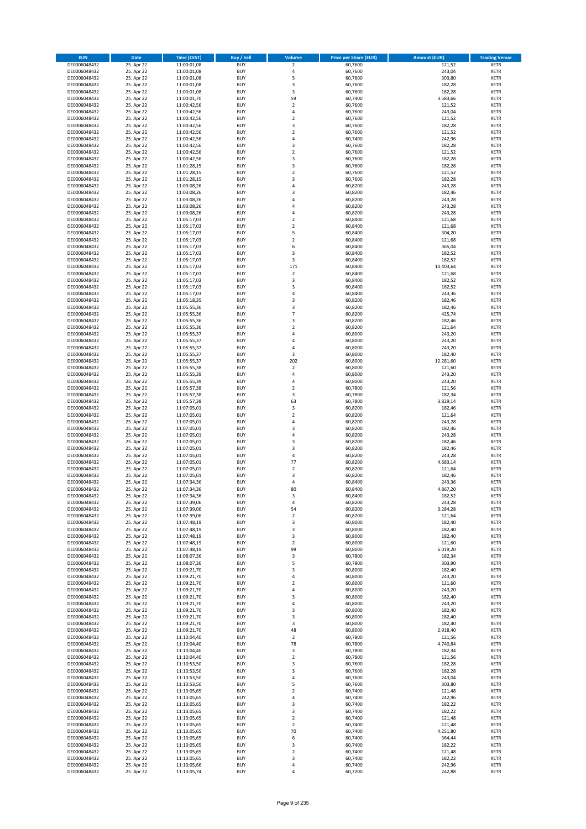| <b>ISIN</b>                  | <b>Date</b>              | <b>Time (CEST)</b>         | <b>Buy / Sell</b>        | <b>Volume</b>                | <b>Price per Share (EUR)</b> | <b>Amount (EUR)</b> | <b>Trading Venue</b>       |
|------------------------------|--------------------------|----------------------------|--------------------------|------------------------------|------------------------------|---------------------|----------------------------|
| DE0006048432                 | 25. Apr 22               | 11:00:01,08                | <b>BUY</b>               | $\overline{\mathbf{2}}$      | 60,7600                      | 121,52              | <b>XETR</b>                |
| DE0006048432                 | 25. Apr 22               | 11:00:01,08                | <b>BUY</b>               | 4                            | 60,7600                      | 243,04              | <b>XETR</b>                |
| DE0006048432                 | 25. Apr 22               | 11:00:01,08                | <b>BUY</b>               | 5                            | 60,7600                      | 303,80              | <b>XETR</b>                |
| DE0006048432<br>DE0006048432 | 25. Apr 22<br>25. Apr 22 | 11:00:01,08<br>11:00:01,08 | <b>BUY</b><br><b>BUY</b> | 3<br>3                       | 60,7600<br>60,7600           | 182,28<br>182,28    | <b>XETR</b><br><b>XETR</b> |
| DE0006048432                 | 25. Apr 22               | 11:00:01,70                | <b>BUY</b>               | 59                           | 60,7400                      | 3.583,66            | <b>XETR</b>                |
| DE0006048432                 | 25. Apr 22               | 11:00:42,56                | <b>BUY</b>               | $\overline{\mathbf{c}}$      | 60,7600                      | 121,52              | <b>XETR</b>                |
| DE0006048432                 | 25. Apr 22               | 11:00:42,56                | <b>BUY</b>               | 4                            | 60,7600                      | 243,04              | <b>XETR</b>                |
| DE0006048432                 | 25. Apr 22               | 11:00:42,56                | <b>BUY</b>               | $\overline{2}$               | 60,7600                      | 121,52              | <b>XETR</b>                |
| DE0006048432                 | 25. Apr 22               | 11:00:42,56                | <b>BUY</b>               | 3                            | 60,7600                      | 182,28              | <b>XETR</b>                |
| DE0006048432                 | 25. Apr 22               | 11:00:42,56                | <b>BUY</b>               | $\mathbf 2$                  | 60,7600                      | 121,52              | <b>XETR</b>                |
| DE0006048432                 | 25. Apr 22<br>25. Apr 22 | 11:00:42,56                | <b>BUY</b><br><b>BUY</b> | 4<br>3                       | 60,7400                      | 242,96              | <b>XETR</b><br><b>XETR</b> |
| DE0006048432<br>DE0006048432 | 25. Apr 22               | 11:00:42,56<br>11:00:42,56 | <b>BUY</b>               | $\overline{\mathbf{c}}$      | 60,7600<br>60,7600           | 182,28<br>121,52    | <b>XETR</b>                |
| DE0006048432                 | 25. Apr 22               | 11:00:42,56                | <b>BUY</b>               | 3                            | 60,7600                      | 182,28              | <b>XETR</b>                |
| DE0006048432                 | 25. Apr 22               | 11:01:28,15                | <b>BUY</b>               | 3                            | 60,7600                      | 182,28              | <b>XETR</b>                |
| DE0006048432                 | 25. Apr 22               | 11:01:28,15                | <b>BUY</b>               | $\mathbf 2$                  | 60,7600                      | 121,52              | <b>XETR</b>                |
| DE0006048432                 | 25. Apr 22               | 11:01:28,15                | <b>BUY</b>               | 3                            | 60,7600                      | 182,28              | <b>XETR</b>                |
| DE0006048432                 | 25. Apr 22               | 11:03:08,26                | <b>BUY</b>               | 4                            | 60,8200                      | 243,28              | <b>XETR</b>                |
| DE0006048432                 | 25. Apr 22               | 11:03:08,26                | <b>BUY</b>               | 3                            | 60,8200                      | 182,46              | <b>XETR</b>                |
| DE0006048432<br>DE0006048432 | 25. Apr 22<br>25. Apr 22 | 11:03:08,26<br>11:03:08,26 | <b>BUY</b><br><b>BUY</b> | 4<br>4                       | 60,8200<br>60,8200           | 243,28<br>243,28    | <b>XETR</b><br><b>XETR</b> |
| DE0006048432                 | 25. Apr 22               | 11:03:08,26                | <b>BUY</b>               | 4                            | 60,8200                      | 243,28              | <b>XETR</b>                |
| DE0006048432                 | 25. Apr 22               | 11:05:17,03                | <b>BUY</b>               | $\mathbf 2$                  | 60,8400                      | 121,68              | <b>XETR</b>                |
| DE0006048432                 | 25. Apr 22               | 11:05:17,03                | <b>BUY</b>               | $\mathbf 2$                  | 60,8400                      | 121,68              | <b>XETR</b>                |
| DE0006048432                 | 25. Apr 22               | 11:05:17,03                | <b>BUY</b>               | 5                            | 60,8400                      | 304,20              | <b>XETR</b>                |
| DE0006048432                 | 25. Apr 22               | 11:05:17,03                | <b>BUY</b>               | $\mathbf 2$                  | 60,8400                      | 121,68              | <b>XETR</b>                |
| DE0006048432                 | 25. Apr 22               | 11:05:17,03                | <b>BUY</b>               | 6                            | 60,8400                      | 365,04              | <b>XETR</b>                |
| DE0006048432<br>DE0006048432 | 25. Apr 22<br>25. Apr 22 | 11:05:17,03<br>11:05:17,03 | <b>BUY</b><br><b>BUY</b> | 3<br>3                       | 60,8400<br>60,8400           | 182,52<br>182,52    | <b>XETR</b><br><b>XETR</b> |
| DE0006048432                 | 25. Apr 22               | 11:05:17,03                | <b>BUY</b>               | 171                          | 60,8400                      | 10.403,64           | <b>XETR</b>                |
| DE0006048432                 | 25. Apr 22               | 11:05:17,03                | <b>BUY</b>               | $\mathbf 2$                  | 60,8400                      | 121,68              | <b>XETR</b>                |
| DE0006048432                 | 25. Apr 22               | 11:05:17,03                | <b>BUY</b>               | 3                            | 60,8400                      | 182,52              | <b>XETR</b>                |
| DE0006048432                 | 25. Apr 22               | 11:05:17,03                | <b>BUY</b>               | 3                            | 60,8400                      | 182,52              | <b>XETR</b>                |
| DE0006048432                 | 25. Apr 22               | 11:05:17,03                | <b>BUY</b>               | 4                            | 60,8400                      | 243,36              | <b>XETR</b>                |
| DE0006048432                 | 25. Apr 22               | 11:05:18,35                | <b>BUY</b>               | 3                            | 60,8200                      | 182,46              | <b>XETR</b>                |
| DE0006048432                 | 25. Apr 22               | 11:05:55,36                | <b>BUY</b><br><b>BUY</b> | 3<br>$\overline{7}$          | 60,8200<br>60,8200           | 182,46<br>425,74    | <b>XETR</b><br><b>XETR</b> |
| DE0006048432<br>DE0006048432 | 25. Apr 22<br>25. Apr 22 | 11:05:55,36<br>11:05:55,36 | <b>BUY</b>               | 3                            | 60,8200                      | 182,46              | <b>XETR</b>                |
| DE0006048432                 | 25. Apr 22               | 11:05:55,36                | <b>BUY</b>               | $\mathbf 2$                  | 60,8200                      | 121,64              | <b>XETR</b>                |
| DE0006048432                 | 25. Apr 22               | 11:05:55,37                | <b>BUY</b>               | 4                            | 60,8000                      | 243,20              | <b>XETR</b>                |
| DE0006048432                 | 25. Apr 22               | 11:05:55,37                | <b>BUY</b>               | 4                            | 60,8000                      | 243,20              | <b>XETR</b>                |
| DE0006048432                 | 25. Apr 22               | 11:05:55,37                | <b>BUY</b>               | 4                            | 60,8000                      | 243,20              | <b>XETR</b>                |
| DE0006048432                 | 25. Apr 22               | 11:05:55,37                | <b>BUY</b>               | 3                            | 60,8000                      | 182,40              | <b>XETR</b>                |
| DE0006048432                 | 25. Apr 22               | 11:05:55,37                | <b>BUY</b>               | 202                          | 60,8000                      | 12.281,60           | <b>XETR</b>                |
| DE0006048432                 | 25. Apr 22<br>25. Apr 22 | 11:05:55,38                | <b>BUY</b><br><b>BUY</b> | $\overline{2}$<br>4          | 60,8000<br>60,8000           | 121,60<br>243,20    | <b>XETR</b><br><b>XETR</b> |
| DE0006048432<br>DE0006048432 | 25. Apr 22               | 11:05:55,39<br>11:05:55,39 | <b>BUY</b>               | 4                            | 60,8000                      | 243,20              | <b>XETR</b>                |
| DE0006048432                 | 25. Apr 22               | 11:05:57,38                | <b>BUY</b>               | $\mathbf 2$                  | 60,7800                      | 121,56              | <b>XETR</b>                |
| DE0006048432                 | 25. Apr 22               | 11:05:57,38                | <b>BUY</b>               | 3                            | 60,7800                      | 182,34              | <b>XETR</b>                |
| DE0006048432                 | 25. Apr 22               | 11:05:57,38                | <b>BUY</b>               | 63                           | 60,7800                      | 3.829,14            | <b>XETR</b>                |
| DE0006048432                 | 25. Apr 22               | 11:07:05,01                | <b>BUY</b>               | 3                            | 60,8200                      | 182,46              | <b>XETR</b>                |
| DE0006048432                 | 25. Apr 22               | 11:07:05,01                | <b>BUY</b>               | $\overline{\mathbf{c}}$      | 60,8200                      | 121,64              | <b>XETR</b>                |
| DE0006048432<br>DE0006048432 | 25. Apr 22<br>25. Apr 22 | 11:07:05,01<br>11:07:05,01 | <b>BUY</b><br><b>BUY</b> | 4<br>3                       | 60,8200<br>60,8200           | 243,28<br>182,46    | <b>XETR</b><br><b>XETR</b> |
| DE0006048432                 | 25. Apr 22               | 11:07:05,01                | <b>BUY</b>               | 4                            | 60,8200                      | 243,28              | <b>XETR</b>                |
| DE0006048432                 | 25. Apr 22               | 11:07:05,01                | <b>BUY</b>               | 3                            | 60,8200                      | 182,46              | <b>XETR</b>                |
| DE0006048432                 | 25. Apr 22               | 11:07:05,01                | <b>BUY</b>               | 3                            | 60,8200                      | 182,46              | <b>XETR</b>                |
| DE0006048432                 | 25. Apr 22               | 11:07:05,01                | <b>BUY</b>               | 4                            | 60,8200                      | 243,28              | <b>XETR</b>                |
| DE0006048432                 | 25. Apr 22               | 11:07:05,01                | <b>BUY</b>               | 77                           | 60,8200                      | 4.683,14            | <b>XETR</b>                |
| DE0006048432                 | 25. Apr 22               | 11:07:05,01                | <b>BUY</b>               | $\mathbf 2$                  | 60,8200                      | 121,64              | <b>XETR</b>                |
| DE0006048432<br>DE0006048432 | 25. Apr 22<br>25. Apr 22 | 11:07:05,01<br>11:07:34,36 | <b>BUY</b><br><b>BUY</b> | 3<br>4                       | 60,8200<br>60,8400           | 182,46<br>243,36    | <b>XETR</b><br><b>XETR</b> |
| DE0006048432                 | 25. Apr 22               | 11:07:34,36                | <b>BUY</b>               | 80                           | 60,8400                      | 4.867,20            | <b>XETR</b>                |
| DE0006048432                 | 25. Apr 22               | 11:07:34,36                | BUY                      | 3                            | 60,8400                      | 182,52              | <b>XETR</b>                |
| DE0006048432                 | 25. Apr 22               | 11:07:39,06                | <b>BUY</b>               | 4                            | 60,8200                      | 243,28              | <b>XETR</b>                |
| DE0006048432                 | 25. Apr 22               | 11:07:39,06                | <b>BUY</b>               | 54                           | 60,8200                      | 3.284,28            | <b>XETR</b>                |
| DE0006048432                 | 25. Apr 22               | 11:07:39,06                | <b>BUY</b>               | $\mathbf 2$                  | 60,8200                      | 121,64              | XETR                       |
| DE0006048432                 | 25. Apr 22               | 11:07:48,19                | <b>BUY</b>               | 3                            | 60,8000                      | 182,40              | <b>XETR</b>                |
| DE0006048432<br>DE0006048432 | 25. Apr 22<br>25. Apr 22 | 11:07:48,19<br>11:07:48,19 | <b>BUY</b><br><b>BUY</b> | 3<br>3                       | 60,8000<br>60,8000           | 182,40<br>182,40    | <b>XETR</b><br><b>XETR</b> |
| DE0006048432                 | 25. Apr 22               | 11:07:48,19                | <b>BUY</b>               | $\mathbf 2$                  | 60,8000                      | 121,60              | <b>XETR</b>                |
| DE0006048432                 | 25. Apr 22               | 11:07:48,19                | <b>BUY</b>               | 99                           | 60,8000                      | 6.019,20            | <b>XETR</b>                |
| DE0006048432                 | 25. Apr 22               | 11:08:07,36                | <b>BUY</b>               | 3                            | 60,7800                      | 182,34              | <b>XETR</b>                |
| DE0006048432                 | 25. Apr 22               | 11:08:07,36                | <b>BUY</b>               | 5                            | 60,7800                      | 303,90              | <b>XETR</b>                |
| DE0006048432                 | 25. Apr 22               | 11:09:21,70                | <b>BUY</b>               | 3                            | 60,8000                      | 182,40              | <b>XETR</b>                |
| DE0006048432<br>DE0006048432 | 25. Apr 22<br>25. Apr 22 | 11:09:21,70<br>11:09:21,70 | <b>BUY</b><br><b>BUY</b> | 4<br>$\overline{\mathbf{c}}$ | 60,8000<br>60,8000           | 243,20<br>121,60    | <b>XETR</b><br><b>XETR</b> |
| DE0006048432                 | 25. Apr 22               | 11:09:21,70                | <b>BUY</b>               | 4                            | 60,8000                      | 243,20              | <b>XETR</b>                |
| DE0006048432                 | 25. Apr 22               | 11:09:21,70                | <b>BUY</b>               | 3                            | 60,8000                      | 182,40              | <b>XETR</b>                |
| DE0006048432                 | 25. Apr 22               | 11:09:21,70                | <b>BUY</b>               | 4                            | 60,8000                      | 243,20              | <b>XETR</b>                |
| DE0006048432                 | 25. Apr 22               | 11:09:21,70                | <b>BUY</b>               | 3                            | 60,8000                      | 182,40              | <b>XETR</b>                |
| DE0006048432                 | 25. Apr 22               | 11:09:21,70                | <b>BUY</b>               | 3                            | 60,8000                      | 182,40              | XETR                       |
| DE0006048432                 | 25. Apr 22               | 11:09:21,70                | <b>BUY</b>               | 3                            | 60,8000                      | 182,40              | <b>XETR</b>                |
| DE0006048432<br>DE0006048432 | 25. Apr 22<br>25. Apr 22 | 11:09:21,70<br>11:10:04,40 | <b>BUY</b><br><b>BUY</b> | 48<br>$\mathbf 2$            | 60,8000<br>60,7800           | 2.918,40<br>121,56  | <b>XETR</b><br><b>XETR</b> |
| DE0006048432                 | 25. Apr 22               | 11:10:04,40                | <b>BUY</b>               | 78                           | 60,7800                      | 4.740,84            | <b>XETR</b>                |
| DE0006048432                 | 25. Apr 22               | 11:10:04,40                | <b>BUY</b>               | 3                            | 60,7800                      | 182,34              | <b>XETR</b>                |
| DE0006048432                 | 25. Apr 22               | 11:10:04,40                | <b>BUY</b>               | $\mathbf 2$                  | 60,7800                      | 121,56              | <b>XETR</b>                |
| DE0006048432                 | 25. Apr 22               | 11:10:53,50                | <b>BUY</b>               | 3                            | 60,7600                      | 182,28              | <b>XETR</b>                |
| DE0006048432                 | 25. Apr 22               | 11:10:53,50                | <b>BUY</b>               | 3                            | 60,7600                      | 182,28              | <b>XETR</b>                |
| DE0006048432<br>DE0006048432 | 25. Apr 22<br>25. Apr 22 | 11:10:53,50<br>11:10:53,50 | <b>BUY</b><br><b>BUY</b> | 4<br>5                       | 60,7600<br>60,7600           | 243,04<br>303,80    | <b>XETR</b><br><b>XETR</b> |
| DE0006048432                 | 25. Apr 22               | 11:13:05,65                | <b>BUY</b>               | $\overline{\mathbf{c}}$      | 60,7400                      | 121,48              | <b>XETR</b>                |
| DE0006048432                 | 25. Apr 22               | 11:13:05,65                | <b>BUY</b>               | 4                            | 60,7400                      | 242,96              | <b>XETR</b>                |
| DE0006048432                 | 25. Apr 22               | 11:13:05,65                | <b>BUY</b>               | 3                            | 60,7400                      | 182,22              | <b>XETR</b>                |
| DE0006048432                 | 25. Apr 22               | 11:13:05,65                | <b>BUY</b>               | 3                            | 60,7400                      | 182,22              | <b>XETR</b>                |
| DE0006048432                 | 25. Apr 22               | 11:13:05,65                | <b>BUY</b>               | $\overline{\mathbf{c}}$      | 60,7400                      | 121,48              | <b>XETR</b>                |
| DE0006048432                 | 25. Apr 22               | 11:13:05,65                | <b>BUY</b>               | $\mathbf 2$                  | 60,7400                      | 121,48              | <b>XETR</b>                |
| DE0006048432<br>DE0006048432 | 25. Apr 22<br>25. Apr 22 | 11:13:05,65<br>11:13:05,65 | <b>BUY</b><br><b>BUY</b> | 70<br>6                      | 60,7400<br>60,7400           | 4.251,80<br>364,44  | <b>XETR</b><br><b>XETR</b> |
| DE0006048432                 | 25. Apr 22               | 11:13:05,65                | <b>BUY</b>               | 3                            | 60,7400                      | 182,22              | XETR                       |
| DE0006048432                 | 25. Apr 22               | 11:13:05,65                | <b>BUY</b>               | $\overline{2}$               | 60,7400                      | 121,48              | <b>XETR</b>                |
| DE0006048432                 | 25. Apr 22               | 11:13:05,65                | <b>BUY</b>               | 3                            | 60,7400                      | 182,22              | <b>XETR</b>                |
| DE0006048432                 | 25. Apr 22               | 11:13:05,66                | <b>BUY</b>               | 4                            | 60,7400                      | 242,96              | <b>XETR</b>                |
| DE0006048432                 | 25. Apr 22               | 11:13:05,74                | <b>BUY</b>               | 4                            | 60,7200                      | 242,88              | XETR                       |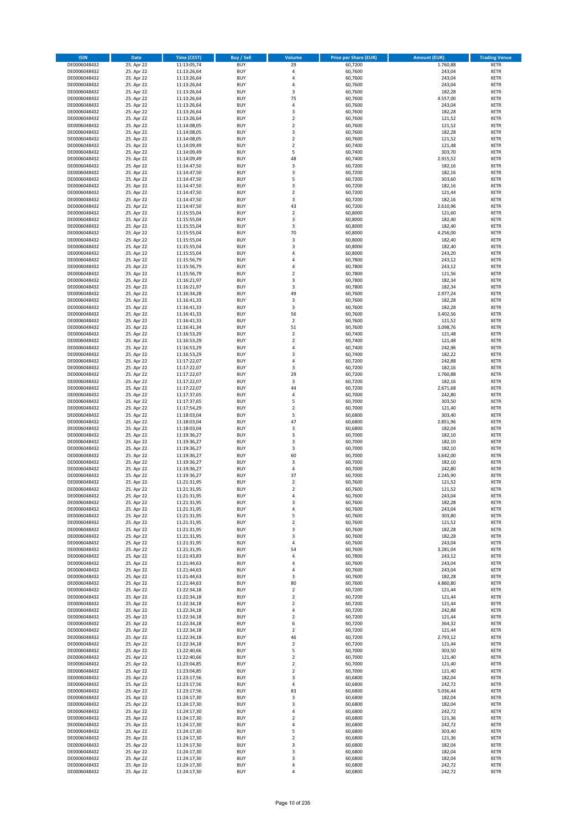| <b>ISIN</b>                  | Date                     | Time (CEST)                | <b>Buy / Sell</b>        | <b>Volume</b>                 | <b>Price per Share (EUR)</b> | <b>Amount (EUR)</b> | <b>Trading Venue</b>       |
|------------------------------|--------------------------|----------------------------|--------------------------|-------------------------------|------------------------------|---------------------|----------------------------|
| DE0006048432                 | 25. Apr 22               | 11:13:05,74                | <b>BUY</b>               | 29                            | 60,7200                      | 1.760,88            | <b>XETR</b>                |
| DE0006048432                 | 25. Apr 22               | 11:13:26,64                | <b>BUY</b>               | $\sqrt{4}$                    | 60,7600                      | 243,04              | XETR                       |
| DE0006048432                 | 25. Apr 22               | 11:13:26,64                | <b>BUY</b>               | 4                             | 60,7600                      | 243,04              | <b>XETR</b>                |
| DE0006048432                 | 25. Apr 22               | 11:13:26,64                | <b>BUY</b>               | $\sqrt{4}$                    | 60,7600                      | 243,04              | XETR                       |
| DE0006048432<br>DE0006048432 | 25. Apr 22<br>25. Apr 22 | 11:13:26,64<br>11:13:26,64 | <b>BUY</b><br><b>BUY</b> | 3<br>75                       | 60,7600<br>60,7600           | 182,28<br>4.557,00  | <b>XETR</b><br><b>XETR</b> |
| DE0006048432                 | 25. Apr 22               | 11:13:26,64                | <b>BUY</b>               | $\overline{4}$                | 60,7600                      | 243,04              | <b>XETR</b>                |
| DE0006048432                 | 25. Apr 22               | 11:13:26,64                | <b>BUY</b>               | 3                             | 60,7600                      | 182,28              | <b>XETR</b>                |
| DE0006048432                 | 25. Apr 22               | 11:13:26,64                | <b>BUY</b>               | $\overline{2}$                | 60,7600                      | 121,52              | <b>XETR</b>                |
| DE0006048432                 | 25. Apr 22               | 11:14:08,05                | <b>BUY</b>               | $\overline{2}$                | 60,7600                      | 121,52              | <b>XETR</b>                |
| DE0006048432                 | 25. Apr 22               | 11:14:08,05                | <b>BUY</b>               | $\mathsf 3$                   | 60,7600                      | 182,28              | <b>XETR</b>                |
| DE0006048432                 | 25. Apr 22               | 11:14:08,05                | <b>BUY</b>               | $\mathbf 2$                   | 60,7600                      | 121,52              | <b>XETR</b>                |
| DE0006048432<br>DE0006048432 | 25. Apr 22<br>25. Apr 22 | 11:14:09,49<br>11:14:09,49 | <b>BUY</b><br><b>BUY</b> | $\mathbf 2$<br>5              | 60,7400<br>60,7400           | 121,48<br>303,70    | <b>XETR</b><br><b>XETR</b> |
| DE0006048432                 | 25. Apr 22               | 11:14:09,49                | <b>BUY</b>               | 48                            | 60,7400                      | 2.915,52            | <b>XETR</b>                |
| DE0006048432                 | 25. Apr 22               | 11:14:47,50                | <b>BUY</b>               | 3                             | 60,7200                      | 182,16              | <b>XETR</b>                |
| DE0006048432                 | 25. Apr 22               | 11:14:47,50                | <b>BUY</b>               | 3                             | 60,7200                      | 182,16              | <b>XETR</b>                |
| DE0006048432                 | 25. Apr 22               | 11:14:47,50                | <b>BUY</b>               | 5                             | 60,7200                      | 303,60              | <b>XETR</b>                |
| DE0006048432                 | 25. Apr 22               | 11:14:47,50                | <b>BUY</b>               | 3                             | 60,7200                      | 182,16              | <b>XETR</b>                |
| DE0006048432<br>DE0006048432 | 25. Apr 22<br>25. Apr 22 | 11:14:47,50                | <b>BUY</b><br><b>BUY</b> | $\mathbf 2$<br>3              | 60,7200<br>60,7200           | 121,44<br>182,16    | <b>XETR</b><br><b>XETR</b> |
| DE0006048432                 | 25. Apr 22               | 11:14:47,50<br>11:14:47,50 | <b>BUY</b>               | 43                            | 60,7200                      | 2.610,96            | <b>XETR</b>                |
| DE0006048432                 | 25. Apr 22               | 11:15:55,04                | <b>BUY</b>               | $\mathbf 2$                   | 60,8000                      | 121,60              | <b>XETR</b>                |
| DE0006048432                 | 25. Apr 22               | 11:15:55,04                | <b>BUY</b>               | 3                             | 60,8000                      | 182,40              | <b>XETR</b>                |
| DE0006048432                 | 25. Apr 22               | 11:15:55,04                | <b>BUY</b>               | 3                             | 60,8000                      | 182,40              | <b>XETR</b>                |
| DE0006048432                 | 25. Apr 22               | 11:15:55,04                | <b>BUY</b>               | 70                            | 60,8000                      | 4.256,00            | <b>XETR</b>                |
| DE0006048432<br>DE0006048432 | 25. Apr 22               | 11:15:55,04                | <b>BUY</b><br><b>BUY</b> | $\mathsf 3$<br>3              | 60,8000                      | 182,40              | <b>XETR</b><br><b>XETR</b> |
| DE0006048432                 | 25. Apr 22<br>25. Apr 22 | 11:15:55,04<br>11:15:55,04 | <b>BUY</b>               | 4                             | 60,8000<br>60,8000           | 182,40<br>243,20    | <b>XETR</b>                |
| DE0006048432                 | 25. Apr 22               | 11:15:56,79                | <b>BUY</b>               | $\overline{4}$                | 60,7800                      | 243,12              | <b>XETR</b>                |
| DE0006048432                 | 25. Apr 22               | 11:15:56,79                | <b>BUY</b>               | $\sqrt{4}$                    | 60,7800                      | 243,12              | <b>XETR</b>                |
| DE0006048432                 | 25. Apr 22               | 11:15:56,79                | <b>BUY</b>               | $\mathbf 2$                   | 60,7800                      | 121,56              | <b>XETR</b>                |
| DE0006048432                 | 25. Apr 22               | 11:16:21,97                | <b>BUY</b>               | 3                             | 60,7800                      | 182,34              | <b>XETR</b>                |
| DE0006048432                 | 25. Apr 22               | 11:16:21,97                | <b>BUY</b>               | 3                             | 60,7800                      | 182,34              | <b>XETR</b>                |
| DE0006048432<br>DE0006048432 | 25. Apr 22<br>25. Apr 22 | 11:16:34,28<br>11:16:41,33 | <b>BUY</b><br><b>BUY</b> | 49<br>3                       | 60,7600<br>60,7600           | 2.977,24<br>182,28  | <b>XETR</b><br><b>XETR</b> |
| DE0006048432                 | 25. Apr 22               | 11:16:41,33                | <b>BUY</b>               | 3                             | 60,7600                      | 182,28              | <b>XETR</b>                |
| DE0006048432                 | 25. Apr 22               | 11:16:41,33                | <b>BUY</b>               | 56                            | 60,7600                      | 3.402,56            | <b>XETR</b>                |
| DE0006048432                 | 25. Apr 22               | 11:16:41,33                | <b>BUY</b>               | $\overline{2}$                | 60,7600                      | 121,52              | <b>XETR</b>                |
| DE0006048432                 | 25. Apr 22               | 11:16:41,34                | <b>BUY</b>               | 51                            | 60,7600                      | 3.098,76            | <b>XETR</b>                |
| DE0006048432                 | 25. Apr 22               | 11:16:53,29                | <b>BUY</b>               | $\mathbf 2$                   | 60,7400                      | 121,48              | <b>XETR</b>                |
| DE0006048432                 | 25. Apr 22               | 11:16:53,29                | <b>BUY</b><br><b>BUY</b> | $\mathbf 2$<br>$\pmb{4}$      | 60,7400                      | 121,48              | <b>XETR</b>                |
| DE0006048432<br>DE0006048432 | 25. Apr 22<br>25. Apr 22 | 11:16:53,29<br>11:16:53,29 | <b>BUY</b>               | 3                             | 60,7400<br>60,7400           | 242,96<br>182,22    | <b>XETR</b><br><b>XETR</b> |
| DE0006048432                 | 25. Apr 22               | 11:17:22,07                | <b>BUY</b>               | $\overline{4}$                | 60,7200                      | 242,88              | <b>XETR</b>                |
| DE0006048432                 | 25. Apr 22               | 11:17:22,07                | <b>BUY</b>               | 3                             | 60,7200                      | 182,16              | <b>XETR</b>                |
| DE0006048432                 | 25. Apr 22               | 11:17:22,07                | <b>BUY</b>               | 29                            | 60,7200                      | 1.760,88            | <b>XETR</b>                |
| DE0006048432                 | 25. Apr 22               | 11:17:22,07                | <b>BUY</b>               | 3                             | 60,7200                      | 182,16              | <b>XETR</b>                |
| DE0006048432                 | 25. Apr 22               | 11:17:22,07                | <b>BUY</b><br><b>BUY</b> | 44<br>$\pmb{4}$               | 60,7200                      | 2.671,68            | <b>XETR</b><br><b>XETR</b> |
| DE0006048432<br>DE0006048432 | 25. Apr 22<br>25. Apr 22 | 11:17:37,65<br>11:17:37,65 | <b>BUY</b>               | 5                             | 60,7000<br>60,7000           | 242,80<br>303,50    | <b>XETR</b>                |
| DE0006048432                 | 25. Apr 22               | 11:17:54,29                | <b>BUY</b>               | $\mathbf 2$                   | 60,7000                      | 121,40              | <b>XETR</b>                |
| DE0006048432                 | 25. Apr 22               | 11:18:03,04                | <b>BUY</b>               | 5                             | 60,6800                      | 303,40              | <b>XETR</b>                |
| DE0006048432                 | 25. Apr 22               | 11:18:03,04                | <b>BUY</b>               | 47                            | 60,6800                      | 2.851,96            | <b>XETR</b>                |
| DE0006048432                 | 25. Apr 22               | 11:18:03,04                | <b>BUY</b>               | 3                             | 60,6800                      | 182,04              | <b>XETR</b>                |
| DE0006048432                 | 25. Apr 22               | 11:19:36,27                | <b>BUY</b>               | $\overline{\mathbf{3}}$       | 60,7000                      | 182,10              | <b>XETR</b>                |
| DE0006048432<br>DE0006048432 | 25. Apr 22<br>25. Apr 22 | 11:19:36,27<br>11:19:36,27 | <b>BUY</b><br><b>BUY</b> | 3<br>3                        | 60,7000<br>60,7000           | 182,10<br>182,10    | <b>XETR</b><br><b>XETR</b> |
| DE0006048432                 | 25. Apr 22               | 11:19:36,27                | <b>BUY</b>               | 60                            | 60,7000                      | 3.642,00            | <b>XETR</b>                |
| DE0006048432                 | 25. Apr 22               | 11:19:36,27                | <b>BUY</b>               | 3                             | 60,7000                      | 182,10              | <b>XETR</b>                |
| DE0006048432                 | 25. Apr 22               | 11:19:36,27                | <b>BUY</b>               | $\sqrt{4}$                    | 60,7000                      | 242,80              | <b>XETR</b>                |
| DE0006048432                 | 25. Apr 22               | 11:19:36.27                | <b>BUY</b>               | 37                            | 60,7000                      | 2.245,90            | <b>XETR</b>                |
| DE0006048432                 | 25. Apr 22               | 11:21:31,95                | <b>BUY</b>               | $\overline{2}$                | 60,7600                      | 121,52              | <b>XETR</b>                |
| DE0006048432                 | 25. Apr 22               | 11:21:31,95                | <b>BUY</b><br><b>BUY</b> | $\overline{2}$                | 60,7600<br>60,7600           | 121,52<br>243,04    | <b>XETR</b>                |
| DE0006048432<br>DE0006048432 | 25. Apr 22<br>25. Apr 22 | 11:21:31,95<br>11:21:31,95 | <b>BUY</b>               | 4<br>3                        | 60,7600                      | 182,28              | XETR<br><b>XETR</b>        |
| DE0006048432                 | 25. Apr 22               | 11:21:31,95                | <b>BUY</b>               | 4                             | 60,7600                      | 243,04              | <b>XETR</b>                |
| DE0006048432                 | 25. Apr 22               | 11:21:31,95                | <b>BUY</b>               | 5                             | 60,7600                      | 303,80              | XETR                       |
| DE0006048432                 | 25. Apr 22               | 11:21:31,95                | <b>BUY</b>               | $\overline{2}$                | 60,7600                      | 121,52              | <b>XETR</b>                |
| DE0006048432                 | 25. Apr 22               | 11:21:31,95                | <b>BUY</b>               | 3                             | 60,7600                      | 182,28              | <b>XETR</b>                |
| DE0006048432                 | 25. Apr 22               | 11:21:31,95                | <b>BUY</b>               | 3                             | 60,7600                      | 182,28              | <b>XETR</b>                |
| DE0006048432<br>DE0006048432 | 25. Apr 22<br>25. Apr 22 | 11:21:31,95<br>11:21:31,95 | <b>BUY</b><br><b>BUY</b> | $\pmb{4}$<br>54               | 60,7600<br>60,7600           | 243,04<br>3.281,04  | <b>XETR</b><br>XETR        |
| DE0006048432                 | 25. Apr 22               | 11:21:43,83                | <b>BUY</b>               | $\pmb{4}$                     | 60,7800                      | 243,12              | <b>XETR</b>                |
| DE0006048432                 | 25. Apr 22               | 11:21:44,63                | <b>BUY</b>               | $\pmb{4}$                     | 60,7600                      | 243,04              | XETR                       |
| DE0006048432                 | 25. Apr 22               | 11:21:44.63                | <b>BUY</b>               | 4                             | 60,7600                      | 243,04              | <b>XETR</b>                |
| DE0006048432                 | 25. Apr 22               | 11:21:44,63                | <b>BUY</b>               | 3                             | 60,7600                      | 182,28              | XETR                       |
| DE0006048432                 | 25. Apr 22               | 11:21:44,63                | <b>BUY</b>               | 80                            | 60,7600                      | 4.860,80            | <b>XETR</b>                |
| DE0006048432<br>DE0006048432 | 25. Apr 22<br>25. Apr 22 | 11:22:34,18<br>11:22:34,18 | <b>BUY</b><br><b>BUY</b> | $\mathbf 2$<br>$\overline{2}$ | 60,7200<br>60,7200           | 121,44<br>121,44    | XETR<br><b>XETR</b>        |
| DE0006048432                 | 25. Apr 22               | 11:22:34,18                | <b>BUY</b>               | $\mathbf 2$                   | 60,7200                      | 121,44              | <b>XETR</b>                |
| DE0006048432                 | 25. Apr 22               | 11:22:34,18                | <b>BUY</b>               | $\pmb{4}$                     | 60,7200                      | 242,88              | <b>XETR</b>                |
| DE0006048432                 | 25. Apr 22               | 11:22:34,18                | <b>BUY</b>               | $\mathbf 2$                   | 60,7200                      | 121,44              | XETR                       |
| DE0006048432                 | 25. Apr 22               | 11:22:34,18                | <b>BUY</b>               | 6                             | 60,7200                      | 364,32              | <b>XETR</b>                |
| DE0006048432                 | 25. Apr 22               | 11:22:34,18                | <b>BUY</b>               | $\overline{2}$                | 60,7200                      | 121,44              | <b>XETR</b>                |
| DE0006048432<br>DE0006048432 | 25. Apr 22<br>25. Apr 22 | 11:22:34,18<br>11:22:34,18 | <b>BUY</b><br><b>BUY</b> | 46<br>$\overline{2}$          | 60,7200<br>60,7200           | 2.793,12<br>121,44  | <b>XETR</b><br>XETR        |
| DE0006048432                 | 25. Apr 22               | 11:22:40,66                | <b>BUY</b>               | 5                             | 60,7000                      | 303,50              | XETR                       |
| DE0006048432                 | 25. Apr 22               | 11:22:40,66                | <b>BUY</b>               | $\overline{2}$                | 60,7000                      | 121,40              | XETR                       |
| DE0006048432                 | 25. Apr 22               | 11:23:04,85                | <b>BUY</b>               | $\overline{2}$                | 60,7000                      | 121,40              | XETR                       |
| DE0006048432                 | 25. Apr 22               | 11:23:04,85                | <b>BUY</b>               | $\mathbf 2$                   | 60,7000                      | 121,40              | XETR                       |
| DE0006048432                 | 25. Apr 22               | 11:23:17,56                | <b>BUY</b>               | 3                             | 60,6800                      | 182,04              | <b>XETR</b>                |
| DE0006048432<br>DE0006048432 | 25. Apr 22<br>25. Apr 22 | 11:23:17,56<br>11:23:17,56 | <b>BUY</b><br><b>BUY</b> | 4<br>83                       | 60,6800<br>60,6800           | 242,72<br>5.036,44  | XETR<br><b>XETR</b>        |
| DE0006048432                 | 25. Apr 22               | 11:24:17,30                | <b>BUY</b>               | 3                             | 60,6800                      | 182,04              | XETR                       |
| DE0006048432                 | 25. Apr 22               | 11:24:17,30                | <b>BUY</b>               | 3                             | 60,6800                      | 182,04              | XETR                       |
| DE0006048432                 | 25. Apr 22               | 11:24:17,30                | <b>BUY</b>               | 4                             | 60,6800                      | 242,72              | XETR                       |
| DE0006048432                 | 25. Apr 22               | 11:24:17,30                | <b>BUY</b>               | $\overline{2}$                | 60,6800                      | 121,36              | <b>XETR</b>                |
| DE0006048432                 | 25. Apr 22               | 11:24:17,30                | <b>BUY</b>               | $\pmb{4}$                     | 60,6800                      | 242,72              | <b>XETR</b>                |
| DE0006048432                 | 25. Apr 22               | 11:24:17,30                | <b>BUY</b>               | 5<br>$\overline{2}$           | 60,6800                      | 303,40              | XETR                       |
| DE0006048432<br>DE0006048432 | 25. Apr 22<br>25. Apr 22 | 11:24:17,30<br>11:24:17,30 | <b>BUY</b><br><b>BUY</b> | 3                             | 60,6800<br>60,6800           | 121,36<br>182,04    | XETR<br>XETR               |
| DE0006048432                 | 25. Apr 22               | 11:24:17,30                | <b>BUY</b>               | 3                             | 60,6800                      | 182,04              | <b>XETR</b>                |
| DE0006048432                 | 25. Apr 22               | 11:24:17,30                | <b>BUY</b>               | 3                             | 60,6800                      | 182,04              | XETR                       |
| DE0006048432                 | 25. Apr 22               | 11:24:17,30                | <b>BUY</b>               | $\pmb{4}$                     | 60,6800                      | 242,72              | <b>XETR</b>                |
| DE0006048432                 | 25. Apr 22               | 11:24:17,30                | <b>BUY</b>               | 4                             | 60,6800                      | 242,72              | XETR                       |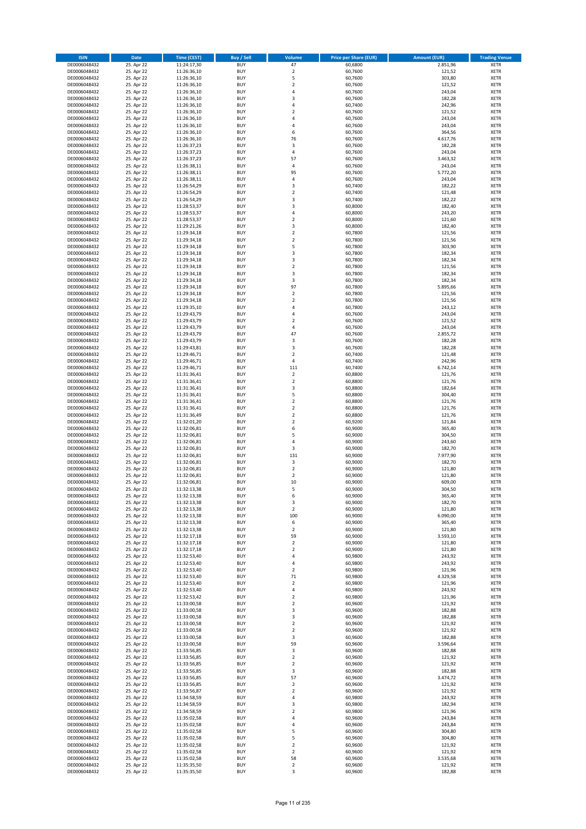| <b>ISIN</b>                  | Date                     | <b>Time (CEST)</b>         | <b>Buy / Sell</b>        | <b>Volume</b>                             | <b>Price per Share (EUR)</b> | <b>Amount (EUR)</b> | <b>Trading Venue</b>       |
|------------------------------|--------------------------|----------------------------|--------------------------|-------------------------------------------|------------------------------|---------------------|----------------------------|
| DE0006048432                 | 25. Apr 22               | 11:24:17,30                | <b>BUY</b>               | 47                                        | 60,6800                      | 2.851,96            | <b>XETR</b>                |
| DE0006048432                 | 25. Apr 22               | 11:26:36,10                | <b>BUY</b>               | $\overline{2}$                            | 60,7600                      | 121,52              | <b>XETR</b>                |
| DE0006048432                 | 25. Apr 22               | 11:26:36,10                | <b>BUY</b>               | 5                                         | 60,7600<br>60.7600           | 303,80              | <b>XETR</b>                |
| DE0006048432<br>DE0006048432 | 25. Apr 22<br>25. Apr 22 | 11:26:36,10<br>11:26:36,10 | <b>BUY</b><br><b>BUY</b> | $\overline{\mathbf{2}}$<br>$\overline{4}$ | 60,7600                      | 121,52<br>243,04    | <b>XETR</b><br><b>XETR</b> |
| DE0006048432                 | 25. Apr 22               | 11:26:36,10                | <b>BUY</b>               | 3                                         | 60,7600                      | 182,28              | <b>XETR</b>                |
| DE0006048432                 | 25. Apr 22               | 11:26:36,10                | <b>BUY</b>               | 4                                         | 60,7400                      | 242,96              | <b>XETR</b>                |
| DE0006048432                 | 25. Apr 22               | 11:26:36,10                | <b>BUY</b>               | $\overline{\mathbf{2}}$                   | 60,7600                      | 121,52              | <b>XETR</b>                |
| DE0006048432                 | 25. Apr 22               | 11:26:36,10                | <b>BUY</b>               | 4                                         | 60,7600                      | 243,04              | <b>XETR</b>                |
| DE0006048432<br>DE0006048432 | 25. Apr 22<br>25. Apr 22 | 11:26:36,10<br>11:26:36,10 | <b>BUY</b><br><b>BUY</b> | 4<br>6                                    | 60,7600<br>60,7600           | 243,04              | <b>XETR</b><br><b>XETR</b> |
| DE0006048432                 | 25. Apr 22               | 11:26:36,10                | <b>BUY</b>               | 76                                        | 60,7600                      | 364,56<br>4.617,76  | <b>XETR</b>                |
| DE0006048432                 | 25. Apr 22               | 11:26:37,23                | <b>BUY</b>               | 3                                         | 60,7600                      | 182,28              | <b>XETR</b>                |
| DE0006048432                 | 25. Apr 22               | 11:26:37,23                | <b>BUY</b>               | 4                                         | 60,7600                      | 243,04              | <b>XETR</b>                |
| DE0006048432                 | 25. Apr 22               | 11:26:37,23                | <b>BUY</b>               | 57                                        | 60,7600                      | 3.463,32            | <b>XETR</b>                |
| DE0006048432                 | 25. Apr 22               | 11:26:38,11                | <b>BUY</b>               | 4                                         | 60,7600                      | 243,04              | <b>XETR</b>                |
| DE0006048432<br>DE0006048432 | 25. Apr 22<br>25. Apr 22 | 11:26:38,11<br>11:26:38,11 | <b>BUY</b><br><b>BUY</b> | 95<br>4                                   | 60,7600<br>60,7600           | 5.772,20<br>243,04  | <b>XETR</b><br><b>XETR</b> |
| DE0006048432                 | 25. Apr 22               | 11:26:54,29                | <b>BUY</b>               | $\mathsf 3$                               | 60,7400                      | 182,22              | <b>XETR</b>                |
| DE0006048432                 | 25. Apr 22               | 11:26:54,29                | <b>BUY</b>               | $\overline{2}$                            | 60.7400                      | 121,48              | <b>XETR</b>                |
| DE0006048432                 | 25. Apr 22               | 11:26:54,29                | <b>BUY</b>               | 3                                         | 60,7400                      | 182,22              | <b>XETR</b>                |
| DE0006048432                 | 25. Apr 22               | 11:28:53,37                | <b>BUY</b>               | 3                                         | 60,8000                      | 182,40              | <b>XETR</b>                |
| DE0006048432<br>DE0006048432 | 25. Apr 22<br>25. Apr 22 | 11:28:53,37                | <b>BUY</b><br><b>BUY</b> | 4<br>$\overline{2}$                       | 60,8000<br>60,8000           | 243,20<br>121,60    | <b>XETR</b><br><b>XETR</b> |
| DE0006048432                 | 25. Apr 22               | 11:28:53,37<br>11:29:21,26 | <b>BUY</b>               | 3                                         | 60,8000                      | 182,40              | <b>XETR</b>                |
| DE0006048432                 | 25. Apr 22               | 11:29:34,18                | <b>BUY</b>               | $\overline{2}$                            | 60,7800                      | 121,56              | <b>XETR</b>                |
| DE0006048432                 | 25. Apr 22               | 11:29:34,18                | <b>BUY</b>               | $\overline{2}$                            | 60,7800                      | 121,56              | <b>XETR</b>                |
| DE0006048432                 | 25. Apr 22               | 11:29:34,18                | <b>BUY</b>               | 5                                         | 60,7800                      | 303,90              | <b>XETR</b>                |
| DE0006048432                 | 25. Apr 22               | 11:29:34,18                | <b>BUY</b>               | 3<br>3                                    | 60,7800                      | 182,34              | <b>XETR</b>                |
| DE0006048432<br>DE0006048432 | 25. Apr 22<br>25. Apr 22 | 11:29:34,18<br>11:29:34,18 | <b>BUY</b><br><b>BUY</b> | $\mathbf 2$                               | 60,7800<br>60,7800           | 182,34<br>121,56    | <b>XETR</b><br><b>XETR</b> |
| DE0006048432                 | 25. Apr 22               | 11:29:34,18                | <b>BUY</b>               | 3                                         | 60,7800                      | 182,34              | <b>XETR</b>                |
| DE0006048432                 | 25. Apr 22               | 11:29:34,18                | <b>BUY</b>               | 3                                         | 60,7800                      | 182,34              | <b>XETR</b>                |
| DE0006048432                 | 25. Apr 22               | 11:29:34,18                | <b>BUY</b>               | 97                                        | 60,7800                      | 5.895,66            | <b>XETR</b>                |
| DE0006048432                 | 25. Apr 22               | 11:29:34,18                | <b>BUY</b>               | $\mathbf 2$                               | 60,7800                      | 121,56              | <b>XETR</b>                |
| DE0006048432<br>DE0006048432 | 25. Apr 22<br>25. Apr 22 | 11:29:34,18<br>11:29:35,10 | <b>BUY</b><br><b>BUY</b> | $\overline{\mathbf{2}}$<br>$\overline{4}$ | 60,7800<br>60,7800           | 121,56<br>243,12    | <b>XETR</b><br><b>XETR</b> |
| DE0006048432                 | 25. Apr 22               | 11:29:43,79                | <b>BUY</b>               | 4                                         | 60,7600                      | 243,04              | <b>XETR</b>                |
| DE0006048432                 | 25. Apr 22               | 11:29:43,79                | <b>BUY</b>               | $\overline{2}$                            | 60,7600                      | 121,52              | <b>XETR</b>                |
| DE0006048432                 | 25. Apr 22               | 11:29:43,79                | <b>BUY</b>               | $\overline{4}$                            | 60,7600                      | 243,04              | <b>XETR</b>                |
| DE0006048432                 | 25. Apr 22               | 11:29:43,79                | <b>BUY</b>               | 47                                        | 60,7600                      | 2.855,72            | <b>XETR</b>                |
| DE0006048432                 | 25. Apr 22               | 11:29:43,79                | <b>BUY</b>               | 3                                         | 60,7600                      | 182,28              | <b>XETR</b>                |
| DE0006048432<br>DE0006048432 | 25. Apr 22<br>25. Apr 22 | 11:29:43,81<br>11:29:46,71 | <b>BUY</b><br><b>BUY</b> | 3<br>$\overline{\mathbf{2}}$              | 60,7600<br>60,7400           | 182,28<br>121,48    | <b>XETR</b><br><b>XETR</b> |
| DE0006048432                 | 25. Apr 22               | 11:29:46,71                | <b>BUY</b>               | 4                                         | 60,7400                      | 242,96              | <b>XETR</b>                |
| DE0006048432                 | 25. Apr 22               | 11:29:46,71                | <b>BUY</b>               | 111                                       | 60,7400                      | 6.742,14            | <b>XETR</b>                |
| DE0006048432                 | 25. Apr 22               | 11:31:36,41                | <b>BUY</b>               | $\mathbf 2$                               | 60,8800                      | 121,76              | <b>XETR</b>                |
| DE0006048432                 | 25. Apr 22               | 11:31:36,41                | <b>BUY</b>               | $\overline{2}$                            | 60,8800                      | 121,76              | <b>XETR</b>                |
| DE0006048432                 | 25. Apr 22               | 11:31:36,41                | <b>BUY</b><br><b>BUY</b> | 3<br>5                                    | 60,8800                      | 182,64              | <b>XETR</b>                |
| DE0006048432<br>DE0006048432 | 25. Apr 22<br>25. Apr 22 | 11:31:36,41<br>11:31:36,41 | <b>BUY</b>               | $\mathbf 2$                               | 60,8800<br>60,8800           | 304,40<br>121,76    | <b>XETR</b><br><b>XETR</b> |
| DE0006048432                 | 25. Apr 22               | 11:31:36,41                | <b>BUY</b>               | $\overline{2}$                            | 60,8800                      | 121,76              | <b>XETR</b>                |
| DE0006048432                 | 25. Apr 22               | 11:31:36,49                | <b>BUY</b>               | $\mathbf 2$                               | 60,8800                      | 121,76              | <b>XETR</b>                |
| DE0006048432                 | 25. Apr 22               | 11:32:01,20                | <b>BUY</b>               | $\overline{2}$                            | 60,9200                      | 121,84              | <b>XETR</b>                |
| DE0006048432<br>DE0006048432 | 25. Apr 22               | 11:32:06,81                | <b>BUY</b>               | 6                                         | 60,9000                      | 365,40              | <b>XETR</b>                |
| DE0006048432                 | 25. Apr 22<br>25. Apr 22 | 11:32:06,81<br>11:32:06,81 | <b>BUY</b><br><b>BUY</b> | 5<br>4                                    | 60,9000<br>60,9000           | 304,50<br>243,60    | <b>XETR</b><br><b>XETR</b> |
| DE0006048432                 | 25. Apr 22               | 11:32:06,81                | <b>BUY</b>               | 3                                         | 60,9000                      | 182,70              | <b>XETR</b>                |
| DE0006048432                 | 25. Apr 22               | 11:32:06,81                | <b>BUY</b>               | 131                                       | 60,9000                      | 7.977,90            | <b>XETR</b>                |
| DE0006048432                 | 25. Apr 22               | 11:32:06,81                | <b>BUY</b>               | $\mathsf 3$                               | 60,9000                      | 182,70              | <b>XETR</b>                |
| DE0006048432                 | 25. Apr 22               | 11:32:06.81                | <b>BUY</b>               | $\overline{2}$                            | 60,9000                      | 121,80              | <b>XETR</b>                |
| DE0006048432<br>DE0006048432 | 25. Apr 22<br>25. Apr 22 | 11:32:06,81<br>11:32:06,81 | <b>BUY</b><br><b>BUY</b> | $\overline{\mathbf{2}}$<br>10             | 60,9000<br>60,9000           | 121,80<br>609,00    | <b>XETR</b><br><b>XETR</b> |
| DE0006048432                 | 25. Apr 22               | 11:32:13,38                | <b>BUY</b>               | 5                                         | 60,9000                      | 304,50              | <b>XETR</b>                |
| DE0006048432                 | 25. Apr 22               | 11:32:13,38                | <b>BUY</b>               | 6                                         | 60,9000                      | 365,40              | <b>XETR</b>                |
| DE0006048432                 | 25. Apr 22               | 11:32:13,38                | <b>BUY</b>               | 3                                         | 60,9000                      | 182,70              | <b>XETR</b>                |
| DE0006048432                 | 25. Apr 22               | 11:32:13,38                | <b>BUY</b>               | $\overline{2}$                            | 60,9000                      | 121,80              | <b>XETR</b>                |
| DE0006048432<br>DE0006048432 | 25. Apr 22<br>25. Apr 22 | 11:32:13,38<br>11:32:13,38 | <b>BUY</b><br><b>BUY</b> | 100<br>6                                  | 60,9000<br>60,9000           | 6.090,00<br>365,40  | <b>XETR</b><br><b>XETR</b> |
| DE0006048432                 | 25. Apr 22               | 11:32:13,38                | <b>BUY</b>               | $\overline{2}$                            | 60,9000                      | 121,80              | <b>XETR</b>                |
| DE0006048432                 | 25. Apr 22               | 11:32:17,18                | <b>BUY</b>               | 59                                        | 60,9000                      | 3.593,10            | <b>XETR</b>                |
| DE0006048432                 | 25. Apr 22               | 11:32:17,18                | <b>BUY</b>               | $\mathbf 2$                               | 60,9000                      | 121,80              | <b>XETR</b>                |
| DE0006048432                 | 25. Apr 22               | 11:32:17,18                | <b>BUY</b>               | $\overline{2}$                            | 60,9000                      | 121,80              | <b>XETR</b>                |
| DE0006048432<br>DE0006048432 | 25. Apr 22<br>25. Apr 22 | 11:32:53,40<br>11:32:53,40 | <b>BUY</b><br><b>BUY</b> | $\pmb{4}$<br>4                            | 60,9800<br>60,9800           | 243,92<br>243,92    | <b>XETR</b><br><b>XETR</b> |
| DE0006048432                 | 25. Apr 22               | 11:32:53,40                | <b>BUY</b>               | $\overline{2}$                            | 60,9800                      | 121,96              | <b>XETR</b>                |
| DE0006048432                 | 25. Apr 22               | 11:32:53,40                | <b>BUY</b>               | 71                                        | 60,9800                      | 4.329,58            | <b>XETR</b>                |
| DE0006048432                 | 25. Apr 22               | 11:32:53,40                | <b>BUY</b>               | $\mathbf 2$                               | 60,9800                      | 121,96              | <b>XETR</b>                |
| DE0006048432                 | 25. Apr 22               | 11:32:53,40                | <b>BUY</b>               | $\pmb{4}$                                 | 60,9800                      | 243,92              | <b>XETR</b>                |
| DE0006048432<br>DE0006048432 | 25. Apr 22<br>25. Apr 22 | 11:32:53,42<br>11:33:00,58 | <b>BUY</b><br><b>BUY</b> | $\overline{2}$<br>$\overline{2}$          | 60,9800<br>60,9600           | 121,96<br>121,92    | <b>XETR</b><br><b>XETR</b> |
| DE0006048432                 | 25. Apr 22               | 11:33:00,58                | <b>BUY</b>               | 3                                         | 60,9600                      | 182,88              | <b>XETR</b>                |
| DE0006048432                 | 25. Apr 22               | 11:33:00,58                | <b>BUY</b>               | 3                                         | 60,9600                      | 182,88              | <b>XETR</b>                |
| DE0006048432                 | 25. Apr 22               | 11:33:00,58                | <b>BUY</b>               | $\overline{2}$                            | 60,9600                      | 121,92              | <b>XETR</b>                |
| DE0006048432                 | 25. Apr 22               | 11:33:00,58                | <b>BUY</b>               | $\overline{2}$                            | 60,9600                      | 121,92              | <b>XETR</b>                |
| DE0006048432                 | 25. Apr 22<br>25. Apr 22 | 11:33:00,58                | <b>BUY</b><br><b>BUY</b> | 3<br>59                                   | 60,9600                      | 182,88              | <b>XETR</b>                |
| DE0006048432<br>DE0006048432 | 25. Apr 22               | 11:33:00,58<br>11:33:56,85 | <b>BUY</b>               | 3                                         | 60,9600<br>60,9600           | 3.596,64<br>182,88  | <b>XETR</b><br><b>XETR</b> |
| DE0006048432                 | 25. Apr 22               | 11:33:56,85                | <b>BUY</b>               | $\mathbf 2$                               | 60,9600                      | 121,92              | <b>XETR</b>                |
| DE0006048432                 | 25. Apr 22               | 11:33:56,85                | <b>BUY</b>               | $\overline{2}$                            | 60,9600                      | 121,92              | <b>XETR</b>                |
| DE0006048432                 | 25. Apr 22               | 11:33:56,85                | <b>BUY</b>               | 3                                         | 60,9600                      | 182,88              | <b>XETR</b>                |
| DE0006048432                 | 25. Apr 22               | 11:33:56,85                | <b>BUY</b>               | 57                                        | 60,9600                      | 3.474,72            | <b>XETR</b>                |
| DE0006048432<br>DE0006048432 | 25. Apr 22<br>25. Apr 22 | 11:33:56,85<br>11:33:56,87 | <b>BUY</b><br><b>BUY</b> | $\overline{2}$<br>$\overline{2}$          | 60,9600<br>60,9600           | 121,92<br>121,92    | <b>XETR</b><br><b>XETR</b> |
| DE0006048432                 | 25. Apr 22               | 11:34:58,59                | <b>BUY</b>               | $\pmb{4}$                                 | 60,9800                      | 243,92              | <b>XETR</b>                |
| DE0006048432                 | 25. Apr 22               | 11:34:58,59                | <b>BUY</b>               | 3                                         | 60,9800                      | 182,94              | <b>XETR</b>                |
| DE0006048432                 | 25. Apr 22               | 11:34:58,59                | <b>BUY</b>               | $\overline{2}$                            | 60,9800                      | 121,96              | <b>XETR</b>                |
| DE0006048432                 | 25. Apr 22               | 11:35:02,58                | <b>BUY</b>               | $\sqrt{4}$                                | 60,9600                      | 243,84              | <b>XETR</b>                |
| DE0006048432<br>DE0006048432 | 25. Apr 22<br>25. Apr 22 | 11:35:02,58<br>11:35:02,58 | <b>BUY</b><br><b>BUY</b> | $\sqrt{4}$<br>5                           | 60,9600<br>60,9600           | 243,84<br>304,80    | <b>XETR</b><br><b>XETR</b> |
| DE0006048432                 | 25. Apr 22               | 11:35:02,58                | <b>BUY</b>               | 5                                         | 60,9600                      | 304,80              | <b>XETR</b>                |
| DE0006048432                 | 25. Apr 22               | 11:35:02,58                | <b>BUY</b>               | $\overline{2}$                            | 60,9600                      | 121,92              | <b>XETR</b>                |
| DE0006048432                 | 25. Apr 22               | 11:35:02,58                | <b>BUY</b>               | $\mathbf 2$                               | 60,9600                      | 121,92              | <b>XETR</b>                |
| DE0006048432                 | 25. Apr 22               | 11:35:02,58                | <b>BUY</b>               | 58                                        | 60,9600                      | 3.535,68            | <b>XETR</b>                |
| DE0006048432<br>DE0006048432 | 25. Apr 22<br>25. Apr 22 | 11:35:35,50<br>11:35:35,50 | <b>BUY</b><br><b>BUY</b> | $\mathbf 2$<br>3                          | 60,9600<br>60,9600           | 121,92<br>182,88    | <b>XETR</b><br><b>XETR</b> |
|                              |                          |                            |                          |                                           |                              |                     |                            |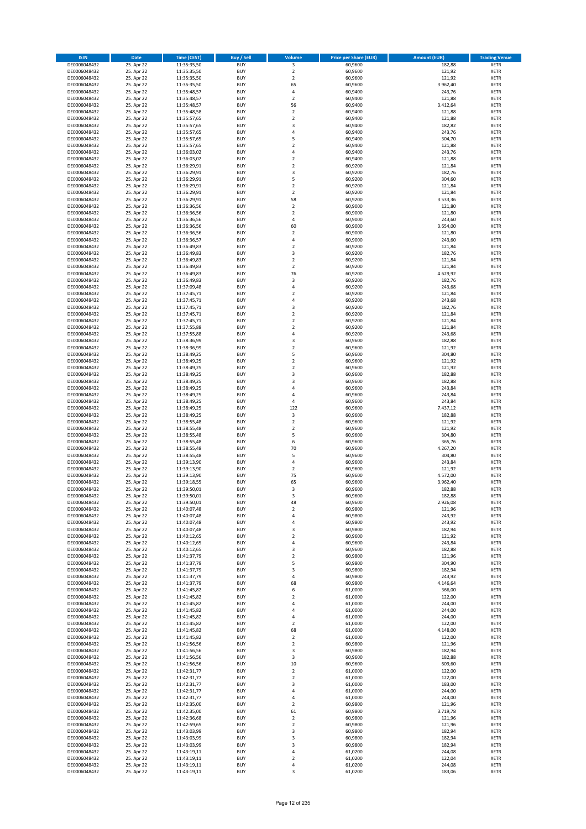| <b>ISIN</b>                  | Date                     | Time (CEST)                | <b>Buy / Sell</b>        | <b>Volume</b>                 | <b>Price per Share (EUR)</b> | <b>Amount (EUR)</b> | <b>Trading Venue</b>       |
|------------------------------|--------------------------|----------------------------|--------------------------|-------------------------------|------------------------------|---------------------|----------------------------|
| DE0006048432                 | 25. Apr 22               | 11:35:35,50                | <b>BUY</b>               | 3                             | 60,9600                      | 182,88              | <b>XETR</b>                |
| DE0006048432                 | 25. Apr 22               | 11:35:35,50                | <b>BUY</b>               | $\mathbf 2$                   | 60,9600                      | 121,92              | XETR                       |
| DE0006048432                 | 25. Apr 22               | 11:35:35,50                | <b>BUY</b>               | $\overline{2}$                | 60,9600                      | 121,92              | <b>XETR</b>                |
| DE0006048432                 | 25. Apr 22               | 11:35:35,50                | <b>BUY</b>               | 65                            | 60,9600                      | 3.962,40            | XETR                       |
| DE0006048432<br>DE0006048432 | 25. Apr 22<br>25. Apr 22 | 11:35:48,57<br>11:35:48,57 | <b>BUY</b><br><b>BUY</b> | 4<br>$\overline{2}$           | 60,9400<br>60,9400           | 243,76<br>121,88    | <b>XETR</b><br><b>XETR</b> |
| DE0006048432                 | 25. Apr 22               | 11:35:48,57                | <b>BUY</b>               | 56                            | 60,9400                      | 3.412,64            | <b>XETR</b>                |
| DE0006048432                 | 25. Apr 22               | 11:35:48,58                | <b>BUY</b>               | $\mathbf 2$                   | 60,9400                      | 121,88              | <b>XETR</b>                |
| DE0006048432                 | 25. Apr 22               | 11:35:57,65                | <b>BUY</b>               | $\overline{2}$                | 60,9400                      | 121,88              | <b>XETR</b>                |
| DE0006048432                 | 25. Apr 22               | 11:35:57,65                | <b>BUY</b>               | 3                             | 60,9400                      | 182,82              | <b>XETR</b>                |
| DE0006048432                 | 25. Apr 22               | 11:35:57,65                | <b>BUY</b>               | $\sqrt{4}$                    | 60,9400                      | 243,76              | <b>XETR</b>                |
| DE0006048432                 | 25. Apr 22               | 11:35:57,65                | <b>BUY</b>               | 5                             | 60,9400                      | 304,70              | <b>XETR</b>                |
| DE0006048432<br>DE0006048432 | 25. Apr 22<br>25. Apr 22 | 11:35:57,65<br>11:36:03,02 | <b>BUY</b><br><b>BUY</b> | $\overline{2}$<br>4           | 60,9400<br>60,9400           | 121,88<br>243,76    | <b>XETR</b><br><b>XETR</b> |
| DE0006048432                 | 25. Apr 22               | 11:36:03,02                | <b>BUY</b>               | $\mathbf 2$                   | 60,9400                      | 121,88              | <b>XETR</b>                |
| DE0006048432                 | 25. Apr 22               | 11:36:29,91                | <b>BUY</b>               | $\mathbf 2$                   | 60,9200                      | 121,84              | <b>XETR</b>                |
| DE0006048432                 | 25. Apr 22               | 11:36:29,91                | <b>BUY</b>               | 3                             | 60,9200                      | 182,76              | <b>XETR</b>                |
| DE0006048432                 | 25. Apr 22               | 11:36:29,91                | <b>BUY</b>               | 5                             | 60,9200                      | 304,60              | <b>XETR</b>                |
| DE0006048432                 | 25. Apr 22               | 11:36:29,91                | <b>BUY</b>               | $\overline{2}$                | 60,9200                      | 121,84              | <b>XETR</b>                |
| DE0006048432<br>DE0006048432 | 25. Apr 22<br>25. Apr 22 | 11:36:29,91                | <b>BUY</b><br><b>BUY</b> | $\mathbf 2$<br>58             | 60,9200<br>60,9200           | 121,84<br>3.533,36  | <b>XETR</b><br><b>XETR</b> |
| DE0006048432                 | 25. Apr 22               | 11:36:29,91<br>11:36:36,56 | <b>BUY</b>               | $\mathbf 2$                   | 60,9000                      | 121,80              | <b>XETR</b>                |
| DE0006048432                 | 25. Apr 22               | 11:36:36,56                | <b>BUY</b>               | $\mathbf 2$                   | 60,9000                      | 121,80              | <b>XETR</b>                |
| DE0006048432                 | 25. Apr 22               | 11:36:36,56                | <b>BUY</b>               | $\sqrt{4}$                    | 60,9000                      | 243,60              | <b>XETR</b>                |
| DE0006048432                 | 25. Apr 22               | 11:36:36,56                | <b>BUY</b>               | 60                            | 60,9000                      | 3.654,00            | <b>XETR</b>                |
| DE0006048432                 | 25. Apr 22               | 11:36:36,56                | <b>BUY</b>               | $\mathbf 2$                   | 60,9000                      | 121,80              | <b>XETR</b>                |
| DE0006048432                 | 25. Apr 22               | 11:36:36,57                | <b>BUY</b>               | $\pmb{4}$                     | 60,9000                      | 243,60              | <b>XETR</b>                |
| DE0006048432                 | 25. Apr 22               | 11:36:49,83                | <b>BUY</b>               | $\mathbf 2$                   | 60,9200                      | 121,84              | <b>XETR</b>                |
| DE0006048432                 | 25. Apr 22               | 11:36:49,83                | <b>BUY</b><br><b>BUY</b> | 3<br>$\overline{2}$           | 60,9200                      | 182,76              | <b>XETR</b><br><b>XETR</b> |
| DE0006048432<br>DE0006048432 | 25. Apr 22<br>25. Apr 22 | 11:36:49,83<br>11:36:49,83 | <b>BUY</b>               | $\overline{2}$                | 60,9200<br>60,9200           | 121,84<br>121,84    | <b>XETR</b>                |
| DE0006048432                 | 25. Apr 22               | 11:36:49,83                | <b>BUY</b>               | 76                            | 60,9200                      | 4.629,92            | <b>XETR</b>                |
| DE0006048432                 | 25. Apr 22               | 11:36:49,83                | <b>BUY</b>               | 3                             | 60,9200                      | 182,76              | <b>XETR</b>                |
| DE0006048432                 | 25. Apr 22               | 11:37:09,48                | <b>BUY</b>               | $\overline{4}$                | 60,9200                      | 243,68              | <b>XETR</b>                |
| DE0006048432                 | 25. Apr 22               | 11:37:45,71                | <b>BUY</b>               | $\overline{2}$                | 60,9200                      | 121,84              | <b>XETR</b>                |
| DE0006048432                 | 25. Apr 22               | 11:37:45,71                | <b>BUY</b>               | 4                             | 60,9200                      | 243,68              | <b>XETR</b>                |
| DE0006048432                 | 25. Apr 22               | 11:37:45,71                | <b>BUY</b>               | 3                             | 60,9200                      | 182,76              | <b>XETR</b>                |
| DE0006048432                 | 25. Apr 22               | 11:37:45,71                | <b>BUY</b>               | $\mathbf 2$                   | 60,9200                      | 121,84              | <b>XETR</b>                |
| DE0006048432                 | 25. Apr 22<br>25. Apr 22 | 11:37:45,71<br>11:37:55,88 | <b>BUY</b><br><b>BUY</b> | $\overline{2}$<br>$\mathbf 2$ | 60,9200<br>60,9200           | 121,84<br>121,84    | <b>XETR</b><br><b>XETR</b> |
| DE0006048432<br>DE0006048432 | 25. Apr 22               | 11:37:55,88                | <b>BUY</b>               | 4                             | 60,9200                      | 243,68              | <b>XETR</b>                |
| DE0006048432                 | 25. Apr 22               | 11:38:36,99                | <b>BUY</b>               | 3                             | 60,9600                      | 182,88              | <b>XETR</b>                |
| DE0006048432                 | 25. Apr 22               | 11:38:36,99                | <b>BUY</b>               | $\mathbf 2$                   | 60,9600                      | 121,92              | <b>XETR</b>                |
| DE0006048432                 | 25. Apr 22               | 11:38:49,25                | <b>BUY</b>               | 5                             | 60,9600                      | 304,80              | <b>XETR</b>                |
| DE0006048432                 | 25. Apr 22               | 11:38:49,25                | <b>BUY</b>               | $\mathbf 2$                   | 60,9600                      | 121,92              | <b>XETR</b>                |
| DE0006048432                 | 25. Apr 22               | 11:38:49,25                | <b>BUY</b>               | $\overline{2}$                | 60,9600                      | 121,92              | <b>XETR</b>                |
| DE0006048432                 | 25. Apr 22               | 11:38:49,25                | <b>BUY</b>               | 3                             | 60,9600                      | 182,88              | <b>XETR</b>                |
| DE0006048432                 | 25. Apr 22               | 11:38:49,25                | <b>BUY</b>               | 3                             | 60,9600                      | 182,88              | <b>XETR</b>                |
| DE0006048432<br>DE0006048432 | 25. Apr 22<br>25. Apr 22 | 11:38:49,25<br>11:38:49,25 | <b>BUY</b><br><b>BUY</b> | 4<br>4                        | 60,9600<br>60,9600           | 243,84<br>243,84    | <b>XETR</b><br><b>XETR</b> |
| DE0006048432                 | 25. Apr 22               | 11:38:49,25                | <b>BUY</b>               | 4                             | 60,9600                      | 243,84              | <b>XETR</b>                |
| DE0006048432                 | 25. Apr 22               | 11:38:49,25                | <b>BUY</b>               | 122                           | 60,9600                      | 7.437,12            | <b>XETR</b>                |
| DE0006048432                 | 25. Apr 22               | 11:38:49,25                | <b>BUY</b>               | 3                             | 60,9600                      | 182,88              | <b>XETR</b>                |
| DE0006048432                 | 25. Apr 22               | 11:38:55,48                | <b>BUY</b>               | $\mathbf 2$                   | 60,9600                      | 121,92              | <b>XETR</b>                |
| DE0006048432                 | 25. Apr 22               | 11:38:55,48                | <b>BUY</b>               | $\mathbf 2$                   | 60,9600                      | 121,92              | <b>XETR</b>                |
| DE0006048432                 | 25. Apr 22               | 11:38:55,48                | <b>BUY</b>               | 5                             | 60,9600                      | 304,80              | <b>XETR</b>                |
| DE0006048432                 | 25. Apr 22<br>25. Apr 22 | 11:38:55,48                | <b>BUY</b><br><b>BUY</b> | 6<br>70                       | 60,9600                      | 365,76              | <b>XETR</b><br><b>XETR</b> |
| DE0006048432<br>DE0006048432 | 25. Apr 22               | 11:38:55,48<br>11:38:55,48 | <b>BUY</b>               | 5                             | 60,9600<br>60,9600           | 4.267,20<br>304,80  | <b>XETR</b>                |
| DE0006048432                 | 25. Apr 22               | 11:39:13,90                | <b>BUY</b>               | $\sqrt{4}$                    | 60,9600                      | 243,84              | <b>XETR</b>                |
| DE0006048432                 | 25. Apr 22               | 11:39:13,90                | <b>BUY</b>               | $\mathbf 2$                   | 60,9600                      | 121,92              | <b>XETR</b>                |
| DE0006048432                 | 25. Apr 22               | 11:39:13,90                | <b>BUY</b>               | 75                            | 60,9600                      | 4.572,00            | <b>XETR</b>                |
| DE0006048432                 | 25. Apr 22               | 11:39:18,55                | <b>BUY</b>               | 65                            | 60,9600                      | 3.962,40            | <b>XETR</b>                |
| DE0006048432                 | 25. Apr 22               | 11:39:50,01                | <b>BUY</b>               | 3                             | 60,9600                      | 182,88              | <b>XETR</b>                |
| DE0006048432                 | 25. Apr 22               | 11:39:50,01                | BUY                      | 3                             | 60,9600                      | 182,88              | XETR                       |
| DE0006048432<br>DE0006048432 | 25. Apr 22<br>25. Apr 22 | 11:39:50,01<br>11:40:07,48 | <b>BUY</b><br><b>BUY</b> | 48<br>$\overline{2}$          | 60,9600<br>60,9800           | 2.926,08<br>121,96  | <b>XETR</b><br><b>XETR</b> |
| DE0006048432                 | 25. Apr 22               | 11:40:07,48                | <b>BUY</b>               | 4                             | 60,9800                      | 243,92              | XETR                       |
| DE0006048432                 | 25. Apr 22               | 11:40:07,48                | <b>BUY</b>               | 4                             | 60,9800                      | 243,92              | <b>XETR</b>                |
| DE0006048432                 | 25. Apr 22               | 11:40:07,48                | <b>BUY</b>               | 3                             | 60,9800                      | 182,94              | <b>XETR</b>                |
| DE0006048432                 | 25. Apr 22               | 11:40:12,65                | <b>BUY</b>               | $\overline{2}$                | 60,9600                      | 121,92              | <b>XETR</b>                |
| DE0006048432                 | 25. Apr 22               | 11:40:12,65                | <b>BUY</b>               | 4                             | 60,9600                      | 243,84              | <b>XETR</b>                |
| DE0006048432                 | 25. Apr 22               | 11:40:12,65                | <b>BUY</b>               | 3                             | 60,9600                      | 182,88              | XETR                       |
| DE0006048432<br>DE0006048432 | 25. Apr 22               | 11:41:37,79                | <b>BUY</b><br><b>BUY</b> | $\mathbf 2$<br>5              | 60,9800<br>60,9800           | 121,96<br>304,90    | <b>XETR</b><br>XETR        |
| DE0006048432                 | 25. Apr 22<br>25. Apr 22 | 11:41:37,79<br>11:41:37,79 | <b>BUY</b>               | 3                             | 60,9800                      | 182,94              | <b>XETR</b>                |
| DE0006048432                 | 25. Apr 22               | 11:41:37,79                | <b>BUY</b>               | 4                             | 60,9800                      | 243,92              | XETR                       |
| DE0006048432                 | 25. Apr 22               | 11:41:37,79                | <b>BUY</b>               | 68                            | 60,9800                      | 4.146,64            | <b>XETR</b>                |
| DE0006048432                 | 25. Apr 22               | 11:41:45,82                | <b>BUY</b>               | 6                             | 61,0000                      | 366,00              | <b>XETR</b>                |
| DE0006048432                 | 25. Apr 22               | 11:41:45,82                | <b>BUY</b>               | $\overline{2}$                | 61,0000                      | 122,00              | <b>XETR</b>                |
| DE0006048432                 | 25. Apr 22               | 11:41:45,82                | <b>BUY</b>               | 4                             | 61,0000                      | 244,00              | <b>XETR</b>                |
| DE0006048432                 | 25. Apr 22<br>25. Apr 22 | 11:41:45,82                | <b>BUY</b>               | $\sqrt{4}$                    | 61,0000                      | 244,00              | <b>XETR</b>                |
| DE0006048432<br>DE0006048432 | 25. Apr 22               | 11:41:45,82<br>11:41:45,82 | <b>BUY</b><br><b>BUY</b> | 4<br>$\overline{2}$           | 61,0000<br>61,0000           | 244,00<br>122,00    | XETR<br><b>XETR</b>        |
| DE0006048432                 | 25. Apr 22               | 11:41:45,82                | <b>BUY</b>               | 68                            | 61,0000                      | 4.148,00            | <b>XETR</b>                |
| DE0006048432                 | 25. Apr 22               | 11:41:45,82                | <b>BUY</b>               | $\mathbf 2$                   | 61,0000                      | 122,00              | <b>XETR</b>                |
| DE0006048432                 | 25. Apr 22               | 11:41:56,56                | <b>BUY</b>               | $\overline{2}$                | 60,9800                      | 121,96              | XETR                       |
| DE0006048432                 | 25. Apr 22               | 11:41:56,56                | <b>BUY</b>               | 3                             | 60,9800                      | 182,94              | <b>XETR</b>                |
| DE0006048432                 | 25. Apr 22               | 11:41:56,56                | <b>BUY</b>               | 3                             | 60,9600                      | 182,88              | XETR                       |
| DE0006048432                 | 25. Apr 22               | 11:41:56,56                | <b>BUY</b>               | 10                            | 60,9600                      | 609,60              | <b>XETR</b>                |
| DE0006048432<br>DE0006048432 | 25. Apr 22<br>25. Apr 22 | 11:42:31,77<br>11:42:31,77 | <b>BUY</b><br><b>BUY</b> | $\mathbf 2$<br>$\overline{2}$ | 61,0000<br>61,0000           | 122,00<br>122,00    | XETR<br><b>XETR</b>        |
| DE0006048432                 | 25. Apr 22               | 11:42:31,77                | <b>BUY</b>               | 3                             | 61,0000                      | 183,00              | <b>XETR</b>                |
| DE0006048432                 | 25. Apr 22               | 11:42:31,77                | <b>BUY</b>               | 4                             | 61,0000                      | 244,00              | <b>XETR</b>                |
| DE0006048432                 | 25. Apr 22               | 11:42:31,77                | <b>BUY</b>               | 4                             | 61,0000                      | 244,00              | <b>XETR</b>                |
| DE0006048432                 | 25. Apr 22               | 11:42:35,00                | <b>BUY</b>               | $\overline{2}$                | 60,9800                      | 121,96              | XETR                       |
| DE0006048432                 | 25. Apr 22               | 11:42:35,00                | <b>BUY</b>               | 61                            | 60,9800                      | 3.719,78            | XETR                       |
| DE0006048432                 | 25. Apr 22               | 11:42:36,68                | <b>BUY</b>               | $\mathbf 2$                   | 60,9800                      | 121,96              | <b>XETR</b>                |
| DE0006048432                 | 25. Apr 22               | 11:42:59,65                | <b>BUY</b>               | $\mathbf 2$                   | 60,9800                      | 121,96              | <b>XETR</b>                |
| DE0006048432                 | 25. Apr 22               | 11:43:03,99                | <b>BUY</b>               | $\mathsf 3$                   | 60,9800                      | 182,94              | <b>XETR</b>                |
| DE0006048432<br>DE0006048432 | 25. Apr 22<br>25. Apr 22 | 11:43:03,99<br>11:43:03,99 | <b>BUY</b><br><b>BUY</b> | 3<br>$\mathsf 3$              | 60,9800<br>60,9800           | 182,94<br>182,94    | XETR<br>XETR               |
| DE0006048432                 | 25. Apr 22               | 11:43:19,11                | <b>BUY</b>               | $\sqrt{4}$                    | 61,0200                      | 244,08              | <b>XETR</b>                |
| DE0006048432                 | 25. Apr 22               | 11:43:19,11                | <b>BUY</b>               | $\mathbf 2$                   | 61,0200                      | 122,04              | XETR                       |
| DE0006048432                 | 25. Apr 22               | 11:43:19,11                | <b>BUY</b>               | $\sqrt{4}$                    | 61,0200                      | 244,08              | <b>XETR</b>                |
| DE0006048432                 | 25. Apr 22               | 11:43:19,11                | <b>BUY</b>               | 3                             | 61,0200                      | 183,06              | <b>XETR</b>                |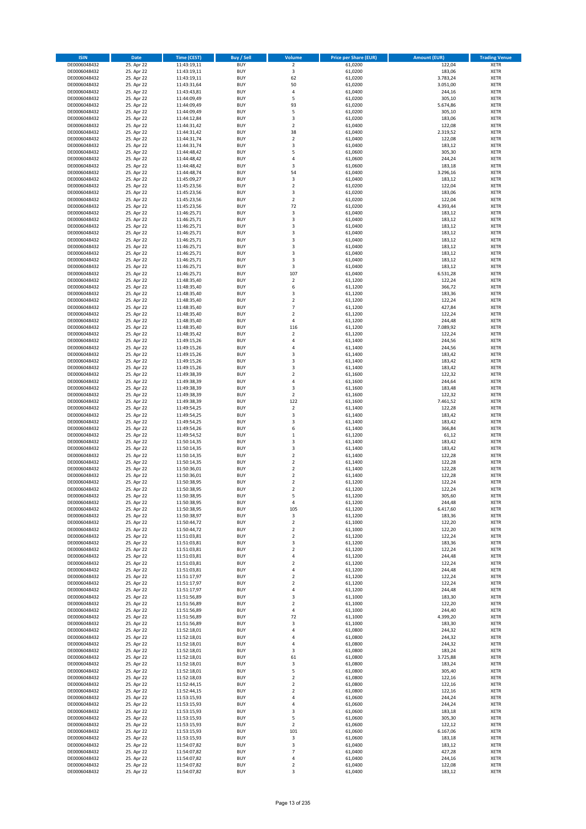| <b>ISIN</b>                  | Date                     | Time (CEST)                | <b>Buy / Sell</b>        | <b>Volume</b>                 | <b>Price per Share (EUR)</b> | <b>Amount (EUR)</b> | <b>Trading Venue</b>       |
|------------------------------|--------------------------|----------------------------|--------------------------|-------------------------------|------------------------------|---------------------|----------------------------|
| DE0006048432                 | 25. Apr 22               | 11:43:19,11                | <b>BUY</b>               | $\overline{2}$                | 61,0200                      | 122,04              | <b>XETR</b>                |
| DE0006048432                 | 25. Apr 22               | 11:43:19,11                | <b>BUY</b>               | 3                             | 61,0200                      | 183,06              | XETR                       |
| DE0006048432                 | 25. Apr 22               | 11:43:19,11                | <b>BUY</b>               | 62                            | 61,0200                      | 3.783,24            | <b>XETR</b>                |
| DE0006048432                 | 25. Apr 22               | 11:43:31,64                | <b>BUY</b>               | 50                            | 61,0200                      | 3.051,00            | <b>XETR</b>                |
| DE0006048432<br>DE0006048432 | 25. Apr 22<br>25. Apr 22 | 11:43:43,81<br>11:44:09,49 | <b>BUY</b><br><b>BUY</b> | $\sqrt{4}$<br>5               | 61,0400<br>61,0200           | 244,16<br>305,10    | <b>XETR</b><br><b>XETR</b> |
| DE0006048432                 | 25. Apr 22               | 11:44:09,49                | <b>BUY</b>               | 93                            | 61,0200                      | 5.674,86            | <b>XETR</b>                |
| DE0006048432                 | 25. Apr 22               | 11:44:09,49                | <b>BUY</b>               | 5                             | 61,0200                      | 305,10              | <b>XETR</b>                |
| DE0006048432                 | 25. Apr 22               | 11:44:12,84                | <b>BUY</b>               | 3                             | 61,0200                      | 183,06              | <b>XETR</b>                |
| DE0006048432                 | 25. Apr 22               | 11:44:31,42                | <b>BUY</b>               | $\overline{2}$                | 61,0400                      | 122,08              | <b>XETR</b>                |
| DE0006048432                 | 25. Apr 22               | 11:44:31,42                | <b>BUY</b>               | 38                            | 61,0400                      | 2.319,52            | <b>XETR</b>                |
| DE0006048432                 | 25. Apr 22               | 11:44:31,74                | <b>BUY</b>               | $\mathbf 2$<br>3              | 61,0400                      | 122,08              | <b>XETR</b>                |
| DE0006048432<br>DE0006048432 | 25. Apr 22<br>25. Apr 22 | 11:44:31,74<br>11:44:48,42 | <b>BUY</b><br><b>BUY</b> | 5                             | 61,0400<br>61,0600           | 183,12<br>305,30    | <b>XETR</b><br><b>XETR</b> |
| DE0006048432                 | 25. Apr 22               | 11:44:48,42                | <b>BUY</b>               | 4                             | 61,0600                      | 244,24              | <b>XETR</b>                |
| DE0006048432                 | 25. Apr 22               | 11:44:48,42                | <b>BUY</b>               | 3                             | 61,0600                      | 183,18              | <b>XETR</b>                |
| DE0006048432                 | 25. Apr 22               | 11:44:48,74                | <b>BUY</b>               | 54                            | 61,0400                      | 3.296,16            | <b>XETR</b>                |
| DE0006048432                 | 25. Apr 22               | 11:45:09,27                | <b>BUY</b>               | 3                             | 61,0400                      | 183,12              | <b>XETR</b>                |
| DE0006048432                 | 25. Apr 22               | 11:45:23,56                | <b>BUY</b>               | $\mathbf 2$                   | 61,0200                      | 122,04              | <b>XETR</b>                |
| DE0006048432<br>DE0006048432 | 25. Apr 22<br>25. Apr 22 | 11:45:23,56<br>11:45:23,56 | <b>BUY</b><br><b>BUY</b> | $\mathsf 3$<br>$\overline{2}$ | 61,0200<br>61,0200           | 183,06<br>122,04    | <b>XETR</b><br><b>XETR</b> |
| DE0006048432                 | 25. Apr 22               | 11:45:23,56                | <b>BUY</b>               | 72                            | 61,0200                      | 4.393,44            | <b>XETR</b>                |
| DE0006048432                 | 25. Apr 22               | 11:46:25,71                | <b>BUY</b>               | 3                             | 61,0400                      | 183,12              | <b>XETR</b>                |
| DE0006048432                 | 25. Apr 22               | 11:46:25,71                | <b>BUY</b>               | 3                             | 61,0400                      | 183,12              | <b>XETR</b>                |
| DE0006048432                 | 25. Apr 22               | 11:46:25,71                | <b>BUY</b>               | 3                             | 61,0400                      | 183,12              | <b>XETR</b>                |
| DE0006048432                 | 25. Apr 22               | 11:46:25,71                | <b>BUY</b>               | 3                             | 61,0400                      | 183,12              | <b>XETR</b>                |
| DE0006048432<br>DE0006048432 | 25. Apr 22<br>25. Apr 22 | 11:46:25,71                | <b>BUY</b><br><b>BUY</b> | 3<br>3                        | 61,0400<br>61,0400           | 183,12<br>183,12    | <b>XETR</b><br><b>XETR</b> |
| DE0006048432                 | 25. Apr 22               | 11:46:25,71<br>11:46:25,71 | <b>BUY</b>               | 3                             | 61,0400                      | 183,12              | <b>XETR</b>                |
| DE0006048432                 | 25. Apr 22               | 11:46:25,71                | <b>BUY</b>               | 3                             | 61,0400                      | 183,12              | <b>XETR</b>                |
| DE0006048432                 | 25. Apr 22               | 11:46:25,71                | <b>BUY</b>               | 3                             | 61,0400                      | 183,12              | <b>XETR</b>                |
| DE0006048432                 | 25. Apr 22               | 11:46:25,71                | <b>BUY</b>               | 107                           | 61,0400                      | 6.531,28            | <b>XETR</b>                |
| DE0006048432                 | 25. Apr 22               | 11:48:35,40                | <b>BUY</b>               | $\mathbf 2$                   | 61,1200                      | 122,24              | <b>XETR</b>                |
| DE0006048432                 | 25. Apr 22               | 11:48:35,40                | <b>BUY</b>               | 6                             | 61,1200                      | 366,72              | <b>XETR</b>                |
| DE0006048432<br>DE0006048432 | 25. Apr 22<br>25. Apr 22 | 11:48:35,40<br>11:48:35,40 | <b>BUY</b><br><b>BUY</b> | 3<br>$\mathbf 2$              | 61,1200<br>61,1200           | 183,36<br>122,24    | <b>XETR</b><br><b>XETR</b> |
| DE0006048432                 | 25. Apr 22               | 11:48:35,40                | <b>BUY</b>               | $\overline{7}$                | 61,1200                      | 427,84              | <b>XETR</b>                |
| DE0006048432                 | 25. Apr 22               | 11:48:35,40                | <b>BUY</b>               | $\mathbf 2$                   | 61,1200                      | 122,24              | <b>XETR</b>                |
| DE0006048432                 | 25. Apr 22               | 11:48:35,40                | <b>BUY</b>               | $\sqrt{4}$                    | 61,1200                      | 244,48              | <b>XETR</b>                |
| DE0006048432                 | 25. Apr 22               | 11:48:35,40                | <b>BUY</b>               | 116                           | 61,1200                      | 7.089,92            | <b>XETR</b>                |
| DE0006048432                 | 25. Apr 22               | 11:48:35,42                | <b>BUY</b>               | $\mathbf 2$                   | 61,1200                      | 122,24              | <b>XETR</b>                |
| DE0006048432<br>DE0006048432 | 25. Apr 22<br>25. Apr 22 | 11:49:15,26                | <b>BUY</b><br><b>BUY</b> | 4<br>$\sqrt{4}$               | 61,1400<br>61,1400           | 244,56              | <b>XETR</b><br><b>XETR</b> |
| DE0006048432                 | 25. Apr 22               | 11:49:15,26<br>11:49:15,26 | <b>BUY</b>               | 3                             | 61,1400                      | 244,56<br>183,42    | <b>XETR</b>                |
| DE0006048432                 | 25. Apr 22               | 11:49:15,26                | <b>BUY</b>               | 3                             | 61,1400                      | 183,42              | <b>XETR</b>                |
| DE0006048432                 | 25. Apr 22               | 11:49:15,26                | <b>BUY</b>               | 3                             | 61,1400                      | 183,42              | <b>XETR</b>                |
| DE0006048432                 | 25. Apr 22               | 11:49:38,39                | <b>BUY</b>               | $\mathbf 2$                   | 61,1600                      | 122,32              | <b>XETR</b>                |
| DE0006048432                 | 25. Apr 22               | 11:49:38,39                | <b>BUY</b>               | $\overline{4}$                | 61,1600                      | 244,64              | <b>XETR</b>                |
| DE0006048432<br>DE0006048432 | 25. Apr 22<br>25. Apr 22 | 11:49:38,39<br>11:49:38,39 | <b>BUY</b><br><b>BUY</b> | 3<br>$\overline{2}$           | 61,1600<br>61,1600           | 183,48<br>122,32    | <b>XETR</b><br><b>XETR</b> |
| DE0006048432                 | 25. Apr 22               | 11:49:38,39                | <b>BUY</b>               | 122                           | 61,1600                      | 7.461,52            | <b>XETR</b>                |
| DE0006048432                 | 25. Apr 22               | 11:49:54,25                | <b>BUY</b>               | $\mathbf 2$                   | 61,1400                      | 122,28              | <b>XETR</b>                |
| DE0006048432                 | 25. Apr 22               | 11:49:54,25                | <b>BUY</b>               | 3                             | 61,1400                      | 183,42              | <b>XETR</b>                |
| DE0006048432                 | 25. Apr 22               | 11:49:54,25                | <b>BUY</b>               | $\mathsf 3$                   | 61,1400                      | 183,42              | <b>XETR</b>                |
| DE0006048432                 | 25. Apr 22               | 11:49:54,26                | <b>BUY</b>               | 6                             | 61,1400                      | 366,84              | <b>XETR</b>                |
| DE0006048432                 | 25. Apr 22               | 11:49:54,52                | <b>BUY</b>               | $\,1\,$                       | 61,1200                      | 61,12               | <b>XETR</b>                |
| DE0006048432<br>DE0006048432 | 25. Apr 22<br>25. Apr 22 | 11:50:14,35<br>11:50:14,35 | <b>BUY</b><br><b>BUY</b> | 3<br>3                        | 61,1400<br>61,1400           | 183,42<br>183,42    | <b>XETR</b><br><b>XETR</b> |
| DE0006048432                 | 25. Apr 22               | 11:50:14,35                | <b>BUY</b>               | $\mathbf 2$                   | 61,1400                      | 122,28              | <b>XETR</b>                |
| DE0006048432                 | 25. Apr 22               | 11:50:14,35                | <b>BUY</b>               | $\overline{2}$                | 61,1400                      | 122,28              | <b>XETR</b>                |
| DE0006048432                 | 25. Apr 22               | 11:50:36,01                | <b>BUY</b>               | $\mathbf 2$                   | 61,1400                      | 122,28              | <b>XETR</b>                |
| DE0006048432                 | 25. Apr 22               | 11:50:36,01                | <b>BUY</b>               | $\overline{2}$                | 61,1400                      | 122,28              | <b>XETR</b>                |
| DE0006048432                 | 25. Apr 22               | 11:50:38,95                | <b>BUY</b>               | $\overline{2}$                | 61,1200                      | 122,24              | <b>XETR</b>                |
| DE0006048432<br>DE0006048432 | 25. Apr 22<br>25. Apr 22 | 11:50:38,95<br>11:50:38,95 | <b>BUY</b><br>BUY        | 2<br>5                        | 61,1200<br>61,1200           | 122,24<br>305,60    | <b>XETR</b><br>XETR        |
| DE0006048432                 | 25. Apr 22               | 11:50:38,95                | <b>BUY</b>               | 4                             | 61,1200                      | 244,48              | <b>XETR</b>                |
| DE0006048432                 | 25. Apr 22               | 11:50:38,95                | <b>BUY</b>               | 105                           | 61,1200                      | 6.417,60            | <b>XETR</b>                |
| DE0006048432                 | 25. Apr 22               | 11:50:38,97                | <b>BUY</b>               | 3                             | 61,1200                      | 183,36              | <b>XETR</b>                |
| DE0006048432                 | 25. Apr 22               | 11:50:44,72                | <b>BUY</b>               | $\overline{2}$                | 61,1000                      | 122,20              | <b>XETR</b>                |
| DE0006048432                 | 25. Apr 22               | 11:50:44,72                | <b>BUY</b>               | $\overline{2}$                | 61,1000                      | 122,20              | <b>XETR</b>                |
| DE0006048432<br>DE0006048432 | 25. Apr 22<br>25. Apr 22 | 11:51:03,81                | <b>BUY</b><br><b>BUY</b> | $\overline{2}$<br>3           | 61,1200<br>61,1200           | 122,24<br>183,36    | <b>XETR</b><br><b>XETR</b> |
| DE0006048432                 | 25. Apr 22               | 11:51:03,81<br>11:51:03,81 | <b>BUY</b>               | $\mathbf 2$                   | 61,1200                      | 122,24              | XETR                       |
| DE0006048432                 | 25. Apr 22               | 11:51:03,81                | <b>BUY</b>               | $\sqrt{4}$                    | 61,1200                      | 244,48              | <b>XETR</b>                |
| DE0006048432                 | 25. Apr 22               | 11:51:03,81                | <b>BUY</b>               | $\overline{2}$                | 61,1200                      | 122,24              | XETR                       |
| DE0006048432                 | 25. Apr 22               | 11:51:03,81                | <b>BUY</b>               | 4                             | 61,1200                      | 244,48              | <b>XETR</b>                |
| DE0006048432                 | 25. Apr 22               | 11:51:17,97                | <b>BUY</b>               | $\overline{2}$                | 61,1200                      | 122,24              | XETR                       |
| DE0006048432<br>DE0006048432 | 25. Apr 22<br>25. Apr 22 | 11:51:17,97<br>11:51:17,97 | <b>BUY</b><br><b>BUY</b> | $\mathbf 2$<br>$\sqrt{4}$     | 61,1200<br>61,1200           | 122,24<br>244,48    | <b>XETR</b><br>XETR        |
| DE0006048432                 | 25. Apr 22               | 11:51:56,89                | <b>BUY</b>               | 3                             | 61,1000                      | 183,30              | <b>XETR</b>                |
| DE0006048432                 | 25. Apr 22               | 11:51:56,89                | <b>BUY</b>               | $\overline{2}$                | 61,1000                      | 122,20              | <b>XETR</b>                |
| DE0006048432                 | 25. Apr 22               | 11:51:56,89                | <b>BUY</b>               | 4                             | 61,1000                      | 244,40              | <b>XETR</b>                |
| DE0006048432                 | 25. Apr 22               | 11:51:56,89                | <b>BUY</b>               | 72                            | 61,1000                      | 4.399,20            | XETR                       |
| DE0006048432                 | 25. Apr 22               | 11:51:56,89                | <b>BUY</b>               | $\mathsf 3$                   | 61,1000                      | 183,30              | XETR                       |
| DE0006048432                 | 25. Apr 22               | 11:52:18,01                | <b>BUY</b>               | 4                             | 61,0800                      | 244,32              | <b>XETR</b>                |
| DE0006048432<br>DE0006048432 | 25. Apr 22<br>25. Apr 22 | 11:52:18,01<br>11:52:18,01 | <b>BUY</b><br><b>BUY</b> | $\sqrt{4}$<br>4               | 61,0800<br>61,0800           | 244,32<br>244,32    | <b>XETR</b><br>XETR        |
| DE0006048432                 | 25. Apr 22               | 11:52:18,01                | <b>BUY</b>               | 3                             | 61,0800                      | 183,24              | <b>XETR</b>                |
| DE0006048432                 | 25. Apr 22               | 11:52:18,01                | <b>BUY</b>               | 61                            | 61,0800                      | 3.725,88            | XETR                       |
| DE0006048432                 | 25. Apr 22               | 11:52:18,01                | <b>BUY</b>               | 3                             | 61,0800                      | 183,24              | <b>XETR</b>                |
| DE0006048432                 | 25. Apr 22               | 11:52:18,01                | <b>BUY</b>               | 5                             | 61,0800                      | 305,40              | XETR                       |
| DE0006048432                 | 25. Apr 22               | 11:52:18,03                | <b>BUY</b>               | $\overline{2}$                | 61,0800                      | 122,16              | <b>XETR</b>                |
| DE0006048432                 | 25. Apr 22               | 11:52:44,15                | <b>BUY</b><br><b>BUY</b> | $\mathbf 2$<br>$\overline{2}$ | 61,0800                      | 122,16              | <b>XETR</b>                |
| DE0006048432<br>DE0006048432 | 25. Apr 22<br>25. Apr 22 | 11:52:44,15<br>11:53:15,93 | <b>BUY</b>               | 4                             | 61,0800<br>61,0600           | 122,16<br>244,24    | <b>XETR</b><br><b>XETR</b> |
| DE0006048432                 | 25. Apr 22               | 11:53:15,93                | <b>BUY</b>               | 4                             | 61,0600                      | 244,24              | XETR                       |
| DE0006048432                 | 25. Apr 22               | 11:53:15,93                | <b>BUY</b>               | 3                             | 61,0600                      | 183,18              | XETR                       |
| DE0006048432                 | 25. Apr 22               | 11:53:15,93                | <b>BUY</b>               | 5                             | 61,0600                      | 305,30              | <b>XETR</b>                |
| DE0006048432                 | 25. Apr 22               | 11:53:15,93                | <b>BUY</b>               | $\mathbf 2$                   | 61,0600                      | 122,12              | <b>XETR</b>                |
| DE0006048432                 | 25. Apr 22               | 11:53:15,93                | <b>BUY</b>               | 101                           | 61,0600                      | 6.167,06            | <b>XETR</b>                |
| DE0006048432<br>DE0006048432 | 25. Apr 22<br>25. Apr 22 | 11:53:15,93<br>11:54:07,82 | <b>BUY</b><br><b>BUY</b> | 3<br>$\mathsf 3$              | 61,0600<br>61,0400           | 183,18<br>183,12    | XETR<br>XETR               |
| DE0006048432                 | 25. Apr 22               | 11:54:07,82                | <b>BUY</b>               | $\overline{7}$                | 61,0400                      | 427,28              | <b>XETR</b>                |
| DE0006048432                 | 25. Apr 22               | 11:54:07,82                | <b>BUY</b>               | 4                             | 61,0400                      | 244,16              | XETR                       |
| DE0006048432                 | 25. Apr 22               | 11:54:07,82                | <b>BUY</b>               | $\mathbf 2$                   | 61,0400                      | 122,08              | <b>XETR</b>                |
| DE0006048432                 | 25. Apr 22               | 11:54:07,82                | <b>BUY</b>               | 3                             | 61,0400                      | 183,12              | <b>XETR</b>                |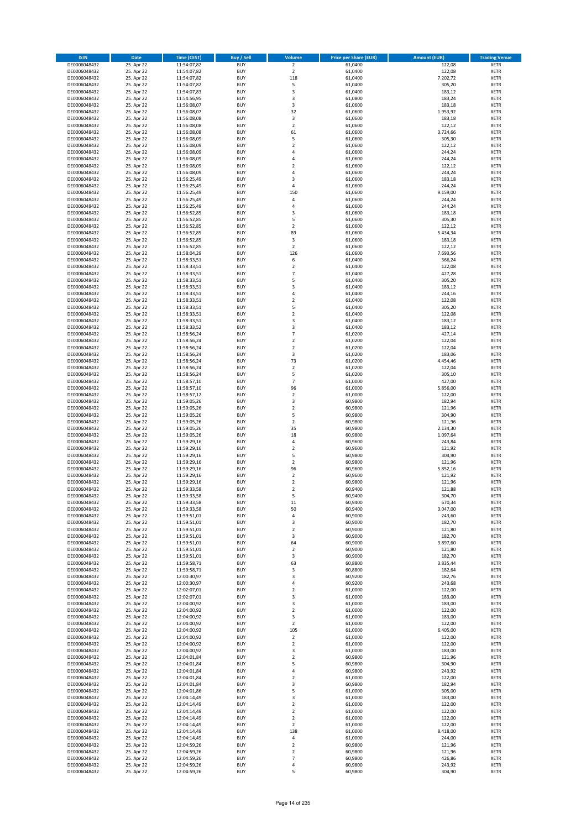| <b>ISIN</b>                  | Date                     | Time (CEST)                | <b>Buy / Sell</b>        | <b>Volume</b>                 | <b>Price per Share (EUR)</b> | <b>Amount (EUR)</b> | <b>Trading Venue</b>       |
|------------------------------|--------------------------|----------------------------|--------------------------|-------------------------------|------------------------------|---------------------|----------------------------|
| DE0006048432                 | 25. Apr 22               | 11:54:07,82                | <b>BUY</b>               | $\overline{2}$                | 61,0400                      | 122,08              | <b>XETR</b>                |
| DE0006048432                 | 25. Apr 22               | 11:54:07,82                | <b>BUY</b>               | $\overline{2}$                | 61,0400                      | 122,08              | XETR                       |
| DE0006048432                 | 25. Apr 22               | 11:54:07,82                | <b>BUY</b>               | 118                           | 61,0400                      | 7.202,72            | <b>XETR</b>                |
| DE0006048432                 | 25. Apr 22               | 11:54:07,82                | <b>BUY</b>               | 5                             | 61,0400                      | 305,20              | XETR                       |
| DE0006048432<br>DE0006048432 | 25. Apr 22<br>25. Apr 22 | 11:54:07,83<br>11:54:56,95 | <b>BUY</b><br><b>BUY</b> | 3<br>3                        | 61,0400<br>61,0800           | 183,12<br>183,24    | <b>XETR</b><br><b>XETR</b> |
| DE0006048432                 | 25. Apr 22               | 11:56:08,07                | <b>BUY</b>               | 3                             | 61,0600                      | 183,18              | <b>XETR</b>                |
| DE0006048432                 | 25. Apr 22               | 11:56:08,07                | <b>BUY</b>               | 32                            | 61,0600                      | 1.953,92            | <b>XETR</b>                |
| DE0006048432                 | 25. Apr 22               | 11:56:08,08                | <b>BUY</b>               | 3                             | 61,0600                      | 183,18              | <b>XETR</b>                |
| DE0006048432                 | 25. Apr 22               | 11:56:08,08                | <b>BUY</b>               | $\overline{2}$                | 61,0600                      | 122,12              | <b>XETR</b>                |
| DE0006048432                 | 25. Apr 22               | 11:56:08,08                | <b>BUY</b>               | 61                            | 61,0600                      | 3.724,66            | <b>XETR</b>                |
| DE0006048432                 | 25. Apr 22               | 11:56:08,09                | <b>BUY</b>               | 5<br>$\overline{2}$           | 61,0600                      | 305,30              | <b>XETR</b>                |
| DE0006048432<br>DE0006048432 | 25. Apr 22<br>25. Apr 22 | 11:56:08,09<br>11:56:08,09 | <b>BUY</b><br><b>BUY</b> | $\overline{4}$                | 61,0600<br>61,0600           | 122,12<br>244,24    | <b>XETR</b><br><b>XETR</b> |
| DE0006048432                 | 25. Apr 22               | 11:56:08,09                | <b>BUY</b>               | 4                             | 61,0600                      | 244,24              | <b>XETR</b>                |
| DE0006048432                 | 25. Apr 22               | 11:56:08,09                | <b>BUY</b>               | $\overline{\mathbf{c}}$       | 61,0600                      | 122,12              | <b>XETR</b>                |
| DE0006048432                 | 25. Apr 22               | 11:56:08,09                | <b>BUY</b>               | 4                             | 61,0600                      | 244,24              | <b>XETR</b>                |
| DE0006048432                 | 25. Apr 22               | 11:56:25,49                | <b>BUY</b>               | 3                             | 61,0600                      | 183,18              | <b>XETR</b>                |
| DE0006048432                 | 25. Apr 22               | 11:56:25,49                | <b>BUY</b>               | 4                             | 61,0600                      | 244,24              | <b>XETR</b>                |
| DE0006048432<br>DE0006048432 | 25. Apr 22<br>25. Apr 22 | 11:56:25,49<br>11:56:25,49 | <b>BUY</b><br><b>BUY</b> | 150<br>4                      | 61,0600<br>61,0600           | 9.159,00<br>244,24  | <b>XETR</b><br><b>XETR</b> |
| DE0006048432                 | 25. Apr 22               | 11:56:25,49                | <b>BUY</b>               | 4                             | 61,0600                      | 244,24              | <b>XETR</b>                |
| DE0006048432                 | 25. Apr 22               | 11:56:52,85                | <b>BUY</b>               | 3                             | 61,0600                      | 183,18              | <b>XETR</b>                |
| DE0006048432                 | 25. Apr 22               | 11:56:52,85                | <b>BUY</b>               | 5                             | 61,0600                      | 305,30              | <b>XETR</b>                |
| DE0006048432                 | 25. Apr 22               | 11:56:52,85                | <b>BUY</b>               | $\overline{2}$                | 61,0600                      | 122,12              | <b>XETR</b>                |
| DE0006048432                 | 25. Apr 22               | 11:56:52,85                | <b>BUY</b>               | 89                            | 61,0600                      | 5.434,34            | <b>XETR</b>                |
| DE0006048432<br>DE0006048432 | 25. Apr 22               | 11:56:52,85                | <b>BUY</b><br><b>BUY</b> | $\mathsf 3$<br>$\overline{2}$ | 61,0600                      | 183,18              | <b>XETR</b><br><b>XETR</b> |
| DE0006048432                 | 25. Apr 22<br>25. Apr 22 | 11:56:52,85<br>11:58:04,29 | <b>BUY</b>               | 126                           | 61,0600<br>61,0600           | 122,12<br>7.693,56  | <b>XETR</b>                |
| DE0006048432                 | 25. Apr 22               | 11:58:33,51                | <b>BUY</b>               | 6                             | 61,0400                      | 366,24              | <b>XETR</b>                |
| DE0006048432                 | 25. Apr 22               | 11:58:33,51                | <b>BUY</b>               | $\overline{2}$                | 61,0400                      | 122,08              | <b>XETR</b>                |
| DE0006048432                 | 25. Apr 22               | 11:58:33,51                | <b>BUY</b>               | $\overline{7}$                | 61,0400                      | 427,28              | <b>XETR</b>                |
| DE0006048432                 | 25. Apr 22               | 11:58:33,51                | <b>BUY</b>               | 5                             | 61,0400                      | 305,20              | <b>XETR</b>                |
| DE0006048432                 | 25. Apr 22               | 11:58:33,51                | <b>BUY</b>               | 3                             | 61,0400                      | 183,12              | <b>XETR</b>                |
| DE0006048432<br>DE0006048432 | 25. Apr 22<br>25. Apr 22 | 11:58:33,51<br>11:58:33,51 | <b>BUY</b><br><b>BUY</b> | 4<br>$\mathbf 2$              | 61,0400<br>61,0400           | 244,16<br>122,08    | <b>XETR</b><br><b>XETR</b> |
| DE0006048432                 | 25. Apr 22               | 11:58:33,51                | <b>BUY</b>               | 5                             | 61,0400                      | 305,20              | <b>XETR</b>                |
| DE0006048432                 | 25. Apr 22               | 11:58:33,51                | <b>BUY</b>               | $\mathbf 2$                   | 61,0400                      | 122,08              | <b>XETR</b>                |
| DE0006048432                 | 25. Apr 22               | 11:58:33,51                | <b>BUY</b>               | 3                             | 61,0400                      | 183,12              | <b>XETR</b>                |
| DE0006048432                 | 25. Apr 22               | 11:58:33,52                | <b>BUY</b>               | 3                             | 61,0400                      | 183,12              | <b>XETR</b>                |
| DE0006048432                 | 25. Apr 22               | 11:58:56,24                | <b>BUY</b>               | $\overline{7}$                | 61,0200                      | 427,14              | <b>XETR</b>                |
| DE0006048432                 | 25. Apr 22               | 11:58:56,24                | <b>BUY</b>               | $\mathbf 2$                   | 61,0200                      | 122,04              | <b>XETR</b>                |
| DE0006048432<br>DE0006048432 | 25. Apr 22<br>25. Apr 22 | 11:58:56,24<br>11:58:56,24 | <b>BUY</b><br><b>BUY</b> | $\mathbf 2$<br>3              | 61,0200<br>61,0200           | 122,04<br>183,06    | <b>XETR</b><br><b>XETR</b> |
| DE0006048432                 | 25. Apr 22               | 11:58:56,24                | <b>BUY</b>               | 73                            | 61,0200                      | 4.454,46            | <b>XETR</b>                |
| DE0006048432                 | 25. Apr 22               | 11:58:56,24                | <b>BUY</b>               | $\overline{2}$                | 61,0200                      | 122,04              | <b>XETR</b>                |
| DE0006048432                 | 25. Apr 22               | 11:58:56,24                | <b>BUY</b>               | 5                             | 61,0200                      | 305,10              | <b>XETR</b>                |
| DE0006048432                 | 25. Apr 22               | 11:58:57,10                | <b>BUY</b>               | $\overline{7}$                | 61,0000                      | 427,00              | <b>XETR</b>                |
| DE0006048432                 | 25. Apr 22               | 11:58:57,10                | <b>BUY</b><br><b>BUY</b> | 96                            | 61,0000                      | 5.856,00            | <b>XETR</b>                |
| DE0006048432<br>DE0006048432 | 25. Apr 22<br>25. Apr 22 | 11:58:57,12<br>11:59:05,26 | <b>BUY</b>               | $\overline{2}$<br>3           | 61,0000<br>60,9800           | 122,00<br>182,94    | <b>XETR</b><br><b>XETR</b> |
| DE0006048432                 | 25. Apr 22               | 11:59:05,26                | <b>BUY</b>               | $\mathbf 2$                   | 60,9800                      | 121,96              | <b>XETR</b>                |
| DE0006048432                 | 25. Apr 22               | 11:59:05,26                | <b>BUY</b>               | 5                             | 60,9800                      | 304,90              | <b>XETR</b>                |
| DE0006048432                 | 25. Apr 22               | 11:59:05,26                | <b>BUY</b>               | $\mathbf 2$                   | 60,9800                      | 121,96              | <b>XETR</b>                |
| DE0006048432                 | 25. Apr 22               | 11:59:05,26                | <b>BUY</b>               | 35                            | 60,9800                      | 2.134,30            | <b>XETR</b>                |
| DE0006048432                 | 25. Apr 22               | 11:59:05,26                | <b>BUY</b>               | 18                            | 60,9800                      | 1.097,64            | <b>XETR</b>                |
| DE0006048432<br>DE0006048432 | 25. Apr 22<br>25. Apr 22 | 11:59:29,16<br>11:59:29,16 | <b>BUY</b><br><b>BUY</b> | $\pmb{4}$<br>$\mathbf 2$      | 60,9600<br>60,9600           | 243,84<br>121,92    | <b>XETR</b><br><b>XETR</b> |
| DE0006048432                 | 25. Apr 22               | 11:59:29,16                | <b>BUY</b>               | 5                             | 60,9800                      | 304,90              | <b>XETR</b>                |
| DE0006048432                 | 25. Apr 22               | 11:59:29,16                | <b>BUY</b>               | $\overline{2}$                | 60,9800                      | 121,96              | <b>XETR</b>                |
| DE0006048432                 | 25. Apr 22               | 11:59:29,16                | <b>BUY</b>               | 96                            | 60,9600                      | 5.852,16            | <b>XETR</b>                |
| DE0006048432                 | 25. Apr 22               | 11:59:29,16                | <b>BUY</b>               | $\overline{2}$                | 60,9600                      | 121,92              | <b>XETR</b>                |
| DE0006048432                 | 25. Apr 22               | 11:59:29,16                | <b>BUY</b>               | $\mathbf 2$                   | 60,9800                      | 121,96              | <b>XETR</b>                |
| DE0006048432                 | 25. Apr 22               | 11:59:33,58                | <b>BUY</b><br><b>BUY</b> | $\overline{2}$                | 60,9400<br>60,9400           | 121,88<br>304,70    | <b>XETR</b>                |
| DE0006048432<br>DE0006048432 | 25. Apr 22<br>25. Apr 22 | 11:59:33,58<br>11:59:33,58 | <b>BUY</b>               | 5<br>$11\,$                   | 60,9400                      | 670,34              | XETR<br><b>XETR</b>        |
| DE0006048432                 | 25. Apr 22               | 11:59:33,58                | <b>BUY</b>               | 50                            | 60,9400                      | 3.047,00            | <b>XETR</b>                |
| DE0006048432                 | 25. Apr 22               | 11:59:51,01                | <b>BUY</b>               | $\pmb{4}$                     | 60,9000                      | 243,60              | XETR                       |
| DE0006048432                 | 25. Apr 22               | 11:59:51,01                | <b>BUY</b>               | 3                             | 60,9000                      | 182,70              | <b>XETR</b>                |
| DE0006048432                 | 25. Apr 22               | 11:59:51,01                | <b>BUY</b>               | $\mathbf 2$                   | 60,9000                      | 121,80              | <b>XETR</b>                |
| DE0006048432                 | 25. Apr 22               | 11:59:51,01                | <b>BUY</b>               | 3                             | 60,9000                      | 182,70              | <b>XETR</b>                |
| DE0006048432<br>DE0006048432 | 25. Apr 22<br>25. Apr 22 | 11:59:51,01<br>11:59:51,01 | <b>BUY</b><br><b>BUY</b> | 64<br>$\overline{2}$          | 60,9000<br>60,9000           | 3.897,60<br>121,80  | <b>XETR</b><br>XETR        |
| DE0006048432                 | 25. Apr 22               | 11:59:51,01                | <b>BUY</b>               | 3                             | 60,9000                      | 182,70              | <b>XETR</b>                |
| DE0006048432                 | 25. Apr 22               | 11:59:58,71                | <b>BUY</b>               | 63                            | 60,8800                      | 3.835,44            | XETR                       |
| DE0006048432                 | 25. Apr 22               | 11:59:58,71                | <b>BUY</b>               | 3                             | 60,8800                      | 182,64              | <b>XETR</b>                |
| DE0006048432                 | 25. Apr 22               | 12:00:30,97                | <b>BUY</b>               | 3                             | 60,9200                      | 182,76              | XETR                       |
| DE0006048432<br>DE0006048432 | 25. Apr 22<br>25. Apr 22 | 12:00:30,97<br>12:02:07,01 | <b>BUY</b><br><b>BUY</b> | 4<br>$\mathbf 2$              | 60,9200<br>61,0000           | 243,68<br>122,00    | <b>XETR</b><br>XETR        |
| DE0006048432                 | 25. Apr 22               | 12:02:07,01                | <b>BUY</b>               | 3                             | 61,0000                      | 183,00              | <b>XETR</b>                |
| DE0006048432                 | 25. Apr 22               | 12:04:00,92                | <b>BUY</b>               | 3                             | 61,0000                      | 183,00              | <b>XETR</b>                |
| DE0006048432                 | 25. Apr 22               | 12:04:00,92                | <b>BUY</b>               | $\overline{2}$                | 61,0000                      | 122,00              | <b>XETR</b>                |
| DE0006048432                 | 25. Apr 22               | 12:04:00,92                | <b>BUY</b>               | 3                             | 61,0000                      | 183,00              | XETR                       |
| DE0006048432                 | 25. Apr 22               | 12:04:00,92                | <b>BUY</b>               | $\mathbf 2$                   | 61,0000                      | 122,00              | <b>XETR</b>                |
| DE0006048432                 | 25. Apr 22               | 12:04:00,92                | <b>BUY</b>               | 105                           | 61,0000                      | 6.405,00            | <b>XETR</b>                |
| DE0006048432<br>DE0006048432 | 25. Apr 22<br>25. Apr 22 | 12:04:00,92<br>12:04:00,92 | <b>BUY</b><br><b>BUY</b> | $\mathbf 2$<br>$\overline{2}$ | 61,0000<br>61,0000           | 122,00<br>122,00    | <b>XETR</b><br>XETR        |
| DE0006048432                 | 25. Apr 22               | 12:04:00,92                | <b>BUY</b>               | 3                             | 61,0000                      | 183,00              | XETR                       |
| DE0006048432                 | 25. Apr 22               | 12:04:01,84                | <b>BUY</b>               | $\overline{2}$                | 60,9800                      | 121,96              | XETR                       |
| DE0006048432                 | 25. Apr 22               | 12:04:01,84                | <b>BUY</b>               | 5                             | 60,9800                      | 304,90              | XETR                       |
| DE0006048432                 | 25. Apr 22               | 12:04:01,84                | <b>BUY</b>               | $\sqrt{4}$                    | 60,9800                      | 243,92              | XETR                       |
| DE0006048432                 | 25. Apr 22               | 12:04:01,84                | <b>BUY</b>               | $\overline{2}$                | 61,0000                      | 122,00              | <b>XETR</b>                |
| DE0006048432<br>DE0006048432 | 25. Apr 22<br>25. Apr 22 | 12:04:01,84                | <b>BUY</b><br><b>BUY</b> | 3<br>5                        | 60,9800<br>61,0000           | 182,94<br>305,00    | XETR<br><b>XETR</b>        |
| DE0006048432                 | 25. Apr 22               | 12:04:01,86<br>12:04:14,49 | <b>BUY</b>               | 3                             | 61,0000                      | 183,00              | XETR                       |
| DE0006048432                 | 25. Apr 22               | 12:04:14,49                | <b>BUY</b>               | $\mathbf 2$                   | 61,0000                      | 122,00              | XETR                       |
| DE0006048432                 | 25. Apr 22               | 12:04:14,49                | <b>BUY</b>               | $\mathbf 2$                   | 61,0000                      | 122,00              | XETR                       |
| DE0006048432                 | 25. Apr 22               | 12:04:14,49                | <b>BUY</b>               | $\overline{2}$                | 61,0000                      | 122,00              | <b>XETR</b>                |
| DE0006048432                 | 25. Apr 22               | 12:04:14,49                | <b>BUY</b>               | $\mathbf 2$                   | 61,0000                      | 122,00              | <b>XETR</b>                |
| DE0006048432                 | 25. Apr 22               | 12:04:14,49                | <b>BUY</b>               | 138                           | 61,0000                      | 8.418,00            | XETR                       |
| DE0006048432<br>DE0006048432 | 25. Apr 22<br>25. Apr 22 | 12:04:14,49<br>12:04:59,26 | <b>BUY</b><br><b>BUY</b> | $\sqrt{4}$<br>$\mathbf 2$     | 61,0000<br>60,9800           | 244,00<br>121,96    | XETR<br>XETR               |
| DE0006048432                 | 25. Apr 22               | 12:04:59,26                | <b>BUY</b>               | $\overline{2}$                | 60,9800                      | 121,96              | <b>XETR</b>                |
| DE0006048432                 | 25. Apr 22               | 12:04:59,26                | <b>BUY</b>               | $\overline{7}$                | 60,9800                      | 426,86              | XETR                       |
| DE0006048432                 | 25. Apr 22               | 12:04:59,26                | <b>BUY</b>               | $\sqrt{4}$                    | 60,9800                      | 243,92              | <b>XETR</b>                |
| DE0006048432                 | 25. Apr 22               | 12:04:59,26                | <b>BUY</b>               | 5                             | 60,9800                      | 304,90              | XETR                       |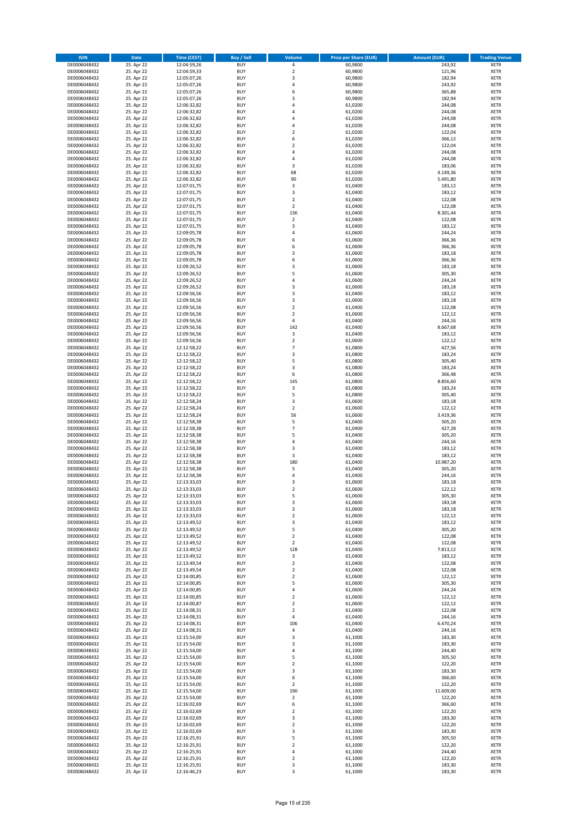| <b>ISIN</b>                  | <b>Date</b>              | <b>Time (CEST)</b>         | <b>Buy / Sell</b>        | <b>Volume</b>                                      | <b>Price per Share (EUR)</b> | <b>Amount (EUR)</b> | <b>Trading Venue</b>       |
|------------------------------|--------------------------|----------------------------|--------------------------|----------------------------------------------------|------------------------------|---------------------|----------------------------|
| DE0006048432                 | 25. Apr 22               | 12:04:59,26                | <b>BUY</b>               | 4                                                  | 60,9800                      | 243,92              | <b>XETR</b>                |
| DE0006048432                 | 25. Apr 22               | 12:04:59,33                | <b>BUY</b>               | $\mathbf 2$                                        | 60,9800                      | 121,96              | <b>XETR</b>                |
| DE0006048432                 | 25. Apr 22               | 12:05:07,26                | <b>BUY</b>               | 3                                                  | 60,9800                      | 182,94              | <b>XETR</b>                |
| DE0006048432<br>DE0006048432 | 25. Apr 22               | 12:05:07,26                | <b>BUY</b><br><b>BUY</b> | 4<br>6                                             | 60,9800                      | 243,92              | <b>XETR</b><br><b>XETR</b> |
| DE0006048432                 | 25. Apr 22<br>25. Apr 22 | 12:05:07,26<br>12:05:07,26 | <b>BUY</b>               | 3                                                  | 60,9800<br>60,9800           | 365,88<br>182,94    | <b>XETR</b>                |
| DE0006048432                 | 25. Apr 22               | 12:06:32,82                | <b>BUY</b>               | 4                                                  | 61,0200                      | 244,08              | <b>XETR</b>                |
| DE0006048432                 | 25. Apr 22               | 12:06:32,82                | <b>BUY</b>               | 4                                                  | 61,0200                      | 244,08              | <b>XETR</b>                |
| DE0006048432                 | 25. Apr 22               | 12:06:32,82                | <b>BUY</b>               | 4                                                  | 61,0200                      | 244,08              | <b>XETR</b>                |
| DE0006048432                 | 25. Apr 22               | 12:06:32,82                | <b>BUY</b>               | 4                                                  | 61,0200                      | 244,08              | <b>XETR</b>                |
| DE0006048432                 | 25. Apr 22               | 12:06:32,82                | <b>BUY</b>               | $\mathbf 2$                                        | 61,0200                      | 122,04              | <b>XETR</b>                |
| DE0006048432                 | 25. Apr 22<br>25. Apr 22 | 12:06:32,82                | <b>BUY</b><br><b>BUY</b> | 6<br>$\overline{\mathbf{c}}$                       | 61,0200                      | 366,12              | <b>XETR</b><br><b>XETR</b> |
| DE0006048432<br>DE0006048432 | 25. Apr 22               | 12:06:32,82<br>12:06:32,82 | <b>BUY</b>               | 4                                                  | 61,0200<br>61,0200           | 122,04<br>244,08    | <b>XETR</b>                |
| DE0006048432                 | 25. Apr 22               | 12:06:32,82                | <b>BUY</b>               | 4                                                  | 61,0200                      | 244,08              | <b>XETR</b>                |
| DE0006048432                 | 25. Apr 22               | 12:06:32,82                | <b>BUY</b>               | 3                                                  | 61,0200                      | 183,06              | <b>XETR</b>                |
| DE0006048432                 | 25. Apr 22               | 12:06:32,82                | <b>BUY</b>               | 68                                                 | 61,0200                      | 4.149,36            | <b>XETR</b>                |
| DE0006048432                 | 25. Apr 22               | 12:06:32,82                | <b>BUY</b>               | 90                                                 | 61,0200                      | 5.491,80            | <b>XETR</b>                |
| DE0006048432                 | 25. Apr 22               | 12:07:01,75                | <b>BUY</b>               | 3                                                  | 61,0400                      | 183,12              | <b>XETR</b>                |
| DE0006048432                 | 25. Apr 22               | 12:07:01,75                | <b>BUY</b>               | 3                                                  | 61,0400                      | 183,12              | <b>XETR</b>                |
| DE0006048432<br>DE0006048432 | 25. Apr 22<br>25. Apr 22 | 12:07:01,75<br>12:07:01,75 | <b>BUY</b><br><b>BUY</b> | $\overline{\mathbf{c}}$<br>$\mathbf 2$             | 61,0400<br>61,0400           | 122,08<br>122,08    | <b>XETR</b><br><b>XETR</b> |
| DE0006048432                 | 25. Apr 22               | 12:07:01,75                | <b>BUY</b>               | 136                                                | 61,0400                      | 8.301,44            | <b>XETR</b>                |
| DE0006048432                 | 25. Apr 22               | 12:07:01,75                | <b>BUY</b>               | $\mathbf 2$                                        | 61,0400                      | 122,08              | <b>XETR</b>                |
| DE0006048432                 | 25. Apr 22               | 12:07:01,75                | <b>BUY</b>               | 3                                                  | 61,0400                      | 183,12              | <b>XETR</b>                |
| DE0006048432                 | 25. Apr 22               | 12:09:05,78                | <b>BUY</b>               | 4                                                  | 61,0600                      | 244,24              | <b>XETR</b>                |
| DE0006048432                 | 25. Apr 22               | 12:09:05,78                | <b>BUY</b>               | 6                                                  | 61,0600                      | 366,36              | <b>XETR</b>                |
| DE0006048432                 | 25. Apr 22               | 12:09:05,78                | <b>BUY</b>               | 6                                                  | 61,0600                      | 366,36              | <b>XETR</b>                |
| DE0006048432<br>DE0006048432 | 25. Apr 22<br>25. Apr 22 | 12:09:05,78<br>12:09:05,78 | <b>BUY</b><br><b>BUY</b> | 3<br>6                                             | 61,0600<br>61,0600           | 183,18<br>366,36    | <b>XETR</b><br><b>XETR</b> |
| DE0006048432                 | 25. Apr 22               | 12:09:26,52                | <b>BUY</b>               | 3                                                  | 61,0600                      | 183,18              | <b>XETR</b>                |
| DE0006048432                 | 25. Apr 22               | 12:09:26,52                | <b>BUY</b>               | 5                                                  | 61,0600                      | 305,30              | <b>XETR</b>                |
| DE0006048432                 | 25. Apr 22               | 12:09:26,52                | <b>BUY</b>               | 4                                                  | 61,0600                      | 244,24              | <b>XETR</b>                |
| DE0006048432                 | 25. Apr 22               | 12:09:26,52                | <b>BUY</b>               | 3                                                  | 61,0600                      | 183,18              | <b>XETR</b>                |
| DE0006048432                 | 25. Apr 22               | 12:09:56,56                | <b>BUY</b>               | 3                                                  | 61,0400                      | 183,12              | <b>XETR</b>                |
| DE0006048432                 | 25. Apr 22               | 12:09:56,56                | <b>BUY</b>               | 3                                                  | 61,0600                      | 183,18              | <b>XETR</b>                |
| DE0006048432                 | 25. Apr 22               | 12:09:56,56                | <b>BUY</b><br><b>BUY</b> | $\overline{\mathbf{c}}$<br>$\overline{\mathbf{c}}$ | 61,0400                      | 122,08              | <b>XETR</b>                |
| DE0006048432<br>DE0006048432 | 25. Apr 22<br>25. Apr 22 | 12:09:56,56<br>12:09:56,56 | <b>BUY</b>               | 4                                                  | 61,0600<br>61,0400           | 122,12<br>244,16    | <b>XETR</b><br><b>XETR</b> |
| DE0006048432                 | 25. Apr 22               | 12:09:56,56                | <b>BUY</b>               | 142                                                | 61,0400                      | 8.667,68            | <b>XETR</b>                |
| DE0006048432                 | 25. Apr 22               | 12:09:56,56                | <b>BUY</b>               | 3                                                  | 61,0400                      | 183,12              | <b>XETR</b>                |
| DE0006048432                 | 25. Apr 22               | 12:09:56,56                | <b>BUY</b>               | $\mathbf 2$                                        | 61,0600                      | 122,12              | <b>XETR</b>                |
| DE0006048432                 | 25. Apr 22               | 12:12:58,22                | <b>BUY</b>               | $\overline{7}$                                     | 61,0800                      | 427,56              | <b>XETR</b>                |
| DE0006048432                 | 25. Apr 22               | 12:12:58,22                | <b>BUY</b>               | 3                                                  | 61,0800                      | 183,24              | <b>XETR</b>                |
| DE0006048432                 | 25. Apr 22               | 12:12:58,22                | <b>BUY</b>               | 5                                                  | 61,0800                      | 305,40              | <b>XETR</b>                |
| DE0006048432                 | 25. Apr 22<br>25. Apr 22 | 12:12:58,22                | <b>BUY</b><br><b>BUY</b> | 3<br>6                                             | 61,0800<br>61,0800           | 183,24<br>366,48    | <b>XETR</b><br><b>XETR</b> |
| DE0006048432<br>DE0006048432 | 25. Apr 22               | 12:12:58,22<br>12:12:58,22 | <b>BUY</b>               | 145                                                | 61,0800                      | 8.856,60            | <b>XETR</b>                |
| DE0006048432                 | 25. Apr 22               | 12:12:58,22                | <b>BUY</b>               | 3                                                  | 61,0800                      | 183,24              | <b>XETR</b>                |
| DE0006048432                 | 25. Apr 22               | 12:12:58,22                | <b>BUY</b>               | 5                                                  | 61,0800                      | 305,40              | <b>XETR</b>                |
| DE0006048432                 | 25. Apr 22               | 12:12:58,24                | <b>BUY</b>               | 3                                                  | 61,0600                      | 183,18              | <b>XETR</b>                |
| DE0006048432                 | 25. Apr 22               | 12:12:58,24                | <b>BUY</b>               | $\mathbf 2$                                        | 61,0600                      | 122,12              | <b>XETR</b>                |
| DE0006048432                 | 25. Apr 22               | 12:12:58,24                | <b>BUY</b>               | 56                                                 | 61,0600                      | 3.419,36            | <b>XETR</b>                |
| DE0006048432<br>DE0006048432 | 25. Apr 22<br>25. Apr 22 | 12:12:58,38<br>12:12:58,38 | <b>BUY</b><br><b>BUY</b> | 5<br>$\overline{7}$                                | 61,0400<br>61,0400           | 305,20<br>427,28    | <b>XETR</b><br><b>XETR</b> |
| DE0006048432                 | 25. Apr 22               | 12:12:58,38                | <b>BUY</b>               | 5                                                  | 61,0400                      | 305,20              | <b>XETR</b>                |
| DE0006048432                 | 25. Apr 22               | 12:12:58,38                | <b>BUY</b>               | 4                                                  | 61,0400                      | 244,16              | <b>XETR</b>                |
| DE0006048432                 | 25. Apr 22               | 12:12:58,38                | <b>BUY</b>               | 3                                                  | 61,0400                      | 183,12              | <b>XETR</b>                |
| DE0006048432                 | 25. Apr 22               | 12:12:58,38                | <b>BUY</b>               | 3                                                  | 61,0400                      | 183,12              | <b>XETR</b>                |
| DE0006048432                 | 25. Apr 22               | 12:12:58,38                | <b>BUY</b>               | 180                                                | 61,0400                      | 10.987,20           | <b>XETR</b>                |
| DE0006048432                 | 25. Apr 22               | 12:12:58,38                | <b>BUY</b>               | 5                                                  | 61,0400                      | 305,20              | <b>XETR</b>                |
| DE0006048432<br>DE0006048432 | 25. Apr 22<br>25. Apr 22 | 12:12:58,38<br>12:13:33,03 | <b>BUY</b><br><b>BUY</b> | 4<br>3                                             | 61,0400<br>61,0600           | 244,16<br>183,18    | <b>XETR</b><br><b>XETR</b> |
| DE0006048432                 | 25. Apr 22               | 12:13:33,03                | <b>BUY</b>               | $\overline{2}$                                     | 61,0600                      | 122,12              | <b>XETR</b>                |
| DE0006048432                 | 25. Apr 22               | 12:13:33,03                | BUY                      | 5                                                  | 61,0600                      | 305,30              | <b>XETR</b>                |
| DE0006048432                 | 25. Apr 22               | 12:13:33,03                | <b>BUY</b>               | 3                                                  | 61,0600                      | 183,18              | XETR                       |
| DE0006048432                 | 25. Apr 22               | 12:13:33,03                | <b>BUY</b>               | 3                                                  | 61,0600                      | 183,18              | <b>XETR</b>                |
| DE0006048432                 | 25. Apr 22               | 12:13:33,03                | <b>BUY</b>               | $\mathbf 2$                                        | 61,0600                      | 122,12              | XETR                       |
| DE0006048432<br>DE0006048432 | 25. Apr 22<br>25. Apr 22 | 12:13:49,52<br>12:13:49,52 | <b>BUY</b><br><b>BUY</b> | 3<br>5                                             | 61,0400<br>61,0400           | 183,12<br>305,20    | <b>XETR</b><br><b>XETR</b> |
| DE0006048432                 | 25. Apr 22               | 12:13:49,52                | <b>BUY</b>               | $\overline{2}$                                     | 61,0400                      | 122,08              | <b>XETR</b>                |
| DE0006048432                 | 25. Apr 22               | 12:13:49,52                | <b>BUY</b>               | $\mathbf 2$                                        | 61,0400                      | 122,08              | <b>XETR</b>                |
| DE0006048432                 | 25. Apr 22               | 12:13:49,52                | <b>BUY</b>               | 128                                                | 61,0400                      | 7.813,12            | <b>XETR</b>                |
| DE0006048432                 | 25. Apr 22               | 12:13:49,52                | <b>BUY</b>               | 3                                                  | 61,0400                      | 183,12              | XETR                       |
| DE0006048432                 | 25. Apr 22               | 12:13:49,54                | <b>BUY</b>               | $\mathbf 2$                                        | 61,0400                      | 122,08              | <b>XETR</b>                |
| DE0006048432                 | 25. Apr 22               | 12:13:49,54                | <b>BUY</b>               | $\overline{2}$                                     | 61,0400                      | 122,08              | <b>XETR</b>                |
| DE0006048432<br>DE0006048432 | 25. Apr 22<br>25. Apr 22 | 12:14:00,85<br>12:14:00,85 | <b>BUY</b><br><b>BUY</b> | $\mathbf 2$<br>5                                   | 61,0600<br>61,0600           | 122,12<br>305,30    | <b>XETR</b><br><b>XETR</b> |
| DE0006048432                 | 25. Apr 22               | 12:14:00,85                | <b>BUY</b>               | 4                                                  | 61,0600                      | 244,24              | <b>XETR</b>                |
| DE0006048432                 | 25. Apr 22               | 12:14:00,85                | <b>BUY</b>               | $\overline{\mathbf{c}}$                            | 61,0600                      | 122,12              | <b>XETR</b>                |
| DE0006048432                 | 25. Apr 22               | 12:14:00,87                | <b>BUY</b>               | $\overline{2}$                                     | 61,0600                      | 122,12              | <b>XETR</b>                |
| DE0006048432                 | 25. Apr 22               | 12:14:08,31                | <b>BUY</b>               | $\overline{2}$                                     | 61,0400                      | 122,08              | <b>XETR</b>                |
| DE0006048432                 | 25. Apr 22               | 12:14:08,31                | <b>BUY</b>               | 4                                                  | 61,0400                      | 244,16              | XETR                       |
| DE0006048432<br>DE0006048432 | 25. Apr 22<br>25. Apr 22 | 12:14:08,31<br>12:14:08,31 | <b>BUY</b><br><b>BUY</b> | 106<br>4                                           | 61,0400<br>61,0400           | 6.470,24<br>244,16  | <b>XETR</b><br><b>XETR</b> |
| DE0006048432                 | 25. Apr 22               | 12:15:54,00                | <b>BUY</b>               | 3                                                  | 61,1000                      | 183,30              | <b>XETR</b>                |
| DE0006048432                 | 25. Apr 22               | 12:15:54,00                | <b>BUY</b>               | 3                                                  | 61,1000                      | 183,30              | <b>XETR</b>                |
| DE0006048432                 | 25. Apr 22               | 12:15:54,00                | <b>BUY</b>               | 4                                                  | 61,1000                      | 244,40              | <b>XETR</b>                |
| DE0006048432                 | 25. Apr 22               | 12:15:54,00                | <b>BUY</b>               | 5                                                  | 61,1000                      | 305,50              | <b>XETR</b>                |
| DE0006048432                 | 25. Apr 22               | 12:15:54,00                | <b>BUY</b>               | $\mathbf 2$                                        | 61,1000                      | 122,20              | <b>XETR</b>                |
| DE0006048432                 | 25. Apr 22               | 12:15:54,00                | <b>BUY</b>               | 3                                                  | 61,1000                      | 183,30              | <b>XETR</b>                |
| DE0006048432<br>DE0006048432 | 25. Apr 22<br>25. Apr 22 | 12:15:54,00<br>12:15:54,00 | <b>BUY</b><br><b>BUY</b> | 6                                                  | 61,1000<br>61,1000           | 366,60<br>122,20    | <b>XETR</b><br><b>XETR</b> |
| DE0006048432                 | 25. Apr 22               | 12:15:54,00                | <b>BUY</b>               | 2<br>190                                           | 61,1000                      | 11.609,00           | XETR                       |
| DE0006048432                 | 25. Apr 22               | 12:15:54,00                | <b>BUY</b>               | $\mathbf 2$                                        | 61,1000                      | 122,20              | <b>XETR</b>                |
| DE0006048432                 | 25. Apr 22               | 12:16:02,69                | <b>BUY</b>               | 6                                                  | 61,1000                      | 366,60              | <b>XETR</b>                |
| DE0006048432                 | 25. Apr 22               | 12:16:02,69                | <b>BUY</b>               | $\mathbf 2$                                        | 61,1000                      | 122,20              | <b>XETR</b>                |
| DE0006048432                 | 25. Apr 22               | 12:16:02,69                | <b>BUY</b>               | 3                                                  | 61,1000                      | 183,30              | <b>XETR</b>                |
| DE0006048432                 | 25. Apr 22               | 12:16:02,69                | <b>BUY</b>               | $\mathbf 2$                                        | 61,1000                      | 122,20              | <b>XETR</b>                |
| DE0006048432<br>DE0006048432 | 25. Apr 22<br>25. Apr 22 | 12:16:02,69<br>12:16:25,91 | <b>BUY</b><br><b>BUY</b> | 3<br>5                                             | 61,1000<br>61,1000           | 183,30<br>305,50    | <b>XETR</b><br><b>XETR</b> |
| DE0006048432                 | 25. Apr 22               | 12:16:25,91                | <b>BUY</b>               | $\mathbf 2$                                        | 61,1000                      | 122,20              | XETR                       |
| DE0006048432                 | 25. Apr 22               | 12:16:25,91                | <b>BUY</b>               | 4                                                  | 61,1000                      | 244,40              | <b>XETR</b>                |
| DE0006048432                 | 25. Apr 22               | 12:16:25,91                | <b>BUY</b>               | $\mathbf 2$                                        | 61,1000                      | 122,20              | XETR                       |
| DE0006048432                 | 25. Apr 22               | 12:16:25,91                | <b>BUY</b>               | 3                                                  | 61,1000                      | 183,30              | <b>XETR</b>                |
| DE0006048432                 | 25. Apr 22               | 12:16:46,23                | <b>BUY</b>               | 3                                                  | 61,1000                      | 183,30              | XETR                       |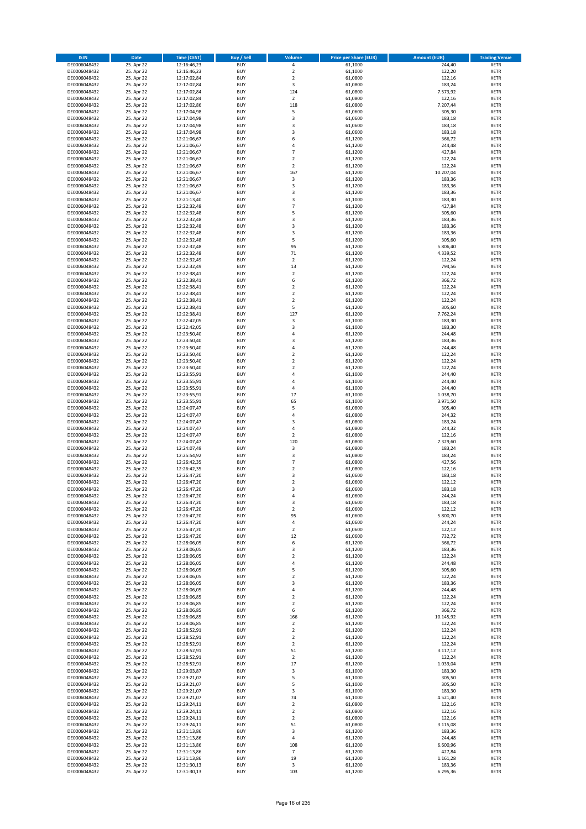| <b>ISIN</b>                  | Date                     | Time (CEST)                | <b>Buy / Sell</b>        | <b>Volume</b>                 | <b>Price per Share (EUR)</b> | <b>Amount (EUR)</b> | <b>Trading Venue</b>       |
|------------------------------|--------------------------|----------------------------|--------------------------|-------------------------------|------------------------------|---------------------|----------------------------|
| DE0006048432                 | 25. Apr 22               | 12:16:46,23                | <b>BUY</b>               | $\pmb{4}$                     | 61,1000                      | 244,40              | <b>XETR</b>                |
| DE0006048432                 | 25. Apr 22               | 12:16:46,23                | <b>BUY</b>               | $\mathbf 2$                   | 61,1000                      | 122,20              | XETR                       |
| DE0006048432                 | 25. Apr 22               | 12:17:02,84                | <b>BUY</b>               | $\overline{2}$                | 61,0800                      | 122,16              | <b>XETR</b>                |
| DE0006048432<br>DE0006048432 | 25. Apr 22<br>25. Apr 22 | 12:17:02,84<br>12:17:02,84 | <b>BUY</b><br><b>BUY</b> | $\mathsf 3$<br>124            | 61,0800<br>61,0800           | 183,24<br>7.573,92  | XETR<br><b>XETR</b>        |
| DE0006048432                 | 25. Apr 22               | 12:17:02,84                | <b>BUY</b>               | $\mathbf 2$                   | 61,0800                      | 122,16              | <b>XETR</b>                |
| DE0006048432                 | 25. Apr 22               | 12:17:02,86                | <b>BUY</b>               | 118                           | 61,0800                      | 7.207.44            | <b>XETR</b>                |
| DE0006048432                 | 25. Apr 22               | 12:17:04,98                | <b>BUY</b>               | 5                             | 61,0600                      | 305,30              | <b>XETR</b>                |
| DE0006048432                 | 25. Apr 22               | 12:17:04,98                | <b>BUY</b>               | 3                             | 61,0600                      | 183,18              | <b>XETR</b>                |
| DE0006048432                 | 25. Apr 22               | 12:17:04,98                | <b>BUY</b><br><b>BUY</b> | 3                             | 61,0600                      | 183,18              | <b>XETR</b><br><b>XETR</b> |
| DE0006048432<br>DE0006048432 | 25. Apr 22<br>25. Apr 22 | 12:17:04,98<br>12:21:06,67 | <b>BUY</b>               | $\mathsf 3$<br>6              | 61,0600<br>61,1200           | 183,18<br>366,72    | <b>XETR</b>                |
| DE0006048432                 | 25. Apr 22               | 12:21:06,67                | <b>BUY</b>               | $\overline{4}$                | 61,1200                      | 244,48              | <b>XETR</b>                |
| DE0006048432                 | 25. Apr 22               | 12:21:06,67                | <b>BUY</b>               | $\overline{7}$                | 61,1200                      | 427,84              | <b>XETR</b>                |
| DE0006048432                 | 25. Apr 22               | 12:21:06,67                | <b>BUY</b>               | $\mathbf 2$                   | 61,1200                      | 122,24              | <b>XETR</b>                |
| DE0006048432                 | 25. Apr 22               | 12:21:06,67                | <b>BUY</b>               | $\overline{2}$                | 61,1200                      | 122,24              | <b>XETR</b>                |
| DE0006048432<br>DE0006048432 | 25. Apr 22<br>25. Apr 22 | 12:21:06,67<br>12:21:06,67 | <b>BUY</b><br><b>BUY</b> | 167<br>3                      | 61,1200<br>61,1200           | 10.207,04<br>183,36 | <b>XETR</b><br><b>XETR</b> |
| DE0006048432                 | 25. Apr 22               | 12:21:06,67                | <b>BUY</b>               | 3                             | 61,1200                      | 183,36              | <b>XETR</b>                |
| DE0006048432                 | 25. Apr 22               | 12:21:06,67                | <b>BUY</b>               | $\mathsf 3$                   | 61,1200                      | 183,36              | <b>XETR</b>                |
| DE0006048432                 | 25. Apr 22               | 12:21:13,40                | <b>BUY</b>               | 3                             | 61,1000                      | 183,30              | <b>XETR</b>                |
| DE0006048432                 | 25. Apr 22               | 12:22:32,48                | <b>BUY</b>               | $\overline{7}$                | 61,1200                      | 427,84              | <b>XETR</b>                |
| DE0006048432<br>DE0006048432 | 25. Apr 22<br>25. Apr 22 | 12:22:32,48<br>12:22:32,48 | <b>BUY</b><br><b>BUY</b> | 5<br>3                        | 61,1200<br>61,1200           | 305,60<br>183,36    | <b>XETR</b><br><b>XETR</b> |
| DE0006048432                 | 25. Apr 22               | 12:22:32,48                | <b>BUY</b>               | 3                             | 61,1200                      | 183,36              | <b>XETR</b>                |
| DE0006048432                 | 25. Apr 22               | 12:22:32,48                | <b>BUY</b>               | 3                             | 61,1200                      | 183,36              | <b>XETR</b>                |
| DE0006048432                 | 25. Apr 22               | 12:22:32,48                | <b>BUY</b>               | 5                             | 61,1200                      | 305,60              | <b>XETR</b>                |
| DE0006048432                 | 25. Apr 22               | 12:22:32,48                | <b>BUY</b>               | 95                            | 61,1200                      | 5.806,40            | <b>XETR</b>                |
| DE0006048432<br>DE0006048432 | 25. Apr 22<br>25. Apr 22 | 12:22:32,48<br>12:22:32,49 | <b>BUY</b><br><b>BUY</b> | 71<br>$\overline{2}$          | 61,1200<br>61,1200           | 4.339,52<br>122,24  | <b>XETR</b><br><b>XETR</b> |
| DE0006048432                 | 25. Apr 22               | 12:22:32,49                | <b>BUY</b>               | 13                            | 61,1200                      | 794,56              | <b>XETR</b>                |
| DE0006048432                 | 25. Apr 22               | 12:22:38,41                | <b>BUY</b>               | $\overline{2}$                | 61,1200                      | 122,24              | <b>XETR</b>                |
| DE0006048432                 | 25. Apr 22               | 12:22:38,41                | <b>BUY</b>               | 6                             | 61,1200                      | 366,72              | <b>XETR</b>                |
| DE0006048432                 | 25. Apr 22               | 12:22:38,41                | <b>BUY</b>               | $\mathbf 2$                   | 61,1200                      | 122,24              | <b>XETR</b>                |
| DE0006048432                 | 25. Apr 22               | 12:22:38.41                | <b>BUY</b>               | $\mathbf 2$                   | 61,1200                      | 122,24              | <b>XETR</b>                |
| DE0006048432<br>DE0006048432 | 25. Apr 22<br>25. Apr 22 | 12:22:38,41<br>12:22:38,41 | <b>BUY</b><br><b>BUY</b> | $\overline{2}$<br>5           | 61,1200<br>61,1200           | 122,24<br>305,60    | <b>XETR</b><br><b>XETR</b> |
| DE0006048432                 | 25. Apr 22               | 12:22:38,41                | <b>BUY</b>               | 127                           | 61,1200                      | 7.762,24            | <b>XETR</b>                |
| DE0006048432                 | 25. Apr 22               | 12:22:42,05                | <b>BUY</b>               | $\mathsf 3$                   | 61,1000                      | 183,30              | <b>XETR</b>                |
| DE0006048432                 | 25. Apr 22               | 12:22:42,05                | <b>BUY</b>               | $\mathsf 3$                   | 61,1000                      | 183,30              | <b>XETR</b>                |
| DE0006048432                 | 25. Apr 22               | 12:23:50,40                | <b>BUY</b>               | $\overline{4}$                | 61,1200                      | 244,48              | <b>XETR</b>                |
| DE0006048432                 | 25. Apr 22               | 12:23:50,40                | <b>BUY</b><br><b>BUY</b> | 3<br>$\pmb{4}$                | 61,1200                      | 183,36              | <b>XETR</b>                |
| DE0006048432<br>DE0006048432 | 25. Apr 22<br>25. Apr 22 | 12:23:50,40<br>12:23:50,40 | <b>BUY</b>               | $\overline{2}$                | 61,1200<br>61,1200           | 244,48<br>122,24    | <b>XETR</b><br><b>XETR</b> |
| DE0006048432                 | 25. Apr 22               | 12:23:50,40                | <b>BUY</b>               | $\mathbf 2$                   | 61,1200                      | 122,24              | <b>XETR</b>                |
| DE0006048432                 | 25. Apr 22               | 12:23:50,40                | <b>BUY</b>               | $\overline{2}$                | 61,1200                      | 122,24              | <b>XETR</b>                |
| DE0006048432                 | 25. Apr 22               | 12:23:55,91                | <b>BUY</b>               | $\pmb{4}$                     | 61,1000                      | 244,40              | <b>XETR</b>                |
| DE0006048432                 | 25. Apr 22               | 12:23:55,91                | <b>BUY</b>               | $\overline{4}$                | 61,1000                      | 244,40              | <b>XETR</b>                |
| DE0006048432<br>DE0006048432 | 25. Apr 22<br>25. Apr 22 | 12:23:55,91<br>12:23:55,91 | <b>BUY</b><br><b>BUY</b> | 4<br>17                       | 61,1000<br>61,1000           | 244,40<br>1.038,70  | <b>XETR</b><br><b>XETR</b> |
| DE0006048432                 | 25. Apr 22               | 12:23:55,91                | <b>BUY</b>               | 65                            | 61,1000                      | 3.971,50            | <b>XETR</b>                |
| DE0006048432                 | 25. Apr 22               | 12:24:07,47                | <b>BUY</b>               | 5                             | 61,0800                      | 305,40              | <b>XETR</b>                |
| DE0006048432                 | 25. Apr 22               | 12:24:07,47                | <b>BUY</b>               | 4                             | 61,0800                      | 244,32              | <b>XETR</b>                |
| DE0006048432                 | 25. Apr 22               | 12:24:07,47                | <b>BUY</b>               | $\mathsf 3$                   | 61,0800                      | 183,24              | <b>XETR</b>                |
| DE0006048432<br>DE0006048432 | 25. Apr 22<br>25. Apr 22 | 12:24:07,47<br>12:24:07,47 | <b>BUY</b><br><b>BUY</b> | 4<br>$\mathbf 2$              | 61,0800<br>61,0800           | 244,32<br>122,16    | <b>XETR</b><br><b>XETR</b> |
| DE0006048432                 | 25. Apr 22               | 12:24:07,47                | <b>BUY</b>               | 120                           | 61,0800                      | 7.329,60            | <b>XETR</b>                |
| DE0006048432                 | 25. Apr 22               | 12:24:07,49                | <b>BUY</b>               | 3                             | 61,0800                      | 183,24              | <b>XETR</b>                |
| DE0006048432                 | 25. Apr 22               | 12:25:54,92                | <b>BUY</b>               | 3                             | 61,0800                      | 183,24              | <b>XETR</b>                |
| DE0006048432                 | 25. Apr 22               | 12:26:42,35                | <b>BUY</b>               | $\overline{7}$                | 61,0800                      | 427,56              | <b>XETR</b>                |
| DE0006048432<br>DE0006048432 | 25. Apr 22<br>25. Apr 22 | 12:26:42,35<br>12:26:47,20 | <b>BUY</b><br><b>BUY</b> | $\mathbf 2$<br>3              | 61,0800<br>61,0600           | 122,16<br>183,18    | <b>XETR</b><br><b>XETR</b> |
| DE0006048432                 | 25. Apr 22               | 12:26:47,20                | <b>BUY</b>               | $\overline{2}$                | 61,0600                      | 122,12              | <b>XETR</b>                |
| DE0006048432                 | 25. Apr 22               | 12:26:47,20                | <b>BUY</b>               | 3                             | 61,0600                      | 183,18              | <b>XETR</b>                |
| DE0006048432                 | 25. Apr 22               | 12:26:47,20                | BUY                      | 4                             | 61,0600                      | 244,24              | XETR                       |
| DE0006048432                 | 25. Apr 22               | 12:26:47,20                | <b>BUY</b>               | 3                             | 61,0600                      | 183,18              | <b>XETR</b>                |
| DE0006048432<br>DE0006048432 | 25. Apr 22<br>25. Apr 22 | 12:26:47,20<br>12:26:47,20 | <b>BUY</b><br><b>BUY</b> | $\overline{2}$<br>95          | 61,0600<br>61,0600           | 122,12<br>5.800,70  | <b>XETR</b><br><b>XETR</b> |
| DE0006048432                 | 25. Apr 22               | 12:26:47,20                | <b>BUY</b>               | $\sqrt{4}$                    | 61,0600                      | 244,24              | <b>XETR</b>                |
| DE0006048432                 | 25. Apr 22               | 12:26:47,20                | <b>BUY</b>               | $\overline{2}$                | 61,0600                      | 122,12              | <b>XETR</b>                |
| DE0006048432                 | 25. Apr 22               | 12:26:47,20                | <b>BUY</b>               | 12                            | 61,0600                      | 732,72              | <b>XETR</b>                |
| DE0006048432                 | 25. Apr 22               | 12:28:06,05                | <b>BUY</b>               | 6                             | 61,1200                      | 366,72              | <b>XETR</b>                |
| DE0006048432<br>DE0006048432 | 25. Apr 22<br>25. Apr 22 | 12:28:06,05<br>12:28:06,05 | <b>BUY</b><br><b>BUY</b> | 3<br>$\mathbf 2$              | 61,1200<br>61,1200           | 183,36<br>122,24    | XETR<br><b>XETR</b>        |
| DE0006048432                 | 25. Apr 22               | 12:28:06,05                | <b>BUY</b>               | $\pmb{4}$                     | 61,1200                      | 244,48              | XETR                       |
| DE0006048432                 | 25. Apr 22               | 12:28:06,05                | <b>BUY</b>               | 5                             | 61,1200                      | 305,60              | <b>XETR</b>                |
| DE0006048432                 | 25. Apr 22               | 12:28:06,05                | <b>BUY</b>               | $\overline{2}$                | 61,1200                      | 122,24              | XETR                       |
| DE0006048432                 | 25. Apr 22               | 12:28:06,05                | <b>BUY</b>               | 3                             | 61,1200                      | 183,36              | <b>XETR</b>                |
| DE0006048432<br>DE0006048432 | 25. Apr 22<br>25. Apr 22 | 12:28:06,05<br>12:28:06,85 | <b>BUY</b><br><b>BUY</b> | $\sqrt{4}$<br>$\mathbf 2$     | 61,1200<br>61,1200           | 244,48<br>122,24    | XETR<br><b>XETR</b>        |
| DE0006048432                 | 25. Apr 22               | 12:28:06,85                | <b>BUY</b>               | $\overline{2}$                | 61,1200                      | 122,24              | <b>XETR</b>                |
| DE0006048432                 | 25. Apr 22               | 12:28:06,85                | <b>BUY</b>               | 6                             | 61,1200                      | 366,72              | <b>XETR</b>                |
| DE0006048432                 | 25. Apr 22               | 12:28:06,85                | <b>BUY</b>               | 166                           | 61,1200                      | 10.145,92           | XETR                       |
| DE0006048432                 | 25. Apr 22               | 12:28:06,85                | <b>BUY</b>               | $\mathbf 2$<br>$\overline{2}$ | 61,1200                      | 122,24              | XETR                       |
| DE0006048432<br>DE0006048432 | 25. Apr 22<br>25. Apr 22 | 12:28:52,91<br>12:28:52,91 | <b>BUY</b><br><b>BUY</b> | $\overline{2}$                | 61,1200<br>61,1200           | 122,24<br>122,24    | <b>XETR</b><br>XETR        |
| DE0006048432                 | 25. Apr 22               | 12:28:52,91                | <b>BUY</b>               | $\overline{2}$                | 61,1200                      | 122,24              | XETR                       |
| DE0006048432                 | 25. Apr 22               | 12:28:52,91                | <b>BUY</b>               | 51                            | 61,1200                      | 3.117,12            | XETR                       |
| DE0006048432                 | 25. Apr 22               | 12:28:52,91                | <b>BUY</b>               | $\overline{2}$                | 61,1200                      | 122,24              | XETR                       |
| DE0006048432                 | 25. Apr 22               | 12:28:52,91                | <b>BUY</b>               | 17                            | 61,1200                      | 1.039,04            | <b>XETR</b>                |
| DE0006048432<br>DE0006048432 | 25. Apr 22<br>25. Apr 22 | 12:29:03,87<br>12:29:21,07 | <b>BUY</b><br><b>BUY</b> | 3<br>5                        | 61,1000<br>61,1000           | 183,30<br>305,50    | XETR<br><b>XETR</b>        |
| DE0006048432                 | 25. Apr 22               | 12:29:21,07                | <b>BUY</b>               | 5                             | 61,1000                      | 305,50              | <b>XETR</b>                |
| DE0006048432                 | 25. Apr 22               | 12:29:21,07                | <b>BUY</b>               | 3                             | 61,1000                      | 183,30              | <b>XETR</b>                |
| DE0006048432                 | 25. Apr 22               | 12:29:21,07                | <b>BUY</b>               | 74                            | 61,1000                      | 4.521,40            | XETR                       |
| DE0006048432                 | 25. Apr 22               | 12:29:24,11                | <b>BUY</b>               | $\mathbf 2$                   | 61,0800                      | 122,16              | XETR                       |
| DE0006048432                 | 25. Apr 22               | 12:29:24,11                | <b>BUY</b>               | $\mathbf 2$<br>$\overline{2}$ | 61,0800                      | 122,16              | XETR                       |
| DE0006048432<br>DE0006048432 | 25. Apr 22<br>25. Apr 22 | 12:29:24,11<br>12:29:24,11 | <b>BUY</b><br><b>BUY</b> | 51                            | 61,0800<br>61,0800           | 122,16<br>3.115,08  | <b>XETR</b><br><b>XETR</b> |
| DE0006048432                 | 25. Apr 22               | 12:31:13,86                | <b>BUY</b>               | 3                             | 61,1200                      | 183,36              | XETR                       |
| DE0006048432                 | 25. Apr 22               | 12:31:13,86                | <b>BUY</b>               | 4                             | 61,1200                      | 244,48              | XETR                       |
| DE0006048432                 | 25. Apr 22               | 12:31:13,86                | <b>BUY</b>               | 108                           | 61,1200                      | 6.600,96            | XETR                       |
| DE0006048432                 | 25. Apr 22               | 12:31:13,86                | <b>BUY</b>               | $\overline{7}$                | 61,1200                      | 427,84              | <b>XETR</b>                |
| DE0006048432<br>DE0006048432 | 25. Apr 22<br>25. Apr 22 | 12:31:13,86<br>12:31:30,13 | <b>BUY</b><br><b>BUY</b> | 19<br>3                       | 61,1200<br>61,1200           | 1.161,28<br>183,36  | XETR<br><b>XETR</b>        |
| DE0006048432                 | 25. Apr 22               | 12:31:30,13                | <b>BUY</b>               | 103                           | 61,1200                      | 6.295,36            | XETR                       |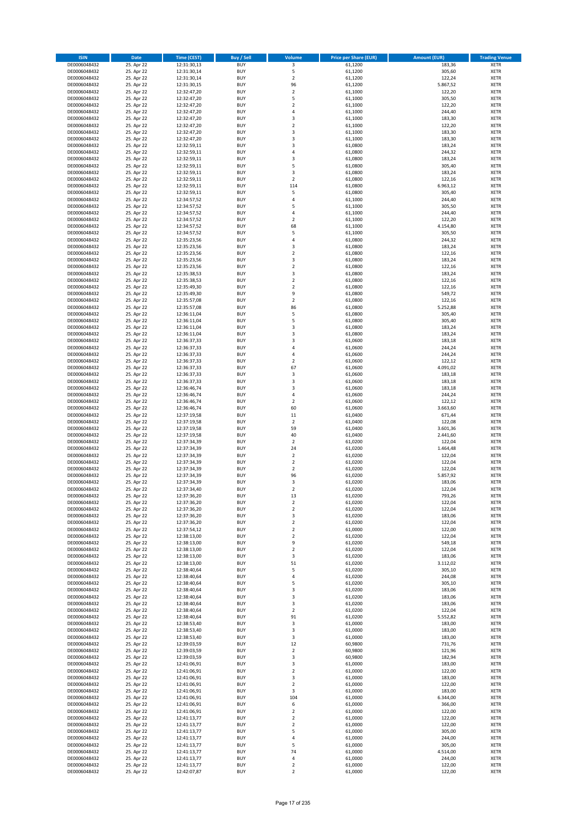| <b>ISIN</b>                  | <b>Date</b>              | <b>Time (CEST)</b>         | <b>Buy / Sell</b>        | Volume                        | <b>Price per Share (EUR)</b> | <b>Amount (EUR)</b> | <b>Trading Venue</b>       |
|------------------------------|--------------------------|----------------------------|--------------------------|-------------------------------|------------------------------|---------------------|----------------------------|
| DE0006048432                 | 25. Apr 22               | 12:31:30,13                | <b>BUY</b>               | 3                             | 61,1200                      | 183,36              | <b>XETR</b>                |
| DE0006048432                 | 25. Apr 22               | 12:31:30,14                | <b>BUY</b>               | 5                             | 61,1200                      | 305,60              | <b>XETR</b>                |
| DE0006048432                 | 25. Apr 22               | 12:31:30,14                | <b>BUY</b>               | $\overline{2}$                | 61,1200                      | 122,24              | <b>XETR</b>                |
| DE0006048432                 | 25. Apr 22               | 12:31:30,15                | <b>BUY</b>               | 96                            | 61,1200                      | 5.867,52            | <b>XETR</b>                |
| DE0006048432<br>DE0006048432 | 25. Apr 22<br>25. Apr 22 | 12:32:47,20<br>12:32:47,20 | <b>BUY</b><br><b>BUY</b> | $\mathbf 2$<br>5              | 61,1000<br>61,1000           | 122,20<br>305,50    | <b>XETR</b><br><b>XETR</b> |
| DE0006048432                 | 25. Apr 22               | 12:32:47,20                | <b>BUY</b>               | $\overline{\mathbf{c}}$       | 61,1000                      | 122,20              | <b>XETR</b>                |
| DE0006048432                 | 25. Apr 22               | 12:32:47,20                | <b>BUY</b>               | 4                             | 61,1000                      | 244,40              | <b>XETR</b>                |
| DE0006048432                 | 25. Apr 22               | 12:32:47,20                | <b>BUY</b>               | 3                             | 61,1000                      | 183,30              | <b>XETR</b>                |
| DE0006048432                 | 25. Apr 22               | 12:32:47,20                | <b>BUY</b>               | $\mathbf 2$                   | 61,1000                      | 122,20              | <b>XETR</b>                |
| DE0006048432                 | 25. Apr 22               | 12:32:47,20                | <b>BUY</b>               | 3                             | 61,1000                      | 183,30              | <b>XETR</b>                |
| DE0006048432                 | 25. Apr 22               | 12:32:47,20                | <b>BUY</b>               | 3                             | 61,1000                      | 183,30              | <b>XETR</b>                |
| DE0006048432<br>DE0006048432 | 25. Apr 22<br>25. Apr 22 | 12:32:59,11                | <b>BUY</b><br><b>BUY</b> | 3<br>4                        | 61,0800<br>61,0800           | 183,24<br>244,32    | <b>XETR</b><br><b>XETR</b> |
| DE0006048432                 | 25. Apr 22               | 12:32:59,11<br>12:32:59,11 | <b>BUY</b>               | 3                             | 61,0800                      | 183,24              | <b>XETR</b>                |
| DE0006048432                 | 25. Apr 22               | 12:32:59,11                | <b>BUY</b>               | 5                             | 61,0800                      | 305,40              | <b>XETR</b>                |
| DE0006048432                 | 25. Apr 22               | 12:32:59,11                | <b>BUY</b>               | 3                             | 61,0800                      | 183,24              | <b>XETR</b>                |
| DE0006048432                 | 25. Apr 22               | 12:32:59,11                | <b>BUY</b>               | $\mathbf 2$                   | 61,0800                      | 122,16              | <b>XETR</b>                |
| DE0006048432                 | 25. Apr 22               | 12:32:59,11                | <b>BUY</b>               | 114                           | 61,0800                      | 6.963,12            | <b>XETR</b>                |
| DE0006048432                 | 25. Apr 22               | 12:32:59,11                | <b>BUY</b>               | 5                             | 61,0800                      | 305,40              | <b>XETR</b>                |
| DE0006048432                 | 25. Apr 22               | 12:34:57,52                | <b>BUY</b>               | 4                             | 61,1000                      | 244,40              | <b>XETR</b>                |
| DE0006048432<br>DE0006048432 | 25. Apr 22<br>25. Apr 22 | 12:34:57,52<br>12:34:57,52 | <b>BUY</b><br><b>BUY</b> | 5<br>4                        | 61,1000<br>61,1000           | 305,50<br>244,40    | <b>XETR</b><br><b>XETR</b> |
| DE0006048432                 | 25. Apr 22               | 12:34:57,52                | <b>BUY</b>               | $\mathbf 2$                   | 61,1000                      | 122,20              | <b>XETR</b>                |
| DE0006048432                 | 25. Apr 22               | 12:34:57,52                | <b>BUY</b>               | 68                            | 61,1000                      | 4.154,80            | <b>XETR</b>                |
| DE0006048432                 | 25. Apr 22               | 12:34:57,52                | <b>BUY</b>               | 5                             | 61,1000                      | 305,50              | <b>XETR</b>                |
| DE0006048432                 | 25. Apr 22               | 12:35:23,56                | <b>BUY</b>               | 4                             | 61,0800                      | 244,32              | <b>XETR</b>                |
| DE0006048432                 | 25. Apr 22               | 12:35:23,56                | <b>BUY</b>               | 3                             | 61,0800                      | 183,24              | <b>XETR</b>                |
| DE0006048432                 | 25. Apr 22               | 12:35:23,56                | <b>BUY</b>               | $\mathbf 2$                   | 61,0800                      | 122,16              | <b>XETR</b>                |
| DE0006048432                 | 25. Apr 22<br>25. Apr 22 | 12:35:23,56<br>12:35:23,56 | <b>BUY</b><br><b>BUY</b> | 3<br>$\mathbf 2$              | 61,0800<br>61,0800           | 183,24<br>122,16    | <b>XETR</b><br><b>XETR</b> |
| DE0006048432<br>DE0006048432 | 25. Apr 22               | 12:35:38,53                | <b>BUY</b>               | 3                             | 61,0800                      | 183,24              | <b>XETR</b>                |
| DE0006048432                 | 25. Apr 22               | 12:35:38,53                | <b>BUY</b>               | $\mathbf 2$                   | 61,0800                      | 122,16              | <b>XETR</b>                |
| DE0006048432                 | 25. Apr 22               | 12:35:49,30                | <b>BUY</b>               | $\mathbf 2$                   | 61,0800                      | 122,16              | <b>XETR</b>                |
| DE0006048432                 | 25. Apr 22               | 12:35:49,30                | <b>BUY</b>               | 9                             | 61.0800                      | 549,72              | <b>XETR</b>                |
| DE0006048432                 | 25. Apr 22               | 12:35:57,08                | <b>BUY</b>               | $\mathbf 2$                   | 61,0800                      | 122,16              | <b>XETR</b>                |
| DE0006048432                 | 25. Apr 22               | 12:35:57,08                | <b>BUY</b>               | 86                            | 61,0800                      | 5.252,88            | <b>XETR</b>                |
| DE0006048432                 | 25. Apr 22               | 12:36:11,04                | <b>BUY</b>               | 5                             | 61,0800                      | 305,40              | <b>XETR</b>                |
| DE0006048432                 | 25. Apr 22               | 12:36:11,04                | <b>BUY</b><br><b>BUY</b> | 5                             | 61,0800                      | 305,40              | <b>XETR</b><br><b>XETR</b> |
| DE0006048432<br>DE0006048432 | 25. Apr 22<br>25. Apr 22 | 12:36:11,04<br>12:36:11,04 | <b>BUY</b>               | 3<br>3                        | 61,0800<br>61,0800           | 183,24<br>183,24    | <b>XETR</b>                |
| DE0006048432                 | 25. Apr 22               | 12:36:37,33                | <b>BUY</b>               | 3                             | 61,0600                      | 183,18              | <b>XETR</b>                |
| DE0006048432                 | 25. Apr 22               | 12:36:37,33                | <b>BUY</b>               | 4                             | 61,0600                      | 244,24              | <b>XETR</b>                |
| DE0006048432                 | 25. Apr 22               | 12:36:37,33                | <b>BUY</b>               | 4                             | 61,0600                      | 244,24              | <b>XETR</b>                |
| DE0006048432                 | 25. Apr 22               | 12:36:37,33                | <b>BUY</b>               | $\mathbf 2$                   | 61,0600                      | 122,12              | <b>XETR</b>                |
| DE0006048432                 | 25. Apr 22               | 12:36:37,33                | <b>BUY</b>               | 67                            | 61,0600                      | 4.091,02            | <b>XETR</b>                |
| DE0006048432                 | 25. Apr 22               | 12:36:37,33                | <b>BUY</b>               | 3                             | 61,0600                      | 183,18              | <b>XETR</b>                |
| DE0006048432                 | 25. Apr 22               | 12:36:37,33                | <b>BUY</b>               | 3                             | 61,0600                      | 183,18              | <b>XETR</b>                |
| DE0006048432<br>DE0006048432 | 25. Apr 22<br>25. Apr 22 | 12:36:46,74<br>12:36:46,74 | <b>BUY</b><br><b>BUY</b> | 3<br>4                        | 61,0600<br>61,0600           | 183,18<br>244,24    | <b>XETR</b><br><b>XETR</b> |
| DE0006048432                 | 25. Apr 22               | 12:36:46,74                | <b>BUY</b>               | $\overline{\mathbf{c}}$       | 61,0600                      | 122,12              | <b>XETR</b>                |
| DE0006048432                 | 25. Apr 22               | 12:36:46,74                | <b>BUY</b>               | 60                            | 61,0600                      | 3.663,60            | <b>XETR</b>                |
| DE0006048432                 | 25. Apr 22               | 12:37:19,58                | <b>BUY</b>               | 11                            | 61,0400                      | 671,44              | <b>XETR</b>                |
| DE0006048432                 | 25. Apr 22               | 12:37:19,58                | <b>BUY</b>               | $\mathbf 2$                   | 61,0400                      | 122,08              | <b>XETR</b>                |
| DE0006048432                 | 25. Apr 22               | 12:37:19,58                | <b>BUY</b>               | 59                            | 61,0400                      | 3.601,36            | <b>XETR</b>                |
| DE0006048432                 | 25. Apr 22               | 12:37:19,58                | <b>BUY</b>               | 40                            | 61,0400                      | 2.441,60            | <b>XETR</b>                |
| DE0006048432<br>DE0006048432 | 25. Apr 22<br>25. Apr 22 | 12:37:34,39<br>12:37:34,39 | <b>BUY</b><br><b>BUY</b> | $\overline{\mathbf{c}}$<br>24 | 61,0200<br>61,0200           | 122,04<br>1.464,48  | <b>XETR</b><br><b>XETR</b> |
| DE0006048432                 | 25. Apr 22               | 12:37:34,39                | <b>BUY</b>               | $\overline{\mathbf{c}}$       | 61,0200                      | 122,04              | <b>XETR</b>                |
| DE0006048432                 | 25. Apr 22               | 12:37:34,39                | <b>BUY</b>               | $\overline{2}$                | 61,0200                      | 122,04              | <b>XETR</b>                |
| DE0006048432                 | 25. Apr 22               | 12:37:34,39                | <b>BUY</b>               | $\mathbf 2$                   | 61,0200                      | 122,04              | <b>XETR</b>                |
| DE0006048432                 | 25. Apr 22               | 12:37:34,39                | <b>BUY</b>               | 96                            | 61,0200                      | 5.857,92            | <b>XETR</b>                |
| DE0006048432                 | 25. Apr 22               | 12:37:34,39                | <b>BUY</b>               | 3                             | 61,0200                      | 183,06              | <b>XETR</b>                |
| DE0006048432                 | 25. Apr 22               | 12:37:34,40                | <b>BUY</b>               | $\overline{2}$                | 61,0200                      | 122,04              | <b>XETR</b>                |
| DE0006048432<br>DE0006048432 | 25. Apr 22<br>25. Apr 22 | 12:37:36,20<br>12:37:36,20 | BUY<br><b>BUY</b>        | 13<br>2                       | 61,0200<br>61,0200           | 793,26<br>122,04    | <b>XETR</b><br><b>XETR</b> |
| DE0006048432                 | 25. Apr 22               | 12:37:36,20                | <b>BUY</b>               | $\mathbf 2$                   | 61,0200                      | 122,04              | <b>XETR</b>                |
| DE0006048432                 | 25. Apr 22               | 12:37:36,20                | <b>BUY</b>               | 3                             | 61,0200                      | 183,06              | XETR                       |
| DE0006048432                 | 25. Apr 22               | 12:37:36,20                | <b>BUY</b>               | $\mathbf 2$                   | 61,0200                      | 122,04              | <b>XETR</b>                |
| DE0006048432                 | 25. Apr 22               | 12:37:54,12                | <b>BUY</b>               | $\mathbf 2$                   | 61,0000                      | 122,00              | <b>XETR</b>                |
| DE0006048432                 | 25. Apr 22               | 12:38:13,00                | <b>BUY</b>               | $\overline{2}$                | 61,0200                      | 122,04              | <b>XETR</b>                |
| DE0006048432                 | 25. Apr 22               | 12:38:13,00                | <b>BUY</b>               | 9                             | 61,0200                      | 549,18              | <b>XETR</b>                |
| DE0006048432<br>DE0006048432 | 25. Apr 22<br>25. Apr 22 | 12:38:13,00<br>12:38:13,00 | <b>BUY</b><br><b>BUY</b> | $\mathbf 2$<br>3              | 61,0200<br>61,0200           | 122,04<br>183,06    | <b>XETR</b><br><b>XETR</b> |
| DE0006048432                 | 25. Apr 22               | 12:38:13,00                | <b>BUY</b>               | 51                            | 61,0200                      | 3.112,02            | <b>XETR</b>                |
| DE0006048432                 | 25. Apr 22               | 12:38:40,64                | <b>BUY</b>               | 5                             | 61,0200                      | 305,10              | <b>XETR</b>                |
| DE0006048432                 | 25. Apr 22               | 12:38:40,64                | <b>BUY</b>               | 4                             | 61,0200                      | 244,08              | <b>XETR</b>                |
| DE0006048432                 | 25. Apr 22               | 12:38:40,64                | <b>BUY</b>               | 5                             | 61,0200                      | 305,10              | <b>XETR</b>                |
| DE0006048432                 | 25. Apr 22               | 12:38:40,64                | <b>BUY</b>               | 3                             | 61,0200                      | 183,06              | <b>XETR</b>                |
| DE0006048432                 | 25. Apr 22               | 12:38:40,64                | <b>BUY</b><br><b>BUY</b> | 3<br>3                        | 61,0200                      | 183,06              | <b>XETR</b><br><b>XETR</b> |
| DE0006048432<br>DE0006048432 | 25. Apr 22<br>25. Apr 22 | 12:38:40,64<br>12:38:40,64 | <b>BUY</b>               | $\mathbf 2$                   | 61,0200<br>61,0200           | 183,06<br>122,04    | <b>XETR</b>                |
| DE0006048432                 | 25. Apr 22               | 12:38:40,64                | <b>BUY</b>               | 91                            | 61,0200                      | 5.552,82            | XETR                       |
| DE0006048432                 | 25. Apr 22               | 12:38:53,40                | <b>BUY</b>               | 3                             | 61,0000                      | 183,00              | <b>XETR</b>                |
| DE0006048432                 | 25. Apr 22               | 12:38:53,40                | <b>BUY</b>               | 3                             | 61,0000                      | 183,00              | <b>XETR</b>                |
| DE0006048432                 | 25. Apr 22               | 12:38:53,40                | <b>BUY</b>               | 3                             | 61,0000                      | 183,00              | <b>XETR</b>                |
| DE0006048432                 | 25. Apr 22               | 12:39:03,59                | <b>BUY</b>               | 12                            | 60,9800                      | 731,76              | <b>XETR</b>                |
| DE0006048432<br>DE0006048432 | 25. Apr 22               | 12:39:03,59<br>12:39:03,59 | <b>BUY</b><br><b>BUY</b> | $\mathbf 2$<br>3              | 60,9800<br>60,9800           | 121,96              | <b>XETR</b><br><b>XETR</b> |
| DE0006048432                 | 25. Apr 22<br>25. Apr 22 | 12:41:06,91                | <b>BUY</b>               | 3                             | 61,0000                      | 182,94<br>183,00    | <b>XETR</b>                |
| DE0006048432                 | 25. Apr 22               | 12:41:06,91                | <b>BUY</b>               | $\mathbf 2$                   | 61,0000                      | 122,00              | <b>XETR</b>                |
| DE0006048432                 | 25. Apr 22               | 12:41:06,91                | <b>BUY</b>               | 3                             | 61,0000                      | 183,00              | <b>XETR</b>                |
| DE0006048432                 | 25. Apr 22               | 12:41:06,91                | <b>BUY</b>               | 2                             | 61,0000                      | 122,00              | <b>XETR</b>                |
| DE0006048432                 | 25. Apr 22               | 12:41:06,91                | <b>BUY</b>               | 3                             | 61,0000                      | 183,00              | <b>XETR</b>                |
| DE0006048432                 | 25. Apr 22               | 12:41:06,91                | <b>BUY</b>               | 104                           | 61,0000                      | 6.344,00            | <b>XETR</b>                |
| DE0006048432                 | 25. Apr 22               | 12:41:06,91                | <b>BUY</b>               | 6                             | 61,0000                      | 366,00              | <b>XETR</b>                |
| DE0006048432<br>DE0006048432 | 25. Apr 22<br>25. Apr 22 | 12:41:06,91<br>12:41:13,77 | <b>BUY</b><br><b>BUY</b> | $\mathbf 2$<br>$\mathbf 2$    | 61,0000<br>61,0000           | 122,00<br>122,00    | <b>XETR</b><br><b>XETR</b> |
| DE0006048432                 | 25. Apr 22               | 12:41:13,77                | <b>BUY</b>               | $\mathbf 2$                   | 61,0000                      | 122,00              | <b>XETR</b>                |
| DE0006048432                 | 25. Apr 22               | 12:41:13,77                | <b>BUY</b>               | 5                             | 61,0000                      | 305,00              | <b>XETR</b>                |
| DE0006048432                 | 25. Apr 22               | 12:41:13,77                | <b>BUY</b>               | 4                             | 61,0000                      | 244,00              | <b>XETR</b>                |
| DE0006048432                 | 25. Apr 22               | 12:41:13,77                | <b>BUY</b>               | 5                             | 61,0000                      | 305,00              | XETR                       |
| DE0006048432                 | 25. Apr 22               | 12:41:13,77                | <b>BUY</b>               | 74                            | 61,0000                      | 4.514,00            | <b>XETR</b>                |
| DE0006048432                 | 25. Apr 22               | 12:41:13,77                | <b>BUY</b>               | 4                             | 61,0000                      | 244,00              | XETR                       |
| DE0006048432<br>DE0006048432 | 25. Apr 22<br>25. Apr 22 | 12:41:13,77<br>12:42:07,87 | <b>BUY</b><br><b>BUY</b> | $\mathbf 2$<br>$\overline{2}$ | 61,0000<br>61,0000           | 122,00<br>122,00    | <b>XETR</b><br><b>XETR</b> |
|                              |                          |                            |                          |                               |                              |                     |                            |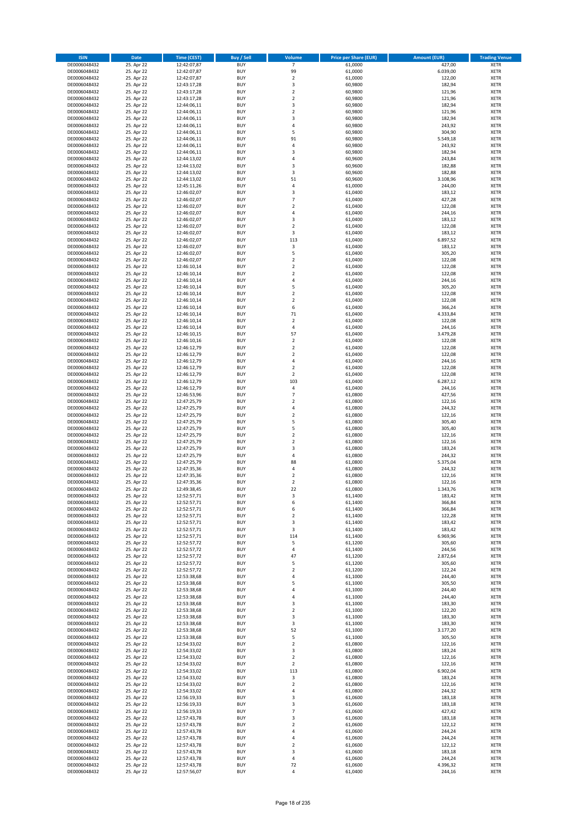| <b>ISIN</b>                  | Date                     | Time (CEST)                | <b>Buy / Sell</b>        | <b>Volume</b>                 | <b>Price per Share (EUR)</b> | <b>Amount (EUR)</b> | <b>Trading Venue</b>       |
|------------------------------|--------------------------|----------------------------|--------------------------|-------------------------------|------------------------------|---------------------|----------------------------|
| DE0006048432                 | 25. Apr 22               | 12:42:07,87                | <b>BUY</b>               | $\overline{7}$                | 61,0000                      | 427,00              | <b>XETR</b>                |
| DE0006048432                 | 25. Apr 22               | 12:42:07,87                | <b>BUY</b>               | 99                            | 61,0000                      | 6.039,00            | XETR                       |
| DE0006048432                 | 25. Apr 22               | 12:42:07,87                | <b>BUY</b>               | $\overline{2}$                | 61,0000                      | 122,00              | <b>XETR</b>                |
| DE0006048432<br>DE0006048432 | 25. Apr 22<br>25. Apr 22 | 12:43:17,28<br>12:43:17,28 | <b>BUY</b><br><b>BUY</b> | $\mathsf 3$<br>$\mathbf 2$    | 60,9800<br>60,9800           | 182,94<br>121,96    | XETR<br><b>XETR</b>        |
| DE0006048432                 | 25. Apr 22               | 12:43:17,28                | <b>BUY</b>               | $\mathbf 2$                   | 60,9800                      | 121,96              | <b>XETR</b>                |
| DE0006048432                 | 25. Apr 22               | 12:44:06,11                | <b>BUY</b>               | 3                             | 60,9800                      | 182,94              | <b>XETR</b>                |
| DE0006048432                 | 25. Apr 22               | 12:44:06,11                | <b>BUY</b>               | $\mathbf 2$                   | 60,9800                      | 121,96              | <b>XETR</b>                |
| DE0006048432                 | 25. Apr 22               | 12:44:06,11                | <b>BUY</b>               | 3                             | 60,9800                      | 182,94              | <b>XETR</b>                |
| DE0006048432                 | 25. Apr 22               | 12:44:06,11                | <b>BUY</b>               | 4                             | 60,9800                      | 243,92              | <b>XETR</b>                |
| DE0006048432                 | 25. Apr 22               | 12:44:06,11                | <b>BUY</b>               | 5                             | 60,9800                      | 304,90              | <b>XETR</b>                |
| DE0006048432<br>DE0006048432 | 25. Apr 22<br>25. Apr 22 | 12:44:06,11<br>12:44:06,11 | <b>BUY</b><br><b>BUY</b> | 91<br>4                       | 60,9800<br>60,9800           | 5.549,18<br>243,92  | <b>XETR</b><br><b>XETR</b> |
| DE0006048432                 | 25. Apr 22               | 12:44:06,11                | <b>BUY</b>               | 3                             | 60,9800                      | 182,94              | <b>XETR</b>                |
| DE0006048432                 | 25. Apr 22               | 12:44:13,02                | <b>BUY</b>               | 4                             | 60,9600                      | 243,84              | <b>XETR</b>                |
| DE0006048432                 | 25. Apr 22               | 12:44:13,02                | <b>BUY</b>               | 3                             | 60,9600                      | 182,88              | <b>XETR</b>                |
| DE0006048432                 | 25. Apr 22               | 12:44:13,02                | <b>BUY</b>               | 3                             | 60,9600                      | 182,88              | <b>XETR</b>                |
| DE0006048432                 | 25. Apr 22               | 12:44:13,02                | <b>BUY</b>               | 51                            | 60,9600                      | 3.108,96            | <b>XETR</b>                |
| DE0006048432                 | 25. Apr 22               | 12:45:11,26                | <b>BUY</b>               | 4                             | 61,0000                      | 244,00              | <b>XETR</b>                |
| DE0006048432<br>DE0006048432 | 25. Apr 22<br>25. Apr 22 | 12:46:02,07<br>12:46:02,07 | <b>BUY</b><br><b>BUY</b> | $\mathsf 3$<br>$\overline{7}$ | 61,0400<br>61,0400           | 183,12<br>427,28    | <b>XETR</b><br><b>XETR</b> |
| DE0006048432                 | 25. Apr 22               | 12:46:02,07                | <b>BUY</b>               | $\mathbf 2$                   | 61,0400                      | 122,08              | <b>XETR</b>                |
| DE0006048432                 | 25. Apr 22               | 12:46:02,07                | <b>BUY</b>               | $\overline{4}$                | 61,0400                      | 244,16              | <b>XETR</b>                |
| DE0006048432                 | 25. Apr 22               | 12:46:02,07                | <b>BUY</b>               | 3                             | 61,0400                      | 183,12              | <b>XETR</b>                |
| DE0006048432                 | 25. Apr 22               | 12:46:02,07                | <b>BUY</b>               | $\overline{2}$                | 61,0400                      | 122,08              | <b>XETR</b>                |
| DE0006048432                 | 25. Apr 22               | 12:46:02,07                | <b>BUY</b>               | 3                             | 61,0400                      | 183,12              | <b>XETR</b>                |
| DE0006048432                 | 25. Apr 22               | 12:46:02,07                | <b>BUY</b>               | 113                           | 61,0400                      | 6.897,52            | <b>XETR</b>                |
| DE0006048432                 | 25. Apr 22<br>25. Apr 22 | 12:46:02,07                | <b>BUY</b><br><b>BUY</b> | 3<br>5                        | 61,0400                      | 183,12              | <b>XETR</b>                |
| DE0006048432<br>DE0006048432 | 25. Apr 22               | 12:46:02,07<br>12:46:02,07 | <b>BUY</b>               | $\mathbf 2$                   | 61,0400<br>61,0400           | 305,20<br>122,08    | <b>XETR</b><br><b>XETR</b> |
| DE0006048432                 | 25. Apr 22               | 12:46:10,14                | <b>BUY</b>               | $\overline{2}$                | 61,0400                      | 122,08              | <b>XETR</b>                |
| DE0006048432                 | 25. Apr 22               | 12:46:10,14                | <b>BUY</b>               | $\overline{2}$                | 61,0400                      | 122,08              | <b>XETR</b>                |
| DE0006048432                 | 25. Apr 22               | 12:46:10,14                | <b>BUY</b>               | $\sqrt{4}$                    | 61,0400                      | 244,16              | <b>XETR</b>                |
| DE0006048432                 | 25. Apr 22               | 12:46:10,14                | <b>BUY</b>               | 5                             | 61,0400                      | 305,20              | <b>XETR</b>                |
| DE0006048432                 | 25. Apr 22               | 12:46:10,14                | <b>BUY</b>               | $\mathbf 2$                   | 61,0400                      | 122,08              | <b>XETR</b>                |
| DE0006048432                 | 25. Apr 22               | 12:46:10,14                | <b>BUY</b>               | $\overline{2}$                | 61,0400                      | 122,08              | <b>XETR</b>                |
| DE0006048432                 | 25. Apr 22               | 12:46:10,14                | <b>BUY</b>               | 6                             | 61,0400                      | 366,24              | <b>XETR</b>                |
| DE0006048432                 | 25. Apr 22<br>25. Apr 22 | 12:46:10,14                | <b>BUY</b>               | 71<br>$\overline{2}$          | 61,0400                      | 4.333,84            | <b>XETR</b>                |
| DE0006048432<br>DE0006048432 | 25. Apr 22               | 12:46:10,14<br>12:46:10,14 | <b>BUY</b><br><b>BUY</b> | 4                             | 61,0400<br>61,0400           | 122,08<br>244,16    | <b>XETR</b><br><b>XETR</b> |
| DE0006048432                 | 25. Apr 22               | 12:46:10,15                | <b>BUY</b>               | 57                            | 61,0400                      | 3.479,28            | <b>XETR</b>                |
| DE0006048432                 | 25. Apr 22               | 12:46:10,16                | <b>BUY</b>               | $\overline{2}$                | 61,0400                      | 122,08              | <b>XETR</b>                |
| DE0006048432                 | 25. Apr 22               | 12:46:12,79                | <b>BUY</b>               | $\mathbf 2$                   | 61,0400                      | 122,08              | <b>XETR</b>                |
| DE0006048432                 | 25. Apr 22               | 12:46:12,79                | <b>BUY</b>               | $\overline{2}$                | 61,0400                      | 122,08              | <b>XETR</b>                |
| DE0006048432                 | 25. Apr 22               | 12:46:12,79                | <b>BUY</b>               | 4                             | 61,0400                      | 244,16              | <b>XETR</b>                |
| DE0006048432                 | 25. Apr 22               | 12:46:12,79                | <b>BUY</b>               | $\overline{2}$                | 61,0400                      | 122,08              | <b>XETR</b>                |
| DE0006048432                 | 25. Apr 22               | 12:46:12,79                | <b>BUY</b>               | $\mathbf 2$                   | 61,0400                      | 122,08              | <b>XETR</b>                |
| DE0006048432                 | 25. Apr 22               | 12:46:12,79                | <b>BUY</b>               | 103                           | 61,0400                      | 6.287,12            | <b>XETR</b>                |
| DE0006048432<br>DE0006048432 | 25. Apr 22<br>25. Apr 22 | 12:46:12,79<br>12:46:53,96 | <b>BUY</b><br><b>BUY</b> | $\sqrt{4}$<br>$\overline{7}$  | 61,0400<br>61,0800           | 244,16<br>427,56    | <b>XETR</b><br><b>XETR</b> |
| DE0006048432                 | 25. Apr 22               | 12:47:25,79                | <b>BUY</b>               | $\overline{2}$                | 61,0800                      | 122,16              | <b>XETR</b>                |
| DE0006048432                 | 25. Apr 22               | 12:47:25,79                | <b>BUY</b>               | $\overline{4}$                | 61,0800                      | 244,32              | <b>XETR</b>                |
| DE0006048432                 | 25. Apr 22               | 12:47:25,79                | <b>BUY</b>               | $\mathbf 2$                   | 61,0800                      | 122,16              | <b>XETR</b>                |
| DE0006048432                 | 25. Apr 22               | 12:47:25,79                | <b>BUY</b>               | 5                             | 61,0800                      | 305,40              | <b>XETR</b>                |
| DE0006048432                 | 25. Apr 22               | 12:47:25,79                | <b>BUY</b>               | 5                             | 61,0800                      | 305,40              | <b>XETR</b>                |
| DE0006048432                 | 25. Apr 22               | 12:47:25,79                | <b>BUY</b>               | $\overline{2}$                | 61,0800                      | 122,16              | <b>XETR</b>                |
| DE0006048432                 | 25. Apr 22               | 12:47:25,79                | <b>BUY</b>               | $\mathbf 2$                   | 61,0800                      | 122,16              | <b>XETR</b>                |
| DE0006048432<br>DE0006048432 | 25. Apr 22               | 12:47:25,79                | <b>BUY</b><br><b>BUY</b> | 3<br>$\overline{4}$           | 61,0800<br>61,0800           | 183,24<br>244,32    | <b>XETR</b><br><b>XETR</b> |
| DE0006048432                 | 25. Apr 22<br>25. Apr 22 | 12:47:25,79<br>12:47:25,79 | <b>BUY</b>               | 88                            | 61,0800                      | 5.375,04            | <b>XETR</b>                |
| DE0006048432                 | 25. Apr 22               | 12:47:35,36                | <b>BUY</b>               | 4                             | 61,0800                      | 244,32              | <b>XETR</b>                |
| DE0006048432                 | 25. Apr 22               | 12:47:35,36                | <b>BUY</b>               | $\overline{\mathbf{c}}$       | 61,0800                      | 122,16              | <b>XETR</b>                |
| DE0006048432                 | 25. Apr 22               | 12:47:35,36                | <b>BUY</b>               | $\overline{2}$                | 61,0800                      | 122,16              | <b>XETR</b>                |
| DE0006048432                 | 25. Apr 22               | 12:49:38,45                | <b>BUY</b>               | 22                            | 61,0800                      | 1.343,76            | <b>XETR</b>                |
| DE0006048432                 | 25. Apr 22               | 12:52:57,71                | BUY                      | 3                             | 61,1400                      | 183,42              | XETR                       |
| DE0006048432                 | 25. Apr 22               | 12:52:57,71                | <b>BUY</b>               | 6                             | 61,1400                      | 366,84              | <b>XETR</b>                |
| DE0006048432<br>DE0006048432 | 25. Apr 22<br>25. Apr 22 | 12:52:57,71<br>12:52:57,71 | <b>BUY</b><br><b>BUY</b> | 6<br>$\overline{2}$           | 61,1400<br>61,1400           | 366,84<br>122,28    | <b>XETR</b><br>XETR        |
| DE0006048432                 | 25. Apr 22               | 12:52:57,71                | <b>BUY</b>               | 3                             | 61,1400                      | 183,42              | XETR                       |
| DE0006048432                 | 25. Apr 22               | 12:52:57,71                | <b>BUY</b>               | 3                             | 61,1400                      | 183,42              | <b>XETR</b>                |
| DE0006048432                 | 25. Apr 22               | 12:52:57,71                | <b>BUY</b>               | 114                           | 61,1400                      | 6.969,96            | <b>XETR</b>                |
| DE0006048432                 | 25. Apr 22               | 12:52:57,72                | <b>BUY</b>               | 5                             | 61,1200                      | 305,60              | <b>XETR</b>                |
| DE0006048432                 | 25. Apr 22               | 12:52:57,72                | <b>BUY</b>               | $\sqrt{4}$                    | 61,1400                      | 244,56              | XETR                       |
| DE0006048432                 | 25. Apr 22               | 12:52:57,72                | <b>BUY</b>               | 47                            | 61,1200                      | 2.872,64            | <b>XETR</b>                |
| DE0006048432<br>DE0006048432 | 25. Apr 22<br>25. Apr 22 | 12:52:57,72<br>12:52:57,72 | <b>BUY</b><br><b>BUY</b> | 5<br>$\mathbf 2$              | 61,1200<br>61,1200           | 305,60<br>122,24    | XETR<br><b>XETR</b>        |
| DE0006048432                 | 25. Apr 22               | 12:53:38,68                | <b>BUY</b>               | $\sqrt{4}$                    | 61,1000                      | 244,40              | XETR                       |
| DE0006048432                 | 25. Apr 22               | 12:53:38,68                | <b>BUY</b>               | 5                             | 61,1000                      | 305,50              | <b>XETR</b>                |
| DE0006048432                 | 25. Apr 22               | 12:53:38,68                | <b>BUY</b>               | $\sqrt{4}$                    | 61,1000                      | 244,40              | XETR                       |
| DE0006048432                 | 25. Apr 22               | 12:53:38,68                | <b>BUY</b>               | $\overline{4}$                | 61,1000                      | 244,40              | XETR                       |
| DE0006048432                 | 25. Apr 22               | 12:53:38,68                | <b>BUY</b>               | 3                             | 61,1000                      | 183,30              | <b>XETR</b>                |
| DE0006048432                 | 25. Apr 22               | 12:53:38,68                | <b>BUY</b>               | $\overline{2}$                | 61,1000                      | 122,20              | <b>XETR</b>                |
| DE0006048432                 | 25. Apr 22<br>25. Apr 22 | 12:53:38,68                | <b>BUY</b><br><b>BUY</b> | 3<br>3                        | 61,1000<br>61,1000           | 183,30<br>183,30    | XETR                       |
| DE0006048432<br>DE0006048432 | 25. Apr 22               | 12:53:38,68<br>12:53:38,68 | <b>BUY</b>               | 52                            | 61,1000                      | 3.177,20            | XETR<br><b>XETR</b>        |
| DE0006048432                 | 25. Apr 22               | 12:53:38,68                | <b>BUY</b>               | 5                             | 61,1000                      | 305,50              | XETR                       |
| DE0006048432                 | 25. Apr 22               | 12:54:33,02                | <b>BUY</b>               | $\overline{2}$                | 61,0800                      | 122,16              | XETR                       |
| DE0006048432                 | 25. Apr 22               | 12:54:33,02                | <b>BUY</b>               | 3                             | 61,0800                      | 183,24              | <b>XETR</b>                |
| DE0006048432                 | 25. Apr 22               | 12:54:33,02                | <b>BUY</b>               | $\overline{2}$                | 61,0800                      | 122,16              | XETR                       |
| DE0006048432                 | 25. Apr 22               | 12:54:33,02                | <b>BUY</b>               | $\overline{2}$                | 61,0800                      | 122,16              | <b>XETR</b>                |
| DE0006048432                 | 25. Apr 22               | 12:54:33,02                | <b>BUY</b>               | 113                           | 61,0800                      | 6.902,04            | XETR                       |
| DE0006048432                 | 25. Apr 22               | 12:54:33,02                | <b>BUY</b>               | 3                             | 61,0800                      | 183,24              | <b>XETR</b>                |
| DE0006048432<br>DE0006048432 | 25. Apr 22<br>25. Apr 22 | 12:54:33,02<br>12:54:33,02 | <b>BUY</b><br><b>BUY</b> | $\mathbf 2$<br>4              | 61,0800<br>61,0800           | 122,16<br>244,32    | <b>XETR</b><br><b>XETR</b> |
| DE0006048432                 | 25. Apr 22               | 12:56:19,33                | <b>BUY</b>               | 3                             | 61,0600                      | 183,18              | XETR                       |
| DE0006048432                 | 25. Apr 22               | 12:56:19,33                | <b>BUY</b>               | 3                             | 61,0600                      | 183,18              | XETR                       |
| DE0006048432                 | 25. Apr 22               | 12:56:19,33                | <b>BUY</b>               | $\overline{7}$                | 61,0600                      | 427,42              | XETR                       |
| DE0006048432                 | 25. Apr 22               | 12:57:43,78                | <b>BUY</b>               | 3                             | 61,0600                      | 183,18              | XETR                       |
| DE0006048432                 | 25. Apr 22               | 12:57:43,78                | <b>BUY</b>               | $\mathbf 2$                   | 61,0600                      | 122,12              | <b>XETR</b>                |
| DE0006048432                 | 25. Apr 22               | 12:57:43,78                | <b>BUY</b>               | $\pmb{4}$                     | 61,0600                      | 244,24              | XETR                       |
| DE0006048432                 | 25. Apr 22               | 12:57:43,78                | <b>BUY</b>               | 4                             | 61,0600                      | 244,24              | XETR                       |
| DE0006048432<br>DE0006048432 | 25. Apr 22<br>25. Apr 22 | 12:57:43,78<br>12:57:43,78 | <b>BUY</b><br><b>BUY</b> | $\overline{2}$<br>3           | 61,0600<br>61,0600           | 122,12<br>183,18    | XETR<br>XETR               |
| DE0006048432                 | 25. Apr 22               | 12:57:43,78                | <b>BUY</b>               | $\pmb{4}$                     | 61,0600                      | 244,24              | XETR                       |
| DE0006048432                 | 25. Apr 22               | 12:57:43,78                | <b>BUY</b>               | 72                            | 61,0600                      | 4.396,32            | <b>XETR</b>                |
| DE0006048432                 | 25. Apr 22               | 12:57:56,07                | <b>BUY</b>               | $\pmb{4}$                     | 61,0400                      | 244,16              | XETR                       |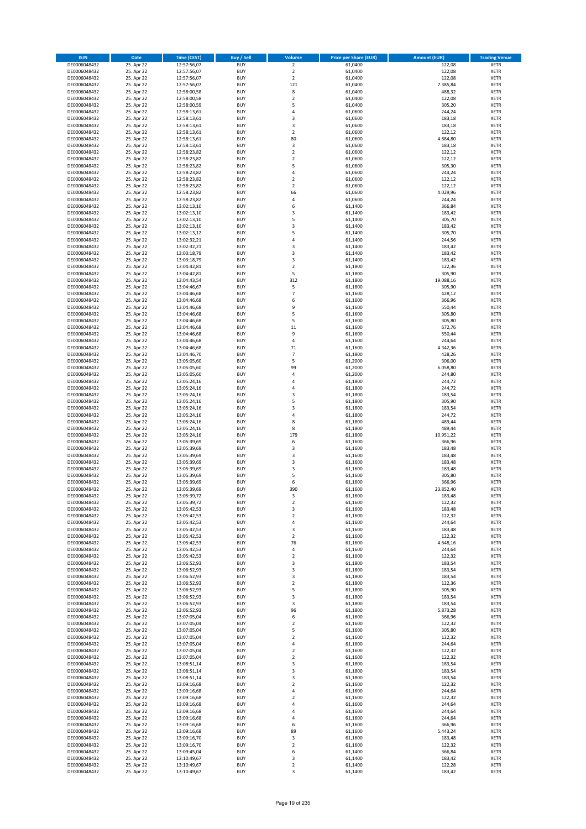| <b>ISIN</b>                  | <b>Date</b>              | <b>Time (CEST)</b>         | <b>Buy / Sell</b>        | Volume                       | <b>Price per Share (EUR)</b> | <b>Amount (EUR)</b> | <b>Trading Venue</b>       |
|------------------------------|--------------------------|----------------------------|--------------------------|------------------------------|------------------------------|---------------------|----------------------------|
| DE0006048432                 | 25. Apr 22               | 12:57:56,07                | <b>BUY</b>               | $\overline{2}$               | 61,0400                      | 122,08              | <b>XETR</b>                |
| DE0006048432                 | 25. Apr 22               | 12:57:56,07                | <b>BUY</b>               | $\mathbf 2$                  | 61,0400                      | 122,08              | <b>XETR</b>                |
| DE0006048432                 | 25. Apr 22               | 12:57:56,07                | <b>BUY</b>               | $\overline{2}$               | 61.0400                      | 122,08              | <b>XETR</b>                |
| DE0006048432                 | 25. Apr 22               | 12:57:56,07                | <b>BUY</b>               | 121                          | 61,0400                      | 7.385,84            | <b>XETR</b>                |
| DE0006048432<br>DE0006048432 | 25. Apr 22<br>25. Apr 22 | 12:58:00,58<br>12:58:00,58 | <b>BUY</b><br><b>BUY</b> | 8<br>$\mathbf 2$             | 61,0400<br>61,0400           | 488,32<br>122,08    | <b>XETR</b><br><b>XETR</b> |
| DE0006048432                 | 25. Apr 22               | 12:58:00,59                | <b>BUY</b>               | 5                            | 61,0400                      | 305,20              | <b>XETR</b>                |
| DE0006048432                 | 25. Apr 22               | 12:58:13,61                | <b>BUY</b>               | 4                            | 61,0600                      | 244,24              | <b>XETR</b>                |
| DE0006048432                 | 25. Apr 22               | 12:58:13,61                | <b>BUY</b>               | 3                            | 61,0600                      | 183,18              | <b>XETR</b>                |
| DE0006048432                 | 25. Apr 22               | 12:58:13,61                | <b>BUY</b>               | 3                            | 61,0600                      | 183,18              | <b>XETR</b>                |
| DE0006048432                 | 25. Apr 22               | 12:58:13,61                | <b>BUY</b>               | $\mathbf 2$                  | 61,0600                      | 122,12              | <b>XETR</b>                |
| DE0006048432                 | 25. Apr 22               | 12:58:13,61                | <b>BUY</b>               | 80                           | 61,0600                      | 4.884,80            | <b>XETR</b><br><b>XETR</b> |
| DE0006048432<br>DE0006048432 | 25. Apr 22<br>25. Apr 22 | 12:58:13,61<br>12:58:23,82 | <b>BUY</b><br><b>BUY</b> | 3<br>$\overline{\mathbf{c}}$ | 61,0600<br>61,0600           | 183,18<br>122,12    | <b>XETR</b>                |
| DE0006048432                 | 25. Apr 22               | 12:58:23,82                | <b>BUY</b>               | $\overline{\mathbf{c}}$      | 61,0600                      | 122,12              | <b>XETR</b>                |
| DE0006048432                 | 25. Apr 22               | 12:58:23,82                | <b>BUY</b>               | 5                            | 61,0600                      | 305,30              | <b>XETR</b>                |
| DE0006048432                 | 25. Apr 22               | 12:58:23,82                | <b>BUY</b>               | 4                            | 61,0600                      | 244,24              | <b>XETR</b>                |
| DE0006048432                 | 25. Apr 22               | 12:58:23,82                | <b>BUY</b>               | $\mathbf 2$                  | 61,0600                      | 122,12              | <b>XETR</b>                |
| DE0006048432                 | 25. Apr 22               | 12:58:23,82                | <b>BUY</b>               | $\overline{\mathbf{c}}$      | 61,0600                      | 122,12              | <b>XETR</b>                |
| DE0006048432<br>DE0006048432 | 25. Apr 22<br>25. Apr 22 | 12:58:23,82<br>12:58:23,82 | <b>BUY</b><br><b>BUY</b> | 66<br>4                      | 61,0600<br>61,0600           | 4.029,96<br>244,24  | <b>XETR</b><br><b>XETR</b> |
| DE0006048432                 | 25. Apr 22               | 13:02:13,10                | <b>BUY</b>               | 6                            | 61,1400                      | 366,84              | <b>XETR</b>                |
| DE0006048432                 | 25. Apr 22               | 13:02:13,10                | <b>BUY</b>               | 3                            | 61,1400                      | 183,42              | <b>XETR</b>                |
| DE0006048432                 | 25. Apr 22               | 13:02:13,10                | <b>BUY</b>               | 5                            | 61,1400                      | 305,70              | <b>XETR</b>                |
| DE0006048432                 | 25. Apr 22               | 13:02:13,10                | <b>BUY</b>               | 3                            | 61,1400                      | 183,42              | <b>XETR</b>                |
| DE0006048432                 | 25. Apr 22               | 13:02:13,12                | <b>BUY</b>               | 5                            | 61,1400                      | 305,70              | <b>XETR</b>                |
| DE0006048432<br>DE0006048432 | 25. Apr 22<br>25. Apr 22 | 13:02:32,21                | <b>BUY</b><br><b>BUY</b> | 4<br>3                       | 61,1400<br>61,1400           | 244,56<br>183,42    | <b>XETR</b><br><b>XETR</b> |
| DE0006048432                 | 25. Apr 22               | 13:02:32,21<br>13:03:18,79 | <b>BUY</b>               | 3                            | 61,1400                      | 183,42              | <b>XETR</b>                |
| DE0006048432                 | 25. Apr 22               | 13:03:18,79                | <b>BUY</b>               | 3                            | 61,1400                      | 183,42              | <b>XETR</b>                |
| DE0006048432                 | 25. Apr 22               | 13:04:42,81                | <b>BUY</b>               | $\overline{2}$               | 61,1800                      | 122,36              | <b>XETR</b>                |
| DE0006048432                 | 25. Apr 22               | 13:04:42,81                | <b>BUY</b>               | 5                            | 61,1800                      | 305,90              | <b>XETR</b>                |
| DE0006048432                 | 25. Apr 22               | 13:04:43,54                | <b>BUY</b>               | 312                          | 61,1800                      | 19.088,16           | <b>XETR</b>                |
| DE0006048432                 | 25. Apr 22               | 13:04:46,67                | <b>BUY</b>               | 5                            | 61,1800                      | 305,90              | <b>XETR</b>                |
| DE0006048432<br>DE0006048432 | 25. Apr 22<br>25. Apr 22 | 13:04:46,68<br>13:04:46,68 | <b>BUY</b><br><b>BUY</b> | $\overline{7}$<br>6          | 61,1600<br>61,1600           | 428,12<br>366,96    | <b>XETR</b><br><b>XETR</b> |
| DE0006048432                 | 25. Apr 22               | 13:04:46,68                | <b>BUY</b>               | 9                            | 61,1600                      | 550,44              | <b>XETR</b>                |
| DE0006048432                 | 25. Apr 22               | 13:04:46,68                | <b>BUY</b>               | 5                            | 61,1600                      | 305,80              | <b>XETR</b>                |
| DE0006048432                 | 25. Apr 22               | 13:04:46,68                | <b>BUY</b>               | 5                            | 61,1600                      | 305,80              | <b>XETR</b>                |
| DE0006048432                 | 25. Apr 22               | 13:04:46,68                | <b>BUY</b>               | 11                           | 61,1600                      | 672,76              | <b>XETR</b>                |
| DE0006048432                 | 25. Apr 22               | 13:04:46,68                | <b>BUY</b>               | 9                            | 61,1600                      | 550,44              | <b>XETR</b>                |
| DE0006048432<br>DE0006048432 | 25. Apr 22<br>25. Apr 22 | 13:04:46,68<br>13:04:46,68 | <b>BUY</b><br><b>BUY</b> | 4<br>71                      | 61,1600<br>61,1600           | 244,64<br>4.342,36  | <b>XETR</b><br><b>XETR</b> |
| DE0006048432                 | 25. Apr 22               | 13:04:46,70                | <b>BUY</b>               | $\overline{7}$               | 61,1800                      | 428,26              | <b>XETR</b>                |
| DE0006048432                 | 25. Apr 22               | 13:05:05,60                | <b>BUY</b>               | 5                            | 61,2000                      | 306,00              | <b>XETR</b>                |
| DE0006048432                 | 25. Apr 22               | 13:05:05,60                | <b>BUY</b>               | 99                           | 61,2000                      | 6.058,80            | <b>XETR</b>                |
| DE0006048432                 | 25. Apr 22               | 13:05:05,60                | <b>BUY</b>               | 4                            | 61,2000                      | 244,80              | <b>XETR</b>                |
| DE0006048432                 | 25. Apr 22               | 13:05:24,16                | <b>BUY</b>               | 4                            | 61,1800                      | 244,72              | <b>XETR</b>                |
| DE0006048432<br>DE0006048432 | 25. Apr 22<br>25. Apr 22 | 13:05:24,16                | <b>BUY</b><br><b>BUY</b> | 4<br>3                       | 61,1800<br>61,1800           | 244,72<br>183,54    | <b>XETR</b><br><b>XETR</b> |
| DE0006048432                 | 25. Apr 22               | 13:05:24,16<br>13:05:24,16 | <b>BUY</b>               | 5                            | 61,1800                      | 305,90              | <b>XETR</b>                |
| DE0006048432                 | 25. Apr 22               | 13:05:24,16                | <b>BUY</b>               | 3                            | 61,1800                      | 183,54              | <b>XETR</b>                |
| DE0006048432                 | 25. Apr 22               | 13:05:24,16                | <b>BUY</b>               | 4                            | 61,1800                      | 244,72              | <b>XETR</b>                |
| DE0006048432                 | 25. Apr 22               | 13:05:24,16                | <b>BUY</b>               | 8                            | 61,1800                      | 489,44              | <b>XETR</b>                |
| DE0006048432                 | 25. Apr 22               | 13:05:24,16                | <b>BUY</b>               | 8                            | 61,1800                      | 489,44              | <b>XETR</b>                |
| DE0006048432                 | 25. Apr 22               | 13:05:24,16                | <b>BUY</b>               | 179                          | 61,1800                      | 10.951,22           | <b>XETR</b>                |
| DE0006048432<br>DE0006048432 | 25. Apr 22<br>25. Apr 22 | 13:05:39,69<br>13:05:39,69 | <b>BUY</b><br><b>BUY</b> | 6<br>3                       | 61,1600<br>61,1600           | 366,96<br>183,48    | <b>XETR</b><br><b>XETR</b> |
| DE0006048432                 | 25. Apr 22               | 13:05:39,69                | <b>BUY</b>               | 3                            | 61,1600                      | 183,48              | <b>XETR</b>                |
| DE0006048432                 | 25. Apr 22               | 13:05:39,69                | <b>BUY</b>               | 3                            | 61,1600                      | 183,48              | <b>XETR</b>                |
| DE0006048432                 | 25. Apr 22               | 13:05:39,69                | <b>BUY</b>               | 3                            | 61,1600                      | 183,48              | <b>XETR</b>                |
| DE0006048432                 | 25. Apr 22               | 13:05:39,69                | <b>BUY</b>               | 5                            | 61,1600                      | 305,80              | <b>XETR</b>                |
| DE0006048432                 | 25. Apr 22               | 13:05:39,69                | <b>BUY</b>               | 6                            | 61,1600                      | 366,96              | <b>XETR</b>                |
| DE0006048432<br>DE0006048432 | 25. Apr 22<br>25. Apr 22 | 13:05:39,69<br>13:05:39,72 | <b>BUY</b><br>BUY        | 390<br>3                     | 61,1600<br>61,1600           | 23.852,40<br>183,48 | <b>XETR</b><br><b>XETR</b> |
| DE0006048432                 | 25. Apr 22               | 13:05:39,72                | <b>BUY</b>               | $\mathbf 2$                  | 61,1600                      | 122,32              | <b>XETR</b>                |
| DE0006048432                 | 25. Apr 22               | 13:05:42,53                | <b>BUY</b>               | 3                            | 61,1600                      | 183,48              | <b>XETR</b>                |
| DE0006048432                 | 25. Apr 22               | 13:05:42,53                | <b>BUY</b>               | $\mathbf 2$                  | 61,1600                      | 122,32              | XETR                       |
| DE0006048432                 | 25. Apr 22               | 13:05:42,53                | <b>BUY</b>               | 4                            | 61,1600                      | 244,64              | <b>XETR</b>                |
| DE0006048432                 | 25. Apr 22               | 13:05:42,53                | <b>BUY</b>               | 3                            | 61,1600                      | 183,48              | <b>XETR</b>                |
| DE0006048432<br>DE0006048432 | 25. Apr 22<br>25. Apr 22 | 13:05:42,53                | <b>BUY</b><br><b>BUY</b> | $\mathbf 2$<br>76            | 61,1600<br>61,1600           | 122,32<br>4.648,16  | <b>XETR</b><br><b>XETR</b> |
| DE0006048432                 | 25. Apr 22               | 13:05:42,53<br>13:05:42,53 | <b>BUY</b>               | 4                            | 61,1600                      | 244,64              | <b>XETR</b>                |
| DE0006048432                 | 25. Apr 22               | 13:05:42,53                | <b>BUY</b>               | $\mathbf 2$                  | 61,1600                      | 122,32              | <b>XETR</b>                |
| DE0006048432                 | 25. Apr 22               | 13:06:52,93                | <b>BUY</b>               | 3                            | 61,1800                      | 183,54              | <b>XETR</b>                |
| DE0006048432                 | 25. Apr 22               | 13:06:52,93                | <b>BUY</b>               | 3                            | 61,1800                      | 183,54              | <b>XETR</b>                |
| DE0006048432                 | 25. Apr 22               | 13:06:52,93                | <b>BUY</b>               | 3                            | 61,1800                      | 183,54              | <b>XETR</b>                |
| DE0006048432<br>DE0006048432 | 25. Apr 22<br>25. Apr 22 | 13:06:52,93<br>13:06:52,93 | <b>BUY</b><br><b>BUY</b> | $\overline{\mathbf{c}}$<br>5 | 61,1800<br>61,1800           | 122,36<br>305,90    | <b>XETR</b><br><b>XETR</b> |
| DE0006048432                 | 25. Apr 22               | 13:06:52,93                | <b>BUY</b>               | 3                            | 61,1800                      | 183,54              | <b>XETR</b>                |
| DE0006048432                 | 25. Apr 22               | 13:06:52,93                | <b>BUY</b>               | 3                            | 61,1800                      | 183,54              | <b>XETR</b>                |
| DE0006048432                 | 25. Apr 22               | 13:06:52,93                | <b>BUY</b>               | 96                           | 61,1800                      | 5.873,28            | <b>XETR</b>                |
| DE0006048432                 | 25. Apr 22               | 13:07:05,04                | <b>BUY</b>               | 6                            | 61,1600                      | 366,96              | XETR                       |
| DE0006048432                 | 25. Apr 22               | 13:07:05,04                | <b>BUY</b>               | $\mathbf 2$                  | 61,1600                      | 122,32              | <b>XETR</b>                |
| DE0006048432<br>DE0006048432 | 25. Apr 22<br>25. Apr 22 | 13:07:05,04<br>13:07:05,04 | <b>BUY</b><br><b>BUY</b> | 5<br>$\mathbf 2$             | 61,1600<br>61,1600           | 305,80<br>122,32    | <b>XETR</b><br><b>XETR</b> |
| DE0006048432                 | 25. Apr 22               | 13:07:05,04                | <b>BUY</b>               | 4                            | 61,1600                      | 244,64              | <b>XETR</b>                |
| DE0006048432                 | 25. Apr 22               | 13:07:05,04                | <b>BUY</b>               | $\mathbf 2$                  | 61,1600                      | 122,32              | <b>XETR</b>                |
| DE0006048432                 | 25. Apr 22               | 13:07:05,04                | <b>BUY</b>               | $\mathbf 2$                  | 61,1600                      | 122,32              | <b>XETR</b>                |
| DE0006048432                 | 25. Apr 22               | 13:08:51,14                | <b>BUY</b>               | 3                            | 61,1800                      | 183,54              | <b>XETR</b>                |
| DE0006048432                 | 25. Apr 22               | 13:08:51,14                | <b>BUY</b>               | 3                            | 61,1800                      | 183,54              | <b>XETR</b>                |
| DE0006048432                 | 25. Apr 22               | 13:08:51,14                | <b>BUY</b>               | 3                            | 61,1800                      | 183,54              | <b>XETR</b>                |
| DE0006048432<br>DE0006048432 | 25. Apr 22<br>25. Apr 22 | 13:09:16,68<br>13:09:16,68 | <b>BUY</b><br><b>BUY</b> | $\mathbf 2$<br>4             | 61,1600<br>61,1600           | 122,32<br>244,64    | <b>XETR</b><br>XETR        |
| DE0006048432                 | 25. Apr 22               | 13:09:16,68                | <b>BUY</b>               | $\mathbf 2$                  | 61,1600                      | 122,32              | <b>XETR</b>                |
| DE0006048432                 | 25. Apr 22               | 13:09:16,68                | <b>BUY</b>               | 4                            | 61,1600                      | 244,64              | <b>XETR</b>                |
| DE0006048432                 | 25. Apr 22               | 13:09:16,68                | <b>BUY</b>               | 4                            | 61,1600                      | 244,64              | <b>XETR</b>                |
| DE0006048432                 | 25. Apr 22               | 13:09:16,68                | <b>BUY</b>               | 4                            | 61,1600                      | 244,64              | <b>XETR</b>                |
| DE0006048432                 | 25. Apr 22               | 13:09:16,68                | <b>BUY</b>               | 6                            | 61,1600                      | 366,96              | <b>XETR</b>                |
| DE0006048432<br>DE0006048432 | 25. Apr 22<br>25. Apr 22 | 13:09:16,68<br>13:09:16,70 | <b>BUY</b><br><b>BUY</b> | 89<br>3                      | 61,1600<br>61,1600           | 5.443,24<br>183,48  | <b>XETR</b><br><b>XETR</b> |
| DE0006048432                 | 25. Apr 22               | 13:09:16,70                | <b>BUY</b>               | $\mathbf 2$                  | 61,1600                      | 122,32              | XETR                       |
| DE0006048432                 | 25. Apr 22               | 13:09:45,04                | <b>BUY</b>               | 6                            | 61,1400                      | 366,84              | <b>XETR</b>                |
| DE0006048432                 | 25. Apr 22               | 13:10:49,67                | <b>BUY</b>               | 3                            | 61,1400                      | 183,42              | XETR                       |
| DE0006048432                 | 25. Apr 22               | 13:10:49,67                | <b>BUY</b>               | $\mathbf 2$                  | 61,1400                      | 122,28              | <b>XETR</b>                |
| DE0006048432                 | 25. Apr 22               | 13:10:49,67                | <b>BUY</b>               | 3                            | 61,1400                      | 183,42              | <b>XETR</b>                |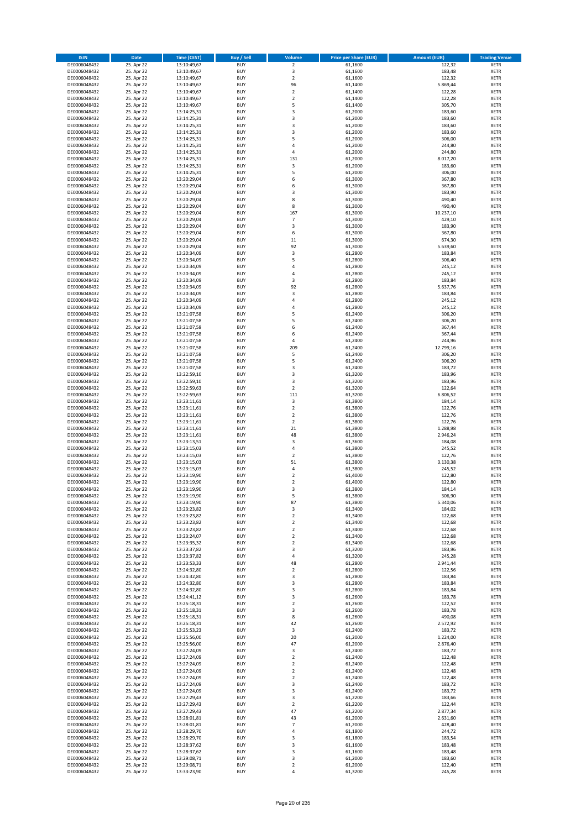| <b>ISIN</b>                  | Date                     | Time (CEST)                | <b>Buy / Sell</b>        | <b>Volume</b>              | <b>Price per Share (EUR)</b> | <b>Amount (EUR)</b> | <b>Trading Venue</b>       |
|------------------------------|--------------------------|----------------------------|--------------------------|----------------------------|------------------------------|---------------------|----------------------------|
| DE0006048432                 | 25. Apr 22               | 13:10:49,67                | <b>BUY</b>               | $\overline{2}$             | 61,1600                      | 122,32              | <b>XETR</b>                |
| DE0006048432                 | 25. Apr 22               | 13:10:49,67                | <b>BUY</b>               | 3                          | 61,1600                      | 183,48              | XETR                       |
| DE0006048432                 | 25. Apr 22               | 13:10:49,67                | <b>BUY</b>               | $\overline{2}$             | 61,1600                      | 122,32              | <b>XETR</b>                |
| DE0006048432                 | 25. Apr 22               | 13:10:49,67                | <b>BUY</b>               | 96                         | 61,1400                      | 5.869,44            | XETR                       |
| DE0006048432<br>DE0006048432 | 25. Apr 22<br>25. Apr 22 | 13:10:49,67<br>13:10:49,67 | <b>BUY</b><br><b>BUY</b> | $\mathbf 2$<br>$\mathbf 2$ | 61,1400<br>61,1400           | 122,28<br>122,28    | <b>XETR</b><br><b>XETR</b> |
| DE0006048432                 | 25. Apr 22               | 13:10:49,67                | <b>BUY</b>               | 5                          | 61,1400                      | 305,70              | <b>XETR</b>                |
| DE0006048432                 | 25. Apr 22               | 13:14:25,31                | <b>BUY</b>               | 3                          | 61,2000                      | 183,60              | <b>XETR</b>                |
| DE0006048432                 | 25. Apr 22               | 13:14:25,31                | <b>BUY</b>               | 3                          | 61,2000                      | 183,60              | <b>XETR</b>                |
| DE0006048432                 | 25. Apr 22               | 13:14:25,31                | <b>BUY</b>               | 3                          | 61,2000                      | 183,60              | <b>XETR</b>                |
| DE0006048432                 | 25. Apr 22               | 13:14:25,31                | <b>BUY</b>               | $\mathsf 3$                | 61,2000                      | 183,60              | <b>XETR</b>                |
| DE0006048432                 | 25. Apr 22               | 13:14:25,31                | <b>BUY</b>               | 5<br>$\overline{4}$        | 61,2000                      | 306,00              | <b>XETR</b>                |
| DE0006048432<br>DE0006048432 | 25. Apr 22<br>25. Apr 22 | 13:14:25,31<br>13:14:25,31 | <b>BUY</b><br><b>BUY</b> | 4                          | 61,2000<br>61,2000           | 244,80<br>244,80    | <b>XETR</b><br><b>XETR</b> |
| DE0006048432                 | 25. Apr 22               | 13:14:25,31                | <b>BUY</b>               | 131                        | 61,2000                      | 8.017,20            | <b>XETR</b>                |
| DE0006048432                 | 25. Apr 22               | 13:14:25,31                | <b>BUY</b>               | 3                          | 61,2000                      | 183,60              | <b>XETR</b>                |
| DE0006048432                 | 25. Apr 22               | 13:14:25,31                | <b>BUY</b>               | 5                          | 61,2000                      | 306,00              | <b>XETR</b>                |
| DE0006048432                 | 25. Apr 22               | 13:20:29,04                | <b>BUY</b>               | 6                          | 61,3000                      | 367,80              | <b>XETR</b>                |
| DE0006048432                 | 25. Apr 22               | 13:20:29,04                | <b>BUY</b>               | 6                          | 61,3000                      | 367,80              | <b>XETR</b>                |
| DE0006048432                 | 25. Apr 22               | 13:20:29,04                | <b>BUY</b>               | 3                          | 61,3000                      | 183,90              | <b>XETR</b>                |
| DE0006048432                 | 25. Apr 22               | 13:20:29,04                | <b>BUY</b>               | 8                          | 61,3000                      | 490,40              | <b>XETR</b>                |
| DE0006048432<br>DE0006048432 | 25. Apr 22<br>25. Apr 22 | 13:20:29,04<br>13:20:29,04 | <b>BUY</b><br><b>BUY</b> | 8<br>167                   | 61,3000<br>61,3000           | 490,40<br>10.237,10 | <b>XETR</b><br><b>XETR</b> |
| DE0006048432                 | 25. Apr 22               | 13:20:29,04                | <b>BUY</b>               | $\overline{7}$             | 61,3000                      | 429,10              | <b>XETR</b>                |
| DE0006048432                 | 25. Apr 22               | 13:20:29,04                | <b>BUY</b>               | 3                          | 61,3000                      | 183,90              | <b>XETR</b>                |
| DE0006048432                 | 25. Apr 22               | 13:20:29,04                | <b>BUY</b>               | 6                          | 61,3000                      | 367,80              | <b>XETR</b>                |
| DE0006048432                 | 25. Apr 22               | 13:20:29,04                | <b>BUY</b>               | 11                         | 61,3000                      | 674,30              | <b>XETR</b>                |
| DE0006048432                 | 25. Apr 22               | 13:20:29,04                | <b>BUY</b>               | 92                         | 61,3000                      | 5.639,60            | <b>XETR</b>                |
| DE0006048432                 | 25. Apr 22               | 13:20:34,09                | <b>BUY</b>               | $\mathsf 3$<br>5           | 61,2800                      | 183,84              | <b>XETR</b>                |
| DE0006048432<br>DE0006048432 | 25. Apr 22<br>25. Apr 22 | 13:20:34,09<br>13:20:34,09 | <b>BUY</b><br><b>BUY</b> | $\sqrt{4}$                 | 61,2800<br>61,2800           | 306,40<br>245,12    | <b>XETR</b><br><b>XETR</b> |
| DE0006048432                 | 25. Apr 22               | 13:20:34,09                | <b>BUY</b>               | $\sqrt{4}$                 | 61,2800                      | 245,12              | <b>XETR</b>                |
| DE0006048432                 | 25. Apr 22               | 13:20:34,09                | <b>BUY</b>               | 3                          | 61,2800                      | 183,84              | <b>XETR</b>                |
| DE0006048432                 | 25. Apr 22               | 13:20:34,09                | <b>BUY</b>               | 92                         | 61,2800                      | 5.637,76            | <b>XETR</b>                |
| DE0006048432                 | 25. Apr 22               | 13:20:34,09                | <b>BUY</b>               | 3                          | 61,2800                      | 183,84              | <b>XETR</b>                |
| DE0006048432                 | 25. Apr 22               | 13:20:34,09                | <b>BUY</b>               | 4                          | 61,2800                      | 245,12              | <b>XETR</b>                |
| DE0006048432                 | 25. Apr 22               | 13:20:34,09                | <b>BUY</b>               | 4                          | 61,2800                      | 245,12              | <b>XETR</b>                |
| DE0006048432                 | 25. Apr 22               | 13:21:07,58                | <b>BUY</b>               | 5                          | 61,2400                      | 306,20              | <b>XETR</b>                |
| DE0006048432<br>DE0006048432 | 25. Apr 22<br>25. Apr 22 | 13:21:07,58<br>13:21:07,58 | <b>BUY</b><br><b>BUY</b> | 5<br>6                     | 61,2400<br>61,2400           | 306,20<br>367,44    | <b>XETR</b><br><b>XETR</b> |
| DE0006048432                 | 25. Apr 22               | 13:21:07,58                | <b>BUY</b>               | 6                          | 61,2400                      | 367,44              | <b>XETR</b>                |
| DE0006048432                 | 25. Apr 22               | 13:21:07,58                | <b>BUY</b>               | 4                          | 61,2400                      | 244,96              | <b>XETR</b>                |
| DE0006048432                 | 25. Apr 22               | 13:21:07,58                | <b>BUY</b>               | 209                        | 61,2400                      | 12.799,16           | <b>XETR</b>                |
| DE0006048432                 | 25. Apr 22               | 13:21:07,58                | <b>BUY</b>               | 5                          | 61,2400                      | 306,20              | <b>XETR</b>                |
| DE0006048432                 | 25. Apr 22               | 13:21:07,58                | <b>BUY</b>               | 5                          | 61,2400                      | 306,20              | <b>XETR</b>                |
| DE0006048432                 | 25. Apr 22               | 13:21:07,58                | <b>BUY</b>               | 3                          | 61,2400                      | 183,72              | <b>XETR</b>                |
| DE0006048432                 | 25. Apr 22               | 13:22:59,10                | <b>BUY</b>               | 3                          | 61,3200                      | 183,96              | <b>XETR</b>                |
| DE0006048432<br>DE0006048432 | 25. Apr 22<br>25. Apr 22 | 13:22:59,10<br>13:22:59,63 | <b>BUY</b><br><b>BUY</b> | 3<br>$\overline{2}$        | 61,3200<br>61,3200           | 183,96<br>122,64    | <b>XETR</b><br><b>XETR</b> |
| DE0006048432                 | 25. Apr 22               | 13:22:59,63                | <b>BUY</b>               | 111                        | 61,3200                      | 6.806,52            | <b>XETR</b>                |
| DE0006048432                 | 25. Apr 22               | 13:23:11,61                | <b>BUY</b>               | 3                          | 61,3800                      | 184,14              | <b>XETR</b>                |
| DE0006048432                 | 25. Apr 22               | 13:23:11,61                | <b>BUY</b>               | $\mathbf 2$                | 61,3800                      | 122,76              | <b>XETR</b>                |
| DE0006048432                 | 25. Apr 22               | 13:23:11,61                | <b>BUY</b>               | $\overline{2}$             | 61,3800                      | 122,76              | <b>XETR</b>                |
| DE0006048432                 | 25. Apr 22               | 13:23:11,61                | <b>BUY</b>               | $\mathbf 2$                | 61,3800                      | 122,76              | <b>XETR</b>                |
| DE0006048432                 | 25. Apr 22               | 13:23:11,61                | <b>BUY</b>               | 21                         | 61,3800                      | 1.288,98            | <b>XETR</b>                |
| DE0006048432                 | 25. Apr 22               | 13:23:11,61                | <b>BUY</b><br><b>BUY</b> | 48<br>3                    | 61,3800                      | 2.946,24            | <b>XETR</b><br><b>XETR</b> |
| DE0006048432<br>DE0006048432 | 25. Apr 22<br>25. Apr 22 | 13:23:13,51<br>13:23:15,03 | <b>BUY</b>               | $\pmb{4}$                  | 61,3600<br>61,3800           | 184,08<br>245,52    | <b>XETR</b>                |
| DE0006048432                 | 25. Apr 22               | 13:23:15,03                | <b>BUY</b>               | $\overline{2}$             | 61,3800                      | 122,76              | <b>XETR</b>                |
| DE0006048432                 | 25. Apr 22               | 13:23:15,03                | <b>BUY</b>               | 51                         | 61,3800                      | 3.130,38            | <b>XETR</b>                |
| DE0006048432                 | 25. Apr 22               | 13:23:15,03                | <b>BUY</b>               | $\pmb{4}$                  | 61,3800                      | 245,52              | <b>XETR</b>                |
| DE0006048432                 | 25. Apr 22               | 13:23:19,90                | <b>BUY</b>               | $\overline{\mathbf{c}}$    | 61,4000                      | 122,80              | <b>XETR</b>                |
| DE0006048432                 | 25. Apr 22               | 13:23:19,90                | <b>BUY</b>               | $\overline{2}$             | 61,4000                      | 122,80              | <b>XETR</b>                |
| DE0006048432                 | 25. Apr 22               | 13:23:19,90                | <b>BUY</b>               | 3                          | 61,3800                      | 184,14              | <b>XETR</b>                |
| DE0006048432<br>DE0006048432 | 25. Apr 22<br>25. Apr 22 | 13:23:19,90<br>13:23:19,90 | BUY<br><b>BUY</b>        | 5<br>87                    | 61,3800<br>61,3800           | 306,90<br>5.340,06  | XETR<br><b>XETR</b>        |
| DE0006048432                 | 25. Apr 22               | 13:23:23,82                | <b>BUY</b>               | 3                          | 61,3400                      | 184,02              | <b>XETR</b>                |
| DE0006048432                 | 25. Apr 22               | 13:23:23,82                | <b>BUY</b>               | $\overline{2}$             | 61,3400                      | 122,68              | <b>XETR</b>                |
| DE0006048432                 | 25. Apr 22               | 13:23:23,82                | <b>BUY</b>               | $\overline{2}$             | 61,3400                      | 122,68              | <b>XETR</b>                |
| DE0006048432                 | 25. Apr 22               | 13:23:23,82                | <b>BUY</b>               | $\overline{2}$             | 61,3400                      | 122,68              | <b>XETR</b>                |
| DE0006048432                 | 25. Apr 22               | 13:23:24,07                | <b>BUY</b>               | $\overline{2}$             | 61,3400                      | 122,68              | <b>XETR</b>                |
| DE0006048432<br>DE0006048432 | 25. Apr 22<br>25. Apr 22 | 13:23:35,32<br>13:23:37,82 | <b>BUY</b><br><b>BUY</b> | $\overline{2}$<br>3        | 61,3400<br>61,3200           | 122,68<br>183,96    | <b>XETR</b><br>XETR        |
| DE0006048432                 | 25. Apr 22               | 13:23:37,82                | <b>BUY</b>               | $\pmb{4}$                  | 61,3200                      | 245,28              | <b>XETR</b>                |
| DE0006048432                 | 25. Apr 22               | 13:23:53,33                | <b>BUY</b>               | 48                         | 61,2800                      | 2.941,44            | XETR                       |
| DE0006048432                 | 25. Apr 22               | 13:24:32,80                | <b>BUY</b>               | $\overline{2}$             | 61,2800                      | 122,56              | <b>XETR</b>                |
| DE0006048432                 | 25. Apr 22               | 13:24:32,80                | <b>BUY</b>               | $\mathsf 3$                | 61,2800                      | 183,84              | XETR                       |
| DE0006048432                 | 25. Apr 22               | 13:24:32,80                | <b>BUY</b>               | 3                          | 61,2800                      | 183,84              | <b>XETR</b>                |
| DE0006048432<br>DE0006048432 | 25. Apr 22<br>25. Apr 22 | 13:24:32,80<br>13:24:41,12 | <b>BUY</b><br><b>BUY</b> | 3<br>3                     | 61,2800<br>61,2600           | 183,84<br>183,78    | XETR<br>XETR               |
| DE0006048432                 | 25. Apr 22               | 13:25:18,31                | <b>BUY</b>               | $\overline{2}$             | 61,2600                      | 122,52              | <b>XETR</b>                |
| DE0006048432                 | 25. Apr 22               | 13:25:18,31                | <b>BUY</b>               | 3                          | 61,2600                      | 183,78              | <b>XETR</b>                |
| DE0006048432                 | 25. Apr 22               | 13:25:18,31                | <b>BUY</b>               | 8                          | 61,2600                      | 490,08              | XETR                       |
| DE0006048432                 | 25. Apr 22               | 13:25:18,31                | <b>BUY</b>               | 42                         | 61,2600                      | 2.572,92            | XETR                       |
| DE0006048432                 | 25. Apr 22               | 13:25:53,23                | <b>BUY</b>               | 3                          | 61,2400                      | 183,72              | <b>XETR</b>                |
| DE0006048432                 | 25. Apr 22               | 13:25:56,00                | <b>BUY</b><br><b>BUY</b> | 20<br>47                   | 61,2000                      | 1.224,00            | XETR                       |
| DE0006048432<br>DE0006048432 | 25. Apr 22<br>25. Apr 22 | 13:25:56,00<br>13:27:24,09 | <b>BUY</b>               | 3                          | 61,2000<br>61,2400           | 2.876,40<br>183,72  | XETR<br><b>XETR</b>        |
| DE0006048432                 | 25. Apr 22               | 13:27:24,09                | <b>BUY</b>               | $\overline{2}$             | 61,2400                      | 122,48              | XETR                       |
| DE0006048432                 | 25. Apr 22               | 13:27:24,09                | <b>BUY</b>               | $\overline{2}$             | 61,2400                      | 122,48              | <b>XETR</b>                |
| DE0006048432                 | 25. Apr 22               | 13:27:24,09                | <b>BUY</b>               | $\overline{2}$             | 61,2400                      | 122,48              | XETR                       |
| DE0006048432                 | 25. Apr 22               | 13:27:24,09                | <b>BUY</b>               | $\overline{2}$             | 61,2400                      | 122,48              | <b>XETR</b>                |
| DE0006048432                 | 25. Apr 22               | 13:27:24,09                | <b>BUY</b>               | 3                          | 61,2400                      | 183,72              | <b>XETR</b>                |
| DE0006048432                 | 25. Apr 22               | 13:27:24,09                | <b>BUY</b>               | 3                          | 61,2400                      | 183,72              | <b>XETR</b>                |
| DE0006048432                 | 25. Apr 22               | 13:27:29,43                | <b>BUY</b>               | 3                          | 61,2200                      | 183,66              | XETR                       |
| DE0006048432<br>DE0006048432 | 25. Apr 22<br>25. Apr 22 | 13:27:29,43<br>13:27:29,43 | <b>BUY</b><br><b>BUY</b> | $\overline{2}$<br>47       | 61,2200<br>61,2200           | 122,44<br>2.877,34  | XETR<br>XETR               |
| DE0006048432                 | 25. Apr 22               | 13:28:01,81                | <b>BUY</b>               | 43                         | 61,2000                      | 2.631,60            | XETR                       |
| DE0006048432                 | 25. Apr 22               | 13:28:01,81                | <b>BUY</b>               | $\overline{7}$             | 61,2000                      | 428,40              | <b>XETR</b>                |
| DE0006048432                 | 25. Apr 22               | 13:28:29,70                | <b>BUY</b>               | $\sqrt{4}$                 | 61,1800                      | 244,72              | XETR                       |
| DE0006048432                 | 25. Apr 22               | 13:28:29,70                | <b>BUY</b>               | 3                          | 61,1800                      | 183,54              | XETR                       |
| DE0006048432                 | 25. Apr 22               | 13:28:37,62                | <b>BUY</b>               | 3                          | 61,1600                      | 183,48              | XETR                       |
| DE0006048432                 | 25. Apr 22               | 13:28:37,62                | <b>BUY</b>               | 3                          | 61,1600                      | 183,48              | XETR                       |
| DE0006048432<br>DE0006048432 | 25. Apr 22<br>25. Apr 22 | 13:29:08,71<br>13:29:08,71 | <b>BUY</b><br><b>BUY</b> | 3<br>$\mathbf 2$           | 61,2000<br>61,2000           | 183,60<br>122,40    | XETR<br><b>XETR</b>        |
| DE0006048432                 | 25. Apr 22               | 13:33:23,90                | <b>BUY</b>               | 4                          | 61,3200                      | 245,28              | <b>XETR</b>                |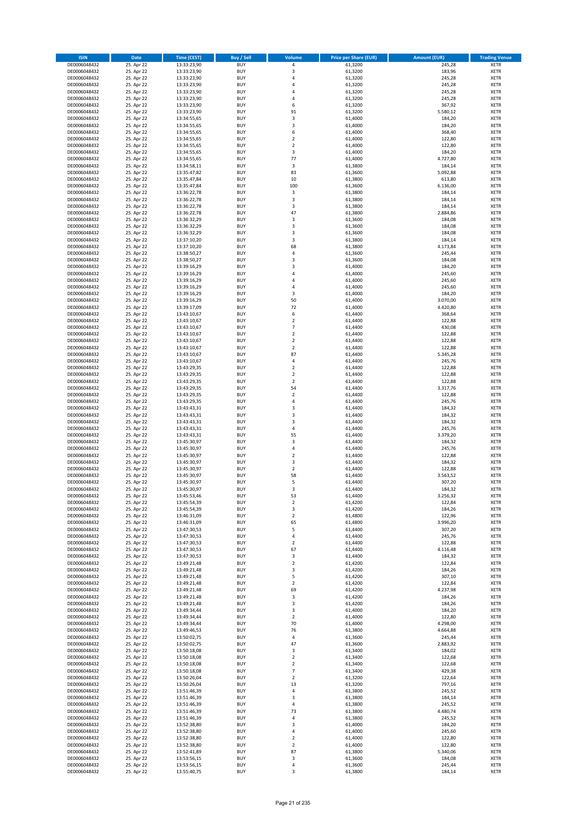| <b>ISIN</b>                  | Date                     | Time (CEST)                | <b>Buy / Sell</b>        | <b>Volume</b>                    | <b>Price per Share (EUR)</b> | <b>Amount (EUR)</b> | <b>Trading Venue</b>       |
|------------------------------|--------------------------|----------------------------|--------------------------|----------------------------------|------------------------------|---------------------|----------------------------|
| DE0006048432                 | 25. Apr 22               | 13:33:23,90                | <b>BUY</b>               | $\pmb{4}$                        | 61,3200                      | 245,28              | <b>XETR</b>                |
| DE0006048432                 | 25. Apr 22               | 13:33:23,90                | <b>BUY</b>               | 3                                | 61,3200                      | 183,96              | XETR                       |
| DE0006048432                 | 25. Apr 22               | 13:33:23,90                | <b>BUY</b>               | 4                                | 61,3200                      | 245,28              | <b>XETR</b>                |
| DE0006048432<br>DE0006048432 | 25. Apr 22<br>25. Apr 22 | 13:33:23,90<br>13:33:23,90 | <b>BUY</b><br><b>BUY</b> | $\sqrt{4}$<br>4                  | 61,3200<br>61,3200           | 245,28<br>245,28    | XETR<br><b>XETR</b>        |
| DE0006048432                 | 25. Apr 22               | 13:33:23,90                | <b>BUY</b>               | $\overline{4}$                   | 61,3200                      | 245,28              | <b>XETR</b>                |
| DE0006048432                 | 25. Apr 22               | 13:33:23,90                | <b>BUY</b>               | 6                                | 61,3200                      | 367,92              | <b>XETR</b>                |
| DE0006048432                 | 25. Apr 22               | 13:33:23,90                | <b>BUY</b>               | 91                               | 61,3200                      | 5.580,12            | <b>XETR</b>                |
| DE0006048432                 | 25. Apr 22               | 13:34:55,65                | <b>BUY</b>               | 3                                | 61,4000                      | 184,20              | <b>XETR</b>                |
| DE0006048432                 | 25. Apr 22               | 13:34:55,65                | <b>BUY</b>               | 3                                | 61,4000                      | 184,20              | <b>XETR</b>                |
| DE0006048432                 | 25. Apr 22               | 13:34:55,65                | <b>BUY</b>               | 6                                | 61,4000                      | 368,40              | <b>XETR</b>                |
| DE0006048432<br>DE0006048432 | 25. Apr 22<br>25. Apr 22 | 13:34:55,65<br>13:34:55,65 | <b>BUY</b><br><b>BUY</b> | $\overline{2}$<br>$\mathbf 2$    | 61,4000<br>61,4000           | 122,80<br>122,80    | <b>XETR</b><br><b>XETR</b> |
| DE0006048432                 | 25. Apr 22               | 13:34:55,65                | <b>BUY</b>               | 3                                | 61,4000                      | 184,20              | <b>XETR</b>                |
| DE0006048432                 | 25. Apr 22               | 13:34:55,65                | <b>BUY</b>               | 77                               | 61,4000                      | 4.727,80            | <b>XETR</b>                |
| DE0006048432                 | 25. Apr 22               | 13:34:58,11                | <b>BUY</b>               | 3                                | 61,3800                      | 184,14              | <b>XETR</b>                |
| DE0006048432                 | 25. Apr 22               | 13:35:47,82                | <b>BUY</b>               | 83                               | 61,3600                      | 5.092,88            | <b>XETR</b>                |
| DE0006048432                 | 25. Apr 22               | 13:35:47,84                | <b>BUY</b>               | 10                               | 61,3800                      | 613,80              | <b>XETR</b>                |
| DE0006048432                 | 25. Apr 22               | 13:35:47,84                | <b>BUY</b>               | 100                              | 61,3600                      | 6.136,00            | <b>XETR</b>                |
| DE0006048432<br>DE0006048432 | 25. Apr 22<br>25. Apr 22 | 13:36:22,78<br>13:36:22,78 | <b>BUY</b><br><b>BUY</b> | $\mathsf 3$<br>3                 | 61,3800<br>61,3800           | 184,14<br>184,14    | <b>XETR</b><br><b>XETR</b> |
| DE0006048432                 | 25. Apr 22               | 13:36:22,78                | <b>BUY</b>               | 3                                | 61,3800                      | 184,14              | <b>XETR</b>                |
| DE0006048432                 | 25. Apr 22               | 13:36:22,78                | <b>BUY</b>               | 47                               | 61,3800                      | 2.884,86            | <b>XETR</b>                |
| DE0006048432                 | 25. Apr 22               | 13:36:32,29                | <b>BUY</b>               | 3                                | 61,3600                      | 184,08              | <b>XETR</b>                |
| DE0006048432                 | 25. Apr 22               | 13:36:32,29                | <b>BUY</b>               | 3                                | 61,3600                      | 184,08              | <b>XETR</b>                |
| DE0006048432                 | 25. Apr 22               | 13:36:32,29                | <b>BUY</b>               | 3                                | 61,3600                      | 184,08              | <b>XETR</b>                |
| DE0006048432<br>DE0006048432 | 25. Apr 22               | 13:37:10,20                | <b>BUY</b><br><b>BUY</b> | 3<br>68                          | 61,3800                      | 184,14              | <b>XETR</b><br><b>XETR</b> |
| DE0006048432                 | 25. Apr 22<br>25. Apr 22 | 13:37:10,20<br>13:38:50,27 | <b>BUY</b>               | 4                                | 61,3800<br>61,3600           | 4.173,84<br>245,44  | <b>XETR</b>                |
| DE0006048432                 | 25. Apr 22               | 13:38:50,27                | <b>BUY</b>               | 3                                | 61,3600                      | 184,08              | <b>XETR</b>                |
| DE0006048432                 | 25. Apr 22               | 13:39:16,29                | <b>BUY</b>               | 3                                | 61,4000                      | 184,20              | <b>XETR</b>                |
| DE0006048432                 | 25. Apr 22               | 13:39:16,29                | <b>BUY</b>               | $\pmb{4}$                        | 61,4000                      | 245,60              | <b>XETR</b>                |
| DE0006048432                 | 25. Apr 22               | 13:39:16,29                | <b>BUY</b>               | 4                                | 61,4000                      | 245,60              | <b>XETR</b>                |
| DE0006048432                 | 25. Apr 22               | 13:39:16,29                | <b>BUY</b>               | $\overline{4}$                   | 61,4000                      | 245,60              | <b>XETR</b>                |
| DE0006048432                 | 25. Apr 22               | 13:39:16,29                | <b>BUY</b>               | 3                                | 61,4000                      | 184,20              | <b>XETR</b>                |
| DE0006048432                 | 25. Apr 22               | 13:39:16,29                | <b>BUY</b>               | 50                               | 61,4000                      | 3.070,00            | <b>XETR</b>                |
| DE0006048432<br>DE0006048432 | 25. Apr 22<br>25. Apr 22 | 13:39:17,09<br>13:43:10,67 | <b>BUY</b><br><b>BUY</b> | 72<br>6                          | 61,4000<br>61,4400           | 4.420,80<br>368,64  | <b>XETR</b><br><b>XETR</b> |
| DE0006048432                 | 25. Apr 22               | 13:43:10,67                | <b>BUY</b>               | $\overline{2}$                   | 61,4400                      | 122,88              | <b>XETR</b>                |
| DE0006048432                 | 25. Apr 22               | 13:43:10,67                | <b>BUY</b>               | $\overline{7}$                   | 61,4400                      | 430,08              | <b>XETR</b>                |
| DE0006048432                 | 25. Apr 22               | 13:43:10,67                | <b>BUY</b>               | $\mathbf 2$                      | 61,4400                      | 122,88              | <b>XETR</b>                |
| DE0006048432                 | 25. Apr 22               | 13:43:10,67                | <b>BUY</b>               | $\overline{2}$                   | 61,4400                      | 122,88              | <b>XETR</b>                |
| DE0006048432                 | 25. Apr 22               | 13:43:10,67                | <b>BUY</b>               | $\mathbf 2$                      | 61,4400                      | 122,88              | <b>XETR</b>                |
| DE0006048432                 | 25. Apr 22               | 13:43:10,67                | <b>BUY</b>               | 87                               | 61,4400                      | 5.345,28            | <b>XETR</b>                |
| DE0006048432                 | 25. Apr 22               | 13:43:10,67                | <b>BUY</b>               | $\sqrt{4}$                       | 61,4400                      | 245,76              | <b>XETR</b>                |
| DE0006048432                 | 25. Apr 22               | 13:43:29,35                | <b>BUY</b>               | $\overline{2}$                   | 61,4400                      | 122,88              | <b>XETR</b>                |
| DE0006048432<br>DE0006048432 | 25. Apr 22<br>25. Apr 22 | 13:43:29,35<br>13:43:29,35 | <b>BUY</b><br><b>BUY</b> | $\mathbf 2$<br>$\mathbf 2$       | 61,4400<br>61,4400           | 122,88<br>122,88    | <b>XETR</b><br><b>XETR</b> |
| DE0006048432                 | 25. Apr 22               | 13:43:29,35                | <b>BUY</b>               | 54                               | 61,4400                      | 3.317,76            | <b>XETR</b>                |
| DE0006048432                 | 25. Apr 22               | 13:43:29,35                | <b>BUY</b>               | $\overline{2}$                   | 61,4400                      | 122,88              | <b>XETR</b>                |
| DE0006048432                 | 25. Apr 22               | 13:43:29,35                | <b>BUY</b>               | 4                                | 61,4400                      | 245,76              | <b>XETR</b>                |
| DE0006048432                 | 25. Apr 22               | 13:43:43,31                | <b>BUY</b>               | 3                                | 61,4400                      | 184,32              | <b>XETR</b>                |
| DE0006048432                 | 25. Apr 22               | 13:43:43,31                | <b>BUY</b>               | 3                                | 61,4400                      | 184,32              | <b>XETR</b>                |
| DE0006048432                 | 25. Apr 22               | 13:43:43,31                | <b>BUY</b>               | $\mathsf 3$                      | 61,4400                      | 184,32              | <b>XETR</b>                |
| DE0006048432                 | 25. Apr 22               | 13:43:43,31                | <b>BUY</b>               | 4                                | 61,4400                      | 245,76              | <b>XETR</b>                |
| DE0006048432<br>DE0006048432 | 25. Apr 22<br>25. Apr 22 | 13:43:43,31<br>13:45:30,97 | <b>BUY</b><br><b>BUY</b> | 55<br>3                          | 61,4400<br>61,4400           | 3.379,20<br>184,32  | <b>XETR</b><br><b>XETR</b> |
| DE0006048432                 | 25. Apr 22               | 13:45:30,97                | <b>BUY</b>               | 4                                | 61,4400                      | 245,76              | <b>XETR</b>                |
| DE0006048432                 | 25. Apr 22               | 13:45:30,97                | <b>BUY</b>               | $\overline{2}$                   | 61,4400                      | 122,88              | <b>XETR</b>                |
| DE0006048432                 | 25. Apr 22               | 13:45:30,97                | <b>BUY</b>               | 3                                | 61,4400                      | 184,32              | <b>XETR</b>                |
| DE0006048432                 | 25. Apr 22               | 13:45:30,97                | <b>BUY</b>               | $\mathbf 2$                      | 61,4400                      | 122,88              | <b>XETR</b>                |
| DE0006048432                 | 25. Apr 22               | 13:45:30,97                | <b>BUY</b>               | 58                               | 61,4400                      | 3.563,52            | <b>XETR</b>                |
| DE0006048432                 | 25. Apr 22               | 13:45:30,97                | <b>BUY</b>               | 5                                | 61,4400                      | 307,20              | <b>XETR</b>                |
| DE0006048432                 | 25. Apr 22               | 13:45:30,97                | <b>BUY</b>               | 3                                | 61,4400                      | 184,32              | <b>XETR</b>                |
| DE0006048432<br>DE0006048432 | 25. Apr 22<br>25. Apr 22 | 13:45:53,46<br>13:45:54,39 | BUY<br><b>BUY</b>        | 53<br>$\overline{2}$             | 61,4400<br>61,4200           | 3.256,32<br>122,84  | XETR<br><b>XETR</b>        |
| DE0006048432                 | 25. Apr 22               | 13:45:54,39                | <b>BUY</b>               | 3                                | 61,4200                      | 184,26              | <b>XETR</b>                |
| DE0006048432                 | 25. Apr 22               | 13:46:31,09                | <b>BUY</b>               | $\overline{2}$                   | 61,4800                      | 122,96              | XETR                       |
| DE0006048432                 | 25. Apr 22               | 13:46:31,09                | <b>BUY</b>               | 65                               | 61,4800                      | 3.996,20            | XETR                       |
| DE0006048432                 | 25. Apr 22               | 13:47:30,53                | <b>BUY</b>               | 5                                | 61,4400                      | 307,20              | XETR                       |
| DE0006048432                 | 25. Apr 22               | 13:47:30,53                | <b>BUY</b>               | $\pmb{4}$                        | 61,4400                      | 245,76              | <b>XETR</b>                |
| DE0006048432                 | 25. Apr 22               | 13:47:30,53                | <b>BUY</b>               | $\mathbf 2$                      | 61,4400                      | 122,88              | <b>XETR</b>                |
| DE0006048432<br>DE0006048432 | 25. Apr 22<br>25. Apr 22 | 13:47:30,53<br>13:47:30,53 | <b>BUY</b><br><b>BUY</b> | 67<br>3                          | 61,4400<br>61,4400           | 4.116,48<br>184,32  | XETR<br><b>XETR</b>        |
| DE0006048432                 | 25. Apr 22               | 13:49:21,48                | <b>BUY</b>               | $\mathbf 2$                      | 61,4200                      | 122,84              | XETR                       |
| DE0006048432                 | 25. Apr 22               | 13:49:21,48                | <b>BUY</b>               | 3                                | 61,4200                      | 184,26              | <b>XETR</b>                |
| DE0006048432                 | 25. Apr 22               | 13:49:21,48                | <b>BUY</b>               | 5                                | 61,4200                      | 307,10              | XETR                       |
| DE0006048432                 | 25. Apr 22               | 13:49:21,48                | <b>BUY</b>               | $\overline{2}$                   | 61,4200                      | 122,84              | <b>XETR</b>                |
| DE0006048432                 | 25. Apr 22               | 13:49:21,48                | <b>BUY</b>               | 69                               | 61,4200                      | 4.237,98            | XETR                       |
| DE0006048432<br>DE0006048432 | 25. Apr 22<br>25. Apr 22 | 13:49:21,48<br>13:49:21,48 | <b>BUY</b><br><b>BUY</b> | 3<br>3                           | 61,4200<br>61,4200           | 184,26<br>184,26    | <b>XETR</b><br><b>XETR</b> |
| DE0006048432                 | 25. Apr 22               | 13:49:34,44                | <b>BUY</b>               | 3                                | 61,4000                      | 184,20              | <b>XETR</b>                |
| DE0006048432                 | 25. Apr 22               | 13:49:34,44                | <b>BUY</b>               | $\mathbf 2$                      | 61,4000                      | 122,80              | XETR                       |
| DE0006048432                 | 25. Apr 22               | 13:49:34,44                | <b>BUY</b>               | 70                               | 61,4000                      | 4.298,00            | XETR                       |
| DE0006048432                 | 25. Apr 22               | 13:49:46,53                | <b>BUY</b>               | 76                               | 61,3800                      | 4.664,88            | <b>XETR</b>                |
| DE0006048432                 | 25. Apr 22               | 13:50:02,75                | <b>BUY</b>               | 4                                | 61,3600                      | 245,44              | XETR                       |
| DE0006048432                 | 25. Apr 22               | 13:50:02,75                | <b>BUY</b>               | 47                               | 61,3600                      | 2.883,92            | XETR                       |
| DE0006048432                 | 25. Apr 22               | 13:50:18,08                | <b>BUY</b>               | 3                                | 61,3400                      | 184,02              | <b>XETR</b>                |
| DE0006048432<br>DE0006048432 | 25. Apr 22<br>25. Apr 22 | 13:50:18,08<br>13:50:18,08 | <b>BUY</b><br><b>BUY</b> | $\overline{2}$<br>$\overline{2}$ | 61,3400<br>61,3400           | 122,68<br>122,68    | XETR<br>XETR               |
| DE0006048432                 | 25. Apr 22               | 13:50:18,08                | <b>BUY</b>               | $\overline{\phantom{a}}$         | 61,3400                      | 429,38              | XETR                       |
| DE0006048432                 | 25. Apr 22               | 13:50:26,04                | <b>BUY</b>               | $\overline{2}$                   | 61,3200                      | 122,64              | <b>XETR</b>                |
| DE0006048432                 | 25. Apr 22               | 13:50:26,04                | <b>BUY</b>               | 13                               | 61,3200                      | 797,16              | XETR                       |
| DE0006048432                 | 25. Apr 22               | 13:51:46,39                | <b>BUY</b>               | 4                                | 61,3800                      | 245,52              | <b>XETR</b>                |
| DE0006048432                 | 25. Apr 22               | 13:51:46,39                | <b>BUY</b>               | 3                                | 61,3800                      | 184,14              | XETR                       |
| DE0006048432                 | 25. Apr 22               | 13:51:46,39                | <b>BUY</b>               | $\pmb{4}$                        | 61,3800                      | 245,52              | XETR                       |
| DE0006048432                 | 25. Apr 22               | 13:51:46,39                | <b>BUY</b>               | 73                               | 61,3800                      | 4.480,74            | XETR                       |
| DE0006048432                 | 25. Apr 22               | 13:51:46,39                | <b>BUY</b>               | $\pmb{4}$                        | 61,3800                      | 245,52              | XETR                       |
| DE0006048432<br>DE0006048432 | 25. Apr 22<br>25. Apr 22 | 13:52:38,80<br>13:52:38,80 | <b>BUY</b><br><b>BUY</b> | 3<br>$\pmb{4}$                   | 61,4000<br>61,4000           | 184,20<br>245,60    | <b>XETR</b><br>XETR        |
| DE0006048432                 | 25. Apr 22               | 13:52:38,80                | <b>BUY</b>               | $\overline{2}$                   | 61,4000                      | 122,80              | XETR                       |
| DE0006048432                 | 25. Apr 22               | 13:52:38,80                | <b>BUY</b>               | $\overline{2}$                   | 61,4000                      | 122,80              | XETR                       |
| DE0006048432                 | 25. Apr 22               | 13:52:41,89                | <b>BUY</b>               | 87                               | 61,3800                      | 5.340,06            | <b>XETR</b>                |
| DE0006048432                 | 25. Apr 22               | 13:53:56,15                | <b>BUY</b>               | 3                                | 61,3600                      | 184,08              | XETR                       |
| DE0006048432                 | 25. Apr 22               | 13:53:56,15                | <b>BUY</b>               | $\sqrt{4}$                       | 61,3600                      | 245,44              | <b>XETR</b>                |
| DE0006048432                 | 25. Apr 22               | 13:55:40,75                | <b>BUY</b>               | 3                                | 61,3800                      | 184,14              | XETR                       |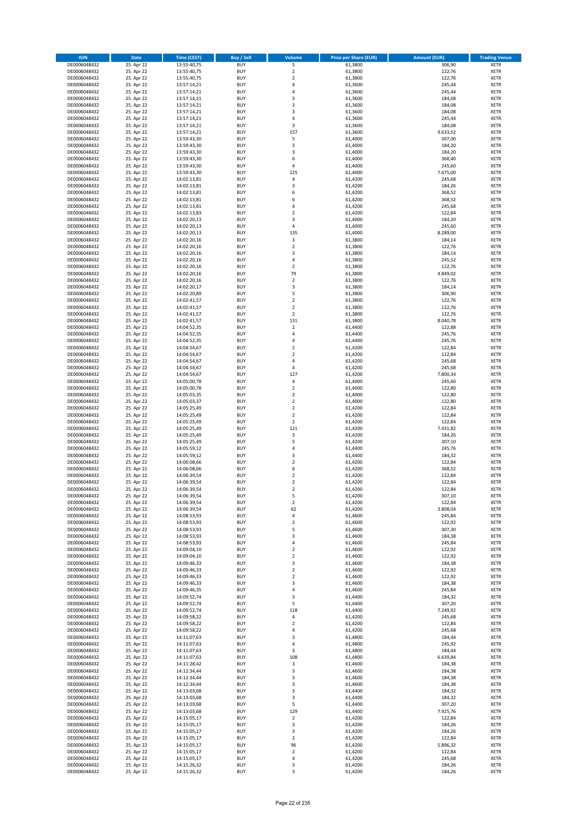| <b>ISIN</b>                  | Date                     | Time (CEST)                | <b>Buy / Sell</b>        | <b>Volume</b>                             | <b>Price per Share (EUR)</b> | <b>Amount (EUR)</b> | <b>Trading Venue</b>       |
|------------------------------|--------------------------|----------------------------|--------------------------|-------------------------------------------|------------------------------|---------------------|----------------------------|
| DE0006048432                 | 25. Apr 22               | 13:55:40,75                | <b>BUY</b>               | 5                                         | 61,3800                      | 306,90              | <b>XETR</b>                |
| DE0006048432                 | 25. Apr 22               | 13:55:40,75                | <b>BUY</b>               | $\mathbf 2$                               | 61,3800                      | 122,76              | XETR                       |
| DE0006048432                 | 25. Apr 22               | 13:55:40,75                | <b>BUY</b>               | $\overline{2}$                            | 61,3800                      | 122,76              | <b>XETR</b>                |
| DE0006048432                 | 25. Apr 22               | 13:57:14,21                | <b>BUY</b>               | 4                                         | 61,3600                      | 245,44              | XETR                       |
| DE0006048432<br>DE0006048432 | 25. Apr 22<br>25. Apr 22 | 13:57:14,21<br>13:57:14,21 | <b>BUY</b><br><b>BUY</b> | 4<br>3                                    | 61,3600<br>61,3600           | 245,44<br>184,08    | <b>XETR</b><br><b>XETR</b> |
| DE0006048432                 | 25. Apr 22               | 13:57:14,21                | <b>BUY</b>               | 3                                         | 61,3600                      | 184,08              | <b>XETR</b>                |
| DE0006048432                 | 25. Apr 22               | 13:57:14,21                | <b>BUY</b>               | 3                                         | 61,3600                      | 184,08              | <b>XETR</b>                |
| DE0006048432                 | 25. Apr 22               | 13:57:14,21                | <b>BUY</b>               | $\overline{4}$                            | 61,3600                      | 245,44              | <b>XETR</b>                |
| DE0006048432                 | 25. Apr 22               | 13:57:14,21                | <b>BUY</b>               | 3                                         | 61,3600                      | 184,08              | <b>XETR</b>                |
| DE0006048432                 | 25. Apr 22               | 13:57:14,21                | <b>BUY</b>               | 157                                       | 61,3600                      | 9.633,52            | <b>XETR</b>                |
| DE0006048432                 | 25. Apr 22               | 13:59:43,30                | <b>BUY</b>               | 5                                         | 61,4000                      | 307,00              | <b>XETR</b>                |
| DE0006048432<br>DE0006048432 | 25. Apr 22<br>25. Apr 22 | 13:59:43,30<br>13:59:43,30 | <b>BUY</b><br><b>BUY</b> | $\mathsf 3$<br>3                          | 61,4000<br>61,4000           | 184,20<br>184,20    | <b>XETR</b><br><b>XETR</b> |
| DE0006048432                 | 25. Apr 22               | 13:59:43,30                | <b>BUY</b>               | 6                                         | 61,4000                      | 368,40              | <b>XETR</b>                |
| DE0006048432                 | 25. Apr 22               | 13:59:43,30                | <b>BUY</b>               | $\overline{4}$                            | 61,4000                      | 245,60              | <b>XETR</b>                |
| DE0006048432                 | 25. Apr 22               | 13:59:43,30                | <b>BUY</b>               | 125                                       | 61,4000                      | 7.675,00            | <b>XETR</b>                |
| DE0006048432                 | 25. Apr 22               | 14:02:13,81                | <b>BUY</b>               | 4                                         | 61,4200                      | 245,68              | <b>XETR</b>                |
| DE0006048432                 | 25. Apr 22               | 14:02:13,81                | <b>BUY</b>               | 3                                         | 61,4200                      | 184,26              | <b>XETR</b>                |
| DE0006048432<br>DE0006048432 | 25. Apr 22<br>25. Apr 22 | 14:02:13,81                | <b>BUY</b><br><b>BUY</b> | 6<br>6                                    | 61,4200<br>61,4200           | 368,52<br>368,52    | <b>XETR</b><br><b>XETR</b> |
| DE0006048432                 | 25. Apr 22               | 14:02:13,81<br>14:02:13,81 | <b>BUY</b>               | 4                                         | 61,4200                      | 245,68              | <b>XETR</b>                |
| DE0006048432                 | 25. Apr 22               | 14:02:13,83                | <b>BUY</b>               | $\overline{2}$                            | 61,4200                      | 122,84              | <b>XETR</b>                |
| DE0006048432                 | 25. Apr 22               | 14:02:20,13                | <b>BUY</b>               | 3                                         | 61,4000                      | 184,20              | <b>XETR</b>                |
| DE0006048432                 | 25. Apr 22               | 14:02:20,13                | <b>BUY</b>               | $\pmb{4}$                                 | 61,4000                      | 245,60              | <b>XETR</b>                |
| DE0006048432                 | 25. Apr 22               | 14:02:20,13                | <b>BUY</b>               | 135                                       | 61,4000                      | 8.289,00            | <b>XETR</b>                |
| DE0006048432<br>DE0006048432 | 25. Apr 22               | 14:02:20,16                | <b>BUY</b><br><b>BUY</b> | $\overline{\mathbf{3}}$<br>$\overline{2}$ | 61,3800                      | 184,14              | <b>XETR</b><br><b>XETR</b> |
| DE0006048432                 | 25. Apr 22<br>25. Apr 22 | 14:02:20,16<br>14:02:20,16 | <b>BUY</b>               | 3                                         | 61,3800<br>61,3800           | 122,76<br>184,14    | <b>XETR</b>                |
| DE0006048432                 | 25. Apr 22               | 14:02:20,16                | <b>BUY</b>               | 4                                         | 61,3800                      | 245,52              | <b>XETR</b>                |
| DE0006048432                 | 25. Apr 22               | 14:02:20,16                | <b>BUY</b>               | $\mathbf 2$                               | 61,3800                      | 122,76              | <b>XETR</b>                |
| DE0006048432                 | 25. Apr 22               | 14:02:20,16                | <b>BUY</b>               | 79                                        | 61,3800                      | 4.849,02            | <b>XETR</b>                |
| DE0006048432                 | 25. Apr 22               | 14:02:20,16                | <b>BUY</b>               | $\mathbf 2$                               | 61,3800                      | 122,76              | <b>XETR</b>                |
| DE0006048432                 | 25. Apr 22               | 14:02:20,17                | <b>BUY</b>               | 3                                         | 61,3800                      | 184,14              | <b>XETR</b>                |
| DE0006048432<br>DE0006048432 | 25. Apr 22<br>25. Apr 22 | 14:02:20,89<br>14:02:41,57 | <b>BUY</b><br><b>BUY</b> | 5<br>$\overline{2}$                       | 61,3800<br>61,3800           | 306,90<br>122,76    | <b>XETR</b><br><b>XETR</b> |
| DE0006048432                 | 25. Apr 22               | 14:02:41,57                | <b>BUY</b>               | $\overline{2}$                            | 61,3800                      | 122,76              | <b>XETR</b>                |
| DE0006048432                 | 25. Apr 22               | 14:02:41,57                | <b>BUY</b>               | $\overline{2}$                            | 61,3800                      | 122,76              | <b>XETR</b>                |
| DE0006048432                 | 25. Apr 22               | 14:02:41,57                | <b>BUY</b>               | 131                                       | 61,3800                      | 8.040,78            | <b>XETR</b>                |
| DE0006048432                 | 25. Apr 22               | 14:04:52,35                | <b>BUY</b>               | $\mathbf 2$                               | 61,4400                      | 122,88              | <b>XETR</b>                |
| DE0006048432                 | 25. Apr 22               | 14:04:52,35                | <b>BUY</b>               | $\overline{4}$                            | 61,4400                      | 245,76              | <b>XETR</b>                |
| DE0006048432                 | 25. Apr 22               | 14:04:52,35                | <b>BUY</b>               | 4                                         | 61,4400                      | 245,76              | <b>XETR</b>                |
| DE0006048432<br>DE0006048432 | 25. Apr 22<br>25. Apr 22 | 14:04:54,67<br>14:04:54,67 | <b>BUY</b><br><b>BUY</b> | $\mathbf 2$<br>$\overline{2}$             | 61,4200<br>61,4200           | 122,84<br>122,84    | <b>XETR</b><br><b>XETR</b> |
| DE0006048432                 | 25. Apr 22               | 14:04:54,67                | <b>BUY</b>               | 4                                         | 61,4200                      | 245,68              | <b>XETR</b>                |
| DE0006048432                 | 25. Apr 22               | 14:04:54,67                | <b>BUY</b>               | $\pmb{4}$                                 | 61,4200                      | 245,68              | <b>XETR</b>                |
| DE0006048432                 | 25. Apr 22               | 14:04:54,67                | <b>BUY</b>               | 127                                       | 61,4200                      | 7.800,34            | <b>XETR</b>                |
| DE0006048432                 | 25. Apr 22               | 14:05:00,78                | <b>BUY</b>               | $\pmb{4}$                                 | 61,4000                      | 245,60              | <b>XETR</b>                |
| DE0006048432                 | 25. Apr 22               | 14:05:00,78                | <b>BUY</b><br><b>BUY</b> | $\mathbf 2$<br>$\overline{2}$             | 61,4000                      | 122,80              | <b>XETR</b>                |
| DE0006048432<br>DE0006048432 | 25. Apr 22<br>25. Apr 22 | 14:05:03,35<br>14:05:03,37 | <b>BUY</b>               | $\overline{2}$                            | 61,4000<br>61,4000           | 122,80<br>122,80    | <b>XETR</b><br><b>XETR</b> |
| DE0006048432                 | 25. Apr 22               | 14:05:25,49                | <b>BUY</b>               | $\overline{2}$                            | 61,4200                      | 122,84              | <b>XETR</b>                |
| DE0006048432                 | 25. Apr 22               | 14:05:25,49                | <b>BUY</b>               | $\overline{2}$                            | 61,4200                      | 122,84              | <b>XETR</b>                |
| DE0006048432                 | 25. Apr 22               | 14:05:25,49                | <b>BUY</b>               | $\mathbf 2$                               | 61,4200                      | 122,84              | <b>XETR</b>                |
| DE0006048432                 | 25. Apr 22               | 14:05:25,49                | <b>BUY</b>               | 121                                       | 61,4200                      | 7.431,82            | <b>XETR</b>                |
| DE0006048432                 | 25. Apr 22               | 14:05:25,49                | <b>BUY</b>               | 3                                         | 61,4200                      | 184,26              | <b>XETR</b>                |
| DE0006048432<br>DE0006048432 | 25. Apr 22<br>25. Apr 22 | 14:05:25,49<br>14:05:59,12 | <b>BUY</b><br><b>BUY</b> | 5<br>4                                    | 61,4200<br>61,4400           | 307,10<br>245,76    | <b>XETR</b><br><b>XETR</b> |
| DE0006048432                 | 25. Apr 22               | 14:05:59,12                | <b>BUY</b>               | 3                                         | 61,4400                      | 184,32              | <b>XETR</b>                |
| DE0006048432                 | 25. Apr 22               | 14:06:08,66                | <b>BUY</b>               | $\overline{2}$                            | 61,4200                      | 122,84              | <b>XETR</b>                |
| DE0006048432                 | 25. Apr 22               | 14:06:08,66                | <b>BUY</b>               | 6                                         | 61,4200                      | 368,52              | <b>XETR</b>                |
| DE0006048432                 | 25. Apr 22               | 14:06:39,54                | <b>BUY</b>               | $\overline{2}$                            | 61,4200                      | 122,84              | <b>XETR</b>                |
| DE0006048432                 | 25. Apr 22               | 14:06:39,54                | <b>BUY</b>               | $\overline{2}$                            | 61,4200                      | 122,84              | <b>XETR</b>                |
| DE0006048432                 | 25. Apr 22               | 14:06:39,54                | <b>BUY</b>               | $\overline{2}$                            | 61,4200                      | 122,84<br>307,10    | <b>XETR</b>                |
| DE0006048432<br>DE0006048432 | 25. Apr 22<br>25. Apr 22 | 14:06:39,54<br>14:06:39,54 | BUY<br><b>BUY</b>        | 5<br>$\overline{2}$                       | 61,4200<br>61,4200           | 122,84              | XETR<br><b>XETR</b>        |
| DE0006048432                 | 25. Apr 22               | 14:06:39,54                | <b>BUY</b>               | 62                                        | 61,4200                      | 3.808,04            | <b>XETR</b>                |
| DE0006048432                 | 25. Apr 22               | 14:08:53,93                | <b>BUY</b>               | 4                                         | 61,4600                      | 245,84              | XETR                       |
| DE0006048432                 | 25. Apr 22               | 14:08:53,93                | <b>BUY</b>               | $\mathbf 2$                               | 61,4600                      | 122,92              | XETR                       |
| DE0006048432                 | 25. Apr 22               | 14:08:53,93                | <b>BUY</b>               | 5                                         | 61,4600                      | 307,30              | XETR                       |
| DE0006048432                 | 25. Apr 22               | 14:08:53,93                | <b>BUY</b>               | 3                                         | 61,4600                      | 184,38              | <b>XETR</b>                |
| DE0006048432<br>DE0006048432 | 25. Apr 22<br>25. Apr 22 | 14:08:53,93<br>14:09:04,10 | <b>BUY</b><br><b>BUY</b> | $\pmb{4}$<br>$\overline{2}$               | 61,4600<br>61,4600           | 245,84<br>122,92    | <b>XETR</b><br>XETR        |
| DE0006048432                 | 25. Apr 22               | 14:09:04,10                | <b>BUY</b>               | $\mathbf 2$                               | 61,4600                      | 122,92              | <b>XETR</b>                |
| DE0006048432                 | 25. Apr 22               | 14:09:46,33                | <b>BUY</b>               | 3                                         | 61,4600                      | 184,38              | XETR                       |
| DE0006048432                 | 25. Apr 22               | 14:09:46,33                | <b>BUY</b>               | $\overline{2}$                            | 61.4600                      | 122,92              | <b>XETR</b>                |
| DE0006048432                 | 25. Apr 22               | 14:09:46,33                | <b>BUY</b>               | $\mathbf 2$                               | 61,4600                      | 122,92              | XETR                       |
| DE0006048432                 | 25. Apr 22               | 14:09:46,33                | <b>BUY</b>               | 3                                         | 61.4600                      | 184,38              | <b>XETR</b>                |
| DE0006048432<br>DE0006048432 | 25. Apr 22<br>25. Apr 22 | 14:09:46,35<br>14:09:52,74 | <b>BUY</b><br><b>BUY</b> | $\pmb{4}$<br>3                            | 61,4600<br>61,4400           | 245,84<br>184,32    | XETR<br><b>XETR</b>        |
| DE0006048432                 | 25. Apr 22               | 14:09:52,74                | <b>BUY</b>               | 5                                         | 61,4400                      | 307,20              | <b>XETR</b>                |
| DE0006048432                 | 25. Apr 22               | 14:09:52,74                | <b>BUY</b>               | 118                                       | 61,4400                      | 7.249,92            | <b>XETR</b>                |
| DE0006048432                 | 25. Apr 22               | 14:09:58,22                | <b>BUY</b>               | 4                                         | 61,4200                      | 245,68              | XETR                       |
| DE0006048432                 | 25. Apr 22               | 14:09:58,22                | <b>BUY</b>               | $\mathbf 2$                               | 61,4200                      | 122,84              | XETR                       |
| DE0006048432                 | 25. Apr 22               | 14:09:58,22                | <b>BUY</b>               | 4                                         | 61,4200                      | 245,68              | <b>XETR</b>                |
| DE0006048432<br>DE0006048432 | 25. Apr 22<br>25. Apr 22 | 14:11:07,63<br>14:11:07,63 | <b>BUY</b><br><b>BUY</b> | 3<br>$\sqrt{4}$                           | 61,4800<br>61,4800           | 184,44<br>245,92    | XETR<br>XETR               |
| DE0006048432                 | 25. Apr 22               | 14:11:07,63                | <b>BUY</b>               | 3                                         | 61,4800                      | 184,44              | <b>XETR</b>                |
| DE0006048432                 | 25. Apr 22               | 14:11:07,63                | <b>BUY</b>               | 108                                       | 61,4800                      | 6.639,84            | XETR                       |
| DE0006048432                 | 25. Apr 22               | 14:11:28,42                | <b>BUY</b>               | 3                                         | 61,4600                      | 184,38              | XETR                       |
| DE0006048432                 | 25. Apr 22               | 14:12:34,44                | <b>BUY</b>               | 3                                         | 61,4600                      | 184,38              | XETR                       |
| DE0006048432                 | 25. Apr 22               | 14:12:34,44                | <b>BUY</b>               | 3                                         | 61,4600                      | 184,38              | <b>XETR</b>                |
| DE0006048432                 | 25. Apr 22               | 14:12:34,44                | <b>BUY</b><br><b>BUY</b> | 3<br>3                                    | 61,4600                      | 184,38              | XETR                       |
| DE0006048432<br>DE0006048432 | 25. Apr 22<br>25. Apr 22 | 14:13:03,68<br>14:13:03,68 | <b>BUY</b>               | 3                                         | 61,4400<br>61,4400           | 184,32<br>184,32    | <b>XETR</b><br>XETR        |
| DE0006048432                 | 25. Apr 22               | 14:13:03,68                | <b>BUY</b>               | 5                                         | 61,4400                      | 307,20              | XETR                       |
| DE0006048432                 | 25. Apr 22               | 14:13:03,68                | <b>BUY</b>               | 129                                       | 61,4400                      | 7.925,76            | XETR                       |
| DE0006048432                 | 25. Apr 22               | 14:15:05,17                | <b>BUY</b>               | $\overline{2}$                            | 61,4200                      | 122,84              | XETR                       |
| DE0006048432                 | 25. Apr 22               | 14:15:05,17                | <b>BUY</b>               | 3                                         | 61,4200                      | 184,26              | <b>XETR</b>                |
| DE0006048432                 | 25. Apr 22               | 14:15:05,17                | <b>BUY</b>               | 3                                         | 61,4200                      | 184,26              | XETR                       |
| DE0006048432<br>DE0006048432 | 25. Apr 22<br>25. Apr 22 | 14:15:05,17<br>14:15:05,17 | <b>BUY</b><br><b>BUY</b> | $\overline{2}$<br>96                      | 61,4200<br>61,4200           | 122,84<br>5.896,32  | XETR<br>XETR               |
| DE0006048432                 | 25. Apr 22               | 14:15:05,17                | <b>BUY</b>               | $\overline{2}$                            | 61,4200                      | 122,84              | XETR                       |
| DE0006048432                 | 25. Apr 22               | 14:15:05,17                | <b>BUY</b>               | 4                                         | 61,4200                      | 245,68              | XETR                       |
| DE0006048432                 | 25. Apr 22               | 14:15:26,32                | <b>BUY</b>               | 3                                         | 61,4200                      | 184,26              | <b>XETR</b>                |
| DE0006048432                 | 25. Apr 22               | 14:15:26,32                | <b>BUY</b>               | 3                                         | 61,4200                      | 184,26              | XETR                       |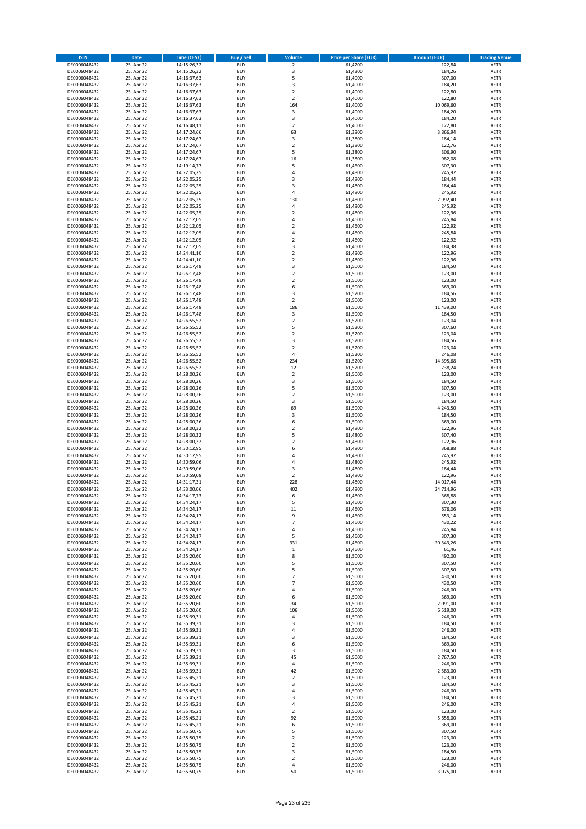| <b>ISIN</b>                  | Date                     | Time (CEST)                | <b>Buy / Sell</b>        | <b>Volume</b>                 | <b>Price per Share (EUR)</b> | <b>Amount (EUR)</b> | <b>Trading Venue</b>       |
|------------------------------|--------------------------|----------------------------|--------------------------|-------------------------------|------------------------------|---------------------|----------------------------|
| DE0006048432                 | 25. Apr 22               | 14:15:26,32                | <b>BUY</b>               | $\overline{2}$                | 61,4200                      | 122,84              | <b>XETR</b>                |
| DE0006048432                 | 25. Apr 22               | 14:15:26,32                | <b>BUY</b>               | 3                             | 61,4200                      | 184,26              | XETR                       |
| DE0006048432                 | 25. Apr 22               | 14:16:37,63                | <b>BUY</b>               | 5                             | 61,4000                      | 307,00              | <b>XETR</b>                |
| DE0006048432                 | 25. Apr 22               | 14:16:37,63                | <b>BUY</b>               | $\mathsf 3$                   | 61,4000                      | 184,20              | XETR                       |
| DE0006048432<br>DE0006048432 | 25. Apr 22<br>25. Apr 22 | 14:16:37,63<br>14:16:37,63 | <b>BUY</b><br><b>BUY</b> | $\overline{2}$<br>$\mathbf 2$ | 61,4000<br>61,4000           | 122,80<br>122,80    | <b>XETR</b><br><b>XETR</b> |
| DE0006048432                 | 25. Apr 22               | 14:16:37,63                | <b>BUY</b>               | 164                           | 61,4000                      | 10.069,60           | <b>XETR</b>                |
| DE0006048432                 | 25. Apr 22               | 14:16:37,63                | <b>BUY</b>               | 3                             | 61,4000                      | 184,20              | <b>XETR</b>                |
| DE0006048432                 | 25. Apr 22               | 14:16:37,63                | <b>BUY</b>               | 3                             | 61,4000                      | 184,20              | <b>XETR</b>                |
| DE0006048432                 | 25. Apr 22               | 14:16:48,11                | <b>BUY</b>               | $\overline{2}$                | 61,4000                      | 122,80              | <b>XETR</b>                |
| DE0006048432                 | 25. Apr 22               | 14:17:24,66                | <b>BUY</b>               | 63                            | 61,3800                      | 3.866,94            | <b>XETR</b>                |
| DE0006048432                 | 25. Apr 22               | 14:17:24,67                | <b>BUY</b>               | 3<br>$\mathbf 2$              | 61,3800                      | 184,14              | <b>XETR</b>                |
| DE0006048432<br>DE0006048432 | 25. Apr 22<br>25. Apr 22 | 14:17:24,67<br>14:17:24,67 | <b>BUY</b><br><b>BUY</b> | 5                             | 61,3800<br>61,3800           | 122,76<br>306,90    | <b>XETR</b><br><b>XETR</b> |
| DE0006048432                 | 25. Apr 22               | 14:17:24,67                | <b>BUY</b>               | 16                            | 61,3800                      | 982,08              | <b>XETR</b>                |
| DE0006048432                 | 25. Apr 22               | 14:19:14,77                | <b>BUY</b>               | 5                             | 61,4600                      | 307,30              | <b>XETR</b>                |
| DE0006048432                 | 25. Apr 22               | 14:22:05,25                | <b>BUY</b>               | 4                             | 61,4800                      | 245,92              | <b>XETR</b>                |
| DE0006048432                 | 25. Apr 22               | 14:22:05,25                | <b>BUY</b>               | 3                             | 61,4800                      | 184,44              | <b>XETR</b>                |
| DE0006048432                 | 25. Apr 22               | 14:22:05,25                | <b>BUY</b>               | 3                             | 61,4800                      | 184,44              | <b>XETR</b>                |
| DE0006048432<br>DE0006048432 | 25. Apr 22<br>25. Apr 22 | 14:22:05,25<br>14:22:05,25 | <b>BUY</b><br><b>BUY</b> | $\overline{4}$<br>130         | 61,4800<br>61,4800           | 245,92<br>7.992,40  | <b>XETR</b><br><b>XETR</b> |
| DE0006048432                 | 25. Apr 22               | 14:22:05,25                | <b>BUY</b>               | 4                             | 61,4800                      | 245,92              | <b>XETR</b>                |
| DE0006048432                 | 25. Apr 22               | 14:22:05,25                | <b>BUY</b>               | $\mathbf 2$                   | 61,4800                      | 122,96              | <b>XETR</b>                |
| DE0006048432                 | 25. Apr 22               | 14:22:12,05                | <b>BUY</b>               | $\sqrt{4}$                    | 61,4600                      | 245,84              | <b>XETR</b>                |
| DE0006048432                 | 25. Apr 22               | 14:22:12,05                | <b>BUY</b>               | $\overline{2}$                | 61,4600                      | 122,92              | <b>XETR</b>                |
| DE0006048432                 | 25. Apr 22               | 14:22:12,05                | <b>BUY</b>               | 4                             | 61,4600                      | 245,84              | <b>XETR</b>                |
| DE0006048432<br>DE0006048432 | 25. Apr 22               | 14:22:12,05                | <b>BUY</b><br><b>BUY</b> | $\mathbf 2$<br>3              | 61,4600                      | 122,92              | <b>XETR</b><br><b>XETR</b> |
| DE0006048432                 | 25. Apr 22<br>25. Apr 22 | 14:22:12,05<br>14:24:41,10 | <b>BUY</b>               | $\mathbf 2$                   | 61,4600<br>61,4800           | 184,38<br>122,96    | <b>XETR</b>                |
| DE0006048432                 | 25. Apr 22               | 14:24:41,10                | <b>BUY</b>               | $\overline{2}$                | 61,4800                      | 122,96              | <b>XETR</b>                |
| DE0006048432                 | 25. Apr 22               | 14:26:17,48                | <b>BUY</b>               | 3                             | 61,5000                      | 184,50              | <b>XETR</b>                |
| DE0006048432                 | 25. Apr 22               | 14:26:17,48                | <b>BUY</b>               | $\overline{2}$                | 61,5000                      | 123,00              | <b>XETR</b>                |
| DE0006048432                 | 25. Apr 22               | 14:26:17,48                | <b>BUY</b>               | $\mathbf 2$                   | 61,5000                      | 123,00              | <b>XETR</b>                |
| DE0006048432                 | 25. Apr 22               | 14:26:17,48                | <b>BUY</b>               | 6                             | 61,5000                      | 369,00              | <b>XETR</b>                |
| DE0006048432<br>DE0006048432 | 25. Apr 22<br>25. Apr 22 | 14:26:17,48<br>14:26:17,48 | <b>BUY</b><br><b>BUY</b> | 3<br>$\mathbf 2$              | 61,5200<br>61,5000           | 184,56<br>123,00    | <b>XETR</b><br><b>XETR</b> |
| DE0006048432                 | 25. Apr 22               | 14:26:17,48                | <b>BUY</b>               | 186                           | 61,5000                      | 11.439,00           | <b>XETR</b>                |
| DE0006048432                 | 25. Apr 22               | 14:26:17,48                | <b>BUY</b>               | $\mathsf 3$                   | 61,5000                      | 184,50              | <b>XETR</b>                |
| DE0006048432                 | 25. Apr 22               | 14:26:55,52                | <b>BUY</b>               | $\overline{2}$                | 61,5200                      | 123,04              | <b>XETR</b>                |
| DE0006048432                 | 25. Apr 22               | 14:26:55,52                | <b>BUY</b>               | 5                             | 61,5200                      | 307,60              | <b>XETR</b>                |
| DE0006048432                 | 25. Apr 22               | 14:26:55,52                | <b>BUY</b>               | $\mathbf 2$                   | 61,5200                      | 123,04              | <b>XETR</b>                |
| DE0006048432                 | 25. Apr 22<br>25. Apr 22 | 14:26:55,52                | <b>BUY</b><br><b>BUY</b> | 3<br>$\mathbf 2$              | 61,5200                      | 184,56<br>123,04    | <b>XETR</b><br><b>XETR</b> |
| DE0006048432<br>DE0006048432 | 25. Apr 22               | 14:26:55,52<br>14:26:55,52 | <b>BUY</b>               | $\sqrt{4}$                    | 61,5200<br>61,5200           | 246,08              | <b>XETR</b>                |
| DE0006048432                 | 25. Apr 22               | 14:26:55,52                | <b>BUY</b>               | 234                           | 61,5200                      | 14.395,68           | <b>XETR</b>                |
| DE0006048432                 | 25. Apr 22               | 14:26:55,52                | <b>BUY</b>               | 12                            | 61,5200                      | 738,24              | <b>XETR</b>                |
| DE0006048432                 | 25. Apr 22               | 14:28:00,26                | <b>BUY</b>               | $\mathbf 2$                   | 61,5000                      | 123,00              | <b>XETR</b>                |
| DE0006048432                 | 25. Apr 22               | 14:28:00,26                | <b>BUY</b>               | 3                             | 61,5000                      | 184,50              | <b>XETR</b>                |
| DE0006048432<br>DE0006048432 | 25. Apr 22<br>25. Apr 22 | 14:28:00,26<br>14:28:00,26 | <b>BUY</b><br><b>BUY</b> | 5<br>$\overline{2}$           | 61,5000<br>61,5000           | 307,50<br>123,00    | <b>XETR</b><br><b>XETR</b> |
| DE0006048432                 | 25. Apr 22               | 14:28:00,26                | <b>BUY</b>               | 3                             | 61,5000                      | 184,50              | <b>XETR</b>                |
| DE0006048432                 | 25. Apr 22               | 14:28:00,26                | <b>BUY</b>               | 69                            | 61,5000                      | 4.243,50            | <b>XETR</b>                |
| DE0006048432                 | 25. Apr 22               | 14:28:00,26                | <b>BUY</b>               | 3                             | 61,5000                      | 184,50              | <b>XETR</b>                |
| DE0006048432                 | 25. Apr 22               | 14:28:00,26                | <b>BUY</b>               | 6                             | 61,5000                      | 369,00              | <b>XETR</b>                |
| DE0006048432                 | 25. Apr 22               | 14:28:00,32                | <b>BUY</b>               | $\overline{\mathbf{c}}$       | 61,4800                      | 122,96              | <b>XETR</b>                |
| DE0006048432                 | 25. Apr 22               | 14:28:00,32                | <b>BUY</b>               | 5                             | 61,4800                      | 307,40              | <b>XETR</b>                |
| DE0006048432<br>DE0006048432 | 25. Apr 22<br>25. Apr 22 | 14:28:00,32<br>14:30:12,95 | <b>BUY</b><br><b>BUY</b> | $\overline{2}$<br>6           | 61,4800<br>61,4800           | 122,96<br>368,88    | <b>XETR</b><br><b>XETR</b> |
| DE0006048432                 | 25. Apr 22               | 14:30:12,95                | <b>BUY</b>               | $\overline{4}$                | 61,4800                      | 245,92              | <b>XETR</b>                |
| DE0006048432                 | 25. Apr 22               | 14:30:59,06                | <b>BUY</b>               | 4                             | 61,4800                      | 245,92              | <b>XETR</b>                |
| DE0006048432                 | 25. Apr 22               | 14:30:59,06                | <b>BUY</b>               | 3                             | 61,4800                      | 184,44              | <b>XETR</b>                |
| DE0006048432                 | 25. Apr 22               | 14:30:59,08                | <b>BUY</b>               | $\overline{2}$                | 61,4800                      | 122,96              | <b>XETR</b>                |
| DE0006048432                 | 25. Apr 22               | 14:31:17,31                | <b>BUY</b>               | 228                           | 61,4800                      | 14.017,44           | <b>XETR</b>                |
| DE0006048432<br>DE0006048432 | 25. Apr 22<br>25. Apr 22 | 14:33:00,06<br>14:34:17,73 | <b>BUY</b><br>BUY        | 402<br>6                      | 61,4800<br>61,4800           | 24.714,96<br>368,88 | <b>XETR</b><br>XETR        |
| DE0006048432                 | 25. Apr 22               | 14:34:24,17                | <b>BUY</b>               | 5                             | 61,4600                      | 307,30              | <b>XETR</b>                |
| DE0006048432                 | 25. Apr 22               | 14:34:24,17                | <b>BUY</b>               | 11                            | 61,4600                      | 676,06              | <b>XETR</b>                |
| DE0006048432                 | 25. Apr 22               | 14:34:24,17                | <b>BUY</b>               | 9                             | 61,4600                      | 553,14              | XETR                       |
| DE0006048432                 | 25. Apr 22               | 14:34:24,17                | <b>BUY</b>               | $\overline{7}$                | 61,4600                      | 430,22              | XETR                       |
| DE0006048432                 | 25. Apr 22               | 14:34:24,17                | <b>BUY</b>               | $\sqrt{4}$                    | 61,4600                      | 245,84              | <b>XETR</b>                |
| DE0006048432                 | 25. Apr 22<br>25. Apr 22 | 14:34:24,17                | <b>BUY</b>               | 5                             | 61,4600                      | 307,30              | <b>XETR</b>                |
| DE0006048432<br>DE0006048432 | 25. Apr 22               | 14:34:24,17<br>14:34:24,17 | <b>BUY</b><br><b>BUY</b> | 331<br>$\,$ 1                 | 61,4600<br>61,4600           | 20.343,26<br>61,46  | <b>XETR</b><br>XETR        |
| DE0006048432                 | 25. Apr 22               | 14:35:20,60                | <b>BUY</b>               | 8                             | 61,5000                      | 492,00              | <b>XETR</b>                |
| DE0006048432                 | 25. Apr 22               | 14:35:20,60                | <b>BUY</b>               | 5                             | 61,5000                      | 307,50              | XETR                       |
| DE0006048432                 | 25. Apr 22               | 14:35:20,60                | <b>BUY</b>               | 5                             | 61,5000                      | 307,50              | <b>XETR</b>                |
| DE0006048432                 | 25. Apr 22               | 14:35:20,60                | <b>BUY</b>               | $\overline{7}$                | 61,5000                      | 430,50              | XETR                       |
| DE0006048432<br>DE0006048432 | 25. Apr 22<br>25. Apr 22 | 14:35:20,60<br>14:35:20,60 | <b>BUY</b><br><b>BUY</b> | $\overline{7}$<br>$\sqrt{4}$  | 61,5000<br>61,5000           | 430,50<br>246,00    | <b>XETR</b><br>XETR        |
| DE0006048432                 | 25. Apr 22               | 14:35:20,60                | <b>BUY</b>               | 6                             | 61,5000                      | 369,00              | <b>XETR</b>                |
| DE0006048432                 | 25. Apr 22               | 14:35:20,60                | <b>BUY</b>               | 34                            | 61,5000                      | 2.091,00            | <b>XETR</b>                |
| DE0006048432                 | 25. Apr 22               | 14:35:20,60                | <b>BUY</b>               | 106                           | 61,5000                      | 6.519,00            | <b>XETR</b>                |
| DE0006048432                 | 25. Apr 22               | 14:35:39,31                | <b>BUY</b>               | 4                             | 61,5000                      | 246,00              | XETR                       |
| DE0006048432                 | 25. Apr 22               | 14:35:39,31                | <b>BUY</b>               | $\mathsf 3$                   | 61,5000                      | 184,50              | XETR                       |
| DE0006048432<br>DE0006048432 | 25. Apr 22<br>25. Apr 22 | 14:35:39,31<br>14:35:39,31 | <b>BUY</b><br><b>BUY</b> | 4<br>3                        | 61,5000<br>61,5000           | 246,00<br>184,50    | <b>XETR</b><br><b>XETR</b> |
| DE0006048432                 | 25. Apr 22               | 14:35:39,31                | <b>BUY</b>               | 6                             | 61,5000                      | 369,00              | XETR                       |
| DE0006048432                 | 25. Apr 22               | 14:35:39,31                | <b>BUY</b>               | 3                             | 61,5000                      | 184,50              | <b>XETR</b>                |
| DE0006048432                 | 25. Apr 22               | 14:35:39,31                | <b>BUY</b>               | 45                            | 61,5000                      | 2.767,50            | XETR                       |
| DE0006048432                 | 25. Apr 22               | 14:35:39,31                | <b>BUY</b>               | 4                             | 61,5000                      | 246,00              | <b>XETR</b>                |
| DE0006048432                 | 25. Apr 22               | 14:35:39,31                | <b>BUY</b>               | 42                            | 61,5000                      | 2.583,00            | XETR                       |
| DE0006048432<br>DE0006048432 | 25. Apr 22<br>25. Apr 22 | 14:35:45,21<br>14:35:45,21 | <b>BUY</b><br><b>BUY</b> | $\mathbf 2$<br>3              | 61,5000<br>61,5000           | 123,00<br>184,50    | <b>XETR</b><br><b>XETR</b> |
| DE0006048432                 | 25. Apr 22               | 14:35:45,21                | <b>BUY</b>               | 4                             | 61,5000                      | 246,00              | <b>XETR</b>                |
| DE0006048432                 | 25. Apr 22               | 14:35:45,21                | <b>BUY</b>               | 3                             | 61,5000                      | 184,50              | XETR                       |
| DE0006048432                 | 25. Apr 22               | 14:35:45,21                | <b>BUY</b>               | 4                             | 61,5000                      | 246,00              | XETR                       |
| DE0006048432                 | 25. Apr 22               | 14:35:45,21                | <b>BUY</b>               | $\mathbf 2$                   | 61,5000                      | 123,00              | XETR                       |
| DE0006048432                 | 25. Apr 22               | 14:35:45,21                | <b>BUY</b>               | 92                            | 61,5000                      | 5.658,00            | XETR                       |
| DE0006048432                 | 25. Apr 22<br>25. Apr 22 | 14:35:45,21                | <b>BUY</b><br><b>BUY</b> | 6<br>5                        | 61,5000                      | 369,00<br>307,50    | <b>XETR</b>                |
| DE0006048432<br>DE0006048432 | 25. Apr 22               | 14:35:50,75<br>14:35:50,75 | <b>BUY</b>               | $\overline{2}$                | 61,5000<br>61,5000           | 123,00              | <b>XETR</b><br>XETR        |
| DE0006048432                 | 25. Apr 22               | 14:35:50,75                | <b>BUY</b>               | $\mathbf 2$                   | 61,5000                      | 123,00              | XETR                       |
| DE0006048432                 | 25. Apr 22               | 14:35:50,75                | <b>BUY</b>               | 3                             | 61,5000                      | 184,50              | <b>XETR</b>                |
| DE0006048432                 | 25. Apr 22               | 14:35:50,75                | <b>BUY</b>               | $\mathbf 2$                   | 61,5000                      | 123,00              | XETR                       |
| DE0006048432                 | 25. Apr 22               | 14:35:50,75                | <b>BUY</b>               | 4                             | 61,5000                      | 246,00              | <b>XETR</b>                |
| DE0006048432                 | 25. Apr 22               | 14:35:50,75                | <b>BUY</b>               | 50                            | 61,5000                      | 3.075,00            | <b>XETR</b>                |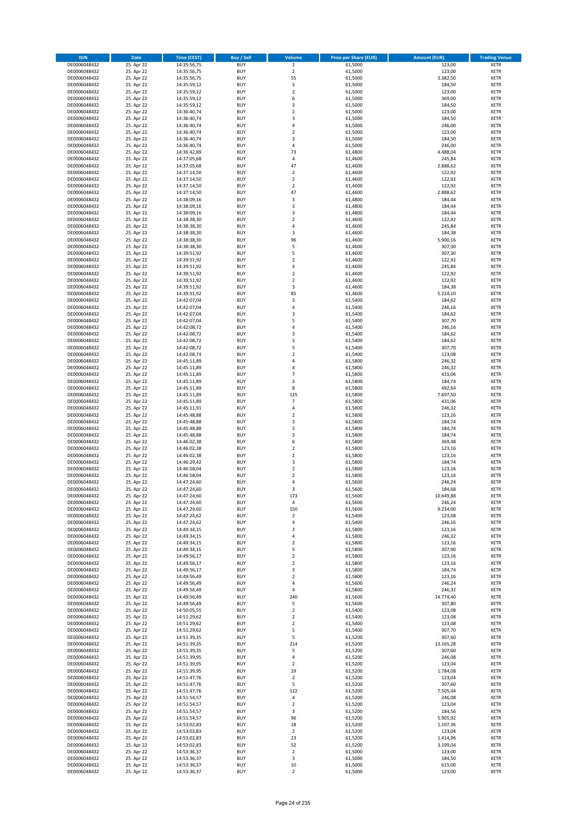| <b>ISIN</b>                  | Date                     | Time (CEST)                | <b>Buy / Sell</b>        | <b>Volume</b>                 | <b>Price per Share (EUR)</b> | <b>Amount (EUR)</b>  | <b>Trading Venue</b>       |
|------------------------------|--------------------------|----------------------------|--------------------------|-------------------------------|------------------------------|----------------------|----------------------------|
| DE0006048432                 | 25. Apr 22               | 14:35:56,75                | <b>BUY</b>               | $\overline{2}$                | 61,5000                      | 123,00               | <b>XETR</b>                |
| DE0006048432                 | 25. Apr 22               | 14:35:56,75                | <b>BUY</b>               | $\mathbf 2$                   | 61,5000                      | 123,00               | XETR                       |
| DE0006048432                 | 25. Apr 22               | 14:35:56,75                | <b>BUY</b>               | 55                            | 61,5000                      | 3.382,50             | <b>XETR</b>                |
| DE0006048432                 | 25. Apr 22               | 14:35:59,12                | <b>BUY</b>               | $\mathsf 3$                   | 61,5000                      | 184,50               | XETR                       |
| DE0006048432<br>DE0006048432 | 25. Apr 22<br>25. Apr 22 | 14:35:59,12<br>14:35:59,12 | <b>BUY</b><br><b>BUY</b> | $\mathbf 2$<br>6              | 61,5000<br>61,5000           | 123,00<br>369,00     | <b>XETR</b><br><b>XETR</b> |
| DE0006048432                 | 25. Apr 22               | 14:35:59,12                | <b>BUY</b>               | 3                             | 61,5000                      | 184,50               | <b>XETR</b>                |
| DE0006048432                 | 25. Apr 22               | 14:36:40,74                | <b>BUY</b>               | $\mathbf 2$                   | 61,5000                      | 123,00               | <b>XETR</b>                |
| DE0006048432                 | 25. Apr 22               | 14:36:40,74                | <b>BUY</b>               | 3                             | 61,5000                      | 184,50               | <b>XETR</b>                |
| DE0006048432                 | 25. Apr 22               | 14:36:40,74                | <b>BUY</b>               | 4                             | 61,5000                      | 246,00               | <b>XETR</b>                |
| DE0006048432                 | 25. Apr 22               | 14:36:40,74                | <b>BUY</b>               | $\mathbf 2$                   | 61,5000                      | 123,00               | <b>XETR</b>                |
| DE0006048432<br>DE0006048432 | 25. Apr 22<br>25. Apr 22 | 14:36:40,74<br>14:36:40,74 | <b>BUY</b><br><b>BUY</b> | 3<br>$\overline{4}$           | 61,5000<br>61,5000           | 184,50<br>246,00     | <b>XETR</b><br><b>XETR</b> |
| DE0006048432                 | 25. Apr 22               | 14:36:42,89                | <b>BUY</b>               | 73                            | 61,4800                      | 4.488,04             | <b>XETR</b>                |
| DE0006048432                 | 25. Apr 22               | 14:37:05,68                | <b>BUY</b>               | 4                             | 61,4600                      | 245,84               | <b>XETR</b>                |
| DE0006048432                 | 25. Apr 22               | 14:37:05,68                | <b>BUY</b>               | 47                            | 61,4600                      | 2.888,62             | <b>XETR</b>                |
| DE0006048432                 | 25. Apr 22               | 14:37:14,50                | <b>BUY</b>               | $\overline{2}$                | 61,4600                      | 122,92               | <b>XETR</b>                |
| DE0006048432                 | 25. Apr 22               | 14:37:14,50                | <b>BUY</b>               | $\overline{2}$                | 61,4600                      | 122,92               | <b>XETR</b>                |
| DE0006048432<br>DE0006048432 | 25. Apr 22               | 14:37:14,50                | <b>BUY</b>               | $\overline{2}$<br>47          | 61,4600                      | 122,92               | <b>XETR</b>                |
| DE0006048432                 | 25. Apr 22<br>25. Apr 22 | 14:37:14,50<br>14:38:09,16 | <b>BUY</b><br><b>BUY</b> | 3                             | 61,4600<br>61,4800           | 2.888,62<br>184,44   | <b>XETR</b><br><b>XETR</b> |
| DE0006048432                 | 25. Apr 22               | 14:38:09,16                | <b>BUY</b>               | 3                             | 61,4800                      | 184,44               | <b>XETR</b>                |
| DE0006048432                 | 25. Apr 22               | 14:38:09,16                | <b>BUY</b>               | 3                             | 61,4800                      | 184,44               | <b>XETR</b>                |
| DE0006048432                 | 25. Apr 22               | 14:38:38,30                | <b>BUY</b>               | $\overline{2}$                | 61,4600                      | 122,92               | <b>XETR</b>                |
| DE0006048432                 | 25. Apr 22               | 14:38:38,30                | <b>BUY</b>               | $\sqrt{4}$                    | 61,4600                      | 245,84               | <b>XETR</b>                |
| DE0006048432                 | 25. Apr 22               | 14:38:38,30                | <b>BUY</b>               | 3                             | 61,4600                      | 184,38               | <b>XETR</b>                |
| DE0006048432<br>DE0006048432 | 25. Apr 22<br>25. Apr 22 | 14:38:38,30<br>14:38:38,30 | <b>BUY</b><br><b>BUY</b> | 96<br>5                       | 61,4600<br>61,4600           | 5.900,16<br>307,30   | <b>XETR</b><br><b>XETR</b> |
| DE0006048432                 | 25. Apr 22               | 14:39:51,92                | <b>BUY</b>               | 5                             | 61,4600                      | 307,30               | <b>XETR</b>                |
| DE0006048432                 | 25. Apr 22               | 14:39:51,92                | <b>BUY</b>               | $\overline{2}$                | 61,4600                      | 122,92               | <b>XETR</b>                |
| DE0006048432                 | 25. Apr 22               | 14:39:51,92                | <b>BUY</b>               | $\sqrt{4}$                    | 61,4600                      | 245,84               | <b>XETR</b>                |
| DE0006048432                 | 25. Apr 22               | 14:39:51,92                | <b>BUY</b>               | $\mathbf 2$                   | 61,4600                      | 122,92               | <b>XETR</b>                |
| DE0006048432                 | 25. Apr 22               | 14:39:51,92                | <b>BUY</b>               | $\mathbf 2$                   | 61,4600                      | 122,92               | <b>XETR</b>                |
| DE0006048432<br>DE0006048432 | 25. Apr 22<br>25. Apr 22 | 14:39:51,92                | <b>BUY</b><br><b>BUY</b> | 3<br>85                       | 61,4600<br>61,4600           | 184,38               | <b>XETR</b><br><b>XETR</b> |
| DE0006048432                 | 25. Apr 22               | 14:39:51,92<br>14:42:07,04 | <b>BUY</b>               | 3                             | 61,5400                      | 5.224,10<br>184,62   | <b>XETR</b>                |
| DE0006048432                 | 25. Apr 22               | 14:42:07,04                | <b>BUY</b>               | 4                             | 61,5400                      | 246,16               | <b>XETR</b>                |
| DE0006048432                 | 25. Apr 22               | 14:42:07,04                | <b>BUY</b>               | 3                             | 61,5400                      | 184,62               | <b>XETR</b>                |
| DE0006048432                 | 25. Apr 22               | 14:42:07,04                | <b>BUY</b>               | 5                             | 61,5400                      | 307,70               | <b>XETR</b>                |
| DE0006048432                 | 25. Apr 22               | 14:42:08,72                | <b>BUY</b>               | 4                             | 61,5400                      | 246,16               | <b>XETR</b>                |
| DE0006048432                 | 25. Apr 22               | 14:42:08,72                | <b>BUY</b>               | 3                             | 61,5400                      | 184,62               | <b>XETR</b>                |
| DE0006048432<br>DE0006048432 | 25. Apr 22<br>25. Apr 22 | 14:42:08,72<br>14:42:08,72 | <b>BUY</b><br><b>BUY</b> | 3<br>5                        | 61,5400<br>61,5400           | 184,62<br>307,70     | <b>XETR</b><br><b>XETR</b> |
| DE0006048432                 | 25. Apr 22               | 14:42:08,74                | <b>BUY</b>               | $\overline{2}$                | 61,5400                      | 123,08               | <b>XETR</b>                |
| DE0006048432                 | 25. Apr 22               | 14:45:11,89                | <b>BUY</b>               | 4                             | 61,5800                      | 246,32               | <b>XETR</b>                |
| DE0006048432                 | 25. Apr 22               | 14:45:11,89                | <b>BUY</b>               | 4                             | 61,5800                      | 246,32               | <b>XETR</b>                |
| DE0006048432                 | 25. Apr 22               | 14:45:11,89                | <b>BUY</b>               | $\overline{7}$                | 61,5800                      | 431,06               | <b>XETR</b>                |
| DE0006048432                 | 25. Apr 22               | 14:45:11,89                | <b>BUY</b>               | 3                             | 61,5800                      | 184,74               | <b>XETR</b>                |
| DE0006048432<br>DE0006048432 | 25. Apr 22<br>25. Apr 22 | 14:45:11,89<br>14:45:11,89 | <b>BUY</b><br><b>BUY</b> | 8<br>125                      | 61,5800<br>61,5800           | 492,64<br>7.697,50   | <b>XETR</b><br><b>XETR</b> |
| DE0006048432                 | 25. Apr 22               | 14:45:11,89                | <b>BUY</b>               | $\overline{7}$                | 61,5800                      | 431,06               | <b>XETR</b>                |
| DE0006048432                 | 25. Apr 22               | 14:45:11,91                | <b>BUY</b>               | $\overline{4}$                | 61,5800                      | 246,32               | <b>XETR</b>                |
| DE0006048432                 | 25. Apr 22               | 14:45:48,88                | <b>BUY</b>               | $\overline{2}$                | 61,5800                      | 123,16               | <b>XETR</b>                |
| DE0006048432                 | 25. Apr 22               | 14:45:48,88                | <b>BUY</b>               | 3                             | 61,5800                      | 184,74               | <b>XETR</b>                |
| DE0006048432                 | 25. Apr 22               | 14:45:48,88                | <b>BUY</b>               | 3                             | 61,5800                      | 184,74               | <b>XETR</b>                |
| DE0006048432<br>DE0006048432 | 25. Apr 22<br>25. Apr 22 | 14:45:48,88<br>14:46:02,38 | <b>BUY</b><br><b>BUY</b> | 3<br>6                        | 61,5800<br>61,5800           | 184,74<br>369,48     | <b>XETR</b><br><b>XETR</b> |
| DE0006048432                 | 25. Apr 22               | 14:46:02,38                | <b>BUY</b>               | $\overline{2}$                | 61,5800                      | 123,16               | <b>XETR</b>                |
| DE0006048432                 | 25. Apr 22               | 14:46:02,38                | <b>BUY</b>               | $\mathbf 2$                   | 61,5800                      | 123,16               | <b>XETR</b>                |
| DE0006048432                 | 25. Apr 22               | 14:46:29,42                | <b>BUY</b>               | 3                             | 61,5800                      | 184,74               | <b>XETR</b>                |
| DE0006048432                 | 25. Apr 22               | 14:46:58,04                | <b>BUY</b>               | $\mathbf 2$                   | 61,5800                      | 123,16               | <b>XETR</b>                |
| DE0006048432                 | 25. Apr 22               | 14:46:58,04                | <b>BUY</b>               | $\overline{\mathbf{c}}$       | 61,5800                      | 123,16               | <b>XETR</b>                |
| DE0006048432<br>DE0006048432 | 25. Apr 22<br>25. Apr 22 | 14:47:24,60<br>14:47:24,60 | <b>BUY</b><br><b>BUY</b> | $\overline{4}$<br>3           | 61,5600<br>61,5600           | 246,24<br>184,68     | <b>XETR</b><br><b>XETR</b> |
| DE0006048432                 | 25. Apr 22               | 14:47:24,60                | BUY                      | 173                           | 61,5600                      | 10.649,88            | XETR                       |
| DE0006048432                 | 25. Apr 22               | 14:47:24,60                | <b>BUY</b>               | $\pmb{4}$                     | 61,5600                      | 246,24               | <b>XETR</b>                |
| DE0006048432                 | 25. Apr 22               | 14:47:24,60                | <b>BUY</b>               | 150                           | 61,5600                      | 9.234,00             | <b>XETR</b>                |
| DE0006048432                 | 25. Apr 22               | 14:47:24,62                | <b>BUY</b>               | $\mathbf 2$                   | 61,5400                      | 123,08               | XETR                       |
| DE0006048432                 | 25. Apr 22               | 14:47:24,62                | <b>BUY</b>               | 4                             | 61,5400                      | 246,16               | XETR                       |
| DE0006048432<br>DE0006048432 | 25. Apr 22<br>25. Apr 22 | 14:49:34,15<br>14:49:34,15 | <b>BUY</b><br><b>BUY</b> | $\mathbf 2$<br>$\pmb{4}$      | 61,5800<br>61,5800           | 123,16<br>246,32     | XETR<br><b>XETR</b>        |
| DE0006048432                 | 25. Apr 22               | 14:49:34,15                | <b>BUY</b>               | $\mathbf 2$                   | 61,5800                      | 123,16               | <b>XETR</b>                |
| DE0006048432                 | 25. Apr 22               | 14:49:34,15                | <b>BUY</b>               | 5                             | 61,5800                      | 307,90               | XETR                       |
| DE0006048432                 | 25. Apr 22               | 14:49:56,17                | <b>BUY</b>               | $\mathbf 2$                   | 61,5800                      | 123,16               | <b>XETR</b>                |
| DE0006048432                 | 25. Apr 22               | 14:49:56,17                | <b>BUY</b>               | $\overline{2}$                | 61,5800                      | 123,16               | XETR                       |
| DE0006048432                 | 25. Apr 22<br>25. Apr 22 | 14:49:56,17                | <b>BUY</b><br><b>BUY</b> | 3<br>$\mathbf 2$              | 61,5800                      | 184,74<br>123,16     | <b>XETR</b>                |
| DE0006048432<br>DE0006048432 | 25. Apr 22               | 14:49:56,49<br>14:49:56,49 | <b>BUY</b>               | $\pmb{4}$                     | 61,5800<br>61,5600           | 246,24               | XETR<br><b>XETR</b>        |
| DE0006048432                 | 25. Apr 22               | 14:49:56,49                | <b>BUY</b>               | 4                             | 61,5800                      | 246,32               | XETR                       |
| DE0006048432                 | 25. Apr 22               | 14:49:56,49                | <b>BUY</b>               | 240                           | 61,5600                      | 14.774,40            | <b>XETR</b>                |
| DE0006048432                 | 25. Apr 22               | 14:49:56,49                | <b>BUY</b>               | 5                             | 61,5600                      | 307,80               | <b>XETR</b>                |
| DE0006048432                 | 25. Apr 22               | 14:50:05,55                | <b>BUY</b>               | $\mathbf 2$                   | 61,5400                      | 123,08               | <b>XETR</b>                |
| DE0006048432                 | 25. Apr 22<br>25. Apr 22 | 14:51:29,62                | <b>BUY</b><br><b>BUY</b> | $\mathbf 2$<br>$\overline{2}$ | 61,5400<br>61,5400           | 123,08<br>123,08     | XETR                       |
| DE0006048432<br>DE0006048432 | 25. Apr 22               | 14:51:29,62<br>14:51:29,62 | <b>BUY</b>               | 5                             | 61,5400                      | 307,70               | XETR<br><b>XETR</b>        |
| DE0006048432                 | 25. Apr 22               | 14:51:39,35                | <b>BUY</b>               | 5                             | 61,5200                      | 307,60               | <b>XETR</b>                |
| DE0006048432                 | 25. Apr 22               | 14:51:39,35                | <b>BUY</b>               | 214                           | 61,5200                      | 13.165,28            | XETR                       |
| DE0006048432                 | 25. Apr 22               | 14:51:39,35                | <b>BUY</b>               | 5                             | 61,5200                      | 307,60               | <b>XETR</b>                |
| DE0006048432                 | 25. Apr 22               | 14:51:39,95                | <b>BUY</b>               | $\pmb{4}$                     | 61,5200                      | 246,08               | XETR                       |
| DE0006048432<br>DE0006048432 | 25. Apr 22               | 14:51:39,95                | <b>BUY</b><br><b>BUY</b> | $\mathbf 2$<br>29             | 61,5200                      | 123,04               | <b>XETR</b><br>XETR        |
| DE0006048432                 | 25. Apr 22<br>25. Apr 22 | 14:51:39,95<br>14:51:47,76 | <b>BUY</b>               | $\overline{2}$                | 61,5200<br>61,5200           | 1.784,08<br>123,04   | <b>XETR</b>                |
| DE0006048432                 | 25. Apr 22               | 14:51:47,76                | <b>BUY</b>               | 5                             | 61,5200                      | 307,60               | <b>XETR</b>                |
| DE0006048432                 | 25. Apr 22               | 14:51:47,76                | <b>BUY</b>               | 122                           | 61,5200                      | 7.505,44             | XETR                       |
| DE0006048432                 | 25. Apr 22               | 14:51:54,57                | <b>BUY</b>               | $\pmb{4}$                     | 61,5200                      | 246,08               | XETR                       |
| DE0006048432                 | 25. Apr 22               | 14:51:54,57                | <b>BUY</b>               | $\overline{2}$                | 61,5200                      | 123,04               | XETR                       |
| DE0006048432                 | 25. Apr 22               | 14:51:54,57                | <b>BUY</b>               | 3                             | 61,5200                      | 184,56               | XETR                       |
| DE0006048432<br>DE0006048432 | 25. Apr 22<br>25. Apr 22 | 14:51:54,57<br>14:53:02,83 | <b>BUY</b><br><b>BUY</b> | 96<br>18                      | 61,5200<br>61,5200           | 5.905,92<br>1.107,36 | XETR<br><b>XETR</b>        |
| DE0006048432                 | 25. Apr 22               | 14:53:02,83                | <b>BUY</b>               | $\overline{2}$                | 61,5200                      | 123,04               | XETR                       |
| DE0006048432                 | 25. Apr 22               | 14:53:02,83                | <b>BUY</b>               | 23                            | 61,5200                      | 1.414,96             | XETR                       |
| DE0006048432                 | 25. Apr 22               | 14:53:02,83                | <b>BUY</b>               | 52                            | 61,5200                      | 3.199,04             | XETR                       |
| DE0006048432                 | 25. Apr 22               | 14:53:36,37                | <b>BUY</b>               | $\overline{2}$                | 61,5000                      | 123,00               | <b>XETR</b>                |
| DE0006048432                 | 25. Apr 22               | 14:53:36,37                | <b>BUY</b>               | 3                             | 61,5000                      | 184,50               | XETR                       |
| DE0006048432<br>DE0006048432 | 25. Apr 22<br>25. Apr 22 | 14:53:36,37<br>14:53:36,37 | <b>BUY</b><br><b>BUY</b> | $10\,$<br>$\overline{2}$      | 61,5000<br>61,5000           | 615,00<br>123,00     | <b>XETR</b><br>XETR        |
|                              |                          |                            |                          |                               |                              |                      |                            |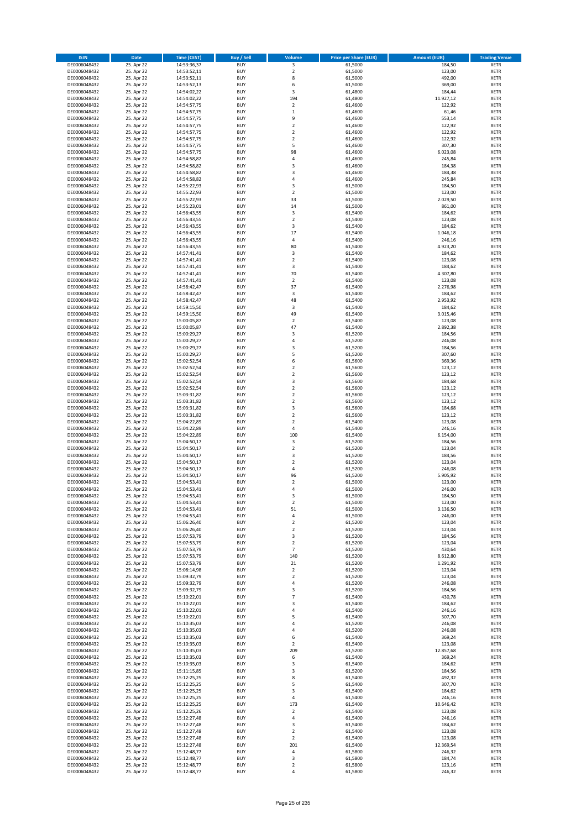| <b>ISIN</b>                  | Date                     | Time (CEST)                | <b>Buy / Sell</b>        | <b>Volume</b>                    | <b>Price per Share (EUR)</b> | <b>Amount (EUR)</b> | <b>Trading Venue</b>       |
|------------------------------|--------------------------|----------------------------|--------------------------|----------------------------------|------------------------------|---------------------|----------------------------|
| DE0006048432                 | 25. Apr 22               | 14:53:36,37                | <b>BUY</b>               | 3                                | 61,5000                      | 184,50              | <b>XETR</b>                |
| DE0006048432                 | 25. Apr 22               | 14:53:52,11                | <b>BUY</b>               | $\mathbf 2$                      | 61,5000                      | 123,00              | XETR                       |
| DE0006048432                 | 25. Apr 22               | 14:53:52,11                | <b>BUY</b>               | 8                                | 61,5000                      | 492,00              | <b>XETR</b>                |
| DE0006048432                 | 25. Apr 22               | 14:53:52,13                | <b>BUY</b>               | 6                                | 61,5000                      | 369,00              | XETR                       |
| DE0006048432<br>DE0006048432 | 25. Apr 22<br>25. Apr 22 | 14:54:02,22<br>14:54:02,22 | <b>BUY</b><br><b>BUY</b> | 3<br>194                         | 61,4800<br>61,4800           | 184,44<br>11.927,12 | <b>XETR</b><br><b>XETR</b> |
| DE0006048432                 | 25. Apr 22               | 14:54:57,75                | <b>BUY</b>               | $\overline{2}$                   | 61,4600                      | 122,92              | <b>XETR</b>                |
| DE0006048432                 | 25. Apr 22               | 14:54:57,75                | <b>BUY</b>               | $\,1\,$                          | 61,4600                      | 61,46               | <b>XETR</b>                |
| DE0006048432                 | 25. Apr 22               | 14:54:57,75                | <b>BUY</b>               | 9                                | 61,4600                      | 553,14              | <b>XETR</b>                |
| DE0006048432                 | 25. Apr 22               | 14:54:57,75                | <b>BUY</b>               | $\overline{2}$                   | 61,4600                      | 122,92              | <b>XETR</b>                |
| DE0006048432                 | 25. Apr 22               | 14:54:57,75                | <b>BUY</b>               | $\mathbf 2$                      | 61,4600                      | 122,92              | <b>XETR</b>                |
| DE0006048432                 | 25. Apr 22               | 14:54:57,75                | <b>BUY</b>               | $\mathbf 2$                      | 61,4600                      | 122,92              | <b>XETR</b>                |
| DE0006048432<br>DE0006048432 | 25. Apr 22<br>25. Apr 22 | 14:54:57,75<br>14:54:57,75 | <b>BUY</b><br><b>BUY</b> | 5<br>98                          | 61,4600<br>61,4600           | 307,30<br>6.023,08  | <b>XETR</b><br><b>XETR</b> |
| DE0006048432                 | 25. Apr 22               | 14:54:58,82                | <b>BUY</b>               | 4                                | 61,4600                      | 245,84              | <b>XETR</b>                |
| DE0006048432                 | 25. Apr 22               | 14:54:58,82                | <b>BUY</b>               | 3                                | 61,4600                      | 184,38              | <b>XETR</b>                |
| DE0006048432                 | 25. Apr 22               | 14:54:58,82                | <b>BUY</b>               | 3                                | 61,4600                      | 184,38              | <b>XETR</b>                |
| DE0006048432                 | 25. Apr 22               | 14:54:58,82                | <b>BUY</b>               | $\pmb{4}$                        | 61,4600                      | 245,84              | <b>XETR</b>                |
| DE0006048432                 | 25. Apr 22               | 14:55:22,93                | <b>BUY</b>               | 3                                | 61,5000                      | 184,50              | <b>XETR</b>                |
| DE0006048432<br>DE0006048432 | 25. Apr 22<br>25. Apr 22 | 14:55:22,93<br>14:55:22,93 | <b>BUY</b><br><b>BUY</b> | $\mathbf 2$<br>33                | 61,5000<br>61,5000           | 123,00<br>2.029,50  | <b>XETR</b><br><b>XETR</b> |
| DE0006048432                 | 25. Apr 22               | 14:55:23,01                | <b>BUY</b>               | 14                               | 61,5000                      | 861,00              | <b>XETR</b>                |
| DE0006048432                 | 25. Apr 22               | 14:56:43,55                | <b>BUY</b>               | 3                                | 61,5400                      | 184,62              | <b>XETR</b>                |
| DE0006048432                 | 25. Apr 22               | 14:56:43,55                | <b>BUY</b>               | $\overline{2}$                   | 61,5400                      | 123,08              | <b>XETR</b>                |
| DE0006048432                 | 25. Apr 22               | 14:56:43,55                | <b>BUY</b>               | 3                                | 61,5400                      | 184,62              | <b>XETR</b>                |
| DE0006048432                 | 25. Apr 22               | 14:56:43,55                | <b>BUY</b>               | 17                               | 61,5400                      | 1.046,18            | <b>XETR</b>                |
| DE0006048432<br>DE0006048432 | 25. Apr 22               | 14:56:43,55                | <b>BUY</b><br><b>BUY</b> | $\sqrt{4}$<br>80                 | 61,5400                      | 246,16<br>4.923,20  | <b>XETR</b><br><b>XETR</b> |
| DE0006048432                 | 25. Apr 22<br>25. Apr 22 | 14:56:43,55<br>14:57:41,41 | <b>BUY</b>               | 3                                | 61,5400<br>61,5400           | 184,62              | <b>XETR</b>                |
| DE0006048432                 | 25. Apr 22               | 14:57:41,41                | <b>BUY</b>               | $\overline{2}$                   | 61,5400                      | 123,08              | <b>XETR</b>                |
| DE0006048432                 | 25. Apr 22               | 14:57:41,41                | <b>BUY</b>               | 3                                | 61,5400                      | 184,62              | <b>XETR</b>                |
| DE0006048432                 | 25. Apr 22               | 14:57:41,41                | <b>BUY</b>               | 70                               | 61,5400                      | 4.307,80            | <b>XETR</b>                |
| DE0006048432                 | 25. Apr 22               | 14:57:41,41                | <b>BUY</b>               | $\mathbf 2$                      | 61,5400                      | 123,08              | <b>XETR</b>                |
| DE0006048432                 | 25. Apr 22               | 14:58:42,47                | <b>BUY</b>               | 37                               | 61,5400                      | 2.276,98            | <b>XETR</b>                |
| DE0006048432<br>DE0006048432 | 25. Apr 22<br>25. Apr 22 | 14:58:42,47<br>14:58:42,47 | <b>BUY</b><br><b>BUY</b> | 3<br>48                          | 61,5400<br>61,5400           | 184,62<br>2.953,92  | <b>XETR</b><br><b>XETR</b> |
| DE0006048432                 | 25. Apr 22               | 14:59:15,50                | <b>BUY</b>               | 3                                | 61,5400                      | 184,62              | <b>XETR</b>                |
| DE0006048432                 | 25. Apr 22               | 14:59:15,50                | <b>BUY</b>               | 49                               | 61,5400                      | 3.015,46            | <b>XETR</b>                |
| DE0006048432                 | 25. Apr 22               | 15:00:05,87                | <b>BUY</b>               | $\overline{2}$                   | 61,5400                      | 123,08              | <b>XETR</b>                |
| DE0006048432                 | 25. Apr 22               | 15:00:05,87                | <b>BUY</b>               | 47                               | 61,5400                      | 2.892,38            | <b>XETR</b>                |
| DE0006048432                 | 25. Apr 22               | 15:00:29,27                | <b>BUY</b>               | 3                                | 61,5200                      | 184,56              | <b>XETR</b>                |
| DE0006048432                 | 25. Apr 22               | 15:00:29,27                | <b>BUY</b>               | 4                                | 61,5200                      | 246,08              | <b>XETR</b>                |
| DE0006048432<br>DE0006048432 | 25. Apr 22<br>25. Apr 22 | 15:00:29,27<br>15:00:29,27 | <b>BUY</b><br><b>BUY</b> | 3<br>5                           | 61,5200<br>61,5200           | 184,56<br>307,60    | <b>XETR</b><br><b>XETR</b> |
| DE0006048432                 | 25. Apr 22               | 15:02:52,54                | <b>BUY</b>               | 6                                | 61,5600                      | 369,36              | <b>XETR</b>                |
| DE0006048432                 | 25. Apr 22               | 15:02:52,54                | <b>BUY</b>               | $\overline{2}$                   | 61,5600                      | 123,12              | <b>XETR</b>                |
| DE0006048432                 | 25. Apr 22               | 15:02:52,54                | <b>BUY</b>               | $\mathbf 2$                      | 61,5600                      | 123,12              | <b>XETR</b>                |
| DE0006048432                 | 25. Apr 22               | 15:02:52,54                | <b>BUY</b>               | 3                                | 61,5600                      | 184,68              | <b>XETR</b>                |
| DE0006048432                 | 25. Apr 22               | 15:02:52,54                | <b>BUY</b><br><b>BUY</b> | $\mathbf 2$<br>$\overline{2}$    | 61,5600                      | 123,12              | <b>XETR</b>                |
| DE0006048432<br>DE0006048432 | 25. Apr 22<br>25. Apr 22 | 15:03:31,82<br>15:03:31,82 | <b>BUY</b>               | $\mathbf 2$                      | 61,5600<br>61,5600           | 123,12<br>123,12    | <b>XETR</b><br><b>XETR</b> |
| DE0006048432                 | 25. Apr 22               | 15:03:31,82                | <b>BUY</b>               | 3                                | 61,5600                      | 184,68              | <b>XETR</b>                |
| DE0006048432                 | 25. Apr 22               | 15:03:31,82                | <b>BUY</b>               | $\overline{2}$                   | 61,5600                      | 123,12              | <b>XETR</b>                |
| DE0006048432                 | 25. Apr 22               | 15:04:22,89                | <b>BUY</b>               | $\overline{2}$                   | 61,5400                      | 123,08              | <b>XETR</b>                |
| DE0006048432                 | 25. Apr 22               | 15:04:22,89                | <b>BUY</b>               | 4                                | 61,5400                      | 246,16              | <b>XETR</b>                |
| DE0006048432                 | 25. Apr 22               | 15:04:22,89                | <b>BUY</b>               | 100                              | 61,5400                      | 6.154,00            | <b>XETR</b>                |
| DE0006048432<br>DE0006048432 | 25. Apr 22<br>25. Apr 22 | 15:04:50,17<br>15:04:50,17 | <b>BUY</b><br><b>BUY</b> | 3<br>$\mathbf 2$                 | 61,5200<br>61,5200           | 184,56<br>123,04    | <b>XETR</b><br><b>XETR</b> |
| DE0006048432                 | 25. Apr 22               | 15:04:50,17                | <b>BUY</b>               | 3                                | 61,5200                      | 184,56              | <b>XETR</b>                |
| DE0006048432                 | 25. Apr 22               | 15:04:50,17                | <b>BUY</b>               | $\overline{2}$                   | 61,5200                      | 123,04              | <b>XETR</b>                |
| DE0006048432                 | 25. Apr 22               | 15:04:50,17                | <b>BUY</b>               | $\pmb{4}$                        | 61,5200                      | 246,08              | <b>XETR</b>                |
| DE0006048432                 | 25. Apr 22               | 15:04:50,17                | <b>BUY</b>               | 96                               | 61,5200                      | 5.905,92            | <b>XETR</b>                |
| DE0006048432                 | 25. Apr 22               | 15:04:53,41                | <b>BUY</b>               | $\overline{2}$                   | 61,5000                      | 123,00              | <b>XETR</b>                |
| DE0006048432                 | 25. Apr 22               | 15:04:53,41                | <b>BUY</b>               | $\overline{4}$                   | 61,5000                      | 246,00              | <b>XETR</b>                |
| DE0006048432<br>DE0006048432 | 25. Apr 22<br>25. Apr 22 | 15:04:53,41<br>15:04:53,41 | BUY<br><b>BUY</b>        | 3<br>$\overline{2}$              | 61,5000<br>61,5000           | 184,50<br>123,00    | XETR<br><b>XETR</b>        |
| DE0006048432                 | 25. Apr 22               | 15:04:53,41                | <b>BUY</b>               | 51                               | 61,5000                      | 3.136,50            | <b>XETR</b>                |
| DE0006048432                 | 25. Apr 22               | 15:04:53,41                | <b>BUY</b>               | 4                                | 61,5000                      | 246,00              | XETR                       |
| DE0006048432                 | 25. Apr 22               | 15:06:26,40                | <b>BUY</b>               | $\mathbf 2$                      | 61,5200                      | 123,04              | XETR                       |
| DE0006048432                 | 25. Apr 22               | 15:06:26,40                | <b>BUY</b>               | $\mathbf 2$                      | 61,5200                      | 123,04              | XETR                       |
| DE0006048432                 | 25. Apr 22               | 15:07:53,79                | <b>BUY</b>               | 3                                | 61,5200                      | 184,56              | <b>XETR</b>                |
| DE0006048432<br>DE0006048432 | 25. Apr 22<br>25. Apr 22 | 15:07:53,79<br>15:07:53,79 | <b>BUY</b><br><b>BUY</b> | $\overline{2}$<br>$\overline{7}$ | 61,5200<br>61,5200           | 123,04<br>430,64    | <b>XETR</b><br>XETR        |
| DE0006048432                 | 25. Apr 22               | 15:07:53,79                | <b>BUY</b>               | 140                              | 61,5200                      | 8.612,80            | <b>XETR</b>                |
| DE0006048432                 | 25. Apr 22               | 15:07:53,79                | <b>BUY</b>               | 21                               | 61,5200                      | 1.291,92            | XETR                       |
| DE0006048432                 | 25. Apr 22               | 15:08:14,98                | <b>BUY</b>               | $\overline{2}$                   | 61,5200                      | 123,04              | <b>XETR</b>                |
| DE0006048432                 | 25. Apr 22               | 15:09:32,79                | <b>BUY</b>               | $\mathbf 2$                      | 61,5200                      | 123,04              | XETR                       |
| DE0006048432                 | 25. Apr 22               | 15:09:32,79                | <b>BUY</b>               | $\sqrt{4}$                       | 61,5200                      | 246,08              | <b>XETR</b>                |
| DE0006048432<br>DE0006048432 | 25. Apr 22<br>25. Apr 22 | 15:09:32,79<br>15:10:22,01 | <b>BUY</b><br><b>BUY</b> | $\mathsf 3$<br>$\overline{7}$    | 61,5200<br>61,5400           | 184,56<br>430,78    | XETR<br><b>XETR</b>        |
| DE0006048432                 | 25. Apr 22               | 15:10:22,01                | <b>BUY</b>               | 3                                | 61,5400                      | 184,62              | <b>XETR</b>                |
| DE0006048432                 | 25. Apr 22               | 15:10:22,01                | <b>BUY</b>               | $\sqrt{4}$                       | 61,5400                      | 246,16              | <b>XETR</b>                |
| DE0006048432                 | 25. Apr 22               | 15:10:22,01                | <b>BUY</b>               | 5                                | 61,5400                      | 307,70              | XETR                       |
| DE0006048432                 | 25. Apr 22               | 15:10:35,03                | <b>BUY</b>               | $\overline{4}$                   | 61,5200                      | 246,08              | XETR                       |
| DE0006048432                 | 25. Apr 22               | 15:10:35,03                | <b>BUY</b>               | 4                                | 61,5200                      | 246,08              | <b>XETR</b>                |
| DE0006048432                 | 25. Apr 22               | 15:10:35,03                | <b>BUY</b><br><b>BUY</b> | 6<br>$\overline{2}$              | 61,5400                      | 369,24              | XETR                       |
| DE0006048432<br>DE0006048432 | 25. Apr 22<br>25. Apr 22 | 15:10:35,03<br>15:10:35,03 | <b>BUY</b>               | 209                              | 61,5400<br>61,5200           | 123,08<br>12.857,68 | XETR<br>XETR               |
| DE0006048432                 | 25. Apr 22               | 15:10:35,03                | <b>BUY</b>               | 6                                | 61,5400                      | 369,24              | XETR                       |
| DE0006048432                 | 25. Apr 22               | 15:10:35,03                | <b>BUY</b>               | 3                                | 61,5400                      | 184,62              | XETR                       |
| DE0006048432                 | 25. Apr 22               | 15:11:15,85                | <b>BUY</b>               | 3                                | 61,5200                      | 184,56              | XETR                       |
| DE0006048432                 | 25. Apr 22               | 15:12:25,25                | <b>BUY</b>               | 8                                | 61,5400                      | 492,32              | <b>XETR</b>                |
| DE0006048432                 | 25. Apr 22               | 15:12:25,25                | <b>BUY</b>               | 5                                | 61,5400                      | 307,70              | XETR                       |
| DE0006048432<br>DE0006048432 | 25. Apr 22<br>25. Apr 22 | 15:12:25,25<br>15:12:25,25 | <b>BUY</b><br><b>BUY</b> | 3<br>$\sqrt{4}$                  | 61,5400<br>61,5400           | 184,62<br>246,16    | <b>XETR</b><br>XETR        |
| DE0006048432                 | 25. Apr 22               | 15:12:25,25                | <b>BUY</b>               | 173                              | 61,5400                      | 10.646,42           | XETR                       |
| DE0006048432                 | 25. Apr 22               | 15:12:25,26                | <b>BUY</b>               | $\mathbf 2$                      | 61,5400                      | 123,08              | XETR                       |
| DE0006048432                 | 25. Apr 22               | 15:12:27,48                | <b>BUY</b>               | $\sqrt{4}$                       | 61,5400                      | 246,16              | <b>XETR</b>                |
| DE0006048432                 | 25. Apr 22               | 15:12:27,48                | <b>BUY</b>               | 3                                | 61,5400                      | 184,62              | <b>XETR</b>                |
| DE0006048432                 | 25. Apr 22               | 15:12:27,48                | <b>BUY</b>               | $\overline{2}$                   | 61,5400                      | 123,08              | XETR                       |
| DE0006048432                 | 25. Apr 22<br>25. Apr 22 | 15:12:27,48                | <b>BUY</b><br><b>BUY</b> | $\overline{2}$<br>201            | 61,5400<br>61,5400           | 123,08<br>12.369,54 | XETR                       |
| DE0006048432<br>DE0006048432 | 25. Apr 22               | 15:12:27,48<br>15:12:48,77 | <b>BUY</b>               | $\sqrt{4}$                       | 61,5800                      | 246,32              | XETR<br><b>XETR</b>        |
| DE0006048432                 | 25. Apr 22               | 15:12:48,77                | <b>BUY</b>               | $\mathsf 3$                      | 61,5800                      | 184,74              | XETR                       |
| DE0006048432                 | 25. Apr 22               | 15:12:48,77                | <b>BUY</b>               | $\overline{2}$                   | 61,5800                      | 123,16              | <b>XETR</b>                |
| DE0006048432                 | 25. Apr 22               | 15:12:48,77                | <b>BUY</b>               | 4                                | 61,5800                      | 246,32              | XETR                       |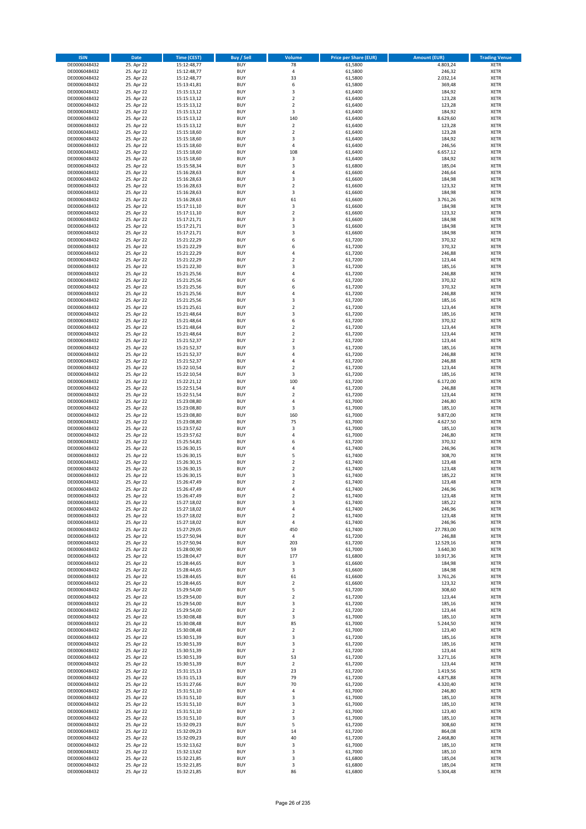| <b>ISIN</b>                  | Date                     | Time (CEST)                | <b>Buy / Sell</b>        | <b>Volume</b>             | <b>Price per Share (EUR)</b> | <b>Amount (EUR)</b>   | <b>Trading Venue</b>       |
|------------------------------|--------------------------|----------------------------|--------------------------|---------------------------|------------------------------|-----------------------|----------------------------|
| DE0006048432                 | 25. Apr 22               | 15:12:48,77                | <b>BUY</b>               | 78                        | 61,5800                      | 4.803,24              | <b>XETR</b>                |
| DE0006048432                 | 25. Apr 22               | 15:12:48,77                | <b>BUY</b>               | $\overline{4}$            | 61,5800                      | 246,32                | XETR                       |
| DE0006048432                 | 25. Apr 22               | 15:12:48,77                | <b>BUY</b>               | 33                        | 61,5800                      | 2.032,14              | <b>XETR</b>                |
| DE0006048432                 | 25. Apr 22               | 15:13:41,81                | <b>BUY</b>               | 6                         | 61,5800                      | 369,48                | XETR                       |
| DE0006048432<br>DE0006048432 | 25. Apr 22<br>25. Apr 22 | 15:15:13,12<br>15:15:13,12 | <b>BUY</b><br><b>BUY</b> | 3<br>$\mathbf 2$          | 61,6400<br>61,6400           | 184,92<br>123,28      | <b>XETR</b><br><b>XETR</b> |
| DE0006048432                 | 25. Apr 22               | 15:15:13,12                | <b>BUY</b>               | $\overline{2}$            | 61,6400                      | 123,28                | <b>XETR</b>                |
| DE0006048432                 | 25. Apr 22               | 15:15:13,12                | <b>BUY</b>               | 3                         | 61,6400                      | 184,92                | <b>XETR</b>                |
| DE0006048432                 | 25. Apr 22               | 15:15:13,12                | <b>BUY</b>               | 140                       | 61,6400                      | 8.629,60              | <b>XETR</b>                |
| DE0006048432                 | 25. Apr 22               | 15:15:13,12                | <b>BUY</b>               | $\overline{2}$            | 61,6400                      | 123,28                | <b>XETR</b>                |
| DE0006048432                 | 25. Apr 22               | 15:15:18,60                | <b>BUY</b>               | $\mathbf 2$               | 61,6400                      | 123,28                | <b>XETR</b>                |
| DE0006048432                 | 25. Apr 22               | 15:15:18,60                | <b>BUY</b>               | 3<br>$\overline{4}$       | 61,6400                      | 184,92                | <b>XETR</b>                |
| DE0006048432<br>DE0006048432 | 25. Apr 22<br>25. Apr 22 | 15:15:18,60<br>15:15:18,60 | <b>BUY</b><br><b>BUY</b> | 108                       | 61,6400<br>61,6400           | 246,56<br>6.657,12    | <b>XETR</b><br><b>XETR</b> |
| DE0006048432                 | 25. Apr 22               | 15:15:18,60                | <b>BUY</b>               | 3                         | 61,6400                      | 184,92                | <b>XETR</b>                |
| DE0006048432                 | 25. Apr 22               | 15:15:58,34                | <b>BUY</b>               | 3                         | 61,6800                      | 185,04                | <b>XETR</b>                |
| DE0006048432                 | 25. Apr 22               | 15:16:28,63                | <b>BUY</b>               | 4                         | 61,6600                      | 246,64                | <b>XETR</b>                |
| DE0006048432                 | 25. Apr 22               | 15:16:28,63                | <b>BUY</b>               | 3                         | 61,6600                      | 184,98                | <b>XETR</b>                |
| DE0006048432                 | 25. Apr 22               | 15:16:28,63                | <b>BUY</b>               | $\overline{2}$            | 61,6600                      | 123,32                | <b>XETR</b>                |
| DE0006048432<br>DE0006048432 | 25. Apr 22<br>25. Apr 22 | 15:16:28,63                | <b>BUY</b><br><b>BUY</b> | 3<br>61                   | 61,6600<br>61,6600           | 184,98<br>3.761,26    | <b>XETR</b><br><b>XETR</b> |
| DE0006048432                 | 25. Apr 22               | 15:16:28,63<br>15:17:11,10 | <b>BUY</b>               | 3                         | 61,6600                      | 184,98                | <b>XETR</b>                |
| DE0006048432                 | 25. Apr 22               | 15:17:11,10                | <b>BUY</b>               | $\mathbf 2$               | 61,6600                      | 123,32                | <b>XETR</b>                |
| DE0006048432                 | 25. Apr 22               | 15:17:21,71                | <b>BUY</b>               | 3                         | 61,6600                      | 184,98                | <b>XETR</b>                |
| DE0006048432                 | 25. Apr 22               | 15:17:21,71                | <b>BUY</b>               | 3                         | 61,6600                      | 184,98                | <b>XETR</b>                |
| DE0006048432                 | 25. Apr 22               | 15:17:21,71                | <b>BUY</b>               | 3                         | 61,6600                      | 184,98                | <b>XETR</b>                |
| DE0006048432<br>DE0006048432 | 25. Apr 22               | 15:21:22,29                | <b>BUY</b><br><b>BUY</b> | 6<br>6                    | 61,7200                      | 370,32                | <b>XETR</b><br><b>XETR</b> |
| DE0006048432                 | 25. Apr 22<br>25. Apr 22 | 15:21:22,29<br>15:21:22,29 | <b>BUY</b>               | 4                         | 61,7200<br>61,7200           | 370,32<br>246,88      | <b>XETR</b>                |
| DE0006048432                 | 25. Apr 22               | 15:21:22,29                | <b>BUY</b>               | $\overline{2}$            | 61,7200                      | 123,44                | <b>XETR</b>                |
| DE0006048432                 | 25. Apr 22               | 15:21:22,30                | <b>BUY</b>               | 3                         | 61,7200                      | 185,16                | <b>XETR</b>                |
| DE0006048432                 | 25. Apr 22               | 15:21:25,56                | <b>BUY</b>               | $\sqrt{4}$                | 61,7200                      | 246,88                | <b>XETR</b>                |
| DE0006048432                 | 25. Apr 22               | 15:21:25,56                | <b>BUY</b>               | 6                         | 61,7200                      | 370,32                | <b>XETR</b>                |
| DE0006048432                 | 25. Apr 22               | 15:21:25,56                | <b>BUY</b>               | 6                         | 61,7200                      | 370,32                | <b>XETR</b>                |
| DE0006048432<br>DE0006048432 | 25. Apr 22<br>25. Apr 22 | 15:21:25,56<br>15:21:25,56 | <b>BUY</b><br><b>BUY</b> | 4<br>$\mathsf 3$          | 61,7200<br>61,7200           | 246,88<br>185,16      | <b>XETR</b><br><b>XETR</b> |
| DE0006048432                 | 25. Apr 22               | 15:21:25,61                | <b>BUY</b>               | $\overline{2}$            | 61,7200                      | 123,44                | <b>XETR</b>                |
| DE0006048432                 | 25. Apr 22               | 15:21:48,64                | <b>BUY</b>               | 3                         | 61,7200                      | 185,16                | <b>XETR</b>                |
| DE0006048432                 | 25. Apr 22               | 15:21:48,64                | <b>BUY</b>               | 6                         | 61,7200                      | 370,32                | <b>XETR</b>                |
| DE0006048432                 | 25. Apr 22               | 15:21:48,64                | <b>BUY</b>               | $\mathbf 2$               | 61,7200                      | 123,44                | <b>XETR</b>                |
| DE0006048432                 | 25. Apr 22               | 15:21:48,64                | <b>BUY</b>               | $\mathbf 2$               | 61,7200                      | 123,44                | <b>XETR</b>                |
| DE0006048432                 | 25. Apr 22               | 15:21:52,37                | <b>BUY</b><br><b>BUY</b> | $\mathbf 2$               | 61,7200                      | 123,44                | <b>XETR</b>                |
| DE0006048432<br>DE0006048432 | 25. Apr 22<br>25. Apr 22 | 15:21:52,37<br>15:21:52,37 | <b>BUY</b>               | 3<br>4                    | 61,7200<br>61,7200           | 185,16<br>246,88      | <b>XETR</b><br><b>XETR</b> |
| DE0006048432                 | 25. Apr 22               | 15:21:52,37                | <b>BUY</b>               | $\overline{4}$            | 61,7200                      | 246,88                | <b>XETR</b>                |
| DE0006048432                 | 25. Apr 22               | 15:22:10,54                | <b>BUY</b>               | $\overline{2}$            | 61,7200                      | 123,44                | <b>XETR</b>                |
| DE0006048432                 | 25. Apr 22               | 15:22:10,54                | <b>BUY</b>               | 3                         | 61,7200                      | 185,16                | <b>XETR</b>                |
| DE0006048432                 | 25. Apr 22               | 15:22:21,12                | <b>BUY</b>               | 100                       | 61,7200                      | 6.172,00              | <b>XETR</b>                |
| DE0006048432<br>DE0006048432 | 25. Apr 22<br>25. Apr 22 | 15:22:51,54                | <b>BUY</b><br><b>BUY</b> | $\sqrt{4}$<br>$\mathbf 2$ | 61,7200<br>61,7200           | 246,88<br>123,44      | <b>XETR</b><br><b>XETR</b> |
| DE0006048432                 | 25. Apr 22               | 15:22:51,54<br>15:23:08,80 | <b>BUY</b>               | 4                         | 61,7000                      | 246,80                | <b>XETR</b>                |
| DE0006048432                 | 25. Apr 22               | 15:23:08,80                | <b>BUY</b>               | 3                         | 61,7000                      | 185,10                | <b>XETR</b>                |
| DE0006048432                 | 25. Apr 22               | 15:23:08,80                | <b>BUY</b>               | 160                       | 61,7000                      | 9.872,00              | <b>XETR</b>                |
| DE0006048432                 | 25. Apr 22               | 15:23:08,80                | <b>BUY</b>               | 75                        | 61,7000                      | 4.627,50              | <b>XETR</b>                |
| DE0006048432                 | 25. Apr 22               | 15:23:57,62                | <b>BUY</b>               | 3                         | 61,7000                      | 185,10                | <b>XETR</b>                |
| DE0006048432                 | 25. Apr 22               | 15:23:57,62                | <b>BUY</b>               | 4                         | 61,7000                      | 246,80                | <b>XETR</b>                |
| DE0006048432<br>DE0006048432 | 25. Apr 22<br>25. Apr 22 | 15:25:54,81<br>15:26:30,15 | <b>BUY</b><br><b>BUY</b> | 6<br>4                    | 61,7200<br>61,7400           | 370,32<br>246,96      | <b>XETR</b><br><b>XETR</b> |
| DE0006048432                 | 25. Apr 22               | 15:26:30,15                | <b>BUY</b>               | 5                         | 61,7400                      | 308,70                | <b>XETR</b>                |
| DE0006048432                 | 25. Apr 22               | 15:26:30,15                | <b>BUY</b>               | $\overline{2}$            | 61,7400                      | 123,48                | <b>XETR</b>                |
| DE0006048432                 | 25. Apr 22               | 15:26:30,15                | <b>BUY</b>               | $\mathbf 2$               | 61,7400                      | 123,48                | <b>XETR</b>                |
| DE0006048432                 | 25. Apr 22               | 15:26:30,15                | <b>BUY</b>               | 3                         | 61,7400                      | 185,22                | <b>XETR</b>                |
| DE0006048432                 | 25. Apr 22               | 15:26:47,49                | <b>BUY</b>               | $\overline{2}$            | 61,7400                      | 123,48                | <b>XETR</b>                |
| DE0006048432<br>DE0006048432 | 25. Apr 22<br>25. Apr 22 | 15:26:47,49<br>15:26:47,49 | <b>BUY</b><br>BUY        | $\overline{4}$<br>2       | 61,7400<br>61,7400           | 246,96                | <b>XETR</b><br>XETR        |
| DE0006048432                 | 25. Apr 22               | 15:27:18,02                | <b>BUY</b>               | 3                         | 61,7400                      | 123,48<br>185,22      | <b>XETR</b>                |
| DE0006048432                 | 25. Apr 22               | 15:27:18,02                | <b>BUY</b>               | 4                         | 61,7400                      | 246,96                | <b>XETR</b>                |
| DE0006048432                 | 25. Apr 22               | 15:27:18,02                | <b>BUY</b>               | $\mathbf 2$               | 61,7400                      | 123,48                | XETR                       |
| DE0006048432                 | 25. Apr 22               | 15:27:18,02                | <b>BUY</b>               | $\sqrt{4}$                | 61,7400                      | 246,96                | XETR                       |
| DE0006048432                 | 25. Apr 22               | 15:27:29,05                | <b>BUY</b>               | 450                       | 61,7400                      | 27.783,00             | XETR                       |
| DE0006048432                 | 25. Apr 22               | 15:27:50,94                | <b>BUY</b>               | 4                         | 61,7200                      | 246,88                | <b>XETR</b>                |
| DE0006048432<br>DE0006048432 | 25. Apr 22<br>25. Apr 22 | 15:27:50,94<br>15:28:00,90 | <b>BUY</b><br><b>BUY</b> | 203<br>59                 | 61,7200<br>61,7000           | 12.529,16<br>3.640,30 | <b>XETR</b><br>XETR        |
| DE0006048432                 | 25. Apr 22               | 15:28:04,47                | <b>BUY</b>               | 177                       | 61,6800                      | 10.917,36             | <b>XETR</b>                |
| DE0006048432                 | 25. Apr 22               | 15:28:44,65                | <b>BUY</b>               | 3                         | 61,6600                      | 184,98                | XETR                       |
| DE0006048432                 | 25. Apr 22               | 15:28:44.65                | <b>BUY</b>               | 3                         | 61,6600                      | 184,98                | <b>XETR</b>                |
| DE0006048432                 | 25. Apr 22               | 15:28:44,65                | <b>BUY</b>               | 61                        | 61,6600                      | 3.761,26              | XETR                       |
| DE0006048432<br>DE0006048432 | 25. Apr 22<br>25. Apr 22 | 15:28:44,65<br>15:29:54,00 | <b>BUY</b><br><b>BUY</b> | $\overline{2}$<br>5       | 61,6600<br>61,7200           | 123,32<br>308,60      | <b>XETR</b><br>XETR        |
| DE0006048432                 | 25. Apr 22               | 15:29:54,00                | <b>BUY</b>               | $\overline{2}$            | 61,7200                      | 123,44                | <b>XETR</b>                |
| DE0006048432                 | 25. Apr 22               | 15:29:54,00                | <b>BUY</b>               | 3                         | 61,7200                      | 185,16                | <b>XETR</b>                |
| DE0006048432                 | 25. Apr 22               | 15:29:54,00                | <b>BUY</b>               | $\overline{2}$            | 61,7200                      | 123,44                | <b>XETR</b>                |
| DE0006048432                 | 25. Apr 22               | 15:30:08,48                | <b>BUY</b>               | 3                         | 61,7000                      | 185,10                | XETR                       |
| DE0006048432                 | 25. Apr 22               | 15:30:08,48                | <b>BUY</b>               | 85                        | 61,7000                      | 5.244,50              | XETR                       |
| DE0006048432                 | 25. Apr 22               | 15:30:08,48                | <b>BUY</b><br><b>BUY</b> | $\overline{2}$            | 61,7000                      | 123,40                | <b>XETR</b>                |
| DE0006048432<br>DE0006048432 | 25. Apr 22<br>25. Apr 22 | 15:30:51,39<br>15:30:51,39 | <b>BUY</b>               | 3<br>3                    | 61,7200<br>61,7200           | 185,16<br>185,16      | <b>XETR</b><br>XETR        |
| DE0006048432                 | 25. Apr 22               | 15:30:51,39                | <b>BUY</b>               | $\overline{2}$            | 61,7200                      | 123,44                | <b>XETR</b>                |
| DE0006048432                 | 25. Apr 22               | 15:30:51,39                | <b>BUY</b>               | 53                        | 61,7200                      | 3.271,16              | XETR                       |
| DE0006048432                 | 25. Apr 22               | 15:30:51,39                | <b>BUY</b>               | $\overline{2}$            | 61,7200                      | 123,44                | XETR                       |
| DE0006048432                 | 25. Apr 22               | 15:31:15,13                | <b>BUY</b>               | 23                        | 61,7200                      | 1.419,56              | XETR                       |
| DE0006048432                 | 25. Apr 22               | 15:31:15,13                | <b>BUY</b>               | 79                        | 61,7200                      | 4.875,88              | <b>XETR</b>                |
| DE0006048432<br>DE0006048432 | 25. Apr 22<br>25. Apr 22 | 15:31:27,66                | <b>BUY</b><br><b>BUY</b> | 70<br>4                   | 61,7200<br>61,7000           | 4.320,40<br>246,80    | XETR<br><b>XETR</b>        |
| DE0006048432                 | 25. Apr 22               | 15:31:51,10<br>15:31:51,10 | <b>BUY</b>               | 3                         | 61,7000                      | 185,10                | XETR                       |
| DE0006048432                 | 25. Apr 22               | 15:31:51,10                | <b>BUY</b>               | 3                         | 61,7000                      | 185,10                | XETR                       |
| DE0006048432                 | 25. Apr 22               | 15:31:51,10                | <b>BUY</b>               | $\overline{2}$            | 61,7000                      | 123,40                | XETR                       |
| DE0006048432                 | 25. Apr 22               | 15:31:51,10                | <b>BUY</b>               | 3                         | 61,7000                      | 185,10                | XETR                       |
| DE0006048432                 | 25. Apr 22               | 15:32:09,23                | <b>BUY</b>               | 5                         | 61,7200                      | 308,60                | <b>XETR</b>                |
| DE0006048432                 | 25. Apr 22               | 15:32:09,23                | <b>BUY</b>               | 14                        | 61,7200                      | 864,08                | XETR                       |
| DE0006048432<br>DE0006048432 | 25. Apr 22<br>25. Apr 22 | 15:32:09,23<br>15:32:13,62 | <b>BUY</b><br><b>BUY</b> | 40<br>3                   | 61,7200<br>61,7000           | 2.468,80<br>185,10    | XETR<br>XETR               |
| DE0006048432                 | 25. Apr 22               | 15:32:13,62                | <b>BUY</b>               | 3                         | 61,7000                      | 185,10                | <b>XETR</b>                |
| DE0006048432                 | 25. Apr 22               | 15:32:21,85                | <b>BUY</b>               | 3                         | 61,6800                      | 185,04                | XETR                       |
| DE0006048432                 | 25. Apr 22               | 15:32:21,85                | <b>BUY</b>               | 3                         | 61,6800                      | 185,04                | <b>XETR</b>                |
| DE0006048432                 | 25. Apr 22               | 15:32:21,85                | <b>BUY</b>               | 86                        | 61,6800                      | 5.304,48              | <b>XETR</b>                |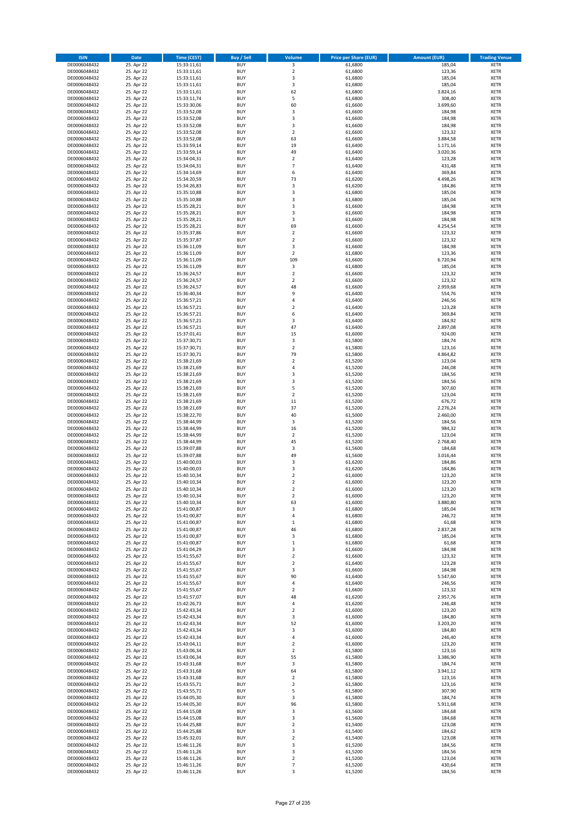| <b>ISIN</b>                  | Date                     | Time (CEST)                | <b>Buy / Sell</b>        | <b>Volume</b>                 | <b>Price per Share (EUR)</b> | <b>Amount (EUR)</b>  | <b>Trading Venue</b>       |
|------------------------------|--------------------------|----------------------------|--------------------------|-------------------------------|------------------------------|----------------------|----------------------------|
| DE0006048432                 | 25. Apr 22               | 15:33:11,61                | <b>BUY</b>               | $\overline{\mathbf{3}}$       | 61,6800                      | 185,04               | <b>XETR</b>                |
| DE0006048432                 | 25. Apr 22               | 15:33:11,61                | <b>BUY</b>               | $\mathbf 2$                   | 61,6800                      | 123,36               | XETR                       |
| DE0006048432                 | 25. Apr 22               | 15:33:11,61                | <b>BUY</b>               | 3                             | 61,6800                      | 185,04               | <b>XETR</b>                |
| DE0006048432                 | 25. Apr 22               | 15:33:11,61                | <b>BUY</b>               | $\mathsf 3$                   | 61,6800                      | 185,04               | XETR                       |
| DE0006048432<br>DE0006048432 | 25. Apr 22<br>25. Apr 22 | 15:33:11,61<br>15:33:11,74 | <b>BUY</b><br><b>BUY</b> | 62<br>5                       | 61,6800<br>61,6800           | 3.824,16<br>308,40   | <b>XETR</b><br><b>XETR</b> |
| DE0006048432                 | 25. Apr 22               | 15:33:30,06                | <b>BUY</b>               | 60                            | 61,6600                      | 3.699,60             | <b>XETR</b>                |
| DE0006048432                 | 25. Apr 22               | 15:33:52,08                | <b>BUY</b>               | 3                             | 61,6600                      | 184,98               | <b>XETR</b>                |
| DE0006048432                 | 25. Apr 22               | 15:33:52,08                | <b>BUY</b>               | 3                             | 61,6600                      | 184,98               | <b>XETR</b>                |
| DE0006048432                 | 25. Apr 22               | 15:33:52,08                | <b>BUY</b>               | 3                             | 61,6600                      | 184,98               | <b>XETR</b>                |
| DE0006048432                 | 25. Apr 22               | 15:33:52,08                | <b>BUY</b>               | $\mathbf 2$                   | 61,6600                      | 123,32               | <b>XETR</b>                |
| DE0006048432                 | 25. Apr 22               | 15:33:52,08                | <b>BUY</b>               | 63<br>19                      | 61,6600                      | 3.884,58             | <b>XETR</b>                |
| DE0006048432<br>DE0006048432 | 25. Apr 22<br>25. Apr 22 | 15:33:59,14<br>15:33:59,14 | <b>BUY</b><br><b>BUY</b> | 49                            | 61,6400<br>61,6400           | 1.171,16<br>3.020,36 | <b>XETR</b><br><b>XETR</b> |
| DE0006048432                 | 25. Apr 22               | 15:34:04,31                | <b>BUY</b>               | $\mathbf 2$                   | 61,6400                      | 123,28               | <b>XETR</b>                |
| DE0006048432                 | 25. Apr 22               | 15:34:04,31                | <b>BUY</b>               | $\overline{7}$                | 61,6400                      | 431,48               | <b>XETR</b>                |
| DE0006048432                 | 25. Apr 22               | 15:34:14,69                | <b>BUY</b>               | 6                             | 61,6400                      | 369,84               | <b>XETR</b>                |
| DE0006048432                 | 25. Apr 22               | 15:34:20,59                | <b>BUY</b>               | 73                            | 61,6200                      | 4.498,26             | <b>XETR</b>                |
| DE0006048432                 | 25. Apr 22               | 15:34:26,83                | <b>BUY</b>               | 3                             | 61,6200                      | 184,86               | <b>XETR</b>                |
| DE0006048432<br>DE0006048432 | 25. Apr 22<br>25. Apr 22 | 15:35:10,88<br>15:35:10,88 | <b>BUY</b><br><b>BUY</b> | $\mathsf 3$<br>3              | 61,6800<br>61,6800           | 185,04<br>185,04     | <b>XETR</b><br><b>XETR</b> |
| DE0006048432                 | 25. Apr 22               | 15:35:28,21                | <b>BUY</b>               | 3                             | 61,6600                      | 184,98               | <b>XETR</b>                |
| DE0006048432                 | 25. Apr 22               | 15:35:28,21                | <b>BUY</b>               | 3                             | 61,6600                      | 184,98               | <b>XETR</b>                |
| DE0006048432                 | 25. Apr 22               | 15:35:28,21                | <b>BUY</b>               | 3                             | 61,6600                      | 184,98               | <b>XETR</b>                |
| DE0006048432                 | 25. Apr 22               | 15:35:28,21                | <b>BUY</b>               | 69                            | 61,6600                      | 4.254,54             | <b>XETR</b>                |
| DE0006048432                 | 25. Apr 22               | 15:35:37,86                | <b>BUY</b>               | $\mathbf 2$                   | 61,6600                      | 123,32               | <b>XETR</b>                |
| DE0006048432<br>DE0006048432 | 25. Apr 22               | 15:35:37,87                | <b>BUY</b><br><b>BUY</b> | $\mathbf 2$<br>3              | 61,6600                      | 123,32               | <b>XETR</b><br><b>XETR</b> |
| DE0006048432                 | 25. Apr 22<br>25. Apr 22 | 15:36:11,09<br>15:36:11,09 | <b>BUY</b>               | $\mathbf 2$                   | 61,6600<br>61,6800           | 184,98<br>123,36     | <b>XETR</b>                |
| DE0006048432                 | 25. Apr 22               | 15:36:11,09                | <b>BUY</b>               | 109                           | 61,6600                      | 6.720,94             | <b>XETR</b>                |
| DE0006048432                 | 25. Apr 22               | 15:36:11,09                | <b>BUY</b>               | 3                             | 61,6800                      | 185,04               | <b>XETR</b>                |
| DE0006048432                 | 25. Apr 22               | 15:36:24,57                | <b>BUY</b>               | $\overline{2}$                | 61,6600                      | 123,32               | <b>XETR</b>                |
| DE0006048432                 | 25. Apr 22               | 15:36:24,57                | <b>BUY</b>               | $\overline{2}$                | 61,6600                      | 123,32               | <b>XETR</b>                |
| DE0006048432                 | 25. Apr 22               | 15:36:24,57                | <b>BUY</b>               | 48                            | 61,6600                      | 2.959,68             | <b>XETR</b>                |
| DE0006048432<br>DE0006048432 | 25. Apr 22<br>25. Apr 22 | 15:36:40,34<br>15:36:57,21 | <b>BUY</b><br><b>BUY</b> | 9<br>$\pmb{4}$                | 61,6400<br>61,6400           | 554,76<br>246,56     | <b>XETR</b><br><b>XETR</b> |
| DE0006048432                 | 25. Apr 22               | 15:36:57,21                | <b>BUY</b>               | $\overline{2}$                | 61,6400                      | 123,28               | <b>XETR</b>                |
| DE0006048432                 | 25. Apr 22               | 15:36:57,21                | <b>BUY</b>               | 6                             | 61,6400                      | 369,84               | <b>XETR</b>                |
| DE0006048432                 | 25. Apr 22               | 15:36:57,21                | <b>BUY</b>               | 3                             | 61,6400                      | 184,92               | <b>XETR</b>                |
| DE0006048432                 | 25. Apr 22               | 15:36:57,21                | <b>BUY</b>               | 47                            | 61,6400                      | 2.897,08             | <b>XETR</b>                |
| DE0006048432                 | 25. Apr 22               | 15:37:01,41                | <b>BUY</b>               | 15                            | 61,6000                      | 924,00               | <b>XETR</b>                |
| DE0006048432                 | 25. Apr 22               | 15:37:30,71                | <b>BUY</b>               | 3                             | 61,5800                      | 184,74               | <b>XETR</b>                |
| DE0006048432<br>DE0006048432 | 25. Apr 22<br>25. Apr 22 | 15:37:30,71<br>15:37:30,71 | <b>BUY</b><br><b>BUY</b> | $\mathbf 2$<br>79             | 61,5800<br>61,5800           | 123,16<br>4.864,82   | <b>XETR</b><br><b>XETR</b> |
| DE0006048432                 | 25. Apr 22               | 15:38:21,69                | <b>BUY</b>               | $\mathbf 2$                   | 61,5200                      | 123,04               | <b>XETR</b>                |
| DE0006048432                 | 25. Apr 22               | 15:38:21,69                | <b>BUY</b>               | 4                             | 61,5200                      | 246,08               | <b>XETR</b>                |
| DE0006048432                 | 25. Apr 22               | 15:38:21,69                | <b>BUY</b>               | 3                             | 61,5200                      | 184,56               | <b>XETR</b>                |
| DE0006048432                 | 25. Apr 22               | 15:38:21,69                | <b>BUY</b>               | 3                             | 61,5200                      | 184,56               | <b>XETR</b>                |
| DE0006048432                 | 25. Apr 22               | 15:38:21,69                | <b>BUY</b><br><b>BUY</b> | 5<br>$\overline{2}$           | 61,5200                      | 307,60               | <b>XETR</b>                |
| DE0006048432<br>DE0006048432 | 25. Apr 22<br>25. Apr 22 | 15:38:21,69<br>15:38:21,69 | <b>BUY</b>               | 11                            | 61,5200<br>61,5200           | 123,04<br>676,72     | <b>XETR</b><br><b>XETR</b> |
| DE0006048432                 | 25. Apr 22               | 15:38:21,69                | <b>BUY</b>               | 37                            | 61,5200                      | 2.276,24             | <b>XETR</b>                |
| DE0006048432                 | 25. Apr 22               | 15:38:22,70                | <b>BUY</b>               | 40                            | 61,5000                      | 2.460,00             | <b>XETR</b>                |
| DE0006048432                 | 25. Apr 22               | 15:38:44,99                | <b>BUY</b>               | $\mathsf 3$                   | 61,5200                      | 184,56               | <b>XETR</b>                |
| DE0006048432                 | 25. Apr 22               | 15:38:44,99                | <b>BUY</b>               | 16                            | 61,5200                      | 984,32               | <b>XETR</b>                |
| DE0006048432                 | 25. Apr 22               | 15:38:44,99                | <b>BUY</b>               | $\mathbf 2$                   | 61,5200                      | 123,04               | <b>XETR</b>                |
| DE0006048432<br>DE0006048432 | 25. Apr 22<br>25. Apr 22 | 15:38:44,99<br>15:39:07,88 | <b>BUY</b><br><b>BUY</b> | 45<br>3                       | 61,5200<br>61,5600           | 2.768,40<br>184,68   | <b>XETR</b><br><b>XETR</b> |
| DE0006048432                 | 25. Apr 22               | 15:39:07,88                | <b>BUY</b>               | 49                            | 61,5600                      | 3.016,44             | <b>XETR</b>                |
| DE0006048432                 | 25. Apr 22               | 15:40:00,03                | <b>BUY</b>               | 3                             | 61,6200                      | 184,86               | <b>XETR</b>                |
| DE0006048432                 | 25. Apr 22               | 15:40:00,03                | <b>BUY</b>               | 3                             | 61,6200                      | 184,86               | <b>XETR</b>                |
| DE0006048432                 | 25. Apr 22               | 15:40:10,34                | <b>BUY</b>               | $\overline{2}$                | 61,6000                      | 123,20               | <b>XETR</b>                |
| DE0006048432                 | 25. Apr 22               | 15:40:10,34                | <b>BUY</b>               | $\overline{2}$                | 61,6000                      | 123,20               | <b>XETR</b>                |
| DE0006048432                 | 25. Apr 22               | 15:40:10,34<br>15:40:10,34 | <b>BUY</b>               | $\overline{2}$<br>$\mathbf 2$ | 61,6000                      | 123,20               | <b>XETR</b>                |
| DE0006048432<br>DE0006048432 | 25. Apr 22<br>25. Apr 22 | 15:40:10,34                | BUY<br><b>BUY</b>        | 63                            | 61,6000<br>61,6000           | 123,20<br>3.880,80   | XETR<br><b>XETR</b>        |
| DE0006048432                 | 25. Apr 22               | 15:41:00,87                | <b>BUY</b>               | 3                             | 61,6800                      | 185,04               | <b>XETR</b>                |
| DE0006048432                 | 25. Apr 22               | 15:41:00,87                | <b>BUY</b>               | 4                             | 61,6800                      | 246,72               | XETR                       |
| DE0006048432                 | 25. Apr 22               | 15:41:00,87                | <b>BUY</b>               | $\mathbf{1}$                  | 61,6800                      | 61,68                | XETR                       |
| DE0006048432                 | 25. Apr 22               | 15:41:00,87                | <b>BUY</b>               | 46                            | 61,6800                      | 2.837,28             | XETR                       |
| DE0006048432                 | 25. Apr 22               | 15:41:00,87                | <b>BUY</b>               | 3                             | 61,6800                      | 185,04               | <b>XETR</b>                |
| DE0006048432<br>DE0006048432 | 25. Apr 22<br>25. Apr 22 | 15:41:00,87<br>15:41:04,29 | <b>BUY</b><br><b>BUY</b> | $\,$ 1<br>3                   | 61,6800<br>61,6600           | 61,68<br>184,98      | <b>XETR</b><br>XETR        |
| DE0006048432                 | 25. Apr 22               | 15:41:55,67                | <b>BUY</b>               | $\mathbf 2$                   | 61,6600                      | 123,32               | <b>XETR</b>                |
| DE0006048432                 | 25. Apr 22               | 15:41:55,67                | <b>BUY</b>               | $\mathbf 2$                   | 61,6400                      | 123,28               | XETR                       |
| DE0006048432                 | 25. Apr 22               | 15:41:55,67                | <b>BUY</b>               | 3                             | 61,6600                      | 184,98               | <b>XETR</b>                |
| DE0006048432                 | 25. Apr 22               | 15:41:55,67                | <b>BUY</b>               | 90                            | 61,6400                      | 5.547,60             | XETR                       |
| DE0006048432                 | 25. Apr 22               | 15:41:55,67                | <b>BUY</b><br><b>BUY</b> | $\pmb{4}$<br>$\mathbf 2$      | 61,6400<br>61,6600           | 246,56<br>123,32     | <b>XETR</b>                |
| DE0006048432<br>DE0006048432 | 25. Apr 22<br>25. Apr 22 | 15:41:55,67<br>15:41:57,07 | <b>BUY</b>               | 48                            | 61,6200                      | 2.957,76             | XETR<br><b>XETR</b>        |
| DE0006048432                 | 25. Apr 22               | 15:42:26,73                | <b>BUY</b>               | $\pmb{4}$                     | 61,6200                      | 246,48               | <b>XETR</b>                |
| DE0006048432                 | 25. Apr 22               | 15:42:43,34                | <b>BUY</b>               | $\overline{2}$                | 61,6000                      | 123,20               | <b>XETR</b>                |
| DE0006048432                 | 25. Apr 22               | 15:42:43,34                | <b>BUY</b>               | 3                             | 61,6000                      | 184,80               | XETR                       |
| DE0006048432                 | 25. Apr 22               | 15:42:43,34                | <b>BUY</b>               | 52                            | 61,6000                      | 3.203,20             | XETR                       |
| DE0006048432                 | 25. Apr 22               | 15:42:43,34                | <b>BUY</b>               | 3                             | 61,6000                      | 184,80               | <b>XETR</b>                |
| DE0006048432<br>DE0006048432 | 25. Apr 22               | 15:42:43,34<br>15:43:04,11 | <b>BUY</b><br><b>BUY</b> | 4<br>$\overline{2}$           | 61,6000<br>61,6000           | 246,40<br>123,20     | XETR<br>XETR               |
| DE0006048432                 | 25. Apr 22<br>25. Apr 22 | 15:43:06,34                | <b>BUY</b>               | $\overline{2}$                | 61,5800                      | 123,16               | <b>XETR</b>                |
| DE0006048432                 | 25. Apr 22               | 15:43:06,34                | <b>BUY</b>               | 55                            | 61,5800                      | 3.386,90             | XETR                       |
| DE0006048432                 | 25. Apr 22               | 15:43:31,68                | <b>BUY</b>               | 3                             | 61,5800                      | 184,74               | XETR                       |
| DE0006048432                 | 25. Apr 22               | 15:43:31,68                | <b>BUY</b>               | 64                            | 61,5800                      | 3.941,12             | XETR                       |
| DE0006048432                 | 25. Apr 22               | 15:43:31,68                | <b>BUY</b>               | $\overline{2}$                | 61,5800                      | 123,16               | <b>XETR</b>                |
| DE0006048432                 | 25. Apr 22               | 15:43:55,71                | <b>BUY</b>               | $\mathbf 2$                   | 61,5800                      | 123,16               | XETR                       |
| DE0006048432<br>DE0006048432 | 25. Apr 22<br>25. Apr 22 | 15:43:55,71                | <b>BUY</b><br><b>BUY</b> | 5<br>3                        | 61,5800<br>61,5800           | 307,90<br>184,74     | <b>XETR</b><br>XETR        |
| DE0006048432                 | 25. Apr 22               | 15:44:05,30<br>15:44:05,30 | <b>BUY</b>               | 96                            | 61,5800                      | 5.911,68             | XETR                       |
| DE0006048432                 | 25. Apr 22               | 15:44:15,08                | <b>BUY</b>               | 3                             | 61,5600                      | 184,68               | XETR                       |
| DE0006048432                 | 25. Apr 22               | 15:44:15,08                | <b>BUY</b>               | 3                             | 61,5600                      | 184,68               | XETR                       |
| DE0006048432                 | 25. Apr 22               | 15:44:25,88                | <b>BUY</b>               | $\mathbf 2$                   | 61,5400                      | 123,08               | <b>XETR</b>                |
| DE0006048432                 | 25. Apr 22               | 15:44:25,88                | <b>BUY</b>               | 3                             | 61,5400                      | 184,62               | XETR                       |
| DE0006048432                 | 25. Apr 22<br>25. Apr 22 | 15:45:32,01                | <b>BUY</b><br><b>BUY</b> | $\overline{2}$<br>3           | 61,5400<br>61,5200           | 123,08<br>184,56     | XETR                       |
| DE0006048432<br>DE0006048432 | 25. Apr 22               | 15:46:11,26<br>15:46:11,26 | <b>BUY</b>               | 3                             | 61,5200                      | 184,56               | XETR<br>XETR               |
| DE0006048432                 | 25. Apr 22               | 15:46:11,26                | <b>BUY</b>               | $\mathbf 2$                   | 61,5200                      | 123,04               | XETR                       |
| DE0006048432                 | 25. Apr 22               | 15:46:11,26                | <b>BUY</b>               | $\overline{7}$                | 61,5200                      | 430,64               | <b>XETR</b>                |
| DE0006048432                 | 25. Apr 22               | 15:46:11,26                | <b>BUY</b>               | 3                             | 61,5200                      | 184,56               | XETR                       |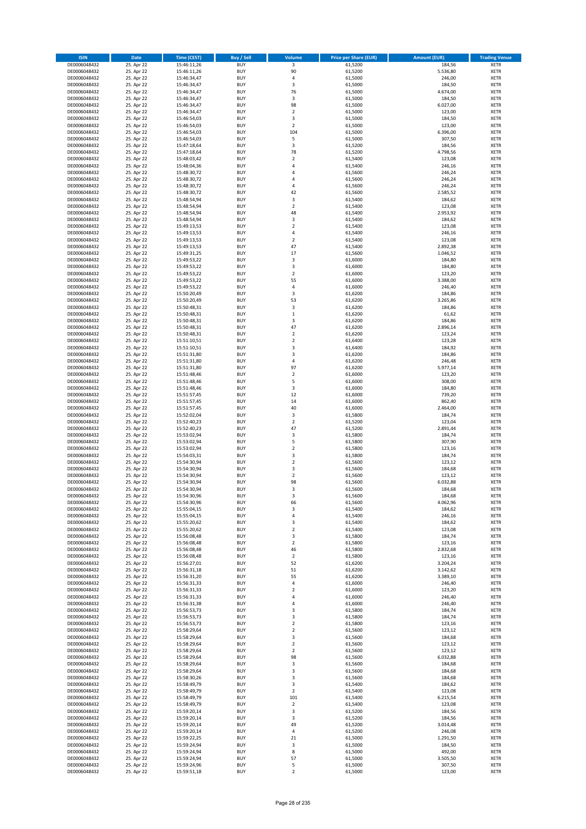| <b>ISIN</b>                  | Date                     | <b>Time (CEST)</b>         | <b>Buy / Sell</b>        | <b>Volume</b>           | <b>Price per Share (EUR)</b> | <b>Amount (EUR)</b> | <b>Trading Venue</b>       |
|------------------------------|--------------------------|----------------------------|--------------------------|-------------------------|------------------------------|---------------------|----------------------------|
| DE0006048432                 | 25. Apr 22               | 15:46:11,26                | <b>BUY</b>               | $\overline{\mathbf{3}}$ | 61,5200                      | 184,56              | <b>XETR</b>                |
| DE0006048432                 | 25. Apr 22               | 15:46:11,26                | <b>BUY</b>               | 90                      | 61,5200                      | 5.536,80            | XETR                       |
| DE0006048432                 | 25. Apr 22               | 15:46:34,47                | <b>BUY</b>               | 4                       | 61,5000                      | 246,00              | <b>XETR</b>                |
| DE0006048432<br>DE0006048432 | 25. Apr 22<br>25. Apr 22 | 15:46:34,47<br>15:46:34,47 | <b>BUY</b><br><b>BUY</b> | $\mathsf 3$<br>76       | 61,5000<br>61,5000           | 184,50<br>4.674,00  | XETR<br><b>XETR</b>        |
| DE0006048432                 | 25. Apr 22               | 15:46:34,47                | <b>BUY</b>               | $\mathsf 3$             | 61,5000                      | 184,50              | <b>XETR</b>                |
| DE0006048432                 | 25. Apr 22               | 15:46:34,47                | <b>BUY</b>               | 98                      | 61,5000                      | 6.027,00            | <b>XETR</b>                |
| DE0006048432                 | 25. Apr 22               | 15:46:34,47                | <b>BUY</b>               | $\overline{2}$          | 61,5000                      | 123,00              | <b>XETR</b>                |
| DE0006048432                 | 25. Apr 22               | 15:46:54,03                | <b>BUY</b>               | 3                       | 61,5000                      | 184,50              | <b>XETR</b>                |
| DE0006048432                 | 25. Apr 22               | 15:46:54,03                | <b>BUY</b>               | $\overline{2}$          | 61,5000                      | 123,00              | <b>XETR</b>                |
| DE0006048432                 | 25. Apr 22               | 15:46:54,03                | <b>BUY</b>               | 104                     | 61,5000                      | 6.396,00            | <b>XETR</b>                |
| DE0006048432<br>DE0006048432 | 25. Apr 22<br>25. Apr 22 | 15:46:54,03                | <b>BUY</b><br><b>BUY</b> | 5<br>$\mathsf 3$        | 61,5000<br>61,5200           | 307,50<br>184,56    | <b>XETR</b><br><b>XETR</b> |
| DE0006048432                 | 25. Apr 22               | 15:47:18,64<br>15:47:18,64 | <b>BUY</b>               | 78                      | 61,5200                      | 4.798,56            | <b>XETR</b>                |
| DE0006048432                 | 25. Apr 22               | 15:48:03,42                | <b>BUY</b>               | $\mathbf 2$             | 61,5400                      | 123,08              | <b>XETR</b>                |
| DE0006048432                 | 25. Apr 22               | 15:48:04,36                | <b>BUY</b>               | $\overline{4}$          | 61,5400                      | 246,16              | <b>XETR</b>                |
| DE0006048432                 | 25. Apr 22               | 15:48:30,72                | <b>BUY</b>               | 4                       | 61,5600                      | 246,24              | <b>XETR</b>                |
| DE0006048432                 | 25. Apr 22               | 15:48:30,72                | <b>BUY</b>               | 4                       | 61,5600                      | 246,24              | <b>XETR</b>                |
| DE0006048432                 | 25. Apr 22               | 15:48:30,72                | <b>BUY</b>               | 4                       | 61,5600                      | 246,24              | <b>XETR</b>                |
| DE0006048432                 | 25. Apr 22               | 15:48:30,72                | <b>BUY</b>               | 42                      | 61,5600                      | 2.585,52            | <b>XETR</b>                |
| DE0006048432<br>DE0006048432 | 25. Apr 22<br>25. Apr 22 | 15:48:54,94<br>15:48:54,94 | <b>BUY</b><br><b>BUY</b> | 3<br>$\mathbf 2$        | 61,5400<br>61,5400           | 184,62<br>123,08    | <b>XETR</b><br><b>XETR</b> |
| DE0006048432                 | 25. Apr 22               | 15:48:54,94                | <b>BUY</b>               | 48                      | 61,5400                      | 2.953,92            | <b>XETR</b>                |
| DE0006048432                 | 25. Apr 22               | 15:48:54,94                | <b>BUY</b>               | 3                       | 61,5400                      | 184,62              | <b>XETR</b>                |
| DE0006048432                 | 25. Apr 22               | 15:49:13,53                | <b>BUY</b>               | $\overline{2}$          | 61,5400                      | 123,08              | <b>XETR</b>                |
| DE0006048432                 | 25. Apr 22               | 15:49:13,53                | <b>BUY</b>               | $\pmb{4}$               | 61,5400                      | 246,16              | <b>XETR</b>                |
| DE0006048432                 | 25. Apr 22               | 15:49:13,53                | <b>BUY</b>               | $\mathbf 2$             | 61,5400                      | 123,08              | <b>XETR</b>                |
| DE0006048432                 | 25. Apr 22               | 15:49:13,53                | <b>BUY</b>               | 47                      | 61,5400                      | 2.892,38            | <b>XETR</b>                |
| DE0006048432<br>DE0006048432 | 25. Apr 22<br>25. Apr 22 | 15:49:31,25<br>15:49:53,22 | <b>BUY</b><br><b>BUY</b> | 17<br>3                 | 61,5600<br>61,6000           | 1.046,52<br>184,80  | <b>XETR</b><br><b>XETR</b> |
| DE0006048432                 | 25. Apr 22               | 15:49:53,22                | <b>BUY</b>               | 3                       | 61,6000                      | 184,80              | <b>XETR</b>                |
| DE0006048432                 | 25. Apr 22               | 15:49:53,22                | <b>BUY</b>               | $\overline{2}$          | 61,6000                      | 123,20              | <b>XETR</b>                |
| DE0006048432                 | 25. Apr 22               | 15:49:53,22                | <b>BUY</b>               | 55                      | 61,6000                      | 3.388,00            | <b>XETR</b>                |
| DE0006048432                 | 25. Apr 22               | 15:49:53,22                | <b>BUY</b>               | $\overline{4}$          | 61,6000                      | 246,40              | <b>XETR</b>                |
| DE0006048432                 | 25. Apr 22               | 15:50:20,49                | <b>BUY</b>               | 3                       | 61,6200                      | 184,86              | <b>XETR</b>                |
| DE0006048432                 | 25. Apr 22               | 15:50:20,49                | <b>BUY</b>               | 53                      | 61,6200                      | 3.265,86            | <b>XETR</b>                |
| DE0006048432<br>DE0006048432 | 25. Apr 22               | 15:50:48,31<br>15:50:48,31 | <b>BUY</b><br><b>BUY</b> | 3<br>$\,1\,$            | 61,6200<br>61,6200           | 184,86<br>61,62     | <b>XETR</b><br><b>XETR</b> |
| DE0006048432                 | 25. Apr 22<br>25. Apr 22 | 15:50:48,31                | <b>BUY</b>               | 3                       | 61,6200                      | 184,86              | <b>XETR</b>                |
| DE0006048432                 | 25. Apr 22               | 15:50:48,31                | <b>BUY</b>               | 47                      | 61,6200                      | 2.896,14            | <b>XETR</b>                |
| DE0006048432                 | 25. Apr 22               | 15:50:48,31                | <b>BUY</b>               | $\mathbf 2$             | 61,6200                      | 123,24              | <b>XETR</b>                |
| DE0006048432                 | 25. Apr 22               | 15:51:10,51                | <b>BUY</b>               | $\mathbf 2$             | 61,6400                      | 123,28              | <b>XETR</b>                |
| DE0006048432                 | 25. Apr 22               | 15:51:10,51                | <b>BUY</b>               | 3                       | 61,6400                      | 184,92              | <b>XETR</b>                |
| DE0006048432                 | 25. Apr 22               | 15:51:31,80                | <b>BUY</b>               | 3                       | 61,6200                      | 184,86              | <b>XETR</b>                |
| DE0006048432                 | 25. Apr 22               | 15:51:31,80                | <b>BUY</b>               | 4                       | 61,6200                      | 246,48              | <b>XETR</b>                |
| DE0006048432                 | 25. Apr 22<br>25. Apr 22 | 15:51:31,80                | <b>BUY</b><br><b>BUY</b> | 97<br>$\mathbf 2$       | 61,6200<br>61,6000           | 5.977,14<br>123,20  | <b>XETR</b><br><b>XETR</b> |
| DE0006048432<br>DE0006048432 | 25. Apr 22               | 15:51:48,46<br>15:51:48,46 | <b>BUY</b>               | 5                       | 61,6000                      | 308,00              | <b>XETR</b>                |
| DE0006048432                 | 25. Apr 22               | 15:51:48,46                | <b>BUY</b>               | 3                       | 61,6000                      | 184,80              | <b>XETR</b>                |
| DE0006048432                 | 25. Apr 22               | 15:51:57,45                | <b>BUY</b>               | 12                      | 61,6000                      | 739,20              | <b>XETR</b>                |
| DE0006048432                 | 25. Apr 22               | 15:51:57,45                | <b>BUY</b>               | 14                      | 61,6000                      | 862,40              | <b>XETR</b>                |
| DE0006048432                 | 25. Apr 22               | 15:51:57,45                | <b>BUY</b>               | 40                      | 61,6000                      | 2.464,00            | <b>XETR</b>                |
| DE0006048432                 | 25. Apr 22               | 15:52:02,04                | <b>BUY</b>               | 3                       | 61,5800                      | 184,74              | <b>XETR</b>                |
| DE0006048432<br>DE0006048432 | 25. Apr 22<br>25. Apr 22 | 15:52:40,23<br>15:52:40,23 | <b>BUY</b><br><b>BUY</b> | $\mathbf 2$<br>47       | 61,5200<br>61,5200           | 123,04<br>2.891,44  | <b>XETR</b><br><b>XETR</b> |
| DE0006048432                 | 25. Apr 22               | 15:53:02,94                | <b>BUY</b>               | 3                       | 61,5800                      | 184,74              | <b>XETR</b>                |
| DE0006048432                 | 25. Apr 22               | 15:53:02,94                | <b>BUY</b>               | 5                       | 61,5800                      | 307,90              | <b>XETR</b>                |
| DE0006048432                 | 25. Apr 22               | 15:53:02,94                | <b>BUY</b>               | $\mathbf 2$             | 61,5800                      | 123,16              | <b>XETR</b>                |
| DE0006048432                 | 25. Apr 22               | 15:54:03,31                | <b>BUY</b>               | 3                       | 61,5800                      | 184,74              | <b>XETR</b>                |
| DE0006048432                 | 25. Apr 22               | 15:54:30,94                | <b>BUY</b>               | $\overline{2}$          | 61,5600                      | 123,12              | <b>XETR</b>                |
| DE0006048432                 | 25. Apr 22               | 15:54:30,94                | <b>BUY</b>               | 3                       | 61,5600                      | 184,68              | <b>XETR</b>                |
| DE0006048432<br>DE0006048432 | 25. Apr 22<br>25. Apr 22 | 15:54:30,94<br>15:54:30,94 | <b>BUY</b><br><b>BUY</b> | $\overline{2}$<br>98    | 61,5600<br>61,5600           | 123,12<br>6.032,88  | <b>XETR</b><br><b>XETR</b> |
| DE0006048432                 | 25. Apr 22               | 15:54:30,94                | <b>BUY</b>               | 3                       | 61,5600                      | 184,68              | <b>XETR</b>                |
| DE0006048432                 | 25. Apr 22               | 15:54:30,96                | BUY                      | 3                       | 61,5600                      | 184,68              | XETR                       |
| DE0006048432                 | 25. Apr 22               | 15:54:30,96                | <b>BUY</b>               | 66                      | 61,5600                      | 4.062,96            | <b>XETR</b>                |
| DE0006048432                 | 25. Apr 22               | 15:55:04,15                | <b>BUY</b>               | 3                       | 61,5400                      | 184,62              | <b>XETR</b>                |
| DE0006048432                 | 25. Apr 22               | 15:55:04,15                | <b>BUY</b>               | 4                       | 61,5400                      | 246,16              | XETR                       |
| DE0006048432                 | 25. Apr 22               | 15:55:20,62                | <b>BUY</b>               | 3                       | 61,5400                      | 184,62              | XETR                       |
| DE0006048432<br>DE0006048432 | 25. Apr 22<br>25. Apr 22 | 15:55:20,62<br>15:56:08,48 | <b>BUY</b><br><b>BUY</b> | $\mathbf 2$<br>3        | 61,5400<br>61,5800           | 123,08<br>184,74    | <b>XETR</b><br><b>XETR</b> |
| DE0006048432                 | 25. Apr 22               | 15:56:08,48                | <b>BUY</b>               | $\overline{2}$          | 61,5800                      | 123,16              | <b>XETR</b>                |
| DE0006048432                 | 25. Apr 22               | 15:56:08,48                | <b>BUY</b>               | 46                      | 61,5800                      | 2.832,68            | XETR                       |
| DE0006048432                 | 25. Apr 22               | 15:56:08,48                | <b>BUY</b>               | $\overline{2}$          | 61,5800                      | 123,16              | <b>XETR</b>                |
| DE0006048432                 | 25. Apr 22               | 15:56:27,01                | <b>BUY</b>               | 52                      | 61,6200                      | 3.204,24            | XETR                       |
| DE0006048432                 | 25. Apr 22               | 15:56:31,18                | <b>BUY</b>               | 51                      | 61,6200                      | 3.142,62            | <b>XETR</b>                |
| DE0006048432<br>DE0006048432 | 25. Apr 22<br>25. Apr 22 | 15:56:31,20<br>15:56:31,33 | <b>BUY</b><br><b>BUY</b> | 55<br>$\pmb{4}$         | 61,6200<br>61,6000           | 3.389,10<br>246,40  | XETR<br><b>XETR</b>        |
| DE0006048432                 | 25. Apr 22               | 15:56:31,33                | <b>BUY</b>               | $\mathbf 2$             | 61,6000                      | 123,20              | XETR                       |
| DE0006048432                 | 25. Apr 22               | 15:56:31,33                | <b>BUY</b>               | $\overline{4}$          | 61,6000                      | 246,40              | <b>XETR</b>                |
| DE0006048432                 | 25. Apr 22               | 15:56:31,38                | <b>BUY</b>               | 4                       | 61,6000                      | 246,40              | <b>XETR</b>                |
| DE0006048432                 | 25. Apr 22               | 15:56:53,73                | <b>BUY</b>               | 3                       | 61,5800                      | 184,74              | <b>XETR</b>                |
| DE0006048432                 | 25. Apr 22               | 15:56:53,73                | <b>BUY</b>               | 3                       | 61,5800                      | 184,74              | XETR                       |
| DE0006048432                 | 25. Apr 22               | 15:56:53,73                | <b>BUY</b>               | $\overline{2}$          | 61,5800                      | 123,16              | XETR                       |
| DE0006048432<br>DE0006048432 | 25. Apr 22<br>25. Apr 22 | 15:58:29,64<br>15:58:29,64 | <b>BUY</b><br><b>BUY</b> | $\overline{2}$<br>3     | 61,5600<br>61,5600           | 123,12<br>184,68    | <b>XETR</b><br><b>XETR</b> |
| DE0006048432                 | 25. Apr 22               | 15:58:29,64                | <b>BUY</b>               | $\overline{2}$          | 61,5600                      | 123,12              | XETR                       |
| DE0006048432                 | 25. Apr 22               | 15:58:29,64                | <b>BUY</b>               | $\overline{2}$          | 61,5600                      | 123,12              | <b>XETR</b>                |
| DE0006048432                 | 25. Apr 22               | 15:58:29,64                | <b>BUY</b>               | 98                      | 61,5600                      | 6.032,88            | XETR                       |
| DE0006048432                 | 25. Apr 22               | 15:58:29,64                | <b>BUY</b>               | 3                       | 61,5600                      | 184,68              | <b>XETR</b>                |
| DE0006048432                 | 25. Apr 22               | 15:58:29,64                | <b>BUY</b>               | 3                       | 61,5600                      | 184,68              | XETR                       |
| DE0006048432<br>DE0006048432 | 25. Apr 22<br>25. Apr 22 | 15:58:30,26<br>15:58:49,79 | <b>BUY</b><br><b>BUY</b> | 3<br>3                  | 61,5600<br>61,5400           | 184,68<br>184,62    | <b>XETR</b><br><b>XETR</b> |
| DE0006048432                 | 25. Apr 22               | 15:58:49,79                | <b>BUY</b>               | $\overline{2}$          | 61,5400                      | 123,08              | <b>XETR</b>                |
| DE0006048432                 | 25. Apr 22               | 15:58:49,79                | <b>BUY</b>               | 101                     | 61,5400                      | 6.215,54            | XETR                       |
| DE0006048432                 | 25. Apr 22               | 15:58:49,79                | <b>BUY</b>               | $\overline{2}$          | 61,5400                      | 123,08              | XETR                       |
| DE0006048432                 | 25. Apr 22               | 15:59:20,14                | <b>BUY</b>               | 3                       | 61,5200                      | 184,56              | XETR                       |
| DE0006048432                 | 25. Apr 22               | 15:59:20,14                | <b>BUY</b>               | 3                       | 61,5200                      | 184,56              | XETR                       |
| DE0006048432                 | 25. Apr 22               | 15:59:20,14                | <b>BUY</b>               | 49                      | 61,5200                      | 3.014,48            | <b>XETR</b>                |
| DE0006048432<br>DE0006048432 | 25. Apr 22<br>25. Apr 22 | 15:59:20,14<br>15:59:22,25 | <b>BUY</b><br><b>BUY</b> | 4<br>21                 | 61,5200<br>61,5000           | 246,08<br>1.291,50  | XETR<br>XETR               |
| DE0006048432                 | 25. Apr 22               | 15:59:24,94                | <b>BUY</b>               | $\mathsf 3$             | 61,5000                      | 184,50              | XETR                       |
| DE0006048432                 | 25. Apr 22               | 15:59:24,94                | <b>BUY</b>               | 8                       | 61,5000                      | 492,00              | <b>XETR</b>                |
| DE0006048432                 | 25. Apr 22               | 15:59:24,94                | <b>BUY</b>               | 57                      | 61,5000                      | 3.505,50            | XETR                       |
| DE0006048432                 | 25. Apr 22               | 15:59:24,96                | <b>BUY</b>               | 5                       | 61,5000                      | 307,50              | <b>XETR</b>                |
| DE0006048432                 | 25. Apr 22               | 15:59:51,18                | <b>BUY</b>               | $\overline{2}$          | 61,5000                      | 123,00              | <b>XETR</b>                |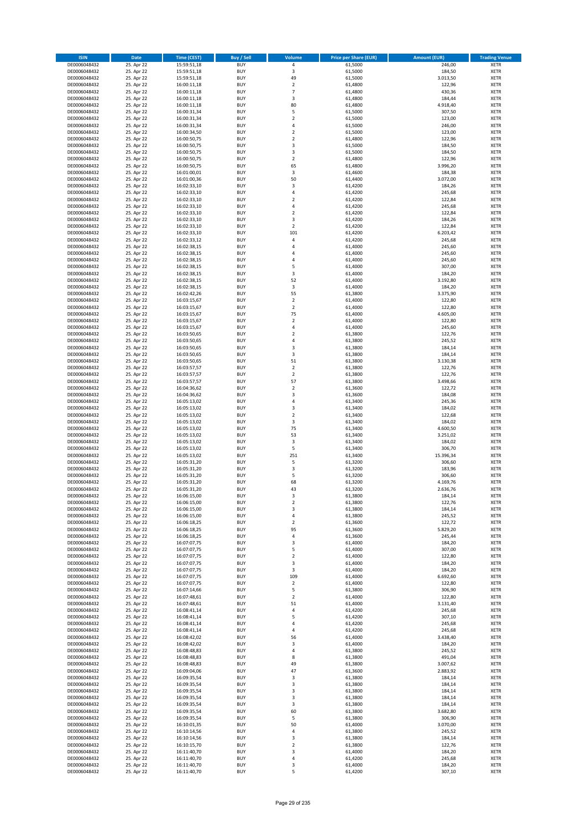| <b>ISIN</b>                  | Date                     | Time (CEST)                | <b>Buy / Sell</b>        | <b>Volume</b>           | <b>Price per Share (EUR)</b> | <b>Amount (EUR)</b> | <b>Trading Venue</b>       |
|------------------------------|--------------------------|----------------------------|--------------------------|-------------------------|------------------------------|---------------------|----------------------------|
| DE0006048432                 | 25. Apr 22               | 15:59:51,18                | <b>BUY</b>               | $\pmb{4}$               | 61,5000                      | 246,00              | <b>XETR</b>                |
| DE0006048432                 | 25. Apr 22               | 15:59:51,18                | <b>BUY</b>               | 3                       | 61,5000                      | 184,50              | XETR                       |
| DE0006048432                 | 25. Apr 22               | 15:59:51,18                | <b>BUY</b>               | 49                      | 61,5000                      | 3.013,50            | <b>XETR</b>                |
| DE0006048432                 | 25. Apr 22               | 16:00:11,18                | <b>BUY</b>               | $\mathbf 2$             | 61,4800                      | 122,96              | XETR                       |
| DE0006048432<br>DE0006048432 | 25. Apr 22<br>25. Apr 22 | 16:00:11,18<br>16:00:11,18 | <b>BUY</b><br><b>BUY</b> | $\overline{7}$<br>3     | 61,4800<br>61,4800           | 430,36<br>184,44    | <b>XETR</b><br><b>XETR</b> |
| DE0006048432                 | 25. Apr 22               | 16:00:11,18                | <b>BUY</b>               | 80                      | 61,4800                      | 4.918,40            | <b>XETR</b>                |
| DE0006048432                 | 25. Apr 22               | 16:00:31,34                | <b>BUY</b>               | 5                       | 61,5000                      | 307,50              | <b>XETR</b>                |
| DE0006048432                 | 25. Apr 22               | 16:00:31,34                | <b>BUY</b>               | $\mathbf 2$             | 61,5000                      | 123,00              | <b>XETR</b>                |
| DE0006048432                 | 25. Apr 22               | 16:00:31,34                | <b>BUY</b>               | 4                       | 61,5000                      | 246,00              | <b>XETR</b>                |
| DE0006048432                 | 25. Apr 22               | 16:00:34,50                | <b>BUY</b>               | $\mathbf 2$             | 61,5000                      | 123,00              | <b>XETR</b>                |
| DE0006048432                 | 25. Apr 22               | 16:00:50,75                | <b>BUY</b>               | $\overline{2}$          | 61,4800                      | 122,96              | <b>XETR</b>                |
| DE0006048432<br>DE0006048432 | 25. Apr 22<br>25. Apr 22 | 16:00:50,75<br>16:00:50,75 | <b>BUY</b><br><b>BUY</b> | 3<br>3                  | 61,5000<br>61,5000           | 184,50<br>184,50    | <b>XETR</b><br><b>XETR</b> |
| DE0006048432                 | 25. Apr 22               | 16:00:50,75                | <b>BUY</b>               | $\mathbf 2$             | 61,4800                      | 122,96              | <b>XETR</b>                |
| DE0006048432                 | 25. Apr 22               | 16:00:50,75                | <b>BUY</b>               | 65                      | 61,4800                      | 3.996,20            | <b>XETR</b>                |
| DE0006048432                 | 25. Apr 22               | 16:01:00,01                | <b>BUY</b>               | 3                       | 61,4600                      | 184,38              | <b>XETR</b>                |
| DE0006048432                 | 25. Apr 22               | 16:01:00,36                | <b>BUY</b>               | 50                      | 61,4400                      | 3.072,00            | <b>XETR</b>                |
| DE0006048432                 | 25. Apr 22               | 16:02:33,10                | <b>BUY</b>               | 3                       | 61,4200                      | 184,26              | <b>XETR</b>                |
| DE0006048432<br>DE0006048432 | 25. Apr 22<br>25. Apr 22 | 16:02:33,10                | <b>BUY</b><br><b>BUY</b> | 4<br>$\overline{2}$     | 61,4200<br>61,4200           | 245,68<br>122,84    | <b>XETR</b><br><b>XETR</b> |
| DE0006048432                 | 25. Apr 22               | 16:02:33,10<br>16:02:33,10 | <b>BUY</b>               | $\pmb{4}$               | 61,4200                      | 245,68              | <b>XETR</b>                |
| DE0006048432                 | 25. Apr 22               | 16:02:33,10                | <b>BUY</b>               | $\overline{2}$          | 61,4200                      | 122,84              | <b>XETR</b>                |
| DE0006048432                 | 25. Apr 22               | 16:02:33,10                | <b>BUY</b>               | 3                       | 61,4200                      | 184,26              | <b>XETR</b>                |
| DE0006048432                 | 25. Apr 22               | 16:02:33,10                | <b>BUY</b>               | $\overline{2}$          | 61,4200                      | 122,84              | <b>XETR</b>                |
| DE0006048432                 | 25. Apr 22               | 16:02:33,10                | <b>BUY</b>               | 101                     | 61,4200                      | 6.203,42            | <b>XETR</b>                |
| DE0006048432<br>DE0006048432 | 25. Apr 22               | 16:02:33,12                | <b>BUY</b><br><b>BUY</b> | 4<br>4                  | 61,4200                      | 245,68              | <b>XETR</b><br><b>XETR</b> |
| DE0006048432                 | 25. Apr 22<br>25. Apr 22 | 16:02:38,15<br>16:02:38,15 | <b>BUY</b>               | 4                       | 61,4000<br>61,4000           | 245,60<br>245,60    | <b>XETR</b>                |
| DE0006048432                 | 25. Apr 22               | 16:02:38,15                | <b>BUY</b>               | $\overline{4}$          | 61,4000                      | 245,60              | <b>XETR</b>                |
| DE0006048432                 | 25. Apr 22               | 16:02:38,15                | <b>BUY</b>               | 5                       | 61,4000                      | 307,00              | <b>XETR</b>                |
| DE0006048432                 | 25. Apr 22               | 16:02:38,15                | <b>BUY</b>               | 3                       | 61,4000                      | 184,20              | <b>XETR</b>                |
| DE0006048432                 | 25. Apr 22               | 16:02:38,15                | <b>BUY</b>               | 52                      | 61,4000                      | 3.192,80            | <b>XETR</b>                |
| DE0006048432                 | 25. Apr 22               | 16:02:38,15                | <b>BUY</b>               | 3                       | 61,4000                      | 184,20              | <b>XETR</b>                |
| DE0006048432<br>DE0006048432 | 25. Apr 22<br>25. Apr 22 | 16:02:42,26<br>16:03:15,67 | <b>BUY</b><br><b>BUY</b> | 55<br>$\mathbf 2$       | 61,3800<br>61,4000           | 3.375,90<br>122,80  | <b>XETR</b><br><b>XETR</b> |
| DE0006048432                 | 25. Apr 22               | 16:03:15,67                | <b>BUY</b>               | $\overline{2}$          | 61,4000                      | 122,80              | <b>XETR</b>                |
| DE0006048432                 | 25. Apr 22               | 16:03:15,67                | <b>BUY</b>               | 75                      | 61,4000                      | 4.605,00            | <b>XETR</b>                |
| DE0006048432                 | 25. Apr 22               | 16:03:15,67                | <b>BUY</b>               | $\mathbf 2$             | 61,4000                      | 122,80              | <b>XETR</b>                |
| DE0006048432                 | 25. Apr 22               | 16:03:15,67                | <b>BUY</b>               | $\pmb{4}$               | 61,4000                      | 245,60              | <b>XETR</b>                |
| DE0006048432                 | 25. Apr 22               | 16:03:50,65                | <b>BUY</b>               | $\overline{\mathbf{c}}$ | 61,3800                      | 122,76              | <b>XETR</b>                |
| DE0006048432                 | 25. Apr 22               | 16:03:50,65                | <b>BUY</b>               | 4                       | 61,3800                      | 245,52              | <b>XETR</b>                |
| DE0006048432<br>DE0006048432 | 25. Apr 22<br>25. Apr 22 | 16:03:50,65<br>16:03:50,65 | <b>BUY</b><br><b>BUY</b> | 3<br>3                  | 61,3800<br>61,3800           | 184,14<br>184,14    | <b>XETR</b><br><b>XETR</b> |
| DE0006048432                 | 25. Apr 22               | 16:03:50,65                | <b>BUY</b>               | 51                      | 61,3800                      | 3.130,38            | <b>XETR</b>                |
| DE0006048432                 | 25. Apr 22               | 16:03:57,57                | <b>BUY</b>               | $\overline{2}$          | 61,3800                      | 122,76              | <b>XETR</b>                |
| DE0006048432                 | 25. Apr 22               | 16:03:57,57                | <b>BUY</b>               | $\mathbf 2$             | 61,3800                      | 122,76              | <b>XETR</b>                |
| DE0006048432                 | 25. Apr 22               | 16:03:57,57                | <b>BUY</b>               | 57                      | 61,3800                      | 3.498,66            | <b>XETR</b>                |
| DE0006048432                 | 25. Apr 22               | 16:04:36,62                | <b>BUY</b><br><b>BUY</b> | $\mathbf 2$<br>3        | 61,3600                      | 122,72              | <b>XETR</b>                |
| DE0006048432<br>DE0006048432 | 25. Apr 22<br>25. Apr 22 | 16:04:36,62<br>16:05:13,02 | <b>BUY</b>               | 4                       | 61,3600<br>61,3400           | 184,08<br>245,36    | <b>XETR</b><br><b>XETR</b> |
| DE0006048432                 | 25. Apr 22               | 16:05:13,02                | <b>BUY</b>               | 3                       | 61,3400                      | 184,02              | <b>XETR</b>                |
| DE0006048432                 | 25. Apr 22               | 16:05:13,02                | <b>BUY</b>               | $\overline{2}$          | 61,3400                      | 122,68              | <b>XETR</b>                |
| DE0006048432                 | 25. Apr 22               | 16:05:13,02                | <b>BUY</b>               | $\mathsf 3$             | 61,3400                      | 184,02              | <b>XETR</b>                |
| DE0006048432                 | 25. Apr 22               | 16:05:13,02                | <b>BUY</b>               | 75                      | 61,3400                      | 4.600,50            | <b>XETR</b>                |
| DE0006048432                 | 25. Apr 22               | 16:05:13,02                | <b>BUY</b>               | 53                      | 61,3400                      | 3.251,02            | <b>XETR</b>                |
| DE0006048432<br>DE0006048432 | 25. Apr 22<br>25. Apr 22 | 16:05:13,02<br>16:05:13,02 | <b>BUY</b><br><b>BUY</b> | 3<br>5                  | 61,3400<br>61,3400           | 184,02<br>306,70    | <b>XETR</b><br><b>XETR</b> |
| DE0006048432                 | 25. Apr 22               | 16:05:13,02                | <b>BUY</b>               | 251                     | 61,3400                      | 15.396,34           | <b>XETR</b>                |
| DE0006048432                 | 25. Apr 22               | 16:05:31,20                | <b>BUY</b>               | 5                       | 61,3200                      | 306,60              | <b>XETR</b>                |
| DE0006048432                 | 25. Apr 22               | 16:05:31,20                | <b>BUY</b>               | $\mathsf 3$             | 61,3200                      | 183,96              | <b>XETR</b>                |
| DE0006048432                 | 25. Apr 22               | 16:05:31,20                | <b>BUY</b>               | 5                       | 61,3200                      | 306,60              | <b>XETR</b>                |
| DE0006048432                 | 25. Apr 22               | 16:05:31,20                | <b>BUY</b>               | 68                      | 61,3200                      | 4.169,76            | <b>XETR</b>                |
| DE0006048432                 | 25. Apr 22               | 16:05:31,20<br>16:06:15,00 | <b>BUY</b>               | 43                      | 61,3200                      | 2.636,76            | <b>XETR</b>                |
| DE0006048432<br>DE0006048432 | 25. Apr 22<br>25. Apr 22 | 16:06:15,00                | BUY<br><b>BUY</b>        | 3<br>$\overline{2}$     | 61,3800<br>61,3800           | 184,14<br>122,76    | XETR<br><b>XETR</b>        |
| DE0006048432                 | 25. Apr 22               | 16:06:15,00                | <b>BUY</b>               | 3                       | 61,3800                      | 184,14              | <b>XETR</b>                |
| DE0006048432                 | 25. Apr 22               | 16:06:15,00                | <b>BUY</b>               | 4                       | 61,3800                      | 245,52              | XETR                       |
| DE0006048432                 | 25. Apr 22               | 16:06:18,25                | <b>BUY</b>               | $\mathbf 2$             | 61,3600                      | 122,72              | XETR                       |
| DE0006048432                 | 25. Apr 22               | 16:06:18,25                | <b>BUY</b>               | 95                      | 61,3600                      | 5.829,20            | XETR                       |
| DE0006048432                 | 25. Apr 22               | 16:06:18,25                | <b>BUY</b>               | $\pmb{4}$               | 61,3600                      | 245,44              | <b>XETR</b>                |
| DE0006048432<br>DE0006048432 | 25. Apr 22<br>25. Apr 22 | 16:07:07,75<br>16:07:07,75 | <b>BUY</b><br><b>BUY</b> | 3<br>5                  | 61,4000<br>61,4000           | 184,20<br>307,00    | <b>XETR</b><br>XETR        |
| DE0006048432                 | 25. Apr 22               | 16:07:07,75                | <b>BUY</b>               | $\mathbf 2$             | 61,4000                      | 122,80              | <b>XETR</b>                |
| DE0006048432                 | 25. Apr 22               | 16:07:07,75                | <b>BUY</b>               | 3                       | 61,4000                      | 184,20              | XETR                       |
| DE0006048432                 | 25. Apr 22               | 16:07:07,75                | <b>BUY</b>               | 3                       | 61,4000                      | 184,20              | <b>XETR</b>                |
| DE0006048432                 | 25. Apr 22               | 16:07:07,75                | <b>BUY</b>               | 109                     | 61,4000                      | 6.692,60            | XETR                       |
| DE0006048432                 | 25. Apr 22               | 16:07:07,75                | <b>BUY</b>               | $\overline{2}$          | 61.4000                      | 122,80              | <b>XETR</b>                |
| DE0006048432<br>DE0006048432 | 25. Apr 22<br>25. Apr 22 | 16:07:14,66<br>16:07:48,61 | <b>BUY</b><br><b>BUY</b> | 5<br>$\overline{2}$     | 61,3800<br>61,4000           | 306,90<br>122,80    | XETR<br><b>XETR</b>        |
| DE0006048432                 | 25. Apr 22               | 16:07:48,61                | <b>BUY</b>               | 51                      | 61,4000                      | 3.131,40            | <b>XETR</b>                |
| DE0006048432                 | 25. Apr 22               | 16:08:41,14                | <b>BUY</b>               | 4                       | 61,4200                      | 245,68              | <b>XETR</b>                |
| DE0006048432                 | 25. Apr 22               | 16:08:41,14                | <b>BUY</b>               | 5                       | 61,4200                      | 307,10              | XETR                       |
| DE0006048432                 | 25. Apr 22               | 16:08:41,14                | <b>BUY</b>               | $\overline{4}$          | 61,4200                      | 245,68              | XETR                       |
| DE0006048432                 | 25. Apr 22               | 16:08:41,14                | <b>BUY</b>               | $\pmb{4}$               | 61,4200                      | 245,68              | <b>XETR</b>                |
| DE0006048432<br>DE0006048432 | 25. Apr 22<br>25. Apr 22 | 16:08:42,02<br>16:08:42,02 | <b>BUY</b><br><b>BUY</b> | 56<br>3                 | 61,4000<br>61,4000           | 3.438,40<br>184,20  | <b>XETR</b><br>XETR        |
| DE0006048432                 | 25. Apr 22               | 16:08:48,83                | <b>BUY</b>               | 4                       | 61,3800                      | 245,52              | <b>XETR</b>                |
| DE0006048432                 | 25. Apr 22               | 16:08:48,83                | <b>BUY</b>               | 8                       | 61,3800                      | 491,04              | XETR                       |
| DE0006048432                 | 25. Apr 22               | 16:08:48,83                | <b>BUY</b>               | 49                      | 61,3800                      | 3.007,62            | <b>XETR</b>                |
| DE0006048432                 | 25. Apr 22               | 16:09:04,06                | <b>BUY</b>               | 47                      | 61,3600                      | 2.883,92            | XETR                       |
| DE0006048432                 | 25. Apr 22               | 16:09:35,54                | <b>BUY</b>               | 3                       | 61,3800                      | 184,14              | <b>XETR</b>                |
| DE0006048432<br>DE0006048432 | 25. Apr 22<br>25. Apr 22 | 16:09:35,54                | <b>BUY</b><br><b>BUY</b> | 3<br>3                  | 61,3800<br>61,3800           | 184,14<br>184,14    | XETR<br><b>XETR</b>        |
| DE0006048432                 | 25. Apr 22               | 16:09:35,54<br>16:09:35,54 | <b>BUY</b>               | 3                       | 61,3800                      | 184,14              | XETR                       |
| DE0006048432                 | 25. Apr 22               | 16:09:35,54                | <b>BUY</b>               | 3                       | 61,3800                      | 184,14              | XETR                       |
| DE0006048432                 | 25. Apr 22               | 16:09:35,54                | <b>BUY</b>               | 60                      | 61,3800                      | 3.682,80            | XETR                       |
| DE0006048432                 | 25. Apr 22               | 16:09:35,54                | <b>BUY</b>               | 5                       | 61,3800                      | 306,90              | <b>XETR</b>                |
| DE0006048432                 | 25. Apr 22               | 16:10:01,35                | <b>BUY</b>               | 50                      | 61,4000                      | 3.070,00            | <b>XETR</b>                |
| DE0006048432                 | 25. Apr 22               | 16:10:14,56                | <b>BUY</b>               | $\pmb{4}$               | 61,3800                      | 245,52              | XETR                       |
| DE0006048432<br>DE0006048432 | 25. Apr 22<br>25. Apr 22 | 16:10:14,56<br>16:10:15,70 | <b>BUY</b><br><b>BUY</b> | 3<br>$\mathbf 2$        | 61,3800<br>61,3800           | 184,14<br>122,76    | XETR<br>XETR               |
| DE0006048432                 | 25. Apr 22               | 16:11:40,70                | <b>BUY</b>               | 3                       | 61,4000                      | 184,20              | <b>XETR</b>                |
| DE0006048432                 | 25. Apr 22               | 16:11:40,70                | <b>BUY</b>               | 4                       | 61,4200                      | 245,68              | XETR                       |
| DE0006048432                 | 25. Apr 22               | 16:11:40,70                | <b>BUY</b>               | 3                       | 61,4000                      | 184,20              | <b>XETR</b>                |
| DE0006048432                 | 25. Apr 22               | 16:11:40,70                | <b>BUY</b>               | 5                       | 61,4200                      | 307,10              | XETR                       |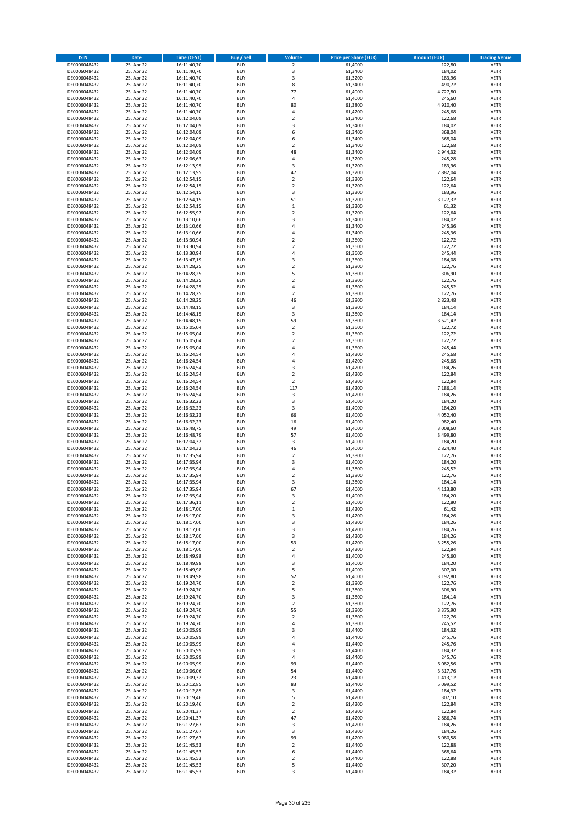| <b>ISIN</b>                  | Date                     | Time (CEST)                | <b>Buy / Sell</b>        | <b>Volume</b>                 | <b>Price per Share (EUR)</b> | <b>Amount (EUR)</b>  | <b>Trading Venue</b>       |
|------------------------------|--------------------------|----------------------------|--------------------------|-------------------------------|------------------------------|----------------------|----------------------------|
| DE0006048432                 | 25. Apr 22               | 16:11:40,70                | <b>BUY</b>               | $\overline{2}$                | 61,4000                      | 122,80               | <b>XETR</b>                |
| DE0006048432                 | 25. Apr 22               | 16:11:40,70                | <b>BUY</b>               | 3                             | 61,3400                      | 184,02               | XETR                       |
| DE0006048432                 | 25. Apr 22               | 16:11:40,70                | <b>BUY</b>               | 3                             | 61,3200                      | 183,96               | <b>XETR</b>                |
| DE0006048432                 | 25. Apr 22               | 16:11:40,70                | <b>BUY</b>               | 8                             | 61,3400                      | 490,72               | XETR                       |
| DE0006048432<br>DE0006048432 | 25. Apr 22<br>25. Apr 22 | 16:11:40,70<br>16:11:40,70 | <b>BUY</b><br><b>BUY</b> | 77<br>4                       | 61,4000<br>61,4000           | 4.727,80<br>245,60   | <b>XETR</b><br><b>XETR</b> |
| DE0006048432                 | 25. Apr 22               | 16:11:40,70                | <b>BUY</b>               | 80                            | 61,3800                      | 4.910,40             | <b>XETR</b>                |
| DE0006048432                 | 25. Apr 22               | 16:11:40,70                | <b>BUY</b>               | 4                             | 61,4200                      | 245,68               | <b>XETR</b>                |
| DE0006048432                 | 25. Apr 22               | 16:12:04,09                | <b>BUY</b>               | $\overline{2}$                | 61,3400                      | 122,68               | <b>XETR</b>                |
| DE0006048432                 | 25. Apr 22               | 16:12:04,09                | <b>BUY</b>               | 3                             | 61,3400                      | 184,02               | <b>XETR</b>                |
| DE0006048432                 | 25. Apr 22               | 16:12:04,09                | <b>BUY</b>               | 6                             | 61,3400                      | 368,04               | <b>XETR</b>                |
| DE0006048432                 | 25. Apr 22               | 16:12:04,09                | <b>BUY</b>               | 6                             | 61,3400                      | 368,04               | <b>XETR</b>                |
| DE0006048432<br>DE0006048432 | 25. Apr 22<br>25. Apr 22 | 16:12:04,09<br>16:12:04,09 | <b>BUY</b><br><b>BUY</b> | $\overline{2}$<br>48          | 61,3400<br>61,3400           | 122,68<br>2.944,32   | <b>XETR</b><br><b>XETR</b> |
| DE0006048432                 | 25. Apr 22               | 16:12:06,63                | <b>BUY</b>               | 4                             | 61,3200                      | 245,28               | <b>XETR</b>                |
| DE0006048432                 | 25. Apr 22               | 16:12:13,95                | <b>BUY</b>               | 3                             | 61,3200                      | 183,96               | <b>XETR</b>                |
| DE0006048432                 | 25. Apr 22               | 16:12:13,95                | <b>BUY</b>               | 47                            | 61,3200                      | 2.882,04             | <b>XETR</b>                |
| DE0006048432                 | 25. Apr 22               | 16:12:54,15                | <b>BUY</b>               | $\mathbf 2$                   | 61,3200                      | 122,64               | <b>XETR</b>                |
| DE0006048432                 | 25. Apr 22               | 16:12:54,15                | <b>BUY</b>               | $\overline{2}$                | 61,3200                      | 122,64               | <b>XETR</b>                |
| DE0006048432<br>DE0006048432 | 25. Apr 22<br>25. Apr 22 | 16:12:54,15<br>16:12:54,15 | <b>BUY</b><br><b>BUY</b> | 3<br>51                       | 61,3200<br>61,3200           | 183,96<br>3.127,32   | <b>XETR</b><br><b>XETR</b> |
| DE0006048432                 | 25. Apr 22               | 16:12:54,15                | <b>BUY</b>               | $\,$ 1                        | 61,3200                      | 61,32                | <b>XETR</b>                |
| DE0006048432                 | 25. Apr 22               | 16:12:55,92                | <b>BUY</b>               | $\mathbf 2$                   | 61,3200                      | 122,64               | <b>XETR</b>                |
| DE0006048432                 | 25. Apr 22               | 16:13:10,66                | <b>BUY</b>               | 3                             | 61,3400                      | 184,02               | <b>XETR</b>                |
| DE0006048432                 | 25. Apr 22               | 16:13:10,66                | <b>BUY</b>               | $\pmb{4}$                     | 61,3400                      | 245,36               | <b>XETR</b>                |
| DE0006048432                 | 25. Apr 22               | 16:13:10,66                | <b>BUY</b>               | 4                             | 61,3400                      | 245,36               | <b>XETR</b>                |
| DE0006048432<br>DE0006048432 | 25. Apr 22<br>25. Apr 22 | 16:13:30,94<br>16:13:30,94 | <b>BUY</b><br><b>BUY</b> | $\mathbf 2$<br>$\overline{2}$ | 61,3600<br>61,3600           | 122,72<br>122,72     | <b>XETR</b><br><b>XETR</b> |
| DE0006048432                 | 25. Apr 22               | 16:13:30,94                | <b>BUY</b>               | 4                             | 61,3600                      | 245,44               | <b>XETR</b>                |
| DE0006048432                 | 25. Apr 22               | 16:13:47,19                | <b>BUY</b>               | 3                             | 61,3600                      | 184,08               | <b>XETR</b>                |
| DE0006048432                 | 25. Apr 22               | 16:14:28,25                | <b>BUY</b>               | $\mathbf 2$                   | 61,3800                      | 122,76               | <b>XETR</b>                |
| DE0006048432                 | 25. Apr 22               | 16:14:28,25                | <b>BUY</b>               | 5                             | 61,3800                      | 306,90               | <b>XETR</b>                |
| DE0006048432                 | 25. Apr 22               | 16:14:28,25                | <b>BUY</b>               | $\overline{2}$                | 61,3800                      | 122,76               | <b>XETR</b>                |
| DE0006048432                 | 25. Apr 22               | 16:14:28,25                | <b>BUY</b>               | $\overline{4}$                | 61,3800                      | 245,52               | <b>XETR</b>                |
| DE0006048432<br>DE0006048432 | 25. Apr 22<br>25. Apr 22 | 16:14:28,25<br>16:14:28,25 | <b>BUY</b><br><b>BUY</b> | $\mathbf 2$<br>46             | 61,3800<br>61,3800           | 122,76<br>2.823,48   | <b>XETR</b><br><b>XETR</b> |
| DE0006048432                 | 25. Apr 22               | 16:14:48,15                | <b>BUY</b>               | 3                             | 61,3800                      | 184,14               | <b>XETR</b>                |
| DE0006048432                 | 25. Apr 22               | 16:14:48,15                | <b>BUY</b>               | 3                             | 61,3800                      | 184,14               | <b>XETR</b>                |
| DE0006048432                 | 25. Apr 22               | 16:14:48,15                | <b>BUY</b>               | 59                            | 61,3800                      | 3.621,42             | <b>XETR</b>                |
| DE0006048432                 | 25. Apr 22               | 16:15:05,04                | <b>BUY</b>               | $\mathbf 2$                   | 61,3600                      | 122,72               | <b>XETR</b>                |
| DE0006048432                 | 25. Apr 22               | 16:15:05,04                | <b>BUY</b>               | $\mathbf 2$                   | 61,3600                      | 122,72               | <b>XETR</b>                |
| DE0006048432                 | 25. Apr 22<br>25. Apr 22 | 16:15:05,04                | <b>BUY</b><br><b>BUY</b> | $\overline{2}$<br>$\pmb{4}$   | 61,3600<br>61,3600           | 122,72<br>245,44     | <b>XETR</b><br><b>XETR</b> |
| DE0006048432<br>DE0006048432 | 25. Apr 22               | 16:15:05,04<br>16:16:24,54 | <b>BUY</b>               | 4                             | 61,4200                      | 245,68               | <b>XETR</b>                |
| DE0006048432                 | 25. Apr 22               | 16:16:24,54                | <b>BUY</b>               | $\overline{4}$                | 61,4200                      | 245,68               | <b>XETR</b>                |
| DE0006048432                 | 25. Apr 22               | 16:16:24,54                | <b>BUY</b>               | 3                             | 61,4200                      | 184,26               | <b>XETR</b>                |
| DE0006048432                 | 25. Apr 22               | 16:16:24,54                | <b>BUY</b>               | $\mathbf 2$                   | 61,4200                      | 122,84               | <b>XETR</b>                |
| DE0006048432                 | 25. Apr 22               | 16:16:24,54                | <b>BUY</b>               | $\mathbf 2$                   | 61,4200                      | 122,84               | <b>XETR</b>                |
| DE0006048432<br>DE0006048432 | 25. Apr 22<br>25. Apr 22 | 16:16:24,54<br>16:16:24,54 | <b>BUY</b><br><b>BUY</b> | 117<br>3                      | 61,4200<br>61,4200           | 7.186,14<br>184,26   | <b>XETR</b><br><b>XETR</b> |
| DE0006048432                 | 25. Apr 22               | 16:16:32,23                | <b>BUY</b>               | 3                             | 61,4000                      | 184,20               | <b>XETR</b>                |
| DE0006048432                 | 25. Apr 22               | 16:16:32,23                | <b>BUY</b>               | 3                             | 61,4000                      | 184,20               | <b>XETR</b>                |
| DE0006048432                 | 25. Apr 22               | 16:16:32,23                | <b>BUY</b>               | 66                            | 61,4000                      | 4.052,40             | <b>XETR</b>                |
| DE0006048432                 | 25. Apr 22               | 16:16:32,23                | <b>BUY</b>               | 16                            | 61,4000                      | 982,40               | <b>XETR</b>                |
| DE0006048432                 | 25. Apr 22               | 16:16:48,75                | <b>BUY</b>               | 49                            | 61,4000                      | 3.008,60             | <b>XETR</b>                |
| DE0006048432                 | 25. Apr 22               | 16:16:48,79                | <b>BUY</b>               | 57                            | 61,4000                      | 3.499,80             | <b>XETR</b>                |
| DE0006048432<br>DE0006048432 | 25. Apr 22<br>25. Apr 22 | 16:17:04,32<br>16:17:04,32 | <b>BUY</b><br><b>BUY</b> | 3<br>46                       | 61,4000<br>61,4000           | 184,20<br>2.824,40   | <b>XETR</b><br><b>XETR</b> |
| DE0006048432                 | 25. Apr 22               | 16:17:35,94                | <b>BUY</b>               | $\overline{2}$                | 61,3800                      | 122,76               | <b>XETR</b>                |
| DE0006048432                 | 25. Apr 22               | 16:17:35,94                | <b>BUY</b>               | 3                             | 61,4000                      | 184,20               | <b>XETR</b>                |
| DE0006048432                 | 25. Apr 22               | 16:17:35,94                | <b>BUY</b>               | $\pmb{4}$                     | 61,3800                      | 245,52               | <b>XETR</b>                |
| DE0006048432                 | 25. Apr 22               | 16:17:35,94                | <b>BUY</b>               | $\overline{\mathbf{c}}$       | 61,3800                      | 122,76               | <b>XETR</b>                |
| DE0006048432                 | 25. Apr 22               | 16:17:35,94                | <b>BUY</b>               | 3                             | 61,3800                      | 184,14               | <b>XETR</b>                |
| DE0006048432<br>DE0006048432 | 25. Apr 22<br>25. Apr 22 | 16:17:35,94<br>16:17:35,94 | <b>BUY</b><br>BUY        | 67<br>3                       | 61,4000<br>61,4000           | 4.113,80<br>184,20   | <b>XETR</b><br>XETR        |
| DE0006048432                 | 25. Apr 22               | 16:17:36,11                | <b>BUY</b>               | $\mathbf 2$                   | 61,4000                      | 122,80               | <b>XETR</b>                |
| DE0006048432                 | 25. Apr 22               | 16:18:17,00                | <b>BUY</b>               | $\,$ 1                        | 61,4200                      | 61,42                | <b>XETR</b>                |
| DE0006048432                 | 25. Apr 22               | 16:18:17,00                | <b>BUY</b>               | 3                             | 61,4200                      | 184,26               | XETR                       |
| DE0006048432                 | 25. Apr 22               | 16:18:17,00                | <b>BUY</b>               | 3                             | 61,4200                      | 184,26               | XETR                       |
| DE0006048432<br>DE0006048432 | 25. Apr 22               | 16:18:17,00                | <b>BUY</b><br><b>BUY</b> | 3<br>3                        | 61,4200<br>61,4200           | 184,26<br>184,26     | <b>XETR</b>                |
| DE0006048432                 | 25. Apr 22<br>25. Apr 22 | 16:18:17,00<br>16:18:17,00 | <b>BUY</b>               | 53                            | 61,4200                      | 3.255,26             | <b>XETR</b><br><b>XETR</b> |
| DE0006048432                 | 25. Apr 22               | 16:18:17,00                | <b>BUY</b>               | $\mathbf 2$                   | 61,4200                      | 122,84               | XETR                       |
| DE0006048432                 | 25. Apr 22               | 16:18:49,98                | <b>BUY</b>               | $\pmb{4}$                     | 61,4000                      | 245,60               | <b>XETR</b>                |
| DE0006048432                 | 25. Apr 22               | 16:18:49,98                | <b>BUY</b>               | 3                             | 61,4000                      | 184,20               | XETR                       |
| DE0006048432                 | 25. Apr 22               | 16:18:49,98                | <b>BUY</b>               | 5                             | 61,4000                      | 307,00               | <b>XETR</b>                |
| DE0006048432<br>DE0006048432 | 25. Apr 22<br>25. Apr 22 | 16:18:49,98<br>16:19:24,70 | <b>BUY</b><br><b>BUY</b> | 52<br>$\overline{2}$          | 61,4000<br>61,3800           | 3.192,80<br>122,76   | XETR<br><b>XETR</b>        |
| DE0006048432                 | 25. Apr 22               | 16:19:24,70                | <b>BUY</b>               | 5                             | 61,3800                      | 306,90               | <b>XETR</b>                |
| DE0006048432                 | 25. Apr 22               | 16:19:24,70                | <b>BUY</b>               | 3                             | 61,3800                      | 184,14               | <b>XETR</b>                |
| DE0006048432                 | 25. Apr 22               | 16:19:24,70                | <b>BUY</b>               | $\mathbf 2$                   | 61,3800                      | 122,76               | <b>XETR</b>                |
| DE0006048432                 | 25. Apr 22               | 16:19:24,70                | <b>BUY</b>               | 55                            | 61,3800                      | 3.375,90             | <b>XETR</b>                |
| DE0006048432                 | 25. Apr 22               | 16:19:24,70                | <b>BUY</b>               | $\mathbf 2$                   | 61,3800                      | 122,76               | XETR                       |
| DE0006048432                 | 25. Apr 22               | 16:19:24,70                | <b>BUY</b>               | $\sqrt{4}$                    | 61,3800                      | 245,52               | XETR                       |
| DE0006048432<br>DE0006048432 | 25. Apr 22<br>25. Apr 22 | 16:20:05,99<br>16:20:05,99 | <b>BUY</b><br><b>BUY</b> | 3<br>$\sqrt{4}$               | 61,4400<br>61,4400           | 184,32<br>245,76     | <b>XETR</b><br><b>XETR</b> |
| DE0006048432                 | 25. Apr 22               | 16:20:05,99                | <b>BUY</b>               | 4                             | 61,4400                      | 245,76               | XETR                       |
| DE0006048432                 | 25. Apr 22               | 16:20:05,99                | <b>BUY</b>               | 3                             | 61,4400                      | 184,32               | <b>XETR</b>                |
| DE0006048432                 | 25. Apr 22               | 16:20:05,99                | <b>BUY</b>               | 4                             | 61,4400                      | 245,76               | XETR                       |
| DE0006048432                 | 25. Apr 22               | 16:20:05,99                | <b>BUY</b>               | 99                            | 61,4400                      | 6.082,56             | <b>XETR</b>                |
| DE0006048432                 | 25. Apr 22               | 16:20:06,06                | <b>BUY</b>               | 54                            | 61,4400                      | 3.317,76             | XETR                       |
| DE0006048432<br>DE0006048432 | 25. Apr 22<br>25. Apr 22 | 16:20:09,32<br>16:20:12,85 | <b>BUY</b><br><b>BUY</b> | 23<br>83                      | 61,4400<br>61,4400           | 1.413,12<br>5.099,52 | <b>XETR</b><br><b>XETR</b> |
| DE0006048432                 | 25. Apr 22               | 16:20:12,85                | <b>BUY</b>               | 3                             | 61,4400                      | 184,32               | <b>XETR</b>                |
| DE0006048432                 | 25. Apr 22               | 16:20:19,46                | <b>BUY</b>               | 5                             | 61,4200                      | 307,10               | XETR                       |
| DE0006048432                 | 25. Apr 22               | 16:20:19,46                | <b>BUY</b>               | $\overline{2}$                | 61,4200                      | 122,84               | XETR                       |
| DE0006048432                 | 25. Apr 22               | 16:20:41,37                | <b>BUY</b>               | $\overline{2}$                | 61,4200                      | 122,84               | XETR                       |
| DE0006048432                 | 25. Apr 22               | 16:20:41,37                | <b>BUY</b>               | 47                            | 61,4200                      | 2.886,74             | <b>XETR</b>                |
| DE0006048432<br>DE0006048432 | 25. Apr 22<br>25. Apr 22 | 16:21:27,67<br>16:21:27,67 | <b>BUY</b><br><b>BUY</b> | 3<br>3                        | 61,4200<br>61,4200           | 184,26<br>184,26     | <b>XETR</b><br><b>XETR</b> |
| DE0006048432                 | 25. Apr 22               | 16:21:27,67                | <b>BUY</b>               | 99                            | 61,4200                      | 6.080,58             | XETR                       |
| DE0006048432                 | 25. Apr 22               | 16:21:45,53                | <b>BUY</b>               | $\mathbf 2$                   | 61,4400                      | 122,88               | XETR                       |
| DE0006048432                 | 25. Apr 22               | 16:21:45,53                | <b>BUY</b>               | 6                             | 61,4400                      | 368,64               | <b>XETR</b>                |
| DE0006048432                 | 25. Apr 22               | 16:21:45,53                | <b>BUY</b>               | $\mathbf 2$                   | 61,4400                      | 122,88               | XETR                       |
| DE0006048432                 | 25. Apr 22               | 16:21:45,53                | <b>BUY</b>               | 5                             | 61,4400                      | 307,20               | <b>XETR</b>                |
| DE0006048432                 | 25. Apr 22               | 16:21:45,53                | <b>BUY</b>               | 3                             | 61,4400                      | 184,32               | <b>XETR</b>                |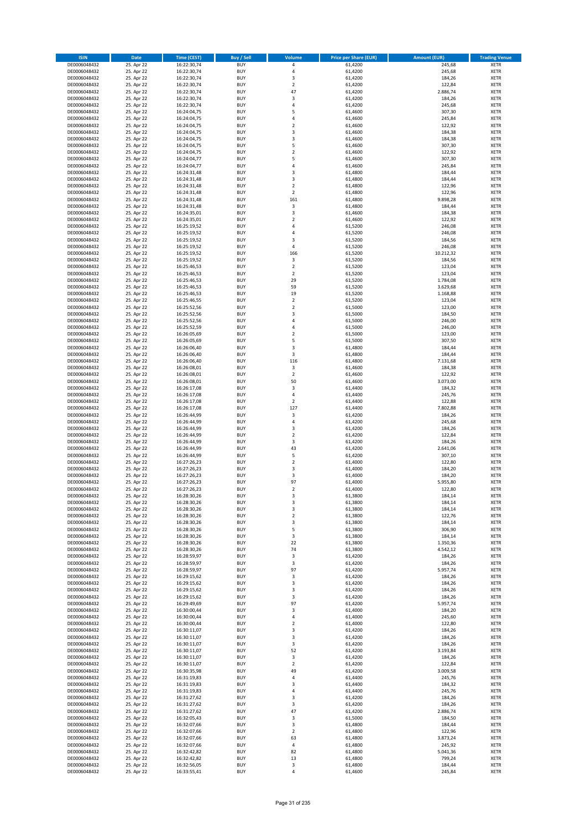| <b>ISIN</b>                  | Date                     | Time (CEST)                | <b>Buy / Sell</b>        | <b>Volume</b>      | <b>Price per Share (EUR)</b> | <b>Amount (EUR)</b> | <b>Trading Venue</b>       |
|------------------------------|--------------------------|----------------------------|--------------------------|--------------------|------------------------------|---------------------|----------------------------|
| DE0006048432                 | 25. Apr 22               | 16:22:30,74                | <b>BUY</b>               | $\pmb{4}$          | 61,4200                      | 245,68              | <b>XETR</b>                |
| DE0006048432                 | 25. Apr 22               | 16:22:30,74                | <b>BUY</b>               | 4                  | 61,4200                      | 245,68              | XETR                       |
| DE0006048432                 | 25. Apr 22               | 16:22:30,74                | <b>BUY</b>               | 3                  | 61,4200                      | 184,26              | <b>XETR</b>                |
| DE0006048432                 | 25. Apr 22               | 16:22:30,74                | <b>BUY</b>               | $\mathbf 2$        | 61,4200                      | 122,84              | XETR                       |
| DE0006048432<br>DE0006048432 | 25. Apr 22<br>25. Apr 22 | 16:22:30,74<br>16:22:30,74 | <b>BUY</b><br><b>BUY</b> | 47<br>3            | 61,4200<br>61,4200           | 2.886,74<br>184,26  | <b>XETR</b><br><b>XETR</b> |
| DE0006048432                 | 25. Apr 22               | 16:22:30,74                | <b>BUY</b>               | $\overline{4}$     | 61,4200                      | 245,68              | <b>XETR</b>                |
| DE0006048432                 | 25. Apr 22               | 16:24:04,75                | <b>BUY</b>               | 5                  | 61,4600                      | 307,30              | <b>XETR</b>                |
| DE0006048432                 | 25. Apr 22               | 16:24:04,75                | <b>BUY</b>               | $\overline{4}$     | 61,4600                      | 245,84              | <b>XETR</b>                |
| DE0006048432                 | 25. Apr 22               | 16:24:04,75                | <b>BUY</b>               | $\mathbf 2$        | 61,4600                      | 122,92              | <b>XETR</b>                |
| DE0006048432                 | 25. Apr 22               | 16:24:04,75                | <b>BUY</b>               | $\mathsf 3$        | 61,4600                      | 184,38              | <b>XETR</b>                |
| DE0006048432                 | 25. Apr 22               | 16:24:04,75                | <b>BUY</b>               | 3<br>5             | 61,4600                      | 184,38              | <b>XETR</b>                |
| DE0006048432<br>DE0006048432 | 25. Apr 22<br>25. Apr 22 | 16:24:04,75<br>16:24:04,75 | <b>BUY</b><br><b>BUY</b> | $\overline{2}$     | 61,4600<br>61,4600           | 307,30<br>122,92    | <b>XETR</b><br><b>XETR</b> |
| DE0006048432                 | 25. Apr 22               | 16:24:04,77                | <b>BUY</b>               | 5                  | 61,4600                      | 307,30              | <b>XETR</b>                |
| DE0006048432                 | 25. Apr 22               | 16:24:04,77                | <b>BUY</b>               | $\overline{4}$     | 61,4600                      | 245,84              | <b>XETR</b>                |
| DE0006048432                 | 25. Apr 22               | 16:24:31,48                | <b>BUY</b>               | 3                  | 61,4800                      | 184,44              | <b>XETR</b>                |
| DE0006048432                 | 25. Apr 22               | 16:24:31,48                | <b>BUY</b>               | 3                  | 61,4800                      | 184,44              | <b>XETR</b>                |
| DE0006048432                 | 25. Apr 22               | 16:24:31,48                | <b>BUY</b>               | $\overline{2}$     | 61,4800                      | 122,96              | <b>XETR</b>                |
| DE0006048432<br>DE0006048432 | 25. Apr 22<br>25. Apr 22 | 16:24:31,48<br>16:24:31,48 | <b>BUY</b><br><b>BUY</b> | $\mathbf 2$<br>161 | 61,4800<br>61,4800           | 122,96<br>9.898,28  | <b>XETR</b><br><b>XETR</b> |
| DE0006048432                 | 25. Apr 22               | 16:24:31,48                | <b>BUY</b>               | 3                  | 61,4800                      | 184,44              | <b>XETR</b>                |
| DE0006048432                 | 25. Apr 22               | 16:24:35,01                | <b>BUY</b>               | 3                  | 61,4600                      | 184,38              | <b>XETR</b>                |
| DE0006048432                 | 25. Apr 22               | 16:24:35,01                | <b>BUY</b>               | $\overline{2}$     | 61,4600                      | 122,92              | <b>XETR</b>                |
| DE0006048432                 | 25. Apr 22               | 16:25:19,52                | <b>BUY</b>               | $\sqrt{4}$         | 61,5200                      | 246,08              | <b>XETR</b>                |
| DE0006048432                 | 25. Apr 22               | 16:25:19,52                | <b>BUY</b>               | 4                  | 61,5200                      | 246,08              | <b>XETR</b>                |
| DE0006048432<br>DE0006048432 | 25. Apr 22               | 16:25:19,52                | <b>BUY</b><br><b>BUY</b> | 3<br>4             | 61,5200                      | 184,56              | <b>XETR</b><br><b>XETR</b> |
| DE0006048432                 | 25. Apr 22<br>25. Apr 22 | 16:25:19,52<br>16:25:19,52 | <b>BUY</b>               | 166                | 61,5200<br>61,5200           | 246,08<br>10.212,32 | <b>XETR</b>                |
| DE0006048432                 | 25. Apr 22               | 16:25:19,52                | <b>BUY</b>               | 3                  | 61,5200                      | 184,56              | <b>XETR</b>                |
| DE0006048432                 | 25. Apr 22               | 16:25:46,53                | <b>BUY</b>               | $\overline{2}$     | 61,5200                      | 123,04              | <b>XETR</b>                |
| DE0006048432                 | 25. Apr 22               | 16:25:46,53                | <b>BUY</b>               | $\overline{2}$     | 61,5200                      | 123,04              | <b>XETR</b>                |
| DE0006048432                 | 25. Apr 22               | 16:25:46,53                | <b>BUY</b>               | 29                 | 61,5200                      | 1.784,08            | <b>XETR</b>                |
| DE0006048432                 | 25. Apr 22               | 16:25:46,53                | <b>BUY</b>               | 59                 | 61,5200                      | 3.629,68            | <b>XETR</b>                |
| DE0006048432<br>DE0006048432 | 25. Apr 22<br>25. Apr 22 | 16:25:46,53<br>16:25:46,55 | <b>BUY</b><br><b>BUY</b> | 19<br>$\mathbf 2$  | 61,5200<br>61,5200           | 1.168,88<br>123,04  | <b>XETR</b><br><b>XETR</b> |
| DE0006048432                 | 25. Apr 22               | 16:25:52,56                | <b>BUY</b>               | $\overline{2}$     | 61,5000                      | 123,00              | <b>XETR</b>                |
| DE0006048432                 | 25. Apr 22               | 16:25:52,56                | <b>BUY</b>               | 3                  | 61,5000                      | 184,50              | <b>XETR</b>                |
| DE0006048432                 | 25. Apr 22               | 16:25:52,56                | <b>BUY</b>               | $\sqrt{4}$         | 61,5000                      | 246,00              | <b>XETR</b>                |
| DE0006048432                 | 25. Apr 22               | 16:25:52,59                | <b>BUY</b>               | 4                  | 61,5000                      | 246,00              | <b>XETR</b>                |
| DE0006048432                 | 25. Apr 22               | 16:26:05,69                | <b>BUY</b>               | $\overline{2}$     | 61,5000                      | 123,00              | <b>XETR</b>                |
| DE0006048432<br>DE0006048432 | 25. Apr 22<br>25. Apr 22 | 16:26:05,69<br>16:26:06,40 | <b>BUY</b><br><b>BUY</b> | 5<br>3             | 61,5000<br>61,4800           | 307,50<br>184,44    | <b>XETR</b><br><b>XETR</b> |
| DE0006048432                 | 25. Apr 22               | 16:26:06,40                | <b>BUY</b>               | 3                  | 61,4800                      | 184,44              | <b>XETR</b>                |
| DE0006048432                 | 25. Apr 22               | 16:26:06,40                | <b>BUY</b>               | 116                | 61,4800                      | 7.131,68            | <b>XETR</b>                |
| DE0006048432                 | 25. Apr 22               | 16:26:08,01                | <b>BUY</b>               | 3                  | 61,4600                      | 184,38              | <b>XETR</b>                |
| DE0006048432                 | 25. Apr 22               | 16:26:08,01                | <b>BUY</b>               | $\mathbf 2$        | 61,4600                      | 122,92              | <b>XETR</b>                |
| DE0006048432                 | 25. Apr 22               | 16:26:08,01                | <b>BUY</b>               | 50                 | 61,4600                      | 3.073,00            | <b>XETR</b>                |
| DE0006048432<br>DE0006048432 | 25. Apr 22<br>25. Apr 22 | 16:26:17,08<br>16:26:17,08 | <b>BUY</b><br><b>BUY</b> | 3<br>$\sqrt{4}$    | 61,4400<br>61,4400           | 184,32<br>245,76    | <b>XETR</b><br><b>XETR</b> |
| DE0006048432                 | 25. Apr 22               | 16:26:17,08                | <b>BUY</b>               | $\overline{2}$     | 61,4400                      | 122,88              | <b>XETR</b>                |
| DE0006048432                 | 25. Apr 22               | 16:26:17,08                | <b>BUY</b>               | 127                | 61,4400                      | 7.802,88            | <b>XETR</b>                |
| DE0006048432                 | 25. Apr 22               | 16:26:44,99                | <b>BUY</b>               | 3                  | 61,4200                      | 184,26              | <b>XETR</b>                |
| DE0006048432                 | 25. Apr 22               | 16:26:44,99                | <b>BUY</b>               | $\sqrt{4}$         | 61,4200                      | 245,68              | <b>XETR</b>                |
| DE0006048432                 | 25. Apr 22               | 16:26:44,99                | <b>BUY</b>               | 3                  | 61,4200                      | 184,26              | <b>XETR</b>                |
| DE0006048432                 | 25. Apr 22               | 16:26:44,99                | <b>BUY</b>               | $\mathbf 2$        | 61,4200                      | 122,84              | <b>XETR</b>                |
| DE0006048432<br>DE0006048432 | 25. Apr 22<br>25. Apr 22 | 16:26:44,99<br>16:26:44,99 | <b>BUY</b><br><b>BUY</b> | 3<br>43            | 61,4200<br>61,4200           | 184,26<br>2.641,06  | <b>XETR</b><br><b>XETR</b> |
| DE0006048432                 | 25. Apr 22               | 16:26:44,99                | <b>BUY</b>               | 5                  | 61,4200                      | 307,10              | <b>XETR</b>                |
| DE0006048432                 | 25. Apr 22               | 16:27:26,23                | <b>BUY</b>               | $\overline{2}$     | 61,4000                      | 122,80              | <b>XETR</b>                |
| DE0006048432                 | 25. Apr 22               | 16:27:26,23                | <b>BUY</b>               | 3                  | 61,4000                      | 184,20              | <b>XETR</b>                |
| DE0006048432                 | 25. Apr 22               | 16:27:26,23                | <b>BUY</b>               | 3                  | 61,4000                      | 184,20              | <b>XETR</b>                |
| DE0006048432                 | 25. Apr 22               | 16:27:26,23                | <b>BUY</b>               | 97                 | 61,4000                      | 5.955,80            | <b>XETR</b>                |
| DE0006048432<br>DE0006048432 | 25. Apr 22<br>25. Apr 22 | 16:27:26,23<br>16:28:30,26 | <b>BUY</b><br>BUY        | 2<br>3             | 61,4000<br>61,3800           | 122,80<br>184,14    | <b>XETR</b><br>XETR        |
| DE0006048432                 | 25. Apr 22               | 16:28:30,26                | <b>BUY</b>               | 3                  | 61,3800                      | 184,14              | <b>XETR</b>                |
| DE0006048432                 | 25. Apr 22               | 16:28:30,26                | <b>BUY</b>               | 3                  | 61,3800                      | 184,14              | <b>XETR</b>                |
| DE0006048432                 | 25. Apr 22               | 16:28:30,26                | <b>BUY</b>               | $\mathbf 2$        | 61,3800                      | 122,76              | XETR                       |
| DE0006048432                 | 25. Apr 22               | 16:28:30,26                | <b>BUY</b>               | 3                  | 61,3800                      | 184,14              | XETR                       |
| DE0006048432                 | 25. Apr 22               | 16:28:30,26                | <b>BUY</b>               | 5                  | 61,3800                      | 306,90              | <b>XETR</b>                |
| DE0006048432<br>DE0006048432 | 25. Apr 22<br>25. Apr 22 | 16:28:30,26                | <b>BUY</b><br><b>BUY</b> | 3<br>22            | 61,3800<br>61,3800           | 184,14<br>1.350,36  | <b>XETR</b>                |
| DE0006048432                 | 25. Apr 22               | 16:28:30,26<br>16:28:30,26 | <b>BUY</b>               | 74                 | 61,3800                      | 4.542,12            | <b>XETR</b><br>XETR        |
| DE0006048432                 | 25. Apr 22               | 16:28:59,97                | <b>BUY</b>               | 3                  | 61,4200                      | 184,26              | <b>XETR</b>                |
| DE0006048432                 | 25. Apr 22               | 16:28:59,97                | <b>BUY</b>               | 3                  | 61,4200                      | 184,26              | XETR                       |
| DE0006048432                 | 25. Apr 22               | 16:28:59,97                | <b>BUY</b>               | 97                 | 61,4200                      | 5.957,74            | <b>XETR</b>                |
| DE0006048432                 | 25. Apr 22               | 16:29:15,62                | <b>BUY</b>               | 3                  | 61,4200                      | 184,26              | XETR                       |
| DE0006048432<br>DE0006048432 | 25. Apr 22               | 16:29:15,62                | <b>BUY</b><br><b>BUY</b> | 3                  | 61,4200                      | 184,26<br>184,26    | <b>XETR</b>                |
| DE0006048432                 | 25. Apr 22<br>25. Apr 22 | 16:29:15,62<br>16:29:15,62 | <b>BUY</b>               | 3<br>3             | 61,4200<br>61,4200           | 184,26              | <b>XETR</b><br><b>XETR</b> |
| DE0006048432                 | 25. Apr 22               | 16:29:49,69                | <b>BUY</b>               | 97                 | 61,4200                      | 5.957,74            | <b>XETR</b>                |
| DE0006048432                 | 25. Apr 22               | 16:30:00,44                | <b>BUY</b>               | 3                  | 61,4000                      | 184,20              | <b>XETR</b>                |
| DE0006048432                 | 25. Apr 22               | 16:30:00,44                | <b>BUY</b>               | 4                  | 61,4000                      | 245,60              | XETR                       |
| DE0006048432                 | 25. Apr 22               | 16:30:00,44                | <b>BUY</b>               | $\overline{2}$     | 61,4000                      | 122,80              | XETR                       |
| DE0006048432<br>DE0006048432 | 25. Apr 22<br>25. Apr 22 | 16:30:11,07<br>16:30:11,07 | <b>BUY</b><br><b>BUY</b> | 3<br>3             | 61,4200<br>61,4200           | 184,26<br>184,26    | <b>XETR</b><br><b>XETR</b> |
| DE0006048432                 | 25. Apr 22               | 16:30:11,07                | <b>BUY</b>               | 3                  | 61,4200                      | 184,26              | XETR                       |
| DE0006048432                 | 25. Apr 22               | 16:30:11,07                | <b>BUY</b>               | 52                 | 61,4200                      | 3.193,84            | <b>XETR</b>                |
| DE0006048432                 | 25. Apr 22               | 16:30:11,07                | <b>BUY</b>               | 3                  | 61,4200                      | 184,26              | XETR                       |
| DE0006048432                 | 25. Apr 22               | 16:30:11,07                | <b>BUY</b>               | $\overline{2}$     | 61,4200                      | 122,84              | <b>XETR</b>                |
| DE0006048432                 | 25. Apr 22               | 16:30:35,98                | <b>BUY</b>               | 49                 | 61,4200                      | 3.009,58            | XETR                       |
| DE0006048432                 | 25. Apr 22               | 16:31:19,83                | <b>BUY</b>               | 4                  | 61,4400                      | 245,76              | <b>XETR</b>                |
| DE0006048432<br>DE0006048432 | 25. Apr 22<br>25. Apr 22 | 16:31:19,83<br>16:31:19,83 | <b>BUY</b><br><b>BUY</b> | 3<br>4             | 61,4400<br>61,4400           | 184,32<br>245,76    | <b>XETR</b><br>XETR        |
| DE0006048432                 | 25. Apr 22               | 16:31:27,62                | <b>BUY</b>               | 3                  | 61,4200                      | 184,26              | <b>XETR</b>                |
| DE0006048432                 | 25. Apr 22               | 16:31:27,62                | <b>BUY</b>               | 3                  | 61,4200                      | 184,26              | XETR                       |
| DE0006048432                 | 25. Apr 22               | 16:31:27,62                | <b>BUY</b>               | 47                 | 61,4200                      | 2.886,74            | XETR                       |
| DE0006048432                 | 25. Apr 22               | 16:32:05,43                | <b>BUY</b>               | 3                  | 61,5000                      | 184,50              | <b>XETR</b>                |
| DE0006048432                 | 25. Apr 22               | 16:32:07,66                | <b>BUY</b>               | 3                  | 61,4800                      | 184,44              | <b>XETR</b>                |
| DE0006048432<br>DE0006048432 | 25. Apr 22<br>25. Apr 22 | 16:32:07,66<br>16:32:07,66 | <b>BUY</b><br><b>BUY</b> | $\mathbf 2$<br>63  | 61,4800<br>61,4800           | 122,96<br>3.873,24  | <b>XETR</b><br>XETR        |
| DE0006048432                 | 25. Apr 22               | 16:32:07,66                | <b>BUY</b>               | $\sqrt{4}$         | 61,4800                      | 245,92              | XETR                       |
| DE0006048432                 | 25. Apr 22               | 16:32:42,82                | <b>BUY</b>               | 82                 | 61,4800                      | 5.041,36            | <b>XETR</b>                |
| DE0006048432                 | 25. Apr 22               | 16:32:42,82                | <b>BUY</b>               | 13                 | 61,4800                      | 799,24              | XETR                       |
| DE0006048432                 | 25. Apr 22               | 16:32:56,05                | <b>BUY</b>               | 3                  | 61,4800                      | 184,44              | <b>XETR</b>                |
| DE0006048432                 | 25. Apr 22               | 16:33:55,41                | <b>BUY</b>               | $\sqrt{4}$         | 61,4600                      | 245,84              | <b>XETR</b>                |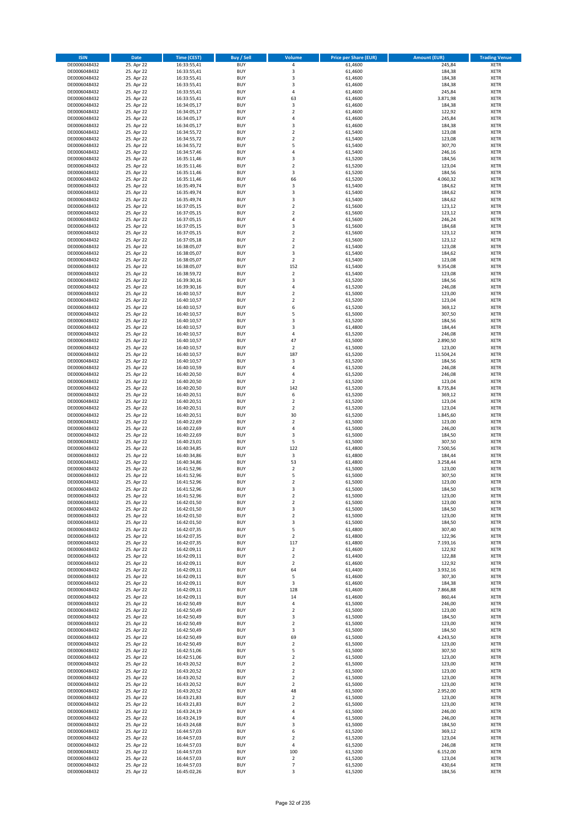| <b>ISIN</b>                  | Date                     | Time (CEST)                | <b>Buy / Sell</b>        | <b>Volume</b>       | <b>Price per Share (EUR)</b> | <b>Amount (EUR)</b> | <b>Trading Venue</b>       |
|------------------------------|--------------------------|----------------------------|--------------------------|---------------------|------------------------------|---------------------|----------------------------|
| DE0006048432                 | 25. Apr 22               | 16:33:55,41                | <b>BUY</b>               | $\pmb{4}$           | 61,4600                      | 245,84              | <b>XETR</b>                |
| DE0006048432                 | 25. Apr 22               | 16:33:55,41                | <b>BUY</b>               | 3                   | 61,4600                      | 184,38              | XETR                       |
| DE0006048432                 | 25. Apr 22               | 16:33:55,41                | <b>BUY</b>               | 3                   | 61,4600                      | 184,38              | <b>XETR</b>                |
| DE0006048432<br>DE0006048432 | 25. Apr 22<br>25. Apr 22 | 16:33:55,41<br>16:33:55,41 | <b>BUY</b><br><b>BUY</b> | $\mathsf 3$<br>4    | 61,4600<br>61,4600           | 184,38<br>245,84    | XETR<br><b>XETR</b>        |
| DE0006048432                 | 25. Apr 22               | 16:33:55,41                | <b>BUY</b>               | 63                  | 61,4600                      | 3.871,98            | <b>XETR</b>                |
| DE0006048432                 | 25. Apr 22               | 16:34:05,17                | <b>BUY</b>               | 3                   | 61,4600                      | 184,38              | <b>XETR</b>                |
| DE0006048432                 | 25. Apr 22               | 16:34:05,17                | <b>BUY</b>               | $\mathbf 2$         | 61,4600                      | 122,92              | <b>XETR</b>                |
| DE0006048432                 | 25. Apr 22               | 16:34:05,17                | <b>BUY</b>               | $\overline{4}$      | 61,4600                      | 245,84              | <b>XETR</b>                |
| DE0006048432                 | 25. Apr 22               | 16:34:05,17                | <b>BUY</b>               | 3                   | 61,4600                      | 184,38              | <b>XETR</b>                |
| DE0006048432                 | 25. Apr 22               | 16:34:55,72                | <b>BUY</b>               | $\mathbf 2$         | 61,5400                      | 123,08              | <b>XETR</b>                |
| DE0006048432<br>DE0006048432 | 25. Apr 22<br>25. Apr 22 | 16:34:55,72                | <b>BUY</b><br><b>BUY</b> | $\mathbf 2$<br>5    | 61,5400<br>61,5400           | 123,08<br>307,70    | <b>XETR</b><br><b>XETR</b> |
| DE0006048432                 | 25. Apr 22               | 16:34:55,72<br>16:34:57,46 | <b>BUY</b>               | 4                   | 61,5400                      | 246,16              | <b>XETR</b>                |
| DE0006048432                 | 25. Apr 22               | 16:35:11,46                | <b>BUY</b>               | 3                   | 61,5200                      | 184,56              | <b>XETR</b>                |
| DE0006048432                 | 25. Apr 22               | 16:35:11,46                | <b>BUY</b>               | $\overline{2}$      | 61,5200                      | 123,04              | <b>XETR</b>                |
| DE0006048432                 | 25. Apr 22               | 16:35:11,46                | <b>BUY</b>               | 3                   | 61,5200                      | 184,56              | <b>XETR</b>                |
| DE0006048432                 | 25. Apr 22               | 16:35:11,46                | <b>BUY</b>               | 66                  | 61,5200                      | 4.060,32            | <b>XETR</b>                |
| DE0006048432                 | 25. Apr 22               | 16:35:49,74                | <b>BUY</b>               | 3                   | 61,5400                      | 184,62              | <b>XETR</b>                |
| DE0006048432                 | 25. Apr 22               | 16:35:49,74                | <b>BUY</b>               | $\mathsf 3$         | 61,5400                      | 184,62              | <b>XETR</b>                |
| DE0006048432<br>DE0006048432 | 25. Apr 22<br>25. Apr 22 | 16:35:49,74<br>16:37:05,15 | <b>BUY</b><br><b>BUY</b> | 3<br>$\mathbf 2$    | 61,5400<br>61,5600           | 184,62<br>123,12    | <b>XETR</b><br><b>XETR</b> |
| DE0006048432                 | 25. Apr 22               | 16:37:05,15                | <b>BUY</b>               | $\overline{2}$      | 61,5600                      | 123,12              | <b>XETR</b>                |
| DE0006048432                 | 25. Apr 22               | 16:37:05,15                | <b>BUY</b>               | $\pmb{4}$           | 61,5600                      | 246,24              | <b>XETR</b>                |
| DE0006048432                 | 25. Apr 22               | 16:37:05,15                | <b>BUY</b>               | $\mathsf 3$         | 61,5600                      | 184,68              | <b>XETR</b>                |
| DE0006048432                 | 25. Apr 22               | 16:37:05,15                | <b>BUY</b>               | $\mathbf 2$         | 61,5600                      | 123,12              | <b>XETR</b>                |
| DE0006048432                 | 25. Apr 22               | 16:37:05,18                | <b>BUY</b>               | $\mathbf 2$         | 61,5600                      | 123,12              | <b>XETR</b>                |
| DE0006048432                 | 25. Apr 22               | 16:38:05,07                | <b>BUY</b>               | $\overline{2}$      | 61,5400                      | 123,08              | <b>XETR</b>                |
| DE0006048432<br>DE0006048432 | 25. Apr 22<br>25. Apr 22 | 16:38:05,07<br>16:38:05,07 | <b>BUY</b><br><b>BUY</b> | 3<br>$\overline{2}$ | 61,5400<br>61,5400           | 184,62<br>123,08    | <b>XETR</b><br><b>XETR</b> |
| DE0006048432                 | 25. Apr 22               | 16:38:05,07                | <b>BUY</b>               | 152                 | 61,5400                      | 9.354,08            | <b>XETR</b>                |
| DE0006048432                 | 25. Apr 22               | 16:38:59,72                | <b>BUY</b>               | $\overline{2}$      | 61,5400                      | 123,08              | <b>XETR</b>                |
| DE0006048432                 | 25. Apr 22               | 16:39:30,16                | <b>BUY</b>               | 3                   | 61,5200                      | 184,56              | <b>XETR</b>                |
| DE0006048432                 | 25. Apr 22               | 16:39:30,16                | <b>BUY</b>               | $\overline{4}$      | 61,5200                      | 246,08              | <b>XETR</b>                |
| DE0006048432                 | 25. Apr 22               | 16:40:10,57                | <b>BUY</b>               | $\mathbf 2$         | 61,5000                      | 123,00              | <b>XETR</b>                |
| DE0006048432                 | 25. Apr 22               | 16:40:10,57                | <b>BUY</b>               | $\overline{2}$      | 61,5200                      | 123,04              | <b>XETR</b>                |
| DE0006048432<br>DE0006048432 | 25. Apr 22               | 16:40:10,57                | <b>BUY</b><br><b>BUY</b> | 6<br>5              | 61,5200<br>61,5000           | 369,12<br>307,50    | <b>XETR</b><br><b>XETR</b> |
| DE0006048432                 | 25. Apr 22<br>25. Apr 22 | 16:40:10,57<br>16:40:10,57 | <b>BUY</b>               | 3                   | 61,5200                      | 184,56              | <b>XETR</b>                |
| DE0006048432                 | 25. Apr 22               | 16:40:10,57                | <b>BUY</b>               | 3                   | 61,4800                      | 184,44              | <b>XETR</b>                |
| DE0006048432                 | 25. Apr 22               | 16:40:10,57                | <b>BUY</b>               | $\overline{4}$      | 61,5200                      | 246,08              | <b>XETR</b>                |
| DE0006048432                 | 25. Apr 22               | 16:40:10,57                | <b>BUY</b>               | 47                  | 61,5000                      | 2.890,50            | <b>XETR</b>                |
| DE0006048432                 | 25. Apr 22               | 16:40:10,57                | <b>BUY</b>               | $\mathbf 2$         | 61,5000                      | 123,00              | <b>XETR</b>                |
| DE0006048432                 | 25. Apr 22               | 16:40:10,57                | <b>BUY</b>               | 187                 | 61,5200                      | 11.504,24           | <b>XETR</b>                |
| DE0006048432                 | 25. Apr 22               | 16:40:10,57                | <b>BUY</b>               | $\mathsf 3$         | 61,5200                      | 184,56              | <b>XETR</b>                |
| DE0006048432                 | 25. Apr 22<br>25. Apr 22 | 16:40:10,59                | <b>BUY</b><br><b>BUY</b> | 4<br>4              | 61,5200                      | 246,08<br>246,08    | <b>XETR</b><br><b>XETR</b> |
| DE0006048432<br>DE0006048432 | 25. Apr 22               | 16:40:20,50<br>16:40:20,50 | <b>BUY</b>               | $\overline{2}$      | 61,5200<br>61,5200           | 123,04              | <b>XETR</b>                |
| DE0006048432                 | 25. Apr 22               | 16:40:20,50                | <b>BUY</b>               | 142                 | 61,5200                      | 8.735,84            | <b>XETR</b>                |
| DE0006048432                 | 25. Apr 22               | 16:40:20,51                | <b>BUY</b>               | 6                   | 61,5200                      | 369,12              | <b>XETR</b>                |
| DE0006048432                 | 25. Apr 22               | 16:40:20,51                | <b>BUY</b>               | $\overline{2}$      | 61,5200                      | 123,04              | <b>XETR</b>                |
| DE0006048432                 | 25. Apr 22               | 16:40:20,51                | <b>BUY</b>               | $\mathbf 2$         | 61,5200                      | 123,04              | <b>XETR</b>                |
| DE0006048432                 | 25. Apr 22               | 16:40:20,51                | <b>BUY</b>               | 30                  | 61,5200                      | 1.845,60            | <b>XETR</b>                |
| DE0006048432<br>DE0006048432 | 25. Apr 22<br>25. Apr 22 | 16:40:22,69<br>16:40:22,69 | <b>BUY</b><br><b>BUY</b> | $\mathbf 2$<br>4    | 61,5000<br>61,5000           | 123,00<br>246,00    | <b>XETR</b><br><b>XETR</b> |
| DE0006048432                 | 25. Apr 22               | 16:40:22,69                | <b>BUY</b>               | 3                   | 61,5000                      | 184,50              | <b>XETR</b>                |
| DE0006048432                 | 25. Apr 22               | 16:40:23,01                | <b>BUY</b>               | 5                   | 61,5000                      | 307,50              | <b>XETR</b>                |
| DE0006048432                 | 25. Apr 22               | 16:40:34,85                | <b>BUY</b>               | 122                 | 61,4800                      | 7.500,56            | <b>XETR</b>                |
| DE0006048432                 | 25. Apr 22               | 16:40:34,86                | <b>BUY</b>               | 3                   | 61,4800                      | 184,44              | <b>XETR</b>                |
| DE0006048432                 | 25. Apr 22               | 16:40:34,86                | <b>BUY</b>               | 53                  | 61,4800                      | 3.258,44            | <b>XETR</b>                |
| DE0006048432                 | 25. Apr 22               | 16:41:52,96                | <b>BUY</b>               | $\mathbf 2$         | 61,5000                      | 123,00              | <b>XETR</b>                |
| DE0006048432<br>DE0006048432 | 25. Apr 22<br>25. Apr 22 | 16:41:52,96<br>16:41:52,96 | <b>BUY</b><br><b>BUY</b> | 5<br>$\overline{2}$ | 61,5000<br>61,5000           | 307,50<br>123,00    | <b>XETR</b><br><b>XETR</b> |
| DE0006048432                 | 25. Apr 22               | 16:41:52,96                | <b>BUY</b>               | 3                   | 61,5000                      | 184,50              | <b>XETR</b>                |
| DE0006048432                 | 25. Apr 22               | 16:41:52,96                | BUY                      | 2                   | 61,5000                      | 123,00              | XETR                       |
| DE0006048432                 | 25. Apr 22               | 16:42:01,50                | <b>BUY</b>               | $\mathbf 2$         | 61,5000                      | 123,00              | <b>XETR</b>                |
| DE0006048432                 | 25. Apr 22               | 16:42:01,50                | <b>BUY</b>               | 3                   | 61,5000                      | 184,50              | <b>XETR</b>                |
| DE0006048432                 | 25. Apr 22               | 16:42:01,50                | <b>BUY</b>               | $\overline{2}$      | 61,5000                      | 123,00              | XETR                       |
| DE0006048432                 | 25. Apr 22               | 16:42:01,50                | <b>BUY</b>               | 3                   | 61,5000                      | 184,50              | <b>XETR</b>                |
| DE0006048432<br>DE0006048432 | 25. Apr 22<br>25. Apr 22 | 16:42:07,35<br>16:42:07,35 | <b>BUY</b><br><b>BUY</b> | 5<br>$\overline{2}$ | 61,4800<br>61,4800           | 307,40<br>122,96    | <b>XETR</b><br><b>XETR</b> |
| DE0006048432                 | 25. Apr 22               | 16:42:07,35                | <b>BUY</b>               | 117                 | 61,4800                      | 7.193,16            | <b>XETR</b>                |
| DE0006048432                 | 25. Apr 22               | 16:42:09,11                | <b>BUY</b>               | $\mathbf 2$         | 61,4600                      | 122,92              | XETR                       |
| DE0006048432                 | 25. Apr 22               | 16:42:09,11                | <b>BUY</b>               | $\overline{2}$      | 61,4400                      | 122,88              | <b>XETR</b>                |
| DE0006048432                 | 25. Apr 22               | 16:42:09,11                | <b>BUY</b>               | $\overline{2}$      | 61,4600                      | 122,92              | XETR                       |
| DE0006048432                 | 25. Apr 22               | 16:42:09,11                | <b>BUY</b>               | 64                  | 61,4400                      | 3.932,16            | <b>XETR</b>                |
| DE0006048432<br>DE0006048432 | 25. Apr 22<br>25. Apr 22 | 16:42:09,11<br>16:42:09,11 | <b>BUY</b><br><b>BUY</b> | 5<br>3              | 61,4600<br>61,4600           | 307,30<br>184,38    | XETR<br><b>XETR</b>        |
| DE0006048432                 | 25. Apr 22               | 16:42:09,11                | <b>BUY</b>               | 128                 | 61,4600                      | 7.866,88            | XETR                       |
| DE0006048432                 | 25. Apr 22               | 16:42:09,11                | <b>BUY</b>               | 14                  | 61,4600                      | 860,44              | <b>XETR</b>                |
| DE0006048432                 | 25. Apr 22               | 16:42:50,49                | <b>BUY</b>               | $\pmb{4}$           | 61,5000                      | 246,00              | <b>XETR</b>                |
| DE0006048432                 | 25. Apr 22               | 16:42:50,49                | <b>BUY</b>               | $\mathbf 2$         | 61,5000                      | 123,00              | <b>XETR</b>                |
| DE0006048432                 | 25. Apr 22               | 16:42:50,49                | <b>BUY</b>               | 3                   | 61,5000                      | 184,50              | XETR                       |
| DE0006048432<br>DE0006048432 | 25. Apr 22<br>25. Apr 22 | 16:42:50,49<br>16:42:50,49 | <b>BUY</b><br><b>BUY</b> | $\mathbf 2$<br>3    | 61,5000<br>61,5000           | 123,00<br>184,50    | XETR<br><b>XETR</b>        |
| DE0006048432                 | 25. Apr 22               | 16:42:50,49                | <b>BUY</b>               | 69                  | 61,5000                      | 4.243,50            | <b>XETR</b>                |
| DE0006048432                 | 25. Apr 22               | 16:42:50,49                | <b>BUY</b>               | $\overline{2}$      | 61,5000                      | 123,00              | XETR                       |
| DE0006048432                 | 25. Apr 22               | 16:42:51,06                | <b>BUY</b>               | 5                   | 61,5000                      | 307,50              | <b>XETR</b>                |
| DE0006048432                 | 25. Apr 22               | 16:42:51,06                | <b>BUY</b>               | $\overline{2}$      | 61,5000                      | 123,00              | XETR                       |
| DE0006048432                 | 25. Apr 22               | 16:43:20,52                | <b>BUY</b>               | $\overline{2}$      | 61,5000                      | 123,00              | <b>XETR</b>                |
| DE0006048432                 | 25. Apr 22               | 16:43:20,52                | <b>BUY</b>               | $\overline{2}$      | 61,5000                      | 123,00              | XETR                       |
| DE0006048432<br>DE0006048432 | 25. Apr 22<br>25. Apr 22 | 16:43:20,52<br>16:43:20,52 | <b>BUY</b><br><b>BUY</b> | $\overline{2}$<br>2 | 61,5000<br>61,5000           | 123,00<br>123,00    | <b>XETR</b><br><b>XETR</b> |
| DE0006048432                 | 25. Apr 22               | 16:43:20,52                | <b>BUY</b>               | 48                  | 61,5000                      | 2.952,00            | <b>XETR</b>                |
| DE0006048432                 | 25. Apr 22               | 16:43:21,83                | <b>BUY</b>               | $\overline{2}$      | 61,5000                      | 123,00              | XETR                       |
| DE0006048432                 | 25. Apr 22               | 16:43:21,83                | <b>BUY</b>               | $\mathbf 2$         | 61,5000                      | 123,00              | XETR                       |
| DE0006048432                 | 25. Apr 22               | 16:43:24,19                | <b>BUY</b>               | 4                   | 61,5000                      | 246,00              | XETR                       |
| DE0006048432                 | 25. Apr 22               | 16:43:24,19                | <b>BUY</b>               | 4                   | 61,5000                      | 246,00              | <b>XETR</b>                |
| DE0006048432                 | 25. Apr 22               | 16:43:24,68                | <b>BUY</b>               | 3                   | 61,5000                      | 184,50              | <b>XETR</b>                |
| DE0006048432<br>DE0006048432 | 25. Apr 22<br>25. Apr 22 | 16:44:57,03<br>16:44:57,03 | <b>BUY</b><br><b>BUY</b> | 6<br>$\overline{2}$ | 61,5200<br>61,5200           | 369,12<br>123,04    | <b>XETR</b><br>XETR        |
| DE0006048432                 | 25. Apr 22               | 16:44:57,03                | <b>BUY</b>               | $\sqrt{4}$          | 61,5200                      | 246,08              | XETR                       |
| DE0006048432                 | 25. Apr 22               | 16:44:57,03                | <b>BUY</b>               | 100                 | 61,5200                      | 6.152,00            | <b>XETR</b>                |
| DE0006048432                 | 25. Apr 22               | 16:44:57,03                | <b>BUY</b>               | $\mathbf 2$         | 61,5200                      | 123,04              | XETR                       |
| DE0006048432                 | 25. Apr 22               | 16:44:57,03                | <b>BUY</b>               | $\overline{7}$      | 61,5200                      | 430,64              | <b>XETR</b>                |
| DE0006048432                 | 25. Apr 22               | 16:45:02,26                | <b>BUY</b>               | 3                   | 61,5200                      | 184,56              | <b>XETR</b>                |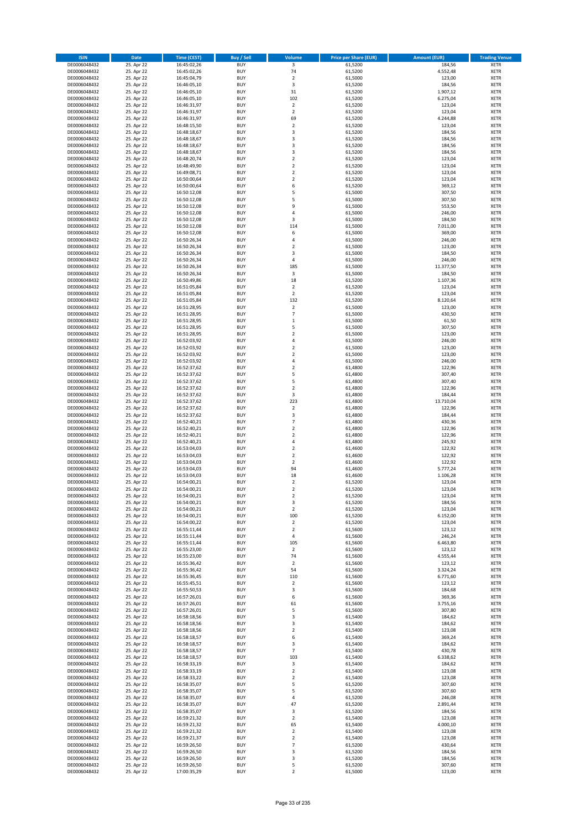| <b>ISIN</b>                  | <b>Date</b>              | <b>Time (CEST)</b>         | <b>Buy / Sell</b>        | <b>Volume</b>                             | <b>Price per Share (EUR)</b> | <b>Amount (EUR)</b>  | <b>Trading Venue</b>       |
|------------------------------|--------------------------|----------------------------|--------------------------|-------------------------------------------|------------------------------|----------------------|----------------------------|
| DE0006048432                 | 25. Apr 22               | 16:45:02,26                | <b>BUY</b>               | $\overline{\mathbf{3}}$                   | 61,5200                      | 184,56               | <b>XETR</b>                |
| DE0006048432                 | 25. Apr 22               | 16:45:02,26                | <b>BUY</b>               | 74                                        | 61,5200                      | 4.552,48             | <b>XETR</b>                |
| DE0006048432                 | 25. Apr 22               | 16:45:04,79                | <b>BUY</b>               | $\overline{2}$                            | 61,5000                      | 123,00               | <b>XETR</b>                |
| DE0006048432<br>DE0006048432 | 25. Apr 22<br>25. Apr 22 | 16:46:05,10<br>16:46:05,10 | <b>BUY</b><br><b>BUY</b> | 3<br>31                                   | 61,5200<br>61,5200           | 184,56<br>1.907,12   | <b>XETR</b><br><b>XETR</b> |
| DE0006048432                 | 25. Apr 22               | 16:46:05,10                | <b>BUY</b>               | 102                                       | 61,5200                      | 6.275,04             | <b>XETR</b>                |
| DE0006048432                 | 25. Apr 22               | 16:46:31,97                | <b>BUY</b>               | $\mathbf 2$                               | 61,5200                      | 123,04               | <b>XETR</b>                |
| DE0006048432                 | 25. Apr 22               | 16:46:31,97                | <b>BUY</b>               | $\overline{2}$                            | 61,5200                      | 123,04               | <b>XETR</b>                |
| DE0006048432                 | 25. Apr 22               | 16:46:31,97                | <b>BUY</b>               | 69                                        | 61,5200                      | 4.244,88             | <b>XETR</b>                |
| DE0006048432                 | 25. Apr 22               | 16:48:15,50                | <b>BUY</b>               | $\overline{2}$                            | 61,5200                      | 123,04               | <b>XETR</b>                |
| DE0006048432                 | 25. Apr 22               | 16:48:18,67                | <b>BUY</b>               | 3                                         | 61,5200                      | 184,56               | <b>XETR</b>                |
| DE0006048432<br>DE0006048432 | 25. Apr 22<br>25. Apr 22 | 16:48:18,67                | <b>BUY</b><br><b>BUY</b> | 3<br>3                                    | 61,5200<br>61,5200           | 184,56<br>184,56     | <b>XETR</b><br><b>XETR</b> |
| DE0006048432                 | 25. Apr 22               | 16:48:18,67<br>16:48:18,67 | <b>BUY</b>               | 3                                         | 61,5200                      | 184,56               | <b>XETR</b>                |
| DE0006048432                 | 25. Apr 22               | 16:48:20,74                | <b>BUY</b>               | $\mathbf 2$                               | 61,5200                      | 123,04               | <b>XETR</b>                |
| DE0006048432                 | 25. Apr 22               | 16:48:49,90                | <b>BUY</b>               | $\overline{\mathbf{c}}$                   | 61,5200                      | 123,04               | <b>XETR</b>                |
| DE0006048432                 | 25. Apr 22               | 16:49:08,71                | <b>BUY</b>               | $\mathbf 2$                               | 61,5200                      | 123,04               | <b>XETR</b>                |
| DE0006048432                 | 25. Apr 22               | 16:50:00,64                | <b>BUY</b>               | $\mathbf 2$                               | 61,5200                      | 123,04               | <b>XETR</b>                |
| DE0006048432                 | 25. Apr 22               | 16:50:00,64                | <b>BUY</b>               | 6                                         | 61,5200                      | 369,12               | <b>XETR</b>                |
| DE0006048432                 | 25. Apr 22               | 16:50:12,08                | <b>BUY</b>               | 5                                         | 61,5000                      | 307,50               | <b>XETR</b>                |
| DE0006048432                 | 25. Apr 22               | 16:50:12,08                | <b>BUY</b>               | 5<br>9                                    | 61,5000                      | 307,50               | <b>XETR</b>                |
| DE0006048432<br>DE0006048432 | 25. Apr 22<br>25. Apr 22 | 16:50:12,08<br>16:50:12,08 | <b>BUY</b><br><b>BUY</b> | 4                                         | 61,5000<br>61,5000           | 553,50<br>246,00     | <b>XETR</b><br><b>XETR</b> |
| DE0006048432                 | 25. Apr 22               | 16:50:12,08                | <b>BUY</b>               | 3                                         | 61,5000                      | 184,50               | <b>XETR</b>                |
| DE0006048432                 | 25. Apr 22               | 16:50:12,08                | <b>BUY</b>               | 114                                       | 61,5000                      | 7.011,00             | <b>XETR</b>                |
| DE0006048432                 | 25. Apr 22               | 16:50:12,08                | <b>BUY</b>               | 6                                         | 61,5000                      | 369,00               | <b>XETR</b>                |
| DE0006048432                 | 25. Apr 22               | 16:50:26,34                | <b>BUY</b>               | 4                                         | 61,5000                      | 246,00               | <b>XETR</b>                |
| DE0006048432                 | 25. Apr 22               | 16:50:26,34                | <b>BUY</b>               | $\overline{\mathbf{c}}$                   | 61,5000                      | 123,00               | <b>XETR</b>                |
| DE0006048432                 | 25. Apr 22               | 16:50:26,34                | <b>BUY</b>               | 3                                         | 61,5000                      | 184,50               | <b>XETR</b>                |
| DE0006048432                 | 25. Apr 22<br>25. Apr 22 | 16:50:26,34                | <b>BUY</b><br><b>BUY</b> | 4<br>185                                  | 61,5000                      | 246,00               | <b>XETR</b><br><b>XETR</b> |
| DE0006048432<br>DE0006048432 | 25. Apr 22               | 16:50:26,34<br>16:50:26,34 | <b>BUY</b>               | 3                                         | 61,5000<br>61,5000           | 11.377,50<br>184,50  | <b>XETR</b>                |
| DE0006048432                 | 25. Apr 22               | 16:50:49,86                | <b>BUY</b>               | 18                                        | 61,5200                      | 1.107,36             | <b>XETR</b>                |
| DE0006048432                 | 25. Apr 22               | 16:51:05,84                | <b>BUY</b>               | $\overline{\mathbf{c}}$                   | 61,5200                      | 123,04               | <b>XETR</b>                |
| DE0006048432                 | 25. Apr 22               | 16:51:05,84                | <b>BUY</b>               | $\overline{2}$                            | 61,5200                      | 123,04               | <b>XETR</b>                |
| DE0006048432                 | 25. Apr 22               | 16:51:05,84                | <b>BUY</b>               | 132                                       | 61,5200                      | 8.120,64             | <b>XETR</b>                |
| DE0006048432                 | 25. Apr 22               | 16:51:28,95                | <b>BUY</b>               | $\overline{\mathbf{c}}$                   | 61,5000                      | 123,00               | <b>XETR</b>                |
| DE0006048432                 | 25. Apr 22               | 16:51:28,95                | <b>BUY</b>               | $\overline{7}$                            | 61,5000                      | 430,50               | <b>XETR</b>                |
| DE0006048432                 | 25. Apr 22               | 16:51:28,95                | <b>BUY</b>               | $\mathbf 1$                               | 61,5000                      | 61,50                | <b>XETR</b>                |
| DE0006048432<br>DE0006048432 | 25. Apr 22<br>25. Apr 22 | 16:51:28,95<br>16:51:28,95 | <b>BUY</b><br><b>BUY</b> | 5<br>$\overline{\mathbf{c}}$              | 61,5000<br>61,5000           | 307,50<br>123,00     | <b>XETR</b><br><b>XETR</b> |
| DE0006048432                 | 25. Apr 22               | 16:52:03,92                | <b>BUY</b>               | 4                                         | 61,5000                      | 246,00               | <b>XETR</b>                |
| DE0006048432                 | 25. Apr 22               | 16:52:03,92                | <b>BUY</b>               | $\mathbf 2$                               | 61,5000                      | 123,00               | <b>XETR</b>                |
| DE0006048432                 | 25. Apr 22               | 16:52:03,92                | <b>BUY</b>               | $\overline{\mathbf{c}}$                   | 61,5000                      | 123,00               | <b>XETR</b>                |
| DE0006048432                 | 25. Apr 22               | 16:52:03,92                | <b>BUY</b>               | 4                                         | 61,5000                      | 246,00               | <b>XETR</b>                |
| DE0006048432                 | 25. Apr 22               | 16:52:37,62                | <b>BUY</b>               | $\overline{2}$                            | 61,4800                      | 122,96               | <b>XETR</b>                |
| DE0006048432                 | 25. Apr 22               | 16:52:37,62                | <b>BUY</b>               | 5                                         | 61,4800                      | 307,40               | <b>XETR</b>                |
| DE0006048432                 | 25. Apr 22               | 16:52:37,62                | <b>BUY</b>               | 5                                         | 61,4800                      | 307,40               | <b>XETR</b>                |
| DE0006048432<br>DE0006048432 | 25. Apr 22               | 16:52:37,62                | <b>BUY</b><br><b>BUY</b> | $\mathbf 2$<br>3                          | 61,4800<br>61,4800           | 122,96               | <b>XETR</b><br><b>XETR</b> |
| DE0006048432                 | 25. Apr 22<br>25. Apr 22 | 16:52:37,62<br>16:52:37,62 | <b>BUY</b>               | 223                                       | 61,4800                      | 184,44<br>13.710,04  | <b>XETR</b>                |
| DE0006048432                 | 25. Apr 22               | 16:52:37,62                | <b>BUY</b>               | $\mathbf 2$                               | 61,4800                      | 122,96               | <b>XETR</b>                |
| DE0006048432                 | 25. Apr 22               | 16:52:37,62                | <b>BUY</b>               | 3                                         | 61,4800                      | 184,44               | <b>XETR</b>                |
| DE0006048432                 | 25. Apr 22               | 16:52:40,21                | <b>BUY</b>               | $\overline{7}$                            | 61,4800                      | 430,36               | <b>XETR</b>                |
| DE0006048432                 | 25. Apr 22               | 16:52:40,21                | <b>BUY</b>               | $\overline{\mathbf{c}}$                   | 61,4800                      | 122,96               | <b>XETR</b>                |
| DE0006048432                 | 25. Apr 22               | 16:52:40,21                | <b>BUY</b>               | $\mathbf 2$                               | 61,4800                      | 122,96               | <b>XETR</b>                |
| DE0006048432                 | 25. Apr 22               | 16:52:40,21                | <b>BUY</b>               | 4                                         | 61,4800                      | 245,92               | <b>XETR</b>                |
| DE0006048432                 | 25. Apr 22               | 16:53:04,03                | <b>BUY</b>               | $\overline{\mathbf{c}}$                   | 61,4600                      | 122,92               | <b>XETR</b>                |
| DE0006048432<br>DE0006048432 | 25. Apr 22<br>25. Apr 22 | 16:53:04,03<br>16:53:04,03 | <b>BUY</b><br><b>BUY</b> | $\overline{\mathbf{c}}$<br>$\overline{2}$ | 61,4600<br>61,4600           | 122,92<br>122,92     | <b>XETR</b><br><b>XETR</b> |
| DE0006048432                 | 25. Apr 22               | 16:53:04,03                | <b>BUY</b>               | 94                                        | 61,4600                      | 5.777,24             | <b>XETR</b>                |
| DE0006048432                 | 25. Apr 22               | 16:53:04,03                | <b>BUY</b>               | 18                                        | 61,4600                      | 1.106,28             | <b>XETR</b>                |
| DE0006048432                 | 25. Apr 22               | 16:54:00,21                | <b>BUY</b>               | $\mathbf 2$                               | 61,5200                      | 123,04               | <b>XETR</b>                |
| DE0006048432                 | 25. Apr 22               | 16:54:00,21                | <b>BUY</b>               | $\overline{2}$                            | 61,5200                      | 123,04               | <b>XETR</b>                |
| DE0006048432                 | 25. Apr 22               | 16:54:00,21                | BUY                      | 2                                         | 61,5200                      | 123,04               | <b>XETR</b>                |
| DE0006048432                 | 25. Apr 22               | 16:54:00,21                | <b>BUY</b>               | 3                                         | 61,5200                      | 184,56               | <b>XETR</b>                |
| DE0006048432                 | 25. Apr 22               | 16:54:00,21                | <b>BUY</b>               | 2                                         | 61,5200                      | 123,04               | <b>XETR</b>                |
| DE0006048432<br>DE0006048432 | 25. Apr 22<br>25. Apr 22 | 16:54:00,21<br>16:54:00,22 | <b>BUY</b><br><b>BUY</b> | 100<br>$\mathbf 2$                        | 61,5200<br>61,5200           | 6.152,00<br>123,04   | <b>XETR</b><br><b>XETR</b> |
| DE0006048432                 | 25. Apr 22               | 16:55:11,44                | <b>BUY</b>               | $\mathbf 2$                               | 61,5600                      | 123,12               | <b>XETR</b>                |
| DE0006048432                 | 25. Apr 22               | 16:55:11,44                | <b>BUY</b>               | 4                                         | 61,5600                      | 246,24               | <b>XETR</b>                |
| DE0006048432                 | 25. Apr 22               | 16:55:11,44                | <b>BUY</b>               | 105                                       | 61,5600                      | 6.463,80             | <b>XETR</b>                |
| DE0006048432                 | 25. Apr 22               | 16:55:23,00                | <b>BUY</b>               | $\mathbf 2$                               | 61,5600                      | 123,12               | <b>XETR</b>                |
| DE0006048432                 | 25. Apr 22               | 16:55:23,00                | <b>BUY</b>               | 74                                        | 61,5600                      | 4.555,44             | <b>XETR</b>                |
| DE0006048432                 | 25. Apr 22               | 16:55:36,42                | <b>BUY</b>               | $\mathbf 2$                               | 61,5600                      | 123,12               | <b>XETR</b>                |
| DE0006048432<br>DE0006048432 | 25. Apr 22<br>25. Apr 22 | 16:55:36,42<br>16:55:36,45 | <b>BUY</b><br><b>BUY</b> | 54<br>110                                 | 61,5600<br>61,5600           | 3.324,24<br>6.771,60 | <b>XETR</b><br><b>XETR</b> |
| DE0006048432                 | 25. Apr 22               | 16:55:45,51                | <b>BUY</b>               | $\overline{2}$                            | 61,5600                      | 123,12               | <b>XETR</b>                |
| DE0006048432                 | 25. Apr 22               | 16:55:50,53                | <b>BUY</b>               | 3                                         | 61,5600                      | 184,68               | <b>XETR</b>                |
| DE0006048432                 | 25. Apr 22               | 16:57:26,01                | <b>BUY</b>               | 6                                         | 61,5600                      | 369,36               | <b>XETR</b>                |
| DE0006048432                 | 25. Apr 22               | 16:57:26,01                | <b>BUY</b>               | 61                                        | 61,5600                      | 3.755,16             | <b>XETR</b>                |
| DE0006048432                 | 25. Apr 22               | 16:57:26,01                | <b>BUY</b>               | 5                                         | 61,5600                      | 307,80               | <b>XETR</b>                |
| DE0006048432                 | 25. Apr 22               | 16:58:18,56                | <b>BUY</b>               | 3                                         | 61,5400                      | 184,62               | <b>XETR</b>                |
| DE0006048432<br>DE0006048432 | 25. Apr 22<br>25. Apr 22 | 16:58:18,56<br>16:58:18,56 | <b>BUY</b><br><b>BUY</b> | 3<br>$\overline{2}$                       | 61,5400<br>61,5400           | 184,62<br>123,08     | <b>XETR</b><br><b>XETR</b> |
| DE0006048432                 | 25. Apr 22               | 16:58:18,57                | <b>BUY</b>               | 6                                         | 61,5400                      | 369,24               | <b>XETR</b>                |
| DE0006048432                 | 25. Apr 22               | 16:58:18,57                | <b>BUY</b>               | 3                                         | 61,5400                      | 184,62               | <b>XETR</b>                |
| DE0006048432                 | 25. Apr 22               | 16:58:18,57                | <b>BUY</b>               | 7                                         | 61,5400                      | 430,78               | <b>XETR</b>                |
| DE0006048432                 | 25. Apr 22               | 16:58:18,57                | <b>BUY</b>               | 103                                       | 61,5400                      | 6.338,62             | <b>XETR</b>                |
| DE0006048432                 | 25. Apr 22               | 16:58:33,19                | <b>BUY</b>               | 3                                         | 61,5400                      | 184,62               | <b>XETR</b>                |
| DE0006048432                 | 25. Apr 22               | 16:58:33,19                | <b>BUY</b>               | $\mathbf 2$                               | 61,5400                      | 123,08               | <b>XETR</b>                |
| DE0006048432                 | 25. Apr 22<br>25. Apr 22 | 16:58:33,22                | <b>BUY</b><br><b>BUY</b> | $\overline{2}$                            | 61,5400                      | 123,08<br>307,60     | <b>XETR</b>                |
| DE0006048432<br>DE0006048432 | 25. Apr 22               | 16:58:35,07<br>16:58:35,07 | <b>BUY</b>               | 5<br>5                                    | 61,5200<br>61,5200           | 307,60               | <b>XETR</b><br><b>XETR</b> |
| DE0006048432                 | 25. Apr 22               | 16:58:35,07                | <b>BUY</b>               | 4                                         | 61,5200                      | 246,08               | <b>XETR</b>                |
| DE0006048432                 | 25. Apr 22               | 16:58:35,07                | <b>BUY</b>               | 47                                        | 61,5200                      | 2.891,44             | <b>XETR</b>                |
| DE0006048432                 | 25. Apr 22               | 16:58:35,07                | <b>BUY</b>               | 3                                         | 61,5200                      | 184,56               | <b>XETR</b>                |
| DE0006048432                 | 25. Apr 22               | 16:59:21,32                | <b>BUY</b>               | $\mathbf 2$                               | 61,5400                      | 123,08               | <b>XETR</b>                |
| DE0006048432                 | 25. Apr 22               | 16:59:21,32                | <b>BUY</b>               | 65                                        | 61,5400                      | 4.000,10             | <b>XETR</b>                |
| DE0006048432                 | 25. Apr 22               | 16:59:21,32                | <b>BUY</b>               | $\mathbf 2$                               | 61,5400                      | 123,08               | <b>XETR</b>                |
| DE0006048432<br>DE0006048432 | 25. Apr 22<br>25. Apr 22 | 16:59:21,37                | <b>BUY</b><br><b>BUY</b> | $\overline{\mathbf{c}}$<br>$\overline{7}$ | 61,5400<br>61,5200           | 123,08<br>430,64     | <b>XETR</b><br>XETR        |
| DE0006048432                 | 25. Apr 22               | 16:59:26,50<br>16:59:26,50 | <b>BUY</b>               | 3                                         | 61,5200                      | 184,56               | <b>XETR</b>                |
| DE0006048432                 | 25. Apr 22               | 16:59:26,50                | <b>BUY</b>               | 3                                         | 61,5200                      | 184,56               | XETR                       |
| DE0006048432                 | 25. Apr 22               | 16:59:26,50                | <b>BUY</b>               | 5                                         | 61,5200                      | 307,60               | <b>XETR</b>                |
| DE0006048432                 | 25. Apr 22               | 17:00:35,29                | <b>BUY</b>               | $\overline{2}$                            | 61,5000                      | 123,00               | <b>XETR</b>                |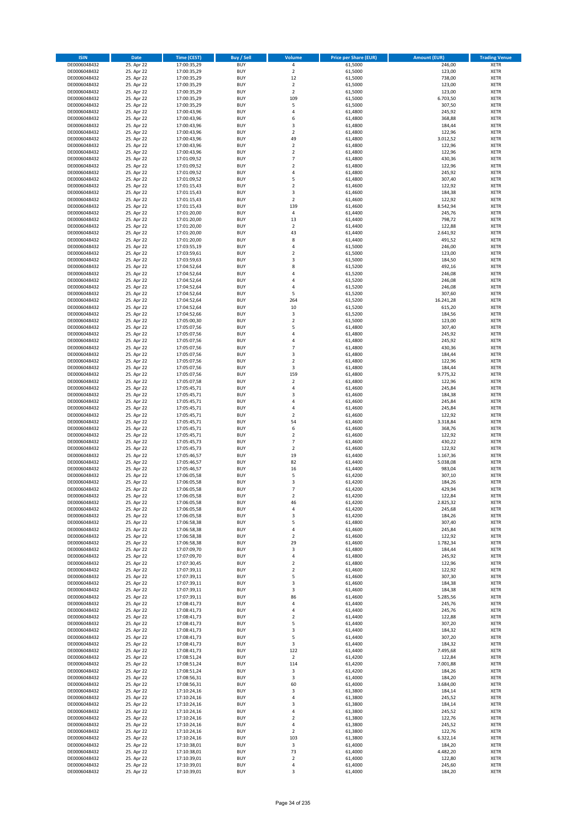| <b>ISIN</b>                  | <b>Date</b>              | <b>Time (CEST)</b>         | <b>Buy / Sell</b>        | Volume                                 | <b>Price per Share (EUR)</b> | <b>Amount (EUR)</b> | <b>Trading Venue</b>       |
|------------------------------|--------------------------|----------------------------|--------------------------|----------------------------------------|------------------------------|---------------------|----------------------------|
| DE0006048432                 | 25. Apr 22               | 17:00:35,29                | <b>BUY</b>               | 4                                      | 61,5000                      | 246,00              | <b>XETR</b>                |
| DE0006048432                 | 25. Apr 22               | 17:00:35,29                | <b>BUY</b>               | $\mathbf 2$                            | 61,5000                      | 123,00              | <b>XETR</b>                |
| DE0006048432                 | 25. Apr 22               | 17:00:35,29                | <b>BUY</b>               | 12                                     | 61,5000                      | 738,00              | <b>XETR</b>                |
| DE0006048432                 | 25. Apr 22               | 17:00:35,29                | <b>BUY</b>               | $\mathbf 2$                            | 61,5000                      | 123,00              | <b>XETR</b>                |
| DE0006048432<br>DE0006048432 | 25. Apr 22<br>25. Apr 22 | 17:00:35,29<br>17:00:35,29 | <b>BUY</b><br><b>BUY</b> | $\overline{\mathbf{c}}$<br>109         | 61,5000<br>61,5000           | 123,00<br>6.703,50  | <b>XETR</b><br><b>XETR</b> |
| DE0006048432                 | 25. Apr 22               | 17:00:35,29                | <b>BUY</b>               | 5                                      | 61,5000                      | 307,50              | <b>XETR</b>                |
| DE0006048432                 | 25. Apr 22               | 17:00:43,96                | <b>BUY</b>               | 4                                      | 61,4800                      | 245,92              | <b>XETR</b>                |
| DE0006048432                 | 25. Apr 22               | 17:00:43,96                | <b>BUY</b>               | 6                                      | 61,4800                      | 368,88              | <b>XETR</b>                |
| DE0006048432                 | 25. Apr 22               | 17:00:43,96                | <b>BUY</b>               | 3                                      | 61,4800                      | 184,44              | <b>XETR</b>                |
| DE0006048432                 | 25. Apr 22               | 17:00:43,96                | <b>BUY</b>               | $\mathbf 2$                            | 61,4800                      | 122,96              | <b>XETR</b>                |
| DE0006048432                 | 25. Apr 22               | 17:00:43,96                | <b>BUY</b>               | 49                                     | 61,4800                      | 3.012,52            | <b>XETR</b><br><b>XETR</b> |
| DE0006048432<br>DE0006048432 | 25. Apr 22<br>25. Apr 22 | 17:00:43,96<br>17:00:43,96 | <b>BUY</b><br><b>BUY</b> | $\mathbf 2$<br>$\overline{\mathbf{c}}$ | 61,4800<br>61,4800           | 122,96<br>122,96    | <b>XETR</b>                |
| DE0006048432                 | 25. Apr 22               | 17:01:09,52                | <b>BUY</b>               | $\overline{7}$                         | 61,4800                      | 430,36              | <b>XETR</b>                |
| DE0006048432                 | 25. Apr 22               | 17:01:09,52                | <b>BUY</b>               | $\overline{\mathbf{c}}$                | 61,4800                      | 122,96              | <b>XETR</b>                |
| DE0006048432                 | 25. Apr 22               | 17:01:09,52                | <b>BUY</b>               | 4                                      | 61,4800                      | 245,92              | <b>XETR</b>                |
| DE0006048432                 | 25. Apr 22               | 17:01:09,52                | <b>BUY</b>               | 5                                      | 61,4800                      | 307,40              | <b>XETR</b>                |
| DE0006048432                 | 25. Apr 22               | 17:01:15,43                | <b>BUY</b>               | $\overline{\mathbf{c}}$                | 61,4600                      | 122,92              | <b>XETR</b>                |
| DE0006048432<br>DE0006048432 | 25. Apr 22<br>25. Apr 22 | 17:01:15,43<br>17:01:15,43 | <b>BUY</b><br><b>BUY</b> | 3<br>$\overline{2}$                    | 61,4600<br>61,4600           | 184,38<br>122,92    | <b>XETR</b><br><b>XETR</b> |
| DE0006048432                 | 25. Apr 22               | 17:01:15,43                | <b>BUY</b>               | 139                                    | 61,4600                      | 8.542,94            | <b>XETR</b>                |
| DE0006048432                 | 25. Apr 22               | 17:01:20,00                | <b>BUY</b>               | 4                                      | 61,4400                      | 245,76              | <b>XETR</b>                |
| DE0006048432                 | 25. Apr 22               | 17:01:20,00                | <b>BUY</b>               | 13                                     | 61,4400                      | 798,72              | <b>XETR</b>                |
| DE0006048432                 | 25. Apr 22               | 17:01:20,00                | <b>BUY</b>               | $\mathbf 2$                            | 61,4400                      | 122,88              | <b>XETR</b>                |
| DE0006048432                 | 25. Apr 22               | 17:01:20,00                | <b>BUY</b>               | 43                                     | 61,4400                      | 2.641,92            | <b>XETR</b>                |
| DE0006048432<br>DE0006048432 | 25. Apr 22<br>25. Apr 22 | 17:01:20,00                | <b>BUY</b><br><b>BUY</b> | 8<br>4                                 | 61,4400<br>61,5000           | 491,52<br>246,00    | <b>XETR</b><br><b>XETR</b> |
| DE0006048432                 | 25. Apr 22               | 17:03:55,19<br>17:03:59,61 | <b>BUY</b>               | $\mathbf 2$                            | 61,5000                      | 123,00              | <b>XETR</b>                |
| DE0006048432                 | 25. Apr 22               | 17:03:59,63                | <b>BUY</b>               | 3                                      | 61,5000                      | 184,50              | <b>XETR</b>                |
| DE0006048432                 | 25. Apr 22               | 17:04:52,64                | <b>BUY</b>               | 8                                      | 61,5200                      | 492,16              | <b>XETR</b>                |
| DE0006048432                 | 25. Apr 22               | 17:04:52,64                | <b>BUY</b>               | 4                                      | 61,5200                      | 246,08              | <b>XETR</b>                |
| DE0006048432                 | 25. Apr 22               | 17:04:52,64                | <b>BUY</b>               | 4                                      | 61,5200                      | 246,08              | <b>XETR</b>                |
| DE0006048432                 | 25. Apr 22               | 17:04:52,64                | <b>BUY</b>               | 4                                      | 61,5200                      | 246,08              | <b>XETR</b>                |
| DE0006048432<br>DE0006048432 | 25. Apr 22<br>25. Apr 22 | 17:04:52,64<br>17:04:52,64 | <b>BUY</b><br><b>BUY</b> | 5<br>264                               | 61,5200<br>61,5200           | 307,60<br>16.241,28 | <b>XETR</b><br><b>XETR</b> |
| DE0006048432                 | 25. Apr 22               | 17:04:52,64                | <b>BUY</b>               | 10                                     | 61,5200                      | 615,20              | <b>XETR</b>                |
| DE0006048432                 | 25. Apr 22               | 17:04:52,66                | <b>BUY</b>               | 3                                      | 61,5200                      | 184,56              | <b>XETR</b>                |
| DE0006048432                 | 25. Apr 22               | 17:05:00,30                | <b>BUY</b>               | $\overline{2}$                         | 61,5000                      | 123,00              | <b>XETR</b>                |
| DE0006048432                 | 25. Apr 22               | 17:05:07,56                | <b>BUY</b>               | 5                                      | 61,4800                      | 307,40              | <b>XETR</b>                |
| DE0006048432                 | 25. Apr 22               | 17:05:07,56                | <b>BUY</b>               | 4                                      | 61,4800                      | 245,92              | <b>XETR</b>                |
| DE0006048432                 | 25. Apr 22<br>25. Apr 22 | 17:05:07,56                | <b>BUY</b><br><b>BUY</b> | 4<br>$\overline{7}$                    | 61,4800<br>61,4800           | 245,92<br>430,36    | <b>XETR</b><br><b>XETR</b> |
| DE0006048432<br>DE0006048432 | 25. Apr 22               | 17:05:07,56<br>17:05:07,56 | <b>BUY</b>               | 3                                      | 61,4800                      | 184,44              | <b>XETR</b>                |
| DE0006048432                 | 25. Apr 22               | 17:05:07,56                | <b>BUY</b>               | $\mathbf 2$                            | 61,4800                      | 122,96              | <b>XETR</b>                |
| DE0006048432                 | 25. Apr 22               | 17:05:07,56                | <b>BUY</b>               | 3                                      | 61,4800                      | 184,44              | <b>XETR</b>                |
| DE0006048432                 | 25. Apr 22               | 17:05:07,56                | <b>BUY</b>               | 159                                    | 61,4800                      | 9.775,32            | <b>XETR</b>                |
| DE0006048432                 | 25. Apr 22               | 17:05:07,58                | <b>BUY</b>               | $\mathbf 2$                            | 61,4800                      | 122,96              | <b>XETR</b>                |
| DE0006048432<br>DE0006048432 | 25. Apr 22<br>25. Apr 22 | 17:05:45,71                | <b>BUY</b><br><b>BUY</b> | 4<br>3                                 | 61,4600<br>61,4600           | 245,84<br>184,38    | <b>XETR</b><br><b>XETR</b> |
| DE0006048432                 | 25. Apr 22               | 17:05:45,71<br>17:05:45,71 | <b>BUY</b>               | 4                                      | 61,4600                      | 245,84              | <b>XETR</b>                |
| DE0006048432                 | 25. Apr 22               | 17:05:45,71                | <b>BUY</b>               | 4                                      | 61,4600                      | 245,84              | <b>XETR</b>                |
| DE0006048432                 | 25. Apr 22               | 17:05:45,71                | <b>BUY</b>               | $\overline{2}$                         | 61,4600                      | 122,92              | <b>XETR</b>                |
| DE0006048432                 | 25. Apr 22               | 17:05:45,71                | <b>BUY</b>               | 54                                     | 61,4600                      | 3.318,84            | <b>XETR</b>                |
| DE0006048432                 | 25. Apr 22               | 17:05:45,71                | <b>BUY</b>               | 6                                      | 61,4600                      | 368,76              | <b>XETR</b>                |
| DE0006048432                 | 25. Apr 22               | 17:05:45,71                | <b>BUY</b>               | $\mathbf 2$                            | 61,4600                      | 122,92              | <b>XETR</b>                |
| DE0006048432<br>DE0006048432 | 25. Apr 22<br>25. Apr 22 | 17:05:45,73<br>17:05:45,73 | <b>BUY</b><br><b>BUY</b> | $\overline{7}$<br>$\mathbf 2$          | 61,4600<br>61,4600           | 430,22<br>122,92    | <b>XETR</b><br><b>XETR</b> |
| DE0006048432                 | 25. Apr 22               | 17:05:46,57                | <b>BUY</b>               | 19                                     | 61,4400                      | 1.167,36            | <b>XETR</b>                |
| DE0006048432                 | 25. Apr 22               | 17:05:46,57                | <b>BUY</b>               | 82                                     | 61,4400                      | 5.038,08            | <b>XETR</b>                |
| DE0006048432                 | 25. Apr 22               | 17:05:46,57                | <b>BUY</b>               | 16                                     | 61,4400                      | 983,04              | <b>XETR</b>                |
| DE0006048432                 | 25. Apr 22               | 17:06:05,58                | <b>BUY</b>               | 5                                      | 61,4200                      | 307,10              | <b>XETR</b>                |
| DE0006048432                 | 25. Apr 22               | 17:06:05,58                | <b>BUY</b>               | 3<br>$\overline{7}$                    | 61,4200                      | 184,26              | <b>XETR</b>                |
| DE0006048432<br>DE0006048432 | 25. Apr 22<br>25. Apr 22 | 17:06:05,58<br>17:06:05,58 | <b>BUY</b><br>BUY        | 2                                      | 61,4200<br>61,4200           | 429,94<br>122,84    | <b>XETR</b><br><b>XETR</b> |
| DE0006048432                 | 25. Apr 22               | 17:06:05,58                | <b>BUY</b>               | 46                                     | 61,4200                      | 2.825,32            | <b>XETR</b>                |
| DE0006048432                 | 25. Apr 22               | 17:06:05,58                | <b>BUY</b>               | 4                                      | 61,4200                      | 245,68              | <b>XETR</b>                |
| DE0006048432                 | 25. Apr 22               | 17:06:05,58                | <b>BUY</b>               | 3                                      | 61,4200                      | 184,26              | XETR                       |
| DE0006048432                 | 25. Apr 22               | 17:06:58,38                | <b>BUY</b>               | 5                                      | 61,4800                      | 307,40              | <b>XETR</b>                |
| DE0006048432                 | 25. Apr 22               | 17:06:58,38                | <b>BUY</b>               | 4                                      | 61,4600                      | 245,84              | <b>XETR</b>                |
| DE0006048432<br>DE0006048432 | 25. Apr 22<br>25. Apr 22 | 17:06:58,38<br>17:06:58,38 | <b>BUY</b><br><b>BUY</b> | $\mathbf 2$<br>29                      | 61,4600<br>61,4600           | 122,92<br>1.782,34  | <b>XETR</b><br><b>XETR</b> |
| DE0006048432                 | 25. Apr 22               | 17:07:09,70                | <b>BUY</b>               | 3                                      | 61,4800                      | 184,44              | <b>XETR</b>                |
| DE0006048432                 | 25. Apr 22               | 17:07:09,70                | <b>BUY</b>               | 4                                      | 61,4800                      | 245,92              | <b>XETR</b>                |
| DE0006048432                 | 25. Apr 22               | 17:07:30,45                | <b>BUY</b>               | $\mathbf 2$                            | 61,4800                      | 122,96              | <b>XETR</b>                |
| DE0006048432                 | 25. Apr 22               | 17:07:39,11                | <b>BUY</b>               | $\overline{2}$                         | 61.4600                      | 122,92              | <b>XETR</b>                |
| DE0006048432                 | 25. Apr 22               | 17:07:39,11                | <b>BUY</b>               | 5                                      | 61,4600                      | 307,30              | <b>XETR</b>                |
| DE0006048432                 | 25. Apr 22               | 17:07:39,11                | <b>BUY</b><br><b>BUY</b> | 3                                      | 61,4600                      | 184,38<br>184,38    | <b>XETR</b>                |
| DE0006048432<br>DE0006048432 | 25. Apr 22<br>25. Apr 22 | 17:07:39,11<br>17:07:39,11 | <b>BUY</b>               | 3<br>86                                | 61,4600<br>61,4600           | 5.285,56            | <b>XETR</b><br><b>XETR</b> |
| DE0006048432                 | 25. Apr 22               | 17:08:41,73                | <b>BUY</b>               | 4                                      | 61,4400                      | 245,76              | <b>XETR</b>                |
| DE0006048432                 | 25. Apr 22               | 17:08:41,73                | <b>BUY</b>               | 4                                      | 61,4400                      | 245,76              | <b>XETR</b>                |
| DE0006048432                 | 25. Apr 22               | 17:08:41,73                | <b>BUY</b>               | $\mathbf 2$                            | 61,4400                      | 122,88              | XETR                       |
| DE0006048432                 | 25. Apr 22               | 17:08:41,73                | <b>BUY</b>               | 5                                      | 61,4400                      | 307,20              | <b>XETR</b>                |
| DE0006048432                 | 25. Apr 22               | 17:08:41,73                | <b>BUY</b>               | 3                                      | 61,4400                      | 184,32<br>307,20    | <b>XETR</b>                |
| DE0006048432<br>DE0006048432 | 25. Apr 22<br>25. Apr 22 | 17:08:41,73<br>17:08:41,73 | <b>BUY</b><br><b>BUY</b> | 5<br>3                                 | 61,4400<br>61,4400           | 184,32              | <b>XETR</b><br><b>XETR</b> |
| DE0006048432                 | 25. Apr 22               | 17:08:41,73                | <b>BUY</b>               | 122                                    | 61,4400                      | 7.495,68            | <b>XETR</b>                |
| DE0006048432                 | 25. Apr 22               | 17:08:51,24                | <b>BUY</b>               | $\mathbf 2$                            | 61,4200                      | 122,84              | <b>XETR</b>                |
| DE0006048432                 | 25. Apr 22               | 17:08:51,24                | <b>BUY</b>               | 114                                    | 61,4200                      | 7.001,88            | <b>XETR</b>                |
| DE0006048432                 | 25. Apr 22               | 17:08:51,24                | <b>BUY</b>               | 3                                      | 61,4200                      | 184,26              | <b>XETR</b>                |
| DE0006048432                 | 25. Apr 22               | 17:08:56,31                | <b>BUY</b>               | 3                                      | 61,4000                      | 184,20              | <b>XETR</b>                |
| DE0006048432<br>DE0006048432 | 25. Apr 22<br>25. Apr 22 | 17:08:56,31<br>17:10:24,16 | <b>BUY</b><br><b>BUY</b> | 60<br>3                                | 61,4000<br>61,3800           | 3.684,00<br>184,14  | <b>XETR</b><br><b>XETR</b> |
| DE0006048432                 | 25. Apr 22               | 17:10:24,16                | <b>BUY</b>               | 4                                      | 61,3800                      | 245,52              | <b>XETR</b>                |
| DE0006048432                 | 25. Apr 22               | 17:10:24,16                | <b>BUY</b>               | 3                                      | 61,3800                      | 184,14              | <b>XETR</b>                |
| DE0006048432                 | 25. Apr 22               | 17:10:24,16                | <b>BUY</b>               | 4                                      | 61,3800                      | 245,52              | <b>XETR</b>                |
| DE0006048432                 | 25. Apr 22               | 17:10:24,16                | <b>BUY</b>               | $\overline{\mathbf{c}}$                | 61,3800                      | 122,76              | <b>XETR</b>                |
| DE0006048432                 | 25. Apr 22               | 17:10:24,16                | <b>BUY</b>               | 4                                      | 61,3800                      | 245,52              | <b>XETR</b>                |
| DE0006048432<br>DE0006048432 | 25. Apr 22<br>25. Apr 22 | 17:10:24,16<br>17:10:24,16 | <b>BUY</b><br><b>BUY</b> | $\mathbf 2$<br>103                     | 61,3800<br>61,3800           | 122,76<br>6.322,14  | <b>XETR</b><br><b>XETR</b> |
| DE0006048432                 | 25. Apr 22               | 17:10:38,01                | <b>BUY</b>               | $\mathsf 3$                            | 61,4000                      | 184,20              | XETR                       |
| DE0006048432                 | 25. Apr 22               | 17:10:38,01                | <b>BUY</b>               | 73                                     | 61,4000                      | 4.482,20            | <b>XETR</b>                |
| DE0006048432                 | 25. Apr 22               | 17:10:39,01                | <b>BUY</b>               | $\mathbf 2$                            | 61,4000                      | 122,80              | <b>XETR</b>                |
| DE0006048432                 | 25. Apr 22               | 17:10:39,01                | <b>BUY</b>               | 4                                      | 61,4000                      | 245,60              | <b>XETR</b>                |
| DE0006048432                 | 25. Apr 22               | 17:10:39,01                | <b>BUY</b>               | 3                                      | 61,4000                      | 184,20              | <b>XETR</b>                |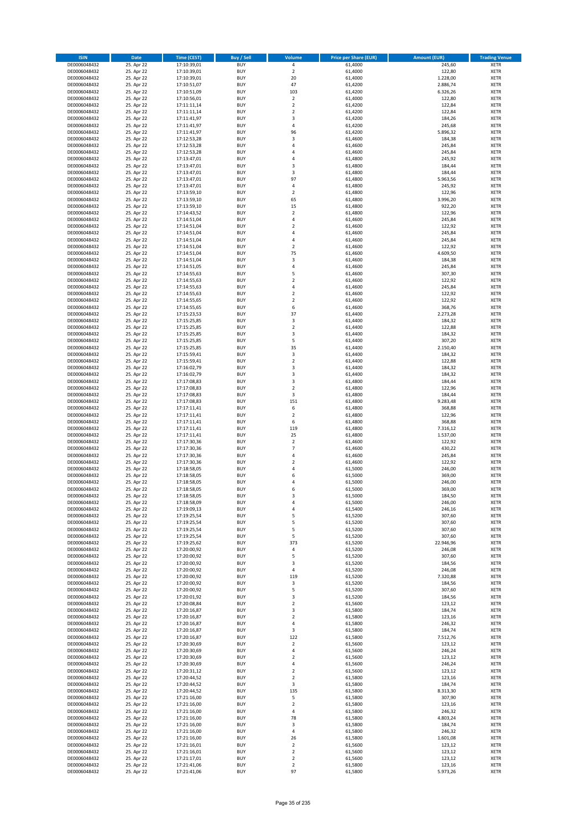| <b>ISIN</b>                  | Date                     | Time (CEST)                | <b>Buy / Sell</b>        | <b>Volume</b>                    | <b>Price per Share (EUR)</b> | <b>Amount (EUR)</b> | <b>Trading Venue</b>       |
|------------------------------|--------------------------|----------------------------|--------------------------|----------------------------------|------------------------------|---------------------|----------------------------|
| DE0006048432                 | 25. Apr 22               | 17:10:39,01                | <b>BUY</b>               | $\pmb{4}$                        | 61,4000                      | 245,60              | <b>XETR</b>                |
| DE0006048432                 | 25. Apr 22               | 17:10:39,01                | <b>BUY</b>               | $\mathbf 2$                      | 61,4000                      | 122,80              | XETR                       |
| DE0006048432                 | 25. Apr 22               | 17:10:39,01                | <b>BUY</b>               | 20                               | 61,4000                      | 1.228,00            | <b>XETR</b>                |
| DE0006048432                 | 25. Apr 22               | 17:10:51,07                | <b>BUY</b>               | 47                               | 61,4200                      | 2.886,74            | XETR                       |
| DE0006048432<br>DE0006048432 | 25. Apr 22<br>25. Apr 22 | 17:10:51,09<br>17:10:56,01 | <b>BUY</b><br><b>BUY</b> | 103<br>$\mathbf 2$               | 61,4200<br>61,4000           | 6.326,26<br>122,80  | <b>XETR</b><br><b>XETR</b> |
| DE0006048432                 | 25. Apr 22               | 17:11:11,14                | <b>BUY</b>               | $\mathbf 2$                      | 61,4200                      | 122,84              | <b>XETR</b>                |
| DE0006048432                 | 25. Apr 22               | 17:11:11,14                | <b>BUY</b>               | $\overline{2}$                   | 61,4200                      | 122,84              | <b>XETR</b>                |
| DE0006048432                 | 25. Apr 22               | 17:11:41,97                | <b>BUY</b>               | 3                                | 61,4200                      | 184,26              | <b>XETR</b>                |
| DE0006048432                 | 25. Apr 22               | 17:11:41,97                | <b>BUY</b>               | 4                                | 61,4200                      | 245,68              | <b>XETR</b>                |
| DE0006048432                 | 25. Apr 22               | 17:11:41,97                | <b>BUY</b>               | 96                               | 61,4200                      | 5.896,32            | <b>XETR</b>                |
| DE0006048432                 | 25. Apr 22               | 17:12:53,28                | <b>BUY</b>               | 3                                | 61,4600                      | 184,38              | <b>XETR</b>                |
| DE0006048432<br>DE0006048432 | 25. Apr 22<br>25. Apr 22 | 17:12:53,28<br>17:12:53,28 | <b>BUY</b><br><b>BUY</b> | $\overline{4}$<br>4              | 61,4600<br>61,4600           | 245,84<br>245,84    | <b>XETR</b><br><b>XETR</b> |
| DE0006048432                 | 25. Apr 22               | 17:13:47,01                | <b>BUY</b>               | 4                                | 61,4800                      | 245,92              | <b>XETR</b>                |
| DE0006048432                 | 25. Apr 22               | 17:13:47,01                | <b>BUY</b>               | 3                                | 61,4800                      | 184,44              | <b>XETR</b>                |
| DE0006048432                 | 25. Apr 22               | 17:13:47,01                | <b>BUY</b>               | 3                                | 61,4800                      | 184,44              | <b>XETR</b>                |
| DE0006048432                 | 25. Apr 22               | 17:13:47,01                | <b>BUY</b>               | 97                               | 61,4800                      | 5.963,56            | <b>XETR</b>                |
| DE0006048432                 | 25. Apr 22               | 17:13:47,01                | <b>BUY</b>               | 4                                | 61,4800                      | 245,92              | <b>XETR</b>                |
| DE0006048432<br>DE0006048432 | 25. Apr 22<br>25. Apr 22 | 17:13:59,10<br>17:13:59,10 | <b>BUY</b><br><b>BUY</b> | $\mathbf 2$<br>65                | 61,4800<br>61,4800           | 122,96<br>3.996,20  | <b>XETR</b><br><b>XETR</b> |
| DE0006048432                 | 25. Apr 22               | 17:13:59,10                | <b>BUY</b>               | 15                               | 61,4800                      | 922,20              | <b>XETR</b>                |
| DE0006048432                 | 25. Apr 22               | 17:14:43,52                | <b>BUY</b>               | $\mathbf 2$                      | 61,4800                      | 122,96              | <b>XETR</b>                |
| DE0006048432                 | 25. Apr 22               | 17:14:51,04                | <b>BUY</b>               | $\pmb{4}$                        | 61,4600                      | 245,84              | <b>XETR</b>                |
| DE0006048432                 | 25. Apr 22               | 17:14:51,04                | <b>BUY</b>               | $\mathbf 2$                      | 61,4600                      | 122,92              | <b>XETR</b>                |
| DE0006048432                 | 25. Apr 22               | 17:14:51,04                | <b>BUY</b>               | 4                                | 61,4600                      | 245,84              | <b>XETR</b>                |
| DE0006048432<br>DE0006048432 | 25. Apr 22               | 17:14:51,04                | <b>BUY</b><br><b>BUY</b> | $\overline{4}$<br>$\overline{2}$ | 61,4600                      | 245,84              | <b>XETR</b><br><b>XETR</b> |
| DE0006048432                 | 25. Apr 22<br>25. Apr 22 | 17:14:51,04<br>17:14:51,04 | <b>BUY</b>               | 75                               | 61,4600<br>61,4600           | 122,92<br>4.609,50  | <b>XETR</b>                |
| DE0006048432                 | 25. Apr 22               | 17:14:51,04                | <b>BUY</b>               | 3                                | 61,4600                      | 184,38              | <b>XETR</b>                |
| DE0006048432                 | 25. Apr 22               | 17:14:51,05                | <b>BUY</b>               | $\sqrt{4}$                       | 61,4600                      | 245,84              | <b>XETR</b>                |
| DE0006048432                 | 25. Apr 22               | 17:14:55,63                | <b>BUY</b>               | 5                                | 61,4600                      | 307,30              | <b>XETR</b>                |
| DE0006048432                 | 25. Apr 22               | 17:14:55,63                | <b>BUY</b>               | $\mathbf 2$                      | 61,4600                      | 122,92              | <b>XETR</b>                |
| DE0006048432                 | 25. Apr 22               | 17:14:55,63                | <b>BUY</b>               | $\overline{4}$                   | 61,4600                      | 245,84              | <b>XETR</b>                |
| DE0006048432<br>DE0006048432 | 25. Apr 22<br>25. Apr 22 | 17:14:55,63<br>17:14:55,65 | <b>BUY</b><br><b>BUY</b> | $\mathbf 2$<br>$\overline{2}$    | 61,4600<br>61,4600           | 122,92<br>122,92    | <b>XETR</b><br><b>XETR</b> |
| DE0006048432                 | 25. Apr 22               | 17:14:55,65                | <b>BUY</b>               | 6                                | 61,4600                      | 368,76              | <b>XETR</b>                |
| DE0006048432                 | 25. Apr 22               | 17:15:23,53                | <b>BUY</b>               | 37                               | 61,4400                      | 2.273,28            | <b>XETR</b>                |
| DE0006048432                 | 25. Apr 22               | 17:15:25,85                | <b>BUY</b>               | $\mathsf 3$                      | 61,4400                      | 184,32              | <b>XETR</b>                |
| DE0006048432                 | 25. Apr 22               | 17:15:25,85                | <b>BUY</b>               | $\mathbf 2$                      | 61,4400                      | 122,88              | <b>XETR</b>                |
| DE0006048432                 | 25. Apr 22               | 17:15:25,85                | <b>BUY</b>               | 3                                | 61,4400                      | 184,32              | <b>XETR</b>                |
| DE0006048432                 | 25. Apr 22               | 17:15:25,85                | <b>BUY</b>               | 5                                | 61,4400                      | 307,20              | <b>XETR</b>                |
| DE0006048432<br>DE0006048432 | 25. Apr 22<br>25. Apr 22 | 17:15:25,85<br>17:15:59,41 | <b>BUY</b><br><b>BUY</b> | 35<br>3                          | 61,4400<br>61,4400           | 2.150,40<br>184,32  | <b>XETR</b><br><b>XETR</b> |
| DE0006048432                 | 25. Apr 22               | 17:15:59,41                | <b>BUY</b>               | $\mathbf 2$                      | 61,4400                      | 122,88              | <b>XETR</b>                |
| DE0006048432                 | 25. Apr 22               | 17:16:02,79                | <b>BUY</b>               | 3                                | 61,4400                      | 184,32              | <b>XETR</b>                |
| DE0006048432                 | 25. Apr 22               | 17:16:02,79                | <b>BUY</b>               | 3                                | 61,4400                      | 184,32              | <b>XETR</b>                |
| DE0006048432                 | 25. Apr 22               | 17:17:08,83                | <b>BUY</b>               | 3                                | 61,4800                      | 184,44              | <b>XETR</b>                |
| DE0006048432                 | 25. Apr 22               | 17:17:08,83                | <b>BUY</b><br><b>BUY</b> | $\overline{2}$                   | 61,4800                      | 122,96              | <b>XETR</b>                |
| DE0006048432<br>DE0006048432 | 25. Apr 22<br>25. Apr 22 | 17:17:08,83<br>17:17:08,83 | <b>BUY</b>               | 3<br>151                         | 61,4800<br>61,4800           | 184,44<br>9.283,48  | <b>XETR</b><br><b>XETR</b> |
| DE0006048432                 | 25. Apr 22               | 17:17:11,41                | <b>BUY</b>               | 6                                | 61,4800                      | 368,88              | <b>XETR</b>                |
| DE0006048432                 | 25. Apr 22               | 17:17:11,41                | <b>BUY</b>               | $\overline{2}$                   | 61,4800                      | 122,96              | <b>XETR</b>                |
| DE0006048432                 | 25. Apr 22               | 17:17:11,41                | <b>BUY</b>               | 6                                | 61,4800                      | 368,88              | <b>XETR</b>                |
| DE0006048432                 | 25. Apr 22               | 17:17:11,41                | <b>BUY</b>               | 119                              | 61,4800                      | 7.316,12            | <b>XETR</b>                |
| DE0006048432                 | 25. Apr 22               | 17:17:11,41                | <b>BUY</b>               | 25                               | 61,4800                      | 1.537,00            | <b>XETR</b>                |
| DE0006048432<br>DE0006048432 | 25. Apr 22<br>25. Apr 22 | 17:17:30,36<br>17:17:30,36 | <b>BUY</b><br><b>BUY</b> | $\overline{2}$<br>$\overline{7}$ | 61,4600<br>61,4600           | 122,92<br>430,22    | <b>XETR</b><br><b>XETR</b> |
| DE0006048432                 | 25. Apr 22               | 17:17:30,36                | <b>BUY</b>               | $\overline{4}$                   | 61,4600                      | 245,84              | <b>XETR</b>                |
| DE0006048432                 | 25. Apr 22               | 17:17:30,36                | <b>BUY</b>               | $\overline{2}$                   | 61,4600                      | 122,92              | <b>XETR</b>                |
| DE0006048432                 | 25. Apr 22               | 17:18:58,05                | <b>BUY</b>               | 4                                | 61,5000                      | 246,00              | <b>XETR</b>                |
| DE0006048432                 | 25. Apr 22               | 17:18:58,05                | <b>BUY</b>               | 6                                | 61,5000                      | 369,00              | <b>XETR</b>                |
| DE0006048432                 | 25. Apr 22               | 17:18:58,05                | <b>BUY</b>               | $\overline{4}$                   | 61,5000                      | 246,00              | <b>XETR</b>                |
| DE0006048432                 | 25. Apr 22               | 17:18:58,05                | <b>BUY</b>               | 6                                | 61,5000<br>61,5000           | 369,00              | <b>XETR</b>                |
| DE0006048432<br>DE0006048432 | 25. Apr 22<br>25. Apr 22 | 17:18:58,05<br>17:18:58,09 | BUY<br><b>BUY</b>        | 3<br>4                           | 61,5000                      | 184,50<br>246,00    | XETR<br><b>XETR</b>        |
| DE0006048432                 | 25. Apr 22               | 17:19:09,13                | <b>BUY</b>               | 4                                | 61,5400                      | 246,16              | <b>XETR</b>                |
| DE0006048432                 | 25. Apr 22               | 17:19:25,54                | <b>BUY</b>               | 5                                | 61,5200                      | 307,60              | XETR                       |
| DE0006048432                 | 25. Apr 22               | 17:19:25,54                | <b>BUY</b>               | 5                                | 61,5200                      | 307,60              | <b>XETR</b>                |
| DE0006048432                 | 25. Apr 22               | 17:19:25,54                | <b>BUY</b>               | 5                                | 61,5200                      | 307,60              | <b>XETR</b>                |
| DE0006048432                 | 25. Apr 22               | 17:19:25,54                | <b>BUY</b>               | 5                                | 61,5200                      | 307,60              | <b>XETR</b>                |
| DE0006048432<br>DE0006048432 | 25. Apr 22<br>25. Apr 22 | 17:19:25,62<br>17:20:00,92 | <b>BUY</b><br><b>BUY</b> | 373<br>4                         | 61,5200<br>61,5200           | 22.946,96<br>246,08 | <b>XETR</b><br>XETR        |
| DE0006048432                 | 25. Apr 22               | 17:20:00,92                | <b>BUY</b>               | 5                                | 61,5200                      | 307,60              | <b>XETR</b>                |
| DE0006048432                 | 25. Apr 22               | 17:20:00,92                | <b>BUY</b>               | 3                                | 61,5200                      | 184,56              | XETR                       |
| DE0006048432                 | 25. Apr 22               | 17:20:00,92                | <b>BUY</b>               | $\sqrt{4}$                       | 61,5200                      | 246,08              | <b>XETR</b>                |
| DE0006048432                 | 25. Apr 22               | 17:20:00,92                | <b>BUY</b>               | 119                              | 61,5200                      | 7.320,88            | XETR                       |
| DE0006048432<br>DE0006048432 | 25. Apr 22<br>25. Apr 22 | 17:20:00,92<br>17:20:00,92 | <b>BUY</b><br><b>BUY</b> | 3<br>5                           | 61,5200<br>61,5200           | 184,56<br>307,60    | <b>XETR</b><br>XETR        |
| DE0006048432                 | 25. Apr 22               | 17:20:01,92                | <b>BUY</b>               | 3                                | 61,5200                      | 184,56              | <b>XETR</b>                |
| DE0006048432                 | 25. Apr 22               | 17:20:08,84                | <b>BUY</b>               | $\overline{2}$                   | 61,5600                      | 123,12              | <b>XETR</b>                |
| DE0006048432                 | 25. Apr 22               | 17:20:16,87                | <b>BUY</b>               | 3                                | 61,5800                      | 184,74              | <b>XETR</b>                |
| DE0006048432                 | 25. Apr 22               | 17:20:16,87                | <b>BUY</b>               | $\mathbf 2$                      | 61,5800                      | 123,16              | XETR                       |
| DE0006048432                 | 25. Apr 22               | 17:20:16,87                | <b>BUY</b>               | $\sqrt{4}$                       | 61,5800                      | 246,32              | XETR                       |
| DE0006048432                 | 25. Apr 22               | 17:20:16,87                | <b>BUY</b>               | 3                                | 61,5800                      | 184,74              | <b>XETR</b>                |
| DE0006048432<br>DE0006048432 | 25. Apr 22<br>25. Apr 22 | 17:20:16,87<br>17:20:30,69 | <b>BUY</b><br><b>BUY</b> | 122<br>$\overline{2}$            | 61,5800<br>61,5600           | 7.512,76<br>123,12  | <b>XETR</b><br>XETR        |
| DE0006048432                 | 25. Apr 22               | 17:20:30,69                | <b>BUY</b>               | $\sqrt{4}$                       | 61,5600                      | 246,24              | XETR                       |
| DE0006048432                 | 25. Apr 22               | 17:20:30,69                | <b>BUY</b>               | $\overline{2}$                   | 61,5600                      | 123,12              | XETR                       |
| DE0006048432                 | 25. Apr 22               | 17:20:30,69                | <b>BUY</b>               | 4                                | 61,5600                      | 246,24              | XETR                       |
| DE0006048432                 | 25. Apr 22               | 17:20:31,12                | <b>BUY</b>               | $\overline{2}$                   | 61,5600                      | 123,12              | XETR                       |
| DE0006048432                 | 25. Apr 22               | 17:20:44,52                | <b>BUY</b>               | $\overline{2}$                   | 61,5800                      | 123,16              | <b>XETR</b>                |
| DE0006048432                 | 25. Apr 22               | 17:20:44,52                | <b>BUY</b><br><b>BUY</b> | 3<br>135                         | 61,5800                      | 184,74              | XETR                       |
| DE0006048432<br>DE0006048432 | 25. Apr 22<br>25. Apr 22 | 17:20:44,52<br>17:21:16,00 | <b>BUY</b>               | 5                                | 61,5800<br>61,5800           | 8.313,30<br>307,90  | <b>XETR</b><br>XETR        |
| DE0006048432                 | 25. Apr 22               | 17:21:16,00                | <b>BUY</b>               | $\mathbf 2$                      | 61,5800                      | 123,16              | XETR                       |
| DE0006048432                 | 25. Apr 22               | 17:21:16,00                | <b>BUY</b>               | 4                                | 61,5800                      | 246,32              | XETR                       |
| DE0006048432                 | 25. Apr 22               | 17:21:16,00                | <b>BUY</b>               | 78                               | 61,5800                      | 4.803,24            | <b>XETR</b>                |
| DE0006048432                 | 25. Apr 22               | 17:21:16,00                | <b>BUY</b>               | 3                                | 61,5800                      | 184,74              | <b>XETR</b>                |
| DE0006048432                 | 25. Apr 22               | 17:21:16,00                | <b>BUY</b>               | $\sqrt{4}$                       | 61,5800                      | 246,32              | XETR                       |
| DE0006048432<br>DE0006048432 | 25. Apr 22<br>25. Apr 22 | 17:21:16,00<br>17:21:16,01 | <b>BUY</b><br><b>BUY</b> | 26<br>$\overline{2}$             | 61,5800<br>61,5600           | 1.601,08<br>123,12  | XETR<br>XETR               |
| DE0006048432                 | 25. Apr 22               | 17:21:16,01                | <b>BUY</b>               | $\overline{2}$                   | 61,5600                      | 123,12              | <b>XETR</b>                |
| DE0006048432                 | 25. Apr 22               | 17:21:17,01                | <b>BUY</b>               | $\mathbf 2$                      | 61,5600                      | 123,12              | XETR                       |
| DE0006048432                 | 25. Apr 22               | 17:21:41,06                | <b>BUY</b>               | $\mathbf 2$                      | 61,5800                      | 123,16              | <b>XETR</b>                |
| DE0006048432                 | 25. Apr 22               | 17:21:41,06                | <b>BUY</b>               | 97                               | 61,5800                      | 5.973,26            | XETR                       |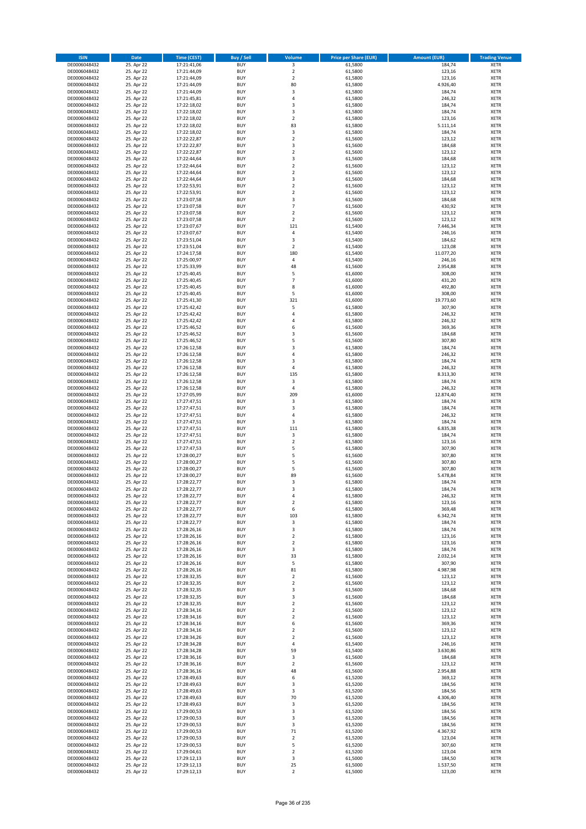| <b>ISIN</b>                  | Date                     | Time (CEST)                | <b>Buy / Sell</b>        | <b>Volume</b>                    | <b>Price per Share (EUR)</b> | <b>Amount (EUR)</b> | <b>Trading Venue</b>       |
|------------------------------|--------------------------|----------------------------|--------------------------|----------------------------------|------------------------------|---------------------|----------------------------|
| DE0006048432                 | 25. Apr 22               | 17:21:41,06                | <b>BUY</b>               | 3                                | 61,5800                      | 184,74              | <b>XETR</b>                |
| DE0006048432                 | 25. Apr 22               | 17:21:44,09                | <b>BUY</b>               | $\mathbf 2$                      | 61,5800                      | 123,16              | XETR                       |
| DE0006048432                 | 25. Apr 22               | 17:21:44,09                | <b>BUY</b>               | $\overline{2}$                   | 61,5800                      | 123,16              | <b>XETR</b>                |
| DE0006048432                 | 25. Apr 22               | 17:21:44,09                | <b>BUY</b>               | 80                               | 61,5800                      | 4.926,40            | XETR                       |
| DE0006048432<br>DE0006048432 | 25. Apr 22<br>25. Apr 22 | 17:21:44,09<br>17:21:45,81 | <b>BUY</b><br><b>BUY</b> | 3<br>$\overline{4}$              | 61,5800<br>61,5800           | 184,74<br>246,32    | <b>XETR</b><br><b>XETR</b> |
| DE0006048432                 | 25. Apr 22               | 17:22:18,02                | <b>BUY</b>               | 3                                | 61,5800                      | 184,74              | <b>XETR</b>                |
| DE0006048432                 | 25. Apr 22               | 17:22:18,02                | <b>BUY</b>               | 3                                | 61,5800                      | 184,74              | <b>XETR</b>                |
| DE0006048432                 | 25. Apr 22               | 17:22:18,02                | <b>BUY</b>               | $\overline{2}$                   | 61,5800                      | 123,16              | <b>XETR</b>                |
| DE0006048432                 | 25. Apr 22               | 17:22:18,02                | <b>BUY</b>               | 83                               | 61,5800                      | 5.111,14            | <b>XETR</b>                |
| DE0006048432                 | 25. Apr 22               | 17:22:18,02                | <b>BUY</b>               | $\mathsf 3$                      | 61,5800                      | 184,74              | <b>XETR</b>                |
| DE0006048432                 | 25. Apr 22               | 17:22:22,87                | <b>BUY</b>               | $\mathbf 2$<br>3                 | 61,5600                      | 123,12              | <b>XETR</b>                |
| DE0006048432<br>DE0006048432 | 25. Apr 22<br>25. Apr 22 | 17:22:22,87<br>17:22:22,87 | <b>BUY</b><br><b>BUY</b> | $\overline{2}$                   | 61,5600<br>61,5600           | 184,68<br>123,12    | <b>XETR</b><br><b>XETR</b> |
| DE0006048432                 | 25. Apr 22               | 17:22:44,64                | <b>BUY</b>               | 3                                | 61,5600                      | 184,68              | <b>XETR</b>                |
| DE0006048432                 | 25. Apr 22               | 17:22:44,64                | <b>BUY</b>               | $\overline{2}$                   | 61,5600                      | 123,12              | <b>XETR</b>                |
| DE0006048432                 | 25. Apr 22               | 17:22:44,64                | <b>BUY</b>               | $\mathbf 2$                      | 61,5600                      | 123,12              | <b>XETR</b>                |
| DE0006048432                 | 25. Apr 22               | 17:22:44,64                | <b>BUY</b>               | 3                                | 61,5600                      | 184,68              | <b>XETR</b>                |
| DE0006048432                 | 25. Apr 22               | 17:22:53,91                | <b>BUY</b>               | $\overline{2}$                   | 61,5600                      | 123,12              | <b>XETR</b>                |
| DE0006048432<br>DE0006048432 | 25. Apr 22<br>25. Apr 22 | 17:22:53,91<br>17:23:07,58 | <b>BUY</b><br><b>BUY</b> | $\mathbf 2$<br>3                 | 61,5600<br>61,5600           | 123,12<br>184,68    | <b>XETR</b><br><b>XETR</b> |
| DE0006048432                 | 25. Apr 22               | 17:23:07,58                | <b>BUY</b>               | $\overline{7}$                   | 61,5600                      | 430,92              | <b>XETR</b>                |
| DE0006048432                 | 25. Apr 22               | 17:23:07,58                | <b>BUY</b>               | $\overline{2}$                   | 61,5600                      | 123,12              | <b>XETR</b>                |
| DE0006048432                 | 25. Apr 22               | 17:23:07,58                | <b>BUY</b>               | $\overline{2}$                   | 61,5600                      | 123,12              | <b>XETR</b>                |
| DE0006048432                 | 25. Apr 22               | 17:23:07,67                | <b>BUY</b>               | 121                              | 61,5400                      | 7.446,34            | <b>XETR</b>                |
| DE0006048432                 | 25. Apr 22               | 17:23:07,67                | <b>BUY</b>               | 4                                | 61,5400                      | 246,16              | <b>XETR</b>                |
| DE0006048432<br>DE0006048432 | 25. Apr 22               | 17:23:51,04                | <b>BUY</b><br><b>BUY</b> | 3<br>$\overline{2}$              | 61,5400                      | 184,62              | <b>XETR</b><br><b>XETR</b> |
| DE0006048432                 | 25. Apr 22<br>25. Apr 22 | 17:23:51,04<br>17:24:17,58 | <b>BUY</b>               | 180                              | 61,5400<br>61,5400           | 123,08<br>11.077,20 | <b>XETR</b>                |
| DE0006048432                 | 25. Apr 22               | 17:25:00,97                | <b>BUY</b>               | $\sqrt{4}$                       | 61,5400                      | 246,16              | <b>XETR</b>                |
| DE0006048432                 | 25. Apr 22               | 17:25:33,99                | <b>BUY</b>               | 48                               | 61,5600                      | 2.954,88            | <b>XETR</b>                |
| DE0006048432                 | 25. Apr 22               | 17:25:40,45                | <b>BUY</b>               | 5                                | 61,6000                      | 308,00              | <b>XETR</b>                |
| DE0006048432                 | 25. Apr 22               | 17:25:40,45                | <b>BUY</b>               | $\overline{7}$                   | 61,6000                      | 431,20              | <b>XETR</b>                |
| DE0006048432                 | 25. Apr 22               | 17:25:40,45                | <b>BUY</b>               | 8                                | 61,6000                      | 492,80              | <b>XETR</b>                |
| DE0006048432<br>DE0006048432 | 25. Apr 22<br>25. Apr 22 | 17:25:40,45<br>17:25:41,30 | <b>BUY</b><br><b>BUY</b> | 5<br>321                         | 61,6000<br>61,6000           | 308,00<br>19.773,60 | <b>XETR</b><br><b>XETR</b> |
| DE0006048432                 | 25. Apr 22               | 17:25:42,42                | <b>BUY</b>               | 5                                | 61,5800                      | 307,90              | <b>XETR</b>                |
| DE0006048432                 | 25. Apr 22               | 17:25:42,42                | <b>BUY</b>               | $\sqrt{4}$                       | 61,5800                      | 246,32              | <b>XETR</b>                |
| DE0006048432                 | 25. Apr 22               | 17:25:42,42                | <b>BUY</b>               | 4                                | 61,5800                      | 246,32              | <b>XETR</b>                |
| DE0006048432                 | 25. Apr 22               | 17:25:46,52                | <b>BUY</b>               | 6                                | 61,5600                      | 369,36              | <b>XETR</b>                |
| DE0006048432                 | 25. Apr 22               | 17:25:46,52                | <b>BUY</b>               | 3                                | 61,5600                      | 184,68              | <b>XETR</b>                |
| DE0006048432                 | 25. Apr 22<br>25. Apr 22 | 17:25:46,52                | <b>BUY</b><br><b>BUY</b> | 5<br>3                           | 61,5600<br>61,5800           | 307,80<br>184,74    | <b>XETR</b><br><b>XETR</b> |
| DE0006048432<br>DE0006048432 | 25. Apr 22               | 17:26:12,58<br>17:26:12,58 | <b>BUY</b>               | 4                                | 61,5800                      | 246,32              | <b>XETR</b>                |
| DE0006048432                 | 25. Apr 22               | 17:26:12,58                | <b>BUY</b>               | 3                                | 61,5800                      | 184,74              | <b>XETR</b>                |
| DE0006048432                 | 25. Apr 22               | 17:26:12,58                | <b>BUY</b>               | $\sqrt{4}$                       | 61,5800                      | 246,32              | <b>XETR</b>                |
| DE0006048432                 | 25. Apr 22               | 17:26:12,58                | <b>BUY</b>               | 135                              | 61,5800                      | 8.313,30            | <b>XETR</b>                |
| DE0006048432                 | 25. Apr 22               | 17:26:12,58                | <b>BUY</b>               | 3                                | 61,5800                      | 184,74              | <b>XETR</b>                |
| DE0006048432<br>DE0006048432 | 25. Apr 22               | 17:26:12,58                | <b>BUY</b><br><b>BUY</b> | $\sqrt{4}$<br>209                | 61,5800                      | 246,32              | <b>XETR</b><br><b>XETR</b> |
| DE0006048432                 | 25. Apr 22<br>25. Apr 22 | 17:27:05,99<br>17:27:47,51 | <b>BUY</b>               | 3                                | 61,6000<br>61,5800           | 12.874,40<br>184,74 | <b>XETR</b>                |
| DE0006048432                 | 25. Apr 22               | 17:27:47,51                | <b>BUY</b>               | 3                                | 61,5800                      | 184,74              | <b>XETR</b>                |
| DE0006048432                 | 25. Apr 22               | 17:27:47,51                | <b>BUY</b>               | 4                                | 61,5800                      | 246,32              | <b>XETR</b>                |
| DE0006048432                 | 25. Apr 22               | 17:27:47,51                | <b>BUY</b>               | $\mathsf 3$                      | 61,5800                      | 184,74              | <b>XETR</b>                |
| DE0006048432                 | 25. Apr 22               | 17:27:47,51                | <b>BUY</b>               | 111                              | 61,5800                      | 6.835,38            | <b>XETR</b>                |
| DE0006048432                 | 25. Apr 22               | 17:27:47,51                | <b>BUY</b>               | 3                                | 61,5800                      | 184,74              | <b>XETR</b>                |
| DE0006048432<br>DE0006048432 | 25. Apr 22<br>25. Apr 22 | 17:27:47,51<br>17:27:47,53 | <b>BUY</b><br><b>BUY</b> | $\mathbf 2$<br>5                 | 61,5800<br>61,5800           | 123,16<br>307,90    | <b>XETR</b><br><b>XETR</b> |
| DE0006048432                 | 25. Apr 22               | 17:28:00,27                | <b>BUY</b>               | 5                                | 61,5600                      | 307,80              | <b>XETR</b>                |
| DE0006048432                 | 25. Apr 22               | 17:28:00,27                | <b>BUY</b>               | 5                                | 61,5600                      | 307,80              | <b>XETR</b>                |
| DE0006048432                 | 25. Apr 22               | 17:28:00,27                | <b>BUY</b>               | 5                                | 61,5600                      | 307,80              | <b>XETR</b>                |
| DE0006048432                 | 25. Apr 22               | 17:28:00,27                | <b>BUY</b>               | 89                               | 61,5600                      | 5.478,84            | <b>XETR</b>                |
| DE0006048432                 | 25. Apr 22               | 17:28:22,77                | <b>BUY</b>               | 3                                | 61,5800                      | 184,74              | <b>XETR</b>                |
| DE0006048432<br>DE0006048432 | 25. Apr 22<br>25. Apr 22 | 17:28:22,77<br>17:28:22,77 | <b>BUY</b><br>BUY        | 3<br>4                           | 61,5800<br>61,5800           | 184,74<br>246,32    | <b>XETR</b><br>XETR        |
| DE0006048432                 | 25. Apr 22               | 17:28:22,77                | <b>BUY</b>               | $\overline{2}$                   | 61,5800                      | 123,16              | <b>XETR</b>                |
| DE0006048432                 | 25. Apr 22               | 17:28:22,77                | <b>BUY</b>               | 6                                | 61,5800                      | 369,48              | <b>XETR</b>                |
| DE0006048432                 | 25. Apr 22               | 17:28:22,77                | <b>BUY</b>               | 103                              | 61,5800                      | 6.342,74            | XETR                       |
| DE0006048432                 | 25. Apr 22               | 17:28:22,77                | <b>BUY</b>               | 3                                | 61,5800                      | 184,74              | XETR                       |
| DE0006048432                 | 25. Apr 22               | 17:28:26,16                | <b>BUY</b>               | 3                                | 61,5800                      | 184,74              | <b>XETR</b>                |
| DE0006048432<br>DE0006048432 | 25. Apr 22<br>25. Apr 22 | 17:28:26,16<br>17:28:26,16 | <b>BUY</b><br><b>BUY</b> | $\overline{2}$<br>$\overline{2}$ | 61,5800<br>61,5800           | 123,16<br>123,16    | <b>XETR</b><br><b>XETR</b> |
| DE0006048432                 | 25. Apr 22               | 17:28:26,16                | <b>BUY</b>               | 3                                | 61,5800                      | 184,74              | XETR                       |
| DE0006048432                 | 25. Apr 22               | 17:28:26,16                | <b>BUY</b>               | 33                               | 61,5800                      | 2.032,14            | <b>XETR</b>                |
| DE0006048432                 | 25. Apr 22               | 17:28:26,16                | <b>BUY</b>               | 5                                | 61,5800                      | 307,90              | XETR                       |
| DE0006048432                 | 25. Apr 22               | 17:28:26,16                | <b>BUY</b>               | 81                               | 61,5800                      | 4.987,98            | <b>XETR</b>                |
| DE0006048432                 | 25. Apr 22               | 17:28:32,35                | <b>BUY</b><br><b>BUY</b> | $\mathbf 2$<br>$\mathbf 2$       | 61,5600                      | 123,12              | XETR<br><b>XETR</b>        |
| DE0006048432<br>DE0006048432 | 25. Apr 22<br>25. Apr 22 | 17:28:32,35<br>17:28:32,35 | <b>BUY</b>               | 3                                | 61,5600<br>61,5600           | 123,12<br>184,68    | XETR                       |
| DE0006048432                 | 25. Apr 22               | 17:28:32,35                | <b>BUY</b>               | 3                                | 61,5600                      | 184,68              | <b>XETR</b>                |
| DE0006048432                 | 25. Apr 22               | 17:28:32,35                | <b>BUY</b>               | $\overline{2}$                   | 61,5600                      | 123,12              | <b>XETR</b>                |
| DE0006048432                 | 25. Apr 22               | 17:28:34,16                | <b>BUY</b>               | $\overline{2}$                   | 61,5600                      | 123,12              | <b>XETR</b>                |
| DE0006048432                 | 25. Apr 22               | 17:28:34,16                | <b>BUY</b>               | $\mathbf 2$                      | 61,5600                      | 123,12              | XETR                       |
| DE0006048432                 | 25. Apr 22               | 17:28:34,16                | <b>BUY</b>               | 6                                | 61,5600                      | 369,36              | XETR                       |
| DE0006048432<br>DE0006048432 | 25. Apr 22<br>25. Apr 22 | 17:28:34,16<br>17:28:34,26 | <b>BUY</b><br><b>BUY</b> | $\overline{2}$<br>$\mathbf 2$    | 61,5600<br>61,5600           | 123,12<br>123,12    | <b>XETR</b><br>XETR        |
| DE0006048432                 | 25. Apr 22               | 17:28:34,28                | <b>BUY</b>               | $\sqrt{4}$                       | 61,5400                      | 246,16              | XETR                       |
| DE0006048432                 | 25. Apr 22               | 17:28:34,28                | <b>BUY</b>               | 59                               | 61,5400                      | 3.630,86            | <b>XETR</b>                |
| DE0006048432                 | 25. Apr 22               | 17:28:36,16                | <b>BUY</b>               | 3                                | 61,5600                      | 184,68              | XETR                       |
| DE0006048432                 | 25. Apr 22               | 17:28:36,16                | <b>BUY</b>               | $\overline{2}$                   | 61,5600                      | 123,12              | XETR                       |
| DE0006048432                 | 25. Apr 22               | 17:28:36,16                | <b>BUY</b>               | 48                               | 61,5600                      | 2.954,88            | XETR                       |
| DE0006048432                 | 25. Apr 22               | 17:28:49,63                | <b>BUY</b>               | 6                                | 61,5200                      | 369,12              | <b>XETR</b>                |
| DE0006048432<br>DE0006048432 | 25. Apr 22<br>25. Apr 22 | 17:28:49,63<br>17:28:49,63 | <b>BUY</b><br><b>BUY</b> | 3<br>3                           | 61,5200<br>61,5200           | 184,56<br>184,56    | <b>XETR</b><br><b>XETR</b> |
| DE0006048432                 | 25. Apr 22               | 17:28:49,63                | <b>BUY</b>               | 70                               | 61,5200                      | 4.306,40            | XETR                       |
| DE0006048432                 | 25. Apr 22               | 17:28:49,63                | <b>BUY</b>               | 3                                | 61,5200                      | 184,56              | XETR                       |
| DE0006048432                 | 25. Apr 22               | 17:29:00,53                | <b>BUY</b>               | 3                                | 61,5200                      | 184,56              | XETR                       |
| DE0006048432                 | 25. Apr 22               | 17:29:00,53                | <b>BUY</b>               | 3                                | 61,5200                      | 184,56              | XETR                       |
| DE0006048432                 | 25. Apr 22               | 17:29:00,53                | <b>BUY</b>               | 3                                | 61,5200                      | 184,56              | <b>XETR</b>                |
| DE0006048432<br>DE0006048432 | 25. Apr 22<br>25. Apr 22 | 17:29:00,53<br>17:29:00,53 | <b>BUY</b><br><b>BUY</b> | 71<br>$\mathbf 2$                | 61,5200<br>61,5200           | 4.367,92<br>123,04  | XETR<br>XETR               |
| DE0006048432                 | 25. Apr 22               | 17:29:00,53                | <b>BUY</b>               | 5                                | 61,5200                      | 307,60              | XETR                       |
| DE0006048432                 | 25. Apr 22               | 17:29:04,61                | <b>BUY</b>               | $\overline{2}$                   | 61,5200                      | 123,04              | <b>XETR</b>                |
| DE0006048432                 | 25. Apr 22               | 17:29:12,13                | <b>BUY</b>               | 3                                | 61,5000                      | 184,50              | XETR                       |
| DE0006048432                 | 25. Apr 22               | 17:29:12,13                | <b>BUY</b>               | 25                               | 61,5000                      | 1.537,50            | <b>XETR</b>                |
| DE0006048432                 | 25. Apr 22               | 17:29:12,13                | <b>BUY</b>               | $\overline{2}$                   | 61,5000                      | 123,00              | <b>XETR</b>                |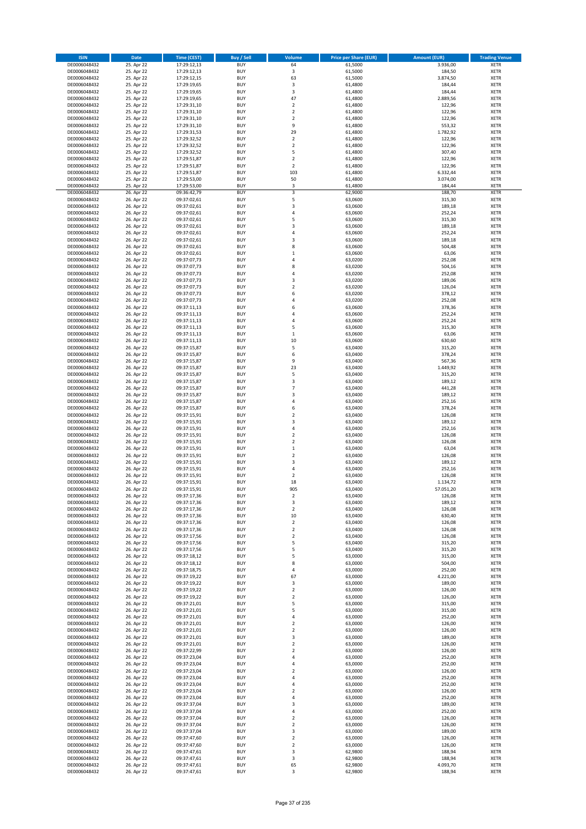| <b>ISIN</b>                  | <b>Date</b>              | Time (CEST)                | <b>Buy / Sell</b>        | Volume                       | <b>Price per Share (EUR)</b> | <b>Amount (EUR)</b> | <b>Trading Venue</b>       |
|------------------------------|--------------------------|----------------------------|--------------------------|------------------------------|------------------------------|---------------------|----------------------------|
| DE0006048432                 | 25. Apr 22               | 17:29:12,13                | <b>BUY</b>               | 64                           | 61,5000                      | 3.936,00            | <b>XETR</b>                |
| DE0006048432                 | 25. Apr 22               | 17:29:12,13                | <b>BUY</b>               | 3                            | 61,5000                      | 184,50              | <b>XETR</b>                |
| DE0006048432                 | 25. Apr 22               | 17:29:12,15                | <b>BUY</b>               | 63                           | 61,5000                      | 3.874,50            | <b>XETR</b>                |
| DE0006048432                 | 25. Apr 22               | 17:29:19,65                | <b>BUY</b>               | 3                            | 61,4800                      | 184,44              | <b>XETR</b>                |
| DE0006048432                 | 25. Apr 22               | 17:29:19,65                | <b>BUY</b>               | 3                            | 61,4800                      | 184,44              | <b>XETR</b>                |
| DE0006048432                 | 25. Apr 22               | 17:29:19,65                | <b>BUY</b>               | 47                           | 61,4800                      | 2.889,56            | <b>XETR</b>                |
| DE0006048432                 | 25. Apr 22               | 17:29:31,10                | <b>BUY</b>               | $\overline{\mathbf{c}}$      | 61,4800                      | 122,96              | <b>XETR</b>                |
| DE0006048432                 | 25. Apr 22               | 17:29:31,10                | <b>BUY</b>               | $\overline{\mathbf{c}}$      | 61,4800                      | 122,96              | <b>XETR</b>                |
| DE0006048432                 | 25. Apr 22               | 17:29:31,10                | <b>BUY</b>               | $\overline{\mathbf{c}}$      | 61,4800                      | 122,96              | <b>XETR</b>                |
| DE0006048432                 | 25. Apr 22               | 17:29:31,10                | <b>BUY</b>               | 9                            | 61,4800                      | 553,32              | <b>XETR</b>                |
| DE0006048432                 | 25. Apr 22               | 17:29:31,53                | <b>BUY</b>               | 29                           | 61,4800                      | 1.782,92            | <b>XETR</b>                |
| DE0006048432                 | 25. Apr 22               | 17:29:32,52                | <b>BUY</b>               | $\overline{\mathbf{c}}$      | 61,4800                      | 122,96              | <b>XETR</b>                |
| DE0006048432                 | 25. Apr 22               | 17:29:32,52                | <b>BUY</b>               | $\mathbf 2$                  | 61,4800                      | 122,96              | <b>XETR</b>                |
| DE0006048432                 | 25. Apr 22               | 17:29:32,52                | <b>BUY</b><br><b>BUY</b> | 5<br>$\overline{\mathbf{c}}$ | 61,4800                      | 307,40              | <b>XETR</b>                |
| DE0006048432<br>DE0006048432 | 25. Apr 22<br>25. Apr 22 | 17:29:51,87                | <b>BUY</b>               | $\overline{\mathbf{c}}$      | 61,4800<br>61,4800           | 122,96<br>122,96    | <b>XETR</b><br><b>XETR</b> |
| DE0006048432                 | 25. Apr 22               | 17:29:51,87<br>17:29:51,87 | <b>BUY</b>               | 103                          | 61,4800                      | 6.332,44            | <b>XETR</b>                |
| DE0006048432                 | 25. Apr 22               | 17:29:53,00                | <b>BUY</b>               | 50                           | 61,4800                      | 3.074,00            | <b>XETR</b>                |
| DE0006048432                 | 25. Apr 22               | 17:29:53,00                | <b>BUY</b>               | 3                            | 61,4800                      | 184,44              | <b>XETR</b>                |
| DE0006048432                 | 26. Apr 22               | 09:36:42,79                | <b>BUY</b>               | 3                            | 62,9000                      | 188,70              | <b>XETR</b>                |
| DE0006048432                 | 26. Apr 22               | 09:37:02,61                | <b>BUY</b>               | 5                            | 63,0600                      | 315,30              | <b>XETR</b>                |
| DE0006048432                 | 26. Apr 22               | 09:37:02,61                | <b>BUY</b>               | 3                            | 63,0600                      | 189,18              | <b>XETR</b>                |
| DE0006048432                 | 26. Apr 22               | 09:37:02,61                | <b>BUY</b>               | 4                            | 63,0600                      | 252,24              | <b>XETR</b>                |
| DE0006048432                 | 26. Apr 22               | 09:37:02,61                | <b>BUY</b>               | 5                            | 63,0600                      | 315,30              | <b>XETR</b>                |
| DE0006048432                 | 26. Apr 22               | 09:37:02,61                | <b>BUY</b>               | 3                            | 63,0600                      | 189,18              | <b>XETR</b>                |
| DE0006048432                 | 26. Apr 22               | 09:37:02,61                | <b>BUY</b>               | 4                            | 63,0600                      | 252,24              | <b>XETR</b>                |
| DE0006048432                 | 26. Apr 22               | 09:37:02,61                | <b>BUY</b>               | 3                            | 63,0600                      | 189,18              | <b>XETR</b>                |
| DE0006048432                 | 26. Apr 22               | 09:37:02,61                | <b>BUY</b>               | 8                            | 63,0600                      | 504,48              | <b>XETR</b>                |
| DE0006048432                 | 26. Apr 22               | 09:37:02,61                | <b>BUY</b>               | $\mathbf{1}$                 | 63,0600                      | 63,06               | <b>XETR</b>                |
| DE0006048432                 | 26. Apr 22               | 09:37:07,73                | <b>BUY</b>               | $\overline{a}$               | 63,0200                      | 252,08              | <b>XETR</b>                |
| DE0006048432                 | 26. Apr 22               | 09:37:07,73                | <b>BUY</b>               | 8                            | 63,0200                      | 504,16              | <b>XETR</b>                |
| DE0006048432                 | 26. Apr 22               | 09:37:07,73                | <b>BUY</b>               | 4                            | 63,0200                      | 252,08              | <b>XETR</b>                |
| DE0006048432                 | 26. Apr 22               | 09:37:07,73                | <b>BUY</b>               | 3                            | 63,0200                      | 189,06              | <b>XETR</b>                |
| DE0006048432                 | 26. Apr 22               | 09:37:07,73                | <b>BUY</b>               | $\overline{\mathbf{c}}$      | 63,0200                      | 126,04              | <b>XETR</b>                |
| DE0006048432                 | 26. Apr 22               | 09:37:07,73                | <b>BUY</b>               | 6                            | 63,0200                      | 378,12              | <b>XETR</b>                |
| DE0006048432                 | 26. Apr 22               | 09:37:07,73<br>09:37:11,13 | <b>BUY</b><br><b>BUY</b> | 4<br>6                       | 63,0200                      | 252,08              | <b>XETR</b><br><b>XETR</b> |
| DE0006048432<br>DE0006048432 | 26. Apr 22<br>26. Apr 22 | 09:37:11,13                | <b>BUY</b>               | 4                            | 63,0600<br>63,0600           | 378,36<br>252,24    | <b>XETR</b>                |
| DE0006048432                 | 26. Apr 22               | 09:37:11,13                | <b>BUY</b>               | 4                            | 63,0600                      | 252,24              | <b>XETR</b>                |
| DE0006048432                 | 26. Apr 22               | 09:37:11,13                | <b>BUY</b>               | 5                            | 63,0600                      | 315,30              | <b>XETR</b>                |
| DE0006048432                 | 26. Apr 22               | 09:37:11,13                | <b>BUY</b>               | $\mathbf 1$                  | 63,0600                      | 63,06               | <b>XETR</b>                |
| DE0006048432                 | 26. Apr 22               | 09:37:11,13                | <b>BUY</b>               | 10                           | 63,0600                      | 630,60              | <b>XETR</b>                |
| DE0006048432                 | 26. Apr 22               | 09:37:15,87                | <b>BUY</b>               | 5                            | 63,0400                      | 315,20              | <b>XETR</b>                |
| DE0006048432                 | 26. Apr 22               | 09:37:15,87                | <b>BUY</b>               | 6                            | 63,0400                      | 378,24              | <b>XETR</b>                |
| DE0006048432                 | 26. Apr 22               | 09:37:15,87                | <b>BUY</b>               | 9                            | 63,0400                      | 567,36              | <b>XETR</b>                |
| DE0006048432                 | 26. Apr 22               | 09:37:15,87                | <b>BUY</b>               | 23                           | 63,0400                      | 1.449,92            | <b>XETR</b>                |
| DE0006048432                 | 26. Apr 22               | 09:37:15,87                | <b>BUY</b>               | 5                            | 63,0400                      | 315,20              | <b>XETR</b>                |
| DE0006048432                 | 26. Apr 22               | 09:37:15,87                | <b>BUY</b>               | 3                            | 63,0400                      | 189,12              | <b>XETR</b>                |
| DE0006048432                 | 26. Apr 22               | 09:37:15,87                | <b>BUY</b>               | $\overline{7}$               | 63,0400                      | 441,28              | <b>XETR</b>                |
| DE0006048432                 | 26. Apr 22               | 09:37:15,87                | <b>BUY</b>               | 3                            | 63,0400                      | 189,12              | <b>XETR</b>                |
| DE0006048432                 | 26. Apr 22               | 09:37:15,87                | <b>BUY</b>               | 4                            | 63,0400                      | 252,16              | <b>XETR</b>                |
| DE0006048432                 | 26. Apr 22               | 09:37:15,87                | <b>BUY</b>               | 6                            | 63,0400                      | 378,24              | <b>XETR</b>                |
| DE0006048432                 | 26. Apr 22               | 09:37:15,91                | <b>BUY</b>               | $\overline{\mathbf{c}}$      | 63,0400                      | 126,08              | <b>XETR</b>                |
| DE0006048432                 | 26. Apr 22               | 09:37:15,91                | <b>BUY</b>               | 3                            | 63,0400                      | 189,12              | <b>XETR</b>                |
| DE0006048432                 | 26. Apr 22<br>26. Apr 22 | 09:37:15,91                | <b>BUY</b>               | 4<br>$\mathbf 2$             | 63,0400                      | 252,16              | <b>XETR</b>                |
| DE0006048432<br>DE0006048432 | 26. Apr 22               | 09:37:15,91<br>09:37:15,91 | <b>BUY</b><br><b>BUY</b> | $\overline{\mathbf{c}}$      | 63,0400<br>63,0400           | 126,08<br>126,08    | <b>XETR</b><br><b>XETR</b> |
| DE0006048432                 | 26. Apr 22               | 09:37:15,91                | <b>BUY</b>               | $\mathbf 1$                  | 63,0400                      | 63,04               | <b>XETR</b>                |
| DE0006048432                 | 26. Apr 22               | 09:37:15,91                | <b>BUY</b>               | $\overline{\mathbf{c}}$      | 63,0400                      | 126,08              | <b>XETR</b>                |
| DE0006048432                 | 26. Apr 22               | 09:37:15,91                | <b>BUY</b>               | 3                            | 63,0400                      | 189,12              | <b>XETR</b>                |
| DE0006048432                 | 26. Apr 22               | 09:37:15,91                | <b>BUY</b>               | 4                            | 63,0400                      | 252,16              | <b>XETR</b>                |
| DE0006048432                 | 26. Apr 22               | 09:37:15,91                | <b>BUY</b>               | 2                            | 63,0400                      | 126,08              | <b>XETR</b>                |
| DE0006048432                 | 26. Apr 22               | 09:37:15,91                | <b>BUY</b>               | 18                           | 63,0400                      | 1.134,72            | <b>XETR</b>                |
| DE0006048432                 | 26. Apr 22               | 09:37:15,91                | <b>BUY</b>               | 905                          | 63,0400                      | 57.051,20           | <b>XETR</b>                |
| DE0006048432                 | 26. Apr 22               | 09:37:17,36                | BUY                      | 2                            | 63,0400                      | 126,08              | <b>XETR</b>                |
| DE0006048432                 | 26. Apr 22               | 09:37:17,36                | <b>BUY</b>               | 3                            | 63,0400                      | 189,12              | <b>XETR</b>                |
| DE0006048432                 | 26. Apr 22               | 09:37:17,36                | <b>BUY</b>               | $\mathbf 2$                  | 63,0400                      | 126,08              | <b>XETR</b>                |
| DE0006048432                 | 26. Apr 22               | 09:37:17,36                | <b>BUY</b>               | 10                           | 63,0400                      | 630,40              | <b>XETR</b>                |
| DE0006048432                 | 26. Apr 22               | 09:37:17,36                | <b>BUY</b>               | $\overline{\mathbf{c}}$      | 63,0400                      | 126,08              | <b>XETR</b>                |
| DE0006048432                 | 26. Apr 22               | 09:37:17,36                | <b>BUY</b>               | $\mathbf 2$                  | 63,0400                      | 126,08              | <b>XETR</b>                |
| DE0006048432                 | 26. Apr 22               | 09:37:17,56                | <b>BUY</b>               | $\overline{\mathbf{c}}$<br>5 | 63,0400                      | 126,08              | <b>XETR</b>                |
| DE0006048432<br>DE0006048432 | 26. Apr 22               | 09:37:17,56                | <b>BUY</b>               |                              | 63,0400                      | 315,20              | <b>XETR</b>                |
| DE0006048432                 | 26. Apr 22<br>26. Apr 22 | 09:37:17,56<br>09:37:18,12 | <b>BUY</b><br><b>BUY</b> | 5<br>5                       | 63,0400<br>63,0000           | 315,20<br>315,00    | <b>XETR</b><br><b>XETR</b> |
| DE0006048432                 | 26. Apr 22               | 09:37:18,12                | <b>BUY</b>               | 8                            | 63,0000                      | 504,00              | <b>XETR</b>                |
| DE0006048432                 | 26. Apr 22               | 09:37:18,75                | <b>BUY</b>               | 4                            | 63,0000                      | 252,00              | <b>XETR</b>                |
| DE0006048432                 | 26. Apr 22               | 09:37:19,22                | <b>BUY</b>               | 67                           | 63,0000                      | 4.221,00            | <b>XETR</b>                |
| DE0006048432                 | 26. Apr 22               | 09:37:19,22                | <b>BUY</b>               | 3                            | 63,0000                      | 189,00              | <b>XETR</b>                |
| DE0006048432                 | 26. Apr 22               | 09:37:19,22                | <b>BUY</b>               | 2                            | 63,0000                      | 126,00              | <b>XETR</b>                |
| DE0006048432                 | 26. Apr 22               | 09:37:19,22                | <b>BUY</b>               | $\overline{\mathbf{c}}$      | 63,0000                      | 126,00              | <b>XETR</b>                |
| DE0006048432                 | 26. Apr 22               | 09:37:21,01                | <b>BUY</b>               | 5                            | 63,0000                      | 315,00              | <b>XETR</b>                |
| DE0006048432                 | 26. Apr 22               | 09:37:21,01                | <b>BUY</b>               | 5                            | 63,0000                      | 315,00              | <b>XETR</b>                |
| DE0006048432                 | 26. Apr 22               | 09:37:21,01                | <b>BUY</b>               | 4                            | 63,0000                      | 252,00              | <b>XETR</b>                |
| DE0006048432                 | 26. Apr 22               | 09:37:21,01                | <b>BUY</b>               | $\mathbf 2$                  | 63,0000                      | 126,00              | <b>XETR</b>                |
| DE0006048432                 | 26. Apr 22               | 09:37:21,01                | <b>BUY</b>               | $\overline{\mathbf{c}}$      | 63,0000                      | 126,00              | <b>XETR</b>                |
| DE0006048432                 | 26. Apr 22               | 09:37:21,01                | <b>BUY</b>               | 3                            | 63,0000                      | 189,00              | <b>XETR</b>                |
| DE0006048432                 | 26. Apr 22               | 09:37:21,01                | <b>BUY</b>               | $\overline{\mathbf{c}}$      | 63,0000                      | 126,00              | <b>XETR</b>                |
| DE0006048432                 | 26. Apr 22               | 09:37:22,99                | <b>BUY</b><br><b>BUY</b> | $\mathbf 2$<br>4             | 63,0000                      | 126,00              | <b>XETR</b><br><b>XETR</b> |
| DE0006048432<br>DE0006048432 | 26. Apr 22<br>26. Apr 22 | 09:37:23,04<br>09:37:23,04 | <b>BUY</b>               | 4                            | 63,0000<br>63,0000           | 252,00<br>252,00    | <b>XETR</b>                |
| DE0006048432                 | 26. Apr 22               | 09:37:23,04                | <b>BUY</b>               | $\overline{\mathbf{c}}$      | 63,0000                      | 126,00              | <b>XETR</b>                |
| DE0006048432                 | 26. Apr 22               | 09:37:23,04                | <b>BUY</b>               | 4                            | 63,0000                      | 252,00              | <b>XETR</b>                |
| DE0006048432                 | 26. Apr 22               | 09:37:23,04                | <b>BUY</b>               | 4                            | 63,0000                      | 252,00              | <b>XETR</b>                |
| DE0006048432                 | 26. Apr 22               | 09:37:23,04                | <b>BUY</b>               | $\overline{\mathbf{c}}$      | 63,0000                      | 126,00              | <b>XETR</b>                |
| DE0006048432                 | 26. Apr 22               | 09:37:23,04                | <b>BUY</b>               | 4                            | 63,0000                      | 252,00              | <b>XETR</b>                |
| DE0006048432                 | 26. Apr 22               | 09:37:37,04                | <b>BUY</b>               | 3                            | 63,0000                      | 189,00              | <b>XETR</b>                |
| DE0006048432                 | 26. Apr 22               | 09:37:37,04                | <b>BUY</b>               | 4                            | 63,0000                      | 252,00              | <b>XETR</b>                |
| DE0006048432                 | 26. Apr 22               | 09:37:37,04                | <b>BUY</b>               | $\mathbf 2$                  | 63,0000                      | 126,00              | <b>XETR</b>                |
| DE0006048432                 | 26. Apr 22               | 09:37:37,04                | BUY                      | $\mathbf 2$                  | 63,0000                      | 126,00              | <b>XETR</b>                |
| DE0006048432                 | 26. Apr 22               | 09:37:37,04                | <b>BUY</b>               | 3                            | 63,0000                      | 189,00              | <b>XETR</b>                |
| DE0006048432                 | 26. Apr 22               | 09:37:47,60                | <b>BUY</b>               | $\overline{\mathbf{c}}$      | 63,0000                      | 126,00              | <b>XETR</b>                |
| DE0006048432                 | 26. Apr 22               | 09:37:47,60                | <b>BUY</b>               | $\mathbf 2$                  | 63,0000                      | 126,00              | <b>XETR</b>                |
| DE0006048432                 | 26. Apr 22               | 09:37:47,61                | <b>BUY</b>               | 3                            | 62,9800                      | 188,94              | <b>XETR</b>                |
| DE0006048432                 | 26. Apr 22               | 09:37:47,61                | BUY                      | 3                            | 62,9800                      | 188,94              | <b>XETR</b>                |
| DE0006048432                 | 26. Apr 22               | 09:37:47,61                | <b>BUY</b>               | 65                           | 62,9800                      | 4.093,70            | <b>XETR</b>                |
| DE0006048432                 | 26. Apr 22               | 09:37:47,61                | <b>BUY</b>               | 3                            | 62,9800                      | 188,94              | <b>XETR</b>                |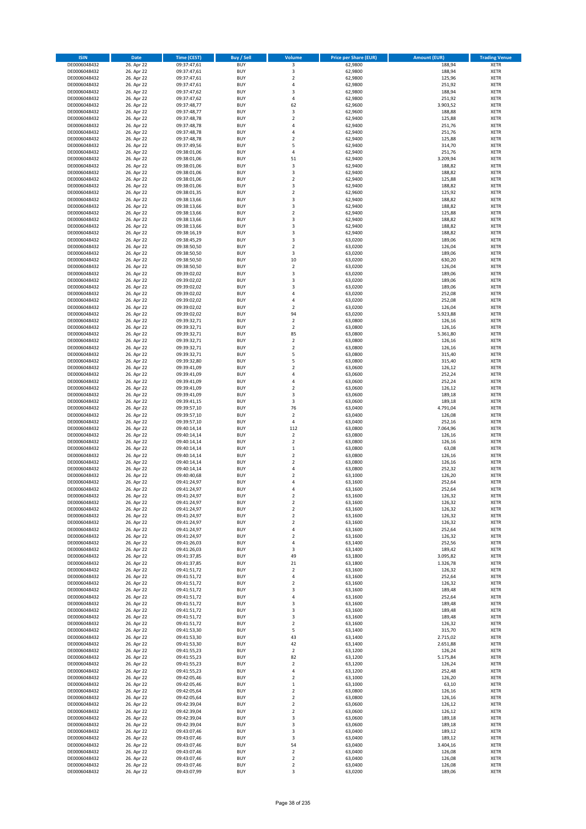| <b>ISIN</b>                  | Date                     | Time (CEST)                | <b>Buy / Sell</b>        | <b>Volume</b>                    | <b>Price per Share (EUR)</b> | <b>Amount (EUR)</b> | <b>Trading Venue</b>       |
|------------------------------|--------------------------|----------------------------|--------------------------|----------------------------------|------------------------------|---------------------|----------------------------|
| DE0006048432                 | 26. Apr 22               | 09:37:47,61                | <b>BUY</b>               | 3                                | 62,9800                      | 188,94              | <b>XETR</b>                |
| DE0006048432                 | 26. Apr 22               | 09:37:47,61                | <b>BUY</b>               | 3                                | 62,9800                      | 188,94              | XETR                       |
| DE0006048432                 | 26. Apr 22               | 09:37:47,61                | <b>BUY</b>               | $\mathbf 2$                      | 62,9800                      | 125,96              | <b>XETR</b>                |
| DE0006048432<br>DE0006048432 | 26. Apr 22<br>26. Apr 22 | 09:37:47,61<br>09:37:47,62 | <b>BUY</b><br><b>BUY</b> | 4<br>3                           | 62,9800<br>62,9800           | 251,92<br>188,94    | XETR<br><b>XETR</b>        |
| DE0006048432                 | 26. Apr 22               | 09:37:47,62                | <b>BUY</b>               | $\overline{4}$                   | 62,9800                      | 251,92              | <b>XETR</b>                |
| DE0006048432                 | 26. Apr 22               | 09:37:48,77                | <b>BUY</b>               | 62                               | 62,9600                      | 3.903,52            | <b>XETR</b>                |
| DE0006048432                 | 26. Apr 22               | 09:37:48,77                | <b>BUY</b>               | 3                                | 62,9600                      | 188,88              | <b>XETR</b>                |
| DE0006048432                 | 26. Apr 22               | 09:37:48,78                | <b>BUY</b>               | $\overline{2}$                   | 62,9400                      | 125,88              | <b>XETR</b>                |
| DE0006048432                 | 26. Apr 22               | 09:37:48,78                | <b>BUY</b>               | 4                                | 62,9400                      | 251,76              | <b>XETR</b>                |
| DE0006048432                 | 26. Apr 22               | 09:37:48,78                | <b>BUY</b>               | $\sqrt{4}$                       | 62,9400                      | 251,76              | <b>XETR</b>                |
| DE0006048432                 | 26. Apr 22<br>26. Apr 22 | 09:37:48,78                | <b>BUY</b><br><b>BUY</b> | $\overline{2}$<br>5              | 62,9400                      | 125,88              | <b>XETR</b><br><b>XETR</b> |
| DE0006048432<br>DE0006048432 | 26. Apr 22               | 09:37:49,56<br>09:38:01,06 | <b>BUY</b>               | 4                                | 62,9400<br>62,9400           | 314,70<br>251,76    | <b>XETR</b>                |
| DE0006048432                 | 26. Apr 22               | 09:38:01,06                | <b>BUY</b>               | 51                               | 62,9400                      | 3.209,94            | <b>XETR</b>                |
| DE0006048432                 | 26. Apr 22               | 09:38:01,06                | <b>BUY</b>               | 3                                | 62,9400                      | 188,82              | <b>XETR</b>                |
| DE0006048432                 | 26. Apr 22               | 09:38:01,06                | <b>BUY</b>               | 3                                | 62,9400                      | 188,82              | <b>XETR</b>                |
| DE0006048432                 | 26. Apr 22               | 09:38:01,06                | <b>BUY</b>               | $\overline{2}$                   | 62,9400                      | 125,88              | <b>XETR</b>                |
| DE0006048432                 | 26. Apr 22               | 09:38:01,06                | <b>BUY</b>               | 3                                | 62,9400                      | 188,82              | <b>XETR</b>                |
| DE0006048432                 | 26. Apr 22               | 09:38:01,35                | <b>BUY</b>               | $\mathbf 2$                      | 62,9600                      | 125,92              | <b>XETR</b>                |
| DE0006048432                 | 26. Apr 22               | 09:38:13,66                | <b>BUY</b>               | 3                                | 62,9400                      | 188,82              | <b>XETR</b>                |
| DE0006048432<br>DE0006048432 | 26. Apr 22<br>26. Apr 22 | 09:38:13,66<br>09:38:13,66 | <b>BUY</b><br><b>BUY</b> | 3<br>$\overline{2}$              | 62,9400<br>62,9400           | 188,82<br>125,88    | <b>XETR</b><br><b>XETR</b> |
| DE0006048432                 | 26. Apr 22               | 09:38:13,66                | <b>BUY</b>               | 3                                | 62,9400                      | 188,82              | <b>XETR</b>                |
| DE0006048432                 | 26. Apr 22               | 09:38:13,66                | <b>BUY</b>               | 3                                | 62,9400                      | 188,82              | <b>XETR</b>                |
| DE0006048432                 | 26. Apr 22               | 09:38:16,19                | <b>BUY</b>               | 3                                | 62,9400                      | 188,82              | <b>XETR</b>                |
| DE0006048432                 | 26. Apr 22               | 09:38:45,29                | <b>BUY</b>               | 3                                | 63,0200                      | 189,06              | <b>XETR</b>                |
| DE0006048432                 | 26. Apr 22               | 09:38:50,50                | <b>BUY</b>               | $\overline{2}$                   | 63,0200                      | 126,04              | <b>XETR</b>                |
| DE0006048432                 | 26. Apr 22               | 09:38:50,50                | <b>BUY</b>               | 3                                | 63,0200                      | 189,06              | <b>XETR</b>                |
| DE0006048432                 | 26. Apr 22               | 09:38:50,50                | <b>BUY</b>               | 10<br>$\overline{\mathbf{2}}$    | 63,0200                      | 630,20              | <b>XETR</b>                |
| DE0006048432<br>DE0006048432 | 26. Apr 22<br>26. Apr 22 | 09:38:50,50<br>09:39:02,02 | <b>BUY</b><br><b>BUY</b> | 3                                | 63,0200<br>63,0200           | 126,04<br>189,06    | <b>XETR</b><br><b>XETR</b> |
| DE0006048432                 | 26. Apr 22               | 09:39:02,02                | <b>BUY</b>               | 3                                | 63,0200                      | 189,06              | <b>XETR</b>                |
| DE0006048432                 | 26. Apr 22               | 09:39:02,02                | <b>BUY</b>               | 3                                | 63,0200                      | 189,06              | <b>XETR</b>                |
| DE0006048432                 | 26. Apr 22               | 09:39:02,02                | <b>BUY</b>               | $\overline{4}$                   | 63,0200                      | 252,08              | <b>XETR</b>                |
| DE0006048432                 | 26. Apr 22               | 09:39:02,02                | <b>BUY</b>               | 4                                | 63,0200                      | 252,08              | <b>XETR</b>                |
| DE0006048432                 | 26. Apr 22               | 09:39:02,02                | <b>BUY</b>               | $\overline{2}$                   | 63,0200                      | 126,04              | <b>XETR</b>                |
| DE0006048432                 | 26. Apr 22               | 09:39:02,02                | <b>BUY</b>               | 94                               | 63,0200                      | 5.923,88            | <b>XETR</b>                |
| DE0006048432                 | 26. Apr 22               | 09:39:32,71                | <b>BUY</b>               | $\overline{2}$                   | 63,0800                      | 126,16              | <b>XETR</b>                |
| DE0006048432                 | 26. Apr 22               | 09:39:32,71                | <b>BUY</b><br><b>BUY</b> | $\mathbf 2$<br>85                | 63,0800                      | 126,16              | <b>XETR</b><br><b>XETR</b> |
| DE0006048432<br>DE0006048432 | 26. Apr 22<br>26. Apr 22 | 09:39:32,71<br>09:39:32,71 | <b>BUY</b>               | $\overline{2}$                   | 63,0800<br>63,0800           | 5.361,80<br>126,16  | <b>XETR</b>                |
| DE0006048432                 | 26. Apr 22               | 09:39:32,71                | <b>BUY</b>               | $\mathbf 2$                      | 63,0800                      | 126,16              | <b>XETR</b>                |
| DE0006048432                 | 26. Apr 22               | 09:39:32,71                | <b>BUY</b>               | 5                                | 63,0800                      | 315,40              | <b>XETR</b>                |
| DE0006048432                 | 26. Apr 22               | 09:39:32,80                | <b>BUY</b>               | 5                                | 63,0800                      | 315,40              | <b>XETR</b>                |
| DE0006048432                 | 26. Apr 22               | 09:39:41,09                | <b>BUY</b>               | $\overline{2}$                   | 63,0600                      | 126,12              | <b>XETR</b>                |
| DE0006048432                 | 26. Apr 22               | 09:39:41,09                | <b>BUY</b>               | 4                                | 63,0600                      | 252,24              | <b>XETR</b>                |
| DE0006048432                 | 26. Apr 22               | 09:39:41,09                | <b>BUY</b>               | $\overline{4}$                   | 63,0600                      | 252,24              | <b>XETR</b>                |
| DE0006048432                 | 26. Apr 22               | 09:39:41,09                | <b>BUY</b>               | $\mathbf 2$                      | 63,0600                      | 126,12              | <b>XETR</b>                |
| DE0006048432<br>DE0006048432 | 26. Apr 22<br>26. Apr 22 | 09:39:41,09<br>09:39:41,15 | <b>BUY</b><br><b>BUY</b> | 3<br>3                           | 63,0600<br>63,0600           | 189,18<br>189,18    | <b>XETR</b><br><b>XETR</b> |
| DE0006048432                 | 26. Apr 22               | 09:39:57,10                | <b>BUY</b>               | 76                               | 63,0400                      | 4.791,04            | <b>XETR</b>                |
| DE0006048432                 | 26. Apr 22               | 09:39:57,10                | <b>BUY</b>               | $\overline{2}$                   | 63,0400                      | 126,08              | <b>XETR</b>                |
| DE0006048432                 | 26. Apr 22               | 09:39:57,10                | <b>BUY</b>               | $\pmb{4}$                        | 63,0400                      | 252,16              | <b>XETR</b>                |
| DE0006048432                 | 26. Apr 22               | 09:40:14,14                | <b>BUY</b>               | 112                              | 63,0800                      | 7.064,96            | <b>XETR</b>                |
| DE0006048432                 | 26. Apr 22               | 09:40:14,14                | <b>BUY</b>               | $\overline{2}$                   | 63,0800                      | 126,16              | <b>XETR</b>                |
| DE0006048432                 | 26. Apr 22               | 09:40:14,14                | <b>BUY</b>               | $\mathbf 2$                      | 63,0800                      | 126,16              | <b>XETR</b>                |
| DE0006048432                 | 26. Apr 22               | 09:40:14,14                | <b>BUY</b>               | $\,1\,$                          | 63,0800                      | 63,08               | <b>XETR</b>                |
| DE0006048432                 | 26. Apr 22               | 09:40:14,14                | <b>BUY</b>               | $\mathbf 2$<br>$\overline{2}$    | 63,0800                      | 126,16              | <b>XETR</b>                |
| DE0006048432<br>DE0006048432 | 26. Apr 22<br>26. Apr 22 | 09:40:14,14<br>09:40:14,14 | <b>BUY</b><br><b>BUY</b> | 4                                | 63,0800<br>63,0800           | 126,16<br>252,32    | <b>XETR</b><br><b>XETR</b> |
| DE0006048432                 | 26. Apr 22               | 09:40:40,68                | <b>BUY</b>               | $\overline{\mathbf{c}}$          | 63,1000                      | 126,20              | <b>XETR</b>                |
| DE0006048432                 | 26. Apr 22               | 09:41:24,97                | <b>BUY</b>               | $\overline{4}$                   | 63,1600                      | 252,64              | <b>XETR</b>                |
| DE0006048432                 | 26. Apr 22               | 09:41:24,97                | <b>BUY</b>               | $\overline{4}$                   | 63,1600                      | 252,64              | <b>XETR</b>                |
| DE0006048432                 | 26. Apr 22               | 09:41:24,97                | BUY                      | 2                                | 63,1600                      | 126,32              | XETR                       |
| DE0006048432                 | 26. Apr 22               | 09:41:24,97                | <b>BUY</b>               | $\mathbf 2$                      | 63,1600                      | 126,32              | <b>XETR</b>                |
| DE0006048432                 | 26. Apr 22               | 09:41:24,97                | <b>BUY</b>               | $\overline{2}$                   | 63,1600                      | 126,32              | <b>XETR</b>                |
| DE0006048432<br>DE0006048432 | 26. Apr 22<br>26. Apr 22 | 09:41:24,97<br>09:41:24,97 | <b>BUY</b><br><b>BUY</b> | $\overline{2}$<br>$\mathbf 2$    | 63,1600<br>63,1600           | 126,32<br>126,32    | XETR<br><b>XETR</b>        |
| DE0006048432                 | 26. Apr 22               | 09:41:24,97                | <b>BUY</b>               | $\pmb{4}$                        | 63,1600                      | 252,64              | <b>XETR</b>                |
| DE0006048432                 | 26. Apr 22               | 09:41:24,97                | <b>BUY</b>               | $\overline{2}$                   | 63,1600                      | 126,32              | <b>XETR</b>                |
| DE0006048432                 | 26. Apr 22               | 09:41:26,03                | <b>BUY</b>               | 4                                | 63,1400                      | 252,56              | <b>XETR</b>                |
| DE0006048432                 | 26. Apr 22               | 09:41:26,03                | <b>BUY</b>               | 3                                | 63,1400                      | 189,42              | XETR                       |
| DE0006048432                 | 26. Apr 22               | 09:41:37,85                | <b>BUY</b>               | 49                               | 63,1800                      | 3.095,82            | <b>XETR</b>                |
| DE0006048432                 | 26. Apr 22               | 09:41:37,85                | <b>BUY</b>               | 21                               | 63,1800                      | 1.326,78            | XETR                       |
| DE0006048432<br>DE0006048432 | 26. Apr 22<br>26. Apr 22 | 09:41:51,72<br>09:41:51,72 | <b>BUY</b><br><b>BUY</b> | $\mathbf 2$<br>$\sqrt{4}$        | 63,1600<br>63,1600           | 126,32<br>252,64    | <b>XETR</b><br>XETR        |
| DE0006048432                 | 26. Apr 22               | 09:41:51,72                | <b>BUY</b>               | $\overline{2}$                   | 63,1600                      | 126,32              | <b>XETR</b>                |
| DE0006048432                 | 26. Apr 22               | 09:41:51,72                | <b>BUY</b>               | 3                                | 63,1600                      | 189,48              | XETR                       |
| DE0006048432                 | 26. Apr 22               | 09:41:51,72                | <b>BUY</b>               | $\overline{4}$                   | 63,1600                      | 252,64              | <b>XETR</b>                |
| DE0006048432                 | 26. Apr 22               | 09:41:51,72                | <b>BUY</b>               | 3                                | 63,1600                      | 189,48              | <b>XETR</b>                |
| DE0006048432                 | 26. Apr 22               | 09:41:51,72                | <b>BUY</b>               | 3                                | 63,1600                      | 189,48              | <b>XETR</b>                |
| DE0006048432                 | 26. Apr 22               | 09:41:51,72                | <b>BUY</b>               | 3                                | 63,1600                      | 189,48              | XETR                       |
| DE0006048432                 | 26. Apr 22               | 09:41:51,72                | <b>BUY</b>               | $\overline{2}$                   | 63,1600                      | 126,32              | <b>XETR</b>                |
| DE0006048432<br>DE0006048432 | 26. Apr 22<br>26. Apr 22 | 09:41:53,30                | <b>BUY</b><br><b>BUY</b> | 5<br>43                          | 63,1400<br>63,1400           | 315,70<br>2.715,02  | <b>XETR</b><br><b>XETR</b> |
| DE0006048432                 | 26. Apr 22               | 09:41:53,30<br>09:41:53,30 | <b>BUY</b>               | 42                               | 63,1400                      | 2.651,88            | XETR                       |
| DE0006048432                 | 26. Apr 22               | 09:41:55,23                | <b>BUY</b>               | $\mathbf 2$                      | 63,1200                      | 126,24              | <b>XETR</b>                |
| DE0006048432                 | 26. Apr 22               | 09:41:55,23                | <b>BUY</b>               | 82                               | 63,1200                      | 5.175,84            | XETR                       |
| DE0006048432                 | 26. Apr 22               | 09:41:55,23                | <b>BUY</b>               | $\mathbf 2$                      | 63,1200                      | 126,24              | <b>XETR</b>                |
| DE0006048432                 | 26. Apr 22               | 09:41:55,23                | <b>BUY</b>               | $\sqrt{4}$                       | 63,1200                      | 252,48              | <b>XETR</b>                |
| DE0006048432                 | 26. Apr 22               | 09:42:05,46                | <b>BUY</b>               | $\overline{2}$                   | 63,1000                      | 126,20              | <b>XETR</b>                |
| DE0006048432                 | 26. Apr 22               | 09:42:05,46                | <b>BUY</b>               | $\mathbf 1$                      | 63,1000                      | 63,10               | <b>XETR</b>                |
| DE0006048432<br>DE0006048432 | 26. Apr 22<br>26. Apr 22 | 09:42:05,64                | <b>BUY</b><br><b>BUY</b> | $\overline{2}$<br>$\overline{2}$ | 63,0800<br>63,0800           | 126,16<br>126,16    | <b>XETR</b><br>XETR        |
| DE0006048432                 | 26. Apr 22               | 09:42:05,64<br>09:42:39,04 | <b>BUY</b>               | $\mathbf 2$                      | 63,0600                      | 126,12              | XETR                       |
| DE0006048432                 | 26. Apr 22               | 09:42:39,04                | <b>BUY</b>               | $\mathbf 2$                      | 63,0600                      | 126,12              | XETR                       |
| DE0006048432                 | 26. Apr 22               | 09:42:39,04                | <b>BUY</b>               | 3                                | 63,0600                      | 189,18              | <b>XETR</b>                |
| DE0006048432                 | 26. Apr 22               | 09:42:39,04                | <b>BUY</b>               | 3                                | 63,0600                      | 189,18              | <b>XETR</b>                |
| DE0006048432                 | 26. Apr 22               | 09:43:07,46                | <b>BUY</b>               | 3                                | 63,0400                      | 189,12              | XETR                       |
| DE0006048432                 | 26. Apr 22               | 09:43:07,46                | <b>BUY</b>               | 3                                | 63,0400                      | 189,12              | <b>XETR</b>                |
| DE0006048432<br>DE0006048432 | 26. Apr 22<br>26. Apr 22 | 09:43:07,46<br>09:43:07,46 | <b>BUY</b><br><b>BUY</b> | 54<br>$\overline{2}$             | 63,0400<br>63,0400           | 3.404,16<br>126,08  | XETR<br><b>XETR</b>        |
| DE0006048432                 | 26. Apr 22               | 09:43:07,46                | <b>BUY</b>               | $\mathbf 2$                      | 63,0400                      | 126,08              | XETR                       |
| DE0006048432                 | 26. Apr 22               | 09:43:07,46                | <b>BUY</b>               | $\mathbf 2$                      | 63,0400                      | 126,08              | <b>XETR</b>                |
| DE0006048432                 | 26. Apr 22               | 09:43:07,99                | <b>BUY</b>               | 3                                | 63,0200                      | 189,06              | XETR                       |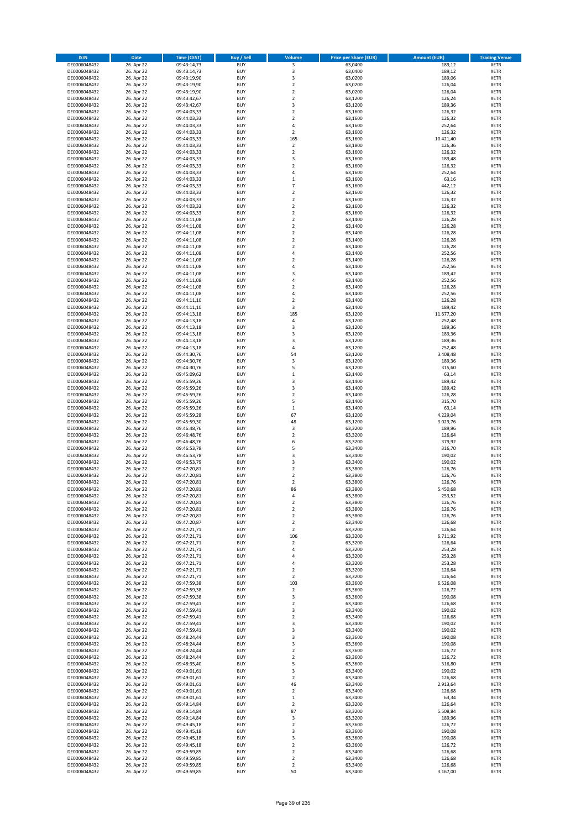| <b>ISIN</b>                  | <b>Date</b>              | <b>Time (CEST)</b>         | <b>Buy / Sell</b>        | Volume                        | <b>Price per Share (EUR)</b> | <b>Amount (EUR)</b> | <b>Trading Venue</b>       |
|------------------------------|--------------------------|----------------------------|--------------------------|-------------------------------|------------------------------|---------------------|----------------------------|
| DE0006048432                 | 26. Apr 22               | 09:43:14,73                | <b>BUY</b>               | 3                             | 63,0400                      | 189,12              | <b>XETR</b>                |
| DE0006048432                 | 26. Apr 22               | 09:43:14,73                | <b>BUY</b>               | 3                             | 63,0400                      | 189,12              | <b>XETR</b>                |
| DE0006048432                 | 26. Apr 22               | 09:43:19,90                | <b>BUY</b>               | 3                             | 63,0200                      | 189,06              | <b>XETR</b>                |
| DE0006048432                 | 26. Apr 22               | 09:43:19,90                | <b>BUY</b>               | $\mathbf 2$                   | 63,0200                      | 126,04              | <b>XETR</b>                |
| DE0006048432                 | 26. Apr 22               | 09:43:19,90                | <b>BUY</b>               | $\overline{\mathbf{c}}$       | 63,0200                      | 126,04              | <b>XETR</b>                |
| DE0006048432                 | 26. Apr 22               | 09:43:42,67                | <b>BUY</b>               | $\mathbf 2$                   | 63,1200                      | 126,24              | <b>XETR</b>                |
| DE0006048432                 | 26. Apr 22               | 09:43:42,67                | <b>BUY</b>               | 3                             | 63,1200                      | 189,36              | <b>XETR</b>                |
| DE0006048432                 | 26. Apr 22               | 09:44:03,33                | <b>BUY</b>               | $\overline{\mathbf{c}}$       | 63,1600                      | 126,32              | <b>XETR</b>                |
| DE0006048432                 | 26. Apr 22<br>26. Apr 22 | 09:44:03,33                | <b>BUY</b><br><b>BUY</b> | $\overline{2}$<br>4           | 63,1600<br>63,1600           | 126,32<br>252,64    | <b>XETR</b><br><b>XETR</b> |
| DE0006048432<br>DE0006048432 | 26. Apr 22               | 09:44:03,33<br>09:44:03,33 | <b>BUY</b>               | $\mathbf 2$                   | 63,1600                      | 126,32              | <b>XETR</b>                |
| DE0006048432                 | 26. Apr 22               | 09:44:03,33                | <b>BUY</b>               | 165                           | 63,1600                      | 10.421,40           | <b>XETR</b>                |
| DE0006048432                 | 26. Apr 22               | 09:44:03,33                | <b>BUY</b>               | $\mathbf 2$                   | 63,1800                      | 126,36              | <b>XETR</b>                |
| DE0006048432                 | 26. Apr 22               | 09:44:03,33                | <b>BUY</b>               | $\overline{\mathbf{c}}$       | 63,1600                      | 126,32              | <b>XETR</b>                |
| DE0006048432                 | 26. Apr 22               | 09:44:03,33                | <b>BUY</b>               | 3                             | 63,1600                      | 189,48              | <b>XETR</b>                |
| DE0006048432                 | 26. Apr 22               | 09:44:03,33                | <b>BUY</b>               | $\overline{\mathbf{c}}$       | 63,1600                      | 126,32              | <b>XETR</b>                |
| DE0006048432                 | 26. Apr 22               | 09:44:03,33                | <b>BUY</b>               | 4                             | 63,1600                      | 252,64              | <b>XETR</b>                |
| DE0006048432                 | 26. Apr 22               | 09:44:03,33                | <b>BUY</b>               | $\mathbf 1$                   | 63,1600                      | 63,16               | <b>XETR</b>                |
| DE0006048432                 | 26. Apr 22               | 09:44:03,33                | <b>BUY</b>               | $\overline{7}$                | 63,1600                      | 442,12              | <b>XETR</b>                |
| DE0006048432                 | 26. Apr 22               | 09:44:03,33                | <b>BUY</b>               | $\mathbf 2$                   | 63,1600                      | 126,32              | <b>XETR</b>                |
| DE0006048432                 | 26. Apr 22               | 09:44:03,33                | <b>BUY</b>               | $\overline{\mathbf{c}}$       | 63,1600                      | 126,32              | <b>XETR</b>                |
| DE0006048432<br>DE0006048432 | 26. Apr 22<br>26. Apr 22 | 09:44:03,33<br>09:44:03,33 | <b>BUY</b><br><b>BUY</b> | $\mathbf 2$<br>$\mathbf 2$    | 63,1600<br>63,1600           | 126,32<br>126,32    | <b>XETR</b><br><b>XETR</b> |
| DE0006048432                 | 26. Apr 22               | 09:44:11,08                | <b>BUY</b>               | $\mathbf 2$                   | 63,1400                      | 126,28              | <b>XETR</b>                |
| DE0006048432                 | 26. Apr 22               | 09:44:11,08                | <b>BUY</b>               | $\mathbf 2$                   | 63,1400                      | 126,28              | <b>XETR</b>                |
| DE0006048432                 | 26. Apr 22               | 09:44:11,08                | <b>BUY</b>               | $\mathbf 2$                   | 63,1400                      | 126,28              | <b>XETR</b>                |
| DE0006048432                 | 26. Apr 22               | 09:44:11,08                | <b>BUY</b>               | $\mathbf 2$                   | 63,1400                      | 126,28              | <b>XETR</b>                |
| DE0006048432                 | 26. Apr 22               | 09:44:11,08                | <b>BUY</b>               | $\overline{\mathbf{c}}$       | 63,1400                      | 126,28              | <b>XETR</b>                |
| DE0006048432                 | 26. Apr 22               | 09:44:11,08                | <b>BUY</b>               | 4                             | 63,1400                      | 252,56              | <b>XETR</b>                |
| DE0006048432                 | 26. Apr 22               | 09:44:11,08                | <b>BUY</b>               | $\overline{\mathbf{c}}$       | 63,1400                      | 126,28              | <b>XETR</b>                |
| DE0006048432                 | 26. Apr 22               | 09:44:11,08                | <b>BUY</b>               | 4                             | 63,1400                      | 252,56              | <b>XETR</b>                |
| DE0006048432                 | 26. Apr 22               | 09:44:11,08                | <b>BUY</b>               | 3                             | 63,1400                      | 189,42              | <b>XETR</b>                |
| DE0006048432<br>DE0006048432 | 26. Apr 22<br>26. Apr 22 | 09:44:11,08<br>09:44:11,08 | <b>BUY</b><br><b>BUY</b> | 4<br>$\overline{\mathbf{c}}$  | 63,1400<br>63,1400           | 252,56<br>126,28    | <b>XETR</b><br><b>XETR</b> |
| DE0006048432                 | 26. Apr 22               | 09:44:11,08                | <b>BUY</b>               | 4                             | 63,1400                      | 252,56              | <b>XETR</b>                |
| DE0006048432                 | 26. Apr 22               | 09:44:11,10                | <b>BUY</b>               | $\overline{\mathbf{c}}$       | 63,1400                      | 126,28              | <b>XETR</b>                |
| DE0006048432                 | 26. Apr 22               | 09:44:11,10                | <b>BUY</b>               | 3                             | 63,1400                      | 189,42              | <b>XETR</b>                |
| DE0006048432                 | 26. Apr 22               | 09:44:13,18                | <b>BUY</b>               | 185                           | 63,1200                      | 11.677,20           | <b>XETR</b>                |
| DE0006048432                 | 26. Apr 22               | 09:44:13,18                | <b>BUY</b>               | 4                             | 63,1200                      | 252,48              | <b>XETR</b>                |
| DE0006048432                 | 26. Apr 22               | 09:44:13,18                | <b>BUY</b>               | 3                             | 63,1200                      | 189,36              | <b>XETR</b>                |
| DE0006048432                 | 26. Apr 22               | 09:44:13,18                | <b>BUY</b>               | 3                             | 63,1200                      | 189,36              | <b>XETR</b>                |
| DE0006048432                 | 26. Apr 22               | 09:44:13,18                | <b>BUY</b>               | 3                             | 63,1200                      | 189,36              | <b>XETR</b>                |
| DE0006048432                 | 26. Apr 22               | 09:44:13,18                | <b>BUY</b>               | 4                             | 63,1200                      | 252,48              | <b>XETR</b>                |
| DE0006048432                 | 26. Apr 22               | 09:44:30,76                | <b>BUY</b>               | 54                            | 63,1200                      | 3.408,48            | <b>XETR</b>                |
| DE0006048432                 | 26. Apr 22               | 09:44:30,76                | <b>BUY</b>               | 3                             | 63,1200                      | 189,36              | <b>XETR</b>                |
| DE0006048432                 | 26. Apr 22               | 09:44:30,76                | <b>BUY</b>               | 5                             | 63,1200                      | 315,60              | <b>XETR</b>                |
| DE0006048432<br>DE0006048432 | 26. Apr 22<br>26. Apr 22 | 09:45:09,62<br>09:45:59,26 | <b>BUY</b><br><b>BUY</b> | $\mathbf 1$<br>3              | 63,1400<br>63,1400           | 63,14<br>189,42     | <b>XETR</b><br><b>XETR</b> |
| DE0006048432                 | 26. Apr 22               | 09:45:59,26                | <b>BUY</b>               | 3                             | 63,1400                      | 189,42              | <b>XETR</b>                |
| DE0006048432                 | 26. Apr 22               | 09:45:59,26                | <b>BUY</b>               | $\overline{\mathbf{c}}$       | 63,1400                      | 126,28              | <b>XETR</b>                |
| DE0006048432                 | 26. Apr 22               | 09:45:59,26                | <b>BUY</b>               | 5                             | 63,1400                      | 315,70              | <b>XETR</b>                |
| DE0006048432                 | 26. Apr 22               | 09:45:59,26                | <b>BUY</b>               | $\mathbf 1$                   | 63,1400                      | 63,14               | <b>XETR</b>                |
| DE0006048432                 | 26. Apr 22               | 09:45:59,28                | <b>BUY</b>               | 67                            | 63,1200                      | 4.229,04            | <b>XETR</b>                |
| DE0006048432                 | 26. Apr 22               | 09:45:59,30                | <b>BUY</b>               | 48                            | 63,1200                      | 3.029,76            | <b>XETR</b>                |
| DE0006048432                 | 26. Apr 22               | 09:46:48,76                | <b>BUY</b>               | 3                             | 63,3200                      | 189,96              | <b>XETR</b>                |
| DE0006048432                 | 26. Apr 22               | 09:46:48,76                | <b>BUY</b>               | $\mathbf 2$                   | 63,3200                      | 126,64              | <b>XETR</b>                |
| DE0006048432                 | 26. Apr 22               | 09:46:48,76                | <b>BUY</b>               | 6                             | 63,3200                      | 379,92              | <b>XETR</b>                |
| DE0006048432<br>DE0006048432 | 26. Apr 22<br>26. Apr 22 | 09:46:53,78<br>09:46:53,78 | <b>BUY</b><br><b>BUY</b> | 5<br>3                        | 63,3400<br>63,3400           | 316,70<br>190,02    | <b>XETR</b><br><b>XETR</b> |
| DE0006048432                 | 26. Apr 22               | 09:46:53,79                | <b>BUY</b>               | 3                             | 63,3400                      | 190,02              | <b>XETR</b>                |
| DE0006048432                 | 26. Apr 22               | 09:47:20,81                | <b>BUY</b>               | $\mathbf 2$                   | 63,3800                      | 126,76              | <b>XETR</b>                |
| DE0006048432                 | 26. Apr 22               | 09:47:20,81                | <b>BUY</b>               | $\overline{\mathbf{c}}$       | 63,3800                      | 126,76              | <b>XETR</b>                |
| DE0006048432                 | 26. Apr 22               | 09:47:20,81                | <b>BUY</b>               | $\overline{\mathbf{c}}$       | 63,3800                      | 126,76              | <b>XETR</b>                |
| DE0006048432                 | 26. Apr 22               | 09:47:20,81                | <b>BUY</b>               | 86                            | 63,3800                      | 5.450,68            | <b>XETR</b>                |
| DE0006048432                 | 26. Apr 22               | 09:47:20,81                | BUY                      | 4                             | 63,3800                      | 253,52              | <b>XETR</b>                |
| DE0006048432                 | 26. Apr 22               | 09:47:20,81                | <b>BUY</b>               | $\mathbf 2$                   | 63,3800                      | 126,76              | <b>XETR</b>                |
| DE0006048432                 | 26. Apr 22               | 09:47:20,81                | <b>BUY</b>               | $\mathbf 2$                   | 63,3800                      | 126,76              | <b>XETR</b>                |
| DE0006048432                 | 26. Apr 22               | 09:47:20,81                | <b>BUY</b>               | $\mathbf 2$                   | 63,3800                      | 126,76              | <b>XETR</b>                |
| DE0006048432<br>DE0006048432 | 26. Apr 22<br>26. Apr 22 | 09:47:20,87<br>09:47:21,71 | <b>BUY</b><br><b>BUY</b> | $\mathbf 2$<br>$\mathbf 2$    | 63,3400<br>63,3200           | 126,68<br>126,64    | <b>XETR</b><br><b>XETR</b> |
| DE0006048432                 | 26. Apr 22               | 09:47:21,71                | <b>BUY</b>               | 106                           | 63,3200                      | 6.711,92            | <b>XETR</b>                |
| DE0006048432                 | 26. Apr 22               | 09:47:21,71                | <b>BUY</b>               | $\mathbf 2$                   | 63,3200                      | 126,64              | <b>XETR</b>                |
| DE0006048432                 | 26. Apr 22               | 09:47:21,71                | <b>BUY</b>               | 4                             | 63,3200                      | 253,28              | <b>XETR</b>                |
| DE0006048432                 | 26. Apr 22               | 09:47:21,71                | <b>BUY</b>               | 4                             | 63,3200                      | 253,28              | <b>XETR</b>                |
| DE0006048432                 | 26. Apr 22               | 09:47:21,71                | <b>BUY</b>               | 4                             | 63,3200                      | 253,28              | <b>XETR</b>                |
| DE0006048432                 | 26. Apr 22               | 09:47:21,71                | <b>BUY</b>               | $\overline{\mathbf{c}}$       | 63,3200                      | 126,64              | <b>XETR</b>                |
| DE0006048432                 | 26. Apr 22               | 09:47:21,71                | <b>BUY</b>               | $\mathbf 2$                   | 63,3200                      | 126,64              | <b>XETR</b>                |
| DE0006048432<br>DE0006048432 | 26. Apr 22               | 09:47:59,38<br>09:47:59,38 | <b>BUY</b><br><b>BUY</b> | 103<br>$\mathbf 2$            | 63,3600<br>63,3600           | 6.526,08<br>126,72  | <b>XETR</b><br><b>XETR</b> |
| DE0006048432                 | 26. Apr 22<br>26. Apr 22 | 09:47:59,38                | <b>BUY</b>               | 3                             | 63,3600                      | 190,08              | <b>XETR</b>                |
| DE0006048432                 | 26. Apr 22               | 09:47:59,41                | <b>BUY</b>               | $\mathbf 2$                   | 63,3400                      | 126,68              | <b>XETR</b>                |
| DE0006048432                 | 26. Apr 22               | 09:47:59,41                | <b>BUY</b>               | 3                             | 63,3400                      | 190,02              | <b>XETR</b>                |
| DE0006048432                 | 26. Apr 22               | 09:47:59,41                | <b>BUY</b>               | $\mathbf 2$                   | 63,3400                      | 126,68              | <b>XETR</b>                |
| DE0006048432                 | 26. Apr 22               | 09:47:59,41                | <b>BUY</b>               | 3                             | 63,3400                      | 190,02              | <b>XETR</b>                |
| DE0006048432                 | 26. Apr 22               | 09:47:59,41                | <b>BUY</b>               | 3                             | 63,3400                      | 190,02              | <b>XETR</b>                |
| DE0006048432                 | 26. Apr 22               | 09:48:24,44                | <b>BUY</b>               | 3                             | 63,3600                      | 190,08              | <b>XETR</b>                |
| DE0006048432                 | 26. Apr 22               | 09:48:24,44                | <b>BUY</b>               | 3                             | 63,3600                      | 190,08              | <b>XETR</b>                |
| DE0006048432                 | 26. Apr 22               | 09:48:24,44                | <b>BUY</b>               | $\mathbf 2$                   | 63,3600                      | 126,72              | <b>XETR</b>                |
| DE0006048432                 | 26. Apr 22               | 09:48:24,44                | <b>BUY</b>               | $\mathbf 2$                   | 63,3600                      | 126,72              | <b>XETR</b>                |
| DE0006048432<br>DE0006048432 | 26. Apr 22<br>26. Apr 22 | 09:48:35,40<br>09:49:01,61 | <b>BUY</b><br><b>BUY</b> | 5<br>3                        | 63,3600<br>63,3400           | 316,80<br>190,02    | <b>XETR</b><br><b>XETR</b> |
| DE0006048432                 | 26. Apr 22               | 09:49:01,61                | <b>BUY</b>               | $\overline{2}$                | 63,3400                      | 126,68              | <b>XETR</b>                |
| DE0006048432                 | 26. Apr 22               | 09:49:01,61                | <b>BUY</b>               | 46                            | 63,3400                      | 2.913,64            | <b>XETR</b>                |
| DE0006048432                 | 26. Apr 22               | 09:49:01,61                | <b>BUY</b>               | $\overline{\mathbf{c}}$       | 63,3400                      | 126,68              | <b>XETR</b>                |
| DE0006048432                 | 26. Apr 22               | 09:49:01,61                | <b>BUY</b>               | $\mathbf 1$                   | 63,3400                      | 63,34               | <b>XETR</b>                |
| DE0006048432                 | 26. Apr 22               | 09:49:14,84                | <b>BUY</b>               | $\mathbf 2$                   | 63,3200                      | 126,64              | <b>XETR</b>                |
| DE0006048432                 | 26. Apr 22               | 09:49:14,84                | <b>BUY</b>               | 87                            | 63,3200                      | 5.508,84            | <b>XETR</b>                |
| DE0006048432                 | 26. Apr 22               | 09:49:14,84                | <b>BUY</b>               | 3                             | 63,3200                      | 189,96              | <b>XETR</b>                |
| DE0006048432                 | 26. Apr 22               | 09:49:45,18                | <b>BUY</b>               | $\mathbf 2$                   | 63,3600                      | 126,72              | <b>XETR</b>                |
| DE0006048432                 | 26. Apr 22               | 09:49:45,18                | <b>BUY</b>               | 3                             | 63,3600                      | 190,08              | <b>XETR</b>                |
| DE0006048432                 | 26. Apr 22               | 09:49:45,18                | <b>BUY</b>               | 3                             | 63,3600                      | 190,08<br>126,72    | <b>XETR</b>                |
| DE0006048432<br>DE0006048432 | 26. Apr 22<br>26. Apr 22 | 09:49:45,18<br>09:49:59,85 | <b>BUY</b><br><b>BUY</b> | $\mathbf 2$<br>$\overline{2}$ | 63,3600<br>63,3400           | 126,68              | <b>XETR</b><br><b>XETR</b> |
| DE0006048432                 | 26. Apr 22               | 09:49:59,85                | <b>BUY</b>               | $\mathbf 2$                   | 63,3400                      | 126,68              | <b>XETR</b>                |
| DE0006048432                 | 26. Apr 22               | 09:49:59,85                | <b>BUY</b>               | $\mathbf 2$                   | 63,3400                      | 126,68              | <b>XETR</b>                |
| DE0006048432                 | 26. Apr 22               | 09:49:59,85                | <b>BUY</b>               | 50                            | 63,3400                      | 3.167,00            | <b>XETR</b>                |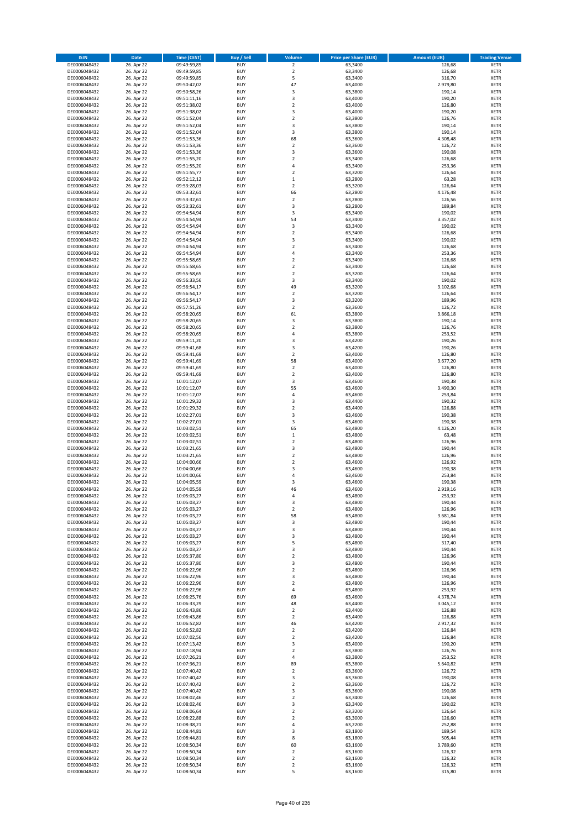| <b>ISIN</b>                  | <b>Date</b>              | <b>Time (CEST)</b>         | <b>Buy / Sell</b>        | Volume                       | <b>Price per Share (EUR)</b> | <b>Amount (EUR)</b> | <b>Trading Venue</b>       |
|------------------------------|--------------------------|----------------------------|--------------------------|------------------------------|------------------------------|---------------------|----------------------------|
| DE0006048432                 | 26. Apr 22               | 09:49:59,85                | <b>BUY</b>               | $\overline{\mathbf{2}}$      | 63,3400                      | 126,68              | <b>XETR</b>                |
| DE0006048432                 | 26. Apr 22               | 09:49:59,85                | <b>BUY</b>               | $\mathbf 2$                  | 63,3400                      | 126,68              | <b>XETR</b>                |
| DE0006048432                 | 26. Apr 22               | 09:49:59,85                | <b>BUY</b>               | 5                            | 63,3400                      | 316,70              | <b>XETR</b>                |
| DE0006048432                 | 26. Apr 22               | 09:50:42,02                | <b>BUY</b>               | 47                           | 63,4000                      | 2.979,80            | <b>XETR</b>                |
| DE0006048432                 | 26. Apr 22               | 09:50:58,26                | <b>BUY</b>               | 3                            | 63,3800                      | 190,14              | <b>XETR</b>                |
| DE0006048432                 | 26. Apr 22               | 09:51:11,16                | <b>BUY</b>               | $\mathsf 3$                  | 63,4000                      | 190,20              | <b>XETR</b>                |
| DE0006048432                 | 26. Apr 22               | 09:51:38,02                | <b>BUY</b>               | $\overline{\mathbf{2}}$      | 63,4000                      | 126,80              | <b>XETR</b>                |
| DE0006048432<br>DE0006048432 | 26. Apr 22               | 09:51:38,02                | <b>BUY</b>               | 3                            | 63,4000                      | 190,20              | <b>XETR</b>                |
|                              | 26. Apr 22<br>26. Apr 22 | 09:51:52,04                | BUY<br><b>BUY</b>        | $\overline{\mathbf{2}}$<br>3 | 63,3800<br>63,3800           | 126,76<br>190,14    | <b>XETR</b><br><b>XETR</b> |
| DE0006048432<br>DE0006048432 | 26. Apr 22               | 09:51:52,04<br>09:51:52,04 | <b>BUY</b>               | 3                            | 63,3800                      | 190,14              | <b>XETR</b>                |
| DE0006048432                 | 26. Apr 22               | 09:51:53,36                | <b>BUY</b>               | 68                           | 63,3600                      | 4.308,48            | <b>XETR</b>                |
| DE0006048432                 | 26. Apr 22               | 09:51:53,36                | BUY                      | $\mathbf 2$                  | 63,3600                      | 126,72              | <b>XETR</b>                |
| DE0006048432                 | 26. Apr 22               | 09:51:53,36                | <b>BUY</b>               | $\overline{\mathbf{3}}$      | 63,3600                      | 190,08              | <b>XETR</b>                |
| DE0006048432                 | 26. Apr 22               | 09:51:55,20                | <b>BUY</b>               | $\overline{2}$               | 63,3400                      | 126,68              | <b>XETR</b>                |
| DE0006048432                 | 26. Apr 22               | 09:51:55,20                | BUY                      | $\overline{a}$               | 63,3400                      | 253,36              | <b>XETR</b>                |
| DE0006048432                 | 26. Apr 22               | 09:51:55,77                | <b>BUY</b>               | $\overline{\mathbf{2}}$      | 63,3200                      | 126,64              | <b>XETR</b>                |
| DE0006048432                 | 26. Apr 22               | 09:52:12,12                | <b>BUY</b>               | $\mathbf 1$                  | 63,2800                      | 63,28               | <b>XETR</b>                |
| DE0006048432                 | 26. Apr 22               | 09:53:28,03                | <b>BUY</b>               | $\overline{2}$               | 63,3200                      | 126,64              | <b>XETR</b>                |
| DE0006048432                 | 26. Apr 22               | 09:53:32,61                | <b>BUY</b>               | 66                           | 63,2800                      | 4.176,48            | <b>XETR</b>                |
| DE0006048432                 | 26. Apr 22               | 09:53:32,61                | <b>BUY</b><br><b>BUY</b> | $\overline{\mathbf{2}}$<br>3 | 63,2800                      | 126,56              | <b>XETR</b>                |
| DE0006048432<br>DE0006048432 | 26. Apr 22<br>26. Apr 22 | 09:53:32,61<br>09:54:54,94 | <b>BUY</b>               | 3                            | 63,2800<br>63,3400           | 189,84<br>190,02    | <b>XETR</b><br><b>XETR</b> |
| DE0006048432                 | 26. Apr 22               | 09:54:54,94                | BUY                      | 53                           | 63,3400                      | 3.357,02            | <b>XETR</b>                |
| DE0006048432                 | 26. Apr 22               | 09:54:54,94                | <b>BUY</b>               | 3                            | 63,3400                      | 190,02              | <b>XETR</b>                |
| DE0006048432                 | 26. Apr 22               | 09:54:54,94                | <b>BUY</b>               | $\mathbf 2$                  | 63,3400                      | 126,68              | <b>XETR</b>                |
| DE0006048432                 | 26. Apr 22               | 09:54:54,94                | <b>BUY</b>               | 3                            | 63,3400                      | 190,02              | <b>XETR</b>                |
| DE0006048432                 | 26. Apr 22               | 09:54:54,94                | <b>BUY</b>               | $\overline{\mathbf{2}}$      | 63,3400                      | 126,68              | <b>XETR</b>                |
| DE0006048432                 | 26. Apr 22               | 09:54:54,94                | <b>BUY</b>               | 4                            | 63,3400                      | 253,36              | <b>XETR</b>                |
| DE0006048432                 | 26. Apr 22               | 09:55:58,65                | <b>BUY</b>               | $\overline{\mathbf{2}}$      | 63,3400                      | 126,68              | <b>XETR</b>                |
| DE0006048432                 | 26. Apr 22               | 09:55:58,65                | <b>BUY</b>               | $\mathbf 2$                  | 63,3400                      | 126,68              | <b>XETR</b>                |
| DE0006048432                 | 26. Apr 22               | 09:55:58,65                | <b>BUY</b>               | $\mathbf 2$                  | 63,3200                      | 126,64              | <b>XETR</b>                |
| DE0006048432                 | 26. Apr 22               | 09:56:33,56                | <b>BUY</b>               | 3                            | 63,3400                      | 190,02              | <b>XETR</b>                |
| DE0006048432                 | 26. Apr 22               | 09:56:54,17                | <b>BUY</b>               | 49                           | 63,3200                      | 3.102,68            | <b>XETR</b>                |
| DE0006048432<br>DE0006048432 | 26. Apr 22<br>26. Apr 22 | 09:56:54,17<br>09:56:54,17 | <b>BUY</b><br><b>BUY</b> | $\overline{\mathbf{2}}$<br>3 | 63,3200<br>63,3200           | 126,64<br>189,96    | <b>XETR</b><br><b>XETR</b> |
| DE0006048432                 | 26. Apr 22               | 09:57:51,26                | <b>BUY</b>               | $\overline{\mathbf{2}}$      | 63,3600                      | 126,72              | <b>XETR</b>                |
| DE0006048432                 | 26. Apr 22               | 09:58:20,65                | BUY                      | 61                           | 63,3800                      | 3.866,18            | <b>XETR</b>                |
| DE0006048432                 | 26. Apr 22               | 09:58:20,65                | <b>BUY</b>               | 3                            | 63,3800                      | 190,14              | <b>XETR</b>                |
| DE0006048432                 | 26. Apr 22               | 09:58:20,65                | <b>BUY</b>               | $\overline{\mathbf{2}}$      | 63,3800                      | 126,76              | <b>XETR</b>                |
| DE0006048432                 | 26. Apr 22               | 09:58:20,65                | <b>BUY</b>               | $\overline{a}$               | 63,3800                      | 253,52              | <b>XETR</b>                |
| DE0006048432                 | 26. Apr 22               | 09:59:11,20                | <b>BUY</b>               | 3                            | 63,4200                      | 190,26              | <b>XETR</b>                |
| DE0006048432                 | 26. Apr 22               | 09:59:41,68                | <b>BUY</b>               | 3                            | 63,4200                      | 190,26              | <b>XETR</b>                |
| DE0006048432                 | 26. Apr 22               | 09:59:41,69                | BUY                      | $\overline{2}$               | 63,4000                      | 126,80              | <b>XETR</b>                |
| DE0006048432                 | 26. Apr 22               | 09:59:41,69                | BUY                      | 58                           | 63,4000                      | 3.677,20            | <b>XETR</b>                |
| DE0006048432                 | 26. Apr 22               | 09:59:41,69                | <b>BUY</b>               | $\overline{2}$               | 63,4000                      | 126,80              | <b>XETR</b>                |
| DE0006048432                 | 26. Apr 22               | 09:59:41,69                | <b>BUY</b><br><b>BUY</b> | $\mathbf 2$<br>3             | 63,4000                      | 126,80              | <b>XETR</b><br><b>XETR</b> |
| DE0006048432<br>DE0006048432 | 26. Apr 22<br>26. Apr 22 | 10:01:12,07<br>10:01:12,07 | <b>BUY</b>               | 55                           | 63,4600<br>63,4600           | 190,38<br>3.490,30  | <b>XETR</b>                |
| DE0006048432                 | 26. Apr 22               | 10:01:12,07                | <b>BUY</b>               | $\overline{4}$               | 63,4600                      | 253,84              | <b>XETR</b>                |
| DE0006048432                 | 26. Apr 22               | 10:01:29,32                | <b>BUY</b>               | $\overline{\mathbf{3}}$      | 63,4400                      | 190,32              | <b>XETR</b>                |
| DE0006048432                 | 26. Apr 22               | 10:01:29,32                | BUY                      | $\overline{2}$               | 63,4400                      | 126,88              | <b>XETR</b>                |
| DE0006048432                 | 26. Apr 22               | 10:02:27,01                | <b>BUY</b>               | 3                            | 63,4600                      | 190,38              | <b>XETR</b>                |
| DE0006048432                 | 26. Apr 22               | 10:02:27,01                | <b>BUY</b>               | 3                            | 63,4600                      | 190,38              | <b>XETR</b>                |
| DE0006048432                 | 26. Apr 22               | 10:03:02,51                | <b>BUY</b>               | 65                           | 63,4800                      | 4.126,20            | <b>XETR</b>                |
| DE0006048432                 | 26. Apr 22               | 10:03:02,51                | <b>BUY</b>               | $\,1\,$                      | 63,4800                      | 63,48               | <b>XETR</b>                |
| DE0006048432                 | 26. Apr 22               | 10:03:02,51                | <b>BUY</b>               | $\overline{2}$               | 63,4800                      | 126,96              | <b>XETR</b>                |
| DE0006048432                 | 26. Apr 22               | 10:03:21,65                | <b>BUY</b>               | 3                            | 63,4800                      | 190,44              | <b>XETR</b>                |
| DE0006048432                 | 26. Apr 22               | 10:03:21,65                | BUY                      | $\overline{2}$               | 63,4800                      | 126,96              | <b>XETR</b>                |
| DE0006048432<br>DE0006048432 | 26. Apr 22<br>26. Apr 22 | 10:04:00,66<br>10:04:00,66 | <b>BUY</b><br><b>BUY</b> | $\overline{2}$<br>3          | 63,4600<br>63,4600           | 126,92<br>190,38    | <b>XETR</b><br><b>XETR</b> |
| DE0006048432                 | 26. Apr 22               | 10:04:00,66                | BUY                      | 4                            | 63,4600                      | 253,84              | <b>XETR</b>                |
| DE0006048432                 | 26. Apr 22               | 10:04:05,59                | BUY                      | $\overline{\mathbf{3}}$      | 63,4600                      | 190,38              | <b>XETR</b>                |
| DE0006048432                 | 26. Apr 22               | 10:04:05,59                | <b>BUY</b>               | 46                           | 63,4600                      | 2.919,16            | <b>XETR</b>                |
| DE0006048432                 | 26. Apr 22               | 10:05:03,27                | <b>BUY</b>               | 4                            | 63,4800                      | 253,92              | <b>XETR</b>                |
| DE0006048432                 | 26. Apr 22               | 10:05:03,27                | <b>BUY</b>               | 3                            | 63,4800                      | 190,44              | <b>XETR</b>                |
| DE0006048432                 | 26. Apr 22               | 10:05:03,27                | <b>BUY</b>               | 2                            | 63,4800                      | 126,96              | <b>XETR</b>                |
| DE0006048432                 | 26. Apr 22               | 10:05:03,27                | <b>BUY</b>               | 58                           | 63,4800                      | 3.681,84            | <b>XETR</b>                |
| DE0006048432                 | 26. Apr 22               | 10:05:03,27                | <b>BUY</b>               | 3                            | 63,4800                      | 190,44              | <b>XETR</b>                |
| DE0006048432                 | 26. Apr 22               | 10:05:03,27                | <b>BUY</b><br><b>BUY</b> | 3<br>3                       | 63,4800                      | 190,44              | <b>XETR</b>                |
| DE0006048432<br>DE0006048432 | 26. Apr 22<br>26. Apr 22 | 10:05:03,27<br>10:05:03,27 | <b>BUY</b>               | 5                            | 63,4800<br>63,4800           | 190,44<br>317,40    | <b>XETR</b><br><b>XETR</b> |
| DE0006048432                 | 26. Apr 22               | 10:05:03,27                | <b>BUY</b>               | 3                            | 63,4800                      | 190,44              | <b>XETR</b>                |
| DE0006048432                 | 26. Apr 22               | 10:05:37,80                | <b>BUY</b>               | $\mathbf 2$                  | 63,4800                      | 126,96              | <b>XETR</b>                |
| DE0006048432                 | 26. Apr 22               | 10:05:37,80                | <b>BUY</b>               | 3                            | 63,4800                      | 190,44              | <b>XETR</b>                |
| DE0006048432                 | 26. Apr 22               | 10:06:22,96                | <b>BUY</b>               | $\overline{2}$               | 63,4800                      | 126,96              | <b>XETR</b>                |
| DE0006048432                 | 26. Apr 22               | 10:06:22,96                | <b>BUY</b>               | 3                            | 63,4800                      | 190,44              | <b>XETR</b>                |
| DE0006048432                 | 26. Apr 22               | 10:06:22,96                | <b>BUY</b>               | 2                            | 63,4800                      | 126,96              | <b>XETR</b>                |
| DE0006048432                 | 26. Apr 22               | 10:06:22,96                | <b>BUY</b>               | 4                            | 63,4800                      | 253,92              | <b>XETR</b>                |
| DE0006048432                 | 26. Apr 22               | 10:06:25,76                | <b>BUY</b>               | 69                           | 63,4600                      | 4.378,74            | <b>XETR</b>                |
| DE0006048432<br>DE0006048432 | 26. Apr 22               | 10:06:33,29                | <b>BUY</b><br><b>BUY</b> | 48<br>$\mathbf 2$            | 63,4400<br>63,4400           | 3.045,12<br>126,88  | <b>XETR</b><br><b>XETR</b> |
| DE0006048432                 | 26. Apr 22<br>26. Apr 22 | 10:06:43,86<br>10:06:43,86 | <b>BUY</b>               | $\mathbf 2$                  | 63,4400                      | 126,88              | <b>XETR</b>                |
| DE0006048432                 | 26. Apr 22               | 10:06:52,82                | <b>BUY</b>               | 46                           | 63,4200                      | 2.917,32            | <b>XETR</b>                |
| DE0006048432                 | 26. Apr 22               | 10:06:52,82                | <b>BUY</b>               | $\overline{2}$               | 63,4200                      | 126,84              | <b>XETR</b>                |
| DE0006048432                 | 26. Apr 22               | 10:07:02,56                | <b>BUY</b>               | 2                            | 63,4200                      | 126,84              | <b>XETR</b>                |
| DE0006048432                 | 26. Apr 22               | 10:07:13,42                | <b>BUY</b>               | 3                            | 63,4000                      | 190,20              | <b>XETR</b>                |
| DE0006048432                 | 26. Apr 22               | 10:07:18,94                | <b>BUY</b>               | $\overline{2}$               | 63,3800                      | 126,76              | <b>XETR</b>                |
| DE0006048432                 | 26. Apr 22               | 10:07:26,21                | <b>BUY</b>               | 4                            | 63,3800                      | 253,52              | <b>XETR</b>                |
| DE0006048432                 | 26. Apr 22               | 10:07:36,21                | <b>BUY</b>               | 89                           | 63,3800                      | 5.640,82            | <b>XETR</b>                |
| DE0006048432                 | 26. Apr 22               | 10:07:40,42                | <b>BUY</b>               | $\overline{2}$               | 63,3600                      | 126,72              | <b>XETR</b>                |
| DE0006048432                 | 26. Apr 22               | 10:07:40,42                | <b>BUY</b>               | 3                            | 63,3600                      | 190,08              | <b>XETR</b>                |
| DE0006048432                 | 26. Apr 22               | 10:07:40,42                | <b>BUY</b><br><b>BUY</b> | $\mathbf 2$<br>3             | 63,3600                      | 126,72              | <b>XETR</b><br><b>XETR</b> |
| DE0006048432<br>DE0006048432 | 26. Apr 22<br>26. Apr 22 | 10:07:40,42<br>10:08:02,46 | <b>BUY</b>               | $\mathbf 2$                  | 63,3600<br>63,3400           | 190,08<br>126,68    | <b>XETR</b>                |
| DE0006048432                 | 26. Apr 22               | 10:08:02,46                | <b>BUY</b>               | 3                            | 63,3400                      | 190,02              | <b>XETR</b>                |
| DE0006048432                 | 26. Apr 22               | 10:08:06,64                | <b>BUY</b>               | $\mathbf 2$                  | 63,3200                      | 126,64              | <b>XETR</b>                |
| DE0006048432                 | 26. Apr 22               | 10:08:22,88                | <b>BUY</b>               | $\overline{2}$               | 63,3000                      | 126,60              | <b>XETR</b>                |
| DE0006048432                 | 26. Apr 22               | 10:08:38,21                | <b>BUY</b>               | 4                            | 63,2200                      | 252,88              | <b>XETR</b>                |
| DE0006048432                 | 26. Apr 22               | 10:08:44,81                | <b>BUY</b>               | 3                            | 63,1800                      | 189,54              | <b>XETR</b>                |
| DE0006048432                 | 26. Apr 22               | 10:08:44,81                | <b>BUY</b>               | 8                            | 63,1800                      | 505,44              | <b>XETR</b>                |
| DE0006048432                 | 26. Apr 22               | 10:08:50,34                | <b>BUY</b>               | 60                           | 63,1600                      | 3.789,60            | <b>XETR</b>                |
| DE0006048432                 | 26. Apr 22               | 10:08:50,34                | <b>BUY</b>               | 2                            | 63,1600                      | 126,32              | <b>XETR</b>                |
| DE0006048432                 | 26. Apr 22               | 10:08:50,34                | <b>BUY</b>               | 2                            | 63,1600                      | 126,32              | <b>XETR</b>                |
| DE0006048432<br>DE0006048432 | 26. Apr 22               | 10:08:50,34                | <b>BUY</b><br><b>BUY</b> | $\mathbf 2$                  | 63,1600<br>63,1600           | 126,32<br>315,80    | <b>XETR</b>                |
|                              | 26. Apr 22               | 10:08:50,34                |                          | 5                            |                              |                     | <b>XETR</b>                |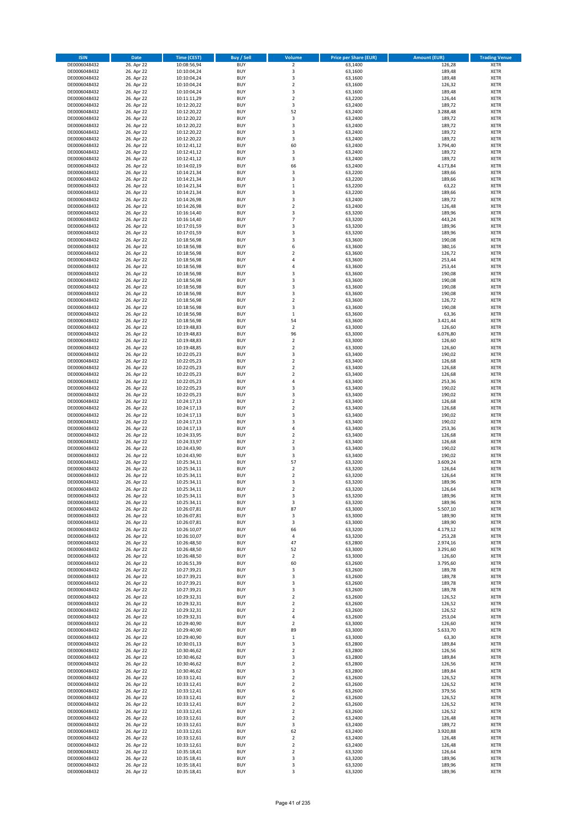| <b>ISIN</b>                  | <b>Date</b>              | <b>Time (CEST)</b>         | <b>Buy / Sell</b>        | <b>Volume</b>                          | <b>Price per Share (EUR)</b> | <b>Amount (EUR)</b> | <b>Trading Venue</b>       |
|------------------------------|--------------------------|----------------------------|--------------------------|----------------------------------------|------------------------------|---------------------|----------------------------|
| DE0006048432                 | 26. Apr 22               | 10:08:56,94                | <b>BUY</b>               | $\overline{2}$                         | 63,1400                      | 126,28              | <b>XETR</b>                |
| DE0006048432                 | 26. Apr 22               | 10:10:04,24                | <b>BUY</b>               | 3                                      | 63,1600                      | 189,48              | <b>XETR</b>                |
| DE0006048432                 | 26. Apr 22               | 10:10:04,24                | <b>BUY</b>               | 3                                      | 63,1600                      | 189,48              | <b>XETR</b>                |
| DE0006048432<br>DE0006048432 | 26. Apr 22<br>26. Apr 22 | 10:10:04,24<br>10:10:04,24 | <b>BUY</b><br><b>BUY</b> | $\mathbf 2$<br>3                       | 63,1600<br>63,1600           | 126,32<br>189,48    | <b>XETR</b><br><b>XETR</b> |
| DE0006048432                 | 26. Apr 22               | 10:11:11,29                | <b>BUY</b>               | $\mathbf 2$                            | 63,2200                      | 126,44              | <b>XETR</b>                |
| DE0006048432                 | 26. Apr 22               | 10:12:20,22                | <b>BUY</b>               | 3                                      | 63,2400                      | 189,72              | <b>XETR</b>                |
| DE0006048432                 | 26. Apr 22               | 10:12:20,22                | <b>BUY</b>               | 52                                     | 63,2400                      | 3.288,48            | <b>XETR</b>                |
| DE0006048432                 | 26. Apr 22               | 10:12:20,22                | <b>BUY</b>               | 3                                      | 63,2400                      | 189,72              | <b>XETR</b>                |
| DE0006048432                 | 26. Apr 22               | 10:12:20,22                | <b>BUY</b><br><b>BUY</b> | 3                                      | 63,2400                      | 189,72              | <b>XETR</b><br><b>XETR</b> |
| DE0006048432<br>DE0006048432 | 26. Apr 22<br>26. Apr 22 | 10:12:20,22<br>10:12:20,22 | <b>BUY</b>               | 3<br>3                                 | 63,2400<br>63,2400           | 189,72<br>189,72    | <b>XETR</b>                |
| DE0006048432                 | 26. Apr 22               | 10:12:41,12                | <b>BUY</b>               | 60                                     | 63,2400                      | 3.794,40            | <b>XETR</b>                |
| DE0006048432                 | 26. Apr 22               | 10:12:41,12                | <b>BUY</b>               | 3                                      | 63,2400                      | 189,72              | <b>XETR</b>                |
| DE0006048432                 | 26. Apr 22               | 10:12:41,12                | <b>BUY</b>               | 3                                      | 63,2400                      | 189,72              | <b>XETR</b>                |
| DE0006048432                 | 26. Apr 22               | 10:14:02,19                | <b>BUY</b>               | 66                                     | 63,2400                      | 4.173,84            | <b>XETR</b>                |
| DE0006048432<br>DE0006048432 | 26. Apr 22<br>26. Apr 22 | 10:14:21,34<br>10:14:21,34 | <b>BUY</b><br><b>BUY</b> | 3<br>3                                 | 63,2200<br>63,2200           | 189,66<br>189,66    | <b>XETR</b><br><b>XETR</b> |
| DE0006048432                 | 26. Apr 22               | 10:14:21,34                | <b>BUY</b>               | $\mathbf 1$                            | 63,2200                      | 63,22               | <b>XETR</b>                |
| DE0006048432                 | 26. Apr 22               | 10:14:21,34                | <b>BUY</b>               | 3                                      | 63,2200                      | 189,66              | <b>XETR</b>                |
| DE0006048432                 | 26. Apr 22               | 10:14:26,98                | <b>BUY</b>               | 3                                      | 63,2400                      | 189,72              | <b>XETR</b>                |
| DE0006048432                 | 26. Apr 22               | 10:14:26,98                | <b>BUY</b>               | $\mathbf 2$                            | 63,2400                      | 126,48              | <b>XETR</b>                |
| DE0006048432                 | 26. Apr 22               | 10:16:14,40                | <b>BUY</b>               | 3<br>$\overline{7}$                    | 63,3200                      | 189,96              | <b>XETR</b>                |
| DE0006048432<br>DE0006048432 | 26. Apr 22<br>26. Apr 22 | 10:16:14,40<br>10:17:01,59 | <b>BUY</b><br><b>BUY</b> | 3                                      | 63,3200<br>63,3200           | 443,24<br>189,96    | <b>XETR</b><br><b>XETR</b> |
| DE0006048432                 | 26. Apr 22               | 10:17:01,59                | <b>BUY</b>               | 3                                      | 63,3200                      | 189,96              | <b>XETR</b>                |
| DE0006048432                 | 26. Apr 22               | 10:18:56,98                | <b>BUY</b>               | 3                                      | 63,3600                      | 190,08              | <b>XETR</b>                |
| DE0006048432                 | 26. Apr 22               | 10:18:56,98                | <b>BUY</b>               | 6                                      | 63,3600                      | 380,16              | <b>XETR</b>                |
| DE0006048432                 | 26. Apr 22               | 10:18:56,98                | <b>BUY</b>               | $\mathbf 2$                            | 63,3600                      | 126,72              | <b>XETR</b>                |
| DE0006048432<br>DE0006048432 | 26. Apr 22<br>26. Apr 22 | 10:18:56,98<br>10:18:56,98 | <b>BUY</b><br><b>BUY</b> | 4<br>4                                 | 63,3600<br>63,3600           | 253,44<br>253,44    | <b>XETR</b><br><b>XETR</b> |
| DE0006048432                 | 26. Apr 22               | 10:18:56,98                | <b>BUY</b>               | 3                                      | 63,3600                      | 190,08              | <b>XETR</b>                |
| DE0006048432                 | 26. Apr 22               | 10:18:56,98                | <b>BUY</b>               | 3                                      | 63,3600                      | 190,08              | <b>XETR</b>                |
| DE0006048432                 | 26. Apr 22               | 10:18:56,98                | <b>BUY</b>               | 3                                      | 63,3600                      | 190,08              | <b>XETR</b>                |
| DE0006048432                 | 26. Apr 22               | 10:18:56,98                | <b>BUY</b>               | 3                                      | 63,3600                      | 190,08              | <b>XETR</b>                |
| DE0006048432                 | 26. Apr 22               | 10:18:56,98                | <b>BUY</b>               | $\mathbf 2$                            | 63,3600                      | 126,72              | <b>XETR</b>                |
| DE0006048432<br>DE0006048432 | 26. Apr 22<br>26. Apr 22 | 10:18:56,98<br>10:18:56,98 | <b>BUY</b><br><b>BUY</b> | 3<br>$\mathbf 1$                       | 63,3600<br>63,3600           | 190,08<br>63,36     | <b>XETR</b><br><b>XETR</b> |
| DE0006048432                 | 26. Apr 22               | 10:18:56,98                | <b>BUY</b>               | 54                                     | 63,3600                      | 3.421,44            | <b>XETR</b>                |
| DE0006048432                 | 26. Apr 22               | 10:19:48,83                | <b>BUY</b>               | $\mathbf 2$                            | 63,3000                      | 126,60              | <b>XETR</b>                |
| DE0006048432                 | 26. Apr 22               | 10:19:48,83                | <b>BUY</b>               | 96                                     | 63,3000                      | 6.076,80            | <b>XETR</b>                |
| DE0006048432                 | 26. Apr 22               | 10:19:48,83                | <b>BUY</b>               | $\mathbf 2$                            | 63,3000                      | 126,60              | <b>XETR</b>                |
| DE0006048432                 | 26. Apr 22               | 10:19:48,85                | <b>BUY</b>               | $\mathbf 2$                            | 63,3000                      | 126,60              | <b>XETR</b>                |
| DE0006048432<br>DE0006048432 | 26. Apr 22<br>26. Apr 22 | 10:22:05,23<br>10:22:05,23 | <b>BUY</b><br><b>BUY</b> | 3<br>$\mathbf 2$                       | 63,3400<br>63,3400           | 190,02<br>126,68    | <b>XETR</b><br><b>XETR</b> |
| DE0006048432                 | 26. Apr 22               | 10:22:05,23                | <b>BUY</b>               | $\overline{2}$                         | 63,3400                      | 126,68              | <b>XETR</b>                |
| DE0006048432                 | 26. Apr 22               | 10:22:05,23                | <b>BUY</b>               | $\mathbf 2$                            | 63,3400                      | 126,68              | <b>XETR</b>                |
| DE0006048432                 | 26. Apr 22               | 10:22:05,23                | <b>BUY</b>               | 4                                      | 63,3400                      | 253,36              | <b>XETR</b>                |
| DE0006048432                 | 26. Apr 22               | 10:22:05,23                | <b>BUY</b>               | 3                                      | 63,3400                      | 190,02              | <b>XETR</b>                |
| DE0006048432<br>DE0006048432 | 26. Apr 22<br>26. Apr 22 | 10:22:05,23<br>10:24:17,13 | <b>BUY</b><br><b>BUY</b> | 3<br>$\overline{\mathbf{c}}$           | 63,3400<br>63,3400           | 190,02<br>126,68    | <b>XETR</b><br><b>XETR</b> |
| DE0006048432                 | 26. Apr 22               | 10:24:17,13                | <b>BUY</b>               | $\mathbf 2$                            | 63,3400                      | 126,68              | <b>XETR</b>                |
| DE0006048432                 | 26. Apr 22               | 10:24:17,13                | <b>BUY</b>               | 3                                      | 63,3400                      | 190,02              | <b>XETR</b>                |
| DE0006048432                 | 26. Apr 22               | 10:24:17,13                | <b>BUY</b>               | 3                                      | 63,3400                      | 190,02              | <b>XETR</b>                |
| DE0006048432                 | 26. Apr 22               | 10:24:17,13                | <b>BUY</b>               | 4                                      | 63,3400                      | 253,36              | <b>XETR</b>                |
| DE0006048432                 | 26. Apr 22               | 10:24:33,95                | <b>BUY</b>               | $\mathbf 2$                            | 63,3400                      | 126,68              | <b>XETR</b>                |
| DE0006048432<br>DE0006048432 | 26. Apr 22<br>26. Apr 22 | 10:24:33,97<br>10:24:43,90 | <b>BUY</b><br><b>BUY</b> | $\overline{\mathbf{c}}$<br>3           | 63,3400<br>63,3400           | 126,68<br>190,02    | <b>XETR</b><br><b>XETR</b> |
| DE0006048432                 | 26. Apr 22               | 10:24:43,90                | <b>BUY</b>               | 3                                      | 63,3400                      | 190,02              | <b>XETR</b>                |
| DE0006048432                 | 26. Apr 22               | 10:25:34,11                | <b>BUY</b>               | 57                                     | 63,3200                      | 3.609,24            | <b>XETR</b>                |
| DE0006048432                 | 26. Apr 22               | 10:25:34,11                | <b>BUY</b>               | $\mathbf 2$                            | 63,3200                      | 126,64              | <b>XETR</b>                |
| DE0006048432                 | 26. Apr 22               | 10:25:34,11                | <b>BUY</b>               | $\overline{\mathbf{c}}$                | 63,3200                      | 126,64              | <b>XETR</b>                |
| DE0006048432<br>DE0006048432 | 26. Apr 22<br>26. Apr 22 | 10:25:34,11<br>10:25:34,11 | <b>BUY</b><br><b>BUY</b> | 3<br>$\overline{2}$                    | 63,3200<br>63,3200           | 189,96<br>126,64    | <b>XETR</b><br><b>XETR</b> |
| DE0006048432                 | 26. Apr 22               | 10:25:34,11                | BUY                      | 3                                      | 63,3200                      | 189,96              | <b>XETR</b>                |
| DE0006048432                 | 26. Apr 22               | 10:25:34,11                | <b>BUY</b>               | 3                                      | 63,3200                      | 189,96              | XETR                       |
| DE0006048432                 | 26. Apr 22               | 10:26:07,81                | <b>BUY</b>               | 87                                     | 63,3000                      | 5.507,10            | <b>XETR</b>                |
| DE0006048432                 | 26. Apr 22               | 10:26:07,81                | <b>BUY</b>               | 3                                      | 63,3000                      | 189,90              | XETR                       |
| DE0006048432                 | 26. Apr 22               | 10:26:07,81                | <b>BUY</b>               | 3<br>66                                | 63,3000                      | 189,90<br>4.179,12  | <b>XETR</b>                |
| DE0006048432<br>DE0006048432 | 26. Apr 22<br>26. Apr 22 | 10:26:10,07<br>10:26:10,07 | <b>BUY</b><br><b>BUY</b> | 4                                      | 63,3200<br>63,3200           | 253,28              | <b>XETR</b><br><b>XETR</b> |
| DE0006048432                 | 26. Apr 22               | 10:26:48,50                | <b>BUY</b>               | 47                                     | 63,2800                      | 2.974,16            | <b>XETR</b>                |
| DE0006048432                 | 26. Apr 22               | 10:26:48,50                | <b>BUY</b>               | 52                                     | 63,3000                      | 3.291,60            | <b>XETR</b>                |
| DE0006048432                 | 26. Apr 22               | 10:26:48,50                | <b>BUY</b>               | $\overline{2}$                         | 63,3000                      | 126,60              | <b>XETR</b>                |
| DE0006048432<br>DE0006048432 | 26. Apr 22<br>26. Apr 22 | 10:26:51,39<br>10:27:39,21 | <b>BUY</b><br><b>BUY</b> | 60<br>3                                | 63,2600<br>63,2600           | 3.795,60<br>189,78  | <b>XETR</b><br><b>XETR</b> |
| DE0006048432                 | 26. Apr 22               | 10:27:39,21                | <b>BUY</b>               | 3                                      | 63,2600                      | 189,78              | <b>XETR</b>                |
| DE0006048432                 | 26. Apr 22               | 10:27:39,21                | <b>BUY</b>               | 3                                      | 63,2600                      | 189,78              | <b>XETR</b>                |
| DE0006048432                 | 26. Apr 22               | 10:27:39,21                | <b>BUY</b>               | 3                                      | 63,2600                      | 189,78              | <b>XETR</b>                |
| DE0006048432                 | 26. Apr 22               | 10:29:32,31                | <b>BUY</b>               | $\mathbf 2$                            | 63,2600                      | 126,52              | <b>XETR</b>                |
| DE0006048432                 | 26. Apr 22<br>26. Apr 22 | 10:29:32,31<br>10:29:32,31 | <b>BUY</b>               | $\overline{2}$                         | 63,2600                      | 126,52              | <b>XETR</b>                |
| DE0006048432<br>DE0006048432 | 26. Apr 22               | 10:29:32,31                | <b>BUY</b><br><b>BUY</b> | $\overline{2}$<br>4                    | 63,2600<br>63,2600           | 126,52<br>253,04    | <b>XETR</b><br>XETR        |
| DE0006048432                 | 26. Apr 22               | 10:29:40,90                | <b>BUY</b>               | $\mathbf 2$                            | 63,3000                      | 126,60              | <b>XETR</b>                |
| DE0006048432                 | 26. Apr 22               | 10:29:40,90                | <b>BUY</b>               | 89                                     | 63,3000                      | 5.633,70            | <b>XETR</b>                |
| DE0006048432                 | 26. Apr 22               | 10:29:40,90                | <b>BUY</b>               | $\mathbf 1$                            | 63,3000                      | 63,30               | <b>XETR</b>                |
| DE0006048432                 | 26. Apr 22               | 10:30:01,13                | <b>BUY</b>               | 3                                      | 63,2800                      | 189,84              | <b>XETR</b>                |
| DE0006048432<br>DE0006048432 | 26. Apr 22<br>26. Apr 22 | 10:30:46,62<br>10:30:46,62 | <b>BUY</b><br><b>BUY</b> | $\mathbf 2$<br>3                       | 63,2800<br>63,2800           | 126,56<br>189,84    | <b>XETR</b><br><b>XETR</b> |
| DE0006048432                 | 26. Apr 22               | 10:30:46,62                | <b>BUY</b>               | $\mathbf 2$                            | 63,2800                      | 126,56              | <b>XETR</b>                |
| DE0006048432                 | 26. Apr 22               | 10:30:46,62                | <b>BUY</b>               | 3                                      | 63,2800                      | 189,84              | <b>XETR</b>                |
| DE0006048432                 | 26. Apr 22               | 10:33:12,41                | <b>BUY</b>               | $\overline{2}$                         | 63,2600                      | 126,52              | <b>XETR</b>                |
| DE0006048432                 | 26. Apr 22               | 10:33:12,41                | <b>BUY</b>               | $\mathbf 2$                            | 63,2600                      | 126,52              | <b>XETR</b>                |
| DE0006048432                 | 26. Apr 22               | 10:33:12,41                | <b>BUY</b><br><b>BUY</b> | 6<br>$\mathbf 2$                       | 63,2600                      | 379,56              | XETR<br><b>XETR</b>        |
| DE0006048432<br>DE0006048432 | 26. Apr 22<br>26. Apr 22 | 10:33:12,41<br>10:33:12,41 | <b>BUY</b>               | $\mathbf 2$                            | 63,2600<br>63,2600           | 126,52<br>126,52    | <b>XETR</b>                |
| DE0006048432                 | 26. Apr 22               | 10:33:12,41                | <b>BUY</b>               | $\mathbf 2$                            | 63,2600                      | 126,52              | <b>XETR</b>                |
| DE0006048432                 | 26. Apr 22               | 10:33:12,61                | <b>BUY</b>               | $\overline{2}$                         | 63,2400                      | 126,48              | <b>XETR</b>                |
| DE0006048432                 | 26. Apr 22               | 10:33:12,61                | <b>BUY</b>               | 3                                      | 63,2400                      | 189,72              | <b>XETR</b>                |
| DE0006048432                 | 26. Apr 22               | 10:33:12,61                | <b>BUY</b>               | 62                                     | 63,2400                      | 3.920,88            | <b>XETR</b>                |
| DE0006048432<br>DE0006048432 | 26. Apr 22<br>26. Apr 22 | 10:33:12,61<br>10:33:12,61 | <b>BUY</b><br><b>BUY</b> | $\overline{\mathbf{c}}$<br>$\mathbf 2$ | 63,2400<br>63,2400           | 126,48<br>126,48    | <b>XETR</b><br>XETR        |
| DE0006048432                 | 26. Apr 22               | 10:35:18,41                | <b>BUY</b>               | $\overline{2}$                         | 63,3200                      | 126,64              | <b>XETR</b>                |
| DE0006048432                 | 26. Apr 22               | 10:35:18,41                | <b>BUY</b>               | 3                                      | 63,3200                      | 189,96              | <b>XETR</b>                |
| DE0006048432                 | 26. Apr 22               | 10:35:18,41                | <b>BUY</b>               | 3                                      | 63,3200                      | 189,96              | <b>XETR</b>                |
| DE0006048432                 | 26. Apr 22               | 10:35:18,41                | <b>BUY</b>               | 3                                      | 63,3200                      | 189,96              | XETR                       |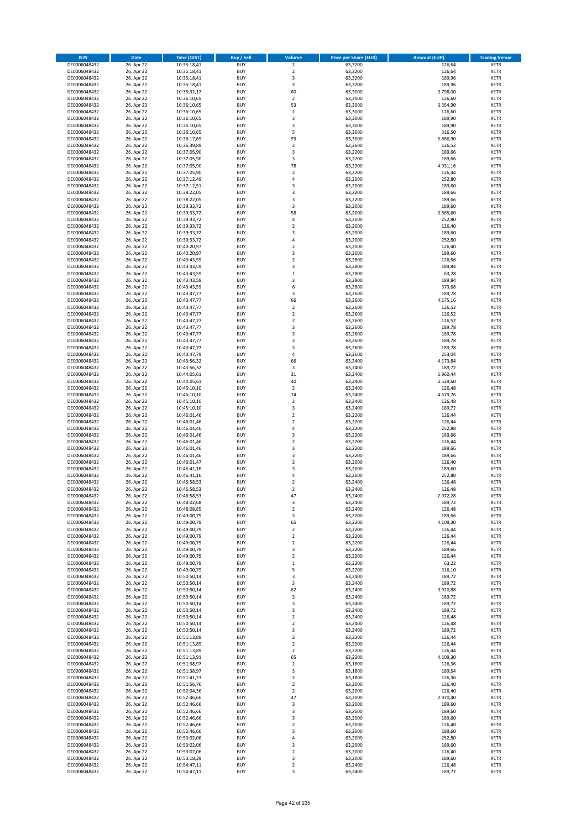| <b>ISIN</b>                  | Date                     | Time (CEST)                | <b>Buy / Sell</b>        | <b>Volume</b>       | <b>Price per Share (EUR)</b> | <b>Amount (EUR)</b> | <b>Trading Venue</b>       |
|------------------------------|--------------------------|----------------------------|--------------------------|---------------------|------------------------------|---------------------|----------------------------|
| DE0006048432                 | 26. Apr 22               | 10:35:18,41                | <b>BUY</b>               | $\overline{2}$      | 63,3200                      | 126,64              | <b>XETR</b>                |
| DE0006048432                 | 26. Apr 22               | 10:35:18,41                | <b>BUY</b>               | $\mathbf 2$         | 63,3200                      | 126,64              | XETR                       |
| DE0006048432                 | 26. Apr 22               | 10:35:18,41                | <b>BUY</b>               | 3                   | 63,3200                      | 189,96              | <b>XETR</b>                |
| DE0006048432                 | 26. Apr 22               | 10:35:18,41                | <b>BUY</b>               | $\mathsf 3$         | 63,3200                      | 189,96              | XETR                       |
| DE0006048432                 | 26. Apr 22               | 10:35:32,12                | <b>BUY</b>               | 60                  | 63,3000                      | 3.798,00            | <b>XETR</b>                |
| DE0006048432                 | 26. Apr 22               | 10:36:10,65                | <b>BUY</b>               | $\mathbf 2$         | 63,3000                      | 126,60              | <b>XETR</b>                |
| DE0006048432                 | 26. Apr 22               | 10:36:10,65                | <b>BUY</b>               | 53                  | 63,3000                      | 3.354,90            | <b>XETR</b>                |
| DE0006048432                 | 26. Apr 22               | 10:36:10,65                | <b>BUY</b>               | $\mathbf 2$         | 63,3000                      | 126,60              | <b>XETR</b>                |
| DE0006048432                 | 26. Apr 22               | 10:36:10,65                | <b>BUY</b><br><b>BUY</b> | 3<br>3              | 63,3000                      | 189,90              | <b>XETR</b>                |
| DE0006048432<br>DE0006048432 | 26. Apr 22<br>26. Apr 22 | 10:36:10,65<br>10:36:10,65 | <b>BUY</b>               | 5                   | 63,3000<br>63,3000           | 189,90<br>316,50    | <b>XETR</b><br><b>XETR</b> |
| DE0006048432                 | 26. Apr 22               | 10:36:17,69                | <b>BUY</b>               | 93                  | 63,3000                      | 5.886,90            | <b>XETR</b>                |
| DE0006048432                 | 26. Apr 22               | 10:36:39,89                | <b>BUY</b>               | $\mathbf 2$         | 63,2600                      | 126,52              | <b>XETR</b>                |
| DE0006048432                 | 26. Apr 22               | 10:37:05,90                | <b>BUY</b>               | 3                   | 63,2200                      | 189,66              | <b>XETR</b>                |
| DE0006048432                 | 26. Apr 22               | 10:37:05,90                | <b>BUY</b>               | 3                   | 63,2200                      | 189,66              | <b>XETR</b>                |
| DE0006048432                 | 26. Apr 22               | 10:37:05,90                | <b>BUY</b>               | 78                  | 63,2200                      | 4.931,16            | <b>XETR</b>                |
| DE0006048432                 | 26. Apr 22               | 10:37:05,90                | <b>BUY</b>               | $\mathbf 2$         | 63,2200                      | 126,44              | <b>XETR</b>                |
| DE0006048432                 | 26. Apr 22               | 10:37:12,49                | <b>BUY</b>               | 4                   | 63,2000                      | 252,80              | <b>XETR</b>                |
| DE0006048432                 | 26. Apr 22               | 10:37:12,51                | <b>BUY</b>               | 3                   | 63,2000                      | 189,60              | <b>XETR</b>                |
| DE0006048432                 | 26. Apr 22               | 10:38:22,05                | <b>BUY</b>               | $\mathsf 3$         | 63,2200                      | 189,66              | <b>XETR</b>                |
| DE0006048432                 | 26. Apr 22               | 10:38:22,05                | <b>BUY</b>               | 3                   | 63,2200                      | 189,66              | <b>XETR</b>                |
| DE0006048432<br>DE0006048432 | 26. Apr 22<br>26. Apr 22 | 10:39:33,72<br>10:39:33,72 | <b>BUY</b><br><b>BUY</b> | 3<br>58             | 63,2000<br>63,2000           | 189,60<br>3.665,60  | <b>XETR</b><br><b>XETR</b> |
| DE0006048432                 | 26. Apr 22               | 10:39:33,72                | <b>BUY</b>               | 4                   | 63,2000                      | 252,80              | <b>XETR</b>                |
| DE0006048432                 | 26. Apr 22               | 10:39:33,72                | <b>BUY</b>               | $\mathbf 2$         | 63,2000                      | 126,40              | <b>XETR</b>                |
| DE0006048432                 | 26. Apr 22               | 10:39:33,72                | <b>BUY</b>               | 3                   | 63,2000                      | 189,60              | <b>XETR</b>                |
| DE0006048432                 | 26. Apr 22               | 10:39:33,72                | <b>BUY</b>               | $\overline{4}$      | 63,2000                      | 252,80              | <b>XETR</b>                |
| DE0006048432                 | 26. Apr 22               | 10:40:20,97                | <b>BUY</b>               | $\overline{2}$      | 63,2000                      | 126,40              | <b>XETR</b>                |
| DE0006048432                 | 26. Apr 22               | 10:40:20,97                | <b>BUY</b>               | 3                   | 63,2000                      | 189,60              | <b>XETR</b>                |
| DE0006048432                 | 26. Apr 22               | 10:43:43,59                | <b>BUY</b>               | $\overline{2}$      | 63,2800                      | 126,56              | <b>XETR</b>                |
| DE0006048432                 | 26. Apr 22               | 10:43:43,59                | <b>BUY</b>               | 3                   | 63,2800                      | 189,84              | <b>XETR</b>                |
| DE0006048432                 | 26. Apr 22               | 10:43:43,59                | <b>BUY</b>               | $\mathbf 1$<br>3    | 63,2800                      | 63,28               | <b>XETR</b>                |
| DE0006048432<br>DE0006048432 | 26. Apr 22<br>26. Apr 22 | 10:43:43,59<br>10:43:43,59 | <b>BUY</b><br><b>BUY</b> | 6                   | 63,2800<br>63,2800           | 189,84<br>379,68    | <b>XETR</b><br><b>XETR</b> |
| DE0006048432                 | 26. Apr 22               | 10:43:47,77                | <b>BUY</b>               | 3                   | 63,2600                      | 189,78              | <b>XETR</b>                |
| DE0006048432                 | 26. Apr 22               | 10:43:47,77                | <b>BUY</b>               | 66                  | 63,2600                      | 4.175,16            | <b>XETR</b>                |
| DE0006048432                 | 26. Apr 22               | 10:43:47,77                | <b>BUY</b>               | $\overline{2}$      | 63,2600                      | 126,52              | <b>XETR</b>                |
| DE0006048432                 | 26. Apr 22               | 10:43:47,77                | <b>BUY</b>               | $\mathbf 2$         | 63,2600                      | 126,52              | <b>XETR</b>                |
| DE0006048432                 | 26. Apr 22               | 10:43:47,77                | <b>BUY</b>               | $\overline{2}$      | 63,2600                      | 126,52              | <b>XETR</b>                |
| DE0006048432                 | 26. Apr 22               | 10:43:47,77                | <b>BUY</b>               | 3                   | 63,2600                      | 189,78              | <b>XETR</b>                |
| DE0006048432                 | 26. Apr 22               | 10:43:47,77                | <b>BUY</b>               | 3                   | 63,2600                      | 189,78              | <b>XETR</b>                |
| DE0006048432                 | 26. Apr 22               | 10:43:47,77                | <b>BUY</b>               | 3                   | 63,2600                      | 189,78              | <b>XETR</b>                |
| DE0006048432                 | 26. Apr 22               | 10:43:47,77                | <b>BUY</b>               | 3                   | 63,2600                      | 189,78              | <b>XETR</b>                |
| DE0006048432                 | 26. Apr 22               | 10:43:47,79                | <b>BUY</b>               | 4                   | 63,2600                      | 253,04              | <b>XETR</b>                |
| DE0006048432<br>DE0006048432 | 26. Apr 22<br>26. Apr 22 | 10:43:56,32                | <b>BUY</b><br><b>BUY</b> | 66<br>3             | 63,2400<br>63,2400           | 4.173,84<br>189,72  | <b>XETR</b><br><b>XETR</b> |
| DE0006048432                 | 26. Apr 22               | 10:43:56,32<br>10:44:05,61 | <b>BUY</b>               | 31                  | 63,2400                      | 1.960,44            | <b>XETR</b>                |
| DE0006048432                 | 26. Apr 22               | 10:44:05,61                | <b>BUY</b>               | 40                  | 63,2400                      | 2.529,60            | <b>XETR</b>                |
| DE0006048432                 | 26. Apr 22               | 10:45:10,10                | <b>BUY</b>               | $\mathbf 2$         | 63,2400                      | 126,48              | <b>XETR</b>                |
| DE0006048432                 | 26. Apr 22               | 10:45:10,10                | <b>BUY</b>               | 74                  | 63,2400                      | 4.679,76            | <b>XETR</b>                |
| DE0006048432                 | 26. Apr 22               | 10:45:10,10                | <b>BUY</b>               | $\mathbf 2$         | 63,2400                      | 126,48              | <b>XETR</b>                |
| DE0006048432                 | 26. Apr 22               | 10:45:10,10                | <b>BUY</b>               | 3                   | 63,2400                      | 189,72              | <b>XETR</b>                |
| DE0006048432                 | 26. Apr 22               | 10:46:01,46                | <b>BUY</b>               | $\overline{2}$      | 63,2200                      | 126,44              | <b>XETR</b>                |
| DE0006048432                 | 26. Apr 22               | 10:46:01,46                | <b>BUY</b>               | $\overline{2}$      | 63,2200                      | 126,44              | <b>XETR</b>                |
| DE0006048432                 | 26. Apr 22               | 10:46:01,46                | <b>BUY</b>               | 4                   | 63,2200                      | 252,88              | <b>XETR</b>                |
| DE0006048432                 | 26. Apr 22               | 10:46:01,46                | <b>BUY</b>               | 3<br>$\overline{2}$ | 63,2200                      | 189,66              | <b>XETR</b>                |
| DE0006048432<br>DE0006048432 | 26. Apr 22<br>26. Apr 22 | 10:46:01,46<br>10:46:01,46 | <b>BUY</b><br><b>BUY</b> | 3                   | 63,2200<br>63,2200           | 126,44<br>189,66    | <b>XETR</b><br><b>XETR</b> |
| DE0006048432                 | 26. Apr 22               | 10:46:01,46                | <b>BUY</b>               | 3                   | 63,2200                      | 189,66              | <b>XETR</b>                |
| DE0006048432                 | 26. Apr 22               | 10:46:01,47                | <b>BUY</b>               | $\mathbf 2$         | 63,2000                      | 126,40              | <b>XETR</b>                |
| DE0006048432                 | 26. Apr 22               | 10:46:41,16                | <b>BUY</b>               | 3                   | 63,2000                      | 189,60              | <b>XETR</b>                |
| DE0006048432                 | 26. Apr 22               | 10:46:41,16                | <b>BUY</b>               | 4                   | 63,2000                      | 252,80              | <b>XETR</b>                |
| DE0006048432                 | 26. Apr 22               | 10:46:58,53                | <b>BUY</b>               | $\overline{2}$      | 63,2400                      | 126,48              | <b>XETR</b>                |
| DE0006048432                 | 26. Apr 22               | 10:46:58,53                | <b>BUY</b>               | $\overline{2}$      | 63,2400                      | 126,48              | <b>XETR</b>                |
| DE0006048432                 | 26. Apr 22               | 10:46:58,53                | BUY                      | 47                  | 63,2400                      | 2.972,28            | XETR                       |
| DE0006048432                 | 26. Apr 22               | 10:48:02,68                | <b>BUY</b>               | 3                   | 63,2400                      | 189,72              | <b>XETR</b>                |
| DE0006048432                 | 26. Apr 22               | 10:48:08,85                | <b>BUY</b>               | $\overline{2}$      | 63,2400                      | 126,48              | <b>XETR</b>                |
| DE0006048432<br>DE0006048432 | 26. Apr 22<br>26. Apr 22 | 10:49:00,79<br>10:49:00,79 | <b>BUY</b><br><b>BUY</b> | 3<br>65             | 63,2200<br>63,2200           | 189,66<br>4.109,30  | XETR<br><b>XETR</b>        |
| DE0006048432                 | 26. Apr 22               | 10:49:00,79                | <b>BUY</b>               | $\overline{2}$      | 63,2200                      | 126,44              | <b>XETR</b>                |
| DE0006048432                 | 26. Apr 22               | 10:49:00,79                | <b>BUY</b>               | $\overline{2}$      | 63,2200                      | 126,44              | <b>XETR</b>                |
| DE0006048432                 | 26. Apr 22               | 10:49:00,79                | <b>BUY</b>               | $\mathbf 2$         | 63,2200                      | 126,44              | <b>XETR</b>                |
| DE0006048432                 | 26. Apr 22               | 10:49:00,79                | <b>BUY</b>               | 3                   | 63,2200                      | 189,66              | XETR                       |
| DE0006048432                 | 26. Apr 22               | 10:49:00,79                | <b>BUY</b>               | $\mathbf 2$         | 63,2200                      | 126,44              | <b>XETR</b>                |
| DE0006048432                 | 26. Apr 22               | 10:49:00,79                | <b>BUY</b>               | $\,$ 1              | 63,2200                      | 63,22               | XETR                       |
| DE0006048432                 | 26. Apr 22               | 10:49:00,79                | <b>BUY</b>               | 5                   | 63,2200                      | 316,10              | <b>XETR</b>                |
| DE0006048432                 | 26. Apr 22               | 10:50:50,14                | <b>BUY</b>               | 3                   | 63,2400                      | 189,72              | XETR                       |
| DE0006048432<br>DE0006048432 | 26. Apr 22<br>26. Apr 22 | 10:50:50,14<br>10:50:50,14 | <b>BUY</b><br><b>BUY</b> | 3<br>62             | 63,2400<br>63,2400           | 189,72<br>3.920,88  | <b>XETR</b><br>XETR        |
| DE0006048432                 | 26. Apr 22               | 10:50:50,14                | <b>BUY</b>               | 3                   | 63,2400                      | 189,72              | <b>XETR</b>                |
| DE0006048432                 | 26. Apr 22               | 10:50:50,14                | <b>BUY</b>               | 3                   | 63,2400                      | 189,72              | <b>XETR</b>                |
| DE0006048432                 | 26. Apr 22               | 10:50:50,14                | <b>BUY</b>               | 3                   | 63,2400                      | 189,72              | <b>XETR</b>                |
| DE0006048432                 | 26. Apr 22               | 10:50:50,14                | <b>BUY</b>               | $\mathbf 2$         | 63,2400                      | 126,48              | XETR                       |
| DE0006048432                 | 26. Apr 22               | 10:50:50,14                | <b>BUY</b>               | $\overline{2}$      | 63,2400                      | 126,48              | <b>XETR</b>                |
| DE0006048432                 | 26. Apr 22               | 10:50:50,14                | <b>BUY</b>               | 3                   | 63,2400                      | 189,72              | <b>XETR</b>                |
| DE0006048432                 | 26. Apr 22               | 10:51:13,89                | <b>BUY</b>               | $\mathbf 2$         | 63,2200                      | 126,44              | <b>XETR</b>                |
| DE0006048432                 | 26. Apr 22               | 10:51:13,89                | <b>BUY</b>               | $\overline{2}$      | 63,2200                      | 126,44              | XETR                       |
| DE0006048432                 | 26. Apr 22               | 10:51:13,89                | <b>BUY</b><br><b>BUY</b> | $\mathbf 2$         | 63,2200                      | 126,44              | XETR                       |
| DE0006048432<br>DE0006048432 | 26. Apr 22<br>26. Apr 22 | 10:51:13,91<br>10:51:38,97 | <b>BUY</b>               | 65<br>$\mathbf 2$   | 63,2200<br>63,1800           | 4.109,30<br>126,36  | XETR<br><b>XETR</b>        |
| DE0006048432                 | 26. Apr 22               | 10:51:38,97                | <b>BUY</b>               | 3                   | 63,1800                      | 189,54              | <b>XETR</b>                |
| DE0006048432                 | 26. Apr 22               | 10:51:41,23                | <b>BUY</b>               | $\overline{2}$      | 63,1800                      | 126,36              | <b>XETR</b>                |
| DE0006048432                 | 26. Apr 22               | 10:51:56,76                | <b>BUY</b>               | $\overline{2}$      | 63,2000                      | 126,40              | <b>XETR</b>                |
| DE0006048432                 | 26. Apr 22               | 10:52:04,36                | <b>BUY</b>               | $\overline{2}$      | 63,2000                      | 126,40              | <b>XETR</b>                |
| DE0006048432                 | 26. Apr 22               | 10:52:46,66                | <b>BUY</b>               | 47                  | 63,2000                      | 2.970,40            | XETR                       |
| DE0006048432                 | 26. Apr 22               | 10:52:46,66                | <b>BUY</b>               | 3                   | 63,2000                      | 189,60              | XETR                       |
| DE0006048432                 | 26. Apr 22               | 10:52:46,66                | <b>BUY</b>               | 3                   | 63,2000                      | 189,60              | XETR                       |
| DE0006048432                 | 26. Apr 22               | 10:52:46,66                | <b>BUY</b>               | 3                   | 63,2000                      | 189,60              | <b>XETR</b>                |
| DE0006048432                 | 26. Apr 22               | 10:52:46,66                | <b>BUY</b>               | $\mathbf 2$         | 63,2000                      | 126,40              | <b>XETR</b>                |
| DE0006048432<br>DE0006048432 | 26. Apr 22<br>26. Apr 22 | 10:52:46,66<br>10:53:02,06 | <b>BUY</b><br><b>BUY</b> | 3<br>4              | 63,2000<br>63,2000           | 189,60<br>252,80    | XETR<br><b>XETR</b>        |
| DE0006048432                 | 26. Apr 22               | 10:53:02,06                | <b>BUY</b>               | 3                   | 63,2000                      | 189,60              | XETR                       |
| DE0006048432                 | 26. Apr 22               | 10:53:02,06                | <b>BUY</b>               | $\overline{2}$      | 63,2000                      | 126,40              | <b>XETR</b>                |
| DE0006048432                 | 26. Apr 22               | 10:53:18,39                | <b>BUY</b>               | 3                   | 63,2000                      | 189,60              | XETR                       |
| DE0006048432                 | 26. Apr 22               | 10:54:47,11                | <b>BUY</b>               | $\mathbf 2$         | 63,2400                      | 126,48              | <b>XETR</b>                |
| DE0006048432                 | 26. Apr 22               | 10:54:47,11                | <b>BUY</b>               | 3                   | 63,2400                      | 189,72              | XETR                       |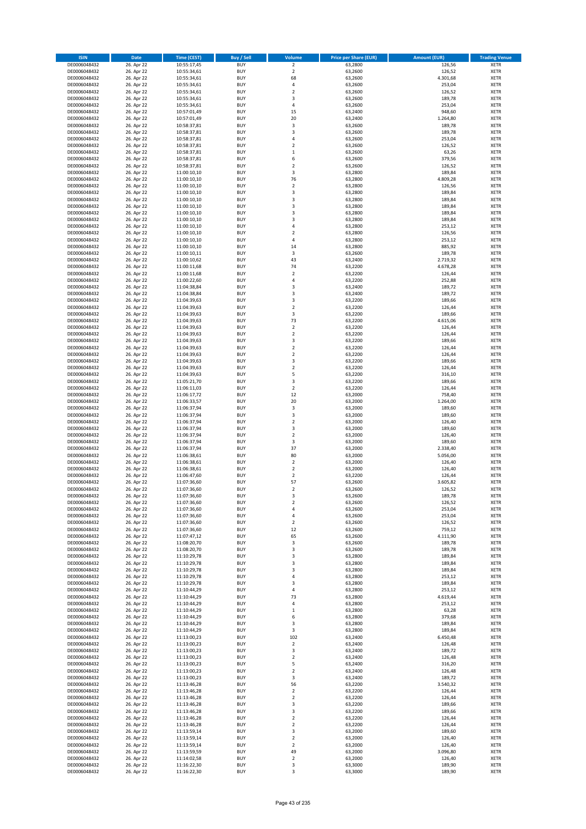| <b>ISIN</b>                  | Date                     | Time (CEST)                | <b>Buy / Sell</b>        | <b>Volume</b>                    | <b>Price per Share (EUR)</b> | <b>Amount (EUR)</b> | <b>Trading Venue</b>       |
|------------------------------|--------------------------|----------------------------|--------------------------|----------------------------------|------------------------------|---------------------|----------------------------|
| DE0006048432                 | 26. Apr 22               | 10:55:17,45                | <b>BUY</b>               | $\overline{2}$                   | 63,2800                      | 126,56              | <b>XETR</b>                |
| DE0006048432                 | 26. Apr 22               | 10:55:34,61                | <b>BUY</b>               | $\mathbf 2$                      | 63,2600                      | 126,52              | XETR                       |
| DE0006048432                 | 26. Apr 22               | 10:55:34,61                | <b>BUY</b>               | 68                               | 63,2600                      | 4.301,68            | <b>XETR</b>                |
| DE0006048432                 | 26. Apr 22               | 10:55:34,61                | <b>BUY</b>               | $\pmb{4}$                        | 63,2600                      | 253,04              | XETR                       |
| DE0006048432<br>DE0006048432 | 26. Apr 22<br>26. Apr 22 | 10:55:34,61<br>10:55:34,61 | <b>BUY</b><br><b>BUY</b> | $\mathbf 2$<br>3                 | 63,2600<br>63,2600           | 126,52<br>189,78    | <b>XETR</b><br><b>XETR</b> |
| DE0006048432                 | 26. Apr 22               | 10:55:34,61                | <b>BUY</b>               | $\overline{4}$                   | 63,2600                      | 253,04              | <b>XETR</b>                |
| DE0006048432                 | 26. Apr 22               | 10:57:01,49                | <b>BUY</b>               | 15                               | 63,2400                      | 948,60              | <b>XETR</b>                |
| DE0006048432                 | 26. Apr 22               | 10:57:01,49                | <b>BUY</b>               | 20                               | 63,2400                      | 1.264,80            | <b>XETR</b>                |
| DE0006048432                 | 26. Apr 22               | 10:58:37,81                | <b>BUY</b>               | 3                                | 63,2600                      | 189,78              | <b>XETR</b>                |
| DE0006048432                 | 26. Apr 22               | 10:58:37,81                | <b>BUY</b>               | $\mathsf 3$                      | 63,2600                      | 189,78              | <b>XETR</b>                |
| DE0006048432                 | 26. Apr 22               | 10:58:37,81                | <b>BUY</b>               | 4                                | 63,2600                      | 253,04              | <b>XETR</b>                |
| DE0006048432<br>DE0006048432 | 26. Apr 22<br>26. Apr 22 | 10:58:37,81<br>10:58:37,81 | <b>BUY</b><br><b>BUY</b> | $\overline{2}$<br>$\,1\,$        | 63,2600<br>63,2600           | 126,52<br>63,26     | <b>XETR</b><br><b>XETR</b> |
| DE0006048432                 | 26. Apr 22               | 10:58:37,81                | <b>BUY</b>               | 6                                | 63,2600                      | 379,56              | <b>XETR</b>                |
| DE0006048432                 | 26. Apr 22               | 10:58:37,81                | <b>BUY</b>               | $\overline{2}$                   | 63,2600                      | 126,52              | <b>XETR</b>                |
| DE0006048432                 | 26. Apr 22               | 11:00:10,10                | <b>BUY</b>               | 3                                | 63,2800                      | 189,84              | <b>XETR</b>                |
| DE0006048432                 | 26. Apr 22               | 11:00:10,10                | <b>BUY</b>               | 76                               | 63,2800                      | 4.809,28            | <b>XETR</b>                |
| DE0006048432                 | 26. Apr 22               | 11:00:10,10                | <b>BUY</b>               | $\mathbf 2$                      | 63,2800                      | 126,56              | <b>XETR</b>                |
| DE0006048432<br>DE0006048432 | 26. Apr 22<br>26. Apr 22 | 11:00:10,10<br>11:00:10,10 | <b>BUY</b><br><b>BUY</b> | $\mathsf 3$<br>3                 | 63,2800<br>63,2800           | 189,84<br>189,84    | <b>XETR</b><br><b>XETR</b> |
| DE0006048432                 | 26. Apr 22               | 11:00:10,10                | <b>BUY</b>               | 3                                | 63,2800                      | 189,84              | <b>XETR</b>                |
| DE0006048432                 | 26. Apr 22               | 11:00:10,10                | <b>BUY</b>               | 3                                | 63,2800                      | 189,84              | <b>XETR</b>                |
| DE0006048432                 | 26. Apr 22               | 11:00:10,10                | <b>BUY</b>               | 3                                | 63,2800                      | 189,84              | <b>XETR</b>                |
| DE0006048432                 | 26. Apr 22               | 11:00:10,10                | <b>BUY</b>               | $\sqrt{4}$                       | 63,2800                      | 253,12              | <b>XETR</b>                |
| DE0006048432                 | 26. Apr 22               | 11:00:10,10                | <b>BUY</b>               | $\mathbf 2$                      | 63,2800                      | 126,56              | <b>XETR</b>                |
| DE0006048432<br>DE0006048432 | 26. Apr 22               | 11:00:10,10                | <b>BUY</b><br><b>BUY</b> | $\overline{4}$<br>14             | 63,2800                      | 253,12              | <b>XETR</b><br><b>XETR</b> |
| DE0006048432                 | 26. Apr 22<br>26. Apr 22 | 11:00:10,10<br>11:00:10,11 | <b>BUY</b>               | 3                                | 63,2800<br>63,2600           | 885,92<br>189,78    | <b>XETR</b>                |
| DE0006048432                 | 26. Apr 22               | 11:00:10,62                | <b>BUY</b>               | 43                               | 63,2400                      | 2.719,32            | <b>XETR</b>                |
| DE0006048432                 | 26. Apr 22               | 11:00:11,68                | <b>BUY</b>               | 74                               | 63,2200                      | 4.678,28            | <b>XETR</b>                |
| DE0006048432                 | 26. Apr 22               | 11:00:11,68                | <b>BUY</b>               | $\overline{2}$                   | 63,2200                      | 126,44              | <b>XETR</b>                |
| DE0006048432                 | 26. Apr 22               | 11:00:22,60                | <b>BUY</b>               | $\sqrt{4}$                       | 63,2200                      | 252,88              | <b>XETR</b>                |
| DE0006048432                 | 26. Apr 22               | 11:04:38,84                | <b>BUY</b>               | 3                                | 63,2400                      | 189,72              | <b>XETR</b>                |
| DE0006048432<br>DE0006048432 | 26. Apr 22<br>26. Apr 22 | 11:04:38,84<br>11:04:39,63 | <b>BUY</b><br><b>BUY</b> | 3<br>3                           | 63,2400<br>63,2200           | 189,72<br>189,66    | <b>XETR</b><br><b>XETR</b> |
| DE0006048432                 | 26. Apr 22               | 11:04:39,63                | <b>BUY</b>               | $\overline{2}$                   | 63,2200                      | 126,44              | <b>XETR</b>                |
| DE0006048432                 | 26. Apr 22               | 11:04:39,63                | <b>BUY</b>               | 3                                | 63,2200                      | 189,66              | <b>XETR</b>                |
| DE0006048432                 | 26. Apr 22               | 11:04:39,63                | <b>BUY</b>               | 73                               | 63,2200                      | 4.615,06            | <b>XETR</b>                |
| DE0006048432                 | 26. Apr 22               | 11:04:39,63                | <b>BUY</b>               | $\mathbf 2$                      | 63,2200                      | 126,44              | <b>XETR</b>                |
| DE0006048432                 | 26. Apr 22               | 11:04:39,63                | <b>BUY</b>               | $\mathbf 2$                      | 63,2200                      | 126,44              | <b>XETR</b>                |
| DE0006048432                 | 26. Apr 22               | 11:04:39,63                | <b>BUY</b>               | 3                                | 63,2200                      | 189,66              | <b>XETR</b>                |
| DE0006048432<br>DE0006048432 | 26. Apr 22<br>26. Apr 22 | 11:04:39,63<br>11:04:39,63 | <b>BUY</b><br><b>BUY</b> | $\mathbf 2$<br>$\overline{2}$    | 63,2200<br>63,2200           | 126,44<br>126,44    | <b>XETR</b><br><b>XETR</b> |
| DE0006048432                 | 26. Apr 22               | 11:04:39,63                | <b>BUY</b>               | 3                                | 63,2200                      | 189,66              | <b>XETR</b>                |
| DE0006048432                 | 26. Apr 22               | 11:04:39,63                | <b>BUY</b>               | $\overline{2}$                   | 63,2200                      | 126,44              | <b>XETR</b>                |
| DE0006048432                 | 26. Apr 22               | 11:04:39,63                | <b>BUY</b>               | 5                                | 63,2200                      | 316,10              | <b>XETR</b>                |
| DE0006048432                 | 26. Apr 22               | 11:05:21,70                | <b>BUY</b>               | 3                                | 63,2200                      | 189,66              | <b>XETR</b>                |
| DE0006048432                 | 26. Apr 22               | 11:06:11,03                | <b>BUY</b><br><b>BUY</b> | $\mathbf 2$<br>12                | 63,2200                      | 126,44              | <b>XETR</b><br><b>XETR</b> |
| DE0006048432<br>DE0006048432 | 26. Apr 22<br>26. Apr 22 | 11:06:17,72<br>11:06:33,57 | <b>BUY</b>               | 20                               | 63,2000<br>63,2000           | 758,40<br>1.264,00  | <b>XETR</b>                |
| DE0006048432                 | 26. Apr 22               | 11:06:37,94                | <b>BUY</b>               | 3                                | 63,2000                      | 189,60              | <b>XETR</b>                |
| DE0006048432                 | 26. Apr 22               | 11:06:37,94                | <b>BUY</b>               | 3                                | 63,2000                      | 189,60              | <b>XETR</b>                |
| DE0006048432                 | 26. Apr 22               | 11:06:37,94                | <b>BUY</b>               | $\mathbf 2$                      | 63,2000                      | 126,40              | <b>XETR</b>                |
| DE0006048432                 | 26. Apr 22               | 11:06:37,94                | <b>BUY</b>               | 3                                | 63,2000                      | 189,60              | <b>XETR</b>                |
| DE0006048432                 | 26. Apr 22               | 11:06:37,94                | <b>BUY</b>               | $\mathbf 2$                      | 63,2000                      | 126,40              | <b>XETR</b>                |
| DE0006048432<br>DE0006048432 | 26. Apr 22<br>26. Apr 22 | 11:06:37,94<br>11:06:37,94 | <b>BUY</b><br><b>BUY</b> | 3<br>37                          | 63,2000<br>63,2000           | 189,60<br>2.338,40  | <b>XETR</b><br><b>XETR</b> |
| DE0006048432                 | 26. Apr 22               | 11:06:38,61                | <b>BUY</b>               | 80                               | 63,2000                      | 5.056,00            | <b>XETR</b>                |
| DE0006048432                 | 26. Apr 22               | 11:06:38,61                | <b>BUY</b>               | $\overline{2}$                   | 63,2000                      | 126,40              | <b>XETR</b>                |
| DE0006048432                 | 26. Apr 22               | 11:06:38,61                | <b>BUY</b>               | $\mathbf 2$                      | 63,2000                      | 126,40              | <b>XETR</b>                |
| DE0006048432                 | 26. Apr 22               | 11:06:47,60                | <b>BUY</b>               | $\overline{2}$                   | 63,2200                      | 126,44              | <b>XETR</b>                |
| DE0006048432                 | 26. Apr 22               | 11:07:36,60                | <b>BUY</b>               | 57                               | 63,2600                      | 3.605,82            | <b>XETR</b>                |
| DE0006048432                 | 26. Apr 22               | 11:07:36,60<br>11:07:36,60 | <b>BUY</b><br><b>BUY</b> | 2                                | 63,2600<br>63,2600           | 126,52              | <b>XETR</b>                |
| DE0006048432<br>DE0006048432 | 26. Apr 22<br>26. Apr 22 | 11:07:36,60                | <b>BUY</b>               | 3<br>$\mathbf 2$                 | 63,2600                      | 189,78<br>126,52    | XETR<br><b>XETR</b>        |
| DE0006048432                 | 26. Apr 22               | 11:07:36,60                | <b>BUY</b>               | 4                                | 63,2600                      | 253,04              | <b>XETR</b>                |
| DE0006048432                 | 26. Apr 22               | 11:07:36,60                | <b>BUY</b>               | 4                                | 63,2600                      | 253,04              | <b>XETR</b>                |
| DE0006048432                 | 26. Apr 22               | 11:07:36,60                | <b>BUY</b>               | $\overline{2}$                   | 63,2600                      | 126,52              | <b>XETR</b>                |
| DE0006048432                 | 26. Apr 22               | 11:07:36,60                | <b>BUY</b>               | 12                               | 63,2600                      | 759,12              | <b>XETR</b>                |
| DE0006048432                 | 26. Apr 22               | 11:07:47,12                | <b>BUY</b>               | 65                               | 63,2600                      | 4.111,90            | <b>XETR</b>                |
| DE0006048432<br>DE0006048432 | 26. Apr 22<br>26. Apr 22 | 11:08:20,70<br>11:08:20,70 | <b>BUY</b><br><b>BUY</b> | 3<br>3                           | 63,2600<br>63,2600           | 189,78<br>189,78    | <b>XETR</b><br>XETR        |
| DE0006048432                 | 26. Apr 22               | 11:10:29,78                | <b>BUY</b>               | 3                                | 63,2800                      | 189,84              | <b>XETR</b>                |
| DE0006048432                 | 26. Apr 22               | 11:10:29,78                | <b>BUY</b>               | 3                                | 63,2800                      | 189,84              | XETR                       |
| DE0006048432                 | 26. Apr 22               | 11:10:29,78                | <b>BUY</b>               | 3                                | 63,2800                      | 189,84              | <b>XETR</b>                |
| DE0006048432                 | 26. Apr 22               | 11:10:29,78                | <b>BUY</b>               | $\sqrt{4}$                       | 63,2800                      | 253,12              | XETR                       |
| DE0006048432                 | 26. Apr 22               | 11:10:29,78                | <b>BUY</b>               | 3                                | 63,2800                      | 189,84              | <b>XETR</b>                |
| DE0006048432<br>DE0006048432 | 26. Apr 22<br>26. Apr 22 | 11:10:44,29<br>11:10:44,29 | <b>BUY</b><br><b>BUY</b> | $\pmb{4}$<br>73                  | 63,2800<br>63,2800           | 253,12<br>4.619,44  | XETR<br><b>XETR</b>        |
| DE0006048432                 | 26. Apr 22               | 11:10:44,29                | <b>BUY</b>               | $\pmb{4}$                        | 63,2800                      | 253,12              | <b>XETR</b>                |
| DE0006048432                 | 26. Apr 22               | 11:10:44,29                | <b>BUY</b>               | $\,$ 1                           | 63,2800                      | 63,28               | <b>XETR</b>                |
| DE0006048432                 | 26. Apr 22               | 11:10:44,29                | <b>BUY</b>               | 6                                | 63,2800                      | 379,68              | XETR                       |
| DE0006048432                 | 26. Apr 22               | 11:10:44,29                | <b>BUY</b>               | 3                                | 63,2800                      | 189,84              | <b>XETR</b>                |
| DE0006048432                 | 26. Apr 22               | 11:10:44,29                | <b>BUY</b>               | 3                                | 63,2800                      | 189,84              | <b>XETR</b>                |
| DE0006048432<br>DE0006048432 | 26. Apr 22<br>26. Apr 22 | 11:13:00,23<br>11:13:00,23 | <b>BUY</b><br><b>BUY</b> | 102<br>$\overline{2}$            | 63,2400<br>63,2400           | 6.450,48<br>126,48  | <b>XETR</b><br>XETR        |
| DE0006048432                 | 26. Apr 22               | 11:13:00,23                | <b>BUY</b>               | 3                                | 63,2400                      | 189,72              | XETR                       |
| DE0006048432                 | 26. Apr 22               | 11:13:00,23                | <b>BUY</b>               | $\overline{2}$                   | 63,2400                      | 126,48              | XETR                       |
| DE0006048432                 | 26. Apr 22               | 11:13:00,23                | <b>BUY</b>               | 5                                | 63,2400                      | 316,20              | XETR                       |
| DE0006048432                 | 26. Apr 22               | 11:13:00,23                | <b>BUY</b>               | $\overline{2}$                   | 63,2400                      | 126,48              | <b>XETR</b>                |
| DE0006048432                 | 26. Apr 22               | 11:13:00,23                | <b>BUY</b>               | 3                                | 63,2400                      | 189,72              | <b>XETR</b>                |
| DE0006048432                 | 26. Apr 22               | 11:13:46,28                | <b>BUY</b>               | 56                               | 63,2200                      | 3.540,32            | <b>XETR</b>                |
| DE0006048432<br>DE0006048432 | 26. Apr 22<br>26. Apr 22 | 11:13:46,28<br>11:13:46,28 | <b>BUY</b><br><b>BUY</b> | $\mathbf 2$<br>$\overline{2}$    | 63,2200<br>63,2200           | 126,44<br>126,44    | <b>XETR</b><br>XETR        |
| DE0006048432                 | 26. Apr 22               | 11:13:46,28                | <b>BUY</b>               | 3                                | 63,2200                      | 189,66              | XETR                       |
| DE0006048432                 | 26. Apr 22               | 11:13:46,28                | <b>BUY</b>               | 3                                | 63,2200                      | 189,66              | XETR                       |
| DE0006048432                 | 26. Apr 22               | 11:13:46,28                | <b>BUY</b>               | $\overline{2}$                   | 63,2200                      | 126,44              | <b>XETR</b>                |
| DE0006048432                 | 26. Apr 22               | 11:13:46,28                | <b>BUY</b>               | $\overline{2}$                   | 63,2200                      | 126,44              | <b>XETR</b>                |
| DE0006048432                 | 26. Apr 22               | 11:13:59,14                | <b>BUY</b>               | 3                                | 63,2000                      | 189,60              | XETR                       |
| DE0006048432                 | 26. Apr 22<br>26. Apr 22 | 11:13:59,14                | <b>BUY</b><br><b>BUY</b> | $\overline{2}$<br>$\overline{2}$ | 63,2000<br>63,2000           | 126,40<br>126,40    | XETR                       |
| DE0006048432<br>DE0006048432 | 26. Apr 22               | 11:13:59,14<br>11:13:59,59 | <b>BUY</b>               | 49                               | 63,2000                      | 3.096,80            | XETR<br><b>XETR</b>        |
| DE0006048432                 | 26. Apr 22               | 11:14:02,58                | <b>BUY</b>               | $\mathbf 2$                      | 63,2000                      | 126,40              | XETR                       |
| DE0006048432                 | 26. Apr 22               | 11:16:22,30                | <b>BUY</b>               | 3                                | 63,3000                      | 189,90              | <b>XETR</b>                |
| DE0006048432                 | 26. Apr 22               | 11:16:22,30                | <b>BUY</b>               | 3                                | 63,3000                      | 189,90              | XETR                       |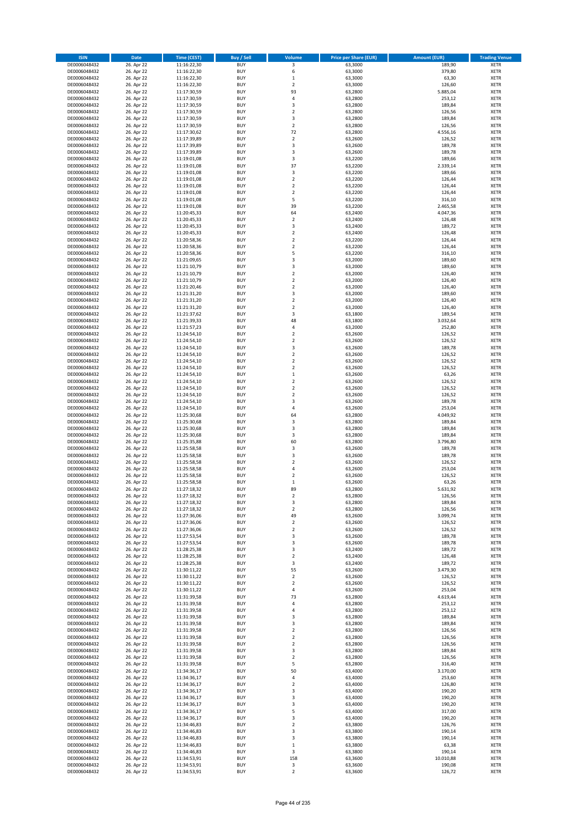| <b>ISIN</b>                  | Date                     | Time (CEST)                | <b>Buy / Sell</b>        | <b>Volume</b>                 | <b>Price per Share (EUR)</b> | <b>Amount (EUR)</b> | <b>Trading Venue</b>       |
|------------------------------|--------------------------|----------------------------|--------------------------|-------------------------------|------------------------------|---------------------|----------------------------|
| DE0006048432                 | 26. Apr 22               | 11:16:22,30                | <b>BUY</b>               | 3                             | 63,3000                      | 189,90              | <b>XETR</b>                |
| DE0006048432                 | 26. Apr 22               | 11:16:22,30                | <b>BUY</b>               | 6                             | 63,3000                      | 379,80              | XETR                       |
| DE0006048432                 | 26. Apr 22               | 11:16:22,30                | <b>BUY</b>               | $\mathbf 1$                   | 63,3000                      | 63,30               | <b>XETR</b>                |
| DE0006048432                 | 26. Apr 22               | 11:16:22,30                | <b>BUY</b>               | $\mathbf 2$                   | 63,3000                      | 126,60              | <b>XETR</b>                |
| DE0006048432<br>DE0006048432 | 26. Apr 22<br>26. Apr 22 | 11:17:30,59<br>11:17:30,59 | <b>BUY</b><br><b>BUY</b> | 93<br>$\sqrt{4}$              | 63,2800<br>63,2800           | 5.885,04<br>253,12  | <b>XETR</b><br><b>XETR</b> |
| DE0006048432                 | 26. Apr 22               | 11:17:30,59                | <b>BUY</b>               | 3                             | 63,2800                      | 189,84              | <b>XETR</b>                |
| DE0006048432                 | 26. Apr 22               | 11:17:30,59                | <b>BUY</b>               | $\mathbf 2$                   | 63,2800                      | 126,56              | <b>XETR</b>                |
| DE0006048432                 | 26. Apr 22               | 11:17:30,59                | <b>BUY</b>               | 3                             | 63,2800                      | 189,84              | <b>XETR</b>                |
| DE0006048432                 | 26. Apr 22               | 11:17:30,59                | <b>BUY</b>               | $\overline{2}$                | 63,2800                      | 126,56              | <b>XETR</b>                |
| DE0006048432                 | 26. Apr 22               | 11:17:30,62                | <b>BUY</b>               | 72                            | 63,2800                      | 4.556,16            | <b>XETR</b>                |
| DE0006048432                 | 26. Apr 22               | 11:17:39,89                | <b>BUY</b>               | $\mathbf 2$<br>3              | 63,2600                      | 126,52              | <b>XETR</b>                |
| DE0006048432<br>DE0006048432 | 26. Apr 22<br>26. Apr 22 | 11:17:39,89<br>11:17:39,89 | <b>BUY</b><br><b>BUY</b> | 3                             | 63,2600<br>63,2600           | 189,78<br>189,78    | <b>XETR</b><br><b>XETR</b> |
| DE0006048432                 | 26. Apr 22               | 11:19:01,08                | <b>BUY</b>               | 3                             | 63,2200                      | 189,66              | <b>XETR</b>                |
| DE0006048432                 | 26. Apr 22               | 11:19:01,08                | <b>BUY</b>               | 37                            | 63,2200                      | 2.339,14            | <b>XETR</b>                |
| DE0006048432                 | 26. Apr 22               | 11:19:01,08                | <b>BUY</b>               | 3                             | 63,2200                      | 189,66              | <b>XETR</b>                |
| DE0006048432                 | 26. Apr 22               | 11:19:01,08                | <b>BUY</b>               | $\overline{2}$                | 63,2200                      | 126,44              | <b>XETR</b>                |
| DE0006048432                 | 26. Apr 22               | 11:19:01,08                | <b>BUY</b>               | $\overline{2}$                | 63,2200                      | 126,44              | <b>XETR</b>                |
| DE0006048432<br>DE0006048432 | 26. Apr 22<br>26. Apr 22 | 11:19:01,08<br>11:19:01,08 | <b>BUY</b><br><b>BUY</b> | $\mathbf 2$<br>5              | 63,2200<br>63,2200           | 126,44<br>316,10    | <b>XETR</b><br><b>XETR</b> |
| DE0006048432                 | 26. Apr 22               | 11:19:01,08                | <b>BUY</b>               | 39                            | 63,2200                      | 2.465,58            | <b>XETR</b>                |
| DE0006048432                 | 26. Apr 22               | 11:20:45,33                | <b>BUY</b>               | 64                            | 63,2400                      | 4.047,36            | <b>XETR</b>                |
| DE0006048432                 | 26. Apr 22               | 11:20:45,33                | <b>BUY</b>               | $\mathbf 2$                   | 63,2400                      | 126,48              | <b>XETR</b>                |
| DE0006048432                 | 26. Apr 22               | 11:20:45,33                | <b>BUY</b>               | $\mathsf 3$                   | 63,2400                      | 189,72              | <b>XETR</b>                |
| DE0006048432                 | 26. Apr 22               | 11:20:45,33                | <b>BUY</b>               | $\mathbf 2$                   | 63,2400                      | 126,48              | <b>XETR</b>                |
| DE0006048432<br>DE0006048432 | 26. Apr 22<br>26. Apr 22 | 11:20:58,36<br>11:20:58,36 | <b>BUY</b><br><b>BUY</b> | $\mathbf 2$<br>$\mathbf 2$    | 63,2200<br>63,2200           | 126,44<br>126,44    | <b>XETR</b><br><b>XETR</b> |
| DE0006048432                 | 26. Apr 22               | 11:20:58,36                | <b>BUY</b>               | 5                             | 63,2200                      | 316,10              | <b>XETR</b>                |
| DE0006048432                 | 26. Apr 22               | 11:21:09,65                | <b>BUY</b>               | 3                             | 63,2000                      | 189,60              | <b>XETR</b>                |
| DE0006048432                 | 26. Apr 22               | 11:21:10,79                | <b>BUY</b>               | $\overline{\mathbf{3}}$       | 63,2000                      | 189,60              | <b>XETR</b>                |
| DE0006048432                 | 26. Apr 22               | 11:21:10,79                | <b>BUY</b>               | $\overline{2}$                | 63,2000                      | 126,40              | <b>XETR</b>                |
| DE0006048432                 | 26. Apr 22               | 11:21:10,79                | <b>BUY</b>               | $\mathbf 2$                   | 63,2000                      | 126,40              | <b>XETR</b>                |
| DE0006048432                 | 26. Apr 22               | 11:21:20,46                | <b>BUY</b>               | $\mathbf 2$                   | 63,2000                      | 126,40              | <b>XETR</b>                |
| DE0006048432<br>DE0006048432 | 26. Apr 22<br>26. Apr 22 | 11:21:31,20<br>11:21:31,20 | <b>BUY</b><br><b>BUY</b> | 3<br>$\mathbf 2$              | 63,2000<br>63,2000           | 189,60<br>126,40    | <b>XETR</b><br><b>XETR</b> |
| DE0006048432                 | 26. Apr 22               | 11:21:31,20                | <b>BUY</b>               | $\overline{2}$                | 63,2000                      | 126,40              | <b>XETR</b>                |
| DE0006048432                 | 26. Apr 22               | 11:21:37,62                | <b>BUY</b>               | 3                             | 63,1800                      | 189,54              | <b>XETR</b>                |
| DE0006048432                 | 26. Apr 22               | 11:21:39,33                | <b>BUY</b>               | 48                            | 63,1800                      | 3.032,64            | <b>XETR</b>                |
| DE0006048432                 | 26. Apr 22               | 11:21:57,23                | <b>BUY</b>               | 4                             | 63,2000                      | 252,80              | <b>XETR</b>                |
| DE0006048432                 | 26. Apr 22               | 11:24:54,10                | <b>BUY</b>               | $\overline{2}$                | 63,2600                      | 126,52              | <b>XETR</b>                |
| DE0006048432<br>DE0006048432 | 26. Apr 22<br>26. Apr 22 | 11:24:54,10                | <b>BUY</b><br><b>BUY</b> | $\mathbf 2$<br>3              | 63,2600<br>63,2600           | 126,52<br>189,78    | <b>XETR</b><br><b>XETR</b> |
| DE0006048432                 | 26. Apr 22               | 11:24:54,10<br>11:24:54,10 | <b>BUY</b>               | $\overline{2}$                | 63,2600                      | 126,52              | <b>XETR</b>                |
| DE0006048432                 | 26. Apr 22               | 11:24:54,10                | <b>BUY</b>               | $\mathbf 2$                   | 63,2600                      | 126,52              | <b>XETR</b>                |
| DE0006048432                 | 26. Apr 22               | 11:24:54,10                | <b>BUY</b>               | $\overline{2}$                | 63,2600                      | 126,52              | <b>XETR</b>                |
| DE0006048432                 | 26. Apr 22               | 11:24:54,10                | <b>BUY</b>               | $\,$ 1                        | 63,2600                      | 63,26               | <b>XETR</b>                |
| DE0006048432                 | 26. Apr 22               | 11:24:54,10                | <b>BUY</b>               | $\mathbf 2$                   | 63,2600                      | 126,52              | <b>XETR</b>                |
| DE0006048432<br>DE0006048432 | 26. Apr 22<br>26. Apr 22 | 11:24:54,10                | <b>BUY</b><br><b>BUY</b> | $\mathbf 2$<br>$\mathbf 2$    | 63,2600<br>63,2600           | 126,52<br>126,52    | <b>XETR</b><br><b>XETR</b> |
| DE0006048432                 | 26. Apr 22               | 11:24:54,10<br>11:24:54,10 | <b>BUY</b>               | 3                             | 63,2600                      | 189,78              | <b>XETR</b>                |
| DE0006048432                 | 26. Apr 22               | 11:24:54,10                | <b>BUY</b>               | $\overline{4}$                | 63,2600                      | 253,04              | <b>XETR</b>                |
| DE0006048432                 | 26. Apr 22               | 11:25:30,68                | <b>BUY</b>               | 64                            | 63,2800                      | 4.049,92            | <b>XETR</b>                |
| DE0006048432                 | 26. Apr 22               | 11:25:30,68                | <b>BUY</b>               | $\mathsf 3$                   | 63,2800                      | 189,84              | <b>XETR</b>                |
| DE0006048432                 | 26. Apr 22               | 11:25:30,68                | <b>BUY</b>               | 3                             | 63,2800                      | 189,84              | <b>XETR</b>                |
| DE0006048432                 | 26. Apr 22               | 11:25:30,68                | <b>BUY</b>               | 3                             | 63,2800                      | 189,84              | <b>XETR</b>                |
| DE0006048432<br>DE0006048432 | 26. Apr 22<br>26. Apr 22 | 11:25:35,88<br>11:25:58,58 | <b>BUY</b><br><b>BUY</b> | 60<br>3                       | 63,2800<br>63,2600           | 3.796,80<br>189,78  | <b>XETR</b><br><b>XETR</b> |
| DE0006048432                 | 26. Apr 22               | 11:25:58,58                | <b>BUY</b>               | 3                             | 63,2600                      | 189,78              | <b>XETR</b>                |
| DE0006048432                 | 26. Apr 22               | 11:25:58,58                | <b>BUY</b>               | $\mathbf 2$                   | 63,2600                      | 126,52              | <b>XETR</b>                |
| DE0006048432                 | 26. Apr 22               | 11:25:58,58                | <b>BUY</b>               | 4                             | 63,2600                      | 253,04              | <b>XETR</b>                |
| DE0006048432                 | 26. Apr 22               | 11:25:58,58                | <b>BUY</b>               | $\overline{\mathbf{2}}$       | 63,2600                      | 126,52              | <b>XETR</b>                |
| DE0006048432                 | 26. Apr 22               | 11:25:58,58                | <b>BUY</b>               | $\,1\,$                       | 63,2600                      | 63,26               | <b>XETR</b>                |
| DE0006048432<br>DE0006048432 | 26. Apr 22<br>26. Apr 22 | 11:27:18,32<br>11:27:18,32 | <b>BUY</b><br>BUY        | 89<br>2                       | 63,2800<br>63,2800           | 5.631,92<br>126,56  | <b>XETR</b><br>XETR        |
| DE0006048432                 | 26. Apr 22               | 11:27:18,32                | <b>BUY</b>               | 3                             | 63,2800                      | 189,84              | <b>XETR</b>                |
| DE0006048432                 | 26. Apr 22               | 11:27:18,32                | <b>BUY</b>               | $\overline{2}$                | 63,2800                      | 126,56              | <b>XETR</b>                |
| DE0006048432                 | 26. Apr 22               | 11:27:36,06                | <b>BUY</b>               | 49                            | 63,2600                      | 3.099,74            | <b>XETR</b>                |
| DE0006048432                 | 26. Apr 22               | 11:27:36,06                | <b>BUY</b>               | $\mathbf 2$                   | 63,2600                      | 126,52              | <b>XETR</b>                |
| DE0006048432                 | 26. Apr 22               | 11:27:36,06                | <b>BUY</b>               | $\mathbf 2$                   | 63,2600                      | 126,52              | <b>XETR</b>                |
| DE0006048432                 | 26. Apr 22               | 11:27:53,54                | <b>BUY</b>               | 3                             | 63,2600                      | 189,78              | <b>XETR</b>                |
| DE0006048432<br>DE0006048432 | 26. Apr 22<br>26. Apr 22 | 11:27:53,54<br>11:28:25,38 | <b>BUY</b><br><b>BUY</b> | 3<br>3                        | 63,2600<br>63,2400           | 189,78<br>189,72    | <b>XETR</b><br>XETR        |
| DE0006048432                 | 26. Apr 22               | 11:28:25,38                | <b>BUY</b>               | $\overline{2}$                | 63,2400                      | 126,48              | <b>XETR</b>                |
| DE0006048432                 | 26. Apr 22               | 11:28:25,38                | <b>BUY</b>               | 3                             | 63,2400                      | 189,72              | XETR                       |
| DE0006048432                 | 26. Apr 22               | 11:30:11,22                | <b>BUY</b>               | 55                            | 63,2600                      | 3.479,30            | <b>XETR</b>                |
| DE0006048432                 | 26. Apr 22               | 11:30:11,22                | <b>BUY</b>               | $\mathbf 2$                   | 63,2600                      | 126,52              | XETR                       |
| DE0006048432<br>DE0006048432 | 26. Apr 22<br>26. Apr 22 | 11:30:11,22<br>11:30:11,22 | <b>BUY</b><br><b>BUY</b> | $\overline{2}$<br>$\pmb{4}$   | 63,2600<br>63,2600           | 126,52<br>253,04    | <b>XETR</b><br><b>XETR</b> |
| DE0006048432                 | 26. Apr 22               | 11:31:39,58                | <b>BUY</b>               | 73                            | 63,2800                      | 4.619,44            | <b>XETR</b>                |
| DE0006048432                 | 26. Apr 22               | 11:31:39,58                | <b>BUY</b>               | 4                             | 63,2800                      | 253,12              | <b>XETR</b>                |
| DE0006048432                 | 26. Apr 22               | 11:31:39,58                | <b>BUY</b>               | $\pmb{4}$                     | 63,2800                      | 253,12              | <b>XETR</b>                |
| DE0006048432                 | 26. Apr 22               | 11:31:39,58                | <b>BUY</b>               | 3                             | 63,2800                      | 189,84              | XETR                       |
| DE0006048432                 | 26. Apr 22               | 11:31:39,58                | <b>BUY</b>               | $\mathsf 3$                   | 63,2800                      | 189,84              | <b>XETR</b>                |
| DE0006048432                 | 26. Apr 22               | 11:31:39,58                | <b>BUY</b><br><b>BUY</b> | $\overline{2}$                | 63,2800                      | 126,56<br>126,56    | <b>XETR</b>                |
| DE0006048432<br>DE0006048432 | 26. Apr 22<br>26. Apr 22 | 11:31:39,58<br>11:31:39,58 | <b>BUY</b>               | $\mathbf 2$<br>$\overline{2}$ | 63,2800<br>63,2800           | 126,56              | <b>XETR</b><br><b>XETR</b> |
| DE0006048432                 | 26. Apr 22               | 11:31:39,58                | <b>BUY</b>               | 3                             | 63,2800                      | 189,84              | <b>XETR</b>                |
| DE0006048432                 | 26. Apr 22               | 11:31:39,58                | <b>BUY</b>               | $\overline{2}$                | 63,2800                      | 126,56              | XETR                       |
| DE0006048432                 | 26. Apr 22               | 11:31:39,58                | <b>BUY</b>               | 5                             | 63,2800                      | 316,40              | <b>XETR</b>                |
| DE0006048432                 | 26. Apr 22               | 11:34:36,17                | <b>BUY</b>               | 50                            | 63,4000                      | 3.170,00            | XETR                       |
| DE0006048432                 | 26. Apr 22               | 11:34:36,17                | <b>BUY</b>               | $\pmb{4}$                     | 63,4000                      | 253,60              | <b>XETR</b>                |
| DE0006048432<br>DE0006048432 | 26. Apr 22<br>26. Apr 22 | 11:34:36,17<br>11:34:36,17 | <b>BUY</b><br><b>BUY</b> | $\mathbf 2$<br>3              | 63,4000<br>63,4000           | 126,80<br>190,20    | <b>XETR</b><br><b>XETR</b> |
| DE0006048432                 | 26. Apr 22               | 11:34:36,17                | <b>BUY</b>               | 3                             | 63,4000                      | 190,20              | <b>XETR</b>                |
| DE0006048432                 | 26. Apr 22               | 11:34:36,17                | <b>BUY</b>               | 3                             | 63,4000                      | 190,20              | <b>XETR</b>                |
| DE0006048432                 | 26. Apr 22               | 11:34:36,17                | <b>BUY</b>               | 5                             | 63,4000                      | 317,00              | XETR                       |
| DE0006048432                 | 26. Apr 22               | 11:34:36,17                | <b>BUY</b>               | 3                             | 63,4000                      | 190,20              | <b>XETR</b>                |
| DE0006048432                 | 26. Apr 22               | 11:34:46,83                | <b>BUY</b>               | $\mathbf 2$                   | 63,3800                      | 126,76              | <b>XETR</b>                |
| DE0006048432                 | 26. Apr 22               | 11:34:46,83                | <b>BUY</b>               | 3                             | 63,3800                      | 190,14              | <b>XETR</b>                |
| DE0006048432<br>DE0006048432 | 26. Apr 22<br>26. Apr 22 | 11:34:46,83<br>11:34:46,83 | <b>BUY</b><br><b>BUY</b> | 3<br>$\,$ 1                   | 63,3800<br>63,3800           | 190,14<br>63,38     | <b>XETR</b><br>XETR        |
| DE0006048432                 | 26. Apr 22               | 11:34:46,83                | <b>BUY</b>               | 3                             | 63,3800                      | 190,14              | <b>XETR</b>                |
| DE0006048432                 | 26. Apr 22               | 11:34:53,91                | <b>BUY</b>               | 158                           | 63,3600                      | 10.010,88           | XETR                       |
| DE0006048432                 | 26. Apr 22               | 11:34:53,91                | <b>BUY</b>               | 3                             | 63,3600                      | 190,08              | <b>XETR</b>                |
| DE0006048432                 | 26. Apr 22               | 11:34:53,91                | <b>BUY</b>               | $\overline{2}$                | 63,3600                      | 126,72              | <b>XETR</b>                |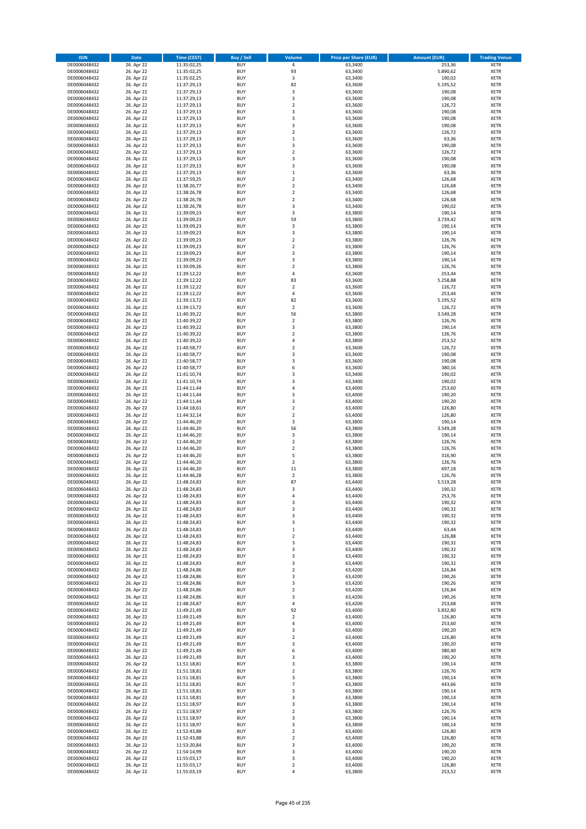| <b>ISIN</b>                  | <b>Date</b>              | Time (CEST)                | <b>Buy / Sell</b>        | Volume                       | <b>Price per Share (EUR)</b> | <b>Amount (EUR)</b> | <b>Trading Venue</b>       |
|------------------------------|--------------------------|----------------------------|--------------------------|------------------------------|------------------------------|---------------------|----------------------------|
| DE0006048432                 | 26. Apr 22               | 11:35:02,25                | <b>BUY</b>               | $\overline{4}$               | 63,3400                      | 253,36              | <b>XETR</b>                |
| DE0006048432                 | 26. Apr 22               | 11:35:02,25                | <b>BUY</b>               | 93                           | 63,3400                      | 5.890,62            | <b>XETR</b>                |
| DE0006048432                 | 26. Apr 22               | 11:35:02,25                | <b>BUY</b>               | 3                            | 63,3400                      | 190,02              | <b>XETR</b>                |
| DE0006048432<br>DE0006048432 | 26. Apr 22<br>26. Apr 22 | 11:37:29,13<br>11:37:29,13 | <b>BUY</b><br><b>BUY</b> | 82<br>3                      | 63,3600<br>63,3600           | 5.195,52<br>190,08  | <b>XETR</b><br><b>XETR</b> |
| DE0006048432                 | 26. Apr 22               | 11:37:29,13                | <b>BUY</b>               | 3                            | 63,3600                      | 190,08              | <b>XETR</b>                |
| DE0006048432                 | 26. Apr 22               | 11:37:29,13                | <b>BUY</b>               | $\mathbf 2$                  | 63,3600                      | 126,72              | <b>XETR</b>                |
| DE0006048432                 | 26. Apr 22               | 11:37:29,13                | <b>BUY</b>               | 3                            | 63,3600                      | 190,08              | <b>XETR</b>                |
| DE0006048432                 | 26. Apr 22               | 11:37:29,13                | <b>BUY</b>               | 3                            | 63,3600                      | 190,08              | <b>XETR</b>                |
| DE0006048432                 | 26. Apr 22               | 11:37:29,13                | <b>BUY</b>               | 3                            | 63,3600                      | 190,08              | <b>XETR</b>                |
| DE0006048432                 | 26. Apr 22               | 11:37:29,13                | <b>BUY</b>               | $\mathbf 2$                  | 63,3600                      | 126,72              | <b>XETR</b>                |
| DE0006048432<br>DE0006048432 | 26. Apr 22<br>26. Apr 22 | 11:37:29,13<br>11:37:29,13 | <b>BUY</b><br><b>BUY</b> | $\mathbf 1$<br>3             | 63,3600<br>63,3600           | 63,36<br>190,08     | <b>XETR</b><br><b>XETR</b> |
| DE0006048432                 | 26. Apr 22               | 11:37:29,13                | <b>BUY</b>               | $\overline{\mathbf{c}}$      | 63,3600                      | 126,72              | <b>XETR</b>                |
| DE0006048432                 | 26. Apr 22               | 11:37:29,13                | <b>BUY</b>               | 3                            | 63,3600                      | 190,08              | <b>XETR</b>                |
| DE0006048432                 | 26. Apr 22               | 11:37:29,13                | <b>BUY</b>               | 3                            | 63,3600                      | 190,08              | <b>XETR</b>                |
| DE0006048432                 | 26. Apr 22               | 11:37:29,13                | <b>BUY</b>               | $\mathbf 1$                  | 63,3600                      | 63,36               | <b>XETR</b>                |
| DE0006048432                 | 26. Apr 22               | 11:37:59,25                | <b>BUY</b>               | $\mathbf 2$                  | 63,3400                      | 126,68              | <b>XETR</b>                |
| DE0006048432                 | 26. Apr 22               | 11:38:26,77                | <b>BUY</b>               | $\overline{\mathbf{c}}$      | 63,3400                      | 126,68              | <b>XETR</b>                |
| DE0006048432                 | 26. Apr 22               | 11:38:26,78                | <b>BUY</b>               | $\mathbf 2$                  | 63,3400                      | 126,68              | <b>XETR</b>                |
| DE0006048432                 | 26. Apr 22               | 11:38:26,78                | <b>BUY</b><br><b>BUY</b> | $\overline{\mathbf{c}}$<br>3 | 63,3400                      | 126,68<br>190,02    | <b>XETR</b><br><b>XETR</b> |
| DE0006048432<br>DE0006048432 | 26. Apr 22<br>26. Apr 22 | 11:38:26,78<br>11:39:09,23 | <b>BUY</b>               | 3                            | 63,3400<br>63,3800           | 190,14              | <b>XETR</b>                |
| DE0006048432                 | 26. Apr 22               | 11:39:09,23                | <b>BUY</b>               | 59                           | 63,3800                      | 3.739,42            | <b>XETR</b>                |
| DE0006048432                 | 26. Apr 22               | 11:39:09,23                | <b>BUY</b>               | 3                            | 63,3800                      | 190,14              | <b>XETR</b>                |
| DE0006048432                 | 26. Apr 22               | 11:39:09,23                | <b>BUY</b>               | 3                            | 63,3800                      | 190,14              | <b>XETR</b>                |
| DE0006048432                 | 26. Apr 22               | 11:39:09,23                | <b>BUY</b>               | $\mathbf 2$                  | 63,3800                      | 126,76              | <b>XETR</b>                |
| DE0006048432                 | 26. Apr 22               | 11:39:09,23                | <b>BUY</b>               | $\overline{\mathbf{c}}$      | 63,3800                      | 126,76              | <b>XETR</b>                |
| DE0006048432                 | 26. Apr 22<br>26. Apr 22 | 11:39:09,23                | <b>BUY</b>               | 3                            | 63,3800                      | 190,14              | <b>XETR</b>                |
| DE0006048432<br>DE0006048432 | 26. Apr 22               | 11:39:09,23<br>11:39:09,26 | <b>BUY</b><br><b>BUY</b> | 3<br>$\mathbf 2$             | 63,3800<br>63,3800           | 190,14<br>126,76    | <b>XETR</b><br><b>XETR</b> |
| DE0006048432                 | 26. Apr 22               | 11:39:12,22                | <b>BUY</b>               | 4                            | 63,3600                      | 253,44              | <b>XETR</b>                |
| DE0006048432                 | 26. Apr 22               | 11:39:12,22                | <b>BUY</b>               | 83                           | 63,3600                      | 5.258,88            | <b>XETR</b>                |
| DE0006048432                 | 26. Apr 22               | 11:39:12,22                | <b>BUY</b>               | $\overline{\mathbf{c}}$      | 63,3600                      | 126,72              | <b>XETR</b>                |
| DE0006048432                 | 26. Apr 22               | 11:39:12.22                | <b>BUY</b>               | 4                            | 63,3600                      | 253,44              | <b>XETR</b>                |
| DE0006048432                 | 26. Apr 22               | 11:39:13,72                | <b>BUY</b>               | 82                           | 63,3600                      | 5.195,52            | <b>XETR</b>                |
| DE0006048432                 | 26. Apr 22               | 11:39:13,72                | <b>BUY</b>               | $\overline{\mathbf{c}}$      | 63,3600                      | 126,72              | <b>XETR</b>                |
| DE0006048432                 | 26. Apr 22               | 11:40:39,22                | <b>BUY</b>               | 56                           | 63,3800                      | 3.549,28            | <b>XETR</b>                |
| DE0006048432<br>DE0006048432 | 26. Apr 22<br>26. Apr 22 | 11:40:39,22<br>11:40:39,22 | <b>BUY</b><br><b>BUY</b> | $\mathbf 2$<br>3             | 63,3800<br>63,3800           | 126,76<br>190,14    | <b>XETR</b><br><b>XETR</b> |
| DE0006048432                 | 26. Apr 22               | 11:40:39,22                | <b>BUY</b>               | $\mathbf 2$                  | 63,3800                      | 126,76              | <b>XETR</b>                |
| DE0006048432                 | 26. Apr 22               | 11:40:39,22                | <b>BUY</b>               | 4                            | 63,3800                      | 253,52              | <b>XETR</b>                |
| DE0006048432                 | 26. Apr 22               | 11:40:58,77                | <b>BUY</b>               | $\mathbf 2$                  | 63,3600                      | 126,72              | <b>XETR</b>                |
| DE0006048432                 | 26. Apr 22               | 11:40:58,77                | <b>BUY</b>               | 3                            | 63,3600                      | 190,08              | <b>XETR</b>                |
| DE0006048432                 | 26. Apr 22               | 11:40:58,77                | <b>BUY</b>               | 3                            | 63,3600                      | 190,08              | <b>XETR</b>                |
| DE0006048432                 | 26. Apr 22               | 11:40:58,77                | <b>BUY</b>               | 6                            | 63,3600                      | 380,16              | <b>XETR</b>                |
| DE0006048432                 | 26. Apr 22               | 11:41:10,74                | <b>BUY</b>               | 3                            | 63,3400                      | 190,02              | <b>XETR</b>                |
| DE0006048432<br>DE0006048432 | 26. Apr 22<br>26. Apr 22 | 11:41:10,74<br>11:44:11,44 | <b>BUY</b><br><b>BUY</b> | 3<br>4                       | 63,3400<br>63,4000           | 190,02<br>253,60    | <b>XETR</b><br><b>XETR</b> |
| DE0006048432                 | 26. Apr 22               | 11:44:11,44                | <b>BUY</b>               | 3                            | 63,4000                      | 190,20              | <b>XETR</b>                |
| DE0006048432                 | 26. Apr 22               | 11:44:11,44                | <b>BUY</b>               | 3                            | 63,4000                      | 190,20              | <b>XETR</b>                |
| DE0006048432                 | 26. Apr 22               | 11:44:18,61                | <b>BUY</b>               | $\mathbf 2$                  | 63,4000                      | 126,80              | <b>XETR</b>                |
| DE0006048432                 | 26. Apr 22               | 11:44:32,14                | <b>BUY</b>               | $\overline{2}$               | 63,4000                      | 126,80              | <b>XETR</b>                |
| DE0006048432                 | 26. Apr 22               | 11:44:46,20                | <b>BUY</b>               | 3                            | 63,3800                      | 190,14              | <b>XETR</b>                |
| DE0006048432                 | 26. Apr 22               | 11:44:46,20                | <b>BUY</b>               | 56                           | 63,3800                      | 3.549,28            | <b>XETR</b>                |
| DE0006048432<br>DE0006048432 | 26. Apr 22<br>26. Apr 22 | 11:44:46,20<br>11:44:46,20 | <b>BUY</b><br><b>BUY</b> | 3<br>$\overline{\mathbf{c}}$ | 63,3800<br>63,3800           | 190,14<br>126,76    | <b>XETR</b><br><b>XETR</b> |
| DE0006048432                 | 26. Apr 22               | 11:44:46,20                | <b>BUY</b>               | $\mathbf 2$                  | 63,3800                      | 126,76              | <b>XETR</b>                |
| DE0006048432                 | 26. Apr 22               | 11:44:46,20                | <b>BUY</b>               | 5                            | 63,3800                      | 316,90              | <b>XETR</b>                |
| DE0006048432                 | 26. Apr 22               | 11:44:46,20                | <b>BUY</b>               | $\overline{2}$               | 63,3800                      | 126,76              | <b>XETR</b>                |
| DE0006048432                 | 26. Apr 22               | 11:44:46,20                | <b>BUY</b>               | 11                           | 63,3800                      | 697,18              | <b>XETR</b>                |
| DE0006048432                 | 26. Apr 22               | 11:44:46,28                | <b>BUY</b>               | $\overline{\mathbf{c}}$      | 63,3800                      | 126,76              | <b>XETR</b>                |
| DE0006048432                 | 26. Apr 22               | 11:48:24,83                | <b>BUY</b>               | 87                           | 63,4400                      | 5.519,28            | <b>XETR</b>                |
| DE0006048432                 | 26. Apr 22               | 11:48:24,83                | <b>BUY</b>               | 3                            | 63,4400<br>63,4400           | 190,32              | <b>XETR</b>                |
| DE0006048432<br>DE0006048432 | 26. Apr 22<br>26. Apr 22 | 11:48:24,83<br>11:48:24,83 | BUY<br><b>BUY</b>        | 4<br>3                       | 63,4400                      | 253,76<br>190,32    | <b>XETR</b><br><b>XETR</b> |
| DE0006048432                 | 26. Apr 22               | 11:48:24,83                | <b>BUY</b>               | 3                            | 63,4400                      | 190,32              | <b>XETR</b>                |
| DE0006048432                 | 26. Apr 22               | 11:48:24,83                | <b>BUY</b>               | 3                            | 63,4400                      | 190,32              | <b>XETR</b>                |
| DE0006048432                 | 26. Apr 22               | 11:48:24,83                | <b>BUY</b>               | 3                            | 63,4400                      | 190,32              | <b>XETR</b>                |
| DE0006048432                 | 26. Apr 22               | 11:48:24,83                | <b>BUY</b>               | $\mathbf 1$                  | 63,4400                      | 63,44               | <b>XETR</b>                |
| DE0006048432                 | 26. Apr 22               | 11:48:24,83                | <b>BUY</b>               | $\overline{2}$               | 63,4400                      | 126,88              | <b>XETR</b>                |
| DE0006048432<br>DE0006048432 | 26. Apr 22               | 11:48:24,83<br>11:48:24,83 | <b>BUY</b><br><b>BUY</b> | 3<br>3                       | 63,4400<br>63,4400           | 190,32<br>190,32    | <b>XETR</b><br><b>XETR</b> |
| DE0006048432                 | 26. Apr 22<br>26. Apr 22 | 11:48:24,83                | <b>BUY</b>               | 3                            | 63,4400                      | 190,32              | <b>XETR</b>                |
| DE0006048432                 | 26. Apr 22               | 11:48:24,83                | <b>BUY</b>               | 3                            | 63,4400                      | 190,32              | <b>XETR</b>                |
| DE0006048432                 | 26. Apr 22               | 11:48:24,86                | <b>BUY</b>               | $\overline{\mathbf{c}}$      | 63,4200                      | 126,84              | <b>XETR</b>                |
| DE0006048432                 | 26. Apr 22               | 11:48:24,86                | <b>BUY</b>               | 3                            | 63,4200                      | 190,26              | <b>XETR</b>                |
| DE0006048432                 | 26. Apr 22               | 11:48:24,86                | <b>BUY</b>               | 3                            | 63,4200                      | 190,26              | <b>XETR</b>                |
| DE0006048432                 | 26. Apr 22<br>26. Apr 22 | 11:48:24,86<br>11:48:24,86 | <b>BUY</b>               | $\mathbf 2$                  | 63,4200<br>63,4200           | 126,84              | <b>XETR</b>                |
| DE0006048432<br>DE0006048432 | 26. Apr 22               | 11:48:24,87                | <b>BUY</b><br><b>BUY</b> | 3<br>4                       | 63,4200                      | 190,26<br>253,68    | <b>XETR</b><br><b>XETR</b> |
| DE0006048432                 | 26. Apr 22               | 11:49:21,49                | <b>BUY</b>               | 92                           | 63,4000                      | 5.832,80            | <b>XETR</b>                |
| DE0006048432                 | 26. Apr 22               | 11:49:21,49                | <b>BUY</b>               | $\mathbf 2$                  | 63,4000                      | 126,80              | <b>XETR</b>                |
| DE0006048432                 | 26. Apr 22               | 11:49:21,49                | <b>BUY</b>               | 4                            | 63,4000                      | 253,60              | <b>XETR</b>                |
| DE0006048432                 | 26. Apr 22               | 11:49:21,49                | <b>BUY</b>               | 3                            | 63,4000                      | 190,20              | <b>XETR</b>                |
| DE0006048432                 | 26. Apr 22               | 11:49:21,49                | <b>BUY</b>               | $\mathbf 2$                  | 63,4000                      | 126,80              | <b>XETR</b>                |
| DE0006048432<br>DE0006048432 | 26. Apr 22<br>26. Apr 22 | 11:49:21,49<br>11:49:21,49 | <b>BUY</b><br><b>BUY</b> | 3<br>6                       | 63,4000<br>63,4000           | 190,20<br>380,40    | <b>XETR</b><br><b>XETR</b> |
| DE0006048432                 | 26. Apr 22               | 11:49:21,49                | <b>BUY</b>               | 3                            | 63,4000                      | 190,20              | <b>XETR</b>                |
| DE0006048432                 | 26. Apr 22               | 11:51:18,81                | <b>BUY</b>               | 3                            | 63,3800                      | 190,14              | <b>XETR</b>                |
| DE0006048432                 | 26. Apr 22               | 11:51:18,81                | <b>BUY</b>               | $\mathbf 2$                  | 63,3800                      | 126,76              | <b>XETR</b>                |
| DE0006048432                 | 26. Apr 22               | 11:51:18,81                | <b>BUY</b>               | 3                            | 63,3800                      | 190,14              | <b>XETR</b>                |
| DE0006048432                 | 26. Apr 22               | 11:51:18,81                | <b>BUY</b>               | $\overline{7}$               | 63,3800                      | 443,66              | <b>XETR</b>                |
| DE0006048432                 | 26. Apr 22               | 11:51:18,81                | <b>BUY</b>               | 3                            | 63,3800                      | 190,14              | <b>XETR</b>                |
| DE0006048432<br>DE0006048432 | 26. Apr 22<br>26. Apr 22 | 11:51:18,81<br>11:51:18,97 | <b>BUY</b><br><b>BUY</b> | 3<br>3                       | 63,3800<br>63,3800           | 190,14<br>190,14    | <b>XETR</b><br><b>XETR</b> |
| DE0006048432                 | 26. Apr 22               | 11:51:18,97                | <b>BUY</b>               | $\mathbf 2$                  | 63,3800                      | 126,76              | <b>XETR</b>                |
| DE0006048432                 | 26. Apr 22               | 11:51:18,97                | <b>BUY</b>               | 3                            | 63,3800                      | 190,14              | <b>XETR</b>                |
| DE0006048432                 | 26. Apr 22               | 11:51:18,97                | <b>BUY</b>               | 3                            | 63,3800                      | 190,14              | <b>XETR</b>                |
| DE0006048432                 | 26. Apr 22               | 11:52:43,88                | <b>BUY</b>               | $\mathbf 2$                  | 63,4000                      | 126,80              | <b>XETR</b>                |
| DE0006048432                 | 26. Apr 22               | 11:52:43,88                | <b>BUY</b>               | $\overline{\mathbf{c}}$      | 63,4000                      | 126,80              | <b>XETR</b>                |
| DE0006048432<br>DE0006048432 | 26. Apr 22<br>26. Apr 22 | 11:53:20,84<br>11:54:14,99 | <b>BUY</b><br><b>BUY</b> | 3<br>3                       | 63,4000<br>63,4000           | 190,20<br>190,20    | <b>XETR</b><br><b>XETR</b> |
| DE0006048432                 | 26. Apr 22               | 11:55:03,17                | <b>BUY</b>               | 3                            | 63,4000                      | 190,20              | <b>XETR</b>                |
| DE0006048432                 | 26. Apr 22               | 11:55:03,17                | <b>BUY</b>               | $\mathbf 2$                  | 63,4000                      | 126,80              | <b>XETR</b>                |
| DE0006048432                 | 26. Apr 22               | 11:55:03,19                | <b>BUY</b>               | 4                            | 63,3800                      | 253,52              | <b>XETR</b>                |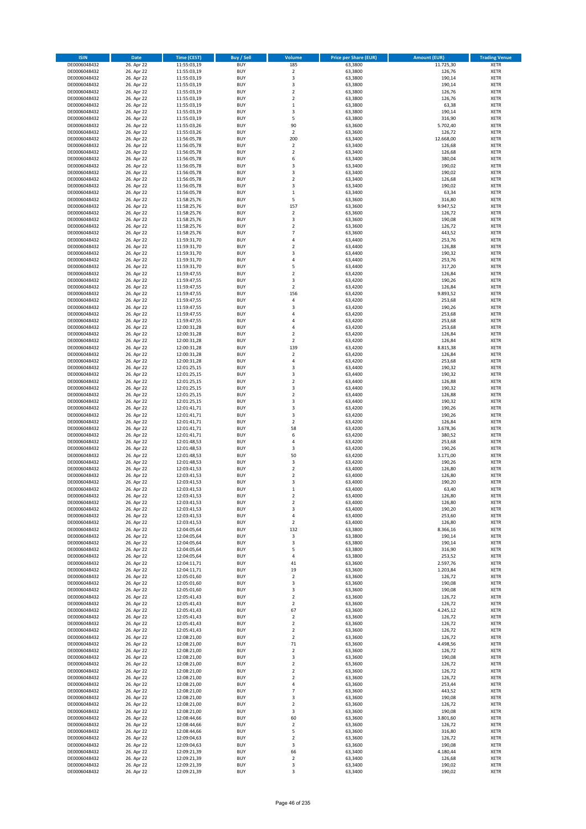| <b>ISIN</b>                  | <b>Date</b>              | <b>Time (CEST)</b>         | <b>Buy / Sell</b>        | <b>Volume</b>                          | <b>Price per Share (EUR)</b> | <b>Amount (EUR)</b> | <b>Trading Venue</b>       |
|------------------------------|--------------------------|----------------------------|--------------------------|----------------------------------------|------------------------------|---------------------|----------------------------|
| DE0006048432                 | 26. Apr 22               | 11:55:03,19                | <b>BUY</b>               | 185                                    | 63,3800                      | 11.725,30           | <b>XETR</b>                |
| DE0006048432                 | 26. Apr 22               | 11:55:03,19                | <b>BUY</b>               | $\mathbf 2$                            | 63,3800                      | 126,76              | <b>XETR</b>                |
| DE0006048432                 | 26. Apr 22               | 11:55:03,19                | <b>BUY</b>               | 3                                      | 63,3800                      | 190,14              | <b>XETR</b>                |
| DE0006048432                 | 26. Apr 22               | 11:55:03,19                | <b>BUY</b>               | 3                                      | 63,3800                      | 190,14              | <b>XETR</b>                |
| DE0006048432<br>DE0006048432 | 26. Apr 22<br>26. Apr 22 | 11:55:03,19<br>11:55:03,19 | <b>BUY</b><br><b>BUY</b> | $\overline{\mathbf{c}}$<br>$\mathbf 2$ | 63,3800<br>63,3800           | 126,76<br>126,76    | <b>XETR</b><br><b>XETR</b> |
| DE0006048432                 | 26. Apr 22               | 11:55:03,19                | <b>BUY</b>               | $\mathbf 1$                            | 63,3800                      | 63,38               | <b>XETR</b>                |
| DE0006048432                 | 26. Apr 22               | 11:55:03,19                | <b>BUY</b>               | 3                                      | 63,3800                      | 190,14              | <b>XETR</b>                |
| DE0006048432                 | 26. Apr 22               | 11:55:03,19                | <b>BUY</b>               | 5                                      | 63,3800                      | 316,90              | <b>XETR</b>                |
| DE0006048432                 | 26. Apr 22               | 11:55:03,26                | <b>BUY</b>               | 90                                     | 63,3600                      | 5.702,40            | <b>XETR</b>                |
| DE0006048432                 | 26. Apr 22               | 11:55:03,26                | <b>BUY</b>               | $\mathbf 2$                            | 63,3600                      | 126,72              | <b>XETR</b>                |
| DE0006048432                 | 26. Apr 22               | 11:56:05,78                | <b>BUY</b>               | 200                                    | 63,3400                      | 12.668,00           | <b>XETR</b><br><b>XETR</b> |
| DE0006048432<br>DE0006048432 | 26. Apr 22<br>26. Apr 22 | 11:56:05,78<br>11:56:05,78 | <b>BUY</b><br><b>BUY</b> | $\mathbf 2$<br>$\overline{\mathbf{c}}$ | 63,3400<br>63,3400           | 126,68<br>126,68    | <b>XETR</b>                |
| DE0006048432                 | 26. Apr 22               | 11:56:05,78                | <b>BUY</b>               | 6                                      | 63,3400                      | 380,04              | <b>XETR</b>                |
| DE0006048432                 | 26. Apr 22               | 11:56:05,78                | <b>BUY</b>               | 3                                      | 63,3400                      | 190,02              | <b>XETR</b>                |
| DE0006048432                 | 26. Apr 22               | 11:56:05,78                | <b>BUY</b>               | 3                                      | 63,3400                      | 190,02              | <b>XETR</b>                |
| DE0006048432                 | 26. Apr 22               | 11:56:05,78                | <b>BUY</b>               | $\mathbf 2$                            | 63,3400                      | 126,68              | <b>XETR</b>                |
| DE0006048432                 | 26. Apr 22               | 11:56:05,78                | <b>BUY</b>               | 3                                      | 63,3400                      | 190,02              | <b>XETR</b>                |
| DE0006048432                 | 26. Apr 22               | 11:56:05,78                | <b>BUY</b>               | $\mathbf 1$                            | 63,3400                      | 63,34               | <b>XETR</b>                |
| DE0006048432                 | 26. Apr 22               | 11:58:25,76                | <b>BUY</b><br><b>BUY</b> | 5                                      | 63,3600                      | 316,80              | <b>XETR</b>                |
| DE0006048432<br>DE0006048432 | 26. Apr 22<br>26. Apr 22 | 11:58:25,76<br>11:58:25,76 | <b>BUY</b>               | 157<br>$\mathbf 2$                     | 63,3600<br>63,3600           | 9.947,52<br>126,72  | <b>XETR</b><br><b>XETR</b> |
| DE0006048432                 | 26. Apr 22               | 11:58:25,76                | <b>BUY</b>               | 3                                      | 63,3600                      | 190,08              | <b>XETR</b>                |
| DE0006048432                 | 26. Apr 22               | 11:58:25,76                | <b>BUY</b>               | $\mathbf 2$                            | 63,3600                      | 126,72              | <b>XETR</b>                |
| DE0006048432                 | 26. Apr 22               | 11:58:25,76                | <b>BUY</b>               | $\overline{7}$                         | 63,3600                      | 443,52              | <b>XETR</b>                |
| DE0006048432                 | 26. Apr 22               | 11:59:31,70                | <b>BUY</b>               | 4                                      | 63,4400                      | 253,76              | <b>XETR</b>                |
| DE0006048432                 | 26. Apr 22               | 11:59:31,70                | <b>BUY</b>               | $\overline{\mathbf{c}}$                | 63,4400                      | 126,88              | <b>XETR</b>                |
| DE0006048432                 | 26. Apr 22<br>26. Apr 22 | 11:59:31,70                | <b>BUY</b>               | 3<br>4                                 | 63,4400                      | 190,32              | <b>XETR</b>                |
| DE0006048432<br>DE0006048432 | 26. Apr 22               | 11:59:31,70                | <b>BUY</b><br><b>BUY</b> | 5                                      | 63,4400<br>63,4400           | 253,76<br>317,20    | <b>XETR</b><br><b>XETR</b> |
| DE0006048432                 | 26. Apr 22               | 11:59:31,70<br>11:59:47,55 | <b>BUY</b>               | $\overline{\mathbf{c}}$                | 63,4200                      | 126,84              | <b>XETR</b>                |
| DE0006048432                 | 26. Apr 22               | 11:59:47,55                | <b>BUY</b>               | 3                                      | 63,4200                      | 190,26              | <b>XETR</b>                |
| DE0006048432                 | 26. Apr 22               | 11:59:47,55                | <b>BUY</b>               | $\mathbf 2$                            | 63,4200                      | 126,84              | <b>XETR</b>                |
| DE0006048432                 | 26. Apr 22               | 11:59:47,55                | <b>BUY</b>               | 156                                    | 63.4200                      | 9.893,52            | <b>XETR</b>                |
| DE0006048432                 | 26. Apr 22               | 11:59:47,55                | <b>BUY</b>               | 4                                      | 63,4200                      | 253,68              | <b>XETR</b>                |
| DE0006048432                 | 26. Apr 22               | 11:59:47,55                | <b>BUY</b>               | 3                                      | 63,4200                      | 190,26              | <b>XETR</b>                |
| DE0006048432                 | 26. Apr 22               | 11:59:47,55                | <b>BUY</b>               | 4                                      | 63,4200                      | 253,68              | <b>XETR</b>                |
| DE0006048432<br>DE0006048432 | 26. Apr 22<br>26. Apr 22 | 11:59:47,55<br>12:00:31,28 | <b>BUY</b><br><b>BUY</b> | 4<br>4                                 | 63,4200<br>63,4200           | 253,68<br>253,68    | <b>XETR</b><br><b>XETR</b> |
| DE0006048432                 | 26. Apr 22               | 12:00:31,28                | <b>BUY</b>               | $\overline{\mathbf{c}}$                | 63,4200                      | 126,84              | <b>XETR</b>                |
| DE0006048432                 | 26. Apr 22               | 12:00:31,28                | <b>BUY</b>               | $\mathbf 2$                            | 63,4200                      | 126,84              | <b>XETR</b>                |
| DE0006048432                 | 26. Apr 22               | 12:00:31,28                | <b>BUY</b>               | 139                                    | 63,4200                      | 8.815,38            | <b>XETR</b>                |
| DE0006048432                 | 26. Apr 22               | 12:00:31,28                | <b>BUY</b>               | $\overline{\mathbf{c}}$                | 63,4200                      | 126,84              | <b>XETR</b>                |
| DE0006048432                 | 26. Apr 22               | 12:00:31,28                | <b>BUY</b>               | 4                                      | 63,4200                      | 253,68              | <b>XETR</b>                |
| DE0006048432                 | 26. Apr 22               | 12:01:25,15                | <b>BUY</b>               | 3                                      | 63,4400                      | 190,32              | <b>XETR</b>                |
| DE0006048432                 | 26. Apr 22               | 12:01:25,15                | <b>BUY</b>               | 3                                      | 63,4400                      | 190,32              | <b>XETR</b>                |
| DE0006048432<br>DE0006048432 | 26. Apr 22<br>26. Apr 22 | 12:01:25,15<br>12:01:25,15 | <b>BUY</b><br><b>BUY</b> | $\mathbf 2$<br>3                       | 63,4400<br>63,4400           | 126,88<br>190,32    | <b>XETR</b><br><b>XETR</b> |
| DE0006048432                 | 26. Apr 22               | 12:01:25,15                | <b>BUY</b>               | $\overline{\mathbf{c}}$                | 63,4400                      | 126,88              | <b>XETR</b>                |
| DE0006048432                 | 26. Apr 22               | 12:01:25,15                | <b>BUY</b>               | 3                                      | 63,4400                      | 190,32              | <b>XETR</b>                |
| DE0006048432                 | 26. Apr 22               | 12:01:41,71                | <b>BUY</b>               | 3                                      | 63,4200                      | 190,26              | <b>XETR</b>                |
| DE0006048432                 | 26. Apr 22               | 12:01:41,71                | <b>BUY</b>               | 3                                      | 63,4200                      | 190,26              | <b>XETR</b>                |
| DE0006048432                 | 26. Apr 22               | 12:01:41,71                | <b>BUY</b>               | $\mathbf 2$                            | 63,4200                      | 126,84              | <b>XETR</b>                |
| DE0006048432                 | 26. Apr 22               | 12:01:41,71                | <b>BUY</b>               | 58                                     | 63,4200                      | 3.678,36            | <b>XETR</b>                |
| DE0006048432                 | 26. Apr 22               | 12:01:41,71                | <b>BUY</b><br><b>BUY</b> | 6<br>4                                 | 63,4200                      | 380,52              | <b>XETR</b><br><b>XETR</b> |
| DE0006048432<br>DE0006048432 | 26. Apr 22<br>26. Apr 22 | 12:01:48,53<br>12:01:48,53 | <b>BUY</b>               | 3                                      | 63,4200<br>63,4200           | 253,68<br>190,26    | <b>XETR</b>                |
| DE0006048432                 | 26. Apr 22               | 12:01:48,53                | <b>BUY</b>               | 50                                     | 63,4200                      | 3.171,00            | <b>XETR</b>                |
| DE0006048432                 | 26. Apr 22               | 12:01:48,53                | <b>BUY</b>               | 3                                      | 63,4200                      | 190,26              | <b>XETR</b>                |
| DE0006048432                 | 26. Apr 22               | 12:03:41,53                | <b>BUY</b>               | $\mathbf 2$                            | 63,4000                      | 126,80              | <b>XETR</b>                |
| DE0006048432                 | 26. Apr 22               | 12:03:41,53                | <b>BUY</b>               | $\overline{\mathbf{c}}$                | 63,4000                      | 126,80              | <b>XETR</b>                |
| DE0006048432                 | 26. Apr 22               | 12:03:41,53                | <b>BUY</b>               | 3                                      | 63,4000                      | 190,20              | <b>XETR</b>                |
| DE0006048432                 | 26. Apr 22               | 12:03:41,53                | <b>BUY</b>               | $\mathbf{1}$                           | 63,4000                      | 63,40               | <b>XETR</b>                |
| DE0006048432<br>DE0006048432 | 26. Apr 22<br>26. Apr 22 | 12:03:41,53<br>12:03:41,53 | BUY<br><b>BUY</b>        | 2<br>$\mathbf 2$                       | 63,4000<br>63,4000           | 126,80<br>126,80    | <b>XETR</b><br><b>XETR</b> |
| DE0006048432                 | 26. Apr 22               | 12:03:41,53                | <b>BUY</b>               | 3                                      | 63,4000                      | 190,20              | <b>XETR</b>                |
| DE0006048432                 | 26. Apr 22               | 12:03:41,53                | <b>BUY</b>               | 4                                      | 63,4000                      | 253,60              | XETR                       |
| DE0006048432                 | 26. Apr 22               | 12:03:41,53                | <b>BUY</b>               | $\mathbf 2$                            | 63,4000                      | 126,80              | <b>XETR</b>                |
| DE0006048432                 | 26. Apr 22               | 12:04:05,64                | <b>BUY</b>               | 132                                    | 63,3800                      | 8.366,16            | <b>XETR</b>                |
| DE0006048432                 | 26. Apr 22               | 12:04:05,64                | <b>BUY</b>               | 3                                      | 63,3800                      | 190,14              | <b>XETR</b>                |
| DE0006048432<br>DE0006048432 | 26. Apr 22<br>26. Apr 22 | 12:04:05,64<br>12:04:05,64 | <b>BUY</b><br><b>BUY</b> | 3<br>5                                 | 63,3800<br>63,3800           | 190,14<br>316,90    | <b>XETR</b><br><b>XETR</b> |
| DE0006048432                 | 26. Apr 22               | 12:04:05,64                | <b>BUY</b>               | 4                                      | 63,3800                      | 253,52              | <b>XETR</b>                |
| DE0006048432                 | 26. Apr 22               | 12:04:11,71                | <b>BUY</b>               | 41                                     | 63,3600                      | 2.597,76            | <b>XETR</b>                |
| DE0006048432                 | 26. Apr 22               | 12:04:11,71                | <b>BUY</b>               | 19                                     | 63,3600                      | 1.203,84            | <b>XETR</b>                |
| DE0006048432                 | 26. Apr 22               | 12:05:01,60                | <b>BUY</b>               | $\mathbf 2$                            | 63,3600                      | 126,72              | <b>XETR</b>                |
| DE0006048432                 | 26. Apr 22               | 12:05:01,60                | <b>BUY</b>               | 3                                      | 63,3600                      | 190,08              | <b>XETR</b>                |
| DE0006048432<br>DE0006048432 | 26. Apr 22<br>26. Apr 22 | 12:05:01,60<br>12:05:41,43 | <b>BUY</b><br><b>BUY</b> | 3<br>$\overline{\mathbf{c}}$           | 63,3600<br>63,3600           | 190,08<br>126,72    | <b>XETR</b><br><b>XETR</b> |
| DE0006048432                 | 26. Apr 22               | 12:05:41,43                | <b>BUY</b>               | $\mathbf 2$                            | 63,3600                      | 126,72              | <b>XETR</b>                |
| DE0006048432                 | 26. Apr 22               | 12:05:41,43                | <b>BUY</b>               | 67                                     | 63,3600                      | 4.245,12            | <b>XETR</b>                |
| DE0006048432                 | 26. Apr 22               | 12:05:41,43                | <b>BUY</b>               | $\mathbf 2$                            | 63,3600                      | 126,72              | XETR                       |
| DE0006048432                 | 26. Apr 22               | 12:05:41,43                | <b>BUY</b>               | $\mathbf 2$                            | 63,3600                      | 126,72              | <b>XETR</b>                |
| DE0006048432                 | 26. Apr 22               | 12:05:41,43                | <b>BUY</b>               | $\overline{\mathbf{2}}$                | 63,3600                      | 126,72              | <b>XETR</b>                |
| DE0006048432                 | 26. Apr 22               | 12:08:21,00                | <b>BUY</b>               | $\mathbf 2$                            | 63,3600                      | 126,72              | <b>XETR</b>                |
| DE0006048432                 | 26. Apr 22               | 12:08:21,00                | <b>BUY</b><br><b>BUY</b> | 71<br>$\mathbf 2$                      | 63,3600                      | 4.498,56            | <b>XETR</b><br><b>XETR</b> |
| DE0006048432<br>DE0006048432 | 26. Apr 22<br>26. Apr 22 | 12:08:21,00<br>12:08:21,00 | <b>BUY</b>               | 3                                      | 63,3600<br>63,3600           | 126,72<br>190,08    | <b>XETR</b>                |
| DE0006048432                 | 26. Apr 22               | 12:08:21,00                | <b>BUY</b>               | $\mathbf 2$                            | 63,3600                      | 126,72              | <b>XETR</b>                |
| DE0006048432                 | 26. Apr 22               | 12:08:21,00                | <b>BUY</b>               | $\mathbf 2$                            | 63,3600                      | 126,72              | <b>XETR</b>                |
| DE0006048432                 | 26. Apr 22               | 12:08:21,00                | <b>BUY</b>               | $\overline{\mathbf{2}}$                | 63,3600                      | 126,72              | <b>XETR</b>                |
| DE0006048432                 | 26. Apr 22               | 12:08:21,00                | <b>BUY</b>               | 4                                      | 63,3600                      | 253,44              | <b>XETR</b>                |
| DE0006048432                 | 26. Apr 22               | 12:08:21,00                | <b>BUY</b>               | $\overline{7}$                         | 63,3600                      | 443,52              | <b>XETR</b>                |
| DE0006048432                 | 26. Apr 22               | 12:08:21,00                | <b>BUY</b>               | 3                                      | 63,3600                      | 190,08              | <b>XETR</b>                |
| DE0006048432<br>DE0006048432 | 26. Apr 22<br>26. Apr 22 | 12:08:21,00<br>12:08:21,00 | <b>BUY</b><br><b>BUY</b> | $\mathbf 2$<br>3                       | 63,3600<br>63,3600           | 126,72<br>190,08    | <b>XETR</b><br><b>XETR</b> |
| DE0006048432                 | 26. Apr 22               | 12:08:44,66                | <b>BUY</b>               | 60                                     | 63,3600                      | 3.801,60            | <b>XETR</b>                |
| DE0006048432                 | 26. Apr 22               | 12:08:44,66                | <b>BUY</b>               | $\mathbf 2$                            | 63,3600                      | 126,72              | <b>XETR</b>                |
| DE0006048432                 | 26. Apr 22               | 12:08:44,66                | <b>BUY</b>               | 5                                      | 63,3600                      | 316,80              | <b>XETR</b>                |
| DE0006048432                 | 26. Apr 22               | 12:09:04,63                | <b>BUY</b>               | $\overline{\mathbf{c}}$                | 63,3600                      | 126,72              | <b>XETR</b>                |
| DE0006048432                 | 26. Apr 22               | 12:09:04,63                | <b>BUY</b>               | 3                                      | 63,3600                      | 190,08              | XETR                       |
| DE0006048432                 | 26. Apr 22               | 12:09:21,39                | <b>BUY</b>               | 66                                     | 63,3400                      | 4.180,44            | <b>XETR</b>                |
| DE0006048432<br>DE0006048432 | 26. Apr 22<br>26. Apr 22 | 12:09:21,39<br>12:09:21,39 | <b>BUY</b><br><b>BUY</b> | $\mathbf 2$<br>3                       | 63,3400<br>63,3400           | 126,68<br>190,02    | <b>XETR</b><br><b>XETR</b> |
| DE0006048432                 | 26. Apr 22               | 12:09:21,39                | <b>BUY</b>               | 3                                      | 63,3400                      | 190,02              | <b>XETR</b>                |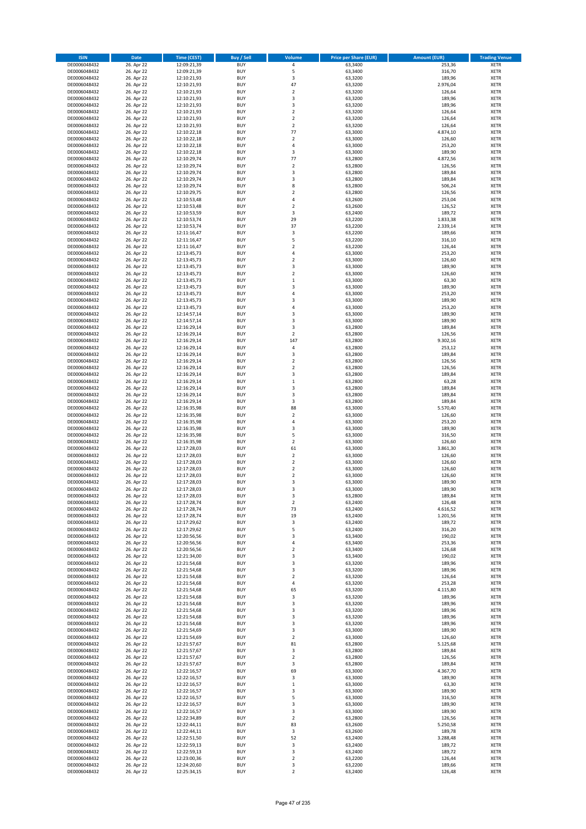| <b>ISIN</b>                  | <b>Date</b>              | <b>Time (CEST)</b>         | <b>Buy / Sell</b>        | Volume                           | <b>Price per Share (EUR)</b> | <b>Amount (EUR)</b> | <b>Trading Venue</b>       |
|------------------------------|--------------------------|----------------------------|--------------------------|----------------------------------|------------------------------|---------------------|----------------------------|
| DE0006048432                 | 26. Apr 22               | 12:09:21,39                | <b>BUY</b>               | 4                                | 63,3400                      | 253,36              | <b>XETR</b>                |
| DE0006048432                 | 26. Apr 22               | 12:09:21,39                | <b>BUY</b>               | 5                                | 63,3400                      | 316,70              | <b>XETR</b>                |
| DE0006048432                 | 26. Apr 22               | 12:10:21,93                | <b>BUY</b>               | 3                                | 63,3200                      | 189,96              | <b>XETR</b>                |
| DE0006048432                 | 26. Apr 22               | 12:10:21,93                | <b>BUY</b>               | 47                               | 63,3200                      | 2.976,04            | <b>XETR</b>                |
| DE0006048432<br>DE0006048432 | 26. Apr 22<br>26. Apr 22 | 12:10:21,93<br>12:10:21,93 | <b>BUY</b><br><b>BUY</b> | $\overline{2}$<br>3              | 63,3200<br>63,3200           | 126,64<br>189,96    | <b>XETR</b><br><b>XETR</b> |
| DE0006048432                 | 26. Apr 22               | 12:10:21,93                | <b>BUY</b>               | 3                                | 63,3200                      | 189,96              | <b>XETR</b>                |
| DE0006048432                 | 26. Apr 22               | 12:10:21,93                | <b>BUY</b>               | $\overline{\mathbf{2}}$          | 63,3200                      | 126,64              | <b>XETR</b>                |
| DE0006048432                 | 26. Apr 22               | 12:10:21,93                | BUY                      | $\overline{\mathbf{2}}$          | 63,3200                      | 126,64              | <b>XETR</b>                |
| DE0006048432                 | 26. Apr 22               | 12:10:21,93                | <b>BUY</b>               | $\mathbf 2$                      | 63,3200                      | 126,64              | <b>XETR</b>                |
| DE0006048432                 | 26. Apr 22               | 12:10:22,18                | <b>BUY</b>               | 77                               | 63,3000                      | 4.874,10            | <b>XETR</b>                |
| DE0006048432                 | 26. Apr 22               | 12:10:22,18                | <b>BUY</b>               | $\overline{2}$<br>$\overline{a}$ | 63,3000                      | 126,60              | <b>XETR</b>                |
| DE0006048432<br>DE0006048432 | 26. Apr 22<br>26. Apr 22 | 12:10:22,18<br>12:10:22,18 | BUY<br><b>BUY</b>        | 3                                | 63,3000<br>63,3000           | 253,20<br>189,90    | <b>XETR</b><br><b>XETR</b> |
| DE0006048432                 | 26. Apr 22               | 12:10:29,74                | <b>BUY</b>               | 77                               | 63,2800                      | 4.872,56            | <b>XETR</b>                |
| DE0006048432                 | 26. Apr 22               | 12:10:29,74                | BUY                      | $\overline{\mathbf{2}}$          | 63,2800                      | 126,56              | <b>XETR</b>                |
| DE0006048432                 | 26. Apr 22               | 12:10:29,74                | <b>BUY</b>               | 3                                | 63,2800                      | 189,84              | <b>XETR</b>                |
| DE0006048432                 | 26. Apr 22               | 12:10:29,74                | <b>BUY</b>               | 3                                | 63,2800                      | 189,84              | <b>XETR</b>                |
| DE0006048432                 | 26. Apr 22               | 12:10:29,74                | <b>BUY</b>               | 8                                | 63,2800                      | 506,24              | <b>XETR</b>                |
| DE0006048432<br>DE0006048432 | 26. Apr 22<br>26. Apr 22 | 12:10:29,75<br>12:10:53,48 | <b>BUY</b><br><b>BUY</b> | $\overline{2}$<br>$\overline{4}$ | 63,2800<br>63,2600           | 126,56<br>253,04    | <b>XETR</b><br><b>XETR</b> |
| DE0006048432                 | 26. Apr 22               | 12:10:53,48                | <b>BUY</b>               | $\mathbf 2$                      | 63,2600                      | 126,52              | <b>XETR</b>                |
| DE0006048432                 | 26. Apr 22               | 12:10:53,59                | <b>BUY</b>               | 3                                | 63,2400                      | 189,72              | <b>XETR</b>                |
| DE0006048432                 | 26. Apr 22               | 12:10:53,74                | BUY                      | 29                               | 63,2200                      | 1.833,38            | <b>XETR</b>                |
| DE0006048432                 | 26. Apr 22               | 12:10:53,74                | <b>BUY</b>               | 37                               | 63,2200                      | 2.339,14            | <b>XETR</b>                |
| DE0006048432                 | 26. Apr 22               | 12:11:16,47                | <b>BUY</b>               | 3                                | 63,2200                      | 189,66              | <b>XETR</b>                |
| DE0006048432                 | 26. Apr 22               | 12:11:16,47                | <b>BUY</b>               | 5                                | 63,2200                      | 316,10              | <b>XETR</b>                |
| DE0006048432<br>DE0006048432 | 26. Apr 22<br>26. Apr 22 | 12:11:16,47<br>12:13:45,73 | <b>BUY</b><br><b>BUY</b> | $\overline{\mathbf{2}}$<br>4     | 63,2200<br>63,3000           | 126,44<br>253,20    | <b>XETR</b><br><b>XETR</b> |
| DE0006048432                 | 26. Apr 22               | 12:13:45,73                | <b>BUY</b>               | $\overline{\mathbf{2}}$          | 63,3000                      | 126,60              | <b>XETR</b>                |
| DE0006048432                 | 26. Apr 22               | 12:13:45,73                | <b>BUY</b>               | 3                                | 63,3000                      | 189,90              | <b>XETR</b>                |
| DE0006048432                 | 26. Apr 22               | 12:13:45,73                | <b>BUY</b>               | $\mathbf 2$                      | 63,3000                      | 126,60              | <b>XETR</b>                |
| DE0006048432                 | 26. Apr 22               | 12:13:45,73                | <b>BUY</b>               | $\mathbf 1$                      | 63,3000                      | 63,30               | <b>XETR</b>                |
| DE0006048432                 | 26. Apr 22               | 12:13:45,73                | <b>BUY</b>               | $\overline{\mathbf{3}}$          | 63,3000                      | 189,90              | <b>XETR</b>                |
| DE0006048432<br>DE0006048432 | 26. Apr 22<br>26. Apr 22 | 12:13:45,73<br>12:13:45,73 | <b>BUY</b><br><b>BUY</b> | $\overline{4}$<br>3              | 63,3000<br>63,3000           | 253,20<br>189,90    | <b>XETR</b><br><b>XETR</b> |
| DE0006048432                 | 26. Apr 22               | 12:13:45,73                | <b>BUY</b>               | $\overline{a}$                   | 63,3000                      | 253,20              | <b>XETR</b>                |
| DE0006048432                 | 26. Apr 22               | 12:14:57,14                | <b>BUY</b>               | $\overline{3}$                   | 63,3000                      | 189,90              | <b>XETR</b>                |
| DE0006048432                 | 26. Apr 22               | 12:14:57,14                | <b>BUY</b>               | 3                                | 63,3000                      | 189,90              | <b>XETR</b>                |
| DE0006048432                 | 26. Apr 22               | 12:16:29,14                | <b>BUY</b>               | 3                                | 63,2800                      | 189,84              | <b>XETR</b>                |
| DE0006048432                 | 26. Apr 22               | 12:16:29,14                | <b>BUY</b>               | $\overline{2}$                   | 63,2800                      | 126,56              | <b>XETR</b>                |
| DE0006048432<br>DE0006048432 | 26. Apr 22<br>26. Apr 22 | 12:16:29,14<br>12:16:29,14 | <b>BUY</b><br><b>BUY</b> | 147<br>4                         | 63,2800<br>63,2800           | 9.302,16<br>253,12  | <b>XETR</b><br><b>XETR</b> |
| DE0006048432                 | 26. Apr 22               | 12:16:29,14                | <b>BUY</b>               | 3                                | 63,2800                      | 189,84              | <b>XETR</b>                |
| DE0006048432                 | 26. Apr 22               | 12:16:29,14                | <b>BUY</b>               | $\overline{\mathbf{2}}$          | 63,2800                      | 126,56              | <b>XETR</b>                |
| DE0006048432                 | 26. Apr 22               | 12:16:29,14                | <b>BUY</b>               | $\overline{\mathbf{2}}$          | 63,2800                      | 126,56              | <b>XETR</b>                |
| DE0006048432                 | 26. Apr 22               | 12:16:29,14                | <b>BUY</b>               | 3                                | 63,2800                      | 189,84              | <b>XETR</b>                |
| DE0006048432                 | 26. Apr 22               | 12:16:29,14                | <b>BUY</b>               | $\mathbf{1}$                     | 63,2800                      | 63,28               | <b>XETR</b>                |
| DE0006048432<br>DE0006048432 | 26. Apr 22               | 12:16:29,14<br>12:16:29,14 | <b>BUY</b><br><b>BUY</b> | 3<br>3                           | 63,2800<br>63,2800           | 189,84<br>189,84    | <b>XETR</b><br><b>XETR</b> |
| DE0006048432                 | 26. Apr 22<br>26. Apr 22 | 12:16:29,14                | <b>BUY</b>               | 3                                | 63,2800                      | 189,84              | <b>XETR</b>                |
| DE0006048432                 | 26. Apr 22               | 12:16:35,98                | <b>BUY</b>               | 88                               | 63,3000                      | 5.570,40            | <b>XETR</b>                |
| DE0006048432                 | 26. Apr 22               | 12:16:35,98                | <b>BUY</b>               | $\overline{2}$                   | 63,3000                      | 126,60              | <b>XETR</b>                |
| DE0006048432                 | 26. Apr 22               | 12:16:35,98                | <b>BUY</b>               | $\overline{4}$                   | 63,3000                      | 253,20              | <b>XETR</b>                |
| DE0006048432                 | 26. Apr 22               | 12:16:35,98                | <b>BUY</b>               | $\overline{\mathbf{3}}$          | 63,3000                      | 189,90              | <b>XETR</b>                |
| DE0006048432                 | 26. Apr 22               | 12:16:35,98                | <b>BUY</b>               | 5                                | 63,3000                      | 316,50              | <b>XETR</b>                |
| DE0006048432<br>DE0006048432 | 26. Apr 22<br>26. Apr 22 | 12:16:35,98<br>12:17:28,03 | <b>BUY</b><br><b>BUY</b> | $\overline{\mathbf{2}}$<br>61    | 63,3000<br>63,3000           | 126,60<br>3.861,30  | <b>XETR</b><br><b>XETR</b> |
| DE0006048432                 | 26. Apr 22               | 12:17:28,03                | BUY                      | $\overline{2}$                   | 63,3000                      | 126,60              | <b>XETR</b>                |
| DE0006048432                 | 26. Apr 22               | 12:17:28,03                | <b>BUY</b>               | $\overline{2}$                   | 63,3000                      | 126,60              | <b>XETR</b>                |
| DE0006048432                 | 26. Apr 22               | 12:17:28,03                | <b>BUY</b>               | $\mathbf 2$                      | 63,3000                      | 126,60              | <b>XETR</b>                |
| DE0006048432                 | 26. Apr 22               | 12:17:28,03                | BUY                      | $\overline{\mathbf{2}}$          | 63,3000                      | 126,60              | <b>XETR</b>                |
| DE0006048432                 | 26. Apr 22               | 12:17:28,03                | BUY                      | 3<br>$\overline{3}$              | 63,3000                      | 189,90              | <b>XETR</b>                |
| DE0006048432<br>DE0006048432 | 26. Apr 22<br>26. Apr 22 | 12:17:28,03<br>12:17:28,03 | <b>BUY</b><br>BUY        | 3                                | 63,3000<br>63,2800           | 189,90<br>189,84    | <b>XETR</b><br><b>XETR</b> |
| DE0006048432                 | 26. Apr 22               | 12:17:28,74                | <b>BUY</b>               | $\mathbf 2$                      | 63,2400                      | 126,48              | <b>XETR</b>                |
| DE0006048432                 | 26. Apr 22               | 12:17:28,74                | <b>BUY</b>               | 73                               | 63,2400                      | 4.616,52            | <b>XETR</b>                |
| DE0006048432                 | 26. Apr 22               | 12:17:28,74                | <b>BUY</b>               | 19                               | 63,2400                      | 1.201,56            | <b>XETR</b>                |
| DE0006048432                 | 26. Apr 22               | 12:17:29,62                | <b>BUY</b>               | 3                                | 63,2400                      | 189,72              | <b>XETR</b>                |
| DE0006048432<br>DE0006048432 | 26. Apr 22<br>26. Apr 22 | 12:17:29,62                | <b>BUY</b><br><b>BUY</b> | 5<br>3                           | 63,2400<br>63,3400           | 316,20<br>190,02    | <b>XETR</b><br><b>XETR</b> |
| DE0006048432                 | 26. Apr 22               | 12:20:56,56<br>12:20:56,56 | <b>BUY</b>               | 4                                | 63,3400                      | 253,36              | <b>XETR</b>                |
| DE0006048432                 | 26. Apr 22               | 12:20:56,56                | <b>BUY</b>               | $\mathbf 2$                      | 63,3400                      | 126,68              | <b>XETR</b>                |
| DE0006048432                 | 26. Apr 22               | 12:21:34,00                | <b>BUY</b>               | 3                                | 63,3400                      | 190,02              | <b>XETR</b>                |
| DE0006048432                 | 26. Apr 22               | 12:21:54,68                | <b>BUY</b>               | 3                                | 63,3200                      | 189,96              | <b>XETR</b>                |
| DE0006048432                 | 26. Apr 22               | 12:21:54,68                | <b>BUY</b>               | 3                                | 63,3200                      | 189,96              | <b>XETR</b>                |
| DE0006048432<br>DE0006048432 | 26. Apr 22<br>26. Apr 22 | 12:21:54,68<br>12:21:54,68 | <b>BUY</b><br><b>BUY</b> | $\mathbf 2$<br>4                 | 63,3200<br>63,3200           | 126,64<br>253,28    | <b>XETR</b><br><b>XETR</b> |
| DE0006048432                 | 26. Apr 22               | 12:21:54,68                | <b>BUY</b>               | 65                               | 63,3200                      | 4.115,80            | <b>XETR</b>                |
| DE0006048432                 | 26. Apr 22               | 12:21:54,68                | <b>BUY</b>               | 3                                | 63,3200                      | 189,96              | <b>XETR</b>                |
| DE0006048432                 | 26. Apr 22               | 12:21:54,68                | <b>BUY</b>               | 3                                | 63,3200                      | 189,96              | <b>XETR</b>                |
| DE0006048432                 | 26. Apr 22               | 12:21:54,68                | <b>BUY</b>               | 3                                | 63,3200                      | 189,96              | <b>XETR</b>                |
| DE0006048432                 | 26. Apr 22               | 12:21:54,68                | <b>BUY</b>               | 3                                | 63,3200                      | 189,96              | <b>XETR</b>                |
| DE0006048432<br>DE0006048432 | 26. Apr 22<br>26. Apr 22 | 12:21:54,68<br>12:21:54,69 | <b>BUY</b><br><b>BUY</b> | 3<br>3                           | 63,3200<br>63,3000           | 189,96<br>189,90    | <b>XETR</b><br><b>XETR</b> |
| DE0006048432                 | 26. Apr 22               | 12:21:54,69                | <b>BUY</b>               | $\mathbf 2$                      | 63,3000                      | 126,60              | <b>XETR</b>                |
| DE0006048432                 | 26. Apr 22               | 12:21:57,67                | <b>BUY</b>               | 81                               | 63,2800                      | 5.125,68            | <b>XETR</b>                |
| DE0006048432                 | 26. Apr 22               | 12:21:57,67                | <b>BUY</b>               | 3                                | 63,2800                      | 189,84              | <b>XETR</b>                |
| DE0006048432                 | 26. Apr 22               | 12:21:57,67                | <b>BUY</b>               | $\mathbf 2$                      | 63,2800                      | 126,56              | <b>XETR</b>                |
| DE0006048432                 | 26. Apr 22               | 12:21:57,67                | <b>BUY</b>               | 3                                | 63,2800                      | 189,84              | <b>XETR</b>                |
| DE0006048432                 | 26. Apr 22               | 12:22:16,57                | <b>BUY</b>               | 69                               | 63,3000                      | 4.367,70            | <b>XETR</b>                |
| DE0006048432<br>DE0006048432 | 26. Apr 22<br>26. Apr 22 | 12:22:16,57<br>12:22:16,57 | <b>BUY</b><br><b>BUY</b> | 3<br>$\mathbf 1$                 | 63,3000<br>63,3000           | 189,90<br>63,30     | <b>XETR</b><br><b>XETR</b> |
| DE0006048432                 | 26. Apr 22               | 12:22:16,57                | <b>BUY</b>               | $\overline{\mathbf{3}}$          | 63,3000                      | 189,90              | <b>XETR</b>                |
| DE0006048432                 | 26. Apr 22               | 12:22:16,57                | <b>BUY</b>               | 5                                | 63,3000                      | 316,50              | <b>XETR</b>                |
| DE0006048432                 | 26. Apr 22               | 12:22:16,57                | <b>BUY</b>               | 3                                | 63,3000                      | 189,90              | <b>XETR</b>                |
| DE0006048432                 | 26. Apr 22               | 12:22:16,57                | <b>BUY</b>               | 3                                | 63,3000                      | 189,90              | <b>XETR</b>                |
| DE0006048432                 | 26. Apr 22               | 12:22:34,89                | <b>BUY</b>               | $\overline{2}$                   | 63,2800                      | 126,56              | <b>XETR</b>                |
| DE0006048432<br>DE0006048432 | 26. Apr 22<br>26. Apr 22 | 12:22:44,11<br>12:22:44,11 | <b>BUY</b><br><b>BUY</b> | 83<br>3                          | 63,2600<br>63,2600           | 5.250,58<br>189,78  | <b>XETR</b><br><b>XETR</b> |
| DE0006048432                 | 26. Apr 22               | 12:22:51,50                | <b>BUY</b>               | 52                               | 63,2400                      | 3.288,48            | <b>XETR</b>                |
| DE0006048432                 | 26. Apr 22               | 12:22:59,13                | <b>BUY</b>               | 3                                | 63,2400                      | 189,72              | <b>XETR</b>                |
| DE0006048432                 | 26. Apr 22               | 12:22:59,13                | <b>BUY</b>               | 3                                | 63,2400                      | 189,72              | <b>XETR</b>                |
| DE0006048432                 | 26. Apr 22               | 12:23:00,36                | <b>BUY</b>               | $\mathbf 2$                      | 63,2200                      | 126,44              | <b>XETR</b>                |
| DE0006048432                 | 26. Apr 22               | 12:24:20,60                | <b>BUY</b>               | 3                                | 63,2200                      | 189,66              | <b>XETR</b>                |
| DE0006048432                 | 26. Apr 22               | 12:25:34,15                | <b>BUY</b>               | 2                                | 63,2400                      | 126,48              | <b>XETR</b>                |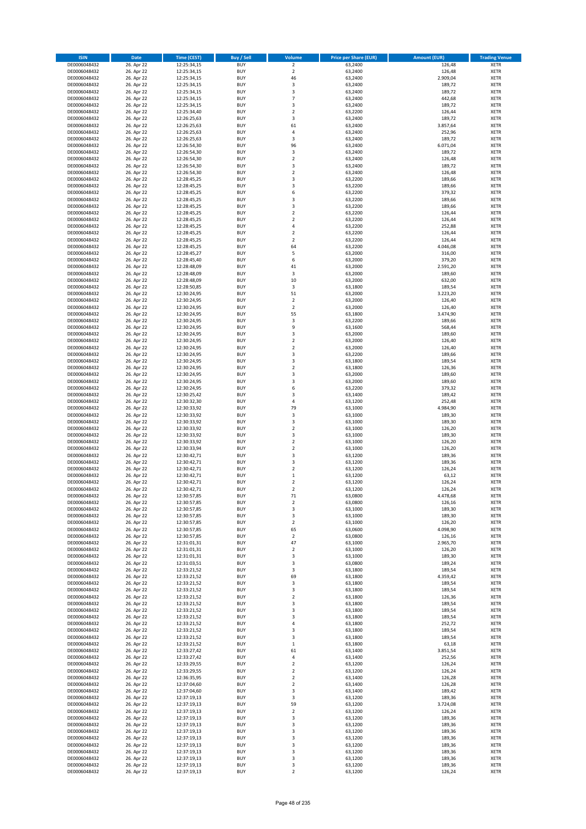| <b>ISIN</b>                  | <b>Date</b>              | <b>Time (CEST)</b>         | <b>Buy / Sell</b>        | <b>Volume</b>                          | <b>Price per Share (EUR)</b> | <b>Amount (EUR)</b> | <b>Trading Venue</b>       |
|------------------------------|--------------------------|----------------------------|--------------------------|----------------------------------------|------------------------------|---------------------|----------------------------|
| DE0006048432                 | 26. Apr 22               | 12:25:34,15                | <b>BUY</b>               | $\overline{2}$                         | 63,2400                      | 126,48              | <b>XETR</b>                |
| DE0006048432                 | 26. Apr 22               | 12:25:34,15                | <b>BUY</b>               | $\mathbf 2$                            | 63,2400                      | 126,48              | <b>XETR</b>                |
| DE0006048432                 | 26. Apr 22               | 12:25:34,15                | <b>BUY</b>               | 46                                     | 63.2400                      | 2.909,04            | <b>XETR</b>                |
| DE0006048432                 | 26. Apr 22               | 12:25:34,15                | <b>BUY</b>               | 3                                      | 63,2400                      | 189,72              | <b>XETR</b>                |
| DE0006048432<br>DE0006048432 | 26. Apr 22<br>26. Apr 22 | 12:25:34,15<br>12:25:34,15 | <b>BUY</b><br><b>BUY</b> | 3<br>$\overline{7}$                    | 63,2400<br>63,2400           | 189,72<br>442,68    | <b>XETR</b><br><b>XETR</b> |
| DE0006048432                 | 26. Apr 22               | 12:25:34,15                | <b>BUY</b>               | 3                                      | 63,2400                      | 189,72              | <b>XETR</b>                |
| DE0006048432                 | 26. Apr 22               | 12:25:34,40                | <b>BUY</b>               | $\overline{\mathbf{c}}$                | 63,2200                      | 126,44              | <b>XETR</b>                |
| DE0006048432                 | 26. Apr 22               | 12:26:25,63                | <b>BUY</b>               | 3                                      | 63,2400                      | 189,72              | <b>XETR</b>                |
| DE0006048432                 | 26. Apr 22               | 12:26:25,63                | <b>BUY</b>               | 61                                     | 63,2400                      | 3.857,64            | <b>XETR</b>                |
| DE0006048432                 | 26. Apr 22               | 12:26:25,63                | <b>BUY</b>               | 4                                      | 63,2400                      | 252,96              | <b>XETR</b>                |
| DE0006048432                 | 26. Apr 22               | 12:26:25,63                | <b>BUY</b>               | 3<br>96                                | 63,2400                      | 189,72              | <b>XETR</b><br><b>XETR</b> |
| DE0006048432<br>DE0006048432 | 26. Apr 22<br>26. Apr 22 | 12:26:54,30<br>12:26:54,30 | <b>BUY</b><br><b>BUY</b> | 3                                      | 63,2400<br>63,2400           | 6.071,04<br>189,72  | <b>XETR</b>                |
| DE0006048432                 | 26. Apr 22               | 12:26:54,30                | <b>BUY</b>               | $\overline{\mathbf{c}}$                | 63,2400                      | 126,48              | <b>XETR</b>                |
| DE0006048432                 | 26. Apr 22               | 12:26:54,30                | <b>BUY</b>               | 3                                      | 63,2400                      | 189,72              | <b>XETR</b>                |
| DE0006048432                 | 26. Apr 22               | 12:26:54,30                | <b>BUY</b>               | $\mathbf 2$                            | 63,2400                      | 126,48              | <b>XETR</b>                |
| DE0006048432                 | 26. Apr 22               | 12:28:45,25                | <b>BUY</b>               | 3                                      | 63,2200                      | 189,66              | <b>XETR</b>                |
| DE0006048432                 | 26. Apr 22               | 12:28:45,25                | <b>BUY</b>               | 3                                      | 63,2200                      | 189,66              | <b>XETR</b>                |
| DE0006048432<br>DE0006048432 | 26. Apr 22<br>26. Apr 22 | 12:28:45,25<br>12:28:45,25 | <b>BUY</b><br><b>BUY</b> | 6<br>3                                 | 63,2200<br>63,2200           | 379,32<br>189,66    | <b>XETR</b><br><b>XETR</b> |
| DE0006048432                 | 26. Apr 22               | 12:28:45,25                | <b>BUY</b>               | 3                                      | 63,2200                      | 189,66              | <b>XETR</b>                |
| DE0006048432                 | 26. Apr 22               | 12:28:45,25                | <b>BUY</b>               | $\mathbf 2$                            | 63,2200                      | 126,44              | <b>XETR</b>                |
| DE0006048432                 | 26. Apr 22               | 12:28:45,25                | <b>BUY</b>               | $\mathbf 2$                            | 63,2200                      | 126,44              | <b>XETR</b>                |
| DE0006048432                 | 26. Apr 22               | 12:28:45,25                | <b>BUY</b>               | 4                                      | 63,2200                      | 252,88              | <b>XETR</b>                |
| DE0006048432                 | 26. Apr 22               | 12:28:45,25                | <b>BUY</b>               | $\mathbf 2$                            | 63,2200                      | 126,44              | <b>XETR</b>                |
| DE0006048432<br>DE0006048432 | 26. Apr 22<br>26. Apr 22 | 12:28:45,25<br>12:28:45,25 | <b>BUY</b><br><b>BUY</b> | $\mathbf 2$<br>64                      | 63,2200<br>63,2200           | 126,44<br>4.046,08  | <b>XETR</b><br><b>XETR</b> |
| DE0006048432                 | 26. Apr 22               | 12:28:45,27                | <b>BUY</b>               | 5                                      | 63,2000                      | 316,00              | <b>XETR</b>                |
| DE0006048432                 | 26. Apr 22               | 12:28:45,40                | <b>BUY</b>               | 6                                      | 63,2000                      | 379,20              | <b>XETR</b>                |
| DE0006048432                 | 26. Apr 22               | 12:28:48,09                | <b>BUY</b>               | 41                                     | 63,2000                      | 2.591,20            | <b>XETR</b>                |
| DE0006048432                 | 26. Apr 22               | 12:28:48,09                | <b>BUY</b>               | 3                                      | 63,2000                      | 189,60              | <b>XETR</b>                |
| DE0006048432                 | 26. Apr 22               | 12:28:48,09                | <b>BUY</b>               | 10                                     | 63,2000                      | 632,00              | <b>XETR</b>                |
| DE0006048432                 | 26. Apr 22               | 12:28:50,85                | <b>BUY</b>               | 3                                      | 63,1800                      | 189,54              | <b>XETR</b>                |
| DE0006048432<br>DE0006048432 | 26. Apr 22<br>26. Apr 22 | 12:30:24,95<br>12:30:24,95 | <b>BUY</b><br><b>BUY</b> | 51<br>$\mathbf 2$                      | 63,2000<br>63,2000           | 3.223,20<br>126,40  | <b>XETR</b><br><b>XETR</b> |
| DE0006048432                 | 26. Apr 22               | 12:30:24,95                | <b>BUY</b>               | $\overline{2}$                         | 63,2000                      | 126,40              | <b>XETR</b>                |
| DE0006048432                 | 26. Apr 22               | 12:30:24,95                | <b>BUY</b>               | 55                                     | 63,1800                      | 3.474,90            | <b>XETR</b>                |
| DE0006048432                 | 26. Apr 22               | 12:30:24,95                | <b>BUY</b>               | 3                                      | 63,2200                      | 189,66              | <b>XETR</b>                |
| DE0006048432                 | 26. Apr 22               | 12:30:24,95                | <b>BUY</b>               | 9                                      | 63,1600                      | 568,44              | <b>XETR</b>                |
| DE0006048432                 | 26. Apr 22               | 12:30:24,95                | <b>BUY</b>               | 3                                      | 63,2000                      | 189,60              | <b>XETR</b>                |
| DE0006048432                 | 26. Apr 22<br>26. Apr 22 | 12:30:24,95                | <b>BUY</b><br><b>BUY</b> | $\mathbf 2$<br>$\mathbf 2$             | 63,2000<br>63,2000           | 126,40<br>126,40    | <b>XETR</b><br><b>XETR</b> |
| DE0006048432<br>DE0006048432 | 26. Apr 22               | 12:30:24,95<br>12:30:24,95 | <b>BUY</b>               | 3                                      | 63,2200                      | 189,66              | <b>XETR</b>                |
| DE0006048432                 | 26. Apr 22               | 12:30:24,95                | <b>BUY</b>               | 3                                      | 63,1800                      | 189,54              | <b>XETR</b>                |
| DE0006048432                 | 26. Apr 22               | 12:30:24,95                | <b>BUY</b>               | $\overline{2}$                         | 63,1800                      | 126,36              | <b>XETR</b>                |
| DE0006048432                 | 26. Apr 22               | 12:30:24,95                | <b>BUY</b>               | 3                                      | 63,2000                      | 189,60              | <b>XETR</b>                |
| DE0006048432                 | 26. Apr 22               | 12:30:24,95                | <b>BUY</b>               | 3                                      | 63,2000                      | 189,60              | <b>XETR</b>                |
| DE0006048432<br>DE0006048432 | 26. Apr 22<br>26. Apr 22 | 12:30:24,95<br>12:30:25,42 | <b>BUY</b><br><b>BUY</b> | 6<br>3                                 | 63,2200<br>63,1400           | 379,32<br>189,42    | <b>XETR</b><br><b>XETR</b> |
| DE0006048432                 | 26. Apr 22               | 12:30:32,30                | <b>BUY</b>               | 4                                      | 63,1200                      | 252,48              | <b>XETR</b>                |
| DE0006048432                 | 26. Apr 22               | 12:30:33,92                | <b>BUY</b>               | 79                                     | 63,1000                      | 4.984,90            | <b>XETR</b>                |
| DE0006048432                 | 26. Apr 22               | 12:30:33,92                | <b>BUY</b>               | 3                                      | 63,1000                      | 189,30              | <b>XETR</b>                |
| DE0006048432                 | 26. Apr 22               | 12:30:33,92                | <b>BUY</b>               | 3                                      | 63,1000                      | 189,30              | <b>XETR</b>                |
| DE0006048432                 | 26. Apr 22               | 12:30:33,92                | <b>BUY</b>               | $\overline{\mathbf{c}}$                | 63,1000                      | 126,20              | <b>XETR</b>                |
| DE0006048432                 | 26. Apr 22               | 12:30:33,92                | <b>BUY</b>               | 3                                      | 63,1000                      | 189,30              | <b>XETR</b>                |
| DE0006048432<br>DE0006048432 | 26. Apr 22<br>26. Apr 22 | 12:30:33,92<br>12:30:33,94 | <b>BUY</b><br><b>BUY</b> | $\overline{\mathbf{c}}$<br>$\mathbf 2$ | 63,1000<br>63,1000           | 126,20<br>126,20    | <b>XETR</b><br><b>XETR</b> |
| DE0006048432                 | 26. Apr 22               | 12:30:42,71                | <b>BUY</b>               | 3                                      | 63,1200                      | 189,36              | <b>XETR</b>                |
| DE0006048432                 | 26. Apr 22               | 12:30:42,71                | <b>BUY</b>               | 3                                      | 63,1200                      | 189,36              | <b>XETR</b>                |
| DE0006048432                 | 26. Apr 22               | 12:30:42,71                | <b>BUY</b>               | $\mathbf 2$                            | 63,1200                      | 126,24              | <b>XETR</b>                |
| DE0006048432                 | 26. Apr 22               | 12:30:42,71                | <b>BUY</b>               | $\mathbf 1$                            | 63,1200                      | 63,12               | <b>XETR</b>                |
| DE0006048432                 | 26. Apr 22               | 12:30:42,71                | <b>BUY</b>               | $\overline{\mathbf{c}}$                | 63,1200                      | 126,24              | <b>XETR</b>                |
| DE0006048432<br>DE0006048432 | 26. Apr 22<br>26. Apr 22 | 12:30:42,71<br>12:30:57,85 | <b>BUY</b><br>BUY        | $\overline{2}$<br>71                   | 63,1200<br>63,0800           | 126,24<br>4.478,68  | <b>XETR</b><br><b>XETR</b> |
| DE0006048432                 | 26. Apr 22               | 12:30:57,85                | <b>BUY</b>               | 2                                      | 63,0800                      | 126,16              | <b>XETR</b>                |
| DE0006048432                 | 26. Apr 22               | 12:30:57,85                | <b>BUY</b>               | 3                                      | 63,1000                      | 189,30              | <b>XETR</b>                |
| DE0006048432                 | 26. Apr 22               | 12:30:57,85                | <b>BUY</b>               | 3                                      | 63,1000                      | 189,30              | XETR                       |
| DE0006048432                 | 26. Apr 22               | 12:30:57,85                | <b>BUY</b>               | $\mathbf 2$                            | 63,1000                      | 126,20              | <b>XETR</b>                |
| DE0006048432                 | 26. Apr 22               | 12:30:57,85                | <b>BUY</b>               | 65                                     | 63,0600                      | 4.098,90            | <b>XETR</b>                |
| DE0006048432<br>DE0006048432 | 26. Apr 22<br>26. Apr 22 | 12:30:57,85<br>12:31:01,31 | <b>BUY</b><br><b>BUY</b> | $\mathbf 2$<br>47                      | 63,0800<br>63,1000           | 126,16<br>2.965,70  | <b>XETR</b><br><b>XETR</b> |
| DE0006048432                 | 26. Apr 22               | 12:31:01,31                | <b>BUY</b>               | $\mathbf 2$                            | 63,1000                      | 126,20              | <b>XETR</b>                |
| DE0006048432                 | 26. Apr 22               | 12:31:01,31                | <b>BUY</b>               | 3                                      | 63,1000                      | 189,30              | <b>XETR</b>                |
| DE0006048432                 | 26. Apr 22               | 12:31:03,51                | <b>BUY</b>               | 3                                      | 63,0800                      | 189,24              | <b>XETR</b>                |
| DE0006048432                 | 26. Apr 22               | 12:33:21,52                | <b>BUY</b>               | 3                                      | 63,1800                      | 189,54              | <b>XETR</b>                |
| DE0006048432                 | 26. Apr 22               | 12:33:21,52                | <b>BUY</b>               | 69                                     | 63,1800                      | 4.359,42            | <b>XETR</b>                |
| DE0006048432<br>DE0006048432 | 26. Apr 22<br>26. Apr 22 | 12:33:21,52<br>12:33:21,52 | <b>BUY</b><br><b>BUY</b> | 3<br>3                                 | 63,1800<br>63,1800           | 189,54<br>189,54    | <b>XETR</b><br><b>XETR</b> |
| DE0006048432                 | 26. Apr 22               | 12:33:21,52                | <b>BUY</b>               | $\overline{\mathbf{c}}$                | 63,1800                      | 126,36              | <b>XETR</b>                |
| DE0006048432                 | 26. Apr 22               | 12:33:21,52                | <b>BUY</b>               | 3                                      | 63,1800                      | 189,54              | <b>XETR</b>                |
| DE0006048432                 | 26. Apr 22               | 12:33:21,52                | <b>BUY</b>               | 3                                      | 63,1800                      | 189,54              | <b>XETR</b>                |
| DE0006048432                 | 26. Apr 22               | 12:33:21,52                | <b>BUY</b>               | 3                                      | 63,1800                      | 189,54              | <b>XETR</b>                |
| DE0006048432                 | 26. Apr 22               | 12:33:21,52                | <b>BUY</b>               | 4                                      | 63,1800                      | 252,72              | <b>XETR</b>                |
| DE0006048432                 | 26. Apr 22               | 12:33:21,52                | <b>BUY</b><br><b>BUY</b> | 3                                      | 63,1800                      | 189,54<br>189,54    | <b>XETR</b>                |
| DE0006048432<br>DE0006048432 | 26. Apr 22<br>26. Apr 22 | 12:33:21,52<br>12:33:21,52 | <b>BUY</b>               | 3<br>$\mathbf 1$                       | 63,1800<br>63,1800           | 63,18               | <b>XETR</b><br><b>XETR</b> |
| DE0006048432                 | 26. Apr 22               | 12:33:27,42                | <b>BUY</b>               | 61                                     | 63,1400                      | 3.851,54            | <b>XETR</b>                |
| DE0006048432                 | 26. Apr 22               | 12:33:27,42                | <b>BUY</b>               | 4                                      | 63,1400                      | 252,56              | <b>XETR</b>                |
| DE0006048432                 | 26. Apr 22               | 12:33:29,55                | <b>BUY</b>               | $\mathbf 2$                            | 63,1200                      | 126,24              | <b>XETR</b>                |
| DE0006048432                 | 26. Apr 22               | 12:33:29,55                | <b>BUY</b>               | $\mathbf 2$                            | 63,1200                      | 126,24              | <b>XETR</b>                |
| DE0006048432                 | 26. Apr 22               | 12:36:35,95                | <b>BUY</b>               | $\overline{2}$                         | 63,1400                      | 126,28              | <b>XETR</b>                |
| DE0006048432<br>DE0006048432 | 26. Apr 22<br>26. Apr 22 | 12:37:04,60<br>12:37:04,60 | <b>BUY</b><br><b>BUY</b> | 2<br>3                                 | 63,1400<br>63,1400           | 126,28<br>189,42    | <b>XETR</b><br><b>XETR</b> |
| DE0006048432                 | 26. Apr 22               | 12:37:19,13                | <b>BUY</b>               | 3                                      | 63,1200                      | 189,36              | <b>XETR</b>                |
| DE0006048432                 | 26. Apr 22               | 12:37:19,13                | <b>BUY</b>               | 59                                     | 63,1200                      | 3.724,08            | <b>XETR</b>                |
| DE0006048432                 | 26. Apr 22               | 12:37:19,13                | <b>BUY</b>               | $\mathbf 2$                            | 63,1200                      | 126,24              | <b>XETR</b>                |
| DE0006048432                 | 26. Apr 22               | 12:37:19,13                | <b>BUY</b>               | 3                                      | 63,1200                      | 189,36              | <b>XETR</b>                |
| DE0006048432                 | 26. Apr 22               | 12:37:19,13                | <b>BUY</b>               | 3                                      | 63,1200                      | 189,36              | <b>XETR</b>                |
| DE0006048432<br>DE0006048432 | 26. Apr 22<br>26. Apr 22 | 12:37:19,13<br>12:37:19,13 | <b>BUY</b><br><b>BUY</b> | 3<br>3                                 | 63,1200<br>63,1200           | 189,36<br>189,36    | <b>XETR</b><br><b>XETR</b> |
| DE0006048432                 | 26. Apr 22               | 12:37:19,13                | <b>BUY</b>               | 3                                      | 63,1200                      | 189,36              | <b>XETR</b>                |
| DE0006048432                 | 26. Apr 22               | 12:37:19,13                | <b>BUY</b>               | 3                                      | 63,1200                      | 189,36              | <b>XETR</b>                |
| DE0006048432                 | 26. Apr 22               | 12:37:19,13                | <b>BUY</b>               | 3                                      | 63,1200                      | 189,36              | <b>XETR</b>                |
| DE0006048432                 | 26. Apr 22               | 12:37:19,13                | <b>BUY</b>               | 3                                      | 63,1200                      | 189,36              | <b>XETR</b>                |
| DE0006048432                 | 26. Apr 22               | 12:37:19,13                | <b>BUY</b>               | $\overline{2}$                         | 63,1200                      | 126,24              | <b>XETR</b>                |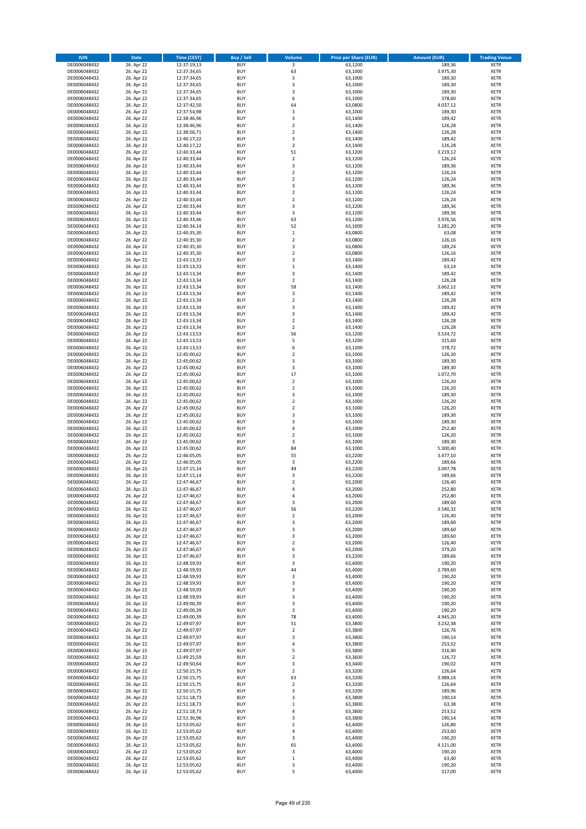| <b>ISIN</b>                  | <b>Date</b>              | <b>Time (CEST)</b>         | <b>Buy / Sell</b>        | <b>Volume</b>                | <b>Price per Share (EUR)</b> | <b>Amount (EUR)</b> | <b>Trading Venue</b>       |
|------------------------------|--------------------------|----------------------------|--------------------------|------------------------------|------------------------------|---------------------|----------------------------|
| DE0006048432                 | 26. Apr 22               | 12:37:19,13                | <b>BUY</b>               | $\overline{\mathbf{3}}$      | 63,1200                      | 189,36              | <b>XETR</b>                |
| DE0006048432                 | 26. Apr 22               | 12:37:34,65                | <b>BUY</b>               | 63                           | 63,1000                      | 3.975,30            | <b>XETR</b>                |
| DE0006048432                 | 26. Apr 22               | 12:37:34,65                | <b>BUY</b>               | 3                            | 63,1000                      | 189,30              | <b>XETR</b>                |
| DE0006048432<br>DE0006048432 | 26. Apr 22<br>26. Apr 22 | 12:37:34,65<br>12:37:34,65 | <b>BUY</b><br><b>BUY</b> | 3<br>3                       | 63,1000<br>63,1000           | 189,30<br>189,30    | <b>XETR</b><br><b>XETR</b> |
| DE0006048432                 | 26. Apr 22               | 12:37:34,65                | <b>BUY</b>               | 6                            | 63,1000                      | 378,60              | <b>XETR</b>                |
| DE0006048432                 | 26. Apr 22               | 12:37:42,50                | <b>BUY</b>               | 64                           | 63,0800                      | 4.037,12            | <b>XETR</b>                |
| DE0006048432                 | 26. Apr 22               | 12:37:54,98                | <b>BUY</b>               | 3                            | 63,1000                      | 189,30              | <b>XETR</b>                |
| DE0006048432                 | 26. Apr 22               | 12:38:46,96                | <b>BUY</b>               | 3                            | 63,1400                      | 189,42              | <b>XETR</b>                |
| DE0006048432                 | 26. Apr 22               | 12:38:46,96                | <b>BUY</b>               | $\mathbf 2$                  | 63,1400                      | 126,28              | <b>XETR</b>                |
| DE0006048432                 | 26. Apr 22               | 12:38:56,71                | <b>BUY</b>               | $\mathbf 2$                  | 63,1400                      | 126,28              | <b>XETR</b>                |
| DE0006048432<br>DE0006048432 | 26. Apr 22<br>26. Apr 22 | 12:40:17,22                | <b>BUY</b><br><b>BUY</b> | 3<br>$\mathbf 2$             | 63,1400<br>63,1400           | 189,42<br>126,28    | <b>XETR</b><br><b>XETR</b> |
| DE0006048432                 | 26. Apr 22               | 12:40:17,22<br>12:40:33,44 | <b>BUY</b>               | 51                           | 63,1200                      | 3.219,12            | <b>XETR</b>                |
| DE0006048432                 | 26. Apr 22               | 12:40:33,44                | <b>BUY</b>               | $\mathbf 2$                  | 63,1200                      | 126,24              | <b>XETR</b>                |
| DE0006048432                 | 26. Apr 22               | 12:40:33,44                | <b>BUY</b>               | 3                            | 63,1200                      | 189,36              | <b>XETR</b>                |
| DE0006048432                 | 26. Apr 22               | 12:40:33,44                | <b>BUY</b>               | $\overline{2}$               | 63,1200                      | 126,24              | <b>XETR</b>                |
| DE0006048432                 | 26. Apr 22               | 12:40:33,44                | <b>BUY</b>               | $\mathbf 2$                  | 63,1200                      | 126,24              | <b>XETR</b>                |
| DE0006048432                 | 26. Apr 22               | 12:40:33,44                | <b>BUY</b>               | 3                            | 63,1200                      | 189,36              | <b>XETR</b>                |
| DE0006048432                 | 26. Apr 22               | 12:40:33,44                | <b>BUY</b>               | $\mathbf 2$                  | 63,1200                      | 126,24              | <b>XETR</b>                |
| DE0006048432                 | 26. Apr 22               | 12:40:33,44                | <b>BUY</b>               | $\overline{\mathbf{c}}$      | 63,1200                      | 126,24              | <b>XETR</b>                |
| DE0006048432<br>DE0006048432 | 26. Apr 22<br>26. Apr 22 | 12:40:33,44<br>12:40:33,44 | <b>BUY</b><br><b>BUY</b> | 3<br>3                       | 63,1200<br>63,1200           | 189,36<br>189,36    | <b>XETR</b><br><b>XETR</b> |
| DE0006048432                 | 26. Apr 22               | 12:40:33,46                | <b>BUY</b>               | 63                           | 63,1200                      | 3.976,56            | <b>XETR</b>                |
| DE0006048432                 | 26. Apr 22               | 12:40:34,14                | <b>BUY</b>               | 52                           | 63,1000                      | 3.281,20            | <b>XETR</b>                |
| DE0006048432                 | 26. Apr 22               | 12:40:35,30                | <b>BUY</b>               | $\,$ 1                       | 63,0800                      | 63,08               | <b>XETR</b>                |
| DE0006048432                 | 26. Apr 22               | 12:40:35,30                | <b>BUY</b>               | $\mathbf 2$                  | 63,0800                      | 126,16              | <b>XETR</b>                |
| DE0006048432                 | 26. Apr 22               | 12:40:35,30                | <b>BUY</b>               | 3                            | 63,0800                      | 189,24              | <b>XETR</b>                |
| DE0006048432                 | 26. Apr 22               | 12:40:35,30                | <b>BUY</b>               | $\mathbf 2$                  | 63,0800                      | 126,16              | <b>XETR</b>                |
| DE0006048432                 | 26. Apr 22<br>26. Apr 22 | 12:43:13,33                | <b>BUY</b>               | 3<br>$\mathbf 1$             | 63,1400                      | 189,42              | <b>XETR</b>                |
| DE0006048432<br>DE0006048432 | 26. Apr 22               | 12:43:13,33<br>12:43:13,34 | <b>BUY</b><br><b>BUY</b> | 3                            | 63,1400<br>63,1400           | 63,14<br>189,42     | <b>XETR</b><br><b>XETR</b> |
| DE0006048432                 | 26. Apr 22               | 12:43:13,34                | <b>BUY</b>               | $\mathbf 2$                  | 63,1400                      | 126,28              | <b>XETR</b>                |
| DE0006048432                 | 26. Apr 22               | 12:43:13,34                | <b>BUY</b>               | 58                           | 63,1400                      | 3.662,12            | <b>XETR</b>                |
| DE0006048432                 | 26. Apr 22               | 12:43:13,34                | <b>BUY</b>               | 3                            | 63,1400                      | 189,42              | <b>XETR</b>                |
| DE0006048432                 | 26. Apr 22               | 12:43:13,34                | <b>BUY</b>               | $\mathbf 2$                  | 63,1400                      | 126,28              | <b>XETR</b>                |
| DE0006048432                 | 26. Apr 22               | 12:43:13,34                | <b>BUY</b>               | 3                            | 63,1400                      | 189,42              | <b>XETR</b>                |
| DE0006048432                 | 26. Apr 22               | 12:43:13,34                | <b>BUY</b>               | 3                            | 63,1400                      | 189,42              | <b>XETR</b>                |
| DE0006048432                 | 26. Apr 22               | 12:43:13,34                | <b>BUY</b>               | $\overline{2}$               | 63,1400                      | 126,28              | <b>XETR</b>                |
| DE0006048432                 | 26. Apr 22<br>26. Apr 22 | 12:43:13,34<br>12:43:13,53 | <b>BUY</b><br><b>BUY</b> | $\mathbf 2$<br>56            | 63,1400                      | 126,28              | <b>XETR</b><br><b>XETR</b> |
| DE0006048432<br>DE0006048432 | 26. Apr 22               | 12:43:13,53                | <b>BUY</b>               | 5                            | 63,1200<br>63,1200           | 3.534,72<br>315,60  | <b>XETR</b>                |
| DE0006048432                 | 26. Apr 22               | 12:43:13,53                | <b>BUY</b>               | 6                            | 63,1200                      | 378,72              | <b>XETR</b>                |
| DE0006048432                 | 26. Apr 22               | 12:45:00,62                | <b>BUY</b>               | $\overline{\mathbf{c}}$      | 63,1000                      | 126,20              | <b>XETR</b>                |
| DE0006048432                 | 26. Apr 22               | 12:45:00,62                | <b>BUY</b>               | 3                            | 63,1000                      | 189,30              | <b>XETR</b>                |
| DE0006048432                 | 26. Apr 22               | 12:45:00,62                | <b>BUY</b>               | 3                            | 63,1000                      | 189,30              | <b>XETR</b>                |
| DE0006048432                 | 26. Apr 22               | 12:45:00,62                | <b>BUY</b>               | 17                           | 63,1000                      | 1.072,70            | <b>XETR</b>                |
| DE0006048432                 | 26. Apr 22               | 12:45:00,62                | <b>BUY</b>               | $\mathbf 2$                  | 63,1000                      | 126,20              | <b>XETR</b>                |
| DE0006048432                 | 26. Apr 22               | 12:45:00,62                | <b>BUY</b>               | $\mathbf 2$                  | 63,1000                      | 126,20              | <b>XETR</b>                |
| DE0006048432<br>DE0006048432 | 26. Apr 22<br>26. Apr 22 | 12:45:00,62<br>12:45:00,62 | <b>BUY</b><br><b>BUY</b> | 3<br>$\overline{\mathbf{c}}$ | 63,1000<br>63,1000           | 189,30<br>126,20    | <b>XETR</b><br><b>XETR</b> |
| DE0006048432                 | 26. Apr 22               | 12:45:00,62                | <b>BUY</b>               | $\mathbf 2$                  | 63,1000                      | 126,20              | <b>XETR</b>                |
| DE0006048432                 | 26. Apr 22               | 12:45:00,62                | <b>BUY</b>               | 3                            | 63,1000                      | 189,30              | <b>XETR</b>                |
| DE0006048432                 | 26. Apr 22               | 12:45:00,62                | <b>BUY</b>               | 3                            | 63,1000                      | 189,30              | <b>XETR</b>                |
| DE0006048432                 | 26. Apr 22               | 12:45:00,62                | <b>BUY</b>               | 4                            | 63,1000                      | 252,40              | <b>XETR</b>                |
| DE0006048432                 | 26. Apr 22               | 12:45:00,62                | <b>BUY</b>               | $\mathbf 2$                  | 63,1000                      | 126,20              | <b>XETR</b>                |
| DE0006048432                 | 26. Apr 22               | 12:45:00,62                | <b>BUY</b>               | 3                            | 63,1000                      | 189,30              | <b>XETR</b>                |
| DE0006048432                 | 26. Apr 22               | 12:45:00,62                | <b>BUY</b>               | 84                           | 63,1000                      | 5.300,40            | <b>XETR</b>                |
| DE0006048432<br>DE0006048432 | 26. Apr 22               | 12:46:05,05                | <b>BUY</b><br><b>BUY</b> | 55<br>3                      | 63,2200                      | 3.477,10            | <b>XETR</b><br><b>XETR</b> |
| DE0006048432                 | 26. Apr 22<br>26. Apr 22 | 12:46:05,05<br>12:47:15,14 | <b>BUY</b>               | 49                           | 63,2200<br>63,2200           | 189,66<br>3.097,78  | <b>XETR</b>                |
| DE0006048432                 | 26. Apr 22               | 12:47:15,14                | <b>BUY</b>               | 3                            | 63,2200                      | 189,66              | <b>XETR</b>                |
| DE0006048432                 | 26. Apr 22               | 12:47:46,67                | <b>BUY</b>               | $\overline{\mathbf{c}}$      | 63,2000                      | 126,40              | <b>XETR</b>                |
| DE0006048432                 | 26. Apr 22               | 12:47:46,67                | <b>BUY</b>               | 4                            | 63,2000                      | 252,80              | <b>XETR</b>                |
| DE0006048432                 | 26. Apr 22               | 12:47:46,67                | BUY                      | 4                            | 63,2000                      | 252,80              | <b>XETR</b>                |
| DE0006048432                 | 26. Apr 22               | 12:47:46,67                | <b>BUY</b>               | 3                            | 63,2000                      | 189,60              | <b>XETR</b>                |
| DE0006048432                 | 26. Apr 22               | 12:47:46,67                | <b>BUY</b>               | 56                           | 63,2200                      | 3.540,32            | <b>XETR</b>                |
| DE0006048432<br>DE0006048432 | 26. Apr 22<br>26. Apr 22 | 12:47:46,67<br>12:47:46,67 | <b>BUY</b><br><b>BUY</b> | 2<br>3                       | 63,2000<br>63,2000           | 126,40<br>189,60    | <b>XETR</b><br><b>XETR</b> |
| DE0006048432                 | 26. Apr 22               | 12:47:46,67                | <b>BUY</b>               | 3                            | 63,2000                      | 189,60              | <b>XETR</b>                |
| DE0006048432                 | 26. Apr 22               | 12:47:46,67                | <b>BUY</b>               | 3                            | 63,2000                      | 189,60              | <b>XETR</b>                |
| DE0006048432                 | 26. Apr 22               | 12:47:46,67                | <b>BUY</b>               | $\mathbf 2$                  | 63,2000                      | 126,40              | <b>XETR</b>                |
| DE0006048432                 | 26. Apr 22               | 12:47:46,67                | <b>BUY</b>               | 6                            | 63,2000                      | 379,20              | <b>XETR</b>                |
| DE0006048432                 | 26. Apr 22               | 12:47:46,67                | <b>BUY</b>               | 3                            | 63,2200                      | 189,66              | <b>XETR</b>                |
| DE0006048432                 | 26. Apr 22               | 12:48:59,93                | <b>BUY</b>               | 3                            | 63,4000                      | 190,20              | <b>XETR</b>                |
| DE0006048432<br>DE0006048432 | 26. Apr 22<br>26. Apr 22 | 12:48:59,93<br>12:48:59,93 | <b>BUY</b><br><b>BUY</b> | 44<br>3                      | 63.4000<br>63,4000           | 2.789,60<br>190,20  | <b>XETR</b><br><b>XETR</b> |
| DE0006048432                 | 26. Apr 22               | 12:48:59,93                | <b>BUY</b>               | 3                            | 63,4000                      | 190,20              | <b>XETR</b>                |
| DE0006048432                 | 26. Apr 22               | 12:48:59,93                | <b>BUY</b>               | 3                            | 63,4000                      | 190,20              | <b>XETR</b>                |
| DE0006048432                 | 26. Apr 22               | 12:48:59,93                | <b>BUY</b>               | 3                            | 63,4000                      | 190,20              | <b>XETR</b>                |
| DE0006048432                 | 26. Apr 22               | 12:49:00,39                | <b>BUY</b>               | 3                            | 63,4000                      | 190,20              | <b>XETR</b>                |
| DE0006048432                 | 26. Apr 22               | 12:49:00,39                | <b>BUY</b>               | 3                            | 63,4000                      | 190,20              | <b>XETR</b>                |
| DE0006048432                 | 26. Apr 22               | 12:49:00,39                | <b>BUY</b>               | 78                           | 63,4000                      | 4.945,20            | XETR                       |
| DE0006048432<br>DE0006048432 | 26. Apr 22<br>26. Apr 22 | 12:49:07,97<br>12:49:07,97 | <b>BUY</b><br><b>BUY</b> | 51<br>$\overline{2}$         | 63,3800<br>63,3800           | 3.232,38<br>126,76  | <b>XETR</b><br><b>XETR</b> |
| DE0006048432                 | 26. Apr 22               | 12:49:07,97                | <b>BUY</b>               | 3                            | 63,3800                      | 190,14              | <b>XETR</b>                |
| DE0006048432                 | 26. Apr 22               | 12:49:07,97                | <b>BUY</b>               | 4                            | 63,3800                      | 253,52              | <b>XETR</b>                |
| DE0006048432                 | 26. Apr 22               | 12:49:07,97                | <b>BUY</b>               | 5                            | 63,3800                      | 316,90              | <b>XETR</b>                |
| DE0006048432                 | 26. Apr 22               | 12:49:25,59                | <b>BUY</b>               | $\mathbf 2$                  | 63,3600                      | 126,72              | <b>XETR</b>                |
| DE0006048432                 | 26. Apr 22               | 12:49:50,64                | <b>BUY</b>               | 3                            | 63,3400                      | 190,02              | <b>XETR</b>                |
| DE0006048432                 | 26. Apr 22               | 12:50:15,75                | <b>BUY</b>               | $\mathbf 2$                  | 63,3200                      | 126,64              | <b>XETR</b>                |
| DE0006048432                 | 26. Apr 22               | 12:50:15,75                | <b>BUY</b>               | 63                           | 63,3200                      | 3.989,16            | <b>XETR</b>                |
| DE0006048432<br>DE0006048432 | 26. Apr 22<br>26. Apr 22 | 12:50:15,75<br>12:50:15,75 | <b>BUY</b><br><b>BUY</b> | 2<br>3                       | 63,3200<br>63,3200           | 126,64<br>189,96    | <b>XETR</b><br><b>XETR</b> |
| DE0006048432                 | 26. Apr 22               | 12:51:18,73                | <b>BUY</b>               | 3                            | 63,3800                      | 190,14              | <b>XETR</b>                |
| DE0006048432                 | 26. Apr 22               | 12:51:18,73                | <b>BUY</b>               | $\mathbf 1$                  | 63,3800                      | 63,38               | <b>XETR</b>                |
| DE0006048432                 | 26. Apr 22               | 12:51:18,73                | <b>BUY</b>               | 4                            | 63,3800                      | 253,52              | <b>XETR</b>                |
| DE0006048432                 | 26. Apr 22               | 12:51:36,96                | <b>BUY</b>               | 3                            | 63,3800                      | 190,14              | <b>XETR</b>                |
| DE0006048432                 | 26. Apr 22               | 12:53:05,62                | <b>BUY</b>               | $\mathbf 2$                  | 63,4000                      | 126,80              | <b>XETR</b>                |
| DE0006048432                 | 26. Apr 22               | 12:53:05,62                | <b>BUY</b>               | 4                            | 63,4000                      | 253,60              | <b>XETR</b>                |
| DE0006048432                 | 26. Apr 22               | 12:53:05,62                | <b>BUY</b>               | 3                            | 63,4000                      | 190,20              | <b>XETR</b>                |
| DE0006048432<br>DE0006048432 | 26. Apr 22<br>26. Apr 22 | 12:53:05,62<br>12:53:05,62 | <b>BUY</b><br><b>BUY</b> | 65<br>3                      | 63,4000<br>63,4000           | 4.121,00<br>190,20  | XETR<br><b>XETR</b>        |
| DE0006048432                 | 26. Apr 22               | 12:53:05,62                | <b>BUY</b>               | $\mathbf 1$                  | 63,4000                      | 63,40               | <b>XETR</b>                |
| DE0006048432                 | 26. Apr 22               | 12:53:05,62                | <b>BUY</b>               | 3                            | 63,4000                      | 190,20              | <b>XETR</b>                |
| DE0006048432                 | 26. Apr 22               | 12:53:05,62                | <b>BUY</b>               | 5                            | 63,4000                      | 317,00              | <b>XETR</b>                |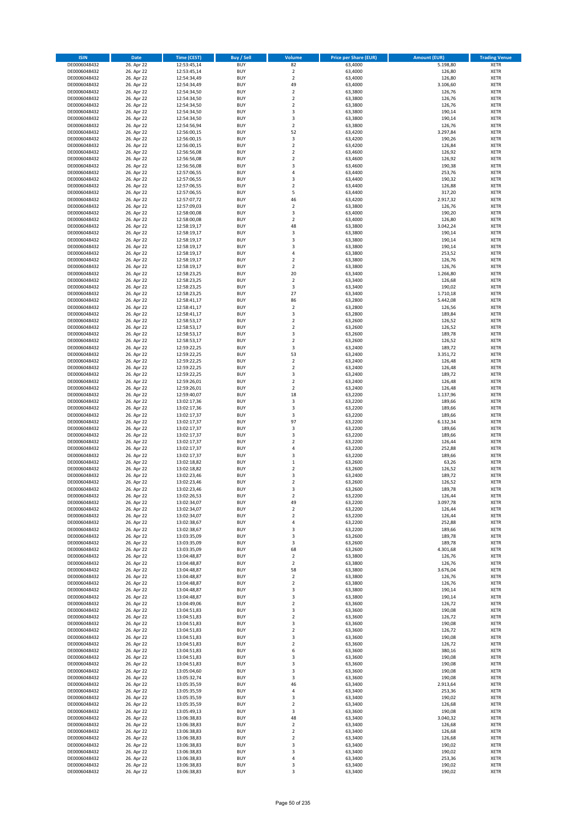| <b>ISIN</b>                  | <b>Date</b>              | <b>Time (CEST)</b>         | <b>Buy / Sell</b>        | Volume                                 | <b>Price per Share (EUR)</b> | <b>Amount (EUR)</b>  | <b>Trading Venue</b>       |
|------------------------------|--------------------------|----------------------------|--------------------------|----------------------------------------|------------------------------|----------------------|----------------------------|
| DE0006048432                 | 26. Apr 22               | 12:53:45,14                | <b>BUY</b>               | 82                                     | 63,4000                      | 5.198,80             | <b>XETR</b>                |
| DE0006048432                 | 26. Apr 22               | 12:53:45,14                | <b>BUY</b>               | $\mathbf 2$                            | 63,4000                      | 126,80               | <b>XETR</b>                |
| DE0006048432                 | 26. Apr 22               | 12:54:34,49                | <b>BUY</b>               | $\overline{2}$                         | 63,4000                      | 126,80               | <b>XETR</b>                |
| DE0006048432                 | 26. Apr 22               | 12:54:34,49                | <b>BUY</b>               | 49                                     | 63,4000                      | 3.106,60             | <b>XETR</b>                |
| DE0006048432<br>DE0006048432 | 26. Apr 22<br>26. Apr 22 | 12:54:34,50<br>12:54:34,50 | <b>BUY</b><br><b>BUY</b> | $\overline{\mathbf{c}}$<br>$\mathbf 2$ | 63,3800<br>63,3800           | 126,76<br>126,76     | <b>XETR</b><br><b>XETR</b> |
| DE0006048432                 | 26. Apr 22               | 12:54:34,50                | <b>BUY</b>               | $\mathbf 2$                            | 63,3800                      | 126,76               | <b>XETR</b>                |
| DE0006048432                 | 26. Apr 22               | 12:54:34,50                | <b>BUY</b>               | 3                                      | 63,3800                      | 190,14               | <b>XETR</b>                |
| DE0006048432                 | 26. Apr 22               | 12:54:34,50                | <b>BUY</b>               | 3                                      | 63,3800                      | 190,14               | <b>XETR</b>                |
| DE0006048432                 | 26. Apr 22               | 12:54:56,94                | <b>BUY</b>               | $\overline{2}$                         | 63,3800                      | 126,76               | <b>XETR</b>                |
| DE0006048432                 | 26. Apr 22               | 12:56:00,15                | <b>BUY</b>               | 52                                     | 63,4200                      | 3.297,84             | <b>XETR</b>                |
| DE0006048432                 | 26. Apr 22               | 12:56:00,15                | <b>BUY</b>               | 3<br>$\mathbf 2$                       | 63,4200                      | 190,26               | <b>XETR</b><br><b>XETR</b> |
| DE0006048432<br>DE0006048432 | 26. Apr 22<br>26. Apr 22 | 12:56:00,15<br>12:56:56,08 | <b>BUY</b><br><b>BUY</b> | $\overline{\mathbf{c}}$                | 63,4200<br>63,4600           | 126,84<br>126,92     | <b>XETR</b>                |
| DE0006048432                 | 26. Apr 22               | 12:56:56,08                | <b>BUY</b>               | $\overline{\mathbf{c}}$                | 63,4600                      | 126,92               | <b>XETR</b>                |
| DE0006048432                 | 26. Apr 22               | 12:56:56,08                | <b>BUY</b>               | 3                                      | 63,4600                      | 190,38               | <b>XETR</b>                |
| DE0006048432                 | 26. Apr 22               | 12:57:06,55                | <b>BUY</b>               | 4                                      | 63,4400                      | 253,76               | <b>XETR</b>                |
| DE0006048432                 | 26. Apr 22               | 12:57:06,55                | <b>BUY</b>               | 3                                      | 63,4400                      | 190,32               | <b>XETR</b>                |
| DE0006048432                 | 26. Apr 22               | 12:57:06,55                | <b>BUY</b>               | $\overline{\mathbf{c}}$                | 63,4400                      | 126,88               | <b>XETR</b>                |
| DE0006048432<br>DE0006048432 | 26. Apr 22<br>26. Apr 22 | 12:57:06,55<br>12:57:07,72 | <b>BUY</b><br><b>BUY</b> | 5<br>46                                | 63,4400<br>63,4200           | 317,20<br>2.917,32   | <b>XETR</b><br><b>XETR</b> |
| DE0006048432                 | 26. Apr 22               | 12:57:09,03                | <b>BUY</b>               | $\mathbf 2$                            | 63,3800                      | 126,76               | <b>XETR</b>                |
| DE0006048432                 | 26. Apr 22               | 12:58:00,08                | <b>BUY</b>               | 3                                      | 63,4000                      | 190,20               | <b>XETR</b>                |
| DE0006048432                 | 26. Apr 22               | 12:58:00,08                | <b>BUY</b>               | $\mathbf 2$                            | 63,4000                      | 126,80               | <b>XETR</b>                |
| DE0006048432                 | 26. Apr 22               | 12:58:19,17                | <b>BUY</b>               | 48                                     | 63,3800                      | 3.042,24             | <b>XETR</b>                |
| DE0006048432                 | 26. Apr 22               | 12:58:19,17                | <b>BUY</b>               | 3                                      | 63,3800                      | 190,14               | <b>XETR</b>                |
| DE0006048432                 | 26. Apr 22               | 12:58:19,17                | <b>BUY</b>               | 3                                      | 63,3800                      | 190,14               | <b>XETR</b>                |
| DE0006048432<br>DE0006048432 | 26. Apr 22<br>26. Apr 22 | 12:58:19,17<br>12:58:19,17 | <b>BUY</b><br><b>BUY</b> | 3<br>4                                 | 63,3800<br>63,3800           | 190,14<br>253,52     | <b>XETR</b><br><b>XETR</b> |
| DE0006048432                 | 26. Apr 22               | 12:58:19,17                | <b>BUY</b>               | $\overline{\mathbf{c}}$                | 63,3800                      | 126,76               | <b>XETR</b>                |
| DE0006048432                 | 26. Apr 22               | 12:58:19,17                | <b>BUY</b>               | $\overline{2}$                         | 63,3800                      | 126,76               | <b>XETR</b>                |
| DE0006048432                 | 26. Apr 22               | 12:58:23,25                | <b>BUY</b>               | 20                                     | 63,3400                      | 1.266,80             | <b>XETR</b>                |
| DE0006048432                 | 26. Apr 22               | 12:58:23,25                | <b>BUY</b>               | $\mathbf 2$                            | 63,3400                      | 126,68               | <b>XETR</b>                |
| DE0006048432                 | 26. Apr 22               | 12:58:23,25                | <b>BUY</b>               | 3                                      | 63,3400                      | 190,02               | <b>XETR</b>                |
| DE0006048432<br>DE0006048432 | 26. Apr 22<br>26. Apr 22 | 12:58:23,25<br>12:58:41,17 | <b>BUY</b><br><b>BUY</b> | 27<br>86                               | 63.3400<br>63,2800           | 1.710.18<br>5.442,08 | <b>XETR</b><br><b>XETR</b> |
| DE0006048432                 | 26. Apr 22               | 12:58:41,17                | <b>BUY</b>               | $\overline{\mathbf{c}}$                | 63,2800                      | 126,56               | <b>XETR</b>                |
| DE0006048432                 | 26. Apr 22               | 12:58:41,17                | <b>BUY</b>               | 3                                      | 63,2800                      | 189,84               | <b>XETR</b>                |
| DE0006048432                 | 26. Apr 22               | 12:58:53,17                | <b>BUY</b>               | $\overline{2}$                         | 63,2600                      | 126,52               | <b>XETR</b>                |
| DE0006048432                 | 26. Apr 22               | 12:58:53,17                | <b>BUY</b>               | $\mathbf 2$                            | 63,2600                      | 126,52               | <b>XETR</b>                |
| DE0006048432                 | 26. Apr 22               | 12:58:53,17                | <b>BUY</b>               | 3                                      | 63,2600                      | 189,78               | <b>XETR</b>                |
| DE0006048432                 | 26. Apr 22               | 12:58:53,17                | <b>BUY</b>               | $\mathbf 2$                            | 63,2600                      | 126,52               | <b>XETR</b>                |
| DE0006048432<br>DE0006048432 | 26. Apr 22<br>26. Apr 22 | 12:59:22,25<br>12:59:22,25 | <b>BUY</b><br><b>BUY</b> | 3<br>53                                | 63,2400<br>63,2400           | 189,72<br>3.351,72   | <b>XETR</b><br><b>XETR</b> |
| DE0006048432                 | 26. Apr 22               | 12:59:22,25                | <b>BUY</b>               | $\mathbf 2$                            | 63,2400                      | 126,48               | <b>XETR</b>                |
| DE0006048432                 | 26. Apr 22               | 12:59:22,25                | <b>BUY</b>               | $\overline{2}$                         | 63,2400                      | 126,48               | <b>XETR</b>                |
| DE0006048432                 | 26. Apr 22               | 12:59:22,25                | <b>BUY</b>               | 3                                      | 63,2400                      | 189,72               | <b>XETR</b>                |
| DE0006048432                 | 26. Apr 22               | 12:59:26,01                | <b>BUY</b>               | $\mathbf 2$                            | 63,2400                      | 126,48               | <b>XETR</b>                |
| DE0006048432                 | 26. Apr 22               | 12:59:26,01                | <b>BUY</b>               | $\mathbf 2$                            | 63,2400                      | 126,48               | <b>XETR</b>                |
| DE0006048432                 | 26. Apr 22               | 12:59:40,07                | <b>BUY</b>               | 18                                     | 63,2200                      | 1.137,96             | <b>XETR</b>                |
| DE0006048432                 | 26. Apr 22               | 13:02:17,36                | <b>BUY</b>               | 3                                      | 63,2200                      | 189,66               | <b>XETR</b>                |
| DE0006048432<br>DE0006048432 | 26. Apr 22<br>26. Apr 22 | 13:02:17,36<br>13:02:17,37 | <b>BUY</b><br><b>BUY</b> | 3<br>3                                 | 63,2200<br>63,2200           | 189,66<br>189,66     | <b>XETR</b><br><b>XETR</b> |
| DE0006048432                 | 26. Apr 22               | 13:02:17,37                | <b>BUY</b>               | 97                                     | 63,2200                      | 6.132,34             | <b>XETR</b>                |
| DE0006048432                 | 26. Apr 22               | 13:02:17,37                | <b>BUY</b>               | 3                                      | 63,2200                      | 189,66               | <b>XETR</b>                |
| DE0006048432                 | 26. Apr 22               | 13:02:17,37                | <b>BUY</b>               | 3                                      | 63,2200                      | 189,66               | <b>XETR</b>                |
| DE0006048432                 | 26. Apr 22               | 13:02:17,37                | <b>BUY</b>               | $\overline{\mathbf{c}}$                | 63,2200                      | 126,44               | <b>XETR</b>                |
| DE0006048432                 | 26. Apr 22               | 13:02:17,37                | <b>BUY</b>               | 4                                      | 63,2200                      | 252,88               | <b>XETR</b>                |
| DE0006048432                 | 26. Apr 22               | 13:02:17,37                | <b>BUY</b>               | 3                                      | 63,2200                      | 189,66               | <b>XETR</b>                |
| DE0006048432<br>DE0006048432 | 26. Apr 22<br>26. Apr 22 | 13:02:18,82<br>13:02:18,82 | <b>BUY</b><br><b>BUY</b> | $\mathbf 1$<br>$\mathbf 2$             | 63,2600<br>63,2600           | 63,26<br>126,52      | <b>XETR</b><br><b>XETR</b> |
| DE0006048432                 | 26. Apr 22               | 13:02:23,46                | <b>BUY</b>               | 3                                      | 63,2400                      | 189,72               | <b>XETR</b>                |
| DE0006048432                 | 26. Apr 22               | 13:02:23,46                | <b>BUY</b>               | $\overline{\mathbf{c}}$                | 63,2600                      | 126,52               | <b>XETR</b>                |
| DE0006048432                 | 26. Apr 22               | 13:02:23,46                | <b>BUY</b>               | 3                                      | 63,2600                      | 189,78               | <b>XETR</b>                |
| DE0006048432                 | 26. Apr 22               | 13:02:26,53                | BUY                      | 2                                      | 63,2200                      | 126,44               | <b>XETR</b>                |
| DE0006048432                 | 26. Apr 22               | 13:02:34,07<br>13:02:34,07 | <b>BUY</b>               | 49                                     | 63,2200                      | 3.097,78             | <b>XETR</b>                |
| DE0006048432<br>DE0006048432 | 26. Apr 22<br>26. Apr 22 | 13:02:34,07                | <b>BUY</b><br><b>BUY</b> | 2<br>$\mathbf 2$                       | 63,2200<br>63,2200           | 126,44<br>126,44     | <b>XETR</b><br><b>XETR</b> |
| DE0006048432                 | 26. Apr 22               | 13:02:38,67                | <b>BUY</b>               | 4                                      | 63,2200                      | 252,88               | <b>XETR</b>                |
| DE0006048432                 | 26. Apr 22               | 13:02:38,67                | <b>BUY</b>               | 3                                      | 63,2200                      | 189,66               | <b>XETR</b>                |
| DE0006048432                 | 26. Apr 22               | 13:03:35,09                | <b>BUY</b>               | 3                                      | 63,2600                      | 189,78               | <b>XETR</b>                |
| DE0006048432                 | 26. Apr 22               | 13:03:35,09                | <b>BUY</b>               | 3                                      | 63,2600                      | 189,78               | <b>XETR</b>                |
| DE0006048432                 | 26. Apr 22               | 13:03:35,09                | <b>BUY</b>               | 68                                     | 63,2600                      | 4.301,68             | <b>XETR</b>                |
| DE0006048432<br>DE0006048432 | 26. Apr 22<br>26. Apr 22 | 13:04:48,87<br>13:04:48,87 | <b>BUY</b><br><b>BUY</b> | $\mathbf 2$<br>$\mathbf 2$             | 63,3800<br>63,3800           | 126,76<br>126,76     | <b>XETR</b><br><b>XETR</b> |
| DE0006048432                 | 26. Apr 22               | 13:04:48,87                | <b>BUY</b>               | 58                                     | 63,3800                      | 3.676,04             | <b>XETR</b>                |
| DE0006048432                 | 26. Apr 22               | 13:04:48,87                | <b>BUY</b>               | $\mathbf 2$                            | 63,3800                      | 126,76               | <b>XETR</b>                |
| DE0006048432                 | 26. Apr 22               | 13:04:48,87                | <b>BUY</b>               | $\overline{\mathbf{c}}$                | 63,3800                      | 126,76               | <b>XETR</b>                |
| DE0006048432                 | 26. Apr 22               | 13:04:48,87                | <b>BUY</b>               | 3                                      | 63,3800                      | 190,14               | <b>XETR</b>                |
| DE0006048432                 | 26. Apr 22               | 13:04:48,87                | <b>BUY</b>               | 3                                      | 63,3800                      | 190,14               | <b>XETR</b>                |
| DE0006048432                 | 26. Apr 22               | 13:04:49,06                | <b>BUY</b><br><b>BUY</b> | $\mathbf 2$                            | 63,3600                      | 126,72<br>190,08     | <b>XETR</b><br><b>XETR</b> |
| DE0006048432<br>DE0006048432 | 26. Apr 22<br>26. Apr 22 | 13:04:51,83<br>13:04:51,83 | <b>BUY</b>               | 3<br>$\mathbf 2$                       | 63,3600<br>63,3600           | 126,72               | <b>XETR</b>                |
| DE0006048432                 | 26. Apr 22               | 13:04:51,83                | <b>BUY</b>               | 3                                      | 63,3600                      | 190,08               | <b>XETR</b>                |
| DE0006048432                 | 26. Apr 22               | 13:04:51,83                | <b>BUY</b>               | $\overline{2}$                         | 63,3600                      | 126,72               | <b>XETR</b>                |
| DE0006048432                 | 26. Apr 22               | 13:04:51,83                | <b>BUY</b>               | 3                                      | 63,3600                      | 190,08               | <b>XETR</b>                |
| DE0006048432                 | 26. Apr 22               | 13:04:51,83                | <b>BUY</b>               | $\overline{\mathbf{c}}$                | 63,3600                      | 126,72               | <b>XETR</b>                |
| DE0006048432                 | 26. Apr 22               | 13:04:51,83                | <b>BUY</b>               | 6                                      | 63,3600                      | 380,16               | <b>XETR</b>                |
| DE0006048432<br>DE0006048432 | 26. Apr 22<br>26. Apr 22 | 13:04:51,83<br>13:04:51,83 | <b>BUY</b><br><b>BUY</b> | 3<br>3                                 | 63,3600<br>63,3600           | 190,08<br>190,08     | <b>XETR</b><br><b>XETR</b> |
| DE0006048432                 | 26. Apr 22               | 13:05:04,60                | <b>BUY</b>               | 3                                      | 63,3600                      | 190,08               | <b>XETR</b>                |
| DE0006048432                 | 26. Apr 22               | 13:05:32,74                | <b>BUY</b>               | 3                                      | 63,3600                      | 190,08               | <b>XETR</b>                |
| DE0006048432                 | 26. Apr 22               | 13:05:35,59                | <b>BUY</b>               | 46                                     | 63,3400                      | 2.913,64             | <b>XETR</b>                |
| DE0006048432                 | 26. Apr 22               | 13:05:35,59                | <b>BUY</b>               | 4                                      | 63,3400                      | 253,36               | <b>XETR</b>                |
| DE0006048432                 | 26. Apr 22               | 13:05:35,59                | <b>BUY</b>               | 3                                      | 63,3400                      | 190,02               | <b>XETR</b>                |
| DE0006048432                 | 26. Apr 22               | 13:05:35,59                | <b>BUY</b>               | $\mathbf 2$                            | 63,3400                      | 126,68               | <b>XETR</b>                |
| DE0006048432                 | 26. Apr 22               | 13:05:49,13                | <b>BUY</b>               | 3                                      | 63,3600                      | 190,08               | <b>XETR</b>                |
| DE0006048432<br>DE0006048432 | 26. Apr 22<br>26. Apr 22 | 13:06:38,83<br>13:06:38,83 | <b>BUY</b><br><b>BUY</b> | 48<br>$\mathbf 2$                      | 63,3400<br>63,3400           | 3.040,32<br>126,68   | <b>XETR</b><br><b>XETR</b> |
| DE0006048432                 | 26. Apr 22               | 13:06:38,83                | <b>BUY</b>               | $\mathbf 2$                            | 63,3400                      | 126,68               | <b>XETR</b>                |
| DE0006048432                 | 26. Apr 22               | 13:06:38,83                | <b>BUY</b>               | $\overline{\mathbf{c}}$                | 63,3400                      | 126,68               | <b>XETR</b>                |
| DE0006048432                 | 26. Apr 22               | 13:06:38,83                | <b>BUY</b>               | 3                                      | 63,3400                      | 190,02               | <b>XETR</b>                |
| DE0006048432                 | 26. Apr 22               | 13:06:38,83                | <b>BUY</b>               | 3                                      | 63,3400                      | 190,02               | <b>XETR</b>                |
| DE0006048432                 | 26. Apr 22               | 13:06:38,83                | <b>BUY</b>               | 4                                      | 63,3400                      | 253,36               | <b>XETR</b>                |
| DE0006048432                 | 26. Apr 22               | 13:06:38,83                | <b>BUY</b>               | 3                                      | 63,3400                      | 190,02               | <b>XETR</b>                |
| DE0006048432                 | 26. Apr 22               | 13:06:38,83                | <b>BUY</b>               | 3                                      | 63,3400                      | 190,02               | <b>XETR</b>                |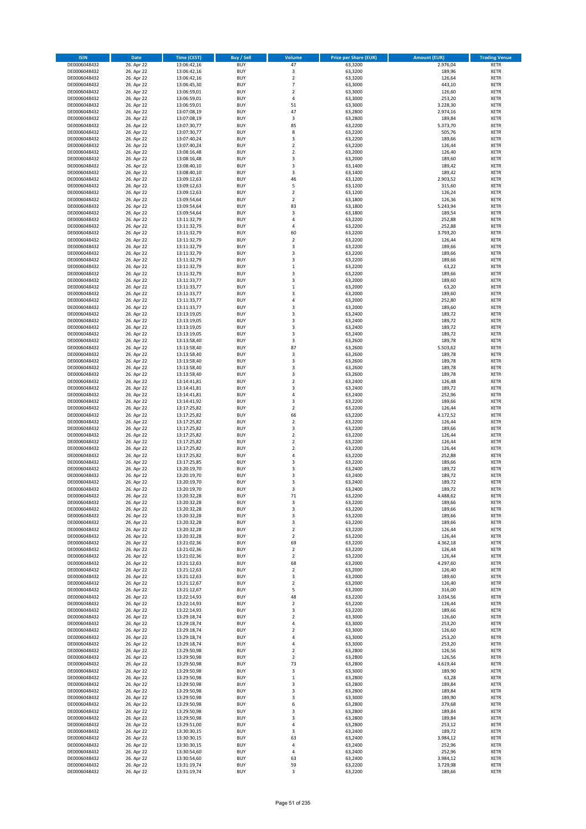| <b>ISIN</b>                  | <b>Date</b>              | <b>Time (CEST)</b>         | <b>Buy / Sell</b>        | Volume                        | <b>Price per Share (EUR)</b> | <b>Amount (EUR)</b> | <b>Trading Venue</b>       |
|------------------------------|--------------------------|----------------------------|--------------------------|-------------------------------|------------------------------|---------------------|----------------------------|
| DE0006048432                 | 26. Apr 22               | 13:06:42,16                | <b>BUY</b>               | 47                            | 63,3200                      | 2.976,04            | <b>XETR</b>                |
| DE0006048432                 | 26. Apr 22               | 13:06:42,16                | <b>BUY</b>               | 3                             | 63,3200                      | 189,96              | <b>XETR</b>                |
| DE0006048432                 | 26. Apr 22               | 13:06:42,16                | <b>BUY</b>               | $\overline{2}$                | 63,3200                      | 126,64              | <b>XETR</b>                |
| DE0006048432                 | 26. Apr 22               | 13:06:45,30                | <b>BUY</b>               | $\overline{7}$                | 63,3000                      | 443,10              | <b>XETR</b>                |
| DE0006048432<br>DE0006048432 | 26. Apr 22<br>26. Apr 22 | 13:06:59,01<br>13:06:59,01 | <b>BUY</b><br><b>BUY</b> | $\mathbf 2$<br>4              | 63,3000<br>63,3000           | 126,60<br>253,20    | <b>XETR</b><br><b>XETR</b> |
| DE0006048432                 | 26. Apr 22               | 13:06:59,01                | <b>BUY</b>               | 51                            | 63,3000                      | 3.228,30            | <b>XETR</b>                |
| DE0006048432                 | 26. Apr 22               | 13:07:08,19                | <b>BUY</b>               | 47                            | 63,2800                      | 2.974,16            | <b>XETR</b>                |
| DE0006048432                 | 26. Apr 22               | 13:07:08,19                | <b>BUY</b>               | 3                             | 63,2800                      | 189,84              | <b>XETR</b>                |
| DE0006048432                 | 26. Apr 22               | 13:07:30,77                | <b>BUY</b>               | 85                            | 63,2200                      | 5.373,70            | <b>XETR</b>                |
| DE0006048432                 | 26. Apr 22               | 13:07:30,77                | <b>BUY</b>               | 8                             | 63,2200                      | 505,76              | <b>XETR</b>                |
| DE0006048432                 | 26. Apr 22               | 13:07:40,24                | <b>BUY</b>               | 3<br>$\mathbf 2$              | 63,2200                      | 189,66              | <b>XETR</b><br><b>XETR</b> |
| DE0006048432<br>DE0006048432 | 26. Apr 22<br>26. Apr 22 | 13:07:40,24<br>13:08:16,48 | <b>BUY</b><br><b>BUY</b> | $\overline{\mathbf{c}}$       | 63,2200<br>63,2000           | 126,44<br>126,40    | <b>XETR</b>                |
| DE0006048432                 | 26. Apr 22               | 13:08:16,48                | <b>BUY</b>               | 3                             | 63,2000                      | 189,60              | <b>XETR</b>                |
| DE0006048432                 | 26. Apr 22               | 13:08:40,10                | <b>BUY</b>               | 3                             | 63,1400                      | 189,42              | <b>XETR</b>                |
| DE0006048432                 | 26. Apr 22               | 13:08:40,10                | <b>BUY</b>               | 3                             | 63,1400                      | 189,42              | <b>XETR</b>                |
| DE0006048432                 | 26. Apr 22               | 13:09:12,63                | <b>BUY</b>               | 46                            | 63,1200                      | 2.903,52            | <b>XETR</b>                |
| DE0006048432                 | 26. Apr 22               | 13:09:12,63                | <b>BUY</b>               | 5                             | 63,1200                      | 315,60              | <b>XETR</b>                |
| DE0006048432                 | 26. Apr 22               | 13:09:12,63                | <b>BUY</b>               | $\mathbf 2$                   | 63,1200                      | 126,24              | <b>XETR</b>                |
| DE0006048432                 | 26. Apr 22               | 13:09:54,64                | <b>BUY</b>               | $\overline{\mathbf{c}}$       | 63,1800                      | 126,36              | <b>XETR</b>                |
| DE0006048432<br>DE0006048432 | 26. Apr 22<br>26. Apr 22 | 13:09:54,64<br>13:09:54,64 | <b>BUY</b><br><b>BUY</b> | 83<br>3                       | 63,1800<br>63,1800           | 5.243,94<br>189,54  | <b>XETR</b><br><b>XETR</b> |
| DE0006048432                 | 26. Apr 22               | 13:11:32,79                | <b>BUY</b>               | 4                             | 63,2200                      | 252,88              | <b>XETR</b>                |
| DE0006048432                 | 26. Apr 22               | 13:11:32,79                | <b>BUY</b>               | 4                             | 63,2200                      | 252,88              | <b>XETR</b>                |
| DE0006048432                 | 26. Apr 22               | 13:11:32,79                | <b>BUY</b>               | 60                            | 63,2200                      | 3.793,20            | <b>XETR</b>                |
| DE0006048432                 | 26. Apr 22               | 13:11:32,79                | <b>BUY</b>               | $\mathbf 2$                   | 63,2200                      | 126,44              | <b>XETR</b>                |
| DE0006048432                 | 26. Apr 22               | 13:11:32,79                | <b>BUY</b>               | 3                             | 63,2200                      | 189,66              | <b>XETR</b>                |
| DE0006048432                 | 26. Apr 22               | 13:11:32,79                | <b>BUY</b>               | 3                             | 63,2200                      | 189,66              | <b>XETR</b>                |
| DE0006048432                 | 26. Apr 22               | 13:11:32,79                | <b>BUY</b><br><b>BUY</b> | 3<br>$\mathbf 1$              | 63,2200                      | 189,66              | <b>XETR</b><br><b>XETR</b> |
| DE0006048432<br>DE0006048432 | 26. Apr 22<br>26. Apr 22 | 13:11:32,79<br>13:11:32,79 | <b>BUY</b>               | 3                             | 63,2200<br>63,2200           | 63,22<br>189,66     | <b>XETR</b>                |
| DE0006048432                 | 26. Apr 22               | 13:11:33,77                | <b>BUY</b>               | 3                             | 63,2000                      | 189,60              | <b>XETR</b>                |
| DE0006048432                 | 26. Apr 22               | 13:11:33,77                | <b>BUY</b>               | $\mathbf 1$                   | 63,2000                      | 63,20               | <b>XETR</b>                |
| DE0006048432                 | 26. Apr 22               | 13:11:33,77                | <b>BUY</b>               | 3                             | 63,2000                      | 189,60              | <b>XETR</b>                |
| DE0006048432                 | 26. Apr 22               | 13:11:33,77                | <b>BUY</b>               | 4                             | 63,2000                      | 252,80              | <b>XETR</b>                |
| DE0006048432                 | 26. Apr 22               | 13:11:33,77                | <b>BUY</b>               | 3                             | 63,2000                      | 189,60              | <b>XETR</b>                |
| DE0006048432                 | 26. Apr 22               | 13:13:19,05                | <b>BUY</b>               | 3                             | 63,2400                      | 189,72              | <b>XETR</b>                |
| DE0006048432                 | 26. Apr 22               | 13:13:19,05                | <b>BUY</b>               | 3                             | 63,2400                      | 189,72              | <b>XETR</b>                |
| DE0006048432<br>DE0006048432 | 26. Apr 22<br>26. Apr 22 | 13:13:19,05<br>13:13:19,05 | <b>BUY</b><br><b>BUY</b> | 3<br>3                        | 63,2400<br>63,2400           | 189,72<br>189,72    | <b>XETR</b><br><b>XETR</b> |
| DE0006048432                 | 26. Apr 22               | 13:13:58,40                | <b>BUY</b>               | 3                             | 63,2600                      | 189,78              | <b>XETR</b>                |
| DE0006048432                 | 26. Apr 22               | 13:13:58,40                | <b>BUY</b>               | 87                            | 63,2600                      | 5.503,62            | <b>XETR</b>                |
| DE0006048432                 | 26. Apr 22               | 13:13:58,40                | <b>BUY</b>               | 3                             | 63,2600                      | 189,78              | <b>XETR</b>                |
| DE0006048432                 | 26. Apr 22               | 13:13:58,40                | <b>BUY</b>               | 3                             | 63,2600                      | 189,78              | <b>XETR</b>                |
| DE0006048432                 | 26. Apr 22               | 13:13:58,40                | <b>BUY</b>               | 3                             | 63,2600                      | 189,78              | <b>XETR</b>                |
| DE0006048432                 | 26. Apr 22               | 13:13:58,40                | <b>BUY</b>               | 3                             | 63,2600                      | 189,78              | <b>XETR</b>                |
| DE0006048432                 | 26. Apr 22               | 13:14:41,81                | <b>BUY</b>               | $\overline{\mathbf{c}}$       | 63,2400                      | 126,48              | <b>XETR</b>                |
| DE0006048432                 | 26. Apr 22               | 13:14:41,81                | <b>BUY</b><br><b>BUY</b> | 3<br>4                        | 63,2400                      | 189,72              | <b>XETR</b><br><b>XETR</b> |
| DE0006048432<br>DE0006048432 | 26. Apr 22<br>26. Apr 22 | 13:14:41,81<br>13:14:41,92 | <b>BUY</b>               | 3                             | 63,2400<br>63,2200           | 252,96<br>189,66    | <b>XETR</b>                |
| DE0006048432                 | 26. Apr 22               | 13:17:25,82                | <b>BUY</b>               | $\mathbf 2$                   | 63,2200                      | 126,44              | <b>XETR</b>                |
| DE0006048432                 | 26. Apr 22               | 13:17:25,82                | <b>BUY</b>               | 66                            | 63,2200                      | 4.172,52            | <b>XETR</b>                |
| DE0006048432                 | 26. Apr 22               | 13:17:25,82                | <b>BUY</b>               | $\mathbf 2$                   | 63,2200                      | 126,44              | <b>XETR</b>                |
| DE0006048432                 | 26. Apr 22               | 13:17:25,82                | <b>BUY</b>               | 3                             | 63,2200                      | 189,66              | <b>XETR</b>                |
| DE0006048432                 | 26. Apr 22               | 13:17:25,82                | <b>BUY</b>               | $\mathbf 2$                   | 63,2200                      | 126,44              | <b>XETR</b>                |
| DE0006048432                 | 26. Apr 22               | 13:17:25,82                | <b>BUY</b>               | $\overline{\mathbf{c}}$       | 63,2200                      | 126,44              | <b>XETR</b>                |
| DE0006048432                 | 26. Apr 22               | 13:17:25,82                | <b>BUY</b>               | $\overline{\mathbf{c}}$       | 63,2200                      | 126,44              | <b>XETR</b>                |
| DE0006048432<br>DE0006048432 | 26. Apr 22<br>26. Apr 22 | 13:17:25,82<br>13:17:25,85 | <b>BUY</b><br><b>BUY</b> | 4<br>3                        | 63,2200<br>63,2200           | 252,88<br>189,66    | <b>XETR</b><br><b>XETR</b> |
| DE0006048432                 | 26. Apr 22               | 13:20:19,70                | <b>BUY</b>               | 3                             | 63,2400                      | 189,72              | <b>XETR</b>                |
| DE0006048432                 | 26. Apr 22               | 13:20:19,70                | <b>BUY</b>               | 3                             | 63,2400                      | 189,72              | <b>XETR</b>                |
| DE0006048432                 | 26. Apr 22               | 13:20:19,70                | <b>BUY</b>               | 3                             | 63,2400                      | 189,72              | <b>XETR</b>                |
| DE0006048432                 | 26. Apr 22               | 13:20:19,70                | <b>BUY</b>               | 3                             | 63,2400                      | 189,72              | <b>XETR</b>                |
| DE0006048432                 | 26. Apr 22               | 13:20:32,28                | BUY                      | 71                            | 63,2200                      | 4.488,62            | <b>XETR</b>                |
| DE0006048432                 | 26. Apr 22               | 13:20:32,28                | <b>BUY</b>               | 3                             | 63,2200                      | 189,66              | <b>XETR</b>                |
| DE0006048432<br>DE0006048432 | 26. Apr 22<br>26. Apr 22 | 13:20:32,28<br>13:20:32,28 | <b>BUY</b><br><b>BUY</b> | 3<br>3                        | 63,2200<br>63,2200           | 189,66<br>189,66    | <b>XETR</b><br>XETR        |
| DE0006048432                 | 26. Apr 22               | 13:20:32,28                | <b>BUY</b>               | 3                             | 63,2200                      | 189,66              | <b>XETR</b>                |
| DE0006048432                 | 26. Apr 22               | 13:20:32,28                | <b>BUY</b>               | $\mathbf 2$                   | 63,2200                      | 126,44              | <b>XETR</b>                |
| DE0006048432                 | 26. Apr 22               | 13:20:32,28                | <b>BUY</b>               | $\mathbf 2$                   | 63,2200                      | 126,44              | <b>XETR</b>                |
| DE0006048432                 | 26. Apr 22               | 13:21:02,36                | <b>BUY</b>               | 69                            | 63,2200                      | 4.362,18            | <b>XETR</b>                |
| DE0006048432                 | 26. Apr 22               | 13:21:02,36                | <b>BUY</b>               | $\mathbf 2$                   | 63,2200                      | 126,44              | <b>XETR</b>                |
| DE0006048432                 | 26. Apr 22               | 13:21:02,36                | <b>BUY</b><br><b>BUY</b> | $\mathbf 2$                   | 63,2200                      | 126,44<br>4.297,60  | <b>XETR</b>                |
| DE0006048432<br>DE0006048432 | 26. Apr 22               | 13:21:12,63                | <b>BUY</b>               | 68<br>$\overline{\mathbf{c}}$ | 63,2000                      |                     | <b>XETR</b><br><b>XETR</b> |
| DE0006048432                 | 26. Apr 22<br>26. Apr 22 | 13:21:12,63<br>13:21:12,63 | <b>BUY</b>               | 3                             | 63,2000<br>63,2000           | 126,40<br>189,60    | <b>XETR</b>                |
| DE0006048432                 | 26. Apr 22               | 13:21:12,67                | <b>BUY</b>               | $\overline{\mathbf{c}}$       | 63,2000                      | 126,40              | <b>XETR</b>                |
| DE0006048432                 | 26. Apr 22               | 13:21:12,67                | <b>BUY</b>               | 5                             | 63,2000                      | 316,00              | <b>XETR</b>                |
| DE0006048432                 | 26. Apr 22               | 13:22:14,93                | <b>BUY</b>               | 48                            | 63,2200                      | 3.034,56            | <b>XETR</b>                |
| DE0006048432                 | 26. Apr 22               | 13:22:14,93                | <b>BUY</b>               | $\mathbf 2$                   | 63,2200                      | 126,44              | <b>XETR</b>                |
| DE0006048432                 | 26. Apr 22               | 13:22:14,93                | <b>BUY</b>               | 3                             | 63,2200                      | 189,66              | <b>XETR</b>                |
| DE0006048432<br>DE0006048432 | 26. Apr 22<br>26. Apr 22 | 13:29:18,74<br>13:29:18,74 | <b>BUY</b><br><b>BUY</b> | $\mathbf 2$<br>4              | 63,3000<br>63,3000           | 126,60<br>253,20    | XETR<br><b>XETR</b>        |
| DE0006048432                 | 26. Apr 22               | 13:29:18,74                | <b>BUY</b>               | $\overline{2}$                | 63,3000                      | 126,60              | <b>XETR</b>                |
| DE0006048432                 | 26. Apr 22               | 13:29:18,74                | <b>BUY</b>               | 4                             | 63,3000                      | 253,20              | <b>XETR</b>                |
| DE0006048432                 | 26. Apr 22               | 13:29:18,74                | <b>BUY</b>               | 4                             | 63,3000                      | 253,20              | <b>XETR</b>                |
| DE0006048432                 | 26. Apr 22               | 13:29:50,98                | <b>BUY</b>               | $\mathbf 2$                   | 63,2800                      | 126,56              | <b>XETR</b>                |
| DE0006048432                 | 26. Apr 22               | 13:29:50,98                | <b>BUY</b>               | $\mathbf 2$                   | 63,2800                      | 126,56              | <b>XETR</b>                |
| DE0006048432                 | 26. Apr 22               | 13:29:50,98                | <b>BUY</b>               | 73                            | 63,2800                      | 4.619,44            | <b>XETR</b>                |
| DE0006048432                 | 26. Apr 22               | 13:29:50,98                | <b>BUY</b>               | 3                             | 63,3000                      | 189,90              | <b>XETR</b>                |
| DE0006048432<br>DE0006048432 | 26. Apr 22<br>26. Apr 22 | 13:29:50,98<br>13:29:50,98 | <b>BUY</b><br><b>BUY</b> | $\mathbf 1$<br>3              | 63,2800<br>63,2800           | 63,28<br>189,84     | <b>XETR</b><br><b>XETR</b> |
| DE0006048432                 | 26. Apr 22               | 13:29:50,98                | <b>BUY</b>               | 3                             | 63,2800                      | 189,84              | <b>XETR</b>                |
| DE0006048432                 | 26. Apr 22               | 13:29:50,98                | <b>BUY</b>               | 3                             | 63,3000                      | 189,90              | <b>XETR</b>                |
| DE0006048432                 | 26. Apr 22               | 13:29:50,98                | <b>BUY</b>               | 6                             | 63,2800                      | 379,68              | <b>XETR</b>                |
| DE0006048432                 | 26. Apr 22               | 13:29:50,98                | <b>BUY</b>               | 3                             | 63,2800                      | 189,84              | <b>XETR</b>                |
| DE0006048432                 | 26. Apr 22               | 13:29:50,98                | <b>BUY</b>               | 3                             | 63,2800                      | 189,84              | <b>XETR</b>                |
| DE0006048432                 | 26. Apr 22               | 13:29:51,00                | <b>BUY</b>               | 4                             | 63,2800                      | 253,12              | <b>XETR</b>                |
| DE0006048432<br>DE0006048432 | 26. Apr 22<br>26. Apr 22 | 13:30:30,15<br>13:30:30,15 | <b>BUY</b><br><b>BUY</b> | 3<br>63                       | 63,2400<br>63,2400           | 189,72<br>3.984,12  | <b>XETR</b><br><b>XETR</b> |
| DE0006048432                 | 26. Apr 22               | 13:30:30,15                | <b>BUY</b>               | 4                             | 63,2400                      | 252,96              | XETR                       |
| DE0006048432                 | 26. Apr 22               | 13:30:54,60                | <b>BUY</b>               | 4                             | 63,2400                      | 252,96              | <b>XETR</b>                |
| DE0006048432                 | 26. Apr 22               | 13:30:54,60                | <b>BUY</b>               | 63                            | 63,2400                      | 3.984,12            | <b>XETR</b>                |
| DE0006048432                 | 26. Apr 22               | 13:31:19,74                | <b>BUY</b>               | 59                            | 63,2200                      | 3.729,98            | <b>XETR</b>                |
| DE0006048432                 | 26. Apr 22               | 13:31:19,74                | <b>BUY</b>               | 3                             | 63,2200                      | 189,66              | <b>XETR</b>                |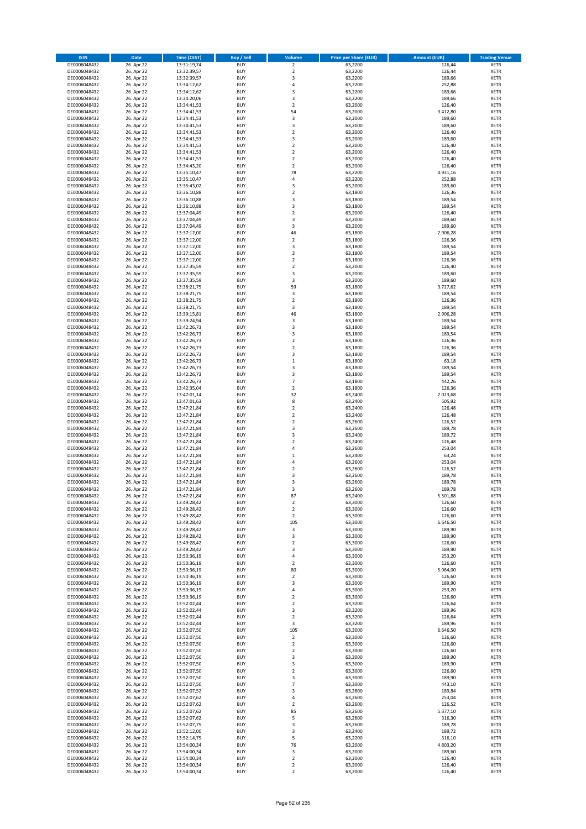| <b>ISIN</b>                  | Date                     | Time (CEST)                | <b>Buy / Sell</b>        | <b>Volume</b>                    | <b>Price per Share (EUR)</b> | <b>Amount (EUR)</b> | <b>Trading Venue</b>       |
|------------------------------|--------------------------|----------------------------|--------------------------|----------------------------------|------------------------------|---------------------|----------------------------|
| DE0006048432                 | 26. Apr 22               | 13:31:19,74                | <b>BUY</b>               | $\overline{2}$                   | 63,2200                      | 126,44              | <b>XETR</b>                |
| DE0006048432                 | 26. Apr 22               | 13:32:39,57                | <b>BUY</b>               | $\mathbf 2$                      | 63,2200                      | 126,44              | XETR                       |
| DE0006048432                 | 26. Apr 22               | 13:32:39,57                | <b>BUY</b>               | 3                                | 63,2200                      | 189,66              | <b>XETR</b>                |
| DE0006048432<br>DE0006048432 | 26. Apr 22<br>26. Apr 22 | 13:34:12,62<br>13:34:12,62 | <b>BUY</b><br><b>BUY</b> | $\sqrt{4}$<br>3                  | 63,2200<br>63,2200           | 252,88<br>189,66    | <b>XETR</b><br><b>XETR</b> |
| DE0006048432                 | 26. Apr 22               | 13:34:20,06                | <b>BUY</b>               | 3                                | 63,2200                      | 189,66              | <b>XETR</b>                |
| DE0006048432                 | 26. Apr 22               | 13:34:41,53                | <b>BUY</b>               | $\mathbf 2$                      | 63,2000                      | 126,40              | <b>XETR</b>                |
| DE0006048432                 | 26. Apr 22               | 13:34:41,53                | <b>BUY</b>               | 54                               | 63,2000                      | 3.412,80            | <b>XETR</b>                |
| DE0006048432                 | 26. Apr 22               | 13:34:41,53                | <b>BUY</b>               | 3                                | 63,2000                      | 189,60              | <b>XETR</b>                |
| DE0006048432                 | 26. Apr 22               | 13:34:41,53                | <b>BUY</b>               | 3                                | 63,2000                      | 189,60              | <b>XETR</b>                |
| DE0006048432                 | 26. Apr 22               | 13:34:41,53                | <b>BUY</b>               | $\mathbf 2$                      | 63,2000                      | 126,40              | <b>XETR</b>                |
| DE0006048432                 | 26. Apr 22<br>26. Apr 22 | 13:34:41,53                | <b>BUY</b><br><b>BUY</b> | 3<br>$\mathbf 2$                 | 63,2000                      | 189,60<br>126,40    | <b>XETR</b><br><b>XETR</b> |
| DE0006048432<br>DE0006048432 | 26. Apr 22               | 13:34:41,53<br>13:34:41,53 | <b>BUY</b>               | $\overline{2}$                   | 63,2000<br>63,2000           | 126,40              | <b>XETR</b>                |
| DE0006048432                 | 26. Apr 22               | 13:34:41,53                | <b>BUY</b>               | $\mathbf 2$                      | 63,2000                      | 126,40              | <b>XETR</b>                |
| DE0006048432                 | 26. Apr 22               | 13:34:43,20                | <b>BUY</b>               | $\overline{2}$                   | 63,2000                      | 126,40              | <b>XETR</b>                |
| DE0006048432                 | 26. Apr 22               | 13:35:10,47                | <b>BUY</b>               | 78                               | 63,2200                      | 4.931,16            | <b>XETR</b>                |
| DE0006048432                 | 26. Apr 22               | 13:35:10,47                | <b>BUY</b>               | 4                                | 63,2200                      | 252,88              | <b>XETR</b>                |
| DE0006048432                 | 26. Apr 22               | 13:35:43,02                | <b>BUY</b>               | 3                                | 63,2000                      | 189,60              | <b>XETR</b>                |
| DE0006048432                 | 26. Apr 22               | 13:36:10,88                | <b>BUY</b>               | $\mathbf 2$                      | 63,1800                      | 126,36              | <b>XETR</b>                |
| DE0006048432                 | 26. Apr 22               | 13:36:10,88                | <b>BUY</b>               | 3                                | 63,1800                      | 189,54              | <b>XETR</b>                |
| DE0006048432<br>DE0006048432 | 26. Apr 22<br>26. Apr 22 | 13:36:10,88<br>13:37:04,49 | <b>BUY</b><br><b>BUY</b> | 3<br>$\mathbf 2$                 | 63,1800<br>63,2000           | 189,54<br>126,40    | <b>XETR</b><br><b>XETR</b> |
| DE0006048432                 | 26. Apr 22               | 13:37:04,49                | <b>BUY</b>               | 3                                | 63,2000                      | 189,60              | <b>XETR</b>                |
| DE0006048432                 | 26. Apr 22               | 13:37:04,49                | <b>BUY</b>               | 3                                | 63,2000                      | 189,60              | <b>XETR</b>                |
| DE0006048432                 | 26. Apr 22               | 13:37:12,00                | <b>BUY</b>               | 46                               | 63,1800                      | 2.906,28            | <b>XETR</b>                |
| DE0006048432                 | 26. Apr 22               | 13:37:12,00                | <b>BUY</b>               | $\mathbf 2$                      | 63,1800                      | 126,36              | <b>XETR</b>                |
| DE0006048432                 | 26. Apr 22               | 13:37:12,00                | <b>BUY</b>               | 3                                | 63,1800                      | 189,54              | <b>XETR</b>                |
| DE0006048432                 | 26. Apr 22               | 13:37:12,00                | <b>BUY</b>               | 3                                | 63,1800                      | 189,54              | <b>XETR</b>                |
| DE0006048432                 | 26. Apr 22               | 13:37:12,00                | <b>BUY</b>               | $\overline{2}$<br>$\overline{2}$ | 63,1800                      | 126,36              | <b>XETR</b>                |
| DE0006048432<br>DE0006048432 | 26. Apr 22<br>26. Apr 22 | 13:37:35,59<br>13:37:35,59 | <b>BUY</b><br><b>BUY</b> | 3                                | 63,2000<br>63,2000           | 126,40<br>189,60    | <b>XETR</b><br><b>XETR</b> |
| DE0006048432                 | 26. Apr 22               | 13:37:35,59                | <b>BUY</b>               | 3                                | 63,2000                      | 189,60              | <b>XETR</b>                |
| DE0006048432                 | 26. Apr 22               | 13:38:21,75                | <b>BUY</b>               | 59                               | 63,1800                      | 3.727,62            | <b>XETR</b>                |
| DE0006048432                 | 26. Apr 22               | 13:38:21,75                | <b>BUY</b>               | 3                                | 63,1800                      | 189,54              | <b>XETR</b>                |
| DE0006048432                 | 26. Apr 22               | 13:38:21,75                | <b>BUY</b>               | $\overline{2}$                   | 63,1800                      | 126,36              | <b>XETR</b>                |
| DE0006048432                 | 26. Apr 22               | 13:38:21,75                | <b>BUY</b>               | 3                                | 63,1800                      | 189,54              | <b>XETR</b>                |
| DE0006048432                 | 26. Apr 22               | 13:39:15,81                | <b>BUY</b>               | 46                               | 63,1800                      | 2.906,28            | <b>XETR</b>                |
| DE0006048432                 | 26. Apr 22               | 13:39:24,94                | <b>BUY</b>               | 3                                | 63,1800                      | 189,54              | <b>XETR</b>                |
| DE0006048432                 | 26. Apr 22               | 13:42:26,73                | <b>BUY</b><br><b>BUY</b> | 3<br>3                           | 63,1800                      | 189,54              | <b>XETR</b><br><b>XETR</b> |
| DE0006048432<br>DE0006048432 | 26. Apr 22<br>26. Apr 22 | 13:42:26,73<br>13:42:26,73 | <b>BUY</b>               | $\overline{2}$                   | 63,1800<br>63,1800           | 189,54<br>126,36    | <b>XETR</b>                |
| DE0006048432                 | 26. Apr 22               | 13:42:26,73                | <b>BUY</b>               | $\mathbf 2$                      | 63,1800                      | 126,36              | <b>XETR</b>                |
| DE0006048432                 | 26. Apr 22               | 13:42:26,73                | <b>BUY</b>               | 3                                | 63,1800                      | 189,54              | <b>XETR</b>                |
| DE0006048432                 | 26. Apr 22               | 13:42:26,73                | <b>BUY</b>               | $\,$ 1                           | 63,1800                      | 63,18               | <b>XETR</b>                |
| DE0006048432                 | 26. Apr 22               | 13:42:26,73                | <b>BUY</b>               | 3                                | 63,1800                      | 189,54              | <b>XETR</b>                |
| DE0006048432                 | 26. Apr 22               | 13:42:26,73                | <b>BUY</b>               | 3                                | 63,1800                      | 189,54              | <b>XETR</b>                |
| DE0006048432                 | 26. Apr 22               | 13:42:26,73                | <b>BUY</b>               | $\overline{7}$                   | 63,1800                      | 442,26              | <b>XETR</b>                |
| DE0006048432                 | 26. Apr 22               | 13:42:35,04                | <b>BUY</b>               | $\mathbf 2$                      | 63,1800                      | 126,36              | <b>XETR</b>                |
| DE0006048432<br>DE0006048432 | 26. Apr 22<br>26. Apr 22 | 13:47:01,14<br>13:47:01,63 | <b>BUY</b><br><b>BUY</b> | 32<br>8                          | 63,2400<br>63,2400           | 2.023,68<br>505,92  | <b>XETR</b><br><b>XETR</b> |
| DE0006048432                 | 26. Apr 22               | 13:47:21,84                | <b>BUY</b>               | $\mathbf 2$                      | 63,2400                      | 126,48              | <b>XETR</b>                |
| DE0006048432                 | 26. Apr 22               | 13:47:21,84                | <b>BUY</b>               | $\overline{2}$                   | 63,2400                      | 126,48              | <b>XETR</b>                |
| DE0006048432                 | 26. Apr 22               | 13:47:21,84                | <b>BUY</b>               | $\mathbf 2$                      | 63,2600                      | 126,52              | <b>XETR</b>                |
| DE0006048432                 | 26. Apr 22               | 13:47:21,84                | <b>BUY</b>               | 3                                | 63,2600                      | 189,78              | <b>XETR</b>                |
| DE0006048432                 | 26. Apr 22               | 13:47:21,84                | <b>BUY</b>               | 3                                | 63,2400                      | 189,72              | <b>XETR</b>                |
| DE0006048432                 | 26. Apr 22               | 13:47:21,84                | <b>BUY</b>               | $\overline{2}$                   | 63,2400                      | 126,48              | <b>XETR</b>                |
| DE0006048432                 | 26. Apr 22               | 13:47:21,84                | <b>BUY</b>               | 4                                | 63,2600                      | 253,04              | <b>XETR</b>                |
| DE0006048432                 | 26. Apr 22               | 13:47:21,84                | <b>BUY</b>               | $\,1\,$                          | 63,2400                      | 63,24               | <b>XETR</b>                |
| DE0006048432<br>DE0006048432 | 26. Apr 22<br>26. Apr 22 | 13:47:21,84<br>13:47:21,84 | <b>BUY</b><br><b>BUY</b> | 4<br>$\mathbf 2$                 | 63,2600<br>63,2600           | 253,04<br>126,52    | <b>XETR</b><br><b>XETR</b> |
| DE0006048432                 | 26. Apr 22               | 13:47:21,84                | <b>BUY</b>               | 3                                | 63,2600                      | 189,78              | <b>XETR</b>                |
| DE0006048432                 | 26. Apr 22               | 13:47:21,84                | <b>BUY</b>               | 3                                | 63,2600                      | 189,78              | <b>XETR</b>                |
| DE0006048432                 | 26. Apr 22               | 13:47:21,84                | <b>BUY</b>               | 3                                | 63,2600                      | 189,78              | <b>XETR</b>                |
| DE0006048432                 | 26. Apr 22               | 13:47:21,84                | BUY                      | 87                               | 63,2400                      | 5.501,88            | XETR                       |
| DE0006048432                 | 26. Apr 22               | 13:49:28,42                | <b>BUY</b>               | $\mathbf 2$                      | 63,3000                      | 126,60              | <b>XETR</b>                |
| DE0006048432                 | 26. Apr 22               | 13:49:28,42                | <b>BUY</b><br><b>BUY</b> | $\overline{2}$                   | 63,3000<br>63,3000           | 126,60<br>126,60    | <b>XETR</b>                |
| DE0006048432<br>DE0006048432 | 26. Apr 22<br>26. Apr 22 | 13:49:28,42<br>13:49:28,42 | <b>BUY</b>               | $\overline{2}$<br>105            | 63,3000                      | 6.646,50            | XETR<br><b>XETR</b>        |
| DE0006048432                 | 26. Apr 22               | 13:49:28,42                | <b>BUY</b>               | 3                                | 63,3000                      | 189,90              | <b>XETR</b>                |
| DE0006048432                 | 26. Apr 22               | 13:49:28,42                | <b>BUY</b>               | 3                                | 63,3000                      | 189,90              | <b>XETR</b>                |
| DE0006048432                 | 26. Apr 22               | 13:49:28,42                | <b>BUY</b>               | $\mathbf 2$                      | 63,3000                      | 126,60              | <b>XETR</b>                |
| DE0006048432                 | 26. Apr 22               | 13:49:28,42                | <b>BUY</b>               | 3                                | 63,3000                      | 189,90              | XETR                       |
| DE0006048432                 | 26. Apr 22               | 13:50:36,19                | <b>BUY</b>               | $\pmb{4}$                        | 63,3000                      | 253,20              | <b>XETR</b>                |
| DE0006048432<br>DE0006048432 | 26. Apr 22               | 13:50:36,19                | <b>BUY</b><br><b>BUY</b> | $\overline{2}$<br>80             | 63,3000                      | 126,60              | XETR<br><b>XETR</b>        |
| DE0006048432                 | 26. Apr 22<br>26. Apr 22 | 13:50:36,19<br>13:50:36,19 | <b>BUY</b>               | $\mathbf 2$                      | 63,3000<br>63,3000           | 5.064,00<br>126,60  | XETR                       |
| DE0006048432                 | 26. Apr 22               | 13:50:36,19                | <b>BUY</b>               | 3                                | 63,3000                      | 189,90              | <b>XETR</b>                |
| DE0006048432                 | 26. Apr 22               | 13:50:36,19                | <b>BUY</b>               | $\pmb{4}$                        | 63,3000                      | 253,20              | XETR                       |
| DE0006048432                 | 26. Apr 22               | 13:50:36,19                | <b>BUY</b>               | $\mathbf 2$                      | 63,3000                      | 126,60              | <b>XETR</b>                |
| DE0006048432                 | 26. Apr 22               | 13:52:02,44                | <b>BUY</b>               | $\overline{2}$                   | 63,3200                      | 126,64              | <b>XETR</b>                |
| DE0006048432                 | 26. Apr 22               | 13:52:02,44                | <b>BUY</b>               | 3                                | 63,3200                      | 189,96              | <b>XETR</b>                |
| DE0006048432                 | 26. Apr 22               | 13:52:02,44                | <b>BUY</b>               | $\mathbf 2$                      | 63,3200                      | 126,64              | XETR                       |
| DE0006048432<br>DE0006048432 | 26. Apr 22<br>26. Apr 22 | 13:52:02,44<br>13:52:07,50 | <b>BUY</b><br><b>BUY</b> | $\mathsf 3$<br>105               | 63,3200<br>63,3000           | 189,96<br>6.646,50  | <b>XETR</b><br><b>XETR</b> |
| DE0006048432                 | 26. Apr 22               | 13:52:07,50                | <b>BUY</b>               | $\mathbf 2$                      | 63,3000                      | 126,60              | XETR                       |
| DE0006048432                 | 26. Apr 22               | 13:52:07,50                | <b>BUY</b>               | $\overline{2}$                   | 63,3000                      | 126,60              | XETR                       |
| DE0006048432                 | 26. Apr 22               | 13:52:07,50                | <b>BUY</b>               | $\mathbf 2$                      | 63,3000                      | 126,60              | XETR                       |
| DE0006048432                 | 26. Apr 22               | 13:52:07,50                | <b>BUY</b>               | 3                                | 63,3000                      | 189,90              | XETR                       |
| DE0006048432                 | 26. Apr 22               | 13:52:07,50                | <b>BUY</b>               | 3                                | 63,3000                      | 189,90              | XETR                       |
| DE0006048432                 | 26. Apr 22               | 13:52:07,50                | <b>BUY</b>               | $\overline{2}$                   | 63,3000                      | 126,60              | XETR                       |
| DE0006048432                 | 26. Apr 22               | 13:52:07,50                | <b>BUY</b>               | 3                                | 63,3000                      | 189,90              | <b>XETR</b>                |
| DE0006048432<br>DE0006048432 | 26. Apr 22<br>26. Apr 22 | 13:52:07,50<br>13:52:07,52 | <b>BUY</b><br><b>BUY</b> | $\overline{7}$<br>3              | 63,3000<br>63,2800           | 443,10<br>189,84    | XETR<br><b>XETR</b>        |
| DE0006048432                 | 26. Apr 22               | 13:52:07,62                | <b>BUY</b>               | $\sqrt{4}$                       | 63,2600                      | 253,04              | XETR                       |
| DE0006048432                 | 26. Apr 22               | 13:52:07,62                | <b>BUY</b>               | $\overline{2}$                   | 63,2600                      | 126,52              | XETR                       |
| DE0006048432                 | 26. Apr 22               | 13:52:07,62                | <b>BUY</b>               | 85                               | 63,2600                      | 5.377,10            | XETR                       |
| DE0006048432                 | 26. Apr 22               | 13:52:07,62                | <b>BUY</b>               | 5                                | 63,2600                      | 316,30              | <b>XETR</b>                |
| DE0006048432                 | 26. Apr 22               | 13:52:07,75                | <b>BUY</b>               | 3                                | 63,2600                      | 189,78              | <b>XETR</b>                |
| DE0006048432                 | 26. Apr 22               | 13:52:12,00                | <b>BUY</b>               | $\mathsf 3$                      | 63,2400                      | 189,72              | XETR                       |
| DE0006048432                 | 26. Apr 22               | 13:52:14,75                | <b>BUY</b>               | 5<br>76                          | 63,2200                      | 316,10              | <b>XETR</b>                |
| DE0006048432<br>DE0006048432 | 26. Apr 22<br>26. Apr 22 | 13:54:00,34<br>13:54:00,34 | <b>BUY</b><br><b>BUY</b> | 3                                | 63,2000<br>63,2000           | 4.803,20<br>189,60  | XETR<br><b>XETR</b>        |
| DE0006048432                 | 26. Apr 22               | 13:54:00,34                | <b>BUY</b>               | $\mathbf 2$                      | 63,2000                      | 126,40              | XETR                       |
| DE0006048432                 | 26. Apr 22               | 13:54:00,34                | <b>BUY</b>               | $\mathbf 2$                      | 63,2000                      | 126,40              | <b>XETR</b>                |
| DE0006048432                 | 26. Apr 22               | 13:54:00,34                | <b>BUY</b>               | $\mathbf 2$                      | 63,2000                      | 126,40              | XETR                       |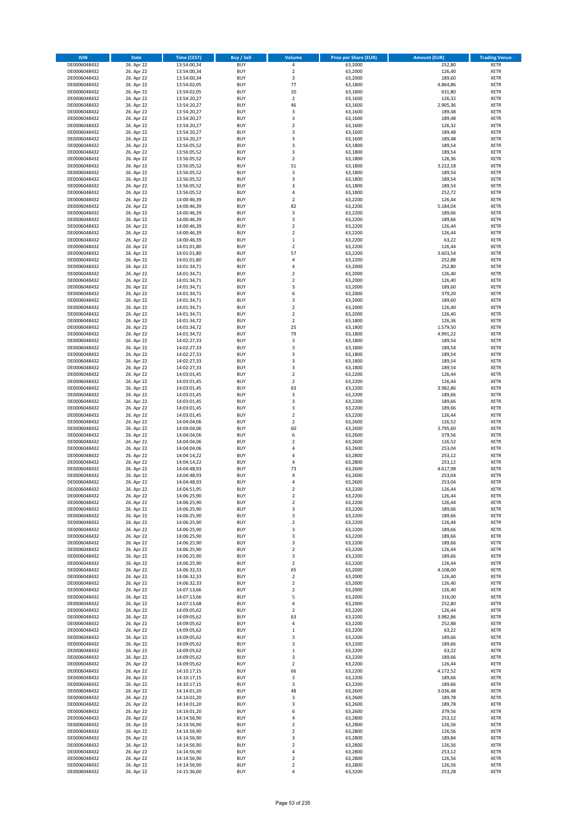| <b>ISIN</b>                  | <b>Date</b>              | <b>Time (CEST)</b>         | <b>Buy / Sell</b>        | Volume                                 | <b>Price per Share (EUR)</b> | <b>Amount (EUR)</b> | <b>Trading Venue</b>       |
|------------------------------|--------------------------|----------------------------|--------------------------|----------------------------------------|------------------------------|---------------------|----------------------------|
| DE0006048432                 | 26. Apr 22               | 13:54:00,34                | <b>BUY</b>               | 4                                      | 63,2000                      | 252,80              | <b>XETR</b>                |
| DE0006048432                 | 26. Apr 22               | 13:54:00,34                | <b>BUY</b>               | $\mathbf 2$                            | 63,2000                      | 126,40              | <b>XETR</b>                |
| DE0006048432                 | 26. Apr 22               | 13:54:00,34                | <b>BUY</b>               | 3                                      | 63,2000                      | 189,60              | <b>XETR</b>                |
| DE0006048432<br>DE0006048432 | 26. Apr 22<br>26. Apr 22 | 13:54:02,05<br>13:54:02,05 | <b>BUY</b><br><b>BUY</b> | 77<br>10                               | 63,1800<br>63,1800           | 4.864,86<br>631,80  | <b>XETR</b><br><b>XETR</b> |
| DE0006048432                 | 26. Apr 22               | 13:54:20,27                | <b>BUY</b>               | $\mathbf 2$                            | 63,1600                      | 126,32              | <b>XETR</b>                |
| DE0006048432                 | 26. Apr 22               | 13:54:20,27                | <b>BUY</b>               | 46                                     | 63,1600                      | 2.905,36            | <b>XETR</b>                |
| DE0006048432                 | 26. Apr 22               | 13:54:20,27                | <b>BUY</b>               | 3                                      | 63,1600                      | 189,48              | <b>XETR</b>                |
| DE0006048432                 | 26. Apr 22               | 13:54:20,27                | <b>BUY</b>               | 3                                      | 63,1600                      | 189,48              | <b>XETR</b>                |
| DE0006048432                 | 26. Apr 22               | 13:54:20,27                | <b>BUY</b>               | $\mathbf 2$                            | 63,1600                      | 126,32              | <b>XETR</b>                |
| DE0006048432                 | 26. Apr 22               | 13:54:20,27                | <b>BUY</b>               | 3                                      | 63,1600                      | 189,48              | <b>XETR</b>                |
| DE0006048432                 | 26. Apr 22<br>26. Apr 22 | 13:54:20,27                | <b>BUY</b><br><b>BUY</b> | 3<br>3                                 | 63,1600                      | 189,48<br>189,54    | <b>XETR</b><br><b>XETR</b> |
| DE0006048432<br>DE0006048432 | 26. Apr 22               | 13:56:05,52<br>13:56:05,52 | <b>BUY</b>               | 3                                      | 63,1800<br>63,1800           | 189,54              | <b>XETR</b>                |
| DE0006048432                 | 26. Apr 22               | 13:56:05,52                | <b>BUY</b>               | $\overline{\mathbf{c}}$                | 63,1800                      | 126,36              | <b>XETR</b>                |
| DE0006048432                 | 26. Apr 22               | 13:56:05,52                | <b>BUY</b>               | 51                                     | 63,1800                      | 3.222,18            | <b>XETR</b>                |
| DE0006048432                 | 26. Apr 22               | 13:56:05,52                | <b>BUY</b>               | 3                                      | 63,1800                      | 189,54              | <b>XETR</b>                |
| DE0006048432                 | 26. Apr 22               | 13:56:05,52                | <b>BUY</b>               | 3                                      | 63,1800                      | 189,54              | <b>XETR</b>                |
| DE0006048432                 | 26. Apr 22               | 13:56:05,52                | <b>BUY</b>               | 3                                      | 63,1800                      | 189,54              | <b>XETR</b>                |
| DE0006048432                 | 26. Apr 22               | 13:56:05,52                | <b>BUY</b>               | 4                                      | 63,1800                      | 252,72              | <b>XETR</b>                |
| DE0006048432<br>DE0006048432 | 26. Apr 22<br>26. Apr 22 | 14:00:46,39<br>14:00:46,39 | <b>BUY</b><br><b>BUY</b> | $\overline{\mathbf{c}}$<br>82          | 63,2200<br>63,2200           | 126,44<br>5.184,04  | <b>XETR</b><br><b>XETR</b> |
| DE0006048432                 | 26. Apr 22               | 14:00:46,39                | <b>BUY</b>               | 3                                      | 63,2200                      | 189,66              | <b>XETR</b>                |
| DE0006048432                 | 26. Apr 22               | 14:00:46,39                | <b>BUY</b>               | 3                                      | 63,2200                      | 189,66              | <b>XETR</b>                |
| DE0006048432                 | 26. Apr 22               | 14:00:46,39                | <b>BUY</b>               | $\mathbf 2$                            | 63,2200                      | 126,44              | <b>XETR</b>                |
| DE0006048432                 | 26. Apr 22               | 14:00:46,39                | <b>BUY</b>               | $\mathbf 2$                            | 63,2200                      | 126,44              | <b>XETR</b>                |
| DE0006048432                 | 26. Apr 22               | 14:00:46,39                | <b>BUY</b>               | $\mathbf 1$                            | 63,2200                      | 63,22               | <b>XETR</b>                |
| DE0006048432                 | 26. Apr 22               | 14:01:01,80                | <b>BUY</b>               | $\overline{\mathbf{c}}$                | 63,2200                      | 126,44              | <b>XETR</b>                |
| DE0006048432<br>DE0006048432 | 26. Apr 22<br>26. Apr 22 | 14:01:01,80<br>14:01:01,80 | <b>BUY</b><br><b>BUY</b> | 57<br>4                                | 63,2200<br>63,2200           | 3.603,54<br>252,88  | <b>XETR</b><br><b>XETR</b> |
| DE0006048432                 | 26. Apr 22               | 14:01:34,71                | <b>BUY</b>               | 4                                      | 63,2000                      | 252,80              | <b>XETR</b>                |
| DE0006048432                 | 26. Apr 22               | 14:01:34,71                | <b>BUY</b>               | $\overline{\mathbf{c}}$                | 63,2000                      | 126,40              | <b>XETR</b>                |
| DE0006048432                 | 26. Apr 22               | 14:01:34,71                | <b>BUY</b>               | $\mathbf 2$                            | 63,2000                      | 126,40              | <b>XETR</b>                |
| DE0006048432                 | 26. Apr 22               | 14:01:34,71                | <b>BUY</b>               | 3                                      | 63,2000                      | 189,60              | <b>XETR</b>                |
| DE0006048432                 | 26. Apr 22               | 14:01:34,71                | <b>BUY</b>               | 6                                      | 63,2000                      | 379,20              | <b>XETR</b>                |
| DE0006048432                 | 26. Apr 22               | 14:01:34,71                | <b>BUY</b>               | 3                                      | 63,2000                      | 189,60              | <b>XETR</b>                |
| DE0006048432                 | 26. Apr 22               | 14:01:34,71                | <b>BUY</b>               | $\overline{\mathbf{c}}$<br>$\mathbf 2$ | 63,2000                      | 126,40              | <b>XETR</b>                |
| DE0006048432<br>DE0006048432 | 26. Apr 22<br>26. Apr 22 | 14:01:34,71<br>14:01:34,72 | <b>BUY</b><br><b>BUY</b> | $\overline{2}$                         | 63,2000<br>63,1800           | 126,40<br>126,36    | <b>XETR</b><br><b>XETR</b> |
| DE0006048432                 | 26. Apr 22               | 14:01:34,72                | <b>BUY</b>               | 25                                     | 63,1800                      | 1.579,50            | <b>XETR</b>                |
| DE0006048432                 | 26. Apr 22               | 14:01:34,72                | <b>BUY</b>               | 79                                     | 63,1800                      | 4.991,22            | <b>XETR</b>                |
| DE0006048432                 | 26. Apr 22               | 14:02:27,33                | <b>BUY</b>               | 3                                      | 63,1800                      | 189,54              | <b>XETR</b>                |
| DE0006048432                 | 26. Apr 22               | 14:02:27,33                | <b>BUY</b>               | 3                                      | 63,1800                      | 189,54              | <b>XETR</b>                |
| DE0006048432                 | 26. Apr 22               | 14:02:27,33                | <b>BUY</b>               | 3                                      | 63,1800                      | 189,54              | <b>XETR</b>                |
| DE0006048432                 | 26. Apr 22               | 14:02:27,33                | <b>BUY</b>               | 3                                      | 63,1800                      | 189,54              | <b>XETR</b>                |
| DE0006048432                 | 26. Apr 22               | 14:02:27,33                | <b>BUY</b>               | 3                                      | 63,1800                      | 189,54              | <b>XETR</b>                |
| DE0006048432<br>DE0006048432 | 26. Apr 22<br>26. Apr 22 | 14:03:01,45<br>14:03:01,45 | <b>BUY</b><br><b>BUY</b> | $\mathbf 2$<br>$\mathbf 2$             | 63,2200<br>63,2200           | 126,44<br>126,44    | <b>XETR</b><br><b>XETR</b> |
| DE0006048432                 | 26. Apr 22               | 14:03:01,45                | <b>BUY</b>               | 63                                     | 63,2200                      | 3.982,86            | <b>XETR</b>                |
| DE0006048432                 | 26. Apr 22               | 14:03:01,45                | <b>BUY</b>               | 3                                      | 63,2200                      | 189,66              | <b>XETR</b>                |
| DE0006048432                 | 26. Apr 22               | 14:03:01,45                | <b>BUY</b>               | 3                                      | 63,2200                      | 189,66              | <b>XETR</b>                |
| DE0006048432                 | 26. Apr 22               | 14:03:01,45                | <b>BUY</b>               | 3                                      | 63,2200                      | 189,66              | <b>XETR</b>                |
| DE0006048432                 | 26. Apr 22               | 14:03:01,45                | <b>BUY</b>               | $\overline{2}$                         | 63,2200                      | 126,44              | <b>XETR</b>                |
| DE0006048432                 | 26. Apr 22               | 14:04:04,06                | <b>BUY</b>               | $\mathbf 2$                            | 63,2600                      | 126,52              | <b>XETR</b>                |
| DE0006048432<br>DE0006048432 | 26. Apr 22<br>26. Apr 22 | 14:04:04,06<br>14:04:04,06 | <b>BUY</b><br><b>BUY</b> | 60<br>6                                | 63,2600<br>63,2600           | 3.795,60<br>379,56  | <b>XETR</b><br><b>XETR</b> |
| DE0006048432                 | 26. Apr 22               | 14:04:04,06                | <b>BUY</b>               | $\overline{\mathbf{c}}$                | 63,2600                      | 126,52              | <b>XETR</b>                |
| DE0006048432                 | 26. Apr 22               | 14:04:04,06                | <b>BUY</b>               | 4                                      | 63,2600                      | 253,04              | <b>XETR</b>                |
| DE0006048432                 | 26. Apr 22               | 14:04:14,22                | <b>BUY</b>               | 4                                      | 63,2800                      | 253,12              | <b>XETR</b>                |
| DE0006048432                 | 26. Apr 22               | 14:04:14,22                | <b>BUY</b>               | 4                                      | 63,2800                      | 253,12              | <b>XETR</b>                |
| DE0006048432                 | 26. Apr 22               | 14:04:48,93                | <b>BUY</b>               | 73                                     | 63,2600                      | 4.617,98            | <b>XETR</b>                |
| DE0006048432                 | 26. Apr 22               | 14:04:48,93                | <b>BUY</b>               | 4                                      | 63,2600                      | 253,04              | <b>XETR</b>                |
| DE0006048432<br>DE0006048432 | 26. Apr 22               | 14:04:48,93<br>14:04:51,95 | <b>BUY</b><br><b>BUY</b> | 4<br>$\overline{2}$                    | 63,2600<br>63,2200           | 253,04<br>126,44    | <b>XETR</b><br><b>XETR</b> |
| DE0006048432                 | 26. Apr 22<br>26. Apr 22 | 14:06:25,90                | BUY                      | 2                                      | 63,2200                      | 126,44              | <b>XETR</b>                |
| DE0006048432                 | 26. Apr 22               | 14:06:25,90                | <b>BUY</b>               | $\mathbf 2$                            | 63,2200                      | 126,44              | <b>XETR</b>                |
| DE0006048432                 | 26. Apr 22               | 14:06:25,90                | <b>BUY</b>               | 3                                      | 63,2200                      | 189,66              | <b>XETR</b>                |
| DE0006048432                 | 26. Apr 22               | 14:06:25,90                | <b>BUY</b>               | 3                                      | 63,2200                      | 189,66              | XETR                       |
| DE0006048432                 | 26. Apr 22               | 14:06:25,90                | <b>BUY</b>               | $\mathbf 2$                            | 63,2200                      | 126,44              | <b>XETR</b>                |
| DE0006048432<br>DE0006048432 | 26. Apr 22<br>26. Apr 22 | 14:06:25,90                | <b>BUY</b><br><b>BUY</b> | 3<br>3                                 | 63,2200<br>63,2200           | 189,66<br>189,66    | <b>XETR</b>                |
| DE0006048432                 | 26. Apr 22               | 14:06:25,90<br>14:06:25,90 | <b>BUY</b>               | 3                                      | 63,2200                      | 189,66              | <b>XETR</b><br><b>XETR</b> |
| DE0006048432                 | 26. Apr 22               | 14:06:25,90                | <b>BUY</b>               | $\mathbf 2$                            | 63,2200                      | 126,44              | <b>XETR</b>                |
| DE0006048432                 | 26. Apr 22               | 14:06:25,90                | <b>BUY</b>               | 3                                      | 63,2200                      | 189,66              | <b>XETR</b>                |
| DE0006048432                 | 26. Apr 22               | 14:06:25,90                | <b>BUY</b>               | $\mathbf 2$                            | 63,2200                      | 126,44              | <b>XETR</b>                |
| DE0006048432                 | 26. Apr 22               | 14:06:32,33                | <b>BUY</b>               | 65                                     | 63,2000                      | 4.108,00            | <b>XETR</b>                |
| DE0006048432                 | 26. Apr 22               | 14:06:32,33                | <b>BUY</b>               | $\mathbf 2$                            | 63,2000                      | 126,40              | <b>XETR</b>                |
| DE0006048432<br>DE0006048432 | 26. Apr 22<br>26. Apr 22 | 14:06:32,33<br>14:07:13,66 | <b>BUY</b><br><b>BUY</b> | $\overline{2}$<br>$\mathbf 2$          | 63,2000<br>63,2000           | 126,40<br>126,40    | <b>XETR</b><br><b>XETR</b> |
| DE0006048432                 | 26. Apr 22               | 14:07:13,66                | <b>BUY</b>               | 5                                      | 63,2000                      | 316,00              | <b>XETR</b>                |
| DE0006048432                 | 26. Apr 22               | 14:07:13,68                | <b>BUY</b>               | 4                                      | 63,2000                      | 252,80              | <b>XETR</b>                |
| DE0006048432                 | 26. Apr 22               | 14:09:05,62                | <b>BUY</b>               | $\overline{2}$                         | 63,2200                      | 126,44              | <b>XETR</b>                |
| DE0006048432                 | 26. Apr 22               | 14:09:05,62                | <b>BUY</b>               | 63                                     | 63,2200                      | 3.982,86            | XETR                       |
| DE0006048432                 | 26. Apr 22               | 14:09:05,62                | <b>BUY</b>               | 4                                      | 63,2200                      | 252,88              | <b>XETR</b>                |
| DE0006048432                 | 26. Apr 22               | 14:09:05,62                | <b>BUY</b>               | $\mathbf 1$                            | 63,2200                      | 63,22               | <b>XETR</b>                |
| DE0006048432<br>DE0006048432 | 26. Apr 22<br>26. Apr 22 | 14:09:05,62<br>14:09:05,62 | <b>BUY</b><br><b>BUY</b> | 3<br>3                                 | 63,2200<br>63,2200           | 189,66<br>189,66    | <b>XETR</b><br><b>XETR</b> |
| DE0006048432                 | 26. Apr 22               | 14:09:05,62                | <b>BUY</b>               | $\mathbf 1$                            | 63,2200                      | 63,22               | <b>XETR</b>                |
| DE0006048432                 | 26. Apr 22               | 14:09:05,62                | <b>BUY</b>               | 3                                      | 63,2200                      | 189,66              | <b>XETR</b>                |
| DE0006048432                 | 26. Apr 22               | 14:09:05,62                | <b>BUY</b>               | $\mathbf 2$                            | 63,2200                      | 126,44              | <b>XETR</b>                |
| DE0006048432                 | 26. Apr 22               | 14:10:17,15                | <b>BUY</b>               | 66                                     | 63,2200                      | 4.172,52            | <b>XETR</b>                |
| DE0006048432                 | 26. Apr 22               | 14:10:17,15                | <b>BUY</b>               | 3                                      | 63,2200                      | 189,66              | <b>XETR</b>                |
| DE0006048432                 | 26. Apr 22               | 14:10:17,15                | <b>BUY</b>               | 3                                      | 63,2200                      | 189,66              | <b>XETR</b>                |
| DE0006048432                 | 26. Apr 22               | 14:14:01,20                | <b>BUY</b><br><b>BUY</b> | 48<br>3                                | 63,2600                      | 3.036,48            | <b>XETR</b><br><b>XETR</b> |
| DE0006048432<br>DE0006048432 | 26. Apr 22<br>26. Apr 22 | 14:14:01,20<br>14:14:01,20 | <b>BUY</b>               | 3                                      | 63,2600<br>63,2600           | 189,78<br>189,78    | <b>XETR</b>                |
| DE0006048432                 | 26. Apr 22               | 14:14:01,20                | <b>BUY</b>               | 6                                      | 63,2600                      | 379,56              | <b>XETR</b>                |
| DE0006048432                 | 26. Apr 22               | 14:14:56,90                | <b>BUY</b>               | 4                                      | 63,2800                      | 253,12              | <b>XETR</b>                |
| DE0006048432                 | 26. Apr 22               | 14:14:56,90                | <b>BUY</b>               | $\mathbf 2$                            | 63,2800                      | 126,56              | <b>XETR</b>                |
| DE0006048432                 | 26. Apr 22               | 14:14:56,90                | <b>BUY</b>               | $\mathbf 2$                            | 63,2800                      | 126,56              | <b>XETR</b>                |
| DE0006048432                 | 26. Apr 22               | 14:14:56,90                | <b>BUY</b>               | 3                                      | 63,2800                      | 189,84              | <b>XETR</b>                |
| DE0006048432                 | 26. Apr 22               | 14:14:56,90                | <b>BUY</b><br><b>BUY</b> | $\mathbf 2$<br>4                       | 63,2800                      | 126,56              | XETR<br><b>XETR</b>        |
| DE0006048432<br>DE0006048432 | 26. Apr 22<br>26. Apr 22 | 14:14:56,90<br>14:14:56,90 | <b>BUY</b>               | $\mathbf 2$                            | 63,2800<br>63,2800           | 253,12<br>126,56    | <b>XETR</b>                |
| DE0006048432                 | 26. Apr 22               | 14:14:56,90                | <b>BUY</b>               | $\overline{\mathbf{c}}$                | 63,2800                      | 126,56              | <b>XETR</b>                |
| DE0006048432                 | 26. Apr 22               | 14:15:36,00                | <b>BUY</b>               | 4                                      | 63,3200                      | 253,28              | <b>XETR</b>                |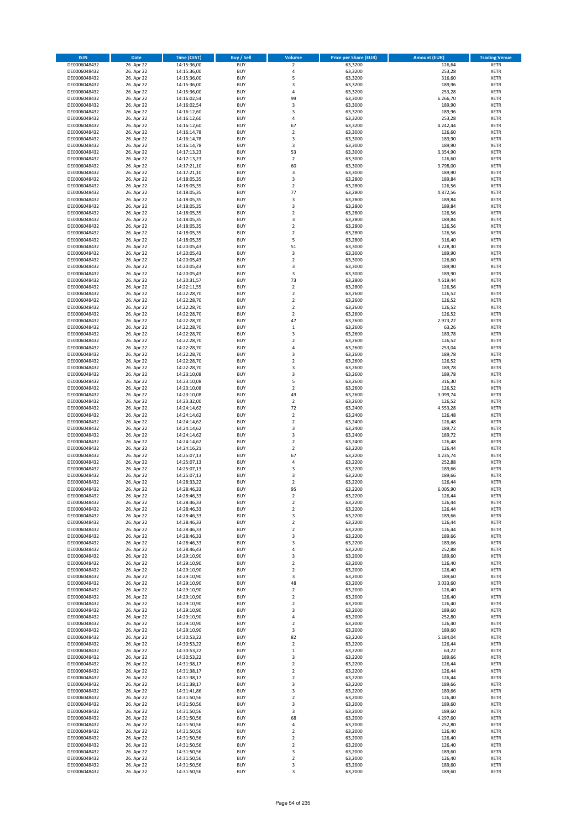| <b>ISIN</b>                  | <b>Date</b>              | <b>Time (CEST)</b>         | <b>Buy / Sell</b>        | Volume                                 | <b>Price per Share (EUR)</b> | <b>Amount (EUR)</b> | <b>Trading Venue</b>       |
|------------------------------|--------------------------|----------------------------|--------------------------|----------------------------------------|------------------------------|---------------------|----------------------------|
| DE0006048432                 | 26. Apr 22               | 14:15:36,00                | <b>BUY</b>               | $\overline{\mathbf{2}}$                | 63,3200                      | 126,64              | <b>XETR</b>                |
| DE0006048432                 | 26. Apr 22               | 14:15:36,00                | <b>BUY</b>               | 4                                      | 63,3200                      | 253,28              | <b>XETR</b>                |
| DE0006048432                 | 26. Apr 22               | 14:15:36,00                | <b>BUY</b>               | 5                                      | 63,3200                      | 316,60              | <b>XETR</b>                |
| DE0006048432<br>DE0006048432 | 26. Apr 22<br>26. Apr 22 | 14:15:36,00<br>14:15:36,00 | <b>BUY</b><br><b>BUY</b> | 3<br>4                                 | 63,3200<br>63,3200           | 189,96<br>253,28    | <b>XETR</b><br><b>XETR</b> |
| DE0006048432                 | 26. Apr 22               | 14:16:02,54                | <b>BUY</b>               | 99                                     | 63,3000                      | 6.266,70            | <b>XETR</b>                |
| DE0006048432                 | 26. Apr 22               | 14:16:02,54                | <b>BUY</b>               | 3                                      | 63,3000                      | 189,90              | <b>XETR</b>                |
| DE0006048432                 | 26. Apr 22               | 14:16:12,60                | <b>BUY</b>               | 3                                      | 63,3200                      | 189,96              | <b>XETR</b>                |
| DE0006048432                 | 26. Apr 22               | 14:16:12,60                | <b>BUY</b>               | 4                                      | 63,3200                      | 253,28              | <b>XETR</b>                |
| DE0006048432                 | 26. Apr 22               | 14:16:12,60                | <b>BUY</b>               | 67                                     | 63,3200                      | 4.242,44            | <b>XETR</b>                |
| DE0006048432                 | 26. Apr 22               | 14:16:14,78                | <b>BUY</b>               | $\mathbf 2$                            | 63,3000                      | 126,60              | <b>XETR</b>                |
| DE0006048432<br>DE0006048432 | 26. Apr 22<br>26. Apr 22 | 14:16:14,78<br>14:16:14,78 | <b>BUY</b><br><b>BUY</b> | 3<br>3                                 | 63,3000<br>63,3000           | 189,90<br>189,90    | <b>XETR</b><br><b>XETR</b> |
| DE0006048432                 | 26. Apr 22               | 14:17:13,23                | <b>BUY</b>               | 53                                     | 63,3000                      | 3.354,90            | <b>XETR</b>                |
| DE0006048432                 | 26. Apr 22               | 14:17:13,23                | <b>BUY</b>               | $\mathbf 2$                            | 63,3000                      | 126,60              | <b>XETR</b>                |
| DE0006048432                 | 26. Apr 22               | 14:17:21,10                | <b>BUY</b>               | 60                                     | 63,3000                      | 3.798,00            | <b>XETR</b>                |
| DE0006048432                 | 26. Apr 22               | 14:17:21,10                | <b>BUY</b>               | 3                                      | 63,3000                      | 189,90              | <b>XETR</b>                |
| DE0006048432                 | 26. Apr 22               | 14:18:05,35                | <b>BUY</b>               | 3                                      | 63,2800                      | 189,84              | <b>XETR</b>                |
| DE0006048432                 | 26. Apr 22               | 14:18:05,35                | <b>BUY</b>               | $\overline{\mathbf{c}}$                | 63,2800                      | 126,56              | <b>XETR</b>                |
| DE0006048432                 | 26. Apr 22               | 14:18:05,35                | <b>BUY</b>               | 77                                     | 63,2800                      | 4.872,56            | <b>XETR</b>                |
| DE0006048432<br>DE0006048432 | 26. Apr 22<br>26. Apr 22 | 14:18:05,35<br>14:18:05,35 | <b>BUY</b><br><b>BUY</b> | 3<br>3                                 | 63,2800<br>63,2800           | 189,84<br>189,84    | <b>XETR</b><br><b>XETR</b> |
| DE0006048432                 | 26. Apr 22               | 14:18:05,35                | <b>BUY</b>               | $\mathbf 2$                            | 63,2800                      | 126,56              | <b>XETR</b>                |
| DE0006048432                 | 26. Apr 22               | 14:18:05,35                | <b>BUY</b>               | 3                                      | 63,2800                      | 189,84              | <b>XETR</b>                |
| DE0006048432                 | 26. Apr 22               | 14:18:05,35                | <b>BUY</b>               | $\mathbf 2$                            | 63,2800                      | 126,56              | <b>XETR</b>                |
| DE0006048432                 | 26. Apr 22               | 14:18:05,35                | <b>BUY</b>               | $\mathbf 2$                            | 63,2800                      | 126,56              | <b>XETR</b>                |
| DE0006048432                 | 26. Apr 22               | 14:18:05,35                | <b>BUY</b>               | 5                                      | 63,2800                      | 316,40              | <b>XETR</b>                |
| DE0006048432                 | 26. Apr 22               | 14:20:05,43                | <b>BUY</b>               | 51                                     | 63,3000                      | 3.228,30            | <b>XETR</b>                |
| DE0006048432<br>DE0006048432 | 26. Apr 22<br>26. Apr 22 | 14:20:05,43<br>14:20:05,43 | <b>BUY</b><br><b>BUY</b> | 3<br>$\overline{\mathbf{c}}$           | 63,3000<br>63,3000           | 189,90<br>126,60    | <b>XETR</b><br><b>XETR</b> |
| DE0006048432                 | 26. Apr 22               | 14:20:05,43                | <b>BUY</b>               | 3                                      | 63,3000                      | 189,90              | <b>XETR</b>                |
| DE0006048432                 | 26. Apr 22               | 14:20:05,43                | <b>BUY</b>               | 3                                      | 63,3000                      | 189,90              | <b>XETR</b>                |
| DE0006048432                 | 26. Apr 22               | 14:20:31,57                | <b>BUY</b>               | 73                                     | 63,2800                      | 4.619,44            | <b>XETR</b>                |
| DE0006048432                 | 26. Apr 22               | 14:22:11,55                | <b>BUY</b>               | $\mathbf 2$                            | 63,2800                      | 126,56              | <b>XETR</b>                |
| DE0006048432                 | 26. Apr 22               | 14:22:28,70                | <b>BUY</b>               | $\overline{2}$                         | 63,2600                      | 126,52              | <b>XETR</b>                |
| DE0006048432                 | 26. Apr 22               | 14:22:28,70                | <b>BUY</b>               | $\mathbf 2$                            | 63,2600                      | 126,52              | <b>XETR</b>                |
| DE0006048432                 | 26. Apr 22               | 14:22:28,70                | <b>BUY</b>               | $\overline{\mathbf{c}}$                | 63,2600                      | 126,52              | <b>XETR</b>                |
| DE0006048432<br>DE0006048432 | 26. Apr 22<br>26. Apr 22 | 14:22:28,70<br>14:22:28,70 | <b>BUY</b><br><b>BUY</b> | $\mathbf 2$<br>47                      | 63,2600<br>63,2600           | 126,52<br>2.973,22  | <b>XETR</b><br><b>XETR</b> |
| DE0006048432                 | 26. Apr 22               | 14:22:28,70                | <b>BUY</b>               | $\mathbf 1$                            | 63,2600                      | 63,26               | <b>XETR</b>                |
| DE0006048432                 | 26. Apr 22               | 14:22:28,70                | <b>BUY</b>               | 3                                      | 63,2600                      | 189,78              | <b>XETR</b>                |
| DE0006048432                 | 26. Apr 22               | 14:22:28,70                | <b>BUY</b>               | $\mathbf 2$                            | 63,2600                      | 126,52              | <b>XETR</b>                |
| DE0006048432                 | 26. Apr 22               | 14:22:28,70                | <b>BUY</b>               | 4                                      | 63,2600                      | 253,04              | <b>XETR</b>                |
| DE0006048432                 | 26. Apr 22               | 14:22:28,70                | <b>BUY</b>               | 3                                      | 63,2600                      | 189,78              | <b>XETR</b>                |
| DE0006048432                 | 26. Apr 22               | 14:22:28,70                | <b>BUY</b>               | $\mathbf 2$                            | 63,2600                      | 126,52              | <b>XETR</b>                |
| DE0006048432                 | 26. Apr 22               | 14:22:28,70                | <b>BUY</b>               | 3                                      | 63,2600                      | 189,78              | <b>XETR</b>                |
| DE0006048432<br>DE0006048432 | 26. Apr 22<br>26. Apr 22 | 14:23:10,08<br>14:23:10,08 | <b>BUY</b><br><b>BUY</b> | 3<br>5                                 | 63,2600<br>63,2600           | 189,78<br>316,30    | <b>XETR</b><br><b>XETR</b> |
| DE0006048432                 | 26. Apr 22               | 14:23:10,08                | <b>BUY</b>               | $\mathbf 2$                            | 63,2600                      | 126,52              | <b>XETR</b>                |
| DE0006048432                 | 26. Apr 22               | 14:23:10,08                | <b>BUY</b>               | 49                                     | 63,2600                      | 3.099,74            | <b>XETR</b>                |
| DE0006048432                 | 26. Apr 22               | 14:23:32,00                | <b>BUY</b>               | $\overline{\mathbf{c}}$                | 63,2600                      | 126,52              | <b>XETR</b>                |
| DE0006048432                 | 26. Apr 22               | 14:24:14,62                | <b>BUY</b>               | 72                                     | 63,2400                      | 4.553,28            | <b>XETR</b>                |
| DE0006048432                 | 26. Apr 22               | 14:24:14,62                | <b>BUY</b>               | $\overline{2}$                         | 63,2400                      | 126,48              | <b>XETR</b>                |
| DE0006048432                 | 26. Apr 22               | 14:24:14,62                | <b>BUY</b>               | $\mathbf 2$                            | 63,2400                      | 126,48              | <b>XETR</b>                |
| DE0006048432<br>DE0006048432 | 26. Apr 22<br>26. Apr 22 | 14:24:14,62<br>14:24:14,62 | <b>BUY</b><br><b>BUY</b> | 3<br>3                                 | 63,2400<br>63,2400           | 189,72<br>189,72    | <b>XETR</b><br><b>XETR</b> |
| DE0006048432                 | 26. Apr 22               | 14:24:14,62                | <b>BUY</b>               | $\overline{\mathbf{c}}$                | 63,2400                      | 126,48              | <b>XETR</b>                |
| DE0006048432                 | 26. Apr 22               | 14:24:16,21                | <b>BUY</b>               | $\overline{\mathbf{c}}$                | 63,2200                      | 126,44              | <b>XETR</b>                |
| DE0006048432                 | 26. Apr 22               | 14:25:07,13                | <b>BUY</b>               | 67                                     | 63,2200                      | 4.235,74            | <b>XETR</b>                |
| DE0006048432                 | 26. Apr 22               | 14:25:07,13                | <b>BUY</b>               | 4                                      | 63,2200                      | 252,88              | <b>XETR</b>                |
| DE0006048432                 | 26. Apr 22               | 14:25:07,13                | <b>BUY</b>               | 3                                      | 63,2200                      | 189,66              | <b>XETR</b>                |
| DE0006048432                 | 26. Apr 22               | 14:25:07,13                | <b>BUY</b>               | 3                                      | 63,2200                      | 189,66              | <b>XETR</b>                |
| DE0006048432<br>DE0006048432 | 26. Apr 22               | 14:28:33,22                | <b>BUY</b><br><b>BUY</b> | $\mathbf 2$<br>95                      | 63,2200                      | 126,44              | <b>XETR</b><br><b>XETR</b> |
| DE0006048432                 | 26. Apr 22<br>26. Apr 22 | 14:28:46,33<br>14:28:46,33 | BUY                      | 2                                      | 63,2200<br>63,2200           | 6.005,90<br>126,44  | <b>XETR</b>                |
| DE0006048432                 | 26. Apr 22               | 14:28:46,33                | <b>BUY</b>               | $\mathbf 2$                            | 63,2200                      | 126,44              | <b>XETR</b>                |
| DE0006048432                 | 26. Apr 22               | 14:28:46,33                | <b>BUY</b>               | $\mathbf 2$                            | 63,2200                      | 126,44              | <b>XETR</b>                |
| DE0006048432                 | 26. Apr 22               | 14:28:46,33                | <b>BUY</b>               | 3                                      | 63,2200                      | 189,66              | <b>XETR</b>                |
| DE0006048432                 | 26. Apr 22               | 14:28:46,33                | <b>BUY</b>               | $\mathbf 2$                            | 63,2200                      | 126,44              | <b>XETR</b>                |
| DE0006048432                 | 26. Apr 22               | 14:28:46,33                | <b>BUY</b>               | $\mathbf 2$                            | 63,2200                      | 126,44              | <b>XETR</b>                |
| DE0006048432                 | 26. Apr 22               | 14:28:46,33<br>14:28:46,33 | <b>BUY</b><br><b>BUY</b> | 3<br>3                                 | 63,2200                      | 189,66              | <b>XETR</b>                |
| DE0006048432<br>DE0006048432 | 26. Apr 22<br>26. Apr 22 | 14:28:46,43                | <b>BUY</b>               | 4                                      | 63,2200<br>63,2200           | 189,66<br>252,88    | <b>XETR</b><br><b>XETR</b> |
| DE0006048432                 | 26. Apr 22               | 14:29:10,90                | <b>BUY</b>               | 3                                      | 63,2000                      | 189,60              | <b>XETR</b>                |
| DE0006048432                 | 26. Apr 22               | 14:29:10,90                | <b>BUY</b>               | $\mathbf 2$                            | 63,2000                      | 126,40              | <b>XETR</b>                |
| DE0006048432                 | 26. Apr 22               | 14:29:10,90                | <b>BUY</b>               | $\overline{2}$                         | 63,2000                      | 126,40              | <b>XETR</b>                |
| DE0006048432                 | 26. Apr 22               | 14:29:10,90                | <b>BUY</b>               | 3                                      | 63,2000                      | 189,60              | <b>XETR</b>                |
| DE0006048432                 | 26. Apr 22               | 14:29:10,90                | <b>BUY</b>               | 48                                     | 63,2000                      | 3.033,60            | <b>XETR</b>                |
| DE0006048432<br>DE0006048432 | 26. Apr 22<br>26. Apr 22 | 14:29:10,90<br>14:29:10,90 | <b>BUY</b><br><b>BUY</b> | $\mathbf 2$<br>$\overline{\mathbf{c}}$ | 63,2000<br>63,2000           | 126,40<br>126,40    | <b>XETR</b><br><b>XETR</b> |
| DE0006048432                 | 26. Apr 22               | 14:29:10,90                | <b>BUY</b>               | $\mathbf 2$                            | 63,2000                      | 126,40              | <b>XETR</b>                |
| DE0006048432                 | 26. Apr 22               | 14:29:10,90                | <b>BUY</b>               | 3                                      | 63,2000                      | 189,60              | <b>XETR</b>                |
| DE0006048432                 | 26. Apr 22               | 14:29:10,90                | <b>BUY</b>               | 4                                      | 63,2000                      | 252,80              | <b>XETR</b>                |
| DE0006048432                 | 26. Apr 22               | 14:29:10,90                | <b>BUY</b>               | $\overline{\mathbf{c}}$                | 63,2000                      | 126,40              | <b>XETR</b>                |
| DE0006048432                 | 26. Apr 22               | 14:29:10,90                | <b>BUY</b>               | 3                                      | 63,2000                      | 189,60              | <b>XETR</b>                |
| DE0006048432<br>DE0006048432 | 26. Apr 22<br>26. Apr 22 | 14:30:53,22                | <b>BUY</b><br><b>BUY</b> | 82<br>$\overline{\mathbf{c}}$          | 63,2200<br>63,2200           | 5.184,04<br>126,44  | <b>XETR</b><br><b>XETR</b> |
| DE0006048432                 | 26. Apr 22               | 14:30:53,22<br>14:30:53,22 | <b>BUY</b>               | $\mathbf 1$                            | 63,2200                      | 63,22               | <b>XETR</b>                |
| DE0006048432                 | 26. Apr 22               | 14:30:53,22                | <b>BUY</b>               | 3                                      | 63,2200                      | 189,66              | <b>XETR</b>                |
| DE0006048432                 | 26. Apr 22               | 14:31:38,17                | <b>BUY</b>               | $\mathbf 2$                            | 63,2200                      | 126,44              | <b>XETR</b>                |
| DE0006048432                 | 26. Apr 22               | 14:31:38,17                | <b>BUY</b>               | $\mathbf 2$                            | 63,2200                      | 126,44              | <b>XETR</b>                |
| DE0006048432                 | 26. Apr 22               | 14:31:38,17                | <b>BUY</b>               | $\overline{2}$                         | 63,2200                      | 126,44              | <b>XETR</b>                |
| DE0006048432                 | 26. Apr 22               | 14:31:38,17                | <b>BUY</b>               | 3                                      | 63,2200                      | 189,66              | <b>XETR</b>                |
| DE0006048432<br>DE0006048432 | 26. Apr 22               | 14:31:41,86                | <b>BUY</b><br><b>BUY</b> | 3<br>$\mathbf 2$                       | 63,2200<br>63,2000           | 189,66<br>126,40    | <b>XETR</b><br><b>XETR</b> |
| DE0006048432                 | 26. Apr 22<br>26. Apr 22 | 14:31:50,56<br>14:31:50,56 | <b>BUY</b>               | 3                                      | 63,2000                      | 189,60              | <b>XETR</b>                |
| DE0006048432                 | 26. Apr 22               | 14:31:50,56                | <b>BUY</b>               | 3                                      | 63,2000                      | 189,60              | <b>XETR</b>                |
| DE0006048432                 | 26. Apr 22               | 14:31:50,56                | <b>BUY</b>               | 68                                     | 63,2000                      | 4.297,60            | <b>XETR</b>                |
| DE0006048432                 | 26. Apr 22               | 14:31:50,56                | <b>BUY</b>               | 4                                      | 63,2000                      | 252,80              | <b>XETR</b>                |
| DE0006048432                 | 26. Apr 22               | 14:31:50,56                | <b>BUY</b>               | $\mathbf 2$                            | 63,2000                      | 126,40              | <b>XETR</b>                |
| DE0006048432                 | 26. Apr 22               | 14:31:50,56                | <b>BUY</b>               | $\overline{\mathbf{c}}$                | 63,2000                      | 126,40              | <b>XETR</b>                |
| DE0006048432<br>DE0006048432 | 26. Apr 22<br>26. Apr 22 | 14:31:50,56<br>14:31:50,56 | <b>BUY</b><br><b>BUY</b> | $\mathbf 2$<br>3                       | 63,2000<br>63,2000           | 126,40<br>189,60    | XETR<br><b>XETR</b>        |
| DE0006048432                 | 26. Apr 22               | 14:31:50,56                | <b>BUY</b>               | $\mathbf 2$                            | 63,2000                      | 126,40              | <b>XETR</b>                |
| DE0006048432                 | 26. Apr 22               | 14:31:50,56                | <b>BUY</b>               | 3                                      | 63,2000                      | 189,60              | <b>XETR</b>                |
| DE0006048432                 | 26. Apr 22               | 14:31:50,56                | <b>BUY</b>               | 3                                      | 63,2000                      | 189,60              | <b>XETR</b>                |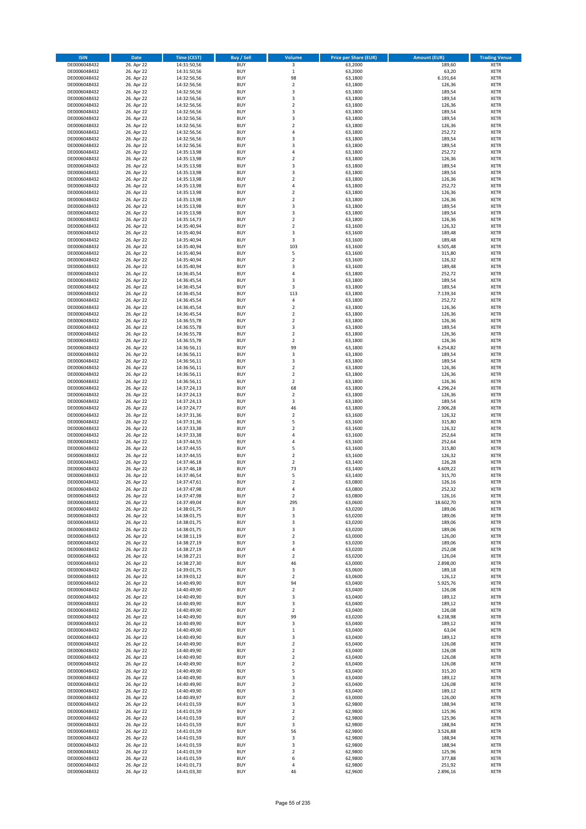| <b>ISIN</b>                  | Date                     | Time (CEST)                | <b>Buy / Sell</b>        | <b>Volume</b>                 | <b>Price per Share (EUR)</b> | <b>Amount (EUR)</b> | <b>Trading Venue</b>       |
|------------------------------|--------------------------|----------------------------|--------------------------|-------------------------------|------------------------------|---------------------|----------------------------|
| DE0006048432                 | 26. Apr 22               | 14:31:50,56                | <b>BUY</b>               | $\overline{\mathbf{3}}$       | 63,2000                      | 189,60              | <b>XETR</b>                |
| DE0006048432                 | 26. Apr 22               | 14:31:50,56                | <b>BUY</b>               | $\mathbf 1$                   | 63,2000                      | 63,20               | XETR                       |
| DE0006048432                 | 26. Apr 22               | 14:32:56,56                | <b>BUY</b>               | 98                            | 63,1800                      | 6.191,64            | <b>XETR</b>                |
| DE0006048432                 | 26. Apr 22               | 14:32:56,56                | <b>BUY</b>               | $\mathbf 2$                   | 63,1800                      | 126,36              | XETR                       |
| DE0006048432<br>DE0006048432 | 26. Apr 22<br>26. Apr 22 | 14:32:56,56<br>14:32:56,56 | <b>BUY</b><br><b>BUY</b> | 3<br>3                        | 63,1800<br>63,1800           | 189,54<br>189,54    | <b>XETR</b><br><b>XETR</b> |
| DE0006048432                 | 26. Apr 22               | 14:32:56,56                | <b>BUY</b>               | $\mathbf 2$                   | 63,1800                      | 126,36              | <b>XETR</b>                |
| DE0006048432                 | 26. Apr 22               | 14:32:56,56                | <b>BUY</b>               | 3                             | 63,1800                      | 189,54              | <b>XETR</b>                |
| DE0006048432                 | 26. Apr 22               | 14:32:56,56                | <b>BUY</b>               | 3                             | 63,1800                      | 189,54              | <b>XETR</b>                |
| DE0006048432                 | 26. Apr 22               | 14:32:56,56                | <b>BUY</b>               | $\mathbf 2$                   | 63,1800                      | 126,36              | <b>XETR</b>                |
| DE0006048432                 | 26. Apr 22               | 14:32:56,56                | <b>BUY</b>               | $\sqrt{4}$                    | 63,1800                      | 252,72              | <b>XETR</b>                |
| DE0006048432                 | 26. Apr 22               | 14:32:56,56                | <b>BUY</b>               | 3<br>3                        | 63,1800                      | 189,54              | <b>XETR</b>                |
| DE0006048432<br>DE0006048432 | 26. Apr 22<br>26. Apr 22 | 14:32:56,56<br>14:35:13,98 | <b>BUY</b><br><b>BUY</b> | 4                             | 63,1800<br>63,1800           | 189,54<br>252,72    | <b>XETR</b><br><b>XETR</b> |
| DE0006048432                 | 26. Apr 22               | 14:35:13,98                | <b>BUY</b>               | $\mathbf 2$                   | 63,1800                      | 126,36              | <b>XETR</b>                |
| DE0006048432                 | 26. Apr 22               | 14:35:13,98                | <b>BUY</b>               | 3                             | 63,1800                      | 189,54              | <b>XETR</b>                |
| DE0006048432                 | 26. Apr 22               | 14:35:13,98                | <b>BUY</b>               | 3                             | 63,1800                      | 189,54              | <b>XETR</b>                |
| DE0006048432                 | 26. Apr 22               | 14:35:13,98                | <b>BUY</b>               | $\mathbf 2$                   | 63,1800                      | 126,36              | <b>XETR</b>                |
| DE0006048432                 | 26. Apr 22               | 14:35:13,98                | <b>BUY</b>               | 4                             | 63,1800                      | 252,72              | <b>XETR</b>                |
| DE0006048432<br>DE0006048432 | 26. Apr 22<br>26. Apr 22 | 14:35:13,98                | <b>BUY</b><br><b>BUY</b> | $\mathbf 2$<br>$\overline{2}$ | 63,1800                      | 126,36<br>126,36    | <b>XETR</b><br><b>XETR</b> |
| DE0006048432                 | 26. Apr 22               | 14:35:13,98<br>14:35:13,98 | <b>BUY</b>               | 3                             | 63,1800<br>63,1800           | 189,54              | <b>XETR</b>                |
| DE0006048432                 | 26. Apr 22               | 14:35:13,98                | <b>BUY</b>               | 3                             | 63,1800                      | 189,54              | <b>XETR</b>                |
| DE0006048432                 | 26. Apr 22               | 14:35:14,73                | <b>BUY</b>               | $\mathbf 2$                   | 63,1800                      | 126,36              | <b>XETR</b>                |
| DE0006048432                 | 26. Apr 22               | 14:35:40,94                | <b>BUY</b>               | $\overline{2}$                | 63,1600                      | 126,32              | <b>XETR</b>                |
| DE0006048432                 | 26. Apr 22               | 14:35:40,94                | <b>BUY</b>               | 3                             | 63,1600                      | 189,48              | <b>XETR</b>                |
| DE0006048432<br>DE0006048432 | 26. Apr 22               | 14:35:40,94                | <b>BUY</b><br><b>BUY</b> | $\mathsf 3$<br>103            | 63,1600                      | 189,48              | <b>XETR</b><br><b>XETR</b> |
| DE0006048432                 | 26. Apr 22<br>26. Apr 22 | 14:35:40,94<br>14:35:40,94 | <b>BUY</b>               | 5                             | 63,1600<br>63,1600           | 6.505,48<br>315,80  | <b>XETR</b>                |
| DE0006048432                 | 26. Apr 22               | 14:35:40,94                | <b>BUY</b>               | $\mathbf 2$                   | 63,1600                      | 126,32              | <b>XETR</b>                |
| DE0006048432                 | 26. Apr 22               | 14:35:40,94                | <b>BUY</b>               | 3                             | 63,1600                      | 189,48              | <b>XETR</b>                |
| DE0006048432                 | 26. Apr 22               | 14:36:45,54                | <b>BUY</b>               | $\sqrt{4}$                    | 63,1800                      | 252,72              | <b>XETR</b>                |
| DE0006048432                 | 26. Apr 22               | 14:36:45,54                | <b>BUY</b>               | 3                             | 63,1800                      | 189,54              | <b>XETR</b>                |
| DE0006048432                 | 26. Apr 22               | 14:36:45,54                | <b>BUY</b>               | 3                             | 63,1800                      | 189,54              | <b>XETR</b>                |
| DE0006048432<br>DE0006048432 | 26. Apr 22<br>26. Apr 22 | 14:36:45,54<br>14:36:45,54 | <b>BUY</b><br><b>BUY</b> | 113<br>4                      | 63,1800<br>63,1800           | 7.139,34<br>252,72  | <b>XETR</b><br><b>XETR</b> |
| DE0006048432                 | 26. Apr 22               | 14:36:45,54                | <b>BUY</b>               | $\overline{2}$                | 63,1800                      | 126,36              | <b>XETR</b>                |
| DE0006048432                 | 26. Apr 22               | 14:36:45,54                | <b>BUY</b>               | $\mathbf 2$                   | 63,1800                      | 126,36              | <b>XETR</b>                |
| DE0006048432                 | 26. Apr 22               | 14:36:55,78                | <b>BUY</b>               | $\overline{2}$                | 63,1800                      | 126,36              | <b>XETR</b>                |
| DE0006048432                 | 26. Apr 22               | 14:36:55,78                | <b>BUY</b>               | 3                             | 63,1800                      | 189,54              | <b>XETR</b>                |
| DE0006048432                 | 26. Apr 22               | 14:36:55,78                | <b>BUY</b>               | $\mathbf 2$                   | 63,1800                      | 126,36              | <b>XETR</b>                |
| DE0006048432                 | 26. Apr 22<br>26. Apr 22 | 14:36:55,78                | <b>BUY</b><br><b>BUY</b> | $\overline{2}$<br>99          | 63,1800<br>63,1800           | 126,36<br>6.254,82  | <b>XETR</b><br><b>XETR</b> |
| DE0006048432<br>DE0006048432 | 26. Apr 22               | 14:36:56,11<br>14:36:56,11 | <b>BUY</b>               | 3                             | 63,1800                      | 189,54              | <b>XETR</b>                |
| DE0006048432                 | 26. Apr 22               | 14:36:56,11                | <b>BUY</b>               | 3                             | 63,1800                      | 189,54              | <b>XETR</b>                |
| DE0006048432                 | 26. Apr 22               | 14:36:56,11                | <b>BUY</b>               | $\overline{2}$                | 63,1800                      | 126,36              | <b>XETR</b>                |
| DE0006048432                 | 26. Apr 22               | 14:36:56,11                | <b>BUY</b>               | $\mathbf 2$                   | 63,1800                      | 126,36              | <b>XETR</b>                |
| DE0006048432                 | 26. Apr 22               | 14:36:56,11                | <b>BUY</b>               | $\mathbf 2$                   | 63,1800                      | 126,36              | <b>XETR</b>                |
| DE0006048432<br>DE0006048432 | 26. Apr 22               | 14:37:24,13                | <b>BUY</b><br><b>BUY</b> | 68<br>$\mathbf 2$             | 63,1800                      | 4.296,24<br>126,36  | <b>XETR</b><br><b>XETR</b> |
| DE0006048432                 | 26. Apr 22<br>26. Apr 22 | 14:37:24,13<br>14:37:24,13 | <b>BUY</b>               | 3                             | 63,1800<br>63,1800           | 189,54              | <b>XETR</b>                |
| DE0006048432                 | 26. Apr 22               | 14:37:24,77                | <b>BUY</b>               | 46                            | 63,1800                      | 2.906,28            | <b>XETR</b>                |
| DE0006048432                 | 26. Apr 22               | 14:37:31,36                | <b>BUY</b>               | $\overline{2}$                | 63,1600                      | 126,32              | <b>XETR</b>                |
| DE0006048432                 | 26. Apr 22               | 14:37:31,36                | <b>BUY</b>               | 5                             | 63,1600                      | 315,80              | <b>XETR</b>                |
| DE0006048432                 | 26. Apr 22               | 14:37:33,38                | <b>BUY</b>               | $\mathbf 2$                   | 63,1600                      | 126,32              | <b>XETR</b>                |
| DE0006048432                 | 26. Apr 22               | 14:37:33,38                | <b>BUY</b>               | 4                             | 63,1600                      | 252,64              | <b>XETR</b>                |
| DE0006048432<br>DE0006048432 | 26. Apr 22<br>26. Apr 22 | 14:37:44,55<br>14:37:44,55 | <b>BUY</b><br><b>BUY</b> | $\overline{4}$<br>5           | 63,1600<br>63,1600           | 252,64<br>315,80    | <b>XETR</b><br><b>XETR</b> |
| DE0006048432                 | 26. Apr 22               | 14:37:44,55                | <b>BUY</b>               | $\mathbf 2$                   | 63,1600                      | 126,32              | <b>XETR</b>                |
| DE0006048432                 | 26. Apr 22               | 14:37:46,18                | <b>BUY</b>               | $\overline{2}$                | 63,1400                      | 126,28              | <b>XETR</b>                |
| DE0006048432                 | 26. Apr 22               | 14:37:46,18                | <b>BUY</b>               | 73                            | 63,1400                      | 4.609,22            | <b>XETR</b>                |
| DE0006048432                 | 26. Apr 22               | 14:37:46.54                | <b>BUY</b>               | 5                             | 63,1400                      | 315,70              | <b>XETR</b>                |
| DE0006048432                 | 26. Apr 22               | 14:37:47,61                | <b>BUY</b>               | $\overline{2}$                | 63,0800                      | 126,16              | <b>XETR</b>                |
| DE0006048432<br>DE0006048432 | 26. Apr 22<br>26. Apr 22 | 14:37:47,98<br>14:37:47,98 | <b>BUY</b><br>BUY        | $\overline{4}$<br>$\mathbf 2$ | 63,0800<br>63,0800           | 252,32              | <b>XETR</b><br>XETR        |
| DE0006048432                 | 26. Apr 22               | 14:37:49,04                | <b>BUY</b>               | 295                           | 63,0600                      | 126,16<br>18.602,70 | <b>XETR</b>                |
| DE0006048432                 | 26. Apr 22               | 14:38:01,75                | <b>BUY</b>               | 3                             | 63,0200                      | 189,06              | <b>XETR</b>                |
| DE0006048432                 | 26. Apr 22               | 14:38:01,75                | <b>BUY</b>               | $\mathsf 3$                   | 63,0200                      | 189,06              | <b>XETR</b>                |
| DE0006048432                 | 26. Apr 22               | 14:38:01,75                | <b>BUY</b>               | 3                             | 63,0200                      | 189,06              | <b>XETR</b>                |
| DE0006048432                 | 26. Apr 22               | 14:38:01,75                | <b>BUY</b>               | $\mathsf 3$                   | 63,0200                      | 189,06              | <b>XETR</b>                |
| DE0006048432                 | 26. Apr 22               | 14:38:11,19                | <b>BUY</b>               | $\overline{2}$                | 63,0000                      | 126,00              | <b>XETR</b>                |
| DE0006048432<br>DE0006048432 | 26. Apr 22<br>26. Apr 22 | 14:38:27,19<br>14:38:27,19 | <b>BUY</b><br><b>BUY</b> | 3<br>$\sqrt{4}$               | 63,0200<br>63,0200           | 189,06<br>252,08    | <b>XETR</b><br>XETR        |
| DE0006048432                 | 26. Apr 22               | 14:38:27,21                | <b>BUY</b>               | $\overline{2}$                | 63,0200                      | 126,04              | <b>XETR</b>                |
| DE0006048432                 | 26. Apr 22               | 14:38:27,30                | <b>BUY</b>               | 46                            | 63,0000                      | 2.898,00            | XETR                       |
| DE0006048432                 | 26. Apr 22               | 14:39:01,75                | <b>BUY</b>               | 3                             | 63,0600                      | 189,18              | <b>XETR</b>                |
| DE0006048432                 | 26. Apr 22               | 14:39:03,12                | <b>BUY</b>               | $\mathbf 2$                   | 63,0600                      | 126,12              | XETR                       |
| DE0006048432<br>DE0006048432 | 26. Apr 22<br>26. Apr 22 | 14:40:49,90<br>14:40:49,90 | <b>BUY</b><br><b>BUY</b> | 94<br>$\mathbf 2$             | 63,0400<br>63,0400           | 5.925,76<br>126,08  | <b>XETR</b><br>XETR        |
| DE0006048432                 | 26. Apr 22               | 14:40:49,90                | <b>BUY</b>               | 3                             | 63,0400                      | 189,12              | <b>XETR</b>                |
| DE0006048432                 | 26. Apr 22               | 14:40:49,90                | <b>BUY</b>               | 3                             | 63,0400                      | 189,12              | <b>XETR</b>                |
| DE0006048432                 | 26. Apr 22               | 14:40:49,90                | <b>BUY</b>               | $\overline{2}$                | 63,0400                      | 126,08              | <b>XETR</b>                |
| DE0006048432                 | 26. Apr 22               | 14:40:49,90                | <b>BUY</b>               | 99                            | 63,0200                      | 6.238,98            | XETR                       |
| DE0006048432                 | 26. Apr 22               | 14:40:49,90                | <b>BUY</b>               | $\mathsf 3$                   | 63,0400                      | 189,12              | <b>XETR</b>                |
| DE0006048432                 | 26. Apr 22               | 14:40:49,90                | <b>BUY</b>               | $\,1\,$                       | 63,0400                      | 63,04               | <b>XETR</b>                |
| DE0006048432<br>DE0006048432 | 26. Apr 22<br>26. Apr 22 | 14:40:49,90<br>14:40:49,90 | <b>BUY</b><br><b>BUY</b> | 3<br>$\overline{2}$           | 63,0400<br>63,0400           | 189,12<br>126,08    | <b>XETR</b><br>XETR        |
| DE0006048432                 | 26. Apr 22               | 14:40:49,90                | <b>BUY</b>               | $\mathbf 2$                   | 63,0400                      | 126,08              | <b>XETR</b>                |
| DE0006048432                 | 26. Apr 22               | 14:40:49,90                | <b>BUY</b>               | $\overline{2}$                | 63,0400                      | 126,08              | XETR                       |
| DE0006048432                 | 26. Apr 22               | 14:40:49,90                | <b>BUY</b>               | $\overline{2}$                | 63,0400                      | 126,08              | <b>XETR</b>                |
| DE0006048432                 | 26. Apr 22               | 14:40:49,90                | <b>BUY</b>               | 5                             | 63,0400                      | 315,20              | <b>XETR</b>                |
| DE0006048432                 | 26. Apr 22               | 14:40:49,90                | <b>BUY</b>               | 3                             | 63,0400                      | 189,12              | <b>XETR</b>                |
| DE0006048432<br>DE0006048432 | 26. Apr 22<br>26. Apr 22 | 14:40:49,90<br>14:40:49,90 | <b>BUY</b><br><b>BUY</b> | $\mathbf 2$<br>3              | 63,0400<br>63,0400           | 126,08<br>189,12    | <b>XETR</b><br><b>XETR</b> |
| DE0006048432                 | 26. Apr 22               | 14:40:49,97                | <b>BUY</b>               | $\overline{2}$                | 63,0000                      | 126,00              | XETR                       |
| DE0006048432                 | 26. Apr 22               | 14:41:01,59                | <b>BUY</b>               | 3                             | 62,9800                      | 188,94              | XETR                       |
| DE0006048432                 | 26. Apr 22               | 14:41:01,59                | <b>BUY</b>               | $\mathbf 2$                   | 62,9800                      | 125,96              | XETR                       |
| DE0006048432                 | 26. Apr 22               | 14:41:01,59                | <b>BUY</b>               | $\overline{2}$                | 62,9800                      | 125,96              | <b>XETR</b>                |
| DE0006048432                 | 26. Apr 22               | 14:41:01,59                | <b>BUY</b>               | 3                             | 62,9800                      | 188,94              | <b>XETR</b>                |
| DE0006048432<br>DE0006048432 | 26. Apr 22               | 14:41:01,59                | <b>BUY</b><br><b>BUY</b> | 56<br>3                       | 62,9800                      | 3.526,88            | <b>XETR</b><br><b>XETR</b> |
| DE0006048432                 | 26. Apr 22<br>26. Apr 22 | 14:41:01,59<br>14:41:01,59 | <b>BUY</b>               | $\mathsf 3$                   | 62,9800<br>62,9800           | 188,94<br>188,94    | XETR                       |
| DE0006048432                 | 26. Apr 22               | 14:41:01,59                | <b>BUY</b>               | $\overline{2}$                | 62,9800                      | 125,96              | <b>XETR</b>                |
| DE0006048432                 | 26. Apr 22               | 14:41:01,59                | <b>BUY</b>               | 6                             | 62,9800                      | 377,88              | XETR                       |
| DE0006048432                 | 26. Apr 22               | 14:41:01,73                | <b>BUY</b>               | $\pmb{4}$                     | 62,9800                      | 251,92              | <b>XETR</b>                |
| DE0006048432                 | 26. Apr 22               | 14:41:03,30                | <b>BUY</b>               | 46                            | 62,9600                      | 2.896,16            | <b>XETR</b>                |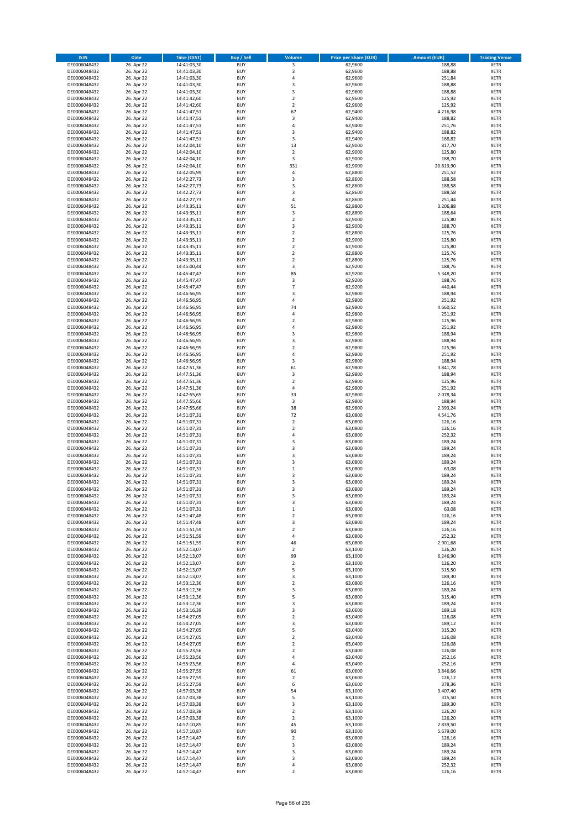| <b>ISIN</b>                  | <b>Date</b>              | <b>Time (CEST)</b>         | <b>Buy / Sell</b>        | Volume                                    | <b>Price per Share (EUR)</b> | <b>Amount (EUR)</b> | <b>Trading Venue</b>       |
|------------------------------|--------------------------|----------------------------|--------------------------|-------------------------------------------|------------------------------|---------------------|----------------------------|
| DE0006048432                 | 26. Apr 22               | 14:41:03,30                | <b>BUY</b>               | 3                                         | 62,9600                      | 188,88              | <b>XETR</b>                |
| DE0006048432                 | 26. Apr 22               | 14:41:03,30                | <b>BUY</b>               | 3                                         | 62,9600                      | 188,88              | <b>XETR</b>                |
| DE0006048432                 | 26. Apr 22               | 14:41:03,30                | <b>BUY</b>               | 4                                         | 62,9600                      | 251,84              | <b>XETR</b>                |
| DE0006048432<br>DE0006048432 | 26. Apr 22<br>26. Apr 22 | 14:41:03,30<br>14:41:03,30 | <b>BUY</b><br><b>BUY</b> | $\mathsf 3$<br>3                          | 62,9600<br>62,9600           | 188,88<br>188,88    | <b>XETR</b><br><b>XETR</b> |
| DE0006048432                 | 26. Apr 22               | 14:41:42,60                | <b>BUY</b>               | $\mathbf 2$                               | 62,9600                      | 125,92              | <b>XETR</b>                |
| DE0006048432                 | 26. Apr 22               | 14:41:42,60                | <b>BUY</b>               | $\overline{2}$                            | 62,9600                      | 125,92              | <b>XETR</b>                |
| DE0006048432                 | 26. Apr 22               | 14:41:47,51                | <b>BUY</b>               | 67                                        | 62,9400                      | 4.216,98            | <b>XETR</b>                |
| DE0006048432                 | 26. Apr 22               | 14:41:47,51                | BUY                      | 3                                         | 62,9400                      | 188,82              | <b>XETR</b>                |
| DE0006048432                 | 26. Apr 22               | 14:41:47,51                | <b>BUY</b>               | 4                                         | 62,9400                      | 251,76              | <b>XETR</b>                |
| DE0006048432                 | 26. Apr 22               | 14:41:47,51                | <b>BUY</b>               | $\mathsf 3$                               | 62,9400                      | 188,82              | <b>XETR</b>                |
| DE0006048432                 | 26. Apr 22<br>26. Apr 22 | 14:41:47,51                | <b>BUY</b><br>BUY        | 3<br>13                                   | 62,9400<br>62,9000           | 188,82<br>817,70    | <b>XETR</b><br><b>XETR</b> |
| DE0006048432<br>DE0006048432 | 26. Apr 22               | 14:42:04,10<br>14:42:04,10 | <b>BUY</b>               | $\overline{2}$                            | 62,9000                      | 125,80              | <b>XETR</b>                |
| DE0006048432                 | 26. Apr 22               | 14:42:04,10                | <b>BUY</b>               | 3                                         | 62,9000                      | 188,70              | <b>XETR</b>                |
| DE0006048432                 | 26. Apr 22               | 14:42:04,10                | BUY                      | 331                                       | 62,9000                      | 20.819,90           | <b>XETR</b>                |
| DE0006048432                 | 26. Apr 22               | 14:42:05,99                | <b>BUY</b>               | $\pmb{4}$                                 | 62,8800                      | 251,52              | <b>XETR</b>                |
| DE0006048432                 | 26. Apr 22               | 14:42:27,73                | <b>BUY</b>               | 3                                         | 62,8600                      | 188,58              | <b>XETR</b>                |
| DE0006048432                 | 26. Apr 22               | 14:42:27,73                | <b>BUY</b>               | 3                                         | 62.8600                      | 188,58              | <b>XETR</b>                |
| DE0006048432                 | 26. Apr 22               | 14:42:27,73                | <b>BUY</b>               | $\overline{\mathbf{3}}$                   | 62,8600                      | 188,58              | <b>XETR</b>                |
| DE0006048432<br>DE0006048432 | 26. Apr 22<br>26. Apr 22 | 14:42:27,73<br>14:43:35,11 | <b>BUY</b><br><b>BUY</b> | 4<br>51                                   | 62,8600<br>62,8800           | 251,44<br>3.206,88  | <b>XETR</b><br><b>XETR</b> |
| DE0006048432                 | 26. Apr 22               | 14:43:35,11                | <b>BUY</b>               | 3                                         | 62,8800                      | 188,64              | <b>XETR</b>                |
| DE0006048432                 | 26. Apr 22               | 14:43:35,11                | BUY                      | $\overline{2}$                            | 62,9000                      | 125,80              | <b>XETR</b>                |
| DE0006048432                 | 26. Apr 22               | 14:43:35,11                | <b>BUY</b>               | 3                                         | 62,9000                      | 188,70              | <b>XETR</b>                |
| DE0006048432                 | 26. Apr 22               | 14:43:35,11                | <b>BUY</b>               | $\mathbf 2$                               | 62,8800                      | 125,76              | <b>XETR</b>                |
| DE0006048432                 | 26. Apr 22               | 14:43:35,11                | <b>BUY</b>               | $\mathbf 2$                               | 62,9000                      | 125,80              | <b>XETR</b>                |
| DE0006048432                 | 26. Apr 22               | 14:43:35,11                | <b>BUY</b>               | $\overline{2}$                            | 62,9000                      | 125,80              | <b>XETR</b>                |
| DE0006048432<br>DE0006048432 | 26. Apr 22<br>26. Apr 22 | 14:43:35,11<br>14:43:35,11 | <b>BUY</b><br><b>BUY</b> | $\mathbf 2$<br>$\overline{2}$             | 62,8800<br>62,8800           | 125,76<br>125,76    | <b>XETR</b><br><b>XETR</b> |
| DE0006048432                 | 26. Apr 22               | 14:45:00,44                | <b>BUY</b>               | 3                                         | 62,9200                      | 188,76              | <b>XETR</b>                |
| DE0006048432                 | 26. Apr 22               | 14:45:47,47                | <b>BUY</b>               | 85                                        | 62,9200                      | 5.348,20            | <b>XETR</b>                |
| DE0006048432                 | 26. Apr 22               | 14:45:47,47                | <b>BUY</b>               | 3                                         | 62,9200                      | 188,76              | <b>XETR</b>                |
| DE0006048432                 | 26. Apr 22               | 14:45:47,47                | <b>BUY</b>               | $\overline{7}$                            | 62,9200                      | 440,44              | <b>XETR</b>                |
| DE0006048432                 | 26. Apr 22               | 14:46:56,95                | <b>BUY</b>               | $\overline{\mathbf{3}}$                   | 62,9800                      | 188,94              | <b>XETR</b>                |
| DE0006048432                 | 26. Apr 22               | 14:46:56,95                | <b>BUY</b>               | 4                                         | 62,9800                      | 251,92              | <b>XETR</b>                |
| DE0006048432                 | 26. Apr 22               | 14:46:56,95                | BUY<br>BUY               | 74<br>4                                   | 62,9800<br>62,9800           | 4.660,52<br>251,92  | <b>XETR</b>                |
| DE0006048432<br>DE0006048432 | 26. Apr 22<br>26. Apr 22 | 14:46:56,95<br>14:46:56,95 | <b>BUY</b>               | $\mathbf 2$                               | 62,9800                      | 125,96              | <b>XETR</b><br><b>XETR</b> |
| DE0006048432                 | 26. Apr 22               | 14:46:56,95                | <b>BUY</b>               | 4                                         | 62,9800                      | 251,92              | <b>XETR</b>                |
| DE0006048432                 | 26. Apr 22               | 14:46:56,95                | <b>BUY</b>               | $\overline{\mathbf{3}}$                   | 62,9800                      | 188,94              | <b>XETR</b>                |
| DE0006048432                 | 26. Apr 22               | 14:46:56,95                | <b>BUY</b>               | 3                                         | 62,9800                      | 188,94              | <b>XETR</b>                |
| DE0006048432                 | 26. Apr 22               | 14:46:56,95                | <b>BUY</b>               | $\mathbf 2$                               | 62,9800                      | 125,96              | <b>XETR</b>                |
| DE0006048432                 | 26. Apr 22               | 14:46:56,95                | BUY                      | 4                                         | 62,9800                      | 251,92              | <b>XETR</b>                |
| DE0006048432                 | 26. Apr 22               | 14:46:56,95                | <b>BUY</b>               | $\mathsf 3$                               | 62,9800                      | 188,94              | <b>XETR</b>                |
| DE0006048432                 | 26. Apr 22               | 14:47:51,36                | <b>BUY</b>               | 61                                        | 62,9800                      | 3.841,78            | <b>XETR</b>                |
| DE0006048432<br>DE0006048432 | 26. Apr 22<br>26. Apr 22 | 14:47:51,36<br>14:47:51,36 | <b>BUY</b><br><b>BUY</b> | 3<br>$\overline{2}$                       | 62,9800<br>62,9800           | 188,94<br>125,96    | <b>XETR</b><br><b>XETR</b> |
| DE0006048432                 | 26. Apr 22               | 14:47:51,36                | <b>BUY</b>               | 4                                         | 62,9800                      | 251,92              | <b>XETR</b>                |
| DE0006048432                 | 26. Apr 22               | 14:47:55,65                | <b>BUY</b>               | 33                                        | 62,9800                      | 2.078,34            | <b>XETR</b>                |
| DE0006048432                 | 26. Apr 22               | 14:47:55,66                | <b>BUY</b>               | 3                                         | 62,9800                      | 188,94              | <b>XETR</b>                |
| DE0006048432                 | 26. Apr 22               | 14:47:55,66                | <b>BUY</b>               | 38                                        | 62,9800                      | 2.393,24            | <b>XETR</b>                |
| DE0006048432                 | 26. Apr 22               | 14:51:07,31                | <b>BUY</b>               | 72                                        | 63,0800                      | 4.541,76            | <b>XETR</b>                |
| DE0006048432                 | 26. Apr 22               | 14:51:07,31                | <b>BUY</b>               | $\mathbf 2$                               | 63,0800                      | 126,16              | <b>XETR</b>                |
| DE0006048432<br>DE0006048432 | 26. Apr 22<br>26. Apr 22 | 14:51:07,31<br>14:51:07,31 | <b>BUY</b><br><b>BUY</b> | $\overline{2}$<br>4                       | 63,0800<br>63,0800           | 126,16<br>252,32    | <b>XETR</b><br><b>XETR</b> |
| DE0006048432                 | 26. Apr 22               | 14:51:07,31                | <b>BUY</b>               | $\overline{\mathbf{3}}$                   | 63,0800                      | 189,24              | <b>XETR</b>                |
| DE0006048432                 | 26. Apr 22               | 14:51:07,31                | <b>BUY</b>               | 3                                         | 63,0800                      | 189,24              | <b>XETR</b>                |
| DE0006048432                 | 26. Apr 22               | 14:51:07,31                | BUY                      | $\overline{\mathbf{3}}$                   | 63,0800                      | 189,24              | <b>XETR</b>                |
| DE0006048432                 | 26. Apr 22               | 14:51:07,31                | <b>BUY</b>               | $\overline{\mathbf{3}}$                   | 63,0800                      | 189,24              | <b>XETR</b>                |
| DE0006048432                 | 26. Apr 22               | 14:51:07,31                | <b>BUY</b>               | $\mathbf 1$                               | 63,0800                      | 63,08               | <b>XETR</b>                |
| DE0006048432                 | 26. Apr 22               | 14:51:07,31                | BUY                      | $\overline{\mathbf{3}}$                   | 63,0800                      | 189,24              | <b>XETR</b>                |
| DE0006048432<br>DE0006048432 | 26. Apr 22               | 14:51:07,31<br>14:51:07,31 | BUY<br><b>BUY</b>        | $\overline{\mathbf{3}}$<br>$\overline{3}$ | 63,0800<br>63,0800           | 189,24<br>189,24    | <b>XETR</b><br><b>XETR</b> |
| DE0006048432                 | 26. Apr 22<br>26. Apr 22 | 14:51:07,31                | <b>BUY</b>               | 3                                         | 63,0800                      | 189,24              | <b>XETR</b>                |
| DE0006048432                 | 26. Apr 22               | 14:51:07,31                | <b>BUY</b>               | 3                                         | 63,0800                      | 189,24              | <b>XETR</b>                |
| DE0006048432                 | 26. Apr 22               | 14:51:07,31                | <b>BUY</b>               | $\mathbf 1$                               | 63,0800                      | 63,08               | <b>XETR</b>                |
| DE0006048432                 | 26. Apr 22               | 14:51:47,48                | <b>BUY</b>               | $\mathbf 2$                               | 63,0800                      | 126,16              | <b>XETR</b>                |
| DE0006048432                 | 26. Apr 22               | 14:51:47,48                | <b>BUY</b>               | 3                                         | 63,0800                      | 189,24              | <b>XETR</b>                |
| DE0006048432<br>DE0006048432 | 26. Apr 22               | 14:51:51,59                | <b>BUY</b><br><b>BUY</b> | $\mathbf 2$<br>4                          | 63,0800                      | 126,16<br>252,32    | <b>XETR</b>                |
| DE0006048432                 | 26. Apr 22<br>26. Apr 22 | 14:51:51,59<br>14:51:51,59 | <b>BUY</b>               | 46                                        | 63,0800<br>63,0800           | 2.901,68            | <b>XETR</b><br><b>XETR</b> |
| DE0006048432                 | 26. Apr 22               | 14:52:13,07                | <b>BUY</b>               | $\mathbf 2$                               | 63,1000                      | 126,20              | <b>XETR</b>                |
| DE0006048432                 | 26. Apr 22               | 14:52:13,07                | <b>BUY</b>               | 99                                        | 63,1000                      | 6.246,90            | <b>XETR</b>                |
| DE0006048432                 | 26. Apr 22               | 14:52:13,07                | <b>BUY</b>               | $\mathbf 2$                               | 63,1000                      | 126,20              | <b>XETR</b>                |
| DE0006048432                 | 26. Apr 22               | 14:52:13,07                | <b>BUY</b>               | 5                                         | 63,1000                      | 315,50              | <b>XETR</b>                |
| DE0006048432                 | 26. Apr 22               | 14:52:13,07                | <b>BUY</b>               | 3                                         | 63,1000                      | 189,30              | <b>XETR</b>                |
| DE0006048432<br>DE0006048432 | 26. Apr 22<br>26. Apr 22 | 14:53:12,36<br>14:53:12,36 | <b>BUY</b><br><b>BUY</b> | $\overline{\mathbf{2}}$<br>3              | 63,0800<br>63,0800           | 126,16<br>189,24    | <b>XETR</b><br><b>XETR</b> |
| DE0006048432                 | 26. Apr 22               | 14:53:12,36                | <b>BUY</b>               | 5                                         | 63,0800                      | 315,40              | <b>XETR</b>                |
| DE0006048432                 | 26. Apr 22               | 14:53:12,36                | <b>BUY</b>               | 3                                         | 63,0800                      | 189,24              | <b>XETR</b>                |
| DE0006048432                 | 26. Apr 22               | 14:53:16,39                | <b>BUY</b>               | 3                                         | 63,0600                      | 189,18              | <b>XETR</b>                |
| DE0006048432                 | 26. Apr 22               | 14:54:27,05                | <b>BUY</b>               | $\mathbf 2$                               | 63,0400                      | 126,08              | <b>XETR</b>                |
| DE0006048432                 | 26. Apr 22               | 14:54:27,05                | <b>BUY</b>               | 3                                         | 63,0400                      | 189,12              | <b>XETR</b>                |
| DE0006048432                 | 26. Apr 22               | 14:54:27,05                | <b>BUY</b>               | 5                                         | 63,0400                      | 315,20              | <b>XETR</b>                |
| DE0006048432<br>DE0006048432 | 26. Apr 22<br>26. Apr 22 | 14:54:27,05<br>14:54:27,05 | <b>BUY</b><br><b>BUY</b> | $\mathbf 2$<br>$\overline{\mathbf{2}}$    | 63,0400<br>63,0400           | 126,08<br>126,08    | <b>XETR</b><br><b>XETR</b> |
| DE0006048432                 | 26. Apr 22               | 14:55:23,56                | <b>BUY</b>               | $\overline{\mathbf{2}}$                   | 63,0400                      | 126,08              | <b>XETR</b>                |
| DE0006048432                 | 26. Apr 22               | 14:55:23,56                | <b>BUY</b>               | 4                                         | 63,0400                      | 252,16              | <b>XETR</b>                |
| DE0006048432                 | 26. Apr 22               | 14:55:23,56                | <b>BUY</b>               | 4                                         | 63,0400                      | 252,16              | <b>XETR</b>                |
| DE0006048432                 | 26. Apr 22               | 14:55:27,59                | <b>BUY</b>               | 61                                        | 63,0600                      | 3.846,66            | <b>XETR</b>                |
| DE0006048432                 | 26. Apr 22               | 14:55:27,59                | <b>BUY</b>               | $\overline{2}$                            | 63,0600                      | 126,12              | <b>XETR</b>                |
| DE0006048432                 | 26. Apr 22               | 14:55:27,59                | <b>BUY</b>               | 6                                         | 63,0600                      | 378,36              | <b>XETR</b>                |
| DE0006048432                 | 26. Apr 22               | 14:57:03,38                | <b>BUY</b><br><b>BUY</b> | 54<br>5                                   | 63,1000<br>63,1000           | 3.407,40<br>315,50  | <b>XETR</b><br><b>XETR</b> |
| DE0006048432<br>DE0006048432 | 26. Apr 22<br>26. Apr 22 | 14:57:03,38<br>14:57:03,38 | <b>BUY</b>               | 3                                         | 63,1000                      | 189,30              | <b>XETR</b>                |
| DE0006048432                 | 26. Apr 22               | 14:57:03,38                | <b>BUY</b>               | $\mathbf 2$                               | 63,1000                      | 126,20              | <b>XETR</b>                |
| DE0006048432                 | 26. Apr 22               | 14:57:03,38                | <b>BUY</b>               | $\overline{\mathbf{2}}$                   | 63,1000                      | 126,20              | <b>XETR</b>                |
| DE0006048432                 | 26. Apr 22               | 14:57:10,85                | <b>BUY</b>               | 45                                        | 63,1000                      | 2.839,50            | <b>XETR</b>                |
| DE0006048432                 | 26. Apr 22               | 14:57:10,87                | <b>BUY</b>               | 90                                        | 63,1000                      | 5.679,00            | <b>XETR</b>                |
| DE0006048432                 | 26. Apr 22               | 14:57:14,47                | <b>BUY</b>               | $\overline{2}$                            | 63,0800                      | 126,16              | <b>XETR</b>                |
| DE0006048432<br>DE0006048432 | 26. Apr 22<br>26. Apr 22 | 14:57:14,47<br>14:57:14,47 | <b>BUY</b><br><b>BUY</b> | 3<br>3                                    | 63,0800<br>63,0800           | 189,24<br>189,24    | <b>XETR</b><br><b>XETR</b> |
| DE0006048432                 | 26. Apr 22               | 14:57:14,47                | <b>BUY</b>               | 3                                         | 63,0800                      | 189,24              | <b>XETR</b>                |
| DE0006048432                 | 26. Apr 22               | 14:57:14,47                | <b>BUY</b>               | 4                                         | 63,0800                      | 252,32              | <b>XETR</b>                |
| DE0006048432                 | 26. Apr 22               | 14:57:14,47                | <b>BUY</b>               | 2                                         | 63,0800                      | 126,16              | <b>XETR</b>                |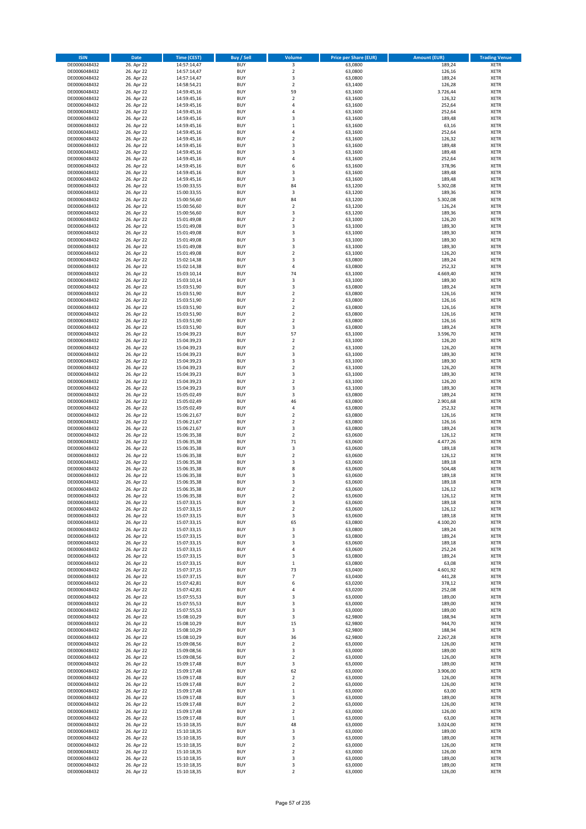| <b>ISIN</b>                  | Date                     | Time (CEST)                | <b>Buy / Sell</b>        | <b>Volume</b>                 | <b>Price per Share (EUR)</b> | <b>Amount (EUR)</b> | <b>Trading Venue</b>       |
|------------------------------|--------------------------|----------------------------|--------------------------|-------------------------------|------------------------------|---------------------|----------------------------|
| DE0006048432                 | 26. Apr 22               | 14:57:14,47                | <b>BUY</b>               | 3                             | 63,0800                      | 189,24              | <b>XETR</b>                |
| DE0006048432                 | 26. Apr 22               | 14:57:14,47                | <b>BUY</b>               | $\mathbf 2$                   | 63,0800                      | 126,16              | XETR                       |
| DE0006048432                 | 26. Apr 22               | 14:57:14,47                | <b>BUY</b>               | 3                             | 63,0800                      | 189,24              | <b>XETR</b>                |
| DE0006048432                 | 26. Apr 22               | 14:58:54,21                | <b>BUY</b>               | $\mathbf 2$                   | 63,1400                      | 126,28              | XETR                       |
| DE0006048432<br>DE0006048432 | 26. Apr 22<br>26. Apr 22 | 14:59:45,16<br>14:59:45,16 | <b>BUY</b><br><b>BUY</b> | 59<br>$\overline{2}$          | 63,1600<br>63,1600           | 3.726,44<br>126,32  | <b>XETR</b><br><b>XETR</b> |
| DE0006048432                 | 26. Apr 22               | 14:59:45,16                | <b>BUY</b>               | $\overline{4}$                | 63,1600                      | 252,64              | <b>XETR</b>                |
| DE0006048432                 | 26. Apr 22               | 14:59:45,16                | <b>BUY</b>               | 4                             | 63,1600                      | 252,64              | <b>XETR</b>                |
| DE0006048432                 | 26. Apr 22               | 14:59:45,16                | <b>BUY</b>               | 3                             | 63,1600                      | 189,48              | <b>XETR</b>                |
| DE0006048432                 | 26. Apr 22               | 14:59:45,16                | <b>BUY</b>               | $\,1\,$                       | 63,1600                      | 63,16               | <b>XETR</b>                |
| DE0006048432                 | 26. Apr 22               | 14:59:45,16                | <b>BUY</b>               | $\sqrt{4}$                    | 63,1600                      | 252,64              | <b>XETR</b>                |
| DE0006048432                 | 26. Apr 22               | 14:59:45,16                | <b>BUY</b>               | $\overline{2}$                | 63,1600                      | 126,32              | <b>XETR</b>                |
| DE0006048432<br>DE0006048432 | 26. Apr 22<br>26. Apr 22 | 14:59:45,16<br>14:59:45,16 | <b>BUY</b><br><b>BUY</b> | 3<br>3                        | 63,1600<br>63,1600           | 189,48<br>189,48    | <b>XETR</b><br><b>XETR</b> |
| DE0006048432                 | 26. Apr 22               | 14:59:45,16                | <b>BUY</b>               | 4                             | 63,1600                      | 252,64              | <b>XETR</b>                |
| DE0006048432                 | 26. Apr 22               | 14:59:45,16                | <b>BUY</b>               | 6                             | 63,1600                      | 378,96              | <b>XETR</b>                |
| DE0006048432                 | 26. Apr 22               | 14:59:45,16                | <b>BUY</b>               | 3                             | 63,1600                      | 189,48              | <b>XETR</b>                |
| DE0006048432                 | 26. Apr 22               | 14:59:45,16                | <b>BUY</b>               | 3                             | 63,1600                      | 189,48              | <b>XETR</b>                |
| DE0006048432                 | 26. Apr 22               | 15:00:33,55                | <b>BUY</b>               | 84                            | 63,1200                      | 5.302,08            | <b>XETR</b>                |
| DE0006048432<br>DE0006048432 | 26. Apr 22<br>26. Apr 22 | 15:00:33,55<br>15:00:56,60 | <b>BUY</b><br><b>BUY</b> | $\mathsf 3$<br>84             | 63,1200<br>63,1200           | 189,36<br>5.302,08  | <b>XETR</b><br><b>XETR</b> |
| DE0006048432                 | 26. Apr 22               | 15:00:56,60                | <b>BUY</b>               | $\mathbf 2$                   | 63,1200                      | 126,24              | <b>XETR</b>                |
| DE0006048432                 | 26. Apr 22               | 15:00:56,60                | <b>BUY</b>               | 3                             | 63,1200                      | 189,36              | <b>XETR</b>                |
| DE0006048432                 | 26. Apr 22               | 15:01:49,08                | <b>BUY</b>               | $\overline{2}$                | 63,1000                      | 126,20              | <b>XETR</b>                |
| DE0006048432                 | 26. Apr 22               | 15:01:49,08                | <b>BUY</b>               | 3                             | 63,1000                      | 189,30              | <b>XETR</b>                |
| DE0006048432                 | 26. Apr 22               | 15:01:49,08                | <b>BUY</b>               | 3                             | 63,1000                      | 189,30              | <b>XETR</b>                |
| DE0006048432<br>DE0006048432 | 26. Apr 22               | 15:01:49,08                | <b>BUY</b><br><b>BUY</b> | 3<br>3                        | 63,1000                      | 189,30              | <b>XETR</b><br><b>XETR</b> |
| DE0006048432                 | 26. Apr 22<br>26. Apr 22 | 15:01:49,08<br>15:01:49,08 | <b>BUY</b>               | $\overline{2}$                | 63,1000<br>63,1000           | 189,30<br>126,20    | <b>XETR</b>                |
| DE0006048432                 | 26. Apr 22               | 15:02:14,38                | <b>BUY</b>               | 3                             | 63,0800                      | 189,24              | <b>XETR</b>                |
| DE0006048432                 | 26. Apr 22               | 15:02:14,38                | <b>BUY</b>               | $\pmb{4}$                     | 63,0800                      | 252,32              | <b>XETR</b>                |
| DE0006048432                 | 26. Apr 22               | 15:03:10,14                | <b>BUY</b>               | 74                            | 63,1000                      | 4.669,40            | <b>XETR</b>                |
| DE0006048432                 | 26. Apr 22               | 15:03:10,14                | <b>BUY</b>               | $\mathsf 3$                   | 63,1000                      | 189,30              | <b>XETR</b>                |
| DE0006048432                 | 26. Apr 22               | 15:03:51,90                | <b>BUY</b>               | 3                             | 63,0800                      | 189,24              | <b>XETR</b>                |
| DE0006048432<br>DE0006048432 | 26. Apr 22<br>26. Apr 22 | 15:03:51,90<br>15:03:51,90 | <b>BUY</b><br><b>BUY</b> | $\mathbf 2$<br>$\overline{2}$ | 63,0800<br>63,0800           | 126,16<br>126,16    | <b>XETR</b><br><b>XETR</b> |
| DE0006048432                 | 26. Apr 22               | 15:03:51,90                | <b>BUY</b>               | $\overline{2}$                | 63,0800                      | 126,16              | <b>XETR</b>                |
| DE0006048432                 | 26. Apr 22               | 15:03:51,90                | <b>BUY</b>               | $\mathbf 2$                   | 63,0800                      | 126,16              | <b>XETR</b>                |
| DE0006048432                 | 26. Apr 22               | 15:03:51,90                | <b>BUY</b>               | $\overline{2}$                | 63,0800                      | 126,16              | <b>XETR</b>                |
| DE0006048432                 | 26. Apr 22               | 15:03:51,90                | <b>BUY</b>               | 3                             | 63,0800                      | 189,24              | <b>XETR</b>                |
| DE0006048432                 | 26. Apr 22               | 15:04:39,23                | <b>BUY</b>               | 57                            | 63,1000                      | 3.596,70            | <b>XETR</b>                |
| DE0006048432                 | 26. Apr 22               | 15:04:39,23                | <b>BUY</b>               | $\overline{2}$                | 63,1000                      | 126,20              | <b>XETR</b>                |
| DE0006048432<br>DE0006048432 | 26. Apr 22<br>26. Apr 22 | 15:04:39,23<br>15:04:39,23 | <b>BUY</b><br><b>BUY</b> | $\mathbf 2$<br>3              | 63,1000<br>63,1000           | 126,20<br>189,30    | <b>XETR</b><br><b>XETR</b> |
| DE0006048432                 | 26. Apr 22               | 15:04:39,23                | <b>BUY</b>               | 3                             | 63,1000                      | 189,30              | <b>XETR</b>                |
| DE0006048432                 | 26. Apr 22               | 15:04:39,23                | <b>BUY</b>               | $\overline{2}$                | 63,1000                      | 126,20              | <b>XETR</b>                |
| DE0006048432                 | 26. Apr 22               | 15:04:39,23                | <b>BUY</b>               | 3                             | 63,1000                      | 189,30              | <b>XETR</b>                |
| DE0006048432                 | 26. Apr 22               | 15:04:39,23                | <b>BUY</b>               | $\mathbf 2$                   | 63,1000                      | 126,20              | <b>XETR</b>                |
| DE0006048432                 | 26. Apr 22               | 15:04:39,23                | <b>BUY</b><br><b>BUY</b> | 3                             | 63,1000                      | 189,30              | <b>XETR</b>                |
| DE0006048432<br>DE0006048432 | 26. Apr 22<br>26. Apr 22 | 15:05:02,49<br>15:05:02,49 | <b>BUY</b>               | 3<br>46                       | 63,0800<br>63,0800           | 189,24<br>2.901,68  | <b>XETR</b><br><b>XETR</b> |
| DE0006048432                 | 26. Apr 22               | 15:05:02,49                | <b>BUY</b>               | $\pmb{4}$                     | 63,0800                      | 252,32              | <b>XETR</b>                |
| DE0006048432                 | 26. Apr 22               | 15:06:21,67                | <b>BUY</b>               | $\mathbf 2$                   | 63,0800                      | 126,16              | <b>XETR</b>                |
| DE0006048432                 | 26. Apr 22               | 15:06:21,67                | <b>BUY</b>               | $\mathbf 2$                   | 63,0800                      | 126,16              | <b>XETR</b>                |
| DE0006048432                 | 26. Apr 22               | 15:06:21,67                | <b>BUY</b>               | 3                             | 63,0800                      | 189,24              | <b>XETR</b>                |
| DE0006048432                 | 26. Apr 22               | 15:06:35,38                | <b>BUY</b>               | $\mathbf 2$                   | 63,0600                      | 126,12              | <b>XETR</b>                |
| DE0006048432<br>DE0006048432 | 26. Apr 22<br>26. Apr 22 | 15:06:35,38<br>15:06:35,38 | <b>BUY</b><br><b>BUY</b> | 71<br>3                       | 63,0600<br>63,0600           | 4.477,26<br>189,18  | <b>XETR</b><br><b>XETR</b> |
| DE0006048432                 | 26. Apr 22               | 15:06:35,38                | <b>BUY</b>               | $\mathbf 2$                   | 63,0600                      | 126,12              | <b>XETR</b>                |
| DE0006048432                 | 26. Apr 22               | 15:06:35,38                | <b>BUY</b>               | 3                             | 63,0600                      | 189,18              | <b>XETR</b>                |
| DE0006048432                 | 26. Apr 22               | 15:06:35,38                | <b>BUY</b>               | 8                             | 63,0600                      | 504,48              | <b>XETR</b>                |
| DE0006048432                 | 26. Apr 22               | 15:06:35,38                | <b>BUY</b>               | 3                             | 63,0600                      | 189,18              | <b>XETR</b>                |
| DE0006048432                 | 26. Apr 22               | 15:06:35,38                | <b>BUY</b>               | 3                             | 63,0600                      | 189,18              | <b>XETR</b>                |
| DE0006048432                 | 26. Apr 22               | 15:06:35,38                | <b>BUY</b>               | $\overline{2}$                | 63,0600                      | 126,12              | <b>XETR</b>                |
| DE0006048432<br>DE0006048432 | 26. Apr 22<br>26. Apr 22 | 15:06:35,38<br>15:07:33,15 | BUY<br><b>BUY</b>        | 2<br>3                        | 63,0600<br>63,0600           | 126,12<br>189,18    | XETR<br><b>XETR</b>        |
| DE0006048432                 | 26. Apr 22               | 15:07:33,15                | <b>BUY</b>               | $\overline{2}$                | 63,0600                      | 126,12              | <b>XETR</b>                |
| DE0006048432                 | 26. Apr 22               | 15:07:33,15                | <b>BUY</b>               | 3                             | 63,0600                      | 189,18              | XETR                       |
| DE0006048432                 | 26. Apr 22               | 15:07:33,15                | <b>BUY</b>               | 65                            | 63,0800                      | 4.100,20            | <b>XETR</b>                |
| DE0006048432                 | 26. Apr 22               | 15:07:33,15                | <b>BUY</b>               | 3                             | 63,0800                      | 189,24              | <b>XETR</b>                |
| DE0006048432                 | 26. Apr 22               | 15:07:33,15                | <b>BUY</b>               | 3                             | 63,0800                      | 189,24              | <b>XETR</b>                |
| DE0006048432<br>DE0006048432 | 26. Apr 22<br>26. Apr 22 | 15:07:33,15<br>15:07:33,15 | <b>BUY</b><br><b>BUY</b> | 3<br>4                        | 63,0600<br>63,0600           | 189,18<br>252,24    | <b>XETR</b><br>XETR        |
| DE0006048432                 | 26. Apr 22               | 15:07:33,15                | <b>BUY</b>               | 3                             | 63,0800                      | 189,24              | <b>XETR</b>                |
| DE0006048432                 | 26. Apr 22               | 15:07:33,15                | <b>BUY</b>               | $\,$ 1                        | 63,0800                      | 63,08               | XETR                       |
| DE0006048432                 | 26. Apr 22               | 15:07:37,15                | <b>BUY</b>               | 73                            | 63,0400                      | 4.601,92            | <b>XETR</b>                |
| DE0006048432                 | 26. Apr 22               | 15:07:37,15                | <b>BUY</b>               | $\overline{7}$                | 63,0400                      | 441,28              | XETR                       |
| DE0006048432                 | 26. Apr 22               | 15:07:42,81                | <b>BUY</b>               | 6                             | 63,0200                      | 378,12              | <b>XETR</b>                |
| DE0006048432<br>DE0006048432 | 26. Apr 22<br>26. Apr 22 | 15:07:42,81<br>15:07:55,53 | <b>BUY</b><br><b>BUY</b> | $\pmb{4}$<br>3                | 63,0200<br>63,0000           | 252,08<br>189,00    | XETR<br><b>XETR</b>        |
| DE0006048432                 | 26. Apr 22               | 15:07:55,53                | <b>BUY</b>               | 3                             | 63,0000                      | 189,00              | <b>XETR</b>                |
| DE0006048432                 | 26. Apr 22               | 15:07:55,53                | <b>BUY</b>               | 3                             | 63,0000                      | 189,00              | <b>XETR</b>                |
| DE0006048432                 | 26. Apr 22               | 15:08:10,29                | <b>BUY</b>               | 3                             | 62,9800                      | 188,94              | XETR                       |
| DE0006048432                 | 26. Apr 22               | 15:08:10,29                | <b>BUY</b>               | 15                            | 62,9800                      | 944,70              | <b>XETR</b>                |
| DE0006048432                 | 26. Apr 22               | 15:08:10,29                | <b>BUY</b>               | 3                             | 62,9800                      | 188,94              | <b>XETR</b>                |
| DE0006048432<br>DE0006048432 | 26. Apr 22<br>26. Apr 22 | 15:08:10,29                | <b>BUY</b><br><b>BUY</b> | 36<br>$\overline{2}$          | 62,9800<br>63,0000           | 2.267,28<br>126,00  | <b>XETR</b><br>XETR        |
| DE0006048432                 | 26. Apr 22               | 15:09:08,56<br>15:09:08,56 | <b>BUY</b>               | 3                             | 63,0000                      | 189,00              | XETR                       |
| DE0006048432                 | 26. Apr 22               | 15:09:08,56                | <b>BUY</b>               | $\overline{2}$                | 63,0000                      | 126,00              | XETR                       |
| DE0006048432                 | 26. Apr 22               | 15:09:17,48                | <b>BUY</b>               | 3                             | 63,0000                      | 189,00              | XETR                       |
| DE0006048432                 | 26. Apr 22               | 15:09:17,48                | <b>BUY</b>               | 62                            | 63,0000                      | 3.906,00            | XETR                       |
| DE0006048432                 | 26. Apr 22               | 15:09:17,48                | <b>BUY</b>               | $\overline{2}$                | 63,0000                      | 126,00              | <b>XETR</b>                |
| DE0006048432                 | 26. Apr 22               | 15:09:17,48                | <b>BUY</b><br><b>BUY</b> | $\mathbf 2$<br>$\,1\,$        | 63,0000                      | 126,00              | XETR                       |
| DE0006048432<br>DE0006048432 | 26. Apr 22<br>26. Apr 22 | 15:09:17,48<br>15:09:17,48 | <b>BUY</b>               | 3                             | 63,0000<br>63,0000           | 63,00<br>189,00     | <b>XETR</b><br>XETR        |
| DE0006048432                 | 26. Apr 22               | 15:09:17,48                | <b>BUY</b>               | $\overline{2}$                | 63,0000                      | 126,00              | XETR                       |
| DE0006048432                 | 26. Apr 22               | 15:09:17,48                | <b>BUY</b>               | $\overline{2}$                | 63,0000                      | 126,00              | XETR                       |
| DE0006048432                 | 26. Apr 22               | 15:09:17,48                | <b>BUY</b>               | $\,1\,$                       | 63,0000                      | 63,00               | <b>XETR</b>                |
| DE0006048432                 | 26. Apr 22               | 15:10:18,35                | <b>BUY</b>               | 48                            | 63,0000                      | 3.024,00            | <b>XETR</b>                |
| DE0006048432                 | 26. Apr 22               | 15:10:18,35                | <b>BUY</b>               | 3                             | 63,0000                      | 189,00              | XETR                       |
| DE0006048432<br>DE0006048432 | 26. Apr 22<br>26. Apr 22 | 15:10:18,35<br>15:10:18,35 | <b>BUY</b><br><b>BUY</b> | 3<br>$\mathbf 2$              | 63,0000<br>63,0000           | 189,00<br>126,00    | <b>XETR</b><br>XETR        |
| DE0006048432                 | 26. Apr 22               | 15:10:18,35                | <b>BUY</b>               | $\overline{2}$                | 63,0000                      | 126,00              | <b>XETR</b>                |
| DE0006048432                 | 26. Apr 22               | 15:10:18,35                | <b>BUY</b>               | 3                             | 63,0000                      | 189,00              | XETR                       |
| DE0006048432                 | 26. Apr 22               | 15:10:18,35                | <b>BUY</b>               | 3                             | 63,0000                      | 189,00              | <b>XETR</b>                |
| DE0006048432                 | 26. Apr 22               | 15:10:18,35                | <b>BUY</b>               | $\mathbf 2$                   | 63,0000                      | 126,00              | XETR                       |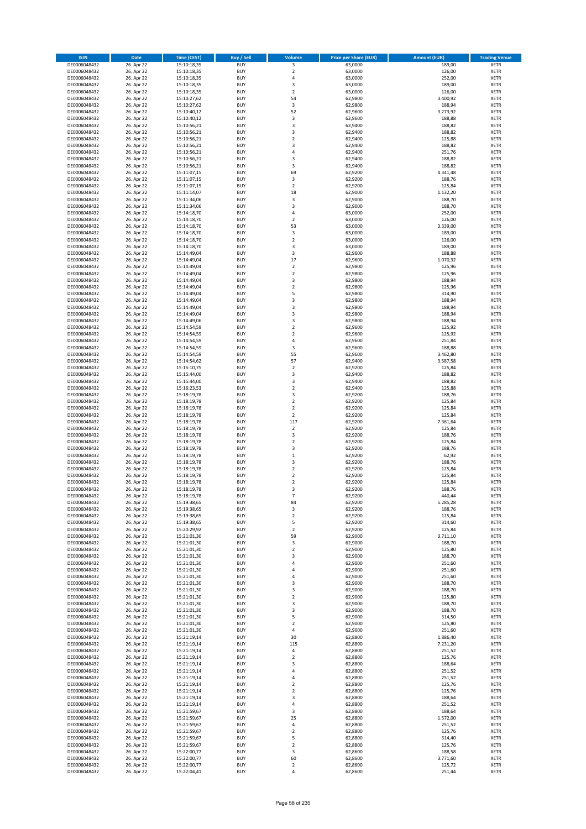| <b>ISIN</b>                  | <b>Date</b>              | <b>Time (CEST)</b>         | <b>Buy / Sell</b>        | Volume                                 | <b>Price per Share (EUR)</b> | <b>Amount (EUR)</b> | <b>Trading Venue</b>       |
|------------------------------|--------------------------|----------------------------|--------------------------|----------------------------------------|------------------------------|---------------------|----------------------------|
| DE0006048432                 | 26. Apr 22               | 15:10:18,35                | <b>BUY</b>               | 3                                      | 63,0000                      | 189,00              | <b>XETR</b>                |
| DE0006048432                 | 26. Apr 22               | 15:10:18,35                | <b>BUY</b>               | $\mathbf 2$                            | 63,0000                      | 126,00              | <b>XETR</b>                |
| DE0006048432                 | 26. Apr 22               | 15:10:18,35                | <b>BUY</b>               | 4                                      | 63,0000                      | 252,00              | <b>XETR</b>                |
| DE0006048432<br>DE0006048432 | 26. Apr 22<br>26. Apr 22 | 15:10:18,35<br>15:10:18,35 | <b>BUY</b><br><b>BUY</b> | 3<br>$\overline{\mathbf{c}}$           | 63,0000<br>63,0000           | 189,00<br>126,00    | <b>XETR</b><br><b>XETR</b> |
| DE0006048432                 | 26. Apr 22               | 15:10:27,62                | <b>BUY</b>               | 54                                     | 62,9800                      | 3.400,92            | <b>XETR</b>                |
| DE0006048432                 | 26. Apr 22               | 15:10:27,62                | <b>BUY</b>               | 3                                      | 62,9800                      | 188,94              | <b>XETR</b>                |
| DE0006048432                 | 26. Apr 22               | 15:10:40,12                | <b>BUY</b>               | 52                                     | 62,9600                      | 3.273,92            | <b>XETR</b>                |
| DE0006048432                 | 26. Apr 22               | 15:10:40,12                | <b>BUY</b>               | 3                                      | 62,9600                      | 188,88              | <b>XETR</b>                |
| DE0006048432                 | 26. Apr 22               | 15:10:56,21                | <b>BUY</b>               | 3                                      | 62,9400                      | 188,82              | <b>XETR</b>                |
| DE0006048432                 | 26. Apr 22               | 15:10:56,21                | <b>BUY</b>               | 3                                      | 62,9400                      | 188,82              | <b>XETR</b>                |
| DE0006048432<br>DE0006048432 | 26. Apr 22<br>26. Apr 22 | 15:10:56,21<br>15:10:56,21 | <b>BUY</b><br><b>BUY</b> | $\overline{\mathbf{c}}$<br>3           | 62,9400<br>62,9400           | 125,88<br>188,82    | <b>XETR</b><br><b>XETR</b> |
| DE0006048432                 | 26. Apr 22               | 15:10:56,21                | <b>BUY</b>               | 4                                      | 62,9400                      | 251,76              | <b>XETR</b>                |
| DE0006048432                 | 26. Apr 22               | 15:10:56,21                | <b>BUY</b>               | 3                                      | 62,9400                      | 188,82              | <b>XETR</b>                |
| DE0006048432                 | 26. Apr 22               | 15:10:56,21                | <b>BUY</b>               | 3                                      | 62,9400                      | 188,82              | <b>XETR</b>                |
| DE0006048432                 | 26. Apr 22               | 15:11:07,15                | <b>BUY</b>               | 69                                     | 62,9200                      | 4.341,48            | <b>XETR</b>                |
| DE0006048432                 | 26. Apr 22               | 15:11:07,15                | <b>BUY</b>               | 3                                      | 62,9200                      | 188,76              | <b>XETR</b>                |
| DE0006048432                 | 26. Apr 22               | 15:11:07,15                | <b>BUY</b>               | $\overline{\mathbf{c}}$                | 62,9200                      | 125,84              | <b>XETR</b>                |
| DE0006048432                 | 26. Apr 22               | 15:11:14,07                | <b>BUY</b>               | 18                                     | 62,9000                      | 1.132,20            | <b>XETR</b>                |
| DE0006048432                 | 26. Apr 22               | 15:11:34,06                | <b>BUY</b><br><b>BUY</b> | 3<br>3                                 | 62,9000                      | 188,70<br>188,70    | <b>XETR</b><br><b>XETR</b> |
| DE0006048432<br>DE0006048432 | 26. Apr 22<br>26. Apr 22 | 15:11:34,06<br>15:14:18,70 | <b>BUY</b>               | 4                                      | 62,9000<br>63,0000           | 252,00              | <b>XETR</b>                |
| DE0006048432                 | 26. Apr 22               | 15:14:18,70                | <b>BUY</b>               | $\mathbf 2$                            | 63,0000                      | 126,00              | <b>XETR</b>                |
| DE0006048432                 | 26. Apr 22               | 15:14:18,70                | <b>BUY</b>               | 53                                     | 63,0000                      | 3.339,00            | <b>XETR</b>                |
| DE0006048432                 | 26. Apr 22               | 15:14:18,70                | <b>BUY</b>               | 3                                      | 63,0000                      | 189,00              | <b>XETR</b>                |
| DE0006048432                 | 26. Apr 22               | 15:14:18,70                | <b>BUY</b>               | $\mathbf 2$                            | 63,0000                      | 126,00              | <b>XETR</b>                |
| DE0006048432                 | 26. Apr 22               | 15:14:18,70                | <b>BUY</b>               | 3                                      | 63,0000                      | 189,00              | <b>XETR</b>                |
| DE0006048432                 | 26. Apr 22               | 15:14:49,04                | <b>BUY</b>               | 3                                      | 62,9600                      | 188,88              | <b>XETR</b>                |
| DE0006048432                 | 26. Apr 22               | 15:14:49,04                | <b>BUY</b><br><b>BUY</b> | 17<br>$\overline{a}$                   | 62,9600<br>62,9800           | 1.070,32<br>125,96  | <b>XETR</b><br><b>XETR</b> |
| DE0006048432<br>DE0006048432 | 26. Apr 22<br>26. Apr 22 | 15:14:49,04<br>15:14:49,04 | <b>BUY</b>               | $\mathbf 2$                            | 62,9800                      | 125,96              | <b>XETR</b>                |
| DE0006048432                 | 26. Apr 22               | 15:14:49,04                | <b>BUY</b>               | 3                                      | 62,9800                      | 188,94              | <b>XETR</b>                |
| DE0006048432                 | 26. Apr 22               | 15:14:49,04                | <b>BUY</b>               | $\mathbf 2$                            | 62,9800                      | 125,96              | <b>XETR</b>                |
| DE0006048432                 | 26. Apr 22               | 15:14:49,04                | <b>BUY</b>               | 5                                      | 62,9800                      | 314,90              | <b>XETR</b>                |
| DE0006048432                 | 26. Apr 22               | 15:14:49,04                | <b>BUY</b>               | 3                                      | 62,9800                      | 188,94              | <b>XETR</b>                |
| DE0006048432                 | 26. Apr 22               | 15:14:49,04                | <b>BUY</b>               | 3                                      | 62,9800                      | 188,94              | <b>XETR</b>                |
| DE0006048432                 | 26. Apr 22               | 15:14:49,04                | <b>BUY</b>               | 3                                      | 62,9800                      | 188,94              | <b>XETR</b>                |
| DE0006048432                 | 26. Apr 22               | 15:14:49,06                | <b>BUY</b>               | 3                                      | 62,9800                      | 188,94              | <b>XETR</b>                |
| DE0006048432<br>DE0006048432 | 26. Apr 22<br>26. Apr 22 | 15:14:54,59<br>15:14:54,59 | <b>BUY</b><br><b>BUY</b> | $\mathbf 2$<br>$\overline{\mathbf{c}}$ | 62,9600<br>62,9600           | 125,92<br>125,92    | <b>XETR</b><br><b>XETR</b> |
| DE0006048432                 | 26. Apr 22               | 15:14:54,59                | <b>BUY</b>               | 4                                      | 62,9600                      | 251,84              | <b>XETR</b>                |
| DE0006048432                 | 26. Apr 22               | 15:14:54,59                | <b>BUY</b>               | 3                                      | 62,9600                      | 188,88              | <b>XETR</b>                |
| DE0006048432                 | 26. Apr 22               | 15:14:54,59                | <b>BUY</b>               | 55                                     | 62,9600                      | 3.462,80            | <b>XETR</b>                |
| DE0006048432                 | 26. Apr 22               | 15:14:54,62                | <b>BUY</b>               | 57                                     | 62,9400                      | 3.587,58            | <b>XETR</b>                |
| DE0006048432                 | 26. Apr 22               | 15:15:10,75                | <b>BUY</b>               | $\overline{2}$                         | 62,9200                      | 125,84              | <b>XETR</b>                |
| DE0006048432                 | 26. Apr 22               | 15:15:44,00                | <b>BUY</b>               | 3                                      | 62,9400                      | 188,82              | <b>XETR</b>                |
| DE0006048432                 | 26. Apr 22               | 15:15:44,00                | <b>BUY</b>               | 3                                      | 62,9400                      | 188,82              | <b>XETR</b>                |
| DE0006048432<br>DE0006048432 | 26. Apr 22<br>26. Apr 22 | 15:16:23,53<br>15:18:19,78 | <b>BUY</b><br><b>BUY</b> | $\mathbf 2$<br>3                       | 62,9400<br>62,9200           | 125,88<br>188,76    | <b>XETR</b><br><b>XETR</b> |
| DE0006048432                 | 26. Apr 22               | 15:18:19,78                | <b>BUY</b>               | $\overline{\mathbf{c}}$                | 62,9200                      | 125,84              | <b>XETR</b>                |
| DE0006048432                 | 26. Apr 22               | 15:18:19,78                | <b>BUY</b>               | $\mathbf 2$                            | 62,9200                      | 125,84              | <b>XETR</b>                |
| DE0006048432                 | 26. Apr 22               | 15:18:19,78                | <b>BUY</b>               | $\overline{2}$                         | 62,9200                      | 125,84              | <b>XETR</b>                |
| DE0006048432                 | 26. Apr 22               | 15:18:19,78                | <b>BUY</b>               | 117                                    | 62,9200                      | 7.361,64            | <b>XETR</b>                |
| DE0006048432                 | 26. Apr 22               | 15:18:19,78                | <b>BUY</b>               | $\overline{\mathbf{c}}$                | 62,9200                      | 125,84              | <b>XETR</b>                |
| DE0006048432                 | 26. Apr 22               | 15:18:19,78                | <b>BUY</b>               | 3                                      | 62,9200                      | 188,76              | <b>XETR</b>                |
| DE0006048432                 | 26. Apr 22<br>26. Apr 22 | 15:18:19,78                | <b>BUY</b><br><b>BUY</b> | $\overline{\mathbf{c}}$<br>3           | 62,9200<br>62,9200           | 125,84<br>188,76    | <b>XETR</b><br><b>XETR</b> |
| DE0006048432<br>DE0006048432 | 26. Apr 22               | 15:18:19,78<br>15:18:19,78 | <b>BUY</b>               | $\mathbf 1$                            | 62,9200                      | 62,92               | <b>XETR</b>                |
| DE0006048432                 | 26. Apr 22               | 15:18:19,78                | <b>BUY</b>               | 3                                      | 62,9200                      | 188,76              | <b>XETR</b>                |
| DE0006048432                 | 26. Apr 22               | 15:18:19,78                | <b>BUY</b>               | $\mathbf 2$                            | 62,9200                      | 125,84              | <b>XETR</b>                |
| DE0006048432                 | 26. Apr 22               | 15:18:19,78                | <b>BUY</b>               | $\overline{\mathbf{c}}$                | 62,9200                      | 125,84              | <b>XETR</b>                |
| DE0006048432                 | 26. Apr 22               | 15:18:19,78                | <b>BUY</b>               | $\overline{\mathbf{c}}$                | 62,9200                      | 125,84              | <b>XETR</b>                |
| DE0006048432                 | 26. Apr 22               | 15:18:19,78                | <b>BUY</b>               | 3                                      | 62,9200                      | 188,76              | <b>XETR</b>                |
| DE0006048432                 | 26. Apr 22               | 15:18:19,78                | BUY                      | $\overline{7}$                         | 62,9200                      | 440,44              | <b>XETR</b>                |
| DE0006048432<br>DE0006048432 | 26. Apr 22<br>26. Apr 22 | 15:19:38,65<br>15:19:38,65 | <b>BUY</b><br><b>BUY</b> | 84<br>3                                | 62,9200<br>62,9200           | 5.285,28<br>188,76  | <b>XETR</b><br><b>XETR</b> |
| DE0006048432                 | 26. Apr 22               | 15:19:38,65                | <b>BUY</b>               | $\mathbf 2$                            | 62,9200                      | 125,84              | XETR                       |
| DE0006048432                 | 26. Apr 22               | 15:19:38,65                | <b>BUY</b>               | 5                                      | 62,9200                      | 314,60              | <b>XETR</b>                |
| DE0006048432                 | 26. Apr 22               | 15:20:29,92                | <b>BUY</b>               | $\mathbf 2$                            | 62,9200                      | 125,84              | <b>XETR</b>                |
| DE0006048432                 | 26. Apr 22               | 15:21:01,30                | <b>BUY</b>               | 59                                     | 62,9000                      | 3.711,10            | <b>XETR</b>                |
| DE0006048432                 | 26. Apr 22               | 15:21:01,30                | <b>BUY</b>               | 3                                      | 62,9000                      | 188,70              | <b>XETR</b>                |
| DE0006048432                 | 26. Apr 22               | 15:21:01,30                | <b>BUY</b>               | $\mathbf 2$                            | 62,9000                      | 125,80              | <b>XETR</b>                |
| DE0006048432<br>DE0006048432 | 26. Apr 22<br>26. Apr 22 | 15:21:01,30<br>15:21:01,30 | <b>BUY</b><br><b>BUY</b> | 3<br>4                                 | 62,9000<br>62,9000           | 188,70<br>251,60    | <b>XETR</b><br><b>XETR</b> |
| DE0006048432                 | 26. Apr 22               | 15:21:01,30                | <b>BUY</b>               | 4                                      | 62,9000                      | 251,60              | <b>XETR</b>                |
| DE0006048432                 | 26. Apr 22               | 15:21:01,30                | <b>BUY</b>               | 4                                      | 62,9000                      | 251,60              | <b>XETR</b>                |
| DE0006048432                 | 26. Apr 22               | 15:21:01,30                | <b>BUY</b>               | 3                                      | 62,9000                      | 188,70              | <b>XETR</b>                |
| DE0006048432                 | 26. Apr 22               | 15:21:01,30                | <b>BUY</b>               | 3                                      | 62,9000                      | 188,70              | <b>XETR</b>                |
| DE0006048432                 | 26. Apr 22               | 15:21:01,30                | <b>BUY</b>               | $\mathbf 2$                            | 62,9000                      | 125,80              | <b>XETR</b>                |
| DE0006048432<br>DE0006048432 | 26. Apr 22<br>26. Apr 22 | 15:21:01,30<br>15:21:01,30 | <b>BUY</b><br><b>BUY</b> | 3<br>3                                 | 62,9000<br>62,9000           | 188,70<br>188,70    | <b>XETR</b><br><b>XETR</b> |
| DE0006048432                 | 26. Apr 22               | 15:21:01,30                | <b>BUY</b>               | 5                                      | 62,9000                      | 314,50              | XETR                       |
| DE0006048432                 | 26. Apr 22               | 15:21:01,30                | <b>BUY</b>               | $\mathbf 2$                            | 62,9000                      | 125,80              | <b>XETR</b>                |
| DE0006048432                 | 26. Apr 22               | 15:21:01,30                | <b>BUY</b>               | 4                                      | 62,9000                      | 251,60              | <b>XETR</b>                |
| DE0006048432                 | 26. Apr 22               | 15:21:19,14                | <b>BUY</b>               | 30                                     | 62,8800                      | 1.886,40            | <b>XETR</b>                |
| DE0006048432                 | 26. Apr 22               | 15:21:19,14                | <b>BUY</b>               | 115                                    | 62,8800                      | 7.231,20            | <b>XETR</b>                |
| DE0006048432                 | 26. Apr 22               | 15:21:19,14                | <b>BUY</b>               | 4                                      | 62,8800                      | 251,52              | <b>XETR</b>                |
| DE0006048432                 | 26. Apr 22               | 15:21:19,14                | <b>BUY</b>               | $\mathbf 2$                            | 62,8800                      | 125,76              | <b>XETR</b>                |
| DE0006048432<br>DE0006048432 | 26. Apr 22<br>26. Apr 22 | 15:21:19,14<br>15:21:19,14 | <b>BUY</b><br><b>BUY</b> | 3<br>4                                 | 62,8800<br>62,8800           | 188,64<br>251,52    | <b>XETR</b><br><b>XETR</b> |
| DE0006048432                 | 26. Apr 22               | 15:21:19,14                | <b>BUY</b>               | 4                                      | 62,8800                      | 251,52              | <b>XETR</b>                |
| DE0006048432                 | 26. Apr 22               | 15:21:19,14                | <b>BUY</b>               | $\mathbf 2$                            | 62,8800                      | 125,76              | <b>XETR</b>                |
| DE0006048432                 | 26. Apr 22               | 15:21:19,14                | <b>BUY</b>               | $\overline{2}$                         | 62,8800                      | 125,76              | <b>XETR</b>                |
| DE0006048432                 | 26. Apr 22               | 15:21:19,14                | <b>BUY</b>               | 3                                      | 62,8800                      | 188,64              | <b>XETR</b>                |
| DE0006048432                 | 26. Apr 22               | 15:21:19,14                | <b>BUY</b>               | 4                                      | 62,8800                      | 251,52              | <b>XETR</b>                |
| DE0006048432                 | 26. Apr 22               | 15:21:59,67                | <b>BUY</b>               | 3                                      | 62,8800                      | 188,64              | <b>XETR</b>                |
| DE0006048432                 | 26. Apr 22               | 15:21:59,67                | <b>BUY</b>               | 25                                     | 62,8800                      | 1.572,00            | <b>XETR</b>                |
| DE0006048432                 | 26. Apr 22<br>26. Apr 22 | 15:21:59,67                | <b>BUY</b><br><b>BUY</b> | 4<br>$\mathbf 2$                       | 62,8800<br>62,8800           | 251,52<br>125,76    | <b>XETR</b>                |
| DE0006048432<br>DE0006048432 | 26. Apr 22               | 15:21:59,67<br>15:21:59,67 | <b>BUY</b>               | 5                                      | 62,8800                      | 314,40              | <b>XETR</b><br><b>XETR</b> |
| DE0006048432                 | 26. Apr 22               | 15:21:59,67                | <b>BUY</b>               | $\mathbf 2$                            | 62,8800                      | 125,76              | XETR                       |
| DE0006048432                 | 26. Apr 22               | 15:22:00,77                | <b>BUY</b>               | 3                                      | 62,8600                      | 188,58              | <b>XETR</b>                |
| DE0006048432                 | 26. Apr 22               | 15:22:00,77                | <b>BUY</b>               | 60                                     | 62,8600                      | 3.771,60            | <b>XETR</b>                |
| DE0006048432                 | 26. Apr 22               | 15:22:00,77                | <b>BUY</b>               | $\mathbf 2$                            | 62,8600                      | 125,72              | <b>XETR</b>                |
| DE0006048432                 | 26. Apr 22               | 15:22:04,41                | <b>BUY</b>               | 4                                      | 62,8600                      | 251,44              | <b>XETR</b>                |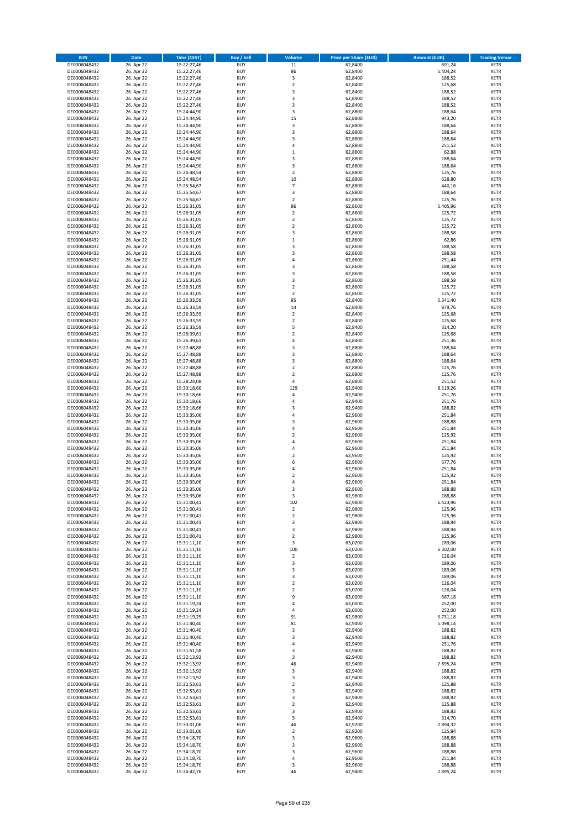| <b>ISIN</b>                  | Date                     | Time (CEST)                | <b>Buy / Sell</b>        | <b>Volume</b>                 | <b>Price per Share (EUR)</b> | <b>Amount (EUR)</b> | <b>Trading Venue</b>       |
|------------------------------|--------------------------|----------------------------|--------------------------|-------------------------------|------------------------------|---------------------|----------------------------|
| DE0006048432                 | 26. Apr 22               | 15:22:27,46                | <b>BUY</b>               | 11                            | 62,8400                      | 691,24              | <b>XETR</b>                |
| DE0006048432                 | 26. Apr 22               | 15:22:27,46                | <b>BUY</b>               | 86                            | 62,8400                      | 5.404,24            | XETR                       |
| DE0006048432                 | 26. Apr 22               | 15:22:27,46                | <b>BUY</b>               | 3                             | 62,8400                      | 188,52              | <b>XETR</b>                |
| DE0006048432<br>DE0006048432 | 26. Apr 22<br>26. Apr 22 | 15:22:27,46<br>15:22:27,46 | <b>BUY</b><br><b>BUY</b> | $\mathbf 2$<br>3              | 62,8400<br>62,8400           | 125,68<br>188,52    | XETR<br><b>XETR</b>        |
| DE0006048432                 | 26. Apr 22               | 15:22:27,46                | <b>BUY</b>               | 3                             | 62,8400                      | 188,52              | <b>XETR</b>                |
| DE0006048432                 | 26. Apr 22               | 15:22:27,46                | <b>BUY</b>               | 3                             | 62,8400                      | 188,52              | <b>XETR</b>                |
| DE0006048432                 | 26. Apr 22               | 15:24:44,90                | <b>BUY</b>               | 3                             | 62,8800                      | 188,64              | <b>XETR</b>                |
| DE0006048432                 | 26. Apr 22               | 15:24:44,90                | <b>BUY</b>               | 15                            | 62,8800                      | 943,20              | <b>XETR</b>                |
| DE0006048432                 | 26. Apr 22               | 15:24:44,90                | <b>BUY</b>               | 3                             | 62,8800                      | 188,64              | <b>XETR</b>                |
| DE0006048432                 | 26. Apr 22               | 15:24:44,90                | <b>BUY</b>               | $\mathsf 3$                   | 62,8800                      | 188,64              | <b>XETR</b>                |
| DE0006048432                 | 26. Apr 22<br>26. Apr 22 | 15:24:44,90                | <b>BUY</b><br><b>BUY</b> | 3<br>$\overline{4}$           | 62,8800                      | 188,64              | <b>XETR</b><br><b>XETR</b> |
| DE0006048432<br>DE0006048432 | 26. Apr 22               | 15:24:44,90<br>15:24:44,90 | <b>BUY</b>               | $\,1\,$                       | 62,8800<br>62,8800           | 251,52<br>62,88     | <b>XETR</b>                |
| DE0006048432                 | 26. Apr 22               | 15:24:44,90                | <b>BUY</b>               | 3                             | 62,8800                      | 188,64              | <b>XETR</b>                |
| DE0006048432                 | 26. Apr 22               | 15:24:44,90                | <b>BUY</b>               | 3                             | 62,8800                      | 188,64              | <b>XETR</b>                |
| DE0006048432                 | 26. Apr 22               | 15:24:48,54                | <b>BUY</b>               | $\overline{2}$                | 62,8800                      | 125,76              | <b>XETR</b>                |
| DE0006048432                 | 26. Apr 22               | 15:24:48,54                | <b>BUY</b>               | $10\,$                        | 62,8800                      | 628,80              | <b>XETR</b>                |
| DE0006048432                 | 26. Apr 22               | 15:25:54,67                | <b>BUY</b>               | $\overline{7}$                | 62,8800                      | 440,16              | <b>XETR</b>                |
| DE0006048432                 | 26. Apr 22               | 15:25:54,67                | <b>BUY</b>               | 3                             | 62,8800                      | 188,64              | <b>XETR</b>                |
| DE0006048432                 | 26. Apr 22               | 15:25:54,67                | <b>BUY</b>               | $\overline{2}$                | 62,8800                      | 125,76              | <b>XETR</b>                |
| DE0006048432<br>DE0006048432 | 26. Apr 22<br>26. Apr 22 | 15:26:31,05<br>15:26:31,05 | <b>BUY</b><br><b>BUY</b> | 86<br>$\mathbf 2$             | 62,8600<br>62,8600           | 5.405,96<br>125,72  | <b>XETR</b><br><b>XETR</b> |
| DE0006048432                 | 26. Apr 22               | 15:26:31,05                | <b>BUY</b>               | $\mathbf 2$                   | 62,8600                      | 125,72              | <b>XETR</b>                |
| DE0006048432                 | 26. Apr 22               | 15:26:31,05                | <b>BUY</b>               | $\mathbf 2$                   | 62,8600                      | 125,72              | <b>XETR</b>                |
| DE0006048432                 | 26. Apr 22               | 15:26:31,05                | <b>BUY</b>               | 3                             | 62,8600                      | 188,58              | <b>XETR</b>                |
| DE0006048432                 | 26. Apr 22               | 15:26:31,05                | <b>BUY</b>               | $\mathbf 1$                   | 62,8600                      | 62,86               | <b>XETR</b>                |
| DE0006048432                 | 26. Apr 22               | 15:26:31,05                | <b>BUY</b>               | 3                             | 62,8600                      | 188,58              | <b>XETR</b>                |
| DE0006048432                 | 26. Apr 22               | 15:26:31,05                | <b>BUY</b>               | 3                             | 62,8600                      | 188,58              | <b>XETR</b>                |
| DE0006048432                 | 26. Apr 22               | 15:26:31,05                | <b>BUY</b><br><b>BUY</b> | $\overline{4}$<br>3           | 62,8600<br>62,8600           | 251,44<br>188,58    | <b>XETR</b><br><b>XETR</b> |
| DE0006048432<br>DE0006048432 | 26. Apr 22<br>26. Apr 22 | 15:26:31,05<br>15:26:31,05 | <b>BUY</b>               | 3                             | 62,8600                      | 188,58              | <b>XETR</b>                |
| DE0006048432                 | 26. Apr 22               | 15:26:31,05                | <b>BUY</b>               | 3                             | 62,8600                      | 188,58              | <b>XETR</b>                |
| DE0006048432                 | 26. Apr 22               | 15:26:31,05                | <b>BUY</b>               | $\mathbf 2$                   | 62,8600                      | 125,72              | <b>XETR</b>                |
| DE0006048432                 | 26. Apr 22               | 15:26:31,05                | <b>BUY</b>               | $\mathbf 2$                   | 62,8600                      | 125,72              | <b>XETR</b>                |
| DE0006048432                 | 26. Apr 22               | 15:26:33,59                | <b>BUY</b>               | 85                            | 62,8400                      | 5.341,40            | <b>XETR</b>                |
| DE0006048432                 | 26. Apr 22               | 15:26:33,59                | <b>BUY</b>               | 14                            | 62,8400                      | 879,76              | <b>XETR</b>                |
| DE0006048432                 | 26. Apr 22               | 15:26:33,59                | <b>BUY</b>               | $\mathbf 2$                   | 62,8400                      | 125,68              | <b>XETR</b>                |
| DE0006048432                 | 26. Apr 22               | 15:26:33,59                | <b>BUY</b>               | $\overline{2}$                | 62,8400                      | 125,68              | <b>XETR</b>                |
| DE0006048432<br>DE0006048432 | 26. Apr 22<br>26. Apr 22 | 15:26:33,59<br>15:26:39,61 | <b>BUY</b><br><b>BUY</b> | 5<br>$\overline{2}$           | 62,8400<br>62,8400           | 314,20<br>125,68    | <b>XETR</b><br><b>XETR</b> |
| DE0006048432                 | 26. Apr 22               | 15:26:39,61                | <b>BUY</b>               | 4                             | 62,8400                      | 251,36              | <b>XETR</b>                |
| DE0006048432                 | 26. Apr 22               | 15:27:48,88                | <b>BUY</b>               | 3                             | 62,8800                      | 188,64              | <b>XETR</b>                |
| DE0006048432                 | 26. Apr 22               | 15:27:48,88                | <b>BUY</b>               | 3                             | 62,8800                      | 188,64              | <b>XETR</b>                |
| DE0006048432                 | 26. Apr 22               | 15:27:48,88                | <b>BUY</b>               | 3                             | 62,8800                      | 188,64              | <b>XETR</b>                |
| DE0006048432                 | 26. Apr 22               | 15:27:48,88                | <b>BUY</b>               | $\overline{2}$                | 62,8800                      | 125,76              | <b>XETR</b>                |
| DE0006048432                 | 26. Apr 22               | 15:27:48,88                | <b>BUY</b>               | $\mathbf 2$                   | 62,8800                      | 125,76              | <b>XETR</b>                |
| DE0006048432                 | 26. Apr 22               | 15:28:24,08                | <b>BUY</b>               | $\overline{4}$                | 62,8800                      | 251,52              | <b>XETR</b>                |
| DE0006048432<br>DE0006048432 | 26. Apr 22<br>26. Apr 22 | 15:30:18,66<br>15:30:18,66 | <b>BUY</b><br><b>BUY</b> | 129<br>4                      | 62,9400<br>62,9400           | 8.119,26<br>251,76  | <b>XETR</b><br><b>XETR</b> |
| DE0006048432                 | 26. Apr 22               | 15:30:18,66                | <b>BUY</b>               | 4                             | 62,9400                      | 251,76              | <b>XETR</b>                |
| DE0006048432                 | 26. Apr 22               | 15:30:18,66                | <b>BUY</b>               | 3                             | 62,9400                      | 188,82              | <b>XETR</b>                |
| DE0006048432                 | 26. Apr 22               | 15:30:35,06                | <b>BUY</b>               | 4                             | 62,9600                      | 251,84              | <b>XETR</b>                |
| DE0006048432                 | 26. Apr 22               | 15:30:35,06                | <b>BUY</b>               | $\mathsf 3$                   | 62,9600                      | 188,88              | <b>XETR</b>                |
| DE0006048432                 | 26. Apr 22               | 15:30:35,06                | <b>BUY</b>               | 4                             | 62,9600                      | 251,84              | <b>XETR</b>                |
| DE0006048432                 | 26. Apr 22               | 15:30:35,06                | <b>BUY</b>               | $\mathbf 2$<br>$\overline{a}$ | 62,9600                      | 125,92              | <b>XETR</b>                |
| DE0006048432<br>DE0006048432 | 26. Apr 22<br>26. Apr 22 | 15:30:35,06<br>15:30:35,06 | <b>BUY</b><br><b>BUY</b> | 4                             | 62,9600<br>62,9600           | 251,84<br>251,84    | <b>XETR</b><br><b>XETR</b> |
| DE0006048432                 | 26. Apr 22               | 15:30:35,06                | <b>BUY</b>               | $\overline{\mathbf{c}}$       | 62,9600                      | 125,92              | <b>XETR</b>                |
| DE0006048432                 | 26. Apr 22               | 15:30:35,06                | <b>BUY</b>               | 6                             | 62,9600                      | 377,76              | <b>XETR</b>                |
| DE0006048432                 | 26. Apr 22               | 15:30:35,06                | <b>BUY</b>               | 4                             | 62,9600                      | 251,84              | <b>XETR</b>                |
| DE0006048432                 | 26. Apr 22               | 15:30:35,06                | <b>BUY</b>               | $\overline{\mathbf{c}}$       | 62,9600                      | 125,92              | <b>XETR</b>                |
| DE0006048432                 | 26. Apr 22               | 15:30:35,06                | <b>BUY</b>               | $\overline{4}$                | 62,9600                      | 251,84              | <b>XETR</b>                |
| DE0006048432                 | 26. Apr 22               | 15:30:35,06                | <b>BUY</b>               | 3                             | 62,9600                      | 188,88              | <b>XETR</b>                |
| DE0006048432<br>DE0006048432 | 26. Apr 22<br>26. Apr 22 | 15:30:35,06<br>15:31:00,41 | BUY<br><b>BUY</b>        | 3<br>102                      | 62,9600<br>62,9800           | 188,88<br>6.423,96  | XETR<br><b>XETR</b>        |
| DE0006048432                 | 26. Apr 22               | 15:31:00,41                | <b>BUY</b>               | $\overline{2}$                | 62,9800                      | 125,96              | <b>XETR</b>                |
| DE0006048432                 | 26. Apr 22               | 15:31:00,41                | <b>BUY</b>               | $\mathbf 2$                   | 62,9800                      | 125,96              | <b>XETR</b>                |
| DE0006048432                 | 26. Apr 22               | 15:31:00,41                | <b>BUY</b>               | 3                             | 62,9800                      | 188,94              | <b>XETR</b>                |
| DE0006048432                 | 26. Apr 22               | 15:31:00,41                | <b>BUY</b>               | 3                             | 62,9800                      | 188,94              | <b>XETR</b>                |
| DE0006048432                 | 26. Apr 22               | 15:31:00,41                | <b>BUY</b>               | $\overline{2}$                | 62,9800                      | 125,96              | <b>XETR</b>                |
| DE0006048432                 | 26. Apr 22               | 15:31:11,10                | <b>BUY</b><br><b>BUY</b> | 3<br>100                      | 63,0200<br>63,0200           | 189,06<br>6.302,00  | <b>XETR</b>                |
| DE0006048432<br>DE0006048432 | 26. Apr 22<br>26. Apr 22 | 15:31:11,10<br>15:31:11,10 | <b>BUY</b>               | $\mathbf 2$                   | 63,0200                      | 126,04              | XETR<br><b>XETR</b>        |
| DE0006048432                 | 26. Apr 22               | 15:31:11,10                | <b>BUY</b>               | 3                             | 63,0200                      | 189,06              | XETR                       |
| DE0006048432                 | 26. Apr 22               | 15:31:11,10                | <b>BUY</b>               | 3                             | 63,0200                      | 189,06              | <b>XETR</b>                |
| DE0006048432                 | 26. Apr 22               | 15:31:11,10                | <b>BUY</b>               | $\mathsf 3$                   | 63,0200                      | 189,06              | XETR                       |
| DE0006048432                 | 26. Apr 22               | 15:31:11,10                | <b>BUY</b>               | $\overline{2}$                | 63,0200                      | 126,04              | <b>XETR</b>                |
| DE0006048432                 | 26. Apr 22               | 15:31:11,10                | <b>BUY</b><br><b>BUY</b> | $\overline{2}$<br>9           | 63,0200                      | 126,04              | XETR                       |
| DE0006048432<br>DE0006048432 | 26. Apr 22<br>26. Apr 22 | 15:31:11,10<br>15:31:19,24 | <b>BUY</b>               | 4                             | 63,0200<br>63,0000           | 567,18<br>252,00    | <b>XETR</b><br><b>XETR</b> |
| DE0006048432                 | 26. Apr 22               | 15:31:19,24                | <b>BUY</b>               | $\sqrt{4}$                    | 63,0000                      | 252,00              | <b>XETR</b>                |
| DE0006048432                 | 26. Apr 22               | 15:31:19,25                | <b>BUY</b>               | 91                            | 62,9800                      | 5.731,18            | XETR                       |
| DE0006048432                 | 26. Apr 22               | 15:31:40,40                | <b>BUY</b>               | 81                            | 62,9400                      | 5.098,14            | <b>XETR</b>                |
| DE0006048432                 | 26. Apr 22               | 15:31:40,40                | <b>BUY</b>               | 3                             | 62,9400                      | 188,82              | <b>XETR</b>                |
| DE0006048432                 | 26. Apr 22               | 15:31:40,40                | <b>BUY</b>               | 3                             | 62,9400                      | 188,82              | <b>XETR</b>                |
| DE0006048432<br>DE0006048432 | 26. Apr 22<br>26. Apr 22 | 15:31:40,40<br>15:31:51,58 | <b>BUY</b><br><b>BUY</b> | 4<br>3                        | 62,9400<br>62,9400           | 251,76<br>188,82    | XETR<br>XETR               |
| DE0006048432                 | 26. Apr 22               | 15:32:13,92                | <b>BUY</b>               | 3                             | 62,9400                      | 188,82              | XETR                       |
| DE0006048432                 | 26. Apr 22               | 15:32:13,92                | <b>BUY</b>               | 46                            | 62,9400                      | 2.895,24            | <b>XETR</b>                |
| DE0006048432                 | 26. Apr 22               | 15:32:13,92                | <b>BUY</b>               | 3                             | 62,9400                      | 188,82              | <b>XETR</b>                |
| DE0006048432                 | 26. Apr 22               | 15:32:13,92                | <b>BUY</b>               | 3                             | 62,9400                      | 188,82              | <b>XETR</b>                |
| DE0006048432                 | 26. Apr 22               | 15:32:53,61                | <b>BUY</b>               | $\mathbf 2$                   | 62,9400                      | 125,88              | <b>XETR</b>                |
| DE0006048432                 | 26. Apr 22               | 15:32:53,61                | <b>BUY</b>               | 3                             | 62,9400                      | 188,82              | <b>XETR</b>                |
| DE0006048432                 | 26. Apr 22               | 15:32:53,61                | <b>BUY</b><br><b>BUY</b> | 3                             | 62,9400                      | 188,82              | XETR                       |
| DE0006048432<br>DE0006048432 | 26. Apr 22<br>26. Apr 22 | 15:32:53,61<br>15:32:53,61 | <b>BUY</b>               | $\mathbf 2$<br>3              | 62,9400<br>62,9400           | 125,88<br>188,82    | XETR<br>XETR               |
| DE0006048432                 | 26. Apr 22               | 15:32:53,61                | <b>BUY</b>               | 5                             | 62,9400                      | 314,70              | <b>XETR</b>                |
| DE0006048432                 | 26. Apr 22               | 15:33:01,06                | <b>BUY</b>               | 46                            | 62,9200                      | 2.894,32            | <b>XETR</b>                |
| DE0006048432                 | 26. Apr 22               | 15:33:01,06                | <b>BUY</b>               | $\mathbf 2$                   | 62,9200                      | 125,84              | XETR                       |
| DE0006048432                 | 26. Apr 22               | 15:34:18,70                | <b>BUY</b>               | 3                             | 62,9600                      | 188,88              | <b>XETR</b>                |
| DE0006048432                 | 26. Apr 22               | 15:34:18,70                | <b>BUY</b>               | 3                             | 62,9600                      | 188,88              | XETR                       |
| DE0006048432                 | 26. Apr 22               | 15:34:18,70                | <b>BUY</b>               | 3                             | 62,9600                      | 188,88              | <b>XETR</b>                |
| DE0006048432<br>DE0006048432 | 26. Apr 22<br>26. Apr 22 | 15:34:18,70<br>15:34:18,70 | <b>BUY</b><br><b>BUY</b> | 4<br>3                        | 62,9600<br>62,9600           | 251,84<br>188,88    | XETR<br><b>XETR</b>        |
| DE0006048432                 | 26. Apr 22               | 15:34:42,76                | <b>BUY</b>               | 46                            | 62,9400                      | 2.895,24            | XETR                       |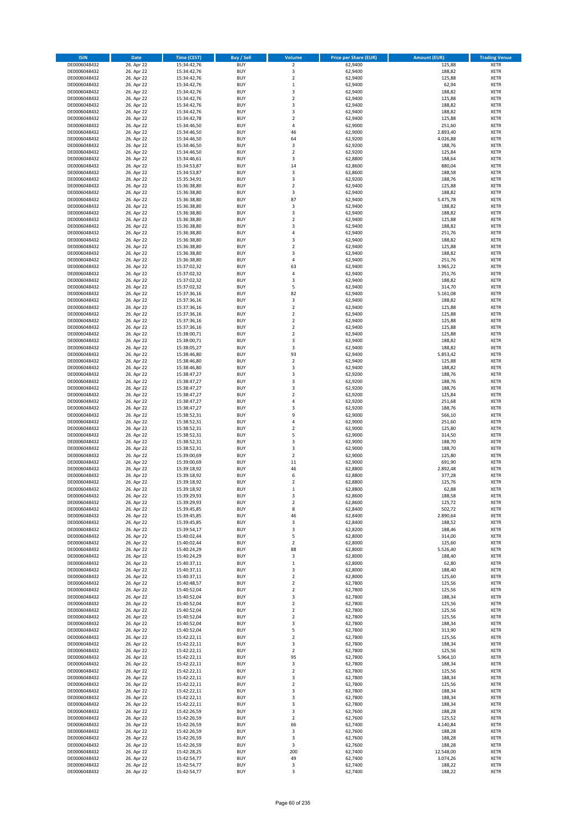| <b>ISIN</b>                  | Date                     | Time (CEST)                | <b>Buy / Sell</b>        | <b>Volume</b>                 | <b>Price per Share (EUR)</b> | <b>Amount (EUR)</b> | <b>Trading Venue</b>       |
|------------------------------|--------------------------|----------------------------|--------------------------|-------------------------------|------------------------------|---------------------|----------------------------|
| DE0006048432                 | 26. Apr 22               | 15:34:42,76                | <b>BUY</b>               | $\overline{2}$                | 62,9400                      | 125,88              | <b>XETR</b>                |
| DE0006048432                 | 26. Apr 22               | 15:34:42,76                | <b>BUY</b>               | 3                             | 62,9400                      | 188,82              | XETR                       |
| DE0006048432                 | 26. Apr 22               | 15:34:42,76                | <b>BUY</b>               | $\mathbf 2$                   | 62,9400                      | 125,88              | <b>XETR</b>                |
| DE0006048432                 | 26. Apr 22               | 15:34:42,76                | <b>BUY</b>               | $\,$ 1                        | 62,9400                      | 62,94               | <b>XETR</b>                |
| DE0006048432<br>DE0006048432 | 26. Apr 22<br>26. Apr 22 | 15:34:42,76<br>15:34:42,76 | <b>BUY</b><br><b>BUY</b> | 3<br>$\mathbf 2$              | 62,9400<br>62,9400           | 188,82<br>125,88    | <b>XETR</b><br><b>XETR</b> |
| DE0006048432                 | 26. Apr 22               | 15:34:42,76                | <b>BUY</b>               | 3                             | 62,9400                      | 188,82              | <b>XETR</b>                |
| DE0006048432                 | 26. Apr 22               | 15:34:42,76                | <b>BUY</b>               | 3                             | 62,9400                      | 188,82              | <b>XETR</b>                |
| DE0006048432                 | 26. Apr 22               | 15:34:42,78                | <b>BUY</b>               | $\overline{2}$                | 62,9400                      | 125,88              | <b>XETR</b>                |
| DE0006048432                 | 26. Apr 22               | 15:34:46,50                | <b>BUY</b>               | $\sqrt{4}$                    | 62,9000                      | 251,60              | <b>XETR</b>                |
| DE0006048432                 | 26. Apr 22               | 15:34:46,50                | <b>BUY</b>               | 46                            | 62,9000                      | 2.893,40            | <b>XETR</b>                |
| DE0006048432                 | 26. Apr 22               | 15:34:46,50                | <b>BUY</b>               | 64                            | 62,9200                      | 4.026,88            | <b>XETR</b>                |
| DE0006048432<br>DE0006048432 | 26. Apr 22<br>26. Apr 22 | 15:34:46,50<br>15:34:46,50 | <b>BUY</b><br><b>BUY</b> | $\mathsf 3$<br>$\overline{2}$ | 62,9200<br>62,9200           | 188,76<br>125,84    | <b>XETR</b><br><b>XETR</b> |
| DE0006048432                 | 26. Apr 22               | 15:34:46,61                | <b>BUY</b>               | 3                             | 62,8800                      | 188,64              | <b>XETR</b>                |
| DE0006048432                 | 26. Apr 22               | 15:34:53,87                | <b>BUY</b>               | 14                            | 62,8600                      | 880,04              | <b>XETR</b>                |
| DE0006048432                 | 26. Apr 22               | 15:34:53,87                | <b>BUY</b>               | 3                             | 62,8600                      | 188,58              | <b>XETR</b>                |
| DE0006048432                 | 26. Apr 22               | 15:35:34,91                | <b>BUY</b>               | 3                             | 62,9200                      | 188,76              | <b>XETR</b>                |
| DE0006048432                 | 26. Apr 22               | 15:36:38,80                | <b>BUY</b>               | $\overline{2}$                | 62,9400                      | 125,88              | <b>XETR</b>                |
| DE0006048432<br>DE0006048432 | 26. Apr 22<br>26. Apr 22 | 15:36:38,80<br>15:36:38,80 | <b>BUY</b><br><b>BUY</b> | 3<br>87                       | 62,9400<br>62,9400           | 188,82<br>5.475,78  | <b>XETR</b><br><b>XETR</b> |
| DE0006048432                 | 26. Apr 22               | 15:36:38,80                | <b>BUY</b>               | 3                             | 62,9400                      | 188,82              | <b>XETR</b>                |
| DE0006048432                 | 26. Apr 22               | 15:36:38,80                | <b>BUY</b>               | 3                             | 62,9400                      | 188,82              | <b>XETR</b>                |
| DE0006048432                 | 26. Apr 22               | 15:36:38,80                | <b>BUY</b>               | $\overline{2}$                | 62,9400                      | 125,88              | <b>XETR</b>                |
| DE0006048432                 | 26. Apr 22               | 15:36:38,80                | <b>BUY</b>               | 3                             | 62,9400                      | 188,82              | <b>XETR</b>                |
| DE0006048432                 | 26. Apr 22               | 15:36:38,80                | <b>BUY</b>               | 4                             | 62,9400                      | 251,76              | <b>XETR</b>                |
| DE0006048432<br>DE0006048432 | 26. Apr 22               | 15:36:38,80                | <b>BUY</b><br><b>BUY</b> | $\mathsf 3$<br>$\overline{2}$ | 62,9400                      | 188,82              | <b>XETR</b><br><b>XETR</b> |
| DE0006048432                 | 26. Apr 22<br>26. Apr 22 | 15:36:38,80<br>15:36:38,80 | <b>BUY</b>               | 3                             | 62,9400<br>62,9400           | 125,88<br>188,82    | <b>XETR</b>                |
| DE0006048432                 | 26. Apr 22               | 15:36:38,80                | <b>BUY</b>               | 4                             | 62,9400                      | 251,76              | <b>XETR</b>                |
| DE0006048432                 | 26. Apr 22               | 15:37:02,32                | <b>BUY</b>               | 63                            | 62,9400                      | 3.965,22            | <b>XETR</b>                |
| DE0006048432                 | 26. Apr 22               | 15:37:02,32                | <b>BUY</b>               | $\sqrt{4}$                    | 62,9400                      | 251,76              | <b>XETR</b>                |
| DE0006048432                 | 26. Apr 22               | 15:37:02,32                | <b>BUY</b>               | 3                             | 62,9400                      | 188,82              | <b>XETR</b>                |
| DE0006048432                 | 26. Apr 22               | 15:37:02,32                | <b>BUY</b>               | 5                             | 62,9400                      | 314,70              | <b>XETR</b>                |
| DE0006048432<br>DE0006048432 | 26. Apr 22<br>26. Apr 22 | 15:37:36,16<br>15:37:36,16 | <b>BUY</b><br><b>BUY</b> | 82<br>3                       | 62,9400<br>62,9400           | 5.161,08<br>188,82  | <b>XETR</b><br><b>XETR</b> |
| DE0006048432                 | 26. Apr 22               | 15:37:36,16                | <b>BUY</b>               | $\overline{2}$                | 62,9400                      | 125,88              | <b>XETR</b>                |
| DE0006048432                 | 26. Apr 22               | 15:37:36,16                | <b>BUY</b>               | $\mathbf 2$                   | 62,9400                      | 125,88              | <b>XETR</b>                |
| DE0006048432                 | 26. Apr 22               | 15:37:36,16                | <b>BUY</b>               | $\overline{2}$                | 62,9400                      | 125,88              | <b>XETR</b>                |
| DE0006048432                 | 26. Apr 22               | 15:37:36,16                | <b>BUY</b>               | $\mathbf 2$                   | 62,9400                      | 125,88              | <b>XETR</b>                |
| DE0006048432                 | 26. Apr 22               | 15:38:00,71                | <b>BUY</b>               | $\mathbf 2$                   | 62,9400                      | 125,88              | <b>XETR</b>                |
| DE0006048432                 | 26. Apr 22<br>26. Apr 22 | 15:38:00,71                | <b>BUY</b><br><b>BUY</b> | 3<br>3                        | 62,9400<br>62,9400           | 188,82<br>188,82    | <b>XETR</b><br><b>XETR</b> |
| DE0006048432<br>DE0006048432 | 26. Apr 22               | 15:38:05,27<br>15:38:46,80 | <b>BUY</b>               | 93                            | 62,9400                      | 5.853,42            | <b>XETR</b>                |
| DE0006048432                 | 26. Apr 22               | 15:38:46,80                | <b>BUY</b>               | $\mathbf 2$                   | 62,9400                      | 125,88              | <b>XETR</b>                |
| DE0006048432                 | 26. Apr 22               | 15:38:46,80                | <b>BUY</b>               | 3                             | 62,9400                      | 188,82              | <b>XETR</b>                |
| DE0006048432                 | 26. Apr 22               | 15:38:47,27                | <b>BUY</b>               | 3                             | 62,9200                      | 188,76              | <b>XETR</b>                |
| DE0006048432                 | 26. Apr 22               | 15:38:47,27                | <b>BUY</b>               | 3                             | 62,9200                      | 188,76              | <b>XETR</b>                |
| DE0006048432<br>DE0006048432 | 26. Apr 22<br>26. Apr 22 | 15:38:47,27<br>15:38:47,27 | <b>BUY</b><br><b>BUY</b> | 3<br>$\overline{2}$           | 62,9200<br>62,9200           | 188,76<br>125,84    | <b>XETR</b><br><b>XETR</b> |
| DE0006048432                 | 26. Apr 22               | 15:38:47,27                | <b>BUY</b>               | 4                             | 62,9200                      | 251,68              | <b>XETR</b>                |
| DE0006048432                 | 26. Apr 22               | 15:38:47,27                | <b>BUY</b>               | 3                             | 62,9200                      | 188,76              | <b>XETR</b>                |
| DE0006048432                 | 26. Apr 22               | 15:38:52,31                | <b>BUY</b>               | 9                             | 62,9000                      | 566,10              | <b>XETR</b>                |
| DE0006048432                 | 26. Apr 22               | 15:38:52,31                | <b>BUY</b>               | $\sqrt{4}$                    | 62,9000                      | 251,60              | <b>XETR</b>                |
| DE0006048432                 | 26. Apr 22               | 15:38:52,31                | <b>BUY</b>               | $\overline{\mathbf{c}}$       | 62,9000                      | 125,80              | <b>XETR</b>                |
| DE0006048432                 | 26. Apr 22               | 15:38:52,31                | <b>BUY</b>               | 5                             | 62,9000                      | 314,50              | <b>XETR</b>                |
| DE0006048432<br>DE0006048432 | 26. Apr 22<br>26. Apr 22 | 15:38:52,31<br>15:38:52,31 | <b>BUY</b><br><b>BUY</b> | 3<br>3                        | 62,9000<br>62,9000           | 188,70<br>188,70    | <b>XETR</b><br><b>XETR</b> |
| DE0006048432                 | 26. Apr 22               | 15:39:00,69                | <b>BUY</b>               | $\mathbf 2$                   | 62,9000                      | 125,80              | <b>XETR</b>                |
| DE0006048432                 | 26. Apr 22               | 15:39:00,69                | <b>BUY</b>               | 11                            | 62,9000                      | 691,90              | <b>XETR</b>                |
| DE0006048432                 | 26. Apr 22               | 15:39:18,92                | <b>BUY</b>               | 46                            | 62,8800                      | 2.892,48            | <b>XETR</b>                |
| DE0006048432                 | 26. Apr 22               | 15:39:18,92                | <b>BUY</b>               | 6                             | 62,8800                      | 377,28              | <b>XETR</b>                |
| DE0006048432                 | 26. Apr 22               | 15:39:18,92                | <b>BUY</b>               | $\overline{2}$                | 62,8800                      | 125,76              | <b>XETR</b>                |
| DE0006048432<br>DE0006048432 | 26. Apr 22<br>26. Apr 22 | 15:39:18,92<br>15:39:29,93 | <b>BUY</b><br>BUY        | $\mathbf{1}$<br>3             | 62,8800<br>62,8600           | 62,88<br>188,58     | <b>XETR</b><br>XETR        |
| DE0006048432                 | 26. Apr 22               | 15:39:29,93                | <b>BUY</b>               | $\overline{2}$                | 62,8600                      | 125,72              | <b>XETR</b>                |
| DE0006048432                 | 26. Apr 22               | 15:39:45,85                | <b>BUY</b>               | 8                             | 62,8400                      | 502,72              | <b>XETR</b>                |
| DE0006048432                 | 26. Apr 22               | 15:39:45,85                | <b>BUY</b>               | 46                            | 62,8400                      | 2.890,64            | XETR                       |
| DE0006048432                 | 26. Apr 22               | 15:39:45,85                | <b>BUY</b>               | 3                             | 62,8400                      | 188,52              | <b>XETR</b>                |
| DE0006048432                 | 26. Apr 22               | 15:39:54,17                | <b>BUY</b>               | 3                             | 62,8200                      | 188,46              | <b>XETR</b>                |
| DE0006048432<br>DE0006048432 | 26. Apr 22<br>26. Apr 22 | 15:40:02,44                | <b>BUY</b><br><b>BUY</b> | 5<br>$\overline{2}$           | 62,8000<br>62,8000           | 314,00<br>125,60    | <b>XETR</b><br><b>XETR</b> |
| DE0006048432                 | 26. Apr 22               | 15:40:02,44<br>15:40:24,29 | <b>BUY</b>               | 88                            | 62,8000                      | 5.526,40            | XETR                       |
| DE0006048432                 | 26. Apr 22               | 15:40:24,29                | <b>BUY</b>               | 3                             | 62,8000                      | 188,40              | <b>XETR</b>                |
| DE0006048432                 | 26. Apr 22               | 15:40:37,11                | <b>BUY</b>               | $\,$ 1                        | 62,8000                      | 62,80               | XETR                       |
| DE0006048432                 | 26. Apr 22               | 15:40:37,11                | <b>BUY</b>               | 3                             | 62,8000                      | 188,40              | <b>XETR</b>                |
| DE0006048432                 | 26. Apr 22               | 15:40:37,11                | <b>BUY</b>               | $\mathbf 2$                   | 62,8000                      | 125,60              | XETR                       |
| DE0006048432<br>DE0006048432 | 26. Apr 22<br>26. Apr 22 | 15:40:48,57<br>15:40:52,04 | <b>BUY</b><br><b>BUY</b> | $\overline{2}$<br>$\mathbf 2$ | 62,7800<br>62,7800           | 125,56<br>125,56    | <b>XETR</b><br>XETR        |
| DE0006048432                 | 26. Apr 22               | 15:40:52,04                | <b>BUY</b>               | 3                             | 62,7800                      | 188,34              | <b>XETR</b>                |
| DE0006048432                 | 26. Apr 22               | 15:40:52,04                | <b>BUY</b>               | $\overline{2}$                | 62,7800                      | 125,56              | <b>XETR</b>                |
| DE0006048432                 | 26. Apr 22               | 15:40:52,04                | <b>BUY</b>               | $\overline{2}$                | 62,7800                      | 125,56              | <b>XETR</b>                |
| DE0006048432                 | 26. Apr 22               | 15:40:52,04                | <b>BUY</b>               | $\mathbf 2$                   | 62,7800                      | 125,56              | XETR                       |
| DE0006048432                 | 26. Apr 22               | 15:40:52,04                | <b>BUY</b>               | $\mathsf 3$                   | 62,7800                      | 188,34              | <b>XETR</b>                |
| DE0006048432                 | 26. Apr 22               | 15:40:52,04                | <b>BUY</b>               | 5                             | 62,7800                      | 313,90              | <b>XETR</b>                |
| DE0006048432<br>DE0006048432 | 26. Apr 22<br>26. Apr 22 | 15:42:22,11                | <b>BUY</b><br><b>BUY</b> | $\mathbf 2$<br>3              | 62,7800<br>62,7800           | 125,56<br>188,34    | <b>XETR</b><br>XETR        |
| DE0006048432                 | 26. Apr 22               | 15:42:22,11<br>15:42:22,11 | <b>BUY</b>               | $\mathbf 2$                   | 62,7800                      | 125,56              | <b>XETR</b>                |
| DE0006048432                 | 26. Apr 22               | 15:42:22,11                | <b>BUY</b>               | 95                            | 62,7800                      | 5.964,10            | XETR                       |
| DE0006048432                 | 26. Apr 22               | 15:42:22,11                | <b>BUY</b>               | 3                             | 62,7800                      | 188,34              | XETR                       |
| DE0006048432                 | 26. Apr 22               | 15:42:22,11                | <b>BUY</b>               | $\overline{2}$                | 62,7800                      | 125,56              | XETR                       |
| DE0006048432                 | 26. Apr 22               | 15:42:22,11                | <b>BUY</b>               | 3                             | 62,7800                      | 188,34              | <b>XETR</b>                |
| DE0006048432                 | 26. Apr 22               | 15:42:22,11                | <b>BUY</b><br><b>BUY</b> | $\mathbf 2$<br>3              | 62,7800                      | 125,56              | <b>XETR</b>                |
| DE0006048432<br>DE0006048432 | 26. Apr 22<br>26. Apr 22 | 15:42:22,11<br>15:42:22,11 | <b>BUY</b>               | 3                             | 62,7800<br>62,7800           | 188,34<br>188,34    | <b>XETR</b><br>XETR        |
| DE0006048432                 | 26. Apr 22               | 15:42:22,11                | <b>BUY</b>               | 3                             | 62,7800                      | 188,34              | XETR                       |
| DE0006048432                 | 26. Apr 22               | 15:42:26,59                | <b>BUY</b>               | 3                             | 62,7600                      | 188,28              | XETR                       |
| DE0006048432                 | 26. Apr 22               | 15:42:26,59                | <b>BUY</b>               | $\mathbf 2$                   | 62,7600                      | 125,52              | <b>XETR</b>                |
| DE0006048432                 | 26. Apr 22               | 15:42:26,59                | <b>BUY</b>               | 66                            | 62,7400                      | 4.140,84            | <b>XETR</b>                |
| DE0006048432                 | 26. Apr 22               | 15:42:26,59                | <b>BUY</b>               | 3                             | 62,7600                      | 188,28              | <b>XETR</b>                |
| DE0006048432<br>DE0006048432 | 26. Apr 22<br>26. Apr 22 | 15:42:26,59<br>15:42:26,59 | <b>BUY</b><br><b>BUY</b> | 3<br>3                        | 62,7600<br>62,7600           | 188,28<br>188,28    | <b>XETR</b><br>XETR        |
| DE0006048432                 | 26. Apr 22               | 15:42:28,25                | <b>BUY</b>               | 200                           | 62,7400                      | 12.548,00           | <b>XETR</b>                |
| DE0006048432                 | 26. Apr 22               | 15:42:54,77                | <b>BUY</b>               | 49                            | 62,7400                      | 3.074,26            | XETR                       |
| DE0006048432                 | 26. Apr 22               | 15:42:54,77                | <b>BUY</b>               | 3                             | 62,7400                      | 188,22              | <b>XETR</b>                |
| DE0006048432                 | 26. Apr 22               | 15:42:54,77                | <b>BUY</b>               | 3                             | 62,7400                      | 188,22              | <b>XETR</b>                |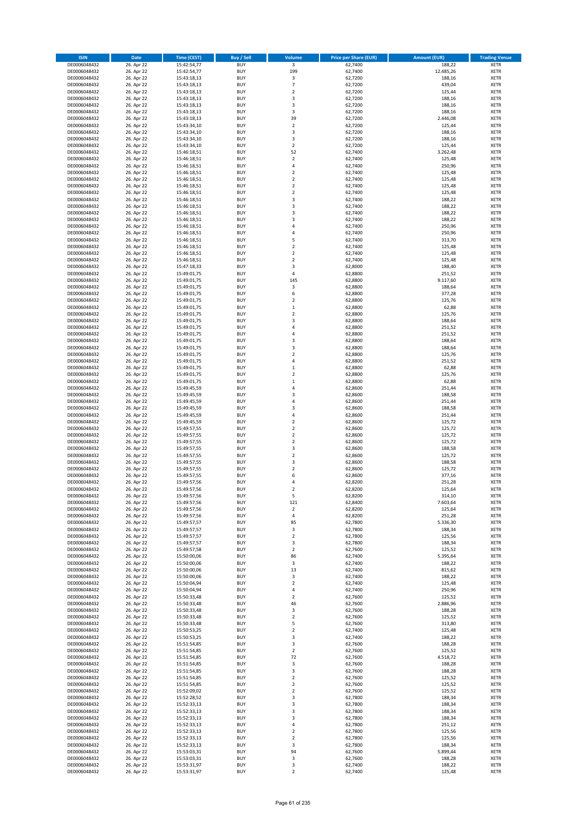| <b>ISIN</b>                  | <b>Date</b>              | <b>Time (CEST)</b>         | <b>Buy / Sell</b>        | Volume                                    | <b>Price per Share (EUR)</b> | <b>Amount (EUR)</b> | <b>Trading Venue</b>       |
|------------------------------|--------------------------|----------------------------|--------------------------|-------------------------------------------|------------------------------|---------------------|----------------------------|
| DE0006048432                 | 26. Apr 22               | 15:42:54,77                | <b>BUY</b>               | $\overline{\mathbf{3}}$                   | 62,7400                      | 188,22              | <b>XETR</b>                |
| DE0006048432                 | 26. Apr 22               | 15:42:54,77                | <b>BUY</b>               | 199                                       | 62,7400                      | 12.485,26           | <b>XETR</b>                |
| DE0006048432                 | 26. Apr 22               | 15:43:18,13                | <b>BUY</b>               | 3                                         | 62,7200                      | 188,16              | <b>XETR</b>                |
| DE0006048432<br>DE0006048432 | 26. Apr 22<br>26. Apr 22 | 15:43:18,13<br>15:43:18,13 | <b>BUY</b><br><b>BUY</b> | $\overline{7}$<br>$\overline{\mathbf{c}}$ | 62,7200<br>62,7200           | 439,04<br>125,44    | <b>XETR</b><br><b>XETR</b> |
| DE0006048432                 | 26. Apr 22               | 15:43:18,13                | <b>BUY</b>               | 3                                         | 62,7200                      | 188,16              | <b>XETR</b>                |
| DE0006048432                 | 26. Apr 22               | 15:43:18,13                | <b>BUY</b>               | 3                                         | 62,7200                      | 188,16              | <b>XETR</b>                |
| DE0006048432                 | 26. Apr 22               | 15:43:18,13                | <b>BUY</b>               | 3                                         | 62,7200                      | 188,16              | <b>XETR</b>                |
| DE0006048432                 | 26. Apr 22               | 15:43:18,13                | <b>BUY</b>               | 39<br>$\overline{2}$                      | 62,7200                      | 2.446,08            | <b>XETR</b>                |
| DE0006048432<br>DE0006048432 | 26. Apr 22<br>26. Apr 22 | 15:43:34,10<br>15:43:34,10 | <b>BUY</b><br><b>BUY</b> | 3                                         | 62,7200<br>62,7200           | 125,44<br>188,16    | <b>XETR</b><br><b>XETR</b> |
| DE0006048432                 | 26. Apr 22               | 15:43:34,10                | <b>BUY</b>               | 3                                         | 62,7200                      | 188,16              | <b>XETR</b>                |
| DE0006048432                 | 26. Apr 22               | 15:43:34,10                | <b>BUY</b>               | $\mathbf 2$                               | 62,7200                      | 125,44              | <b>XETR</b>                |
| DE0006048432                 | 26. Apr 22               | 15:46:18,51                | <b>BUY</b>               | 52                                        | 62,7400                      | 3.262,48            | <b>XETR</b>                |
| DE0006048432                 | 26. Apr 22               | 15:46:18,51                | <b>BUY</b>               | $\mathbf 2$                               | 62,7400                      | 125,48              | <b>XETR</b>                |
| DE0006048432<br>DE0006048432 | 26. Apr 22<br>26. Apr 22 | 15:46:18,51<br>15:46:18,51 | <b>BUY</b><br><b>BUY</b> | 4<br>$\overline{\mathbf{c}}$              | 62,7400<br>62,7400           | 250,96<br>125,48    | <b>XETR</b><br><b>XETR</b> |
| DE0006048432                 | 26. Apr 22               | 15:46:18,51                | <b>BUY</b>               | $\mathbf 2$                               | 62,7400                      | 125,48              | <b>XETR</b>                |
| DE0006048432                 | 26. Apr 22               | 15:46:18,51                | <b>BUY</b>               | $\overline{\mathbf{c}}$                   | 62,7400                      | 125,48              | <b>XETR</b>                |
| DE0006048432                 | 26. Apr 22               | 15:46:18,51                | <b>BUY</b>               | $\mathbf 2$                               | 62,7400                      | 125,48              | <b>XETR</b>                |
| DE0006048432                 | 26. Apr 22               | 15:46:18,51                | <b>BUY</b>               | 3                                         | 62,7400                      | 188,22              | <b>XETR</b>                |
| DE0006048432<br>DE0006048432 | 26. Apr 22<br>26. Apr 22 | 15:46:18,51<br>15:46:18,51 | <b>BUY</b><br><b>BUY</b> | 3<br>3                                    | 62,7400<br>62,7400           | 188,22<br>188,22    | <b>XETR</b><br><b>XETR</b> |
| DE0006048432                 | 26. Apr 22               | 15:46:18,51                | <b>BUY</b>               | 3                                         | 62,7400                      | 188,22              | <b>XETR</b>                |
| DE0006048432                 | 26. Apr 22               | 15:46:18,51                | <b>BUY</b>               | 4                                         | 62,7400                      | 250,96              | <b>XETR</b>                |
| DE0006048432                 | 26. Apr 22               | 15:46:18,51                | <b>BUY</b>               | 4                                         | 62,7400                      | 250,96              | <b>XETR</b>                |
| DE0006048432                 | 26. Apr 22               | 15:46:18,51                | <b>BUY</b>               | 5                                         | 62,7400                      | 313,70              | <b>XETR</b>                |
| DE0006048432<br>DE0006048432 | 26. Apr 22<br>26. Apr 22 | 15:46:18,51<br>15:46:18,51 | <b>BUY</b><br><b>BUY</b> | $\overline{\mathbf{c}}$<br>$\mathbf 2$    | 62,7400<br>62,7400           | 125,48<br>125,48    | <b>XETR</b><br><b>XETR</b> |
| DE0006048432                 | 26. Apr 22               | 15:46:18,51                | <b>BUY</b>               | $\overline{\mathbf{c}}$                   | 62,7400                      | 125,48              | <b>XETR</b>                |
| DE0006048432                 | 26. Apr 22               | 15:47:18,33                | <b>BUY</b>               | 3                                         | 62,8000                      | 188,40              | <b>XETR</b>                |
| DE0006048432                 | 26. Apr 22               | 15:49:01,75                | <b>BUY</b>               | 4                                         | 62,8800                      | 251,52              | <b>XETR</b>                |
| DE0006048432                 | 26. Apr 22               | 15:49:01,75                | <b>BUY</b>               | 145                                       | 62,8800                      | 9.117,60            | <b>XETR</b>                |
| DE0006048432<br>DE0006048432 | 26. Apr 22<br>26. Apr 22 | 15:49:01,75<br>15:49:01,75 | <b>BUY</b><br><b>BUY</b> | 3<br>6                                    | 62,8800<br>62,8800           | 188,64<br>377,28    | <b>XETR</b><br><b>XETR</b> |
| DE0006048432                 | 26. Apr 22               | 15:49:01,75                | <b>BUY</b>               | $\mathbf 2$                               | 62,8800                      | 125,76              | <b>XETR</b>                |
| DE0006048432                 | 26. Apr 22               | 15:49:01,75                | <b>BUY</b>               | $\mathbf 1$                               | 62,8800                      | 62,88               | <b>XETR</b>                |
| DE0006048432                 | 26. Apr 22               | 15:49:01,75                | <b>BUY</b>               | $\mathbf 2$                               | 62,8800                      | 125,76              | <b>XETR</b>                |
| DE0006048432                 | 26. Apr 22               | 15:49:01,75                | <b>BUY</b>               | 3                                         | 62,8800                      | 188,64              | <b>XETR</b>                |
| DE0006048432<br>DE0006048432 | 26. Apr 22<br>26. Apr 22 | 15:49:01,75<br>15:49:01,75 | <b>BUY</b><br><b>BUY</b> | 4<br>4                                    | 62,8800<br>62,8800           | 251,52<br>251,52    | <b>XETR</b><br><b>XETR</b> |
| DE0006048432                 | 26. Apr 22               | 15:49:01,75                | <b>BUY</b>               | 3                                         | 62,8800                      | 188,64              | <b>XETR</b>                |
| DE0006048432                 | 26. Apr 22               | 15:49:01,75                | <b>BUY</b>               | 3                                         | 62,8800                      | 188,64              | <b>XETR</b>                |
| DE0006048432                 | 26. Apr 22               | 15:49:01,75                | <b>BUY</b>               | $\overline{\mathbf{c}}$                   | 62,8800                      | 125,76              | <b>XETR</b>                |
| DE0006048432                 | 26. Apr 22               | 15:49:01,75                | <b>BUY</b>               | 4                                         | 62,8800                      | 251,52              | <b>XETR</b>                |
| DE0006048432                 | 26. Apr 22               | 15:49:01,75                | <b>BUY</b><br><b>BUY</b> | $\mathbf 1$                               | 62,8800                      | 62,88               | <b>XETR</b>                |
| DE0006048432<br>DE0006048432 | 26. Apr 22<br>26. Apr 22 | 15:49:01,75<br>15:49:01,75 | <b>BUY</b>               | $\mathbf 2$<br>$\mathbf 1$                | 62,8800<br>62,8800           | 125,76<br>62,88     | <b>XETR</b><br><b>XETR</b> |
| DE0006048432                 | 26. Apr 22               | 15:49:45,59                | <b>BUY</b>               | 4                                         | 62,8600                      | 251,44              | <b>XETR</b>                |
| DE0006048432                 | 26. Apr 22               | 15:49:45,59                | <b>BUY</b>               | 3                                         | 62,8600                      | 188,58              | <b>XETR</b>                |
| DE0006048432                 | 26. Apr 22               | 15:49:45,59                | <b>BUY</b>               | 4                                         | 62,8600                      | 251,44              | <b>XETR</b>                |
| DE0006048432<br>DE0006048432 | 26. Apr 22<br>26. Apr 22 | 15:49:45,59<br>15:49:45,59 | <b>BUY</b><br><b>BUY</b> | 3<br>4                                    | 62,8600<br>62,8600           | 188,58<br>251,44    | <b>XETR</b><br><b>XETR</b> |
| DE0006048432                 | 26. Apr 22               | 15:49:45,59                | <b>BUY</b>               | $\mathbf 2$                               | 62,8600                      | 125,72              | <b>XETR</b>                |
| DE0006048432                 | 26. Apr 22               | 15:49:57,55                | <b>BUY</b>               | $\overline{\mathbf{c}}$                   | 62,8600                      | 125,72              | <b>XETR</b>                |
| DE0006048432                 | 26. Apr 22               | 15:49:57,55                | <b>BUY</b>               | $\mathbf 2$                               | 62,8600                      | 125,72              | <b>XETR</b>                |
| DE0006048432                 | 26. Apr 22               | 15:49:57,55                | <b>BUY</b>               | $\overline{\mathbf{c}}$                   | 62,8600                      | 125,72              | <b>XETR</b>                |
| DE0006048432<br>DE0006048432 | 26. Apr 22<br>26. Apr 22 | 15:49:57,55<br>15:49:57,55 | <b>BUY</b><br><b>BUY</b> | 3<br>$\overline{\mathbf{c}}$              | 62,8600<br>62,8600           | 188,58<br>125,72    | <b>XETR</b><br><b>XETR</b> |
| DE0006048432                 | 26. Apr 22               | 15:49:57,55                | <b>BUY</b>               | 3                                         | 62,8600                      | 188,58              | <b>XETR</b>                |
| DE0006048432                 | 26. Apr 22               | 15:49:57,55                | <b>BUY</b>               | $\mathbf 2$                               | 62,8600                      | 125,72              | <b>XETR</b>                |
| DE0006048432                 | 26. Apr 22               | 15:49:57,55                | <b>BUY</b>               | 6                                         | 62,8600                      | 377,16              | <b>XETR</b>                |
| DE0006048432                 | 26. Apr 22               | 15:49:57,56                | <b>BUY</b>               | 4                                         | 62,8200                      | 251,28              | <b>XETR</b>                |
| DE0006048432<br>DE0006048432 | 26. Apr 22<br>26. Apr 22 | 15:49:57,56<br>15:49:57,56 | <b>BUY</b><br>BUY        | $\overline{2}$<br>5                       | 62,8200<br>62,8200           | 125,64<br>314,10    | <b>XETR</b><br><b>XETR</b> |
| DE0006048432                 | 26. Apr 22               | 15:49:57,56                | <b>BUY</b>               | 121                                       | 62,8400                      | 7.603,64            | <b>XETR</b>                |
| DE0006048432                 | 26. Apr 22               | 15:49:57,56                | <b>BUY</b>               | $\mathbf 2$                               | 62,8200                      | 125,64              | <b>XETR</b>                |
| DE0006048432                 | 26. Apr 22               | 15:49:57,56                | <b>BUY</b>               | 4                                         | 62,8200                      | 251,28              | XETR                       |
| DE0006048432                 | 26. Apr 22               | 15:49:57,57                | <b>BUY</b>               | 85                                        | 62,7800                      | 5.336,30            | <b>XETR</b>                |
| DE0006048432<br>DE0006048432 | 26. Apr 22<br>26. Apr 22 | 15:49:57,57<br>15:49:57,57 | <b>BUY</b><br><b>BUY</b> | 3<br>$\overline{2}$                       | 62,7800<br>62,7800           | 188,34<br>125,56    | <b>XETR</b><br><b>XETR</b> |
| DE0006048432                 | 26. Apr 22               | 15:49:57,57                | <b>BUY</b>               | 3                                         | 62,7800                      | 188,34              | <b>XETR</b>                |
| DE0006048432                 | 26. Apr 22               | 15:49:57,58                | <b>BUY</b>               | $\mathbf 2$                               | 62,7600                      | 125,52              | <b>XETR</b>                |
| DE0006048432                 | 26. Apr 22               | 15:50:00,06                | <b>BUY</b>               | 86                                        | 62,7400                      | 5.395,64            | <b>XETR</b>                |
| DE0006048432<br>DE0006048432 | 26. Apr 22<br>26. Apr 22 | 15:50:00,06<br>15:50:00,06 | <b>BUY</b><br><b>BUY</b> | 3<br>13                                   | 62,7400<br>62.7400           | 188,22<br>815,62    | <b>XETR</b><br><b>XETR</b> |
| DE0006048432                 | 26. Apr 22               | 15:50:00,06                | <b>BUY</b>               | 3                                         | 62,7400                      | 188,22              | <b>XETR</b>                |
| DE0006048432                 | 26. Apr 22               | 15:50:04,94                | <b>BUY</b>               | $\overline{2}$                            | 62,7400                      | 125,48              | <b>XETR</b>                |
| DE0006048432                 | 26. Apr 22               | 15:50:04,94                | <b>BUY</b>               | 4                                         | 62,7400                      | 250,96              | <b>XETR</b>                |
| DE0006048432                 | 26. Apr 22               | 15:50:33,48                | <b>BUY</b>               | $\overline{\mathbf{c}}$                   | 62,7600                      | 125,52              | <b>XETR</b>                |
| DE0006048432<br>DE0006048432 | 26. Apr 22<br>26. Apr 22 | 15:50:33,48<br>15:50:33,48 | <b>BUY</b><br><b>BUY</b> | 46<br>3                                   | 62,7600<br>62,7600           | 2.886,96<br>188,28  | <b>XETR</b><br><b>XETR</b> |
| DE0006048432                 | 26. Apr 22               | 15:50:33,48                | <b>BUY</b>               | $\mathbf 2$                               | 62,7600                      | 125,52              | XETR                       |
| DE0006048432                 | 26. Apr 22               | 15:50:33,48                | <b>BUY</b>               | 5                                         | 62,7600                      | 313,80              | <b>XETR</b>                |
| DE0006048432                 | 26. Apr 22               | 15:50:53,25                | <b>BUY</b>               | $\overline{2}$                            | 62,7400                      | 125,48              | <b>XETR</b>                |
| DE0006048432                 | 26. Apr 22               | 15:50:53,25                | <b>BUY</b>               | 3                                         | 62,7400                      | 188,22              | <b>XETR</b>                |
| DE0006048432<br>DE0006048432 | 26. Apr 22<br>26. Apr 22 | 15:51:54,85<br>15:51:54,85 | <b>BUY</b><br><b>BUY</b> | 3<br>$\mathbf 2$                          | 62,7600<br>62,7600           | 188,28<br>125,52    | <b>XETR</b><br><b>XETR</b> |
| DE0006048432                 | 26. Apr 22               | 15:51:54,85                | <b>BUY</b>               | 72                                        | 62,7600                      | 4.518,72            | <b>XETR</b>                |
| DE0006048432                 | 26. Apr 22               | 15:51:54,85                | <b>BUY</b>               | 3                                         | 62,7600                      | 188,28              | <b>XETR</b>                |
| DE0006048432                 | 26. Apr 22               | 15:51:54,85                | <b>BUY</b>               | 3                                         | 62,7600                      | 188,28              | <b>XETR</b>                |
| DE0006048432                 | 26. Apr 22               | 15:51:54,85                | <b>BUY</b>               | $\overline{2}$                            | 62,7600                      | 125,52              | <b>XETR</b>                |
| DE0006048432<br>DE0006048432 | 26. Apr 22<br>26. Apr 22 | 15:51:54,85<br>15:52:09,02 | <b>BUY</b><br><b>BUY</b> | 2<br>$\overline{\mathbf{c}}$              | 62,7600<br>62,7600           | 125,52<br>125,52    | <b>XETR</b><br>XETR        |
| DE0006048432                 | 26. Apr 22               | 15:52:28,52                | <b>BUY</b>               | 3                                         | 62,7800                      | 188,34              | <b>XETR</b>                |
| DE0006048432                 | 26. Apr 22               | 15:52:33,13                | <b>BUY</b>               | 3                                         | 62,7800                      | 188,34              | <b>XETR</b>                |
| DE0006048432                 | 26. Apr 22               | 15:52:33,13                | <b>BUY</b>               | 3                                         | 62,7800                      | 188,34              | <b>XETR</b>                |
| DE0006048432<br>DE0006048432 | 26. Apr 22<br>26. Apr 22 | 15:52:33,13                | <b>BUY</b><br><b>BUY</b> | 3<br>4                                    | 62,7800<br>62,7800           | 188,34<br>251,12    | <b>XETR</b>                |
| DE0006048432                 | 26. Apr 22               | 15:52:33,13<br>15:52:33,13 | <b>BUY</b>               | $\mathbf 2$                               | 62,7800                      | 125,56              | <b>XETR</b><br><b>XETR</b> |
| DE0006048432                 | 26. Apr 22               | 15:52:33,13                | <b>BUY</b>               | $\overline{\mathbf{c}}$                   | 62,7800                      | 125,56              | <b>XETR</b>                |
| DE0006048432                 | 26. Apr 22               | 15:52:33,13                | <b>BUY</b>               | 3                                         | 62,7800                      | 188,34              | XETR                       |
| DE0006048432                 | 26. Apr 22               | 15:53:03,31                | <b>BUY</b>               | 94                                        | 62,7600                      | 5.899,44            | <b>XETR</b>                |
| DE0006048432<br>DE0006048432 | 26. Apr 22<br>26. Apr 22 | 15:53:03,31<br>15:53:31,97 | <b>BUY</b><br><b>BUY</b> | 3<br>3                                    | 62,7600<br>62,7400           | 188,28<br>188,22    | <b>XETR</b><br><b>XETR</b> |
| DE0006048432                 | 26. Apr 22               | 15:53:31,97                | <b>BUY</b>               | $\overline{2}$                            | 62,7400                      | 125,48              | XETR                       |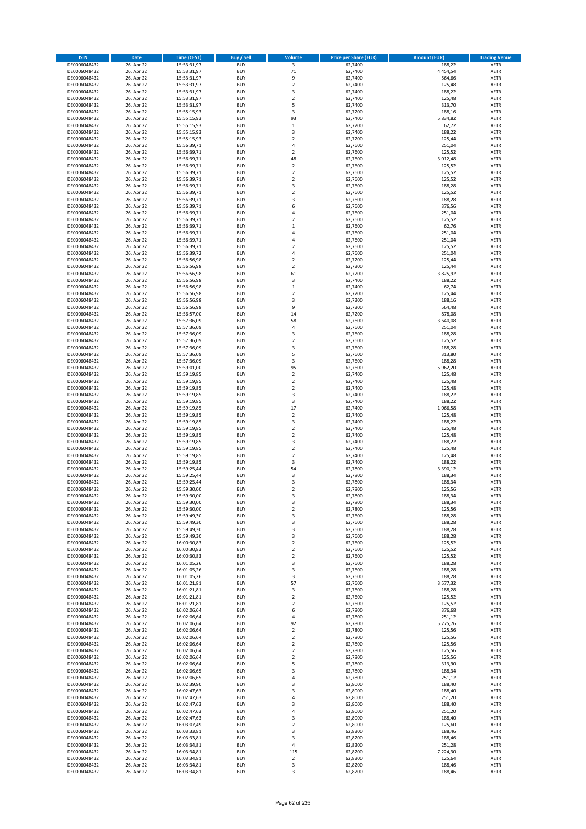| <b>ISIN</b>                  | <b>Date</b>              | <b>Time (CEST)</b>         | <b>Buy / Sell</b>        | <b>Volume</b>                 | <b>Price per Share (EUR)</b> | <b>Amount (EUR)</b> | <b>Trading Venue</b>       |
|------------------------------|--------------------------|----------------------------|--------------------------|-------------------------------|------------------------------|---------------------|----------------------------|
| DE0006048432                 | 26. Apr 22               | 15:53:31,97                | <b>BUY</b>               | $\overline{\mathbf{3}}$       | 62,7400                      | 188,22              | <b>XETR</b>                |
| DE0006048432                 | 26. Apr 22               | 15:53:31,97                | <b>BUY</b>               | 71                            | 62,7400                      | 4.454,54            | <b>XETR</b>                |
| DE0006048432                 | 26. Apr 22               | 15:53:31,97                | <b>BUY</b>               | 9                             | 62.7400                      | 564,66              | <b>XETR</b>                |
| DE0006048432<br>DE0006048432 | 26. Apr 22<br>26. Apr 22 | 15:53:31,97<br>15:53:31,97 | <b>BUY</b><br><b>BUY</b> | $\mathbf 2$<br>3              | 62,7400<br>62,7400           | 125,48<br>188,22    | <b>XETR</b><br><b>XETR</b> |
| DE0006048432                 | 26. Apr 22               | 15:53:31,97                | <b>BUY</b>               | $\mathbf 2$                   | 62,7400                      | 125,48              | <b>XETR</b>                |
| DE0006048432                 | 26. Apr 22               | 15:53:31,97                | <b>BUY</b>               | 5                             | 62,7400                      | 313,70              | <b>XETR</b>                |
| DE0006048432                 | 26. Apr 22               | 15:55:15,93                | <b>BUY</b>               | 3                             | 62,7200                      | 188,16              | <b>XETR</b>                |
| DE0006048432                 | 26. Apr 22               | 15:55:15,93                | <b>BUY</b>               | 93                            | 62,7400                      | 5.834,82            | <b>XETR</b>                |
| DE0006048432                 | 26. Apr 22               | 15:55:15,93                | <b>BUY</b>               | $\,1\,$                       | 62,7200                      | 62,72               | <b>XETR</b>                |
| DE0006048432                 | 26. Apr 22               | 15:55:15,93                | <b>BUY</b>               | 3                             | 62,7400                      | 188,22              | <b>XETR</b>                |
| DE0006048432<br>DE0006048432 | 26. Apr 22<br>26. Apr 22 | 15:55:15,93<br>15:56:39,71 | <b>BUY</b><br><b>BUY</b> | $\overline{\mathbf{c}}$<br>4  | 62,7200<br>62,7600           | 125,44<br>251,04    | <b>XETR</b><br><b>XETR</b> |
| DE0006048432                 | 26. Apr 22               | 15:56:39,71                | <b>BUY</b>               | $\overline{\mathbf{c}}$       | 62,7600                      | 125,52              | <b>XETR</b>                |
| DE0006048432                 | 26. Apr 22               | 15:56:39,71                | <b>BUY</b>               | 48                            | 62,7600                      | 3.012,48            | <b>XETR</b>                |
| DE0006048432                 | 26. Apr 22               | 15:56:39,71                | <b>BUY</b>               | $\overline{\mathbf{c}}$       | 62,7600                      | 125,52              | <b>XETR</b>                |
| DE0006048432                 | 26. Apr 22               | 15:56:39,71                | <b>BUY</b>               | $\mathbf 2$                   | 62,7600                      | 125,52              | <b>XETR</b>                |
| DE0006048432                 | 26. Apr 22               | 15:56:39,71                | <b>BUY</b>               | $\mathbf 2$                   | 62,7600                      | 125,52              | <b>XETR</b>                |
| DE0006048432                 | 26. Apr 22               | 15:56:39,71                | <b>BUY</b>               | 3                             | 62,7600                      | 188,28              | <b>XETR</b>                |
| DE0006048432                 | 26. Apr 22               | 15:56:39,71                | <b>BUY</b>               | $\mathbf 2$                   | 62,7600                      | 125,52              | <b>XETR</b>                |
| DE0006048432<br>DE0006048432 | 26. Apr 22<br>26. Apr 22 | 15:56:39,71<br>15:56:39,71 | <b>BUY</b><br><b>BUY</b> | 3<br>6                        | 62,7600<br>62,7600           | 188,28<br>376,56    | <b>XETR</b><br><b>XETR</b> |
| DE0006048432                 | 26. Apr 22               | 15:56:39,71                | <b>BUY</b>               | 4                             | 62,7600                      | 251,04              | <b>XETR</b>                |
| DE0006048432                 | 26. Apr 22               | 15:56:39,71                | <b>BUY</b>               | $\mathbf 2$                   | 62,7600                      | 125,52              | <b>XETR</b>                |
| DE0006048432                 | 26. Apr 22               | 15:56:39,71                | <b>BUY</b>               | $\mathbf 1$                   | 62,7600                      | 62,76               | <b>XETR</b>                |
| DE0006048432                 | 26. Apr 22               | 15:56:39,71                | <b>BUY</b>               | 4                             | 62,7600                      | 251,04              | <b>XETR</b>                |
| DE0006048432                 | 26. Apr 22               | 15:56:39,71                | <b>BUY</b>               | 4                             | 62,7600                      | 251,04              | <b>XETR</b>                |
| DE0006048432                 | 26. Apr 22               | 15:56:39,71                | <b>BUY</b>               | $\overline{\mathbf{c}}$       | 62,7600                      | 125,52              | <b>XETR</b>                |
| DE0006048432<br>DE0006048432 | 26. Apr 22<br>26. Apr 22 | 15:56:39,72<br>15:56:56,98 | <b>BUY</b><br><b>BUY</b> | 4<br>$\overline{\mathbf{c}}$  | 62,7600<br>62,7200           | 251,04<br>125,44    | <b>XETR</b><br><b>XETR</b> |
| DE0006048432                 | 26. Apr 22               | 15:56:56,98                | <b>BUY</b>               | $\overline{2}$                | 62,7200                      | 125,44              | <b>XETR</b>                |
| DE0006048432                 | 26. Apr 22               | 15:56:56,98                | <b>BUY</b>               | 61                            | 62,7200                      | 3.825,92            | <b>XETR</b>                |
| DE0006048432                 | 26. Apr 22               | 15:56:56,98                | <b>BUY</b>               | 3                             | 62,7400                      | 188,22              | <b>XETR</b>                |
| DE0006048432                 | 26. Apr 22               | 15:56:56,98                | <b>BUY</b>               | $\mathbf 1$                   | 62,7400                      | 62,74               | <b>XETR</b>                |
| DE0006048432                 | 26. Apr 22               | 15:56:56,98                | <b>BUY</b>               | $\mathbf 2$                   | 62.7200                      | 125,44              | <b>XETR</b>                |
| DE0006048432                 | 26. Apr 22               | 15:56:56,98                | <b>BUY</b>               | 3                             | 62,7200                      | 188,16              | <b>XETR</b>                |
| DE0006048432                 | 26. Apr 22               | 15:56:56,98                | <b>BUY</b><br><b>BUY</b> | 9<br>14                       | 62,7200                      | 564,48              | <b>XETR</b><br><b>XETR</b> |
| DE0006048432<br>DE0006048432 | 26. Apr 22<br>26. Apr 22 | 15:56:57,00<br>15:57:36,09 | <b>BUY</b>               | 58                            | 62,7200<br>62,7600           | 878,08<br>3.640,08  | <b>XETR</b>                |
| DE0006048432                 | 26. Apr 22               | 15:57:36,09                | <b>BUY</b>               | 4                             | 62,7600                      | 251,04              | <b>XETR</b>                |
| DE0006048432                 | 26. Apr 22               | 15:57:36,09                | <b>BUY</b>               | 3                             | 62,7600                      | 188,28              | <b>XETR</b>                |
| DE0006048432                 | 26. Apr 22               | 15:57:36,09                | <b>BUY</b>               | $\mathbf 2$                   | 62,7600                      | 125,52              | <b>XETR</b>                |
| DE0006048432                 | 26. Apr 22               | 15:57:36,09                | <b>BUY</b>               | 3                             | 62,7600                      | 188,28              | <b>XETR</b>                |
| DE0006048432                 | 26. Apr 22               | 15:57:36,09                | <b>BUY</b>               | 5                             | 62,7600                      | 313,80              | <b>XETR</b>                |
| DE0006048432                 | 26. Apr 22               | 15:57:36,09                | <b>BUY</b>               | 3                             | 62,7600                      | 188,28              | <b>XETR</b>                |
| DE0006048432                 | 26. Apr 22<br>26. Apr 22 | 15:59:01,00                | <b>BUY</b><br><b>BUY</b> | 95<br>$\mathbf 2$             | 62,7600<br>62,7400           | 5.962,20<br>125,48  | <b>XETR</b><br><b>XETR</b> |
| DE0006048432<br>DE0006048432 | 26. Apr 22               | 15:59:19,85<br>15:59:19,85 | <b>BUY</b>               | $\mathbf 2$                   | 62,7400                      | 125,48              | <b>XETR</b>                |
| DE0006048432                 | 26. Apr 22               | 15:59:19,85                | <b>BUY</b>               | $\mathbf 2$                   | 62,7400                      | 125,48              | <b>XETR</b>                |
| DE0006048432                 | 26. Apr 22               | 15:59:19,85                | <b>BUY</b>               | 3                             | 62,7400                      | 188,22              | <b>XETR</b>                |
| DE0006048432                 | 26. Apr 22               | 15:59:19,85                | <b>BUY</b>               | 3                             | 62,7400                      | 188,22              | <b>XETR</b>                |
| DE0006048432                 | 26. Apr 22               | 15:59:19,85                | <b>BUY</b>               | 17                            | 62,7400                      | 1.066,58            | <b>XETR</b>                |
| DE0006048432                 | 26. Apr 22               | 15:59:19,85                | <b>BUY</b>               | $\overline{2}$                | 62,7400                      | 125,48              | <b>XETR</b>                |
| DE0006048432<br>DE0006048432 | 26. Apr 22<br>26. Apr 22 | 15:59:19,85<br>15:59:19,85 | <b>BUY</b><br><b>BUY</b> | 3<br>$\overline{\mathbf{c}}$  | 62,7400<br>62,7400           | 188,22<br>125,48    | <b>XETR</b><br><b>XETR</b> |
| DE0006048432                 | 26. Apr 22               | 15:59:19,85                | <b>BUY</b>               | $\mathbf 2$                   | 62,7400                      | 125,48              | <b>XETR</b>                |
| DE0006048432                 | 26. Apr 22               | 15:59:19,85                | <b>BUY</b>               | 3                             | 62,7400                      | 188,22              | <b>XETR</b>                |
| DE0006048432                 | 26. Apr 22               | 15:59:19,85                | <b>BUY</b>               | $\overline{\mathbf{c}}$       | 62,7400                      | 125,48              | <b>XETR</b>                |
| DE0006048432                 | 26. Apr 22               | 15:59:19,85                | <b>BUY</b>               | $\overline{\mathbf{c}}$       | 62,7400                      | 125,48              | <b>XETR</b>                |
| DE0006048432                 | 26. Apr 22               | 15:59:19,85                | <b>BUY</b>               | 3                             | 62,7400                      | 188,22              | <b>XETR</b>                |
| DE0006048432                 | 26. Apr 22               | 15:59:25,44                | <b>BUY</b>               | 54                            | 62,7800                      | 3.390,12            | <b>XETR</b>                |
| DE0006048432<br>DE0006048432 | 26. Apr 22<br>26. Apr 22 | 15:59:25,44<br>15:59:25,44 | <b>BUY</b><br><b>BUY</b> | 3<br>3                        | 62,7800<br>62,7800           | 188,34<br>188,34    | <b>XETR</b><br><b>XETR</b> |
| DE0006048432                 | 26. Apr 22               | 15:59:30,00                | <b>BUY</b>               | $\overline{2}$                | 62,7800                      | 125,56              | <b>XETR</b>                |
| DE0006048432                 | 26. Apr 22               | 15:59:30,00                | BUY                      | 3                             | 62,7800                      | 188,34              | <b>XETR</b>                |
| DE0006048432                 | 26. Apr 22               | 15:59:30,00                | <b>BUY</b>               | 3                             | 62,7800                      | 188,34              | <b>XETR</b>                |
| DE0006048432                 | 26. Apr 22               | 15:59:30,00                | <b>BUY</b>               | $\mathbf 2$                   | 62,7800                      | 125,56              | <b>XETR</b>                |
| DE0006048432                 | 26. Apr 22               | 15:59:49,30                | <b>BUY</b>               | 3                             | 62,7600                      | 188,28              | XETR                       |
| DE0006048432                 | 26. Apr 22               | 15:59:49,30                | <b>BUY</b>               | 3                             | 62,7600                      | 188,28              | <b>XETR</b>                |
| DE0006048432<br>DE0006048432 | 26. Apr 22<br>26. Apr 22 | 15:59:49,30<br>15:59:49,30 | <b>BUY</b><br><b>BUY</b> | 3<br>3                        | 62,7600<br>62,7600           | 188,28<br>188,28    | <b>XETR</b><br><b>XETR</b> |
| DE0006048432                 | 26. Apr 22               | 16:00:30,83                | <b>BUY</b>               | $\mathbf 2$                   | 62,7600                      | 125,52              | <b>XETR</b>                |
| DE0006048432                 | 26. Apr 22               | 16:00:30,83                | <b>BUY</b>               | $\mathbf 2$                   | 62,7600                      | 125,52              | <b>XETR</b>                |
| DE0006048432                 | 26. Apr 22               | 16:00:30,83                | <b>BUY</b>               | $\mathbf 2$                   | 62,7600                      | 125,52              | <b>XETR</b>                |
| DE0006048432                 | 26. Apr 22               | 16:01:05,26                | <b>BUY</b>               | 3                             | 62,7600                      | 188,28              | <b>XETR</b>                |
| DE0006048432                 | 26. Apr 22               | 16:01:05,26                | <b>BUY</b>               | 3                             | 62,7600                      | 188,28              | <b>XETR</b>                |
| DE0006048432<br>DE0006048432 | 26. Apr 22<br>26. Apr 22 | 16:01:05,26<br>16:01:21,81 | <b>BUY</b><br><b>BUY</b> | 3<br>57                       | 62,7600<br>62,7600           | 188,28<br>3.577,32  | <b>XETR</b><br><b>XETR</b> |
| DE0006048432                 | 26. Apr 22               | 16:01:21,81                | <b>BUY</b>               | 3                             | 62,7600                      | 188,28              | <b>XETR</b>                |
| DE0006048432                 | 26. Apr 22               | 16:01:21,81                | <b>BUY</b>               | $\overline{\mathbf{c}}$       | 62,7600                      | 125,52              | <b>XETR</b>                |
| DE0006048432                 | 26. Apr 22               | 16:01:21,81                | <b>BUY</b>               | $\mathbf 2$                   | 62,7600                      | 125,52              | <b>XETR</b>                |
| DE0006048432                 | 26. Apr 22               | 16:02:06,64                | <b>BUY</b>               | 6                             | 62,7800                      | 376,68              | <b>XETR</b>                |
| DE0006048432                 | 26. Apr 22               | 16:02:06,64                | <b>BUY</b>               | 4                             | 62,7800                      | 251,12              | XETR                       |
| DE0006048432                 | 26. Apr 22               | 16:02:06,64                | <b>BUY</b>               | 92                            | 62,7800                      | 5.775,76            | <b>XETR</b>                |
| DE0006048432<br>DE0006048432 | 26. Apr 22<br>26. Apr 22 | 16:02:06,64<br>16:02:06,64 | <b>BUY</b><br><b>BUY</b> | $\overline{2}$<br>$\mathbf 2$ | 62,7800<br>62,7800           | 125,56<br>125,56    | <b>XETR</b><br><b>XETR</b> |
| DE0006048432                 | 26. Apr 22               | 16:02:06,64                | <b>BUY</b>               | $\overline{2}$                | 62,7800                      | 125,56              | <b>XETR</b>                |
| DE0006048432                 | 26. Apr 22               | 16:02:06,64                | <b>BUY</b>               | $\mathbf 2$                   | 62,7800                      | 125,56              | <b>XETR</b>                |
| DE0006048432                 | 26. Apr 22               | 16:02:06,64                | <b>BUY</b>               | $\mathbf 2$                   | 62,7800                      | 125,56              | <b>XETR</b>                |
| DE0006048432                 | 26. Apr 22               | 16:02:06,64                | <b>BUY</b>               | 5                             | 62,7800                      | 313,90              | <b>XETR</b>                |
| DE0006048432                 | 26. Apr 22               | 16:02:06,65                | <b>BUY</b>               | 3                             | 62,7800                      | 188,34              | <b>XETR</b>                |
| DE0006048432<br>DE0006048432 | 26. Apr 22<br>26. Apr 22 | 16:02:06,65<br>16:02:39,90 | <b>BUY</b><br><b>BUY</b> | 4<br>3                        | 62,7800<br>62,8000           | 251,12<br>188,40    | <b>XETR</b><br><b>XETR</b> |
| DE0006048432                 | 26. Apr 22               | 16:02:47,63                | <b>BUY</b>               | 3                             | 62,8000                      | 188,40              | <b>XETR</b>                |
| DE0006048432                 | 26. Apr 22               | 16:02:47,63                | <b>BUY</b>               | 4                             | 62,8000                      | 251,20              | <b>XETR</b>                |
| DE0006048432                 | 26. Apr 22               | 16:02:47,63                | <b>BUY</b>               | 3                             | 62,8000                      | 188,40              | <b>XETR</b>                |
| DE0006048432                 | 26. Apr 22               | 16:02:47,63                | <b>BUY</b>               | 4                             | 62,8000                      | 251,20              | <b>XETR</b>                |
| DE0006048432                 | 26. Apr 22               | 16:02:47,63                | <b>BUY</b>               | 3                             | 62,8000                      | 188,40              | <b>XETR</b>                |
| DE0006048432                 | 26. Apr 22               | 16:03:07,49                | <b>BUY</b>               | $\mathbf 2$                   | 62,8000                      | 125,60              | <b>XETR</b>                |
| DE0006048432<br>DE0006048432 | 26. Apr 22<br>26. Apr 22 | 16:03:33,81<br>16:03:33,81 | <b>BUY</b><br><b>BUY</b> | 3<br>3                        | 62,8200<br>62,8200           | 188,46<br>188,46    | <b>XETR</b><br><b>XETR</b> |
| DE0006048432                 | 26. Apr 22               | 16:03:34,81                | <b>BUY</b>               | 4                             | 62,8200                      | 251,28              | XETR                       |
| DE0006048432                 | 26. Apr 22               | 16:03:34,81                | <b>BUY</b>               | 115                           | 62,8200                      | 7.224,30            | <b>XETR</b>                |
| DE0006048432                 | 26. Apr 22               | 16:03:34,81                | <b>BUY</b>               | $\mathbf 2$                   | 62,8200                      | 125,64              | <b>XETR</b>                |
| DE0006048432                 | 26. Apr 22               | 16:03:34,81                | <b>BUY</b>               | 3                             | 62,8200                      | 188,46              | <b>XETR</b>                |
| DE0006048432                 | 26. Apr 22               | 16:03:34,81                | <b>BUY</b>               | 3                             | 62,8200                      | 188,46              | <b>XETR</b>                |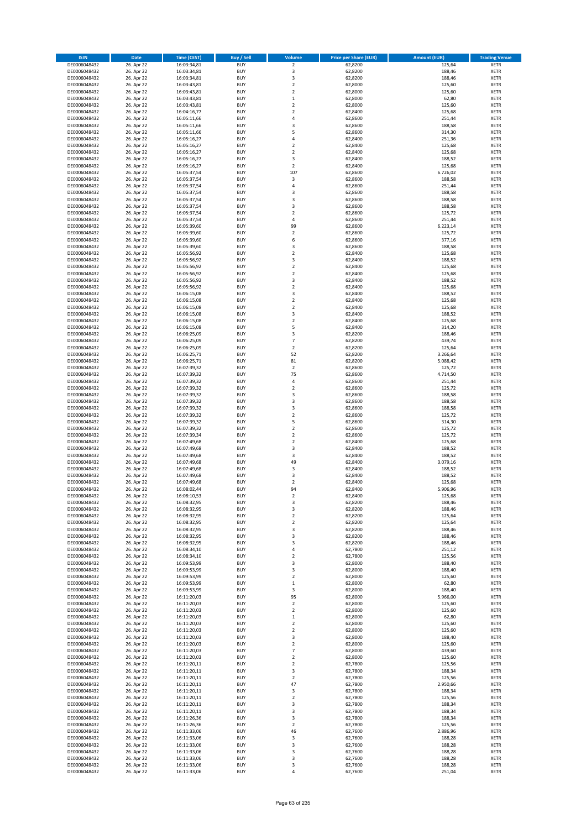| <b>ISIN</b>                  | <b>Date</b>              | <b>Time (CEST)</b>         | <b>Buy / Sell</b>        | <b>Volume</b>                          | <b>Price per Share (EUR)</b> | <b>Amount (EUR)</b> | <b>Trading Venue</b>       |
|------------------------------|--------------------------|----------------------------|--------------------------|----------------------------------------|------------------------------|---------------------|----------------------------|
| DE0006048432                 | 26. Apr 22               | 16:03:34,81                | <b>BUY</b>               | $\overline{\mathbf{2}}$                | 62,8200                      | 125,64              | <b>XETR</b>                |
| DE0006048432                 | 26. Apr 22               | 16:03:34,81                | <b>BUY</b>               | 3                                      | 62,8200                      | 188,46              | <b>XETR</b>                |
| DE0006048432                 | 26. Apr 22               | 16:03:34,81                | <b>BUY</b>               | 3                                      | 62,8200                      | 188,46              | <b>XETR</b>                |
| DE0006048432<br>DE0006048432 | 26. Apr 22<br>26. Apr 22 | 16:03:43,81<br>16:03:43,81 | <b>BUY</b><br><b>BUY</b> | $\mathbf 2$<br>$\overline{\mathbf{c}}$ | 62,8000<br>62,8000           | 125,60<br>125,60    | <b>XETR</b><br><b>XETR</b> |
| DE0006048432                 | 26. Apr 22               | 16:03:43,81                | <b>BUY</b>               | $\mathbf 1$                            | 62,8000                      | 62,80               | <b>XETR</b>                |
| DE0006048432                 | 26. Apr 22               | 16:03:43,81                | <b>BUY</b>               | $\mathbf 2$                            | 62,8000                      | 125,60              | <b>XETR</b>                |
| DE0006048432                 | 26. Apr 22               | 16:04:16,77                | <b>BUY</b>               | $\overline{\mathbf{c}}$                | 62,8400                      | 125,68              | <b>XETR</b>                |
| DE0006048432                 | 26. Apr 22               | 16:05:11,66                | <b>BUY</b>               | 4                                      | 62,8600                      | 251,44              | <b>XETR</b>                |
| DE0006048432                 | 26. Apr 22               | 16:05:11,66                | <b>BUY</b>               | 3                                      | 62,8600                      | 188,58              | <b>XETR</b>                |
| DE0006048432                 | 26. Apr 22               | 16:05:11,66                | <b>BUY</b>               | 5                                      | 62,8600                      | 314,30              | <b>XETR</b>                |
| DE0006048432<br>DE0006048432 | 26. Apr 22<br>26. Apr 22 | 16:05:16,27                | <b>BUY</b><br><b>BUY</b> | 4<br>$\overline{\mathbf{c}}$           | 62,8400<br>62,8400           | 251,36<br>125,68    | <b>XETR</b><br><b>XETR</b> |
| DE0006048432                 | 26. Apr 22               | 16:05:16,27<br>16:05:16,27 | <b>BUY</b>               | $\overline{\mathbf{c}}$                | 62,8400                      | 125,68              | <b>XETR</b>                |
| DE0006048432                 | 26. Apr 22               | 16:05:16,27                | <b>BUY</b>               | 3                                      | 62,8400                      | 188,52              | <b>XETR</b>                |
| DE0006048432                 | 26. Apr 22               | 16:05:16,27                | <b>BUY</b>               | $\overline{\mathbf{c}}$                | 62,8400                      | 125,68              | <b>XETR</b>                |
| DE0006048432                 | 26. Apr 22               | 16:05:37,54                | <b>BUY</b>               | 107                                    | 62,8600                      | 6.726,02            | <b>XETR</b>                |
| DE0006048432                 | 26. Apr 22               | 16:05:37,54                | <b>BUY</b>               | 3                                      | 62,8600                      | 188,58              | <b>XETR</b>                |
| DE0006048432                 | 26. Apr 22               | 16:05:37,54                | <b>BUY</b>               | 4                                      | 62,8600                      | 251,44              | <b>XETR</b>                |
| DE0006048432                 | 26. Apr 22               | 16:05:37,54                | <b>BUY</b>               | 3                                      | 62,8600                      | 188,58              | <b>XETR</b>                |
| DE0006048432<br>DE0006048432 | 26. Apr 22<br>26. Apr 22 | 16:05:37,54<br>16:05:37,54 | <b>BUY</b><br><b>BUY</b> | 3<br>3                                 | 62,8600<br>62,8600           | 188,58<br>188,58    | <b>XETR</b><br><b>XETR</b> |
| DE0006048432                 | 26. Apr 22               | 16:05:37,54                | <b>BUY</b>               | $\mathbf 2$                            | 62,8600                      | 125,72              | <b>XETR</b>                |
| DE0006048432                 | 26. Apr 22               | 16:05:37,54                | <b>BUY</b>               | 4                                      | 62,8600                      | 251,44              | <b>XETR</b>                |
| DE0006048432                 | 26. Apr 22               | 16:05:39,60                | <b>BUY</b>               | 99                                     | 62,8600                      | 6.223,14            | <b>XETR</b>                |
| DE0006048432                 | 26. Apr 22               | 16:05:39,60                | <b>BUY</b>               | $\mathbf 2$                            | 62,8600                      | 125,72              | <b>XETR</b>                |
| DE0006048432                 | 26. Apr 22               | 16:05:39,60                | <b>BUY</b>               | 6                                      | 62,8600                      | 377,16              | <b>XETR</b>                |
| DE0006048432                 | 26. Apr 22               | 16:05:39,60                | <b>BUY</b>               | 3                                      | 62,8600                      | 188,58              | <b>XETR</b>                |
| DE0006048432<br>DE0006048432 | 26. Apr 22<br>26. Apr 22 | 16:05:56,92<br>16:05:56,92 | <b>BUY</b><br><b>BUY</b> | $\mathbf 2$<br>3                       | 62,8400<br>62,8400           | 125,68<br>188,52    | <b>XETR</b><br><b>XETR</b> |
| DE0006048432                 | 26. Apr 22               | 16:05:56,92                | <b>BUY</b>               | $\mathbf 2$                            | 62,8400                      | 125,68              | <b>XETR</b>                |
| DE0006048432                 | 26. Apr 22               | 16:05:56,92                | <b>BUY</b>               | $\overline{\mathbf{c}}$                | 62,8400                      | 125,68              | <b>XETR</b>                |
| DE0006048432                 | 26. Apr 22               | 16:05:56,92                | <b>BUY</b>               | 3                                      | 62,8400                      | 188,52              | <b>XETR</b>                |
| DE0006048432                 | 26. Apr 22               | 16:05:56,92                | <b>BUY</b>               | $\mathbf 2$                            | 62,8400                      | 125,68              | <b>XETR</b>                |
| DE0006048432                 | 26. Apr 22               | 16:06:15,08                | <b>BUY</b>               | 3                                      | 62,8400                      | 188,52              | <b>XETR</b>                |
| DE0006048432                 | 26. Apr 22               | 16:06:15,08                | <b>BUY</b>               | $\mathbf 2$                            | 62,8400                      | 125,68              | <b>XETR</b>                |
| DE0006048432                 | 26. Apr 22               | 16:06:15,08                | <b>BUY</b><br><b>BUY</b> | $\overline{\mathbf{c}}$<br>3           | 62,8400                      | 125,68              | <b>XETR</b>                |
| DE0006048432<br>DE0006048432 | 26. Apr 22<br>26. Apr 22 | 16:06:15,08<br>16:06:15,08 | <b>BUY</b>               | $\overline{\mathbf{c}}$                | 62,8400<br>62,8400           | 188,52<br>125,68    | <b>XETR</b><br><b>XETR</b> |
| DE0006048432                 | 26. Apr 22               | 16:06:15,08                | <b>BUY</b>               | 5                                      | 62,8400                      | 314,20              | <b>XETR</b>                |
| DE0006048432                 | 26. Apr 22               | 16:06:25,09                | <b>BUY</b>               | 3                                      | 62,8200                      | 188,46              | <b>XETR</b>                |
| DE0006048432                 | 26. Apr 22               | 16:06:25,09                | <b>BUY</b>               | $\overline{7}$                         | 62,8200                      | 439,74              | <b>XETR</b>                |
| DE0006048432                 | 26. Apr 22               | 16:06:25,09                | <b>BUY</b>               | $\mathbf 2$                            | 62,8200                      | 125,64              | <b>XETR</b>                |
| DE0006048432                 | 26. Apr 22               | 16:06:25,71                | <b>BUY</b>               | 52                                     | 62,8200                      | 3.266,64            | <b>XETR</b>                |
| DE0006048432                 | 26. Apr 22               | 16:06:25,71                | <b>BUY</b>               | 81                                     | 62,8200                      | 5.088,42            | <b>XETR</b>                |
| DE0006048432                 | 26. Apr 22               | 16:07:39,32                | <b>BUY</b>               | $\mathbf 2$                            | 62,8600                      | 125,72              | <b>XETR</b>                |
| DE0006048432<br>DE0006048432 | 26. Apr 22<br>26. Apr 22 | 16:07:39,32<br>16:07:39,32 | <b>BUY</b><br><b>BUY</b> | 75<br>4                                | 62,8600<br>62,8600           | 4.714,50<br>251,44  | <b>XETR</b><br><b>XETR</b> |
| DE0006048432                 | 26. Apr 22               | 16:07:39,32                | <b>BUY</b>               | $\mathbf 2$                            | 62,8600                      | 125,72              | <b>XETR</b>                |
| DE0006048432                 | 26. Apr 22               | 16:07:39,32                | <b>BUY</b>               | 3                                      | 62,8600                      | 188,58              | <b>XETR</b>                |
| DE0006048432                 | 26. Apr 22               | 16:07:39,32                | <b>BUY</b>               | 3                                      | 62,8600                      | 188,58              | <b>XETR</b>                |
| DE0006048432                 | 26. Apr 22               | 16:07:39,32                | <b>BUY</b>               | 3                                      | 62,8600                      | 188,58              | <b>XETR</b>                |
| DE0006048432                 | 26. Apr 22               | 16:07:39,32                | <b>BUY</b>               | $\overline{\mathbf{c}}$                | 62,8600                      | 125,72              | <b>XETR</b>                |
| DE0006048432                 | 26. Apr 22               | 16:07:39,32                | <b>BUY</b>               | 5                                      | 62,8600                      | 314,30              | <b>XETR</b>                |
| DE0006048432<br>DE0006048432 | 26. Apr 22<br>26. Apr 22 | 16:07:39,32<br>16:07:39,34 | <b>BUY</b><br><b>BUY</b> | $\overline{\mathbf{c}}$<br>$\mathbf 2$ | 62,8600<br>62,8600           | 125,72<br>125,72    | <b>XETR</b><br><b>XETR</b> |
| DE0006048432                 | 26. Apr 22               | 16:07:49,68                | <b>BUY</b>               | $\overline{\mathbf{c}}$                | 62,8400                      | 125,68              | <b>XETR</b>                |
| DE0006048432                 | 26. Apr 22               | 16:07:49,68                | <b>BUY</b>               | 3                                      | 62,8400                      | 188,52              | <b>XETR</b>                |
| DE0006048432                 | 26. Apr 22               | 16:07:49,68                | <b>BUY</b>               | 3                                      | 62,8400                      | 188,52              | <b>XETR</b>                |
| DE0006048432                 | 26. Apr 22               | 16:07:49,68                | <b>BUY</b>               | 49                                     | 62,8400                      | 3.079,16            | <b>XETR</b>                |
| DE0006048432                 | 26. Apr 22               | 16:07:49,68                | <b>BUY</b>               | 3                                      | 62,8400                      | 188,52              | <b>XETR</b>                |
| DE0006048432                 | 26. Apr 22               | 16:07:49,68                | <b>BUY</b>               | 3                                      | 62,8400                      | 188,52              | <b>XETR</b>                |
| DE0006048432<br>DE0006048432 | 26. Apr 22               | 16:07:49,68<br>16:08:02,44 | <b>BUY</b><br><b>BUY</b> | $\overline{\mathbf{c}}$<br>94          | 62,8400<br>62,8400           | 125,68<br>5.906,96  | <b>XETR</b><br><b>XETR</b> |
| DE0006048432                 | 26. Apr 22<br>26. Apr 22 | 16:08:10,53                | BUY                      | 2                                      | 62,8400                      | 125,68              | <b>XETR</b>                |
| DE0006048432                 | 26. Apr 22               | 16:08:32,95                | <b>BUY</b>               | 3                                      | 62,8200                      | 188,46              | <b>XETR</b>                |
| DE0006048432                 | 26. Apr 22               | 16:08:32,95                | <b>BUY</b>               | 3                                      | 62,8200                      | 188,46              | <b>XETR</b>                |
| DE0006048432                 | 26. Apr 22               | 16:08:32,95                | <b>BUY</b>               | $\mathbf 2$                            | 62,8200                      | 125,64              | XETR                       |
| DE0006048432                 | 26. Apr 22               | 16:08:32,95                | <b>BUY</b>               | $\mathbf 2$                            | 62,8200                      | 125,64              | <b>XETR</b>                |
| DE0006048432<br>DE0006048432 | 26. Apr 22<br>26. Apr 22 | 16:08:32,95<br>16:08:32,95 | <b>BUY</b><br><b>BUY</b> | 3<br>3                                 | 62,8200<br>62,8200           | 188,46<br>188,46    | <b>XETR</b>                |
| DE0006048432                 | 26. Apr 22               | 16:08:32,95                | <b>BUY</b>               | 3                                      | 62,8200                      | 188,46              | <b>XETR</b><br><b>XETR</b> |
| DE0006048432                 | 26. Apr 22               | 16:08:34,10                | <b>BUY</b>               | 4                                      | 62,7800                      | 251,12              | <b>XETR</b>                |
| DE0006048432                 | 26. Apr 22               | 16:08:34,10                | <b>BUY</b>               | $\mathbf 2$                            | 62,7800                      | 125,56              | <b>XETR</b>                |
| DE0006048432                 | 26. Apr 22               | 16:09:53,99                | <b>BUY</b>               | 3                                      | 62,8000                      | 188,40              | <b>XETR</b>                |
| DE0006048432                 | 26. Apr 22               | 16:09:53,99                | <b>BUY</b>               | 3                                      | 62,8000                      | 188,40              | <b>XETR</b>                |
| DE0006048432                 | 26. Apr 22               | 16:09:53,99                | <b>BUY</b>               | $\mathbf 2$                            | 62,8000                      | 125,60              | <b>XETR</b>                |
| DE0006048432<br>DE0006048432 | 26. Apr 22<br>26. Apr 22 | 16:09:53,99<br>16:09:53,99 | <b>BUY</b><br><b>BUY</b> | $\mathbf 1$<br>3                       | 62,8000<br>62,8000           | 62,80<br>188,40     | <b>XETR</b><br><b>XETR</b> |
| DE0006048432                 | 26. Apr 22               | 16:11:20,03                | <b>BUY</b>               | 95                                     | 62,8000                      | 5.966,00            | <b>XETR</b>                |
| DE0006048432                 | 26. Apr 22               | 16:11:20,03                | <b>BUY</b>               | $\mathbf 2$                            | 62,8000                      | 125,60              | <b>XETR</b>                |
| DE0006048432                 | 26. Apr 22               | 16:11:20,03                | <b>BUY</b>               | $\mathbf 2$                            | 62,8000                      | 125,60              | <b>XETR</b>                |
| DE0006048432                 | 26. Apr 22               | 16:11:20,03                | <b>BUY</b>               | $\mathbf 1$                            | 62,8000                      | 62,80               | XETR                       |
| DE0006048432                 | 26. Apr 22               | 16:11:20,03                | <b>BUY</b>               | $\mathbf 2$                            | 62,8000                      | 125,60              | <b>XETR</b>                |
| DE0006048432                 | 26. Apr 22               | 16:11:20,03                | <b>BUY</b>               | $\overline{2}$                         | 62,8000                      | 125,60              | <b>XETR</b>                |
| DE0006048432<br>DE0006048432 | 26. Apr 22<br>26. Apr 22 | 16:11:20,03<br>16:11:20,03 | <b>BUY</b><br><b>BUY</b> | 3<br>$\overline{2}$                    | 62,8000<br>62,8000           | 188,40<br>125,60    | <b>XETR</b><br><b>XETR</b> |
| DE0006048432                 | 26. Apr 22               | 16:11:20,03                | <b>BUY</b>               | $\overline{7}$                         | 62,8000                      | 439,60              | <b>XETR</b>                |
| DE0006048432                 | 26. Apr 22               | 16:11:20,03                | <b>BUY</b>               | $\mathbf 2$                            | 62,8000                      | 125,60              | <b>XETR</b>                |
| DE0006048432                 | 26. Apr 22               | 16:11:20,11                | <b>BUY</b>               | $\mathbf 2$                            | 62,7800                      | 125,56              | <b>XETR</b>                |
| DE0006048432                 | 26. Apr 22               | 16:11:20,11                | <b>BUY</b>               | 3                                      | 62,7800                      | 188,34              | <b>XETR</b>                |
| DE0006048432                 | 26. Apr 22               | 16:11:20,11                | <b>BUY</b>               | $\overline{2}$                         | 62,7800                      | 125,56              | <b>XETR</b>                |
| DE0006048432                 | 26. Apr 22               | 16:11:20,11                | <b>BUY</b>               | 47                                     | 62,7800                      | 2.950,66            | <b>XETR</b>                |
| DE0006048432                 | 26. Apr 22               | 16:11:20,11                | <b>BUY</b><br><b>BUY</b> | 3<br>$\mathbf 2$                       | 62,7800                      | 188,34<br>125,56    | <b>XETR</b><br><b>XETR</b> |
| DE0006048432<br>DE0006048432 | 26. Apr 22<br>26. Apr 22 | 16:11:20,11<br>16:11:20,11 | <b>BUY</b>               | 3                                      | 62,7800<br>62,7800           | 188,34              | <b>XETR</b>                |
| DE0006048432                 | 26. Apr 22               | 16:11:20,11                | <b>BUY</b>               | 3                                      | 62,7800                      | 188,34              | <b>XETR</b>                |
| DE0006048432                 | 26. Apr 22               | 16:11:26,36                | <b>BUY</b>               | 3                                      | 62,7800                      | 188,34              | <b>XETR</b>                |
| DE0006048432                 | 26. Apr 22               | 16:11:26,36                | <b>BUY</b>               | $\mathbf 2$                            | 62,7800                      | 125,56              | <b>XETR</b>                |
| DE0006048432                 | 26. Apr 22               | 16:11:33,06                | <b>BUY</b>               | 46                                     | 62,7600                      | 2.886,96            | <b>XETR</b>                |
| DE0006048432                 | 26. Apr 22               | 16:11:33,06                | <b>BUY</b>               | 3                                      | 62,7600                      | 188,28              | <b>XETR</b>                |
| DE0006048432                 | 26. Apr 22               | 16:11:33,06                | <b>BUY</b><br><b>BUY</b> | 3<br>3                                 | 62,7600                      | 188,28              | XETR<br><b>XETR</b>        |
| DE0006048432<br>DE0006048432 | 26. Apr 22<br>26. Apr 22 | 16:11:33,06<br>16:11:33,06 | <b>BUY</b>               | 3                                      | 62,7600<br>62,7600           | 188,28<br>188,28    | <b>XETR</b>                |
| DE0006048432                 | 26. Apr 22               | 16:11:33,06                | <b>BUY</b>               | 3                                      | 62,7600                      | 188,28              | <b>XETR</b>                |
| DE0006048432                 | 26. Apr 22               | 16:11:33,06                | <b>BUY</b>               | 4                                      | 62,7600                      | 251,04              | <b>XETR</b>                |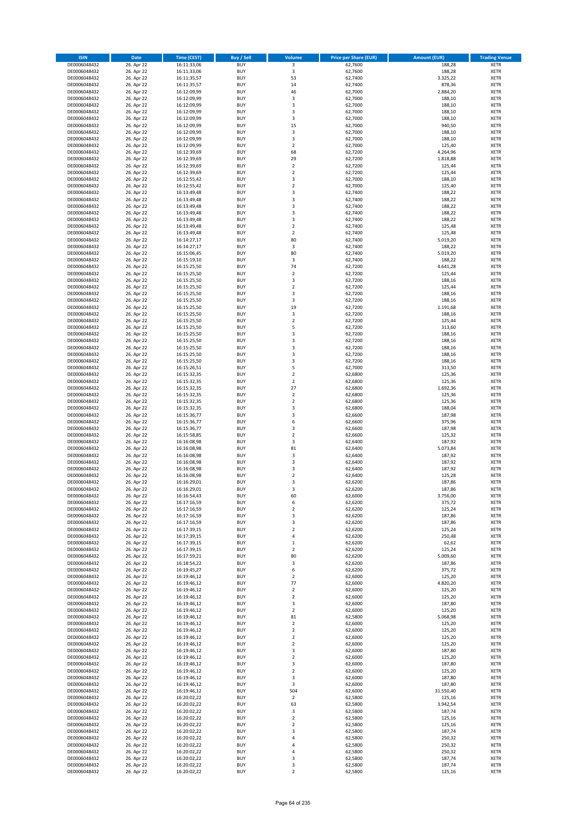| <b>ISIN</b>                  | <b>Date</b>              | <b>Time (CEST)</b>         | <b>Buy / Sell</b>        | Volume                     | <b>Price per Share (EUR)</b> | <b>Amount (EUR)</b> | <b>Trading Venue</b>       |
|------------------------------|--------------------------|----------------------------|--------------------------|----------------------------|------------------------------|---------------------|----------------------------|
| DE0006048432                 | 26. Apr 22               | 16:11:33,06                | <b>BUY</b>               | $\overline{\mathbf{3}}$    | 62,7600                      | 188,28              | <b>XETR</b>                |
| DE0006048432                 | 26. Apr 22               | 16:11:33,06                | <b>BUY</b>               | 3                          | 62,7600                      | 188,28              | <b>XETR</b>                |
| DE0006048432                 | 26. Apr 22               | 16:11:35,57                | <b>BUY</b>               | 53                         | 62.7400                      | 3.325,22            | <b>XETR</b>                |
| DE0006048432                 | 26. Apr 22               | 16:11:35,57                | <b>BUY</b>               | 14                         | 62,7400                      | 878,36              | <b>XETR</b>                |
| DE0006048432                 | 26. Apr 22               | 16:12:09,99                | <b>BUY</b>               | 46                         | 62,7000                      | 2.884,20            | <b>XETR</b>                |
| DE0006048432                 | 26. Apr 22               | 16:12:09,99                | <b>BUY</b>               | 3                          | 62,7000                      | 188,10              | <b>XETR</b>                |
| DE0006048432                 | 26. Apr 22               | 16:12:09,99                | <b>BUY</b>               | 3                          | 62,7000                      | 188,10              | <b>XETR</b>                |
| DE0006048432                 | 26. Apr 22               | 16:12:09,99                | <b>BUY</b>               | 3                          | 62,7000                      | 188,10              | <b>XETR</b>                |
| DE0006048432                 | 26. Apr 22               | 16:12:09,99                | <b>BUY</b>               | 3<br>15                    | 62,7000                      | 188,10              | <b>XETR</b>                |
| DE0006048432<br>DE0006048432 | 26. Apr 22<br>26. Apr 22 | 16:12:09,99<br>16:12:09,99 | <b>BUY</b><br><b>BUY</b> | $\mathsf 3$                | 62,7000<br>62,7000           | 940,50<br>188,10    | <b>XETR</b><br><b>XETR</b> |
| DE0006048432                 | 26. Apr 22               | 16:12:09,99                | <b>BUY</b>               | 3                          | 62,7000                      | 188,10              | <b>XETR</b>                |
| DE0006048432                 | 26. Apr 22               | 16:12:09,99                | <b>BUY</b>               | $\mathbf 2$                | 62,7000                      | 125,40              | <b>XETR</b>                |
| DE0006048432                 | 26. Apr 22               | 16:12:39,69                | <b>BUY</b>               | 68                         | 62,7200                      | 4.264,96            | <b>XETR</b>                |
| DE0006048432                 | 26. Apr 22               | 16:12:39,69                | <b>BUY</b>               | 29                         | 62,7200                      | 1.818,88            | <b>XETR</b>                |
| DE0006048432                 | 26. Apr 22               | 16:12:39,69                | <b>BUY</b>               | $\overline{\mathbf{c}}$    | 62,7200                      | 125,44              | <b>XETR</b>                |
| DE0006048432                 | 26. Apr 22               | 16:12:39,69                | <b>BUY</b>               | $\mathbf 2$                | 62,7200                      | 125,44              | <b>XETR</b>                |
| DE0006048432                 | 26. Apr 22               | 16:12:55,42                | <b>BUY</b>               | 3                          | 62,7000                      | 188,10              | <b>XETR</b>                |
| DE0006048432                 | 26. Apr 22               | 16:12:55,42                | <b>BUY</b>               | $\overline{\mathbf{c}}$    | 62,7000                      | 125,40              | <b>XETR</b>                |
| DE0006048432                 | 26. Apr 22               | 16:13:49,48                | <b>BUY</b>               | 3                          | 62,7400                      | 188,22              | <b>XETR</b>                |
| DE0006048432                 | 26. Apr 22               | 16:13:49,48                | <b>BUY</b>               | 3                          | 62,7400                      | 188,22              | <b>XETR</b>                |
| DE0006048432<br>DE0006048432 | 26. Apr 22               | 16:13:49,48<br>16:13:49,48 | <b>BUY</b><br><b>BUY</b> | 3<br>3                     | 62,7400<br>62,7400           | 188,22              | <b>XETR</b><br><b>XETR</b> |
| DE0006048432                 | 26. Apr 22<br>26. Apr 22 | 16:13:49,48                | <b>BUY</b>               | 3                          | 62,7400                      | 188,22<br>188,22    | <b>XETR</b>                |
| DE0006048432                 | 26. Apr 22               | 16:13:49,48                | <b>BUY</b>               | $\mathbf 2$                | 62,7400                      | 125,48              | <b>XETR</b>                |
| DE0006048432                 | 26. Apr 22               | 16:13:49,48                | <b>BUY</b>               | $\mathbf 2$                | 62,7400                      | 125,48              | <b>XETR</b>                |
| DE0006048432                 | 26. Apr 22               | 16:14:27,17                | <b>BUY</b>               | 80                         | 62,7400                      | 5.019,20            | <b>XETR</b>                |
| DE0006048432                 | 26. Apr 22               | 16:14:27,17                | <b>BUY</b>               | 3                          | 62,7400                      | 188,22              | <b>XETR</b>                |
| DE0006048432                 | 26. Apr 22               | 16:15:06,45                | <b>BUY</b>               | 80                         | 62,7400                      | 5.019,20            | <b>XETR</b>                |
| DE0006048432                 | 26. Apr 22               | 16:15:19,10                | <b>BUY</b>               | 3                          | 62,7400                      | 188,22              | <b>XETR</b>                |
| DE0006048432                 | 26. Apr 22               | 16:15:25,50                | <b>BUY</b>               | 74                         | 62,7200                      | 4.641,28            | <b>XETR</b>                |
| DE0006048432                 | 26. Apr 22               | 16:15:25,50                | <b>BUY</b>               | $\mathbf 2$                | 62,7200                      | 125,44              | <b>XETR</b>                |
| DE0006048432                 | 26. Apr 22               | 16:15:25,50                | <b>BUY</b>               | 3<br>$\mathbf 2$           | 62,7200                      | 188,16              | <b>XETR</b>                |
| DE0006048432<br>DE0006048432 | 26. Apr 22<br>26. Apr 22 | 16:15:25,50                | <b>BUY</b><br><b>BUY</b> | 3                          | 62,7200<br>62.7200           | 125,44<br>188,16    | <b>XETR</b><br><b>XETR</b> |
| DE0006048432                 | 26. Apr 22               | 16:15:25,50<br>16:15:25,50 | <b>BUY</b>               | 3                          | 62,7200                      | 188,16              | <b>XETR</b>                |
| DE0006048432                 | 26. Apr 22               | 16:15:25,50                | <b>BUY</b>               | 19                         | 62,7200                      | 1.191,68            | <b>XETR</b>                |
| DE0006048432                 | 26. Apr 22               | 16:15:25,50                | <b>BUY</b>               | 3                          | 62,7200                      | 188,16              | <b>XETR</b>                |
| DE0006048432                 | 26. Apr 22               | 16:15:25,50                | <b>BUY</b>               | $\mathbf 2$                | 62,7200                      | 125,44              | <b>XETR</b>                |
| DE0006048432                 | 26. Apr 22               | 16:15:25,50                | <b>BUY</b>               | 5                          | 62,7200                      | 313,60              | <b>XETR</b>                |
| DE0006048432                 | 26. Apr 22               | 16:15:25,50                | <b>BUY</b>               | 3                          | 62,7200                      | 188,16              | <b>XETR</b>                |
| DE0006048432                 | 26. Apr 22               | 16:15:25,50                | <b>BUY</b>               | 3                          | 62,7200                      | 188,16              | <b>XETR</b>                |
| DE0006048432                 | 26. Apr 22               | 16:15:25,50                | <b>BUY</b>               | 3                          | 62,7200                      | 188,16              | <b>XETR</b>                |
| DE0006048432                 | 26. Apr 22               | 16:15:25,50                | <b>BUY</b>               | 3                          | 62,7200                      | 188,16              | <b>XETR</b>                |
| DE0006048432                 | 26. Apr 22               | 16:15:25,50                | <b>BUY</b>               | 3                          | 62,7200                      | 188,16              | <b>XETR</b>                |
| DE0006048432                 | 26. Apr 22               | 16:15:26,51                | <b>BUY</b>               | 5                          | 62,7000                      | 313,50              | <b>XETR</b>                |
| DE0006048432<br>DE0006048432 | 26. Apr 22<br>26. Apr 22 | 16:15:32,35<br>16:15:32,35 | <b>BUY</b><br><b>BUY</b> | $\mathbf 2$<br>$\mathbf 2$ | 62,6800<br>62,6800           | 125,36<br>125,36    | <b>XETR</b><br><b>XETR</b> |
| DE0006048432                 | 26. Apr 22               | 16:15:32,35                | <b>BUY</b>               | 27                         | 62,6800                      | 1.692,36            | <b>XETR</b>                |
| DE0006048432                 | 26. Apr 22               | 16:15:32,35                | <b>BUY</b>               | $\mathbf 2$                | 62,6800                      | 125,36              | <b>XETR</b>                |
| DE0006048432                 | 26. Apr 22               | 16:15:32,35                | <b>BUY</b>               | $\overline{\mathbf{c}}$    | 62,6800                      | 125,36              | <b>XETR</b>                |
| DE0006048432                 | 26. Apr 22               | 16:15:32,35                | <b>BUY</b>               | 3                          | 62,6800                      | 188,04              | <b>XETR</b>                |
| DE0006048432                 | 26. Apr 22               | 16:15:36,77                | <b>BUY</b>               | 3                          | 62,6600                      | 187,98              | <b>XETR</b>                |
| DE0006048432                 | 26. Apr 22               | 16:15:36,77                | <b>BUY</b>               | 6                          | 62,6600                      | 375,96              | <b>XETR</b>                |
| DE0006048432                 | 26. Apr 22               | 16:15:36,77                | <b>BUY</b>               | 3                          | 62,6600                      | 187,98              | <b>XETR</b>                |
| DE0006048432                 | 26. Apr 22               | 16:15:58,85                | <b>BUY</b>               | $\mathbf 2$                | 62,6600                      | 125,32              | <b>XETR</b>                |
| DE0006048432                 | 26. Apr 22               | 16:16:08,98                | <b>BUY</b>               | 3                          | 62,6400                      | 187,92              | <b>XETR</b>                |
| DE0006048432<br>DE0006048432 | 26. Apr 22<br>26. Apr 22 | 16:16:08,98<br>16:16:08,98 | <b>BUY</b><br><b>BUY</b> | 81<br>3                    | 62,6400<br>62,6400           | 5.073,84<br>187,92  | <b>XETR</b><br><b>XETR</b> |
| DE0006048432                 | 26. Apr 22               | 16:16:08,98                | <b>BUY</b>               | 3                          | 62,6400                      | 187,92              | <b>XETR</b>                |
| DE0006048432                 | 26. Apr 22               | 16:16:08,98                | <b>BUY</b>               | 3                          | 62,6400                      | 187,92              | <b>XETR</b>                |
| DE0006048432                 | 26. Apr 22               | 16:16:08,98                | <b>BUY</b>               | $\overline{\mathbf{c}}$    | 62,6400                      | 125,28              | <b>XETR</b>                |
| DE0006048432                 | 26. Apr 22               | 16:16:29,01                | <b>BUY</b>               | 3                          | 62,6200                      | 187,86              | <b>XETR</b>                |
| DE0006048432                 | 26. Apr 22               | 16:16:29,01                | <b>BUY</b>               | 3                          | 62,6200                      | 187,86              | <b>XETR</b>                |
| DE0006048432                 | 26. Apr 22               | 16:16:54,43                | BUY                      | 60                         | 62,6000                      | 3.756,00            | <b>XETR</b>                |
| DE0006048432                 | 26. Apr 22               | 16:17:16,59                | <b>BUY</b>               | 6                          | 62,6200                      | 375,72              | XETR                       |
| DE0006048432                 | 26. Apr 22               | 16:17:16,59                | <b>BUY</b>               | $\mathbf 2$                | 62,6200                      | 125,24              | XETR                       |
| DE0006048432                 | 26. Apr 22               | 16:17:16,59                | <b>BUY</b>               | 3                          | 62,6200                      | 187,86              | XETR                       |
| DE0006048432<br>DE0006048432 | 26. Apr 22<br>26. Apr 22 | 16:17:16,59<br>16:17:39,15 | <b>BUY</b><br><b>BUY</b> | 3<br>$\mathbf 2$           | 62,6200<br>62,6200           | 187,86<br>125,24    | <b>XETR</b><br><b>XETR</b> |
| DE0006048432                 | 26. Apr 22               | 16:17:39,15                | <b>BUY</b>               | 4                          | 62,6200                      | 250,48              | <b>XETR</b>                |
| DE0006048432                 | 26. Apr 22               | 16:17:39,15                | <b>BUY</b>               | $\mathbf 1$                | 62,6200                      | 62,62               | <b>XETR</b>                |
| DE0006048432                 | 26. Apr 22               | 16:17:39,15                | <b>BUY</b>               | $\overline{2}$             | 62,6200                      | 125,24              | <b>XETR</b>                |
| DE0006048432                 | 26. Apr 22               | 16:17:59,21                | <b>BUY</b>               | 80                         | 62,6200                      | 5.009,60            | <b>XETR</b>                |
| DE0006048432                 | 26. Apr 22               | 16:18:54,22                | <b>BUY</b>               | 3                          | 62,6200                      | 187,86              | <b>XETR</b>                |
| DE0006048432                 | 26. Apr 22               | 16:19:45,27                | <b>BUY</b>               | 6                          | 62,6200                      | 375,72              | <b>XETR</b>                |
| DE0006048432                 | 26. Apr 22               | 16:19:46,12                | <b>BUY</b>               | $\overline{\mathbf{c}}$    | 62,6000                      | 125,20              | <b>XETR</b>                |
| DE0006048432                 | 26. Apr 22               | 16:19:46,12                | <b>BUY</b>               | 77                         | 62,6000                      | 4.820,20            | <b>XETR</b>                |
| DE0006048432<br>DE0006048432 | 26. Apr 22<br>26. Apr 22 | 16:19:46,12                | <b>BUY</b><br><b>BUY</b> | $\mathbf 2$<br>$\mathbf 2$ | 62,6000<br>62,6000           | 125,20<br>125,20    | <b>XETR</b><br><b>XETR</b> |
| DE0006048432                 | 26. Apr 22               | 16:19:46,12<br>16:19:46,12 | <b>BUY</b>               | 3                          | 62,6000                      | 187,80              | <b>XETR</b>                |
| DE0006048432                 | 26. Apr 22               | 16:19:46,12                | <b>BUY</b>               | $\mathbf 2$                | 62,6000                      | 125,20              | <b>XETR</b>                |
| DE0006048432                 | 26. Apr 22               | 16:19:46,12                | <b>BUY</b>               | 81                         | 62,5800                      | 5.068,98            | XETR                       |
| DE0006048432                 | 26. Apr 22               | 16:19:46,12                | <b>BUY</b>               | $\mathbf 2$                | 62,6000                      | 125,20              | <b>XETR</b>                |
| DE0006048432                 | 26. Apr 22               | 16:19:46,12                | <b>BUY</b>               | $\overline{2}$             | 62,6000                      | 125,20              | <b>XETR</b>                |
| DE0006048432                 | 26. Apr 22               | 16:19:46,12                | <b>BUY</b>               | $\mathbf 2$                | 62,6000                      | 125,20              | <b>XETR</b>                |
| DE0006048432                 | 26. Apr 22               | 16:19:46,12                | <b>BUY</b>               | $\overline{2}$             | 62,6000                      | 125,20              | <b>XETR</b>                |
| DE0006048432                 | 26. Apr 22               | 16:19:46,12                | <b>BUY</b>               | 3                          | 62,6000                      | 187,80              | <b>XETR</b>                |
| DE0006048432                 | 26. Apr 22               | 16:19:46,12                | <b>BUY</b>               | $\mathbf 2$                | 62,6000                      | 125,20              | <b>XETR</b>                |
| DE0006048432<br>DE0006048432 | 26. Apr 22<br>26. Apr 22 | 16:19:46,12<br>16:19:46,12 | <b>BUY</b><br><b>BUY</b> | 3<br>$\mathbf 2$           | 62,6000<br>62,6000           | 187,80<br>125,20    | <b>XETR</b><br><b>XETR</b> |
| DE0006048432                 | 26. Apr 22               | 16:19:46,12                | <b>BUY</b>               | 3                          | 62,6000                      | 187,80              | <b>XETR</b>                |
| DE0006048432                 | 26. Apr 22               | 16:19:46,12                | <b>BUY</b>               | 3                          | 62,6000                      | 187,80              | <b>XETR</b>                |
| DE0006048432                 | 26. Apr 22               | 16:19:46,12                | <b>BUY</b>               | 504                        | 62,6000                      | 31.550,40           | XETR                       |
| DE0006048432                 | 26. Apr 22               | 16:20:02,22                | <b>BUY</b>               | $\mathbf 2$                | 62,5800                      | 125,16              | <b>XETR</b>                |
| DE0006048432                 | 26. Apr 22               | 16:20:02,22                | <b>BUY</b>               | 63                         | 62,5800                      | 3.942,54            | <b>XETR</b>                |
| DE0006048432                 | 26. Apr 22               | 16:20:02,22                | <b>BUY</b>               | 3                          | 62,5800                      | 187,74              | <b>XETR</b>                |
| DE0006048432                 | 26. Apr 22               | 16:20:02,22                | <b>BUY</b>               | $\mathbf 2$                | 62,5800                      | 125,16              | <b>XETR</b>                |
| DE0006048432                 | 26. Apr 22               | 16:20:02,22                | <b>BUY</b>               | $\mathbf 2$                | 62,5800                      | 125,16              | <b>XETR</b>                |
| DE0006048432                 | 26. Apr 22               | 16:20:02,22                | <b>BUY</b>               | 3                          | 62,5800                      | 187,74              | <b>XETR</b>                |
| DE0006048432                 | 26. Apr 22               | 16:20:02,22                | <b>BUY</b><br><b>BUY</b> | 4                          | 62,5800                      | 250,32              | <b>XETR</b>                |
| DE0006048432<br>DE0006048432 | 26. Apr 22<br>26. Apr 22 | 16:20:02,22<br>16:20:02,22 | <b>BUY</b>               | 4<br>4                     | 62,5800<br>62,5800           | 250,32<br>250,32    | <b>XETR</b><br><b>XETR</b> |
| DE0006048432                 | 26. Apr 22               | 16:20:02,22                | <b>BUY</b>               | 3                          | 62,5800                      | 187,74              | <b>XETR</b>                |
| DE0006048432                 | 26. Apr 22               | 16:20:02,22                | <b>BUY</b>               | 3                          | 62,5800                      | 187,74              | <b>XETR</b>                |
| DE0006048432                 | 26. Apr 22               | 16:20:02,22                | <b>BUY</b>               | $\mathbf 2$                | 62,5800                      | 125,16              | XETR                       |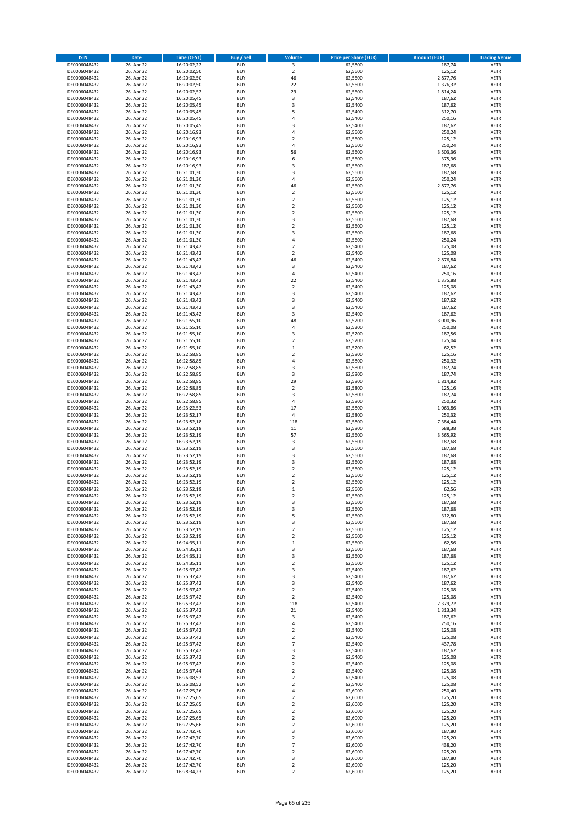| <b>ISIN</b>                  | Date                     | Time (CEST)                | <b>Buy / Sell</b>        | <b>Volume</b>                 | <b>Price per Share (EUR)</b> | <b>Amount (EUR)</b> | <b>Trading Venue</b>       |
|------------------------------|--------------------------|----------------------------|--------------------------|-------------------------------|------------------------------|---------------------|----------------------------|
| DE0006048432                 | 26. Apr 22               | 16:20:02,22                | <b>BUY</b>               | $\overline{\mathbf{3}}$       | 62,5800                      | 187,74              | <b>XETR</b>                |
| DE0006048432                 | 26. Apr 22               | 16:20:02,50                | <b>BUY</b>               | $\mathbf 2$                   | 62,5600                      | 125,12              | XETR                       |
| DE0006048432                 | 26. Apr 22               | 16:20:02,50                | <b>BUY</b>               | 46                            | 62,5600                      | 2.877,76            | <b>XETR</b>                |
| DE0006048432                 | 26. Apr 22               | 16:20:02,50                | <b>BUY</b>               | 22                            | 62,5600                      | 1.376,32            | <b>XETR</b>                |
| DE0006048432                 | 26. Apr 22               | 16:20:02,52                | <b>BUY</b>               | 29                            | 62,5600                      | 1.814,24            | <b>XETR</b>                |
| DE0006048432                 | 26. Apr 22               | 16:20:05,45                | <b>BUY</b>               | $\mathsf 3$                   | 62,5400                      | 187,62              | <b>XETR</b>                |
| DE0006048432                 | 26. Apr 22               | 16:20:05,45                | <b>BUY</b>               | 3                             | 62,5400                      | 187,62              | <b>XETR</b>                |
| DE0006048432                 | 26. Apr 22               | 16:20:05,45                | <b>BUY</b>               | 5                             | 62,5400                      | 312,70              | <b>XETR</b>                |
| DE0006048432                 | 26. Apr 22               | 16:20:05,45                | <b>BUY</b>               | $\overline{4}$                | 62,5400                      | 250,16              | <b>XETR</b>                |
| DE0006048432                 | 26. Apr 22               | 16:20:05,45                | <b>BUY</b>               | 3                             | 62,5400                      | 187,62              | <b>XETR</b>                |
| DE0006048432                 | 26. Apr 22               | 16:20:16,93                | <b>BUY</b>               | $\sqrt{4}$                    | 62,5600                      | 250,24              | <b>XETR</b>                |
| DE0006048432                 | 26. Apr 22               | 16:20:16,93                | <b>BUY</b>               | $\overline{\mathbf{c}}$       | 62,5600                      | 125,12              | <b>XETR</b>                |
| DE0006048432                 | 26. Apr 22               | 16:20:16,93                | <b>BUY</b>               | $\overline{4}$                | 62,5600                      | 250,24              | <b>XETR</b>                |
| DE0006048432                 | 26. Apr 22               | 16:20:16,93                | <b>BUY</b><br><b>BUY</b> | 56<br>6                       | 62,5600                      | 3.503,36<br>375,36  | <b>XETR</b><br><b>XETR</b> |
| DE0006048432<br>DE0006048432 | 26. Apr 22<br>26. Apr 22 | 16:20:16,93<br>16:20:16,93 | <b>BUY</b>               | 3                             | 62,5600<br>62,5600           | 187,68              | <b>XETR</b>                |
| DE0006048432                 | 26. Apr 22               | 16:21:01,30                | <b>BUY</b>               | 3                             | 62,5600                      | 187,68              | <b>XETR</b>                |
| DE0006048432                 | 26. Apr 22               | 16:21:01,30                | <b>BUY</b>               | $\pmb{4}$                     | 62,5600                      | 250,24              | <b>XETR</b>                |
| DE0006048432                 | 26. Apr 22               | 16:21:01,30                | <b>BUY</b>               | 46                            | 62,5600                      | 2.877,76            | <b>XETR</b>                |
| DE0006048432                 | 26. Apr 22               | 16:21:01,30                | <b>BUY</b>               | $\mathbf 2$                   | 62,5600                      | 125,12              | <b>XETR</b>                |
| DE0006048432                 | 26. Apr 22               | 16:21:01,30                | <b>BUY</b>               | $\overline{2}$                | 62,5600                      | 125,12              | <b>XETR</b>                |
| DE0006048432                 | 26. Apr 22               | 16:21:01,30                | <b>BUY</b>               | $\mathbf 2$                   | 62,5600                      | 125,12              | <b>XETR</b>                |
| DE0006048432                 | 26. Apr 22               | 16:21:01,30                | <b>BUY</b>               | $\mathbf 2$                   | 62,5600                      | 125,12              | <b>XETR</b>                |
| DE0006048432                 | 26. Apr 22               | 16:21:01,30                | <b>BUY</b>               | 3                             | 62,5600                      | 187,68              | <b>XETR</b>                |
| DE0006048432                 | 26. Apr 22               | 16:21:01,30                | <b>BUY</b>               | $\mathbf 2$                   | 62,5600                      | 125,12              | <b>XETR</b>                |
| DE0006048432                 | 26. Apr 22               | 16:21:01,30                | <b>BUY</b>               | 3                             | 62,5600                      | 187,68              | <b>XETR</b>                |
| DE0006048432                 | 26. Apr 22               | 16:21:01,30                | <b>BUY</b>               | $\overline{4}$                | 62,5600                      | 250,24              | <b>XETR</b>                |
| DE0006048432                 | 26. Apr 22               | 16:21:43,42                | <b>BUY</b>               | $\overline{2}$                | 62,5400                      | 125,08              | <b>XETR</b>                |
| DE0006048432                 | 26. Apr 22               | 16:21:43,42                | <b>BUY</b>               | $\mathbf 2$                   | 62,5400                      | 125,08              | <b>XETR</b>                |
| DE0006048432                 | 26. Apr 22               | 16:21:43,42                | <b>BUY</b>               | 46                            | 62,5400                      | 2.876,84            | <b>XETR</b>                |
| DE0006048432<br>DE0006048432 | 26. Apr 22               | 16:21:43,42                | <b>BUY</b>               | 3                             | 62,5400                      | 187,62              | <b>XETR</b>                |
| DE0006048432                 | 26. Apr 22<br>26. Apr 22 | 16:21:43,42<br>16:21:43,42 | <b>BUY</b><br><b>BUY</b> | $\overline{4}$<br>22          | 62,5400<br>62,5400           | 250,16<br>1.375,88  | <b>XETR</b><br><b>XETR</b> |
| DE0006048432                 | 26. Apr 22               | 16:21:43,42                | <b>BUY</b>               | $\mathbf 2$                   | 62,5400                      | 125,08              | <b>XETR</b>                |
| DE0006048432                 | 26. Apr 22               | 16:21:43,42                | <b>BUY</b>               | 3                             | 62,5400                      | 187,62              | <b>XETR</b>                |
| DE0006048432                 | 26. Apr 22               | 16:21:43,42                | <b>BUY</b>               | 3                             | 62,5400                      | 187,62              | <b>XETR</b>                |
| DE0006048432                 | 26. Apr 22               | 16:21:43,42                | <b>BUY</b>               | 3                             | 62,5400                      | 187,62              | <b>XETR</b>                |
| DE0006048432                 | 26. Apr 22               | 16:21:43,42                | <b>BUY</b>               | 3                             | 62,5400                      | 187,62              | <b>XETR</b>                |
| DE0006048432                 | 26. Apr 22               | 16:21:55,10                | <b>BUY</b>               | 48                            | 62,5200                      | 3.000,96            | <b>XETR</b>                |
| DE0006048432                 | 26. Apr 22               | 16:21:55,10                | <b>BUY</b>               | 4                             | 62,5200                      | 250,08              | <b>XETR</b>                |
| DE0006048432                 | 26. Apr 22               | 16:21:55,10                | <b>BUY</b>               | 3                             | 62,5200                      | 187,56              | <b>XETR</b>                |
| DE0006048432                 | 26. Apr 22               | 16:21:55,10                | <b>BUY</b>               | $\overline{2}$                | 62,5200                      | 125,04              | <b>XETR</b>                |
| DE0006048432                 | 26. Apr 22               | 16:21:55,10                | <b>BUY</b>               | $\,$ 1                        | 62,5200                      | 62,52               | <b>XETR</b>                |
| DE0006048432                 | 26. Apr 22               | 16:22:58,85                | <b>BUY</b>               | $\overline{2}$                | 62,5800                      | 125,16              | <b>XETR</b>                |
| DE0006048432                 | 26. Apr 22               | 16:22:58,85                | <b>BUY</b>               | $\pmb{4}$                     | 62,5800                      | 250,32              | <b>XETR</b>                |
| DE0006048432                 | 26. Apr 22               | 16:22:58,85                | <b>BUY</b>               | 3                             | 62,5800                      | 187,74              | <b>XETR</b>                |
| DE0006048432                 | 26. Apr 22               | 16:22:58,85                | <b>BUY</b>               | 3                             | 62,5800                      | 187,74              | <b>XETR</b>                |
| DE0006048432                 | 26. Apr 22               | 16:22:58,85                | <b>BUY</b>               | 29                            | 62,5800                      | 1.814,82            | <b>XETR</b>                |
| DE0006048432                 | 26. Apr 22               | 16:22:58,85                | <b>BUY</b>               | $\mathbf 2$                   | 62,5800                      | 125,16              | <b>XETR</b>                |
| DE0006048432                 | 26. Apr 22               | 16:22:58,85                | <b>BUY</b>               | 3                             | 62,5800                      | 187,74              | <b>XETR</b>                |
| DE0006048432                 | 26. Apr 22               | 16:22:58,85                | <b>BUY</b><br><b>BUY</b> | 4<br>17                       | 62,5800                      | 250,32              | <b>XETR</b>                |
| DE0006048432<br>DE0006048432 | 26. Apr 22<br>26. Apr 22 | 16:23:22,53<br>16:23:52,17 | <b>BUY</b>               | $\pmb{4}$                     | 62,5800<br>62,5800           | 1.063,86<br>250,32  | <b>XETR</b><br><b>XETR</b> |
| DE0006048432                 | 26. Apr 22               | 16:23:52,18                | <b>BUY</b>               | 118                           | 62,5800                      | 7.384,44            | <b>XETR</b>                |
| DE0006048432                 | 26. Apr 22               | 16:23:52,18                | <b>BUY</b>               | 11                            | 62,5800                      | 688,38              | <b>XETR</b>                |
| DE0006048432                 | 26. Apr 22               | 16:23:52,19                | <b>BUY</b>               | 57                            | 62,5600                      | 3.565,92            | <b>XETR</b>                |
| DE0006048432                 | 26. Apr 22               | 16:23:52,19                | <b>BUY</b>               | 3                             | 62,5600                      | 187,68              | <b>XETR</b>                |
| DE0006048432                 | 26. Apr 22               | 16:23:52,19                | <b>BUY</b>               | 3                             | 62,5600                      | 187,68              | <b>XETR</b>                |
| DE0006048432                 | 26. Apr 22               | 16:23:52,19                | <b>BUY</b>               | 3                             | 62,5600                      | 187,68              | <b>XETR</b>                |
| DE0006048432                 | 26. Apr 22               | 16:23:52,19                | <b>BUY</b>               | 3                             | 62,5600                      | 187,68              | <b>XETR</b>                |
| DE0006048432                 | 26. Apr 22               | 16:23:52,19                | <b>BUY</b>               | $\mathbf 2$                   | 62,5600                      | 125,12              | <b>XETR</b>                |
| DE0006048432                 | 26. Apr 22               | 16:23:52,19                | <b>BUY</b>               | $\overline{2}$                | 62,5600                      | 125,12              | <b>XETR</b>                |
| DE0006048432                 | 26. Apr 22               | 16:23:52,19                | <b>BUY</b>               | $\overline{2}$                | 62,5600                      | 125,12              | <b>XETR</b>                |
| DE0006048432                 | 26. Apr 22               | 16:23:52,19                | <b>BUY</b>               | $\mathbf{1}$                  | 62,5600                      | 62,56               | <b>XETR</b>                |
| DE0006048432                 | 26. Apr 22               | 16:23:52,19                | BUY                      | 2                             | 62,5600                      | 125,12              | XETR                       |
| DE0006048432                 | 26. Apr 22               | 16:23:52,19                | <b>BUY</b>               | 3                             | 62,5600                      | 187,68              | <b>XETR</b>                |
| DE0006048432                 | 26. Apr 22               | 16:23:52,19                | <b>BUY</b>               | 3                             | 62,5600                      | 187,68              | <b>XETR</b>                |
| DE0006048432                 | 26. Apr 22               | 16:23:52,19                | <b>BUY</b>               | 5                             | 62,5600                      | 312,80              | <b>XETR</b>                |
| DE0006048432                 | 26. Apr 22<br>26. Apr 22 | 16:23:52,19                | <b>BUY</b>               | 3                             | 62,5600                      | 187,68              | <b>XETR</b>                |
| DE0006048432<br>DE0006048432 | 26. Apr 22               | 16:23:52,19                | <b>BUY</b><br><b>BUY</b> | $\mathbf 2$<br>$\overline{2}$ | 62,5600<br>62,5600           | 125,12<br>125,12    | <b>XETR</b><br><b>XETR</b> |
| DE0006048432                 | 26. Apr 22               | 16:23:52,19<br>16:24:35,11 | <b>BUY</b>               |                               | 62,5600                      | 62,56               | <b>XETR</b>                |
| DE0006048432                 | 26. Apr 22               | 16:24:35,11                | <b>BUY</b>               | $\mathbf 1$<br>3              | 62,5600                      | 187,68              | XETR                       |
| DE0006048432                 | 26. Apr 22               | 16:24:35,11                | <b>BUY</b>               | 3                             | 62,5600                      | 187,68              | <b>XETR</b>                |
| DE0006048432                 | 26. Apr 22               | 16:24:35,11                | <b>BUY</b>               | $\overline{2}$                | 62,5600                      | 125,12              | XETR                       |
| DE0006048432                 | 26. Apr 22               | 16:25:37,42                | <b>BUY</b>               | 3                             | 62,5400                      | 187,62              | <b>XETR</b>                |
| DE0006048432                 | 26. Apr 22               | 16:25:37,42                | <b>BUY</b>               | $\mathsf 3$                   | 62,5400                      | 187,62              | XETR                       |
| DE0006048432                 | 26. Apr 22               | 16:25:37,42                | <b>BUY</b>               | 3                             | 62,5400                      | 187,62              | <b>XETR</b>                |
| DE0006048432                 | 26. Apr 22               | 16:25:37,42                | <b>BUY</b>               | $\overline{2}$                | 62,5400                      | 125,08              | XETR                       |
| DE0006048432                 | 26. Apr 22               | 16:25:37,42                | <b>BUY</b>               | $\overline{2}$                | 62,5400                      | 125,08              | <b>XETR</b>                |
| DE0006048432                 | 26. Apr 22               | 16:25:37,42                | <b>BUY</b>               | 118                           | 62,5400                      | 7.379,72            | <b>XETR</b>                |
| DE0006048432                 | 26. Apr 22               | 16:25:37,42                | <b>BUY</b>               | 21                            | 62,5400                      | 1.313,34            | <b>XETR</b>                |
| DE0006048432                 | 26. Apr 22               | 16:25:37,42                | <b>BUY</b>               | 3                             | 62,5400                      | 187,62              | XETR                       |
| DE0006048432                 | 26. Apr 22               | 16:25:37,42                | <b>BUY</b>               | $\pmb{4}$                     | 62,5400                      | 250,16              | <b>XETR</b>                |
| DE0006048432                 | 26. Apr 22               | 16:25:37,42                | <b>BUY</b>               | $\overline{2}$                | 62,5400                      | 125,08<br>125,08    | <b>XETR</b>                |
| DE0006048432                 | 26. Apr 22               | 16:25:37,42                | <b>BUY</b><br><b>BUY</b> | $\mathbf 2$<br>$\overline{7}$ | 62,5400                      |                     | <b>XETR</b>                |
| DE0006048432<br>DE0006048432 | 26. Apr 22<br>26. Apr 22 | 16:25:37,42<br>16:25:37,42 | <b>BUY</b>               | 3                             | 62,5400<br>62,5400           | 437,78<br>187,62    | XETR<br><b>XETR</b>        |
| DE0006048432                 | 26. Apr 22               | 16:25:37,42                | <b>BUY</b>               | $\overline{2}$                | 62,5400                      | 125,08              | XETR                       |
| DE0006048432                 | 26. Apr 22               | 16:25:37,42                | <b>BUY</b>               | $\overline{2}$                | 62,5400                      | 125,08              | <b>XETR</b>                |
| DE0006048432                 | 26. Apr 22               | 16:25:37,44                | <b>BUY</b>               | $\overline{2}$                | 62,5400                      | 125,08              | <b>XETR</b>                |
| DE0006048432                 | 26. Apr 22               | 16:26:08,52                | <b>BUY</b>               | $\overline{2}$                | 62,5400                      | 125,08              | <b>XETR</b>                |
| DE0006048432                 | 26. Apr 22               | 16:26:08,52                | <b>BUY</b>               | 2                             | 62,5400                      | 125,08              | <b>XETR</b>                |
| DE0006048432                 | 26. Apr 22               | 16:27:25,26                | <b>BUY</b>               | 4                             | 62,6000                      | 250,40              | <b>XETR</b>                |
| DE0006048432                 | 26. Apr 22               | 16:27:25,65                | <b>BUY</b>               | $\mathbf 2$                   | 62,6000                      | 125,20              | XETR                       |
| DE0006048432                 | 26. Apr 22               | 16:27:25,65                | <b>BUY</b>               | $\overline{2}$                | 62,6000                      | 125,20              | XETR                       |
| DE0006048432                 | 26. Apr 22               | 16:27:25,65                | <b>BUY</b>               | $\overline{2}$                | 62,6000                      | 125,20              | XETR                       |
| DE0006048432                 | 26. Apr 22               | 16:27:25,65                | <b>BUY</b>               | $\mathbf 2$                   | 62,6000                      | 125,20              | <b>XETR</b>                |
| DE0006048432                 | 26. Apr 22               | 16:27:25,66                | <b>BUY</b>               | $\mathbf 2$                   | 62,6000                      | 125,20              | <b>XETR</b>                |
| DE0006048432                 | 26. Apr 22               | 16:27:42,70                | <b>BUY</b>               | 3                             | 62,6000                      | 187,80              | <b>XETR</b>                |
| DE0006048432                 | 26. Apr 22               | 16:27:42,70                | <b>BUY</b>               | $\overline{2}$                | 62,6000                      | 125,20              | <b>XETR</b>                |
| DE0006048432                 | 26. Apr 22               | 16:27:42,70                | <b>BUY</b>               | $\overline{7}$                | 62,6000                      | 438,20              | XETR                       |
| DE0006048432                 | 26. Apr 22               | 16:27:42,70                | <b>BUY</b>               | $\overline{2}$                | 62,6000                      | 125,20              | <b>XETR</b>                |
| DE0006048432                 | 26. Apr 22               | 16:27:42,70                | <b>BUY</b>               | 3                             | 62,6000                      | 187,80              | XETR                       |
| DE0006048432                 | 26. Apr 22               | 16:27:42,70                | <b>BUY</b>               | $\mathbf 2$<br>$\overline{2}$ | 62,6000                      | 125,20              | <b>XETR</b>                |
| DE0006048432                 | 26. Apr 22               | 16:28:34,23                | <b>BUY</b>               |                               | 62,6000                      | 125,20              | <b>XETR</b>                |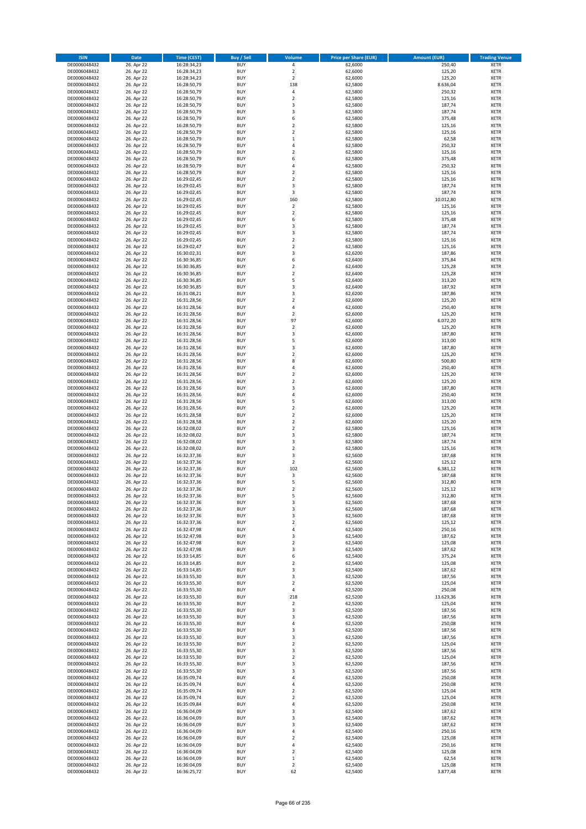| <b>ISIN</b>                  | <b>Date</b>              | <b>Time (CEST)</b>         | <b>Buy / Sell</b>        | Volume                       | <b>Price per Share (EUR)</b> | <b>Amount (EUR)</b> | <b>Trading Venue</b>       |
|------------------------------|--------------------------|----------------------------|--------------------------|------------------------------|------------------------------|---------------------|----------------------------|
| DE0006048432                 | 26. Apr 22               | 16:28:34,23                | <b>BUY</b>               | 4                            | 62,6000                      | 250,40              | <b>XETR</b>                |
| DE0006048432                 | 26. Apr 22               | 16:28:34,23                | <b>BUY</b>               | $\mathbf 2$                  | 62,6000                      | 125,20              | <b>XETR</b>                |
| DE0006048432                 | 26. Apr 22               | 16:28:34,23                | <b>BUY</b>               | $\overline{2}$               | 62,6000                      | 125,20              | <b>XETR</b>                |
| DE0006048432<br>DE0006048432 | 26. Apr 22<br>26. Apr 22 | 16:28:50,79<br>16:28:50,79 | <b>BUY</b><br><b>BUY</b> | 138<br>4                     | 62,5800<br>62,5800           | 8.636,04<br>250,32  | <b>XETR</b><br><b>XETR</b> |
| DE0006048432                 | 26. Apr 22               | 16:28:50,79                | <b>BUY</b>               | $\mathbf 2$                  | 62,5800                      | 125,16              | <b>XETR</b>                |
| DE0006048432                 | 26. Apr 22               | 16:28:50,79                | <b>BUY</b>               | 3                            | 62,5800                      | 187,74              | <b>XETR</b>                |
| DE0006048432                 | 26. Apr 22               | 16:28:50,79                | <b>BUY</b>               | 3                            | 62,5800                      | 187,74              | <b>XETR</b>                |
| DE0006048432                 | 26. Apr 22               | 16:28:50,79                | <b>BUY</b>               | 6                            | 62,5800                      | 375,48              | <b>XETR</b>                |
| DE0006048432                 | 26. Apr 22               | 16:28:50,79                | <b>BUY</b>               | $\mathbf 2$                  | 62,5800                      | 125,16              | <b>XETR</b>                |
| DE0006048432                 | 26. Apr 22               | 16:28:50,79                | <b>BUY</b>               | $\mathbf 2$                  | 62,5800                      | 125,16              | <b>XETR</b>                |
| DE0006048432                 | 26. Apr 22<br>26. Apr 22 | 16:28:50,79                | <b>BUY</b><br><b>BUY</b> | $\mathbf 1$<br>4             | 62,5800                      | 62,58               | <b>XETR</b><br><b>XETR</b> |
| DE0006048432<br>DE0006048432 | 26. Apr 22               | 16:28:50,79<br>16:28:50,79 | <b>BUY</b>               | $\overline{\mathbf{c}}$      | 62,5800<br>62,5800           | 250,32<br>125,16    | <b>XETR</b>                |
| DE0006048432                 | 26. Apr 22               | 16:28:50,79                | <b>BUY</b>               | 6                            | 62,5800                      | 375,48              | <b>XETR</b>                |
| DE0006048432                 | 26. Apr 22               | 16:28:50,79                | <b>BUY</b>               | 4                            | 62,5800                      | 250,32              | <b>XETR</b>                |
| DE0006048432                 | 26. Apr 22               | 16:28:50,79                | <b>BUY</b>               | $\overline{\mathbf{c}}$      | 62,5800                      | 125,16              | <b>XETR</b>                |
| DE0006048432                 | 26. Apr 22               | 16:29:02,45                | <b>BUY</b>               | $\mathbf 2$                  | 62,5800                      | 125,16              | <b>XETR</b>                |
| DE0006048432                 | 26. Apr 22               | 16:29:02,45                | <b>BUY</b>               | 3                            | 62,5800                      | 187,74              | <b>XETR</b>                |
| DE0006048432                 | 26. Apr 22               | 16:29:02,45                | <b>BUY</b>               | 3                            | 62,5800                      | 187,74              | <b>XETR</b>                |
| DE0006048432                 | 26. Apr 22               | 16:29:02,45                | <b>BUY</b>               | 160                          | 62,5800                      | 10.012,80           | <b>XETR</b>                |
| DE0006048432<br>DE0006048432 | 26. Apr 22<br>26. Apr 22 | 16:29:02,45<br>16:29:02,45 | <b>BUY</b><br><b>BUY</b> | $\mathbf 2$<br>$\mathbf 2$   | 62,5800<br>62,5800           | 125,16<br>125,16    | <b>XETR</b><br><b>XETR</b> |
| DE0006048432                 | 26. Apr 22               | 16:29:02,45                | <b>BUY</b>               | 6                            | 62,5800                      | 375,48              | <b>XETR</b>                |
| DE0006048432                 | 26. Apr 22               | 16:29:02,45                | <b>BUY</b>               | 3                            | 62,5800                      | 187,74              | <b>XETR</b>                |
| DE0006048432                 | 26. Apr 22               | 16:29:02,45                | <b>BUY</b>               | 3                            | 62,5800                      | 187,74              | <b>XETR</b>                |
| DE0006048432                 | 26. Apr 22               | 16:29:02,45                | <b>BUY</b>               | $\mathbf 2$                  | 62,5800                      | 125,16              | <b>XETR</b>                |
| DE0006048432                 | 26. Apr 22               | 16:29:02,47                | <b>BUY</b>               | $\overline{\mathbf{c}}$      | 62,5800                      | 125,16              | <b>XETR</b>                |
| DE0006048432                 | 26. Apr 22               | 16:30:02,31                | <b>BUY</b>               | 3                            | 62,6200                      | 187,86              | <b>XETR</b>                |
| DE0006048432                 | 26. Apr 22<br>26. Apr 22 | 16:30:36,85                | <b>BUY</b><br><b>BUY</b> | 6<br>$\mathbf 2$             | 62,6400                      | 375,84<br>125,28    | <b>XETR</b><br><b>XETR</b> |
| DE0006048432<br>DE0006048432 | 26. Apr 22               | 16:30:36,85<br>16:30:36,85 | <b>BUY</b>               | $\overline{\mathbf{c}}$      | 62,6400<br>62,6400           | 125,28              | <b>XETR</b>                |
| DE0006048432                 | 26. Apr 22               | 16:30:36,85                | <b>BUY</b>               | 5                            | 62,6400                      | 313,20              | <b>XETR</b>                |
| DE0006048432                 | 26. Apr 22               | 16:30:36,85                | <b>BUY</b>               | 3                            | 62,6400                      | 187,92              | <b>XETR</b>                |
| DE0006048432                 | 26. Apr 22               | 16:31:08,21                | <b>BUY</b>               | 3                            | 62,6200                      | 187,86              | <b>XETR</b>                |
| DE0006048432                 | 26. Apr 22               | 16:31:28,56                | <b>BUY</b>               | $\mathbf 2$                  | 62,6000                      | 125,20              | <b>XETR</b>                |
| DE0006048432                 | 26. Apr 22               | 16:31:28,56                | <b>BUY</b>               | 4                            | 62,6000                      | 250,40              | <b>XETR</b>                |
| DE0006048432                 | 26. Apr 22               | 16:31:28,56                | <b>BUY</b>               | $\mathbf 2$                  | 62,6000                      | 125,20              | <b>XETR</b>                |
| DE0006048432                 | 26. Apr 22<br>26. Apr 22 | 16:31:28,56                | <b>BUY</b><br><b>BUY</b> | 97                           | 62,6000                      | 6.072,20            | <b>XETR</b><br><b>XETR</b> |
| DE0006048432<br>DE0006048432 | 26. Apr 22               | 16:31:28,56<br>16:31:28,56 | <b>BUY</b>               | $\mathbf 2$<br>3             | 62,6000<br>62,6000           | 125,20<br>187,80    | <b>XETR</b>                |
| DE0006048432                 | 26. Apr 22               | 16:31:28,56                | <b>BUY</b>               | 5                            | 62,6000                      | 313,00              | <b>XETR</b>                |
| DE0006048432                 | 26. Apr 22               | 16:31:28,56                | <b>BUY</b>               | 3                            | 62,6000                      | 187,80              | <b>XETR</b>                |
| DE0006048432                 | 26. Apr 22               | 16:31:28,56                | <b>BUY</b>               | $\overline{\mathbf{c}}$      | 62,6000                      | 125,20              | <b>XETR</b>                |
| DE0006048432                 | 26. Apr 22               | 16:31:28,56                | <b>BUY</b>               | 8                            | 62,6000                      | 500,80              | <b>XETR</b>                |
| DE0006048432                 | 26. Apr 22               | 16:31:28,56                | <b>BUY</b>               | 4                            | 62,6000                      | 250,40              | <b>XETR</b>                |
| DE0006048432                 | 26. Apr 22               | 16:31:28,56                | <b>BUY</b>               | $\mathbf 2$                  | 62,6000                      | 125,20              | <b>XETR</b>                |
| DE0006048432                 | 26. Apr 22<br>26. Apr 22 | 16:31:28,56                | <b>BUY</b><br><b>BUY</b> | $\mathbf 2$<br>3             | 62,6000                      | 125,20<br>187,80    | <b>XETR</b><br><b>XETR</b> |
| DE0006048432<br>DE0006048432 | 26. Apr 22               | 16:31:28,56<br>16:31:28,56 | <b>BUY</b>               | 4                            | 62,6000<br>62,6000           | 250,40              | <b>XETR</b>                |
| DE0006048432                 | 26. Apr 22               | 16:31:28,56                | <b>BUY</b>               | 5                            | 62,6000                      | 313,00              | <b>XETR</b>                |
| DE0006048432                 | 26. Apr 22               | 16:31:28,56                | <b>BUY</b>               | $\mathbf 2$                  | 62,6000                      | 125,20              | <b>XETR</b>                |
| DE0006048432                 | 26. Apr 22               | 16:31:28,58                | <b>BUY</b>               | $\overline{\mathbf{2}}$      | 62,6000                      | 125,20              | <b>XETR</b>                |
| DE0006048432                 | 26. Apr 22               | 16:31:28,58                | <b>BUY</b>               | $\mathbf 2$                  | 62,6000                      | 125,20              | <b>XETR</b>                |
| DE0006048432                 | 26. Apr 22               | 16:32:08,02                | <b>BUY</b>               | $\overline{\mathbf{c}}$      | 62,5800                      | 125,16              | <b>XETR</b>                |
| DE0006048432                 | 26. Apr 22               | 16:32:08,02                | <b>BUY</b>               | 3                            | 62,5800                      | 187,74              | <b>XETR</b>                |
| DE0006048432<br>DE0006048432 | 26. Apr 22<br>26. Apr 22 | 16:32:08,02<br>16:32:08,02 | <b>BUY</b><br><b>BUY</b> | 3<br>$\overline{\mathbf{c}}$ | 62,5800<br>62,5800           | 187,74<br>125,16    | <b>XETR</b><br><b>XETR</b> |
| DE0006048432                 | 26. Apr 22               | 16:32:37,36                | <b>BUY</b>               | 3                            | 62,5600                      | 187,68              | <b>XETR</b>                |
| DE0006048432                 | 26. Apr 22               | 16:32:37,36                | <b>BUY</b>               | $\overline{\mathbf{2}}$      | 62,5600                      | 125,12              | <b>XETR</b>                |
| DE0006048432                 | 26. Apr 22               | 16:32:37,36                | <b>BUY</b>               | 102                          | 62,5600                      | 6.381,12            | <b>XETR</b>                |
| DE0006048432                 | 26. Apr 22               | 16:32:37,36                | <b>BUY</b>               | 3                            | 62,5600                      | 187,68              | <b>XETR</b>                |
| DE0006048432                 | 26. Apr 22               | 16:32:37,36                | <b>BUY</b>               | 5                            | 62,5600                      | 312,80              | <b>XETR</b>                |
| DE0006048432                 | 26. Apr 22               | 16:32:37,36                | <b>BUY</b>               | $\overline{2}$               | 62,5600                      | 125,12              | <b>XETR</b>                |
| DE0006048432                 | 26. Apr 22<br>26. Apr 22 | 16:32:37,36                | BUY<br><b>BUY</b>        | 5                            | 62,5600                      | 312,80              | <b>XETR</b>                |
| DE0006048432<br>DE0006048432 | 26. Apr 22               | 16:32:37,36<br>16:32:37,36 | <b>BUY</b>               | 3<br>3                       | 62,5600<br>62,5600           | 187,68<br>187,68    | <b>XETR</b><br><b>XETR</b> |
| DE0006048432                 | 26. Apr 22               | 16:32:37,36                | <b>BUY</b>               | 3                            | 62,5600                      | 187,68              | XETR                       |
| DE0006048432                 | 26. Apr 22               | 16:32:37,36                | <b>BUY</b>               | $\overline{\mathbf{c}}$      | 62,5600                      | 125,12              | <b>XETR</b>                |
| DE0006048432                 | 26. Apr 22               | 16:32:47,98                | <b>BUY</b>               | 4                            | 62,5400                      | 250,16              | <b>XETR</b>                |
| DE0006048432                 | 26. Apr 22               | 16:32:47,98                | <b>BUY</b>               | 3                            | 62,5400                      | 187,62              | <b>XETR</b>                |
| DE0006048432                 | 26. Apr 22               | 16:32:47,98                | <b>BUY</b>               | $\mathbf 2$                  | 62,5400                      | 125,08              | <b>XETR</b>                |
| DE0006048432<br>DE0006048432 | 26. Apr 22               | 16:32:47,98                | <b>BUY</b><br><b>BUY</b> | 3<br>6                       | 62,5400                      | 187,62              | <b>XETR</b>                |
| DE0006048432                 | 26. Apr 22<br>26. Apr 22 | 16:33:14,85<br>16:33:14,85 | <b>BUY</b>               | $\mathbf 2$                  | 62,5400<br>62,5400           | 375,24<br>125,08    | <b>XETR</b><br><b>XETR</b> |
| DE0006048432                 | 26. Apr 22               | 16:33:14,85                | <b>BUY</b>               | 3                            | 62,5400                      | 187,62              | <b>XETR</b>                |
| DE0006048432                 | 26. Apr 22               | 16:33:55,30                | <b>BUY</b>               | 3                            | 62,5200                      | 187,56              | <b>XETR</b>                |
| DE0006048432                 | 26. Apr 22               | 16:33:55,30                | <b>BUY</b>               | $\overline{2}$               | 62,5200                      | 125,04              | <b>XETR</b>                |
| DE0006048432                 | 26. Apr 22               | 16:33:55,30                | <b>BUY</b>               | 4                            | 62,5200                      | 250,08              | <b>XETR</b>                |
| DE0006048432                 | 26. Apr 22               | 16:33:55,30                | <b>BUY</b>               | 218                          | 62,5200                      | 13.629,36           | <b>XETR</b>                |
| DE0006048432<br>DE0006048432 | 26. Apr 22<br>26. Apr 22 | 16:33:55,30<br>16:33:55,30 | <b>BUY</b><br><b>BUY</b> | $\mathbf 2$<br>3             | 62,5200<br>62,5200           | 125,04<br>187,56    | <b>XETR</b><br><b>XETR</b> |
| DE0006048432                 | 26. Apr 22               | 16:33:55,30                | <b>BUY</b>               | 3                            | 62,5200                      | 187,56              | XETR                       |
| DE0006048432                 | 26. Apr 22               | 16:33:55,30                | <b>BUY</b>               | 4                            | 62,5200                      | 250,08              | <b>XETR</b>                |
| DE0006048432                 | 26. Apr 22               | 16:33:55,30                | <b>BUY</b>               | 3                            | 62,5200                      | 187,56              | <b>XETR</b>                |
| DE0006048432                 | 26. Apr 22               | 16:33:55,30                | <b>BUY</b>               | 3                            | 62,5200                      | 187,56              | <b>XETR</b>                |
| DE0006048432                 | 26. Apr 22               | 16:33:55,30                | <b>BUY</b>               | $\overline{\mathbf{c}}$      | 62,5200                      | 125,04              | <b>XETR</b>                |
| DE0006048432                 | 26. Apr 22               | 16:33:55,30                | <b>BUY</b>               | 3                            | 62,5200                      | 187,56              | <b>XETR</b>                |
| DE0006048432<br>DE0006048432 | 26. Apr 22<br>26. Apr 22 | 16:33:55,30<br>16:33:55,30 | <b>BUY</b><br><b>BUY</b> | $\mathbf 2$<br>3             | 62,5200<br>62,5200           | 125,04<br>187,56    | <b>XETR</b><br><b>XETR</b> |
| DE0006048432                 | 26. Apr 22               | 16:33:55,30                | <b>BUY</b>               | 3                            | 62,5200                      | 187,56              | <b>XETR</b>                |
| DE0006048432                 | 26. Apr 22               | 16:35:09,74                | <b>BUY</b>               | 4                            | 62,5200                      | 250,08              | <b>XETR</b>                |
| DE0006048432                 | 26. Apr 22               | 16:35:09,74                | <b>BUY</b>               | 4                            | 62,5200                      | 250,08              | <b>XETR</b>                |
| DE0006048432                 | 26. Apr 22               | 16:35:09,74                | <b>BUY</b>               | $\overline{\mathbf{c}}$      | 62,5200                      | 125,04              | XETR                       |
| DE0006048432                 | 26. Apr 22               | 16:35:09,74                | <b>BUY</b>               | $\mathbf 2$                  | 62,5200                      | 125,04              | <b>XETR</b>                |
| DE0006048432                 | 26. Apr 22               | 16:35:09,84                | <b>BUY</b>               | 4                            | 62,5200                      | 250,08              | <b>XETR</b>                |
| DE0006048432                 | 26. Apr 22               | 16:36:04,09                | <b>BUY</b>               | 3                            | 62,5400                      | 187,62              | <b>XETR</b>                |
| DE0006048432<br>DE0006048432 | 26. Apr 22<br>26. Apr 22 | 16:36:04,09<br>16:36:04,09 | <b>BUY</b><br><b>BUY</b> | 3<br>3                       | 62,5400<br>62,5400           | 187,62<br>187,62    | <b>XETR</b><br><b>XETR</b> |
| DE0006048432                 | 26. Apr 22               | 16:36:04,09                | <b>BUY</b>               | 4                            | 62,5400                      | 250,16              | <b>XETR</b>                |
| DE0006048432                 | 26. Apr 22               | 16:36:04,09                | <b>BUY</b>               | $\overline{\mathbf{c}}$      | 62,5400                      | 125,08              | <b>XETR</b>                |
| DE0006048432                 | 26. Apr 22               | 16:36:04,09                | <b>BUY</b>               | 4                            | 62,5400                      | 250,16              | XETR                       |
| DE0006048432                 | 26. Apr 22               | 16:36:04,09                | <b>BUY</b>               | $\overline{2}$               | 62,5400                      | 125,08              | <b>XETR</b>                |
| DE0006048432                 | 26. Apr 22               | 16:36:04,09                | <b>BUY</b>               | $\mathbf 1$                  | 62,5400                      | 62,54               | <b>XETR</b>                |
| DE0006048432                 | 26. Apr 22               | 16:36:04,09                | <b>BUY</b>               | $\mathbf 2$                  | 62,5400                      | 125,08              | <b>XETR</b>                |
| DE0006048432                 | 26. Apr 22               | 16:36:25,72                | <b>BUY</b>               | 62                           | 62,5400                      | 3.877,48            | XETR                       |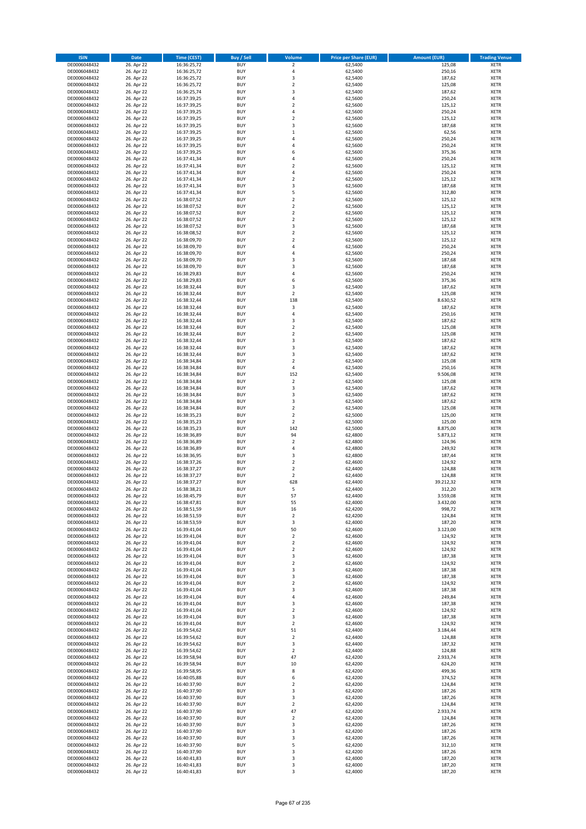| <b>ISIN</b>                  | <b>Date</b>              | <b>Time (CEST)</b>         | <b>Buy / Sell</b>        | <b>Volume</b>                | <b>Price per Share (EUR)</b> | <b>Amount (EUR)</b> | <b>Trading Venue</b>       |
|------------------------------|--------------------------|----------------------------|--------------------------|------------------------------|------------------------------|---------------------|----------------------------|
| DE0006048432                 | 26. Apr 22               | 16:36:25,72                | <b>BUY</b>               | $\mathbf 2$                  | 62,5400                      | 125,08              | <b>XETR</b>                |
| DE0006048432                 | 26. Apr 22               | 16:36:25,72                | <b>BUY</b>               | 4                            | 62,5400                      | 250,16              | <b>XETR</b>                |
| DE0006048432                 | 26. Apr 22               | 16:36:25,72                | <b>BUY</b>               | 3                            | 62,5400                      | 187,62              | <b>XETR</b>                |
| DE0006048432                 | 26. Apr 22               | 16:36:25,72                | <b>BUY</b>               | $\mathbf 2$                  | 62,5400                      | 125,08              | <b>XETR</b>                |
| DE0006048432                 | 26. Apr 22               | 16:36:25,74                | <b>BUY</b>               | 3                            | 62,5400                      | 187,62              | <b>XETR</b>                |
| DE0006048432                 | 26. Apr 22               | 16:37:39,25                | <b>BUY</b>               | 4                            | 62,5600                      | 250,24              | <b>XETR</b>                |
| DE0006048432                 | 26. Apr 22               | 16:37:39,25                | <b>BUY</b>               | $\overline{\mathbf{c}}$      | 62,5600                      | 125,12              | <b>XETR</b>                |
| DE0006048432                 | 26. Apr 22               | 16:37:39,25                | <b>BUY</b>               | 4                            | 62,5600                      | 250,24              | <b>XETR</b>                |
| DE0006048432                 | 26. Apr 22               | 16:37:39,25                | <b>BUY</b>               | $\overline{2}$               | 62,5600                      | 125,12              | <b>XETR</b>                |
| DE0006048432<br>DE0006048432 | 26. Apr 22<br>26. Apr 22 | 16:37:39,25                | <b>BUY</b><br><b>BUY</b> | 3<br>$\mathbf 1$             | 62,5600<br>62,5600           | 187,68<br>62,56     | <b>XETR</b><br><b>XETR</b> |
| DE0006048432                 | 26. Apr 22               | 16:37:39,25<br>16:37:39,25 | <b>BUY</b>               | 4                            | 62,5600                      | 250,24              | <b>XETR</b>                |
| DE0006048432                 | 26. Apr 22               | 16:37:39,25                | <b>BUY</b>               | 4                            | 62,5600                      | 250,24              | <b>XETR</b>                |
| DE0006048432                 | 26. Apr 22               | 16:37:39,25                | <b>BUY</b>               | 6                            | 62,5600                      | 375,36              | <b>XETR</b>                |
| DE0006048432                 | 26. Apr 22               | 16:37:41,34                | <b>BUY</b>               | 4                            | 62,5600                      | 250,24              | <b>XETR</b>                |
| DE0006048432                 | 26. Apr 22               | 16:37:41,34                | <b>BUY</b>               | $\overline{\mathbf{c}}$      | 62,5600                      | 125,12              | <b>XETR</b>                |
| DE0006048432                 | 26. Apr 22               | 16:37:41,34                | <b>BUY</b>               | 4                            | 62,5600                      | 250,24              | <b>XETR</b>                |
| DE0006048432                 | 26. Apr 22               | 16:37:41,34                | <b>BUY</b>               | $\mathbf 2$                  | 62,5600                      | 125,12              | <b>XETR</b>                |
| DE0006048432                 | 26. Apr 22               | 16:37:41,34                | <b>BUY</b>               | 3                            | 62,5600                      | 187,68              | <b>XETR</b>                |
| DE0006048432                 | 26. Apr 22               | 16:37:41,34                | <b>BUY</b>               | 5                            | 62,5600                      | 312,80              | <b>XETR</b>                |
| DE0006048432                 | 26. Apr 22               | 16:38:07,52                | <b>BUY</b>               | $\overline{\mathbf{c}}$      | 62,5600                      | 125,12              | <b>XETR</b>                |
| DE0006048432                 | 26. Apr 22               | 16:38:07,52                | <b>BUY</b><br><b>BUY</b> | $\mathbf 2$                  | 62,5600                      | 125,12              | <b>XETR</b><br><b>XETR</b> |
| DE0006048432<br>DE0006048432 | 26. Apr 22<br>26. Apr 22 | 16:38:07,52<br>16:38:07,52 | <b>BUY</b>               | $\mathbf 2$<br>$\mathbf 2$   | 62,5600<br>62,5600           | 125,12<br>125,12    | <b>XETR</b>                |
| DE0006048432                 | 26. Apr 22               | 16:38:07,52                | <b>BUY</b>               | 3                            | 62,5600                      | 187,68              | <b>XETR</b>                |
| DE0006048432                 | 26. Apr 22               | 16:38:08,52                | <b>BUY</b>               | $\mathbf 2$                  | 62,5600                      | 125,12              | <b>XETR</b>                |
| DE0006048432                 | 26. Apr 22               | 16:38:09,70                | <b>BUY</b>               | $\mathbf 2$                  | 62,5600                      | 125,12              | <b>XETR</b>                |
| DE0006048432                 | 26. Apr 22               | 16:38:09,70                | <b>BUY</b>               | 4                            | 62,5600                      | 250,24              | <b>XETR</b>                |
| DE0006048432                 | 26. Apr 22               | 16:38:09,70                | <b>BUY</b>               | 4                            | 62,5600                      | 250,24              | <b>XETR</b>                |
| DE0006048432                 | 26. Apr 22               | 16:38:09,70                | <b>BUY</b>               | 3                            | 62,5600                      | 187,68              | <b>XETR</b>                |
| DE0006048432                 | 26. Apr 22               | 16:38:09,70                | <b>BUY</b>               | 3                            | 62,5600                      | 187,68              | <b>XETR</b>                |
| DE0006048432                 | 26. Apr 22               | 16:38:29,83                | <b>BUY</b>               | 4                            | 62,5600                      | 250,24              | <b>XETR</b>                |
| DE0006048432<br>DE0006048432 | 26. Apr 22               | 16:38:29,83                | <b>BUY</b>               | 6                            | 62,5600                      | 375,36              | <b>XETR</b>                |
| DE0006048432                 | 26. Apr 22<br>26. Apr 22 | 16:38:32,44                | <b>BUY</b><br><b>BUY</b> | 3<br>$\overline{\mathbf{c}}$ | 62,5400<br>62,5400           | 187,62              | <b>XETR</b><br><b>XETR</b> |
| DE0006048432                 | 26. Apr 22               | 16:38:32,44<br>16:38:32,44 | <b>BUY</b>               | 138                          | 62,5400                      | 125,08<br>8.630,52  | <b>XETR</b>                |
| DE0006048432                 | 26. Apr 22               | 16:38:32,44                | <b>BUY</b>               | 3                            | 62,5400                      | 187,62              | <b>XETR</b>                |
| DE0006048432                 | 26. Apr 22               | 16:38:32,44                | <b>BUY</b>               | 4                            | 62,5400                      | 250,16              | <b>XETR</b>                |
| DE0006048432                 | 26. Apr 22               | 16:38:32,44                | <b>BUY</b>               | 3                            | 62,5400                      | 187,62              | <b>XETR</b>                |
| DE0006048432                 | 26. Apr 22               | 16:38:32,44                | <b>BUY</b>               | $\mathbf 2$                  | 62,5400                      | 125,08              | <b>XETR</b>                |
| DE0006048432                 | 26. Apr 22               | 16:38:32,44                | <b>BUY</b>               | $\overline{\mathbf{c}}$      | 62,5400                      | 125,08              | <b>XETR</b>                |
| DE0006048432                 | 26. Apr 22               | 16:38:32,44                | <b>BUY</b>               | 3                            | 62,5400                      | 187,62              | <b>XETR</b>                |
| DE0006048432                 | 26. Apr 22               | 16:38:32,44                | <b>BUY</b>               | 3                            | 62,5400                      | 187,62              | <b>XETR</b>                |
| DE0006048432                 | 26. Apr 22               | 16:38:32,44                | <b>BUY</b>               | 3                            | 62,5400                      | 187,62              | <b>XETR</b>                |
| DE0006048432                 | 26. Apr 22               | 16:38:34,84                | <b>BUY</b>               | $\mathbf 2$                  | 62,5400                      | 125,08              | <b>XETR</b>                |
| DE0006048432                 | 26. Apr 22               | 16:38:34,84                | <b>BUY</b>               | 4                            | 62,5400                      | 250,16              | <b>XETR</b>                |
| DE0006048432<br>DE0006048432 | 26. Apr 22<br>26. Apr 22 | 16:38:34,84<br>16:38:34,84 | <b>BUY</b><br><b>BUY</b> | 152<br>$\mathbf 2$           | 62,5400<br>62,5400           | 9.506,08<br>125,08  | <b>XETR</b><br><b>XETR</b> |
| DE0006048432                 | 26. Apr 22               | 16:38:34,84                | <b>BUY</b>               | 3                            | 62,5400                      | 187,62              | <b>XETR</b>                |
| DE0006048432                 | 26. Apr 22               | 16:38:34,84                | <b>BUY</b>               | 3                            | 62,5400                      | 187,62              | <b>XETR</b>                |
| DE0006048432                 | 26. Apr 22               | 16:38:34,84                | <b>BUY</b>               | 3                            | 62,5400                      | 187,62              | <b>XETR</b>                |
| DE0006048432                 | 26. Apr 22               | 16:38:34,84                | <b>BUY</b>               | $\mathbf 2$                  | 62,5400                      | 125,08              | <b>XETR</b>                |
| DE0006048432                 | 26. Apr 22               | 16:38:35,23                | <b>BUY</b>               | $\overline{2}$               | 62,5000                      | 125,00              | <b>XETR</b>                |
| DE0006048432                 | 26. Apr 22               | 16:38:35,23                | <b>BUY</b>               | $\mathbf 2$                  | 62,5000                      | 125,00              | <b>XETR</b>                |
| DE0006048432                 | 26. Apr 22               | 16:38:35,23                | <b>BUY</b>               | 142                          | 62,5000                      | 8.875,00            | <b>XETR</b>                |
| DE0006048432                 | 26. Apr 22               | 16:38:36,89                | <b>BUY</b>               | 94                           | 62,4800                      | 5.873,12            | <b>XETR</b>                |
| DE0006048432                 | 26. Apr 22               | 16:38:36,89                | <b>BUY</b>               | $\overline{\mathbf{c}}$      | 62,4800                      | 124,96              | <b>XETR</b>                |
| DE0006048432<br>DE0006048432 | 26. Apr 22<br>26. Apr 22 | 16:38:36,89<br>16:38:36,95 | <b>BUY</b><br><b>BUY</b> | 4<br>3                       | 62,4800<br>62,4800           | 249,92<br>187,44    | <b>XETR</b><br><b>XETR</b> |
| DE0006048432                 | 26. Apr 22               | 16:38:37,26                | <b>BUY</b>               | $\overline{2}$               | 62,4600                      | 124,92              | <b>XETR</b>                |
| DE0006048432                 | 26. Apr 22               | 16:38:37,27                | <b>BUY</b>               | $\mathbf 2$                  | 62,4400                      | 124,88              | <b>XETR</b>                |
| DE0006048432                 | 26. Apr 22               | 16:38:37,27                | <b>BUY</b>               | $\overline{\mathbf{c}}$      | 62,4400                      | 124,88              | <b>XETR</b>                |
| DE0006048432                 | 26. Apr 22               | 16:38:37,27                | <b>BUY</b>               | 628                          | 62,4400                      | 39.212,32           | <b>XETR</b>                |
| DE0006048432                 | 26. Apr 22               | 16:38:38,21                | <b>BUY</b>               | 5                            | 62,4400                      | 312,20              | <b>XETR</b>                |
| DE0006048432                 | 26. Apr 22               | 16:38:45,79                | BUY                      | 57                           | 62,4400                      | 3.559,08            | <b>XETR</b>                |
| DE0006048432                 | 26. Apr 22               | 16:38:47,81                | <b>BUY</b>               | 55                           | 62,4000                      | 3.432,00            | <b>XETR</b>                |
| DE0006048432                 | 26. Apr 22               | 16:38:51,59                | <b>BUY</b>               | 16                           | 62,4200                      | 998,72              | <b>XETR</b>                |
| DE0006048432<br>DE0006048432 | 26. Apr 22               | 16:38:51,59                | <b>BUY</b>               | $\mathbf 2$                  | 62,4200                      | 124,84              | XETR                       |
| DE0006048432                 | 26. Apr 22<br>26. Apr 22 | 16:38:53,59<br>16:39:41,04 | <b>BUY</b><br><b>BUY</b> | 3<br>50                      | 62,4000<br>62,4600           | 187,20<br>3.123,00  | <b>XETR</b><br><b>XETR</b> |
| DE0006048432                 | 26. Apr 22               | 16:39:41,04                | <b>BUY</b>               | $\mathbf 2$                  | 62,4600                      | 124,92              | <b>XETR</b>                |
| DE0006048432                 | 26. Apr 22               | 16:39:41,04                | <b>BUY</b>               | $\mathbf 2$                  | 62,4600                      | 124,92              | <b>XETR</b>                |
| DE0006048432                 | 26. Apr 22               | 16:39:41,04                | <b>BUY</b>               | $\mathbf 2$                  | 62,4600                      | 124,92              | <b>XETR</b>                |
| DE0006048432                 | 26. Apr 22               | 16:39:41,04                | <b>BUY</b>               | 3                            | 62,4600                      | 187,38              | <b>XETR</b>                |
| DE0006048432                 | 26. Apr 22               | 16:39:41,04                | <b>BUY</b>               | $\mathbf 2$                  | 62,4600                      | 124,92              | <b>XETR</b>                |
| DE0006048432                 | 26. Apr 22               | 16:39:41,04                | <b>BUY</b>               | 3                            | 62.4600                      | 187,38              | <b>XETR</b>                |
| DE0006048432                 | 26. Apr 22               | 16:39:41,04                | <b>BUY</b>               | 3                            | 62,4600                      | 187,38              | <b>XETR</b>                |
| DE0006048432                 | 26. Apr 22               | 16:39:41,04                | <b>BUY</b>               | $\overline{2}$               | 62,4600                      | 124,92              | <b>XETR</b>                |
| DE0006048432<br>DE0006048432 | 26. Apr 22<br>26. Apr 22 | 16:39:41,04<br>16:39:41,04 | <b>BUY</b><br><b>BUY</b> | 3<br>4                       | 62,4600<br>62,4600           | 187,38<br>249,84    | <b>XETR</b><br><b>XETR</b> |
| DE0006048432                 | 26. Apr 22               | 16:39:41,04                | <b>BUY</b>               | 3                            | 62,4600                      | 187,38              | <b>XETR</b>                |
| DE0006048432                 | 26. Apr 22               | 16:39:41,04                | <b>BUY</b>               | $\overline{2}$               | 62,4600                      | 124,92              | <b>XETR</b>                |
| DE0006048432                 | 26. Apr 22               | 16:39:41,04                | <b>BUY</b>               | 3                            | 62,4600                      | 187,38              | XETR                       |
| DE0006048432                 | 26. Apr 22               | 16:39:41,04                | <b>BUY</b>               | $\mathbf 2$                  | 62,4600                      | 124,92              | <b>XETR</b>                |
| DE0006048432                 | 26. Apr 22               | 16:39:54,62                | <b>BUY</b>               | 51                           | 62,4400                      | 3.184,44            | <b>XETR</b>                |
| DE0006048432                 | 26. Apr 22               | 16:39:54,62                | <b>BUY</b>               | $\mathbf 2$                  | 62,4400                      | 124,88              | <b>XETR</b>                |
| DE0006048432                 | 26. Apr 22               | 16:39:54,62                | <b>BUY</b>               | 3                            | 62,4400                      | 187,32              | <b>XETR</b>                |
| DE0006048432                 | 26. Apr 22               | 16:39:54,62                | <b>BUY</b>               | $\mathbf 2$                  | 62,4400                      | 124,88              | <b>XETR</b>                |
| DE0006048432                 | 26. Apr 22               | 16:39:58,94                | <b>BUY</b>               | 47                           | 62,4200                      | 2.933,74            | <b>XETR</b>                |
| DE0006048432<br>DE0006048432 | 26. Apr 22<br>26. Apr 22 | 16:39:58,94                | <b>BUY</b><br><b>BUY</b> | 10<br>8                      | 62,4200<br>62,4200           | 624,20<br>499,36    | <b>XETR</b><br><b>XETR</b> |
| DE0006048432                 | 26. Apr 22               | 16:39:58,95<br>16:40:05,88 | <b>BUY</b>               | 6                            | 62,4200                      | 374,52              | <b>XETR</b>                |
| DE0006048432                 | 26. Apr 22               | 16:40:37,90                | <b>BUY</b>               | $\mathbf 2$                  | 62,4200                      | 124,84              | <b>XETR</b>                |
| DE0006048432                 | 26. Apr 22               | 16:40:37,90                | <b>BUY</b>               | 3                            | 62,4200                      | 187,26              | XETR                       |
| DE0006048432                 | 26. Apr 22               | 16:40:37,90                | <b>BUY</b>               | 3                            | 62,4200                      | 187,26              | <b>XETR</b>                |
| DE0006048432                 | 26. Apr 22               | 16:40:37,90                | <b>BUY</b>               | $\mathbf 2$                  | 62,4200                      | 124,84              | <b>XETR</b>                |
| DE0006048432                 | 26. Apr 22               | 16:40:37,90                | <b>BUY</b>               | 47                           | 62,4200                      | 2.933,74            | <b>XETR</b>                |
| DE0006048432                 | 26. Apr 22               | 16:40:37,90                | <b>BUY</b>               | $\mathbf 2$                  | 62,4200                      | 124,84              | <b>XETR</b>                |
| DE0006048432                 | 26. Apr 22               | 16:40:37,90                | <b>BUY</b>               | 3                            | 62,4200                      | 187,26              | <b>XETR</b>                |
| DE0006048432                 | 26. Apr 22               | 16:40:37,90                | <b>BUY</b>               | 3                            | 62,4200                      | 187,26              | <b>XETR</b>                |
| DE0006048432                 | 26. Apr 22               | 16:40:37,90                | <b>BUY</b>               | 3<br>5                       | 62,4200                      | 187,26              | <b>XETR</b>                |
| DE0006048432<br>DE0006048432 | 26. Apr 22<br>26. Apr 22 | 16:40:37,90<br>16:40:37,90 | <b>BUY</b><br><b>BUY</b> | 3                            | 62,4200<br>62,4200           | 312,10<br>187,26    | XETR<br><b>XETR</b>        |
| DE0006048432                 | 26. Apr 22               | 16:40:41,83                | <b>BUY</b>               | 3                            | 62,4000                      | 187,20              | <b>XETR</b>                |
| DE0006048432                 | 26. Apr 22               | 16:40:41,83                | <b>BUY</b>               | 3                            | 62,4000                      | 187,20              | <b>XETR</b>                |
| DE0006048432                 | 26. Apr 22               | 16:40:41,83                | <b>BUY</b>               | 3                            | 62,4000                      | 187,20              | <b>XETR</b>                |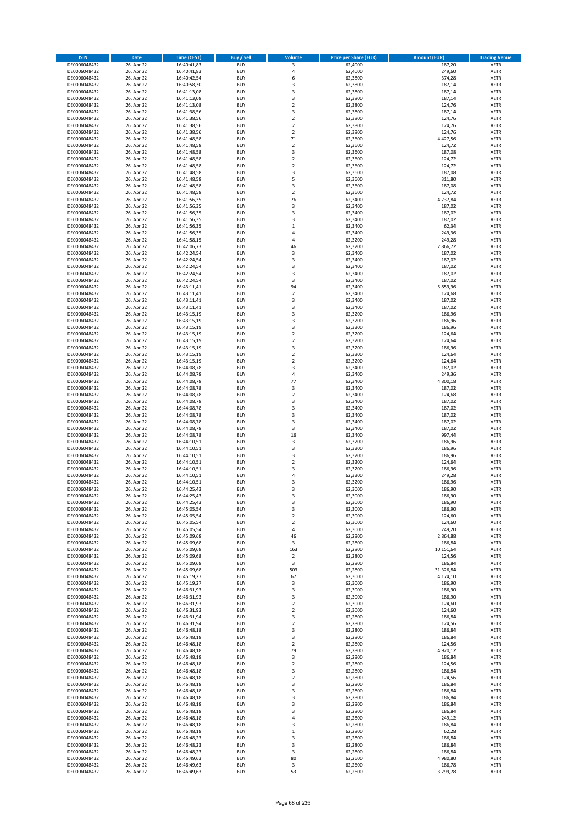| <b>ISIN</b>                  | <b>Date</b>              | <b>Time (CEST)</b>         | <b>Buy / Sell</b>        | Volume                                 | <b>Price per Share (EUR)</b> | <b>Amount (EUR)</b>   | <b>Trading Venue</b>       |
|------------------------------|--------------------------|----------------------------|--------------------------|----------------------------------------|------------------------------|-----------------------|----------------------------|
| DE0006048432                 | 26. Apr 22               | 16:40:41,83                | <b>BUY</b>               | 3                                      | 62,4000                      | 187,20                | <b>XETR</b>                |
| DE0006048432                 | 26. Apr 22               | 16:40:41,83                | <b>BUY</b>               | 4                                      | 62,4000                      | 249,60                | <b>XETR</b>                |
| DE0006048432                 | 26. Apr 22               | 16:40:42,54                | <b>BUY</b>               | 6                                      | 62,3800                      | 374,28                | <b>XETR</b>                |
| DE0006048432<br>DE0006048432 | 26. Apr 22<br>26. Apr 22 | 16:40:58,30<br>16:41:13,08 | <b>BUY</b><br><b>BUY</b> | 3<br>3                                 | 62,3800<br>62,3800           | 187,14<br>187,14      | <b>XETR</b><br><b>XETR</b> |
| DE0006048432                 | 26. Apr 22               | 16:41:13,08                | <b>BUY</b>               | 3                                      | 62,3800                      | 187,14                | <b>XETR</b>                |
| DE0006048432                 | 26. Apr 22               | 16:41:13,08                | <b>BUY</b>               | $\mathbf 2$                            | 62,3800                      | 124,76                | <b>XETR</b>                |
| DE0006048432                 | 26. Apr 22               | 16:41:38,56                | <b>BUY</b>               | 3                                      | 62,3800                      | 187,14                | <b>XETR</b>                |
| DE0006048432                 | 26. Apr 22               | 16:41:38,56                | <b>BUY</b>               | $\overline{2}$                         | 62,3800                      | 124,76                | <b>XETR</b>                |
| DE0006048432                 | 26. Apr 22               | 16:41:38,56                | <b>BUY</b>               | $\overline{2}$                         | 62,3800                      | 124,76                | <b>XETR</b>                |
| DE0006048432                 | 26. Apr 22               | 16:41:38,56                | <b>BUY</b>               | $\mathbf 2$                            | 62,3800                      | 124,76                | <b>XETR</b>                |
| DE0006048432                 | 26. Apr 22<br>26. Apr 22 | 16:41:48,58                | <b>BUY</b><br><b>BUY</b> | 71<br>$\mathbf 2$                      | 62,3600                      | 4.427,56              | <b>XETR</b><br><b>XETR</b> |
| DE0006048432<br>DE0006048432 | 26. Apr 22               | 16:41:48,58<br>16:41:48,58 | <b>BUY</b>               | 3                                      | 62,3600<br>62,3600           | 124,72<br>187,08      | <b>XETR</b>                |
| DE0006048432                 | 26. Apr 22               | 16:41:48,58                | <b>BUY</b>               | $\mathbf 2$                            | 62,3600                      | 124,72                | <b>XETR</b>                |
| DE0006048432                 | 26. Apr 22               | 16:41:48,58                | <b>BUY</b>               | $\overline{\mathbf{c}}$                | 62,3600                      | 124,72                | <b>XETR</b>                |
| DE0006048432                 | 26. Apr 22               | 16:41:48,58                | <b>BUY</b>               | 3                                      | 62,3600                      | 187,08                | <b>XETR</b>                |
| DE0006048432                 | 26. Apr 22               | 16:41:48,58                | <b>BUY</b>               | 5                                      | 62,3600                      | 311,80                | <b>XETR</b>                |
| DE0006048432                 | 26. Apr 22               | 16:41:48,58                | <b>BUY</b>               | 3                                      | 62,3600                      | 187,08                | <b>XETR</b>                |
| DE0006048432                 | 26. Apr 22               | 16:41:48,58                | <b>BUY</b>               | $\mathbf 2$                            | 62,3600                      | 124,72                | <b>XETR</b>                |
| DE0006048432                 | 26. Apr 22               | 16:41:56,35                | <b>BUY</b>               | 76                                     | 62,3400                      | 4.737,84              | <b>XETR</b>                |
| DE0006048432<br>DE0006048432 | 26. Apr 22<br>26. Apr 22 | 16:41:56,35<br>16:41:56,35 | <b>BUY</b><br><b>BUY</b> | 3<br>3                                 | 62,3400<br>62,3400           | 187,02<br>187,02      | <b>XETR</b><br><b>XETR</b> |
| DE0006048432                 | 26. Apr 22               | 16:41:56,35                | <b>BUY</b>               | 3                                      | 62,3400                      | 187,02                | <b>XETR</b>                |
| DE0006048432                 | 26. Apr 22               | 16:41:56,35                | <b>BUY</b>               | $\mathbf 1$                            | 62,3400                      | 62,34                 | <b>XETR</b>                |
| DE0006048432                 | 26. Apr 22               | 16:41:56,35                | <b>BUY</b>               | 4                                      | 62,3400                      | 249,36                | <b>XETR</b>                |
| DE0006048432                 | 26. Apr 22               | 16:41:58,15                | <b>BUY</b>               | 4                                      | 62,3200                      | 249,28                | <b>XETR</b>                |
| DE0006048432                 | 26. Apr 22               | 16:42:06,73                | <b>BUY</b>               | 46                                     | 62,3200                      | 2.866,72              | <b>XETR</b>                |
| DE0006048432                 | 26. Apr 22               | 16:42:24,54                | <b>BUY</b>               | 3                                      | 62,3400                      | 187,02                | <b>XETR</b>                |
| DE0006048432                 | 26. Apr 22               | 16:42:24,54                | <b>BUY</b>               | 3<br>3                                 | 62,3400                      | 187,02                | <b>XETR</b>                |
| DE0006048432<br>DE0006048432 | 26. Apr 22<br>26. Apr 22 | 16:42:24,54<br>16:42:24,54 | <b>BUY</b><br><b>BUY</b> | 3                                      | 62,3400<br>62,3400           | 187,02<br>187,02      | <b>XETR</b><br><b>XETR</b> |
| DE0006048432                 | 26. Apr 22               | 16:42:24,54                | <b>BUY</b>               | 3                                      | 62,3400                      | 187,02                | <b>XETR</b>                |
| DE0006048432                 | 26. Apr 22               | 16:43:11,41                | <b>BUY</b>               | 94                                     | 62,3400                      | 5.859,96              | <b>XETR</b>                |
| DE0006048432                 | 26. Apr 22               | 16:43:11,41                | <b>BUY</b>               | $\mathbf 2$                            | 62,3400                      | 124,68                | <b>XETR</b>                |
| DE0006048432                 | 26. Apr 22               | 16:43:11,41                | <b>BUY</b>               | 3                                      | 62,3400                      | 187,02                | <b>XETR</b>                |
| DE0006048432                 | 26. Apr 22               | 16:43:11,41                | <b>BUY</b>               | 3                                      | 62,3400                      | 187,02                | <b>XETR</b>                |
| DE0006048432                 | 26. Apr 22               | 16:43:15,19                | <b>BUY</b>               | 3                                      | 62,3200                      | 186,96                | <b>XETR</b>                |
| DE0006048432                 | 26. Apr 22               | 16:43:15,19                | <b>BUY</b>               | 3                                      | 62,3200                      | 186,96                | <b>XETR</b>                |
| DE0006048432                 | 26. Apr 22               | 16:43:15,19                | <b>BUY</b><br><b>BUY</b> | 3<br>$\overline{\mathbf{c}}$           | 62,3200                      | 186,96                | <b>XETR</b><br><b>XETR</b> |
| DE0006048432<br>DE0006048432 | 26. Apr 22<br>26. Apr 22 | 16:43:15,19<br>16:43:15,19 | <b>BUY</b>               | $\mathbf 2$                            | 62,3200<br>62,3200           | 124,64<br>124,64      | <b>XETR</b>                |
| DE0006048432                 | 26. Apr 22               | 16:43:15,19                | <b>BUY</b>               | 3                                      | 62,3200                      | 186,96                | <b>XETR</b>                |
| DE0006048432                 | 26. Apr 22               | 16:43:15,19                | <b>BUY</b>               | $\overline{\mathbf{c}}$                | 62,3200                      | 124,64                | <b>XETR</b>                |
| DE0006048432                 | 26. Apr 22               | 16:43:15,19                | <b>BUY</b>               | $\mathbf 2$                            | 62,3200                      | 124,64                | <b>XETR</b>                |
| DE0006048432                 | 26. Apr 22               | 16:44:08,78                | <b>BUY</b>               | 3                                      | 62,3400                      | 187,02                | <b>XETR</b>                |
| DE0006048432                 | 26. Apr 22               | 16:44:08,78                | <b>BUY</b>               | 4                                      | 62,3400                      | 249,36                | <b>XETR</b>                |
| DE0006048432                 | 26. Apr 22               | 16:44:08,78                | <b>BUY</b>               | 77                                     | 62,3400                      | 4.800,18              | <b>XETR</b>                |
| DE0006048432                 | 26. Apr 22               | 16:44:08,78                | <b>BUY</b>               | 3                                      | 62,3400                      | 187,02                | <b>XETR</b>                |
| DE0006048432<br>DE0006048432 | 26. Apr 22<br>26. Apr 22 | 16:44:08,78<br>16:44:08,78 | <b>BUY</b><br><b>BUY</b> | $\mathbf 2$<br>3                       | 62,3400<br>62,3400           | 124,68<br>187,02      | <b>XETR</b><br><b>XETR</b> |
| DE0006048432                 | 26. Apr 22               | 16:44:08,78                | <b>BUY</b>               | 3                                      | 62,3400                      | 187,02                | <b>XETR</b>                |
| DE0006048432                 | 26. Apr 22               | 16:44:08,78                | <b>BUY</b>               | 3                                      | 62,3400                      | 187,02                | <b>XETR</b>                |
| DE0006048432                 | 26. Apr 22               | 16:44:08,78                | <b>BUY</b>               | 3                                      | 62,3400                      | 187,02                | <b>XETR</b>                |
| DE0006048432                 | 26. Apr 22               | 16:44:08,78                | <b>BUY</b>               | 3                                      | 62,3400                      | 187,02                | <b>XETR</b>                |
| DE0006048432                 | 26. Apr 22               | 16:44:08,78                | <b>BUY</b>               | 16                                     | 62,3400                      | 997,44                | <b>XETR</b>                |
| DE0006048432                 | 26. Apr 22               | 16:44:10,51                | <b>BUY</b>               | 3                                      | 62,3200                      | 186,96                | <b>XETR</b>                |
| DE0006048432                 | 26. Apr 22               | 16:44:10,51                | <b>BUY</b>               | 3                                      | 62,3200                      | 186,96                | <b>XETR</b>                |
| DE0006048432                 | 26. Apr 22<br>26. Apr 22 | 16:44:10,51                | <b>BUY</b>               | 3<br>$\overline{2}$                    | 62,3200                      | 186,96                | <b>XETR</b>                |
| DE0006048432<br>DE0006048432 | 26. Apr 22               | 16:44:10,51<br>16:44:10,51 | <b>BUY</b><br><b>BUY</b> | 3                                      | 62,3200<br>62,3200           | 124,64<br>186,96      | <b>XETR</b><br><b>XETR</b> |
| DE0006048432                 | 26. Apr 22               | 16:44:10,51                | <b>BUY</b>               | 4                                      | 62,3200                      | 249,28                | <b>XETR</b>                |
| DE0006048432                 | 26. Apr 22               | 16:44:10,51                | <b>BUY</b>               | 3                                      | 62,3200                      | 186,96                | <b>XETR</b>                |
| DE0006048432                 | 26. Apr 22               | 16:44:25,43                | <b>BUY</b>               | 3                                      | 62,3000                      | 186,90                | <b>XETR</b>                |
| DE0006048432                 | 26. Apr 22               | 16:44:25,43                | BUY                      | 3                                      | 62,3000                      | 186,90                | <b>XETR</b>                |
| DE0006048432                 | 26. Apr 22               | 16:44:25,43                | <b>BUY</b>               | 3                                      | 62,3000                      | 186,90                | <b>XETR</b>                |
| DE0006048432                 | 26. Apr 22               | 16:45:05,54                | <b>BUY</b><br><b>BUY</b> | 3                                      | 62,3000                      | 186,90                | <b>XETR</b>                |
| DE0006048432<br>DE0006048432 | 26. Apr 22<br>26. Apr 22 | 16:45:05,54<br>16:45:05,54 | <b>BUY</b>               | $\mathbf 2$<br>$\overline{\mathbf{c}}$ | 62,3000<br>62,3000           | 124,60<br>124,60      | XETR<br><b>XETR</b>        |
| DE0006048432                 | 26. Apr 22               | 16:45:05,54                | <b>BUY</b>               | 4                                      | 62,3000                      | 249,20                | <b>XETR</b>                |
| DE0006048432                 | 26. Apr 22               | 16:45:09,68                | <b>BUY</b>               | 46                                     | 62,2800                      | 2.864,88              | <b>XETR</b>                |
| DE0006048432                 | 26. Apr 22               | 16:45:09,68                | <b>BUY</b>               | 3                                      | 62,2800                      | 186,84                | <b>XETR</b>                |
| DE0006048432                 | 26. Apr 22               | 16:45:09,68                | <b>BUY</b>               | 163                                    | 62,2800                      | 10.151,64             | <b>XETR</b>                |
| DE0006048432                 | 26. Apr 22               | 16:45:09,68                | <b>BUY</b>               | $\mathbf 2$                            | 62,2800                      | 124,56                | <b>XETR</b>                |
| DE0006048432                 | 26. Apr 22               | 16:45:09,68                | <b>BUY</b>               | 3<br>503                               | 62,2800                      | 186,84                | <b>XETR</b>                |
| DE0006048432<br>DE0006048432 | 26. Apr 22<br>26. Apr 22 | 16:45:09,68<br>16:45:19,27 | <b>BUY</b><br><b>BUY</b> | 67                                     | 62,2800<br>62,3000           | 31.326,84<br>4.174,10 | <b>XETR</b><br><b>XETR</b> |
| DE0006048432                 | 26. Apr 22               | 16:45:19,27                | <b>BUY</b>               | 3                                      | 62,3000                      | 186,90                | <b>XETR</b>                |
| DE0006048432                 | 26. Apr 22               | 16:46:31,93                | <b>BUY</b>               | 3                                      | 62,3000                      | 186,90                | <b>XETR</b>                |
| DE0006048432                 | 26. Apr 22               | 16:46:31,93                | <b>BUY</b>               | 3                                      | 62,3000                      | 186,90                | <b>XETR</b>                |
| DE0006048432                 | 26. Apr 22               | 16:46:31,93                | <b>BUY</b>               | $\overline{2}$                         | 62,3000                      | 124,60                | <b>XETR</b>                |
| DE0006048432                 | 26. Apr 22               | 16:46:31,93                | <b>BUY</b>               | $\mathbf 2$                            | 62,3000                      | 124,60                | <b>XETR</b>                |
| DE0006048432                 | 26. Apr 22               | 16:46:31,94                | <b>BUY</b>               | 3                                      | 62,2800                      | 186,84                | XETR                       |
| DE0006048432<br>DE0006048432 | 26. Apr 22<br>26. Apr 22 | 16:46:31,94<br>16:46:48,18 | <b>BUY</b><br><b>BUY</b> | $\mathbf 2$<br>3                       | 62,2800<br>62,2800           | 124,56<br>186,84      | <b>XETR</b><br><b>XETR</b> |
| DE0006048432                 | 26. Apr 22               | 16:46:48,18                | <b>BUY</b>               | 3                                      | 62,2800                      | 186,84                | <b>XETR</b>                |
| DE0006048432                 | 26. Apr 22               | 16:46:48,18                | <b>BUY</b>               | $\overline{2}$                         | 62,2800                      | 124,56                | <b>XETR</b>                |
| DE0006048432                 | 26. Apr 22               | 16:46:48,18                | <b>BUY</b>               | 79                                     | 62,2800                      | 4.920,12              | <b>XETR</b>                |
| DE0006048432                 | 26. Apr 22               | 16:46:48,18                | <b>BUY</b>               | 3                                      | 62,2800                      | 186,84                | <b>XETR</b>                |
| DE0006048432                 | 26. Apr 22               | 16:46:48,18                | <b>BUY</b>               | $\mathbf 2$                            | 62,2800                      | 124,56                | <b>XETR</b>                |
| DE0006048432                 | 26. Apr 22               | 16:46:48,18                | <b>BUY</b>               | 3                                      | 62,2800                      | 186,84                | <b>XETR</b>                |
| DE0006048432                 | 26. Apr 22               | 16:46:48,18                | <b>BUY</b>               | $\overline{2}$                         | 62,2800                      | 124,56                | <b>XETR</b>                |
| DE0006048432<br>DE0006048432 | 26. Apr 22<br>26. Apr 22 | 16:46:48,18                | <b>BUY</b><br><b>BUY</b> | 3<br>3                                 | 62,2800<br>62,2800           | 186,84<br>186,84      | <b>XETR</b><br>XETR        |
| DE0006048432                 | 26. Apr 22               | 16:46:48,18<br>16:46:48,18 | <b>BUY</b>               | 3                                      | 62,2800                      | 186,84                | <b>XETR</b>                |
| DE0006048432                 | 26. Apr 22               | 16:46:48,18                | <b>BUY</b>               | 3                                      | 62,2800                      | 186,84                | <b>XETR</b>                |
| DE0006048432                 | 26. Apr 22               | 16:46:48,18                | <b>BUY</b>               | 3                                      | 62,2800                      | 186,84                | <b>XETR</b>                |
| DE0006048432                 | 26. Apr 22               | 16:46:48,18                | <b>BUY</b>               | 4                                      | 62,2800                      | 249,12                | <b>XETR</b>                |
| DE0006048432                 | 26. Apr 22               | 16:46:48,18                | <b>BUY</b>               | 3                                      | 62,2800                      | 186,84                | <b>XETR</b>                |
| DE0006048432                 | 26. Apr 22               | 16:46:48,18                | <b>BUY</b>               | $\mathbf 1$                            | 62,2800                      | 62,28                 | <b>XETR</b>                |
| DE0006048432                 | 26. Apr 22               | 16:46:48,23                | <b>BUY</b>               | 3                                      | 62,2800                      | 186,84                | <b>XETR</b>                |
| DE0006048432<br>DE0006048432 | 26. Apr 22<br>26. Apr 22 | 16:46:48,23<br>16:46:48,23 | <b>BUY</b><br><b>BUY</b> | 3<br>3                                 | 62,2800<br>62,2800           | 186,84<br>186,84      | XETR<br><b>XETR</b>        |
| DE0006048432                 | 26. Apr 22               | 16:46:49,63                | <b>BUY</b>               | 80                                     | 62,2600                      | 4.980,80              | <b>XETR</b>                |
| DE0006048432                 | 26. Apr 22               | 16:46:49,63                | <b>BUY</b>               | 3                                      | 62,2600                      | 186,78                | <b>XETR</b>                |
| DE0006048432                 | 26. Apr 22               | 16:46:49,63                | <b>BUY</b>               | 53                                     | 62,2600                      | 3.299,78              | <b>XETR</b>                |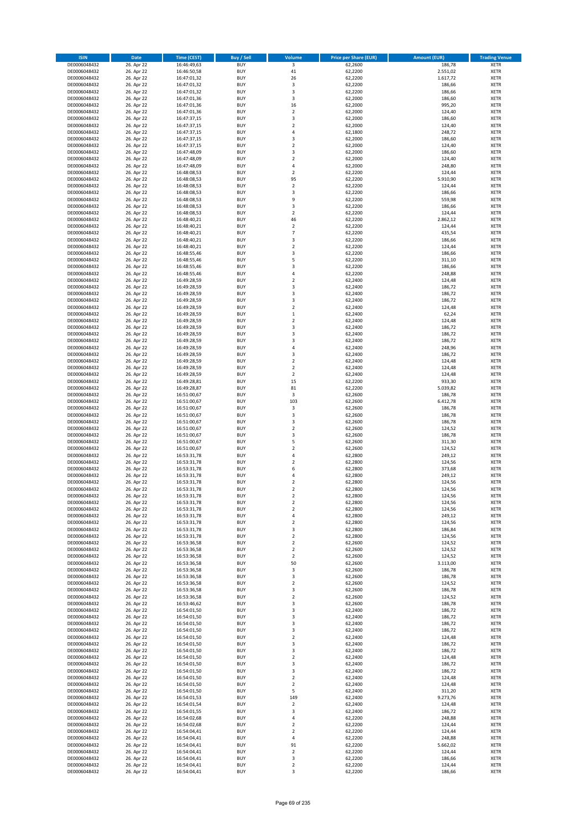| <b>ISIN</b>                  | Date                     | Time (CEST)                | <b>Buy / Sell</b>        | <b>Volume</b>                    | <b>Price per Share (EUR)</b> | <b>Amount (EUR)</b> | <b>Trading Venue</b>       |
|------------------------------|--------------------------|----------------------------|--------------------------|----------------------------------|------------------------------|---------------------|----------------------------|
| DE0006048432                 | 26. Apr 22               | 16:46:49,63                | <b>BUY</b>               | $\overline{\mathbf{3}}$          | 62,2600                      | 186,78              | <b>XETR</b>                |
| DE0006048432                 | 26. Apr 22               | 16:46:50,58                | <b>BUY</b>               | $41\,$                           | 62,2200                      | 2.551,02            | XETR                       |
| DE0006048432                 | 26. Apr 22               | 16:47:01,32                | <b>BUY</b>               | 26                               | 62,2200                      | 1.617,72            | <b>XETR</b>                |
| DE0006048432                 | 26. Apr 22               | 16:47:01,32                | <b>BUY</b>               | $\mathsf 3$                      | 62,2200                      | 186,66              | XETR                       |
| DE0006048432<br>DE0006048432 | 26. Apr 22<br>26. Apr 22 | 16:47:01,32<br>16:47:01,36 | <b>BUY</b><br><b>BUY</b> | 3<br>3                           | 62,2200<br>62,2000           | 186,66<br>186,60    | <b>XETR</b><br><b>XETR</b> |
| DE0006048432                 | 26. Apr 22               | 16:47:01,36                | <b>BUY</b>               | 16                               | 62,2000                      | 995,20              | <b>XETR</b>                |
| DE0006048432                 | 26. Apr 22               | 16:47:01,36                | <b>BUY</b>               | $\mathbf 2$                      | 62,2000                      | 124,40              | <b>XETR</b>                |
| DE0006048432                 | 26. Apr 22               | 16:47:37,15                | <b>BUY</b>               | 3                                | 62,2000                      | 186,60              | <b>XETR</b>                |
| DE0006048432                 | 26. Apr 22               | 16:47:37,15                | <b>BUY</b>               | $\mathbf 2$                      | 62,2000                      | 124,40              | <b>XETR</b>                |
| DE0006048432                 | 26. Apr 22               | 16:47:37,15                | <b>BUY</b>               | $\sqrt{4}$                       | 62,1800                      | 248,72              | <b>XETR</b>                |
| DE0006048432                 | 26. Apr 22               | 16:47:37,15                | <b>BUY</b>               | 3                                | 62,2000                      | 186,60              | <b>XETR</b>                |
| DE0006048432<br>DE0006048432 | 26. Apr 22<br>26. Apr 22 | 16:47:37,15<br>16:47:48,09 | <b>BUY</b><br><b>BUY</b> | $\mathbf 2$<br>3                 | 62,2000<br>62,2000           | 124,40<br>186,60    | <b>XETR</b><br><b>XETR</b> |
| DE0006048432                 | 26. Apr 22               | 16:47:48,09                | <b>BUY</b>               | $\mathbf 2$                      | 62,2000                      | 124,40              | <b>XETR</b>                |
| DE0006048432                 | 26. Apr 22               | 16:47:48,09                | <b>BUY</b>               | $\overline{4}$                   | 62,2000                      | 248,80              | <b>XETR</b>                |
| DE0006048432                 | 26. Apr 22               | 16:48:08,53                | <b>BUY</b>               | $\overline{2}$                   | 62,2200                      | 124,44              | <b>XETR</b>                |
| DE0006048432                 | 26. Apr 22               | 16:48:08,53                | <b>BUY</b>               | 95                               | 62,2200                      | 5.910,90            | <b>XETR</b>                |
| DE0006048432                 | 26. Apr 22               | 16:48:08,53                | <b>BUY</b>               | $\mathbf 2$                      | 62,2200                      | 124,44              | <b>XETR</b>                |
| DE0006048432<br>DE0006048432 | 26. Apr 22<br>26. Apr 22 | 16:48:08,53<br>16:48:08,53 | <b>BUY</b><br><b>BUY</b> | $\mathsf 3$<br>9                 | 62,2200<br>62,2200           | 186,66<br>559,98    | <b>XETR</b><br><b>XETR</b> |
| DE0006048432                 | 26. Apr 22               | 16:48:08,53                | <b>BUY</b>               | 3                                | 62,2200                      | 186,66              | <b>XETR</b>                |
| DE0006048432                 | 26. Apr 22               | 16:48:08,53                | <b>BUY</b>               | $\mathbf 2$                      | 62,2200                      | 124,44              | <b>XETR</b>                |
| DE0006048432                 | 26. Apr 22               | 16:48:40,21                | <b>BUY</b>               | 46                               | 62,2200                      | 2.862,12            | <b>XETR</b>                |
| DE0006048432                 | 26. Apr 22               | 16:48:40,21                | <b>BUY</b>               | $\overline{2}$                   | 62,2200                      | 124,44              | <b>XETR</b>                |
| DE0006048432                 | 26. Apr 22               | 16:48:40,21                | <b>BUY</b>               | $\overline{7}$                   | 62,2200                      | 435,54              | <b>XETR</b>                |
| DE0006048432<br>DE0006048432 | 26. Apr 22               | 16:48:40,21                | <b>BUY</b><br><b>BUY</b> | 3<br>$\overline{2}$              | 62,2200                      | 186,66              | <b>XETR</b><br><b>XETR</b> |
| DE0006048432                 | 26. Apr 22<br>26. Apr 22 | 16:48:40,21<br>16:48:55,46 | <b>BUY</b>               | 3                                | 62,2200<br>62,2200           | 124,44<br>186,66    | <b>XETR</b>                |
| DE0006048432                 | 26. Apr 22               | 16:48:55,46                | <b>BUY</b>               | 5                                | 62,2200                      | 311,10              | <b>XETR</b>                |
| DE0006048432                 | 26. Apr 22               | 16:48:55,46                | <b>BUY</b>               | 3                                | 62,2200                      | 186,66              | <b>XETR</b>                |
| DE0006048432                 | 26. Apr 22               | 16:48:55,46                | <b>BUY</b>               | $\sqrt{4}$                       | 62,2200                      | 248,88              | <b>XETR</b>                |
| DE0006048432                 | 26. Apr 22               | 16:49:28,59                | <b>BUY</b>               | $\mathbf 2$                      | 62,2400                      | 124,48              | <b>XETR</b>                |
| DE0006048432                 | 26. Apr 22               | 16:49:28,59                | <b>BUY</b>               | 3                                | 62,2400                      | 186,72              | <b>XETR</b>                |
| DE0006048432<br>DE0006048432 | 26. Apr 22<br>26. Apr 22 | 16:49:28,59<br>16:49:28,59 | <b>BUY</b><br><b>BUY</b> | 3<br>3                           | 62,2400<br>62,2400           | 186,72<br>186,72    | <b>XETR</b><br><b>XETR</b> |
| DE0006048432                 | 26. Apr 22               | 16:49:28,59                | <b>BUY</b>               | $\overline{2}$                   | 62,2400                      | 124,48              | <b>XETR</b>                |
| DE0006048432                 | 26. Apr 22               | 16:49:28,59                | <b>BUY</b>               | $\,1\,$                          | 62,2400                      | 62,24               | <b>XETR</b>                |
| DE0006048432                 | 26. Apr 22               | 16:49:28,59                | <b>BUY</b>               | $\overline{2}$                   | 62,2400                      | 124,48              | <b>XETR</b>                |
| DE0006048432                 | 26. Apr 22               | 16:49:28,59                | <b>BUY</b>               | 3                                | 62,2400                      | 186,72              | <b>XETR</b>                |
| DE0006048432                 | 26. Apr 22               | 16:49:28,59                | <b>BUY</b>               | 3                                | 62,2400                      | 186,72              | <b>XETR</b>                |
| DE0006048432                 | 26. Apr 22               | 16:49:28,59                | <b>BUY</b>               | 3                                | 62,2400                      | 186,72              | <b>XETR</b>                |
| DE0006048432<br>DE0006048432 | 26. Apr 22<br>26. Apr 22 | 16:49:28,59<br>16:49:28,59 | <b>BUY</b><br><b>BUY</b> | $\sqrt{4}$<br>3                  | 62,2400<br>62,2400           | 248,96<br>186,72    | <b>XETR</b><br><b>XETR</b> |
| DE0006048432                 | 26. Apr 22               | 16:49:28,59                | <b>BUY</b>               | $\mathbf 2$                      | 62,2400                      | 124,48              | <b>XETR</b>                |
| DE0006048432                 | 26. Apr 22               | 16:49:28,59                | <b>BUY</b>               | $\overline{2}$                   | 62,2400                      | 124,48              | <b>XETR</b>                |
| DE0006048432                 | 26. Apr 22               | 16:49:28,59                | <b>BUY</b>               | $\mathbf 2$                      | 62,2400                      | 124,48              | <b>XETR</b>                |
| DE0006048432                 | 26. Apr 22               | 16:49:28,81                | <b>BUY</b>               | 15                               | 62,2200                      | 933,30              | <b>XETR</b>                |
| DE0006048432                 | 26. Apr 22               | 16:49:28,87                | <b>BUY</b><br><b>BUY</b> | 81                               | 62,2200                      | 5.039,82            | <b>XETR</b>                |
| DE0006048432<br>DE0006048432 | 26. Apr 22<br>26. Apr 22 | 16:51:00,67<br>16:51:00,67 | <b>BUY</b>               | 3<br>103                         | 62,2600<br>62,2600           | 186,78<br>6.412,78  | <b>XETR</b><br><b>XETR</b> |
| DE0006048432                 | 26. Apr 22               | 16:51:00,67                | <b>BUY</b>               | 3                                | 62,2600                      | 186,78              | <b>XETR</b>                |
| DE0006048432                 | 26. Apr 22               | 16:51:00,67                | <b>BUY</b>               | 3                                | 62,2600                      | 186,78              | <b>XETR</b>                |
| DE0006048432                 | 26. Apr 22               | 16:51:00,67                | <b>BUY</b>               | 3                                | 62,2600                      | 186,78              | <b>XETR</b>                |
| DE0006048432                 | 26. Apr 22               | 16:51:00,67                | <b>BUY</b>               | $\overline{2}$                   | 62,2600                      | 124,52              | <b>XETR</b>                |
| DE0006048432                 | 26. Apr 22               | 16:51:00,67                | <b>BUY</b>               | 3                                | 62,2600                      | 186,78              | <b>XETR</b>                |
| DE0006048432<br>DE0006048432 | 26. Apr 22<br>26. Apr 22 | 16:51:00,67<br>16:51:00,67 | <b>BUY</b><br><b>BUY</b> | 5<br>$\mathbf 2$                 | 62,2600<br>62,2600           | 311,30<br>124,52    | <b>XETR</b><br><b>XETR</b> |
| DE0006048432                 | 26. Apr 22               | 16:53:31,78                | <b>BUY</b>               | $\overline{4}$                   | 62,2800                      | 249,12              | <b>XETR</b>                |
| DE0006048432                 | 26. Apr 22               | 16:53:31,78                | <b>BUY</b>               | $\overline{2}$                   | 62,2800                      | 124,56              | <b>XETR</b>                |
| DE0006048432                 | 26. Apr 22               | 16:53:31,78                | <b>BUY</b>               | 6                                | 62,2800                      | 373,68              | <b>XETR</b>                |
| DE0006048432                 | 26. Apr 22               | 16:53:31,78                | <b>BUY</b>               | 4                                | 62,2800                      | 249,12              | <b>XETR</b>                |
| DE0006048432                 | 26. Apr 22               | 16:53:31,78                | <b>BUY</b>               | $\overline{2}$                   | 62,2800                      | 124,56              | <b>XETR</b>                |
| DE0006048432                 | 26. Apr 22               | 16:53:31,78                | <b>BUY</b>               | 2                                | 62,2800                      | 124,56              | <b>XETR</b>                |
| DE0006048432<br>DE0006048432 | 26. Apr 22<br>26. Apr 22 | 16:53:31,78<br>16:53:31,78 | BUY<br><b>BUY</b>        | 2<br>$\mathbf 2$                 | 62,2800<br>62,2800           | 124,56<br>124,56    | XETR<br><b>XETR</b>        |
| DE0006048432                 | 26. Apr 22               | 16:53:31,78                | <b>BUY</b>               | $\overline{2}$                   | 62,2800                      | 124,56              | <b>XETR</b>                |
| DE0006048432                 | 26. Apr 22               | 16:53:31,78                | <b>BUY</b>               | 4                                | 62,2800                      | 249,12              | <b>XETR</b>                |
| DE0006048432                 | 26. Apr 22               | 16:53:31,78                | <b>BUY</b>               | $\mathbf 2$                      | 62,2800                      | 124,56              | <b>XETR</b>                |
| DE0006048432                 | 26. Apr 22               | 16:53:31,78                | <b>BUY</b>               | 3                                | 62,2800                      | 186,84              | <b>XETR</b>                |
| DE0006048432                 | 26. Apr 22               | 16:53:31,78                | <b>BUY</b>               | $\overline{2}$                   | 62,2800                      | 124,56              | <b>XETR</b>                |
| DE0006048432<br>DE0006048432 | 26. Apr 22<br>26. Apr 22 | 16:53:36,58<br>16:53:36,58 | <b>BUY</b><br><b>BUY</b> | $\overline{2}$<br>$\overline{2}$ | 62,2600<br>62,2600           | 124,52<br>124,52    | <b>XETR</b><br>XETR        |
| DE0006048432                 | 26. Apr 22               | 16:53:36,58                | <b>BUY</b>               | $\mathbf 2$                      | 62,2600                      | 124,52              | <b>XETR</b>                |
| DE0006048432                 | 26. Apr 22               | 16:53:36,58                | <b>BUY</b>               | 50                               | 62,2600                      | 3.113,00            | XETR                       |
| DE0006048432                 | 26. Apr 22               | 16:53:36,58                | <b>BUY</b>               | 3                                | 62,2600                      | 186,78              | <b>XETR</b>                |
| DE0006048432                 | 26. Apr 22               | 16:53:36,58                | <b>BUY</b>               | $\mathsf 3$                      | 62,2600                      | 186,78              | XETR                       |
| DE0006048432                 | 26. Apr 22<br>26. Apr 22 | 16:53:36,58<br>16:53:36,58 | <b>BUY</b><br><b>BUY</b> | $\overline{2}$                   | 62,2600                      | 124,52<br>186,78    | <b>XETR</b>                |
| DE0006048432<br>DE0006048432 | 26. Apr 22               | 16:53:36,58                | <b>BUY</b>               | 3<br>$\mathbf 2$                 | 62,2600<br>62,2600           | 124,52              | XETR<br><b>XETR</b>        |
| DE0006048432                 | 26. Apr 22               | 16:53:46,62                | <b>BUY</b>               | 3                                | 62,2600                      | 186,78              | <b>XETR</b>                |
| DE0006048432                 | 26. Apr 22               | 16:54:01,50                | <b>BUY</b>               | 3                                | 62,2400                      | 186,72              | <b>XETR</b>                |
| DE0006048432                 | 26. Apr 22               | 16:54:01,50                | <b>BUY</b>               | 3                                | 62,2400                      | 186,72              | XETR                       |
| DE0006048432                 | 26. Apr 22               | 16:54:01,50                | <b>BUY</b>               | 3                                | 62,2400                      | 186,72              | <b>XETR</b>                |
| DE0006048432                 | 26. Apr 22               | 16:54:01,50                | <b>BUY</b>               | 3                                | 62,2400                      | 186,72              | <b>XETR</b>                |
| DE0006048432<br>DE0006048432 | 26. Apr 22               | 16:54:01,50                | <b>BUY</b><br><b>BUY</b> | $\mathbf 2$<br>3                 | 62,2400<br>62,2400           | 124,48<br>186,72    | <b>XETR</b><br>XETR        |
| DE0006048432                 | 26. Apr 22<br>26. Apr 22 | 16:54:01,50<br>16:54:01,50 | <b>BUY</b>               | 3                                | 62,2400                      | 186,72              | <b>XETR</b>                |
| DE0006048432                 | 26. Apr 22               | 16:54:01,50                | <b>BUY</b>               | $\overline{2}$                   | 62,2400                      | 124,48              | XETR                       |
| DE0006048432                 | 26. Apr 22               | 16:54:01,50                | <b>BUY</b>               | 3                                | 62,2400                      | 186,72              | <b>XETR</b>                |
| DE0006048432                 | 26. Apr 22               | 16:54:01,50                | <b>BUY</b>               | 3                                | 62,2400                      | 186,72              | <b>XETR</b>                |
| DE0006048432                 | 26. Apr 22               | 16:54:01,50                | <b>BUY</b>               | $\overline{2}$                   | 62,2400                      | 124,48              | <b>XETR</b>                |
| DE0006048432                 | 26. Apr 22               | 16:54:01,50                | <b>BUY</b>               | $\overline{2}$                   | 62,2400                      | 124,48              | <b>XETR</b>                |
| DE0006048432<br>DE0006048432 | 26. Apr 22<br>26. Apr 22 | 16:54:01,50<br>16:54:01,53 | <b>BUY</b><br><b>BUY</b> | 5<br>149                         | 62,2400<br>62,2400           | 311,20<br>9.273,76  | <b>XETR</b><br>XETR        |
| DE0006048432                 | 26. Apr 22               | 16:54:01,54                | <b>BUY</b>               | $\overline{2}$                   | 62,2400                      | 124,48              | XETR                       |
| DE0006048432                 | 26. Apr 22               | 16:54:01,55                | <b>BUY</b>               | 3                                | 62,2400                      | 186,72              | XETR                       |
| DE0006048432                 | 26. Apr 22               | 16:54:02,68                | <b>BUY</b>               | $\pmb{4}$                        | 62,2200                      | 248,88              | <b>XETR</b>                |
| DE0006048432                 | 26. Apr 22               | 16:54:02,68                | <b>BUY</b>               | $\mathbf 2$                      | 62,2200                      | 124,44              | <b>XETR</b>                |
| DE0006048432                 | 26. Apr 22               | 16:54:04,41                | <b>BUY</b>               | $\mathbf 2$                      | 62,2200                      | 124,44              | XETR                       |
| DE0006048432                 | 26. Apr 22<br>26. Apr 22 | 16:54:04,41                | <b>BUY</b><br><b>BUY</b> | $\pmb{4}$<br>91                  | 62,2200                      | 248,88              | XETR                       |
| DE0006048432<br>DE0006048432 | 26. Apr 22               | 16:54:04,41<br>16:54:04,41 | <b>BUY</b>               | $\overline{2}$                   | 62,2200<br>62,2200           | 5.662,02<br>124,44  | XETR<br><b>XETR</b>        |
| DE0006048432                 | 26. Apr 22               | 16:54:04,41                | <b>BUY</b>               | 3                                | 62,2200                      | 186,66              | XETR                       |
| DE0006048432                 | 26. Apr 22               | 16:54:04,41                | <b>BUY</b>               | $\mathbf 2$                      | 62,2200                      | 124,44              | <b>XETR</b>                |
| DE0006048432                 | 26. Apr 22               | 16:54:04,41                | <b>BUY</b>               | 3                                | 62,2200                      | 186,66              | XETR                       |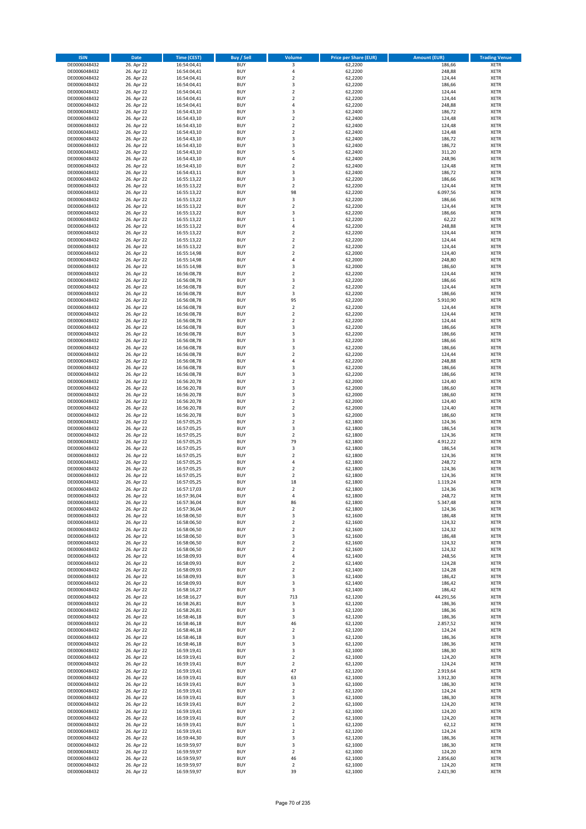| <b>ISIN</b>                  | <b>Date</b>              | <b>Time (CEST)</b>         | <b>Buy / Sell</b>        | <b>Volume</b>                          | <b>Price per Share (EUR)</b> | <b>Amount (EUR)</b> | <b>Trading Venue</b>       |
|------------------------------|--------------------------|----------------------------|--------------------------|----------------------------------------|------------------------------|---------------------|----------------------------|
| DE0006048432                 | 26. Apr 22               | 16:54:04,41                | <b>BUY</b>               | 3                                      | 62,2200                      | 186,66              | <b>XETR</b>                |
| DE0006048432                 | 26. Apr 22               | 16:54:04,41                | <b>BUY</b>               | 4                                      | 62,2200                      | 248,88              | <b>XETR</b>                |
| DE0006048432                 | 26. Apr 22               | 16:54:04,41                | <b>BUY</b>               | $\overline{\mathbf{c}}$                | 62,2200                      | 124,44              | <b>XETR</b>                |
| DE0006048432<br>DE0006048432 | 26. Apr 22<br>26. Apr 22 | 16:54:04,41<br>16:54:04,41 | <b>BUY</b><br><b>BUY</b> | 3<br>$\overline{\mathbf{c}}$           | 62,2200<br>62,2200           | 186,66<br>124,44    | <b>XETR</b><br><b>XETR</b> |
| DE0006048432                 | 26. Apr 22               | 16:54:04,41                | <b>BUY</b>               | $\mathbf 2$                            | 62,2200                      | 124,44              | <b>XETR</b>                |
| DE0006048432                 | 26. Apr 22               | 16:54:04,41                | <b>BUY</b>               | 4                                      | 62,2200                      | 248,88              | <b>XETR</b>                |
| DE0006048432                 | 26. Apr 22               | 16:54:43,10                | <b>BUY</b>               | 3                                      | 62,2400                      | 186,72              | <b>XETR</b>                |
| DE0006048432                 | 26. Apr 22               | 16:54:43,10                | <b>BUY</b>               | $\overline{2}$                         | 62,2400                      | 124,48              | <b>XETR</b>                |
| DE0006048432                 | 26. Apr 22               | 16:54:43,10                | <b>BUY</b><br><b>BUY</b> | $\overline{2}$                         | 62,2400                      | 124,48              | <b>XETR</b>                |
| DE0006048432<br>DE0006048432 | 26. Apr 22<br>26. Apr 22 | 16:54:43,10<br>16:54:43,10 | <b>BUY</b>               | $\mathbf 2$<br>3                       | 62,2400<br>62,2400           | 124,48<br>186,72    | <b>XETR</b><br><b>XETR</b> |
| DE0006048432                 | 26. Apr 22               | 16:54:43,10                | <b>BUY</b>               | 3                                      | 62,2400                      | 186,72              | <b>XETR</b>                |
| DE0006048432                 | 26. Apr 22               | 16:54:43,10                | <b>BUY</b>               | 5                                      | 62,2400                      | 311,20              | <b>XETR</b>                |
| DE0006048432                 | 26. Apr 22               | 16:54:43,10                | <b>BUY</b>               | 4                                      | 62,2400                      | 248,96              | <b>XETR</b>                |
| DE0006048432                 | 26. Apr 22               | 16:54:43,10                | <b>BUY</b>               | $\overline{\mathbf{c}}$                | 62,2400                      | 124,48              | <b>XETR</b>                |
| DE0006048432<br>DE0006048432 | 26. Apr 22<br>26. Apr 22 | 16:54:43,11<br>16:55:13,22 | <b>BUY</b><br><b>BUY</b> | 3<br>3                                 | 62,2400<br>62,2200           | 186,72<br>186,66    | <b>XETR</b><br><b>XETR</b> |
| DE0006048432                 | 26. Apr 22               | 16:55:13,22                | <b>BUY</b>               | $\overline{\mathbf{c}}$                | 62,2200                      | 124,44              | <b>XETR</b>                |
| DE0006048432                 | 26. Apr 22               | 16:55:13,22                | <b>BUY</b>               | 98                                     | 62,2200                      | 6.097,56            | <b>XETR</b>                |
| DE0006048432                 | 26. Apr 22               | 16:55:13,22                | <b>BUY</b>               | 3                                      | 62,2200                      | 186,66              | <b>XETR</b>                |
| DE0006048432                 | 26. Apr 22               | 16:55:13,22                | <b>BUY</b>               | $\mathbf 2$                            | 62,2200                      | 124,44              | <b>XETR</b>                |
| DE0006048432                 | 26. Apr 22               | 16:55:13,22                | <b>BUY</b>               | 3                                      | 62,2200                      | 186,66              | <b>XETR</b>                |
| DE0006048432<br>DE0006048432 | 26. Apr 22<br>26. Apr 22 | 16:55:13,22<br>16:55:13,22 | <b>BUY</b><br><b>BUY</b> | $\mathbf 1$<br>4                       | 62,2200<br>62,2200           | 62,22<br>248,88     | <b>XETR</b><br><b>XETR</b> |
| DE0006048432                 | 26. Apr 22               | 16:55:13,22                | <b>BUY</b>               | $\mathbf 2$                            | 62,2200                      | 124,44              | <b>XETR</b>                |
| DE0006048432                 | 26. Apr 22               | 16:55:13,22                | <b>BUY</b>               | $\mathbf 2$                            | 62,2200                      | 124,44              | <b>XETR</b>                |
| DE0006048432                 | 26. Apr 22               | 16:55:13,22                | <b>BUY</b>               | $\overline{\mathbf{c}}$                | 62,2200                      | 124,44              | <b>XETR</b>                |
| DE0006048432                 | 26. Apr 22               | 16:55:14,98                | <b>BUY</b>               | $\mathbf 2$                            | 62,2000                      | 124,40              | <b>XETR</b>                |
| DE0006048432<br>DE0006048432 | 26. Apr 22<br>26. Apr 22 | 16:55:14,98<br>16:55:14,98 | <b>BUY</b><br><b>BUY</b> | 4<br>3                                 | 62,2000<br>62,2000           | 248,80<br>186,60    | <b>XETR</b><br><b>XETR</b> |
| DE0006048432                 | 26. Apr 22               | 16:56:08,78                | <b>BUY</b>               | $\overline{\mathbf{c}}$                | 62,2200                      | 124,44              | <b>XETR</b>                |
| DE0006048432                 | 26. Apr 22               | 16:56:08,78                | <b>BUY</b>               | 3                                      | 62,2200                      | 186,66              | <b>XETR</b>                |
| DE0006048432                 | 26. Apr 22               | 16:56:08,78                | <b>BUY</b>               | $\mathbf 2$                            | 62,2200                      | 124,44              | <b>XETR</b>                |
| DE0006048432                 | 26. Apr 22               | 16:56:08,78                | <b>BUY</b>               | 3                                      | 62.2200                      | 186,66              | <b>XETR</b>                |
| DE0006048432                 | 26. Apr 22               | 16:56:08,78                | <b>BUY</b>               | 95                                     | 62,2200                      | 5.910,90            | <b>XETR</b>                |
| DE0006048432<br>DE0006048432 | 26. Apr 22<br>26. Apr 22 | 16:56:08,78<br>16:56:08,78 | <b>BUY</b><br><b>BUY</b> | $\overline{\mathbf{c}}$<br>$\mathbf 2$ | 62,2200<br>62,2200           | 124,44<br>124,44    | <b>XETR</b><br><b>XETR</b> |
| DE0006048432                 | 26. Apr 22               | 16:56:08,78                | <b>BUY</b>               | $\mathbf 2$                            | 62,2200                      | 124,44              | <b>XETR</b>                |
| DE0006048432                 | 26. Apr 22               | 16:56:08,78                | <b>BUY</b>               | 3                                      | 62,2200                      | 186,66              | <b>XETR</b>                |
| DE0006048432                 | 26. Apr 22               | 16:56:08,78                | <b>BUY</b>               | 3                                      | 62,2200                      | 186,66              | <b>XETR</b>                |
| DE0006048432                 | 26. Apr 22               | 16:56:08,78                | <b>BUY</b>               | 3                                      | 62,2200                      | 186,66              | <b>XETR</b>                |
| DE0006048432                 | 26. Apr 22               | 16:56:08,78                | <b>BUY</b>               | 3                                      | 62,2200                      | 186,66              | <b>XETR</b>                |
| DE0006048432<br>DE0006048432 | 26. Apr 22<br>26. Apr 22 | 16:56:08,78<br>16:56:08,78 | <b>BUY</b><br><b>BUY</b> | $\overline{\mathbf{c}}$<br>4           | 62,2200<br>62,2200           | 124,44<br>248,88    | <b>XETR</b><br><b>XETR</b> |
| DE0006048432                 | 26. Apr 22               | 16:56:08,78                | <b>BUY</b>               | 3                                      | 62,2200                      | 186,66              | <b>XETR</b>                |
| DE0006048432                 | 26. Apr 22               | 16:56:08,78                | <b>BUY</b>               | 3                                      | 62,2200                      | 186,66              | <b>XETR</b>                |
| DE0006048432                 | 26. Apr 22               | 16:56:20,78                | <b>BUY</b>               | $\mathbf 2$                            | 62,2000                      | 124,40              | <b>XETR</b>                |
| DE0006048432                 | 26. Apr 22               | 16:56:20,78                | <b>BUY</b>               | 3                                      | 62,2000                      | 186,60              | <b>XETR</b>                |
| DE0006048432<br>DE0006048432 | 26. Apr 22<br>26. Apr 22 | 16:56:20,78                | <b>BUY</b><br><b>BUY</b> | 3<br>$\overline{\mathbf{c}}$           | 62,2000<br>62,2000           | 186,60<br>124,40    | <b>XETR</b><br><b>XETR</b> |
| DE0006048432                 | 26. Apr 22               | 16:56:20,78<br>16:56:20,78 | <b>BUY</b>               | $\mathbf 2$                            | 62,2000                      | 124,40              | <b>XETR</b>                |
| DE0006048432                 | 26. Apr 22               | 16:56:20,78                | <b>BUY</b>               | 3                                      | 62,2000                      | 186,60              | <b>XETR</b>                |
| DE0006048432                 | 26. Apr 22               | 16:57:05,25                | <b>BUY</b>               | $\mathbf 2$                            | 62,1800                      | 124,36              | <b>XETR</b>                |
| DE0006048432                 | 26. Apr 22               | 16:57:05,25                | <b>BUY</b>               | 3                                      | 62,1800                      | 186,54              | <b>XETR</b>                |
| DE0006048432                 | 26. Apr 22               | 16:57:05,25                | <b>BUY</b>               | $\mathbf 2$                            | 62,1800                      | 124,36              | <b>XETR</b>                |
| DE0006048432<br>DE0006048432 | 26. Apr 22<br>26. Apr 22 | 16:57:05,25<br>16:57:05,25 | <b>BUY</b><br><b>BUY</b> | 79<br>3                                | 62,1800<br>62,1800           | 4.912,22<br>186,54  | <b>XETR</b><br><b>XETR</b> |
| DE0006048432                 | 26. Apr 22               | 16:57:05,25                | <b>BUY</b>               | $\overline{\mathbf{c}}$                | 62,1800                      | 124,36              | <b>XETR</b>                |
| DE0006048432                 | 26. Apr 22               | 16:57:05,25                | <b>BUY</b>               | 4                                      | 62,1800                      | 248,72              | <b>XETR</b>                |
| DE0006048432                 | 26. Apr 22               | 16:57:05,25                | <b>BUY</b>               | $\mathbf 2$                            | 62,1800                      | 124,36              | <b>XETR</b>                |
| DE0006048432                 | 26. Apr 22               | 16:57:05,25                | <b>BUY</b>               | $\overline{\mathbf{c}}$                | 62,1800                      | 124,36              | <b>XETR</b>                |
| DE0006048432<br>DE0006048432 | 26. Apr 22<br>26. Apr 22 | 16:57:05,25<br>16:57:17,03 | <b>BUY</b><br><b>BUY</b> | 18<br>$\overline{2}$                   | 62,1800<br>62,1800           | 1.119,24<br>124,36  | <b>XETR</b><br><b>XETR</b> |
| DE0006048432                 | 26. Apr 22               | 16:57:36,04                | BUY                      | 4                                      | 62,1800                      | 248,72              | <b>XETR</b>                |
| DE0006048432                 | 26. Apr 22               | 16:57:36,04                | <b>BUY</b>               | 86                                     | 62,1800                      | 5.347,48            | <b>XETR</b>                |
| DE0006048432                 | 26. Apr 22               | 16:57:36,04                | <b>BUY</b>               | $\mathbf 2$                            | 62,1800                      | 124,36              | <b>XETR</b>                |
| DE0006048432                 | 26. Apr 22               | 16:58:06,50                | <b>BUY</b>               | 3                                      | 62,1600                      | 186,48              | XETR                       |
| DE0006048432                 | 26. Apr 22               | 16:58:06,50                | <b>BUY</b>               | $\overline{\mathbf{c}}$                | 62,1600                      | 124,32              | <b>XETR</b>                |
| DE0006048432<br>DE0006048432 | 26. Apr 22<br>26. Apr 22 | 16:58:06,50<br>16:58:06,50 | <b>BUY</b><br><b>BUY</b> | $\mathbf 2$<br>3                       | 62,1600<br>62,1600           | 124,32<br>186,48    | <b>XETR</b><br><b>XETR</b> |
| DE0006048432                 | 26. Apr 22               | 16:58:06,50                | <b>BUY</b>               | $\mathbf 2$                            | 62,1600                      | 124,32              | <b>XETR</b>                |
| DE0006048432                 | 26. Apr 22               | 16:58:06,50                | <b>BUY</b>               | $\mathbf 2$                            | 62,1600                      | 124,32              | <b>XETR</b>                |
| DE0006048432                 | 26. Apr 22               | 16:58:09,93                | <b>BUY</b>               | 4                                      | 62,1400                      | 248,56              | <b>XETR</b>                |
| DE0006048432                 | 26. Apr 22               | 16:58:09,93                | <b>BUY</b>               | $\mathbf 2$<br>$\overline{2}$          | 62,1400                      | 124,28              | <b>XETR</b>                |
| DE0006048432<br>DE0006048432 | 26. Apr 22<br>26. Apr 22 | 16:58:09,93<br>16:58:09,93 | <b>BUY</b><br><b>BUY</b> | 3                                      | 62,1400<br>62,1400           | 124,28<br>186,42    | <b>XETR</b><br><b>XETR</b> |
| DE0006048432                 | 26. Apr 22               | 16:58:09,93                | <b>BUY</b>               | 3                                      | 62,1400                      | 186,42              | <b>XETR</b>                |
| DE0006048432                 | 26. Apr 22               | 16:58:16,27                | <b>BUY</b>               | 3                                      | 62,1400                      | 186,42              | <b>XETR</b>                |
| DE0006048432                 | 26. Apr 22               | 16:58:16,27                | <b>BUY</b>               | 713                                    | 62,1200                      | 44.291,56           | <b>XETR</b>                |
| DE0006048432                 | 26. Apr 22               | 16:58:26,81                | <b>BUY</b>               | 3                                      | 62,1200                      | 186,36              | <b>XETR</b>                |
| DE0006048432<br>DE0006048432 | 26. Apr 22<br>26. Apr 22 | 16:58:26,81<br>16:58:46,18 | <b>BUY</b><br><b>BUY</b> | 3<br>3                                 | 62,1200<br>62,1200           | 186,36<br>186,36    | <b>XETR</b><br>XETR        |
| DE0006048432                 | 26. Apr 22               | 16:58:46,18                | <b>BUY</b>               | 46                                     | 62,1200                      | 2.857,52            | <b>XETR</b>                |
| DE0006048432                 | 26. Apr 22               | 16:58:46,18                | <b>BUY</b>               | $\overline{2}$                         | 62,1200                      | 124,24              | <b>XETR</b>                |
| DE0006048432                 | 26. Apr 22               | 16:58:46,18                | <b>BUY</b>               | 3                                      | 62,1200                      | 186,36              | <b>XETR</b>                |
| DE0006048432                 | 26. Apr 22               | 16:58:46,18                | <b>BUY</b>               | 3                                      | 62,1200                      | 186,36              | <b>XETR</b>                |
| DE0006048432<br>DE0006048432 | 26. Apr 22<br>26. Apr 22 | 16:59:19,41                | <b>BUY</b><br><b>BUY</b> | 3<br>$\mathbf 2$                       | 62,1000<br>62,1000           | 186,30<br>124,20    | <b>XETR</b><br><b>XETR</b> |
| DE0006048432                 | 26. Apr 22               | 16:59:19,41<br>16:59:19,41 | <b>BUY</b>               | $\mathbf 2$                            | 62,1200                      | 124,24              | <b>XETR</b>                |
| DE0006048432                 | 26. Apr 22               | 16:59:19,41                | <b>BUY</b>               | 47                                     | 62,1200                      | 2.919,64            | <b>XETR</b>                |
| DE0006048432                 | 26. Apr 22               | 16:59:19,41                | <b>BUY</b>               | 63                                     | 62,1000                      | 3.912,30            | <b>XETR</b>                |
| DE0006048432                 | 26. Apr 22               | 16:59:19,41                | <b>BUY</b>               | 3                                      | 62,1000                      | 186,30              | <b>XETR</b>                |
| DE0006048432                 | 26. Apr 22               | 16:59:19,41                | <b>BUY</b>               | $\overline{\mathbf{c}}$                | 62,1200                      | 124,24              | XETR                       |
| DE0006048432<br>DE0006048432 | 26. Apr 22<br>26. Apr 22 | 16:59:19,41<br>16:59:19,41 | <b>BUY</b><br><b>BUY</b> | 3<br>$\mathbf 2$                       | 62,1000<br>62,1000           | 186,30<br>124,20    | <b>XETR</b><br><b>XETR</b> |
| DE0006048432                 | 26. Apr 22               | 16:59:19,41                | <b>BUY</b>               | $\mathbf 2$                            | 62,1000                      | 124,20              | <b>XETR</b>                |
| DE0006048432                 | 26. Apr 22               | 16:59:19,41                | <b>BUY</b>               | $\mathbf 2$                            | 62,1000                      | 124,20              | <b>XETR</b>                |
| DE0006048432                 | 26. Apr 22               | 16:59:19,41                | <b>BUY</b>               | $\mathbf 1$                            | 62,1200                      | 62,12               | <b>XETR</b>                |
| DE0006048432                 | 26. Apr 22               | 16:59:19,41                | <b>BUY</b>               | $\mathbf 2$                            | 62,1200                      | 124,24              | <b>XETR</b>                |
| DE0006048432<br>DE0006048432 | 26. Apr 22<br>26. Apr 22 | 16:59:44,30<br>16:59:59,97 | <b>BUY</b><br><b>BUY</b> | 3<br>3                                 | 62,1200<br>62,1000           | 186,36<br>186,30    | <b>XETR</b><br>XETR        |
| DE0006048432                 | 26. Apr 22               | 16:59:59,97                | <b>BUY</b>               | $\overline{2}$                         | 62,1000                      | 124,20              | <b>XETR</b>                |
| DE0006048432                 | 26. Apr 22               | 16:59:59,97                | <b>BUY</b>               | 46                                     | 62,1000                      | 2.856,60            | <b>XETR</b>                |
| DE0006048432                 | 26. Apr 22               | 16:59:59,97                | <b>BUY</b>               | $\mathbf 2$                            | 62,1000                      | 124,20              | <b>XETR</b>                |
| DE0006048432                 | 26. Apr 22               | 16:59:59,97                | <b>BUY</b>               | 39                                     | 62,1000                      | 2.421,90            | <b>XETR</b>                |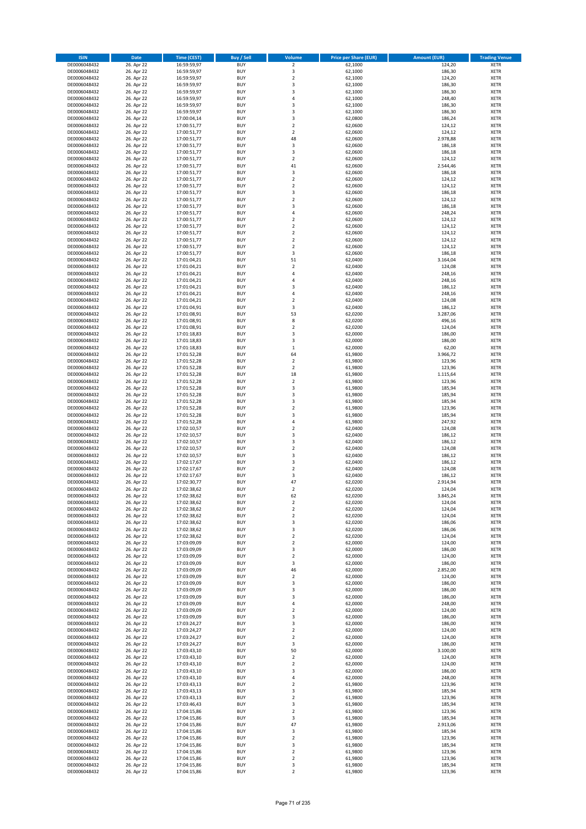| <b>ISIN</b>                  | <b>Date</b>              | <b>Time (CEST)</b>         | <b>Buy / Sell</b>        | <b>Volume</b>                          | <b>Price per Share (EUR)</b> | <b>Amount (EUR)</b> | <b>Trading Venue</b>       |
|------------------------------|--------------------------|----------------------------|--------------------------|----------------------------------------|------------------------------|---------------------|----------------------------|
| DE0006048432                 | 26. Apr 22               | 16:59:59,97                | <b>BUY</b>               | $\overline{\mathbf{2}}$                | 62,1000                      | 124,20              | <b>XETR</b>                |
| DE0006048432                 | 26. Apr 22               | 16:59:59,97                | <b>BUY</b>               | 3                                      | 62,1000                      | 186,30              | <b>XETR</b>                |
| DE0006048432                 | 26. Apr 22               | 16:59:59,97                | <b>BUY</b>               | $\overline{2}$                         | 62,1000                      | 124,20              | <b>XETR</b>                |
| DE0006048432                 | 26. Apr 22               | 16:59:59,97                | <b>BUY</b>               | 3                                      | 62,1000                      | 186,30              | <b>XETR</b>                |
| DE0006048432<br>DE0006048432 | 26. Apr 22<br>26. Apr 22 | 16:59:59,97<br>16:59:59,97 | <b>BUY</b><br><b>BUY</b> | 3<br>4                                 | 62,1000<br>62,1000           | 186,30<br>248,40    | <b>XETR</b><br><b>XETR</b> |
| DE0006048432                 | 26. Apr 22               | 16:59:59,97                | <b>BUY</b>               | 3                                      | 62,1000                      | 186,30              | <b>XETR</b>                |
| DE0006048432                 | 26. Apr 22               | 16:59:59,97                | <b>BUY</b>               | 3                                      | 62,1000                      | 186,30              | <b>XETR</b>                |
| DE0006048432                 | 26. Apr 22               | 17:00:04,14                | <b>BUY</b>               | 3                                      | 62,0800                      | 186,24              | <b>XETR</b>                |
| DE0006048432                 | 26. Apr 22               | 17:00:51,77                | <b>BUY</b>               | $\mathbf 2$                            | 62,0600                      | 124,12              | <b>XETR</b>                |
| DE0006048432                 | 26. Apr 22               | 17:00:51,77                | <b>BUY</b>               | $\mathbf 2$                            | 62,0600                      | 124,12              | <b>XETR</b>                |
| DE0006048432                 | 26. Apr 22               | 17:00:51,77                | <b>BUY</b>               | 48<br>3                                | 62,0600                      | 2.978,88            | <b>XETR</b><br><b>XETR</b> |
| DE0006048432<br>DE0006048432 | 26. Apr 22<br>26. Apr 22 | 17:00:51,77<br>17:00:51,77 | <b>BUY</b><br><b>BUY</b> | 3                                      | 62,0600<br>62,0600           | 186,18<br>186,18    | <b>XETR</b>                |
| DE0006048432                 | 26. Apr 22               | 17:00:51,77                | <b>BUY</b>               | $\overline{\mathbf{c}}$                | 62,0600                      | 124,12              | <b>XETR</b>                |
| DE0006048432                 | 26. Apr 22               | 17:00:51,77                | <b>BUY</b>               | 41                                     | 62,0600                      | 2.544,46            | <b>XETR</b>                |
| DE0006048432                 | 26. Apr 22               | 17:00:51,77                | <b>BUY</b>               | 3                                      | 62,0600                      | 186,18              | <b>XETR</b>                |
| DE0006048432                 | 26. Apr 22               | 17:00:51,77                | <b>BUY</b>               | $\mathbf 2$                            | 62,0600                      | 124,12              | <b>XETR</b>                |
| DE0006048432                 | 26. Apr 22               | 17:00:51,77                | <b>BUY</b>               | $\overline{\mathbf{c}}$                | 62,0600                      | 124,12              | <b>XETR</b>                |
| DE0006048432<br>DE0006048432 | 26. Apr 22<br>26. Apr 22 | 17:00:51,77<br>17:00:51,77 | <b>BUY</b><br><b>BUY</b> | 3<br>$\overline{\mathbf{c}}$           | 62,0600<br>62,0600           | 186,18<br>124,12    | <b>XETR</b><br><b>XETR</b> |
| DE0006048432                 | 26. Apr 22               | 17:00:51,77                | <b>BUY</b>               | 3                                      | 62,0600                      | 186,18              | <b>XETR</b>                |
| DE0006048432                 | 26. Apr 22               | 17:00:51,77                | <b>BUY</b>               | 4                                      | 62,0600                      | 248,24              | <b>XETR</b>                |
| DE0006048432                 | 26. Apr 22               | 17:00:51,77                | <b>BUY</b>               | $\mathbf 2$                            | 62,0600                      | 124,12              | <b>XETR</b>                |
| DE0006048432                 | 26. Apr 22               | 17:00:51,77                | <b>BUY</b>               | $\mathbf 2$                            | 62,0600                      | 124,12              | <b>XETR</b>                |
| DE0006048432                 | 26. Apr 22               | 17:00:51,77                | <b>BUY</b>               | $\mathbf 2$                            | 62,0600                      | 124,12              | <b>XETR</b>                |
| DE0006048432<br>DE0006048432 | 26. Apr 22<br>26. Apr 22 | 17:00:51,77<br>17:00:51,77 | <b>BUY</b><br><b>BUY</b> | $\mathbf 2$<br>$\overline{\mathbf{c}}$ | 62,0600<br>62,0600           | 124,12<br>124,12    | <b>XETR</b><br><b>XETR</b> |
| DE0006048432                 | 26. Apr 22               | 17:00:51,77                | <b>BUY</b>               | 3                                      | 62,0600                      | 186,18              | <b>XETR</b>                |
| DE0006048432                 | 26. Apr 22               | 17:01:04,21                | <b>BUY</b>               | 51                                     | 62,0400                      | 3.164,04            | <b>XETR</b>                |
| DE0006048432                 | 26. Apr 22               | 17:01:04,21                | <b>BUY</b>               | $\mathbf 2$                            | 62,0400                      | 124,08              | <b>XETR</b>                |
| DE0006048432                 | 26. Apr 22               | 17:01:04,21                | <b>BUY</b>               | 4                                      | 62,0400                      | 248,16              | <b>XETR</b>                |
| DE0006048432                 | 26. Apr 22               | 17:01:04,21                | <b>BUY</b>               | 4                                      | 62,0400                      | 248,16              | <b>XETR</b>                |
| DE0006048432<br>DE0006048432 | 26. Apr 22<br>26. Apr 22 | 17:01:04,21<br>17:01:04,21 | <b>BUY</b><br><b>BUY</b> | 3<br>4                                 | 62,0400<br>62,0400           | 186,12<br>248,16    | <b>XETR</b><br><b>XETR</b> |
| DE0006048432                 | 26. Apr 22               | 17:01:04,21                | <b>BUY</b>               | $\mathbf 2$                            | 62,0400                      | 124,08              | <b>XETR</b>                |
| DE0006048432                 | 26. Apr 22               | 17:01:04,91                | <b>BUY</b>               | 3                                      | 62,0400                      | 186,12              | <b>XETR</b>                |
| DE0006048432                 | 26. Apr 22               | 17:01:08,91                | <b>BUY</b>               | 53                                     | 62,0200                      | 3.287,06            | <b>XETR</b>                |
| DE0006048432                 | 26. Apr 22               | 17:01:08,91                | <b>BUY</b>               | 8                                      | 62,0200                      | 496,16              | <b>XETR</b>                |
| DE0006048432                 | 26. Apr 22               | 17:01:08,91                | <b>BUY</b>               | $\mathbf 2$                            | 62,0200                      | 124,04              | <b>XETR</b>                |
| DE0006048432                 | 26. Apr 22               | 17:01:18,83                | <b>BUY</b><br><b>BUY</b> | 3<br>3                                 | 62,0000                      | 186,00<br>186,00    | <b>XETR</b>                |
| DE0006048432<br>DE0006048432 | 26. Apr 22<br>26. Apr 22 | 17:01:18,83<br>17:01:18,83 | <b>BUY</b>               | $\mathbf 1$                            | 62,0000<br>62,0000           | 62,00               | <b>XETR</b><br><b>XETR</b> |
| DE0006048432                 | 26. Apr 22               | 17:01:52,28                | <b>BUY</b>               | 64                                     | 61,9800                      | 3.966,72            | <b>XETR</b>                |
| DE0006048432                 | 26. Apr 22               | 17:01:52,28                | <b>BUY</b>               | $\mathbf 2$                            | 61,9800                      | 123,96              | <b>XETR</b>                |
| DE0006048432                 | 26. Apr 22               | 17:01:52,28                | <b>BUY</b>               | $\overline{2}$                         | 61,9800                      | 123,96              | <b>XETR</b>                |
| DE0006048432                 | 26. Apr 22               | 17:01:52,28                | <b>BUY</b>               | 18                                     | 61,9800                      | 1.115,64            | <b>XETR</b>                |
| DE0006048432                 | 26. Apr 22               | 17:01:52,28                | <b>BUY</b>               | $\mathbf 2$<br>3                       | 61,9800                      | 123,96              | <b>XETR</b>                |
| DE0006048432<br>DE0006048432 | 26. Apr 22<br>26. Apr 22 | 17:01:52,28<br>17:01:52,28 | <b>BUY</b><br><b>BUY</b> | 3                                      | 61,9800<br>61,9800           | 185,94<br>185,94    | <b>XETR</b><br><b>XETR</b> |
| DE0006048432                 | 26. Apr 22               | 17:01:52,28                | <b>BUY</b>               | 3                                      | 61,9800                      | 185,94              | <b>XETR</b>                |
| DE0006048432                 | 26. Apr 22               | 17:01:52,28                | <b>BUY</b>               | $\mathbf 2$                            | 61,9800                      | 123,96              | <b>XETR</b>                |
| DE0006048432                 | 26. Apr 22               | 17:01:52,28                | <b>BUY</b>               | 3                                      | 61,9800                      | 185,94              | <b>XETR</b>                |
| DE0006048432                 | 26. Apr 22               | 17:01:52,28                | <b>BUY</b>               | 4                                      | 61,9800                      | 247,92              | <b>XETR</b>                |
| DE0006048432                 | 26. Apr 22               | 17:02:10,57                | <b>BUY</b>               | $\overline{\mathbf{c}}$                | 62,0400                      | 124,08              | <b>XETR</b>                |
| DE0006048432<br>DE0006048432 | 26. Apr 22<br>26. Apr 22 | 17:02:10,57<br>17:02:10,57 | <b>BUY</b><br><b>BUY</b> | 3<br>3                                 | 62,0400<br>62,0400           | 186,12<br>186,12    | <b>XETR</b><br><b>XETR</b> |
| DE0006048432                 | 26. Apr 22               | 17:02:10,57                | <b>BUY</b>               | $\overline{\mathbf{c}}$                | 62,0400                      | 124,08              | <b>XETR</b>                |
| DE0006048432                 | 26. Apr 22               | 17:02:10,57                | <b>BUY</b>               | 3                                      | 62,0400                      | 186,12              | <b>XETR</b>                |
| DE0006048432                 | 26. Apr 22               | 17:02:17,67                | <b>BUY</b>               | 3                                      | 62,0400                      | 186,12              | <b>XETR</b>                |
| DE0006048432                 | 26. Apr 22               | 17:02:17,67                | <b>BUY</b>               | $\mathbf 2$                            | 62,0400                      | 124,08              | <b>XETR</b>                |
| DE0006048432                 | 26. Apr 22               | 17:02:17,67                | <b>BUY</b>               | 3                                      | 62,0400                      | 186,12              | <b>XETR</b>                |
| DE0006048432<br>DE0006048432 | 26. Apr 22               | 17:02:30,77<br>17:02:38,62 | <b>BUY</b><br><b>BUY</b> | 47<br>$\overline{2}$                   | 62,0200<br>62,0200           | 2.914,94<br>124,04  | <b>XETR</b><br><b>XETR</b> |
| DE0006048432                 | 26. Apr 22<br>26. Apr 22 | 17:02:38,62                | BUY                      | 62                                     | 62,0200                      | 3.845,24            | <b>XETR</b>                |
| DE0006048432                 | 26. Apr 22               | 17:02:38,62                | <b>BUY</b>               | 2                                      | 62,0200                      | 124,04              | <b>XETR</b>                |
| DE0006048432                 | 26. Apr 22               | 17:02:38,62                | <b>BUY</b>               | $\mathbf 2$                            | 62,0200                      | 124,04              | <b>XETR</b>                |
| DE0006048432                 | 26. Apr 22               | 17:02:38,62                | <b>BUY</b>               | $\mathbf 2$                            | 62,0200                      | 124,04              | <b>XETR</b>                |
| DE0006048432                 | 26. Apr 22               | 17:02:38,62                | <b>BUY</b>               | 3                                      | 62,0200                      | 186,06              | <b>XETR</b>                |
| DE0006048432                 | 26. Apr 22<br>26. Apr 22 | 17:02:38,62                | <b>BUY</b><br><b>BUY</b> | 3<br>$\overline{2}$                    | 62,0200                      | 186,06              | <b>XETR</b>                |
| DE0006048432<br>DE0006048432 | 26. Apr 22               | 17:02:38,62<br>17:03:09,09 | <b>BUY</b>               | $\mathbf 2$                            | 62,0200<br>62,0000           | 124,04<br>124,00    | <b>XETR</b><br><b>XETR</b> |
| DE0006048432                 | 26. Apr 22               | 17:03:09,09                | <b>BUY</b>               | 3                                      | 62,0000                      | 186,00              | <b>XETR</b>                |
| DE0006048432                 | 26. Apr 22               | 17:03:09,09                | <b>BUY</b>               | $\mathbf 2$                            | 62,0000                      | 124,00              | <b>XETR</b>                |
| DE0006048432                 | 26. Apr 22               | 17:03:09,09                | <b>BUY</b>               | 3                                      | 62,0000                      | 186,00              | <b>XETR</b>                |
| DE0006048432                 | 26. Apr 22               | 17:03:09,09                | <b>BUY</b>               | 46                                     | 62,0000                      | 2.852,00            | <b>XETR</b>                |
| DE0006048432<br>DE0006048432 | 26. Apr 22<br>26. Apr 22 | 17:03:09,09<br>17:03:09,09 | <b>BUY</b><br><b>BUY</b> | $\mathbf 2$<br>3                       | 62,0000<br>62,0000           | 124,00<br>186,00    | <b>XETR</b><br><b>XETR</b> |
| DE0006048432                 | 26. Apr 22               | 17:03:09,09                | <b>BUY</b>               | 3                                      | 62,0000                      | 186,00              | <b>XETR</b>                |
| DE0006048432                 | 26. Apr 22               | 17:03:09,09                | <b>BUY</b>               | 3                                      | 62,0000                      | 186,00              | <b>XETR</b>                |
| DE0006048432                 | 26. Apr 22               | 17:03:09,09                | <b>BUY</b>               | 4                                      | 62,0000                      | 248,00              | <b>XETR</b>                |
| DE0006048432                 | 26. Apr 22               | 17:03:09,09                | <b>BUY</b>               | $\mathbf 2$                            | 62,0000                      | 124,00              | <b>XETR</b>                |
| DE0006048432                 | 26. Apr 22               | 17:03:09,09                | <b>BUY</b>               | 3                                      | 62,0000                      | 186,00              | <b>XETR</b>                |
| DE0006048432                 | 26. Apr 22               | 17:03:24,27                | <b>BUY</b>               | 3                                      | 62,0000                      | 186,00              | <b>XETR</b>                |
| DE0006048432<br>DE0006048432 | 26. Apr 22<br>26. Apr 22 | 17:03:24,27<br>17:03:24,27 | <b>BUY</b><br><b>BUY</b> | $\overline{2}$<br>$\mathbf 2$          | 62,0000<br>62,0000           | 124,00<br>124,00    | <b>XETR</b><br><b>XETR</b> |
| DE0006048432                 | 26. Apr 22               | 17:03:24,27                | <b>BUY</b>               | 3                                      | 62,0000                      | 186,00              | <b>XETR</b>                |
| DE0006048432                 | 26. Apr 22               | 17:03:43,10                | <b>BUY</b>               | 50                                     | 62,0000                      | 3.100,00            | <b>XETR</b>                |
| DE0006048432                 | 26. Apr 22               | 17:03:43,10                | <b>BUY</b>               | 2                                      | 62,0000                      | 124,00              | <b>XETR</b>                |
| DE0006048432                 | 26. Apr 22               | 17:03:43,10                | <b>BUY</b>               | $\mathbf 2$                            | 62,0000                      | 124,00              | <b>XETR</b>                |
| DE0006048432                 | 26. Apr 22               | 17:03:43,10                | <b>BUY</b>               | 3                                      | 62,0000                      | 186,00              | <b>XETR</b>                |
| DE0006048432<br>DE0006048432 | 26. Apr 22               | 17:03:43,10<br>17:03:43,13 | <b>BUY</b><br><b>BUY</b> | 4<br>$\mathbf 2$                       | 62,0000<br>61,9800           | 248,00<br>123,96    | <b>XETR</b><br><b>XETR</b> |
| DE0006048432                 | 26. Apr 22<br>26. Apr 22 | 17:03:43,13                | <b>BUY</b>               | 3                                      | 61,9800                      | 185,94              | <b>XETR</b>                |
| DE0006048432                 | 26. Apr 22               | 17:03:43,13                | <b>BUY</b>               | $\mathbf 2$                            | 61,9800                      | 123,96              | <b>XETR</b>                |
| DE0006048432                 | 26. Apr 22               | 17:03:46,43                | <b>BUY</b>               | 3                                      | 61,9800                      | 185,94              | <b>XETR</b>                |
| DE0006048432                 | 26. Apr 22               | 17:04:15,86                | <b>BUY</b>               | $\mathbf 2$                            | 61,9800                      | 123,96              | <b>XETR</b>                |
| DE0006048432                 | 26. Apr 22               | 17:04:15,86                | <b>BUY</b>               | 3                                      | 61,9800                      | 185,94              | <b>XETR</b>                |
| DE0006048432                 | 26. Apr 22               | 17:04:15,86                | <b>BUY</b>               | 47                                     | 61,9800                      | 2.913,06            | <b>XETR</b>                |
| DE0006048432<br>DE0006048432 | 26. Apr 22<br>26. Apr 22 | 17:04:15,86<br>17:04:15,86 | <b>BUY</b><br><b>BUY</b> | 3<br>$\overline{\mathbf{c}}$           | 61,9800<br>61,9800           | 185,94<br>123,96    | <b>XETR</b><br><b>XETR</b> |
| DE0006048432                 | 26. Apr 22               | 17:04:15,86                | <b>BUY</b>               | 3                                      | 61,9800                      | 185,94              | <b>XETR</b>                |
| DE0006048432                 | 26. Apr 22               | 17:04:15,86                | <b>BUY</b>               | $\overline{2}$                         | 61,9800                      | 123,96              | <b>XETR</b>                |
| DE0006048432                 | 26. Apr 22               | 17:04:15,86                | <b>BUY</b>               | $\mathbf 2$                            | 61,9800                      | 123,96              | <b>XETR</b>                |
| DE0006048432                 | 26. Apr 22               | 17:04:15,86                | <b>BUY</b>               | 3                                      | 61,9800                      | 185,94              | <b>XETR</b>                |
| DE0006048432                 | 26. Apr 22               | 17:04:15,86                | <b>BUY</b>               | $\overline{2}$                         | 61,9800                      | 123,96              | <b>XETR</b>                |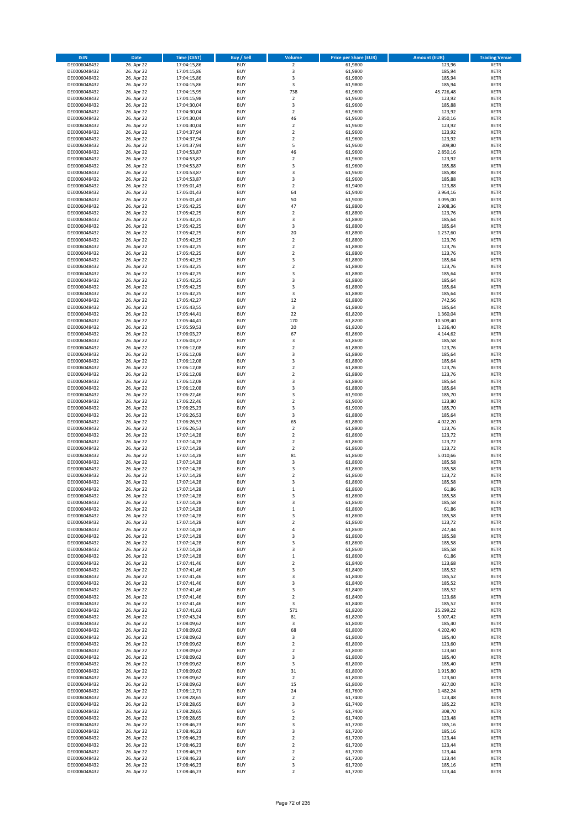| <b>ISIN</b>                  | <b>Date</b>              | <b>Time (CEST)</b>         | <b>Buy / Sell</b>        | Volume                                 | <b>Price per Share (EUR)</b> | <b>Amount (EUR)</b>  | <b>Trading Venue</b>       |
|------------------------------|--------------------------|----------------------------|--------------------------|----------------------------------------|------------------------------|----------------------|----------------------------|
| DE0006048432                 | 26. Apr 22               | 17:04:15,86                | <b>BUY</b>               | $\overline{\mathbf{2}}$                | 61,9800                      | 123,96               | <b>XETR</b>                |
| DE0006048432                 | 26. Apr 22               | 17:04:15,86                | <b>BUY</b>               | 3                                      | 61,9800                      | 185,94               | <b>XETR</b>                |
| DE0006048432                 | 26. Apr 22               | 17:04:15,86                | <b>BUY</b>               | 3                                      | 61,9800                      | 185,94               | <b>XETR</b>                |
| DE0006048432                 | 26. Apr 22               | 17:04:15,86                | <b>BUY</b>               | 3                                      | 61,9800                      | 185,94               | <b>XETR</b>                |
| DE0006048432<br>DE0006048432 | 26. Apr 22<br>26. Apr 22 | 17:04:15,95<br>17:04:15,98 | <b>BUY</b><br><b>BUY</b> | 738<br>$\mathbf 2$                     | 61,9600<br>61,9600           | 45.726,48<br>123,92  | <b>XETR</b><br><b>XETR</b> |
| DE0006048432                 | 26. Apr 22               | 17:04:30,04                | <b>BUY</b>               | 3                                      | 61,9600                      | 185,88               | <b>XETR</b>                |
| DE0006048432                 | 26. Apr 22               | 17:04:30,04                | <b>BUY</b>               | $\overline{2}$                         | 61,9600                      | 123,92               | <b>XETR</b>                |
| DE0006048432                 | 26. Apr 22               | 17:04:30,04                | BUY                      | 46                                     | 61,9600                      | 2.850,16             | <b>XETR</b>                |
| DE0006048432                 | 26. Apr 22               | 17:04:30,04                | <b>BUY</b>               | $\overline{2}$                         | 61,9600                      | 123,92               | <b>XETR</b>                |
| DE0006048432                 | 26. Apr 22               | 17:04:37,94                | <b>BUY</b>               | $\mathbf 2$                            | 61,9600                      | 123,92               | <b>XETR</b>                |
| DE0006048432                 | 26. Apr 22               | 17:04:37,94                | <b>BUY</b>               | $\overline{2}$<br>5                    | 61,9600                      | 123,92               | <b>XETR</b>                |
| DE0006048432<br>DE0006048432 | 26. Apr 22<br>26. Apr 22 | 17:04:37,94<br>17:04:53,87 | BUY<br><b>BUY</b>        | 46                                     | 61,9600<br>61,9600           | 309,80<br>2.850,16   | <b>XETR</b><br><b>XETR</b> |
| DE0006048432                 | 26. Apr 22               | 17:04:53,87                | <b>BUY</b>               | $\overline{2}$                         | 61,9600                      | 123,92               | <b>XETR</b>                |
| DE0006048432                 | 26. Apr 22               | 17:04:53,87                | BUY                      | 3                                      | 61,9600                      | 185,88               | <b>XETR</b>                |
| DE0006048432                 | 26. Apr 22               | 17:04:53,87                | <b>BUY</b>               | 3                                      | 61,9600                      | 185,88               | <b>XETR</b>                |
| DE0006048432                 | 26. Apr 22               | 17:04:53,87                | <b>BUY</b>               | 3                                      | 61,9600                      | 185,88               | <b>XETR</b>                |
| DE0006048432                 | 26. Apr 22               | 17:05:01,43                | <b>BUY</b>               | $\overline{2}$                         | 61.9400                      | 123,88               | <b>XETR</b>                |
| DE0006048432<br>DE0006048432 | 26. Apr 22<br>26. Apr 22 | 17:05:01,43<br>17:05:01,43 | <b>BUY</b><br><b>BUY</b> | 64<br>50                               | 61,9400<br>61,9000           | 3.964,16<br>3.095,00 | <b>XETR</b><br><b>XETR</b> |
| DE0006048432                 | 26. Apr 22               | 17:05:42,25                | <b>BUY</b>               | 47                                     | 61,8800                      | 2.908,36             | <b>XETR</b>                |
| DE0006048432                 | 26. Apr 22               | 17:05:42,25                | <b>BUY</b>               | $\overline{2}$                         | 61,8800                      | 123,76               | <b>XETR</b>                |
| DE0006048432                 | 26. Apr 22               | 17:05:42,25                | BUY                      | 3                                      | 61,8800                      | 185,64               | <b>XETR</b>                |
| DE0006048432                 | 26. Apr 22               | 17:05:42,25                | <b>BUY</b>               | 3                                      | 61,8800                      | 185,64               | <b>XETR</b>                |
| DE0006048432                 | 26. Apr 22               | 17:05:42,25                | <b>BUY</b>               | 20                                     | 61,8800                      | 1.237,60             | <b>XETR</b>                |
| DE0006048432                 | 26. Apr 22               | 17:05:42,25                | <b>BUY</b><br><b>BUY</b> | $\mathbf 2$<br>$\overline{2}$          | 61,8800                      | 123,76               | <b>XETR</b><br><b>XETR</b> |
| DE0006048432<br>DE0006048432 | 26. Apr 22<br>26. Apr 22 | 17:05:42,25<br>17:05:42,25 | <b>BUY</b>               | 2                                      | 61,8800<br>61,8800           | 123,76<br>123,76     | <b>XETR</b>                |
| DE0006048432                 | 26. Apr 22               | 17:05:42,25                | <b>BUY</b>               | 3                                      | 61,8800                      | 185,64               | <b>XETR</b>                |
| DE0006048432                 | 26. Apr 22               | 17:05:42,25                | <b>BUY</b>               | $\mathbf 2$                            | 61,8800                      | 123,76               | <b>XETR</b>                |
| DE0006048432                 | 26. Apr 22               | 17:05:42,25                | <b>BUY</b>               | 3                                      | 61,8800                      | 185,64               | <b>XETR</b>                |
| DE0006048432                 | 26. Apr 22               | 17:05:42,25                | <b>BUY</b>               | 3                                      | 61,8800                      | 185,64               | <b>XETR</b>                |
| DE0006048432                 | 26. Apr 22               | 17:05:42,25                | <b>BUY</b>               | 3                                      | 61,8800                      | 185,64               | <b>XETR</b>                |
| DE0006048432<br>DE0006048432 | 26. Apr 22<br>26. Apr 22 | 17:05:42,25<br>17:05:42,27 | <b>BUY</b><br><b>BUY</b> | 3<br>12                                | 61,8800<br>61,8800           | 185,64<br>742,56     | <b>XETR</b><br><b>XETR</b> |
| DE0006048432                 | 26. Apr 22               | 17:05:43,55                | <b>BUY</b>               | 3                                      | 61,8800                      | 185,64               | <b>XETR</b>                |
| DE0006048432                 | 26. Apr 22               | 17:05:44,41                | BUY                      | 22                                     | 61,8200                      | 1.360,04             | <b>XETR</b>                |
| DE0006048432                 | 26. Apr 22               | 17:05:44,41                | <b>BUY</b>               | 170                                    | 61,8200                      | 10.509,40            | <b>XETR</b>                |
| DE0006048432                 | 26. Apr 22               | 17:05:59,53                | <b>BUY</b>               | 20                                     | 61,8200                      | 1.236,40             | <b>XETR</b>                |
| DE0006048432                 | 26. Apr 22               | 17:06:03,27                | <b>BUY</b>               | 67                                     | 61,8600                      | 4.144,62             | <b>XETR</b>                |
| DE0006048432                 | 26. Apr 22               | 17:06:03,27                | <b>BUY</b>               | 3                                      | 61,8600                      | 185,58               | <b>XETR</b>                |
| DE0006048432<br>DE0006048432 | 26. Apr 22<br>26. Apr 22 | 17:06:12,08<br>17:06:12,08 | <b>BUY</b><br>BUY        | $\mathbf 2$<br>$\overline{\mathbf{3}}$ | 61,8800<br>61,8800           | 123,76<br>185,64     | <b>XETR</b><br><b>XETR</b> |
| DE0006048432                 | 26. Apr 22               | 17:06:12,08                | <b>BUY</b>               | $\overline{\mathbf{3}}$                | 61,8800                      | 185,64               | <b>XETR</b>                |
| DE0006048432                 | 26. Apr 22               | 17:06:12,08                | <b>BUY</b>               | $\overline{\mathbf{2}}$                | 61,8800                      | 123,76               | <b>XETR</b>                |
| DE0006048432                 | 26. Apr 22               | 17:06:12,08                | <b>BUY</b>               | $\overline{2}$                         | 61,8800                      | 123,76               | <b>XETR</b>                |
| DE0006048432                 | 26. Apr 22               | 17:06:12,08                | <b>BUY</b>               | $\overline{\mathbf{3}}$                | 61,8800                      | 185,64               | <b>XETR</b>                |
| DE0006048432                 | 26. Apr 22               | 17:06:12,08                | <b>BUY</b><br><b>BUY</b> | 3<br>3                                 | 61,8800                      | 185,64               | <b>XETR</b><br><b>XETR</b> |
| DE0006048432<br>DE0006048432 | 26. Apr 22<br>26. Apr 22 | 17:06:22,46<br>17:06:22,46 | <b>BUY</b>               | $\overline{\mathbf{2}}$                | 61,9000<br>61,9000           | 185,70<br>123,80     | <b>XETR</b>                |
| DE0006048432                 | 26. Apr 22               | 17:06:25,23                | <b>BUY</b>               | $\mathsf 3$                            | 61,9000                      | 185,70               | <b>XETR</b>                |
| DE0006048432                 | 26. Apr 22               | 17:06:26,53                | <b>BUY</b>               | 3                                      | 61,8800                      | 185,64               | <b>XETR</b>                |
| DE0006048432                 | 26. Apr 22               | 17:06:26,53                | <b>BUY</b>               | 65                                     | 61,8800                      | 4.022,20             | <b>XETR</b>                |
| DE0006048432                 | 26. Apr 22               | 17:06:26,53                | <b>BUY</b>               | $\overline{2}$                         | 61,8800                      | 123,76               | <b>XETR</b>                |
| DE0006048432                 | 26. Apr 22               | 17:07:14,28                | <b>BUY</b>               | $\overline{2}$                         | 61,8600                      | 123,72               | <b>XETR</b>                |
| DE0006048432<br>DE0006048432 | 26. Apr 22<br>26. Apr 22 | 17:07:14,28<br>17:07:14,28 | <b>BUY</b><br><b>BUY</b> | $\overline{2}$<br>$\overline{2}$       | 61,8600<br>61,8600           | 123,72<br>123,72     | <b>XETR</b><br><b>XETR</b> |
| DE0006048432                 | 26. Apr 22               | 17:07:14,28                | BUY                      | 81                                     | 61,8600                      | 5.010,66             | <b>XETR</b>                |
| DE0006048432                 | 26. Apr 22               | 17:07:14,28                | <b>BUY</b>               | 3                                      | 61,8600                      | 185,58               | <b>XETR</b>                |
| DE0006048432                 | 26. Apr 22               | 17:07:14,28                | <b>BUY</b>               | 3                                      | 61,8600                      | 185,58               | <b>XETR</b>                |
| DE0006048432                 | 26. Apr 22               | 17:07:14,28                | BUY                      | $\overline{2}$                         | 61,8600                      | 123,72               | <b>XETR</b>                |
| DE0006048432                 | 26. Apr 22               | 17:07:14,28                | BUY                      | $\overline{\mathbf{3}}$                | 61,8600                      | 185,58               | <b>XETR</b>                |
| DE0006048432                 | 26. Apr 22               | 17:07:14,28                | <b>BUY</b>               | $\mathbf{1}$                           | 61,8600                      | 61,86                | <b>XETR</b>                |
| DE0006048432<br>DE0006048432 | 26. Apr 22<br>26. Apr 22 | 17:07:14,28<br>17:07:14,28 | <b>BUY</b><br><b>BUY</b> | 3<br>3                                 | 61,8600<br>61,8600           | 185,58<br>185,58     | <b>XETR</b><br><b>XETR</b> |
| DE0006048432                 | 26. Apr 22               | 17:07:14,28                | <b>BUY</b>               | $\mathbf 1$                            | 61,8600                      | 61,86                | <b>XETR</b>                |
| DE0006048432                 | 26. Apr 22               | 17:07:14,28                | <b>BUY</b>               | 3                                      | 61,8600                      | 185,58               | <b>XETR</b>                |
| DE0006048432                 | 26. Apr 22               | 17:07:14,28                | <b>BUY</b>               | $\overline{2}$                         | 61,8600                      | 123,72               | <b>XETR</b>                |
| DE0006048432                 | 26. Apr 22               | 17:07:14,28                | <b>BUY</b>               | 4                                      | 61,8600                      | 247,44               | <b>XETR</b>                |
| DE0006048432                 | 26. Apr 22               | 17:07:14,28                | <b>BUY</b>               | 3                                      | 61,8600                      | 185,58               | <b>XETR</b>                |
| DE0006048432<br>DE0006048432 | 26. Apr 22<br>26. Apr 22 | 17:07:14,28<br>17:07:14,28 | <b>BUY</b><br><b>BUY</b> | 3<br>3                                 | 61,8600<br>61,8600           | 185,58<br>185,58     | <b>XETR</b><br><b>XETR</b> |
| DE0006048432                 | 26. Apr 22               | 17:07:14,28                | <b>BUY</b>               | $\mathbf 1$                            | 61,8600                      | 61,86                | <b>XETR</b>                |
| DE0006048432                 | 26. Apr 22               | 17:07:41,46                | <b>BUY</b>               | $\mathbf 2$                            | 61,8400                      | 123,68               | <b>XETR</b>                |
| DE0006048432                 | 26. Apr 22               | 17:07:41,46                | <b>BUY</b>               | 3                                      | 61,8400                      | 185,52               | <b>XETR</b>                |
| DE0006048432                 | 26. Apr 22               | 17:07:41,46                | <b>BUY</b>               | 3                                      | 61,8400                      | 185,52               | <b>XETR</b>                |
| DE0006048432                 | 26. Apr 22               | 17:07:41,46                | <b>BUY</b><br><b>BUY</b> | 3<br>3                                 | 61,8400<br>61,8400           | 185,52<br>185,52     | <b>XETR</b>                |
| DE0006048432<br>DE0006048432 | 26. Apr 22<br>26. Apr 22 | 17:07:41,46<br>17:07:41,46 | <b>BUY</b>               | $\mathbf 2$                            | 61,8400                      | 123,68               | <b>XETR</b><br><b>XETR</b> |
| DE0006048432                 | 26. Apr 22               | 17:07:41,46                | <b>BUY</b>               | 3                                      | 61,8400                      | 185,52               | <b>XETR</b>                |
| DE0006048432                 | 26. Apr 22               | 17:07:41,63                | <b>BUY</b>               | 571                                    | 61,8200                      | 35.299,22            | <b>XETR</b>                |
| DE0006048432                 | 26. Apr 22               | 17:07:43,24                | <b>BUY</b>               | 81                                     | 61,8200                      | 5.007,42             | <b>XETR</b>                |
| DE0006048432                 | 26. Apr 22               | 17:08:09,62                | <b>BUY</b>               | 3                                      | 61,8000                      | 185,40               | <b>XETR</b>                |
| DE0006048432                 | 26. Apr 22               | 17:08:09,62                | <b>BUY</b>               | 68                                     | 61,8000                      | 4.202,40             | <b>XETR</b>                |
| DE0006048432<br>DE0006048432 | 26. Apr 22<br>26. Apr 22 | 17:08:09,62<br>17:08:09,62 | <b>BUY</b><br><b>BUY</b> | 3<br>$\overline{2}$                    | 61,8000<br>61,8000           | 185,40<br>123,60     | <b>XETR</b><br><b>XETR</b> |
| DE0006048432                 | 26. Apr 22               | 17:08:09,62                | <b>BUY</b>               | $\overline{2}$                         | 61,8000                      | 123,60               | <b>XETR</b>                |
| DE0006048432                 | 26. Apr 22               | 17:08:09,62                | <b>BUY</b>               | 3                                      | 61,8000                      | 185,40               | <b>XETR</b>                |
| DE0006048432                 | 26. Apr 22               | 17:08:09,62                | <b>BUY</b>               | 3                                      | 61,8000                      | 185,40               | <b>XETR</b>                |
| DE0006048432                 | 26. Apr 22               | 17:08:09,62                | <b>BUY</b>               | 31                                     | 61,8000                      | 1.915,80             | <b>XETR</b>                |
| DE0006048432                 | 26. Apr 22               | 17:08:09,62                | <b>BUY</b>               | $\overline{2}$                         | 61,8000                      | 123,60               | <b>XETR</b>                |
| DE0006048432<br>DE0006048432 | 26. Apr 22<br>26. Apr 22 | 17:08:09,62                | <b>BUY</b><br><b>BUY</b> | 15<br>24                               | 61,8000<br>61,7600           | 927,00<br>1.482,24   | <b>XETR</b><br><b>XETR</b> |
| DE0006048432                 | 26. Apr 22               | 17:08:12,71<br>17:08:28,65 | <b>BUY</b>               | $\mathbf 2$                            | 61,7400                      | 123,48               | <b>XETR</b>                |
| DE0006048432                 | 26. Apr 22               | 17:08:28,65                | <b>BUY</b>               | 3                                      | 61,7400                      | 185,22               | <b>XETR</b>                |
| DE0006048432                 | 26. Apr 22               | 17:08:28,65                | <b>BUY</b>               | 5                                      | 61,7400                      | 308,70               | <b>XETR</b>                |
| DE0006048432                 | 26. Apr 22               | 17:08:28,65                | <b>BUY</b>               | $\overline{2}$                         | 61,7400                      | 123,48               | <b>XETR</b>                |
| DE0006048432                 | 26. Apr 22               | 17:08:46,23                | <b>BUY</b>               | 3                                      | 61,7200                      | 185,16               | <b>XETR</b>                |
| DE0006048432                 | 26. Apr 22               | 17:08:46,23                | <b>BUY</b>               | 3                                      | 61,7200                      | 185,16               | <b>XETR</b>                |
| DE0006048432<br>DE0006048432 | 26. Apr 22<br>26. Apr 22 | 17:08:46,23<br>17:08:46,23 | <b>BUY</b><br><b>BUY</b> | $\overline{\mathbf{2}}$<br>$\mathbf 2$ | 61,7200<br>61,7200           | 123,44<br>123,44     | <b>XETR</b><br><b>XETR</b> |
| DE0006048432                 | 26. Apr 22               | 17:08:46,23                | <b>BUY</b>               | 2                                      | 61,7200                      | 123,44               | <b>XETR</b>                |
| DE0006048432                 | 26. Apr 22               | 17:08:46,23                | <b>BUY</b>               | $\mathbf 2$                            | 61,7200                      | 123,44               | <b>XETR</b>                |
| DE0006048432                 | 26. Apr 22               | 17:08:46,23                | <b>BUY</b>               | 3                                      | 61,7200                      | 185,16               | <b>XETR</b>                |
| DE0006048432                 | 26. Apr 22               | 17:08:46,23                | <b>BUY</b>               | $\mathbf 2$                            | 61,7200                      | 123,44               | <b>XETR</b>                |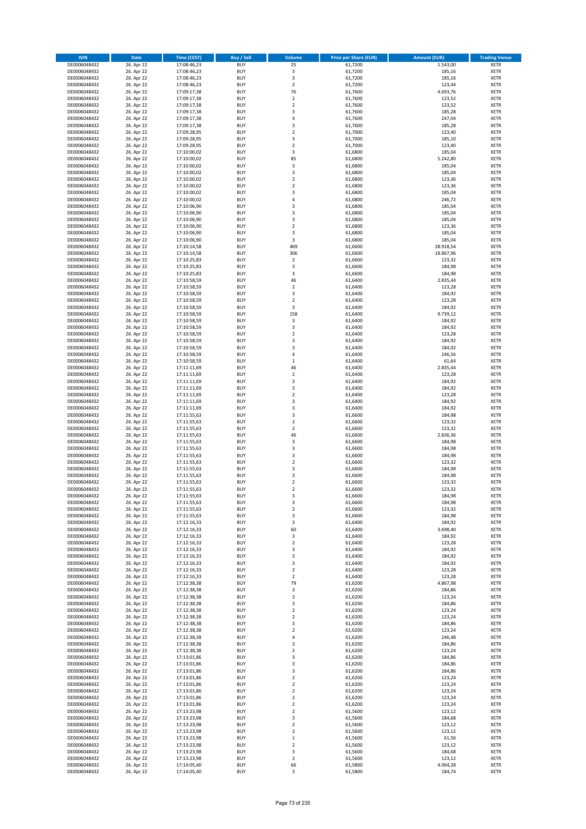| <b>ISIN</b>                  | <b>Date</b>              | <b>Time (CEST)</b>         | <b>Buy / Sell</b>        | <b>Volume</b>                  | <b>Price per Share (EUR)</b> | <b>Amount (EUR)</b> | <b>Trading Venue</b>       |
|------------------------------|--------------------------|----------------------------|--------------------------|--------------------------------|------------------------------|---------------------|----------------------------|
| DE0006048432                 | 26. Apr 22               | 17:08:46,23                | <b>BUY</b>               | 25                             | 61,7200                      | 1.543,00            | <b>XETR</b>                |
| DE0006048432                 | 26. Apr 22               | 17:08:46,23                | <b>BUY</b>               | 3                              | 61,7200                      | 185,16              | <b>XETR</b>                |
| DE0006048432                 | 26. Apr 22               | 17:08:46,23                | <b>BUY</b>               | 3                              | 61,7200                      | 185,16              | <b>XETR</b>                |
| DE0006048432                 | 26. Apr 22               | 17:08:46,23                | <b>BUY</b>               | $\mathbf 2$                    | 61,7200                      | 123,44              | <b>XETR</b>                |
| DE0006048432<br>DE0006048432 | 26. Apr 22<br>26. Apr 22 | 17:09:17,38<br>17:09:17,38 | <b>BUY</b><br><b>BUY</b> | 76<br>$\mathbf 2$              | 61,7600<br>61,7600           | 4.693,76<br>123,52  | <b>XETR</b><br><b>XETR</b> |
| DE0006048432                 | 26. Apr 22               | 17:09:17,38                | <b>BUY</b>               | $\mathbf 2$                    | 61,7600                      | 123,52              | <b>XETR</b>                |
| DE0006048432                 | 26. Apr 22               | 17:09:17,38                | <b>BUY</b>               | 3                              | 61,7600                      | 185,28              | <b>XETR</b>                |
| DE0006048432                 | 26. Apr 22               | 17:09:17,38                | <b>BUY</b>               | 4                              | 61,7600                      | 247,04              | <b>XETR</b>                |
| DE0006048432                 | 26. Apr 22               | 17:09:17,38                | <b>BUY</b>               | 3                              | 61,7600                      | 185,28              | <b>XETR</b>                |
| DE0006048432                 | 26. Apr 22               | 17:09:28,95                | <b>BUY</b>               | $\mathbf 2$                    | 61,7000                      | 123,40              | <b>XETR</b>                |
| DE0006048432                 | 26. Apr 22               | 17:09:28,95                | <b>BUY</b>               | 3<br>$\mathbf 2$               | 61,7000                      | 185,10              | <b>XETR</b><br><b>XETR</b> |
| DE0006048432<br>DE0006048432 | 26. Apr 22<br>26. Apr 22 | 17:09:28,95<br>17:10:00,02 | <b>BUY</b><br><b>BUY</b> | 3                              | 61,7000<br>61,6800           | 123,40<br>185,04    | <b>XETR</b>                |
| DE0006048432                 | 26. Apr 22               | 17:10:00,02                | <b>BUY</b>               | 85                             | 61,6800                      | 5.242,80            | <b>XETR</b>                |
| DE0006048432                 | 26. Apr 22               | 17:10:00,02                | <b>BUY</b>               | 3                              | 61,6800                      | 185,04              | <b>XETR</b>                |
| DE0006048432                 | 26. Apr 22               | 17:10:00,02                | <b>BUY</b>               | 3                              | 61,6800                      | 185,04              | <b>XETR</b>                |
| DE0006048432                 | 26. Apr 22               | 17:10:00,02                | <b>BUY</b>               | $\mathbf 2$                    | 61,6800                      | 123,36              | <b>XETR</b>                |
| DE0006048432                 | 26. Apr 22               | 17:10:00,02                | <b>BUY</b>               | $\overline{\mathbf{c}}$        | 61,6800                      | 123,36              | <b>XETR</b>                |
| DE0006048432<br>DE0006048432 | 26. Apr 22<br>26. Apr 22 | 17:10:00,02<br>17:10:00,02 | <b>BUY</b><br><b>BUY</b> | 3<br>4                         | 61,6800<br>61,6800           | 185,04<br>246,72    | <b>XETR</b><br><b>XETR</b> |
| DE0006048432                 | 26. Apr 22               | 17:10:06,90                | <b>BUY</b>               | 3                              | 61,6800                      | 185,04              | <b>XETR</b>                |
| DE0006048432                 | 26. Apr 22               | 17:10:06,90                | <b>BUY</b>               | 3                              | 61,6800                      | 185,04              | <b>XETR</b>                |
| DE0006048432                 | 26. Apr 22               | 17:10:06,90                | <b>BUY</b>               | 3                              | 61,6800                      | 185,04              | <b>XETR</b>                |
| DE0006048432                 | 26. Apr 22               | 17:10:06,90                | <b>BUY</b>               | $\mathbf 2$                    | 61,6800                      | 123,36              | <b>XETR</b>                |
| DE0006048432                 | 26. Apr 22               | 17:10:06,90                | <b>BUY</b>               | 3                              | 61,6800                      | 185,04              | <b>XETR</b>                |
| DE0006048432                 | 26. Apr 22               | 17:10:06,90                | <b>BUY</b>               | 3                              | 61,6800                      | 185,04              | <b>XETR</b>                |
| DE0006048432                 | 26. Apr 22               | 17:10:14,58                | <b>BUY</b>               | 469                            | 61,6600                      | 28.918,54           | <b>XETR</b>                |
| DE0006048432<br>DE0006048432 | 26. Apr 22<br>26. Apr 22 | 17:10:14,58<br>17:10:25,83 | <b>BUY</b><br><b>BUY</b> | 306<br>$\overline{\mathbf{2}}$ | 61,6600<br>61,6600           | 18.867,96<br>123,32 | <b>XETR</b><br><b>XETR</b> |
| DE0006048432                 | 26. Apr 22               | 17:10:25,83                | <b>BUY</b>               | 3                              | 61,6600                      | 184,98              | <b>XETR</b>                |
| DE0006048432                 | 26. Apr 22               | 17:10:25,83                | <b>BUY</b>               | 3                              | 61,6600                      | 184,98              | <b>XETR</b>                |
| DE0006048432                 | 26. Apr 22               | 17:10:58,59                | <b>BUY</b>               | 46                             | 61,6400                      | 2.835,44            | <b>XETR</b>                |
| DE0006048432                 | 26. Apr 22               | 17:10:58,59                | <b>BUY</b>               | $\overline{\mathbf{c}}$        | 61,6400                      | 123,28              | <b>XETR</b>                |
| DE0006048432                 | 26. Apr 22               | 17:10:58,59                | <b>BUY</b>               | 3                              | 61.6400                      | 184,92              | <b>XETR</b>                |
| DE0006048432                 | 26. Apr 22               | 17:10:58,59                | <b>BUY</b>               | $\overline{\mathbf{c}}$        | 61,6400                      | 123,28              | <b>XETR</b>                |
| DE0006048432                 | 26. Apr 22               | 17:10:58,59                | <b>BUY</b>               | 3                              | 61,6400                      | 184,92              | <b>XETR</b>                |
| DE0006048432                 | 26. Apr 22               | 17:10:58,59                | <b>BUY</b>               | 158                            | 61,6400                      | 9.739,12            | <b>XETR</b>                |
| DE0006048432<br>DE0006048432 | 26. Apr 22<br>26. Apr 22 | 17:10:58,59<br>17:10:58,59 | <b>BUY</b><br><b>BUY</b> | 3<br>3                         | 61,6400<br>61,6400           | 184,92<br>184,92    | <b>XETR</b><br><b>XETR</b> |
| DE0006048432                 | 26. Apr 22               | 17:10:58,59                | <b>BUY</b>               | $\overline{\mathbf{c}}$        | 61,6400                      | 123,28              | <b>XETR</b>                |
| DE0006048432                 | 26. Apr 22               | 17:10:58,59                | <b>BUY</b>               | 3                              | 61,6400                      | 184,92              | <b>XETR</b>                |
| DE0006048432                 | 26. Apr 22               | 17:10:58,59                | <b>BUY</b>               | 3                              | 61,6400                      | 184,92              | <b>XETR</b>                |
| DE0006048432                 | 26. Apr 22               | 17:10:58,59                | <b>BUY</b>               | 4                              | 61,6400                      | 246,56              | <b>XETR</b>                |
| DE0006048432                 | 26. Apr 22               | 17:10:58,59                | <b>BUY</b>               | $\mathbf 1$                    | 61,6400                      | 61,64               | <b>XETR</b>                |
| DE0006048432                 | 26. Apr 22               | 17:11:11,69                | <b>BUY</b>               | 46                             | 61,6400                      | 2.835,44            | <b>XETR</b>                |
| DE0006048432                 | 26. Apr 22               | 17:11:11,69                | <b>BUY</b>               | $\mathbf 2$                    | 61,6400                      | 123,28              | <b>XETR</b>                |
| DE0006048432                 | 26. Apr 22               | 17:11:11,69                | <b>BUY</b>               | 3                              | 61,6400                      | 184,92              | <b>XETR</b>                |
| DE0006048432<br>DE0006048432 | 26. Apr 22<br>26. Apr 22 | 17:11:11,69                | <b>BUY</b><br><b>BUY</b> | 3<br>$\mathbf 2$               | 61,6400<br>61,6400           | 184,92<br>123,28    | <b>XETR</b><br><b>XETR</b> |
| DE0006048432                 | 26. Apr 22               | 17:11:11,69<br>17:11:11,69 | <b>BUY</b>               | 3                              | 61,6400                      | 184,92              | <b>XETR</b>                |
| DE0006048432                 | 26. Apr 22               | 17:11:11,69                | <b>BUY</b>               | 3                              | 61,6400                      | 184,92              | <b>XETR</b>                |
| DE0006048432                 | 26. Apr 22               | 17:11:55,63                | <b>BUY</b>               | 3                              | 61,6600                      | 184,98              | <b>XETR</b>                |
| DE0006048432                 | 26. Apr 22               | 17:11:55,63                | <b>BUY</b>               | $\mathbf 2$                    | 61,6600                      | 123,32              | <b>XETR</b>                |
| DE0006048432                 | 26. Apr 22               | 17:11:55,63                | <b>BUY</b>               | $\overline{\mathbf{c}}$        | 61,6600                      | 123,32              | <b>XETR</b>                |
| DE0006048432                 | 26. Apr 22               | 17:11:55,63                | <b>BUY</b>               | 46                             | 61,6600                      | 2.836,36            | <b>XETR</b>                |
| DE0006048432                 | 26. Apr 22               | 17:11:55,63                | <b>BUY</b>               | 3                              | 61,6600                      | 184,98              | <b>XETR</b>                |
| DE0006048432                 | 26. Apr 22               | 17:11:55,63                | <b>BUY</b>               | 3                              | 61,6600                      | 184,98              | <b>XETR</b>                |
| DE0006048432<br>DE0006048432 | 26. Apr 22               | 17:11:55,63                | <b>BUY</b><br><b>BUY</b> | 3<br>$\overline{2}$            | 61,6600                      | 184,98              | <b>XETR</b><br><b>XETR</b> |
| DE0006048432                 | 26. Apr 22<br>26. Apr 22 | 17:11:55,63<br>17:11:55,63 | <b>BUY</b>               | 3                              | 61,6600<br>61,6600           | 123,32<br>184,98    | <b>XETR</b>                |
| DE0006048432                 | 26. Apr 22               | 17:11:55,63                | <b>BUY</b>               | 3                              | 61,6600                      | 184,98              | <b>XETR</b>                |
| DE0006048432                 | 26. Apr 22               | 17:11:55,63                | <b>BUY</b>               | $\overline{\mathbf{c}}$        | 61,6600                      | 123,32              | <b>XETR</b>                |
| DE0006048432                 | 26. Apr 22               | 17:11:55,63                | <b>BUY</b>               | $\overline{2}$                 | 61,6600                      | 123,32              | <b>XETR</b>                |
| DE0006048432                 | 26. Apr 22               | 17:11:55,63                | BUY                      | 3                              | 61,6600                      | 184,98              | <b>XETR</b>                |
| DE0006048432                 | 26. Apr 22               | 17:11:55,63                | <b>BUY</b>               | 3                              | 61,6600                      | 184,98              | <b>XETR</b>                |
| DE0006048432                 | 26. Apr 22               | 17:11:55,63                | <b>BUY</b>               | $\mathbf 2$                    | 61,6600                      | 123,32              | <b>XETR</b>                |
| DE0006048432<br>DE0006048432 | 26. Apr 22<br>26. Apr 22 | 17:11:55,63<br>17:12:16,33 | <b>BUY</b><br><b>BUY</b> | 3<br>3                         | 61,6600<br>61,6400           | 184,98<br>184,92    | XETR<br><b>XETR</b>        |
| DE0006048432                 | 26. Apr 22               | 17:12:16,33                | <b>BUY</b>               | 60                             | 61,6400                      | 3.698,40            | <b>XETR</b>                |
| DE0006048432                 | 26. Apr 22               | 17:12:16,33                | <b>BUY</b>               | 3                              | 61,6400                      | 184,92              | <b>XETR</b>                |
| DE0006048432                 | 26. Apr 22               | 17:12:16,33                | <b>BUY</b>               | $\mathbf 2$                    | 61,6400                      | 123,28              | <b>XETR</b>                |
| DE0006048432                 | 26. Apr 22               | 17:12:16,33                | <b>BUY</b>               | 3                              | 61,6400                      | 184,92              | <b>XETR</b>                |
| DE0006048432                 | 26. Apr 22               | 17:12:16,33                | <b>BUY</b>               | 3                              | 61,6400                      | 184,92              | <b>XETR</b>                |
| DE0006048432                 | 26. Apr 22               | 17:12:16,33                | <b>BUY</b>               | 3                              | 61,6400                      | 184,92              | <b>XETR</b>                |
| DE0006048432<br>DE0006048432 | 26. Apr 22<br>26. Apr 22 | 17:12:16,33<br>17:12:16,33 | <b>BUY</b><br><b>BUY</b> | $\overline{2}$<br>$\mathbf 2$  | 61,6400<br>61,6400           | 123,28<br>123,28    | <b>XETR</b><br><b>XETR</b> |
| DE0006048432                 | 26. Apr 22               | 17:12:38,38                | <b>BUY</b>               | 79                             | 61,6200                      | 4.867,98            | <b>XETR</b>                |
| DE0006048432                 | 26. Apr 22               | 17:12:38,38                | <b>BUY</b>               | 3                              | 61,6200                      | 184,86              | <b>XETR</b>                |
| DE0006048432                 | 26. Apr 22               | 17:12:38,38                | <b>BUY</b>               | $\mathbf 2$                    | 61,6200                      | 123,24              | <b>XETR</b>                |
| DE0006048432                 | 26. Apr 22               | 17:12:38,38                | <b>BUY</b>               | 3                              | 61,6200                      | 184,86              | <b>XETR</b>                |
| DE0006048432                 | 26. Apr 22               | 17:12:38,38                | <b>BUY</b>               | $\mathbf 2$                    | 61,6200                      | 123,24              | <b>XETR</b>                |
| DE0006048432                 | 26. Apr 22               | 17:12:38,38                | <b>BUY</b>               | $\mathbf 2$                    | 61,6200                      | 123,24              | XETR                       |
| DE0006048432                 | 26. Apr 22               | 17:12:38,38                | <b>BUY</b>               | 3                              | 61,6200                      | 184,86              | <b>XETR</b>                |
| DE0006048432<br>DE0006048432 | 26. Apr 22<br>26. Apr 22 | 17:12:38,38<br>17:12:38,38 | <b>BUY</b><br><b>BUY</b> | $\overline{\mathbf{2}}$        | 61,6200<br>61,6200           | 123,24<br>246,48    | <b>XETR</b><br><b>XETR</b> |
| DE0006048432                 | 26. Apr 22               | 17:12:38,38                | <b>BUY</b>               | 4<br>3                         | 61,6200                      | 184,86              | <b>XETR</b>                |
| DE0006048432                 | 26. Apr 22               | 17:12:38,38                | <b>BUY</b>               | $\mathbf 2$                    | 61,6200                      | 123,24              | <b>XETR</b>                |
| DE0006048432                 | 26. Apr 22               | 17:13:01,86                | <b>BUY</b>               | 3                              | 61,6200                      | 184,86              | <b>XETR</b>                |
| DE0006048432                 | 26. Apr 22               | 17:13:01,86                | <b>BUY</b>               | 3                              | 61,6200                      | 184,86              | <b>XETR</b>                |
| DE0006048432                 | 26. Apr 22               | 17:13:01,86                | <b>BUY</b>               | 3                              | 61,6200                      | 184,86              | <b>XETR</b>                |
| DE0006048432                 | 26. Apr 22               | 17:13:01,86                | <b>BUY</b>               | $\overline{\mathbf{2}}$        | 61,6200                      | 123,24              | <b>XETR</b>                |
| DE0006048432                 | 26. Apr 22               | 17:13:01,86                | <b>BUY</b>               | $\mathbf 2$                    | 61,6200                      | 123,24              | <b>XETR</b>                |
| DE0006048432                 | 26. Apr 22               | 17:13:01,86                | <b>BUY</b>               | $\overline{\mathbf{2}}$        | 61,6200                      | 123,24              | XETR                       |
| DE0006048432<br>DE0006048432 | 26. Apr 22               | 17:13:01,86                | <b>BUY</b><br><b>BUY</b> | $\mathbf 2$<br>$\mathbf 2$     | 61,6200<br>61,6200           | 123,24              | <b>XETR</b><br><b>XETR</b> |
| DE0006048432                 | 26. Apr 22<br>26. Apr 22 | 17:13:01,86<br>17:13:23,98 | <b>BUY</b>               | $\mathbf 2$                    | 61,5600                      | 123,24<br>123,12    | <b>XETR</b>                |
| DE0006048432                 | 26. Apr 22               | 17:13:23,98                | <b>BUY</b>               | 3                              | 61,5600                      | 184,68              | <b>XETR</b>                |
| DE0006048432                 | 26. Apr 22               | 17:13:23,98                | <b>BUY</b>               | $\mathbf 2$                    | 61,5600                      | 123,12              | <b>XETR</b>                |
| DE0006048432                 | 26. Apr 22               | 17:13:23,98                | <b>BUY</b>               | $\mathbf 2$                    | 61,5600                      | 123,12              | <b>XETR</b>                |
| DE0006048432                 | 26. Apr 22               | 17:13:23,98                | <b>BUY</b>               | $\mathbf 1$                    | 61,5600                      | 61,56               | <b>XETR</b>                |
| DE0006048432                 | 26. Apr 22               | 17:13:23,98                | <b>BUY</b>               | $\mathbf 2$                    | 61,5600                      | 123,12              | XETR                       |
| DE0006048432                 | 26. Apr 22               | 17:13:23,98                | <b>BUY</b>               | 3                              | 61,5600                      | 184,68              | <b>XETR</b>                |
| DE0006048432<br>DE0006048432 | 26. Apr 22<br>26. Apr 22 | 17:13:23,98<br>17:14:05,40 | <b>BUY</b><br><b>BUY</b> | $\mathbf 2$<br>66              | 61,5600<br>61,5800           | 123,12<br>4.064,28  | <b>XETR</b><br><b>XETR</b> |
| DE0006048432                 | 26. Apr 22               | 17:14:05,40                | <b>BUY</b>               | 3                              | 61,5800                      | 184,74              | <b>XETR</b>                |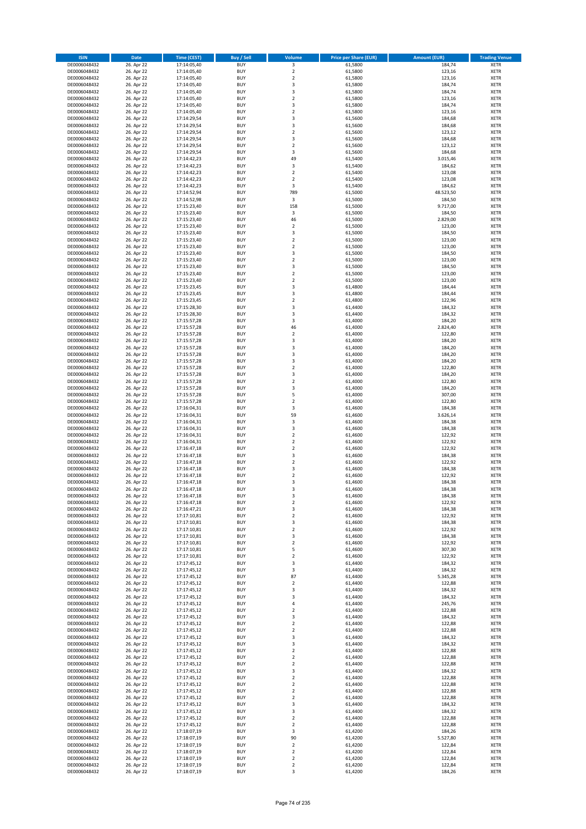| <b>ISIN</b>                  | <b>Date</b>              | <b>Time (CEST)</b>         | <b>Buy / Sell</b>        | Volume                                 | <b>Price per Share (EUR)</b> | <b>Amount (EUR)</b> | <b>Trading Venue</b>       |
|------------------------------|--------------------------|----------------------------|--------------------------|----------------------------------------|------------------------------|---------------------|----------------------------|
| DE0006048432                 | 26. Apr 22               | 17:14:05,40                | <b>BUY</b>               | 3                                      | 61,5800                      | 184,74              | <b>XETR</b>                |
| DE0006048432                 | 26. Apr 22               | 17:14:05,40                | <b>BUY</b>               | $\mathbf 2$                            | 61,5800                      | 123,16              | <b>XETR</b>                |
| DE0006048432                 | 26. Apr 22               | 17:14:05,40                | <b>BUY</b>               | $\overline{2}$                         | 61,5800                      | 123,16              | <b>XETR</b>                |
| DE0006048432                 | 26. Apr 22               | 17:14:05,40                | <b>BUY</b>               | 3                                      | 61,5800                      | 184,74              | <b>XETR</b>                |
| DE0006048432<br>DE0006048432 | 26. Apr 22<br>26. Apr 22 | 17:14:05,40<br>17:14:05,40 | <b>BUY</b><br><b>BUY</b> | 3<br>$\mathbf 2$                       | 61,5800<br>61,5800           | 184,74<br>123,16    | <b>XETR</b><br><b>XETR</b> |
| DE0006048432                 | 26. Apr 22               | 17:14:05,40                | <b>BUY</b>               | 3                                      | 61,5800                      | 184,74              | <b>XETR</b>                |
| DE0006048432                 | 26. Apr 22               | 17:14:05,40                | <b>BUY</b>               | $\overline{\mathbf{c}}$                | 61,5800                      | 123,16              | <b>XETR</b>                |
| DE0006048432                 | 26. Apr 22               | 17:14:29,54                | <b>BUY</b>               | 3                                      | 61,5600                      | 184,68              | <b>XETR</b>                |
| DE0006048432                 | 26. Apr 22               | 17:14:29,54                | <b>BUY</b>               | 3                                      | 61,5600                      | 184,68              | <b>XETR</b>                |
| DE0006048432                 | 26. Apr 22               | 17:14:29,54                | <b>BUY</b>               | $\mathbf 2$                            | 61,5600                      | 123,12              | <b>XETR</b>                |
| DE0006048432                 | 26. Apr 22               | 17:14:29,54                | <b>BUY</b>               | 3<br>$\mathbf 2$                       | 61,5600                      | 184,68              | <b>XETR</b><br><b>XETR</b> |
| DE0006048432<br>DE0006048432 | 26. Apr 22<br>26. Apr 22 | 17:14:29,54<br>17:14:29,54 | <b>BUY</b><br><b>BUY</b> | 3                                      | 61,5600<br>61,5600           | 123,12<br>184,68    | <b>XETR</b>                |
| DE0006048432                 | 26. Apr 22               | 17:14:42,23                | <b>BUY</b>               | 49                                     | 61,5400                      | 3.015,46            | <b>XETR</b>                |
| DE0006048432                 | 26. Apr 22               | 17:14:42,23                | <b>BUY</b>               | 3                                      | 61,5400                      | 184,62              | <b>XETR</b>                |
| DE0006048432                 | 26. Apr 22               | 17:14:42,23                | <b>BUY</b>               | $\overline{\mathbf{2}}$                | 61,5400                      | 123,08              | <b>XETR</b>                |
| DE0006048432                 | 26. Apr 22               | 17:14:42,23                | <b>BUY</b>               | $\mathbf 2$                            | 61,5400                      | 123,08              | <b>XETR</b>                |
| DE0006048432                 | 26. Apr 22               | 17:14:42,23                | <b>BUY</b>               | 3                                      | 61,5400                      | 184,62              | <b>XETR</b>                |
| DE0006048432<br>DE0006048432 | 26. Apr 22<br>26. Apr 22 | 17:14:52,94<br>17:14:52,98 | <b>BUY</b><br><b>BUY</b> | 789<br>3                               | 61,5000<br>61,5000           | 48.523,50<br>184,50 | <b>XETR</b><br><b>XETR</b> |
| DE0006048432                 | 26. Apr 22               | 17:15:23,40                | <b>BUY</b>               | 158                                    | 61,5000                      | 9.717,00            | <b>XETR</b>                |
| DE0006048432                 | 26. Apr 22               | 17:15:23,40                | <b>BUY</b>               | 3                                      | 61,5000                      | 184,50              | <b>XETR</b>                |
| DE0006048432                 | 26. Apr 22               | 17:15:23,40                | <b>BUY</b>               | 46                                     | 61,5000                      | 2.829,00            | <b>XETR</b>                |
| DE0006048432                 | 26. Apr 22               | 17:15:23,40                | <b>BUY</b>               | $\mathbf 2$                            | 61,5000                      | 123,00              | <b>XETR</b>                |
| DE0006048432                 | 26. Apr 22               | 17:15:23,40                | <b>BUY</b>               | 3                                      | 61,5000                      | 184,50              | <b>XETR</b>                |
| DE0006048432<br>DE0006048432 | 26. Apr 22               | 17:15:23,40                | <b>BUY</b><br><b>BUY</b> | $\mathbf 2$<br>$\overline{\mathbf{c}}$ | 61,5000                      | 123,00              | <b>XETR</b><br><b>XETR</b> |
| DE0006048432                 | 26. Apr 22<br>26. Apr 22 | 17:15:23,40<br>17:15:23,40 | <b>BUY</b>               | 3                                      | 61,5000<br>61,5000           | 123,00<br>184,50    | <b>XETR</b>                |
| DE0006048432                 | 26. Apr 22               | 17:15:23,40                | <b>BUY</b>               | $\overline{\mathbf{c}}$                | 61,5000                      | 123,00              | <b>XETR</b>                |
| DE0006048432                 | 26. Apr 22               | 17:15:23,40                | <b>BUY</b>               | 3                                      | 61,5000                      | 184,50              | <b>XETR</b>                |
| DE0006048432                 | 26. Apr 22               | 17:15:23,40                | <b>BUY</b>               | $\overline{\mathbf{2}}$                | 61,5000                      | 123,00              | <b>XETR</b>                |
| DE0006048432                 | 26. Apr 22               | 17:15:23,40                | <b>BUY</b>               | $\mathbf 2$                            | 61,5000                      | 123,00              | <b>XETR</b>                |
| DE0006048432                 | 26. Apr 22               | 17:15:23,45                | <b>BUY</b>               | 3                                      | 61,4800                      | 184,44              | <b>XETR</b>                |
| DE0006048432<br>DE0006048432 | 26. Apr 22<br>26. Apr 22 | 17:15:23,45<br>17:15:23,45 | <b>BUY</b><br><b>BUY</b> | 3<br>$\mathbf 2$                       | 61,4800<br>61,4800           | 184,44<br>122,96    | <b>XETR</b><br><b>XETR</b> |
| DE0006048432                 | 26. Apr 22               | 17:15:28,30                | <b>BUY</b>               | 3                                      | 61,4400                      | 184,32              | <b>XETR</b>                |
| DE0006048432                 | 26. Apr 22               | 17:15:28,30                | <b>BUY</b>               | 3                                      | 61,4400                      | 184,32              | <b>XETR</b>                |
| DE0006048432                 | 26. Apr 22               | 17:15:57,28                | <b>BUY</b>               | 3                                      | 61,4000                      | 184,20              | <b>XETR</b>                |
| DE0006048432                 | 26. Apr 22               | 17:15:57,28                | <b>BUY</b>               | 46                                     | 61,4000                      | 2.824,40            | <b>XETR</b>                |
| DE0006048432                 | 26. Apr 22               | 17:15:57,28                | <b>BUY</b>               | $\mathbf 2$                            | 61,4000                      | 122,80              | <b>XETR</b>                |
| DE0006048432                 | 26. Apr 22<br>26. Apr 22 | 17:15:57,28                | <b>BUY</b><br><b>BUY</b> | 3<br>3                                 | 61,4000<br>61,4000           | 184,20<br>184,20    | <b>XETR</b><br><b>XETR</b> |
| DE0006048432<br>DE0006048432 | 26. Apr 22               | 17:15:57,28<br>17:15:57,28 | <b>BUY</b>               | 3                                      | 61,4000                      | 184,20              | <b>XETR</b>                |
| DE0006048432                 | 26. Apr 22               | 17:15:57,28                | <b>BUY</b>               | 3                                      | 61,4000                      | 184,20              | <b>XETR</b>                |
| DE0006048432                 | 26. Apr 22               | 17:15:57,28                | <b>BUY</b>               | $\overline{\mathbf{2}}$                | 61,4000                      | 122,80              | <b>XETR</b>                |
| DE0006048432                 | 26. Apr 22               | 17:15:57,28                | <b>BUY</b>               | 3                                      | 61,4000                      | 184,20              | <b>XETR</b>                |
| DE0006048432                 | 26. Apr 22               | 17:15:57,28                | <b>BUY</b>               | $\mathbf 2$                            | 61,4000                      | 122,80              | <b>XETR</b>                |
| DE0006048432<br>DE0006048432 | 26. Apr 22<br>26. Apr 22 | 17:15:57,28<br>17:15:57,28 | <b>BUY</b><br><b>BUY</b> | 3<br>5                                 | 61,4000<br>61,4000           | 184,20<br>307,00    | <b>XETR</b><br><b>XETR</b> |
| DE0006048432                 | 26. Apr 22               | 17:15:57,28                | <b>BUY</b>               | $\mathbf 2$                            | 61,4000                      | 122,80              | <b>XETR</b>                |
| DE0006048432                 | 26. Apr 22               | 17:16:04,31                | <b>BUY</b>               | 3                                      | 61,4600                      | 184,38              | <b>XETR</b>                |
| DE0006048432                 | 26. Apr 22               | 17:16:04,31                | <b>BUY</b>               | 59                                     | 61,4600                      | 3.626,14            | <b>XETR</b>                |
| DE0006048432                 | 26. Apr 22               | 17:16:04,31                | <b>BUY</b>               | 3                                      | 61,4600                      | 184,38              | <b>XETR</b>                |
| DE0006048432                 | 26. Apr 22               | 17:16:04,31                | <b>BUY</b>               | 3                                      | 61,4600                      | 184,38              | <b>XETR</b>                |
| DE0006048432                 | 26. Apr 22               | 17:16:04,31                | <b>BUY</b>               | $\mathbf 2$                            | 61,4600                      | 122,92              | <b>XETR</b>                |
| DE0006048432<br>DE0006048432 | 26. Apr 22<br>26. Apr 22 | 17:16:04,31<br>17:16:47,18 | <b>BUY</b><br><b>BUY</b> | $\overline{\mathbf{c}}$<br>$\mathbf 2$ | 61,4600<br>61,4600           | 122,92<br>122,92    | <b>XETR</b><br><b>XETR</b> |
| DE0006048432                 | 26. Apr 22               | 17:16:47,18                | <b>BUY</b>               | 3                                      | 61,4600                      | 184,38              | <b>XETR</b>                |
| DE0006048432                 | 26. Apr 22               | 17:16:47,18                | <b>BUY</b>               | $\overline{2}$                         | 61,4600                      | 122,92              | <b>XETR</b>                |
| DE0006048432                 | 26. Apr 22               | 17:16:47,18                | <b>BUY</b>               | 3                                      | 61,4600                      | 184,38              | <b>XETR</b>                |
| DE0006048432                 | 26. Apr 22               | 17:16:47,18                | <b>BUY</b>               | $\overline{\mathbf{c}}$                | 61,4600                      | 122,92              | <b>XETR</b>                |
| DE0006048432                 | 26. Apr 22               | 17:16:47,18                | <b>BUY</b>               | 3                                      | 61,4600                      | 184,38              | <b>XETR</b>                |
| DE0006048432<br>DE0006048432 | 26. Apr 22<br>26. Apr 22 | 17:16:47,18<br>17:16:47,18 | <b>BUY</b><br>BUY        | 3<br>3                                 | 61,4600<br>61,4600           | 184,38<br>184,38    | <b>XETR</b><br><b>XETR</b> |
| DE0006048432                 | 26. Apr 22               | 17:16:47,18                | <b>BUY</b>               | $\mathbf 2$                            | 61,4600                      | 122,92              | <b>XETR</b>                |
| DE0006048432                 | 26. Apr 22               | 17:16:47,21                | <b>BUY</b>               | 3                                      | 61,4600                      | 184,38              | <b>XETR</b>                |
| DE0006048432                 | 26. Apr 22               | 17:17:10,81                | <b>BUY</b>               | $\mathbf 2$                            | 61,4600                      | 122,92              | XETR                       |
| DE0006048432                 | 26. Apr 22               | 17:17:10,81                | <b>BUY</b>               | 3                                      | 61,4600                      | 184,38              | <b>XETR</b>                |
| DE0006048432                 | 26. Apr 22               | 17:17:10,81                | <b>BUY</b>               | $\mathbf 2$                            | 61,4600                      | 122,92              | <b>XETR</b>                |
| DE0006048432<br>DE0006048432 | 26. Apr 22<br>26. Apr 22 | 17:17:10,81<br>17:17:10,81 | <b>BUY</b><br><b>BUY</b> | 3<br>$\mathbf 2$                       | 61,4600<br>61,4600           | 184,38<br>122,92    | <b>XETR</b><br><b>XETR</b> |
| DE0006048432                 | 26. Apr 22               | 17:17:10,81                | <b>BUY</b>               | 5                                      | 61,4600                      | 307,30              | <b>XETR</b>                |
| DE0006048432                 | 26. Apr 22               | 17:17:10,81                | <b>BUY</b>               | $\mathbf 2$                            | 61,4600                      | 122,92              | <b>XETR</b>                |
| DE0006048432                 | 26. Apr 22               | 17:17:45,12                | <b>BUY</b>               | 3                                      | 61,4400                      | 184,32              | <b>XETR</b>                |
| DE0006048432                 | 26. Apr 22               | 17:17:45,12                | <b>BUY</b>               | 3                                      | 61,4400                      | 184,32              | <b>XETR</b>                |
| DE0006048432<br>DE0006048432 | 26. Apr 22               | 17:17:45,12                | <b>BUY</b>               | 87                                     | 61,4400                      | 5.345,28            | <b>XETR</b>                |
| DE0006048432                 | 26. Apr 22<br>26. Apr 22 | 17:17:45,12<br>17:17:45,12 | <b>BUY</b><br><b>BUY</b> | $\overline{\mathbf{c}}$<br>3           | 61,4400<br>61,4400           | 122,88<br>184,32    | <b>XETR</b><br><b>XETR</b> |
| DE0006048432                 | 26. Apr 22               | 17:17:45,12                | <b>BUY</b>               | 3                                      | 61,4400                      | 184,32              | <b>XETR</b>                |
| DE0006048432                 | 26. Apr 22               | 17:17:45,12                | <b>BUY</b>               | 4                                      | 61,4400                      | 245,76              | <b>XETR</b>                |
| DE0006048432                 | 26. Apr 22               | 17:17:45,12                | <b>BUY</b>               | $\mathbf 2$                            | 61,4400                      | 122,88              | <b>XETR</b>                |
| DE0006048432                 | 26. Apr 22               | 17:17:45,12                | <b>BUY</b>               | 3                                      | 61,4400                      | 184,32              | XETR                       |
| DE0006048432                 | 26. Apr 22               | 17:17:45,12                | <b>BUY</b>               | $\mathbf 2$                            | 61,4400                      | 122,88              | <b>XETR</b>                |
| DE0006048432<br>DE0006048432 | 26. Apr 22<br>26. Apr 22 | 17:17:45,12<br>17:17:45,12 | <b>BUY</b><br><b>BUY</b> | $\overline{\mathbf{2}}$<br>3           | 61,4400<br>61,4400           | 122,88<br>184,32    | <b>XETR</b><br><b>XETR</b> |
| DE0006048432                 | 26. Apr 22               | 17:17:45,12                | <b>BUY</b>               | 3                                      | 61,4400                      | 184,32              | <b>XETR</b>                |
| DE0006048432                 | 26. Apr 22               | 17:17:45,12                | <b>BUY</b>               | $\mathbf 2$                            | 61,4400                      | 122,88              | <b>XETR</b>                |
| DE0006048432                 | 26. Apr 22               | 17:17:45,12                | <b>BUY</b>               | $\mathbf 2$                            | 61,4400                      | 122,88              | <b>XETR</b>                |
| DE0006048432                 | 26. Apr 22               | 17:17:45,12                | <b>BUY</b>               | $\mathbf 2$                            | 61,4400                      | 122,88              | <b>XETR</b>                |
| DE0006048432                 | 26. Apr 22               | 17:17:45,12                | <b>BUY</b>               | 3                                      | 61,4400                      | 184,32              | <b>XETR</b>                |
| DE0006048432                 | 26. Apr 22               | 17:17:45,12                | <b>BUY</b>               | $\overline{2}$                         | 61,4400                      | 122,88              | <b>XETR</b>                |
| DE0006048432<br>DE0006048432 | 26. Apr 22<br>26. Apr 22 | 17:17:45,12<br>17:17:45,12 | <b>BUY</b><br><b>BUY</b> | $\mathbf 2$<br>$\overline{\mathbf{c}}$ | 61,4400<br>61,4400           | 122,88<br>122,88    | <b>XETR</b><br><b>XETR</b> |
| DE0006048432                 | 26. Apr 22               | 17:17:45,12                | <b>BUY</b>               | $\mathbf 2$                            | 61,4400                      | 122,88              | <b>XETR</b>                |
| DE0006048432                 | 26. Apr 22               | 17:17:45,12                | <b>BUY</b>               | 3                                      | 61,4400                      | 184,32              | <b>XETR</b>                |
| DE0006048432                 | 26. Apr 22               | 17:17:45,12                | <b>BUY</b>               | 3                                      | 61,4400                      | 184,32              | <b>XETR</b>                |
| DE0006048432                 | 26. Apr 22               | 17:17:45,12                | <b>BUY</b>               | $\mathbf 2$                            | 61,4400                      | 122,88              | <b>XETR</b>                |
| DE0006048432                 | 26. Apr 22               | 17:17:45,12                | <b>BUY</b>               | $\mathbf 2$                            | 61,4400                      | 122,88              | <b>XETR</b>                |
| DE0006048432<br>DE0006048432 | 26. Apr 22<br>26. Apr 22 | 17:18:07,19<br>17:18:07,19 | <b>BUY</b><br><b>BUY</b> | 3<br>90                                | 61,4200<br>61,4200           | 184,26<br>5.527,80  | <b>XETR</b><br><b>XETR</b> |
| DE0006048432                 | 26. Apr 22               | 17:18:07,19                | <b>BUY</b>               | $\mathbf 2$                            | 61,4200                      | 122,84              | XETR                       |
| DE0006048432                 | 26. Apr 22               | 17:18:07,19                | <b>BUY</b>               | $\overline{2}$                         | 61,4200                      | 122,84              | <b>XETR</b>                |
| DE0006048432                 | 26. Apr 22               | 17:18:07,19                | <b>BUY</b>               | $\mathbf 2$                            | 61,4200                      | 122,84              | <b>XETR</b>                |
| DE0006048432                 | 26. Apr 22               | 17:18:07,19                | <b>BUY</b>               | $\mathbf 2$                            | 61,4200                      | 122,84              | <b>XETR</b>                |
| DE0006048432                 | 26. Apr 22               | 17:18:07,19                | <b>BUY</b>               | 3                                      | 61,4200                      | 184,26              | <b>XETR</b>                |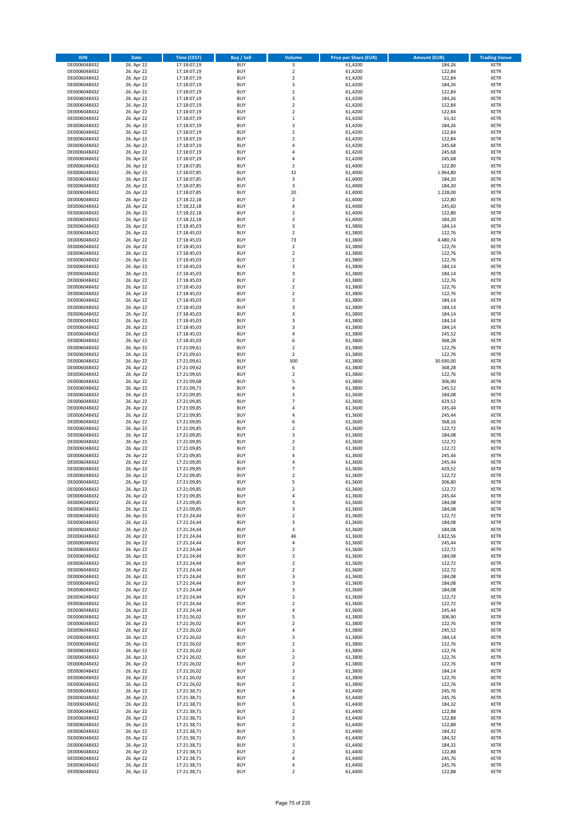| <b>ISIN</b>                  | <b>Date</b>              | <b>Time (CEST)</b>         | <b>Buy / Sell</b>        | Volume                           | <b>Price per Share (EUR)</b> | <b>Amount (EUR)</b> | <b>Trading Venue</b>       |
|------------------------------|--------------------------|----------------------------|--------------------------|----------------------------------|------------------------------|---------------------|----------------------------|
| DE0006048432                 | 26. Apr 22               | 17:18:07,19                | <b>BUY</b>               | 3                                | 61,4200                      | 184,26              | <b>XETR</b>                |
| DE0006048432                 | 26. Apr 22               | 17:18:07,19                | <b>BUY</b>               | $\mathbf 2$                      | 61,4200                      | 122,84              | <b>XETR</b>                |
| DE0006048432                 | 26. Apr 22               | 17:18:07,19                | <b>BUY</b>               | $\overline{2}$                   | 61,4200                      | 122,84              | <b>XETR</b>                |
| DE0006048432                 | 26. Apr 22               | 17:18:07,19                | <b>BUY</b>               | 3                                | 61,4200                      | 184,26              | <b>XETR</b>                |
| DE0006048432<br>DE0006048432 | 26. Apr 22<br>26. Apr 22 | 17:18:07,19<br>17:18:07,19 | <b>BUY</b><br><b>BUY</b> | $\overline{2}$<br>3              | 61,4200<br>61,4200           | 122,84<br>184,26    | <b>XETR</b><br><b>XETR</b> |
| DE0006048432                 | 26. Apr 22               | 17:18:07,19                | <b>BUY</b>               | $\overline{2}$                   | 61,4200                      | 122,84              | <b>XETR</b>                |
| DE0006048432                 | 26. Apr 22               | 17:18:07,19                | <b>BUY</b>               | $\overline{2}$                   | 61,4200                      | 122,84              | <b>XETR</b>                |
| DE0006048432                 | 26. Apr 22               | 17:18:07,19                | BUY                      | $\mathbf{1}$                     | 61,4200                      | 61,42               | <b>XETR</b>                |
| DE0006048432                 | 26. Apr 22               | 17:18:07,19                | <b>BUY</b>               | 3                                | 61,4200                      | 184,26              | <b>XETR</b>                |
| DE0006048432                 | 26. Apr 22               | 17:18:07,19                | <b>BUY</b>               | $\mathbf 2$                      | 61,4200                      | 122,84              | <b>XETR</b>                |
| DE0006048432<br>DE0006048432 | 26. Apr 22<br>26. Apr 22 | 17:18:07,19<br>17:18:07,19 | <b>BUY</b><br><b>BUY</b> | $\overline{2}$<br>$\overline{a}$ | 61,4200<br>61,4200           | 122,84<br>245,68    | <b>XETR</b><br><b>XETR</b> |
| DE0006048432                 | 26. Apr 22               | 17:18:07,19                | <b>BUY</b>               | $\overline{a}$                   | 61,4200                      | 245,68              | <b>XETR</b>                |
| DE0006048432                 | 26. Apr 22               | 17:18:07,19                | <b>BUY</b>               | 4                                | 61,4200                      | 245,68              | <b>XETR</b>                |
| DE0006048432                 | 26. Apr 22               | 17:18:07,85                | BUY                      | $\overline{2}$                   | 61,4000                      | 122,80              | <b>XETR</b>                |
| DE0006048432                 | 26. Apr 22               | 17:18:07,85                | <b>BUY</b>               | 32                               | 61,4000                      | 1.964,80            | <b>XETR</b>                |
| DE0006048432                 | 26. Apr 22               | 17:18:07,85                | <b>BUY</b>               | 3                                | 61,4000                      | 184,20              | <b>XETR</b>                |
| DE0006048432<br>DE0006048432 | 26. Apr 22<br>26. Apr 22 | 17:18:07,85<br>17:18:07,85 | <b>BUY</b><br><b>BUY</b> | 3<br>20                          | 61,4000<br>61,4000           | 184,20<br>1.228,00  | <b>XETR</b><br><b>XETR</b> |
| DE0006048432                 | 26. Apr 22               | 17:18:22,18                | <b>BUY</b>               | $\overline{2}$                   | 61,4000                      | 122,80              | <b>XETR</b>                |
| DE0006048432                 | 26. Apr 22               | 17:18:22,18                | <b>BUY</b>               | 4                                | 61,4000                      | 245,60              | <b>XETR</b>                |
| DE0006048432                 | 26. Apr 22               | 17:18:22,18                | <b>BUY</b>               | $\overline{2}$                   | 61,4000                      | 122,80              | <b>XETR</b>                |
| DE0006048432                 | 26. Apr 22               | 17:18:22,18                | <b>BUY</b>               | 3                                | 61,4000                      | 184,20              | <b>XETR</b>                |
| DE0006048432                 | 26. Apr 22               | 17:18:45,03                | <b>BUY</b>               | 3                                | 61,3800                      | 184,14              | <b>XETR</b>                |
| DE0006048432                 | 26. Apr 22               | 17:18:45,03                | <b>BUY</b>               | $\mathbf 2$<br>73                | 61,3800                      | 122,76              | <b>XETR</b>                |
| DE0006048432<br>DE0006048432 | 26. Apr 22<br>26. Apr 22 | 17:18:45,03<br>17:18:45,03 | <b>BUY</b><br><b>BUY</b> | $\overline{2}$                   | 61,3800<br>61,3800           | 4.480,74<br>122,76  | <b>XETR</b><br><b>XETR</b> |
| DE0006048432                 | 26. Apr 22               | 17:18:45,03                | <b>BUY</b>               | $\mathbf 2$                      | 61,3800                      | 122,76              | <b>XETR</b>                |
| DE0006048432                 | 26. Apr 22               | 17:18:45,03                | <b>BUY</b>               | $\overline{2}$                   | 61,3800                      | 122,76              | <b>XETR</b>                |
| DE0006048432                 | 26. Apr 22               | 17:18:45,03                | <b>BUY</b>               | 3                                | 61,3800                      | 184,14              | <b>XETR</b>                |
| DE0006048432                 | 26. Apr 22               | 17:18:45,03                | <b>BUY</b>               | 3                                | 61,3800                      | 184,14              | <b>XETR</b>                |
| DE0006048432                 | 26. Apr 22               | 17:18:45,03                | <b>BUY</b>               | $\mathbf 2$                      | 61,3800                      | 122,76              | <b>XETR</b>                |
| DE0006048432<br>DE0006048432 | 26. Apr 22<br>26. Apr 22 | 17:18:45,03                | <b>BUY</b><br><b>BUY</b> | $\mathbf 2$<br>$\overline{2}$    | 61,3800<br>61,3800           | 122,76<br>122,76    | <b>XETR</b><br><b>XETR</b> |
| DE0006048432                 | 26. Apr 22               | 17:18:45,03<br>17:18:45,03 | <b>BUY</b>               | 3                                | 61,3800                      | 184,14              | <b>XETR</b>                |
| DE0006048432                 | 26. Apr 22               | 17:18:45,03                | <b>BUY</b>               | $\overline{3}$                   | 61,3800                      | 184,14              | <b>XETR</b>                |
| DE0006048432                 | 26. Apr 22               | 17:18:45,03                | BUY                      | 3                                | 61,3800                      | 184,14              | <b>XETR</b>                |
| DE0006048432                 | 26. Apr 22               | 17:18:45,03                | <b>BUY</b>               | 3                                | 61,3800                      | 184,14              | <b>XETR</b>                |
| DE0006048432                 | 26. Apr 22               | 17:18:45,03                | <b>BUY</b>               | 3                                | 61,3800                      | 184,14              | <b>XETR</b>                |
| DE0006048432<br>DE0006048432 | 26. Apr 22<br>26. Apr 22 | 17:18:45,03                | <b>BUY</b><br><b>BUY</b> | $\overline{a}$<br>6              | 61,3800<br>61,3800           | 245,52<br>368,28    | <b>XETR</b>                |
| DE0006048432                 | 26. Apr 22               | 17:18:45,03<br>17:21:09,61 | <b>BUY</b>               | $\mathbf 2$                      | 61,3800                      | 122,76              | <b>XETR</b><br><b>XETR</b> |
| DE0006048432                 | 26. Apr 22               | 17:21:09,61                | <b>BUY</b>               | $\overline{2}$                   | 61,3800                      | 122,76              | <b>XETR</b>                |
| DE0006048432                 | 26. Apr 22               | 17:21:09,61                | <b>BUY</b>               | 500                              | 61,3800                      | 30.690,00           | <b>XETR</b>                |
| DE0006048432                 | 26. Apr 22               | 17:21:09,62                | <b>BUY</b>               | 6                                | 61,3800                      | 368,28              | <b>XETR</b>                |
| DE0006048432                 | 26. Apr 22               | 17:21:09,65                | <b>BUY</b>               | $\mathbf 2$                      | 61,3800                      | 122,76              | <b>XETR</b>                |
| DE0006048432                 | 26. Apr 22               | 17:21:09,68                | <b>BUY</b>               | 5                                | 61,3800                      | 306,90              | <b>XETR</b>                |
| DE0006048432<br>DE0006048432 | 26. Apr 22<br>26. Apr 22 | 17:21:09,71<br>17:21:09,85 | <b>BUY</b><br><b>BUY</b> | 4<br>$\overline{\mathbf{3}}$     | 61,3800<br>61,3600           | 245,52<br>184,08    | <b>XETR</b><br><b>XETR</b> |
| DE0006048432                 | 26. Apr 22               | 17:21:09,85                | <b>BUY</b>               | $\overline{7}$                   | 61,3600                      | 429,52              | <b>XETR</b>                |
| DE0006048432                 | 26. Apr 22               | 17:21:09,85                | <b>BUY</b>               | $\overline{a}$                   | 61,3600                      | 245,44              | <b>XETR</b>                |
| DE0006048432                 | 26. Apr 22               | 17:21:09,85                | <b>BUY</b>               | 4                                | 61,3600                      | 245,44              | <b>XETR</b>                |
| DE0006048432                 | 26. Apr 22               | 17:21:09,85                | <b>BUY</b>               | 6                                | 61,3600                      | 368,16              | <b>XETR</b>                |
| DE0006048432                 | 26. Apr 22               | 17:21:09,85                | <b>BUY</b>               | $\overline{2}$                   | 61,3600                      | 122,72              | <b>XETR</b>                |
| DE0006048432<br>DE0006048432 | 26. Apr 22<br>26. Apr 22 | 17:21:09,85<br>17:21:09,85 | <b>BUY</b><br><b>BUY</b> | 3<br>$\overline{2}$              | 61,3600<br>61,3600           | 184,08<br>122,72    | <b>XETR</b><br><b>XETR</b> |
| DE0006048432                 | 26. Apr 22               | 17:21:09,85                | <b>BUY</b>               | $\overline{2}$                   | 61,3600                      | 122,72              | <b>XETR</b>                |
| DE0006048432                 | 26. Apr 22               | 17:21:09,85                | BUY                      | $\overline{a}$                   | 61,3600                      | 245,44              | <b>XETR</b>                |
| DE0006048432                 | 26. Apr 22               | 17:21:09,85                | <b>BUY</b>               | 4                                | 61,3600                      | 245,44              | <b>XETR</b>                |
| DE0006048432                 | 26. Apr 22               | 17:21:09,85                | <b>BUY</b>               | $\overline{7}$                   | 61,3600                      | 429,52              | <b>XETR</b>                |
| DE0006048432                 | 26. Apr 22               | 17:21:09,85                | BUY                      | $\overline{2}$                   | 61,3600                      | 122,72              | <b>XETR</b>                |
| DE0006048432<br>DE0006048432 | 26. Apr 22               | 17:21:09,85<br>17:21:09,85 | BUY<br><b>BUY</b>        | 5<br>$\overline{2}$              | 61,3600<br>61,3600           | 306,80<br>122,72    | <b>XETR</b><br><b>XETR</b> |
| DE0006048432                 | 26. Apr 22<br>26. Apr 22 | 17:21:09,85                | BUY                      | 4                                | 61,3600                      | 245,44              | <b>XETR</b>                |
| DE0006048432                 | 26. Apr 22               | 17:21:09,85                | <b>BUY</b>               | 3                                | 61,3600                      | 184,08              | <b>XETR</b>                |
| DE0006048432                 | 26. Apr 22               | 17:21:09,85                | <b>BUY</b>               | 3                                | 61,3600                      | 184,08              | <b>XETR</b>                |
| DE0006048432                 | 26. Apr 22               | 17:21:24,44                | <b>BUY</b>               | $\mathbf 2$                      | 61,3600                      | 122,72              | <b>XETR</b>                |
| DE0006048432                 | 26. Apr 22               | 17:21:24,44                | <b>BUY</b>               | 3                                | 61,3600                      | 184,08              | <b>XETR</b>                |
| DE0006048432<br>DE0006048432 | 26. Apr 22<br>26. Apr 22 | 17:21:24,44<br>17:21:24,44 | <b>BUY</b><br><b>BUY</b> | 3<br>46                          | 61,3600<br>61,3600           | 184,08<br>2.822,56  | <b>XETR</b><br><b>XETR</b> |
| DE0006048432                 | 26. Apr 22               | 17:21:24,44                | <b>BUY</b>               | 4                                | 61,3600                      | 245,44              | <b>XETR</b>                |
| DE0006048432                 | 26. Apr 22               | 17:21:24,44                | <b>BUY</b>               | $\mathbf 2$                      | 61,3600                      | 122,72              | <b>XETR</b>                |
| DE0006048432                 | 26. Apr 22               | 17:21:24,44                | <b>BUY</b>               | 3                                | 61,3600                      | 184,08              | <b>XETR</b>                |
| DE0006048432                 | 26. Apr 22               | 17:21:24,44                | <b>BUY</b>               | $\mathbf 2$                      | 61,3600                      | 122,72              | <b>XETR</b>                |
| DE0006048432                 | 26. Apr 22               | 17:21:24,44                | <b>BUY</b>               | $\overline{2}$                   | 61,3600                      | 122,72              | <b>XETR</b>                |
| DE0006048432<br>DE0006048432 | 26. Apr 22<br>26. Apr 22 | 17:21:24,44<br>17:21:24,44 | <b>BUY</b><br><b>BUY</b> | 3<br>3                           | 61,3600<br>61,3600           | 184,08<br>184,08    | <b>XETR</b><br><b>XETR</b> |
| DE0006048432                 | 26. Apr 22               | 17:21:24,44                | <b>BUY</b>               | 3                                | 61,3600                      | 184,08              | <b>XETR</b>                |
| DE0006048432                 | 26. Apr 22               | 17:21:24,44                | <b>BUY</b>               | $\mathbf 2$                      | 61,3600                      | 122,72              | <b>XETR</b>                |
| DE0006048432                 | 26. Apr 22               | 17:21:24,44                | <b>BUY</b>               | $\mathbf 2$                      | 61,3600                      | 122,72              | <b>XETR</b>                |
| DE0006048432                 | 26. Apr 22               | 17:21:24,44                | <b>BUY</b>               | 4                                | 61,3600                      | 245,44              | <b>XETR</b>                |
| DE0006048432                 | 26. Apr 22               | 17:21:26,02                | <b>BUY</b>               | 5                                | 61,3800                      | 306,90              | <b>XETR</b>                |
| DE0006048432<br>DE0006048432 | 26. Apr 22<br>26. Apr 22 | 17:21:26,02<br>17:21:26,02 | <b>BUY</b><br><b>BUY</b> | $\mathbf 2$<br>4                 | 61,3800<br>61,3800           | 122,76<br>245,52    | <b>XETR</b><br><b>XETR</b> |
| DE0006048432                 | 26. Apr 22               | 17:21:26,02                | <b>BUY</b>               | 3                                | 61,3800                      | 184,14              | <b>XETR</b>                |
| DE0006048432                 | 26. Apr 22               | 17:21:26,02                | <b>BUY</b>               | $\overline{2}$                   | 61,3800                      | 122,76              | <b>XETR</b>                |
| DE0006048432                 | 26. Apr 22               | 17:21:26,02                | <b>BUY</b>               | $\mathbf 2$                      | 61,3800                      | 122,76              | <b>XETR</b>                |
| DE0006048432                 | 26. Apr 22               | 17:21:26,02                | <b>BUY</b>               | $\mathbf 2$                      | 61,3800                      | 122,76              | <b>XETR</b>                |
| DE0006048432                 | 26. Apr 22               | 17:21:26,02                | <b>BUY</b>               | $\mathbf 2$                      | 61,3800                      | 122,76              | <b>XETR</b>                |
| DE0006048432<br>DE0006048432 | 26. Apr 22               | 17:21:26,02                | <b>BUY</b><br><b>BUY</b> | 3<br>$\overline{2}$              | 61,3800                      | 184,14              | <b>XETR</b><br><b>XETR</b> |
| DE0006048432                 | 26. Apr 22<br>26. Apr 22 | 17:21:26,02<br>17:21:26,02 | <b>BUY</b>               | 2                                | 61,3800<br>61,3800           | 122,76<br>122,76    | <b>XETR</b>                |
| DE0006048432                 | 26. Apr 22               | 17:21:38,71                | <b>BUY</b>               | 4                                | 61,4400                      | 245,76              | <b>XETR</b>                |
| DE0006048432                 | 26. Apr 22               | 17:21:38,71                | <b>BUY</b>               | 4                                | 61,4400                      | 245,76              | <b>XETR</b>                |
| DE0006048432                 | 26. Apr 22               | 17:21:38,71                | <b>BUY</b>               | $\overline{\mathbf{3}}$          | 61,4400                      | 184,32              | <b>XETR</b>                |
| DE0006048432                 | 26. Apr 22               | 17:21:38,71                | <b>BUY</b>               | $\mathbf 2$                      | 61,4400                      | 122,88              | <b>XETR</b>                |
| DE0006048432                 | 26. Apr 22               | 17:21:38,71                | <b>BUY</b>               | $\overline{2}$                   | 61,4400                      | 122,88              | <b>XETR</b>                |
| DE0006048432<br>DE0006048432 | 26. Apr 22<br>26. Apr 22 | 17:21:38,71<br>17:21:38,71 | <b>BUY</b><br><b>BUY</b> | $\mathbf 2$<br>3                 | 61,4400<br>61,4400           | 122,88<br>184,32    | <b>XETR</b><br><b>XETR</b> |
| DE0006048432                 | 26. Apr 22               | 17:21:38,71                | <b>BUY</b>               | 3                                | 61,4400                      | 184,32              | <b>XETR</b>                |
| DE0006048432                 | 26. Apr 22               | 17:21:38,71                | <b>BUY</b>               | 3                                | 61,4400                      | 184,32              | <b>XETR</b>                |
| DE0006048432                 | 26. Apr 22               | 17:21:38,71                | <b>BUY</b>               | 2                                | 61,4400                      | 122,88              | <b>XETR</b>                |
| DE0006048432                 | 26. Apr 22               | 17:21:38,71                | <b>BUY</b>               | 4                                | 61,4400                      | 245,76              | <b>XETR</b>                |
| DE0006048432                 | 26. Apr 22               | 17:21:38,71                | <b>BUY</b>               | 4                                | 61,4400                      | 245,76              | <b>XETR</b>                |
| DE0006048432                 | 26. Apr 22               | 17:21:38,71                | <b>BUY</b>               | $\mathbf 2$                      | 61,4400                      | 122,88              | <b>XETR</b>                |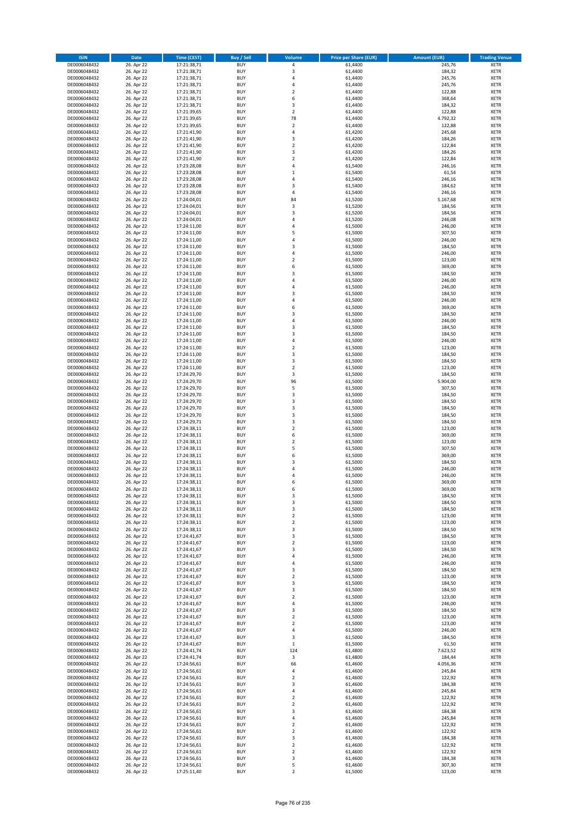| <b>ISIN</b>                  | <b>Date</b>              | <b>Time (CEST)</b>         | <b>Buy / Sell</b>        | <b>Volume</b>                | <b>Price per Share (EUR)</b> | <b>Amount (EUR)</b> | <b>Trading Venue</b>       |
|------------------------------|--------------------------|----------------------------|--------------------------|------------------------------|------------------------------|---------------------|----------------------------|
| DE0006048432                 | 26. Apr 22               | 17:21:38,71                | <b>BUY</b>               | 4                            | 61,4400                      | 245,76              | <b>XETR</b>                |
| DE0006048432                 | 26. Apr 22               | 17:21:38,71                | <b>BUY</b>               | 3                            | 61,4400                      | 184,32              | <b>XETR</b>                |
| DE0006048432                 | 26. Apr 22               | 17:21:38,71                | <b>BUY</b>               | 4                            | 61,4400                      | 245,76              | <b>XETR</b>                |
| DE0006048432<br>DE0006048432 | 26. Apr 22<br>26. Apr 22 | 17:21:38,71<br>17:21:38,71 | <b>BUY</b><br><b>BUY</b> | 4<br>$\overline{\mathbf{c}}$ | 61,4400<br>61,4400           | 245,76<br>122,88    | <b>XETR</b><br><b>XETR</b> |
| DE0006048432                 | 26. Apr 22               | 17:21:38,71                | <b>BUY</b>               | 6                            | 61,4400                      | 368,64              | <b>XETR</b>                |
| DE0006048432                 | 26. Apr 22               | 17:21:38,71                | <b>BUY</b>               | 3                            | 61,4400                      | 184,32              | <b>XETR</b>                |
| DE0006048432                 | 26. Apr 22               | 17:21:39,65                | <b>BUY</b>               | $\overline{\mathbf{c}}$      | 61,4400                      | 122,88              | <b>XETR</b>                |
| DE0006048432                 | 26. Apr 22               | 17:21:39,65                | <b>BUY</b>               | 78                           | 61,4400                      | 4.792,32            | <b>XETR</b>                |
| DE0006048432                 | 26. Apr 22               | 17:21:39,65                | <b>BUY</b><br><b>BUY</b> | $\overline{2}$<br>4          | 61,4400<br>61,4200           | 122,88<br>245,68    | <b>XETR</b><br><b>XETR</b> |
| DE0006048432<br>DE0006048432 | 26. Apr 22<br>26. Apr 22 | 17:21:41,90<br>17:21:41,90 | <b>BUY</b>               | 3                            | 61,4200                      | 184,26              | <b>XETR</b>                |
| DE0006048432                 | 26. Apr 22               | 17:21:41,90                | <b>BUY</b>               | $\mathbf 2$                  | 61,4200                      | 122,84              | <b>XETR</b>                |
| DE0006048432                 | 26. Apr 22               | 17:21:41,90                | <b>BUY</b>               | 3                            | 61,4200                      | 184,26              | <b>XETR</b>                |
| DE0006048432                 | 26. Apr 22               | 17:21:41,90                | <b>BUY</b>               | $\mathbf 2$                  | 61,4200                      | 122,84              | <b>XETR</b>                |
| DE0006048432                 | 26. Apr 22               | 17:23:28,08                | <b>BUY</b>               | 4                            | 61,5400                      | 246,16              | <b>XETR</b>                |
| DE0006048432<br>DE0006048432 | 26. Apr 22<br>26. Apr 22 | 17:23:28,08<br>17:23:28,08 | <b>BUY</b><br><b>BUY</b> | $\mathbf 1$<br>4             | 61,5400<br>61,5400           | 61,54<br>246,16     | <b>XETR</b><br><b>XETR</b> |
| DE0006048432                 | 26. Apr 22               | 17:23:28,08                | <b>BUY</b>               | 3                            | 61,5400                      | 184,62              | <b>XETR</b>                |
| DE0006048432                 | 26. Apr 22               | 17:23:28,08                | <b>BUY</b>               | 4                            | 61,5400                      | 246,16              | <b>XETR</b>                |
| DE0006048432                 | 26. Apr 22               | 17:24:04,01                | <b>BUY</b>               | 84                           | 61,5200                      | 5.167,68            | <b>XETR</b>                |
| DE0006048432                 | 26. Apr 22               | 17:24:04,01                | <b>BUY</b>               | 3                            | 61,5200                      | 184,56              | <b>XETR</b>                |
| DE0006048432<br>DE0006048432 | 26. Apr 22<br>26. Apr 22 | 17:24:04,01<br>17:24:04,01 | <b>BUY</b><br><b>BUY</b> | 3<br>4                       | 61,5200<br>61,5200           | 184,56<br>246,08    | <b>XETR</b><br><b>XETR</b> |
| DE0006048432                 | 26. Apr 22               | 17:24:11,00                | <b>BUY</b>               | 4                            | 61,5000                      | 246,00              | <b>XETR</b>                |
| DE0006048432                 | 26. Apr 22               | 17:24:11,00                | <b>BUY</b>               | 5                            | 61,5000                      | 307,50              | <b>XETR</b>                |
| DE0006048432                 | 26. Apr 22               | 17:24:11,00                | <b>BUY</b>               | 4                            | 61,5000                      | 246,00              | <b>XETR</b>                |
| DE0006048432                 | 26. Apr 22               | 17:24:11,00                | <b>BUY</b>               | 3                            | 61,5000                      | 184,50              | <b>XETR</b>                |
| DE0006048432<br>DE0006048432 | 26. Apr 22<br>26. Apr 22 | 17:24:11,00<br>17:24:11,00 | <b>BUY</b><br><b>BUY</b> | 4<br>$\overline{\mathbf{c}}$ | 61,5000<br>61,5000           | 246,00<br>123,00    | <b>XETR</b><br><b>XETR</b> |
| DE0006048432                 | 26. Apr 22               | 17:24:11,00                | <b>BUY</b>               | 6                            | 61,5000                      | 369,00              | <b>XETR</b>                |
| DE0006048432                 | 26. Apr 22               | 17:24:11,00                | <b>BUY</b>               | 3                            | 61,5000                      | 184,50              | <b>XETR</b>                |
| DE0006048432                 | 26. Apr 22               | 17:24:11,00                | <b>BUY</b>               | 4                            | 61,5000                      | 246,00              | <b>XETR</b>                |
| DE0006048432                 | 26. Apr 22               | 17:24:11,00                | <b>BUY</b>               | 4                            | 61,5000                      | 246,00              | <b>XETR</b>                |
| DE0006048432                 | 26. Apr 22               | 17:24:11,00                | <b>BUY</b>               | 3                            | 61,5000                      | 184,50              | <b>XETR</b>                |
| DE0006048432<br>DE0006048432 | 26. Apr 22<br>26. Apr 22 | 17:24:11,00<br>17:24:11,00 | <b>BUY</b><br><b>BUY</b> | 4<br>6                       | 61,5000<br>61,5000           | 246,00<br>369,00    | <b>XETR</b><br><b>XETR</b> |
| DE0006048432                 | 26. Apr 22               | 17:24:11,00                | <b>BUY</b>               | 3                            | 61,5000                      | 184,50              | <b>XETR</b>                |
| DE0006048432                 | 26. Apr 22               | 17:24:11,00                | <b>BUY</b>               | 4                            | 61,5000                      | 246,00              | <b>XETR</b>                |
| DE0006048432                 | 26. Apr 22               | 17:24:11,00                | <b>BUY</b>               | 3                            | 61,5000                      | 184,50              | <b>XETR</b>                |
| DE0006048432                 | 26. Apr 22               | 17:24:11,00                | <b>BUY</b>               | 3                            | 61,5000                      | 184,50              | <b>XETR</b>                |
| DE0006048432                 | 26. Apr 22<br>26. Apr 22 | 17:24:11,00                | <b>BUY</b><br><b>BUY</b> | 4<br>$\mathbf 2$             | 61,5000<br>61,5000           | 246,00<br>123,00    | <b>XETR</b><br><b>XETR</b> |
| DE0006048432<br>DE0006048432 | 26. Apr 22               | 17:24:11,00<br>17:24:11,00 | <b>BUY</b>               | 3                            | 61,5000                      | 184,50              | <b>XETR</b>                |
| DE0006048432                 | 26. Apr 22               | 17:24:11,00                | <b>BUY</b>               | 3                            | 61,5000                      | 184,50              | <b>XETR</b>                |
| DE0006048432                 | 26. Apr 22               | 17:24:11,00                | <b>BUY</b>               | $\overline{2}$               | 61,5000                      | 123,00              | <b>XETR</b>                |
| DE0006048432                 | 26. Apr 22               | 17:24:29,70                | <b>BUY</b>               | 3                            | 61,5000                      | 184,50              | <b>XETR</b>                |
| DE0006048432                 | 26. Apr 22               | 17:24:29,70                | <b>BUY</b>               | 96                           | 61,5000                      | 5.904,00            | <b>XETR</b>                |
| DE0006048432<br>DE0006048432 | 26. Apr 22<br>26. Apr 22 | 17:24:29,70<br>17:24:29,70 | <b>BUY</b><br><b>BUY</b> | 5<br>3                       | 61,5000<br>61,5000           | 307,50<br>184,50    | <b>XETR</b><br><b>XETR</b> |
| DE0006048432                 | 26. Apr 22               | 17:24:29,70                | <b>BUY</b>               | 3                            | 61,5000                      | 184,50              | <b>XETR</b>                |
| DE0006048432                 | 26. Apr 22               | 17:24:29,70                | <b>BUY</b>               | 3                            | 61,5000                      | 184,50              | <b>XETR</b>                |
| DE0006048432                 | 26. Apr 22               | 17:24:29,70                | <b>BUY</b>               | 3                            | 61,5000                      | 184,50              | <b>XETR</b>                |
| DE0006048432                 | 26. Apr 22               | 17:24:29,71                | <b>BUY</b>               | 3                            | 61,5000                      | 184,50              | <b>XETR</b>                |
| DE0006048432<br>DE0006048432 | 26. Apr 22<br>26. Apr 22 | 17:24:38,11<br>17:24:38,11 | <b>BUY</b><br><b>BUY</b> | $\overline{\mathbf{c}}$<br>6 | 61,5000<br>61,5000           | 123,00<br>369,00    | <b>XETR</b><br><b>XETR</b> |
| DE0006048432                 | 26. Apr 22               | 17:24:38,11                | <b>BUY</b>               | $\overline{\mathbf{c}}$      | 61,5000                      | 123,00              | <b>XETR</b>                |
| DE0006048432                 | 26. Apr 22               | 17:24:38,11                | <b>BUY</b>               | 5                            | 61,5000                      | 307,50              | <b>XETR</b>                |
| DE0006048432                 | 26. Apr 22               | 17:24:38,11                | <b>BUY</b>               | 6                            | 61,5000                      | 369,00              | <b>XETR</b>                |
| DE0006048432                 | 26. Apr 22               | 17:24:38,11                | <b>BUY</b>               | 3                            | 61,5000                      | 184,50              | <b>XETR</b>                |
| DE0006048432<br>DE0006048432 | 26. Apr 22<br>26. Apr 22 | 17:24:38,11<br>17:24:38,11 | <b>BUY</b><br><b>BUY</b> | 4<br>4                       | 61,5000<br>61,5000           | 246,00<br>246,00    | <b>XETR</b><br><b>XETR</b> |
| DE0006048432                 | 26. Apr 22               | 17:24:38,11                | <b>BUY</b>               | 6                            | 61,5000                      | 369,00              | <b>XETR</b>                |
| DE0006048432                 | 26. Apr 22               | 17:24:38,11                | <b>BUY</b>               | 6                            | 61,5000                      | 369,00              | <b>XETR</b>                |
| DE0006048432                 | 26. Apr 22               | 17:24:38,11                | BUY                      | 3                            | 61,5000                      | 184,50              | <b>XETR</b>                |
| DE0006048432                 | 26. Apr 22               | 17:24:38,11                | <b>BUY</b>               | 3                            | 61,5000                      | 184,50              | <b>XETR</b>                |
| DE0006048432<br>DE0006048432 | 26. Apr 22<br>26. Apr 22 | 17:24:38,11<br>17:24:38,11 | <b>BUY</b><br><b>BUY</b> | 3<br>$\mathbf 2$             | 61,5000<br>61,5000           | 184,50<br>123,00    | <b>XETR</b><br>XETR        |
| DE0006048432                 | 26. Apr 22               | 17:24:38,11                | <b>BUY</b>               | $\mathbf 2$                  | 61,5000                      | 123,00              | <b>XETR</b>                |
| DE0006048432                 | 26. Apr 22               | 17:24:38,11                | <b>BUY</b>               | 3                            | 61,5000                      | 184,50              | <b>XETR</b>                |
| DE0006048432                 | 26. Apr 22               | 17:24:41,67                | <b>BUY</b>               | 3                            | 61,5000                      | 184,50              | <b>XETR</b>                |
| DE0006048432                 | 26. Apr 22               | 17:24:41,67                | <b>BUY</b>               | $\mathbf 2$                  | 61,5000                      | 123,00              | <b>XETR</b>                |
| DE0006048432<br>DE0006048432 | 26. Apr 22<br>26. Apr 22 | 17:24:41,67<br>17:24:41,67 | <b>BUY</b><br><b>BUY</b> | 3<br>4                       | 61,5000<br>61,5000           | 184,50<br>246,00    | <b>XETR</b><br><b>XETR</b> |
| DE0006048432                 | 26. Apr 22               | 17:24:41,67                | <b>BUY</b>               | 4                            | 61,5000                      | 246,00              | <b>XETR</b>                |
| DE0006048432                 | 26. Apr 22               | 17:24:41,67                | <b>BUY</b>               | 3                            | 61,5000                      | 184,50              | <b>XETR</b>                |
| DE0006048432                 | 26. Apr 22               | 17:24:41,67                | <b>BUY</b>               | $\mathbf 2$                  | 61,5000                      | 123,00              | <b>XETR</b>                |
| DE0006048432                 | 26. Apr 22               | 17:24:41,67                | <b>BUY</b>               | 3                            | 61,5000                      | 184,50              | <b>XETR</b>                |
| DE0006048432<br>DE0006048432 | 26. Apr 22<br>26. Apr 22 | 17:24:41,67<br>17:24:41,67 | <b>BUY</b><br><b>BUY</b> | 3<br>$\overline{\mathbf{c}}$ | 61,5000<br>61,5000           | 184,50<br>123,00    | <b>XETR</b><br><b>XETR</b> |
| DE0006048432                 | 26. Apr 22               | 17:24:41,67                | <b>BUY</b>               | 4                            | 61,5000                      | 246,00              | <b>XETR</b>                |
| DE0006048432                 | 26. Apr 22               | 17:24:41,67                | <b>BUY</b>               | 3                            | 61,5000                      | 184,50              | <b>XETR</b>                |
| DE0006048432                 | 26. Apr 22               | 17:24:41,67                | <b>BUY</b>               | $\mathbf 2$                  | 61,5000                      | 123,00              | XETR                       |
| DE0006048432                 | 26. Apr 22               | 17:24:41,67                | <b>BUY</b><br><b>BUY</b> | $\mathbf 2$<br>4             | 61,5000                      | 123,00              | <b>XETR</b><br><b>XETR</b> |
| DE0006048432<br>DE0006048432 | 26. Apr 22<br>26. Apr 22 | 17:24:41,67<br>17:24:41,67 | <b>BUY</b>               | 3                            | 61,5000<br>61,5000           | 246,00<br>184,50    | <b>XETR</b>                |
| DE0006048432                 | 26. Apr 22               | 17:24:41,67                | <b>BUY</b>               | $\mathbf 1$                  | 61,5000                      | 61,50               | <b>XETR</b>                |
| DE0006048432                 | 26. Apr 22               | 17:24:41,74                | <b>BUY</b>               | 124                          | 61,4800                      | 7.623,52            | <b>XETR</b>                |
| DE0006048432                 | 26. Apr 22               | 17:24:41,74                | <b>BUY</b>               | 3                            | 61,4800                      | 184,44              | <b>XETR</b>                |
| DE0006048432<br>DE0006048432 | 26. Apr 22               | 17:24:56,61                | <b>BUY</b><br><b>BUY</b> | 66<br>4                      | 61,4600<br>61,4600           | 4.056,36            | <b>XETR</b><br><b>XETR</b> |
| DE0006048432                 | 26. Apr 22<br>26. Apr 22 | 17:24:56,61<br>17:24:56,61 | <b>BUY</b>               | $\overline{\mathbf{c}}$      | 61,4600                      | 245,84<br>122,92    | <b>XETR</b>                |
| DE0006048432                 | 26. Apr 22               | 17:24:56,61                | <b>BUY</b>               | 3                            | 61,4600                      | 184,38              | <b>XETR</b>                |
| DE0006048432                 | 26. Apr 22               | 17:24:56,61                | <b>BUY</b>               | 4                            | 61,4600                      | 245,84              | <b>XETR</b>                |
| DE0006048432                 | 26. Apr 22               | 17:24:56,61                | <b>BUY</b>               | $\mathbf 2$                  | 61,4600                      | 122,92              | <b>XETR</b>                |
| DE0006048432                 | 26. Apr 22               | 17:24:56,61                | <b>BUY</b>               | $\mathbf 2$                  | 61,4600                      | 122,92              | <b>XETR</b>                |
| DE0006048432<br>DE0006048432 | 26. Apr 22<br>26. Apr 22 | 17:24:56,61<br>17:24:56,61 | <b>BUY</b><br><b>BUY</b> | 3<br>4                       | 61,4600<br>61,4600           | 184,38<br>245,84    | <b>XETR</b><br><b>XETR</b> |
| DE0006048432                 | 26. Apr 22               | 17:24:56,61                | <b>BUY</b>               | $\mathbf 2$                  | 61,4600                      | 122,92              | <b>XETR</b>                |
| DE0006048432                 | 26. Apr 22               | 17:24:56,61                | <b>BUY</b>               | $\mathbf 2$                  | 61,4600                      | 122,92              | <b>XETR</b>                |
| DE0006048432                 | 26. Apr 22               | 17:24:56,61                | <b>BUY</b>               | 3                            | 61,4600                      | 184,38              | <b>XETR</b>                |
| DE0006048432                 | 26. Apr 22               | 17:24:56,61                | <b>BUY</b>               | $\mathbf 2$                  | 61,4600                      | 122,92              | XETR                       |
| DE0006048432<br>DE0006048432 | 26. Apr 22<br>26. Apr 22 | 17:24:56,61<br>17:24:56,61 | <b>BUY</b><br><b>BUY</b> | $\overline{2}$<br>3          | 61,4600<br>61,4600           | 122,92<br>184,38    | <b>XETR</b><br><b>XETR</b> |
| DE0006048432                 | 26. Apr 22               | 17:24:56,61                | <b>BUY</b>               | 5                            | 61,4600                      | 307,30              | <b>XETR</b>                |
| DE0006048432                 | 26. Apr 22               | 17:25:11,40                | <b>BUY</b>               | $\overline{2}$               | 61,5000                      | 123,00              | <b>XETR</b>                |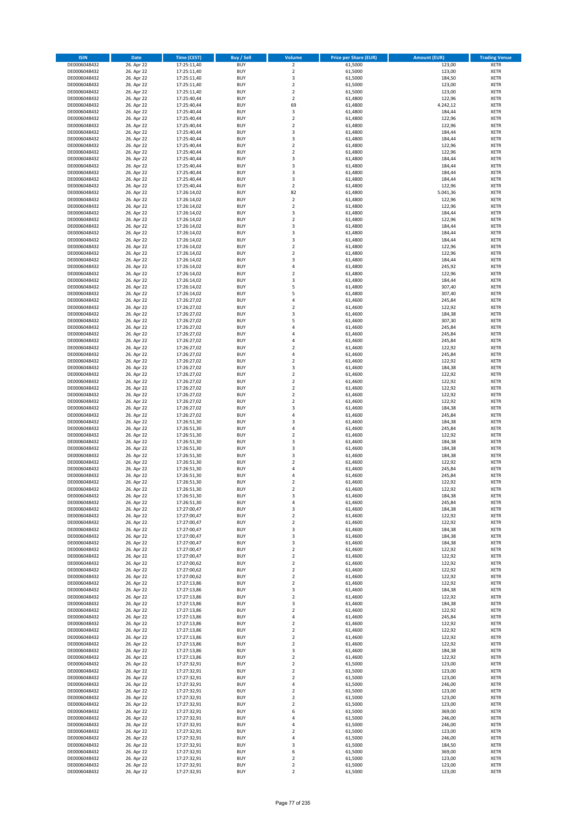| <b>ISIN</b>                  | Date                     | Time (CEST)                | <b>Buy / Sell</b>        | <b>Volume</b>                             | <b>Price per Share (EUR)</b> | <b>Amount (EUR)</b> | <b>Trading Venue</b>       |
|------------------------------|--------------------------|----------------------------|--------------------------|-------------------------------------------|------------------------------|---------------------|----------------------------|
| DE0006048432                 | 26. Apr 22               | 17:25:11,40                | <b>BUY</b>               | $\overline{2}$                            | 61,5000                      | 123,00              | <b>XETR</b>                |
| DE0006048432                 | 26. Apr 22               | 17:25:11,40                | <b>BUY</b>               | $\overline{2}$                            | 61,5000                      | 123,00              | <b>XETR</b>                |
| DE0006048432                 | 26. Apr 22               | 17:25:11,40                | <b>BUY</b>               | $\mathsf 3$                               | 61,5000<br>61.5000           | 184,50              | <b>XETR</b>                |
| DE0006048432<br>DE0006048432 | 26. Apr 22<br>26. Apr 22 | 17:25:11,40<br>17:25:11,40 | <b>BUY</b><br><b>BUY</b> | $\overline{2}$<br>$\mathbf 2$             | 61,5000                      | 123,00<br>123,00    | <b>XETR</b><br><b>XETR</b> |
| DE0006048432                 | 26. Apr 22               | 17:25:40,44                | <b>BUY</b>               | $\overline{2}$                            | 61,4800                      | 122,96              | <b>XETR</b>                |
| DE0006048432                 | 26. Apr 22               | 17:25:40,44                | <b>BUY</b>               | 69                                        | 61,4800                      | 4.242,12            | <b>XETR</b>                |
| DE0006048432                 | 26. Apr 22               | 17:25:40,44                | <b>BUY</b>               | 3                                         | 61,4800                      | 184,44              | <b>XETR</b>                |
| DE0006048432                 | 26. Apr 22               | 17:25:40,44                | <b>BUY</b>               | $\overline{2}$                            | 61,4800                      | 122,96              | <b>XETR</b>                |
| DE0006048432<br>DE0006048432 | 26. Apr 22               | 17:25:40,44<br>17:25:40,44 | <b>BUY</b><br><b>BUY</b> | $\mathbf 2$<br>3                          | 61,4800<br>61,4800           | 122,96              | <b>XETR</b><br><b>XETR</b> |
| DE0006048432                 | 26. Apr 22<br>26. Apr 22 | 17:25:40,44                | <b>BUY</b>               | $\mathsf 3$                               | 61,4800                      | 184,44<br>184,44    | <b>XETR</b>                |
| DE0006048432                 | 26. Apr 22               | 17:25:40,44                | <b>BUY</b>               | $\overline{2}$                            | 61,4800                      | 122,96              | <b>XETR</b>                |
| DE0006048432                 | 26. Apr 22               | 17:25:40,44                | <b>BUY</b>               | $\mathbf 2$                               | 61,4800                      | 122,96              | <b>XETR</b>                |
| DE0006048432                 | 26. Apr 22               | 17:25:40,44                | <b>BUY</b>               | 3                                         | 61,4800                      | 184,44              | <b>XETR</b>                |
| DE0006048432                 | 26. Apr 22               | 17:25:40,44                | <b>BUY</b>               | 3                                         | 61,4800                      | 184,44              | <b>XETR</b>                |
| DE0006048432<br>DE0006048432 | 26. Apr 22<br>26. Apr 22 | 17:25:40,44<br>17:25:40,44 | <b>BUY</b><br><b>BUY</b> | 3<br>3                                    | 61,4800<br>61,4800           | 184,44<br>184,44    | <b>XETR</b><br><b>XETR</b> |
| DE0006048432                 | 26. Apr 22               | 17:25:40,44                | <b>BUY</b>               | $\mathbf 2$                               | 61,4800                      | 122,96              | <b>XETR</b>                |
| DE0006048432                 | 26. Apr 22               | 17:26:14,02                | <b>BUY</b>               | 82                                        | 61,4800                      | 5.041,36            | <b>XETR</b>                |
| DE0006048432                 | 26. Apr 22               | 17:26:14,02                | <b>BUY</b>               | $\mathbf 2$                               | 61,4800                      | 122,96              | <b>XETR</b>                |
| DE0006048432                 | 26. Apr 22               | 17:26:14,02                | <b>BUY</b>               | $\overline{2}$                            | 61,4800                      | 122,96              | <b>XETR</b>                |
| DE0006048432<br>DE0006048432 | 26. Apr 22<br>26. Apr 22 | 17:26:14,02<br>17:26:14,02 | <b>BUY</b><br><b>BUY</b> | 3<br>$\overline{2}$                       | 61,4800<br>61,4800           | 184,44<br>122,96    | <b>XETR</b><br><b>XETR</b> |
| DE0006048432                 | 26. Apr 22               | 17:26:14,02                | <b>BUY</b>               | 3                                         | 61,4800                      | 184,44              | <b>XETR</b>                |
| DE0006048432                 | 26. Apr 22               | 17:26:14,02                | <b>BUY</b>               | 3                                         | 61,4800                      | 184,44              | <b>XETR</b>                |
| DE0006048432                 | 26. Apr 22               | 17:26:14,02                | <b>BUY</b>               | 3                                         | 61,4800                      | 184,44              | <b>XETR</b>                |
| DE0006048432                 | 26. Apr 22               | 17:26:14,02                | <b>BUY</b>               | $\mathbf 2$                               | 61,4800                      | 122,96              | <b>XETR</b>                |
| DE0006048432                 | 26. Apr 22               | 17:26:14,02                | <b>BUY</b>               | $\overline{\mathbf{2}}$                   | 61,4800                      | 122,96              | <b>XETR</b>                |
| DE0006048432<br>DE0006048432 | 26. Apr 22<br>26. Apr 22 | 17:26:14,02<br>17:26:14,02 | <b>BUY</b><br><b>BUY</b> | 3<br>4                                    | 61,4800<br>61,4800           | 184,44<br>245,92    | <b>XETR</b><br><b>XETR</b> |
| DE0006048432                 | 26. Apr 22               | 17:26:14,02                | <b>BUY</b>               | $\mathbf 2$                               | 61,4800                      | 122,96              | <b>XETR</b>                |
| DE0006048432                 | 26. Apr 22               | 17:26:14,02                | <b>BUY</b>               | 3                                         | 61,4800                      | 184,44              | <b>XETR</b>                |
| DE0006048432                 | 26. Apr 22               | 17:26:14,02                | <b>BUY</b>               | 5                                         | 61,4800                      | 307,40              | <b>XETR</b>                |
| DE0006048432                 | 26. Apr 22               | 17:26:14,02                | <b>BUY</b>               | 5                                         | 61,4800                      | 307,40              | <b>XETR</b>                |
| DE0006048432<br>DE0006048432 | 26. Apr 22<br>26. Apr 22 | 17:26:27,02<br>17:26:27,02 | <b>BUY</b><br><b>BUY</b> | 4<br>$\overline{\mathbf{2}}$              | 61,4600<br>61,4600           | 245,84<br>122,92    | <b>XETR</b><br><b>XETR</b> |
| DE0006048432                 | 26. Apr 22               | 17:26:27,02                | <b>BUY</b>               | 3                                         | 61,4600                      | 184,38              | <b>XETR</b>                |
| DE0006048432                 | 26. Apr 22               | 17:26:27,02                | <b>BUY</b>               | 5                                         | 61,4600                      | 307,30              | <b>XETR</b>                |
| DE0006048432                 | 26. Apr 22               | 17:26:27,02                | <b>BUY</b>               | $\overline{4}$                            | 61,4600                      | 245,84              | <b>XETR</b>                |
| DE0006048432                 | 26. Apr 22               | 17:26:27,02                | <b>BUY</b>               | 4                                         | 61,4600                      | 245,84              | <b>XETR</b>                |
| DE0006048432                 | 26. Apr 22               | 17:26:27,02                | <b>BUY</b>               | $\overline{4}$                            | 61,4600                      | 245,84              | <b>XETR</b>                |
| DE0006048432                 | 26. Apr 22               | 17:26:27,02                | <b>BUY</b>               | $\overline{\mathbf{c}}$<br>$\overline{4}$ | 61,4600                      | 122,92              | <b>XETR</b>                |
| DE0006048432<br>DE0006048432 | 26. Apr 22<br>26. Apr 22 | 17:26:27,02<br>17:26:27,02 | <b>BUY</b><br><b>BUY</b> | $\overline{2}$                            | 61,4600<br>61,4600           | 245,84<br>122,92    | <b>XETR</b><br><b>XETR</b> |
| DE0006048432                 | 26. Apr 22               | 17:26:27,02                | <b>BUY</b>               | 3                                         | 61,4600                      | 184,38              | <b>XETR</b>                |
| DE0006048432                 | 26. Apr 22               | 17:26:27,02                | <b>BUY</b>               | $\overline{2}$                            | 61,4600                      | 122,92              | <b>XETR</b>                |
| DE0006048432                 | 26. Apr 22               | 17:26:27,02                | <b>BUY</b>               | $\overline{2}$                            | 61,4600                      | 122,92              | <b>XETR</b>                |
| DE0006048432                 | 26. Apr 22               | 17:26:27,02                | <b>BUY</b>               | $\overline{2}$                            | 61,4600                      | 122,92              | <b>XETR</b>                |
| DE0006048432<br>DE0006048432 | 26. Apr 22<br>26. Apr 22 | 17:26:27,02                | <b>BUY</b><br><b>BUY</b> | $\overline{2}$<br>$\mathbf 2$             | 61,4600<br>61,4600           | 122,92<br>122,92    | <b>XETR</b><br><b>XETR</b> |
| DE0006048432                 | 26. Apr 22               | 17:26:27,02<br>17:26:27,02 | <b>BUY</b>               | 3                                         | 61,4600                      | 184,38              | <b>XETR</b>                |
| DE0006048432                 | 26. Apr 22               | 17:26:27,02                | <b>BUY</b>               | 4                                         | 61,4600                      | 245,84              | <b>XETR</b>                |
| DE0006048432                 | 26. Apr 22               | 17:26:51,30                | <b>BUY</b>               | 3                                         | 61,4600                      | 184,38              | <b>XETR</b>                |
| DE0006048432                 | 26. Apr 22               | 17:26:51,30                | <b>BUY</b>               | $\overline{4}$                            | 61,4600                      | 245,84              | <b>XETR</b>                |
| DE0006048432                 | 26. Apr 22               | 17:26:51,30                | <b>BUY</b>               | $\overline{2}$                            | 61,4600                      | 122,92              | <b>XETR</b>                |
| DE0006048432<br>DE0006048432 | 26. Apr 22<br>26. Apr 22 | 17:26:51,30<br>17:26:51,30 | <b>BUY</b><br><b>BUY</b> | 3<br>3                                    | 61,4600<br>61,4600           | 184,38<br>184,38    | <b>XETR</b><br><b>XETR</b> |
| DE0006048432                 | 26. Apr 22               | 17:26:51,30                | <b>BUY</b>               | 3                                         | 61,4600                      | 184,38              | <b>XETR</b>                |
| DE0006048432                 | 26. Apr 22               | 17:26:51,30                | <b>BUY</b>               | $\mathbf 2$                               | 61,4600                      | 122,92              | <b>XETR</b>                |
| DE0006048432                 | 26. Apr 22               | 17:26:51,30                | <b>BUY</b>               | $\overline{a}$                            | 61,4600                      | 245,84              | <b>XETR</b>                |
| DE0006048432                 | 26. Apr 22               | 17:26:51,30                | <b>BUY</b>               | $\overline{a}$                            | 61,4600                      | 245,84              | <b>XETR</b>                |
| DE0006048432                 | 26. Apr 22               | 17:26:51,30                | <b>BUY</b><br><b>BUY</b> | $\overline{2}$<br>$\mathfrak{p}$          | 61,4600                      | 122,92              | <b>XETR</b><br><b>XETR</b> |
| DE0006048432<br>DE0006048432 | 26. Apr 22<br>26. Apr 22 | 17:26:51,30<br>17:26:51,30 | <b>BUY</b>               | 3                                         | 61,4600<br>61,4600           | 122,92<br>184,38    | <b>XETR</b>                |
| DE0006048432                 | 26. Apr 22               | 17:26:51,30                | <b>BUY</b>               | $\pmb{4}$                                 | 61,4600                      | 245,84              | <b>XETR</b>                |
| DE0006048432                 | 26. Apr 22               | 17:27:00,47                | <b>BUY</b>               | 3                                         | 61,4600                      | 184,38              | <b>XETR</b>                |
| DE0006048432                 | 26. Apr 22               | 17:27:00,47                | <b>BUY</b>               | $\overline{2}$                            | 61,4600                      | 122,92              | <b>XETR</b>                |
| DE0006048432                 | 26. Apr 22               | 17:27:00,47                | <b>BUY</b><br><b>BUY</b> | $\mathbf 2$<br>3                          | 61,4600                      | 122,92              | <b>XETR</b>                |
| DE0006048432<br>DE0006048432 | 26. Apr 22<br>26. Apr 22 | 17:27:00,47<br>17:27:00,47 | <b>BUY</b>               | 3                                         | 61,4600<br>61,4600           | 184,38<br>184,38    | <b>XETR</b><br><b>XETR</b> |
| DE0006048432                 | 26. Apr 22               | 17:27:00,47                | <b>BUY</b>               | 3                                         | 61,4600                      | 184,38              | <b>XETR</b>                |
| DE0006048432                 | 26. Apr 22               | 17:27:00,47                | <b>BUY</b>               | $\overline{2}$                            | 61,4600                      | 122,92              | <b>XETR</b>                |
| DE0006048432                 | 26. Apr 22               | 17:27:00,47                | <b>BUY</b>               | $\overline{2}$                            | 61,4600                      | 122,92              | <b>XETR</b>                |
| DE0006048432                 | 26. Apr 22               | 17:27:00,62                | <b>BUY</b>               | $\mathbf 2$                               | 61,4600                      | 122,92              | <b>XETR</b>                |
| DE0006048432<br>DE0006048432 | 26. Apr 22<br>26. Apr 22 | 17:27:00,62<br>17:27:00,62 | <b>BUY</b><br><b>BUY</b> | $\overline{2}$<br>$\overline{2}$          | 61,4600<br>61,4600           | 122,92<br>122,92    | <b>XETR</b><br><b>XETR</b> |
| DE0006048432                 | 26. Apr 22               | 17:27:13,86                | <b>BUY</b>               | $\mathbf 2$                               | 61,4600                      | 122,92              | <b>XETR</b>                |
| DE0006048432                 | 26. Apr 22               | 17:27:13,86                | <b>BUY</b>               | 3                                         | 61,4600                      | 184,38              | <b>XETR</b>                |
| DE0006048432                 | 26. Apr 22               | 17:27:13,86                | <b>BUY</b>               | $\overline{2}$                            | 61,4600                      | 122,92              | <b>XETR</b>                |
| DE0006048432                 | 26. Apr 22               | 17:27:13,86                | <b>BUY</b>               | 3                                         | 61,4600                      | 184,38              | <b>XETR</b>                |
| DE0006048432<br>DE0006048432 | 26. Apr 22<br>26. Apr 22 | 17:27:13,86<br>17:27:13,86 | <b>BUY</b><br><b>BUY</b> | $\overline{2}$<br>$\pmb{4}$               | 61,4600<br>61,4600           | 122,92<br>245,84    | <b>XETR</b><br><b>XETR</b> |
| DE0006048432                 | 26. Apr 22               | 17:27:13,86                | <b>BUY</b>               | $\mathbf 2$                               | 61,4600                      | 122,92              | <b>XETR</b>                |
| DE0006048432                 | 26. Apr 22               | 17:27:13,86                | <b>BUY</b>               | $\mathbf 2$                               | 61,4600                      | 122,92              | <b>XETR</b>                |
| DE0006048432                 | 26. Apr 22               | 17:27:13,86                | <b>BUY</b>               | $\overline{2}$                            | 61,4600                      | 122,92              | <b>XETR</b>                |
| DE0006048432                 | 26. Apr 22               | 17:27:13,86                | <b>BUY</b>               | $\overline{2}$                            | 61,4600                      | 122,92              | <b>XETR</b>                |
| DE0006048432<br>DE0006048432 | 26. Apr 22<br>26. Apr 22 | 17:27:13,86<br>17:27:13,86 | <b>BUY</b><br><b>BUY</b> | 3<br>$\mathbf 2$                          | 61,4600<br>61,4600           | 184,38<br>122,92    | <b>XETR</b><br><b>XETR</b> |
| DE0006048432                 | 26. Apr 22               | 17:27:32,91                | <b>BUY</b>               | $\overline{2}$                            | 61,5000                      | 123,00              | <b>XETR</b>                |
| DE0006048432                 | 26. Apr 22               | 17:27:32,91                | <b>BUY</b>               | $\overline{2}$                            | 61,5000                      | 123,00              | <b>XETR</b>                |
| DE0006048432                 | 26. Apr 22               | 17:27:32,91                | <b>BUY</b>               | $\overline{2}$                            | 61,5000                      | 123,00              | <b>XETR</b>                |
| DE0006048432                 | 26. Apr 22               | 17:27:32,91                | <b>BUY</b>               | $\pmb{4}$                                 | 61,5000                      | 246,00              | <b>XETR</b>                |
| DE0006048432                 | 26. Apr 22               | 17:27:32,91                | <b>BUY</b><br><b>BUY</b> | $\mathbf 2$<br>$\overline{2}$             | 61,5000                      | 123,00              | <b>XETR</b><br><b>XETR</b> |
| DE0006048432<br>DE0006048432 | 26. Apr 22<br>26. Apr 22 | 17:27:32,91<br>17:27:32,91 | <b>BUY</b>               | $\mathbf 2$                               | 61,5000<br>61,5000           | 123,00<br>123,00    | <b>XETR</b>                |
| DE0006048432                 | 26. Apr 22               | 17:27:32,91                | <b>BUY</b>               | 6                                         | 61,5000                      | 369,00              | <b>XETR</b>                |
| DE0006048432                 | 26. Apr 22               | 17:27:32,91                | <b>BUY</b>               | $\pmb{4}$                                 | 61,5000                      | 246,00              | <b>XETR</b>                |
| DE0006048432                 | 26. Apr 22               | 17:27:32,91                | <b>BUY</b>               | $\sqrt{4}$                                | 61,5000                      | 246,00              | <b>XETR</b>                |
| DE0006048432                 | 26. Apr 22               | 17:27:32,91                | <b>BUY</b>               | $\mathbf 2$                               | 61,5000                      | 123,00              | <b>XETR</b>                |
| DE0006048432<br>DE0006048432 | 26. Apr 22<br>26. Apr 22 | 17:27:32,91<br>17:27:32,91 | <b>BUY</b><br><b>BUY</b> | $\overline{4}$<br>3                       | 61,5000<br>61,5000           | 246,00<br>184,50    | <b>XETR</b><br><b>XETR</b> |
| DE0006048432                 | 26. Apr 22               | 17:27:32,91                | <b>BUY</b>               | 6                                         | 61,5000                      | 369,00              | <b>XETR</b>                |
| DE0006048432                 | 26. Apr 22               | 17:27:32,91                | <b>BUY</b>               | $\mathbf 2$                               | 61,5000                      | 123,00              | <b>XETR</b>                |
| DE0006048432                 | 26. Apr 22               | 17:27:32,91                | <b>BUY</b>               | $\mathbf 2$                               | 61,5000                      | 123,00              | <b>XETR</b>                |
| DE0006048432                 | 26. Apr 22               | 17:27:32,91                | <b>BUY</b>               | $\overline{2}$                            | 61,5000                      | 123,00              | <b>XETR</b>                |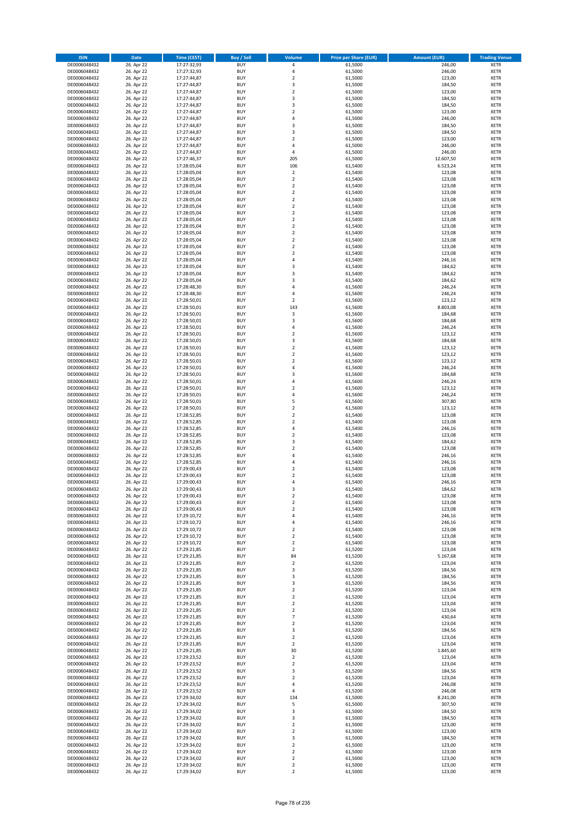| <b>ISIN</b>                  | <b>Date</b>              | <b>Time (CEST)</b>         | <b>Buy / Sell</b>        | <b>Volume</b>                          | <b>Price per Share (EUR)</b> | <b>Amount (EUR)</b> | <b>Trading Venue</b>       |
|------------------------------|--------------------------|----------------------------|--------------------------|----------------------------------------|------------------------------|---------------------|----------------------------|
| DE0006048432                 | 26. Apr 22               | 17:27:32,93                | <b>BUY</b>               | 4                                      | 61,5000                      | 246,00              | <b>XETR</b>                |
| DE0006048432                 | 26. Apr 22               | 17:27:32,93                | <b>BUY</b>               | 4                                      | 61,5000                      | 246,00              | <b>XETR</b>                |
| DE0006048432                 | 26. Apr 22               | 17:27:44,87                | <b>BUY</b>               | $\overline{\mathbf{c}}$                | 61,5000                      | 123,00              | <b>XETR</b>                |
| DE0006048432                 | 26. Apr 22               | 17:27:44,87                | <b>BUY</b>               | 3                                      | 61,5000                      | 184,50              | <b>XETR</b>                |
| DE0006048432<br>DE0006048432 | 26. Apr 22<br>26. Apr 22 | 17:27:44,87<br>17:27:44,87 | <b>BUY</b><br><b>BUY</b> | $\overline{\mathbf{c}}$<br>3           | 61,5000<br>61,5000           | 123,00<br>184,50    | <b>XETR</b><br><b>XETR</b> |
| DE0006048432                 | 26. Apr 22               | 17:27:44,87                | <b>BUY</b>               | 3                                      | 61,5000                      | 184,50              | <b>XETR</b>                |
| DE0006048432                 | 26. Apr 22               | 17:27:44,87                | <b>BUY</b>               | $\overline{\mathbf{c}}$                | 61,5000                      | 123,00              | <b>XETR</b>                |
| DE0006048432                 | 26. Apr 22               | 17:27:44,87                | <b>BUY</b>               | 4                                      | 61,5000                      | 246,00              | <b>XETR</b>                |
| DE0006048432                 | 26. Apr 22               | 17:27:44,87                | <b>BUY</b>               | 3                                      | 61,5000                      | 184,50              | <b>XETR</b>                |
| DE0006048432                 | 26. Apr 22               | 17:27:44,87                | <b>BUY</b>               | 3                                      | 61,5000                      | 184,50              | <b>XETR</b>                |
| DE0006048432                 | 26. Apr 22               | 17:27:44,87                | <b>BUY</b>               | $\overline{\mathbf{c}}$<br>4           | 61,5000                      | 123,00              | <b>XETR</b>                |
| DE0006048432<br>DE0006048432 | 26. Apr 22<br>26. Apr 22 | 17:27:44,87<br>17:27:44,87 | <b>BUY</b><br><b>BUY</b> | 4                                      | 61,5000<br>61,5000           | 246,00<br>246,00    | <b>XETR</b><br><b>XETR</b> |
| DE0006048432                 | 26. Apr 22               | 17:27:46,37                | <b>BUY</b>               | 205                                    | 61,5000                      | 12.607,50           | <b>XETR</b>                |
| DE0006048432                 | 26. Apr 22               | 17:28:05,04                | <b>BUY</b>               | 106                                    | 61,5400                      | 6.523,24            | <b>XETR</b>                |
| DE0006048432                 | 26. Apr 22               | 17:28:05,04                | <b>BUY</b>               | $\mathbf 2$                            | 61,5400                      | 123,08              | <b>XETR</b>                |
| DE0006048432                 | 26. Apr 22               | 17:28:05,04                | <b>BUY</b>               | $\mathbf 2$                            | 61,5400                      | 123,08              | <b>XETR</b>                |
| DE0006048432                 | 26. Apr 22               | 17:28:05,04                | <b>BUY</b>               | $\overline{\mathbf{c}}$                | 61,5400                      | 123,08              | <b>XETR</b>                |
| DE0006048432<br>DE0006048432 | 26. Apr 22<br>26. Apr 22 | 17:28:05,04<br>17:28:05,04 | <b>BUY</b><br><b>BUY</b> | $\mathbf 2$<br>$\overline{\mathbf{c}}$ | 61,5400<br>61,5400           | 123,08<br>123,08    | <b>XETR</b><br><b>XETR</b> |
| DE0006048432                 | 26. Apr 22               | 17:28:05,04                | <b>BUY</b>               | $\mathbf 2$                            | 61,5400                      | 123,08              | <b>XETR</b>                |
| DE0006048432                 | 26. Apr 22               | 17:28:05,04                | <b>BUY</b>               | $\mathbf 2$                            | 61,5400                      | 123,08              | <b>XETR</b>                |
| DE0006048432                 | 26. Apr 22               | 17:28:05,04                | <b>BUY</b>               | $\mathbf 2$                            | 61,5400                      | 123,08              | <b>XETR</b>                |
| DE0006048432                 | 26. Apr 22               | 17:28:05,04                | <b>BUY</b>               | $\mathbf 2$                            | 61,5400                      | 123,08              | <b>XETR</b>                |
| DE0006048432                 | 26. Apr 22               | 17:28:05,04                | <b>BUY</b>               | $\mathbf 2$                            | 61,5400                      | 123,08              | <b>XETR</b>                |
| DE0006048432<br>DE0006048432 | 26. Apr 22               | 17:28:05,04                | <b>BUY</b><br><b>BUY</b> | $\mathbf 2$<br>$\overline{\mathbf{c}}$ | 61,5400                      | 123,08              | <b>XETR</b><br><b>XETR</b> |
| DE0006048432                 | 26. Apr 22<br>26. Apr 22 | 17:28:05,04<br>17:28:05,04 | <b>BUY</b>               | $\mathbf 2$                            | 61,5400<br>61,5400           | 123,08<br>123,08    | <b>XETR</b>                |
| DE0006048432                 | 26. Apr 22               | 17:28:05,04                | <b>BUY</b>               | 4                                      | 61,5400                      | 246,16              | <b>XETR</b>                |
| DE0006048432                 | 26. Apr 22               | 17:28:05,04                | <b>BUY</b>               | 3                                      | 61,5400                      | 184,62              | <b>XETR</b>                |
| DE0006048432                 | 26. Apr 22               | 17:28:05,04                | <b>BUY</b>               | 3                                      | 61,5400                      | 184,62              | <b>XETR</b>                |
| DE0006048432                 | 26. Apr 22               | 17:28:05,04                | <b>BUY</b>               | 3                                      | 61,5400                      | 184,62              | <b>XETR</b>                |
| DE0006048432<br>DE0006048432 | 26. Apr 22               | 17:28:48,30                | <b>BUY</b>               | 4                                      | 61,5600                      | 246,24              | <b>XETR</b>                |
| DE0006048432                 | 26. Apr 22<br>26. Apr 22 | 17:28:48,30<br>17:28:50,01 | <b>BUY</b><br><b>BUY</b> | 4<br>$\mathbf 2$                       | 61,5600<br>61,5600           | 246,24<br>123,12    | <b>XETR</b><br><b>XETR</b> |
| DE0006048432                 | 26. Apr 22               | 17:28:50,01                | <b>BUY</b>               | 143                                    | 61,5600                      | 8.803,08            | <b>XETR</b>                |
| DE0006048432                 | 26. Apr 22               | 17:28:50,01                | <b>BUY</b>               | 3                                      | 61,5600                      | 184,68              | <b>XETR</b>                |
| DE0006048432                 | 26. Apr 22               | 17:28:50,01                | <b>BUY</b>               | 3                                      | 61,5600                      | 184,68              | <b>XETR</b>                |
| DE0006048432                 | 26. Apr 22               | 17:28:50,01                | <b>BUY</b>               | 4                                      | 61,5600                      | 246,24              | <b>XETR</b>                |
| DE0006048432                 | 26. Apr 22               | 17:28:50,01                | <b>BUY</b>               | $\overline{\mathbf{c}}$                | 61,5600                      | 123,12              | <b>XETR</b>                |
| DE0006048432<br>DE0006048432 | 26. Apr 22<br>26. Apr 22 | 17:28:50,01<br>17:28:50,01 | <b>BUY</b><br><b>BUY</b> | 3<br>$\mathbf 2$                       | 61,5600<br>61,5600           | 184,68<br>123,12    | <b>XETR</b><br><b>XETR</b> |
| DE0006048432                 | 26. Apr 22               | 17:28:50,01                | <b>BUY</b>               | $\overline{\mathbf{c}}$                | 61,5600                      | 123,12              | <b>XETR</b>                |
| DE0006048432                 | 26. Apr 22               | 17:28:50,01                | <b>BUY</b>               | $\mathbf 2$                            | 61,5600                      | 123,12              | <b>XETR</b>                |
| DE0006048432                 | 26. Apr 22               | 17:28:50,01                | <b>BUY</b>               | 4                                      | 61,5600                      | 246,24              | <b>XETR</b>                |
| DE0006048432                 | 26. Apr 22               | 17:28:50,01                | <b>BUY</b>               | 3                                      | 61,5600                      | 184,68              | <b>XETR</b>                |
| DE0006048432                 | 26. Apr 22               | 17:28:50,01                | <b>BUY</b>               | 4                                      | 61,5600                      | 246,24              | <b>XETR</b>                |
| DE0006048432<br>DE0006048432 | 26. Apr 22<br>26. Apr 22 | 17:28:50,01                | <b>BUY</b><br><b>BUY</b> | $\mathbf 2$<br>4                       | 61,5600<br>61,5600           | 123,12<br>246,24    | <b>XETR</b><br><b>XETR</b> |
| DE0006048432                 | 26. Apr 22               | 17:28:50,01<br>17:28:50,01 | <b>BUY</b>               | 5                                      | 61,5600                      | 307,80              | <b>XETR</b>                |
| DE0006048432                 | 26. Apr 22               | 17:28:50,01                | <b>BUY</b>               | $\mathbf 2$                            | 61,5600                      | 123,12              | <b>XETR</b>                |
| DE0006048432                 | 26. Apr 22               | 17:28:52,85                | <b>BUY</b>               | $\overline{2}$                         | 61,5400                      | 123,08              | <b>XETR</b>                |
| DE0006048432                 | 26. Apr 22               | 17:28:52,85                | <b>BUY</b>               | $\mathbf 2$                            | 61,5400                      | 123,08              | <b>XETR</b>                |
| DE0006048432                 | 26. Apr 22               | 17:28:52,85                | <b>BUY</b>               | 4                                      | 61,5400                      | 246,16              | <b>XETR</b>                |
| DE0006048432                 | 26. Apr 22               | 17:28:52,85                | <b>BUY</b>               | $\mathbf 2$                            | 61,5400                      | 123,08              | <b>XETR</b>                |
| DE0006048432<br>DE0006048432 | 26. Apr 22<br>26. Apr 22 | 17:28:52,85<br>17:28:52,85 | <b>BUY</b><br><b>BUY</b> | 3<br>$\overline{\mathbf{c}}$           | 61,5400<br>61,5400           | 184,62<br>123,08    | <b>XETR</b><br><b>XETR</b> |
| DE0006048432                 | 26. Apr 22               | 17:28:52,85                | <b>BUY</b>               | 4                                      | 61,5400                      | 246,16              | <b>XETR</b>                |
| DE0006048432                 | 26. Apr 22               | 17:28:52,85                | <b>BUY</b>               | 4                                      | 61,5400                      | 246,16              | <b>XETR</b>                |
| DE0006048432                 | 26. Apr 22               | 17:29:00,43                | <b>BUY</b>               | $\mathbf 2$                            | 61,5400                      | 123,08              | <b>XETR</b>                |
| DE0006048432                 | 26. Apr 22               | 17:29:00,43                | <b>BUY</b>               | $\overline{\mathbf{c}}$                | 61,5400                      | 123,08              | <b>XETR</b>                |
| DE0006048432                 | 26. Apr 22               | 17:29:00,43                | <b>BUY</b>               | 4                                      | 61,5400                      | 246,16              | <b>XETR</b>                |
| DE0006048432<br>DE0006048432 | 26. Apr 22<br>26. Apr 22 | 17:29:00,43<br>17:29:00,43 | <b>BUY</b><br>BUY        | 3<br>2                                 | 61,5400<br>61,5400           | 184,62<br>123,08    | <b>XETR</b><br><b>XETR</b> |
| DE0006048432                 | 26. Apr 22               | 17:29:00,43                | <b>BUY</b>               | $\mathbf 2$                            | 61,5400                      | 123,08              | <b>XETR</b>                |
| DE0006048432                 | 26. Apr 22               | 17:29:00,43                | <b>BUY</b>               | $\mathbf 2$                            | 61,5400                      | 123,08              | <b>XETR</b>                |
| DE0006048432                 | 26. Apr 22               | 17:29:10,72                | <b>BUY</b>               | 4                                      | 61,5400                      | 246,16              | <b>XETR</b>                |
| DE0006048432                 | 26. Apr 22               | 17:29:10,72                | <b>BUY</b>               | 4                                      | 61,5400                      | 246,16              | <b>XETR</b>                |
| DE0006048432                 | 26. Apr 22               | 17:29:10,72                | <b>BUY</b>               | $\mathbf 2$                            | 61,5400                      | 123,08              | <b>XETR</b>                |
| DE0006048432<br>DE0006048432 | 26. Apr 22<br>26. Apr 22 | 17:29:10,72                | <b>BUY</b><br><b>BUY</b> | $\overline{2}$<br>$\mathbf 2$          | 61,5400<br>61,5400           | 123,08<br>123,08    | <b>XETR</b>                |
| DE0006048432                 | 26. Apr 22               | 17:29:10,72<br>17:29:21,85 | <b>BUY</b>               | $\mathbf 2$                            | 61,5200                      | 123,04              | <b>XETR</b><br><b>XETR</b> |
| DE0006048432                 | 26. Apr 22               | 17:29:21,85                | <b>BUY</b>               | 84                                     | 61,5200                      | 5.167,68            | <b>XETR</b>                |
| DE0006048432                 | 26. Apr 22               | 17:29:21,85                | <b>BUY</b>               | $\mathbf 2$                            | 61,5200                      | 123,04              | <b>XETR</b>                |
| DE0006048432                 | 26. Apr 22               | 17:29:21,85                | <b>BUY</b>               | 3                                      | 61,5200                      | 184,56              | <b>XETR</b>                |
| DE0006048432                 | 26. Apr 22               | 17:29:21,85                | <b>BUY</b>               | 3                                      | 61,5200                      | 184,56              | <b>XETR</b>                |
| DE0006048432                 | 26. Apr 22               | 17:29:21,85                | <b>BUY</b><br><b>BUY</b> | 3                                      | 61,5200                      | 184,56<br>123,04    | <b>XETR</b>                |
| DE0006048432<br>DE0006048432 | 26. Apr 22<br>26. Apr 22 | 17:29:21,85<br>17:29:21,85 | <b>BUY</b>               | $\mathbf 2$<br>$\mathbf 2$             | 61,5200<br>61,5200           | 123,04              | <b>XETR</b><br><b>XETR</b> |
| DE0006048432                 | 26. Apr 22               | 17:29:21,85                | <b>BUY</b>               | $\mathbf 2$                            | 61,5200                      | 123,04              | <b>XETR</b>                |
| DE0006048432                 | 26. Apr 22               | 17:29:21,85                | <b>BUY</b>               | $\mathbf 2$                            | 61,5200                      | 123,04              | <b>XETR</b>                |
| DE0006048432                 | 26. Apr 22               | 17:29:21,85                | <b>BUY</b>               | $\overline{7}$                         | 61,5200                      | 430,64              | <b>XETR</b>                |
| DE0006048432                 | 26. Apr 22               | 17:29:21,85                | <b>BUY</b>               | $\mathbf 2$                            | 61,5200                      | 123,04              | <b>XETR</b>                |
| DE0006048432                 | 26. Apr 22               | 17:29:21,85                | <b>BUY</b>               | 3                                      | 61,5200                      | 184,56              | <b>XETR</b>                |
| DE0006048432<br>DE0006048432 | 26. Apr 22<br>26. Apr 22 | 17:29:21,85                | <b>BUY</b><br><b>BUY</b> | $\mathbf 2$<br>$\overline{\mathbf{2}}$ | 61,5200<br>61,5200           | 123,04<br>123,04    | <b>XETR</b><br><b>XETR</b> |
| DE0006048432                 | 26. Apr 22               | 17:29:21,85<br>17:29:21,85 | <b>BUY</b>               | 30                                     | 61,5200                      | 1.845,60            | <b>XETR</b>                |
| DE0006048432                 | 26. Apr 22               | 17:29:23,52                | <b>BUY</b>               | 2                                      | 61,5200                      | 123,04              | <b>XETR</b>                |
| DE0006048432                 | 26. Apr 22               | 17:29:23,52                | <b>BUY</b>               | $\mathbf 2$                            | 61,5200                      | 123,04              | <b>XETR</b>                |
| DE0006048432                 | 26. Apr 22               | 17:29:23,52                | <b>BUY</b>               | 3                                      | 61,5200                      | 184,56              | <b>XETR</b>                |
| DE0006048432                 | 26. Apr 22               | 17:29:23,52                | <b>BUY</b>               | $\overline{\mathbf{2}}$                | 61,5200                      | 123,04              | <b>XETR</b>                |
| DE0006048432<br>DE0006048432 | 26. Apr 22<br>26. Apr 22 | 17:29:23,52                | <b>BUY</b><br><b>BUY</b> | 4<br>4                                 | 61,5200<br>61,5200           | 246,08<br>246,08    | <b>XETR</b><br><b>XETR</b> |
| DE0006048432                 | 26. Apr 22               | 17:29:23,52<br>17:29:34,02 | <b>BUY</b>               | 134                                    | 61,5000                      | 8.241,00            | <b>XETR</b>                |
| DE0006048432                 | 26. Apr 22               | 17:29:34,02                | <b>BUY</b>               | 5                                      | 61,5000                      | 307,50              | <b>XETR</b>                |
| DE0006048432                 | 26. Apr 22               | 17:29:34,02                | <b>BUY</b>               | 3                                      | 61,5000                      | 184,50              | <b>XETR</b>                |
| DE0006048432                 | 26. Apr 22               | 17:29:34,02                | <b>BUY</b>               | 3                                      | 61,5000                      | 184,50              | <b>XETR</b>                |
| DE0006048432                 | 26. Apr 22               | 17:29:34,02                | <b>BUY</b>               | $\mathbf 2$                            | 61,5000                      | 123,00              | <b>XETR</b>                |
| DE0006048432                 | 26. Apr 22               | 17:29:34,02                | <b>BUY</b>               | $\mathbf 2$                            | 61,5000                      | 123,00              | <b>XETR</b>                |
| DE0006048432<br>DE0006048432 | 26. Apr 22<br>26. Apr 22 | 17:29:34,02<br>17:29:34,02 | <b>BUY</b><br><b>BUY</b> | 3<br>$\mathbf 2$                       | 61,5000<br>61,5000           | 184,50<br>123,00    | <b>XETR</b><br><b>XETR</b> |
| DE0006048432                 | 26. Apr 22               | 17:29:34,02                | <b>BUY</b>               | $\overline{\mathbf{2}}$                | 61,5000                      | 123,00              | <b>XETR</b>                |
| DE0006048432                 | 26. Apr 22               | 17:29:34,02                | <b>BUY</b>               | $\mathbf 2$                            | 61,5000                      | 123,00              | <b>XETR</b>                |
| DE0006048432                 | 26. Apr 22               | 17:29:34,02                | <b>BUY</b>               | $\mathbf 2$                            | 61,5000                      | 123,00              | <b>XETR</b>                |
| DE0006048432                 | 26. Apr 22               | 17:29:34,02                | <b>BUY</b>               | $\overline{2}$                         | 61,5000                      | 123,00              | <b>XETR</b>                |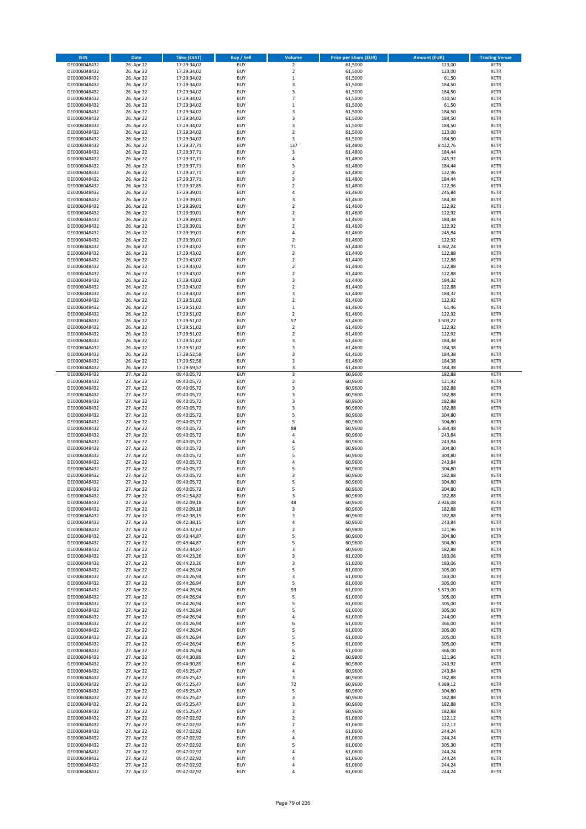| <b>ISIN</b>                  | <b>Date</b>              | Time (CEST)                | <b>Buy / Sell</b>        | <b>Volume</b>                             | <b>Price per Share (EUR)</b> | <b>Amount (EUR)</b> | <b>Trading Venue</b>       |
|------------------------------|--------------------------|----------------------------|--------------------------|-------------------------------------------|------------------------------|---------------------|----------------------------|
| DE0006048432                 | 26. Apr 22               | 17:29:34,02                | <b>BUY</b>               | $\overline{2}$                            | 61,5000                      | 123,00              | <b>XETR</b>                |
| DE0006048432                 | 26. Apr 22               | 17:29:34,02                | <b>BUY</b>               | $\overline{2}$                            | 61,5000                      | 123,00              | <b>XETR</b>                |
| DE0006048432                 | 26. Apr 22               | 17:29:34,02                | <b>BUY</b>               | $\mathbf 1$                               | 61,5000                      | 61,50               | <b>XETR</b>                |
| DE0006048432                 | 26. Apr 22               | 17:29:34,02                | <b>BUY</b>               | $\mathsf 3$                               | 61,5000                      | 184,50              | <b>XETR</b>                |
| DE0006048432                 | 26. Apr 22               | 17:29:34,02                | <b>BUY</b>               | 3                                         | 61,5000                      | 184,50              | <b>XETR</b>                |
| DE0006048432                 | 26. Apr 22               | 17:29:34,02                | <b>BUY</b>               | $\overline{7}$                            | 61,5000                      | 430,50              | <b>XETR</b>                |
| DE0006048432                 | 26. Apr 22               | 17:29:34,02                | <b>BUY</b>               | $\mathbf 1$                               | 61,5000                      | 61,50               | <b>XETR</b>                |
| DE0006048432                 | 26. Apr 22               | 17:29:34,02                | <b>BUY</b>               | 3                                         | 61,5000                      | 184,50              | <b>XETR</b>                |
| DE0006048432<br>DE0006048432 | 26. Apr 22<br>26. Apr 22 | 17:29:34,02<br>17:29:34,02 | <b>BUY</b><br><b>BUY</b> | 3<br>3                                    | 61,5000<br>61,5000           | 184,50<br>184,50    | <b>XETR</b><br><b>XETR</b> |
| DE0006048432                 | 26. Apr 22               | 17:29:34,02                | <b>BUY</b>               | $\sqrt{2}$                                | 61,5000                      | 123,00              | <b>XETR</b>                |
| DE0006048432                 | 26. Apr 22               | 17:29:34,02                | <b>BUY</b>               | 3                                         | 61,5000                      | 184,50              | <b>XETR</b>                |
| DE0006048432                 | 26. Apr 22               | 17:29:37,71                | <b>BUY</b>               | 137                                       | 61,4800                      | 8.422,76            | <b>XETR</b>                |
| DE0006048432                 | 26. Apr 22               | 17:29:37,71                | <b>BUY</b>               | 3                                         | 61,4800                      | 184,44              | <b>XETR</b>                |
| DE0006048432                 | 26. Apr 22               | 17:29:37,71                | <b>BUY</b>               | $\overline{4}$                            | 61,4800                      | 245,92              | <b>XETR</b>                |
| DE0006048432                 | 26. Apr 22               | 17:29:37,71                | <b>BUY</b>               | 3                                         | 61,4800                      | 184,44              | <b>XETR</b>                |
| DE0006048432                 | 26. Apr 22               | 17:29:37,71                | <b>BUY</b>               | $\mathbf 2$                               | 61,4800                      | 122,96              | <b>XETR</b>                |
| DE0006048432                 | 26. Apr 22               | 17:29:37,71                | <b>BUY</b>               | 3                                         | 61,4800                      | 184,44              | <b>XETR</b>                |
| DE0006048432                 | 26. Apr 22               | 17:29:37.85                | <b>BUY</b>               | $\overline{\mathbf{2}}$<br>$\overline{4}$ | 61,4800                      | 122,96              | <b>XETR</b>                |
| DE0006048432<br>DE0006048432 | 26. Apr 22<br>26. Apr 22 | 17:29:39,01<br>17:29:39,01 | <b>BUY</b><br><b>BUY</b> | $\overline{3}$                            | 61,4600<br>61,4600           | 245,84<br>184,38    | <b>XETR</b><br><b>XETR</b> |
| DE0006048432                 | 26. Apr 22               | 17:29:39,01                | <b>BUY</b>               | $\overline{2}$                            | 61,4600                      | 122,92              | <b>XETR</b>                |
| DE0006048432                 | 26. Apr 22               | 17:29:39,01                | <b>BUY</b>               | $\mathbf 2$                               | 61,4600                      | 122,92              | <b>XETR</b>                |
| DE0006048432                 | 26. Apr 22               | 17:29:39,01                | <b>BUY</b>               | 3                                         | 61,4600                      | 184,38              | <b>XETR</b>                |
| DE0006048432                 | 26. Apr 22               | 17:29:39,01                | <b>BUY</b>               | $\mathbf 2$                               | 61,4600                      | 122,92              | <b>XETR</b>                |
| DE0006048432                 | 26. Apr 22               | 17:29:39,01                | <b>BUY</b>               | 4                                         | 61,4600                      | 245,84              | <b>XETR</b>                |
| DE0006048432                 | 26. Apr 22               | 17:29:39,01                | <b>BUY</b>               | $\sqrt{2}$                                | 61,4600                      | 122,92              | <b>XETR</b>                |
| DE0006048432                 | 26. Apr 22               | 17:29:43,02                | <b>BUY</b>               | 71                                        | 61,4400                      | 4.362,24            | <b>XETR</b>                |
| DE0006048432                 | 26. Apr 22               | 17:29:43,02                | <b>BUY</b>               | $\overline{2}$                            | 61,4400                      | 122,88              | <b>XETR</b>                |
| DE0006048432                 | 26. Apr 22               | 17:29:43,02                | <b>BUY</b>               | $\overline{2}$                            | 61,4400                      | 122,88              | <b>XETR</b>                |
| DE0006048432<br>DE0006048432 | 26. Apr 22<br>26. Apr 22 | 17:29:43,02<br>17:29:43,02 | <b>BUY</b><br><b>BUY</b> | $\mathbf 2$<br>$\mathbf 2$                | 61,4400<br>61,4400           | 122,88<br>122,88    | <b>XETR</b><br><b>XETR</b> |
| DE0006048432                 | 26. Apr 22               | 17:29:43,02                | <b>BUY</b>               | 3                                         | 61,4400                      | 184,32              | <b>XETR</b>                |
| DE0006048432                 | 26. Apr 22               | 17:29:43,02                | <b>BUY</b>               | $\mathbf 2$                               | 61,4400                      | 122,88              | <b>XETR</b>                |
| DE0006048432                 | 26. Apr 22               | 17:29:43,02                | <b>BUY</b>               | 3                                         | 61,4400                      | 184,32              | <b>XETR</b>                |
| DE0006048432                 | 26. Apr 22               | 17:29:51,02                | <b>BUY</b>               | $\mathbf 2$                               | 61,4600                      | 122,92              | <b>XETR</b>                |
| DE0006048432                 | 26. Apr 22               | 17:29:51,02                | <b>BUY</b>               | $\mathbf 1$                               | 61,4600                      | 61,46               | <b>XETR</b>                |
| DE0006048432                 | 26. Apr 22               | 17:29:51,02                | <b>BUY</b>               | $\mathbf 2$                               | 61,4600                      | 122,92              | <b>XETR</b>                |
| DE0006048432                 | 26. Apr 22               | 17:29:51,02                | <b>BUY</b>               | 57                                        | 61,4600                      | 3.503,22            | <b>XETR</b>                |
| DE0006048432                 | 26. Apr 22               | 17:29:51,02                | <b>BUY</b>               | $\sqrt{2}$                                | 61,4600                      | 122,92              | <b>XETR</b>                |
| DE0006048432                 | 26. Apr 22               | 17:29:51,02                | <b>BUY</b>               | $\overline{2}$                            | 61,4600                      | 122,92              | <b>XETR</b>                |
| DE0006048432                 | 26. Apr 22               | 17:29:51,02                | <b>BUY</b>               | 3                                         | 61,4600                      | 184,38              | <b>XETR</b>                |
| DE0006048432<br>DE0006048432 | 26. Apr 22<br>26. Apr 22 | 17:29:51,02<br>17:29:52,58 | <b>BUY</b><br><b>BUY</b> | $\overline{\mathbf{3}}$<br>3              | 61,4600<br>61,4600           | 184,38<br>184,38    | <b>XETR</b><br><b>XETR</b> |
| DE0006048432                 | 26. Apr 22               | 17:29:52,58                | <b>BUY</b>               | $\overline{\mathbf{3}}$                   | 61,4600                      | 184,38              | <b>XETR</b>                |
| DE0006048432                 | 26. Apr 22               | 17:29:59,57                | <b>BUY</b>               | $\mathsf 3$                               | 61,4600                      | 184,38              | <b>XETR</b>                |
| DE0006048432                 | 27. Apr 22               | 09:40:05,72                | <b>BUY</b>               | $\overline{3}$                            | 60,9600                      | 182,88              | <b>XETR</b>                |
| DE0006048432                 | 27. Apr 22               | 09:40:05,72                | <b>BUY</b>               | $\overline{2}$                            | 60,9600                      | 121,92              | <b>XETR</b>                |
| DE0006048432                 | 27. Apr 22               | 09:40:05,72                | <b>BUY</b>               | 3                                         | 60,9600                      | 182,88              | <b>XETR</b>                |
| DE0006048432                 | 27. Apr 22               | 09:40:05,72                | <b>BUY</b>               | $\mathsf 3$                               | 60,9600                      | 182,88              | <b>XETR</b>                |
| DE0006048432                 | 27. Apr 22               | 09:40:05,72                | <b>BUY</b>               | 3                                         | 60,9600                      | 182,88              | <b>XETR</b>                |
| DE0006048432                 | 27. Apr 22               | 09:40:05,72                | <b>BUY</b>               | 3<br>5                                    | 60,9600                      | 182,88              | <b>XETR</b>                |
| DE0006048432<br>DE0006048432 | 27. Apr 22<br>27. Apr 22 | 09:40:05,72<br>09:40:05,72 | <b>BUY</b><br><b>BUY</b> | 5                                         | 60,9600<br>60,9600           | 304,80<br>304,80    | <b>XETR</b><br><b>XETR</b> |
| DE0006048432                 | 27. Apr 22               | 09:40:05,72                | <b>BUY</b>               | 88                                        | 60,9600                      | 5.364,48            | <b>XETR</b>                |
| DE0006048432                 | 27. Apr 22               | 09:40:05,72                | <b>BUY</b>               | 4                                         | 60,9600                      | 243,84              | <b>XETR</b>                |
| DE0006048432                 | 27. Apr 22               | 09:40:05,72                | <b>BUY</b>               | $\overline{4}$                            | 60,9600                      | 243,84              | <b>XETR</b>                |
| DE0006048432                 | 27. Apr 22               | 09:40:05,72                | <b>BUY</b>               | 5                                         | 60,9600                      | 304,80              | <b>XETR</b>                |
| DE0006048432                 | 27. Apr 22               | 09:40:05,72                | <b>BUY</b>               | 5                                         | 60,9600                      | 304,80              | <b>XETR</b>                |
| DE0006048432                 | 27. Apr 22               | 09:40:05,72                | <b>BUY</b>               | 4                                         | 60,9600                      | 243,84              | <b>XETR</b>                |
| DE0006048432                 | 27. Apr 22               | 09:40:05,72                | <b>BUY</b>               | 5                                         | 60,9600                      | 304,80              | <b>XETR</b>                |
| DE0006048432                 | 27. Apr 22               | 09:40:05,72                | <b>BUY</b>               | $\overline{3}$                            | 60,9600                      | 182,88              | <b>XETR</b>                |
| DE0006048432                 | 27. Apr 22               | 09:40:05,72                | <b>BUY</b>               | 5                                         | 60,9600                      | 304,80              | <b>XETR</b>                |
| DE0006048432<br>DE0006048432 | 27. Apr 22<br>27. Apr 22 | 09:40:05,72<br>09:41:54,82 | <b>BUY</b><br><b>BUY</b> | 5<br>3                                    | 60,9600<br>60,9600           | 304,80<br>182,88    | <b>XETR</b><br><b>XETR</b> |
| DE0006048432                 | 27. Apr 22               | 09:42:09,18                | <b>BUY</b>               | 48                                        | 60,9600                      | 2.926,08            | <b>XETR</b>                |
| DE0006048432                 | 27. Apr 22               | 09:42:09,18                | <b>BUY</b>               | 3                                         | 60,9600                      | 182,88              | <b>XETR</b>                |
| DE0006048432                 | 27. Apr 22               | 09:42:38,15                | <b>BUY</b>               | 3                                         | 60,9600                      | 182,88              | <b>XETR</b>                |
| DE0006048432                 | 27. Apr 22               | 09:42:38,15                | <b>BUY</b>               | 4                                         | 60,9600                      | 243,84              | <b>XETR</b>                |
| DE0006048432                 | 27. Apr 22               | 09:43:32,63                | <b>BUY</b>               | $\mathbf 2$                               | 60,9800                      | 121,96              | <b>XETR</b>                |
| DE0006048432                 | 27. Apr 22               | 09:43:44,87                | <b>BUY</b>               | 5                                         | 60,9600                      | 304,80              | <b>XETR</b>                |
| DE0006048432                 | 27. Apr 22               | 09:43:44,87                | <b>BUY</b>               | 5                                         | 60,9600                      | 304,80              | <b>XETR</b>                |
| DE0006048432                 | 27. Apr 22<br>27. Apr 22 | 09:43:44,87<br>09:44:23,26 | <b>BUY</b><br><b>BUY</b> | 3<br>3                                    | 60,9600                      | 182,88              | <b>XETR</b>                |
| DE0006048432<br>DE0006048432 | 27. Apr 22               | 09:44:23,26                | <b>BUY</b>               | 3                                         | 61,0200<br>61,0200           | 183,06<br>183,06    | <b>XETR</b><br><b>XETR</b> |
| DE0006048432                 | 27. Apr 22               | 09:44:26,94                | <b>BUY</b>               | 5                                         | 61,0000                      | 305,00              | <b>XETR</b>                |
| DE0006048432                 | 27. Apr 22               | 09:44:26,94                | <b>BUY</b>               | 3                                         | 61,0000                      | 183,00              | <b>XETR</b>                |
| DE0006048432                 | 27. Apr 22               | 09:44:26,94                | <b>BUY</b>               | 5                                         | 61,0000                      | 305,00              | <b>XETR</b>                |
| DE0006048432                 | 27. Apr 22               | 09:44:26,94                | <b>BUY</b>               | 93                                        | 61,0000                      | 5.673,00            | <b>XETR</b>                |
| DE0006048432                 | 27. Apr 22               | 09:44:26,94                | <b>BUY</b>               | 5                                         | 61,0000                      | 305,00              | <b>XETR</b>                |
| DE0006048432                 | 27. Apr 22               | 09:44:26,94                | <b>BUY</b>               | 5                                         | 61,0000                      | 305,00              | <b>XETR</b>                |
| DE0006048432                 | 27. Apr 22               | 09:44:26,94                | <b>BUY</b>               | 5                                         | 61,0000                      | 305,00              | <b>XETR</b>                |
| DE0006048432                 | 27. Apr 22<br>27. Apr 22 | 09:44:26,94                | <b>BUY</b>               | $\sqrt{4}$<br>6                           | 61,0000                      | 244,00              | <b>XETR</b>                |
| DE0006048432<br>DE0006048432 | 27. Apr 22               | 09:44:26,94<br>09:44:26,94 | <b>BUY</b><br><b>BUY</b> | 5                                         | 61,0000<br>61,0000           | 366,00<br>305,00    | <b>XETR</b><br><b>XETR</b> |
| DE0006048432                 | 27. Apr 22               | 09:44:26,94                | <b>BUY</b>               | 5                                         | 61,0000                      | 305,00              | <b>XETR</b>                |
| DE0006048432                 | 27. Apr 22               | 09:44:26,94                | <b>BUY</b>               | 5                                         | 61,0000                      | 305,00              | <b>XETR</b>                |
| DE0006048432                 | 27. Apr 22               | 09:44:26,94                | <b>BUY</b>               | 6                                         | 61,0000                      | 366,00              | <b>XETR</b>                |
| DE0006048432                 | 27. Apr 22               | 09:44:30,89                | <b>BUY</b>               | $\mathbf 2$                               | 60,9800                      | 121,96              | <b>XETR</b>                |
| DE0006048432                 | 27. Apr 22               | 09:44:30,89                | <b>BUY</b>               | 4                                         | 60,9800                      | 243,92              | <b>XETR</b>                |
| DE0006048432                 | 27. Apr 22               | 09:45:25,47                | <b>BUY</b>               | 4                                         | 60,9600                      | 243,84              | <b>XETR</b>                |
| DE0006048432                 | 27. Apr 22               | 09:45:25,47                | <b>BUY</b>               | 3                                         | 60,9600                      | 182,88              | <b>XETR</b>                |
| DE0006048432                 | 27. Apr 22               | 09:45:25,47                | <b>BUY</b><br><b>BUY</b> | 72<br>5                                   | 60,9600                      | 4.389,12            | <b>XETR</b>                |
| DE0006048432<br>DE0006048432 | 27. Apr 22<br>27. Apr 22 | 09:45:25,47<br>09:45:25,47 | <b>BUY</b>               | 3                                         | 60,9600<br>60,9600           | 304,80<br>182,88    | <b>XETR</b><br><b>XETR</b> |
| DE0006048432                 | 27. Apr 22               | 09:45:25,47                | <b>BUY</b>               | 3                                         | 60,9600                      | 182,88              | <b>XETR</b>                |
| DE0006048432                 | 27. Apr 22               | 09:45:25,47                | <b>BUY</b>               | 3                                         | 60,9600                      | 182,88              | <b>XETR</b>                |
| DE0006048432                 | 27. Apr 22               | 09:47:02,92                | <b>BUY</b>               | $\overline{2}$                            | 61,0600                      | 122,12              | <b>XETR</b>                |
| DE0006048432                 | 27. Apr 22               | 09:47:02,92                | <b>BUY</b>               | $\mathbf 2$                               | 61,0600                      | 122,12              | <b>XETR</b>                |
| DE0006048432                 | 27. Apr 22               | 09:47:02,92                | <b>BUY</b>               | 4                                         | 61,0600                      | 244,24              | <b>XETR</b>                |
| DE0006048432                 | 27. Apr 22               | 09:47:02,92                | <b>BUY</b>               | $\overline{4}$                            | 61,0600                      | 244,24              | <b>XETR</b>                |
| DE0006048432                 | 27. Apr 22               | 09:47:02,92                | <b>BUY</b><br><b>BUY</b> | 5<br>$\overline{4}$                       | 61,0600                      | 305,30              | <b>XETR</b><br><b>XETR</b> |
| DE0006048432<br>DE0006048432 | 27. Apr 22<br>27. Apr 22 | 09:47:02,92<br>09:47:02,92 | <b>BUY</b>               | 4                                         | 61,0600<br>61,0600           | 244,24<br>244,24    | <b>XETR</b>                |
| DE0006048432                 | 27. Apr 22               | 09:47:02,92                | <b>BUY</b>               | 4                                         | 61,0600                      | 244,24              | <b>XETR</b>                |
| DE0006048432                 | 27. Apr 22               | 09:47:02,92                | <b>BUY</b>               | 4                                         | 61,0600                      | 244,24              | <b>XETR</b>                |
|                              |                          |                            |                          |                                           |                              |                     |                            |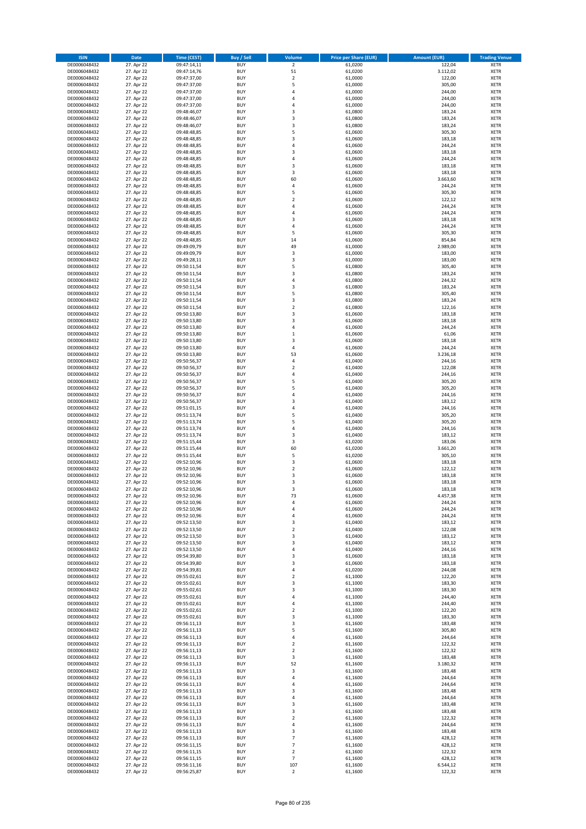| <b>ISIN</b>                  | Date                     | Time (CEST)                | <b>Buy / Sell</b>        | <b>Volume</b>                    | <b>Price per Share (EUR)</b> | <b>Amount (EUR)</b> | <b>Trading Venue</b>       |
|------------------------------|--------------------------|----------------------------|--------------------------|----------------------------------|------------------------------|---------------------|----------------------------|
| DE0006048432                 | 27. Apr 22               | 09:47:14,11                | <b>BUY</b>               | $\overline{2}$                   | 61,0200                      | 122,04              | <b>XETR</b>                |
| DE0006048432                 | 27. Apr 22               | 09:47:14,76                | <b>BUY</b>               | 51                               | 61,0200                      | 3.112,02            | XETR                       |
| DE0006048432                 | 27. Apr 22               | 09:47:37,00                | <b>BUY</b>               | $\overline{2}$                   | 61,0000                      | 122,00              | <b>XETR</b>                |
| DE0006048432                 | 27. Apr 22               | 09:47:37,00                | <b>BUY</b>               | 5                                | 61,0000                      | 305,00              | XETR                       |
| DE0006048432<br>DE0006048432 | 27. Apr 22<br>27. Apr 22 | 09:47:37,00<br>09:47:37,00 | <b>BUY</b><br><b>BUY</b> | $\overline{4}$<br>$\overline{4}$ | 61,0000<br>61,0000           | 244,00<br>244,00    | <b>XETR</b><br><b>XETR</b> |
| DE0006048432                 | 27. Apr 22               | 09:47:37,00                | <b>BUY</b>               | $\overline{4}$                   | 61,0000                      | 244,00              | <b>XETR</b>                |
| DE0006048432                 | 27. Apr 22               | 09:48:46,07                | <b>BUY</b>               | 3                                | 61,0800                      | 183,24              | <b>XETR</b>                |
| DE0006048432                 | 27. Apr 22               | 09:48:46,07                | <b>BUY</b>               | 3                                | 61,0800                      | 183,24              | <b>XETR</b>                |
| DE0006048432                 | 27. Apr 22               | 09:48:46,07                | <b>BUY</b>               | 3                                | 61,0800                      | 183,24              | <b>XETR</b>                |
| DE0006048432                 | 27. Apr 22               | 09:48:48,85                | <b>BUY</b>               | 5                                | 61,0600                      | 305,30              | <b>XETR</b>                |
| DE0006048432                 | 27. Apr 22               | 09:48:48,85                | <b>BUY</b>               | 3<br>$\overline{4}$              | 61,0600                      | 183,18              | <b>XETR</b>                |
| DE0006048432<br>DE0006048432 | 27. Apr 22<br>27. Apr 22 | 09:48:48,85<br>09:48:48,85 | <b>BUY</b><br><b>BUY</b> | 3                                | 61,0600<br>61,0600           | 244,24<br>183,18    | <b>XETR</b><br><b>XETR</b> |
| DE0006048432                 | 27. Apr 22               | 09:48:48,85                | <b>BUY</b>               | 4                                | 61,0600                      | 244,24              | <b>XETR</b>                |
| DE0006048432                 | 27. Apr 22               | 09:48:48,85                | <b>BUY</b>               | 3                                | 61,0600                      | 183,18              | <b>XETR</b>                |
| DE0006048432                 | 27. Apr 22               | 09:48:48,85                | <b>BUY</b>               | 3                                | 61,0600                      | 183,18              | <b>XETR</b>                |
| DE0006048432                 | 27. Apr 22               | 09:48:48,85                | <b>BUY</b>               | 60                               | 61,0600                      | 3.663,60            | <b>XETR</b>                |
| DE0006048432                 | 27. Apr 22               | 09:48:48,85                | <b>BUY</b>               | 4                                | 61,0600                      | 244,24              | <b>XETR</b>                |
| DE0006048432<br>DE0006048432 | 27. Apr 22<br>27. Apr 22 | 09:48:48,85<br>09:48:48,85 | <b>BUY</b><br><b>BUY</b> | 5<br>$\overline{2}$              | 61,0600<br>61,0600           | 305,30<br>122,12    | <b>XETR</b><br><b>XETR</b> |
| DE0006048432                 | 27. Apr 22               | 09:48:48,85                | <b>BUY</b>               | 4                                | 61,0600                      | 244,24              | <b>XETR</b>                |
| DE0006048432                 | 27. Apr 22               | 09:48:48,85                | <b>BUY</b>               | $\overline{4}$                   | 61,0600                      | 244,24              | <b>XETR</b>                |
| DE0006048432                 | 27. Apr 22               | 09:48:48,85                | <b>BUY</b>               | 3                                | 61,0600                      | 183,18              | <b>XETR</b>                |
| DE0006048432                 | 27. Apr 22               | 09:48:48,85                | <b>BUY</b>               | $\sqrt{4}$                       | 61,0600                      | 244,24              | <b>XETR</b>                |
| DE0006048432                 | 27. Apr 22               | 09:48:48,85                | <b>BUY</b>               | 5                                | 61,0600                      | 305,30              | <b>XETR</b>                |
| DE0006048432<br>DE0006048432 | 27. Apr 22<br>27. Apr 22 | 09:48:48,85<br>09:49:09,79 | <b>BUY</b><br><b>BUY</b> | 14<br>49                         | 61,0600<br>61,0000           | 854,84<br>2.989,00  | <b>XETR</b><br><b>XETR</b> |
| DE0006048432                 | 27. Apr 22               | 09:49:09,79                | <b>BUY</b>               | 3                                | 61,0000                      | 183,00              | <b>XETR</b>                |
| DE0006048432                 | 27. Apr 22               | 09:49:28,11                | <b>BUY</b>               | 3                                | 61,0000                      | 183,00              | <b>XETR</b>                |
| DE0006048432                 | 27. Apr 22               | 09:50:11,54                | <b>BUY</b>               | 5                                | 61,0800                      | 305,40              | <b>XETR</b>                |
| DE0006048432                 | 27. Apr 22               | 09:50:11,54                | <b>BUY</b>               | 3                                | 61,0800                      | 183,24              | <b>XETR</b>                |
| DE0006048432                 | 27. Apr 22               | 09:50:11,54                | <b>BUY</b>               | 4                                | 61,0800                      | 244,32              | <b>XETR</b>                |
| DE0006048432                 | 27. Apr 22               | 09:50:11,54                | <b>BUY</b>               | 3                                | 61,0800                      | 183,24              | <b>XETR</b>                |
| DE0006048432<br>DE0006048432 | 27. Apr 22<br>27. Apr 22 | 09:50:11,54<br>09:50:11,54 | <b>BUY</b><br><b>BUY</b> | 5<br>3                           | 61,0800<br>61,0800           | 305,40<br>183,24    | <b>XETR</b><br><b>XETR</b> |
| DE0006048432                 | 27. Apr 22               | 09:50:11,54                | <b>BUY</b>               | $\overline{2}$                   | 61,0800                      | 122,16              | <b>XETR</b>                |
| DE0006048432                 | 27. Apr 22               | 09:50:13,80                | <b>BUY</b>               | 3                                | 61,0600                      | 183,18              | <b>XETR</b>                |
| DE0006048432                 | 27. Apr 22               | 09:50:13,80                | <b>BUY</b>               | 3                                | 61,0600                      | 183,18              | <b>XETR</b>                |
| DE0006048432                 | 27. Apr 22               | 09:50:13,80                | <b>BUY</b>               | 4                                | 61,0600                      | 244,24              | <b>XETR</b>                |
| DE0006048432                 | 27. Apr 22               | 09:50:13,80                | <b>BUY</b>               | $\,1\,$                          | 61,0600                      | 61,06               | <b>XETR</b>                |
| DE0006048432                 | 27. Apr 22<br>27. Apr 22 | 09:50:13,80                | <b>BUY</b><br><b>BUY</b> | 3<br>$\sqrt{4}$                  | 61,0600<br>61,0600           | 183,18<br>244,24    | <b>XETR</b><br><b>XETR</b> |
| DE0006048432<br>DE0006048432 | 27. Apr 22               | 09:50:13,80<br>09:50:13,80 | <b>BUY</b>               | 53                               | 61,0600                      | 3.236,18            | <b>XETR</b>                |
| DE0006048432                 | 27. Apr 22               | 09:50:56,37                | <b>BUY</b>               | $\sqrt{4}$                       | 61,0400                      | 244,16              | <b>XETR</b>                |
| DE0006048432                 | 27. Apr 22               | 09:50:56,37                | <b>BUY</b>               | $\overline{2}$                   | 61,0400                      | 122,08              | <b>XETR</b>                |
| DE0006048432                 | 27. Apr 22               | 09:50:56,37                | <b>BUY</b>               | 4                                | 61,0400                      | 244,16              | <b>XETR</b>                |
| DE0006048432                 | 27. Apr 22               | 09:50:56,37                | <b>BUY</b>               | 5                                | 61,0400                      | 305,20              | <b>XETR</b>                |
| DE0006048432<br>DE0006048432 | 27. Apr 22<br>27. Apr 22 | 09:50:56,37                | <b>BUY</b><br><b>BUY</b> | 5<br>$\sqrt{4}$                  | 61,0400<br>61,0400           | 305,20<br>244,16    | <b>XETR</b><br><b>XETR</b> |
| DE0006048432                 | 27. Apr 22               | 09:50:56,37<br>09:50:56,37 | <b>BUY</b>               | 3                                | 61,0400                      | 183,12              | <b>XETR</b>                |
| DE0006048432                 | 27. Apr 22               | 09:51:01,15                | <b>BUY</b>               | $\overline{4}$                   | 61,0400                      | 244,16              | <b>XETR</b>                |
| DE0006048432                 | 27. Apr 22               | 09:51:13,74                | <b>BUY</b>               | 5                                | 61,0400                      | 305,20              | <b>XETR</b>                |
| DE0006048432                 | 27. Apr 22               | 09:51:13,74                | <b>BUY</b>               | 5                                | 61,0400                      | 305,20              | <b>XETR</b>                |
| DE0006048432                 | 27. Apr 22               | 09:51:13,74                | <b>BUY</b>               | 4                                | 61,0400                      | 244,16              | <b>XETR</b>                |
| DE0006048432                 | 27. Apr 22               | 09:51:13,74                | <b>BUY</b>               | 3                                | 61,0400                      | 183,12              | <b>XETR</b>                |
| DE0006048432<br>DE0006048432 | 27. Apr 22<br>27. Apr 22 | 09:51:15,44<br>09:51:15,44 | <b>BUY</b><br><b>BUY</b> | 3<br>60                          | 61,0200<br>61,0200           | 183,06<br>3.661,20  | <b>XETR</b><br><b>XETR</b> |
| DE0006048432                 | 27. Apr 22               | 09:51:15,44                | <b>BUY</b>               | 5                                | 61,0200                      | 305,10              | <b>XETR</b>                |
| DE0006048432                 | 27. Apr 22               | 09:52:10,96                | <b>BUY</b>               | 3                                | 61,0600                      | 183,18              | <b>XETR</b>                |
| DE0006048432                 | 27. Apr 22               | 09:52:10,96                | <b>BUY</b>               | $\mathbf 2$                      | 61,0600                      | 122,12              | <b>XETR</b>                |
| DE0006048432                 | 27. Apr 22               | 09:52:10,96                | <b>BUY</b>               | 3                                | 61,0600                      | 183,18              | <b>XETR</b>                |
| DE0006048432                 | 27. Apr 22               | 09:52:10,96                | <b>BUY</b>               | 3                                | 61,0600                      | 183,18              | <b>XETR</b>                |
| DE0006048432<br>DE0006048432 | 27. Apr 22<br>27. Apr 22 | 09:52:10,96<br>09:52:10,96 | <b>BUY</b><br>BUY        | 3<br>73                          | 61,0600<br>61,0600           | 183,18<br>4.457,38  | <b>XETR</b><br>XETR        |
| DE0006048432                 | 27. Apr 22               | 09:52:10,96                | <b>BUY</b>               | 4                                | 61,0600                      | 244,24              | <b>XETR</b>                |
| DE0006048432                 | 27. Apr 22               | 09:52:10,96                | <b>BUY</b>               | 4                                | 61,0600                      | 244,24              | <b>XETR</b>                |
| DE0006048432                 | 27. Apr 22               | 09:52:10,96                | <b>BUY</b>               | 4                                | 61,0600                      | 244,24              | <b>XETR</b>                |
| DE0006048432                 | 27. Apr 22               | 09:52:13,50                | <b>BUY</b>               | 3                                | 61,0400                      | 183,12              | <b>XETR</b>                |
| DE0006048432                 | 27. Apr 22               | 09:52:13,50                | <b>BUY</b>               | $\mathbf 2$                      | 61,0400                      | 122,08              | <b>XETR</b>                |
| DE0006048432<br>DE0006048432 | 27. Apr 22<br>27. Apr 22 | 09:52:13,50                | <b>BUY</b><br><b>BUY</b> | 3<br>3                           | 61,0400<br>61,0400           | 183,12<br>183,12    | <b>XETR</b><br><b>XETR</b> |
| DE0006048432                 | 27. Apr 22               | 09:52:13,50<br>09:52:13,50 | <b>BUY</b>               | 4                                | 61,0400                      | 244,16              | XETR                       |
| DE0006048432                 | 27. Apr 22               | 09:54:39,80                | <b>BUY</b>               | 3                                | 61,0600                      | 183,18              | <b>XETR</b>                |
| DE0006048432                 | 27. Apr 22               | 09:54:39,80                | <b>BUY</b>               | 3                                | 61,0600                      | 183,18              | XETR                       |
| DE0006048432                 | 27. Apr 22               | 09:54:39,81                | <b>BUY</b>               | 4                                | 61,0200                      | 244,08              | <b>XETR</b>                |
| DE0006048432                 | 27. Apr 22               | 09:55:02,61                | <b>BUY</b>               | $\mathbf 2$                      | 61,1000                      | 122,20              | XETR                       |
| DE0006048432<br>DE0006048432 | 27. Apr 22<br>27. Apr 22 | 09:55:02,61<br>09:55:02,61 | <b>BUY</b><br><b>BUY</b> | 3<br>3                           | 61,1000<br>61,1000           | 183,30<br>183,30    | <b>XETR</b><br>XETR        |
| DE0006048432                 | 27. Apr 22               | 09:55:02,61                | <b>BUY</b>               | $\overline{4}$                   | 61,1000                      | 244,40              | <b>XETR</b>                |
| DE0006048432                 | 27. Apr 22               | 09:55:02,61                | <b>BUY</b>               | 4                                | 61,1000                      | 244,40              | <b>XETR</b>                |
| DE0006048432                 | 27. Apr 22               | 09:55:02,61                | <b>BUY</b>               | $\overline{2}$                   | 61,1000                      | 122,20              | <b>XETR</b>                |
| DE0006048432                 | 27. Apr 22               | 09:55:02,61                | <b>BUY</b>               | 3                                | 61,1000                      | 183,30              | XETR                       |
| DE0006048432                 | 27. Apr 22               | 09:56:11,13                | <b>BUY</b>               | 3                                | 61,1600                      | 183,48              | XETR                       |
| DE0006048432                 | 27. Apr 22               | 09:56:11,13                | <b>BUY</b>               | 5                                | 61,1600                      | 305,80              | <b>XETR</b>                |
| DE0006048432<br>DE0006048432 | 27. Apr 22<br>27. Apr 22 | 09:56:11,13<br>09:56:11,13 | <b>BUY</b><br><b>BUY</b> | $\sqrt{4}$<br>$\overline{2}$     | 61,1600<br>61,1600           | 244,64<br>122,32    | <b>XETR</b><br>XETR        |
| DE0006048432                 | 27. Apr 22               | 09:56:11,13                | <b>BUY</b>               | $\mathbf 2$                      | 61,1600                      | 122,32              | <b>XETR</b>                |
| DE0006048432                 | 27. Apr 22               | 09:56:11,13                | <b>BUY</b>               | 3                                | 61,1600                      | 183,48              | XETR                       |
| DE0006048432                 | 27. Apr 22               | 09:56:11,13                | <b>BUY</b>               | 52                               | 61,1600                      | 3.180,32            | <b>XETR</b>                |
| DE0006048432                 | 27. Apr 22               | 09:56:11,13                | <b>BUY</b>               | 3                                | 61,1600                      | 183,48              | <b>XETR</b>                |
| DE0006048432                 | 27. Apr 22               | 09:56:11,13                | <b>BUY</b>               | 4                                | 61,1600                      | 244,64              | <b>XETR</b>                |
| DE0006048432<br>DE0006048432 | 27. Apr 22<br>27. Apr 22 | 09:56:11,13<br>09:56:11,13 | <b>BUY</b><br><b>BUY</b> | $\pmb{4}$<br>3                   | 61,1600<br>61,1600           | 244,64<br>183,48    | <b>XETR</b><br><b>XETR</b> |
| DE0006048432                 | 27. Apr 22               | 09:56:11,13                | <b>BUY</b>               | 4                                | 61,1600                      | 244,64              | <b>XETR</b>                |
| DE0006048432                 | 27. Apr 22               | 09:56:11,13                | <b>BUY</b>               | 3                                | 61,1600                      | 183,48              | XETR                       |
| DE0006048432                 | 27. Apr 22               | 09:56:11,13                | <b>BUY</b>               | 3                                | 61,1600                      | 183,48              | <b>XETR</b>                |
| DE0006048432                 | 27. Apr 22               | 09:56:11,13                | <b>BUY</b>               | $\mathbf 2$                      | 61,1600                      | 122,32              | <b>XETR</b>                |
| DE0006048432                 | 27. Apr 22               | 09:56:11,13                | <b>BUY</b>               | $\pmb{4}$                        | 61,1600                      | 244,64              | <b>XETR</b>                |
| DE0006048432                 | 27. Apr 22               | 09:56:11,13                | <b>BUY</b>               | $\mathsf 3$<br>$\overline{7}$    | 61,1600                      | 183,48              | <b>XETR</b>                |
| DE0006048432<br>DE0006048432 | 27. Apr 22<br>27. Apr 22 | 09:56:11,13<br>09:56:11,15 | <b>BUY</b><br><b>BUY</b> | $\overline{7}$                   | 61,1600<br>61,1600           | 428,12<br>428,12    | XETR<br>XETR               |
| DE0006048432                 | 27. Apr 22               | 09:56:11,15                | <b>BUY</b>               | $\overline{2}$                   | 61,1600                      | 122,32              | <b>XETR</b>                |
| DE0006048432                 | 27. Apr 22               | 09:56:11,15                | <b>BUY</b>               | $\overline{7}$                   | 61,1600                      | 428,12              | XETR                       |
| DE0006048432                 | 27. Apr 22               | 09:56:11,16                | <b>BUY</b>               | 107                              | 61,1600                      | 6.544,12            | <b>XETR</b>                |
| DE0006048432                 | 27. Apr 22               | 09:56:25,87                | <b>BUY</b>               | $\overline{2}$                   | 61,1600                      | 122,32              | <b>XETR</b>                |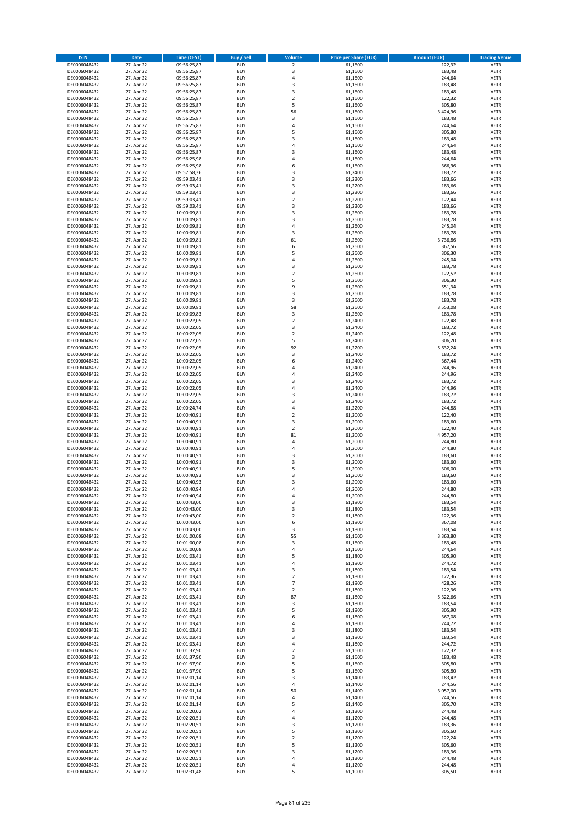| <b>ISIN</b>                  | <b>Date</b>              | <b>Time (CEST)</b>         | <b>Buy / Sell</b>        | Volume                                    | <b>Price per Share (EUR)</b> | <b>Amount (EUR)</b> | <b>Trading Venue</b>       |
|------------------------------|--------------------------|----------------------------|--------------------------|-------------------------------------------|------------------------------|---------------------|----------------------------|
| DE0006048432                 | 27. Apr 22               | 09:56:25,87                | <b>BUY</b>               | $\overline{\mathbf{2}}$                   | 61,1600                      | 122,32              | <b>XETR</b>                |
| DE0006048432                 | 27. Apr 22               | 09:56:25,87                | <b>BUY</b>               | 3                                         | 61,1600                      | 183,48              | <b>XETR</b>                |
| DE0006048432                 | 27. Apr 22               | 09:56:25,87                | <b>BUY</b>               | $\overline{4}$                            | 61,1600                      | 244,64              | <b>XETR</b>                |
| DE0006048432                 | 27. Apr 22               | 09:56:25,87                | <b>BUY</b>               | $\mathsf 3$                               | 61,1600                      | 183,48              | <b>XETR</b>                |
| DE0006048432<br>DE0006048432 | 27. Apr 22<br>27. Apr 22 | 09:56:25,87<br>09:56:25,87 | <b>BUY</b><br><b>BUY</b> | 3<br>$\mathbf 2$                          | 61,1600<br>61,1600           | 183,48<br>122,32    | <b>XETR</b><br><b>XETR</b> |
| DE0006048432                 | 27. Apr 22               | 09:56:25,87                | <b>BUY</b>               | 5                                         | 61,1600                      | 305,80              | <b>XETR</b>                |
| DE0006048432                 | 27. Apr 22               | 09:56:25,87                | <b>BUY</b>               | 56                                        | 61,1600                      | 3.424,96            | <b>XETR</b>                |
| DE0006048432                 | 27. Apr 22               | 09:56:25,87                | BUY                      | 3                                         | 61,1600                      | 183,48              | <b>XETR</b>                |
| DE0006048432                 | 27. Apr 22               | 09:56:25,87                | <b>BUY</b>               | 4                                         | 61,1600                      | 244,64              | <b>XETR</b>                |
| DE0006048432                 | 27. Apr 22               | 09:56:25,87                | <b>BUY</b>               | 5                                         | 61,1600                      | 305,80              | <b>XETR</b>                |
| DE0006048432                 | 27. Apr 22               | 09:56:25,87                | <b>BUY</b>               | $\overline{3}$<br>$\overline{a}$          | 61,1600                      | 183,48              | <b>XETR</b>                |
| DE0006048432<br>DE0006048432 | 27. Apr 22<br>27. Apr 22 | 09:56:25,87<br>09:56:25,87 | <b>BUY</b><br><b>BUY</b> | $\overline{3}$                            | 61,1600<br>61,1600           | 244,64<br>183,48    | <b>XETR</b><br><b>XETR</b> |
| DE0006048432                 | 27. Apr 22               | 09:56:25,98                | <b>BUY</b>               | 4                                         | 61,1600                      | 244,64              | <b>XETR</b>                |
| DE0006048432                 | 27. Apr 22               | 09:56:25,98                | BUY                      | 6                                         | 61,1600                      | 366,96              | <b>XETR</b>                |
| DE0006048432                 | 27. Apr 22               | 09:57:58,36                | <b>BUY</b>               | $\overline{3}$                            | 61,2400                      | 183,72              | <b>XETR</b>                |
| DE0006048432                 | 27. Apr 22               | 09:59:03,41                | <b>BUY</b>               | 3                                         | 61,2200                      | 183,66              | <b>XETR</b>                |
| DE0006048432                 | 27. Apr 22               | 09:59:03,41                | <b>BUY</b>               | 3                                         | 61,2200                      | 183,66              | <b>XETR</b>                |
| DE0006048432<br>DE0006048432 | 27. Apr 22<br>27. Apr 22 | 09:59:03,41<br>09:59:03,41 | <b>BUY</b><br><b>BUY</b> | $\overline{\mathbf{3}}$<br>$\overline{2}$ | 61,2200<br>61,2200           | 183,66<br>122,44    | <b>XETR</b><br><b>XETR</b> |
| DE0006048432                 | 27. Apr 22               | 09:59:03,41                | <b>BUY</b>               | $\overline{3}$                            | 61,2200                      | 183,66              | <b>XETR</b>                |
| DE0006048432                 | 27. Apr 22               | 10:00:09,81                | <b>BUY</b>               | $\overline{3}$                            | 61,2600                      | 183,78              | <b>XETR</b>                |
| DE0006048432                 | 27. Apr 22               | 10:00:09,81                | <b>BUY</b>               | $\overline{3}$                            | 61,2600                      | 183,78              | <b>XETR</b>                |
| DE0006048432                 | 27. Apr 22               | 10:00:09,81                | <b>BUY</b>               | 4                                         | 61,2600                      | 245,04              | <b>XETR</b>                |
| DE0006048432                 | 27. Apr 22               | 10:00:09,81                | <b>BUY</b>               | 3                                         | 61,2600                      | 183,78              | <b>XETR</b>                |
| DE0006048432                 | 27. Apr 22               | 10:00:09,81                | <b>BUY</b><br><b>BUY</b> | 61<br>6                                   | 61,2600                      | 3.736,86            | <b>XETR</b><br><b>XETR</b> |
| DE0006048432<br>DE0006048432 | 27. Apr 22<br>27. Apr 22 | 10:00:09,81<br>10:00:09,81 | <b>BUY</b>               | 5                                         | 61,2600<br>61,2600           | 367,56<br>306,30    | <b>XETR</b>                |
| DE0006048432                 | 27. Apr 22               | 10:00:09,81                | <b>BUY</b>               | 4                                         | 61,2600                      | 245,04              | <b>XETR</b>                |
| DE0006048432                 | 27. Apr 22               | 10:00:09,81                | <b>BUY</b>               | $\overline{3}$                            | 61,2600                      | 183,78              | <b>XETR</b>                |
| DE0006048432                 | 27. Apr 22               | 10:00:09,81                | <b>BUY</b>               | $\mathbf 2$                               | 61,2600                      | 122,52              | <b>XETR</b>                |
| DE0006048432                 | 27. Apr 22               | 10:00:09,81                | <b>BUY</b>               | 5                                         | 61,2600                      | 306,30              | <b>XETR</b>                |
| DE0006048432                 | 27. Apr 22               | 10:00:09,81                | <b>BUY</b>               | 9                                         | 61,2600                      | 551,34              | <b>XETR</b>                |
| DE0006048432<br>DE0006048432 | 27. Apr 22<br>27. Apr 22 | 10:00:09,81<br>10:00:09,81 | <b>BUY</b><br><b>BUY</b> | $\overline{\mathbf{3}}$<br>3              | 61,2600<br>61,2600           | 183,78<br>183,78    | <b>XETR</b><br><b>XETR</b> |
| DE0006048432                 | 27. Apr 22               | 10:00:09,81                | <b>BUY</b>               | 58                                        | 61,2600                      | 3.553,08            | <b>XETR</b>                |
| DE0006048432                 | 27. Apr 22               | 10:00:09,83                | BUY                      | 3                                         | 61,2600                      | 183,78              | <b>XETR</b>                |
| DE0006048432                 | 27. Apr 22               | 10:00:22,05                | <b>BUY</b>               | $\mathbf 2$                               | 61,2400                      | 122,48              | <b>XETR</b>                |
| DE0006048432                 | 27. Apr 22               | 10:00:22,05                | <b>BUY</b>               | 3                                         | 61,2400                      | 183,72              | <b>XETR</b>                |
| DE0006048432                 | 27. Apr 22               | 10:00:22,05                | <b>BUY</b>               | $\overline{2}$                            | 61,2400                      | 122,48              | <b>XETR</b>                |
| DE0006048432                 | 27. Apr 22               | 10:00:22,05                | <b>BUY</b>               | 5                                         | 61,2400                      | 306,20              | <b>XETR</b>                |
| DE0006048432<br>DE0006048432 | 27. Apr 22<br>27. Apr 22 | 10:00:22,05<br>10:00:22,05 | <b>BUY</b><br><b>BUY</b> | 92<br>3                                   | 61,2200<br>61,2400           | 5.632,24<br>183,72  | <b>XETR</b><br><b>XETR</b> |
| DE0006048432                 | 27. Apr 22               | 10:00:22,05                | <b>BUY</b>               | 6                                         | 61,2400                      | 367,44              | <b>XETR</b>                |
| DE0006048432                 | 27. Apr 22               | 10:00:22,05                | <b>BUY</b>               | $\overline{a}$                            | 61,2400                      | 244,96              | <b>XETR</b>                |
| DE0006048432                 | 27. Apr 22               | 10:00:22,05                | <b>BUY</b>               | 4                                         | 61,2400                      | 244,96              | <b>XETR</b>                |
| DE0006048432                 | 27. Apr 22               | 10:00:22,05                | <b>BUY</b>               | $\overline{3}$                            | 61,2400                      | 183,72              | <b>XETR</b>                |
| DE0006048432                 | 27. Apr 22               | 10:00:22,05                | <b>BUY</b><br><b>BUY</b> | 4<br>$\overline{\mathbf{3}}$              | 61,2400                      | 244,96              | <b>XETR</b><br><b>XETR</b> |
| DE0006048432<br>DE0006048432 | 27. Apr 22<br>27. Apr 22 | 10:00:22,05<br>10:00:22,05 | <b>BUY</b>               | $\overline{\mathbf{3}}$                   | 61,2400<br>61,2400           | 183,72<br>183,72    | <b>XETR</b>                |
| DE0006048432                 | 27. Apr 22               | 10:00:24,74                | <b>BUY</b>               | $\overline{a}$                            | 61,2200                      | 244,88              | <b>XETR</b>                |
| DE0006048432                 | 27. Apr 22               | 10:00:40,91                | <b>BUY</b>               | $\overline{2}$                            | 61,2000                      | 122,40              | <b>XETR</b>                |
| DE0006048432                 | 27. Apr 22               | 10:00:40,91                | <b>BUY</b>               | 3                                         | 61,2000                      | 183,60              | <b>XETR</b>                |
| DE0006048432                 | 27. Apr 22               | 10:00:40,91                | <b>BUY</b>               | $\overline{2}$                            | 61,2000                      | 122,40              | <b>XETR</b>                |
| DE0006048432                 | 27. Apr 22               | 10:00:40,91                | <b>BUY</b>               | 81                                        | 61,2000                      | 4.957,20            | <b>XETR</b>                |
| DE0006048432<br>DE0006048432 | 27. Apr 22<br>27. Apr 22 | 10:00:40,91<br>10:00:40,91 | <b>BUY</b><br><b>BUY</b> | $\overline{4}$<br>4                       | 61,2000<br>61,2000           | 244,80<br>244,80    | <b>XETR</b><br><b>XETR</b> |
| DE0006048432                 | 27. Apr 22               | 10:00:40,91                | BUY                      | $\overline{\mathbf{3}}$                   | 61,2000                      | 183,60              | <b>XETR</b>                |
| DE0006048432                 | 27. Apr 22               | 10:00:40,91                | <b>BUY</b>               | $\overline{\mathbf{3}}$                   | 61,2000                      | 183,60              | <b>XETR</b>                |
| DE0006048432                 | 27. Apr 22               | 10:00:40,91                | <b>BUY</b>               | 5                                         | 61,2000                      | 306,00              | <b>XETR</b>                |
| DE0006048432                 | 27. Apr 22               | 10:00:40,93                | BUY                      | 3                                         | 61,2000                      | 183,60              | <b>XETR</b>                |
| DE0006048432                 | 27. Apr 22               | 10:00:40,93                | BUY                      | $\overline{\mathbf{3}}$                   | 61,2000                      | 183,60              | <b>XETR</b>                |
| DE0006048432                 | 27. Apr 22               | 10:00:40,94<br>10:00:40,94 | <b>BUY</b>               | $\overline{a}$<br>4                       | 61,2000                      | 244,80              | <b>XETR</b>                |
| DE0006048432<br>DE0006048432 | 27. Apr 22<br>27. Apr 22 | 10:00:43,00                | BUY<br><b>BUY</b>        | 3                                         | 61,2000<br>61,1800           | 244,80<br>183,54    | <b>XETR</b><br><b>XETR</b> |
| DE0006048432                 | 27. Apr 22               | 10:00:43,00                | <b>BUY</b>               | 3                                         | 61,1800                      | 183,54              | <b>XETR</b>                |
| DE0006048432                 | 27. Apr 22               | 10:00:43,00                | <b>BUY</b>               | $\mathbf 2$                               | 61,1800                      | 122,36              | <b>XETR</b>                |
| DE0006048432                 | 27. Apr 22               | 10:00:43,00                | <b>BUY</b>               | 6                                         | 61,1800                      | 367,08              | <b>XETR</b>                |
| DE0006048432                 | 27. Apr 22               | 10:00:43,00                | <b>BUY</b>               | 3                                         | 61,1800                      | 183,54              | <b>XETR</b>                |
| DE0006048432                 | 27. Apr 22               | 10:01:00,08                | <b>BUY</b>               | 55                                        | 61,1600                      | 3.363,80            | <b>XETR</b>                |
| DE0006048432<br>DE0006048432 | 27. Apr 22<br>27. Apr 22 | 10:01:00,08<br>10:01:00,08 | <b>BUY</b><br><b>BUY</b> | 3<br>$\overline{4}$                       | 61,1600<br>61,1600           | 183,48<br>244,64    | <b>XETR</b><br><b>XETR</b> |
| DE0006048432                 | 27. Apr 22               | 10:01:03,41                | <b>BUY</b>               | 5                                         | 61,1800                      | 305,90              | <b>XETR</b>                |
| DE0006048432                 | 27. Apr 22               | 10:01:03,41                | <b>BUY</b>               | 4                                         | 61,1800                      | 244,72              | <b>XETR</b>                |
| DE0006048432                 | 27. Apr 22               | 10:01:03,41                | <b>BUY</b>               | 3                                         | 61,1800                      | 183,54              | <b>XETR</b>                |
| DE0006048432                 | 27. Apr 22               | 10:01:03,41                | <b>BUY</b>               | $\mathbf 2$                               | 61,1800                      | 122,36              | <b>XETR</b>                |
| DE0006048432                 | 27. Apr 22               | 10:01:03,41                | <b>BUY</b>               | 7                                         | 61,1800                      | 428,26              | <b>XETR</b>                |
| DE0006048432<br>DE0006048432 | 27. Apr 22<br>27. Apr 22 | 10:01:03,41<br>10:01:03,41 | <b>BUY</b><br><b>BUY</b> | $\mathbf 2$<br>87                         | 61,1800<br>61,1800           | 122,36<br>5.322,66  | <b>XETR</b><br><b>XETR</b> |
| DE0006048432                 | 27. Apr 22               | 10:01:03,41                | <b>BUY</b>               | 3                                         | 61,1800                      | 183,54              | <b>XETR</b>                |
| DE0006048432                 | 27. Apr 22               | 10:01:03,41                | <b>BUY</b>               | 5                                         | 61,1800                      | 305,90              | <b>XETR</b>                |
| DE0006048432                 | 27. Apr 22               | 10:01:03,41                | <b>BUY</b>               | 6                                         | 61,1800                      | 367,08              | <b>XETR</b>                |
| DE0006048432                 | 27. Apr 22               | 10:01:03,41                | <b>BUY</b>               | $\overline{4}$                            | 61,1800                      | 244,72              | <b>XETR</b>                |
| DE0006048432                 | 27. Apr 22               | 10:01:03,41                | <b>BUY</b>               | $\overline{\mathbf{3}}$                   | 61,1800                      | 183,54              | <b>XETR</b>                |
| DE0006048432<br>DE0006048432 | 27. Apr 22<br>27. Apr 22 | 10:01:03,41<br>10:01:03,41 | <b>BUY</b><br><b>BUY</b> | 3<br>4                                    | 61,1800<br>61,1800           | 183,54<br>244,72    | <b>XETR</b><br><b>XETR</b> |
| DE0006048432                 | 27. Apr 22               | 10:01:37,90                | <b>BUY</b>               | $\overline{2}$                            | 61,1600                      | 122,32              | <b>XETR</b>                |
| DE0006048432                 | 27. Apr 22               | 10:01:37,90                | <b>BUY</b>               | 3                                         | 61,1600                      | 183,48              | <b>XETR</b>                |
| DE0006048432                 | 27. Apr 22               | 10:01:37,90                | <b>BUY</b>               | 5                                         | 61,1600                      | 305,80              | <b>XETR</b>                |
| DE0006048432                 | 27. Apr 22               | 10:01:37,90                | <b>BUY</b>               | 5                                         | 61,1600                      | 305,80              | <b>XETR</b>                |
| DE0006048432                 | 27. Apr 22               | 10:02:01,14                | <b>BUY</b>               | $\overline{\mathbf{3}}$                   | 61,1400                      | 183,42              | <b>XETR</b>                |
| DE0006048432                 | 27. Apr 22               | 10:02:01,14                | <b>BUY</b>               | 4                                         | 61,1400                      | 244,56              | <b>XETR</b>                |
| DE0006048432<br>DE0006048432 | 27. Apr 22<br>27. Apr 22 | 10:02:01,14<br>10:02:01,14 | <b>BUY</b><br><b>BUY</b> | 50<br>$\overline{4}$                      | 61,1400<br>61,1400           | 3.057,00<br>244,56  | <b>XETR</b><br><b>XETR</b> |
| DE0006048432                 | 27. Apr 22               | 10:02:01,14                | <b>BUY</b>               | 5                                         | 61,1400                      | 305,70              | <b>XETR</b>                |
| DE0006048432                 | 27. Apr 22               | 10:02:20,02                | <b>BUY</b>               | 4                                         | 61,1200                      | 244,48              | <b>XETR</b>                |
| DE0006048432                 | 27. Apr 22               | 10:02:20,51                | <b>BUY</b>               | $\overline{a}$                            | 61,1200                      | 244,48              | <b>XETR</b>                |
| DE0006048432                 | 27. Apr 22               | 10:02:20,51                | <b>BUY</b>               | $\overline{\mathbf{3}}$                   | 61,1200                      | 183,36              | <b>XETR</b>                |
| DE0006048432                 | 27. Apr 22               | 10:02:20,51                | <b>BUY</b>               | 5                                         | 61,1200                      | 305,60              | <b>XETR</b>                |
| DE0006048432<br>DE0006048432 | 27. Apr 22<br>27. Apr 22 | 10:02:20,51                | <b>BUY</b><br><b>BUY</b> | $\overline{2}$<br>5                       | 61,1200<br>61,1200           | 122,24<br>305,60    | <b>XETR</b>                |
| DE0006048432                 | 27. Apr 22               | 10:02:20,51<br>10:02:20,51 | <b>BUY</b>               | 3                                         | 61,1200                      | 183,36              | <b>XETR</b><br><b>XETR</b> |
| DE0006048432                 | 27. Apr 22               | 10:02:20,51                | <b>BUY</b>               | 4                                         | 61,1200                      | 244,48              | <b>XETR</b>                |
| DE0006048432                 | 27. Apr 22               | 10:02:20,51                | <b>BUY</b>               | 4                                         | 61,1200                      | 244,48              | <b>XETR</b>                |
| DE0006048432                 | 27. Apr 22               | 10:02:31,48                | <b>BUY</b>               | 5                                         | 61,1000                      | 305,50              | <b>XETR</b>                |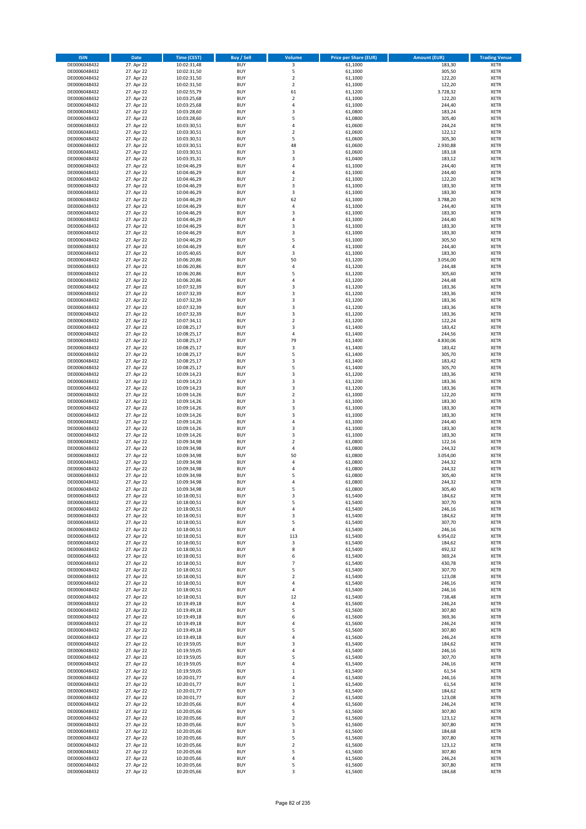| <b>ISIN</b>                  | Date                     | Time (CEST)                | <b>Buy / Sell</b>        | <b>Volume</b>                | <b>Price per Share (EUR)</b> | <b>Amount (EUR)</b> | <b>Trading Venue</b>       |
|------------------------------|--------------------------|----------------------------|--------------------------|------------------------------|------------------------------|---------------------|----------------------------|
| DE0006048432                 | 27. Apr 22               | 10:02:31,48                | <b>BUY</b>               | 3                            | 61,1000                      | 183,30              | <b>XETR</b>                |
| DE0006048432                 | 27. Apr 22               | 10:02:31,50                | <b>BUY</b>               | 5                            | 61,1000                      | 305,50              | XETR                       |
| DE0006048432                 | 27. Apr 22               | 10:02:31,50                | <b>BUY</b>               | $\overline{2}$               | 61,1000                      | 122,20              | <b>XETR</b>                |
| DE0006048432                 | 27. Apr 22               | 10:02:31,50                | <b>BUY</b>               | $\mathbf 2$                  | 61,1000                      | 122,20              | XETR                       |
| DE0006048432<br>DE0006048432 | 27. Apr 22<br>27. Apr 22 | 10:02:55,79<br>10:03:25,68 | <b>BUY</b><br><b>BUY</b> | 61<br>$\mathbf 2$            | 61,1200<br>61,1000           | 3.728,32<br>122,20  | <b>XETR</b><br><b>XETR</b> |
| DE0006048432                 | 27. Apr 22               | 10:03:25,68                | <b>BUY</b>               | $\overline{4}$               | 61,1000                      | 244,40              | <b>XETR</b>                |
| DE0006048432                 | 27. Apr 22               | 10:03:28,60                | <b>BUY</b>               | 3                            | 61,0800                      | 183,24              | <b>XETR</b>                |
| DE0006048432                 | 27. Apr 22               | 10:03:28,60                | <b>BUY</b>               | 5                            | 61,0800                      | 305,40              | <b>XETR</b>                |
| DE0006048432                 | 27. Apr 22               | 10:03:30,51                | <b>BUY</b>               | 4                            | 61,0600                      | 244,24              | <b>XETR</b>                |
| DE0006048432                 | 27. Apr 22               | 10:03:30,51                | <b>BUY</b>               | $\mathbf 2$                  | 61,0600                      | 122,12              | <b>XETR</b>                |
| DE0006048432                 | 27. Apr 22               | 10:03:30,51                | <b>BUY</b>               | 5<br>48                      | 61,0600                      | 305,30              | <b>XETR</b>                |
| DE0006048432<br>DE0006048432 | 27. Apr 22<br>27. Apr 22 | 10:03:30,51<br>10:03:30,51 | <b>BUY</b><br><b>BUY</b> | 3                            | 61,0600<br>61,0600           | 2.930,88<br>183,18  | <b>XETR</b><br><b>XETR</b> |
| DE0006048432                 | 27. Apr 22               | 10:03:35,31                | <b>BUY</b>               | 3                            | 61,0400                      | 183,12              | <b>XETR</b>                |
| DE0006048432                 | 27. Apr 22               | 10:04:46,29                | <b>BUY</b>               | $\overline{4}$               | 61,1000                      | 244,40              | <b>XETR</b>                |
| DE0006048432                 | 27. Apr 22               | 10:04:46,29                | <b>BUY</b>               | 4                            | 61,1000                      | 244,40              | <b>XETR</b>                |
| DE0006048432                 | 27. Apr 22               | 10:04:46,29                | <b>BUY</b>               | $\mathbf 2$                  | 61,1000                      | 122,20              | <b>XETR</b>                |
| DE0006048432                 | 27. Apr 22               | 10:04:46,29                | <b>BUY</b>               | 3                            | 61,1000                      | 183,30              | <b>XETR</b>                |
| DE0006048432<br>DE0006048432 | 27. Apr 22<br>27. Apr 22 | 10:04:46,29<br>10:04:46,29 | <b>BUY</b><br><b>BUY</b> | $\mathsf 3$<br>62            | 61,1000<br>61,1000           | 183,30<br>3.788,20  | <b>XETR</b><br><b>XETR</b> |
| DE0006048432                 | 27. Apr 22               | 10:04:46,29                | <b>BUY</b>               | 4                            | 61,1000                      | 244,40              | <b>XETR</b>                |
| DE0006048432                 | 27. Apr 22               | 10:04:46,29                | <b>BUY</b>               | 3                            | 61,1000                      | 183,30              | <b>XETR</b>                |
| DE0006048432                 | 27. Apr 22               | 10:04:46,29                | <b>BUY</b>               | 4                            | 61,1000                      | 244,40              | <b>XETR</b>                |
| DE0006048432                 | 27. Apr 22               | 10:04:46,29                | <b>BUY</b>               | 3                            | 61,1000                      | 183,30              | <b>XETR</b>                |
| DE0006048432                 | 27. Apr 22               | 10:04:46,29                | <b>BUY</b>               | 3                            | 61,1000                      | 183,30              | <b>XETR</b>                |
| DE0006048432<br>DE0006048432 | 27. Apr 22               | 10:04:46,29                | <b>BUY</b><br><b>BUY</b> | 5<br>4                       | 61,1000                      | 305,50              | <b>XETR</b><br><b>XETR</b> |
| DE0006048432                 | 27. Apr 22<br>27. Apr 22 | 10:04:46,29<br>10:05:40,65 | <b>BUY</b>               | 3                            | 61,1000<br>61,1000           | 244,40<br>183,30    | <b>XETR</b>                |
| DE0006048432                 | 27. Apr 22               | 10:06:20,86                | <b>BUY</b>               | 50                           | 61,1200                      | 3.056,00            | <b>XETR</b>                |
| DE0006048432                 | 27. Apr 22               | 10:06:20,86                | <b>BUY</b>               | $\sqrt{4}$                   | 61,1200                      | 244,48              | <b>XETR</b>                |
| DE0006048432                 | 27. Apr 22               | 10:06:20,86                | <b>BUY</b>               | 5                            | 61,1200                      | 305,60              | <b>XETR</b>                |
| DE0006048432                 | 27. Apr 22               | 10:06:20,86                | <b>BUY</b>               | 4                            | 61,1200                      | 244,48              | <b>XETR</b>                |
| DE0006048432                 | 27. Apr 22               | 10:07:32,39                | <b>BUY</b>               | 3                            | 61,1200                      | 183,36              | <b>XETR</b>                |
| DE0006048432<br>DE0006048432 | 27. Apr 22<br>27. Apr 22 | 10:07:32,39<br>10:07:32,39 | <b>BUY</b><br><b>BUY</b> | 3<br>3                       | 61,1200<br>61,1200           | 183,36<br>183,36    | <b>XETR</b><br><b>XETR</b> |
| DE0006048432                 | 27. Apr 22               | 10:07:32,39                | <b>BUY</b>               | 3                            | 61,1200                      | 183,36              | <b>XETR</b>                |
| DE0006048432                 | 27. Apr 22               | 10:07:32,39                | <b>BUY</b>               | 3                            | 61,1200                      | 183,36              | <b>XETR</b>                |
| DE0006048432                 | 27. Apr 22               | 10:07:34,11                | <b>BUY</b>               | $\overline{2}$               | 61,1200                      | 122,24              | <b>XETR</b>                |
| DE0006048432                 | 27. Apr 22               | 10:08:25,17                | <b>BUY</b>               | 3                            | 61,1400                      | 183,42              | <b>XETR</b>                |
| DE0006048432                 | 27. Apr 22               | 10:08:25,17                | <b>BUY</b>               | $\overline{4}$               | 61,1400                      | 244,56              | <b>XETR</b>                |
| DE0006048432                 | 27. Apr 22<br>27. Apr 22 | 10:08:25,17                | <b>BUY</b><br><b>BUY</b> | 79<br>3                      | 61,1400<br>61,1400           | 4.830,06<br>183,42  | <b>XETR</b><br><b>XETR</b> |
| DE0006048432<br>DE0006048432 | 27. Apr 22               | 10:08:25,17<br>10:08:25,17 | <b>BUY</b>               | 5                            | 61,1400                      | 305,70              | <b>XETR</b>                |
| DE0006048432                 | 27. Apr 22               | 10:08:25,17                | <b>BUY</b>               | 3                            | 61,1400                      | 183,42              | <b>XETR</b>                |
| DE0006048432                 | 27. Apr 22               | 10:08:25,17                | <b>BUY</b>               | 5                            | 61,1400                      | 305,70              | <b>XETR</b>                |
| DE0006048432                 | 27. Apr 22               | 10:09:14,23                | <b>BUY</b>               | 3                            | 61,1200                      | 183,36              | <b>XETR</b>                |
| DE0006048432                 | 27. Apr 22               | 10:09:14,23                | <b>BUY</b>               | 3                            | 61,1200                      | 183,36              | <b>XETR</b>                |
| DE0006048432<br>DE0006048432 | 27. Apr 22<br>27. Apr 22 | 10:09:14,23                | <b>BUY</b><br><b>BUY</b> | 3<br>$\overline{2}$          | 61,1200<br>61,1000           | 183,36<br>122,20    | <b>XETR</b><br><b>XETR</b> |
| DE0006048432                 | 27. Apr 22               | 10:09:14,26<br>10:09:14,26 | <b>BUY</b>               | 3                            | 61,1000                      | 183,30              | <b>XETR</b>                |
| DE0006048432                 | 27. Apr 22               | 10:09:14,26                | <b>BUY</b>               | 3                            | 61,1000                      | 183,30              | <b>XETR</b>                |
| DE0006048432                 | 27. Apr 22               | 10:09:14,26                | <b>BUY</b>               | 3                            | 61,1000                      | 183,30              | <b>XETR</b>                |
| DE0006048432                 | 27. Apr 22               | 10:09:14,26                | <b>BUY</b>               | $\sqrt{4}$                   | 61,1000                      | 244,40              | <b>XETR</b>                |
| DE0006048432                 | 27. Apr 22               | 10:09:14,26                | <b>BUY</b>               | 3                            | 61,1000                      | 183,30              | <b>XETR</b>                |
| DE0006048432                 | 27. Apr 22               | 10:09:14,26                | <b>BUY</b>               | 3                            | 61,1000                      | 183,30              | <b>XETR</b>                |
| DE0006048432<br>DE0006048432 | 27. Apr 22<br>27. Apr 22 | 10:09:34,98<br>10:09:34,98 | <b>BUY</b><br><b>BUY</b> | $\overline{2}$<br>$\sqrt{4}$ | 61,0800<br>61,0800           | 122,16<br>244,32    | <b>XETR</b><br><b>XETR</b> |
| DE0006048432                 | 27. Apr 22               | 10:09:34,98                | <b>BUY</b>               | 50                           | 61,0800                      | 3.054,00            | <b>XETR</b>                |
| DE0006048432                 | 27. Apr 22               | 10:09:34,98                | <b>BUY</b>               | 4                            | 61,0800                      | 244,32              | <b>XETR</b>                |
| DE0006048432                 | 27. Apr 22               | 10:09:34,98                | <b>BUY</b>               | 4                            | 61,0800                      | 244,32              | <b>XETR</b>                |
| DE0006048432                 | 27. Apr 22               | 10:09:34,98                | <b>BUY</b>               | 5                            | 61,0800                      | 305,40              | <b>XETR</b>                |
| DE0006048432                 | 27. Apr 22               | 10:09:34,98                | <b>BUY</b>               | $\overline{4}$               | 61,0800                      | 244,32              | <b>XETR</b>                |
| DE0006048432<br>DE0006048432 | 27. Apr 22<br>27. Apr 22 | 10:09:34,98<br>10:18:00,51 | <b>BUY</b><br>BUY        | 5<br>3                       | 61,0800<br>61,5400           | 305,40<br>184,62    | <b>XETR</b><br>XETR        |
| DE0006048432                 | 27. Apr 22               | 10:18:00,51                | <b>BUY</b>               | 5                            | 61,5400                      | 307,70              | <b>XETR</b>                |
| DE0006048432                 | 27. Apr 22               | 10:18:00,51                | <b>BUY</b>               | 4                            | 61,5400                      | 246,16              | <b>XETR</b>                |
| DE0006048432                 | 27. Apr 22               | 10:18:00,51                | <b>BUY</b>               | 3                            | 61,5400                      | 184,62              | <b>XETR</b>                |
| DE0006048432                 | 27. Apr 22               | 10:18:00,51                | <b>BUY</b>               | 5                            | 61,5400                      | 307,70              | <b>XETR</b>                |
| DE0006048432                 | 27. Apr 22               | 10:18:00,51                | <b>BUY</b>               | 4                            | 61,5400                      | 246,16              | <b>XETR</b>                |
| DE0006048432<br>DE0006048432 | 27. Apr 22<br>27. Apr 22 | 10:18:00,51                | <b>BUY</b><br><b>BUY</b> | 113<br>3                     | 61,5400<br>61,5400           | 6.954,02<br>184,62  | <b>XETR</b><br><b>XETR</b> |
| DE0006048432                 | 27. Apr 22               | 10:18:00,51<br>10:18:00,51 | <b>BUY</b>               | 8                            | 61,5400                      | 492,32              | XETR                       |
| DE0006048432                 | 27. Apr 22               | 10:18:00,51                | <b>BUY</b>               | 6                            | 61,5400                      | 369,24              | <b>XETR</b>                |
| DE0006048432                 | 27. Apr 22               | 10:18:00,51                | <b>BUY</b>               | $\overline{7}$               | 61,5400                      | 430,78              | XETR                       |
| DE0006048432                 | 27. Apr 22               | 10:18:00,51                | <b>BUY</b>               | 5                            | 61,5400                      | 307,70              | <b>XETR</b>                |
| DE0006048432                 | 27. Apr 22               | 10:18:00,51                | <b>BUY</b>               | $\overline{2}$               | 61,5400                      | 123,08              | XETR                       |
| DE0006048432<br>DE0006048432 | 27. Apr 22<br>27. Apr 22 | 10:18:00,51<br>10:18:00,51 | <b>BUY</b><br><b>BUY</b> | 4<br>$\sqrt{4}$              | 61,5400<br>61,5400           | 246,16<br>246,16    | <b>XETR</b><br>XETR        |
| DE0006048432                 | 27. Apr 22               | 10:18:00,51                | <b>BUY</b>               | 12                           | 61,5400                      | 738,48              | <b>XETR</b>                |
| DE0006048432                 | 27. Apr 22               | 10:19:49,18                | <b>BUY</b>               | $\pmb{4}$                    | 61,5600                      | 246,24              | <b>XETR</b>                |
| DE0006048432                 | 27. Apr 22               | 10:19:49,18                | <b>BUY</b>               | 5                            | 61,5600                      | 307,80              | <b>XETR</b>                |
| DE0006048432                 | 27. Apr 22               | 10:19:49,18                | <b>BUY</b>               | 6                            | 61,5600                      | 369,36              | XETR                       |
| DE0006048432                 | 27. Apr 22               | 10:19:49,18                | <b>BUY</b>               | 4                            | 61,5600                      | 246,24              | XETR                       |
| DE0006048432                 | 27. Apr 22               | 10:19:49,18                | <b>BUY</b><br><b>BUY</b> | 5<br>$\sqrt{4}$              | 61,5600                      | 307,80              | <b>XETR</b>                |
| DE0006048432<br>DE0006048432 | 27. Apr 22<br>27. Apr 22 | 10:19:49,18<br>10:19:59,05 | <b>BUY</b>               | 3                            | 61,5600<br>61,5400           | 246,24<br>184,62    | <b>XETR</b><br>XETR        |
| DE0006048432                 | 27. Apr 22               | 10:19:59,05                | <b>BUY</b>               | 4                            | 61,5400                      | 246,16              | <b>XETR</b>                |
| DE0006048432                 | 27. Apr 22               | 10:19:59,05                | <b>BUY</b>               | 5                            | 61,5400                      | 307,70              | XETR                       |
| DE0006048432                 | 27. Apr 22               | 10:19:59,05                | <b>BUY</b>               | 4                            | 61,5400                      | 246,16              | <b>XETR</b>                |
| DE0006048432                 | 27. Apr 22               | 10:19:59,05                | <b>BUY</b>               | $\mathbf 1$                  | 61,5400                      | 61,54               | <b>XETR</b>                |
| DE0006048432                 | 27. Apr 22               | 10:20:01,77                | <b>BUY</b>               | $\sqrt{4}$                   | 61,5400                      | 246,16              | <b>XETR</b>                |
| DE0006048432<br>DE0006048432 | 27. Apr 22<br>27. Apr 22 | 10:20:01,77<br>10:20:01,77 | <b>BUY</b><br><b>BUY</b> | $\,$ 1<br>3                  | 61,5400<br>61,5400           | 61,54<br>184,62     | <b>XETR</b><br><b>XETR</b> |
| DE0006048432                 | 27. Apr 22               | 10:20:01,77                | <b>BUY</b>               | $\mathbf 2$                  | 61,5400                      | 123,08              | <b>XETR</b>                |
| DE0006048432                 | 27. Apr 22               | 10:20:05,66                | <b>BUY</b>               | 4                            | 61,5600                      | 246,24              | XETR                       |
| DE0006048432                 | 27. Apr 22               | 10:20:05,66                | <b>BUY</b>               | 5                            | 61,5600                      | 307,80              | <b>XETR</b>                |
| DE0006048432                 | 27. Apr 22               | 10:20:05,66                | <b>BUY</b>               | $\mathbf 2$                  | 61,5600                      | 123,12              | <b>XETR</b>                |
| DE0006048432                 | 27. Apr 22               | 10:20:05,66                | <b>BUY</b>               | 5                            | 61,5600                      | 307,80              | <b>XETR</b>                |
| DE0006048432                 | 27. Apr 22               | 10:20:05,66                | <b>BUY</b>               | 3                            | 61,5600                      | 184,68              | <b>XETR</b>                |
| DE0006048432<br>DE0006048432 | 27. Apr 22<br>27. Apr 22 | 10:20:05,66<br>10:20:05,66 | <b>BUY</b><br><b>BUY</b> | 5<br>$\mathbf 2$             | 61,5600<br>61,5600           | 307,80<br>123,12    | XETR<br>XETR               |
| DE0006048432                 | 27. Apr 22               | 10:20:05,66                | <b>BUY</b>               | 5                            | 61,5600                      | 307,80              | <b>XETR</b>                |
| DE0006048432                 | 27. Apr 22               | 10:20:05,66                | <b>BUY</b>               | 4                            | 61,5600                      | 246,24              | XETR                       |
| DE0006048432                 | 27. Apr 22               | 10:20:05,66                | <b>BUY</b>               | 5                            | 61,5600                      | 307,80              | <b>XETR</b>                |
| DE0006048432                 | 27. Apr 22               | 10:20:05,66                | <b>BUY</b>               | 3                            | 61,5600                      | 184,68              | <b>XETR</b>                |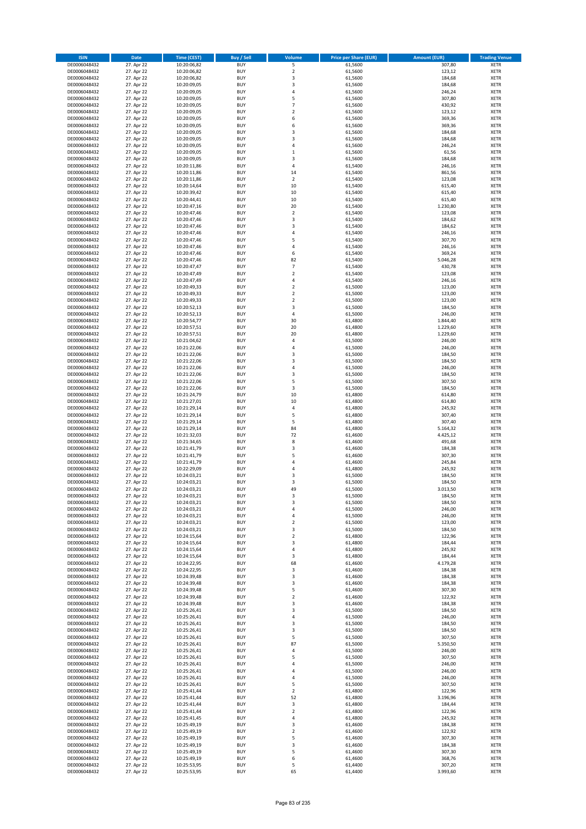| <b>ISIN</b>                  | <b>Date</b>              | <b>Time (CEST)</b>         | <b>Buy / Sell</b>        | Volume                                    | <b>Price per Share (EUR)</b> | <b>Amount (EUR)</b> | <b>Trading Venue</b>       |
|------------------------------|--------------------------|----------------------------|--------------------------|-------------------------------------------|------------------------------|---------------------|----------------------------|
| DE0006048432                 | 27. Apr 22               | 10:20:06,82                | <b>BUY</b>               | 5                                         | 61,5600                      | 307,80              | <b>XETR</b>                |
| DE0006048432                 | 27. Apr 22               | 10:20:06,82                | <b>BUY</b>               | $\mathbf 2$                               | 61,5600                      | 123,12              | <b>XETR</b>                |
| DE0006048432                 | 27. Apr 22               | 10:20:06,82                | <b>BUY</b>               | 3                                         | 61,5600                      | 184,68              | <b>XETR</b>                |
| DE0006048432                 | 27. Apr 22               | 10:20:09,05                | <b>BUY</b>               | 3                                         | 61,5600                      | 184,68              | <b>XETR</b>                |
| DE0006048432<br>DE0006048432 | 27. Apr 22<br>27. Apr 22 | 10:20:09,05<br>10:20:09,05 | <b>BUY</b><br><b>BUY</b> | $\overline{4}$<br>5                       | 61,5600<br>61,5600           | 246,24<br>307,80    | <b>XETR</b><br><b>XETR</b> |
| DE0006048432                 | 27. Apr 22               | 10:20:09,05                | <b>BUY</b>               | $\overline{7}$                            | 61,5600                      | 430,92              | <b>XETR</b>                |
| DE0006048432                 | 27. Apr 22               | 10:20:09,05                | <b>BUY</b>               | $\overline{2}$                            | 61,5600                      | 123,12              | <b>XETR</b>                |
| DE0006048432                 | 27. Apr 22               | 10:20:09,05                | BUY                      | 6                                         | 61,5600                      | 369,36              | <b>XETR</b>                |
| DE0006048432                 | 27. Apr 22               | 10:20:09,05                | <b>BUY</b>               | 6                                         | 61,5600                      | 369,36              | <b>XETR</b>                |
| DE0006048432                 | 27. Apr 22               | 10:20:09,05                | <b>BUY</b>               | 3                                         | 61,5600                      | 184,68              | <b>XETR</b>                |
| DE0006048432                 | 27. Apr 22               | 10:20:09,05                | <b>BUY</b>               | $\overline{\mathbf{3}}$<br>$\overline{a}$ | 61,5600                      | 184,68              | <b>XETR</b>                |
| DE0006048432<br>DE0006048432 | 27. Apr 22<br>27. Apr 22 | 10:20:09,05<br>10:20:09,05 | <b>BUY</b><br><b>BUY</b> | $\mathbf{1}$                              | 61,5600<br>61,5600           | 246,24<br>61,56     | <b>XETR</b><br><b>XETR</b> |
| DE0006048432                 | 27. Apr 22               | 10:20:09,05                | <b>BUY</b>               | 3                                         | 61,5600                      | 184,68              | <b>XETR</b>                |
| DE0006048432                 | 27. Apr 22               | 10:20:11,86                | BUY                      | $\overline{4}$                            | 61,5400                      | 246,16              | <b>XETR</b>                |
| DE0006048432                 | 27. Apr 22               | 10:20:11,86                | <b>BUY</b>               | 14                                        | 61,5400                      | 861,56              | <b>XETR</b>                |
| DE0006048432                 | 27. Apr 22               | 10:20:11,86                | <b>BUY</b>               | $\overline{2}$                            | 61,5400                      | 123,08              | <b>XETR</b>                |
| DE0006048432                 | 27. Apr 22               | 10:20:14,64                | <b>BUY</b>               | 10                                        | 61,5400                      | 615,40              | <b>XETR</b>                |
| DE0006048432<br>DE0006048432 | 27. Apr 22<br>27. Apr 22 | 10:20:39,42<br>10:20:44,41 | <b>BUY</b><br><b>BUY</b> | 10<br>10                                  | 61,5400<br>61,5400           | 615,40<br>615,40    | <b>XETR</b><br><b>XETR</b> |
| DE0006048432                 | 27. Apr 22               | 10:20:47,16                | <b>BUY</b>               | 20                                        | 61,5400                      | 1.230,80            | <b>XETR</b>                |
| DE0006048432                 | 27. Apr 22               | 10:20:47,46                | <b>BUY</b>               | $\mathbf 2$                               | 61,5400                      | 123,08              | <b>XETR</b>                |
| DE0006048432                 | 27. Apr 22               | 10:20:47,46                | <b>BUY</b>               | 3                                         | 61,5400                      | 184,62              | <b>XETR</b>                |
| DE0006048432                 | 27. Apr 22               | 10:20:47,46                | <b>BUY</b>               | 3                                         | 61,5400                      | 184,62              | <b>XETR</b>                |
| DE0006048432                 | 27. Apr 22               | 10:20:47,46                | <b>BUY</b>               | 4                                         | 61,5400                      | 246,16              | <b>XETR</b>                |
| DE0006048432                 | 27. Apr 22               | 10:20:47,46                | <b>BUY</b><br><b>BUY</b> | 5<br>4                                    | 61,5400                      | 307,70              | <b>XETR</b><br><b>XETR</b> |
| DE0006048432<br>DE0006048432 | 27. Apr 22<br>27. Apr 22 | 10:20:47,46<br>10:20:47,46 | <b>BUY</b>               | 6                                         | 61,5400<br>61,5400           | 246,16<br>369,24    | <b>XETR</b>                |
| DE0006048432                 | 27. Apr 22               | 10:20:47,46                | <b>BUY</b>               | 82                                        | 61,5400                      | 5.046,28            | <b>XETR</b>                |
| DE0006048432                 | 27. Apr 22               | 10:20:47,47                | <b>BUY</b>               | $\overline{7}$                            | 61,5400                      | 430,78              | <b>XETR</b>                |
| DE0006048432                 | 27. Apr 22               | 10:20:47,49                | <b>BUY</b>               | $\mathbf 2$                               | 61,5400                      | 123,08              | <b>XETR</b>                |
| DE0006048432                 | 27. Apr 22               | 10:20:47,49                | <b>BUY</b>               | 4                                         | 61,5400                      | 246,16              | <b>XETR</b>                |
| DE0006048432                 | 27. Apr 22               | 10:20:49,33                | <b>BUY</b>               | $\mathbf 2$                               | 61,5000                      | 123,00              | <b>XETR</b>                |
| DE0006048432<br>DE0006048432 | 27. Apr 22<br>27. Apr 22 | 10:20:49,33<br>10:20:49,33 | <b>BUY</b><br><b>BUY</b> | $\overline{2}$<br>$\mathbf 2$             | 61,5000<br>61,5000           | 123,00<br>123,00    | <b>XETR</b><br><b>XETR</b> |
| DE0006048432                 | 27. Apr 22               | 10:20:52,13                | <b>BUY</b>               | $\overline{\mathbf{3}}$                   | 61,5000                      | 184,50              | <b>XETR</b>                |
| DE0006048432                 | 27. Apr 22               | 10:20:52,13                | BUY                      | $\overline{4}$                            | 61,5000                      | 246,00              | <b>XETR</b>                |
| DE0006048432                 | 27. Apr 22               | 10:20:54,77                | <b>BUY</b>               | 30                                        | 61,4800                      | 1.844,40            | <b>XETR</b>                |
| DE0006048432                 | 27. Apr 22               | 10:20:57,51                | <b>BUY</b>               | 20                                        | 61,4800                      | 1.229,60            | <b>XETR</b>                |
| DE0006048432                 | 27. Apr 22               | 10:20:57,51                | <b>BUY</b>               | 20                                        | 61,4800                      | 1.229,60            | <b>XETR</b>                |
| DE0006048432<br>DE0006048432 | 27. Apr 22<br>27. Apr 22 | 10:21:04,62<br>10:21:22,06 | <b>BUY</b><br><b>BUY</b> | 4<br>$\overline{4}$                       | 61,5000<br>61,5000           | 246,00<br>246,00    | <b>XETR</b><br><b>XETR</b> |
| DE0006048432                 | 27. Apr 22               | 10:21:22,06                | <b>BUY</b>               | $\overline{\mathbf{3}}$                   | 61,5000                      | 184,50              | <b>XETR</b>                |
| DE0006048432                 | 27. Apr 22               | 10:21:22,06                | <b>BUY</b>               | $\overline{\mathbf{3}}$                   | 61,5000                      | 184,50              | <b>XETR</b>                |
| DE0006048432                 | 27. Apr 22               | 10:21:22,06                | <b>BUY</b>               | $\overline{4}$                            | 61,5000                      | 246,00              | <b>XETR</b>                |
| DE0006048432                 | 27. Apr 22               | 10:21:22,06                | <b>BUY</b>               | 3                                         | 61,5000                      | 184,50              | <b>XETR</b>                |
| DE0006048432                 | 27. Apr 22               | 10:21:22,06                | <b>BUY</b>               | 5                                         | 61,5000                      | 307,50              | <b>XETR</b>                |
| DE0006048432<br>DE0006048432 | 27. Apr 22               | 10:21:22,06<br>10:21:24,79 | <b>BUY</b><br><b>BUY</b> | 3<br>10                                   | 61,5000<br>61,4800           | 184,50<br>614,80    | <b>XETR</b><br><b>XETR</b> |
| DE0006048432                 | 27. Apr 22<br>27. Apr 22 | 10:21:27,01                | <b>BUY</b>               | 10                                        | 61,4800                      | 614,80              | <b>XETR</b>                |
| DE0006048432                 | 27. Apr 22               | 10:21:29,14                | <b>BUY</b>               | 4                                         | 61,4800                      | 245,92              | <b>XETR</b>                |
| DE0006048432                 | 27. Apr 22               | 10:21:29,14                | <b>BUY</b>               | 5                                         | 61,4800                      | 307,40              | <b>XETR</b>                |
| DE0006048432                 | 27. Apr 22               | 10:21:29,14                | <b>BUY</b>               | 5                                         | 61,4800                      | 307,40              | <b>XETR</b>                |
| DE0006048432                 | 27. Apr 22               | 10:21:29,14                | <b>BUY</b>               | 84                                        | 61,4800                      | 5.164,32            | <b>XETR</b>                |
| DE0006048432                 | 27. Apr 22               | 10:21:32,03                | <b>BUY</b>               | 72                                        | 61,4600                      | 4.425,12            | <b>XETR</b>                |
| DE0006048432<br>DE0006048432 | 27. Apr 22<br>27. Apr 22 | 10:21:34,65<br>10:21:41,79 | <b>BUY</b><br><b>BUY</b> | 8<br>3                                    | 61,4600<br>61,4600           | 491,68<br>184,38    | <b>XETR</b><br><b>XETR</b> |
| DE0006048432                 | 27. Apr 22               | 10:21:41,79                | BUY                      | 5                                         | 61,4600                      | 307,30              | <b>XETR</b>                |
| DE0006048432                 | 27. Apr 22               | 10:21:41,79                | <b>BUY</b>               | $\overline{4}$                            | 61,4600                      | 245,84              | <b>XETR</b>                |
| DE0006048432                 | 27. Apr 22               | 10:22:29,09                | <b>BUY</b>               | 4                                         | 61,4800                      | 245,92              | <b>XETR</b>                |
| DE0006048432                 | 27. Apr 22               | 10:24:03,21                | BUY                      | 3                                         | 61,5000                      | 184,50              | <b>XETR</b>                |
| DE0006048432                 | 27. Apr 22               | 10:24:03,21                | BUY                      | $\overline{\mathbf{3}}$                   | 61,5000                      | 184,50              | <b>XETR</b>                |
| DE0006048432<br>DE0006048432 | 27. Apr 22<br>27. Apr 22 | 10:24:03,21<br>10:24:03,21 | <b>BUY</b><br>BUY        | 49<br>3                                   | 61,5000<br>61,5000           | 3.013,50<br>184,50  | <b>XETR</b><br><b>XETR</b> |
| DE0006048432                 | 27. Apr 22               | 10:24:03,21                | <b>BUY</b>               | $\overline{\mathbf{3}}$                   | 61,5000                      | 184,50              | <b>XETR</b>                |
| DE0006048432                 | 27. Apr 22               | 10:24:03,21                | <b>BUY</b>               | 4                                         | 61,5000                      | 246,00              | <b>XETR</b>                |
| DE0006048432                 | 27. Apr 22               | 10:24:03,21                | <b>BUY</b>               | 4                                         | 61,5000                      | 246,00              | <b>XETR</b>                |
| DE0006048432                 | 27. Apr 22               | 10:24:03,21                | <b>BUY</b>               | $\overline{2}$                            | 61,5000                      | 123,00              | <b>XETR</b>                |
| DE0006048432                 | 27. Apr 22               | 10:24:03,21                | <b>BUY</b>               | 3                                         | 61,5000                      | 184,50              | <b>XETR</b>                |
| DE0006048432                 | 27. Apr 22               | 10:24:15,64                | <b>BUY</b>               | 2                                         | 61,4800                      | 122,96              | <b>XETR</b>                |
| DE0006048432<br>DE0006048432 | 27. Apr 22<br>27. Apr 22 | 10:24:15,64<br>10:24:15,64 | <b>BUY</b><br><b>BUY</b> | 3<br>$\overline{4}$                       | 61,4800<br>61,4800           | 184,44<br>245,92    | <b>XETR</b><br><b>XETR</b> |
| DE0006048432                 | 27. Apr 22               | 10:24:15,64                | <b>BUY</b>               | 3                                         | 61,4800                      | 184,44              | <b>XETR</b>                |
| DE0006048432                 | 27. Apr 22               | 10:24:22,95                | <b>BUY</b>               | 68                                        | 61,4600                      | 4.179,28            | <b>XETR</b>                |
| DE0006048432                 | 27. Apr 22               | 10:24:22,95                | <b>BUY</b>               | 3                                         | 61,4600                      | 184,38              | <b>XETR</b>                |
| DE0006048432                 | 27. Apr 22               | 10:24:39,48                | <b>BUY</b>               | 3                                         | 61,4600                      | 184,38              | <b>XETR</b>                |
| DE0006048432<br>DE0006048432 | 27. Apr 22               | 10:24:39,48<br>10:24:39,48 | <b>BUY</b><br><b>BUY</b> | 3<br>5                                    | 61,4600<br>61,4600           | 184,38              | <b>XETR</b>                |
| DE0006048432                 | 27. Apr 22<br>27. Apr 22 | 10:24:39,48                | <b>BUY</b>               | $\mathbf 2$                               | 61,4600                      | 307,30<br>122,92    | <b>XETR</b><br><b>XETR</b> |
| DE0006048432                 | 27. Apr 22               | 10:24:39,48                | <b>BUY</b>               | 3                                         | 61,4600                      | 184,38              | <b>XETR</b>                |
| DE0006048432                 | 27. Apr 22               | 10:25:26,41                | <b>BUY</b>               | 3                                         | 61,5000                      | 184,50              | <b>XETR</b>                |
| DE0006048432                 | 27. Apr 22               | 10:25:26,41                | <b>BUY</b>               | 4                                         | 61,5000                      | 246,00              | <b>XETR</b>                |
| DE0006048432                 | 27. Apr 22               | 10:25:26,41                | <b>BUY</b>               | $\mathsf 3$                               | 61,5000                      | 184,50              | <b>XETR</b>                |
| DE0006048432                 | 27. Apr 22               | 10:25:26,41                | <b>BUY</b>               | $\overline{\mathbf{3}}$                   | 61,5000                      | 184,50              | <b>XETR</b>                |
| DE0006048432<br>DE0006048432 | 27. Apr 22<br>27. Apr 22 | 10:25:26,41<br>10:25:26,41 | <b>BUY</b><br><b>BUY</b> | 5<br>87                                   | 61,5000<br>61,5000           | 307,50<br>5.350,50  | <b>XETR</b><br><b>XETR</b> |
| DE0006048432                 | 27. Apr 22               | 10:25:26,41                | <b>BUY</b>               | 4                                         | 61,5000                      | 246,00              | <b>XETR</b>                |
| DE0006048432                 | 27. Apr 22               | 10:25:26,41                | <b>BUY</b>               | 5                                         | 61,5000                      | 307,50              | <b>XETR</b>                |
| DE0006048432                 | 27. Apr 22               | 10:25:26,41                | <b>BUY</b>               | 4                                         | 61,5000                      | 246,00              | <b>XETR</b>                |
| DE0006048432                 | 27. Apr 22               | 10:25:26,41                | <b>BUY</b>               | $\overline{a}$                            | 61,5000                      | 246,00              | <b>XETR</b>                |
| DE0006048432                 | 27. Apr 22               | 10:25:26,41                | <b>BUY</b>               | $\overline{4}$                            | 61,5000                      | 246,00              | <b>XETR</b>                |
| DE0006048432<br>DE0006048432 | 27. Apr 22<br>27. Apr 22 | 10:25:26,41<br>10:25:41,44 | <b>BUY</b><br><b>BUY</b> | 5<br>$\overline{2}$                       | 61,5000<br>61,4800           | 307,50<br>122,96    | <b>XETR</b><br><b>XETR</b> |
| DE0006048432                 | 27. Apr 22               | 10:25:41,44                | <b>BUY</b>               | 52                                        | 61,4800                      | 3.196,96            | <b>XETR</b>                |
| DE0006048432                 | 27. Apr 22               | 10:25:41,44                | <b>BUY</b>               | 3                                         | 61,4800                      | 184,44              | <b>XETR</b>                |
| DE0006048432                 | 27. Apr 22               | 10:25:41,44                | <b>BUY</b>               | $\overline{2}$                            | 61,4800                      | 122,96              | <b>XETR</b>                |
| DE0006048432                 | 27. Apr 22               | 10:25:41,45                | <b>BUY</b>               | $\overline{a}$                            | 61,4800                      | 245,92              | <b>XETR</b>                |
| DE0006048432                 | 27. Apr 22               | 10:25:49,19                | <b>BUY</b>               | 3                                         | 61,4600                      | 184,38              | <b>XETR</b>                |
| DE0006048432<br>DE0006048432 | 27. Apr 22<br>27. Apr 22 | 10:25:49,19                | <b>BUY</b><br><b>BUY</b> | $\mathbf 2$<br>5                          | 61,4600<br>61,4600           | 122,92<br>307,30    | <b>XETR</b><br><b>XETR</b> |
| DE0006048432                 | 27. Apr 22               | 10:25:49,19<br>10:25:49,19 | <b>BUY</b>               | 3                                         | 61,4600                      | 184,38              | <b>XETR</b>                |
| DE0006048432                 | 27. Apr 22               | 10:25:49,19                | <b>BUY</b>               | 5                                         | 61,4600                      | 307,30              | <b>XETR</b>                |
| DE0006048432                 | 27. Apr 22               | 10:25:49,19                | <b>BUY</b>               | 6                                         | 61,4600                      | 368,76              | <b>XETR</b>                |
| DE0006048432                 | 27. Apr 22               | 10:25:53,95                | <b>BUY</b>               | 5                                         | 61,4400                      | 307,20              | <b>XETR</b>                |
| DE0006048432                 | 27. Apr 22               | 10:25:53,95                | <b>BUY</b>               | 65                                        | 61,4400                      | 3.993,60            | <b>XETR</b>                |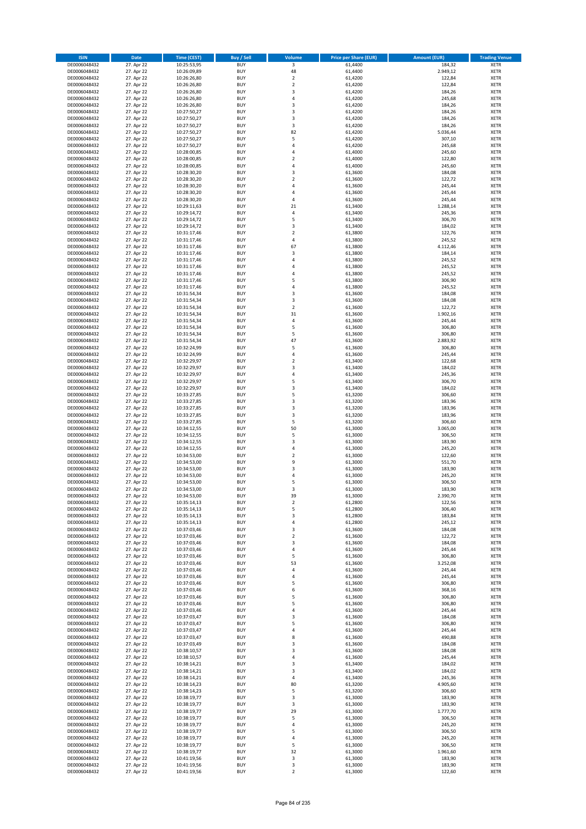| <b>ISIN</b>                  | Date                     | Time (CEST)                | <b>Buy / Sell</b>        | <b>Volume</b>           | <b>Price per Share (EUR)</b> | <b>Amount (EUR)</b> | <b>Trading Venue</b>       |
|------------------------------|--------------------------|----------------------------|--------------------------|-------------------------|------------------------------|---------------------|----------------------------|
| DE0006048432                 | 27. Apr 22               | 10:25:53,95                | <b>BUY</b>               | $\overline{\mathbf{3}}$ | 61,4400                      | 184,32              | <b>XETR</b>                |
| DE0006048432                 | 27. Apr 22               | 10:26:09,89                | <b>BUY</b>               | 48                      | 61,4400                      | 2.949,12            | XETR                       |
| DE0006048432                 | 27. Apr 22               | 10:26:26,80                | <b>BUY</b>               | $\overline{2}$          | 61,4200                      | 122,84              | <b>XETR</b>                |
| DE0006048432                 | 27. Apr 22               | 10:26:26,80                | <b>BUY</b>               | $\mathbf 2$             | 61,4200                      | 122,84              | XETR                       |
| DE0006048432<br>DE0006048432 | 27. Apr 22<br>27. Apr 22 | 10:26:26,80<br>10:26:26,80 | <b>BUY</b><br><b>BUY</b> | 3<br>$\overline{4}$     | 61,4200<br>61,4200           | 184,26<br>245,68    | <b>XETR</b><br><b>XETR</b> |
| DE0006048432                 | 27. Apr 22               | 10:26:26,80                | <b>BUY</b>               | 3                       | 61,4200                      | 184,26              | <b>XETR</b>                |
| DE0006048432                 | 27. Apr 22               | 10:27:50,27                | <b>BUY</b>               | 3                       | 61,4200                      | 184,26              | <b>XETR</b>                |
| DE0006048432                 | 27. Apr 22               | 10:27:50,27                | <b>BUY</b>               | 3                       | 61,4200                      | 184,26              | <b>XETR</b>                |
| DE0006048432                 | 27. Apr 22               | 10:27:50,27                | <b>BUY</b>               | 3                       | 61,4200                      | 184,26              | <b>XETR</b>                |
| DE0006048432                 | 27. Apr 22               | 10:27:50,27                | <b>BUY</b>               | 82                      | 61,4200                      | 5.036,44            | <b>XETR</b>                |
| DE0006048432                 | 27. Apr 22               | 10:27:50,27                | <b>BUY</b>               | 5<br>$\overline{4}$     | 61,4200                      | 307,10              | <b>XETR</b>                |
| DE0006048432<br>DE0006048432 | 27. Apr 22<br>27. Apr 22 | 10:27:50,27<br>10:28:00,85 | <b>BUY</b><br><b>BUY</b> | $\overline{4}$          | 61,4200<br>61,4000           | 245,68<br>245,60    | <b>XETR</b><br><b>XETR</b> |
| DE0006048432                 | 27. Apr 22               | 10:28:00,85                | <b>BUY</b>               | $\mathbf 2$             | 61,4000                      | 122,80              | <b>XETR</b>                |
| DE0006048432                 | 27. Apr 22               | 10:28:00,85                | <b>BUY</b>               | $\overline{4}$          | 61,4000                      | 245,60              | <b>XETR</b>                |
| DE0006048432                 | 27. Apr 22               | 10:28:30,20                | <b>BUY</b>               | 3                       | 61,3600                      | 184,08              | <b>XETR</b>                |
| DE0006048432                 | 27. Apr 22               | 10:28:30,20                | <b>BUY</b>               | $\overline{2}$          | 61,3600                      | 122,72              | <b>XETR</b>                |
| DE0006048432                 | 27. Apr 22               | 10:28:30,20                | <b>BUY</b>               | 4                       | 61,3600                      | 245,44              | <b>XETR</b>                |
| DE0006048432<br>DE0006048432 | 27. Apr 22<br>27. Apr 22 | 10:28:30,20<br>10:28:30,20 | <b>BUY</b><br><b>BUY</b> | $\overline{4}$<br>4     | 61,3600<br>61,3600           | 245,44<br>245,44    | <b>XETR</b><br><b>XETR</b> |
| DE0006048432                 | 27. Apr 22               | 10:29:11,63                | <b>BUY</b>               | 21                      | 61,3400                      | 1.288,14            | <b>XETR</b>                |
| DE0006048432                 | 27. Apr 22               | 10:29:14,72                | <b>BUY</b>               | 4                       | 61,3400                      | 245,36              | <b>XETR</b>                |
| DE0006048432                 | 27. Apr 22               | 10:29:14,72                | <b>BUY</b>               | 5                       | 61,3400                      | 306,70              | <b>XETR</b>                |
| DE0006048432                 | 27. Apr 22               | 10:29:14,72                | <b>BUY</b>               | 3                       | 61,3400                      | 184,02              | <b>XETR</b>                |
| DE0006048432                 | 27. Apr 22               | 10:31:17,46                | <b>BUY</b>               | $\mathbf 2$             | 61,3800                      | 122,76              | <b>XETR</b>                |
| DE0006048432<br>DE0006048432 | 27. Apr 22               | 10:31:17,46                | <b>BUY</b><br><b>BUY</b> | $\sqrt{4}$<br>67        | 61,3800                      | 245,52              | <b>XETR</b><br><b>XETR</b> |
| DE0006048432                 | 27. Apr 22<br>27. Apr 22 | 10:31:17,46<br>10:31:17,46 | <b>BUY</b>               | 3                       | 61,3800<br>61,3800           | 4.112,46<br>184,14  | <b>XETR</b>                |
| DE0006048432                 | 27. Apr 22               | 10:31:17,46                | <b>BUY</b>               | $\overline{4}$          | 61,3800                      | 245,52              | <b>XETR</b>                |
| DE0006048432                 | 27. Apr 22               | 10:31:17,46                | <b>BUY</b>               | 4                       | 61,3800                      | 245,52              | <b>XETR</b>                |
| DE0006048432                 | 27. Apr 22               | 10:31:17,46                | <b>BUY</b>               | $\overline{4}$          | 61,3800                      | 245,52              | <b>XETR</b>                |
| DE0006048432                 | 27. Apr 22               | 10:31:17,46                | <b>BUY</b>               | 5                       | 61,3800                      | 306,90              | <b>XETR</b>                |
| DE0006048432                 | 27. Apr 22               | 10:31:17,46                | <b>BUY</b>               | $\overline{4}$          | 61,3800                      | 245,52              | <b>XETR</b>                |
| DE0006048432<br>DE0006048432 | 27. Apr 22<br>27. Apr 22 | 10:31:54,34<br>10:31:54,34 | <b>BUY</b><br><b>BUY</b> | 3<br>3                  | 61,3600<br>61,3600           | 184,08<br>184,08    | <b>XETR</b><br><b>XETR</b> |
| DE0006048432                 | 27. Apr 22               | 10:31:54,34                | <b>BUY</b>               | $\overline{2}$          | 61,3600                      | 122,72              | <b>XETR</b>                |
| DE0006048432                 | 27. Apr 22               | 10:31:54,34                | <b>BUY</b>               | 31                      | 61,3600                      | 1.902,16            | <b>XETR</b>                |
| DE0006048432                 | 27. Apr 22               | 10:31:54,34                | <b>BUY</b>               | $\sqrt{4}$              | 61,3600                      | 245,44              | <b>XETR</b>                |
| DE0006048432                 | 27. Apr 22               | 10:31:54,34                | <b>BUY</b>               | 5                       | 61,3600                      | 306,80              | <b>XETR</b>                |
| DE0006048432                 | 27. Apr 22               | 10:31:54,34                | <b>BUY</b>               | 5                       | 61,3600                      | 306,80              | <b>XETR</b>                |
| DE0006048432                 | 27. Apr 22<br>27. Apr 22 | 10:31:54,34                | <b>BUY</b><br><b>BUY</b> | 47<br>5                 | 61,3600<br>61,3600           | 2.883,92<br>306,80  | <b>XETR</b><br><b>XETR</b> |
| DE0006048432<br>DE0006048432 | 27. Apr 22               | 10:32:24,99<br>10:32:24,99 | <b>BUY</b>               | 4                       | 61,3600                      | 245,44              | <b>XETR</b>                |
| DE0006048432                 | 27. Apr 22               | 10:32:29,97                | <b>BUY</b>               | $\mathbf 2$             | 61,3400                      | 122,68              | <b>XETR</b>                |
| DE0006048432                 | 27. Apr 22               | 10:32:29,97                | <b>BUY</b>               | 3                       | 61,3400                      | 184,02              | <b>XETR</b>                |
| DE0006048432                 | 27. Apr 22               | 10:32:29,97                | <b>BUY</b>               | 4                       | 61,3400                      | 245,36              | <b>XETR</b>                |
| DE0006048432                 | 27. Apr 22               | 10:32:29,97                | <b>BUY</b>               | 5                       | 61,3400                      | 306,70              | <b>XETR</b>                |
| DE0006048432<br>DE0006048432 | 27. Apr 22<br>27. Apr 22 | 10:32:29,97<br>10:33:27,85 | <b>BUY</b><br><b>BUY</b> | 3<br>5                  | 61,3400<br>61,3200           | 184,02<br>306,60    | <b>XETR</b><br><b>XETR</b> |
| DE0006048432                 | 27. Apr 22               | 10:33:27,85                | <b>BUY</b>               | 3                       | 61,3200                      | 183,96              | <b>XETR</b>                |
| DE0006048432                 | 27. Apr 22               | 10:33:27,85                | <b>BUY</b>               | 3                       | 61,3200                      | 183,96              | <b>XETR</b>                |
| DE0006048432                 | 27. Apr 22               | 10:33:27,85                | <b>BUY</b>               | 3                       | 61,3200                      | 183,96              | <b>XETR</b>                |
| DE0006048432                 | 27. Apr 22               | 10:33:27,85                | <b>BUY</b>               | 5                       | 61,3200                      | 306,60              | <b>XETR</b>                |
| DE0006048432                 | 27. Apr 22               | 10:34:12,55                | <b>BUY</b>               | 50                      | 61,3000                      | 3.065,00            | <b>XETR</b>                |
| DE0006048432                 | 27. Apr 22               | 10:34:12,55                | <b>BUY</b>               | 5                       | 61,3000                      | 306,50              | <b>XETR</b>                |
| DE0006048432<br>DE0006048432 | 27. Apr 22<br>27. Apr 22 | 10:34:12,55<br>10:34:12,55 | <b>BUY</b><br><b>BUY</b> | 3<br>4                  | 61,3000<br>61,3000           | 183,90<br>245,20    | <b>XETR</b><br><b>XETR</b> |
| DE0006048432                 | 27. Apr 22               | 10:34:53,00                | <b>BUY</b>               | $\overline{\mathbf{c}}$ | 61,3000                      | 122,60              | <b>XETR</b>                |
| DE0006048432                 | 27. Apr 22               | 10:34:53,00                | <b>BUY</b>               | 9                       | 61,3000                      | 551,70              | <b>XETR</b>                |
| DE0006048432                 | 27. Apr 22               | 10:34:53,00                | <b>BUY</b>               | 3                       | 61,3000                      | 183,90              | <b>XETR</b>                |
| DE0006048432                 | 27. Apr 22               | 10:34:53,00                | <b>BUY</b>               | 4                       | 61,3000                      | 245,20              | <b>XETR</b>                |
| DE0006048432                 | 27. Apr 22               | 10:34:53,00                | <b>BUY</b>               | 5                       | 61,3000                      | 306,50              | <b>XETR</b>                |
| DE0006048432<br>DE0006048432 | 27. Apr 22<br>27. Apr 22 | 10:34:53,00<br>10:34:53,00 | <b>BUY</b><br>BUY        | 3<br>39                 | 61,3000<br>61,3000           | 183,90<br>2.390,70  | <b>XETR</b><br>XETR        |
| DE0006048432                 | 27. Apr 22               | 10:35:14,13                | <b>BUY</b>               | $\mathbf 2$             | 61,2800                      | 122,56              | <b>XETR</b>                |
| DE0006048432                 | 27. Apr 22               | 10:35:14,13                | <b>BUY</b>               | 5                       | 61,2800                      | 306,40              | <b>XETR</b>                |
| DE0006048432                 | 27. Apr 22               | 10:35:14,13                | <b>BUY</b>               | 3                       | 61,2800                      | 183,84              | XETR                       |
| DE0006048432                 | 27. Apr 22               | 10:35:14,13                | <b>BUY</b>               | 4                       | 61,2800                      | 245,12              | <b>XETR</b>                |
| DE0006048432                 | 27. Apr 22               | 10:37:03,46                | <b>BUY</b>               | 3                       | 61,3600                      | 184,08              | <b>XETR</b>                |
| DE0006048432                 | 27. Apr 22<br>27. Apr 22 | 10:37:03,46                | <b>BUY</b>               | $\overline{2}$          | 61,3600                      | 122,72              | <b>XETR</b>                |
| DE0006048432<br>DE0006048432 | 27. Apr 22               | 10:37:03,46<br>10:37:03,46 | <b>BUY</b><br><b>BUY</b> | 3<br>$\pmb{4}$          | 61,3600<br>61,3600           | 184,08<br>245,44    | <b>XETR</b><br>XETR        |
| DE0006048432                 | 27. Apr 22               | 10:37:03,46                | <b>BUY</b>               | 5                       | 61,3600                      | 306,80              | <b>XETR</b>                |
| DE0006048432                 | 27. Apr 22               | 10:37:03,46                | <b>BUY</b>               | 53                      | 61,3600                      | 3.252,08            | XETR                       |
| DE0006048432                 | 27. Apr 22               | 10:37:03,46                | <b>BUY</b>               | 4                       | 61,3600                      | 245,44              | <b>XETR</b>                |
| DE0006048432                 | 27. Apr 22               | 10:37:03,46                | <b>BUY</b>               | $\sqrt{4}$              | 61,3600                      | 245,44              | XETR                       |
| DE0006048432                 | 27. Apr 22               | 10:37:03,46<br>10:37:03,46 | <b>BUY</b><br><b>BUY</b> | 5                       | 61,3600                      | 306,80<br>368,16    | <b>XETR</b>                |
| DE0006048432<br>DE0006048432 | 27. Apr 22<br>27. Apr 22 | 10:37:03,46                | <b>BUY</b>               | 6<br>5                  | 61,3600<br>61,3600           | 306,80              | XETR<br><b>XETR</b>        |
| DE0006048432                 | 27. Apr 22               | 10:37:03,46                | <b>BUY</b>               | 5                       | 61,3600                      | 306,80              | <b>XETR</b>                |
| DE0006048432                 | 27. Apr 22               | 10:37:03,46                | <b>BUY</b>               | 4                       | 61,3600                      | 245,44              | <b>XETR</b>                |
| DE0006048432                 | 27. Apr 22               | 10:37:03,47                | <b>BUY</b>               | 3                       | 61,3600                      | 184,08              | XETR                       |
| DE0006048432                 | 27. Apr 22               | 10:37:03,47                | <b>BUY</b>               | 5                       | 61,3600                      | 306,80              | XETR                       |
| DE0006048432                 | 27. Apr 22               | 10:37:03,47                | <b>BUY</b>               | 4                       | 61,3600                      | 245,44              | <b>XETR</b>                |
| DE0006048432<br>DE0006048432 | 27. Apr 22<br>27. Apr 22 | 10:37:03,47<br>10:37:03,49 | <b>BUY</b><br><b>BUY</b> | 8<br>3                  | 61,3600<br>61,3600           | 490,88<br>184,08    | <b>XETR</b><br>XETR        |
| DE0006048432                 | 27. Apr 22               | 10:38:10,57                | <b>BUY</b>               | 3                       | 61,3600                      | 184,08              | <b>XETR</b>                |
| DE0006048432                 | 27. Apr 22               | 10:38:10,57                | <b>BUY</b>               | 4                       | 61,3600                      | 245,44              | XETR                       |
| DE0006048432                 | 27. Apr 22               | 10:38:14,21                | <b>BUY</b>               | 3                       | 61,3400                      | 184,02              | <b>XETR</b>                |
| DE0006048432                 | 27. Apr 22               | 10:38:14,21                | <b>BUY</b>               | 3                       | 61,3400                      | 184,02              | XETR                       |
| DE0006048432                 | 27. Apr 22               | 10:38:14,21                | <b>BUY</b>               | $\sqrt{4}$              | 61,3400                      | 245,36              | <b>XETR</b>                |
| DE0006048432                 | 27. Apr 22               | 10:38:14,23                | <b>BUY</b><br><b>BUY</b> | 80<br>5                 | 61,3200                      | 4.905,60            | XETR                       |
| DE0006048432<br>DE0006048432 | 27. Apr 22<br>27. Apr 22 | 10:38:14,23<br>10:38:19,77 | <b>BUY</b>               | 3                       | 61,3200<br>61,3000           | 306,60<br>183,90    | <b>XETR</b><br>XETR        |
| DE0006048432                 | 27. Apr 22               | 10:38:19,77                | <b>BUY</b>               | 3                       | 61,3000                      | 183,90              | XETR                       |
| DE0006048432                 | 27. Apr 22               | 10:38:19,77                | <b>BUY</b>               | 29                      | 61,3000                      | 1.777,70            | XETR                       |
| DE0006048432                 | 27. Apr 22               | 10:38:19,77                | <b>BUY</b>               | 5                       | 61,3000                      | 306,50              | <b>XETR</b>                |
| DE0006048432                 | 27. Apr 22               | 10:38:19,77                | <b>BUY</b>               | 4                       | 61,3000                      | 245,20              | <b>XETR</b>                |
| DE0006048432                 | 27. Apr 22               | 10:38:19,77                | <b>BUY</b>               | 5                       | 61,3000                      | 306,50              | XETR                       |
| DE0006048432<br>DE0006048432 | 27. Apr 22<br>27. Apr 22 | 10:38:19,77<br>10:38:19,77 | <b>BUY</b><br><b>BUY</b> | 4<br>5                  | 61,3000<br>61,3000           | 245,20<br>306,50    | XETR<br>XETR               |
| DE0006048432                 | 27. Apr 22               | 10:38:19,77                | <b>BUY</b>               | 32                      | 61,3000                      | 1.961,60            | <b>XETR</b>                |
| DE0006048432                 | 27. Apr 22               | 10:41:19,56                | <b>BUY</b>               | 3                       | 61,3000                      | 183,90              | XETR                       |
| DE0006048432                 | 27. Apr 22               | 10:41:19,56                | <b>BUY</b>               | 3                       | 61,3000                      | 183,90              | <b>XETR</b>                |
| DE0006048432                 | 27. Apr 22               | 10:41:19,56                | <b>BUY</b>               | $\overline{2}$          | 61,3000                      | 122,60              | <b>XETR</b>                |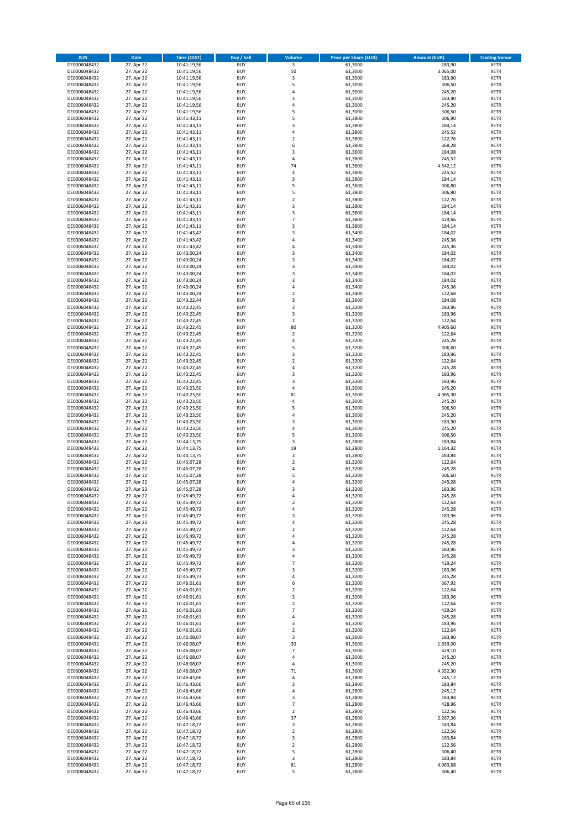| <b>ISIN</b>                  | <b>Date</b>              | <b>Time (CEST)</b>         | <b>Buy / Sell</b>        | <b>Volume</b>                | <b>Price per Share (EUR)</b> | <b>Amount (EUR)</b> | <b>Trading Venue</b>       |
|------------------------------|--------------------------|----------------------------|--------------------------|------------------------------|------------------------------|---------------------|----------------------------|
| DE0006048432                 | 27. Apr 22               | 10:41:19,56                | <b>BUY</b>               | $\overline{\mathbf{3}}$      | 61,3000                      | 183,90              | <b>XETR</b>                |
| DE0006048432                 | 27. Apr 22               | 10:41:19,56                | <b>BUY</b>               | 50                           | 61,3000                      | 3.065,00            | <b>XETR</b>                |
| DE0006048432                 | 27. Apr 22               | 10:41:19,56                | <b>BUY</b>               | 3                            | 61,3000                      | 183,90              | <b>XETR</b>                |
| DE0006048432<br>DE0006048432 | 27. Apr 22<br>27. Apr 22 | 10:41:19,56<br>10:41:19,56 | <b>BUY</b><br><b>BUY</b> | 5<br>4                       | 61,3000<br>61,3000           | 306,50<br>245,20    | <b>XETR</b><br><b>XETR</b> |
| DE0006048432                 | 27. Apr 22               | 10:41:19,56                | <b>BUY</b>               | 3                            | 61,3000                      | 183,90              | <b>XETR</b>                |
| DE0006048432                 | 27. Apr 22               | 10:41:19,56                | <b>BUY</b>               | 4                            | 61,3000                      | 245,20              | <b>XETR</b>                |
| DE0006048432                 | 27. Apr 22               | 10:41:19,56                | <b>BUY</b>               | 5                            | 61,3000                      | 306,50              | <b>XETR</b>                |
| DE0006048432                 | 27. Apr 22               | 10:41:43,11                | <b>BUY</b>               | 5                            | 61,3800                      | 306,90              | <b>XETR</b>                |
| DE0006048432                 | 27. Apr 22               | 10:41:43,11                | <b>BUY</b>               | 3                            | 61,3800                      | 184,14              | <b>XETR</b>                |
| DE0006048432                 | 27. Apr 22               | 10:41:43,11                | <b>BUY</b>               | 4                            | 61,3800                      | 245,52              | <b>XETR</b>                |
| DE0006048432<br>DE0006048432 | 27. Apr 22<br>27. Apr 22 | 10:41:43,11                | <b>BUY</b><br><b>BUY</b> | $\overline{\mathbf{c}}$<br>6 | 61,3800<br>61,3800           | 122,76<br>368,28    | <b>XETR</b><br><b>XETR</b> |
| DE0006048432                 | 27. Apr 22               | 10:41:43,11<br>10:41:43,11 | <b>BUY</b>               | 3                            | 61,3600                      | 184,08              | <b>XETR</b>                |
| DE0006048432                 | 27. Apr 22               | 10:41:43,11                | <b>BUY</b>               | 4                            | 61,3800                      | 245,52              | <b>XETR</b>                |
| DE0006048432                 | 27. Apr 22               | 10:41:43,11                | <b>BUY</b>               | 74                           | 61,3800                      | 4.542,12            | <b>XETR</b>                |
| DE0006048432                 | 27. Apr 22               | 10:41:43,11                | <b>BUY</b>               | 4                            | 61,3800                      | 245,52              | <b>XETR</b>                |
| DE0006048432                 | 27. Apr 22               | 10:41:43,11                | <b>BUY</b>               | 3                            | 61,3800                      | 184,14              | <b>XETR</b>                |
| DE0006048432                 | 27. Apr 22               | 10:41:43,11                | <b>BUY</b>               | 5                            | 61,3600                      | 306,80              | <b>XETR</b>                |
| DE0006048432                 | 27. Apr 22               | 10:41:43,11                | <b>BUY</b>               | 5                            | 61,3800                      | 306,90              | <b>XETR</b>                |
| DE0006048432<br>DE0006048432 | 27. Apr 22<br>27. Apr 22 | 10:41:43,11<br>10:41:43,11 | <b>BUY</b><br><b>BUY</b> | $\overline{\mathbf{c}}$<br>3 | 61,3800<br>61,3800           | 122,76<br>184,14    | <b>XETR</b><br><b>XETR</b> |
| DE0006048432                 | 27. Apr 22               | 10:41:43,11                | <b>BUY</b>               | 3                            | 61,3800                      | 184,14              | <b>XETR</b>                |
| DE0006048432                 | 27. Apr 22               | 10:41:43,11                | <b>BUY</b>               | $\overline{7}$               | 61,3800                      | 429,66              | <b>XETR</b>                |
| DE0006048432                 | 27. Apr 22               | 10:41:43,11                | <b>BUY</b>               | 3                            | 61,3800                      | 184,14              | <b>XETR</b>                |
| DE0006048432                 | 27. Apr 22               | 10:41:43,42                | <b>BUY</b>               | 3                            | 61,3400                      | 184,02              | <b>XETR</b>                |
| DE0006048432                 | 27. Apr 22               | 10:41:43,42                | <b>BUY</b>               | 4                            | 61,3400                      | 245,36              | <b>XETR</b>                |
| DE0006048432                 | 27. Apr 22               | 10:41:43,42                | <b>BUY</b>               | 4                            | 61,3400                      | 245,36              | <b>XETR</b>                |
| DE0006048432<br>DE0006048432 | 27. Apr 22<br>27. Apr 22 | 10:43:00,24<br>10:43:00,24 | <b>BUY</b><br><b>BUY</b> | 3<br>3                       | 61,3400<br>61,3400           | 184,02<br>184,02    | <b>XETR</b><br><b>XETR</b> |
| DE0006048432                 | 27. Apr 22               | 10:43:00,24                | <b>BUY</b>               | 3                            | 61,3400                      | 184,02              | <b>XETR</b>                |
| DE0006048432                 | 27. Apr 22               | 10:43:00,24                | <b>BUY</b>               | 3                            | 61,3400                      | 184,02              | <b>XETR</b>                |
| DE0006048432                 | 27. Apr 22               | 10:43:00,24                | <b>BUY</b>               | 3                            | 61,3400                      | 184,02              | <b>XETR</b>                |
| DE0006048432                 | 27. Apr 22               | 10:43:00,24                | <b>BUY</b>               | 4                            | 61,3400                      | 245,36              | <b>XETR</b>                |
| DE0006048432                 | 27. Apr 22               | 10:43:00,24                | <b>BUY</b>               | $\mathbf 2$                  | 61.3400                      | 122,68              | <b>XETR</b>                |
| DE0006048432                 | 27. Apr 22               | 10:43:22,44                | <b>BUY</b>               | 3                            | 61,3600                      | 184,08              | <b>XETR</b>                |
| DE0006048432                 | 27. Apr 22               | 10:43:22,45                | <b>BUY</b><br><b>BUY</b> | 3<br>3                       | 61,3200<br>61,3200           | 183,96<br>183,96    | <b>XETR</b><br><b>XETR</b> |
| DE0006048432<br>DE0006048432 | 27. Apr 22<br>27. Apr 22 | 10:43:22,45<br>10:43:22,45 | <b>BUY</b>               | $\mathbf 2$                  | 61,3200                      | 122,64              | <b>XETR</b>                |
| DE0006048432                 | 27. Apr 22               | 10:43:22,45                | <b>BUY</b>               | 80                           | 61,3200                      | 4.905,60            | <b>XETR</b>                |
| DE0006048432                 | 27. Apr 22               | 10:43:22,45                | <b>BUY</b>               | $\mathbf 2$                  | 61,3200                      | 122,64              | <b>XETR</b>                |
| DE0006048432                 | 27. Apr 22               | 10:43:22,45                | <b>BUY</b>               | 4                            | 61,3200                      | 245,28              | <b>XETR</b>                |
| DE0006048432                 | 27. Apr 22               | 10:43:22,45                | <b>BUY</b>               | 5                            | 61,3200                      | 306,60              | <b>XETR</b>                |
| DE0006048432                 | 27. Apr 22               | 10:43:22,45                | <b>BUY</b>               | 3                            | 61,3200                      | 183,96              | <b>XETR</b>                |
| DE0006048432                 | 27. Apr 22               | 10:43:22,45                | <b>BUY</b>               | $\mathbf 2$                  | 61,3200                      | 122,64              | <b>XETR</b>                |
| DE0006048432                 | 27. Apr 22               | 10:43:22,45                | <b>BUY</b><br><b>BUY</b> | 4                            | 61,3200                      | 245,28              | <b>XETR</b>                |
| DE0006048432<br>DE0006048432 | 27. Apr 22<br>27. Apr 22 | 10:43:22,45<br>10:43:22,45 | <b>BUY</b>               | 3<br>3                       | 61,3200<br>61,3200           | 183,96<br>183,96    | <b>XETR</b><br><b>XETR</b> |
| DE0006048432                 | 27. Apr 22               | 10:43:23,50                | <b>BUY</b>               | 4                            | 61,3000                      | 245,20              | <b>XETR</b>                |
| DE0006048432                 | 27. Apr 22               | 10:43:23,50                | <b>BUY</b>               | 81                           | 61,3000                      | 4.965,30            | <b>XETR</b>                |
| DE0006048432                 | 27. Apr 22               | 10:43:23,50                | <b>BUY</b>               | 4                            | 61,3000                      | 245,20              | <b>XETR</b>                |
| DE0006048432                 | 27. Apr 22               | 10:43:23,50                | <b>BUY</b>               | 5                            | 61,3000                      | 306,50              | <b>XETR</b>                |
| DE0006048432                 | 27. Apr 22               | 10:43:23,50                | <b>BUY</b>               | 4                            | 61,3000                      | 245,20              | <b>XETR</b>                |
| DE0006048432                 | 27. Apr 22               | 10:43:23,50                | <b>BUY</b>               | 3                            | 61,3000                      | 183,90              | <b>XETR</b>                |
| DE0006048432<br>DE0006048432 | 27. Apr 22<br>27. Apr 22 | 10:43:23,50<br>10:43:23,50 | <b>BUY</b><br><b>BUY</b> | 4<br>5                       | 61,3000<br>61,3000           | 245,20<br>306,50    | <b>XETR</b><br><b>XETR</b> |
| DE0006048432                 | 27. Apr 22               | 10:44:13,75                | <b>BUY</b>               | 3                            | 61,2800                      | 183,84              | <b>XETR</b>                |
| DE0006048432                 | 27. Apr 22               | 10:44:13,75                | <b>BUY</b>               | 19                           | 61,2800                      | 1.164,32            | <b>XETR</b>                |
| DE0006048432                 | 27. Apr 22               | 10:44:13,75                | <b>BUY</b>               | 3                            | 61,2800                      | 183,84              | <b>XETR</b>                |
| DE0006048432                 | 27. Apr 22               | 10:45:07,28                | <b>BUY</b>               | $\overline{2}$               | 61,3200                      | 122,64              | <b>XETR</b>                |
| DE0006048432                 | 27. Apr 22               | 10:45:07,28                | <b>BUY</b>               | 4                            | 61,3200                      | 245,28              | <b>XETR</b>                |
| DE0006048432                 | 27. Apr 22               | 10:45:07,28                | <b>BUY</b>               | 5                            | 61,3200                      | 306,60              | <b>XETR</b>                |
| DE0006048432<br>DE0006048432 | 27. Apr 22<br>27. Apr 22 | 10:45:07,28<br>10:45:07,28 | <b>BUY</b><br><b>BUY</b> | 4<br>3                       | 61,3200<br>61,3200           | 245,28<br>183,96    | <b>XETR</b><br><b>XETR</b> |
| DE0006048432                 | 27. Apr 22               | 10:45:49,72                | BUY                      | 4                            | 61,3200                      | 245,28              | <b>XETR</b>                |
| DE0006048432                 | 27. Apr 22               | 10:45:49,72                | <b>BUY</b>               | $\mathbf 2$                  | 61,3200                      | 122,64              | <b>XETR</b>                |
| DE0006048432                 | 27. Apr 22               | 10:45:49,72                | <b>BUY</b>               | 4                            | 61,3200                      | 245,28              | <b>XETR</b>                |
| DE0006048432                 | 27. Apr 22               | 10:45:49,72                | <b>BUY</b>               | 3                            | 61,3200                      | 183,96              | XETR                       |
| DE0006048432                 | 27. Apr 22               | 10:45:49,72                | <b>BUY</b>               | 4                            | 61,3200                      | 245,28              | <b>XETR</b>                |
| DE0006048432<br>DE0006048432 | 27. Apr 22<br>27. Apr 22 | 10:45:49,72                | <b>BUY</b><br><b>BUY</b> | $\mathbf 2$<br>4             | 61,3200<br>61,3200           | 122,64<br>245,28    | <b>XETR</b><br><b>XETR</b> |
| DE0006048432                 | 27. Apr 22               | 10:45:49,72<br>10:45:49,72 | <b>BUY</b>               | 4                            | 61,3200                      | 245,28              | <b>XETR</b>                |
| DE0006048432                 | 27. Apr 22               | 10:45:49,72                | <b>BUY</b>               | 3                            | 61,3200                      | 183,96              | <b>XETR</b>                |
| DE0006048432                 | 27. Apr 22               | 10:45:49,72                | <b>BUY</b>               | 4                            | 61,3200                      | 245,28              | <b>XETR</b>                |
| DE0006048432                 | 27. Apr 22               | 10:45:49,72                | <b>BUY</b>               | $\overline{7}$               | 61,3200                      | 429,24              | <b>XETR</b>                |
| DE0006048432                 | 27. Apr 22               | 10:45:49,72                | <b>BUY</b>               | 3                            | 61,3200                      | 183,96              | <b>XETR</b>                |
| DE0006048432                 | 27. Apr 22               | 10:45:49,73                | <b>BUY</b><br><b>BUY</b> | 4<br>6                       | 61,3200                      | 245,28              | <b>XETR</b><br><b>XETR</b> |
| DE0006048432<br>DE0006048432 | 27. Apr 22<br>27. Apr 22 | 10:46:01,61<br>10:46:01,61 | <b>BUY</b>               | $\mathbf 2$                  | 61,3200<br>61,3200           | 367,92<br>122,64    | <b>XETR</b>                |
| DE0006048432                 | 27. Apr 22               | 10:46:01,61                | <b>BUY</b>               | 3                            | 61,3200                      | 183,96              | <b>XETR</b>                |
| DE0006048432                 | 27. Apr 22               | 10:46:01,61                | <b>BUY</b>               | $\overline{2}$               | 61,3200                      | 122,64              | <b>XETR</b>                |
| DE0006048432                 | 27. Apr 22               | 10:46:01,61                | <b>BUY</b>               | $\overline{7}$               | 61,3200                      | 429,24              | <b>XETR</b>                |
| DE0006048432                 | 27. Apr 22               | 10:46:01,61                | <b>BUY</b>               | 4                            | 61,3200                      | 245,28              | XETR                       |
| DE0006048432                 | 27. Apr 22               | 10:46:01,61                | <b>BUY</b>               | 3                            | 61,3200                      | 183,96              | <b>XETR</b>                |
| DE0006048432<br>DE0006048432 | 27. Apr 22<br>27. Apr 22 | 10:46:01,61                | <b>BUY</b><br><b>BUY</b> | $\overline{2}$               | 61,3200<br>61,3000           | 122,64<br>183,90    | <b>XETR</b><br><b>XETR</b> |
| DE0006048432                 | 27. Apr 22               | 10:46:08,07<br>10:46:08,07 | <b>BUY</b>               | 3<br>30                      | 61,3000                      | 1.839,00            | <b>XETR</b>                |
| DE0006048432                 | 27. Apr 22               | 10:46:08,07                | <b>BUY</b>               | $\overline{7}$               | 61,3000                      | 429,10              | <b>XETR</b>                |
| DE0006048432                 | 27. Apr 22               | 10:46:08,07                | <b>BUY</b>               | 4                            | 61,3000                      | 245,20              | <b>XETR</b>                |
| DE0006048432                 | 27. Apr 22               | 10:46:08,07                | <b>BUY</b>               | 4                            | 61,3000                      | 245,20              | <b>XETR</b>                |
| DE0006048432                 | 27. Apr 22               | 10:46:08,07                | <b>BUY</b>               | 71                           | 61,3000                      | 4.352,30            | <b>XETR</b>                |
| DE0006048432                 | 27. Apr 22               | 10:46:43,66                | <b>BUY</b>               | 4                            | 61,2800                      | 245,12              | <b>XETR</b>                |
| DE0006048432                 | 27. Apr 22               | 10:46:43,66                | <b>BUY</b><br><b>BUY</b> | 3                            | 61,2800                      | 183,84              | <b>XETR</b>                |
| DE0006048432<br>DE0006048432 | 27. Apr 22<br>27. Apr 22 | 10:46:43,66<br>10:46:43,66 | <b>BUY</b>               | 4<br>3                       | 61,2800<br>61,2800           | 245,12<br>183,84    | XETR<br><b>XETR</b>        |
| DE0006048432                 | 27. Apr 22               | 10:46:43,66                | <b>BUY</b>               | $\overline{7}$               | 61,2800                      | 428,96              | <b>XETR</b>                |
| DE0006048432                 | 27. Apr 22               | 10:46:43,66                | <b>BUY</b>               | $\mathbf 2$                  | 61,2800                      | 122,56              | <b>XETR</b>                |
| DE0006048432                 | 27. Apr 22               | 10:46:43,66                | <b>BUY</b>               | 37                           | 61,2800                      | 2.267,36            | <b>XETR</b>                |
| DE0006048432                 | 27. Apr 22               | 10:47:18,72                | <b>BUY</b>               | 3                            | 61,2800                      | 183,84              | <b>XETR</b>                |
| DE0006048432                 | 27. Apr 22               | 10:47:18,72                | <b>BUY</b>               | $\mathbf 2$                  | 61,2800                      | 122,56              | <b>XETR</b>                |
| DE0006048432                 | 27. Apr 22               | 10:47:18,72                | <b>BUY</b>               | 3                            | 61,2800                      | 183,84              | <b>XETR</b>                |
| DE0006048432<br>DE0006048432 | 27. Apr 22<br>27. Apr 22 | 10:47:18,72<br>10:47:18,72 | <b>BUY</b><br><b>BUY</b> | $\mathbf 2$<br>5             | 61,2800<br>61,2800           | 122,56<br>306,40    | XETR<br><b>XETR</b>        |
| DE0006048432                 | 27. Apr 22               | 10:47:18,72                | <b>BUY</b>               | 3                            | 61,2800                      | 183,84              | <b>XETR</b>                |
| DE0006048432                 | 27. Apr 22               | 10:47:18,72                | <b>BUY</b>               | 81                           | 61,2800                      | 4.963,68            | <b>XETR</b>                |
| DE0006048432                 | 27. Apr 22               | 10:47:18,72                | <b>BUY</b>               | 5                            | 61,2800                      | 306,40              | <b>XETR</b>                |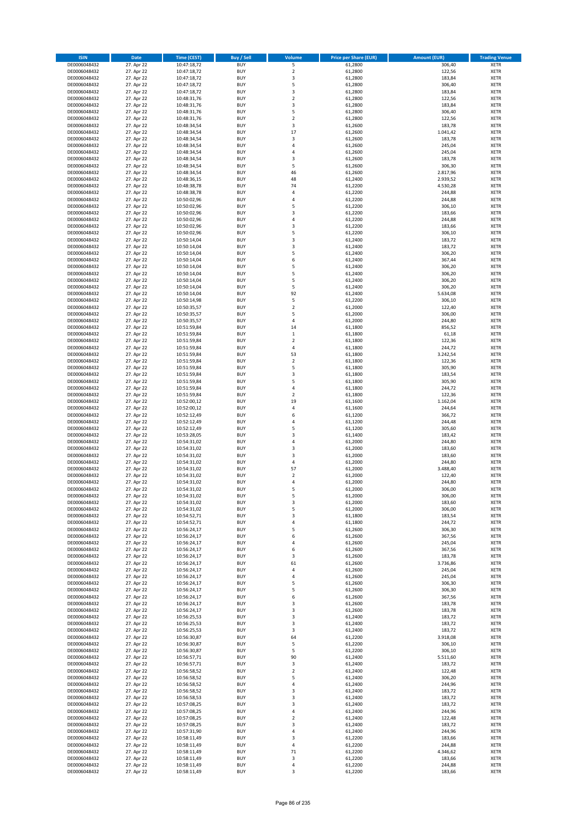| <b>ISIN</b>                  | Date                     | Time (CEST)                | <b>Buy / Sell</b>        | <b>Volume</b>            | <b>Price per Share (EUR)</b> | <b>Amount (EUR)</b> | <b>Trading Venue</b>       |
|------------------------------|--------------------------|----------------------------|--------------------------|--------------------------|------------------------------|---------------------|----------------------------|
| DE0006048432                 | 27. Apr 22               | 10:47:18,72                | <b>BUY</b>               | 5                        | 61,2800                      | 306,40              | <b>XETR</b>                |
| DE0006048432                 | 27. Apr 22               | 10:47:18,72                | <b>BUY</b>               | $\mathbf 2$              | 61,2800                      | 122,56              | XETR                       |
| DE0006048432                 | 27. Apr 22               | 10:47:18,72                | <b>BUY</b>               | 3                        | 61,2800                      | 183,84              | <b>XETR</b>                |
| DE0006048432<br>DE0006048432 | 27. Apr 22<br>27. Apr 22 | 10:47:18,72<br>10:47:18,72 | <b>BUY</b><br><b>BUY</b> | 5<br>3                   | 61,2800<br>61,2800           | 306,40<br>183,84    | XETR<br><b>XETR</b>        |
| DE0006048432                 | 27. Apr 22               | 10:48:31,76                | <b>BUY</b>               | $\mathbf 2$              | 61,2800                      | 122,56              | <b>XETR</b>                |
| DE0006048432                 | 27. Apr 22               | 10:48:31,76                | <b>BUY</b>               | 3                        | 61,2800                      | 183,84              | <b>XETR</b>                |
| DE0006048432                 | 27. Apr 22               | 10:48:31,76                | <b>BUY</b>               | 5                        | 61,2800                      | 306,40              | <b>XETR</b>                |
| DE0006048432                 | 27. Apr 22               | 10:48:31,76                | <b>BUY</b>               | $\overline{2}$           | 61,2800                      | 122,56              | <b>XETR</b>                |
| DE0006048432<br>DE0006048432 | 27. Apr 22<br>27. Apr 22 | 10:48:34,54<br>10:48:34,54 | <b>BUY</b><br><b>BUY</b> | 3<br>17                  | 61,2600<br>61,2600           | 183,78<br>1.041,42  | <b>XETR</b><br><b>XETR</b> |
| DE0006048432                 | 27. Apr 22               | 10:48:34,54                | <b>BUY</b>               | 3                        | 61,2600                      | 183,78              | <b>XETR</b>                |
| DE0006048432                 | 27. Apr 22               | 10:48:34,54                | <b>BUY</b>               | $\overline{4}$           | 61,2600                      | 245,04              | <b>XETR</b>                |
| DE0006048432                 | 27. Apr 22               | 10:48:34,54                | <b>BUY</b>               | 4                        | 61,2600                      | 245,04              | <b>XETR</b>                |
| DE0006048432                 | 27. Apr 22               | 10:48:34,54                | <b>BUY</b>               | 3                        | 61,2600                      | 183,78              | <b>XETR</b>                |
| DE0006048432<br>DE0006048432 | 27. Apr 22<br>27. Apr 22 | 10:48:34,54<br>10:48:34,54 | <b>BUY</b><br><b>BUY</b> | 5<br>46                  | 61,2600<br>61,2600           | 306,30<br>2.817,96  | <b>XETR</b><br><b>XETR</b> |
| DE0006048432                 | 27. Apr 22               | 10:48:36,15                | <b>BUY</b>               | 48                       | 61,2400                      | 2.939,52            | <b>XETR</b>                |
| DE0006048432                 | 27. Apr 22               | 10:48:38,78                | <b>BUY</b>               | 74                       | 61,2200                      | 4.530,28            | <b>XETR</b>                |
| DE0006048432                 | 27. Apr 22               | 10:48:38,78                | <b>BUY</b>               | 4                        | 61,2200                      | 244,88              | <b>XETR</b>                |
| DE0006048432                 | 27. Apr 22               | 10:50:02,96                | <b>BUY</b>               | 4                        | 61,2200                      | 244,88              | <b>XETR</b>                |
| DE0006048432<br>DE0006048432 | 27. Apr 22<br>27. Apr 22 | 10:50:02,96                | <b>BUY</b><br><b>BUY</b> | 5<br>3                   | 61,2200<br>61,2200           | 306,10<br>183,66    | <b>XETR</b><br><b>XETR</b> |
| DE0006048432                 | 27. Apr 22               | 10:50:02,96<br>10:50:02,96 | <b>BUY</b>               | 4                        | 61,2200                      | 244,88              | <b>XETR</b>                |
| DE0006048432                 | 27. Apr 22               | 10:50:02,96                | <b>BUY</b>               | 3                        | 61,2200                      | 183,66              | <b>XETR</b>                |
| DE0006048432                 | 27. Apr 22               | 10:50:02,96                | <b>BUY</b>               | 5                        | 61,2200                      | 306,10              | <b>XETR</b>                |
| DE0006048432                 | 27. Apr 22               | 10:50:14,04                | <b>BUY</b>               | 3                        | 61,2400                      | 183,72              | <b>XETR</b>                |
| DE0006048432                 | 27. Apr 22               | 10:50:14,04                | <b>BUY</b><br><b>BUY</b> | 3<br>5                   | 61,2400                      | 183,72              | <b>XETR</b>                |
| DE0006048432<br>DE0006048432 | 27. Apr 22<br>27. Apr 22 | 10:50:14,04<br>10:50:14,04 | <b>BUY</b>               | 6                        | 61,2400<br>61,2400           | 306,20<br>367,44    | <b>XETR</b><br><b>XETR</b> |
| DE0006048432                 | 27. Apr 22               | 10:50:14,04                | <b>BUY</b>               | 5                        | 61,2400                      | 306,20              | <b>XETR</b>                |
| DE0006048432                 | 27. Apr 22               | 10:50:14,04                | <b>BUY</b>               | 5                        | 61,2400                      | 306,20              | <b>XETR</b>                |
| DE0006048432                 | 27. Apr 22               | 10:50:14,04                | <b>BUY</b>               | 5                        | 61,2400                      | 306,20              | <b>XETR</b>                |
| DE0006048432                 | 27. Apr 22               | 10:50:14,04                | <b>BUY</b>               | 5                        | 61,2400                      | 306,20              | <b>XETR</b>                |
| DE0006048432<br>DE0006048432 | 27. Apr 22<br>27. Apr 22 | 10:50:14,04<br>10:50:14,98 | <b>BUY</b><br><b>BUY</b> | 92<br>5                  | 61,2400<br>61,2200           | 5.634,08<br>306,10  | <b>XETR</b><br><b>XETR</b> |
| DE0006048432                 | 27. Apr 22               | 10:50:35,57                | <b>BUY</b>               | $\overline{2}$           | 61,2000                      | 122,40              | <b>XETR</b>                |
| DE0006048432                 | 27. Apr 22               | 10:50:35,57                | <b>BUY</b>               | 5                        | 61,2000                      | 306,00              | <b>XETR</b>                |
| DE0006048432                 | 27. Apr 22               | 10:50:35,57                | <b>BUY</b>               | $\sqrt{4}$               | 61,2000                      | 244,80              | <b>XETR</b>                |
| DE0006048432                 | 27. Apr 22               | 10:51:59,84                | <b>BUY</b>               | 14                       | 61,1800                      | 856,52              | <b>XETR</b>                |
| DE0006048432                 | 27. Apr 22<br>27. Apr 22 | 10:51:59,84                | <b>BUY</b><br><b>BUY</b> | $\,$ 1<br>$\mathbf 2$    | 61,1800                      | 61,18<br>122,36     | <b>XETR</b>                |
| DE0006048432<br>DE0006048432 | 27. Apr 22               | 10:51:59,84<br>10:51:59,84 | <b>BUY</b>               | $\sqrt{4}$               | 61,1800<br>61,1800           | 244,72              | <b>XETR</b><br><b>XETR</b> |
| DE0006048432                 | 27. Apr 22               | 10:51:59,84                | <b>BUY</b>               | 53                       | 61,1800                      | 3.242,54            | <b>XETR</b>                |
| DE0006048432                 | 27. Apr 22               | 10:51:59,84                | <b>BUY</b>               | $\mathbf 2$              | 61,1800                      | 122,36              | <b>XETR</b>                |
| DE0006048432                 | 27. Apr 22               | 10:51:59,84                | <b>BUY</b>               | 5                        | 61,1800                      | 305,90              | <b>XETR</b>                |
| DE0006048432                 | 27. Apr 22               | 10:51:59,84                | <b>BUY</b>               | 3                        | 61,1800                      | 183,54              | <b>XETR</b>                |
| DE0006048432<br>DE0006048432 | 27. Apr 22<br>27. Apr 22 | 10:51:59,84<br>10:51:59,84 | <b>BUY</b><br><b>BUY</b> | 5<br>4                   | 61,1800<br>61,1800           | 305,90<br>244,72    | <b>XETR</b><br><b>XETR</b> |
| DE0006048432                 | 27. Apr 22               | 10:51:59,84                | <b>BUY</b>               | $\mathbf 2$              | 61,1800                      | 122,36              | <b>XETR</b>                |
| DE0006048432                 | 27. Apr 22               | 10:52:00,12                | <b>BUY</b>               | 19                       | 61,1600                      | 1.162,04            | <b>XETR</b>                |
| DE0006048432                 | 27. Apr 22               | 10:52:00,12                | <b>BUY</b>               | 4                        | 61,1600                      | 244,64              | <b>XETR</b>                |
| DE0006048432                 | 27. Apr 22               | 10:52:12,49                | <b>BUY</b>               | 6                        | 61,1200                      | 366,72              | <b>XETR</b>                |
| DE0006048432<br>DE0006048432 | 27. Apr 22<br>27. Apr 22 | 10:52:12,49<br>10:52:12,49 | <b>BUY</b><br><b>BUY</b> | 4<br>5                   | 61,1200<br>61,1200           | 244,48<br>305,60    | <b>XETR</b><br><b>XETR</b> |
| DE0006048432                 | 27. Apr 22               | 10:53:28,05                | <b>BUY</b>               | 3                        | 61,1400                      | 183,42              | <b>XETR</b>                |
| DE0006048432                 | 27. Apr 22               | 10:54:31,02                | <b>BUY</b>               | $\overline{4}$           | 61,2000                      | 244,80              | <b>XETR</b>                |
| DE0006048432                 | 27. Apr 22               | 10:54:31,02                | <b>BUY</b>               | 3                        | 61,2000                      | 183,60              | <b>XETR</b>                |
| DE0006048432                 | 27. Apr 22               | 10:54:31,02                | <b>BUY</b>               | 3                        | 61,2000                      | 183,60              | <b>XETR</b>                |
| DE0006048432<br>DE0006048432 | 27. Apr 22<br>27. Apr 22 | 10:54:31,02                | <b>BUY</b><br><b>BUY</b> | $\sqrt{4}$<br>57         | 61,2000<br>61,2000           | 244,80<br>3.488,40  | <b>XETR</b><br><b>XETR</b> |
| DE0006048432                 | 27. Apr 22               | 10:54:31,02<br>10:54:31,02 | <b>BUY</b>               | $\overline{\mathbf{c}}$  | 61,2000                      | 122,40              | <b>XETR</b>                |
| DE0006048432                 | 27. Apr 22               | 10:54:31,02                | <b>BUY</b>               | $\overline{4}$           | 61,2000                      | 244,80              | <b>XETR</b>                |
| DE0006048432                 | 27. Apr 22               | 10:54:31,02                | <b>BUY</b>               | 5                        | 61,2000                      | 306,00              | <b>XETR</b>                |
| DE0006048432                 | 27. Apr 22               | 10:54:31,02                | BUY                      | 5                        | 61,2000                      | 306,00              | XETR                       |
| DE0006048432                 | 27. Apr 22               | 10:54:31,02                | <b>BUY</b><br><b>BUY</b> | 3                        | 61,2000<br>61,2000           | 183,60<br>306,00    | <b>XETR</b>                |
| DE0006048432<br>DE0006048432 | 27. Apr 22<br>27. Apr 22 | 10:54:31,02<br>10:54:52,71 | <b>BUY</b>               | 5<br>3                   | 61,1800                      | 183,54              | <b>XETR</b><br><b>XETR</b> |
| DE0006048432                 | 27. Apr 22               | 10:54:52,71                | <b>BUY</b>               | 4                        | 61,1800                      | 244,72              | <b>XETR</b>                |
| DE0006048432                 | 27. Apr 22               | 10:56:24,17                | <b>BUY</b>               | 5                        | 61,2600                      | 306,30              | <b>XETR</b>                |
| DE0006048432                 | 27. Apr 22               | 10:56:24,17                | <b>BUY</b>               | 6                        | 61,2600                      | 367,56              | <b>XETR</b>                |
| DE0006048432<br>DE0006048432 | 27. Apr 22<br>27. Apr 22 | 10:56:24,17<br>10:56:24,17 | <b>BUY</b><br><b>BUY</b> | 4<br>6                   | 61,2600<br>61,2600           | 245,04<br>367,56    | <b>XETR</b><br>XETR        |
| DE0006048432                 | 27. Apr 22               | 10:56:24,17                | <b>BUY</b>               | 3                        | 61,2600                      | 183,78              | <b>XETR</b>                |
| DE0006048432                 | 27. Apr 22               | 10:56:24,17                | <b>BUY</b>               | 61                       | 61,2600                      | 3.736,86            | XETR                       |
| DE0006048432                 | 27. Apr 22               | 10:56:24,17                | <b>BUY</b>               | 4                        | 61,2600                      | 245,04              | <b>XETR</b>                |
| DE0006048432                 | 27. Apr 22               | 10:56:24,17                | <b>BUY</b>               | $\sqrt{4}$               | 61,2600                      | 245,04              | XETR                       |
| DE0006048432<br>DE0006048432 | 27. Apr 22<br>27. Apr 22 | 10:56:24,17<br>10:56:24,17 | <b>BUY</b><br><b>BUY</b> | 5<br>5                   | 61,2600<br>61,2600           | 306,30<br>306,30    | <b>XETR</b><br>XETR        |
| DE0006048432                 | 27. Apr 22               | 10:56:24,17                | <b>BUY</b>               | 6                        | 61,2600                      | 367,56              | <b>XETR</b>                |
| DE0006048432                 | 27. Apr 22               | 10:56:24,17                | <b>BUY</b>               | 3                        | 61,2600                      | 183,78              | <b>XETR</b>                |
| DE0006048432                 | 27. Apr 22               | 10:56:24,17                | <b>BUY</b>               | 3                        | 61,2600                      | 183,78              | <b>XETR</b>                |
| DE0006048432                 | 27. Apr 22               | 10:56:25,53                | <b>BUY</b>               | 3                        | 61,2400                      | 183,72              | XETR                       |
| DE0006048432                 | 27. Apr 22               | 10:56:25,53                | <b>BUY</b><br><b>BUY</b> | 3<br>3                   | 61,2400                      | 183,72              | XETR<br><b>XETR</b>        |
| DE0006048432<br>DE0006048432 | 27. Apr 22<br>27. Apr 22 | 10:56:25,53<br>10:56:30,87 | <b>BUY</b>               | 64                       | 61,2400<br>61,2200           | 183,72<br>3.918,08  | XETR                       |
| DE0006048432                 | 27. Apr 22               | 10:56:30,87                | <b>BUY</b>               | 5                        | 61,2200                      | 306,10              | XETR                       |
| DE0006048432                 | 27. Apr 22               | 10:56:30,87                | <b>BUY</b>               | 5                        | 61,2200                      | 306,10              | <b>XETR</b>                |
| DE0006048432                 | 27. Apr 22               | 10:56:57,71                | <b>BUY</b>               | 90                       | 61,2400                      | 5.511,60            | XETR                       |
| DE0006048432                 | 27. Apr 22               | 10:56:57,71                | <b>BUY</b>               | 3                        | 61,2400                      | 183,72              | <b>XETR</b>                |
| DE0006048432<br>DE0006048432 | 27. Apr 22<br>27. Apr 22 | 10:56:58,52<br>10:56:58,52 | <b>BUY</b><br><b>BUY</b> | $\overline{2}$<br>5      | 61,2400<br>61,2400           | 122,48<br>306,20    | XETR<br><b>XETR</b>        |
| DE0006048432                 | 27. Apr 22               | 10:56:58,52                | <b>BUY</b>               | 4                        | 61,2400                      | 244,96              | <b>XETR</b>                |
| DE0006048432                 | 27. Apr 22               | 10:56:58,52                | <b>BUY</b>               | 3                        | 61,2400                      | 183,72              | <b>XETR</b>                |
| DE0006048432                 | 27. Apr 22               | 10:56:58,53                | <b>BUY</b>               | 3                        | 61,2400                      | 183,72              | XETR                       |
| DE0006048432                 | 27. Apr 22               | 10:57:08,25                | <b>BUY</b>               | 3                        | 61,2400                      | 183,72              | XETR                       |
| DE0006048432                 | 27. Apr 22               | 10:57:08,25                | <b>BUY</b>               | 4                        | 61,2400                      | 244,96              | XETR                       |
| DE0006048432<br>DE0006048432 | 27. Apr 22<br>27. Apr 22 | 10:57:08,25<br>10:57:08,25 | <b>BUY</b><br><b>BUY</b> | $\mathbf 2$<br>3         | 61,2400<br>61,2400           | 122,48<br>183,72    | XETR<br><b>XETR</b>        |
| DE0006048432                 | 27. Apr 22               | 10:57:31,90                | <b>BUY</b>               | $\pmb{4}$                | 61,2400                      | 244,96              | XETR                       |
| DE0006048432                 | 27. Apr 22               | 10:58:11,49                | <b>BUY</b>               | 3                        | 61,2200                      | 183,66              | XETR                       |
| DE0006048432                 | 27. Apr 22               | 10:58:11,49                | <b>BUY</b>               | $\overline{4}$           | 61,2200                      | 244,88              | XETR                       |
| DE0006048432                 | 27. Apr 22               | 10:58:11,49                | <b>BUY</b>               | 71                       | 61,2200                      | 4.346,62            | <b>XETR</b>                |
| DE0006048432<br>DE0006048432 | 27. Apr 22<br>27. Apr 22 | 10:58:11,49<br>10:58:11,49 | <b>BUY</b><br><b>BUY</b> | $\mathsf 3$<br>$\pmb{4}$ | 61,2200<br>61,2200           | 183,66<br>244,88    | XETR<br><b>XETR</b>        |
| DE0006048432                 | 27. Apr 22               | 10:58:11,49                | <b>BUY</b>               | 3                        | 61,2200                      | 183,66              | <b>XETR</b>                |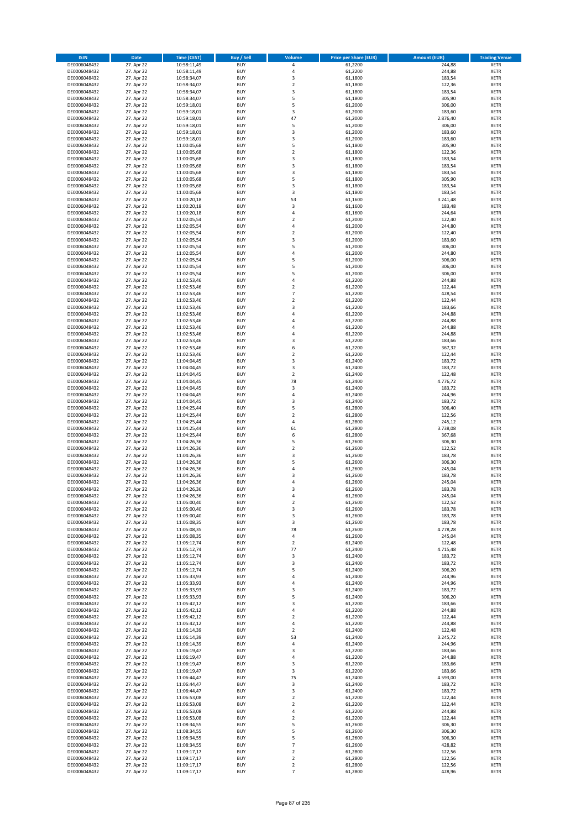| <b>ISIN</b>                  | <b>Date</b>              | Time (CEST)                | <b>Buy / Sell</b>        | Volume                       | <b>Price per Share (EUR)</b> | <b>Amount (EUR)</b> | <b>Trading Venue</b>       |
|------------------------------|--------------------------|----------------------------|--------------------------|------------------------------|------------------------------|---------------------|----------------------------|
| DE0006048432                 | 27. Apr 22               | 10:58:11,49                | <b>BUY</b>               | 4                            | 61,2200                      | 244,88              | <b>XETR</b>                |
| DE0006048432                 | 27. Apr 22               | 10:58:11,49                | <b>BUY</b>               | $\overline{4}$               | 61,2200                      | 244,88              | <b>XETR</b>                |
| DE0006048432                 | 27. Apr 22               | 10:58:34,07                | <b>BUY</b>               | 3                            | 61,1800                      | 183,54              | <b>XETR</b>                |
| DE0006048432                 | 27. Apr 22               | 10:58:34,07                | <b>BUY</b>               | $\mathbf 2$                  | 61,1800                      | 122,36              | <b>XETR</b>                |
| DE0006048432<br>DE0006048432 | 27. Apr 22<br>27. Apr 22 | 10:58:34,07<br>10:58:34,07 | <b>BUY</b><br><b>BUY</b> | 3<br>5                       | 61,1800<br>61,1800           | 183,54<br>305,90    | <b>XETR</b><br><b>XETR</b> |
| DE0006048432                 | 27. Apr 22               | 10:59:18,01                | <b>BUY</b>               | 5                            | 61,2000                      | 306,00              | <b>XETR</b>                |
| DE0006048432                 | 27. Apr 22               | 10:59:18,01                | <b>BUY</b>               | 3                            | 61,2000                      | 183,60              | <b>XETR</b>                |
| DE0006048432                 | 27. Apr 22               | 10:59:18,01                | BUY                      | 47                           | 61,2000                      | 2.876,40            | <b>XETR</b>                |
| DE0006048432                 | 27. Apr 22               | 10:59:18,01                | <b>BUY</b>               | 5                            | 61,2000                      | 306,00              | <b>XETR</b>                |
| DE0006048432                 | 27. Apr 22               | 10:59:18,01                | <b>BUY</b>               | 3                            | 61,2000                      | 183,60              | <b>XETR</b>                |
| DE0006048432                 | 27. Apr 22               | 10:59:18,01                | <b>BUY</b><br><b>BUY</b> | $\overline{\mathbf{3}}$<br>5 | 61,2000                      | 183,60              | <b>XETR</b>                |
| DE0006048432<br>DE0006048432 | 27. Apr 22<br>27. Apr 22 | 11:00:05,68<br>11:00:05,68 | <b>BUY</b>               | $\overline{2}$               | 61,1800<br>61,1800           | 305,90<br>122,36    | <b>XETR</b><br><b>XETR</b> |
| DE0006048432                 | 27. Apr 22               | 11:00:05,68                | <b>BUY</b>               | $\overline{\mathbf{3}}$      | 61,1800                      | 183,54              | <b>XETR</b>                |
| DE0006048432                 | 27. Apr 22               | 11:00:05,68                | <b>BUY</b>               | $\overline{3}$               | 61,1800                      | 183,54              | <b>XETR</b>                |
| DE0006048432                 | 27. Apr 22               | 11:00:05,68                | <b>BUY</b>               | 3                            | 61,1800                      | 183,54              | <b>XETR</b>                |
| DE0006048432                 | 27. Apr 22               | 11:00:05,68                | <b>BUY</b>               | 5                            | 61,1800                      | 305,90              | <b>XETR</b>                |
| DE0006048432                 | 27. Apr 22               | 11:00:05,68                | <b>BUY</b>               | 3                            | 61,1800                      | 183,54              | <b>XETR</b>                |
| DE0006048432<br>DE0006048432 | 27. Apr 22<br>27. Apr 22 | 11:00:05,68<br>11:00:20,18 | <b>BUY</b><br><b>BUY</b> | 3<br>53                      | 61,1800<br>61,1600           | 183,54<br>3.241,48  | <b>XETR</b><br><b>XETR</b> |
| DE0006048432                 | 27. Apr 22               | 11:00:20,18                | <b>BUY</b>               | 3                            | 61,1600                      | 183,48              | <b>XETR</b>                |
| DE0006048432                 | 27. Apr 22               | 11:00:20,18                | <b>BUY</b>               | $\overline{a}$               | 61,1600                      | 244,64              | <b>XETR</b>                |
| DE0006048432                 | 27. Apr 22               | 11:02:05,54                | <b>BUY</b>               | $\overline{2}$               | 61,2000                      | 122,40              | <b>XETR</b>                |
| DE0006048432                 | 27. Apr 22               | 11:02:05,54                | <b>BUY</b>               | $\overline{4}$               | 61,2000                      | 244,80              | <b>XETR</b>                |
| DE0006048432                 | 27. Apr 22               | 11:02:05,54                | <b>BUY</b>               | $\overline{\mathbf{c}}$      | 61,2000                      | 122,40              | <b>XETR</b>                |
| DE0006048432<br>DE0006048432 | 27. Apr 22<br>27. Apr 22 | 11:02:05,54                | <b>BUY</b><br><b>BUY</b> | $\overline{3}$<br>5          | 61,2000<br>61,2000           | 183,60<br>306,00    | <b>XETR</b><br><b>XETR</b> |
| DE0006048432                 | 27. Apr 22               | 11:02:05,54<br>11:02:05,54 | <b>BUY</b>               | 4                            | 61,2000                      | 244,80              | <b>XETR</b>                |
| DE0006048432                 | 27. Apr 22               | 11:02:05,54                | <b>BUY</b>               | 5                            | 61,2000                      | 306,00              | <b>XETR</b>                |
| DE0006048432                 | 27. Apr 22               | 11:02:05,54                | <b>BUY</b>               | 5                            | 61,2000                      | 306,00              | <b>XETR</b>                |
| DE0006048432                 | 27. Apr 22               | 11:02:05,54                | <b>BUY</b>               | 5                            | 61,2000                      | 306,00              | <b>XETR</b>                |
| DE0006048432                 | 27. Apr 22               | 11:02:53,46                | <b>BUY</b>               | 4                            | 61,2200                      | 244,88              | <b>XETR</b>                |
| DE0006048432                 | 27. Apr 22               | 11:02:53,46                | <b>BUY</b>               | $\overline{2}$               | 61,2200                      | 122,44              | <b>XETR</b>                |
| DE0006048432<br>DE0006048432 | 27. Apr 22<br>27. Apr 22 | 11:02:53,46<br>11:02:53,46 | <b>BUY</b><br><b>BUY</b> | 7<br>$\mathbf 2$             | 61,2200<br>61,2200           | 428,54<br>122,44    | <b>XETR</b><br><b>XETR</b> |
| DE0006048432                 | 27. Apr 22               | 11:02:53,46                | <b>BUY</b>               | $\overline{\mathbf{3}}$      | 61,2200                      | 183,66              | <b>XETR</b>                |
| DE0006048432                 | 27. Apr 22               | 11:02:53,46                | <b>BUY</b>               | $\overline{a}$               | 61,2200                      | 244,88              | <b>XETR</b>                |
| DE0006048432                 | 27. Apr 22               | 11:02:53,46                | <b>BUY</b>               | $\overline{4}$               | 61,2200                      | 244,88              | <b>XETR</b>                |
| DE0006048432                 | 27. Apr 22               | 11:02:53,46                | <b>BUY</b>               | 4                            | 61,2200                      | 244,88              | <b>XETR</b>                |
| DE0006048432                 | 27. Apr 22               | 11:02:53,46                | <b>BUY</b>               | $\overline{a}$               | 61,2200                      | 244,88              | <b>XETR</b>                |
| DE0006048432<br>DE0006048432 | 27. Apr 22<br>27. Apr 22 | 11:02:53,46<br>11:02:53,46 | <b>BUY</b><br><b>BUY</b> | $\overline{3}$<br>6          | 61,2200<br>61,2200           | 183,66<br>367,32    | <b>XETR</b><br><b>XETR</b> |
| DE0006048432                 | 27. Apr 22               | 11:02:53,46                | <b>BUY</b>               | $\overline{2}$               | 61,2200                      | 122,44              | <b>XETR</b>                |
| DE0006048432                 | 27. Apr 22               | 11:04:04,45                | <b>BUY</b>               | 3                            | 61,2400                      | 183,72              | <b>XETR</b>                |
| DE0006048432                 | 27. Apr 22               | 11:04:04,45                | <b>BUY</b>               | 3                            | 61,2400                      | 183,72              | <b>XETR</b>                |
| DE0006048432                 | 27. Apr 22               | 11:04:04,45                | <b>BUY</b>               | $\mathbf 2$                  | 61,2400                      | 122,48              | <b>XETR</b>                |
| DE0006048432                 | 27. Apr 22               | 11:04:04,45                | <b>BUY</b>               | 78                           | 61,2400                      | 4.776,72            | <b>XETR</b>                |
| DE0006048432<br>DE0006048432 | 27. Apr 22<br>27. Apr 22 | 11:04:04,45<br>11:04:04,45 | <b>BUY</b><br><b>BUY</b> | 3<br>$\overline{a}$          | 61,2400<br>61,2400           | 183,72<br>244,96    | <b>XETR</b><br><b>XETR</b> |
| DE0006048432                 | 27. Apr 22               | 11:04:04,45                | <b>BUY</b>               | $\overline{\mathbf{3}}$      | 61,2400                      | 183,72              | <b>XETR</b>                |
| DE0006048432                 | 27. Apr 22               | 11:04:25,44                | <b>BUY</b>               | 5                            | 61,2800                      | 306,40              | <b>XETR</b>                |
| DE0006048432                 | 27. Apr 22               | 11:04:25,44                | <b>BUY</b>               | $\overline{2}$               | 61,2800                      | 122,56              | <b>XETR</b>                |
| DE0006048432                 | 27. Apr 22               | 11:04:25,44                | <b>BUY</b>               | $\overline{4}$               | 61,2800                      | 245,12              | <b>XETR</b>                |
| DE0006048432                 | 27. Apr 22               | 11:04:25,44                | <b>BUY</b>               | 61                           | 61,2800                      | 3.738,08            | <b>XETR</b>                |
| DE0006048432                 | 27. Apr 22               | 11:04:25,44                | <b>BUY</b>               | 6                            | 61,2800                      | 367,68              | <b>XETR</b>                |
| DE0006048432<br>DE0006048432 | 27. Apr 22<br>27. Apr 22 | 11:04:26,36<br>11:04:26,36 | <b>BUY</b><br><b>BUY</b> | 5<br>$\overline{2}$          | 61,2600<br>61,2600           | 306,30<br>122,52    | <b>XETR</b><br><b>XETR</b> |
| DE0006048432                 | 27. Apr 22               | 11:04:26,36                | BUY                      | 3                            | 61,2600                      | 183,78              | <b>XETR</b>                |
| DE0006048432                 | 27. Apr 22               | 11:04:26,36                | <b>BUY</b>               | 5                            | 61,2600                      | 306,30              | <b>XETR</b>                |
| DE0006048432                 | 27. Apr 22               | 11:04:26,36                | <b>BUY</b>               | $\overline{4}$               | 61,2600                      | 245,04              | <b>XETR</b>                |
| DE0006048432                 | 27. Apr 22               | 11:04:26,36                | BUY                      | 3                            | 61,2600                      | 183,78              | <b>XETR</b>                |
| DE0006048432                 | 27. Apr 22               | 11:04:26,36                | BUY                      | $\overline{a}$               | 61,2600                      | 245,04              | <b>XETR</b>                |
| DE0006048432<br>DE0006048432 | 27. Apr 22<br>27. Apr 22 | 11:04:26,36<br>11:04:26,36 | <b>BUY</b><br><b>BUY</b> | $\overline{3}$<br>4          | 61,2600<br>61,2600           | 183,78<br>245,04    | <b>XETR</b><br><b>XETR</b> |
| DE0006048432                 | 27. Apr 22               | 11:05:00,40                | <b>BUY</b>               | $\mathbf 2$                  | 61,2600                      | 122,52              | <b>XETR</b>                |
| DE0006048432                 | 27. Apr 22               | 11:05:00,40                | <b>BUY</b>               | 3                            | 61,2600                      | 183,78              | <b>XETR</b>                |
| DE0006048432                 | 27. Apr 22               | 11:05:00,40                | <b>BUY</b>               | 3                            | 61,2600                      | 183,78              | <b>XETR</b>                |
| DE0006048432                 | 27. Apr 22               | 11:05:08,35                | <b>BUY</b>               | 3                            | 61,2600                      | 183,78              | <b>XETR</b>                |
| DE0006048432                 | 27. Apr 22               | 11:05:08,35                | <b>BUY</b>               | 78                           | 61,2600                      | 4.778,28            | <b>XETR</b>                |
| DE0006048432<br>DE0006048432 | 27. Apr 22<br>27. Apr 22 | 11:05:08,35<br>11:05:12,74 | <b>BUY</b><br><b>BUY</b> | 4<br>2                       | 61,2600<br>61,2400           | 245,04<br>122,48    | <b>XETR</b><br><b>XETR</b> |
| DE0006048432                 | 27. Apr 22               | 11:05:12,74                | <b>BUY</b>               | 77                           | 61,2400                      | 4.715,48            | <b>XETR</b>                |
| DE0006048432                 | 27. Apr 22               | 11:05:12,74                | <b>BUY</b>               | 3                            | 61,2400                      | 183,72              | <b>XETR</b>                |
| DE0006048432                 | 27. Apr 22               | 11:05:12,74                | <b>BUY</b>               | 3                            | 61,2400                      | 183,72              | <b>XETR</b>                |
| DE0006048432                 | 27. Apr 22               | 11:05:12,74                | <b>BUY</b>               | 5                            | 61,2400                      | 306,20              | <b>XETR</b>                |
| DE0006048432<br>DE0006048432 | 27. Apr 22<br>27. Apr 22 | 11:05:33,93                | <b>BUY</b><br><b>BUY</b> | 4<br>4                       | 61,2400<br>61,2400           | 244,96<br>244,96    | <b>XETR</b>                |
| DE0006048432                 | 27. Apr 22               | 11:05:33,93<br>11:05:33,93 | <b>BUY</b>               | 3                            | 61,2400                      | 183,72              | <b>XETR</b><br><b>XETR</b> |
| DE0006048432                 | 27. Apr 22               | 11:05:33,93                | <b>BUY</b>               | 5                            | 61,2400                      | 306,20              | <b>XETR</b>                |
| DE0006048432                 | 27. Apr 22               | 11:05:42,12                | <b>BUY</b>               | 3                            | 61,2200                      | 183,66              | <b>XETR</b>                |
| DE0006048432                 | 27. Apr 22               | 11:05:42,12                | <b>BUY</b>               | 4                            | 61,2200                      | 244,88              | <b>XETR</b>                |
| DE0006048432                 | 27. Apr 22               | 11:05:42,12                | <b>BUY</b>               | $\overline{2}$               | 61,2200                      | 122,44              | <b>XETR</b>                |
| DE0006048432                 | 27. Apr 22               | 11:05:42,12                | <b>BUY</b>               | $\overline{4}$               | 61,2200                      | 244,88              | <b>XETR</b>                |
| DE0006048432<br>DE0006048432 | 27. Apr 22<br>27. Apr 22 | 11:06:14,39<br>11:06:14,39 | <b>BUY</b><br><b>BUY</b> | $\overline{2}$<br>53         | 61,2400<br>61,2400           | 122,48<br>3.245,72  | <b>XETR</b><br><b>XETR</b> |
| DE0006048432                 | 27. Apr 22               | 11:06:14,39                | <b>BUY</b>               | $\overline{4}$               | 61,2400                      | 244,96              | <b>XETR</b>                |
| DE0006048432                 | 27. Apr 22               | 11:06:19,47                | <b>BUY</b>               | $\overline{\mathbf{3}}$      | 61,2200                      | 183,66              | <b>XETR</b>                |
| DE0006048432                 | 27. Apr 22               | 11:06:19,47                | <b>BUY</b>               | 4                            | 61,2200                      | 244,88              | <b>XETR</b>                |
| DE0006048432                 | 27. Apr 22               | 11:06:19,47                | <b>BUY</b>               | 3                            | 61,2200                      | 183,66              | <b>XETR</b>                |
| DE0006048432                 | 27. Apr 22               | 11:06:19,47                | <b>BUY</b>               | 3                            | 61,2200                      | 183,66              | <b>XETR</b>                |
| DE0006048432<br>DE0006048432 | 27. Apr 22<br>27. Apr 22 | 11:06:44,47                | <b>BUY</b><br><b>BUY</b> | 75                           | 61,2400<br>61,2400           | 4.593,00<br>183,72  | <b>XETR</b><br><b>XETR</b> |
| DE0006048432                 | 27. Apr 22               | 11:06:44,47<br>11:06:44,47 | <b>BUY</b>               | 3<br>$\overline{\mathbf{3}}$ | 61,2400                      | 183,72              | <b>XETR</b>                |
| DE0006048432                 | 27. Apr 22               | 11:06:53,08                | <b>BUY</b>               | $\mathbf 2$                  | 61,2200                      | 122,44              | <b>XETR</b>                |
| DE0006048432                 | 27. Apr 22               | 11:06:53,08                | <b>BUY</b>               | $\mathbf 2$                  | 61,2200                      | 122,44              | <b>XETR</b>                |
| DE0006048432                 | 27. Apr 22               | 11:06:53,08                | <b>BUY</b>               | 4                            | 61,2200                      | 244,88              | <b>XETR</b>                |
| DE0006048432                 | 27. Apr 22               | 11:06:53,08                | <b>BUY</b>               | $\overline{2}$               | 61,2200                      | 122,44              | <b>XETR</b>                |
| DE0006048432<br>DE0006048432 | 27. Apr 22<br>27. Apr 22 | 11:08:34,55                | <b>BUY</b><br><b>BUY</b> | 5<br>5                       | 61,2600<br>61,2600           | 306,30<br>306,30    | <b>XETR</b><br><b>XETR</b> |
| DE0006048432                 | 27. Apr 22               | 11:08:34,55<br>11:08:34,55 | <b>BUY</b>               | 5                            | 61,2600                      | 306,30              | <b>XETR</b>                |
| DE0006048432                 | 27. Apr 22               | 11:08:34,55                | <b>BUY</b>               | $\overline{7}$               | 61,2600                      | 428,82              | <b>XETR</b>                |
| DE0006048432                 | 27. Apr 22               | 11:09:17,17                | <b>BUY</b>               | $\mathbf 2$                  | 61,2800                      | 122,56              | <b>XETR</b>                |
| DE0006048432                 | 27. Apr 22               | 11:09:17,17                | <b>BUY</b>               | 2                            | 61,2800                      | 122,56              | <b>XETR</b>                |
| DE0006048432                 | 27. Apr 22               | 11:09:17,17                | <b>BUY</b>               | $\mathbf 2$                  | 61,2800                      | 122,56              | <b>XETR</b>                |
| DE0006048432                 | 27. Apr 22               | 11:09:17,17                | <b>BUY</b>               | $\overline{7}$               | 61,2800                      | 428,96              | <b>XETR</b>                |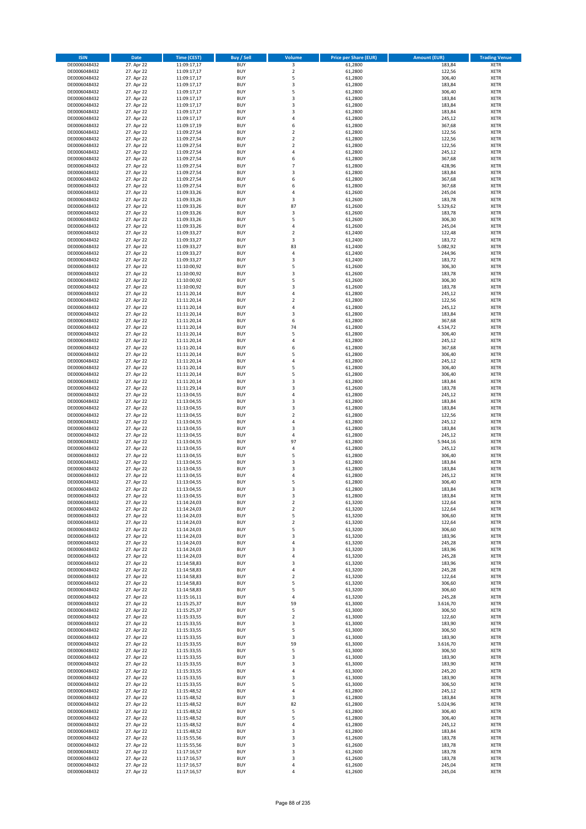| <b>ISIN</b>                  | <b>Date</b>              | <b>Time (CEST)</b>         | <b>Buy / Sell</b>        | Volume                           | <b>Price per Share (EUR)</b> | <b>Amount (EUR)</b> | <b>Trading Venue</b>       |
|------------------------------|--------------------------|----------------------------|--------------------------|----------------------------------|------------------------------|---------------------|----------------------------|
| DE0006048432                 | 27. Apr 22               | 11:09:17,17                | <b>BUY</b>               | $\overline{\mathbf{3}}$          | 61,2800                      | 183,84              | <b>XETR</b>                |
| DE0006048432                 | 27. Apr 22               | 11:09:17,17                | <b>BUY</b>               | $\mathbf 2$                      | 61,2800                      | 122,56              | <b>XETR</b>                |
| DE0006048432                 | 27. Apr 22               | 11:09:17,17                | <b>BUY</b>               | 5                                | 61,2800                      | 306,40              | <b>XETR</b>                |
| DE0006048432                 | 27. Apr 22               | 11:09:17,17                | <b>BUY</b>               | 3                                | 61,2800                      | 183,84              | <b>XETR</b>                |
| DE0006048432<br>DE0006048432 | 27. Apr 22<br>27. Apr 22 | 11:09:17,17<br>11:09:17,17 | <b>BUY</b><br><b>BUY</b> | 5<br>3                           | 61,2800<br>61,2800           | 306,40<br>183,84    | <b>XETR</b><br><b>XETR</b> |
| DE0006048432                 | 27. Apr 22               | 11:09:17,17                | <b>BUY</b>               | $\overline{\mathbf{3}}$          | 61,2800                      | 183,84              | <b>XETR</b>                |
| DE0006048432                 | 27. Apr 22               | 11:09:17,17                | <b>BUY</b>               | 3                                | 61,2800                      | 183,84              | <b>XETR</b>                |
| DE0006048432                 | 27. Apr 22               | 11:09:17,17                | BUY                      | $\overline{a}$                   | 61,2800                      | 245,12              | <b>XETR</b>                |
| DE0006048432                 | 27. Apr 22               | 11:09:17,19                | <b>BUY</b>               | 6                                | 61,2800                      | 367,68              | <b>XETR</b>                |
| DE0006048432                 | 27. Apr 22               | 11:09:27,54                | <b>BUY</b>               | $\mathbf 2$                      | 61,2800                      | 122,56              | <b>XETR</b>                |
| DE0006048432                 | 27. Apr 22               | 11:09:27,54                | <b>BUY</b><br><b>BUY</b> | $\overline{2}$<br>$\overline{2}$ | 61,2800                      | 122,56              | <b>XETR</b>                |
| DE0006048432<br>DE0006048432 | 27. Apr 22<br>27. Apr 22 | 11:09:27,54<br>11:09:27,54 | <b>BUY</b>               | $\overline{a}$                   | 61,2800<br>61,2800           | 122,56<br>245,12    | <b>XETR</b><br><b>XETR</b> |
| DE0006048432                 | 27. Apr 22               | 11:09:27,54                | <b>BUY</b>               | 6                                | 61,2800                      | 367,68              | <b>XETR</b>                |
| DE0006048432                 | 27. Apr 22               | 11:09:27,54                | <b>BUY</b>               | $\overline{7}$                   | 61,2800                      | 428,96              | <b>XETR</b>                |
| DE0006048432                 | 27. Apr 22               | 11:09:27,54                | <b>BUY</b>               | 3                                | 61,2800                      | 183,84              | <b>XETR</b>                |
| DE0006048432                 | 27. Apr 22               | 11:09:27,54                | <b>BUY</b>               | 6                                | 61,2800                      | 367,68              | <b>XETR</b>                |
| DE0006048432                 | 27. Apr 22               | 11:09:27,54                | <b>BUY</b>               | 6                                | 61,2800                      | 367,68              | <b>XETR</b>                |
| DE0006048432<br>DE0006048432 | 27. Apr 22<br>27. Apr 22 | 11:09:33,26<br>11:09:33,26 | <b>BUY</b><br><b>BUY</b> | $\overline{a}$<br>3              | 61,2600<br>61,2600           | 245,04<br>183,78    | <b>XETR</b><br><b>XETR</b> |
| DE0006048432                 | 27. Apr 22               | 11:09:33,26                | <b>BUY</b>               | 87                               | 61,2600                      | 5.329,62            | <b>XETR</b>                |
| DE0006048432                 | 27. Apr 22               | 11:09:33,26                | <b>BUY</b>               | 3                                | 61,2600                      | 183,78              | <b>XETR</b>                |
| DE0006048432                 | 27. Apr 22               | 11:09:33,26                | <b>BUY</b>               | 5                                | 61,2600                      | 306,30              | <b>XETR</b>                |
| DE0006048432                 | 27. Apr 22               | 11:09:33,26                | <b>BUY</b>               | 4                                | 61,2600                      | 245,04              | <b>XETR</b>                |
| DE0006048432                 | 27. Apr 22               | 11:09:33,27                | <b>BUY</b>               | $\mathbf 2$                      | 61,2400                      | 122,48              | <b>XETR</b>                |
| DE0006048432                 | 27. Apr 22<br>27. Apr 22 | 11:09:33,27                | <b>BUY</b>               | 3                                | 61,2400                      | 183,72              | <b>XETR</b>                |
| DE0006048432<br>DE0006048432 | 27. Apr 22               | 11:09:33,27<br>11:09:33,27 | <b>BUY</b><br><b>BUY</b> | 83<br>4                          | 61,2400<br>61,2400           | 5.082,92<br>244,96  | <b>XETR</b><br><b>XETR</b> |
| DE0006048432                 | 27. Apr 22               | 11:09:33,27                | <b>BUY</b>               | 3                                | 61,2400                      | 183,72              | <b>XETR</b>                |
| DE0006048432                 | 27. Apr 22               | 11:10:00,92                | <b>BUY</b>               | 5                                | 61,2600                      | 306,30              | <b>XETR</b>                |
| DE0006048432                 | 27. Apr 22               | 11:10:00,92                | <b>BUY</b>               | 3                                | 61,2600                      | 183,78              | <b>XETR</b>                |
| DE0006048432                 | 27. Apr 22               | 11:10:00,92                | <b>BUY</b>               | 5                                | 61,2600                      | 306,30              | <b>XETR</b>                |
| DE0006048432                 | 27. Apr 22               | 11:10:00,92                | <b>BUY</b>               | $\overline{\mathbf{3}}$          | 61,2600                      | 183,78              | <b>XETR</b>                |
| DE0006048432<br>DE0006048432 | 27. Apr 22<br>27. Apr 22 | 11:11:20,14<br>11:11:20,14 | <b>BUY</b><br><b>BUY</b> | $\overline{4}$<br>$\mathbf 2$    | 61,2800<br>61,2800           | 245,12<br>122,56    | <b>XETR</b><br><b>XETR</b> |
| DE0006048432                 | 27. Apr 22               | 11:11:20,14                | <b>BUY</b>               | $\overline{a}$                   | 61,2800                      | 245,12              | <b>XETR</b>                |
| DE0006048432                 | 27. Apr 22               | 11:11:20,14                | <b>BUY</b>               | $\overline{\mathbf{3}}$          | 61,2800                      | 183,84              | <b>XETR</b>                |
| DE0006048432                 | 27. Apr 22               | 11:11:20,14                | <b>BUY</b>               | 6                                | 61,2800                      | 367,68              | <b>XETR</b>                |
| DE0006048432                 | 27. Apr 22               | 11:11:20,14                | <b>BUY</b>               | 74                               | 61,2800                      | 4.534,72            | <b>XETR</b>                |
| DE0006048432                 | 27. Apr 22               | 11:11:20,14                | <b>BUY</b>               | 5                                | 61,2800                      | 306,40              | <b>XETR</b>                |
| DE0006048432                 | 27. Apr 22<br>27. Apr 22 | 11:11:20,14                | <b>BUY</b><br><b>BUY</b> | 4<br>6                           | 61,2800                      | 245,12<br>367,68    | <b>XETR</b>                |
| DE0006048432<br>DE0006048432 | 27. Apr 22               | 11:11:20,14<br>11:11:20,14 | <b>BUY</b>               | 5                                | 61,2800<br>61,2800           | 306,40              | <b>XETR</b><br><b>XETR</b> |
| DE0006048432                 | 27. Apr 22               | 11:11:20,14                | <b>BUY</b>               | $\overline{a}$                   | 61,2800                      | 245,12              | <b>XETR</b>                |
| DE0006048432                 | 27. Apr 22               | 11:11:20,14                | <b>BUY</b>               | 5                                | 61,2800                      | 306,40              | <b>XETR</b>                |
| DE0006048432                 | 27. Apr 22               | 11:11:20,14                | <b>BUY</b>               | 5                                | 61,2800                      | 306,40              | <b>XETR</b>                |
| DE0006048432                 | 27. Apr 22               | 11:11:20,14                | <b>BUY</b>               | $\overline{\mathbf{3}}$          | 61,2800                      | 183,84              | <b>XETR</b>                |
| DE0006048432<br>DE0006048432 | 27. Apr 22               | 11:11:29,14<br>11:13:04,55 | <b>BUY</b><br><b>BUY</b> | 3<br>$\overline{a}$              | 61,2600<br>61,2800           | 183,78<br>245,12    | <b>XETR</b><br><b>XETR</b> |
| DE0006048432                 | 27. Apr 22<br>27. Apr 22 | 11:13:04,55                | <b>BUY</b>               | $\overline{\mathbf{3}}$          | 61,2800                      | 183,84              | <b>XETR</b>                |
| DE0006048432                 | 27. Apr 22               | 11:13:04,55                | <b>BUY</b>               | $\overline{\mathbf{3}}$          | 61,2800                      | 183,84              | <b>XETR</b>                |
| DE0006048432                 | 27. Apr 22               | 11:13:04,55                | <b>BUY</b>               | $\overline{2}$                   | 61,2800                      | 122,56              | <b>XETR</b>                |
| DE0006048432                 | 27. Apr 22               | 11:13:04,55                | <b>BUY</b>               | $\overline{4}$                   | 61,2800                      | 245,12              | <b>XETR</b>                |
| DE0006048432                 | 27. Apr 22               | 11:13:04,55                | <b>BUY</b>               | $\overline{\mathbf{3}}$          | 61,2800                      | 183,84              | <b>XETR</b>                |
| DE0006048432                 | 27. Apr 22               | 11:13:04,55                | <b>BUY</b>               | $\overline{4}$                   | 61,2800                      | 245,12              | <b>XETR</b>                |
| DE0006048432<br>DE0006048432 | 27. Apr 22<br>27. Apr 22 | 11:13:04,55<br>11:13:04,55 | <b>BUY</b><br><b>BUY</b> | 97<br>4                          | 61,2800<br>61,2800           | 5.944,16<br>245,12  | <b>XETR</b><br><b>XETR</b> |
| DE0006048432                 | 27. Apr 22               | 11:13:04,55                | BUY                      | 5                                | 61,2800                      | 306,40              | <b>XETR</b>                |
| DE0006048432                 | 27. Apr 22               | 11:13:04,55                | <b>BUY</b>               | $\overline{\mathbf{3}}$          | 61,2800                      | 183,84              | <b>XETR</b>                |
| DE0006048432                 | 27. Apr 22               | 11:13:04,55                | <b>BUY</b>               | 3                                | 61,2800                      | 183,84              | <b>XETR</b>                |
| DE0006048432                 | 27. Apr 22               | 11:13:04,55                | BUY                      | $\overline{a}$                   | 61,2800                      | 245,12              | <b>XETR</b>                |
| DE0006048432                 | 27. Apr 22               | 11:13:04,55                | BUY                      | 5                                | 61,2800                      | 306,40              | <b>XETR</b>                |
| DE0006048432<br>DE0006048432 | 27. Apr 22<br>27. Apr 22 | 11:13:04,55                | <b>BUY</b><br>BUY        | $\overline{3}$<br>3              | 61,2800<br>61,2800           | 183,84<br>183,84    | <b>XETR</b><br><b>XETR</b> |
| DE0006048432                 | 27. Apr 22               | 11:13:04,55<br>11:14:24,03 | <b>BUY</b>               | $\mathbf 2$                      | 61,3200                      | 122,64              | <b>XETR</b>                |
| DE0006048432                 | 27. Apr 22               | 11:14:24,03                | <b>BUY</b>               | $\mathbf 2$                      | 61,3200                      | 122,64              | <b>XETR</b>                |
| DE0006048432                 | 27. Apr 22               | 11:14:24,03                | <b>BUY</b>               | 5                                | 61,3200                      | 306,60              | <b>XETR</b>                |
| DE0006048432                 | 27. Apr 22               | 11:14:24,03                | <b>BUY</b>               | $\overline{2}$                   | 61,3200                      | 122,64              | <b>XETR</b>                |
| DE0006048432                 | 27. Apr 22               | 11:14:24,03                | <b>BUY</b>               | 5                                | 61,3200                      | 306,60              | <b>XETR</b>                |
| DE0006048432                 | 27. Apr 22               | 11:14:24,03                | <b>BUY</b>               | 3                                | 61,3200                      | 183,96              | <b>XETR</b>                |
| DE0006048432<br>DE0006048432 | 27. Apr 22<br>27. Apr 22 | 11:14:24,03<br>11:14:24,03 | <b>BUY</b><br><b>BUY</b> | 4<br>$\overline{\mathbf{3}}$     | 61,3200<br>61,3200           | 245,28<br>183,96    | <b>XETR</b><br><b>XETR</b> |
| DE0006048432                 | 27. Apr 22               | 11:14:24,03                | <b>BUY</b>               | 4                                | 61,3200                      | 245,28              | <b>XETR</b>                |
| DE0006048432                 | 27. Apr 22               | 11:14:58,83                | <b>BUY</b>               | 3                                | 61,3200                      | 183,96              | <b>XETR</b>                |
| DE0006048432                 | 27. Apr 22               | 11:14:58,83                | <b>BUY</b>               | $\overline{4}$                   | 61,3200                      | 245,28              | <b>XETR</b>                |
| DE0006048432                 | 27. Apr 22               | 11:14:58,83                | <b>BUY</b>               | $\mathbf 2$                      | 61,3200                      | 122,64              | <b>XETR</b>                |
| DE0006048432                 | 27. Apr 22               | 11:14:58,83                | <b>BUY</b>               | 5                                | 61,3200                      | 306,60              | <b>XETR</b>                |
| DE0006048432<br>DE0006048432 | 27. Apr 22<br>27. Apr 22 | 11:14:58,83<br>11:15:16,11 | <b>BUY</b><br><b>BUY</b> | 5<br>$\overline{4}$              | 61,3200<br>61,3200           | 306,60<br>245,28    | <b>XETR</b><br><b>XETR</b> |
| DE0006048432                 | 27. Apr 22               | 11:15:25,37                | <b>BUY</b>               | 59                               | 61,3000                      | 3.616,70            | <b>XETR</b>                |
| DE0006048432                 | 27. Apr 22               | 11:15:25,37                | <b>BUY</b>               | 5                                | 61,3000                      | 306,50              | <b>XETR</b>                |
| DE0006048432                 | 27. Apr 22               | 11:15:33,55                | <b>BUY</b>               | $\mathbf 2$                      | 61,3000                      | 122,60              | <b>XETR</b>                |
| DE0006048432                 | 27. Apr 22               | 11:15:33,55                | <b>BUY</b>               | 3                                | 61,3000                      | 183,90              | <b>XETR</b>                |
| DE0006048432                 | 27. Apr 22               | 11:15:33,55                | <b>BUY</b>               | 5                                | 61,3000                      | 306,50              | <b>XETR</b>                |
| DE0006048432<br>DE0006048432 | 27. Apr 22<br>27. Apr 22 | 11:15:33,55<br>11:15:33,55 | <b>BUY</b><br><b>BUY</b> | 3<br>59                          | 61,3000<br>61,3000           | 183,90<br>3.616,70  | <b>XETR</b><br><b>XETR</b> |
| DE0006048432                 | 27. Apr 22               | 11:15:33,55                | <b>BUY</b>               | 5                                | 61,3000                      | 306,50              | <b>XETR</b>                |
| DE0006048432                 | 27. Apr 22               | 11:15:33,55                | <b>BUY</b>               | 3                                | 61,3000                      | 183,90              | <b>XETR</b>                |
| DE0006048432                 | 27. Apr 22               | 11:15:33,55                | <b>BUY</b>               | 3                                | 61,3000                      | 183,90              | <b>XETR</b>                |
| DE0006048432                 | 27. Apr 22               | 11:15:33,55                | <b>BUY</b>               | $\overline{a}$                   | 61,3000                      | 245,20              | <b>XETR</b>                |
| DE0006048432                 | 27. Apr 22               | 11:15:33,55                | <b>BUY</b>               | $\overline{\mathbf{3}}$          | 61,3000                      | 183,90              | <b>XETR</b>                |
| DE0006048432                 | 27. Apr 22               | 11:15:33,55                | <b>BUY</b>               | 5                                | 61,3000                      | 306,50              | <b>XETR</b>                |
| DE0006048432<br>DE0006048432 | 27. Apr 22<br>27. Apr 22 | 11:15:48,52<br>11:15:48,52 | <b>BUY</b><br><b>BUY</b> | 4<br>3                           | 61,2800<br>61,2800           | 245,12<br>183,84    | <b>XETR</b><br><b>XETR</b> |
| DE0006048432                 | 27. Apr 22               | 11:15:48,52                | <b>BUY</b>               | 82                               | 61,2800                      | 5.024,96            | <b>XETR</b>                |
| DE0006048432                 | 27. Apr 22               | 11:15:48,52                | <b>BUY</b>               | 5                                | 61,2800                      | 306,40              | <b>XETR</b>                |
| DE0006048432                 | 27. Apr 22               | 11:15:48,52                | <b>BUY</b>               | 5                                | 61,2800                      | 306,40              | <b>XETR</b>                |
| DE0006048432                 | 27. Apr 22               | 11:15:48,52                | <b>BUY</b>               | 4                                | 61,2800                      | 245,12              | <b>XETR</b>                |
| DE0006048432                 | 27. Apr 22               | 11:15:48,52                | <b>BUY</b>               | 3                                | 61,2800                      | 183,84              | <b>XETR</b>                |
| DE0006048432<br>DE0006048432 | 27. Apr 22<br>27. Apr 22 | 11:15:55,56<br>11:15:55,56 | <b>BUY</b><br><b>BUY</b> | 3<br>3                           | 61,2600<br>61,2600           | 183,78<br>183,78    | <b>XETR</b><br><b>XETR</b> |
| DE0006048432                 | 27. Apr 22               | 11:17:16,57                | <b>BUY</b>               | 3                                | 61,2600                      | 183,78              | <b>XETR</b>                |
| DE0006048432                 | 27. Apr 22               | 11:17:16,57                | <b>BUY</b>               | 3                                | 61,2600                      | 183,78              | <b>XETR</b>                |
| DE0006048432                 | 27. Apr 22               | 11:17:16,57                | <b>BUY</b>               | $\overline{4}$                   | 61,2600                      | 245,04              | <b>XETR</b>                |
| DE0006048432                 | 27. Apr 22               | 11:17:16,57                | <b>BUY</b>               | 4                                | 61,2600                      | 245,04              | <b>XETR</b>                |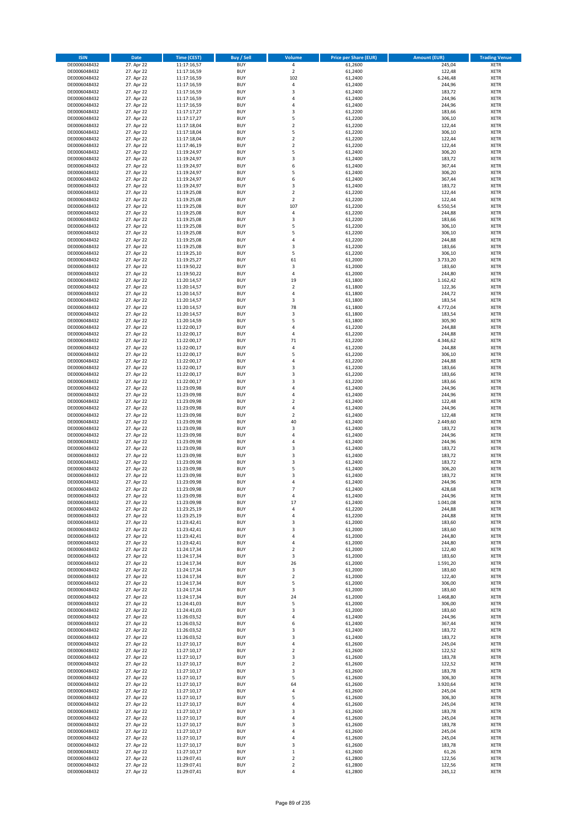| <b>ISIN</b>                  | Date                     | Time (CEST)                | <b>Buy / Sell</b>        | <b>Volume</b>                    | <b>Price per Share (EUR)</b> | <b>Amount (EUR)</b> | <b>Trading Venue</b>       |
|------------------------------|--------------------------|----------------------------|--------------------------|----------------------------------|------------------------------|---------------------|----------------------------|
| DE0006048432                 | 27. Apr 22               | 11:17:16,57                | <b>BUY</b>               | $\pmb{4}$                        | 61,2600                      | 245,04              | <b>XETR</b>                |
| DE0006048432                 | 27. Apr 22               | 11:17:16,59                | <b>BUY</b>               | $\mathbf 2$                      | 61,2400                      | 122,48              | XETR                       |
| DE0006048432                 | 27. Apr 22               | 11:17:16,59                | <b>BUY</b>               | 102                              | 61,2400                      | 6.246,48            | <b>XETR</b>                |
| DE0006048432                 | 27. Apr 22               | 11:17:16,59                | <b>BUY</b>               | $\pmb{4}$                        | 61,2400                      | 244,96              | <b>XETR</b>                |
| DE0006048432<br>DE0006048432 | 27. Apr 22<br>27. Apr 22 | 11:17:16,59<br>11:17:16,59 | <b>BUY</b><br><b>BUY</b> | 3<br>$\overline{4}$              | 61,2400<br>61,2400           | 183,72<br>244,96    | <b>XETR</b><br><b>XETR</b> |
| DE0006048432                 | 27. Apr 22               | 11:17:16,59                | <b>BUY</b>               | $\overline{4}$                   | 61,2400                      | 244,96              | <b>XETR</b>                |
| DE0006048432                 | 27. Apr 22               | 11:17:17,27                | <b>BUY</b>               | 3                                | 61,2200                      | 183,66              | <b>XETR</b>                |
| DE0006048432                 | 27. Apr 22               | 11:17:17,27                | <b>BUY</b>               | 5                                | 61,2200                      | 306,10              | <b>XETR</b>                |
| DE0006048432                 | 27. Apr 22               | 11:17:18,04                | <b>BUY</b>               | $\overline{2}$                   | 61,2200                      | 122,44              | <b>XETR</b>                |
| DE0006048432                 | 27. Apr 22               | 11:17:18,04                | <b>BUY</b>               | 5                                | 61,2200                      | 306,10              | <b>XETR</b>                |
| DE0006048432                 | 27. Apr 22               | 11:17:18,04                | <b>BUY</b>               | $\mathbf 2$<br>$\mathbf 2$       | 61,2200                      | 122,44              | <b>XETR</b>                |
| DE0006048432<br>DE0006048432 | 27. Apr 22<br>27. Apr 22 | 11:17:46,19<br>11:19:24,97 | <b>BUY</b><br><b>BUY</b> | 5                                | 61,2200<br>61,2400           | 122,44<br>306,20    | <b>XETR</b><br><b>XETR</b> |
| DE0006048432                 | 27. Apr 22               | 11:19:24,97                | <b>BUY</b>               | 3                                | 61,2400                      | 183,72              | <b>XETR</b>                |
| DE0006048432                 | 27. Apr 22               | 11:19:24,97                | <b>BUY</b>               | 6                                | 61,2400                      | 367,44              | <b>XETR</b>                |
| DE0006048432                 | 27. Apr 22               | 11:19:24,97                | <b>BUY</b>               | 5                                | 61,2400                      | 306,20              | <b>XETR</b>                |
| DE0006048432                 | 27. Apr 22               | 11:19:24,97                | <b>BUY</b>               | 6                                | 61,2400                      | 367,44              | <b>XETR</b>                |
| DE0006048432                 | 27. Apr 22<br>27. Apr 22 | 11:19:24,97                | <b>BUY</b><br><b>BUY</b> | 3<br>$\mathbf 2$                 | 61,2400                      | 183,72              | <b>XETR</b>                |
| DE0006048432<br>DE0006048432 | 27. Apr 22               | 11:19:25,08<br>11:19:25,08 | <b>BUY</b>               | $\overline{2}$                   | 61,2200<br>61,2200           | 122,44<br>122,44    | <b>XETR</b><br><b>XETR</b> |
| DE0006048432                 | 27. Apr 22               | 11:19:25,08                | <b>BUY</b>               | 107                              | 61,2200                      | 6.550,54            | <b>XETR</b>                |
| DE0006048432                 | 27. Apr 22               | 11:19:25,08                | <b>BUY</b>               | 4                                | 61,2200                      | 244,88              | <b>XETR</b>                |
| DE0006048432                 | 27. Apr 22               | 11:19:25,08                | <b>BUY</b>               | 3                                | 61,2200                      | 183,66              | <b>XETR</b>                |
| DE0006048432                 | 27. Apr 22               | 11:19:25,08                | <b>BUY</b>               | 5                                | 61,2200                      | 306,10              | <b>XETR</b>                |
| DE0006048432                 | 27. Apr 22               | 11:19:25,08                | <b>BUY</b>               | 5<br>$\overline{4}$              | 61,2200                      | 306,10              | <b>XETR</b>                |
| DE0006048432<br>DE0006048432 | 27. Apr 22<br>27. Apr 22 | 11:19:25,08<br>11:19:25,08 | <b>BUY</b><br><b>BUY</b> | 3                                | 61,2200<br>61,2200           | 244,88<br>183,66    | <b>XETR</b><br><b>XETR</b> |
| DE0006048432                 | 27. Apr 22               | 11:19:25,10                | <b>BUY</b>               | 5                                | 61,2200                      | 306,10              | <b>XETR</b>                |
| DE0006048432                 | 27. Apr 22               | 11:19:25,27                | <b>BUY</b>               | 61                               | 61,2000                      | 3.733,20            | <b>XETR</b>                |
| DE0006048432                 | 27. Apr 22               | 11:19:50,22                | <b>BUY</b>               | $\overline{\mathbf{3}}$          | 61,2000                      | 183,60              | <b>XETR</b>                |
| DE0006048432                 | 27. Apr 22               | 11:19:50,22                | <b>BUY</b>               | $\sqrt{4}$                       | 61,2000                      | 244,80              | <b>XETR</b>                |
| DE0006048432                 | 27. Apr 22<br>27. Apr 22 | 11:20:14,57                | <b>BUY</b>               | 19<br>$\overline{2}$             | 61,1800                      | 1.162,42            | <b>XETR</b>                |
| DE0006048432<br>DE0006048432 | 27. Apr 22               | 11:20:14,57<br>11:20:14,57 | <b>BUY</b><br><b>BUY</b> | 4                                | 61,1800<br>61,1800           | 122,36<br>244,72    | <b>XETR</b><br><b>XETR</b> |
| DE0006048432                 | 27. Apr 22               | 11:20:14,57                | <b>BUY</b>               | $\mathsf 3$                      | 61,1800                      | 183,54              | <b>XETR</b>                |
| DE0006048432                 | 27. Apr 22               | 11:20:14,57                | <b>BUY</b>               | 78                               | 61,1800                      | 4.772,04            | <b>XETR</b>                |
| DE0006048432                 | 27. Apr 22               | 11:20:14,57                | <b>BUY</b>               | 3                                | 61,1800                      | 183,54              | <b>XETR</b>                |
| DE0006048432                 | 27. Apr 22               | 11:20:14,59                | <b>BUY</b>               | 5                                | 61,1800                      | 305,90              | <b>XETR</b>                |
| DE0006048432                 | 27. Apr 22               | 11:22:00,17                | <b>BUY</b>               | 4                                | 61,2200                      | 244,88              | <b>XETR</b>                |
| DE0006048432<br>DE0006048432 | 27. Apr 22<br>27. Apr 22 | 11:22:00,17                | <b>BUY</b><br><b>BUY</b> | $\overline{4}$<br>71             | 61,2200                      | 244,88<br>4.346,62  | <b>XETR</b>                |
| DE0006048432                 | 27. Apr 22               | 11:22:00,17<br>11:22:00,17 | <b>BUY</b>               | 4                                | 61,2200<br>61,2200           | 244,88              | <b>XETR</b><br><b>XETR</b> |
| DE0006048432                 | 27. Apr 22               | 11:22:00,17                | <b>BUY</b>               | 5                                | 61,2200                      | 306,10              | <b>XETR</b>                |
| DE0006048432                 | 27. Apr 22               | 11:22:00,17                | <b>BUY</b>               | $\overline{4}$                   | 61,2200                      | 244,88              | <b>XETR</b>                |
| DE0006048432                 | 27. Apr 22               | 11:22:00,17                | <b>BUY</b>               | 3                                | 61,2200                      | 183,66              | <b>XETR</b>                |
| DE0006048432                 | 27. Apr 22               | 11:22:00,17                | <b>BUY</b>               | 3                                | 61,2200                      | 183,66              | <b>XETR</b>                |
| DE0006048432                 | 27. Apr 22               | 11:22:00,17                | <b>BUY</b>               | 3                                | 61,2200                      | 183,66              | <b>XETR</b>                |
| DE0006048432<br>DE0006048432 | 27. Apr 22<br>27. Apr 22 | 11:23:09,98<br>11:23:09,98 | <b>BUY</b><br><b>BUY</b> | 4<br>$\sqrt{4}$                  | 61,2400<br>61,2400           | 244,96<br>244,96    | <b>XETR</b><br><b>XETR</b> |
| DE0006048432                 | 27. Apr 22               | 11:23:09,98                | <b>BUY</b>               | $\overline{\mathbf{c}}$          | 61,2400                      | 122,48              | <b>XETR</b>                |
| DE0006048432                 | 27. Apr 22               | 11:23:09,98                | <b>BUY</b>               | $\overline{4}$                   | 61,2400                      | 244,96              | <b>XETR</b>                |
| DE0006048432                 | 27. Apr 22               | 11:23:09,98                | <b>BUY</b>               | $\mathbf 2$                      | 61,2400                      | 122,48              | <b>XETR</b>                |
| DE0006048432                 | 27. Apr 22               | 11:23:09,98                | <b>BUY</b>               | 40                               | 61,2400                      | 2.449,60            | <b>XETR</b>                |
| DE0006048432                 | 27. Apr 22               | 11:23:09,98                | <b>BUY</b>               | 3                                | 61,2400                      | 183,72              | <b>XETR</b>                |
| DE0006048432<br>DE0006048432 | 27. Apr 22<br>27. Apr 22 | 11:23:09,98<br>11:23:09,98 | <b>BUY</b><br><b>BUY</b> | $\sqrt{4}$<br>$\overline{4}$     | 61,2400<br>61,2400           | 244,96<br>244,96    | <b>XETR</b><br><b>XETR</b> |
| DE0006048432                 | 27. Apr 22               | 11:23:09,98                | <b>BUY</b>               | 3                                | 61,2400                      | 183,72              | <b>XETR</b>                |
| DE0006048432                 | 27. Apr 22               | 11:23:09,98                | <b>BUY</b>               | 3                                | 61,2400                      | 183,72              | <b>XETR</b>                |
| DE0006048432                 | 27. Apr 22               | 11:23:09,98                | <b>BUY</b>               | 3                                | 61,2400                      | 183,72              | <b>XETR</b>                |
| DE0006048432                 | 27. Apr 22               | 11:23:09,98                | <b>BUY</b>               | 5                                | 61,2400                      | 306,20              | <b>XETR</b>                |
| DE0006048432                 | 27. Apr 22               | 11:23:09,98                | <b>BUY</b>               | 3                                | 61,2400                      | 183,72              | <b>XETR</b>                |
| DE0006048432<br>DE0006048432 | 27. Apr 22<br>27. Apr 22 | 11:23:09,98<br>11:23:09,98 | <b>BUY</b><br><b>BUY</b> | $\overline{4}$<br>$\overline{7}$ | 61,2400<br>61,2400           | 244,96<br>428,68    | <b>XETR</b><br><b>XETR</b> |
| DE0006048432                 | 27. Apr 22               | 11:23:09,98                | BUY                      | 4                                | 61,2400                      | 244,96              | XETR                       |
| DE0006048432                 | 27. Apr 22               | 11:23:09,98                | <b>BUY</b>               | 17                               | 61,2400                      | 1.041,08            | <b>XETR</b>                |
| DE0006048432                 | 27. Apr 22               | 11:23:25,19                | <b>BUY</b>               | 4                                | 61,2200                      | 244,88              | <b>XETR</b>                |
| DE0006048432                 | 27. Apr 22               | 11:23:25,19                | <b>BUY</b>               | 4                                | 61,2200                      | 244,88              | <b>XETR</b>                |
| DE0006048432                 | 27. Apr 22               | 11:23:42,41                | <b>BUY</b>               | 3                                | 61,2000                      | 183,60              | <b>XETR</b>                |
| DE0006048432                 | 27. Apr 22               | 11:23:42,41                | <b>BUY</b>               | 3<br>$\sqrt{4}$                  | 61,2000                      | 183,60              | <b>XETR</b>                |
| DE0006048432<br>DE0006048432 | 27. Apr 22<br>27. Apr 22 | 11:23:42,41<br>11:23:42,41 | <b>BUY</b><br><b>BUY</b> | $\sqrt{4}$                       | 61,2000<br>61,2000           | 244,80<br>244,80    | <b>XETR</b><br><b>XETR</b> |
| DE0006048432                 | 27. Apr 22               | 11:24:17,34                | <b>BUY</b>               | $\overline{2}$                   | 61,2000                      | 122,40              | XETR                       |
| DE0006048432                 | 27. Apr 22               | 11:24:17,34                | <b>BUY</b>               | 3                                | 61,2000                      | 183,60              | <b>XETR</b>                |
| DE0006048432                 | 27. Apr 22               | 11:24:17,34                | <b>BUY</b>               | 26                               | 61,2000                      | 1.591,20            | XETR                       |
| DE0006048432                 | 27. Apr 22               | 11:24:17,34                | <b>BUY</b>               | 3                                | 61,2000                      | 183,60              | <b>XETR</b>                |
| DE0006048432<br>DE0006048432 | 27. Apr 22<br>27. Apr 22 | 11:24:17,34<br>11:24:17,34 | <b>BUY</b><br><b>BUY</b> | $\mathbf 2$<br>5                 | 61,2000<br>61,2000           | 122,40<br>306,00    | XETR<br><b>XETR</b>        |
| DE0006048432                 | 27. Apr 22               | 11:24:17,34                | <b>BUY</b>               | 3                                | 61,2000                      | 183,60              | XETR                       |
| DE0006048432                 | 27. Apr 22               | 11:24:17,34                | <b>BUY</b>               | 24                               | 61,2000                      | 1.468,80            | <b>XETR</b>                |
| DE0006048432                 | 27. Apr 22               | 11:24:41,03                | <b>BUY</b>               | 5                                | 61,2000                      | 306,00              | <b>XETR</b>                |
| DE0006048432                 | 27. Apr 22               | 11:24:41,03                | <b>BUY</b>               | 3                                | 61,2000                      | 183,60              | <b>XETR</b>                |
| DE0006048432                 | 27. Apr 22               | 11:26:03,52                | <b>BUY</b>               | 4                                | 61,2400                      | 244,96              | XETR                       |
| DE0006048432                 | 27. Apr 22               | 11:26:03,52                | <b>BUY</b>               | 6                                | 61,2400                      | 367,44              | XETR                       |
| DE0006048432<br>DE0006048432 | 27. Apr 22<br>27. Apr 22 | 11:26:03,52<br>11:26:03,52 | <b>BUY</b><br><b>BUY</b> | 3<br>3                           | 61,2400<br>61,2400           | 183,72<br>183,72    | <b>XETR</b><br><b>XETR</b> |
| DE0006048432                 | 27. Apr 22               | 11:27:10,17                | <b>BUY</b>               | 4                                | 61,2600                      | 245,04              | XETR                       |
| DE0006048432                 | 27. Apr 22               | 11:27:10,17                | <b>BUY</b>               | $\mathbf 2$                      | 61,2600                      | 122,52              | <b>XETR</b>                |
| DE0006048432                 | 27. Apr 22               | 11:27:10,17                | <b>BUY</b>               | 3                                | 61,2600                      | 183,78              | XETR                       |
| DE0006048432                 | 27. Apr 22               | 11:27:10,17                | <b>BUY</b>               | $\overline{2}$                   | 61,2600                      | 122,52              | <b>XETR</b>                |
| DE0006048432                 | 27. Apr 22               | 11:27:10,17                | <b>BUY</b>               | 3                                | 61,2600                      | 183,78              | XETR                       |
| DE0006048432<br>DE0006048432 | 27. Apr 22<br>27. Apr 22 | 11:27:10,17                | <b>BUY</b><br><b>BUY</b> | 5<br>64                          | 61,2600<br>61,2600           | 306,30<br>3.920,64  | <b>XETR</b><br><b>XETR</b> |
| DE0006048432                 | 27. Apr 22               | 11:27:10,17<br>11:27:10,17 | <b>BUY</b>               | 4                                | 61,2600                      | 245,04              | <b>XETR</b>                |
| DE0006048432                 | 27. Apr 22               | 11:27:10,17                | <b>BUY</b>               | 5                                | 61,2600                      | 306,30              | XETR                       |
| DE0006048432                 | 27. Apr 22               | 11:27:10,17                | <b>BUY</b>               | 4                                | 61,2600                      | 245,04              | XETR                       |
| DE0006048432                 | 27. Apr 22               | 11:27:10,17                | <b>BUY</b>               | 3                                | 61,2600                      | 183,78              | XETR                       |
| DE0006048432                 | 27. Apr 22               | 11:27:10,17                | <b>BUY</b>               | 4                                | 61,2600                      | 245,04              | <b>XETR</b>                |
| DE0006048432<br>DE0006048432 | 27. Apr 22<br>27. Apr 22 | 11:27:10,17<br>11:27:10,17 | <b>BUY</b><br><b>BUY</b> | 3<br>4                           | 61,2600<br>61,2600           | 183,78<br>245,04    | <b>XETR</b><br><b>XETR</b> |
| DE0006048432                 | 27. Apr 22               | 11:27:10,17                | <b>BUY</b>               | 4                                | 61,2600                      | 245,04              | XETR                       |
| DE0006048432                 | 27. Apr 22               | 11:27:10,17                | <b>BUY</b>               | 3                                | 61,2600                      | 183,78              | XETR                       |
| DE0006048432                 | 27. Apr 22               | 11:27:10,17                | <b>BUY</b>               | $\mathbf 1$                      | 61,2600                      | 61,26               | <b>XETR</b>                |
| DE0006048432                 | 27. Apr 22               | 11:29:07,41                | <b>BUY</b>               | $\mathbf 2$                      | 61,2800                      | 122,56              | XETR                       |
| DE0006048432                 | 27. Apr 22               | 11:29:07,41                | <b>BUY</b>               | $\mathbf 2$                      | 61,2800                      | 122,56              | <b>XETR</b>                |
| DE0006048432                 | 27. Apr 22               | 11:29:07,41                | <b>BUY</b>               | 4                                | 61,2800                      | 245,12              | <b>XETR</b>                |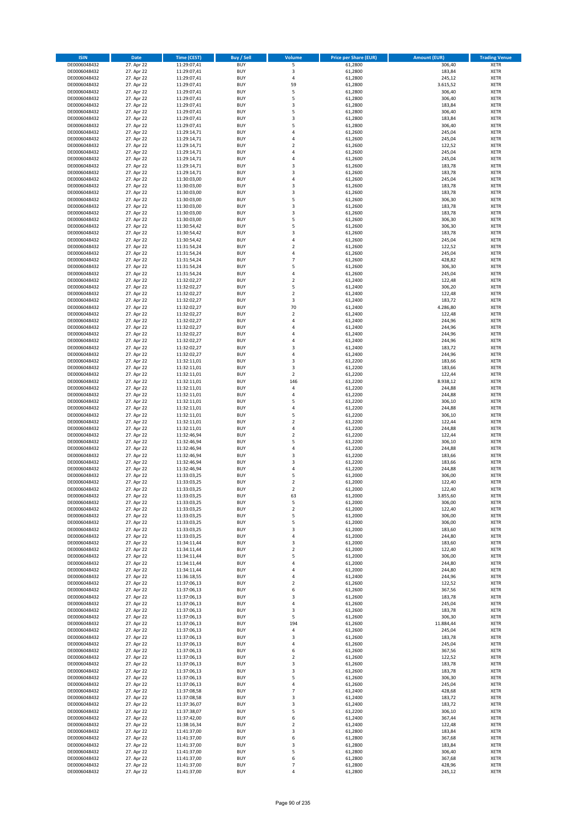| <b>ISIN</b>                  | <b>Date</b>              | <b>Time (CEST)</b>         | <b>Buy / Sell</b>        | <b>Volume</b>                             | <b>Price per Share (EUR)</b> | <b>Amount (EUR)</b> | <b>Trading Venue</b>       |
|------------------------------|--------------------------|----------------------------|--------------------------|-------------------------------------------|------------------------------|---------------------|----------------------------|
| DE0006048432                 | 27. Apr 22               | 11:29:07,41                | <b>BUY</b>               | 5                                         | 61,2800                      | 306,40              | <b>XETR</b>                |
| DE0006048432                 | 27. Apr 22               | 11:29:07,41                | <b>BUY</b>               | 3                                         | 61,2800                      | 183,84              | <b>XETR</b>                |
| DE0006048432                 | 27. Apr 22               | 11:29:07,41                | <b>BUY</b>               | 4                                         | 61,2800                      | 245,12              | <b>XETR</b>                |
| DE0006048432<br>DE0006048432 | 27. Apr 22<br>27. Apr 22 | 11:29:07,41<br>11:29:07,41 | <b>BUY</b><br><b>BUY</b> | 59<br>5                                   | 61,2800<br>61,2800           | 3.615,52<br>306,40  | <b>XETR</b><br><b>XETR</b> |
| DE0006048432                 | 27. Apr 22               | 11:29:07,41                | <b>BUY</b>               | 5                                         | 61,2800                      | 306,40              | <b>XETR</b>                |
| DE0006048432                 | 27. Apr 22               | 11:29:07,41                | <b>BUY</b>               | 3                                         | 61,2800                      | 183,84              | <b>XETR</b>                |
| DE0006048432                 | 27. Apr 22               | 11:29:07,41                | <b>BUY</b>               | 5                                         | 61,2800                      | 306,40              | <b>XETR</b>                |
| DE0006048432                 | 27. Apr 22               | 11:29:07,41                | <b>BUY</b>               | 3                                         | 61,2800                      | 183,84              | <b>XETR</b>                |
| DE0006048432                 | 27. Apr 22               | 11:29:07,41                | <b>BUY</b>               | 5                                         | 61,2800                      | 306,40              | <b>XETR</b>                |
| DE0006048432                 | 27. Apr 22               | 11:29:14,71                | <b>BUY</b>               | 4                                         | 61,2600                      | 245,04              | <b>XETR</b>                |
| DE0006048432                 | 27. Apr 22<br>27. Apr 22 | 11:29:14,71                | <b>BUY</b><br><b>BUY</b> | 4<br>$\overline{\mathbf{c}}$              | 61,2600                      | 245,04<br>122,52    | <b>XETR</b><br><b>XETR</b> |
| DE0006048432<br>DE0006048432 | 27. Apr 22               | 11:29:14,71<br>11:29:14,71 | <b>BUY</b>               | 4                                         | 61,2600<br>61,2600           | 245,04              | <b>XETR</b>                |
| DE0006048432                 | 27. Apr 22               | 11:29:14,71                | <b>BUY</b>               | 4                                         | 61,2600                      | 245,04              | <b>XETR</b>                |
| DE0006048432                 | 27. Apr 22               | 11:29:14,71                | <b>BUY</b>               | 3                                         | 61,2600                      | 183,78              | <b>XETR</b>                |
| DE0006048432                 | 27. Apr 22               | 11:29:14,71                | <b>BUY</b>               | 3                                         | 61,2600                      | 183,78              | <b>XETR</b>                |
| DE0006048432                 | 27. Apr 22               | 11:30:03,00                | <b>BUY</b>               | 4                                         | 61,2600                      | 245,04              | <b>XETR</b>                |
| DE0006048432                 | 27. Apr 22               | 11:30:03,00                | <b>BUY</b>               | 3                                         | 61,2600                      | 183,78              | <b>XETR</b>                |
| DE0006048432                 | 27. Apr 22               | 11:30:03,00                | <b>BUY</b>               | 3                                         | 61,2600                      | 183,78              | <b>XETR</b>                |
| DE0006048432<br>DE0006048432 | 27. Apr 22<br>27. Apr 22 | 11:30:03,00<br>11:30:03,00 | <b>BUY</b><br><b>BUY</b> | 5<br>3                                    | 61,2600<br>61,2600           | 306,30<br>183,78    | <b>XETR</b><br><b>XETR</b> |
| DE0006048432                 | 27. Apr 22               | 11:30:03,00                | <b>BUY</b>               | 3                                         | 61,2600                      | 183,78              | <b>XETR</b>                |
| DE0006048432                 | 27. Apr 22               | 11:30:03,00                | <b>BUY</b>               | 5                                         | 61,2600                      | 306,30              | <b>XETR</b>                |
| DE0006048432                 | 27. Apr 22               | 11:30:54,42                | <b>BUY</b>               | 5                                         | 61,2600                      | 306,30              | <b>XETR</b>                |
| DE0006048432                 | 27. Apr 22               | 11:30:54,42                | <b>BUY</b>               | 3                                         | 61,2600                      | 183,78              | <b>XETR</b>                |
| DE0006048432                 | 27. Apr 22               | 11:30:54,42                | <b>BUY</b>               | 4                                         | 61,2600                      | 245,04              | <b>XETR</b>                |
| DE0006048432                 | 27. Apr 22               | 11:31:54,24                | <b>BUY</b>               | $\overline{\mathbf{c}}$                   | 61,2600                      | 122,52              | <b>XETR</b>                |
| DE0006048432<br>DE0006048432 | 27. Apr 22<br>27. Apr 22 | 11:31:54,24<br>11:31:54,24 | <b>BUY</b><br><b>BUY</b> | 4<br>$\overline{7}$                       | 61,2600<br>61,2600           | 245,04<br>428,82    | <b>XETR</b><br><b>XETR</b> |
| DE0006048432                 | 27. Apr 22               | 11:31:54,24                | <b>BUY</b>               | 5                                         | 61,2600                      | 306,30              | <b>XETR</b>                |
| DE0006048432                 | 27. Apr 22               | 11:31:54,24                | <b>BUY</b>               | 4                                         | 61,2600                      | 245,04              | <b>XETR</b>                |
| DE0006048432                 | 27. Apr 22               | 11:32:02,27                | <b>BUY</b>               | $\mathbf 2$                               | 61,2400                      | 122,48              | <b>XETR</b>                |
| DE0006048432                 | 27. Apr 22               | 11:32:02,27                | <b>BUY</b>               | 5                                         | 61,2400                      | 306,20              | <b>XETR</b>                |
| DE0006048432                 | 27. Apr 22               | 11:32:02,27                | <b>BUY</b>               | $\mathbf 2$                               | 61.2400                      | 122,48              | <b>XETR</b>                |
| DE0006048432                 | 27. Apr 22               | 11:32:02,27                | <b>BUY</b>               | 3                                         | 61,2400                      | 183,72              | <b>XETR</b>                |
| DE0006048432                 | 27. Apr 22               | 11:32:02,27                | <b>BUY</b>               | 70                                        | 61,2400                      | 4.286,80            | <b>XETR</b>                |
| DE0006048432<br>DE0006048432 | 27. Apr 22<br>27. Apr 22 | 11:32:02,27<br>11:32:02,27 | <b>BUY</b><br><b>BUY</b> | $\mathbf 2$<br>4                          | 61,2400<br>61,2400           | 122,48<br>244,96    | <b>XETR</b><br><b>XETR</b> |
| DE0006048432                 | 27. Apr 22               | 11:32:02,27                | <b>BUY</b>               | 4                                         | 61,2400                      | 244,96              | <b>XETR</b>                |
| DE0006048432                 | 27. Apr 22               | 11:32:02,27                | <b>BUY</b>               | 4                                         | 61,2400                      | 244,96              | <b>XETR</b>                |
| DE0006048432                 | 27. Apr 22               | 11:32:02,27                | <b>BUY</b>               | 4                                         | 61,2400                      | 244,96              | <b>XETR</b>                |
| DE0006048432                 | 27. Apr 22               | 11:32:02,27                | <b>BUY</b>               | 3                                         | 61,2400                      | 183,72              | <b>XETR</b>                |
| DE0006048432                 | 27. Apr 22               | 11:32:02,27                | <b>BUY</b>               | 4                                         | 61,2400                      | 244,96              | <b>XETR</b>                |
| DE0006048432                 | 27. Apr 22               | 11:32:11,01                | <b>BUY</b>               | 3                                         | 61,2200                      | 183,66              | <b>XETR</b>                |
| DE0006048432                 | 27. Apr 22               | 11:32:11,01                | <b>BUY</b>               | 3                                         | 61,2200                      | 183,66              | <b>XETR</b>                |
| DE0006048432<br>DE0006048432 | 27. Apr 22<br>27. Apr 22 | 11:32:11,01<br>11:32:11,01 | <b>BUY</b><br><b>BUY</b> | $\mathbf 2$<br>146                        | 61,2200<br>61,2200           | 122,44<br>8.938,12  | <b>XETR</b><br><b>XETR</b> |
| DE0006048432                 | 27. Apr 22               | 11:32:11,01                | <b>BUY</b>               | 4                                         | 61,2200                      | 244,88              | <b>XETR</b>                |
| DE0006048432                 | 27. Apr 22               | 11:32:11,01                | <b>BUY</b>               | 4                                         | 61,2200                      | 244,88              | <b>XETR</b>                |
| DE0006048432                 | 27. Apr 22               | 11:32:11,01                | <b>BUY</b>               | 5                                         | 61,2200                      | 306,10              | <b>XETR</b>                |
| DE0006048432                 | 27. Apr 22               | 11:32:11,01                | <b>BUY</b>               | 4                                         | 61,2200                      | 244,88              | <b>XETR</b>                |
| DE0006048432                 | 27. Apr 22               | 11:32:11,01                | <b>BUY</b>               | 5                                         | 61,2200                      | 306,10              | <b>XETR</b>                |
| DE0006048432                 | 27. Apr 22               | 11:32:11,01                | <b>BUY</b>               | $\mathbf 2$                               | 61,2200                      | 122,44              | <b>XETR</b>                |
| DE0006048432                 | 27. Apr 22               | 11:32:11,01                | <b>BUY</b>               | 4<br>$\mathbf 2$                          | 61,2200                      | 244,88              | <b>XETR</b>                |
| DE0006048432<br>DE0006048432 | 27. Apr 22<br>27. Apr 22 | 11:32:46,94<br>11:32:46,94 | <b>BUY</b><br><b>BUY</b> | 5                                         | 61,2200<br>61,2200           | 122,44<br>306,10    | <b>XETR</b><br><b>XETR</b> |
| DE0006048432                 | 27. Apr 22               | 11:32:46,94                | <b>BUY</b>               | 4                                         | 61,2200                      | 244,88              | <b>XETR</b>                |
| DE0006048432                 | 27. Apr 22               | 11:32:46,94                | <b>BUY</b>               | 3                                         | 61,2200                      | 183,66              | <b>XETR</b>                |
| DE0006048432                 | 27. Apr 22               | 11:32:46,94                | <b>BUY</b>               | 3                                         | 61,2200                      | 183,66              | <b>XETR</b>                |
| DE0006048432                 | 27. Apr 22               | 11:32:46,94                | <b>BUY</b>               | 4                                         | 61,2200                      | 244,88              | <b>XETR</b>                |
| DE0006048432                 | 27. Apr 22               | 11:33:03,25                | <b>BUY</b>               | 5                                         | 61,2000                      | 306,00              | <b>XETR</b>                |
| DE0006048432                 | 27. Apr 22               | 11:33:03,25                | <b>BUY</b><br><b>BUY</b> | $\overline{\mathbf{c}}$<br>$\overline{2}$ | 61,2000                      | 122,40              | <b>XETR</b><br><b>XETR</b> |
| DE0006048432<br>DE0006048432 | 27. Apr 22<br>27. Apr 22 | 11:33:03,25<br>11:33:03,25 | <b>BUY</b>               | 63                                        | 61,2000<br>61,2000           | 122,40<br>3.855,60  | <b>XETR</b>                |
| DE0006048432                 | 27. Apr 22               | 11:33:03,25                | <b>BUY</b>               | 5                                         | 61,2000                      | 306,00              | XETR                       |
| DE0006048432                 | 27. Apr 22               | 11:33:03,25                | <b>BUY</b>               | $\mathbf 2$                               | 61,2000                      | 122,40              | XETR                       |
| DE0006048432                 | 27. Apr 22               | 11:33:03,25                | <b>BUY</b>               | 5                                         | 61,2000                      | 306,00              | XETR                       |
| DE0006048432                 | 27. Apr 22               | 11:33:03,25                | <b>BUY</b>               | 5                                         | 61,2000                      | 306,00              | <b>XETR</b>                |
| DE0006048432<br>DE0006048432 | 27. Apr 22               | 11:33:03,25                | <b>BUY</b>               | 3                                         | 61,2000                      | 183,60              | XETR                       |
| DE0006048432                 | 27. Apr 22<br>27. Apr 22 | 11:33:03,25<br>11:34:11,44 | <b>BUY</b><br><b>BUY</b> | 4<br>3                                    | 61,2000<br>61,2000           | 244,80<br>183,60    | <b>XETR</b><br>XETR        |
| DE0006048432                 | 27. Apr 22               | 11:34:11,44                | <b>BUY</b>               | $\overline{\mathbf{c}}$                   | 61,2000                      | 122,40              | <b>XETR</b>                |
| DE0006048432                 | 27. Apr 22               | 11:34:11,44                | <b>BUY</b>               | 5                                         | 61,2000                      | 306,00              | XETR                       |
| DE0006048432                 | 27. Apr 22               | 11:34:11,44                | <b>BUY</b>               | 4                                         | 61,2000                      | 244,80              | XETR                       |
| DE0006048432                 | 27. Apr 22               | 11:34:11,44                | <b>BUY</b>               | 4                                         | 61,2000                      | 244,80              | <b>XETR</b>                |
| DE0006048432                 | 27. Apr 22               | 11:36:18,55                | <b>BUY</b>               | 4                                         | 61,2400                      | 244,96              | XETR                       |
| DE0006048432<br>DE0006048432 | 27. Apr 22<br>27. Apr 22 | 11:37:06,13<br>11:37:06,13 | <b>BUY</b><br><b>BUY</b> | $\overline{\mathbf{c}}$<br>6              | 61,2600<br>61,2600           | 122,52<br>367,56    | <b>XETR</b><br>XETR        |
| DE0006048432                 | 27. Apr 22               | 11:37:06,13                | <b>BUY</b>               | 3                                         | 61,2600                      | 183,78              | <b>XETR</b>                |
| DE0006048432                 | 27. Apr 22               | 11:37:06,13                | <b>BUY</b>               | 4                                         | 61,2600                      | 245,04              | <b>XETR</b>                |
| DE0006048432                 | 27. Apr 22               | 11:37:06,13                | <b>BUY</b>               | 3                                         | 61,2600                      | 183,78              | <b>XETR</b>                |
| DE0006048432                 | 27. Apr 22               | 11:37:06,13                | <b>BUY</b>               | 5                                         | 61,2600                      | 306,30              | XETR                       |
| DE0006048432                 | 27. Apr 22               | 11:37:06,13                | <b>BUY</b>               | 194                                       | 61,2600                      | 11.884,44           | <b>XETR</b>                |
| DE0006048432                 | 27. Apr 22               | 11:37:06,13                | <b>BUY</b><br><b>BUY</b> | 4                                         | 61,2600                      | 245,04<br>183,78    | <b>XETR</b>                |
| DE0006048432<br>DE0006048432 | 27. Apr 22<br>27. Apr 22 | 11:37:06,13<br>11:37:06,13 | <b>BUY</b>               | 3<br>4                                    | 61,2600<br>61,2600           | 245,04              | XETR<br><b>XETR</b>        |
| DE0006048432                 | 27. Apr 22               | 11:37:06,13                | <b>BUY</b>               | 6                                         | 61,2600                      | 367,56              | <b>XETR</b>                |
| DE0006048432                 | 27. Apr 22               | 11:37:06,13                | <b>BUY</b>               | $\mathbf 2$                               | 61,2600                      | 122,52              | XETR                       |
| DE0006048432                 | 27. Apr 22               | 11:37:06,13                | <b>BUY</b>               | 3                                         | 61,2600                      | 183,78              | XETR                       |
| DE0006048432                 | 27. Apr 22               | 11:37:06,13                | <b>BUY</b>               | 3                                         | 61,2600                      | 183,78              | <b>XETR</b>                |
| DE0006048432                 | 27. Apr 22               | 11:37:06,13                | <b>BUY</b>               | 5                                         | 61,2600                      | 306,30              | <b>XETR</b>                |
| DE0006048432                 | 27. Apr 22               | 11:37:06,13                | <b>BUY</b>               | 4                                         | 61,2600                      | 245,04              | XETR                       |
| DE0006048432<br>DE0006048432 | 27. Apr 22<br>27. Apr 22 | 11:37:08,58<br>11:37:08,58 | <b>BUY</b><br><b>BUY</b> | $\overline{7}$<br>3                       | 61,2400<br>61,2400           | 428,68<br>183,72    | XETR<br><b>XETR</b>        |
| DE0006048432                 | 27. Apr 22               | 11:37:36,07                | <b>BUY</b>               | 3                                         | 61,2400                      | 183,72              | <b>XETR</b>                |
| DE0006048432                 | 27. Apr 22               | 11:37:38,07                | <b>BUY</b>               | 5                                         | 61,2200                      | 306,10              | XETR                       |
| DE0006048432                 | 27. Apr 22               | 11:37:42,00                | <b>BUY</b>               | 6                                         | 61,2400                      | 367,44              | <b>XETR</b>                |
| DE0006048432                 | 27. Apr 22               | 11:38:16,34                | <b>BUY</b>               | $\mathbf 2$                               | 61,2400                      | 122,48              | <b>XETR</b>                |
| DE0006048432                 | 27. Apr 22               | 11:41:37,00                | <b>BUY</b>               | 3                                         | 61,2800                      | 183,84              | XETR                       |
| DE0006048432                 | 27. Apr 22<br>27. Apr 22 | 11:41:37,00                | <b>BUY</b><br><b>BUY</b> | 6<br>3                                    | 61,2800<br>61,2800           | 367,68<br>183,84    | <b>XETR</b><br>XETR        |
| DE0006048432<br>DE0006048432 | 27. Apr 22               | 11:41:37,00<br>11:41:37,00 | <b>BUY</b>               | 5                                         | 61,2800                      | 306,40              | <b>XETR</b>                |
| DE0006048432                 | 27. Apr 22               | 11:41:37,00                | <b>BUY</b>               | 6                                         | 61,2800                      | 367,68              | <b>XETR</b>                |
| DE0006048432                 | 27. Apr 22               | 11:41:37,00                | <b>BUY</b>               | $\overline{7}$                            | 61,2800                      | 428,96              | <b>XETR</b>                |
| DE0006048432                 | 27. Apr 22               | 11:41:37,00                | <b>BUY</b>               | 4                                         | 61,2800                      | 245,12              | XETR                       |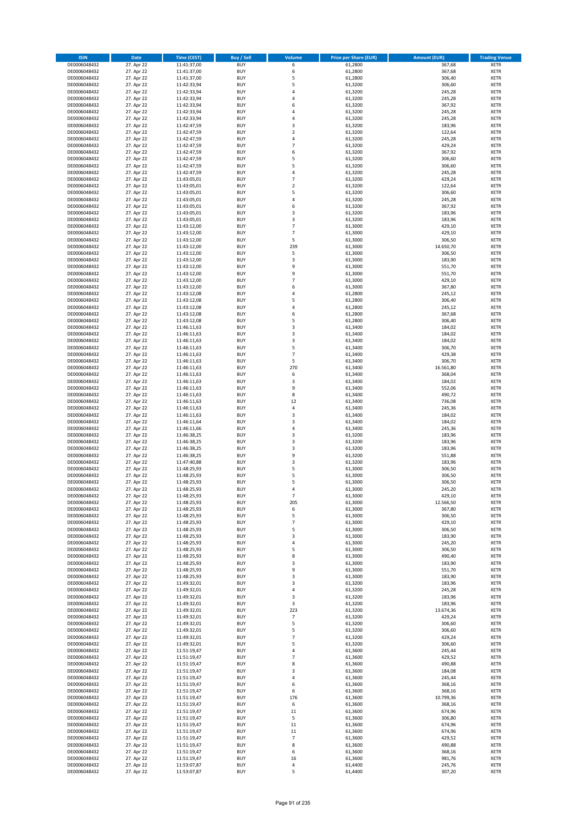| <b>ISIN</b>                  | <b>Date</b>              | <b>Time (CEST)</b>         | <b>Buy / Sell</b>        | <b>Volume</b>            | <b>Price per Share (EUR)</b> | <b>Amount (EUR)</b> | <b>Trading Venue</b>       |
|------------------------------|--------------------------|----------------------------|--------------------------|--------------------------|------------------------------|---------------------|----------------------------|
| DE0006048432                 | 27. Apr 22               | 11:41:37,00                | <b>BUY</b>               | 6                        | 61,2800                      | 367,68              | <b>XETR</b>                |
| DE0006048432                 | 27. Apr 22               | 11:41:37,00                | <b>BUY</b>               | 6                        | 61,2800                      | 367,68              | <b>XETR</b>                |
| DE0006048432                 | 27. Apr 22               | 11:41:37,00                | <b>BUY</b>               | 5                        | 61,2800                      | 306,40              | <b>XETR</b>                |
| DE0006048432<br>DE0006048432 | 27. Apr 22<br>27. Apr 22 | 11:42:33,94<br>11:42:33,94 | <b>BUY</b><br><b>BUY</b> | 5<br>4                   | 61,3200<br>61,3200           | 306,60<br>245,28    | <b>XETR</b><br><b>XETR</b> |
| DE0006048432                 | 27. Apr 22               | 11:42:33,94                | <b>BUY</b>               | 4                        | 61,3200                      | 245,28              | <b>XETR</b>                |
| DE0006048432                 | 27. Apr 22               | 11:42:33,94                | <b>BUY</b>               | 6                        | 61,3200                      | 367,92              | <b>XETR</b>                |
| DE0006048432                 | 27. Apr 22               | 11:42:33,94                | <b>BUY</b>               | 4                        | 61,3200                      | 245,28              | <b>XETR</b>                |
| DE0006048432                 | 27. Apr 22               | 11:42:33,94                | <b>BUY</b>               | 4                        | 61,3200                      | 245,28              | <b>XETR</b>                |
| DE0006048432                 | 27. Apr 22               | 11:42:47,59                | <b>BUY</b>               | 3                        | 61,3200                      | 183,96              | <b>XETR</b>                |
| DE0006048432                 | 27. Apr 22               | 11:42:47,59                | <b>BUY</b>               | $\mathbf 2$              | 61,3200                      | 122,64              | <b>XETR</b>                |
| DE0006048432                 | 27. Apr 22<br>27. Apr 22 | 11:42:47,59                | <b>BUY</b><br><b>BUY</b> | 4<br>$\overline{7}$      | 61,3200                      | 245,28<br>429,24    | <b>XETR</b><br><b>XETR</b> |
| DE0006048432<br>DE0006048432 | 27. Apr 22               | 11:42:47,59<br>11:42:47,59 | <b>BUY</b>               | 6                        | 61,3200<br>61,3200           | 367,92              | <b>XETR</b>                |
| DE0006048432                 | 27. Apr 22               | 11:42:47,59                | <b>BUY</b>               | 5                        | 61,3200                      | 306,60              | <b>XETR</b>                |
| DE0006048432                 | 27. Apr 22               | 11:42:47,59                | <b>BUY</b>               | 5                        | 61,3200                      | 306,60              | <b>XETR</b>                |
| DE0006048432                 | 27. Apr 22               | 11:42:47,59                | <b>BUY</b>               | 4                        | 61,3200                      | 245,28              | <b>XETR</b>                |
| DE0006048432                 | 27. Apr 22               | 11:43:05,01                | <b>BUY</b>               | $\overline{7}$           | 61,3200                      | 429,24              | <b>XETR</b>                |
| DE0006048432                 | 27. Apr 22               | 11:43:05,01                | <b>BUY</b>               | $\mathbf 2$              | 61,3200                      | 122,64              | <b>XETR</b>                |
| DE0006048432                 | 27. Apr 22               | 11:43:05,01                | <b>BUY</b>               | 5                        | 61,3200                      | 306,60              | <b>XETR</b>                |
| DE0006048432                 | 27. Apr 22               | 11:43:05,01                | <b>BUY</b>               | 4                        | 61,3200                      | 245,28              | <b>XETR</b>                |
| DE0006048432<br>DE0006048432 | 27. Apr 22<br>27. Apr 22 | 11:43:05,01<br>11:43:05,01 | <b>BUY</b><br><b>BUY</b> | 6<br>3                   | 61,3200<br>61,3200           | 367,92<br>183,96    | <b>XETR</b><br><b>XETR</b> |
| DE0006048432                 | 27. Apr 22               | 11:43:05,01                | <b>BUY</b>               | 3                        | 61,3200                      | 183,96              | <b>XETR</b>                |
| DE0006048432                 | 27. Apr 22               | 11:43:12,00                | <b>BUY</b>               | $\overline{7}$           | 61,3000                      | 429,10              | <b>XETR</b>                |
| DE0006048432                 | 27. Apr 22               | 11:43:12,00                | <b>BUY</b>               | $\overline{7}$           | 61,3000                      | 429,10              | <b>XETR</b>                |
| DE0006048432                 | 27. Apr 22               | 11:43:12,00                | <b>BUY</b>               | 5                        | 61,3000                      | 306,50              | <b>XETR</b>                |
| DE0006048432                 | 27. Apr 22               | 11:43:12,00                | <b>BUY</b>               | 239                      | 61,3000                      | 14.650,70           | <b>XETR</b>                |
| DE0006048432                 | 27. Apr 22               | 11:43:12,00                | <b>BUY</b>               | 5                        | 61,3000                      | 306,50              | <b>XETR</b>                |
| DE0006048432                 | 27. Apr 22               | 11:43:12,00                | <b>BUY</b><br><b>BUY</b> | 3<br>9                   | 61,3000                      | 183,90              | <b>XETR</b>                |
| DE0006048432<br>DE0006048432 | 27. Apr 22<br>27. Apr 22 | 11:43:12,00<br>11:43:12,00 | <b>BUY</b>               | 9                        | 61,3000<br>61,3000           | 551,70<br>551,70    | <b>XETR</b><br><b>XETR</b> |
| DE0006048432                 | 27. Apr 22               | 11:43:12,00                | <b>BUY</b>               | $\overline{7}$           | 61,3000                      | 429,10              | <b>XETR</b>                |
| DE0006048432                 | 27. Apr 22               | 11:43:12,00                | <b>BUY</b>               | 6                        | 61,3000                      | 367,80              | <b>XETR</b>                |
| DE0006048432                 | 27. Apr 22               | 11:43:12,08                | <b>BUY</b>               | 4                        | 61,2800                      | 245,12              | <b>XETR</b>                |
| DE0006048432                 | 27. Apr 22               | 11:43:12,08                | <b>BUY</b>               | 5                        | 61,2800                      | 306,40              | <b>XETR</b>                |
| DE0006048432                 | 27. Apr 22               | 11:43:12,08                | <b>BUY</b>               | 4                        | 61,2800                      | 245,12              | <b>XETR</b>                |
| DE0006048432                 | 27. Apr 22               | 11:43:12,08                | <b>BUY</b>               | 6                        | 61,2800                      | 367,68              | <b>XETR</b>                |
| DE0006048432                 | 27. Apr 22               | 11:43:12,08                | <b>BUY</b>               | 5                        | 61,2800                      | 306,40              | <b>XETR</b>                |
| DE0006048432                 | 27. Apr 22               | 11:46:11,63<br>11:46:11,63 | <b>BUY</b><br><b>BUY</b> | 3<br>3                   | 61,3400                      | 184,02              | <b>XETR</b><br><b>XETR</b> |
| DE0006048432<br>DE0006048432 | 27. Apr 22<br>27. Apr 22 | 11:46:11,63                | <b>BUY</b>               | 3                        | 61,3400<br>61,3400           | 184,02<br>184,02    | <b>XETR</b>                |
| DE0006048432                 | 27. Apr 22               | 11:46:11,63                | <b>BUY</b>               | 5                        | 61,3400                      | 306,70              | <b>XETR</b>                |
| DE0006048432                 | 27. Apr 22               | 11:46:11,63                | <b>BUY</b>               | $\overline{7}$           | 61,3400                      | 429,38              | <b>XETR</b>                |
| DE0006048432                 | 27. Apr 22               | 11:46:11,63                | <b>BUY</b>               | 5                        | 61,3400                      | 306,70              | <b>XETR</b>                |
| DE0006048432                 | 27. Apr 22               | 11:46:11,63                | <b>BUY</b>               | 270                      | 61,3400                      | 16.561,80           | <b>XETR</b>                |
| DE0006048432                 | 27. Apr 22               | 11:46:11,63                | <b>BUY</b>               | 6                        | 61,3400                      | 368,04              | <b>XETR</b>                |
| DE0006048432                 | 27. Apr 22               | 11:46:11,63                | <b>BUY</b>               | 3                        | 61,3400                      | 184,02              | <b>XETR</b>                |
| DE0006048432                 | 27. Apr 22               | 11:46:11,63                | <b>BUY</b>               | 9                        | 61,3400                      | 552,06              | <b>XETR</b>                |
| DE0006048432<br>DE0006048432 | 27. Apr 22<br>27. Apr 22 | 11:46:11,63<br>11:46:11,63 | <b>BUY</b><br><b>BUY</b> | 8<br>12                  | 61,3400<br>61,3400           | 490,72<br>736,08    | <b>XETR</b><br><b>XETR</b> |
| DE0006048432                 | 27. Apr 22               | 11:46:11,63                | <b>BUY</b>               | 4                        | 61,3400                      | 245,36              | <b>XETR</b>                |
| DE0006048432                 | 27. Apr 22               | 11:46:11,63                | <b>BUY</b>               | 3                        | 61,3400                      | 184,02              | <b>XETR</b>                |
| DE0006048432                 | 27. Apr 22               | 11:46:11,64                | <b>BUY</b>               | 3                        | 61,3400                      | 184,02              | <b>XETR</b>                |
| DE0006048432                 | 27. Apr 22               | 11:46:11,66                | <b>BUY</b>               | 4                        | 61,3400                      | 245,36              | <b>XETR</b>                |
| DE0006048432                 | 27. Apr 22               | 11:46:38,25                | <b>BUY</b>               | 3                        | 61,3200                      | 183,96              | <b>XETR</b>                |
| DE0006048432                 | 27. Apr 22               | 11:46:38,25                | <b>BUY</b>               | 3                        | 61,3200                      | 183,96              | <b>XETR</b>                |
| DE0006048432                 | 27. Apr 22               | 11:46:38,25                | <b>BUY</b>               | 3                        | 61,3200                      | 183,96              | <b>XETR</b>                |
| DE0006048432<br>DE0006048432 | 27. Apr 22               | 11:46:38,25                | <b>BUY</b><br><b>BUY</b> | 9<br>3                   | 61,3200                      | 551,88              | <b>XETR</b><br><b>XETR</b> |
| DE0006048432                 | 27. Apr 22<br>27. Apr 22 | 11:47:40,88<br>11:48:25,93 | <b>BUY</b>               | 5                        | 61,3200<br>61,3000           | 183,96<br>306,50    | <b>XETR</b>                |
| DE0006048432                 | 27. Apr 22               | 11:48:25,93                | <b>BUY</b>               | 5                        | 61,3000                      | 306,50              | <b>XETR</b>                |
| DE0006048432                 | 27. Apr 22               | 11:48:25,93                | <b>BUY</b>               | 5                        | 61,3000                      | 306,50              | <b>XETR</b>                |
| DE0006048432                 | 27. Apr 22               | 11:48:25,93                | <b>BUY</b>               | 4                        | 61,3000                      | 245,20              | <b>XETR</b>                |
| DE0006048432                 | 27. Apr 22               | 11:48:25,93                | BUY                      | $\overline{\phantom{a}}$ | 61,3000                      | 429,10              | <b>XETR</b>                |
| DE0006048432                 | 27. Apr 22               | 11:48:25,93                | <b>BUY</b>               | 205                      | 61,3000                      | 12.566,50           | XETR                       |
| DE0006048432<br>DE0006048432 | 27. Apr 22<br>27. Apr 22 | 11:48:25,93<br>11:48:25,93 | <b>BUY</b><br><b>BUY</b> | 6<br>5                   | 61,3000<br>61,3000           | 367,80<br>306,50    | XETR<br>XETR               |
| DE0006048432                 | 27. Apr 22               | 11:48:25,93                | <b>BUY</b>               | $\overline{7}$           | 61,3000                      | 429,10              | <b>XETR</b>                |
| DE0006048432                 | 27. Apr 22               | 11:48:25,93                | <b>BUY</b>               | 5                        | 61,3000                      | 306,50              | <b>XETR</b>                |
| DE0006048432                 | 27. Apr 22               | 11:48:25,93                | <b>BUY</b>               | 3                        | 61,3000                      | 183,90              | <b>XETR</b>                |
| DE0006048432                 | 27. Apr 22               | 11:48:25,93                | <b>BUY</b>               | 4                        | 61,3000                      | 245,20              | <b>XETR</b>                |
| DE0006048432                 | 27. Apr 22               | 11:48:25,93                | <b>BUY</b>               | 5                        | 61,3000                      | 306,50              | <b>XETR</b>                |
| DE0006048432                 | 27. Apr 22               | 11:48:25,93                | <b>BUY</b>               | 8                        | 61,3000                      | 490,40              | <b>XETR</b>                |
| DE0006048432<br>DE0006048432 | 27. Apr 22<br>27. Apr 22 | 11:48:25,93<br>11:48:25,93 | <b>BUY</b><br><b>BUY</b> | 3<br>9                   | 61,3000<br>61,3000           | 183,90<br>551,70    | XETR<br><b>XETR</b>        |
| DE0006048432                 | 27. Apr 22               | 11:48:25,93                | <b>BUY</b>               | 3                        | 61,3000                      | 183,90              | <b>XETR</b>                |
| DE0006048432                 | 27. Apr 22               | 11:49:32,01                | <b>BUY</b>               | 3                        | 61,3200                      | 183,96              | <b>XETR</b>                |
| DE0006048432                 | 27. Apr 22               | 11:49:32,01                | <b>BUY</b>               | 4                        | 61,3200                      | 245,28              | <b>XETR</b>                |
| DE0006048432                 | 27. Apr 22               | 11:49:32,01                | <b>BUY</b>               | 3                        | 61,3200                      | 183,96              | <b>XETR</b>                |
| DE0006048432                 | 27. Apr 22               | 11:49:32,01                | <b>BUY</b>               | 3                        | 61,3200                      | 183,96              | <b>XETR</b>                |
| DE0006048432                 | 27. Apr 22               | 11:49:32,01                | <b>BUY</b>               | 223                      | 61,3200                      | 13.674,36           | <b>XETR</b>                |
| DE0006048432<br>DE0006048432 | 27. Apr 22<br>27. Apr 22 | 11:49:32,01<br>11:49:32,01 | <b>BUY</b><br><b>BUY</b> | $\overline{7}$<br>5      | 61,3200<br>61,3200           | 429,24<br>306,60    | XETR<br><b>XETR</b>        |
| DE0006048432                 | 27. Apr 22               | 11:49:32,01                | <b>BUY</b>               | 5                        | 61,3200                      | 306,60              | <b>XETR</b>                |
| DE0006048432                 | 27. Apr 22               | 11:49:32,01                | <b>BUY</b>               | $\overline{7}$           | 61,3200                      | 429,24              | <b>XETR</b>                |
| DE0006048432                 | 27. Apr 22               | 11:49:32,01                | <b>BUY</b>               | 5                        | 61,3200                      | 306,60              | <b>XETR</b>                |
| DE0006048432                 | 27. Apr 22               | 11:51:19,47                | <b>BUY</b>               | 4                        | 61,3600                      | 245,44              | <b>XETR</b>                |
| DE0006048432                 | 27. Apr 22               | 11:51:19,47                | <b>BUY</b>               | $\overline{7}$           | 61,3600                      | 429,52              | <b>XETR</b>                |
| DE0006048432                 | 27. Apr 22               | 11:51:19,47                | <b>BUY</b>               | 8                        | 61,3600                      | 490,88              | XETR                       |
| DE0006048432                 | 27. Apr 22               | 11:51:19,47                | <b>BUY</b>               | 3                        | 61,3600                      | 184,08              | <b>XETR</b>                |
| DE0006048432<br>DE0006048432 | 27. Apr 22<br>27. Apr 22 | 11:51:19,47<br>11:51:19,47 | <b>BUY</b><br><b>BUY</b> | 4<br>6                   | 61,3600<br>61,3600           | 245,44<br>368,16    | <b>XETR</b><br><b>XETR</b> |
| DE0006048432                 | 27. Apr 22               | 11:51:19,47                | <b>BUY</b>               | 6                        | 61,3600                      | 368,16              | XETR                       |
| DE0006048432                 | 27. Apr 22               | 11:51:19,47                | <b>BUY</b>               | 176                      | 61,3600                      | 10.799,36           | <b>XETR</b>                |
| DE0006048432                 | 27. Apr 22               | 11:51:19,47                | <b>BUY</b>               | 6                        | 61,3600                      | 368,16              | <b>XETR</b>                |
| DE0006048432                 | 27. Apr 22               | 11:51:19,47                | <b>BUY</b>               | 11                       | 61,3600                      | 674,96              | XETR                       |
| DE0006048432                 | 27. Apr 22               | 11:51:19,47                | <b>BUY</b>               | 5                        | 61,3600                      | 306,80              | <b>XETR</b>                |
| DE0006048432                 | 27. Apr 22               | 11:51:19,47                | <b>BUY</b>               | 11                       | 61,3600                      | 674,96              | <b>XETR</b>                |
| DE0006048432                 | 27. Apr 22               | 11:51:19,47                | <b>BUY</b>               | 11<br>$\overline{7}$     | 61,3600                      | 674,96              | <b>XETR</b>                |
| DE0006048432<br>DE0006048432 | 27. Apr 22<br>27. Apr 22 | 11:51:19,47<br>11:51:19,47 | <b>BUY</b><br><b>BUY</b> | 8                        | 61,3600<br>61,3600           | 429,52<br>490,88    | <b>XETR</b><br>XETR        |
| DE0006048432                 | 27. Apr 22               | 11:51:19,47                | <b>BUY</b>               | 6                        | 61,3600                      | 368,16              | <b>XETR</b>                |
| DE0006048432                 | 27. Apr 22               | 11:51:19,47                | <b>BUY</b>               | 16                       | 61,3600                      | 981,76              | <b>XETR</b>                |
| DE0006048432                 | 27. Apr 22               | 11:53:07,87                | <b>BUY</b>               | 4                        | 61,4400                      | 245,76              | <b>XETR</b>                |
| DE0006048432                 | 27. Apr 22               | 11:53:07,87                | <b>BUY</b>               | 5                        | 61,4400                      | 307,20              | XETR                       |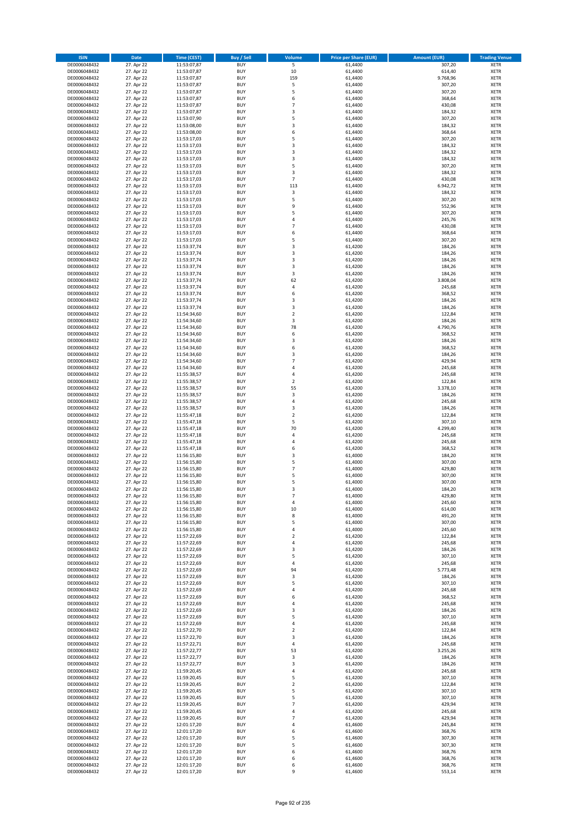| <b>ISIN</b>                  | Date                     | Time (CEST)                | <b>Buy / Sell</b>        | <b>Volume</b>           | <b>Price per Share (EUR)</b> | <b>Amount (EUR)</b> | <b>Trading Venue</b>       |
|------------------------------|--------------------------|----------------------------|--------------------------|-------------------------|------------------------------|---------------------|----------------------------|
| DE0006048432                 | 27. Apr 22               | 11:53:07,87                | <b>BUY</b>               | $\overline{\mathbf{5}}$ | 61,4400                      | 307,20              | <b>XETR</b>                |
| DE0006048432                 | 27. Apr 22               | 11:53:07,87                | <b>BUY</b>               | 10                      | 61,4400                      | 614,40              | XETR                       |
| DE0006048432                 | 27. Apr 22               | 11:53:07,87                | <b>BUY</b>               | 159                     | 61,4400                      | 9.768,96            | <b>XETR</b>                |
| DE0006048432                 | 27. Apr 22               | 11:53:07,87                | <b>BUY</b>               | 5                       | 61,4400                      | 307,20              | XETR                       |
| DE0006048432<br>DE0006048432 | 27. Apr 22<br>27. Apr 22 | 11:53:07,87<br>11:53:07,87 | <b>BUY</b><br><b>BUY</b> | 5<br>6                  | 61,4400<br>61,4400           | 307,20<br>368,64    | <b>XETR</b><br><b>XETR</b> |
| DE0006048432                 | 27. Apr 22               | 11:53:07,87                | <b>BUY</b>               | $\overline{7}$          | 61,4400                      | 430,08              | <b>XETR</b>                |
| DE0006048432                 | 27. Apr 22               | 11:53:07,87                | <b>BUY</b>               | 3                       | 61,4400                      | 184,32              | <b>XETR</b>                |
| DE0006048432                 | 27. Apr 22               | 11:53:07,90                | <b>BUY</b>               | 5                       | 61,4400                      | 307,20              | <b>XETR</b>                |
| DE0006048432                 | 27. Apr 22               | 11:53:08,00                | <b>BUY</b>               | 3                       | 61,4400                      | 184,32              | <b>XETR</b>                |
| DE0006048432                 | 27. Apr 22               | 11:53:08,00                | <b>BUY</b>               | 6                       | 61,4400                      | 368,64              | <b>XETR</b>                |
| DE0006048432                 | 27. Apr 22               | 11:53:17,03                | <b>BUY</b>               | 5<br>3                  | 61,4400                      | 307,20              | <b>XETR</b>                |
| DE0006048432<br>DE0006048432 | 27. Apr 22<br>27. Apr 22 | 11:53:17,03<br>11:53:17,03 | <b>BUY</b><br><b>BUY</b> | 3                       | 61,4400<br>61,4400           | 184,32<br>184,32    | <b>XETR</b><br><b>XETR</b> |
| DE0006048432                 | 27. Apr 22               | 11:53:17,03                | <b>BUY</b>               | 3                       | 61,4400                      | 184,32              | <b>XETR</b>                |
| DE0006048432                 | 27. Apr 22               | 11:53:17,03                | <b>BUY</b>               | 5                       | 61,4400                      | 307,20              | <b>XETR</b>                |
| DE0006048432                 | 27. Apr 22               | 11:53:17,03                | <b>BUY</b>               | 3                       | 61,4400                      | 184,32              | <b>XETR</b>                |
| DE0006048432                 | 27. Apr 22               | 11:53:17,03                | <b>BUY</b>               | $\overline{7}$          | 61,4400                      | 430,08              | <b>XETR</b>                |
| DE0006048432                 | 27. Apr 22               | 11:53:17,03                | <b>BUY</b>               | 113                     | 61,4400                      | 6.942,72            | <b>XETR</b>                |
| DE0006048432<br>DE0006048432 | 27. Apr 22<br>27. Apr 22 | 11:53:17,03<br>11:53:17,03 | <b>BUY</b><br><b>BUY</b> | $\mathsf 3$<br>5        | 61,4400<br>61,4400           | 184,32<br>307,20    | <b>XETR</b><br><b>XETR</b> |
| DE0006048432                 | 27. Apr 22               | 11:53:17,03                | <b>BUY</b>               | 9                       | 61,4400                      | 552,96              | <b>XETR</b>                |
| DE0006048432                 | 27. Apr 22               | 11:53:17,03                | <b>BUY</b>               | 5                       | 61,4400                      | 307,20              | <b>XETR</b>                |
| DE0006048432                 | 27. Apr 22               | 11:53:17,03                | <b>BUY</b>               | $\pmb{4}$               | 61,4400                      | 245,76              | <b>XETR</b>                |
| DE0006048432                 | 27. Apr 22               | 11:53:17,03                | <b>BUY</b>               | $\overline{7}$          | 61,4400                      | 430,08              | <b>XETR</b>                |
| DE0006048432                 | 27. Apr 22               | 11:53:17,03                | <b>BUY</b>               | 6                       | 61,4400                      | 368,64              | <b>XETR</b>                |
| DE0006048432<br>DE0006048432 | 27. Apr 22<br>27. Apr 22 | 11:53:17,03                | <b>BUY</b><br><b>BUY</b> | 5<br>3                  | 61,4400<br>61,4200           | 307,20<br>184,26    | <b>XETR</b><br><b>XETR</b> |
| DE0006048432                 | 27. Apr 22               | 11:53:37,74<br>11:53:37,74 | <b>BUY</b>               | $\mathsf 3$             | 61,4200                      | 184,26              | <b>XETR</b>                |
| DE0006048432                 | 27. Apr 22               | 11:53:37,74                | <b>BUY</b>               | 3                       | 61,4200                      | 184,26              | <b>XETR</b>                |
| DE0006048432                 | 27. Apr 22               | 11:53:37,74                | <b>BUY</b>               | 3                       | 61,4200                      | 184,26              | <b>XETR</b>                |
| DE0006048432                 | 27. Apr 22               | 11:53:37,74                | <b>BUY</b>               | 3                       | 61,4200                      | 184,26              | <b>XETR</b>                |
| DE0006048432                 | 27. Apr 22               | 11:53:37,74                | <b>BUY</b>               | 62                      | 61,4200                      | 3.808,04            | <b>XETR</b>                |
| DE0006048432                 | 27. Apr 22               | 11:53:37,74                | <b>BUY</b>               | $\overline{4}$          | 61,4200                      | 245,68              | <b>XETR</b>                |
| DE0006048432<br>DE0006048432 | 27. Apr 22<br>27. Apr 22 | 11:53:37,74<br>11:53:37,74 | <b>BUY</b><br><b>BUY</b> | 6<br>3                  | 61,4200<br>61,4200           | 368,52<br>184,26    | <b>XETR</b><br><b>XETR</b> |
| DE0006048432                 | 27. Apr 22               | 11:53:37,74                | <b>BUY</b>               | 3                       | 61,4200                      | 184,26              | <b>XETR</b>                |
| DE0006048432                 | 27. Apr 22               | 11:54:34,60                | <b>BUY</b>               | $\mathbf 2$             | 61,4200                      | 122,84              | <b>XETR</b>                |
| DE0006048432                 | 27. Apr 22               | 11:54:34,60                | <b>BUY</b>               | 3                       | 61,4200                      | 184,26              | <b>XETR</b>                |
| DE0006048432                 | 27. Apr 22               | 11:54:34,60                | <b>BUY</b>               | 78                      | 61,4200                      | 4.790,76            | <b>XETR</b>                |
| DE0006048432                 | 27. Apr 22               | 11:54:34,60                | <b>BUY</b>               | 6                       | 61,4200                      | 368,52              | <b>XETR</b>                |
| DE0006048432<br>DE0006048432 | 27. Apr 22<br>27. Apr 22 | 11:54:34,60<br>11:54:34,60 | <b>BUY</b><br><b>BUY</b> | 3<br>6                  | 61,4200<br>61,4200           | 184,26<br>368,52    | <b>XETR</b><br><b>XETR</b> |
| DE0006048432                 | 27. Apr 22               | 11:54:34,60                | <b>BUY</b>               | 3                       | 61,4200                      | 184,26              | <b>XETR</b>                |
| DE0006048432                 | 27. Apr 22               | 11:54:34,60                | <b>BUY</b>               | $\overline{7}$          | 61,4200                      | 429,94              | <b>XETR</b>                |
| DE0006048432                 | 27. Apr 22               | 11:54:34,60                | <b>BUY</b>               | 4                       | 61,4200                      | 245,68              | <b>XETR</b>                |
| DE0006048432                 | 27. Apr 22               | 11:55:38,57                | <b>BUY</b>               | 4                       | 61,4200                      | 245,68              | <b>XETR</b>                |
| DE0006048432                 | 27. Apr 22               | 11:55:38,57                | <b>BUY</b>               | $\mathbf 2$             | 61,4200                      | 122,84              | <b>XETR</b>                |
| DE0006048432<br>DE0006048432 | 27. Apr 22<br>27. Apr 22 | 11:55:38,57<br>11:55:38,57 | <b>BUY</b><br><b>BUY</b> | 55<br>3                 | 61,4200<br>61,4200           | 3.378,10<br>184,26  | <b>XETR</b><br><b>XETR</b> |
| DE0006048432                 | 27. Apr 22               | 11:55:38,57                | <b>BUY</b>               | 4                       | 61,4200                      | 245,68              | <b>XETR</b>                |
| DE0006048432                 | 27. Apr 22               | 11:55:38,57                | <b>BUY</b>               | 3                       | 61,4200                      | 184,26              | <b>XETR</b>                |
| DE0006048432                 | 27. Apr 22               | 11:55:47,18                | <b>BUY</b>               | $\overline{2}$          | 61,4200                      | 122,84              | <b>XETR</b>                |
| DE0006048432                 | 27. Apr 22               | 11:55:47,18                | <b>BUY</b>               | 5                       | 61,4200                      | 307,10              | <b>XETR</b>                |
| DE0006048432                 | 27. Apr 22               | 11:55:47,18                | <b>BUY</b>               | 70                      | 61,4200                      | 4.299,40            | <b>XETR</b>                |
| DE0006048432                 | 27. Apr 22               | 11:55:47,18                | <b>BUY</b>               | 4                       | 61,4200                      | 245,68              | <b>XETR</b>                |
| DE0006048432<br>DE0006048432 | 27. Apr 22<br>27. Apr 22 | 11:55:47,18<br>11:55:47,18 | <b>BUY</b><br><b>BUY</b> | $\overline{4}$<br>6     | 61,4200<br>61,4200           | 245,68<br>368,52    | <b>XETR</b><br><b>XETR</b> |
| DE0006048432                 | 27. Apr 22               | 11:56:15,80                | <b>BUY</b>               | 3                       | 61,4000                      | 184,20              | <b>XETR</b>                |
| DE0006048432                 | 27. Apr 22               | 11:56:15,80                | <b>BUY</b>               | 5                       | 61,4000                      | 307,00              | <b>XETR</b>                |
| DE0006048432                 | 27. Apr 22               | 11:56:15,80                | <b>BUY</b>               | $\overline{7}$          | 61,4000                      | 429,80              | <b>XETR</b>                |
| DE0006048432                 | 27. Apr 22               | 11:56:15,80                | <b>BUY</b>               | 5                       | 61,4000                      | 307,00              | <b>XETR</b>                |
| DE0006048432                 | 27. Apr 22               | 11:56:15,80                | <b>BUY</b>               | 5                       | 61,4000                      | 307,00              | <b>XETR</b>                |
| DE0006048432<br>DE0006048432 | 27. Apr 22<br>27. Apr 22 | 11:56:15,80<br>11:56:15,80 | <b>BUY</b><br>BUY        | 3<br>7                  | 61,4000<br>61,4000           | 184,20<br>429,80    | <b>XETR</b><br>XETR        |
| DE0006048432                 | 27. Apr 22               | 11:56:15,80                | <b>BUY</b>               | 4                       | 61,4000                      | 245,60              | <b>XETR</b>                |
| DE0006048432                 | 27. Apr 22               | 11:56:15,80                | <b>BUY</b>               | 10                      | 61,4000                      | 614,00              | <b>XETR</b>                |
| DE0006048432                 | 27. Apr 22               | 11:56:15,80                | <b>BUY</b>               | 8                       | 61,4000                      | 491,20              | <b>XETR</b>                |
| DE0006048432                 | 27. Apr 22               | 11:56:15,80                | <b>BUY</b>               | 5                       | 61,4000                      | 307,00              | <b>XETR</b>                |
| DE0006048432                 | 27. Apr 22               | 11:56:15,80                | <b>BUY</b>               | $\pmb{4}$               | 61,4000                      | 245,60              | <b>XETR</b>                |
| DE0006048432<br>DE0006048432 | 27. Apr 22<br>27. Apr 22 | 11:57:22,69                | <b>BUY</b><br><b>BUY</b> | $\overline{2}$<br>4     | 61,4200<br>61,4200           | 122,84<br>245,68    | <b>XETR</b><br><b>XETR</b> |
| DE0006048432                 | 27. Apr 22               | 11:57:22,69<br>11:57:22,69 | <b>BUY</b>               | 3                       | 61,4200                      | 184,26              | XETR                       |
| DE0006048432                 | 27. Apr 22               | 11:57:22,69                | <b>BUY</b>               | 5                       | 61,4200                      | 307,10              | <b>XETR</b>                |
| DE0006048432                 | 27. Apr 22               | 11:57:22,69                | <b>BUY</b>               | 4                       | 61,4200                      | 245,68              | XETR                       |
| DE0006048432                 | 27. Apr 22               | 11:57:22,69                | <b>BUY</b>               | 94                      | 61,4200                      | 5.773,48            | <b>XETR</b>                |
| DE0006048432                 | 27. Apr 22               | 11:57:22,69                | <b>BUY</b>               | $\mathsf 3$             | 61,4200                      | 184,26              | XETR                       |
| DE0006048432<br>DE0006048432 | 27. Apr 22<br>27. Apr 22 | 11:57:22,69<br>11:57:22,69 | <b>BUY</b><br><b>BUY</b> | 5<br>$\pmb{4}$          | 61,4200<br>61,4200           | 307,10<br>245,68    | <b>XETR</b><br>XETR        |
| DE0006048432                 | 27. Apr 22               | 11:57:22,69                | <b>BUY</b>               | 6                       | 61,4200                      | 368,52              | <b>XETR</b>                |
| DE0006048432                 | 27. Apr 22               | 11:57:22,69                | <b>BUY</b>               | $\pmb{4}$               | 61,4200                      | 245,68              | <b>XETR</b>                |
| DE0006048432                 | 27. Apr 22               | 11:57:22,69                | <b>BUY</b>               | 3                       | 61,4200                      | 184,26              | <b>XETR</b>                |
| DE0006048432                 | 27. Apr 22               | 11:57:22,69                | <b>BUY</b>               | 5                       | 61,4200                      | 307,10              | XETR                       |
| DE0006048432                 | 27. Apr 22               | 11:57:22,69                | <b>BUY</b>               | $\sqrt{4}$              | 61,4200                      | 245,68              | XETR                       |
| DE0006048432                 | 27. Apr 22               | 11:57:22,70                | <b>BUY</b><br><b>BUY</b> | $\overline{2}$          | 61,4200                      | 122,84<br>184,26    | <b>XETR</b>                |
| DE0006048432<br>DE0006048432 | 27. Apr 22<br>27. Apr 22 | 11:57:22,70<br>11:57:22,71 | <b>BUY</b>               | 3<br>$\pmb{4}$          | 61,4200<br>61,4200           | 245,68              | <b>XETR</b><br>XETR        |
| DE0006048432                 | 27. Apr 22               | 11:57:22,77                | <b>BUY</b>               | 53                      | 61,4200                      | 3.255,26            | <b>XETR</b>                |
| DE0006048432                 | 27. Apr 22               | 11:57:22,77                | <b>BUY</b>               | 3                       | 61,4200                      | 184,26              | XETR                       |
| DE0006048432                 | 27. Apr 22               | 11:57:22,77                | <b>BUY</b>               | 3                       | 61,4200                      | 184,26              | <b>XETR</b>                |
| DE0006048432                 | 27. Apr 22               | 11:59:20,45                | <b>BUY</b>               | 4                       | 61,4200                      | 245,68              | XETR                       |
| DE0006048432                 | 27. Apr 22               | 11:59:20,45                | <b>BUY</b>               | 5                       | 61,4200                      | 307,10              | <b>XETR</b>                |
| DE0006048432<br>DE0006048432 | 27. Apr 22<br>27. Apr 22 | 11:59:20,45<br>11:59:20,45 | <b>BUY</b><br><b>BUY</b> | $\mathbf 2$<br>5        | 61,4200<br>61,4200           | 122,84<br>307,10    | <b>XETR</b><br><b>XETR</b> |
| DE0006048432                 | 27. Apr 22               | 11:59:20,45                | <b>BUY</b>               | 5                       | 61,4200                      | 307,10              | XETR                       |
| DE0006048432                 | 27. Apr 22               | 11:59:20,45                | <b>BUY</b>               | $\overline{7}$          | 61,4200                      | 429,94              | XETR                       |
| DE0006048432                 | 27. Apr 22               | 11:59:20,45                | <b>BUY</b>               | 4                       | 61,4200                      | 245,68              | XETR                       |
| DE0006048432                 | 27. Apr 22               | 11:59:20,45                | <b>BUY</b>               | $\overline{7}$          | 61,4200                      | 429,94              | <b>XETR</b>                |
| DE0006048432                 | 27. Apr 22               | 12:01:17,20                | <b>BUY</b>               | 4                       | 61,4600                      | 245,84              | <b>XETR</b>                |
| DE0006048432                 | 27. Apr 22               | 12:01:17,20                | <b>BUY</b>               | 6                       | 61,4600                      | 368,76              | <b>XETR</b>                |
| DE0006048432<br>DE0006048432 | 27. Apr 22<br>27. Apr 22 | 12:01:17,20<br>12:01:17,20 | <b>BUY</b><br><b>BUY</b> | 5<br>5                  | 61,4600<br>61,4600           | 307,30<br>307,30    | XETR<br>XETR               |
| DE0006048432                 | 27. Apr 22               | 12:01:17,20                | <b>BUY</b>               | 6                       | 61,4600                      | 368,76              | <b>XETR</b>                |
| DE0006048432                 | 27. Apr 22               | 12:01:17,20                | <b>BUY</b>               | 6                       | 61,4600                      | 368,76              | XETR                       |
| DE0006048432                 | 27. Apr 22               | 12:01:17,20                | <b>BUY</b>               | 6                       | 61,4600                      | 368,76              | <b>XETR</b>                |
| DE0006048432                 | 27. Apr 22               | 12:01:17,20                | <b>BUY</b>               | 9                       | 61,4600                      | 553,14              | <b>XETR</b>                |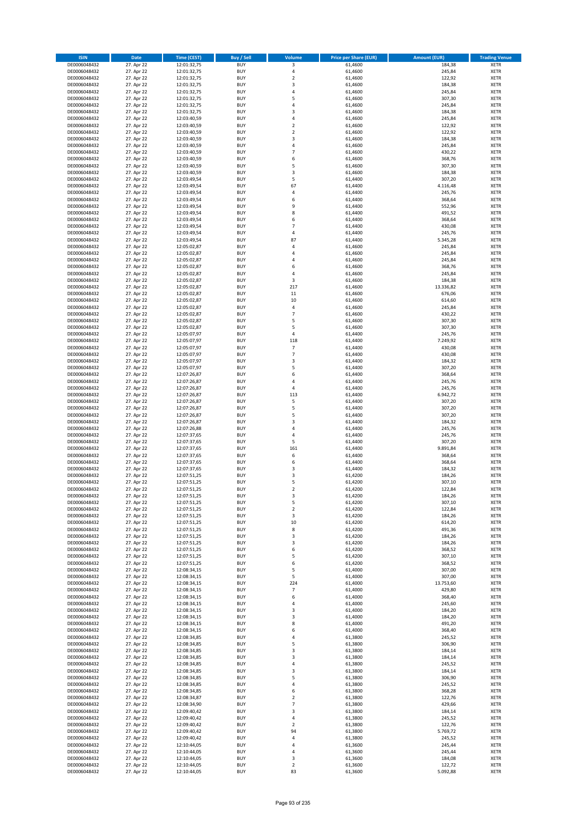| <b>ISIN</b>                  | <b>Date</b>              | <b>Time (CEST)</b>         | <b>Buy / Sell</b>        | Volume                                    | <b>Price per Share (EUR)</b> | <b>Amount (EUR)</b> | <b>Trading Venue</b>       |
|------------------------------|--------------------------|----------------------------|--------------------------|-------------------------------------------|------------------------------|---------------------|----------------------------|
| DE0006048432                 | 27. Apr 22               | 12:01:32,75                | <b>BUY</b>               | 3                                         | 61,4600                      | 184,38              | <b>XETR</b>                |
| DE0006048432                 | 27. Apr 22               | 12:01:32,75                | <b>BUY</b>               | 4                                         | 61,4600                      | 245,84              | <b>XETR</b>                |
| DE0006048432                 | 27. Apr 22               | 12:01:32,75                | <b>BUY</b>               | $\overline{2}$                            | 61,4600                      | 122,92              | <b>XETR</b>                |
| DE0006048432                 | 27. Apr 22               | 12:01:32,75                | <b>BUY</b>               | 3                                         | 61,4600                      | 184,38              | <b>XETR</b>                |
| DE0006048432<br>DE0006048432 | 27. Apr 22<br>27. Apr 22 | 12:01:32,75<br>12:01:32,75 | <b>BUY</b><br><b>BUY</b> | 4<br>5                                    | 61,4600<br>61,4600           | 245,84<br>307,30    | <b>XETR</b><br><b>XETR</b> |
| DE0006048432                 | 27. Apr 22               | 12:01:32,75                | <b>BUY</b>               | $\overline{a}$                            | 61,4600                      | 245,84              | <b>XETR</b>                |
| DE0006048432                 | 27. Apr 22               | 12:01:32,75                | <b>BUY</b>               | $\overline{\mathbf{3}}$                   | 61,4600                      | 184,38              | <b>XETR</b>                |
| DE0006048432                 | 27. Apr 22               | 12:03:40,59                | BUY                      | $\overline{a}$                            | 61,4600                      | 245,84              | <b>XETR</b>                |
| DE0006048432                 | 27. Apr 22               | 12:03:40,59                | <b>BUY</b>               | $\overline{2}$                            | 61,4600                      | 122,92              | <b>XETR</b>                |
| DE0006048432                 | 27. Apr 22               | 12:03:40,59                | <b>BUY</b>               | $\mathbf 2$                               | 61,4600                      | 122,92              | <b>XETR</b>                |
| DE0006048432                 | 27. Apr 22               | 12:03:40,59                | <b>BUY</b>               | $\overline{\mathbf{3}}$<br>$\overline{a}$ | 61,4600                      | 184,38              | <b>XETR</b>                |
| DE0006048432<br>DE0006048432 | 27. Apr 22<br>27. Apr 22 | 12:03:40,59<br>12:03:40,59 | <b>BUY</b><br><b>BUY</b> | $\overline{7}$                            | 61,4600<br>61,4600           | 245,84<br>430,22    | <b>XETR</b><br><b>XETR</b> |
| DE0006048432                 | 27. Apr 22               | 12:03:40,59                | <b>BUY</b>               | 6                                         | 61,4600                      | 368,76              | <b>XETR</b>                |
| DE0006048432                 | 27. Apr 22               | 12:03:40,59                | BUY                      | 5                                         | 61,4600                      | 307,30              | <b>XETR</b>                |
| DE0006048432                 | 27. Apr 22               | 12:03:40,59                | <b>BUY</b>               | 3                                         | 61,4600                      | 184,38              | <b>XETR</b>                |
| DE0006048432                 | 27. Apr 22               | 12:03:49,54                | <b>BUY</b>               | 5                                         | 61,4400                      | 307,20              | <b>XETR</b>                |
| DE0006048432                 | 27. Apr 22               | 12:03:49,54                | <b>BUY</b>               | 67                                        | 61,4400                      | 4.116,48            | <b>XETR</b>                |
| DE0006048432<br>DE0006048432 | 27. Apr 22<br>27. Apr 22 | 12:03:49,54<br>12:03:49,54 | <b>BUY</b><br><b>BUY</b> | 4<br>6                                    | 61,4400<br>61,4400           | 245,76<br>368,64    | <b>XETR</b><br><b>XETR</b> |
| DE0006048432                 | 27. Apr 22               | 12:03:49,54                | <b>BUY</b>               | 9                                         | 61,4400                      | 552,96              | <b>XETR</b>                |
| DE0006048432                 | 27. Apr 22               | 12:03:49,54                | <b>BUY</b>               | 8                                         | 61,4400                      | 491,52              | <b>XETR</b>                |
| DE0006048432                 | 27. Apr 22               | 12:03:49,54                | <b>BUY</b>               | 6                                         | 61,4400                      | 368,64              | <b>XETR</b>                |
| DE0006048432                 | 27. Apr 22               | 12:03:49,54                | <b>BUY</b>               | $\overline{7}$                            | 61,4400                      | 430,08              | <b>XETR</b>                |
| DE0006048432                 | 27. Apr 22               | 12:03:49,54                | <b>BUY</b>               | 4                                         | 61,4400                      | 245,76              | <b>XETR</b>                |
| DE0006048432<br>DE0006048432 | 27. Apr 22<br>27. Apr 22 | 12:03:49,54                | <b>BUY</b><br><b>BUY</b> | 87<br>4                                   | 61,4400<br>61,4600           | 5.345,28<br>245,84  | <b>XETR</b><br><b>XETR</b> |
| DE0006048432                 | 27. Apr 22               | 12:05:02,87<br>12:05:02,87 | <b>BUY</b>               | 4                                         | 61,4600                      | 245,84              | <b>XETR</b>                |
| DE0006048432                 | 27. Apr 22               | 12:05:02,87                | <b>BUY</b>               | 4                                         | 61,4600                      | 245,84              | <b>XETR</b>                |
| DE0006048432                 | 27. Apr 22               | 12:05:02,87                | <b>BUY</b>               | 6                                         | 61,4600                      | 368,76              | <b>XETR</b>                |
| DE0006048432                 | 27. Apr 22               | 12:05:02,87                | <b>BUY</b>               | 4                                         | 61,4600                      | 245,84              | <b>XETR</b>                |
| DE0006048432                 | 27. Apr 22               | 12:05:02,87                | <b>BUY</b>               | 3                                         | 61,4600                      | 184,38              | <b>XETR</b>                |
| DE0006048432                 | 27. Apr 22               | 12:05:02,87                | <b>BUY</b>               | 217                                       | 61,4600                      | 13.336,82           | <b>XETR</b>                |
| DE0006048432<br>DE0006048432 | 27. Apr 22<br>27. Apr 22 | 12:05:02,87<br>12:05:02,87 | <b>BUY</b><br><b>BUY</b> | $11\,$<br>$10\,$                          | 61,4600<br>61,4600           | 676,06<br>614,60    | <b>XETR</b><br><b>XETR</b> |
| DE0006048432                 | 27. Apr 22               | 12:05:02,87                | <b>BUY</b>               | $\pmb{4}$                                 | 61,4600                      | 245,84              | <b>XETR</b>                |
| DE0006048432                 | 27. Apr 22               | 12:05:02,87                | <b>BUY</b>               | $\overline{7}$                            | 61,4600                      | 430,22              | <b>XETR</b>                |
| DE0006048432                 | 27. Apr 22               | 12:05:02,87                | <b>BUY</b>               | 5                                         | 61,4600                      | 307,30              | <b>XETR</b>                |
| DE0006048432                 | 27. Apr 22               | 12:05:02,87                | <b>BUY</b>               | 5                                         | 61,4600                      | 307,30              | <b>XETR</b>                |
| DE0006048432                 | 27. Apr 22               | 12:05:07,97                | <b>BUY</b>               | 4                                         | 61,4400                      | 245,76              | <b>XETR</b>                |
| DE0006048432<br>DE0006048432 | 27. Apr 22<br>27. Apr 22 | 12:05:07,97                | <b>BUY</b><br><b>BUY</b> | 118<br>$\overline{7}$                     | 61,4400<br>61,4400           | 7.249,92<br>430,08  | <b>XETR</b><br><b>XETR</b> |
| DE0006048432                 | 27. Apr 22               | 12:05:07,97<br>12:05:07,97 | <b>BUY</b>               | $\overline{7}$                            | 61,4400                      | 430,08              | <b>XETR</b>                |
| DE0006048432                 | 27. Apr 22               | 12:05:07,97                | <b>BUY</b>               | $\mathsf 3$                               | 61,4400                      | 184,32              | <b>XETR</b>                |
| DE0006048432                 | 27. Apr 22               | 12:05:07,97                | <b>BUY</b>               | 5                                         | 61,4400                      | 307,20              | <b>XETR</b>                |
| DE0006048432                 | 27. Apr 22               | 12:07:26,87                | <b>BUY</b>               | 6                                         | 61,4400                      | 368,64              | <b>XETR</b>                |
| DE0006048432                 | 27. Apr 22               | 12:07:26,87                | <b>BUY</b>               | $\overline{a}$                            | 61,4400                      | 245,76              | <b>XETR</b>                |
| DE0006048432<br>DE0006048432 | 27. Apr 22<br>27. Apr 22 | 12:07:26,87                | <b>BUY</b><br><b>BUY</b> | 4<br>113                                  | 61,4400<br>61,4400           | 245,76<br>6.942,72  | <b>XETR</b><br><b>XETR</b> |
| DE0006048432                 | 27. Apr 22               | 12:07:26,87<br>12:07:26,87 | <b>BUY</b>               | 5                                         | 61,4400                      | 307,20              | <b>XETR</b>                |
| DE0006048432                 | 27. Apr 22               | 12:07:26,87                | <b>BUY</b>               | 5                                         | 61,4400                      | 307,20              | <b>XETR</b>                |
| DE0006048432                 | 27. Apr 22               | 12:07:26,87                | <b>BUY</b>               | 5                                         | 61,4400                      | 307,20              | <b>XETR</b>                |
| DE0006048432                 | 27. Apr 22               | 12:07:26,87                | <b>BUY</b>               | 3                                         | 61,4400                      | 184,32              | <b>XETR</b>                |
| DE0006048432                 | 27. Apr 22               | 12:07:26,88                | <b>BUY</b>               | $\overline{a}$                            | 61,4400                      | 245,76              | <b>XETR</b>                |
| DE0006048432                 | 27. Apr 22               | 12:07:37,65                | <b>BUY</b>               | 4                                         | 61,4400<br>61.4400           | 245,76              | <b>XETR</b>                |
| DE0006048432<br>DE0006048432 | 27. Apr 22<br>27. Apr 22 | 12:07:37,65<br>12:07:37,65 | <b>BUY</b><br><b>BUY</b> | 5<br>161                                  | 61,4400                      | 307,20<br>9.891,84  | <b>XETR</b><br><b>XETR</b> |
| DE0006048432                 | 27. Apr 22               | 12:07:37,65                | BUY                      | 6                                         | 61,4400                      | 368,64              | <b>XETR</b>                |
| DE0006048432                 | 27. Apr 22               | 12:07:37,65                | <b>BUY</b>               | 6                                         | 61,4400                      | 368,64              | <b>XETR</b>                |
| DE0006048432                 | 27. Apr 22               | 12:07:37,65                | <b>BUY</b>               | 3                                         | 61,4400                      | 184,32              | <b>XETR</b>                |
| DE0006048432                 | 27. Apr 22               | 12:07:51,25                | BUY                      | 3                                         | 61,4200                      | 184,26              | <b>XETR</b>                |
| DE0006048432                 | 27. Apr 22               | 12:07:51,25                | BUY                      | 5                                         | 61,4200                      | 307,10              | <b>XETR</b>                |
| DE0006048432<br>DE0006048432 | 27. Apr 22<br>27. Apr 22 | 12:07:51,25<br>12:07:51,25 | <b>BUY</b><br><b>BUY</b> | $\overline{2}$<br>3                       | 61,4200<br>61,4200           | 122,84<br>184,26    | <b>XETR</b><br><b>XETR</b> |
| DE0006048432                 | 27. Apr 22               | 12:07:51,25                | <b>BUY</b>               | 5                                         | 61,4200                      | 307,10              | <b>XETR</b>                |
| DE0006048432                 | 27. Apr 22               | 12:07:51,25                | <b>BUY</b>               | $\mathbf 2$                               | 61,4200                      | 122,84              | <b>XETR</b>                |
| DE0006048432                 | 27. Apr 22               | 12:07:51,25                | <b>BUY</b>               | 3                                         | 61,4200                      | 184,26              | <b>XETR</b>                |
| DE0006048432                 | 27. Apr 22               | 12:07:51,25                | <b>BUY</b>               | 10                                        | 61,4200                      | 614,20              | <b>XETR</b>                |
| DE0006048432                 | 27. Apr 22               | 12:07:51,25                | <b>BUY</b>               | 8                                         | 61,4200                      | 491,36              | <b>XETR</b>                |
| DE0006048432<br>DE0006048432 | 27. Apr 22<br>27. Apr 22 | 12:07:51,25<br>12:07:51,25 | <b>BUY</b><br><b>BUY</b> | 3<br>3                                    | 61,4200<br>61,4200           | 184,26<br>184,26    | <b>XETR</b><br><b>XETR</b> |
| DE0006048432                 | 27. Apr 22               | 12:07:51,25                | <b>BUY</b>               | 6                                         | 61,4200                      | 368,52              | <b>XETR</b>                |
| DE0006048432                 | 27. Apr 22               | 12:07:51,25                | <b>BUY</b>               | 5                                         | 61,4200                      | 307,10              | <b>XETR</b>                |
| DE0006048432                 | 27. Apr 22               | 12:07:51,25                | <b>BUY</b>               | 6                                         | 61,4200                      | 368,52              | <b>XETR</b>                |
| DE0006048432                 | 27. Apr 22               | 12:08:34,15                | <b>BUY</b>               | 5                                         | 61,4000                      | 307,00              | <b>XETR</b>                |
| DE0006048432                 | 27. Apr 22               | 12:08:34,15                | <b>BUY</b>               | 5                                         | 61,4000                      | 307,00              | <b>XETR</b>                |
| DE0006048432<br>DE0006048432 | 27. Apr 22<br>27. Apr 22 | 12:08:34,15<br>12:08:34,15 | <b>BUY</b><br><b>BUY</b> | 224<br>$\overline{7}$                     | 61,4000<br>61,4000           | 13.753,60<br>429,80 | <b>XETR</b><br><b>XETR</b> |
| DE0006048432                 | 27. Apr 22               | 12:08:34,15                | <b>BUY</b>               | 6                                         | 61,4000                      | 368,40              | <b>XETR</b>                |
| DE0006048432                 | 27. Apr 22               | 12:08:34,15                | <b>BUY</b>               | 4                                         | 61,4000                      | 245,60              | <b>XETR</b>                |
| DE0006048432                 | 27. Apr 22               | 12:08:34,15                | <b>BUY</b>               | 3                                         | 61,4000                      | 184,20              | <b>XETR</b>                |
| DE0006048432                 | 27. Apr 22               | 12:08:34,15                | <b>BUY</b>               | 3                                         | 61,4000                      | 184,20              | <b>XETR</b>                |
| DE0006048432                 | 27. Apr 22               | 12:08:34,15                | <b>BUY</b>               | 8                                         | 61,4000                      | 491,20              | <b>XETR</b>                |
| DE0006048432<br>DE0006048432 | 27. Apr 22<br>27. Apr 22 | 12:08:34,15<br>12:08:34,85 | <b>BUY</b><br><b>BUY</b> | 6<br>4                                    | 61,4000<br>61,3800           | 368,40<br>245,52    | <b>XETR</b><br><b>XETR</b> |
| DE0006048432                 | 27. Apr 22               | 12:08:34,85                | <b>BUY</b>               | 5                                         | 61,3800                      | 306,90              | <b>XETR</b>                |
| DE0006048432                 | 27. Apr 22               | 12:08:34,85                | <b>BUY</b>               | $\overline{\mathbf{3}}$                   | 61,3800                      | 184,14              | <b>XETR</b>                |
| DE0006048432                 | 27. Apr 22               | 12:08:34,85                | <b>BUY</b>               | 3                                         | 61,3800                      | 184,14              | <b>XETR</b>                |
| DE0006048432                 | 27. Apr 22               | 12:08:34,85                | <b>BUY</b>               | 4                                         | 61,3800                      | 245,52              | <b>XETR</b>                |
| DE0006048432                 | 27. Apr 22               | 12:08:34,85                | <b>BUY</b>               | $\overline{\mathbf{3}}$                   | 61,3800                      | 184,14              | <b>XETR</b>                |
| DE0006048432                 | 27. Apr 22               | 12:08:34,85                | <b>BUY</b>               | 5                                         | 61,3800                      | 306,90              | <b>XETR</b>                |
| DE0006048432<br>DE0006048432 | 27. Apr 22<br>27. Apr 22 | 12:08:34,85<br>12:08:34,85 | <b>BUY</b><br><b>BUY</b> | 4<br>6                                    | 61,3800<br>61,3800           | 245,52<br>368,28    | <b>XETR</b><br><b>XETR</b> |
| DE0006048432                 | 27. Apr 22               | 12:08:34,87                | <b>BUY</b>               | $\mathbf 2$                               | 61,3800                      | 122,76              | <b>XETR</b>                |
| DE0006048432                 | 27. Apr 22               | 12:08:34,90                | <b>BUY</b>               | 7                                         | 61,3800                      | 429,66              | <b>XETR</b>                |
| DE0006048432                 | 27. Apr 22               | 12:09:40,42                | <b>BUY</b>               | 3                                         | 61,3800                      | 184,14              | <b>XETR</b>                |
| DE0006048432                 | 27. Apr 22               | 12:09:40,42                | <b>BUY</b>               | 4                                         | 61,3800                      | 245,52              | <b>XETR</b>                |
| DE0006048432                 | 27. Apr 22               | 12:09:40,42                | <b>BUY</b>               | $\mathbf 2$                               | 61,3800                      | 122,76              | <b>XETR</b>                |
| DE0006048432                 | 27. Apr 22               | 12:09:40,42                | <b>BUY</b>               | 94                                        | 61,3800                      | 5.769,72            | <b>XETR</b>                |
| DE0006048432<br>DE0006048432 | 27. Apr 22<br>27. Apr 22 | 12:09:40,42<br>12:10:44,05 | <b>BUY</b><br><b>BUY</b> | 4<br>4                                    | 61,3800<br>61,3600           | 245,52<br>245,44    | <b>XETR</b><br><b>XETR</b> |
| DE0006048432                 | 27. Apr 22               | 12:10:44,05                | <b>BUY</b>               | 4                                         | 61,3600                      | 245,44              | <b>XETR</b>                |
| DE0006048432                 | 27. Apr 22               | 12:10:44,05                | <b>BUY</b>               | 3                                         | 61,3600                      | 184,08              | <b>XETR</b>                |
| DE0006048432                 | 27. Apr 22               | 12:10:44,05                | <b>BUY</b>               | $\mathbf 2$                               | 61,3600                      | 122,72              | <b>XETR</b>                |
| DE0006048432                 | 27. Apr 22               | 12:10:44,05                | <b>BUY</b>               | 83                                        | 61,3600                      | 5.092,88            | <b>XETR</b>                |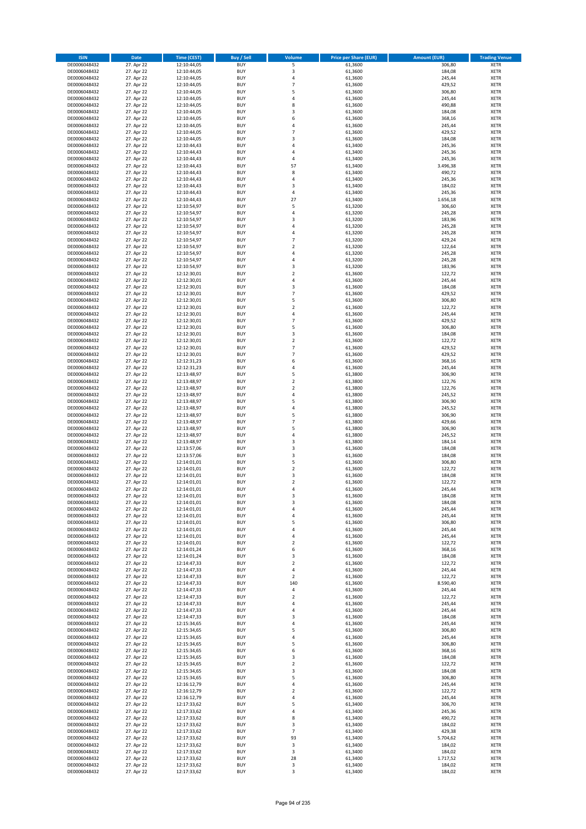| <b>ISIN</b>                  | <b>Date</b>              | Time (CEST)                | <b>Buy / Sell</b>        | Volume                                             | <b>Price per Share (EUR)</b> | <b>Amount (EUR)</b> | <b>Trading Venue</b>       |
|------------------------------|--------------------------|----------------------------|--------------------------|----------------------------------------------------|------------------------------|---------------------|----------------------------|
| DE0006048432                 | 27. Apr 22               | 12:10:44,05                | <b>BUY</b>               | 5                                                  | 61,3600                      | 306,80              | <b>XETR</b>                |
| DE0006048432                 | 27. Apr 22               | 12:10:44,05                | <b>BUY</b>               | 3                                                  | 61,3600                      | 184,08              | <b>XETR</b>                |
| DE0006048432                 | 27. Apr 22               | 12:10:44,05                | <b>BUY</b>               | 4                                                  | 61,3600                      | 245,44              | <b>XETR</b>                |
| DE0006048432                 | 27. Apr 22               | 12:10:44,05                | <b>BUY</b>               | $\overline{7}$                                     | 61,3600                      | 429,52              | <b>XETR</b>                |
| DE0006048432<br>DE0006048432 | 27. Apr 22<br>27. Apr 22 | 12:10:44,05<br>12:10:44,05 | <b>BUY</b><br><b>BUY</b> | 5<br>$\overline{4}$                                | 61,3600<br>61,3600           | 306,80<br>245,44    | <b>XETR</b><br><b>XETR</b> |
| DE0006048432                 | 27. Apr 22               | 12:10:44,05                | <b>BUY</b>               | 8                                                  | 61,3600                      | 490,88              | <b>XETR</b>                |
| DE0006048432                 | 27. Apr 22               | 12:10:44,05                | <b>BUY</b>               | 3                                                  | 61,3600                      | 184,08              | <b>XETR</b>                |
| DE0006048432                 | 27. Apr 22               | 12:10:44,05                | <b>BUY</b>               | 6                                                  | 61,3600                      | 368,16              | <b>XETR</b>                |
| DE0006048432                 | 27. Apr 22               | 12:10:44,05                | <b>BUY</b>               | $\overline{4}$                                     | 61,3600                      | 245,44              | <b>XETR</b>                |
| DE0006048432                 | 27. Apr 22               | 12:10:44,05                | <b>BUY</b>               | $\overline{7}$                                     | 61,3600                      | 429,52              | <b>XETR</b>                |
| DE0006048432                 | 27. Apr 22               | 12:10:44,05                | <b>BUY</b><br><b>BUY</b> | $\overline{3}$<br>$\overline{a}$                   | 61,3600                      | 184,08              | <b>XETR</b>                |
| DE0006048432<br>DE0006048432 | 27. Apr 22<br>27. Apr 22 | 12:10:44,43<br>12:10:44,43 | <b>BUY</b>               | $\overline{a}$                                     | 61,3400<br>61,3400           | 245,36<br>245,36    | <b>XETR</b><br><b>XETR</b> |
| DE0006048432                 | 27. Apr 22               | 12:10:44,43                | <b>BUY</b>               | $\overline{4}$                                     | 61,3400                      | 245,36              | <b>XETR</b>                |
| DE0006048432                 | 27. Apr 22               | 12:10:44,43                | <b>BUY</b>               | 57                                                 | 61,3400                      | 3.496,38            | <b>XETR</b>                |
| DE0006048432                 | 27. Apr 22               | 12:10:44,43                | <b>BUY</b>               | 8                                                  | 61,3400                      | 490,72              | <b>XETR</b>                |
| DE0006048432                 | 27. Apr 22               | 12:10:44,43                | <b>BUY</b>               | 4                                                  | 61,3400                      | 245,36              | <b>XETR</b>                |
| DE0006048432                 | 27. Apr 22               | 12:10:44,43                | <b>BUY</b>               | $\overline{3}$                                     | 61,3400                      | 184,02              | <b>XETR</b>                |
| DE0006048432<br>DE0006048432 | 27. Apr 22<br>27. Apr 22 | 12:10:44,43<br>12:10:44,43 | <b>BUY</b><br><b>BUY</b> | $\overline{a}$<br>27                               | 61,3400<br>61,3400           | 245,36<br>1.656,18  | <b>XETR</b><br><b>XETR</b> |
| DE0006048432                 | 27. Apr 22               | 12:10:54,97                | <b>BUY</b>               | 5                                                  | 61,3200                      | 306,60              | <b>XETR</b>                |
| DE0006048432                 | 27. Apr 22               | 12:10:54,97                | <b>BUY</b>               | $\overline{a}$                                     | 61,3200                      | 245,28              | <b>XETR</b>                |
| DE0006048432                 | 27. Apr 22               | 12:10:54,97                | <b>BUY</b>               | $\overline{3}$                                     | 61,3200                      | 183,96              | <b>XETR</b>                |
| DE0006048432                 | 27. Apr 22               | 12:10:54,97                | <b>BUY</b>               | $\overline{4}$                                     | 61,3200                      | 245,28              | <b>XETR</b>                |
| DE0006048432                 | 27. Apr 22               | 12:10:54,97                | <b>BUY</b>               | 4                                                  | 61,3200                      | 245,28              | <b>XETR</b>                |
| DE0006048432                 | 27. Apr 22               | 12:10:54,97                | <b>BUY</b><br><b>BUY</b> | $\overline{7}$<br>$\overline{2}$                   | 61,3200                      | 429,24              | <b>XETR</b><br><b>XETR</b> |
| DE0006048432<br>DE0006048432 | 27. Apr 22<br>27. Apr 22 | 12:10:54,97<br>12:10:54,97 | <b>BUY</b>               | 4                                                  | 61,3200<br>61,3200           | 122,64<br>245,28    | <b>XETR</b>                |
| DE0006048432                 | 27. Apr 22               | 12:10:54,97                | <b>BUY</b>               | 4                                                  | 61,3200                      | 245,28              | <b>XETR</b>                |
| DE0006048432                 | 27. Apr 22               | 12:10:54,97                | <b>BUY</b>               | $\overline{3}$                                     | 61,3200                      | 183,96              | <b>XETR</b>                |
| DE0006048432                 | 27. Apr 22               | 12:12:30,01                | <b>BUY</b>               | $\overline{2}$                                     | 61,3600                      | 122,72              | <b>XETR</b>                |
| DE0006048432                 | 27. Apr 22               | 12:12:30,01                | <b>BUY</b>               | 4                                                  | 61,3600                      | 245,44              | <b>XETR</b>                |
| DE0006048432                 | 27. Apr 22               | 12:12:30,01                | <b>BUY</b>               | $\overline{3}$                                     | 61,3600                      | 184,08              | <b>XETR</b>                |
| DE0006048432<br>DE0006048432 | 27. Apr 22<br>27. Apr 22 | 12:12:30,01<br>12:12:30,01 | <b>BUY</b><br><b>BUY</b> | 7<br>5                                             | 61,3600<br>61,3600           | 429,52<br>306,80    | <b>XETR</b><br><b>XETR</b> |
| DE0006048432                 | 27. Apr 22               | 12:12:30,01                | <b>BUY</b>               | $\overline{2}$                                     | 61,3600                      | 122,72              | <b>XETR</b>                |
| DE0006048432                 | 27. Apr 22               | 12:12:30,01                | <b>BUY</b>               | $\overline{4}$                                     | 61,3600                      | 245,44              | <b>XETR</b>                |
| DE0006048432                 | 27. Apr 22               | 12:12:30,01                | <b>BUY</b>               | $\overline{7}$                                     | 61,3600                      | 429,52              | <b>XETR</b>                |
| DE0006048432                 | 27. Apr 22               | 12:12:30,01                | <b>BUY</b>               | 5                                                  | 61,3600                      | 306,80              | <b>XETR</b>                |
| DE0006048432                 | 27. Apr 22               | 12:12:30,01                | <b>BUY</b>               | 3                                                  | 61,3600                      | 184,08              | <b>XETR</b>                |
| DE0006048432<br>DE0006048432 | 27. Apr 22<br>27. Apr 22 | 12:12:30,01<br>12:12:30,01 | <b>BUY</b><br><b>BUY</b> | $\overline{2}$<br>$\overline{7}$                   | 61,3600<br>61,3600           | 122,72<br>429,52    | <b>XETR</b><br><b>XETR</b> |
| DE0006048432                 | 27. Apr 22               | 12:12:30,01                | <b>BUY</b>               | $\overline{7}$                                     | 61,3600                      | 429,52              | <b>XETR</b>                |
| DE0006048432                 | 27. Apr 22               | 12:12:31,23                | <b>BUY</b>               | 6                                                  | 61,3600                      | 368,16              | <b>XETR</b>                |
| DE0006048432                 | 27. Apr 22               | 12:12:31,23                | <b>BUY</b>               | $\overline{4}$                                     | 61,3600                      | 245,44              | <b>XETR</b>                |
| DE0006048432                 | 27. Apr 22               | 12:13:48,97                | <b>BUY</b>               | 5                                                  | 61,3800                      | 306,90              | <b>XETR</b>                |
| DE0006048432                 | 27. Apr 22               | 12:13:48,97                | <b>BUY</b>               | $\overline{2}$                                     | 61,3800                      | 122,76              | <b>XETR</b>                |
| DE0006048432<br>DE0006048432 | 27. Apr 22<br>27. Apr 22 | 12:13:48,97<br>12:13:48,97 | <b>BUY</b><br><b>BUY</b> | $\overline{2}$<br>$\overline{a}$                   | 61,3800<br>61,3800           | 122,76<br>245,52    | <b>XETR</b><br><b>XETR</b> |
| DE0006048432                 | 27. Apr 22               | 12:13:48,97                | <b>BUY</b>               | 5                                                  | 61,3800                      | 306,90              | <b>XETR</b>                |
| DE0006048432                 | 27. Apr 22               | 12:13:48,97                | <b>BUY</b>               | $\overline{a}$                                     | 61,3800                      | 245,52              | <b>XETR</b>                |
| DE0006048432                 | 27. Apr 22               | 12:13:48,97                | <b>BUY</b>               | 5                                                  | 61,3800                      | 306,90              | <b>XETR</b>                |
| DE0006048432                 | 27. Apr 22               | 12:13:48,97                | <b>BUY</b>               | $\overline{7}$                                     | 61,3800                      | 429,66              | <b>XETR</b>                |
| DE0006048432                 | 27. Apr 22               | 12:13:48,97                | <b>BUY</b>               | 5                                                  | 61,3800                      | 306,90              | <b>XETR</b>                |
| DE0006048432                 | 27. Apr 22               | 12:13:48,97                | <b>BUY</b>               | 4                                                  | 61,3800                      | 245,52              | <b>XETR</b>                |
| DE0006048432<br>DE0006048432 | 27. Apr 22<br>27. Apr 22 | 12:13:48,97<br>12:13:57,06 | <b>BUY</b><br><b>BUY</b> | $\overline{\mathbf{3}}$<br>$\overline{\mathbf{3}}$ | 61,3800<br>61,3600           | 184,14<br>184,08    | <b>XETR</b><br><b>XETR</b> |
| DE0006048432                 | 27. Apr 22               | 12:13:57,06                | BUY                      | $\overline{\mathbf{3}}$                            | 61,3600                      | 184,08              | <b>XETR</b>                |
| DE0006048432                 | 27. Apr 22               | 12:14:01,01                | <b>BUY</b>               | 5                                                  | 61,3600                      | 306,80              | <b>XETR</b>                |
| DE0006048432                 | 27. Apr 22               | 12:14:01,01                | <b>BUY</b>               | $\mathbf 2$                                        | 61,3600                      | 122,72              | <b>XETR</b>                |
| DE0006048432                 | 27. Apr 22               | 12:14:01,01                | BUY                      | 3                                                  | 61,3600                      | 184,08              | <b>XETR</b>                |
| DE0006048432                 | 27. Apr 22               | 12:14:01,01                | BUY                      | $\overline{2}$                                     | 61,3600                      | 122,72              | <b>XETR</b>                |
| DE0006048432<br>DE0006048432 | 27. Apr 22<br>27. Apr 22 | 12:14:01,01<br>12:14:01,01 | <b>BUY</b><br>BUY        | $\overline{a}$<br>3                                | 61,3600<br>61,3600           | 245,44<br>184,08    | <b>XETR</b><br><b>XETR</b> |
| DE0006048432                 | 27. Apr 22               | 12:14:01,01                | <b>BUY</b>               | $\overline{\mathbf{3}}$                            | 61,3600                      | 184,08              | <b>XETR</b>                |
| DE0006048432                 | 27. Apr 22               | 12:14:01,01                | <b>BUY</b>               | 4                                                  | 61,3600                      | 245,44              | <b>XETR</b>                |
| DE0006048432                 | 27. Apr 22               | 12:14:01,01                | <b>BUY</b>               | 4                                                  | 61,3600                      | 245,44              | <b>XETR</b>                |
| DE0006048432                 | 27. Apr 22               | 12:14:01,01                | <b>BUY</b>               | 5                                                  | 61,3600                      | 306,80              | <b>XETR</b>                |
| DE0006048432                 | 27. Apr 22               | 12:14:01,01                | <b>BUY</b>               | 4                                                  | 61,3600                      | 245,44              | <b>XETR</b>                |
| DE0006048432                 | 27. Apr 22<br>27. Apr 22 | 12:14:01,01                | <b>BUY</b><br><b>BUY</b> | 4<br>$\overline{\mathbf{c}}$                       | 61,3600                      | 245,44              | <b>XETR</b>                |
| DE0006048432<br>DE0006048432 | 27. Apr 22               | 12:14:01,01<br>12:14:01,24 | <b>BUY</b>               | 6                                                  | 61,3600<br>61,3600           | 122,72<br>368,16    | <b>XETR</b><br><b>XETR</b> |
| DE0006048432                 | 27. Apr 22               | 12:14:01,24                | <b>BUY</b>               | 3                                                  | 61,3600                      | 184,08              | <b>XETR</b>                |
| DE0006048432                 | 27. Apr 22               | 12:14:47,33                | <b>BUY</b>               | $\mathbf 2$                                        | 61,3600                      | 122,72              | <b>XETR</b>                |
| DE0006048432                 | 27. Apr 22               | 12:14:47,33                | <b>BUY</b>               | 4                                                  | 61,3600                      | 245,44              | <b>XETR</b>                |
| DE0006048432                 | 27. Apr 22               | 12:14:47,33                | <b>BUY</b>               | $\mathbf 2$                                        | 61,3600                      | 122,72              | <b>XETR</b>                |
| DE0006048432                 | 27. Apr 22               | 12:14:47,33                | <b>BUY</b>               | 140                                                | 61,3600                      | 8.590,40            | <b>XETR</b>                |
| DE0006048432                 | 27. Apr 22<br>27. Apr 22 | 12:14:47,33                | <b>BUY</b><br><b>BUY</b> | 4                                                  | 61,3600                      | 245,44              | <b>XETR</b>                |
| DE0006048432<br>DE0006048432 | 27. Apr 22               | 12:14:47,33<br>12:14:47,33 | <b>BUY</b>               | $\mathbf 2$<br>4                                   | 61,3600<br>61,3600           | 122,72<br>245,44    | <b>XETR</b><br><b>XETR</b> |
| DE0006048432                 | 27. Apr 22               | 12:14:47,33                | <b>BUY</b>               | $\overline{4}$                                     | 61,3600                      | 245,44              | <b>XETR</b>                |
| DE0006048432                 | 27. Apr 22               | 12:14:47,33                | <b>BUY</b>               | 3                                                  | 61,3600                      | 184,08              | <b>XETR</b>                |
| DE0006048432                 | 27. Apr 22               | 12:15:34,65                | <b>BUY</b>               | $\overline{4}$                                     | 61,3600                      | 245,44              | <b>XETR</b>                |
| DE0006048432                 | 27. Apr 22               | 12:15:34,65                | <b>BUY</b>               | 5                                                  | 61,3600                      | 306,80              | <b>XETR</b>                |
| DE0006048432<br>DE0006048432 | 27. Apr 22<br>27. Apr 22 | 12:15:34,65<br>12:15:34,65 | <b>BUY</b><br><b>BUY</b> | 4<br>5                                             | 61,3600<br>61,3600           | 245,44<br>306,80    | <b>XETR</b><br><b>XETR</b> |
| DE0006048432                 | 27. Apr 22               | 12:15:34,65                | <b>BUY</b>               | 6                                                  | 61,3600                      | 368,16              | <b>XETR</b>                |
| DE0006048432                 | 27. Apr 22               | 12:15:34,65                | <b>BUY</b>               | 3                                                  | 61,3600                      | 184,08              | <b>XETR</b>                |
| DE0006048432                 | 27. Apr 22               | 12:15:34,65                | <b>BUY</b>               | $\mathbf 2$                                        | 61,3600                      | 122,72              | <b>XETR</b>                |
| DE0006048432                 | 27. Apr 22               | 12:15:34,65                | <b>BUY</b>               | 3                                                  | 61,3600                      | 184,08              | <b>XETR</b>                |
| DE0006048432                 | 27. Apr 22               | 12:15:34,65                | <b>BUY</b>               | 5                                                  | 61,3600                      | 306,80              | <b>XETR</b>                |
| DE0006048432                 | 27. Apr 22               | 12:16:12,79                | <b>BUY</b>               | 4                                                  | 61,3600                      | 245,44              | <b>XETR</b>                |
| DE0006048432                 | 27. Apr 22               | 12:16:12,79<br>12:16:12,79 | <b>BUY</b><br><b>BUY</b> | $\overline{2}$<br>$\overline{4}$                   | 61,3600<br>61,3600           | 122,72<br>245,44    | <b>XETR</b><br><b>XETR</b> |
| DE0006048432<br>DE0006048432 | 27. Apr 22<br>27. Apr 22 | 12:17:33,62                | <b>BUY</b>               | 5                                                  | 61,3400                      | 306,70              | <b>XETR</b>                |
| DE0006048432                 | 27. Apr 22               | 12:17:33,62                | <b>BUY</b>               | 4                                                  | 61,3400                      | 245,36              | <b>XETR</b>                |
| DE0006048432                 | 27. Apr 22               | 12:17:33,62                | <b>BUY</b>               | 8                                                  | 61,3400                      | 490,72              | <b>XETR</b>                |
| DE0006048432                 | 27. Apr 22               | 12:17:33,62                | <b>BUY</b>               | 3                                                  | 61,3400                      | 184,02              | <b>XETR</b>                |
| DE0006048432                 | 27. Apr 22               | 12:17:33,62                | <b>BUY</b>               | $\overline{7}$                                     | 61,3400                      | 429,38              | <b>XETR</b>                |
| DE0006048432                 | 27. Apr 22               | 12:17:33,62                | <b>BUY</b>               | 93                                                 | 61,3400                      | 5.704,62            | <b>XETR</b>                |
| DE0006048432<br>DE0006048432 | 27. Apr 22<br>27. Apr 22 | 12:17:33,62<br>12:17:33,62 | <b>BUY</b><br><b>BUY</b> | 3<br>3                                             | 61,3400<br>61,3400           | 184,02<br>184,02    | <b>XETR</b><br><b>XETR</b> |
| DE0006048432                 | 27. Apr 22               | 12:17:33,62                | <b>BUY</b>               | 28                                                 | 61,3400                      | 1.717,52            | <b>XETR</b>                |
| DE0006048432                 | 27. Apr 22               | 12:17:33,62                | <b>BUY</b>               | 3                                                  | 61,3400                      | 184,02              | <b>XETR</b>                |
| DE0006048432                 | 27. Apr 22               | 12:17:33,62                | <b>BUY</b>               | 3                                                  | 61,3400                      | 184,02              | <b>XETR</b>                |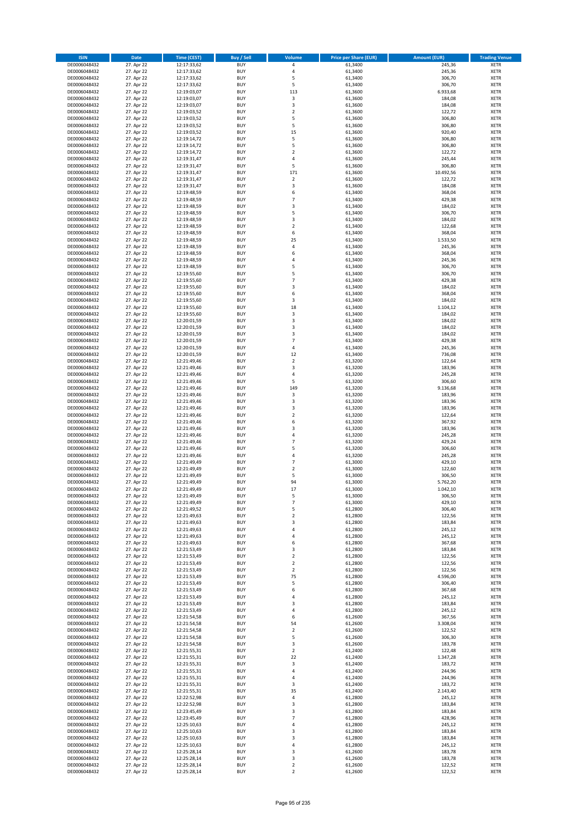| <b>ISIN</b>                  | Date                     | Time (CEST)                | <b>Buy / Sell</b>        | <b>Volume</b>                    | <b>Price per Share (EUR)</b> | <b>Amount (EUR)</b>  | <b>Trading Venue</b>       |
|------------------------------|--------------------------|----------------------------|--------------------------|----------------------------------|------------------------------|----------------------|----------------------------|
| DE0006048432                 | 27. Apr 22               | 12:17:33,62                | <b>BUY</b>               | $\pmb{4}$                        | 61,3400                      | 245,36               | <b>XETR</b>                |
| DE0006048432                 | 27. Apr 22               | 12:17:33,62                | <b>BUY</b>               | 4                                | 61,3400                      | 245,36               | XETR                       |
| DE0006048432                 | 27. Apr 22               | 12:17:33,62                | <b>BUY</b>               | 5                                | 61.3400                      | 306,70               | <b>XETR</b>                |
| DE0006048432<br>DE0006048432 | 27. Apr 22<br>27. Apr 22 | 12:17:33,62<br>12:19:03,07 | <b>BUY</b><br><b>BUY</b> | 5<br>113                         | 61,3400<br>61,3600           | 306,70<br>6.933,68   | <b>XETR</b><br><b>XETR</b> |
| DE0006048432                 | 27. Apr 22               | 12:19:03,07                | <b>BUY</b>               | $\mathsf 3$                      | 61,3600                      | 184,08               | <b>XETR</b>                |
| DE0006048432                 | 27. Apr 22               | 12:19:03,07                | <b>BUY</b>               | 3                                | 61,3600                      | 184,08               | <b>XETR</b>                |
| DE0006048432                 | 27. Apr 22               | 12:19:03,52                | <b>BUY</b>               | $\mathbf 2$                      | 61,3600                      | 122,72               | <b>XETR</b>                |
| DE0006048432                 | 27. Apr 22               | 12:19:03,52                | <b>BUY</b>               | 5                                | 61,3600                      | 306,80               | <b>XETR</b>                |
| DE0006048432                 | 27. Apr 22               | 12:19:03,52                | <b>BUY</b><br><b>BUY</b> | 5<br>15                          | 61,3600                      | 306,80               | <b>XETR</b><br><b>XETR</b> |
| DE0006048432<br>DE0006048432 | 27. Apr 22<br>27. Apr 22 | 12:19:03,52<br>12:19:14,72 | <b>BUY</b>               | 5                                | 61,3600<br>61,3600           | 920,40<br>306,80     | <b>XETR</b>                |
| DE0006048432                 | 27. Apr 22               | 12:19:14,72                | <b>BUY</b>               | 5                                | 61,3600                      | 306,80               | <b>XETR</b>                |
| DE0006048432                 | 27. Apr 22               | 12:19:14,72                | <b>BUY</b>               | $\overline{2}$                   | 61,3600                      | 122,72               | <b>XETR</b>                |
| DE0006048432                 | 27. Apr 22               | 12:19:31,47                | <b>BUY</b>               | 4                                | 61,3600                      | 245,44               | <b>XETR</b>                |
| DE0006048432                 | 27. Apr 22               | 12:19:31,47                | <b>BUY</b>               | 5                                | 61,3600                      | 306,80               | <b>XETR</b>                |
| DE0006048432<br>DE0006048432 | 27. Apr 22<br>27. Apr 22 | 12:19:31,47<br>12:19:31,47 | <b>BUY</b><br><b>BUY</b> | 171<br>$\overline{2}$            | 61,3600<br>61,3600           | 10.492,56<br>122,72  | <b>XETR</b><br><b>XETR</b> |
| DE0006048432                 | 27. Apr 22               | 12:19:31,47                | <b>BUY</b>               | 3                                | 61,3600                      | 184,08               | <b>XETR</b>                |
| DE0006048432                 | 27. Apr 22               | 12:19:48,59                | <b>BUY</b>               | 6                                | 61,3400                      | 368,04               | <b>XETR</b>                |
| DE0006048432                 | 27. Apr 22               | 12:19:48,59                | <b>BUY</b>               | $\overline{7}$                   | 61,3400                      | 429,38               | <b>XETR</b>                |
| DE0006048432                 | 27. Apr 22               | 12:19:48,59                | <b>BUY</b>               | 3                                | 61,3400                      | 184,02               | <b>XETR</b>                |
| DE0006048432                 | 27. Apr 22               | 12:19:48,59                | <b>BUY</b>               | 5                                | 61,3400                      | 306,70               | <b>XETR</b>                |
| DE0006048432<br>DE0006048432 | 27. Apr 22<br>27. Apr 22 | 12:19:48,59<br>12:19:48,59 | <b>BUY</b><br><b>BUY</b> | 3<br>$\overline{2}$              | 61,3400<br>61,3400           | 184,02<br>122,68     | <b>XETR</b><br><b>XETR</b> |
| DE0006048432                 | 27. Apr 22               | 12:19:48,59                | <b>BUY</b>               | 6                                | 61,3400                      | 368,04               | <b>XETR</b>                |
| DE0006048432                 | 27. Apr 22               | 12:19:48,59                | <b>BUY</b>               | 25                               | 61,3400                      | 1.533,50             | <b>XETR</b>                |
| DE0006048432                 | 27. Apr 22               | 12:19:48,59                | <b>BUY</b>               | 4                                | 61,3400                      | 245,36               | <b>XETR</b>                |
| DE0006048432                 | 27. Apr 22               | 12:19:48,59                | <b>BUY</b>               | 6                                | 61,3400                      | 368,04               | <b>XETR</b>                |
| DE0006048432<br>DE0006048432 | 27. Apr 22<br>27. Apr 22 | 12:19:48,59<br>12:19:48,59 | <b>BUY</b><br><b>BUY</b> | 4<br>5                           | 61,3400<br>61,3400           | 245,36<br>306,70     | <b>XETR</b><br><b>XETR</b> |
| DE0006048432                 | 27. Apr 22               | 12:19:55,60                | <b>BUY</b>               | 5                                | 61,3400                      | 306,70               | <b>XETR</b>                |
| DE0006048432                 | 27. Apr 22               | 12:19:55,60                | <b>BUY</b>               | $\overline{7}$                   | 61,3400                      | 429,38               | <b>XETR</b>                |
| DE0006048432                 | 27. Apr 22               | 12:19:55,60                | <b>BUY</b>               | $\overline{3}$                   | 61,3400                      | 184,02               | <b>XETR</b>                |
| DE0006048432                 | 27. Apr 22               | 12:19:55,60                | <b>BUY</b>               | 6                                | 61,3400                      | 368,04               | <b>XETR</b>                |
| DE0006048432                 | 27. Apr 22               | 12:19:55,60                | <b>BUY</b>               | 3                                | 61,3400                      | 184,02               | <b>XETR</b>                |
| DE0006048432<br>DE0006048432 | 27. Apr 22<br>27. Apr 22 | 12:19:55,60<br>12:19:55,60 | <b>BUY</b><br><b>BUY</b> | 18<br>3                          | 61,3400<br>61,3400           | 1.104,12<br>184,02   | <b>XETR</b><br><b>XETR</b> |
| DE0006048432                 | 27. Apr 22               | 12:20:01,59                | <b>BUY</b>               | 3                                | 61,3400                      | 184,02               | <b>XETR</b>                |
| DE0006048432                 | 27. Apr 22               | 12:20:01,59                | <b>BUY</b>               | 3                                | 61,3400                      | 184,02               | <b>XETR</b>                |
| DE0006048432                 | 27. Apr 22               | 12:20:01,59                | <b>BUY</b>               | 3                                | 61,3400                      | 184,02               | <b>XETR</b>                |
| DE0006048432                 | 27. Apr 22               | 12:20:01,59                | <b>BUY</b>               | $\overline{7}$                   | 61,3400                      | 429,38               | <b>XETR</b>                |
| DE0006048432<br>DE0006048432 | 27. Apr 22<br>27. Apr 22 | 12:20:01,59                | <b>BUY</b><br><b>BUY</b> | $\pmb{4}$<br>12                  | 61,3400<br>61,3400           | 245,36<br>736,08     | <b>XETR</b><br><b>XETR</b> |
| DE0006048432                 | 27. Apr 22               | 12:20:01,59<br>12:21:49,46 | <b>BUY</b>               | $\mathbf 2$                      | 61,3200                      | 122,64               | <b>XETR</b>                |
| DE0006048432                 | 27. Apr 22               | 12:21:49,46                | <b>BUY</b>               | 3                                | 61,3200                      | 183,96               | <b>XETR</b>                |
| DE0006048432                 | 27. Apr 22               | 12:21:49,46                | <b>BUY</b>               | $\pmb{4}$                        | 61,3200                      | 245,28               | <b>XETR</b>                |
| DE0006048432                 | 27. Apr 22               | 12:21:49,46                | <b>BUY</b>               | 5                                | 61,3200                      | 306,60               | <b>XETR</b>                |
| DE0006048432                 | 27. Apr 22               | 12:21:49,46                | <b>BUY</b>               | 149                              | 61,3200                      | 9.136,68             | <b>XETR</b>                |
| DE0006048432<br>DE0006048432 | 27. Apr 22<br>27. Apr 22 | 12:21:49,46<br>12:21:49,46 | <b>BUY</b><br><b>BUY</b> | 3<br>3                           | 61,3200<br>61,3200           | 183,96<br>183,96     | <b>XETR</b><br><b>XETR</b> |
| DE0006048432                 | 27. Apr 22               | 12:21:49,46                | <b>BUY</b>               | 3                                | 61,3200                      | 183,96               | <b>XETR</b>                |
| DE0006048432                 | 27. Apr 22               | 12:21:49,46                | <b>BUY</b>               | $\overline{2}$                   | 61,3200                      | 122,64               | <b>XETR</b>                |
| DE0006048432                 | 27. Apr 22               | 12:21:49,46                | <b>BUY</b>               | 6                                | 61,3200                      | 367,92               | <b>XETR</b>                |
| DE0006048432                 | 27. Apr 22               | 12:21:49,46                | <b>BUY</b>               | 3                                | 61,3200                      | 183,96               | <b>XETR</b>                |
| DE0006048432                 | 27. Apr 22               | 12:21:49,46                | <b>BUY</b>               | $\pmb{4}$<br>$\overline{7}$      | 61,3200                      | 245,28               | <b>XETR</b>                |
| DE0006048432<br>DE0006048432 | 27. Apr 22<br>27. Apr 22 | 12:21:49,46<br>12:21:49,46 | <b>BUY</b><br><b>BUY</b> | 5                                | 61,3200<br>61,3200           | 429,24<br>306,60     | <b>XETR</b><br><b>XETR</b> |
| DE0006048432                 | 27. Apr 22               | 12:21:49,46                | <b>BUY</b>               | $\overline{4}$                   | 61,3200                      | 245,28               | <b>XETR</b>                |
| DE0006048432                 | 27. Apr 22               | 12:21:49,49                | <b>BUY</b>               | $\overline{7}$                   | 61,3000                      | 429,10               | <b>XETR</b>                |
| DE0006048432                 | 27. Apr 22               | 12:21:49,49                | <b>BUY</b>               | $\mathbf 2$                      | 61,3000                      | 122,60               | <b>XETR</b>                |
| DE0006048432                 | 27. Apr 22               | 12:21:49,49                | <b>BUY</b>               | 5                                | 61,3000                      | 306,50               | <b>XETR</b>                |
| DE0006048432<br>DE0006048432 | 27. Apr 22<br>27. Apr 22 | 12:21:49,49<br>12:21:49,49 | <b>BUY</b><br><b>BUY</b> | 94<br>17                         | 61,3000<br>61,3000           | 5.762,20<br>1.042,10 | <b>XETR</b><br><b>XETR</b> |
| DE0006048432                 | 27. Apr 22               | 12:21:49,49                | BUY                      | 5                                | 61,3000                      | 306,50               | XETR                       |
| DE0006048432                 | 27. Apr 22               | 12:21:49,49                | <b>BUY</b>               | $\overline{7}$                   | 61,3000                      | 429,10               | <b>XETR</b>                |
| DE0006048432                 | 27. Apr 22               | 12:21:49,52                | <b>BUY</b>               | 5                                | 61,2800                      | 306,40               | <b>XETR</b>                |
| DE0006048432                 | 27. Apr 22               | 12:21:49,63                | <b>BUY</b>               | $\overline{2}$                   | 61,2800                      | 122,56               | <b>XETR</b>                |
| DE0006048432                 | 27. Apr 22<br>27. Apr 22 | 12:21:49,63                | <b>BUY</b><br><b>BUY</b> | 3<br>4                           | 61,2800                      | 183,84               | <b>XETR</b>                |
| DE0006048432<br>DE0006048432 | 27. Apr 22               | 12:21:49,63<br>12:21:49,63 | <b>BUY</b>               | 4                                | 61,2800<br>61,2800           | 245,12<br>245,12     | <b>XETR</b><br><b>XETR</b> |
| DE0006048432                 | 27. Apr 22               | 12:21:49,63                | <b>BUY</b>               | 6                                | 61,2800                      | 367,68               | <b>XETR</b>                |
| DE0006048432                 | 27. Apr 22               | 12:21:53,49                | <b>BUY</b>               | 3                                | 61,2800                      | 183,84               | XETR                       |
| DE0006048432                 | 27. Apr 22               | 12:21:53,49                | <b>BUY</b>               | $\mathbf 2$                      | 61,2800                      | 122,56               | <b>XETR</b>                |
| DE0006048432                 | 27. Apr 22<br>27. Apr 22 | 12:21:53,49                | <b>BUY</b>               | $\overline{2}$<br>$\overline{2}$ | 61,2800                      | 122,56               | XETR                       |
| DE0006048432<br>DE0006048432 | 27. Apr 22               | 12:21:53,49<br>12:21:53,49 | <b>BUY</b><br><b>BUY</b> | 75                               | 61,2800<br>61,2800           | 122,56<br>4.596,00   | <b>XETR</b><br>XETR        |
| DE0006048432                 | 27. Apr 22               | 12:21:53,49                | <b>BUY</b>               | 5                                | 61,2800                      | 306,40               | <b>XETR</b>                |
| DE0006048432                 | 27. Apr 22               | 12:21:53,49                | <b>BUY</b>               | 6                                | 61,2800                      | 367,68               | XETR                       |
| DE0006048432                 | 27. Apr 22               | 12:21:53,49                | <b>BUY</b>               | $\overline{4}$                   | 61,2800                      | 245,12               | <b>XETR</b>                |
| DE0006048432                 | 27. Apr 22               | 12:21:53,49                | <b>BUY</b><br><b>BUY</b> | 3                                | 61,2800                      | 183,84               | <b>XETR</b>                |
| DE0006048432<br>DE0006048432 | 27. Apr 22<br>27. Apr 22 | 12:21:53,49<br>12:21:54,58 | <b>BUY</b>               | $\pmb{4}$<br>6                   | 61,2800<br>61,2600           | 245,12<br>367,56     | <b>XETR</b><br>XETR        |
| DE0006048432                 | 27. Apr 22               | 12:21:54,58                | <b>BUY</b>               | 54                               | 61,2600                      | 3.308,04             | XETR                       |
| DE0006048432                 | 27. Apr 22               | 12:21:54,58                | <b>BUY</b>               | $\overline{2}$                   | 61,2600                      | 122,52               | <b>XETR</b>                |
| DE0006048432                 | 27. Apr 22               | 12:21:54,58                | <b>BUY</b>               | 5                                | 61,2600                      | 306,30               | XETR                       |
| DE0006048432                 | 27. Apr 22               | 12:21:54,58                | <b>BUY</b>               | 3                                | 61,2600                      | 183,78               | XETR                       |
| DE0006048432<br>DE0006048432 | 27. Apr 22<br>27. Apr 22 | 12:21:55,31<br>12:21:55,31 | <b>BUY</b><br><b>BUY</b> | $\mathbf 2$<br>22                | 61,2400<br>61,2400           | 122,48<br>1.347,28   | <b>XETR</b><br>XETR        |
| DE0006048432                 | 27. Apr 22               | 12:21:55,31                | <b>BUY</b>               | 3                                | 61,2400                      | 183,72               | <b>XETR</b>                |
| DE0006048432                 | 27. Apr 22               | 12:21:55,31                | <b>BUY</b>               | 4                                | 61,2400                      | 244,96               | XETR                       |
| DE0006048432                 | 27. Apr 22               | 12:21:55,31                | <b>BUY</b>               | 4                                | 61,2400                      | 244,96               | <b>XETR</b>                |
| DE0006048432                 | 27. Apr 22               | 12:21:55,31                | <b>BUY</b>               | 3                                | 61,2400                      | 183,72               | <b>XETR</b>                |
| DE0006048432                 | 27. Apr 22               | 12:21:55,31                | <b>BUY</b>               | 35                               | 61,2400                      | 2.143,40             | <b>XETR</b>                |
| DE0006048432<br>DE0006048432 | 27. Apr 22<br>27. Apr 22 | 12:22:52,98<br>12:22:52,98 | <b>BUY</b><br><b>BUY</b> | $\sqrt{4}$<br>3                  | 61,2800<br>61,2800           | 245,12<br>183,84     | XETR<br>XETR               |
| DE0006048432                 | 27. Apr 22               | 12:23:45,49                | <b>BUY</b>               | 3                                | 61,2800                      | 183,84               | XETR                       |
| DE0006048432                 | 27. Apr 22               | 12:23:45,49                | <b>BUY</b>               | $\overline{7}$                   | 61,2800                      | 428,96               | XETR                       |
| DE0006048432                 | 27. Apr 22               | 12:25:10,63                | <b>BUY</b>               | $\sqrt{4}$                       | 61,2800                      | 245,12               | <b>XETR</b>                |
| DE0006048432                 | 27. Apr 22               | 12:25:10,63                | <b>BUY</b>               | $\mathsf 3$                      | 61,2800                      | 183,84               | XETR                       |
| DE0006048432<br>DE0006048432 | 27. Apr 22<br>27. Apr 22 | 12:25:10,63<br>12:25:10,63 | <b>BUY</b><br><b>BUY</b> | 3<br>$\pmb{4}$                   | 61,2800<br>61,2800           | 183,84<br>245,12     | XETR<br>XETR               |
| DE0006048432                 | 27. Apr 22               | 12:25:28,14                | <b>BUY</b>               | 3                                | 61,2600                      | 183,78               | <b>XETR</b>                |
| DE0006048432                 | 27. Apr 22               | 12:25:28,14                | <b>BUY</b>               | 3                                | 61,2600                      | 183,78               | XETR                       |
| DE0006048432                 | 27. Apr 22               | 12:25:28,14                | <b>BUY</b>               | $\mathbf 2$                      | 61,2600                      | 122,52               | <b>XETR</b>                |
| DE0006048432                 | 27. Apr 22               | 12:25:28,14                | <b>BUY</b>               | $\overline{2}$                   | 61,2600                      | 122,52               | <b>XETR</b>                |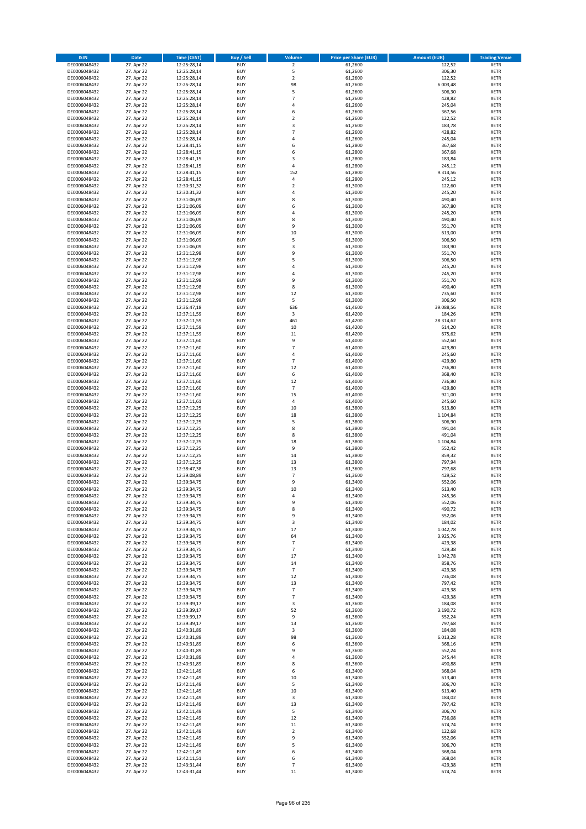| <b>ISIN</b>                  | <b>Date</b>              | <b>Time (CEST)</b>         | <b>Buy / Sell</b>        | Volume                   | <b>Price per Share (EUR)</b> | <b>Amount (EUR)</b>  | <b>Trading Venue</b>       |
|------------------------------|--------------------------|----------------------------|--------------------------|--------------------------|------------------------------|----------------------|----------------------------|
| DE0006048432                 | 27. Apr 22               | 12:25:28,14                | <b>BUY</b>               | $\overline{2}$           | 61,2600                      | 122,52               | <b>XETR</b>                |
| DE0006048432                 | 27. Apr 22               | 12:25:28,14                | <b>BUY</b>               | 5                        | 61,2600                      | 306,30               | <b>XETR</b>                |
| DE0006048432                 | 27. Apr 22               | 12:25:28,14                | <b>BUY</b>               | $\overline{2}$           | 61,2600                      | 122,52               | <b>XETR</b>                |
| DE0006048432<br>DE0006048432 | 27. Apr 22<br>27. Apr 22 | 12:25:28,14<br>12:25:28,14 | <b>BUY</b><br><b>BUY</b> | 98<br>5                  | 61,2600<br>61,2600           | 6.003,48<br>306,30   | <b>XETR</b><br><b>XETR</b> |
| DE0006048432                 | 27. Apr 22               | 12:25:28,14                | <b>BUY</b>               | $\overline{7}$           | 61,2600                      | 428,82               | <b>XETR</b>                |
| DE0006048432                 | 27. Apr 22               | 12:25:28,14                | <b>BUY</b>               | 4                        | 61,2600                      | 245,04               | <b>XETR</b>                |
| DE0006048432                 | 27. Apr 22               | 12:25:28,14                | <b>BUY</b>               | 6                        | 61,2600                      | 367,56               | <b>XETR</b>                |
| DE0006048432                 | 27. Apr 22               | 12:25:28,14                | <b>BUY</b>               | $\overline{2}$           | 61,2600                      | 122,52               | <b>XETR</b>                |
| DE0006048432                 | 27. Apr 22               | 12:25:28,14                | <b>BUY</b>               | 3                        | 61,2600                      | 183,78               | <b>XETR</b>                |
| DE0006048432                 | 27. Apr 22               | 12:25:28,14                | <b>BUY</b>               | $\overline{7}$           | 61,2600                      | 428,82               | <b>XETR</b>                |
| DE0006048432<br>DE0006048432 | 27. Apr 22<br>27. Apr 22 | 12:25:28,14<br>12:28:41,15 | <b>BUY</b><br><b>BUY</b> | 4<br>6                   | 61,2600<br>61,2800           | 245,04<br>367,68     | <b>XETR</b><br><b>XETR</b> |
| DE0006048432                 | 27. Apr 22               | 12:28:41,15                | <b>BUY</b>               | 6                        | 61,2800                      | 367,68               | <b>XETR</b>                |
| DE0006048432                 | 27. Apr 22               | 12:28:41,15                | <b>BUY</b>               | 3                        | 61,2800                      | 183,84               | <b>XETR</b>                |
| DE0006048432                 | 27. Apr 22               | 12:28:41,15                | <b>BUY</b>               | 4                        | 61,2800                      | 245,12               | <b>XETR</b>                |
| DE0006048432                 | 27. Apr 22               | 12:28:41,15                | <b>BUY</b>               | 152                      | 61,2800                      | 9.314,56             | <b>XETR</b>                |
| DE0006048432                 | 27. Apr 22               | 12:28:41,15                | <b>BUY</b>               | 4                        | 61,2800                      | 245,12               | <b>XETR</b>                |
| DE0006048432                 | 27. Apr 22               | 12:30:31,32                | <b>BUY</b>               | $\overline{\mathbf{c}}$  | 61,3000                      | 122,60               | <b>XETR</b>                |
| DE0006048432                 | 27. Apr 22               | 12:30:31,32                | <b>BUY</b>               | 4                        | 61,3000                      | 245,20               | <b>XETR</b>                |
| DE0006048432<br>DE0006048432 | 27. Apr 22<br>27. Apr 22 | 12:31:06,09<br>12:31:06,09 | <b>BUY</b><br><b>BUY</b> | 8<br>6                   | 61,3000<br>61,3000           | 490,40<br>367,80     | <b>XETR</b><br><b>XETR</b> |
| DE0006048432                 | 27. Apr 22               | 12:31:06,09                | <b>BUY</b>               | 4                        | 61,3000                      | 245,20               | <b>XETR</b>                |
| DE0006048432                 | 27. Apr 22               | 12:31:06,09                | <b>BUY</b>               | 8                        | 61,3000                      | 490,40               | <b>XETR</b>                |
| DE0006048432                 | 27. Apr 22               | 12:31:06,09                | <b>BUY</b>               | 9                        | 61,3000                      | 551,70               | <b>XETR</b>                |
| DE0006048432                 | 27. Apr 22               | 12:31:06,09                | <b>BUY</b>               | 10                       | 61,3000                      | 613,00               | <b>XETR</b>                |
| DE0006048432                 | 27. Apr 22               | 12:31:06,09                | <b>BUY</b>               | 5                        | 61,3000                      | 306,50               | <b>XETR</b>                |
| DE0006048432                 | 27. Apr 22               | 12:31:06,09                | <b>BUY</b>               | 3                        | 61,3000                      | 183,90               | <b>XETR</b>                |
| DE0006048432<br>DE0006048432 | 27. Apr 22<br>27. Apr 22 | 12:31:12,98<br>12:31:12,98 | <b>BUY</b><br><b>BUY</b> | 9<br>5                   | 61,3000<br>61,3000           | 551,70<br>306,50     | <b>XETR</b><br><b>XETR</b> |
| DE0006048432                 | 27. Apr 22               | 12:31:12,98                | <b>BUY</b>               | 4                        | 61,3000                      | 245,20               | <b>XETR</b>                |
| DE0006048432                 | 27. Apr 22               | 12:31:12,98                | <b>BUY</b>               | 4                        | 61,3000                      | 245,20               | <b>XETR</b>                |
| DE0006048432                 | 27. Apr 22               | 12:31:12,98                | <b>BUY</b>               | 9                        | 61,3000                      | 551,70               | <b>XETR</b>                |
| DE0006048432                 | 27. Apr 22               | 12:31:12,98                | <b>BUY</b>               | 8                        | 61,3000                      | 490,40               | <b>XETR</b>                |
| DE0006048432                 | 27. Apr 22               | 12:31:12,98                | <b>BUY</b>               | 12                       | 61,3000                      | 735,60               | <b>XETR</b>                |
| DE0006048432                 | 27. Apr 22               | 12:31:12,98                | <b>BUY</b>               | 5                        | 61,3000                      | 306,50               | <b>XETR</b>                |
| DE0006048432<br>DE0006048432 | 27. Apr 22<br>27. Apr 22 | 12:36:47,18<br>12:37:11,59 | <b>BUY</b><br><b>BUY</b> | 636<br>$\mathsf 3$       | 61,4600<br>61,4200           | 39.088,56<br>184,26  | <b>XETR</b><br><b>XETR</b> |
| DE0006048432                 | 27. Apr 22               | 12:37:11,59                | <b>BUY</b>               | 461                      | 61,4200                      | 28.314,62            | <b>XETR</b>                |
| DE0006048432                 | 27. Apr 22               | 12:37:11,59                | <b>BUY</b>               | 10                       | 61,4200                      | 614,20               | <b>XETR</b>                |
| DE0006048432                 | 27. Apr 22               | 12:37:11,59                | <b>BUY</b>               | 11                       | 61,4200                      | 675,62               | <b>XETR</b>                |
| DE0006048432                 | 27. Apr 22               | 12:37:11,60                | <b>BUY</b>               | 9                        | 61,4000                      | 552,60               | <b>XETR</b>                |
| DE0006048432                 | 27. Apr 22               | 12:37:11,60                | <b>BUY</b>               | $\overline{7}$           | 61,4000                      | 429,80               | <b>XETR</b>                |
| DE0006048432                 | 27. Apr 22               | 12:37:11,60                | <b>BUY</b>               | 4                        | 61,4000                      | 245,60               | <b>XETR</b>                |
| DE0006048432                 | 27. Apr 22               | 12:37:11,60                | <b>BUY</b>               | $\overline{7}$           | 61,4000                      | 429,80               | <b>XETR</b>                |
| DE0006048432<br>DE0006048432 | 27. Apr 22<br>27. Apr 22 | 12:37:11,60<br>12:37:11,60 | <b>BUY</b><br><b>BUY</b> | 12<br>6                  | 61,4000<br>61,4000           | 736,80<br>368,40     | <b>XETR</b><br><b>XETR</b> |
| DE0006048432                 | 27. Apr 22               | 12:37:11,60                | <b>BUY</b>               | 12                       | 61,4000                      | 736,80               | <b>XETR</b>                |
| DE0006048432                 | 27. Apr 22               | 12:37:11,60                | <b>BUY</b>               | $\overline{7}$           | 61,4000                      | 429,80               | <b>XETR</b>                |
| DE0006048432                 | 27. Apr 22               | 12:37:11,60                | <b>BUY</b>               | 15                       | 61,4000                      | 921,00               | <b>XETR</b>                |
| DE0006048432                 | 27. Apr 22               | 12:37:11,61                | <b>BUY</b>               | 4                        | 61,4000                      | 245,60               | <b>XETR</b>                |
| DE0006048432                 | 27. Apr 22               | 12:37:12,25                | <b>BUY</b>               | 10                       | 61,3800                      | 613,80               | <b>XETR</b>                |
| DE0006048432                 | 27. Apr 22               | 12:37:12,25                | <b>BUY</b>               | 18                       | 61,3800                      | 1.104,84             | <b>XETR</b>                |
| DE0006048432<br>DE0006048432 | 27. Apr 22<br>27. Apr 22 | 12:37:12,25<br>12:37:12,25 | <b>BUY</b><br><b>BUY</b> | 5<br>8                   | 61,3800<br>61,3800           | 306,90<br>491,04     | <b>XETR</b><br><b>XETR</b> |
| DE0006048432                 | 27. Apr 22               | 12:37:12,25                | <b>BUY</b>               | 8                        | 61,3800                      | 491,04               | <b>XETR</b>                |
| DE0006048432                 | 27. Apr 22               | 12:37:12,25                | <b>BUY</b>               | 18                       | 61,3800                      | 1.104,84             | <b>XETR</b>                |
| DE0006048432                 | 27. Apr 22               | 12:37:12,25                | <b>BUY</b>               | 9                        | 61,3800                      | 552,42               | <b>XETR</b>                |
| DE0006048432                 | 27. Apr 22               | 12:37:12,25                | <b>BUY</b>               | 14                       | 61,3800                      | 859,32               | <b>XETR</b>                |
| DE0006048432                 | 27. Apr 22               | 12:37:12,25                | <b>BUY</b>               | 13                       | 61,3800                      | 797,94               | <b>XETR</b>                |
| DE0006048432                 | 27. Apr 22               | 12:38:47,38                | <b>BUY</b>               | 13                       | 61,3600                      | 797,68               | <b>XETR</b>                |
| DE0006048432<br>DE0006048432 | 27. Apr 22<br>27. Apr 22 | 12:39:08,89<br>12:39:34,75 | <b>BUY</b><br><b>BUY</b> | $\overline{7}$<br>9      | 61,3600<br>61,3400           | 429,52<br>552,06     | <b>XETR</b><br><b>XETR</b> |
| DE0006048432                 | 27. Apr 22               | 12:39:34,75                | <b>BUY</b>               | 10                       | 61,3400                      | 613,40               | <b>XETR</b>                |
| DE0006048432                 | 27. Apr 22               | 12:39:34,75                | BUY                      | 4                        | 61,3400                      | 245,36               | <b>XETR</b>                |
| DE0006048432                 | 27. Apr 22               | 12:39:34,75                | <b>BUY</b>               | 9                        | 61,3400                      | 552,06               | <b>XETR</b>                |
| DE0006048432                 | 27. Apr 22               | 12:39:34,75                | <b>BUY</b>               | 8                        | 61,3400                      | 490,72               | <b>XETR</b>                |
| DE0006048432                 | 27. Apr 22               | 12:39:34,75                | <b>BUY</b>               | 9                        | 61,3400                      | 552,06               | XETR                       |
| DE0006048432<br>DE0006048432 | 27. Apr 22<br>27. Apr 22 | 12:39:34,75                | <b>BUY</b>               | 3                        | 61,3400                      | 184,02               | <b>XETR</b>                |
| DE0006048432                 | 27. Apr 22               | 12:39:34,75<br>12:39:34,75 | <b>BUY</b><br><b>BUY</b> | 17<br>64                 | 61,3400<br>61,3400           | 1.042,78<br>3.925,76 | <b>XETR</b><br><b>XETR</b> |
| DE0006048432                 | 27. Apr 22               | 12:39:34,75                | <b>BUY</b>               | $\overline{7}$           | 61,3400                      | 429,38               | <b>XETR</b>                |
| DE0006048432                 | 27. Apr 22               | 12:39:34,75                | <b>BUY</b>               | $\overline{7}$           | 61,3400                      | 429,38               | <b>XETR</b>                |
| DE0006048432                 | 27. Apr 22               | 12:39:34,75                | <b>BUY</b>               | 17                       | 61,3400                      | 1.042,78             | <b>XETR</b>                |
| DE0006048432                 | 27. Apr 22               | 12:39:34,75                | <b>BUY</b>               | 14                       | 61,3400                      | 858,76               | <b>XETR</b>                |
| DE0006048432                 | 27. Apr 22               | 12:39:34,75                | <b>BUY</b>               | $\overline{7}$           | 61,3400                      | 429,38               | <b>XETR</b>                |
| DE0006048432<br>DE0006048432 | 27. Apr 22<br>27. Apr 22 | 12:39:34,75<br>12:39:34,75 | <b>BUY</b><br><b>BUY</b> | 12<br>13                 | 61,3400<br>61,3400           | 736,08<br>797,42     | <b>XETR</b><br><b>XETR</b> |
| DE0006048432                 | 27. Apr 22               | 12:39:34,75                | <b>BUY</b>               | $\overline{\phantom{a}}$ | 61,3400                      | 429,38               | <b>XETR</b>                |
| DE0006048432                 | 27. Apr 22               | 12:39:34,75                | <b>BUY</b>               | $\overline{7}$           | 61,3400                      | 429,38               | <b>XETR</b>                |
| DE0006048432                 | 27. Apr 22               | 12:39:39,17                | <b>BUY</b>               | 3                        | 61,3600                      | 184,08               | <b>XETR</b>                |
| DE0006048432                 | 27. Apr 22               | 12:39:39,17                | <b>BUY</b>               | 52                       | 61,3600                      | 3.190,72             | <b>XETR</b>                |
| DE0006048432                 | 27. Apr 22               | 12:39:39,17                | <b>BUY</b>               | 9                        | 61,3600                      | 552,24               | XETR                       |
| DE0006048432                 | 27. Apr 22               | 12:39:39,17                | <b>BUY</b>               | 13                       | 61,3600                      | 797,68               | <b>XETR</b>                |
| DE0006048432<br>DE0006048432 | 27. Apr 22<br>27. Apr 22 | 12:40:31,89<br>12:40:31,89 | <b>BUY</b><br><b>BUY</b> | 3<br>98                  | 61,3600<br>61,3600           | 184,08<br>6.013,28   | <b>XETR</b><br><b>XETR</b> |
| DE0006048432                 | 27. Apr 22               | 12:40:31,89                | <b>BUY</b>               | 6                        | 61,3600                      | 368,16               | <b>XETR</b>                |
| DE0006048432                 | 27. Apr 22               | 12:40:31,89                | <b>BUY</b>               | 9                        | 61,3600                      | 552,24               | <b>XETR</b>                |
| DE0006048432                 | 27. Apr 22               | 12:40:31,89                | <b>BUY</b>               | 4                        | 61,3600                      | 245,44               | <b>XETR</b>                |
| DE0006048432                 | 27. Apr 22               | 12:40:31,89                | <b>BUY</b>               | 8                        | 61,3600                      | 490,88               | <b>XETR</b>                |
| DE0006048432                 | 27. Apr 22               | 12:42:11,49                | <b>BUY</b>               | 6                        | 61,3400                      | 368,04               | <b>XETR</b>                |
| DE0006048432                 | 27. Apr 22               | 12:42:11,49                | <b>BUY</b>               | 10                       | 61,3400                      | 613,40               | <b>XETR</b>                |
| DE0006048432<br>DE0006048432 | 27. Apr 22<br>27. Apr 22 | 12:42:11,49<br>12:42:11,49 | <b>BUY</b><br><b>BUY</b> | 5<br>10                  | 61,3400<br>61,3400           | 306,70<br>613,40     | <b>XETR</b><br>XETR        |
| DE0006048432                 | 27. Apr 22               | 12:42:11,49                | <b>BUY</b>               | 3                        | 61,3400                      | 184,02               | <b>XETR</b>                |
| DE0006048432                 | 27. Apr 22               | 12:42:11,49                | <b>BUY</b>               | 13                       | 61,3400                      | 797,42               | <b>XETR</b>                |
| DE0006048432                 | 27. Apr 22               | 12:42:11,49                | <b>BUY</b>               | 5                        | 61,3400                      | 306,70               | <b>XETR</b>                |
| DE0006048432                 | 27. Apr 22               | 12:42:11,49                | <b>BUY</b>               | 12                       | 61,3400                      | 736,08               | <b>XETR</b>                |
| DE0006048432                 | 27. Apr 22               | 12:42:11,49                | <b>BUY</b>               | 11                       | 61,3400                      | 674,74               | <b>XETR</b>                |
| DE0006048432<br>DE0006048432 | 27. Apr 22<br>27. Apr 22 | 12:42:11,49<br>12:42:11,49 | <b>BUY</b><br><b>BUY</b> | $\mathbf 2$<br>9         | 61,3400<br>61,3400           | 122,68<br>552,06     | <b>XETR</b><br><b>XETR</b> |
| DE0006048432                 | 27. Apr 22               | 12:42:11,49                | <b>BUY</b>               | 5                        | 61,3400                      | 306,70               | XETR                       |
| DE0006048432                 | 27. Apr 22               | 12:42:11,49                | <b>BUY</b>               | 6                        | 61,3400                      | 368,04               | <b>XETR</b>                |
| DE0006048432                 | 27. Apr 22               | 12:42:11,51                | <b>BUY</b>               | 6                        | 61,3400                      | 368,04               | XETR                       |
| DE0006048432                 | 27. Apr 22               | 12:43:31,44                | <b>BUY</b>               | $\overline{7}$           | 61,3400                      | 429,38               | <b>XETR</b>                |
| DE0006048432                 | 27. Apr 22               | 12:43:31,44                | <b>BUY</b>               | 11                       | 61,3400                      | 674,74               | <b>XETR</b>                |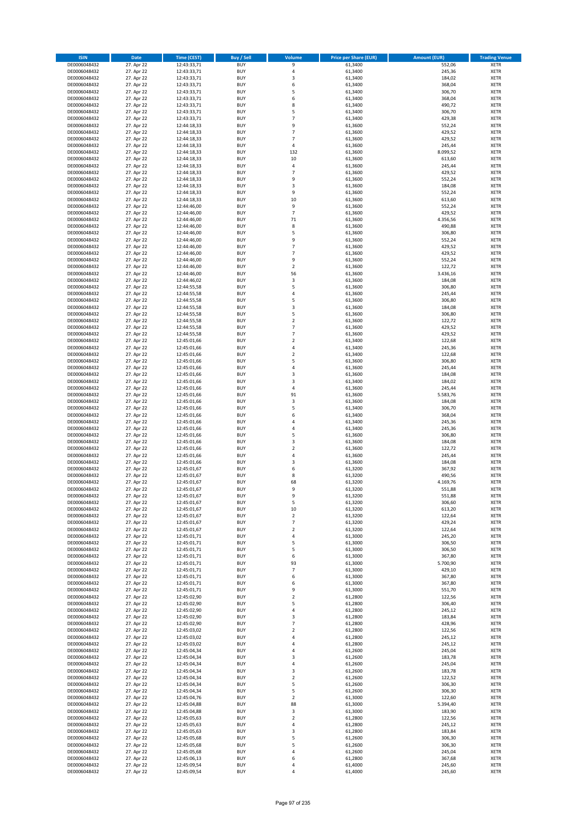| <b>ISIN</b>                  | <b>Date</b>              | <b>Time (CEST)</b>         | <b>Buy / Sell</b>        | Volume                           | <b>Price per Share (EUR)</b> | <b>Amount (EUR)</b> | <b>Trading Venue</b>       |
|------------------------------|--------------------------|----------------------------|--------------------------|----------------------------------|------------------------------|---------------------|----------------------------|
| DE0006048432                 | 27. Apr 22               | 12:43:33,71                | <b>BUY</b>               | 9                                | 61,3400                      | 552,06              | <b>XETR</b>                |
| DE0006048432                 | 27. Apr 22               | 12:43:33,71                | <b>BUY</b>               | 4                                | 61,3400                      | 245,36              | <b>XETR</b>                |
| DE0006048432                 | 27. Apr 22               | 12:43:33,71                | <b>BUY</b>               | $\overline{\mathbf{3}}$          | 61,3400                      | 184,02              | <b>XETR</b>                |
| DE0006048432                 | 27. Apr 22               | 12:43:33,71                | <b>BUY</b>               | 6                                | 61,3400                      | 368,04              | <b>XETR</b>                |
| DE0006048432<br>DE0006048432 | 27. Apr 22<br>27. Apr 22 | 12:43:33,71<br>12:43:33,71 | <b>BUY</b><br><b>BUY</b> | 5<br>6                           | 61,3400<br>61,3400           | 306,70<br>368,04    | <b>XETR</b><br><b>XETR</b> |
| DE0006048432                 | 27. Apr 22               | 12:43:33,71                | <b>BUY</b>               | 8                                | 61,3400                      | 490,72              | <b>XETR</b>                |
| DE0006048432                 | 27. Apr 22               | 12:43:33,71                | <b>BUY</b>               | 5                                | 61,3400                      | 306,70              | <b>XETR</b>                |
| DE0006048432                 | 27. Apr 22               | 12:43:33,71                | BUY                      | $\overline{7}$                   | 61,3400                      | 429,38              | <b>XETR</b>                |
| DE0006048432                 | 27. Apr 22               | 12:44:18,33                | <b>BUY</b>               | 9                                | 61,3600                      | 552,24              | <b>XETR</b>                |
| DE0006048432                 | 27. Apr 22               | 12:44:18,33                | <b>BUY</b>               | $\overline{7}$                   | 61,3600                      | 429,52              | <b>XETR</b>                |
| DE0006048432                 | 27. Apr 22               | 12:44:18,33                | <b>BUY</b>               | $\overline{7}$<br>$\overline{a}$ | 61,3600                      | 429,52              | <b>XETR</b>                |
| DE0006048432<br>DE0006048432 | 27. Apr 22<br>27. Apr 22 | 12:44:18,33<br>12:44:18,33 | <b>BUY</b><br><b>BUY</b> | 132                              | 61,3600<br>61,3600           | 245,44<br>8.099,52  | <b>XETR</b><br><b>XETR</b> |
| DE0006048432                 | 27. Apr 22               | 12:44:18,33                | <b>BUY</b>               | 10                               | 61,3600                      | 613,60              | <b>XETR</b>                |
| DE0006048432                 | 27. Apr 22               | 12:44:18,33                | BUY                      | $\overline{4}$                   | 61,3600                      | 245,44              | <b>XETR</b>                |
| DE0006048432                 | 27. Apr 22               | 12:44:18,33                | <b>BUY</b>               | $\overline{7}$                   | 61,3600                      | 429,52              | <b>XETR</b>                |
| DE0006048432                 | 27. Apr 22               | 12:44:18,33                | <b>BUY</b>               | 9                                | 61,3600                      | 552,24              | <b>XETR</b>                |
| DE0006048432                 | 27. Apr 22               | 12:44:18,33                | <b>BUY</b>               | 3                                | 61,3600                      | 184,08              | <b>XETR</b>                |
| DE0006048432<br>DE0006048432 | 27. Apr 22<br>27. Apr 22 | 12:44:18,33<br>12:44:18,33 | <b>BUY</b><br><b>BUY</b> | 9<br>10                          | 61,3600<br>61,3600           | 552,24<br>613,60    | <b>XETR</b><br><b>XETR</b> |
| DE0006048432                 | 27. Apr 22               | 12:44:46,00                | <b>BUY</b>               | 9                                | 61,3600                      | 552,24              | <b>XETR</b>                |
| DE0006048432                 | 27. Apr 22               | 12:44:46,00                | <b>BUY</b>               | $\overline{7}$                   | 61,3600                      | 429,52              | <b>XETR</b>                |
| DE0006048432                 | 27. Apr 22               | 12:44:46,00                | <b>BUY</b>               | $71\,$                           | 61,3600                      | 4.356,56            | <b>XETR</b>                |
| DE0006048432                 | 27. Apr 22               | 12:44:46,00                | <b>BUY</b>               | 8                                | 61,3600                      | 490,88              | <b>XETR</b>                |
| DE0006048432                 | 27. Apr 22               | 12:44:46,00                | <b>BUY</b>               | 5                                | 61,3600                      | 306,80              | <b>XETR</b>                |
| DE0006048432                 | 27. Apr 22               | 12:44:46,00                | <b>BUY</b><br><b>BUY</b> | 9<br>7                           | 61,3600                      | 552,24              | <b>XETR</b><br><b>XETR</b> |
| DE0006048432<br>DE0006048432 | 27. Apr 22<br>27. Apr 22 | 12:44:46,00<br>12:44:46,00 | <b>BUY</b>               | $\overline{7}$                   | 61,3600<br>61,3600           | 429,52<br>429,52    | <b>XETR</b>                |
| DE0006048432                 | 27. Apr 22               | 12:44:46,00                | <b>BUY</b>               | 9                                | 61,3600                      | 552,24              | <b>XETR</b>                |
| DE0006048432                 | 27. Apr 22               | 12:44:46,00                | <b>BUY</b>               | $\mathbf 2$                      | 61,3600                      | 122,72              | <b>XETR</b>                |
| DE0006048432                 | 27. Apr 22               | 12:44:46,00                | <b>BUY</b>               | 56                               | 61,3600                      | 3.436,16            | <b>XETR</b>                |
| DE0006048432                 | 27. Apr 22               | 12:44:46,02                | <b>BUY</b>               | 3                                | 61,3600                      | 184,08              | <b>XETR</b>                |
| DE0006048432                 | 27. Apr 22               | 12:44:55,58                | <b>BUY</b>               | 5                                | 61,3600                      | 306,80              | <b>XETR</b>                |
| DE0006048432<br>DE0006048432 | 27. Apr 22<br>27. Apr 22 | 12:44:55,58<br>12:44:55,58 | <b>BUY</b><br><b>BUY</b> | $\overline{4}$<br>5              | 61,3600<br>61,3600           | 245,44<br>306,80    | <b>XETR</b><br><b>XETR</b> |
| DE0006048432                 | 27. Apr 22               | 12:44:55,58                | <b>BUY</b>               | $\overline{\mathbf{3}}$          | 61,3600                      | 184,08              | <b>XETR</b>                |
| DE0006048432                 | 27. Apr 22               | 12:44:55,58                | <b>BUY</b>               | 5                                | 61,3600                      | 306,80              | <b>XETR</b>                |
| DE0006048432                 | 27. Apr 22               | 12:44:55,58                | <b>BUY</b>               | $\mathbf 2$                      | 61,3600                      | 122,72              | <b>XETR</b>                |
| DE0006048432                 | 27. Apr 22               | 12:44:55,58                | <b>BUY</b>               | $\overline{7}$                   | 61,3600                      | 429,52              | <b>XETR</b>                |
| DE0006048432                 | 27. Apr 22               | 12:44:55,58                | <b>BUY</b>               | $\overline{7}$                   | 61,3600                      | 429,52              | <b>XETR</b>                |
| DE0006048432                 | 27. Apr 22<br>27. Apr 22 | 12:45:01,66                | <b>BUY</b><br><b>BUY</b> | $\overline{2}$<br>4              | 61,3400                      | 122,68<br>245,36    | <b>XETR</b>                |
| DE0006048432<br>DE0006048432 | 27. Apr 22               | 12:45:01,66<br>12:45:01,66 | <b>BUY</b>               | $\overline{2}$                   | 61,3400<br>61,3400           | 122,68              | <b>XETR</b><br><b>XETR</b> |
| DE0006048432                 | 27. Apr 22               | 12:45:01,66                | <b>BUY</b>               | 5                                | 61,3600                      | 306,80              | <b>XETR</b>                |
| DE0006048432                 | 27. Apr 22               | 12:45:01,66                | <b>BUY</b>               | $\overline{4}$                   | 61,3600                      | 245,44              | <b>XETR</b>                |
| DE0006048432                 | 27. Apr 22               | 12:45:01,66                | <b>BUY</b>               | $\overline{\mathbf{3}}$          | 61,3600                      | 184,08              | <b>XETR</b>                |
| DE0006048432                 | 27. Apr 22               | 12:45:01,66                | <b>BUY</b>               | $\overline{3}$                   | 61,3400                      | 184,02              | <b>XETR</b>                |
| DE0006048432<br>DE0006048432 | 27. Apr 22               | 12:45:01,66                | <b>BUY</b><br><b>BUY</b> | $\overline{4}$<br>91             | 61,3600<br>61,3600           | 245,44<br>5.583,76  | <b>XETR</b><br><b>XETR</b> |
| DE0006048432                 | 27. Apr 22<br>27. Apr 22 | 12:45:01,66<br>12:45:01,66 | <b>BUY</b>               | 3                                | 61,3600                      | 184,08              | <b>XETR</b>                |
| DE0006048432                 | 27. Apr 22               | 12:45:01,66                | <b>BUY</b>               | 5                                | 61,3400                      | 306,70              | <b>XETR</b>                |
| DE0006048432                 | 27. Apr 22               | 12:45:01,66                | <b>BUY</b>               | 6                                | 61,3400                      | 368,04              | <b>XETR</b>                |
| DE0006048432                 | 27. Apr 22               | 12:45:01,66                | <b>BUY</b>               | 4                                | 61,3400                      | 245,36              | <b>XETR</b>                |
| DE0006048432                 | 27. Apr 22               | 12:45:01,66                | <b>BUY</b>               | 4                                | 61,3400                      | 245,36              | <b>XETR</b>                |
| DE0006048432                 | 27. Apr 22               | 12:45:01,66                | <b>BUY</b>               | 5                                | 61,3600                      | 306,80              | <b>XETR</b>                |
| DE0006048432<br>DE0006048432 | 27. Apr 22<br>27. Apr 22 | 12:45:01,66<br>12:45:01,66 | <b>BUY</b><br><b>BUY</b> | $\overline{3}$<br>$\overline{2}$ | 61,3600<br>61,3600           | 184,08<br>122,72    | <b>XETR</b><br><b>XETR</b> |
| DE0006048432                 | 27. Apr 22               | 12:45:01,66                | BUY                      | $\overline{a}$                   | 61,3600                      | 245,44              | <b>XETR</b>                |
| DE0006048432                 | 27. Apr 22               | 12:45:01,66                | <b>BUY</b>               | $\overline{\mathbf{3}}$          | 61,3600                      | 184,08              | <b>XETR</b>                |
| DE0006048432                 | 27. Apr 22               | 12:45:01,67                | <b>BUY</b>               | 6                                | 61,3200                      | 367,92              | <b>XETR</b>                |
| DE0006048432                 | 27. Apr 22               | 12:45:01,67                | BUY                      | 8                                | 61,3200                      | 490,56              | <b>XETR</b>                |
| DE0006048432                 | 27. Apr 22               | 12:45:01,67                | BUY                      | 68                               | 61,3200                      | 4.169,76            | <b>XETR</b>                |
| DE0006048432<br>DE0006048432 | 27. Apr 22<br>27. Apr 22 | 12:45:01,67<br>12:45:01,67 | <b>BUY</b><br><b>BUY</b> | 9<br>9                           | 61,3200<br>61,3200           | 551,88              | <b>XETR</b><br><b>XETR</b> |
| DE0006048432                 | 27. Apr 22               | 12:45:01,67                | <b>BUY</b>               | 5                                | 61,3200                      | 551,88<br>306,60    | <b>XETR</b>                |
| DE0006048432                 | 27. Apr 22               | 12:45:01,67                | <b>BUY</b>               | $10\,$                           | 61,3200                      | 613,20              | <b>XETR</b>                |
| DE0006048432                 | 27. Apr 22               | 12:45:01,67                | <b>BUY</b>               | $\mathbf 2$                      | 61,3200                      | 122,64              | <b>XETR</b>                |
| DE0006048432                 | 27. Apr 22               | 12:45:01,67                | <b>BUY</b>               | 7                                | 61,3200                      | 429,24              | <b>XETR</b>                |
| DE0006048432                 | 27. Apr 22               | 12:45:01,67                | <b>BUY</b>               | $\mathbf 2$                      | 61,3200                      | 122,64              | <b>XETR</b>                |
| DE0006048432                 | 27. Apr 22               | 12:45:01,71                | <b>BUY</b>               | 4                                | 61,3000                      | 245,20              | <b>XETR</b>                |
| DE0006048432<br>DE0006048432 | 27. Apr 22<br>27. Apr 22 | 12:45:01,71<br>12:45:01,71 | <b>BUY</b><br><b>BUY</b> | 5<br>5                           | 61,3000<br>61,3000           | 306,50<br>306,50    | <b>XETR</b><br><b>XETR</b> |
| DE0006048432                 | 27. Apr 22               | 12:45:01,71                | <b>BUY</b>               | 6                                | 61,3000                      | 367,80              | <b>XETR</b>                |
| DE0006048432                 | 27. Apr 22               | 12:45:01,71                | <b>BUY</b>               | 93                               | 61,3000                      | 5.700,90            | <b>XETR</b>                |
| DE0006048432                 | 27. Apr 22               | 12:45:01,71                | <b>BUY</b>               | $\overline{7}$                   | 61,3000                      | 429,10              | <b>XETR</b>                |
| DE0006048432                 | 27. Apr 22               | 12:45:01,71                | <b>BUY</b>               | 6                                | 61,3000                      | 367,80              | <b>XETR</b>                |
| DE0006048432                 | 27. Apr 22               | 12:45:01,71                | <b>BUY</b><br><b>BUY</b> | 6<br>9                           | 61,3000<br>61,3000           | 367,80<br>551,70    | <b>XETR</b>                |
| DE0006048432<br>DE0006048432 | 27. Apr 22<br>27. Apr 22 | 12:45:01,71<br>12:45:02,90 | <b>BUY</b>               | $\mathbf 2$                      | 61,2800                      | 122,56              | <b>XETR</b><br><b>XETR</b> |
| DE0006048432                 | 27. Apr 22               | 12:45:02,90                | <b>BUY</b>               | 5                                | 61,2800                      | 306,40              | <b>XETR</b>                |
| DE0006048432                 | 27. Apr 22               | 12:45:02,90                | <b>BUY</b>               | 4                                | 61,2800                      | 245,12              | <b>XETR</b>                |
| DE0006048432                 | 27. Apr 22               | 12:45:02,90                | <b>BUY</b>               | 3                                | 61,2800                      | 183,84              | <b>XETR</b>                |
| DE0006048432                 | 27. Apr 22               | 12:45:02,90                | <b>BUY</b>               | $\overline{7}$                   | 61,2800                      | 428,96              | <b>XETR</b>                |
| DE0006048432                 | 27. Apr 22               | 12:45:03,02                | <b>BUY</b>               | $\overline{2}$                   | 61,2800                      | 122,56<br>245,12    | <b>XETR</b>                |
| DE0006048432<br>DE0006048432 | 27. Apr 22<br>27. Apr 22 | 12:45:03,02<br>12:45:03,02 | <b>BUY</b><br><b>BUY</b> | 4<br>4                           | 61,2800<br>61,2800           | 245,12              | <b>XETR</b><br><b>XETR</b> |
| DE0006048432                 | 27. Apr 22               | 12:45:04,34                | <b>BUY</b>               | 4                                | 61,2600                      | 245,04              | <b>XETR</b>                |
| DE0006048432                 | 27. Apr 22               | 12:45:04,34                | <b>BUY</b>               | $\overline{3}$                   | 61,2600                      | 183,78              | <b>XETR</b>                |
| DE0006048432                 | 27. Apr 22               | 12:45:04,34                | <b>BUY</b>               | 4                                | 61,2600                      | 245,04              | <b>XETR</b>                |
| DE0006048432                 | 27. Apr 22               | 12:45:04,34                | <b>BUY</b>               | $\overline{3}$                   | 61,2600                      | 183,78              | <b>XETR</b>                |
| DE0006048432                 | 27. Apr 22               | 12:45:04,34                | <b>BUY</b>               | $\overline{2}$                   | 61,2600                      | 122,52              | <b>XETR</b>                |
| DE0006048432<br>DE0006048432 | 27. Apr 22<br>27. Apr 22 | 12:45:04,34<br>12:45:04,34 | <b>BUY</b><br><b>BUY</b> | 5<br>5                           | 61,2600<br>61,2600           | 306,30<br>306,30    | <b>XETR</b><br><b>XETR</b> |
| DE0006048432                 | 27. Apr 22               | 12:45:04,76                | <b>BUY</b>               | $\mathbf 2$                      | 61,3000                      | 122,60              | <b>XETR</b>                |
| DE0006048432                 | 27. Apr 22               | 12:45:04,88                | <b>BUY</b>               | 88                               | 61,3000                      | 5.394,40            | <b>XETR</b>                |
| DE0006048432                 | 27. Apr 22               | 12:45:04,88                | <b>BUY</b>               | 3                                | 61,3000                      | 183,90              | <b>XETR</b>                |
| DE0006048432                 | 27. Apr 22               | 12:45:05,63                | <b>BUY</b>               | $\overline{2}$                   | 61,2800                      | 122,56              | <b>XETR</b>                |
| DE0006048432                 | 27. Apr 22               | 12:45:05,63                | <b>BUY</b>               | 4                                | 61,2800                      | 245,12              | <b>XETR</b>                |
| DE0006048432<br>DE0006048432 | 27. Apr 22<br>27. Apr 22 | 12:45:05,63                | <b>BUY</b><br><b>BUY</b> | 3<br>5                           | 61,2800<br>61,2600           | 183,84<br>306,30    | <b>XETR</b><br><b>XETR</b> |
| DE0006048432                 | 27. Apr 22               | 12:45:05,68<br>12:45:05,68 | <b>BUY</b>               | 5                                | 61,2600                      | 306,30              | <b>XETR</b>                |
| DE0006048432                 | 27. Apr 22               | 12:45:05,68                | <b>BUY</b>               | 4                                | 61,2600                      | 245,04              | <b>XETR</b>                |
| DE0006048432                 | 27. Apr 22               | 12:45:06,13                | <b>BUY</b>               | 6                                | 61,2800                      | 367,68              | <b>XETR</b>                |
| DE0006048432                 | 27. Apr 22               | 12:45:09,54                | <b>BUY</b>               | 4                                | 61,4000                      | 245,60              | <b>XETR</b>                |
| DE0006048432                 | 27. Apr 22               | 12:45:09,54                | <b>BUY</b>               | 4                                | 61,4000                      | 245,60              | <b>XETR</b>                |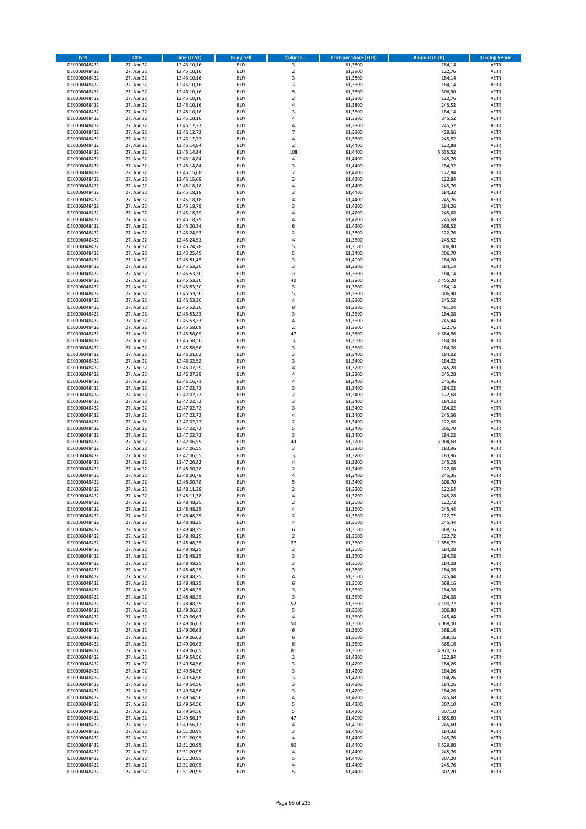| <b>ISIN</b>                  | <b>Date</b>              | <b>Time (CEST)</b>         | <b>Buy / Sell</b>        | Volume                                    | <b>Price per Share (EUR)</b> | <b>Amount (EUR)</b> | <b>Trading Venue</b>       |
|------------------------------|--------------------------|----------------------------|--------------------------|-------------------------------------------|------------------------------|---------------------|----------------------------|
| DE0006048432                 | 27. Apr 22               | 12:45:10,16                | <b>BUY</b>               | 3                                         | 61,3800                      | 184,14              | <b>XETR</b>                |
| DE0006048432                 | 27. Apr 22               | 12:45:10,16                | <b>BUY</b>               | $\mathbf 2$                               | 61,3800                      | 122,76              | <b>XETR</b>                |
| DE0006048432                 | 27. Apr 22               | 12:45:10,16                | <b>BUY</b>               | 3                                         | 61,3800                      | 184,14              | <b>XETR</b>                |
| DE0006048432                 | 27. Apr 22               | 12:45:10,16                | <b>BUY</b>               | 3                                         | 61,3800                      | 184,14              | <b>XETR</b>                |
| DE0006048432<br>DE0006048432 | 27. Apr 22<br>27. Apr 22 | 12:45:10,16<br>12:45:10,16 | <b>BUY</b><br><b>BUY</b> | 5<br>$\mathbf 2$                          | 61,3800<br>61,3800           | 306,90<br>122,76    | <b>XETR</b><br><b>XETR</b> |
| DE0006048432                 | 27. Apr 22               | 12:45:10,16                | <b>BUY</b>               | $\overline{a}$                            | 61,3800                      | 245,52              | <b>XETR</b>                |
| DE0006048432                 | 27. Apr 22               | 12:45:10,16                | <b>BUY</b>               | $\overline{3}$                            | 61,3800                      | 184,14              | <b>XETR</b>                |
| DE0006048432                 | 27. Apr 22               | 12:45:10,16                | BUY                      | $\overline{a}$                            | 61,3800                      | 245,52              | <b>XETR</b>                |
| DE0006048432                 | 27. Apr 22               | 12:45:12,72                | <b>BUY</b>               | 4                                         | 61,3800                      | 245,52              | <b>XETR</b>                |
| DE0006048432                 | 27. Apr 22               | 12:45:12,72                | <b>BUY</b>               | $\overline{7}$                            | 61,3800                      | 429,66              | <b>XETR</b>                |
| DE0006048432                 | 27. Apr 22               | 12:45:12,72                | <b>BUY</b>               | $\overline{4}$<br>$\overline{2}$          | 61,3800                      | 245,52              | <b>XETR</b>                |
| DE0006048432<br>DE0006048432 | 27. Apr 22<br>27. Apr 22 | 12:45:14,84<br>12:45:14,84 | <b>BUY</b><br><b>BUY</b> | 108                                       | 61,4400<br>61,4400           | 122,88<br>6.635,52  | <b>XETR</b><br><b>XETR</b> |
| DE0006048432                 | 27. Apr 22               | 12:45:14,84                | <b>BUY</b>               | 4                                         | 61,4400                      | 245,76              | <b>XETR</b>                |
| DE0006048432                 | 27. Apr 22               | 12:45:14,84                | BUY                      | 3                                         | 61,4400                      | 184,32              | <b>XETR</b>                |
| DE0006048432                 | 27. Apr 22               | 12:45:15,68                | <b>BUY</b>               | $\overline{2}$                            | 61,4200                      | 122,84              | <b>XETR</b>                |
| DE0006048432                 | 27. Apr 22               | 12:45:15,68                | <b>BUY</b>               | $\overline{2}$                            | 61,4200                      | 122,84              | <b>XETR</b>                |
| DE0006048432                 | 27. Apr 22               | 12:45:18,18                | <b>BUY</b>               | 4                                         | 61.4400                      | 245,76              | <b>XETR</b>                |
| DE0006048432<br>DE0006048432 | 27. Apr 22<br>27. Apr 22 | 12:45:18,18<br>12:45:18,18 | <b>BUY</b><br><b>BUY</b> | $\overline{\mathbf{3}}$<br>$\overline{a}$ | 61,4400<br>61,4400           | 184,32<br>245,76    | <b>XETR</b><br><b>XETR</b> |
| DE0006048432                 | 27. Apr 22               | 12:45:18,79                | <b>BUY</b>               | $\overline{\mathbf{3}}$                   | 61,4200                      | 184,26              | <b>XETR</b>                |
| DE0006048432                 | 27. Apr 22               | 12:45:18,79                | <b>BUY</b>               | $\overline{a}$                            | 61,4200                      | 245,68              | <b>XETR</b>                |
| DE0006048432                 | 27. Apr 22               | 12:45:18,79                | <b>BUY</b>               | 4                                         | 61,4200                      | 245,68              | <b>XETR</b>                |
| DE0006048432                 | 27. Apr 22               | 12:45:20,34                | <b>BUY</b>               | 6                                         | 61,4200                      | 368,52              | <b>XETR</b>                |
| DE0006048432                 | 27. Apr 22               | 12:45:24,53                | <b>BUY</b>               | $\overline{2}$                            | 61,3800                      | 122,76              | <b>XETR</b>                |
| DE0006048432                 | 27. Apr 22               | 12:45:24,53                | <b>BUY</b>               | 4<br>5                                    | 61,3800                      | 245,52              | <b>XETR</b>                |
| DE0006048432<br>DE0006048432 | 27. Apr 22<br>27. Apr 22 | 12:45:24,78<br>12:45:25,45 | <b>BUY</b><br><b>BUY</b> | 5                                         | 61,3600<br>61,3400           | 306,80<br>306,70    | <b>XETR</b><br><b>XETR</b> |
| DE0006048432                 | 27. Apr 22               | 12:45:51,45                | <b>BUY</b>               | $\overline{\mathbf{3}}$                   | 61,4000                      | 184,20              | <b>XETR</b>                |
| DE0006048432                 | 27. Apr 22               | 12:45:53,30                | <b>BUY</b>               | 3                                         | 61,3800                      | 184,14              | <b>XETR</b>                |
| DE0006048432                 | 27. Apr 22               | 12:45:53,30                | <b>BUY</b>               | 3                                         | 61,3800                      | 184,14              | <b>XETR</b>                |
| DE0006048432                 | 27. Apr 22               | 12:45:53,30                | <b>BUY</b>               | 40                                        | 61,3800                      | 2.455,20            | <b>XETR</b>                |
| DE0006048432                 | 27. Apr 22               | 12:45:53,30                | <b>BUY</b>               | 3                                         | 61,3800                      | 184,14              | <b>XETR</b>                |
| DE0006048432<br>DE0006048432 | 27. Apr 22<br>27. Apr 22 | 12:45:53,30<br>12:45:53,30 | <b>BUY</b><br><b>BUY</b> | 5<br>4                                    | 61,3800<br>61,3800           | 306,90<br>245,52    | <b>XETR</b><br><b>XETR</b> |
| DE0006048432                 | 27. Apr 22               | 12:45:53,30                | <b>BUY</b>               | 8                                         | 61,3800                      | 491,04              | <b>XETR</b>                |
| DE0006048432                 | 27. Apr 22               | 12:45:53,33                | BUY                      | $\overline{\mathbf{3}}$                   | 61,3600                      | 184,08              | <b>XETR</b>                |
| DE0006048432                 | 27. Apr 22               | 12:45:53,33                | <b>BUY</b>               | 4                                         | 61,3600                      | 245,44              | <b>XETR</b>                |
| DE0006048432                 | 27. Apr 22               | 12:45:58,09                | <b>BUY</b>               | $\mathbf 2$                               | 61,3800                      | 122,76              | <b>XETR</b>                |
| DE0006048432                 | 27. Apr 22               | 12:45:58,09                | <b>BUY</b>               | 47                                        | 61,3800                      | 2.884,86            | <b>XETR</b>                |
| DE0006048432                 | 27. Apr 22               | 12:45:58,56                | <b>BUY</b><br><b>BUY</b> | 3<br>3                                    | 61,3600                      | 184,08              | <b>XETR</b>                |
| DE0006048432<br>DE0006048432 | 27. Apr 22<br>27. Apr 22 | 12:45:58,56<br>12:46:01,02 | <b>BUY</b>               | $\overline{\mathbf{3}}$                   | 61,3600<br>61,3400           | 184,08<br>184,02    | <b>XETR</b><br><b>XETR</b> |
| DE0006048432                 | 27. Apr 22               | 12:46:02,52                | <b>BUY</b>               | $\overline{\mathbf{3}}$                   | 61,3400                      | 184,02              | <b>XETR</b>                |
| DE0006048432                 | 27. Apr 22               | 12:46:07,29                | <b>BUY</b>               | 4                                         | 61,3200                      | 245,28              | <b>XETR</b>                |
| DE0006048432                 | 27. Apr 22               | 12:46:07,29                | <b>BUY</b>               | 4                                         | 61,3200                      | 245,28              | <b>XETR</b>                |
| DE0006048432                 | 27. Apr 22               | 12:46:16,71                | <b>BUY</b>               | $\overline{a}$                            | 61,3400                      | 245,36              | <b>XETR</b>                |
| DE0006048432<br>DE0006048432 | 27. Apr 22               | 12:47:02,72                | <b>BUY</b><br><b>BUY</b> | $\overline{\mathbf{3}}$<br>$\overline{2}$ | 61,3400<br>61,3400           | 184,02<br>122,68    | <b>XETR</b><br><b>XETR</b> |
| DE0006048432                 | 27. Apr 22<br>27. Apr 22 | 12:47:02,72<br>12:47:02,72 | <b>BUY</b>               | $\overline{\mathbf{3}}$                   | 61,3400                      | 184,02              | <b>XETR</b>                |
| DE0006048432                 | 27. Apr 22               | 12:47:02,72                | <b>BUY</b>               | $\overline{\mathbf{3}}$                   | 61,3400                      | 184,02              | <b>XETR</b>                |
| DE0006048432                 | 27. Apr 22               | 12:47:02,72                | <b>BUY</b>               | 4                                         | 61,3400                      | 245,36              | <b>XETR</b>                |
| DE0006048432                 | 27. Apr 22               | 12:47:02,72                | <b>BUY</b>               | $\mathbf 2$                               | 61,3400                      | 122,68              | <b>XETR</b>                |
| DE0006048432                 | 27. Apr 22               | 12:47:02,72                | <b>BUY</b>               | 5                                         | 61,3400                      | 306,70              | <b>XETR</b>                |
| DE0006048432                 | 27. Apr 22               | 12:47:02,72                | <b>BUY</b>               | $\overline{\mathbf{3}}$                   | 61,3400                      | 184,02              | <b>XETR</b>                |
| DE0006048432<br>DE0006048432 | 27. Apr 22<br>27. Apr 22 | 12:47:06,55<br>12:47:06,55 | <b>BUY</b><br><b>BUY</b> | 49<br>$\overline{\mathbf{3}}$             | 61,3200<br>61,3200           | 3.004,68<br>183,96  | <b>XETR</b><br><b>XETR</b> |
| DE0006048432                 | 27. Apr 22               | 12:47:06,55                | BUY                      | $\overline{\mathbf{3}}$                   | 61,3200                      | 183,96              | <b>XETR</b>                |
| DE0006048432                 | 27. Apr 22               | 12:47:26,82                | <b>BUY</b>               | $\overline{4}$                            | 61,3200                      | 245,28              | <b>XETR</b>                |
| DE0006048432                 | 27. Apr 22               | 12:48:00,78                | <b>BUY</b>               | $\mathbf 2$                               | 61,3400                      | 122,68              | <b>XETR</b>                |
| DE0006048432                 | 27. Apr 22               | 12:48:00,78                | BUY                      | $\overline{a}$                            | 61,3400                      | 245,36              | <b>XETR</b>                |
| DE0006048432                 | 27. Apr 22               | 12:48:00,78                | BUY                      | 5                                         | 61,3400                      | 306,70              | <b>XETR</b>                |
| DE0006048432<br>DE0006048432 | 27. Apr 22<br>27. Apr 22 | 12:48:11,38<br>12:48:11,38 | <b>BUY</b><br><b>BUY</b> | $\overline{2}$<br>4                       | 61,3200<br>61,3200           | 122,64              | <b>XETR</b><br><b>XETR</b> |
| DE0006048432                 | 27. Apr 22               | 12:48:48,25                | <b>BUY</b>               | $\overline{\mathbf{c}}$                   | 61,3600                      | 245,28<br>122,72    | <b>XETR</b>                |
| DE0006048432                 | 27. Apr 22               | 12:48:48,25                | <b>BUY</b>               | 4                                         | 61,3600                      | 245,44              | <b>XETR</b>                |
| DE0006048432                 | 27. Apr 22               | 12:48:48,25                | <b>BUY</b>               | $\mathbf 2$                               | 61,3600                      | 122,72              | <b>XETR</b>                |
| DE0006048432                 | 27. Apr 22               | 12:48:48,25                | <b>BUY</b>               | 4                                         | 61,3600                      | 245,44              | <b>XETR</b>                |
| DE0006048432                 | 27. Apr 22               | 12:48:48,25                | <b>BUY</b>               | 6                                         | 61,3600                      | 368,16              | <b>XETR</b>                |
| DE0006048432                 | 27. Apr 22               | 12:48:48,25                | <b>BUY</b>               | 2                                         | 61,3600                      | 122,72              | <b>XETR</b>                |
| DE0006048432<br>DE0006048432 | 27. Apr 22<br>27. Apr 22 | 12:48:48,25<br>12:48:48,25 | <b>BUY</b><br><b>BUY</b> | 27<br>3                                   | 61,3600<br>61,3600           | 1.656,72<br>184,08  | <b>XETR</b><br><b>XETR</b> |
| DE0006048432                 | 27. Apr 22               | 12:48:48,25                | <b>BUY</b>               | 3                                         | 61,3600                      | 184,08              | <b>XETR</b>                |
| DE0006048432                 | 27. Apr 22               | 12:48:48,25                | <b>BUY</b>               | 3                                         | 61,3600                      | 184,08              | <b>XETR</b>                |
| DE0006048432                 | 27. Apr 22               | 12:48:48,25                | <b>BUY</b>               | 3                                         | 61,3600                      | 184,08              | <b>XETR</b>                |
| DE0006048432                 | 27. Apr 22               | 12:48:48,25                | <b>BUY</b>               | 4                                         | 61,3600                      | 245,44              | <b>XETR</b>                |
| DE0006048432<br>DE0006048432 | 27. Apr 22               | 12:48:48,25<br>12:48:48,25 | <b>BUY</b><br><b>BUY</b> | 6                                         | 61,3600                      | 368,16<br>184,08    | <b>XETR</b>                |
| DE0006048432                 | 27. Apr 22<br>27. Apr 22 | 12:48:48,25                | <b>BUY</b>               | 3<br>3                                    | 61,3600<br>61,3600           | 184,08              | <b>XETR</b><br><b>XETR</b> |
| DE0006048432                 | 27. Apr 22               | 12:48:48,25                | <b>BUY</b>               | 52                                        | 61,3600                      | 3.190,72            | <b>XETR</b>                |
| DE0006048432                 | 27. Apr 22               | 12:49:06,63                | <b>BUY</b>               | 5                                         | 61,3600                      | 306,80              | <b>XETR</b>                |
| DE0006048432                 | 27. Apr 22               | 12:49:06,63                | <b>BUY</b>               | 4                                         | 61,3600                      | 245,44              | <b>XETR</b>                |
| DE0006048432                 | 27. Apr 22               | 12:49:06,63                | <b>BUY</b>               | 50                                        | 61,3600                      | 3.068,00            | <b>XETR</b>                |
| DE0006048432                 | 27. Apr 22               | 12:49:06,63                | <b>BUY</b>               | 6                                         | 61,3600                      | 368,16              | <b>XETR</b>                |
| DE0006048432                 | 27. Apr 22               | 12:49:06,63                | <b>BUY</b><br><b>BUY</b> | 6                                         | 61,3600                      | 368,16              | <b>XETR</b><br><b>XETR</b> |
| DE0006048432                 | 27. Apr 22               | 12:49:06,63                | <b>BUY</b>               | 6<br>81                                   | 61,3600                      | 368,16<br>4.970,16  |                            |
| DE0006048432<br>DE0006048432 | 27. Apr 22<br>27. Apr 22 | 12:49:06,65<br>12:49:54,56 | <b>BUY</b>               | $\mathbf 2$                               | 61,3600<br>61,4200           | 122,84              | <b>XETR</b><br><b>XETR</b> |
| DE0006048432                 | 27. Apr 22               | 12:49:54,56                | <b>BUY</b>               | 3                                         | 61,4200                      | 184,26              | <b>XETR</b>                |
| DE0006048432                 | 27. Apr 22               | 12:49:54,56                | <b>BUY</b>               | 3                                         | 61,4200                      | 184,26              | <b>XETR</b>                |
| DE0006048432                 | 27. Apr 22               | 12:49:54,56                | <b>BUY</b>               | $\overline{\mathbf{3}}$                   | 61,4200                      | 184,26              | <b>XETR</b>                |
| DE0006048432                 | 27. Apr 22               | 12:49:54,56                | <b>BUY</b>               | 3                                         | 61,4200                      | 184,26              | <b>XETR</b>                |
| DE0006048432                 | 27. Apr 22               | 12:49:54,56                | <b>BUY</b>               | 3                                         | 61,4200                      | 184,26              | <b>XETR</b>                |
| DE0006048432<br>DE0006048432 | 27. Apr 22<br>27. Apr 22 | 12:49:54,56<br>12:49:54,56 | <b>BUY</b><br><b>BUY</b> | 4<br>5                                    | 61,4200<br>61,4200           | 245,68<br>307,10    | <b>XETR</b><br><b>XETR</b> |
| DE0006048432                 | 27. Apr 22               | 12:49:54,56                | <b>BUY</b>               | 5                                         | 61,4200                      | 307,10              | <b>XETR</b>                |
| DE0006048432                 | 27. Apr 22               | 12:49:56,17                | <b>BUY</b>               | 47                                        | 61,4000                      | 2.885,80            | <b>XETR</b>                |
| DE0006048432                 | 27. Apr 22               | 12:49:56,17                | <b>BUY</b>               | 4                                         | 61,4000                      | 245,60              | <b>XETR</b>                |
| DE0006048432                 | 27. Apr 22               | 12:51:20,95                | <b>BUY</b>               | 3                                         | 61,4400                      | 184,32              | <b>XETR</b>                |
| DE0006048432                 | 27. Apr 22               | 12:51:20,95                | <b>BUY</b>               | 4                                         | 61,4400                      | 245,76              | <b>XETR</b>                |
| DE0006048432<br>DE0006048432 | 27. Apr 22               | 12:51:20,95                | <b>BUY</b><br><b>BUY</b> | 90                                        | 61,4400<br>61,4400           | 5.529,60            | <b>XETR</b>                |
| DE0006048432                 | 27. Apr 22<br>27. Apr 22 | 12:51:20,95<br>12:51:20,95 | <b>BUY</b>               | 4<br>5                                    | 61,4400                      | 245,76<br>307,20    | <b>XETR</b><br><b>XETR</b> |
| DE0006048432                 | 27. Apr 22               | 12:51:20,95                | <b>BUY</b>               | 4                                         | 61,4400                      | 245,76              | <b>XETR</b>                |
| DE0006048432                 | 27. Apr 22               | 12:51:20,95                | <b>BUY</b>               | 5                                         | 61,4400                      | 307,20              | <b>XETR</b>                |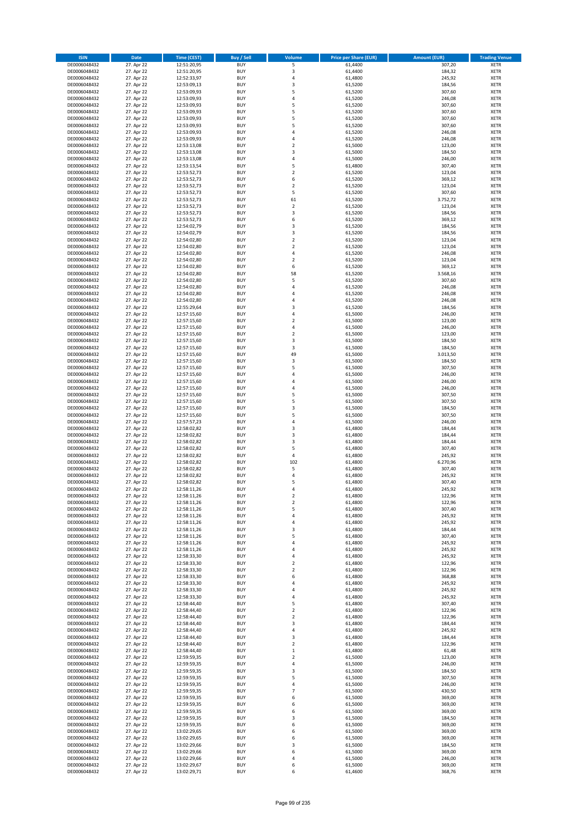| <b>ISIN</b>                  | Date                     | Time (CEST)                | <b>Buy / Sell</b>        | <b>Volume</b>                    | <b>Price per Share (EUR)</b> | <b>Amount (EUR)</b> | <b>Trading Venue</b>       |
|------------------------------|--------------------------|----------------------------|--------------------------|----------------------------------|------------------------------|---------------------|----------------------------|
| DE0006048432                 | 27. Apr 22               | 12:51:20,95                | <b>BUY</b>               | 5                                | 61,4400                      | 307,20              | <b>XETR</b>                |
| DE0006048432                 | 27. Apr 22               | 12:51:20,95                | <b>BUY</b>               | $\mathsf 3$                      | 61,4400                      | 184,32              | XETR                       |
| DE0006048432                 | 27. Apr 22               | 12:52:33,97                | <b>BUY</b>               | 4                                | 61,4800                      | 245,92              | <b>XETR</b>                |
| DE0006048432                 | 27. Apr 22               | 12:53:09,13                | <b>BUY</b>               | $\mathsf 3$                      | 61,5200                      | 184,56              | XETR                       |
| DE0006048432<br>DE0006048432 | 27. Apr 22<br>27. Apr 22 | 12:53:09,93<br>12:53:09,93 | <b>BUY</b><br><b>BUY</b> | 5<br>$\overline{4}$              | 61,5200<br>61,5200           | 307,60<br>246,08    | <b>XETR</b><br><b>XETR</b> |
| DE0006048432                 | 27. Apr 22               | 12:53:09,93                | <b>BUY</b>               | 5                                | 61,5200                      | 307,60              | <b>XETR</b>                |
| DE0006048432                 | 27. Apr 22               | 12:53:09,93                | <b>BUY</b>               | 5                                | 61,5200                      | 307,60              | <b>XETR</b>                |
| DE0006048432                 | 27. Apr 22               | 12:53:09,93                | <b>BUY</b>               | 5                                | 61,5200                      | 307,60              | <b>XETR</b>                |
| DE0006048432                 | 27. Apr 22               | 12:53:09,93                | <b>BUY</b>               | 5                                | 61,5200                      | 307,60              | <b>XETR</b>                |
| DE0006048432                 | 27. Apr 22               | 12:53:09,93                | <b>BUY</b>               | $\sqrt{4}$                       | 61,5200                      | 246,08              | <b>XETR</b>                |
| DE0006048432                 | 27. Apr 22               | 12:53:09,93                | <b>BUY</b>               | 4<br>$\overline{2}$              | 61,5200                      | 246,08              | <b>XETR</b>                |
| DE0006048432<br>DE0006048432 | 27. Apr 22<br>27. Apr 22 | 12:53:13,08<br>12:53:13,08 | <b>BUY</b><br><b>BUY</b> | 3                                | 61,5000<br>61,5000           | 123,00<br>184,50    | <b>XETR</b><br><b>XETR</b> |
| DE0006048432                 | 27. Apr 22               | 12:53:13,08                | <b>BUY</b>               | 4                                | 61,5000                      | 246,00              | <b>XETR</b>                |
| DE0006048432                 | 27. Apr 22               | 12:53:13,54                | <b>BUY</b>               | 5                                | 61,4800                      | 307,40              | <b>XETR</b>                |
| DE0006048432                 | 27. Apr 22               | 12:53:52,73                | <b>BUY</b>               | $\mathbf 2$                      | 61,5200                      | 123,04              | <b>XETR</b>                |
| DE0006048432                 | 27. Apr 22               | 12:53:52,73                | <b>BUY</b>               | 6                                | 61,5200                      | 369,12              | <b>XETR</b>                |
| DE0006048432                 | 27. Apr 22               | 12:53:52,73                | <b>BUY</b>               | $\overline{2}$                   | 61,5200                      | 123,04              | <b>XETR</b>                |
| DE0006048432<br>DE0006048432 | 27. Apr 22<br>27. Apr 22 | 12:53:52,73<br>12:53:52,73 | <b>BUY</b><br><b>BUY</b> | 5<br>61                          | 61,5200<br>61,5200           | 307,60<br>3.752,72  | <b>XETR</b><br><b>XETR</b> |
| DE0006048432                 | 27. Apr 22               | 12:53:52,73                | <b>BUY</b>               | $\mathbf 2$                      | 61,5200                      | 123,04              | <b>XETR</b>                |
| DE0006048432                 | 27. Apr 22               | 12:53:52,73                | <b>BUY</b>               | 3                                | 61,5200                      | 184,56              | <b>XETR</b>                |
| DE0006048432                 | 27. Apr 22               | 12:53:52,73                | <b>BUY</b>               | 6                                | 61,5200                      | 369,12              | <b>XETR</b>                |
| DE0006048432                 | 27. Apr 22               | 12:54:02,79                | <b>BUY</b>               | 3                                | 61,5200                      | 184,56              | <b>XETR</b>                |
| DE0006048432                 | 27. Apr 22               | 12:54:02,79                | <b>BUY</b>               | 3                                | 61,5200                      | 184,56              | <b>XETR</b>                |
| DE0006048432<br>DE0006048432 | 27. Apr 22               | 12:54:02,80                | <b>BUY</b><br><b>BUY</b> | $\mathbf 2$<br>$\overline{2}$    | 61,5200                      | 123,04              | <b>XETR</b><br><b>XETR</b> |
| DE0006048432                 | 27. Apr 22<br>27. Apr 22 | 12:54:02,80<br>12:54:02,80 | <b>BUY</b>               | $\pmb{4}$                        | 61,5200<br>61,5200           | 123,04<br>246,08    | <b>XETR</b>                |
| DE0006048432                 | 27. Apr 22               | 12:54:02,80                | <b>BUY</b>               | $\overline{2}$                   | 61,5200                      | 123,04              | <b>XETR</b>                |
| DE0006048432                 | 27. Apr 22               | 12:54:02,80                | <b>BUY</b>               | 6                                | 61,5200                      | 369,12              | <b>XETR</b>                |
| DE0006048432                 | 27. Apr 22               | 12:54:02,80                | <b>BUY</b>               | 58                               | 61,5200                      | 3.568,16            | <b>XETR</b>                |
| DE0006048432                 | 27. Apr 22               | 12:54:02,80                | <b>BUY</b>               | 5                                | 61,5200                      | 307,60              | <b>XETR</b>                |
| DE0006048432                 | 27. Apr 22               | 12:54:02,80                | <b>BUY</b>               | $\overline{4}$                   | 61,5200                      | 246,08              | <b>XETR</b>                |
| DE0006048432<br>DE0006048432 | 27. Apr 22<br>27. Apr 22 | 12:54:02,80<br>12:54:02,80 | <b>BUY</b><br><b>BUY</b> | $\overline{4}$<br>$\overline{4}$ | 61,5200<br>61,5200           | 246,08<br>246,08    | <b>XETR</b><br><b>XETR</b> |
| DE0006048432                 | 27. Apr 22               | 12:55:29,64                | <b>BUY</b>               | 3                                | 61,5200                      | 184,56              | <b>XETR</b>                |
| DE0006048432                 | 27. Apr 22               | 12:57:15,60                | <b>BUY</b>               | $\overline{4}$                   | 61,5000                      | 246,00              | <b>XETR</b>                |
| DE0006048432                 | 27. Apr 22               | 12:57:15,60                | <b>BUY</b>               | $\mathbf 2$                      | 61,5000                      | 123,00              | <b>XETR</b>                |
| DE0006048432                 | 27. Apr 22               | 12:57:15,60                | <b>BUY</b>               | $\pmb{4}$                        | 61,5000                      | 246,00              | <b>XETR</b>                |
| DE0006048432                 | 27. Apr 22               | 12:57:15,60                | <b>BUY</b>               | $\overline{2}$                   | 61,5000                      | 123,00              | <b>XETR</b>                |
| DE0006048432                 | 27. Apr 22<br>27. Apr 22 | 12:57:15,60                | <b>BUY</b><br><b>BUY</b> | 3<br>3                           | 61,5000<br>61,5000           | 184,50<br>184,50    | <b>XETR</b><br><b>XETR</b> |
| DE0006048432<br>DE0006048432 | 27. Apr 22               | 12:57:15,60<br>12:57:15,60 | <b>BUY</b>               | 49                               | 61,5000                      | 3.013,50            | <b>XETR</b>                |
| DE0006048432                 | 27. Apr 22               | 12:57:15,60                | <b>BUY</b>               | $\mathsf 3$                      | 61,5000                      | 184,50              | <b>XETR</b>                |
| DE0006048432                 | 27. Apr 22               | 12:57:15,60                | <b>BUY</b>               | 5                                | 61,5000                      | 307,50              | <b>XETR</b>                |
| DE0006048432                 | 27. Apr 22               | 12:57:15,60                | <b>BUY</b>               | 4                                | 61,5000                      | 246,00              | <b>XETR</b>                |
| DE0006048432                 | 27. Apr 22               | 12:57:15,60                | <b>BUY</b>               | $\overline{4}$                   | 61,5000                      | 246,00              | <b>XETR</b>                |
| DE0006048432<br>DE0006048432 | 27. Apr 22<br>27. Apr 22 | 12:57:15,60<br>12:57:15,60 | <b>BUY</b><br><b>BUY</b> | 4<br>5                           | 61,5000<br>61,5000           | 246,00<br>307,50    | <b>XETR</b><br><b>XETR</b> |
| DE0006048432                 | 27. Apr 22               | 12:57:15,60                | <b>BUY</b>               | 5                                | 61,5000                      | 307,50              | <b>XETR</b>                |
| DE0006048432                 | 27. Apr 22               | 12:57:15,60                | <b>BUY</b>               | 3                                | 61,5000                      | 184,50              | <b>XETR</b>                |
| DE0006048432                 | 27. Apr 22               | 12:57:15,60                | <b>BUY</b>               | 5                                | 61,5000                      | 307,50              | <b>XETR</b>                |
| DE0006048432                 | 27. Apr 22               | 12:57:57,23                | <b>BUY</b>               | $\sqrt{4}$                       | 61,5000                      | 246,00              | <b>XETR</b>                |
| DE0006048432                 | 27. Apr 22               | 12:58:02,82                | <b>BUY</b>               | 3                                | 61,4800                      | 184,44              | <b>XETR</b>                |
| DE0006048432                 | 27. Apr 22               | 12:58:02,82                | <b>BUY</b>               | 3                                | 61,4800                      | 184,44              | <b>XETR</b>                |
| DE0006048432<br>DE0006048432 | 27. Apr 22<br>27. Apr 22 | 12:58:02,82<br>12:58:02,82 | <b>BUY</b><br><b>BUY</b> | 3<br>5                           | 61,4800<br>61,4800           | 184,44<br>307,40    | <b>XETR</b><br><b>XETR</b> |
| DE0006048432                 | 27. Apr 22               | 12:58:02,82                | <b>BUY</b>               | $\pmb{4}$                        | 61,4800                      | 245,92              | <b>XETR</b>                |
| DE0006048432                 | 27. Apr 22               | 12:58:02,82                | <b>BUY</b>               | 102                              | 61,4800                      | 6.270,96            | <b>XETR</b>                |
| DE0006048432                 | 27. Apr 22               | 12:58:02,82                | <b>BUY</b>               | 5                                | 61,4800                      | 307,40              | <b>XETR</b>                |
| DE0006048432                 | 27. Apr 22               | 12:58:02,82                | <b>BUY</b>               | 4                                | 61,4800                      | 245,92              | <b>XETR</b>                |
| DE0006048432                 | 27. Apr 22               | 12:58:02,82                | <b>BUY</b>               | 5                                | 61,4800                      | 307,40              | <b>XETR</b>                |
| DE0006048432<br>DE0006048432 | 27. Apr 22<br>27. Apr 22 | 12:58:11,26<br>12:58:11,26 | <b>BUY</b><br>BUY        | 4<br>2                           | 61,4800<br>61,4800           | 245,92<br>122,96    | <b>XETR</b><br>XETR        |
| DE0006048432                 | 27. Apr 22               | 12:58:11,26                | <b>BUY</b>               | $\mathbf 2$                      | 61,4800                      | 122,96              | <b>XETR</b>                |
| DE0006048432                 | 27. Apr 22               | 12:58:11,26                | <b>BUY</b>               | 5                                | 61,4800                      | 307,40              | <b>XETR</b>                |
| DE0006048432                 | 27. Apr 22               | 12:58:11,26                | <b>BUY</b>               | 4                                | 61,4800                      | 245,92              | <b>XETR</b>                |
| DE0006048432                 | 27. Apr 22               | 12:58:11,26                | <b>BUY</b>               | 4                                | 61,4800                      | 245,92              | <b>XETR</b>                |
| DE0006048432                 | 27. Apr 22               | 12:58:11,26                | <b>BUY</b>               | 3                                | 61,4800                      | 184,44              | <b>XETR</b>                |
| DE0006048432<br>DE0006048432 | 27. Apr 22<br>27. Apr 22 | 12:58:11,26                | <b>BUY</b><br><b>BUY</b> | 5<br>4                           | 61,4800<br>61,4800           | 307,40<br>245,92    | <b>XETR</b><br><b>XETR</b> |
| DE0006048432                 | 27. Apr 22               | 12:58:11,26<br>12:58:11,26 | <b>BUY</b>               | $\overline{a}$                   | 61,4800                      | 245,92              | XETR                       |
| DE0006048432                 | 27. Apr 22               | 12:58:33,30                | <b>BUY</b>               | 4                                | 61,4800                      | 245,92              | <b>XETR</b>                |
| DE0006048432                 | 27. Apr 22               | 12:58:33,30                | <b>BUY</b>               | $\overline{2}$                   | 61,4800                      | 122,96              | XETR                       |
| DE0006048432                 | 27. Apr 22               | 12:58:33,30                | <b>BUY</b>               | $\overline{2}$                   | 61,4800                      | 122,96              | <b>XETR</b>                |
| DE0006048432                 | 27. Apr 22               | 12:58:33,30                | <b>BUY</b>               | 6                                | 61,4800                      | 368,88              | XETR                       |
| DE0006048432<br>DE0006048432 | 27. Apr 22<br>27. Apr 22 | 12:58:33,30<br>12:58:33,30 | <b>BUY</b><br><b>BUY</b> | 4<br>$\pmb{4}$                   | 61,4800<br>61,4800           | 245,92<br>245,92    | <b>XETR</b><br>XETR        |
| DE0006048432                 | 27. Apr 22               | 12:58:33,30                | <b>BUY</b>               | $\overline{4}$                   | 61,4800                      | 245,92              | <b>XETR</b>                |
| DE0006048432                 | 27. Apr 22               | 12:58:44,40                | <b>BUY</b>               | 5                                | 61,4800                      | 307,40              | <b>XETR</b>                |
| DE0006048432                 | 27. Apr 22               | 12:58:44,40                | <b>BUY</b>               | $\overline{2}$                   | 61,4800                      | 122,96              | <b>XETR</b>                |
| DE0006048432                 | 27. Apr 22               | 12:58:44,40                | <b>BUY</b>               | $\mathbf 2$                      | 61,4800                      | 122,96              | XETR                       |
| DE0006048432                 | 27. Apr 22               | 12:58:44,40                | <b>BUY</b>               | $\mathsf 3$                      | 61,4800                      | 184,44              | XETR                       |
| DE0006048432                 | 27. Apr 22               | 12:58:44,40                | <b>BUY</b><br><b>BUY</b> | $\pmb{4}$                        | 61,4800                      | 245,92<br>184,44    | <b>XETR</b>                |
| DE0006048432<br>DE0006048432 | 27. Apr 22<br>27. Apr 22 | 12:58:44,40<br>12:58:44,40 | <b>BUY</b>               | 3<br>$\overline{2}$              | 61,4800<br>61,4800           | 122,96              | <b>XETR</b><br>XETR        |
| DE0006048432                 | 27. Apr 22               | 12:58:44,40                | <b>BUY</b>               | $\,$ 1                           | 61,4800                      | 61,48               | <b>XETR</b>                |
| DE0006048432                 | 27. Apr 22               | 12:59:59,35                | <b>BUY</b>               | $\overline{2}$                   | 61,5000                      | 123,00              | XETR                       |
| DE0006048432                 | 27. Apr 22               | 12:59:59,35                | <b>BUY</b>               | 4                                | 61,5000                      | 246,00              | <b>XETR</b>                |
| DE0006048432                 | 27. Apr 22               | 12:59:59,35                | <b>BUY</b>               | 3                                | 61,5000                      | 184,50              | XETR                       |
| DE0006048432                 | 27. Apr 22               | 12:59:59,35                | <b>BUY</b>               | 5                                | 61,5000                      | 307,50              | <b>XETR</b>                |
| DE0006048432<br>DE0006048432 | 27. Apr 22<br>27. Apr 22 | 12:59:59,35<br>12:59:59,35 | <b>BUY</b><br><b>BUY</b> | $\pmb{4}$<br>$\overline{7}$      | 61,5000<br>61,5000           | 246,00<br>430,50    | <b>XETR</b><br><b>XETR</b> |
| DE0006048432                 | 27. Apr 22               | 12:59:59,35                | <b>BUY</b>               | 6                                | 61,5000                      | 369,00              | <b>XETR</b>                |
| DE0006048432                 | 27. Apr 22               | 12:59:59,35                | <b>BUY</b>               | 6                                | 61,5000                      | 369,00              | XETR                       |
| DE0006048432                 | 27. Apr 22               | 12:59:59,35                | <b>BUY</b>               | 6                                | 61,5000                      | 369,00              | XETR                       |
| DE0006048432                 | 27. Apr 22               | 12:59:59,35                | <b>BUY</b>               | 3                                | 61,5000                      | 184,50              | <b>XETR</b>                |
| DE0006048432                 | 27. Apr 22               | 12:59:59,35                | <b>BUY</b>               | 6                                | 61,5000                      | 369,00              | <b>XETR</b>                |
| DE0006048432                 | 27. Apr 22               | 13:02:29,65                | <b>BUY</b>               | 6                                | 61,5000                      | 369,00              | <b>XETR</b>                |
| DE0006048432<br>DE0006048432 | 27. Apr 22<br>27. Apr 22 | 13:02:29,65<br>13:02:29,66 | <b>BUY</b><br><b>BUY</b> | 6<br>3                           | 61,5000<br>61,5000           | 369,00<br>184,50    | XETR<br>XETR               |
| DE0006048432                 | 27. Apr 22               | 13:02:29,66                | <b>BUY</b>               | 6                                | 61,5000                      | 369,00              | <b>XETR</b>                |
| DE0006048432                 | 27. Apr 22               | 13:02:29,66                | <b>BUY</b>               | 4                                | 61,5000                      | 246,00              | XETR                       |
| DE0006048432                 | 27. Apr 22               | 13:02:29,67                | <b>BUY</b>               | 6                                | 61,5000                      | 369,00              | <b>XETR</b>                |
| DE0006048432                 | 27. Apr 22               | 13:02:29,71                | <b>BUY</b>               | 6                                | 61,4600                      | 368,76              | <b>XETR</b>                |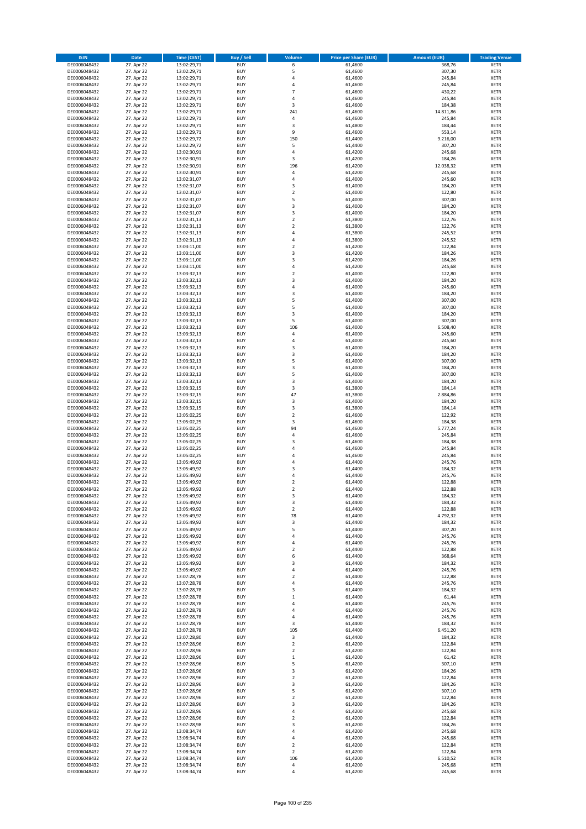| <b>ISIN</b>                  | <b>Date</b>              | <b>Time (CEST)</b>         | <b>Buy / Sell</b>        | <b>Volume</b>           | <b>Price per Share (EUR)</b> | <b>Amount (EUR)</b> | <b>Trading Venue</b>       |
|------------------------------|--------------------------|----------------------------|--------------------------|-------------------------|------------------------------|---------------------|----------------------------|
| DE0006048432                 | 27. Apr 22               | 13:02:29,71                | <b>BUY</b>               | 6                       | 61,4600                      | 368,76              | <b>XETR</b>                |
| DE0006048432                 | 27. Apr 22               | 13:02:29,71                | <b>BUY</b>               | 5                       | 61,4600                      | 307,30              | <b>XETR</b>                |
| DE0006048432                 | 27. Apr 22               | 13:02:29,71                | <b>BUY</b>               | 4                       | 61,4600                      | 245,84              | <b>XETR</b>                |
| DE0006048432<br>DE0006048432 | 27. Apr 22<br>27. Apr 22 | 13:02:29,71<br>13:02:29,71 | <b>BUY</b><br><b>BUY</b> | 4<br>$\overline{7}$     | 61,4600<br>61,4600           | 245,84<br>430,22    | <b>XETR</b><br><b>XETR</b> |
| DE0006048432                 | 27. Apr 22               | 13:02:29,71                | <b>BUY</b>               | $\overline{4}$          | 61,4600                      | 245,84              | <b>XETR</b>                |
| DE0006048432                 | 27. Apr 22               | 13:02:29,71                | <b>BUY</b>               | 3                       | 61,4600                      | 184,38              | <b>XETR</b>                |
| DE0006048432                 | 27. Apr 22               | 13:02:29,71                | <b>BUY</b>               | 241                     | 61,4600                      | 14.811,86           | <b>XETR</b>                |
| DE0006048432                 | 27. Apr 22               | 13:02:29,71                | <b>BUY</b>               | 4                       | 61,4600                      | 245,84              | <b>XETR</b>                |
| DE0006048432                 | 27. Apr 22               | 13:02:29,71                | <b>BUY</b><br><b>BUY</b> | 3<br>9                  | 61,4800                      | 184,44              | <b>XETR</b>                |
| DE0006048432<br>DE0006048432 | 27. Apr 22<br>27. Apr 22 | 13:02:29,71<br>13:02:29,72 | <b>BUY</b>               | 150                     | 61,4600<br>61,4400           | 553,14<br>9.216,00  | <b>XETR</b><br><b>XETR</b> |
| DE0006048432                 | 27. Apr 22               | 13:02:29,72                | <b>BUY</b>               | 5                       | 61,4400                      | 307,20              | <b>XETR</b>                |
| DE0006048432                 | 27. Apr 22               | 13:02:30,91                | <b>BUY</b>               | 4                       | 61,4200                      | 245,68              | <b>XETR</b>                |
| DE0006048432                 | 27. Apr 22               | 13:02:30,91                | <b>BUY</b>               | 3                       | 61,4200                      | 184,26              | <b>XETR</b>                |
| DE0006048432                 | 27. Apr 22               | 13:02:30,91                | <b>BUY</b>               | 196                     | 61,4200                      | 12.038,32           | <b>XETR</b>                |
| DE0006048432<br>DE0006048432 | 27. Apr 22<br>27. Apr 22 | 13:02:30,91<br>13:02:31,07 | <b>BUY</b><br><b>BUY</b> | 4<br>4                  | 61,4200<br>61,4000           | 245,68<br>245,60    | <b>XETR</b><br><b>XETR</b> |
| DE0006048432                 | 27. Apr 22               | 13:02:31,07                | <b>BUY</b>               | 3                       | 61,4000                      | 184,20              | <b>XETR</b>                |
| DE0006048432                 | 27. Apr 22               | 13:02:31,07                | <b>BUY</b>               | $\mathbf 2$             | 61,4000                      | 122,80              | <b>XETR</b>                |
| DE0006048432                 | 27. Apr 22               | 13:02:31,07                | <b>BUY</b>               | 5                       | 61,4000                      | 307,00              | <b>XETR</b>                |
| DE0006048432                 | 27. Apr 22               | 13:02:31,07                | <b>BUY</b>               | 3                       | 61,4000                      | 184,20              | <b>XETR</b>                |
| DE0006048432<br>DE0006048432 | 27. Apr 22<br>27. Apr 22 | 13:02:31,07<br>13:02:31,13 | <b>BUY</b><br><b>BUY</b> | 3<br>$\mathbf 2$        | 61,4000<br>61,3800           | 184,20<br>122,76    | <b>XETR</b><br><b>XETR</b> |
| DE0006048432                 | 27. Apr 22               | 13:02:31,13                | <b>BUY</b>               | $\mathbf 2$             | 61,3800                      | 122,76              | <b>XETR</b>                |
| DE0006048432                 | 27. Apr 22               | 13:02:31,13                | <b>BUY</b>               | 4                       | 61,3800                      | 245,52              | <b>XETR</b>                |
| DE0006048432                 | 27. Apr 22               | 13:02:31,13                | <b>BUY</b>               | 4                       | 61,3800                      | 245,52              | <b>XETR</b>                |
| DE0006048432                 | 27. Apr 22               | 13:03:11,00                | <b>BUY</b>               | $\overline{\mathbf{c}}$ | 61,4200                      | 122,84              | <b>XETR</b>                |
| DE0006048432<br>DE0006048432 | 27. Apr 22<br>27. Apr 22 | 13:03:11,00<br>13:03:11,00 | <b>BUY</b><br><b>BUY</b> | 3<br>3                  | 61,4200<br>61,4200           | 184,26<br>184,26    | <b>XETR</b><br><b>XETR</b> |
| DE0006048432                 | 27. Apr 22               | 13:03:11,00                | <b>BUY</b>               | 4                       | 61,4200                      | 245,68              | <b>XETR</b>                |
| DE0006048432                 | 27. Apr 22               | 13:03:32,13                | <b>BUY</b>               | $\overline{\mathbf{c}}$ | 61,4000                      | 122,80              | <b>XETR</b>                |
| DE0006048432                 | 27. Apr 22               | 13:03:32,13                | <b>BUY</b>               | 3                       | 61,4000                      | 184,20              | <b>XETR</b>                |
| DE0006048432                 | 27. Apr 22               | 13:03:32,13                | <b>BUY</b>               | 4                       | 61,4000                      | 245,60              | <b>XETR</b>                |
| DE0006048432                 | 27. Apr 22               | 13:03:32,13                | <b>BUY</b>               | 3                       | 61,4000                      | 184,20              | <b>XETR</b>                |
| DE0006048432<br>DE0006048432 | 27. Apr 22<br>27. Apr 22 | 13:03:32,13<br>13:03:32,13 | <b>BUY</b><br><b>BUY</b> | 5<br>5                  | 61,4000<br>61,4000           | 307,00<br>307,00    | <b>XETR</b><br><b>XETR</b> |
| DE0006048432                 | 27. Apr 22               | 13:03:32,13                | <b>BUY</b>               | 3                       | 61,4000                      | 184,20              | <b>XETR</b>                |
| DE0006048432                 | 27. Apr 22               | 13:03:32,13                | <b>BUY</b>               | 5                       | 61,4000                      | 307,00              | <b>XETR</b>                |
| DE0006048432                 | 27. Apr 22               | 13:03:32,13                | <b>BUY</b>               | 106                     | 61,4000                      | 6.508,40            | <b>XETR</b>                |
| DE0006048432                 | 27. Apr 22               | 13:03:32,13                | <b>BUY</b>               | 4                       | 61,4000                      | 245,60              | <b>XETR</b>                |
| DE0006048432                 | 27. Apr 22               | 13:03:32,13                | <b>BUY</b><br><b>BUY</b> | 4                       | 61,4000                      | 245,60              | <b>XETR</b>                |
| DE0006048432<br>DE0006048432 | 27. Apr 22<br>27. Apr 22 | 13:03:32,13<br>13:03:32,13 | <b>BUY</b>               | 3<br>3                  | 61,4000<br>61,4000           | 184,20<br>184,20    | <b>XETR</b><br><b>XETR</b> |
| DE0006048432                 | 27. Apr 22               | 13:03:32,13                | <b>BUY</b>               | 5                       | 61,4000                      | 307,00              | <b>XETR</b>                |
| DE0006048432                 | 27. Apr 22               | 13:03:32,13                | <b>BUY</b>               | 3                       | 61,4000                      | 184,20              | <b>XETR</b>                |
| DE0006048432                 | 27. Apr 22               | 13:03:32,13                | <b>BUY</b>               | 5                       | 61,4000                      | 307,00              | <b>XETR</b>                |
| DE0006048432                 | 27. Apr 22               | 13:03:32,13                | <b>BUY</b>               | 3                       | 61,4000                      | 184,20              | <b>XETR</b>                |
| DE0006048432<br>DE0006048432 | 27. Apr 22<br>27. Apr 22 | 13:03:32,15<br>13:03:32,15 | <b>BUY</b><br><b>BUY</b> | 3<br>47                 | 61,3800<br>61,3800           | 184,14<br>2.884,86  | <b>XETR</b><br><b>XETR</b> |
| DE0006048432                 | 27. Apr 22               | 13:03:32,15                | <b>BUY</b>               | 3                       | 61,4000                      | 184,20              | <b>XETR</b>                |
| DE0006048432                 | 27. Apr 22               | 13:03:32,15                | <b>BUY</b>               | 3                       | 61,3800                      | 184,14              | <b>XETR</b>                |
| DE0006048432                 | 27. Apr 22               | 13:05:02,25                | <b>BUY</b>               | $\overline{2}$          | 61,4600                      | 122,92              | <b>XETR</b>                |
| DE0006048432                 | 27. Apr 22               | 13:05:02,25                | <b>BUY</b>               | 3                       | 61,4600                      | 184,38              | <b>XETR</b>                |
| DE0006048432<br>DE0006048432 | 27. Apr 22<br>27. Apr 22 | 13:05:02,25<br>13:05:02,25 | <b>BUY</b><br><b>BUY</b> | 94<br>4                 | 61,4600<br>61,4600           | 5.777,24<br>245,84  | <b>XETR</b><br><b>XETR</b> |
| DE0006048432                 | 27. Apr 22               | 13:05:02,25                | <b>BUY</b>               | 3                       | 61,4600                      | 184,38              | <b>XETR</b>                |
| DE0006048432                 | 27. Apr 22               | 13:05:02,25                | <b>BUY</b>               | 4                       | 61,4600                      | 245,84              | <b>XETR</b>                |
| DE0006048432                 | 27. Apr 22               | 13:05:02,25                | <b>BUY</b>               | 4                       | 61,4600                      | 245,84              | <b>XETR</b>                |
| DE0006048432                 | 27. Apr 22               | 13:05:49,92                | <b>BUY</b>               | 4                       | 61,4400                      | 245,76              | <b>XETR</b>                |
| DE0006048432<br>DE0006048432 | 27. Apr 22<br>27. Apr 22 | 13:05:49,92<br>13:05:49,92 | <b>BUY</b><br><b>BUY</b> | 3<br>4                  | 61,4400<br>61,4400           | 184,32<br>245,76    | <b>XETR</b><br><b>XETR</b> |
| DE0006048432                 | 27. Apr 22               | 13:05:49,92                | <b>BUY</b>               | $\overline{\mathbf{c}}$ | 61,4400                      | 122,88              | <b>XETR</b>                |
| DE0006048432                 | 27. Apr 22               | 13:05:49,92                | <b>BUY</b>               | $\overline{2}$          | 61,4400                      | 122,88              | <b>XETR</b>                |
| DE0006048432                 | 27. Apr 22               | 13:05:49,92                | BUY                      | 3                       | 61,4400                      | 184,32              | <b>XETR</b>                |
| DE0006048432                 | 27. Apr 22               | 13:05:49,92                | <b>BUY</b>               | 3                       | 61,4400                      | 184,32              | XETR                       |
| DE0006048432<br>DE0006048432 | 27. Apr 22<br>27. Apr 22 | 13:05:49,92<br>13:05:49,92 | <b>BUY</b><br><b>BUY</b> | $\mathbf 2$<br>78       | 61,4400<br>61,4400           | 122,88<br>4.792,32  | XETR<br>XETR               |
| DE0006048432                 | 27. Apr 22               | 13:05:49,92                | <b>BUY</b>               | 3                       | 61,4400                      | 184,32              | <b>XETR</b>                |
| DE0006048432                 | 27. Apr 22               | 13:05:49,92                | <b>BUY</b>               | 5                       | 61,4400                      | 307,20              | <b>XETR</b>                |
| DE0006048432                 | 27. Apr 22               | 13:05:49,92                | <b>BUY</b>               | 4                       | 61,4400                      | 245,76              | <b>XETR</b>                |
| DE0006048432                 | 27. Apr 22               | 13:05:49,92                | <b>BUY</b>               | 4                       | 61,4400                      | 245,76              | <b>XETR</b>                |
| DE0006048432<br>DE0006048432 | 27. Apr 22<br>27. Apr 22 | 13:05:49,92<br>13:05:49,92 | <b>BUY</b><br><b>BUY</b> | $\mathbf 2$<br>6        | 61,4400<br>61,4400           | 122,88<br>368,64    | <b>XETR</b><br>XETR        |
| DE0006048432                 | 27. Apr 22               | 13:05:49,92                | <b>BUY</b>               | 3                       | 61,4400                      | 184,32              | XETR                       |
| DE0006048432                 | 27. Apr 22               | 13:05:49,92                | <b>BUY</b>               | 4                       | 61,4400                      | 245,76              | <b>XETR</b>                |
| DE0006048432                 | 27. Apr 22               | 13:07:28,78                | <b>BUY</b>               | $\overline{\mathbf{c}}$ | 61,4400                      | 122,88              | <b>XETR</b>                |
| DE0006048432                 | 27. Apr 22               | 13:07:28,78                | <b>BUY</b>               | 4                       | 61,4400                      | 245,76              | <b>XETR</b>                |
| DE0006048432<br>DE0006048432 | 27. Apr 22<br>27. Apr 22 | 13:07:28,78<br>13:07:28,78 | <b>BUY</b><br><b>BUY</b> | 3<br>$\mathbf 1$        | 61,4400<br>61,4400           | 184,32<br>61,44     | <b>XETR</b><br><b>XETR</b> |
| DE0006048432                 | 27. Apr 22               | 13:07:28,78                | <b>BUY</b>               | 4                       | 61,4400                      | 245,76              | <b>XETR</b>                |
| DE0006048432                 | 27. Apr 22               | 13:07:28,78                | <b>BUY</b>               | 4                       | 61,4400                      | 245,76              | <b>XETR</b>                |
| DE0006048432                 | 27. Apr 22               | 13:07:28,78                | <b>BUY</b>               | 4                       | 61,4400                      | 245,76              | XETR                       |
| DE0006048432                 | 27. Apr 22               | 13:07:28,78                | <b>BUY</b>               | 3                       | 61,4400                      | 184,32              | <b>XETR</b>                |
| DE0006048432<br>DE0006048432 | 27. Apr 22<br>27. Apr 22 | 13:07:28,78<br>13:07:28,80 | <b>BUY</b><br><b>BUY</b> | 105<br>3                | 61,4400<br>61,4400           | 6.451,20<br>184,32  | <b>XETR</b><br><b>XETR</b> |
| DE0006048432                 | 27. Apr 22               | 13:07:28,96                | <b>BUY</b>               | $\overline{2}$          | 61,4200                      | 122,84              | <b>XETR</b>                |
| DE0006048432                 | 27. Apr 22               | 13:07:28,96                | <b>BUY</b>               | $\mathbf 2$             | 61,4200                      | 122,84              | <b>XETR</b>                |
| DE0006048432                 | 27. Apr 22               | 13:07:28,96                | <b>BUY</b>               | $\mathbf 1$             | 61,4200                      | 61,42               | <b>XETR</b>                |
| DE0006048432                 | 27. Apr 22               | 13:07:28,96                | <b>BUY</b>               | 5                       | 61,4200                      | 307,10              | <b>XETR</b>                |
| DE0006048432<br>DE0006048432 | 27. Apr 22               | 13:07:28,96                | <b>BUY</b><br><b>BUY</b> | 3<br>$\overline{2}$     | 61,4200                      | 184,26              | <b>XETR</b><br><b>XETR</b> |
| DE0006048432                 | 27. Apr 22<br>27. Apr 22 | 13:07:28,96<br>13:07:28,96 | <b>BUY</b>               | 3                       | 61,4200<br>61,4200           | 122,84<br>184,26    | <b>XETR</b>                |
| DE0006048432                 | 27. Apr 22               | 13:07:28,96                | <b>BUY</b>               | 5                       | 61,4200                      | 307,10              | XETR                       |
| DE0006048432                 | 27. Apr 22               | 13:07:28,96                | <b>BUY</b>               | $\mathbf 2$             | 61,4200                      | 122,84              | <b>XETR</b>                |
| DE0006048432                 | 27. Apr 22               | 13:07:28,96                | <b>BUY</b>               | 3                       | 61,4200                      | 184,26              | <b>XETR</b>                |
| DE0006048432                 | 27. Apr 22               | 13:07:28,96                | <b>BUY</b>               | 4                       | 61,4200                      | 245,68              | <b>XETR</b>                |
| DE0006048432<br>DE0006048432 | 27. Apr 22<br>27. Apr 22 | 13:07:28,96<br>13:07:28,98 | <b>BUY</b><br><b>BUY</b> | $\mathbf 2$<br>3        | 61,4200<br>61,4200           | 122,84<br>184,26    | <b>XETR</b><br><b>XETR</b> |
| DE0006048432                 | 27. Apr 22               | 13:08:34,74                | <b>BUY</b>               | 4                       | 61,4200                      | 245,68              | <b>XETR</b>                |
| DE0006048432                 | 27. Apr 22               | 13:08:34,74                | <b>BUY</b>               | 4                       | 61,4200                      | 245,68              | <b>XETR</b>                |
| DE0006048432                 | 27. Apr 22               | 13:08:34,74                | <b>BUY</b>               | $\overline{\mathbf{c}}$ | 61,4200                      | 122,84              | XETR                       |
| DE0006048432                 | 27. Apr 22               | 13:08:34,74                | <b>BUY</b>               | $\overline{2}$          | 61,4200                      | 122,84              | <b>XETR</b>                |
| DE0006048432<br>DE0006048432 | 27. Apr 22<br>27. Apr 22 | 13:08:34,74<br>13:08:34,74 | <b>BUY</b><br><b>BUY</b> | 106<br>4                | 61,4200<br>61,4200           | 6.510,52<br>245,68  | <b>XETR</b><br><b>XETR</b> |
| DE0006048432                 | 27. Apr 22               | 13:08:34,74                | <b>BUY</b>               | 4                       | 61,4200                      | 245,68              | XETR                       |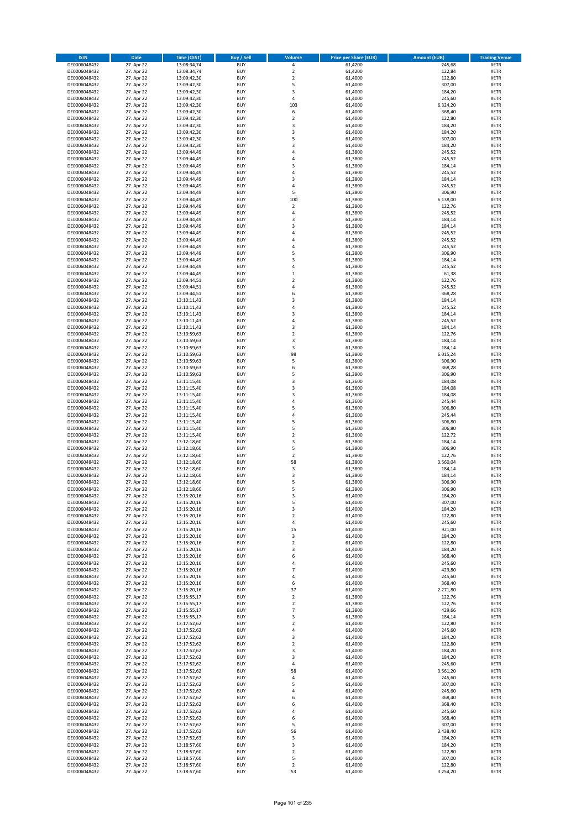| <b>ISIN</b>                  | Date                     | <b>Time (CEST)</b>         | <b>Buy / Sell</b>        | <b>Volume</b>                    | <b>Price per Share (EUR)</b> | <b>Amount (EUR)</b> | <b>Trading Venue</b>       |
|------------------------------|--------------------------|----------------------------|--------------------------|----------------------------------|------------------------------|---------------------|----------------------------|
| DE0006048432                 | 27. Apr 22               | 13:08:34,74                | <b>BUY</b>               | 4                                | 61,4200                      | 245,68              | <b>XETR</b>                |
| DE0006048432                 | 27. Apr 22               | 13:08:34,74                | <b>BUY</b>               | $\overline{2}$                   | 61,4200                      | 122,84              | <b>XETR</b>                |
| DE0006048432                 | 27. Apr 22               | 13:09:42,30                | <b>BUY</b>               | $\mathbf 2$                      | 61,4000                      | 122,80              | <b>XETR</b>                |
| DE0006048432                 | 27. Apr 22               | 13:09:42,30                | <b>BUY</b>               | 5                                | 61.4000                      | 307,00              | <b>XETR</b>                |
| DE0006048432<br>DE0006048432 | 27. Apr 22<br>27. Apr 22 | 13:09:42,30<br>13:09:42,30 | <b>BUY</b><br><b>BUY</b> | 3<br>4                           | 61,4000<br>61,4000           | 184,20<br>245,60    | <b>XETR</b><br><b>XETR</b> |
| DE0006048432                 | 27. Apr 22               | 13:09:42,30                | <b>BUY</b>               | 103                              | 61,4000                      | 6.324,20            | <b>XETR</b>                |
| DE0006048432                 | 27. Apr 22               | 13:09:42,30                | <b>BUY</b>               | 6                                | 61,4000                      | 368,40              | <b>XETR</b>                |
| DE0006048432                 | 27. Apr 22               | 13:09:42,30                | <b>BUY</b>               | $\overline{2}$                   | 61,4000                      | 122,80              | <b>XETR</b>                |
| DE0006048432                 | 27. Apr 22               | 13:09:42,30                | <b>BUY</b>               | 3                                | 61,4000                      | 184,20              | <b>XETR</b>                |
| DE0006048432                 | 27. Apr 22               | 13:09:42,30                | <b>BUY</b>               | 3                                | 61,4000                      | 184,20              | <b>XETR</b>                |
| DE0006048432                 | 27. Apr 22               | 13:09:42,30                | <b>BUY</b>               | 5                                | 61,4000                      | 307,00              | <b>XETR</b>                |
| DE0006048432<br>DE0006048432 | 27. Apr 22<br>27. Apr 22 | 13:09:42,30<br>13:09:44,49 | <b>BUY</b><br><b>BUY</b> | 3<br>4                           | 61,4000<br>61,3800           | 184,20<br>245,52    | <b>XETR</b><br><b>XETR</b> |
| DE0006048432                 | 27. Apr 22               | 13:09:44,49                | <b>BUY</b>               | $\overline{a}$                   | 61,3800                      | 245,52              | <b>XETR</b>                |
| DE0006048432                 | 27. Apr 22               | 13:09:44,49                | <b>BUY</b>               | 3                                | 61,3800                      | 184,14              | <b>XETR</b>                |
| DE0006048432                 | 27. Apr 22               | 13:09:44,49                | <b>BUY</b>               | 4                                | 61,3800                      | 245,52              | <b>XETR</b>                |
| DE0006048432                 | 27. Apr 22               | 13:09:44,49                | <b>BUY</b>               | 3                                | 61,3800                      | 184,14              | <b>XETR</b>                |
| DE0006048432                 | 27. Apr 22               | 13:09:44,49                | <b>BUY</b>               | $\overline{4}$                   | 61,3800                      | 245,52              | <b>XETR</b>                |
| DE0006048432                 | 27. Apr 22               | 13:09:44,49                | <b>BUY</b>               | 5                                | 61,3800                      | 306,90              | <b>XETR</b>                |
| DE0006048432                 | 27. Apr 22               | 13:09:44,49                | <b>BUY</b>               | 100                              | 61,3800                      | 6.138,00            | <b>XETR</b>                |
| DE0006048432                 | 27. Apr 22               | 13:09:44,49                | <b>BUY</b><br><b>BUY</b> | $\overline{\mathbf{c}}$<br>4     | 61,3800                      | 122,76              | <b>XETR</b>                |
| DE0006048432<br>DE0006048432 | 27. Apr 22<br>27. Apr 22 | 13:09:44,49<br>13:09:44,49 | <b>BUY</b>               | 3                                | 61,3800<br>61,3800           | 245,52<br>184,14    | <b>XETR</b><br><b>XETR</b> |
| DE0006048432                 | 27. Apr 22               | 13:09:44,49                | <b>BUY</b>               | 3                                | 61,3800                      | 184,14              | <b>XETR</b>                |
| DE0006048432                 | 27. Apr 22               | 13:09:44,49                | <b>BUY</b>               | $\overline{a}$                   | 61,3800                      | 245,52              | <b>XETR</b>                |
| DE0006048432                 | 27. Apr 22               | 13:09:44,49                | <b>BUY</b>               | 4                                | 61,3800                      | 245,52              | <b>XETR</b>                |
| DE0006048432                 | 27. Apr 22               | 13:09:44,49                | <b>BUY</b>               | 4                                | 61,3800                      | 245,52              | <b>XETR</b>                |
| DE0006048432                 | 27. Apr 22               | 13:09:44,49                | <b>BUY</b>               | 5                                | 61,3800                      | 306,90              | <b>XETR</b>                |
| DE0006048432                 | 27. Apr 22               | 13:09:44,49                | <b>BUY</b>               | 3                                | 61,3800                      | 184,14              | <b>XETR</b>                |
| DE0006048432<br>DE0006048432 | 27. Apr 22<br>27. Apr 22 | 13:09:44,49<br>13:09:44,49 | <b>BUY</b><br><b>BUY</b> | 4<br>$\mathbf 1$                 | 61,3800<br>61,3800           | 245,52<br>61,38     | <b>XETR</b><br><b>XETR</b> |
| DE0006048432                 | 27. Apr 22               | 13:09:44,51                | <b>BUY</b>               | $\overline{\mathbf{c}}$          | 61,3800                      | 122,76              | <b>XETR</b>                |
| DE0006048432                 | 27. Apr 22               | 13:09:44,51                | <b>BUY</b>               | 4                                | 61,3800                      | 245,52              | <b>XETR</b>                |
| DE0006048432                 | 27. Apr 22               | 13:09:44,51                | <b>BUY</b>               | 6                                | 61,3800                      | 368,28              | <b>XETR</b>                |
| DE0006048432                 | 27. Apr 22               | 13:10:11,43                | <b>BUY</b>               | 3                                | 61,3800                      | 184,14              | <b>XETR</b>                |
| DE0006048432                 | 27. Apr 22               | 13:10:11,43                | <b>BUY</b>               | $\overline{4}$                   | 61,3800                      | 245,52              | <b>XETR</b>                |
| DE0006048432                 | 27. Apr 22               | 13:10:11,43                | <b>BUY</b>               | 3                                | 61,3800                      | 184,14              | <b>XETR</b>                |
| DE0006048432                 | 27. Apr 22               | 13:10:11,43                | <b>BUY</b>               | 4                                | 61,3800                      | 245,52              | <b>XETR</b>                |
| DE0006048432                 | 27. Apr 22<br>27. Apr 22 | 13:10:11,43                | <b>BUY</b><br><b>BUY</b> | 3<br>$\overline{2}$              | 61,3800                      | 184,14<br>122,76    | <b>XETR</b><br><b>XETR</b> |
| DE0006048432<br>DE0006048432 | 27. Apr 22               | 13:10:59,63<br>13:10:59,63 | <b>BUY</b>               | 3                                | 61,3800<br>61,3800           | 184,14              | <b>XETR</b>                |
| DE0006048432                 | 27. Apr 22               | 13:10:59,63                | <b>BUY</b>               | 3                                | 61,3800                      | 184,14              | <b>XETR</b>                |
| DE0006048432                 | 27. Apr 22               | 13:10:59,63                | <b>BUY</b>               | 98                               | 61,3800                      | 6.015,24            | <b>XETR</b>                |
| DE0006048432                 | 27. Apr 22               | 13:10:59,63                | <b>BUY</b>               | 5                                | 61,3800                      | 306,90              | <b>XETR</b>                |
| DE0006048432                 | 27. Apr 22               | 13:10:59,63                | <b>BUY</b>               | 6                                | 61,3800                      | 368,28              | <b>XETR</b>                |
| DE0006048432                 | 27. Apr 22               | 13:10:59,63                | <b>BUY</b>               | 5                                | 61,3800                      | 306,90              | <b>XETR</b>                |
| DE0006048432                 | 27. Apr 22               | 13:11:15,40                | <b>BUY</b>               | 3                                | 61,3600                      | 184,08              | <b>XETR</b>                |
| DE0006048432<br>DE0006048432 | 27. Apr 22<br>27. Apr 22 | 13:11:15,40<br>13:11:15,40 | <b>BUY</b><br><b>BUY</b> | 3<br>3                           | 61,3600<br>61,3600           | 184,08<br>184,08    | <b>XETR</b><br><b>XETR</b> |
| DE0006048432                 | 27. Apr 22               | 13:11:15,40                | <b>BUY</b>               | $\overline{4}$                   | 61,3600                      | 245,44              | <b>XETR</b>                |
| DE0006048432                 | 27. Apr 22               | 13:11:15,40                | <b>BUY</b>               | 5                                | 61,3600                      | 306,80              | <b>XETR</b>                |
| DE0006048432                 | 27. Apr 22               | 13:11:15,40                | <b>BUY</b>               | 4                                | 61,3600                      | 245,44              | <b>XETR</b>                |
| DE0006048432                 | 27. Apr 22               | 13:11:15,40                | <b>BUY</b>               | 5                                | 61,3600                      | 306,80              | <b>XETR</b>                |
| DE0006048432                 | 27. Apr 22               | 13:11:15,40                | <b>BUY</b>               | 5                                | 61,3600                      | 306,80              | <b>XETR</b>                |
| DE0006048432                 | 27. Apr 22               | 13:11:15,40                | <b>BUY</b>               | $\overline{2}$                   | 61,3600                      | 122,72              | <b>XETR</b>                |
| DE0006048432                 | 27. Apr 22               | 13:12:18,60                | <b>BUY</b>               | 3                                | 61,3800                      | 184,14              | <b>XETR</b>                |
| DE0006048432<br>DE0006048432 | 27. Apr 22<br>27. Apr 22 | 13:12:18,60<br>13:12:18,60 | <b>BUY</b><br><b>BUY</b> | 5<br>$\mathbf 2$                 | 61,3800<br>61,3800           | 306,90<br>122,76    | <b>XETR</b><br><b>XETR</b> |
| DE0006048432                 | 27. Apr 22               | 13:12:18,60                | <b>BUY</b>               | 58                               | 61,3800                      | 3.560,04            | <b>XETR</b>                |
| DE0006048432                 | 27. Apr 22               | 13:12:18,60                | <b>BUY</b>               | 3                                | 61,3800                      | 184,14              | <b>XETR</b>                |
| DE0006048432                 | 27. Apr 22               | 13:12:18,60                | <b>BUY</b>               | 3                                | 61,3800                      | 184,14              | <b>XETR</b>                |
| DE0006048432                 | 27. Apr 22               | 13:12:18,60                | <b>BUY</b>               | 5                                | 61,3800                      | 306,90              | <b>XETR</b>                |
| DE0006048432                 | 27. Apr 22               | 13:12:18,60                | <b>BUY</b>               | 5                                | 61,3800                      | 306,90              | <b>XETR</b>                |
| DE0006048432<br>DE0006048432 | 27. Apr 22<br>27. Apr 22 | 13:15:20,16<br>13:15:20,16 | <b>BUY</b><br><b>BUY</b> | 3<br>5                           | 61,4000<br>61,4000           | 184,20<br>307,00    | <b>XETR</b>                |
| DE0006048432                 | 27. Apr 22               | 13:15:20,16                | <b>BUY</b>               | 3                                | 61,4000                      | 184,20              | <b>XETR</b><br><b>XETR</b> |
| DE0006048432                 | 27. Apr 22               | 13:15:20,16                | <b>BUY</b>               | $\overline{2}$                   | 61,4000                      | 122,80              | <b>XETR</b>                |
| DE0006048432                 | 27. Apr 22               | 13:15:20,16                | <b>BUY</b>               | $\pmb{4}$                        | 61,4000                      | 245,60              | <b>XETR</b>                |
| DE0006048432                 | 27. Apr 22               | 13:15:20,16                | <b>BUY</b>               | 15                               | 61,4000                      | 921,00              | <b>XETR</b>                |
| DE0006048432                 | 27. Apr 22               | 13:15:20,16                | <b>BUY</b>               | 3                                | 61,4000                      | 184,20              | <b>XETR</b>                |
| DE0006048432                 | 27. Apr 22               | 13:15:20,16                | <b>BUY</b>               | $\mathbf 2$                      | 61,4000                      | 122,80              | <b>XETR</b>                |
| DE0006048432<br>DE0006048432 | 27. Apr 22<br>27. Apr 22 | 13:15:20,16<br>13:15:20,16 | <b>BUY</b><br><b>BUY</b> | 3<br>6                           | 61,4000<br>61,4000           | 184,20<br>368,40    | <b>XETR</b><br><b>XETR</b> |
| DE0006048432                 | 27. Apr 22               | 13:15:20,16                | <b>BUY</b>               | 4                                | 61,4000                      | 245,60              | <b>XETR</b>                |
| DE0006048432                 | 27. Apr 22               | 13:15:20,16                | <b>BUY</b>               | $\overline{7}$                   | 61,4000                      | 429,80              | <b>XETR</b>                |
| DE0006048432                 | 27. Apr 22               | 13:15:20,16                | <b>BUY</b>               | 4                                | 61,4000                      | 245,60              | <b>XETR</b>                |
| DE0006048432                 | 27. Apr 22               | 13:15:20,16                | <b>BUY</b>               | 6                                | 61,4000                      | 368,40              | <b>XETR</b>                |
| DE0006048432                 | 27. Apr 22               | 13:15:20,16                | <b>BUY</b>               | 37                               | 61,4000                      | 2.271,80            | <b>XETR</b>                |
| DE0006048432                 | 27. Apr 22               | 13:15:55,17                | <b>BUY</b>               | $\overline{2}$                   | 61,3800                      | 122,76              | <b>XETR</b>                |
| DE0006048432<br>DE0006048432 | 27. Apr 22<br>27. Apr 22 | 13:15:55,17<br>13:15:55,17 | <b>BUY</b><br><b>BUY</b> | $\overline{2}$<br>$\overline{7}$ | 61,3800<br>61,3800           | 122,76<br>429,66    | <b>XETR</b><br><b>XETR</b> |
| DE0006048432                 | 27. Apr 22               | 13:15:55,17                | <b>BUY</b>               | 3                                | 61,3800                      | 184,14              | <b>XETR</b>                |
| DE0006048432                 | 27. Apr 22               | 13:17:52,62                | <b>BUY</b>               | $\overline{2}$                   | 61,4000                      | 122,80              | <b>XETR</b>                |
| DE0006048432                 | 27. Apr 22               | 13:17:52,62                | <b>BUY</b>               | $\pmb{4}$                        | 61,4000                      | 245,60              | <b>XETR</b>                |
| DE0006048432                 | 27. Apr 22               | 13:17:52,62                | <b>BUY</b>               | 3                                | 61,4000                      | 184,20              | <b>XETR</b>                |
| DE0006048432                 | 27. Apr 22               | 13:17:52,62                | <b>BUY</b>               | $\mathbf 2$                      | 61,4000                      | 122,80              | <b>XETR</b>                |
| DE0006048432                 | 27. Apr 22               | 13:17:52,62                | <b>BUY</b>               | 3                                | 61,4000                      | 184,20              | <b>XETR</b>                |
| DE0006048432<br>DE0006048432 | 27. Apr 22<br>27. Apr 22 | 13:17:52,62<br>13:17:52,62 | <b>BUY</b><br><b>BUY</b> | 3<br>$\overline{4}$              | 61,4000<br>61,4000           | 184,20<br>245,60    | <b>XETR</b><br><b>XETR</b> |
| DE0006048432                 | 27. Apr 22               | 13:17:52,62                | <b>BUY</b>               | 58                               | 61,4000                      | 3.561,20            | <b>XETR</b>                |
| DE0006048432                 | 27. Apr 22               | 13:17:52,62                | <b>BUY</b>               | $\sqrt{4}$                       | 61,4000                      | 245,60              | <b>XETR</b>                |
| DE0006048432                 | 27. Apr 22               | 13:17:52,62                | <b>BUY</b>               | 5                                | 61,4000                      | 307,00              | <b>XETR</b>                |
| DE0006048432                 | 27. Apr 22               | 13:17:52,62                | <b>BUY</b>               | $\overline{4}$                   | 61,4000                      | 245,60              | <b>XETR</b>                |
| DE0006048432                 | 27. Apr 22               | 13:17:52,62                | <b>BUY</b>               | 6                                | 61,4000                      | 368,40              | <b>XETR</b>                |
| DE0006048432                 | 27. Apr 22               | 13:17:52,62                | <b>BUY</b>               | 6                                | 61,4000                      | 368,40              | <b>XETR</b>                |
| DE0006048432                 | 27. Apr 22               | 13:17:52,62                | <b>BUY</b>               | $\sqrt{4}$                       | 61,4000                      | 245,60              | <b>XETR</b>                |
| DE0006048432<br>DE0006048432 | 27. Apr 22<br>27. Apr 22 | 13:17:52,62<br>13:17:52,62 | <b>BUY</b><br><b>BUY</b> | 6<br>5                           | 61,4000<br>61,4000           | 368,40<br>307,00    | <b>XETR</b><br><b>XETR</b> |
| DE0006048432                 | 27. Apr 22               | 13:17:52,62                | <b>BUY</b>               | 56                               | 61,4000                      | 3.438,40            | <b>XETR</b>                |
| DE0006048432                 | 27. Apr 22               | 13:17:52,63                | <b>BUY</b>               | 3                                | 61,4000                      | 184,20              | <b>XETR</b>                |
| DE0006048432                 | 27. Apr 22               | 13:18:57,60                | <b>BUY</b>               | 3                                | 61,4000                      | 184,20              | <b>XETR</b>                |
| DE0006048432                 | 27. Apr 22               | 13:18:57,60                | <b>BUY</b>               | $\mathbf 2$                      | 61,4000                      | 122,80              | <b>XETR</b>                |
| DE0006048432                 | 27. Apr 22               | 13:18:57,60                | <b>BUY</b>               | 5                                | 61,4000                      | 307,00              | <b>XETR</b>                |
| DE0006048432                 | 27. Apr 22               | 13:18:57,60                | <b>BUY</b>               | $\mathbf 2$                      | 61,4000                      | 122,80              | <b>XETR</b>                |
| DE0006048432                 | 27. Apr 22               | 13:18:57,60                | <b>BUY</b>               | 53                               | 61,4000                      | 3.254,20            | <b>XETR</b>                |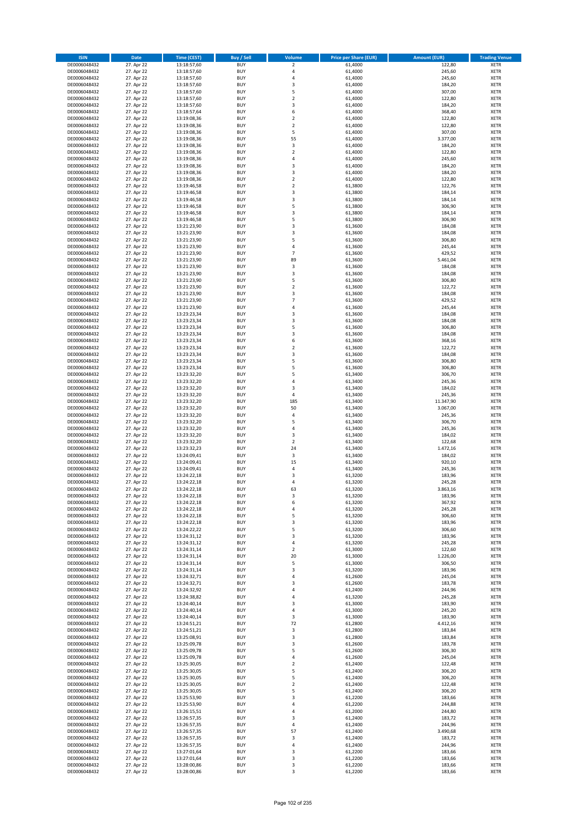| <b>ISIN</b>                  | <b>Date</b>              | <b>Time (CEST)</b>         | <b>Buy / Sell</b>        | <b>Volume</b>                    | <b>Price per Share (EUR)</b> | <b>Amount (EUR)</b> | <b>Trading Venue</b>       |
|------------------------------|--------------------------|----------------------------|--------------------------|----------------------------------|------------------------------|---------------------|----------------------------|
| DE0006048432                 | 27. Apr 22               | 13:18:57,60                | <b>BUY</b>               | $\overline{\mathbf{2}}$          | 61,4000                      | 122,80              | <b>XETR</b>                |
| DE0006048432                 | 27. Apr 22               | 13:18:57,60                | <b>BUY</b>               | 4                                | 61,4000                      | 245,60              | <b>XETR</b>                |
| DE0006048432                 | 27. Apr 22               | 13:18:57,60                | <b>BUY</b>               | 4                                | 61,4000                      | 245,60              | <b>XETR</b>                |
| DE0006048432<br>DE0006048432 | 27. Apr 22<br>27. Apr 22 | 13:18:57,60<br>13:18:57,60 | <b>BUY</b><br><b>BUY</b> | 3<br>5                           | 61,4000<br>61,4000           | 184,20<br>307,00    | <b>XETR</b><br><b>XETR</b> |
| DE0006048432                 | 27. Apr 22               | 13:18:57,60                | <b>BUY</b>               | $\mathbf 2$                      | 61,4000                      | 122,80              | <b>XETR</b>                |
| DE0006048432                 | 27. Apr 22               | 13:18:57,60                | <b>BUY</b>               | 3                                | 61,4000                      | 184,20              | <b>XETR</b>                |
| DE0006048432                 | 27. Apr 22               | 13:18:57,64                | <b>BUY</b>               | 6                                | 61,4000                      | 368,40              | <b>XETR</b>                |
| DE0006048432                 | 27. Apr 22               | 13:19:08,36                | <b>BUY</b><br><b>BUY</b> | $\overline{2}$<br>$\overline{2}$ | 61,4000                      | 122,80              | <b>XETR</b>                |
| DE0006048432<br>DE0006048432 | 27. Apr 22<br>27. Apr 22 | 13:19:08,36<br>13:19:08,36 | <b>BUY</b>               | 5                                | 61,4000<br>61,4000           | 122,80<br>307,00    | <b>XETR</b><br><b>XETR</b> |
| DE0006048432                 | 27. Apr 22               | 13:19:08,36                | <b>BUY</b>               | 55                               | 61,4000                      | 3.377,00            | <b>XETR</b>                |
| DE0006048432                 | 27. Apr 22               | 13:19:08,36                | <b>BUY</b>               | 3                                | 61,4000                      | 184,20              | <b>XETR</b>                |
| DE0006048432                 | 27. Apr 22               | 13:19:08,36                | <b>BUY</b>               | $\overline{\mathbf{c}}$          | 61,4000                      | 122,80              | <b>XETR</b>                |
| DE0006048432                 | 27. Apr 22               | 13:19:08,36                | <b>BUY</b>               | 4                                | 61,4000                      | 245,60              | <b>XETR</b>                |
| DE0006048432<br>DE0006048432 | 27. Apr 22<br>27. Apr 22 | 13:19:08,36<br>13:19:08,36 | <b>BUY</b><br><b>BUY</b> | 3<br>3                           | 61,4000<br>61,4000           | 184,20<br>184,20    | <b>XETR</b><br><b>XETR</b> |
| DE0006048432                 | 27. Apr 22               | 13:19:08,36                | <b>BUY</b>               | $\mathbf 2$                      | 61,4000                      | 122,80              | <b>XETR</b>                |
| DE0006048432                 | 27. Apr 22               | 13:19:46,58                | <b>BUY</b>               | $\overline{\mathbf{c}}$          | 61,3800                      | 122,76              | <b>XETR</b>                |
| DE0006048432                 | 27. Apr 22               | 13:19:46,58                | <b>BUY</b>               | 3                                | 61,3800                      | 184,14              | <b>XETR</b>                |
| DE0006048432                 | 27. Apr 22               | 13:19:46,58                | <b>BUY</b>               | 3                                | 61,3800                      | 184,14              | <b>XETR</b>                |
| DE0006048432<br>DE0006048432 | 27. Apr 22<br>27. Apr 22 | 13:19:46,58<br>13:19:46,58 | <b>BUY</b><br><b>BUY</b> | 5<br>3                           | 61,3800<br>61,3800           | 306,90              | <b>XETR</b><br><b>XETR</b> |
| DE0006048432                 | 27. Apr 22               | 13:19:46,58                | <b>BUY</b>               | 5                                | 61,3800                      | 184,14<br>306,90    | <b>XETR</b>                |
| DE0006048432                 | 27. Apr 22               | 13:21:23,90                | <b>BUY</b>               | 3                                | 61,3600                      | 184,08              | <b>XETR</b>                |
| DE0006048432                 | 27. Apr 22               | 13:21:23,90                | <b>BUY</b>               | 3                                | 61,3600                      | 184,08              | <b>XETR</b>                |
| DE0006048432                 | 27. Apr 22               | 13:21:23,90                | <b>BUY</b>               | 5                                | 61,3600                      | 306,80              | <b>XETR</b>                |
| DE0006048432                 | 27. Apr 22               | 13:21:23,90                | <b>BUY</b><br><b>BUY</b> | 4<br>$\overline{7}$              | 61,3600                      | 245,44<br>429,52    | <b>XETR</b>                |
| DE0006048432<br>DE0006048432 | 27. Apr 22<br>27. Apr 22 | 13:21:23,90<br>13:21:23,90 | <b>BUY</b>               | 89                               | 61,3600<br>61,3600           | 5.461,04            | <b>XETR</b><br><b>XETR</b> |
| DE0006048432                 | 27. Apr 22               | 13:21:23,90                | <b>BUY</b>               | 3                                | 61,3600                      | 184,08              | <b>XETR</b>                |
| DE0006048432                 | 27. Apr 22               | 13:21:23,90                | <b>BUY</b>               | 3                                | 61,3600                      | 184,08              | <b>XETR</b>                |
| DE0006048432                 | 27. Apr 22               | 13:21:23,90                | <b>BUY</b>               | 5                                | 61,3600                      | 306,80              | <b>XETR</b>                |
| DE0006048432                 | 27. Apr 22               | 13:21:23,90                | <b>BUY</b>               | $\mathbf 2$                      | 61,3600                      | 122,72              | <b>XETR</b>                |
| DE0006048432<br>DE0006048432 | 27. Apr 22<br>27. Apr 22 | 13:21:23,90<br>13:21:23,90 | <b>BUY</b><br><b>BUY</b> | 3<br>$\overline{7}$              | 61,3600<br>61,3600           | 184,08<br>429,52    | <b>XETR</b><br><b>XETR</b> |
| DE0006048432                 | 27. Apr 22               | 13:21:23,90                | <b>BUY</b>               | 4                                | 61,3600                      | 245,44              | <b>XETR</b>                |
| DE0006048432                 | 27. Apr 22               | 13:23:23,34                | <b>BUY</b>               | 3                                | 61,3600                      | 184,08              | <b>XETR</b>                |
| DE0006048432                 | 27. Apr 22               | 13:23:23,34                | <b>BUY</b>               | 3                                | 61,3600                      | 184,08              | <b>XETR</b>                |
| DE0006048432                 | 27. Apr 22               | 13:23:23,34                | <b>BUY</b>               | 5                                | 61,3600                      | 306,80              | <b>XETR</b>                |
| DE0006048432<br>DE0006048432 | 27. Apr 22<br>27. Apr 22 | 13:23:23,34<br>13:23:23,34 | <b>BUY</b><br><b>BUY</b> | 3<br>6                           | 61,3600<br>61,3600           | 184,08<br>368,16    | <b>XETR</b><br><b>XETR</b> |
| DE0006048432                 | 27. Apr 22               | 13:23:23,34                | <b>BUY</b>               | $\mathbf 2$                      | 61,3600                      | 122,72              | <b>XETR</b>                |
| DE0006048432                 | 27. Apr 22               | 13:23:23,34                | <b>BUY</b>               | 3                                | 61,3600                      | 184,08              | <b>XETR</b>                |
| DE0006048432                 | 27. Apr 22               | 13:23:23,34                | <b>BUY</b>               | 5                                | 61,3600                      | 306,80              | <b>XETR</b>                |
| DE0006048432                 | 27. Apr 22               | 13:23:23,34                | <b>BUY</b>               | 5                                | 61,3600                      | 306,80              | <b>XETR</b>                |
| DE0006048432                 | 27. Apr 22               | 13:23:32,20                | <b>BUY</b><br><b>BUY</b> | 5<br>4                           | 61,3400                      | 306,70              | <b>XETR</b><br><b>XETR</b> |
| DE0006048432<br>DE0006048432 | 27. Apr 22<br>27. Apr 22 | 13:23:32,20<br>13:23:32,20 | <b>BUY</b>               | 3                                | 61,3400<br>61,3400           | 245,36<br>184,02    | <b>XETR</b>                |
| DE0006048432                 | 27. Apr 22               | 13:23:32,20                | <b>BUY</b>               | 4                                | 61,3400                      | 245,36              | <b>XETR</b>                |
| DE0006048432                 | 27. Apr 22               | 13:23:32,20                | <b>BUY</b>               | 185                              | 61,3400                      | 11.347,90           | <b>XETR</b>                |
| DE0006048432                 | 27. Apr 22               | 13:23:32,20                | <b>BUY</b>               | 50                               | 61,3400                      | 3.067,00            | <b>XETR</b>                |
| DE0006048432                 | 27. Apr 22               | 13:23:32,20                | <b>BUY</b><br><b>BUY</b> | 4<br>5                           | 61,3400                      | 245,36<br>306,70    | <b>XETR</b>                |
| DE0006048432<br>DE0006048432 | 27. Apr 22<br>27. Apr 22 | 13:23:32,20<br>13:23:32,20 | <b>BUY</b>               | 4                                | 61,3400<br>61,3400           | 245,36              | <b>XETR</b><br><b>XETR</b> |
| DE0006048432                 | 27. Apr 22               | 13:23:32,20                | <b>BUY</b>               | 3                                | 61,3400                      | 184,02              | <b>XETR</b>                |
| DE0006048432                 | 27. Apr 22               | 13:23:32,20                | <b>BUY</b>               | $\overline{\mathbf{c}}$          | 61,3400                      | 122,68              | <b>XETR</b>                |
| DE0006048432                 | 27. Apr 22               | 13:23:32,23                | <b>BUY</b>               | 24                               | 61,3400                      | 1.472,16            | <b>XETR</b>                |
| DE0006048432                 | 27. Apr 22               | 13:24:09,41                | <b>BUY</b>               | 3                                | 61,3400                      | 184,02              | <b>XETR</b>                |
| DE0006048432<br>DE0006048432 | 27. Apr 22<br>27. Apr 22 | 13:24:09,41<br>13:24:09,41 | <b>BUY</b><br><b>BUY</b> | 15<br>4                          | 61,3400<br>61,3400           | 920,10<br>245,36    | <b>XETR</b><br><b>XETR</b> |
| DE0006048432                 | 27. Apr 22               | 13:24:22,18                | <b>BUY</b>               | $\overline{3}$                   | 61,3200                      | 183,96              | <b>XETR</b>                |
| DE0006048432                 | 27. Apr 22               | 13:24:22,18                | <b>BUY</b>               | 4                                | 61,3200                      | 245,28              | <b>XETR</b>                |
| DE0006048432                 | 27. Apr 22               | 13:24:22,18                | <b>BUY</b>               | 63                               | 61,3200                      | 3.863,16            | <b>XETR</b>                |
| DE0006048432                 | 27. Apr 22               | 13:24:22,18                | BUY                      | 3                                | 61,3200                      | 183,96              | <b>XETR</b>                |
| DE0006048432<br>DE0006048432 | 27. Apr 22<br>27. Apr 22 | 13:24:22,18<br>13:24:22,18 | <b>BUY</b><br><b>BUY</b> | 6<br>4                           | 61,3200<br>61,3200           | 367,92<br>245,28    | XETR<br>XETR               |
| DE0006048432                 | 27. Apr 22               | 13:24:22,18                | <b>BUY</b>               | 5                                | 61,3200                      | 306,60              | XETR                       |
| DE0006048432                 | 27. Apr 22               | 13:24:22,18                | <b>BUY</b>               | 3                                | 61,3200                      | 183,96              | <b>XETR</b>                |
| DE0006048432                 | 27. Apr 22               | 13:24:22,22                | <b>BUY</b>               | 5                                | 61,3200                      | 306,60              | XETR                       |
| DE0006048432                 | 27. Apr 22               | 13:24:31,12                | <b>BUY</b>               | 3                                | 61,3200                      | 183,96              | <b>XETR</b>                |
| DE0006048432<br>DE0006048432 | 27. Apr 22<br>27. Apr 22 | 13:24:31,12<br>13:24:31,14 | <b>BUY</b><br><b>BUY</b> | 4<br>$\mathbf 2$                 | 61,3200<br>61,3000           | 245,28<br>122,60    | XETR<br><b>XETR</b>        |
| DE0006048432                 | 27. Apr 22               | 13:24:31,14                | <b>BUY</b>               | 20                               | 61,3000                      | 1.226,00            | XETR                       |
| DE0006048432                 | 27. Apr 22               | 13:24:31,14                | <b>BUY</b>               | 5                                | 61,3000                      | 306,50              | XETR                       |
| DE0006048432                 | 27. Apr 22               | 13:24:31,14                | <b>BUY</b>               | 3                                | 61,3200                      | 183,96              | <b>XETR</b>                |
| DE0006048432                 | 27. Apr 22               | 13:24:32,71                | <b>BUY</b>               | 4                                | 61,2600                      | 245,04              | XETR                       |
| DE0006048432<br>DE0006048432 | 27. Apr 22<br>27. Apr 22 | 13:24:32,71<br>13:24:32,92 | <b>BUY</b><br><b>BUY</b> | 3<br>4                           | 61,2600<br>61,2400           | 183,78<br>244,96    | <b>XETR</b><br>XETR        |
| DE0006048432                 | 27. Apr 22               | 13:24:38,82                | <b>BUY</b>               | 4                                | 61,3200                      | 245,28              | <b>XETR</b>                |
| DE0006048432                 | 27. Apr 22               | 13:24:40,14                | <b>BUY</b>               | 3                                | 61,3000                      | 183,90              | <b>XETR</b>                |
| DE0006048432                 | 27. Apr 22               | 13:24:40,14                | <b>BUY</b>               | 4                                | 61,3000                      | 245,20              | <b>XETR</b>                |
| DE0006048432                 | 27. Apr 22               | 13:24:40,14                | <b>BUY</b>               | 3                                | 61,3000                      | 183,90              | XETR                       |
| DE0006048432<br>DE0006048432 | 27. Apr 22<br>27. Apr 22 | 13:24:51,21<br>13:24:51,21 | <b>BUY</b><br><b>BUY</b> | 72<br>3                          | 61,2800<br>61,2800           | 4.412,16<br>183,84  | <b>XETR</b><br><b>XETR</b> |
| DE0006048432                 | 27. Apr 22               | 13:25:08,91                | <b>BUY</b>               | 3                                | 61,2800                      | 183,84              | XETR                       |
| DE0006048432                 | 27. Apr 22               | 13:25:09,78                | <b>BUY</b>               | 3                                | 61,2600                      | 183,78              | <b>XETR</b>                |
| DE0006048432                 | 27. Apr 22               | 13:25:09,78                | <b>BUY</b>               | 5                                | 61,2600                      | 306,30              | <b>XETR</b>                |
| DE0006048432                 | 27. Apr 22               | 13:25:09,78                | <b>BUY</b>               | 4                                | 61,2600                      | 245,04              | XETR                       |
| DE0006048432<br>DE0006048432 | 27. Apr 22<br>27. Apr 22 | 13:25:30,05<br>13:25:30,05 | <b>BUY</b><br><b>BUY</b> | $\mathbf 2$<br>5                 | 61,2400<br>61,2400           | 122,48<br>306,20    | XETR<br><b>XETR</b>        |
| DE0006048432                 | 27. Apr 22               | 13:25:30,05                | <b>BUY</b>               | 5                                | 61,2400                      | 306,20              | <b>XETR</b>                |
| DE0006048432                 | 27. Apr 22               | 13:25:30,05                | <b>BUY</b>               | $\mathbf 2$                      | 61,2400                      | 122,48              | <b>XETR</b>                |
| DE0006048432                 | 27. Apr 22               | 13:25:30,05                | <b>BUY</b>               | 5                                | 61,2400                      | 306,20              | XETR                       |
| DE0006048432                 | 27. Apr 22               | 13:25:53,90                | <b>BUY</b>               | 3                                | 61,2200                      | 183,66              | <b>XETR</b>                |
| DE0006048432                 | 27. Apr 22               | 13:25:53,90                | <b>BUY</b>               | 4                                | 61,2200                      | 244,88              | <b>XETR</b>                |
| DE0006048432<br>DE0006048432 | 27. Apr 22<br>27. Apr 22 | 13:26:15,51<br>13:26:57,35 | <b>BUY</b><br><b>BUY</b> | 4<br>3                           | 61,2000<br>61,2400           | 244,80<br>183,72    | XETR<br><b>XETR</b>        |
| DE0006048432                 | 27. Apr 22               | 13:26:57,35                | <b>BUY</b>               | 4                                | 61,2400                      | 244,96              | <b>XETR</b>                |
| DE0006048432                 | 27. Apr 22               | 13:26:57,35                | <b>BUY</b>               | 57                               | 61,2400                      | 3.490,68            | XETR                       |
| DE0006048432                 | 27. Apr 22               | 13:26:57,35                | <b>BUY</b>               | 3                                | 61,2400                      | 183,72              | <b>XETR</b>                |
| DE0006048432                 | 27. Apr 22               | 13:26:57,35                | <b>BUY</b>               | 4                                | 61,2400                      | 244,96              | XETR                       |
| DE0006048432<br>DE0006048432 | 27. Apr 22<br>27. Apr 22 | 13:27:01,64<br>13:27:01,64 | <b>BUY</b><br><b>BUY</b> | 3<br>3                           | 61,2200<br>61,2200           | 183,66<br>183,66    | <b>XETR</b><br><b>XETR</b> |
| DE0006048432                 | 27. Apr 22               | 13:28:00,86                | <b>BUY</b>               | 3                                | 61,2200                      | 183,66              | <b>XETR</b>                |
| DE0006048432                 | 27. Apr 22               | 13:28:00,86                | <b>BUY</b>               | 3                                | 61,2200                      | 183,66              | XETR                       |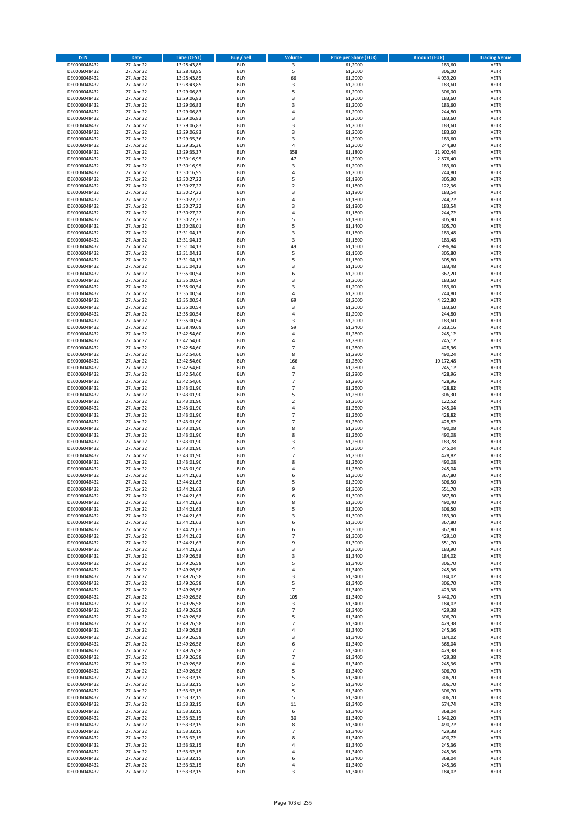| <b>ISIN</b>                  | Date                     | Time (CEST)                | <b>Buy / Sell</b>        | <b>Volume</b>                    | <b>Price per Share (EUR)</b> | <b>Amount (EUR)</b> | <b>Trading Venue</b>       |
|------------------------------|--------------------------|----------------------------|--------------------------|----------------------------------|------------------------------|---------------------|----------------------------|
| DE0006048432                 | 27. Apr 22               | 13:28:43,85                | <b>BUY</b>               | $\overline{\mathbf{3}}$          | 61,2000                      | 183,60              | <b>XETR</b>                |
| DE0006048432                 | 27. Apr 22               | 13:28:43,85                | <b>BUY</b>               | 5                                | 61,2000                      | 306,00              | XETR                       |
| DE0006048432                 | 27. Apr 22               | 13:28:43,85                | <b>BUY</b>               | 66                               | 61,2000                      | 4.039,20            | <b>XETR</b>                |
| DE0006048432                 | 27. Apr 22               | 13:28:43,85                | <b>BUY</b>               | $\mathsf 3$                      | 61,2000                      | 183,60              | XETR                       |
| DE0006048432                 | 27. Apr 22               | 13:29:06,83                | <b>BUY</b>               | 5                                | 61,2000                      | 306,00              | <b>XETR</b>                |
| DE0006048432                 | 27. Apr 22               | 13:29:06,83                | <b>BUY</b>               | 3                                | 61,2000                      | 183,60              | <b>XETR</b>                |
| DE0006048432                 | 27. Apr 22               | 13:29:06,83                | <b>BUY</b>               | 3                                | 61,2000                      | 183,60              | <b>XETR</b>                |
| DE0006048432                 | 27. Apr 22               | 13:29:06,83                | <b>BUY</b>               | 4                                | 61,2000                      | 244,80              | <b>XETR</b>                |
| DE0006048432                 | 27. Apr 22               | 13:29:06,83                | <b>BUY</b>               | 3                                | 61,2000                      | 183,60              | <b>XETR</b>                |
| DE0006048432                 | 27. Apr 22               | 13:29:06,83                | <b>BUY</b>               | 3                                | 61,2000                      | 183,60              | <b>XETR</b>                |
| DE0006048432                 | 27. Apr 22               | 13:29:06,83                | <b>BUY</b>               | $\mathsf 3$                      | 61,2000                      | 183,60              | <b>XETR</b>                |
| DE0006048432                 | 27. Apr 22               | 13:29:35,36                | <b>BUY</b>               | 3                                | 61,2000                      | 183,60              | <b>XETR</b>                |
| DE0006048432                 | 27. Apr 22               | 13:29:35,36                | <b>BUY</b>               | $\overline{4}$                   | 61,2000                      | 244,80              | <b>XETR</b>                |
| DE0006048432                 | 27. Apr 22               | 13:29:35,37                | <b>BUY</b><br><b>BUY</b> | 358<br>47                        | 61,1800                      | 21.902,44           | <b>XETR</b><br><b>XETR</b> |
| DE0006048432<br>DE0006048432 | 27. Apr 22<br>27. Apr 22 | 13:30:16,95<br>13:30:16,95 | <b>BUY</b>               | 3                                | 61,2000<br>61,2000           | 2.876,40<br>183,60  | <b>XETR</b>                |
| DE0006048432                 | 27. Apr 22               | 13:30:16,95                | <b>BUY</b>               | 4                                | 61,2000                      | 244,80              | <b>XETR</b>                |
| DE0006048432                 | 27. Apr 22               | 13:30:27,22                | <b>BUY</b>               | 5                                | 61,1800                      | 305,90              | <b>XETR</b>                |
| DE0006048432                 | 27. Apr 22               | 13:30:27,22                | <b>BUY</b>               | $\overline{2}$                   | 61,1800                      | 122,36              | <b>XETR</b>                |
| DE0006048432                 | 27. Apr 22               | 13:30:27,22                | <b>BUY</b>               | 3                                | 61,1800                      | 183,54              | <b>XETR</b>                |
| DE0006048432                 | 27. Apr 22               | 13:30:27,22                | <b>BUY</b>               | 4                                | 61,1800                      | 244,72              | <b>XETR</b>                |
| DE0006048432                 | 27. Apr 22               | 13:30:27,22                | <b>BUY</b>               | 3                                | 61,1800                      | 183,54              | <b>XETR</b>                |
| DE0006048432                 | 27. Apr 22               | 13:30:27,22                | <b>BUY</b>               | $\overline{4}$                   | 61,1800                      | 244,72              | <b>XETR</b>                |
| DE0006048432                 | 27. Apr 22               | 13:30:27,27                | <b>BUY</b>               | 5                                | 61,1800                      | 305,90              | <b>XETR</b>                |
| DE0006048432                 | 27. Apr 22               | 13:30:28,01                | <b>BUY</b>               | 5                                | 61,1400                      | 305,70              | <b>XETR</b>                |
| DE0006048432                 | 27. Apr 22               | 13:31:04,13                | <b>BUY</b>               | 3                                | 61,1600                      | 183,48              | <b>XETR</b>                |
| DE0006048432                 | 27. Apr 22               | 13:31:04,13                | <b>BUY</b>               | 3                                | 61,1600                      | 183,48              | <b>XETR</b>                |
| DE0006048432                 | 27. Apr 22               | 13:31:04,13                | <b>BUY</b>               | 49                               | 61,1600                      | 2.996,84            | <b>XETR</b>                |
| DE0006048432                 | 27. Apr 22               | 13:31:04,13                | <b>BUY</b>               | 5                                | 61,1600                      | 305,80              | <b>XETR</b>                |
| DE0006048432                 | 27. Apr 22               | 13:31:04,13                | <b>BUY</b>               | 5                                | 61,1600                      | 305,80              | <b>XETR</b>                |
| DE0006048432                 | 27. Apr 22               | 13:31:04,13                | <b>BUY</b>               | 3                                | 61,1600                      | 183,48              | <b>XETR</b>                |
| DE0006048432                 | 27. Apr 22               | 13:35:00,54                | <b>BUY</b>               | 6                                | 61,2000                      | 367,20              | <b>XETR</b>                |
| DE0006048432                 | 27. Apr 22               | 13:35:00,54<br>13:35:00,54 | <b>BUY</b>               | 3<br>3                           | 61,2000                      | 183,60              | <b>XETR</b>                |
| DE0006048432                 | 27. Apr 22<br>27. Apr 22 |                            | <b>BUY</b>               |                                  | 61,2000                      | 183,60              | <b>XETR</b>                |
| DE0006048432<br>DE0006048432 | 27. Apr 22               | 13:35:00,54<br>13:35:00,54 | <b>BUY</b><br><b>BUY</b> | 4<br>69                          | 61,2000<br>61,2000           | 244,80<br>4.222,80  | <b>XETR</b><br><b>XETR</b> |
| DE0006048432                 | 27. Apr 22               | 13:35:00,54                | <b>BUY</b>               | 3                                | 61,2000                      | 183,60              | <b>XETR</b>                |
| DE0006048432                 | 27. Apr 22               | 13:35:00,54                | <b>BUY</b>               | 4                                | 61,2000                      | 244,80              | <b>XETR</b>                |
| DE0006048432                 | 27. Apr 22               | 13:35:00,54                | <b>BUY</b>               | 3                                | 61,2000                      | 183,60              | <b>XETR</b>                |
| DE0006048432                 | 27. Apr 22               | 13:38:49,69                | <b>BUY</b>               | 59                               | 61,2400                      | 3.613,16            | <b>XETR</b>                |
| DE0006048432                 | 27. Apr 22               | 13:42:54,60                | <b>BUY</b>               | 4                                | 61,2800                      | 245,12              | <b>XETR</b>                |
| DE0006048432                 | 27. Apr 22               | 13:42:54,60                | <b>BUY</b>               | 4                                | 61,2800                      | 245,12              | <b>XETR</b>                |
| DE0006048432                 | 27. Apr 22               | 13:42:54,60                | <b>BUY</b>               | $\overline{7}$                   | 61,2800                      | 428,96              | <b>XETR</b>                |
| DE0006048432                 | 27. Apr 22               | 13:42:54,60                | <b>BUY</b>               | 8                                | 61,2800                      | 490,24              | <b>XETR</b>                |
| DE0006048432                 | 27. Apr 22               | 13:42:54,60                | <b>BUY</b>               | 166                              | 61,2800                      | 10.172,48           | <b>XETR</b>                |
| DE0006048432                 | 27. Apr 22               | 13:42:54,60                | <b>BUY</b>               | $\pmb{4}$                        | 61,2800                      | 245,12              | <b>XETR</b>                |
| DE0006048432                 | 27. Apr 22               | 13:42:54,60                | <b>BUY</b>               | $\overline{7}$                   | 61,2800                      | 428,96              | <b>XETR</b>                |
| DE0006048432                 | 27. Apr 22               | 13:42:54,60                | <b>BUY</b>               | $\overline{7}$                   | 61,2800                      | 428,96              | <b>XETR</b>                |
| DE0006048432                 | 27. Apr 22               | 13:43:01,90                | <b>BUY</b>               | $\overline{7}$                   | 61,2600                      | 428,82              | <b>XETR</b>                |
| DE0006048432                 | 27. Apr 22               | 13:43:01,90                | <b>BUY</b>               | 5                                | 61,2600                      | 306,30              | <b>XETR</b>                |
| DE0006048432                 | 27. Apr 22               | 13:43:01,90                | <b>BUY</b>               | $\overline{2}$                   | 61,2600                      | 122,52              | <b>XETR</b>                |
| DE0006048432                 | 27. Apr 22               | 13:43:01,90                | <b>BUY</b>               | $\overline{4}$                   | 61,2600                      | 245,04              | <b>XETR</b>                |
| DE0006048432                 | 27. Apr 22               | 13:43:01,90                | <b>BUY</b><br><b>BUY</b> | $\overline{7}$<br>$\overline{7}$ | 61,2600                      | 428,82<br>428,82    | <b>XETR</b><br><b>XETR</b> |
| DE0006048432<br>DE0006048432 | 27. Apr 22<br>27. Apr 22 | 13:43:01,90<br>13:43:01,90 | <b>BUY</b>               | 8                                | 61,2600<br>61,2600           | 490,08              | <b>XETR</b>                |
| DE0006048432                 | 27. Apr 22               | 13:43:01,90                | <b>BUY</b>               | 8                                | 61,2600                      | 490,08              | <b>XETR</b>                |
| DE0006048432                 | 27. Apr 22               | 13:43:01,90                | <b>BUY</b>               | 3                                | 61,2600                      | 183,78              | <b>XETR</b>                |
| DE0006048432                 | 27. Apr 22               | 13:43:01,90                | <b>BUY</b>               | 4                                | 61,2600                      | 245,04              | <b>XETR</b>                |
| DE0006048432                 | 27. Apr 22               | 13:43:01,90                | <b>BUY</b>               | $\overline{7}$                   | 61,2600                      | 428,82              | <b>XETR</b>                |
| DE0006048432                 | 27. Apr 22               | 13:43:01,90                | <b>BUY</b>               | 8                                | 61,2600                      | 490,08              | <b>XETR</b>                |
| DE0006048432                 | 27. Apr 22               | 13:43:01,90                | <b>BUY</b>               | 4                                | 61,2600                      | 245,04              | <b>XETR</b>                |
| DE0006048432                 | 27. Apr 22               | 13:44:21,63                | <b>BUY</b>               | 6                                | 61,3000                      | 367,80              | <b>XETR</b>                |
| DE0006048432                 | 27. Apr 22               | 13:44:21,63                | <b>BUY</b>               | 5                                | 61,3000                      | 306,50              | <b>XETR</b>                |
| DE0006048432                 | 27. Apr 22               | 13:44:21,63                | <b>BUY</b>               | 9                                | 61,3000                      | 551,70              | <b>XETR</b>                |
| DE0006048432                 | 27. Apr 22               | 13:44:21,63                | BUY                      | 6                                | 61,3000                      | 367,80              | XETR                       |
| DE0006048432                 | 27. Apr 22               | 13:44:21,63                | <b>BUY</b>               | 8                                | 61,3000                      | 490,40              | <b>XETR</b>                |
| DE0006048432                 | 27. Apr 22               | 13:44:21,63                | <b>BUY</b>               | 5                                | 61,3000                      | 306,50              | <b>XETR</b>                |
| DE0006048432                 | 27. Apr 22               | 13:44:21,63                | <b>BUY</b>               | 3                                | 61,3000                      | 183,90              | XETR                       |
| DE0006048432                 | 27. Apr 22               | 13:44:21,63                | <b>BUY</b>               | 6                                | 61,3000                      | 367,80              | XETR                       |
| DE0006048432                 | 27. Apr 22               | 13:44:21,63                | <b>BUY</b>               | 6                                | 61,3000                      | 367,80              | <b>XETR</b>                |
| DE0006048432                 | 27. Apr 22               | 13:44:21,63                | <b>BUY</b>               | $\overline{7}$                   | 61,3000                      | 429,10              | <b>XETR</b>                |
| DE0006048432                 | 27. Apr 22               | 13:44:21,63                | <b>BUY</b>               | 9                                | 61,3000                      | 551,70              | <b>XETR</b>                |
| DE0006048432                 | 27. Apr 22               | 13:44:21,63                | <b>BUY</b>               | 3                                | 61,3000                      | 183,90              | XETR                       |
| DE0006048432<br>DE0006048432 | 27. Apr 22<br>27. Apr 22 | 13:49:26,58<br>13:49:26,58 | <b>BUY</b><br><b>BUY</b> | 3<br>5                           | 61,3400<br>61,3400           | 184,02<br>306,70    | <b>XETR</b><br>XETR        |
| DE0006048432                 | 27. Apr 22               | 13:49:26,58                | <b>BUY</b>               | 4                                | 61,3400                      | 245,36              | <b>XETR</b>                |
| DE0006048432                 | 27. Apr 22               | 13:49:26,58                | <b>BUY</b>               | 3                                | 61,3400                      | 184,02              | XETR                       |
| DE0006048432                 | 27. Apr 22               | 13:49:26,58                | <b>BUY</b>               | 5                                | 61,3400                      | 306,70              | <b>XETR</b>                |
| DE0006048432                 | 27. Apr 22               | 13:49:26,58                | <b>BUY</b>               | $\overline{7}$                   | 61,3400                      | 429,38              | XETR                       |
| DE0006048432                 | 27. Apr 22               | 13:49:26,58                | <b>BUY</b>               | 105                              | 61,3400                      | 6.440,70            | <b>XETR</b>                |
| DE0006048432                 | 27. Apr 22               | 13:49:26,58                | <b>BUY</b>               | 3                                | 61,3400                      | 184,02              | <b>XETR</b>                |
| DE0006048432                 | 27. Apr 22               | 13:49:26,58                | <b>BUY</b>               | $\overline{7}$                   | 61,3400                      | 429,38              | <b>XETR</b>                |
| DE0006048432                 | 27. Apr 22               | 13:49:26,58                | <b>BUY</b>               | 5                                | 61,3400                      | 306,70              | XETR                       |
| DE0006048432                 | 27. Apr 22               | 13:49:26,58                | <b>BUY</b>               | $\overline{7}$                   | 61,3400                      | 429,38              | XETR                       |
| DE0006048432                 | 27. Apr 22               | 13:49:26,58                | <b>BUY</b>               | 4                                | 61,3400                      | 245,36              | <b>XETR</b>                |
| DE0006048432                 | 27. Apr 22               | 13:49:26,58                | <b>BUY</b>               | 3                                | 61,3400                      | 184,02              | <b>XETR</b>                |
| DE0006048432                 | 27. Apr 22               | 13:49:26,58                | <b>BUY</b>               | 6                                | 61,3400                      | 368,04              | XETR                       |
| DE0006048432                 | 27. Apr 22               | 13:49:26,58                | <b>BUY</b>               | $\overline{7}$                   | 61,3400                      | 429,38              | <b>XETR</b>                |
| DE0006048432                 | 27. Apr 22               | 13:49:26,58                | <b>BUY</b>               | $\overline{7}$                   | 61,3400                      | 429,38              | XETR                       |
| DE0006048432                 | 27. Apr 22               | 13:49:26,58                | <b>BUY</b>               | 4                                | 61,3400                      | 245,36              | <b>XETR</b>                |
| DE0006048432                 | 27. Apr 22               | 13:49:26,58                | <b>BUY</b>               | 5                                | 61,3400                      | 306,70              | XETR                       |
| DE0006048432                 | 27. Apr 22               | 13:53:32,15                | <b>BUY</b>               | 5                                | 61,3400                      | 306,70              | <b>XETR</b>                |
| DE0006048432                 | 27. Apr 22               | 13:53:32,15                | <b>BUY</b>               | 5                                | 61,3400                      | 306,70              | <b>XETR</b>                |
| DE0006048432                 | 27. Apr 22               | 13:53:32,15                | <b>BUY</b>               | 5                                | 61,3400                      | 306,70              | <b>XETR</b>                |
| DE0006048432                 | 27. Apr 22               | 13:53:32,15                | <b>BUY</b><br><b>BUY</b> | 5                                | 61,3400                      | 306,70              | <b>XETR</b>                |
| DE0006048432<br>DE0006048432 | 27. Apr 22<br>27. Apr 22 | 13:53:32,15<br>13:53:32,15 | <b>BUY</b>               | $11\,$<br>6                      | 61,3400<br>61,3400           | 674,74<br>368,04    | XETR<br>XETR               |
| DE0006048432                 | 27. Apr 22               | 13:53:32,15                | <b>BUY</b>               | 30                               | 61,3400                      | 1.840,20            | <b>XETR</b>                |
| DE0006048432                 | 27. Apr 22               | 13:53:32,15                | <b>BUY</b>               | 8                                | 61,3400                      | 490,72              | <b>XETR</b>                |
| DE0006048432                 | 27. Apr 22               | 13:53:32,15                | <b>BUY</b>               | $\overline{7}$                   | 61,3400                      | 429,38              | <b>XETR</b>                |
| DE0006048432                 | 27. Apr 22               | 13:53:32,15                | <b>BUY</b>               | 8                                | 61,3400                      | 490,72              | XETR                       |
| DE0006048432                 | 27. Apr 22               | 13:53:32,15                | <b>BUY</b>               | $\overline{4}$                   | 61,3400                      | 245,36              | XETR                       |
| DE0006048432                 | 27. Apr 22               | 13:53:32,15                | <b>BUY</b>               | 4                                | 61,3400                      | 245,36              | <b>XETR</b>                |
| DE0006048432                 | 27. Apr 22               | 13:53:32,15                | <b>BUY</b>               | 6                                | 61,3400                      | 368,04              | XETR                       |
| DE0006048432                 | 27. Apr 22               | 13:53:32,15                | <b>BUY</b>               | $\pmb{4}$                        | 61,3400                      | 245,36              | <b>XETR</b>                |
| DE0006048432                 | 27. Apr 22               | 13:53:32,15                | <b>BUY</b>               | 3                                | 61,3400                      | 184,02              | <b>XETR</b>                |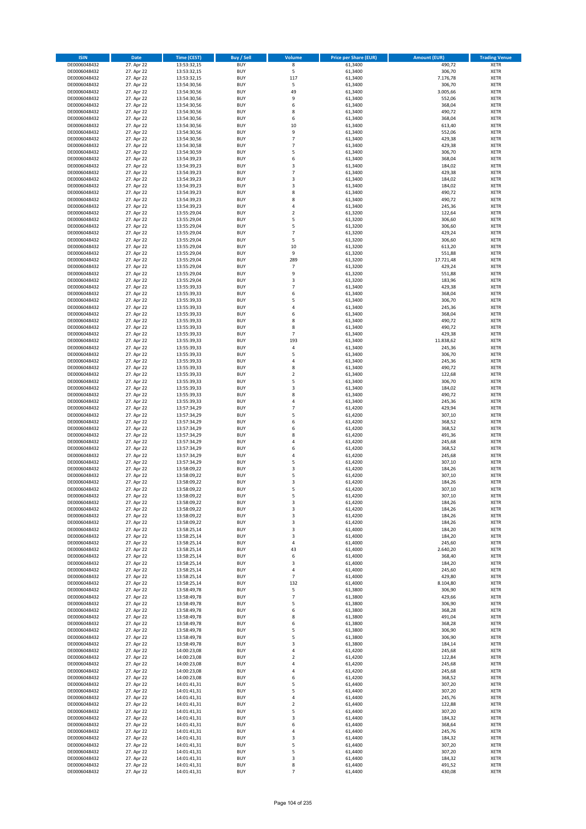| <b>ISIN</b>                  | Date                     | <b>Time (CEST)</b>         | <b>Buy / Sell</b>        | <b>Volume</b>           | <b>Price per Share (EUR)</b> | <b>Amount (EUR)</b> | <b>Trading Venue</b>       |
|------------------------------|--------------------------|----------------------------|--------------------------|-------------------------|------------------------------|---------------------|----------------------------|
| DE0006048432                 | 27. Apr 22               | 13:53:32,15                | <b>BUY</b>               | $\overline{\mathbf{8}}$ | 61,3400                      | 490,72              | <b>XETR</b>                |
| DE0006048432                 | 27. Apr 22               | 13:53:32,15                | <b>BUY</b>               | 5                       | 61,3400                      | 306,70              | XETR                       |
| DE0006048432                 | 27. Apr 22               | 13:53:32,15                | <b>BUY</b>               | 117                     | 61.3400                      | 7.176,78            | <b>XETR</b>                |
| DE0006048432                 | 27. Apr 22               | 13:54:30,56                | <b>BUY</b>               | 5                       | 61,3400                      | 306,70              | XETR                       |
| DE0006048432                 | 27. Apr 22               | 13:54:30,56                | <b>BUY</b>               | 49                      | 61,3400                      | 3.005,66            | <b>XETR</b>                |
| DE0006048432                 | 27. Apr 22               | 13:54:30,56                | <b>BUY</b>               | 9                       | 61,3400                      | 552,06              | <b>XETR</b>                |
| DE0006048432                 | 27. Apr 22               | 13:54:30,56                | <b>BUY</b>               | 6                       | 61,3400                      | 368,04              | <b>XETR</b>                |
| DE0006048432                 | 27. Apr 22               | 13:54:30,56                | <b>BUY</b>               | 8                       | 61,3400                      | 490,72              | <b>XETR</b>                |
| DE0006048432                 | 27. Apr 22               | 13:54:30,56                | <b>BUY</b>               | 6                       | 61,3400                      | 368,04              | <b>XETR</b>                |
| DE0006048432                 | 27. Apr 22               | 13:54:30,56                | <b>BUY</b>               | 10                      | 61,3400                      | 613,40              | <b>XETR</b>                |
| DE0006048432                 | 27. Apr 22               | 13:54:30,56                | <b>BUY</b>               | 9                       | 61,3400                      | 552,06              | <b>XETR</b>                |
| DE0006048432                 | 27. Apr 22               | 13:54:30,56                | <b>BUY</b>               | $\overline{7}$          | 61,3400                      | 429,38              | <b>XETR</b>                |
| DE0006048432                 | 27. Apr 22               | 13:54:30,58                | <b>BUY</b>               | $\overline{7}$          | 61,3400                      | 429,38              | <b>XETR</b>                |
| DE0006048432                 | 27. Apr 22               | 13:54:30,59                | <b>BUY</b><br><b>BUY</b> | 5<br>6                  | 61,3400                      | 306,70<br>368,04    | <b>XETR</b><br><b>XETR</b> |
| DE0006048432<br>DE0006048432 | 27. Apr 22<br>27. Apr 22 | 13:54:39,23<br>13:54:39,23 | <b>BUY</b>               | 3                       | 61,3400<br>61,3400           | 184,02              | <b>XETR</b>                |
| DE0006048432                 | 27. Apr 22               | 13:54:39,23                | <b>BUY</b>               | $\overline{7}$          | 61,3400                      | 429,38              | <b>XETR</b>                |
| DE0006048432                 | 27. Apr 22               | 13:54:39,23                | <b>BUY</b>               | 3                       | 61,3400                      | 184,02              | <b>XETR</b>                |
| DE0006048432                 | 27. Apr 22               | 13:54:39,23                | <b>BUY</b>               | 3                       | 61,3400                      | 184,02              | <b>XETR</b>                |
| DE0006048432                 | 27. Apr 22               | 13:54:39,23                | <b>BUY</b>               | 8                       | 61,3400                      | 490,72              | <b>XETR</b>                |
| DE0006048432                 | 27. Apr 22               | 13:54:39,23                | <b>BUY</b>               | 8                       | 61,3400                      | 490,72              | <b>XETR</b>                |
| DE0006048432                 | 27. Apr 22               | 13:54:39,23                | <b>BUY</b>               | 4                       | 61,3400                      | 245,36              | <b>XETR</b>                |
| DE0006048432                 | 27. Apr 22               | 13:55:29,04                | <b>BUY</b>               | $\mathbf 2$             | 61,3200                      | 122,64              | <b>XETR</b>                |
| DE0006048432                 | 27. Apr 22               | 13:55:29,04                | <b>BUY</b>               | 5                       | 61,3200                      | 306,60              | <b>XETR</b>                |
| DE0006048432                 | 27. Apr 22               | 13:55:29,04                | <b>BUY</b>               | 5                       | 61,3200                      | 306,60              | <b>XETR</b>                |
| DE0006048432                 | 27. Apr 22               | 13:55:29,04                | <b>BUY</b>               | $\overline{7}$          | 61,3200                      | 429,24              | <b>XETR</b>                |
| DE0006048432                 | 27. Apr 22               | 13:55:29,04                | <b>BUY</b>               | 5                       | 61,3200                      | 306,60              | <b>XETR</b>                |
| DE0006048432                 | 27. Apr 22               | 13:55:29,04                | <b>BUY</b>               | 10                      | 61,3200                      | 613,20              | <b>XETR</b>                |
| DE0006048432                 | 27. Apr 22               | 13:55:29,04                | <b>BUY</b>               | 9                       | 61,3200                      | 551,88              | <b>XETR</b>                |
| DE0006048432                 | 27. Apr 22               | 13:55:29,04                | <b>BUY</b>               | 289                     | 61,3200                      | 17.721,48           | <b>XETR</b>                |
| DE0006048432                 | 27. Apr 22               | 13:55:29,04                | <b>BUY</b>               | $\overline{7}$          | 61,3200                      | 429,24              | <b>XETR</b>                |
| DE0006048432                 | 27. Apr 22               | 13:55:29,04                | <b>BUY</b>               | 9                       | 61,3200                      | 551,88              | <b>XETR</b>                |
| DE0006048432<br>DE0006048432 | 27. Apr 22               | 13:55:29,04                | <b>BUY</b>               | 3<br>$\overline{7}$     | 61,3200                      | 183,96              | <b>XETR</b>                |
|                              | 27. Apr 22<br>27. Apr 22 | 13:55:39,33                | <b>BUY</b>               | 6                       | 61,3400                      | 429,38              | <b>XETR</b>                |
| DE0006048432<br>DE0006048432 | 27. Apr 22               | 13:55:39,33<br>13:55:39,33 | <b>BUY</b><br><b>BUY</b> | 5                       | 61,3400<br>61,3400           | 368,04<br>306,70    | <b>XETR</b><br><b>XETR</b> |
| DE0006048432                 | 27. Apr 22               | 13:55:39,33                | <b>BUY</b>               | 4                       | 61,3400                      | 245,36              | <b>XETR</b>                |
| DE0006048432                 | 27. Apr 22               | 13:55:39,33                | <b>BUY</b>               | 6                       | 61,3400                      | 368,04              | <b>XETR</b>                |
| DE0006048432                 | 27. Apr 22               | 13:55:39,33                | <b>BUY</b>               | 8                       | 61,3400                      | 490,72              | <b>XETR</b>                |
| DE0006048432                 | 27. Apr 22               | 13:55:39,33                | <b>BUY</b>               | 8                       | 61,3400                      | 490,72              | <b>XETR</b>                |
| DE0006048432                 | 27. Apr 22               | 13:55:39,33                | <b>BUY</b>               | $\overline{7}$          | 61,3400                      | 429,38              | <b>XETR</b>                |
| DE0006048432                 | 27. Apr 22               | 13:55:39,33                | <b>BUY</b>               | 193                     | 61,3400                      | 11.838,62           | <b>XETR</b>                |
| DE0006048432                 | 27. Apr 22               | 13:55:39,33                | <b>BUY</b>               | 4                       | 61,3400                      | 245,36              | <b>XETR</b>                |
| DE0006048432                 | 27. Apr 22               | 13:55:39,33                | <b>BUY</b>               | 5                       | 61,3400                      | 306,70              | <b>XETR</b>                |
| DE0006048432                 | 27. Apr 22               | 13:55:39,33                | <b>BUY</b>               | 4                       | 61,3400                      | 245,36              | <b>XETR</b>                |
| DE0006048432                 | 27. Apr 22               | 13:55:39,33                | <b>BUY</b>               | 8                       | 61,3400                      | 490,72              | <b>XETR</b>                |
| DE0006048432                 | 27. Apr 22               | 13:55:39,33                | <b>BUY</b>               | $\mathbf 2$             | 61,3400                      | 122,68              | <b>XETR</b>                |
| DE0006048432                 | 27. Apr 22               | 13:55:39,33                | <b>BUY</b>               | 5                       | 61,3400                      | 306,70              | <b>XETR</b>                |
| DE0006048432                 | 27. Apr 22               | 13:55:39,33                | <b>BUY</b>               | 3                       | 61,3400                      | 184,02              | <b>XETR</b>                |
| DE0006048432                 | 27. Apr 22               | 13:55:39,33                | <b>BUY</b>               | 8                       | 61,3400                      | 490,72              | <b>XETR</b>                |
| DE0006048432                 | 27. Apr 22               | 13:55:39,33                | <b>BUY</b>               | $\overline{a}$          | 61,3400                      | 245,36              | <b>XETR</b>                |
| DE0006048432                 | 27. Apr 22               | 13:57:34,29                | <b>BUY</b>               | $\overline{7}$          | 61,4200                      | 429,94              | <b>XETR</b>                |
| DE0006048432                 | 27. Apr 22               | 13:57:34,29                | <b>BUY</b>               | 5                       | 61,4200                      | 307,10              | <b>XETR</b>                |
| DE0006048432<br>DE0006048432 | 27. Apr 22               | 13:57:34,29                | <b>BUY</b><br><b>BUY</b> | 6<br>6                  | 61,4200                      | 368,52              | <b>XETR</b><br><b>XETR</b> |
| DE0006048432                 | 27. Apr 22<br>27. Apr 22 | 13:57:34,29<br>13:57:34,29 | <b>BUY</b>               | 8                       | 61,4200<br>61,4200           | 368,52<br>491,36    | <b>XETR</b>                |
| DE0006048432                 | 27. Apr 22               | 13:57:34,29                | <b>BUY</b>               | $\overline{a}$          | 61,4200                      | 245,68              | <b>XETR</b>                |
| DE0006048432                 | 27. Apr 22               | 13:57:34,29                | <b>BUY</b>               | 6                       | 61,4200                      | 368,52              | <b>XETR</b>                |
| DE0006048432                 | 27. Apr 22               | 13:57:34,29                | <b>BUY</b>               | $\overline{4}$          | 61,4200                      | 245,68              | <b>XETR</b>                |
| DE0006048432                 | 27. Apr 22               | 13:57:34,29                | <b>BUY</b>               | 5                       | 61,4200                      | 307,10              | <b>XETR</b>                |
| DE0006048432                 | 27. Apr 22               | 13:58:09,22                | <b>BUY</b>               | 3                       | 61,4200                      | 184,26              | <b>XETR</b>                |
| DE0006048432                 | 27. Apr 22               | 13:58:09,22                | <b>BUY</b>               | 5                       | 61,4200                      | 307,10              | <b>XETR</b>                |
| DE0006048432                 | 27. Apr 22               | 13:58:09,22                | <b>BUY</b>               | 3                       | 61,4200                      | 184,26              | <b>XETR</b>                |
| DE0006048432                 | 27. Apr 22               | 13:58:09,22                | <b>BUY</b>               | 5                       | 61,4200                      | 307,10              | <b>XETR</b>                |
| DE0006048432                 | 27. Apr 22               | 13:58:09,22                | BUY                      | 5                       | 61,4200                      | 307,10              | XETR                       |
| DE0006048432                 | 27. Apr 22               | 13:58:09,22                | <b>BUY</b>               | 3                       | 61,4200                      | 184,26              | <b>XETR</b>                |
| DE0006048432                 | 27. Apr 22               | 13:58:09,22                | <b>BUY</b>               | 3                       | 61,4200                      | 184,26              | <b>XETR</b>                |
| DE0006048432                 | 27. Apr 22               | 13:58:09,22                | <b>BUY</b>               | 3                       | 61,4200                      | 184,26              | <b>XETR</b>                |
| DE0006048432                 | 27. Apr 22               | 13:58:09,22                | <b>BUY</b>               | 3                       | 61,4200                      | 184,26              | <b>XETR</b>                |
| DE0006048432                 | 27. Apr 22               | 13:58:25,14                | <b>BUY</b>               | 3                       | 61,4000                      | 184,20              | <b>XETR</b>                |
| DE0006048432                 | 27. Apr 22               | 13:58:25,14                | <b>BUY</b>               | 3                       | 61,4000                      | 184,20              | <b>XETR</b>                |
| DE0006048432                 | 27. Apr 22               | 13:58:25,14                | <b>BUY</b>               | 4                       | 61,4000                      | 245,60              | <b>XETR</b>                |
| DE0006048432                 | 27. Apr 22               | 13:58:25,14<br>13:58:25,14 | <b>BUY</b>               | 43                      | 61,4000                      | 2.640,20            | XETR                       |
| DE0006048432<br>DE0006048432 | 27. Apr 22<br>27. Apr 22 | 13:58:25,14                | <b>BUY</b><br><b>BUY</b> | 6<br>3                  | 61,4000<br>61,4000           | 368,40<br>184,20    | <b>XETR</b><br>XETR        |
| DE0006048432                 | 27. Apr 22               | 13:58:25,14                | <b>BUY</b>               | 4                       | 61,4000                      | 245,60              | <b>XETR</b>                |
| DE0006048432                 | 27. Apr 22               | 13:58:25,14                | <b>BUY</b>               | $\overline{7}$          | 61,4000                      | 429,80              | XETR                       |
| DE0006048432                 | 27. Apr 22               | 13:58:25,14                | <b>BUY</b>               | 132                     | 61,4000                      | 8.104,80            | <b>XETR</b>                |
| DE0006048432                 | 27. Apr 22               | 13:58:49,78                | <b>BUY</b>               | 5                       | 61,3800                      | 306,90              | XETR                       |
| DE0006048432                 | 27. Apr 22               | 13:58:49,78                | <b>BUY</b>               | $\overline{7}$          | 61,3800                      | 429,66              | <b>XETR</b>                |
| DE0006048432                 | 27. Apr 22               | 13:58:49,78                | <b>BUY</b>               | 5                       | 61,3800                      | 306,90              | <b>XETR</b>                |
| DE0006048432                 | 27. Apr 22               | 13:58:49,78                | <b>BUY</b>               | 6                       | 61,3800                      | 368,28              | <b>XETR</b>                |
| DE0006048432                 | 27. Apr 22               | 13:58:49,78                | <b>BUY</b>               | 8                       | 61,3800                      | 491,04              | XETR                       |
| DE0006048432                 | 27. Apr 22               | 13:58:49,78                | <b>BUY</b>               | 6                       | 61,3800                      | 368,28              | XETR                       |
| DE0006048432                 | 27. Apr 22               | 13:58:49,78                | <b>BUY</b>               | 5                       | 61,3800                      | 306,90              | <b>XETR</b>                |
| DE0006048432                 | 27. Apr 22               | 13:58:49,78                | <b>BUY</b>               | 5                       | 61,3800                      | 306,90              | <b>XETR</b>                |
| DE0006048432                 | 27. Apr 22               | 13:58:49,78                | <b>BUY</b>               | 3                       | 61,3800                      | 184,14              | XETR                       |
| DE0006048432                 | 27. Apr 22               | 14:00:23,08                | <b>BUY</b>               | 4                       | 61,4200                      | 245,68              | <b>XETR</b>                |
| DE0006048432                 | 27. Apr 22               | 14:00:23,08                | <b>BUY</b>               | $\overline{2}$          | 61,4200                      | 122,84              | XETR                       |
| DE0006048432                 | 27. Apr 22               | 14:00:23,08                | <b>BUY</b>               | 4                       | 61,4200                      | 245,68              | <b>XETR</b>                |
| DE0006048432                 | 27. Apr 22               | 14:00:23,08                | <b>BUY</b>               | 4                       | 61,4200                      | 245,68              | XETR                       |
| DE0006048432                 | 27. Apr 22               | 14:00:23,08                | <b>BUY</b>               | 6                       | 61,4200                      | 368,52              | <b>XETR</b>                |
| DE0006048432                 | 27. Apr 22               | 14:01:41,31                | <b>BUY</b>               | 5                       | 61,4400                      | 307,20              | <b>XETR</b>                |
| DE0006048432                 | 27. Apr 22               | 14:01:41,31                | <b>BUY</b>               | 5<br>4                  | 61,4400                      | 307,20              | <b>XETR</b>                |
| DE0006048432<br>DE0006048432 | 27. Apr 22               | 14:01:41,31                | <b>BUY</b><br><b>BUY</b> | $\overline{2}$          | 61,4400<br>61,4400           | 245,76              | XETR<br>XETR               |
| DE0006048432                 | 27. Apr 22<br>27. Apr 22 | 14:01:41,31<br>14:01:41,31 | <b>BUY</b>               | 5                       | 61,4400                      | 122,88<br>307,20    | XETR                       |
| DE0006048432                 | 27. Apr 22               | 14:01:41,31                | <b>BUY</b>               | 3                       | 61,4400                      | 184,32              | <b>XETR</b>                |
| DE0006048432                 | 27. Apr 22               | 14:01:41,31                | <b>BUY</b>               | 6                       | 61,4400                      | 368,64              | <b>XETR</b>                |
| DE0006048432                 | 27. Apr 22               | 14:01:41,31                | <b>BUY</b>               | $\pmb{4}$               | 61,4400                      | 245,76              | <b>XETR</b>                |
| DE0006048432                 | 27. Apr 22               | 14:01:41,31                | <b>BUY</b>               | 3                       | 61,4400                      | 184,32              | XETR                       |
| DE0006048432                 | 27. Apr 22               | 14:01:41,31                | <b>BUY</b>               | 5                       | 61,4400                      | 307,20              | XETR                       |
| DE0006048432                 | 27. Apr 22               | 14:01:41,31                | <b>BUY</b>               | 5                       | 61,4400                      | 307,20              | <b>XETR</b>                |
| DE0006048432                 | 27. Apr 22               | 14:01:41,31                | <b>BUY</b>               | 3                       | 61,4400                      | 184,32              | XETR                       |
| DE0006048432                 | 27. Apr 22               | 14:01:41,31                | <b>BUY</b>               | 8                       | 61,4400                      | 491,52              | <b>XETR</b>                |
| DE0006048432                 | 27. Apr 22               | 14:01:41,31                | <b>BUY</b>               | $\overline{7}$          | 61,4400                      | 430,08              | <b>XETR</b>                |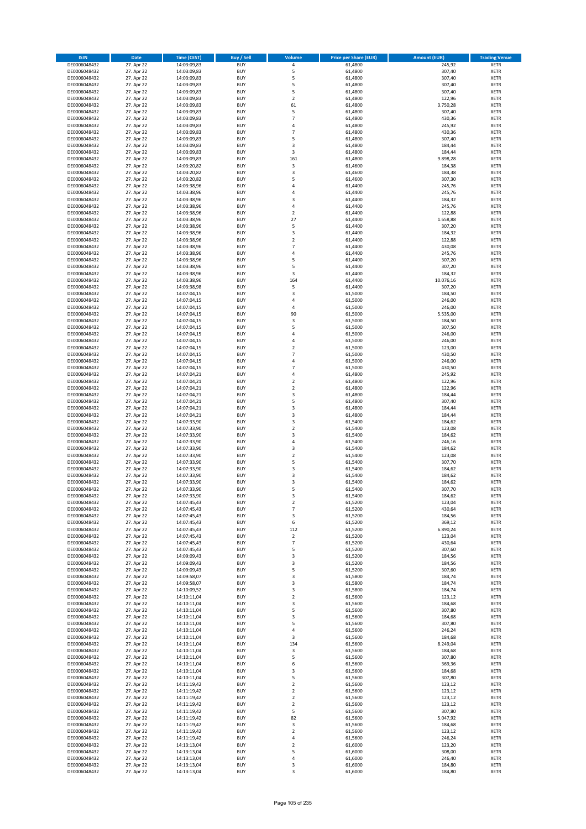| <b>ISIN</b>                  | Date                     | Time (CEST)                | <b>Buy / Sell</b>        | <b>Volume</b>                    | <b>Price per Share (EUR)</b> | <b>Amount (EUR)</b> | <b>Trading Venue</b>       |
|------------------------------|--------------------------|----------------------------|--------------------------|----------------------------------|------------------------------|---------------------|----------------------------|
| DE0006048432                 | 27. Apr 22               | 14:03:09,83                | <b>BUY</b>               | $\pmb{4}$                        | 61,4800                      | 245,92              | <b>XETR</b>                |
| DE0006048432                 | 27. Apr 22               | 14:03:09,83                | <b>BUY</b>               | 5                                | 61,4800                      | 307,40              | XETR                       |
| DE0006048432                 | 27. Apr 22               | 14:03:09,83                | <b>BUY</b>               | 5                                | 61,4800                      | 307,40              | <b>XETR</b>                |
| DE0006048432<br>DE0006048432 | 27. Apr 22<br>27. Apr 22 | 14:03:09,83<br>14:03:09,83 | <b>BUY</b><br><b>BUY</b> | 5<br>5                           | 61,4800<br>61,4800           | 307,40<br>307,40    | XETR<br><b>XETR</b>        |
| DE0006048432                 | 27. Apr 22               | 14:03:09,83                | <b>BUY</b>               | $\mathbf 2$                      | 61,4800                      | 122,96              | <b>XETR</b>                |
| DE0006048432                 | 27. Apr 22               | 14:03:09,83                | <b>BUY</b>               | 61                               | 61,4800                      | 3.750,28            | <b>XETR</b>                |
| DE0006048432                 | 27. Apr 22               | 14:03:09,83                | <b>BUY</b>               | 5                                | 61,4800                      | 307,40              | <b>XETR</b>                |
| DE0006048432                 | 27. Apr 22               | 14:03:09,83                | <b>BUY</b><br><b>BUY</b> | $\overline{7}$<br>4              | 61,4800                      | 430,36              | <b>XETR</b>                |
| DE0006048432<br>DE0006048432 | 27. Apr 22<br>27. Apr 22 | 14:03:09,83<br>14:03:09,83 | <b>BUY</b>               | $\overline{7}$                   | 61,4800<br>61,4800           | 245,92<br>430,36    | <b>XETR</b><br><b>XETR</b> |
| DE0006048432                 | 27. Apr 22               | 14:03:09,83                | <b>BUY</b>               | 5                                | 61,4800                      | 307,40              | <b>XETR</b>                |
| DE0006048432                 | 27. Apr 22               | 14:03:09,83                | <b>BUY</b>               | 3                                | 61,4800                      | 184,44              | <b>XETR</b>                |
| DE0006048432                 | 27. Apr 22               | 14:03:09,83                | <b>BUY</b>               | 3                                | 61,4800                      | 184,44              | <b>XETR</b>                |
| DE0006048432                 | 27. Apr 22               | 14:03:09,83                | <b>BUY</b>               | 161                              | 61,4800                      | 9.898,28            | <b>XETR</b>                |
| DE0006048432<br>DE0006048432 | 27. Apr 22<br>27. Apr 22 | 14:03:20,82<br>14:03:20,82 | <b>BUY</b><br><b>BUY</b> | 3<br>3                           | 61,4600<br>61,4600           | 184,38<br>184,38    | <b>XETR</b><br><b>XETR</b> |
| DE0006048432                 | 27. Apr 22               | 14:03:20,82                | <b>BUY</b>               | 5                                | 61,4600                      | 307,30              | <b>XETR</b>                |
| DE0006048432                 | 27. Apr 22               | 14:03:38,96                | <b>BUY</b>               | 4                                | 61,4400                      | 245,76              | <b>XETR</b>                |
| DE0006048432                 | 27. Apr 22               | 14:03:38,96                | <b>BUY</b>               | $\overline{4}$                   | 61,4400                      | 245,76              | <b>XETR</b>                |
| DE0006048432                 | 27. Apr 22               | 14:03:38,96                | <b>BUY</b>               | 3                                | 61,4400                      | 184,32              | <b>XETR</b>                |
| DE0006048432<br>DE0006048432 | 27. Apr 22<br>27. Apr 22 | 14:03:38,96                | <b>BUY</b><br><b>BUY</b> | 4<br>$\mathbf 2$                 | 61,4400<br>61,4400           | 245,76<br>122,88    | <b>XETR</b><br><b>XETR</b> |
| DE0006048432                 | 27. Apr 22               | 14:03:38,96<br>14:03:38,96 | <b>BUY</b>               | 27                               | 61,4400                      | 1.658,88            | <b>XETR</b>                |
| DE0006048432                 | 27. Apr 22               | 14:03:38,96                | <b>BUY</b>               | 5                                | 61,4400                      | 307,20              | <b>XETR</b>                |
| DE0006048432                 | 27. Apr 22               | 14:03:38,96                | <b>BUY</b>               | 3                                | 61,4400                      | 184,32              | <b>XETR</b>                |
| DE0006048432                 | 27. Apr 22               | 14:03:38,96                | <b>BUY</b>               | $\mathbf 2$                      | 61,4400                      | 122,88              | <b>XETR</b>                |
| DE0006048432                 | 27. Apr 22               | 14:03:38,96                | <b>BUY</b><br><b>BUY</b> | $\overline{7}$<br>$\sqrt{4}$     | 61,4400                      | 430,08              | <b>XETR</b>                |
| DE0006048432<br>DE0006048432 | 27. Apr 22<br>27. Apr 22 | 14:03:38,96<br>14:03:38,96 | <b>BUY</b>               | 5                                | 61,4400<br>61,4400           | 245,76<br>307,20    | <b>XETR</b><br><b>XETR</b> |
| DE0006048432                 | 27. Apr 22               | 14:03:38,96                | <b>BUY</b>               | 5                                | 61,4400                      | 307,20              | <b>XETR</b>                |
| DE0006048432                 | 27. Apr 22               | 14:03:38,96                | <b>BUY</b>               | 3                                | 61,4400                      | 184,32              | <b>XETR</b>                |
| DE0006048432                 | 27. Apr 22               | 14:03:38,96                | <b>BUY</b>               | 164                              | 61,4400                      | 10.076,16           | <b>XETR</b>                |
| DE0006048432                 | 27. Apr 22               | 14:03:38,98                | <b>BUY</b>               | 5<br>3                           | 61,4400                      | 307,20              | <b>XETR</b>                |
| DE0006048432<br>DE0006048432 | 27. Apr 22<br>27. Apr 22 | 14:07:04,15<br>14:07:04,15 | <b>BUY</b><br><b>BUY</b> | 4                                | 61,5000<br>61,5000           | 184,50<br>246,00    | <b>XETR</b><br><b>XETR</b> |
| DE0006048432                 | 27. Apr 22               | 14:07:04,15                | <b>BUY</b>               | 4                                | 61,5000                      | 246,00              | <b>XETR</b>                |
| DE0006048432                 | 27. Apr 22               | 14:07:04,15                | <b>BUY</b>               | 90                               | 61,5000                      | 5.535,00            | <b>XETR</b>                |
| DE0006048432                 | 27. Apr 22               | 14:07:04,15                | <b>BUY</b>               | 3                                | 61,5000                      | 184,50              | <b>XETR</b>                |
| DE0006048432                 | 27. Apr 22               | 14:07:04,15                | <b>BUY</b>               | 5<br>$\overline{4}$              | 61,5000                      | 307,50              | <b>XETR</b>                |
| DE0006048432<br>DE0006048432 | 27. Apr 22<br>27. Apr 22 | 14:07:04,15<br>14:07:04,15 | <b>BUY</b><br><b>BUY</b> | 4                                | 61,5000<br>61,5000           | 246,00<br>246,00    | <b>XETR</b><br><b>XETR</b> |
| DE0006048432                 | 27. Apr 22               | 14:07:04,15                | <b>BUY</b>               | $\mathbf 2$                      | 61,5000                      | 123,00              | <b>XETR</b>                |
| DE0006048432                 | 27. Apr 22               | 14:07:04,15                | <b>BUY</b>               | $\overline{7}$                   | 61,5000                      | 430,50              | <b>XETR</b>                |
| DE0006048432                 | 27. Apr 22               | 14:07:04,15                | <b>BUY</b>               | $\overline{4}$                   | 61,5000                      | 246,00              | <b>XETR</b>                |
| DE0006048432                 | 27. Apr 22               | 14:07:04,15                | <b>BUY</b>               | $\overline{7}$                   | 61,5000                      | 430,50              | <b>XETR</b>                |
| DE0006048432<br>DE0006048432 | 27. Apr 22<br>27. Apr 22 | 14:07:04,21<br>14:07:04,21 | <b>BUY</b><br><b>BUY</b> | 4<br>$\mathbf 2$                 | 61,4800<br>61,4800           | 245,92<br>122,96    | <b>XETR</b><br><b>XETR</b> |
| DE0006048432                 | 27. Apr 22               | 14:07:04,21                | <b>BUY</b>               | $\mathbf 2$                      | 61,4800                      | 122,96              | <b>XETR</b>                |
| DE0006048432                 | 27. Apr 22               | 14:07:04,21                | <b>BUY</b>               | 3                                | 61,4800                      | 184,44              | <b>XETR</b>                |
| DE0006048432                 | 27. Apr 22               | 14:07:04,21                | <b>BUY</b>               | 5                                | 61,4800                      | 307,40              | <b>XETR</b>                |
| DE0006048432                 | 27. Apr 22               | 14:07:04,21                | <b>BUY</b>               | 3                                | 61,4800                      | 184,44              | <b>XETR</b>                |
| DE0006048432<br>DE0006048432 | 27. Apr 22<br>27. Apr 22 | 14:07:04,21<br>14:07:33,90 | <b>BUY</b><br><b>BUY</b> | 3<br>$\mathsf 3$                 | 61,4800<br>61,5400           | 184,44<br>184,62    | <b>XETR</b><br><b>XETR</b> |
| DE0006048432                 | 27. Apr 22               | 14:07:33,90                | <b>BUY</b>               | $\overline{2}$                   | 61,5400                      | 123,08              | <b>XETR</b>                |
| DE0006048432                 | 27. Apr 22               | 14:07:33,90                | <b>BUY</b>               | 3                                | 61,5400                      | 184,62              | <b>XETR</b>                |
| DE0006048432                 | 27. Apr 22               | 14:07:33,90                | <b>BUY</b>               | $\overline{4}$                   | 61,5400                      | 246,16              | <b>XETR</b>                |
| DE0006048432                 | 27. Apr 22               | 14:07:33,90                | <b>BUY</b>               | 3                                | 61,5400                      | 184,62              | <b>XETR</b>                |
| DE0006048432<br>DE0006048432 | 27. Apr 22<br>27. Apr 22 | 14:07:33,90<br>14:07:33,90 | <b>BUY</b><br><b>BUY</b> | $\overline{2}$<br>5              | 61,5400<br>61,5400           | 123,08<br>307,70    | <b>XETR</b><br><b>XETR</b> |
| DE0006048432                 | 27. Apr 22               | 14:07:33,90                | <b>BUY</b>               | 3                                | 61,5400                      | 184,62              | <b>XETR</b>                |
| DE0006048432                 | 27. Apr 22               | 14:07:33,90                | <b>BUY</b>               | 3                                | 61,5400                      | 184,62              | <b>XETR</b>                |
| DE0006048432                 | 27. Apr 22               | 14:07:33,90                | <b>BUY</b>               | 3                                | 61,5400                      | 184,62              | <b>XETR</b>                |
| DE0006048432                 | 27. Apr 22               | 14:07:33,90                | <b>BUY</b>               | 5                                | 61,5400                      | 307,70              | <b>XETR</b>                |
| DE0006048432<br>DE0006048432 | 27. Apr 22<br>27. Apr 22 | 14:07:33,90<br>14:07:45,43 | BUY<br><b>BUY</b>        | 3<br>$\mathbf 2$                 | 61,5400<br>61,5200           | 184,62<br>123,04    | XETR<br><b>XETR</b>        |
| DE0006048432                 | 27. Apr 22               | 14:07:45,43                | <b>BUY</b>               | $\overline{7}$                   | 61,5200                      | 430,64              | <b>XETR</b>                |
| DE0006048432                 | 27. Apr 22               | 14:07:45,43                | <b>BUY</b>               | 3                                | 61,5200                      | 184,56              | <b>XETR</b>                |
| DE0006048432                 | 27. Apr 22               | 14:07:45,43                | <b>BUY</b>               | 6                                | 61,5200                      | 369,12              | <b>XETR</b>                |
| DE0006048432                 | 27. Apr 22               | 14:07:45,43                | <b>BUY</b>               | 112                              | 61,5200                      | 6.890,24            | <b>XETR</b>                |
| DE0006048432<br>DE0006048432 | 27. Apr 22<br>27. Apr 22 | 14:07:45,43<br>14:07:45,43 | <b>BUY</b><br><b>BUY</b> | $\overline{2}$<br>$\overline{7}$ | 61,5200<br>61,5200           | 123,04<br>430,64    | <b>XETR</b><br><b>XETR</b> |
| DE0006048432                 | 27. Apr 22               | 14:07:45,43                | <b>BUY</b>               | 5                                | 61,5200                      | 307,60              | XETR                       |
| DE0006048432                 | 27. Apr 22               | 14:09:09,43                | <b>BUY</b>               | 3                                | 61,5200                      | 184,56              | <b>XETR</b>                |
| DE0006048432                 | 27. Apr 22               | 14:09:09,43                | <b>BUY</b>               | 3                                | 61,5200                      | 184,56              | XETR                       |
| DE0006048432<br>DE0006048432 | 27. Apr 22<br>27. Apr 22 | 14:09:09,43<br>14:09:58,07 | <b>BUY</b><br><b>BUY</b> | 5<br>$\mathsf 3$                 | 61,5200<br>61,5800           | 307,60<br>184,74    | <b>XETR</b><br>XETR        |
| DE0006048432                 | 27. Apr 22               | 14:09:58,07                | <b>BUY</b>               | 3                                | 61,5800                      | 184,74              | <b>XETR</b>                |
| DE0006048432                 | 27. Apr 22               | 14:10:09,52                | <b>BUY</b>               | 3                                | 61,5800                      | 184,74              | XETR                       |
| DE0006048432                 | 27. Apr 22               | 14:10:11,04                | <b>BUY</b>               | $\mathbf 2$                      | 61,5600                      | 123,12              | <b>XETR</b>                |
| DE0006048432                 | 27. Apr 22               | 14:10:11,04                | <b>BUY</b>               | 3                                | 61,5600                      | 184,68              | <b>XETR</b>                |
| DE0006048432<br>DE0006048432 | 27. Apr 22<br>27. Apr 22 | 14:10:11,04<br>14:10:11,04 | <b>BUY</b><br><b>BUY</b> | 5<br>3                           | 61,5600<br>61,5600           | 307,80<br>184,68    | <b>XETR</b><br>XETR        |
| DE0006048432                 | 27. Apr 22               | 14:10:11,04                | <b>BUY</b>               | 5                                | 61,5600                      | 307,80              | XETR                       |
| DE0006048432                 | 27. Apr 22               | 14:10:11,04                | <b>BUY</b>               | $\sqrt{4}$                       | 61,5600                      | 246,24              | <b>XETR</b>                |
| DE0006048432                 | 27. Apr 22               | 14:10:11,04                | <b>BUY</b>               | 3                                | 61,5600                      | 184,68              | XETR                       |
| DE0006048432                 | 27. Apr 22               | 14:10:11,04                | <b>BUY</b>               | 134                              | 61,5600                      | 8.249,04            | XETR                       |
| DE0006048432<br>DE0006048432 | 27. Apr 22<br>27. Apr 22 | 14:10:11,04<br>14:10:11,04 | <b>BUY</b><br><b>BUY</b> | 3<br>5                           | 61,5600<br>61,5600           | 184,68<br>307,80    | XETR<br>XETR               |
| DE0006048432                 | 27. Apr 22               | 14:10:11,04                | <b>BUY</b>               | 6                                | 61,5600                      | 369,36              | <b>XETR</b>                |
| DE0006048432                 | 27. Apr 22               | 14:10:11,04                | <b>BUY</b>               | 3                                | 61,5600                      | 184,68              | XETR                       |
| DE0006048432                 | 27. Apr 22               | 14:10:11,04                | <b>BUY</b>               | 5                                | 61,5600                      | 307,80              | <b>XETR</b>                |
| DE0006048432                 | 27. Apr 22               | 14:11:19,42                | <b>BUY</b>               | $\overline{2}$                   | 61,5600                      | 123,12              | <b>XETR</b>                |
| DE0006048432<br>DE0006048432 | 27. Apr 22<br>27. Apr 22 | 14:11:19,42<br>14:11:19,42 | <b>BUY</b><br><b>BUY</b> | $\overline{2}$<br>$\overline{2}$ | 61,5600<br>61,5600           | 123,12<br>123,12    | <b>XETR</b><br>XETR        |
| DE0006048432                 | 27. Apr 22               | 14:11:19,42                | <b>BUY</b>               | $\mathbf 2$                      | 61,5600                      | 123,12              | XETR                       |
| DE0006048432                 | 27. Apr 22               | 14:11:19,42                | <b>BUY</b>               | 5                                | 61,5600                      | 307,80              | XETR                       |
| DE0006048432                 | 27. Apr 22               | 14:11:19,42                | <b>BUY</b>               | 82                               | 61,5600                      | 5.047,92            | <b>XETR</b>                |
| DE0006048432                 | 27. Apr 22               | 14:11:19,42                | <b>BUY</b>               | 3                                | 61,5600                      | 184,68              | <b>XETR</b>                |
| DE0006048432<br>DE0006048432 | 27. Apr 22<br>27. Apr 22 | 14:11:19,42<br>14:11:19,42 | <b>BUY</b><br><b>BUY</b> | $\mathbf 2$<br>4                 | 61,5600<br>61,5600           | 123,12<br>246,24    | XETR<br>XETR               |
| DE0006048432                 | 27. Apr 22               | 14:13:13,04                | <b>BUY</b>               | $\mathbf 2$                      | 61,6000                      | 123,20              | XETR                       |
| DE0006048432                 | 27. Apr 22               | 14:13:13,04                | <b>BUY</b>               | 5                                | 61,6000                      | 308,00              | <b>XETR</b>                |
| DE0006048432                 | 27. Apr 22               | 14:13:13,04                | <b>BUY</b>               | 4                                | 61,6000                      | 246,40              | XETR                       |
| DE0006048432                 | 27. Apr 22               | 14:13:13,04                | <b>BUY</b>               | 3                                | 61,6000                      | 184,80              | <b>XETR</b>                |
| DE0006048432                 | 27. Apr 22               | 14:13:13,04                | <b>BUY</b>               | 3                                | 61,6000                      | 184,80              | <b>XETR</b>                |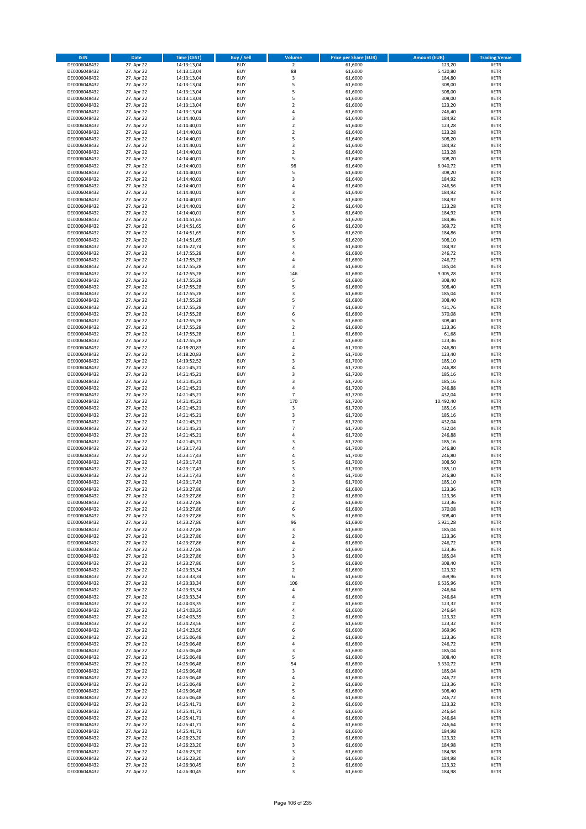| <b>ISIN</b>                  | <b>Date</b>              | <b>Time (CEST)</b>         | <b>Buy / Sell</b>        | <b>Volume</b>                    | <b>Price per Share (EUR)</b> | <b>Amount (EUR)</b> | <b>Trading Venue</b>       |
|------------------------------|--------------------------|----------------------------|--------------------------|----------------------------------|------------------------------|---------------------|----------------------------|
| DE0006048432                 | 27. Apr 22               | 14:13:13,04                | <b>BUY</b>               | $\overline{2}$                   | 61,6000                      | 123,20              | <b>XETR</b>                |
| DE0006048432                 | 27. Apr 22               | 14:13:13,04                | <b>BUY</b>               | 88                               | 61,6000                      | 5.420,80            | <b>XETR</b>                |
| DE0006048432                 | 27. Apr 22               | 14:13:13,04                | <b>BUY</b>               | 3                                | 61,6000                      | 184,80              | <b>XETR</b>                |
| DE0006048432<br>DE0006048432 | 27. Apr 22<br>27. Apr 22 | 14:13:13,04<br>14:13:13,04 | <b>BUY</b><br><b>BUY</b> | 5<br>5                           | 61,6000<br>61,6000           | 308,00<br>308,00    | <b>XETR</b><br><b>XETR</b> |
| DE0006048432                 | 27. Apr 22               | 14:13:13,04                | <b>BUY</b>               | 5                                | 61,6000                      | 308,00              | <b>XETR</b>                |
| DE0006048432                 | 27. Apr 22               | 14:13:13,04                | <b>BUY</b>               | $\mathbf 2$                      | 61,6000                      | 123,20              | <b>XETR</b>                |
| DE0006048432                 | 27. Apr 22               | 14:13:13,04                | <b>BUY</b>               | 4                                | 61,6000                      | 246,40              | <b>XETR</b>                |
| DE0006048432                 | 27. Apr 22               | 14:14:40,01                | <b>BUY</b>               | 3                                | 61,6400                      | 184,92              | <b>XETR</b>                |
| DE0006048432                 | 27. Apr 22               | 14:14:40,01                | <b>BUY</b>               | $\mathbf 2$                      | 61,6400                      | 123,28              | <b>XETR</b>                |
| DE0006048432                 | 27. Apr 22               | 14:14:40,01                | <b>BUY</b>               | $\mathbf 2$                      | 61,6400                      | 123,28              | <b>XETR</b>                |
| DE0006048432<br>DE0006048432 | 27. Apr 22<br>27. Apr 22 | 14:14:40,01<br>14:14:40,01 | <b>BUY</b><br><b>BUY</b> | 5<br>3                           | 61,6400<br>61,6400           | 308,20<br>184,92    | <b>XETR</b><br><b>XETR</b> |
| DE0006048432                 | 27. Apr 22               | 14:14:40,01                | <b>BUY</b>               | $\overline{\mathbf{c}}$          | 61,6400                      | 123,28              | <b>XETR</b>                |
| DE0006048432                 | 27. Apr 22               | 14:14:40,01                | <b>BUY</b>               | 5                                | 61,6400                      | 308,20              | <b>XETR</b>                |
| DE0006048432                 | 27. Apr 22               | 14:14:40,01                | <b>BUY</b>               | 98                               | 61,6400                      | 6.040,72            | <b>XETR</b>                |
| DE0006048432                 | 27. Apr 22               | 14:14:40,01                | <b>BUY</b>               | 5                                | 61,6400                      | 308,20              | <b>XETR</b>                |
| DE0006048432                 | 27. Apr 22               | 14:14:40,01                | <b>BUY</b>               | 3                                | 61,6400                      | 184,92              | <b>XETR</b>                |
| DE0006048432                 | 27. Apr 22               | 14:14:40,01                | <b>BUY</b>               | 4                                | 61,6400                      | 246,56              | <b>XETR</b>                |
| DE0006048432                 | 27. Apr 22               | 14:14:40,01                | <b>BUY</b><br><b>BUY</b> | 3<br>3                           | 61,6400                      | 184,92              | <b>XETR</b><br><b>XETR</b> |
| DE0006048432<br>DE0006048432 | 27. Apr 22<br>27. Apr 22 | 14:14:40,01<br>14:14:40,01 | <b>BUY</b>               | $\mathbf 2$                      | 61,6400<br>61,6400           | 184,92<br>123,28    | <b>XETR</b>                |
| DE0006048432                 | 27. Apr 22               | 14:14:40,01                | <b>BUY</b>               | 3                                | 61,6400                      | 184,92              | <b>XETR</b>                |
| DE0006048432                 | 27. Apr 22               | 14:14:51,65                | <b>BUY</b>               | 3                                | 61,6200                      | 184,86              | <b>XETR</b>                |
| DE0006048432                 | 27. Apr 22               | 14:14:51,65                | <b>BUY</b>               | 6                                | 61,6200                      | 369,72              | <b>XETR</b>                |
| DE0006048432                 | 27. Apr 22               | 14:14:51,65                | <b>BUY</b>               | 3                                | 61,6200                      | 184,86              | <b>XETR</b>                |
| DE0006048432                 | 27. Apr 22               | 14:14:51,65                | <b>BUY</b>               | 5                                | 61,6200                      | 308,10              | <b>XETR</b>                |
| DE0006048432                 | 27. Apr 22               | 14:16:22,74                | <b>BUY</b>               | 3                                | 61,6400                      | 184,92              | <b>XETR</b>                |
| DE0006048432<br>DE0006048432 | 27. Apr 22<br>27. Apr 22 | 14:17:55,28<br>14:17:55,28 | <b>BUY</b><br><b>BUY</b> | 4<br>4                           | 61,6800<br>61,6800           | 246,72<br>246,72    | <b>XETR</b><br><b>XETR</b> |
| DE0006048432                 | 27. Apr 22               | 14:17:55,28                | <b>BUY</b>               | 3                                | 61,6800                      | 185,04              | <b>XETR</b>                |
| DE0006048432                 | 27. Apr 22               | 14:17:55,28                | <b>BUY</b>               | 146                              | 61,6800                      | 9.005,28            | <b>XETR</b>                |
| DE0006048432                 | 27. Apr 22               | 14:17:55,28                | <b>BUY</b>               | 5                                | 61,6800                      | 308,40              | <b>XETR</b>                |
| DE0006048432                 | 27. Apr 22               | 14:17:55,28                | <b>BUY</b>               | 5                                | 61,6800                      | 308,40              | <b>XETR</b>                |
| DE0006048432                 | 27. Apr 22               | 14:17:55,28                | <b>BUY</b>               | 3                                | 61,6800                      | 185,04              | <b>XETR</b>                |
| DE0006048432                 | 27. Apr 22               | 14:17:55,28                | <b>BUY</b>               | 5                                | 61,6800                      | 308,40              | <b>XETR</b>                |
| DE0006048432                 | 27. Apr 22               | 14:17:55,28<br>14:17:55,28 | <b>BUY</b><br><b>BUY</b> | $\overline{7}$<br>6              | 61,6800<br>61,6800           | 431,76<br>370,08    | <b>XETR</b><br><b>XETR</b> |
| DE0006048432<br>DE0006048432 | 27. Apr 22<br>27. Apr 22 | 14:17:55,28                | <b>BUY</b>               | 5                                | 61,6800                      | 308,40              | <b>XETR</b>                |
| DE0006048432                 | 27. Apr 22               | 14:17:55,28                | <b>BUY</b>               | $\mathbf 2$                      | 61,6800                      | 123,36              | <b>XETR</b>                |
| DE0006048432                 | 27. Apr 22               | 14:17:55,28                | <b>BUY</b>               | $\mathbf 1$                      | 61,6800                      | 61,68               | <b>XETR</b>                |
| DE0006048432                 | 27. Apr 22               | 14:17:55,28                | <b>BUY</b>               | $\mathbf 2$                      | 61,6800                      | 123,36              | <b>XETR</b>                |
| DE0006048432                 | 27. Apr 22               | 14:18:20,83                | <b>BUY</b>               | 4                                | 61,7000                      | 246,80              | <b>XETR</b>                |
| DE0006048432                 | 27. Apr 22               | 14:18:20,83                | <b>BUY</b>               | $\overline{\mathbf{c}}$          | 61,7000                      | 123,40              | <b>XETR</b>                |
| DE0006048432                 | 27. Apr 22               | 14:19:52,52                | <b>BUY</b>               | 3                                | 61,7000                      | 185,10              | <b>XETR</b>                |
| DE0006048432<br>DE0006048432 | 27. Apr 22<br>27. Apr 22 | 14:21:45,21<br>14:21:45,21 | <b>BUY</b><br><b>BUY</b> | 4<br>3                           | 61,7200<br>61,7200           | 246,88<br>185,16    | <b>XETR</b><br><b>XETR</b> |
| DE0006048432                 | 27. Apr 22               | 14:21:45,21                | <b>BUY</b>               | 3                                | 61,7200                      | 185,16              | <b>XETR</b>                |
| DE0006048432                 | 27. Apr 22               | 14:21:45,21                | <b>BUY</b>               | 4                                | 61,7200                      | 246,88              | <b>XETR</b>                |
| DE0006048432                 | 27. Apr 22               | 14:21:45,21                | <b>BUY</b>               | $\overline{7}$                   | 61,7200                      | 432,04              | <b>XETR</b>                |
| DE0006048432                 | 27. Apr 22               | 14:21:45,21                | <b>BUY</b>               | 170                              | 61,7200                      | 10.492,40           | <b>XETR</b>                |
| DE0006048432                 | 27. Apr 22               | 14:21:45,21                | <b>BUY</b>               | $\mathsf 3$                      | 61,7200                      | 185,16              | <b>XETR</b>                |
| DE0006048432                 | 27. Apr 22               | 14:21:45,21                | <b>BUY</b>               | 3                                | 61,7200                      | 185,16              | <b>XETR</b>                |
| DE0006048432<br>DE0006048432 | 27. Apr 22<br>27. Apr 22 | 14:21:45,21<br>14:21:45,21 | <b>BUY</b><br><b>BUY</b> | $\overline{7}$<br>$\overline{7}$ | 61,7200<br>61,7200           | 432,04<br>432,04    | <b>XETR</b><br><b>XETR</b> |
| DE0006048432                 | 27. Apr 22               | 14:21:45,21                | <b>BUY</b>               | 4                                | 61,7200                      | 246,88              | <b>XETR</b>                |
| DE0006048432                 | 27. Apr 22               | 14:21:45,21                | <b>BUY</b>               | 3                                | 61,7200                      | 185,16              | <b>XETR</b>                |
| DE0006048432                 | 27. Apr 22               | 14:23:17,43                | <b>BUY</b>               | 4                                | 61,7000                      | 246,80              | <b>XETR</b>                |
| DE0006048432                 | 27. Apr 22               | 14:23:17,43                | <b>BUY</b>               | 4                                | 61,7000                      | 246,80              | <b>XETR</b>                |
| DE0006048432                 | 27. Apr 22               | 14:23:17,43                | <b>BUY</b>               | 5                                | 61,7000                      | 308,50              | <b>XETR</b>                |
| DE0006048432<br>DE0006048432 | 27. Apr 22               | 14:23:17,43                | <b>BUY</b><br><b>BUY</b> | 3<br>4                           | 61,7000                      | 185,10              | <b>XETR</b><br><b>XETR</b> |
| DE0006048432                 | 27. Apr 22<br>27. Apr 22 | 14:23:17,43<br>14:23:17,43 | <b>BUY</b>               | 3                                | 61,7000<br>61,7000           | 246,80<br>185,10    | <b>XETR</b>                |
| DE0006048432                 | 27. Apr 22               | 14:23:27,86                | <b>BUY</b>               | $\overline{2}$                   | 61,6800                      | 123,36              | <b>XETR</b>                |
| DE0006048432                 | 27. Apr 22               | 14:23:27,86                | BUY                      | 2                                | 61,6800                      | 123,36              | <b>XETR</b>                |
| DE0006048432                 | 27. Apr 22               | 14:23:27,86                | <b>BUY</b>               | 2                                | 61,6800                      | 123,36              | <b>XETR</b>                |
| DE0006048432                 | 27. Apr 22               | 14:23:27,86                | <b>BUY</b>               | 6                                | 61,6800                      | 370,08              | <b>XETR</b>                |
| DE0006048432                 | 27. Apr 22               | 14:23:27,86                | <b>BUY</b>               | 5                                | 61,6800                      | 308,40              | XETR                       |
| DE0006048432<br>DE0006048432 | 27. Apr 22<br>27. Apr 22 | 14:23:27,86<br>14:23:27,86 | <b>BUY</b><br><b>BUY</b> | 96<br>3                          | 61,6800<br>61,6800           | 5.921,28<br>185,04  | <b>XETR</b><br><b>XETR</b> |
| DE0006048432                 | 27. Apr 22               | 14:23:27,86                | <b>BUY</b>               | $\mathbf 2$                      | 61,6800                      | 123,36              | <b>XETR</b>                |
| DE0006048432                 | 27. Apr 22               | 14:23:27,86                | <b>BUY</b>               | 4                                | 61,6800                      | 246,72              | <b>XETR</b>                |
| DE0006048432                 | 27. Apr 22               | 14:23:27,86                | <b>BUY</b>               | $\mathbf 2$                      | 61,6800                      | 123,36              | <b>XETR</b>                |
| DE0006048432                 | 27. Apr 22               | 14:23:27,86                | <b>BUY</b>               | 3                                | 61,6800                      | 185,04              | <b>XETR</b>                |
| DE0006048432                 | 27. Apr 22               | 14:23:27,86                | <b>BUY</b>               | 5                                | 61,6800                      | 308,40              | <b>XETR</b>                |
| DE0006048432<br>DE0006048432 | 27. Apr 22<br>27. Apr 22 | 14:23:33,34<br>14:23:33,34 | <b>BUY</b><br><b>BUY</b> | $\overline{\mathbf{c}}$<br>6     | 61,6600<br>61,6600           | 123,32<br>369,96    | <b>XETR</b><br><b>XETR</b> |
| DE0006048432                 | 27. Apr 22               | 14:23:33,34                | <b>BUY</b>               | 106                              | 61,6600                      | 6.535,96            | <b>XETR</b>                |
| DE0006048432                 | 27. Apr 22               | 14:23:33,34                | <b>BUY</b>               | 4                                | 61,6600                      | 246,64              | <b>XETR</b>                |
| DE0006048432                 | 27. Apr 22               | 14:23:33,34                | <b>BUY</b>               | 4                                | 61,6600                      | 246,64              | <b>XETR</b>                |
| DE0006048432                 | 27. Apr 22               | 14:24:03,35                | <b>BUY</b>               | $\overline{\mathbf{c}}$          | 61,6600                      | 123,32              | <b>XETR</b>                |
| DE0006048432                 | 27. Apr 22               | 14:24:03,35                | <b>BUY</b>               | 4                                | 61,6600                      | 246,64              | <b>XETR</b>                |
| DE0006048432                 | 27. Apr 22               | 14:24:03,35                | <b>BUY</b>               | $\mathbf 2$                      | 61,6600                      | 123,32              | XETR                       |
| DE0006048432<br>DE0006048432 | 27. Apr 22<br>27. Apr 22 | 14:24:23,56<br>14:24:23,56 | <b>BUY</b><br><b>BUY</b> | $\mathbf 2$<br>6                 | 61,6600<br>61,6600           | 123,32<br>369,96    | <b>XETR</b><br><b>XETR</b> |
| DE0006048432                 | 27. Apr 22               | 14:25:06,48                | <b>BUY</b>               | $\mathbf 2$                      | 61,6800                      | 123,36              | <b>XETR</b>                |
| DE0006048432                 | 27. Apr 22               | 14:25:06,48                | <b>BUY</b>               | 4                                | 61,6800                      | 246,72              | <b>XETR</b>                |
| DE0006048432                 | 27. Apr 22               | 14:25:06,48                | <b>BUY</b>               | 3                                | 61,6800                      | 185,04              | <b>XETR</b>                |
| DE0006048432                 | 27. Apr 22               | 14:25:06,48                | <b>BUY</b>               | 5                                | 61,6800                      | 308,40              | <b>XETR</b>                |
| DE0006048432                 | 27. Apr 22               | 14:25:06,48                | <b>BUY</b>               | 54                               | 61,6800                      | 3.330,72            | <b>XETR</b>                |
| DE0006048432                 | 27. Apr 22               | 14:25:06,48                | <b>BUY</b><br><b>BUY</b> | 3<br>4                           | 61,6800                      | 185,04              | <b>XETR</b><br><b>XETR</b> |
| DE0006048432<br>DE0006048432 | 27. Apr 22<br>27. Apr 22 | 14:25:06,48<br>14:25:06,48 | <b>BUY</b>               | $\mathbf 2$                      | 61,6800<br>61,6800           | 246,72<br>123,36    | <b>XETR</b>                |
| DE0006048432                 | 27. Apr 22               | 14:25:06,48                | <b>BUY</b>               | 5                                | 61,6800                      | 308,40              | <b>XETR</b>                |
| DE0006048432                 | 27. Apr 22               | 14:25:06,48                | <b>BUY</b>               | 4                                | 61,6800                      | 246,72              | <b>XETR</b>                |
| DE0006048432                 | 27. Apr 22               | 14:25:41,71                | <b>BUY</b>               | $\mathbf 2$                      | 61,6600                      | 123,32              | <b>XETR</b>                |
| DE0006048432                 | 27. Apr 22               | 14:25:41,71                | <b>BUY</b>               | 4                                | 61,6600                      | 246,64              | <b>XETR</b>                |
| DE0006048432                 | 27. Apr 22               | 14:25:41,71                | <b>BUY</b>               | 4                                | 61,6600                      | 246,64              | <b>XETR</b>                |
| DE0006048432<br>DE0006048432 | 27. Apr 22<br>27. Apr 22 | 14:25:41,71<br>14:25:41,71 | <b>BUY</b><br><b>BUY</b> | 4<br>3                           | 61,6600<br>61,6600           | 246,64<br>184,98    | <b>XETR</b><br><b>XETR</b> |
| DE0006048432                 | 27. Apr 22               | 14:26:23,20                | <b>BUY</b>               | $\overline{\mathbf{c}}$          | 61,6600                      | 123,32              | <b>XETR</b>                |
| DE0006048432                 | 27. Apr 22               | 14:26:23,20                | <b>BUY</b>               | 3                                | 61,6600                      | 184,98              | XETR                       |
| DE0006048432                 | 27. Apr 22               | 14:26:23,20                | <b>BUY</b>               | 3                                | 61,6600                      | 184,98              | <b>XETR</b>                |
| DE0006048432                 | 27. Apr 22               | 14:26:23,20                | <b>BUY</b>               | 3                                | 61,6600                      | 184,98              | XETR                       |
| DE0006048432                 | 27. Apr 22               | 14:26:30,45                | <b>BUY</b>               | $\mathbf 2$                      | 61,6600                      | 123,32              | <b>XETR</b>                |
| DE0006048432                 | 27. Apr 22               | 14:26:30,45                | <b>BUY</b>               | 3                                | 61,6600                      | 184,98              | <b>XETR</b>                |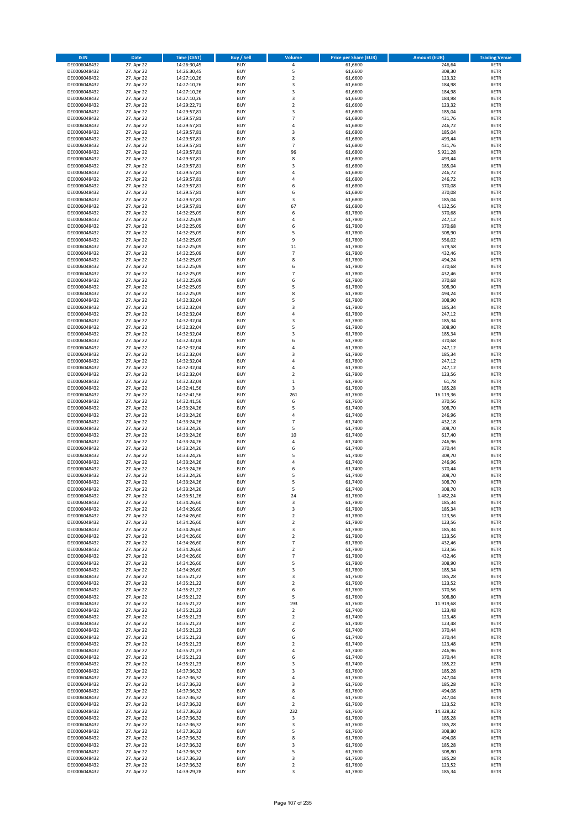| <b>ISIN</b>                  | Date                     | <b>Time (CEST)</b>         | <b>Buy / Sell</b>        | <b>Volume</b>                    | <b>Price per Share (EUR)</b> | <b>Amount (EUR)</b> | <b>Trading Venue</b>       |
|------------------------------|--------------------------|----------------------------|--------------------------|----------------------------------|------------------------------|---------------------|----------------------------|
| DE0006048432                 | 27. Apr 22               | 14:26:30,45                | <b>BUY</b>               | 4                                | 61,6600                      | 246,64              | <b>XETR</b>                |
| DE0006048432                 | 27. Apr 22               | 14:26:30,45                | <b>BUY</b>               | 5                                | 61,6600                      | 308,30              | <b>XETR</b>                |
| DE0006048432                 | 27. Apr 22               | 14:27:10,26                | <b>BUY</b>               | $\mathbf 2$                      | 61,6600                      | 123,32              | <b>XETR</b>                |
| DE0006048432                 | 27. Apr 22               | 14:27:10,26                | <b>BUY</b>               | 3                                | 61.6600                      | 184,98              | <b>XETR</b>                |
| DE0006048432<br>DE0006048432 | 27. Apr 22<br>27. Apr 22 | 14:27:10,26<br>14:27:10,26 | <b>BUY</b><br><b>BUY</b> | $\mathsf 3$<br>3                 | 61,6600<br>61,6600           | 184,98<br>184,98    | <b>XETR</b><br><b>XETR</b> |
| DE0006048432                 | 27. Apr 22               | 14:29:22,71                | <b>BUY</b>               | $\overline{2}$                   | 61,6600                      | 123,32              | <b>XETR</b>                |
| DE0006048432                 | 27. Apr 22               | 14:29:57,81                | <b>BUY</b>               | 3                                | 61,6800                      | 185,04              | <b>XETR</b>                |
| DE0006048432                 | 27. Apr 22               | 14:29:57,81                | <b>BUY</b>               | $\overline{7}$                   | 61,6800                      | 431,76              | <b>XETR</b>                |
| DE0006048432                 | 27. Apr 22               | 14:29:57,81                | <b>BUY</b>               | 4                                | 61,6800                      | 246,72              | <b>XETR</b>                |
| DE0006048432<br>DE0006048432 | 27. Apr 22<br>27. Apr 22 | 14:29:57,81<br>14:29:57,81 | <b>BUY</b><br><b>BUY</b> | 3<br>8                           | 61,6800<br>61,6800           | 185,04<br>493,44    | <b>XETR</b><br><b>XETR</b> |
| DE0006048432                 | 27. Apr 22               | 14:29:57,81                | <b>BUY</b>               | $\overline{7}$                   | 61,6800                      | 431,76              | <b>XETR</b>                |
| DE0006048432                 | 27. Apr 22               | 14:29:57,81                | <b>BUY</b>               | 96                               | 61,6800                      | 5.921,28            | <b>XETR</b>                |
| DE0006048432                 | 27. Apr 22               | 14:29:57,81                | <b>BUY</b>               | 8                                | 61,6800                      | 493,44              | <b>XETR</b>                |
| DE0006048432                 | 27. Apr 22               | 14:29:57,81                | <b>BUY</b>               | 3                                | 61,6800                      | 185,04              | <b>XETR</b>                |
| DE0006048432                 | 27. Apr 22               | 14:29:57,81                | <b>BUY</b>               | 4                                | 61,6800                      | 246,72              | <b>XETR</b>                |
| DE0006048432<br>DE0006048432 | 27. Apr 22<br>27. Apr 22 | 14:29:57,81<br>14:29:57,81 | <b>BUY</b><br><b>BUY</b> | 4<br>6                           | 61,6800<br>61,6800           | 246,72<br>370,08    | <b>XETR</b><br><b>XETR</b> |
| DE0006048432                 | 27. Apr 22               | 14:29:57,81                | <b>BUY</b>               | 6                                | 61,6800                      | 370,08              | <b>XETR</b>                |
| DE0006048432                 | 27. Apr 22               | 14:29:57,81                | <b>BUY</b>               | 3                                | 61,6800                      | 185,04              | <b>XETR</b>                |
| DE0006048432                 | 27. Apr 22               | 14:29:57,81                | <b>BUY</b>               | 67                               | 61,6800                      | 4.132,56            | <b>XETR</b>                |
| DE0006048432                 | 27. Apr 22               | 14:32:25,09                | <b>BUY</b>               | 6                                | 61,7800                      | 370,68              | <b>XETR</b>                |
| DE0006048432                 | 27. Apr 22               | 14:32:25,09                | <b>BUY</b>               | 4                                | 61,7800                      | 247,12              | <b>XETR</b>                |
| DE0006048432<br>DE0006048432 | 27. Apr 22<br>27. Apr 22 | 14:32:25,09<br>14:32:25,09 | <b>BUY</b><br><b>BUY</b> | 6<br>5                           | 61,7800<br>61,7800           | 370,68<br>308,90    | <b>XETR</b><br><b>XETR</b> |
| DE0006048432                 | 27. Apr 22               | 14:32:25,09                | <b>BUY</b>               | 9                                | 61,7800                      | 556,02              | <b>XETR</b>                |
| DE0006048432                 | 27. Apr 22               | 14:32:25,09                | <b>BUY</b>               | 11                               | 61,7800                      | 679,58              | <b>XETR</b>                |
| DE0006048432                 | 27. Apr 22               | 14:32:25,09                | <b>BUY</b>               | $\overline{7}$                   | 61,7800                      | 432,46              | <b>XETR</b>                |
| DE0006048432                 | 27. Apr 22               | 14:32:25,09                | <b>BUY</b>               | 8                                | 61,7800                      | 494,24              | <b>XETR</b>                |
| DE0006048432<br>DE0006048432 | 27. Apr 22<br>27. Apr 22 | 14:32:25,09<br>14:32:25,09 | <b>BUY</b><br><b>BUY</b> | 6<br>$\overline{7}$              | 61,7800<br>61,7800           | 370,68<br>432,46    | <b>XETR</b><br><b>XETR</b> |
| DE0006048432                 | 27. Apr 22               | 14:32:25,09                | <b>BUY</b>               | 6                                | 61,7800                      | 370,68              | <b>XETR</b>                |
| DE0006048432                 | 27. Apr 22               | 14:32:25,09                | <b>BUY</b>               | 5                                | 61,7800                      | 308,90              | <b>XETR</b>                |
| DE0006048432                 | 27. Apr 22               | 14:32:25,09                | <b>BUY</b>               | 8                                | 61,7800                      | 494,24              | <b>XETR</b>                |
| DE0006048432                 | 27. Apr 22               | 14:32:32,04                | <b>BUY</b>               | 5                                | 61,7800                      | 308,90              | <b>XETR</b>                |
| DE0006048432                 | 27. Apr 22               | 14:32:32,04                | <b>BUY</b>               | 3                                | 61,7800                      | 185,34              | <b>XETR</b>                |
| DE0006048432                 | 27. Apr 22               | 14:32:32,04                | <b>BUY</b><br><b>BUY</b> | 4<br>3                           | 61,7800                      | 247,12              | <b>XETR</b><br><b>XETR</b> |
| DE0006048432<br>DE0006048432 | 27. Apr 22<br>27. Apr 22 | 14:32:32,04<br>14:32:32,04 | <b>BUY</b>               | 5                                | 61,7800<br>61,7800           | 185,34<br>308,90    | <b>XETR</b>                |
| DE0006048432                 | 27. Apr 22               | 14:32:32,04                | <b>BUY</b>               | 3                                | 61,7800                      | 185,34              | <b>XETR</b>                |
| DE0006048432                 | 27. Apr 22               | 14:32:32,04                | <b>BUY</b>               | 6                                | 61,7800                      | 370,68              | <b>XETR</b>                |
| DE0006048432                 | 27. Apr 22               | 14:32:32,04                | <b>BUY</b>               | $\overline{a}$                   | 61,7800                      | 247,12              | <b>XETR</b>                |
| DE0006048432                 | 27. Apr 22               | 14:32:32,04                | <b>BUY</b>               | 3                                | 61,7800                      | 185,34              | <b>XETR</b>                |
| DE0006048432                 | 27. Apr 22               | 14:32:32,04                | <b>BUY</b>               | 4                                | 61,7800                      | 247,12              | <b>XETR</b>                |
| DE0006048432<br>DE0006048432 | 27. Apr 22<br>27. Apr 22 | 14:32:32,04<br>14:32:32,04 | <b>BUY</b><br><b>BUY</b> | 4<br>$\overline{\mathbf{c}}$     | 61,7800<br>61,7800           | 247,12<br>123,56    | <b>XETR</b><br><b>XETR</b> |
| DE0006048432                 | 27. Apr 22               | 14:32:32,04                | <b>BUY</b>               | $\,1\,$                          | 61,7800                      | 61,78               | <b>XETR</b>                |
| DE0006048432                 | 27. Apr 22               | 14:32:41,56                | <b>BUY</b>               | 3                                | 61,7600                      | 185,28              | <b>XETR</b>                |
| DE0006048432                 | 27. Apr 22               | 14:32:41,56                | <b>BUY</b>               | 261                              | 61,7600                      | 16.119,36           | <b>XETR</b>                |
| DE0006048432                 | 27. Apr 22               | 14:32:41,56                | <b>BUY</b>               | 6                                | 61,7600                      | 370,56              | <b>XETR</b>                |
| DE0006048432                 | 27. Apr 22               | 14:33:24,26                | <b>BUY</b>               | 5                                | 61,7400                      | 308,70              | <b>XETR</b>                |
| DE0006048432<br>DE0006048432 | 27. Apr 22<br>27. Apr 22 | 14:33:24,26<br>14:33:24,26 | <b>BUY</b><br><b>BUY</b> | 4<br>$\overline{7}$              | 61,7400<br>61,7400           | 246,96<br>432,18    | <b>XETR</b><br><b>XETR</b> |
| DE0006048432                 | 27. Apr 22               | 14:33:24,26                | <b>BUY</b>               | 5                                | 61,7400                      | 308,70              | <b>XETR</b>                |
| DE0006048432                 | 27. Apr 22               | 14:33:24,26                | <b>BUY</b>               | 10                               | 61,7400                      | 617,40              | <b>XETR</b>                |
| DE0006048432                 | 27. Apr 22               | 14:33:24,26                | <b>BUY</b>               | 4                                | 61,7400                      | 246,96              | <b>XETR</b>                |
| DE0006048432                 | 27. Apr 22               | 14:33:24,26                | <b>BUY</b>               | 6                                | 61,7400                      | 370,44              | <b>XETR</b>                |
| DE0006048432                 | 27. Apr 22               | 14:33:24,26                | <b>BUY</b>               | 5                                | 61,7400                      | 308,70              | <b>XETR</b>                |
| DE0006048432<br>DE0006048432 | 27. Apr 22<br>27. Apr 22 | 14:33:24,26<br>14:33:24,26 | <b>BUY</b><br><b>BUY</b> | 4<br>6                           | 61,7400<br>61.7400           | 246,96<br>370,44    | <b>XETR</b><br><b>XETR</b> |
| DE0006048432                 | 27. Apr 22               | 14:33:24,26                | <b>BUY</b>               | 5                                | 61,7400                      | 308,70              | <b>XETR</b>                |
| DE0006048432                 | 27. Apr 22               | 14:33:24,26                | <b>BUY</b>               | 5                                | 61.7400                      | 308,70              | <b>XETR</b>                |
| DE0006048432                 | 27. Apr 22               | 14:33:24,26                | <b>BUY</b>               | 5                                | 61,7400                      | 308,70              | <b>XETR</b>                |
| DE0006048432                 | 27. Apr 22               | 14:33:51,26                | <b>BUY</b>               | 24                               | 61,7600                      | 1.482,24            | <b>XETR</b>                |
| DE0006048432<br>DE0006048432 | 27. Apr 22               | 14:34:26,60                | <b>BUY</b><br><b>BUY</b> | 3<br>3                           | 61,7800<br>61,7800           | 185,34              | <b>XETR</b><br><b>XETR</b> |
| DE0006048432                 | 27. Apr 22<br>27. Apr 22 | 14:34:26,60<br>14:34:26,60 | <b>BUY</b>               | $\overline{2}$                   | 61,7800                      | 185,34<br>123,56    | <b>XETR</b>                |
| DE0006048432                 | 27. Apr 22               | 14:34:26,60                | <b>BUY</b>               | $\overline{2}$                   | 61,7800                      | 123,56              | <b>XETR</b>                |
| DE0006048432                 | 27. Apr 22               | 14:34:26,60                | <b>BUY</b>               | 3                                | 61,7800                      | 185,34              | <b>XETR</b>                |
| DE0006048432                 | 27. Apr 22               | 14:34:26,60                | <b>BUY</b>               | $\overline{2}$                   | 61,7800                      | 123,56              | <b>XETR</b>                |
| DE0006048432                 | 27. Apr 22               | 14:34:26,60                | <b>BUY</b>               | $\overline{7}$                   | 61,7800                      | 432,46              | <b>XETR</b>                |
| DE0006048432<br>DE0006048432 | 27. Apr 22<br>27. Apr 22 | 14:34:26,60<br>14:34:26,60 | <b>BUY</b><br><b>BUY</b> | $\overline{2}$<br>$\overline{7}$ | 61,7800<br>61,7800           | 123,56<br>432,46    | <b>XETR</b><br><b>XETR</b> |
| DE0006048432                 | 27. Apr 22               | 14:34:26,60                | <b>BUY</b>               | 5                                | 61,7800                      | 308,90              | <b>XETR</b>                |
| DE0006048432                 | 27. Apr 22               | 14:34:26,60                | <b>BUY</b>               | 3                                | 61,7800                      | 185,34              | <b>XETR</b>                |
| DE0006048432                 | 27. Apr 22               | 14:35:21,22                | <b>BUY</b>               | 3                                | 61,7600                      | 185,28              | <b>XETR</b>                |
| DE0006048432                 | 27. Apr 22               | 14:35:21,22                | <b>BUY</b>               | $\overline{2}$                   | 61,7600                      | 123,52              | <b>XETR</b>                |
| DE0006048432<br>DE0006048432 | 27. Apr 22               | 14:35:21,22                | <b>BUY</b><br><b>BUY</b> | 6<br>5                           | 61,7600<br>61,7600           | 370,56              | <b>XETR</b>                |
| DE0006048432                 | 27. Apr 22<br>27. Apr 22 | 14:35:21,22<br>14:35:21,22 | <b>BUY</b>               | 193                              | 61,7600                      | 308,80<br>11.919,68 | <b>XETR</b><br><b>XETR</b> |
| DE0006048432                 | 27. Apr 22               | 14:35:21,23                | <b>BUY</b>               | $\mathbf 2$                      | 61,7400                      | 123,48              | <b>XETR</b>                |
| DE0006048432                 | 27. Apr 22               | 14:35:21,23                | <b>BUY</b>               | $\overline{2}$                   | 61,7400                      | 123,48              | <b>XETR</b>                |
| DE0006048432                 | 27. Apr 22               | 14:35:21,23                | <b>BUY</b>               | $\overline{2}$                   | 61,7400                      | 123,48              | <b>XETR</b>                |
| DE0006048432                 | 27. Apr 22               | 14:35:21,23                | <b>BUY</b>               | 6                                | 61,7400                      | 370,44              | <b>XETR</b>                |
| DE0006048432                 | 27. Apr 22               | 14:35:21,23                | <b>BUY</b><br><b>BUY</b> | 6<br>$\overline{2}$              | 61,7400                      | 370,44<br>123,48    | <b>XETR</b>                |
| DE0006048432<br>DE0006048432 | 27. Apr 22<br>27. Apr 22 | 14:35:21,23<br>14:35:21,23 | <b>BUY</b>               | $\sqrt{4}$                       | 61,7400<br>61,7400           | 246,96              | <b>XETR</b><br><b>XETR</b> |
| DE0006048432                 | 27. Apr 22               | 14:35:21,23                | <b>BUY</b>               | 6                                | 61,7400                      | 370,44              | <b>XETR</b>                |
| DE0006048432                 | 27. Apr 22               | 14:35:21,23                | <b>BUY</b>               | 3                                | 61,7400                      | 185,22              | <b>XETR</b>                |
| DE0006048432                 | 27. Apr 22               | 14:37:36,32                | <b>BUY</b>               | 3                                | 61,7600                      | 185,28              | <b>XETR</b>                |
| DE0006048432                 | 27. Apr 22               | 14:37:36,32                | <b>BUY</b>               | $\sqrt{4}$                       | 61,7600                      | 247,04              | <b>XETR</b>                |
| DE0006048432                 | 27. Apr 22               | 14:37:36,32                | <b>BUY</b>               | 3                                | 61,7600                      | 185,28              | <b>XETR</b>                |
| DE0006048432<br>DE0006048432 | 27. Apr 22<br>27. Apr 22 | 14:37:36,32<br>14:37:36,32 | <b>BUY</b><br><b>BUY</b> | 8<br>$\sqrt{4}$                  | 61,7600<br>61,7600           | 494,08<br>247,04    | <b>XETR</b><br><b>XETR</b> |
| DE0006048432                 | 27. Apr 22               | 14:37:36,32                | <b>BUY</b>               | $\overline{2}$                   | 61,7600                      | 123,52              | <b>XETR</b>                |
| DE0006048432                 | 27. Apr 22               | 14:37:36,32                | <b>BUY</b>               | 232                              | 61,7600                      | 14.328,32           | <b>XETR</b>                |
| DE0006048432                 | 27. Apr 22               | 14:37:36,32                | <b>BUY</b>               | 3                                | 61,7600                      | 185,28              | <b>XETR</b>                |
| DE0006048432                 | 27. Apr 22               | 14:37:36,32                | <b>BUY</b>               | 3                                | 61,7600                      | 185,28              | <b>XETR</b>                |
| DE0006048432                 | 27. Apr 22               | 14:37:36,32                | <b>BUY</b>               | 5                                | 61,7600                      | 308,80              | <b>XETR</b>                |
| DE0006048432<br>DE0006048432 | 27. Apr 22<br>27. Apr 22 | 14:37:36,32<br>14:37:36,32 | <b>BUY</b><br><b>BUY</b> | 8<br>3                           | 61,7600<br>61,7600           | 494,08<br>185,28    | <b>XETR</b><br><b>XETR</b> |
| DE0006048432                 | 27. Apr 22               | 14:37:36,32                | <b>BUY</b>               | 5                                | 61,7600                      | 308,80              | <b>XETR</b>                |
| DE0006048432                 | 27. Apr 22               | 14:37:36,32                | <b>BUY</b>               | $\mathsf 3$                      | 61,7600                      | 185,28              | <b>XETR</b>                |
| DE0006048432                 | 27. Apr 22               | 14:37:36,32                | <b>BUY</b>               | $\mathbf 2$                      | 61,7600                      | 123,52              | <b>XETR</b>                |
| DE0006048432                 | 27. Apr 22               | 14:39:29,28                | <b>BUY</b>               | 3                                | 61,7800                      | 185,34              | <b>XETR</b>                |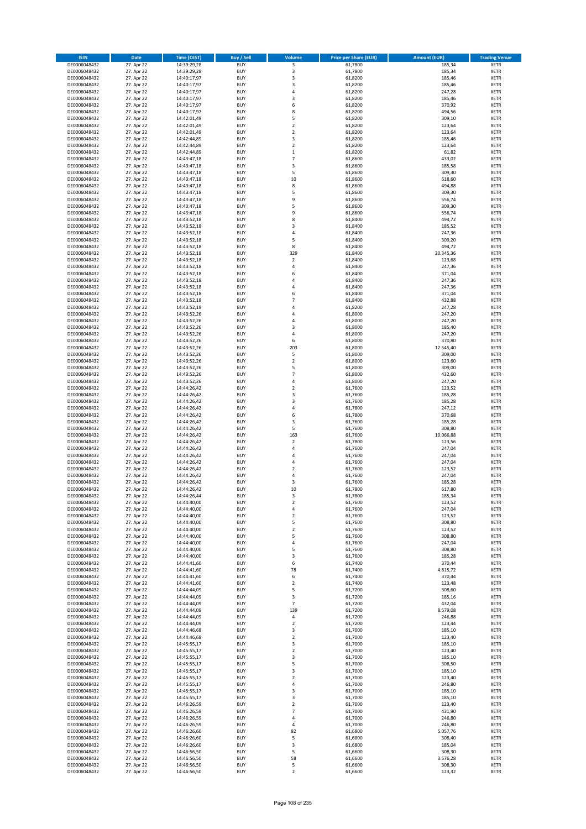| <b>ISIN</b>                  | <b>Date</b>              | <b>Time (CEST)</b>         | <b>Buy / Sell</b>        | Volume                         | <b>Price per Share (EUR)</b> | <b>Amount (EUR)</b> | <b>Trading Venue</b>       |
|------------------------------|--------------------------|----------------------------|--------------------------|--------------------------------|------------------------------|---------------------|----------------------------|
| DE0006048432                 | 27. Apr 22               | 14:39:29,28                | <b>BUY</b>               | 3                              | 61,7800                      | 185,34              | <b>XETR</b>                |
| DE0006048432                 | 27. Apr 22               | 14:39:29,28                | <b>BUY</b>               | 3                              | 61,7800                      | 185,34              | <b>XETR</b>                |
| DE0006048432                 | 27. Apr 22               | 14:40:17,97                | <b>BUY</b>               | 3                              | 61,8200                      | 185,46              | <b>XETR</b>                |
| DE0006048432<br>DE0006048432 | 27. Apr 22<br>27. Apr 22 | 14:40:17,97<br>14:40:17,97 | <b>BUY</b><br><b>BUY</b> | 3<br>4                         | 61,8200<br>61,8200           | 185,46<br>247,28    | <b>XETR</b><br><b>XETR</b> |
| DE0006048432                 | 27. Apr 22               | 14:40:17,97                | <b>BUY</b>               | 3                              | 61,8200                      | 185,46              | <b>XETR</b>                |
| DE0006048432                 | 27. Apr 22               | 14:40:17,97                | <b>BUY</b>               | 6                              | 61,8200                      | 370,92              | <b>XETR</b>                |
| DE0006048432                 | 27. Apr 22               | 14:40:17,97                | <b>BUY</b>               | 8                              | 61,8200                      | 494,56              | <b>XETR</b>                |
| DE0006048432                 | 27. Apr 22               | 14:42:01,49                | <b>BUY</b>               | 5                              | 61,8200                      | 309,10              | <b>XETR</b>                |
| DE0006048432                 | 27. Apr 22<br>27. Apr 22 | 14:42:01,49                | <b>BUY</b><br><b>BUY</b> | $\mathbf 2$<br>$\mathbf 2$     | 61,8200<br>61,8200           | 123,64<br>123,64    | <b>XETR</b><br><b>XETR</b> |
| DE0006048432<br>DE0006048432 | 27. Apr 22               | 14:42:01,49<br>14:42:44,89 | <b>BUY</b>               | 3                              | 61,8200                      | 185,46              | <b>XETR</b>                |
| DE0006048432                 | 27. Apr 22               | 14:42:44,89                | <b>BUY</b>               | $\mathbf 2$                    | 61,8200                      | 123,64              | <b>XETR</b>                |
| DE0006048432                 | 27. Apr 22               | 14:42:44,89                | <b>BUY</b>               | $\mathbf 1$                    | 61,8200                      | 61,82               | <b>XETR</b>                |
| DE0006048432                 | 27. Apr 22               | 14:43:47,18                | <b>BUY</b>               | $\overline{7}$                 | 61,8600                      | 433,02              | <b>XETR</b>                |
| DE0006048432                 | 27. Apr 22               | 14:43:47,18                | <b>BUY</b>               | 3                              | 61,8600                      | 185,58              | <b>XETR</b>                |
| DE0006048432<br>DE0006048432 | 27. Apr 22<br>27. Apr 22 | 14:43:47,18<br>14:43:47,18 | <b>BUY</b><br><b>BUY</b> | 5<br>10                        | 61,8600<br>61,8600           | 309,30<br>618,60    | <b>XETR</b><br><b>XETR</b> |
| DE0006048432                 | 27. Apr 22               | 14:43:47,18                | <b>BUY</b>               | 8                              | 61,8600                      | 494,88              | <b>XETR</b>                |
| DE0006048432                 | 27. Apr 22               | 14:43:47,18                | <b>BUY</b>               | 5                              | 61,8600                      | 309,30              | <b>XETR</b>                |
| DE0006048432                 | 27. Apr 22               | 14:43:47,18                | <b>BUY</b>               | 9                              | 61,8600                      | 556,74              | <b>XETR</b>                |
| DE0006048432                 | 27. Apr 22               | 14:43:47,18                | <b>BUY</b>               | 5                              | 61,8600                      | 309,30              | <b>XETR</b>                |
| DE0006048432<br>DE0006048432 | 27. Apr 22<br>27. Apr 22 | 14:43:47,18<br>14:43:52,18 | <b>BUY</b><br><b>BUY</b> | 9<br>8                         | 61,8600<br>61,8400           | 556,74<br>494,72    | <b>XETR</b><br><b>XETR</b> |
| DE0006048432                 | 27. Apr 22               | 14:43:52,18                | <b>BUY</b>               | 3                              | 61,8400                      | 185,52              | <b>XETR</b>                |
| DE0006048432                 | 27. Apr 22               | 14:43:52,18                | <b>BUY</b>               | 4                              | 61,8400                      | 247,36              | <b>XETR</b>                |
| DE0006048432                 | 27. Apr 22               | 14:43:52,18                | <b>BUY</b>               | 5                              | 61,8400                      | 309,20              | <b>XETR</b>                |
| DE0006048432                 | 27. Apr 22               | 14:43:52,18                | <b>BUY</b>               | 8                              | 61,8400                      | 494,72              | <b>XETR</b>                |
| DE0006048432<br>DE0006048432 | 27. Apr 22<br>27. Apr 22 | 14:43:52,18<br>14:43:52,18 | <b>BUY</b><br><b>BUY</b> | 329<br>$\overline{\mathbf{c}}$ | 61,8400<br>61,8400           | 20.345,36<br>123,68 | <b>XETR</b><br><b>XETR</b> |
| DE0006048432                 | 27. Apr 22               | 14:43:52,18                | <b>BUY</b>               | 4                              | 61,8400                      | 247,36              | <b>XETR</b>                |
| DE0006048432                 | 27. Apr 22               | 14:43:52,18                | <b>BUY</b>               | 6                              | 61,8400                      | 371,04              | <b>XETR</b>                |
| DE0006048432                 | 27. Apr 22               | 14:43:52,18                | <b>BUY</b>               | 4                              | 61,8400                      | 247,36              | <b>XETR</b>                |
| DE0006048432                 | 27. Apr 22               | 14:43:52,18                | <b>BUY</b>               | 4                              | 61,8400                      | 247,36              | <b>XETR</b>                |
| DE0006048432                 | 27. Apr 22               | 14:43:52,18                | <b>BUY</b>               | 6<br>$\overline{7}$            | 61.8400                      | 371,04              | <b>XETR</b>                |
| DE0006048432<br>DE0006048432 | 27. Apr 22<br>27. Apr 22 | 14:43:52,18<br>14:43:52,19 | <b>BUY</b><br><b>BUY</b> | 4                              | 61,8400<br>61,8200           | 432,88<br>247,28    | <b>XETR</b><br><b>XETR</b> |
| DE0006048432                 | 27. Apr 22               | 14:43:52,26                | <b>BUY</b>               | 4                              | 61,8000                      | 247,20              | <b>XETR</b>                |
| DE0006048432                 | 27. Apr 22               | 14:43:52,26                | <b>BUY</b>               | 4                              | 61,8000                      | 247,20              | <b>XETR</b>                |
| DE0006048432                 | 27. Apr 22               | 14:43:52,26                | <b>BUY</b>               | 3                              | 61,8000                      | 185,40              | <b>XETR</b>                |
| DE0006048432                 | 27. Apr 22               | 14:43:52,26                | <b>BUY</b>               | 4                              | 61,8000                      | 247,20              | <b>XETR</b>                |
| DE0006048432<br>DE0006048432 | 27. Apr 22<br>27. Apr 22 | 14:43:52,26<br>14:43:52,26 | <b>BUY</b><br><b>BUY</b> | 6<br>203                       | 61,8000<br>61,8000           | 370,80<br>12.545,40 | <b>XETR</b><br><b>XETR</b> |
| DE0006048432                 | 27. Apr 22               | 14:43:52,26                | <b>BUY</b>               | 5                              | 61,8000                      | 309,00              | <b>XETR</b>                |
| DE0006048432                 | 27. Apr 22               | 14:43:52,26                | <b>BUY</b>               | $\mathbf 2$                    | 61,8000                      | 123,60              | <b>XETR</b>                |
| DE0006048432                 | 27. Apr 22               | 14:43:52,26                | <b>BUY</b>               | 5                              | 61,8000                      | 309,00              | <b>XETR</b>                |
| DE0006048432                 | 27. Apr 22               | 14:43:52,26                | <b>BUY</b>               | $\overline{7}$                 | 61,8000                      | 432,60              | <b>XETR</b>                |
| DE0006048432                 | 27. Apr 22               | 14:43:52,26                | <b>BUY</b>               | 4<br>$\mathbf 2$               | 61,8000                      | 247,20              | <b>XETR</b>                |
| DE0006048432<br>DE0006048432 | 27. Apr 22<br>27. Apr 22 | 14:44:26,42<br>14:44:26,42 | <b>BUY</b><br><b>BUY</b> | 3                              | 61,7600<br>61,7600           | 123,52<br>185,28    | <b>XETR</b><br><b>XETR</b> |
| DE0006048432                 | 27. Apr 22               | 14:44:26,42                | <b>BUY</b>               | 3                              | 61,7600                      | 185,28              | <b>XETR</b>                |
| DE0006048432                 | 27. Apr 22               | 14:44:26,42                | <b>BUY</b>               | 4                              | 61,7800                      | 247,12              | <b>XETR</b>                |
| DE0006048432                 | 27. Apr 22               | 14:44:26,42                | <b>BUY</b>               | 6                              | 61,7800                      | 370,68              | <b>XETR</b>                |
| DE0006048432                 | 27. Apr 22               | 14:44:26,42                | <b>BUY</b>               | 3                              | 61,7600                      | 185,28              | <b>XETR</b>                |
| DE0006048432<br>DE0006048432 | 27. Apr 22<br>27. Apr 22 | 14:44:26,42<br>14:44:26,42 | <b>BUY</b><br><b>BUY</b> | 5<br>163                       | 61,7600<br>61,7600           | 308,80<br>10.066,88 | <b>XETR</b><br><b>XETR</b> |
| DE0006048432                 | 27. Apr 22               | 14:44:26,42                | <b>BUY</b>               | $\overline{\mathbf{c}}$        | 61,7800                      | 123,56              | <b>XETR</b>                |
| DE0006048432                 | 27. Apr 22               | 14:44:26,42                | <b>BUY</b>               | 4                              | 61,7600                      | 247,04              | <b>XETR</b>                |
| DE0006048432                 | 27. Apr 22               | 14:44:26,42                | <b>BUY</b>               | 4                              | 61,7600                      | 247,04              | <b>XETR</b>                |
| DE0006048432                 | 27. Apr 22               | 14:44:26,42                | <b>BUY</b>               | 4                              | 61,7600                      | 247,04              | <b>XETR</b>                |
| DE0006048432<br>DE0006048432 | 27. Apr 22<br>27. Apr 22 | 14:44:26,42<br>14:44:26,42 | <b>BUY</b><br><b>BUY</b> | $\mathbf 2$<br>4               | 61,7600<br>61,7600           | 123,52<br>247,04    | <b>XETR</b><br><b>XETR</b> |
| DE0006048432                 | 27. Apr 22               | 14:44:26,42                | <b>BUY</b>               | 3                              | 61,7600                      | 185,28              | <b>XETR</b>                |
| DE0006048432                 | 27. Apr 22               | 14:44:26,42                | <b>BUY</b>               | 10                             | 61,7800                      | 617,80              | <b>XETR</b>                |
| DE0006048432                 | 27. Apr 22               | 14:44:26,44                | BUY                      | 3                              | 61,7800                      | 185,34              | <b>XETR</b>                |
| DE0006048432                 | 27. Apr 22               | 14:44:40,00                | <b>BUY</b>               | 2                              | 61,7600                      | 123,52              | <b>XETR</b>                |
| DE0006048432<br>DE0006048432 | 27. Apr 22<br>27. Apr 22 | 14:44:40,00<br>14:44:40,00 | <b>BUY</b><br><b>BUY</b> | 4<br>$\mathbf 2$               | 61,7600<br>61,7600           | 247,04<br>123,52    | <b>XETR</b><br>XETR        |
| DE0006048432                 | 27. Apr 22               | 14:44:40,00                | <b>BUY</b>               | 5                              | 61,7600                      | 308,80              | <b>XETR</b>                |
| DE0006048432                 | 27. Apr 22               | 14:44:40,00                | <b>BUY</b>               | $\mathbf 2$                    | 61,7600                      | 123,52              | <b>XETR</b>                |
| DE0006048432                 | 27. Apr 22               | 14:44:40,00                | <b>BUY</b>               | 5                              | 61,7600                      | 308,80              | <b>XETR</b>                |
| DE0006048432                 | 27. Apr 22               | 14:44:40,00                | <b>BUY</b>               | 4                              | 61,7600                      | 247,04              | <b>XETR</b>                |
| DE0006048432<br>DE0006048432 | 27. Apr 22<br>27. Apr 22 | 14:44:40,00<br>14:44:40,00 | <b>BUY</b><br><b>BUY</b> | 5<br>3                         | 61,7600<br>61,7600           | 308,80<br>185,28    | <b>XETR</b><br><b>XETR</b> |
| DE0006048432                 | 27. Apr 22               | 14:44:41,60                | <b>BUY</b>               | 6                              | 61,7400                      | 370,44              | <b>XETR</b>                |
| DE0006048432                 | 27. Apr 22               | 14:44:41,60                | <b>BUY</b>               | 78                             | 61.7400                      | 4.815,72            | <b>XETR</b>                |
| DE0006048432                 | 27. Apr 22               | 14:44:41,60                | <b>BUY</b>               | 6                              | 61,7400                      | 370,44              | <b>XETR</b>                |
| DE0006048432                 | 27. Apr 22               | 14:44:41,60<br>14:44:44,09 | <b>BUY</b>               | $\overline{\mathbf{c}}$        | 61,7400                      | 123,48<br>308,60    | <b>XETR</b>                |
| DE0006048432<br>DE0006048432 | 27. Apr 22<br>27. Apr 22 | 14:44:44,09                | <b>BUY</b><br><b>BUY</b> | 5<br>3                         | 61,7200<br>61,7200           | 185,16              | <b>XETR</b><br><b>XETR</b> |
| DE0006048432                 | 27. Apr 22               | 14:44:44,09                | <b>BUY</b>               | $\overline{7}$                 | 61,7200                      | 432,04              | <b>XETR</b>                |
| DE0006048432                 | 27. Apr 22               | 14:44:44,09                | <b>BUY</b>               | 139                            | 61,7200                      | 8.579,08            | <b>XETR</b>                |
| DE0006048432                 | 27. Apr 22               | 14:44:44,09                | <b>BUY</b>               | 4                              | 61,7200                      | 246,88              | XETR                       |
| DE0006048432                 | 27. Apr 22               | 14:44:44,09                | <b>BUY</b><br><b>BUY</b> | $\mathbf 2$<br>3               | 61,7200                      | 123,44              | <b>XETR</b><br><b>XETR</b> |
| DE0006048432<br>DE0006048432 | 27. Apr 22<br>27. Apr 22 | 14:44:46,68<br>14:44:46,68 | <b>BUY</b>               | $\mathbf 2$                    | 61,7000<br>61,7000           | 185,10<br>123,40    | <b>XETR</b>                |
| DE0006048432                 | 27. Apr 22               | 14:45:55,17                | <b>BUY</b>               | 3                              | 61,7000                      | 185,10              | <b>XETR</b>                |
| DE0006048432                 | 27. Apr 22               | 14:45:55,17                | <b>BUY</b>               | $\mathbf 2$                    | 61,7000                      | 123,40              | <b>XETR</b>                |
| DE0006048432                 | 27. Apr 22               | 14:45:55,17                | <b>BUY</b>               | 3                              | 61,7000                      | 185,10              | <b>XETR</b>                |
| DE0006048432                 | 27. Apr 22               | 14:45:55,17                | <b>BUY</b>               | 5                              | 61,7000                      | 308,50              | <b>XETR</b>                |
| DE0006048432<br>DE0006048432 | 27. Apr 22<br>27. Apr 22 | 14:45:55,17<br>14:45:55,17 | <b>BUY</b><br><b>BUY</b> | 3<br>$\overline{2}$            | 61,7000<br>61,7000           | 185,10<br>123,40    | <b>XETR</b><br><b>XETR</b> |
| DE0006048432                 | 27. Apr 22               | 14:45:55,17                | <b>BUY</b>               | 4                              | 61,7000                      | 246,80              | <b>XETR</b>                |
| DE0006048432                 | 27. Apr 22               | 14:45:55,17                | <b>BUY</b>               | 3                              | 61,7000                      | 185,10              | <b>XETR</b>                |
| DE0006048432                 | 27. Apr 22               | 14:45:55,17                | <b>BUY</b>               | 3                              | 61,7000                      | 185,10              | <b>XETR</b>                |
| DE0006048432                 | 27. Apr 22               | 14:46:26,59                | <b>BUY</b>               | 2                              | 61,7000                      | 123,40              | <b>XETR</b>                |
| DE0006048432<br>DE0006048432 | 27. Apr 22<br>27. Apr 22 | 14:46:26,59<br>14:46:26,59 | <b>BUY</b><br><b>BUY</b> | $\overline{7}$<br>4            | 61,7000<br>61,7000           | 431,90<br>246,80    | <b>XETR</b><br><b>XETR</b> |
| DE0006048432                 | 27. Apr 22               | 14:46:26,59                | <b>BUY</b>               | 4                              | 61,7000                      | 246,80              | <b>XETR</b>                |
| DE0006048432                 | 27. Apr 22               | 14:46:26,60                | <b>BUY</b>               | 82                             | 61,6800                      | 5.057,76            | <b>XETR</b>                |
| DE0006048432                 | 27. Apr 22               | 14:46:26,60                | <b>BUY</b>               | 5                              | 61,6800                      | 308,40              | <b>XETR</b>                |
| DE0006048432                 | 27. Apr 22               | 14:46:26,60                | <b>BUY</b>               | 3                              | 61,6800                      | 185,04              | XETR                       |
| DE0006048432<br>DE0006048432 | 27. Apr 22<br>27. Apr 22 | 14:46:56,50<br>14:46:56,50 | <b>BUY</b><br><b>BUY</b> | 5<br>58                        | 61,6600<br>61,6600           | 308,30<br>3.576,28  | <b>XETR</b><br><b>XETR</b> |
| DE0006048432                 | 27. Apr 22               | 14:46:56,50                | <b>BUY</b>               | 5                              | 61,6600                      | 308,30              | <b>XETR</b>                |
| DE0006048432                 | 27. Apr 22               | 14:46:56,50                | <b>BUY</b>               | $\overline{2}$                 | 61,6600                      | 123,32              | <b>XETR</b>                |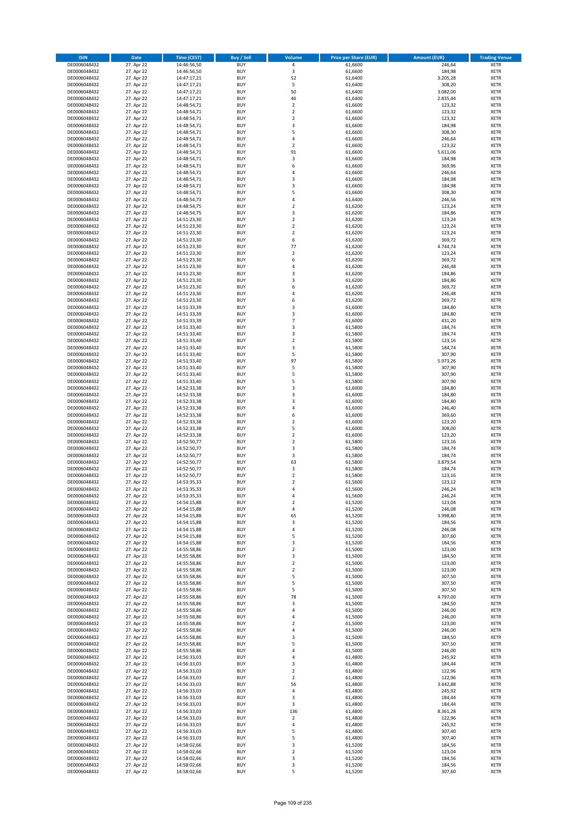| <b>ISIN</b>                  | <b>Date</b>              | <b>Time (CEST)</b>         | <b>Buy / Sell</b>        | Volume                  | <b>Price per Share (EUR)</b> | <b>Amount (EUR)</b> | <b>Trading Venue</b>       |
|------------------------------|--------------------------|----------------------------|--------------------------|-------------------------|------------------------------|---------------------|----------------------------|
| DE0006048432                 | 27. Apr 22               | 14:46:56,50                | <b>BUY</b>               | 4                       | 61,6600                      | 246,64              | <b>XETR</b>                |
| DE0006048432                 | 27. Apr 22               | 14:46:56,50                | <b>BUY</b>               | 3                       | 61,6600                      | 184,98              | <b>XETR</b>                |
| DE0006048432                 | 27. Apr 22               | 14:47:17,21                | <b>BUY</b>               | 52                      | 61.6400                      | 3.205,28            | <b>XETR</b>                |
| DE0006048432<br>DE0006048432 | 27. Apr 22<br>27. Apr 22 | 14:47:17,21<br>14:47:17,21 | <b>BUY</b><br><b>BUY</b> | 5<br>50                 | 61,6400<br>61,6400           | 308,20<br>3.082,00  | <b>XETR</b><br><b>XETR</b> |
| DE0006048432                 | 27. Apr 22               | 14:47:17,21                | <b>BUY</b>               | 46                      | 61,6400                      | 2.835,44            | <b>XETR</b>                |
| DE0006048432                 | 27. Apr 22               | 14:48:54,71                | <b>BUY</b>               | $\mathbf 2$             | 61,6600                      | 123,32              | <b>XETR</b>                |
| DE0006048432                 | 27. Apr 22               | 14:48:54,71                | <b>BUY</b>               | $\mathbf 2$             | 61,6600                      | 123,32              | <b>XETR</b>                |
| DE0006048432                 | 27. Apr 22               | 14:48:54,71                | <b>BUY</b>               | $\overline{2}$          | 61,6600                      | 123,32              | <b>XETR</b>                |
| DE0006048432<br>DE0006048432 | 27. Apr 22<br>27. Apr 22 | 14:48:54,71<br>14:48:54,71 | <b>BUY</b><br><b>BUY</b> | 3<br>5                  | 61,6600<br>61,6600           | 184,98<br>308,30    | <b>XETR</b><br><b>XETR</b> |
| DE0006048432                 | 27. Apr 22               | 14:48:54,71                | <b>BUY</b>               | 4                       | 61,6600                      | 246,64              | <b>XETR</b>                |
| DE0006048432                 | 27. Apr 22               | 14:48:54,71                | <b>BUY</b>               | $\overline{\mathbf{c}}$ | 61,6600                      | 123,32              | <b>XETR</b>                |
| DE0006048432                 | 27. Apr 22               | 14:48:54,71                | <b>BUY</b>               | 91                      | 61,6600                      | 5.611,06            | <b>XETR</b>                |
| DE0006048432                 | 27. Apr 22               | 14:48:54,71                | <b>BUY</b>               | 3                       | 61,6600                      | 184,98              | <b>XETR</b>                |
| DE0006048432<br>DE0006048432 | 27. Apr 22<br>27. Apr 22 | 14:48:54,71<br>14:48:54,71 | <b>BUY</b><br><b>BUY</b> | 6<br>4                  | 61,6600<br>61,6600           | 369,96<br>246,64    | <b>XETR</b><br><b>XETR</b> |
| DE0006048432                 | 27. Apr 22               | 14:48:54,71                | <b>BUY</b>               | 3                       | 61,6600                      | 184,98              | <b>XETR</b>                |
| DE0006048432                 | 27. Apr 22               | 14:48:54,71                | <b>BUY</b>               | 3                       | 61,6600                      | 184,98              | <b>XETR</b>                |
| DE0006048432                 | 27. Apr 22               | 14:48:54,71                | <b>BUY</b>               | 5                       | 61,6600                      | 308,30              | <b>XETR</b>                |
| DE0006048432                 | 27. Apr 22               | 14:48:54,73                | <b>BUY</b>               | 4                       | 61,6400                      | 246,56              | <b>XETR</b>                |
| DE0006048432<br>DE0006048432 | 27. Apr 22<br>27. Apr 22 | 14:48:54,75                | <b>BUY</b><br><b>BUY</b> | $\mathbf 2$<br>3        | 61,6200<br>61,6200           | 123,24              | <b>XETR</b><br><b>XETR</b> |
| DE0006048432                 | 27. Apr 22               | 14:48:54,75<br>14:51:23,30 | <b>BUY</b>               | $\mathbf 2$             | 61,6200                      | 184,86<br>123,24    | <b>XETR</b>                |
| DE0006048432                 | 27. Apr 22               | 14:51:23,30                | <b>BUY</b>               | $\mathbf 2$             | 61,6200                      | 123,24              | <b>XETR</b>                |
| DE0006048432                 | 27. Apr 22               | 14:51:23,30                | <b>BUY</b>               | $\mathbf 2$             | 61,6200                      | 123,24              | <b>XETR</b>                |
| DE0006048432                 | 27. Apr 22               | 14:51:23,30                | <b>BUY</b>               | 6                       | 61,6200                      | 369,72              | <b>XETR</b>                |
| DE0006048432<br>DE0006048432 | 27. Apr 22<br>27. Apr 22 | 14:51:23,30<br>14:51:23,30 | <b>BUY</b><br><b>BUY</b> | 77<br>$\mathbf 2$       | 61,6200<br>61,6200           | 4.744,74<br>123,24  | <b>XETR</b><br><b>XETR</b> |
| DE0006048432                 | 27. Apr 22               | 14:51:23,30                | <b>BUY</b>               | 6                       | 61,6200                      | 369,72              | <b>XETR</b>                |
| DE0006048432                 | 27. Apr 22               | 14:51:23,30                | <b>BUY</b>               | 4                       | 61,6200                      | 246,48              | <b>XETR</b>                |
| DE0006048432                 | 27. Apr 22               | 14:51:23,30                | <b>BUY</b>               | 3                       | 61,6200                      | 184,86              | <b>XETR</b>                |
| DE0006048432                 | 27. Apr 22               | 14:51:23,30                | <b>BUY</b>               | 3                       | 61,6200                      | 184,86              | <b>XETR</b>                |
| DE0006048432                 | 27. Apr 22               | 14:51:23,30                | <b>BUY</b>               | 6<br>4                  | 61,6200<br>61.6200           | 369,72              | <b>XETR</b>                |
| DE0006048432<br>DE0006048432 | 27. Apr 22<br>27. Apr 22 | 14:51:23,30<br>14:51:23,30 | <b>BUY</b><br><b>BUY</b> | 6                       | 61,6200                      | 246,48<br>369,72    | <b>XETR</b><br><b>XETR</b> |
| DE0006048432                 | 27. Apr 22               | 14:51:33,39                | <b>BUY</b>               | 3                       | 61,6000                      | 184,80              | <b>XETR</b>                |
| DE0006048432                 | 27. Apr 22               | 14:51:33,39                | <b>BUY</b>               | 3                       | 61,6000                      | 184,80              | <b>XETR</b>                |
| DE0006048432                 | 27. Apr 22               | 14:51:33,39                | <b>BUY</b>               | $\overline{7}$          | 61,6000                      | 431,20              | <b>XETR</b>                |
| DE0006048432                 | 27. Apr 22               | 14:51:33,40                | <b>BUY</b>               | 3                       | 61,5800                      | 184,74              | <b>XETR</b>                |
| DE0006048432<br>DE0006048432 | 27. Apr 22<br>27. Apr 22 | 14:51:33,40<br>14:51:33,40 | <b>BUY</b><br><b>BUY</b> | 3<br>$\mathbf 2$        | 61,5800<br>61,5800           | 184,74<br>123,16    | <b>XETR</b><br><b>XETR</b> |
| DE0006048432                 | 27. Apr 22               | 14:51:33,40                | <b>BUY</b>               | 3                       | 61,5800                      | 184,74              | <b>XETR</b>                |
| DE0006048432                 | 27. Apr 22               | 14:51:33,40                | <b>BUY</b>               | 5                       | 61,5800                      | 307,90              | <b>XETR</b>                |
| DE0006048432                 | 27. Apr 22               | 14:51:33,40                | <b>BUY</b>               | 97                      | 61,5800                      | 5.973,26            | <b>XETR</b>                |
| DE0006048432                 | 27. Apr 22               | 14:51:33,40                | <b>BUY</b>               | 5                       | 61,5800                      | 307,90              | <b>XETR</b>                |
| DE0006048432<br>DE0006048432 | 27. Apr 22<br>27. Apr 22 | 14:51:33,40<br>14:51:33,40 | <b>BUY</b><br><b>BUY</b> | 5<br>5                  | 61,5800<br>61,5800           | 307,90<br>307,90    | <b>XETR</b><br><b>XETR</b> |
| DE0006048432                 | 27. Apr 22               | 14:52:33,38                | <b>BUY</b>               | 3                       | 61,6000                      | 184,80              | <b>XETR</b>                |
| DE0006048432                 | 27. Apr 22               | 14:52:33,38                | <b>BUY</b>               | 3                       | 61,6000                      | 184,80              | <b>XETR</b>                |
| DE0006048432                 | 27. Apr 22               | 14:52:33,38                | <b>BUY</b>               | 3                       | 61,6000                      | 184,80              | <b>XETR</b>                |
| DE0006048432                 | 27. Apr 22               | 14:52:33,38                | <b>BUY</b>               | 4                       | 61,6000                      | 246,40              | <b>XETR</b>                |
| DE0006048432<br>DE0006048432 | 27. Apr 22<br>27. Apr 22 | 14:52:33,38<br>14:52:33,38 | <b>BUY</b><br><b>BUY</b> | 6<br>$\mathbf 2$        | 61,6000<br>61,6000           | 369,60<br>123,20    | <b>XETR</b><br><b>XETR</b> |
| DE0006048432                 | 27. Apr 22               | 14:52:33,38                | <b>BUY</b>               | 5                       | 61,6000                      | 308,00              | <b>XETR</b>                |
| DE0006048432                 | 27. Apr 22               | 14:52:33,38                | <b>BUY</b>               | $\mathbf 2$             | 61,6000                      | 123,20              | <b>XETR</b>                |
| DE0006048432                 | 27. Apr 22               | 14:52:50,77                | <b>BUY</b>               | $\overline{\mathbf{c}}$ | 61,5800                      | 123,16              | <b>XETR</b>                |
| DE0006048432                 | 27. Apr 22               | 14:52:50,77                | <b>BUY</b>               | 3                       | 61,5800                      | 184,74              | <b>XETR</b>                |
| DE0006048432<br>DE0006048432 | 27. Apr 22               | 14:52:50,77                | <b>BUY</b><br><b>BUY</b> | 3<br>63                 | 61,5800                      | 184,74              | <b>XETR</b><br><b>XETR</b> |
| DE0006048432                 | 27. Apr 22<br>27. Apr 22 | 14:52:50,77<br>14:52:50,77 | <b>BUY</b>               | 3                       | 61,5800<br>61,5800           | 3.879,54<br>184,74  | <b>XETR</b>                |
| DE0006048432                 | 27. Apr 22               | 14:52:50,77                | <b>BUY</b>               | $\overline{\mathbf{c}}$ | 61,5800                      | 123,16              | <b>XETR</b>                |
| DE0006048432                 | 27. Apr 22               | 14:53:35,33                | <b>BUY</b>               | $\overline{\mathbf{c}}$ | 61,5600                      | 123,12              | <b>XETR</b>                |
| DE0006048432                 | 27. Apr 22               | 14:53:35,33                | <b>BUY</b>               | 4                       | 61,5600                      | 246,24              | <b>XETR</b>                |
| DE0006048432                 | 27. Apr 22               | 14:53:35,33                | BUY<br><b>BUY</b>        | 4                       | 61,5600                      | 246,24              | <b>XETR</b>                |
| DE0006048432<br>DE0006048432 | 27. Apr 22<br>27. Apr 22 | 14:54:15,88<br>14:54:15,88 | <b>BUY</b>               | 2<br>4                  | 61,5200<br>61,5200           | 123,04<br>246,08    | <b>XETR</b><br><b>XETR</b> |
| DE0006048432                 | 27. Apr 22               | 14:54:15,88                | <b>BUY</b>               | 65                      | 61,5200                      | 3.998,80            | XETR                       |
| DE0006048432                 | 27. Apr 22               | 14:54:15,88                | <b>BUY</b>               | 3                       | 61,5200                      | 184,56              | <b>XETR</b>                |
| DE0006048432                 | 27. Apr 22               | 14:54:15,88                | <b>BUY</b>               | 4                       | 61,5200                      | 246,08              | <b>XETR</b>                |
| DE0006048432                 | 27. Apr 22               | 14:54:15,88<br>14:54:15,88 | <b>BUY</b><br><b>BUY</b> | 5                       | 61,5200                      | 307,60              | <b>XETR</b>                |
| DE0006048432<br>DE0006048432 | 27. Apr 22<br>27. Apr 22 | 14:55:58,86                | <b>BUY</b>               | 3<br>$\mathbf 2$        | 61,5200<br>61,5000           | 184,56<br>123,00    | <b>XETR</b><br><b>XETR</b> |
| DE0006048432                 | 27. Apr 22               | 14:55:58,86                | <b>BUY</b>               | 3                       | 61,5000                      | 184,50              | <b>XETR</b>                |
| DE0006048432                 | 27. Apr 22               | 14:55:58,86                | <b>BUY</b>               | $\mathbf 2$             | 61,5000                      | 123,00              | <b>XETR</b>                |
| DE0006048432                 | 27. Apr 22               | 14:55:58,86                | <b>BUY</b>               | $\overline{2}$          | 61,5000                      | 123,00              | <b>XETR</b>                |
| DE0006048432                 | 27. Apr 22               | 14:55:58,86                | <b>BUY</b>               | 5                       | 61,5000                      | 307,50              | <b>XETR</b>                |
| DE0006048432<br>DE0006048432 | 27. Apr 22<br>27. Apr 22 | 14:55:58,86<br>14:55:58,86 | <b>BUY</b><br><b>BUY</b> | 5<br>5                  | 61,5000<br>61,5000           | 307,50<br>307,50    | <b>XETR</b><br><b>XETR</b> |
| DE0006048432                 | 27. Apr 22               | 14:55:58,86                | <b>BUY</b>               | 78                      | 61,5000                      | 4.797,00            | <b>XETR</b>                |
| DE0006048432                 | 27. Apr 22               | 14:55:58,86                | <b>BUY</b>               | 3                       | 61,5000                      | 184,50              | <b>XETR</b>                |
| DE0006048432                 | 27. Apr 22               | 14:55:58,86                | <b>BUY</b>               | 4                       | 61,5000                      | 246,00              | <b>XETR</b>                |
| DE0006048432                 | 27. Apr 22<br>27. Apr 22 | 14:55:58,86                | <b>BUY</b>               | 4                       | 61,5000<br>61,5000           | 246,00<br>123,00    | XETR<br><b>XETR</b>        |
| DE0006048432<br>DE0006048432 | 27. Apr 22               | 14:55:58,86<br>14:55:58,86 | <b>BUY</b><br><b>BUY</b> | $\mathbf 2$<br>4        | 61,5000                      | 246,00              | <b>XETR</b>                |
| DE0006048432                 | 27. Apr 22               | 14:55:58,86                | <b>BUY</b>               | 3                       | 61,5000                      | 184,50              | <b>XETR</b>                |
| DE0006048432                 | 27. Apr 22               | 14:55:58,86                | <b>BUY</b>               | 5                       | 61,5000                      | 307,50              | <b>XETR</b>                |
| DE0006048432                 | 27. Apr 22               | 14:55:58,86                | <b>BUY</b>               | 4                       | 61,5000                      | 246,00              | <b>XETR</b>                |
| DE0006048432<br>DE0006048432 | 27. Apr 22               | 14:56:33,03                | <b>BUY</b><br><b>BUY</b> | 4                       | 61,4800<br>61,4800           | 245,92<br>184,44    | <b>XETR</b>                |
| DE0006048432                 | 27. Apr 22<br>27. Apr 22 | 14:56:33,03<br>14:56:33,03 | <b>BUY</b>               | 3<br>$\mathbf 2$        | 61,4800                      | 122,96              | <b>XETR</b><br><b>XETR</b> |
| DE0006048432                 | 27. Apr 22               | 14:56:33,03                | <b>BUY</b>               | $\overline{2}$          | 61,4800                      | 122,96              | <b>XETR</b>                |
| DE0006048432                 | 27. Apr 22               | 14:56:33,03                | <b>BUY</b>               | 56                      | 61,4800                      | 3.442,88            | <b>XETR</b>                |
| DE0006048432                 | 27. Apr 22               | 14:56:33,03                | <b>BUY</b>               | 4                       | 61,4800                      | 245,92              | XETR                       |
| DE0006048432                 | 27. Apr 22               | 14:56:33,03                | <b>BUY</b>               | 3                       | 61,4800                      | 184,44              | <b>XETR</b>                |
| DE0006048432<br>DE0006048432 | 27. Apr 22<br>27. Apr 22 | 14:56:33,03<br>14:56:33,03 | <b>BUY</b><br><b>BUY</b> | 3<br>136                | 61,4800<br>61,4800           | 184,44<br>8.361,28  | <b>XETR</b><br><b>XETR</b> |
| DE0006048432                 | 27. Apr 22               | 14:56:33,03                | <b>BUY</b>               | $\mathbf 2$             | 61,4800                      | 122,96              | <b>XETR</b>                |
| DE0006048432                 | 27. Apr 22               | 14:56:33,03                | <b>BUY</b>               | 4                       | 61,4800                      | 245,92              | <b>XETR</b>                |
| DE0006048432                 | 27. Apr 22               | 14:56:33,03                | <b>BUY</b>               | 5                       | 61,4800                      | 307,40              | <b>XETR</b>                |
| DE0006048432                 | 27. Apr 22               | 14:56:33,03                | <b>BUY</b>               | 5                       | 61,4800                      | 307,40              | <b>XETR</b>                |
| DE0006048432<br>DE0006048432 | 27. Apr 22<br>27. Apr 22 | 14:58:02,66<br>14:58:02,66 | <b>BUY</b><br><b>BUY</b> | 3<br>$\overline{2}$     | 61,5200<br>61,5200           | 184,56<br>123,04    | XETR<br><b>XETR</b>        |
| DE0006048432                 | 27. Apr 22               | 14:58:02,66                | <b>BUY</b>               | 3                       | 61,5200                      | 184,56              | <b>XETR</b>                |
| DE0006048432                 | 27. Apr 22               | 14:58:02,66                | <b>BUY</b>               | 3                       | 61,5200                      | 184,56              | <b>XETR</b>                |
| DE0006048432                 | 27. Apr 22               | 14:58:02,66                | <b>BUY</b>               | 5                       | 61,5200                      | 307,60              | XETR                       |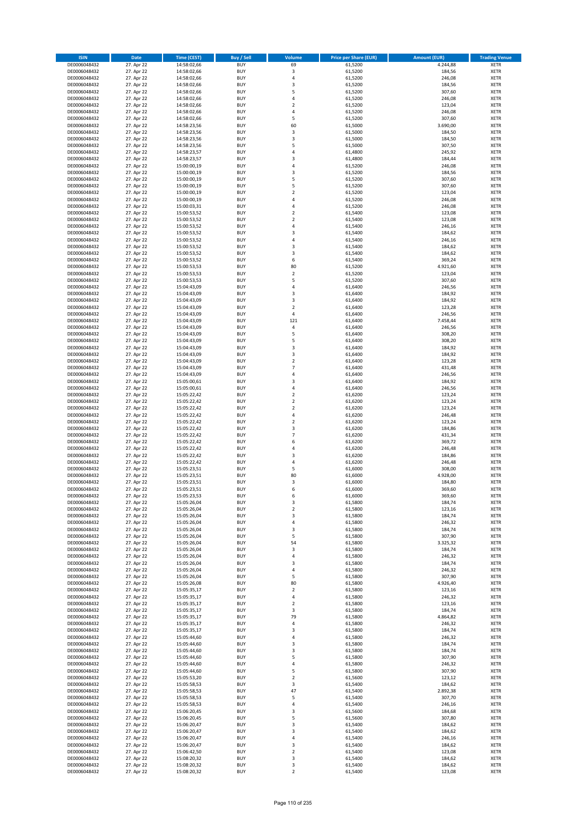| <b>ISIN</b>                  | Date                     | Time (CEST)                | <b>Buy / Sell</b>        | <b>Volume</b>                    | <b>Price per Share (EUR)</b> | <b>Amount (EUR)</b> | <b>Trading Venue</b>       |
|------------------------------|--------------------------|----------------------------|--------------------------|----------------------------------|------------------------------|---------------------|----------------------------|
| DE0006048432                 | 27. Apr 22               | 14:58:02,66                | <b>BUY</b>               | 69                               | 61,5200                      | 4.244,88            | <b>XETR</b>                |
| DE0006048432                 | 27. Apr 22               | 14:58:02,66                | <b>BUY</b>               | 3                                | 61,5200                      | 184,56              | <b>XETR</b>                |
| DE0006048432                 | 27. Apr 22               | 14:58:02,66                | <b>BUY</b>               | 4                                | 61,5200                      | 246,08              | <b>XETR</b>                |
| DE0006048432                 | 27. Apr 22               | 14:58:02,66                | <b>BUY</b>               | 3                                | 61,5200                      | 184,56              | <b>XETR</b>                |
| DE0006048432<br>DE0006048432 | 27. Apr 22<br>27. Apr 22 | 14:58:02,66<br>14:58:02,66 | <b>BUY</b><br><b>BUY</b> | 5<br>4                           | 61,5200<br>61,5200           | 307,60<br>246,08    | <b>XETR</b><br><b>XETR</b> |
| DE0006048432                 | 27. Apr 22               | 14:58:02,66                | <b>BUY</b>               | $\overline{\mathbf{c}}$          | 61,5200                      | 123,04              | <b>XETR</b>                |
| DE0006048432                 | 27. Apr 22               | 14:58:02,66                | <b>BUY</b>               | $\overline{4}$                   | 61,5200                      | 246,08              | <b>XETR</b>                |
| DE0006048432                 | 27. Apr 22               | 14:58:02,66                | <b>BUY</b>               | 5                                | 61,5200                      | 307,60              | <b>XETR</b>                |
| DE0006048432                 | 27. Apr 22               | 14:58:23,56                | <b>BUY</b>               | 60                               | 61,5000                      | 3.690,00            | <b>XETR</b>                |
| DE0006048432<br>DE0006048432 | 27. Apr 22<br>27. Apr 22 | 14:58:23,56<br>14:58:23,56 | <b>BUY</b><br><b>BUY</b> | 3<br>3                           | 61,5000<br>61,5000           | 184,50<br>184,50    | <b>XETR</b><br><b>XETR</b> |
| DE0006048432                 | 27. Apr 22               | 14:58:23,56                | <b>BUY</b>               | 5                                | 61,5000                      | 307,50              | <b>XETR</b>                |
| DE0006048432                 | 27. Apr 22               | 14:58:23,57                | <b>BUY</b>               | 4                                | 61,4800                      | 245,92              | <b>XETR</b>                |
| DE0006048432                 | 27. Apr 22               | 14:58:23,57                | <b>BUY</b>               | 3                                | 61,4800                      | 184,44              | <b>XETR</b>                |
| DE0006048432                 | 27. Apr 22               | 15:00:00,19                | <b>BUY</b>               | 4                                | 61,5200                      | 246,08              | <b>XETR</b>                |
| DE0006048432                 | 27. Apr 22<br>27. Apr 22 | 15:00:00,19                | <b>BUY</b><br><b>BUY</b> | 3                                | 61,5200                      | 184,56              | <b>XETR</b>                |
| DE0006048432<br>DE0006048432 | 27. Apr 22               | 15:00:00,19<br>15:00:00,19 | <b>BUY</b>               | 5<br>5                           | 61,5200<br>61,5200           | 307,60<br>307,60    | <b>XETR</b><br><b>XETR</b> |
| DE0006048432                 | 27. Apr 22               | 15:00:00,19                | <b>BUY</b>               | $\overline{2}$                   | 61,5200                      | 123,04              | <b>XETR</b>                |
| DE0006048432                 | 27. Apr 22               | 15:00:00,19                | <b>BUY</b>               | 4                                | 61,5200                      | 246,08              | <b>XETR</b>                |
| DE0006048432                 | 27. Apr 22               | 15:00:03,31                | <b>BUY</b>               | $\overline{a}$                   | 61,5200                      | 246,08              | <b>XETR</b>                |
| DE0006048432                 | 27. Apr 22               | 15:00:53,52                | <b>BUY</b>               | $\overline{2}$                   | 61,5400                      | 123,08              | <b>XETR</b>                |
| DE0006048432                 | 27. Apr 22               | 15:00:53,52                | <b>BUY</b>               | $\overline{2}$                   | 61,5400                      | 123,08              | <b>XETR</b>                |
| DE0006048432<br>DE0006048432 | 27. Apr 22<br>27. Apr 22 | 15:00:53,52<br>15:00:53,52 | <b>BUY</b><br><b>BUY</b> | 4<br>3                           | 61,5400<br>61,5400           | 246,16<br>184,62    | <b>XETR</b><br><b>XETR</b> |
| DE0006048432                 | 27. Apr 22               | 15:00:53,52                | <b>BUY</b>               | 4                                | 61,5400                      | 246,16              | <b>XETR</b>                |
| DE0006048432                 | 27. Apr 22               | 15:00:53,52                | <b>BUY</b>               | 3                                | 61,5400                      | 184,62              | <b>XETR</b>                |
| DE0006048432                 | 27. Apr 22               | 15:00:53,52                | <b>BUY</b>               | 3                                | 61,5400                      | 184,62              | <b>XETR</b>                |
| DE0006048432                 | 27. Apr 22               | 15:00:53,52                | <b>BUY</b>               | 6                                | 61,5400                      | 369,24              | <b>XETR</b>                |
| DE0006048432<br>DE0006048432 | 27. Apr 22<br>27. Apr 22 | 15:00:53,53<br>15:00:53,53 | <b>BUY</b><br><b>BUY</b> | 80<br>$\mathbf 2$                | 61,5200<br>61,5200           | 4.921,60<br>123,04  | <b>XETR</b><br><b>XETR</b> |
| DE0006048432                 | 27. Apr 22               | 15:00:53,53                | <b>BUY</b>               | 5                                | 61,5200                      | 307,60              | <b>XETR</b>                |
| DE0006048432                 | 27. Apr 22               | 15:04:43,09                | <b>BUY</b>               | 4                                | 61,6400                      | 246,56              | <b>XETR</b>                |
| DE0006048432                 | 27. Apr 22               | 15:04:43,09                | <b>BUY</b>               | 3                                | 61,6400                      | 184,92              | <b>XETR</b>                |
| DE0006048432                 | 27. Apr 22               | 15:04:43,09                | <b>BUY</b>               | 3                                | 61.6400                      | 184,92              | <b>XETR</b>                |
| DE0006048432                 | 27. Apr 22               | 15:04:43,09                | <b>BUY</b>               | $\overline{2}$                   | 61,6400                      | 123,28              | <b>XETR</b>                |
| DE0006048432                 | 27. Apr 22               | 15:04:43,09<br>15:04:43,09 | <b>BUY</b><br><b>BUY</b> | $\pmb{4}$                        | 61,6400                      | 246,56              | <b>XETR</b>                |
| DE0006048432<br>DE0006048432 | 27. Apr 22<br>27. Apr 22 | 15:04:43,09                | <b>BUY</b>               | 121<br>4                         | 61,6400<br>61,6400           | 7.458,44<br>246,56  | <b>XETR</b><br><b>XETR</b> |
| DE0006048432                 | 27. Apr 22               | 15:04:43,09                | <b>BUY</b>               | 5                                | 61,6400                      | 308,20              | <b>XETR</b>                |
| DE0006048432                 | 27. Apr 22               | 15:04:43,09                | <b>BUY</b>               | 5                                | 61,6400                      | 308,20              | <b>XETR</b>                |
| DE0006048432                 | 27. Apr 22               | 15:04:43,09                | <b>BUY</b>               | 3                                | 61,6400                      | 184,92              | <b>XETR</b>                |
| DE0006048432                 | 27. Apr 22               | 15:04:43,09                | <b>BUY</b>               | 3                                | 61,6400                      | 184,92              | <b>XETR</b>                |
| DE0006048432                 | 27. Apr 22               | 15:04:43,09                | <b>BUY</b>               | $\overline{2}$<br>$\overline{7}$ | 61,6400                      | 123,28              | <b>XETR</b>                |
| DE0006048432<br>DE0006048432 | 27. Apr 22<br>27. Apr 22 | 15:04:43,09<br>15:04:43,09 | <b>BUY</b><br><b>BUY</b> | $\overline{4}$                   | 61,6400<br>61,6400           | 431,48<br>246,56    | <b>XETR</b><br><b>XETR</b> |
| DE0006048432                 | 27. Apr 22               | 15:05:00,61                | <b>BUY</b>               | 3                                | 61,6400                      | 184,92              | <b>XETR</b>                |
| DE0006048432                 | 27. Apr 22               | 15:05:00,61                | <b>BUY</b>               | $\overline{4}$                   | 61,6400                      | 246,56              | <b>XETR</b>                |
| DE0006048432                 | 27. Apr 22               | 15:05:22,42                | <b>BUY</b>               | $\overline{\mathbf{c}}$          | 61,6200                      | 123,24              | <b>XETR</b>                |
| DE0006048432                 | 27. Apr 22               | 15:05:22,42                | <b>BUY</b>               | $\mathbf 2$                      | 61,6200                      | 123,24              | <b>XETR</b>                |
| DE0006048432                 | 27. Apr 22               | 15:05:22,42                | <b>BUY</b>               | $\overline{2}$                   | 61,6200                      | 123,24              | <b>XETR</b>                |
| DE0006048432<br>DE0006048432 | 27. Apr 22<br>27. Apr 22 | 15:05:22,42<br>15:05:22,42 | <b>BUY</b><br><b>BUY</b> | 4<br>$\overline{\mathbf{c}}$     | 61,6200<br>61,6200           | 246,48<br>123,24    | <b>XETR</b><br><b>XETR</b> |
| DE0006048432                 | 27. Apr 22               | 15:05:22,42                | <b>BUY</b>               | 3                                | 61,6200                      | 184,86              | <b>XETR</b>                |
| DE0006048432                 | 27. Apr 22               | 15:05:22,42                | <b>BUY</b>               | $\overline{7}$                   | 61,6200                      | 431,34              | <b>XETR</b>                |
| DE0006048432                 | 27. Apr 22               | 15:05:22,42                | <b>BUY</b>               | 6                                | 61,6200                      | 369,72              | <b>XETR</b>                |
| DE0006048432                 | 27. Apr 22               | 15:05:22,42                | <b>BUY</b>               | $\overline{4}$                   | 61,6200                      | 246,48              | <b>XETR</b>                |
| DE0006048432                 | 27. Apr 22               | 15:05:22,42                | <b>BUY</b>               | 3                                | 61,6200                      | 184,86              | <b>XETR</b>                |
| DE0006048432<br>DE0006048432 | 27. Apr 22               | 15:05:22,42<br>15:05:23,51 | <b>BUY</b><br><b>BUY</b> | 4<br>5                           | 61,6200                      | 246,48<br>308,00    | <b>XETR</b><br><b>XETR</b> |
| DE0006048432                 | 27. Apr 22<br>27. Apr 22 | 15:05:23,51                | <b>BUY</b>               | 80                               | 61,6000<br>61,6000           | 4.928,00            | <b>XETR</b>                |
| DE0006048432                 | 27. Apr 22               | 15:05:23,51                | <b>BUY</b>               | 3                                | 61,6000                      | 184,80              | <b>XETR</b>                |
| DE0006048432                 | 27. Apr 22               | 15:05:23,51                | <b>BUY</b>               | 6                                | 61,6000                      | 369,60              | <b>XETR</b>                |
| DE0006048432                 | 27. Apr 22               | 15:05:23,53                | <b>BUY</b>               | 6                                | 61,6000                      | 369,60              | <b>XETR</b>                |
| DE0006048432                 | 27. Apr 22               | 15:05:26,04                | <b>BUY</b>               | 3                                | 61,5800                      | 184,74              | <b>XETR</b>                |
| DE0006048432<br>DE0006048432 | 27. Apr 22<br>27. Apr 22 | 15:05:26,04<br>15:05:26,04 | <b>BUY</b><br><b>BUY</b> | $\overline{2}$<br>3              | 61,5800<br>61,5800           | 123,16<br>184,74    | <b>XETR</b><br><b>XETR</b> |
| DE0006048432                 | 27. Apr 22               | 15:05:26,04                | <b>BUY</b>               | 4                                | 61,5800                      | 246,32              | <b>XETR</b>                |
| DE0006048432                 | 27. Apr 22               | 15:05:26,04                | <b>BUY</b>               | 3                                | 61,5800                      | 184,74              | <b>XETR</b>                |
| DE0006048432                 | 27. Apr 22               | 15:05:26,04                | <b>BUY</b>               | 5                                | 61,5800                      | 307,90              | <b>XETR</b>                |
| DE0006048432                 | 27. Apr 22               | 15:05:26,04                | <b>BUY</b>               | 54                               | 61,5800                      | 3.325,32            | <b>XETR</b>                |
| DE0006048432<br>DE0006048432 | 27. Apr 22<br>27. Apr 22 | 15:05:26,04<br>15:05:26,04 | <b>BUY</b><br><b>BUY</b> | 3<br>$\sqrt{4}$                  | 61,5800<br>61,5800           | 184,74<br>246,32    | <b>XETR</b><br><b>XETR</b> |
| DE0006048432                 | 27. Apr 22               | 15:05:26,04                | <b>BUY</b>               | 3                                | 61,5800                      | 184,74              | <b>XETR</b>                |
| DE0006048432                 | 27. Apr 22               | 15:05:26,04                | <b>BUY</b>               | $\overline{4}$                   | 61,5800                      | 246,32              | <b>XETR</b>                |
| DE0006048432                 | 27. Apr 22               | 15:05:26,04                | <b>BUY</b>               | 5                                | 61,5800                      | 307,90              | <b>XETR</b>                |
| DE0006048432                 | 27. Apr 22               | 15:05:26,08                | <b>BUY</b>               | 80                               | 61,5800                      | 4.926,40            | <b>XETR</b>                |
| DE0006048432                 | 27. Apr 22               | 15:05:35,17                | <b>BUY</b><br><b>BUY</b> | $\overline{2}$<br>$\sqrt{4}$     | 61,5800                      | 123,16<br>246,32    | <b>XETR</b>                |
| DE0006048432<br>DE0006048432 | 27. Apr 22<br>27. Apr 22 | 15:05:35,17<br>15:05:35,17 | <b>BUY</b>               | $\overline{2}$                   | 61,5800<br>61,5800           | 123,16              | <b>XETR</b><br><b>XETR</b> |
| DE0006048432                 | 27. Apr 22               | 15:05:35,17                | <b>BUY</b>               | 3                                | 61,5800                      | 184,74              | <b>XETR</b>                |
| DE0006048432                 | 27. Apr 22               | 15:05:35,17                | <b>BUY</b>               | 79                               | 61,5800                      | 4.864,82            | <b>XETR</b>                |
| DE0006048432                 | 27. Apr 22               | 15:05:35,17                | <b>BUY</b>               | 4                                | 61,5800                      | 246,32              | <b>XETR</b>                |
| DE0006048432                 | 27. Apr 22               | 15:05:35,17                | <b>BUY</b>               | 3                                | 61,5800                      | 184,74              | <b>XETR</b>                |
| DE0006048432                 | 27. Apr 22               | 15:05:44,60                | <b>BUY</b><br><b>BUY</b> | 4<br>3                           | 61,5800                      | 246,32<br>184,74    | <b>XETR</b>                |
| DE0006048432<br>DE0006048432 | 27. Apr 22<br>27. Apr 22 | 15:05:44,60<br>15:05:44,60 | <b>BUY</b>               | 3                                | 61,5800<br>61,5800           | 184,74              | <b>XETR</b><br><b>XETR</b> |
| DE0006048432                 | 27. Apr 22               | 15:05:44,60                | <b>BUY</b>               | 5                                | 61,5800                      | 307,90              | <b>XETR</b>                |
| DE0006048432                 | 27. Apr 22               | 15:05:44,60                | <b>BUY</b>               | $\pmb{4}$                        | 61,5800                      | 246,32              | <b>XETR</b>                |
| DE0006048432                 | 27. Apr 22               | 15:05:44,60                | <b>BUY</b>               | 5                                | 61,5800                      | 307,90              | <b>XETR</b>                |
| DE0006048432                 | 27. Apr 22               | 15:05:53,20                | <b>BUY</b>               | $\overline{2}$                   | 61,5600                      | 123,12              | <b>XETR</b>                |
| DE0006048432                 | 27. Apr 22               | 15:05:58,53                | <b>BUY</b>               | 3<br>47                          | 61,5400                      | 184,62              | <b>XETR</b>                |
| DE0006048432<br>DE0006048432 | 27. Apr 22<br>27. Apr 22 | 15:05:58,53<br>15:05:58,53 | <b>BUY</b><br><b>BUY</b> | 5                                | 61,5400<br>61,5400           | 2.892,38<br>307,70  | <b>XETR</b><br><b>XETR</b> |
| DE0006048432                 | 27. Apr 22               | 15:05:58,53                | <b>BUY</b>               | $\pmb{4}$                        | 61,5400                      | 246,16              | <b>XETR</b>                |
| DE0006048432                 | 27. Apr 22               | 15:06:20,45                | <b>BUY</b>               | 3                                | 61,5600                      | 184,68              | <b>XETR</b>                |
| DE0006048432                 | 27. Apr 22               | 15:06:20,45                | <b>BUY</b>               | 5                                | 61,5600                      | 307,80              | <b>XETR</b>                |
| DE0006048432                 | 27. Apr 22               | 15:06:20,47                | <b>BUY</b>               | 3                                | 61,5400                      | 184,62              | <b>XETR</b>                |
| DE0006048432                 | 27. Apr 22               | 15:06:20,47                | <b>BUY</b>               | 3                                | 61,5400                      | 184,62              | <b>XETR</b>                |
| DE0006048432<br>DE0006048432 | 27. Apr 22<br>27. Apr 22 | 15:06:20,47<br>15:06:20,47 | <b>BUY</b><br><b>BUY</b> | $\overline{4}$<br>3              | 61,5400<br>61,5400           | 246,16<br>184,62    | <b>XETR</b><br><b>XETR</b> |
| DE0006048432                 | 27. Apr 22               | 15:06:42,50                | <b>BUY</b>               | $\mathbf 2$                      | 61,5400                      | 123,08              | <b>XETR</b>                |
| DE0006048432                 | 27. Apr 22               | 15:08:20,32                | <b>BUY</b>               | $\mathsf 3$                      | 61,5400                      | 184,62              | <b>XETR</b>                |
| DE0006048432                 | 27. Apr 22               | 15:08:20,32                | <b>BUY</b>               | 3                                | 61,5400                      | 184,62              | <b>XETR</b>                |
| DE0006048432                 | 27. Apr 22               | 15:08:20,32                | <b>BUY</b>               | $\overline{2}$                   | 61,5400                      | 123,08              | <b>XETR</b>                |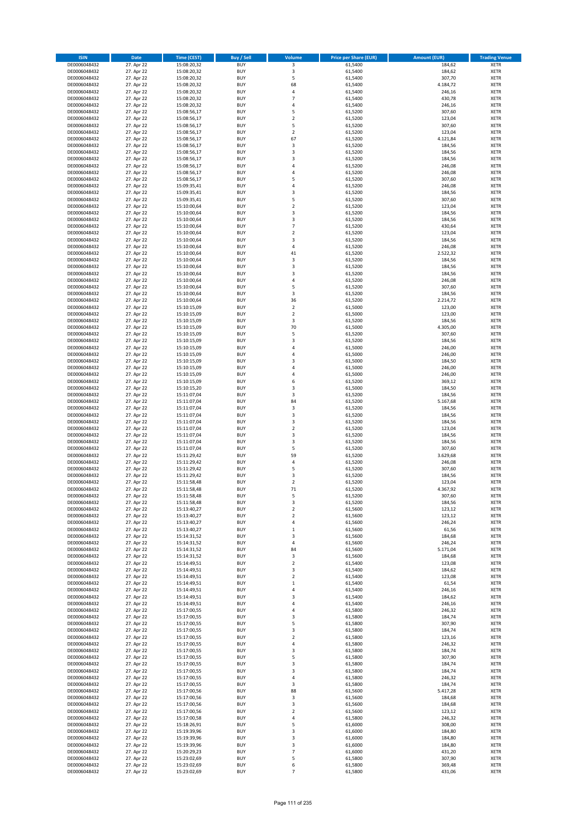| <b>ISIN</b>                  | <b>Date</b>              | <b>Time (CEST)</b>         | <b>Buy / Sell</b>        | Volume                     | <b>Price per Share (EUR)</b> | <b>Amount (EUR)</b> | <b>Trading Venue</b>       |
|------------------------------|--------------------------|----------------------------|--------------------------|----------------------------|------------------------------|---------------------|----------------------------|
| DE0006048432                 | 27. Apr 22               | 15:08:20,32                | <b>BUY</b>               | 3                          | 61,5400                      | 184,62              | <b>XETR</b>                |
| DE0006048432                 | 27. Apr 22               | 15:08:20,32                | <b>BUY</b>               | 3                          | 61,5400                      | 184,62              | <b>XETR</b>                |
| DE0006048432                 | 27. Apr 22               | 15:08:20,32                | <b>BUY</b>               | 5                          | 61,5400                      | 307,70              | <b>XETR</b>                |
| DE0006048432                 | 27. Apr 22               | 15:08:20,32                | <b>BUY</b>               | 68                         | 61,5400                      | 4.184,72            | <b>XETR</b>                |
| DE0006048432                 | 27. Apr 22               | 15:08:20,32                | <b>BUY</b>               | 4                          | 61,5400                      | 246,16              | <b>XETR</b>                |
| DE0006048432                 | 27. Apr 22               | 15:08:20,32                | <b>BUY</b>               | $\overline{7}$             | 61,5400                      | 430,78              | <b>XETR</b>                |
| DE0006048432                 | 27. Apr 22               | 15:08:20,32                | <b>BUY</b>               | 4                          | 61,5400                      | 246,16              | <b>XETR</b>                |
| DE0006048432                 | 27. Apr 22               | 15:08:56,17                | <b>BUY</b>               | 5                          | 61,5200                      | 307,60              | <b>XETR</b>                |
| DE0006048432                 | 27. Apr 22               | 15:08:56,17                | <b>BUY</b>               | $\overline{2}$             | 61,5200                      | 123,04              | <b>XETR</b>                |
| DE0006048432                 | 27. Apr 22               | 15:08:56,17                | <b>BUY</b>               | 5                          | 61,5200                      | 307,60              | <b>XETR</b>                |
| DE0006048432                 | 27. Apr 22               | 15:08:56,17                | <b>BUY</b>               | $\mathbf 2$                | 61,5200                      | 123,04              | <b>XETR</b>                |
| DE0006048432                 | 27. Apr 22               | 15:08:56,17                | <b>BUY</b>               | 67                         | 61,5200                      | 4.121,84            | <b>XETR</b>                |
| DE0006048432                 | 27. Apr 22               | 15:08:56,17                | <b>BUY</b>               | 3                          | 61,5200                      | 184,56              | <b>XETR</b>                |
| DE0006048432                 | 27. Apr 22               | 15:08:56,17                | <b>BUY</b>               | 3                          | 61,5200                      | 184,56              | <b>XETR</b>                |
| DE0006048432                 | 27. Apr 22               | 15:08:56,17                | <b>BUY</b>               | 3                          | 61,5200                      | 184,56              | <b>XETR</b>                |
| DE0006048432                 | 27. Apr 22               | 15:08:56,17                | <b>BUY</b>               | 4                          | 61,5200                      | 246,08              | <b>XETR</b>                |
| DE0006048432                 | 27. Apr 22               | 15:08:56,17                | <b>BUY</b>               | 4                          | 61,5200                      | 246,08              | <b>XETR</b>                |
| DE0006048432                 | 27. Apr 22               | 15:08:56,17                | <b>BUY</b>               | 5                          | 61,5200                      | 307,60              | <b>XETR</b>                |
| DE0006048432                 | 27. Apr 22               | 15:09:35,41                | <b>BUY</b>               | 4                          | 61,5200                      | 246,08              | <b>XETR</b>                |
| DE0006048432                 | 27. Apr 22               | 15:09:35,41                | <b>BUY</b>               | 3                          | 61,5200                      | 184,56              | <b>XETR</b>                |
| DE0006048432                 | 27. Apr 22               | 15:09:35,41                | <b>BUY</b><br><b>BUY</b> | 5<br>$\mathbf 2$           | 61,5200                      | 307,60<br>123,04    | <b>XETR</b><br><b>XETR</b> |
| DE0006048432<br>DE0006048432 | 27. Apr 22<br>27. Apr 22 | 15:10:00,64<br>15:10:00,64 | <b>BUY</b>               | 3                          | 61,5200<br>61,5200           |                     | <b>XETR</b>                |
| DE0006048432                 | 27. Apr 22               | 15:10:00,64                | <b>BUY</b>               | 3                          | 61,5200                      | 184,56<br>184,56    | <b>XETR</b>                |
| DE0006048432                 | 27. Apr 22               | 15:10:00,64                | <b>BUY</b>               | $\overline{7}$             | 61,5200                      | 430,64              | <b>XETR</b>                |
| DE0006048432                 | 27. Apr 22               | 15:10:00,64                | <b>BUY</b>               | $\mathbf 2$                | 61,5200                      | 123,04              | <b>XETR</b>                |
| DE0006048432                 | 27. Apr 22               | 15:10:00,64                | <b>BUY</b>               | 3                          | 61,5200                      | 184,56              | <b>XETR</b>                |
| DE0006048432                 | 27. Apr 22               | 15:10:00,64                | <b>BUY</b>               | 4                          | 61,5200                      | 246,08              | <b>XETR</b>                |
| DE0006048432                 | 27. Apr 22               | 15:10:00,64                | <b>BUY</b>               | 41                         | 61,5200                      | 2.522,32            | <b>XETR</b>                |
| DE0006048432                 | 27. Apr 22               | 15:10:00,64                | <b>BUY</b>               | 3                          | 61,5200                      | 184,56              | <b>XETR</b>                |
| DE0006048432                 | 27. Apr 22               | 15:10:00,64                | <b>BUY</b>               | 3                          | 61,5200                      | 184,56              | <b>XETR</b>                |
| DE0006048432                 | 27. Apr 22               | 15:10:00,64                | <b>BUY</b>               | 3                          | 61,5200                      | 184,56              | <b>XETR</b>                |
| DE0006048432                 | 27. Apr 22               | 15:10:00,64                | <b>BUY</b>               | 4                          | 61,5200                      | 246,08              | <b>XETR</b>                |
| DE0006048432                 | 27. Apr 22               | 15:10:00,64                | <b>BUY</b>               | 5                          | 61,5200                      | 307,60              | <b>XETR</b>                |
| DE0006048432                 | 27. Apr 22               | 15:10:00,64                | <b>BUY</b>               | 3                          | 61.5200                      | 184,56              | <b>XETR</b>                |
| DE0006048432                 | 27. Apr 22               | 15:10:00,64                | <b>BUY</b>               | 36                         | 61,5200                      | 2.214,72            | <b>XETR</b>                |
| DE0006048432                 | 27. Apr 22               | 15:10:15,09                | <b>BUY</b>               | $\overline{\mathbf{c}}$    | 61,5000                      | 123,00              | <b>XETR</b>                |
| DE0006048432                 | 27. Apr 22               | 15:10:15,09                | <b>BUY</b>               | $\mathbf 2$                | 61,5000                      | 123,00              | <b>XETR</b>                |
| DE0006048432                 | 27. Apr 22               | 15:10:15,09                | <b>BUY</b>               | 3                          | 61,5200                      | 184,56              | <b>XETR</b>                |
| DE0006048432                 | 27. Apr 22               | 15:10:15,09                | <b>BUY</b>               | 70                         | 61,5000                      | 4.305,00            | <b>XETR</b>                |
| DE0006048432                 | 27. Apr 22               | 15:10:15,09                | <b>BUY</b>               | 5                          | 61,5200                      | 307,60              | <b>XETR</b>                |
| DE0006048432                 | 27. Apr 22               | 15:10:15,09                | <b>BUY</b>               | 3                          | 61,5200                      | 184,56              | <b>XETR</b>                |
| DE0006048432                 | 27. Apr 22               | 15:10:15,09                | <b>BUY</b>               | 4                          | 61,5000                      | 246,00              | <b>XETR</b>                |
| DE0006048432                 | 27. Apr 22               | 15:10:15,09                | <b>BUY</b>               | 4                          | 61,5000                      | 246,00              | <b>XETR</b>                |
| DE0006048432                 | 27. Apr 22               | 15:10:15,09                | <b>BUY</b>               | 3                          | 61,5000                      | 184,50              | <b>XETR</b>                |
| DE0006048432                 | 27. Apr 22               | 15:10:15,09                | <b>BUY</b>               | 4                          | 61,5000                      | 246,00              | <b>XETR</b>                |
| DE0006048432                 | 27. Apr 22               | 15:10:15,09                | <b>BUY</b>               | 4                          | 61,5000                      | 246,00              | <b>XETR</b>                |
| DE0006048432                 | 27. Apr 22               | 15:10:15,09                | <b>BUY</b>               | 6                          | 61,5200                      | 369,12              | <b>XETR</b>                |
| DE0006048432                 | 27. Apr 22               | 15:10:15,20                | <b>BUY</b>               | 3                          | 61,5000                      | 184,50              | <b>XETR</b>                |
| DE0006048432                 | 27. Apr 22               | 15:11:07,04                | <b>BUY</b>               | 3                          | 61,5200                      | 184,56              | <b>XETR</b>                |
| DE0006048432                 | 27. Apr 22               | 15:11:07,04                | <b>BUY</b>               | 84                         | 61,5200                      | 5.167,68            | <b>XETR</b>                |
| DE0006048432                 | 27. Apr 22               | 15:11:07,04                | <b>BUY</b>               | 3                          | 61,5200                      | 184,56              | <b>XETR</b>                |
| DE0006048432                 | 27. Apr 22               | 15:11:07,04                | <b>BUY</b>               | 3                          | 61,5200                      | 184,56              | <b>XETR</b>                |
| DE0006048432                 | 27. Apr 22               | 15:11:07,04                | <b>BUY</b>               | 3                          | 61,5200                      | 184,56              | <b>XETR</b>                |
| DE0006048432                 | 27. Apr 22               | 15:11:07,04                | <b>BUY</b>               | $\overline{\mathbf{c}}$    | 61,5200                      | 123,04              | <b>XETR</b>                |
| DE0006048432                 | 27. Apr 22<br>27. Apr 22 | 15:11:07,04                | <b>BUY</b><br><b>BUY</b> | 3<br>3                     | 61,5200                      | 184,56              | <b>XETR</b><br><b>XETR</b> |
| DE0006048432                 | 27. Apr 22               | 15:11:07,04                | <b>BUY</b>               | 5                          | 61,5200<br>61,5200           | 184,56<br>307,60    | <b>XETR</b>                |
| DE0006048432<br>DE0006048432 | 27. Apr 22               | 15:11:07,04<br>15:11:29,42 | <b>BUY</b>               | 59                         | 61,5200                      | 3.629,68            | <b>XETR</b>                |
| DE0006048432                 | 27. Apr 22               | 15:11:29,42                | <b>BUY</b>               | 4                          | 61,5200                      | 246,08              | <b>XETR</b>                |
| DE0006048432                 | 27. Apr 22               | 15:11:29,42                | <b>BUY</b>               | 5                          | 61,5200                      | 307,60              | <b>XETR</b>                |
| DE0006048432                 | 27. Apr 22               | 15:11:29,42                | <b>BUY</b>               | 3                          | 61,5200                      | 184,56              | <b>XETR</b>                |
| DE0006048432                 | 27. Apr 22               | 15:11:58,48                | <b>BUY</b>               | $\overline{\mathbf{c}}$    | 61,5200                      | 123,04              | <b>XETR</b>                |
| DE0006048432                 | 27. Apr 22               | 15:11:58,48                | <b>BUY</b>               | 71                         | 61,5200                      | 4.367,92            | <b>XETR</b>                |
| DE0006048432                 | 27. Apr 22               | 15:11:58,48                | BUY                      | 5                          | 61,5200                      | 307,60              | <b>XETR</b>                |
| DE0006048432                 | 27. Apr 22               | 15:11:58,48                | <b>BUY</b>               | 3                          | 61,5200                      | 184,56              | XETR                       |
| DE0006048432                 | 27. Apr 22               | 15:13:40,27                | <b>BUY</b>               | $\mathbf 2$                | 61,5600                      | 123,12              | XETR                       |
| DE0006048432                 | 27. Apr 22               | 15:13:40,27                | <b>BUY</b>               | $\mathbf 2$                | 61,5600                      | 123,12              | XETR                       |
| DE0006048432                 | 27. Apr 22               | 15:13:40,27                | <b>BUY</b>               | 4                          | 61,5600                      | 246,24              | <b>XETR</b>                |
| DE0006048432                 | 27. Apr 22               | 15:13:40,27                | <b>BUY</b>               | $\mathbf 1$                | 61,5600                      | 61,56               | <b>XETR</b>                |
| DE0006048432                 | 27. Apr 22               | 15:14:31,52                | <b>BUY</b>               | 3                          | 61,5600                      | 184,68              | <b>XETR</b>                |
| DE0006048432                 | 27. Apr 22               | 15:14:31,52                | <b>BUY</b>               | 4                          | 61,5600                      | 246,24              | <b>XETR</b>                |
| DE0006048432                 | 27. Apr 22               | 15:14:31,52                | <b>BUY</b>               | 84                         | 61,5600                      | 5.171,04            | <b>XETR</b>                |
| DE0006048432                 | 27. Apr 22               | 15:14:31,52                | <b>BUY</b>               | 3                          | 61,5600                      | 184,68              | XETR                       |
| DE0006048432                 | 27. Apr 22               | 15:14:49,51                | <b>BUY</b>               | $\mathbf 2$                | 61,5400                      | 123,08              | <b>XETR</b>                |
| DE0006048432                 | 27. Apr 22               | 15:14:49,51                | <b>BUY</b>               | 3                          | 61,5400                      | 184,62              | <b>XETR</b>                |
| DE0006048432<br>DE0006048432 | 27. Apr 22<br>27. Apr 22 | 15:14:49,51<br>15:14:49,51 | <b>BUY</b><br><b>BUY</b> | $\mathbf 2$<br>$\mathbf 1$ | 61,5400<br>61,5400           | 123,08<br>61,54     | <b>XETR</b><br><b>XETR</b> |
| DE0006048432                 | 27. Apr 22               | 15:14:49,51                | <b>BUY</b>               | 4                          | 61,5400                      | 246,16              | <b>XETR</b>                |
| DE0006048432                 | 27. Apr 22               | 15:14:49,51                | <b>BUY</b>               | 3                          | 61,5400                      | 184,62              | <b>XETR</b>                |
| DE0006048432                 | 27. Apr 22               | 15:14:49,51                | <b>BUY</b>               | 4                          | 61,5400                      | 246,16              | <b>XETR</b>                |
| DE0006048432                 | 27. Apr 22               | 15:17:00,55                | <b>BUY</b>               | 4                          | 61,5800                      | 246,32              | <b>XETR</b>                |
| DE0006048432                 | 27. Apr 22               | 15:17:00,55                | <b>BUY</b>               | 3                          | 61,5800                      | 184,74              | XETR                       |
| DE0006048432                 | 27. Apr 22               | 15:17:00,55                | <b>BUY</b>               | 5                          | 61,5800                      | 307,90              | <b>XETR</b>                |
| DE0006048432                 | 27. Apr 22               | 15:17:00,55                | <b>BUY</b>               | 3                          | 61,5800                      | 184,74              | <b>XETR</b>                |
| DE0006048432                 | 27. Apr 22               | 15:17:00,55                | <b>BUY</b>               | $\mathbf 2$                | 61,5800                      | 123,16              | <b>XETR</b>                |
| DE0006048432                 | 27. Apr 22               | 15:17:00,55                | <b>BUY</b>               | 4                          | 61,5800                      | 246,32              | <b>XETR</b>                |
| DE0006048432                 | 27. Apr 22               | 15:17:00,55                | <b>BUY</b>               | 3                          | 61,5800                      | 184,74              | <b>XETR</b>                |
| DE0006048432                 | 27. Apr 22               | 15:17:00,55                | <b>BUY</b>               | 5                          | 61,5800                      | 307,90              | <b>XETR</b>                |
| DE0006048432                 | 27. Apr 22               | 15:17:00,55                | <b>BUY</b>               | 3                          | 61,5800                      | 184,74              | <b>XETR</b>                |
| DE0006048432                 | 27. Apr 22               | 15:17:00,55                | <b>BUY</b>               | 3                          | 61,5800                      | 184,74              | <b>XETR</b>                |
| DE0006048432                 | 27. Apr 22               | 15:17:00,55                | <b>BUY</b>               | 4                          | 61,5800                      | 246,32              | <b>XETR</b>                |
| DE0006048432                 | 27. Apr 22               | 15:17:00,55                | <b>BUY</b>               | 3                          | 61,5800                      | 184,74              | <b>XETR</b>                |
| DE0006048432                 | 27. Apr 22               | 15:17:00,56                | <b>BUY</b>               | 88                         | 61,5600                      | 5.417,28            | XETR                       |
| DE0006048432                 | 27. Apr 22               | 15:17:00,56                | <b>BUY</b>               | 3                          | 61,5600                      | 184,68              | <b>XETR</b>                |
| DE0006048432                 | 27. Apr 22               | 15:17:00,56                | <b>BUY</b>               | 3                          | 61,5600                      | 184,68              | <b>XETR</b>                |
| DE0006048432                 | 27. Apr 22               | 15:17:00,56                | <b>BUY</b>               | $\mathbf 2$                | 61,5600                      | 123,12              | <b>XETR</b>                |
| DE0006048432                 | 27. Apr 22               | 15:17:00,58                | <b>BUY</b>               | 4                          | 61,5800                      | 246,32              | <b>XETR</b>                |
| DE0006048432                 | 27. Apr 22               | 15:18:26,91                | <b>BUY</b>               | 5                          | 61,6000                      | 308,00              | <b>XETR</b>                |
| DE0006048432                 | 27. Apr 22               | 15:19:39,96                | <b>BUY</b>               | 3                          | 61,6000                      | 184,80              | <b>XETR</b>                |
| DE0006048432                 | 27. Apr 22               | 15:19:39,96                | <b>BUY</b>               | 3                          | 61,6000                      | 184,80              | <b>XETR</b>                |
| DE0006048432<br>DE0006048432 | 27. Apr 22<br>27. Apr 22 | 15:19:39,96<br>15:20:29,23 | <b>BUY</b><br><b>BUY</b> | 3<br>7                     | 61,6000<br>61,6000           | 184,80<br>431,20    | XETR<br><b>XETR</b>        |
| DE0006048432                 | 27. Apr 22               | 15:23:02,69                | <b>BUY</b>               | 5                          | 61,5800                      | 307,90              | <b>XETR</b>                |
| DE0006048432                 | 27. Apr 22               | 15:23:02,69                | <b>BUY</b>               | 6                          | 61,5800                      | 369,48              | <b>XETR</b>                |
| DE0006048432                 | 27. Apr 22               | 15:23:02,69                | <b>BUY</b>               | $\overline{7}$             | 61,5800                      | 431,06              | XETR                       |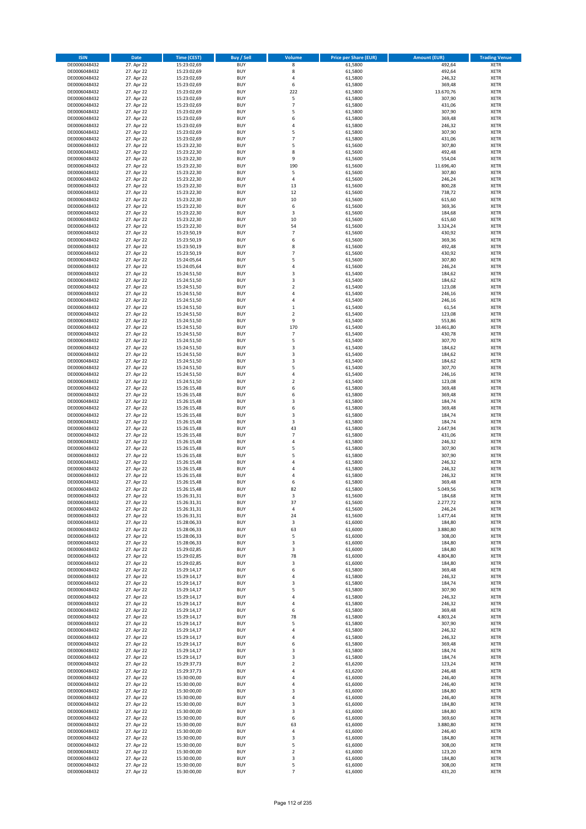| <b>ISIN</b>                  | <b>Date</b>              | <b>Time (CEST)</b>         | <b>Buy / Sell</b>        | <b>Volume</b>         | <b>Price per Share (EUR)</b> | <b>Amount (EUR)</b> | <b>Trading Venue</b>       |
|------------------------------|--------------------------|----------------------------|--------------------------|-----------------------|------------------------------|---------------------|----------------------------|
| DE0006048432                 | 27. Apr 22               | 15:23:02,69                | <b>BUY</b>               | 8                     | 61,5800                      | 492,64              | <b>XETR</b>                |
| DE0006048432                 | 27. Apr 22               | 15:23:02,69                | <b>BUY</b>               | 8                     | 61,5800                      | 492,64              | <b>XETR</b>                |
| DE0006048432                 | 27. Apr 22               | 15:23:02,69                | <b>BUY</b>               | 4                     | 61,5800                      | 246,32              | <b>XETR</b>                |
| DE0006048432<br>DE0006048432 | 27. Apr 22<br>27. Apr 22 | 15:23:02,69<br>15:23:02,69 | <b>BUY</b><br><b>BUY</b> | 6<br>222              | 61,5800<br>61,5800           | 369,48<br>13.670,76 | <b>XETR</b><br><b>XETR</b> |
| DE0006048432                 | 27. Apr 22               | 15:23:02,69                | <b>BUY</b>               | 5                     | 61,5800                      | 307,90              | <b>XETR</b>                |
| DE0006048432                 | 27. Apr 22               | 15:23:02,69                | <b>BUY</b>               | $\overline{7}$        | 61,5800                      | 431,06              | <b>XETR</b>                |
| DE0006048432                 | 27. Apr 22               | 15:23:02,69                | <b>BUY</b>               | 5                     | 61,5800                      | 307,90              | <b>XETR</b>                |
| DE0006048432                 | 27. Apr 22               | 15:23:02,69                | <b>BUY</b>               | 6                     | 61,5800                      | 369,48              | <b>XETR</b>                |
| DE0006048432<br>DE0006048432 | 27. Apr 22<br>27. Apr 22 | 15:23:02,69<br>15:23:02,69 | <b>BUY</b><br><b>BUY</b> | 4<br>5                | 61,5800<br>61,5800           | 246,32<br>307,90    | <b>XETR</b><br><b>XETR</b> |
| DE0006048432                 | 27. Apr 22               | 15:23:02,69                | <b>BUY</b>               | $\overline{7}$        | 61,5800                      | 431,06              | <b>XETR</b>                |
| DE0006048432                 | 27. Apr 22               | 15:23:22,30                | <b>BUY</b>               | 5                     | 61,5600                      | 307,80              | <b>XETR</b>                |
| DE0006048432                 | 27. Apr 22               | 15:23:22,30                | <b>BUY</b>               | 8                     | 61,5600                      | 492,48              | <b>XETR</b>                |
| DE0006048432                 | 27. Apr 22               | 15:23:22,30                | <b>BUY</b>               | 9                     | 61,5600                      | 554,04              | <b>XETR</b>                |
| DE0006048432<br>DE0006048432 | 27. Apr 22<br>27. Apr 22 | 15:23:22,30<br>15:23:22,30 | <b>BUY</b><br><b>BUY</b> | 190<br>5              | 61,5600<br>61,5600           | 11.696,40<br>307,80 | <b>XETR</b><br><b>XETR</b> |
| DE0006048432                 | 27. Apr 22               | 15:23:22,30                | <b>BUY</b>               | 4                     | 61,5600                      | 246,24              | <b>XETR</b>                |
| DE0006048432                 | 27. Apr 22               | 15:23:22,30                | <b>BUY</b>               | 13                    | 61,5600                      | 800,28              | <b>XETR</b>                |
| DE0006048432                 | 27. Apr 22               | 15:23:22,30                | <b>BUY</b>               | 12                    | 61,5600                      | 738,72              | <b>XETR</b>                |
| DE0006048432                 | 27. Apr 22               | 15:23:22,30                | <b>BUY</b>               | 10                    | 61,5600                      | 615,60              | <b>XETR</b>                |
| DE0006048432<br>DE0006048432 | 27. Apr 22<br>27. Apr 22 | 15:23:22,30<br>15:23:22,30 | <b>BUY</b><br><b>BUY</b> | 6<br>3                | 61,5600<br>61,5600           | 369,36<br>184,68    | <b>XETR</b><br><b>XETR</b> |
| DE0006048432                 | 27. Apr 22               | 15:23:22,30                | <b>BUY</b>               | 10                    | 61,5600                      | 615,60              | <b>XETR</b>                |
| DE0006048432                 | 27. Apr 22               | 15:23:22,30                | <b>BUY</b>               | 54                    | 61,5600                      | 3.324,24            | <b>XETR</b>                |
| DE0006048432                 | 27. Apr 22               | 15:23:50,19                | <b>BUY</b>               | $\overline{7}$        | 61,5600                      | 430,92              | <b>XETR</b>                |
| DE0006048432                 | 27. Apr 22               | 15:23:50,19                | <b>BUY</b>               | 6                     | 61,5600                      | 369,36              | <b>XETR</b>                |
| DE0006048432<br>DE0006048432 | 27. Apr 22<br>27. Apr 22 | 15:23:50,19<br>15:23:50,19 | <b>BUY</b><br><b>BUY</b> | 8<br>$\overline{7}$   | 61,5600<br>61,5600           | 492,48<br>430,92    | <b>XETR</b><br><b>XETR</b> |
| DE0006048432                 | 27. Apr 22               | 15:24:05,64                | <b>BUY</b>               | 5                     | 61,5600                      | 307,80              | <b>XETR</b>                |
| DE0006048432                 | 27. Apr 22               | 15:24:05,64                | <b>BUY</b>               | 4                     | 61,5600                      | 246,24              | <b>XETR</b>                |
| DE0006048432                 | 27. Apr 22               | 15:24:51,50                | <b>BUY</b>               | 3                     | 61,5400                      | 184,62              | <b>XETR</b>                |
| DE0006048432                 | 27. Apr 22               | 15:24:51,50                | <b>BUY</b>               | 3<br>$\overline{2}$   | 61,5400                      | 184,62              | <b>XETR</b>                |
| DE0006048432<br>DE0006048432 | 27. Apr 22<br>27. Apr 22 | 15:24:51,50<br>15:24:51,50 | <b>BUY</b><br><b>BUY</b> | 4                     | 61,5400<br>61.5400           | 123,08<br>246,16    | <b>XETR</b><br><b>XETR</b> |
| DE0006048432                 | 27. Apr 22               | 15:24:51,50                | <b>BUY</b>               | 4                     | 61,5400                      | 246,16              | <b>XETR</b>                |
| DE0006048432                 | 27. Apr 22               | 15:24:51,50                | <b>BUY</b>               | $\mathbf 1$           | 61,5400                      | 61,54               | <b>XETR</b>                |
| DE0006048432                 | 27. Apr 22               | 15:24:51,50                | <b>BUY</b>               | $\mathbf 2$           | 61,5400                      | 123,08              | <b>XETR</b>                |
| DE0006048432                 | 27. Apr 22               | 15:24:51,50                | <b>BUY</b>               | 9                     | 61,5400                      | 553,86              | <b>XETR</b>                |
| DE0006048432<br>DE0006048432 | 27. Apr 22<br>27. Apr 22 | 15:24:51,50<br>15:24:51,50 | <b>BUY</b><br><b>BUY</b> | 170<br>$\overline{7}$ | 61,5400<br>61,5400           | 10.461,80<br>430,78 | <b>XETR</b><br><b>XETR</b> |
| DE0006048432                 | 27. Apr 22               | 15:24:51,50                | <b>BUY</b>               | 5                     | 61,5400                      | 307,70              | <b>XETR</b>                |
| DE0006048432                 | 27. Apr 22               | 15:24:51,50                | <b>BUY</b>               | 3                     | 61,5400                      | 184,62              | <b>XETR</b>                |
| DE0006048432                 | 27. Apr 22               | 15:24:51,50                | <b>BUY</b>               | 3                     | 61,5400                      | 184,62              | <b>XETR</b>                |
| DE0006048432                 | 27. Apr 22               | 15:24:51,50                | <b>BUY</b>               | 3                     | 61,5400                      | 184,62              | <b>XETR</b>                |
| DE0006048432                 | 27. Apr 22               | 15:24:51,50                | <b>BUY</b><br><b>BUY</b> | 5<br>4                | 61,5400                      | 307,70              | <b>XETR</b>                |
| DE0006048432<br>DE0006048432 | 27. Apr 22<br>27. Apr 22 | 15:24:51,50<br>15:24:51,50 | <b>BUY</b>               | $\mathbf 2$           | 61,5400<br>61,5400           | 246,16<br>123,08    | <b>XETR</b><br><b>XETR</b> |
| DE0006048432                 | 27. Apr 22               | 15:26:15,48                | <b>BUY</b>               | 6                     | 61,5800                      | 369,48              | <b>XETR</b>                |
| DE0006048432                 | 27. Apr 22               | 15:26:15,48                | <b>BUY</b>               | 6                     | 61,5800                      | 369,48              | <b>XETR</b>                |
| DE0006048432                 | 27. Apr 22               | 15:26:15,48                | <b>BUY</b>               | 3                     | 61,5800                      | 184,74              | <b>XETR</b>                |
| DE0006048432<br>DE0006048432 | 27. Apr 22<br>27. Apr 22 | 15:26:15,48<br>15:26:15,48 | <b>BUY</b><br><b>BUY</b> | 6<br>3                | 61,5800<br>61,5800           | 369,48<br>184,74    | <b>XETR</b><br><b>XETR</b> |
| DE0006048432                 | 27. Apr 22               | 15:26:15,48                | <b>BUY</b>               | 3                     | 61,5800                      | 184,74              | <b>XETR</b>                |
| DE0006048432                 | 27. Apr 22               | 15:26:15,48                | <b>BUY</b>               | 43                    | 61,5800                      | 2.647,94            | <b>XETR</b>                |
| DE0006048432                 | 27. Apr 22               | 15:26:15,48                | <b>BUY</b>               | $\overline{7}$        | 61,5800                      | 431,06              | <b>XETR</b>                |
| DE0006048432                 | 27. Apr 22               | 15:26:15,48                | <b>BUY</b>               | 4                     | 61,5800                      | 246,32              | <b>XETR</b>                |
| DE0006048432<br>DE0006048432 | 27. Apr 22<br>27. Apr 22 | 15:26:15,48<br>15:26:15,48 | <b>BUY</b><br><b>BUY</b> | 5<br>5                | 61,5800<br>61,5800           | 307,90<br>307,90    | <b>XETR</b><br><b>XETR</b> |
| DE0006048432                 | 27. Apr 22               | 15:26:15,48                | <b>BUY</b>               | 4                     | 61,5800                      | 246,32              | <b>XETR</b>                |
| DE0006048432                 | 27. Apr 22               | 15:26:15,48                | <b>BUY</b>               | 4                     | 61,5800                      | 246,32              | <b>XETR</b>                |
| DE0006048432                 | 27. Apr 22               | 15:26:15,48                | <b>BUY</b>               | 4                     | 61,5800                      | 246,32              | <b>XETR</b>                |
| DE0006048432                 | 27. Apr 22               | 15:26:15,48                | <b>BUY</b>               | 6                     | 61,5800                      | 369,48              | <b>XETR</b>                |
| DE0006048432<br>DE0006048432 | 27. Apr 22<br>27. Apr 22 | 15:26:15,48<br>15:26:31,31 | <b>BUY</b><br>BUY        | 82<br>3               | 61,5800<br>61,5600           | 5.049,56<br>184,68  | <b>XETR</b><br><b>XETR</b> |
| DE0006048432                 | 27. Apr 22               | 15:26:31,31                | <b>BUY</b>               | 37                    | 61,5600                      | 2.277,72            | <b>XETR</b>                |
| DE0006048432                 | 27. Apr 22               | 15:26:31,31                | <b>BUY</b>               | 4                     | 61,5600                      | 246,24              | <b>XETR</b>                |
| DE0006048432                 | 27. Apr 22               | 15:26:31,31                | <b>BUY</b>               | 24                    | 61,5600                      | 1.477,44            | XETR                       |
| DE0006048432                 | 27. Apr 22               | 15:28:06,33                | <b>BUY</b>               | 3                     | 61,6000                      | 184,80              | <b>XETR</b>                |
| DE0006048432<br>DE0006048432 | 27. Apr 22<br>27. Apr 22 | 15:28:06,33<br>15:28:06,33 | <b>BUY</b><br><b>BUY</b> | 63<br>5               | 61,6000<br>61,6000           | 3.880,80<br>308,00  | <b>XETR</b><br><b>XETR</b> |
| DE0006048432                 | 27. Apr 22               | 15:28:06,33                | <b>BUY</b>               | 3                     | 61,6000                      | 184,80              | <b>XETR</b>                |
| DE0006048432                 | 27. Apr 22               | 15:29:02,85                | <b>BUY</b>               | 3                     | 61,6000                      | 184,80              | <b>XETR</b>                |
| DE0006048432                 | 27. Apr 22               | 15:29:02,85                | <b>BUY</b>               | 78                    | 61,6000                      | 4.804,80            | <b>XETR</b>                |
| DE0006048432                 | 27. Apr 22               | 15:29:02,85                | <b>BUY</b>               | 3                     | 61,6000                      | 184,80              | <b>XETR</b>                |
| DE0006048432<br>DE0006048432 | 27. Apr 22<br>27. Apr 22 | 15:29:14,17<br>15:29:14,17 | <b>BUY</b><br><b>BUY</b> | 6<br>4                | 61,5800<br>61,5800           | 369,48<br>246,32    | <b>XETR</b><br><b>XETR</b> |
| DE0006048432                 | 27. Apr 22               | 15:29:14,17                | <b>BUY</b>               | 3                     | 61,5800                      | 184,74              | <b>XETR</b>                |
| DE0006048432                 | 27. Apr 22               | 15:29:14,17                | <b>BUY</b>               | 5                     | 61,5800                      | 307,90              | <b>XETR</b>                |
| DE0006048432                 | 27. Apr 22               | 15:29:14,17                | <b>BUY</b>               | 4                     | 61,5800                      | 246,32              | <b>XETR</b>                |
| DE0006048432<br>DE0006048432 | 27. Apr 22<br>27. Apr 22 | 15:29:14,17<br>15:29:14,17 | <b>BUY</b><br><b>BUY</b> | 4<br>6                | 61,5800<br>61,5800           | 246,32<br>369,48    | <b>XETR</b><br><b>XETR</b> |
| DE0006048432                 | 27. Apr 22               | 15:29:14,17                | <b>BUY</b>               | 78                    | 61,5800                      | 4.803,24            | XETR                       |
| DE0006048432                 | 27. Apr 22               | 15:29:14,17                | <b>BUY</b>               | 5                     | 61,5800                      | 307,90              | <b>XETR</b>                |
| DE0006048432                 | 27. Apr 22               | 15:29:14,17                | <b>BUY</b>               | 4                     | 61,5800                      | 246,32              | <b>XETR</b>                |
| DE0006048432                 | 27. Apr 22               | 15:29:14,17                | <b>BUY</b>               | 4                     | 61,5800                      | 246,32              | <b>XETR</b>                |
| DE0006048432<br>DE0006048432 | 27. Apr 22<br>27. Apr 22 | 15:29:14,17<br>15:29:14,17 | <b>BUY</b><br><b>BUY</b> | 6<br>3                | 61,5800<br>61,5800           | 369,48<br>184,74    | <b>XETR</b><br><b>XETR</b> |
| DE0006048432                 | 27. Apr 22               | 15:29:14,17                | <b>BUY</b>               | 3                     | 61,5800                      | 184,74              | <b>XETR</b>                |
| DE0006048432                 | 27. Apr 22               | 15:29:37,73                | <b>BUY</b>               | $\mathbf 2$           | 61,6200                      | 123,24              | <b>XETR</b>                |
| DE0006048432                 | 27. Apr 22               | 15:29:37,73                | <b>BUY</b>               | 4                     | 61,6200                      | 246,48              | <b>XETR</b>                |
| DE0006048432                 | 27. Apr 22               | 15:30:00,00                | <b>BUY</b>               | 4                     | 61,6000                      | 246,40              | <b>XETR</b>                |
| DE0006048432<br>DE0006048432 | 27. Apr 22<br>27. Apr 22 | 15:30:00,00<br>15:30:00,00 | <b>BUY</b><br><b>BUY</b> | 4<br>3                | 61,6000<br>61,6000           | 246,40<br>184,80    | <b>XETR</b><br>XETR        |
| DE0006048432                 | 27. Apr 22               | 15:30:00,00                | <b>BUY</b>               | 4                     | 61,6000                      | 246,40              | <b>XETR</b>                |
| DE0006048432                 | 27. Apr 22               | 15:30:00,00                | <b>BUY</b>               | 3                     | 61,6000                      | 184,80              | <b>XETR</b>                |
| DE0006048432                 | 27. Apr 22               | 15:30:00,00                | <b>BUY</b>               | 3                     | 61,6000                      | 184,80              | <b>XETR</b>                |
| DE0006048432                 | 27. Apr 22               | 15:30:00,00                | <b>BUY</b>               | 6                     | 61,6000                      | 369,60              | <b>XETR</b>                |
| DE0006048432                 | 27. Apr 22<br>27. Apr 22 | 15:30:00,00                | <b>BUY</b><br><b>BUY</b> | 63                    | 61,6000                      | 3.880,80<br>246,40  | <b>XETR</b>                |
| DE0006048432<br>DE0006048432 | 27. Apr 22               | 15:30:00,00<br>15:30:00,00 | <b>BUY</b>               | 4<br>3                | 61,6000<br>61,6000           | 184,80              | <b>XETR</b><br><b>XETR</b> |
| DE0006048432                 | 27. Apr 22               | 15:30:00,00                | <b>BUY</b>               | 5                     | 61,6000                      | 308,00              | XETR                       |
| DE0006048432                 | 27. Apr 22               | 15:30:00,00                | <b>BUY</b>               | $\overline{2}$        | 61,6000                      | 123,20              | <b>XETR</b>                |
| DE0006048432                 | 27. Apr 22               | 15:30:00,00                | <b>BUY</b>               | 3                     | 61,6000                      | 184,80              | <b>XETR</b>                |
| DE0006048432<br>DE0006048432 | 27. Apr 22<br>27. Apr 22 | 15:30:00,00<br>15:30:00,00 | <b>BUY</b><br><b>BUY</b> | 5<br>$\overline{7}$   | 61,6000<br>61,6000           | 308,00<br>431,20    | <b>XETR</b><br>XETR        |
|                              |                          |                            |                          |                       |                              |                     |                            |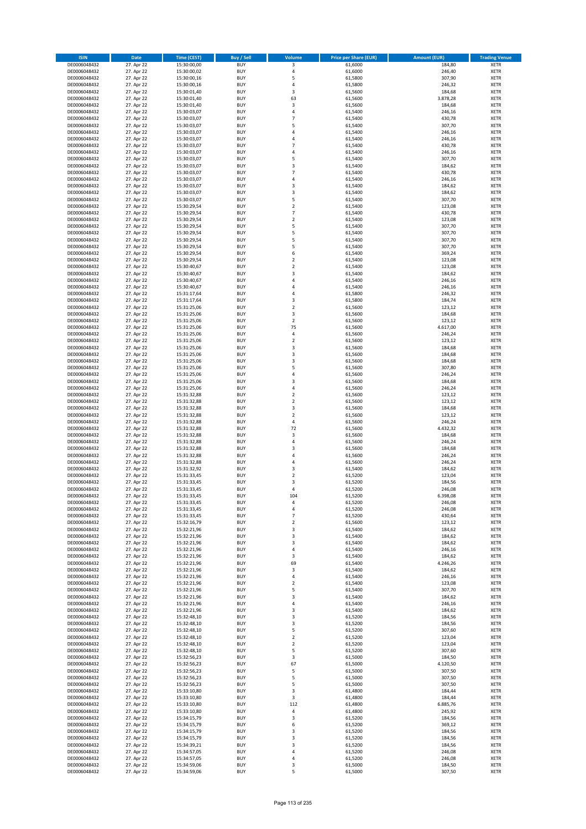| <b>ISIN</b>                  | <b>Date</b>              | <b>Time (CEST)</b>         | <b>Buy / Sell</b>        | Volume                           | <b>Price per Share (EUR)</b> | <b>Amount (EUR)</b> | <b>Trading Venue</b>       |
|------------------------------|--------------------------|----------------------------|--------------------------|----------------------------------|------------------------------|---------------------|----------------------------|
| DE0006048432                 | 27. Apr 22               | 15:30:00,00                | <b>BUY</b>               | 3                                | 61,6000                      | 184,80              | <b>XETR</b>                |
| DE0006048432                 | 27. Apr 22               | 15:30:00,02                | <b>BUY</b>               | 4                                | 61,6000                      | 246,40              | <b>XETR</b>                |
| DE0006048432                 | 27. Apr 22               | 15:30:00,16                | <b>BUY</b>               | 5                                | 61,5800                      | 307,90              | <b>XETR</b>                |
| DE0006048432                 | 27. Apr 22               | 15:30:00,16                | <b>BUY</b>               | 4                                | 61,5800                      | 246,32              | <b>XETR</b>                |
| DE0006048432                 | 27. Apr 22               | 15:30:01,40                | <b>BUY</b>               | 3                                | 61,5600                      | 184,68              | <b>XETR</b>                |
| DE0006048432                 | 27. Apr 22               | 15:30:01,40                | <b>BUY</b>               | 63                               | 61,5600                      | 3.878,28            | <b>XETR</b>                |
| DE0006048432                 | 27. Apr 22               | 15:30:01,40                | <b>BUY</b>               | 3                                | 61,5600                      | 184,68              | <b>XETR</b>                |
| DE0006048432                 | 27. Apr 22               | 15:30:03,07                | <b>BUY</b>               | 4                                | 61,5400                      | 246,16              | <b>XETR</b>                |
| DE0006048432                 | 27. Apr 22               | 15:30:03,07                | BUY                      | $\overline{7}$                   | 61,5400                      | 430,78              | <b>XETR</b>                |
| DE0006048432                 | 27. Apr 22               | 15:30:03,07                | <b>BUY</b>               | 5                                | 61,5400                      | 307,70              | <b>XETR</b>                |
| DE0006048432                 | 27. Apr 22               | 15:30:03,07                | <b>BUY</b>               | $\overline{4}$                   | 61,5400                      | 246,16              | <b>XETR</b>                |
| DE0006048432                 | 27. Apr 22               | 15:30:03,07                | <b>BUY</b>               | $\overline{4}$<br>$\overline{7}$ | 61,5400                      | 246,16              | <b>XETR</b>                |
| DE0006048432                 | 27. Apr 22               | 15:30:03,07                | <b>BUY</b>               | $\overline{a}$                   | 61,5400                      | 430,78              | <b>XETR</b>                |
| DE0006048432                 | 27. Apr 22               | 15:30:03,07                | <b>BUY</b>               | 5                                | 61,5400                      | 246,16              | <b>XETR</b>                |
| DE0006048432<br>DE0006048432 | 27. Apr 22<br>27. Apr 22 | 15:30:03,07<br>15:30:03,07 | <b>BUY</b><br>BUY        | $\overline{3}$                   | 61,5400<br>61,5400           | 307,70<br>184,62    | <b>XETR</b><br><b>XETR</b> |
| DE0006048432                 | 27. Apr 22               | 15:30:03,07                | <b>BUY</b>               | $\overline{7}$                   | 61,5400                      | 430,78              | <b>XETR</b>                |
| DE0006048432                 | 27. Apr 22               | 15:30:03,07                | <b>BUY</b>               | $\overline{4}$                   | 61,5400                      | 246,16              | <b>XETR</b>                |
| DE0006048432                 | 27. Apr 22               | 15:30:03,07                | <b>BUY</b>               | 3                                | 61,5400                      | 184,62              | <b>XETR</b>                |
| DE0006048432                 | 27. Apr 22               | 15:30:03,07                | <b>BUY</b>               | $\overline{\mathbf{3}}$          | 61,5400                      | 184,62              | <b>XETR</b>                |
| DE0006048432                 | 27. Apr 22               | 15:30:03,07                | <b>BUY</b>               | 5                                | 61,5400                      | 307,70              | <b>XETR</b>                |
| DE0006048432                 | 27. Apr 22               | 15:30:29,54                | <b>BUY</b>               | $\mathbf 2$                      | 61,5400                      | 123,08              | <b>XETR</b>                |
| DE0006048432                 | 27. Apr 22               | 15:30:29,54                | <b>BUY</b>               | $\overline{7}$                   | 61,5400                      | 430,78              | <b>XETR</b>                |
| DE0006048432                 | 27. Apr 22               | 15:30:29,54                | <b>BUY</b>               | $\overline{2}$                   | 61,5400                      | 123,08              | <b>XETR</b>                |
| DE0006048432                 | 27. Apr 22               | 15:30:29,54                | <b>BUY</b>               | 5                                | 61,5400                      | 307,70              | <b>XETR</b>                |
| DE0006048432                 | 27. Apr 22               | 15:30:29,54                | <b>BUY</b>               | 5                                | 61,5400                      | 307,70              | <b>XETR</b>                |
| DE0006048432                 | 27. Apr 22               | 15:30:29,54                | <b>BUY</b>               | 5                                | 61,5400                      | 307,70              | <b>XETR</b>                |
| DE0006048432                 | 27. Apr 22               | 15:30:29,54                | <b>BUY</b>               | 5                                | 61,5400                      | 307,70              | <b>XETR</b>                |
| DE0006048432                 | 27. Apr 22               | 15:30:29,54                | <b>BUY</b>               | 6                                | 61,5400                      | 369,24              | <b>XETR</b>                |
| DE0006048432                 | 27. Apr 22               | 15:30:29,54                | <b>BUY</b>               | $\overline{2}$                   | 61,5400                      | 123,08              | <b>XETR</b>                |
| DE0006048432                 | 27. Apr 22               | 15:30:40,67                | <b>BUY</b>               | $\mathbf 2$                      | 61,5400                      | 123,08              | <b>XETR</b>                |
| DE0006048432                 | 27. Apr 22               | 15:30:40,67                | <b>BUY</b>               | 3                                | 61,5400                      | 184,62              | <b>XETR</b>                |
| DE0006048432                 | 27. Apr 22               | 15:30:40,67                | <b>BUY</b>               | 4<br>$\overline{a}$              | 61,5400                      | 246,16              | <b>XETR</b>                |
| DE0006048432                 | 27. Apr 22               | 15:30:40,67                | <b>BUY</b>               |                                  | 61,5400                      | 246,16              | <b>XETR</b>                |
| DE0006048432<br>DE0006048432 | 27. Apr 22               | 15:31:17,64<br>15:31:17,64 | <b>BUY</b>               | $\overline{4}$<br>3              | 61,5800                      | 246,32              | <b>XETR</b>                |
| DE0006048432                 | 27. Apr 22<br>27. Apr 22 | 15:31:25,06                | <b>BUY</b><br><b>BUY</b> | $\overline{2}$                   | 61,5800<br>61,5600           | 184,74<br>123,12    | <b>XETR</b><br><b>XETR</b> |
| DE0006048432                 | 27. Apr 22               | 15:31:25,06                | <b>BUY</b>               | 3                                | 61,5600                      | 184,68              | <b>XETR</b>                |
| DE0006048432                 | 27. Apr 22               | 15:31:25,06                | <b>BUY</b>               | $\mathbf 2$                      | 61,5600                      | 123,12              | <b>XETR</b>                |
| DE0006048432                 | 27. Apr 22               | 15:31:25,06                | <b>BUY</b>               | 75                               | 61,5600                      | 4.617,00            | <b>XETR</b>                |
| DE0006048432                 | 27. Apr 22               | 15:31:25,06                | <b>BUY</b>               | $\overline{4}$                   | 61,5600                      | 246,24              | <b>XETR</b>                |
| DE0006048432                 | 27. Apr 22               | 15:31:25,06                | <b>BUY</b>               | $\mathbf 2$                      | 61,5600                      | 123,12              | <b>XETR</b>                |
| DE0006048432                 | 27. Apr 22               | 15:31:25,06                | <b>BUY</b>               | 3                                | 61,5600                      | 184,68              | <b>XETR</b>                |
| DE0006048432                 | 27. Apr 22               | 15:31:25,06                | <b>BUY</b>               | $\overline{\mathbf{3}}$          | 61,5600                      | 184,68              | <b>XETR</b>                |
| DE0006048432                 | 27. Apr 22               | 15:31:25,06                | <b>BUY</b>               | $\overline{\mathbf{3}}$          | 61,5600                      | 184,68              | <b>XETR</b>                |
| DE0006048432                 | 27. Apr 22               | 15:31:25,06                | <b>BUY</b>               | 5                                | 61,5600                      | 307,80              | <b>XETR</b>                |
| DE0006048432                 | 27. Apr 22               | 15:31:25,06                | <b>BUY</b>               | 4                                | 61,5600                      | 246,24              | <b>XETR</b>                |
| DE0006048432                 | 27. Apr 22               | 15:31:25,06                | <b>BUY</b>               | $\overline{3}$                   | 61,5600                      | 184,68              | <b>XETR</b>                |
| DE0006048432                 | 27. Apr 22               | 15:31:25,06                | <b>BUY</b>               | 4                                | 61,5600                      | 246,24              | <b>XETR</b>                |
| DE0006048432                 | 27. Apr 22               | 15:31:32,88                | <b>BUY</b>               | $\overline{2}$                   | 61,5600                      | 123,12              | <b>XETR</b>                |
| DE0006048432                 | 27. Apr 22               | 15:31:32,88                | <b>BUY</b>               | $\overline{2}$                   | 61,5600                      | 123,12              | <b>XETR</b>                |
| DE0006048432                 | 27. Apr 22               | 15:31:32,88                | <b>BUY</b>               | 3                                | 61,5600                      | 184,68              | <b>XETR</b>                |
| DE0006048432                 | 27. Apr 22               | 15:31:32,88                | <b>BUY</b>               | $\overline{2}$                   | 61,5600                      | 123,12              | <b>XETR</b>                |
| DE0006048432<br>DE0006048432 | 27. Apr 22               | 15:31:32,88                | <b>BUY</b><br><b>BUY</b> | 4<br>72                          | 61,5600                      | 246,24              | <b>XETR</b><br><b>XETR</b> |
|                              | 27. Apr 22               | 15:31:32,88                |                          | 3                                | 61,5600                      | 4.432,32            |                            |
| DE0006048432<br>DE0006048432 | 27. Apr 22<br>27. Apr 22 | 15:31:32,88<br>15:31:32,88 | <b>BUY</b><br><b>BUY</b> | $\overline{a}$                   | 61,5600<br>61,5600           | 184,68<br>246,24    | <b>XETR</b><br><b>XETR</b> |
| DE0006048432                 | 27. Apr 22               | 15:31:32,88                | <b>BUY</b>               | 3                                | 61,5600                      | 184,68              | <b>XETR</b>                |
| DE0006048432                 | 27. Apr 22               | 15:31:32,88                | BUY                      | $\overline{a}$                   | 61,5600                      | 246,24              | <b>XETR</b>                |
| DE0006048432                 | 27. Apr 22               | 15:31:32,88                | <b>BUY</b>               | $\overline{4}$                   | 61,5600                      | 246,24              | <b>XETR</b>                |
| DE0006048432                 | 27. Apr 22               | 15:31:32,92                | <b>BUY</b>               | 3                                | 61,5400                      | 184,62              | <b>XETR</b>                |
| DE0006048432                 | 27. Apr 22               | 15:31:33,45                | BUY                      | $\overline{2}$                   | 61,5200                      | 123,04              | <b>XETR</b>                |
| DE0006048432                 | 27. Apr 22               | 15:31:33,45                | BUY                      | $\overline{\mathbf{3}}$          | 61,5200                      | 184,56              | <b>XETR</b>                |
| DE0006048432                 | 27. Apr 22               | 15:31:33,45                | <b>BUY</b>               | $\overline{a}$                   | 61,5200                      | 246,08              | <b>XETR</b>                |
| DE0006048432                 | 27. Apr 22               | 15:31:33,45                | BUY                      | 104                              | 61,5200                      | 6.398,08            | <b>XETR</b>                |
| DE0006048432                 | 27. Apr 22               | 15:31:33,45                | <b>BUY</b>               | $\pmb{4}$                        | 61,5200                      | 246,08              | <b>XETR</b>                |
| DE0006048432                 | 27. Apr 22               | 15:31:33,45                | <b>BUY</b>               | 4                                | 61,5200                      | 246,08              | <b>XETR</b>                |
| DE0006048432                 | 27. Apr 22               | 15:31:33,45                | <b>BUY</b>               | 7                                | 61,5200                      | 430,64              | <b>XETR</b>                |
| DE0006048432                 | 27. Apr 22               | 15:32:16,79                | <b>BUY</b>               | $\overline{2}$                   | 61,5600                      | 123,12              | <b>XETR</b>                |
| DE0006048432                 | 27. Apr 22               | 15:32:21,96                | <b>BUY</b>               | 3                                | 61,5400                      | 184,62              | <b>XETR</b>                |
| DE0006048432                 | 27. Apr 22               | 15:32:21,96                | <b>BUY</b>               | 3                                | 61,5400                      | 184,62              | <b>XETR</b>                |
| DE0006048432                 | 27. Apr 22               | 15:32:21,96                | <b>BUY</b>               | 3                                | 61,5400                      | 184,62              | <b>XETR</b>                |
| DE0006048432                 | 27. Apr 22               | 15:32:21,96                | <b>BUY</b>               | $\overline{4}$                   | 61,5400                      | 246,16              | <b>XETR</b>                |
| DE0006048432                 | 27. Apr 22               | 15:32:21,96                | <b>BUY</b>               | 3                                | 61,5400                      | 184,62              | <b>XETR</b>                |
| DE0006048432<br>DE0006048432 | 27. Apr 22               | 15:32:21,96                | <b>BUY</b><br><b>BUY</b> | 69<br>3                          | 61,5400                      | 4.246,26            | <b>XETR</b><br><b>XETR</b> |
| DE0006048432                 | 27. Apr 22<br>27. Apr 22 | 15:32:21,96<br>15:32:21,96 | <b>BUY</b>               | $\overline{4}$                   | 61,5400<br>61,5400           | 184,62<br>246,16    | <b>XETR</b>                |
| DE0006048432                 | 27. Apr 22               | 15:32:21,96                | <b>BUY</b>               | $\overline{2}$                   | 61,5400                      | 123,08              | <b>XETR</b>                |
| DE0006048432                 | 27. Apr 22               | 15:32:21,96                | <b>BUY</b>               | 5                                | 61,5400                      | 307,70              | <b>XETR</b>                |
| DE0006048432                 | 27. Apr 22               | 15:32:21,96                | <b>BUY</b>               | $\overline{\mathbf{3}}$          | 61,5400                      | 184,62              | <b>XETR</b>                |
| DE0006048432                 | 27. Apr 22               | 15:32:21,96                | <b>BUY</b>               | 4                                | 61,5400                      | 246,16              | <b>XETR</b>                |
| DE0006048432                 | 27. Apr 22               | 15:32:21,96                | <b>BUY</b>               | 3                                | 61,5400                      | 184,62              | <b>XETR</b>                |
| DE0006048432                 | 27. Apr 22               | 15:32:48,10                | <b>BUY</b>               | 3                                | 61,5200                      | 184,56              | <b>XETR</b>                |
| DE0006048432                 | 27. Apr 22               | 15:32:48,10                | <b>BUY</b>               | 3                                | 61,5200                      | 184,56              | <b>XETR</b>                |
| DE0006048432                 | 27. Apr 22               | 15:32:48,10                | <b>BUY</b>               | 5                                | 61,5200                      | 307,60              | <b>XETR</b>                |
| DE0006048432                 | 27. Apr 22               | 15:32:48,10                | <b>BUY</b>               | $\mathbf 2$                      | 61,5200                      | 123,04              | <b>XETR</b>                |
| DE0006048432                 | 27. Apr 22               | 15:32:48,10                | <b>BUY</b>               | $\overline{2}$                   | 61,5200                      | 123,04              | <b>XETR</b>                |
| DE0006048432                 | 27. Apr 22               | 15:32:48,10                | <b>BUY</b>               | 5                                | 61,5200                      | 307,60              | <b>XETR</b>                |
| DE0006048432                 | 27. Apr 22               | 15:32:56,23                | <b>BUY</b>               | 3                                | 61,5000                      | 184,50              | <b>XETR</b>                |
| DE0006048432                 | 27. Apr 22               | 15:32:56,23                | <b>BUY</b>               | 67                               | 61,5000                      | 4.120,50            | <b>XETR</b>                |
| DE0006048432                 | 27. Apr 22               | 15:32:56,23                | <b>BUY</b>               | 5                                | 61,5000                      | 307,50              | <b>XETR</b>                |
| DE0006048432                 | 27. Apr 22               | 15:32:56,23                | <b>BUY</b>               | 5                                | 61,5000                      | 307,50              | <b>XETR</b>                |
| DE0006048432                 | 27. Apr 22               | 15:32:56,23                | <b>BUY</b>               | 5                                | 61,5000                      | 307,50              | <b>XETR</b>                |
| DE0006048432                 | 27. Apr 22               | 15:33:10,80                | <b>BUY</b><br><b>BUY</b> | 3                                | 61,4800                      | 184,44              | <b>XETR</b>                |
| DE0006048432<br>DE0006048432 | 27. Apr 22<br>27. Apr 22 | 15:33:10,80<br>15:33:10,80 | <b>BUY</b>               | 3<br>112                         | 61,4800<br>61,4800           | 184,44<br>6.885,76  | <b>XETR</b><br><b>XETR</b> |
| DE0006048432                 | 27. Apr 22               | 15:33:10,80                | <b>BUY</b>               | 4                                | 61,4800                      | 245,92              | <b>XETR</b>                |
| DE0006048432                 | 27. Apr 22               | 15:34:15,79                | <b>BUY</b>               | $\overline{\mathbf{3}}$          | 61,5200                      | 184,56              | <b>XETR</b>                |
| DE0006048432                 | 27. Apr 22               | 15:34:15,79                | <b>BUY</b>               | 6                                | 61,5200                      | 369,12              | <b>XETR</b>                |
| DE0006048432                 | 27. Apr 22               | 15:34:15,79                | <b>BUY</b>               | 3                                | 61,5200                      | 184,56              | <b>XETR</b>                |
| DE0006048432                 | 27. Apr 22               | 15:34:15,79                | <b>BUY</b>               | 3                                | 61,5200                      | 184,56              | <b>XETR</b>                |
| DE0006048432                 | 27. Apr 22               | 15:34:39,21                | <b>BUY</b>               | 3                                | 61,5200                      | 184,56              | <b>XETR</b>                |
| DE0006048432                 | 27. Apr 22               | 15:34:57,05                | <b>BUY</b>               | 4                                | 61,5200                      | 246,08              | <b>XETR</b>                |
| DE0006048432                 | 27. Apr 22               | 15:34:57,05                | <b>BUY</b>               | 4                                | 61,5200                      | 246,08              | <b>XETR</b>                |
| DE0006048432                 | 27. Apr 22               | 15:34:59,06                | <b>BUY</b>               | 3                                | 61,5000                      | 184,50              | <b>XETR</b>                |
| DE0006048432                 | 27. Apr 22               | 15:34:59,06                | <b>BUY</b>               | 5                                | 61,5000                      | 307,50              | <b>XETR</b>                |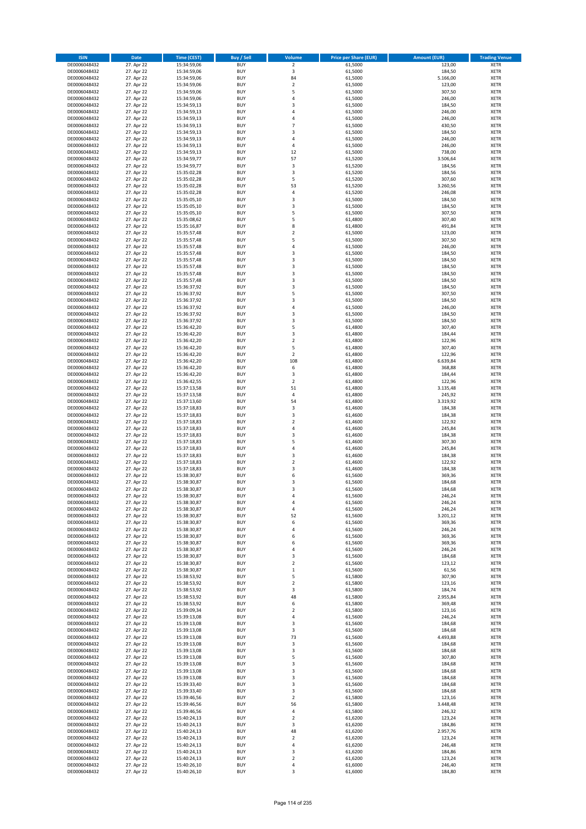| <b>ISIN</b>                  | Date                     | Time (CEST)                | <b>Buy / Sell</b>        | <b>Volume</b>           | <b>Price per Share (EUR)</b> | <b>Amount (EUR)</b> | <b>Trading Venue</b>       |
|------------------------------|--------------------------|----------------------------|--------------------------|-------------------------|------------------------------|---------------------|----------------------------|
| DE0006048432                 | 27. Apr 22               | 15:34:59,06                | <b>BUY</b>               | $\overline{2}$          | 61,5000                      | 123,00              | <b>XETR</b>                |
| DE0006048432                 | 27. Apr 22               | 15:34:59,06                | <b>BUY</b>               | 3                       | 61,5000                      | 184,50              | XETR                       |
| DE0006048432<br>DE0006048432 | 27. Apr 22<br>27. Apr 22 | 15:34:59,06<br>15:34:59,06 | <b>BUY</b><br><b>BUY</b> | 84<br>$\mathbf 2$       | 61,5000<br>61,5000           | 5.166,00<br>123,00  | XETR<br><b>XETR</b>        |
| DE0006048432                 | 27. Apr 22               | 15:34:59,06                | <b>BUY</b>               | 5                       | 61,5000                      | 307,50              | <b>XETR</b>                |
| DE0006048432                 | 27. Apr 22               | 15:34:59,06                | <b>BUY</b>               | $\overline{4}$          | 61,5000                      | 246,00              | <b>XETR</b>                |
| DE0006048432                 | 27. Apr 22               | 15:34:59,13                | <b>BUY</b>               | 3                       | 61,5000                      | 184,50              | <b>XETR</b>                |
| DE0006048432<br>DE0006048432 | 27. Apr 22<br>27. Apr 22 | 15:34:59,13                | <b>BUY</b>               | $\overline{a}$          | 61,5000                      | 246,00              | <b>XETR</b>                |
| DE0006048432                 | 27. Apr 22               | 15:34:59,13<br>15:34:59,13 | <b>BUY</b><br><b>BUY</b> | 4<br>$\overline{7}$     | 61,5000<br>61,5000           | 246,00<br>430,50    | <b>XETR</b><br><b>XETR</b> |
| DE0006048432                 | 27. Apr 22               | 15:34:59,13                | <b>BUY</b>               | $\mathsf 3$             | 61,5000                      | 184,50              | <b>XETR</b>                |
| DE0006048432                 | 27. Apr 22               | 15:34:59,13                | <b>BUY</b>               | $\overline{4}$          | 61,5000                      | 246,00              | <b>XETR</b>                |
| DE0006048432                 | 27. Apr 22               | 15:34:59,13                | <b>BUY</b>               | 4                       | 61,5000                      | 246,00              | <b>XETR</b>                |
| DE0006048432<br>DE0006048432 | 27. Apr 22<br>27. Apr 22 | 15:34:59,13<br>15:34:59,77 | <b>BUY</b><br><b>BUY</b> | 12<br>57                | 61,5000<br>61,5200           | 738,00<br>3.506,64  | <b>XETR</b><br><b>XETR</b> |
| DE0006048432                 | 27. Apr 22               | 15:34:59,77                | <b>BUY</b>               | 3                       | 61,5200                      | 184,56              | <b>XETR</b>                |
| DE0006048432                 | 27. Apr 22               | 15:35:02,28                | <b>BUY</b>               | 3                       | 61,5200                      | 184,56              | <b>XETR</b>                |
| DE0006048432                 | 27. Apr 22               | 15:35:02,28                | <b>BUY</b>               | 5                       | 61,5200                      | 307,60              | <b>XETR</b>                |
| DE0006048432<br>DE0006048432 | 27. Apr 22               | 15:35:02,28                | <b>BUY</b>               | 53                      | 61,5200                      | 3.260,56            | <b>XETR</b>                |
| DE0006048432                 | 27. Apr 22<br>27. Apr 22 | 15:35:02,28<br>15:35:05,10 | <b>BUY</b><br><b>BUY</b> | $\pmb{4}$<br>3          | 61,5200<br>61,5000           | 246,08<br>184,50    | <b>XETR</b><br><b>XETR</b> |
| DE0006048432                 | 27. Apr 22               | 15:35:05,10                | <b>BUY</b>               | 3                       | 61,5000                      | 184,50              | <b>XETR</b>                |
| DE0006048432                 | 27. Apr 22               | 15:35:05,10                | <b>BUY</b>               | 5                       | 61,5000                      | 307,50              | <b>XETR</b>                |
| DE0006048432                 | 27. Apr 22               | 15:35:08,62                | <b>BUY</b>               | 5                       | 61,4800                      | 307,40              | <b>XETR</b>                |
| DE0006048432<br>DE0006048432 | 27. Apr 22<br>27. Apr 22 | 15:35:16,87<br>15:35:57,48 | <b>BUY</b><br><b>BUY</b> | 8<br>$\overline{2}$     | 61,4800<br>61,5000           | 491,84<br>123,00    | <b>XETR</b><br><b>XETR</b> |
| DE0006048432                 | 27. Apr 22               | 15:35:57,48                | <b>BUY</b>               | 5                       | 61,5000                      | 307,50              | <b>XETR</b>                |
| DE0006048432                 | 27. Apr 22               | 15:35:57,48                | <b>BUY</b>               | $\overline{4}$          | 61,5000                      | 246,00              | <b>XETR</b>                |
| DE0006048432                 | 27. Apr 22               | 15:35:57,48                | <b>BUY</b>               | $\overline{\mathbf{3}}$ | 61,5000                      | 184,50              | <b>XETR</b>                |
| DE0006048432                 | 27. Apr 22               | 15:35:57,48                | <b>BUY</b><br><b>BUY</b> | 3<br>3                  | 61,5000                      | 184,50              | <b>XETR</b><br><b>XETR</b> |
| DE0006048432<br>DE0006048432 | 27. Apr 22<br>27. Apr 22 | 15:35:57,48<br>15:35:57,48 | <b>BUY</b>               | 3                       | 61,5000<br>61,5000           | 184,50<br>184,50    | <b>XETR</b>                |
| DE0006048432                 | 27. Apr 22               | 15:35:57,48                | <b>BUY</b>               | 3                       | 61,5000                      | 184,50              | <b>XETR</b>                |
| DE0006048432                 | 27. Apr 22               | 15:36:37,92                | <b>BUY</b>               | 3                       | 61,5000                      | 184,50              | <b>XETR</b>                |
| DE0006048432                 | 27. Apr 22               | 15:36:37,92                | <b>BUY</b>               | 5                       | 61,5000                      | 307,50              | <b>XETR</b>                |
| DE0006048432<br>DE0006048432 | 27. Apr 22<br>27. Apr 22 | 15:36:37,92<br>15:36:37,92 | <b>BUY</b><br><b>BUY</b> | 3<br>$\overline{4}$     | 61,5000<br>61,5000           | 184,50<br>246,00    | <b>XETR</b><br><b>XETR</b> |
| DE0006048432                 | 27. Apr 22               | 15:36:37,92                | <b>BUY</b>               | 3                       | 61,5000                      | 184,50              | <b>XETR</b>                |
| DE0006048432                 | 27. Apr 22               | 15:36:37,92                | <b>BUY</b>               | 3                       | 61,5000                      | 184,50              | <b>XETR</b>                |
| DE0006048432                 | 27. Apr 22               | 15:36:42,20                | <b>BUY</b>               | 5                       | 61,4800                      | 307,40              | <b>XETR</b>                |
| DE0006048432                 | 27. Apr 22               | 15:36:42,20                | <b>BUY</b>               | 3                       | 61,4800                      | 184,44              | <b>XETR</b>                |
| DE0006048432<br>DE0006048432 | 27. Apr 22<br>27. Apr 22 | 15:36:42,20<br>15:36:42,20 | <b>BUY</b><br><b>BUY</b> | $\overline{2}$<br>5     | 61,4800<br>61,4800           | 122,96<br>307,40    | <b>XETR</b><br><b>XETR</b> |
| DE0006048432                 | 27. Apr 22               | 15:36:42,20                | <b>BUY</b>               | $\mathbf 2$             | 61,4800                      | 122,96              | <b>XETR</b>                |
| DE0006048432                 | 27. Apr 22               | 15:36:42,20                | <b>BUY</b>               | 108                     | 61,4800                      | 6.639,84            | <b>XETR</b>                |
| DE0006048432                 | 27. Apr 22               | 15:36:42,20                | <b>BUY</b>               | 6                       | 61,4800                      | 368,88              | <b>XETR</b>                |
| DE0006048432<br>DE0006048432 | 27. Apr 22<br>27. Apr 22 | 15:36:42,20                | <b>BUY</b><br><b>BUY</b> | 3<br>$\mathbf 2$        | 61,4800<br>61,4800           | 184,44<br>122,96    | <b>XETR</b><br><b>XETR</b> |
| DE0006048432                 | 27. Apr 22               | 15:36:42,55<br>15:37:13,58 | <b>BUY</b>               | 51                      | 61,4800                      | 3.135,48            | <b>XETR</b>                |
| DE0006048432                 | 27. Apr 22               | 15:37:13,58                | <b>BUY</b>               | $\sqrt{4}$              | 61,4800                      | 245,92              | <b>XETR</b>                |
| DE0006048432                 | 27. Apr 22               | 15:37:13,60                | <b>BUY</b>               | 54                      | 61,4800                      | 3.319,92            | <b>XETR</b>                |
| DE0006048432                 | 27. Apr 22               | 15:37:18,83                | <b>BUY</b>               | 3                       | 61,4600                      | 184,38              | <b>XETR</b>                |
| DE0006048432<br>DE0006048432 | 27. Apr 22<br>27. Apr 22 | 15:37:18,83<br>15:37:18,83 | <b>BUY</b><br><b>BUY</b> | 3<br>$\mathbf 2$        | 61,4600<br>61,4600           | 184,38<br>122,92    | <b>XETR</b><br><b>XETR</b> |
| DE0006048432                 | 27. Apr 22               | 15:37:18,83                | <b>BUY</b>               | $\sqrt{4}$              | 61,4600                      | 245,84              | <b>XETR</b>                |
| DE0006048432                 | 27. Apr 22               | 15:37:18,83                | <b>BUY</b>               | 3                       | 61,4600                      | 184,38              | <b>XETR</b>                |
| DE0006048432                 | 27. Apr 22               | 15:37:18,83                | <b>BUY</b>               | 5                       | 61,4600                      | 307,30              | <b>XETR</b>                |
| DE0006048432<br>DE0006048432 | 27. Apr 22<br>27. Apr 22 | 15:37:18,83<br>15:37:18,83 | <b>BUY</b><br><b>BUY</b> | 4<br>3                  | 61,4600<br>61,4600           | 245,84<br>184,38    | <b>XETR</b><br><b>XETR</b> |
| DE0006048432                 | 27. Apr 22               | 15:37:18,83                | <b>BUY</b>               | $\mathbf 2$             | 61,4600                      | 122,92              | <b>XETR</b>                |
| DE0006048432                 | 27. Apr 22               | 15:37:18,83                | <b>BUY</b>               | 3                       | 61,4600                      | 184,38              | <b>XETR</b>                |
| DE0006048432                 | 27. Apr 22               | 15:38:30,87                | <b>BUY</b>               | 6                       | 61,5600                      | 369,36              | <b>XETR</b>                |
| DE0006048432                 | 27. Apr 22               | 15:38:30,87                | <b>BUY</b><br><b>BUY</b> | 3<br>3                  | 61,5600                      | 184,68              | <b>XETR</b><br><b>XETR</b> |
| DE0006048432<br>DE0006048432 | 27. Apr 22<br>27. Apr 22 | 15:38:30,87<br>15:38:30,87 | <b>BUY</b>               | 4                       | 61,5600<br>61,5600           | 184,68<br>246,24    | <b>XETR</b>                |
| DE0006048432                 | 27. Apr 22               | 15:38:30,87                | <b>BUY</b>               | 4                       | 61,5600                      | 246,24              | <b>XETR</b>                |
| DE0006048432                 | 27. Apr 22               | 15:38:30,87                | <b>BUY</b>               | 4                       | 61,5600                      | 246,24              | XETR                       |
| DE0006048432                 | 27. Apr 22               | 15:38:30,87                | <b>BUY</b>               | 52                      | 61,5600                      | 3.201,12            | <b>XETR</b>                |
| DE0006048432<br>DE0006048432 | 27. Apr 22<br>27. Apr 22 | 15:38:30,87<br>15:38:30,87 | <b>BUY</b><br><b>BUY</b> | 6<br>4                  | 61,5600<br>61,5600           | 369,36<br>246,24    | <b>XETR</b><br><b>XETR</b> |
| DE0006048432                 | 27. Apr 22               | 15:38:30,87                | <b>BUY</b>               | 6                       | 61,5600                      | 369,36              | <b>XETR</b>                |
| DE0006048432                 | 27. Apr 22               | 15:38:30,87                | <b>BUY</b>               | 6                       | 61,5600                      | 369,36              | <b>XETR</b>                |
| DE0006048432                 | 27. Apr 22               | 15:38:30,87                | BUY                      | 4                       | 61,5600                      | 246,24              | <b>XETR</b>                |
| DE0006048432<br>DE0006048432 | 27. Apr 22<br>27. Apr 22 | 15:38:30,87<br>15:38:30,87 | <b>BUY</b><br><b>BUY</b> | 3<br>$\overline{2}$     | 61,5600<br>61,5600           | 184,68<br>123,12    | <b>XETR</b><br><b>XETR</b> |
| DE0006048432                 | 27. Apr 22               | 15:38:30,87                | <b>BUY</b>               | $\mathbf 1$             | 61,5600                      | 61,56               | <b>XETR</b>                |
| DE0006048432                 | 27. Apr 22               | 15:38:53,92                | <b>BUY</b>               | 5                       | 61,5800                      | 307,90              | <b>XETR</b>                |
| DE0006048432                 | 27. Apr 22               | 15:38:53,92                | <b>BUY</b>               | $\overline{2}$          | 61,5800                      | 123,16              | <b>XETR</b>                |
| DE0006048432<br>DE0006048432 | 27. Apr 22<br>27. Apr 22 | 15:38:53,92<br>15:38:53,92 | <b>BUY</b><br><b>BUY</b> | 3<br>48                 | 61,5800<br>61,5800           | 184,74<br>2.955,84  | <b>XETR</b><br><b>XETR</b> |
| DE0006048432                 | 27. Apr 22               | 15:38:53,92                | <b>BUY</b>               | $\,$ 6 $\,$             | 61,5800                      | 369,48              | XETR                       |
| DE0006048432                 | 27. Apr 22               | 15:39:09,34                | <b>BUY</b>               | $\mathbf 2$             | 61,5800                      | 123,16              | <b>XETR</b>                |
| DE0006048432                 | 27. Apr 22               | 15:39:13,08                | <b>BUY</b>               | $\pmb{4}$               | 61,5600                      | 246,24              | <b>XETR</b>                |
| DE0006048432<br>DE0006048432 | 27. Apr 22<br>27. Apr 22 | 15:39:13,08<br>15:39:13,08 | <b>BUY</b><br><b>BUY</b> | 3<br>3                  | 61,5600<br>61,5600           | 184,68<br>184,68    | <b>XETR</b><br><b>XETR</b> |
| DE0006048432                 | 27. Apr 22               | 15:39:13,08                | <b>BUY</b>               | 73                      | 61,5600                      | 4.493,88            | <b>XETR</b>                |
| DE0006048432                 | 27. Apr 22               | 15:39:13,08                | <b>BUY</b>               | $\mathsf 3$             | 61,5600                      | 184,68              | <b>XETR</b>                |
| DE0006048432                 | 27. Apr 22               | 15:39:13,08                | <b>BUY</b>               | 3                       | 61,5600                      | 184,68              | <b>XETR</b>                |
| DE0006048432                 | 27. Apr 22               | 15:39:13,08                | <b>BUY</b>               | 5                       | 61,5600                      | 307,80              | <b>XETR</b>                |
| DE0006048432<br>DE0006048432 | 27. Apr 22<br>27. Apr 22 | 15:39:13,08<br>15:39:13,08 | <b>BUY</b><br>BUY        | 3<br>3                  | 61,5600<br>61,5600           | 184,68<br>184,68    | <b>XETR</b><br><b>XETR</b> |
| DE0006048432                 | 27. Apr 22               | 15:39:13,08                | <b>BUY</b>               | 3                       | 61,5600                      | 184,68              | <b>XETR</b>                |
| DE0006048432                 | 27. Apr 22               | 15:39:33,40                | <b>BUY</b>               | 3                       | 61,5600                      | 184,68              | <b>XETR</b>                |
| DE0006048432                 | 27. Apr 22               | 15:39:33,40                | <b>BUY</b>               | $\overline{\mathbf{3}}$ | 61,5600                      | 184,68              | XETR                       |
| DE0006048432                 | 27. Apr 22               | 15:39:46,56                | <b>BUY</b><br><b>BUY</b> | $\overline{2}$          | 61,5800                      | 123,16              | <b>XETR</b><br><b>XETR</b> |
| DE0006048432<br>DE0006048432 | 27. Apr 22<br>27. Apr 22 | 15:39:46,56<br>15:39:46,56 | <b>BUY</b>               | 56<br>$\pmb{4}$         | 61,5800<br>61,5800           | 3.448,48<br>246,32  | <b>XETR</b>                |
| DE0006048432                 | 27. Apr 22               | 15:40:24,13                | <b>BUY</b>               | $\mathbf 2$             | 61,6200                      | 123,24              | <b>XETR</b>                |
| DE0006048432                 | 27. Apr 22               | 15:40:24,13                | <b>BUY</b>               | 3                       | 61,6200                      | 184,86              | <b>XETR</b>                |
| DE0006048432<br>DE0006048432 | 27. Apr 22<br>27. Apr 22 | 15:40:24,13<br>15:40:24,13 | <b>BUY</b><br><b>BUY</b> | 48<br>$\overline{2}$    | 61,6200<br>61,6200           | 2.957,76<br>123,24  | <b>XETR</b><br><b>XETR</b> |
| DE0006048432                 | 27. Apr 22               | 15:40:24,13                | <b>BUY</b>               | $\pmb{4}$               | 61,6200                      | 246,48              | <b>XETR</b>                |
| DE0006048432                 | 27. Apr 22               | 15:40:24,13                | <b>BUY</b>               | 3                       | 61,6200                      | 184,86              | <b>XETR</b>                |
| DE0006048432                 | 27. Apr 22               | 15:40:24,13                | <b>BUY</b>               | $\mathbf 2$             | 61,6200                      | 123,24              | <b>XETR</b>                |
| DE0006048432                 | 27. Apr 22               | 15:40:26,10                | <b>BUY</b>               | 4                       | 61,6000                      | 246,40              | <b>XETR</b>                |
| DE0006048432                 | 27. Apr 22               | 15:40:26,10                | <b>BUY</b>               | 3                       | 61,6000                      | 184,80              | <b>XETR</b>                |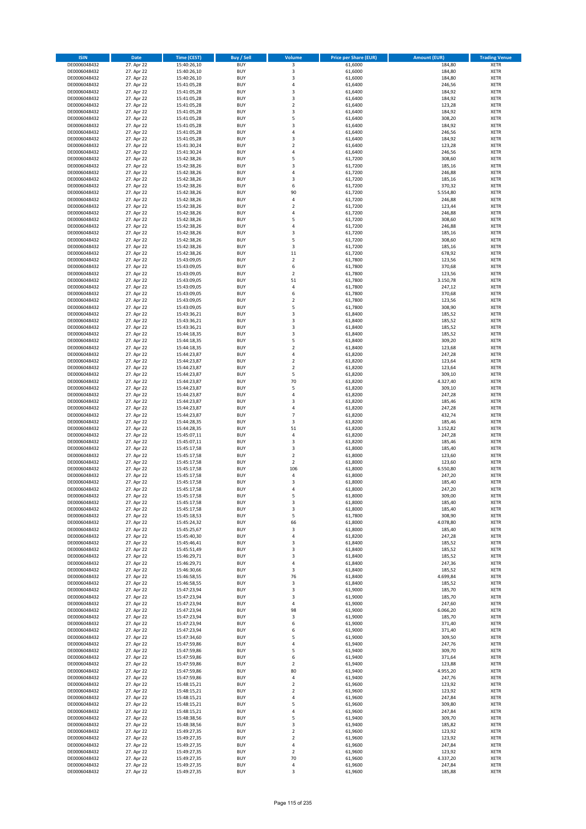| <b>ISIN</b>                  | <b>Date</b>              | <b>Time (CEST)</b>         | <b>Buy / Sell</b>        | Volume                                             | <b>Price per Share (EUR)</b> | <b>Amount (EUR)</b> | <b>Trading Venue</b>       |
|------------------------------|--------------------------|----------------------------|--------------------------|----------------------------------------------------|------------------------------|---------------------|----------------------------|
| DE0006048432                 | 27. Apr 22               | 15:40:26,10                | <b>BUY</b>               | 3                                                  | 61,6000                      | 184,80              | <b>XETR</b>                |
| DE0006048432                 | 27. Apr 22               | 15:40:26,10                | <b>BUY</b>               | 3                                                  | 61,6000                      | 184,80              | <b>XETR</b>                |
| DE0006048432                 | 27. Apr 22               | 15:40:26,10                | <b>BUY</b>               | $\overline{\mathbf{3}}$                            | 61,6000                      | 184,80              | <b>XETR</b>                |
| DE0006048432                 | 27. Apr 22               | 15:41:05,28                | <b>BUY</b>               | 4                                                  | 61,6400                      | 246,56              | <b>XETR</b>                |
| DE0006048432<br>DE0006048432 | 27. Apr 22<br>27. Apr 22 | 15:41:05,28<br>15:41:05,28 | <b>BUY</b><br><b>BUY</b> | 3<br>$\overline{3}$                                | 61,6400<br>61,6400           | 184,92<br>184,92    | <b>XETR</b><br><b>XETR</b> |
| DE0006048432                 | 27. Apr 22               | 15:41:05,28                | <b>BUY</b>               | $\overline{2}$                                     | 61,6400                      | 123,28              | <b>XETR</b>                |
| DE0006048432                 | 27. Apr 22               | 15:41:05,28                | <b>BUY</b>               | 3                                                  | 61,6400                      | 184,92              | <b>XETR</b>                |
| DE0006048432                 | 27. Apr 22               | 15:41:05,28                | BUY                      | 5                                                  | 61,6400                      | 308,20              | <b>XETR</b>                |
| DE0006048432                 | 27. Apr 22               | 15:41:05,28                | <b>BUY</b>               | 3                                                  | 61,6400                      | 184,92              | <b>XETR</b>                |
| DE0006048432                 | 27. Apr 22               | 15:41:05,28                | <b>BUY</b>               | 4                                                  | 61,6400                      | 246,56              | <b>XETR</b>                |
| DE0006048432                 | 27. Apr 22               | 15:41:05,28                | <b>BUY</b>               | 3<br>$\overline{2}$                                | 61,6400                      | 184,92              | <b>XETR</b>                |
| DE0006048432<br>DE0006048432 | 27. Apr 22<br>27. Apr 22 | 15:41:30,24<br>15:41:30,24 | <b>BUY</b><br><b>BUY</b> | $\overline{a}$                                     | 61,6400<br>61,6400           | 123,28<br>246,56    | <b>XETR</b><br><b>XETR</b> |
| DE0006048432                 | 27. Apr 22               | 15:42:38,26                | <b>BUY</b>               | 5                                                  | 61,7200                      | 308,60              | <b>XETR</b>                |
| DE0006048432                 | 27. Apr 22               | 15:42:38,26                | BUY                      | $\overline{3}$                                     | 61,7200                      | 185,16              | <b>XETR</b>                |
| DE0006048432                 | 27. Apr 22               | 15:42:38,26                | <b>BUY</b>               | 4                                                  | 61,7200                      | 246,88              | <b>XETR</b>                |
| DE0006048432                 | 27. Apr 22               | 15:42:38,26                | <b>BUY</b>               | $\overline{\mathbf{3}}$                            | 61,7200                      | 185,16              | <b>XETR</b>                |
| DE0006048432                 | 27. Apr 22               | 15:42:38,26                | <b>BUY</b>               | 6                                                  | 61,7200                      | 370,32              | <b>XETR</b>                |
| DE0006048432<br>DE0006048432 | 27. Apr 22<br>27. Apr 22 | 15:42:38,26<br>15:42:38,26 | <b>BUY</b><br><b>BUY</b> | 90<br>4                                            | 61,7200<br>61,7200           | 5.554,80<br>246,88  | <b>XETR</b><br><b>XETR</b> |
| DE0006048432                 | 27. Apr 22               | 15:42:38,26                | <b>BUY</b>               | $\mathbf 2$                                        | 61,7200                      | 123,44              | <b>XETR</b>                |
| DE0006048432                 | 27. Apr 22               | 15:42:38,26                | <b>BUY</b>               | $\overline{a}$                                     | 61,7200                      | 246,88              | <b>XETR</b>                |
| DE0006048432                 | 27. Apr 22               | 15:42:38,26                | <b>BUY</b>               | 5                                                  | 61,7200                      | 308,60              | <b>XETR</b>                |
| DE0006048432                 | 27. Apr 22               | 15:42:38,26                | <b>BUY</b>               | 4                                                  | 61,7200                      | 246,88              | <b>XETR</b>                |
| DE0006048432                 | 27. Apr 22               | 15:42:38,26                | <b>BUY</b>               | 3                                                  | 61,7200                      | 185,16              | <b>XETR</b>                |
| DE0006048432                 | 27. Apr 22               | 15:42:38,26                | <b>BUY</b><br><b>BUY</b> | 5<br>3                                             | 61,7200                      | 308,60              | <b>XETR</b><br><b>XETR</b> |
| DE0006048432<br>DE0006048432 | 27. Apr 22<br>27. Apr 22 | 15:42:38,26<br>15:42:38,26 | <b>BUY</b>               | $11\,$                                             | 61,7200<br>61,7200           | 185,16<br>678,92    | <b>XETR</b>                |
| DE0006048432                 | 27. Apr 22               | 15:43:09,05                | <b>BUY</b>               | $\overline{2}$                                     | 61,7800                      | 123,56              | <b>XETR</b>                |
| DE0006048432                 | 27. Apr 22               | 15:43:09,05                | <b>BUY</b>               | 6                                                  | 61,7800                      | 370,68              | <b>XETR</b>                |
| DE0006048432                 | 27. Apr 22               | 15:43:09,05                | <b>BUY</b>               | $\mathbf 2$                                        | 61,7800                      | 123,56              | <b>XETR</b>                |
| DE0006048432                 | 27. Apr 22               | 15:43:09,05                | <b>BUY</b>               | 51                                                 | 61,7800                      | 3.150,78            | <b>XETR</b>                |
| DE0006048432                 | 27. Apr 22               | 15:43:09,05                | <b>BUY</b>               | 4                                                  | 61,7800                      | 247,12              | <b>XETR</b>                |
| DE0006048432<br>DE0006048432 | 27. Apr 22<br>27. Apr 22 | 15:43:09,05<br>15:43:09,05 | <b>BUY</b><br><b>BUY</b> | 6<br>$\mathbf 2$                                   | 61,7800<br>61,7800           | 370,68<br>123,56    | <b>XETR</b><br><b>XETR</b> |
| DE0006048432                 | 27. Apr 22               | 15:43:09,05                | <b>BUY</b>               | 5                                                  | 61,7800                      | 308,90              | <b>XETR</b>                |
| DE0006048432                 | 27. Apr 22               | 15:43:36,21                | <b>BUY</b>               | 3                                                  | 61,8400                      | 185,52              | <b>XETR</b>                |
| DE0006048432                 | 27. Apr 22               | 15:43:36,21                | <b>BUY</b>               | 3                                                  | 61,8400                      | 185,52              | <b>XETR</b>                |
| DE0006048432                 | 27. Apr 22               | 15:43:36,21                | <b>BUY</b>               | 3                                                  | 61,8400                      | 185,52              | <b>XETR</b>                |
| DE0006048432                 | 27. Apr 22               | 15:44:18,35                | <b>BUY</b>               | $\overline{\mathbf{3}}$                            | 61,8400                      | 185,52              | <b>XETR</b>                |
| DE0006048432<br>DE0006048432 | 27. Apr 22<br>27. Apr 22 | 15:44:18,35                | <b>BUY</b><br><b>BUY</b> | 5<br>$\mathbf 2$                                   | 61,8400<br>61,8400           | 309,20<br>123,68    | <b>XETR</b><br><b>XETR</b> |
| DE0006048432                 | 27. Apr 22               | 15:44:18,35<br>15:44:23,87 | <b>BUY</b>               | 4                                                  | 61,8200                      | 247,28              | <b>XETR</b>                |
| DE0006048432                 | 27. Apr 22               | 15:44:23,87                | <b>BUY</b>               | $\mathbf 2$                                        | 61,8200                      | 123,64              | <b>XETR</b>                |
| DE0006048432                 | 27. Apr 22               | 15:44:23,87                | <b>BUY</b>               | $\overline{2}$                                     | 61,8200                      | 123,64              | <b>XETR</b>                |
| DE0006048432                 | 27. Apr 22               | 15:44:23,87                | <b>BUY</b>               | 5                                                  | 61,8200                      | 309,10              | <b>XETR</b>                |
| DE0006048432                 | 27. Apr 22               | 15:44:23,87                | <b>BUY</b>               | 70                                                 | 61,8200                      | 4.327,40            | <b>XETR</b>                |
| DE0006048432<br>DE0006048432 | 27. Apr 22               | 15:44:23,87                | <b>BUY</b><br><b>BUY</b> | 5<br>$\overline{a}$                                | 61,8200<br>61,8200           | 309,10<br>247,28    | <b>XETR</b><br><b>XETR</b> |
| DE0006048432                 | 27. Apr 22<br>27. Apr 22 | 15:44:23,87<br>15:44:23,87 | <b>BUY</b>               | $\overline{\mathbf{3}}$                            | 61,8200                      | 185,46              | <b>XETR</b>                |
| DE0006048432                 | 27. Apr 22               | 15:44:23,87                | <b>BUY</b>               | $\overline{a}$                                     | 61,8200                      | 247,28              | <b>XETR</b>                |
| DE0006048432                 | 27. Apr 22               | 15:44:23,87                | <b>BUY</b>               | 7                                                  | 61,8200                      | 432,74              | <b>XETR</b>                |
| DE0006048432                 | 27. Apr 22               | 15:44:28,35                | <b>BUY</b>               | 3                                                  | 61,8200                      | 185,46              | <b>XETR</b>                |
| DE0006048432                 | 27. Apr 22               | 15:44:28,35                | <b>BUY</b>               | 51                                                 | 61,8200                      | 3.152,82            | <b>XETR</b>                |
| DE0006048432                 | 27. Apr 22               | 15:45:07,11                | <b>BUY</b>               | $\pmb{4}$                                          | 61,8200                      | 247,28              | <b>XETR</b>                |
| DE0006048432<br>DE0006048432 | 27. Apr 22<br>27. Apr 22 | 15:45:07,11<br>15:45:17,58 | <b>BUY</b><br><b>BUY</b> | $\overline{\mathbf{3}}$<br>$\overline{\mathbf{3}}$ | 61,8200<br>61,8000           | 185,46<br>185,40    | <b>XETR</b><br><b>XETR</b> |
| DE0006048432                 | 27. Apr 22               | 15:45:17,58                | BUY                      | $\overline{2}$                                     | 61,8000                      | 123,60              | <b>XETR</b>                |
| DE0006048432                 | 27. Apr 22               | 15:45:17,58                | <b>BUY</b>               | $\overline{2}$                                     | 61,8000                      | 123,60              | <b>XETR</b>                |
| DE0006048432                 | 27. Apr 22               | 15:45:17,58                | <b>BUY</b>               | 106                                                | 61,8000                      | 6.550,80            | <b>XETR</b>                |
| DE0006048432                 | 27. Apr 22               | 15:45:17,58                | BUY                      | 4                                                  | 61,8000                      | 247,20              | <b>XETR</b>                |
| DE0006048432                 | 27. Apr 22               | 15:45:17,58                | BUY                      | $\overline{\mathbf{3}}$                            | 61,8000                      | 185,40              | <b>XETR</b>                |
| DE0006048432<br>DE0006048432 | 27. Apr 22<br>27. Apr 22 | 15:45:17,58<br>15:45:17,58 | <b>BUY</b><br><b>BUY</b> | $\overline{a}$<br>5                                | 61,8000<br>61,8000           | 247,20<br>309,00    | <b>XETR</b><br><b>XETR</b> |
| DE0006048432                 | 27. Apr 22               | 15:45:17,58                | <b>BUY</b>               | 3                                                  | 61,8000                      | 185,40              | <b>XETR</b>                |
| DE0006048432                 | 27. Apr 22               | 15:45:17,58                | <b>BUY</b>               | 3                                                  | 61,8000                      | 185,40              | <b>XETR</b>                |
| DE0006048432                 | 27. Apr 22               | 15:45:18,53                | <b>BUY</b>               | 5                                                  | 61,7800                      | 308,90              | <b>XETR</b>                |
| DE0006048432                 | 27. Apr 22               | 15:45:24,32                | <b>BUY</b>               | 66                                                 | 61,8000                      | 4.078,80            | <b>XETR</b>                |
| DE0006048432                 | 27. Apr 22               | 15:45:25,67                | <b>BUY</b>               | 3                                                  | 61,8000                      | 185,40              | <b>XETR</b>                |
| DE0006048432<br>DE0006048432 | 27. Apr 22<br>27. Apr 22 | 15:45:40,30<br>15:45:46,41 | <b>BUY</b><br><b>BUY</b> | 4<br>3                                             | 61,8200<br>61,8400           | 247,28<br>185,52    | <b>XETR</b><br><b>XETR</b> |
| DE0006048432                 | 27. Apr 22               | 15:45:51,49                | <b>BUY</b>               | 3                                                  | 61,8400                      | 185,52              | <b>XETR</b>                |
| DE0006048432                 | 27. Apr 22               | 15:46:29,71                | <b>BUY</b>               | 3                                                  | 61,8400                      | 185,52              | <b>XETR</b>                |
| DE0006048432                 | 27. Apr 22               | 15:46:29,71                | <b>BUY</b>               | 4                                                  | 61,8400                      | 247,36              | <b>XETR</b>                |
| DE0006048432                 | 27. Apr 22               | 15:46:30,66                | <b>BUY</b>               | 3                                                  | 61,8400                      | 185,52              | <b>XETR</b>                |
| DE0006048432                 | 27. Apr 22               | 15:46:58,55                | <b>BUY</b>               | 76                                                 | 61,8400                      | 4.699,84            | <b>XETR</b>                |
| DE0006048432<br>DE0006048432 | 27. Apr 22<br>27. Apr 22 | 15:46:58,55<br>15:47:23,94 | <b>BUY</b><br><b>BUY</b> | 3<br>3                                             | 61,8400<br>61,9000           | 185,52<br>185,70    | <b>XETR</b><br><b>XETR</b> |
| DE0006048432                 | 27. Apr 22               | 15:47:23,94                | <b>BUY</b>               | 3                                                  | 61,9000                      | 185,70              | <b>XETR</b>                |
| DE0006048432                 | 27. Apr 22               | 15:47:23,94                | <b>BUY</b>               | 4                                                  | 61,9000                      | 247,60              | <b>XETR</b>                |
| DE0006048432                 | 27. Apr 22               | 15:47:23,94                | <b>BUY</b>               | 98                                                 | 61,9000                      | 6.066,20            | <b>XETR</b>                |
| DE0006048432                 | 27. Apr 22               | 15:47:23,94                | <b>BUY</b>               | 3                                                  | 61,9000                      | 185,70              | <b>XETR</b>                |
| DE0006048432                 | 27. Apr 22               | 15:47:23,94                | <b>BUY</b>               | 6                                                  | 61,9000                      | 371,40              | <b>XETR</b>                |
| DE0006048432<br>DE0006048432 | 27. Apr 22<br>27. Apr 22 | 15:47:23,94<br>15:47:34,60 | <b>BUY</b><br><b>BUY</b> | 6<br>5                                             | 61,9000<br>61,9000           | 371,40<br>309,50    | <b>XETR</b><br><b>XETR</b> |
| DE0006048432                 | 27. Apr 22               | 15:47:59,86                | <b>BUY</b>               | 4                                                  | 61,9400                      | 247,76              | <b>XETR</b>                |
| DE0006048432                 | 27. Apr 22               | 15:47:59,86                | <b>BUY</b>               | 5                                                  | 61,9400                      | 309,70              | <b>XETR</b>                |
| DE0006048432                 | 27. Apr 22               | 15:47:59,86                | <b>BUY</b>               | 6                                                  | 61,9400                      | 371,64              | <b>XETR</b>                |
| DE0006048432                 | 27. Apr 22               | 15:47:59,86                | <b>BUY</b>               | 2                                                  | 61,9400                      | 123,88              | <b>XETR</b>                |
| DE0006048432                 | 27. Apr 22               | 15:47:59,86                | <b>BUY</b>               | 80                                                 | 61,9400                      | 4.955,20            | <b>XETR</b>                |
| DE0006048432                 | 27. Apr 22               | 15:47:59,86                | <b>BUY</b>               | 4                                                  | 61,9400                      | 247,76<br>123,92    | <b>XETR</b>                |
| DE0006048432<br>DE0006048432 | 27. Apr 22<br>27. Apr 22 | 15:48:15,21<br>15:48:15,21 | <b>BUY</b><br><b>BUY</b> | $\mathbf 2$<br>$\overline{2}$                      | 61,9600<br>61,9600           | 123,92              | <b>XETR</b><br><b>XETR</b> |
| DE0006048432                 | 27. Apr 22               | 15:48:15,21                | <b>BUY</b>               | 4                                                  | 61,9600                      | 247,84              | <b>XETR</b>                |
| DE0006048432                 | 27. Apr 22               | 15:48:15,21                | <b>BUY</b>               | 5                                                  | 61,9600                      | 309,80              | <b>XETR</b>                |
| DE0006048432                 | 27. Apr 22               | 15:48:15,21                | <b>BUY</b>               | 4                                                  | 61,9600                      | 247,84              | <b>XETR</b>                |
| DE0006048432                 | 27. Apr 22               | 15:48:38,56                | <b>BUY</b>               | 5                                                  | 61,9400                      | 309,70              | <b>XETR</b>                |
| DE0006048432                 | 27. Apr 22               | 15:48:38,56                | <b>BUY</b>               | 3                                                  | 61,9400                      | 185,82              | <b>XETR</b>                |
| DE0006048432<br>DE0006048432 | 27. Apr 22<br>27. Apr 22 | 15:49:27,35<br>15:49:27,35 | <b>BUY</b><br><b>BUY</b> | $\mathbf 2$<br>$\overline{2}$                      | 61,9600<br>61,9600           | 123,92<br>123,92    | <b>XETR</b><br><b>XETR</b> |
| DE0006048432                 | 27. Apr 22               | 15:49:27,35                | <b>BUY</b>               | 4                                                  | 61,9600                      | 247,84              | <b>XETR</b>                |
| DE0006048432                 | 27. Apr 22               | 15:49:27,35                | <b>BUY</b>               | 2                                                  | 61,9600                      | 123,92              | <b>XETR</b>                |
| DE0006048432                 | 27. Apr 22               | 15:49:27,35                | <b>BUY</b>               | 70                                                 | 61,9600                      | 4.337,20            | <b>XETR</b>                |
| DE0006048432                 | 27. Apr 22               | 15:49:27,35                | <b>BUY</b>               | 4                                                  | 61,9600                      | 247,84              | <b>XETR</b>                |
| DE0006048432                 | 27. Apr 22               | 15:49:27,35                | <b>BUY</b>               | 3                                                  | 61,9600                      | 185,88              | <b>XETR</b>                |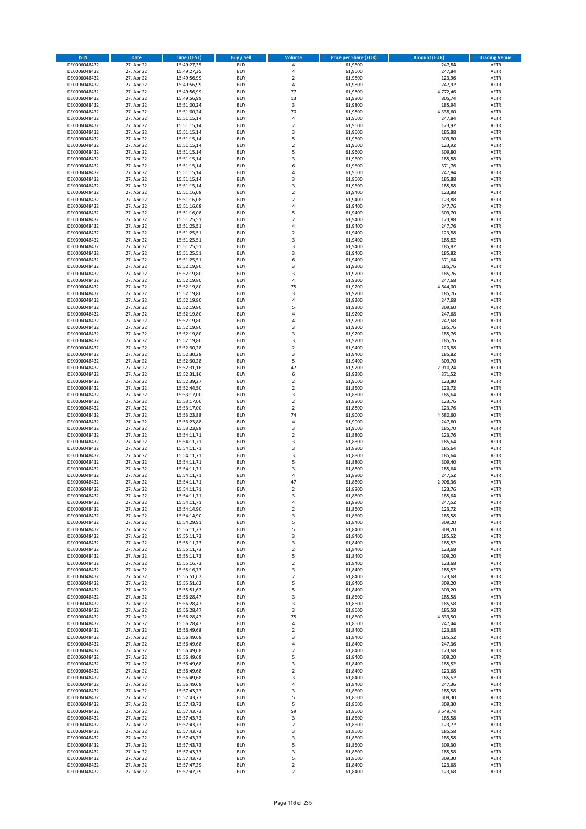| <b>ISIN</b>                  | <b>Date</b>              | <b>Time (CEST)</b>         | <b>Buy / Sell</b>        | Volume                                             | <b>Price per Share (EUR)</b> | <b>Amount (EUR)</b> | <b>Trading Venue</b>       |
|------------------------------|--------------------------|----------------------------|--------------------------|----------------------------------------------------|------------------------------|---------------------|----------------------------|
| DE0006048432                 | 27. Apr 22               | 15:49:27,35                | <b>BUY</b>               | 4                                                  | 61,9600                      | 247,84              | <b>XETR</b>                |
| DE0006048432                 | 27. Apr 22               | 15:49:27,35                | <b>BUY</b>               | $\overline{4}$                                     | 61,9600                      | 247,84              | <b>XETR</b>                |
| DE0006048432                 | 27. Apr 22               | 15:49:56,99                | <b>BUY</b>               | $\overline{2}$                                     | 61,9800                      | 123,96              | <b>XETR</b>                |
| DE0006048432                 | 27. Apr 22               | 15:49:56,99                | <b>BUY</b>               | 4                                                  | 61,9800                      | 247,92              | <b>XETR</b>                |
| DE0006048432<br>DE0006048432 | 27. Apr 22<br>27. Apr 22 | 15:49:56,99<br>15:49:56,99 | <b>BUY</b><br><b>BUY</b> | 77<br>13                                           | 61,9800<br>61,9800           | 4.772,46<br>805,74  | <b>XETR</b><br><b>XETR</b> |
| DE0006048432                 | 27. Apr 22               | 15:51:00,24                | <b>BUY</b>               | 3                                                  | 61,9800                      | 185,94              | <b>XETR</b>                |
| DE0006048432                 | 27. Apr 22               | 15:51:00,24                | <b>BUY</b>               | 70                                                 | 61,9800                      | 4.338,60            | <b>XETR</b>                |
| DE0006048432                 | 27. Apr 22               | 15:51:15,14                | BUY                      | $\overline{a}$                                     | 61,9600                      | 247,84              | <b>XETR</b>                |
| DE0006048432                 | 27. Apr 22               | 15:51:15,14                | <b>BUY</b>               | $\overline{2}$                                     | 61,9600                      | 123,92              | <b>XETR</b>                |
| DE0006048432                 | 27. Apr 22               | 15:51:15,14                | <b>BUY</b>               | $\mathsf 3$                                        | 61,9600                      | 185,88              | <b>XETR</b>                |
| DE0006048432                 | 27. Apr 22               | 15:51:15,14                | <b>BUY</b>               | 5<br>$\overline{2}$                                | 61,9600                      | 309,80              | <b>XETR</b>                |
| DE0006048432<br>DE0006048432 | 27. Apr 22<br>27. Apr 22 | 15:51:15,14<br>15:51:15,14 | <b>BUY</b><br><b>BUY</b> | 5                                                  | 61,9600<br>61,9600           | 123,92<br>309,80    | <b>XETR</b><br><b>XETR</b> |
| DE0006048432                 | 27. Apr 22               | 15:51:15,14                | <b>BUY</b>               | $\overline{\mathbf{3}}$                            | 61,9600                      | 185,88              | <b>XETR</b>                |
| DE0006048432                 | 27. Apr 22               | 15:51:15,14                | BUY                      | 6                                                  | 61,9600                      | 371,76              | <b>XETR</b>                |
| DE0006048432                 | 27. Apr 22               | 15:51:15,14                | <b>BUY</b>               | 4                                                  | 61,9600                      | 247,84              | <b>XETR</b>                |
| DE0006048432                 | 27. Apr 22               | 15:51:15,14                | <b>BUY</b>               | $\overline{\mathbf{3}}$                            | 61,9600                      | 185,88              | <b>XETR</b>                |
| DE0006048432                 | 27. Apr 22               | 15:51:15,14                | <b>BUY</b>               | 3                                                  | 61.9600                      | 185,88              | <b>XETR</b>                |
| DE0006048432<br>DE0006048432 | 27. Apr 22<br>27. Apr 22 | 15:51:16,08<br>15:51:16,08 | <b>BUY</b><br><b>BUY</b> | $\overline{2}$<br>$\overline{2}$                   | 61,9400<br>61,9400           | 123,88<br>123,88    | <b>XETR</b><br><b>XETR</b> |
| DE0006048432                 | 27. Apr 22               | 15:51:16,08                | <b>BUY</b>               | 4                                                  | 61,9400                      | 247,76              | <b>XETR</b>                |
| DE0006048432                 | 27. Apr 22               | 15:51:16,08                | <b>BUY</b>               | 5                                                  | 61,9400                      | 309,70              | <b>XETR</b>                |
| DE0006048432                 | 27. Apr 22               | 15:51:25,51                | <b>BUY</b>               | $\overline{2}$                                     | 61,9400                      | 123,88              | <b>XETR</b>                |
| DE0006048432                 | 27. Apr 22               | 15:51:25,51                | <b>BUY</b>               | 4                                                  | 61,9400                      | 247,76              | <b>XETR</b>                |
| DE0006048432                 | 27. Apr 22               | 15:51:25,51                | <b>BUY</b>               | $\overline{\mathbf{c}}$                            | 61,9400                      | 123,88              | <b>XETR</b>                |
| DE0006048432                 | 27. Apr 22               | 15:51:25,51                | <b>BUY</b>               | 3<br>$\overline{\mathbf{3}}$                       | 61,9400                      | 185,82              | <b>XETR</b>                |
| DE0006048432<br>DE0006048432 | 27. Apr 22<br>27. Apr 22 | 15:51:25,51<br>15:51:25,51 | <b>BUY</b><br><b>BUY</b> | $\overline{\mathbf{3}}$                            | 61,9400<br>61,9400           | 185,82<br>185,82    | <b>XETR</b><br><b>XETR</b> |
| DE0006048432                 | 27. Apr 22               | 15:51:25,51                | <b>BUY</b>               | 6                                                  | 61,9400                      | 371,64              | <b>XETR</b>                |
| DE0006048432                 | 27. Apr 22               | 15:52:19,80                | <b>BUY</b>               | 3                                                  | 61,9200                      | 185,76              | <b>XETR</b>                |
| DE0006048432                 | 27. Apr 22               | 15:52:19,80                | <b>BUY</b>               | 3                                                  | 61,9200                      | 185,76              | <b>XETR</b>                |
| DE0006048432                 | 27. Apr 22               | 15:52:19,80                | <b>BUY</b>               | 4                                                  | 61,9200                      | 247,68              | <b>XETR</b>                |
| DE0006048432                 | 27. Apr 22               | 15:52:19,80                | <b>BUY</b>               | 75                                                 | 61,9200                      | 4.644,00            | <b>XETR</b>                |
| DE0006048432<br>DE0006048432 | 27. Apr 22<br>27. Apr 22 | 15:52:19,80<br>15:52:19,80 | <b>BUY</b><br><b>BUY</b> | 3<br>4                                             | 61,9200<br>61,9200           | 185,76<br>247,68    | <b>XETR</b><br><b>XETR</b> |
| DE0006048432                 | 27. Apr 22               | 15:52:19,80                | <b>BUY</b>               | 5                                                  | 61,9200                      | 309,60              | <b>XETR</b>                |
| DE0006048432                 | 27. Apr 22               | 15:52:19,80                | <b>BUY</b>               | $\overline{a}$                                     | 61,9200                      | 247,68              | <b>XETR</b>                |
| DE0006048432                 | 27. Apr 22               | 15:52:19,80                | <b>BUY</b>               | $\overline{4}$                                     | 61,9200                      | 247,68              | <b>XETR</b>                |
| DE0006048432                 | 27. Apr 22               | 15:52:19,80                | <b>BUY</b>               | 3                                                  | 61,9200                      | 185,76              | <b>XETR</b>                |
| DE0006048432                 | 27. Apr 22               | 15:52:19,80                | <b>BUY</b>               | 3                                                  | 61,9200                      | 185,76              | <b>XETR</b>                |
| DE0006048432                 | 27. Apr 22<br>27. Apr 22 | 15:52:19,80                | <b>BUY</b><br><b>BUY</b> | 3                                                  | 61,9200                      | 185,76              | <b>XETR</b>                |
| DE0006048432<br>DE0006048432 | 27. Apr 22               | 15:52:30,28<br>15:52:30,28 | <b>BUY</b>               | $\mathbf 2$<br>$\overline{\mathbf{3}}$             | 61,9400<br>61,9400           | 123,88<br>185,82    | <b>XETR</b><br><b>XETR</b> |
| DE0006048432                 | 27. Apr 22               | 15:52:30,28                | <b>BUY</b>               | 5                                                  | 61,9400                      | 309,70              | <b>XETR</b>                |
| DE0006048432                 | 27. Apr 22               | 15:52:31,16                | <b>BUY</b>               | 47                                                 | 61,9200                      | 2.910,24            | <b>XETR</b>                |
| DE0006048432                 | 27. Apr 22               | 15:52:31,16                | <b>BUY</b>               | 6                                                  | 61,9200                      | 371,52              | <b>XETR</b>                |
| DE0006048432                 | 27. Apr 22               | 15:52:39,27                | <b>BUY</b>               | $\overline{2}$                                     | 61,9000                      | 123,80              | <b>XETR</b>                |
| DE0006048432<br>DE0006048432 | 27. Apr 22               | 15:52:44,50                | <b>BUY</b><br><b>BUY</b> | $\overline{2}$<br>3                                | 61,8600<br>61,8800           | 123,72<br>185,64    | <b>XETR</b><br><b>XETR</b> |
| DE0006048432                 | 27. Apr 22<br>27. Apr 22 | 15:53:17,00<br>15:53:17,00 | <b>BUY</b>               | $\overline{\mathbf{2}}$                            | 61,8800                      | 123,76              | <b>XETR</b>                |
| DE0006048432                 | 27. Apr 22               | 15:53:17,00                | <b>BUY</b>               | $\mathbf 2$                                        | 61,8800                      | 123,76              | <b>XETR</b>                |
| DE0006048432                 | 27. Apr 22               | 15:53:23,88                | <b>BUY</b>               | 74                                                 | 61,9000                      | 4.580,60            | <b>XETR</b>                |
| DE0006048432                 | 27. Apr 22               | 15:53:23,88                | <b>BUY</b>               | 4                                                  | 61,9000                      | 247,60              | <b>XETR</b>                |
| DE0006048432                 | 27. Apr 22               | 15:53:23,88                | <b>BUY</b>               | $\overline{\mathbf{3}}$                            | 61,9000                      | 185,70              | <b>XETR</b>                |
| DE0006048432                 | 27. Apr 22               | 15:54:11,71                | <b>BUY</b>               | $\overline{2}$                                     | 61,8800                      | 123,76              | <b>XETR</b>                |
| DE0006048432<br>DE0006048432 | 27. Apr 22<br>27. Apr 22 | 15:54:11,71<br>15:54:11,71 | <b>BUY</b><br><b>BUY</b> | $\overline{\mathbf{3}}$<br>$\overline{\mathbf{3}}$ | 61,8800<br>61,8800           | 185,64<br>185,64    | <b>XETR</b><br><b>XETR</b> |
| DE0006048432                 | 27. Apr 22               | 15:54:11,71                | BUY                      | $\overline{\mathbf{3}}$                            | 61,8800                      | 185,64              | <b>XETR</b>                |
| DE0006048432                 | 27. Apr 22               | 15:54:11,71                | <b>BUY</b>               | 5                                                  | 61,8800                      | 309,40              | <b>XETR</b>                |
| DE0006048432                 | 27. Apr 22               | 15:54:11,71                | <b>BUY</b>               | 3                                                  | 61,8800                      | 185,64              | <b>XETR</b>                |
| DE0006048432                 | 27. Apr 22               | 15:54:11,71                | BUY                      | 4                                                  | 61,8800                      | 247,52              | <b>XETR</b>                |
| DE0006048432                 | 27. Apr 22               | 15:54:11,71                | BUY                      | 47                                                 | 61,8800                      | 2.908,36            | <b>XETR</b>                |
| DE0006048432<br>DE0006048432 | 27. Apr 22<br>27. Apr 22 | 15:54:11,71<br>15:54:11,71 | <b>BUY</b><br><b>BUY</b> | $\overline{2}$<br>3                                | 61,8800<br>61,8800           | 123,76<br>185,64    | <b>XETR</b><br><b>XETR</b> |
| DE0006048432                 | 27. Apr 22               | 15:54:11,71                | <b>BUY</b>               | $\overline{4}$                                     | 61,8800                      | 247,52              | <b>XETR</b>                |
| DE0006048432                 | 27. Apr 22               | 15:54:14,90                | <b>BUY</b>               | 2                                                  | 61,8600                      | 123,72              | <b>XETR</b>                |
| DE0006048432                 | 27. Apr 22               | 15:54:14,90                | <b>BUY</b>               | 3                                                  | 61,8600                      | 185,58              | <b>XETR</b>                |
| DE0006048432                 | 27. Apr 22               | 15:54:29,91                | <b>BUY</b>               | 5                                                  | 61,8400                      | 309,20              | <b>XETR</b>                |
| DE0006048432<br>DE0006048432 | 27. Apr 22<br>27. Apr 22 | 15:55:11,73                | <b>BUY</b><br><b>BUY</b> | 5<br>3                                             | 61,8400<br>61,8400           | 309,20              | <b>XETR</b><br><b>XETR</b> |
| DE0006048432                 | 27. Apr 22               | 15:55:11,73<br>15:55:11,73 | <b>BUY</b>               | 3                                                  | 61,8400                      | 185,52<br>185,52    | <b>XETR</b>                |
| DE0006048432                 | 27. Apr 22               | 15:55:11,73                | <b>BUY</b>               | $\mathbf 2$                                        | 61,8400                      | 123,68              | <b>XETR</b>                |
| DE0006048432                 | 27. Apr 22               | 15:55:11,73                | <b>BUY</b>               | 5                                                  | 61,8400                      | 309,20              | <b>XETR</b>                |
| DE0006048432                 | 27. Apr 22               | 15:55:16,73                | <b>BUY</b>               | $\mathbf 2$                                        | 61,8400                      | 123,68              | <b>XETR</b>                |
| DE0006048432                 | 27. Apr 22               | 15:55:16,73                | <b>BUY</b>               | 3                                                  | 61,8400                      | 185,52              | <b>XETR</b>                |
| DE0006048432<br>DE0006048432 | 27. Apr 22<br>27. Apr 22 | 15:55:51,62<br>15:55:51,62 | <b>BUY</b><br><b>BUY</b> | $\mathbf 2$<br>5                                   | 61,8400<br>61,8400           | 123,68<br>309,20    | <b>XETR</b><br><b>XETR</b> |
| DE0006048432                 | 27. Apr 22               | 15:55:51,62                | <b>BUY</b>               | 5                                                  | 61,8400                      | 309,20              | <b>XETR</b>                |
| DE0006048432                 | 27. Apr 22               | 15:56:28,47                | <b>BUY</b>               | 3                                                  | 61,8600                      | 185,58              | <b>XETR</b>                |
| DE0006048432                 | 27. Apr 22               | 15:56:28,47                | <b>BUY</b>               | 3                                                  | 61,8600                      | 185,58              | <b>XETR</b>                |
| DE0006048432                 | 27. Apr 22               | 15:56:28,47                | <b>BUY</b>               | 3                                                  | 61,8600                      | 185,58              | <b>XETR</b>                |
| DE0006048432                 | 27. Apr 22               | 15:56:28,47                | <b>BUY</b>               | 75                                                 | 61,8600                      | 4.639,50            | <b>XETR</b>                |
| DE0006048432<br>DE0006048432 | 27. Apr 22<br>27. Apr 22 | 15:56:28,47                | <b>BUY</b><br><b>BUY</b> | 4<br>$\overline{\mathbf{2}}$                       | 61,8600<br>61,8400           | 247,44<br>123,68    | <b>XETR</b><br><b>XETR</b> |
| DE0006048432                 | 27. Apr 22               | 15:56:49,68<br>15:56:49,68 | <b>BUY</b>               | 3                                                  | 61,8400                      | 185,52              | <b>XETR</b>                |
| DE0006048432                 | 27. Apr 22               | 15:56:49,68                | <b>BUY</b>               | 4                                                  | 61,8400                      | 247,36              | <b>XETR</b>                |
| DE0006048432                 | 27. Apr 22               | 15:56:49,68                | <b>BUY</b>               | $\overline{2}$                                     | 61,8400                      | 123,68              | <b>XETR</b>                |
| DE0006048432                 | 27. Apr 22               | 15:56:49,68                | <b>BUY</b>               | 5                                                  | 61,8400                      | 309,20              | <b>XETR</b>                |
| DE0006048432                 | 27. Apr 22               | 15:56:49,68                | <b>BUY</b>               | 3                                                  | 61,8400                      | 185,52              | <b>XETR</b>                |
| DE0006048432                 | 27. Apr 22               | 15:56:49,68                | <b>BUY</b>               | $\overline{\mathbf{2}}$<br>$\overline{\mathbf{3}}$ | 61,8400                      | 123,68              | <b>XETR</b>                |
| DE0006048432<br>DE0006048432 | 27. Apr 22<br>27. Apr 22 | 15:56:49,68<br>15:56:49,68 | <b>BUY</b><br><b>BUY</b> | 4                                                  | 61,8400<br>61,8400           | 185,52<br>247,36    | <b>XETR</b><br><b>XETR</b> |
| DE0006048432                 | 27. Apr 22               | 15:57:43,73                | <b>BUY</b>               | 3                                                  | 61,8600                      | 185,58              | <b>XETR</b>                |
| DE0006048432                 | 27. Apr 22               | 15:57:43,73                | <b>BUY</b>               | 5                                                  | 61,8600                      | 309,30              | <b>XETR</b>                |
| DE0006048432                 | 27. Apr 22               | 15:57:43,73                | <b>BUY</b>               | 5                                                  | 61,8600                      | 309,30              | <b>XETR</b>                |
| DE0006048432                 | 27. Apr 22               | 15:57:43,73                | <b>BUY</b>               | 59                                                 | 61,8600                      | 3.649,74            | <b>XETR</b>                |
| DE0006048432                 | 27. Apr 22               | 15:57:43,73                | <b>BUY</b>               | 3                                                  | 61,8600                      | 185,58              | <b>XETR</b>                |
| DE0006048432<br>DE0006048432 | 27. Apr 22<br>27. Apr 22 | 15:57:43,73<br>15:57:43,73 | <b>BUY</b><br><b>BUY</b> | $\mathbf 2$<br>3                                   | 61,8600<br>61,8600           | 123,72<br>185,58    | <b>XETR</b><br><b>XETR</b> |
| DE0006048432                 | 27. Apr 22               | 15:57:43,73                | <b>BUY</b>               | 3                                                  | 61,8600                      | 185,58              | <b>XETR</b>                |
| DE0006048432                 | 27. Apr 22               | 15:57:43,73                | <b>BUY</b>               | 5                                                  | 61,8600                      | 309,30              | <b>XETR</b>                |
| DE0006048432                 | 27. Apr 22               | 15:57:43,73                | <b>BUY</b>               | 3                                                  | 61,8600                      | 185,58              | <b>XETR</b>                |
| DE0006048432                 | 27. Apr 22               | 15:57:43,73                | <b>BUY</b>               | 5                                                  | 61,8600                      | 309,30              | <b>XETR</b>                |
| DE0006048432                 | 27. Apr 22               | 15:57:47,29                | <b>BUY</b>               | $\mathbf 2$                                        | 61,8400                      | 123,68              | <b>XETR</b>                |
| DE0006048432                 | 27. Apr 22               | 15:57:47,29                | <b>BUY</b>               | 2                                                  | 61,8400                      | 123,68              | <b>XETR</b>                |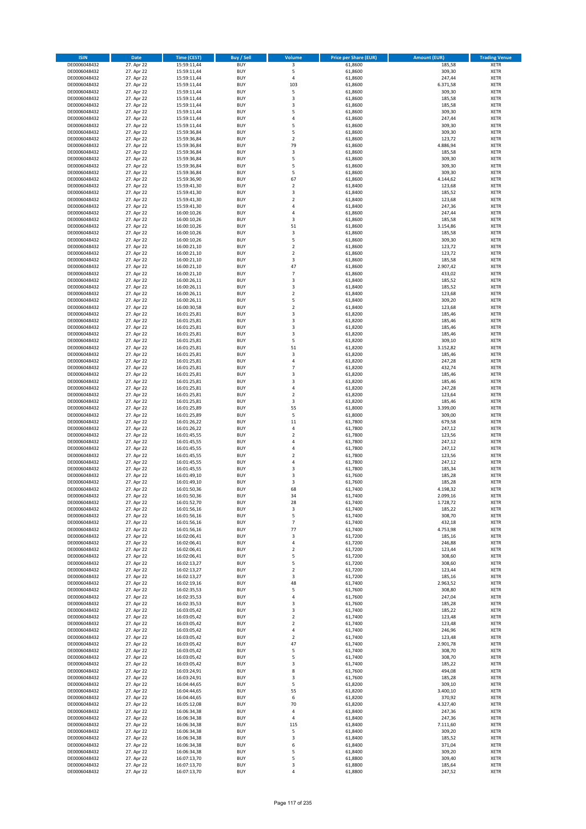| <b>ISIN</b>                  | <b>Date</b>              | <b>Time (CEST)</b>         | <b>Buy / Sell</b>        | <b>Volume</b>                 | <b>Price per Share (EUR)</b> | <b>Amount (EUR)</b> | <b>Trading Venue</b>       |
|------------------------------|--------------------------|----------------------------|--------------------------|-------------------------------|------------------------------|---------------------|----------------------------|
| DE0006048432                 | 27. Apr 22               | 15:59:11,44                | <b>BUY</b>               | 3                             | 61,8600                      | 185,58              | <b>XETR</b>                |
| DE0006048432                 | 27. Apr 22               | 15:59:11,44                | <b>BUY</b>               | 5                             | 61,8600                      | 309,30              | <b>XETR</b>                |
| DE0006048432                 | 27. Apr 22               | 15:59:11,44                | <b>BUY</b>               | 4                             | 61,8600                      | 247,44              | <b>XETR</b>                |
| DE0006048432<br>DE0006048432 | 27. Apr 22               | 15:59:11,44                | <b>BUY</b><br><b>BUY</b> | 103<br>5                      | 61,8600                      | 6.371,58<br>309,30  | <b>XETR</b><br><b>XETR</b> |
| DE0006048432                 | 27. Apr 22<br>27. Apr 22 | 15:59:11,44<br>15:59:11,44 | <b>BUY</b>               | 3                             | 61,8600<br>61,8600           | 185,58              | <b>XETR</b>                |
| DE0006048432                 | 27. Apr 22               | 15:59:11,44                | <b>BUY</b>               | 3                             | 61,8600                      | 185,58              | <b>XETR</b>                |
| DE0006048432                 | 27. Apr 22               | 15:59:11,44                | <b>BUY</b>               | 5                             | 61,8600                      | 309,30              | <b>XETR</b>                |
| DE0006048432                 | 27. Apr 22               | 15:59:11,44                | <b>BUY</b>               | 4                             | 61,8600                      | 247,44              | <b>XETR</b>                |
| DE0006048432                 | 27. Apr 22               | 15:59:11,44                | <b>BUY</b>               | 5                             | 61,8600                      | 309,30              | <b>XETR</b>                |
| DE0006048432                 | 27. Apr 22               | 15:59:36,84                | <b>BUY</b>               | 5                             | 61,8600                      | 309,30              | <b>XETR</b>                |
| DE0006048432                 | 27. Apr 22<br>27. Apr 22 | 15:59:36,84                | <b>BUY</b><br><b>BUY</b> | $\overline{\mathbf{c}}$<br>79 | 61,8600                      | 123,72              | <b>XETR</b><br><b>XETR</b> |
| DE0006048432<br>DE0006048432 | 27. Apr 22               | 15:59:36,84<br>15:59:36,84 | <b>BUY</b>               | 3                             | 61,8600<br>61,8600           | 4.886,94<br>185,58  | <b>XETR</b>                |
| DE0006048432                 | 27. Apr 22               | 15:59:36,84                | <b>BUY</b>               | 5                             | 61,8600                      | 309,30              | <b>XETR</b>                |
| DE0006048432                 | 27. Apr 22               | 15:59:36,84                | <b>BUY</b>               | 5                             | 61,8600                      | 309,30              | <b>XETR</b>                |
| DE0006048432                 | 27. Apr 22               | 15:59:36,84                | <b>BUY</b>               | 5                             | 61,8600                      | 309,30              | <b>XETR</b>                |
| DE0006048432                 | 27. Apr 22               | 15:59:36,90                | <b>BUY</b>               | 67                            | 61,8600                      | 4.144,62            | <b>XETR</b>                |
| DE0006048432                 | 27. Apr 22               | 15:59:41,30                | <b>BUY</b>               | $\overline{\mathbf{c}}$       | 61,8400                      | 123,68              | <b>XETR</b>                |
| DE0006048432                 | 27. Apr 22               | 15:59:41,30                | <b>BUY</b>               | 3                             | 61,8400                      | 185,52              | <b>XETR</b>                |
| DE0006048432                 | 27. Apr 22               | 15:59:41,30                | <b>BUY</b>               | $\overline{\mathbf{c}}$       | 61,8400                      | 123,68              | <b>XETR</b>                |
| DE0006048432<br>DE0006048432 | 27. Apr 22<br>27. Apr 22 | 15:59:41,30<br>16:00:10,26 | <b>BUY</b><br><b>BUY</b> | 4<br>4                        | 61,8400<br>61,8600           | 247,36<br>247,44    | <b>XETR</b><br><b>XETR</b> |
| DE0006048432                 | 27. Apr 22               | 16:00:10,26                | <b>BUY</b>               | 3                             | 61,8600                      | 185,58              | <b>XETR</b>                |
| DE0006048432                 | 27. Apr 22               | 16:00:10,26                | <b>BUY</b>               | 51                            | 61,8600                      | 3.154,86            | <b>XETR</b>                |
| DE0006048432                 | 27. Apr 22               | 16:00:10,26                | <b>BUY</b>               | 3                             | 61,8600                      | 185,58              | <b>XETR</b>                |
| DE0006048432                 | 27. Apr 22               | 16:00:10,26                | <b>BUY</b>               | 5                             | 61,8600                      | 309,30              | <b>XETR</b>                |
| DE0006048432                 | 27. Apr 22               | 16:00:21,10                | <b>BUY</b>               | $\overline{\mathbf{c}}$       | 61,8600                      | 123,72              | <b>XETR</b>                |
| DE0006048432                 | 27. Apr 22               | 16:00:21,10                | <b>BUY</b>               | $\mathbf 2$                   | 61,8600                      | 123,72              | <b>XETR</b>                |
| DE0006048432                 | 27. Apr 22<br>27. Apr 22 | 16:00:21,10                | <b>BUY</b><br><b>BUY</b> | 3<br>47                       | 61,8600                      | 185,58              | <b>XETR</b><br><b>XETR</b> |
| DE0006048432<br>DE0006048432 | 27. Apr 22               | 16:00:21,10<br>16:00:21,10 | <b>BUY</b>               | $\overline{7}$                | 61,8600<br>61,8600           | 2.907,42<br>433,02  | <b>XETR</b>                |
| DE0006048432                 | 27. Apr 22               | 16:00:26,11                | <b>BUY</b>               | 3                             | 61,8400                      | 185,52              | <b>XETR</b>                |
| DE0006048432                 | 27. Apr 22               | 16:00:26,11                | <b>BUY</b>               | 3                             | 61,8400                      | 185,52              | <b>XETR</b>                |
| DE0006048432                 | 27. Apr 22               | 16:00:26,11                | <b>BUY</b>               | $\mathbf 2$                   | 61,8400                      | 123,68              | <b>XETR</b>                |
| DE0006048432                 | 27. Apr 22               | 16:00:26,11                | <b>BUY</b>               | 5                             | 61,8400                      | 309,20              | <b>XETR</b>                |
| DE0006048432                 | 27. Apr 22               | 16:00:30,58                | <b>BUY</b>               | $\overline{\mathbf{c}}$       | 61,8400                      | 123,68              | <b>XETR</b>                |
| DE0006048432                 | 27. Apr 22               | 16:01:25,81                | <b>BUY</b>               | 3                             | 61,8200                      | 185,46              | <b>XETR</b>                |
| DE0006048432                 | 27. Apr 22               | 16:01:25,81                | <b>BUY</b>               | 3                             | 61,8200                      | 185,46              | <b>XETR</b>                |
| DE0006048432<br>DE0006048432 | 27. Apr 22<br>27. Apr 22 | 16:01:25,81<br>16:01:25,81 | <b>BUY</b><br><b>BUY</b> | 3<br>3                        | 61,8200<br>61,8200           | 185,46<br>185,46    | <b>XETR</b><br><b>XETR</b> |
| DE0006048432                 | 27. Apr 22               | 16:01:25,81                | <b>BUY</b>               | 5                             | 61,8200                      | 309,10              | <b>XETR</b>                |
| DE0006048432                 | 27. Apr 22               | 16:01:25,81                | <b>BUY</b>               | 51                            | 61,8200                      | 3.152,82            | <b>XETR</b>                |
| DE0006048432                 | 27. Apr 22               | 16:01:25,81                | <b>BUY</b>               | 3                             | 61,8200                      | 185,46              | <b>XETR</b>                |
| DE0006048432                 | 27. Apr 22               | 16:01:25,81                | <b>BUY</b>               | 4                             | 61,8200                      | 247,28              | <b>XETR</b>                |
| DE0006048432                 | 27. Apr 22               | 16:01:25,81                | <b>BUY</b>               | $\overline{7}$                | 61,8200                      | 432,74              | <b>XETR</b>                |
| DE0006048432                 | 27. Apr 22               | 16:01:25,81                | <b>BUY</b>               | 3                             | 61,8200                      | 185,46              | <b>XETR</b>                |
| DE0006048432                 | 27. Apr 22               | 16:01:25,81                | <b>BUY</b>               | 3                             | 61,8200                      | 185,46              | <b>XETR</b>                |
| DE0006048432<br>DE0006048432 | 27. Apr 22<br>27. Apr 22 | 16:01:25,81<br>16:01:25,81 | <b>BUY</b><br><b>BUY</b> | 4<br>$\overline{\mathbf{c}}$  | 61,8200<br>61,8200           | 247,28<br>123,64    | <b>XETR</b><br><b>XETR</b> |
| DE0006048432                 | 27. Apr 22               | 16:01:25,81                | <b>BUY</b>               | 3                             | 61,8200                      | 185,46              | <b>XETR</b>                |
| DE0006048432                 | 27. Apr 22               | 16:01:25,89                | <b>BUY</b>               | 55                            | 61,8000                      | 3.399,00            | <b>XETR</b>                |
| DE0006048432                 | 27. Apr 22               | 16:01:25,89                | <b>BUY</b>               | 5                             | 61,8000                      | 309,00              | <b>XETR</b>                |
| DE0006048432                 | 27. Apr 22               | 16:01:26,22                | <b>BUY</b>               | 11                            | 61,7800                      | 679,58              | <b>XETR</b>                |
| DE0006048432                 | 27. Apr 22               | 16:01:26,22                | <b>BUY</b>               | 4                             | 61,7800                      | 247,12              | <b>XETR</b>                |
| DE0006048432                 | 27. Apr 22               | 16:01:45,55                | <b>BUY</b>               | $\mathbf 2$                   | 61,7800                      | 123,56              | <b>XETR</b>                |
| DE0006048432                 | 27. Apr 22               | 16:01:45,55                | <b>BUY</b>               | 4                             | 61,7800                      | 247,12              | <b>XETR</b>                |
| DE0006048432<br>DE0006048432 | 27. Apr 22<br>27. Apr 22 | 16:01:45,55<br>16:01:45,55 | <b>BUY</b><br><b>BUY</b> | 4<br>$\overline{\mathbf{c}}$  | 61,7800<br>61,7800           | 247,12<br>123,56    | <b>XETR</b><br><b>XETR</b> |
| DE0006048432                 | 27. Apr 22               | 16:01:45,55                | <b>BUY</b>               | 4                             | 61,7800                      | 247,12              | <b>XETR</b>                |
| DE0006048432                 | 27. Apr 22               | 16:01:45,55                | <b>BUY</b>               | 3                             | 61,7800                      | 185,34              | <b>XETR</b>                |
| DE0006048432                 | 27. Apr 22               | 16:01:49,10                | <b>BUY</b>               | 3                             | 61,7600                      | 185,28              | <b>XETR</b>                |
| DE0006048432                 | 27. Apr 22               | 16:01:49,10                | <b>BUY</b>               | 3                             | 61,7600                      | 185,28              | <b>XETR</b>                |
| DE0006048432                 | 27. Apr 22               | 16:01:50,36                | <b>BUY</b>               | 68                            | 61,7400                      | 4.198,32            | <b>XETR</b>                |
| DE0006048432                 | 27. Apr 22               | 16:01:50,36                | BUY                      | 34                            | 61,7400                      | 2.099,16            | <b>XETR</b>                |
| DE0006048432<br>DE0006048432 | 27. Apr 22<br>27. Apr 22 | 16:01:52,70<br>16:01:56,16 | <b>BUY</b><br><b>BUY</b> | 28<br>3                       | 61,7400<br>61,7400           | 1.728,72<br>185,22  | XETR<br>XETR               |
| DE0006048432                 | 27. Apr 22               | 16:01:56,16                | <b>BUY</b>               | 5                             | 61,7400                      | 308,70              | XETR                       |
| DE0006048432                 | 27. Apr 22               | 16:01:56,16                | <b>BUY</b>               | $\overline{7}$                | 61,7400                      | 432,18              | <b>XETR</b>                |
| DE0006048432                 | 27. Apr 22               | 16:01:56,16                | <b>BUY</b>               | 77                            | 61,7400                      | 4.753,98            | XETR                       |
| DE0006048432                 | 27. Apr 22               | 16:02:06,41                | <b>BUY</b>               | 3                             | 61,7200                      | 185,16              | <b>XETR</b>                |
| DE0006048432                 | 27. Apr 22               | 16:02:06,41                | <b>BUY</b>               | 4                             | 61,7200                      | 246,88              | <b>XETR</b>                |
| DE0006048432                 | 27. Apr 22               | 16:02:06,41                | <b>BUY</b>               | $\mathbf 2$<br>5              | 61,7200                      | 123,44              | <b>XETR</b>                |
| DE0006048432<br>DE0006048432 | 27. Apr 22<br>27. Apr 22 | 16:02:06,41<br>16:02:13,27 | <b>BUY</b><br><b>BUY</b> | 5                             | 61,7200<br>61,7200           | 308,60<br>308,60    | XETR<br>XETR               |
| DE0006048432                 | 27. Apr 22               | 16:02:13,27                | <b>BUY</b>               | $\overline{2}$                | 61,7200                      | 123,44              | <b>XETR</b>                |
| DE0006048432                 | 27. Apr 22               | 16:02:13,27                | <b>BUY</b>               | 3                             | 61,7200                      | 185,16              | <b>XETR</b>                |
| DE0006048432                 | 27. Apr 22               | 16:02:19,16                | <b>BUY</b>               | 48                            | 61,7400                      | 2.963,52            | <b>XETR</b>                |
| DE0006048432                 | 27. Apr 22               | 16:02:35,53                | <b>BUY</b>               | 5                             | 61,7600                      | 308,80              | <b>XETR</b>                |
| DE0006048432                 | 27. Apr 22               | 16:02:35,53                | <b>BUY</b>               | 4                             | 61,7600                      | 247,04              | <b>XETR</b>                |
| DE0006048432                 | 27. Apr 22               | 16:02:35,53                | <b>BUY</b>               | 3                             | 61,7600                      | 185,28              | <b>XETR</b>                |
| DE0006048432<br>DE0006048432 | 27. Apr 22<br>27. Apr 22 | 16:03:05,42<br>16:03:05,42 | <b>BUY</b><br><b>BUY</b> | 3<br>$\mathbf 2$              | 61,7400<br>61,7400           | 185,22<br>123,48    | <b>XETR</b><br>XETR        |
| DE0006048432                 | 27. Apr 22               | 16:03:05,42                | <b>BUY</b>               | $\mathbf 2$                   | 61,7400                      | 123,48              | <b>XETR</b>                |
| DE0006048432                 | 27. Apr 22               | 16:03:05,42                | <b>BUY</b>               | 4                             | 61,7400                      | 246,96              | <b>XETR</b>                |
| DE0006048432                 | 27. Apr 22               | 16:03:05,42                | <b>BUY</b>               | $\mathbf 2$                   | 61,7400                      | 123,48              | <b>XETR</b>                |
| DE0006048432                 | 27. Apr 22               | 16:03:05,42                | <b>BUY</b>               | 47                            | 61,7400                      | 2.901,78            | <b>XETR</b>                |
| DE0006048432                 | 27. Apr 22               | 16:03:05,42                | <b>BUY</b>               | 5                             | 61,7400                      | 308,70              | <b>XETR</b>                |
| DE0006048432                 | 27. Apr 22               | 16:03:05,42                | <b>BUY</b>               | 5                             | 61,7400                      | 308,70              | <b>XETR</b>                |
| DE0006048432<br>DE0006048432 | 27. Apr 22               | 16:03:05,42<br>16:03:24,91 | <b>BUY</b><br><b>BUY</b> | 3<br>8                        | 61,7400<br>61,7600           | 185,22              | XETR<br><b>XETR</b>        |
| DE0006048432                 | 27. Apr 22<br>27. Apr 22 | 16:03:24,91                | <b>BUY</b>               | 3                             | 61,7600                      | 494,08<br>185,28    | <b>XETR</b>                |
| DE0006048432                 | 27. Apr 22               | 16:04:44,65                | <b>BUY</b>               | 5                             | 61,8200                      | 309,10              | <b>XETR</b>                |
| DE0006048432                 | 27. Apr 22               | 16:04:44,65                | <b>BUY</b>               | 55                            | 61,8200                      | 3.400,10            | XETR                       |
| DE0006048432                 | 27. Apr 22               | 16:04:44,65                | <b>BUY</b>               | 6                             | 61,8200                      | 370,92              | <b>XETR</b>                |
| DE0006048432                 | 27. Apr 22               | 16:05:12,08                | <b>BUY</b>               | 70                            | 61,8200                      | 4.327,40            | <b>XETR</b>                |
| DE0006048432                 | 27. Apr 22               | 16:06:34,38                | <b>BUY</b>               | 4                             | 61,8400                      | 247,36              | XETR                       |
| DE0006048432                 | 27. Apr 22               | 16:06:34,38                | <b>BUY</b>               | 4                             | 61,8400                      | 247,36              | <b>XETR</b>                |
| DE0006048432<br>DE0006048432 | 27. Apr 22<br>27. Apr 22 | 16:06:34,38<br>16:06:34,38 | <b>BUY</b><br><b>BUY</b> | 115<br>5                      | 61,8400<br>61,8400           | 7.111,60<br>309,20  | <b>XETR</b><br><b>XETR</b> |
| DE0006048432                 | 27. Apr 22               | 16:06:34,38                | <b>BUY</b>               | 3                             | 61,8400                      | 185,52              | <b>XETR</b>                |
| DE0006048432                 | 27. Apr 22               | 16:06:34,38                | <b>BUY</b>               | 6                             | 61,8400                      | 371,04              | XETR                       |
| DE0006048432                 | 27. Apr 22               | 16:06:34,38                | <b>BUY</b>               | 5                             | 61,8400                      | 309,20              | <b>XETR</b>                |
| DE0006048432                 | 27. Apr 22               | 16:07:13,70                | <b>BUY</b>               | 5                             | 61,8800                      | 309,40              | <b>XETR</b>                |
| DE0006048432                 | 27. Apr 22               | 16:07:13,70                | <b>BUY</b>               | 3                             | 61,8800                      | 185,64              | <b>XETR</b>                |
| DE0006048432                 | 27. Apr 22               | 16:07:13,70                | <b>BUY</b>               | 4                             | 61,8800                      | 247,52              | XETR                       |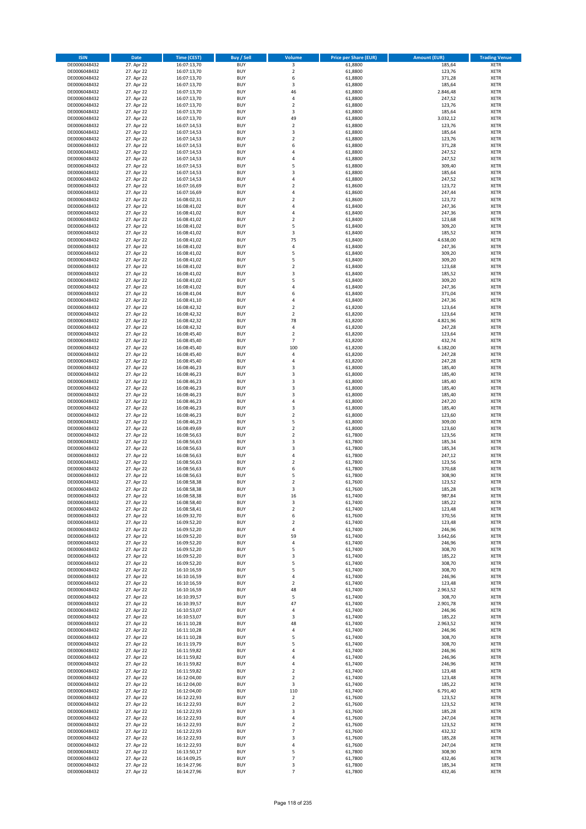| <b>ISIN</b>                  | <b>Date</b>              | <b>Time (CEST)</b>         | <b>Buy / Sell</b>        | Volume                                    | <b>Price per Share (EUR)</b> | <b>Amount (EUR)</b> | <b>Trading Venue</b>       |
|------------------------------|--------------------------|----------------------------|--------------------------|-------------------------------------------|------------------------------|---------------------|----------------------------|
| DE0006048432                 | 27. Apr 22               | 16:07:13,70                | <b>BUY</b>               | 3                                         | 61,8800                      | 185,64              | <b>XETR</b>                |
| DE0006048432                 | 27. Apr 22               | 16:07:13,70                | <b>BUY</b>               | $\mathbf 2$                               | 61,8800                      | 123,76              | <b>XETR</b>                |
| DE0006048432                 | 27. Apr 22               | 16:07:13,70                | <b>BUY</b>               | 6                                         | 61,8800                      | 371,28              | <b>XETR</b>                |
| DE0006048432                 | 27. Apr 22               | 16:07:13,70                | <b>BUY</b>               | 3                                         | 61,8800                      | 185,64              | <b>XETR</b>                |
| DE0006048432                 | 27. Apr 22               | 16:07:13,70                | <b>BUY</b>               | 46                                        | 61,8800                      | 2.846,48            | <b>XETR</b>                |
| DE0006048432                 | 27. Apr 22               | 16:07:13,70                | <b>BUY</b>               | 4                                         | 61,8800                      | 247,52              | <b>XETR</b>                |
| DE0006048432                 | 27. Apr 22               | 16:07:13,70                | <b>BUY</b>               | $\overline{\mathbf{2}}$                   | 61,8800                      | 123,76              | <b>XETR</b>                |
| DE0006048432                 | 27. Apr 22               | 16:07:13,70                | <b>BUY</b><br>BUY        | 3<br>49                                   | 61,8800                      | 185,64              | <b>XETR</b><br><b>XETR</b> |
| DE0006048432<br>DE0006048432 | 27. Apr 22<br>27. Apr 22 | 16:07:13,70<br>16:07:14,53 | <b>BUY</b>               | $\mathbf 2$                               | 61,8800<br>61,8800           | 3.032,12<br>123,76  | <b>XETR</b>                |
| DE0006048432                 | 27. Apr 22               | 16:07:14,53                | <b>BUY</b>               | 3                                         | 61,8800                      | 185,64              | <b>XETR</b>                |
| DE0006048432                 | 27. Apr 22               | 16:07:14,53                | <b>BUY</b>               | $\overline{\mathbf{2}}$                   | 61,8800                      | 123,76              | <b>XETR</b>                |
| DE0006048432                 | 27. Apr 22               | 16:07:14,53                | <b>BUY</b>               | 6                                         | 61,8800                      | 371,28              | <b>XETR</b>                |
| DE0006048432                 | 27. Apr 22               | 16:07:14,53                | <b>BUY</b>               | $\overline{a}$                            | 61,8800                      | 247,52              | <b>XETR</b>                |
| DE0006048432                 | 27. Apr 22               | 16:07:14,53                | <b>BUY</b>               | 4                                         | 61,8800                      | 247,52              | <b>XETR</b>                |
| DE0006048432                 | 27. Apr 22               | 16:07:14,53                | BUY                      | 5                                         | 61,8800                      | 309,40              | <b>XETR</b>                |
| DE0006048432                 | 27. Apr 22               | 16:07:14,53                | <b>BUY</b>               | $\overline{\mathbf{3}}$                   | 61,8800                      | 185,64              | <b>XETR</b>                |
| DE0006048432                 | 27. Apr 22               | 16:07:14,53                | <b>BUY</b>               | 4                                         | 61,8800                      | 247,52              | <b>XETR</b>                |
| DE0006048432                 | 27. Apr 22               | 16:07:16,69                | <b>BUY</b>               | $\overline{2}$                            | 61,8600                      | 123,72              | <b>XETR</b>                |
| DE0006048432<br>DE0006048432 | 27. Apr 22<br>27. Apr 22 | 16:07:16,69                | <b>BUY</b><br><b>BUY</b> | $\overline{a}$<br>$\overline{\mathbf{2}}$ | 61,8600<br>61,8600           | 247,44<br>123,72    | <b>XETR</b><br><b>XETR</b> |
| DE0006048432                 | 27. Apr 22               | 16:08:02,31<br>16:08:41,02 | <b>BUY</b>               | 4                                         | 61,8400                      | 247,36              | <b>XETR</b>                |
| DE0006048432                 | 27. Apr 22               | 16:08:41,02                | <b>BUY</b>               | $\overline{a}$                            | 61,8400                      | 247,36              | <b>XETR</b>                |
| DE0006048432                 | 27. Apr 22               | 16:08:41,02                | <b>BUY</b>               | $\overline{\mathbf{2}}$                   | 61,8400                      | 123,68              | <b>XETR</b>                |
| DE0006048432                 | 27. Apr 22               | 16:08:41,02                | <b>BUY</b>               | 5                                         | 61,8400                      | 309,20              | <b>XETR</b>                |
| DE0006048432                 | 27. Apr 22               | 16:08:41,02                | <b>BUY</b>               | 3                                         | 61,8400                      | 185,52              | <b>XETR</b>                |
| DE0006048432                 | 27. Apr 22               | 16:08:41,02                | <b>BUY</b>               | 75                                        | 61,8400                      | 4.638,00            | <b>XETR</b>                |
| DE0006048432                 | 27. Apr 22               | 16:08:41,02                | <b>BUY</b>               | $\overline{4}$                            | 61,8400                      | 247,36              | <b>XETR</b>                |
| DE0006048432                 | 27. Apr 22               | 16:08:41,02                | <b>BUY</b>               | 5                                         | 61,8400                      | 309,20              | <b>XETR</b>                |
| DE0006048432                 | 27. Apr 22               | 16:08:41,02                | <b>BUY</b>               | 5                                         | 61,8400                      | 309,20              | <b>XETR</b>                |
| DE0006048432                 | 27. Apr 22               | 16:08:41,02                | <b>BUY</b>               | $\mathbf 2$                               | 61,8400                      | 123,68              | <b>XETR</b>                |
| DE0006048432<br>DE0006048432 | 27. Apr 22<br>27. Apr 22 | 16:08:41,02<br>16:08:41,02 | <b>BUY</b><br><b>BUY</b> | 3<br>5                                    | 61,8400<br>61,8400           | 185,52<br>309,20    | <b>XETR</b><br><b>XETR</b> |
| DE0006048432                 | 27. Apr 22               | 16:08:41,02                | <b>BUY</b>               | $\overline{a}$                            | 61,8400                      | 247,36              | <b>XETR</b>                |
| DE0006048432                 | 27. Apr 22               | 16:08:41,04                | <b>BUY</b>               | 6                                         | 61,8400                      | 371,04              | <b>XETR</b>                |
| DE0006048432                 | 27. Apr 22               | 16:08:41,10                | <b>BUY</b>               | 4                                         | 61,8400                      | 247,36              | <b>XETR</b>                |
| DE0006048432                 | 27. Apr 22               | 16:08:42,32                | <b>BUY</b>               | $\overline{\mathbf{2}}$                   | 61,8200                      | 123,64              | <b>XETR</b>                |
| DE0006048432                 | 27. Apr 22               | 16:08:42,32                | BUY                      | $\mathbf 2$                               | 61,8200                      | 123,64              | <b>XETR</b>                |
| DE0006048432                 | 27. Apr 22               | 16:08:42,32                | <b>BUY</b>               | 78                                        | 61,8200                      | 4.821,96            | <b>XETR</b>                |
| DE0006048432                 | 27. Apr 22               | 16:08:42,32                | <b>BUY</b>               | 4                                         | 61,8200                      | 247,28              | <b>XETR</b>                |
| DE0006048432                 | 27. Apr 22               | 16:08:45,40                | <b>BUY</b>               | $\overline{2}$                            | 61,8200                      | 123,64              | <b>XETR</b>                |
| DE0006048432                 | 27. Apr 22               | 16:08:45,40                | <b>BUY</b>               | $\overline{7}$                            | 61,8200                      | 432,74              | <b>XETR</b>                |
| DE0006048432                 | 27. Apr 22               | 16:08:45,40                | <b>BUY</b>               | 100                                       | 61,8200                      | 6.182,00            | <b>XETR</b>                |
| DE0006048432<br>DE0006048432 | 27. Apr 22<br>27. Apr 22 | 16:08:45,40<br>16:08:45,40 | <b>BUY</b><br><b>BUY</b> | 4<br>$\overline{a}$                       | 61,8200<br>61,8200           | 247,28<br>247,28    | <b>XETR</b><br><b>XETR</b> |
| DE0006048432                 | 27. Apr 22               | 16:08:46,23                | <b>BUY</b>               | 3                                         | 61,8000                      | 185,40              | <b>XETR</b>                |
| DE0006048432                 | 27. Apr 22               | 16:08:46,23                | <b>BUY</b>               | 3                                         | 61,8000                      | 185,40              | <b>XETR</b>                |
| DE0006048432                 | 27. Apr 22               | 16:08:46,23                | <b>BUY</b>               | $\overline{\mathbf{3}}$                   | 61,8000                      | 185,40              | <b>XETR</b>                |
| DE0006048432                 | 27. Apr 22               | 16:08:46,23                | <b>BUY</b>               | $\overline{\mathbf{3}}$                   | 61,8000                      | 185,40              | <b>XETR</b>                |
| DE0006048432                 | 27. Apr 22               | 16:08:46,23                | <b>BUY</b>               | $\overline{3}$                            | 61,8000                      | 185,40              | <b>XETR</b>                |
| DE0006048432                 | 27. Apr 22               | 16:08:46,23                | <b>BUY</b>               | $\overline{a}$                            | 61,8000                      | 247,20              | <b>XETR</b>                |
| DE0006048432                 | 27. Apr 22               | 16:08:46,23                | <b>BUY</b>               | $\overline{\mathbf{3}}$                   | 61,8000                      | 185,40              | <b>XETR</b>                |
| DE0006048432                 | 27. Apr 22               | 16:08:46,23                | <b>BUY</b>               | $\overline{\mathbf{2}}$                   | 61,8000                      | 123,60              | <b>XETR</b>                |
| DE0006048432                 | 27. Apr 22               | 16:08:46,23                | <b>BUY</b>               | 5                                         | 61,8000                      | 309,00              | <b>XETR</b>                |
| DE0006048432                 | 27. Apr 22               | 16:08:49,69                | <b>BUY</b>               | $\overline{\mathbf{2}}$<br>$\overline{2}$ | 61,8000                      | 123,60              | <b>XETR</b>                |
| DE0006048432<br>DE0006048432 | 27. Apr 22<br>27. Apr 22 | 16:08:56,63<br>16:08:56,63 | <b>BUY</b><br><b>BUY</b> | $\overline{\mathbf{3}}$                   | 61,7800<br>61,7800           | 123,56<br>185,34    | <b>XETR</b><br><b>XETR</b> |
| DE0006048432                 | 27. Apr 22               | 16:08:56,63                | <b>BUY</b>               | 3                                         | 61,7800                      | 185,34              | <b>XETR</b>                |
| DE0006048432                 | 27. Apr 22               | 16:08:56,63                | BUY                      | $\overline{a}$                            | 61,7800                      | 247,12              | <b>XETR</b>                |
| DE0006048432                 | 27. Apr 22               | 16:08:56,63                | <b>BUY</b>               | $\overline{\mathbf{2}}$                   | 61,7800                      | 123,56              | <b>XETR</b>                |
| DE0006048432                 | 27. Apr 22               | 16:08:56,63                | <b>BUY</b>               | 6                                         | 61,7800                      | 370,68              | <b>XETR</b>                |
| DE0006048432                 | 27. Apr 22               | 16:08:56,63                | BUY                      | 5                                         | 61,7800                      | 308,90              | <b>XETR</b>                |
| DE0006048432                 | 27. Apr 22               | 16:08:58,38                | BUY                      | $\overline{\mathbf{2}}$                   | 61,7600                      | 123,52              | <b>XETR</b>                |
| DE0006048432                 | 27. Apr 22               | 16:08:58,38                | <b>BUY</b>               | $\overline{3}$                            | 61,7600                      | 185,28              | <b>XETR</b>                |
| DE0006048432                 | 27. Apr 22               | 16:08:58,38                | BUY                      | 16                                        | 61,7400                      | 987,84              | <b>XETR</b>                |
| DE0006048432                 | 27. Apr 22               | 16:08:58,40<br>16:08:58,41 | <b>BUY</b><br><b>BUY</b> | 3                                         | 61,7400<br>61,7400           | 185,22              | <b>XETR</b>                |
| DE0006048432<br>DE0006048432 | 27. Apr 22<br>27. Apr 22 | 16:09:32,70                | <b>BUY</b>               | $\mathbf 2$<br>6                          | 61,7600                      | 123,48<br>370,56    | <b>XETR</b><br><b>XETR</b> |
| DE0006048432                 | 27. Apr 22               | 16:09:52,20                | <b>BUY</b>               | $\overline{\mathbf{2}}$                   | 61,7400                      | 123,48              | <b>XETR</b>                |
| DE0006048432                 | 27. Apr 22               | 16:09:52,20                | <b>BUY</b>               | 4                                         | 61,7400                      | 246,96              | <b>XETR</b>                |
| DE0006048432                 | 27. Apr 22               | 16:09:52,20                | <b>BUY</b>               | 59                                        | 61,7400                      | 3.642,66            | <b>XETR</b>                |
| DE0006048432                 | 27. Apr 22               | 16:09:52,20                | <b>BUY</b>               | 4                                         | 61,7400                      | 246,96              | <b>XETR</b>                |
| DE0006048432                 | 27. Apr 22               | 16:09:52,20                | <b>BUY</b>               | 5                                         | 61,7400                      | 308,70              | <b>XETR</b>                |
| DE0006048432                 | 27. Apr 22               | 16:09:52,20                | <b>BUY</b>               | 3                                         | 61,7400                      | 185,22              | <b>XETR</b>                |
| DE0006048432                 | 27. Apr 22               | 16:09:52,20                | <b>BUY</b>               | 5                                         | 61,7400                      | 308,70              | <b>XETR</b>                |
| DE0006048432                 | 27. Apr 22               | 16:10:16,59                | <b>BUY</b>               | 5                                         | 61,7400                      | 308,70              | <b>XETR</b>                |
| DE0006048432<br>DE0006048432 | 27. Apr 22<br>27. Apr 22 | 16:10:16,59<br>16:10:16,59 | <b>BUY</b><br><b>BUY</b> | 4<br>$\overline{2}$                       | 61,7400<br>61,7400           | 246,96<br>123,48    | <b>XETR</b><br><b>XETR</b> |
| DE0006048432                 | 27. Apr 22               | 16:10:16,59                | <b>BUY</b>               | 48                                        | 61,7400                      | 2.963,52            | <b>XETR</b>                |
| DE0006048432                 | 27. Apr 22               | 16:10:39,57                | <b>BUY</b>               | 5                                         | 61,7400                      | 308,70              | <b>XETR</b>                |
| DE0006048432                 | 27. Apr 22               | 16:10:39,57                | <b>BUY</b>               | 47                                        | 61,7400                      | 2.901,78            | <b>XETR</b>                |
| DE0006048432                 | 27. Apr 22               | 16:10:53,07                | <b>BUY</b>               | $\sqrt{4}$                                | 61,7400                      | 246,96              | <b>XETR</b>                |
| DE0006048432                 | 27. Apr 22               | 16:10:53,07                | <b>BUY</b>               | 3                                         | 61,7400                      | 185,22              | <b>XETR</b>                |
| DE0006048432                 | 27. Apr 22               | 16:11:10,28                | <b>BUY</b>               | 48                                        | 61,7400                      | 2.963,52            | <b>XETR</b>                |
| DE0006048432                 | 27. Apr 22               | 16:11:10,28                | <b>BUY</b>               | 4                                         | 61,7400                      | 246,96              | <b>XETR</b>                |
| DE0006048432                 | 27. Apr 22               | 16:11:10,28                | <b>BUY</b>               | 5                                         | 61,7400                      | 308,70              | <b>XETR</b>                |
| DE0006048432                 | 27. Apr 22<br>27. Apr 22 | 16:11:19,79                | <b>BUY</b><br><b>BUY</b> | 5<br>4                                    | 61,7400<br>61,7400           | 308,70              | <b>XETR</b><br><b>XETR</b> |
| DE0006048432<br>DE0006048432 | 27. Apr 22               | 16:11:59,82<br>16:11:59,82 | <b>BUY</b>               | $\overline{4}$                            | 61,7400                      | 246,96<br>246,96    | <b>XETR</b>                |
| DE0006048432                 | 27. Apr 22               | 16:11:59,82                | <b>BUY</b>               | 4                                         | 61,7400                      | 246,96              | <b>XETR</b>                |
| DE0006048432                 | 27. Apr 22               | 16:11:59,82                | <b>BUY</b>               | $\overline{2}$                            | 61,7400                      | 123,48              | <b>XETR</b>                |
| DE0006048432                 | 27. Apr 22               | 16:12:04,00                | <b>BUY</b>               | $\overline{2}$                            | 61,7400                      | 123,48              | <b>XETR</b>                |
| DE0006048432                 | 27. Apr 22               | 16:12:04,00                | <b>BUY</b>               | 3                                         | 61,7400                      | 185,22              | <b>XETR</b>                |
| DE0006048432                 | 27. Apr 22               | 16:12:04,00                | <b>BUY</b>               | 110                                       | 61,7400                      | 6.791,40            | <b>XETR</b>                |
| DE0006048432                 | 27. Apr 22               | 16:12:22,93                | <b>BUY</b>               | $\mathbf 2$                               | 61,7600                      | 123,52              | <b>XETR</b>                |
| DE0006048432                 | 27. Apr 22               | 16:12:22,93                | <b>BUY</b>               | $\mathbf 2$                               | 61,7600                      | 123,52              | <b>XETR</b>                |
| DE0006048432                 | 27. Apr 22               | 16:12:22,93                | <b>BUY</b>               | 3                                         | 61,7600                      | 185,28              | <b>XETR</b>                |
| DE0006048432                 | 27. Apr 22               | 16:12:22,93                | <b>BUY</b>               | $\overline{4}$                            | 61,7600                      | 247,04              | <b>XETR</b>                |
| DE0006048432                 | 27. Apr 22               | 16:12:22,93                | <b>BUY</b>               | $\overline{2}$<br>$\overline{7}$          | 61,7600                      | 123,52              | <b>XETR</b>                |
| DE0006048432<br>DE0006048432 | 27. Apr 22<br>27. Apr 22 | 16:12:22,93<br>16:12:22,93 | <b>BUY</b><br><b>BUY</b> | 3                                         | 61,7600<br>61,7600           | 432,32<br>185,28    | <b>XETR</b><br><b>XETR</b> |
| DE0006048432                 | 27. Apr 22               | 16:12:22,93                | <b>BUY</b>               | 4                                         | 61,7600                      | 247,04              | <b>XETR</b>                |
| DE0006048432                 | 27. Apr 22               | 16:13:50,17                | <b>BUY</b>               | 5                                         | 61,7800                      | 308,90              | <b>XETR</b>                |
| DE0006048432                 | 27. Apr 22               | 16:14:09,25                | <b>BUY</b>               | $\overline{7}$                            | 61,7800                      | 432,46              | <b>XETR</b>                |
| DE0006048432                 | 27. Apr 22               | 16:14:27,96                | <b>BUY</b>               | 3                                         | 61,7800                      | 185,34              | <b>XETR</b>                |
| DE0006048432                 | 27. Apr 22               | 16:14:27,96                | <b>BUY</b>               | $\overline{7}$                            | 61,7800                      | 432,46              | <b>XETR</b>                |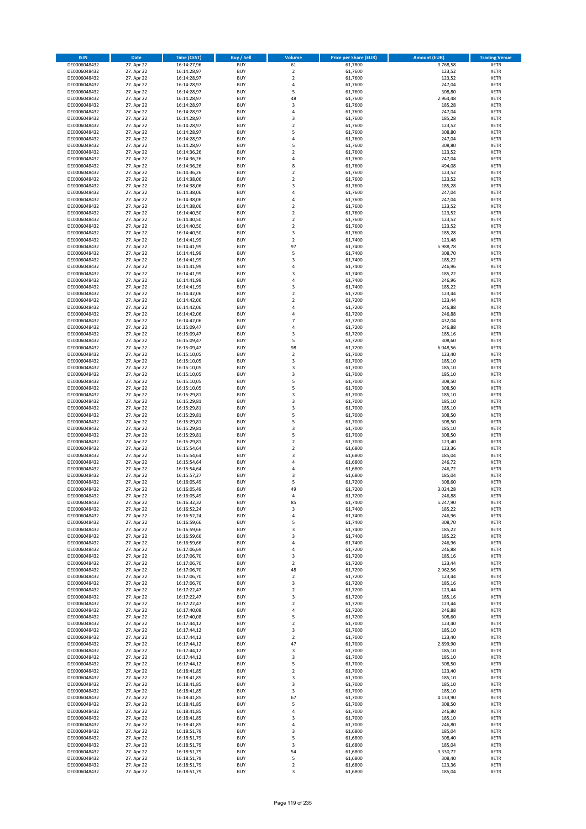| <b>ISIN</b>                  | <b>Date</b>              | <b>Time (CEST)</b>         | <b>Buy / Sell</b>        | Volume                        | <b>Price per Share (EUR)</b> | <b>Amount (EUR)</b> | <b>Trading Venue</b>       |
|------------------------------|--------------------------|----------------------------|--------------------------|-------------------------------|------------------------------|---------------------|----------------------------|
| DE0006048432                 | 27. Apr 22               | 16:14:27,96                | <b>BUY</b>               | 61                            | 61,7800                      | 3.768,58            | <b>XETR</b>                |
| DE0006048432                 | 27. Apr 22               | 16:14:28,97                | <b>BUY</b>               | $\mathbf 2$                   | 61,7600                      | 123,52              | <b>XETR</b>                |
| DE0006048432                 | 27. Apr 22               | 16:14:28,97                | <b>BUY</b>               | $\mathbf 2$                   | 61,7600                      | 123,52              | <b>XETR</b>                |
| DE0006048432                 | 27. Apr 22               | 16:14:28,97                | <b>BUY</b>               | 4                             | 61,7600                      | 247,04              | <b>XETR</b>                |
| DE0006048432                 | 27. Apr 22               | 16:14:28,97                | <b>BUY</b>               | 5                             | 61,7600                      | 308,80              | <b>XETR</b>                |
| DE0006048432                 | 27. Apr 22               | 16:14:28,97                | <b>BUY</b>               | 48                            | 61,7600                      | 2.964,48            | <b>XETR</b>                |
| DE0006048432                 | 27. Apr 22               | 16:14:28,97                | <b>BUY</b>               | 3                             | 61,7600                      | 185,28              | <b>XETR</b>                |
| DE0006048432                 | 27. Apr 22               | 16:14:28,97                | <b>BUY</b>               | 4                             | 61,7600                      | 247,04              | <b>XETR</b>                |
| DE0006048432                 | 27. Apr 22               | 16:14:28,97                | BUY                      | $\overline{3}$                | 61,7600                      | 185,28              | <b>XETR</b>                |
| DE0006048432                 | 27. Apr 22               | 16:14:28,97                | <b>BUY</b>               | $\overline{2}$                | 61,7600                      | 123,52              | <b>XETR</b>                |
| DE0006048432                 | 27. Apr 22               | 16:14:28,97                | <b>BUY</b>               | 5                             | 61,7600                      | 308,80              | <b>XETR</b>                |
| DE0006048432                 | 27. Apr 22               | 16:14:28,97                | <b>BUY</b>               | $\overline{4}$                | 61,7600                      | 247,04              | <b>XETR</b>                |
| DE0006048432                 | 27. Apr 22               | 16:14:28,97                | <b>BUY</b>               | 5                             | 61,7600                      | 308,80              | <b>XETR</b>                |
| DE0006048432<br>DE0006048432 | 27. Apr 22               | 16:14:36,26                | <b>BUY</b><br><b>BUY</b> | $\overline{2}$                | 61,7600                      | 123,52              | <b>XETR</b>                |
| DE0006048432                 | 27. Apr 22<br>27. Apr 22 | 16:14:36,26<br>16:14:36,26 | BUY                      | 4<br>8                        | 61,7600<br>61,7600           | 247,04<br>494,08    | <b>XETR</b><br><b>XETR</b> |
| DE0006048432                 | 27. Apr 22               | 16:14:36,26                | <b>BUY</b>               | $\overline{2}$                | 61,7600                      | 123,52              | <b>XETR</b>                |
| DE0006048432                 | 27. Apr 22               | 16:14:38,06                | <b>BUY</b>               | $\overline{2}$                | 61,7600                      | 123,52              | <b>XETR</b>                |
| DE0006048432                 | 27. Apr 22               | 16:14:38.06                | <b>BUY</b>               | $\overline{\mathbf{3}}$       | 61,7600                      | 185,28              | <b>XETR</b>                |
| DE0006048432                 | 27. Apr 22               | 16:14:38,06                | <b>BUY</b>               | $\overline{a}$                | 61,7600                      | 247,04              | <b>XETR</b>                |
| DE0006048432                 | 27. Apr 22               | 16:14:38,06                | <b>BUY</b>               | $\overline{4}$                | 61,7600                      | 247,04              | <b>XETR</b>                |
| DE0006048432                 | 27. Apr 22               | 16:14:38,06                | <b>BUY</b>               | $\mathbf 2$                   | 61,7600                      | 123,52              | <b>XETR</b>                |
| DE0006048432                 | 27. Apr 22               | 16:14:40,50                | <b>BUY</b>               | $\overline{2}$                | 61,7600                      | 123,52              | <b>XETR</b>                |
| DE0006048432                 | 27. Apr 22               | 16:14:40,50                | <b>BUY</b>               | $\mathbf 2$                   | 61,7600                      | 123,52              | <b>XETR</b>                |
| DE0006048432                 | 27. Apr 22               | 16:14:40,50                | <b>BUY</b>               | $\overline{2}$                | 61,7600                      | 123,52              | <b>XETR</b>                |
| DE0006048432                 | 27. Apr 22               | 16:14:40,50                | <b>BUY</b>               | 3                             | 61,7600                      | 185,28              | <b>XETR</b>                |
| DE0006048432                 | 27. Apr 22               | 16:14:41,99                | <b>BUY</b>               | $\mathbf 2$                   | 61,7400                      | 123,48              | <b>XETR</b>                |
| DE0006048432                 | 27. Apr 22               | 16:14:41,99                | <b>BUY</b>               | 97                            | 61,7400                      | 5.988,78            | <b>XETR</b>                |
| DE0006048432                 | 27. Apr 22               | 16:14:41,99                | <b>BUY</b>               | 5                             | 61,7400                      | 308,70              | <b>XETR</b>                |
| DE0006048432                 | 27. Apr 22               | 16:14:41,99                | <b>BUY</b>               | $\overline{\mathbf{3}}$       | 61,7400                      | 185,22              | <b>XETR</b>                |
| DE0006048432                 | 27. Apr 22               | 16:14:41,99                | <b>BUY</b>               | 4                             | 61,7400                      | 246,96              | <b>XETR</b>                |
| DE0006048432                 | 27. Apr 22               | 16:14:41,99                | <b>BUY</b>               | $\overline{\mathbf{3}}$       | 61,7400                      | 185,22              | <b>XETR</b>                |
| DE0006048432                 | 27. Apr 22               | 16:14:41,99                | <b>BUY</b>               | 4                             | 61,7400                      | 246,96              | <b>XETR</b>                |
| DE0006048432                 | 27. Apr 22               | 16:14:41,99                | <b>BUY</b>               | $\overline{\mathbf{3}}$       | 61,7400                      | 185,22              | <b>XETR</b>                |
| DE0006048432                 | 27. Apr 22               | 16:14:42,06                | <b>BUY</b>               | $\overline{2}$                | 61,7200<br>61,7200           | 123,44              | <b>XETR</b>                |
| DE0006048432<br>DE0006048432 | 27. Apr 22<br>27. Apr 22 | 16:14:42,06<br>16:14:42,06 | <b>BUY</b><br><b>BUY</b> | $\mathbf 2$<br>$\overline{a}$ | 61,7200                      | 123,44<br>246,88    | <b>XETR</b><br><b>XETR</b> |
| DE0006048432                 | 27. Apr 22               | 16:14:42,06                | <b>BUY</b>               | $\overline{a}$                | 61,7200                      | 246,88              | <b>XETR</b>                |
| DE0006048432                 | 27. Apr 22               | 16:14:42,06                | <b>BUY</b>               | $\overline{7}$                | 61,7200                      | 432,04              | <b>XETR</b>                |
| DE0006048432                 | 27. Apr 22               | 16:15:09,47                | <b>BUY</b>               | 4                             | 61,7200                      | 246,88              | <b>XETR</b>                |
| DE0006048432                 | 27. Apr 22               | 16:15:09,47                | <b>BUY</b>               | $\overline{\mathbf{3}}$       | 61,7200                      | 185,16              | <b>XETR</b>                |
| DE0006048432                 | 27. Apr 22               | 16:15:09,47                | <b>BUY</b>               | 5                             | 61,7200                      | 308,60              | <b>XETR</b>                |
| DE0006048432                 | 27. Apr 22               | 16:15:09,47                | <b>BUY</b>               | 98                            | 61,7200                      | 6.048,56            | <b>XETR</b>                |
| DE0006048432                 | 27. Apr 22               | 16:15:10,05                | <b>BUY</b>               | $\overline{2}$                | 61,7000                      | 123,40              | <b>XETR</b>                |
| DE0006048432                 | 27. Apr 22               | 16:15:10,05                | <b>BUY</b>               | 3                             | 61,7000                      | 185,10              | <b>XETR</b>                |
| DE0006048432                 | 27. Apr 22               | 16:15:10,05                | <b>BUY</b>               | 3                             | 61,7000                      | 185,10              | <b>XETR</b>                |
| DE0006048432                 | 27. Apr 22               | 16:15:10,05                | <b>BUY</b>               | 3                             | 61,7000                      | 185,10              | <b>XETR</b>                |
| DE0006048432                 | 27. Apr 22               | 16:15:10,05                | <b>BUY</b>               | 5                             | 61,7000                      | 308,50              | <b>XETR</b>                |
| DE0006048432                 | 27. Apr 22               | 16:15:10,05                | <b>BUY</b>               | 5                             | 61,7000                      | 308,50              | <b>XETR</b>                |
| DE0006048432                 | 27. Apr 22               | 16:15:29,81                | <b>BUY</b>               | 3                             | 61,7000                      | 185,10              | <b>XETR</b>                |
| DE0006048432                 | 27. Apr 22               | 16:15:29,81                | <b>BUY</b>               | $\overline{\mathbf{3}}$       | 61,7000                      | 185,10              | <b>XETR</b>                |
| DE0006048432                 | 27. Apr 22               | 16:15:29,81                | <b>BUY</b>               | $\overline{\mathbf{3}}$       | 61,7000                      | 185,10              | <b>XETR</b>                |
| DE0006048432                 | 27. Apr 22               | 16:15:29,81                | <b>BUY</b>               | 5                             | 61,7000                      | 308,50              | <b>XETR</b>                |
| DE0006048432                 | 27. Apr 22               | 16:15:29,81                | <b>BUY</b>               | 5<br>$\overline{\mathbf{3}}$  | 61,7000                      | 308,50              | <b>XETR</b>                |
| DE0006048432                 | 27. Apr 22               | 16:15:29,81                | <b>BUY</b>               | 5                             | 61,7000                      | 185,10              | <b>XETR</b>                |
| DE0006048432<br>DE0006048432 | 27. Apr 22<br>27. Apr 22 | 16:15:29,81<br>16:15:29,81 | <b>BUY</b><br><b>BUY</b> | $\overline{2}$                | 61,7000<br>61,7000           | 308,50<br>123,40    | <b>XETR</b><br><b>XETR</b> |
| DE0006048432                 | 27. Apr 22               | 16:15:54,64                | <b>BUY</b>               | $\overline{2}$                | 61,6800                      | 123,36              | <b>XETR</b>                |
| DE0006048432                 | 27. Apr 22               | 16:15:54,64                | BUY                      | $\overline{\mathbf{3}}$       | 61,6800                      | 185,04              | <b>XETR</b>                |
| DE0006048432                 | 27. Apr 22               | 16:15:54,64                | <b>BUY</b>               | $\overline{4}$                | 61,6800                      | 246,72              | <b>XETR</b>                |
| DE0006048432                 | 27. Apr 22               | 16:15:54,64                | <b>BUY</b>               | 4                             | 61,6800                      | 246,72              | <b>XETR</b>                |
| DE0006048432                 | 27. Apr 22               | 16:15:57,27                | BUY                      | 3                             | 61,6800                      | 185,04              | <b>XETR</b>                |
| DE0006048432                 | 27. Apr 22               | 16:16:05,49                | BUY                      | 5                             | 61,7200                      | 308,60              | <b>XETR</b>                |
| DE0006048432                 | 27. Apr 22               | 16:16:05,49                | <b>BUY</b>               | 49                            | 61,7200                      | 3.024,28            | <b>XETR</b>                |
| DE0006048432                 | 27. Apr 22               | 16:16:05,49                | BUY                      | 4                             | 61,7200                      | 246,88              | <b>XETR</b>                |
| DE0006048432                 | 27. Apr 22               | 16:16:32,32                | <b>BUY</b>               | 85                            | 61,7400                      | 5.247,90            | <b>XETR</b>                |
| DE0006048432                 | 27. Apr 22               | 16:16:52,24                | <b>BUY</b>               | 3                             | 61,7400                      | 185,22              | <b>XETR</b>                |
| DE0006048432                 | 27. Apr 22               | 16:16:52,24                | <b>BUY</b>               | 4                             | 61,7400                      | 246,96              | <b>XETR</b>                |
| DE0006048432                 | 27. Apr 22               | 16:16:59,66                | <b>BUY</b>               | 5                             | 61,7400                      | 308,70              | <b>XETR</b>                |
| DE0006048432                 | 27. Apr 22               | 16:16:59,66                | <b>BUY</b>               | 3                             | 61,7400                      | 185,22              | <b>XETR</b>                |
| DE0006048432                 | 27. Apr 22               | 16:16:59,66                | <b>BUY</b>               | 3                             | 61,7400                      | 185,22              | <b>XETR</b>                |
| DE0006048432                 | 27. Apr 22               | 16:16:59,66                | <b>BUY</b>               | 4                             | 61,7400                      | 246,96              | <b>XETR</b>                |
| DE0006048432                 | 27. Apr 22               | 16:17:06,69                | <b>BUY</b>               | $\overline{a}$                | 61,7200                      | 246,88              | <b>XETR</b>                |
| DE0006048432                 | 27. Apr 22               | 16:17:06,70                | <b>BUY</b>               | 3                             | 61,7200                      | 185,16              | <b>XETR</b>                |
| DE0006048432<br>DE0006048432 | 27. Apr 22<br>27. Apr 22 | 16:17:06,70<br>16:17:06,70 | <b>BUY</b><br><b>BUY</b> | $\mathbf 2$<br>48             | 61,7200<br>61,7200           | 123,44<br>2.962,56  | <b>XETR</b><br><b>XETR</b> |
| DE0006048432                 | 27. Apr 22               | 16:17:06,70                | <b>BUY</b>               | $\mathbf 2$                   | 61,7200                      | 123,44              | <b>XETR</b>                |
| DE0006048432                 | 27. Apr 22               | 16:17:06,70                | <b>BUY</b>               | $\overline{\mathbf{3}}$       | 61,7200                      | 185,16              | <b>XETR</b>                |
| DE0006048432                 | 27. Apr 22               | 16:17:22,47                | <b>BUY</b>               | $\mathbf 2$                   | 61,7200                      | 123,44              | <b>XETR</b>                |
| DE0006048432                 | 27. Apr 22               | 16:17:22,47                | <b>BUY</b>               | 3                             | 61,7200                      | 185,16              | <b>XETR</b>                |
| DE0006048432                 | 27. Apr 22               | 16:17:22,47                | <b>BUY</b>               | $\mathbf 2$                   | 61,7200                      | 123,44              | <b>XETR</b>                |
| DE0006048432                 | 27. Apr 22               | 16:17:40,08                | <b>BUY</b>               | 4                             | 61,7200                      | 246,88              | <b>XETR</b>                |
| DE0006048432                 | 27. Apr 22               | 16:17:40,08                | <b>BUY</b>               | 5                             | 61,7200                      | 308,60              | <b>XETR</b>                |
| DE0006048432                 | 27. Apr 22               | 16:17:44,12                | <b>BUY</b>               | $\mathbf 2$                   | 61,7000                      | 123,40              | <b>XETR</b>                |
| DE0006048432                 | 27. Apr 22               | 16:17:44,12                | <b>BUY</b>               | $\overline{\mathbf{3}}$       | 61,7000                      | 185,10              | <b>XETR</b>                |
| DE0006048432                 | 27. Apr 22               | 16:17:44,12                | <b>BUY</b>               | $\mathbf 2$                   | 61,7000                      | 123,40              | <b>XETR</b>                |
| DE0006048432                 | 27. Apr 22               | 16:17:44,12                | <b>BUY</b>               | 47                            | 61,7000                      | 2.899,90            | <b>XETR</b>                |
| DE0006048432                 | 27. Apr 22               | 16:17:44,12                | <b>BUY</b>               | 3                             | 61,7000                      | 185,10              | <b>XETR</b>                |
| DE0006048432                 | 27. Apr 22               | 16:17:44,12                | <b>BUY</b>               | 3                             | 61,7000                      | 185,10              | <b>XETR</b>                |
| DE0006048432                 | 27. Apr 22               | 16:17:44,12                | <b>BUY</b>               | 5                             | 61,7000                      | 308,50              | <b>XETR</b>                |
| DE0006048432                 | 27. Apr 22               | 16:18:41,85                | <b>BUY</b>               | $\overline{\mathbf{2}}$       | 61,7000                      | 123,40              | <b>XETR</b>                |
| DE0006048432                 | 27. Apr 22               | 16:18:41,85                | <b>BUY</b>               | 3                             | 61,7000                      | 185,10              | <b>XETR</b>                |
| DE0006048432<br>DE0006048432 | 27. Apr 22<br>27. Apr 22 | 16:18:41,85<br>16:18:41,85 | <b>BUY</b><br><b>BUY</b> | 3<br>3                        | 61,7000<br>61,7000           | 185,10<br>185,10    | <b>XETR</b><br><b>XETR</b> |
| DE0006048432                 | 27. Apr 22               | 16:18:41,85                | <b>BUY</b>               | 67                            | 61,7000                      | 4.133,90            | <b>XETR</b>                |
| DE0006048432                 | 27. Apr 22               | 16:18:41,85                | <b>BUY</b>               | 5                             | 61,7000                      | 308,50              | <b>XETR</b>                |
| DE0006048432                 | 27. Apr 22               | 16:18:41,85                | <b>BUY</b>               | 4                             | 61,7000                      | 246,80              | <b>XETR</b>                |
| DE0006048432                 | 27. Apr 22               | 16:18:41,85                | <b>BUY</b>               | $\overline{\mathbf{3}}$       | 61,7000                      | 185,10              | <b>XETR</b>                |
| DE0006048432                 | 27. Apr 22               | 16:18:41,85                | <b>BUY</b>               | 4                             | 61,7000                      | 246,80              | <b>XETR</b>                |
| DE0006048432                 | 27. Apr 22               | 16:18:51,79                | <b>BUY</b>               | 3                             | 61,6800                      | 185,04              | <b>XETR</b>                |
| DE0006048432                 | 27. Apr 22               | 16:18:51,79                | <b>BUY</b>               | 5                             | 61,6800                      | 308,40              | <b>XETR</b>                |
| DE0006048432                 | 27. Apr 22               | 16:18:51,79                | <b>BUY</b>               | 3                             | 61,6800                      | 185,04              | <b>XETR</b>                |
| DE0006048432                 | 27. Apr 22               | 16:18:51,79                | <b>BUY</b>               | 54                            | 61,6800                      | 3.330,72            | <b>XETR</b>                |
| DE0006048432                 | 27. Apr 22               | 16:18:51,79                | <b>BUY</b>               | 5                             | 61,6800                      | 308,40              | <b>XETR</b>                |
| DE0006048432                 | 27. Apr 22               | 16:18:51,79                | <b>BUY</b>               | $\mathbf 2$                   | 61,6800                      | 123,36              | <b>XETR</b>                |
| DE0006048432                 | 27. Apr 22               | 16:18:51,79                | <b>BUY</b>               | 3                             | 61,6800                      | 185,04              | <b>XETR</b>                |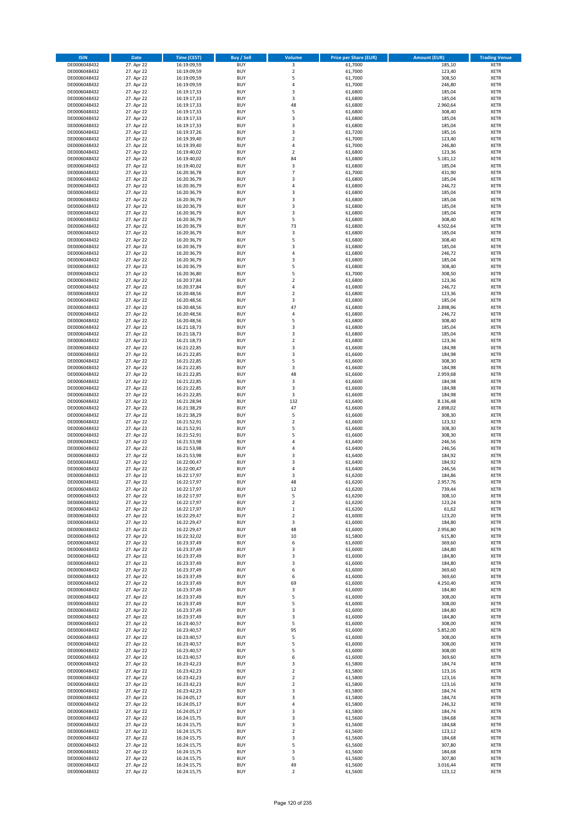| <b>ISIN</b>                  | <b>Date</b>              | <b>Time (CEST)</b>         | <b>Buy / Sell</b>        | <b>Volume</b>                | <b>Price per Share (EUR)</b> | <b>Amount (EUR)</b> | <b>Trading Venue</b>       |
|------------------------------|--------------------------|----------------------------|--------------------------|------------------------------|------------------------------|---------------------|----------------------------|
| DE0006048432                 | 27. Apr 22               | 16:19:09,59                | <b>BUY</b>               | 3                            | 61,7000                      | 185,10              | <b>XETR</b>                |
| DE0006048432                 | 27. Apr 22               | 16:19:09,59                | <b>BUY</b>               | $\mathbf 2$                  | 61,7000                      | 123,40              | <b>XETR</b>                |
| DE0006048432                 | 27. Apr 22               | 16:19:09,59                | <b>BUY</b>               | 5                            | 61,7000                      | 308,50              | <b>XETR</b>                |
| DE0006048432<br>DE0006048432 | 27. Apr 22<br>27. Apr 22 | 16:19:09,59<br>16:19:17,33 | <b>BUY</b><br><b>BUY</b> | 4<br>3                       | 61,7000<br>61,6800           | 246,80<br>185,04    | <b>XETR</b><br><b>XETR</b> |
| DE0006048432                 | 27. Apr 22               | 16:19:17,33                | <b>BUY</b>               | 3                            | 61,6800                      | 185,04              | <b>XETR</b>                |
| DE0006048432                 | 27. Apr 22               | 16:19:17,33                | <b>BUY</b>               | 48                           | 61,6800                      | 2.960,64            | <b>XETR</b>                |
| DE0006048432                 | 27. Apr 22               | 16:19:17,33                | <b>BUY</b>               | 5                            | 61,6800                      | 308,40              | <b>XETR</b>                |
| DE0006048432                 | 27. Apr 22               | 16:19:17,33                | <b>BUY</b>               | 3                            | 61,6800                      | 185,04              | <b>XETR</b>                |
| DE0006048432                 | 27. Apr 22               | 16:19:17,33                | <b>BUY</b>               | 3                            | 61,6800                      | 185,04              | <b>XETR</b>                |
| DE0006048432                 | 27. Apr 22               | 16:19:37,26                | <b>BUY</b>               | 3                            | 61,7200                      | 185,16              | <b>XETR</b>                |
| DE0006048432                 | 27. Apr 22<br>27. Apr 22 | 16:19:39,40                | <b>BUY</b><br><b>BUY</b> | $\overline{\mathbf{c}}$<br>4 | 61,7000                      | 123,40              | <b>XETR</b><br><b>XETR</b> |
| DE0006048432<br>DE0006048432 | 27. Apr 22               | 16:19:39,40<br>16:19:40,02 | <b>BUY</b>               | $\overline{\mathbf{c}}$      | 61,7000<br>61,6800           | 246,80<br>123,36    | <b>XETR</b>                |
| DE0006048432                 | 27. Apr 22               | 16:19:40,02                | <b>BUY</b>               | 84                           | 61,6800                      | 5.181,12            | <b>XETR</b>                |
| DE0006048432                 | 27. Apr 22               | 16:19:40,02                | <b>BUY</b>               | 3                            | 61,6800                      | 185,04              | <b>XETR</b>                |
| DE0006048432                 | 27. Apr 22               | 16:20:36,78                | <b>BUY</b>               | $\overline{7}$               | 61,7000                      | 431,90              | <b>XETR</b>                |
| DE0006048432                 | 27. Apr 22               | 16:20:36,79                | <b>BUY</b>               | 3                            | 61,6800                      | 185,04              | <b>XETR</b>                |
| DE0006048432                 | 27. Apr 22               | 16:20:36,79                | <b>BUY</b>               | 4                            | 61,6800                      | 246,72              | <b>XETR</b>                |
| DE0006048432                 | 27. Apr 22               | 16:20:36,79                | <b>BUY</b>               | 3                            | 61,6800                      | 185,04              | <b>XETR</b>                |
| DE0006048432<br>DE0006048432 | 27. Apr 22<br>27. Apr 22 | 16:20:36,79<br>16:20:36,79 | <b>BUY</b><br><b>BUY</b> | 3<br>3                       | 61,6800<br>61,6800           | 185,04<br>185,04    | <b>XETR</b><br><b>XETR</b> |
| DE0006048432                 | 27. Apr 22               | 16:20:36,79                | <b>BUY</b>               | 3                            | 61,6800                      | 185,04              | <b>XETR</b>                |
| DE0006048432                 | 27. Apr 22               | 16:20:36,79                | <b>BUY</b>               | 5                            | 61,6800                      | 308,40              | <b>XETR</b>                |
| DE0006048432                 | 27. Apr 22               | 16:20:36,79                | <b>BUY</b>               | 73                           | 61,6800                      | 4.502,64            | <b>XETR</b>                |
| DE0006048432                 | 27. Apr 22               | 16:20:36,79                | <b>BUY</b>               | 3                            | 61,6800                      | 185,04              | <b>XETR</b>                |
| DE0006048432                 | 27. Apr 22               | 16:20:36,79                | <b>BUY</b>               | 5                            | 61,6800                      | 308,40              | <b>XETR</b>                |
| DE0006048432                 | 27. Apr 22               | 16:20:36,79                | <b>BUY</b>               | 3                            | 61,6800                      | 185,04              | <b>XETR</b>                |
| DE0006048432<br>DE0006048432 | 27. Apr 22<br>27. Apr 22 | 16:20:36,79<br>16:20:36,79 | <b>BUY</b><br><b>BUY</b> | 4<br>3                       | 61,6800<br>61,6800           | 246,72<br>185,04    | <b>XETR</b><br><b>XETR</b> |
| DE0006048432                 | 27. Apr 22               | 16:20:36,79                | <b>BUY</b>               | 5                            | 61,6800                      | 308,40              | <b>XETR</b>                |
| DE0006048432                 | 27. Apr 22               | 16:20:36,80                | <b>BUY</b>               | 5                            | 61,7000                      | 308,50              | <b>XETR</b>                |
| DE0006048432                 | 27. Apr 22               | 16:20:37,84                | <b>BUY</b>               | $\mathbf 2$                  | 61,6800                      | 123,36              | <b>XETR</b>                |
| DE0006048432                 | 27. Apr 22               | 16:20:37,84                | <b>BUY</b>               | 4                            | 61,6800                      | 246,72              | <b>XETR</b>                |
| DE0006048432                 | 27. Apr 22               | 16:20:48,56                | <b>BUY</b>               | $\mathbf 2$                  | 61,6800                      | 123,36              | <b>XETR</b>                |
| DE0006048432                 | 27. Apr 22               | 16:20:48,56                | <b>BUY</b>               | 3                            | 61,6800                      | 185,04              | <b>XETR</b>                |
| DE0006048432                 | 27. Apr 22               | 16:20:48,56                | <b>BUY</b><br><b>BUY</b> | 47<br>4                      | 61,6800                      | 2.898,96            | <b>XETR</b>                |
| DE0006048432<br>DE0006048432 | 27. Apr 22<br>27. Apr 22 | 16:20:48,56<br>16:20:48,56 | <b>BUY</b>               | 5                            | 61,6800<br>61,6800           | 246,72<br>308,40    | <b>XETR</b><br><b>XETR</b> |
| DE0006048432                 | 27. Apr 22               | 16:21:18,73                | <b>BUY</b>               | 3                            | 61,6800                      | 185,04              | <b>XETR</b>                |
| DE0006048432                 | 27. Apr 22               | 16:21:18,73                | <b>BUY</b>               | 3                            | 61,6800                      | 185,04              | <b>XETR</b>                |
| DE0006048432                 | 27. Apr 22               | 16:21:18,73                | <b>BUY</b>               | $\mathbf 2$                  | 61,6800                      | 123,36              | <b>XETR</b>                |
| DE0006048432                 | 27. Apr 22               | 16:21:22,85                | <b>BUY</b>               | 3                            | 61,6600                      | 184,98              | <b>XETR</b>                |
| DE0006048432                 | 27. Apr 22               | 16:21:22,85                | <b>BUY</b>               | 3                            | 61,6600                      | 184,98              | <b>XETR</b>                |
| DE0006048432                 | 27. Apr 22               | 16:21:22,85                | <b>BUY</b>               | 5                            | 61,6600                      | 308,30              | <b>XETR</b>                |
| DE0006048432                 | 27. Apr 22               | 16:21:22,85                | <b>BUY</b><br><b>BUY</b> | 3                            | 61,6600                      | 184,98              | <b>XETR</b>                |
| DE0006048432<br>DE0006048432 | 27. Apr 22<br>27. Apr 22 | 16:21:22,85<br>16:21:22,85 | <b>BUY</b>               | 48<br>3                      | 61,6600<br>61,6600           | 2.959,68<br>184,98  | <b>XETR</b><br><b>XETR</b> |
| DE0006048432                 | 27. Apr 22               | 16:21:22,85                | <b>BUY</b>               | 3                            | 61,6600                      | 184,98              | <b>XETR</b>                |
| DE0006048432                 | 27. Apr 22               | 16:21:22,85                | <b>BUY</b>               | 3                            | 61,6600                      | 184,98              | <b>XETR</b>                |
| DE0006048432                 | 27. Apr 22               | 16:21:28,94                | <b>BUY</b>               | 132                          | 61,6400                      | 8.136,48            | <b>XETR</b>                |
| DE0006048432                 | 27. Apr 22               | 16:21:38,29                | <b>BUY</b>               | 47                           | 61,6600                      | 2.898,02            | <b>XETR</b>                |
| DE0006048432                 | 27. Apr 22               | 16:21:38,29                | <b>BUY</b>               | 5                            | 61,6600                      | 308,30              | <b>XETR</b>                |
| DE0006048432<br>DE0006048432 | 27. Apr 22               | 16:21:52,91                | <b>BUY</b><br><b>BUY</b> | $\mathbf 2$<br>5             | 61,6600                      | 123,32              | <b>XETR</b><br><b>XETR</b> |
| DE0006048432                 | 27. Apr 22<br>27. Apr 22 | 16:21:52,91<br>16:21:52,91 | <b>BUY</b>               | 5                            | 61,6600<br>61,6600           | 308,30<br>308,30    | <b>XETR</b>                |
| DE0006048432                 | 27. Apr 22               | 16:21:53,98                | <b>BUY</b>               | 4                            | 61,6400                      | 246,56              | <b>XETR</b>                |
| DE0006048432                 | 27. Apr 22               | 16:21:53,98                | <b>BUY</b>               | 4                            | 61,6400                      | 246,56              | <b>XETR</b>                |
| DE0006048432                 | 27. Apr 22               | 16:21:53,98                | <b>BUY</b>               | 3                            | 61,6400                      | 184,92              | <b>XETR</b>                |
| DE0006048432                 | 27. Apr 22               | 16:22:00,47                | <b>BUY</b>               | 3                            | 61,6400                      | 184,92              | <b>XETR</b>                |
| DE0006048432                 | 27. Apr 22               | 16:22:00,47                | <b>BUY</b>               | 4                            | 61,6400                      | 246,56              | <b>XETR</b>                |
| DE0006048432<br>DE0006048432 | 27. Apr 22<br>27. Apr 22 | 16:22:17,97<br>16:22:17,97 | <b>BUY</b><br><b>BUY</b> | 3<br>48                      | 61,6200<br>61,6200           | 184,86<br>2.957,76  | <b>XETR</b><br><b>XETR</b> |
| DE0006048432                 | 27. Apr 22               | 16:22:17,97                | <b>BUY</b>               | 12                           | 61,6200                      | 739,44              | <b>XETR</b>                |
| DE0006048432                 | 27. Apr 22               | 16:22:17,97                | BUY                      | 5                            | 61,6200                      | 308,10              | <b>XETR</b>                |
| DE0006048432                 | 27. Apr 22               | 16:22:17,97                | <b>BUY</b>               | $\mathbf 2$                  | 61,6200                      | 123,24              | XETR                       |
| DE0006048432                 | 27. Apr 22               | 16:22:17,97                | <b>BUY</b>               | $\mathbf 1$                  | 61,6200                      | 61,62               | XETR                       |
| DE0006048432                 | 27. Apr 22               | 16:22:29,47                | <b>BUY</b>               | $\mathbf 2$                  | 61,6000                      | 123,20              | XETR                       |
| DE0006048432<br>DE0006048432 | 27. Apr 22<br>27. Apr 22 | 16:22:29,47<br>16:22:29,47 | <b>BUY</b><br><b>BUY</b> | 3<br>48                      | 61,6000<br>61,6000           | 184,80<br>2.956,80  | <b>XETR</b><br><b>XETR</b> |
| DE0006048432                 | 27. Apr 22               | 16:22:32,02                | <b>BUY</b>               | 10                           | 61,5800                      | 615,80              | <b>XETR</b>                |
| DE0006048432                 | 27. Apr 22               | 16:23:37,49                | <b>BUY</b>               | 6                            | 61,6000                      | 369,60              | <b>XETR</b>                |
| DE0006048432                 | 27. Apr 22               | 16:23:37,49                | <b>BUY</b>               | 3                            | 61,6000                      | 184,80              | <b>XETR</b>                |
| DE0006048432                 | 27. Apr 22               | 16:23:37,49                | <b>BUY</b>               | 3                            | 61,6000                      | 184,80              | XETR                       |
| DE0006048432                 | 27. Apr 22               | 16:23:37,49                | <b>BUY</b>               | 3                            | 61,6000                      | 184,80              | <b>XETR</b>                |
| DE0006048432                 | 27. Apr 22               | 16:23:37,49                | <b>BUY</b>               | 6                            | 61,6000                      | 369,60              | <b>XETR</b>                |
| DE0006048432<br>DE0006048432 | 27. Apr 22<br>27. Apr 22 | 16:23:37,49<br>16:23:37,49 | <b>BUY</b><br><b>BUY</b> | 6<br>69                      | 61,6000<br>61,6000           | 369,60<br>4.250,40  | <b>XETR</b><br><b>XETR</b> |
| DE0006048432                 | 27. Apr 22               | 16:23:37,49                | <b>BUY</b>               | 3                            | 61,6000                      | 184,80              | <b>XETR</b>                |
| DE0006048432                 | 27. Apr 22               | 16:23:37,49                | <b>BUY</b>               | 5                            | 61,6000                      | 308,00              | <b>XETR</b>                |
| DE0006048432                 | 27. Apr 22               | 16:23:37,49                | <b>BUY</b>               | 5                            | 61,6000                      | 308,00              | <b>XETR</b>                |
| DE0006048432                 | 27. Apr 22               | 16:23:37,49                | <b>BUY</b>               | 3                            | 61,6000                      | 184,80              | <b>XETR</b>                |
| DE0006048432                 | 27. Apr 22               | 16:23:37,49                | <b>BUY</b>               | 3                            | 61,6000                      | 184,80              | XETR                       |
| DE0006048432                 | 27. Apr 22               | 16:23:40,57                | <b>BUY</b>               | 5                            | 61,6000                      | 308,00              | <b>XETR</b>                |
| DE0006048432<br>DE0006048432 | 27. Apr 22<br>27. Apr 22 | 16:23:40,57<br>16:23:40,57 | <b>BUY</b><br><b>BUY</b> | 95<br>5                      | 61,6000<br>61,6000           | 5.852,00<br>308,00  | <b>XETR</b><br><b>XETR</b> |
| DE0006048432                 | 27. Apr 22               | 16:23:40,57                | <b>BUY</b>               | 5                            | 61,6000                      | 308,00              | <b>XETR</b>                |
| DE0006048432                 | 27. Apr 22               | 16:23:40,57                | <b>BUY</b>               | 5                            | 61,6000                      | 308,00              | <b>XETR</b>                |
| DE0006048432                 | 27. Apr 22               | 16:23:40,57                | <b>BUY</b>               | 6                            | 61,6000                      | 369,60              | <b>XETR</b>                |
| DE0006048432                 | 27. Apr 22               | 16:23:42,23                | <b>BUY</b>               | 3                            | 61,5800                      | 184,74              | <b>XETR</b>                |
| DE0006048432                 | 27. Apr 22               | 16:23:42,23                | <b>BUY</b>               | $\mathbf 2$                  | 61,5800                      | 123,16              | <b>XETR</b>                |
| DE0006048432                 | 27. Apr 22               | 16:23:42,23                | <b>BUY</b>               | $\overline{\mathbf{2}}$      | 61,5800                      | 123,16              | <b>XETR</b>                |
| DE0006048432<br>DE0006048432 | 27. Apr 22<br>27. Apr 22 | 16:23:42,23<br>16:23:42,23 | <b>BUY</b><br><b>BUY</b> | $\mathbf 2$<br>3             | 61,5800<br>61,5800           | 123,16<br>184,74    | <b>XETR</b><br>XETR        |
| DE0006048432                 | 27. Apr 22               | 16:24:05,17                | <b>BUY</b>               | 3                            | 61,5800                      | 184,74              | <b>XETR</b>                |
| DE0006048432                 | 27. Apr 22               | 16:24:05,17                | <b>BUY</b>               | 4                            | 61,5800                      | 246,32              | <b>XETR</b>                |
| DE0006048432                 | 27. Apr 22               | 16:24:05,17                | <b>BUY</b>               | 3                            | 61,5800                      | 184,74              | <b>XETR</b>                |
| DE0006048432                 | 27. Apr 22               | 16:24:15,75                | <b>BUY</b>               | 3                            | 61,5600                      | 184,68              | <b>XETR</b>                |
| DE0006048432                 | 27. Apr 22               | 16:24:15,75                | <b>BUY</b>               | 3                            | 61,5600                      | 184,68              | <b>XETR</b>                |
| DE0006048432                 | 27. Apr 22               | 16:24:15,75                | <b>BUY</b>               | $\mathbf 2$                  | 61,5600                      | 123,12              | <b>XETR</b>                |
| DE0006048432<br>DE0006048432 | 27. Apr 22<br>27. Apr 22 | 16:24:15,75<br>16:24:15,75 | <b>BUY</b><br><b>BUY</b> | 3<br>5                       | 61,5600<br>61,5600           | 184,68<br>307,80    | <b>XETR</b><br>XETR        |
| DE0006048432                 | 27. Apr 22               | 16:24:15,75                | <b>BUY</b>               | 3                            | 61,5600                      | 184,68              | <b>XETR</b>                |
| DE0006048432                 | 27. Apr 22               | 16:24:15,75                | <b>BUY</b>               | 5                            | 61,5600                      | 307,80              | <b>XETR</b>                |
| DE0006048432                 | 27. Apr 22               | 16:24:15,75                | <b>BUY</b>               | 49                           | 61,5600                      | 3.016,44            | <b>XETR</b>                |
| DE0006048432                 | 27. Apr 22               | 16:24:15,75                | <b>BUY</b>               | $\mathbf 2$                  | 61,5600                      | 123,12              | XETR                       |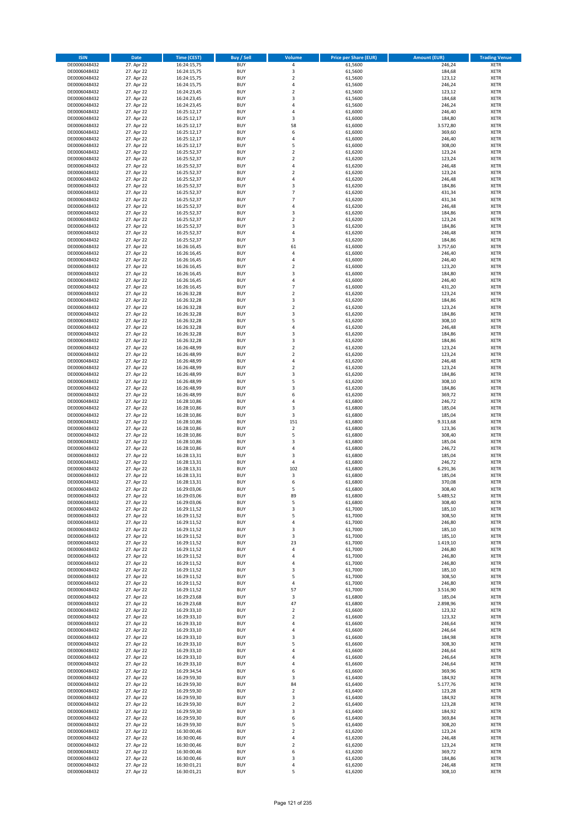| <b>ISIN</b>                  | Date                     | Time (CEST)                | <b>Buy / Sell</b>        | <b>Volume</b>                    | <b>Price per Share (EUR)</b> | <b>Amount (EUR)</b> | <b>Trading Venue</b>       |
|------------------------------|--------------------------|----------------------------|--------------------------|----------------------------------|------------------------------|---------------------|----------------------------|
| DE0006048432                 | 27. Apr 22               | 16:24:15,75                | <b>BUY</b>               | $\pmb{4}$                        | 61,5600                      | 246,24              | <b>XETR</b>                |
| DE0006048432                 | 27. Apr 22               | 16:24:15,75                | <b>BUY</b>               | $\mathsf 3$                      | 61,5600                      | 184,68              | XETR                       |
| DE0006048432                 | 27. Apr 22               | 16:24:15,75                | <b>BUY</b>               | $\mathbf 2$                      | 61,5600                      | 123,12              | <b>XETR</b>                |
| DE0006048432<br>DE0006048432 | 27. Apr 22<br>27. Apr 22 | 16:24:15,75<br>16:24:23,45 | <b>BUY</b><br><b>BUY</b> | $\pmb{4}$<br>$\mathbf 2$         | 61,5600<br>61,5600           | 246,24<br>123,12    | XETR<br><b>XETR</b>        |
| DE0006048432                 | 27. Apr 22               | 16:24:23,45                | <b>BUY</b>               | 3                                | 61,5600                      | 184,68              | <b>XETR</b>                |
| DE0006048432                 | 27. Apr 22               | 16:24:23,45                | <b>BUY</b>               | $\overline{4}$                   | 61,5600                      | 246,24              | <b>XETR</b>                |
| DE0006048432                 | 27. Apr 22               | 16:25:12,17                | <b>BUY</b>               | 4                                | 61,6000                      | 246,40              | <b>XETR</b>                |
| DE0006048432                 | 27. Apr 22               | 16:25:12,17                | <b>BUY</b><br><b>BUY</b> | 3<br>58                          | 61,6000                      | 184,80              | <b>XETR</b>                |
| DE0006048432<br>DE0006048432 | 27. Apr 22<br>27. Apr 22 | 16:25:12,17<br>16:25:12,17 | <b>BUY</b>               | 6                                | 61,6000<br>61,6000           | 3.572,80<br>369,60  | <b>XETR</b><br><b>XETR</b> |
| DE0006048432                 | 27. Apr 22               | 16:25:12,17                | <b>BUY</b>               | 4                                | 61,6000                      | 246,40              | <b>XETR</b>                |
| DE0006048432                 | 27. Apr 22               | 16:25:12,17                | <b>BUY</b>               | 5                                | 61,6000                      | 308,00              | <b>XETR</b>                |
| DE0006048432                 | 27. Apr 22               | 16:25:52,37                | <b>BUY</b>               | $\overline{2}$                   | 61,6200                      | 123,24              | <b>XETR</b>                |
| DE0006048432                 | 27. Apr 22               | 16:25:52,37                | <b>BUY</b>               | $\mathbf 2$                      | 61,6200                      | 123,24              | <b>XETR</b>                |
| DE0006048432<br>DE0006048432 | 27. Apr 22<br>27. Apr 22 | 16:25:52,37<br>16:25:52,37 | <b>BUY</b><br><b>BUY</b> | $\overline{4}$<br>$\overline{2}$ | 61,6200<br>61,6200           | 246,48<br>123,24    | <b>XETR</b><br><b>XETR</b> |
| DE0006048432                 | 27. Apr 22               | 16:25:52,37                | <b>BUY</b>               | 4                                | 61,6200                      | 246,48              | <b>XETR</b>                |
| DE0006048432                 | 27. Apr 22               | 16:25:52,37                | <b>BUY</b>               | 3                                | 61,6200                      | 184,86              | <b>XETR</b>                |
| DE0006048432                 | 27. Apr 22               | 16:25:52,37                | <b>BUY</b>               | $\overline{7}$                   | 61,6200                      | 431,34              | <b>XETR</b>                |
| DE0006048432                 | 27. Apr 22               | 16:25:52,37                | <b>BUY</b>               | $\overline{7}$                   | 61,6200                      | 431,34              | <b>XETR</b>                |
| DE0006048432<br>DE0006048432 | 27. Apr 22<br>27. Apr 22 | 16:25:52,37<br>16:25:52,37 | <b>BUY</b><br><b>BUY</b> | $\sqrt{4}$<br>3                  | 61,6200<br>61,6200           | 246,48<br>184,86    | <b>XETR</b><br><b>XETR</b> |
| DE0006048432                 | 27. Apr 22               | 16:25:52,37                | <b>BUY</b>               | $\overline{2}$                   | 61,6200                      | 123,24              | <b>XETR</b>                |
| DE0006048432                 | 27. Apr 22               | 16:25:52,37                | <b>BUY</b>               | 3                                | 61,6200                      | 184,86              | <b>XETR</b>                |
| DE0006048432                 | 27. Apr 22               | 16:25:52,37                | <b>BUY</b>               | 4                                | 61,6200                      | 246,48              | <b>XETR</b>                |
| DE0006048432                 | 27. Apr 22               | 16:25:52,37                | <b>BUY</b>               | $\mathsf 3$                      | 61,6200                      | 184,86              | <b>XETR</b>                |
| DE0006048432<br>DE0006048432 | 27. Apr 22<br>27. Apr 22 | 16:26:16,45<br>16:26:16,45 | <b>BUY</b><br><b>BUY</b> | 61<br>4                          | 61,6000<br>61,6000           | 3.757,60<br>246,40  | <b>XETR</b><br><b>XETR</b> |
| DE0006048432                 | 27. Apr 22               | 16:26:16,45                | <b>BUY</b>               | 4                                | 61,6000                      | 246,40              | <b>XETR</b>                |
| DE0006048432                 | 27. Apr 22               | 16:26:16,45                | <b>BUY</b>               | $\mathbf 2$                      | 61,6000                      | 123,20              | <b>XETR</b>                |
| DE0006048432                 | 27. Apr 22               | 16:26:16,45                | <b>BUY</b>               | 3                                | 61,6000                      | 184,80              | <b>XETR</b>                |
| DE0006048432                 | 27. Apr 22               | 16:26:16,45                | <b>BUY</b>               | $\sqrt{4}$                       | 61,6000                      | 246,40              | <b>XETR</b>                |
| DE0006048432<br>DE0006048432 | 27. Apr 22<br>27. Apr 22 | 16:26:16,45<br>16:26:32,28 | <b>BUY</b><br><b>BUY</b> | $\overline{7}$<br>$\mathbf 2$    | 61,6000<br>61,6200           | 431,20<br>123,24    | <b>XETR</b><br><b>XETR</b> |
| DE0006048432                 | 27. Apr 22               | 16:26:32,28                | <b>BUY</b>               | 3                                | 61,6200                      | 184,86              | <b>XETR</b>                |
| DE0006048432                 | 27. Apr 22               | 16:26:32,28                | <b>BUY</b>               | $\overline{2}$                   | 61,6200                      | 123,24              | <b>XETR</b>                |
| DE0006048432                 | 27. Apr 22               | 16:26:32,28                | <b>BUY</b>               | 3                                | 61,6200                      | 184,86              | <b>XETR</b>                |
| DE0006048432                 | 27. Apr 22               | 16:26:32,28                | <b>BUY</b>               | 5                                | 61,6200                      | 308,10              | <b>XETR</b>                |
| DE0006048432<br>DE0006048432 | 27. Apr 22<br>27. Apr 22 | 16:26:32,28<br>16:26:32,28 | <b>BUY</b><br><b>BUY</b> | 4<br>3                           | 61,6200<br>61,6200           | 246,48<br>184,86    | <b>XETR</b><br><b>XETR</b> |
| DE0006048432                 | 27. Apr 22               | 16:26:32,28                | <b>BUY</b>               | 3                                | 61,6200                      | 184,86              | <b>XETR</b>                |
| DE0006048432                 | 27. Apr 22               | 16:26:48,99                | <b>BUY</b>               | $\mathbf 2$                      | 61,6200                      | 123,24              | <b>XETR</b>                |
| DE0006048432                 | 27. Apr 22               | 16:26:48,99                | <b>BUY</b>               | $\overline{2}$                   | 61,6200                      | 123,24              | <b>XETR</b>                |
| DE0006048432                 | 27. Apr 22               | 16:26:48,99                | <b>BUY</b>               | 4                                | 61,6200                      | 246,48              | <b>XETR</b>                |
| DE0006048432                 | 27. Apr 22               | 16:26:48,99                | <b>BUY</b><br><b>BUY</b> | $\overline{2}$                   | 61,6200                      | 123,24              | <b>XETR</b>                |
| DE0006048432<br>DE0006048432 | 27. Apr 22<br>27. Apr 22 | 16:26:48,99<br>16:26:48,99 | <b>BUY</b>               | 3<br>5                           | 61,6200<br>61,6200           | 184,86<br>308,10    | <b>XETR</b><br><b>XETR</b> |
| DE0006048432                 | 27. Apr 22               | 16:26:48,99                | <b>BUY</b>               | 3                                | 61,6200                      | 184,86              | <b>XETR</b>                |
| DE0006048432                 | 27. Apr 22               | 16:26:48,99                | <b>BUY</b>               | 6                                | 61,6200                      | 369,72              | <b>XETR</b>                |
| DE0006048432                 | 27. Apr 22               | 16:28:10,86                | <b>BUY</b>               | $\overline{4}$                   | 61,6800                      | 246,72              | <b>XETR</b>                |
| DE0006048432<br>DE0006048432 | 27. Apr 22<br>27. Apr 22 | 16:28:10,86<br>16:28:10,86 | <b>BUY</b><br><b>BUY</b> | 3<br>3                           | 61,6800<br>61,6800           | 185,04<br>185,04    | <b>XETR</b><br><b>XETR</b> |
| DE0006048432                 | 27. Apr 22               | 16:28:10,86                | <b>BUY</b>               | 151                              | 61,6800                      | 9.313,68            | <b>XETR</b>                |
| DE0006048432                 | 27. Apr 22               | 16:28:10,86                | <b>BUY</b>               | $\overline{2}$                   | 61,6800                      | 123,36              | <b>XETR</b>                |
| DE0006048432                 | 27. Apr 22               | 16:28:10,86                | <b>BUY</b>               | 5                                | 61,6800                      | 308,40              | <b>XETR</b>                |
| DE0006048432                 | 27. Apr 22               | 16:28:10,86                | <b>BUY</b>               | 3                                | 61,6800                      | 185,04              | <b>XETR</b>                |
| DE0006048432<br>DE0006048432 | 27. Apr 22<br>27. Apr 22 | 16:28:10,86<br>16:28:13,31 | <b>BUY</b><br><b>BUY</b> | 4<br>3                           | 61,6800<br>61,6800           | 246,72<br>185,04    | <b>XETR</b><br><b>XETR</b> |
| DE0006048432                 | 27. Apr 22               | 16:28:13,31                | <b>BUY</b>               | $\sqrt{4}$                       | 61,6800                      | 246,72              | <b>XETR</b>                |
| DE0006048432                 | 27. Apr 22               | 16:28:13,31                | <b>BUY</b>               | 102                              | 61,6800                      | 6.291,36            | <b>XETR</b>                |
| DE0006048432                 | 27. Apr 22               | 16:28:13,31                | <b>BUY</b>               | 3                                | 61,6800                      | 185,04              | <b>XETR</b>                |
| DE0006048432                 | 27. Apr 22               | 16:28:13,31                | <b>BUY</b>               | 6                                | 61,6800                      | 370,08              | <b>XETR</b>                |
| DE0006048432<br>DE0006048432 | 27. Apr 22<br>27. Apr 22 | 16:29:03,06<br>16:29:03,06 | <b>BUY</b><br>BUY        | 5<br>89                          | 61,6800<br>61,6800           | 308,40<br>5.489,52  | <b>XETR</b><br>XETR        |
| DE0006048432                 | 27. Apr 22               | 16:29:03,06                | <b>BUY</b>               | 5                                | 61,6800                      | 308,40              | <b>XETR</b>                |
| DE0006048432                 | 27. Apr 22               | 16:29:11,52                | <b>BUY</b>               | 3                                | 61,7000                      | 185,10              | <b>XETR</b>                |
| DE0006048432                 | 27. Apr 22               | 16:29:11,52                | <b>BUY</b>               | 5                                | 61,7000                      | 308,50              | <b>XETR</b>                |
| DE0006048432                 | 27. Apr 22               | 16:29:11,52                | <b>BUY</b>               | 4                                | 61,7000                      | 246,80              | <b>XETR</b>                |
| DE0006048432<br>DE0006048432 | 27. Apr 22<br>27. Apr 22 | 16:29:11,52<br>16:29:11,52 | <b>BUY</b><br><b>BUY</b> | 3<br>3                           | 61,7000<br>61,7000           | 185,10<br>185,10    | <b>XETR</b><br><b>XETR</b> |
| DE0006048432                 | 27. Apr 22               | 16:29:11,52                | <b>BUY</b>               | 23                               | 61,7000                      | 1.419,10            | <b>XETR</b>                |
| DE0006048432                 | 27. Apr 22               | 16:29:11,52                | <b>BUY</b>               | 4                                | 61,7000                      | 246,80              | XETR                       |
| DE0006048432                 | 27. Apr 22               | 16:29:11,52                | <b>BUY</b>               | 4                                | 61,7000                      | 246,80              | <b>XETR</b>                |
| DE0006048432<br>DE0006048432 | 27. Apr 22<br>27. Apr 22 | 16:29:11,52<br>16:29:11,52 | <b>BUY</b><br><b>BUY</b> | $\sqrt{4}$<br>3                  | 61,7000<br>61,7000           | 246,80<br>185,10    | XETR<br><b>XETR</b>        |
| DE0006048432                 | 27. Apr 22               | 16:29:11,52                | <b>BUY</b>               | 5                                | 61,7000                      | 308,50              | XETR                       |
| DE0006048432                 | 27. Apr 22               | 16:29:11,52                | <b>BUY</b>               | $\sqrt{4}$                       | 61,7000                      | 246,80              | <b>XETR</b>                |
| DE0006048432                 | 27. Apr 22               | 16:29:11,52                | <b>BUY</b>               | 57                               | 61,7000                      | 3.516,90            | XETR                       |
| DE0006048432                 | 27. Apr 22               | 16:29:23,68                | <b>BUY</b>               | 3                                | 61,6800                      | 185,04              | <b>XETR</b>                |
| DE0006048432<br>DE0006048432 | 27. Apr 22<br>27. Apr 22 | 16:29:23,68<br>16:29:33,10 | <b>BUY</b><br><b>BUY</b> | 47<br>$\overline{2}$             | 61,6800<br>61,6600           | 2.898,96<br>123,32  | <b>XETR</b><br><b>XETR</b> |
| DE0006048432                 | 27. Apr 22               | 16:29:33,10                | <b>BUY</b>               | $\mathbf 2$                      | 61,6600                      | 123,32              | XETR                       |
| DE0006048432                 | 27. Apr 22               | 16:29:33,10                | <b>BUY</b>               | $\sqrt{4}$                       | 61,6600                      | 246,64              | XETR                       |
| DE0006048432                 | 27. Apr 22               | 16:29:33,10                | <b>BUY</b>               | 4                                | 61,6600                      | 246,64              | <b>XETR</b>                |
| DE0006048432                 | 27. Apr 22               | 16:29:33,10                | <b>BUY</b>               | 3                                | 61,6600                      | 184,98              | <b>XETR</b>                |
| DE0006048432<br>DE0006048432 | 27. Apr 22<br>27. Apr 22 | 16:29:33,10<br>16:29:33,10 | <b>BUY</b><br><b>BUY</b> | 5<br>4                           | 61,6600<br>61,6600           | 308,30<br>246,64    | XETR<br><b>XETR</b>        |
| DE0006048432                 | 27. Apr 22               | 16:29:33,10                | <b>BUY</b>               | 4                                | 61,6600                      | 246,64              | XETR                       |
| DE0006048432                 | 27. Apr 22               | 16:29:33,10                | <b>BUY</b>               | 4                                | 61,6600                      | 246,64              | <b>XETR</b>                |
| DE0006048432                 | 27. Apr 22               | 16:29:34,54                | <b>BUY</b>               | 6                                | 61,6600                      | 369,96              | <b>XETR</b>                |
| DE0006048432                 | 27. Apr 22               | 16:29:59,30                | <b>BUY</b>               | 3                                | 61,6400                      | 184,92              | <b>XETR</b>                |
| DE0006048432<br>DE0006048432 | 27. Apr 22<br>27. Apr 22 | 16:29:59,30<br>16:29:59,30 | <b>BUY</b><br><b>BUY</b> | 84<br>$\mathbf 2$                | 61,6400<br>61,6400           | 5.177,76<br>123,28  | <b>XETR</b><br><b>XETR</b> |
| DE0006048432                 | 27. Apr 22               | 16:29:59,30                | <b>BUY</b>               | 3                                | 61,6400                      | 184,92              | XETR                       |
| DE0006048432                 | 27. Apr 22               | 16:29:59,30                | <b>BUY</b>               | $\mathbf 2$                      | 61,6400                      | 123,28              | XETR                       |
| DE0006048432                 | 27. Apr 22               | 16:29:59,30                | <b>BUY</b>               | 3                                | 61,6400                      | 184,92              | XETR                       |
| DE0006048432<br>DE0006048432 | 27. Apr 22<br>27. Apr 22 | 16:29:59,30<br>16:29:59,30 | <b>BUY</b><br><b>BUY</b> | 6<br>5                           | 61,6400<br>61,6400           | 369,84<br>308,20    | <b>XETR</b>                |
| DE0006048432                 | 27. Apr 22               | 16:30:00,46                | <b>BUY</b>               | $\mathbf 2$                      | 61,6200                      | 123,24              | <b>XETR</b><br>XETR        |
| DE0006048432                 | 27. Apr 22               | 16:30:00,46                | <b>BUY</b>               | 4                                | 61,6200                      | 246,48              | XETR                       |
| DE0006048432                 | 27. Apr 22               | 16:30:00,46                | <b>BUY</b>               | $\mathbf 2$                      | 61,6200                      | 123,24              | XETR                       |
| DE0006048432                 | 27. Apr 22               | 16:30:00,46                | <b>BUY</b>               | 6                                | 61,6200                      | 369,72              | <b>XETR</b>                |
| DE0006048432<br>DE0006048432 | 27. Apr 22<br>27. Apr 22 | 16:30:00,46<br>16:30:01,21 | <b>BUY</b><br><b>BUY</b> | 3<br>$\pmb{4}$                   | 61,6200<br>61,6200           | 184,86<br>246,48    | XETR<br><b>XETR</b>        |
| DE0006048432                 | 27. Apr 22               | 16:30:01,21                | <b>BUY</b>               | 5                                | 61,6200                      | 308,10              | <b>XETR</b>                |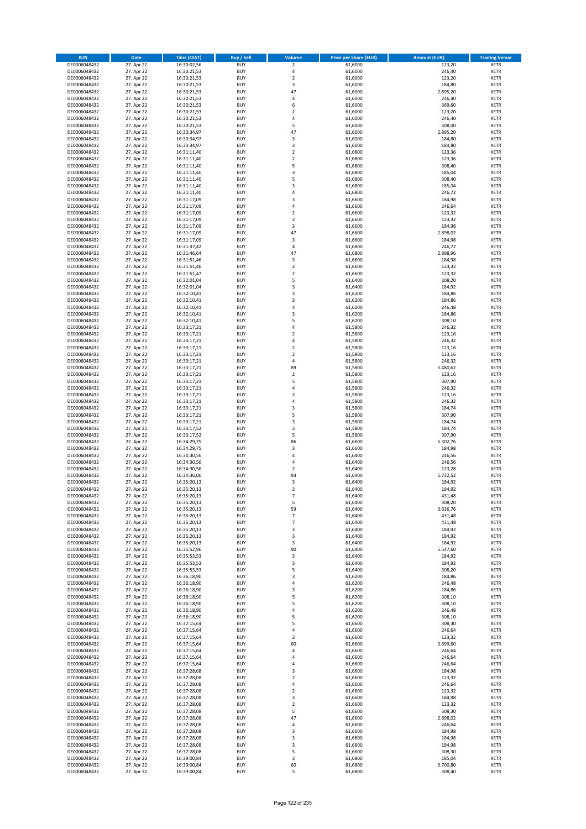| <b>ISIN</b>                  | Date                     | Time (CEST)                | <b>Buy / Sell</b>        | <b>Volume</b>                 | <b>Price per Share (EUR)</b> | <b>Amount (EUR)</b> | <b>Trading Venue</b>       |
|------------------------------|--------------------------|----------------------------|--------------------------|-------------------------------|------------------------------|---------------------|----------------------------|
| DE0006048432                 | 27. Apr 22               | 16:30:02,56                | <b>BUY</b>               | $\overline{2}$                | 61,6000                      | 123,20              | <b>XETR</b>                |
| DE0006048432                 | 27. Apr 22               | 16:30:21,53                | <b>BUY</b>               | $\sqrt{4}$                    | 61,6000                      | 246,40              | XETR                       |
| DE0006048432                 | 27. Apr 22               | 16:30:21,53                | <b>BUY</b>               | $\overline{2}$                | 61,6000                      | 123,20              | <b>XETR</b>                |
| DE0006048432                 | 27. Apr 22               | 16:30:21,53                | <b>BUY</b>               | $\mathsf 3$                   | 61,6000                      | 184,80              | XETR                       |
| DE0006048432<br>DE0006048432 | 27. Apr 22<br>27. Apr 22 | 16:30:21,53<br>16:30:21,53 | <b>BUY</b><br><b>BUY</b> | 47<br>4                       | 61,6000<br>61,6000           | 2.895,20<br>246,40  | <b>XETR</b><br><b>XETR</b> |
| DE0006048432                 | 27. Apr 22               | 16:30:21,53                | <b>BUY</b>               | 6                             | 61,6000                      | 369,60              | <b>XETR</b>                |
| DE0006048432                 | 27. Apr 22               | 16:30:21,53                | <b>BUY</b>               | $\overline{2}$                | 61,6000                      | 123,20              | <b>XETR</b>                |
| DE0006048432                 | 27. Apr 22               | 16:30:21,53                | <b>BUY</b>               | $\overline{4}$                | 61,6000                      | 246,40              | <b>XETR</b>                |
| DE0006048432                 | 27. Apr 22               | 16:30:21,53                | <b>BUY</b>               | 5                             | 61,6000                      | 308,00              | <b>XETR</b>                |
| DE0006048432                 | 27. Apr 22               | 16:30:34,97                | <b>BUY</b>               | 47                            | 61,6000                      | 2.895,20            | <b>XETR</b>                |
| DE0006048432                 | 27. Apr 22               | 16:30:34,97                | <b>BUY</b>               | 3                             | 61,6000                      | 184,80              | <b>XETR</b>                |
| DE0006048432<br>DE0006048432 | 27. Apr 22<br>27. Apr 22 | 16:30:34,97<br>16:31:11,40 | <b>BUY</b><br><b>BUY</b> | 3<br>$\overline{2}$           | 61,6000<br>61,6800           | 184,80<br>123,36    | <b>XETR</b><br><b>XETR</b> |
| DE0006048432                 | 27. Apr 22               | 16:31:11,40                | <b>BUY</b>               | $\mathbf 2$                   | 61,6800                      | 123,36              | <b>XETR</b>                |
| DE0006048432                 | 27. Apr 22               | 16:31:11,40                | <b>BUY</b>               | 5                             | 61,6800                      | 308,40              | <b>XETR</b>                |
| DE0006048432                 | 27. Apr 22               | 16:31:11,40                | <b>BUY</b>               | 3                             | 61,6800                      | 185,04              | <b>XETR</b>                |
| DE0006048432                 | 27. Apr 22               | 16:31:11,40                | <b>BUY</b>               | 5                             | 61,6800                      | 308,40              | <b>XETR</b>                |
| DE0006048432                 | 27. Apr 22               | 16:31:11,40                | <b>BUY</b>               | 3                             | 61,6800                      | 185,04              | <b>XETR</b>                |
| DE0006048432<br>DE0006048432 | 27. Apr 22<br>27. Apr 22 | 16:31:11,40<br>16:31:17,09 | <b>BUY</b><br><b>BUY</b> | $\overline{4}$<br>3           | 61,6800<br>61,6600           | 246,72<br>184,98    | <b>XETR</b><br><b>XETR</b> |
| DE0006048432                 | 27. Apr 22               | 16:31:17,09                | <b>BUY</b>               | 4                             | 61,6600                      | 246,64              | <b>XETR</b>                |
| DE0006048432                 | 27. Apr 22               | 16:31:17,09                | <b>BUY</b>               | $\overline{2}$                | 61,6600                      | 123,32              | <b>XETR</b>                |
| DE0006048432                 | 27. Apr 22               | 16:31:17,09                | <b>BUY</b>               | $\mathbf 2$                   | 61,6600                      | 123,32              | <b>XETR</b>                |
| DE0006048432                 | 27. Apr 22               | 16:31:17,09                | <b>BUY</b>               | 3                             | 61,6600                      | 184,98              | <b>XETR</b>                |
| DE0006048432                 | 27. Apr 22               | 16:31:17,09                | <b>BUY</b>               | 47                            | 61,6600                      | 2.898,02            | <b>XETR</b>                |
| DE0006048432<br>DE0006048432 | 27. Apr 22               | 16:31:17,09                | <b>BUY</b><br><b>BUY</b> | 3<br>4                        | 61,6600                      | 184,98<br>246,72    | <b>XETR</b><br><b>XETR</b> |
| DE0006048432                 | 27. Apr 22<br>27. Apr 22 | 16:31:37,42<br>16:31:46,64 | <b>BUY</b>               | 47                            | 61,6800<br>61,6800           | 2.898,96            | <b>XETR</b>                |
| DE0006048432                 | 27. Apr 22               | 16:31:51,46                | <b>BUY</b>               | 3                             | 61,6600                      | 184,98              | <b>XETR</b>                |
| DE0006048432                 | 27. Apr 22               | 16:31:51,46                | <b>BUY</b>               | $\overline{2}$                | 61,6600                      | 123,32              | <b>XETR</b>                |
| DE0006048432                 | 27. Apr 22               | 16:31:51,47                | <b>BUY</b>               | $\overline{2}$                | 61,6600                      | 123,32              | <b>XETR</b>                |
| DE0006048432                 | 27. Apr 22               | 16:32:01,04                | <b>BUY</b>               | 5                             | 61,6400                      | 308,20              | <b>XETR</b>                |
| DE0006048432                 | 27. Apr 22               | 16:32:01,04                | <b>BUY</b>               | 3                             | 61,6400                      | 184,92              | <b>XETR</b>                |
| DE0006048432<br>DE0006048432 | 27. Apr 22<br>27. Apr 22 | 16:32:10,41<br>16:32:10,41 | <b>BUY</b><br><b>BUY</b> | 3<br>3                        | 61,6200<br>61,6200           | 184,86<br>184,86    | <b>XETR</b><br><b>XETR</b> |
| DE0006048432                 | 27. Apr 22               | 16:32:10,41                | <b>BUY</b>               | 4                             | 61,6200                      | 246,48              | <b>XETR</b>                |
| DE0006048432                 | 27. Apr 22               | 16:32:10,41                | <b>BUY</b>               | 3                             | 61,6200                      | 184,86              | <b>XETR</b>                |
| DE0006048432                 | 27. Apr 22               | 16:32:10,41                | <b>BUY</b>               | 5                             | 61,6200                      | 308,10              | <b>XETR</b>                |
| DE0006048432                 | 27. Apr 22               | 16:33:17,21                | <b>BUY</b>               | $\pmb{4}$                     | 61,5800                      | 246,32              | <b>XETR</b>                |
| DE0006048432                 | 27. Apr 22               | 16:33:17,21                | <b>BUY</b>               | $\overline{\mathbf{c}}$       | 61,5800                      | 123,16              | <b>XETR</b>                |
| DE0006048432                 | 27. Apr 22               | 16:33:17,21                | <b>BUY</b>               | 4                             | 61,5800                      | 246,32              | <b>XETR</b>                |
| DE0006048432<br>DE0006048432 | 27. Apr 22<br>27. Apr 22 | 16:33:17,21<br>16:33:17,21 | <b>BUY</b><br><b>BUY</b> | $\mathbf 2$<br>$\overline{2}$ | 61,5800<br>61,5800           | 123,16<br>123,16    | <b>XETR</b><br><b>XETR</b> |
| DE0006048432                 | 27. Apr 22               | 16:33:17,21                | <b>BUY</b>               | $\pmb{4}$                     | 61,5800                      | 246,32              | <b>XETR</b>                |
| DE0006048432                 | 27. Apr 22               | 16:33:17,21                | <b>BUY</b>               | 89                            | 61,5800                      | 5.480,62            | <b>XETR</b>                |
| DE0006048432                 | 27. Apr 22               | 16:33:17,21                | <b>BUY</b>               | $\mathbf 2$                   | 61,5800                      | 123,16              | <b>XETR</b>                |
| DE0006048432                 | 27. Apr 22               | 16:33:17,21                | <b>BUY</b>               | 5                             | 61,5800                      | 307,90              | <b>XETR</b>                |
| DE0006048432                 | 27. Apr 22               | 16:33:17,21                | <b>BUY</b><br><b>BUY</b> | 4<br>$\mathbf 2$              | 61,5800                      | 246,32              | <b>XETR</b>                |
| DE0006048432<br>DE0006048432 | 27. Apr 22<br>27. Apr 22 | 16:33:17,21<br>16:33:17,21 | <b>BUY</b>               | 4                             | 61,5800<br>61,5800           | 123,16<br>246,32    | <b>XETR</b><br><b>XETR</b> |
| DE0006048432                 | 27. Apr 22               | 16:33:17,21                | <b>BUY</b>               | 3                             | 61,5800                      | 184,74              | <b>XETR</b>                |
| DE0006048432                 | 27. Apr 22               | 16:33:17,21                | <b>BUY</b>               | 5                             | 61,5800                      | 307,90              | <b>XETR</b>                |
| DE0006048432                 | 27. Apr 22               | 16:33:17,21                | <b>BUY</b>               | $\mathsf 3$                   | 61,5800                      | 184,74              | <b>XETR</b>                |
| DE0006048432                 | 27. Apr 22               | 16:33:17,52                | <b>BUY</b>               | 3                             | 61,5800                      | 184,74              | <b>XETR</b>                |
| DE0006048432                 | 27. Apr 22               | 16:33:17,52                | <b>BUY</b>               | 5                             | 61,5800                      | 307,90              | <b>XETR</b>                |
| DE0006048432<br>DE0006048432 | 27. Apr 22<br>27. Apr 22 | 16:34:29,75<br>16:34:29,75 | <b>BUY</b><br><b>BUY</b> | 86<br>3                       | 61,6600<br>61,6600           | 5.302,76<br>184,98  | <b>XETR</b><br><b>XETR</b> |
| DE0006048432                 | 27. Apr 22               | 16:34:30,56                | <b>BUY</b>               | $\overline{4}$                | 61,6400                      | 246,56              | <b>XETR</b>                |
| DE0006048432                 | 27. Apr 22               | 16:34:30,56                | <b>BUY</b>               | 4                             | 61,6400                      | 246,56              | <b>XETR</b>                |
| DE0006048432                 | 27. Apr 22               | 16:34:30,56                | <b>BUY</b>               | $\mathbf 2$                   | 61,6400                      | 123,28              | <b>XETR</b>                |
| DE0006048432                 | 27. Apr 22               | 16:34:36,06                | <b>BUY</b>               | 93                            | 61,6400                      | 5.732,52            | <b>XETR</b>                |
| DE0006048432                 | 27. Apr 22               | 16:35:20,13                | <b>BUY</b>               | 3                             | 61,6400                      | 184,92              | <b>XETR</b>                |
| DE0006048432                 | 27. Apr 22               | 16:35:20,13<br>16:35:20,13 | <b>BUY</b>               | 3<br>$\overline{7}$           | 61,6400                      | 184,92<br>431,48    | <b>XETR</b>                |
| DE0006048432<br>DE0006048432 | 27. Apr 22<br>27. Apr 22 | 16:35:20,13                | BUY<br><b>BUY</b>        | 5                             | 61,6400<br>61,6400           | 308,20              | XETR<br><b>XETR</b>        |
| DE0006048432                 | 27. Apr 22               | 16:35:20,13                | <b>BUY</b>               | 59                            | 61,6400                      | 3.636,76            | <b>XETR</b>                |
| DE0006048432                 | 27. Apr 22               | 16:35:20,13                | <b>BUY</b>               | $\overline{7}$                | 61,6400                      | 431,48              | XETR                       |
| DE0006048432                 | 27. Apr 22               | 16:35:20,13                | <b>BUY</b>               | $\overline{7}$                | 61,6400                      | 431,48              | <b>XETR</b>                |
| DE0006048432                 | 27. Apr 22               | 16:35:20,13                | <b>BUY</b>               | 3                             | 61,6400                      | 184,92              | <b>XETR</b>                |
| DE0006048432                 | 27. Apr 22               | 16:35:20,13                | <b>BUY</b>               | 3                             | 61,6400                      | 184,92              | <b>XETR</b>                |
| DE0006048432<br>DE0006048432 | 27. Apr 22<br>27. Apr 22 | 16:35:20,13<br>16:35:52,96 | <b>BUY</b><br><b>BUY</b> | 3<br>90                       | 61,6400<br>61,6400           | 184,92<br>5.547,60  | <b>XETR</b><br>XETR        |
| DE0006048432                 | 27. Apr 22               | 16:35:53,53                | <b>BUY</b>               | 3                             | 61,6400                      | 184,92              | <b>XETR</b>                |
| DE0006048432                 | 27. Apr 22               | 16:35:53,53                | <b>BUY</b>               | 3                             | 61,6400                      | 184,92              | XETR                       |
| DE0006048432                 | 27. Apr 22               | 16:35:53,53                | <b>BUY</b>               | 5                             | 61,6400                      | 308,20              | <b>XETR</b>                |
| DE0006048432                 | 27. Apr 22               | 16:36:18,90                | <b>BUY</b>               | 3                             | 61,6200                      | 184,86              | XETR                       |
| DE0006048432                 | 27. Apr 22               | 16:36:18,90                | <b>BUY</b>               | $\pmb{4}$                     | 61,6200                      | 246,48              | <b>XETR</b>                |
| DE0006048432<br>DE0006048432 | 27. Apr 22<br>27. Apr 22 | 16:36:18,90<br>16:36:18,90 | <b>BUY</b><br><b>BUY</b> | $\mathsf 3$<br>5              | 61,6200<br>61,6200           | 184,86<br>308,10    | XETR<br><b>XETR</b>        |
| DE0006048432                 | 27. Apr 22               | 16:36:18,90                | <b>BUY</b>               | 5                             | 61,6200                      | 308,10              | <b>XETR</b>                |
| DE0006048432                 | 27. Apr 22               | 16:36:18,90                | <b>BUY</b>               | 4                             | 61,6200                      | 246,48              | <b>XETR</b>                |
| DE0006048432                 | 27. Apr 22               | 16:36:18,90                | <b>BUY</b>               | 5                             | 61,6200                      | 308,10              | XETR                       |
| DE0006048432                 | 27. Apr 22               | 16:37:15,64                | <b>BUY</b>               | 5                             | 61,6600                      | 308,30              | XETR                       |
| DE0006048432                 | 27. Apr 22               | 16:37:15,64                | <b>BUY</b>               | $\pmb{4}$                     | 61,6600                      | 246,64              | <b>XETR</b>                |
| DE0006048432<br>DE0006048432 | 27. Apr 22<br>27. Apr 22 | 16:37:15,64                | <b>BUY</b><br><b>BUY</b> | $\mathbf 2$<br>60             | 61,6600<br>61,6600           | 123,32<br>3.699,60  | <b>XETR</b><br>XETR        |
| DE0006048432                 | 27. Apr 22               | 16:37:15,64<br>16:37:15,64 | <b>BUY</b>               | 4                             | 61,6600                      | 246,64              | <b>XETR</b>                |
| DE0006048432                 | 27. Apr 22               | 16:37:15,64                | <b>BUY</b>               | 4                             | 61,6600                      | 246,64              | XETR                       |
| DE0006048432                 | 27. Apr 22               | 16:37:15,64                | <b>BUY</b>               | 4                             | 61,6600                      | 246,64              | <b>XETR</b>                |
| DE0006048432                 | 27. Apr 22               | 16:37:28,08                | <b>BUY</b>               | 3                             | 61,6600                      | 184,98              | XETR                       |
| DE0006048432                 | 27. Apr 22               | 16:37:28,08                | <b>BUY</b>               | $\overline{2}$                | 61,6600                      | 123,32              | <b>XETR</b>                |
| DE0006048432<br>DE0006048432 | 27. Apr 22<br>27. Apr 22 | 16:37:28,08                | <b>BUY</b><br><b>BUY</b> | $\pmb{4}$<br>$\overline{2}$   | 61,6600<br>61,6600           | 246,64<br>123,32    | XETR<br><b>XETR</b>        |
| DE0006048432                 | 27. Apr 22               | 16:37:28,08<br>16:37:28,08 | <b>BUY</b>               | 3                             | 61,6600                      | 184,98              | XETR                       |
| DE0006048432                 | 27. Apr 22               | 16:37:28,08                | <b>BUY</b>               | $\mathbf 2$                   | 61,6600                      | 123,32              | XETR                       |
| DE0006048432                 | 27. Apr 22               | 16:37:28,08                | <b>BUY</b>               | 5                             | 61,6600                      | 308,30              | XETR                       |
| DE0006048432                 | 27. Apr 22               | 16:37:28,08                | <b>BUY</b>               | 47                            | 61,6600                      | 2.898,02            | <b>XETR</b>                |
| DE0006048432                 | 27. Apr 22               | 16:37:28,08                | <b>BUY</b>               | $\pmb{4}$                     | 61,6600                      | 246,64              | <b>XETR</b>                |
| DE0006048432                 | 27. Apr 22               | 16:37:28,08                | <b>BUY</b>               | $\mathsf 3$                   | 61,6600                      | 184,98              | XETR                       |
| DE0006048432<br>DE0006048432 | 27. Apr 22<br>27. Apr 22 | 16:37:28,08<br>16:37:28,08 | <b>BUY</b><br><b>BUY</b> | 3<br>$\mathsf 3$              | 61,6600<br>61,6600           | 184,98<br>184,98    | XETR<br>XETR               |
| DE0006048432                 | 27. Apr 22               | 16:37:28,08                | <b>BUY</b>               | 5                             | 61,6600                      | 308,30              | <b>XETR</b>                |
| DE0006048432                 | 27. Apr 22               | 16:39:00,84                | <b>BUY</b>               | 3                             | 61,6800                      | 185,04              | XETR                       |
| DE0006048432                 | 27. Apr 22               | 16:39:00,84                | <b>BUY</b>               | 60                            | 61,6800                      | 3.700,80            | <b>XETR</b>                |
| DE0006048432                 | 27. Apr 22               | 16:39:00,84                | <b>BUY</b>               | 5                             | 61,6800                      | 308,40              | XETR                       |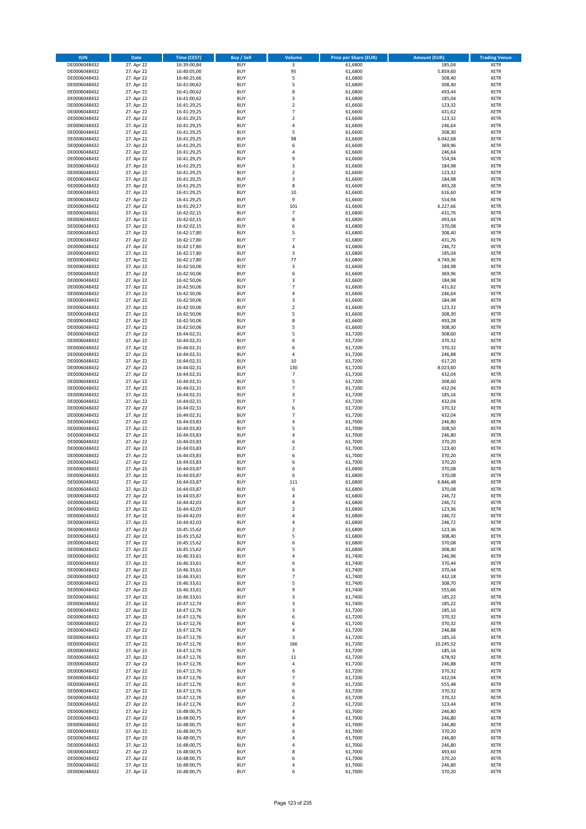| <b>ISIN</b>                  | <b>Date</b>              | <b>Time (CEST)</b>         | <b>Buy / Sell</b>        | <b>Volume</b>                | <b>Price per Share (EUR)</b> | <b>Amount (EUR)</b> | <b>Trading Venue</b>       |
|------------------------------|--------------------------|----------------------------|--------------------------|------------------------------|------------------------------|---------------------|----------------------------|
| DE0006048432                 | 27. Apr 22               | 16:39:00,84                | <b>BUY</b>               | $\overline{\mathbf{3}}$      | 61,6800                      | 185,04              | <b>XETR</b>                |
| DE0006048432                 | 27. Apr 22               | 16:40:05,00                | <b>BUY</b>               | 95                           | 61,6800                      | 5.859,60            | <b>XETR</b>                |
| DE0006048432                 | 27. Apr 22               | 16:40:25,66                | <b>BUY</b>               | 5                            | 61,6800                      | 308,40              | <b>XETR</b>                |
| DE0006048432<br>DE0006048432 | 27. Apr 22<br>27. Apr 22 | 16:41:00,62<br>16:41:00,62 | <b>BUY</b><br><b>BUY</b> | 5<br>8                       | 61,6800<br>61,6800           | 308,40<br>493,44    | <b>XETR</b><br><b>XETR</b> |
| DE0006048432                 | 27. Apr 22               | 16:41:00,62                | <b>BUY</b>               | 3                            | 61,6800                      | 185,04              | <b>XETR</b>                |
| DE0006048432                 | 27. Apr 22               | 16:41:29,25                | <b>BUY</b>               | $\mathbf 2$                  | 61,6600                      | 123,32              | <b>XETR</b>                |
| DE0006048432                 | 27. Apr 22               | 16:41:29,25                | <b>BUY</b>               | $\overline{7}$               | 61,6600                      | 431,62              | <b>XETR</b>                |
| DE0006048432                 | 27. Apr 22               | 16:41:29,25                | <b>BUY</b>               | $\overline{2}$               | 61,6600                      | 123,32              | <b>XETR</b>                |
| DE0006048432                 | 27. Apr 22               | 16:41:29,25                | <b>BUY</b><br><b>BUY</b> | 4                            | 61,6600                      | 246,64              | <b>XETR</b>                |
| DE0006048432<br>DE0006048432 | 27. Apr 22<br>27. Apr 22 | 16:41:29,25<br>16:41:29,25 | <b>BUY</b>               | 5<br>98                      | 61,6600<br>61,6600           | 308,30<br>6.042,68  | <b>XETR</b><br><b>XETR</b> |
| DE0006048432                 | 27. Apr 22               | 16:41:29,25                | <b>BUY</b>               | 6                            | 61,6600                      | 369,96              | <b>XETR</b>                |
| DE0006048432                 | 27. Apr 22               | 16:41:29,25                | <b>BUY</b>               | 4                            | 61,6600                      | 246,64              | <b>XETR</b>                |
| DE0006048432                 | 27. Apr 22               | 16:41:29,25                | <b>BUY</b>               | 9                            | 61,6600                      | 554,94              | <b>XETR</b>                |
| DE0006048432                 | 27. Apr 22               | 16:41:29,25                | <b>BUY</b>               | 3                            | 61,6600                      | 184,98              | <b>XETR</b>                |
| DE0006048432<br>DE0006048432 | 27. Apr 22<br>27. Apr 22 | 16:41:29,25<br>16:41:29,25 | <b>BUY</b><br><b>BUY</b> | $\overline{2}$<br>3          | 61,6600<br>61,6600           | 123,32<br>184,98    | <b>XETR</b><br><b>XETR</b> |
| DE0006048432                 | 27. Apr 22               | 16:41:29,25                | <b>BUY</b>               | 8                            | 61,6600                      | 493,28              | <b>XETR</b>                |
| DE0006048432                 | 27. Apr 22               | 16:41:29,25                | <b>BUY</b>               | 10                           | 61,6600                      | 616,60              | <b>XETR</b>                |
| DE0006048432                 | 27. Apr 22               | 16:41:29,25                | <b>BUY</b>               | 9                            | 61,6600                      | 554,94              | <b>XETR</b>                |
| DE0006048432                 | 27. Apr 22               | 16:41:29,27                | <b>BUY</b>               | 101                          | 61,6600                      | 6.227,66            | <b>XETR</b>                |
| DE0006048432                 | 27. Apr 22<br>27. Apr 22 | 16:42:02,15                | <b>BUY</b><br><b>BUY</b> | $\overline{7}$<br>8          | 61,6800<br>61,6800           | 431,76<br>493,44    | <b>XETR</b><br><b>XETR</b> |
| DE0006048432<br>DE0006048432 | 27. Apr 22               | 16:42:02,15<br>16:42:02,15 | <b>BUY</b>               | 6                            | 61,6800                      | 370,08              | <b>XETR</b>                |
| DE0006048432                 | 27. Apr 22               | 16:42:17,80                | <b>BUY</b>               | 5                            | 61,6800                      | 308,40              | <b>XETR</b>                |
| DE0006048432                 | 27. Apr 22               | 16:42:17,80                | <b>BUY</b>               | $\overline{7}$               | 61,6800                      | 431,76              | <b>XETR</b>                |
| DE0006048432                 | 27. Apr 22               | 16:42:17,80                | <b>BUY</b>               | 4                            | 61,6800                      | 246,72              | <b>XETR</b>                |
| DE0006048432                 | 27. Apr 22               | 16:42:17,80                | <b>BUY</b><br><b>BUY</b> | 3<br>77                      | 61,6800                      | 185,04<br>4.749,36  | <b>XETR</b><br><b>XETR</b> |
| DE0006048432<br>DE0006048432 | 27. Apr 22<br>27. Apr 22 | 16:42:17,80<br>16:42:50,06 | <b>BUY</b>               | 3                            | 61,6800<br>61,6600           | 184,98              | <b>XETR</b>                |
| DE0006048432                 | 27. Apr 22               | 16:42:50,06                | <b>BUY</b>               | 6                            | 61,6600                      | 369,96              | <b>XETR</b>                |
| DE0006048432                 | 27. Apr 22               | 16:42:50,06                | <b>BUY</b>               | 3                            | 61,6600                      | 184,98              | <b>XETR</b>                |
| DE0006048432                 | 27. Apr 22               | 16:42:50,06                | <b>BUY</b>               | $\overline{7}$               | 61,6600                      | 431,62              | <b>XETR</b>                |
| DE0006048432                 | 27. Apr 22               | 16:42:50,06                | <b>BUY</b>               | 4                            | 61,6600                      | 246,64              | <b>XETR</b>                |
| DE0006048432                 | 27. Apr 22               | 16:42:50,06                | <b>BUY</b><br><b>BUY</b> | 3<br>$\overline{\mathbf{c}}$ | 61,6600                      | 184,98              | <b>XETR</b><br><b>XETR</b> |
| DE0006048432<br>DE0006048432 | 27. Apr 22<br>27. Apr 22 | 16:42:50,06<br>16:42:50,06 | <b>BUY</b>               | 5                            | 61,6600<br>61,6600           | 123,32<br>308,30    | <b>XETR</b>                |
| DE0006048432                 | 27. Apr 22               | 16:42:50,06                | <b>BUY</b>               | 8                            | 61,6600                      | 493,28              | <b>XETR</b>                |
| DE0006048432                 | 27. Apr 22               | 16:42:50,06                | <b>BUY</b>               | 5                            | 61,6600                      | 308,30              | <b>XETR</b>                |
| DE0006048432                 | 27. Apr 22               | 16:44:02,31                | <b>BUY</b>               | 5                            | 61,7200                      | 308,60              | <b>XETR</b>                |
| DE0006048432                 | 27. Apr 22               | 16:44:02,31                | <b>BUY</b>               | 6                            | 61,7200                      | 370,32              | <b>XETR</b>                |
| DE0006048432                 | 27. Apr 22               | 16:44:02,31                | <b>BUY</b><br><b>BUY</b> | 6                            | 61,7200                      | 370,32              | <b>XETR</b><br><b>XETR</b> |
| DE0006048432<br>DE0006048432 | 27. Apr 22<br>27. Apr 22 | 16:44:02,31<br>16:44:02,31 | <b>BUY</b>               | 4<br>10                      | 61,7200<br>61,7200           | 246,88<br>617,20    | <b>XETR</b>                |
| DE0006048432                 | 27. Apr 22               | 16:44:02,31                | <b>BUY</b>               | 130                          | 61,7200                      | 8.023,60            | <b>XETR</b>                |
| DE0006048432                 | 27. Apr 22               | 16:44:02,31                | <b>BUY</b>               | $\overline{7}$               | 61,7200                      | 432,04              | <b>XETR</b>                |
| DE0006048432                 | 27. Apr 22               | 16:44:02,31                | <b>BUY</b>               | 5                            | 61,7200                      | 308,60              | <b>XETR</b>                |
| DE0006048432                 | 27. Apr 22               | 16:44:02,31                | <b>BUY</b>               | $\overline{7}$               | 61,7200                      | 432,04              | <b>XETR</b>                |
| DE0006048432<br>DE0006048432 | 27. Apr 22<br>27. Apr 22 | 16:44:02,31<br>16:44:02,31 | <b>BUY</b><br><b>BUY</b> | 3<br>$\overline{7}$          | 61,7200<br>61,7200           | 185,16<br>432,04    | <b>XETR</b><br><b>XETR</b> |
| DE0006048432                 | 27. Apr 22               | 16:44:02,31                | <b>BUY</b>               | 6                            | 61,7200                      | 370,32              | <b>XETR</b>                |
| DE0006048432                 | 27. Apr 22               | 16:44:02,31                | <b>BUY</b>               | $\overline{7}$               | 61,7200                      | 432,04              | <b>XETR</b>                |
| DE0006048432                 | 27. Apr 22               | 16:44:03,83                | <b>BUY</b>               | 4                            | 61,7000                      | 246,80              | <b>XETR</b>                |
| DE0006048432                 | 27. Apr 22               | 16:44:03,83                | <b>BUY</b>               | 5                            | 61,7000                      | 308,50              | <b>XETR</b>                |
| DE0006048432                 | 27. Apr 22               | 16:44:03,83                | <b>BUY</b>               | 4                            | 61,7000                      | 246,80              | <b>XETR</b>                |
| DE0006048432<br>DE0006048432 | 27. Apr 22<br>27. Apr 22 | 16:44:03,83<br>16:44:03,83 | <b>BUY</b><br><b>BUY</b> | 6<br>$\overline{\mathbf{c}}$ | 61,7000<br>61,7000           | 370,20<br>123,40    | <b>XETR</b><br><b>XETR</b> |
| DE0006048432                 | 27. Apr 22               | 16:44:03,83                | <b>BUY</b>               | 6                            | 61,7000                      | 370,20              | <b>XETR</b>                |
| DE0006048432                 | 27. Apr 22               | 16:44:03,83                | <b>BUY</b>               | 6                            | 61,7000                      | 370,20              | <b>XETR</b>                |
| DE0006048432                 | 27. Apr 22               | 16:44:03,87                | <b>BUY</b>               | 6                            | 61,6800                      | 370,08              | <b>XETR</b>                |
| DE0006048432                 | 27. Apr 22               | 16:44:03,87                | <b>BUY</b>               | 6                            | 61,6800                      | 370,08              | <b>XETR</b>                |
| DE0006048432<br>DE0006048432 | 27. Apr 22<br>27. Apr 22 | 16:44:03,87<br>16:44:03,87 | <b>BUY</b><br><b>BUY</b> | 111<br>6                     | 61,6800<br>61,6800           | 6.846,48<br>370,08  | <b>XETR</b><br><b>XETR</b> |
| DE0006048432                 | 27. Apr 22               | 16:44:03,87                | BUY                      | 4                            | 61,6800                      | 246,72              | <b>XETR</b>                |
| DE0006048432                 | 27. Apr 22               | 16:44:42,03                | <b>BUY</b>               | 4                            | 61,6800                      | 246,72              | <b>XETR</b>                |
| DE0006048432                 | 27. Apr 22               | 16:44:42,03                | <b>BUY</b>               | $\mathbf 2$                  | 61,6800                      | 123,36              | <b>XETR</b>                |
| DE0006048432                 | 27. Apr 22               | 16:44:42,03                | <b>BUY</b>               | 4                            | 61,6800                      | 246,72              | XETR                       |
| DE0006048432<br>DE0006048432 | 27. Apr 22<br>27. Apr 22 | 16:44:42,03<br>16:45:15,62 | <b>BUY</b><br><b>BUY</b> | 4<br>$\mathbf 2$             | 61,6800<br>61,6800           | 246,72<br>123,36    | <b>XETR</b><br><b>XETR</b> |
| DE0006048432                 | 27. Apr 22               | 16:45:15,62                | <b>BUY</b>               | 5                            | 61,6800                      | 308,40              | <b>XETR</b>                |
| DE0006048432                 | 27. Apr 22               | 16:45:15,62                | <b>BUY</b>               | 6                            | 61,6800                      | 370,08              | <b>XETR</b>                |
| DE0006048432                 | 27. Apr 22               | 16:45:15,62                | <b>BUY</b>               | 5                            | 61,6800                      | 308,40              | <b>XETR</b>                |
| DE0006048432                 | 27. Apr 22               | 16:46:33,61                | <b>BUY</b>               | 4                            | 61,7400                      | 246,96              | <b>XETR</b>                |
| DE0006048432<br>DE0006048432 | 27. Apr 22<br>27. Apr 22 | 16:46:33,61<br>16:46:33,61 | <b>BUY</b><br><b>BUY</b> | 6<br>6                       | 61,7400<br>61.7400           | 370,44<br>370,44    | XETR<br><b>XETR</b>        |
| DE0006048432                 | 27. Apr 22               | 16:46:33,61                | <b>BUY</b>               | $\overline{7}$               | 61,7400                      | 432,18              | <b>XETR</b>                |
| DE0006048432                 | 27. Apr 22               | 16:46:33,61                | <b>BUY</b>               | 5                            | 61,7400                      | 308,70              | <b>XETR</b>                |
| DE0006048432                 | 27. Apr 22               | 16:46:33,61                | <b>BUY</b>               | 9                            | 61,7400                      | 555,66              | <b>XETR</b>                |
| DE0006048432                 | 27. Apr 22               | 16:46:33,61                | <b>BUY</b>               | 3                            | 61,7400                      | 185,22              | <b>XETR</b>                |
| DE0006048432<br>DE0006048432 | 27. Apr 22<br>27. Apr 22 | 16:47:12,74<br>16:47:12,76 | <b>BUY</b><br><b>BUY</b> | 3<br>3                       | 61,7400<br>61,7200           | 185,22<br>185,16    | <b>XETR</b><br><b>XETR</b> |
| DE0006048432                 | 27. Apr 22               | 16:47:12,76                | <b>BUY</b>               | 6                            | 61,7200                      | 370,32              | XETR                       |
| DE0006048432                 | 27. Apr 22               | 16:47:12,76                | <b>BUY</b>               | 6                            | 61,7200                      | 370,32              | <b>XETR</b>                |
| DE0006048432                 | 27. Apr 22               | 16:47:12,76                | <b>BUY</b>               | 4                            | 61,7200                      | 246,88              | <b>XETR</b>                |
| DE0006048432                 | 27. Apr 22               | 16:47:12,76                | <b>BUY</b>               | 3                            | 61,7200                      | 185,16              | <b>XETR</b>                |
| DE0006048432                 | 27. Apr 22               | 16:47:12,76                | <b>BUY</b><br><b>BUY</b> | 166<br>3                     | 61,7200                      | 10.245,52           | <b>XETR</b>                |
| DE0006048432<br>DE0006048432 | 27. Apr 22<br>27. Apr 22 | 16:47:12,76<br>16:47:12,76 | <b>BUY</b>               | 11                           | 61,7200<br>61,7200           | 185,16<br>678,92    | <b>XETR</b><br><b>XETR</b> |
| DE0006048432                 | 27. Apr 22               | 16:47:12,76                | <b>BUY</b>               | 4                            | 61,7200                      | 246,88              | <b>XETR</b>                |
| DE0006048432                 | 27. Apr 22               | 16:47:12,76                | <b>BUY</b>               | 6                            | 61,7200                      | 370,32              | <b>XETR</b>                |
| DE0006048432                 | 27. Apr 22               | 16:47:12,76                | <b>BUY</b>               | $\overline{7}$               | 61,7200                      | 432,04              | <b>XETR</b>                |
| DE0006048432                 | 27. Apr 22               | 16:47:12,76                | <b>BUY</b>               | 9                            | 61,7200                      | 555,48              | <b>XETR</b>                |
| DE0006048432<br>DE0006048432 | 27. Apr 22               | 16:47:12,76                | <b>BUY</b><br><b>BUY</b> | 6<br>6                       | 61,7200                      | 370,32              | XETR<br><b>XETR</b>        |
| DE0006048432                 | 27. Apr 22<br>27. Apr 22 | 16:47:12,76<br>16:47:12,76 | <b>BUY</b>               | $\mathbf 2$                  | 61,7200<br>61,7200           | 370,32<br>123,44    | <b>XETR</b>                |
| DE0006048432                 | 27. Apr 22               | 16:48:00,75                | <b>BUY</b>               | 4                            | 61,7000                      | 246,80              | <b>XETR</b>                |
| DE0006048432                 | 27. Apr 22               | 16:48:00,75                | <b>BUY</b>               | 4                            | 61,7000                      | 246,80              | <b>XETR</b>                |
| DE0006048432                 | 27. Apr 22               | 16:48:00,75                | <b>BUY</b>               | 4                            | 61,7000                      | 246,80              | <b>XETR</b>                |
| DE0006048432                 | 27. Apr 22               | 16:48:00,75                | <b>BUY</b>               | 6                            | 61,7000                      | 370,20              | <b>XETR</b>                |
| DE0006048432<br>DE0006048432 | 27. Apr 22<br>27. Apr 22 | 16:48:00,75<br>16:48:00,75 | <b>BUY</b><br><b>BUY</b> | $\overline{a}$<br>4          | 61,7000<br>61,7000           | 246,80<br>246,80    | <b>XETR</b><br>XETR        |
| DE0006048432                 | 27. Apr 22               | 16:48:00,75                | <b>BUY</b>               | 8                            | 61,7000                      | 493,60              | <b>XETR</b>                |
| DE0006048432                 | 27. Apr 22               | 16:48:00,75                | <b>BUY</b>               | 6                            | 61,7000                      | 370,20              | <b>XETR</b>                |
| DE0006048432                 | 27. Apr 22               | 16:48:00,75                | <b>BUY</b>               | 4                            | 61,7000                      | 246,80              | <b>XETR</b>                |
| DE0006048432                 | 27. Apr 22               | 16:48:00,75                | <b>BUY</b>               | 6                            | 61,7000                      | 370,20              | XETR                       |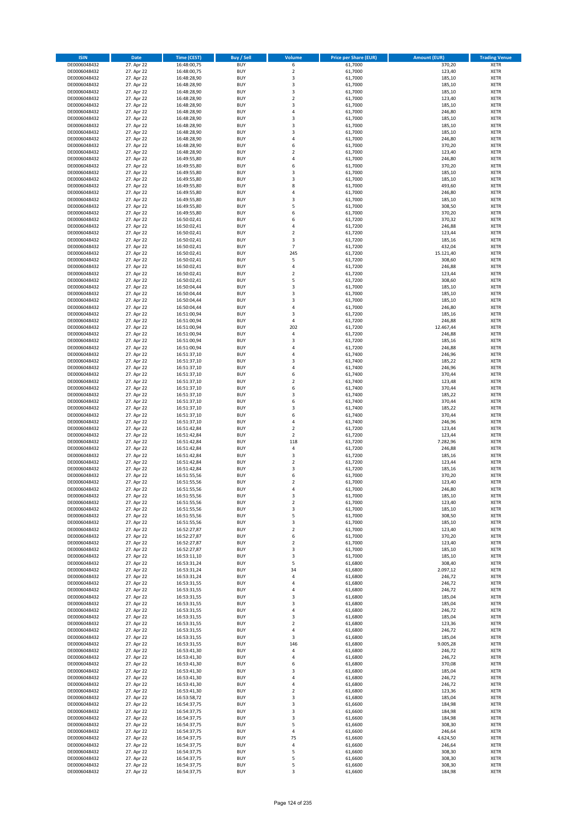| <b>ISIN</b>                  | Date                     | Time (CEST)                | <b>Buy / Sell</b>        | <b>Volume</b>           | <b>Price per Share (EUR)</b> | <b>Amount (EUR)</b> | <b>Trading Venue</b>       |
|------------------------------|--------------------------|----------------------------|--------------------------|-------------------------|------------------------------|---------------------|----------------------------|
| DE0006048432                 | 27. Apr 22               | 16:48:00,75                | <b>BUY</b>               | 6                       | 61,7000                      | 370,20              | <b>XETR</b>                |
| DE0006048432                 | 27. Apr 22               | 16:48:00,75                | <b>BUY</b>               | $\mathbf 2$             | 61,7000                      | 123,40              | XETR                       |
| DE0006048432                 | 27. Apr 22               | 16:48:28,90                | <b>BUY</b>               | 3                       | 61,7000                      | 185,10              | <b>XETR</b>                |
| DE0006048432                 | 27. Apr 22               | 16:48:28,90                | <b>BUY</b>               | $\mathsf 3$             | 61,7000                      | 185,10              | XETR                       |
| DE0006048432<br>DE0006048432 | 27. Apr 22<br>27. Apr 22 | 16:48:28,90<br>16:48:28,90 | <b>BUY</b><br><b>BUY</b> | 3<br>$\mathbf 2$        | 61,7000<br>61,7000           | 185,10<br>123,40    | <b>XETR</b><br><b>XETR</b> |
| DE0006048432                 | 27. Apr 22               | 16:48:28,90                | <b>BUY</b>               | 3                       | 61,7000                      | 185,10              | <b>XETR</b>                |
| DE0006048432                 | 27. Apr 22               | 16:48:28,90                | <b>BUY</b>               | 4                       | 61,7000                      | 246,80              | <b>XETR</b>                |
| DE0006048432                 | 27. Apr 22               | 16:48:28,90                | <b>BUY</b>               | 3                       | 61,7000                      | 185,10              | <b>XETR</b>                |
| DE0006048432                 | 27. Apr 22               | 16:48:28,90                | <b>BUY</b>               | 3                       | 61,7000                      | 185,10              | <b>XETR</b>                |
| DE0006048432                 | 27. Apr 22               | 16:48:28,90                | <b>BUY</b>               | $\mathsf 3$             | 61,7000                      | 185,10              | <b>XETR</b>                |
| DE0006048432                 | 27. Apr 22               | 16:48:28,90                | <b>BUY</b>               | 4<br>6                  | 61,7000                      | 246,80              | <b>XETR</b>                |
| DE0006048432<br>DE0006048432 | 27. Apr 22<br>27. Apr 22 | 16:48:28,90<br>16:48:28,90 | <b>BUY</b><br><b>BUY</b> | $\overline{2}$          | 61,7000<br>61,7000           | 370,20<br>123,40    | <b>XETR</b><br><b>XETR</b> |
| DE0006048432                 | 27. Apr 22               | 16:49:55,80                | <b>BUY</b>               | 4                       | 61,7000                      | 246,80              | <b>XETR</b>                |
| DE0006048432                 | 27. Apr 22               | 16:49:55,80                | <b>BUY</b>               | 6                       | 61,7000                      | 370,20              | <b>XETR</b>                |
| DE0006048432                 | 27. Apr 22               | 16:49:55,80                | <b>BUY</b>               | 3                       | 61,7000                      | 185,10              | <b>XETR</b>                |
| DE0006048432                 | 27. Apr 22               | 16:49:55,80                | <b>BUY</b>               | 3                       | 61,7000                      | 185,10              | <b>XETR</b>                |
| DE0006048432                 | 27. Apr 22               | 16:49:55,80                | <b>BUY</b>               | 8                       | 61,7000                      | 493,60              | <b>XETR</b>                |
| DE0006048432<br>DE0006048432 | 27. Apr 22<br>27. Apr 22 | 16:49:55,80<br>16:49:55,80 | <b>BUY</b><br><b>BUY</b> | 4<br>3                  | 61,7000<br>61,7000           | 246,80<br>185,10    | <b>XETR</b><br><b>XETR</b> |
| DE0006048432                 | 27. Apr 22               | 16:49:55,80                | <b>BUY</b>               | 5                       | 61,7000                      | 308,50              | <b>XETR</b>                |
| DE0006048432                 | 27. Apr 22               | 16:49:55,80                | <b>BUY</b>               | 6                       | 61,7000                      | 370,20              | <b>XETR</b>                |
| DE0006048432                 | 27. Apr 22               | 16:50:02,41                | <b>BUY</b>               | 6                       | 61,7200                      | 370,32              | <b>XETR</b>                |
| DE0006048432                 | 27. Apr 22               | 16:50:02,41                | <b>BUY</b>               | $\pmb{4}$               | 61,7200                      | 246,88              | <b>XETR</b>                |
| DE0006048432                 | 27. Apr 22               | 16:50:02,41                | <b>BUY</b>               | $\mathbf 2$             | 61,7200                      | 123,44              | <b>XETR</b>                |
| DE0006048432                 | 27. Apr 22               | 16:50:02,41                | <b>BUY</b>               | 3                       | 61,7200                      | 185,16              | <b>XETR</b>                |
| DE0006048432                 | 27. Apr 22               | 16:50:02,41<br>16:50:02,41 | <b>BUY</b><br><b>BUY</b> | $\overline{7}$<br>245   | 61,7200                      | 432,04<br>15.121,40 | <b>XETR</b>                |
| DE0006048432<br>DE0006048432 | 27. Apr 22<br>27. Apr 22 | 16:50:02,41                | <b>BUY</b>               | 5                       | 61,7200<br>61,7200           | 308,60              | <b>XETR</b><br><b>XETR</b> |
| DE0006048432                 | 27. Apr 22               | 16:50:02,41                | <b>BUY</b>               | 4                       | 61,7200                      | 246,88              | <b>XETR</b>                |
| DE0006048432                 | 27. Apr 22               | 16:50:02,41                | <b>BUY</b>               | $\mathbf 2$             | 61,7200                      | 123,44              | <b>XETR</b>                |
| DE0006048432                 | 27. Apr 22               | 16:50:02,41                | <b>BUY</b>               | 5                       | 61,7200                      | 308,60              | <b>XETR</b>                |
| DE0006048432                 | 27. Apr 22               | 16:50:04,44                | <b>BUY</b>               | 3                       | 61,7000                      | 185,10              | <b>XETR</b>                |
| DE0006048432                 | 27. Apr 22               | 16:50:04,44                | <b>BUY</b>               | 3                       | 61,7000                      | 185,10              | <b>XETR</b>                |
| DE0006048432                 | 27. Apr 22               | 16:50:04,44                | <b>BUY</b>               | 3                       | 61,7000                      | 185,10              | <b>XETR</b>                |
| DE0006048432                 | 27. Apr 22               | 16:50:04,44                | <b>BUY</b>               | $\overline{4}$          | 61,7000                      | 246,80              | <b>XETR</b>                |
| DE0006048432                 | 27. Apr 22               | 16:51:00,94                | <b>BUY</b><br><b>BUY</b> | 3<br>$\pmb{4}$          | 61,7200                      | 185,16              | <b>XETR</b><br><b>XETR</b> |
| DE0006048432<br>DE0006048432 | 27. Apr 22<br>27. Apr 22 | 16:51:00,94<br>16:51:00,94 | <b>BUY</b>               | 202                     | 61,7200<br>61,7200           | 246,88<br>12.467,44 | <b>XETR</b>                |
| DE0006048432                 | 27. Apr 22               | 16:51:00,94                | <b>BUY</b>               | 4                       | 61,7200                      | 246,88              | <b>XETR</b>                |
| DE0006048432                 | 27. Apr 22               | 16:51:00,94                | <b>BUY</b>               | 3                       | 61,7200                      | 185,16              | <b>XETR</b>                |
| DE0006048432                 | 27. Apr 22               | 16:51:00,94                | <b>BUY</b>               | 4                       | 61,7200                      | 246,88              | <b>XETR</b>                |
| DE0006048432                 | 27. Apr 22               | 16:51:37,10                | <b>BUY</b>               | 4                       | 61,7400                      | 246,96              | <b>XETR</b>                |
| DE0006048432                 | 27. Apr 22               | 16:51:37,10                | <b>BUY</b>               | 3                       | 61,7400                      | 185,22              | <b>XETR</b>                |
| DE0006048432                 | 27. Apr 22               | 16:51:37,10                | <b>BUY</b>               | 4                       | 61,7400                      | 246,96              | <b>XETR</b>                |
| DE0006048432                 | 27. Apr 22               | 16:51:37,10                | <b>BUY</b>               | 6                       | 61,7400                      | 370,44              | <b>XETR</b>                |
| DE0006048432                 | 27. Apr 22               | 16:51:37,10                | <b>BUY</b>               | $\mathbf 2$             | 61,7400                      | 123,48              | <b>XETR</b>                |
| DE0006048432<br>DE0006048432 | 27. Apr 22<br>27. Apr 22 | 16:51:37,10<br>16:51:37,10 | <b>BUY</b><br><b>BUY</b> | 6<br>3                  | 61,7400<br>61,7400           | 370,44<br>185,22    | <b>XETR</b><br><b>XETR</b> |
| DE0006048432                 | 27. Apr 22               | 16:51:37,10                | <b>BUY</b>               | 6                       | 61,7400                      | 370,44              | <b>XETR</b>                |
| DE0006048432                 | 27. Apr 22               | 16:51:37,10                | <b>BUY</b>               | 3                       | 61,7400                      | 185,22              | <b>XETR</b>                |
| DE0006048432                 | 27. Apr 22               | 16:51:37,10                | <b>BUY</b>               | 6                       | 61,7400                      | 370,44              | <b>XETR</b>                |
| DE0006048432                 | 27. Apr 22               | 16:51:37,10                | <b>BUY</b>               | 4                       | 61,7400                      | 246,96              | <b>XETR</b>                |
| DE0006048432                 | 27. Apr 22               | 16:51:42,84                | <b>BUY</b>               | $\overline{\mathbf{c}}$ | 61,7200                      | 123,44              | <b>XETR</b>                |
| DE0006048432                 | 27. Apr 22               | 16:51:42,84                | <b>BUY</b>               | $\mathbf 2$             | 61,7200                      | 123,44              | <b>XETR</b>                |
| DE0006048432                 | 27. Apr 22               | 16:51:42,84                | <b>BUY</b>               | 118                     | 61,7200                      | 7.282,96            | <b>XETR</b>                |
| DE0006048432                 | 27. Apr 22               | 16:51:42,84                | <b>BUY</b>               | 4                       | 61,7200                      | 246,88              | <b>XETR</b>                |
| DE0006048432<br>DE0006048432 | 27. Apr 22<br>27. Apr 22 | 16:51:42,84<br>16:51:42,84 | <b>BUY</b><br><b>BUY</b> | 3<br>$\mathbf 2$        | 61,7200<br>61,7200           | 185,16<br>123,44    | <b>XETR</b><br><b>XETR</b> |
| DE0006048432                 | 27. Apr 22               | 16:51:42,84                | <b>BUY</b>               | 3                       | 61,7200                      | 185,16              | <b>XETR</b>                |
| DE0006048432                 | 27. Apr 22               | 16:51:55,56                | <b>BUY</b>               | 6                       | 61,7000                      | 370,20              | <b>XETR</b>                |
| DE0006048432                 | 27. Apr 22               | 16:51:55,56                | <b>BUY</b>               | $\overline{2}$          | 61,7000                      | 123,40              | <b>XETR</b>                |
| DE0006048432                 | 27. Apr 22               | 16:51:55,56                | <b>BUY</b>               | $\overline{a}$          | 61,7000                      | 246,80              | <b>XETR</b>                |
| DE0006048432                 | 27. Apr 22               | 16:51:55,56                | BUY                      | 3                       | 61,7000                      | 185,10              | XETR                       |
| DE0006048432                 | 27. Apr 22               | 16:51:55,56                | <b>BUY</b>               | $\mathbf 2$             | 61,7000                      | 123,40              | <b>XETR</b>                |
| DE0006048432                 | 27. Apr 22               | 16:51:55,56<br>16:51:55,56 | <b>BUY</b><br><b>BUY</b> | 3                       | 61,7000<br>61,7000           | 185,10              | <b>XETR</b>                |
| DE0006048432<br>DE0006048432 | 27. Apr 22<br>27. Apr 22 | 16:51:55,56                | <b>BUY</b>               | 5<br>3                  | 61,7000                      | 308,50<br>185,10    | XETR<br>XETR               |
| DE0006048432                 | 27. Apr 22               | 16:52:27,87                | <b>BUY</b>               | $\mathbf 2$             | 61,7000                      | 123,40              | <b>XETR</b>                |
| DE0006048432                 | 27. Apr 22               | 16:52:27,87                | <b>BUY</b>               | 6                       | 61,7000                      | 370,20              | <b>XETR</b>                |
| DE0006048432                 | 27. Apr 22               | 16:52:27,87                | <b>BUY</b>               | $\mathbf 2$             | 61,7000                      | 123,40              | <b>XETR</b>                |
| DE0006048432                 | 27. Apr 22               | 16:52:27,87                | <b>BUY</b>               | 3                       | 61,7000                      | 185,10              | XETR                       |
| DE0006048432                 | 27. Apr 22               | 16:53:11,10                | <b>BUY</b>               | 3                       | 61,7000                      | 185,10              | <b>XETR</b>                |
| DE0006048432                 | 27. Apr 22               | 16:53:31,24                | <b>BUY</b>               | 5                       | 61,6800                      | 308,40              | XETR                       |
| DE0006048432<br>DE0006048432 | 27. Apr 22<br>27. Apr 22 | 16:53:31,24                | <b>BUY</b><br><b>BUY</b> | 34<br>4                 | 61,6800<br>61,6800           | 2.097,12<br>246,72  | <b>XETR</b><br>XETR        |
| DE0006048432                 | 27. Apr 22               | 16:53:31,24<br>16:53:31,55 | <b>BUY</b>               | 4                       | 61,6800                      | 246,72              | <b>XETR</b>                |
| DE0006048432                 | 27. Apr 22               | 16:53:31,55                | <b>BUY</b>               | 4                       | 61,6800                      | 246,72              | XETR                       |
| DE0006048432                 | 27. Apr 22               | 16:53:31,55                | <b>BUY</b>               | 3                       | 61,6800                      | 185,04              | <b>XETR</b>                |
| DE0006048432                 | 27. Apr 22               | 16:53:31,55                | <b>BUY</b>               | 3                       | 61,6800                      | 185,04              | <b>XETR</b>                |
| DE0006048432                 | 27. Apr 22               | 16:53:31,55                | <b>BUY</b>               | 4                       | 61,6800                      | 246,72              | <b>XETR</b>                |
| DE0006048432                 | 27. Apr 22               | 16:53:31,55                | <b>BUY</b>               | 3                       | 61,6800                      | 185,04              | XETR                       |
| DE0006048432                 | 27. Apr 22               | 16:53:31,55                | <b>BUY</b>               | $\overline{2}$          | 61,6800                      | 123,36              | XETR                       |
| DE0006048432<br>DE0006048432 | 27. Apr 22<br>27. Apr 22 | 16:53:31,55<br>16:53:31,55 | <b>BUY</b><br><b>BUY</b> | $\pmb{4}$<br>3          | 61,6800<br>61,6800           | 246,72<br>185,04    | <b>XETR</b><br><b>XETR</b> |
| DE0006048432                 | 27. Apr 22               | 16:53:31,55                | <b>BUY</b>               | 146                     | 61,6800                      | 9.005,28            | XETR                       |
| DE0006048432                 | 27. Apr 22               | 16:53:41,30                | <b>BUY</b>               | 4                       | 61,6800                      | 246,72              | <b>XETR</b>                |
| DE0006048432                 | 27. Apr 22               | 16:53:41,30                | <b>BUY</b>               | 4                       | 61,6800                      | 246,72              | XETR                       |
| DE0006048432                 | 27. Apr 22               | 16:53:41,30                | <b>BUY</b>               | 6                       | 61,6800                      | 370,08              | <b>XETR</b>                |
| DE0006048432                 | 27. Apr 22               | 16:53:41,30                | <b>BUY</b>               | 3                       | 61,6800                      | 185,04              | XETR                       |
| DE0006048432                 | 27. Apr 22               | 16:53:41,30                | <b>BUY</b>               | 4                       | 61,6800                      | 246,72              | <b>XETR</b>                |
| DE0006048432                 | 27. Apr 22               | 16:53:41,30                | <b>BUY</b>               | $\pmb{4}$               | 61,6800                      | 246,72              | <b>XETR</b>                |
| DE0006048432                 | 27. Apr 22               | 16:53:41,30                | <b>BUY</b>               | $\overline{2}$          | 61,6800                      | 123,36              | XETR                       |
| DE0006048432<br>DE0006048432 | 27. Apr 22<br>27. Apr 22 | 16:53:58,72<br>16:54:37,75 | <b>BUY</b><br><b>BUY</b> | 3<br>3                  | 61,6800<br>61,6600           | 185,04<br>184,98    | <b>XETR</b><br>XETR        |
| DE0006048432                 | 27. Apr 22               | 16:54:37,75                | <b>BUY</b>               | 3                       | 61,6600                      | 184,98              | XETR                       |
| DE0006048432                 | 27. Apr 22               | 16:54:37,75                | <b>BUY</b>               | 3                       | 61,6600                      | 184,98              | <b>XETR</b>                |
| DE0006048432                 | 27. Apr 22               | 16:54:37,75                | <b>BUY</b>               | 5                       | 61,6600                      | 308,30              | <b>XETR</b>                |
| DE0006048432                 | 27. Apr 22               | 16:54:37,75                | <b>BUY</b>               | $\pmb{4}$               | 61,6600                      | 246,64              | <b>XETR</b>                |
| DE0006048432                 | 27. Apr 22               | 16:54:37,75                | <b>BUY</b>               | 75                      | 61,6600                      | 4.624,50            | XETR                       |
| DE0006048432                 | 27. Apr 22               | 16:54:37,75                | <b>BUY</b>               | $\sqrt{4}$              | 61,6600                      | 246,64              | XETR                       |
| DE0006048432                 | 27. Apr 22               | 16:54:37,75                | <b>BUY</b>               | 5                       | 61,6600                      | 308,30              | <b>XETR</b>                |
| DE0006048432<br>DE0006048432 | 27. Apr 22<br>27. Apr 22 | 16:54:37,75<br>16:54:37,75 | <b>BUY</b><br><b>BUY</b> | 5<br>5                  | 61,6600<br>61,6600           | 308,30<br>308,30    | XETR<br><b>XETR</b>        |
| DE0006048432                 | 27. Apr 22               | 16:54:37,75                | <b>BUY</b>               | 3                       | 61,6600                      | 184,98              | <b>XETR</b>                |
|                              |                          |                            |                          |                         |                              |                     |                            |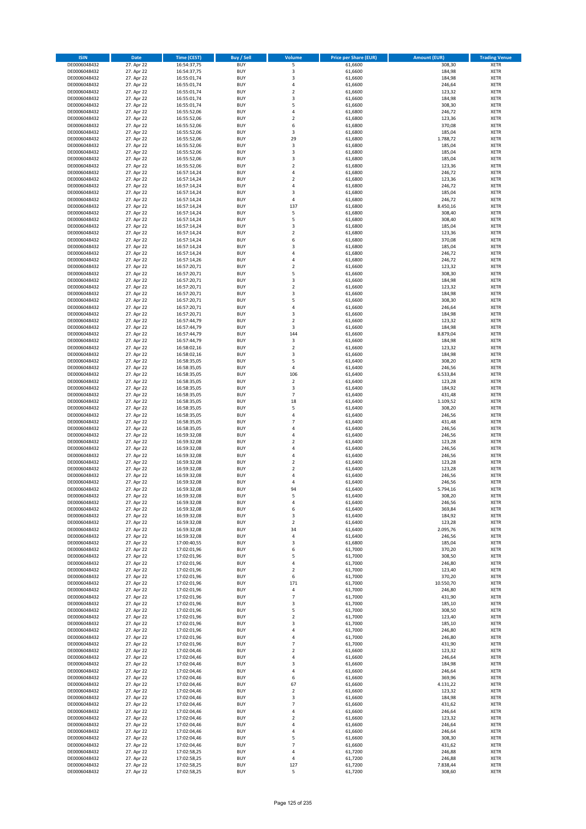| <b>ISIN</b>                  | <b>Date</b>              | <b>Time (CEST)</b>         | <b>Buy / Sell</b>        | Volume                                    | <b>Price per Share (EUR)</b> | <b>Amount (EUR)</b> | <b>Trading Venue</b>       |
|------------------------------|--------------------------|----------------------------|--------------------------|-------------------------------------------|------------------------------|---------------------|----------------------------|
| DE0006048432                 | 27. Apr 22               | 16:54:37,75                | <b>BUY</b>               | 5                                         | 61,6600                      | 308,30              | <b>XETR</b>                |
| DE0006048432                 | 27. Apr 22               | 16:54:37,75                | <b>BUY</b>               | 3                                         | 61,6600                      | 184,98              | <b>XETR</b>                |
| DE0006048432                 | 27. Apr 22               | 16:55:01,74                | <b>BUY</b>               | $\overline{\mathbf{3}}$                   | 61,6600                      | 184,98              | <b>XETR</b>                |
| DE0006048432                 | 27. Apr 22               | 16:55:01,74                | <b>BUY</b>               | 4                                         | 61,6600                      | 246,64              | <b>XETR</b>                |
| DE0006048432                 | 27. Apr 22               | 16:55:01,74                | <b>BUY</b>               | $\overline{2}$                            | 61,6600                      | 123,32              | <b>XETR</b>                |
| DE0006048432                 | 27. Apr 22               | 16:55:01,74                | <b>BUY</b>               | $\overline{\mathbf{3}}$                   | 61,6600                      | 184,98              | <b>XETR</b>                |
| DE0006048432                 | 27. Apr 22               | 16:55:01,74                | <b>BUY</b>               | 5                                         | 61,6600                      | 308,30              | <b>XETR</b>                |
| DE0006048432                 | 27. Apr 22               | 16:55:52,06                | <b>BUY</b>               | 4<br>$\overline{2}$                       | 61,6800                      | 246,72              | <b>XETR</b>                |
| DE0006048432                 | 27. Apr 22<br>27. Apr 22 | 16:55:52,06                | BUY<br><b>BUY</b>        | 6                                         | 61,6800<br>61,6800           | 123,36<br>370,08    | <b>XETR</b>                |
| DE0006048432<br>DE0006048432 | 27. Apr 22               | 16:55:52,06<br>16:55:52,06 | <b>BUY</b>               | 3                                         | 61,6800                      | 185,04              | <b>XETR</b><br><b>XETR</b> |
| DE0006048432                 | 27. Apr 22               | 16:55:52,06                | <b>BUY</b>               | 29                                        | 61,6800                      | 1.788,72            | <b>XETR</b>                |
| DE0006048432                 | 27. Apr 22               | 16:55:52,06                | BUY                      | $\mathsf 3$                               | 61,6800                      | 185,04              | <b>XETR</b>                |
| DE0006048432                 | 27. Apr 22               | 16:55:52,06                | <b>BUY</b>               | $\overline{\mathbf{3}}$                   | 61,6800                      | 185,04              | <b>XETR</b>                |
| DE0006048432                 | 27. Apr 22               | 16:55:52,06                | <b>BUY</b>               | $\overline{\mathbf{3}}$                   | 61,6800                      | 185,04              | <b>XETR</b>                |
| DE0006048432                 | 27. Apr 22               | 16:55:52,06                | BUY                      | $\overline{\phantom{a}}$                  | 61,6800                      | 123,36              | <b>XETR</b>                |
| DE0006048432                 | 27. Apr 22               | 16:57:14,24                | <b>BUY</b>               | $\overline{4}$                            | 61,6800                      | 246,72              | <b>XETR</b>                |
| DE0006048432                 | 27. Apr 22               | 16:57:14,24                | <b>BUY</b>               | $\overline{2}$                            | 61,6800                      | 123,36              | <b>XETR</b>                |
| DE0006048432                 | 27. Apr 22               | 16:57:14,24                | <b>BUY</b>               | $\overline{4}$                            | 61,6800                      | 246,72              | <b>XETR</b>                |
| DE0006048432                 | 27. Apr 22               | 16:57:14,24                | <b>BUY</b>               | $\overline{\mathbf{3}}$                   | 61,6800                      | 185,04              | <b>XETR</b>                |
| DE0006048432                 | 27. Apr 22               | 16:57:14,24                | <b>BUY</b>               | $\overline{a}$                            | 61,6800                      | 246,72              | <b>XETR</b>                |
| DE0006048432                 | 27. Apr 22               | 16:57:14,24                | <b>BUY</b><br><b>BUY</b> | 137<br>5                                  | 61,6800                      | 8.450,16            | <b>XETR</b><br><b>XETR</b> |
| DE0006048432<br>DE0006048432 | 27. Apr 22<br>27. Apr 22 | 16:57:14,24<br>16:57:14,24 | <b>BUY</b>               | 5                                         | 61,6800<br>61,6800           | 308,40<br>308,40    | <b>XETR</b>                |
| DE0006048432                 | 27. Apr 22               | 16:57:14,24                | <b>BUY</b>               | 3                                         | 61,6800                      | 185,04              | <b>XETR</b>                |
| DE0006048432                 | 27. Apr 22               | 16:57:14,24                | <b>BUY</b>               | $\mathbf 2$                               | 61,6800                      | 123,36              | <b>XETR</b>                |
| DE0006048432                 | 27. Apr 22               | 16:57:14,24                | <b>BUY</b>               | 6                                         | 61,6800                      | 370,08              | <b>XETR</b>                |
| DE0006048432                 | 27. Apr 22               | 16:57:14,24                | <b>BUY</b>               | 3                                         | 61,6800                      | 185,04              | <b>XETR</b>                |
| DE0006048432                 | 27. Apr 22               | 16:57:14,24                | <b>BUY</b>               | 4                                         | 61,6800                      | 246,72              | <b>XETR</b>                |
| DE0006048432                 | 27. Apr 22               | 16:57:14,26                | <b>BUY</b>               | 4                                         | 61,6800                      | 246,72              | <b>XETR</b>                |
| DE0006048432                 | 27. Apr 22               | 16:57:20,71                | <b>BUY</b>               | $\overline{2}$                            | 61,6600                      | 123,32              | <b>XETR</b>                |
| DE0006048432                 | 27. Apr 22               | 16:57:20,71                | <b>BUY</b>               | 5                                         | 61,6600                      | 308,30              | <b>XETR</b>                |
| DE0006048432                 | 27. Apr 22               | 16:57:20,71                | <b>BUY</b>               | 3                                         | 61,6600                      | 184,98              | <b>XETR</b>                |
| DE0006048432                 | 27. Apr 22               | 16:57:20,71                | <b>BUY</b><br><b>BUY</b> | $\mathbf 2$<br>$\overline{\mathbf{3}}$    | 61,6600                      | 123,32              | <b>XETR</b><br><b>XETR</b> |
| DE0006048432<br>DE0006048432 | 27. Apr 22<br>27. Apr 22 | 16:57:20,71<br>16:57:20,71 | <b>BUY</b>               | 5                                         | 61,6600<br>61,6600           | 184,98<br>308,30    | <b>XETR</b>                |
| DE0006048432                 | 27. Apr 22               | 16:57:20,71                | <b>BUY</b>               | 4                                         | 61,6600                      | 246,64              | <b>XETR</b>                |
| DE0006048432                 | 27. Apr 22               | 16:57:20,71                | BUY                      | $\overline{\mathbf{3}}$                   | 61,6600                      | 184,98              | <b>XETR</b>                |
| DE0006048432                 | 27. Apr 22               | 16:57:44,79                | <b>BUY</b>               | $\mathbf 2$                               | 61,6600                      | 123,32              | <b>XETR</b>                |
| DE0006048432                 | 27. Apr 22               | 16:57:44,79                | <b>BUY</b>               | 3                                         | 61,6600                      | 184,98              | <b>XETR</b>                |
| DE0006048432                 | 27. Apr 22               | 16:57:44,79                | <b>BUY</b>               | 144                                       | 61,6600                      | 8.879,04            | <b>XETR</b>                |
| DE0006048432                 | 27. Apr 22               | 16:57:44,79                | <b>BUY</b>               | 3                                         | 61,6600                      | 184,98              | <b>XETR</b>                |
| DE0006048432                 | 27. Apr 22               | 16:58:02,16                | <b>BUY</b>               | $\mathbf 2$                               | 61,6600                      | 123,32              | <b>XETR</b>                |
| DE0006048432                 | 27. Apr 22               | 16:58:02,16                | <b>BUY</b>               | 3                                         | 61,6600                      | 184,98              | <b>XETR</b>                |
| DE0006048432                 | 27. Apr 22               | 16:58:35,05                | <b>BUY</b>               | 5                                         | 61,6400                      | 308,20              | <b>XETR</b>                |
| DE0006048432                 | 27. Apr 22               | 16:58:35,05                | <b>BUY</b>               | 4                                         | 61,6400                      | 246,56              | <b>XETR</b>                |
| DE0006048432<br>DE0006048432 | 27. Apr 22<br>27. Apr 22 | 16:58:35,05<br>16:58:35,05 | <b>BUY</b><br><b>BUY</b> | 106<br>$\overline{2}$                     | 61,6400<br>61,6400           | 6.533,84<br>123,28  | <b>XETR</b><br><b>XETR</b> |
| DE0006048432                 | 27. Apr 22               | 16:58:35,05                | <b>BUY</b>               | 3                                         | 61,6400                      | 184,92              | <b>XETR</b>                |
| DE0006048432                 | 27. Apr 22               | 16:58:35,05                | <b>BUY</b>               | $\overline{7}$                            | 61,6400                      | 431,48              | <b>XETR</b>                |
| DE0006048432                 | 27. Apr 22               | 16:58:35,05                | <b>BUY</b>               | 18                                        | 61,6400                      | 1.109,52            | <b>XETR</b>                |
| DE0006048432                 | 27. Apr 22               | 16:58:35,05                | <b>BUY</b>               | 5                                         | 61,6400                      | 308,20              | <b>XETR</b>                |
| DE0006048432                 | 27. Apr 22               | 16:58:35,05                | <b>BUY</b>               | $\overline{4}$                            | 61,6400                      | 246,56              | <b>XETR</b>                |
| DE0006048432                 | 27. Apr 22               | 16:58:35,05                | <b>BUY</b>               | $\overline{7}$                            | 61,6400                      | 431,48              | <b>XETR</b>                |
| DE0006048432                 | 27. Apr 22               | 16:58:35,05                | <b>BUY</b>               | $\overline{a}$                            | 61,6400                      | 246,56              | <b>XETR</b>                |
| DE0006048432                 | 27. Apr 22               | 16:59:32,08                | <b>BUY</b>               | 4                                         | 61,6400                      | 246,56              | <b>XETR</b>                |
| DE0006048432                 | 27. Apr 22               | 16:59:32,08                | <b>BUY</b>               | $\overline{2}$                            | 61,6400                      | 123,28              | <b>XETR</b>                |
| DE0006048432<br>DE0006048432 | 27. Apr 22<br>27. Apr 22 | 16:59:32,08<br>16:59:32,08 | <b>BUY</b><br>BUY        | 4<br>$\overline{a}$                       | 61,6400<br>61,6400           | 246,56<br>246,56    | <b>XETR</b><br><b>XETR</b> |
| DE0006048432                 | 27. Apr 22               | 16:59:32,08                | <b>BUY</b>               | $\overline{2}$                            | 61,6400                      | 123,28              | <b>XETR</b>                |
| DE0006048432                 | 27. Apr 22               | 16:59:32,08                | <b>BUY</b>               | $\mathbf 2$                               | 61,6400                      | 123,28              | <b>XETR</b>                |
| DE0006048432                 | 27. Apr 22               | 16:59:32,08                | BUY                      | $\overline{a}$                            | 61,6400                      | 246,56              | <b>XETR</b>                |
| DE0006048432                 | 27. Apr 22               | 16:59:32,08                | BUY                      | $\overline{a}$                            | 61,6400                      | 246,56              | <b>XETR</b>                |
| DE0006048432                 | 27. Apr 22               | 16:59:32,08                | <b>BUY</b>               | 94                                        | 61,6400                      | 5.794,16            | <b>XETR</b>                |
| DE0006048432                 | 27. Apr 22               | 16:59:32,08                | BUY                      | 5                                         | 61,6400                      | 308,20              | <b>XETR</b>                |
| DE0006048432                 | 27. Apr 22               | 16:59:32,08                | <b>BUY</b>               | $\overline{4}$                            | 61,6400                      | 246,56              | <b>XETR</b>                |
| DE0006048432                 | 27. Apr 22               | 16:59:32,08                | <b>BUY</b>               | 6                                         | 61,6400                      | 369,84              | <b>XETR</b>                |
| DE0006048432                 | 27. Apr 22               | 16:59:32,08                | <b>BUY</b>               | 3                                         | 61,6400                      | 184,92              | <b>XETR</b>                |
| DE0006048432<br>DE0006048432 | 27. Apr 22<br>27. Apr 22 | 16:59:32,08                | <b>BUY</b><br><b>BUY</b> | $\overline{2}$<br>34                      | 61,6400<br>61,6400           | 123,28<br>2.095,76  | <b>XETR</b>                |
| DE0006048432                 | 27. Apr 22               | 16:59:32,08<br>16:59:32,08 | <b>BUY</b>               | 4                                         | 61,6400                      | 246,56              | <b>XETR</b><br><b>XETR</b> |
| DE0006048432                 | 27. Apr 22               | 17:00:40,55                | <b>BUY</b>               | 3                                         | 61,6800                      | 185,04              | <b>XETR</b>                |
| DE0006048432                 | 27. Apr 22               | 17:02:01,96                | <b>BUY</b>               | 6                                         | 61,7000                      | 370,20              | <b>XETR</b>                |
| DE0006048432                 | 27. Apr 22               | 17:02:01,96                | <b>BUY</b>               | 5                                         | 61,7000                      | 308,50              | <b>XETR</b>                |
| DE0006048432                 | 27. Apr 22               | 17:02:01,96                | <b>BUY</b>               | 4                                         | 61,7000                      | 246,80              | <b>XETR</b>                |
| DE0006048432                 | 27. Apr 22               | 17:02:01,96                | <b>BUY</b>               | $\overline{2}$                            | 61,7000                      | 123,40              | <b>XETR</b>                |
| DE0006048432                 | 27. Apr 22               | 17:02:01,96                | <b>BUY</b>               | 6                                         | 61,7000                      | 370,20              | <b>XETR</b>                |
| DE0006048432                 | 27. Apr 22               | 17:02:01,96                | <b>BUY</b>               | 171                                       | 61,7000                      | 10.550,70           | <b>XETR</b>                |
| DE0006048432                 | 27. Apr 22               | 17:02:01,96                | <b>BUY</b>               | 4                                         | 61,7000                      | 246,80              | <b>XETR</b>                |
| DE0006048432<br>DE0006048432 | 27. Apr 22<br>27. Apr 22 | 17:02:01,96<br>17:02:01,96 | <b>BUY</b><br><b>BUY</b> | $\overline{7}$<br>3                       | 61,7000<br>61,7000           | 431,90<br>185,10    | <b>XETR</b><br><b>XETR</b> |
| DE0006048432                 | 27. Apr 22               | 17:02:01,96                | <b>BUY</b>               | 5                                         | 61,7000                      | 308,50              | <b>XETR</b>                |
| DE0006048432                 | 27. Apr 22               | 17:02:01,96                | <b>BUY</b>               | $\mathbf 2$                               | 61,7000                      | 123,40              | <b>XETR</b>                |
| DE0006048432                 | 27. Apr 22               | 17:02:01,96                | <b>BUY</b>               | 3                                         | 61,7000                      | 185,10              | <b>XETR</b>                |
| DE0006048432                 | 27. Apr 22               | 17:02:01,96                | <b>BUY</b>               | 4                                         | 61,7000                      | 246,80              | <b>XETR</b>                |
| DE0006048432                 | 27. Apr 22               | 17:02:01,96                | <b>BUY</b>               | 4                                         | 61,7000                      | 246,80              | <b>XETR</b>                |
| DE0006048432                 | 27. Apr 22               | 17:02:01,96                | <b>BUY</b>               | $\overline{7}$                            | 61,7000                      | 431,90              | <b>XETR</b>                |
| DE0006048432                 | 27. Apr 22               | 17:02:04,46                | <b>BUY</b>               | $\overline{2}$                            | 61,6600                      | 123,32              | <b>XETR</b>                |
| DE0006048432                 | 27. Apr 22               | 17:02:04,46                | <b>BUY</b>               | 4                                         | 61,6600                      | 246,64              | <b>XETR</b>                |
| DE0006048432                 | 27. Apr 22               | 17:02:04,46                | <b>BUY</b>               | $\overline{\mathbf{3}}$<br>$\overline{a}$ | 61,6600                      | 184,98              | <b>XETR</b>                |
| DE0006048432                 | 27. Apr 22               | 17:02:04,46                | <b>BUY</b>               | 6                                         | 61,6600                      | 246,64              | <b>XETR</b>                |
| DE0006048432<br>DE0006048432 | 27. Apr 22<br>27. Apr 22 | 17:02:04,46<br>17:02:04,46 | <b>BUY</b><br><b>BUY</b> | 67                                        | 61,6600<br>61,6600           | 369,96<br>4.131,22  | <b>XETR</b><br><b>XETR</b> |
| DE0006048432                 | 27. Apr 22               | 17:02:04,46                | <b>BUY</b>               | $\overline{2}$                            | 61,6600                      | 123,32              | <b>XETR</b>                |
| DE0006048432                 | 27. Apr 22               | 17:02:04,46                | <b>BUY</b>               | 3                                         | 61,6600                      | 184,98              | <b>XETR</b>                |
| DE0006048432                 | 27. Apr 22               | 17:02:04,46                | <b>BUY</b>               | 7                                         | 61,6600                      | 431,62              | <b>XETR</b>                |
| DE0006048432                 | 27. Apr 22               | 17:02:04,46                | <b>BUY</b>               | 4                                         | 61,6600                      | 246,64              | <b>XETR</b>                |
| DE0006048432                 | 27. Apr 22               | 17:02:04,46                | <b>BUY</b>               | $\overline{2}$                            | 61,6600                      | 123,32              | <b>XETR</b>                |
| DE0006048432                 | 27. Apr 22               | 17:02:04,46                | <b>BUY</b>               | 4                                         | 61,6600                      | 246,64              | <b>XETR</b>                |
| DE0006048432                 | 27. Apr 22               | 17:02:04,46                | <b>BUY</b>               | 4                                         | 61,6600                      | 246,64              | <b>XETR</b>                |
| DE0006048432                 | 27. Apr 22               | 17:02:04,46                | <b>BUY</b>               | 5                                         | 61,6600                      | 308,30              | <b>XETR</b>                |
| DE0006048432                 | 27. Apr 22               | 17:02:04,46                | <b>BUY</b>               | $\overline{7}$                            | 61,6600                      | 431,62              | <b>XETR</b>                |
| DE0006048432                 | 27. Apr 22               | 17:02:58,25                | <b>BUY</b>               | 4                                         | 61,7200                      | 246,88              | <b>XETR</b>                |
| DE0006048432<br>DE0006048432 | 27. Apr 22<br>27. Apr 22 | 17:02:58,25<br>17:02:58,25 | <b>BUY</b><br><b>BUY</b> | 4<br>127                                  | 61,7200<br>61,7200           | 246,88<br>7.838,44  | <b>XETR</b><br><b>XETR</b> |
| DE0006048432                 | 27. Apr 22               | 17:02:58,25                | <b>BUY</b>               | 5                                         | 61,7200                      | 308,60              | <b>XETR</b>                |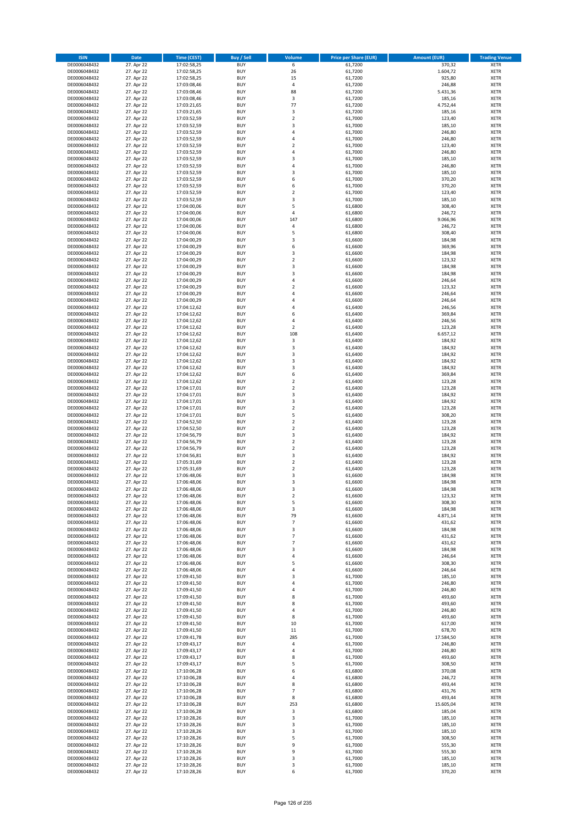| <b>ISIN</b>                  | Date                     | <b>Time (CEST)</b>         | <b>Buy / Sell</b>        | <b>Volume</b>              | <b>Price per Share (EUR)</b> | <b>Amount (EUR)</b> | <b>Trading Venue</b>       |
|------------------------------|--------------------------|----------------------------|--------------------------|----------------------------|------------------------------|---------------------|----------------------------|
| DE0006048432                 | 27. Apr 22               | 17:02:58,25                | <b>BUY</b>               | 6                          | 61,7200                      | 370,32              | <b>XETR</b>                |
| DE0006048432                 | 27. Apr 22               | 17:02:58,25                | <b>BUY</b>               | 26                         | 61,7200                      | 1.604,72            | XETR                       |
| DE0006048432                 | 27. Apr 22               | 17:02:58,25                | <b>BUY</b>               | 15                         | 61,7200                      | 925,80              | <b>XETR</b>                |
| DE0006048432<br>DE0006048432 | 27. Apr 22<br>27. Apr 22 | 17:03:08,46<br>17:03:08,46 | <b>BUY</b><br><b>BUY</b> | $\sqrt{4}$<br>88           | 61,7200<br>61,7200           | 246,88<br>5.431,36  | XETR<br><b>XETR</b>        |
| DE0006048432                 | 27. Apr 22               | 17:03:08,46                | <b>BUY</b>               | $\mathsf 3$                | 61,7200                      | 185,16              | <b>XETR</b>                |
| DE0006048432                 | 27. Apr 22               | 17:03:21,65                | <b>BUY</b>               | 77                         | 61,7200                      | 4.752,44            | <b>XETR</b>                |
| DE0006048432                 | 27. Apr 22               | 17:03:21,65                | <b>BUY</b>               | 3                          | 61,7200                      | 185,16              | <b>XETR</b>                |
| DE0006048432                 | 27. Apr 22               | 17:03:52,59                | <b>BUY</b>               | $\overline{2}$             | 61,7000                      | 123,40              | <b>XETR</b>                |
| DE0006048432                 | 27. Apr 22               | 17:03:52,59                | <b>BUY</b>               | 3                          | 61,7000                      | 185,10              | <b>XETR</b>                |
| DE0006048432                 | 27. Apr 22               | 17:03:52,59                | <b>BUY</b>               | 4                          | 61,7000                      | 246,80              | <b>XETR</b>                |
| DE0006048432                 | 27. Apr 22<br>27. Apr 22 | 17:03:52,59                | <b>BUY</b><br><b>BUY</b> | 4<br>$\overline{2}$        | 61,7000                      | 246,80              | <b>XETR</b><br><b>XETR</b> |
| DE0006048432<br>DE0006048432 | 27. Apr 22               | 17:03:52,59<br>17:03:52,59 | <b>BUY</b>               | $\overline{4}$             | 61,7000<br>61,7000           | 123,40<br>246,80    | <b>XETR</b>                |
| DE0006048432                 | 27. Apr 22               | 17:03:52,59                | <b>BUY</b>               | 3                          | 61,7000                      | 185,10              | <b>XETR</b>                |
| DE0006048432                 | 27. Apr 22               | 17:03:52,59                | <b>BUY</b>               | $\overline{4}$             | 61,7000                      | 246,80              | <b>XETR</b>                |
| DE0006048432                 | 27. Apr 22               | 17:03:52,59                | <b>BUY</b>               | 3                          | 61,7000                      | 185,10              | <b>XETR</b>                |
| DE0006048432                 | 27. Apr 22               | 17:03:52,59                | <b>BUY</b>               | 6                          | 61,7000                      | 370,20              | <b>XETR</b>                |
| DE0006048432                 | 27. Apr 22               | 17:03:52,59                | <b>BUY</b>               | 6                          | 61,7000                      | 370,20              | <b>XETR</b>                |
| DE0006048432                 | 27. Apr 22               | 17:03:52,59                | <b>BUY</b>               | $\mathbf 2$                | 61,7000                      | 123,40              | <b>XETR</b>                |
| DE0006048432<br>DE0006048432 | 27. Apr 22<br>27. Apr 22 | 17:03:52,59<br>17:04:00,06 | <b>BUY</b><br><b>BUY</b> | 3<br>5                     | 61,7000<br>61,6800           | 185,10<br>308,40    | <b>XETR</b><br><b>XETR</b> |
| DE0006048432                 | 27. Apr 22               | 17:04:00,06                | <b>BUY</b>               | $\pmb{4}$                  | 61,6800                      | 246,72              | <b>XETR</b>                |
| DE0006048432                 | 27. Apr 22               | 17:04:00,06                | <b>BUY</b>               | 147                        | 61,6800                      | 9.066,96            | <b>XETR</b>                |
| DE0006048432                 | 27. Apr 22               | 17:04:00,06                | <b>BUY</b>               | 4                          | 61,6800                      | 246,72              | <b>XETR</b>                |
| DE0006048432                 | 27. Apr 22               | 17:04:00,06                | <b>BUY</b>               | 5                          | 61,6800                      | 308,40              | <b>XETR</b>                |
| DE0006048432                 | 27. Apr 22               | 17:04:00,29                | <b>BUY</b>               | $\mathsf 3$                | 61,6600                      | 184,98              | <b>XETR</b>                |
| DE0006048432                 | 27. Apr 22               | 17:04:00,29                | <b>BUY</b>               | 6                          | 61,6600                      | 369,96              | <b>XETR</b>                |
| DE0006048432<br>DE0006048432 | 27. Apr 22<br>27. Apr 22 | 17:04:00,29<br>17:04:00,29 | <b>BUY</b><br><b>BUY</b> | 3<br>$\overline{2}$        | 61,6600<br>61,6600           | 184,98<br>123,32    | <b>XETR</b><br><b>XETR</b> |
| DE0006048432                 | 27. Apr 22               | 17:04:00,29                | <b>BUY</b>               | 3                          | 61,6600                      | 184,98              | <b>XETR</b>                |
| DE0006048432                 | 27. Apr 22               | 17:04:00,29                | <b>BUY</b>               | 3                          | 61,6600                      | 184,98              | <b>XETR</b>                |
| DE0006048432                 | 27. Apr 22               | 17:04:00,29                | <b>BUY</b>               | $\pmb{4}$                  | 61,6600                      | 246,64              | <b>XETR</b>                |
| DE0006048432                 | 27. Apr 22               | 17:04:00,29                | <b>BUY</b>               | $\overline{\mathbf{c}}$    | 61,6600                      | 123,32              | <b>XETR</b>                |
| DE0006048432                 | 27. Apr 22               | 17:04:00,29                | <b>BUY</b>               | 4                          | 61,6600                      | 246,64              | <b>XETR</b>                |
| DE0006048432                 | 27. Apr 22               | 17:04:00,29                | <b>BUY</b>               | 4                          | 61,6600                      | 246,64              | <b>XETR</b>                |
| DE0006048432                 | 27. Apr 22               | 17:04:12,62<br>17:04:12,62 | <b>BUY</b><br><b>BUY</b> | $\overline{4}$<br>6        | 61,6400                      | 246,56              | <b>XETR</b>                |
| DE0006048432<br>DE0006048432 | 27. Apr 22<br>27. Apr 22 | 17:04:12,62                | <b>BUY</b>               | $\pmb{4}$                  | 61,6400<br>61,6400           | 369,84<br>246,56    | <b>XETR</b><br><b>XETR</b> |
| DE0006048432                 | 27. Apr 22               | 17:04:12,62                | <b>BUY</b>               | $\mathbf 2$                | 61,6400                      | 123,28              | <b>XETR</b>                |
| DE0006048432                 | 27. Apr 22               | 17:04:12,62                | <b>BUY</b>               | 108                        | 61,6400                      | 6.657,12            | <b>XETR</b>                |
| DE0006048432                 | 27. Apr 22               | 17:04:12,62                | <b>BUY</b>               | 3                          | 61,6400                      | 184,92              | <b>XETR</b>                |
| DE0006048432                 | 27. Apr 22               | 17:04:12,62                | <b>BUY</b>               | 3                          | 61,6400                      | 184,92              | <b>XETR</b>                |
| DE0006048432                 | 27. Apr 22               | 17:04:12,62                | <b>BUY</b>               | 3                          | 61,6400                      | 184,92              | <b>XETR</b>                |
| DE0006048432                 | 27. Apr 22               | 17:04:12,62                | <b>BUY</b>               | 3                          | 61,6400                      | 184,92              | <b>XETR</b>                |
| DE0006048432                 | 27. Apr 22               | 17:04:12,62                | <b>BUY</b>               | 3                          | 61,6400                      | 184,92              | <b>XETR</b>                |
| DE0006048432<br>DE0006048432 | 27. Apr 22<br>27. Apr 22 | 17:04:12,62<br>17:04:12,62 | <b>BUY</b><br><b>BUY</b> | 6<br>$\mathbf 2$           | 61,6400<br>61,6400           | 369,84<br>123,28    | <b>XETR</b><br><b>XETR</b> |
| DE0006048432                 | 27. Apr 22               | 17:04:17,01                | <b>BUY</b>               | $\mathbf 2$                | 61,6400                      | 123,28              | <b>XETR</b>                |
| DE0006048432                 | 27. Apr 22               | 17:04:17,01                | <b>BUY</b>               | 3                          | 61,6400                      | 184,92              | <b>XETR</b>                |
| DE0006048432                 | 27. Apr 22               | 17:04:17,01                | <b>BUY</b>               | 3                          | 61,6400                      | 184,92              | <b>XETR</b>                |
| DE0006048432                 | 27. Apr 22               | 17:04:17,01                | <b>BUY</b>               | $\mathbf 2$                | 61,6400                      | 123,28              | <b>XETR</b>                |
| DE0006048432                 | 27. Apr 22               | 17:04:17,01                | <b>BUY</b>               | 5                          | 61,6400                      | 308,20              | <b>XETR</b>                |
| DE0006048432<br>DE0006048432 | 27. Apr 22<br>27. Apr 22 | 17:04:52,50                | <b>BUY</b><br><b>BUY</b> | $\mathbf 2$<br>$\mathbf 2$ | 61,6400<br>61,6400           | 123,28<br>123,28    | <b>XETR</b><br><b>XETR</b> |
| DE0006048432                 | 27. Apr 22               | 17:04:52,50<br>17:04:56,79 | <b>BUY</b>               | 3                          | 61,6400                      | 184,92              | <b>XETR</b>                |
| DE0006048432                 | 27. Apr 22               | 17:04:56,79                | <b>BUY</b>               | $\overline{2}$             | 61,6400                      | 123,28              | <b>XETR</b>                |
| DE0006048432                 | 27. Apr 22               | 17:04:56,79                | <b>BUY</b>               | $\mathbf 2$                | 61,6400                      | 123,28              | <b>XETR</b>                |
| DE0006048432                 | 27. Apr 22               | 17:04:56,81                | <b>BUY</b>               | 3                          | 61,6400                      | 184,92              | <b>XETR</b>                |
| DE0006048432                 | 27. Apr 22               | 17:05:31,69                | <b>BUY</b>               | $\overline{2}$             | 61,6400                      | 123,28              | <b>XETR</b>                |
| DE0006048432                 | 27. Apr 22               | 17:05:31,69                | <b>BUY</b>               | $\mathbf 2$                | 61,6400                      | 123,28              | <b>XETR</b>                |
| DE0006048432                 | 27. Apr 22               | 17:06:48,06                | <b>BUY</b>               | 3<br>3                     | 61,6600                      | 184,98              | <b>XETR</b><br><b>XETR</b> |
| DE0006048432<br>DE0006048432 | 27. Apr 22<br>27. Apr 22 | 17:06:48,06<br>17:06:48,06 | <b>BUY</b><br><b>BUY</b> | 3                          | 61,6600<br>61,6600           | 184,98<br>184,98    | <b>XETR</b>                |
| DE0006048432                 | 27. Apr 22               | 17:06:48,06                | BUY                      | 2                          | 61,6600                      | 123,32              | XETR                       |
| DE0006048432                 | 27. Apr 22               | 17:06:48,06                | <b>BUY</b>               | 5                          | 61,6600                      | 308,30              | <b>XETR</b>                |
| DE0006048432                 | 27. Apr 22               | 17:06:48,06                | <b>BUY</b>               | 3                          | 61,6600                      | 184,98              | <b>XETR</b>                |
| DE0006048432                 | 27. Apr 22               | 17:06:48,06                | <b>BUY</b>               | 79                         | 61,6600                      | 4.871,14            | XETR                       |
| DE0006048432                 | 27. Apr 22               | 17:06:48,06                | <b>BUY</b>               | $\overline{7}$             | 61,6600                      | 431,62              | <b>XETR</b>                |
| DE0006048432<br>DE0006048432 | 27. Apr 22<br>27. Apr 22 | 17:06:48,06<br>17:06:48,06 | <b>BUY</b><br><b>BUY</b> | 3<br>$\overline{7}$        | 61,6600<br>61,6600           | 184,98<br>431,62    | XETR<br><b>XETR</b>        |
| DE0006048432                 | 27. Apr 22               | 17:06:48,06                | <b>BUY</b>               | $\overline{7}$             | 61,6600                      | 431,62              | <b>XETR</b>                |
| DE0006048432                 | 27. Apr 22               | 17:06:48,06                | <b>BUY</b>               | 3                          | 61,6600                      | 184,98              | XETR                       |
| DE0006048432                 | 27. Apr 22               | 17:06:48,06                | <b>BUY</b>               | $\sqrt{4}$                 | 61,6600                      | 246,64              | <b>XETR</b>                |
| DE0006048432                 | 27. Apr 22               | 17:06:48,06                | <b>BUY</b>               | 5                          | 61,6600                      | 308,30              | XETR                       |
| DE0006048432                 | 27. Apr 22               | 17:06:48,06                | <b>BUY</b>               | 4                          | 61.6600                      | 246,64              | <b>XETR</b>                |
| DE0006048432<br>DE0006048432 | 27. Apr 22<br>27. Apr 22 | 17:09:41,50<br>17:09:41,50 | <b>BUY</b><br><b>BUY</b> | 3<br>$\sqrt{4}$            | 61,7000<br>61,7000           | 185,10<br>246,80    | XETR<br><b>XETR</b>        |
| DE0006048432                 | 27. Apr 22               | 17:09:41,50                | <b>BUY</b>               | $\sqrt{4}$                 | 61,7000                      | 246,80              | XETR                       |
| DE0006048432                 | 27. Apr 22               | 17:09:41,50                | <b>BUY</b>               | 8                          | 61,7000                      | 493,60              | <b>XETR</b>                |
| DE0006048432                 | 27. Apr 22               | 17:09:41,50                | <b>BUY</b>               | 8                          | 61,7000                      | 493,60              | <b>XETR</b>                |
| DE0006048432                 | 27. Apr 22               | 17:09:41,50                | <b>BUY</b>               | $\sqrt{4}$                 | 61,7000                      | 246,80              | <b>XETR</b>                |
| DE0006048432                 | 27. Apr 22               | 17:09:41,50                | <b>BUY</b>               | 8                          | 61,7000                      | 493,60              | XETR                       |
| DE0006048432                 | 27. Apr 22               | 17:09:41,50                | <b>BUY</b>               | 10                         | 61,7000                      | 617,00              | <b>XETR</b>                |
| DE0006048432<br>DE0006048432 | 27. Apr 22<br>27. Apr 22 | 17:09:41,50<br>17:09:41,78 | <b>BUY</b><br><b>BUY</b> | 11<br>285                  | 61,7000<br>61,7000           | 678,70<br>17.584,50 | <b>XETR</b><br>XETR        |
| DE0006048432                 | 27. Apr 22               | 17:09:43,17                | <b>BUY</b>               | $\sqrt{4}$                 | 61,7000                      | 246,80              | XETR                       |
| DE0006048432                 | 27. Apr 22               | 17:09:43,17                | <b>BUY</b>               | 4                          | 61,7000                      | 246,80              | XETR                       |
| DE0006048432                 | 27. Apr 22               | 17:09:43,17                | <b>BUY</b>               | 8                          | 61,7000                      | 493,60              | XETR                       |
| DE0006048432                 | 27. Apr 22               | 17:09:43,17                | <b>BUY</b>               | 5                          | 61,7000                      | 308,50              | XETR                       |
| DE0006048432                 | 27. Apr 22               | 17:10:06,28                | <b>BUY</b>               | 6                          | 61,6800                      | 370,08              | XETR                       |
| DE0006048432<br>DE0006048432 | 27. Apr 22<br>27. Apr 22 | 17:10:06,28                | <b>BUY</b><br><b>BUY</b> | $\sqrt{4}$<br>8            | 61,6800<br>61,6800           | 246,72<br>493,44    | <b>XETR</b><br>XETR        |
| DE0006048432                 | 27. Apr 22               | 17:10:06,28<br>17:10:06,28 | <b>BUY</b>               | $\overline{7}$             | 61,6800                      | 431,76              | <b>XETR</b>                |
| DE0006048432                 | 27. Apr 22               | 17:10:06,28                | <b>BUY</b>               | 8                          | 61,6800                      | 493,44              | XETR                       |
| DE0006048432                 | 27. Apr 22               | 17:10:06,28                | <b>BUY</b>               | 253                        | 61,6800                      | 15.605,04           | XETR                       |
| DE0006048432                 | 27. Apr 22               | 17:10:06,28                | <b>BUY</b>               | $\mathsf 3$                | 61,6800                      | 185,04              | XETR                       |
| DE0006048432                 | 27. Apr 22               | 17:10:28,26                | <b>BUY</b>               | 3                          | 61,7000                      | 185,10              | <b>XETR</b>                |
| DE0006048432                 | 27. Apr 22               | 17:10:28,26                | <b>BUY</b>               | 3                          | 61,7000                      | 185,10              | <b>XETR</b>                |
| DE0006048432<br>DE0006048432 | 27. Apr 22<br>27. Apr 22 | 17:10:28,26<br>17:10:28,26 | <b>BUY</b><br><b>BUY</b> | $\mathsf 3$<br>5           | 61,7000<br>61,7000           | 185,10<br>308,50    | XETR<br>XETR               |
| DE0006048432                 | 27. Apr 22               | 17:10:28,26                | <b>BUY</b>               | 9                          | 61,7000                      | 555,30              | XETR                       |
| DE0006048432                 | 27. Apr 22               | 17:10:28,26                | <b>BUY</b>               | 9                          | 61,7000                      | 555,30              | <b>XETR</b>                |
| DE0006048432                 | 27. Apr 22               | 17:10:28,26                | <b>BUY</b>               | 3                          | 61,7000                      | 185,10              | XETR                       |
| DE0006048432                 | 27. Apr 22               | 17:10:28,26                | <b>BUY</b>               | 3                          | 61,7000                      | 185,10              | <b>XETR</b>                |
| DE0006048432                 | 27. Apr 22               | 17:10:28,26                | <b>BUY</b>               | 6                          | 61,7000                      | 370,20              | XETR                       |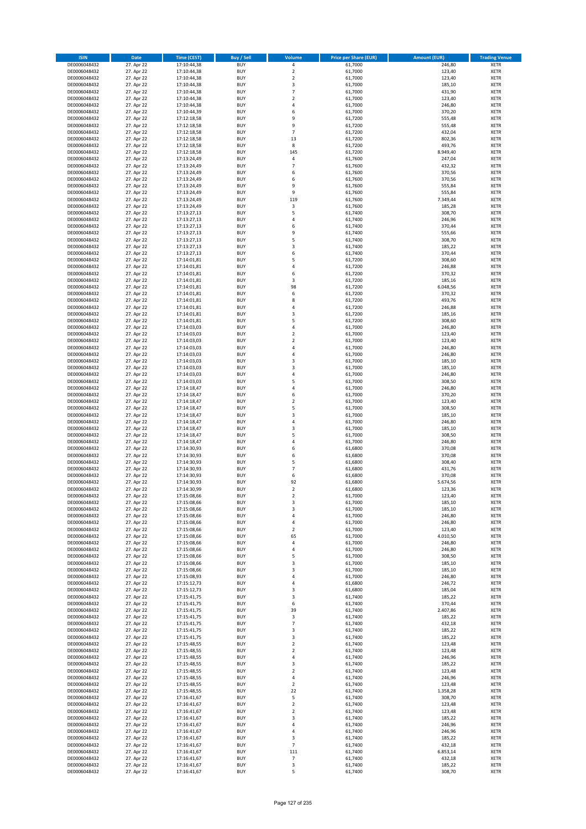| <b>ISIN</b>                  | <b>Date</b>              | Time (CEST)                | <b>Buy / Sell</b>        | Volume                                 | <b>Price per Share (EUR)</b> | <b>Amount (EUR)</b> | <b>Trading Venue</b>       |
|------------------------------|--------------------------|----------------------------|--------------------------|----------------------------------------|------------------------------|---------------------|----------------------------|
| DE0006048432                 | 27. Apr 22               | 17:10:44,38                | <b>BUY</b>               | 4                                      | 61,7000                      | 246,80              | <b>XETR</b>                |
| DE0006048432                 | 27. Apr 22               | 17:10:44,38                | <b>BUY</b>               | $\mathbf 2$                            | 61,7000                      | 123,40              | <b>XETR</b>                |
| DE0006048432                 | 27. Apr 22               | 17:10:44,38                | <b>BUY</b>               | $\overline{2}$                         | 61,7000                      | 123,40              | <b>XETR</b>                |
| DE0006048432<br>DE0006048432 | 27. Apr 22<br>27. Apr 22 | 17:10:44,38<br>17:10:44,38 | <b>BUY</b><br><b>BUY</b> | 3<br>$\overline{7}$                    | 61,7000<br>61,7000           | 185,10<br>431,90    | <b>XETR</b><br><b>XETR</b> |
| DE0006048432                 | 27. Apr 22               | 17:10:44,38                | <b>BUY</b>               | $\mathbf 2$                            | 61,7000                      | 123,40              | <b>XETR</b>                |
| DE0006048432                 | 27. Apr 22               | 17:10:44,38                | <b>BUY</b>               | 4                                      | 61,7000                      | 246,80              | <b>XETR</b>                |
| DE0006048432                 | 27. Apr 22               | 17:10:44,39                | <b>BUY</b>               | 6                                      | 61,7000                      | 370,20              | <b>XETR</b>                |
| DE0006048432                 | 27. Apr 22               | 17:12:18,58                | <b>BUY</b>               | 9                                      | 61,7200                      | 555,48              | <b>XETR</b>                |
| DE0006048432                 | 27. Apr 22               | 17:12:18,58                | <b>BUY</b>               | 9                                      | 61,7200                      | 555,48              | <b>XETR</b>                |
| DE0006048432<br>DE0006048432 | 27. Apr 22<br>27. Apr 22 | 17:12:18,58<br>17:12:18,58 | <b>BUY</b><br><b>BUY</b> | $\overline{7}$<br>13                   | 61,7200<br>61,7200           | 432,04<br>802,36    | <b>XETR</b><br><b>XETR</b> |
| DE0006048432                 | 27. Apr 22               | 17:12:18,58                | <b>BUY</b>               | 8                                      | 61,7200                      | 493,76              | <b>XETR</b>                |
| DE0006048432                 | 27. Apr 22               | 17:12:18,58                | <b>BUY</b>               | 145                                    | 61,7200                      | 8.949,40            | <b>XETR</b>                |
| DE0006048432                 | 27. Apr 22               | 17:13:24,49                | <b>BUY</b>               | 4                                      | 61,7600                      | 247,04              | <b>XETR</b>                |
| DE0006048432                 | 27. Apr 22               | 17:13:24,49                | <b>BUY</b>               | $\overline{7}$                         | 61,7600                      | 432,32              | <b>XETR</b>                |
| DE0006048432                 | 27. Apr 22               | 17:13:24,49                | <b>BUY</b>               | 6                                      | 61,7600                      | 370,56              | <b>XETR</b>                |
| DE0006048432                 | 27. Apr 22               | 17:13:24,49                | <b>BUY</b>               | 6                                      | 61,7600                      | 370,56              | <b>XETR</b>                |
| DE0006048432<br>DE0006048432 | 27. Apr 22<br>27. Apr 22 | 17:13:24,49<br>17:13:24,49 | <b>BUY</b><br><b>BUY</b> | 9<br>9                                 | 61,7600<br>61,7600           | 555,84<br>555,84    | <b>XETR</b><br><b>XETR</b> |
| DE0006048432                 | 27. Apr 22               | 17:13:24,49                | <b>BUY</b>               | 119                                    | 61,7600                      | 7.349,44            | <b>XETR</b>                |
| DE0006048432                 | 27. Apr 22               | 17:13:24,49                | <b>BUY</b>               | 3                                      | 61,7600                      | 185,28              | <b>XETR</b>                |
| DE0006048432                 | 27. Apr 22               | 17:13:27,13                | <b>BUY</b>               | 5                                      | 61,7400                      | 308,70              | <b>XETR</b>                |
| DE0006048432                 | 27. Apr 22               | 17:13:27,13                | <b>BUY</b>               | 4                                      | 61,7400                      | 246,96              | <b>XETR</b>                |
| DE0006048432                 | 27. Apr 22               | 17:13:27,13                | <b>BUY</b>               | 6                                      | 61,7400                      | 370,44              | <b>XETR</b>                |
| DE0006048432<br>DE0006048432 | 27. Apr 22<br>27. Apr 22 | 17:13:27,13<br>17:13:27,13 | <b>BUY</b><br><b>BUY</b> | 9<br>5                                 | 61,7400<br>61,7400           | 555,66<br>308,70    | <b>XETR</b><br><b>XETR</b> |
| DE0006048432                 | 27. Apr 22               | 17:13:27,13                | <b>BUY</b>               | 3                                      | 61,7400                      | 185,22              | <b>XETR</b>                |
| DE0006048432                 | 27. Apr 22               | 17:13:27,13                | <b>BUY</b>               | 6                                      | 61,7400                      | 370,44              | <b>XETR</b>                |
| DE0006048432                 | 27. Apr 22               | 17:14:01,81                | <b>BUY</b>               | 5                                      | 61,7200                      | 308,60              | <b>XETR</b>                |
| DE0006048432                 | 27. Apr 22               | 17:14:01,81                | <b>BUY</b>               | 4                                      | 61,7200                      | 246,88              | <b>XETR</b>                |
| DE0006048432                 | 27. Apr 22               | 17:14:01,81                | <b>BUY</b>               | 6                                      | 61,7200                      | 370,32              | <b>XETR</b>                |
| DE0006048432                 | 27. Apr 22<br>27. Apr 22 | 17:14:01,81                | <b>BUY</b><br><b>BUY</b> | 3<br>98                                | 61,7200                      | 185,16<br>6.048,56  | <b>XETR</b><br><b>XETR</b> |
| DE0006048432<br>DE0006048432 | 27. Apr 22               | 17:14:01,81<br>17:14:01.81 | <b>BUY</b>               | 6                                      | 61,7200<br>61,7200           | 370,32              | <b>XETR</b>                |
| DE0006048432                 | 27. Apr 22               | 17:14:01,81                | <b>BUY</b>               | 8                                      | 61,7200                      | 493,76              | <b>XETR</b>                |
| DE0006048432                 | 27. Apr 22               | 17:14:01,81                | <b>BUY</b>               | 4                                      | 61,7200                      | 246,88              | <b>XETR</b>                |
| DE0006048432                 | 27. Apr 22               | 17:14:01,81                | <b>BUY</b>               | 3                                      | 61,7200                      | 185,16              | <b>XETR</b>                |
| DE0006048432                 | 27. Apr 22               | 17:14:01,81                | <b>BUY</b>               | 5                                      | 61,7200                      | 308,60              | <b>XETR</b>                |
| DE0006048432                 | 27. Apr 22               | 17:14:03,03                | <b>BUY</b>               | 4                                      | 61,7000                      | 246,80              | <b>XETR</b>                |
| DE0006048432<br>DE0006048432 | 27. Apr 22<br>27. Apr 22 | 17:14:03,03<br>17:14:03,03 | <b>BUY</b><br><b>BUY</b> | $\overline{\mathbf{c}}$<br>$\mathbf 2$ | 61,7000<br>61,7000           | 123,40<br>123,40    | <b>XETR</b><br><b>XETR</b> |
| DE0006048432                 | 27. Apr 22               | 17:14:03,03                | <b>BUY</b>               | 4                                      | 61,7000                      | 246,80              | <b>XETR</b>                |
| DE0006048432                 | 27. Apr 22               | 17:14:03,03                | <b>BUY</b>               | 4                                      | 61,7000                      | 246,80              | <b>XETR</b>                |
| DE0006048432                 | 27. Apr 22               | 17:14:03,03                | <b>BUY</b>               | 3                                      | 61,7000                      | 185,10              | <b>XETR</b>                |
| DE0006048432                 | 27. Apr 22               | 17:14:03,03                | <b>BUY</b>               | 3                                      | 61,7000                      | 185,10              | <b>XETR</b>                |
| DE0006048432                 | 27. Apr 22               | 17:14:03,03                | <b>BUY</b>               | 4                                      | 61,7000                      | 246,80              | <b>XETR</b>                |
| DE0006048432<br>DE0006048432 | 27. Apr 22<br>27. Apr 22 | 17:14:03,03                | <b>BUY</b><br><b>BUY</b> | 5<br>4                                 | 61,7000<br>61,7000           | 308,50<br>246,80    | <b>XETR</b><br><b>XETR</b> |
| DE0006048432                 | 27. Apr 22               | 17:14:18,47<br>17:14:18,47 | <b>BUY</b>               | 6                                      | 61,7000                      | 370,20              | <b>XETR</b>                |
| DE0006048432                 | 27. Apr 22               | 17:14:18,47                | <b>BUY</b>               | $\overline{\mathbf{c}}$                | 61,7000                      | 123,40              | <b>XETR</b>                |
| DE0006048432                 | 27. Apr 22               | 17:14:18,47                | <b>BUY</b>               | 5                                      | 61,7000                      | 308,50              | <b>XETR</b>                |
| DE0006048432                 | 27. Apr 22               | 17:14:18,47                | <b>BUY</b>               | 3                                      | 61,7000                      | 185,10              | <b>XETR</b>                |
| DE0006048432                 | 27. Apr 22               | 17:14:18,47                | <b>BUY</b>               | 4                                      | 61,7000                      | 246,80              | <b>XETR</b>                |
| DE0006048432<br>DE0006048432 | 27. Apr 22<br>27. Apr 22 | 17:14:18,47<br>17:14:18,47 | <b>BUY</b><br><b>BUY</b> | 3<br>5                                 | 61,7000<br>61,7000           | 185,10<br>308,50    | <b>XETR</b><br><b>XETR</b> |
| DE0006048432                 | 27. Apr 22               | 17:14:18,47                | <b>BUY</b>               | 4                                      | 61,7000                      | 246,80              | <b>XETR</b>                |
| DE0006048432                 | 27. Apr 22               | 17:14:30,93                | <b>BUY</b>               | 6                                      | 61,6800                      | 370,08              | <b>XETR</b>                |
| DE0006048432                 | 27. Apr 22               | 17:14:30,93                | <b>BUY</b>               | 6                                      | 61,6800                      | 370,08              | <b>XETR</b>                |
| DE0006048432                 | 27. Apr 22               | 17:14:30,93                | <b>BUY</b>               | 5                                      | 61,6800                      | 308,40              | <b>XETR</b>                |
| DE0006048432                 | 27. Apr 22               | 17:14:30,93                | <b>BUY</b>               | $\overline{7}$                         | 61,6800                      | 431,76              | <b>XETR</b>                |
| DE0006048432<br>DE0006048432 | 27. Apr 22<br>27. Apr 22 | 17:14:30,93<br>17:14:30,93 | <b>BUY</b><br><b>BUY</b> | 6<br>92                                | 61,6800<br>61,6800           | 370,08<br>5.674,56  | <b>XETR</b><br><b>XETR</b> |
| DE0006048432                 | 27. Apr 22               | 17:14:30,99                | <b>BUY</b>               | $\overline{2}$                         | 61,6800                      | 123,36              | <b>XETR</b>                |
| DE0006048432                 | 27. Apr 22               | 17:15:08,66                | BUY                      | 2                                      | 61,7000                      | 123,40              | <b>XETR</b>                |
| DE0006048432                 | 27. Apr 22               | 17:15:08,66                | <b>BUY</b>               | 3                                      | 61,7000                      | 185,10              | XETR                       |
| DE0006048432                 | 27. Apr 22               | 17:15:08,66                | <b>BUY</b>               | 3                                      | 61,7000                      | 185,10              | XETR                       |
| DE0006048432                 | 27. Apr 22               | 17:15:08,66                | <b>BUY</b>               | 4                                      | 61,7000                      | 246,80              | XETR                       |
| DE0006048432<br>DE0006048432 | 27. Apr 22<br>27. Apr 22 | 17:15:08,66<br>17:15:08,66 | <b>BUY</b><br><b>BUY</b> | 4<br>$\mathbf 2$                       | 61,7000<br>61,7000           | 246,80<br>123,40    | <b>XETR</b><br>XETR        |
| DE0006048432                 | 27. Apr 22               | 17:15:08,66                | <b>BUY</b>               | 65                                     | 61,7000                      | 4.010,50            | <b>XETR</b>                |
| DE0006048432                 | 27. Apr 22               | 17:15:08,66                | <b>BUY</b>               | 4                                      | 61,7000                      | 246,80              | <b>XETR</b>                |
| DE0006048432                 | 27. Apr 22               | 17:15:08,66                | <b>BUY</b>               | 4                                      | 61,7000                      | 246,80              | <b>XETR</b>                |
| DE0006048432                 | 27. Apr 22               | 17:15:08,66                | <b>BUY</b>               | 5                                      | 61,7000                      | 308,50              | XETR                       |
| DE0006048432                 | 27. Apr 22               | 17:15:08,66                | <b>BUY</b>               | 3                                      | 61,7000<br>61.7000           | 185,10              | XETR                       |
| DE0006048432<br>DE0006048432 | 27. Apr 22<br>27. Apr 22 | 17:15:08,66<br>17:15:08,93 | <b>BUY</b><br><b>BUY</b> | 3<br>4                                 | 61,7000                      | 185,10<br>246,80    | <b>XETR</b><br>XETR        |
| DE0006048432                 | 27. Apr 22               | 17:15:12,73                | <b>BUY</b>               | 4                                      | 61,6800                      | 246,72              | <b>XETR</b>                |
| DE0006048432                 | 27. Apr 22               | 17:15:12,73                | <b>BUY</b>               | 3                                      | 61,6800                      | 185,04              | XETR                       |
| DE0006048432                 | 27. Apr 22               | 17:15:41,75                | <b>BUY</b>               | 3                                      | 61,7400                      | 185,22              | <b>XETR</b>                |
| DE0006048432                 | 27. Apr 22               | 17:15:41,75                | <b>BUY</b>               | 6                                      | 61,7400                      | 370,44              | <b>XETR</b>                |
| DE0006048432                 | 27. Apr 22               | 17:15:41,75                | <b>BUY</b>               | 39                                     | 61,7400                      | 2.407,86            | <b>XETR</b>                |
| DE0006048432<br>DE0006048432 | 27. Apr 22<br>27. Apr 22 | 17:15:41,75<br>17:15:41,75 | <b>BUY</b><br><b>BUY</b> | 3<br>$\overline{7}$                    | 61,7400<br>61,7400           | 185,22<br>432,18    | XETR<br><b>XETR</b>        |
| DE0006048432                 | 27. Apr 22               | 17:15:41,75                | <b>BUY</b>               | 3                                      | 61,7400                      | 185,22              | <b>XETR</b>                |
| DE0006048432                 | 27. Apr 22               | 17:15:41,75                | <b>BUY</b>               | 3                                      | 61,7400                      | 185,22              | XETR                       |
| DE0006048432                 | 27. Apr 22               | 17:15:48,55                | <b>BUY</b>               | $\overline{\mathbf{2}}$                | 61,7400                      | 123,48              | <b>XETR</b>                |
| DE0006048432                 | 27. Apr 22               | 17:15:48,55                | <b>BUY</b>               | $\mathbf 2$                            | 61,7400                      | 123,48              | <b>XETR</b>                |
| DE0006048432                 | 27. Apr 22               | 17:15:48,55                | <b>BUY</b>               | 4                                      | 61,7400                      | 246,96              | <b>XETR</b>                |
| DE0006048432<br>DE0006048432 | 27. Apr 22<br>27. Apr 22 | 17:15:48,55<br>17:15:48,55 | <b>BUY</b><br><b>BUY</b> | 3<br>$\mathbf 2$                       | 61,7400<br>61,7400           | 185,22<br>123,48    | XETR<br><b>XETR</b>        |
| DE0006048432                 | 27. Apr 22               | 17:15:48,55                | <b>BUY</b>               | 4                                      | 61,7400                      | 246,96              | <b>XETR</b>                |
| DE0006048432                 | 27. Apr 22               | 17:15:48,55                | <b>BUY</b>               | $\mathbf 2$                            | 61,7400                      | 123,48              | <b>XETR</b>                |
| DE0006048432                 | 27. Apr 22               | 17:15:48,55                | <b>BUY</b>               | 22                                     | 61,7400                      | 1.358,28            | XETR                       |
| DE0006048432                 | 27. Apr 22               | 17:16:41,67                | <b>BUY</b>               | 5                                      | 61,7400                      | 308,70              | XETR                       |
| DE0006048432                 | 27. Apr 22               | 17:16:41,67                | <b>BUY</b>               | $\mathbf 2$                            | 61,7400                      | 123,48              | <b>XETR</b>                |
| DE0006048432<br>DE0006048432 | 27. Apr 22<br>27. Apr 22 | 17:16:41,67<br>17:16:41,67 | <b>BUY</b><br><b>BUY</b> | $\mathbf 2$<br>3                       | 61,7400<br>61,7400           | 123,48<br>185,22    | XETR<br><b>XETR</b>        |
| DE0006048432                 | 27. Apr 22               | 17:16:41,67                | <b>BUY</b>               | 4                                      | 61,7400                      | 246,96              | <b>XETR</b>                |
| DE0006048432                 | 27. Apr 22               | 17:16:41,67                | <b>BUY</b>               | 4                                      | 61,7400                      | 246,96              | XETR                       |
| DE0006048432                 | 27. Apr 22               | 17:16:41,67                | <b>BUY</b>               | 3                                      | 61,7400                      | 185,22              | <b>XETR</b>                |
| DE0006048432                 | 27. Apr 22               | 17:16:41,67                | <b>BUY</b>               | $\overline{7}$                         | 61,7400                      | 432,18              | <b>XETR</b>                |
| DE0006048432                 | 27. Apr 22               | 17:16:41,67                | <b>BUY</b>               | 111                                    | 61,7400                      | 6.853,14            | <b>XETR</b>                |
| DE0006048432                 | 27. Apr 22               | 17:16:41,67                | <b>BUY</b>               | $\overline{7}$                         | 61,7400                      | 432,18              | <b>XETR</b>                |
| DE0006048432<br>DE0006048432 | 27. Apr 22<br>27. Apr 22 | 17:16:41,67<br>17:16:41,67 | <b>BUY</b><br><b>BUY</b> | 3<br>5                                 | 61,7400<br>61,7400           | 185,22<br>308,70    | <b>XETR</b><br>XETR        |
|                              |                          |                            |                          |                                        |                              |                     |                            |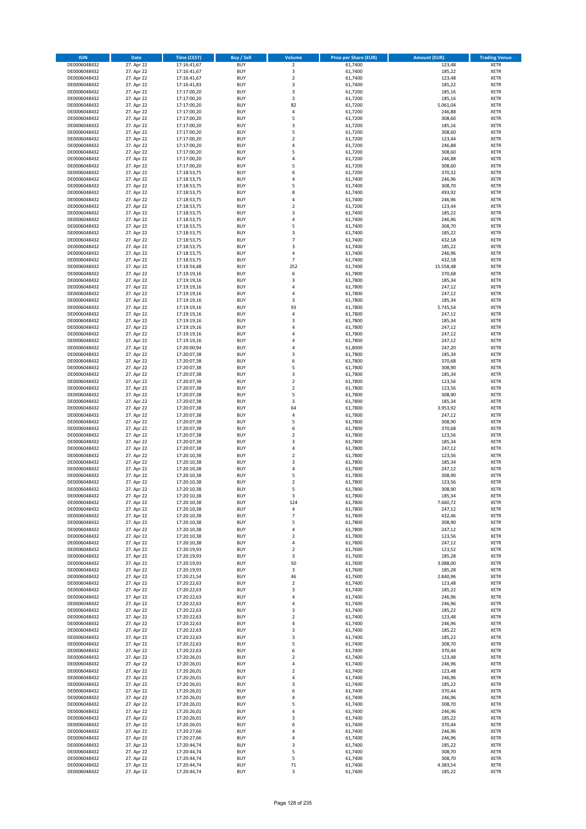| <b>ISIN</b>                  | <b>Date</b>              | <b>Time (CEST)</b>         | <b>Buy / Sell</b>        | Volume                                    | <b>Price per Share (EUR)</b> | <b>Amount (EUR)</b> | <b>Trading Venue</b>       |
|------------------------------|--------------------------|----------------------------|--------------------------|-------------------------------------------|------------------------------|---------------------|----------------------------|
| DE0006048432                 | 27. Apr 22               | 17:16:41,67                | <b>BUY</b>               | $\overline{\mathbf{2}}$                   | 61,7400                      | 123,48              | <b>XETR</b>                |
| DE0006048432                 | 27. Apr 22               | 17:16:41,67                | <b>BUY</b>               | 3                                         | 61,7400                      | 185,22              | <b>XETR</b>                |
| DE0006048432                 | 27. Apr 22               | 17:16:41,67                | <b>BUY</b>               | $\overline{\mathbf{2}}$                   | 61,7400                      | 123,48              | <b>XETR</b>                |
| DE0006048432                 | 27. Apr 22               | 17:16:41,83                | <b>BUY</b>               | 3                                         | 61,7400                      | 185,22              | <b>XETR</b>                |
| DE0006048432<br>DE0006048432 | 27. Apr 22<br>27. Apr 22 | 17:17:00,20<br>17:17:00,20 | <b>BUY</b><br><b>BUY</b> | 3<br>3                                    | 61,7200<br>61,7200           | 185,16<br>185,16    | <b>XETR</b><br><b>XETR</b> |
| DE0006048432                 | 27. Apr 22               | 17:17:00,20                | <b>BUY</b>               | 82                                        | 61,7200                      | 5.061,04            | <b>XETR</b>                |
| DE0006048432                 | 27. Apr 22               | 17:17:00,20                | <b>BUY</b>               | 4                                         | 61,7200                      | 246,88              | <b>XETR</b>                |
| DE0006048432                 | 27. Apr 22               | 17:17:00,20                | <b>BUY</b>               | 5                                         | 61,7200                      | 308,60              | <b>XETR</b>                |
| DE0006048432                 | 27. Apr 22               | 17:17:00,20                | <b>BUY</b>               | 3                                         | 61,7200                      | 185,16              | <b>XETR</b>                |
| DE0006048432                 | 27. Apr 22               | 17:17:00,20                | <b>BUY</b>               | 5                                         | 61,7200                      | 308,60              | <b>XETR</b>                |
| DE0006048432                 | 27. Apr 22               | 17:17:00,20                | <b>BUY</b>               | $\overline{\mathbf{2}}$<br>$\overline{a}$ | 61,7200                      | 123,44              | <b>XETR</b>                |
| DE0006048432<br>DE0006048432 | 27. Apr 22<br>27. Apr 22 | 17:17:00,20<br>17:17:00,20 | <b>BUY</b><br><b>BUY</b> | 5                                         | 61,7200<br>61,7200           | 246,88<br>308,60    | <b>XETR</b><br><b>XETR</b> |
| DE0006048432                 | 27. Apr 22               | 17:17:00,20                | <b>BUY</b>               | 4                                         | 61,7200                      | 246,88              | <b>XETR</b>                |
| DE0006048432                 | 27. Apr 22               | 17:17:00,20                | BUY                      | 5                                         | 61,7200                      | 308,60              | <b>XETR</b>                |
| DE0006048432                 | 27. Apr 22               | 17:18:53,75                | <b>BUY</b>               | 6                                         | 61,7200                      | 370,32              | <b>XETR</b>                |
| DE0006048432                 | 27. Apr 22               | 17:18:53,75                | <b>BUY</b>               | $\overline{4}$                            | 61,7400                      | 246,96              | <b>XETR</b>                |
| DE0006048432                 | 27. Apr 22               | 17:18:53,75                | <b>BUY</b>               | 5                                         | 61,7400                      | 308,70              | <b>XETR</b>                |
| DE0006048432<br>DE0006048432 | 27. Apr 22<br>27. Apr 22 | 17:18:53,75<br>17:18:53,75 | <b>BUY</b><br><b>BUY</b> | 8<br>$\overline{4}$                       | 61,7400<br>61,7400           | 493,92<br>246,96    | <b>XETR</b><br><b>XETR</b> |
| DE0006048432                 | 27. Apr 22               | 17:18:53,75                | <b>BUY</b>               | $\mathbf 2$                               | 61,7200                      | 123,44              | <b>XETR</b>                |
| DE0006048432                 | 27. Apr 22               | 17:18:53,75                | <b>BUY</b>               | $\overline{3}$                            | 61,7400                      | 185,22              | <b>XETR</b>                |
| DE0006048432                 | 27. Apr 22               | 17:18:53,75                | <b>BUY</b>               | $\overline{4}$                            | 61,7400                      | 246,96              | <b>XETR</b>                |
| DE0006048432                 | 27. Apr 22               | 17:18:53,75                | <b>BUY</b>               | 5                                         | 61,7400                      | 308,70              | <b>XETR</b>                |
| DE0006048432                 | 27. Apr 22               | 17:18:53,75                | <b>BUY</b>               | 3                                         | 61,7400                      | 185,22              | <b>XETR</b>                |
| DE0006048432                 | 27. Apr 22               | 17:18:53,75<br>17:18:53,75 | <b>BUY</b><br><b>BUY</b> | $\overline{7}$<br>$\overline{\mathbf{3}}$ | 61,7400                      | 432,18              | <b>XETR</b><br><b>XETR</b> |
| DE0006048432<br>DE0006048432 | 27. Apr 22<br>27. Apr 22 | 17:18:53,75                | <b>BUY</b>               | 4                                         | 61,7400<br>61,7400           | 185,22<br>246,96    | <b>XETR</b>                |
| DE0006048432                 | 27. Apr 22               | 17:18:53,75                | <b>BUY</b>               | $\overline{7}$                            | 61,7400                      | 432,18              | <b>XETR</b>                |
| DE0006048432                 | 27. Apr 22               | 17:18:54,48                | <b>BUY</b>               | 252                                       | 61,7400                      | 15.558,48           | <b>XETR</b>                |
| DE0006048432                 | 27. Apr 22               | 17:19:19,16                | <b>BUY</b>               | 6                                         | 61,7800                      | 370,68              | <b>XETR</b>                |
| DE0006048432                 | 27. Apr 22               | 17:19:19,16                | <b>BUY</b>               | 3                                         | 61,7800                      | 185,34              | <b>XETR</b>                |
| DE0006048432                 | 27. Apr 22               | 17:19:19,16                | <b>BUY</b>               | $\overline{a}$                            | 61,7800                      | 247,12              | <b>XETR</b>                |
| DE0006048432<br>DE0006048432 | 27. Apr 22<br>27. Apr 22 | 17:19:19,16<br>17:19:19,16 | <b>BUY</b><br><b>BUY</b> | $\overline{4}$<br>3                       | 61,7800<br>61,7800           | 247,12<br>185,34    | <b>XETR</b><br><b>XETR</b> |
| DE0006048432                 | 27. Apr 22               | 17:19:19,16                | <b>BUY</b>               | 93                                        | 61,7800                      | 5.745,54            | <b>XETR</b>                |
| DE0006048432                 | 27. Apr 22               | 17:19:19,16                | <b>BUY</b>               | 4                                         | 61,7800                      | 247,12              | <b>XETR</b>                |
| DE0006048432                 | 27. Apr 22               | 17:19:19,16                | <b>BUY</b>               | 3                                         | 61,7800                      | 185,34              | <b>XETR</b>                |
| DE0006048432                 | 27. Apr 22               | 17:19:19,16                | <b>BUY</b>               | 4                                         | 61,7800                      | 247,12              | <b>XETR</b>                |
| DE0006048432                 | 27. Apr 22               | 17:19:19,16                | <b>BUY</b>               | $\overline{a}$                            | 61,7800                      | 247,12              | <b>XETR</b>                |
| DE0006048432                 | 27. Apr 22<br>27. Apr 22 | 17:19:19,16                | <b>BUY</b><br><b>BUY</b> | 4<br>$\overline{4}$                       | 61,7800                      | 247,12<br>247,20    | <b>XETR</b>                |
| DE0006048432<br>DE0006048432 | 27. Apr 22               | 17:20:00,94<br>17:20:07,38 | <b>BUY</b>               | $\overline{\mathbf{3}}$                   | 61,8000<br>61,7800           | 185,34              | <b>XETR</b><br><b>XETR</b> |
| DE0006048432                 | 27. Apr 22               | 17:20:07,38                | <b>BUY</b>               | 6                                         | 61,7800                      | 370,68              | <b>XETR</b>                |
| DE0006048432                 | 27. Apr 22               | 17:20:07,38                | <b>BUY</b>               | 5                                         | 61,7800                      | 308,90              | <b>XETR</b>                |
| DE0006048432                 | 27. Apr 22               | 17:20:07,38                | <b>BUY</b>               | 3                                         | 61,7800                      | 185,34              | <b>XETR</b>                |
| DE0006048432                 | 27. Apr 22               | 17:20:07,38                | <b>BUY</b>               | $\overline{\mathbf{2}}$                   | 61,7800                      | 123,56              | <b>XETR</b>                |
| DE0006048432<br>DE0006048432 | 27. Apr 22               | 17:20:07,38                | <b>BUY</b><br><b>BUY</b> | $\overline{2}$<br>5                       | 61,7800<br>61,7800           | 123,56<br>308,90    | <b>XETR</b><br><b>XETR</b> |
| DE0006048432                 | 27. Apr 22<br>27. Apr 22 | 17:20:07,38<br>17:20:07,38 | <b>BUY</b>               | 3                                         | 61,7800                      | 185,34              | <b>XETR</b>                |
| DE0006048432                 | 27. Apr 22               | 17:20:07,38                | <b>BUY</b>               | 64                                        | 61,7800                      | 3.953,92            | <b>XETR</b>                |
| DE0006048432                 | 27. Apr 22               | 17:20:07,38                | <b>BUY</b>               | $\overline{4}$                            | 61,7800                      | 247,12              | <b>XETR</b>                |
| DE0006048432                 | 27. Apr 22               | 17:20:07,38                | <b>BUY</b>               | 5                                         | 61,7800                      | 308,90              | <b>XETR</b>                |
| DE0006048432                 | 27. Apr 22               | 17:20:07,38                | <b>BUY</b>               | 6                                         | 61,7800                      | 370,68              | <b>XETR</b>                |
| DE0006048432                 | 27. Apr 22               | 17:20:07,38                | <b>BUY</b>               | $\overline{2}$                            | 61,7800                      | 123,56              | <b>XETR</b>                |
| DE0006048432<br>DE0006048432 | 27. Apr 22<br>27. Apr 22 | 17:20:07,38<br>17:20:07,38 | <b>BUY</b><br><b>BUY</b> | $\overline{\mathbf{3}}$<br>4              | 61,7800<br>61,7800           | 185,34<br>247,12    | <b>XETR</b><br><b>XETR</b> |
| DE0006048432                 | 27. Apr 22               | 17:20:10,38                | <b>BUY</b>               | $\overline{2}$                            | 61,7800                      | 123,56              | <b>XETR</b>                |
| DE0006048432                 | 27. Apr 22               | 17:20:10,38                | <b>BUY</b>               | $\overline{\mathbf{3}}$                   | 61,7800                      | 185,34              | <b>XETR</b>                |
| DE0006048432                 | 27. Apr 22               | 17:20:10,38                | <b>BUY</b>               | 4                                         | 61,7800                      | 247,12              | <b>XETR</b>                |
| DE0006048432                 | 27. Apr 22               | 17:20:10,38                | BUY                      | 5                                         | 61,7800                      | 308,90              | <b>XETR</b>                |
| DE0006048432                 | 27. Apr 22               | 17:20:10,38                | <b>BUY</b>               | $\overline{\mathbf{2}}$                   | 61,7800                      | 123,56              | <b>XETR</b>                |
| DE0006048432<br>DE0006048432 | 27. Apr 22<br>27. Apr 22 | 17:20:10,38<br>17:20:10,38 | <b>BUY</b><br><b>BUY</b> | 5<br>3                                    | 61,7800<br>61,7800           | 308,90              | <b>XETR</b><br><b>XETR</b> |
| DE0006048432                 | 27. Apr 22               | 17:20:10,38                | <b>BUY</b>               | 124                                       | 61,7800                      | 185,34<br>7.660,72  | <b>XETR</b>                |
| DE0006048432                 | 27. Apr 22               | 17:20:10,38                | <b>BUY</b>               | 4                                         | 61,7800                      | 247,12              | <b>XETR</b>                |
| DE0006048432                 | 27. Apr 22               | 17:20:10,38                | <b>BUY</b>               | $\overline{7}$                            | 61,7800                      | 432,46              | <b>XETR</b>                |
| DE0006048432                 | 27. Apr 22               | 17:20:10,38                | <b>BUY</b>               | 5                                         | 61,7800                      | 308,90              | <b>XETR</b>                |
| DE0006048432                 | 27. Apr 22               | 17:20:10,38                | <b>BUY</b>               | 4                                         | 61,7800                      | 247,12              | <b>XETR</b>                |
| DE0006048432                 | 27. Apr 22               | 17:20:10,38                | <b>BUY</b>               | 2                                         | 61,7800                      | 123,56              | <b>XETR</b>                |
| DE0006048432<br>DE0006048432 | 27. Apr 22<br>27. Apr 22 | 17:20:10,38<br>17:20:19,93 | <b>BUY</b><br><b>BUY</b> | 4<br>$\mathbf 2$                          | 61,7800<br>61,7600           | 247,12<br>123,52    | <b>XETR</b><br><b>XETR</b> |
| DE0006048432                 | 27. Apr 22               | 17:20:19,93                | <b>BUY</b>               | 3                                         | 61,7600                      | 185,28              | <b>XETR</b>                |
| DE0006048432                 | 27. Apr 22               | 17:20:19,93                | <b>BUY</b>               | 50                                        | 61,7600                      | 3.088,00            | <b>XETR</b>                |
| DE0006048432                 | 27. Apr 22               | 17:20:19,93                | <b>BUY</b>               | 3                                         | 61,7600                      | 185,28              | <b>XETR</b>                |
| DE0006048432                 | 27. Apr 22               | 17:20:21,54                | <b>BUY</b>               | 46                                        | 61,7600                      | 2.840,96            | <b>XETR</b>                |
| DE0006048432<br>DE0006048432 | 27. Apr 22<br>27. Apr 22 | 17:20:22,63<br>17:20:22,63 | <b>BUY</b><br><b>BUY</b> | 2<br>3                                    | 61,7400<br>61,7400           | 123,48<br>185,22    | <b>XETR</b><br><b>XETR</b> |
| DE0006048432                 | 27. Apr 22               | 17:20:22,63                | <b>BUY</b>               | $\overline{a}$                            | 61,7400                      | 246,96              | <b>XETR</b>                |
| DE0006048432                 | 27. Apr 22               | 17:20:22,63                | <b>BUY</b>               | 4                                         | 61,7400                      | 246,96              | <b>XETR</b>                |
| DE0006048432                 | 27. Apr 22               | 17:20:22,63                | <b>BUY</b>               | 3                                         | 61,7400                      | 185,22              | <b>XETR</b>                |
| DE0006048432                 | 27. Apr 22               | 17:20:22,63                | <b>BUY</b>               | $\mathbf 2$                               | 61,7400                      | 123,48              | <b>XETR</b>                |
| DE0006048432                 | 27. Apr 22               | 17:20:22,63                | <b>BUY</b>               | $\overline{4}$                            | 61,7400                      | 246,96              | <b>XETR</b>                |
| DE0006048432                 | 27. Apr 22               | 17:20:22,63                | <b>BUY</b>               | 3                                         | 61,7400                      | 185,22              | <b>XETR</b>                |
| DE0006048432<br>DE0006048432 | 27. Apr 22<br>27. Apr 22 | 17:20:22,63<br>17:20:22,63 | <b>BUY</b><br><b>BUY</b> | 3<br>5                                    | 61,7400<br>61,7400           | 185,22<br>308,70    | <b>XETR</b><br><b>XETR</b> |
| DE0006048432                 | 27. Apr 22               | 17:20:22,63                | <b>BUY</b>               | 6                                         | 61,7400                      | 370,44              | <b>XETR</b>                |
| DE0006048432                 | 27. Apr 22               | 17:20:26,01                | <b>BUY</b>               | $\overline{2}$                            | 61,7400                      | 123,48              | <b>XETR</b>                |
| DE0006048432                 | 27. Apr 22               | 17:20:26,01                | <b>BUY</b>               | 4                                         | 61,7400                      | 246,96              | <b>XETR</b>                |
| DE0006048432                 | 27. Apr 22               | 17:20:26,01                | <b>BUY</b>               | $\overline{2}$                            | 61,7400                      | 123,48              | <b>XETR</b>                |
| DE0006048432                 | 27. Apr 22               | 17:20:26,01                | <b>BUY</b>               | $\overline{4}$                            | 61,7400                      | 246,96              | <b>XETR</b>                |
| DE0006048432<br>DE0006048432 | 27. Apr 22<br>27. Apr 22 | 17:20:26,01<br>17:20:26,01 | <b>BUY</b><br><b>BUY</b> | 3<br>6                                    | 61,7400<br>61,7400           | 185,22<br>370,44    | <b>XETR</b><br><b>XETR</b> |
| DE0006048432                 | 27. Apr 22               | 17:20:26,01                | <b>BUY</b>               | $\overline{4}$                            | 61,7400                      | 246,96              | <b>XETR</b>                |
| DE0006048432                 | 27. Apr 22               | 17:20:26,01                | <b>BUY</b>               | 5                                         | 61,7400                      | 308,70              | <b>XETR</b>                |
| DE0006048432                 | 27. Apr 22               | 17:20:26,01                | <b>BUY</b>               | 4                                         | 61,7400                      | 246,96              | <b>XETR</b>                |
| DE0006048432                 | 27. Apr 22               | 17:20:26,01                | <b>BUY</b>               | $\overline{\mathbf{3}}$                   | 61,7400                      | 185,22              | <b>XETR</b>                |
| DE0006048432                 | 27. Apr 22               | 17:20:26,01                | <b>BUY</b>               | 6                                         | 61,7400                      | 370,44              | <b>XETR</b>                |
| DE0006048432                 | 27. Apr 22               | 17:20:27,66                | <b>BUY</b><br><b>BUY</b> | 4<br>4                                    | 61,7400                      | 246,96              | <b>XETR</b>                |
| DE0006048432<br>DE0006048432 | 27. Apr 22<br>27. Apr 22 | 17:20:27,66<br>17:20:44,74 | <b>BUY</b>               | 3                                         | 61,7400<br>61,7400           | 246,96<br>185,22    | <b>XETR</b><br><b>XETR</b> |
| DE0006048432                 | 27. Apr 22               | 17:20:44,74                | <b>BUY</b>               | 5                                         | 61,7400                      | 308,70              | <b>XETR</b>                |
| DE0006048432                 | 27. Apr 22               | 17:20:44,74                | <b>BUY</b>               | 5                                         | 61,7400                      | 308,70              | <b>XETR</b>                |
| DE0006048432                 | 27. Apr 22               | 17:20:44,74                | <b>BUY</b>               | $71\,$                                    | 61,7400                      | 4.383,54            | <b>XETR</b>                |
| DE0006048432                 | 27. Apr 22               | 17:20:44,74                | <b>BUY</b>               | 3                                         | 61,7400                      | 185,22              | <b>XETR</b>                |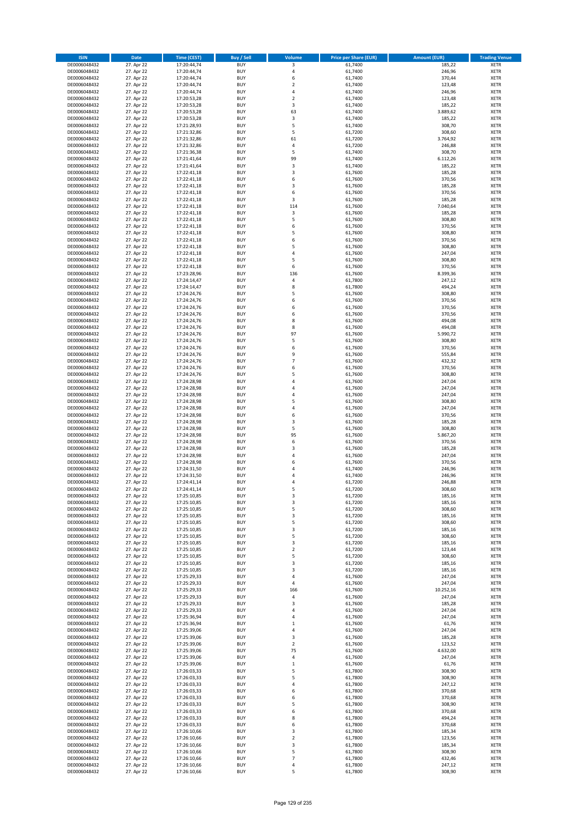| <b>ISIN</b>                  | <b>Date</b>              | <b>Time (CEST)</b>         | <b>Buy / Sell</b>        | Volume               | <b>Price per Share (EUR)</b> | <b>Amount (EUR)</b> | <b>Trading Venue</b>       |
|------------------------------|--------------------------|----------------------------|--------------------------|----------------------|------------------------------|---------------------|----------------------------|
| DE0006048432                 | 27. Apr 22               | 17:20:44,74                | <b>BUY</b>               | 3                    | 61,7400                      | 185,22              | <b>XETR</b>                |
| DE0006048432                 | 27. Apr 22               | 17:20:44,74                | <b>BUY</b>               | 4                    | 61,7400                      | 246,96              | <b>XETR</b>                |
| DE0006048432                 | 27. Apr 22               | 17:20:44,74                | <b>BUY</b>               | 6                    | 61.7400                      | 370,44              | <b>XETR</b>                |
| DE0006048432<br>DE0006048432 | 27. Apr 22<br>27. Apr 22 | 17:20:44,74<br>17:20:44,74 | <b>BUY</b><br><b>BUY</b> | $\mathbf 2$<br>4     | 61,7400<br>61,7400           | 123,48<br>246,96    | <b>XETR</b><br><b>XETR</b> |
| DE0006048432                 | 27. Apr 22               | 17:20:53,28                | <b>BUY</b>               | $\mathbf 2$          | 61,7400                      | 123,48              | <b>XETR</b>                |
| DE0006048432                 | 27. Apr 22               | 17:20:53,28                | <b>BUY</b>               | 3                    | 61,7400                      | 185,22              | <b>XETR</b>                |
| DE0006048432                 | 27. Apr 22               | 17:20:53,28                | <b>BUY</b>               | 63                   | 61,7400                      | 3.889,62            | <b>XETR</b>                |
| DE0006048432                 | 27. Apr 22               | 17:20:53,28                | <b>BUY</b>               | 3                    | 61,7400                      | 185,22              | <b>XETR</b>                |
| DE0006048432                 | 27. Apr 22               | 17:21:28,93                | <b>BUY</b><br><b>BUY</b> | 5                    | 61,7400                      | 308,70              | <b>XETR</b><br><b>XETR</b> |
| DE0006048432<br>DE0006048432 | 27. Apr 22<br>27. Apr 22 | 17:21:32,86<br>17:21:32,86 | <b>BUY</b>               | 5<br>61              | 61,7200<br>61,7200           | 308,60<br>3.764,92  | <b>XETR</b>                |
| DE0006048432                 | 27. Apr 22               | 17:21:32,86                | <b>BUY</b>               | 4                    | 61,7200                      | 246,88              | <b>XETR</b>                |
| DE0006048432                 | 27. Apr 22               | 17:21:36,38                | <b>BUY</b>               | 5                    | 61,7400                      | 308,70              | <b>XETR</b>                |
| DE0006048432                 | 27. Apr 22               | 17:21:41,64                | <b>BUY</b>               | 99                   | 61,7400                      | 6.112,26            | <b>XETR</b>                |
| DE0006048432                 | 27. Apr 22               | 17:21:41,64                | <b>BUY</b>               | 3                    | 61,7400                      | 185,22              | <b>XETR</b>                |
| DE0006048432<br>DE0006048432 | 27. Apr 22<br>27. Apr 22 | 17:22:41,18<br>17:22:41,18 | <b>BUY</b><br><b>BUY</b> | 3<br>6               | 61,7600<br>61,7600           | 185,28<br>370,56    | <b>XETR</b><br><b>XETR</b> |
| DE0006048432                 | 27. Apr 22               | 17:22:41,18                | <b>BUY</b>               | 3                    | 61,7600                      | 185,28              | <b>XETR</b>                |
| DE0006048432                 | 27. Apr 22               | 17:22:41,18                | <b>BUY</b>               | 6                    | 61,7600                      | 370,56              | <b>XETR</b>                |
| DE0006048432                 | 27. Apr 22               | 17:22:41,18                | <b>BUY</b>               | 3                    | 61,7600                      | 185,28              | <b>XETR</b>                |
| DE0006048432                 | 27. Apr 22               | 17:22:41,18                | <b>BUY</b>               | 114                  | 61,7600                      | 7.040,64            | <b>XETR</b>                |
| DE0006048432                 | 27. Apr 22               | 17:22:41,18                | <b>BUY</b>               | 3                    | 61,7600                      | 185,28              | <b>XETR</b>                |
| DE0006048432<br>DE0006048432 | 27. Apr 22<br>27. Apr 22 | 17:22:41,18<br>17:22:41,18 | <b>BUY</b><br><b>BUY</b> | 5<br>6               | 61,7600<br>61,7600           | 308,80<br>370,56    | <b>XETR</b><br><b>XETR</b> |
| DE0006048432                 | 27. Apr 22               | 17:22:41,18                | <b>BUY</b>               | 5                    | 61,7600                      | 308,80              | <b>XETR</b>                |
| DE0006048432                 | 27. Apr 22               | 17:22:41,18                | <b>BUY</b>               | 6                    | 61,7600                      | 370,56              | <b>XETR</b>                |
| DE0006048432                 | 27. Apr 22               | 17:22:41,18                | <b>BUY</b>               | 5                    | 61,7600                      | 308,80              | <b>XETR</b>                |
| DE0006048432                 | 27. Apr 22               | 17:22:41,18                | <b>BUY</b>               | 4                    | 61,7600                      | 247,04              | <b>XETR</b>                |
| DE0006048432<br>DE0006048432 | 27. Apr 22<br>27. Apr 22 | 17:22:41,18<br>17:22:41,18 | <b>BUY</b><br><b>BUY</b> | 5<br>6               | 61,7600<br>61,7600           | 308,80<br>370,56    | <b>XETR</b><br><b>XETR</b> |
| DE0006048432                 | 27. Apr 22               | 17:23:28,96                | <b>BUY</b>               | 136                  | 61,7600                      | 8.399,36            | <b>XETR</b>                |
| DE0006048432                 | 27. Apr 22               | 17:24:14,47                | <b>BUY</b>               | 4                    | 61,7800                      | 247,12              | <b>XETR</b>                |
| DE0006048432                 | 27. Apr 22               | 17:24:14,47                | <b>BUY</b>               | 8                    | 61,7800                      | 494,24              | <b>XETR</b>                |
| DE0006048432                 | 27. Apr 22               | 17:24:24,76                | <b>BUY</b>               | 5                    | 61.7600                      | 308,80              | <b>XETR</b>                |
| DE0006048432                 | 27. Apr 22               | 17:24:24,76                | <b>BUY</b>               | 6                    | 61,7600                      | 370,56              | <b>XETR</b>                |
| DE0006048432<br>DE0006048432 | 27. Apr 22<br>27. Apr 22 | 17:24:24,76<br>17:24:24,76 | <b>BUY</b><br><b>BUY</b> | 6<br>6               | 61,7600<br>61,7600           | 370,56<br>370,56    | <b>XETR</b><br><b>XETR</b> |
| DE0006048432                 | 27. Apr 22               | 17:24:24,76                | <b>BUY</b>               | 8                    | 61,7600                      | 494,08              | <b>XETR</b>                |
| DE0006048432                 | 27. Apr 22               | 17:24:24,76                | <b>BUY</b>               | 8                    | 61,7600                      | 494,08              | <b>XETR</b>                |
| DE0006048432                 | 27. Apr 22               | 17:24:24,76                | <b>BUY</b>               | 97                   | 61,7600                      | 5.990,72            | <b>XETR</b>                |
| DE0006048432                 | 27. Apr 22               | 17:24:24,76                | <b>BUY</b>               | 5                    | 61,7600                      | 308,80              | <b>XETR</b>                |
| DE0006048432                 | 27. Apr 22               | 17:24:24,76                | <b>BUY</b>               | 6                    | 61,7600                      | 370,56              | <b>XETR</b>                |
| DE0006048432<br>DE0006048432 | 27. Apr 22<br>27. Apr 22 | 17:24:24,76<br>17:24:24,76 | <b>BUY</b><br><b>BUY</b> | 9<br>$\overline{7}$  | 61,7600<br>61,7600           | 555,84<br>432,32    | <b>XETR</b><br><b>XETR</b> |
| DE0006048432                 | 27. Apr 22               | 17:24:24,76                | <b>BUY</b>               | 6                    | 61,7600                      | 370,56              | <b>XETR</b>                |
| DE0006048432                 | 27. Apr 22               | 17:24:24,76                | <b>BUY</b>               | 5                    | 61,7600                      | 308,80              | <b>XETR</b>                |
| DE0006048432                 | 27. Apr 22               | 17:24:28,98                | <b>BUY</b>               | 4                    | 61,7600                      | 247,04              | <b>XETR</b>                |
| DE0006048432                 | 27. Apr 22               | 17:24:28,98                | <b>BUY</b>               | 4                    | 61,7600                      | 247,04              | <b>XETR</b>                |
| DE0006048432<br>DE0006048432 | 27. Apr 22<br>27. Apr 22 | 17:24:28,98<br>17:24:28,98 | <b>BUY</b><br><b>BUY</b> | 4<br>5               | 61,7600<br>61,7600           | 247,04<br>308,80    | <b>XETR</b><br><b>XETR</b> |
| DE0006048432                 | 27. Apr 22               | 17:24:28,98                | <b>BUY</b>               | 4                    | 61,7600                      | 247,04              | <b>XETR</b>                |
| DE0006048432                 | 27. Apr 22               | 17:24:28,98                | <b>BUY</b>               | 6                    | 61,7600                      | 370,56              | <b>XETR</b>                |
| DE0006048432                 | 27. Apr 22               | 17:24:28,98                | <b>BUY</b>               | 3                    | 61,7600                      | 185,28              | <b>XETR</b>                |
| DE0006048432                 | 27. Apr 22               | 17:24:28,98                | <b>BUY</b>               | 5                    | 61,7600                      | 308,80              | <b>XETR</b>                |
| DE0006048432                 | 27. Apr 22               | 17:24:28,98                | <b>BUY</b>               | 95                   | 61,7600                      | 5.867,20            | <b>XETR</b>                |
| DE0006048432<br>DE0006048432 | 27. Apr 22<br>27. Apr 22 | 17:24:28,98<br>17:24:28,98 | <b>BUY</b><br><b>BUY</b> | 6<br>3               | 61,7600<br>61,7600           | 370,56<br>185,28    | <b>XETR</b><br><b>XETR</b> |
| DE0006048432                 | 27. Apr 22               | 17:24:28,98                | <b>BUY</b>               | 4                    | 61,7600                      | 247,04              | <b>XETR</b>                |
| DE0006048432                 | 27. Apr 22               | 17:24:28,98                | <b>BUY</b>               | 6                    | 61,7600                      | 370,56              | <b>XETR</b>                |
| DE0006048432                 | 27. Apr 22               | 17:24:31,50                | <b>BUY</b>               | 4                    | 61,7400                      | 246,96              | <b>XETR</b>                |
| DE0006048432                 | 27. Apr 22               | 17:24:31,50                | <b>BUY</b>               | $\overline{a}$       | 61,7400                      | 246,96              | <b>XETR</b>                |
| DE0006048432<br>DE0006048432 | 27. Apr 22<br>27. Apr 22 | 17:24:41,14<br>17:24:41,14 | <b>BUY</b><br><b>BUY</b> | 4<br>5               | 61,7200<br>61,7200           | 246,88<br>308,60    | <b>XETR</b><br><b>XETR</b> |
| DE0006048432                 | 27. Apr 22               | 17:25:10,85                | BUY                      | 3                    | 61,7200                      | 185,16              | <b>XETR</b>                |
| DE0006048432                 | 27. Apr 22               | 17:25:10,85                | <b>BUY</b>               | 3                    | 61,7200                      | 185,16              | XETR                       |
| DE0006048432                 | 27. Apr 22               | 17:25:10,85                | <b>BUY</b>               | 5                    | 61,7200                      | 308,60              | XETR                       |
| DE0006048432                 | 27. Apr 22               | 17:25:10,85                | <b>BUY</b>               | 3                    | 61,7200                      | 185,16              | XETR                       |
| DE0006048432<br>DE0006048432 | 27. Apr 22<br>27. Apr 22 | 17:25:10,85<br>17:25:10,85 | <b>BUY</b><br><b>BUY</b> | 5<br>3               | 61,7200<br>61,7200           | 308,60<br>185,16    | <b>XETR</b><br>XETR        |
| DE0006048432                 | 27. Apr 22               | 17:25:10,85                | <b>BUY</b>               | 5                    | 61,7200                      | 308,60              | <b>XETR</b>                |
| DE0006048432                 | 27. Apr 22               | 17:25:10,85                | <b>BUY</b>               | 3                    | 61,7200                      | 185,16              | XETR                       |
| DE0006048432                 | 27. Apr 22               | 17:25:10,85                | <b>BUY</b>               | $\mathbf 2$          | 61,7200                      | 123,44              | <b>XETR</b>                |
| DE0006048432                 | 27. Apr 22               | 17:25:10,85                | <b>BUY</b>               | 5                    | 61,7200                      | 308,60              | XETR                       |
| DE0006048432<br>DE0006048432 | 27. Apr 22<br>27. Apr 22 | 17:25:10,85<br>17:25:10,85 | <b>BUY</b><br><b>BUY</b> | 3<br>3               | 61,7200<br>61,7200           | 185,16<br>185,16    | XETR<br><b>XETR</b>        |
| DE0006048432                 | 27. Apr 22               | 17:25:29,33                | <b>BUY</b>               | 4                    | 61,7600                      | 247,04              | XETR                       |
| DE0006048432                 | 27. Apr 22               | 17:25:29,33                | <b>BUY</b>               | 4                    | 61,7600                      | 247,04              | <b>XETR</b>                |
| DE0006048432                 | 27. Apr 22               | 17:25:29,33                | <b>BUY</b>               | 166                  | 61,7600                      | 10.252,16           | XETR                       |
| DE0006048432                 | 27. Apr 22               | 17:25:29,33                | <b>BUY</b>               | $\overline{4}$       | 61,7600                      | 247,04              | <b>XETR</b>                |
| DE0006048432<br>DE0006048432 | 27. Apr 22<br>27. Apr 22 | 17:25:29,33<br>17:25:29,33 | <b>BUY</b><br><b>BUY</b> | 3<br>4               | 61,7600<br>61,7600           | 185,28<br>247,04    | <b>XETR</b><br><b>XETR</b> |
| DE0006048432                 | 27. Apr 22               | 17:25:36,94                | <b>BUY</b>               | 4                    | 61,7600                      | 247,04              | XETR                       |
| DE0006048432                 | 27. Apr 22               | 17:25:36,94                | <b>BUY</b>               | $\mathbf 1$          | 61,7600                      | 61,76               | <b>XETR</b>                |
| DE0006048432                 | 27. Apr 22               | 17:25:39,06                | <b>BUY</b>               | 4                    | 61,7600                      | 247,04              | <b>XETR</b>                |
| DE0006048432                 | 27. Apr 22               | 17:25:39,06                | <b>BUY</b>               | 3                    | 61,7600                      | 185,28              | XETR                       |
| DE0006048432<br>DE0006048432 | 27. Apr 22<br>27. Apr 22 | 17:25:39,06<br>17:25:39,06 | <b>BUY</b><br><b>BUY</b> | $\overline{2}$<br>75 | 61,7600<br>61,7600           | 123,52<br>4.632,00  | <b>XETR</b><br><b>XETR</b> |
| DE0006048432                 | 27. Apr 22               | 17:25:39,06                | <b>BUY</b>               | 4                    | 61,7600                      | 247,04              | <b>XETR</b>                |
| DE0006048432                 | 27. Apr 22               | 17:25:39,06                | <b>BUY</b>               | $\mathbf 1$          | 61,7600                      | 61,76               | XETR                       |
| DE0006048432                 | 27. Apr 22               | 17:26:03,33                | <b>BUY</b>               | 5                    | 61,7800                      | 308,90              | <b>XETR</b>                |
| DE0006048432                 | 27. Apr 22               | 17:26:03,33                | <b>BUY</b>               | 5                    | 61,7800                      | 308,90              | <b>XETR</b>                |
| DE0006048432                 | 27. Apr 22               | 17:26:03,33                | <b>BUY</b>               | 4                    | 61,7800                      | 247,12              | <b>XETR</b>                |
| DE0006048432<br>DE0006048432 | 27. Apr 22<br>27. Apr 22 | 17:26:03,33<br>17:26:03,33 | <b>BUY</b><br><b>BUY</b> | 6<br>6               | 61,7800<br>61,7800           | 370,68<br>370,68    | XETR<br>XETR               |
| DE0006048432                 | 27. Apr 22               | 17:26:03,33                | <b>BUY</b>               | 5                    | 61,7800                      | 308,90              | <b>XETR</b>                |
| DE0006048432                 | 27. Apr 22               | 17:26:03,33                | <b>BUY</b>               | 6                    | 61,7800                      | 370,68              | XETR                       |
| DE0006048432                 | 27. Apr 22               | 17:26:03,33                | <b>BUY</b>               | 8                    | 61,7800                      | 494,24              | <b>XETR</b>                |
| DE0006048432                 | 27. Apr 22               | 17:26:03,33                | <b>BUY</b>               | 6                    | 61,7800                      | 370,68              | <b>XETR</b>                |
| DE0006048432<br>DE0006048432 | 27. Apr 22<br>27. Apr 22 | 17:26:10,66<br>17:26:10,66 | <b>BUY</b><br><b>BUY</b> | 3<br>$\overline{2}$  | 61,7800<br>61,7800           | 185,34<br>123,56    | XETR<br><b>XETR</b>        |
| DE0006048432                 | 27. Apr 22               | 17:26:10,66                | <b>BUY</b>               | 3                    | 61,7800                      | 185,34              | XETR                       |
| DE0006048432                 | 27. Apr 22               | 17:26:10,66                | <b>BUY</b>               | 5                    | 61,7800                      | 308,90              | <b>XETR</b>                |
| DE0006048432                 | 27. Apr 22               | 17:26:10,66                | <b>BUY</b>               | $\overline{7}$       | 61,7800                      | 432,46              | <b>XETR</b>                |
| DE0006048432                 | 27. Apr 22               | 17:26:10,66                | <b>BUY</b>               | 4                    | 61,7800                      | 247,12              | <b>XETR</b>                |
| DE0006048432                 | 27. Apr 22               | 17:26:10,66                | <b>BUY</b>               | 5                    | 61,7800                      | 308,90              | XETR                       |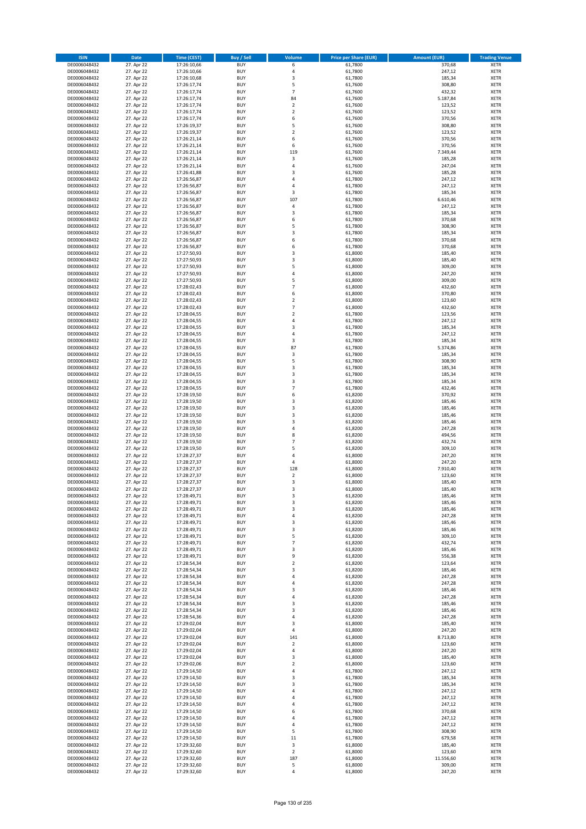| <b>ISIN</b>                  | <b>Date</b>              | <b>Time (CEST)</b>         | <b>Buy / Sell</b>        | Volume                  | <b>Price per Share (EUR)</b> | <b>Amount (EUR)</b> | <b>Trading Venue</b>       |
|------------------------------|--------------------------|----------------------------|--------------------------|-------------------------|------------------------------|---------------------|----------------------------|
| DE0006048432                 | 27. Apr 22               | 17:26:10,66                | <b>BUY</b>               | 6                       | 61,7800                      | 370,68              | <b>XETR</b>                |
| DE0006048432                 | 27. Apr 22               | 17:26:10,66                | <b>BUY</b>               | 4                       | 61,7800                      | 247,12              | <b>XETR</b>                |
| DE0006048432                 | 27. Apr 22               | 17:26:10,68                | <b>BUY</b>               | 3                       | 61,7800                      | 185,34              | <b>XETR</b>                |
| DE0006048432<br>DE0006048432 | 27. Apr 22<br>27. Apr 22 | 17:26:17,74<br>17:26:17,74 | <b>BUY</b><br><b>BUY</b> | 5<br>$\overline{7}$     | 61,7600<br>61,7600           | 308,80<br>432,32    | <b>XETR</b><br><b>XETR</b> |
| DE0006048432                 | 27. Apr 22               | 17:26:17,74                | <b>BUY</b>               | 84                      | 61,7600                      | 5.187,84            | <b>XETR</b>                |
| DE0006048432                 | 27. Apr 22               | 17:26:17,74                | <b>BUY</b>               | $\overline{\mathbf{c}}$ | 61,7600                      | 123,52              | <b>XETR</b>                |
| DE0006048432                 | 27. Apr 22               | 17:26:17,74                | <b>BUY</b>               | $\mathbf 2$             | 61,7600                      | 123,52              | <b>XETR</b>                |
| DE0006048432                 | 27. Apr 22               | 17:26:17,74                | <b>BUY</b>               | 6<br>5                  | 61,7600                      | 370,56              | <b>XETR</b>                |
| DE0006048432<br>DE0006048432 | 27. Apr 22<br>27. Apr 22 | 17:26:19,37<br>17:26:19,37 | <b>BUY</b><br><b>BUY</b> | $\mathbf 2$             | 61,7600<br>61,7600           | 308,80<br>123,52    | <b>XETR</b><br><b>XETR</b> |
| DE0006048432                 | 27. Apr 22               | 17:26:21,14                | <b>BUY</b>               | 6                       | 61,7600                      | 370,56              | <b>XETR</b>                |
| DE0006048432                 | 27. Apr 22               | 17:26:21,14                | <b>BUY</b>               | 6                       | 61,7600                      | 370,56              | <b>XETR</b>                |
| DE0006048432                 | 27. Apr 22               | 17:26:21,14                | <b>BUY</b>               | 119                     | 61,7600                      | 7.349,44            | <b>XETR</b>                |
| DE0006048432                 | 27. Apr 22               | 17:26:21,14                | <b>BUY</b>               | 3                       | 61,7600                      | 185,28              | <b>XETR</b>                |
| DE0006048432<br>DE0006048432 | 27. Apr 22<br>27. Apr 22 | 17:26:21,14<br>17:26:41,88 | <b>BUY</b><br><b>BUY</b> | 4<br>3                  | 61,7600<br>61,7600           | 247,04<br>185,28    | <b>XETR</b><br><b>XETR</b> |
| DE0006048432                 | 27. Apr 22               | 17:26:56,87                | <b>BUY</b>               | 4                       | 61,7800                      | 247,12              | <b>XETR</b>                |
| DE0006048432                 | 27. Apr 22               | 17:26:56,87                | <b>BUY</b>               | 4                       | 61,7800                      | 247,12              | <b>XETR</b>                |
| DE0006048432                 | 27. Apr 22               | 17:26:56,87                | <b>BUY</b>               | 3                       | 61,7800                      | 185,34              | <b>XETR</b>                |
| DE0006048432                 | 27. Apr 22               | 17:26:56,87                | <b>BUY</b>               | 107                     | 61,7800                      | 6.610,46            | <b>XETR</b>                |
| DE0006048432<br>DE0006048432 | 27. Apr 22<br>27. Apr 22 | 17:26:56,87                | <b>BUY</b><br><b>BUY</b> | 4<br>3                  | 61,7800<br>61,7800           | 247,12<br>185,34    | <b>XETR</b><br><b>XETR</b> |
| DE0006048432                 | 27. Apr 22               | 17:26:56,87<br>17:26:56,87 | <b>BUY</b>               | 6                       | 61,7800                      | 370,68              | <b>XETR</b>                |
| DE0006048432                 | 27. Apr 22               | 17:26:56,87                | <b>BUY</b>               | 5                       | 61,7800                      | 308,90              | <b>XETR</b>                |
| DE0006048432                 | 27. Apr 22               | 17:26:56,87                | <b>BUY</b>               | 3                       | 61,7800                      | 185,34              | <b>XETR</b>                |
| DE0006048432                 | 27. Apr 22               | 17:26:56,87                | <b>BUY</b>               | 6                       | 61,7800                      | 370,68              | <b>XETR</b>                |
| DE0006048432                 | 27. Apr 22               | 17:26:56,87                | <b>BUY</b><br><b>BUY</b> | 6                       | 61,7800                      | 370,68              | <b>XETR</b>                |
| DE0006048432<br>DE0006048432 | 27. Apr 22<br>27. Apr 22 | 17:27:50,93<br>17:27:50,93 | <b>BUY</b>               | 3<br>3                  | 61,8000<br>61,8000           | 185,40<br>185,40    | <b>XETR</b><br><b>XETR</b> |
| DE0006048432                 | 27. Apr 22               | 17:27:50,93                | <b>BUY</b>               | 5                       | 61,8000                      | 309,00              | <b>XETR</b>                |
| DE0006048432                 | 27. Apr 22               | 17:27:50,93                | <b>BUY</b>               | 4                       | 61,8000                      | 247,20              | <b>XETR</b>                |
| DE0006048432                 | 27. Apr 22               | 17:27:50,93                | <b>BUY</b>               | 5                       | 61,8000                      | 309,00              | <b>XETR</b>                |
| DE0006048432                 | 27. Apr 22               | 17:28:02,43                | <b>BUY</b>               | $\overline{7}$          | 61,8000                      | 432,60              | <b>XETR</b>                |
| DE0006048432<br>DE0006048432 | 27. Apr 22<br>27. Apr 22 | 17:28:02,43<br>17:28:02,43 | <b>BUY</b><br><b>BUY</b> | 6<br>$\mathbf 2$        | 61,8000<br>61,8000           | 370,80<br>123,60    | <b>XETR</b><br><b>XETR</b> |
| DE0006048432                 | 27. Apr 22               | 17:28:02,43                | <b>BUY</b>               | $\overline{7}$          | 61,8000                      | 432,60              | <b>XETR</b>                |
| DE0006048432                 | 27. Apr 22               | 17:28:04,55                | <b>BUY</b>               | $\mathbf 2$             | 61,7800                      | 123,56              | <b>XETR</b>                |
| DE0006048432                 | 27. Apr 22               | 17:28:04,55                | <b>BUY</b>               | 4                       | 61,7800                      | 247,12              | <b>XETR</b>                |
| DE0006048432                 | 27. Apr 22               | 17:28:04,55                | <b>BUY</b>               | 3                       | 61,7800                      | 185,34              | <b>XETR</b>                |
| DE0006048432                 | 27. Apr 22               | 17:28:04,55                | <b>BUY</b>               | 4                       | 61,7800                      | 247,12              | <b>XETR</b>                |
| DE0006048432                 | 27. Apr 22               | 17:28:04,55                | <b>BUY</b>               | 3                       | 61,7800                      | 185,34              | <b>XETR</b>                |
| DE0006048432<br>DE0006048432 | 27. Apr 22<br>27. Apr 22 | 17:28:04,55<br>17:28:04,55 | <b>BUY</b><br><b>BUY</b> | 87<br>3                 | 61,7800<br>61,7800           | 5.374,86<br>185,34  | <b>XETR</b><br><b>XETR</b> |
| DE0006048432                 | 27. Apr 22               | 17:28:04,55                | <b>BUY</b>               | 5                       | 61,7800                      | 308,90              | <b>XETR</b>                |
| DE0006048432                 | 27. Apr 22               | 17:28:04,55                | <b>BUY</b>               | 3                       | 61,7800                      | 185,34              | <b>XETR</b>                |
| DE0006048432                 | 27. Apr 22               | 17:28:04,55                | <b>BUY</b>               | 3                       | 61,7800                      | 185,34              | <b>XETR</b>                |
| DE0006048432                 | 27. Apr 22               | 17:28:04,55                | <b>BUY</b>               | 3                       | 61,7800                      | 185,34              | <b>XETR</b>                |
| DE0006048432                 | 27. Apr 22               | 17:28:04,55                | <b>BUY</b>               | $\overline{7}$          | 61,7800                      | 432,46              | <b>XETR</b>                |
| DE0006048432<br>DE0006048432 | 27. Apr 22<br>27. Apr 22 | 17:28:19,50<br>17:28:19,50 | <b>BUY</b><br><b>BUY</b> | 6<br>3                  | 61,8200<br>61,8200           | 370,92<br>185,46    | <b>XETR</b><br><b>XETR</b> |
| DE0006048432                 | 27. Apr 22               | 17:28:19,50                | <b>BUY</b>               | 3                       | 61,8200                      | 185,46              | <b>XETR</b>                |
| DE0006048432                 | 27. Apr 22               | 17:28:19,50                | <b>BUY</b>               | 3                       | 61,8200                      | 185,46              | <b>XETR</b>                |
| DE0006048432                 | 27. Apr 22               | 17:28:19,50                | <b>BUY</b>               | 3                       | 61,8200                      | 185,46              | <b>XETR</b>                |
| DE0006048432                 | 27. Apr 22               | 17:28:19,50                | <b>BUY</b>               | 4                       | 61,8200                      | 247,28              | <b>XETR</b>                |
| DE0006048432                 | 27. Apr 22               | 17:28:19,50                | <b>BUY</b>               | 8                       | 61,8200                      | 494,56              | <b>XETR</b>                |
| DE0006048432<br>DE0006048432 | 27. Apr 22<br>27. Apr 22 | 17:28:19,50<br>17:28:19,50 | <b>BUY</b><br><b>BUY</b> | $\overline{7}$<br>5     | 61,8200<br>61,8200           | 432,74<br>309,10    | <b>XETR</b><br><b>XETR</b> |
| DE0006048432                 | 27. Apr 22               | 17:28:27,37                | <b>BUY</b>               | 4                       | 61,8000                      | 247,20              | <b>XETR</b>                |
| DE0006048432                 | 27. Apr 22               | 17:28:27,37                | <b>BUY</b>               | 4                       | 61,8000                      | 247,20              | <b>XETR</b>                |
| DE0006048432                 | 27. Apr 22               | 17:28:27,37                | <b>BUY</b>               | 128                     | 61,8000                      | 7.910,40            | <b>XETR</b>                |
| DE0006048432                 | 27. Apr 22               | 17:28:27,37                | <b>BUY</b>               | $\overline{\mathbf{c}}$ | 61,8000                      | 123,60              | <b>XETR</b>                |
| DE0006048432                 | 27. Apr 22               | 17:28:27,37<br>17:28:27,37 | <b>BUY</b><br><b>BUY</b> | 3<br>3                  | 61,8000                      | 185,40              | <b>XETR</b><br><b>XETR</b> |
| DE0006048432<br>DE0006048432 | 27. Apr 22<br>27. Apr 22 | 17:28:49,71                | BUY                      | 3                       | 61,8000<br>61,8200           | 185,40<br>185,46    | <b>XETR</b>                |
| DE0006048432                 | 27. Apr 22               | 17:28:49,71                | <b>BUY</b>               | 3                       | 61,8200                      | 185,46              | XETR                       |
| DE0006048432                 | 27. Apr 22               | 17:28:49,71                | <b>BUY</b>               | 3                       | 61,8200                      | 185,46              | <b>XETR</b>                |
| DE0006048432                 | 27. Apr 22               | 17:28:49,71                | <b>BUY</b>               | 4                       | 61,8200                      | 247,28              | XETR                       |
| DE0006048432                 | 27. Apr 22               | 17:28:49,71                | <b>BUY</b>               | 3                       | 61,8200                      | 185,46              | <b>XETR</b>                |
| DE0006048432<br>DE0006048432 | 27. Apr 22<br>27. Apr 22 | 17:28:49,71<br>17:28:49,71 | <b>BUY</b><br><b>BUY</b> | 3<br>5                  | 61,8200<br>61,8200           | 185,46<br>309,10    | <b>XETR</b><br><b>XETR</b> |
| DE0006048432                 | 27. Apr 22               | 17:28:49,71                | <b>BUY</b>               | $\overline{7}$          | 61,8200                      | 432,74              | <b>XETR</b>                |
| DE0006048432                 | 27. Apr 22               | 17:28:49,71                | <b>BUY</b>               | 3                       | 61,8200                      | 185,46              | <b>XETR</b>                |
| DE0006048432                 | 27. Apr 22               | 17:28:49,71                | <b>BUY</b>               | 9                       | 61,8200                      | 556,38              | <b>XETR</b>                |
| DE0006048432                 | 27. Apr 22               | 17:28:54,34                | <b>BUY</b>               | $\mathbf 2$             | 61,8200                      | 123,64              | XETR                       |
| DE0006048432<br>DE0006048432 | 27. Apr 22<br>27. Apr 22 | 17:28:54,34<br>17:28:54,34 | <b>BUY</b><br><b>BUY</b> | 3<br>4                  | 61,8200<br>61,8200           | 185,46<br>247,28    | <b>XETR</b><br><b>XETR</b> |
| DE0006048432                 | 27. Apr 22               | 17:28:54,34                | <b>BUY</b>               | 4                       | 61,8200                      | 247,28              | <b>XETR</b>                |
| DE0006048432                 | 27. Apr 22               | 17:28:54,34                | <b>BUY</b>               | 3                       | 61,8200                      | 185,46              | <b>XETR</b>                |
| DE0006048432                 | 27. Apr 22               | 17:28:54,34                | <b>BUY</b>               | 4                       | 61,8200                      | 247,28              | <b>XETR</b>                |
| DE0006048432                 | 27. Apr 22               | 17:28:54,34                | <b>BUY</b>               | 3                       | 61,8200                      | 185,46              | <b>XETR</b>                |
| DE0006048432                 | 27. Apr 22<br>27. Apr 22 | 17:28:54,34                | <b>BUY</b>               | 3                       | 61,8200                      | 185,46              | <b>XETR</b>                |
| DE0006048432<br>DE0006048432 | 27. Apr 22               | 17:28:54,36<br>17:29:02,04 | <b>BUY</b><br><b>BUY</b> | 4<br>3                  | 61,8200<br>61,8000           | 247,28<br>185,40    | XETR<br><b>XETR</b>        |
| DE0006048432                 | 27. Apr 22               | 17:29:02,04                | <b>BUY</b>               | 4                       | 61,8000                      | 247,20              | <b>XETR</b>                |
| DE0006048432                 | 27. Apr 22               | 17:29:02,04                | <b>BUY</b>               | 141                     | 61,8000                      | 8.713,80            | <b>XETR</b>                |
| DE0006048432                 | 27. Apr 22               | 17:29:02,04                | <b>BUY</b>               | $\overline{\mathbf{c}}$ | 61,8000                      | 123,60              | <b>XETR</b>                |
| DE0006048432                 | 27. Apr 22               | 17:29:02,04                | <b>BUY</b>               | 4                       | 61,8000                      | 247,20              | <b>XETR</b>                |
| DE0006048432<br>DE0006048432 | 27. Apr 22<br>27. Apr 22 | 17:29:02,04<br>17:29:02,06 | <b>BUY</b><br><b>BUY</b> | 3<br>$\mathbf 2$        | 61,8000<br>61,8000           | 185,40<br>123,60    | <b>XETR</b><br><b>XETR</b> |
| DE0006048432                 | 27. Apr 22               | 17:29:14,50                | <b>BUY</b>               | 4                       | 61,7800                      | 247,12              | <b>XETR</b>                |
| DE0006048432                 | 27. Apr 22               | 17:29:14,50                | <b>BUY</b>               | 3                       | 61,7800                      | 185,34              | <b>XETR</b>                |
| DE0006048432                 | 27. Apr 22               | 17:29:14,50                | <b>BUY</b>               | 3                       | 61,7800                      | 185,34              | <b>XETR</b>                |
| DE0006048432                 | 27. Apr 22               | 17:29:14,50                | <b>BUY</b>               | 4                       | 61,7800                      | 247,12              | XETR                       |
| DE0006048432                 | 27. Apr 22               | 17:29:14,50                | <b>BUY</b><br><b>BUY</b> | 4<br>4                  | 61,7800                      | 247,12              | <b>XETR</b>                |
| DE0006048432<br>DE0006048432 | 27. Apr 22<br>27. Apr 22 | 17:29:14,50<br>17:29:14,50 | <b>BUY</b>               | 6                       | 61,7800<br>61,7800           | 247,12<br>370,68    | <b>XETR</b><br><b>XETR</b> |
| DE0006048432                 | 27. Apr 22               | 17:29:14,50                | <b>BUY</b>               | 4                       | 61,7800                      | 247,12              | <b>XETR</b>                |
| DE0006048432                 | 27. Apr 22               | 17:29:14,50                | <b>BUY</b>               | 4                       | 61,7800                      | 247,12              | <b>XETR</b>                |
| DE0006048432                 | 27. Apr 22               | 17:29:14,50                | <b>BUY</b>               | 5                       | 61,7800                      | 308,90              | <b>XETR</b>                |
| DE0006048432                 | 27. Apr 22               | 17:29:14,50                | <b>BUY</b><br><b>BUY</b> | 11                      | 61,7800                      | 679,58              | <b>XETR</b>                |
| DE0006048432<br>DE0006048432 | 27. Apr 22<br>27. Apr 22 | 17:29:32,60<br>17:29:32,60 | <b>BUY</b>               | 3<br>$\overline{2}$     | 61,8000<br>61,8000           | 185,40<br>123,60    | XETR<br><b>XETR</b>        |
| DE0006048432                 | 27. Apr 22               | 17:29:32,60                | <b>BUY</b>               | 187                     | 61,8000                      | 11.556,60           | <b>XETR</b>                |
| DE0006048432                 | 27. Apr 22               | 17:29:32,60                | <b>BUY</b>               | 5                       | 61,8000                      | 309,00              | <b>XETR</b>                |
| DE0006048432                 | 27. Apr 22               | 17:29:32,60                | <b>BUY</b>               | 4                       | 61,8000                      | 247,20              | XETR                       |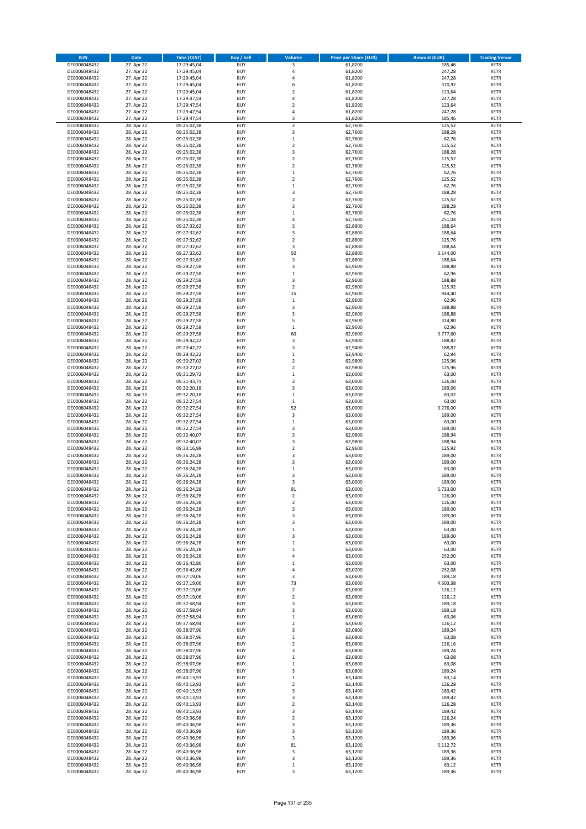| <b>ISIN</b>                  | Date                     | <b>Time (CEST)</b>         | Buy / Sell               | Volume                  | <b>Price per Share (EUR)</b> | <b>Amount (EUR)</b> | <b>Trading Venue</b>       |
|------------------------------|--------------------------|----------------------------|--------------------------|-------------------------|------------------------------|---------------------|----------------------------|
| DE0006048432                 | 27. Apr 22               | 17:29:45,04                | <b>BUY</b>               | 3                       | 61,8200                      | 185,46              | <b>XETR</b>                |
| DE0006048432                 | 27. Apr 22               | 17:29:45,04                | <b>BUY</b>               | $\overline{4}$          | 61,8200                      | 247,28              | <b>XETR</b>                |
| DE0006048432                 | 27. Apr 22               | 17:29:45,04                | <b>BUY</b>               | $\overline{4}$          | 61,8200                      | 247,28              | <b>XETR</b>                |
| DE0006048432                 | 27. Apr 22               | 17:29:45,04                | <b>BUY</b>               | 6                       | 61,8200                      | 370,92              | <b>XETR</b>                |
| DE0006048432                 | 27. Apr 22               | 17:29:45,04                | <b>BUY</b>               | $\overline{2}$          | 61,8200                      | 123,64              | <b>XETR</b>                |
| DE0006048432                 | 27. Apr 22               | 17:29:47,54                | <b>BUY</b>               | 4                       | 61,8200                      | 247,28              | <b>XETR</b>                |
| DE0006048432                 | 27. Apr 22               | 17:29:47,54                | <b>BUY</b>               | $\overline{2}$          | 61,8200                      | 123,64              | <b>XETR</b>                |
| DE0006048432                 | 27. Apr 22               | 17:29:47,54                | <b>BUY</b>               | 4                       | 61,8200                      | 247,28              | <b>XETR</b>                |
| DE0006048432                 | 27. Apr 22               | 17:29:47,54                | <b>BUY</b>               | 3                       | 61,8200                      | 185,46              | <b>XETR</b>                |
| DE0006048432                 | 28. Apr 22               | 09:25:02,38                | <b>BUY</b>               | $\overline{2}$          | 62,7600                      | 125,52              | <b>XETR</b>                |
| DE0006048432                 | 28. Apr 22               | 09:25:02,38                | <b>BUY</b>               | $\mathsf 3$             | 62,7600                      | 188,28              | <b>XETR</b>                |
| DE0006048432                 | 28. Apr 22               | 09:25:02,38                | <b>BUY</b>               | $\mathbf 1$             | 62,7600                      | 62,76               | <b>XETR</b>                |
| DE0006048432                 | 28. Apr 22<br>28. Apr 22 | 09:25:02,38                | <b>BUY</b><br><b>BUY</b> | $\mathbf 2$<br>3        | 62,7600                      | 125,52              | <b>XETR</b><br><b>XETR</b> |
| DE0006048432<br>DE0006048432 | 28. Apr 22               | 09:25:02,38<br>09:25:02,38 | <b>BUY</b>               | $\overline{2}$          | 62,7600<br>62,7600           | 188,28<br>125,52    |                            |
| DE0006048432                 | 28. Apr 22               | 09:25:02,38                | <b>BUY</b>               | $\overline{2}$          | 62,7600                      | 125,52              | <b>XETR</b><br><b>XETR</b> |
| DE0006048432                 | 28. Apr 22               | 09:25:02,38                | <b>BUY</b>               | $\mathbf 1$             | 62,7600                      | 62,76               | <b>XETR</b>                |
| DE0006048432                 | 28. Apr 22               | 09:25:02,38                | <b>BUY</b>               | $\overline{2}$          | 62,7600                      | 125,52              | <b>XETR</b>                |
| DE0006048432                 | 28. Apr 22               | 09:25:02,38                | <b>BUY</b>               | $\mathbf 1$             | 62,7600                      | 62,76               | <b>XETR</b>                |
| DE0006048432                 | 28. Apr 22               | 09:25:02,38                | <b>BUY</b>               | 3                       | 62,7600                      | 188,28              | <b>XETR</b>                |
| DE0006048432                 | 28. Apr 22               | 09:25:02,38                | <b>BUY</b>               | $\overline{2}$          | 62,7600                      | 125,52              | <b>XETR</b>                |
| DE0006048432                 | 28. Apr 22               | 09:25:02,38                | <b>BUY</b>               | 3                       | 62,7600                      | 188,28              | <b>XETR</b>                |
| DE0006048432                 | 28. Apr 22               | 09:25:02,38                | <b>BUY</b>               | $\mathbf{1}$            | 62,7600                      | 62,76               | <b>XETR</b>                |
| DE0006048432                 | 28. Apr 22               | 09:25:02,38                | <b>BUY</b>               | 4                       | 62,7600                      | 251,04              | <b>XETR</b>                |
| DE0006048432                 | 28. Apr 22               | 09:27:32,62                | <b>BUY</b>               | 3                       | 62,8800                      | 188,64              | <b>XETR</b>                |
| DE0006048432                 | 28. Apr 22               | 09:27:32,62                | <b>BUY</b>               | 3                       | 62,8800                      | 188,64              | <b>XETR</b>                |
| DE0006048432                 | 28. Apr 22               | 09:27:32,62                | <b>BUY</b>               | $\overline{2}$          | 62,8800                      | 125,76              | <b>XETR</b>                |
| DE0006048432                 | 28. Apr 22               | 09:27:32,62                | <b>BUY</b>               | 3                       | 62,8800                      | 188,64              | <b>XETR</b>                |
| DE0006048432                 | 28. Apr 22               | 09:27:32,62                | <b>BUY</b>               | 50                      | 62,8800                      | 3.144,00            | <b>XETR</b>                |
| DE0006048432                 | 28. Apr 22               | 09:27:32,62                | <b>BUY</b>               | 3                       | 62,8800                      | 188,64              | <b>XETR</b>                |
| DE0006048432                 | 28. Apr 22               | 09:29:27,58                | <b>BUY</b>               | 3                       | 62,9600                      | 188,88              | <b>XETR</b>                |
| DE0006048432                 | 28. Apr 22               | 09:29:27,58                | <b>BUY</b>               | $\,$ 1                  | 62,9600                      | 62,96               | <b>XETR</b>                |
| DE0006048432                 | 28. Apr 22               | 09:29:27,58                | <b>BUY</b>               | 3                       | 62,9600                      | 188,88              | <b>XETR</b>                |
| DE0006048432                 | 28. Apr 22               | 09:29:27,58                | <b>BUY</b>               | $\overline{\mathbf{2}}$ | 62,9600                      | 125,92              | <b>XETR</b>                |
| DE0006048432<br>DE0006048432 | 28. Apr 22<br>28. Apr 22 | 09:29:27,58<br>09:29:27,58 | <b>BUY</b><br><b>BUY</b> | 15<br>$\mathbf 1$       | 62,9600<br>62,9600           | 944,40<br>62,96     | <b>XETR</b><br><b>XETR</b> |
| DE0006048432                 | 28. Apr 22               | 09:29:27,58                | <b>BUY</b>               | 3                       | 62,9600                      | 188,88              | <b>XETR</b>                |
| DE0006048432                 | 28. Apr 22               | 09:29:27,58                | <b>BUY</b>               | 3                       | 62,9600                      | 188,88              | <b>XETR</b>                |
| DE0006048432                 | 28. Apr 22               | 09:29:27,58                | <b>BUY</b>               | 5                       | 62,9600                      | 314,80              | <b>XETR</b>                |
| DE0006048432                 | 28. Apr 22               | 09:29:27,58                | <b>BUY</b>               | $\mathbf 1$             | 62,9600                      | 62,96               | <b>XETR</b>                |
| DE0006048432                 | 28. Apr 22               | 09:29:27,58                | <b>BUY</b>               | 60                      | 62,9600                      | 3.777,60            | <b>XETR</b>                |
| DE0006048432                 | 28. Apr 22               | 09:29:42,22                | <b>BUY</b>               | 3                       | 62,9400                      | 188,82              | <b>XETR</b>                |
| DE0006048432                 | 28. Apr 22               | 09:29:42,22                | <b>BUY</b>               | 3                       | 62,9400                      | 188,82              | <b>XETR</b>                |
| DE0006048432                 | 28. Apr 22               | 09:29:42,22                | <b>BUY</b>               | $\mathbf{1}$            | 62,9400                      | 62,94               | <b>XETR</b>                |
| DE0006048432                 | 28. Apr 22               | 09:30:27,02                | <b>BUY</b>               | $\overline{\mathbf{2}}$ | 62,9800                      | 125,96              | <b>XETR</b>                |
| DE0006048432                 | 28. Apr 22               | 09:30:27,02                | <b>BUY</b>               | $\overline{\mathbf{2}}$ | 62,9800                      | 125,96              | <b>XETR</b>                |
| DE0006048432                 | 28. Apr 22               | 09:31:29,72                | <b>BUY</b>               | $\,$ 1                  | 63,0000                      | 63,00               | <b>XETR</b>                |
| DE0006048432                 | 28. Apr 22               | 09:31:43,71                | <b>BUY</b>               | $\overline{\mathbf{2}}$ | 63,0000                      | 126,00              | <b>XETR</b>                |
| DE0006048432                 | 28. Apr 22               | 09:32:20,18                | <b>BUY</b>               | 3                       | 63,0200                      | 189,06              | <b>XETR</b>                |
| DE0006048432                 | 28. Apr 22               | 09:32:20,18                | <b>BUY</b>               | $\mathbf 1$             | 63,0200                      | 63,02               | <b>XETR</b>                |
| DE0006048432                 | 28. Apr 22               | 09:32:27,54                | <b>BUY</b>               | $\mathbf 1$             | 63,0000                      | 63,00               | <b>XETR</b>                |
| DE0006048432                 | 28. Apr 22               | 09:32:27,54                | <b>BUY</b>               | 52                      | 63,0000                      | 3.276,00            | <b>XETR</b>                |
| DE0006048432                 | 28. Apr 22               | 09:32:27,54                | <b>BUY</b><br><b>BUY</b> | 3                       | 63,0000                      | 189,00              | <b>XETR</b>                |
| DE0006048432<br>DE0006048432 | 28. Apr 22<br>28. Apr 22 | 09:32:27,54<br>09:32:27,54 | <b>BUY</b>               | $\mathbf 1$<br>3        | 63,0000<br>63,0000           | 63,00<br>189,00     | <b>XETR</b><br><b>XETR</b> |
| DE0006048432                 | 28. Apr 22               | 09:32:40,07                | <b>BUY</b>               | 3                       | 62,9800                      | 188,94              | <b>XETR</b>                |
| DE0006048432                 | 28. Apr 22               | 09:32:40,07                | <b>BUY</b>               | 3                       | 62,9800                      | 188,94              | <b>XETR</b>                |
| DE0006048432                 | 28. Apr 22               | 09:33:16,98                | <b>BUY</b>               | $\overline{\mathbf{2}}$ | 62,9600                      | 125,92              | <b>XETR</b>                |
| DE0006048432                 | 28. Apr 22               | 09:36:24,28                | <b>BUY</b>               | 3                       | 63,0000                      | 189,00              | <b>XETR</b>                |
| DE0006048432                 | 28. Apr 22               | 09:36:24,28                | <b>BUY</b>               | 3                       | 63,0000                      | 189,00              | <b>XETR</b>                |
| DE0006048432                 | 28. Apr 22               | 09:36:24,28                | <b>BUY</b>               | $\,$ 1                  | 63,0000                      | 63,00               | <b>XETR</b>                |
| DE0006048432                 | 28. Apr 22               | 09:36:24,28                | <b>BUY</b>               | $\overline{\mathbf{3}}$ | 63,0000                      | 189,00              | <b>XETR</b>                |
| DE0006048432                 | 28. Apr 22               | 09:36:24,28                | <b>BUY</b>               | 3                       | 63,0000                      | 189,00              | <b>XETR</b>                |
| DE0006048432                 | 28. Apr 22               | 09:36:24,28                | <b>BUY</b>               | 91                      | 63,0000                      | 5.733,00            | <b>XETR</b>                |
| DE0006048432                 | 28. Apr 22               | 09:36:24,28                | <b>BUY</b>               | 2                       | 63,0000                      | 126,00              | <b>XETR</b>                |
| DE0006048432                 | 28. Apr 22               | 09:36:24,28                | <b>BUY</b>               | $\overline{\mathbf{2}}$ | 63,0000                      | 126,00              | <b>XETR</b>                |
| DE0006048432                 | 28. Apr 22               | 09:36:24,28                | <b>BUY</b>               | 3                       | 63,0000                      | 189,00              | <b>XETR</b>                |
| DE0006048432                 | 28. Apr 22               | 09:36:24,28                | <b>BUY</b>               | 3                       | 63,0000                      | 189,00              | <b>XETR</b>                |
| DE0006048432                 | 28. Apr 22               | 09:36:24,28                | <b>BUY</b>               | 3                       | 63,0000                      | 189,00              | <b>XETR</b>                |
| DE0006048432                 | 28. Apr 22               | 09:36:24,28                | <b>BUY</b>               | $\,$ 1                  | 63,0000                      | 63,00               | <b>XETR</b>                |
| DE0006048432                 | 28. Apr 22               | 09:36:24,28                | <b>BUY</b>               | $\overline{\mathbf{3}}$ | 63,0000                      | 189,00              | <b>XETR</b>                |
| DE0006048432                 | 28. Apr 22               | 09:36:24,28                | <b>BUY</b>               | $\mathbf{1}$            | 63,0000                      | 63,00               | <b>XETR</b>                |
| DE0006048432<br>DE0006048432 | 28. Apr 22<br>28. Apr 22 | 09:36:24,28<br>09:36:24,28 | <b>BUY</b><br><b>BUY</b> | $\mathbf 1$<br>4        | 63,0000<br>63,0000           | 63,00<br>252,00     | <b>XETR</b><br><b>XETR</b> |
| DE0006048432                 | 28. Apr 22               | 09:36:42,86                | <b>BUY</b>               | $\,$ 1                  | 63,0000                      | 63,00               | <b>XETR</b>                |
| DE0006048432                 |                          |                            | <b>BUY</b>               | 4                       |                              |                     | <b>XETR</b>                |
| DE0006048432                 | 28. Apr 22<br>28. Apr 22 | 09:36:42,86<br>09:37:19,06 | <b>BUY</b>               | 3                       | 63,0200<br>63,0600           | 252,08<br>189,18    | <b>XETR</b>                |
| DE0006048432                 | 28. Apr 22               | 09:37:19,06                | <b>BUY</b>               | 73                      | 63,0600                      | 4.603,38            | <b>XETR</b>                |
| DE0006048432                 | 28. Apr 22               | 09:37:19,06                | <b>BUY</b>               | 2                       | 63,0600                      | 126,12              | <b>XETR</b>                |
| DE0006048432                 | 28. Apr 22               | 09:37:19,06                | <b>BUY</b>               | $\overline{2}$          | 63,0600                      | 126,12              | <b>XETR</b>                |
| DE0006048432                 | 28. Apr 22               | 09:37:58,94                | <b>BUY</b>               | 3                       | 63,0600                      | 189,18              | <b>XETR</b>                |
| DE0006048432                 | 28. Apr 22               | 09:37:58,94                | <b>BUY</b>               | 3                       | 63,0600                      | 189,18              | <b>XETR</b>                |
| DE0006048432                 | 28. Apr 22               | 09:37:58,94                | <b>BUY</b>               | $\mathbf 1$             | 63,0600                      | 63,06               | <b>XETR</b>                |
| DE0006048432                 | 28. Apr 22               | 09:37:58,94                | <b>BUY</b>               | $\overline{2}$          | 63,0600                      | 126,12              | <b>XETR</b>                |
| DE0006048432                 | 28. Apr 22               | 09:38:07,96                | <b>BUY</b>               | 3                       | 63,0800                      | 189,24              | <b>XETR</b>                |
| DE0006048432                 | 28. Apr 22               | 09:38:07,96                | <b>BUY</b>               | $\mathbf 1$             | 63,0800                      | 63,08               | <b>XETR</b>                |
| DE0006048432                 | 28. Apr 22               | 09:38:07,96                | <b>BUY</b>               | $\overline{2}$          | 63,0800                      | 126,16              | <b>XETR</b>                |
| DE0006048432                 | 28. Apr 22               | 09:38:07,96                | <b>BUY</b>               | 3                       | 63,0800                      | 189,24              | <b>XETR</b>                |
| DE0006048432                 | 28. Apr 22               | 09:38:07,96                | <b>BUY</b>               | $\,$ 1                  | 63,0800                      | 63,08               | <b>XETR</b>                |
| DE0006048432                 | 28. Apr 22               | 09:38:07,96                | <b>BUY</b>               | $\mathbf 1$             | 63,0800                      | 63,08               | <b>XETR</b>                |
| DE0006048432                 | 28. Apr 22               | 09:38:07,96                | <b>BUY</b>               | 3                       | 63,0800                      | 189,24              | <b>XETR</b>                |
| DE0006048432                 | 28. Apr 22               | 09:40:13,93                | <b>BUY</b>               | $\mathbf 1$             | 63,1400                      | 63,14               | <b>XETR</b>                |
| DE0006048432                 | 28. Apr 22               | 09:40:13,93                | <b>BUY</b>               | 2                       | 63,1400                      | 126,28              | <b>XETR</b>                |
| DE0006048432                 | 28. Apr 22               | 09:40:13,93                | <b>BUY</b>               | 3                       | 63,1400                      | 189,42              | <b>XETR</b>                |
| DE0006048432                 | 28. Apr 22               | 09:40:13,93                | <b>BUY</b><br><b>BUY</b> | 3                       | 63,1400                      | 189,42              | <b>XETR</b>                |
| DE0006048432<br>DE0006048432 | 28. Apr 22<br>28. Apr 22 | 09:40:13,93<br>09:40:13,93 | <b>BUY</b>               | $\mathbf 2$<br>3        | 63,1400<br>63,1400           | 126,28<br>189,42    | <b>XETR</b><br><b>XETR</b> |
| DE0006048432                 | 28. Apr 22               | 09:40:36,98                | <b>BUY</b>               | $\overline{2}$          | 63,1200                      | 126,24              | <b>XETR</b>                |
| DE0006048432                 | 28. Apr 22               | 09:40:36,98                | <b>BUY</b>               | 3                       | 63,1200                      | 189,36              | <b>XETR</b>                |
| DE0006048432                 | 28. Apr 22               | 09:40:36,98                | <b>BUY</b>               | 3                       | 63,1200                      | 189,36              | <b>XETR</b>                |
| DE0006048432                 | 28. Apr 22               | 09:40:36,98                | <b>BUY</b>               | 3                       | 63,1200                      | 189,36              | <b>XETR</b>                |
| DE0006048432                 | 28. Apr 22               | 09:40:36,98                | <b>BUY</b>               | 81                      | 63,1200                      | 5.112,72            | <b>XETR</b>                |
| DE0006048432                 | 28. Apr 22               | 09:40:36,98                | <b>BUY</b>               | 3                       | 63,1200                      | 189,36              | <b>XETR</b>                |
| DE0006048432                 | 28. Apr 22               | 09:40:36,98                | <b>BUY</b>               | 3                       | 63,1200                      | 189,36              | <b>XETR</b>                |
| DE0006048432                 | 28. Apr 22               | 09:40:36,98                | <b>BUY</b>               | $\,$ 1                  | 63,1200                      | 63,12               | <b>XETR</b>                |
| DE0006048432                 | 28. Apr 22               | 09:40:36,98                | <b>BUY</b>               | 3                       | 63,1200                      | 189,36              | <b>XETR</b>                |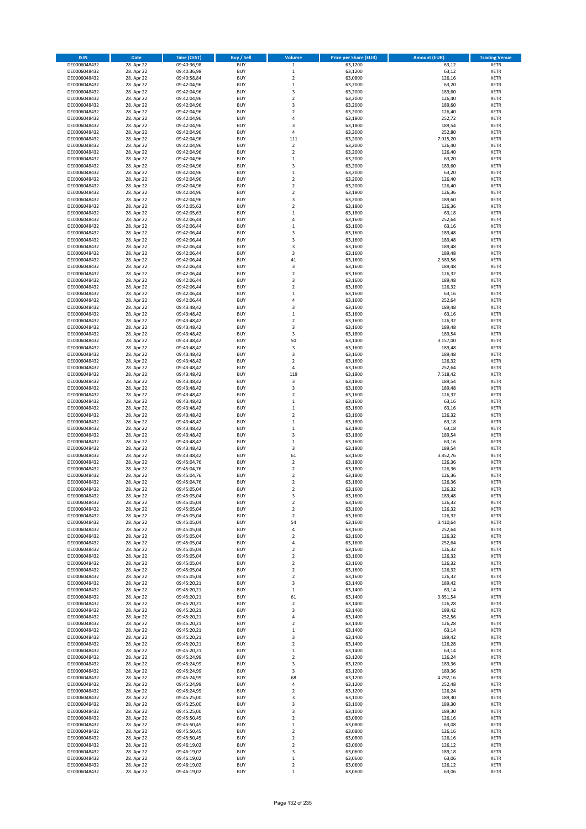| <b>ISIN</b>                  | <b>Date</b>              | <b>Time (CEST)</b>         | <b>Buy / Sell</b>        | Volume                                             | <b>Price per Share (EUR)</b> | <b>Amount (EUR)</b> | <b>Trading Venue</b>       |
|------------------------------|--------------------------|----------------------------|--------------------------|----------------------------------------------------|------------------------------|---------------------|----------------------------|
| DE0006048432                 | 28. Apr 22               | 09:40:36,98                | <b>BUY</b>               | $\mathbf 1$                                        | 63,1200                      | 63,12               | <b>XETR</b>                |
| DE0006048432                 | 28. Apr 22               | 09:40:36,98                | <b>BUY</b>               | $\mathbf 1$                                        | 63,1200                      | 63,12               | <b>XETR</b>                |
| DE0006048432                 | 28. Apr 22               | 09:40:58,84                | <b>BUY</b>               | $\overline{2}$                                     | 63,0800                      | 126,16              | <b>XETR</b>                |
| DE0006048432                 | 28. Apr 22               | 09:42:04,96                | <b>BUY</b>               | $\mathbf 1$                                        | 63,2000                      | 63,20               | <b>XETR</b>                |
| DE0006048432<br>DE0006048432 | 28. Apr 22<br>28. Apr 22 | 09:42:04,96<br>09:42:04,96 | <b>BUY</b><br><b>BUY</b> | 3<br>$\mathbf 2$                                   | 63,2000<br>63,2000           | 189,60<br>126,40    | <b>XETR</b><br><b>XETR</b> |
| DE0006048432                 | 28. Apr 22               | 09:42:04,96                | <b>BUY</b>               | $\overline{\mathbf{3}}$                            | 63,2000                      | 189,60              | <b>XETR</b>                |
| DE0006048432                 | 28. Apr 22               | 09:42:04,96                | <b>BUY</b>               | $\overline{2}$                                     | 63,2000                      | 126,40              | <b>XETR</b>                |
| DE0006048432                 | 28. Apr 22               | 09:42:04,96                | BUY                      | $\overline{a}$                                     | 63,1800                      | 252,72              | <b>XETR</b>                |
| DE0006048432                 | 28. Apr 22               | 09:42:04,96                | <b>BUY</b>               | $\overline{\mathbf{3}}$                            | 63,1800                      | 189,54              | <b>XETR</b>                |
| DE0006048432                 | 28. Apr 22               | 09:42:04,96                | <b>BUY</b>               | $\pmb{4}$                                          | 63,2000                      | 252,80              | <b>XETR</b>                |
| DE0006048432                 | 28. Apr 22               | 09:42:04,96                | <b>BUY</b>               | 111                                                | 63,2000                      | 7.015,20            | <b>XETR</b>                |
| DE0006048432<br>DE0006048432 | 28. Apr 22<br>28. Apr 22 | 09:42:04,96<br>09:42:04,96 | <b>BUY</b><br><b>BUY</b> | $\mathbf 2$<br>$\overline{2}$                      | 63,2000<br>63,2000           | 126,40<br>126,40    | <b>XETR</b><br><b>XETR</b> |
| DE0006048432                 | 28. Apr 22               | 09:42:04,96                | <b>BUY</b>               | $\mathbf{1}$                                       | 63,2000                      | 63,20               | <b>XETR</b>                |
| DE0006048432                 | 28. Apr 22               | 09:42:04,96                | BUY                      | $\overline{3}$                                     | 63,2000                      | 189,60              | <b>XETR</b>                |
| DE0006048432                 | 28. Apr 22               | 09:42:04,96                | <b>BUY</b>               | $\mathbf{1}$                                       | 63,2000                      | 63,20               | <b>XETR</b>                |
| DE0006048432                 | 28. Apr 22               | 09:42:04,96                | <b>BUY</b>               | $\overline{2}$                                     | 63,2000                      | 126,40              | <b>XETR</b>                |
| DE0006048432                 | 28. Apr 22               | 09:42:04,96                | <b>BUY</b>               | $\overline{2}$                                     | 63,2000                      | 126,40              | <b>XETR</b>                |
| DE0006048432<br>DE0006048432 | 28. Apr 22<br>28. Apr 22 | 09:42:04,96<br>09:42:04,96 | <b>BUY</b><br><b>BUY</b> | $\overline{2}$<br>$\overline{\mathbf{3}}$          | 63,1800<br>63,2000           | 126,36<br>189,60    | <b>XETR</b><br><b>XETR</b> |
| DE0006048432                 | 28. Apr 22               | 09:42:05,63                | <b>BUY</b>               | $\mathbf 2$                                        | 63,1800                      | 126,36              | <b>XETR</b>                |
| DE0006048432                 | 28. Apr 22               | 09:42:05,63                | <b>BUY</b>               | $\mathbf{1}$                                       | 63,1800                      | 63,18               | <b>XETR</b>                |
| DE0006048432                 | 28. Apr 22               | 09:42:06,44                | <b>BUY</b>               | 4                                                  | 63,1600                      | 252,64              | <b>XETR</b>                |
| DE0006048432                 | 28. Apr 22               | 09:42:06,44                | <b>BUY</b>               | $\mathbf{1}$                                       | 63,1600                      | 63,16               | <b>XETR</b>                |
| DE0006048432                 | 28. Apr 22               | 09:42:06,44                | <b>BUY</b>               | 3                                                  | 63,1600                      | 189,48              | <b>XETR</b>                |
| DE0006048432<br>DE0006048432 | 28. Apr 22<br>28. Apr 22 | 09:42:06,44<br>09:42:06,44 | <b>BUY</b><br><b>BUY</b> | $\overline{\mathbf{3}}$<br>$\overline{\mathbf{3}}$ | 63,1600                      | 189,48<br>189,48    | <b>XETR</b><br><b>XETR</b> |
| DE0006048432                 | 28. Apr 22               | 09:42:06,44                | <b>BUY</b>               | 3                                                  | 63,1600<br>63,1600           | 189,48              | <b>XETR</b>                |
| DE0006048432                 | 28. Apr 22               | 09:42:06,44                | <b>BUY</b>               | 41                                                 | 63,1600                      | 2.589,56            | <b>XETR</b>                |
| DE0006048432                 | 28. Apr 22               | 09:42:06,44                | <b>BUY</b>               | 3                                                  | 63,1600                      | 189,48              | <b>XETR</b>                |
| DE0006048432                 | 28. Apr 22               | 09:42:06,44                | <b>BUY</b>               | $\mathbf 2$                                        | 63,1600                      | 126,32              | <b>XETR</b>                |
| DE0006048432                 | 28. Apr 22               | 09:42:06,44                | <b>BUY</b>               | 3                                                  | 63,1600                      | 189,48              | <b>XETR</b>                |
| DE0006048432                 | 28. Apr 22               | 09:42:06,44                | <b>BUY</b>               | $\overline{2}$                                     | 63,1600                      | 126,32              | <b>XETR</b>                |
| DE0006048432<br>DE0006048432 | 28. Apr 22<br>28. Apr 22 | 09:42:06,44<br>09:42:06,44 | <b>BUY</b><br><b>BUY</b> | $\mathbf{1}$<br>4                                  | 63,1600<br>63,1600           | 63,16<br>252,64     | <b>XETR</b><br><b>XETR</b> |
| DE0006048432                 | 28. Apr 22               | 09:43:48,42                | <b>BUY</b>               | 3                                                  | 63,1600                      | 189,48              | <b>XETR</b>                |
| DE0006048432                 | 28. Apr 22               | 09:43:48,42                | BUY                      | $\mathbf{1}$                                       | 63,1600                      | 63,16               | <b>XETR</b>                |
| DE0006048432                 | 28. Apr 22               | 09:43:48,42                | <b>BUY</b>               | $\mathbf 2$                                        | 63,1600                      | 126,32              | <b>XETR</b>                |
| DE0006048432                 | 28. Apr 22               | 09:43:48,42                | <b>BUY</b>               | 3                                                  | 63,1600                      | 189,48              | <b>XETR</b>                |
| DE0006048432                 | 28. Apr 22               | 09:43:48,42                | <b>BUY</b>               | 3                                                  | 63,1800                      | 189,54              | <b>XETR</b>                |
| DE0006048432                 | 28. Apr 22               | 09:43:48,42                | <b>BUY</b>               | 50                                                 | 63,1400                      | 3.157,00            | <b>XETR</b>                |
| DE0006048432<br>DE0006048432 | 28. Apr 22<br>28. Apr 22 | 09:43:48,42<br>09:43:48,42 | <b>BUY</b><br><b>BUY</b> | 3<br>$\overline{\mathbf{3}}$                       | 63,1600<br>63,1600           | 189,48<br>189,48    | <b>XETR</b><br><b>XETR</b> |
| DE0006048432                 | 28. Apr 22               | 09:43:48,42                | <b>BUY</b>               | $\overline{2}$                                     | 63,1600                      | 126,32              | <b>XETR</b>                |
| DE0006048432                 | 28. Apr 22               | 09:43:48,42                | <b>BUY</b>               | $\pmb{4}$                                          | 63,1600                      | 252,64              | <b>XETR</b>                |
| DE0006048432                 | 28. Apr 22               | 09:43:48,42                | <b>BUY</b>               | 119                                                | 63,1800                      | 7.518,42            | <b>XETR</b>                |
| DE0006048432                 | 28. Apr 22               | 09:43:48,42                | <b>BUY</b>               | 3                                                  | 63,1800                      | 189,54              | <b>XETR</b>                |
| DE0006048432<br>DE0006048432 | 28. Apr 22<br>28. Apr 22 | 09:43:48,42<br>09:43:48,42 | <b>BUY</b><br><b>BUY</b> | 3<br>$\overline{2}$                                | 63,1600<br>63,1600           | 189,48<br>126,32    | <b>XETR</b><br><b>XETR</b> |
| DE0006048432                 | 28. Apr 22               | 09:43:48,42                | <b>BUY</b>               | $\mathbf{1}$                                       | 63,1600                      | 63,16               | <b>XETR</b>                |
| DE0006048432                 | 28. Apr 22               | 09:43:48,42                | <b>BUY</b>               | $\,1\,$                                            | 63,1600                      | 63,16               | <b>XETR</b>                |
| DE0006048432                 | 28. Apr 22               | 09:43:48,42                | <b>BUY</b>               | $\overline{2}$                                     | 63,1600                      | 126,32              | <b>XETR</b>                |
| DE0006048432                 | 28. Apr 22               | 09:43:48,42                | <b>BUY</b>               | $\mathbf{1}$                                       | 63,1800                      | 63,18               | <b>XETR</b>                |
| DE0006048432                 | 28. Apr 22               | 09:43:48,42                | <b>BUY</b>               | $\,1\,$                                            | 63,1800                      | 63,18               | <b>XETR</b>                |
| DE0006048432                 | 28. Apr 22               | 09:43:48,42                | <b>BUY</b>               | $\overline{\mathbf{3}}$                            | 63,1800                      | 189,54              | <b>XETR</b>                |
| DE0006048432<br>DE0006048432 | 28. Apr 22<br>28. Apr 22 | 09:43:48,42<br>09:43:48,42 | <b>BUY</b><br><b>BUY</b> | $\mathbf{1}$<br>3                                  | 63,1600<br>63,1800           | 63,16<br>189,54     | <b>XETR</b><br><b>XETR</b> |
| DE0006048432                 | 28. Apr 22               | 09:43:48,42                | BUY                      | 61                                                 | 63,1600                      | 3.852,76            | <b>XETR</b>                |
| DE0006048432                 | 28. Apr 22               | 09:45:04,76                | <b>BUY</b>               | $\overline{2}$                                     | 63,1800                      | 126,36              | <b>XETR</b>                |
| DE0006048432                 | 28. Apr 22               | 09:45:04,76                | <b>BUY</b>               | $\mathbf 2$                                        | 63,1800                      | 126,36              | <b>XETR</b>                |
| DE0006048432                 | 28. Apr 22               | 09:45:04,76                | BUY                      | $\overline{2}$                                     | 63,1800                      | 126,36              | <b>XETR</b>                |
| DE0006048432                 | 28. Apr 22               | 09:45:04,76                | BUY                      | $\mathbf 2$                                        | 63,1800                      | 126,36              | <b>XETR</b>                |
| DE0006048432<br>DE0006048432 | 28. Apr 22<br>28. Apr 22 | 09:45:05,04<br>09:45:05,04 | <b>BUY</b><br><b>BUY</b> | $\overline{2}$<br>3                                | 63,1600<br>63,1600           | 126,32              | <b>XETR</b><br><b>XETR</b> |
| DE0006048432                 | 28. Apr 22               | 09:45:05,04                | <b>BUY</b>               | $\mathbf 2$                                        | 63,1600                      | 189,48<br>126,32    | <b>XETR</b>                |
| DE0006048432                 | 28. Apr 22               | 09:45:05,04                | <b>BUY</b>               | $\mathbf 2$                                        | 63,1600                      | 126,32              | <b>XETR</b>                |
| DE0006048432                 | 28. Apr 22               | 09:45:05,04                | <b>BUY</b>               | $\mathbf 2$                                        | 63,1600                      | 126,32              | <b>XETR</b>                |
| DE0006048432                 | 28. Apr 22               | 09:45:05,04                | <b>BUY</b>               | 54                                                 | 63,1600                      | 3.410,64            | <b>XETR</b>                |
| DE0006048432                 | 28. Apr 22               | 09:45:05,04                | <b>BUY</b>               | 4                                                  | 63,1600                      | 252,64              | <b>XETR</b>                |
| DE0006048432<br>DE0006048432 | 28. Apr 22<br>28. Apr 22 | 09:45:05,04<br>09:45:05,04 | <b>BUY</b><br><b>BUY</b> | 2<br>4                                             | 63,1600<br>63,1600           | 126,32<br>252,64    | <b>XETR</b><br><b>XETR</b> |
| DE0006048432                 | 28. Apr 22               | 09:45:05,04                | <b>BUY</b>               | $\mathbf 2$                                        | 63,1600                      | 126,32              | <b>XETR</b>                |
| DE0006048432                 | 28. Apr 22               | 09:45:05,04                | <b>BUY</b>               | $\mathbf 2$                                        | 63,1600                      | 126,32              | <b>XETR</b>                |
| DE0006048432                 | 28. Apr 22               | 09:45:05,04                | <b>BUY</b>               | $\mathbf 2$                                        | 63,1600                      | 126,32              | <b>XETR</b>                |
| DE0006048432                 | 28. Apr 22               | 09:45:05,04                | <b>BUY</b>               | $\overline{2}$                                     | 63,1600                      | 126,32              | <b>XETR</b>                |
| DE0006048432                 | 28. Apr 22<br>28. Apr 22 | 09:45:05,04                | <b>BUY</b><br><b>BUY</b> | $\mathbf 2$<br>3                                   | 63,1600                      | 126,32              | <b>XETR</b>                |
| DE0006048432<br>DE0006048432 | 28. Apr 22               | 09:45:20,21<br>09:45:20,21 | <b>BUY</b>               | 1                                                  | 63,1400<br>63,1400           | 189,42<br>63,14     | <b>XETR</b><br><b>XETR</b> |
| DE0006048432                 | 28. Apr 22               | 09:45:20,21                | <b>BUY</b>               | 61                                                 | 63,1400                      | 3.851,54            | <b>XETR</b>                |
| DE0006048432                 | 28. Apr 22               | 09:45:20,21                | <b>BUY</b>               | $\mathbf 2$                                        | 63,1400                      | 126,28              | <b>XETR</b>                |
| DE0006048432                 | 28. Apr 22               | 09:45:20,21                | <b>BUY</b>               | 3                                                  | 63,1400                      | 189,42              | <b>XETR</b>                |
| DE0006048432                 | 28. Apr 22               | 09:45:20,21                | <b>BUY</b>               | 4                                                  | 63,1400                      | 252,56              | <b>XETR</b>                |
| DE0006048432                 | 28. Apr 22               | 09:45:20,21                | <b>BUY</b>               | $\overline{\mathbf{c}}$                            | 63,1400                      | 126,28              | <b>XETR</b>                |
| DE0006048432<br>DE0006048432 | 28. Apr 22<br>28. Apr 22 | 09:45:20,21<br>09:45:20,21 | <b>BUY</b><br><b>BUY</b> | $\mathbf{1}$<br>3                                  | 63,1400<br>63,1400           | 63,14<br>189,42     | <b>XETR</b><br><b>XETR</b> |
| DE0006048432                 | 28. Apr 22               | 09:45:20,21                | <b>BUY</b>               | $\overline{2}$                                     | 63,1400                      | 126,28              | <b>XETR</b>                |
| DE0006048432                 | 28. Apr 22               | 09:45:20,21                | <b>BUY</b>               | $\mathbf{1}$                                       | 63,1400                      | 63,14               | <b>XETR</b>                |
| DE0006048432                 | 28. Apr 22               | 09:45:24,99                | <b>BUY</b>               | $\overline{2}$                                     | 63,1200                      | 126,24              | <b>XETR</b>                |
| DE0006048432                 | 28. Apr 22               | 09:45:24,99                | <b>BUY</b>               | 3                                                  | 63,1200                      | 189,36              | <b>XETR</b>                |
| DE0006048432                 | 28. Apr 22               | 09:45:24,99                | <b>BUY</b>               | $\overline{\mathbf{3}}$                            | 63,1200                      | 189,36              | <b>XETR</b>                |
| DE0006048432                 | 28. Apr 22               | 09:45:24,99                | <b>BUY</b>               | 68                                                 | 63,1200                      | 4.292,16<br>252,48  | <b>XETR</b>                |
| DE0006048432<br>DE0006048432 | 28. Apr 22<br>28. Apr 22 | 09:45:24,99<br>09:45:24,99 | <b>BUY</b><br><b>BUY</b> | 4<br>2                                             | 63,1200<br>63,1200           | 126,24              | <b>XETR</b><br><b>XETR</b> |
| DE0006048432                 | 28. Apr 22               | 09:45:25,00                | <b>BUY</b>               | 3                                                  | 63,1000                      | 189,30              | <b>XETR</b>                |
| DE0006048432                 | 28. Apr 22               | 09:45:25,00                | <b>BUY</b>               | 3                                                  | 63,1000                      | 189,30              | <b>XETR</b>                |
| DE0006048432                 | 28. Apr 22               | 09:45:25,00                | <b>BUY</b>               | 3                                                  | 63,1000                      | 189,30              | <b>XETR</b>                |
| DE0006048432                 | 28. Apr 22               | 09:45:50,45                | <b>BUY</b>               | $\overline{2}$                                     | 63,0800                      | 126,16              | <b>XETR</b>                |
| DE0006048432                 | 28. Apr 22               | 09:45:50,45                | <b>BUY</b>               | $\mathbf{1}$                                       | 63,0800                      | 63,08               | <b>XETR</b>                |
| DE0006048432<br>DE0006048432 | 28. Apr 22<br>28. Apr 22 | 09:45:50,45<br>09:45:50,45 | <b>BUY</b><br><b>BUY</b> | $\mathbf 2$<br>$\overline{2}$                      | 63,0800<br>63,0800           | 126,16<br>126,16    | <b>XETR</b><br><b>XETR</b> |
| DE0006048432                 | 28. Apr 22               | 09:46:19,02                | <b>BUY</b>               | $\mathbf 2$                                        | 63,0600                      | 126,12              | <b>XETR</b>                |
| DE0006048432                 | 28. Apr 22               | 09:46:19,02                | <b>BUY</b>               | 3                                                  | 63,0600                      | 189,18              | <b>XETR</b>                |
| DE0006048432                 | 28. Apr 22               | 09:46:19,02                | <b>BUY</b>               | $\mathbf 1$                                        | 63,0600                      | 63,06               | <b>XETR</b>                |
| DE0006048432                 | 28. Apr 22               | 09:46:19,02                | <b>BUY</b>               | $\mathbf 2$                                        | 63,0600                      | 126,12              | <b>XETR</b>                |
| DE0006048432                 | 28. Apr 22               | 09:46:19,02                | <b>BUY</b>               | $\mathbf 1$                                        | 63,0600                      | 63,06               | <b>XETR</b>                |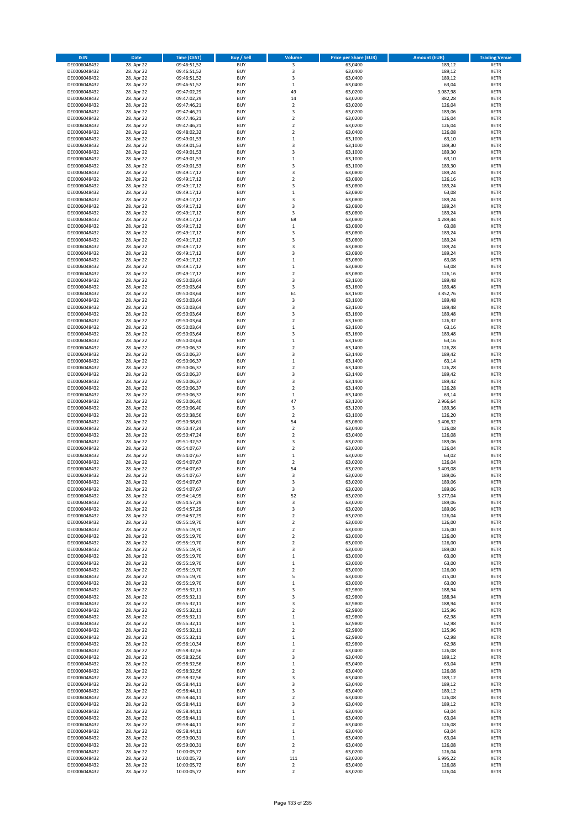| <b>ISIN</b>                  | <b>Date</b>              | <b>Time (CEST)</b>         | <b>Buy / Sell</b>        | Volume                                 | <b>Price per Share (EUR)</b> | <b>Amount (EUR)</b> | <b>Trading Venue</b>       |
|------------------------------|--------------------------|----------------------------|--------------------------|----------------------------------------|------------------------------|---------------------|----------------------------|
| DE0006048432                 | 28. Apr 22               | 09:46:51,52                | <b>BUY</b>               | 3                                      | 63,0400                      | 189,12              | <b>XETR</b>                |
| DE0006048432                 | 28. Apr 22               | 09:46:51,52                | <b>BUY</b>               | 3                                      | 63,0400                      | 189,12              | <b>XETR</b>                |
| DE0006048432                 | 28. Apr 22               | 09:46:51,52                | <b>BUY</b>               | 3                                      | 63,0400                      | 189,12              | <b>XETR</b>                |
| DE0006048432                 | 28. Apr 22               | 09:46:51,52                | <b>BUY</b>               | $\mathbf 1$                            | 63,0400                      | 63,04               | <b>XETR</b>                |
| DE0006048432<br>DE0006048432 | 28. Apr 22<br>28. Apr 22 | 09:47:02,29<br>09:47:02,29 | <b>BUY</b><br><b>BUY</b> | 49<br>14                               | 63,0200<br>63,0200           | 3.087,98<br>882,28  | <b>XETR</b><br><b>XETR</b> |
| DE0006048432                 | 28. Apr 22               | 09:47:46,21                | <b>BUY</b>               | $\overline{\mathbf{c}}$                | 63,0200                      | 126,04              | <b>XETR</b>                |
| DE0006048432                 | 28. Apr 22               | 09:47:46,21                | <b>BUY</b>               | 3                                      | 63,0200                      | 189,06              | <b>XETR</b>                |
| DE0006048432                 | 28. Apr 22               | 09:47:46,21                | <b>BUY</b>               | $\overline{2}$                         | 63,0200                      | 126,04              | <b>XETR</b>                |
| DE0006048432                 | 28. Apr 22               | 09:47:46,21                | <b>BUY</b>               | $\overline{2}$                         | 63,0200                      | 126,04              | <b>XETR</b>                |
| DE0006048432                 | 28. Apr 22               | 09:48:02,32                | <b>BUY</b>               | $\mathbf 2$                            | 63,0400                      | 126,08              | <b>XETR</b>                |
| DE0006048432                 | 28. Apr 22               | 09:49:01,53                | <b>BUY</b>               | $\mathbf 1$<br>3                       | 63,1000                      | 63,10               | <b>XETR</b><br><b>XETR</b> |
| DE0006048432<br>DE0006048432 | 28. Apr 22<br>28. Apr 22 | 09:49:01,53<br>09:49:01,53 | <b>BUY</b><br><b>BUY</b> | 3                                      | 63,1000<br>63,1000           | 189,30<br>189,30    | <b>XETR</b>                |
| DE0006048432                 | 28. Apr 22               | 09:49:01,53                | <b>BUY</b>               | $\mathbf 1$                            | 63,1000                      | 63,10               | <b>XETR</b>                |
| DE0006048432                 | 28. Apr 22               | 09:49:01,53                | <b>BUY</b>               | 3                                      | 63,1000                      | 189,30              | <b>XETR</b>                |
| DE0006048432                 | 28. Apr 22               | 09:49:17,12                | <b>BUY</b>               | 3                                      | 63,0800                      | 189,24              | <b>XETR</b>                |
| DE0006048432                 | 28. Apr 22               | 09:49:17,12                | <b>BUY</b>               | $\mathbf 2$                            | 63,0800                      | 126,16              | <b>XETR</b>                |
| DE0006048432                 | 28. Apr 22               | 09:49:17,12                | <b>BUY</b>               | 3                                      | 63,0800                      | 189,24              | <b>XETR</b>                |
| DE0006048432                 | 28. Apr 22               | 09:49:17,12                | <b>BUY</b>               | $\mathbf 1$                            | 63,0800                      | 63,08               | <b>XETR</b>                |
| DE0006048432<br>DE0006048432 | 28. Apr 22<br>28. Apr 22 | 09:49:17,12<br>09:49:17,12 | <b>BUY</b><br><b>BUY</b> | 3<br>3                                 | 63,0800<br>63,0800           | 189,24<br>189,24    | <b>XETR</b><br><b>XETR</b> |
| DE0006048432                 | 28. Apr 22               | 09:49:17,12                | <b>BUY</b>               | 3                                      | 63,0800                      | 189,24              | <b>XETR</b>                |
| DE0006048432                 | 28. Apr 22               | 09:49:17,12                | <b>BUY</b>               | 68                                     | 63,0800                      | 4.289,44            | <b>XETR</b>                |
| DE0006048432                 | 28. Apr 22               | 09:49:17,12                | <b>BUY</b>               | $\,$ 1                                 | 63,0800                      | 63,08               | <b>XETR</b>                |
| DE0006048432                 | 28. Apr 22               | 09:49:17,12                | <b>BUY</b>               | 3                                      | 63,0800                      | 189,24              | <b>XETR</b>                |
| DE0006048432                 | 28. Apr 22               | 09:49:17,12                | <b>BUY</b>               | 3                                      | 63,0800                      | 189,24              | <b>XETR</b>                |
| DE0006048432                 | 28. Apr 22               | 09:49:17,12                | <b>BUY</b>               | 3                                      | 63,0800                      | 189,24              | <b>XETR</b>                |
| DE0006048432<br>DE0006048432 | 28. Apr 22<br>28. Apr 22 | 09:49:17,12<br>09:49:17,12 | <b>BUY</b><br><b>BUY</b> | 3<br>$\mathbf 1$                       | 63,0800<br>63,0800           | 189,24<br>63,08     | <b>XETR</b><br><b>XETR</b> |
| DE0006048432                 | 28. Apr 22               | 09:49:17,12                | <b>BUY</b>               | $\mathbf 1$                            | 63,0800                      | 63,08               | <b>XETR</b>                |
| DE0006048432                 | 28. Apr 22               | 09:49:17,12                | <b>BUY</b>               | $\overline{\mathbf{c}}$                | 63,0800                      | 126,16              | <b>XETR</b>                |
| DE0006048432                 | 28. Apr 22               | 09:50:03,64                | <b>BUY</b>               | 3                                      | 63,1600                      | 189,48              | <b>XETR</b>                |
| DE0006048432                 | 28. Apr 22               | 09:50:03,64                | <b>BUY</b>               | 3                                      | 63,1600                      | 189,48              | <b>XETR</b>                |
| DE0006048432                 | 28. Apr 22               | 09:50:03,64                | <b>BUY</b>               | 61                                     | 63,1600                      | 3.852.76            | <b>XETR</b>                |
| DE0006048432                 | 28. Apr 22               | 09:50:03,64                | <b>BUY</b>               | 3                                      | 63,1600                      | 189,48              | <b>XETR</b>                |
| DE0006048432                 | 28. Apr 22               | 09:50:03,64                | <b>BUY</b><br><b>BUY</b> | 3<br>3                                 | 63,1600<br>63,1600           | 189,48<br>189,48    | <b>XETR</b><br><b>XETR</b> |
| DE0006048432<br>DE0006048432 | 28. Apr 22<br>28. Apr 22 | 09:50:03,64<br>09:50:03,64 | <b>BUY</b>               | $\overline{\mathbf{c}}$                | 63,1600                      | 126,32              | <b>XETR</b>                |
| DE0006048432                 | 28. Apr 22               | 09:50:03,64                | <b>BUY</b>               | $\mathbf 1$                            | 63,1600                      | 63,16               | <b>XETR</b>                |
| DE0006048432                 | 28. Apr 22               | 09:50:03,64                | <b>BUY</b>               | 3                                      | 63,1600                      | 189,48              | <b>XETR</b>                |
| DE0006048432                 | 28. Apr 22               | 09:50:03,64                | <b>BUY</b>               | $\mathbf 1$                            | 63,1600                      | 63,16               | <b>XETR</b>                |
| DE0006048432                 | 28. Apr 22               | 09:50:06,37                | <b>BUY</b>               | $\mathbf 2$                            | 63,1400                      | 126,28              | <b>XETR</b>                |
| DE0006048432                 | 28. Apr 22               | 09:50:06,37                | <b>BUY</b>               | 3                                      | 63,1400                      | 189,42              | <b>XETR</b>                |
| DE0006048432                 | 28. Apr 22               | 09:50:06,37                | <b>BUY</b>               | $\mathbf 1$                            | 63,1400                      | 63,14               | <b>XETR</b>                |
| DE0006048432                 | 28. Apr 22               | 09:50:06,37                | <b>BUY</b>               | $\overline{2}$                         | 63,1400                      | 126,28              | <b>XETR</b>                |
| DE0006048432<br>DE0006048432 | 28. Apr 22<br>28. Apr 22 | 09:50:06,37<br>09:50:06,37 | <b>BUY</b><br><b>BUY</b> | 3<br>3                                 | 63,1400<br>63,1400           | 189,42<br>189,42    | <b>XETR</b><br><b>XETR</b> |
| DE0006048432                 | 28. Apr 22               | 09:50:06,37                | <b>BUY</b>               | $\overline{\mathbf{c}}$                | 63,1400                      | 126,28              | <b>XETR</b>                |
| DE0006048432                 | 28. Apr 22               | 09:50:06,37                | <b>BUY</b>               | $\mathbf 1$                            | 63,1400                      | 63,14               | <b>XETR</b>                |
| DE0006048432                 | 28. Apr 22               | 09:50:06,40                | <b>BUY</b>               | 47                                     | 63,1200                      | 2.966,64            | <b>XETR</b>                |
| DE0006048432                 | 28. Apr 22               | 09:50:06,40                | <b>BUY</b>               | 3                                      | 63,1200                      | 189,36              | <b>XETR</b>                |
| DE0006048432                 | 28. Apr 22               | 09:50:38,56                | <b>BUY</b>               | $\overline{2}$                         | 63,1000                      | 126,20              | <b>XETR</b>                |
| DE0006048432                 | 28. Apr 22               | 09:50:38,61                | <b>BUY</b>               | 54<br>$\mathbf 2$                      | 63,0800                      | 3.406,32            | <b>XETR</b>                |
| DE0006048432<br>DE0006048432 | 28. Apr 22<br>28. Apr 22 | 09:50:47,24<br>09:50:47,24 | <b>BUY</b><br><b>BUY</b> | $\mathbf 2$                            | 63,0400<br>63,0400           | 126,08<br>126,08    | <b>XETR</b><br><b>XETR</b> |
| DE0006048432                 | 28. Apr 22               | 09:51:32,57                | <b>BUY</b>               | 3                                      | 63,0200                      | 189,06              | <b>XETR</b>                |
| DE0006048432                 | 28. Apr 22               | 09:54:07,67                | <b>BUY</b>               | $\overline{\mathbf{c}}$                | 63,0200                      | 126,04              | <b>XETR</b>                |
| DE0006048432                 | 28. Apr 22               | 09:54:07,67                | <b>BUY</b>               | $\mathbf 1$                            | 63,0200                      | 63,02               | <b>XETR</b>                |
| DE0006048432                 | 28. Apr 22               | 09:54:07,67                | <b>BUY</b>               | $\overline{2}$                         | 63,0200                      | 126,04              | <b>XETR</b>                |
| DE0006048432                 | 28. Apr 22               | 09:54:07,67                | <b>BUY</b>               | 54                                     | 63,0200                      | 3.403,08            | <b>XETR</b>                |
| DE0006048432<br>DE0006048432 | 28. Apr 22<br>28. Apr 22 | 09:54:07,67                | <b>BUY</b><br><b>BUY</b> | 3<br>3                                 | 63,0200<br>63,0200           | 189,06<br>189,06    | <b>XETR</b><br><b>XETR</b> |
| DE0006048432                 | 28. Apr 22               | 09:54:07,67<br>09:54:07,67 | <b>BUY</b>               | 3                                      | 63,0200                      | 189,06              | <b>XETR</b>                |
| DE0006048432                 | 28. Apr 22               | 09:54:14,95                | BUY                      | 52                                     | 63,0200                      | 3.277,04            | <b>XETR</b>                |
| DE0006048432                 | 28. Apr 22               | 09:54:57,29                | <b>BUY</b>               | 3                                      | 63,0200                      | 189,06              | <b>XETR</b>                |
| DE0006048432                 | 28. Apr 22               | 09:54:57,29                | <b>BUY</b>               | 3                                      | 63,0200                      | 189,06              | <b>XETR</b>                |
| DE0006048432                 | 28. Apr 22               | 09:54:57,29                | <b>BUY</b>               | $\mathbf 2$                            | 63,0200                      | 126,04              | XETR                       |
| DE0006048432                 | 28. Apr 22               | 09:55:19,70                | <b>BUY</b>               | $\mathbf 2$                            | 63,0000                      | 126,00              | <b>XETR</b>                |
| DE0006048432<br>DE0006048432 | 28. Apr 22<br>28. Apr 22 | 09:55:19,70<br>09:55:19,70 | <b>BUY</b><br><b>BUY</b> | $\mathbf 2$<br>$\overline{2}$          | 63,0000<br>63,0000           | 126,00<br>126,00    | <b>XETR</b><br><b>XETR</b> |
| DE0006048432                 | 28. Apr 22               | 09:55:19,70                | <b>BUY</b>               | $\mathbf 2$                            | 63,0000                      | 126,00              | <b>XETR</b>                |
| DE0006048432                 | 28. Apr 22               | 09:55:19,70                | <b>BUY</b>               | 3                                      | 63,0000                      | 189,00              | <b>XETR</b>                |
| DE0006048432                 | 28. Apr 22               | 09:55:19,70                | <b>BUY</b>               | $\mathbf 1$                            | 63,0000                      | 63,00               | <b>XETR</b>                |
| DE0006048432                 | 28. Apr 22               | 09:55:19,70                | <b>BUY</b>               | $\mathbf 1$                            | 63,0000                      | 63,00               | <b>XETR</b>                |
| DE0006048432                 | 28. Apr 22               | 09:55:19,70                | <b>BUY</b>               | $\mathbf 2$                            | 63,0000                      | 126,00              | <b>XETR</b>                |
| DE0006048432<br>DE0006048432 | 28. Apr 22<br>28. Apr 22 | 09:55:19,70<br>09:55:19,70 | <b>BUY</b><br><b>BUY</b> | 5<br>$\mathbf 1$                       | 63,0000<br>63,0000           | 315,00<br>63,00     | <b>XETR</b><br><b>XETR</b> |
| DE0006048432                 | 28. Apr 22               | 09:55:32,11                | <b>BUY</b>               | 3                                      | 62,9800                      | 188,94              | <b>XETR</b>                |
| DE0006048432                 | 28. Apr 22               | 09:55:32,11                | <b>BUY</b>               | 3                                      | 62,9800                      | 188,94              | <b>XETR</b>                |
| DE0006048432                 | 28. Apr 22               | 09:55:32,11                | <b>BUY</b>               | 3                                      | 62,9800                      | 188,94              | <b>XETR</b>                |
| DE0006048432                 | 28. Apr 22               | 09:55:32,11                | <b>BUY</b>               | $\overline{2}$                         | 62,9800                      | 125,96              | <b>XETR</b>                |
| DE0006048432                 | 28. Apr 22               | 09:55:32,11                | <b>BUY</b>               | $\mathbf 1$                            | 62,9800                      | 62,98               | <b>XETR</b>                |
| DE0006048432                 | 28. Apr 22               | 09:55:32,11                | <b>BUY</b>               | $\mathbf 1$                            | 62,9800                      | 62,98               | <b>XETR</b>                |
| DE0006048432<br>DE0006048432 | 28. Apr 22<br>28. Apr 22 | 09:55:32,11<br>09:55:32,11 | <b>BUY</b><br><b>BUY</b> | $\overline{\mathbf{c}}$<br>$\mathbf 1$ | 62,9800<br>62,9800           | 125,96<br>62,98     | <b>XETR</b><br><b>XETR</b> |
| DE0006048432                 | 28. Apr 22               | 09:56:10,34                | <b>BUY</b>               | $\mathbf 1$                            | 62,9800                      | 62,98               | <b>XETR</b>                |
| DE0006048432                 | 28. Apr 22               | 09:58:32,56                | <b>BUY</b>               | $\mathbf 2$                            | 63,0400                      | 126,08              | <b>XETR</b>                |
| DE0006048432                 | 28. Apr 22               | 09:58:32,56                | <b>BUY</b>               | 3                                      | 63,0400                      | 189,12              | <b>XETR</b>                |
| DE0006048432                 | 28. Apr 22               | 09:58:32,56                | <b>BUY</b>               | $\mathbf 1$                            | 63,0400                      | 63,04               | <b>XETR</b>                |
| DE0006048432                 | 28. Apr 22               | 09:58:32,56                | <b>BUY</b>               | $\mathbf 2$                            | 63,0400                      | 126,08              | <b>XETR</b>                |
| DE0006048432                 | 28. Apr 22               | 09:58:32,56                | <b>BUY</b>               | 3                                      | 63,0400                      | 189,12              | <b>XETR</b>                |
| DE0006048432<br>DE0006048432 | 28. Apr 22<br>28. Apr 22 | 09:58:44,11<br>09:58:44,11 | <b>BUY</b><br><b>BUY</b> | 3<br>3                                 | 63,0400<br>63,0400           | 189,12<br>189,12    | <b>XETR</b><br><b>XETR</b> |
| DE0006048432                 | 28. Apr 22               | 09:58:44,11                | <b>BUY</b>               | $\mathbf 2$                            | 63,0400                      | 126,08              | <b>XETR</b>                |
| DE0006048432                 | 28. Apr 22               | 09:58:44,11                | <b>BUY</b>               | 3                                      | 63,0400                      | 189,12              | <b>XETR</b>                |
| DE0006048432                 | 28. Apr 22               | 09:58:44,11                | <b>BUY</b>               | $\mathbf 1$                            | 63,0400                      | 63,04               | <b>XETR</b>                |
| DE0006048432                 | 28. Apr 22               | 09:58:44,11                | <b>BUY</b>               | $\mathbf 1$                            | 63,0400                      | 63,04               | <b>XETR</b>                |
| DE0006048432                 | 28. Apr 22               | 09:58:44,11                | <b>BUY</b>               | $\mathbf 2$                            | 63,0400                      | 126,08              | <b>XETR</b>                |
| DE0006048432                 | 28. Apr 22               | 09:58:44,11                | <b>BUY</b>               | $\mathbf 1$                            | 63,0400                      | 63,04               | <b>XETR</b>                |
| DE0006048432<br>DE0006048432 | 28. Apr 22<br>28. Apr 22 | 09:59:00,31<br>09:59:00,31 | <b>BUY</b><br><b>BUY</b> | $\mathbf 1$<br>$\mathbf 2$             | 63,0400<br>63,0400           | 63,04<br>126,08     | <b>XETR</b><br>XETR        |
| DE0006048432                 | 28. Apr 22               | 10:00:05,72                | <b>BUY</b>               | $\overline{2}$                         | 63,0200                      | 126,04              | <b>XETR</b>                |
| DE0006048432                 | 28. Apr 22               | 10:00:05,72                | <b>BUY</b>               | 111                                    | 63,0200                      | 6.995,22            | <b>XETR</b>                |
| DE0006048432                 | 28. Apr 22               | 10:00:05,72                | <b>BUY</b>               | $\mathbf 2$                            | 63,0400                      | 126,08              | <b>XETR</b>                |
| DE0006048432                 | 28. Apr 22               | 10:00:05,72                | <b>BUY</b>               | $\mathbf 2$                            | 63,0200                      | 126,04              | <b>XETR</b>                |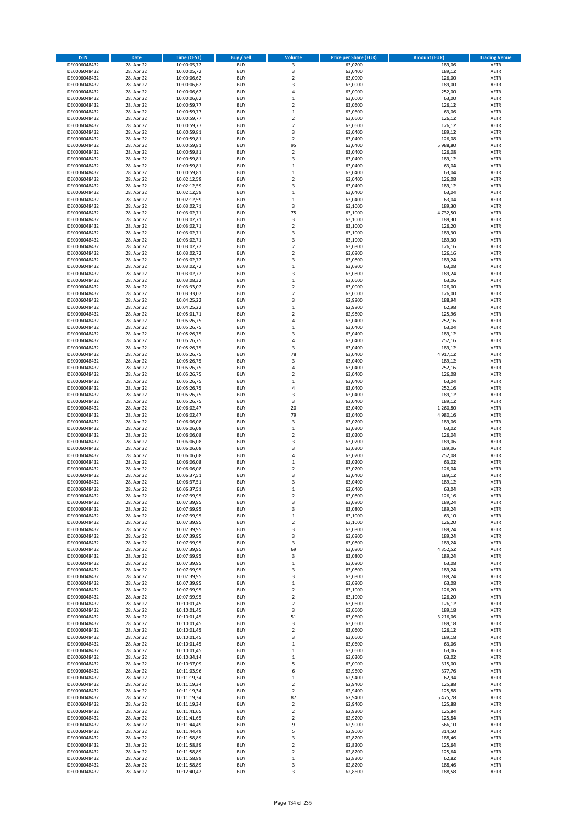| <b>ISIN</b>                  | <b>Date</b>              | <b>Time (CEST)</b>         | <b>Buy / Sell</b>        | <b>Volume</b>                 | <b>Price per Share (EUR)</b> | <b>Amount (EUR)</b> | <b>Trading Venue</b>       |
|------------------------------|--------------------------|----------------------------|--------------------------|-------------------------------|------------------------------|---------------------|----------------------------|
| DE0006048432                 | 28. Apr 22               | 10:00:05,72                | <b>BUY</b>               | 3                             | 63,0200                      | 189,06              | <b>XETR</b>                |
| DE0006048432                 | 28. Apr 22               | 10:00:05,72                | <b>BUY</b>               | 3                             | 63,0400                      | 189,12              | <b>XETR</b>                |
| DE0006048432                 | 28. Apr 22               | 10:00:06,62                | <b>BUY</b>               | $\mathbf 2$                   | 63,0000                      | 126,00              | <b>XETR</b>                |
| DE0006048432<br>DE0006048432 | 28. Apr 22<br>28. Apr 22 | 10:00:06,62<br>10:00:06,62 | <b>BUY</b><br><b>BUY</b> | 3<br>4                        | 63,0000<br>63,0000           | 189,00<br>252,00    | <b>XETR</b><br><b>XETR</b> |
| DE0006048432                 | 28. Apr 22               | 10:00:06,62                | <b>BUY</b>               | $\mathbf 1$                   | 63,0000                      | 63,00               | <b>XETR</b>                |
| DE0006048432                 | 28. Apr 22               | 10:00:59,77                | <b>BUY</b>               | $\mathbf 2$                   | 63,0600                      | 126,12              | <b>XETR</b>                |
| DE0006048432                 | 28. Apr 22               | 10:00:59,77                | <b>BUY</b>               | $\mathbf 1$                   | 63,0600                      | 63,06               | <b>XETR</b>                |
| DE0006048432                 | 28. Apr 22               | 10:00:59,77                | <b>BUY</b>               | $\overline{2}$                | 63,0600                      | 126,12              | <b>XETR</b>                |
| DE0006048432                 | 28. Apr 22               | 10:00:59,77                | <b>BUY</b>               | $\overline{2}$                | 63,0600                      | 126,12              | <b>XETR</b>                |
| DE0006048432                 | 28. Apr 22               | 10:00:59,81                | <b>BUY</b>               | 3                             | 63,0400                      | 189,12              | <b>XETR</b>                |
| DE0006048432<br>DE0006048432 | 28. Apr 22<br>28. Apr 22 | 10:00:59,81                | <b>BUY</b><br><b>BUY</b> | $\overline{\mathbf{c}}$<br>95 | 63,0400<br>63,0400           | 126,08<br>5.988,80  | <b>XETR</b><br><b>XETR</b> |
| DE0006048432                 | 28. Apr 22               | 10:00:59,81<br>10:00:59,81 | <b>BUY</b>               | $\overline{\mathbf{c}}$       | 63,0400                      | 126,08              | <b>XETR</b>                |
| DE0006048432                 | 28. Apr 22               | 10:00:59,81                | <b>BUY</b>               | 3                             | 63,0400                      | 189,12              | <b>XETR</b>                |
| DE0006048432                 | 28. Apr 22               | 10:00:59,81                | <b>BUY</b>               | $\mathbf 1$                   | 63,0400                      | 63,04               | <b>XETR</b>                |
| DE0006048432                 | 28. Apr 22               | 10:00:59,81                | <b>BUY</b>               | $\mathbf 1$                   | 63,0400                      | 63,04               | <b>XETR</b>                |
| DE0006048432                 | 28. Apr 22               | 10:02:12,59                | <b>BUY</b>               | $\mathbf 2$                   | 63,0400                      | 126,08              | <b>XETR</b>                |
| DE0006048432                 | 28. Apr 22               | 10:02:12,59                | <b>BUY</b>               | 3                             | 63.0400                      | 189,12              | <b>XETR</b>                |
| DE0006048432                 | 28. Apr 22               | 10:02:12,59                | <b>BUY</b>               | $\mathbf 1$                   | 63,0400                      | 63,04               | <b>XETR</b>                |
| DE0006048432                 | 28. Apr 22               | 10:02:12,59                | <b>BUY</b>               | $\mathbf 1$                   | 63,0400                      | 63,04               | <b>XETR</b>                |
| DE0006048432<br>DE0006048432 | 28. Apr 22<br>28. Apr 22 | 10:03:02,71<br>10:03:02,71 | <b>BUY</b><br><b>BUY</b> | 3<br>75                       | 63,1000<br>63,1000           | 189,30<br>4.732,50  | <b>XETR</b><br><b>XETR</b> |
| DE0006048432                 | 28. Apr 22               | 10:03:02,71                | <b>BUY</b>               | 3                             | 63,1000                      | 189,30              | <b>XETR</b>                |
| DE0006048432                 | 28. Apr 22               | 10:03:02,71                | <b>BUY</b>               | $\mathbf 2$                   | 63,1000                      | 126,20              | <b>XETR</b>                |
| DE0006048432                 | 28. Apr 22               | 10:03:02,71                | <b>BUY</b>               | 3                             | 63,1000                      | 189,30              | <b>XETR</b>                |
| DE0006048432                 | 28. Apr 22               | 10:03:02,71                | <b>BUY</b>               | 3                             | 63,1000                      | 189,30              | <b>XETR</b>                |
| DE0006048432                 | 28. Apr 22               | 10:03:02,72                | <b>BUY</b>               | $\overline{\mathbf{c}}$       | 63,0800                      | 126,16              | <b>XETR</b>                |
| DE0006048432                 | 28. Apr 22               | 10:03:02,72                | <b>BUY</b>               | $\mathbf 2$                   | 63,0800                      | 126,16              | <b>XETR</b>                |
| DE0006048432                 | 28. Apr 22<br>28. Apr 22 | 10:03:02,72                | <b>BUY</b>               | 3                             | 63,0800                      | 189,24              | <b>XETR</b>                |
| DE0006048432<br>DE0006048432 | 28. Apr 22               | 10:03:02,72<br>10:03:02,72 | <b>BUY</b><br><b>BUY</b> | $\mathbf 1$<br>3              | 63,0800<br>63,0800           | 63,08<br>189,24     | <b>XETR</b><br><b>XETR</b> |
| DE0006048432                 | 28. Apr 22               | 10:03:08,32                | <b>BUY</b>               | $\mathbf 1$                   | 63,0600                      | 63,06               | <b>XETR</b>                |
| DE0006048432                 | 28. Apr 22               | 10:03:33,02                | <b>BUY</b>               | $\mathbf 2$                   | 63,0000                      | 126,00              | <b>XETR</b>                |
| DE0006048432                 | 28. Apr 22               | 10:03:33,02                | <b>BUY</b>               | $\overline{\mathbf{c}}$       | 63.0000                      | 126,00              | <b>XETR</b>                |
| DE0006048432                 | 28. Apr 22               | 10:04:25,22                | <b>BUY</b>               | 3                             | 62,9800                      | 188,94              | <b>XETR</b>                |
| DE0006048432                 | 28. Apr 22               | 10:04:25,22                | <b>BUY</b>               | $\mathbf{1}$                  | 62,9800                      | 62,98               | <b>XETR</b>                |
| DE0006048432                 | 28. Apr 22               | 10:05:01,71                | <b>BUY</b>               | $\mathbf 2$                   | 62,9800                      | 125,96              | <b>XETR</b>                |
| DE0006048432                 | 28. Apr 22               | 10:05:26,75                | <b>BUY</b>               | 4                             | 63,0400                      | 252,16              | <b>XETR</b>                |
| DE0006048432                 | 28. Apr 22               | 10:05:26,75                | <b>BUY</b><br><b>BUY</b> | $\mathbf 1$<br>3              | 63,0400                      | 63,04               | <b>XETR</b><br><b>XETR</b> |
| DE0006048432<br>DE0006048432 | 28. Apr 22<br>28. Apr 22 | 10:05:26,75<br>10:05:26,75 | <b>BUY</b>               | 4                             | 63,0400<br>63,0400           | 189,12<br>252,16    | <b>XETR</b>                |
| DE0006048432                 | 28. Apr 22               | 10:05:26,75                | <b>BUY</b>               | 3                             | 63,0400                      | 189,12              | <b>XETR</b>                |
| DE0006048432                 | 28. Apr 22               | 10:05:26,75                | <b>BUY</b>               | 78                            | 63,0400                      | 4.917,12            | <b>XETR</b>                |
| DE0006048432                 | 28. Apr 22               | 10:05:26,75                | <b>BUY</b>               | 3                             | 63,0400                      | 189,12              | <b>XETR</b>                |
| DE0006048432                 | 28. Apr 22               | 10:05:26,75                | <b>BUY</b>               | 4                             | 63,0400                      | 252,16              | <b>XETR</b>                |
| DE0006048432                 | 28. Apr 22               | 10:05:26,75                | <b>BUY</b>               | $\mathbf 2$                   | 63,0400                      | 126,08              | <b>XETR</b>                |
| DE0006048432                 | 28. Apr 22               | 10:05:26,75                | <b>BUY</b>               | $\mathbf 1$                   | 63,0400                      | 63,04               | <b>XETR</b>                |
| DE0006048432                 | 28. Apr 22               | 10:05:26,75                | <b>BUY</b>               | 4                             | 63,0400                      | 252,16              | <b>XETR</b>                |
| DE0006048432<br>DE0006048432 | 28. Apr 22<br>28. Apr 22 | 10:05:26,75<br>10:05:26,75 | <b>BUY</b><br><b>BUY</b> | 3<br>3                        | 63,0400<br>63,0400           | 189,12<br>189,12    | <b>XETR</b><br><b>XETR</b> |
| DE0006048432                 | 28. Apr 22               | 10:06:02,47                | <b>BUY</b>               | 20                            | 63,0400                      | 1.260,80            | <b>XETR</b>                |
| DE0006048432                 | 28. Apr 22               | 10:06:02,47                | <b>BUY</b>               | 79                            | 63,0400                      | 4.980,16            | <b>XETR</b>                |
| DE0006048432                 | 28. Apr 22               | 10:06:06,08                | <b>BUY</b>               | 3                             | 63,0200                      | 189,06              | <b>XETR</b>                |
| DE0006048432                 | 28. Apr 22               | 10:06:06,08                | <b>BUY</b>               | $\mathbf 1$                   | 63,0200                      | 63,02               | <b>XETR</b>                |
| DE0006048432                 | 28. Apr 22               | 10:06:06,08                | <b>BUY</b>               | $\mathbf 2$                   | 63,0200                      | 126,04              | <b>XETR</b>                |
| DE0006048432                 | 28. Apr 22               | 10:06:06,08                | <b>BUY</b>               | 3                             | 63,0200                      | 189,06              | <b>XETR</b>                |
| DE0006048432                 | 28. Apr 22               | 10:06:06,08                | <b>BUY</b>               | 3                             | 63,0200                      | 189,06              | <b>XETR</b>                |
| DE0006048432<br>DE0006048432 | 28. Apr 22               | 10:06:06,08                | <b>BUY</b><br><b>BUY</b> | 4<br>$\mathbf 1$              | 63,0200                      | 252,08              | <b>XETR</b><br><b>XETR</b> |
| DE0006048432                 | 28. Apr 22<br>28. Apr 22 | 10:06:06,08<br>10:06:06,08 | <b>BUY</b>               | $\mathbf 2$                   | 63,0200<br>63,0200           | 63,02<br>126,04     | <b>XETR</b>                |
| DE0006048432                 | 28. Apr 22               | 10:06:37,51                | <b>BUY</b>               | 3                             | 63,0400                      | 189,12              | <b>XETR</b>                |
| DE0006048432                 | 28. Apr 22               | 10:06:37,51                | <b>BUY</b>               | 3                             | 63,0400                      | 189,12              | <b>XETR</b>                |
| DE0006048432                 | 28. Apr 22               | 10:06:37,51                | <b>BUY</b>               | $\mathbf{1}$                  | 63,0400                      | 63,04               | <b>XETR</b>                |
| DE0006048432                 | 28. Apr 22               | 10:07:39,95                | BUY                      | 2                             | 63,0800                      | 126,16              | <b>XETR</b>                |
| DE0006048432                 | 28. Apr 22               | 10:07:39,95                | <b>BUY</b>               | 3                             | 63,0800                      | 189,24              | <b>XETR</b>                |
| DE0006048432<br>DE0006048432 | 28. Apr 22               | 10:07:39,95<br>10:07:39,95 | <b>BUY</b><br><b>BUY</b> | 3                             | 63,0800<br>63,1000           | 189,24              | <b>XETR</b>                |
| DE0006048432                 | 28. Apr 22<br>28. Apr 22 | 10:07:39,95                | <b>BUY</b>               | $\mathbf 1$<br>$\mathbf 2$    | 63,1000                      | 63,10<br>126,20     | XETR<br><b>XETR</b>        |
| DE0006048432                 | 28. Apr 22               | 10:07:39,95                | <b>BUY</b>               | 3                             | 63,0800                      | 189,24              | <b>XETR</b>                |
| DE0006048432                 | 28. Apr 22               | 10:07:39,95                | <b>BUY</b>               | 3                             | 63,0800                      | 189,24              | <b>XETR</b>                |
| DE0006048432                 | 28. Apr 22               | 10:07:39,95                | <b>BUY</b>               | 3                             | 63,0800                      | 189,24              | <b>XETR</b>                |
| DE0006048432                 | 28. Apr 22               | 10:07:39,95                | <b>BUY</b>               | 69                            | 63,0800                      | 4.352,52            | <b>XETR</b>                |
| DE0006048432                 | 28. Apr 22               | 10:07:39,95                | <b>BUY</b>               | 3                             | 63,0800                      | 189,24              | <b>XETR</b>                |
| DE0006048432<br>DE0006048432 | 28. Apr 22               | 10:07:39,95                | <b>BUY</b><br><b>BUY</b> | $\mathbf 1$<br>3              | 63,0800<br>63.0800           | 63,08               | <b>XETR</b><br><b>XETR</b> |
| DE0006048432                 | 28. Apr 22<br>28. Apr 22 | 10:07:39,95<br>10:07:39,95 | <b>BUY</b>               | 3                             | 63,0800                      | 189,24<br>189,24    | <b>XETR</b>                |
| DE0006048432                 | 28. Apr 22               | 10:07:39,95                | <b>BUY</b>               | $\mathbf 1$                   | 63,0800                      | 63,08               | <b>XETR</b>                |
| DE0006048432                 | 28. Apr 22               | 10:07:39,95                | <b>BUY</b>               | $\mathbf 2$                   | 63,1000                      | 126,20              | <b>XETR</b>                |
| DE0006048432                 | 28. Apr 22               | 10:07:39,95                | <b>BUY</b>               | $\mathbf 2$                   | 63,1000                      | 126,20              | <b>XETR</b>                |
| DE0006048432                 | 28. Apr 22               | 10:10:01,45                | <b>BUY</b>               | $\mathbf 2$                   | 63,0600                      | 126,12              | <b>XETR</b>                |
| DE0006048432                 | 28. Apr 22               | 10:10:01,45                | <b>BUY</b>               | 3                             | 63,0600                      | 189,18              | <b>XETR</b>                |
| DE0006048432                 | 28. Apr 22               | 10:10:01,45                | <b>BUY</b><br><b>BUY</b> | 51                            | 63,0600                      | 3.216,06            | XETR<br><b>XETR</b>        |
| DE0006048432<br>DE0006048432 | 28. Apr 22<br>28. Apr 22 | 10:10:01,45<br>10:10:01,45 | <b>BUY</b>               | 3<br>$\overline{2}$           | 63,0600<br>63,0600           | 189,18<br>126,12    | <b>XETR</b>                |
| DE0006048432                 | 28. Apr 22               | 10:10:01,45                | <b>BUY</b>               | 3                             | 63,0600                      | 189,18              | <b>XETR</b>                |
| DE0006048432                 | 28. Apr 22               | 10:10:01,45                | <b>BUY</b>               | $\mathbf 1$                   | 63,0600                      | 63,06               | <b>XETR</b>                |
| DE0006048432                 | 28. Apr 22               | 10:10:01,45                | <b>BUY</b>               | $\mathbf 1$                   | 63,0600                      | 63,06               | <b>XETR</b>                |
| DE0006048432                 | 28. Apr 22               | 10:10:34,14                | <b>BUY</b>               | $\mathbf 1$                   | 63,0200                      | 63,02               | <b>XETR</b>                |
| DE0006048432                 | 28. Apr 22               | 10:10:37,09                | <b>BUY</b>               | 5                             | 63,0000                      | 315,00              | <b>XETR</b>                |
| DE0006048432                 | 28. Apr 22               | 10:11:03,96                | <b>BUY</b>               | 6                             | 62,9600                      | 377,76              | <b>XETR</b>                |
| DE0006048432<br>DE0006048432 | 28. Apr 22<br>28. Apr 22 | 10:11:19,34                | <b>BUY</b><br><b>BUY</b> | $\mathbf 1$<br>$\mathbf 2$    | 62,9400<br>62,9400           | 62,94<br>125,88     | <b>XETR</b><br><b>XETR</b> |
| DE0006048432                 | 28. Apr 22               | 10:11:19,34<br>10:11:19,34 | <b>BUY</b>               | $\overline{2}$                | 62,9400                      | 125,88              | <b>XETR</b>                |
| DE0006048432                 | 28. Apr 22               | 10:11:19,34                | <b>BUY</b>               | 87                            | 62,9400                      | 5.475,78            | <b>XETR</b>                |
| DE0006048432                 | 28. Apr 22               | 10:11:19,34                | <b>BUY</b>               | $\mathbf 2$                   | 62,9400                      | 125,88              | <b>XETR</b>                |
| DE0006048432                 | 28. Apr 22               | 10:11:41,65                | <b>BUY</b>               | $\mathbf 2$                   | 62,9200                      | 125,84              | <b>XETR</b>                |
| DE0006048432                 | 28. Apr 22               | 10:11:41,65                | <b>BUY</b>               | $\overline{\mathbf{c}}$       | 62,9200                      | 125,84              | <b>XETR</b>                |
| DE0006048432                 | 28. Apr 22               | 10:11:44,49                | <b>BUY</b>               | 9                             | 62,9000                      | 566,10              | <b>XETR</b>                |
| DE0006048432                 | 28. Apr 22               | 10:11:44,49                | <b>BUY</b>               | 5                             | 62,9000                      | 314,50              | <b>XETR</b>                |
| DE0006048432<br>DE0006048432 | 28. Apr 22<br>28. Apr 22 | 10:11:58,89<br>10:11:58,89 | <b>BUY</b><br><b>BUY</b> | 3<br>$\mathbf 2$              | 62,8200<br>62,8200           | 188,46<br>125,64    | <b>XETR</b><br><b>XETR</b> |
| DE0006048432                 | 28. Apr 22               | 10:11:58,89                | <b>BUY</b>               | $\overline{2}$                | 62,8200                      | 125,64              | <b>XETR</b>                |
| DE0006048432                 | 28. Apr 22               | 10:11:58,89                | <b>BUY</b>               | $\mathbf 1$                   | 62,8200                      | 62,82               | <b>XETR</b>                |
| DE0006048432                 | 28. Apr 22               | 10:11:58,89                | <b>BUY</b>               | 3                             | 62,8200                      | 188,46              | <b>XETR</b>                |
| DE0006048432                 | 28. Apr 22               | 10:12:40,42                | <b>BUY</b>               | 3                             | 62,8600                      | 188,58              | <b>XETR</b>                |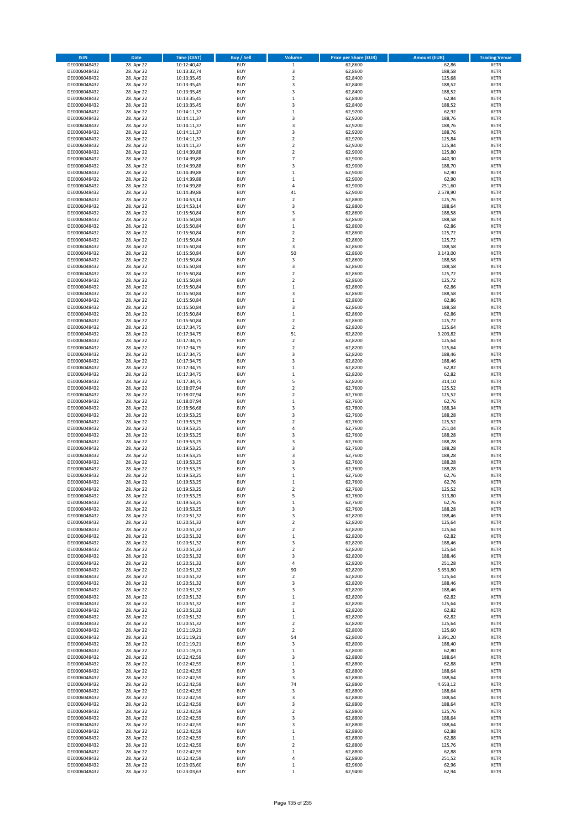| <b>ISIN</b>                  | <b>Date</b>              | <b>Time (CEST)</b>         | <b>Buy / Sell</b>        | Volume                                 | <b>Price per Share (EUR)</b> | <b>Amount (EUR)</b> | <b>Trading Venue</b>       |
|------------------------------|--------------------------|----------------------------|--------------------------|----------------------------------------|------------------------------|---------------------|----------------------------|
| DE0006048432                 | 28. Apr 22               | 10:12:40,42                | <b>BUY</b>               | $\mathbf 1$                            | 62,8600                      | 62,86               | <b>XETR</b>                |
| DE0006048432                 | 28. Apr 22               | 10:13:32,74                | <b>BUY</b>               | 3                                      | 62,8600                      | 188,58              | <b>XETR</b>                |
| DE0006048432                 | 28. Apr 22               | 10:13:35,45                | <b>BUY</b>               | $\overline{2}$                         | 62,8400                      | 125,68              | <b>XETR</b>                |
| DE0006048432                 | 28. Apr 22               | 10:13:35,45                | <b>BUY</b>               | 3                                      | 62,8400                      | 188,52              | <b>XETR</b>                |
| DE0006048432<br>DE0006048432 | 28. Apr 22<br>28. Apr 22 | 10:13:35,45<br>10:13:35,45 | <b>BUY</b><br><b>BUY</b> | 3<br>$\,1\,$                           | 62,8400<br>62,8400           | 188,52<br>62,84     | <b>XETR</b><br><b>XETR</b> |
| DE0006048432                 | 28. Apr 22               | 10:13:35,45                | <b>BUY</b>               | $\overline{\mathbf{3}}$                | 62,8400                      | 188,52              | <b>XETR</b>                |
| DE0006048432                 | 28. Apr 22               | 10:14:11,37                | <b>BUY</b>               | $\mathbf{1}$                           | 62,9200                      | 62,92               | <b>XETR</b>                |
| DE0006048432                 | 28. Apr 22               | 10:14:11,37                | BUY                      | $\overline{3}$                         | 62,9200                      | 188,76              | <b>XETR</b>                |
| DE0006048432                 | 28. Apr 22               | 10:14:11,37                | <b>BUY</b>               | 3                                      | 62,9200                      | 188,76              | <b>XETR</b>                |
| DE0006048432                 | 28. Apr 22               | 10:14:11,37                | <b>BUY</b>               | 3                                      | 62,9200                      | 188,76              | <b>XETR</b>                |
| DE0006048432<br>DE0006048432 | 28. Apr 22<br>28. Apr 22 | 10:14:11,37<br>10:14:11,37 | <b>BUY</b><br>BUY        | $\overline{2}$<br>$\overline{2}$       | 62,9200<br>62,9200           | 125,84<br>125,84    | <b>XETR</b><br><b>XETR</b> |
| DE0006048432                 | 28. Apr 22               | 10:14:39,88                | <b>BUY</b>               | $\overline{\mathbf{2}}$                | 62,9000                      | 125,80              | <b>XETR</b>                |
| DE0006048432                 | 28. Apr 22               | 10:14:39,88                | <b>BUY</b>               | $\overline{7}$                         | 62,9000                      | 440,30              | <b>XETR</b>                |
| DE0006048432                 | 28. Apr 22               | 10:14:39,88                | BUY                      | $\overline{3}$                         | 62,9000                      | 188,70              | <b>XETR</b>                |
| DE0006048432                 | 28. Apr 22               | 10:14:39,88                | <b>BUY</b>               | $\,1\,$                                | 62,9000                      | 62,90               | <b>XETR</b>                |
| DE0006048432                 | 28. Apr 22               | 10:14:39,88                | <b>BUY</b>               | $\mathbf 1$                            | 62,9000                      | 62,90               | <b>XETR</b>                |
| DE0006048432<br>DE0006048432 | 28. Apr 22<br>28. Apr 22 | 10:14:39,88<br>10:14:39,88 | <b>BUY</b><br><b>BUY</b> | $\overline{4}$<br>41                   | 62.9000<br>62,9000           | 251,60<br>2.578,90  | <b>XETR</b><br><b>XETR</b> |
| DE0006048432                 | 28. Apr 22               | 10:14:53,14                | <b>BUY</b>               | $\overline{\mathbf{2}}$                | 62,8800                      | 125,76              | <b>XETR</b>                |
| DE0006048432                 | 28. Apr 22               | 10:14:53,14                | <b>BUY</b>               | 3                                      | 62,8800                      | 188,64              | <b>XETR</b>                |
| DE0006048432                 | 28. Apr 22               | 10:15:50,84                | BUY                      | $\overline{3}$                         | 62,8600                      | 188,58              | <b>XETR</b>                |
| DE0006048432                 | 28. Apr 22               | 10:15:50,84                | BUY                      | 3                                      | 62,8600                      | 188,58              | <b>XETR</b>                |
| DE0006048432                 | 28. Apr 22               | 10:15:50,84                | <b>BUY</b>               | $\mathbf{1}$                           | 62,8600                      | 62,86               | <b>XETR</b>                |
| DE0006048432<br>DE0006048432 | 28. Apr 22<br>28. Apr 22 | 10:15:50,84<br>10:15:50,84 | <b>BUY</b><br><b>BUY</b> | $\mathbf 2$<br>$\mathbf 2$             | 62,8600<br>62,8600           | 125,72<br>125,72    | <b>XETR</b><br><b>XETR</b> |
| DE0006048432                 | 28. Apr 22               | 10:15:50,84                | <b>BUY</b>               | 3                                      | 62,8600                      | 188,58              | <b>XETR</b>                |
| DE0006048432                 | 28. Apr 22               | 10:15:50,84                | <b>BUY</b>               | 50                                     | 62,8600                      | 3.143,00            | <b>XETR</b>                |
| DE0006048432                 | 28. Apr 22               | 10:15:50,84                | <b>BUY</b>               | 3                                      | 62,8600                      | 188,58              | <b>XETR</b>                |
| DE0006048432                 | 28. Apr 22               | 10:15:50,84                | <b>BUY</b>               | 3                                      | 62,8600                      | 188,58              | <b>XETR</b>                |
| DE0006048432                 | 28. Apr 22               | 10:15:50,84                | <b>BUY</b>               | $\mathbf 2$                            | 62,8600                      | 125,72              | <b>XETR</b>                |
| DE0006048432<br>DE0006048432 | 28. Apr 22               | 10:15:50,84                | <b>BUY</b><br><b>BUY</b> | 2<br>$\mathbf{1}$                      | 62,8600<br>62,8600           | 125,72              | <b>XETR</b><br><b>XETR</b> |
| DE0006048432                 | 28. Apr 22<br>28. Apr 22 | 10:15:50,84<br>10:15:50,84 | <b>BUY</b>               | $\overline{\mathbf{3}}$                | 62,8600                      | 62,86<br>188,58     | <b>XETR</b>                |
| DE0006048432                 | 28. Apr 22               | 10:15:50,84                | <b>BUY</b>               | $\mathbf{1}$                           | 62,8600                      | 62,86               | <b>XETR</b>                |
| DE0006048432                 | 28. Apr 22               | 10:15:50,84                | <b>BUY</b>               | $\overline{\mathbf{3}}$                | 62,8600                      | 188,58              | <b>XETR</b>                |
| DE0006048432                 | 28. Apr 22               | 10:15:50,84                | BUY                      | $\,1\,$                                | 62,8600                      | 62,86               | <b>XETR</b>                |
| DE0006048432                 | 28. Apr 22               | 10:15:50,84                | <b>BUY</b>               | $\mathbf 2$                            | 62,8600                      | 125,72              | <b>XETR</b>                |
| DE0006048432                 | 28. Apr 22               | 10:17:34,75                | <b>BUY</b>               | $\mathbf 2$                            | 62,8200                      | 125,64              | <b>XETR</b>                |
| DE0006048432<br>DE0006048432 | 28. Apr 22<br>28. Apr 22 | 10:17:34,75<br>10:17:34,75 | <b>BUY</b><br><b>BUY</b> | 51<br>$\mathbf 2$                      | 62,8200<br>62,8200           | 3.203,82<br>125,64  | <b>XETR</b><br><b>XETR</b> |
| DE0006048432                 | 28. Apr 22               | 10:17:34,75                | <b>BUY</b>               | $\mathbf 2$                            | 62,8200                      | 125,64              | <b>XETR</b>                |
| DE0006048432                 | 28. Apr 22               | 10:17:34,75                | <b>BUY</b>               | $\overline{\mathbf{3}}$                | 62,8200                      | 188,46              | <b>XETR</b>                |
| DE0006048432                 | 28. Apr 22               | 10:17:34,75                | <b>BUY</b>               | $\overline{\mathbf{3}}$                | 62,8200                      | 188,46              | <b>XETR</b>                |
| DE0006048432                 | 28. Apr 22               | 10:17:34,75                | <b>BUY</b>               | $\mathbf 1$                            | 62,8200                      | 62,82               | <b>XETR</b>                |
| DE0006048432                 | 28. Apr 22               | 10:17:34,75                | <b>BUY</b>               | $\mathbf{1}$                           | 62,8200                      | 62,82               | <b>XETR</b>                |
| DE0006048432<br>DE0006048432 | 28. Apr 22<br>28. Apr 22 | 10:17:34,75<br>10:18:07,94 | <b>BUY</b><br><b>BUY</b> | 5<br>$\overline{2}$                    | 62,8200<br>62,7600           | 314,10<br>125,52    | <b>XETR</b><br><b>XETR</b> |
| DE0006048432                 | 28. Apr 22               | 10:18:07,94                | <b>BUY</b>               | $\overline{2}$                         | 62,7600                      | 125,52              | <b>XETR</b>                |
| DE0006048432                 | 28. Apr 22               | 10:18:07,94                | <b>BUY</b>               | $\mathbf{1}$                           | 62,7600                      | 62,76               | <b>XETR</b>                |
| DE0006048432                 | 28. Apr 22               | 10:18:56,68                | <b>BUY</b>               | $\overline{3}$                         | 62,7800                      | 188,34              | <b>XETR</b>                |
| DE0006048432                 | 28. Apr 22               | 10:19:53,25                | <b>BUY</b>               | $\overline{\mathbf{3}}$                | 62,7600                      | 188,28              | <b>XETR</b>                |
| DE0006048432                 | 28. Apr 22               | 10:19:53,25                | <b>BUY</b>               | $\overline{2}$                         | 62,7600                      | 125,52              | <b>XETR</b>                |
| DE0006048432<br>DE0006048432 | 28. Apr 22<br>28. Apr 22 | 10:19:53,25<br>10:19:53,25 | <b>BUY</b><br><b>BUY</b> | $\overline{4}$<br>$\overline{3}$       | 62,7600<br>62,7600           | 251,04<br>188,28    | <b>XETR</b><br><b>XETR</b> |
| DE0006048432                 | 28. Apr 22               | 10:19:53,25                | <b>BUY</b>               | $\overline{3}$                         | 62,7600                      | 188,28              | <b>XETR</b>                |
| DE0006048432                 | 28. Apr 22               | 10:19:53,25                | <b>BUY</b>               | 3                                      | 62,7600                      | 188,28              | <b>XETR</b>                |
| DE0006048432                 | 28. Apr 22               | 10:19:53,25                | BUY                      | $\overline{\mathbf{3}}$                | 62,7600                      | 188,28              | <b>XETR</b>                |
| DE0006048432                 | 28. Apr 22               | 10:19:53,25                | <b>BUY</b>               | $\overline{\mathbf{3}}$                | 62,7600                      | 188,28              | <b>XETR</b>                |
| DE0006048432                 | 28. Apr 22               | 10:19:53,25                | <b>BUY</b>               | 3                                      | 62,7600                      | 188,28              | <b>XETR</b>                |
| DE0006048432<br>DE0006048432 | 28. Apr 22<br>28. Apr 22 | 10:19:53,25<br>10:19:53,25 | BUY<br>BUY               | $\mathbf{1}$<br>$\mathbf{1}$           | 62,7600<br>62,7600           | 62,76<br>62,76      | <b>XETR</b><br><b>XETR</b> |
| DE0006048432                 | 28. Apr 22               | 10:19:53,25                | <b>BUY</b>               | $\overline{2}$                         | 62,7600                      | 125,52              | <b>XETR</b>                |
| DE0006048432                 | 28. Apr 22               | 10:19:53,25                | BUY                      | 5                                      | 62,7600                      | 313,80              | <b>XETR</b>                |
| DE0006048432                 | 28. Apr 22               | 10:19:53,25                | <b>BUY</b>               | $\mathbf 1$                            | 62,7600                      | 62,76               | <b>XETR</b>                |
| DE0006048432                 | 28. Apr 22               | 10:19:53,25                | <b>BUY</b>               | 3                                      | 62,7600                      | 188,28              | <b>XETR</b>                |
| DE0006048432                 | 28. Apr 22               | 10:20:51,32                | <b>BUY</b>               | 3                                      | 62,8200                      | 188,46              | <b>XETR</b>                |
| DE0006048432<br>DE0006048432 | 28. Apr 22<br>28. Apr 22 | 10:20:51,32<br>10:20:51,32 | <b>BUY</b><br><b>BUY</b> | $\overline{2}$<br>$\mathbf 2$          | 62,8200<br>62,8200           | 125,64<br>125,64    | <b>XETR</b><br><b>XETR</b> |
| DE0006048432                 | 28. Apr 22               | 10:20:51,32                | <b>BUY</b>               | $\mathbf{1}$                           | 62,8200                      | 62,82               | <b>XETR</b>                |
| DE0006048432                 | 28. Apr 22               | 10:20:51,32                | <b>BUY</b>               | 3                                      | 62,8200                      | 188,46              | <b>XETR</b>                |
| DE0006048432                 | 28. Apr 22               | 10:20:51,32                | <b>BUY</b>               | $\mathbf 2$                            | 62,8200                      | 125,64              | <b>XETR</b>                |
| DE0006048432                 | 28. Apr 22               | 10:20:51,32                | <b>BUY</b>               | 3                                      | 62,8200                      | 188,46              | <b>XETR</b>                |
| DE0006048432<br>DE0006048432 | 28. Apr 22<br>28. Apr 22 | 10:20:51,32                | <b>BUY</b>               | 4                                      | 62,8200                      | 251,28              | <b>XETR</b>                |
| DE0006048432                 | 28. Apr 22               | 10:20:51,32<br>10:20:51,32 | <b>BUY</b><br><b>BUY</b> | 90<br>$\mathbf 2$                      | 62,8200<br>62,8200           | 5.653,80<br>125,64  | <b>XETR</b><br><b>XETR</b> |
| DE0006048432                 | 28. Apr 22               | 10:20:51,32                | <b>BUY</b>               | 3                                      | 62,8200                      | 188,46              | <b>XETR</b>                |
| DE0006048432                 | 28. Apr 22               | 10:20:51,32                | <b>BUY</b>               | 3                                      | 62,8200                      | 188,46              | <b>XETR</b>                |
| DE0006048432                 | 28. Apr 22               | 10:20:51,32                | <b>BUY</b>               | $\mathbf{1}$                           | 62,8200                      | 62,82               | <b>XETR</b>                |
| DE0006048432                 | 28. Apr 22               | 10:20:51,32                | <b>BUY</b>               | $\mathbf 2$                            | 62,8200                      | 125,64              | <b>XETR</b>                |
| DE0006048432<br>DE0006048432 | 28. Apr 22<br>28. Apr 22 | 10:20:51,32<br>10:20:51,32 | <b>BUY</b><br><b>BUY</b> | $\mathbf{1}$<br>$\mathbf 1$            | 62,8200<br>62,8200           | 62,82<br>62,82      | <b>XETR</b><br><b>XETR</b> |
| DE0006048432                 | 28. Apr 22               | 10:20:51,32                | <b>BUY</b>               | $\mathbf 2$                            | 62,8200                      | 125,64              | <b>XETR</b>                |
| DE0006048432                 | 28. Apr 22               | 10:21:19,21                | <b>BUY</b>               | $\overline{2}$                         | 62,8000                      | 125,60              | <b>XETR</b>                |
| DE0006048432                 | 28. Apr 22               | 10:21:19,21                | <b>BUY</b>               | 54                                     | 62,8000                      | 3.391,20            | <b>XETR</b>                |
| DE0006048432                 | 28. Apr 22               | 10:21:19,21                | <b>BUY</b>               | 3                                      | 62,8000                      | 188,40              | <b>XETR</b>                |
| DE0006048432                 | 28. Apr 22               | 10:21:19,21                | <b>BUY</b>               | $\mathbf{1}$                           | 62,8000                      | 62,80               | <b>XETR</b>                |
| DE0006048432                 | 28. Apr 22               | 10:22:42,59                | <b>BUY</b><br><b>BUY</b> | 3                                      | 62,8800                      | 188,64              | <b>XETR</b><br><b>XETR</b> |
| DE0006048432<br>DE0006048432 | 28. Apr 22<br>28. Apr 22 | 10:22:42,59<br>10:22:42,59 | <b>BUY</b>               | $\mathbf 1$<br>$\overline{\mathbf{3}}$ | 62,8800<br>62,8800           | 62,88<br>188,64     | <b>XETR</b>                |
| DE0006048432                 | 28. Apr 22               | 10:22:42,59                | <b>BUY</b>               | 3                                      | 62,8800                      | 188,64              | <b>XETR</b>                |
| DE0006048432                 | 28. Apr 22               | 10:22:42,59                | <b>BUY</b>               | 74                                     | 62,8800                      | 4.653,12            | <b>XETR</b>                |
| DE0006048432                 | 28. Apr 22               | 10:22:42,59                | <b>BUY</b>               | $\overline{\mathbf{3}}$                | 62,8800                      | 188,64              | <b>XETR</b>                |
| DE0006048432                 | 28. Apr 22               | 10:22:42,59                | <b>BUY</b>               | 3                                      | 62,8800                      | 188,64              | <b>XETR</b>                |
| DE0006048432                 | 28. Apr 22               | 10:22:42,59                | <b>BUY</b>               | 3                                      | 62,8800                      | 188,64              | <b>XETR</b>                |
| DE0006048432<br>DE0006048432 | 28. Apr 22<br>28. Apr 22 | 10:22:42,59<br>10:22:42,59 | <b>BUY</b><br><b>BUY</b> | $\mathbf 2$<br>$\overline{\mathbf{3}}$ | 62,8800<br>62,8800           | 125,76<br>188,64    | <b>XETR</b><br><b>XETR</b> |
| DE0006048432                 | 28. Apr 22               | 10:22:42,59                | <b>BUY</b>               | 3                                      | 62,8800                      | 188,64              | <b>XETR</b>                |
| DE0006048432                 | 28. Apr 22               | 10:22:42,59                | <b>BUY</b>               | $\mathbf{1}$                           | 62,8800                      | 62,88               | <b>XETR</b>                |
| DE0006048432                 | 28. Apr 22               | 10:22:42,59                | <b>BUY</b>               | $\mathbf{1}$                           | 62,8800                      | 62,88               | <b>XETR</b>                |
| DE0006048432                 | 28. Apr 22               | 10:22:42,59                | <b>BUY</b>               | $\mathbf 2$                            | 62,8800                      | 125,76              | <b>XETR</b>                |
| DE0006048432                 | 28. Apr 22               | 10:22:42,59                | <b>BUY</b>               | $\mathbf{1}$                           | 62,8800                      | 62,88               | <b>XETR</b>                |
| DE0006048432<br>DE0006048432 | 28. Apr 22               | 10:22:42,59                | <b>BUY</b><br><b>BUY</b> | 4<br>$\mathbf 1$                       | 62,8800<br>62,9600           | 251,52              | <b>XETR</b>                |
| DE0006048432                 | 28. Apr 22<br>28. Apr 22 | 10:23:03,60<br>10:23:03,63 | <b>BUY</b>               | $\mathbf 1$                            | 62,9400                      | 62,96<br>62,94      | <b>XETR</b><br><b>XETR</b> |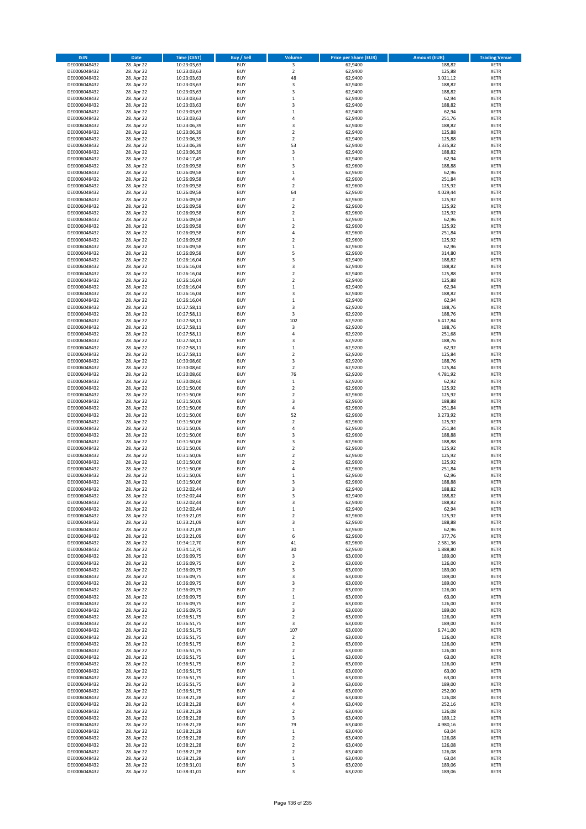| <b>ISIN</b>                  | Date                     | Time (CEST)                | <b>Buy / Sell</b>        | <b>Volume</b>    | <b>Price per Share (EUR)</b> | <b>Amount (EUR)</b> | <b>Trading Venue</b>       |
|------------------------------|--------------------------|----------------------------|--------------------------|------------------|------------------------------|---------------------|----------------------------|
| DE0006048432                 | 28. Apr 22               | 10:23:03,63                | <b>BUY</b>               | 3                | 62,9400                      | 188,82              | <b>XETR</b>                |
| DE0006048432                 | 28. Apr 22               | 10:23:03,63                | <b>BUY</b>               | $\mathbf 2$      | 62,9400                      | 125,88              | XETR                       |
| DE0006048432                 | 28. Apr 22               | 10:23:03,63                | <b>BUY</b>               | 48               | 62,9400                      | 3.021,12            | <b>XETR</b>                |
| DE0006048432                 | 28. Apr 22               | 10:23:03,63                | <b>BUY</b>               | $\mathsf 3$      | 62,9400                      | 188,82              | <b>XETR</b>                |
| DE0006048432                 | 28. Apr 22               | 10:23:03,63                | <b>BUY</b>               | 3                | 62,9400                      | 188,82              | <b>XETR</b>                |
| DE0006048432                 | 28. Apr 22               | 10:23:03,63                | <b>BUY</b>               | $\,1\,$          | 62,9400                      | 62,94               | <b>XETR</b>                |
| DE0006048432                 | 28. Apr 22               | 10:23:03,63                | <b>BUY</b>               | 3                | 62,9400                      | 188,82              | <b>XETR</b>                |
| DE0006048432                 | 28. Apr 22               | 10:23:03,63                | <b>BUY</b>               | $\mathbf{1}$     | 62,9400                      | 62,94               | <b>XETR</b>                |
| DE0006048432                 | 28. Apr 22               | 10:23:03,63                | <b>BUY</b>               | $\overline{4}$   | 62,9400                      | 251,76              | <b>XETR</b>                |
| DE0006048432                 | 28. Apr 22               | 10:23:06,39                | <b>BUY</b>               | 3                | 62,9400                      | 188,82              | <b>XETR</b>                |
| DE0006048432                 | 28. Apr 22               | 10:23:06,39                | <b>BUY</b>               | $\mathbf 2$      | 62,9400                      | 125,88              | <b>XETR</b>                |
| DE0006048432                 | 28. Apr 22               | 10:23:06,39                | <b>BUY</b>               | $\overline{2}$   | 62,9400                      | 125,88              | <b>XETR</b>                |
| DE0006048432                 | 28. Apr 22               | 10:23:06,39                | <b>BUY</b>               | 53               | 62,9400                      | 3.335,82            | <b>XETR</b>                |
| DE0006048432                 | 28. Apr 22               | 10:23:06,39                | <b>BUY</b>               | 3                | 62,9400                      | 188,82              | <b>XETR</b>                |
| DE0006048432<br>DE0006048432 | 28. Apr 22<br>28. Apr 22 | 10:24:17,49<br>10:26:09,58 | <b>BUY</b><br><b>BUY</b> | $\,1\,$<br>3     | 62,9400<br>62,9600           | 62,94<br>188,88     | <b>XETR</b><br><b>XETR</b> |
| DE0006048432                 | 28. Apr 22               | 10:26:09,58                | <b>BUY</b>               | $\mathbf 1$      | 62,9600                      | 62,96               | <b>XETR</b>                |
| DE0006048432                 | 28. Apr 22               | 10:26:09,58                | <b>BUY</b>               | 4                | 62,9600                      | 251,84              | <b>XETR</b>                |
| DE0006048432                 | 28. Apr 22               | 10:26:09,58                | <b>BUY</b>               | $\overline{2}$   | 62,9600                      | 125,92              | <b>XETR</b>                |
| DE0006048432                 | 28. Apr 22               | 10:26:09,58                | <b>BUY</b>               | 64               | 62,9600                      | 4.029,44            | <b>XETR</b>                |
| DE0006048432                 | 28. Apr 22               | 10:26:09,58                | <b>BUY</b>               | $\overline{2}$   | 62,9600                      | 125,92              | <b>XETR</b>                |
| DE0006048432                 | 28. Apr 22               | 10:26:09,58                | <b>BUY</b>               | $\mathbf 2$      | 62,9600                      | 125,92              | <b>XETR</b>                |
| DE0006048432                 | 28. Apr 22               | 10:26:09,58                | <b>BUY</b>               | $\mathbf 2$      | 62,9600                      | 125,92              | <b>XETR</b>                |
| DE0006048432                 | 28. Apr 22               | 10:26:09,58                | <b>BUY</b>               | $\,$ 1           | 62,9600                      | 62,96               | <b>XETR</b>                |
| DE0006048432                 | 28. Apr 22               | 10:26:09,58                | <b>BUY</b>               | $\overline{2}$   | 62,9600                      | 125,92              | <b>XETR</b>                |
| DE0006048432                 | 28. Apr 22               | 10:26:09,58                | <b>BUY</b>               | 4                | 62,9600                      | 251,84              | <b>XETR</b>                |
| DE0006048432                 | 28. Apr 22               | 10:26:09,58                | <b>BUY</b>               | $\mathbf 2$      | 62,9600                      | 125,92              | <b>XETR</b>                |
| DE0006048432                 | 28. Apr 22               | 10:26:09,58                | <b>BUY</b>               | $\,1\,$          | 62,9600                      | 62,96               | <b>XETR</b>                |
| DE0006048432                 | 28. Apr 22               | 10:26:09,58                | <b>BUY</b>               | 5                | 62,9600                      | 314,80              | <b>XETR</b>                |
| DE0006048432                 | 28. Apr 22               | 10:26:16,04                | <b>BUY</b>               | 3                | 62,9400                      | 188,82              | <b>XETR</b>                |
| DE0006048432                 | 28. Apr 22               | 10:26:16,04                | <b>BUY</b>               | 3                | 62,9400                      | 188,82              | <b>XETR</b>                |
| DE0006048432                 | 28. Apr 22               | 10:26:16,04                | <b>BUY</b>               | $\mathbf 2$      | 62,9400                      | 125,88              | <b>XETR</b>                |
| DE0006048432                 | 28. Apr 22               | 10:26:16,04                | <b>BUY</b>               | $\mathbf 2$      | 62,9400                      | 125,88              | <b>XETR</b>                |
| DE0006048432                 | 28. Apr 22               | 10:26:16,04                | <b>BUY</b>               | $\,1\,$          | 62,9400                      | 62,94               | <b>XETR</b>                |
| DE0006048432                 | 28. Apr 22<br>28. Apr 22 | 10:26:16,04<br>10:26:16,04 | <b>BUY</b><br><b>BUY</b> | 3<br>$\,1\,$     | 62,9400                      | 188,82              | <b>XETR</b>                |
| DE0006048432<br>DE0006048432 | 28. Apr 22               | 10:27:58,11                | <b>BUY</b>               | 3                | 62,9400<br>62,9200           | 62,94<br>188,76     | <b>XETR</b><br><b>XETR</b> |
| DE0006048432                 | 28. Apr 22               | 10:27:58,11                | <b>BUY</b>               | 3                | 62,9200                      | 188,76              | <b>XETR</b>                |
| DE0006048432                 | 28. Apr 22               | 10:27:58,11                | <b>BUY</b>               | 102              | 62,9200                      | 6.417,84            | <b>XETR</b>                |
| DE0006048432                 | 28. Apr 22               | 10:27:58,11                | <b>BUY</b>               | 3                | 62,9200                      | 188,76              | <b>XETR</b>                |
| DE0006048432                 | 28. Apr 22               | 10:27:58,11                | <b>BUY</b>               | $\overline{4}$   | 62,9200                      | 251,68              | <b>XETR</b>                |
| DE0006048432                 | 28. Apr 22               | 10:27:58,11                | <b>BUY</b>               | 3                | 62,9200                      | 188,76              | <b>XETR</b>                |
| DE0006048432                 | 28. Apr 22               | 10:27:58,11                | <b>BUY</b>               | $\,$ 1           | 62,9200                      | 62,92               | <b>XETR</b>                |
| DE0006048432                 | 28. Apr 22               | 10:27:58,11                | <b>BUY</b>               | $\overline{2}$   | 62,9200                      | 125,84              | <b>XETR</b>                |
| DE0006048432                 | 28. Apr 22               | 10:30:08,60                | <b>BUY</b>               | 3                | 62,9200                      | 188,76              | <b>XETR</b>                |
| DE0006048432                 | 28. Apr 22               | 10:30:08,60                | <b>BUY</b>               | $\overline{2}$   | 62,9200                      | 125,84              | <b>XETR</b>                |
| DE0006048432                 | 28. Apr 22               | 10:30:08,60                | <b>BUY</b>               | 76               | 62,9200                      | 4.781,92            | <b>XETR</b>                |
| DE0006048432                 | 28. Apr 22               | 10:30:08,60                | <b>BUY</b>               | $\,$ 1           | 62,9200                      | 62,92               | <b>XETR</b>                |
| DE0006048432                 | 28. Apr 22               | 10:31:50,06                | <b>BUY</b>               | $\mathbf 2$      | 62,9600                      | 125,92              | <b>XETR</b>                |
| DE0006048432                 | 28. Apr 22               | 10:31:50,06                | <b>BUY</b>               | $\overline{2}$   | 62,9600                      | 125,92              | <b>XETR</b>                |
| DE0006048432                 | 28. Apr 22               | 10:31:50,06                | <b>BUY</b>               | 3                | 62,9600                      | 188,88              | <b>XETR</b>                |
| DE0006048432                 | 28. Apr 22               | 10:31:50,06                | <b>BUY</b>               | $\overline{4}$   | 62,9600                      | 251,84              | <b>XETR</b>                |
| DE0006048432                 | 28. Apr 22               | 10:31:50,06                | <b>BUY</b>               | 52               | 62,9600                      | 3.273,92            | <b>XETR</b>                |
| DE0006048432<br>DE0006048432 | 28. Apr 22               | 10:31:50,06                | <b>BUY</b><br><b>BUY</b> | $\mathbf 2$<br>4 | 62,9600                      | 125,92              | <b>XETR</b><br><b>XETR</b> |
|                              | 28. Apr 22               | 10:31:50,06                |                          | 3                | 62,9600                      | 251,84              |                            |
| DE0006048432<br>DE0006048432 | 28. Apr 22<br>28. Apr 22 | 10:31:50,06<br>10:31:50,06 | <b>BUY</b><br><b>BUY</b> | 3                | 62,9600<br>62,9600           | 188,88<br>188,88    | <b>XETR</b><br><b>XETR</b> |
| DE0006048432                 | 28. Apr 22               | 10:31:50,06                | <b>BUY</b>               | $\mathbf 2$      | 62,9600                      | 125,92              | <b>XETR</b>                |
| DE0006048432                 | 28. Apr 22               | 10:31:50,06                | <b>BUY</b>               | $\mathbf 2$      | 62,9600                      | 125,92              | <b>XETR</b>                |
| DE0006048432                 | 28. Apr 22               | 10:31:50,06                | <b>BUY</b>               | $\mathbf 2$      | 62,9600                      | 125,92              | <b>XETR</b>                |
| DE0006048432                 | 28. Apr 22               | 10:31:50,06                | <b>BUY</b>               | 4                | 62,9600                      | 251,84              | <b>XETR</b>                |
| DE0006048432                 | 28. Apr 22               | 10:31:50,06                | <b>BUY</b>               | $\mathbf 1$      | 62,9600                      | 62,96               | <b>XETR</b>                |
| DE0006048432                 | 28. Apr 22               | 10:31:50,06                | <b>BUY</b>               | 3                | 62,9600                      | 188,88              | <b>XETR</b>                |
| DE0006048432                 | 28. Apr 22               | 10:32:02,44                | <b>BUY</b>               | 3                | 62,9400                      | 188,82              | <b>XETR</b>                |
| DE0006048432                 | 28. Apr 22               | 10:32:02,44                | BUY                      | 3                | 62,9400                      | 188,82              | XETR                       |
| DE0006048432                 | 28. Apr 22               | 10:32:02,44                | <b>BUY</b>               | 3                | 62,9400                      | 188,82              | <b>XETR</b>                |
| DE0006048432                 | 28. Apr 22               | 10:32:02,44                | <b>BUY</b>               | $\,$ 1           | 62,9400                      | 62,94               | <b>XETR</b>                |
| DE0006048432                 | 28. Apr 22               | 10:33:21,09                | <b>BUY</b>               | $\mathbf 2$      | 62,9600                      | 125,92              | XETR                       |
| DE0006048432                 | 28. Apr 22               | 10:33:21,09                | <b>BUY</b>               | 3                | 62,9600                      | 188,88              | <b>XETR</b>                |
| DE0006048432                 | 28. Apr 22               | 10:33:21,09                | <b>BUY</b>               | $\,$ 1           | 62,9600                      | 62,96               | <b>XETR</b>                |
| DE0006048432                 | 28. Apr 22               | 10:33:21,09                | <b>BUY</b>               | 6                | 62,9600                      | 377,76              | <b>XETR</b>                |
| DE0006048432                 | 28. Apr 22               | 10:34:12,70                | <b>BUY</b>               | 41               | 62,9600                      | 2.581,36            | <b>XETR</b>                |
| DE0006048432                 | 28. Apr 22               | 10:34:12,70                | <b>BUY</b>               | 30               | 62,9600                      | 1.888,80            | XETR                       |
| DE0006048432                 | 28. Apr 22               | 10:36:09,75                | <b>BUY</b>               | 3                | 63,0000                      | 189,00              | <b>XETR</b>                |
| DE0006048432<br>DE0006048432 | 28. Apr 22               | 10:36:09,75                | <b>BUY</b><br><b>BUY</b> | $\mathbf 2$<br>3 | 63,0000                      | 126,00<br>189,00    | XETR<br><b>XETR</b>        |
| DE0006048432                 | 28. Apr 22<br>28. Apr 22 | 10:36:09,75<br>10:36:09,75 | <b>BUY</b>               | 3                | 63,0000<br>63,0000           | 189,00              | XETR                       |
| DE0006048432                 | 28. Apr 22               | 10:36:09,75                | <b>BUY</b>               | 3                | 63,0000                      | 189,00              | <b>XETR</b>                |
| DE0006048432                 | 28. Apr 22               | 10:36:09,75                | <b>BUY</b>               | $\overline{2}$   | 63,0000                      | 126,00              | XETR                       |
| DE0006048432                 | 28. Apr 22               | 10:36:09,75                | <b>BUY</b>               | $\,1\,$          | 63,0000                      | 63,00               | <b>XETR</b>                |
| DE0006048432                 | 28. Apr 22               | 10:36:09,75                | <b>BUY</b>               | $\overline{2}$   | 63,0000                      | 126,00              | <b>XETR</b>                |
| DE0006048432                 | 28. Apr 22               | 10:36:09,75                | <b>BUY</b>               | 3                | 63,0000                      | 189,00              | <b>XETR</b>                |
| DE0006048432                 | 28. Apr 22               | 10:36:51,75                | <b>BUY</b>               | $\mathbf 2$      | 63,0000                      | 126,00              | XETR                       |
| DE0006048432                 | 28. Apr 22               | 10:36:51,75                | <b>BUY</b>               | $\mathsf 3$      | 63,0000                      | 189,00              | <b>XETR</b>                |
| DE0006048432                 | 28. Apr 22               | 10:36:51,75                | <b>BUY</b>               | 107              | 63,0000                      | 6.741,00            | <b>XETR</b>                |
| DE0006048432                 | 28. Apr 22               | 10:36:51,75                | <b>BUY</b>               | $\mathbf 2$      | 63,0000                      | 126,00              | <b>XETR</b>                |
| DE0006048432                 | 28. Apr 22               | 10:36:51,75                | <b>BUY</b>               | $\overline{2}$   | 63,0000                      | 126,00              | XETR                       |
| DE0006048432                 | 28. Apr 22               | 10:36:51,75                | <b>BUY</b>               | $\mathbf 2$      | 63,0000                      | 126,00              | XETR                       |
| DE0006048432                 | 28. Apr 22               | 10:36:51,75                | <b>BUY</b>               | $\,$ 1           | 63,0000                      | 63,00               | XETR                       |
| DE0006048432                 | 28. Apr 22               | 10:36:51,75                | <b>BUY</b>               | $\mathbf 2$      | 63,0000                      | 126,00              | <b>XETR</b>                |
| DE0006048432                 | 28. Apr 22               | 10:36:51,75                | <b>BUY</b>               | $\,$ 1           | 63,0000                      | 63,00               | <b>XETR</b>                |
| DE0006048432                 | 28. Apr 22               | 10:36:51,75                | <b>BUY</b>               | $\mathbf 1$      | 63,0000                      | 63,00               | <b>XETR</b>                |
| DE0006048432                 | 28. Apr 22               | 10:36:51,75                | <b>BUY</b>               | 3                | 63,0000                      | 189,00              | <b>XETR</b>                |
| DE0006048432                 | 28. Apr 22               | 10:36:51,75                | <b>BUY</b>               | 4                | 63,0000                      | 252,00              | <b>XETR</b>                |
| DE0006048432                 | 28. Apr 22               | 10:38:21,28                | <b>BUY</b>               | $\mathbf 2$      | 63,0400                      | 126,08              | XETR                       |
| DE0006048432                 | 28. Apr 22               | 10:38:21,28                | <b>BUY</b>               | 4                | 63,0400                      | 252,16              | XETR                       |
| DE0006048432<br>DE0006048432 | 28. Apr 22<br>28. Apr 22 | 10:38:21,28<br>10:38:21,28 | <b>BUY</b><br><b>BUY</b> | $\mathbf 2$<br>3 | 63,0400<br>63,0400           | 126,08<br>189,12    | XETR<br><b>XETR</b>        |
| DE0006048432                 | 28. Apr 22               | 10:38:21,28                | <b>BUY</b>               | 79               | 63,0400                      | 4.980,16            | <b>XETR</b>                |
| DE0006048432                 | 28. Apr 22               | 10:38:21,28                | <b>BUY</b>               | $\,$ 1           | 63,0400                      | 63,04               | XETR                       |
| DE0006048432                 | 28. Apr 22               | 10:38:21,28                | <b>BUY</b>               | $\overline{2}$   | 63,0400                      | 126,08              | <b>XETR</b>                |
| DE0006048432                 | 28. Apr 22               | 10:38:21,28                | <b>BUY</b>               | $\mathbf 2$      | 63,0400                      | 126,08              | XETR                       |
| DE0006048432                 | 28. Apr 22               | 10:38:21,28                | <b>BUY</b>               | $\overline{2}$   | 63,0400                      | 126,08              | <b>XETR</b>                |
| DE0006048432                 | 28. Apr 22               | 10:38:21,28                | <b>BUY</b>               | $\,$ 1           | 63,0400                      | 63,04               | XETR                       |
| DE0006048432                 | 28. Apr 22               | 10:38:31,01                | <b>BUY</b>               | 3                | 63,0200                      | 189,06              | <b>XETR</b>                |
| DE0006048432                 | 28. Apr 22               | 10:38:31,01                | <b>BUY</b>               | 3                | 63,0200                      | 189,06              | XETR                       |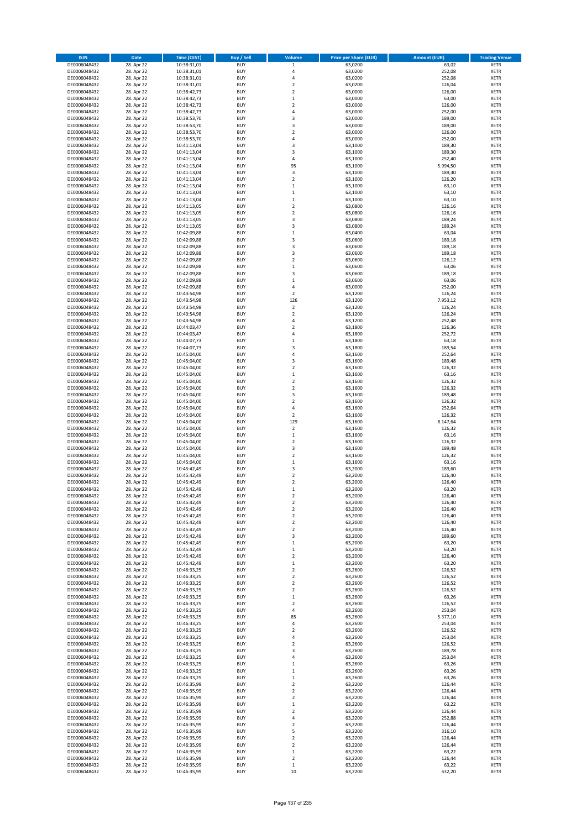| <b>ISIN</b>                  | <b>Date</b>              | <b>Time (CEST)</b>         | <b>Buy / Sell</b>        | <b>Volume</b>                          | <b>Price per Share (EUR)</b> | <b>Amount (EUR)</b> | <b>Trading Venue</b>       |
|------------------------------|--------------------------|----------------------------|--------------------------|----------------------------------------|------------------------------|---------------------|----------------------------|
| DE0006048432                 | 28. Apr 22               | 10:38:31,01                | <b>BUY</b>               | $\,1$                                  | 63,0200                      | 63,02               | <b>XETR</b>                |
| DE0006048432                 | 28. Apr 22               | 10:38:31,01                | <b>BUY</b>               | 4                                      | 63,0200                      | 252,08              | <b>XETR</b>                |
| DE0006048432                 | 28. Apr 22               | 10:38:31,01                | <b>BUY</b>               | 4                                      | 63,0200                      | 252,08              | <b>XETR</b>                |
| DE0006048432<br>DE0006048432 | 28. Apr 22<br>28. Apr 22 | 10:38:31,01<br>10:38:42,73 | <b>BUY</b><br><b>BUY</b> | $\mathbf 2$<br>$\overline{\mathbf{c}}$ | 63,0200<br>63,0000           | 126,04<br>126,00    | <b>XETR</b><br><b>XETR</b> |
| DE0006048432                 | 28. Apr 22               | 10:38:42,73                | <b>BUY</b>               | $\mathbf 1$                            | 63,0000                      | 63,00               | <b>XETR</b>                |
| DE0006048432                 | 28. Apr 22               | 10:38:42,73                | <b>BUY</b>               | $\mathbf 2$                            | 63,0000                      | 126,00              | <b>XETR</b>                |
| DE0006048432                 | 28. Apr 22               | 10:38:42,73                | <b>BUY</b>               | 4                                      | 63,0000                      | 252,00              | <b>XETR</b>                |
| DE0006048432                 | 28. Apr 22               | 10:38:53,70                | <b>BUY</b>               | 3                                      | 63,0000                      | 189,00              | <b>XETR</b>                |
| DE0006048432                 | 28. Apr 22               | 10:38:53,70                | <b>BUY</b>               | 3                                      | 63,0000                      | 189,00              | <b>XETR</b>                |
| DE0006048432                 | 28. Apr 22               | 10:38:53,70                | <b>BUY</b>               | $\mathbf 2$                            | 63,0000                      | 126,00              | <b>XETR</b>                |
| DE0006048432                 | 28. Apr 22<br>28. Apr 22 | 10:38:53,70                | <b>BUY</b><br><b>BUY</b> | 4<br>3                                 | 63,0000                      | 252,00              | <b>XETR</b><br><b>XETR</b> |
| DE0006048432<br>DE0006048432 | 28. Apr 22               | 10:41:13,04<br>10:41:13,04 | <b>BUY</b>               | 3                                      | 63,1000<br>63,1000           | 189,30<br>189,30    | <b>XETR</b>                |
| DE0006048432                 | 28. Apr 22               | 10:41:13,04                | <b>BUY</b>               | 4                                      | 63,1000                      | 252,40              | <b>XETR</b>                |
| DE0006048432                 | 28. Apr 22               | 10:41:13,04                | <b>BUY</b>               | 95                                     | 63,1000                      | 5.994,50            | <b>XETR</b>                |
| DE0006048432                 | 28. Apr 22               | 10:41:13,04                | <b>BUY</b>               | 3                                      | 63,1000                      | 189,30              | <b>XETR</b>                |
| DE0006048432                 | 28. Apr 22               | 10:41:13,04                | <b>BUY</b>               | $\mathbf 2$                            | 63,1000                      | 126,20              | <b>XETR</b>                |
| DE0006048432                 | 28. Apr 22               | 10:41:13,04                | <b>BUY</b>               | $\mathbf 1$                            | 63,1000                      | 63,10               | <b>XETR</b>                |
| DE0006048432                 | 28. Apr 22               | 10:41:13,04                | <b>BUY</b>               | $\mathbf 1$                            | 63,1000                      | 63,10               | <b>XETR</b>                |
| DE0006048432                 | 28. Apr 22               | 10:41:13,04                | <b>BUY</b>               | $\mathbf 1$                            | 63,1000                      | 63,10               | <b>XETR</b>                |
| DE0006048432<br>DE0006048432 | 28. Apr 22<br>28. Apr 22 | 10:41:13,05<br>10:41:13,05 | <b>BUY</b><br><b>BUY</b> | $\mathbf 2$<br>$\mathbf 2$             | 63,0800<br>63,0800           | 126,16<br>126,16    | <b>XETR</b><br><b>XETR</b> |
| DE0006048432                 | 28. Apr 22               | 10:41:13,05                | <b>BUY</b>               | 3                                      | 63,0800                      | 189,24              | <b>XETR</b>                |
| DE0006048432                 | 28. Apr 22               | 10:41:13,05                | <b>BUY</b>               | 3                                      | 63,0800                      | 189,24              | <b>XETR</b>                |
| DE0006048432                 | 28. Apr 22               | 10:42:09,88                | <b>BUY</b>               | $\mathbf 1$                            | 63,0400                      | 63,04               | <b>XETR</b>                |
| DE0006048432                 | 28. Apr 22               | 10:42:09,88                | <b>BUY</b>               | 3                                      | 63,0600                      | 189,18              | <b>XETR</b>                |
| DE0006048432                 | 28. Apr 22               | 10:42:09,88                | <b>BUY</b>               | 3                                      | 63,0600                      | 189,18              | <b>XETR</b>                |
| DE0006048432                 | 28. Apr 22               | 10:42:09,88                | <b>BUY</b>               | 3                                      | 63,0600                      | 189,18              | <b>XETR</b>                |
| DE0006048432                 | 28. Apr 22               | 10:42:09,88                | <b>BUY</b>               | $\overline{\mathbf{c}}$                | 63,0600                      | 126,12              | <b>XETR</b>                |
| DE0006048432<br>DE0006048432 | 28. Apr 22<br>28. Apr 22 | 10:42:09,88<br>10:42:09,88 | <b>BUY</b><br><b>BUY</b> | $\mathbf 1$<br>3                       | 63,0600<br>63,0600           | 63,06<br>189,18     | <b>XETR</b><br><b>XETR</b> |
| DE0006048432                 | 28. Apr 22               | 10:42:09,88                | <b>BUY</b>               | $\mathbf 1$                            | 63,0600                      | 63,06               | <b>XETR</b>                |
| DE0006048432                 | 28. Apr 22               | 10:42:09,88                | <b>BUY</b>               | 4                                      | 63,0000                      | 252,00              | <b>XETR</b>                |
| DE0006048432                 | 28. Apr 22               | 10:43:54,98                | <b>BUY</b>               | $\overline{\mathbf{c}}$                | 63,1200                      | 126,24              | <b>XETR</b>                |
| DE0006048432                 | 28. Apr 22               | 10:43:54,98                | <b>BUY</b>               | 126                                    | 63,1200                      | 7.953,12            | <b>XETR</b>                |
| DE0006048432                 | 28. Apr 22               | 10:43:54,98                | <b>BUY</b>               | $\overline{\mathbf{c}}$                | 63,1200                      | 126,24              | <b>XETR</b>                |
| DE0006048432                 | 28. Apr 22               | 10:43:54,98                | <b>BUY</b>               | $\mathbf 2$                            | 63,1200                      | 126,24              | <b>XETR</b>                |
| DE0006048432                 | 28. Apr 22               | 10:43:54,98                | <b>BUY</b>               | 4                                      | 63,1200                      | 252,48              | <b>XETR</b>                |
| DE0006048432                 | 28. Apr 22               | 10:44:03,47                | <b>BUY</b>               | $\overline{\mathbf{c}}$                | 63,1800                      | 126,36              | <b>XETR</b>                |
| DE0006048432<br>DE0006048432 | 28. Apr 22<br>28. Apr 22 | 10:44:03,47<br>10:44:07,73 | <b>BUY</b><br><b>BUY</b> | 4<br>$\mathbf 1$                       | 63,1800<br>63,1800           | 252,72<br>63,18     | <b>XETR</b><br><b>XETR</b> |
| DE0006048432                 | 28. Apr 22               | 10:44:07,73                | <b>BUY</b>               | 3                                      | 63,1800                      | 189,54              | <b>XETR</b>                |
| DE0006048432                 | 28. Apr 22               | 10:45:04,00                | <b>BUY</b>               | 4                                      | 63,1600                      | 252,64              | <b>XETR</b>                |
| DE0006048432                 | 28. Apr 22               | 10:45:04,00                | <b>BUY</b>               | 3                                      | 63,1600                      | 189,48              | <b>XETR</b>                |
| DE0006048432                 | 28. Apr 22               | 10:45:04,00                | <b>BUY</b>               | $\overline{\mathbf{2}}$                | 63,1600                      | 126,32              | <b>XETR</b>                |
| DE0006048432                 | 28. Apr 22               | 10:45:04,00                | <b>BUY</b>               | $\mathbf 1$                            | 63,1600                      | 63,16               | <b>XETR</b>                |
| DE0006048432                 | 28. Apr 22               | 10:45:04,00                | <b>BUY</b>               | $\mathbf 2$                            | 63,1600                      | 126,32              | <b>XETR</b>                |
| DE0006048432                 | 28. Apr 22               | 10:45:04,00                | <b>BUY</b>               | $\mathbf 2$                            | 63,1600                      | 126,32              | <b>XETR</b>                |
| DE0006048432                 | 28. Apr 22               | 10:45:04,00                | <b>BUY</b>               | 3                                      | 63,1600                      | 189,48              | <b>XETR</b>                |
| DE0006048432<br>DE0006048432 | 28. Apr 22<br>28. Apr 22 | 10:45:04,00<br>10:45:04,00 | <b>BUY</b><br><b>BUY</b> | $\overline{\mathbf{c}}$<br>4           | 63,1600<br>63,1600           | 126,32<br>252,64    | <b>XETR</b><br><b>XETR</b> |
| DE0006048432                 | 28. Apr 22               | 10:45:04,00                | <b>BUY</b>               | $\overline{\mathbf{2}}$                | 63,1600                      | 126,32              | <b>XETR</b>                |
| DE0006048432                 | 28. Apr 22               | 10:45:04,00                | <b>BUY</b>               | 129                                    | 63,1600                      | 8.147,64            | <b>XETR</b>                |
| DE0006048432                 | 28. Apr 22               | 10:45:04,00                | <b>BUY</b>               | $\overline{\mathbf{c}}$                | 63,1600                      | 126,32              | <b>XETR</b>                |
| DE0006048432                 | 28. Apr 22               | 10:45:04,00                | <b>BUY</b>               | $\mathbf 1$                            | 63,1600                      | 63,16               | <b>XETR</b>                |
| DE0006048432                 | 28. Apr 22               | 10:45:04,00                | <b>BUY</b>               | $\overline{\mathbf{c}}$                | 63,1600                      | 126,32              | <b>XETR</b>                |
| DE0006048432                 | 28. Apr 22               | 10:45:04,00                | <b>BUY</b>               | 3                                      | 63,1600                      | 189,48              | <b>XETR</b>                |
| DE0006048432                 | 28. Apr 22               | 10:45:04,00                | <b>BUY</b>               | $\overline{\mathbf{c}}$                | 63,1600                      | 126,32              | <b>XETR</b>                |
| DE0006048432<br>DE0006048432 | 28. Apr 22               | 10:45:04,00                | <b>BUY</b><br><b>BUY</b> | $\mathbf 1$                            | 63,1600                      | 63,16               | <b>XETR</b>                |
| DE0006048432                 | 28. Apr 22<br>28. Apr 22 | 10:45:42,49<br>10:45:42,49 | <b>BUY</b>               | 3<br>$\overline{\mathbf{c}}$           | 63,2000<br>63,2000           | 189,60<br>126,40    | <b>XETR</b><br><b>XETR</b> |
| DE0006048432                 | 28. Apr 22               | 10:45:42,49                | <b>BUY</b>               | $\overline{\mathbf{c}}$                | 63,2000                      | 126,40              | <b>XETR</b>                |
| DE0006048432                 | 28. Apr 22               | 10:45:42,49                | <b>BUY</b>               | $\mathbf{1}$                           | 63,2000                      | 63,20               | <b>XETR</b>                |
| DE0006048432                 | 28. Apr 22               | 10:45:42,49                | BUY                      | 2                                      | 63,2000                      | 126,40              | <b>XETR</b>                |
| DE0006048432                 | 28. Apr 22               | 10:45:42,49                | <b>BUY</b>               | $\mathbf 2$                            | 63,2000                      | 126,40              | <b>XETR</b>                |
| DE0006048432                 | 28. Apr 22               | 10:45:42,49                | <b>BUY</b>               | $\mathbf 2$                            | 63,2000                      | 126,40              | <b>XETR</b>                |
| DE0006048432                 | 28. Apr 22               | 10:45:42,49                | <b>BUY</b>               | $\mathbf 2$                            | 63,2000                      | 126,40              | XETR                       |
| DE0006048432<br>DE0006048432 | 28. Apr 22<br>28. Apr 22 | 10:45:42,49<br>10:45:42,49 | <b>BUY</b><br><b>BUY</b> | $\mathbf 2$<br>$\mathbf 2$             | 63,2000<br>63,2000           | 126,40<br>126,40    | <b>XETR</b><br><b>XETR</b> |
| DE0006048432                 | 28. Apr 22               | 10:45:42,49                | <b>BUY</b>               | 3                                      | 63,2000                      | 189,60              | <b>XETR</b>                |
| DE0006048432                 | 28. Apr 22               | 10:45:42,49                | <b>BUY</b>               | $\mathbf 1$                            | 63,2000                      | 63,20               | <b>XETR</b>                |
| DE0006048432                 | 28. Apr 22               | 10:45:42,49                | <b>BUY</b>               | $\mathbf 1$                            | 63,2000                      | 63,20               | <b>XETR</b>                |
| DE0006048432                 | 28. Apr 22               | 10:45:42,49                | <b>BUY</b>               | $\mathbf 2$                            | 63,2000                      | 126,40              | <b>XETR</b>                |
| DE0006048432                 | 28. Apr 22               | 10:45:42,49                | <b>BUY</b>               | $\mathbf 1$                            | 63,2000                      | 63,20               | <b>XETR</b>                |
| DE0006048432                 | 28. Apr 22               | 10:46:33,25                | <b>BUY</b>               | $\mathbf 2$                            | 63,2600                      | 126,52              | <b>XETR</b>                |
| DE0006048432<br>DE0006048432 | 28. Apr 22               | 10:46:33,25                | <b>BUY</b>               | $\mathbf 2$                            | 63,2600                      | 126,52              | <b>XETR</b>                |
| DE0006048432                 | 28. Apr 22<br>28. Apr 22 | 10:46:33,25<br>10:46:33,25 | <b>BUY</b><br><b>BUY</b> | $\overline{\mathbf{2}}$<br>$\mathbf 2$ | 63,2600<br>63,2600           | 126,52<br>126,52    | <b>XETR</b><br><b>XETR</b> |
| DE0006048432                 | 28. Apr 22               | 10:46:33,25                | <b>BUY</b>               | $\mathbf 1$                            | 63,2600                      | 63,26               | <b>XETR</b>                |
| DE0006048432                 | 28. Apr 22               | 10:46:33,25                | <b>BUY</b>               | $\mathbf 2$                            | 63,2600                      | 126,52              | <b>XETR</b>                |
| DE0006048432                 | 28. Apr 22               | 10:46:33,25                | <b>BUY</b>               | 4                                      | 63,2600                      | 253,04              | <b>XETR</b>                |
| DE0006048432                 | 28. Apr 22               | 10:46:33,25                | <b>BUY</b>               | 85                                     | 63,2600                      | 5.377,10            | XETR                       |
| DE0006048432                 | 28. Apr 22               | 10:46:33,25                | <b>BUY</b>               | 4                                      | 63,2600                      | 253,04              | <b>XETR</b>                |
| DE0006048432                 | 28. Apr 22               | 10:46:33,25                | <b>BUY</b>               | $\overline{\mathbf{c}}$                | 63,2600                      | 126,52              | <b>XETR</b>                |
| DE0006048432                 | 28. Apr 22               | 10:46:33,25                | <b>BUY</b><br><b>BUY</b> | 4<br>$\overline{\mathbf{c}}$           | 63,2600                      | 253,04              | <b>XETR</b><br><b>XETR</b> |
| DE0006048432<br>DE0006048432 | 28. Apr 22<br>28. Apr 22 | 10:46:33,25<br>10:46:33,25 | <b>BUY</b>               | 3                                      | 63,2600<br>63,2600           | 126,52<br>189,78    | <b>XETR</b>                |
| DE0006048432                 | 28. Apr 22               | 10:46:33,25                | <b>BUY</b>               | 4                                      | 63,2600                      | 253,04              | <b>XETR</b>                |
| DE0006048432                 | 28. Apr 22               | 10:46:33,25                | <b>BUY</b>               | $\mathbf 1$                            | 63,2600                      | 63,26               | <b>XETR</b>                |
| DE0006048432                 | 28. Apr 22               | 10:46:33,25                | <b>BUY</b>               | $\mathbf 1$                            | 63,2600                      | 63,26               | <b>XETR</b>                |
| DE0006048432                 | 28. Apr 22               | 10:46:33,25                | <b>BUY</b>               | $\mathbf 1$                            | 63,2600                      | 63,26               | <b>XETR</b>                |
| DE0006048432                 | 28. Apr 22               | 10:46:35,99                | <b>BUY</b>               | $\mathbf 2$                            | 63,2200                      | 126,44              | <b>XETR</b>                |
| DE0006048432                 | 28. Apr 22               | 10:46:35,99                | <b>BUY</b>               | $\overline{\mathbf{c}}$                | 63,2200                      | 126,44              | <b>XETR</b>                |
| DE0006048432                 | 28. Apr 22               | 10:46:35,99                | <b>BUY</b>               | $\mathbf 2$                            | 63,2200                      | 126,44              | <b>XETR</b>                |
| DE0006048432<br>DE0006048432 | 28. Apr 22               | 10:46:35,99                | <b>BUY</b><br><b>BUY</b> | $\mathbf 1$<br>$\mathbf 2$             | 63,2200<br>63,2200           | 63,22<br>126,44     | <b>XETR</b><br><b>XETR</b> |
| DE0006048432                 | 28. Apr 22<br>28. Apr 22 | 10:46:35,99<br>10:46:35,99 | <b>BUY</b>               | 4                                      | 63,2200                      | 252,88              | <b>XETR</b>                |
| DE0006048432                 | 28. Apr 22               | 10:46:35,99                | <b>BUY</b>               | $\mathbf 2$                            | 63,2200                      | 126,44              | <b>XETR</b>                |
| DE0006048432                 | 28. Apr 22               | 10:46:35,99                | <b>BUY</b>               | 5                                      | 63,2200                      | 316,10              | <b>XETR</b>                |
| DE0006048432                 | 28. Apr 22               | 10:46:35,99                | <b>BUY</b>               | $\overline{\mathbf{c}}$                | 63,2200                      | 126,44              | <b>XETR</b>                |
| DE0006048432                 | 28. Apr 22               | 10:46:35,99                | <b>BUY</b>               | $\mathbf 2$                            | 63,2200                      | 126,44              | XETR                       |
| DE0006048432                 | 28. Apr 22               | 10:46:35,99                | <b>BUY</b>               | $\mathbf 1$                            | 63,2200                      | 63,22               | <b>XETR</b>                |
| DE0006048432<br>DE0006048432 | 28. Apr 22<br>28. Apr 22 | 10:46:35,99<br>10:46:35,99 | <b>BUY</b><br><b>BUY</b> | $\mathbf 2$<br>$\mathbf 1$             | 63,2200<br>63,2200           | 126,44<br>63,22     | <b>XETR</b><br><b>XETR</b> |
| DE0006048432                 | 28. Apr 22               | 10:46:35,99                | <b>BUY</b>               | 10                                     | 63,2200                      | 632,20              | <b>XETR</b>                |
|                              |                          |                            |                          |                                        |                              |                     |                            |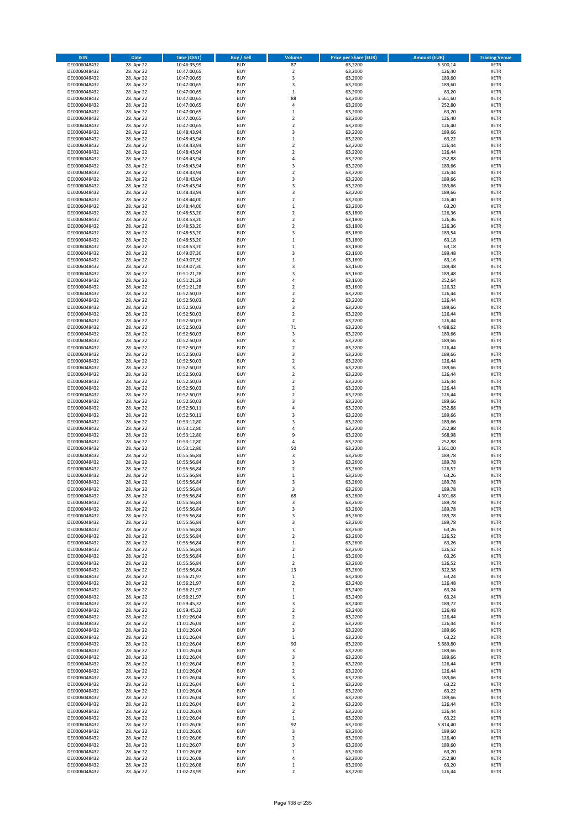| <b>ISIN</b>                  | <b>Date</b>              | <b>Time (CEST)</b>         | <b>Buy / Sell</b>        | <b>Volume</b>                          | <b>Price per Share (EUR)</b> | <b>Amount (EUR)</b> | <b>Trading Venue</b>       |
|------------------------------|--------------------------|----------------------------|--------------------------|----------------------------------------|------------------------------|---------------------|----------------------------|
| DE0006048432                 | 28. Apr 22               | 10:46:35,99                | <b>BUY</b>               | 87                                     | 63,2200                      | 5.500,14            | <b>XETR</b>                |
| DE0006048432                 | 28. Apr 22               | 10:47:00,65                | <b>BUY</b>               | $\mathbf 2$                            | 63,2000                      | 126,40              | <b>XETR</b>                |
| DE0006048432                 | 28. Apr 22               | 10:47:00,65                | <b>BUY</b>               | 3                                      | 63,2000                      | 189,60              | <b>XETR</b>                |
| DE0006048432                 | 28. Apr 22               | 10:47:00,65                | <b>BUY</b>               | 3                                      | 63,2000                      | 189,60              | <b>XETR</b>                |
| DE0006048432                 | 28. Apr 22               | 10:47:00,65                | <b>BUY</b>               | $\mathbf 1$                            | 63,2000                      | 63,20               | <b>XETR</b>                |
| DE0006048432                 | 28. Apr 22               | 10:47:00,65                | <b>BUY</b>               | 88                                     | 63,2000                      | 5.561,60            | <b>XETR</b>                |
| DE0006048432                 | 28. Apr 22               | 10:47:00,65                | <b>BUY</b>               | 4                                      | 63,2000                      | 252,80              | <b>XETR</b>                |
| DE0006048432                 | 28. Apr 22               | 10:47:00,65                | <b>BUY</b>               | $\mathbf 1$                            | 63,2000                      | 63,20               | <b>XETR</b>                |
| DE0006048432                 | 28. Apr 22               | 10:47:00,65                | <b>BUY</b><br><b>BUY</b> | $\overline{2}$<br>$\overline{2}$       | 63,2000                      | 126,40              | <b>XETR</b><br><b>XETR</b> |
| DE0006048432<br>DE0006048432 | 28. Apr 22<br>28. Apr 22 | 10:47:00,65                | <b>BUY</b>               | 3                                      | 63,2000<br>63,2200           | 126,40<br>189,66    | <b>XETR</b>                |
| DE0006048432                 | 28. Apr 22               | 10:48:43,94<br>10:48:43,94 | <b>BUY</b>               | $\mathbf 1$                            | 63,2200                      | 63,22               | <b>XETR</b>                |
| DE0006048432                 | 28. Apr 22               | 10:48:43,94                | <b>BUY</b>               | $\mathbf 2$                            | 63,2200                      | 126,44              | <b>XETR</b>                |
| DE0006048432                 | 28. Apr 22               | 10:48:43,94                | <b>BUY</b>               | $\overline{\mathbf{c}}$                | 63,2200                      | 126,44              | <b>XETR</b>                |
| DE0006048432                 | 28. Apr 22               | 10:48:43,94                | <b>BUY</b>               | 4                                      | 63,2200                      | 252,88              | <b>XETR</b>                |
| DE0006048432                 | 28. Apr 22               | 10:48:43,94                | <b>BUY</b>               | 3                                      | 63,2200                      | 189,66              | <b>XETR</b>                |
| DE0006048432                 | 28. Apr 22               | 10:48:43,94                | <b>BUY</b>               | $\overline{\mathbf{c}}$                | 63,2200                      | 126,44              | <b>XETR</b>                |
| DE0006048432                 | 28. Apr 22               | 10:48:43,94                | <b>BUY</b>               | 3                                      | 63,2200                      | 189,66              | <b>XETR</b>                |
| DE0006048432                 | 28. Apr 22               | 10:48:43,94                | <b>BUY</b>               | 3                                      | 63,2200                      | 189,66              | <b>XETR</b>                |
| DE0006048432                 | 28. Apr 22               | 10:48:43,94                | <b>BUY</b>               | 3                                      | 63,2200                      | 189,66              | <b>XETR</b>                |
| DE0006048432                 | 28. Apr 22               | 10:48:44,00                | <b>BUY</b>               | $\overline{\mathbf{c}}$                | 63,2000                      | 126,40              | <b>XETR</b>                |
| DE0006048432<br>DE0006048432 | 28. Apr 22<br>28. Apr 22 | 10:48:44,00                | <b>BUY</b><br><b>BUY</b> | $\mathbf 1$<br>$\mathbf 2$             | 63,2000<br>63,1800           | 63,20<br>126,36     | <b>XETR</b><br><b>XETR</b> |
| DE0006048432                 | 28. Apr 22               | 10:48:53,20<br>10:48:53,20 | <b>BUY</b>               | $\mathbf 2$                            | 63,1800                      | 126,36              | <b>XETR</b>                |
| DE0006048432                 | 28. Apr 22               | 10:48:53,20                | <b>BUY</b>               | $\mathbf 2$                            | 63,1800                      | 126,36              | <b>XETR</b>                |
| DE0006048432                 | 28. Apr 22               | 10:48:53,20                | <b>BUY</b>               | 3                                      | 63,1800                      | 189,54              | <b>XETR</b>                |
| DE0006048432                 | 28. Apr 22               | 10:48:53,20                | <b>BUY</b>               | $\mathbf 1$                            | 63,1800                      | 63,18               | <b>XETR</b>                |
| DE0006048432                 | 28. Apr 22               | 10:48:53,20                | <b>BUY</b>               | $\mathbf 1$                            | 63,1800                      | 63,18               | <b>XETR</b>                |
| DE0006048432                 | 28. Apr 22               | 10:49:07,30                | <b>BUY</b>               | 3                                      | 63,1600                      | 189,48              | <b>XETR</b>                |
| DE0006048432                 | 28. Apr 22               | 10:49:07,30                | <b>BUY</b>               | $\mathbf 1$                            | 63,1600                      | 63,16               | <b>XETR</b>                |
| DE0006048432                 | 28. Apr 22               | 10:49:07,30                | <b>BUY</b>               | 3                                      | 63,1600                      | 189,48              | <b>XETR</b>                |
| DE0006048432                 | 28. Apr 22               | 10:51:21,28                | <b>BUY</b>               | 3                                      | 63,1600                      | 189,48              | <b>XETR</b>                |
| DE0006048432                 | 28. Apr 22               | 10:51:21,28                | <b>BUY</b>               | 4                                      | 63,1600                      | 252,64              | <b>XETR</b>                |
| DE0006048432<br>DE0006048432 | 28. Apr 22<br>28. Apr 22 | 10:51:21,28                | <b>BUY</b><br><b>BUY</b> | $\overline{\mathbf{c}}$<br>$\mathbf 2$ | 63,1600<br>63.2200           | 126,32<br>126,44    | <b>XETR</b><br><b>XETR</b> |
| DE0006048432                 | 28. Apr 22               | 10:52:50,03<br>10:52:50,03 | <b>BUY</b>               | $\mathbf 2$                            | 63,2200                      | 126,44              | <b>XETR</b>                |
| DE0006048432                 | 28. Apr 22               | 10:52:50,03                | <b>BUY</b>               | 3                                      | 63,2200                      | 189,66              | <b>XETR</b>                |
| DE0006048432                 | 28. Apr 22               | 10:52:50,03                | <b>BUY</b>               | $\mathbf 2$                            | 63,2200                      | 126,44              | <b>XETR</b>                |
| DE0006048432                 | 28. Apr 22               | 10:52:50,03                | <b>BUY</b>               | $\overline{\mathbf{c}}$                | 63,2200                      | 126,44              | <b>XETR</b>                |
| DE0006048432                 | 28. Apr 22               | 10:52:50,03                | <b>BUY</b>               | 71                                     | 63,2200                      | 4.488,62            | <b>XETR</b>                |
| DE0006048432                 | 28. Apr 22               | 10:52:50,03                | <b>BUY</b>               | 3                                      | 63,2200                      | 189,66              | <b>XETR</b>                |
| DE0006048432                 | 28. Apr 22               | 10:52:50,03                | <b>BUY</b>               | 3                                      | 63,2200                      | 189,66              | <b>XETR</b>                |
| DE0006048432                 | 28. Apr 22               | 10:52:50,03                | <b>BUY</b>               | $\mathbf 2$                            | 63,2200                      | 126,44              | <b>XETR</b>                |
| DE0006048432                 | 28. Apr 22               | 10:52:50,03                | <b>BUY</b>               | 3                                      | 63,2200                      | 189,66              | <b>XETR</b>                |
| DE0006048432                 | 28. Apr 22               | 10:52:50,03                | <b>BUY</b>               | $\mathbf 2$                            | 63,2200                      | 126,44              | <b>XETR</b>                |
| DE0006048432                 | 28. Apr 22               | 10:52:50,03                | <b>BUY</b>               | 3                                      | 63,2200                      | 189,66              | <b>XETR</b>                |
| DE0006048432<br>DE0006048432 | 28. Apr 22<br>28. Apr 22 | 10:52:50,03                | <b>BUY</b><br><b>BUY</b> | $\mathbf 2$<br>$\mathbf 2$             | 63,2200<br>63,2200           | 126,44              | <b>XETR</b><br><b>XETR</b> |
| DE0006048432                 | 28. Apr 22               | 10:52:50,03<br>10:52:50,03 | <b>BUY</b>               | $\mathbf 2$                            | 63,2200                      | 126,44<br>126,44    | <b>XETR</b>                |
| DE0006048432                 | 28. Apr 22               | 10:52:50,03                | <b>BUY</b>               | $\overline{\mathbf{c}}$                | 63,2200                      | 126,44              | <b>XETR</b>                |
| DE0006048432                 | 28. Apr 22               | 10:52:50,03                | <b>BUY</b>               | 3                                      | 63,2200                      | 189,66              | <b>XETR</b>                |
| DE0006048432                 | 28. Apr 22               | 10:52:50,11                | <b>BUY</b>               | 4                                      | 63,2200                      | 252,88              | <b>XETR</b>                |
| DE0006048432                 | 28. Apr 22               | 10:52:50,11                | <b>BUY</b>               | 3                                      | 63,2200                      | 189,66              | <b>XETR</b>                |
| DE0006048432                 | 28. Apr 22               | 10:53:12,80                | <b>BUY</b>               | 3                                      | 63,2200                      | 189,66              | <b>XETR</b>                |
| DE0006048432                 | 28. Apr 22               | 10:53:12,80                | <b>BUY</b>               | 4                                      | 63,2200                      | 252,88              | <b>XETR</b>                |
| DE0006048432                 | 28. Apr 22               | 10:53:12,80                | <b>BUY</b>               | 9                                      | 63,2200                      | 568,98              | <b>XETR</b>                |
| DE0006048432                 | 28. Apr 22               | 10:53:12,80                | <b>BUY</b>               | 4                                      | 63,2200                      | 252,88              | <b>XETR</b>                |
| DE0006048432                 | 28. Apr 22               | 10:53:12,80                | <b>BUY</b>               | 50                                     | 63,2200                      | 3.161,00            | <b>XETR</b>                |
| DE0006048432                 | 28. Apr 22               | 10:55:56,84                | <b>BUY</b>               | 3                                      | 63,2600                      | 189,78              | <b>XETR</b>                |
| DE0006048432<br>DE0006048432 | 28. Apr 22<br>28. Apr 22 | 10:55:56,84<br>10:55:56,84 | <b>BUY</b><br><b>BUY</b> | 3<br>$\mathbf 2$                       | 63,2600<br>63,2600           | 189,78<br>126,52    | <b>XETR</b><br><b>XETR</b> |
| DE0006048432                 | 28. Apr 22               | 10:55:56,84                | <b>BUY</b>               | $\mathbf 1$                            | 63,2600                      | 63,26               | <b>XETR</b>                |
| DE0006048432                 | 28. Apr 22               | 10:55:56,84                | <b>BUY</b>               | 3                                      | 63,2600                      | 189,78              | <b>XETR</b>                |
| DE0006048432                 | 28. Apr 22               | 10:55:56,84                | <b>BUY</b>               | 3                                      | 63,2600                      | 189,78              | <b>XETR</b>                |
| DE0006048432                 | 28. Apr 22               | 10:55:56,84                | BUY                      | 68                                     | 63,2600                      | 4.301,68            | <b>XETR</b>                |
| DE0006048432                 | 28. Apr 22               | 10:55:56,84                | <b>BUY</b>               | 3                                      | 63,2600                      | 189,78              | <b>XETR</b>                |
| DE0006048432                 | 28. Apr 22               | 10:55:56,84                | <b>BUY</b>               | 3                                      | 63,2600                      | 189,78              | <b>XETR</b>                |
| DE0006048432                 | 28. Apr 22               | 10:55:56,84                | <b>BUY</b>               | 3                                      | 63,2600                      | 189,78              | XETR                       |
| DE0006048432                 | 28. Apr 22               | 10:55:56,84                | <b>BUY</b>               | 3                                      | 63,2600                      | 189,78              | <b>XETR</b>                |
| DE0006048432                 | 28. Apr 22               | 10:55:56,84                | <b>BUY</b><br><b>BUY</b> | $\mathbf 1$<br>$\overline{\mathbf{2}}$ | 63,2600                      | 63,26               | <b>XETR</b><br><b>XETR</b> |
| DE0006048432<br>DE0006048432 | 28. Apr 22<br>28. Apr 22 | 10:55:56,84<br>10:55:56,84 | <b>BUY</b>               | $\mathbf 1$                            | 63,2600<br>63,2600           | 126,52<br>63,26     | <b>XETR</b>                |
| DE0006048432                 | 28. Apr 22               | 10:55:56,84                | <b>BUY</b>               | $\mathbf 2$                            | 63,2600                      | 126,52              | <b>XETR</b>                |
| DE0006048432                 | 28. Apr 22               | 10:55:56,84                | <b>BUY</b>               | $\mathbf 1$                            | 63,2600                      | 63,26               | <b>XETR</b>                |
| DE0006048432                 | 28. Apr 22               | 10:55:56,84                | <b>BUY</b>               | $\mathbf 2$                            | 63,2600                      | 126,52              | <b>XETR</b>                |
| DE0006048432                 | 28. Apr 22               | 10:55:56,84                | <b>BUY</b>               | 13                                     | 63,2600                      | 822,38              | <b>XETR</b>                |
| DE0006048432                 | 28. Apr 22               | 10:56:21,97                | <b>BUY</b>               | $\,$ 1                                 | 63,2400                      | 63,24               | <b>XETR</b>                |
| DE0006048432                 | 28. Apr 22               | 10:56:21,97                | <b>BUY</b>               | $\overline{\mathbf{c}}$                | 63,2400                      | 126,48              | <b>XETR</b>                |
| DE0006048432                 | 28. Apr 22               | 10:56:21,97                | <b>BUY</b>               | $\mathbf 1$                            | 63,2400                      | 63,24               | <b>XETR</b>                |
| DE0006048432                 | 28. Apr 22               | 10:56:21,97                | <b>BUY</b><br><b>BUY</b> | $\mathbf 1$<br>3                       | 63,2400                      | 63,24               | <b>XETR</b>                |
| DE0006048432<br>DE0006048432 | 28. Apr 22<br>28. Apr 22 | 10:59:45,32<br>10:59:45,32 | <b>BUY</b>               | $\mathbf 2$                            | 63,2400<br>63,2400           | 189,72<br>126,48    | <b>XETR</b><br><b>XETR</b> |
| DE0006048432                 | 28. Apr 22               | 11:01:26,04                | <b>BUY</b>               | $\mathbf 2$                            | 63,2200                      | 126,44              | <b>XETR</b>                |
| DE0006048432                 | 28. Apr 22               | 11:01:26,04                | <b>BUY</b>               | $\mathbf 2$                            | 63,2200                      | 126,44              | <b>XETR</b>                |
| DE0006048432                 | 28. Apr 22               | 11:01:26,04                | <b>BUY</b>               | 3                                      | 63,2200                      | 189,66              | <b>XETR</b>                |
| DE0006048432                 | 28. Apr 22               | 11:01:26,04                | <b>BUY</b>               | $\mathbf 1$                            | 63,2200                      | 63,22               | <b>XETR</b>                |
| DE0006048432                 | 28. Apr 22               | 11:01:26,04                | <b>BUY</b>               | 90                                     | 63,2200                      | 5.689,80            | <b>XETR</b>                |
| DE0006048432                 | 28. Apr 22               | 11:01:26,04                | <b>BUY</b>               | 3                                      | 63,2200                      | 189,66              | <b>XETR</b>                |
| DE0006048432                 | 28. Apr 22               | 11:01:26,04                | <b>BUY</b>               | 3                                      | 63,2200                      | 189,66              | <b>XETR</b>                |
| DE0006048432                 | 28. Apr 22               | 11:01:26,04                | <b>BUY</b>               | $\mathbf 2$                            | 63,2200                      | 126,44              | <b>XETR</b>                |
| DE0006048432                 | 28. Apr 22               | 11:01:26,04                | <b>BUY</b>               | $\mathbf 2$                            | 63,2200                      | 126,44              | <b>XETR</b>                |
| DE0006048432                 | 28. Apr 22               | 11:01:26,04                | <b>BUY</b>               | 3                                      | 63,2200                      | 189,66              | <b>XETR</b>                |
| DE0006048432                 | 28. Apr 22               | 11:01:26,04                | <b>BUY</b><br><b>BUY</b> | $\mathbf 1$<br>$\mathbf 1$             | 63,2200                      | 63,22               | <b>XETR</b>                |
| DE0006048432<br>DE0006048432 | 28. Apr 22<br>28. Apr 22 | 11:01:26,04<br>11:01:26,04 | <b>BUY</b>               | 3                                      | 63,2200<br>63,2200           | 63,22<br>189,66     | <b>XETR</b><br><b>XETR</b> |
| DE0006048432                 | 28. Apr 22               | 11:01:26,04                | <b>BUY</b>               | $\mathbf 2$                            | 63,2200                      | 126,44              | <b>XETR</b>                |
| DE0006048432                 | 28. Apr 22               | 11:01:26,04                | <b>BUY</b>               | $\mathbf 2$                            | 63,2200                      | 126,44              | <b>XETR</b>                |
| DE0006048432                 | 28. Apr 22               | 11:01:26,04                | <b>BUY</b>               | $\mathbf 1$                            | 63,2200                      | 63,22               | <b>XETR</b>                |
| DE0006048432                 | 28. Apr 22               | 11:01:26,06                | <b>BUY</b>               | 92                                     | 63,2000                      | 5.814,40            | <b>XETR</b>                |
| DE0006048432                 | 28. Apr 22               | 11:01:26,06                | <b>BUY</b>               | 3                                      | 63,2000                      | 189,60              | <b>XETR</b>                |
| DE0006048432                 | 28. Apr 22               | 11:01:26,06                | <b>BUY</b>               | $\overline{\mathbf{c}}$                | 63,2000                      | 126,40              | <b>XETR</b>                |
| DE0006048432                 | 28. Apr 22               | 11:01:26,07                | <b>BUY</b>               | 3                                      | 63,2000                      | 189,60              | XETR                       |
| DE0006048432                 | 28. Apr 22               | 11:01:26,08                | <b>BUY</b>               | $\mathbf 1$                            | 63,2000                      | 63,20               | <b>XETR</b>                |
| DE0006048432<br>DE0006048432 | 28. Apr 22<br>28. Apr 22 | 11:01:26,08<br>11:01:26,08 | <b>BUY</b><br><b>BUY</b> | 4<br>$\mathbf 1$                       | 63,2000<br>63,2000           | 252,80<br>63,20     | <b>XETR</b><br><b>XETR</b> |
| DE0006048432                 | 28. Apr 22               | 11:02:23,99                | <b>BUY</b>               | $\mathbf 2$                            | 63,2200                      | 126,44              | <b>XETR</b>                |
|                              |                          |                            |                          |                                        |                              |                     |                            |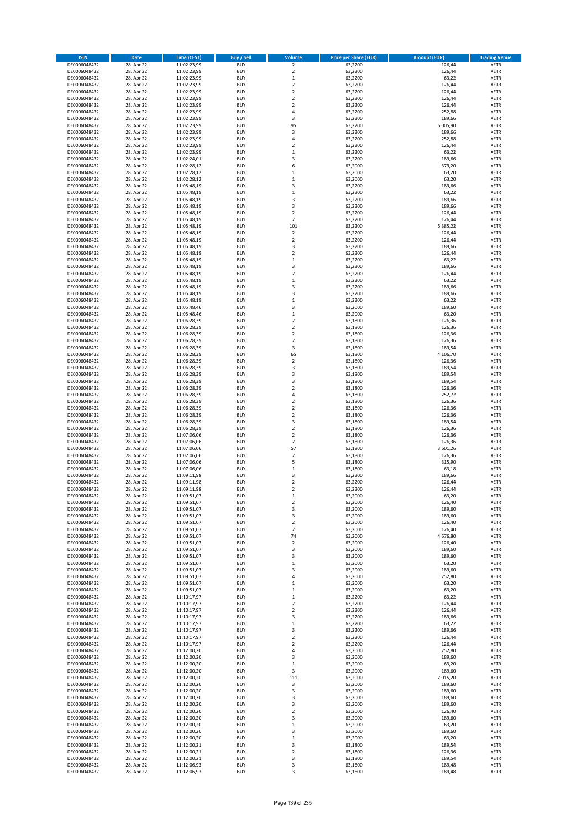| <b>ISIN</b>                  | <b>Date</b>              | Time (CEST)                | <b>Buy / Sell</b>        | Volume                                 | <b>Price per Share (EUR)</b> | <b>Amount (EUR)</b> | <b>Trading Venue</b>       |
|------------------------------|--------------------------|----------------------------|--------------------------|----------------------------------------|------------------------------|---------------------|----------------------------|
| DE0006048432                 | 28. Apr 22               | 11:02:23,99                | <b>BUY</b>               | $\overline{2}$                         | 63,2200                      | 126,44              | <b>XETR</b>                |
| DE0006048432                 | 28. Apr 22               | 11:02:23,99                | <b>BUY</b>               | $\mathbf 2$                            | 63,2200                      | 126,44              | <b>XETR</b>                |
| DE0006048432                 | 28. Apr 22               | 11:02:23,99                | <b>BUY</b>               | $\mathbf 1$                            | 63,2200                      | 63,22               | <b>XETR</b>                |
| DE0006048432<br>DE0006048432 | 28. Apr 22<br>28. Apr 22 | 11:02:23,99<br>11:02:23,99 | <b>BUY</b><br><b>BUY</b> | $\mathbf 2$<br>$\overline{\mathbf{c}}$ | 63,2200<br>63,2200           | 126,44<br>126,44    | <b>XETR</b><br><b>XETR</b> |
| DE0006048432                 | 28. Apr 22               | 11:02:23,99                | <b>BUY</b>               | $\mathbf 2$                            | 63,2200                      | 126,44              | <b>XETR</b>                |
| DE0006048432                 | 28. Apr 22               | 11:02:23,99                | <b>BUY</b>               | $\mathbf 2$                            | 63.2200                      | 126,44              | <b>XETR</b>                |
| DE0006048432                 | 28. Apr 22               | 11:02:23,99                | <b>BUY</b>               | 4                                      | 63,2200                      | 252,88              | <b>XETR</b>                |
| DE0006048432                 | 28. Apr 22               | 11:02:23,99                | <b>BUY</b>               | 3                                      | 63,2200                      | 189,66              | <b>XETR</b>                |
| DE0006048432                 | 28. Apr 22               | 11:02:23,99                | <b>BUY</b>               | 95                                     | 63,2200                      | 6.005,90            | <b>XETR</b>                |
| DE0006048432                 | 28. Apr 22               | 11:02:23,99                | <b>BUY</b>               | 3                                      | 63,2200                      | 189,66              | <b>XETR</b>                |
| DE0006048432<br>DE0006048432 | 28. Apr 22<br>28. Apr 22 | 11:02:23,99<br>11:02:23,99 | <b>BUY</b><br><b>BUY</b> | 4<br>$\overline{\mathbf{c}}$           | 63,2200<br>63,2200           | 252,88<br>126,44    | <b>XETR</b><br><b>XETR</b> |
| DE0006048432                 | 28. Apr 22               | 11:02:23,99                | <b>BUY</b>               | $\mathbf 1$                            | 63,2200                      | 63,22               | <b>XETR</b>                |
| DE0006048432                 | 28. Apr 22               | 11:02:24,01                | <b>BUY</b>               | 3                                      | 63,2200                      | 189,66              | <b>XETR</b>                |
| DE0006048432                 | 28. Apr 22               | 11:02:28,12                | <b>BUY</b>               | 6                                      | 63,2000                      | 379,20              | <b>XETR</b>                |
| DE0006048432                 | 28. Apr 22               | 11:02:28,12                | <b>BUY</b>               | $\mathbf 1$                            | 63,2000                      | 63,20               | <b>XETR</b>                |
| DE0006048432                 | 28. Apr 22               | 11:02:28,12                | <b>BUY</b>               | $\mathbf 1$                            | 63,2000                      | 63,20               | <b>XETR</b>                |
| DE0006048432                 | 28. Apr 22               | 11:05:48,19                | <b>BUY</b>               | 3                                      | 63,2200                      | 189,66              | <b>XETR</b>                |
| DE0006048432                 | 28. Apr 22               | 11:05:48,19                | <b>BUY</b>               | $\mathbf 1$                            | 63,2200                      | 63,22               | <b>XETR</b>                |
| DE0006048432                 | 28. Apr 22               | 11:05:48,19                | <b>BUY</b><br><b>BUY</b> | 3<br>3                                 | 63,2200                      | 189,66<br>189,66    | <b>XETR</b><br><b>XETR</b> |
| DE0006048432<br>DE0006048432 | 28. Apr 22<br>28. Apr 22 | 11:05:48,19<br>11:05:48,19 | <b>BUY</b>               | $\overline{\mathbf{c}}$                | 63,2200<br>63,2200           | 126,44              | <b>XETR</b>                |
| DE0006048432                 | 28. Apr 22               | 11:05:48,19                | <b>BUY</b>               | $\mathbf 2$                            | 63,2200                      | 126,44              | <b>XETR</b>                |
| DE0006048432                 | 28. Apr 22               | 11:05:48,19                | <b>BUY</b>               | 101                                    | 63,2200                      | 6.385,22            | <b>XETR</b>                |
| DE0006048432                 | 28. Apr 22               | 11:05:48,19                | <b>BUY</b>               | $\mathbf 2$                            | 63,2200                      | 126,44              | <b>XETR</b>                |
| DE0006048432                 | 28. Apr 22               | 11:05:48,19                | <b>BUY</b>               | $\mathbf 2$                            | 63,2200                      | 126,44              | <b>XETR</b>                |
| DE0006048432                 | 28. Apr 22               | 11:05:48,19                | <b>BUY</b>               | 3                                      | 63,2200                      | 189,66              | <b>XETR</b>                |
| DE0006048432                 | 28. Apr 22               | 11:05:48,19                | <b>BUY</b>               | $\mathbf 2$                            | 63,2200                      | 126,44              | <b>XETR</b>                |
| DE0006048432                 | 28. Apr 22<br>28. Apr 22 | 11:05:48,19                | <b>BUY</b><br><b>BUY</b> | $\mathbf 1$<br>3                       | 63,2200<br>63,2200           | 63,22               | <b>XETR</b><br><b>XETR</b> |
| DE0006048432<br>DE0006048432 | 28. Apr 22               | 11:05:48,19<br>11:05:48,19 | <b>BUY</b>               | $\overline{\mathbf{c}}$                | 63,2200                      | 189,66<br>126,44    | <b>XETR</b>                |
| DE0006048432                 | 28. Apr 22               | 11:05:48,19                | <b>BUY</b>               | $\mathbf 1$                            | 63,2200                      | 63,22               | <b>XETR</b>                |
| DE0006048432                 | 28. Apr 22               | 11:05:48,19                | <b>BUY</b>               | 3                                      | 63,2200                      | 189,66              | <b>XETR</b>                |
| DE0006048432                 | 28. Apr 22               | 11:05:48,19                | <b>BUY</b>               | 3                                      | 63.2200                      | 189,66              | <b>XETR</b>                |
| DE0006048432                 | 28. Apr 22               | 11:05:48,19                | <b>BUY</b>               | $\mathbf 1$                            | 63,2200                      | 63,22               | <b>XETR</b>                |
| DE0006048432                 | 28. Apr 22               | 11:05:48,46                | <b>BUY</b>               | 3                                      | 63,2000                      | 189,60              | <b>XETR</b>                |
| DE0006048432                 | 28. Apr 22               | 11:05:48,46                | <b>BUY</b>               | $\mathbf 1$                            | 63,2000                      | 63,20               | <b>XETR</b>                |
| DE0006048432                 | 28. Apr 22               | 11:06:28,39                | <b>BUY</b>               | $\overline{2}$                         | 63,1800                      | 126,36              | <b>XETR</b>                |
| DE0006048432<br>DE0006048432 | 28. Apr 22<br>28. Apr 22 | 11:06:28,39<br>11:06:28,39 | <b>BUY</b><br><b>BUY</b> | $\mathbf 2$<br>$\mathbf 2$             | 63,1800<br>63,1800           | 126,36<br>126,36    | <b>XETR</b><br><b>XETR</b> |
| DE0006048432                 | 28. Apr 22               | 11:06:28,39                | <b>BUY</b>               | $\mathbf 2$                            | 63,1800                      | 126,36              | <b>XETR</b>                |
| DE0006048432                 | 28. Apr 22               | 11:06:28,39                | <b>BUY</b>               | 3                                      | 63,1800                      | 189,54              | <b>XETR</b>                |
| DE0006048432                 | 28. Apr 22               | 11:06:28,39                | <b>BUY</b>               | 65                                     | 63,1800                      | 4.106,70            | <b>XETR</b>                |
| DE0006048432                 | 28. Apr 22               | 11:06:28,39                | <b>BUY</b>               | $\mathbf 2$                            | 63,1800                      | 126,36              | <b>XETR</b>                |
| DE0006048432                 | 28. Apr 22               | 11:06:28,39                | <b>BUY</b>               | 3                                      | 63,1800                      | 189,54              | <b>XETR</b>                |
| DE0006048432                 | 28. Apr 22               | 11:06:28,39                | <b>BUY</b>               | 3                                      | 63,1800                      | 189,54              | <b>XETR</b>                |
| DE0006048432                 | 28. Apr 22               | 11:06:28,39                | <b>BUY</b>               | 3                                      | 63,1800                      | 189,54              | <b>XETR</b>                |
| DE0006048432<br>DE0006048432 | 28. Apr 22<br>28. Apr 22 | 11:06:28,39<br>11:06:28,39 | <b>BUY</b><br><b>BUY</b> | $\mathbf 2$<br>4                       | 63,1800<br>63,1800           | 126,36<br>252,72    | <b>XETR</b><br><b>XETR</b> |
| DE0006048432                 | 28. Apr 22               | 11:06:28,39                | <b>BUY</b>               | $\overline{\mathbf{c}}$                | 63,1800                      | 126,36              | <b>XETR</b>                |
| DE0006048432                 | 28. Apr 22               | 11:06:28,39                | <b>BUY</b>               | $\mathbf 2$                            | 63,1800                      | 126,36              | <b>XETR</b>                |
| DE0006048432                 | 28. Apr 22               | 11:06:28,39                | <b>BUY</b>               | $\overline{2}$                         | 63,1800                      | 126,36              | <b>XETR</b>                |
| DE0006048432                 | 28. Apr 22               | 11:06:28,39                | <b>BUY</b>               | 3                                      | 63,1800                      | 189,54              | <b>XETR</b>                |
| DE0006048432                 | 28. Apr 22               | 11:06:28,39                | <b>BUY</b>               | $\mathbf 2$                            | 63,1800                      | 126,36              | <b>XETR</b>                |
| DE0006048432                 | 28. Apr 22               | 11:07:06,06                | <b>BUY</b>               | $\overline{2}$                         | 63,1800                      | 126,36              | <b>XETR</b>                |
| DE0006048432                 | 28. Apr 22               | 11:07:06,06                | <b>BUY</b>               | $\overline{\mathbf{c}}$                | 63,1800                      | 126,36              | <b>XETR</b>                |
| DE0006048432<br>DE0006048432 | 28. Apr 22               | 11:07:06,06<br>11:07:06,06 | <b>BUY</b><br><b>BUY</b> | 57<br>$\overline{\mathbf{c}}$          | 63,1800<br>63,1800           | 3.601,26<br>126,36  | <b>XETR</b><br><b>XETR</b> |
| DE0006048432                 | 28. Apr 22<br>28. Apr 22 | 11:07:06,06                | <b>BUY</b>               | 5                                      | 63,1800                      | 315,90              | <b>XETR</b>                |
| DE0006048432                 | 28. Apr 22               | 11:07:06,06                | <b>BUY</b>               | $\mathbf 1$                            | 63,1800                      | 63,18               | <b>XETR</b>                |
| DE0006048432                 | 28. Apr 22               | 11:09:11,98                | <b>BUY</b>               | 3                                      | 63,2200                      | 189,66              | <b>XETR</b>                |
| DE0006048432                 | 28. Apr 22               | 11:09:11,98                | <b>BUY</b>               | $\overline{\mathbf{c}}$                | 63,2200                      | 126,44              | <b>XETR</b>                |
| DE0006048432                 | 28. Apr 22               | 11:09:11,98                | <b>BUY</b>               | $\overline{2}$                         | 63,2200                      | 126,44              | <b>XETR</b>                |
| DE0006048432                 | 28. Apr 22               | 11:09:51,07                | BUY                      | $\mathbf 1$                            | 63,2000                      | 63,20               | <b>XETR</b>                |
| DE0006048432                 | 28. Apr 22               | 11:09:51,07                | <b>BUY</b><br><b>BUY</b> | $\mathbf 2$                            | 63,2000                      | 126,40              | <b>XETR</b>                |
| DE0006048432<br>DE0006048432 | 28. Apr 22<br>28. Apr 22 | 11:09:51,07<br>11:09:51,07 | <b>BUY</b>               | 3<br>3                                 | 63,2000<br>63,2000           | 189,60<br>189,60    | <b>XETR</b><br>XETR        |
| DE0006048432                 | 28. Apr 22               | 11:09:51,07                | <b>BUY</b>               | $\mathbf 2$                            | 63,2000                      | 126,40              | <b>XETR</b>                |
| DE0006048432                 | 28. Apr 22               | 11:09:51,07                | <b>BUY</b>               | $\mathbf 2$                            | 63,2000                      | 126,40              | <b>XETR</b>                |
| DE0006048432                 | 28. Apr 22               | 11:09:51,07                | <b>BUY</b>               | 74                                     | 63,2000                      | 4.676,80            | <b>XETR</b>                |
| DE0006048432                 | 28. Apr 22               | 11:09:51,07                | <b>BUY</b>               | $\mathbf 2$                            | 63,2000                      | 126,40              | <b>XETR</b>                |
| DE0006048432                 | 28. Apr 22               | 11:09:51,07                | <b>BUY</b>               | 3                                      | 63,2000                      | 189,60              | <b>XETR</b>                |
| DE0006048432                 | 28. Apr 22               | 11:09:51,07                | <b>BUY</b>               | 3                                      | 63,2000                      | 189,60              | <b>XETR</b>                |
| DE0006048432<br>DE0006048432 | 28. Apr 22<br>28. Apr 22 | 11:09:51,07<br>11:09:51,07 | <b>BUY</b><br><b>BUY</b> | $\mathbf 1$<br>3                       | 63,2000<br>63,2000           | 63,20<br>189,60     | <b>XETR</b><br><b>XETR</b> |
| DE0006048432                 | 28. Apr 22               | 11:09:51,07                | <b>BUY</b>               | 4                                      | 63,2000                      | 252,80              | <b>XETR</b>                |
| DE0006048432                 | 28. Apr 22               | 11:09:51,07                | <b>BUY</b>               | $\mathbf 1$                            | 63,2000                      | 63,20               | <b>XETR</b>                |
| DE0006048432                 | 28. Apr 22               | 11:09:51,07                | <b>BUY</b>               | $\mathbf 1$                            | 63,2000                      | 63,20               | <b>XETR</b>                |
| DE0006048432                 | 28. Apr 22               | 11:10:17,97                | <b>BUY</b>               | $\mathbf 1$                            | 63,2200                      | 63,22               | <b>XETR</b>                |
| DE0006048432                 | 28. Apr 22               | 11:10:17,97                | <b>BUY</b>               | $\overline{2}$                         | 63,2200                      | 126,44              | <b>XETR</b>                |
| DE0006048432                 | 28. Apr 22               | 11:10:17,97                | <b>BUY</b>               | $\mathbf 2$                            | 63,2200                      | 126,44              | <b>XETR</b>                |
| DE0006048432<br>DE0006048432 | 28. Apr 22<br>28. Apr 22 | 11:10:17,97<br>11:10:17,97 | <b>BUY</b><br><b>BUY</b> | 3<br>$\mathbf 1$                       | 63,2200<br>63,2200           | 189,66<br>63,22     | <b>XETR</b><br><b>XETR</b> |
| DE0006048432                 | 28. Apr 22               | 11:10:17,97                | <b>BUY</b>               | 3                                      | 63,2200                      | 189,66              | <b>XETR</b>                |
| DE0006048432                 | 28. Apr 22               | 11:10:17,97                | <b>BUY</b>               | $\mathbf 2$                            | 63,2200                      | 126,44              | <b>XETR</b>                |
| DE0006048432                 | 28. Apr 22               | 11:10:17,97                | <b>BUY</b>               | $\overline{\mathbf{c}}$                | 63,2200                      | 126,44              | <b>XETR</b>                |
| DE0006048432                 | 28. Apr 22               | 11:12:00,20                | <b>BUY</b>               | 4                                      | 63,2000                      | 252,80              | <b>XETR</b>                |
| DE0006048432                 | 28. Apr 22               | 11:12:00,20                | <b>BUY</b>               | 3                                      | 63,2000                      | 189,60              | <b>XETR</b>                |
| DE0006048432                 | 28. Apr 22               | 11:12:00,20                | <b>BUY</b>               | $\mathbf 1$                            | 63,2000                      | 63,20               | <b>XETR</b>                |
| DE0006048432                 | 28. Apr 22               | 11:12:00,20                | <b>BUY</b>               | 3                                      | 63,2000                      | 189,60              | <b>XETR</b>                |
| DE0006048432<br>DE0006048432 | 28. Apr 22<br>28. Apr 22 | 11:12:00,20<br>11:12:00,20 | <b>BUY</b><br><b>BUY</b> | 111<br>3                               | 63,2000<br>63,2000           | 7.015,20<br>189,60  | <b>XETR</b><br><b>XETR</b> |
| DE0006048432                 | 28. Apr 22               | 11:12:00,20                | <b>BUY</b>               | 3                                      | 63,2000                      | 189,60              | XETR                       |
| DE0006048432                 | 28. Apr 22               | 11:12:00,20                | <b>BUY</b>               | 3                                      | 63,2000                      | 189,60              | <b>XETR</b>                |
| DE0006048432                 | 28. Apr 22               | 11:12:00,20                | <b>BUY</b>               | 3                                      | 63,2000                      | 189,60              | <b>XETR</b>                |
| DE0006048432                 | 28. Apr 22               | 11:12:00,20                | <b>BUY</b>               | $\mathbf 2$                            | 63,2000                      | 126,40              | <b>XETR</b>                |
| DE0006048432                 | 28. Apr 22               | 11:12:00,20                | <b>BUY</b>               | 3                                      | 63,2000                      | 189,60              | <b>XETR</b>                |
| DE0006048432                 | 28. Apr 22               | 11:12:00,20                | <b>BUY</b>               | $\mathbf 1$                            | 63,2000                      | 63,20               | <b>XETR</b>                |
| DE0006048432                 | 28. Apr 22               | 11:12:00,20                | <b>BUY</b>               | 3                                      | 63,2000                      | 189,60              | <b>XETR</b>                |
| DE0006048432<br>DE0006048432 | 28. Apr 22<br>28. Apr 22 | 11:12:00,20<br>11:12:00,21 | <b>BUY</b><br><b>BUY</b> | $\mathbf 1$<br>3                       | 63,2000<br>63,1800           | 63,20<br>189,54     | <b>XETR</b><br>XETR        |
| DE0006048432                 | 28. Apr 22               | 11:12:00,21                | <b>BUY</b>               | $\overline{2}$                         | 63,1800                      | 126,36              | <b>XETR</b>                |
| DE0006048432                 | 28. Apr 22               | 11:12:00,21                | <b>BUY</b>               | 3                                      | 63,1800                      | 189,54              | <b>XETR</b>                |
| DE0006048432                 | 28. Apr 22               | 11:12:06,93                | <b>BUY</b>               | 3                                      | 63,1600                      | 189,48              | <b>XETR</b>                |
| DE0006048432                 | 28. Apr 22               | 11:12:06,93                | <b>BUY</b>               | 3                                      | 63,1600                      | 189,48              | <b>XETR</b>                |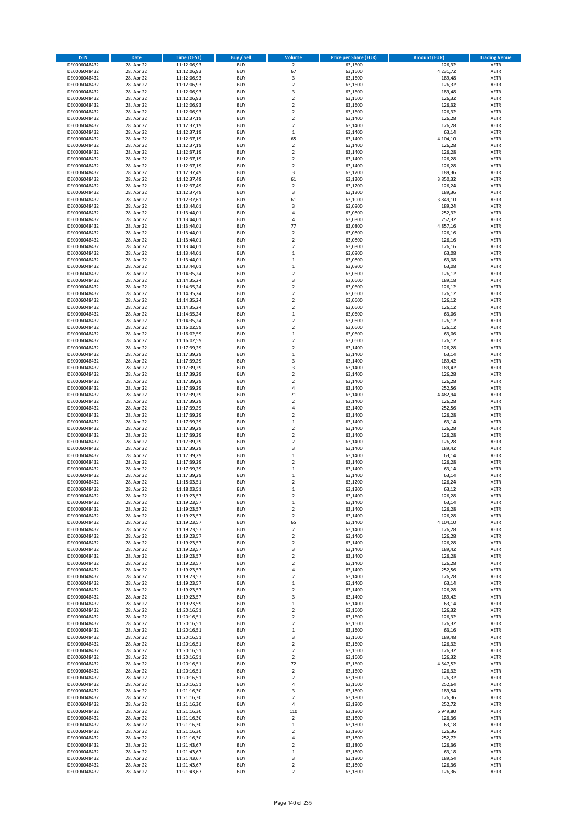| <b>ISIN</b>                  | <b>Date</b>              | Time (CEST)                | <b>Buy / Sell</b>        | Volume                                  | <b>Price per Share (EUR)</b> | <b>Amount (EUR)</b> | <b>Trading Venue</b>       |
|------------------------------|--------------------------|----------------------------|--------------------------|-----------------------------------------|------------------------------|---------------------|----------------------------|
| DE0006048432                 | 28. Apr 22               | 11:12:06,93                | <b>BUY</b>               | $\overline{2}$                          | 63,1600                      | 126,32              | <b>XETR</b>                |
| DE0006048432                 | 28. Apr 22               | 11:12:06,93                | <b>BUY</b>               | 67                                      | 63,1600                      | 4.231,72            | <b>XETR</b>                |
| DE0006048432                 | 28. Apr 22               | 11:12:06,93                | <b>BUY</b>               | 3                                       | 63,1600                      | 189,48              | <b>XETR</b>                |
| DE0006048432<br>DE0006048432 | 28. Apr 22<br>28. Apr 22 | 11:12:06,93<br>11:12:06,93 | <b>BUY</b><br><b>BUY</b> | $\mathbf 2$<br>3                        | 63,1600<br>63,1600           | 126,32<br>189,48    | <b>XETR</b><br><b>XETR</b> |
| DE0006048432                 | 28. Apr 22               | 11:12:06,93                | <b>BUY</b>               | $\mathbf 2$                             | 63,1600                      | 126,32              | <b>XETR</b>                |
| DE0006048432                 | 28. Apr 22               | 11:12:06,93                | <b>BUY</b>               | $\mathbf 2$                             | 63,1600                      | 126,32              | <b>XETR</b>                |
| DE0006048432                 | 28. Apr 22               | 11:12:06,93                | <b>BUY</b>               | $\mathbf 2$                             | 63,1600                      | 126,32              | <b>XETR</b>                |
| DE0006048432                 | 28. Apr 22               | 11:12:37,19                | <b>BUY</b>               | $\overline{2}$                          | 63,1400                      | 126,28              | <b>XETR</b>                |
| DE0006048432                 | 28. Apr 22               | 11:12:37,19                | <b>BUY</b><br><b>BUY</b> | $\overline{2}$                          | 63,1400                      | 126,28              | <b>XETR</b><br><b>XETR</b> |
| DE0006048432<br>DE0006048432 | 28. Apr 22<br>28. Apr 22 | 11:12:37,19<br>11:12:37,19 | <b>BUY</b>               | $\mathbf 1$<br>65                       | 63,1400<br>63,1400           | 63,14<br>4.104,10   | <b>XETR</b>                |
| DE0006048432                 | 28. Apr 22               | 11:12:37,19                | <b>BUY</b>               | $\mathbf 2$                             | 63,1400                      | 126,28              | <b>XETR</b>                |
| DE0006048432                 | 28. Apr 22               | 11:12:37,19                | <b>BUY</b>               | $\overline{\mathbf{c}}$                 | 63,1400                      | 126,28              | <b>XETR</b>                |
| DE0006048432                 | 28. Apr 22               | 11:12:37,19                | <b>BUY</b>               | $\mathbf 2$                             | 63,1400                      | 126,28              | <b>XETR</b>                |
| DE0006048432                 | 28. Apr 22               | 11:12:37,19                | <b>BUY</b>               | $\overline{\mathbf{c}}$                 | 63,1400                      | 126,28              | <b>XETR</b>                |
| DE0006048432<br>DE0006048432 | 28. Apr 22<br>28. Apr 22 | 11:12:37,49<br>11:12:37,49 | <b>BUY</b><br><b>BUY</b> | 3<br>61                                 | 63,1200<br>63,1200           | 189,36<br>3.850,32  | <b>XETR</b><br><b>XETR</b> |
| DE0006048432                 | 28. Apr 22               | 11:12:37,49                | <b>BUY</b>               | $\overline{\mathbf{c}}$                 | 63,1200                      | 126,24              | <b>XETR</b>                |
| DE0006048432                 | 28. Apr 22               | 11:12:37,49                | <b>BUY</b>               | 3                                       | 63,1200                      | 189,36              | <b>XETR</b>                |
| DE0006048432                 | 28. Apr 22               | 11:12:37,61                | <b>BUY</b>               | 61                                      | 63,1000                      | 3.849,10            | <b>XETR</b>                |
| DE0006048432                 | 28. Apr 22               | 11:13:44,01                | <b>BUY</b>               | 3                                       | 63,0800                      | 189,24              | <b>XETR</b>                |
| DE0006048432                 | 28. Apr 22               | 11:13:44,01                | <b>BUY</b>               | 4                                       | 63,0800                      | 252,32              | <b>XETR</b>                |
| DE0006048432<br>DE0006048432 | 28. Apr 22<br>28. Apr 22 | 11:13:44,01<br>11:13:44,01 | <b>BUY</b><br><b>BUY</b> | 4<br>77                                 | 63,0800<br>63,0800           | 252,32<br>4.857,16  | <b>XETR</b><br><b>XETR</b> |
| DE0006048432                 | 28. Apr 22               | 11:13:44,01                | <b>BUY</b>               | $\mathbf 2$                             | 63,0800                      | 126,16              | <b>XETR</b>                |
| DE0006048432                 | 28. Apr 22               | 11:13:44,01                | <b>BUY</b>               | $\mathbf 2$                             | 63,0800                      | 126,16              | <b>XETR</b>                |
| DE0006048432                 | 28. Apr 22               | 11:13:44,01                | <b>BUY</b>               | $\overline{\mathbf{c}}$                 | 63,0800                      | 126,16              | <b>XETR</b>                |
| DE0006048432                 | 28. Apr 22               | 11:13:44,01                | <b>BUY</b>               | $\mathbf 1$                             | 63,0800                      | 63,08               | <b>XETR</b>                |
| DE0006048432<br>DE0006048432 | 28. Apr 22<br>28. Apr 22 | 11:13:44,01<br>11:13:44,01 | <b>BUY</b><br><b>BUY</b> | $\mathbf 1$<br>$\mathbf 1$              | 63,0800<br>63,0800           | 63,08<br>63,08      | <b>XETR</b><br><b>XETR</b> |
| DE0006048432                 | 28. Apr 22               | 11:14:35,24                | <b>BUY</b>               | $\overline{\mathbf{c}}$                 | 63,0600                      | 126,12              | <b>XETR</b>                |
| DE0006048432                 | 28. Apr 22               | 11:14:35,24                | <b>BUY</b>               | 3                                       | 63,0600                      | 189,18              | <b>XETR</b>                |
| DE0006048432                 | 28. Apr 22               | 11:14:35,24                | <b>BUY</b>               | $\mathbf 2$                             | 63,0600                      | 126,12              | <b>XETR</b>                |
| DE0006048432                 | 28. Apr 22               | 11:14:35.24                | <b>BUY</b>               | $\overline{2}$                          | 63,0600                      | 126,12              | <b>XETR</b>                |
| DE0006048432<br>DE0006048432 | 28. Apr 22<br>28. Apr 22 | 11:14:35,24                | <b>BUY</b>               | $\mathbf 2$                             | 63,0600                      | 126,12              | <b>XETR</b>                |
| DE0006048432                 | 28. Apr 22               | 11:14:35,24<br>11:14:35,24 | <b>BUY</b><br><b>BUY</b> | $\overline{\mathbf{c}}$<br>$\mathbf 1$  | 63,0600<br>63,0600           | 126,12<br>63,06     | <b>XETR</b><br><b>XETR</b> |
| DE0006048432                 | 28. Apr 22               | 11:14:35,24                | <b>BUY</b>               | $\overline{2}$                          | 63,0600                      | 126,12              | <b>XETR</b>                |
| DE0006048432                 | 28. Apr 22               | 11:16:02,59                | <b>BUY</b>               | $\mathbf 2$                             | 63,0600                      | 126,12              | <b>XETR</b>                |
| DE0006048432                 | 28. Apr 22               | 11:16:02,59                | <b>BUY</b>               | $\mathbf 1$                             | 63,0600                      | 63,06               | <b>XETR</b>                |
| DE0006048432                 | 28. Apr 22               | 11:16:02,59                | <b>BUY</b>               | $\mathbf 2$                             | 63,0600                      | 126,12              | <b>XETR</b>                |
| DE0006048432                 | 28. Apr 22               | 11:17:39,29                | <b>BUY</b>               | $\mathbf 2$                             | 63,1400                      | 126,28              | <b>XETR</b>                |
| DE0006048432<br>DE0006048432 | 28. Apr 22<br>28. Apr 22 | 11:17:39,29<br>11:17:39,29 | <b>BUY</b><br><b>BUY</b> | $\mathbf 1$<br>3                        | 63,1400<br>63,1400           | 63,14<br>189,42     | <b>XETR</b><br><b>XETR</b> |
| DE0006048432                 | 28. Apr 22               | 11:17:39,29                | <b>BUY</b>               | 3                                       | 63,1400                      | 189,42              | <b>XETR</b>                |
| DE0006048432                 | 28. Apr 22               | 11:17:39,29                | <b>BUY</b>               | $\mathbf 2$                             | 63,1400                      | 126,28              | <b>XETR</b>                |
| DE0006048432                 | 28. Apr 22               | 11:17:39,29                | <b>BUY</b>               | $\overline{\mathbf{c}}$                 | 63,1400                      | 126,28              | <b>XETR</b>                |
| DE0006048432                 | 28. Apr 22               | 11:17:39,29                | <b>BUY</b>               | 4                                       | 63,1400                      | 252,56              | <b>XETR</b>                |
| DE0006048432<br>DE0006048432 | 28. Apr 22<br>28. Apr 22 | 11:17:39,29<br>11:17:39,29 | <b>BUY</b><br><b>BUY</b> | 71<br>$\mathbf 2$                       | 63,1400<br>63,1400           | 4.482,94<br>126,28  | <b>XETR</b><br><b>XETR</b> |
| DE0006048432                 | 28. Apr 22               | 11:17:39,29                | <b>BUY</b>               | 4                                       | 63,1400                      | 252,56              | <b>XETR</b>                |
| DE0006048432                 | 28. Apr 22               | 11:17:39,29                | <b>BUY</b>               | $\overline{\mathbf{c}}$                 | 63,1400                      | 126,28              | <b>XETR</b>                |
| DE0006048432                 | 28. Apr 22               | 11:17:39,29                | <b>BUY</b>               | $\mathbf 1$                             | 63,1400                      | 63,14               | <b>XETR</b>                |
| DE0006048432                 | 28. Apr 22               | 11:17:39,29                | <b>BUY</b>               | $\mathbf 2$                             | 63,1400                      | 126,28              | <b>XETR</b>                |
| DE0006048432                 | 28. Apr 22               | 11:17:39,29                | <b>BUY</b>               | $\mathbf 2$                             | 63,1400                      | 126,28              | <b>XETR</b>                |
| DE0006048432<br>DE0006048432 | 28. Apr 22<br>28. Apr 22 | 11:17:39,29<br>11:17:39,29 | <b>BUY</b><br><b>BUY</b> | $\overline{\mathbf{c}}$<br>3            | 63,1400<br>63,1400           | 126,28<br>189,42    | <b>XETR</b><br><b>XETR</b> |
| DE0006048432                 | 28. Apr 22               | 11:17:39,29                | <b>BUY</b>               | $\mathbf 1$                             | 63,1400                      | 63,14               | <b>XETR</b>                |
| DE0006048432                 | 28. Apr 22               | 11:17:39,29                | <b>BUY</b>               | $\overline{2}$                          | 63,1400                      | 126,28              | <b>XETR</b>                |
| DE0006048432                 | 28. Apr 22               | 11:17:39,29                | <b>BUY</b>               | $\mathbf 1$                             | 63,1400                      | 63,14               | <b>XETR</b>                |
| DE0006048432                 | 28. Apr 22               | 11:17:39,29                | <b>BUY</b>               | $\mathbf 1$                             | 63,1400                      | 63,14               | <b>XETR</b>                |
| DE0006048432<br>DE0006048432 | 28. Apr 22<br>28. Apr 22 | 11:18:03,51<br>11:18:03,51 | <b>BUY</b><br><b>BUY</b> | $\overline{\mathbf{c}}$<br>$\mathbf{1}$ | 63,1200<br>63,1200           | 126,24<br>63,12     | <b>XETR</b><br><b>XETR</b> |
| DE0006048432                 | 28. Apr 22               | 11:19:23,57                | BUY                      | 2                                       | 63,1400                      | 126,28              | <b>XETR</b>                |
| DE0006048432                 | 28. Apr 22               | 11:19:23,57                | <b>BUY</b>               | $\mathbf 1$                             | 63,1400                      | 63,14               | XETR                       |
| DE0006048432                 | 28. Apr 22               | 11:19:23,57                | <b>BUY</b>               | $\mathbf 2$                             | 63,1400                      | 126,28              | XETR                       |
| DE0006048432                 | 28. Apr 22               | 11:19:23,57                | <b>BUY</b>               | $\mathbf 2$                             | 63,1400                      | 126,28              | XETR                       |
| DE0006048432<br>DE0006048432 | 28. Apr 22<br>28. Apr 22 | 11:19:23,57<br>11:19:23,57 | <b>BUY</b><br><b>BUY</b> | 65<br>$\mathbf 2$                       | 63,1400<br>63,1400           | 4.104,10<br>126,28  | <b>XETR</b><br>XETR        |
| DE0006048432                 | 28. Apr 22               | 11:19:23,57                | <b>BUY</b>               | $\mathbf 2$                             | 63,1400                      | 126,28              | <b>XETR</b>                |
| DE0006048432                 | 28. Apr 22               | 11:19:23,57                | <b>BUY</b>               | $\mathbf 2$                             | 63,1400                      | 126,28              | <b>XETR</b>                |
| DE0006048432                 | 28. Apr 22               | 11:19:23,57                | <b>BUY</b>               | 3                                       | 63,1400                      | 189,42              | <b>XETR</b>                |
| DE0006048432                 | 28. Apr 22               | 11:19:23,57                | <b>BUY</b>               | $\mathbf 2$                             | 63,1400                      | 126,28              | <b>XETR</b>                |
| DE0006048432<br>DE0006048432 | 28. Apr 22<br>28. Apr 22 | 11:19:23,57<br>11:19:23,57 | <b>BUY</b><br><b>BUY</b> | $\mathbf 2$<br>4                        | 63,1400<br>63,1400           | 126,28<br>252,56    | XETR<br><b>XETR</b>        |
| DE0006048432                 | 28. Apr 22               | 11:19:23,57                | <b>BUY</b>               | $\mathbf 2$                             | 63,1400                      | 126,28              | <b>XETR</b>                |
| DE0006048432                 | 28. Apr 22               | 11:19:23,57                | <b>BUY</b>               | $\mathbf 1$                             | 63,1400                      | 63,14               | <b>XETR</b>                |
| DE0006048432                 | 28. Apr 22               | 11:19:23,57                | <b>BUY</b>               | $\mathbf 2$                             | 63,1400                      | 126,28              | <b>XETR</b>                |
| DE0006048432                 | 28. Apr 22               | 11:19:23,57                | <b>BUY</b>               | 3                                       | 63,1400                      | 189,42              | <b>XETR</b>                |
| DE0006048432<br>DE0006048432 | 28. Apr 22<br>28. Apr 22 | 11:19:23,59<br>11:20:16,51 | <b>BUY</b><br><b>BUY</b> | $\mathbf 1$<br>$\overline{2}$           | 63,1400<br>63,1600           | 63,14<br>126,32     | <b>XETR</b><br><b>XETR</b> |
| DE0006048432                 | 28. Apr 22               | 11:20:16,51                | <b>BUY</b>               | $\mathbf 2$                             | 63,1600                      | 126,32              | XETR                       |
| DE0006048432                 | 28. Apr 22               | 11:20:16,51                | <b>BUY</b>               | $\mathbf 2$                             | 63,1600                      | 126,32              | <b>XETR</b>                |
| DE0006048432                 | 28. Apr 22               | 11:20:16,51                | <b>BUY</b>               | $\mathbf 1$                             | 63,1600                      | 63,16               | <b>XETR</b>                |
| DE0006048432                 | 28. Apr 22               | 11:20:16,51                | <b>BUY</b>               | 3                                       | 63,1600                      | 189,48              | <b>XETR</b>                |
| DE0006048432                 | 28. Apr 22               | 11:20:16,51                | <b>BUY</b><br><b>BUY</b> | $\overline{2}$<br>$\mathbf 2$           | 63,1600<br>63,1600           | 126,32<br>126,32    | <b>XETR</b><br><b>XETR</b> |
| DE0006048432<br>DE0006048432 | 28. Apr 22<br>28. Apr 22 | 11:20:16,51<br>11:20:16,51 | <b>BUY</b>               | $\mathbf 2$                             | 63,1600                      | 126,32              | <b>XETR</b>                |
| DE0006048432                 | 28. Apr 22               | 11:20:16,51                | <b>BUY</b>               | 72                                      | 63,1600                      | 4.547,52            | XETR                       |
| DE0006048432                 | 28. Apr 22               | 11:20:16,51                | <b>BUY</b>               | $\mathbf 2$                             | 63,1600                      | 126,32              | <b>XETR</b>                |
| DE0006048432                 | 28. Apr 22               | 11:20:16,51                | <b>BUY</b>               | $\overline{2}$                          | 63,1600                      | 126,32              | <b>XETR</b>                |
| DE0006048432                 | 28. Apr 22               | 11:20:16,51                | <b>BUY</b>               | 4                                       | 63,1600                      | 252,64              | <b>XETR</b>                |
| DE0006048432<br>DE0006048432 | 28. Apr 22               | 11:21:16,30                | <b>BUY</b><br><b>BUY</b> | 3<br>$\mathbf 2$                        | 63,1800<br>63,1800           | 189,54<br>126,36    | XETR<br><b>XETR</b>        |
| DE0006048432                 | 28. Apr 22<br>28. Apr 22 | 11:21:16,30<br>11:21:16,30 | <b>BUY</b>               | 4                                       | 63,1800                      | 252,72              | <b>XETR</b>                |
| DE0006048432                 | 28. Apr 22               | 11:21:16,30                | <b>BUY</b>               | 110                                     | 63,1800                      | 6.949,80            | XETR                       |
| DE0006048432                 | 28. Apr 22               | 11:21:16,30                | <b>BUY</b>               | $\mathbf 2$                             | 63,1800                      | 126,36              | <b>XETR</b>                |
| DE0006048432                 | 28. Apr 22               | 11:21:16,30                | <b>BUY</b>               | $\mathbf 1$                             | 63,1800                      | 63,18               | <b>XETR</b>                |
| DE0006048432                 | 28. Apr 22               | 11:21:16,30                | <b>BUY</b>               | $\mathbf 2$                             | 63,1800                      | 126,36              | <b>XETR</b>                |
| DE0006048432<br>DE0006048432 | 28. Apr 22<br>28. Apr 22 | 11:21:16,30<br>11:21:43,67 | <b>BUY</b><br><b>BUY</b> | 4<br>$\overline{\mathbf{c}}$            | 63,1800<br>63,1800           | 252,72<br>126,36    | <b>XETR</b><br><b>XETR</b> |
| DE0006048432                 | 28. Apr 22               | 11:21:43,67                | <b>BUY</b>               | $\mathbf 1$                             | 63,1800                      | 63,18               | <b>XETR</b>                |
| DE0006048432                 | 28. Apr 22               | 11:21:43,67                | <b>BUY</b>               | 3                                       | 63,1800                      | 189,54              | <b>XETR</b>                |
| DE0006048432                 | 28. Apr 22               | 11:21:43,67                | <b>BUY</b>               | $\mathbf 2$                             | 63,1800                      | 126,36              | <b>XETR</b>                |
| DE0006048432                 | 28. Apr 22               | 11:21:43,67                | <b>BUY</b>               | $\mathbf 2$                             | 63,1800                      | 126,36              | XETR                       |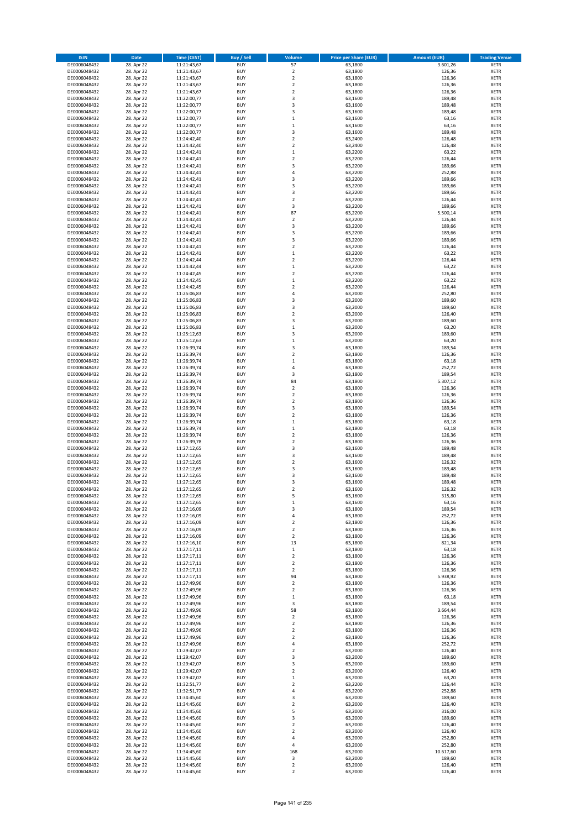| <b>ISIN</b>                  | <b>Date</b>              | Time (CEST)                | <b>Buy / Sell</b>        | Volume                                             | <b>Price per Share (EUR)</b> | <b>Amount (EUR)</b> | <b>Trading Venue</b>       |
|------------------------------|--------------------------|----------------------------|--------------------------|----------------------------------------------------|------------------------------|---------------------|----------------------------|
| DE0006048432                 | 28. Apr 22               | 11:21:43,67                | <b>BUY</b>               | 57                                                 | 63,1800                      | 3.601,26            | <b>XETR</b>                |
| DE0006048432                 | 28. Apr 22               | 11:21:43,67                | <b>BUY</b>               | $\mathbf 2$                                        | 63,1800                      | 126,36              | <b>XETR</b>                |
| DE0006048432                 | 28. Apr 22               | 11:21:43,67                | <b>BUY</b>               | $\overline{2}$                                     | 63,1800                      | 126,36              | <b>XETR</b>                |
| DE0006048432                 | 28. Apr 22               | 11:21:43,67                | <b>BUY</b>               | $\mathbf 2$                                        | 63,1800                      | 126,36              | <b>XETR</b>                |
| DE0006048432<br>DE0006048432 | 28. Apr 22<br>28. Apr 22 | 11:21:43,67<br>11:22:00,77 | <b>BUY</b><br><b>BUY</b> | $\overline{2}$<br>$\overline{\mathbf{3}}$          | 63,1800<br>63,1600           | 126,36<br>189,48    | <b>XETR</b><br><b>XETR</b> |
| DE0006048432                 | 28. Apr 22               | 11:22:00,77                | <b>BUY</b>               | $\overline{\mathbf{3}}$                            | 63,1600                      | 189,48              | <b>XETR</b>                |
| DE0006048432                 | 28. Apr 22               | 11:22:00,77                | <b>BUY</b>               | 3                                                  | 63,1600                      | 189,48              | <b>XETR</b>                |
| DE0006048432                 | 28. Apr 22               | 11:22:00,77                | BUY                      | $\mathbf{1}$                                       | 63,1600                      | 63,16               | <b>XETR</b>                |
| DE0006048432                 | 28. Apr 22               | 11:22:00,77                | <b>BUY</b>               | $\mathbf 1$                                        | 63,1600                      | 63,16               | <b>XETR</b>                |
| DE0006048432                 | 28. Apr 22               | 11:22:00,77                | <b>BUY</b>               | 3                                                  | 63,1600                      | 189,48              | <b>XETR</b>                |
| DE0006048432                 | 28. Apr 22               | 11:24:42,40                | <b>BUY</b>               | $\overline{2}$                                     | 63,2400                      | 126,48              | <b>XETR</b>                |
| DE0006048432<br>DE0006048432 | 28. Apr 22<br>28. Apr 22 | 11:24:42,40<br>11:24:42,41 | <b>BUY</b><br><b>BUY</b> | $\overline{2}$<br>$\mathbf{1}$                     | 63,2400<br>63,2200           | 126,48<br>63,22     | <b>XETR</b><br><b>XETR</b> |
| DE0006048432                 | 28. Apr 22               | 11:24:42,41                | <b>BUY</b>               | $\overline{2}$                                     | 63,2200                      | 126,44              | <b>XETR</b>                |
| DE0006048432                 | 28. Apr 22               | 11:24:42,41                | BUY                      | $\overline{3}$                                     | 63,2200                      | 189,66              | <b>XETR</b>                |
| DE0006048432                 | 28. Apr 22               | 11:24:42,41                | <b>BUY</b>               | $\overline{4}$                                     | 63,2200                      | 252,88              | <b>XETR</b>                |
| DE0006048432                 | 28. Apr 22               | 11:24:42,41                | <b>BUY</b>               | $\overline{\mathbf{3}}$                            | 63,2200                      | 189,66              | <b>XETR</b>                |
| DE0006048432                 | 28. Apr 22               | 11:24:42,41                | <b>BUY</b>               | $\overline{\mathbf{3}}$                            | 63,2200                      | 189,66              | <b>XETR</b>                |
| DE0006048432<br>DE0006048432 | 28. Apr 22<br>28. Apr 22 | 11:24:42,41<br>11:24:42,41 | <b>BUY</b><br><b>BUY</b> | $\overline{\mathbf{3}}$<br>$\overline{\mathbf{2}}$ | 63,2200<br>63,2200           | 189,66<br>126,44    | <b>XETR</b><br><b>XETR</b> |
| DE0006048432                 | 28. Apr 22               | 11:24:42,41                | <b>BUY</b>               | 3                                                  | 63,2200                      | 189,66              | <b>XETR</b>                |
| DE0006048432                 | 28. Apr 22               | 11:24:42,41                | <b>BUY</b>               | 87                                                 | 63,2200                      | 5.500,14            | <b>XETR</b>                |
| DE0006048432                 | 28. Apr 22               | 11:24:42,41                | <b>BUY</b>               | $\mathbf 2$                                        | 63,2200                      | 126,44              | <b>XETR</b>                |
| DE0006048432                 | 28. Apr 22               | 11:24:42,41                | <b>BUY</b>               | 3                                                  | 63,2200                      | 189,66              | <b>XETR</b>                |
| DE0006048432                 | 28. Apr 22               | 11:24:42,41                | <b>BUY</b>               | 3                                                  | 63,2200                      | 189,66              | <b>XETR</b>                |
| DE0006048432                 | 28. Apr 22               | 11:24:42,41                | <b>BUY</b><br><b>BUY</b> | 3<br>$\overline{\mathbf{2}}$                       | 63,2200                      | 189,66              | <b>XETR</b><br><b>XETR</b> |
| DE0006048432<br>DE0006048432 | 28. Apr 22<br>28. Apr 22 | 11:24:42,41<br>11:24:42,41 | <b>BUY</b>               | $\mathbf{1}$                                       | 63,2200<br>63,2200           | 126,44<br>63,22     | <b>XETR</b>                |
| DE0006048432                 | 28. Apr 22               | 11:24:42,44                | <b>BUY</b>               | $\overline{\mathbf{2}}$                            | 63,2200                      | 126,44              | <b>XETR</b>                |
| DE0006048432                 | 28. Apr 22               | 11:24:42,44                | <b>BUY</b>               | $\mathbf 1$                                        | 63,2200                      | 63,22               | <b>XETR</b>                |
| DE0006048432                 | 28. Apr 22               | 11:24:42,45                | <b>BUY</b>               | $\mathbf 2$                                        | 63,2200                      | 126,44              | <b>XETR</b>                |
| DE0006048432                 | 28. Apr 22               | 11:24:42,45                | <b>BUY</b>               | $\mathbf 1$                                        | 63,2200                      | 63,22               | <b>XETR</b>                |
| DE0006048432                 | 28. Apr 22               | 11:24:42,45                | <b>BUY</b>               | $\overline{\mathbf{2}}$                            | 63,2200                      | 126,44              | <b>XETR</b>                |
| DE0006048432<br>DE0006048432 | 28. Apr 22<br>28. Apr 22 | 11:25:06,83<br>11:25:06,83 | <b>BUY</b><br><b>BUY</b> | $\overline{4}$<br>3                                | 63,2000<br>63,2000           | 252,80<br>189,60    | <b>XETR</b><br><b>XETR</b> |
| DE0006048432                 | 28. Apr 22               | 11:25:06,83                | <b>BUY</b>               | $\overline{\mathbf{3}}$                            | 63,2000                      | 189,60              | <b>XETR</b>                |
| DE0006048432                 | 28. Apr 22               | 11:25:06,83                | <b>BUY</b>               | $\mathbf 2$                                        | 63,2000                      | 126,40              | <b>XETR</b>                |
| DE0006048432                 | 28. Apr 22               | 11:25:06,83                | <b>BUY</b>               | 3                                                  | 63,2000                      | 189,60              | <b>XETR</b>                |
| DE0006048432                 | 28. Apr 22               | 11:25:06,83                | <b>BUY</b>               | $\mathbf 1$                                        | 63,2000                      | 63,20               | <b>XETR</b>                |
| DE0006048432                 | 28. Apr 22               | 11:25:12,63                | <b>BUY</b>               | $\overline{\mathbf{3}}$                            | 63,2000                      | 189,60              | <b>XETR</b>                |
| DE0006048432                 | 28. Apr 22               | 11:25:12,63                | <b>BUY</b><br><b>BUY</b> | $\mathbf{1}$                                       | 63,2000                      | 63,20               | <b>XETR</b>                |
| DE0006048432<br>DE0006048432 | 28. Apr 22<br>28. Apr 22 | 11:26:39,74<br>11:26:39,74 | <b>BUY</b>               | 3<br>$\overline{\mathbf{2}}$                       | 63,1800<br>63,1800           | 189,54<br>126,36    | <b>XETR</b><br><b>XETR</b> |
| DE0006048432                 | 28. Apr 22               | 11:26:39,74                | <b>BUY</b>               | $\,1\,$                                            | 63,1800                      | 63,18               | <b>XETR</b>                |
| DE0006048432                 | 28. Apr 22               | 11:26:39,74                | <b>BUY</b>               | $\overline{4}$                                     | 63,1800                      | 252,72              | <b>XETR</b>                |
| DE0006048432                 | 28. Apr 22               | 11:26:39,74                | <b>BUY</b>               | 3                                                  | 63,1800                      | 189,54              | <b>XETR</b>                |
| DE0006048432                 | 28. Apr 22               | 11:26:39,74                | <b>BUY</b>               | 84                                                 | 63,1800                      | 5.307,12            | <b>XETR</b>                |
| DE0006048432                 | 28. Apr 22               | 11:26:39,74                | <b>BUY</b><br><b>BUY</b> | $\mathbf 2$<br>$\overline{\mathbf{2}}$             | 63,1800                      | 126,36              | <b>XETR</b><br><b>XETR</b> |
| DE0006048432<br>DE0006048432 | 28. Apr 22<br>28. Apr 22 | 11:26:39,74<br>11:26:39,74 | <b>BUY</b>               | $\overline{\mathbf{2}}$                            | 63,1800<br>63,1800           | 126,36<br>126,36    | <b>XETR</b>                |
| DE0006048432                 | 28. Apr 22               | 11:26:39,74                | <b>BUY</b>               | $\overline{\mathbf{3}}$                            | 63,1800                      | 189,54              | <b>XETR</b>                |
| DE0006048432                 | 28. Apr 22               | 11:26:39,74                | <b>BUY</b>               | $\overline{\mathbf{2}}$                            | 63,1800                      | 126,36              | <b>XETR</b>                |
| DE0006048432                 | 28. Apr 22               | 11:26:39,74                | <b>BUY</b>               | $\mathbf 1$                                        | 63,1800                      | 63,18               | <b>XETR</b>                |
| DE0006048432                 | 28. Apr 22               | 11:26:39,74                | <b>BUY</b>               | $\,1\,$                                            | 63,1800                      | 63,18               | <b>XETR</b>                |
| DE0006048432                 | 28. Apr 22               | 11:26:39,74                | <b>BUY</b>               | $\overline{2}$                                     | 63,1800                      | 126,36              | <b>XETR</b>                |
| DE0006048432<br>DE0006048432 | 28. Apr 22<br>28. Apr 22 | 11:26:39,78<br>11:27:12,65 | <b>BUY</b><br><b>BUY</b> | $\overline{\mathbf{2}}$<br>$\overline{\mathbf{3}}$ | 63,1800<br>63,1600           | 126,36<br>189,48    | <b>XETR</b><br><b>XETR</b> |
| DE0006048432                 | 28. Apr 22               | 11:27:12,65                | BUY                      | $\overline{\mathbf{3}}$                            | 63,1600                      | 189,48              | <b>XETR</b>                |
| DE0006048432                 | 28. Apr 22               | 11:27:12,65                | <b>BUY</b>               | $\overline{2}$                                     | 63,1600                      | 126,32              | <b>XETR</b>                |
| DE0006048432                 | 28. Apr 22               | 11:27:12,65                | <b>BUY</b>               | 3                                                  | 63,1600                      | 189,48              | <b>XETR</b>                |
| DE0006048432                 | 28. Apr 22               | 11:27:12,65                | BUY                      | $\overline{\mathbf{3}}$                            | 63,1600                      | 189,48              | <b>XETR</b>                |
| DE0006048432                 | 28. Apr 22               | 11:27:12,65                | BUY                      | $\overline{\mathbf{3}}$                            | 63,1600                      | 189,48              | <b>XETR</b>                |
| DE0006048432                 | 28. Apr 22<br>28. Apr 22 | 11:27:12,65                | <b>BUY</b>               | $\overline{2}$<br>5                                | 63,1600                      | 126,32              | <b>XETR</b>                |
| DE0006048432<br>DE0006048432 | 28. Apr 22               | 11:27:12,65<br>11:27:12,65 | BUY<br><b>BUY</b>        | $\mathbf 1$                                        | 63,1600<br>63,1600           | 315,80<br>63,16     | <b>XETR</b><br><b>XETR</b> |
| DE0006048432                 | 28. Apr 22               | 11:27:16,09                | <b>BUY</b>               | 3                                                  | 63,1800                      | 189,54              | <b>XETR</b>                |
| DE0006048432                 | 28. Apr 22               | 11:27:16,09                | <b>BUY</b>               | 4                                                  | 63,1800                      | 252,72              | <b>XETR</b>                |
| DE0006048432                 | 28. Apr 22               | 11:27:16,09                | <b>BUY</b>               | $\overline{2}$                                     | 63,1800                      | 126,36              | <b>XETR</b>                |
| DE0006048432                 | 28. Apr 22               | 11:27:16,09                | <b>BUY</b>               | $\mathbf 2$                                        | 63,1800                      | 126,36              | <b>XETR</b>                |
| DE0006048432                 | 28. Apr 22               | 11:27:16,09                | <b>BUY</b>               | 2                                                  | 63,1800                      | 126,36              | <b>XETR</b>                |
| DE0006048432<br>DE0006048432 | 28. Apr 22<br>28. Apr 22 | 11:27:16,10<br>11:27:17,11 | <b>BUY</b><br><b>BUY</b> | 13<br>$\,$ 1                                       | 63,1800<br>63,1800           | 821,34<br>63,18     | <b>XETR</b><br><b>XETR</b> |
| DE0006048432                 | 28. Apr 22               | 11:27:17,11                | <b>BUY</b>               | $\mathbf 2$                                        | 63,1800                      | 126,36              | <b>XETR</b>                |
| DE0006048432                 | 28. Apr 22               | 11:27:17,11                | <b>BUY</b>               | $\mathbf 2$                                        | 63,1800                      | 126,36              | <b>XETR</b>                |
| DE0006048432                 | 28. Apr 22               | 11:27:17,11                | <b>BUY</b>               | $\overline{2}$                                     | 63,1800                      | 126,36              | <b>XETR</b>                |
| DE0006048432                 | 28. Apr 22               | 11:27:17,11                | <b>BUY</b>               | 94                                                 | 63,1800                      | 5.938,92            | <b>XETR</b>                |
| DE0006048432                 | 28. Apr 22               | 11:27:49,96                | <b>BUY</b>               | $\overline{2}$                                     | 63,1800                      | 126,36              | <b>XETR</b>                |
| DE0006048432<br>DE0006048432 | 28. Apr 22<br>28. Apr 22 | 11:27:49,96<br>11:27:49,96 | <b>BUY</b><br><b>BUY</b> | 2<br>$\mathbf 1$                                   | 63,1800<br>63,1800           | 126,36<br>63,18     | <b>XETR</b><br><b>XETR</b> |
| DE0006048432                 | 28. Apr 22               | 11:27:49,96                | <b>BUY</b>               | 3                                                  | 63,1800                      | 189,54              | <b>XETR</b>                |
| DE0006048432                 | 28. Apr 22               | 11:27:49,96                | <b>BUY</b>               | 58                                                 | 63,1800                      | 3.664,44            | <b>XETR</b>                |
| DE0006048432                 | 28. Apr 22               | 11:27:49,96                | <b>BUY</b>               | $\mathbf 2$                                        | 63,1800                      | 126,36              | <b>XETR</b>                |
| DE0006048432                 | 28. Apr 22               | 11:27:49,96                | <b>BUY</b>               | $\mathbf 2$                                        | 63,1800                      | 126,36              | <b>XETR</b>                |
| DE0006048432                 | 28. Apr 22               | 11:27:49,96                | <b>BUY</b>               | $\overline{2}$                                     | 63,1800                      | 126,36              | <b>XETR</b>                |
| DE0006048432<br>DE0006048432 | 28. Apr 22<br>28. Apr 22 | 11:27:49,96<br>11:27:49,96 | <b>BUY</b><br><b>BUY</b> | $\mathbf 2$<br>$\overline{4}$                      | 63,1800<br>63,1800           | 126,36<br>252,72    | <b>XETR</b><br><b>XETR</b> |
| DE0006048432                 | 28. Apr 22               | 11:29:42,07                | <b>BUY</b>               | $\overline{2}$                                     | 63,2000                      | 126,40              | <b>XETR</b>                |
| DE0006048432                 | 28. Apr 22               | 11:29:42,07                | <b>BUY</b>               | 3                                                  | 63,2000                      | 189,60              | <b>XETR</b>                |
| DE0006048432                 | 28. Apr 22               | 11:29:42,07                | <b>BUY</b>               | 3                                                  | 63,2000                      | 189,60              | <b>XETR</b>                |
| DE0006048432                 | 28. Apr 22               | 11:29:42,07                | <b>BUY</b>               | $\overline{2}$                                     | 63,2000                      | 126,40              | <b>XETR</b>                |
| DE0006048432                 | 28. Apr 22               | 11:29:42,07                | <b>BUY</b>               | $\mathbf 1$                                        | 63,2000                      | 63,20               | <b>XETR</b>                |
| DE0006048432                 | 28. Apr 22               | 11:32:51,77                | <b>BUY</b>               | $\mathbf 2$                                        | 63,2200                      | 126,44              | <b>XETR</b>                |
| DE0006048432<br>DE0006048432 | 28. Apr 22<br>28. Apr 22 | 11:32:51,77<br>11:34:45,60 | <b>BUY</b><br><b>BUY</b> | 4<br>3                                             | 63,2200<br>63,2000           | 252,88<br>189,60    | <b>XETR</b><br><b>XETR</b> |
| DE0006048432                 | 28. Apr 22               | 11:34:45,60                | <b>BUY</b>               | $\mathbf 2$                                        | 63,2000                      | 126,40              | <b>XETR</b>                |
| DE0006048432                 | 28. Apr 22               | 11:34:45,60                | <b>BUY</b>               | 5                                                  | 63,2000                      | 316,00              | <b>XETR</b>                |
| DE0006048432                 | 28. Apr 22               | 11:34:45,60                | <b>BUY</b>               | 3                                                  | 63,2000                      | 189,60              | <b>XETR</b>                |
| DE0006048432                 | 28. Apr 22               | 11:34:45,60                | <b>BUY</b>               | $\overline{2}$                                     | 63,2000                      | 126,40              | <b>XETR</b>                |
| DE0006048432                 | 28. Apr 22               | 11:34:45,60                | <b>BUY</b>               | $\mathbf 2$                                        | 63,2000                      | 126,40              | <b>XETR</b>                |
| DE0006048432<br>DE0006048432 | 28. Apr 22<br>28. Apr 22 | 11:34:45,60                | <b>BUY</b><br><b>BUY</b> | 4<br>4                                             | 63,2000<br>63,2000           | 252,80<br>252,80    | <b>XETR</b>                |
| DE0006048432                 | 28. Apr 22               | 11:34:45,60<br>11:34:45,60 | <b>BUY</b>               | 168                                                | 63,2000                      | 10.617,60           | <b>XETR</b><br><b>XETR</b> |
| DE0006048432                 | 28. Apr 22               | 11:34:45,60                | <b>BUY</b>               | 3                                                  | 63,2000                      | 189,60              | <b>XETR</b>                |
| DE0006048432                 | 28. Apr 22               | 11:34:45,60                | <b>BUY</b>               | $\mathbf 2$                                        | 63,2000                      | 126,40              | <b>XETR</b>                |
| DE0006048432                 | 28. Apr 22               | 11:34:45,60                | <b>BUY</b>               | $\mathbf 2$                                        | 63,2000                      | 126,40              | <b>XETR</b>                |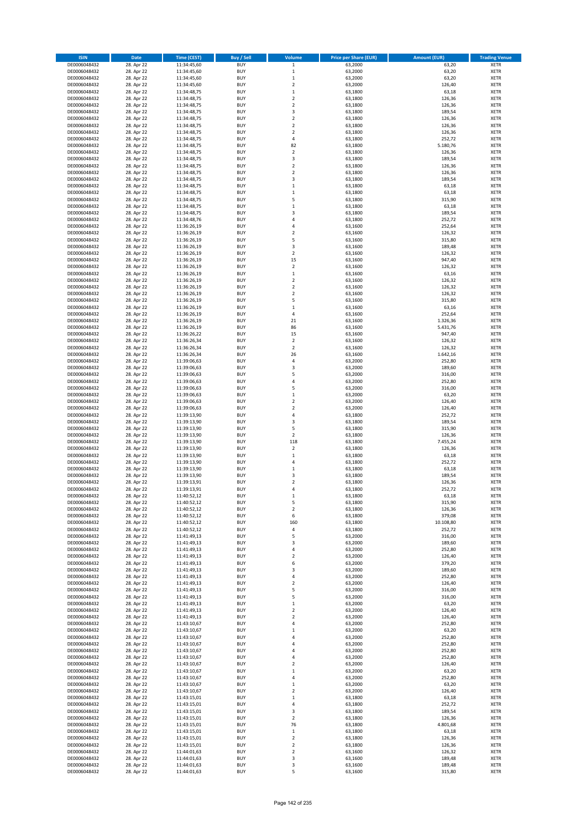| <b>ISIN</b>                  | <b>Date</b>              | Time (CEST)                | <b>Buy / Sell</b>        | Volume                     | <b>Price per Share (EUR)</b> | <b>Amount (EUR)</b> | <b>Trading Venue</b>       |
|------------------------------|--------------------------|----------------------------|--------------------------|----------------------------|------------------------------|---------------------|----------------------------|
| DE0006048432                 | 28. Apr 22               | 11:34:45,60                | <b>BUY</b>               | $\,$ 1 $\,$                | 63,2000                      | 63,20               | <b>XETR</b>                |
| DE0006048432                 | 28. Apr 22               | 11:34:45,60                | <b>BUY</b>               | $\mathbf 1$                | 63,2000                      | 63,20               | <b>XETR</b>                |
| DE0006048432                 | 28. Apr 22               | 11:34:45,60                | <b>BUY</b>               | $\mathbf 1$                | 63,2000                      | 63,20               | <b>XETR</b>                |
| DE0006048432<br>DE0006048432 | 28. Apr 22<br>28. Apr 22 | 11:34:45,60<br>11:34:48,75 | <b>BUY</b><br><b>BUY</b> | $\mathbf 2$<br>$\mathbf 1$ | 63,2000<br>63,1800           | 126,40<br>63,18     | <b>XETR</b><br><b>XETR</b> |
| DE0006048432                 | 28. Apr 22               | 11:34:48,75                | <b>BUY</b>               | $\mathbf 2$                | 63,1800                      | 126,36              | <b>XETR</b>                |
| DE0006048432                 | 28. Apr 22               | 11:34:48,75                | <b>BUY</b>               | $\mathbf 2$                | 63,1800                      | 126,36              | <b>XETR</b>                |
| DE0006048432                 | 28. Apr 22               | 11:34:48,75                | <b>BUY</b>               | 3                          | 63,1800                      | 189,54              | <b>XETR</b>                |
| DE0006048432                 | 28. Apr 22               | 11:34:48,75                | <b>BUY</b>               | $\overline{2}$             | 63,1800                      | 126,36              | <b>XETR</b>                |
| DE0006048432                 | 28. Apr 22               | 11:34:48,75                | <b>BUY</b>               | $\overline{2}$             | 63,1800                      | 126,36              | <b>XETR</b>                |
| DE0006048432                 | 28. Apr 22               | 11:34:48,75                | <b>BUY</b>               | $\mathbf 2$                | 63,1800                      | 126,36              | <b>XETR</b>                |
| DE0006048432<br>DE0006048432 | 28. Apr 22<br>28. Apr 22 | 11:34:48,75<br>11:34:48,75 | <b>BUY</b><br><b>BUY</b> | 4<br>82                    | 63,1800<br>63,1800           | 252,72<br>5.180,76  | <b>XETR</b><br><b>XETR</b> |
| DE0006048432                 | 28. Apr 22               | 11:34:48,75                | <b>BUY</b>               | $\overline{\mathbf{c}}$    | 63,1800                      | 126,36              | <b>XETR</b>                |
| DE0006048432                 | 28. Apr 22               | 11:34:48,75                | <b>BUY</b>               | 3                          | 63,1800                      | 189,54              | <b>XETR</b>                |
| DE0006048432                 | 28. Apr 22               | 11:34:48,75                | <b>BUY</b>               | $\overline{\mathbf{c}}$    | 63,1800                      | 126,36              | <b>XETR</b>                |
| DE0006048432                 | 28. Apr 22               | 11:34:48,75                | <b>BUY</b>               | $\mathbf 2$                | 63,1800                      | 126,36              | <b>XETR</b>                |
| DE0006048432                 | 28. Apr 22               | 11:34:48,75                | <b>BUY</b>               | 3                          | 63,1800                      | 189,54              | <b>XETR</b>                |
| DE0006048432                 | 28. Apr 22               | 11:34:48,75                | <b>BUY</b>               | $\mathbf 1$                | 63,1800                      | 63,18               | <b>XETR</b>                |
| DE0006048432                 | 28. Apr 22               | 11:34:48,75                | <b>BUY</b>               | $\mathbf 1$                | 63,1800                      | 63,18               | <b>XETR</b>                |
| DE0006048432                 | 28. Apr 22               | 11:34:48,75                | <b>BUY</b>               | 5                          | 63,1800                      | 315,90              | <b>XETR</b>                |
| DE0006048432<br>DE0006048432 | 28. Apr 22<br>28. Apr 22 | 11:34:48,75<br>11:34:48,75 | <b>BUY</b><br><b>BUY</b> | $\mathbf 1$<br>3           | 63,1800<br>63,1800           | 63,18<br>189,54     | <b>XETR</b><br><b>XETR</b> |
| DE0006048432                 | 28. Apr 22               | 11:34:48,76                | <b>BUY</b>               | 4                          | 63,1800                      | 252,72              | <b>XETR</b>                |
| DE0006048432                 | 28. Apr 22               | 11:36:26,19                | <b>BUY</b>               | 4                          | 63,1600                      | 252,64              | <b>XETR</b>                |
| DE0006048432                 | 28. Apr 22               | 11:36:26,19                | <b>BUY</b>               | $\mathbf 2$                | 63,1600                      | 126,32              | <b>XETR</b>                |
| DE0006048432                 | 28. Apr 22               | 11:36:26,19                | <b>BUY</b>               | 5                          | 63,1600                      | 315,80              | <b>XETR</b>                |
| DE0006048432                 | 28. Apr 22               | 11:36:26,19                | <b>BUY</b>               | 3                          | 63,1600                      | 189,48              | <b>XETR</b>                |
| DE0006048432                 | 28. Apr 22               | 11:36:26,19                | <b>BUY</b>               | $\mathbf 2$                | 63,1600                      | 126,32              | <b>XETR</b>                |
| DE0006048432                 | 28. Apr 22<br>28. Apr 22 | 11:36:26,19                | <b>BUY</b><br><b>BUY</b> | 15<br>$\overline{a}$       | 63,1600<br>63,1600           | 947,40<br>126,32    | <b>XETR</b><br><b>XETR</b> |
| DE0006048432<br>DE0006048432 | 28. Apr 22               | 11:36:26,19<br>11:36:26,19 | <b>BUY</b>               | $\mathbf 1$                | 63,1600                      | 63,16               | <b>XETR</b>                |
| DE0006048432                 | 28. Apr 22               | 11:36:26,19                | <b>BUY</b>               | $\mathbf 2$                | 63,1600                      | 126,32              | <b>XETR</b>                |
| DE0006048432                 | 28. Apr 22               | 11:36:26,19                | <b>BUY</b>               | $\mathbf 2$                | 63,1600                      | 126,32              | <b>XETR</b>                |
| DE0006048432                 | 28. Apr 22               | 11:36:26,19                | <b>BUY</b>               | $\mathbf 2$                | 63,1600                      | 126,32              | <b>XETR</b>                |
| DE0006048432                 | 28. Apr 22               | 11:36:26,19                | <b>BUY</b>               | 5                          | 63,1600                      | 315,80              | <b>XETR</b>                |
| DE0006048432                 | 28. Apr 22               | 11:36:26,19                | <b>BUY</b>               | $\mathbf 1$                | 63,1600                      | 63,16               | <b>XETR</b>                |
| DE0006048432                 | 28. Apr 22               | 11:36:26,19                | <b>BUY</b>               | 4                          | 63,1600                      | 252,64              | <b>XETR</b>                |
| DE0006048432                 | 28. Apr 22               | 11:36:26,19                | <b>BUY</b>               | 21                         | 63,1600                      | 1.326,36            | <b>XETR</b>                |
| DE0006048432<br>DE0006048432 | 28. Apr 22<br>28. Apr 22 | 11:36:26,19<br>11:36:26,22 | <b>BUY</b><br><b>BUY</b> | 86<br>15                   | 63,1600<br>63,1600           | 5.431,76<br>947,40  | <b>XETR</b><br><b>XETR</b> |
| DE0006048432                 | 28. Apr 22               | 11:36:26,34                | <b>BUY</b>               | $\mathbf 2$                | 63,1600                      | 126,32              | <b>XETR</b>                |
| DE0006048432                 | 28. Apr 22               | 11:36:26,34                | <b>BUY</b>               | $\mathbf 2$                | 63,1600                      | 126,32              | <b>XETR</b>                |
| DE0006048432                 | 28. Apr 22               | 11:36:26,34                | <b>BUY</b>               | 26                         | 63,1600                      | 1.642,16            | <b>XETR</b>                |
| DE0006048432                 | 28. Apr 22               | 11:39:06,63                | <b>BUY</b>               | 4                          | 63,2000                      | 252,80              | <b>XETR</b>                |
| DE0006048432                 | 28. Apr 22               | 11:39:06,63                | <b>BUY</b>               | 3                          | 63,2000                      | 189,60              | <b>XETR</b>                |
| DE0006048432                 | 28. Apr 22               | 11:39:06,63                | <b>BUY</b>               | 5                          | 63,2000                      | 316,00              | <b>XETR</b>                |
| DE0006048432                 | 28. Apr 22               | 11:39:06,63                | <b>BUY</b>               | 4                          | 63,2000                      | 252,80              | <b>XETR</b>                |
| DE0006048432<br>DE0006048432 | 28. Apr 22<br>28. Apr 22 | 11:39:06,63<br>11:39:06,63 | <b>BUY</b><br><b>BUY</b> | 5<br>$\mathbf 1$           | 63,2000<br>63,2000           | 316,00<br>63,20     | <b>XETR</b><br><b>XETR</b> |
| DE0006048432                 | 28. Apr 22               | 11:39:06,63                | <b>BUY</b>               | $\mathbf 2$                | 63,2000                      | 126,40              | <b>XETR</b>                |
| DE0006048432                 | 28. Apr 22               | 11:39:06,63                | <b>BUY</b>               | $\mathbf 2$                | 63,2000                      | 126,40              | <b>XETR</b>                |
| DE0006048432                 | 28. Apr 22               | 11:39:13,90                | <b>BUY</b>               | 4                          | 63,1800                      | 252,72              | <b>XETR</b>                |
| DE0006048432                 | 28. Apr 22               | 11:39:13,90                | <b>BUY</b>               | 3                          | 63,1800                      | 189,54              | <b>XETR</b>                |
| DE0006048432                 | 28. Apr 22               | 11:39:13,90                | <b>BUY</b>               | 5                          | 63,1800                      | 315,90              | <b>XETR</b>                |
| DE0006048432                 | 28. Apr 22               | 11:39:13,90                | <b>BUY</b>               | $\mathbf 2$                | 63,1800                      | 126,36              | <b>XETR</b>                |
| DE0006048432                 | 28. Apr 22<br>28. Apr 22 | 11:39:13,90<br>11:39:13,90 | <b>BUY</b><br><b>BUY</b> | 118<br>$\mathbf 2$         | 63,1800<br>63,1800           | 7.455,24<br>126,36  | <b>XETR</b><br><b>XETR</b> |
| DE0006048432<br>DE0006048432 | 28. Apr 22               | 11:39:13,90                | <b>BUY</b>               | $\mathbf 1$                | 63,1800                      | 63,18               | <b>XETR</b>                |
| DE0006048432                 | 28. Apr 22               | 11:39:13,90                | <b>BUY</b>               | 4                          | 63,1800                      | 252,72              | <b>XETR</b>                |
| DE0006048432                 | 28. Apr 22               | 11:39:13,90                | <b>BUY</b>               | $\mathbf 1$                | 63,1800                      | 63,18               | <b>XETR</b>                |
| DE0006048432                 | 28. Apr 22               | 11:39:13,90                | <b>BUY</b>               | 3                          | 63,1800                      | 189,54              | <b>XETR</b>                |
| DE0006048432                 | 28. Apr 22               | 11:39:13,91                | <b>BUY</b>               | $\overline{\mathbf{c}}$    | 63,1800                      | 126,36              | <b>XETR</b>                |
| DE0006048432                 | 28. Apr 22               | 11:39:13,91                | <b>BUY</b>               | 4                          | 63,1800                      | 252,72              | <b>XETR</b>                |
| DE0006048432                 | 28. Apr 22               | 11:40:52,12                | BUY                      | $\mathbf 1$                | 63,1800                      | 63,18               | <b>XETR</b>                |
| DE0006048432<br>DE0006048432 | 28. Apr 22<br>28. Apr 22 | 11:40:52,12<br>11:40:52,12 | <b>BUY</b><br><b>BUY</b> | 5<br>$\mathbf 2$           | 63,1800<br>63,1800           | 315,90<br>126,36    | <b>XETR</b><br><b>XETR</b> |
| DE0006048432                 | 28. Apr 22               | 11:40:52,12                | <b>BUY</b>               | 6                          | 63,1800                      | 379,08              | XETR                       |
| DE0006048432                 | 28. Apr 22               | 11:40:52,12                | <b>BUY</b>               | 160                        | 63,1800                      | 10.108,80           | <b>XETR</b>                |
| DE0006048432                 | 28. Apr 22               | 11:40:52,12                | <b>BUY</b>               | 4                          | 63,1800                      | 252,72              | <b>XETR</b>                |
| DE0006048432                 | 28. Apr 22               | 11:41:49,13                | <b>BUY</b>               | 5                          | 63,2000                      | 316,00              | <b>XETR</b>                |
| DE0006048432                 | 28. Apr 22               | 11:41:49,13                | <b>BUY</b>               | 3                          | 63,2000                      | 189,60              | <b>XETR</b>                |
| DE0006048432                 | 28. Apr 22               | 11:41:49,13                | <b>BUY</b><br><b>BUY</b> | 4                          | 63,2000                      | 252,80              | <b>XETR</b>                |
| DE0006048432<br>DE0006048432 | 28. Apr 22<br>28. Apr 22 | 11:41:49,13<br>11:41:49,13 | <b>BUY</b>               | $\mathbf 2$<br>6           | 63,2000<br>63,2000           | 126,40<br>379,20    | <b>XETR</b><br><b>XETR</b> |
| DE0006048432                 | 28. Apr 22               | 11:41:49,13                | <b>BUY</b>               | 3                          | 63,2000                      | 189,60              | <b>XETR</b>                |
| DE0006048432                 | 28. Apr 22               | 11:41:49,13                | <b>BUY</b>               | 4                          | 63,2000                      | 252,80              | <b>XETR</b>                |
| DE0006048432                 | 28. Apr 22               | 11:41:49,13                | <b>BUY</b>               | $\overline{\mathbf{c}}$    | 63,2000                      | 126,40              | <b>XETR</b>                |
| DE0006048432                 | 28. Apr 22               | 11:41:49,13                | <b>BUY</b>               | 5                          | 63,2000                      | 316,00              | <b>XETR</b>                |
| DE0006048432                 | 28. Apr 22               | 11:41:49,13                | <b>BUY</b>               | 5                          | 63,2000                      | 316,00              | <b>XETR</b>                |
| DE0006048432<br>DE0006048432 | 28. Apr 22<br>28. Apr 22 | 11:41:49,13<br>11:41:49,13 | <b>BUY</b><br><b>BUY</b> | $\mathbf 1$<br>$\mathbf 2$ | 63,2000<br>63,2000           | 63,20<br>126,40     | <b>XETR</b><br><b>XETR</b> |
| DE0006048432                 | 28. Apr 22               | 11:41:49,13                | <b>BUY</b>               | $\mathbf 2$                | 63,2000                      | 126,40              | XETR                       |
| DE0006048432                 | 28. Apr 22               | 11:43:10,67                | <b>BUY</b>               | 4                          | 63,2000                      | 252,80              | <b>XETR</b>                |
| DE0006048432                 | 28. Apr 22               | 11:43:10,67                | <b>BUY</b>               | $\mathbf 1$                | 63,2000                      | 63,20               | <b>XETR</b>                |
| DE0006048432                 | 28. Apr 22               | 11:43:10,67                | <b>BUY</b>               | 4                          | 63,2000                      | 252,80              | <b>XETR</b>                |
| DE0006048432                 | 28. Apr 22               | 11:43:10,67                | <b>BUY</b>               | 4                          | 63,2000                      | 252,80              | <b>XETR</b>                |
| DE0006048432                 | 28. Apr 22               | 11:43:10,67                | <b>BUY</b>               | 4                          | 63,2000                      | 252,80              | <b>XETR</b>                |
| DE0006048432<br>DE0006048432 | 28. Apr 22<br>28. Apr 22 | 11:43:10,67<br>11:43:10,67 | <b>BUY</b><br><b>BUY</b> | 4<br>$\mathbf 2$           | 63,2000<br>63,2000           | 252,80<br>126,40    | <b>XETR</b><br><b>XETR</b> |
| DE0006048432                 | 28. Apr 22               | 11:43:10,67                | <b>BUY</b>               | $\mathbf 1$                | 63,2000                      | 63,20               | <b>XETR</b>                |
| DE0006048432                 | 28. Apr 22               | 11:43:10,67                | <b>BUY</b>               | 4                          | 63,2000                      | 252,80              | <b>XETR</b>                |
| DE0006048432                 | 28. Apr 22               | 11:43:10,67                | <b>BUY</b>               | $\mathbf 1$                | 63,2000                      | 63,20               | <b>XETR</b>                |
| DE0006048432                 | 28. Apr 22               | 11:43:10,67                | <b>BUY</b>               | $\overline{\mathbf{c}}$    | 63,2000                      | 126,40              | XETR                       |
| DE0006048432                 | 28. Apr 22               | 11:43:15,01                | <b>BUY</b>               | $\mathbf 1$                | 63,1800                      | 63,18               | <b>XETR</b>                |
| DE0006048432                 | 28. Apr 22               | 11:43:15,01                | <b>BUY</b>               | 4                          | 63,1800                      | 252,72              | <b>XETR</b>                |
| DE0006048432                 | 28. Apr 22               | 11:43:15,01                | <b>BUY</b>               | 3                          | 63,1800                      | 189,54              | <b>XETR</b>                |
| DE0006048432<br>DE0006048432 | 28. Apr 22<br>28. Apr 22 | 11:43:15,01<br>11:43:15,01 | <b>BUY</b><br><b>BUY</b> | $\mathbf 2$<br>76          | 63,1800<br>63,1800           | 126,36<br>4.801,68  | <b>XETR</b><br><b>XETR</b> |
| DE0006048432                 | 28. Apr 22               | 11:43:15,01                | <b>BUY</b>               | $\mathbf 1$                | 63,1800                      | 63,18               | <b>XETR</b>                |
| DE0006048432                 | 28. Apr 22               | 11:43:15,01                | <b>BUY</b>               | $\overline{\mathbf{c}}$    | 63,1800                      | 126,36              | <b>XETR</b>                |
| DE0006048432                 | 28. Apr 22               | 11:43:15,01                | <b>BUY</b>               | $\mathbf 2$                | 63,1800                      | 126,36              | XETR                       |
| DE0006048432                 | 28. Apr 22               | 11:44:01,63                | <b>BUY</b>               | $\overline{2}$             | 63,1600                      | 126,32              | <b>XETR</b>                |
| DE0006048432                 | 28. Apr 22               | 11:44:01,63                | <b>BUY</b>               | 3                          | 63,1600                      | 189,48              | <b>XETR</b>                |
| DE0006048432                 | 28. Apr 22               | 11:44:01,63                | <b>BUY</b>               | 3                          | 63,1600                      | 189,48              | <b>XETR</b>                |
| DE0006048432                 | 28. Apr 22               | 11:44:01,63                | <b>BUY</b>               | 5                          | 63,1600                      | 315,80              | <b>XETR</b>                |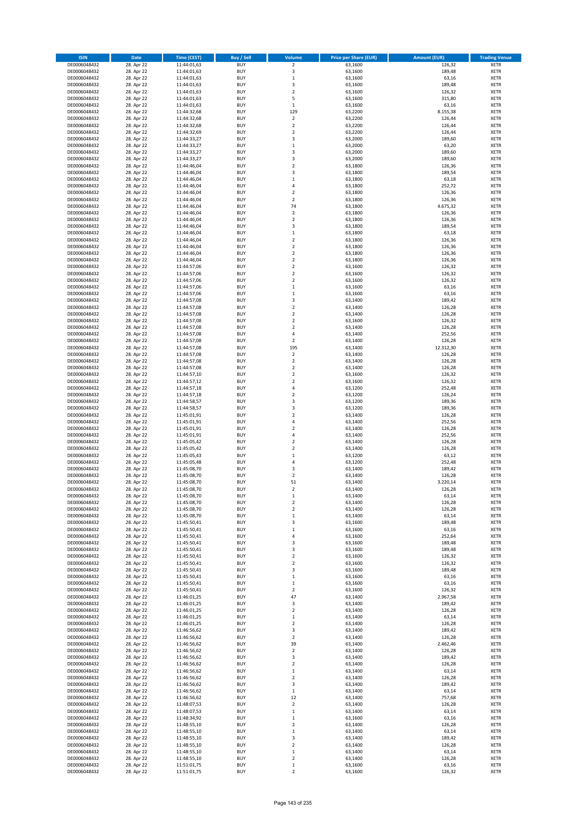| <b>ISIN</b>                  | <b>Date</b>              | Time (CEST)                | <b>Buy / Sell</b>        | Volume                                 | <b>Price per Share (EUR)</b> | <b>Amount (EUR)</b> | <b>Trading Venue</b>       |
|------------------------------|--------------------------|----------------------------|--------------------------|----------------------------------------|------------------------------|---------------------|----------------------------|
| DE0006048432                 | 28. Apr 22               | 11:44:01,63                | <b>BUY</b>               | $\overline{2}$                         | 63,1600                      | 126,32              | <b>XETR</b>                |
| DE0006048432                 | 28. Apr 22               | 11:44:01,63                | <b>BUY</b>               | 3                                      | 63,1600                      | 189,48              | <b>XETR</b>                |
| DE0006048432                 | 28. Apr 22               | 11:44:01,63                | <b>BUY</b>               | $\mathbf 1$                            | 63,1600                      | 63,16               | <b>XETR</b>                |
| DE0006048432<br>DE0006048432 | 28. Apr 22<br>28. Apr 22 | 11:44:01,63<br>11:44:01,63 | <b>BUY</b><br><b>BUY</b> | 3<br>$\overline{\mathbf{c}}$           | 63,1600<br>63,1600           | 189,48<br>126,32    | <b>XETR</b><br><b>XETR</b> |
| DE0006048432                 | 28. Apr 22               | 11:44:01,63                | <b>BUY</b>               | 5                                      | 63,1600                      | 315,80              | <b>XETR</b>                |
| DE0006048432                 | 28. Apr 22               | 11:44:01,63                | <b>BUY</b>               | $\,1\,$                                | 63,1600                      | 63,16               | <b>XETR</b>                |
| DE0006048432                 | 28. Apr 22               | 11:44:32,68                | <b>BUY</b>               | 129                                    | 63,2200                      | 8.155,38            | <b>XETR</b>                |
| DE0006048432                 | 28. Apr 22               | 11:44:32,68                | <b>BUY</b>               | $\mathbf 2$                            | 63,2200                      | 126,44              | <b>XETR</b>                |
| DE0006048432                 | 28. Apr 22               | 11:44:32,68                | <b>BUY</b>               | $\overline{2}$                         | 63,2200                      | 126,44              | <b>XETR</b>                |
| DE0006048432                 | 28. Apr 22               | 11:44:32,69                | <b>BUY</b>               | $\mathbf 2$                            | 63,2200                      | 126,44              | <b>XETR</b>                |
| DE0006048432<br>DE0006048432 | 28. Apr 22<br>28. Apr 22 | 11:44:33,27                | <b>BUY</b><br><b>BUY</b> | 3<br>$\mathbf 1$                       | 63,2000<br>63,2000           | 189,60<br>63,20     | <b>XETR</b><br><b>XETR</b> |
| DE0006048432                 | 28. Apr 22               | 11:44:33,27<br>11:44:33,27 | <b>BUY</b>               | 3                                      | 63,2000                      | 189,60              | <b>XETR</b>                |
| DE0006048432                 | 28. Apr 22               | 11:44:33,27                | <b>BUY</b>               | 3                                      | 63,2000                      | 189,60              | <b>XETR</b>                |
| DE0006048432                 | 28. Apr 22               | 11:44:46,04                | <b>BUY</b>               | $\overline{\mathbf{c}}$                | 63,1800                      | 126,36              | <b>XETR</b>                |
| DE0006048432                 | 28. Apr 22               | 11:44:46,04                | <b>BUY</b>               | 3                                      | 63,1800                      | 189,54              | <b>XETR</b>                |
| DE0006048432                 | 28. Apr 22               | 11:44:46,04                | <b>BUY</b>               | $\mathbf 1$                            | 63,1800                      | 63,18               | <b>XETR</b>                |
| DE0006048432                 | 28. Apr 22               | 11:44:46,04                | <b>BUY</b>               | 4                                      | 63,1800                      | 252,72              | <b>XETR</b>                |
| DE0006048432                 | 28. Apr 22               | 11:44:46,04                | <b>BUY</b>               | $\mathbf 2$                            | 63,1800                      | 126,36              | <b>XETR</b>                |
| DE0006048432<br>DE0006048432 | 28. Apr 22<br>28. Apr 22 | 11:44:46,04<br>11:44:46,04 | <b>BUY</b><br><b>BUY</b> | $\overline{\mathbf{c}}$<br>74          | 63,1800<br>63,1800           | 126,36<br>4.675,32  | <b>XETR</b><br><b>XETR</b> |
| DE0006048432                 | 28. Apr 22               | 11:44:46,04                | <b>BUY</b>               | $\mathbf 2$                            | 63,1800                      | 126,36              | <b>XETR</b>                |
| DE0006048432                 | 28. Apr 22               | 11:44:46,04                | <b>BUY</b>               | $\mathbf 2$                            | 63,1800                      | 126,36              | <b>XETR</b>                |
| DE0006048432                 | 28. Apr 22               | 11:44:46,04                | <b>BUY</b>               | 3                                      | 63,1800                      | 189,54              | <b>XETR</b>                |
| DE0006048432                 | 28. Apr 22               | 11:44:46,04                | <b>BUY</b>               | $\mathbf 1$                            | 63,1800                      | 63,18               | <b>XETR</b>                |
| DE0006048432                 | 28. Apr 22               | 11:44:46,04                | <b>BUY</b>               | $\mathbf 2$                            | 63,1800                      | 126,36              | <b>XETR</b>                |
| DE0006048432                 | 28. Apr 22               | 11:44:46,04                | <b>BUY</b>               | $\overline{\mathbf{c}}$                | 63,1800                      | 126,36              | <b>XETR</b>                |
| DE0006048432<br>DE0006048432 | 28. Apr 22<br>28. Apr 22 | 11:44:46,04<br>11:44:46,04 | <b>BUY</b><br><b>BUY</b> | $\mathbf 2$<br>$\overline{\mathbf{c}}$ | 63,1800<br>63,1800           | 126,36<br>126,36    | <b>XETR</b><br><b>XETR</b> |
| DE0006048432                 | 28. Apr 22               | 11:44:57,06                | <b>BUY</b>               | $\overline{a}$                         | 63,1600                      | 126,32              | <b>XETR</b>                |
| DE0006048432                 | 28. Apr 22               | 11:44:57,06                | <b>BUY</b>               | $\mathbf 2$                            | 63,1600                      | 126,32              | <b>XETR</b>                |
| DE0006048432                 | 28. Apr 22               | 11:44:57,06                | <b>BUY</b>               | $\mathbf 2$                            | 63,1600                      | 126,32              | <b>XETR</b>                |
| DE0006048432                 | 28. Apr 22               | 11:44:57,06                | <b>BUY</b>               | $\mathbf 1$                            | 63,1600                      | 63,16               | <b>XETR</b>                |
| DE0006048432                 | 28. Apr 22               | 11:44:57,06                | <b>BUY</b>               | $\mathbf 1$                            | 63,1600                      | 63,16               | <b>XETR</b>                |
| DE0006048432                 | 28. Apr 22               | 11:44:57,08                | <b>BUY</b>               | 3                                      | 63,1400                      | 189,42              | <b>XETR</b>                |
| DE0006048432                 | 28. Apr 22               | 11:44:57,08                | <b>BUY</b><br><b>BUY</b> | $\overline{\mathbf{c}}$<br>$\mathbf 2$ | 63,1400                      | 126,28              | <b>XETR</b><br><b>XETR</b> |
| DE0006048432<br>DE0006048432 | 28. Apr 22<br>28. Apr 22 | 11:44:57,08<br>11:44:57,08 | <b>BUY</b>               | $\mathbf 2$                            | 63,1400<br>63,1600           | 126,28<br>126,32    | <b>XETR</b>                |
| DE0006048432                 | 28. Apr 22               | 11:44:57,08                | <b>BUY</b>               | $\mathbf 2$                            | 63,1400                      | 126,28              | <b>XETR</b>                |
| DE0006048432                 | 28. Apr 22               | 11:44:57,08                | <b>BUY</b>               | 4                                      | 63,1400                      | 252,56              | <b>XETR</b>                |
| DE0006048432                 | 28. Apr 22               | 11:44:57,08                | <b>BUY</b>               | $\mathbf 2$                            | 63,1400                      | 126,28              | <b>XETR</b>                |
| DE0006048432                 | 28. Apr 22               | 11:44:57,08                | <b>BUY</b>               | 195                                    | 63,1400                      | 12.312,30           | <b>XETR</b>                |
| DE0006048432                 | 28. Apr 22               | 11:44:57,08                | <b>BUY</b>               | $\overline{\mathbf{c}}$                | 63,1400                      | 126,28              | <b>XETR</b>                |
| DE0006048432                 | 28. Apr 22               | 11:44:57,08                | <b>BUY</b>               | $\mathbf 2$                            | 63,1400                      | 126,28              | <b>XETR</b>                |
| DE0006048432<br>DE0006048432 | 28. Apr 22<br>28. Apr 22 | 11:44:57,08                | <b>BUY</b><br><b>BUY</b> | $\overline{2}$<br>$\mathbf 2$          | 63,1400<br>63,1600           | 126,28<br>126,32    | <b>XETR</b><br><b>XETR</b> |
| DE0006048432                 | 28. Apr 22               | 11:44:57,10<br>11:44:57,12 | <b>BUY</b>               | $\mathbf 2$                            | 63,1600                      | 126,32              | <b>XETR</b>                |
| DE0006048432                 | 28. Apr 22               | 11:44:57,18                | <b>BUY</b>               | 4                                      | 63,1200                      | 252,48              | <b>XETR</b>                |
| DE0006048432                 | 28. Apr 22               | 11:44:57,18                | <b>BUY</b>               | $\overline{\mathbf{c}}$                | 63,1200                      | 126,24              | <b>XETR</b>                |
| DE0006048432                 | 28. Apr 22               | 11:44:58,57                | <b>BUY</b>               | 3                                      | 63,1200                      | 189,36              | <b>XETR</b>                |
| DE0006048432                 | 28. Apr 22               | 11:44:58,57                | <b>BUY</b>               | 3                                      | 63,1200                      | 189,36              | <b>XETR</b>                |
| DE0006048432                 | 28. Apr 22               | 11:45:01,91                | <b>BUY</b>               | $\overline{\mathbf{c}}$                | 63,1400                      | 126,28              | <b>XETR</b>                |
| DE0006048432<br>DE0006048432 | 28. Apr 22<br>28. Apr 22 | 11:45:01,91<br>11:45:01,91 | <b>BUY</b><br><b>BUY</b> | 4<br>$\overline{\mathbf{c}}$           | 63,1400<br>63,1400           | 252,56<br>126,28    | <b>XETR</b><br><b>XETR</b> |
| DE0006048432                 | 28. Apr 22               | 11:45:01,91                | <b>BUY</b>               | 4                                      | 63,1400                      | 252,56              | <b>XETR</b>                |
| DE0006048432                 | 28. Apr 22               | 11:45:05,42                | <b>BUY</b>               | $\overline{\mathbf{c}}$                | 63,1400                      | 126,28              | <b>XETR</b>                |
| DE0006048432                 | 28. Apr 22               | 11:45:05,42                | <b>BUY</b>               | $\mathbf 2$                            | 63,1400                      | 126,28              | <b>XETR</b>                |
| DE0006048432                 | 28. Apr 22               | 11:45:05,43                | <b>BUY</b>               | $\mathbf 1$                            | 63,1200                      | 63,12               | <b>XETR</b>                |
| DE0006048432                 | 28. Apr 22               | 11:45:05,48                | <b>BUY</b>               | 4                                      | 63,1200                      | 252,48              | <b>XETR</b>                |
| DE0006048432                 | 28. Apr 22               | 11:45:08,70                | <b>BUY</b>               | 3                                      | 63,1400                      | 189,42              | <b>XETR</b>                |
| DE0006048432<br>DE0006048432 | 28. Apr 22<br>28. Apr 22 | 11:45:08,70<br>11:45:08,70 | <b>BUY</b><br><b>BUY</b> | $\overline{\mathbf{c}}$<br>51          | 63,1400<br>63,1400           | 126,28<br>3.220,14  | <b>XETR</b><br><b>XETR</b> |
| DE0006048432                 | 28. Apr 22               | 11:45:08,70                | <b>BUY</b>               | $\overline{2}$                         | 63,1400                      | 126,28              | <b>XETR</b>                |
| DE0006048432                 | 28. Apr 22               | 11:45:08,70                | BUY                      | $\mathbf 1$                            | 63,1400                      | 63,14               | <b>XETR</b>                |
| DE0006048432                 | 28. Apr 22               | 11:45:08,70                | <b>BUY</b>               | $\mathbf 2$                            | 63,1400                      | 126,28              | <b>XETR</b>                |
| DE0006048432                 | 28. Apr 22               | 11:45:08,70                | <b>BUY</b>               | $\mathbf 2$                            | 63,1400                      | 126,28              | <b>XETR</b>                |
| DE0006048432                 | 28. Apr 22               | 11:45:08,70                | <b>BUY</b>               | $\mathbf 1$                            | 63,1400                      | 63,14               | XETR                       |
| DE0006048432                 | 28. Apr 22               | 11:45:50,41                | <b>BUY</b>               | 3                                      | 63,1600                      | 189,48              | <b>XETR</b>                |
| DE0006048432<br>DE0006048432 | 28. Apr 22<br>28. Apr 22 | 11:45:50,41<br>11:45:50,41 | <b>BUY</b><br><b>BUY</b> | $\mathbf 1$<br>4                       | 63,1600<br>63,1600           | 63,16<br>252,64     | <b>XETR</b><br><b>XETR</b> |
| DE0006048432                 | 28. Apr 22               | 11:45:50,41                | <b>BUY</b>               | 3                                      | 63,1600                      | 189,48              | <b>XETR</b>                |
| DE0006048432                 | 28. Apr 22               | 11:45:50,41                | <b>BUY</b>               | 3                                      | 63,1600                      | 189,48              | <b>XETR</b>                |
| DE0006048432                 | 28. Apr 22               | 11:45:50,41                | <b>BUY</b>               | $\mathbf 2$                            | 63,1600                      | 126,32              | <b>XETR</b>                |
| DE0006048432                 | 28. Apr 22               | 11:45:50,41                | <b>BUY</b>               | $\mathbf 2$                            | 63,1600                      | 126,32              | <b>XETR</b>                |
| DE0006048432                 | 28. Apr 22               | 11:45:50,41                | <b>BUY</b>               | 3                                      | 63,1600                      | 189,48              | <b>XETR</b>                |
| DE0006048432<br>DE0006048432 | 28. Apr 22<br>28. Apr 22 | 11:45:50,41<br>11:45:50,41 | <b>BUY</b><br><b>BUY</b> | $\mathbf 1$<br>$\mathbf 1$             | 63,1600<br>63,1600           | 63,16<br>63,16      | <b>XETR</b><br><b>XETR</b> |
| DE0006048432                 | 28. Apr 22               | 11:45:50,41                | <b>BUY</b>               | $\mathbf 2$                            | 63,1600                      | 126,32              | <b>XETR</b>                |
| DE0006048432                 | 28. Apr 22               | 11:46:01,25                | <b>BUY</b>               | 47                                     | 63,1400                      | 2.967,58            | <b>XETR</b>                |
| DE0006048432                 | 28. Apr 22               | 11:46:01,25                | <b>BUY</b>               | 3                                      | 63,1400                      | 189,42              | <b>XETR</b>                |
| DE0006048432                 | 28. Apr 22               | 11:46:01,25                | <b>BUY</b>               | $\mathbf 2$                            | 63,1400                      | 126,28              | <b>XETR</b>                |
| DE0006048432                 | 28. Apr 22               | 11:46:01,25                | <b>BUY</b>               | $\mathbf 1$                            | 63,1400                      | 63,14               | XETR                       |
| DE0006048432<br>DE0006048432 | 28. Apr 22<br>28. Apr 22 | 11:46:01,25<br>11:46:56,62 | <b>BUY</b><br><b>BUY</b> | $\mathbf 2$<br>3                       | 63,1400<br>63,1400           | 126,28<br>189,42    | <b>XETR</b><br><b>XETR</b> |
| DE0006048432                 | 28. Apr 22               | 11:46:56,62                | <b>BUY</b>               | $\mathbf 2$                            | 63,1400                      | 126,28              | <b>XETR</b>                |
| DE0006048432                 | 28. Apr 22               | 11:46:56,62                | <b>BUY</b>               | 39                                     | 63,1400                      | 2.462,46            | <b>XETR</b>                |
| DE0006048432                 | 28. Apr 22               | 11:46:56,62                | <b>BUY</b>               | $\mathbf 2$                            | 63,1400                      | 126,28              | <b>XETR</b>                |
| DE0006048432                 | 28. Apr 22               | 11:46:56,62                | <b>BUY</b>               | 3                                      | 63,1400                      | 189,42              | <b>XETR</b>                |
| DE0006048432                 | 28. Apr 22               | 11:46:56,62                | <b>BUY</b>               | $\mathbf 2$                            | 63,1400                      | 126,28              | <b>XETR</b>                |
| DE0006048432                 | 28. Apr 22               | 11:46:56,62                | <b>BUY</b>               | $\mathbf 1$                            | 63,1400                      | 63,14               | <b>XETR</b>                |
| DE0006048432<br>DE0006048432 | 28. Apr 22<br>28. Apr 22 | 11:46:56,62<br>11:46:56,62 | <b>BUY</b><br><b>BUY</b> | $\overline{2}$<br>3                    | 63,1400<br>63,1400           | 126,28<br>189,42    | <b>XETR</b><br><b>XETR</b> |
| DE0006048432                 | 28. Apr 22               | 11:46:56,62                | <b>BUY</b>               | $\mathbf 1$                            | 63,1400                      | 63,14               | <b>XETR</b>                |
| DE0006048432                 | 28. Apr 22               | 11:46:56,62                | <b>BUY</b>               | 12                                     | 63,1400                      | 757,68              | <b>XETR</b>                |
| DE0006048432                 | 28. Apr 22               | 11:48:07,53                | <b>BUY</b>               | 2                                      | 63,1400                      | 126,28              | <b>XETR</b>                |
| DE0006048432                 | 28. Apr 22               | 11:48:07,53                | <b>BUY</b>               | $\mathbf 1$                            | 63,1400                      | 63,14               | <b>XETR</b>                |
| DE0006048432                 | 28. Apr 22               | 11:48:34,92                | <b>BUY</b>               | $\mathbf 1$                            | 63,1600                      | 63,16               | <b>XETR</b>                |
| DE0006048432                 | 28. Apr 22               | 11:48:55,10                | <b>BUY</b>               | $\mathbf 2$                            | 63,1400                      | 126,28              | <b>XETR</b>                |
| DE0006048432<br>DE0006048432 | 28. Apr 22<br>28. Apr 22 | 11:48:55,10<br>11:48:55,10 | <b>BUY</b><br><b>BUY</b> | $\mathbf 1$<br>3                       | 63,1400<br>63,1400           | 63,14<br>189,42     | <b>XETR</b><br><b>XETR</b> |
| DE0006048432                 | 28. Apr 22               | 11:48:55,10                | <b>BUY</b>               | $\mathbf 2$                            | 63,1400                      | 126,28              | XETR                       |
| DE0006048432                 | 28. Apr 22               | 11:48:55,10                | <b>BUY</b>               | $\mathbf 1$                            | 63,1400                      | 63,14               | <b>XETR</b>                |
| DE0006048432                 | 28. Apr 22               | 11:48:55,10                | <b>BUY</b>               | $\mathbf 2$                            | 63,1400                      | 126,28              | <b>XETR</b>                |
| DE0006048432                 | 28. Apr 22               | 11:51:01,75                | <b>BUY</b>               | $\mathbf 1$                            | 63,1600                      | 63,16               | <b>XETR</b>                |
| DE0006048432                 | 28. Apr 22               | 11:51:01,75                | <b>BUY</b>               | $\mathbf 2$                            | 63,1600                      | 126,32              | <b>XETR</b>                |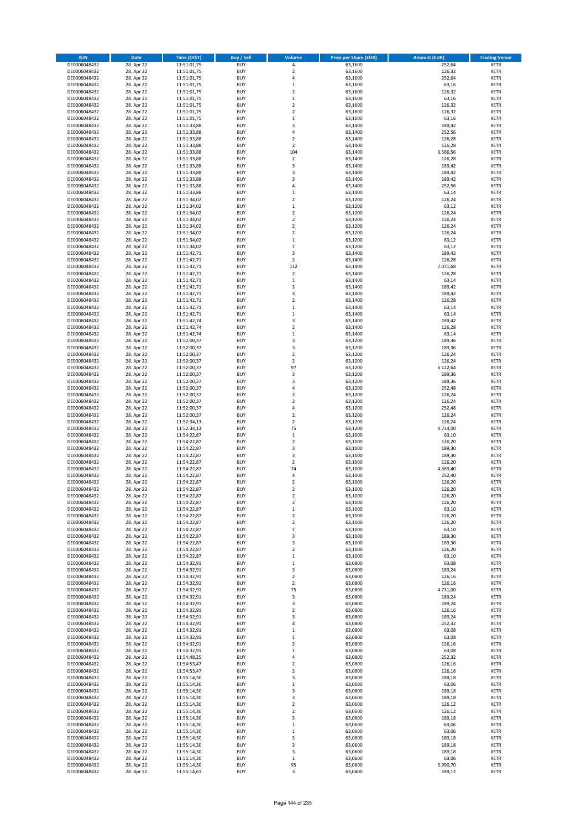| <b>ISIN</b>                  | <b>Date</b>              | Time (CEST)                | <b>Buy / Sell</b>        | Volume                                             | <b>Price per Share (EUR)</b> | <b>Amount (EUR)</b> | <b>Trading Venue</b>       |
|------------------------------|--------------------------|----------------------------|--------------------------|----------------------------------------------------|------------------------------|---------------------|----------------------------|
| DE0006048432                 | 28. Apr 22               | 11:51:01,75                | <b>BUY</b>               | 4                                                  | 63,1600                      | 252,64              | <b>XETR</b>                |
| DE0006048432                 | 28. Apr 22               | 11:51:01,75                | <b>BUY</b>               | $\mathbf 2$                                        | 63,1600                      | 126,32              | <b>XETR</b>                |
| DE0006048432                 | 28. Apr 22               | 11:51:01,75                | <b>BUY</b>               | 4                                                  | 63,1600                      | 252,64              | <b>XETR</b>                |
| DE0006048432                 | 28. Apr 22               | 11:51:01,75                | <b>BUY</b>               | $\mathbf 1$                                        | 63,1600                      | 63,16               | <b>XETR</b>                |
| DE0006048432<br>DE0006048432 | 28. Apr 22<br>28. Apr 22 | 11:51:01,75<br>11:51:01,75 | <b>BUY</b><br><b>BUY</b> | $\overline{\mathbf{c}}$<br>$\mathbf 1$             | 63,1600<br>63,1600           | 126,32<br>63,16     | <b>XETR</b><br><b>XETR</b> |
| DE0006048432                 | 28. Apr 22               | 11:51:01,75                | <b>BUY</b>               | $\mathbf 2$                                        | 63,1600                      | 126,32              | <b>XETR</b>                |
| DE0006048432                 | 28. Apr 22               | 11:51:01,75                | <b>BUY</b>               | $\mathbf 2$                                        | 63,1600                      | 126,32              | <b>XETR</b>                |
| DE0006048432                 | 28. Apr 22               | 11:51:01,75                | <b>BUY</b>               | $\mathbf{1}$                                       | 63,1600                      | 63,16               | <b>XETR</b>                |
| DE0006048432                 | 28. Apr 22               | 11:51:33,88                | <b>BUY</b>               | 3                                                  | 63,1400                      | 189,42              | <b>XETR</b>                |
| DE0006048432                 | 28. Apr 22               | 11:51:33,88                | <b>BUY</b>               | 4                                                  | 63,1400                      | 252,56              | <b>XETR</b>                |
| DE0006048432<br>DE0006048432 | 28. Apr 22<br>28. Apr 22 | 11:51:33,88<br>11:51:33,88 | <b>BUY</b><br><b>BUY</b> | $\overline{\mathbf{c}}$<br>$\overline{\mathbf{c}}$ | 63,1400<br>63,1400           | 126,28<br>126,28    | <b>XETR</b><br><b>XETR</b> |
| DE0006048432                 | 28. Apr 22               | 11:51:33,88                | <b>BUY</b>               | 104                                                | 63,1400                      | 6.566,56            | <b>XETR</b>                |
| DE0006048432                 | 28. Apr 22               | 11:51:33,88                | <b>BUY</b>               | $\mathbf 2$                                        | 63,1400                      | 126,28              | <b>XETR</b>                |
| DE0006048432                 | 28. Apr 22               | 11:51:33,88                | <b>BUY</b>               | 3                                                  | 63,1400                      | 189,42              | <b>XETR</b>                |
| DE0006048432                 | 28. Apr 22               | 11:51:33,88                | <b>BUY</b>               | 3                                                  | 63,1400                      | 189,42              | <b>XETR</b>                |
| DE0006048432                 | 28. Apr 22               | 11:51:33,88                | <b>BUY</b>               | 3                                                  | 63,1400                      | 189,42              | <b>XETR</b>                |
| DE0006048432<br>DE0006048432 | 28. Apr 22<br>28. Apr 22 | 11:51:33,88                | <b>BUY</b><br><b>BUY</b> | 4<br>$\mathbf 1$                                   | 63,1400<br>63,1400           | 252,56<br>63,14     | <b>XETR</b><br><b>XETR</b> |
| DE0006048432                 | 28. Apr 22               | 11:51:33,88<br>11:51:34,02 | <b>BUY</b>               | $\overline{\mathbf{c}}$                            | 63,1200                      | 126,24              | <b>XETR</b>                |
| DE0006048432                 | 28. Apr 22               | 11:51:34,02                | <b>BUY</b>               | $\mathbf 1$                                        | 63,1200                      | 63,12               | <b>XETR</b>                |
| DE0006048432                 | 28. Apr 22               | 11:51:34,02                | <b>BUY</b>               | $\overline{\mathbf{c}}$                            | 63,1200                      | 126,24              | <b>XETR</b>                |
| DE0006048432                 | 28. Apr 22               | 11:51:34,02                | <b>BUY</b>               | $\mathbf 2$                                        | 63,1200                      | 126,24              | <b>XETR</b>                |
| DE0006048432                 | 28. Apr 22               | 11:51:34,02                | <b>BUY</b>               | $\mathbf 2$                                        | 63,1200                      | 126,24              | <b>XETR</b>                |
| DE0006048432                 | 28. Apr 22               | 11:51:34,02                | <b>BUY</b>               | $\mathbf 2$                                        | 63,1200                      | 126,24              | <b>XETR</b>                |
| DE0006048432<br>DE0006048432 | 28. Apr 22<br>28. Apr 22 | 11:51:34,02<br>11:51:34,02 | <b>BUY</b><br><b>BUY</b> | $\mathbf 1$<br>$\mathbf 1$                         | 63,1200<br>63,1200           | 63,12<br>63,12      | <b>XETR</b><br><b>XETR</b> |
| DE0006048432                 | 28. Apr 22               | 11:51:42,71                | <b>BUY</b>               | 3                                                  | 63,1400                      | 189,42              | <b>XETR</b>                |
| DE0006048432                 | 28. Apr 22               | 11:51:42,71                | <b>BUY</b>               | $\overline{2}$                                     | 63,1400                      | 126,28              | <b>XETR</b>                |
| DE0006048432                 | 28. Apr 22               | 11:51:42,71                | <b>BUY</b>               | 112                                                | 63,1400                      | 7.071,68            | <b>XETR</b>                |
| DE0006048432                 | 28. Apr 22               | 11:51:42,71                | <b>BUY</b>               | $\overline{2}$                                     | 63,1400                      | 126,28              | <b>XETR</b>                |
| DE0006048432                 | 28. Apr 22               | 11:51:42,71                | <b>BUY</b>               | $\mathbf 1$                                        | 63,1400                      | 63,14               | <b>XETR</b>                |
| DE0006048432<br>DE0006048432 | 28. Apr 22<br>28. Apr 22 | 11:51:42,71<br>11:51:42,71 | <b>BUY</b><br><b>BUY</b> | 3<br>3                                             | 63,1400<br>63.1400           | 189,42<br>189,42    | <b>XETR</b><br><b>XETR</b> |
| DE0006048432                 | 28. Apr 22               | 11:51:42,71                | <b>BUY</b>               | $\overline{\mathbf{c}}$                            | 63,1400                      | 126,28              | <b>XETR</b>                |
| DE0006048432                 | 28. Apr 22               | 11:51:42,71                | <b>BUY</b>               | $\mathbf 1$                                        | 63,1400                      | 63,14               | <b>XETR</b>                |
| DE0006048432                 | 28. Apr 22               | 11:51:42,71                | <b>BUY</b>               | $\mathbf 1$                                        | 63,1400                      | 63,14               | <b>XETR</b>                |
| DE0006048432                 | 28. Apr 22               | 11:51:42,74                | <b>BUY</b>               | 3                                                  | 63,1400                      | 189,42              | <b>XETR</b>                |
| DE0006048432                 | 28. Apr 22               | 11:51:42,74                | <b>BUY</b>               | $\mathbf 2$                                        | 63,1400                      | 126,28              | <b>XETR</b>                |
| DE0006048432                 | 28. Apr 22               | 11:51:42,74                | <b>BUY</b>               | $\mathbf 1$<br>3                                   | 63,1400                      | 63,14               | <b>XETR</b>                |
| DE0006048432<br>DE0006048432 | 28. Apr 22<br>28. Apr 22 | 11:52:00,37<br>11:52:00,37 | <b>BUY</b><br><b>BUY</b> | 3                                                  | 63,1200<br>63,1200           | 189,36<br>189,36    | <b>XETR</b><br><b>XETR</b> |
| DE0006048432                 | 28. Apr 22               | 11:52:00,37                | <b>BUY</b>               | $\overline{\mathbf{c}}$                            | 63,1200                      | 126,24              | <b>XETR</b>                |
| DE0006048432                 | 28. Apr 22               | 11:52:00,37                | <b>BUY</b>               | $\mathbf 2$                                        | 63,1200                      | 126,24              | <b>XETR</b>                |
| DE0006048432                 | 28. Apr 22               | 11:52:00,37                | <b>BUY</b>               | 97                                                 | 63,1200                      | 6.122,64            | <b>XETR</b>                |
| DE0006048432                 | 28. Apr 22               | 11:52:00,37                | <b>BUY</b>               | 3                                                  | 63,1200                      | 189,36              | <b>XETR</b>                |
| DE0006048432                 | 28. Apr 22               | 11:52:00,37                | <b>BUY</b>               | 3                                                  | 63,1200                      | 189,36              | <b>XETR</b>                |
| DE0006048432<br>DE0006048432 | 28. Apr 22<br>28. Apr 22 | 11:52:00,37<br>11:52:00,37 | <b>BUY</b><br><b>BUY</b> | 4<br>$\overline{\mathbf{c}}$                       | 63,1200<br>63,1200           | 252,48<br>126,24    | <b>XETR</b><br><b>XETR</b> |
| DE0006048432                 | 28. Apr 22               | 11:52:00,37                | <b>BUY</b>               | $\overline{\mathbf{c}}$                            | 63,1200                      | 126,24              | <b>XETR</b>                |
| DE0006048432                 | 28. Apr 22               | 11:52:00,37                | <b>BUY</b>               | 4                                                  | 63,1200                      | 252,48              | <b>XETR</b>                |
| DE0006048432                 | 28. Apr 22               | 11:52:00,37                | <b>BUY</b>               | $\overline{2}$                                     | 63,1200                      | 126,24              | <b>XETR</b>                |
| DE0006048432                 | 28. Apr 22               | 11:52:34,13                | <b>BUY</b>               | $\mathbf 2$                                        | 63,1200                      | 126,24              | <b>XETR</b>                |
| DE0006048432                 | 28. Apr 22               | 11:52:34,13                | <b>BUY</b>               | 75                                                 | 63,1200                      | 4.734,00            | <b>XETR</b>                |
| DE0006048432<br>DE0006048432 | 28. Apr 22<br>28. Apr 22 | 11:54:22,87<br>11:54:22,87 | <b>BUY</b><br><b>BUY</b> | $\mathbf 1$<br>$\overline{\mathbf{c}}$             | 63,1000<br>63,1000           | 63,10<br>126,20     | <b>XETR</b><br><b>XETR</b> |
| DE0006048432                 | 28. Apr 22               | 11:54:22,87                | <b>BUY</b>               | 3                                                  | 63,1000                      | 189,30              | <b>XETR</b>                |
| DE0006048432                 | 28. Apr 22               | 11:54:22,87                | <b>BUY</b>               | 3                                                  | 63,1000                      | 189,30              | <b>XETR</b>                |
| DE0006048432                 | 28. Apr 22               | 11:54:22,87                | <b>BUY</b>               | $\overline{2}$                                     | 63,1000                      | 126,20              | <b>XETR</b>                |
| DE0006048432                 | 28. Apr 22               | 11:54:22,87                | <b>BUY</b>               | 74                                                 | 63,1000                      | 4.669,40            | <b>XETR</b>                |
| DE0006048432                 | 28. Apr 22               | 11:54:22,87                | <b>BUY</b>               | 4                                                  | 63,1000                      | 252,40              | <b>XETR</b>                |
| DE0006048432<br>DE0006048432 | 28. Apr 22               | 11:54:22,87                | <b>BUY</b><br><b>BUY</b> | $\mathbf 2$<br>$\overline{2}$                      | 63,1000                      | 126,20              | <b>XETR</b><br><b>XETR</b> |
| DE0006048432                 | 28. Apr 22<br>28. Apr 22 | 11:54:22,87<br>11:54:22,87 | BUY                      | 2                                                  | 63,1000<br>63,1000           | 126,20<br>126,20    | <b>XETR</b>                |
| DE0006048432                 | 28. Apr 22               | 11:54:22,87                | <b>BUY</b>               | $\mathbf 2$                                        | 63,1000                      | 126,20              | <b>XETR</b>                |
| DE0006048432                 | 28. Apr 22               | 11:54:22,87                | <b>BUY</b>               | $\mathbf 1$                                        | 63,1000                      | 63,10               | <b>XETR</b>                |
| DE0006048432                 | 28. Apr 22               | 11:54:22,87                | <b>BUY</b>               | $\mathbf 2$                                        | 63,1000                      | 126,20              | XETR                       |
| DE0006048432                 | 28. Apr 22               | 11:54:22,87                | <b>BUY</b>               | $\mathbf 2$                                        | 63,1000                      | 126,20              | <b>XETR</b>                |
| DE0006048432                 | 28. Apr 22               | 11:54:22,87                | <b>BUY</b>               | $\mathbf 1$                                        | 63,1000                      | 63,10               | <b>XETR</b>                |
| DE0006048432<br>DE0006048432 | 28. Apr 22<br>28. Apr 22 | 11:54:22,87<br>11:54:22,87 | <b>BUY</b><br><b>BUY</b> | 3<br>3                                             | 63,1000<br>63,1000           | 189,30<br>189,30    | <b>XETR</b><br><b>XETR</b> |
| DE0006048432                 | 28. Apr 22               | 11:54:22,87                | <b>BUY</b>               | $\mathbf 2$                                        | 63,1000                      | 126,20              | <b>XETR</b>                |
| DE0006048432                 | 28. Apr 22               | 11:54:22,87                | <b>BUY</b>               | $\mathbf 1$                                        | 63,1000                      | 63,10               | <b>XETR</b>                |
| DE0006048432                 | 28. Apr 22               | 11:54:32,91                | <b>BUY</b>               | $\mathbf 1$                                        | 63,0800                      | 63,08               | <b>XETR</b>                |
| DE0006048432                 | 28. Apr 22               | 11:54:32,91                | <b>BUY</b>               | 3                                                  | 63.0800                      | 189,24              | <b>XETR</b>                |
| DE0006048432<br>DE0006048432 | 28. Apr 22               | 11:54:32,91                | <b>BUY</b><br><b>BUY</b> | $\mathbf 2$<br>$\overline{\mathbf{c}}$             | 63,0800                      | 126,16              | <b>XETR</b><br><b>XETR</b> |
| DE0006048432                 | 28. Apr 22<br>28. Apr 22 | 11:54:32,91<br>11:54:32,91 | <b>BUY</b>               | 75                                                 | 63,0800<br>63,0800           | 126,16<br>4.731,00  | <b>XETR</b>                |
| DE0006048432                 | 28. Apr 22               | 11:54:32,91                | <b>BUY</b>               | 3                                                  | 63,0800                      | 189,24              | <b>XETR</b>                |
| DE0006048432                 | 28. Apr 22               | 11:54:32,91                | <b>BUY</b>               | 3                                                  | 63,0800                      | 189,24              | <b>XETR</b>                |
| DE0006048432                 | 28. Apr 22               | 11:54:32,91                | <b>BUY</b>               | $\mathbf 2$                                        | 63,0800                      | 126,16              | <b>XETR</b>                |
| DE0006048432                 | 28. Apr 22               | 11:54:32,91                | <b>BUY</b>               | 3                                                  | 63,0800                      | 189,24              | XETR                       |
| DE0006048432                 | 28. Apr 22               | 11:54:32,91                | <b>BUY</b>               | 4                                                  | 63,0800                      | 252,32              | <b>XETR</b>                |
| DE0006048432<br>DE0006048432 | 28. Apr 22<br>28. Apr 22 | 11:54:32,91<br>11:54:32,91 | <b>BUY</b><br><b>BUY</b> | $\mathbf 1$<br>$\mathbf 1$                         | 63,0800<br>63,0800           | 63,08<br>63,08      | <b>XETR</b><br><b>XETR</b> |
| DE0006048432                 | 28. Apr 22               | 11:54:32,91                | <b>BUY</b>               | $\overline{\mathbf{c}}$                            | 63,0800                      | 126,16              | <b>XETR</b>                |
| DE0006048432                 | 28. Apr 22               | 11:54:32,91                | <b>BUY</b>               | $\mathbf 1$                                        | 63,0800                      | 63,08               | <b>XETR</b>                |
| DE0006048432                 | 28. Apr 22               | 11:54:48,25                | <b>BUY</b>               | 4                                                  | 63,0800                      | 252,32              | <b>XETR</b>                |
| DE0006048432                 | 28. Apr 22               | 11:54:53,47                | <b>BUY</b>               | $\mathbf 2$                                        | 63,0800                      | 126,16              | <b>XETR</b>                |
| DE0006048432                 | 28. Apr 22               | 11:54:53,47                | <b>BUY</b>               | $\mathbf 2$                                        | 63,0800                      | 126,16              | <b>XETR</b>                |
| DE0006048432<br>DE0006048432 | 28. Apr 22<br>28. Apr 22 | 11:55:14,30                | <b>BUY</b><br><b>BUY</b> | 3                                                  | 63,0600<br>63,0600           | 189,18<br>63,06     | <b>XETR</b><br><b>XETR</b> |
| DE0006048432                 | 28. Apr 22               | 11:55:14,30<br>11:55:14,30 | <b>BUY</b>               | $\mathbf 1$<br>3                                   | 63,0600                      | 189,18              | <b>XETR</b>                |
| DE0006048432                 | 28. Apr 22               | 11:55:14,30                | <b>BUY</b>               | 3                                                  | 63,0600                      | 189,18              | <b>XETR</b>                |
| DE0006048432                 | 28. Apr 22               | 11:55:14,30                | <b>BUY</b>               | $\mathbf 2$                                        | 63,0600                      | 126,12              | <b>XETR</b>                |
| DE0006048432                 | 28. Apr 22               | 11:55:14,30                | <b>BUY</b>               | $\mathbf 2$                                        | 63,0600                      | 126,12              | <b>XETR</b>                |
| DE0006048432                 | 28. Apr 22               | 11:55:14,30                | <b>BUY</b>               | 3                                                  | 63,0600                      | 189,18              | <b>XETR</b>                |
| DE0006048432                 | 28. Apr 22               | 11:55:14,30                | <b>BUY</b>               | $\mathbf 1$                                        | 63,0600                      | 63,06               | <b>XETR</b>                |
| DE0006048432<br>DE0006048432 | 28. Apr 22<br>28. Apr 22 | 11:55:14,30<br>11:55:14,30 | <b>BUY</b><br><b>BUY</b> | $\mathbf 1$<br>3                                   | 63,0600<br>63,0600           | 63,06<br>189,18     | <b>XETR</b><br><b>XETR</b> |
| DE0006048432                 | 28. Apr 22               | 11:55:14,30                | <b>BUY</b>               | 3                                                  | 63,0600                      | 189,18              | XETR                       |
| DE0006048432                 | 28. Apr 22               | 11:55:14,30                | <b>BUY</b>               | 3                                                  | 63,0600                      | 189,18              | <b>XETR</b>                |
| DE0006048432                 | 28. Apr 22               | 11:55:14,30                | <b>BUY</b>               | $\mathbf 1$                                        | 63,0600                      | 63,06               | <b>XETR</b>                |
| DE0006048432                 | 28. Apr 22               | 11:55:14,30                | <b>BUY</b>               | 95                                                 | 63,0600                      | 5.990,70            | <b>XETR</b>                |
| DE0006048432                 | 28. Apr 22               | 11:55:14,61                | <b>BUY</b>               | 3                                                  | 63,0400                      | 189,12              | <b>XETR</b>                |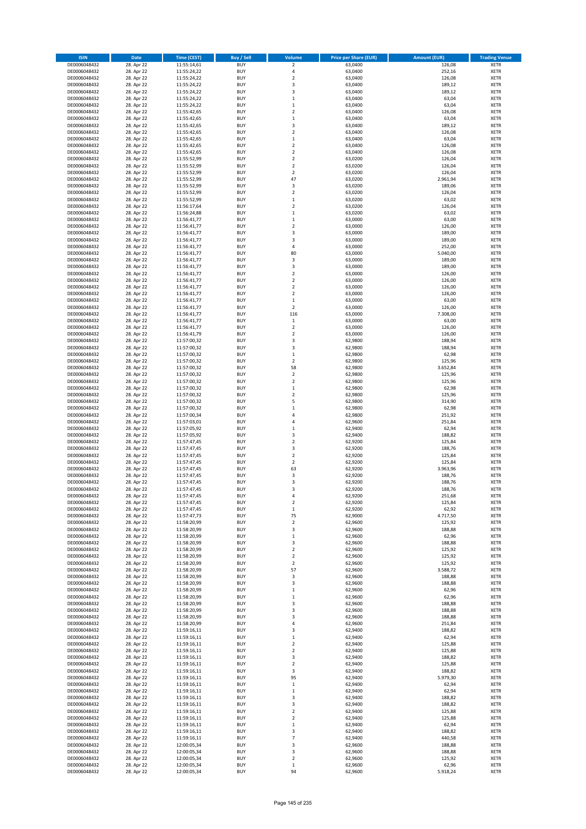| <b>ISIN</b>                  | <b>Date</b>              | <b>Time (CEST)</b>         | <b>Buy / Sell</b>        | Volume                                 | <b>Price per Share (EUR)</b> | <b>Amount (EUR)</b> | <b>Trading Venue</b>       |
|------------------------------|--------------------------|----------------------------|--------------------------|----------------------------------------|------------------------------|---------------------|----------------------------|
| DE0006048432                 | 28. Apr 22               | 11:55:14,61                | <b>BUY</b>               | $\overline{\mathbf{2}}$                | 63,0400                      | 126,08              | <b>XETR</b>                |
| DE0006048432                 | 28. Apr 22               | 11:55:24,22                | <b>BUY</b>               | 4                                      | 63,0400                      | 252,16              | <b>XETR</b>                |
| DE0006048432                 | 28. Apr 22               | 11:55:24,22                | <b>BUY</b>               | $\mathbf 2$                            | 63,0400                      | 126,08              | <b>XETR</b>                |
| DE0006048432                 | 28. Apr 22               | 11:55:24,22                | <b>BUY</b>               | 3                                      | 63,0400                      | 189,12              | <b>XETR</b>                |
| DE0006048432                 | 28. Apr 22               | 11:55:24,22                | <b>BUY</b>               | 3                                      | 63,0400                      | 189,12              | <b>XETR</b>                |
| DE0006048432                 | 28. Apr 22               | 11:55:24,22                | <b>BUY</b>               | $\mathbf 1$                            | 63,0400                      | 63,04               | <b>XETR</b>                |
| DE0006048432                 | 28. Apr 22               | 11:55:24,22                | <b>BUY</b>               | $\mathbf 1$                            | 63,0400                      | 63,04               | <b>XETR</b>                |
| DE0006048432                 | 28. Apr 22               | 11:55:42,65                | <b>BUY</b>               | $\overline{\mathbf{c}}$                | 63,0400                      | 126,08              | <b>XETR</b>                |
| DE0006048432                 | 28. Apr 22               | 11:55:42,65                | <b>BUY</b>               | $\mathbf{1}$                           | 63,0400                      | 63,04               | <b>XETR</b>                |
| DE0006048432                 | 28. Apr 22               | 11:55:42,65                | <b>BUY</b>               | 3                                      | 63,0400                      | 189,12              | <b>XETR</b>                |
| DE0006048432                 | 28. Apr 22               | 11:55:42,65                | <b>BUY</b>               | $\mathbf 2$                            | 63,0400                      | 126,08              | <b>XETR</b>                |
| DE0006048432                 | 28. Apr 22               | 11:55:42,65                | <b>BUY</b>               | $\mathbf 1$                            | 63,0400                      | 63,04               | <b>XETR</b>                |
| DE0006048432                 | 28. Apr 22               | 11:55:42,65                | <b>BUY</b>               | $\mathbf 2$                            | 63,0400                      | 126,08              | <b>XETR</b>                |
| DE0006048432                 | 28. Apr 22<br>28. Apr 22 | 11:55:42,65                | <b>BUY</b>               | $\overline{\mathbf{c}}$<br>$\mathbf 2$ | 63,0400                      | 126,08              | <b>XETR</b>                |
| DE0006048432<br>DE0006048432 | 28. Apr 22               | 11:55:52,99<br>11:55:52,99 | <b>BUY</b><br><b>BUY</b> | $\overline{\mathbf{c}}$                | 63,0200<br>63,0200           | 126,04<br>126,04    | <b>XETR</b><br><b>XETR</b> |
| DE0006048432                 | 28. Apr 22               | 11:55:52,99                | <b>BUY</b>               | $\mathbf 2$                            | 63,0200                      | 126,04              | <b>XETR</b>                |
| DE0006048432                 | 28. Apr 22               | 11:55:52,99                | <b>BUY</b>               | 47                                     | 63,0200                      | 2.961,94            | <b>XETR</b>                |
| DE0006048432                 | 28. Apr 22               | 11:55:52,99                | <b>BUY</b>               | 3                                      | 63,0200                      | 189,06              | <b>XETR</b>                |
| DE0006048432                 | 28. Apr 22               | 11:55:52,99                | <b>BUY</b>               | $\mathbf 2$                            | 63,0200                      | 126,04              | <b>XETR</b>                |
| DE0006048432                 | 28. Apr 22               | 11:55:52,99                | <b>BUY</b>               | $\mathbf 1$                            | 63,0200                      | 63,02               | <b>XETR</b>                |
| DE0006048432                 | 28. Apr 22               | 11:56:17,64                | <b>BUY</b>               | $\mathbf 2$                            | 63,0200                      | 126,04              | <b>XETR</b>                |
| DE0006048432                 | 28. Apr 22               | 11:56:24,88                | <b>BUY</b>               | $\mathbf 1$                            | 63,0200                      | 63,02               | <b>XETR</b>                |
| DE0006048432                 | 28. Apr 22               | 11:56:41,77                | <b>BUY</b>               | $\mathbf 1$                            | 63,0000                      | 63,00               | <b>XETR</b>                |
| DE0006048432                 | 28. Apr 22               | 11:56:41,77                | <b>BUY</b>               | $\mathbf 2$                            | 63,0000                      | 126,00              | <b>XETR</b>                |
| DE0006048432                 | 28. Apr 22               | 11:56:41,77                | <b>BUY</b>               | 3                                      | 63,0000                      | 189,00              | <b>XETR</b>                |
| DE0006048432                 | 28. Apr 22               | 11:56:41,77                | <b>BUY</b>               | 3                                      | 63,0000                      | 189,00              | <b>XETR</b>                |
| DE0006048432                 | 28. Apr 22               | 11:56:41,77                | <b>BUY</b>               | 4                                      | 63,0000                      | 252,00              | <b>XETR</b>                |
| DE0006048432                 | 28. Apr 22               | 11:56:41,77                | <b>BUY</b>               | 80                                     | 63,0000                      | 5.040,00            | <b>XETR</b>                |
| DE0006048432                 | 28. Apr 22               | 11:56:41,77                | <b>BUY</b>               | 3                                      | 63,0000                      | 189,00              | <b>XETR</b>                |
| DE0006048432                 | 28. Apr 22               | 11:56:41,77                | <b>BUY</b>               | 3                                      | 63,0000                      | 189,00              | <b>XETR</b>                |
| DE0006048432                 | 28. Apr 22               | 11:56:41,77                | <b>BUY</b>               | $\overline{\mathbf{c}}$                | 63,0000                      | 126,00              | <b>XETR</b>                |
| DE0006048432                 | 28. Apr 22               | 11:56:41,77                | <b>BUY</b>               | $\mathbf 2$                            | 63,0000                      | 126,00              | <b>XETR</b>                |
| DE0006048432                 | 28. Apr 22               | 11:56:41,77                | <b>BUY</b>               | $\mathbf 2$                            | 63,0000                      | 126,00              | <b>XETR</b>                |
| DE0006048432                 | 28. Apr 22<br>28. Apr 22 | 11:56:41,77<br>11:56:41,77 | <b>BUY</b><br><b>BUY</b> | $\mathbf 2$<br>$\mathbf 1$             | 63,0000                      | 126,00              | <b>XETR</b><br><b>XETR</b> |
| DE0006048432<br>DE0006048432 | 28. Apr 22               | 11:56:41,77                | <b>BUY</b>               | $\overline{\mathbf{c}}$                | 63,0000<br>63,0000           | 63,00<br>126,00     | <b>XETR</b>                |
| DE0006048432                 | 28. Apr 22               | 11:56:41,77                | <b>BUY</b>               | 116                                    | 63,0000                      | 7.308,00            | <b>XETR</b>                |
| DE0006048432                 | 28. Apr 22               | 11:56:41,77                | <b>BUY</b>               | $\,$ 1                                 | 63,0000                      | 63,00               | <b>XETR</b>                |
| DE0006048432                 | 28. Apr 22               | 11:56:41,77                | <b>BUY</b>               | $\mathbf 2$                            | 63,0000                      | 126,00              | <b>XETR</b>                |
| DE0006048432                 | 28. Apr 22               | 11:56:41,79                | <b>BUY</b>               | $\mathbf 2$                            | 63,0000                      | 126,00              | <b>XETR</b>                |
| DE0006048432                 | 28. Apr 22               | 11:57:00,32                | <b>BUY</b>               | 3                                      | 62,9800                      | 188,94              | <b>XETR</b>                |
| DE0006048432                 | 28. Apr 22               | 11:57:00,32                | <b>BUY</b>               | 3                                      | 62,9800                      | 188,94              | <b>XETR</b>                |
| DE0006048432                 | 28. Apr 22               | 11:57:00,32                | <b>BUY</b>               | $\mathbf 1$                            | 62,9800                      | 62,98               | <b>XETR</b>                |
| DE0006048432                 | 28. Apr 22               | 11:57:00,32                | <b>BUY</b>               | $\mathbf 2$                            | 62,9800                      | 125,96              | <b>XETR</b>                |
| DE0006048432                 | 28. Apr 22               | 11:57:00,32                | <b>BUY</b>               | 58                                     | 62,9800                      | 3.652,84            | <b>XETR</b>                |
| DE0006048432                 | 28. Apr 22               | 11:57:00,32                | <b>BUY</b>               | $\mathbf 2$                            | 62,9800                      | 125,96              | <b>XETR</b>                |
| DE0006048432                 | 28. Apr 22               | 11:57:00,32                | <b>BUY</b>               | $\mathbf 2$                            | 62,9800                      | 125,96              | <b>XETR</b>                |
| DE0006048432                 | 28. Apr 22               | 11:57:00,32                | <b>BUY</b>               | $\mathbf 1$                            | 62,9800                      | 62,98               | <b>XETR</b>                |
| DE0006048432                 | 28. Apr 22               | 11:57:00,32                | <b>BUY</b>               | $\overline{\mathbf{c}}$                | 62,9800                      | 125,96              | <b>XETR</b>                |
| DE0006048432                 | 28. Apr 22               | 11:57:00,32                | <b>BUY</b>               | 5                                      | 62,9800                      | 314,90              | <b>XETR</b>                |
| DE0006048432                 | 28. Apr 22               | 11:57:00,32                | <b>BUY</b>               | $\mathbf 1$                            | 62,9800                      | 62,98               | <b>XETR</b>                |
| DE0006048432                 | 28. Apr 22               | 11:57:00,34                | <b>BUY</b>               | 4                                      | 62,9800                      | 251,92              | <b>XETR</b>                |
| DE0006048432<br>DE0006048432 | 28. Apr 22               | 11:57:03,01                | <b>BUY</b><br><b>BUY</b> | 4<br>$\mathbf{1}$                      | 62,9600                      | 251,84              | <b>XETR</b><br><b>XETR</b> |
|                              | 28. Apr 22               | 11:57:05,92                |                          | 3                                      | 62,9400                      | 62,94               |                            |
| DE0006048432<br>DE0006048432 | 28. Apr 22<br>28. Apr 22 | 11:57:05,92<br>11:57:47,45 | <b>BUY</b><br><b>BUY</b> | $\overline{\mathbf{c}}$                | 62,9400<br>62,9200           | 188,82<br>125,84    | <b>XETR</b><br><b>XETR</b> |
| DE0006048432                 | 28. Apr 22               | 11:57:47,45                | <b>BUY</b>               | 3                                      | 62,9200                      | 188,76              | <b>XETR</b>                |
| DE0006048432                 | 28. Apr 22               | 11:57:47,45                | <b>BUY</b>               | $\mathbf 2$                            | 62,9200                      | 125,84              | <b>XETR</b>                |
| DE0006048432                 | 28. Apr 22               | 11:57:47,45                | <b>BUY</b>               | $\overline{2}$                         | 62,9200                      | 125,84              | <b>XETR</b>                |
| DE0006048432                 | 28. Apr 22               | 11:57:47,45                | <b>BUY</b>               | 63                                     | 62,9200                      | 3.963,96            | <b>XETR</b>                |
| DE0006048432                 | 28. Apr 22               | 11:57:47,45                | <b>BUY</b>               | 3                                      | 62,9200                      | 188,76              | <b>XETR</b>                |
| DE0006048432                 | 28. Apr 22               | 11:57:47,45                | <b>BUY</b>               | 3                                      | 62,9200                      | 188,76              | <b>XETR</b>                |
| DE0006048432                 | 28. Apr 22               | 11:57:47,45                | <b>BUY</b>               | 3                                      | 62,9200                      | 188,76              | <b>XETR</b>                |
| DE0006048432                 | 28. Apr 22               | 11:57:47,45                | BUY                      | 4                                      | 62,9200                      | 251,68              | <b>XETR</b>                |
| DE0006048432                 | 28. Apr 22               | 11:57:47,45                | <b>BUY</b>               | $\mathbf 2$                            | 62,9200                      | 125,84              | XETR                       |
| DE0006048432                 | 28. Apr 22               | 11:57:47,45                | <b>BUY</b>               | $\mathbf 1$                            | 62,9200                      | 62,92               | XETR                       |
| DE0006048432                 | 28. Apr 22               | 11:57:47,73                | <b>BUY</b>               | 75                                     | 62,9000                      | 4.717,50            | XETR                       |
| DE0006048432                 | 28. Apr 22               | 11:58:20,99                | <b>BUY</b>               | $\mathbf 2$                            | 62,9600                      | 125,92              | <b>XETR</b>                |
| DE0006048432                 | 28. Apr 22               | 11:58:20,99                | <b>BUY</b>               | 3                                      | 62,9600                      | 188,88              | <b>XETR</b>                |
| DE0006048432                 | 28. Apr 22               | 11:58:20,99                | <b>BUY</b>               | $\mathbf 1$                            | 62,9600                      | 62,96               | <b>XETR</b>                |
| DE0006048432                 | 28. Apr 22               | 11:58:20,99                | <b>BUY</b>               | 3                                      | 62,9600                      | 188,88              | <b>XETR</b>                |
| DE0006048432                 | 28. Apr 22               | 11:58:20,99                | <b>BUY</b>               | $\mathbf 2$                            | 62,9600                      | 125,92              | <b>XETR</b>                |
| DE0006048432                 | 28. Apr 22               | 11:58:20,99                | <b>BUY</b>               | $\mathbf 2$                            | 62,9600                      | 125,92              | <b>XETR</b>                |
| DE0006048432<br>DE0006048432 | 28. Apr 22               | 11:58:20,99                | <b>BUY</b><br><b>BUY</b> | $\mathbf 2$<br>57                      | 62,9600<br>62.9600           | 125,92<br>3.588,72  | <b>XETR</b><br><b>XETR</b> |
| DE0006048432                 | 28. Apr 22<br>28. Apr 22 | 11:58:20,99<br>11:58:20,99 | <b>BUY</b>               | 3                                      | 62,9600                      | 188,88              | <b>XETR</b>                |
| DE0006048432                 | 28. Apr 22               | 11:58:20,99                | <b>BUY</b>               | 3                                      | 62,9600                      | 188,88              | <b>XETR</b>                |
| DE0006048432                 | 28. Apr 22               | 11:58:20,99                | <b>BUY</b>               | $\mathbf 1$                            | 62,9600                      | 62,96               | <b>XETR</b>                |
| DE0006048432                 | 28. Apr 22               | 11:58:20,99                | <b>BUY</b>               | $\mathbf 1$                            | 62,9600                      | 62,96               | <b>XETR</b>                |
| DE0006048432                 | 28. Apr 22               | 11:58:20,99                | <b>BUY</b>               | 3                                      | 62,9600                      | 188,88              | <b>XETR</b>                |
| DE0006048432                 | 28. Apr 22               | 11:58:20,99                | <b>BUY</b>               | 3                                      | 62,9600                      | 188,88              | <b>XETR</b>                |
| DE0006048432                 | 28. Apr 22               | 11:58:20,99                | <b>BUY</b>               | 3                                      | 62,9600                      | 188,88              | XETR                       |
| DE0006048432                 | 28. Apr 22               | 11:58:20,99                | <b>BUY</b>               | 4                                      | 62,9600                      | 251,84              | <b>XETR</b>                |
| DE0006048432                 | 28. Apr 22               | 11:59:16,11                | <b>BUY</b>               | 3                                      | 62,9400                      | 188,82              | <b>XETR</b>                |
| DE0006048432                 | 28. Apr 22               | 11:59:16,11                | <b>BUY</b>               | $\mathbf 1$                            | 62,9400                      | 62,94               | <b>XETR</b>                |
| DE0006048432                 | 28. Apr 22               | 11:59:16,11                | <b>BUY</b>               | $\overline{\mathbf{c}}$                | 62,9400                      | 125,88              | <b>XETR</b>                |
| DE0006048432                 | 28. Apr 22               | 11:59:16,11                | <b>BUY</b>               | $\mathbf 2$                            | 62,9400                      | 125,88              | <b>XETR</b>                |
| DE0006048432                 | 28. Apr 22               | 11:59:16,11                | <b>BUY</b>               | 3                                      | 62,9400                      | 188,82              | <b>XETR</b>                |
| DE0006048432                 | 28. Apr 22               | 11:59:16,11                | <b>BUY</b>               | $\mathbf 2$                            | 62,9400                      | 125,88              | <b>XETR</b>                |
| DE0006048432                 | 28. Apr 22               | 11:59:16,11                | <b>BUY</b>               | 3                                      | 62,9400                      | 188,82              | <b>XETR</b>                |
| DE0006048432                 | 28. Apr 22               | 11:59:16,11                | <b>BUY</b>               | 95                                     | 62,9400                      | 5.979,30            | <b>XETR</b>                |
| DE0006048432                 | 28. Apr 22               | 11:59:16,11                | <b>BUY</b>               | $\mathbf 1$                            | 62,9400                      | 62,94               | <b>XETR</b>                |
| DE0006048432                 | 28. Apr 22               | 11:59:16,11                | <b>BUY</b>               | $\mathbf 1$<br>3                       | 62,9400                      | 62,94               | XETR                       |
| DE0006048432<br>DE0006048432 | 28. Apr 22               | 11:59:16,11                | <b>BUY</b><br><b>BUY</b> | 3                                      | 62,9400<br>62,9400           | 188,82<br>188,82    | <b>XETR</b><br><b>XETR</b> |
| DE0006048432                 | 28. Apr 22<br>28. Apr 22 | 11:59:16,11<br>11:59:16,11 | <b>BUY</b>               | $\mathbf 2$                            | 62,9400                      | 125,88              | <b>XETR</b>                |
| DE0006048432                 | 28. Apr 22               | 11:59:16,11                | <b>BUY</b>               | $\mathbf 2$                            | 62,9400                      | 125,88              | <b>XETR</b>                |
| DE0006048432                 | 28. Apr 22               | 11:59:16,11                | <b>BUY</b>               | $\mathbf 1$                            | 62,9400                      | 62,94               | <b>XETR</b>                |
| DE0006048432                 | 28. Apr 22               | 11:59:16,11                | <b>BUY</b>               | 3                                      | 62,9400                      | 188,82              | <b>XETR</b>                |
| DE0006048432                 | 28. Apr 22               | 11:59:16,11                | <b>BUY</b>               | $\overline{7}$                         | 62,9400                      | 440,58              | <b>XETR</b>                |
| DE0006048432                 | 28. Apr 22               | 12:00:05,34                | <b>BUY</b>               | 3                                      | 62,9600                      | 188,88              | XETR                       |
| DE0006048432                 | 28. Apr 22               | 12:00:05,34                | <b>BUY</b>               | 3                                      | 62,9600                      | 188,88              | <b>XETR</b>                |
| DE0006048432                 | 28. Apr 22               | 12:00:05,34                | <b>BUY</b>               | $\mathbf 2$                            | 62,9600                      | 125,92              | <b>XETR</b>                |
| DE0006048432                 | 28. Apr 22               | 12:00:05,34                | <b>BUY</b>               | $\,$ 1                                 | 62,9600                      | 62,96               | <b>XETR</b>                |
| DE0006048432                 | 28. Apr 22               | 12:00:05,34                | <b>BUY</b>               | 94                                     | 62,9600                      | 5.918,24            | <b>XETR</b>                |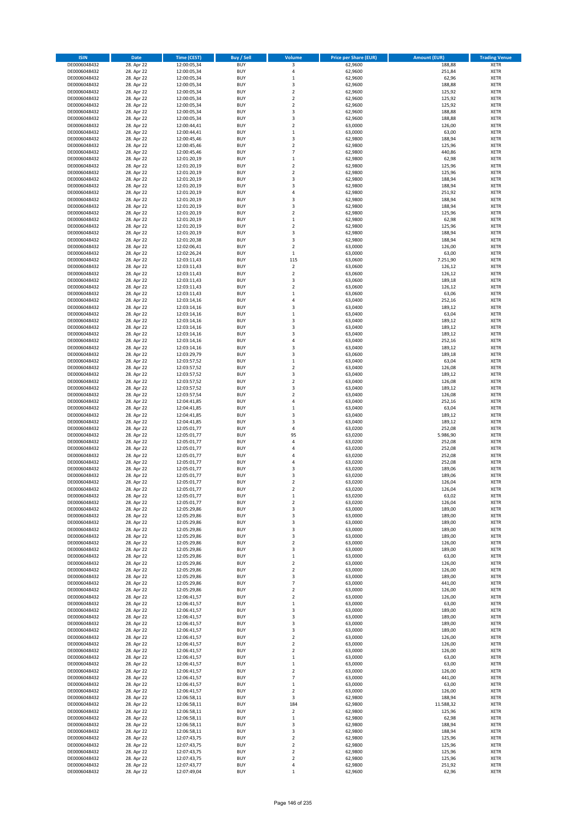| <b>ISIN</b>                  | <b>Date</b>              | <b>Time (CEST)</b>         | <b>Buy / Sell</b>        | <b>Volume</b>                          | <b>Price per Share (EUR)</b> | <b>Amount (EUR)</b> | <b>Trading Venue</b>       |
|------------------------------|--------------------------|----------------------------|--------------------------|----------------------------------------|------------------------------|---------------------|----------------------------|
| DE0006048432                 | 28. Apr 22               | 12:00:05,34                | <b>BUY</b>               | 3                                      | 62,9600                      | 188,88              | <b>XETR</b>                |
| DE0006048432                 | 28. Apr 22               | 12:00:05,34                | <b>BUY</b>               | 4                                      | 62,9600                      | 251,84              | <b>XETR</b>                |
| DE0006048432                 | 28. Apr 22               | 12:00:05,34                | <b>BUY</b>               | $\mathbf 1$                            | 62,9600                      | 62,96               | <b>XETR</b>                |
| DE0006048432<br>DE0006048432 | 28. Apr 22<br>28. Apr 22 | 12:00:05,34<br>12:00:05,34 | <b>BUY</b><br><b>BUY</b> | 3<br>$\overline{\mathbf{c}}$           | 62,9600<br>62,9600           | 188,88<br>125,92    | <b>XETR</b><br><b>XETR</b> |
| DE0006048432                 | 28. Apr 22               | 12:00:05,34                | <b>BUY</b>               | $\mathbf 2$                            | 62,9600                      | 125,92              | <b>XETR</b>                |
| DE0006048432                 | 28. Apr 22               | 12:00:05,34                | <b>BUY</b>               | $\mathbf 2$                            | 62,9600                      | 125,92              | <b>XETR</b>                |
| DE0006048432                 | 28. Apr 22               | 12:00:05,34                | <b>BUY</b>               | 3                                      | 62,9600                      | 188,88              | <b>XETR</b>                |
| DE0006048432                 | 28. Apr 22               | 12:00:05,34                | <b>BUY</b>               | 3                                      | 62,9600                      | 188,88              | <b>XETR</b>                |
| DE0006048432                 | 28. Apr 22               | 12:00:44,41                | <b>BUY</b><br><b>BUY</b> | $\mathbf 2$                            | 63,0000                      | 126,00              | <b>XETR</b>                |
| DE0006048432<br>DE0006048432 | 28. Apr 22<br>28. Apr 22 | 12:00:44,41<br>12:00:45,46 | <b>BUY</b>               | $\mathbf 1$<br>3                       | 63,0000<br>62,9800           | 63,00<br>188,94     | <b>XETR</b><br><b>XETR</b> |
| DE0006048432                 | 28. Apr 22               | 12:00:45,46                | <b>BUY</b>               | $\mathbf 2$                            | 62,9800                      | 125,96              | <b>XETR</b>                |
| DE0006048432                 | 28. Apr 22               | 12:00:45,46                | <b>BUY</b>               | $\overline{7}$                         | 62,9800                      | 440,86              | <b>XETR</b>                |
| DE0006048432                 | 28. Apr 22               | 12:01:20,19                | <b>BUY</b>               | $\mathbf 1$                            | 62,9800                      | 62,98               | <b>XETR</b>                |
| DE0006048432                 | 28. Apr 22               | 12:01:20,19                | <b>BUY</b>               | $\overline{\mathbf{c}}$                | 62,9800                      | 125,96              | <b>XETR</b>                |
| DE0006048432                 | 28. Apr 22               | 12:01:20,19                | <b>BUY</b><br><b>BUY</b> | $\mathbf 2$                            | 62,9800                      | 125,96              | <b>XETR</b><br><b>XETR</b> |
| DE0006048432<br>DE0006048432 | 28. Apr 22<br>28. Apr 22 | 12:01:20,19<br>12:01:20,19 | <b>BUY</b>               | 3<br>3                                 | 62,9800<br>62,9800           | 188,94<br>188,94    | <b>XETR</b>                |
| DE0006048432                 | 28. Apr 22               | 12:01:20,19                | <b>BUY</b>               | 4                                      | 62,9800                      | 251,92              | <b>XETR</b>                |
| DE0006048432                 | 28. Apr 22               | 12:01:20,19                | <b>BUY</b>               | 3                                      | 62,9800                      | 188,94              | <b>XETR</b>                |
| DE0006048432                 | 28. Apr 22               | 12:01:20,19                | <b>BUY</b>               | 3                                      | 62,9800                      | 188,94              | <b>XETR</b>                |
| DE0006048432                 | 28. Apr 22               | 12:01:20,19                | <b>BUY</b>               | $\mathbf 2$                            | 62,9800                      | 125,96              | <b>XETR</b>                |
| DE0006048432<br>DE0006048432 | 28. Apr 22<br>28. Apr 22 | 12:01:20,19                | <b>BUY</b><br><b>BUY</b> | $\mathbf 1$<br>$\mathbf 2$             | 62,9800<br>62,9800           | 62,98<br>125,96     | <b>XETR</b><br><b>XETR</b> |
| DE0006048432                 | 28. Apr 22               | 12:01:20,19<br>12:01:20,19 | <b>BUY</b>               | 3                                      | 62,9800                      | 188,94              | <b>XETR</b>                |
| DE0006048432                 | 28. Apr 22               | 12:01:20,38                | <b>BUY</b>               | 3                                      | 62,9800                      | 188,94              | <b>XETR</b>                |
| DE0006048432                 | 28. Apr 22               | 12:02:06,41                | <b>BUY</b>               | $\overline{\mathbf{c}}$                | 63,0000                      | 126,00              | <b>XETR</b>                |
| DE0006048432                 | 28. Apr 22               | 12:02:26,24                | <b>BUY</b>               | $\mathbf 1$                            | 63,0000                      | 63,00               | <b>XETR</b>                |
| DE0006048432                 | 28. Apr 22               | 12:03:11,43                | <b>BUY</b>               | 115                                    | 63,0600                      | 7.251,90            | <b>XETR</b>                |
| DE0006048432<br>DE0006048432 | 28. Apr 22<br>28. Apr 22 | 12:03:11,43<br>12:03:11,43 | <b>BUY</b><br><b>BUY</b> | $\overline{\mathbf{c}}$<br>$\mathbf 2$ | 63,0600<br>63,0600           | 126,12<br>126,12    | <b>XETR</b><br><b>XETR</b> |
| DE0006048432                 | 28. Apr 22               | 12:03:11,43                | <b>BUY</b>               | 3                                      | 63,0600                      | 189,18              | <b>XETR</b>                |
| DE0006048432                 | 28. Apr 22               | 12:03:11,43                | <b>BUY</b>               | $\mathbf 2$                            | 63,0600                      | 126,12              | <b>XETR</b>                |
| DE0006048432                 | 28. Apr 22               | 12:03:11.43                | <b>BUY</b>               | $\mathbf 1$                            | 63,0600                      | 63,06               | <b>XETR</b>                |
| DE0006048432                 | 28. Apr 22               | 12:03:14,16                | <b>BUY</b>               | 4                                      | 63,0400                      | 252,16              | <b>XETR</b>                |
| DE0006048432                 | 28. Apr 22               | 12:03:14,16                | <b>BUY</b>               | 3                                      | 63,0400                      | 189,12              | <b>XETR</b>                |
| DE0006048432<br>DE0006048432 | 28. Apr 22<br>28. Apr 22 | 12:03:14,16<br>12:03:14,16 | <b>BUY</b><br><b>BUY</b> | $\mathbf 1$<br>3                       | 63,0400<br>63,0400           | 63,04<br>189,12     | <b>XETR</b><br><b>XETR</b> |
| DE0006048432                 | 28. Apr 22               | 12:03:14,16                | <b>BUY</b>               | 3                                      | 63,0400                      | 189,12              | <b>XETR</b>                |
| DE0006048432                 | 28. Apr 22               | 12:03:14,16                | <b>BUY</b>               | 3                                      | 63,0400                      | 189,12              | <b>XETR</b>                |
| DE0006048432                 | 28. Apr 22               | 12:03:14,16                | <b>BUY</b>               | 4                                      | 63,0400                      | 252,16              | <b>XETR</b>                |
| DE0006048432                 | 28. Apr 22               | 12:03:14,16                | <b>BUY</b>               | 3                                      | 63,0400                      | 189,12              | <b>XETR</b>                |
| DE0006048432                 | 28. Apr 22               | 12:03:29,79                | <b>BUY</b>               | 3                                      | 63,0600                      | 189,18              | <b>XETR</b>                |
| DE0006048432                 | 28. Apr 22               | 12:03:57,52                | <b>BUY</b><br><b>BUY</b> | $\mathbf 1$<br>$\overline{2}$          | 63,0400                      | 63,04               | <b>XETR</b><br><b>XETR</b> |
| DE0006048432<br>DE0006048432 | 28. Apr 22<br>28. Apr 22 | 12:03:57,52<br>12:03:57,52 | <b>BUY</b>               | 3                                      | 63,0400<br>63,0400           | 126,08<br>189,12    | <b>XETR</b>                |
| DE0006048432                 | 28. Apr 22               | 12:03:57,52                | <b>BUY</b>               | $\mathbf 2$                            | 63,0400                      | 126,08              | <b>XETR</b>                |
| DE0006048432                 | 28. Apr 22               | 12:03:57,52                | <b>BUY</b>               | 3                                      | 63,0400                      | 189,12              | <b>XETR</b>                |
| DE0006048432                 | 28. Apr 22               | 12:03:57,54                | <b>BUY</b>               | $\overline{\mathbf{c}}$                | 63,0400                      | 126,08              | <b>XETR</b>                |
| DE0006048432                 | 28. Apr 22               | 12:04:41,85                | <b>BUY</b>               | 4                                      | 63,0400                      | 252,16              | <b>XETR</b>                |
| DE0006048432                 | 28. Apr 22               | 12:04:41,85                | <b>BUY</b>               | $\mathbf 1$                            | 63,0400                      | 63,04               | <b>XETR</b>                |
| DE0006048432<br>DE0006048432 | 28. Apr 22<br>28. Apr 22 | 12:04:41,85<br>12:04:41,85 | <b>BUY</b><br><b>BUY</b> | 3<br>3                                 | 63,0400<br>63,0400           | 189,12<br>189,12    | <b>XETR</b><br><b>XETR</b> |
| DE0006048432                 | 28. Apr 22               | 12:05:01,77                | <b>BUY</b>               | 4                                      | 63,0200                      | 252,08              | <b>XETR</b>                |
| DE0006048432                 | 28. Apr 22               | 12:05:01,77                | <b>BUY</b>               | 95                                     | 63,0200                      | 5.986,90            | <b>XETR</b>                |
| DE0006048432                 | 28. Apr 22               | 12:05:01,77                | <b>BUY</b>               | 4                                      | 63,0200                      | 252,08              | <b>XETR</b>                |
| DE0006048432                 | 28. Apr 22               | 12:05:01,77                | <b>BUY</b>               | 4                                      | 63,0200                      | 252,08              | <b>XETR</b>                |
| DE0006048432                 | 28. Apr 22               | 12:05:01,77                | <b>BUY</b>               | 4                                      | 63,0200                      | 252,08              | <b>XETR</b>                |
| DE0006048432<br>DE0006048432 | 28. Apr 22<br>28. Apr 22 | 12:05:01,77<br>12:05:01,77 | <b>BUY</b><br><b>BUY</b> | 4<br>3                                 | 63,0200<br>63,0200           | 252,08<br>189,06    | <b>XETR</b><br><b>XETR</b> |
| DE0006048432                 | 28. Apr 22               | 12:05:01,77                | <b>BUY</b>               | 3                                      | 63,0200                      | 189,06              | <b>XETR</b>                |
| DE0006048432                 | 28. Apr 22               | 12:05:01,77                | <b>BUY</b>               | $\overline{\mathbf{c}}$                | 63,0200                      | 126,04              | <b>XETR</b>                |
| DE0006048432                 | 28. Apr 22               | 12:05:01,77                | <b>BUY</b>               | $\overline{2}$                         | 63,0200                      | 126,04              | <b>XETR</b>                |
| DE0006048432                 | 28. Apr 22               | 12:05:01,77                | BUY                      | $\mathbf 1$                            | 63,0200                      | 63,02               | <b>XETR</b>                |
| DE0006048432<br>DE0006048432 | 28. Apr 22               | 12:05:01,77                | <b>BUY</b>               | $\mathbf 2$                            | 63,0200                      | 126,04              | <b>XETR</b>                |
| DE0006048432                 | 28. Apr 22<br>28. Apr 22 | 12:05:29,86<br>12:05:29,86 | <b>BUY</b><br><b>BUY</b> | 3<br>3                                 | 63,0000<br>63,0000           | 189,00<br>189,00    | <b>XETR</b><br>XETR        |
| DE0006048432                 | 28. Apr 22               | 12:05:29,86                | <b>BUY</b>               | 3                                      | 63,0000                      | 189,00              | <b>XETR</b>                |
| DE0006048432                 | 28. Apr 22               | 12:05:29,86                | <b>BUY</b>               | 3                                      | 63,0000                      | 189,00              | <b>XETR</b>                |
| DE0006048432                 | 28. Apr 22               | 12:05:29,86                | <b>BUY</b>               | 3                                      | 63,0000                      | 189,00              | <b>XETR</b>                |
| DE0006048432                 | 28. Apr 22               | 12:05:29,86                | <b>BUY</b>               | $\mathbf 2$                            | 63,0000                      | 126,00              | <b>XETR</b>                |
| DE0006048432<br>DE0006048432 | 28. Apr 22<br>28. Apr 22 | 12:05:29,86<br>12:05:29,86 | <b>BUY</b><br><b>BUY</b> | 3<br>$\mathbf 1$                       | 63,0000<br>63,0000           | 189,00<br>63,00     | <b>XETR</b><br><b>XETR</b> |
| DE0006048432                 | 28. Apr 22               | 12:05:29,86                | <b>BUY</b>               | $\mathbf 2$                            | 63,0000                      | 126,00              | <b>XETR</b>                |
| DE0006048432                 | 28. Apr 22               | 12:05:29,86                | <b>BUY</b>               | $\overline{2}$                         | 63,0000                      | 126,00              | <b>XETR</b>                |
| DE0006048432                 | 28. Apr 22               | 12:05:29,86                | <b>BUY</b>               | 3                                      | 63,0000                      | 189,00              | <b>XETR</b>                |
| DE0006048432                 | 28. Apr 22               | 12:05:29,86                | <b>BUY</b>               | $\overline{7}$                         | 63,0000                      | 441,00              | <b>XETR</b>                |
| DE0006048432                 | 28. Apr 22               | 12:05:29,86                | <b>BUY</b><br><b>BUY</b> | $\mathbf 2$<br>$\mathbf 2$             | 63,0000                      | 126,00              | <b>XETR</b>                |
| DE0006048432<br>DE0006048432 | 28. Apr 22<br>28. Apr 22 | 12:06:41,57<br>12:06:41,57 | <b>BUY</b>               | $\mathbf 1$                            | 63,0000<br>63,0000           | 126,00<br>63,00     | <b>XETR</b><br><b>XETR</b> |
| DE0006048432                 | 28. Apr 22               | 12:06:41,57                | <b>BUY</b>               | 3                                      | 63,0000                      | 189,00              | <b>XETR</b>                |
| DE0006048432                 | 28. Apr 22               | 12:06:41,57                | <b>BUY</b>               | 3                                      | 63,0000                      | 189,00              | XETR                       |
| DE0006048432                 | 28. Apr 22               | 12:06:41,57                | <b>BUY</b>               | 3                                      | 63,0000                      | 189,00              | <b>XETR</b>                |
| DE0006048432                 | 28. Apr 22               | 12:06:41,57                | <b>BUY</b>               | 3                                      | 63,0000                      | 189,00              | <b>XETR</b>                |
| DE0006048432                 | 28. Apr 22               | 12:06:41,57                | <b>BUY</b>               | $\mathbf 2$                            | 63,0000                      | 126,00              | <b>XETR</b>                |
| DE0006048432<br>DE0006048432 | 28. Apr 22<br>28. Apr 22 | 12:06:41,57<br>12:06:41,57 | <b>BUY</b><br><b>BUY</b> | $\overline{\mathbf{c}}$<br>$\mathbf 2$ | 63,0000<br>63,0000           | 126,00<br>126,00    | <b>XETR</b><br><b>XETR</b> |
| DE0006048432                 | 28. Apr 22               | 12:06:41,57                | <b>BUY</b>               | $\mathbf 1$                            | 63,0000                      | 63,00               | <b>XETR</b>                |
| DE0006048432                 | 28. Apr 22               | 12:06:41,57                | <b>BUY</b>               | $\mathbf 1$                            | 63,0000                      | 63,00               | <b>XETR</b>                |
| DE0006048432                 | 28. Apr 22               | 12:06:41,57                | <b>BUY</b>               | $\mathbf 2$                            | 63,0000                      | 126,00              | <b>XETR</b>                |
| DE0006048432                 | 28. Apr 22               | 12:06:41,57                | <b>BUY</b>               | $\overline{7}$                         | 63,0000                      | 441,00              | <b>XETR</b>                |
| DE0006048432                 | 28. Apr 22               | 12:06:41,57                | <b>BUY</b>               | $\mathbf 1$                            | 63,0000                      | 63,00               | <b>XETR</b>                |
| DE0006048432<br>DE0006048432 | 28. Apr 22<br>28. Apr 22 | 12:06:41,57<br>12:06:58,11 | <b>BUY</b><br><b>BUY</b> | $\overline{2}$<br>3                    | 63,0000<br>62,9800           | 126,00<br>188,94    | <b>XETR</b><br><b>XETR</b> |
| DE0006048432                 | 28. Apr 22               | 12:06:58,11                | <b>BUY</b>               | 184                                    | 62,9800                      | 11.588,32           | <b>XETR</b>                |
| DE0006048432                 | 28. Apr 22               | 12:06:58,11                | <b>BUY</b>               | $\mathbf 2$                            | 62,9800                      | 125,96              | <b>XETR</b>                |
| DE0006048432                 | 28. Apr 22               | 12:06:58,11                | <b>BUY</b>               | $\mathbf 1$                            | 62,9800                      | 62,98               | <b>XETR</b>                |
| DE0006048432                 | 28. Apr 22               | 12:06:58,11                | <b>BUY</b>               | 3                                      | 62,9800                      | 188,94              | <b>XETR</b>                |
| DE0006048432                 | 28. Apr 22               | 12:06:58,11                | <b>BUY</b>               | 3                                      | 62,9800                      | 188,94              | <b>XETR</b>                |
| DE0006048432<br>DE0006048432 | 28. Apr 22<br>28. Apr 22 | 12:07:43,75<br>12:07:43,75 | <b>BUY</b><br><b>BUY</b> | $\overline{\mathbf{c}}$<br>$\mathbf 2$ | 62,9800<br>62,9800           | 125,96<br>125,96    | <b>XETR</b><br>XETR        |
| DE0006048432                 | 28. Apr 22               | 12:07:43,75                | <b>BUY</b>               | $\overline{2}$                         | 62,9800                      | 125,96              | <b>XETR</b>                |
| DE0006048432                 | 28. Apr 22               | 12:07:43,75                | <b>BUY</b>               | $\mathbf 2$                            | 62,9800                      | 125,96              | <b>XETR</b>                |
| DE0006048432                 | 28. Apr 22               | 12:07:43,77                | <b>BUY</b>               | 4                                      | 62,9800                      | 251,92              | <b>XETR</b>                |
| DE0006048432                 | 28. Apr 22               | 12:07:49,04                | <b>BUY</b>               | $\mathbf 1$                            | 62,9600                      | 62,96               | <b>XETR</b>                |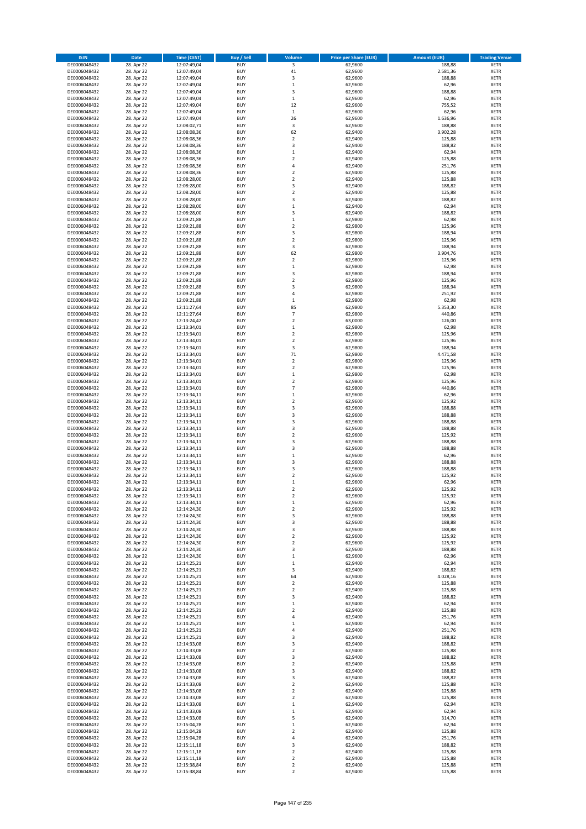| <b>ISIN</b>                  | Date                     | Time (CEST)                | <b>Buy / Sell</b>        | <b>Volume</b>                 | <b>Price per Share (EUR)</b> | <b>Amount (EUR)</b> | <b>Trading Venue</b>       |
|------------------------------|--------------------------|----------------------------|--------------------------|-------------------------------|------------------------------|---------------------|----------------------------|
| DE0006048432                 | 28. Apr 22               | 12:07:49,04                | <b>BUY</b>               | $\overline{\mathbf{3}}$       | 62,9600                      | 188,88              | <b>XETR</b>                |
| DE0006048432                 | 28. Apr 22               | 12:07:49,04                | <b>BUY</b>               | 41                            | 62,9600                      | 2.581,36            | XETR                       |
| DE0006048432                 | 28. Apr 22               | 12:07:49,04                | <b>BUY</b>               | 3                             | 62,9600                      | 188,88              | <b>XETR</b>                |
| DE0006048432<br>DE0006048432 | 28. Apr 22<br>28. Apr 22 | 12:07:49,04<br>12:07:49,04 | <b>BUY</b><br><b>BUY</b> | $\,$ 1<br>3                   | 62,9600<br>62,9600           | 62,96<br>188,88     | XETR<br><b>XETR</b>        |
| DE0006048432                 | 28. Apr 22               | 12:07:49,04                | <b>BUY</b>               | $\,1\,$                       | 62,9600                      | 62,96               | <b>XETR</b>                |
| DE0006048432                 | 28. Apr 22               | 12:07:49,04                | <b>BUY</b>               | 12                            | 62,9600                      | 755,52              | <b>XETR</b>                |
| DE0006048432                 | 28. Apr 22               | 12:07:49,04                | <b>BUY</b>               | $\mathbf 1$                   | 62,9600                      | 62,96               | <b>XETR</b>                |
| DE0006048432                 | 28. Apr 22               | 12:07:49,04                | <b>BUY</b>               | 26                            | 62,9600                      | 1.636,96            | <b>XETR</b>                |
| DE0006048432                 | 28. Apr 22               | 12:08:02,71                | <b>BUY</b>               | 3                             | 62,9600                      | 188,88              | <b>XETR</b>                |
| DE0006048432                 | 28. Apr 22               | 12:08:08,36                | <b>BUY</b>               | 62                            | 62,9400                      | 3.902,28            | <b>XETR</b>                |
| DE0006048432<br>DE0006048432 | 28. Apr 22<br>28. Apr 22 | 12:08:08,36<br>12:08:08,36 | <b>BUY</b><br><b>BUY</b> | $\overline{2}$<br>3           | 62,9400<br>62,9400           | 125,88<br>188,82    | <b>XETR</b><br><b>XETR</b> |
| DE0006048432                 | 28. Apr 22               | 12:08:08,36                | <b>BUY</b>               | $\,1\,$                       | 62,9400                      | 62,94               | <b>XETR</b>                |
| DE0006048432                 | 28. Apr 22               | 12:08:08,36                | <b>BUY</b>               | $\mathbf 2$                   | 62,9400                      | 125,88              | <b>XETR</b>                |
| DE0006048432                 | 28. Apr 22               | 12:08:08,36                | <b>BUY</b>               | $\overline{4}$                | 62,9400                      | 251,76              | <b>XETR</b>                |
| DE0006048432                 | 28. Apr 22               | 12:08:08,36                | <b>BUY</b>               | $\mathbf 2$                   | 62,9400                      | 125,88              | <b>XETR</b>                |
| DE0006048432                 | 28. Apr 22               | 12:08:28,00                | <b>BUY</b>               | $\overline{2}$                | 62,9400                      | 125,88              | <b>XETR</b>                |
| DE0006048432                 | 28. Apr 22               | 12:08:28,00                | <b>BUY</b>               | 3                             | 62,9400                      | 188,82              | <b>XETR</b>                |
| DE0006048432                 | 28. Apr 22               | 12:08:28,00                | <b>BUY</b>               | $\mathbf 2$                   | 62,9400                      | 125,88              | <b>XETR</b>                |
| DE0006048432                 | 28. Apr 22               | 12:08:28,00                | <b>BUY</b><br><b>BUY</b> | 3<br>$\,$ 1                   | 62,9400<br>62,9400           | 188,82              | <b>XETR</b><br><b>XETR</b> |
| DE0006048432<br>DE0006048432 | 28. Apr 22<br>28. Apr 22 | 12:08:28,00<br>12:08:28,00 | <b>BUY</b>               | 3                             | 62,9400                      | 62,94<br>188,82     | <b>XETR</b>                |
| DE0006048432                 | 28. Apr 22               | 12:09:21,88                | <b>BUY</b>               | $\,$ 1                        | 62,9800                      | 62,98               | <b>XETR</b>                |
| DE0006048432                 | 28. Apr 22               | 12:09:21,88                | <b>BUY</b>               | $\overline{2}$                | 62,9800                      | 125,96              | <b>XETR</b>                |
| DE0006048432                 | 28. Apr 22               | 12:09:21,88                | <b>BUY</b>               | 3                             | 62,9800                      | 188,94              | <b>XETR</b>                |
| DE0006048432                 | 28. Apr 22               | 12:09:21,88                | <b>BUY</b>               | $\mathbf 2$                   | 62,9800                      | 125,96              | <b>XETR</b>                |
| DE0006048432                 | 28. Apr 22               | 12:09:21,88                | <b>BUY</b>               | 3                             | 62,9800                      | 188,94              | <b>XETR</b>                |
| DE0006048432                 | 28. Apr 22               | 12:09:21,88                | <b>BUY</b>               | 62                            | 62,9800                      | 3.904,76            | <b>XETR</b>                |
| DE0006048432<br>DE0006048432 | 28. Apr 22<br>28. Apr 22 | 12:09:21,88<br>12:09:21,88 | <b>BUY</b><br><b>BUY</b> | $\overline{2}$<br>$\,$ 1 $\,$ | 62,9800<br>62,9800           | 125,96<br>62,98     | <b>XETR</b><br><b>XETR</b> |
| DE0006048432                 | 28. Apr 22               | 12:09:21,88                | <b>BUY</b>               | 3                             | 62,9800                      | 188,94              | <b>XETR</b>                |
| DE0006048432                 | 28. Apr 22               | 12:09:21,88                | <b>BUY</b>               | $\mathbf 2$                   | 62,9800                      | 125,96              | <b>XETR</b>                |
| DE0006048432                 | 28. Apr 22               | 12:09:21,88                | <b>BUY</b>               | 3                             | 62,9800                      | 188,94              | <b>XETR</b>                |
| DE0006048432                 | 28. Apr 22               | 12:09:21.88                | <b>BUY</b>               | 4                             | 62,9800                      | 251,92              | <b>XETR</b>                |
| DE0006048432                 | 28. Apr 22               | 12:09:21,88                | <b>BUY</b>               | $\,$ 1                        | 62,9800                      | 62,98               | <b>XETR</b>                |
| DE0006048432                 | 28. Apr 22               | 12:11:27,64                | <b>BUY</b>               | 85                            | 62,9800                      | 5.353,30            | <b>XETR</b>                |
| DE0006048432                 | 28. Apr 22               | 12:11:27,64                | <b>BUY</b>               | $\overline{7}$                | 62,9800                      | 440,86              | <b>XETR</b>                |
| DE0006048432<br>DE0006048432 | 28. Apr 22<br>28. Apr 22 | 12:13:24,42<br>12:13:34,01 | <b>BUY</b><br><b>BUY</b> | $\mathbf 2$<br>$\,$ 1         | 63,0000<br>62,9800           | 126,00<br>62,98     | <b>XETR</b><br><b>XETR</b> |
| DE0006048432                 | 28. Apr 22               | 12:13:34,01                | <b>BUY</b>               | $\mathbf 2$                   | 62,9800                      | 125,96              | <b>XETR</b>                |
| DE0006048432                 | 28. Apr 22               | 12:13:34,01                | <b>BUY</b>               | $\overline{2}$                | 62,9800                      | 125,96              | <b>XETR</b>                |
| DE0006048432                 | 28. Apr 22               | 12:13:34,01                | <b>BUY</b>               | 3                             | 62,9800                      | 188,94              | <b>XETR</b>                |
| DE0006048432                 | 28. Apr 22               | 12:13:34,01                | <b>BUY</b>               | 71                            | 62,9800                      | 4.471,58            | <b>XETR</b>                |
| DE0006048432                 | 28. Apr 22               | 12:13:34,01                | <b>BUY</b>               | $\mathbf 2$                   | 62,9800                      | 125,96              | <b>XETR</b>                |
| DE0006048432                 | 28. Apr 22               | 12:13:34,01                | <b>BUY</b>               | $\overline{2}$                | 62,9800                      | 125,96              | <b>XETR</b>                |
| DE0006048432                 | 28. Apr 22               | 12:13:34,01                | <b>BUY</b>               | $\,$ 1                        | 62,9800                      | 62,98               | <b>XETR</b>                |
| DE0006048432<br>DE0006048432 | 28. Apr 22<br>28. Apr 22 | 12:13:34,01<br>12:13:34,01 | <b>BUY</b><br><b>BUY</b> | $\mathbf 2$<br>$\overline{7}$ | 62,9800<br>62,9800           | 125,96<br>440,86    | <b>XETR</b><br><b>XETR</b> |
| DE0006048432                 | 28. Apr 22               | 12:13:34,11                | <b>BUY</b>               | $\,1\,$                       | 62,9600                      | 62,96               | <b>XETR</b>                |
| DE0006048432                 | 28. Apr 22               | 12:13:34,11                | <b>BUY</b>               | $\mathbf 2$                   | 62,9600                      | 125,92              | <b>XETR</b>                |
| DE0006048432                 | 28. Apr 22               | 12:13:34,11                | <b>BUY</b>               | 3                             | 62,9600                      | 188,88              | <b>XETR</b>                |
| DE0006048432                 | 28. Apr 22               | 12:13:34,11                | <b>BUY</b>               | 3                             | 62,9600                      | 188,88              | <b>XETR</b>                |
| DE0006048432                 | 28. Apr 22               | 12:13:34,11                | <b>BUY</b>               | $\mathsf 3$                   | 62,9600                      | 188,88              | <b>XETR</b>                |
| DE0006048432                 | 28. Apr 22               | 12:13:34,11                | <b>BUY</b>               | 3                             | 62,9600                      | 188,88              | <b>XETR</b>                |
| DE0006048432<br>DE0006048432 | 28. Apr 22               | 12:13:34,11                | <b>BUY</b><br><b>BUY</b> | $\mathbf 2$<br>3              | 62,9600                      | 125,92              | <b>XETR</b><br><b>XETR</b> |
| DE0006048432                 | 28. Apr 22<br>28. Apr 22 | 12:13:34,11<br>12:13:34,11 | <b>BUY</b>               | 3                             | 62,9600<br>62,9600           | 188,88<br>188,88    | <b>XETR</b>                |
| DE0006048432                 | 28. Apr 22               | 12:13:34,11                | <b>BUY</b>               | $\,1\,$                       | 62,9600                      | 62,96               | <b>XETR</b>                |
| DE0006048432                 | 28. Apr 22               | 12:13:34,11                | <b>BUY</b>               | 3                             | 62,9600                      | 188,88              | <b>XETR</b>                |
| DE0006048432                 | 28. Apr 22               | 12:13:34,11                | <b>BUY</b>               | 3                             | 62,9600                      | 188,88              | <b>XETR</b>                |
| DE0006048432                 | 28. Apr 22               | 12:13:34,11                | <b>BUY</b>               | $\overline{\mathbf{c}}$       | 62,9600                      | 125,92              | <b>XETR</b>                |
| DE0006048432                 | 28. Apr 22               | 12:13:34,11                | <b>BUY</b>               | $\,1\,$                       | 62,9600                      | 62,96               | <b>XETR</b>                |
| DE0006048432                 | 28. Apr 22               | 12:13:34,11                | <b>BUY</b>               | $\overline{2}$                | 62,9600                      | 125,92              | <b>XETR</b>                |
| DE0006048432<br>DE0006048432 | 28. Apr 22<br>28. Apr 22 | 12:13:34,11<br>12:13:34,11 | BUY<br><b>BUY</b>        | 2<br>$\,$ 1                   | 62,9600<br>62,9600           | 125,92<br>62,96     | XETR<br><b>XETR</b>        |
| DE0006048432                 | 28. Apr 22               | 12:14:24,30                | <b>BUY</b>               | $\overline{2}$                | 62,9600                      | 125,92              | <b>XETR</b>                |
| DE0006048432                 | 28. Apr 22               | 12:14:24,30                | <b>BUY</b>               | 3                             | 62,9600                      | 188,88              | <b>XETR</b>                |
| DE0006048432                 | 28. Apr 22               | 12:14:24,30                | <b>BUY</b>               | 3                             | 62,9600                      | 188,88              | <b>XETR</b>                |
| DE0006048432                 | 28. Apr 22               | 12:14:24,30                | <b>BUY</b>               | 3                             | 62,9600                      | 188,88              | <b>XETR</b>                |
| DE0006048432                 | 28. Apr 22               | 12:14:24,30                | <b>BUY</b>               | $\overline{2}$                | 62,9600                      | 125,92              | <b>XETR</b>                |
| DE0006048432<br>DE0006048432 | 28. Apr 22<br>28. Apr 22 | 12:14:24,30<br>12:14:24,30 | <b>BUY</b><br><b>BUY</b> | $\mathbf 2$<br>3              | 62,9600<br>62,9600           | 125,92<br>188,88    | <b>XETR</b><br>XETR        |
| DE0006048432                 | 28. Apr 22               | 12:14:24,30                | <b>BUY</b>               | $\,$ 1                        | 62,9600                      | 62,96               | <b>XETR</b>                |
| DE0006048432                 | 28. Apr 22               | 12:14:25,21                | <b>BUY</b>               | $\,$ 1                        | 62,9400                      | 62,94               | XETR                       |
| DE0006048432                 | 28. Apr 22               | 12:14:25,21                | <b>BUY</b>               | 3                             | 62,9400                      | 188,82              | <b>XETR</b>                |
| DE0006048432                 | 28. Apr 22               | 12:14:25,21                | <b>BUY</b>               | 64                            | 62,9400                      | 4.028,16            | XETR                       |
| DE0006048432                 | 28. Apr 22               | 12:14:25,21                | <b>BUY</b>               | $\overline{2}$                | 62,9400                      | 125,88              | <b>XETR</b>                |
| DE0006048432<br>DE0006048432 | 28. Apr 22<br>28. Apr 22 | 12:14:25,21<br>12:14:25,21 | <b>BUY</b><br><b>BUY</b> | $\mathbf 2$<br>3              | 62,9400<br>62,9400           | 125,88<br>188,82    | XETR<br><b>XETR</b>        |
| DE0006048432                 | 28. Apr 22               | 12:14:25,21                | <b>BUY</b>               | $\mathbf 1$                   | 62,9400                      | 62,94               | <b>XETR</b>                |
| DE0006048432                 | 28. Apr 22               | 12:14:25,21                | <b>BUY</b>               | $\overline{2}$                | 62,9400                      | 125,88              | <b>XETR</b>                |
| DE0006048432                 | 28. Apr 22               | 12:14:25,21                | <b>BUY</b>               | $\pmb{4}$                     | 62,9400                      | 251,76              | XETR                       |
| DE0006048432                 | 28. Apr 22               | 12:14:25,21                | <b>BUY</b>               | $\,1\,$                       | 62,9400                      | 62,94               | <b>XETR</b>                |
| DE0006048432                 | 28. Apr 22               | 12:14:25,21                | <b>BUY</b>               | 4                             | 62,9400                      | 251,76              | <b>XETR</b>                |
| DE0006048432                 | 28. Apr 22               | 12:14:25,21                | <b>BUY</b><br><b>BUY</b> | 3<br>3                        | 62,9400                      | 188,82              | XETR                       |
| DE0006048432<br>DE0006048432 | 28. Apr 22<br>28. Apr 22 | 12:14:33,08<br>12:14:33,08 | <b>BUY</b>               | $\mathbf 2$                   | 62,9400<br>62,9400           | 188,82<br>125,88    | XETR<br><b>XETR</b>        |
| DE0006048432                 | 28. Apr 22               | 12:14:33,08                | <b>BUY</b>               | 3                             | 62,9400                      | 188,82              | XETR                       |
| DE0006048432                 | 28. Apr 22               | 12:14:33,08                | <b>BUY</b>               | $\overline{2}$                | 62,9400                      | 125,88              | <b>XETR</b>                |
| DE0006048432                 | 28. Apr 22               | 12:14:33,08                | <b>BUY</b>               | 3                             | 62,9400                      | 188,82              | <b>XETR</b>                |
| DE0006048432                 | 28. Apr 22               | 12:14:33,08                | <b>BUY</b>               | 3                             | 62,9400                      | 188,82              | <b>XETR</b>                |
| DE0006048432                 | 28. Apr 22               | 12:14:33,08                | <b>BUY</b>               | $\mathbf 2$                   | 62,9400                      | 125,88              | <b>XETR</b>                |
| DE0006048432                 | 28. Apr 22               | 12:14:33,08                | <b>BUY</b>               | $\overline{2}$                | 62,9400                      | 125,88              | <b>XETR</b>                |
| DE0006048432                 | 28. Apr 22               | 12:14:33,08                | <b>BUY</b>               | $\overline{2}$                | 62,9400                      | 125,88              | XETR                       |
| DE0006048432<br>DE0006048432 | 28. Apr 22<br>28. Apr 22 | 12:14:33,08<br>12:14:33,08 | <b>BUY</b><br><b>BUY</b> | $\,$ 1<br>$\,$ 1              | 62,9400<br>62,9400           | 62,94<br>62,94      | XETR<br>XETR               |
| DE0006048432                 | 28. Apr 22               | 12:14:33,08                | <b>BUY</b>               | 5                             | 62,9400                      | 314,70              | <b>XETR</b>                |
| DE0006048432                 | 28. Apr 22               | 12:15:04,28                | <b>BUY</b>               | $\,$ 1                        | 62,9400                      | 62,94               | <b>XETR</b>                |
| DE0006048432                 | 28. Apr 22               | 12:15:04,28                | <b>BUY</b>               | $\mathbf 2$                   | 62,9400                      | 125,88              | XETR                       |
| DE0006048432                 | 28. Apr 22               | 12:15:04,28                | <b>BUY</b>               | 4                             | 62,9400                      | 251,76              | <b>XETR</b>                |
| DE0006048432                 | 28. Apr 22               | 12:15:11,18                | <b>BUY</b>               | 3                             | 62,9400                      | 188,82              | XETR                       |
| DE0006048432                 | 28. Apr 22               | 12:15:11,18                | <b>BUY</b>               | $\overline{2}$                | 62,9400                      | 125,88              | <b>XETR</b>                |
| DE0006048432<br>DE0006048432 | 28. Apr 22<br>28. Apr 22 | 12:15:11,18<br>12:15:38,84 | <b>BUY</b><br><b>BUY</b> | $\mathbf 2$<br>$\mathbf 2$    | 62,9400<br>62,9400           | 125,88<br>125,88    | XETR<br><b>XETR</b>        |
| DE0006048432                 | 28. Apr 22               | 12:15:38,84                | <b>BUY</b>               | $\overline{2}$                | 62,9400                      | 125,88              | <b>XETR</b>                |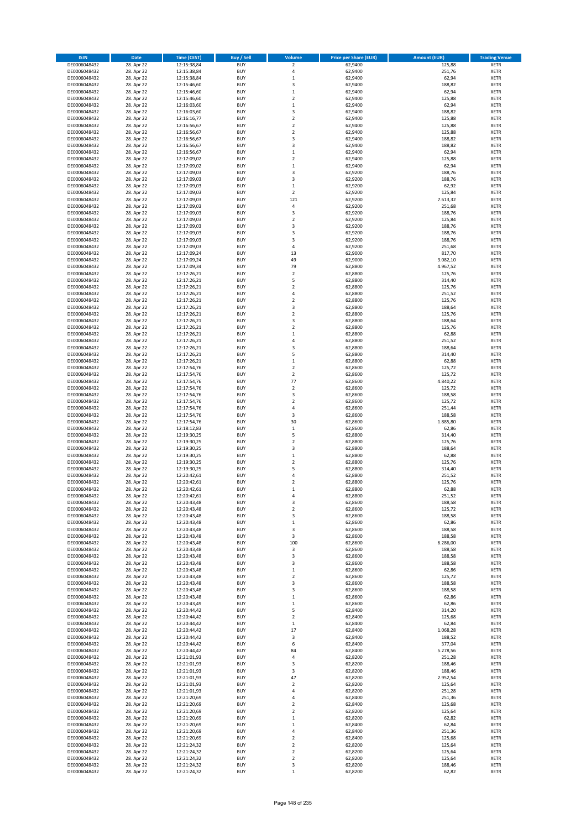| <b>ISIN</b>                  | Date                     | Time (CEST)                | <b>Buy / Sell</b>        | <b>Volume</b>               | <b>Price per Share (EUR)</b> | <b>Amount (EUR)</b> | <b>Trading Venue</b>       |
|------------------------------|--------------------------|----------------------------|--------------------------|-----------------------------|------------------------------|---------------------|----------------------------|
| DE0006048432                 | 28. Apr 22               | 12:15:38,84                | <b>BUY</b>               | $\overline{2}$              | 62,9400                      | 125,88              | <b>XETR</b>                |
| DE0006048432                 | 28. Apr 22               | 12:15:38,84                | <b>BUY</b>               | $\pmb{4}$                   | 62,9400                      | 251,76              | XETR                       |
| DE0006048432                 | 28. Apr 22               | 12:15:38,84                | <b>BUY</b>               | $\,1\,$                     | 62,9400                      | 62,94               | <b>XETR</b>                |
| DE0006048432                 | 28. Apr 22               | 12:15:46,60                | <b>BUY</b>               | $\mathsf 3$                 | 62,9400                      | 188,82              | XETR                       |
| DE0006048432<br>DE0006048432 | 28. Apr 22<br>28. Apr 22 | 12:15:46,60<br>12:15:46,60 | <b>BUY</b><br><b>BUY</b> | $\,1\,$<br>$\mathbf 2$      | 62,9400<br>62,9400           | 62,94<br>125,88     | <b>XETR</b><br><b>XETR</b> |
| DE0006048432                 | 28. Apr 22               | 12:16:03,60                | <b>BUY</b>               | $\,1\,$                     | 62,9400                      | 62,94               | <b>XETR</b>                |
| DE0006048432                 | 28. Apr 22               | 12:16:03,60                | <b>BUY</b>               | 3                           | 62,9400                      | 188,82              | <b>XETR</b>                |
| DE0006048432                 | 28. Apr 22               | 12:16:16,77                | <b>BUY</b>               | $\overline{2}$              | 62,9400                      | 125,88              | <b>XETR</b>                |
| DE0006048432                 | 28. Apr 22               | 12:16:56,67                | <b>BUY</b>               | $\overline{2}$              | 62,9400                      | 125,88              | <b>XETR</b>                |
| DE0006048432                 | 28. Apr 22               | 12:16:56,67                | <b>BUY</b>               | $\mathbf 2$                 | 62,9400                      | 125,88              | <b>XETR</b>                |
| DE0006048432                 | 28. Apr 22               | 12:16:56,67                | <b>BUY</b>               | 3<br>3                      | 62,9400                      | 188,82              | <b>XETR</b>                |
| DE0006048432<br>DE0006048432 | 28. Apr 22<br>28. Apr 22 | 12:16:56,67<br>12:16:56,67 | <b>BUY</b><br><b>BUY</b> | $\,1\,$                     | 62,9400<br>62,9400           | 188,82<br>62,94     | <b>XETR</b><br><b>XETR</b> |
| DE0006048432                 | 28. Apr 22               | 12:17:09,02                | <b>BUY</b>               | $\mathbf 2$                 | 62,9400                      | 125,88              | <b>XETR</b>                |
| DE0006048432                 | 28. Apr 22               | 12:17:09,02                | <b>BUY</b>               | $\,1\,$                     | 62,9400                      | 62,94               | <b>XETR</b>                |
| DE0006048432                 | 28. Apr 22               | 12:17:09,03                | <b>BUY</b>               | 3                           | 62,9200                      | 188,76              | <b>XETR</b>                |
| DE0006048432                 | 28. Apr 22               | 12:17:09,03                | <b>BUY</b>               | 3                           | 62,9200                      | 188,76              | <b>XETR</b>                |
| DE0006048432                 | 28. Apr 22               | 12:17:09,03                | <b>BUY</b>               | $\,1\,$                     | 62,9200                      | 62,92               | <b>XETR</b>                |
| DE0006048432<br>DE0006048432 | 28. Apr 22<br>28. Apr 22 | 12:17:09,03<br>12:17:09,03 | <b>BUY</b><br><b>BUY</b> | $\mathbf 2$<br>121          | 62,9200<br>62,9200           | 125,84<br>7.613,32  | <b>XETR</b><br><b>XETR</b> |
| DE0006048432                 | 28. Apr 22               | 12:17:09,03                | <b>BUY</b>               | 4                           | 62,9200                      | 251,68              | <b>XETR</b>                |
| DE0006048432                 | 28. Apr 22               | 12:17:09,03                | <b>BUY</b>               | 3                           | 62,9200                      | 188,76              | <b>XETR</b>                |
| DE0006048432                 | 28. Apr 22               | 12:17:09,03                | <b>BUY</b>               | $\mathbf 2$                 | 62,9200                      | 125,84              | <b>XETR</b>                |
| DE0006048432                 | 28. Apr 22               | 12:17:09,03                | <b>BUY</b>               | 3                           | 62,9200                      | 188,76              | <b>XETR</b>                |
| DE0006048432                 | 28. Apr 22               | 12:17:09,03                | <b>BUY</b>               | 3                           | 62,9200                      | 188,76              | <b>XETR</b>                |
| DE0006048432<br>DE0006048432 | 28. Apr 22<br>28. Apr 22 | 12:17:09,03<br>12:17:09,03 | <b>BUY</b><br><b>BUY</b> | 3<br>4                      | 62,9200<br>62,9200           | 188,76<br>251,68    | <b>XETR</b><br><b>XETR</b> |
| DE0006048432                 | 28. Apr 22               | 12:17:09,24                | <b>BUY</b>               | 13                          | 62,9000                      | 817,70              | <b>XETR</b>                |
| DE0006048432                 | 28. Apr 22               | 12:17:09,24                | <b>BUY</b>               | 49                          | 62,9000                      | 3.082,10            | <b>XETR</b>                |
| DE0006048432                 | 28. Apr 22               | 12:17:09,34                | <b>BUY</b>               | 79                          | 62,8800                      | 4.967,52            | <b>XETR</b>                |
| DE0006048432                 | 28. Apr 22               | 12:17:26,21                | <b>BUY</b>               | $\mathbf 2$                 | 62,8800                      | 125,76              | <b>XETR</b>                |
| DE0006048432                 | 28. Apr 22               | 12:17:26,21                | <b>BUY</b>               | 5                           | 62,8800                      | 314,40              | <b>XETR</b>                |
| DE0006048432                 | 28. Apr 22               | 12:17:26,21                | <b>BUY</b>               | $\overline{2}$              | 62,8800                      | 125,76              | <b>XETR</b>                |
| DE0006048432<br>DE0006048432 | 28. Apr 22<br>28. Apr 22 | 12:17:26,21<br>12:17:26,21 | <b>BUY</b><br><b>BUY</b> | 4<br>$\mathbf 2$            | 62,8800<br>62,8800           | 251,52<br>125,76    | <b>XETR</b><br><b>XETR</b> |
| DE0006048432                 | 28. Apr 22               | 12:17:26,21                | <b>BUY</b>               | 3                           | 62,8800                      | 188,64              | <b>XETR</b>                |
| DE0006048432                 | 28. Apr 22               | 12:17:26,21                | <b>BUY</b>               | $\mathbf 2$                 | 62,8800                      | 125,76              | <b>XETR</b>                |
| DE0006048432                 | 28. Apr 22               | 12:17:26,21                | <b>BUY</b>               | 3                           | 62,8800                      | 188,64              | <b>XETR</b>                |
| DE0006048432                 | 28. Apr 22               | 12:17:26,21                | <b>BUY</b>               | $\mathbf 2$                 | 62,8800                      | 125,76              | <b>XETR</b>                |
| DE0006048432                 | 28. Apr 22               | 12:17:26,21                | <b>BUY</b>               | $\,1\,$                     | 62,8800                      | 62,88               | <b>XETR</b>                |
| DE0006048432                 | 28. Apr 22               | 12:17:26,21                | <b>BUY</b><br><b>BUY</b> | 4                           | 62,8800                      | 251,52              | <b>XETR</b>                |
| DE0006048432<br>DE0006048432 | 28. Apr 22<br>28. Apr 22 | 12:17:26,21<br>12:17:26,21 | <b>BUY</b>               | 3<br>5                      | 62,8800<br>62,8800           | 188,64<br>314,40    | <b>XETR</b><br><b>XETR</b> |
| DE0006048432                 | 28. Apr 22               | 12:17:26,21                | <b>BUY</b>               | $\,$ 1                      | 62,8800                      | 62,88               | <b>XETR</b>                |
| DE0006048432                 | 28. Apr 22               | 12:17:54,76                | <b>BUY</b>               | $\overline{2}$              | 62,8600                      | 125,72              | <b>XETR</b>                |
| DE0006048432                 | 28. Apr 22               | 12:17:54,76                | <b>BUY</b>               | $\mathbf 2$                 | 62,8600                      | 125,72              | <b>XETR</b>                |
| DE0006048432                 | 28. Apr 22               | 12:17:54,76                | <b>BUY</b>               | 77                          | 62,8600                      | 4.840,22            | <b>XETR</b>                |
| DE0006048432<br>DE0006048432 | 28. Apr 22               | 12:17:54,76                | <b>BUY</b><br><b>BUY</b> | $\mathbf 2$<br>3            | 62,8600                      | 125,72<br>188,58    | <b>XETR</b><br><b>XETR</b> |
| DE0006048432                 | 28. Apr 22<br>28. Apr 22 | 12:17:54,76<br>12:17:54,76 | <b>BUY</b>               | $\overline{2}$              | 62,8600<br>62,8600           | 125,72              | <b>XETR</b>                |
| DE0006048432                 | 28. Apr 22               | 12:17:54,76                | <b>BUY</b>               | $\overline{4}$              | 62,8600                      | 251,44              | <b>XETR</b>                |
| DE0006048432                 | 28. Apr 22               | 12:17:54,76                | <b>BUY</b>               | 3                           | 62,8600                      | 188,58              | <b>XETR</b>                |
| DE0006048432                 | 28. Apr 22               | 12:17:54,76                | <b>BUY</b>               | 30                          | 62,8600                      | 1.885,80            | <b>XETR</b>                |
| DE0006048432                 | 28. Apr 22               | 12:18:12,83                | <b>BUY</b>               | $\,1\,$                     | 62,8600                      | 62,86               | <b>XETR</b>                |
| DE0006048432                 | 28. Apr 22               | 12:19:30,25                | <b>BUY</b>               | 5                           | 62,8800                      | 314,40              | <b>XETR</b>                |
| DE0006048432<br>DE0006048432 | 28. Apr 22<br>28. Apr 22 | 12:19:30,25<br>12:19:30,25 | <b>BUY</b><br><b>BUY</b> | $\overline{2}$<br>3         | 62,8800<br>62,8800           | 125,76<br>188,64    | <b>XETR</b><br><b>XETR</b> |
| DE0006048432                 | 28. Apr 22               | 12:19:30,25                | <b>BUY</b>               | $\,1\,$                     | 62,8800                      | 62,88               | <b>XETR</b>                |
| DE0006048432                 | 28. Apr 22               | 12:19:30,25                | <b>BUY</b>               | $\overline{2}$              | 62,8800                      | 125,76              | <b>XETR</b>                |
| DE0006048432                 | 28. Apr 22               | 12:19:30,25                | <b>BUY</b>               | 5                           | 62,8800                      | 314,40              | <b>XETR</b>                |
| DE0006048432                 | 28. Apr 22               | 12:20:42,61                | <b>BUY</b>               | 4                           | 62,8800                      | 251,52              | <b>XETR</b>                |
| DE0006048432                 | 28. Apr 22               | 12:20:42,61                | <b>BUY</b>               | $\overline{2}$              | 62,8800                      | 125,76              | <b>XETR</b>                |
| DE0006048432<br>DE0006048432 | 28. Apr 22<br>28. Apr 22 | 12:20:42,61<br>12:20:42,61 | <b>BUY</b><br>BUY        | $\mathbf{1}$<br>4           | 62,8800<br>62,8800           | 62,88<br>251,52     | <b>XETR</b><br>XETR        |
| DE0006048432                 | 28. Apr 22               | 12:20:43,48                | <b>BUY</b>               | 3                           | 62,8600                      | 188,58              | <b>XETR</b>                |
| DE0006048432                 | 28. Apr 22               | 12:20:43,48                | <b>BUY</b>               | $\overline{2}$              | 62,8600                      | 125,72              | <b>XETR</b>                |
| DE0006048432                 | 28. Apr 22               | 12:20:43,48                | <b>BUY</b>               | 3                           | 62,8600                      | 188,58              | <b>XETR</b>                |
| DE0006048432                 | 28. Apr 22               | 12:20:43,48                | <b>BUY</b>               | $\,1\,$                     | 62,8600                      | 62,86               | <b>XETR</b>                |
| DE0006048432                 | 28. Apr 22               | 12:20:43,48                | <b>BUY</b>               | 3                           | 62,8600                      | 188,58              | <b>XETR</b>                |
| DE0006048432                 | 28. Apr 22<br>28. Apr 22 | 12:20:43,48                | <b>BUY</b>               | 3                           | 62,8600                      | 188,58              | <b>XETR</b>                |
| DE0006048432<br>DE0006048432 | 28. Apr 22               | 12:20:43,48<br>12:20:43,48 | <b>BUY</b><br><b>BUY</b> | 100<br>3                    | 62,8600<br>62,8600           | 6.286,00<br>188,58  | <b>XETR</b><br>XETR        |
| DE0006048432                 | 28. Apr 22               | 12:20:43,48                | <b>BUY</b>               | 3                           | 62,8600                      | 188,58              | <b>XETR</b>                |
| DE0006048432                 | 28. Apr 22               | 12:20:43,48                | <b>BUY</b>               | 3                           | 62,8600                      | 188,58              | XETR                       |
| DE0006048432                 | 28. Apr 22               | 12:20:43,48                | <b>BUY</b>               | $\,1\,$                     | 62,8600                      | 62,86               | <b>XETR</b>                |
| DE0006048432                 | 28. Apr 22               | 12:20:43,48                | <b>BUY</b>               | $\mathbf 2$                 | 62,8600                      | 125,72              | XETR                       |
| DE0006048432<br>DE0006048432 | 28. Apr 22<br>28. Apr 22 | 12:20:43,48<br>12:20:43,48 | <b>BUY</b><br><b>BUY</b> | 3<br>3                      | 62,8600<br>62,8600           | 188,58<br>188,58    | <b>XETR</b><br>XETR        |
| DE0006048432                 | 28. Apr 22               | 12:20:43,48                | <b>BUY</b>               | $\,1\,$                     | 62,8600                      | 62,86               | <b>XETR</b>                |
| DE0006048432                 | 28. Apr 22               | 12:20:43,49                | <b>BUY</b>               | $\,$ 1                      | 62,8600                      | 62,86               | <b>XETR</b>                |
| DE0006048432                 | 28. Apr 22               | 12:20:44,42                | <b>BUY</b>               | 5                           | 62,8400                      | 314,20              | <b>XETR</b>                |
| DE0006048432                 | 28. Apr 22               | 12:20:44,42                | <b>BUY</b>               | $\mathbf 2$                 | 62,8400                      | 125,68              | XETR                       |
| DE0006048432                 | 28. Apr 22               | 12:20:44,42                | <b>BUY</b>               | $\mathbf 1$                 | 62,8400                      | 62,84               | <b>XETR</b>                |
| DE0006048432                 | 28. Apr 22               | 12:20:44,42                | <b>BUY</b>               | 17                          | 62,8400                      | 1.068,28            | <b>XETR</b>                |
| DE0006048432<br>DE0006048432 | 28. Apr 22<br>28. Apr 22 | 12:20:44,42<br>12:20:44,42 | <b>BUY</b><br><b>BUY</b> | 3<br>6                      | 62,8400<br>62,8400           | 188,52<br>377,04    | <b>XETR</b><br>XETR        |
| DE0006048432                 | 28. Apr 22               | 12:20:44,42                | <b>BUY</b>               | 84                          | 62,8400                      | 5.278,56            | XETR                       |
| DE0006048432                 | 28. Apr 22               | 12:21:01,93                | <b>BUY</b>               | 4                           | 62,8200                      | 251,28              | XETR                       |
| DE0006048432                 | 28. Apr 22               | 12:21:01,93                | <b>BUY</b>               | 3                           | 62,8200                      | 188,46              | <b>XETR</b>                |
| DE0006048432                 | 28. Apr 22               | 12:21:01,93                | <b>BUY</b>               | 3                           | 62,8200                      | 188,46              | <b>XETR</b>                |
| DE0006048432                 | 28. Apr 22               | 12:21:01,93                | <b>BUY</b>               | 47                          | 62,8200                      | 2.952,54            | <b>XETR</b>                |
| DE0006048432<br>DE0006048432 | 28. Apr 22<br>28. Apr 22 | 12:21:01,93<br>12:21:01,93 | <b>BUY</b><br><b>BUY</b> | $\mathbf 2$<br>4            | 62,8200<br>62,8200           | 125,64<br>251,28    | <b>XETR</b><br><b>XETR</b> |
| DE0006048432                 | 28. Apr 22               | 12:21:20,69                | <b>BUY</b>               | 4                           | 62,8400                      | 251,36              | XETR                       |
| DE0006048432                 | 28. Apr 22               | 12:21:20,69                | <b>BUY</b>               | $\overline{2}$              | 62,8400                      | 125,68              | XETR                       |
| DE0006048432                 | 28. Apr 22               | 12:21:20,69                | <b>BUY</b>               | $\overline{2}$              | 62,8200                      | 125,64              | XETR                       |
| DE0006048432                 | 28. Apr 22               | 12:21:20,69                | <b>BUY</b>               | $\,$ 1                      | 62,8200                      | 62,82               | <b>XETR</b>                |
| DE0006048432                 | 28. Apr 22               | 12:21:20,69                | <b>BUY</b>               | $\,$ 1                      | 62,8400                      | 62,84               | <b>XETR</b>                |
| DE0006048432<br>DE0006048432 | 28. Apr 22               | 12:21:20,69                | <b>BUY</b><br><b>BUY</b> | $\pmb{4}$<br>$\overline{2}$ | 62,8400                      | 251,36              | <b>XETR</b><br><b>XETR</b> |
| DE0006048432                 | 28. Apr 22<br>28. Apr 22 | 12:21:20,69<br>12:21:24,32 | <b>BUY</b>               | $\mathbf 2$                 | 62,8400<br>62,8200           | 125,68<br>125,64    | XETR                       |
| DE0006048432                 | 28. Apr 22               | 12:21:24,32                | <b>BUY</b>               | $\overline{2}$              | 62,8200                      | 125,64              | <b>XETR</b>                |
| DE0006048432                 | 28. Apr 22               | 12:21:24,32                | <b>BUY</b>               | $\mathbf 2$                 | 62,8200                      | 125,64              | XETR                       |
| DE0006048432                 | 28. Apr 22               | 12:21:24,32                | <b>BUY</b>               | 3                           | 62,8200                      | 188,46              | <b>XETR</b>                |
| DE0006048432                 | 28. Apr 22               | 12:21:24,32                | <b>BUY</b>               | $\mathbf 1$                 | 62,8200                      | 62,82               | <b>XETR</b>                |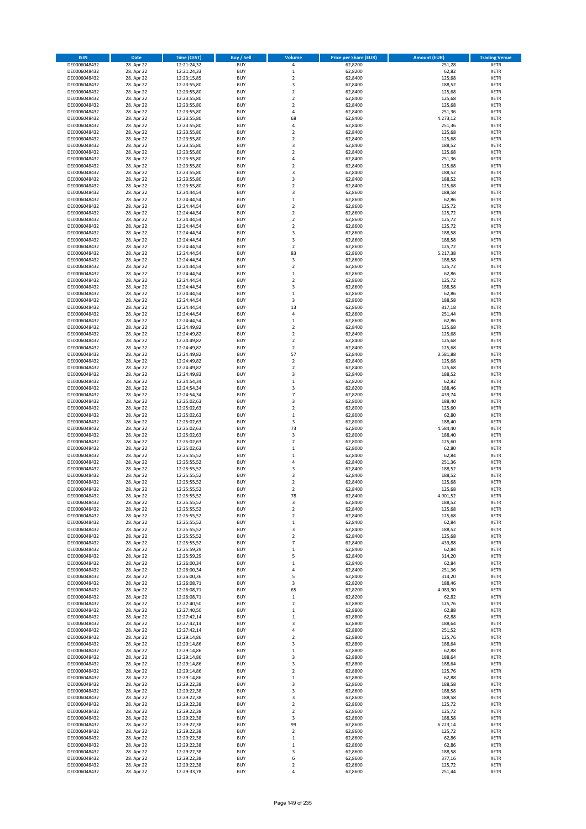| <b>ISIN</b>                  | <b>Date</b>              | <b>Time (CEST)</b>         | <b>Buy / Sell</b>        | Volume                       | <b>Price per Share (EUR)</b> | <b>Amount (EUR)</b> | <b>Trading Venue</b>       |
|------------------------------|--------------------------|----------------------------|--------------------------|------------------------------|------------------------------|---------------------|----------------------------|
| DE0006048432                 | 28. Apr 22               | 12:21:24,32                | <b>BUY</b>               | 4                            | 62,8200                      | 251,28              | <b>XETR</b>                |
| DE0006048432                 | 28. Apr 22               | 12:21:24,33                | <b>BUY</b>               | $\mathbf 1$                  | 62,8200                      | 62,82               | <b>XETR</b>                |
| DE0006048432                 | 28. Apr 22               | 12:23:15,85                | <b>BUY</b>               | $\overline{2}$               | 62,8400                      | 125,68              | <b>XETR</b>                |
| DE0006048432<br>DE0006048432 | 28. Apr 22<br>28. Apr 22 | 12:23:55,80<br>12:23:55,80 | <b>BUY</b><br><b>BUY</b> | 3<br>$\overline{\mathbf{c}}$ | 62,8400<br>62,8400           | 188,52<br>125,68    | <b>XETR</b><br><b>XETR</b> |
| DE0006048432                 | 28. Apr 22               | 12:23:55,80                | <b>BUY</b>               | $\mathbf 2$                  | 62,8400                      | 125,68              | <b>XETR</b>                |
| DE0006048432                 | 28. Apr 22               | 12:23:55,80                | <b>BUY</b>               | $\mathbf 2$                  | 62,8400                      | 125,68              | <b>XETR</b>                |
| DE0006048432                 | 28. Apr 22               | 12:23:55,80                | <b>BUY</b>               | 4                            | 62,8400                      | 251,36              | <b>XETR</b>                |
| DE0006048432                 | 28. Apr 22               | 12:23:55,80                | <b>BUY</b>               | 68                           | 62,8400                      | 4.273,12            | <b>XETR</b>                |
| DE0006048432                 | 28. Apr 22               | 12:23:55,80                | <b>BUY</b>               | 4                            | 62,8400                      | 251,36              | <b>XETR</b>                |
| DE0006048432                 | 28. Apr 22               | 12:23:55,80                | <b>BUY</b>               | $\mathbf 2$                  | 62,8400                      | 125,68              | <b>XETR</b>                |
| DE0006048432<br>DE0006048432 | 28. Apr 22<br>28. Apr 22 | 12:23:55,80                | <b>BUY</b><br><b>BUY</b> | $\overline{\mathbf{c}}$<br>3 | 62,8400<br>62,8400           | 125,68<br>188,52    | <b>XETR</b><br><b>XETR</b> |
| DE0006048432                 | 28. Apr 22               | 12:23:55,80<br>12:23:55,80 | <b>BUY</b>               | $\overline{\mathbf{c}}$      | 62,8400                      | 125,68              | <b>XETR</b>                |
| DE0006048432                 | 28. Apr 22               | 12:23:55,80                | <b>BUY</b>               | 4                            | 62,8400                      | 251,36              | <b>XETR</b>                |
| DE0006048432                 | 28. Apr 22               | 12:23:55,80                | <b>BUY</b>               | $\overline{\mathbf{c}}$      | 62,8400                      | 125,68              | <b>XETR</b>                |
| DE0006048432                 | 28. Apr 22               | 12:23:55,80                | <b>BUY</b>               | 3                            | 62,8400                      | 188,52              | <b>XETR</b>                |
| DE0006048432                 | 28. Apr 22               | 12:23:55,80                | <b>BUY</b>               | 3                            | 62,8400                      | 188,52              | <b>XETR</b>                |
| DE0006048432                 | 28. Apr 22               | 12:23:55,80                | <b>BUY</b>               | $\overline{\mathbf{c}}$      | 62,8400                      | 125,68              | <b>XETR</b>                |
| DE0006048432                 | 28. Apr 22               | 12:24:44,54                | <b>BUY</b>               | 3                            | 62,8600                      | 188,58              | <b>XETR</b>                |
| DE0006048432<br>DE0006048432 | 28. Apr 22<br>28. Apr 22 | 12:24:44,54<br>12:24:44,54 | <b>BUY</b><br><b>BUY</b> | $\mathbf 1$<br>$\mathbf 2$   | 62,8600<br>62,8600           | 62,86<br>125,72     | <b>XETR</b><br><b>XETR</b> |
| DE0006048432                 | 28. Apr 22               | 12:24:44,54                | <b>BUY</b>               | $\mathbf 2$                  | 62,8600                      | 125,72              | <b>XETR</b>                |
| DE0006048432                 | 28. Apr 22               | 12:24:44,54                | <b>BUY</b>               | $\mathbf 2$                  | 62,8600                      | 125,72              | <b>XETR</b>                |
| DE0006048432                 | 28. Apr 22               | 12:24:44,54                | <b>BUY</b>               | $\mathbf 2$                  | 62,8600                      | 125,72              | <b>XETR</b>                |
| DE0006048432                 | 28. Apr 22               | 12:24:44,54                | <b>BUY</b>               | 3                            | 62,8600                      | 188,58              | <b>XETR</b>                |
| DE0006048432                 | 28. Apr 22               | 12:24:44,54                | <b>BUY</b>               | 3                            | 62,8600                      | 188,58              | <b>XETR</b>                |
| DE0006048432                 | 28. Apr 22               | 12:24:44,54                | <b>BUY</b>               | $\overline{\mathbf{c}}$      | 62,8600                      | 125,72              | <b>XETR</b>                |
| DE0006048432<br>DE0006048432 | 28. Apr 22<br>28. Apr 22 | 12:24:44,54<br>12:24:44,54 | <b>BUY</b><br><b>BUY</b> | 83<br>3                      | 62,8600<br>62,8600           | 5.217,38<br>188,58  | <b>XETR</b><br><b>XETR</b> |
| DE0006048432                 | 28. Apr 22               | 12:24:44,54                | <b>BUY</b>               | $\mathbf 2$                  | 62,8600                      | 125,72              | <b>XETR</b>                |
| DE0006048432                 | 28. Apr 22               | 12:24:44,54                | <b>BUY</b>               | $\mathbf 1$                  | 62,8600                      | 62,86               | <b>XETR</b>                |
| DE0006048432                 | 28. Apr 22               | 12:24:44,54                | <b>BUY</b>               | $\mathbf 2$                  | 62,8600                      | 125,72              | <b>XETR</b>                |
| DE0006048432                 | 28. Apr 22               | 12:24:44,54                | <b>BUY</b>               | 3                            | 62,8600                      | 188,58              | <b>XETR</b>                |
| DE0006048432                 | 28. Apr 22               | 12:24:44,54                | <b>BUY</b>               | $\mathbf 1$                  | 62,8600                      | 62,86               | <b>XETR</b>                |
| DE0006048432                 | 28. Apr 22               | 12:24:44,54                | <b>BUY</b>               | 3                            | 62,8600                      | 188,58              | <b>XETR</b>                |
| DE0006048432                 | 28. Apr 22               | 12:24:44,54<br>12:24:44,54 | <b>BUY</b><br><b>BUY</b> | 13<br>4                      | 62,8600<br>62,8600           | 817,18<br>251,44    | <b>XETR</b><br><b>XETR</b> |
| DE0006048432<br>DE0006048432 | 28. Apr 22<br>28. Apr 22 | 12:24:44,54                | <b>BUY</b>               | $\mathbf 1$                  | 62,8600                      | 62,86               | <b>XETR</b>                |
| DE0006048432                 | 28. Apr 22               | 12:24:49,82                | <b>BUY</b>               | $\mathbf 2$                  | 62,8400                      | 125,68              | <b>XETR</b>                |
| DE0006048432                 | 28. Apr 22               | 12:24:49,82                | <b>BUY</b>               | $\overline{\mathbf{c}}$      | 62,8400                      | 125,68              | <b>XETR</b>                |
| DE0006048432                 | 28. Apr 22               | 12:24:49,82                | <b>BUY</b>               | $\mathbf 2$                  | 62,8400                      | 125,68              | <b>XETR</b>                |
| DE0006048432                 | 28. Apr 22               | 12:24:49,82                | <b>BUY</b>               | $\mathbf 2$                  | 62,8400                      | 125,68              | <b>XETR</b>                |
| DE0006048432                 | 28. Apr 22               | 12:24:49,82                | <b>BUY</b>               | 57                           | 62,8400                      | 3.581,88            | <b>XETR</b>                |
| DE0006048432                 | 28. Apr 22               | 12:24:49,82                | <b>BUY</b>               | $\mathbf 2$                  | 62,8400                      | 125,68              | <b>XETR</b>                |
| DE0006048432<br>DE0006048432 | 28. Apr 22<br>28. Apr 22 | 12:24:49,82                | <b>BUY</b><br><b>BUY</b> | $\overline{2}$<br>3          | 62,8400<br>62,8400           | 125,68<br>188,52    | <b>XETR</b><br><b>XETR</b> |
| DE0006048432                 | 28. Apr 22               | 12:24:49,83<br>12:24:54,34 | <b>BUY</b>               | $\mathbf 1$                  | 62,8200                      | 62,82               | <b>XETR</b>                |
| DE0006048432                 | 28. Apr 22               | 12:24:54,34                | <b>BUY</b>               | 3                            | 62,8200                      | 188,46              | <b>XETR</b>                |
| DE0006048432                 | 28. Apr 22               | 12:24:54,34                | <b>BUY</b>               | $\overline{7}$               | 62,8200                      | 439,74              | <b>XETR</b>                |
| DE0006048432                 | 28. Apr 22               | 12:25:02,63                | <b>BUY</b>               | 3                            | 62,8000                      | 188,40              | <b>XETR</b>                |
| DE0006048432                 | 28. Apr 22               | 12:25:02,63                | <b>BUY</b>               | $\mathbf 2$                  | 62,8000                      | 125,60              | <b>XETR</b>                |
| DE0006048432                 | 28. Apr 22               | 12:25:02,63                | <b>BUY</b>               | $\mathbf 1$                  | 62,8000                      | 62,80               | <b>XETR</b>                |
| DE0006048432<br>DE0006048432 | 28. Apr 22<br>28. Apr 22 | 12:25:02,63<br>12:25:02,63 | <b>BUY</b><br><b>BUY</b> | 3<br>73                      | 62,8000<br>62,8000           | 188,40<br>4.584,40  | <b>XETR</b><br><b>XETR</b> |
| DE0006048432                 | 28. Apr 22               | 12:25:02,63                | <b>BUY</b>               | 3                            | 62,8000                      | 188,40              | <b>XETR</b>                |
| DE0006048432                 | 28. Apr 22               | 12:25:02,63                | <b>BUY</b>               | $\overline{\mathbf{c}}$      | 62,8000                      | 125,60              | <b>XETR</b>                |
| DE0006048432                 | 28. Apr 22               | 12:25:02,63                | <b>BUY</b>               | $\mathbf 1$                  | 62,8000                      | 62,80               | <b>XETR</b>                |
| DE0006048432                 | 28. Apr 22               | 12:25:55,52                | <b>BUY</b>               | $\mathbf 1$                  | 62,8400                      | 62,84               | <b>XETR</b>                |
| DE0006048432                 | 28. Apr 22               | 12:25:55,52                | <b>BUY</b>               | 4                            | 62,8400                      | 251,36              | <b>XETR</b>                |
| DE0006048432                 | 28. Apr 22               | 12:25:55,52                | <b>BUY</b>               | 3                            | 62,8400                      | 188,52              | <b>XETR</b>                |
| DE0006048432<br>DE0006048432 | 28. Apr 22<br>28. Apr 22 | 12:25:55,52<br>12:25:55,52 | <b>BUY</b><br><b>BUY</b> | 3<br>$\overline{\mathbf{c}}$ | 62,8400<br>62,8400           | 188,52<br>125,68    | <b>XETR</b><br><b>XETR</b> |
| DE0006048432                 | 28. Apr 22               | 12:25:55,52                | <b>BUY</b>               | $\overline{2}$               | 62,8400                      | 125,68              | <b>XETR</b>                |
| DE0006048432                 | 28. Apr 22               | 12:25:55,52                | BUY                      | 78                           | 62,8400                      | 4.901,52            | <b>XETR</b>                |
| DE0006048432                 | 28. Apr 22               | 12:25:55,52                | <b>BUY</b>               | 3                            | 62,8400                      | 188,52              | <b>XETR</b>                |
| DE0006048432                 | 28. Apr 22               | 12:25:55,52                | <b>BUY</b>               | $\mathbf 2$                  | 62,8400                      | 125,68              | <b>XETR</b>                |
| DE0006048432                 | 28. Apr 22               | 12:25:55,52                | <b>BUY</b>               | $\mathbf 2$                  | 62,8400                      | 125,68              | XETR                       |
| DE0006048432                 | 28. Apr 22               | 12:25:55,52                | <b>BUY</b>               | $\mathbf 1$                  | 62,8400                      | 62,84               | <b>XETR</b>                |
| DE0006048432<br>DE0006048432 | 28. Apr 22<br>28. Apr 22 | 12:25:55,52<br>12:25:55,52 | <b>BUY</b><br><b>BUY</b> | 3<br>$\overline{2}$          | 62,8400<br>62,8400           | 188,52<br>125,68    | <b>XETR</b><br><b>XETR</b> |
| DE0006048432                 | 28. Apr 22               | 12:25:55,52                | <b>BUY</b>               | $\overline{7}$               | 62,8400                      | 439,88              | <b>XETR</b>                |
| DE0006048432                 | 28. Apr 22               | 12:25:59,29                | <b>BUY</b>               | $\mathbf 1$                  | 62,8400                      | 62,84               | <b>XETR</b>                |
| DE0006048432                 | 28. Apr 22               | 12:25:59,29                | <b>BUY</b>               | 5                            | 62,8400                      | 314,20              | <b>XETR</b>                |
| DE0006048432                 | 28. Apr 22               | 12:26:00,34                | <b>BUY</b>               | $\mathbf 1$                  | 62,8400                      | 62,84               | <b>XETR</b>                |
| DE0006048432                 | 28. Apr 22               | 12:26:00,34                | <b>BUY</b>               | 4                            | 62,8400                      | 251,36              | <b>XETR</b>                |
| DE0006048432<br>DE0006048432 | 28. Apr 22<br>28. Apr 22 | 12:26:00,36<br>12:26:08,71 | <b>BUY</b><br><b>BUY</b> | 5<br>3                       | 62,8400<br>62,8200           | 314,20<br>188,46    | <b>XETR</b><br><b>XETR</b> |
| DE0006048432                 | 28. Apr 22               | 12:26:08,71                | <b>BUY</b>               | 65                           | 62,8200                      | 4.083,30            | <b>XETR</b>                |
| DE0006048432                 | 28. Apr 22               | 12:26:08,71                | <b>BUY</b>               | $\mathbf 1$                  | 62,8200                      | 62,82               | <b>XETR</b>                |
| DE0006048432                 | 28. Apr 22               | 12:27:40,50                | <b>BUY</b>               | $\overline{2}$               | 62,8800                      | 125,76              | <b>XETR</b>                |
| DE0006048432                 | 28. Apr 22               | 12:27:40,50                | <b>BUY</b>               | $\mathbf 1$                  | 62,8800                      | 62,88               | <b>XETR</b>                |
| DE0006048432                 | 28. Apr 22               | 12:27:42,14                | <b>BUY</b>               | $\mathbf 1$                  | 62,8800                      | 62,88               | <b>XETR</b>                |
| DE0006048432                 | 28. Apr 22               | 12:27:42,14                | <b>BUY</b>               | 3                            | 62,8800                      | 188,64              | <b>XETR</b>                |
| DE0006048432<br>DE0006048432 | 28. Apr 22<br>28. Apr 22 | 12:27:42,14<br>12:29:14,86 | <b>BUY</b><br><b>BUY</b> | 4<br>$\mathbf 2$             | 62,8800<br>62,8800           | 251,52<br>125,76    | <b>XETR</b><br><b>XETR</b> |
| DE0006048432                 | 28. Apr 22               | 12:29:14,86                | <b>BUY</b>               | 3                            | 62,8800                      | 188,64              | <b>XETR</b>                |
| DE0006048432                 | 28. Apr 22               | 12:29:14,86                | <b>BUY</b>               | $\mathbf 1$                  | 62,8800                      | 62,88               | <b>XETR</b>                |
| DE0006048432                 | 28. Apr 22               | 12:29:14,86                | <b>BUY</b>               | 3                            | 62,8800                      | 188,64              | <b>XETR</b>                |
| DE0006048432                 | 28. Apr 22               | 12:29:14,86                | <b>BUY</b>               | 3                            | 62,8800                      | 188,64              | <b>XETR</b>                |
| DE0006048432                 | 28. Apr 22               | 12:29:14,86                | <b>BUY</b>               | $\mathbf 2$                  | 62,8800                      | 125,76              | <b>XETR</b>                |
| DE0006048432                 | 28. Apr 22               | 12:29:14,86                | <b>BUY</b>               | $\mathbf 1$                  | 62,8800                      | 62,88               | <b>XETR</b>                |
| DE0006048432<br>DE0006048432 | 28. Apr 22<br>28. Apr 22 | 12:29:22,38<br>12:29:22,38 | <b>BUY</b><br><b>BUY</b> | 3<br>3                       | 62,8600<br>62,8600           | 188,58<br>188,58    | <b>XETR</b><br>XETR        |
| DE0006048432                 | 28. Apr 22               | 12:29:22,38                | <b>BUY</b>               | 3                            | 62,8600                      | 188,58              | <b>XETR</b>                |
| DE0006048432                 | 28. Apr 22               | 12:29:22,38                | <b>BUY</b>               | $\mathbf 2$                  | 62,8600                      | 125,72              | <b>XETR</b>                |
| DE0006048432                 | 28. Apr 22               | 12:29:22,38                | <b>BUY</b>               | $\mathbf 2$                  | 62,8600                      | 125,72              | <b>XETR</b>                |
| DE0006048432                 | 28. Apr 22               | 12:29:22,38                | <b>BUY</b>               | 3                            | 62,8600                      | 188,58              | <b>XETR</b>                |
| DE0006048432                 | 28. Apr 22               | 12:29:22,38                | <b>BUY</b>               | 99                           | 62,8600                      | 6.223,14            | <b>XETR</b>                |
| DE0006048432                 | 28. Apr 22               | 12:29:22,38                | <b>BUY</b>               | $\mathbf 2$                  | 62,8600                      | 125,72              | <b>XETR</b>                |
| DE0006048432<br>DE0006048432 | 28. Apr 22<br>28. Apr 22 | 12:29:22,38<br>12:29:22,38 | <b>BUY</b><br><b>BUY</b> | $\mathbf 1$<br>$\mathbf 1$   | 62,8600<br>62,8600           | 62,86<br>62,86      | <b>XETR</b><br>XETR        |
| DE0006048432                 | 28. Apr 22               | 12:29:22,38                | <b>BUY</b>               | 3                            | 62,8600                      | 188,58              | <b>XETR</b>                |
| DE0006048432                 | 28. Apr 22               | 12:29:22,38                | <b>BUY</b>               | 6                            | 62,8600                      | 377,16              | <b>XETR</b>                |
| DE0006048432                 | 28. Apr 22               | 12:29:22,38                | <b>BUY</b>               | $\overline{\mathbf{c}}$      | 62,8600                      | 125,72              | <b>XETR</b>                |
| DE0006048432                 | 28. Apr 22               | 12:29:33,78                | <b>BUY</b>               | 4                            | 62,8600                      | 251,44              | <b>XETR</b>                |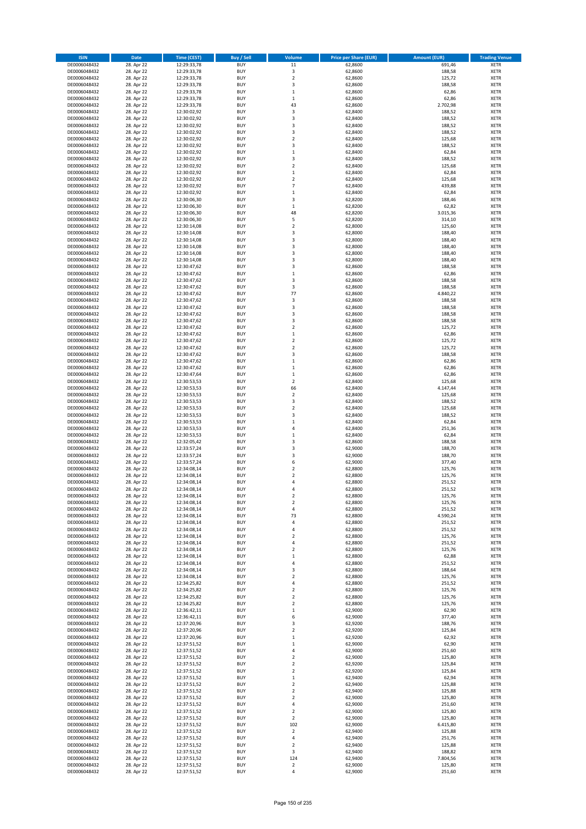| <b>ISIN</b>                  | <b>Date</b>              | <b>Time (CEST)</b>         | <b>Buy / Sell</b>        | Volume                        | <b>Price per Share (EUR)</b> | <b>Amount (EUR)</b> | <b>Trading Venue</b>       |
|------------------------------|--------------------------|----------------------------|--------------------------|-------------------------------|------------------------------|---------------------|----------------------------|
| DE0006048432                 | 28. Apr 22               | 12:29:33,78                | <b>BUY</b>               | 11                            | 62,8600                      | 691,46              | <b>XETR</b>                |
| DE0006048432                 | 28. Apr 22               | 12:29:33,78                | <b>BUY</b>               | 3                             | 62,8600                      | 188,58              | <b>XETR</b>                |
| DE0006048432                 | 28. Apr 22               | 12:29:33,78                | <b>BUY</b>               | $\overline{2}$                | 62,8600                      | 125,72              | <b>XETR</b>                |
| DE0006048432                 | 28. Apr 22               | 12:29:33,78                | <b>BUY</b>               | 3                             | 62,8600                      | 188,58              | <b>XETR</b>                |
| DE0006048432<br>DE0006048432 | 28. Apr 22<br>28. Apr 22 | 12:29:33,78<br>12:29:33,78 | <b>BUY</b><br><b>BUY</b> | $\mathbf 1$<br>$\mathbf 1$    | 62,8600<br>62,8600           | 62,86<br>62,86      | <b>XETR</b><br><b>XETR</b> |
| DE0006048432                 | 28. Apr 22               | 12:29:33,78                | <b>BUY</b>               | 43                            | 62,8600                      | 2.702,98            | <b>XETR</b>                |
| DE0006048432                 | 28. Apr 22               | 12:30:02,92                | <b>BUY</b>               | 3                             | 62,8400                      | 188,52              | <b>XETR</b>                |
| DE0006048432                 | 28. Apr 22               | 12:30:02,92                | <b>BUY</b>               | 3                             | 62,8400                      | 188,52              | <b>XETR</b>                |
| DE0006048432                 | 28. Apr 22               | 12:30:02,92                | <b>BUY</b>               | 3                             | 62,8400                      | 188,52              | <b>XETR</b>                |
| DE0006048432                 | 28. Apr 22               | 12:30:02,92                | <b>BUY</b>               | 3                             | 62,8400                      | 188,52              | <b>XETR</b>                |
| DE0006048432                 | 28. Apr 22               | 12:30:02,92                | <b>BUY</b>               | $\overline{\mathbf{c}}$       | 62,8400                      | 125,68              | <b>XETR</b><br><b>XETR</b> |
| DE0006048432<br>DE0006048432 | 28. Apr 22<br>28. Apr 22 | 12:30:02,92<br>12:30:02,92 | <b>BUY</b><br><b>BUY</b> | 3<br>$\mathbf 1$              | 62,8400<br>62,8400           | 188,52<br>62,84     | <b>XETR</b>                |
| DE0006048432                 | 28. Apr 22               | 12:30:02,92                | <b>BUY</b>               | 3                             | 62,8400                      | 188,52              | <b>XETR</b>                |
| DE0006048432                 | 28. Apr 22               | 12:30:02,92                | <b>BUY</b>               | $\overline{\mathbf{c}}$       | 62,8400                      | 125,68              | <b>XETR</b>                |
| DE0006048432                 | 28. Apr 22               | 12:30:02,92                | <b>BUY</b>               | $\mathbf 1$                   | 62,8400                      | 62,84               | <b>XETR</b>                |
| DE0006048432                 | 28. Apr 22               | 12:30:02,92                | <b>BUY</b>               | $\mathbf 2$                   | 62,8400                      | 125,68              | <b>XETR</b>                |
| DE0006048432                 | 28. Apr 22               | 12:30:02,92                | <b>BUY</b>               | $\overline{7}$                | 62,8400                      | 439,88              | <b>XETR</b>                |
| DE0006048432<br>DE0006048432 | 28. Apr 22<br>28. Apr 22 | 12:30:02,92                | <b>BUY</b><br><b>BUY</b> | $\mathbf 1$<br>3              | 62,8400                      | 62,84<br>188,46     | <b>XETR</b><br><b>XETR</b> |
| DE0006048432                 | 28. Apr 22               | 12:30:06,30<br>12:30:06,30 | <b>BUY</b>               | $\mathbf 1$                   | 62,8200<br>62,8200           | 62,82               | <b>XETR</b>                |
| DE0006048432                 | 28. Apr 22               | 12:30:06,30                | <b>BUY</b>               | 48                            | 62,8200                      | 3.015,36            | <b>XETR</b>                |
| DE0006048432                 | 28. Apr 22               | 12:30:06,30                | <b>BUY</b>               | 5                             | 62,8200                      | 314,10              | <b>XETR</b>                |
| DE0006048432                 | 28. Apr 22               | 12:30:14,08                | <b>BUY</b>               | $\mathbf 2$                   | 62,8000                      | 125,60              | <b>XETR</b>                |
| DE0006048432                 | 28. Apr 22               | 12:30:14,08                | <b>BUY</b>               | 3                             | 62,8000                      | 188,40              | <b>XETR</b>                |
| DE0006048432<br>DE0006048432 | 28. Apr 22               | 12:30:14,08                | <b>BUY</b>               | 3                             | 62,8000                      | 188,40              | <b>XETR</b>                |
| DE0006048432                 | 28. Apr 22<br>28. Apr 22 | 12:30:14,08<br>12:30:14,08 | <b>BUY</b><br><b>BUY</b> | 3<br>3                        | 62,8000<br>62,8000           | 188,40<br>188,40    | <b>XETR</b><br><b>XETR</b> |
| DE0006048432                 | 28. Apr 22               | 12:30:14,08                | <b>BUY</b>               | 3                             | 62,8000                      | 188,40              | <b>XETR</b>                |
| DE0006048432                 | 28. Apr 22               | 12:30:47,62                | <b>BUY</b>               | 3                             | 62,8600                      | 188,58              | <b>XETR</b>                |
| DE0006048432                 | 28. Apr 22               | 12:30:47,62                | <b>BUY</b>               | $\mathbf 1$                   | 62,8600                      | 62,86               | <b>XETR</b>                |
| DE0006048432                 | 28. Apr 22               | 12:30:47,62                | <b>BUY</b>               | 3                             | 62,8600                      | 188,58              | <b>XETR</b>                |
| DE0006048432                 | 28. Apr 22               | 12:30:47,62                | <b>BUY</b>               | 3                             | 62,8600                      | 188,58              | <b>XETR</b>                |
| DE0006048432<br>DE0006048432 | 28. Apr 22<br>28. Apr 22 | 12:30:47,62<br>12:30:47,62 | <b>BUY</b><br><b>BUY</b> | 77<br>3                       | 62,8600<br>62,8600           | 4.840,22<br>188,58  | <b>XETR</b><br><b>XETR</b> |
| DE0006048432                 | 28. Apr 22               | 12:30:47,62                | <b>BUY</b>               | 3                             | 62,8600                      | 188,58              | <b>XETR</b>                |
| DE0006048432                 | 28. Apr 22               | 12:30:47,62                | <b>BUY</b>               | 3                             | 62,8600                      | 188,58              | <b>XETR</b>                |
| DE0006048432                 | 28. Apr 22               | 12:30:47,62                | <b>BUY</b>               | 3                             | 62,8600                      | 188,58              | <b>XETR</b>                |
| DE0006048432                 | 28. Apr 22               | 12:30:47,62                | <b>BUY</b>               | $\mathbf 2$                   | 62,8600                      | 125,72              | <b>XETR</b>                |
| DE0006048432                 | 28. Apr 22               | 12:30:47,62                | <b>BUY</b>               | $\mathbf 1$                   | 62,8600                      | 62,86               | <b>XETR</b>                |
| DE0006048432                 | 28. Apr 22<br>28. Apr 22 | 12:30:47,62                | <b>BUY</b><br><b>BUY</b> | $\mathbf 2$<br>$\mathbf 2$    | 62,8600<br>62,8600           | 125,72<br>125,72    | <b>XETR</b><br><b>XETR</b> |
| DE0006048432<br>DE0006048432 | 28. Apr 22               | 12:30:47,62<br>12:30:47,62 | <b>BUY</b>               | 3                             | 62,8600                      | 188,58              | <b>XETR</b>                |
| DE0006048432                 | 28. Apr 22               | 12:30:47,62                | <b>BUY</b>               | $\mathbf 1$                   | 62,8600                      | 62,86               | <b>XETR</b>                |
| DE0006048432                 | 28. Apr 22               | 12:30:47,62                | <b>BUY</b>               | $\mathbf 1$                   | 62,8600                      | 62,86               | <b>XETR</b>                |
| DE0006048432                 | 28. Apr 22               | 12:30:47,64                | <b>BUY</b>               | $\mathbf 1$                   | 62,8600                      | 62,86               | <b>XETR</b>                |
| DE0006048432                 | 28. Apr 22               | 12:30:53,53                | <b>BUY</b>               | $\mathbf 2$                   | 62,8400                      | 125,68              | <b>XETR</b>                |
| DE0006048432<br>DE0006048432 | 28. Apr 22               | 12:30:53,53                | <b>BUY</b><br><b>BUY</b> | 66<br>$\mathbf 2$             | 62,8400<br>62,8400           | 4.147,44            | <b>XETR</b><br><b>XETR</b> |
| DE0006048432                 | 28. Apr 22<br>28. Apr 22 | 12:30:53,53<br>12:30:53,53 | <b>BUY</b>               | 3                             | 62,8400                      | 125,68<br>188,52    | <b>XETR</b>                |
| DE0006048432                 | 28. Apr 22               | 12:30:53,53                | <b>BUY</b>               | $\mathbf 2$                   | 62,8400                      | 125,68              | <b>XETR</b>                |
| DE0006048432                 | 28. Apr 22               | 12:30:53,53                | <b>BUY</b>               | 3                             | 62,8400                      | 188,52              | <b>XETR</b>                |
| DE0006048432                 | 28. Apr 22               | 12:30:53,53                | <b>BUY</b>               | $\mathbf 1$                   | 62,8400                      | 62,84               | <b>XETR</b>                |
| DE0006048432                 | 28. Apr 22               | 12:30:53,53                | <b>BUY</b>               | 4                             | 62,8400                      | 251,36              | <b>XETR</b>                |
| DE0006048432                 | 28. Apr 22               | 12:30:53,53                | <b>BUY</b>               | $\mathbf 1$                   | 62,8400                      | 62,84               | <b>XETR</b>                |
| DE0006048432<br>DE0006048432 | 28. Apr 22<br>28. Apr 22 | 12:32:05,42<br>12:33:57,24 | <b>BUY</b><br><b>BUY</b> | 3<br>3                        | 62,8600<br>62,9000           | 188,58<br>188,70    | <b>XETR</b><br><b>XETR</b> |
| DE0006048432                 | 28. Apr 22               | 12:33:57,24                | <b>BUY</b>               | 3                             | 62,9000                      | 188,70              | <b>XETR</b>                |
| DE0006048432                 | 28. Apr 22               | 12:33:57,24                | <b>BUY</b>               | 6                             | 62,9000                      | 377,40              | <b>XETR</b>                |
| DE0006048432                 | 28. Apr 22               | 12:34:08,14                | <b>BUY</b>               | $\mathbf 2$                   | 62,8800                      | 125,76              | <b>XETR</b>                |
| DE0006048432                 | 28. Apr 22               | 12:34:08,14                | <b>BUY</b>               | $\overline{\mathbf{c}}$       | 62,8800                      | 125,76              | <b>XETR</b>                |
| DE0006048432                 | 28. Apr 22               | 12:34:08,14                | <b>BUY</b>               | $\overline{a}$                | 62,8800                      | 251,52              | <b>XETR</b>                |
| DE0006048432<br>DE0006048432 | 28. Apr 22<br>28. Apr 22 | 12:34:08,14<br>12:34:08,14 | <b>BUY</b><br>BUY        | 4<br>2                        | 62,8800<br>62,8800           | 251,52<br>125,76    | <b>XETR</b><br><b>XETR</b> |
| DE0006048432                 | 28. Apr 22               | 12:34:08,14                | <b>BUY</b>               | $\mathbf 2$                   | 62,8800                      | 125,76              | <b>XETR</b>                |
| DE0006048432                 | 28. Apr 22               | 12:34:08,14                | <b>BUY</b>               | 4                             | 62,8800                      | 251,52              | <b>XETR</b>                |
| DE0006048432                 | 28. Apr 22               | 12:34:08,14                | <b>BUY</b>               | 73                            | 62,8800                      | 4.590,24            | XETR                       |
| DE0006048432                 | 28. Apr 22               | 12:34:08,14                | <b>BUY</b>               | 4                             | 62,8800                      | 251,52              | <b>XETR</b>                |
| DE0006048432                 | 28. Apr 22               | 12:34:08,14                | <b>BUY</b>               | 4                             | 62,8800                      | 251,52              | <b>XETR</b>                |
| DE0006048432                 | 28. Apr 22               | 12:34:08,14                | <b>BUY</b><br><b>BUY</b> | $\overline{2}$                | 62,8800                      | 125,76              | <b>XETR</b>                |
| DE0006048432<br>DE0006048432 | 28. Apr 22<br>28. Apr 22 | 12:34:08,14<br>12:34:08,14 | <b>BUY</b>               | 4<br>$\mathbf 2$              | 62,8800<br>62,8800           | 251,52<br>125,76    | <b>XETR</b><br><b>XETR</b> |
| DE0006048432                 | 28. Apr 22               | 12:34:08,14                | <b>BUY</b>               | $\mathbf 1$                   | 62,8800                      | 62,88               | <b>XETR</b>                |
| DE0006048432                 | 28. Apr 22               | 12:34:08,14                | <b>BUY</b>               | 4                             | 62,8800                      | 251,52              | <b>XETR</b>                |
| DE0006048432                 | 28. Apr 22               | 12:34:08,14                | <b>BUY</b>               | 3                             | 62,8800                      | 188,64              | <b>XETR</b>                |
| DE0006048432                 | 28. Apr 22               | 12:34:08,14                | <b>BUY</b>               | $\mathbf 2$                   | 62,8800                      | 125,76              | <b>XETR</b>                |
| DE0006048432<br>DE0006048432 | 28. Apr 22<br>28. Apr 22 | 12:34:25,82<br>12:34:25,82 | <b>BUY</b><br><b>BUY</b> | 4<br>$\mathbf 2$              | 62,8800<br>62,8800           | 251,52<br>125,76    | <b>XETR</b><br><b>XETR</b> |
| DE0006048432                 | 28. Apr 22               | 12:34:25,82                | <b>BUY</b>               | $\mathbf 2$                   | 62,8800                      | 125,76              | <b>XETR</b>                |
| DE0006048432                 | 28. Apr 22               | 12:34:25,82                | <b>BUY</b>               | $\mathbf 2$                   | 62,8800                      | 125,76              | <b>XETR</b>                |
| DE0006048432                 | 28. Apr 22               | 12:36:42,11                | <b>BUY</b>               | $\mathbf 1$                   | 62,9000                      | 62,90               | <b>XETR</b>                |
| DE0006048432                 | 28. Apr 22               | 12:36:42,11                | <b>BUY</b>               | 6                             | 62,9000                      | 377,40              | XETR                       |
| DE0006048432                 | 28. Apr 22               | 12:37:20,96                | <b>BUY</b>               | 3                             | 62,9200                      | 188,76              | <b>XETR</b>                |
| DE0006048432<br>DE0006048432 | 28. Apr 22<br>28. Apr 22 | 12:37:20,96<br>12:37:20,96 | <b>BUY</b><br><b>BUY</b> | $\overline{2}$<br>$\mathbf 1$ | 62,9200<br>62,9200           | 125,84<br>62,92     | <b>XETR</b><br><b>XETR</b> |
| DE0006048432                 | 28. Apr 22               | 12:37:51,52                | <b>BUY</b>               | $\mathbf 1$                   | 62,9000                      | 62,90               | <b>XETR</b>                |
| DE0006048432                 | 28. Apr 22               | 12:37:51,52                | <b>BUY</b>               | 4                             | 62,9000                      | 251,60              | <b>XETR</b>                |
| DE0006048432                 | 28. Apr 22               | 12:37:51,52                | <b>BUY</b>               | $\mathbf 2$                   | 62,9000                      | 125,80              | <b>XETR</b>                |
| DE0006048432                 | 28. Apr 22               | 12:37:51,52                | <b>BUY</b>               | $\mathbf 2$                   | 62,9200                      | 125,84              | <b>XETR</b>                |
| DE0006048432                 | 28. Apr 22               | 12:37:51,52                | <b>BUY</b>               | $\mathbf 2$                   | 62,9200                      | 125,84              | <b>XETR</b>                |
| DE0006048432                 | 28. Apr 22               | 12:37:51,52                | <b>BUY</b>               | $\mathbf 1$                   | 62,9400                      | 62,94               | <b>XETR</b>                |
| DE0006048432<br>DE0006048432 | 28. Apr 22<br>28. Apr 22 | 12:37:51,52<br>12:37:51,52 | <b>BUY</b><br><b>BUY</b> | $\mathbf 2$<br>$\overline{2}$ | 62,9400<br>62,9400           | 125,88<br>125,88    | <b>XETR</b><br>XETR        |
| DE0006048432                 | 28. Apr 22               | 12:37:51,52                | <b>BUY</b>               | $\mathbf 2$                   | 62,9000                      | 125,80              | <b>XETR</b>                |
| DE0006048432                 | 28. Apr 22               | 12:37:51,52                | <b>BUY</b>               | 4                             | 62,9000                      | 251,60              | <b>XETR</b>                |
| DE0006048432                 | 28. Apr 22               | 12:37:51,52                | <b>BUY</b>               | $\mathbf 2$                   | 62,9000                      | 125,80              | <b>XETR</b>                |
| DE0006048432                 | 28. Apr 22               | 12:37:51,52                | <b>BUY</b>               | $\mathbf 2$                   | 62,9000                      | 125,80              | <b>XETR</b>                |
| DE0006048432                 | 28. Apr 22               | 12:37:51,52                | <b>BUY</b>               | 102                           | 62,9000                      | 6.415,80            | <b>XETR</b>                |
| DE0006048432<br>DE0006048432 | 28. Apr 22<br>28. Apr 22 | 12:37:51,52<br>12:37:51,52 | <b>BUY</b><br><b>BUY</b> | $\mathbf 2$<br>4              | 62,9400<br>62,9400           | 125,88<br>251,76    | <b>XETR</b><br><b>XETR</b> |
| DE0006048432                 | 28. Apr 22               | 12:37:51,52                | <b>BUY</b>               | $\overline{\mathbf{c}}$       | 62,9400                      | 125,88              | XETR                       |
| DE0006048432                 | 28. Apr 22               | 12:37:51,52                | <b>BUY</b>               | 3                             | 62,9400                      | 188,82              | <b>XETR</b>                |
| DE0006048432                 | 28. Apr 22               | 12:37:51,52                | <b>BUY</b>               | 124                           | 62,9400                      | 7.804,56            | <b>XETR</b>                |
| DE0006048432                 | 28. Apr 22               | 12:37:51,52                | <b>BUY</b>               | $\mathbf 2$                   | 62,9000                      | 125,80              | <b>XETR</b>                |
| DE0006048432                 | 28. Apr 22               | 12:37:51,52                | <b>BUY</b>               | 4                             | 62,9000                      | 251,60              | XETR                       |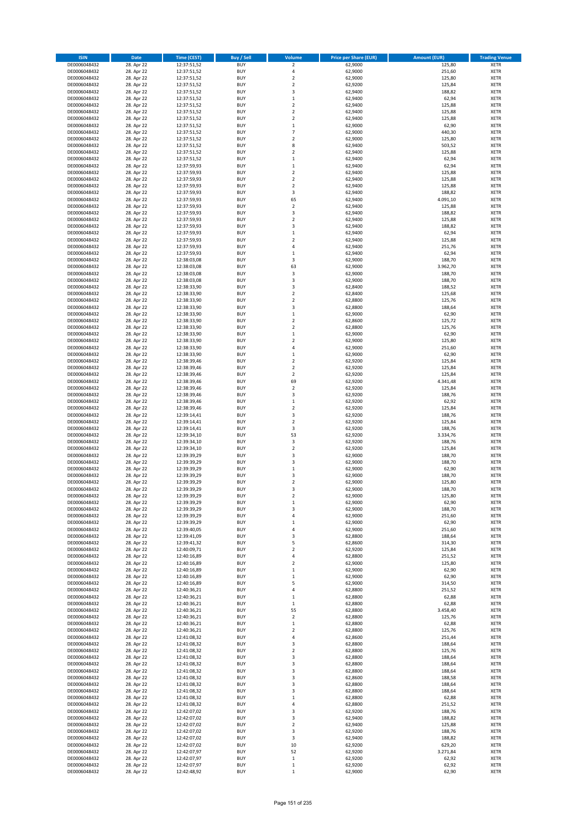| <b>ISIN</b>                  | <b>Date</b>              | <b>Time (CEST)</b>         | <b>Buy / Sell</b>        | Volume                  | <b>Price per Share (EUR)</b> | <b>Amount (EUR)</b> | <b>Trading Venue</b>       |
|------------------------------|--------------------------|----------------------------|--------------------------|-------------------------|------------------------------|---------------------|----------------------------|
| DE0006048432                 | 28. Apr 22               | 12:37:51,52                | <b>BUY</b>               | $\overline{\mathbf{2}}$ | 62,9000                      | 125,80              | <b>XETR</b>                |
| DE0006048432                 | 28. Apr 22               | 12:37:51,52                | <b>BUY</b>               | 4                       | 62,9000                      | 251,60              | <b>XETR</b>                |
| DE0006048432                 | 28. Apr 22               | 12:37:51,52                | <b>BUY</b>               | $\mathbf 2$             | 62,9000                      | 125,80              | <b>XETR</b>                |
| DE0006048432                 | 28. Apr 22               | 12:37:51,52                | <b>BUY</b>               | $\mathbf 2$             | 62,9200                      | 125,84              | <b>XETR</b>                |
| DE0006048432                 | 28. Apr 22               | 12:37:51,52                | <b>BUY</b>               | 3                       | 62,9400                      | 188,82              | <b>XETR</b>                |
| DE0006048432                 | 28. Apr 22               | 12:37:51,52                | <b>BUY</b>               | $\mathbf 1$             | 62,9400                      | 62,94               | <b>XETR</b>                |
| DE0006048432                 | 28. Apr 22               | 12:37:51,52                | <b>BUY</b>               | $\mathbf 2$             | 62,9400                      | 125,88              | <b>XETR</b>                |
| DE0006048432                 | 28. Apr 22               | 12:37:51,52                | <b>BUY</b>               | $\mathbf 2$             | 62,9400                      | 125,88              | <b>XETR</b>                |
| DE0006048432                 | 28. Apr 22               | 12:37:51,52                | <b>BUY</b>               | $\overline{2}$          | 62,9400                      | 125,88              | <b>XETR</b>                |
| DE0006048432                 | 28. Apr 22               | 12:37:51,52                | <b>BUY</b>               | $\mathbf 1$             | 62,9000                      | 62,90               | <b>XETR</b>                |
| DE0006048432                 | 28. Apr 22               | 12:37:51,52                | <b>BUY</b>               | $\overline{7}$          | 62,9000                      | 440,30              | <b>XETR</b>                |
| DE0006048432                 | 28. Apr 22               | 12:37:51,52                | <b>BUY</b>               | $\overline{\mathbf{c}}$ | 62,9000                      | 125,80              | <b>XETR</b>                |
| DE0006048432                 | 28. Apr 22               | 12:37:51,52                | <b>BUY</b>               | 8                       | 62,9400                      | 503,52              | <b>XETR</b>                |
| DE0006048432                 | 28. Apr 22               | 12:37:51,52                | <b>BUY</b>               | $\overline{\mathbf{c}}$ | 62,9400                      | 125,88              | <b>XETR</b>                |
| DE0006048432                 | 28. Apr 22               | 12:37:51,52                | <b>BUY</b>               | $\mathbf 1$             | 62,9400                      | 62,94               | <b>XETR</b>                |
| DE0006048432                 | 28. Apr 22               | 12:37:59,93                | <b>BUY</b>               | $\mathbf 1$             | 62,9400                      | 62,94               | <b>XETR</b>                |
| DE0006048432                 | 28. Apr 22               | 12:37:59,93                | <b>BUY</b>               | $\mathbf 2$             | 62,9400                      | 125,88              | <b>XETR</b>                |
| DE0006048432                 | 28. Apr 22               | 12:37:59,93                | <b>BUY</b>               | $\mathbf 2$             | 62,9400                      | 125,88              | <b>XETR</b>                |
| DE0006048432                 | 28. Apr 22               | 12:37:59,93                | <b>BUY</b>               | $\overline{\mathbf{c}}$ | 62,9400                      | 125,88              | <b>XETR</b>                |
| DE0006048432                 | 28. Apr 22               | 12:37:59,93                | <b>BUY</b><br><b>BUY</b> | 3<br>65                 | 62,9400                      | 188,82              | <b>XETR</b><br><b>XETR</b> |
| DE0006048432                 | 28. Apr 22               | 12:37:59,93                | <b>BUY</b>               | $\mathbf 2$             | 62,9400                      | 4.091,10<br>125,88  | <b>XETR</b>                |
| DE0006048432<br>DE0006048432 | 28. Apr 22               | 12:37:59,93                | <b>BUY</b>               | 3                       | 62,9400<br>62,9400           | 188,82              | <b>XETR</b>                |
| DE0006048432                 | 28. Apr 22<br>28. Apr 22 | 12:37:59,93<br>12:37:59,93 | <b>BUY</b>               | $\mathbf 2$             | 62,9400                      | 125,88              | <b>XETR</b>                |
| DE0006048432                 | 28. Apr 22               | 12:37:59,93                | <b>BUY</b>               | 3                       | 62,9400                      | 188,82              | <b>XETR</b>                |
| DE0006048432                 | 28. Apr 22               | 12:37:59,93                | <b>BUY</b>               | $\mathbf 1$             | 62,9400                      | 62,94               | <b>XETR</b>                |
| DE0006048432                 | 28. Apr 22               | 12:37:59,93                | <b>BUY</b>               | $\mathbf 2$             | 62,9400                      | 125,88              | <b>XETR</b>                |
| DE0006048432                 | 28. Apr 22               | 12:37:59,93                | <b>BUY</b>               | 4                       | 62,9400                      | 251,76              | <b>XETR</b>                |
| DE0006048432                 | 28. Apr 22               | 12:37:59,93                | <b>BUY</b>               | $\mathbf 1$             | 62,9400                      | 62,94               | <b>XETR</b>                |
| DE0006048432                 | 28. Apr 22               | 12:38:03,08                | <b>BUY</b>               | 3                       | 62,9000                      | 188,70              | <b>XETR</b>                |
| DE0006048432                 | 28. Apr 22               | 12:38:03,08                | <b>BUY</b>               | 63                      | 62,9000                      | 3.962,70            | <b>XETR</b>                |
| DE0006048432                 | 28. Apr 22               | 12:38:03,08                | <b>BUY</b>               | 3                       | 62,9000                      | 188,70              | <b>XETR</b>                |
| DE0006048432                 | 28. Apr 22               | 12:38:03,08                | <b>BUY</b>               | 3                       | 62,9000                      | 188,70              | <b>XETR</b>                |
| DE0006048432                 | 28. Apr 22               | 12:38:33,90                | <b>BUY</b>               | 3                       | 62,8400                      | 188,52              | <b>XETR</b>                |
| DE0006048432                 | 28. Apr 22               | 12:38:33,90                | <b>BUY</b>               | $\mathbf 2$             | 62,8400                      | 125,68              | <b>XETR</b>                |
| DE0006048432                 | 28. Apr 22               | 12:38:33,90                | <b>BUY</b>               | $\overline{\mathbf{c}}$ | 62,8800                      | 125,76              | <b>XETR</b>                |
| DE0006048432                 | 28. Apr 22               | 12:38:33,90                | <b>BUY</b>               | 3                       | 62,8800                      | 188,64              | <b>XETR</b>                |
| DE0006048432                 | 28. Apr 22               | 12:38:33,90                | <b>BUY</b>               | $\mathbf 1$             | 62,9000                      | 62,90               | <b>XETR</b>                |
| DE0006048432                 | 28. Apr 22               | 12:38:33,90                | <b>BUY</b>               | $\mathbf 2$             | 62,8600                      | 125,72              | <b>XETR</b>                |
| DE0006048432                 | 28. Apr 22               | 12:38:33,90                | <b>BUY</b>               | $\mathbf 2$             | 62,8800                      | 125,76              | <b>XETR</b>                |
| DE0006048432                 | 28. Apr 22               | 12:38:33,90                | <b>BUY</b>               | $\mathbf 1$             | 62,9000                      | 62,90               | <b>XETR</b>                |
| DE0006048432                 | 28. Apr 22               | 12:38:33,90                | <b>BUY</b>               | $\mathbf 2$             | 62,9000                      | 125,80              | <b>XETR</b>                |
| DE0006048432                 | 28. Apr 22               | 12:38:33,90                | <b>BUY</b>               | 4                       | 62,9000                      | 251,60              | <b>XETR</b>                |
| DE0006048432                 | 28. Apr 22               | 12:38:33,90                | <b>BUY</b>               | $\mathbf 1$             | 62,9000                      | 62,90               | <b>XETR</b>                |
| DE0006048432                 | 28. Apr 22               | 12:38:39,46                | <b>BUY</b>               | $\mathbf 2$             | 62,9200                      | 125,84              | <b>XETR</b>                |
| DE0006048432                 | 28. Apr 22               | 12:38:39,46                | <b>BUY</b>               | $\overline{\mathbf{2}}$ | 62,9200                      | 125,84              | <b>XETR</b>                |
| DE0006048432                 | 28. Apr 22               | 12:38:39,46                | <b>BUY</b>               | $\mathbf 2$             | 62,9200                      | 125,84              | <b>XETR</b>                |
| DE0006048432                 | 28. Apr 22               | 12:38:39,46                | <b>BUY</b>               | 69                      | 62,9200                      | 4.341,48            | <b>XETR</b>                |
| DE0006048432                 | 28. Apr 22               | 12:38:39,46                | <b>BUY</b>               | $\mathbf 2$             | 62,9200                      | 125,84              | <b>XETR</b>                |
| DE0006048432                 | 28. Apr 22               | 12:38:39,46                | <b>BUY</b>               | 3                       | 62,9200                      | 188,76              | <b>XETR</b>                |
| DE0006048432                 | 28. Apr 22               | 12:38:39,46                | <b>BUY</b>               | $\mathbf 1$             | 62,9200                      | 62,92               | <b>XETR</b>                |
| DE0006048432                 | 28. Apr 22               | 12:38:39,46                | <b>BUY</b>               | $\mathbf 2$             | 62,9200                      | 125,84              | <b>XETR</b>                |
| DE0006048432                 | 28. Apr 22               | 12:39:14,41                | <b>BUY</b>               | 3                       | 62,9200                      | 188,76              | <b>XETR</b>                |
| DE0006048432                 | 28. Apr 22               | 12:39:14,41                | <b>BUY</b>               | $\mathbf 2$             | 62,9200                      | 125,84              | <b>XETR</b>                |
| DE0006048432                 | 28. Apr 22               | 12:39:14,41                | <b>BUY</b>               | 3                       | 62,9200                      | 188,76              | <b>XETR</b>                |
| DE0006048432                 | 28. Apr 22               | 12:39:34,10                | <b>BUY</b><br><b>BUY</b> | 53<br>3                 | 62,9200                      | 3.334,76            | <b>XETR</b><br><b>XETR</b> |
| DE0006048432                 | 28. Apr 22<br>28. Apr 22 | 12:39:34,10                | <b>BUY</b>               | $\overline{\mathbf{c}}$ | 62,9200<br>62,9200           | 188,76<br>125,84    | <b>XETR</b>                |
| DE0006048432<br>DE0006048432 | 28. Apr 22               | 12:39:34,10<br>12:39:39,29 | <b>BUY</b>               | 3                       | 62,9000                      | 188,70              | <b>XETR</b>                |
| DE0006048432                 | 28. Apr 22               | 12:39:39,29                | <b>BUY</b>               | 3                       | 62,9000                      | 188,70              | <b>XETR</b>                |
| DE0006048432                 | 28. Apr 22               | 12:39:39,29                | <b>BUY</b>               | $\mathbf 1$             | 62,9000                      | 62,90               | <b>XETR</b>                |
| DE0006048432                 | 28. Apr 22               | 12:39:39,29                | <b>BUY</b>               | 3                       | 62,9000                      | 188,70              | <b>XETR</b>                |
| DE0006048432                 | 28. Apr 22               | 12:39:39,29                | <b>BUY</b>               | $\overline{\mathbf{c}}$ | 62,9000                      | 125,80              | <b>XETR</b>                |
| DE0006048432                 | 28. Apr 22               | 12:39:39,29                | <b>BUY</b>               | 3                       | 62,9000                      | 188,70              | <b>XETR</b>                |
| DE0006048432                 | 28. Apr 22               | 12:39:39,29                | BUY                      | 2                       | 62,9000                      | 125,80              | <b>XETR</b>                |
| DE0006048432                 | 28. Apr 22               | 12:39:39,29                | <b>BUY</b>               | $\mathbf 1$             | 62,9000                      | 62,90               | <b>XETR</b>                |
| DE0006048432                 | 28. Apr 22               | 12:39:39,29                | <b>BUY</b>               | 3                       | 62,9000                      | 188,70              | <b>XETR</b>                |
| DE0006048432                 | 28. Apr 22               | 12:39:39,29                | <b>BUY</b>               | 4                       | 62,9000                      | 251,60              | XETR                       |
| DE0006048432                 | 28. Apr 22               | 12:39:39,29                | <b>BUY</b>               | $\mathbf 1$             | 62,9000                      | 62,90               | <b>XETR</b>                |
| DE0006048432                 | 28. Apr 22               | 12:39:40,05                | <b>BUY</b>               | 4                       | 62,9000                      | 251,60              | <b>XETR</b>                |
| DE0006048432                 | 28. Apr 22               | 12:39:41,09                | <b>BUY</b>               | 3                       | 62,8800                      | 188,64              | <b>XETR</b>                |
| DE0006048432                 | 28. Apr 22               | 12:39:41,32                | <b>BUY</b>               | 5                       | 62,8600                      | 314,30              | <b>XETR</b>                |
| DE0006048432                 | 28. Apr 22               | 12:40:09,71                | <b>BUY</b>               | $\mathbf 2$             | 62,9200                      | 125,84              | <b>XETR</b>                |
| DE0006048432                 | 28. Apr 22               | 12:40:16,89                | <b>BUY</b>               | 4                       | 62,8800                      | 251,52              | <b>XETR</b>                |
| DE0006048432                 | 28. Apr 22               | 12:40:16,89                | <b>BUY</b>               | $\mathbf 2$             | 62,9000                      | 125,80              | <b>XETR</b>                |
| DE0006048432                 | 28. Apr 22               | 12:40:16,89                | <b>BUY</b>               | $\mathbf 1$             | 62,9000                      | 62,90               | <b>XETR</b>                |
| DE0006048432<br>DE0006048432 | 28. Apr 22<br>28. Apr 22 | 12:40:16,89<br>12:40:16,89 | <b>BUY</b><br><b>BUY</b> | $\mathbf 1$<br>5        | 62,9000<br>62,9000           | 62,90<br>314,50     | <b>XETR</b><br><b>XETR</b> |
| DE0006048432                 | 28. Apr 22               | 12:40:36,21                | <b>BUY</b>               | 4                       | 62,8800                      | 251,52              | <b>XETR</b>                |
| DE0006048432                 | 28. Apr 22               | 12:40:36,21                | <b>BUY</b>               | $\mathbf 1$             | 62,8800                      | 62,88               | <b>XETR</b>                |
| DE0006048432                 | 28. Apr 22               | 12:40:36,21                | <b>BUY</b>               | $\,$ 1                  | 62,8800                      | 62,88               | <b>XETR</b>                |
| DE0006048432                 | 28. Apr 22               | 12:40:36,21                | <b>BUY</b>               | 55                      | 62,8800                      | 3.458,40            | <b>XETR</b>                |
| DE0006048432                 | 28. Apr 22               | 12:40:36,21                | <b>BUY</b>               | $\mathbf 2$             | 62,8800                      | 125,76              | XETR                       |
| DE0006048432                 | 28. Apr 22               | 12:40:36,21                | <b>BUY</b>               | $\mathbf 1$             | 62,8800                      | 62,88               | <b>XETR</b>                |
| DE0006048432                 | 28. Apr 22               | 12:40:36,21                | <b>BUY</b>               | $\overline{\mathbf{c}}$ | 62,8800                      | 125,76              | <b>XETR</b>                |
| DE0006048432                 | 28. Apr 22               | 12:41:08,32                | <b>BUY</b>               | 4                       | 62,8600                      | 251,44              | <b>XETR</b>                |
| DE0006048432                 | 28. Apr 22               | 12:41:08,32                | <b>BUY</b>               | 3                       | 62,8800                      | 188,64              | <b>XETR</b>                |
| DE0006048432                 | 28. Apr 22               | 12:41:08,32                | <b>BUY</b>               | $\mathbf 2$             | 62,8800                      | 125,76              | <b>XETR</b>                |
| DE0006048432                 | 28. Apr 22               | 12:41:08,32                | <b>BUY</b>               | 3                       | 62,8800                      | 188,64              | <b>XETR</b>                |
| DE0006048432                 | 28. Apr 22               | 12:41:08,32                | <b>BUY</b>               | 3                       | 62,8800                      | 188,64              | <b>XETR</b>                |
| DE0006048432                 | 28. Apr 22               | 12:41:08,32                | <b>BUY</b>               | 3                       | 62,8800                      | 188,64              | <b>XETR</b>                |
| DE0006048432                 | 28. Apr 22               | 12:41:08,32                | <b>BUY</b>               | 3                       | 62,8600                      | 188,58              | <b>XETR</b>                |
| DE0006048432                 | 28. Apr 22               | 12:41:08,32                | <b>BUY</b>               | 3                       | 62,8800                      | 188,64              | <b>XETR</b>                |
| DE0006048432                 | 28. Apr 22               | 12:41:08,32                | <b>BUY</b>               | 3                       | 62,8800                      | 188,64              | XETR                       |
| DE0006048432                 | 28. Apr 22               | 12:41:08,32                | <b>BUY</b>               | $\mathbf 1$             | 62,8800                      | 62,88               | <b>XETR</b>                |
| DE0006048432                 | 28. Apr 22               | 12:41:08,32                | <b>BUY</b>               | 4                       | 62,8800                      | 251,52              | <b>XETR</b>                |
| DE0006048432                 | 28. Apr 22               | 12:42:07,02                | <b>BUY</b>               | 3                       | 62,9200                      | 188,76              | <b>XETR</b>                |
| DE0006048432                 | 28. Apr 22               | 12:42:07,02                | <b>BUY</b>               | 3                       | 62,9400                      | 188,82              | <b>XETR</b>                |
| DE0006048432                 | 28. Apr 22               | 12:42:07,02                | <b>BUY</b>               | $\mathbf 2$             | 62,9400                      | 125,88              | <b>XETR</b>                |
| DE0006048432                 | 28. Apr 22               | 12:42:07,02                | <b>BUY</b>               | 3                       | 62,9200                      | 188,76              | <b>XETR</b>                |
| DE0006048432                 | 28. Apr 22               | 12:42:07,02                | <b>BUY</b>               | 3                       | 62,9400                      | 188,82              | <b>XETR</b>                |
| DE0006048432<br>DE0006048432 | 28. Apr 22<br>28. Apr 22 | 12:42:07,02<br>12:42:07,97 | <b>BUY</b><br><b>BUY</b> | 10<br>52                | 62,9200<br>62,9200           | 629,20<br>3.271,84  | XETR<br><b>XETR</b>        |
| DE0006048432                 | 28. Apr 22               | 12:42:07,97                | <b>BUY</b>               | $\mathbf 1$             | 62,9200                      | 62,92               | <b>XETR</b>                |
| DE0006048432                 | 28. Apr 22               | 12:42:07,97                | <b>BUY</b>               | $\mathbf 1$             | 62,9200                      | 62,92               | <b>XETR</b>                |
| DE0006048432                 | 28. Apr 22               | 12:42:48,92                | <b>BUY</b>               | $\mathbf 1$             | 62,9000                      | 62,90               | XETR                       |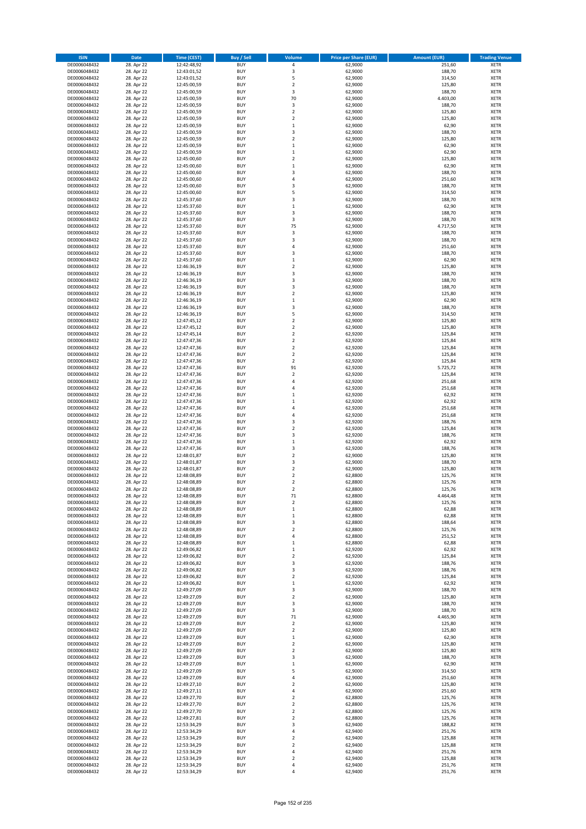| <b>ISIN</b>                  | <b>Date</b>              | <b>Time (CEST)</b>         | <b>Buy / Sell</b>        | Volume                                 | <b>Price per Share (EUR)</b> | <b>Amount (EUR)</b> | <b>Trading Venue</b>       |
|------------------------------|--------------------------|----------------------------|--------------------------|----------------------------------------|------------------------------|---------------------|----------------------------|
| DE0006048432                 | 28. Apr 22               | 12:42:48,92                | <b>BUY</b>               | 4                                      | 62,9000                      | 251,60              | <b>XETR</b>                |
| DE0006048432                 | 28. Apr 22               | 12:43:01,52                | <b>BUY</b>               | 3                                      | 62,9000                      | 188,70              | <b>XETR</b>                |
| DE0006048432                 | 28. Apr 22               | 12:43:01,52                | <b>BUY</b>               | 5                                      | 62,9000                      | 314,50              | <b>XETR</b>                |
| DE0006048432<br>DE0006048432 | 28. Apr 22               | 12:45:00,59                | <b>BUY</b><br><b>BUY</b> | $\mathbf 2$<br>3                       | 62,9000                      | 125,80<br>188,70    | <b>XETR</b><br><b>XETR</b> |
| DE0006048432                 | 28. Apr 22<br>28. Apr 22 | 12:45:00,59<br>12:45:00,59 | <b>BUY</b>               | 70                                     | 62,9000<br>62,9000           | 4.403,00            | <b>XETR</b>                |
| DE0006048432                 | 28. Apr 22               | 12:45:00,59                | <b>BUY</b>               | 3                                      | 62,9000                      | 188,70              | <b>XETR</b>                |
| DE0006048432                 | 28. Apr 22               | 12:45:00,59                | <b>BUY</b>               | $\overline{\mathbf{c}}$                | 62,9000                      | 125,80              | <b>XETR</b>                |
| DE0006048432                 | 28. Apr 22               | 12:45:00,59                | <b>BUY</b>               | $\overline{2}$                         | 62,9000                      | 125,80              | <b>XETR</b>                |
| DE0006048432                 | 28. Apr 22               | 12:45:00,59                | <b>BUY</b>               | $\mathbf 1$                            | 62,9000                      | 62,90               | <b>XETR</b>                |
| DE0006048432                 | 28. Apr 22               | 12:45:00,59                | <b>BUY</b>               | 3                                      | 62,9000                      | 188,70              | <b>XETR</b>                |
| DE0006048432                 | 28. Apr 22<br>28. Apr 22 | 12:45:00,59                | <b>BUY</b><br><b>BUY</b> | $\overline{\mathbf{c}}$<br>$\mathbf 1$ | 62,9000                      | 125,80              | <b>XETR</b><br><b>XETR</b> |
| DE0006048432<br>DE0006048432 | 28. Apr 22               | 12:45:00,59<br>12:45:00,59 | <b>BUY</b>               | $\mathbf 1$                            | 62,9000<br>62,9000           | 62,90<br>62,90      | <b>XETR</b>                |
| DE0006048432                 | 28. Apr 22               | 12:45:00,60                | <b>BUY</b>               | $\overline{\mathbf{c}}$                | 62,9000                      | 125,80              | <b>XETR</b>                |
| DE0006048432                 | 28. Apr 22               | 12:45:00,60                | <b>BUY</b>               | $\mathbf 1$                            | 62,9000                      | 62,90               | <b>XETR</b>                |
| DE0006048432                 | 28. Apr 22               | 12:45:00,60                | <b>BUY</b>               | 3                                      | 62,9000                      | 188,70              | <b>XETR</b>                |
| DE0006048432                 | 28. Apr 22               | 12:45:00,60                | <b>BUY</b>               | 4                                      | 62,9000                      | 251,60              | <b>XETR</b>                |
| DE0006048432                 | 28. Apr 22               | 12:45:00,60                | <b>BUY</b>               | 3                                      | 62,9000                      | 188,70              | <b>XETR</b>                |
| DE0006048432                 | 28. Apr 22               | 12:45:00,60                | <b>BUY</b>               | 5                                      | 62,9000                      | 314,50              | <b>XETR</b>                |
| DE0006048432                 | 28. Apr 22               | 12:45:37,60                | <b>BUY</b>               | 3                                      | 62,9000                      | 188,70              | <b>XETR</b>                |
| DE0006048432<br>DE0006048432 | 28. Apr 22<br>28. Apr 22 | 12:45:37,60<br>12:45:37,60 | <b>BUY</b><br><b>BUY</b> | $\mathbf 1$<br>3                       | 62,9000<br>62,9000           | 62,90<br>188,70     | <b>XETR</b><br><b>XETR</b> |
| DE0006048432                 | 28. Apr 22               | 12:45:37,60                | <b>BUY</b>               | 3                                      | 62,9000                      | 188,70              | <b>XETR</b>                |
| DE0006048432                 | 28. Apr 22               | 12:45:37,60                | <b>BUY</b>               | 75                                     | 62,9000                      | 4.717,50            | <b>XETR</b>                |
| DE0006048432                 | 28. Apr 22               | 12:45:37,60                | <b>BUY</b>               | 3                                      | 62,9000                      | 188,70              | <b>XETR</b>                |
| DE0006048432                 | 28. Apr 22               | 12:45:37,60                | <b>BUY</b>               | 3                                      | 62,9000                      | 188,70              | <b>XETR</b>                |
| DE0006048432                 | 28. Apr 22               | 12:45:37,60                | <b>BUY</b>               | 4                                      | 62,9000                      | 251,60              | <b>XETR</b>                |
| DE0006048432                 | 28. Apr 22               | 12:45:37,60                | <b>BUY</b>               | 3                                      | 62,9000                      | 188,70              | <b>XETR</b>                |
| DE0006048432<br>DE0006048432 | 28. Apr 22<br>28. Apr 22 | 12:45:37,60<br>12:46:36,19 | <b>BUY</b><br><b>BUY</b> | $\mathbf 1$<br>$\overline{a}$          | 62,9000<br>62,9000           | 62,90<br>125,80     | <b>XETR</b><br><b>XETR</b> |
| DE0006048432                 | 28. Apr 22               | 12:46:36,19                | <b>BUY</b>               | 3                                      | 62,9000                      | 188,70              | <b>XETR</b>                |
| DE0006048432                 | 28. Apr 22               | 12:46:36,19                | <b>BUY</b>               | 3                                      | 62,9000                      | 188,70              | <b>XETR</b>                |
| DE0006048432                 | 28. Apr 22               | 12:46:36,19                | <b>BUY</b>               | 3                                      | 62,9000                      | 188,70              | <b>XETR</b>                |
| DE0006048432                 | 28. Apr 22               | 12:46:36,19                | <b>BUY</b>               | $\overline{\mathbf{c}}$                | 62,9000                      | 125,80              | <b>XETR</b>                |
| DE0006048432                 | 28. Apr 22               | 12:46:36,19                | <b>BUY</b>               | $\mathbf 1$                            | 62,9000                      | 62,90               | <b>XETR</b>                |
| DE0006048432                 | 28. Apr 22               | 12:46:36,19                | <b>BUY</b>               | 3                                      | 62,9000                      | 188,70              | <b>XETR</b>                |
| DE0006048432                 | 28. Apr 22               | 12:46:36,19                | <b>BUY</b>               | 5                                      | 62,9000                      | 314,50              | <b>XETR</b>                |
| DE0006048432                 | 28. Apr 22<br>28. Apr 22 | 12:47:45,12                | <b>BUY</b><br><b>BUY</b> | $\overline{\mathbf{c}}$<br>$\mathbf 2$ | 62,9000<br>62,9000           | 125,80<br>125,80    | <b>XETR</b><br><b>XETR</b> |
| DE0006048432<br>DE0006048432 | 28. Apr 22               | 12:47:45,12<br>12:47:45,14 | <b>BUY</b>               | $\overline{\mathbf{c}}$                | 62,9200                      | 125,84              | <b>XETR</b>                |
| DE0006048432                 | 28. Apr 22               | 12:47:47,36                | <b>BUY</b>               | $\mathbf 2$                            | 62,9200                      | 125,84              | <b>XETR</b>                |
| DE0006048432                 | 28. Apr 22               | 12:47:47,36                | <b>BUY</b>               | $\mathbf 2$                            | 62,9200                      | 125,84              | <b>XETR</b>                |
| DE0006048432                 | 28. Apr 22               | 12:47:47,36                | <b>BUY</b>               | $\overline{\mathbf{c}}$                | 62,9200                      | 125,84              | <b>XETR</b>                |
| DE0006048432                 | 28. Apr 22               | 12:47:47,36                | <b>BUY</b>               | $\mathbf 2$                            | 62,9200                      | 125,84              | <b>XETR</b>                |
| DE0006048432                 | 28. Apr 22               | 12:47:47,36                | <b>BUY</b>               | 91                                     | 62,9200                      | 5.725,72            | <b>XETR</b>                |
| DE0006048432                 | 28. Apr 22               | 12:47:47,36                | <b>BUY</b>               | $\mathbf 2$                            | 62,9200                      | 125,84              | <b>XETR</b>                |
| DE0006048432<br>DE0006048432 | 28. Apr 22<br>28. Apr 22 | 12:47:47,36<br>12:47:47,36 | <b>BUY</b><br><b>BUY</b> | 4<br>4                                 | 62,9200<br>62,9200           | 251,68<br>251,68    | <b>XETR</b><br><b>XETR</b> |
| DE0006048432                 | 28. Apr 22               | 12:47:47,36                | <b>BUY</b>               | $\mathbf 1$                            | 62,9200                      | 62,92               | <b>XETR</b>                |
| DE0006048432                 | 28. Apr 22               | 12:47:47,36                | <b>BUY</b>               | $\mathbf{1}$                           | 62,9200                      | 62,92               | <b>XETR</b>                |
| DE0006048432                 | 28. Apr 22               | 12:47:47,36                | <b>BUY</b>               | 4                                      | 62,9200                      | 251,68              | <b>XETR</b>                |
| DE0006048432                 | 28. Apr 22               | 12:47:47,36                | <b>BUY</b>               | 4                                      | 62,9200                      | 251,68              | <b>XETR</b>                |
| DE0006048432                 | 28. Apr 22               | 12:47:47,36                | <b>BUY</b>               | 3                                      | 62,9200                      | 188,76              | <b>XETR</b>                |
| DE0006048432                 | 28. Apr 22               | 12:47:47,36                | <b>BUY</b>               | $\overline{\mathbf{c}}$                | 62,9200                      | 125,84              | <b>XETR</b>                |
| DE0006048432                 | 28. Apr 22               | 12:47:47,36                | <b>BUY</b>               | 3                                      | 62,9200                      | 188,76              | <b>XETR</b>                |
| DE0006048432<br>DE0006048432 | 28. Apr 22<br>28. Apr 22 | 12:47:47,36<br>12:47:47,36 | <b>BUY</b><br><b>BUY</b> | $\mathbf 1$<br>3                       | 62,9200<br>62,9200           | 62,92<br>188,76     | <b>XETR</b><br><b>XETR</b> |
| DE0006048432                 | 28. Apr 22               | 12:48:01,87                | <b>BUY</b>               | $\overline{\mathbf{c}}$                | 62,9000                      | 125,80              | <b>XETR</b>                |
| DE0006048432                 | 28. Apr 22               | 12:48:01,87                | <b>BUY</b>               | 3                                      | 62,9000                      | 188,70              | <b>XETR</b>                |
| DE0006048432                 | 28. Apr 22               | 12:48:01,87                | <b>BUY</b>               | $\mathbf 2$                            | 62,9000                      | 125,80              | <b>XETR</b>                |
| DE0006048432                 | 28. Apr 22               | 12:48:08,89                | <b>BUY</b>               | $\overline{\mathbf{c}}$                | 62,8800                      | 125,76              | <b>XETR</b>                |
| DE0006048432                 | 28. Apr 22               | 12:48:08,89                | <b>BUY</b>               | $\overline{\mathbf{c}}$                | 62,8800                      | 125,76              | <b>XETR</b>                |
| DE0006048432                 | 28. Apr 22               | 12:48:08,89                | <b>BUY</b>               | $\overline{2}$                         | 62,8800                      | 125,76              | <b>XETR</b>                |
| DE0006048432<br>DE0006048432 | 28. Apr 22<br>28. Apr 22 | 12:48:08,89<br>12:48:08,89 | BUY<br><b>BUY</b>        | 71<br>2                                | 62,8800<br>62,8800           | 4.464,48<br>125,76  | <b>XETR</b><br><b>XETR</b> |
| DE0006048432                 | 28. Apr 22               | 12:48:08,89                | <b>BUY</b>               | $\mathbf 1$                            | 62,8800                      | 62,88               | <b>XETR</b>                |
| DE0006048432                 | 28. Apr 22               | 12:48:08,89                | <b>BUY</b>               | $\mathbf 1$                            | 62,8800                      | 62,88               | XETR                       |
| DE0006048432                 | 28. Apr 22               | 12:48:08,89                | <b>BUY</b>               | 3                                      | 62,8800                      | 188,64              | <b>XETR</b>                |
| DE0006048432                 | 28. Apr 22               | 12:48:08,89                | <b>BUY</b>               | $\mathbf 2$                            | 62,8800                      | 125,76              | <b>XETR</b>                |
| DE0006048432                 | 28. Apr 22               | 12:48:08,89                | <b>BUY</b>               | 4                                      | 62,8800                      | 251,52              | <b>XETR</b>                |
| DE0006048432<br>DE0006048432 | 28. Apr 22<br>28. Apr 22 | 12:48:08,89<br>12:49:06,82 | <b>BUY</b><br><b>BUY</b> | $\mathbf 1$<br>$\mathbf 1$             | 62,8800<br>62,9200           | 62,88<br>62,92      | <b>XETR</b><br><b>XETR</b> |
| DE0006048432                 | 28. Apr 22               | 12:49:06,82                | <b>BUY</b>               | $\mathbf 2$                            | 62,9200                      | 125,84              | <b>XETR</b>                |
| DE0006048432                 | 28. Apr 22               | 12:49:06,82                | <b>BUY</b>               | 3                                      | 62,9200                      | 188,76              | <b>XETR</b>                |
| DE0006048432                 | 28. Apr 22               | 12:49:06,82                | <b>BUY</b>               | 3                                      | 62,9200                      | 188,76              | <b>XETR</b>                |
| DE0006048432                 | 28. Apr 22               | 12:49:06,82                | <b>BUY</b>               | $\mathbf 2$                            | 62,9200                      | 125,84              | <b>XETR</b>                |
| DE0006048432                 | 28. Apr 22               | 12:49:06,82                | <b>BUY</b>               | $\mathbf 1$                            | 62,9200                      | 62,92               | <b>XETR</b>                |
| DE0006048432                 | 28. Apr 22               | 12:49:27,09                | <b>BUY</b>               | 3                                      | 62,9000                      | 188,70              | <b>XETR</b>                |
| DE0006048432<br>DE0006048432 | 28. Apr 22<br>28. Apr 22 | 12:49:27,09<br>12:49:27,09 | <b>BUY</b><br><b>BUY</b> | $\mathbf 2$<br>3                       | 62,9000<br>62,9000           | 125,80<br>188,70    | <b>XETR</b><br><b>XETR</b> |
| DE0006048432                 | 28. Apr 22               | 12:49:27,09                | <b>BUY</b>               | 3                                      | 62,9000                      | 188,70              | <b>XETR</b>                |
| DE0006048432                 | 28. Apr 22               | 12:49:27,09                | <b>BUY</b>               | 71                                     | 62,9000                      | 4.465,90            | XETR                       |
| DE0006048432                 | 28. Apr 22               | 12:49:27,09                | <b>BUY</b>               | $\mathbf 2$                            | 62,9000                      | 125,80              | <b>XETR</b>                |
| DE0006048432                 | 28. Apr 22               | 12:49:27,09                | <b>BUY</b>               | $\overline{\mathbf{c}}$                | 62,9000                      | 125,80              | <b>XETR</b>                |
| DE0006048432                 | 28. Apr 22               | 12:49:27,09                | <b>BUY</b>               | $\mathbf 1$                            | 62,9000                      | 62,90               | <b>XETR</b>                |
| DE0006048432                 | 28. Apr 22               | 12:49:27,09                | <b>BUY</b><br><b>BUY</b> | $\overline{\mathbf{c}}$                | 62,9000                      | 125,80              | <b>XETR</b>                |
| DE0006048432<br>DE0006048432 | 28. Apr 22<br>28. Apr 22 | 12:49:27,09<br>12:49:27,09 | <b>BUY</b>               | $\mathbf 2$<br>3                       | 62,9000<br>62,9000           | 125,80<br>188,70    | <b>XETR</b><br><b>XETR</b> |
| DE0006048432                 | 28. Apr 22               | 12:49:27,09                | <b>BUY</b>               | $\mathbf 1$                            | 62,9000                      | 62,90               | <b>XETR</b>                |
| DE0006048432                 | 28. Apr 22               | 12:49:27,09                | <b>BUY</b>               | 5                                      | 62,9000                      | 314,50              | <b>XETR</b>                |
| DE0006048432                 | 28. Apr 22               | 12:49:27,09                | <b>BUY</b>               | 4                                      | 62,9000                      | 251,60              | <b>XETR</b>                |
| DE0006048432                 | 28. Apr 22               | 12:49:27,10                | <b>BUY</b>               | $\mathbf 2$                            | 62,9000                      | 125,80              | <b>XETR</b>                |
| DE0006048432                 | 28. Apr 22               | 12:49:27,11                | <b>BUY</b>               | 4                                      | 62,9000                      | 251,60              | <b>XETR</b>                |
| DE0006048432                 | 28. Apr 22               | 12:49:27,70                | <b>BUY</b>               | $\mathbf 2$                            | 62,8800                      | 125,76              | <b>XETR</b>                |
| DE0006048432<br>DE0006048432 | 28. Apr 22<br>28. Apr 22 | 12:49:27,70                | <b>BUY</b><br><b>BUY</b> | $\mathbf 2$<br>$\mathbf 2$             | 62,8800<br>62,8800           | 125,76<br>125,76    | <b>XETR</b><br><b>XETR</b> |
| DE0006048432                 | 28. Apr 22               | 12:49:27,70<br>12:49:27,81 | <b>BUY</b>               | $\mathbf 2$                            | 62,8800                      | 125,76              | <b>XETR</b>                |
| DE0006048432                 | 28. Apr 22               | 12:53:34,29                | <b>BUY</b>               | 3                                      | 62,9400                      | 188,82              | <b>XETR</b>                |
| DE0006048432                 | 28. Apr 22               | 12:53:34,29                | <b>BUY</b>               | 4                                      | 62,9400                      | 251,76              | <b>XETR</b>                |
| DE0006048432                 | 28. Apr 22               | 12:53:34,29                | <b>BUY</b>               | $\overline{\mathbf{c}}$                | 62,9400                      | 125,88              | <b>XETR</b>                |
| DE0006048432                 | 28. Apr 22               | 12:53:34,29                | <b>BUY</b>               | $\mathbf 2$                            | 62,9400                      | 125,88              | <b>XETR</b>                |
| DE0006048432                 | 28. Apr 22               | 12:53:34,29                | <b>BUY</b>               | 4                                      | 62,9400                      | 251,76              | <b>XETR</b>                |
| DE0006048432<br>DE0006048432 | 28. Apr 22<br>28. Apr 22 | 12:53:34,29<br>12:53:34,29 | <b>BUY</b><br><b>BUY</b> | $\mathbf 2$<br>4                       | 62,9400<br>62,9400           | 125,88<br>251,76    | <b>XETR</b><br><b>XETR</b> |
| DE0006048432                 | 28. Apr 22               | 12:53:34,29                | <b>BUY</b>               | 4                                      | 62,9400                      | 251,76              | <b>XETR</b>                |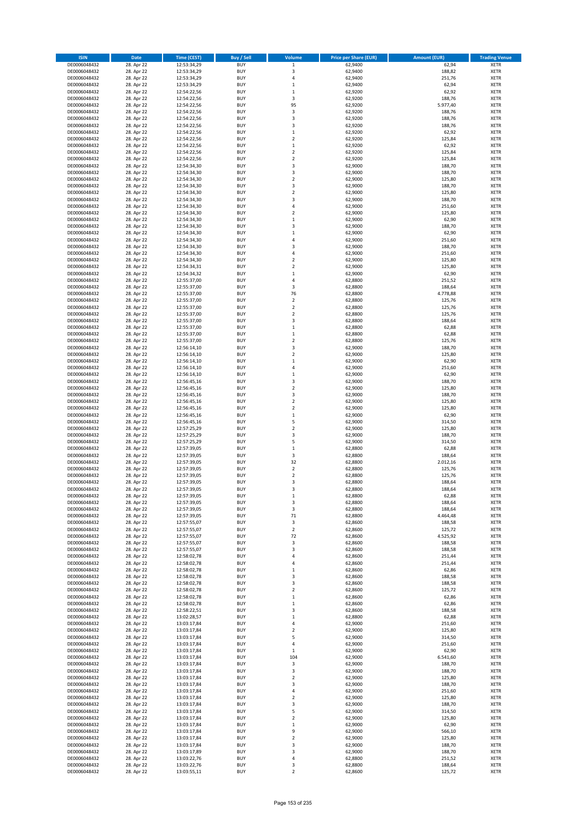| <b>ISIN</b>                  | <b>Date</b>              | Time (CEST)                | <b>Buy / Sell</b>        | Volume                                    | <b>Price per Share (EUR)</b> | <b>Amount (EUR)</b> | <b>Trading Venue</b>       |
|------------------------------|--------------------------|----------------------------|--------------------------|-------------------------------------------|------------------------------|---------------------|----------------------------|
| DE0006048432                 | 28. Apr 22               | 12:53:34,29                | <b>BUY</b>               | $\,$ 1 $\,$                               | 62,9400                      | 62,94               | <b>XETR</b>                |
| DE0006048432                 | 28. Apr 22               | 12:53:34,29                | <b>BUY</b>               | 3                                         | 62,9400                      | 188,82              | <b>XETR</b>                |
| DE0006048432                 | 28. Apr 22               | 12:53:34,29                | <b>BUY</b>               | $\overline{4}$                            | 62,9400                      | 251,76              | <b>XETR</b>                |
| DE0006048432                 | 28. Apr 22               | 12:53:34,29                | <b>BUY</b>               | $\,$ 1                                    | 62,9400                      | 62,94               | <b>XETR</b>                |
| DE0006048432<br>DE0006048432 | 28. Apr 22<br>28. Apr 22 | 12:54:22,56<br>12:54:22,56 | <b>BUY</b><br><b>BUY</b> | $\,1\,$<br>$\mathsf 3$                    | 62,9200<br>62,9200           | 62,92<br>188,76     | <b>XETR</b><br><b>XETR</b> |
| DE0006048432                 | 28. Apr 22               | 12:54:22,56                | <b>BUY</b>               | 95                                        | 62,9200                      | 5.977,40            | <b>XETR</b>                |
| DE0006048432                 | 28. Apr 22               | 12:54:22,56                | <b>BUY</b>               | 3                                         | 62,9200                      | 188,76              | <b>XETR</b>                |
| DE0006048432                 | 28. Apr 22               | 12:54:22,56                | BUY                      | $\overline{3}$                            | 62,9200                      | 188,76              | <b>XETR</b>                |
| DE0006048432                 | 28. Apr 22               | 12:54:22,56                | <b>BUY</b>               | 3                                         | 62,9200                      | 188,76              | <b>XETR</b>                |
| DE0006048432                 | 28. Apr 22               | 12:54:22,56                | <b>BUY</b>               | $\,$ 1                                    | 62,9200                      | 62,92               | <b>XETR</b>                |
| DE0006048432                 | 28. Apr 22               | 12:54:22,56                | <b>BUY</b><br><b>BUY</b> | $\overline{2}$                            | 62,9200                      | 125,84              | <b>XETR</b>                |
| DE0006048432<br>DE0006048432 | 28. Apr 22<br>28. Apr 22 | 12:54:22,56<br>12:54:22,56 | <b>BUY</b>               | $\,1\,$<br>$\overline{2}$                 | 62,9200<br>62,9200           | 62,92<br>125,84     | <b>XETR</b><br><b>XETR</b> |
| DE0006048432                 | 28. Apr 22               | 12:54:22,56                | <b>BUY</b>               | $\overline{2}$                            | 62,9200                      | 125,84              | <b>XETR</b>                |
| DE0006048432                 | 28. Apr 22               | 12:54:34,30                | BUY                      | $\overline{3}$                            | 62,9000                      | 188,70              | <b>XETR</b>                |
| DE0006048432                 | 28. Apr 22               | 12:54:34,30                | <b>BUY</b>               | 3                                         | 62,9000                      | 188,70              | <b>XETR</b>                |
| DE0006048432                 | 28. Apr 22               | 12:54:34,30                | <b>BUY</b>               | $\overline{2}$                            | 62,9000                      | 125,80              | <b>XETR</b>                |
| DE0006048432                 | 28. Apr 22               | 12:54:34,30                | <b>BUY</b>               | 3                                         | 62.9000                      | 188,70              | <b>XETR</b>                |
| DE0006048432<br>DE0006048432 | 28. Apr 22<br>28. Apr 22 | 12:54:34,30<br>12:54:34,30 | <b>BUY</b><br><b>BUY</b> | $\overline{2}$<br>$\overline{\mathbf{3}}$ | 62,9000<br>62,9000           | 125,80<br>188,70    | <b>XETR</b><br><b>XETR</b> |
| DE0006048432                 | 28. Apr 22               | 12:54:34,30                | <b>BUY</b>               | 4                                         | 62,9000                      | 251,60              | <b>XETR</b>                |
| DE0006048432                 | 28. Apr 22               | 12:54:34,30                | <b>BUY</b>               | $\overline{2}$                            | 62,9000                      | 125,80              | <b>XETR</b>                |
| DE0006048432                 | 28. Apr 22               | 12:54:34,30                | <b>BUY</b>               | $\,1\,$                                   | 62,9000                      | 62,90               | <b>XETR</b>                |
| DE0006048432                 | 28. Apr 22               | 12:54:34,30                | <b>BUY</b>               | $\overline{\mathbf{3}}$                   | 62,9000                      | 188,70              | <b>XETR</b>                |
| DE0006048432                 | 28. Apr 22               | 12:54:34,30                | <b>BUY</b>               | $\mathbf{1}$                              | 62,9000                      | 62,90               | <b>XETR</b>                |
| DE0006048432                 | 28. Apr 22               | 12:54:34,30                | <b>BUY</b><br><b>BUY</b> | $\overline{a}$<br>$\overline{\mathbf{3}}$ | 62,9000                      | 251,60              | <b>XETR</b><br><b>XETR</b> |
| DE0006048432<br>DE0006048432 | 28. Apr 22<br>28. Apr 22 | 12:54:34,30<br>12:54:34,30 | <b>BUY</b>               | 4                                         | 62,9000<br>62,9000           | 188,70<br>251,60    | <b>XETR</b>                |
| DE0006048432                 | 28. Apr 22               | 12:54:34,30                | <b>BUY</b>               | $\overline{2}$                            | 62,9000                      | 125,80              | <b>XETR</b>                |
| DE0006048432                 | 28. Apr 22               | 12:54:34,31                | <b>BUY</b>               | $\overline{2}$                            | 62,9000                      | 125,80              | <b>XETR</b>                |
| DE0006048432                 | 28. Apr 22               | 12:54:34,32                | <b>BUY</b>               | $\mathbf{1}$                              | 62,9000                      | 62,90               | <b>XETR</b>                |
| DE0006048432                 | 28. Apr 22               | 12:55:37,00                | <b>BUY</b>               | 4                                         | 62,8800                      | 251,52              | <b>XETR</b>                |
| DE0006048432                 | 28. Apr 22               | 12:55:37,00                | <b>BUY</b>               | $\overline{\mathbf{3}}$                   | 62,8800                      | 188,64              | <b>XETR</b>                |
| DE0006048432<br>DE0006048432 | 28. Apr 22<br>28. Apr 22 | 12:55:37,00<br>12:55:37,00 | <b>BUY</b><br><b>BUY</b> | 76<br>$\mathbf 2$                         | 62,8800<br>62,8800           | 4.778,88<br>125,76  | <b>XETR</b><br><b>XETR</b> |
| DE0006048432                 | 28. Apr 22               | 12:55:37,00                | <b>BUY</b>               | $\overline{2}$                            | 62,8800                      | 125,76              | <b>XETR</b>                |
| DE0006048432                 | 28. Apr 22               | 12:55:37,00                | <b>BUY</b>               | $\mathbf 2$                               | 62,8800                      | 125,76              | <b>XETR</b>                |
| DE0006048432                 | 28. Apr 22               | 12:55:37,00                | <b>BUY</b>               | 3                                         | 62,8800                      | 188,64              | <b>XETR</b>                |
| DE0006048432                 | 28. Apr 22               | 12:55:37,00                | <b>BUY</b>               | $\mathbf 1$                               | 62,8800                      | 62,88               | <b>XETR</b>                |
| DE0006048432                 | 28. Apr 22               | 12:55:37,00                | <b>BUY</b>               | $\,1\,$                                   | 62,8800                      | 62,88               | <b>XETR</b>                |
| DE0006048432                 | 28. Apr 22               | 12:55:37,00                | <b>BUY</b><br><b>BUY</b> | $\overline{2}$<br>3                       | 62,8800                      | 125,76<br>188,70    | <b>XETR</b>                |
| DE0006048432<br>DE0006048432 | 28. Apr 22<br>28. Apr 22 | 12:56:14,10<br>12:56:14,10 | <b>BUY</b>               | $\overline{2}$                            | 62,9000<br>62,9000           | 125,80              | <b>XETR</b><br><b>XETR</b> |
| DE0006048432                 | 28. Apr 22               | 12:56:14,10                | <b>BUY</b>               | $\mathbf{1}$                              | 62,9000                      | 62,90               | <b>XETR</b>                |
| DE0006048432                 | 28. Apr 22               | 12:56:14,10                | <b>BUY</b>               | $\overline{4}$                            | 62,9000                      | 251,60              | <b>XETR</b>                |
| DE0006048432                 | 28. Apr 22               | 12:56:14,10                | <b>BUY</b>               | $\mathbf{1}$                              | 62,9000                      | 62,90               | <b>XETR</b>                |
| DE0006048432                 | 28. Apr 22               | 12:56:45,16                | <b>BUY</b>               | $\overline{\mathbf{3}}$                   | 62,9000                      | 188,70              | <b>XETR</b>                |
| DE0006048432<br>DE0006048432 | 28. Apr 22               | 12:56:45,16                | <b>BUY</b><br><b>BUY</b> | $\overline{2}$<br>3                       | 62,9000<br>62,9000           | 125,80<br>188,70    | <b>XETR</b><br><b>XETR</b> |
| DE0006048432                 | 28. Apr 22<br>28. Apr 22 | 12:56:45,16<br>12:56:45,16 | <b>BUY</b>               | $\overline{2}$                            | 62,9000                      | 125,80              | <b>XETR</b>                |
| DE0006048432                 | 28. Apr 22               | 12:56:45,16                | <b>BUY</b>               | $\overline{2}$                            | 62,9000                      | 125,80              | <b>XETR</b>                |
| DE0006048432                 | 28. Apr 22               | 12:56:45,16                | <b>BUY</b>               | $\mathbf 1$                               | 62,9000                      | 62,90               | <b>XETR</b>                |
| DE0006048432                 | 28. Apr 22               | 12:56:45,16                | <b>BUY</b>               | 5                                         | 62,9000                      | 314,50              | <b>XETR</b>                |
| DE0006048432                 | 28. Apr 22               | 12:57:25,29                | <b>BUY</b>               | $\overline{2}$                            | 62,9000                      | 125,80              | <b>XETR</b>                |
| DE0006048432                 | 28. Apr 22               | 12:57:25,29                | <b>BUY</b>               | $\overline{\mathbf{3}}$                   | 62,9000                      | 188,70              | <b>XETR</b>                |
| DE0006048432<br>DE0006048432 | 28. Apr 22<br>28. Apr 22 | 12:57:25,29<br>12:57:39,05 | <b>BUY</b><br><b>BUY</b> | 5<br>$\mathbf{1}$                         | 62,9000<br>62,8800           | 314,50<br>62,88     | <b>XETR</b><br><b>XETR</b> |
| DE0006048432                 | 28. Apr 22               | 12:57:39,05                | BUY                      | 3                                         | 62,8800                      | 188,64              | <b>XETR</b>                |
| DE0006048432                 | 28. Apr 22               | 12:57:39,05                | <b>BUY</b>               | 32                                        | 62,8800                      | 2.012,16            | <b>XETR</b>                |
| DE0006048432                 | 28. Apr 22               | 12:57:39,05                | <b>BUY</b>               | $\mathbf 2$                               | 62,8800                      | 125,76              | <b>XETR</b>                |
| DE0006048432                 | 28. Apr 22               | 12:57:39,05                | BUY                      | $\overline{2}$                            | 62,8800                      | 125,76              | <b>XETR</b>                |
| DE0006048432                 | 28. Apr 22               | 12:57:39,05                | BUY                      | $\overline{\mathbf{3}}$                   | 62,8800                      | 188,64              | <b>XETR</b>                |
| DE0006048432<br>DE0006048432 | 28. Apr 22<br>28. Apr 22 | 12:57:39,05<br>12:57:39,05 | <b>BUY</b><br>BUY        | $\overline{3}$<br>1                       | 62,8800<br>62,8800           | 188,64<br>62,88     | <b>XETR</b><br><b>XETR</b> |
| DE0006048432                 | 28. Apr 22               | 12:57:39,05                | <b>BUY</b>               | 3                                         | 62,8800                      | 188,64              | <b>XETR</b>                |
| DE0006048432                 | 28. Apr 22               | 12:57:39,05                | <b>BUY</b>               | 3                                         | 62,8800                      | 188,64              | <b>XETR</b>                |
| DE0006048432                 | 28. Apr 22               | 12:57:39,05                | <b>BUY</b>               | $71\,$                                    | 62,8800                      | 4.464,48            | <b>XETR</b>                |
| DE0006048432                 | 28. Apr 22               | 12:57:55,07                | <b>BUY</b>               | 3                                         | 62,8600                      | 188,58              | <b>XETR</b>                |
| DE0006048432                 | 28. Apr 22               | 12:57:55,07                | <b>BUY</b><br><b>BUY</b> | $\mathbf 2$<br>72                         | 62,8600                      | 125,72              | <b>XETR</b>                |
| DE0006048432                 | 28. Apr 22<br>28. Apr 22 | 12:57:55,07                | <b>BUY</b>               | 3                                         | 62,8600<br>62,8600           | 4.525,92<br>188,58  | <b>XETR</b>                |
| DE0006048432<br>DE0006048432 | 28. Apr 22               | 12:57:55,07<br>12:57:55,07 | <b>BUY</b>               | $\overline{\mathbf{3}}$                   | 62,8600                      | 188,58              | <b>XETR</b><br><b>XETR</b> |
| DE0006048432                 | 28. Apr 22               | 12:58:02,78                | <b>BUY</b>               | 4                                         | 62,8600                      | 251,44              | <b>XETR</b>                |
| DE0006048432                 | 28. Apr 22               | 12:58:02,78                | <b>BUY</b>               | 4                                         | 62,8600                      | 251,44              | <b>XETR</b>                |
| DE0006048432                 | 28. Apr 22               | 12:58:02,78                | <b>BUY</b>               | $\mathbf{1}$                              | 62,8600                      | 62,86               | <b>XETR</b>                |
| DE0006048432                 | 28. Apr 22<br>28. Apr 22 | 12:58:02,78<br>12:58:02,78 | <b>BUY</b><br><b>BUY</b> | 3<br>3                                    | 62,8600                      | 188,58              | <b>XETR</b>                |
| DE0006048432<br>DE0006048432 | 28. Apr 22               | 12:58:02,78                | <b>BUY</b>               | 2                                         | 62,8600<br>62,8600           | 188,58<br>125,72    | <b>XETR</b><br><b>XETR</b> |
| DE0006048432                 | 28. Apr 22               | 12:58:02,78                | <b>BUY</b>               | $\mathbf{1}$                              | 62,8600                      | 62,86               | <b>XETR</b>                |
| DE0006048432                 | 28. Apr 22               | 12:58:02,78                | <b>BUY</b>               | $\mathbf 1$                               | 62,8600                      | 62,86               | <b>XETR</b>                |
| DE0006048432                 | 28. Apr 22               | 12:58:22,51                | <b>BUY</b>               | 3                                         | 62,8600                      | 188,58              | <b>XETR</b>                |
| DE0006048432                 | 28. Apr 22               | 13:02:28,57                | <b>BUY</b>               | $\mathbf 1$                               | 62,8800                      | 62,88               | <b>XETR</b>                |
| DE0006048432                 | 28. Apr 22               | 13:03:17,84                | <b>BUY</b>               | 4                                         | 62,9000                      | 251,60              | <b>XETR</b>                |
| DE0006048432<br>DE0006048432 | 28. Apr 22<br>28. Apr 22 | 13:03:17,84<br>13:03:17,84 | <b>BUY</b><br><b>BUY</b> | $\overline{\mathbf{2}}$<br>5              | 62,9000<br>62,9000           | 125,80<br>314,50    | <b>XETR</b><br><b>XETR</b> |
| DE0006048432                 | 28. Apr 22               | 13:03:17,84                | <b>BUY</b>               | 4                                         | 62,9000                      | 251,60              | <b>XETR</b>                |
| DE0006048432                 | 28. Apr 22               | 13:03:17,84                | <b>BUY</b>               | $\mathbf{1}$                              | 62,9000                      | 62,90               | <b>XETR</b>                |
| DE0006048432                 | 28. Apr 22               | 13:03:17,84                | <b>BUY</b>               | 104                                       | 62,9000                      | 6.541,60            | <b>XETR</b>                |
| DE0006048432                 | 28. Apr 22               | 13:03:17,84                | <b>BUY</b>               | 3                                         | 62,9000                      | 188,70              | <b>XETR</b>                |
| DE0006048432                 | 28. Apr 22               | 13:03:17,84                | <b>BUY</b>               | 3                                         | 62,9000                      | 188,70              | <b>XETR</b>                |
| DE0006048432                 | 28. Apr 22<br>28. Apr 22 | 13:03:17,84                | <b>BUY</b><br><b>BUY</b> | $\overline{\mathbf{2}}$<br>3              | 62,9000<br>62,9000           | 125,80<br>188,70    | <b>XETR</b><br><b>XETR</b> |
| DE0006048432<br>DE0006048432 | 28. Apr 22               | 13:03:17,84<br>13:03:17,84 | <b>BUY</b>               | 4                                         | 62,9000                      | 251,60              | <b>XETR</b>                |
| DE0006048432                 | 28. Apr 22               | 13:03:17,84                | <b>BUY</b>               | $\mathbf 2$                               | 62,9000                      | 125,80              | <b>XETR</b>                |
| DE0006048432                 | 28. Apr 22               | 13:03:17,84                | <b>BUY</b>               | 3                                         | 62,9000                      | 188,70              | <b>XETR</b>                |
| DE0006048432                 | 28. Apr 22               | 13:03:17,84                | <b>BUY</b>               | 5                                         | 62,9000                      | 314,50              | <b>XETR</b>                |
| DE0006048432                 | 28. Apr 22               | 13:03:17,84                | <b>BUY</b>               | $\overline{\mathbf{2}}$                   | 62,9000                      | 125,80              | <b>XETR</b>                |
| DE0006048432                 | 28. Apr 22               | 13:03:17,84                | <b>BUY</b>               | $\mathbf{1}$                              | 62,9000                      | 62,90               | <b>XETR</b>                |
| DE0006048432<br>DE0006048432 | 28. Apr 22<br>28. Apr 22 | 13:03:17,84<br>13:03:17,84 | <b>BUY</b><br><b>BUY</b> | 9<br>$\overline{\mathbf{2}}$              | 62,9000<br>62,9000           | 566,10<br>125,80    | <b>XETR</b><br><b>XETR</b> |
| DE0006048432                 | 28. Apr 22               | 13:03:17,84                | <b>BUY</b>               | 3                                         | 62,9000                      | 188,70              | <b>XETR</b>                |
| DE0006048432                 | 28. Apr 22               | 13:03:17,89                | <b>BUY</b>               | 3                                         | 62,9000                      | 188,70              | <b>XETR</b>                |
| DE0006048432                 | 28. Apr 22               | 13:03:22,76                | <b>BUY</b>               | 4                                         | 62,8800                      | 251,52              | <b>XETR</b>                |
| DE0006048432                 | 28. Apr 22               | 13:03:22,76                | <b>BUY</b>               | 3                                         | 62,8800                      | 188,64              | <b>XETR</b>                |
| DE0006048432                 | 28. Apr 22               | 13:03:55,11                | <b>BUY</b>               | $\mathbf 2$                               | 62,8600                      | 125,72              | <b>XETR</b>                |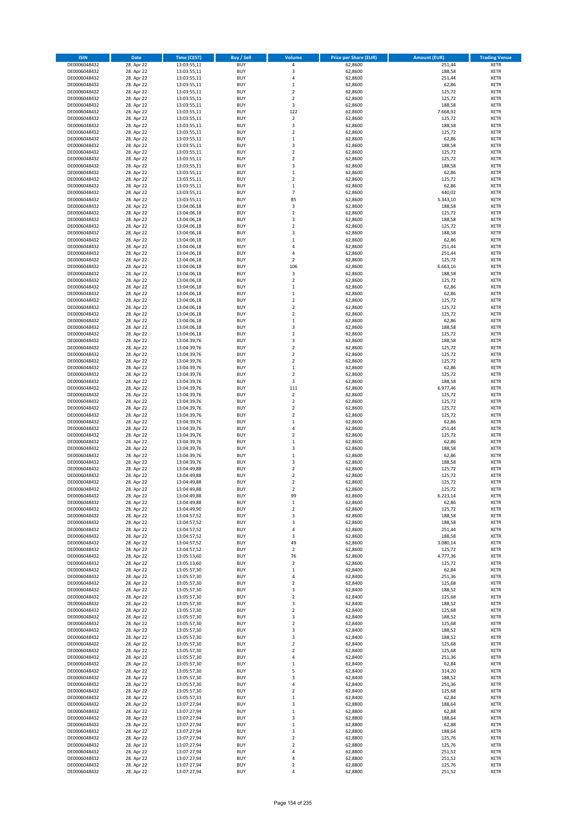| <b>ISIN</b>                  | Date                     | Time (CEST)                | <b>Buy / Sell</b>        | <b>Volume</b>                 | <b>Price per Share (EUR)</b> | <b>Amount (EUR)</b> | <b>Trading Venue</b>       |
|------------------------------|--------------------------|----------------------------|--------------------------|-------------------------------|------------------------------|---------------------|----------------------------|
| DE0006048432                 | 28. Apr 22               | 13:03:55,11                | <b>BUY</b>               | $\pmb{4}$                     | 62,8600                      | 251,44              | <b>XETR</b>                |
| DE0006048432                 | 28. Apr 22               | 13:03:55,11                | <b>BUY</b>               | 3                             | 62,8600                      | 188,58              | XETR                       |
| DE0006048432                 | 28. Apr 22               | 13:03:55,11                | <b>BUY</b>               | 4                             | 62,8600                      | 251,44              | <b>XETR</b>                |
| DE0006048432                 | 28. Apr 22               | 13:03:55,11                | <b>BUY</b>               | $\,$ 1                        | 62,8600                      | 62,86               | XETR                       |
| DE0006048432<br>DE0006048432 | 28. Apr 22<br>28. Apr 22 | 13:03:55,11<br>13:03:55,11 | <b>BUY</b><br><b>BUY</b> | $\overline{2}$<br>$\mathbf 2$ | 62,8600<br>62,8600           | 125,72<br>125,72    | <b>XETR</b><br><b>XETR</b> |
| DE0006048432                 | 28. Apr 22               | 13:03:55,11                | <b>BUY</b>               | 3                             | 62,8600                      | 188,58              | <b>XETR</b>                |
| DE0006048432                 | 28. Apr 22               | 13:03:55,11                | <b>BUY</b>               | 122                           | 62,8600                      | 7.668,92            | <b>XETR</b>                |
| DE0006048432                 | 28. Apr 22               | 13:03:55,11                | <b>BUY</b>               | $\mathbf 2$                   | 62,8600                      | 125,72              | <b>XETR</b>                |
| DE0006048432                 | 28. Apr 22               | 13:03:55,11                | <b>BUY</b>               | 3                             | 62,8600                      | 188,58              | <b>XETR</b>                |
| DE0006048432                 | 28. Apr 22               | 13:03:55,11                | <b>BUY</b>               | $\mathbf 2$                   | 62,8600                      | 125,72              | <b>XETR</b>                |
| DE0006048432                 | 28. Apr 22               | 13:03:55,11                | <b>BUY</b>               | $\,1\,$<br>3                  | 62,8600                      | 62,86               | <b>XETR</b>                |
| DE0006048432<br>DE0006048432 | 28. Apr 22<br>28. Apr 22 | 13:03:55,11<br>13:03:55,11 | <b>BUY</b><br><b>BUY</b> | $\overline{2}$                | 62,8600<br>62,8600           | 188,58<br>125,72    | <b>XETR</b><br><b>XETR</b> |
| DE0006048432                 | 28. Apr 22               | 13:03:55,11                | <b>BUY</b>               | $\mathbf 2$                   | 62,8600                      | 125,72              | <b>XETR</b>                |
| DE0006048432                 | 28. Apr 22               | 13:03:55,11                | <b>BUY</b>               | 3                             | 62,8600                      | 188,58              | <b>XETR</b>                |
| DE0006048432                 | 28. Apr 22               | 13:03:55,11                | <b>BUY</b>               | $\,$ 1                        | 62,8600                      | 62,86               | <b>XETR</b>                |
| DE0006048432                 | 28. Apr 22               | 13:03:55,11                | <b>BUY</b>               | $\overline{2}$                | 62,8600                      | 125,72              | <b>XETR</b>                |
| DE0006048432                 | 28. Apr 22               | 13:03:55,11                | <b>BUY</b>               | $\,1\,$                       | 62,8600                      | 62,86               | <b>XETR</b>                |
| DE0006048432<br>DE0006048432 | 28. Apr 22<br>28. Apr 22 | 13:03:55,11<br>13:03:55,11 | <b>BUY</b><br><b>BUY</b> | $\overline{7}$<br>85          | 62,8600<br>62,8600           | 440,02<br>5.343,10  | <b>XETR</b><br><b>XETR</b> |
| DE0006048432                 | 28. Apr 22               | 13:04:06,18                | <b>BUY</b>               | 3                             | 62,8600                      | 188,58              | <b>XETR</b>                |
| DE0006048432                 | 28. Apr 22               | 13:04:06,18                | <b>BUY</b>               | $\mathbf 2$                   | 62,8600                      | 125,72              | <b>XETR</b>                |
| DE0006048432                 | 28. Apr 22               | 13:04:06,18                | <b>BUY</b>               | 3                             | 62,8600                      | 188,58              | <b>XETR</b>                |
| DE0006048432                 | 28. Apr 22               | 13:04:06,18                | <b>BUY</b>               | $\overline{2}$                | 62,8600                      | 125,72              | <b>XETR</b>                |
| DE0006048432                 | 28. Apr 22               | 13:04:06,18                | <b>BUY</b>               | 3                             | 62,8600                      | 188,58              | <b>XETR</b>                |
| DE0006048432<br>DE0006048432 | 28. Apr 22<br>28. Apr 22 | 13:04:06,18                | <b>BUY</b><br><b>BUY</b> | $\,$ 1 $\,$<br>$\overline{4}$ | 62,8600                      | 62,86               | <b>XETR</b><br><b>XETR</b> |
| DE0006048432                 | 28. Apr 22               | 13:04:06,18<br>13:04:06,18 | <b>BUY</b>               | 4                             | 62,8600<br>62,8600           | 251,44<br>251,44    | <b>XETR</b>                |
| DE0006048432                 | 28. Apr 22               | 13:04:06,18                | <b>BUY</b>               | $\overline{2}$                | 62,8600                      | 125,72              | <b>XETR</b>                |
| DE0006048432                 | 28. Apr 22               | 13:04:06,18                | <b>BUY</b>               | 106                           | 62,8600                      | 6.663,16            | <b>XETR</b>                |
| DE0006048432                 | 28. Apr 22               | 13:04:06,18                | <b>BUY</b>               | 3                             | 62,8600                      | 188,58              | <b>XETR</b>                |
| DE0006048432                 | 28. Apr 22               | 13:04:06,18                | <b>BUY</b>               | $\mathbf 2$                   | 62,8600                      | 125,72              | <b>XETR</b>                |
| DE0006048432                 | 28. Apr 22               | 13:04:06,18                | <b>BUY</b>               | $\,1\,$                       | 62,8600                      | 62,86               | <b>XETR</b>                |
| DE0006048432<br>DE0006048432 | 28. Apr 22<br>28. Apr 22 | 13:04:06,18<br>13:04:06,18 | <b>BUY</b><br><b>BUY</b> | $\,1\,$<br>$\overline{2}$     | 62,8600<br>62,8600           | 62,86<br>125,72     | <b>XETR</b><br><b>XETR</b> |
| DE0006048432                 | 28. Apr 22               | 13:04:06,18                | <b>BUY</b>               | $\overline{2}$                | 62,8600                      | 125,72              | <b>XETR</b>                |
| DE0006048432                 | 28. Apr 22               | 13:04:06,18                | <b>BUY</b>               | $\mathbf 2$                   | 62,8600                      | 125,72              | <b>XETR</b>                |
| DE0006048432                 | 28. Apr 22               | 13:04:06,18                | <b>BUY</b>               | $\,$ 1                        | 62,8600                      | 62,86               | <b>XETR</b>                |
| DE0006048432                 | 28. Apr 22               | 13:04:06,18                | <b>BUY</b>               | $\mathsf 3$                   | 62,8600                      | 188,58              | <b>XETR</b>                |
| DE0006048432                 | 28. Apr 22               | 13:04:06,18                | <b>BUY</b>               | $\mathbf 2$                   | 62,8600                      | 125,72              | <b>XETR</b>                |
| DE0006048432                 | 28. Apr 22<br>28. Apr 22 | 13:04:39,76                | <b>BUY</b><br><b>BUY</b> | 3<br>$\mathbf 2$              | 62,8600<br>62,8600           | 188,58<br>125,72    | <b>XETR</b><br><b>XETR</b> |
| DE0006048432<br>DE0006048432 | 28. Apr 22               | 13:04:39,76<br>13:04:39,76 | <b>BUY</b>               | $\overline{2}$                | 62,8600                      | 125,72              | <b>XETR</b>                |
| DE0006048432                 | 28. Apr 22               | 13:04:39,76                | <b>BUY</b>               | $\mathbf 2$                   | 62,8600                      | 125,72              | <b>XETR</b>                |
| DE0006048432                 | 28. Apr 22               | 13:04:39,76                | <b>BUY</b>               | $\mathbf 1$                   | 62,8600                      | 62,86               | <b>XETR</b>                |
| DE0006048432                 | 28. Apr 22               | 13:04:39,76                | <b>BUY</b>               | $\mathbf 2$                   | 62,8600                      | 125,72              | <b>XETR</b>                |
| DE0006048432                 | 28. Apr 22               | 13:04:39,76                | <b>BUY</b>               | 3                             | 62,8600                      | 188,58              | <b>XETR</b>                |
| DE0006048432<br>DE0006048432 | 28. Apr 22<br>28. Apr 22 | 13:04:39,76<br>13:04:39,76 | <b>BUY</b><br><b>BUY</b> | 111<br>$\mathbf 2$            | 62,8600<br>62,8600           | 6.977,46<br>125,72  | <b>XETR</b><br><b>XETR</b> |
| DE0006048432                 | 28. Apr 22               | 13:04:39,76                | <b>BUY</b>               | $\mathbf 2$                   | 62,8600                      | 125,72              | <b>XETR</b>                |
| DE0006048432                 | 28. Apr 22               | 13:04:39,76                | <b>BUY</b>               | $\mathbf 2$                   | 62,8600                      | 125,72              | <b>XETR</b>                |
| DE0006048432                 | 28. Apr 22               | 13:04:39,76                | <b>BUY</b>               | $\mathbf 2$                   | 62,8600                      | 125,72              | <b>XETR</b>                |
| DE0006048432                 | 28. Apr 22               | 13:04:39,76                | <b>BUY</b>               | $\,1\,$                       | 62,8600                      | 62,86               | <b>XETR</b>                |
| DE0006048432                 | 28. Apr 22               | 13:04:39,76                | <b>BUY</b>               | 4                             | 62,8600                      | 251,44              | <b>XETR</b>                |
| DE0006048432                 | 28. Apr 22               | 13:04:39,76                | <b>BUY</b>               | $\mathbf 2$                   | 62,8600                      | 125,72              | <b>XETR</b>                |
| DE0006048432<br>DE0006048432 | 28. Apr 22<br>28. Apr 22 | 13:04:39,76<br>13:04:39,76 | <b>BUY</b><br><b>BUY</b> | $\,1\,$<br>3                  | 62,8600<br>62,8600           | 62,86<br>188,58     | <b>XETR</b><br><b>XETR</b> |
| DE0006048432                 | 28. Apr 22               | 13:04:39,76                | <b>BUY</b>               | $\,1\,$                       | 62,8600                      | 62,86               | <b>XETR</b>                |
| DE0006048432                 | 28. Apr 22               | 13:04:39,76                | <b>BUY</b>               | 3                             | 62,8600                      | 188,58              | <b>XETR</b>                |
| DE0006048432                 | 28. Apr 22               | 13:04:49,88                | <b>BUY</b>               | $\mathbf 2$                   | 62,8600                      | 125,72              | <b>XETR</b>                |
| DE0006048432                 | 28. Apr 22               | 13:04:49,88                | <b>BUY</b>               | $\overline{2}$                | 62,8600                      | 125,72              | <b>XETR</b>                |
| DE0006048432                 | 28. Apr 22               | 13:04:49,88                | <b>BUY</b>               | $\overline{2}$                | 62,8600                      | 125,72              | <b>XETR</b>                |
| DE0006048432<br>DE0006048432 | 28. Apr 22<br>28. Apr 22 | 13:04:49,88<br>13:04:49,88 | <b>BUY</b><br>BUY        | 2<br>99                       | 62,8600<br>62,8600           | 125,72<br>6.223,14  | <b>XETR</b><br>XETR        |
| DE0006048432                 | 28. Apr 22               | 13:04:49,88                | <b>BUY</b>               | $\mathbf 1$                   | 62,8600                      | 62,86               | <b>XETR</b>                |
| DE0006048432                 | 28. Apr 22               | 13:04:49,90                | <b>BUY</b>               | $\overline{2}$                | 62,8600                      | 125,72              | <b>XETR</b>                |
| DE0006048432                 | 28. Apr 22               | 13:04:57,52                | <b>BUY</b>               | 3                             | 62,8600                      | 188,58              | XETR                       |
| DE0006048432                 | 28. Apr 22               | 13:04:57,52                | <b>BUY</b>               | 3                             | 62,8600                      | 188,58              | XETR                       |
| DE0006048432                 | 28. Apr 22               | 13:04:57,52                | <b>BUY</b>               | 4                             | 62,8600                      | 251,44              | <b>XETR</b>                |
| DE0006048432<br>DE0006048432 | 28. Apr 22<br>28. Apr 22 | 13:04:57,52                | <b>BUY</b><br><b>BUY</b> | 3<br>49                       | 62,8600<br>62,8600           | 188,58<br>3.080,14  | <b>XETR</b><br><b>XETR</b> |
| DE0006048432                 | 28. Apr 22               | 13:04:57,52<br>13:04:57,52 | <b>BUY</b>               | $\overline{2}$                | 62,8600                      | 125,72              | XETR                       |
| DE0006048432                 | 28. Apr 22               | 13:05:13,60                | <b>BUY</b>               | 76                            | 62,8600                      | 4.777,36            | <b>XETR</b>                |
| DE0006048432                 | 28. Apr 22               | 13:05:13,60                | <b>BUY</b>               | $\overline{2}$                | 62,8600                      | 125,72              | XETR                       |
| DE0006048432                 | 28. Apr 22               | 13:05:57,30                | <b>BUY</b>               | $\,1\,$                       | 62,8400                      | 62,84               | <b>XETR</b>                |
| DE0006048432                 | 28. Apr 22               | 13:05:57,30                | <b>BUY</b>               | 4                             | 62,8400                      | 251,36              | XETR                       |
| DE0006048432<br>DE0006048432 | 28. Apr 22<br>28. Apr 22 | 13:05:57,30<br>13:05:57,30 | <b>BUY</b><br><b>BUY</b> | $\overline{2}$<br>3           | 62,8400<br>62,8400           | 125,68<br>188,52    | <b>XETR</b><br><b>XETR</b> |
| DE0006048432                 | 28. Apr 22               | 13:05:57,30                | <b>BUY</b>               | $\mathbf 2$                   | 62,8400                      | 125,68              | <b>XETR</b>                |
| DE0006048432                 | 28. Apr 22               | 13:05:57,30                | <b>BUY</b>               | 3                             | 62,8400                      | 188,52              | <b>XETR</b>                |
| DE0006048432                 | 28. Apr 22               | 13:05:57,30                | <b>BUY</b>               | $\overline{2}$                | 62,8400                      | 125,68              | <b>XETR</b>                |
| DE0006048432                 | 28. Apr 22               | 13:05:57,30                | <b>BUY</b>               | 3                             | 62,8400                      | 188,52              | XETR                       |
| DE0006048432                 | 28. Apr 22               | 13:05:57,30                | <b>BUY</b>               | $\mathbf 2$                   | 62,8400                      | 125,68              | <b>XETR</b>                |
| DE0006048432<br>DE0006048432 | 28. Apr 22<br>28. Apr 22 | 13:05:57,30<br>13:05:57,30 | <b>BUY</b><br><b>BUY</b> | 3<br>3                        | 62,8400<br>62,8400           | 188,52<br>188,52    | <b>XETR</b><br><b>XETR</b> |
| DE0006048432                 | 28. Apr 22               | 13:05:57,30                | <b>BUY</b>               | $\overline{2}$                | 62,8400                      | 125,68              | XETR                       |
| DE0006048432                 | 28. Apr 22               | 13:05:57,30                | <b>BUY</b>               | $\overline{2}$                | 62,8400                      | 125,68              | <b>XETR</b>                |
| DE0006048432                 | 28. Apr 22               | 13:05:57,30                | <b>BUY</b>               | 4                             | 62,8400                      | 251,36              | XETR                       |
| DE0006048432                 | 28. Apr 22               | 13:05:57,30                | <b>BUY</b>               | $\mathbf 1$                   | 62,8400                      | 62,84               | <b>XETR</b>                |
| DE0006048432                 | 28. Apr 22               | 13:05:57,30                | <b>BUY</b>               | 5                             | 62,8400                      | 314,20              | XETR                       |
| DE0006048432                 | 28. Apr 22               | 13:05:57,30                | <b>BUY</b>               | 3                             | 62,8400                      | 188,52              | <b>XETR</b>                |
| DE0006048432<br>DE0006048432 | 28. Apr 22<br>28. Apr 22 | 13:05:57,30<br>13:05:57,30 | <b>BUY</b><br><b>BUY</b> | 4<br>$\overline{2}$           | 62,8400<br>62,8400           | 251,36<br>125,68    | <b>XETR</b><br><b>XETR</b> |
| DE0006048432                 | 28. Apr 22               | 13:05:57,33                | <b>BUY</b>               | $\,$ 1                        | 62,8400                      | 62,84               | <b>XETR</b>                |
| DE0006048432                 | 28. Apr 22               | 13:07:27,94                | <b>BUY</b>               | 3                             | 62,8800                      | 188,64              | XETR                       |
| DE0006048432                 | 28. Apr 22               | 13:07:27,94                | <b>BUY</b>               | $\mathbf 1$                   | 62,8800                      | 62,88               | XETR                       |
| DE0006048432                 | 28. Apr 22               | 13:07:27,94                | <b>BUY</b>               | 3                             | 62,8800                      | 188,64              | <b>XETR</b>                |
| DE0006048432                 | 28. Apr 22               | 13:07:27,94                | <b>BUY</b>               | $\,$ 1                        | 62,8800                      | 62,88               | <b>XETR</b>                |
| DE0006048432<br>DE0006048432 | 28. Apr 22<br>28. Apr 22 | 13:07:27,94<br>13:07:27,94 | <b>BUY</b><br><b>BUY</b> | 3<br>$\overline{2}$           | 62,8800<br>62,8800           | 188,64<br>125,76    | <b>XETR</b><br><b>XETR</b> |
| DE0006048432                 | 28. Apr 22               | 13:07:27,94                | <b>BUY</b>               | $\overline{2}$                | 62,8800                      | 125,76              | XETR                       |
| DE0006048432                 | 28. Apr 22               | 13:07:27,94                | <b>BUY</b>               | 4                             | 62,8800                      | 251,52              | <b>XETR</b>                |
| DE0006048432                 | 28. Apr 22               | 13:07:27,94                | <b>BUY</b>               | 4                             | 62,8800                      | 251,52              | XETR                       |
| DE0006048432                 | 28. Apr 22               | 13:07:27,94                | <b>BUY</b>               | $\mathbf 2$                   | 62,8800                      | 125,76              | <b>XETR</b>                |
| DE0006048432                 | 28. Apr 22               | 13:07:27,94                | <b>BUY</b>               | $\pmb{4}$                     | 62,8800                      | 251,52              | <b>XETR</b>                |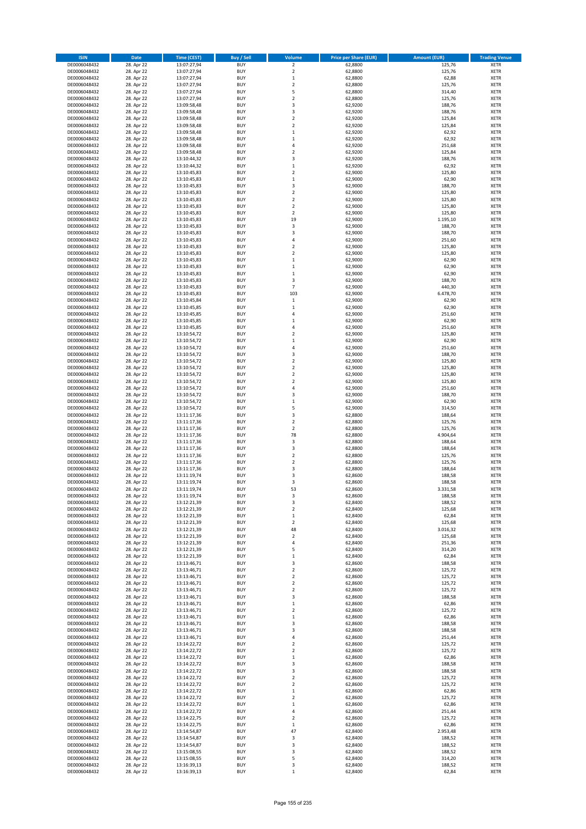| <b>ISIN</b>                  | <b>Date</b>              | <b>Time (CEST)</b>         | <b>Buy / Sell</b>        | Volume                                 | <b>Price per Share (EUR)</b> | <b>Amount (EUR)</b> | <b>Trading Venue</b>       |
|------------------------------|--------------------------|----------------------------|--------------------------|----------------------------------------|------------------------------|---------------------|----------------------------|
| DE0006048432                 | 28. Apr 22               | 13:07:27,94                | <b>BUY</b>               | $\overline{2}$                         | 62,8800                      | 125,76              | <b>XETR</b>                |
| DE0006048432                 | 28. Apr 22               | 13:07:27,94                | <b>BUY</b>               | $\mathbf 2$                            | 62,8800                      | 125,76              | <b>XETR</b>                |
| DE0006048432                 | 28. Apr 22               | 13:07:27,94                | <b>BUY</b>               | $\mathbf 1$                            | 62,8800                      | 62,88               | <b>XETR</b>                |
| DE0006048432                 | 28. Apr 22               | 13:07:27,94                | <b>BUY</b>               | $\mathbf 2$                            | 62,8800                      | 125,76              | <b>XETR</b>                |
| DE0006048432<br>DE0006048432 | 28. Apr 22<br>28. Apr 22 | 13:07:27,94<br>13:07:27,94 | <b>BUY</b><br><b>BUY</b> | 5<br>$\mathbf 2$                       | 62,8800<br>62,8800           | 314,40<br>125,76    | <b>XETR</b><br><b>XETR</b> |
| DE0006048432                 | 28. Apr 22               | 13:09:58,48                | <b>BUY</b>               | 3                                      | 62,9200                      | 188,76              | <b>XETR</b>                |
| DE0006048432                 | 28. Apr 22               | 13:09:58,48                | <b>BUY</b>               | 3                                      | 62,9200                      | 188,76              | <b>XETR</b>                |
| DE0006048432                 | 28. Apr 22               | 13:09:58,48                | <b>BUY</b>               | $\overline{2}$                         | 62,9200                      | 125,84              | <b>XETR</b>                |
| DE0006048432                 | 28. Apr 22               | 13:09:58,48                | <b>BUY</b>               | $\overline{2}$                         | 62,9200                      | 125,84              | <b>XETR</b>                |
| DE0006048432                 | 28. Apr 22               | 13:09:58,48                | <b>BUY</b>               | $\mathbf 1$                            | 62,9200                      | 62,92               | <b>XETR</b>                |
| DE0006048432                 | 28. Apr 22               | 13:09:58,48                | <b>BUY</b>               | $\mathbf 1$                            | 62,9200                      | 62,92               | <b>XETR</b><br><b>XETR</b> |
| DE0006048432<br>DE0006048432 | 28. Apr 22<br>28. Apr 22 | 13:09:58,48<br>13:09:58,48 | <b>BUY</b><br><b>BUY</b> | 4<br>$\overline{\mathbf{c}}$           | 62,9200<br>62,9200           | 251,68<br>125,84    | <b>XETR</b>                |
| DE0006048432                 | 28. Apr 22               | 13:10:44,32                | <b>BUY</b>               | 3                                      | 62,9200                      | 188,76              | <b>XETR</b>                |
| DE0006048432                 | 28. Apr 22               | 13:10:44,32                | <b>BUY</b>               | $\mathbf 1$                            | 62,9200                      | 62,92               | <b>XETR</b>                |
| DE0006048432                 | 28. Apr 22               | 13:10:45,83                | <b>BUY</b>               | $\mathbf 2$                            | 62,9000                      | 125,80              | <b>XETR</b>                |
| DE0006048432                 | 28. Apr 22               | 13:10:45,83                | <b>BUY</b>               | $\mathbf 1$                            | 62,9000                      | 62,90               | <b>XETR</b>                |
| DE0006048432                 | 28. Apr 22               | 13:10:45,83                | <b>BUY</b>               | 3                                      | 62,9000                      | 188,70              | <b>XETR</b>                |
| DE0006048432<br>DE0006048432 | 28. Apr 22<br>28. Apr 22 | 13:10:45,83<br>13:10:45,83 | <b>BUY</b><br><b>BUY</b> | $\mathbf 2$<br>$\overline{\mathbf{c}}$ | 62,9000<br>62,9000           | 125,80<br>125,80    | <b>XETR</b><br><b>XETR</b> |
| DE0006048432                 | 28. Apr 22               | 13:10:45,83                | <b>BUY</b>               | $\mathbf 2$                            | 62,9000                      | 125,80              | <b>XETR</b>                |
| DE0006048432                 | 28. Apr 22               | 13:10:45,83                | <b>BUY</b>               | $\mathbf 2$                            | 62,9000                      | 125,80              | <b>XETR</b>                |
| DE0006048432                 | 28. Apr 22               | 13:10:45,83                | <b>BUY</b>               | 19                                     | 62,9000                      | 1.195,10            | <b>XETR</b>                |
| DE0006048432                 | 28. Apr 22               | 13:10:45,83                | <b>BUY</b>               | 3                                      | 62,9000                      | 188,70              | <b>XETR</b>                |
| DE0006048432                 | 28. Apr 22               | 13:10:45,83                | <b>BUY</b>               | 3                                      | 62,9000                      | 188,70              | <b>XETR</b>                |
| DE0006048432<br>DE0006048432 | 28. Apr 22<br>28. Apr 22 | 13:10:45,83<br>13:10:45,83 | <b>BUY</b><br><b>BUY</b> | 4<br>$\overline{\mathbf{c}}$           | 62,9000<br>62,9000           | 251,60<br>125,80    | <b>XETR</b><br><b>XETR</b> |
| DE0006048432                 | 28. Apr 22               | 13:10:45,83                | <b>BUY</b>               | $\mathbf 2$                            | 62,9000                      | 125,80              | <b>XETR</b>                |
| DE0006048432                 | 28. Apr 22               | 13:10:45,83                | <b>BUY</b>               | $\mathbf 1$                            | 62,9000                      | 62,90               | <b>XETR</b>                |
| DE0006048432                 | 28. Apr 22               | 13:10:45,83                | <b>BUY</b>               | $\mathbf 1$                            | 62,9000                      | 62,90               | <b>XETR</b>                |
| DE0006048432                 | 28. Apr 22               | 13:10:45,83                | <b>BUY</b>               | $\mathbf 1$                            | 62,9000                      | 62,90               | <b>XETR</b>                |
| DE0006048432                 | 28. Apr 22               | 13:10:45,83                | <b>BUY</b>               | 3                                      | 62,9000                      | 188,70              | <b>XETR</b>                |
| DE0006048432                 | 28. Apr 22               | 13:10:45,83                | <b>BUY</b>               | $\overline{7}$                         | 62,9000                      | 440,30              | <b>XETR</b>                |
| DE0006048432<br>DE0006048432 | 28. Apr 22<br>28. Apr 22 | 13:10:45,83<br>13:10:45,84 | <b>BUY</b><br><b>BUY</b> | 103<br>$\mathbf 1$                     | 62,9000<br>62,9000           | 6.478,70<br>62,90   | <b>XETR</b><br><b>XETR</b> |
| DE0006048432                 | 28. Apr 22               | 13:10:45,85                | <b>BUY</b>               | $\mathbf 1$                            | 62,9000                      | 62,90               | <b>XETR</b>                |
| DE0006048432                 | 28. Apr 22               | 13:10:45,85                | <b>BUY</b>               | 4                                      | 62,9000                      | 251,60              | <b>XETR</b>                |
| DE0006048432                 | 28. Apr 22               | 13:10:45,85                | <b>BUY</b>               | $\mathbf 1$                            | 62,9000                      | 62,90               | <b>XETR</b>                |
| DE0006048432                 | 28. Apr 22               | 13:10:45,85                | <b>BUY</b>               | 4                                      | 62,9000                      | 251,60              | <b>XETR</b>                |
| DE0006048432                 | 28. Apr 22               | 13:10:54,72                | <b>BUY</b>               | $\overline{\mathbf{c}}$                | 62,9000                      | 125,80              | <b>XETR</b>                |
| DE0006048432                 | 28. Apr 22<br>28. Apr 22 | 13:10:54,72                | <b>BUY</b><br><b>BUY</b> | $\mathbf 1$<br>4                       | 62,9000<br>62,9000           | 62,90<br>251,60     | <b>XETR</b><br><b>XETR</b> |
| DE0006048432<br>DE0006048432 | 28. Apr 22               | 13:10:54,72<br>13:10:54,72 | <b>BUY</b>               | 3                                      | 62,9000                      | 188,70              | <b>XETR</b>                |
| DE0006048432                 | 28. Apr 22               | 13:10:54,72                | <b>BUY</b>               | $\mathbf 2$                            | 62,9000                      | 125,80              | <b>XETR</b>                |
| DE0006048432                 | 28. Apr 22               | 13:10:54,72                | <b>BUY</b>               | $\overline{2}$                         | 62,9000                      | 125,80              | <b>XETR</b>                |
| DE0006048432                 | 28. Apr 22               | 13:10:54,72                | <b>BUY</b>               | $\mathbf 2$                            | 62,9000                      | 125,80              | <b>XETR</b>                |
| DE0006048432                 | 28. Apr 22               | 13:10:54,72                | <b>BUY</b>               | $\overline{\mathbf{c}}$                | 62,9000                      | 125,80              | <b>XETR</b>                |
| DE0006048432<br>DE0006048432 | 28. Apr 22<br>28. Apr 22 | 13:10:54,72                | <b>BUY</b><br><b>BUY</b> | 4<br>3                                 | 62,9000<br>62,9000           | 251,60<br>188,70    | <b>XETR</b><br><b>XETR</b> |
| DE0006048432                 | 28. Apr 22               | 13:10:54,72<br>13:10:54,72 | <b>BUY</b>               | $\mathbf 1$                            | 62,9000                      | 62,90               | <b>XETR</b>                |
| DE0006048432                 | 28. Apr 22               | 13:10:54,72                | <b>BUY</b>               | 5                                      | 62,9000                      | 314,50              | <b>XETR</b>                |
| DE0006048432                 | 28. Apr 22               | 13:11:17,36                | <b>BUY</b>               | 3                                      | 62,8800                      | 188,64              | <b>XETR</b>                |
| DE0006048432                 | 28. Apr 22               | 13:11:17,36                | <b>BUY</b>               | $\mathbf 2$                            | 62,8800                      | 125,76              | <b>XETR</b>                |
| DE0006048432                 | 28. Apr 22               | 13:11:17,36                | <b>BUY</b>               | $\overline{\mathbf{c}}$                | 62,8800                      | 125,76              | <b>XETR</b>                |
| DE0006048432                 | 28. Apr 22               | 13:11:17,36                | <b>BUY</b>               | 78                                     | 62,8800                      | 4.904,64            | <b>XETR</b>                |
| DE0006048432<br>DE0006048432 | 28. Apr 22<br>28. Apr 22 | 13:11:17,36<br>13:11:17,36 | <b>BUY</b><br><b>BUY</b> | 3<br>3                                 | 62,8800<br>62,8800           | 188,64<br>188,64    | <b>XETR</b><br><b>XETR</b> |
| DE0006048432                 | 28. Apr 22               | 13:11:17,36                | <b>BUY</b>               | $\overline{\mathbf{c}}$                | 62,8800                      | 125,76              | <b>XETR</b>                |
| DE0006048432                 | 28. Apr 22               | 13:11:17,36                | <b>BUY</b>               | $\overline{2}$                         | 62,8800                      | 125,76              | <b>XETR</b>                |
| DE0006048432                 | 28. Apr 22               | 13:11:17,36                | <b>BUY</b>               | 3                                      | 62,8800                      | 188,64              | <b>XETR</b>                |
| DE0006048432                 | 28. Apr 22               | 13:11:19,74                | <b>BUY</b>               | 3                                      | 62,8600                      | 188,58              | <b>XETR</b>                |
| DE0006048432                 | 28. Apr 22               | 13:11:19,74                | <b>BUY</b>               | 3                                      | 62,8600                      | 188,58              | <b>XETR</b>                |
| DE0006048432<br>DE0006048432 | 28. Apr 22<br>28. Apr 22 | 13:11:19,74<br>13:11:19,74 | <b>BUY</b><br>BUY        | 53<br>3                                | 62,8600<br>62,8600           | 3.331,58<br>188,58  | <b>XETR</b><br><b>XETR</b> |
| DE0006048432                 | 28. Apr 22               | 13:12:21,39                | <b>BUY</b>               | 3                                      | 62,8400                      | 188,52              | <b>XETR</b>                |
| DE0006048432                 | 28. Apr 22               | 13:12:21,39                | <b>BUY</b>               | $\mathbf 2$                            | 62,8400                      | 125,68              | <b>XETR</b>                |
| DE0006048432                 | 28. Apr 22               | 13:12:21,39                | <b>BUY</b>               | $\mathbf 1$                            | 62,8400                      | 62,84               | XETR                       |
| DE0006048432                 | 28. Apr 22               | 13:12:21,39                | <b>BUY</b>               | $\mathbf 2$                            | 62,8400                      | 125,68              | <b>XETR</b>                |
| DE0006048432                 | 28. Apr 22               | 13:12:21,39                | <b>BUY</b><br><b>BUY</b> | 48                                     | 62,8400                      | 3.016,32            | <b>XETR</b>                |
| DE0006048432<br>DE0006048432 | 28. Apr 22<br>28. Apr 22 | 13:12:21,39<br>13:12:21,39 | <b>BUY</b>               | $\mathbf 2$<br>4                       | 62,8400<br>62,8400           | 125,68<br>251,36    | <b>XETR</b><br><b>XETR</b> |
| DE0006048432                 | 28. Apr 22               | 13:12:21,39                | <b>BUY</b>               | 5                                      | 62,8400                      | 314,20              | <b>XETR</b>                |
| DE0006048432                 | 28. Apr 22               | 13:12:21,39                | <b>BUY</b>               | $\mathbf 1$                            | 62,8400                      | 62,84               | <b>XETR</b>                |
| DE0006048432                 | 28. Apr 22               | 13:13:46,71                | <b>BUY</b>               | 3                                      | 62,8600                      | 188,58              | <b>XETR</b>                |
| DE0006048432                 | 28. Apr 22               | 13:13:46,71                | <b>BUY</b>               | $\overline{\mathbf{c}}$                | 62,8600                      | 125,72              | <b>XETR</b>                |
| DE0006048432<br>DE0006048432 | 28. Apr 22<br>28. Apr 22 | 13:13:46,71<br>13:13:46,71 | <b>BUY</b><br><b>BUY</b> | $\mathbf 2$<br>$\overline{\mathbf{c}}$ | 62,8600<br>62,8600           | 125,72<br>125,72    | <b>XETR</b><br><b>XETR</b> |
| DE0006048432                 | 28. Apr 22               | 13:13:46,71                | <b>BUY</b>               | $\mathbf 2$                            | 62,8600                      | 125,72              | <b>XETR</b>                |
| DE0006048432                 | 28. Apr 22               | 13:13:46,71                | <b>BUY</b>               | 3                                      | 62,8600                      | 188,58              | <b>XETR</b>                |
| DE0006048432                 | 28. Apr 22               | 13:13:46,71                | <b>BUY</b>               | $\mathbf 1$                            | 62,8600                      | 62,86               | <b>XETR</b>                |
| DE0006048432                 | 28. Apr 22               | 13:13:46,71                | <b>BUY</b>               | $\mathbf 2$                            | 62,8600                      | 125,72              | <b>XETR</b>                |
| DE0006048432                 | 28. Apr 22               | 13:13:46,71                | <b>BUY</b>               | $\mathbf 1$                            | 62,8600                      | 62,86               | XETR                       |
| DE0006048432                 | 28. Apr 22               | 13:13:46,71                | <b>BUY</b>               | 3                                      | 62,8600                      | 188,58              | <b>XETR</b>                |
| DE0006048432<br>DE0006048432 | 28. Apr 22<br>28. Apr 22 | 13:13:46,71<br>13:13:46,71 | <b>BUY</b><br><b>BUY</b> | 3<br>4                                 | 62,8600<br>62,8600           | 188,58<br>251,44    | <b>XETR</b><br><b>XETR</b> |
| DE0006048432                 | 28. Apr 22               | 13:14:22,72                | <b>BUY</b>               | $\overline{\mathbf{c}}$                | 62,8600                      | 125,72              | <b>XETR</b>                |
| DE0006048432                 | 28. Apr 22               | 13:14:22,72                | <b>BUY</b>               | $\mathbf 2$                            | 62,8600                      | 125,72              | <b>XETR</b>                |
| DE0006048432                 | 28. Apr 22               | 13:14:22,72                | <b>BUY</b>               | $\mathbf 1$                            | 62,8600                      | 62,86               | <b>XETR</b>                |
| DE0006048432                 | 28. Apr 22               | 13:14:22,72                | <b>BUY</b>               | 3                                      | 62,8600                      | 188,58              | <b>XETR</b>                |
| DE0006048432                 | 28. Apr 22               | 13:14:22,72                | <b>BUY</b>               | 3                                      | 62,8600                      | 188,58              | <b>XETR</b>                |
| DE0006048432<br>DE0006048432 | 28. Apr 22               | 13:14:22,72                | <b>BUY</b><br><b>BUY</b> | $\overline{2}$                         | 62,8600<br>62,8600           | 125,72<br>125,72    | <b>XETR</b><br><b>XETR</b> |
| DE0006048432                 | 28. Apr 22<br>28. Apr 22 | 13:14:22,72<br>13:14:22,72 | <b>BUY</b>               | 2<br>$\mathbf 1$                       | 62,8600                      | 62,86               | XETR                       |
| DE0006048432                 | 28. Apr 22               | 13:14:22,72                | <b>BUY</b>               | $\mathbf 2$                            | 62,8600                      | 125,72              | <b>XETR</b>                |
| DE0006048432                 | 28. Apr 22               | 13:14:22,72                | <b>BUY</b>               | $\mathbf 1$                            | 62,8600                      | 62,86               | <b>XETR</b>                |
| DE0006048432                 | 28. Apr 22               | 13:14:22,72                | <b>BUY</b>               | 4                                      | 62,8600                      | 251,44              | <b>XETR</b>                |
| DE0006048432                 | 28. Apr 22               | 13:14:22,75                | <b>BUY</b>               | $\mathbf 2$                            | 62,8600                      | 125,72              | <b>XETR</b>                |
| DE0006048432<br>DE0006048432 | 28. Apr 22<br>28. Apr 22 | 13:14:22,75<br>13:14:54,87 | <b>BUY</b><br><b>BUY</b> | $\mathbf 1$<br>47                      | 62,8600<br>62,8400           | 62,86<br>2.953,48   | <b>XETR</b><br><b>XETR</b> |
| DE0006048432                 | 28. Apr 22               | 13:14:54,87                | <b>BUY</b>               | 3                                      | 62,8400                      | 188,52              | <b>XETR</b>                |
| DE0006048432                 | 28. Apr 22               | 13:14:54,87                | <b>BUY</b>               | 3                                      | 62,8400                      | 188,52              | XETR                       |
| DE0006048432                 | 28. Apr 22               | 13:15:08,55                | <b>BUY</b>               | 3                                      | 62,8400                      | 188,52              | <b>XETR</b>                |
| DE0006048432                 | 28. Apr 22               | 13:15:08,55                | <b>BUY</b>               | 5                                      | 62,8400                      | 314,20              | <b>XETR</b>                |
| DE0006048432                 | 28. Apr 22               | 13:16:39,13                | <b>BUY</b>               | 3                                      | 62,8400                      | 188,52              | <b>XETR</b>                |
| DE0006048432                 | 28. Apr 22               | 13:16:39,13                | <b>BUY</b>               | $\mathbf 1$                            | 62,8400                      | 62,84               | <b>XETR</b>                |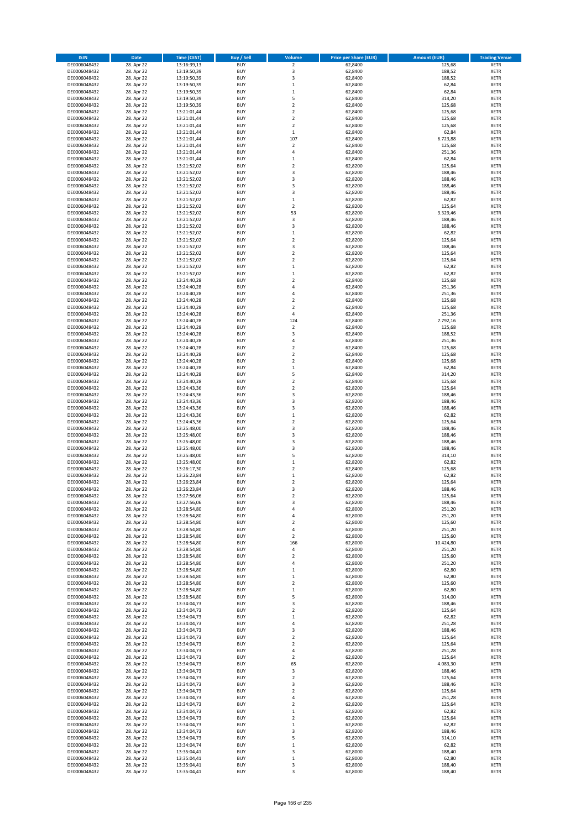| <b>ISIN</b>                  | <b>Date</b>              | Time (CEST)                | <b>Buy / Sell</b>        | Volume                                    | <b>Price per Share (EUR)</b> | <b>Amount (EUR)</b> | <b>Trading Venue</b>       |
|------------------------------|--------------------------|----------------------------|--------------------------|-------------------------------------------|------------------------------|---------------------|----------------------------|
| DE0006048432                 | 28. Apr 22               | 13:16:39,13                | <b>BUY</b>               | $\overline{\mathbf{2}}$                   | 62,8400                      | 125,68              | <b>XETR</b>                |
| DE0006048432                 | 28. Apr 22               | 13:19:50,39                | <b>BUY</b>               | 3                                         | 62,8400                      | 188,52              | <b>XETR</b>                |
| DE0006048432                 | 28. Apr 22               | 13:19:50,39                | <b>BUY</b>               | $\overline{\mathbf{3}}$                   | 62,8400                      | 188,52              | <b>XETR</b>                |
| DE0006048432                 | 28. Apr 22               | 13:19:50,39                | <b>BUY</b>               | $\mathbf 1$                               | 62,8400                      | 62,84               | <b>XETR</b>                |
| DE0006048432<br>DE0006048432 | 28. Apr 22<br>28. Apr 22 | 13:19:50,39<br>13:19:50,39 | <b>BUY</b><br><b>BUY</b> | $\,1\,$<br>5                              | 62,8400<br>62,8400           | 62,84<br>314,20     | <b>XETR</b><br><b>XETR</b> |
| DE0006048432                 | 28. Apr 22               | 13:19:50,39                | <b>BUY</b>               | $\overline{2}$                            | 62,8400                      | 125,68              | <b>XETR</b>                |
| DE0006048432                 | 28. Apr 22               | 13:21:01,44                | <b>BUY</b>               | $\overline{2}$                            | 62,8400                      | 125,68              | <b>XETR</b>                |
| DE0006048432                 | 28. Apr 22               | 13:21:01,44                | BUY                      | $\overline{2}$                            | 62,8400                      | 125,68              | <b>XETR</b>                |
| DE0006048432                 | 28. Apr 22               | 13:21:01,44                | <b>BUY</b>               | $\mathbf 2$                               | 62,8400                      | 125,68              | <b>XETR</b>                |
| DE0006048432                 | 28. Apr 22               | 13:21:01,44                | <b>BUY</b>               | $\,$ 1                                    | 62,8400                      | 62,84               | <b>XETR</b>                |
| DE0006048432                 | 28. Apr 22               | 13:21:01,44                | <b>BUY</b>               | 107<br>$\mathbf 2$                        | 62,8400                      | 6.723,88            | <b>XETR</b>                |
| DE0006048432<br>DE0006048432 | 28. Apr 22<br>28. Apr 22 | 13:21:01,44<br>13:21:01,44 | BUY<br><b>BUY</b>        | $\overline{4}$                            | 62,8400<br>62,8400           | 125,68<br>251,36    | <b>XETR</b><br><b>XETR</b> |
| DE0006048432                 | 28. Apr 22               | 13:21:01,44                | <b>BUY</b>               | $\mathbf{1}$                              | 62,8400                      | 62,84               | <b>XETR</b>                |
| DE0006048432                 | 28. Apr 22               | 13:21:52,02                | BUY                      | $\overline{\phantom{a}}$                  | 62,8200                      | 125,64              | <b>XETR</b>                |
| DE0006048432                 | 28. Apr 22               | 13:21:52,02                | <b>BUY</b>               | 3                                         | 62,8200                      | 188,46              | <b>XETR</b>                |
| DE0006048432                 | 28. Apr 22               | 13:21:52,02                | <b>BUY</b>               | 3                                         | 62,8200                      | 188,46              | <b>XETR</b>                |
| DE0006048432                 | 28. Apr 22               | 13:21:52,02                | <b>BUY</b>               | $\overline{\mathbf{3}}$                   | 62,8200                      | 188,46              | <b>XETR</b>                |
| DE0006048432<br>DE0006048432 | 28. Apr 22<br>28. Apr 22 | 13:21:52,02<br>13:21:52,02 | <b>BUY</b><br><b>BUY</b> | $\overline{3}$<br>$\mathbf{1}$            | 62,8200<br>62,8200           | 188,46<br>62,82     | <b>XETR</b><br><b>XETR</b> |
| DE0006048432                 | 28. Apr 22               | 13:21:52,02                | <b>BUY</b>               | $\mathbf 2$                               | 62,8200                      | 125,64              | <b>XETR</b>                |
| DE0006048432                 | 28. Apr 22               | 13:21:52,02                | <b>BUY</b>               | 53                                        | 62,8200                      | 3.329,46            | <b>XETR</b>                |
| DE0006048432                 | 28. Apr 22               | 13:21:52,02                | <b>BUY</b>               | 3                                         | 62,8200                      | 188,46              | <b>XETR</b>                |
| DE0006048432                 | 28. Apr 22               | 13:21:52,02                | <b>BUY</b>               | 3                                         | 62,8200                      | 188,46              | <b>XETR</b>                |
| DE0006048432                 | 28. Apr 22               | 13:21:52,02                | <b>BUY</b>               | $\mathbf 1$                               | 62,8200                      | 62,82               | <b>XETR</b>                |
| DE0006048432                 | 28. Apr 22               | 13:21:52,02                | <b>BUY</b><br><b>BUY</b> | $\mathbf 2$<br>$\overline{\mathbf{3}}$    | 62,8200                      | 125,64              | <b>XETR</b><br><b>XETR</b> |
| DE0006048432<br>DE0006048432 | 28. Apr 22<br>28. Apr 22 | 13:21:52,02<br>13:21:52,02 | <b>BUY</b>               | $\mathbf 2$                               | 62,8200<br>62,8200           | 188,46<br>125,64    | <b>XETR</b>                |
| DE0006048432                 | 28. Apr 22               | 13:21:52,02                | <b>BUY</b>               | $\overline{2}$                            | 62,8200                      | 125,64              | <b>XETR</b>                |
| DE0006048432                 | 28. Apr 22               | 13:21:52,02                | <b>BUY</b>               | $\mathbf 1$                               | 62,8200                      | 62,82               | <b>XETR</b>                |
| DE0006048432                 | 28. Apr 22               | 13:21:52,02                | <b>BUY</b>               | $\mathbf 1$                               | 62,8200                      | 62,82               | <b>XETR</b>                |
| DE0006048432                 | 28. Apr 22               | 13:24:40,28                | <b>BUY</b>               | $\overline{2}$                            | 62,8400                      | 125,68              | <b>XETR</b>                |
| DE0006048432                 | 28. Apr 22               | 13:24:40,28                | <b>BUY</b>               | $\overline{a}$                            | 62,8400                      | 251,36              | <b>XETR</b>                |
| DE0006048432<br>DE0006048432 | 28. Apr 22<br>28. Apr 22 | 13:24:40,28<br>13:24:40,28 | <b>BUY</b><br><b>BUY</b> | $\overline{4}$<br>$\mathbf 2$             | 62,8400<br>62,8400           | 251,36<br>125,68    | <b>XETR</b><br><b>XETR</b> |
| DE0006048432                 | 28. Apr 22               | 13:24:40,28                | <b>BUY</b>               | $\overline{2}$                            | 62,8400                      | 125,68              | <b>XETR</b>                |
| DE0006048432                 | 28. Apr 22               | 13:24:40,28                | <b>BUY</b>               | $\pmb{4}$                                 | 62,8400                      | 251,36              | <b>XETR</b>                |
| DE0006048432                 | 28. Apr 22               | 13:24:40,28                | <b>BUY</b>               | 124                                       | 62,8400                      | 7.792,16            | <b>XETR</b>                |
| DE0006048432                 | 28. Apr 22               | 13:24:40,28                | <b>BUY</b>               | $\mathbf 2$                               | 62,8400                      | 125,68              | <b>XETR</b>                |
| DE0006048432                 | 28. Apr 22               | 13:24:40,28                | <b>BUY</b>               | $\overline{\mathbf{3}}$                   | 62,8400                      | 188,52              | <b>XETR</b>                |
| DE0006048432                 | 28. Apr 22               | 13:24:40,28                | <b>BUY</b><br><b>BUY</b> | 4                                         | 62,8400                      | 251,36              | <b>XETR</b>                |
| DE0006048432<br>DE0006048432 | 28. Apr 22<br>28. Apr 22 | 13:24:40,28<br>13:24:40,28 | <b>BUY</b>               | $\mathbf 2$<br>$\overline{2}$             | 62,8400<br>62,8400           | 125,68<br>125,68    | <b>XETR</b><br><b>XETR</b> |
| DE0006048432                 | 28. Apr 22               | 13:24:40,28                | <b>BUY</b>               | $\overline{2}$                            | 62,8400                      | 125,68              | <b>XETR</b>                |
| DE0006048432                 | 28. Apr 22               | 13:24:40,28                | <b>BUY</b>               | $\mathbf 1$                               | 62,8400                      | 62,84               | <b>XETR</b>                |
| DE0006048432                 | 28. Apr 22               | 13:24:40,28                | <b>BUY</b>               | 5                                         | 62,8400                      | 314,20              | <b>XETR</b>                |
| DE0006048432                 | 28. Apr 22               | 13:24:40,28                | <b>BUY</b>               | $\overline{2}$                            | 62,8400                      | 125,68              | <b>XETR</b>                |
| DE0006048432                 | 28. Apr 22               | 13:24:43,36                | <b>BUY</b><br><b>BUY</b> | $\overline{2}$<br>3                       | 62,8200                      | 125,64              | <b>XETR</b><br><b>XETR</b> |
| DE0006048432<br>DE0006048432 | 28. Apr 22<br>28. Apr 22 | 13:24:43,36<br>13:24:43,36 | <b>BUY</b>               | $\overline{\mathbf{3}}$                   | 62,8200<br>62,8200           | 188,46<br>188,46    | <b>XETR</b>                |
| DE0006048432                 | 28. Apr 22               | 13:24:43,36                | <b>BUY</b>               | $\overline{3}$                            | 62,8200                      | 188,46              | <b>XETR</b>                |
| DE0006048432                 | 28. Apr 22               | 13:24:43,36                | <b>BUY</b>               | $\,1\,$                                   | 62,8200                      | 62,82               | <b>XETR</b>                |
| DE0006048432                 | 28. Apr 22               | 13:24:43,36                | <b>BUY</b>               | $\mathbf 2$                               | 62,8200                      | 125,64              | <b>XETR</b>                |
| DE0006048432                 | 28. Apr 22               | 13:25:48,00                | <b>BUY</b>               | $\overline{\mathbf{3}}$                   | 62,8200                      | 188,46              | <b>XETR</b>                |
| DE0006048432                 | 28. Apr 22               | 13:25:48,00                | <b>BUY</b>               | $\overline{3}$                            | 62,8200                      | 188,46              | <b>XETR</b>                |
| DE0006048432<br>DE0006048432 | 28. Apr 22<br>28. Apr 22 | 13:25:48,00<br>13:25:48,00 | <b>BUY</b><br><b>BUY</b> | $\overline{3}$<br>$\overline{\mathbf{3}}$ | 62,8200<br>62,8200           | 188,46<br>188,46    | <b>XETR</b><br><b>XETR</b> |
| DE0006048432                 | 28. Apr 22               | 13:25:48,00                | BUY                      | 5                                         | 62,8200                      | 314,10              | <b>XETR</b>                |
| DE0006048432                 | 28. Apr 22               | 13:25:48,00                | <b>BUY</b>               | $\mathbf 1$                               | 62,8200                      | 62,82               | <b>XETR</b>                |
| DE0006048432                 | 28. Apr 22               | 13:26:17,30                | <b>BUY</b>               | $\mathbf 2$                               | 62,8400                      | 125,68              | <b>XETR</b>                |
| DE0006048432                 | 28. Apr 22               | 13:26:23,84                | BUY                      | $\mathbf{1}$                              | 62,8200                      | 62,82               | <b>XETR</b>                |
| DE0006048432                 | 28. Apr 22               | 13:26:23,84                | BUY                      | $\overline{2}$                            | 62,8200                      | 125,64              | <b>XETR</b>                |
| DE0006048432                 | 28. Apr 22               | 13:26:23,84<br>13:27:56,06 | <b>BUY</b>               | $\overline{3}$                            | 62,8200                      | 188,46              | <b>XETR</b>                |
| DE0006048432<br>DE0006048432 | 28. Apr 22<br>28. Apr 22 | 13:27:56,06                | <b>BUY</b><br><b>BUY</b> | 2<br>3                                    | 62,8200<br>62,8200           | 125,64<br>188,46    | <b>XETR</b><br><b>XETR</b> |
| DE0006048432                 | 28. Apr 22               | 13:28:54,80                | <b>BUY</b>               | 4                                         | 62,8000                      | 251,20              | <b>XETR</b>                |
| DE0006048432                 | 28. Apr 22               | 13:28:54,80                | <b>BUY</b>               | 4                                         | 62,8000                      | 251,20              | <b>XETR</b>                |
| DE0006048432                 | 28. Apr 22               | 13:28:54,80                | <b>BUY</b>               | 2                                         | 62,8000                      | 125,60              | <b>XETR</b>                |
| DE0006048432                 | 28. Apr 22               | 13:28:54,80                | <b>BUY</b>               | 4                                         | 62,8000                      | 251,20              | <b>XETR</b>                |
| DE0006048432                 | 28. Apr 22               | 13:28:54,80                | <b>BUY</b>               | 2                                         | 62,8000                      | 125,60              | <b>XETR</b>                |
| DE0006048432<br>DE0006048432 | 28. Apr 22<br>28. Apr 22 | 13:28:54,80<br>13:28:54,80 | <b>BUY</b><br><b>BUY</b> | 166<br>$\pmb{4}$                          | 62,8000<br>62,8000           | 10.424,80<br>251,20 | <b>XETR</b><br><b>XETR</b> |
| DE0006048432                 | 28. Apr 22               | 13:28:54,80                | <b>BUY</b>               | $\mathbf 2$                               | 62,8000                      | 125,60              | <b>XETR</b>                |
| DE0006048432                 | 28. Apr 22               | 13:28:54,80                | <b>BUY</b>               | 4                                         | 62,8000                      | 251,20              | <b>XETR</b>                |
| DE0006048432                 | 28. Apr 22               | 13:28:54,80                | <b>BUY</b>               | $\mathbf{1}$                              | 62,8000                      | 62,80               | <b>XETR</b>                |
| DE0006048432                 | 28. Apr 22               | 13:28:54,80                | <b>BUY</b>               | $\mathbf 1$                               | 62,8000                      | 62,80               | <b>XETR</b>                |
| DE0006048432                 | 28. Apr 22               | 13:28:54,80                | <b>BUY</b>               | $\overline{2}$                            | 62,8000                      | 125,60              | <b>XETR</b>                |
| DE0006048432<br>DE0006048432 | 28. Apr 22<br>28. Apr 22 | 13:28:54,80<br>13:28:54,80 | <b>BUY</b><br><b>BUY</b> | 1<br>5                                    | 62,8000<br>62,8000           | 62,80<br>314,00     | <b>XETR</b><br><b>XETR</b> |
| DE0006048432                 | 28. Apr 22               | 13:34:04,73                | <b>BUY</b>               | 3                                         | 62,8200                      | 188,46              | <b>XETR</b>                |
| DE0006048432                 | 28. Apr 22               | 13:34:04,73                | <b>BUY</b>               | $\mathbf 2$                               | 62,8200                      | 125,64              | <b>XETR</b>                |
| DE0006048432                 | 28. Apr 22               | 13:34:04,73                | <b>BUY</b>               | $\mathbf 1$                               | 62,8200                      | 62,82               | <b>XETR</b>                |
| DE0006048432                 | 28. Apr 22               | 13:34:04,73                | <b>BUY</b>               | $\overline{4}$                            | 62,8200                      | 251,28              | <b>XETR</b>                |
| DE0006048432                 | 28. Apr 22               | 13:34:04,73                | <b>BUY</b>               | 3                                         | 62,8200                      | 188,46              | <b>XETR</b>                |
| DE0006048432<br>DE0006048432 | 28. Apr 22<br>28. Apr 22 | 13:34:04,73<br>13:34:04,73 | <b>BUY</b><br><b>BUY</b> | $\mathbf 2$<br>$\overline{2}$             | 62,8200<br>62,8200           | 125,64<br>125,64    | <b>XETR</b><br><b>XETR</b> |
| DE0006048432                 | 28. Apr 22               | 13:34:04,73                | <b>BUY</b>               | 4                                         | 62,8200                      | 251,28              | <b>XETR</b>                |
| DE0006048432                 | 28. Apr 22               | 13:34:04,73                | <b>BUY</b>               | $\overline{2}$                            | 62,8200                      | 125,64              | <b>XETR</b>                |
| DE0006048432                 | 28. Apr 22               | 13:34:04,73                | <b>BUY</b>               | 65                                        | 62,8200                      | 4.083,30            | <b>XETR</b>                |
| DE0006048432                 | 28. Apr 22               | 13:34:04,73                | <b>BUY</b>               | 3                                         | 62,8200                      | 188,46              | <b>XETR</b>                |
| DE0006048432                 | 28. Apr 22               | 13:34:04,73                | <b>BUY</b>               | $\overline{2}$                            | 62,8200                      | 125,64              | <b>XETR</b>                |
| DE0006048432                 | 28. Apr 22               | 13:34:04,73                | <b>BUY</b><br><b>BUY</b> | 3<br>$\overline{2}$                       | 62,8200                      | 188,46              | <b>XETR</b><br><b>XETR</b> |
| DE0006048432<br>DE0006048432 | 28. Apr 22<br>28. Apr 22 | 13:34:04,73<br>13:34:04,73 | <b>BUY</b>               | 4                                         | 62,8200<br>62,8200           | 125,64<br>251,28    | <b>XETR</b>                |
| DE0006048432                 | 28. Apr 22               | 13:34:04,73                | <b>BUY</b>               | $\overline{2}$                            | 62,8200                      | 125,64              | <b>XETR</b>                |
| DE0006048432                 | 28. Apr 22               | 13:34:04,73                | <b>BUY</b>               | $\mathbf 1$                               | 62,8200                      | 62,82               | <b>XETR</b>                |
| DE0006048432                 | 28. Apr 22               | 13:34:04,73                | <b>BUY</b>               | $\overline{2}$                            | 62,8200                      | 125,64              | <b>XETR</b>                |
| DE0006048432                 | 28. Apr 22               | 13:34:04,73                | <b>BUY</b>               | $\mathbf{1}$                              | 62,8200                      | 62,82               | <b>XETR</b>                |
| DE0006048432                 | 28. Apr 22               | 13:34:04,73                | <b>BUY</b>               | 3                                         | 62,8200                      | 188,46              | <b>XETR</b>                |
| DE0006048432<br>DE0006048432 | 28. Apr 22<br>28. Apr 22 | 13:34:04,73<br>13:34:04,74 | <b>BUY</b><br><b>BUY</b> | 5<br>$\mathbf 1$                          | 62,8200<br>62,8200           | 314,10<br>62,82     | <b>XETR</b><br><b>XETR</b> |
| DE0006048432                 | 28. Apr 22               | 13:35:04,41                | <b>BUY</b>               | 3                                         | 62,8000                      | 188,40              | <b>XETR</b>                |
| DE0006048432                 | 28. Apr 22               | 13:35:04,41                | <b>BUY</b>               | $\mathbf 1$                               | 62,8000                      | 62,80               | <b>XETR</b>                |
| DE0006048432                 | 28. Apr 22               | 13:35:04,41                | <b>BUY</b>               | 3                                         | 62,8000                      | 188,40              | <b>XETR</b>                |
| DE0006048432                 | 28. Apr 22               | 13:35:04,41                | <b>BUY</b>               | 3                                         | 62,8000                      | 188,40              | <b>XETR</b>                |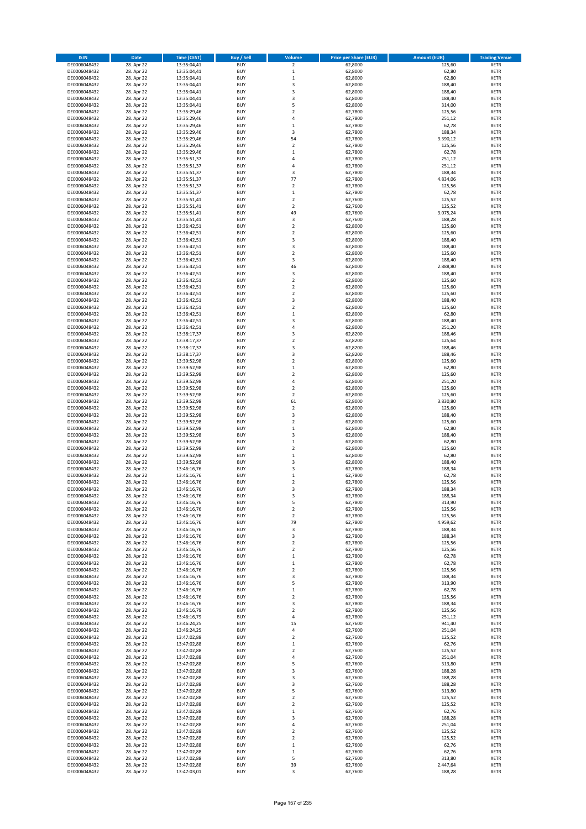| <b>ISIN</b>                  | <b>Date</b>              | <b>Time (CEST)</b>         | <b>Buy / Sell</b>        | Volume                                 | <b>Price per Share (EUR)</b> | <b>Amount (EUR)</b> | <b>Trading Venue</b>       |
|------------------------------|--------------------------|----------------------------|--------------------------|----------------------------------------|------------------------------|---------------------|----------------------------|
| DE0006048432                 | 28. Apr 22               | 13:35:04,41                | <b>BUY</b>               | $\overline{\mathbf{2}}$                | 62,8000                      | 125,60              | <b>XETR</b>                |
| DE0006048432                 | 28. Apr 22               | 13:35:04,41                | <b>BUY</b>               | $\mathbf 1$                            | 62,8000                      | 62,80               | <b>XETR</b>                |
| DE0006048432                 | 28. Apr 22               | 13:35:04,41                | <b>BUY</b>               | $\mathbf 1$                            | 62,8000                      | 62,80               | <b>XETR</b>                |
| DE0006048432                 | 28. Apr 22               | 13:35:04,41                | <b>BUY</b>               | 3                                      | 62,8000                      | 188,40              | <b>XETR</b>                |
| DE0006048432<br>DE0006048432 | 28. Apr 22<br>28. Apr 22 | 13:35:04,41<br>13:35:04,41 | <b>BUY</b><br><b>BUY</b> | 3<br>3                                 | 62,8000<br>62,8000           | 188,40<br>188,40    | <b>XETR</b><br><b>XETR</b> |
| DE0006048432                 | 28. Apr 22               | 13:35:04,41                | <b>BUY</b>               | 5                                      | 62,8000                      | 314,00              | <b>XETR</b>                |
| DE0006048432                 | 28. Apr 22               | 13:35:29,46                | <b>BUY</b>               | $\overline{\mathbf{c}}$                | 62,7800                      | 125,56              | <b>XETR</b>                |
| DE0006048432                 | 28. Apr 22               | 13:35:29,46                | <b>BUY</b>               | 4                                      | 62,7800                      | 251,12              | <b>XETR</b>                |
| DE0006048432                 | 28. Apr 22               | 13:35:29,46                | <b>BUY</b>               | $\mathbf 1$                            | 62,7800                      | 62,78               | <b>XETR</b>                |
| DE0006048432                 | 28. Apr 22               | 13:35:29,46                | <b>BUY</b>               | 3                                      | 62,7800                      | 188,34              | <b>XETR</b>                |
| DE0006048432                 | 28. Apr 22               | 13:35:29,46                | <b>BUY</b>               | 54                                     | 62,7800                      | 3.390,12            | <b>XETR</b><br><b>XETR</b> |
| DE0006048432<br>DE0006048432 | 28. Apr 22<br>28. Apr 22 | 13:35:29,46<br>13:35:29,46 | <b>BUY</b><br><b>BUY</b> | $\mathbf 2$<br>$\mathbf 1$             | 62,7800<br>62,7800           | 125,56<br>62,78     | <b>XETR</b>                |
| DE0006048432                 | 28. Apr 22               | 13:35:51,37                | <b>BUY</b>               | 4                                      | 62,7800                      | 251,12              | <b>XETR</b>                |
| DE0006048432                 | 28. Apr 22               | 13:35:51,37                | <b>BUY</b>               | 4                                      | 62,7800                      | 251,12              | <b>XETR</b>                |
| DE0006048432                 | 28. Apr 22               | 13:35:51,37                | <b>BUY</b>               | 3                                      | 62,7800                      | 188,34              | <b>XETR</b>                |
| DE0006048432                 | 28. Apr 22               | 13:35:51,37                | <b>BUY</b>               | 77                                     | 62,7800                      | 4.834,06            | <b>XETR</b>                |
| DE0006048432                 | 28. Apr 22               | 13:35:51,37                | <b>BUY</b>               | $\overline{\mathbf{c}}$                | 62,7800                      | 125,56              | <b>XETR</b>                |
| DE0006048432<br>DE0006048432 | 28. Apr 22<br>28. Apr 22 | 13:35:51,37<br>13:35:51,41 | <b>BUY</b><br><b>BUY</b> | $\mathbf 1$<br>$\overline{\mathbf{c}}$ | 62,7800<br>62,7600           | 62,78<br>125,52     | <b>XETR</b><br><b>XETR</b> |
| DE0006048432                 | 28. Apr 22               | 13:35:51,41                | <b>BUY</b>               | $\mathbf 2$                            | 62,7600                      | 125,52              | <b>XETR</b>                |
| DE0006048432                 | 28. Apr 22               | 13:35:51,41                | <b>BUY</b>               | 49                                     | 62,7600                      | 3.075,24            | <b>XETR</b>                |
| DE0006048432                 | 28. Apr 22               | 13:35:51,41                | <b>BUY</b>               | 3                                      | 62,7600                      | 188,28              | <b>XETR</b>                |
| DE0006048432                 | 28. Apr 22               | 13:36:42,51                | <b>BUY</b>               | $\mathbf 2$                            | 62,8000                      | 125,60              | <b>XETR</b>                |
| DE0006048432                 | 28. Apr 22               | 13:36:42,51                | <b>BUY</b>               | $\mathbf 2$                            | 62,8000                      | 125,60              | <b>XETR</b>                |
| DE0006048432                 | 28. Apr 22               | 13:36:42,51                | <b>BUY</b>               | 3                                      | 62,8000                      | 188,40              | <b>XETR</b>                |
| DE0006048432<br>DE0006048432 | 28. Apr 22<br>28. Apr 22 | 13:36:42,51<br>13:36:42,51 | <b>BUY</b><br><b>BUY</b> | 3<br>$\mathbf 2$                       | 62,8000<br>62,8000           | 188,40<br>125,60    | <b>XETR</b><br><b>XETR</b> |
| DE0006048432                 | 28. Apr 22               | 13:36:42,51                | <b>BUY</b>               | 3                                      | 62,8000                      | 188,40              | <b>XETR</b>                |
| DE0006048432                 | 28. Apr 22               | 13:36:42,51                | <b>BUY</b>               | 46                                     | 62,8000                      | 2.888,80            | <b>XETR</b>                |
| DE0006048432                 | 28. Apr 22               | 13:36:42,51                | <b>BUY</b>               | 3                                      | 62,8000                      | 188,40              | <b>XETR</b>                |
| DE0006048432                 | 28. Apr 22               | 13:36:42,51                | <b>BUY</b>               | $\mathbf 2$                            | 62,8000                      | 125,60              | <b>XETR</b>                |
| DE0006048432                 | 28. Apr 22               | 13:36:42,51                | <b>BUY</b>               | $\mathbf 2$                            | 62,8000                      | 125,60              | <b>XETR</b>                |
| DE0006048432<br>DE0006048432 | 28. Apr 22<br>28. Apr 22 | 13:36:42,51<br>13:36:42,51 | <b>BUY</b><br><b>BUY</b> | $\mathbf 2$<br>3                       | 62,8000<br>62,8000           | 125,60<br>188,40    | <b>XETR</b><br><b>XETR</b> |
| DE0006048432                 | 28. Apr 22               | 13:36:42,51                | <b>BUY</b>               | $\overline{\mathbf{c}}$                | 62,8000                      | 125,60              | <b>XETR</b>                |
| DE0006048432                 | 28. Apr 22               | 13:36:42,51                | <b>BUY</b>               | $\mathbf 1$                            | 62,8000                      | 62,80               | <b>XETR</b>                |
| DE0006048432                 | 28. Apr 22               | 13:36:42,51                | <b>BUY</b>               | 3                                      | 62,8000                      | 188,40              | <b>XETR</b>                |
| DE0006048432                 | 28. Apr 22               | 13:36:42,51                | <b>BUY</b>               | 4                                      | 62,8000                      | 251,20              | <b>XETR</b>                |
| DE0006048432                 | 28. Apr 22               | 13:38:17,37                | <b>BUY</b>               | 3                                      | 62,8200                      | 188,46              | <b>XETR</b>                |
| DE0006048432                 | 28. Apr 22<br>28. Apr 22 | 13:38:17,37                | <b>BUY</b><br><b>BUY</b> | $\mathbf 2$<br>3                       | 62,8200<br>62,8200           | 125,64<br>188,46    | <b>XETR</b><br><b>XETR</b> |
| DE0006048432<br>DE0006048432 | 28. Apr 22               | 13:38:17,37<br>13:38:17,37 | <b>BUY</b>               | 3                                      | 62,8200                      | 188,46              | <b>XETR</b>                |
| DE0006048432                 | 28. Apr 22               | 13:39:52,98                | <b>BUY</b>               | $\mathbf 2$                            | 62,8000                      | 125,60              | <b>XETR</b>                |
| DE0006048432                 | 28. Apr 22               | 13:39:52,98                | <b>BUY</b>               | $\mathbf 1$                            | 62,8000                      | 62,80               | <b>XETR</b>                |
| DE0006048432                 | 28. Apr 22               | 13:39:52,98                | <b>BUY</b>               | $\mathbf 2$                            | 62,8000                      | 125,60              | <b>XETR</b>                |
| DE0006048432                 | 28. Apr 22               | 13:39:52,98                | <b>BUY</b>               | 4                                      | 62,8000                      | 251,20              | <b>XETR</b>                |
| DE0006048432                 | 28. Apr 22               | 13:39:52,98                | <b>BUY</b>               | $\mathbf 2$                            | 62,8000                      | 125,60              | <b>XETR</b>                |
| DE0006048432                 | 28. Apr 22               | 13:39:52,98                | <b>BUY</b>               | $\mathbf 2$                            | 62,8000                      | 125,60              | <b>XETR</b>                |
| DE0006048432<br>DE0006048432 | 28. Apr 22<br>28. Apr 22 | 13:39:52,98<br>13:39:52,98 | <b>BUY</b><br><b>BUY</b> | 61<br>$\mathbf 2$                      | 62,8000<br>62,8000           | 3.830,80<br>125,60  | <b>XETR</b><br><b>XETR</b> |
| DE0006048432                 | 28. Apr 22               | 13:39:52,98                | <b>BUY</b>               | 3                                      | 62,8000                      | 188,40              | <b>XETR</b>                |
| DE0006048432                 | 28. Apr 22               | 13:39:52,98                | <b>BUY</b>               | $\mathbf 2$                            | 62,8000                      | 125,60              | <b>XETR</b>                |
| DE0006048432                 | 28. Apr 22               | 13:39:52,98                | <b>BUY</b>               | $\mathbf 1$                            | 62,8000                      | 62,80               | <b>XETR</b>                |
| DE0006048432                 | 28. Apr 22               | 13:39:52,98                | <b>BUY</b>               | 3                                      | 62,8000                      | 188,40              | <b>XETR</b>                |
| DE0006048432                 | 28. Apr 22               | 13:39:52,98                | <b>BUY</b>               | $\mathbf 1$                            | 62,8000                      | 62,80               | <b>XETR</b>                |
| DE0006048432                 | 28. Apr 22               | 13:39:52,98                | <b>BUY</b>               | $\overline{\mathbf{c}}$                | 62,8000                      | 125,60              | <b>XETR</b>                |
| DE0006048432<br>DE0006048432 | 28. Apr 22<br>28. Apr 22 | 13:39:52,98<br>13:39:52,98 | <b>BUY</b><br><b>BUY</b> | $\mathbf 1$<br>3                       | 62,8000<br>62,8000           | 62,80<br>188,40     | <b>XETR</b><br><b>XETR</b> |
| DE0006048432                 | 28. Apr 22               | 13:46:16,76                | <b>BUY</b>               | 3                                      | 62,7800                      | 188,34              | <b>XETR</b>                |
| DE0006048432                 | 28. Apr 22               | 13:46:16,76                | <b>BUY</b>               | $\mathbf 1$                            | 62,7800                      | 62,78               | <b>XETR</b>                |
| DE0006048432                 | 28. Apr 22               | 13:46:16,76                | <b>BUY</b>               | $\overline{\mathbf{c}}$                | 62,7800                      | 125,56              | <b>XETR</b>                |
| DE0006048432                 | 28. Apr 22               | 13:46:16,76                | <b>BUY</b>               | 3                                      | 62,7800                      | 188,34              | <b>XETR</b>                |
| DE0006048432                 | 28. Apr 22               | 13:46:16,76                | BUY                      | 3                                      | 62,7800                      | 188,34              | <b>XETR</b>                |
| DE0006048432<br>DE0006048432 | 28. Apr 22<br>28. Apr 22 | 13:46:16,76<br>13:46:16,76 | <b>BUY</b><br><b>BUY</b> | 5<br>$\mathbf 2$                       | 62,7800<br>62,7800           | 313,90<br>125,56    | <b>XETR</b><br><b>XETR</b> |
| DE0006048432                 | 28. Apr 22               | 13:46:16,76                | <b>BUY</b>               | $\mathbf 2$                            | 62,7800                      | 125,56              | XETR                       |
| DE0006048432                 | 28. Apr 22               | 13:46:16,76                | <b>BUY</b>               | 79                                     | 62,7800                      | 4.959,62            | <b>XETR</b>                |
| DE0006048432                 | 28. Apr 22               | 13:46:16,76                | <b>BUY</b>               | 3                                      | 62,7800                      | 188,34              | <b>XETR</b>                |
| DE0006048432                 | 28. Apr 22               | 13:46:16,76                | <b>BUY</b>               | 3                                      | 62,7800                      | 188,34              | <b>XETR</b>                |
| DE0006048432                 | 28. Apr 22               | 13:46:16,76                | <b>BUY</b>               | $\mathbf 2$                            | 62,7800                      | 125,56              | <b>XETR</b>                |
| DE0006048432<br>DE0006048432 | 28. Apr 22<br>28. Apr 22 | 13:46:16,76<br>13:46:16,76 | <b>BUY</b><br><b>BUY</b> | $\mathbf 2$<br>$\mathbf 1$             | 62,7800<br>62,7800           | 125,56<br>62,78     | <b>XETR</b><br><b>XETR</b> |
| DE0006048432                 | 28. Apr 22               | 13:46:16,76                | <b>BUY</b>               | $\mathbf 1$                            | 62,7800                      | 62,78               | <b>XETR</b>                |
| DE0006048432                 | 28. Apr 22               | 13:46:16,76                | <b>BUY</b>               | $\overline{\mathbf{c}}$                | 62,7800                      | 125,56              | <b>XETR</b>                |
| DE0006048432                 | 28. Apr 22               | 13:46:16,76                | <b>BUY</b>               | 3                                      | 62,7800                      | 188,34              | <b>XETR</b>                |
| DE0006048432                 | 28. Apr 22               | 13:46:16,76                | <b>BUY</b>               | 5                                      | 62,7800                      | 313,90              | <b>XETR</b>                |
| DE0006048432                 | 28. Apr 22               | 13:46:16,76                | <b>BUY</b>               | $\mathbf 1$                            | 62,7800                      | 62,78               | <b>XETR</b>                |
| DE0006048432                 | 28. Apr 22               | 13:46:16,76                | <b>BUY</b>               | $\overline{\mathbf{c}}$                | 62,7800                      | 125,56              | <b>XETR</b>                |
| DE0006048432<br>DE0006048432 | 28. Apr 22<br>28. Apr 22 | 13:46:16,76<br>13:46:16,79 | <b>BUY</b><br><b>BUY</b> | 3<br>$\mathbf 2$                       | 62,7800<br>62,7800           | 188,34<br>125,56    | <b>XETR</b><br><b>XETR</b> |
| DE0006048432                 | 28. Apr 22               | 13:46:16,79                | <b>BUY</b>               | 4                                      | 62,7800                      | 251,12              | XETR                       |
| DE0006048432                 | 28. Apr 22               | 13:46:24,25                | <b>BUY</b>               | 15                                     | 62,7600                      | 941,40              | <b>XETR</b>                |
| DE0006048432                 | 28. Apr 22               | 13:46:24,25                | <b>BUY</b>               | 4                                      | 62,7600                      | 251,04              | <b>XETR</b>                |
| DE0006048432                 | 28. Apr 22               | 13:47:02,88                | <b>BUY</b>               | $\mathbf 2$                            | 62,7600                      | 125,52              | <b>XETR</b>                |
| DE0006048432                 | 28. Apr 22               | 13:47:02,88                | <b>BUY</b>               | $\mathbf 1$                            | 62,7600                      | 62,76               | <b>XETR</b>                |
| DE0006048432                 | 28. Apr 22               | 13:47:02,88                | <b>BUY</b>               | $\mathbf 2$                            | 62,7600                      | 125,52              | <b>XETR</b>                |
| DE0006048432<br>DE0006048432 | 28. Apr 22<br>28. Apr 22 | 13:47:02,88<br>13:47:02,88 | <b>BUY</b><br><b>BUY</b> | 4<br>5                                 | 62,7600<br>62,7600           | 251,04<br>313,80    | <b>XETR</b><br><b>XETR</b> |
| DE0006048432                 | 28. Apr 22               | 13:47:02,88                | <b>BUY</b>               | 3                                      | 62,7600                      | 188,28              | <b>XETR</b>                |
| DE0006048432                 | 28. Apr 22               | 13:47:02,88                | <b>BUY</b>               | 3                                      | 62,7600                      | 188,28              | <b>XETR</b>                |
| DE0006048432                 | 28. Apr 22               | 13:47:02,88                | <b>BUY</b>               | 3                                      | 62,7600                      | 188,28              | <b>XETR</b>                |
| DE0006048432                 | 28. Apr 22               | 13:47:02,88                | <b>BUY</b>               | 5                                      | 62,7600                      | 313,80              | <b>XETR</b>                |
| DE0006048432                 | 28. Apr 22               | 13:47:02,88                | <b>BUY</b>               | $\mathbf 2$                            | 62,7600                      | 125,52              | <b>XETR</b>                |
| DE0006048432                 | 28. Apr 22               | 13:47:02,88                | <b>BUY</b>               | $\mathbf 2$                            | 62,7600                      | 125,52              | <b>XETR</b>                |
| DE0006048432<br>DE0006048432 | 28. Apr 22<br>28. Apr 22 | 13:47:02,88<br>13:47:02,88 | <b>BUY</b><br><b>BUY</b> | $\mathbf 1$<br>3                       | 62,7600<br>62,7600           | 62,76<br>188,28     | <b>XETR</b><br><b>XETR</b> |
| DE0006048432                 | 28. Apr 22               | 13:47:02,88                | <b>BUY</b>               | 4                                      | 62,7600                      | 251,04              | <b>XETR</b>                |
| DE0006048432                 | 28. Apr 22               | 13:47:02,88                | <b>BUY</b>               | $\mathbf 2$                            | 62,7600                      | 125,52              | <b>XETR</b>                |
| DE0006048432                 | 28. Apr 22               | 13:47:02,88                | <b>BUY</b>               | $\overline{\mathbf{c}}$                | 62,7600                      | 125,52              | <b>XETR</b>                |
| DE0006048432                 | 28. Apr 22               | 13:47:02,88                | <b>BUY</b>               | $\mathbf 1$                            | 62,7600                      | 62,76               | XETR                       |
| DE0006048432                 | 28. Apr 22               | 13:47:02,88                | <b>BUY</b>               | $\mathbf 1$                            | 62,7600                      | 62,76               | <b>XETR</b>                |
| DE0006048432<br>DE0006048432 | 28. Apr 22               | 13:47:02,88                | <b>BUY</b><br><b>BUY</b> | 5<br>39                                | 62,7600                      | 313,80              | <b>XETR</b><br><b>XETR</b> |
| DE0006048432                 | 28. Apr 22<br>28. Apr 22 | 13:47:02,88<br>13:47:03,01 | <b>BUY</b>               | 3                                      | 62,7600<br>62,7600           | 2.447,64<br>188,28  | <b>XETR</b>                |
|                              |                          |                            |                          |                                        |                              |                     |                            |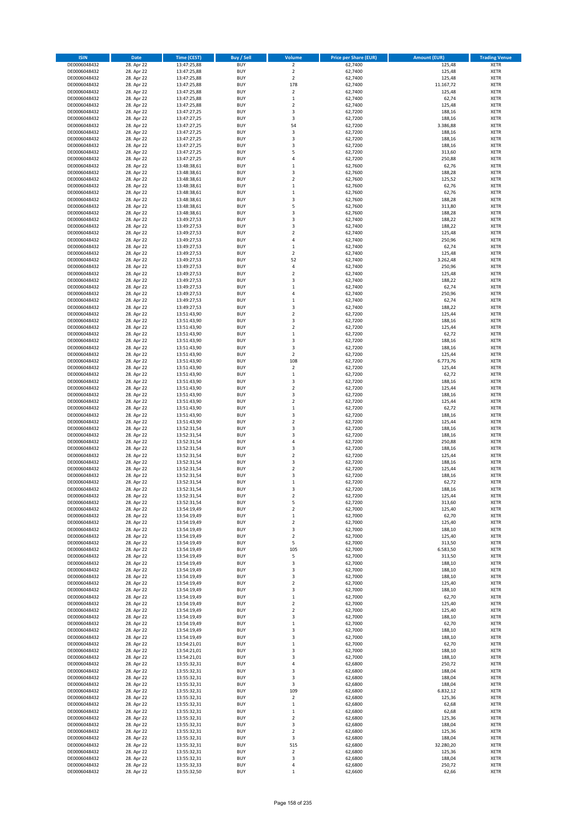| <b>ISIN</b>                  | <b>Date</b>              | <b>Time (CEST)</b>         | <b>Buy / Sell</b>        | Volume                         | <b>Price per Share (EUR)</b> | <b>Amount (EUR)</b> | <b>Trading Venue</b>       |
|------------------------------|--------------------------|----------------------------|--------------------------|--------------------------------|------------------------------|---------------------|----------------------------|
| DE0006048432                 | 28. Apr 22               | 13:47:25,88                | <b>BUY</b>               | $\overline{2}$                 | 62,7400                      | 125,48              | <b>XETR</b>                |
| DE0006048432                 | 28. Apr 22               | 13:47:25,88                | <b>BUY</b>               | $\mathbf 2$                    | 62,7400                      | 125,48              | <b>XETR</b>                |
| DE0006048432                 | 28. Apr 22               | 13:47:25,88                | <b>BUY</b>               | $\overline{2}$                 | 62.7400                      | 125,48              | <b>XETR</b>                |
| DE0006048432<br>DE0006048432 | 28. Apr 22<br>28. Apr 22 | 13:47:25,88<br>13:47:25,88 | <b>BUY</b><br><b>BUY</b> | 178<br>$\overline{\mathbf{c}}$ | 62,7400<br>62,7400           | 11.167,72<br>125,48 | <b>XETR</b><br><b>XETR</b> |
| DE0006048432                 | 28. Apr 22               | 13:47:25,88                | <b>BUY</b>               | $\mathbf 1$                    | 62,7400                      | 62,74               | <b>XETR</b>                |
| DE0006048432                 | 28. Apr 22               | 13:47:25,88                | <b>BUY</b>               | $\mathbf 2$                    | 62,7400                      | 125,48              | <b>XETR</b>                |
| DE0006048432                 | 28. Apr 22               | 13:47:27,25                | <b>BUY</b>               | 3                              | 62,7200                      | 188,16              | <b>XETR</b>                |
| DE0006048432                 | 28. Apr 22               | 13:47:27,25                | <b>BUY</b>               | 3                              | 62,7200                      | 188,16              | <b>XETR</b>                |
| DE0006048432                 | 28. Apr 22               | 13:47:27,25                | <b>BUY</b>               | 54                             | 62,7200                      | 3.386,88            | <b>XETR</b>                |
| DE0006048432                 | 28. Apr 22               | 13:47:27,25                | <b>BUY</b>               | 3                              | 62,7200                      | 188,16              | <b>XETR</b>                |
| DE0006048432<br>DE0006048432 | 28. Apr 22<br>28. Apr 22 | 13:47:27,25                | <b>BUY</b><br><b>BUY</b> | 3<br>3                         | 62,7200<br>62,7200           | 188,16<br>188,16    | <b>XETR</b><br><b>XETR</b> |
| DE0006048432                 | 28. Apr 22               | 13:47:27,25<br>13:47:27,25 | <b>BUY</b>               | 5                              | 62,7200                      | 313,60              | <b>XETR</b>                |
| DE0006048432                 | 28. Apr 22               | 13:47:27,25                | <b>BUY</b>               | 4                              | 62,7200                      | 250,88              | <b>XETR</b>                |
| DE0006048432                 | 28. Apr 22               | 13:48:38,61                | <b>BUY</b>               | $\mathbf 1$                    | 62,7600                      | 62,76               | <b>XETR</b>                |
| DE0006048432                 | 28. Apr 22               | 13:48:38,61                | <b>BUY</b>               | 3                              | 62,7600                      | 188,28              | <b>XETR</b>                |
| DE0006048432                 | 28. Apr 22               | 13:48:38,61                | <b>BUY</b>               | $\mathbf 2$                    | 62,7600                      | 125,52              | <b>XETR</b>                |
| DE0006048432                 | 28. Apr 22               | 13:48:38,61                | <b>BUY</b>               | $\mathbf 1$                    | 62,7600                      | 62,76               | <b>XETR</b>                |
| DE0006048432                 | 28. Apr 22               | 13:48:38,61                | <b>BUY</b>               | $\mathbf 1$                    | 62,7600                      | 62,76               | <b>XETR</b>                |
| DE0006048432                 | 28. Apr 22               | 13:48:38,61                | <b>BUY</b><br><b>BUY</b> | 3                              | 62,7600                      | 188,28              | <b>XETR</b>                |
| DE0006048432<br>DE0006048432 | 28. Apr 22<br>28. Apr 22 | 13:48:38,61<br>13:48:38,61 | <b>BUY</b>               | 5<br>3                         | 62,7600<br>62,7600           | 313,80<br>188,28    | <b>XETR</b><br><b>XETR</b> |
| DE0006048432                 | 28. Apr 22               | 13:49:27,53                | <b>BUY</b>               | 3                              | 62,7400                      | 188,22              | <b>XETR</b>                |
| DE0006048432                 | 28. Apr 22               | 13:49:27,53                | <b>BUY</b>               | 3                              | 62,7400                      | 188,22              | <b>XETR</b>                |
| DE0006048432                 | 28. Apr 22               | 13:49:27,53                | <b>BUY</b>               | $\mathbf 2$                    | 62,7400                      | 125,48              | <b>XETR</b>                |
| DE0006048432                 | 28. Apr 22               | 13:49:27,53                | <b>BUY</b>               | 4                              | 62,7400                      | 250,96              | <b>XETR</b>                |
| DE0006048432                 | 28. Apr 22               | 13:49:27,53                | <b>BUY</b>               | $\mathbf 1$                    | 62,7400                      | 62,74               | <b>XETR</b>                |
| DE0006048432                 | 28. Apr 22               | 13:49:27,53                | <b>BUY</b>               | $\mathbf 2$                    | 62,7400                      | 125,48              | <b>XETR</b>                |
| DE0006048432                 | 28. Apr 22               | 13:49:27,53                | <b>BUY</b>               | 52<br>4                        | 62,7400                      | 3.262,48            | <b>XETR</b>                |
| DE0006048432<br>DE0006048432 | 28. Apr 22<br>28. Apr 22 | 13:49:27,53<br>13:49:27,53 | <b>BUY</b><br><b>BUY</b> | $\mathbf 2$                    | 62,7400<br>62,7400           | 250,96<br>125,48    | <b>XETR</b><br><b>XETR</b> |
| DE0006048432                 | 28. Apr 22               | 13:49:27,53                | <b>BUY</b>               | 3                              | 62,7400                      | 188,22              | <b>XETR</b>                |
| DE0006048432                 | 28. Apr 22               | 13:49:27,53                | <b>BUY</b>               | $\mathbf{1}$                   | 62,7400                      | 62,74               | <b>XETR</b>                |
| DE0006048432                 | 28. Apr 22               | 13:49:27,53                | <b>BUY</b>               | 4                              | 62.7400                      | 250,96              | <b>XETR</b>                |
| DE0006048432                 | 28. Apr 22               | 13:49:27,53                | <b>BUY</b>               | $\mathbf 1$                    | 62,7400                      | 62,74               | <b>XETR</b>                |
| DE0006048432                 | 28. Apr 22               | 13:49:27,53                | <b>BUY</b>               | 3                              | 62,7400                      | 188,22              | <b>XETR</b>                |
| DE0006048432                 | 28. Apr 22               | 13:51:43,90                | <b>BUY</b>               | $\mathbf 2$                    | 62,7200                      | 125,44              | <b>XETR</b>                |
| DE0006048432                 | 28. Apr 22               | 13:51:43,90                | <b>BUY</b>               | 3                              | 62,7200                      | 188,16              | <b>XETR</b>                |
| DE0006048432<br>DE0006048432 | 28. Apr 22<br>28. Apr 22 | 13:51:43,90<br>13:51:43,90 | <b>BUY</b><br><b>BUY</b> | $\mathbf 2$<br>$\mathbf 1$     | 62,7200<br>62,7200           | 125,44<br>62,72     | <b>XETR</b><br><b>XETR</b> |
| DE0006048432                 | 28. Apr 22               | 13:51:43,90                | <b>BUY</b>               | 3                              | 62,7200                      | 188,16              | <b>XETR</b>                |
| DE0006048432                 | 28. Apr 22               | 13:51:43,90                | <b>BUY</b>               | 3                              | 62,7200                      | 188,16              | <b>XETR</b>                |
| DE0006048432                 | 28. Apr 22               | 13:51:43,90                | <b>BUY</b>               | $\overline{\mathbf{2}}$        | 62,7200                      | 125,44              | <b>XETR</b>                |
| DE0006048432                 | 28. Apr 22               | 13:51:43,90                | <b>BUY</b>               | 108                            | 62,7200                      | 6.773,76            | <b>XETR</b>                |
| DE0006048432                 | 28. Apr 22               | 13:51:43,90                | <b>BUY</b>               | $\overline{\mathbf{2}}$        | 62,7200                      | 125,44              | <b>XETR</b>                |
| DE0006048432                 | 28. Apr 22               | 13:51:43,90                | <b>BUY</b>               | $\mathbf 1$                    | 62,7200                      | 62,72               | <b>XETR</b>                |
| DE0006048432                 | 28. Apr 22               | 13:51:43,90                | <b>BUY</b>               | 3                              | 62,7200                      | 188,16              | <b>XETR</b>                |
| DE0006048432<br>DE0006048432 | 28. Apr 22<br>28. Apr 22 | 13:51:43,90<br>13:51:43,90 | <b>BUY</b><br><b>BUY</b> | $\mathbf 2$<br>3               | 62,7200<br>62,7200           | 125,44<br>188,16    | <b>XETR</b><br><b>XETR</b> |
| DE0006048432                 | 28. Apr 22               | 13:51:43,90                | <b>BUY</b>               | $\overline{\mathbf{c}}$        | 62,7200                      | 125,44              | <b>XETR</b>                |
| DE0006048432                 | 28. Apr 22               | 13:51:43,90                | <b>BUY</b>               | $\mathbf 1$                    | 62,7200                      | 62,72               | <b>XETR</b>                |
| DE0006048432                 | 28. Apr 22               | 13:51:43,90                | <b>BUY</b>               | 3                              | 62,7200                      | 188,16              | <b>XETR</b>                |
| DE0006048432                 | 28. Apr 22               | 13:51:43,90                | <b>BUY</b>               | $\mathbf 2$                    | 62,7200                      | 125,44              | <b>XETR</b>                |
| DE0006048432                 | 28. Apr 22               | 13:52:31,54                | <b>BUY</b>               | 3                              | 62,7200                      | 188,16              | <b>XETR</b>                |
| DE0006048432                 | 28. Apr 22               | 13:52:31,54                | <b>BUY</b>               | 3                              | 62,7200                      | 188,16              | <b>XETR</b>                |
| DE0006048432                 | 28. Apr 22               | 13:52:31,54                | <b>BUY</b>               | 4                              | 62,7200                      | 250,88              | <b>XETR</b>                |
| DE0006048432<br>DE0006048432 | 28. Apr 22<br>28. Apr 22 | 13:52:31,54<br>13:52:31,54 | <b>BUY</b><br><b>BUY</b> | 3<br>$\overline{\mathbf{c}}$   | 62,7200<br>62,7200           | 188,16<br>125,44    | <b>XETR</b><br><b>XETR</b> |
| DE0006048432                 | 28. Apr 22               | 13:52:31,54                | <b>BUY</b>               | 3                              | 62,7200                      | 188,16              | <b>XETR</b>                |
| DE0006048432                 | 28. Apr 22               | 13:52:31,54                | <b>BUY</b>               | $\mathbf 2$                    | 62,7200                      | 125,44              | <b>XETR</b>                |
| DE0006048432                 | 28. Apr 22               | 13:52:31,54                | <b>BUY</b>               | 3                              | 62,7200                      | 188,16              | <b>XETR</b>                |
| DE0006048432                 | 28. Apr 22               | 13:52:31,54                | <b>BUY</b>               | $\mathbf 1$                    | 62,7200                      | 62,72               | <b>XETR</b>                |
| DE0006048432                 | 28. Apr 22               | 13:52:31,54                | <b>BUY</b>               | 3                              | 62,7200                      | 188,16              | <b>XETR</b>                |
| DE0006048432                 | 28. Apr 22               | 13:52:31,54                | BUY                      | 2                              | 62,7200                      | 125,44              | <b>XETR</b>                |
| DE0006048432<br>DE0006048432 | 28. Apr 22<br>28. Apr 22 | 13:52:31,54<br>13:54:19,49 | <b>BUY</b><br><b>BUY</b> | 5<br>$\mathbf 2$               | 62,7200<br>62,7000           | 313,60<br>125,40    | <b>XETR</b><br>XETR        |
| DE0006048432                 | 28. Apr 22               | 13:54:19,49                | <b>BUY</b>               | $\mathbf 1$                    | 62,7000                      | 62,70               | XETR                       |
| DE0006048432                 | 28. Apr 22               | 13:54:19,49                | <b>BUY</b>               | $\overline{\mathbf{2}}$        | 62,7000                      | 125,40              | <b>XETR</b>                |
| DE0006048432                 | 28. Apr 22               | 13:54:19,49                | <b>BUY</b>               | 3                              | 62,7000                      | 188,10              | <b>XETR</b>                |
| DE0006048432                 | 28. Apr 22               | 13:54:19,49                | <b>BUY</b>               | $\overline{\mathbf{2}}$        | 62,7000                      | 125,40              | <b>XETR</b>                |
| DE0006048432                 | 28. Apr 22               | 13:54:19,49                | <b>BUY</b>               | 5                              | 62,7000                      | 313,50              | <b>XETR</b>                |
| DE0006048432                 | 28. Apr 22               | 13:54:19,49                | <b>BUY</b>               | 105                            | 62,7000                      | 6.583,50            | <b>XETR</b>                |
| DE0006048432<br>DE0006048432 | 28. Apr 22<br>28. Apr 22 | 13:54:19,49<br>13:54:19,49 | <b>BUY</b><br><b>BUY</b> | 5<br>3                         | 62,7000<br>62,7000           | 313,50<br>188,10    | <b>XETR</b><br>XETR        |
| DE0006048432                 | 28. Apr 22               | 13:54:19,49                | <b>BUY</b>               | 3                              | 62,7000                      | 188,10              | <b>XETR</b>                |
| DE0006048432                 | 28. Apr 22               | 13:54:19,49                | <b>BUY</b>               | 3                              | 62,7000                      | 188,10              | <b>XETR</b>                |
| DE0006048432                 | 28. Apr 22               | 13:54:19,49                | <b>BUY</b>               | $\overline{\mathbf{2}}$        | 62,7000                      | 125,40              | <b>XETR</b>                |
| DE0006048432                 | 28. Apr 22               | 13:54:19,49                | <b>BUY</b>               | 3                              | 62,7000                      | 188,10              | <b>XETR</b>                |
| DE0006048432                 | 28. Apr 22               | 13:54:19,49                | <b>BUY</b>               | $\mathbf 1$                    | 62,7000                      | 62,70               | <b>XETR</b>                |
| DE0006048432                 | 28. Apr 22               | 13:54:19,49                | <b>BUY</b>               | $\overline{2}$                 | 62,7000                      | 125,40              | <b>XETR</b>                |
| DE0006048432<br>DE0006048432 | 28. Apr 22<br>28. Apr 22 | 13:54:19,49<br>13:54:19,49 | <b>BUY</b><br><b>BUY</b> | $\overline{\mathbf{2}}$<br>3   | 62,7000<br>62,7000           | 125,40<br>188,10    | <b>XETR</b><br><b>XETR</b> |
| DE0006048432                 | 28. Apr 22               | 13:54:19,49                | <b>BUY</b>               | $\mathbf 1$                    | 62,7000                      | 62,70               | <b>XETR</b>                |
| DE0006048432                 | 28. Apr 22               | 13:54:19,49                | <b>BUY</b>               | 3                              | 62,7000                      | 188,10              | <b>XETR</b>                |
| DE0006048432                 | 28. Apr 22               | 13:54:19,49                | <b>BUY</b>               | 3                              | 62,7000                      | 188,10              | <b>XETR</b>                |
| DE0006048432                 | 28. Apr 22               | 13:54:21,01                | <b>BUY</b>               | $\mathbf 1$                    | 62,7000                      | 62,70               | <b>XETR</b>                |
| DE0006048432                 | 28. Apr 22               | 13:54:21,01                | <b>BUY</b>               | 3                              | 62,7000                      | 188,10              | <b>XETR</b>                |
| DE0006048432                 | 28. Apr 22               | 13:54:21,01                | <b>BUY</b>               | 3                              | 62,7000                      | 188,10              | <b>XETR</b>                |
| DE0006048432<br>DE0006048432 | 28. Apr 22               | 13:55:32,31                | <b>BUY</b><br><b>BUY</b> | 4<br>3                         | 62,6800<br>62,6800           | 250,72              | XETR<br><b>XETR</b>        |
| DE0006048432                 | 28. Apr 22<br>28. Apr 22 | 13:55:32,31<br>13:55:32,31 | <b>BUY</b>               | 3                              | 62,6800                      | 188,04<br>188,04    | <b>XETR</b>                |
| DE0006048432                 | 28. Apr 22               | 13:55:32,31                | <b>BUY</b>               | 3                              | 62,6800                      | 188,04              | <b>XETR</b>                |
| DE0006048432                 | 28. Apr 22               | 13:55:32,31                | <b>BUY</b>               | 109                            | 62,6800                      | 6.832,12            | XETR                       |
| DE0006048432                 | 28. Apr 22               | 13:55:32,31                | <b>BUY</b>               | $\mathbf 2$                    | 62,6800                      | 125,36              | <b>XETR</b>                |
| DE0006048432                 | 28. Apr 22               | 13:55:32,31                | <b>BUY</b>               | $\mathbf 1$                    | 62,6800                      | 62,68               | <b>XETR</b>                |
| DE0006048432                 | 28. Apr 22               | 13:55:32,31                | <b>BUY</b>               | $\mathbf 1$                    | 62,6800                      | 62,68               | XETR                       |
| DE0006048432                 | 28. Apr 22               | 13:55:32,31                | <b>BUY</b>               | $\overline{\mathbf{c}}$        | 62,6800                      | 125,36              | <b>XETR</b>                |
| DE0006048432                 | 28. Apr 22<br>28. Apr 22 | 13:55:32,31                | <b>BUY</b><br><b>BUY</b> | 3<br>$\mathbf 2$               | 62,6800<br>62,6800           | 188,04<br>125,36    | <b>XETR</b>                |
| DE0006048432<br>DE0006048432 | 28. Apr 22               | 13:55:32,31<br>13:55:32,31 | <b>BUY</b>               | 3                              | 62,6800                      | 188,04              | <b>XETR</b><br><b>XETR</b> |
| DE0006048432                 | 28. Apr 22               | 13:55:32,31                | <b>BUY</b>               | 515                            | 62,6800                      | 32.280,20           | <b>XETR</b>                |
| DE0006048432                 | 28. Apr 22               | 13:55:32,31                | <b>BUY</b>               | $\overline{2}$                 | 62,6800                      | 125,36              | <b>XETR</b>                |
| DE0006048432                 | 28. Apr 22               | 13:55:32,31                | <b>BUY</b>               | 3                              | 62,6800                      | 188,04              | <b>XETR</b>                |
| DE0006048432                 | 28. Apr 22               | 13:55:32,33                | <b>BUY</b>               | 4                              | 62,6800                      | 250,72              | <b>XETR</b>                |
| DE0006048432                 | 28. Apr 22               | 13:55:32,50                | <b>BUY</b>               | $\mathbf 1$                    | 62,6600                      | 62,66               | XETR                       |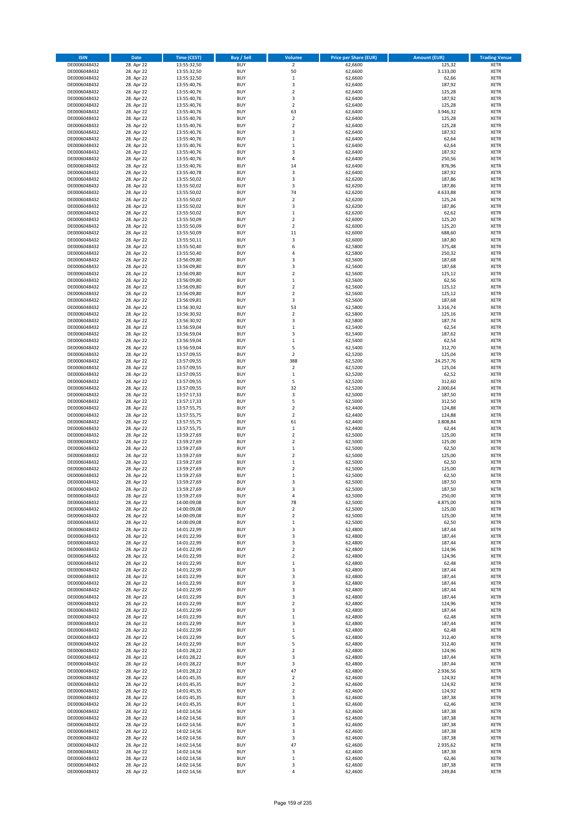| <b>ISIN</b>                  | Date                     | <b>Time (CEST)</b>         | <b>Buy / Sell</b>        | <b>Volume</b>        | <b>Price per Share (EUR)</b> | <b>Amount (EUR)</b> | <b>Trading Venue</b>       |
|------------------------------|--------------------------|----------------------------|--------------------------|----------------------|------------------------------|---------------------|----------------------------|
| DE0006048432                 | 28. Apr 22               | 13:55:32,50                | <b>BUY</b>               | $\overline{2}$       | 62,6600                      | 125,32              | <b>XETR</b>                |
| DE0006048432                 | 28. Apr 22               | 13:55:32,50                | <b>BUY</b>               | 50                   | 62,6600                      | 3.133,00            | XETR                       |
| DE0006048432                 | 28. Apr 22               | 13:55:32,50                | <b>BUY</b>               | $\,1\,$              | 62,6600                      | 62,66               | <b>XETR</b>                |
| DE0006048432                 | 28. Apr 22               | 13:55:40,76                | <b>BUY</b>               | $\mathsf 3$          | 62,6400                      | 187,92              | XETR                       |
| DE0006048432<br>DE0006048432 | 28. Apr 22<br>28. Apr 22 | 13:55:40,76<br>13:55:40,76 | <b>BUY</b><br><b>BUY</b> | $\overline{2}$<br>3  | 62,6400<br>62,6400           | 125,28<br>187,92    | <b>XETR</b><br><b>XETR</b> |
| DE0006048432                 | 28. Apr 22               | 13:55:40,76                | <b>BUY</b>               | $\mathbf 2$          | 62,6400                      | 125,28              | <b>XETR</b>                |
| DE0006048432                 | 28. Apr 22               | 13:55:40,76                | <b>BUY</b>               | 63                   | 62,6400                      | 3.946,32            | <b>XETR</b>                |
| DE0006048432                 | 28. Apr 22               | 13:55:40,76                | <b>BUY</b>               | $\overline{2}$       | 62,6400                      | 125,28              | <b>XETR</b>                |
| DE0006048432                 | 28. Apr 22               | 13:55:40,76                | <b>BUY</b>               | $\overline{2}$       | 62,6400                      | 125,28              | <b>XETR</b>                |
| DE0006048432                 | 28. Apr 22               | 13:55:40,76                | <b>BUY</b>               | $\mathsf 3$          | 62,6400                      | 187,92              | <b>XETR</b>                |
| DE0006048432                 | 28. Apr 22               | 13:55:40,76                | <b>BUY</b>               | $\,1\,$              | 62,6400                      | 62,64               | <b>XETR</b>                |
| DE0006048432<br>DE0006048432 | 28. Apr 22<br>28. Apr 22 | 13:55:40,76<br>13:55:40,76 | <b>BUY</b><br><b>BUY</b> | $\,1\,$<br>3         | 62,6400<br>62,6400           | 62,64<br>187,92     | <b>XETR</b><br><b>XETR</b> |
| DE0006048432                 | 28. Apr 22               | 13:55:40,76                | <b>BUY</b>               | $\sqrt{4}$           | 62,6400                      | 250,56              | <b>XETR</b>                |
| DE0006048432                 | 28. Apr 22               | 13:55:40,76                | <b>BUY</b>               | 14                   | 62,6400                      | 876,96              | <b>XETR</b>                |
| DE0006048432                 | 28. Apr 22               | 13:55:40,78                | <b>BUY</b>               | 3                    | 62,6400                      | 187,92              | <b>XETR</b>                |
| DE0006048432                 | 28. Apr 22               | 13:55:50,02                | <b>BUY</b>               | 3                    | 62,6200                      | 187,86              | <b>XETR</b>                |
| DE0006048432                 | 28. Apr 22               | 13:55:50,02                | <b>BUY</b>               | 3                    | 62,6200                      | 187,86              | <b>XETR</b>                |
| DE0006048432<br>DE0006048432 | 28. Apr 22<br>28. Apr 22 | 13:55:50,02<br>13:55:50,02 | <b>BUY</b><br><b>BUY</b> | 74<br>$\overline{2}$ | 62,6200<br>62,6200           | 4.633,88<br>125,24  | <b>XETR</b><br><b>XETR</b> |
| DE0006048432                 | 28. Apr 22               | 13:55:50,02                | <b>BUY</b>               | 3                    | 62,6200                      | 187,86              | <b>XETR</b>                |
| DE0006048432                 | 28. Apr 22               | 13:55:50,02                | <b>BUY</b>               | $\,1\,$              | 62,6200                      | 62,62               | <b>XETR</b>                |
| DE0006048432                 | 28. Apr 22               | 13:55:50,09                | <b>BUY</b>               | $\mathbf 2$          | 62,6000                      | 125,20              | <b>XETR</b>                |
| DE0006048432                 | 28. Apr 22               | 13:55:50,09                | <b>BUY</b>               | $\overline{2}$       | 62,6000                      | 125,20              | <b>XETR</b>                |
| DE0006048432                 | 28. Apr 22               | 13:55:50,09                | <b>BUY</b>               | 11                   | 62,6000                      | 688,60              | <b>XETR</b>                |
| DE0006048432<br>DE0006048432 | 28. Apr 22               | 13:55:50,11                | <b>BUY</b><br><b>BUY</b> | $\mathsf 3$<br>6     | 62,6000                      | 187,80              | <b>XETR</b><br><b>XETR</b> |
| DE0006048432                 | 28. Apr 22<br>28. Apr 22 | 13:55:50,40<br>13:55:50,40 | <b>BUY</b>               | 4                    | 62,5800<br>62,5800           | 375,48<br>250,32    | <b>XETR</b>                |
| DE0006048432                 | 28. Apr 22               | 13:56:09,80                | <b>BUY</b>               | 3                    | 62,5600                      | 187,68              | <b>XETR</b>                |
| DE0006048432                 | 28. Apr 22               | 13:56:09,80                | <b>BUY</b>               | 3                    | 62,5600                      | 187,68              | <b>XETR</b>                |
| DE0006048432                 | 28. Apr 22               | 13:56:09,80                | <b>BUY</b>               | $\overline{2}$       | 62,5600                      | 125,12              | <b>XETR</b>                |
| DE0006048432                 | 28. Apr 22               | 13:56:09,80                | <b>BUY</b>               | $\,$ 1               | 62,5600                      | 62,56               | <b>XETR</b>                |
| DE0006048432                 | 28. Apr 22               | 13:56:09,80                | <b>BUY</b>               | $\mathbf 2$          | 62,5600                      | 125,12              | <b>XETR</b>                |
| DE0006048432<br>DE0006048432 | 28. Apr 22<br>28. Apr 22 | 13:56:09,80<br>13:56:09,81 | <b>BUY</b><br><b>BUY</b> | $\mathbf 2$<br>3     | 62,5600<br>62,5600           | 125,12<br>187,68    | <b>XETR</b><br><b>XETR</b> |
| DE0006048432                 | 28. Apr 22               | 13:56:30,92                | <b>BUY</b>               | 53                   | 62,5800                      | 3.316,74            | <b>XETR</b>                |
| DE0006048432                 | 28. Apr 22               | 13:56:30,92                | <b>BUY</b>               | $\mathbf 2$          | 62,5800                      | 125,16              | <b>XETR</b>                |
| DE0006048432                 | 28. Apr 22               | 13:56:30,92                | <b>BUY</b>               | 3                    | 62,5800                      | 187,74              | <b>XETR</b>                |
| DE0006048432                 | 28. Apr 22               | 13:56:59,04                | <b>BUY</b>               | $\,$ 1               | 62,5400                      | 62,54               | <b>XETR</b>                |
| DE0006048432                 | 28. Apr 22               | 13:56:59,04                | <b>BUY</b>               | 3                    | 62,5400                      | 187,62              | <b>XETR</b>                |
| DE0006048432                 | 28. Apr 22<br>28. Apr 22 | 13:56:59,04                | <b>BUY</b><br><b>BUY</b> | $\mathbf 1$<br>5     | 62,5400                      | 62,54<br>312,70     | <b>XETR</b><br><b>XETR</b> |
| DE0006048432<br>DE0006048432 | 28. Apr 22               | 13:56:59,04<br>13:57:09,55 | <b>BUY</b>               | $\overline{2}$       | 62,5400<br>62,5200           | 125,04              | <b>XETR</b>                |
| DE0006048432                 | 28. Apr 22               | 13:57:09,55                | <b>BUY</b>               | 388                  | 62,5200                      | 24.257,76           | <b>XETR</b>                |
| DE0006048432                 | 28. Apr 22               | 13:57:09,55                | <b>BUY</b>               | $\overline{2}$       | 62,5200                      | 125,04              | <b>XETR</b>                |
| DE0006048432                 | 28. Apr 22               | 13:57:09,55                | <b>BUY</b>               | $\,$ 1               | 62,5200                      | 62,52               | <b>XETR</b>                |
| DE0006048432                 | 28. Apr 22               | 13:57:09,55                | <b>BUY</b>               | 5                    | 62,5200                      | 312,60              | <b>XETR</b>                |
| DE0006048432<br>DE0006048432 | 28. Apr 22<br>28. Apr 22 | 13:57:09,55                | <b>BUY</b><br><b>BUY</b> | 32<br>3              | 62,5200<br>62,5000           | 2.000,64<br>187,50  | <b>XETR</b><br><b>XETR</b> |
| DE0006048432                 | 28. Apr 22               | 13:57:17,33<br>13:57:17,33 | <b>BUY</b>               | 5                    | 62,5000                      | 312,50              | <b>XETR</b>                |
| DE0006048432                 | 28. Apr 22               | 13:57:55,75                | <b>BUY</b>               | $\mathbf 2$          | 62,4400                      | 124,88              | <b>XETR</b>                |
| DE0006048432                 | 28. Apr 22               | 13:57:55,75                | <b>BUY</b>               | $\overline{2}$       | 62,4400                      | 124,88              | <b>XETR</b>                |
| DE0006048432                 | 28. Apr 22               | 13:57:55,75                | <b>BUY</b>               | 61                   | 62,4400                      | 3.808,84            | <b>XETR</b>                |
| DE0006048432                 | 28. Apr 22               | 13:57:55,75                | <b>BUY</b>               | $\,1\,$              | 62,4400                      | 62,44               | <b>XETR</b>                |
| DE0006048432                 | 28. Apr 22               | 13:59:27,69                | <b>BUY</b>               | $\mathbf 2$          | 62,5000                      | 125,00              | <b>XETR</b>                |
| DE0006048432<br>DE0006048432 | 28. Apr 22<br>28. Apr 22 | 13:59:27,69<br>13:59:27,69 | <b>BUY</b><br><b>BUY</b> | 2<br>$\,1\,$         | 62,5000<br>62,5000           | 125,00<br>62,50     | <b>XETR</b><br><b>XETR</b> |
| DE0006048432                 | 28. Apr 22               | 13:59:27,69                | <b>BUY</b>               | $\mathbf 2$          | 62,5000                      | 125,00              | <b>XETR</b>                |
| DE0006048432                 | 28. Apr 22               | 13:59:27,69                | <b>BUY</b>               | $\mathbf 1$          | 62,5000                      | 62,50               | <b>XETR</b>                |
| DE0006048432                 | 28. Apr 22               | 13:59:27,69                | <b>BUY</b>               | $\mathbf 2$          | 62,5000                      | 125,00              | <b>XETR</b>                |
| DE0006048432                 | 28. Apr 22               | 13:59:27,69                | <b>BUY</b>               | $\,1\,$              | 62,5000                      | 62,50               | <b>XETR</b>                |
| DE0006048432                 | 28. Apr 22               | 13:59:27,69                | <b>BUY</b>               | 3                    | 62,5000                      | 187,50              | <b>XETR</b>                |
| DE0006048432<br>DE0006048432 | 28. Apr 22<br>28. Apr 22 | 13:59:27,69<br>13:59:27,69 | <b>BUY</b><br>BUY        | 3<br>4               | 62,5000<br>62,5000           | 187,50<br>250,00    | <b>XETR</b><br>XETR        |
| DE0006048432                 | 28. Apr 22               | 14:00:09,08                | <b>BUY</b>               | 78                   | 62,5000                      | 4.875,00            | <b>XETR</b>                |
| DE0006048432                 | 28. Apr 22               | 14:00:09,08                | <b>BUY</b>               | $\overline{2}$       | 62,5000                      | 125,00              | <b>XETR</b>                |
| DE0006048432                 | 28. Apr 22               | 14:00:09,08                | <b>BUY</b>               | $\mathbf 2$          | 62,5000                      | 125,00              | <b>XETR</b>                |
| DE0006048432                 | 28. Apr 22               | 14:00:09,08                | <b>BUY</b>               | $\,1\,$              | 62,5000                      | 62,50               | <b>XETR</b>                |
| DE0006048432                 | 28. Apr 22               | 14:01:22,99                | <b>BUY</b>               | 3                    | 62,4800                      | 187,44              | <b>XETR</b>                |
| DE0006048432<br>DE0006048432 | 28. Apr 22<br>28. Apr 22 | 14:01:22,99                | <b>BUY</b><br><b>BUY</b> | 3<br>3               | 62,4800<br>62,4800           | 187,44<br>187,44    | <b>XETR</b><br><b>XETR</b> |
| DE0006048432                 | 28. Apr 22               | 14:01:22,99<br>14:01:22,99 | <b>BUY</b>               | $\mathbf 2$          | 62,4800                      | 124,96              | XETR                       |
| DE0006048432                 | 28. Apr 22               | 14:01:22,99                | <b>BUY</b>               | $\mathbf 2$          | 62,4800                      | 124,96              | <b>XETR</b>                |
| DE0006048432                 | 28. Apr 22               | 14:01:22,99                | <b>BUY</b>               | $\,$ 1               | 62,4800                      | 62,48               | XETR                       |
| DE0006048432                 | 28. Apr 22               | 14:01:22,99                | <b>BUY</b>               | 3                    | 62,4800                      | 187,44              | <b>XETR</b>                |
| DE0006048432                 | 28. Apr 22               | 14:01:22,99                | <b>BUY</b>               | $\mathsf 3$          | 62,4800                      | 187,44              | XETR                       |
| DE0006048432<br>DE0006048432 | 28. Apr 22<br>28. Apr 22 | 14:01:22,99<br>14:01:22,99 | <b>BUY</b><br><b>BUY</b> | 3<br>3               | 62,4800<br>62,4800           | 187,44<br>187,44    | <b>XETR</b><br><b>XETR</b> |
| DE0006048432                 | 28. Apr 22               | 14:01:22,99                | <b>BUY</b>               | 3                    | 62,4800                      | 187,44              | <b>XETR</b>                |
| DE0006048432                 | 28. Apr 22               | 14:01:22,99                | <b>BUY</b>               | $\overline{2}$       | 62,4800                      | 124,96              | <b>XETR</b>                |
| DE0006048432                 | 28. Apr 22               | 14:01:22,99                | <b>BUY</b>               | 3                    | 62,4800                      | 187,44              | <b>XETR</b>                |
| DE0006048432                 | 28. Apr 22               | 14:01:22,99                | <b>BUY</b>               | $\,$ 1               | 62,4800                      | 62,48               | XETR                       |
| DE0006048432                 | 28. Apr 22               | 14:01:22,99                | <b>BUY</b>               | $\mathsf 3$          | 62,4800                      | 187,44              | <b>XETR</b>                |
| DE0006048432<br>DE0006048432 | 28. Apr 22<br>28. Apr 22 | 14:01:22,99<br>14:01:22,99 | <b>BUY</b><br><b>BUY</b> | $\,1\,$<br>5         | 62,4800<br>62,4800           | 62,48<br>312,40     | <b>XETR</b><br><b>XETR</b> |
| DE0006048432                 | 28. Apr 22               | 14:01:22,99                | <b>BUY</b>               | 5                    | 62,4800                      | 312,40              | <b>XETR</b>                |
| DE0006048432                 | 28. Apr 22               | 14:01:28,22                | <b>BUY</b>               | $\mathbf 2$          | 62,4800                      | 124,96              | <b>XETR</b>                |
| DE0006048432                 | 28. Apr 22               | 14:01:28,22                | <b>BUY</b>               | 3                    | 62,4800                      | 187,44              | XETR                       |
| DE0006048432                 | 28. Apr 22               | 14:01:28,22                | <b>BUY</b>               | 3                    | 62,4800                      | 187,44              | <b>XETR</b>                |
| DE0006048432                 | 28. Apr 22               | 14:01:28,22                | <b>BUY</b>               | 47                   | 62,4800                      | 2.936,56            | <b>XETR</b>                |
| DE0006048432                 | 28. Apr 22               | 14:01:45,35                | <b>BUY</b>               | $\mathbf 2$          | 62,4600                      | 124,92              | <b>XETR</b>                |
| DE0006048432<br>DE0006048432 | 28. Apr 22<br>28. Apr 22 | 14:01:45,35<br>14:01:45,35 | <b>BUY</b><br><b>BUY</b> | 2<br>$\overline{2}$  | 62,4600<br>62,4600           | 124,92<br>124,92    | <b>XETR</b><br><b>XETR</b> |
| DE0006048432                 | 28. Apr 22               | 14:01:45,35                | <b>BUY</b>               | 3                    | 62,4600                      | 187,38              | <b>XETR</b>                |
| DE0006048432                 | 28. Apr 22               | 14:01:45,35                | <b>BUY</b>               | $\mathbf 1$          | 62,4600                      | 62,46               | <b>XETR</b>                |
| DE0006048432                 | 28. Apr 22               | 14:02:14,56                | <b>BUY</b>               | 3                    | 62,4600                      | 187,38              | <b>XETR</b>                |
| DE0006048432                 | 28. Apr 22               | 14:02:14,56                | <b>BUY</b>               | 3                    | 62,4600                      | 187,38              | <b>XETR</b>                |
| DE0006048432                 | 28. Apr 22               | 14:02:14,56                | <b>BUY</b>               | 3                    | 62,4600                      | 187,38              | <b>XETR</b>                |
| DE0006048432<br>DE0006048432 | 28. Apr 22<br>28. Apr 22 | 14:02:14,56<br>14:02:14,56 | <b>BUY</b><br><b>BUY</b> | 3<br>3               | 62,4600<br>62,4600           | 187,38<br>187,38    | <b>XETR</b><br><b>XETR</b> |
| DE0006048432                 | 28. Apr 22               | 14:02:14,56                | <b>BUY</b>               | 47                   | 62,4600                      | 2.935,62            | XETR                       |
| DE0006048432                 | 28. Apr 22               | 14:02:14,56                | <b>BUY</b>               | 3                    | 62,4600                      | 187,38              | <b>XETR</b>                |
| DE0006048432                 | 28. Apr 22               | 14:02:14,56                | <b>BUY</b>               | $\,$ 1               | 62,4600                      | 62,46               | XETR                       |
| DE0006048432                 | 28. Apr 22               | 14:02:14,56                | <b>BUY</b>               | 3                    | 62,4600                      | 187,38              | <b>XETR</b>                |
| DE0006048432                 | 28. Apr 22               | 14:02:14,56                | <b>BUY</b>               | $\pmb{4}$            | 62,4600                      | 249,84              | <b>XETR</b>                |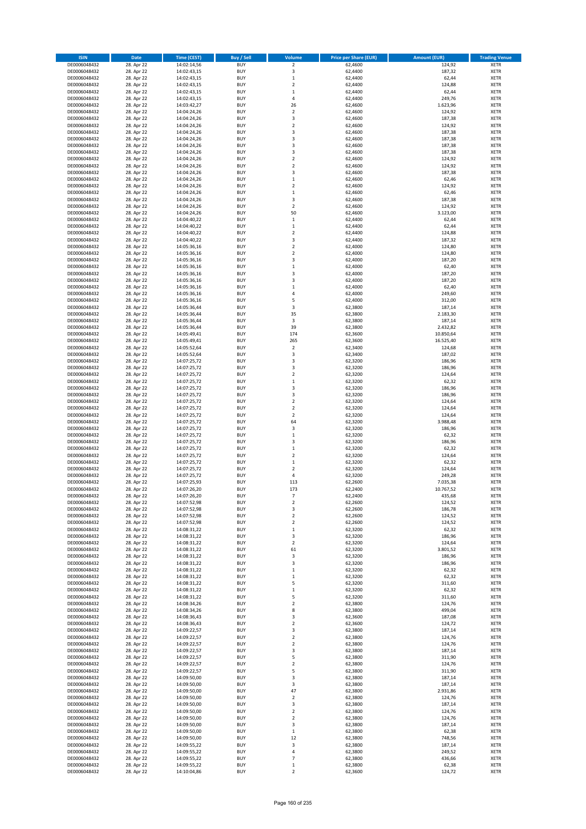| <b>ISIN</b>                  | <b>Date</b>              | <b>Time (CEST)</b>         | <b>Buy / Sell</b>        | Volume                        | <b>Price per Share (EUR)</b> | <b>Amount (EUR)</b> | <b>Trading Venue</b>       |
|------------------------------|--------------------------|----------------------------|--------------------------|-------------------------------|------------------------------|---------------------|----------------------------|
| DE0006048432                 | 28. Apr 22               | 14:02:14,56                | <b>BUY</b>               | $\overline{\mathbf{2}}$       | 62,4600                      | 124,92              | <b>XETR</b>                |
| DE0006048432                 | 28. Apr 22               | 14:02:43,15                | <b>BUY</b>               | 3                             | 62,4400                      | 187,32              | <b>XETR</b>                |
| DE0006048432                 | 28. Apr 22               | 14:02:43,15                | <b>BUY</b>               | $\mathbf 1$                   | 62,4400                      | 62,44               | <b>XETR</b>                |
| DE0006048432                 | 28. Apr 22               | 14:02:43,15                | <b>BUY</b>               | $\mathbf 2$                   | 62,4400                      | 124,88              | <b>XETR</b>                |
| DE0006048432<br>DE0006048432 | 28. Apr 22<br>28. Apr 22 | 14:02:43,15<br>14:02:43,15 | <b>BUY</b><br><b>BUY</b> | $\mathbf 1$<br>4              | 62,4400<br>62,4400           | 62,44<br>249,76     | <b>XETR</b><br><b>XETR</b> |
| DE0006048432                 | 28. Apr 22               | 14:03:42,27                | <b>BUY</b>               | 26                            | 62,4600                      | 1.623,96            | <b>XETR</b>                |
| DE0006048432                 | 28. Apr 22               | 14:04:24,26                | <b>BUY</b>               | $\overline{\mathbf{c}}$       | 62,4600                      | 124,92              | <b>XETR</b>                |
| DE0006048432                 | 28. Apr 22               | 14:04:24,26                | <b>BUY</b>               | 3                             | 62,4600                      | 187,38              | <b>XETR</b>                |
| DE0006048432                 | 28. Apr 22               | 14:04:24,26                | <b>BUY</b>               | $\mathbf 2$                   | 62,4600                      | 124,92              | <b>XETR</b>                |
| DE0006048432                 | 28. Apr 22               | 14:04:24,26                | <b>BUY</b>               | 3                             | 62,4600                      | 187,38              | <b>XETR</b>                |
| DE0006048432                 | 28. Apr 22               | 14:04:24,26                | <b>BUY</b>               | 3                             | 62,4600                      | 187,38              | <b>XETR</b>                |
| DE0006048432<br>DE0006048432 | 28. Apr 22<br>28. Apr 22 | 14:04:24,26<br>14:04:24,26 | <b>BUY</b><br><b>BUY</b> | 3<br>3                        | 62,4600<br>62,4600           | 187,38<br>187,38    | <b>XETR</b><br><b>XETR</b> |
| DE0006048432                 | 28. Apr 22               | 14:04:24,26                | <b>BUY</b>               | $\mathbf 2$                   | 62,4600                      | 124,92              | <b>XETR</b>                |
| DE0006048432                 | 28. Apr 22               | 14:04:24,26                | <b>BUY</b>               | $\overline{\mathbf{c}}$       | 62,4600                      | 124,92              | <b>XETR</b>                |
| DE0006048432                 | 28. Apr 22               | 14:04:24,26                | <b>BUY</b>               | 3                             | 62,4600                      | 187,38              | <b>XETR</b>                |
| DE0006048432                 | 28. Apr 22               | 14:04:24,26                | <b>BUY</b>               | $\mathbf 1$                   | 62,4600                      | 62,46               | <b>XETR</b>                |
| DE0006048432                 | 28. Apr 22               | 14:04:24,26                | <b>BUY</b>               | $\overline{\mathbf{c}}$       | 62,4600                      | 124,92              | <b>XETR</b>                |
| DE0006048432<br>DE0006048432 | 28. Apr 22<br>28. Apr 22 | 14:04:24,26<br>14:04:24,26 | <b>BUY</b><br><b>BUY</b> | $\mathbf 1$<br>3              | 62,4600<br>62,4600           | 62,46<br>187,38     | <b>XETR</b><br><b>XETR</b> |
| DE0006048432                 | 28. Apr 22               | 14:04:24,26                | <b>BUY</b>               | $\mathbf 2$                   | 62,4600                      | 124,92              | <b>XETR</b>                |
| DE0006048432                 | 28. Apr 22               | 14:04:24,26                | <b>BUY</b>               | 50                            | 62,4600                      | 3.123,00            | <b>XETR</b>                |
| DE0006048432                 | 28. Apr 22               | 14:04:40,22                | <b>BUY</b>               | $\mathbf 1$                   | 62,4400                      | 62,44               | <b>XETR</b>                |
| DE0006048432                 | 28. Apr 22               | 14:04:40,22                | <b>BUY</b>               | $\mathbf 1$                   | 62,4400                      | 62,44               | <b>XETR</b>                |
| DE0006048432                 | 28. Apr 22               | 14:04:40,22                | <b>BUY</b>               | $\mathbf 2$                   | 62,4400                      | 124,88              | <b>XETR</b>                |
| DE0006048432<br>DE0006048432 | 28. Apr 22               | 14:04:40,22                | <b>BUY</b><br><b>BUY</b> | 3<br>$\overline{\mathbf{c}}$  | 62,4400                      | 187,32              | <b>XETR</b><br><b>XETR</b> |
| DE0006048432                 | 28. Apr 22<br>28. Apr 22 | 14:05:36,16<br>14:05:36,16 | <b>BUY</b>               | $\mathbf 2$                   | 62,4000<br>62,4000           | 124,80<br>124,80    | <b>XETR</b>                |
| DE0006048432                 | 28. Apr 22               | 14:05:36,16                | <b>BUY</b>               | 3                             | 62,4000                      | 187,20              | <b>XETR</b>                |
| DE0006048432                 | 28. Apr 22               | 14:05:36,16                | <b>BUY</b>               | $\mathbf 1$                   | 62,4000                      | 62,40               | <b>XETR</b>                |
| DE0006048432                 | 28. Apr 22               | 14:05:36,16                | <b>BUY</b>               | 3                             | 62,4000                      | 187,20              | <b>XETR</b>                |
| DE0006048432                 | 28. Apr 22               | 14:05:36,16                | <b>BUY</b>               | 3                             | 62,4000                      | 187,20              | <b>XETR</b>                |
| DE0006048432                 | 28. Apr 22               | 14:05:36,16                | <b>BUY</b>               | $\mathbf 1$                   | 62,4000                      | 62,40               | <b>XETR</b>                |
| DE0006048432<br>DE0006048432 | 28. Apr 22<br>28. Apr 22 | 14:05:36,16<br>14:05:36,16 | <b>BUY</b><br><b>BUY</b> | 4<br>5                        | 62,4000<br>62,4000           | 249,60<br>312,00    | <b>XETR</b><br><b>XETR</b> |
| DE0006048432                 | 28. Apr 22               | 14:05:36,44                | <b>BUY</b>               | 3                             | 62,3800                      | 187,14              | <b>XETR</b>                |
| DE0006048432                 | 28. Apr 22               | 14:05:36,44                | <b>BUY</b>               | 35                            | 62,3800                      | 2.183,30            | <b>XETR</b>                |
| DE0006048432                 | 28. Apr 22               | 14:05:36,44                | <b>BUY</b>               | 3                             | 62,3800                      | 187,14              | <b>XETR</b>                |
| DE0006048432                 | 28. Apr 22               | 14:05:36,44                | <b>BUY</b>               | 39                            | 62,3800                      | 2.432,82            | <b>XETR</b>                |
| DE0006048432                 | 28. Apr 22               | 14:05:49,41                | <b>BUY</b>               | 174                           | 62,3600                      | 10.850,64           | <b>XETR</b>                |
| DE0006048432                 | 28. Apr 22               | 14:05:49,41                | <b>BUY</b><br><b>BUY</b> | 265<br>$\mathbf 2$            | 62,3600                      | 16.525,40           | <b>XETR</b>                |
| DE0006048432<br>DE0006048432 | 28. Apr 22<br>28. Apr 22 | 14:05:52,64<br>14:05:52,64 | <b>BUY</b>               | 3                             | 62,3400<br>62,3400           | 124,68<br>187,02    | <b>XETR</b><br><b>XETR</b> |
| DE0006048432                 | 28. Apr 22               | 14:07:25,72                | <b>BUY</b>               | 3                             | 62,3200                      | 186,96              | <b>XETR</b>                |
| DE0006048432                 | 28. Apr 22               | 14:07:25,72                | <b>BUY</b>               | 3                             | 62,3200                      | 186,96              | <b>XETR</b>                |
| DE0006048432                 | 28. Apr 22               | 14:07:25,72                | <b>BUY</b>               | $\mathbf 2$                   | 62,3200                      | 124,64              | <b>XETR</b>                |
| DE0006048432                 | 28. Apr 22               | 14:07:25,72                | <b>BUY</b>               | $\mathbf 1$                   | 62,3200                      | 62,32               | <b>XETR</b>                |
| DE0006048432                 | 28. Apr 22               | 14:07:25,72                | <b>BUY</b><br><b>BUY</b> | 3<br>3                        | 62,3200                      | 186,96              | <b>XETR</b><br><b>XETR</b> |
| DE0006048432<br>DE0006048432 | 28. Apr 22<br>28. Apr 22 | 14:07:25,72<br>14:07:25,72 | <b>BUY</b>               | $\overline{\mathbf{c}}$       | 62,3200<br>62,3200           | 186,96<br>124,64    | <b>XETR</b>                |
| DE0006048432                 | 28. Apr 22               | 14:07:25,72                | <b>BUY</b>               | $\mathbf 2$                   | 62,3200                      | 124,64              | <b>XETR</b>                |
| DE0006048432                 | 28. Apr 22               | 14:07:25,72                | <b>BUY</b>               | $\overline{2}$                | 62,3200                      | 124,64              | <b>XETR</b>                |
| DE0006048432                 | 28. Apr 22               | 14:07:25,72                | <b>BUY</b>               | 64                            | 62,3200                      | 3.988,48            | <b>XETR</b>                |
| DE0006048432                 | 28. Apr 22               | 14:07:25,72                | <b>BUY</b>               | 3                             | 62,3200                      | 186,96              | <b>XETR</b>                |
| DE0006048432                 | 28. Apr 22               | 14:07:25,72                | <b>BUY</b>               | $\mathbf 1$                   | 62,3200                      | 62,32               | <b>XETR</b>                |
| DE0006048432<br>DE0006048432 | 28. Apr 22<br>28. Apr 22 | 14:07:25,72<br>14:07:25,72 | <b>BUY</b><br><b>BUY</b> | 3<br>$\mathbf 1$              | 62,3200<br>62,3200           | 186,96<br>62,32     | <b>XETR</b><br><b>XETR</b> |
| DE0006048432                 | 28. Apr 22               | 14:07:25,72                | <b>BUY</b>               | $\overline{\mathbf{c}}$       | 62,3200                      | 124,64              | <b>XETR</b>                |
| DE0006048432                 | 28. Apr 22               | 14:07:25,72                | <b>BUY</b>               | $\mathbf 1$                   | 62,3200                      | 62,32               | <b>XETR</b>                |
| DE0006048432                 | 28. Apr 22               | 14:07:25,72                | <b>BUY</b>               | $\mathbf 2$                   | 62,3200                      | 124,64              | <b>XETR</b>                |
| DE0006048432                 | 28. Apr 22               | 14:07:25,72                | <b>BUY</b>               | 4                             | 62,3200                      | 249,28              | <b>XETR</b>                |
| DE0006048432                 | 28. Apr 22               | 14:07:25,93                | <b>BUY</b>               | 113                           | 62,2600                      | 7.035,38            | <b>XETR</b>                |
| DE0006048432                 | 28. Apr 22               | 14:07:26,20                | <b>BUY</b>               | 173<br>$\overline{7}$         | 62,2400<br>62,2400           | 10.767,52           | <b>XETR</b>                |
| DE0006048432<br>DE0006048432 | 28. Apr 22<br>28. Apr 22 | 14:07:26,20<br>14:07:52,98 | BUY<br><b>BUY</b>        | $\mathbf 2$                   | 62,2600                      | 435,68<br>124,52    | <b>XETR</b><br><b>XETR</b> |
| DE0006048432                 | 28. Apr 22               | 14:07:52,98                | <b>BUY</b>               | 3                             | 62,2600                      | 186,78              | <b>XETR</b>                |
| DE0006048432                 | 28. Apr 22               | 14:07:52,98                | <b>BUY</b>               | $\mathbf 2$                   | 62,2600                      | 124,52              | XETR                       |
| DE0006048432                 | 28. Apr 22               | 14:07:52,98                | <b>BUY</b>               | $\mathbf 2$                   | 62,2600                      | 124,52              | <b>XETR</b>                |
| DE0006048432                 | 28. Apr 22               | 14:08:31,22                | <b>BUY</b>               | $\mathbf 1$                   | 62,3200                      | 62,32               | <b>XETR</b>                |
| DE0006048432                 | 28. Apr 22               | 14:08:31,22                | <b>BUY</b>               | 3                             | 62,3200                      | 186,96              | <b>XETR</b>                |
| DE0006048432<br>DE0006048432 | 28. Apr 22<br>28. Apr 22 | 14:08:31,22<br>14:08:31,22 | <b>BUY</b><br><b>BUY</b> | $\mathbf 2$<br>61             | 62,3200<br>62,3200           | 124,64<br>3.801,52  | <b>XETR</b><br><b>XETR</b> |
| DE0006048432                 | 28. Apr 22               | 14:08:31,22                | <b>BUY</b>               | 3                             | 62,3200                      | 186,96              | <b>XETR</b>                |
| DE0006048432                 | 28. Apr 22               | 14:08:31,22                | <b>BUY</b>               | 3                             | 62,3200                      | 186,96              | <b>XETR</b>                |
| DE0006048432                 | 28. Apr 22               | 14:08:31,22                | <b>BUY</b>               | $\mathbf 1$                   | 62,3200                      | 62,32               | <b>XETR</b>                |
| DE0006048432                 | 28. Apr 22               | 14:08:31,22                | <b>BUY</b>               | $\mathbf 1$                   | 62,3200                      | 62,32               | <b>XETR</b>                |
| DE0006048432                 | 28. Apr 22               | 14:08:31,22                | <b>BUY</b>               | 5                             | 62,3200                      | 311,60              | <b>XETR</b>                |
| DE0006048432<br>DE0006048432 | 28. Apr 22<br>28. Apr 22 | 14:08:31,22<br>14:08:31,22 | <b>BUY</b><br><b>BUY</b> | $\mathbf 1$<br>5              | 62,3200<br>62,3200           | 62,32<br>311,60     | <b>XETR</b><br><b>XETR</b> |
| DE0006048432                 | 28. Apr 22               | 14:08:34,26                | <b>BUY</b>               | $\mathbf 2$                   | 62,3800                      | 124,76              | <b>XETR</b>                |
| DE0006048432                 | 28. Apr 22               | 14:08:34,26                | <b>BUY</b>               | 8                             | 62,3800                      | 499,04              | <b>XETR</b>                |
| DE0006048432                 | 28. Apr 22               | 14:08:36,43                | <b>BUY</b>               | 3                             | 62,3600                      | 187,08              | XETR                       |
| DE0006048432                 | 28. Apr 22               | 14:08:36,43                | <b>BUY</b>               | $\mathbf 2$                   | 62,3600                      | 124,72              | <b>XETR</b>                |
| DE0006048432                 | 28. Apr 22               | 14:09:22,57                | <b>BUY</b>               | 3                             | 62,3800                      | 187,14              | <b>XETR</b>                |
| DE0006048432<br>DE0006048432 | 28. Apr 22<br>28. Apr 22 | 14:09:22,57<br>14:09:22,57 | <b>BUY</b><br><b>BUY</b> | $\mathbf 2$<br>$\overline{2}$ | 62,3800<br>62,3800           | 124,76<br>124,76    | <b>XETR</b><br><b>XETR</b> |
| DE0006048432                 | 28. Apr 22               | 14:09:22,57                | <b>BUY</b>               | 3                             | 62,3800                      | 187,14              | <b>XETR</b>                |
| DE0006048432                 | 28. Apr 22               | 14:09:22,57                | <b>BUY</b>               | 5                             | 62,3800                      | 311,90              | <b>XETR</b>                |
| DE0006048432                 | 28. Apr 22               | 14:09:22,57                | <b>BUY</b>               | $\mathbf 2$                   | 62,3800                      | 124,76              | <b>XETR</b>                |
| DE0006048432                 | 28. Apr 22               | 14:09:22,57                | <b>BUY</b>               | 5                             | 62,3800                      | 311,90              | <b>XETR</b>                |
| DE0006048432                 | 28. Apr 22               | 14:09:50,00                | <b>BUY</b>               | 3                             | 62,3800                      | 187,14              | <b>XETR</b>                |
| DE0006048432<br>DE0006048432 | 28. Apr 22<br>28. Apr 22 | 14:09:50,00                | <b>BUY</b><br><b>BUY</b> | 3<br>47                       | 62,3800<br>62,3800           | 187,14<br>2.931,86  | <b>XETR</b><br><b>XETR</b> |
| DE0006048432                 | 28. Apr 22               | 14:09:50,00<br>14:09:50,00 | <b>BUY</b>               | $\mathbf 2$                   | 62,3800                      | 124,76              | <b>XETR</b>                |
| DE0006048432                 | 28. Apr 22               | 14:09:50,00                | <b>BUY</b>               | 3                             | 62,3800                      | 187,14              | <b>XETR</b>                |
| DE0006048432                 | 28. Apr 22               | 14:09:50,00                | <b>BUY</b>               | $\mathbf 2$                   | 62,3800                      | 124,76              | <b>XETR</b>                |
| DE0006048432                 | 28. Apr 22               | 14:09:50,00                | <b>BUY</b>               | $\overline{\mathbf{c}}$       | 62,3800                      | 124,76              | <b>XETR</b>                |
| DE0006048432                 | 28. Apr 22               | 14:09:50,00                | <b>BUY</b>               | 3                             | 62,3800                      | 187,14              | <b>XETR</b>                |
| DE0006048432                 | 28. Apr 22               | 14:09:50,00                | <b>BUY</b>               | $\mathbf 1$                   | 62,3800                      | 62,38               | <b>XETR</b>                |
| DE0006048432<br>DE0006048432 | 28. Apr 22<br>28. Apr 22 | 14:09:50,00<br>14:09:55,22 | <b>BUY</b><br><b>BUY</b> | 12<br>3                       | 62,3800<br>62,3800           | 748,56<br>187,14    | <b>XETR</b><br>XETR        |
| DE0006048432                 | 28. Apr 22               | 14:09:55,22                | <b>BUY</b>               | 4                             | 62,3800                      | 249,52              | <b>XETR</b>                |
| DE0006048432                 | 28. Apr 22               | 14:09:55,22                | <b>BUY</b>               | $\overline{7}$                | 62,3800                      | 436,66              | <b>XETR</b>                |
| DE0006048432                 | 28. Apr 22               | 14:09:55,22                | <b>BUY</b>               | $\mathbf 1$                   | 62,3800                      | 62,38               | <b>XETR</b>                |
| DE0006048432                 | 28. Apr 22               | 14:10:04,86                | <b>BUY</b>               | $\mathbf 2$                   | 62,3600                      | 124,72              | <b>XETR</b>                |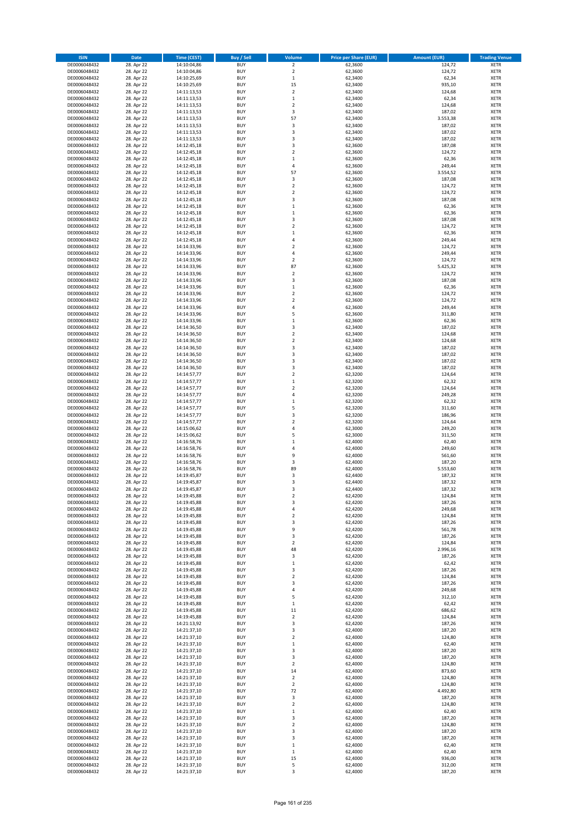| <b>ISIN</b>                  | <b>Date</b>              | <b>Time (CEST)</b>         | <b>Buy / Sell</b>        | Volume                        | <b>Price per Share (EUR)</b> | <b>Amount (EUR)</b> | <b>Trading Venue</b>       |
|------------------------------|--------------------------|----------------------------|--------------------------|-------------------------------|------------------------------|---------------------|----------------------------|
| DE0006048432                 | 28. Apr 22               | 14:10:04,86                | <b>BUY</b>               | $\overline{2}$                | 62,3600                      | 124,72              | <b>XETR</b>                |
| DE0006048432                 | 28. Apr 22               | 14:10:04,86                | <b>BUY</b>               | $\mathbf 2$                   | 62,3600                      | 124,72              | <b>XETR</b>                |
| DE0006048432                 | 28. Apr 22               | 14:10:25,69                | <b>BUY</b>               | $\,1\,$                       | 62.3400                      | 62,34               | <b>XETR</b>                |
| DE0006048432<br>DE0006048432 | 28. Apr 22<br>28. Apr 22 | 14:10:25,69<br>14:11:13,53 | <b>BUY</b><br><b>BUY</b> | 15<br>$\overline{\mathbf{c}}$ | 62,3400<br>62,3400           | 935,10<br>124,68    | <b>XETR</b><br><b>XETR</b> |
| DE0006048432                 | 28. Apr 22               | 14:11:13,53                | <b>BUY</b>               | $\mathbf 1$                   | 62,3400                      | 62,34               | <b>XETR</b>                |
| DE0006048432                 | 28. Apr 22               | 14:11:13,53                | <b>BUY</b>               | $\mathbf 2$                   | 62,3400                      | 124,68              | <b>XETR</b>                |
| DE0006048432                 | 28. Apr 22               | 14:11:13,53                | <b>BUY</b>               | 3                             | 62,3400                      | 187,02              | <b>XETR</b>                |
| DE0006048432                 | 28. Apr 22               | 14:11:13,53                | <b>BUY</b>               | 57                            | 62,3400                      | 3.553,38            | <b>XETR</b>                |
| DE0006048432                 | 28. Apr 22               | 14:11:13,53                | <b>BUY</b>               | 3                             | 62,3400                      | 187,02              | <b>XETR</b>                |
| DE0006048432                 | 28. Apr 22               | 14:11:13,53                | <b>BUY</b>               | 3                             | 62,3400                      | 187,02              | <b>XETR</b>                |
| DE0006048432<br>DE0006048432 | 28. Apr 22<br>28. Apr 22 | 14:11:13,53<br>14:12:45,18 | <b>BUY</b><br><b>BUY</b> | 3<br>3                        | 62,3400<br>62,3600           | 187,02<br>187,08    | <b>XETR</b><br><b>XETR</b> |
| DE0006048432                 | 28. Apr 22               | 14:12:45,18                | <b>BUY</b>               | $\overline{\mathbf{c}}$       | 62,3600                      | 124,72              | <b>XETR</b>                |
| DE0006048432                 | 28. Apr 22               | 14:12:45,18                | <b>BUY</b>               | $\mathbf 1$                   | 62,3600                      | 62,36               | <b>XETR</b>                |
| DE0006048432                 | 28. Apr 22               | 14:12:45,18                | <b>BUY</b>               | 4                             | 62,3600                      | 249,44              | <b>XETR</b>                |
| DE0006048432                 | 28. Apr 22               | 14:12:45,18                | <b>BUY</b>               | 57                            | 62,3600                      | 3.554,52            | <b>XETR</b>                |
| DE0006048432                 | 28. Apr 22               | 14:12:45,18                | <b>BUY</b>               | 3                             | 62,3600                      | 187,08              | <b>XETR</b>                |
| DE0006048432                 | 28. Apr 22               | 14:12:45,18                | <b>BUY</b>               | $\overline{\mathbf{c}}$       | 62,3600                      | 124,72              | <b>XETR</b>                |
| DE0006048432                 | 28. Apr 22               | 14:12:45,18                | <b>BUY</b>               | $\mathbf 2$                   | 62,3600                      | 124,72              | <b>XETR</b>                |
| DE0006048432<br>DE0006048432 | 28. Apr 22<br>28. Apr 22 | 14:12:45,18<br>14:12:45,18 | <b>BUY</b><br><b>BUY</b> | 3<br>$\mathbf 1$              | 62,3600<br>62,3600           | 187,08<br>62,36     | <b>XETR</b><br><b>XETR</b> |
| DE0006048432                 | 28. Apr 22               | 14:12:45,18                | <b>BUY</b>               | $\mathbf 1$                   | 62,3600                      | 62,36               | <b>XETR</b>                |
| DE0006048432                 | 28. Apr 22               | 14:12:45,18                | <b>BUY</b>               | 3                             | 62,3600                      | 187,08              | <b>XETR</b>                |
| DE0006048432                 | 28. Apr 22               | 14:12:45,18                | <b>BUY</b>               | $\mathbf 2$                   | 62,3600                      | 124,72              | <b>XETR</b>                |
| DE0006048432                 | 28. Apr 22               | 14:12:45,18                | <b>BUY</b>               | $\mathbf 1$                   | 62,3600                      | 62,36               | <b>XETR</b>                |
| DE0006048432                 | 28. Apr 22               | 14:12:45,18                | <b>BUY</b>               | 4                             | 62,3600                      | 249,44              | <b>XETR</b>                |
| DE0006048432                 | 28. Apr 22               | 14:14:33,96                | <b>BUY</b>               | $\overline{\mathbf{c}}$       | 62,3600                      | 124,72              | <b>XETR</b>                |
| DE0006048432<br>DE0006048432 | 28. Apr 22<br>28. Apr 22 | 14:14:33,96<br>14:14:33,96 | <b>BUY</b><br><b>BUY</b> | 4<br>$\overline{\mathbf{c}}$  | 62,3600<br>62,3600           | 249,44<br>124,72    | <b>XETR</b><br><b>XETR</b> |
| DE0006048432                 | 28. Apr 22               | 14:14:33,96                | <b>BUY</b>               | 87                            | 62,3600                      | 5.425,32            | <b>XETR</b>                |
| DE0006048432                 | 28. Apr 22               | 14:14:33,96                | <b>BUY</b>               | $\overline{\mathbf{c}}$       | 62,3600                      | 124,72              | <b>XETR</b>                |
| DE0006048432                 | 28. Apr 22               | 14:14:33,96                | <b>BUY</b>               | 3                             | 62,3600                      | 187,08              | <b>XETR</b>                |
| DE0006048432                 | 28. Apr 22               | 14:14:33,96                | <b>BUY</b>               | $\mathbf 1$                   | 62,3600                      | 62,36               | <b>XETR</b>                |
| DE0006048432                 | 28. Apr 22               | 14:14:33,96                | <b>BUY</b>               | $\mathbf 2$                   | 62,3600                      | 124,72              | <b>XETR</b>                |
| DE0006048432                 | 28. Apr 22               | 14:14:33,96                | <b>BUY</b>               | $\overline{\mathbf{c}}$       | 62,3600                      | 124,72              | <b>XETR</b>                |
| DE0006048432                 | 28. Apr 22               | 14:14:33,96                | <b>BUY</b>               | 4                             | 62,3600                      | 249,44              | <b>XETR</b>                |
| DE0006048432<br>DE0006048432 | 28. Apr 22<br>28. Apr 22 | 14:14:33,96<br>14:14:33,96 | <b>BUY</b><br><b>BUY</b> | 5<br>$\mathbf 1$              | 62,3600<br>62,3600           | 311,80<br>62,36     | <b>XETR</b><br><b>XETR</b> |
| DE0006048432                 | 28. Apr 22               | 14:14:36,50                | <b>BUY</b>               | 3                             | 62,3400                      | 187,02              | <b>XETR</b>                |
| DE0006048432                 | 28. Apr 22               | 14:14:36,50                | <b>BUY</b>               | $\overline{\mathbf{c}}$       | 62,3400                      | 124,68              | <b>XETR</b>                |
| DE0006048432                 | 28. Apr 22               | 14:14:36,50                | <b>BUY</b>               | $\mathbf 2$                   | 62,3400                      | 124,68              | <b>XETR</b>                |
| DE0006048432                 | 28. Apr 22               | 14:14:36,50                | <b>BUY</b>               | 3                             | 62,3400                      | 187,02              | <b>XETR</b>                |
| DE0006048432                 | 28. Apr 22               | 14:14:36,50                | <b>BUY</b>               | 3                             | 62,3400                      | 187,02              | <b>XETR</b>                |
| DE0006048432                 | 28. Apr 22               | 14:14:36,50                | <b>BUY</b>               | 3                             | 62,3400                      | 187,02              | <b>XETR</b>                |
| DE0006048432                 | 28. Apr 22               | 14:14:36,50                | <b>BUY</b>               | 3                             | 62,3400                      | 187,02              | <b>XETR</b>                |
| DE0006048432<br>DE0006048432 | 28. Apr 22<br>28. Apr 22 | 14:14:57,77<br>14:14:57,77 | <b>BUY</b><br><b>BUY</b> | $\mathbf 2$<br>$\mathbf 1$    | 62,3200<br>62,3200           | 124,64<br>62,32     | <b>XETR</b><br><b>XETR</b> |
| DE0006048432                 | 28. Apr 22               | 14:14:57,77                | <b>BUY</b>               | $\overline{\mathbf{c}}$       | 62,3200                      | 124,64              | <b>XETR</b>                |
| DE0006048432                 | 28. Apr 22               | 14:14:57,77                | <b>BUY</b>               | 4                             | 62,3200                      | 249,28              | <b>XETR</b>                |
| DE0006048432                 | 28. Apr 22               | 14:14:57,77                | <b>BUY</b>               | $\mathbf 1$                   | 62,3200                      | 62,32               | <b>XETR</b>                |
| DE0006048432                 | 28. Apr 22               | 14:14:57,77                | <b>BUY</b>               | 5                             | 62,3200                      | 311,60              | <b>XETR</b>                |
| DE0006048432                 | 28. Apr 22               | 14:14:57,77                | <b>BUY</b>               | 3                             | 62,3200                      | 186,96              | <b>XETR</b>                |
| DE0006048432                 | 28. Apr 22               | 14:14:57,77                | <b>BUY</b>               | $\mathbf 2$                   | 62,3200                      | 124,64              | <b>XETR</b>                |
| DE0006048432<br>DE0006048432 | 28. Apr 22<br>28. Apr 22 | 14:15:06,62<br>14:15:06,62 | <b>BUY</b><br><b>BUY</b> | 4<br>5                        | 62,3000<br>62,3000           | 249,20<br>311,50    | <b>XETR</b><br><b>XETR</b> |
| DE0006048432                 | 28. Apr 22               | 14:16:58,76                | <b>BUY</b>               | $\mathbf 1$                   | 62,4000                      | 62,40               | <b>XETR</b>                |
| DE0006048432                 | 28. Apr 22               | 14:16:58,76                | <b>BUY</b>               | 4                             | 62,4000                      | 249,60              | <b>XETR</b>                |
| DE0006048432                 | 28. Apr 22               | 14:16:58,76                | <b>BUY</b>               | 9                             | 62,4000                      | 561,60              | <b>XETR</b>                |
| DE0006048432                 | 28. Apr 22               | 14:16:58,76                | <b>BUY</b>               | 3                             | 62,4000                      | 187,20              | <b>XETR</b>                |
| DE0006048432                 | 28. Apr 22               | 14:16:58,76                | <b>BUY</b>               | 89                            | 62,4000                      | 5.553,60            | <b>XETR</b>                |
| DE0006048432                 | 28. Apr 22               | 14:19:45,87                | <b>BUY</b>               | 3                             | 62,4400                      | 187,32              | <b>XETR</b>                |
| DE0006048432<br>DE0006048432 | 28. Apr 22               | 14:19:45,87<br>14:19:45,87 | <b>BUY</b><br><b>BUY</b> | 3<br>3                        | 62,4400<br>62,4400           | 187,32<br>187,32    | <b>XETR</b><br><b>XETR</b> |
| DE0006048432                 | 28. Apr 22<br>28. Apr 22 | 14:19:45,88                | BUY                      | 2                             | 62,4200                      | 124,84              | <b>XETR</b>                |
| DE0006048432                 | 28. Apr 22               | 14:19:45,88                | <b>BUY</b>               | 3                             | 62,4200                      | 187,26              | <b>XETR</b>                |
| DE0006048432                 | 28. Apr 22               | 14:19:45,88                | <b>BUY</b>               | 4                             | 62,4200                      | 249,68              | <b>XETR</b>                |
| DE0006048432                 | 28. Apr 22               | 14:19:45,88                | <b>BUY</b>               | $\mathbf 2$                   | 62,4200                      | 124,84              | XETR                       |
| DE0006048432                 | 28. Apr 22               | 14:19:45,88                | <b>BUY</b>               | 3                             | 62,4200                      | 187,26              | <b>XETR</b>                |
| DE0006048432<br>DE0006048432 | 28. Apr 22<br>28. Apr 22 | 14:19:45,88                | <b>BUY</b><br><b>BUY</b> | 9<br>3                        | 62,4200<br>62,4200           | 561,78<br>187,26    | <b>XETR</b>                |
| DE0006048432                 | 28. Apr 22               | 14:19:45,88<br>14:19:45,88 | <b>BUY</b>               | $\mathbf 2$                   | 62,4200                      | 124,84              | <b>XETR</b><br><b>XETR</b> |
| DE0006048432                 | 28. Apr 22               | 14:19:45,88                | <b>BUY</b>               | 48                            | 62,4200                      | 2.996,16            | <b>XETR</b>                |
| DE0006048432                 | 28. Apr 22               | 14:19:45,88                | <b>BUY</b>               | 3                             | 62,4200                      | 187,26              | <b>XETR</b>                |
| DE0006048432                 | 28. Apr 22               | 14:19:45,88                | <b>BUY</b>               | $\mathbf 1$                   | 62,4200                      | 62,42               | <b>XETR</b>                |
| DE0006048432                 | 28. Apr 22               | 14:19:45,88                | <b>BUY</b>               | 3                             | 62,4200                      | 187,26              | <b>XETR</b>                |
| DE0006048432                 | 28. Apr 22               | 14:19:45,88                | <b>BUY</b>               | $\mathbf 2$                   | 62,4200                      | 124,84              | <b>XETR</b>                |
| DE0006048432<br>DE0006048432 | 28. Apr 22<br>28. Apr 22 | 14:19:45,88<br>14:19:45,88 | <b>BUY</b><br><b>BUY</b> | 3<br>4                        | 62,4200<br>62,4200           | 187,26<br>249,68    | <b>XETR</b><br><b>XETR</b> |
| DE0006048432                 | 28. Apr 22               | 14:19:45,88                | <b>BUY</b>               | 5                             | 62,4200                      | 312,10              | <b>XETR</b>                |
| DE0006048432                 | 28. Apr 22               | 14:19:45,88                | <b>BUY</b>               | $\mathbf 1$                   | 62,4200                      | 62,42               | <b>XETR</b>                |
| DE0006048432                 | 28. Apr 22               | 14:19:45,88                | <b>BUY</b>               | 11                            | 62,4200                      | 686,62              | <b>XETR</b>                |
| DE0006048432                 | 28. Apr 22               | 14:19:45,88                | <b>BUY</b>               | $\mathbf 2$                   | 62,4200                      | 124,84              | XETR                       |
| DE0006048432                 | 28. Apr 22               | 14:21:13,92                | <b>BUY</b>               | 3                             | 62,4200                      | 187,26              | <b>XETR</b>                |
| DE0006048432                 | 28. Apr 22               | 14:21:37,10                | <b>BUY</b>               | 3                             | 62,4000                      | 187,20              | <b>XETR</b>                |
| DE0006048432<br>DE0006048432 | 28. Apr 22<br>28. Apr 22 | 14:21:37,10<br>14:21:37,10 | <b>BUY</b><br><b>BUY</b> | $\mathbf 2$<br>$\mathbf 1$    | 62,4000<br>62,4000           | 124,80<br>62,40     | <b>XETR</b><br><b>XETR</b> |
| DE0006048432                 | 28. Apr 22               | 14:21:37,10                | <b>BUY</b>               | 3                             | 62,4000                      | 187,20              | <b>XETR</b>                |
| DE0006048432                 | 28. Apr 22               | 14:21:37,10                | <b>BUY</b>               | 3                             | 62,4000                      | 187,20              | <b>XETR</b>                |
| DE0006048432                 | 28. Apr 22               | 14:21:37,10                | <b>BUY</b>               | $\mathbf 2$                   | 62,4000                      | 124,80              | <b>XETR</b>                |
| DE0006048432                 | 28. Apr 22               | 14:21:37,10                | <b>BUY</b>               | 14                            | 62,4000                      | 873,60              | <b>XETR</b>                |
| DE0006048432                 | 28. Apr 22               | 14:21:37,10                | <b>BUY</b>               | $\overline{2}$                | 62,4000                      | 124,80              | <b>XETR</b>                |
| DE0006048432                 | 28. Apr 22               | 14:21:37,10                | <b>BUY</b>               | 2                             | 62,4000                      | 124,80              | <b>XETR</b>                |
| DE0006048432<br>DE0006048432 | 28. Apr 22<br>28. Apr 22 | 14:21:37,10<br>14:21:37,10 | <b>BUY</b><br><b>BUY</b> | 72<br>3                       | 62,4000<br>62,4000           | 4.492,80<br>187,20  | <b>XETR</b><br><b>XETR</b> |
| DE0006048432                 | 28. Apr 22               | 14:21:37,10                | <b>BUY</b>               | $\mathbf 2$                   | 62,4000                      | 124,80              | <b>XETR</b>                |
| DE0006048432                 | 28. Apr 22               | 14:21:37,10                | <b>BUY</b>               | $\mathbf 1$                   | 62,4000                      | 62,40               | <b>XETR</b>                |
| DE0006048432                 | 28. Apr 22               | 14:21:37,10                | <b>BUY</b>               | 3                             | 62,4000                      | 187,20              | <b>XETR</b>                |
| DE0006048432                 | 28. Apr 22               | 14:21:37,10                | <b>BUY</b>               | $\mathbf 2$                   | 62,4000                      | 124,80              | <b>XETR</b>                |
| DE0006048432                 | 28. Apr 22               | 14:21:37,10                | <b>BUY</b>               | 3                             | 62,4000                      | 187,20              | <b>XETR</b>                |
| DE0006048432<br>DE0006048432 | 28. Apr 22<br>28. Apr 22 | 14:21:37,10<br>14:21:37,10 | <b>BUY</b><br><b>BUY</b> | 3<br>$\mathbf 1$              | 62,4000<br>62,4000           | 187,20<br>62,40     | <b>XETR</b><br>XETR        |
| DE0006048432                 | 28. Apr 22               | 14:21:37,10                | <b>BUY</b>               | $\mathbf 1$                   | 62,4000                      | 62,40               | <b>XETR</b>                |
| DE0006048432                 | 28. Apr 22               | 14:21:37,10                | <b>BUY</b>               | 15                            | 62,4000                      | 936,00              | <b>XETR</b>                |
| DE0006048432                 | 28. Apr 22               | 14:21:37,10                | <b>BUY</b>               | 5                             | 62,4000                      | 312,00              | <b>XETR</b>                |
| DE0006048432                 | 28. Apr 22               | 14:21:37,10                | <b>BUY</b>               | 3                             | 62,4000                      | 187,20              | <b>XETR</b>                |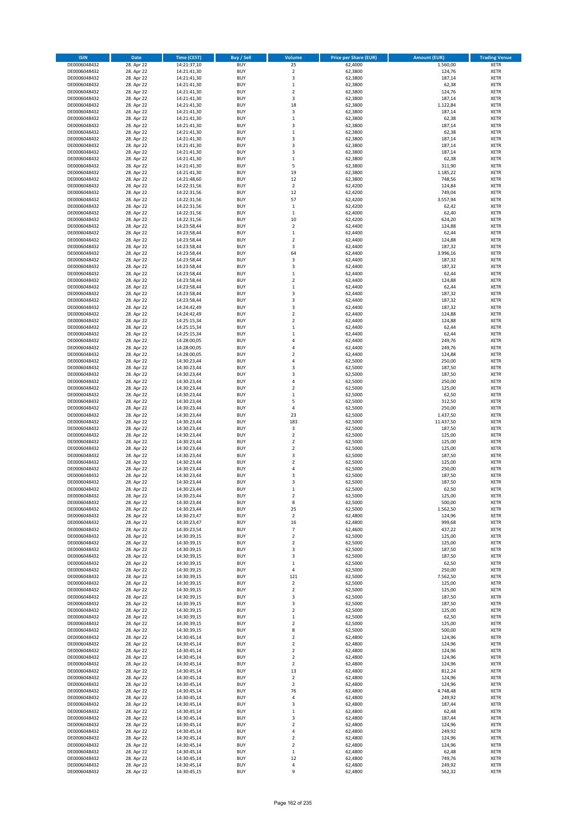| <b>ISIN</b>                  | <b>Date</b>              | <b>Time (CEST)</b>         | <b>Buy / Sell</b>        | Volume                                             | <b>Price per Share (EUR)</b> | <b>Amount (EUR)</b> | <b>Trading Venue</b>       |
|------------------------------|--------------------------|----------------------------|--------------------------|----------------------------------------------------|------------------------------|---------------------|----------------------------|
| DE0006048432                 | 28. Apr 22               | 14:21:37,10                | <b>BUY</b>               | 25                                                 | 62,4000                      | 1.560,00            | <b>XETR</b>                |
| DE0006048432                 | 28. Apr 22               | 14:21:41,30                | <b>BUY</b>               | $\mathbf 2$                                        | 62,3800                      | 124,76              | <b>XETR</b>                |
| DE0006048432                 | 28. Apr 22               | 14:21:41,30                | <b>BUY</b>               | 3                                                  | 62,3800                      | 187,14              | <b>XETR</b>                |
| DE0006048432                 | 28. Apr 22               | 14:21:41,30                | <b>BUY</b>               | $\mathbf 1$                                        | 62,3800                      | 62,38               | <b>XETR</b>                |
| DE0006048432<br>DE0006048432 | 28. Apr 22<br>28. Apr 22 | 14:21:41,30<br>14:21:41,30 | <b>BUY</b><br><b>BUY</b> | $\overline{\mathbf{c}}$<br>3                       | 62,3800<br>62,3800           | 124,76<br>187,14    | <b>XETR</b><br><b>XETR</b> |
| DE0006048432                 | 28. Apr 22               | 14:21:41,30                | <b>BUY</b>               | 18                                                 | 62,3800                      | 1.122,84            | <b>XETR</b>                |
| DE0006048432                 | 28. Apr 22               | 14:21:41,30                | <b>BUY</b>               | 3                                                  | 62,3800                      | 187,14              | <b>XETR</b>                |
| DE0006048432                 | 28. Apr 22               | 14:21:41,30                | <b>BUY</b>               | $\mathbf{1}$                                       | 62,3800                      | 62,38               | <b>XETR</b>                |
| DE0006048432                 | 28. Apr 22               | 14:21:41,30                | <b>BUY</b>               | 3                                                  | 62,3800                      | 187,14              | <b>XETR</b>                |
| DE0006048432                 | 28. Apr 22               | 14:21:41,30                | <b>BUY</b>               | $\mathbf 1$                                        | 62,3800                      | 62,38               | <b>XETR</b>                |
| DE0006048432                 | 28. Apr 22               | 14:21:41,30                | <b>BUY</b>               | 3<br>3                                             | 62,3800                      | 187,14              | <b>XETR</b><br><b>XETR</b> |
| DE0006048432<br>DE0006048432 | 28. Apr 22<br>28. Apr 22 | 14:21:41,30<br>14:21:41,30 | <b>BUY</b><br><b>BUY</b> | 3                                                  | 62,3800<br>62,3800           | 187,14<br>187,14    | <b>XETR</b>                |
| DE0006048432                 | 28. Apr 22               | 14:21:41,30                | <b>BUY</b>               | $\mathbf 1$                                        | 62,3800                      | 62,38               | <b>XETR</b>                |
| DE0006048432                 | 28. Apr 22               | 14:21:41,30                | <b>BUY</b>               | 5                                                  | 62,3800                      | 311,90              | <b>XETR</b>                |
| DE0006048432                 | 28. Apr 22               | 14:21:41,30                | <b>BUY</b>               | 19                                                 | 62,3800                      | 1.185,22            | <b>XETR</b>                |
| DE0006048432                 | 28. Apr 22               | 14:21:48,60                | <b>BUY</b>               | 12                                                 | 62,3800                      | 748,56              | <b>XETR</b>                |
| DE0006048432                 | 28. Apr 22               | 14:22:31,56                | <b>BUY</b>               | $\overline{2}$                                     | 62,4200                      | 124,84              | <b>XETR</b>                |
| DE0006048432<br>DE0006048432 | 28. Apr 22<br>28. Apr 22 | 14:22:31,56<br>14:22:31,56 | <b>BUY</b><br><b>BUY</b> | 12<br>57                                           | 62,4200<br>62,4200           | 749,04<br>3.557,94  | <b>XETR</b><br><b>XETR</b> |
| DE0006048432                 | 28. Apr 22               | 14:22:31,56                | <b>BUY</b>               | $\mathbf 1$                                        | 62,4200                      | 62,42               | <b>XETR</b>                |
| DE0006048432                 | 28. Apr 22               | 14:22:31,56                | <b>BUY</b>               | $\,$ 1                                             | 62,4000                      | 62,40               | <b>XETR</b>                |
| DE0006048432                 | 28. Apr 22               | 14:22:31,56                | <b>BUY</b>               | 10                                                 | 62,4200                      | 624,20              | <b>XETR</b>                |
| DE0006048432                 | 28. Apr 22               | 14:23:58,44                | <b>BUY</b>               | $\mathbf 2$                                        | 62,4400                      | 124,88              | <b>XETR</b>                |
| DE0006048432                 | 28. Apr 22               | 14:23:58,44                | <b>BUY</b>               | $\mathbf 1$                                        | 62,4400                      | 62,44               | <b>XETR</b>                |
| DE0006048432<br>DE0006048432 | 28. Apr 22               | 14:23:58,44                | <b>BUY</b><br><b>BUY</b> | $\mathbf 2$<br>3                                   | 62,4400<br>62.4400           | 124,88              | <b>XETR</b><br><b>XETR</b> |
| DE0006048432                 | 28. Apr 22<br>28. Apr 22 | 14:23:58,44<br>14:23:58,44 | <b>BUY</b>               | 64                                                 | 62,4400                      | 187,32<br>3.996,16  | <b>XETR</b>                |
| DE0006048432                 | 28. Apr 22               | 14:23:58,44                | <b>BUY</b>               | 3                                                  | 62,4400                      | 187,32              | <b>XETR</b>                |
| DE0006048432                 | 28. Apr 22               | 14:23:58,44                | <b>BUY</b>               | 3                                                  | 62,4400                      | 187,32              | <b>XETR</b>                |
| DE0006048432                 | 28. Apr 22               | 14:23:58,44                | <b>BUY</b>               | $\mathbf 1$                                        | 62,4400                      | 62,44               | <b>XETR</b>                |
| DE0006048432                 | 28. Apr 22               | 14:23:58,44                | <b>BUY</b>               | $\mathbf 2$                                        | 62,4400                      | 124,88              | <b>XETR</b>                |
| DE0006048432                 | 28. Apr 22               | 14:23:58,44                | <b>BUY</b>               | $\mathbf 1$                                        | 62,4400                      | 62,44               | <b>XETR</b>                |
| DE0006048432<br>DE0006048432 | 28. Apr 22<br>28. Apr 22 | 14:23:58,44<br>14:23:58,44 | <b>BUY</b><br><b>BUY</b> | 3<br>3                                             | 62,4400<br>62,4400           | 187,32<br>187,32    | <b>XETR</b><br><b>XETR</b> |
| DE0006048432                 | 28. Apr 22               | 14:24:42,49                | <b>BUY</b>               | 3                                                  | 62,4400                      | 187,32              | <b>XETR</b>                |
| DE0006048432                 | 28. Apr 22               | 14:24:42,49                | <b>BUY</b>               | $\mathbf 2$                                        | 62,4400                      | 124,88              | <b>XETR</b>                |
| DE0006048432                 | 28. Apr 22               | 14:25:15,34                | <b>BUY</b>               | $\mathbf 2$                                        | 62,4400                      | 124,88              | <b>XETR</b>                |
| DE0006048432                 | 28. Apr 22               | 14:25:15,34                | <b>BUY</b>               | $\mathbf 1$                                        | 62,4400                      | 62,44               | <b>XETR</b>                |
| DE0006048432                 | 28. Apr 22               | 14:25:15,34                | <b>BUY</b>               | $\mathbf 1$                                        | 62,4400                      | 62,44               | <b>XETR</b>                |
| DE0006048432                 | 28. Apr 22<br>28. Apr 22 | 14:28:00,05                | <b>BUY</b><br><b>BUY</b> | 4<br>4                                             | 62,4400<br>62,4400           | 249,76<br>249,76    | <b>XETR</b><br><b>XETR</b> |
| DE0006048432<br>DE0006048432 | 28. Apr 22               | 14:28:00,05<br>14:28:00,05 | <b>BUY</b>               | $\overline{\mathbf{c}}$                            | 62,4400                      | 124,88              | <b>XETR</b>                |
| DE0006048432                 | 28. Apr 22               | 14:30:23,44                | <b>BUY</b>               | 4                                                  | 62,5000                      | 250,00              | <b>XETR</b>                |
| DE0006048432                 | 28. Apr 22               | 14:30:23,44                | <b>BUY</b>               | 3                                                  | 62,5000                      | 187,50              | <b>XETR</b>                |
| DE0006048432                 | 28. Apr 22               | 14:30:23,44                | <b>BUY</b>               | 3                                                  | 62,5000                      | 187,50              | <b>XETR</b>                |
| DE0006048432                 | 28. Apr 22               | 14:30:23,44                | <b>BUY</b>               | 4                                                  | 62,5000                      | 250,00              | <b>XETR</b>                |
| DE0006048432<br>DE0006048432 | 28. Apr 22<br>28. Apr 22 | 14:30:23,44<br>14:30:23,44 | <b>BUY</b><br><b>BUY</b> | $\mathbf 2$<br>$\mathbf 1$                         | 62,5000<br>62,5000           | 125,00<br>62,50     | <b>XETR</b><br><b>XETR</b> |
| DE0006048432                 | 28. Apr 22               | 14:30:23,44                | <b>BUY</b>               | 5                                                  | 62,5000                      | 312,50              | <b>XETR</b>                |
| DE0006048432                 | 28. Apr 22               | 14:30:23,44                | <b>BUY</b>               | 4                                                  | 62,5000                      | 250,00              | <b>XETR</b>                |
| DE0006048432                 | 28. Apr 22               | 14:30:23,44                | <b>BUY</b>               | 23                                                 | 62,5000                      | 1.437,50            | <b>XETR</b>                |
| DE0006048432                 | 28. Apr 22               | 14:30:23,44                | <b>BUY</b>               | 183                                                | 62,5000                      | 11.437,50           | <b>XETR</b>                |
| DE0006048432                 | 28. Apr 22               | 14:30:23,44                | <b>BUY</b>               | 3                                                  | 62,5000                      | 187,50              | <b>XETR</b>                |
| DE0006048432                 | 28. Apr 22               | 14:30:23,44                | <b>BUY</b>               | $\overline{a}$                                     | 62,5000                      | 125,00              | <b>XETR</b>                |
| DE0006048432<br>DE0006048432 | 28. Apr 22<br>28. Apr 22 | 14:30:23,44<br>14:30:23,44 | <b>BUY</b><br><b>BUY</b> | $\overline{\mathbf{c}}$<br>$\overline{\mathbf{c}}$ | 62,5000<br>62,5000           | 125,00<br>125,00    | <b>XETR</b><br><b>XETR</b> |
| DE0006048432                 | 28. Apr 22               | 14:30:23,44                | <b>BUY</b>               | 3                                                  | 62,5000                      | 187,50              | <b>XETR</b>                |
| DE0006048432                 | 28. Apr 22               | 14:30:23,44                | <b>BUY</b>               | $\mathbf 2$                                        | 62,5000                      | 125,00              | <b>XETR</b>                |
| DE0006048432                 | 28. Apr 22               | 14:30:23,44                | <b>BUY</b>               | 4                                                  | 62,5000                      | 250,00              | <b>XETR</b>                |
| DE0006048432                 | 28. Apr 22               | 14:30:23,44                | <b>BUY</b>               | 3                                                  | 62,5000                      | 187,50              | <b>XETR</b>                |
| DE0006048432                 | 28. Apr 22               | 14:30:23,44                | <b>BUY</b>               | 3                                                  | 62,5000                      | 187,50              | <b>XETR</b>                |
| DE0006048432<br>DE0006048432 | 28. Apr 22<br>28. Apr 22 | 14:30:23,44<br>14:30:23,44 | <b>BUY</b><br>BUY        | $\mathbf{1}$<br>2                                  | 62,5000<br>62,5000           | 62,50<br>125,00     | <b>XETR</b><br><b>XETR</b> |
| DE0006048432                 | 28. Apr 22               | 14:30:23,44                | <b>BUY</b>               | 8                                                  | 62,5000                      | 500,00              | <b>XETR</b>                |
| DE0006048432                 | 28. Apr 22               | 14:30:23,44                | <b>BUY</b>               | 25                                                 | 62,5000                      | 1.562,50            | <b>XETR</b>                |
| DE0006048432                 | 28. Apr 22               | 14:30:23,47                | <b>BUY</b>               | $\mathbf 2$                                        | 62,4800                      | 124,96              | <b>XETR</b>                |
| DE0006048432                 | 28. Apr 22               | 14:30:23,47                | <b>BUY</b>               | 16                                                 | 62,4800                      | 999,68              | <b>XETR</b>                |
| DE0006048432                 | 28. Apr 22               | 14:30:23,54                | <b>BUY</b>               | 7                                                  | 62,4600                      | 437,22              | <b>XETR</b>                |
| DE0006048432                 | 28. Apr 22               | 14:30:39,15                | <b>BUY</b>               | $\overline{2}$                                     | 62,5000                      | 125,00              | <b>XETR</b>                |
| DE0006048432<br>DE0006048432 | 28. Apr 22<br>28. Apr 22 | 14:30:39,15<br>14:30:39,15 | <b>BUY</b><br><b>BUY</b> | $\mathbf 2$<br>3                                   | 62,5000<br>62,5000           | 125,00<br>187,50    | <b>XETR</b><br><b>XETR</b> |
| DE0006048432                 | 28. Apr 22               | 14:30:39,15                | <b>BUY</b>               | 3                                                  | 62,5000                      | 187,50              | <b>XETR</b>                |
| DE0006048432                 | 28. Apr 22               | 14:30:39,15                | <b>BUY</b>               | $\mathbf 1$                                        | 62,5000                      | 62,50               | <b>XETR</b>                |
| DE0006048432                 | 28. Apr 22               | 14:30:39,15                | <b>BUY</b>               | 4                                                  | 62,5000                      | 250,00              | <b>XETR</b>                |
| DE0006048432                 | 28. Apr 22               | 14:30:39,15                | <b>BUY</b>               | 121                                                | 62,5000                      | 7.562,50            | <b>XETR</b>                |
| DE0006048432                 | 28. Apr 22               | 14:30:39,15                | <b>BUY</b>               | $\overline{2}$                                     | 62,5000                      | 125,00              | <b>XETR</b>                |
| DE0006048432<br>DE0006048432 | 28. Apr 22<br>28. Apr 22 | 14:30:39,15<br>14:30:39,15 | <b>BUY</b><br><b>BUY</b> | $\mathbf 2$<br>3                                   | 62,5000<br>62,5000           | 125,00<br>187,50    | <b>XETR</b><br><b>XETR</b> |
| DE0006048432                 | 28. Apr 22               | 14:30:39,15                | <b>BUY</b>               | 3                                                  | 62,5000                      | 187,50              | <b>XETR</b>                |
| DE0006048432                 | 28. Apr 22               | 14:30:39,15                | <b>BUY</b>               | $\mathbf 2$                                        | 62,5000                      | 125,00              | <b>XETR</b>                |
| DE0006048432                 | 28. Apr 22               | 14:30:39,15                | <b>BUY</b>               | $\mathbf 1$                                        | 62,5000                      | 62,50               | <b>XETR</b>                |
| DE0006048432                 | 28. Apr 22               | 14:30:39,15                | <b>BUY</b>               | $\mathbf 2$                                        | 62,5000                      | 125,00              | <b>XETR</b>                |
| DE0006048432                 | 28. Apr 22               | 14:30:39,15                | <b>BUY</b>               | 8                                                  | 62,5000                      | 500,00              | <b>XETR</b>                |
| DE0006048432<br>DE0006048432 | 28. Apr 22<br>28. Apr 22 | 14:30:45,14<br>14:30:45,14 | <b>BUY</b><br><b>BUY</b> | $\mathbf 2$<br>$\overline{2}$                      | 62,4800<br>62,4800           | 124,96<br>124,96    | <b>XETR</b><br><b>XETR</b> |
| DE0006048432                 | 28. Apr 22               | 14:30:45,14                | <b>BUY</b>               | $\mathbf 2$                                        | 62,4800                      | 124,96              | <b>XETR</b>                |
| DE0006048432                 | 28. Apr 22               | 14:30:45,14                | <b>BUY</b>               | $\mathbf 2$                                        | 62,4800                      | 124,96              | <b>XETR</b>                |
| DE0006048432                 | 28. Apr 22               | 14:30:45,14                | <b>BUY</b>               | $\mathbf 2$                                        | 62,4800                      | 124,96              | <b>XETR</b>                |
| DE0006048432                 | 28. Apr 22               | 14:30:45,14                | <b>BUY</b>               | 13                                                 | 62,4800                      | 812,24              | <b>XETR</b>                |
| DE0006048432                 | 28. Apr 22               | 14:30:45,14                | <b>BUY</b>               | $\overline{2}$                                     | 62,4800                      | 124,96              | <b>XETR</b>                |
| DE0006048432                 | 28. Apr 22               | 14:30:45,14                | <b>BUY</b>               | 2                                                  | 62,4800                      | 124,96              | <b>XETR</b>                |
| DE0006048432<br>DE0006048432 | 28. Apr 22<br>28. Apr 22 | 14:30:45,14<br>14:30:45,14 | <b>BUY</b><br><b>BUY</b> | 76<br>4                                            | 62,4800<br>62,4800           | 4.748,48<br>249,92  | <b>XETR</b><br><b>XETR</b> |
| DE0006048432                 | 28. Apr 22               | 14:30:45,14                | <b>BUY</b>               | 3                                                  | 62,4800                      | 187,44              | <b>XETR</b>                |
| DE0006048432                 | 28. Apr 22               | 14:30:45,14                | <b>BUY</b>               | $\mathbf 1$                                        | 62,4800                      | 62,48               | <b>XETR</b>                |
| DE0006048432                 | 28. Apr 22               | 14:30:45,14                | <b>BUY</b>               | 3                                                  | 62,4800                      | 187,44              | <b>XETR</b>                |
| DE0006048432                 | 28. Apr 22               | 14:30:45,14                | <b>BUY</b>               | $\mathbf 2$                                        | 62,4800                      | 124,96              | <b>XETR</b>                |
| DE0006048432                 | 28. Apr 22               | 14:30:45,14                | <b>BUY</b>               | 4                                                  | 62,4800                      | 249,92              | <b>XETR</b>                |
| DE0006048432<br>DE0006048432 | 28. Apr 22<br>28. Apr 22 | 14:30:45,14<br>14:30:45,14 | <b>BUY</b><br><b>BUY</b> | $\overline{\mathbf{c}}$<br>$\mathbf 2$             | 62,4800<br>62,4800           | 124,96<br>124,96    | <b>XETR</b><br><b>XETR</b> |
| DE0006048432                 | 28. Apr 22               | 14:30:45,14                | <b>BUY</b>               | $\mathbf 1$                                        | 62,4800                      | 62,48               | <b>XETR</b>                |
| DE0006048432                 | 28. Apr 22               | 14:30:45,14                | <b>BUY</b>               | 12                                                 | 62,4800                      | 749,76              | <b>XETR</b>                |
| DE0006048432                 | 28. Apr 22               | 14:30:45,14                | <b>BUY</b>               | 4                                                  | 62,4800                      | 249,92              | <b>XETR</b>                |
| DE0006048432                 | 28. Apr 22               | 14:30:45,15                | <b>BUY</b>               | 9                                                  | 62,4800                      | 562,32              | <b>XETR</b>                |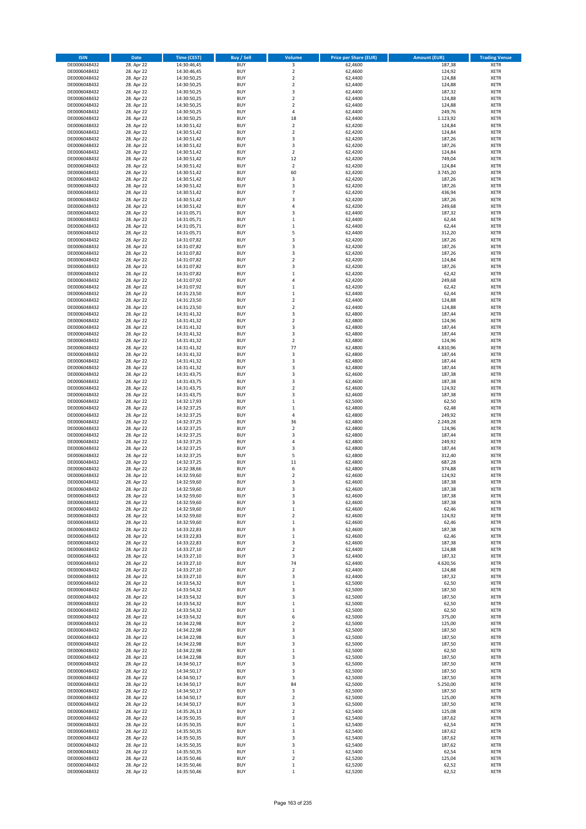| <b>ISIN</b>                  | <b>Date</b>              | <b>Time (CEST)</b>         | <b>Buy / Sell</b>        | Volume                       | <b>Price per Share (EUR)</b> | <b>Amount (EUR)</b> | <b>Trading Venue</b>       |
|------------------------------|--------------------------|----------------------------|--------------------------|------------------------------|------------------------------|---------------------|----------------------------|
| DE0006048432                 | 28. Apr 22               | 14:30:46,45                | <b>BUY</b>               | 3                            | 62,4600                      | 187,38              | <b>XETR</b>                |
| DE0006048432                 | 28. Apr 22               | 14:30:46,45                | <b>BUY</b>               | $\mathbf 2$                  | 62,4600                      | 124,92              | <b>XETR</b>                |
| DE0006048432                 | 28. Apr 22               | 14:30:50,25                | <b>BUY</b>               | $\overline{2}$               | 62,4400                      | 124,88              | <b>XETR</b>                |
| DE0006048432                 | 28. Apr 22               | 14:30:50,25                | <b>BUY</b>               | $\mathbf 2$                  | 62,4400                      | 124,88              | <b>XETR</b>                |
| DE0006048432                 | 28. Apr 22               | 14:30:50,25                | <b>BUY</b>               | 3                            | 62,4400                      | 187,32              | <b>XETR</b>                |
| DE0006048432                 | 28. Apr 22               | 14:30:50,25                | <b>BUY</b>               | $\mathbf 2$                  | 62,4400                      | 124,88              | <b>XETR</b>                |
| DE0006048432                 | 28. Apr 22               | 14:30:50,25                | <b>BUY</b>               | $\overline{2}$               | 62.4400                      | 124,88              | <b>XETR</b>                |
| DE0006048432                 | 28. Apr 22               | 14:30:50,25                | <b>BUY</b>               | 4                            | 62,4400                      | 249,76              | <b>XETR</b>                |
| DE0006048432                 | 28. Apr 22<br>28. Apr 22 | 14:30:50,25                | BUY<br><b>BUY</b>        | 18<br>$\mathbf 2$            | 62,4400<br>62,4200           | 1.123,92<br>124,84  | <b>XETR</b>                |
| DE0006048432<br>DE0006048432 | 28. Apr 22               | 14:30:51,42<br>14:30:51,42 | <b>BUY</b>               | $\mathbf 2$                  | 62,4200                      | 124,84              | <b>XETR</b><br><b>XETR</b> |
| DE0006048432                 | 28. Apr 22               | 14:30:51,42                | <b>BUY</b>               | $\overline{3}$               | 62,4200                      | 187,26              | <b>XETR</b>                |
| DE0006048432                 | 28. Apr 22               | 14:30:51,42                | <b>BUY</b>               | 3                            | 62,4200                      | 187,26              | <b>XETR</b>                |
| DE0006048432                 | 28. Apr 22               | 14:30:51,42                | <b>BUY</b>               | $\overline{2}$               | 62,4200                      | 124,84              | <b>XETR</b>                |
| DE0006048432                 | 28. Apr 22               | 14:30:51,42                | <b>BUY</b>               | 12                           | 62,4200                      | 749,04              | <b>XETR</b>                |
| DE0006048432                 | 28. Apr 22               | 14:30:51,42                | BUY                      | $\mathbf 2$                  | 62,4200                      | 124,84              | <b>XETR</b>                |
| DE0006048432                 | 28. Apr 22               | 14:30:51,42                | <b>BUY</b>               | 60                           | 62,4200                      | 3.745,20            | <b>XETR</b>                |
| DE0006048432                 | 28. Apr 22               | 14:30:51,42                | <b>BUY</b>               | 3                            | 62,4200                      | 187,26              | <b>XETR</b>                |
| DE0006048432                 | 28. Apr 22               | 14:30:51,42                | <b>BUY</b>               | 3                            | 62.4200                      | 187,26              | <b>XETR</b>                |
| DE0006048432                 | 28. Apr 22               | 14:30:51,42                | <b>BUY</b>               | $\overline{7}$               | 62,4200                      | 436,94              | <b>XETR</b>                |
| DE0006048432                 | 28. Apr 22               | 14:30:51,42                | <b>BUY</b>               | $\overline{\mathbf{3}}$<br>4 | 62,4200                      | 187,26              | <b>XETR</b>                |
| DE0006048432<br>DE0006048432 | 28. Apr 22<br>28. Apr 22 | 14:30:51,42<br>14:31:05,71 | <b>BUY</b><br><b>BUY</b> | $\overline{\mathbf{3}}$      | 62,4200<br>62,4400           | 249,68<br>187,32    | <b>XETR</b><br><b>XETR</b> |
| DE0006048432                 | 28. Apr 22               | 14:31:05,71                | <b>BUY</b>               | $\mathbf{1}$                 | 62,4400                      | 62,44               | <b>XETR</b>                |
| DE0006048432                 | 28. Apr 22               | 14:31:05,71                | <b>BUY</b>               | $\mathbf 1$                  | 62,4400                      | 62,44               | <b>XETR</b>                |
| DE0006048432                 | 28. Apr 22               | 14:31:05,71                | <b>BUY</b>               | 5                            | 62,4400                      | 312,20              | <b>XETR</b>                |
| DE0006048432                 | 28. Apr 22               | 14:31:07,82                | <b>BUY</b>               | $\overline{\mathbf{3}}$      | 62,4200                      | 187,26              | <b>XETR</b>                |
| DE0006048432                 | 28. Apr 22               | 14:31:07,82                | <b>BUY</b>               | $\overline{\mathbf{3}}$      | 62,4200                      | 187,26              | <b>XETR</b>                |
| DE0006048432                 | 28. Apr 22               | 14:31:07,82                | <b>BUY</b>               | 3                            | 62,4200                      | 187,26              | <b>XETR</b>                |
| DE0006048432                 | 28. Apr 22               | 14:31:07,82                | <b>BUY</b>               | $\overline{2}$               | 62,4200                      | 124,84              | <b>XETR</b>                |
| DE0006048432                 | 28. Apr 22               | 14:31:07,82                | <b>BUY</b>               | 3                            | 62,4200                      | 187,26              | <b>XETR</b>                |
| DE0006048432                 | 28. Apr 22               | 14:31:07,82                | <b>BUY</b>               | $\mathbf{1}$                 | 62,4200                      | 62,42               | <b>XETR</b>                |
| DE0006048432                 | 28. Apr 22               | 14:31:07,92                | <b>BUY</b>               | 4<br>$\mathbf{1}$            | 62,4200                      | 249,68              | <b>XETR</b>                |
| DE0006048432<br>DE0006048432 | 28. Apr 22<br>28. Apr 22 | 14:31:07,92                | <b>BUY</b><br><b>BUY</b> | $\mathbf{1}$                 | 62,4200<br>62,4400           | 62,42<br>62,44      | <b>XETR</b><br><b>XETR</b> |
| DE0006048432                 | 28. Apr 22               | 14:31:23,50<br>14:31:23,50 | <b>BUY</b>               | $\mathbf 2$                  | 62,4400                      | 124,88              | <b>XETR</b>                |
| DE0006048432                 | 28. Apr 22               | 14:31:23,50                | <b>BUY</b>               | $\overline{2}$               | 62,4400                      | 124,88              | <b>XETR</b>                |
| DE0006048432                 | 28. Apr 22               | 14:31:41,32                | BUY                      | 3                            | 62,4800                      | 187,44              | <b>XETR</b>                |
| DE0006048432                 | 28. Apr 22               | 14:31:41,32                | <b>BUY</b>               | $\mathbf 2$                  | 62,4800                      | 124,96              | <b>XETR</b>                |
| DE0006048432                 | 28. Apr 22               | 14:31:41,32                | <b>BUY</b>               | 3                            | 62,4800                      | 187,44              | <b>XETR</b>                |
| DE0006048432                 | 28. Apr 22               | 14:31:41,32                | <b>BUY</b>               | 3                            | 62,4800                      | 187,44              | <b>XETR</b>                |
| DE0006048432                 | 28. Apr 22               | 14:31:41,32                | <b>BUY</b>               | $\mathbf 2$                  | 62,4800                      | 124,96              | <b>XETR</b>                |
| DE0006048432                 | 28. Apr 22               | 14:31:41,32                | <b>BUY</b>               | 77                           | 62,4800                      | 4.810,96            | <b>XETR</b>                |
| DE0006048432                 | 28. Apr 22               | 14:31:41,32                | <b>BUY</b>               | 3                            | 62,4800                      | 187,44              | <b>XETR</b>                |
| DE0006048432                 | 28. Apr 22               | 14:31:41,32                | <b>BUY</b>               | 3                            | 62,4800                      | 187,44              | <b>XETR</b>                |
| DE0006048432                 | 28. Apr 22               | 14:31:41,32                | <b>BUY</b>               | $\overline{\mathbf{3}}$      | 62,4800                      | 187,44              | <b>XETR</b>                |
| DE0006048432                 | 28. Apr 22               | 14:31:43,75                | <b>BUY</b><br><b>BUY</b> | 3<br>$\overline{\mathbf{3}}$ | 62,4600                      | 187,38              | <b>XETR</b><br><b>XETR</b> |
| DE0006048432<br>DE0006048432 | 28. Apr 22<br>28. Apr 22 | 14:31:43,75<br>14:31:43,75 | <b>BUY</b>               | $\overline{2}$               | 62,4600<br>62,4600           | 187,38<br>124,92    | <b>XETR</b>                |
| DE0006048432                 | 28. Apr 22               | 14:31:43,75                | <b>BUY</b>               | 3                            | 62,4600                      | 187,38              | <b>XETR</b>                |
| DE0006048432                 | 28. Apr 22               | 14:32:17,93                | <b>BUY</b>               | $\mathbf{1}$                 | 62,5000                      | 62,50               | <b>XETR</b>                |
| DE0006048432                 | 28. Apr 22               | 14:32:37,25                | <b>BUY</b>               | $\,1\,$                      | 62,4800                      | 62,48               | <b>XETR</b>                |
| DE0006048432                 | 28. Apr 22               | 14:32:37,25                | <b>BUY</b>               | $\overline{4}$               | 62,4800                      | 249,92              | <b>XETR</b>                |
| DE0006048432                 | 28. Apr 22               | 14:32:37,25                | <b>BUY</b>               | 36                           | 62,4800                      | 2.249,28            | <b>XETR</b>                |
| DE0006048432                 | 28. Apr 22               | 14:32:37,25                | <b>BUY</b>               | $\overline{2}$               | 62,4800                      | 124,96              | <b>XETR</b>                |
| DE0006048432                 | 28. Apr 22               | 14:32:37,25                | <b>BUY</b>               | $\overline{\mathbf{3}}$      | 62,4800                      | 187,44              | <b>XETR</b>                |
| DE0006048432                 | 28. Apr 22               | 14:32:37,25                | <b>BUY</b>               | $\overline{a}$               | 62,4800                      | 249,92              | <b>XETR</b>                |
| DE0006048432                 | 28. Apr 22               | 14:32:37,25                | <b>BUY</b>               | 3                            | 62,4800                      | 187,44              | <b>XETR</b>                |
| DE0006048432                 | 28. Apr 22               | 14:32:37,25                | BUY                      | 5                            | 62,4800                      | 312,40              | <b>XETR</b>                |
| DE0006048432<br>DE0006048432 | 28. Apr 22<br>28. Apr 22 | 14:32:37,25<br>14:32:38,66 | <b>BUY</b><br><b>BUY</b> | $11\,$<br>6                  | 62,4800<br>62,4800           | 687,28<br>374,88    | <b>XETR</b><br><b>XETR</b> |
| DE0006048432                 | 28. Apr 22               | 14:32:59,60                | BUY                      | $\overline{2}$               | 62,4600                      | 124,92              | <b>XETR</b>                |
| DE0006048432                 | 28. Apr 22               | 14:32:59,60                | BUY                      | $\overline{\mathbf{3}}$      | 62,4600                      | 187,38              | <b>XETR</b>                |
| DE0006048432                 | 28. Apr 22               | 14:32:59,60                | <b>BUY</b>               | $\overline{3}$               | 62,4600                      | 187,38              | <b>XETR</b>                |
| DE0006048432                 | 28. Apr 22               | 14:32:59,60                | <b>BUY</b>               | 3                            | 62,4600                      | 187,38              | <b>XETR</b>                |
| DE0006048432                 | 28. Apr 22               | 14:32:59,60                | <b>BUY</b>               | 3                            | 62,4600                      | 187,38              | <b>XETR</b>                |
| DE0006048432                 | 28. Apr 22               | 14:32:59,60                | <b>BUY</b>               | $\mathbf 1$                  | 62,4600                      | 62,46               | <b>XETR</b>                |
| DE0006048432                 | 28. Apr 22               | 14:32:59,60                | <b>BUY</b>               | $\mathbf 2$                  | 62,4600                      | 124,92              | <b>XETR</b>                |
| DE0006048432                 | 28. Apr 22               | 14:32:59,60                | <b>BUY</b>               | $\mathbf{1}$                 | 62,4600                      | 62,46               | <b>XETR</b>                |
| DE0006048432                 | 28. Apr 22               | 14:33:22,83                | <b>BUY</b>               | 3                            | 62,4600                      | 187,38              | <b>XETR</b>                |
| DE0006048432<br>DE0006048432 | 28. Apr 22<br>28. Apr 22 | 14:33:22,83<br>14:33:22,83 | <b>BUY</b><br><b>BUY</b> | $\mathbf{1}$<br>3            | 62,4600<br>62,4600           | 62,46<br>187,38     | <b>XETR</b><br><b>XETR</b> |
| DE0006048432                 | 28. Apr 22               | 14:33:27,10                | <b>BUY</b>               | $\mathbf 2$                  | 62,4400                      | 124,88              | <b>XETR</b>                |
| DE0006048432                 | 28. Apr 22               | 14:33:27,10                | <b>BUY</b>               | 3                            | 62,4400                      | 187,32              | <b>XETR</b>                |
| DE0006048432                 | 28. Apr 22               | 14:33:27,10                | <b>BUY</b>               | 74                           | 62,4400                      | 4.620,56            | <b>XETR</b>                |
| DE0006048432                 | 28. Apr 22               | 14:33:27,10                | <b>BUY</b>               | $\mathbf 2$                  | 62,4400                      | 124,88              | <b>XETR</b>                |
| DE0006048432                 | 28. Apr 22               | 14:33:27,10                | <b>BUY</b>               | 3                            | 62,4400                      | 187,32              | <b>XETR</b>                |
| DE0006048432                 | 28. Apr 22               | 14:33:54,32                | <b>BUY</b>               | $\mathbf{1}$                 | 62,5000                      | 62,50               | <b>XETR</b>                |
| DE0006048432                 | 28. Apr 22               | 14:33:54,32                | <b>BUY</b>               | 3                            | 62,5000                      | 187,50              | <b>XETR</b>                |
| DE0006048432                 | 28. Apr 22               | 14:33:54,32                | <b>BUY</b>               | $\overline{\mathbf{3}}$      | 62,5000                      | 187,50              | <b>XETR</b>                |
| DE0006048432<br>DE0006048432 | 28. Apr 22<br>28. Apr 22 | 14:33:54,32<br>14:33:54,32 | <b>BUY</b><br><b>BUY</b> | $\mathbf 1$<br>$\mathbf 1$   | 62,5000<br>62,5000           | 62,50<br>62,50      | <b>XETR</b><br><b>XETR</b> |
| DE0006048432                 | 28. Apr 22               | 14:33:54,32                | <b>BUY</b>               | 6                            | 62,5000                      | 375,00              | <b>XETR</b>                |
| DE0006048432                 | 28. Apr 22               | 14:34:22,98                | <b>BUY</b>               | $\mathbf 2$                  | 62,5000                      | 125,00              | <b>XETR</b>                |
| DE0006048432                 | 28. Apr 22               | 14:34:22,98                | <b>BUY</b>               | $\overline{\mathbf{3}}$      | 62,5000                      | 187,50              | <b>XETR</b>                |
| DE0006048432                 | 28. Apr 22               | 14:34:22,98                | <b>BUY</b>               | 3                            | 62,5000                      | 187,50              | <b>XETR</b>                |
| DE0006048432                 | 28. Apr 22               | 14:34:22,98                | <b>BUY</b>               | $\overline{\mathbf{3}}$      | 62,5000                      | 187,50              | <b>XETR</b>                |
| DE0006048432                 | 28. Apr 22               | 14:34:22,98                | <b>BUY</b>               | $\mathbf{1}$                 | 62,5000                      | 62,50               | <b>XETR</b>                |
| DE0006048432                 | 28. Apr 22               | 14:34:22,98                | <b>BUY</b>               | 3                            | 62,5000                      | 187,50              | <b>XETR</b>                |
| DE0006048432                 | 28. Apr 22               | 14:34:50,17                | <b>BUY</b>               | 3                            | 62,5000                      | 187,50              | <b>XETR</b>                |
| DE0006048432                 | 28. Apr 22               | 14:34:50,17                | <b>BUY</b>               | 3                            | 62,5000                      | 187,50              | <b>XETR</b>                |
| DE0006048432                 | 28. Apr 22               | 14:34:50,17                | <b>BUY</b>               | 3                            | 62,5000                      | 187,50              | <b>XETR</b>                |
| DE0006048432<br>DE0006048432 | 28. Apr 22<br>28. Apr 22 | 14:34:50,17<br>14:34:50,17 | <b>BUY</b><br><b>BUY</b> | 84<br>3                      | 62,5000<br>62,5000           | 5.250,00<br>187,50  | <b>XETR</b><br><b>XETR</b> |
| DE0006048432                 | 28. Apr 22               | 14:34:50,17                | <b>BUY</b>               | $\mathbf 2$                  | 62,5000                      | 125,00              | <b>XETR</b>                |
| DE0006048432                 | 28. Apr 22               | 14:34:50,17                | <b>BUY</b>               | 3                            | 62,5000                      | 187,50              | <b>XETR</b>                |
| DE0006048432                 | 28. Apr 22               | 14:35:26,13                | <b>BUY</b>               | $\mathbf 2$                  | 62,5400                      | 125,08              | <b>XETR</b>                |
| DE0006048432                 | 28. Apr 22               | 14:35:50,35                | <b>BUY</b>               | $\overline{\mathbf{3}}$      | 62,5400                      | 187,62              | <b>XETR</b>                |
| DE0006048432                 | 28. Apr 22               | 14:35:50,35                | <b>BUY</b>               | $\mathbf{1}$                 | 62,5400                      | 62,54               | <b>XETR</b>                |
| DE0006048432                 | 28. Apr 22               | 14:35:50,35                | <b>BUY</b>               | 3                            | 62,5400                      | 187,62              | <b>XETR</b>                |
| DE0006048432                 | 28. Apr 22               | 14:35:50,35                | <b>BUY</b>               | 3                            | 62,5400                      | 187,62              | <b>XETR</b>                |
| DE0006048432                 | 28. Apr 22               | 14:35:50,35                | <b>BUY</b>               | 3                            | 62,5400                      | 187,62              | <b>XETR</b>                |
| DE0006048432                 | 28. Apr 22               | 14:35:50,35                | <b>BUY</b>               | $\mathbf{1}$                 | 62,5400                      | 62,54               | <b>XETR</b>                |
| DE0006048432<br>DE0006048432 | 28. Apr 22               | 14:35:50,46                | <b>BUY</b><br><b>BUY</b> | 2<br>$\mathbf 1$             | 62,5200                      | 125,04              | <b>XETR</b>                |
| DE0006048432                 | 28. Apr 22<br>28. Apr 22 | 14:35:50,46<br>14:35:50,46 | <b>BUY</b>               | $\mathbf{1}$                 | 62,5200<br>62,5200           | 62,52<br>62,52      | <b>XETR</b><br><b>XETR</b> |
|                              |                          |                            |                          |                              |                              |                     |                            |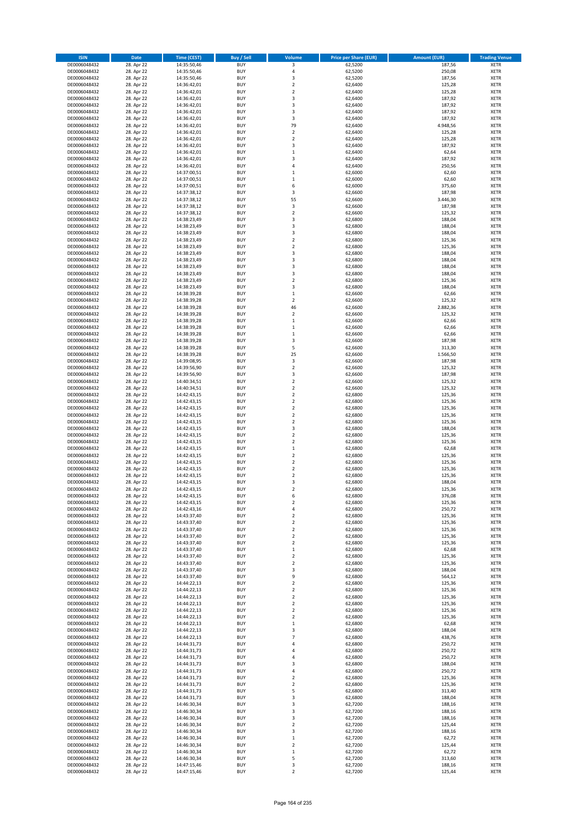| <b>ISIN</b>                  | <b>Date</b>              | <b>Time (CEST)</b>         | <b>Buy / Sell</b>        | Volume                                  | <b>Price per Share (EUR)</b> | <b>Amount (EUR)</b> | <b>Trading Venue</b>       |
|------------------------------|--------------------------|----------------------------|--------------------------|-----------------------------------------|------------------------------|---------------------|----------------------------|
| DE0006048432                 | 28. Apr 22               | 14:35:50,46                | <b>BUY</b>               | 3                                       | 62,5200                      | 187,56              | <b>XETR</b>                |
| DE0006048432                 | 28. Apr 22               | 14:35:50,46                | <b>BUY</b>               | 4                                       | 62,5200                      | 250,08              | <b>XETR</b>                |
| DE0006048432                 | 28. Apr 22               | 14:35:50,46                | <b>BUY</b>               | $\overline{\mathbf{3}}$                 | 62,5200                      | 187,56              | <b>XETR</b>                |
| DE0006048432                 | 28. Apr 22               | 14:36:42,01                | <b>BUY</b>               | $\mathbf 2$                             | 62,6400                      | 125,28              | <b>XETR</b>                |
| DE0006048432                 | 28. Apr 22               | 14:36:42,01                | <b>BUY</b>               | $\overline{\mathbf{2}}$                 | 62,6400                      | 125,28              | <b>XETR</b>                |
| DE0006048432                 | 28. Apr 22               | 14:36:42,01                | <b>BUY</b>               | 3                                       | 62,6400                      | 187,92              | <b>XETR</b>                |
| DE0006048432                 | 28. Apr 22               | 14:36:42,01                | <b>BUY</b>               | $\overline{\mathbf{3}}$                 | 62,6400                      | 187,92              | <b>XETR</b>                |
| DE0006048432                 | 28. Apr 22               | 14:36:42,01                | <b>BUY</b>               | 3                                       | 62,6400                      | 187,92              | <b>XETR</b>                |
| DE0006048432                 | 28. Apr 22<br>28. Apr 22 | 14:36:42,01                | BUY<br><b>BUY</b>        | 3<br>79                                 | 62,6400<br>62,6400           | 187,92<br>4.948,56  | <b>XETR</b>                |
| DE0006048432<br>DE0006048432 | 28. Apr 22               | 14:36:42,01<br>14:36:42,01 | <b>BUY</b>               | $\mathbf 2$                             | 62,6400                      | 125,28              | <b>XETR</b><br><b>XETR</b> |
| DE0006048432                 | 28. Apr 22               | 14:36:42,01                | <b>BUY</b>               | $\overline{\mathbf{2}}$                 | 62,6400                      | 125,28              | <b>XETR</b>                |
| DE0006048432                 | 28. Apr 22               | 14:36:42,01                | <b>BUY</b>               | $\overline{\mathbf{3}}$                 | 62,6400                      | 187,92              | <b>XETR</b>                |
| DE0006048432                 | 28. Apr 22               | 14:36:42,01                | <b>BUY</b>               | $\mathbf{1}$                            | 62,6400                      | 62,64               | <b>XETR</b>                |
| DE0006048432                 | 28. Apr 22               | 14:36:42,01                | <b>BUY</b>               | $\overline{\mathbf{3}}$                 | 62,6400                      | 187,92              | <b>XETR</b>                |
| DE0006048432                 | 28. Apr 22               | 14:36:42,01                | BUY                      | $\overline{a}$                          | 62,6400                      | 250,56              | <b>XETR</b>                |
| DE0006048432                 | 28. Apr 22               | 14:37:00,51                | <b>BUY</b>               | $\mathbf{1}$                            | 62,6000                      | 62,60               | <b>XETR</b>                |
| DE0006048432                 | 28. Apr 22               | 14:37:00,51                | <b>BUY</b>               | $\mathbf 1$                             | 62,6000                      | 62,60               | <b>XETR</b>                |
| DE0006048432                 | 28. Apr 22               | 14:37:00,51                | <b>BUY</b>               | 6                                       | 62,6000                      | 375,60              | <b>XETR</b>                |
| DE0006048432                 | 28. Apr 22               | 14:37:38,12                | <b>BUY</b>               | 3                                       | 62,6600                      | 187,98              | <b>XETR</b>                |
| DE0006048432                 | 28. Apr 22               | 14:37:38,12                | <b>BUY</b>               | 55                                      | 62,6600                      | 3.446,30            | <b>XETR</b>                |
| DE0006048432<br>DE0006048432 | 28. Apr 22<br>28. Apr 22 | 14:37:38,12<br>14:37:38,12 | <b>BUY</b><br><b>BUY</b> | 3<br>$\overline{2}$                     | 62,6600<br>62,6600           | 187,98<br>125,32    | <b>XETR</b><br><b>XETR</b> |
| DE0006048432                 | 28. Apr 22               | 14:38:23,49                | <b>BUY</b>               | 3                                       | 62,6800                      | 188,04              | <b>XETR</b>                |
| DE0006048432                 | 28. Apr 22               | 14:38:23,49                | <b>BUY</b>               | 3                                       | 62,6800                      | 188,04              | <b>XETR</b>                |
| DE0006048432                 | 28. Apr 22               | 14:38:23,49                | <b>BUY</b>               | 3                                       | 62,6800                      | 188,04              | <b>XETR</b>                |
| DE0006048432                 | 28. Apr 22               | 14:38:23,49                | <b>BUY</b>               | $\mathbf 2$                             | 62,6800                      | 125,36              | <b>XETR</b>                |
| DE0006048432                 | 28. Apr 22               | 14:38:23,49                | <b>BUY</b>               | $\overline{2}$                          | 62,6800                      | 125,36              | <b>XETR</b>                |
| DE0006048432                 | 28. Apr 22               | 14:38:23,49                | <b>BUY</b>               | 3                                       | 62,6800                      | 188,04              | <b>XETR</b>                |
| DE0006048432                 | 28. Apr 22               | 14:38:23,49                | <b>BUY</b>               | $\overline{\mathbf{3}}$                 | 62,6800                      | 188,04              | <b>XETR</b>                |
| DE0006048432                 | 28. Apr 22               | 14:38:23,49                | <b>BUY</b>               | $\overline{\mathbf{3}}$                 | 62,6800                      | 188,04              | <b>XETR</b>                |
| DE0006048432                 | 28. Apr 22               | 14:38:23,49                | <b>BUY</b>               | 3                                       | 62,6800                      | 188,04              | <b>XETR</b>                |
| DE0006048432                 | 28. Apr 22               | 14:38:23,49                | <b>BUY</b>               | $\mathbf 2$<br>$\overline{\mathbf{3}}$  | 62,6800                      | 125,36              | <b>XETR</b>                |
| DE0006048432<br>DE0006048432 | 28. Apr 22<br>28. Apr 22 | 14:38:23,49                | <b>BUY</b><br><b>BUY</b> | $\mathbf{1}$                            | 62,6800<br>62,6600           | 188,04<br>62,66     | <b>XETR</b><br><b>XETR</b> |
| DE0006048432                 | 28. Apr 22               | 14:38:39,28<br>14:38:39,28 | <b>BUY</b>               | $\mathbf 2$                             | 62,6600                      | 125,32              | <b>XETR</b>                |
| DE0006048432                 | 28. Apr 22               | 14:38:39,28                | <b>BUY</b>               | 46                                      | 62,6600                      | 2.882,36            | <b>XETR</b>                |
| DE0006048432                 | 28. Apr 22               | 14:38:39,28                | BUY                      | $\mathbf 2$                             | 62,6600                      | 125,32              | <b>XETR</b>                |
| DE0006048432                 | 28. Apr 22               | 14:38:39,28                | <b>BUY</b>               | $\mathbf 1$                             | 62,6600                      | 62,66               | <b>XETR</b>                |
| DE0006048432                 | 28. Apr 22               | 14:38:39,28                | <b>BUY</b>               | $\mathbf 1$                             | 62,6600                      | 62,66               | <b>XETR</b>                |
| DE0006048432                 | 28. Apr 22               | 14:38:39,28                | <b>BUY</b>               | $\,1\,$                                 | 62,6600                      | 62,66               | <b>XETR</b>                |
| DE0006048432                 | 28. Apr 22               | 14:38:39,28                | <b>BUY</b>               | 3                                       | 62,6600                      | 187,98              | <b>XETR</b>                |
| DE0006048432                 | 28. Apr 22               | 14:38:39,28                | <b>BUY</b>               | 5                                       | 62,6600                      | 313,30              | <b>XETR</b>                |
| DE0006048432                 | 28. Apr 22               | 14:38:39,28                | <b>BUY</b>               | 25                                      | 62,6600                      | 1.566,50            | <b>XETR</b>                |
| DE0006048432                 | 28. Apr 22               | 14:39:08,95                | <b>BUY</b>               | 3                                       | 62,6600                      | 187,98              | <b>XETR</b>                |
| DE0006048432                 | 28. Apr 22               | 14:39:56,90                | <b>BUY</b><br><b>BUY</b> | $\overline{2}$<br>3                     | 62,6600                      | 125,32<br>187,98    | <b>XETR</b><br><b>XETR</b> |
| DE0006048432<br>DE0006048432 | 28. Apr 22<br>28. Apr 22 | 14:39:56,90<br>14:40:34,51 | <b>BUY</b>               | $\overline{2}$                          | 62,6600<br>62,6600           | 125,32              | <b>XETR</b>                |
| DE0006048432                 | 28. Apr 22               | 14:40:34,51                | <b>BUY</b>               | $\overline{2}$                          | 62,6600                      | 125,32              | <b>XETR</b>                |
| DE0006048432                 | 28. Apr 22               | 14:42:43,15                | <b>BUY</b>               | $\overline{2}$                          | 62,6800                      | 125,36              | <b>XETR</b>                |
| DE0006048432                 | 28. Apr 22               | 14:42:43,15                | <b>BUY</b>               | $\overline{\mathbf{2}}$                 | 62,6800                      | 125,36              | <b>XETR</b>                |
| DE0006048432                 | 28. Apr 22               | 14:42:43,15                | <b>BUY</b>               | $\overline{2}$                          | 62,6800                      | 125,36              | <b>XETR</b>                |
| DE0006048432                 | 28. Apr 22               | 14:42:43,15                | <b>BUY</b>               | $\overline{\mathbf{2}}$                 | 62,6800                      | 125,36              | <b>XETR</b>                |
| DE0006048432                 | 28. Apr 22               | 14:42:43,15                | <b>BUY</b>               | $\mathbf 2$                             | 62,6800                      | 125,36              | <b>XETR</b>                |
| DE0006048432                 | 28. Apr 22               | 14:42:43,15                | <b>BUY</b>               | $\overline{\mathbf{3}}$                 | 62,6800                      | 188,04              | <b>XETR</b>                |
| DE0006048432                 | 28. Apr 22               | 14:42:43,15                | <b>BUY</b>               | $\overline{2}$                          | 62,6800                      | 125,36              | <b>XETR</b>                |
| DE0006048432                 | 28. Apr 22<br>28. Apr 22 | 14:42:43,15<br>14:42:43,15 | <b>BUY</b><br><b>BUY</b> | $\overline{\mathbf{2}}$<br>$\mathbf{1}$ | 62,6800<br>62,6800           | 125,36<br>62,68     | <b>XETR</b><br><b>XETR</b> |
| DE0006048432<br>DE0006048432 | 28. Apr 22               | 14:42:43,15                | BUY                      | $\overline{\mathbf{2}}$                 | 62,6800                      | 125,36              | <b>XETR</b>                |
| DE0006048432                 | 28. Apr 22               | 14:42:43,15                | <b>BUY</b>               | $\overline{\mathbf{2}}$                 | 62,6800                      | 125,36              | <b>XETR</b>                |
| DE0006048432                 | 28. Apr 22               | 14:42:43,15                | <b>BUY</b>               | $\mathbf 2$                             | 62,6800                      | 125,36              | <b>XETR</b>                |
| DE0006048432                 | 28. Apr 22               | 14:42:43,15                | BUY                      | $\overline{\mathbf{2}}$                 | 62,6800                      | 125,36              | <b>XETR</b>                |
| DE0006048432                 | 28. Apr 22               | 14:42:43,15                | BUY                      | $\overline{\mathbf{3}}$                 | 62,6800                      | 188,04              | <b>XETR</b>                |
| DE0006048432                 | 28. Apr 22               | 14:42:43,15                | <b>BUY</b>               | $\overline{2}$                          | 62,6800                      | 125,36              | <b>XETR</b>                |
| DE0006048432                 | 28. Apr 22               | 14:42:43,15                | <b>BUY</b>               | 6                                       | 62,6800                      | 376,08              | <b>XETR</b>                |
| DE0006048432                 | 28. Apr 22               | 14:42:43,15                | <b>BUY</b>               | $\mathbf 2$                             | 62,6800                      | 125,36              | <b>XETR</b>                |
| DE0006048432                 | 28. Apr 22               | 14:42:43,16                | <b>BUY</b>               | 4                                       | 62,6800                      | 250,72              | <b>XETR</b>                |
| DE0006048432<br>DE0006048432 | 28. Apr 22<br>28. Apr 22 | 14:43:37,40<br>14:43:37,40 | <b>BUY</b><br><b>BUY</b> | $\mathbf 2$<br>$\overline{\mathbf{2}}$  | 62,6800<br>62,6800           | 125,36<br>125,36    | <b>XETR</b><br><b>XETR</b> |
| DE0006048432                 | 28. Apr 22               | 14:43:37,40                | <b>BUY</b>               | $\mathbf 2$                             | 62,6800                      | 125,36              | <b>XETR</b>                |
| DE0006048432                 | 28. Apr 22               | 14:43:37,40                | <b>BUY</b>               | 2                                       | 62,6800                      | 125,36              | <b>XETR</b>                |
| DE0006048432                 | 28. Apr 22               | 14:43:37,40                | <b>BUY</b>               | 2                                       | 62,6800                      | 125,36              | <b>XETR</b>                |
| DE0006048432                 | 28. Apr 22               | 14:43:37,40                | <b>BUY</b>               | $\mathbf{1}$                            | 62,6800                      | 62,68               | <b>XETR</b>                |
| DE0006048432                 | 28. Apr 22               | 14:43:37,40                | <b>BUY</b>               | $\mathbf 2$                             | 62,6800                      | 125,36              | <b>XETR</b>                |
| DE0006048432                 | 28. Apr 22               | 14:43:37,40                | <b>BUY</b>               | 2                                       | 62,6800                      | 125,36              | <b>XETR</b>                |
| DE0006048432                 | 28. Apr 22               | 14:43:37,40                | <b>BUY</b>               | 3                                       | 62,6800                      | 188,04              | <b>XETR</b>                |
| DE0006048432                 | 28. Apr 22               | 14:43:37,40                | <b>BUY</b>               | 9                                       | 62,6800                      | 564,12              | <b>XETR</b>                |
| DE0006048432                 | 28. Apr 22               | 14:44:22,13                | <b>BUY</b><br><b>BUY</b> | $\overline{2}$                          | 62,6800<br>62,6800           | 125,36              | <b>XETR</b>                |
| DE0006048432<br>DE0006048432 | 28. Apr 22<br>28. Apr 22 | 14:44:22,13<br>14:44:22,13 | <b>BUY</b>               | 2<br>$\mathbf 2$                        | 62,6800                      | 125,36<br>125,36    | <b>XETR</b><br><b>XETR</b> |
| DE0006048432                 | 28. Apr 22               | 14:44:22,13                | BUY                      | $\mathbf 2$                             | 62,6800                      | 125,36              | <b>XETR</b>                |
| DE0006048432                 | 28. Apr 22               | 14:44:22,13                | <b>BUY</b>               | $\mathbf 2$                             | 62,6800                      | 125,36              | <b>XETR</b>                |
| DE0006048432                 | 28. Apr 22               | 14:44:22,13                | <b>BUY</b>               | $\mathbf 2$                             | 62,6800                      | 125,36              | <b>XETR</b>                |
| DE0006048432                 | 28. Apr 22               | 14:44:22,13                | <b>BUY</b>               | $\,$ 1                                  | 62,6800                      | 62,68               | <b>XETR</b>                |
| DE0006048432                 | 28. Apr 22               | 14:44:22,13                | <b>BUY</b>               | $\overline{\mathbf{3}}$                 | 62,6800                      | 188,04              | <b>XETR</b>                |
| DE0006048432                 | 28. Apr 22               | 14:44:22,13                | <b>BUY</b>               | $\overline{7}$                          | 62,6800                      | 438,76              | <b>XETR</b>                |
| DE0006048432                 | 28. Apr 22               | 14:44:31,73                | <b>BUY</b>               | 4                                       | 62,6800                      | 250,72              | <b>XETR</b>                |
| DE0006048432                 | 28. Apr 22               | 14:44:31,73                | <b>BUY</b>               | 4                                       | 62,6800                      | 250,72              | <b>XETR</b>                |
| DE0006048432<br>DE0006048432 | 28. Apr 22<br>28. Apr 22 | 14:44:31,73<br>14:44:31,73 | <b>BUY</b><br><b>BUY</b> | 4<br>3                                  | 62,6800<br>62,6800           | 250,72<br>188,04    | <b>XETR</b><br><b>XETR</b> |
| DE0006048432                 | 28. Apr 22               | 14:44:31,73                | <b>BUY</b>               | $\overline{a}$                          | 62,6800                      | 250,72              | <b>XETR</b>                |
| DE0006048432                 | 28. Apr 22               | 14:44:31,73                | <b>BUY</b>               | $\overline{2}$                          | 62,6800                      | 125,36              | <b>XETR</b>                |
| DE0006048432                 | 28. Apr 22               | 14:44:31,73                | <b>BUY</b>               | 2                                       | 62,6800                      | 125,36              | <b>XETR</b>                |
| DE0006048432                 | 28. Apr 22               | 14:44:31,73                | <b>BUY</b>               | 5                                       | 62,6800                      | 313,40              | <b>XETR</b>                |
| DE0006048432                 | 28. Apr 22               | 14:44:31,73                | <b>BUY</b>               | 3                                       | 62,6800                      | 188,04              | <b>XETR</b>                |
| DE0006048432                 | 28. Apr 22               | 14:46:30,34                | <b>BUY</b>               | 3                                       | 62,7200                      | 188,16              | <b>XETR</b>                |
| DE0006048432                 | 28. Apr 22               | 14:46:30,34                | <b>BUY</b>               | 3                                       | 62,7200                      | 188,16              | <b>XETR</b>                |
| DE0006048432                 | 28. Apr 22               | 14:46:30,34                | <b>BUY</b>               | $\overline{\mathbf{3}}$                 | 62,7200                      | 188,16              | <b>XETR</b>                |
| DE0006048432                 | 28. Apr 22               | 14:46:30,34                | <b>BUY</b>               | $\mathbf 2$                             | 62,7200                      | 125,44              | <b>XETR</b>                |
| DE0006048432                 | 28. Apr 22               | 14:46:30,34                | <b>BUY</b>               | 3                                       | 62,7200                      | 188,16              | <b>XETR</b>                |
| DE0006048432<br>DE0006048432 | 28. Apr 22<br>28. Apr 22 | 14:46:30,34<br>14:46:30,34 | <b>BUY</b><br><b>BUY</b> | $\mathbf{1}$<br>$\mathbf 2$             | 62,7200<br>62,7200           | 62,72<br>125,44     | <b>XETR</b><br><b>XETR</b> |
| DE0006048432                 | 28. Apr 22               | 14:46:30,34                | <b>BUY</b>               | $\mathbf 1$                             | 62,7200                      | 62,72               | <b>XETR</b>                |
| DE0006048432                 | 28. Apr 22               | 14:46:30,34                | <b>BUY</b>               | 5                                       | 62,7200                      | 313,60              | <b>XETR</b>                |
| DE0006048432                 | 28. Apr 22               | 14:47:15,46                | <b>BUY</b>               | 3                                       | 62,7200                      | 188,16              | <b>XETR</b>                |
| DE0006048432                 | 28. Apr 22               | 14:47:15,46                | <b>BUY</b>               | $\mathbf 2$                             | 62,7200                      | 125,44              | <b>XETR</b>                |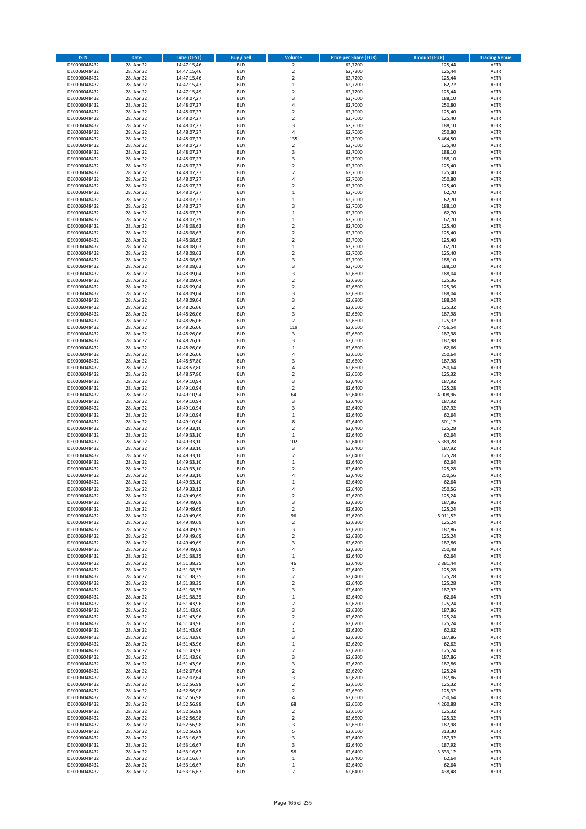| <b>ISIN</b>                  | <b>Date</b>              | <b>Time (CEST)</b>         | <b>Buy / Sell</b>        | Volume                                             | <b>Price per Share (EUR)</b> | <b>Amount (EUR)</b> | <b>Trading Venue</b>       |
|------------------------------|--------------------------|----------------------------|--------------------------|----------------------------------------------------|------------------------------|---------------------|----------------------------|
| DE0006048432                 | 28. Apr 22               | 14:47:15,46                | <b>BUY</b>               | $\overline{\mathbf{2}}$                            | 62,7200                      | 125,44              | <b>XETR</b>                |
| DE0006048432                 | 28. Apr 22               | 14:47:15,46                | <b>BUY</b>               | $\mathbf 2$                                        | 62,7200                      | 125,44              | <b>XETR</b>                |
| DE0006048432                 | 28. Apr 22               | 14:47:15,46                | <b>BUY</b>               | $\mathbf 2$                                        | 62,7200                      | 125,44              | <b>XETR</b>                |
| DE0006048432                 | 28. Apr 22               | 14:47:15,47                | <b>BUY</b>               | $\mathbf 1$                                        | 62,7200                      | 62,72               | <b>XETR</b>                |
| DE0006048432                 | 28. Apr 22               | 14:47:15,49                | <b>BUY</b>               | $\overline{2}$                                     | 62,7200                      | 125,44              | <b>XETR</b>                |
| DE0006048432                 | 28. Apr 22               | 14:48:07,27                | <b>BUY</b>               | $\overline{3}$                                     | 62,7000                      | 188,10              | <b>XETR</b>                |
| DE0006048432                 | 28. Apr 22               | 14:48:07,27                | <b>BUY</b>               | $\overline{a}$                                     | 62,7000                      | 250,80              | <b>XETR</b>                |
| DE0006048432                 | 28. Apr 22               | 14:48:07,27                | <b>BUY</b>               | $\overline{2}$                                     | 62,7000                      | 125,40              | <b>XETR</b>                |
| DE0006048432                 | 28. Apr 22               | 14:48:07,27                | BUY                      | $\overline{2}$                                     | 62,7000                      | 125,40              | <b>XETR</b>                |
| DE0006048432                 | 28. Apr 22               | 14:48:07,27                | <b>BUY</b>               | 3                                                  | 62,7000                      | 188,10              | <b>XETR</b>                |
| DE0006048432                 | 28. Apr 22               | 14:48:07,27                | <b>BUY</b>               | 4                                                  | 62,7000                      | 250,80              | <b>XETR</b>                |
| DE0006048432                 | 28. Apr 22               | 14:48:07,27                | <b>BUY</b>               | 135                                                | 62,7000                      | 8.464,50            | <b>XETR</b>                |
| DE0006048432                 | 28. Apr 22               | 14:48:07,27                | <b>BUY</b>               | $\mathbf 2$                                        | 62,7000                      | 125,40              | <b>XETR</b>                |
| DE0006048432                 | 28. Apr 22               | 14:48:07,27                | <b>BUY</b>               | $\overline{\mathbf{3}}$<br>$\overline{\mathbf{3}}$ | 62,7000                      | 188,10              | <b>XETR</b>                |
| DE0006048432<br>DE0006048432 | 28. Apr 22<br>28. Apr 22 | 14:48:07,27<br>14:48:07,27 | <b>BUY</b><br>BUY        | $\overline{\phantom{a}}$                           | 62,7000<br>62,7000           | 188,10<br>125,40    | <b>XETR</b><br><b>XETR</b> |
| DE0006048432                 | 28. Apr 22               | 14:48:07,27                | <b>BUY</b>               | $\overline{2}$                                     | 62,7000                      | 125,40              | <b>XETR</b>                |
| DE0006048432                 | 28. Apr 22               | 14:48:07,27                | <b>BUY</b>               | $\overline{4}$                                     | 62,7000                      | 250,80              | <b>XETR</b>                |
| DE0006048432                 | 28. Apr 22               | 14:48:07,27                | <b>BUY</b>               | $\overline{2}$                                     | 62,7000                      | 125,40              | <b>XETR</b>                |
| DE0006048432                 | 28. Apr 22               | 14:48:07,27                | <b>BUY</b>               | $\mathbf{1}$                                       | 62,7000                      | 62,70               | <b>XETR</b>                |
| DE0006048432                 | 28. Apr 22               | 14:48:07,27                | <b>BUY</b>               | $\mathbf{1}$                                       | 62,7000                      | 62,70               | <b>XETR</b>                |
| DE0006048432                 | 28. Apr 22               | 14:48:07,27                | <b>BUY</b>               | 3                                                  | 62,7000                      | 188,10              | <b>XETR</b>                |
| DE0006048432                 | 28. Apr 22               | 14:48:07,27                | BUY                      | $\mathbf{1}$                                       | 62,7000                      | 62,70               | <b>XETR</b>                |
| DE0006048432                 | 28. Apr 22               | 14:48:07,29                | BUY                      | $\,$ 1                                             | 62,7000                      | 62,70               | <b>XETR</b>                |
| DE0006048432                 | 28. Apr 22               | 14:48:08,63                | <b>BUY</b>               | $\mathbf 2$                                        | 62,7000                      | 125,40              | <b>XETR</b>                |
| DE0006048432                 | 28. Apr 22               | 14:48:08,63                | <b>BUY</b>               | $\mathbf 2$                                        | 62,7000                      | 125,40              | <b>XETR</b>                |
| DE0006048432                 | 28. Apr 22               | 14:48:08,63                | <b>BUY</b>               | $\mathbf 2$                                        | 62,7000                      | 125,40              | <b>XETR</b>                |
| DE0006048432                 | 28. Apr 22               | 14:48:08,63                | <b>BUY</b>               | $\mathbf{1}$                                       | 62,7000                      | 62,70               | <b>XETR</b>                |
| DE0006048432                 | 28. Apr 22               | 14:48:08,63                | <b>BUY</b>               | $\mathbf 2$                                        | 62,7000                      | 125,40              | <b>XETR</b>                |
| DE0006048432                 | 28. Apr 22               | 14:48:08,63                | <b>BUY</b>               | $\overline{\mathbf{3}}$                            | 62,7000                      | 188,10              | <b>XETR</b>                |
| DE0006048432                 | 28. Apr 22               | 14:48:08,63                | <b>BUY</b>               | $\overline{\mathbf{3}}$                            | 62,7000                      | 188,10              | <b>XETR</b>                |
| DE0006048432                 | 28. Apr 22               | 14:48:09,04                | <b>BUY</b>               | 3                                                  | 62,6800                      | 188,04              | <b>XETR</b>                |
| DE0006048432                 | 28. Apr 22               | 14:48:09,04                | <b>BUY</b>               | $\mathbf 2$                                        | 62,6800                      | 125,36              | <b>XETR</b>                |
| DE0006048432                 | 28. Apr 22               | 14:48:09,04                | <b>BUY</b>               | $\mathbf 2$                                        | 62,6800                      | 125,36              | <b>XETR</b>                |
| DE0006048432                 | 28. Apr 22               | 14:48:09,04                | <b>BUY</b>               | $\overline{\mathbf{3}}$<br>3                       | 62,6800                      | 188,04              | <b>XETR</b>                |
| DE0006048432<br>DE0006048432 | 28. Apr 22<br>28. Apr 22 | 14:48:09,04<br>14:48:26,06 | <b>BUY</b><br>BUY        | $\overline{2}$                                     | 62,6800<br>62,6600           | 188,04<br>125,32    | <b>XETR</b><br><b>XETR</b> |
| DE0006048432                 | 28. Apr 22               | 14:48:26,06                | BUY                      | 3                                                  | 62,6600                      | 187,98              | <b>XETR</b>                |
| DE0006048432                 | 28. Apr 22               | 14:48:26,06                | <b>BUY</b>               | $\mathbf 2$                                        | 62,6600                      | 125,32              | <b>XETR</b>                |
| DE0006048432                 | 28. Apr 22               | 14:48:26,06                | <b>BUY</b>               | 119                                                | 62,6600                      | 7.456,54            | <b>XETR</b>                |
| DE0006048432                 | 28. Apr 22               | 14:48:26,06                | <b>BUY</b>               | 3                                                  | 62,6600                      | 187,98              | <b>XETR</b>                |
| DE0006048432                 | 28. Apr 22               | 14:48:26,06                | <b>BUY</b>               | 3                                                  | 62,6600                      | 187,98              | <b>XETR</b>                |
| DE0006048432                 | 28. Apr 22               | 14:48:26,06                | <b>BUY</b>               | $\mathbf{1}$                                       | 62,6600                      | 62,66               | <b>XETR</b>                |
| DE0006048432                 | 28. Apr 22               | 14:48:26,06                | BUY                      | 4                                                  | 62,6600                      | 250,64              | <b>XETR</b>                |
| DE0006048432                 | 28. Apr 22               | 14:48:57,80                | <b>BUY</b>               | $\overline{3}$                                     | 62,6600                      | 187,98              | <b>XETR</b>                |
| DE0006048432                 | 28. Apr 22               | 14:48:57,80                | <b>BUY</b>               | $\overline{4}$                                     | 62,6600                      | 250,64              | <b>XETR</b>                |
| DE0006048432                 | 28. Apr 22               | 14:48:57,80                | <b>BUY</b>               | $\overline{2}$                                     | 62,6600                      | 125,32              | <b>XETR</b>                |
| DE0006048432                 | 28. Apr 22               | 14:49:10,94                | <b>BUY</b>               | 3                                                  | 62,6400                      | 187,92              | <b>XETR</b>                |
| DE0006048432                 | 28. Apr 22               | 14:49:10,94                | <b>BUY</b>               | $\overline{2}$                                     | 62,6400                      | 125,28              | <b>XETR</b>                |
| DE0006048432                 | 28. Apr 22               | 14:49:10,94                | <b>BUY</b>               | 64                                                 | 62,6400                      | 4.008,96            | <b>XETR</b>                |
| DE0006048432                 | 28. Apr 22               | 14:49:10,94                | <b>BUY</b>               | 3                                                  | 62,6400                      | 187,92              | <b>XETR</b>                |
| DE0006048432                 | 28. Apr 22               | 14:49:10,94                | <b>BUY</b>               | $\overline{\mathbf{3}}$                            | 62,6400                      | 187,92              | <b>XETR</b>                |
| DE0006048432                 | 28. Apr 22               | 14:49:10,94                | <b>BUY</b>               | $\mathbf 1$                                        | 62,6400                      | 62,64               | <b>XETR</b>                |
| DE0006048432<br>DE0006048432 | 28. Apr 22               | 14:49:10,94                | <b>BUY</b><br><b>BUY</b> | 8<br>$\overline{2}$                                | 62,6400                      | 501,12              | <b>XETR</b><br><b>XETR</b> |
|                              | 28. Apr 22               | 14:49:33,10<br>14:49:33,10 | <b>BUY</b>               | $\,1\,$                                            | 62,6400                      | 125,28              | <b>XETR</b>                |
| DE0006048432<br>DE0006048432 | 28. Apr 22<br>28. Apr 22 | 14:49:33,10                | <b>BUY</b>               | 102                                                | 62,6400<br>62,6400           | 62,64<br>6.389,28   | <b>XETR</b>                |
| DE0006048432                 | 28. Apr 22               | 14:49:33,10                | <b>BUY</b>               | 3                                                  | 62,6400                      | 187,92              | <b>XETR</b>                |
| DE0006048432                 | 28. Apr 22               | 14:49:33,10                | BUY                      | $\overline{2}$                                     | 62,6400                      | 125,28              | <b>XETR</b>                |
| DE0006048432                 | 28. Apr 22               | 14:49:33,10                | <b>BUY</b>               | $\mathbf 1$                                        | 62,6400                      | 62,64               | <b>XETR</b>                |
| DE0006048432                 | 28. Apr 22               | 14:49:33,10                | <b>BUY</b>               | $\mathbf 2$                                        | 62,6400                      | 125,28              | <b>XETR</b>                |
| DE0006048432                 | 28. Apr 22               | 14:49:33,10                | BUY                      | $\overline{a}$                                     | 62,6400                      | 250,56              | <b>XETR</b>                |
| DE0006048432                 | 28. Apr 22               | 14:49:33,10                | BUY                      | $\mathbf{1}$                                       | 62,6400                      | 62,64               | <b>XETR</b>                |
| DE0006048432                 | 28. Apr 22               | 14:49:33,12                | <b>BUY</b>               | $\overline{a}$                                     | 62,6400                      | 250,56              | <b>XETR</b>                |
| DE0006048432                 | 28. Apr 22               | 14:49:49,69                | BUY                      | 2                                                  | 62,6200                      | 125,24              | <b>XETR</b>                |
| DE0006048432                 | 28. Apr 22               | 14:49:49,69                | <b>BUY</b>               | 3                                                  | 62,6200                      | 187,86              | <b>XETR</b>                |
| DE0006048432                 | 28. Apr 22               | 14:49:49,69                | <b>BUY</b>               | $\mathbf 2$                                        | 62,6200                      | 125,24              | <b>XETR</b>                |
| DE0006048432                 | 28. Apr 22               | 14:49:49,69                | <b>BUY</b>               | 96                                                 | 62,6200                      | 6.011,52            | <b>XETR</b>                |
| DE0006048432                 | 28. Apr 22               | 14:49:49,69                | <b>BUY</b>               | $\mathbf 2$                                        | 62,6200                      | 125,24              | <b>XETR</b>                |
| DE0006048432                 | 28. Apr 22               | 14:49:49,69                | <b>BUY</b>               | 3                                                  | 62,6200                      | 187,86              | <b>XETR</b>                |
| DE0006048432                 | 28. Apr 22               | 14:49:49,69                | <b>BUY</b>               | 2                                                  | 62,6200                      | 125,24              | <b>XETR</b>                |
| DE0006048432                 | 28. Apr 22               | 14:49:49,69                | <b>BUY</b>               | 3                                                  | 62,6200                      | 187,86              | <b>XETR</b>                |
| DE0006048432                 | 28. Apr 22               | 14:49:49,69                | <b>BUY</b>               | $\overline{4}$                                     | 62,6200                      | 250,48              | <b>XETR</b>                |
| DE0006048432                 | 28. Apr 22               | 14:51:38,35                | <b>BUY</b>               | $\mathbf 1$                                        | 62,6400                      | 62,64               | <b>XETR</b>                |
| DE0006048432<br>DE0006048432 | 28. Apr 22<br>28. Apr 22 | 14:51:38,35<br>14:51:38,35 | <b>BUY</b><br><b>BUY</b> | 46<br>$\mathbf 2$                                  | 62,6400<br>62,6400           | 2.881,44<br>125,28  | <b>XETR</b><br><b>XETR</b> |
| DE0006048432                 | 28. Apr 22               | 14:51:38,35                | <b>BUY</b>               | $\mathbf 2$                                        | 62,6400                      | 125,28              | <b>XETR</b>                |
| DE0006048432                 | 28. Apr 22               | 14:51:38,35                | <b>BUY</b>               | $\overline{2}$                                     | 62,6400                      | 125,28              | <b>XETR</b>                |
| DE0006048432                 | 28. Apr 22               | 14:51:38,35                | <b>BUY</b>               | 3                                                  | 62,6400                      | 187,92              | <b>XETR</b>                |
| DE0006048432                 | 28. Apr 22               | 14:51:38,35                | <b>BUY</b>               | $\mathbf 1$                                        | 62,6400                      | 62,64               | <b>XETR</b>                |
| DE0006048432                 | 28. Apr 22               | 14:51:43,96                | <b>BUY</b>               | $\mathbf 2$                                        | 62,6200                      | 125,24              | <b>XETR</b>                |
| DE0006048432                 | 28. Apr 22               | 14:51:43,96                | <b>BUY</b>               | 3                                                  | 62,6200                      | 187,86              | <b>XETR</b>                |
| DE0006048432                 | 28. Apr 22               | 14:51:43,96                | <b>BUY</b>               | $\mathbf 2$                                        | 62,6200                      | 125,24              | <b>XETR</b>                |
| DE0006048432                 | 28. Apr 22               | 14:51:43,96                | <b>BUY</b>               | $\mathbf 2$                                        | 62,6200                      | 125,24              | <b>XETR</b>                |
| DE0006048432                 | 28. Apr 22               | 14:51:43,96                | <b>BUY</b>               | $\mathbf 1$                                        | 62,6200                      | 62,62               | <b>XETR</b>                |
| DE0006048432                 | 28. Apr 22               | 14:51:43,96                | <b>BUY</b>               | 3                                                  | 62,6200                      | 187,86              | <b>XETR</b>                |
| DE0006048432                 | 28. Apr 22               | 14:51:43,96                | <b>BUY</b>               | $\mathbf 1$                                        | 62,6200                      | 62,62               | <b>XETR</b>                |
| DE0006048432                 | 28. Apr 22               | 14:51:43,96                | <b>BUY</b>               | $\overline{2}$                                     | 62,6200                      | 125,24              | <b>XETR</b>                |
| DE0006048432                 | 28. Apr 22               | 14:51:43,96                | <b>BUY</b>               | 3                                                  | 62,6200                      | 187,86              | <b>XETR</b>                |
| DE0006048432                 | 28. Apr 22               | 14:51:43,96                | <b>BUY</b>               | 3                                                  | 62,6200                      | 187,86              | <b>XETR</b>                |
| DE0006048432                 | 28. Apr 22               | 14:52:07,64                | <b>BUY</b>               | $\overline{\mathbf{2}}$                            | 62,6200                      | 125,24              | <b>XETR</b>                |
| DE0006048432                 | 28. Apr 22               | 14:52:07,64                | <b>BUY</b>               | 3                                                  | 62,6200                      | 187,86              | <b>XETR</b>                |
| DE0006048432                 | 28. Apr 22               | 14:52:56,98                | <b>BUY</b>               | $\mathbf 2$                                        | 62,6600                      | 125,32              | <b>XETR</b>                |
| DE0006048432                 | 28. Apr 22               | 14:52:56,98                | <b>BUY</b><br><b>BUY</b> | $\overline{\mathbf{2}}$<br>$\overline{4}$          | 62,6600                      | 125,32              | <b>XETR</b>                |
| DE0006048432<br>DE0006048432 | 28. Apr 22<br>28. Apr 22 | 14:52:56,98<br>14:52:56,98 | <b>BUY</b>               | 68                                                 | 62,6600<br>62,6600           | 250,64<br>4.260,88  | <b>XETR</b><br><b>XETR</b> |
| DE0006048432                 | 28. Apr 22               | 14:52:56,98                | <b>BUY</b>               | 2                                                  | 62,6600                      | 125,32              | <b>XETR</b>                |
| DE0006048432                 | 28. Apr 22               | 14:52:56,98                | <b>BUY</b>               | $\overline{\mathbf{2}}$                            | 62,6600                      | 125,32              | <b>XETR</b>                |
| DE0006048432                 | 28. Apr 22               | 14:52:56,98                | <b>BUY</b>               | 3                                                  | 62,6600                      | 187,98              | <b>XETR</b>                |
| DE0006048432                 | 28. Apr 22               | 14:52:56,98                | <b>BUY</b>               | 5                                                  | 62,6600                      | 313,30              | <b>XETR</b>                |
| DE0006048432                 | 28. Apr 22               | 14:53:16,67                | <b>BUY</b>               | 3                                                  | 62,6400                      | 187,92              | <b>XETR</b>                |
| DE0006048432                 | 28. Apr 22               | 14:53:16,67                | <b>BUY</b>               | 3                                                  | 62,6400                      | 187,92              | <b>XETR</b>                |
| DE0006048432                 | 28. Apr 22               | 14:53:16,67                | <b>BUY</b>               | 58                                                 | 62,6400                      | 3.633,12            | <b>XETR</b>                |
| DE0006048432                 | 28. Apr 22               | 14:53:16,67                | <b>BUY</b>               | $\mathbf 1$                                        | 62,6400                      | 62,64               | <b>XETR</b>                |
| DE0006048432                 | 28. Apr 22               | 14:53:16,67                | <b>BUY</b>               | $\,$ 1                                             | 62,6400                      | 62,64               | <b>XETR</b>                |
| DE0006048432                 | 28. Apr 22               | 14:53:16,67                | <b>BUY</b>               | 7                                                  | 62,6400                      | 438,48              | <b>XETR</b>                |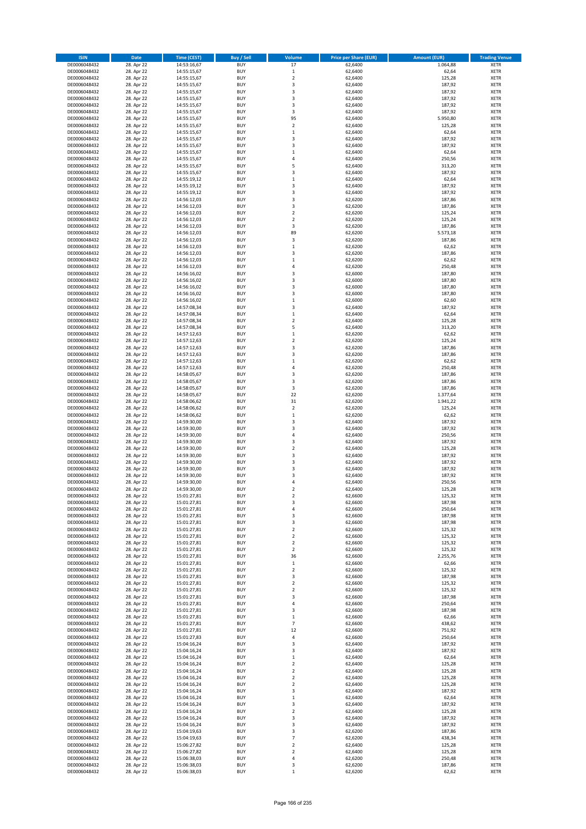| <b>ISIN</b>                  | <b>Date</b>              | <b>Time (CEST)</b>         | <b>Buy / Sell</b>        | <b>Volume</b>                 | <b>Price per Share (EUR)</b> | <b>Amount (EUR)</b> | <b>Trading Venue</b>       |
|------------------------------|--------------------------|----------------------------|--------------------------|-------------------------------|------------------------------|---------------------|----------------------------|
| DE0006048432                 | 28. Apr 22               | 14:53:16,67                | <b>BUY</b>               | 17                            | 62,6400                      | 1.064,88            | <b>XETR</b>                |
| DE0006048432                 | 28. Apr 22               | 14:55:15,67                | <b>BUY</b>               | $\,$ 1                        | 62,6400                      | 62,64               | <b>XETR</b>                |
| DE0006048432                 | 28. Apr 22               | 14:55:15,67                | <b>BUY</b>               | $\overline{2}$                | 62.6400                      | 125,28              | <b>XETR</b>                |
| DE0006048432                 | 28. Apr 22               | 14:55:15,67                | <b>BUY</b>               | 3                             | 62,6400                      | 187,92              | <b>XETR</b>                |
| DE0006048432<br>DE0006048432 | 28. Apr 22<br>28. Apr 22 | 14:55:15,67<br>14:55:15,67 | <b>BUY</b><br><b>BUY</b> | 3<br>3                        | 62,6400<br>62,6400           | 187,92<br>187,92    | <b>XETR</b><br><b>XETR</b> |
| DE0006048432                 | 28. Apr 22               | 14:55:15,67                | <b>BUY</b>               | 3                             | 62,6400                      | 187,92              | <b>XETR</b>                |
| DE0006048432                 | 28. Apr 22               | 14:55:15,67                | <b>BUY</b>               | 3                             | 62,6400                      | 187,92              | <b>XETR</b>                |
| DE0006048432                 | 28. Apr 22               | 14:55:15,67                | <b>BUY</b>               | 95                            | 62,6400                      | 5.950,80            | <b>XETR</b>                |
| DE0006048432                 | 28. Apr 22               | 14:55:15,67                | <b>BUY</b>               | $\overline{2}$                | 62,6400                      | 125,28              | <b>XETR</b>                |
| DE0006048432                 | 28. Apr 22               | 14:55:15,67                | <b>BUY</b>               | $\mathbf 1$                   | 62,6400                      | 62,64               | <b>XETR</b>                |
| DE0006048432                 | 28. Apr 22               | 14:55:15,67                | <b>BUY</b>               | 3                             | 62,6400                      | 187,92              | <b>XETR</b>                |
| DE0006048432<br>DE0006048432 | 28. Apr 22<br>28. Apr 22 | 14:55:15,67<br>14:55:15,67 | <b>BUY</b><br><b>BUY</b> | 3<br>$\mathbf 1$              | 62,6400<br>62,6400           | 187,92<br>62,64     | <b>XETR</b><br><b>XETR</b> |
| DE0006048432                 | 28. Apr 22               | 14:55:15,67                | <b>BUY</b>               | 4                             | 62,6400                      | 250,56              | <b>XETR</b>                |
| DE0006048432                 | 28. Apr 22               | 14:55:15,67                | <b>BUY</b>               | 5                             | 62,6400                      | 313,20              | <b>XETR</b>                |
| DE0006048432                 | 28. Apr 22               | 14:55:15,67                | <b>BUY</b>               | 3                             | 62,6400                      | 187,92              | <b>XETR</b>                |
| DE0006048432                 | 28. Apr 22               | 14:55:19,12                | <b>BUY</b>               | $\mathbf 1$                   | 62,6400                      | 62,64               | <b>XETR</b>                |
| DE0006048432                 | 28. Apr 22               | 14:55:19,12                | <b>BUY</b>               | 3                             | 62,6400                      | 187,92              | <b>XETR</b>                |
| DE0006048432<br>DE0006048432 | 28. Apr 22<br>28. Apr 22 | 14:55:19,12<br>14:56:12,03 | <b>BUY</b><br><b>BUY</b> | 3<br>3                        | 62,6400<br>62,6200           | 187,92<br>187,86    | <b>XETR</b><br><b>XETR</b> |
| DE0006048432                 | 28. Apr 22               | 14:56:12,03                | <b>BUY</b>               | 3                             | 62,6200                      | 187,86              | <b>XETR</b>                |
| DE0006048432                 | 28. Apr 22               | 14:56:12,03                | <b>BUY</b>               | $\mathbf 2$                   | 62,6200                      | 125,24              | <b>XETR</b>                |
| DE0006048432                 | 28. Apr 22               | 14:56:12,03                | <b>BUY</b>               | $\mathbf 2$                   | 62,6200                      | 125,24              | <b>XETR</b>                |
| DE0006048432                 | 28. Apr 22               | 14:56:12,03                | <b>BUY</b>               | 3                             | 62,6200                      | 187,86              | <b>XETR</b>                |
| DE0006048432                 | 28. Apr 22               | 14:56:12,03                | <b>BUY</b>               | 89                            | 62,6200                      | 5.573,18            | <b>XETR</b>                |
| DE0006048432<br>DE0006048432 | 28. Apr 22<br>28. Apr 22 | 14:56:12,03                | <b>BUY</b><br><b>BUY</b> | 3<br>$\mathbf 1$              | 62,6200<br>62,6200           | 187,86              | <b>XETR</b><br><b>XETR</b> |
| DE0006048432                 | 28. Apr 22               | 14:56:12,03<br>14:56:12,03 | <b>BUY</b>               | 3                             | 62,6200                      | 62,62<br>187,86     | <b>XETR</b>                |
| DE0006048432                 | 28. Apr 22               | 14:56:12,03                | <b>BUY</b>               | $\mathbf 1$                   | 62,6200                      | 62,62               | <b>XETR</b>                |
| DE0006048432                 | 28. Apr 22               | 14:56:12,03                | <b>BUY</b>               | 4                             | 62,6200                      | 250,48              | <b>XETR</b>                |
| DE0006048432                 | 28. Apr 22               | 14:56:16,02                | <b>BUY</b>               | 3                             | 62,6000                      | 187,80              | <b>XETR</b>                |
| DE0006048432                 | 28. Apr 22               | 14:56:16,02                | <b>BUY</b>               | 3                             | 62,6000                      | 187,80              | <b>XETR</b>                |
| DE0006048432                 | 28. Apr 22               | 14:56:16,02                | <b>BUY</b>               | 3                             | 62,6000                      | 187,80              | <b>XETR</b>                |
| DE0006048432<br>DE0006048432 | 28. Apr 22<br>28. Apr 22 | 14:56:16,02<br>14:56:16,02 | <b>BUY</b><br><b>BUY</b> | 3<br>$\mathbf 1$              | 62.6000<br>62,6000           | 187,80<br>62,60     | <b>XETR</b><br><b>XETR</b> |
| DE0006048432                 | 28. Apr 22               | 14:57:08,34                | <b>BUY</b>               | 3                             | 62,6400                      | 187,92              | <b>XETR</b>                |
| DE0006048432                 | 28. Apr 22               | 14:57:08,34                | <b>BUY</b>               | $\mathbf 1$                   | 62,6400                      | 62,64               | <b>XETR</b>                |
| DE0006048432                 | 28. Apr 22               | 14:57:08,34                | <b>BUY</b>               | $\mathbf 2$                   | 62,6400                      | 125,28              | <b>XETR</b>                |
| DE0006048432                 | 28. Apr 22               | 14:57:08,34                | <b>BUY</b>               | 5                             | 62,6400                      | 313,20              | <b>XETR</b>                |
| DE0006048432                 | 28. Apr 22               | 14:57:12,63                | <b>BUY</b>               | $\mathbf 1$                   | 62,6200                      | 62,62               | <b>XETR</b>                |
| DE0006048432                 | 28. Apr 22<br>28. Apr 22 | 14:57:12,63                | <b>BUY</b><br><b>BUY</b> | $\mathbf 2$<br>3              | 62,6200                      | 125,24<br>187,86    | <b>XETR</b><br><b>XETR</b> |
| DE0006048432<br>DE0006048432 | 28. Apr 22               | 14:57:12,63<br>14:57:12,63 | <b>BUY</b>               | 3                             | 62,6200<br>62,6200           | 187,86              | <b>XETR</b>                |
| DE0006048432                 | 28. Apr 22               | 14:57:12,63                | <b>BUY</b>               | $\mathbf 1$                   | 62,6200                      | 62,62               | <b>XETR</b>                |
| DE0006048432                 | 28. Apr 22               | 14:57:12,63                | <b>BUY</b>               | 4                             | 62,6200                      | 250,48              | <b>XETR</b>                |
| DE0006048432                 | 28. Apr 22               | 14:58:05,67                | <b>BUY</b>               | 3                             | 62,6200                      | 187,86              | <b>XETR</b>                |
| DE0006048432                 | 28. Apr 22               | 14:58:05,67                | <b>BUY</b>               | 3                             | 62,6200                      | 187,86              | <b>XETR</b>                |
| DE0006048432<br>DE0006048432 | 28. Apr 22<br>28. Apr 22 | 14:58:05,67                | <b>BUY</b><br><b>BUY</b> | 3<br>22                       | 62,6200<br>62,6200           | 187,86<br>1.377,64  | <b>XETR</b><br><b>XETR</b> |
| DE0006048432                 | 28. Apr 22               | 14:58:05,67<br>14:58:06,62 | <b>BUY</b>               | 31                            | 62,6200                      | 1.941,22            | <b>XETR</b>                |
| DE0006048432                 | 28. Apr 22               | 14:58:06,62                | <b>BUY</b>               | $\mathbf 2$                   | 62,6200                      | 125,24              | <b>XETR</b>                |
| DE0006048432                 | 28. Apr 22               | 14:58:06,62                | <b>BUY</b>               | $\mathbf 1$                   | 62,6200                      | 62,62               | <b>XETR</b>                |
| DE0006048432                 | 28. Apr 22               | 14:59:30,00                | <b>BUY</b>               | 3                             | 62,6400                      | 187,92              | <b>XETR</b>                |
| DE0006048432                 | 28. Apr 22               | 14:59:30,00                | <b>BUY</b>               | 3                             | 62,6400                      | 187,92              | <b>XETR</b>                |
| DE0006048432                 | 28. Apr 22               | 14:59:30,00                | <b>BUY</b>               | 4                             | 62,6400                      | 250,56              | <b>XETR</b>                |
| DE0006048432<br>DE0006048432 | 28. Apr 22<br>28. Apr 22 | 14:59:30,00<br>14:59:30,00 | <b>BUY</b><br><b>BUY</b> | 3<br>$\overline{\mathbf{c}}$  | 62,6400<br>62,6400           | 187,92<br>125,28    | <b>XETR</b><br><b>XETR</b> |
| DE0006048432                 | 28. Apr 22               | 14:59:30,00                | <b>BUY</b>               | 3                             | 62,6400                      | 187,92              | <b>XETR</b>                |
| DE0006048432                 | 28. Apr 22               | 14:59:30,00                | <b>BUY</b>               | 3                             | 62,6400                      | 187,92              | <b>XETR</b>                |
| DE0006048432                 | 28. Apr 22               | 14:59:30,00                | <b>BUY</b>               | 3                             | 62,6400                      | 187,92              | <b>XETR</b>                |
| DE0006048432                 | 28. Apr 22               | 14:59:30,00                | <b>BUY</b>               | $\overline{3}$                | 62,6400                      | 187,92              | <b>XETR</b>                |
| DE0006048432                 | 28. Apr 22               | 14:59:30,00                | <b>BUY</b>               | 4                             | 62,6400                      | 250,56              | <b>XETR</b>                |
| DE0006048432<br>DE0006048432 | 28. Apr 22<br>28. Apr 22 | 14:59:30,00<br>15:01:27,81 | <b>BUY</b><br>BUY        | $\overline{2}$<br>2           | 62,6400<br>62,6600           | 125,28<br>125,32    | <b>XETR</b><br><b>XETR</b> |
| DE0006048432                 | 28. Apr 22               | 15:01:27,81                | <b>BUY</b>               | 3                             | 62,6600                      | 187,98              | <b>XETR</b>                |
| DE0006048432                 | 28. Apr 22               | 15:01:27,81                | <b>BUY</b>               | 4                             | 62,6600                      | 250,64              | <b>XETR</b>                |
| DE0006048432                 | 28. Apr 22               | 15:01:27,81                | <b>BUY</b>               | 3                             | 62,6600                      | 187,98              | XETR                       |
| DE0006048432                 | 28. Apr 22               | 15:01:27,81                | <b>BUY</b>               | 3                             | 62,6600                      | 187,98              | <b>XETR</b>                |
| DE0006048432                 | 28. Apr 22               | 15:01:27,81                | <b>BUY</b>               | $\mathbf 2$                   | 62,6600                      | 125,32              | <b>XETR</b>                |
| DE0006048432<br>DE0006048432 | 28. Apr 22<br>28. Apr 22 | 15:01:27,81                | <b>BUY</b><br><b>BUY</b> | $\overline{2}$<br>$\mathbf 2$ | 62,6600<br>62,6600           | 125,32<br>125,32    | <b>XETR</b>                |
| DE0006048432                 | 28. Apr 22               | 15:01:27,81<br>15:01:27,81 | <b>BUY</b>               | $\mathbf 2$                   | 62,6600                      | 125,32              | <b>XETR</b><br><b>XETR</b> |
| DE0006048432                 | 28. Apr 22               | 15:01:27,81                | <b>BUY</b>               | 36                            | 62,6600                      | 2.255,76            | <b>XETR</b>                |
| DE0006048432                 | 28. Apr 22               | 15:01:27,81                | <b>BUY</b>               | $\mathbf 1$                   | 62,6600                      | 62,66               | <b>XETR</b>                |
| DE0006048432                 | 28. Apr 22               | 15:01:27,81                | <b>BUY</b>               | $\mathbf 2$                   | 62,6600                      | 125,32              | <b>XETR</b>                |
| DE0006048432                 | 28. Apr 22               | 15:01:27,81                | <b>BUY</b>               | 3                             | 62,6600                      | 187,98              | <b>XETR</b>                |
| DE0006048432                 | 28. Apr 22               | 15:01:27,81                | <b>BUY</b>               | $\overline{2}$                | 62,6600                      | 125,32              | <b>XETR</b>                |
| DE0006048432<br>DE0006048432 | 28. Apr 22<br>28. Apr 22 | 15:01:27,81<br>15:01:27,81 | <b>BUY</b><br><b>BUY</b> | $\mathbf 2$<br>3              | 62,6600<br>62,6600           | 125,32<br>187,98    | <b>XETR</b><br><b>XETR</b> |
| DE0006048432                 | 28. Apr 22               | 15:01:27,81                | <b>BUY</b>               | 4                             | 62,6600                      | 250,64              | <b>XETR</b>                |
| DE0006048432                 | 28. Apr 22               | 15:01:27,81                | <b>BUY</b>               | 3                             | 62,6600                      | 187,98              | <b>XETR</b>                |
| DE0006048432                 | 28. Apr 22               | 15:01:27,81                | <b>BUY</b>               | $\mathbf 1$                   | 62,6600                      | 62,66               | XETR                       |
| DE0006048432                 | 28. Apr 22               | 15:01:27,81                | <b>BUY</b>               | $\overline{7}$                | 62,6600                      | 438,62              | <b>XETR</b>                |
| DE0006048432                 | 28. Apr 22               | 15:01:27,81                | <b>BUY</b>               | 12                            | 62,6600                      | 751,92              | <b>XETR</b>                |
| DE0006048432                 | 28. Apr 22               | 15:01:27,83                | <b>BUY</b><br><b>BUY</b> | 4<br>3                        | 62,6600                      | 250,64              | <b>XETR</b><br><b>XETR</b> |
| DE0006048432<br>DE0006048432 | 28. Apr 22<br>28. Apr 22 | 15:04:16,24<br>15:04:16,24 | <b>BUY</b>               | 3                             | 62,6400<br>62,6400           | 187,92<br>187,92    | <b>XETR</b>                |
| DE0006048432                 | 28. Apr 22               | 15:04:16,24                | <b>BUY</b>               | $\mathbf 1$                   | 62,6400                      | 62,64               | <b>XETR</b>                |
| DE0006048432                 | 28. Apr 22               | 15:04:16,24                | <b>BUY</b>               | $\mathbf 2$                   | 62,6400                      | 125,28              | <b>XETR</b>                |
| DE0006048432                 | 28. Apr 22               | 15:04:16,24                | <b>BUY</b>               | $\mathbf 2$                   | 62,6400                      | 125,28              | <b>XETR</b>                |
| DE0006048432                 | 28. Apr 22               | 15:04:16,24                | <b>BUY</b>               | $\overline{2}$                | 62,6400                      | 125,28              | <b>XETR</b>                |
| DE0006048432                 | 28. Apr 22               | 15:04:16,24                | <b>BUY</b>               | 2                             | 62,6400                      | 125,28              | <b>XETR</b>                |
| DE0006048432<br>DE0006048432 | 28. Apr 22<br>28. Apr 22 | 15:04:16,24<br>15:04:16,24 | <b>BUY</b><br><b>BUY</b> | 3<br>$\mathbf 1$              | 62,6400<br>62,6400           | 187,92<br>62,64     | <b>XETR</b><br><b>XETR</b> |
| DE0006048432                 | 28. Apr 22               | 15:04:16,24                | <b>BUY</b>               | 3                             | 62,6400                      | 187,92              | <b>XETR</b>                |
| DE0006048432                 | 28. Apr 22               | 15:04:16,24                | <b>BUY</b>               | $\mathbf 2$                   | 62,6400                      | 125,28              | <b>XETR</b>                |
| DE0006048432                 | 28. Apr 22               | 15:04:16,24                | <b>BUY</b>               | 3                             | 62,6400                      | 187,92              | <b>XETR</b>                |
| DE0006048432                 | 28. Apr 22               | 15:04:16,24                | <b>BUY</b>               | 3                             | 62,6400                      | 187,92              | <b>XETR</b>                |
| DE0006048432                 | 28. Apr 22               | 15:04:19,63                | <b>BUY</b>               | 3                             | 62,6200                      | 187,86              | <b>XETR</b>                |
| DE0006048432<br>DE0006048432 | 28. Apr 22<br>28. Apr 22 | 15:04:19,63<br>15:06:27,82 | <b>BUY</b><br><b>BUY</b> | $\overline{7}$<br>$\mathbf 2$ | 62,6200<br>62,6400           | 438,34<br>125,28    | <b>XETR</b><br>XETR        |
| DE0006048432                 | 28. Apr 22               | 15:06:27,82                | <b>BUY</b>               | $\overline{2}$                | 62,6400                      | 125,28              | <b>XETR</b>                |
| DE0006048432                 | 28. Apr 22               | 15:06:38,03                | <b>BUY</b>               | 4                             | 62,6200                      | 250,48              | <b>XETR</b>                |
| DE0006048432                 | 28. Apr 22               | 15:06:38,03                | <b>BUY</b>               | 3                             | 62,6200                      | 187,86              | <b>XETR</b>                |
| DE0006048432                 | 28. Apr 22               | 15:06:38,03                | <b>BUY</b>               | $\mathbf 1$                   | 62,6200                      | 62,62               | <b>XETR</b>                |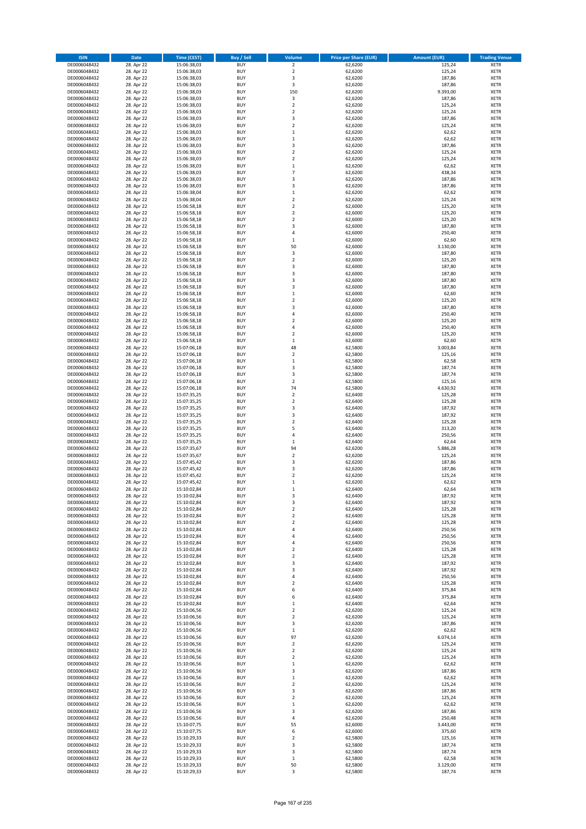| <b>ISIN</b>                  | <b>Date</b>              | <b>Time (CEST)</b>         | <b>Buy / Sell</b>        | <b>Volume</b>                          | <b>Price per Share (EUR)</b> | <b>Amount (EUR)</b> | <b>Trading Venue</b>       |
|------------------------------|--------------------------|----------------------------|--------------------------|----------------------------------------|------------------------------|---------------------|----------------------------|
| DE0006048432                 | 28. Apr 22               | 15:06:38,03                | <b>BUY</b>               | $\overline{\mathbf{2}}$                | 62,6200                      | 125,24              | <b>XETR</b>                |
| DE0006048432                 | 28. Apr 22               | 15:06:38,03                | <b>BUY</b>               | $\mathbf 2$                            | 62,6200                      | 125,24              | <b>XETR</b>                |
| DE0006048432                 | 28. Apr 22               | 15:06:38,03                | <b>BUY</b>               | 3                                      | 62,6200                      | 187,86              | <b>XETR</b>                |
| DE0006048432<br>DE0006048432 | 28. Apr 22               | 15:06:38,03                | <b>BUY</b><br><b>BUY</b> | $\mathsf 3$<br>150                     | 62,6200                      | 187,86              | <b>XETR</b><br><b>XETR</b> |
| DE0006048432                 | 28. Apr 22<br>28. Apr 22 | 15:06:38,03<br>15:06:38,03 | <b>BUY</b>               | $\mathsf 3$                            | 62,6200<br>62,6200           | 9.393,00<br>187,86  | <b>XETR</b>                |
| DE0006048432                 | 28. Apr 22               | 15:06:38,03                | <b>BUY</b>               | $\overline{\mathbf{c}}$                | 62,6200                      | 125,24              | <b>XETR</b>                |
| DE0006048432                 | 28. Apr 22               | 15:06:38,03                | <b>BUY</b>               | $\overline{\mathbf{c}}$                | 62,6200                      | 125,24              | <b>XETR</b>                |
| DE0006048432                 | 28. Apr 22               | 15:06:38,03                | <b>BUY</b>               | 3                                      | 62,6200                      | 187,86              | <b>XETR</b>                |
| DE0006048432                 | 28. Apr 22               | 15:06:38,03                | <b>BUY</b>               | $\mathbf 2$                            | 62,6200                      | 125,24              | <b>XETR</b>                |
| DE0006048432                 | 28. Apr 22               | 15:06:38,03                | <b>BUY</b>               | $\mathbf 1$                            | 62,6200                      | 62,62               | <b>XETR</b>                |
| DE0006048432<br>DE0006048432 | 28. Apr 22<br>28. Apr 22 | 15:06:38,03<br>15:06:38,03 | <b>BUY</b><br><b>BUY</b> | $\mathbf 1$<br>3                       | 62,6200<br>62,6200           | 62,62<br>187,86     | <b>XETR</b><br><b>XETR</b> |
| DE0006048432                 | 28. Apr 22               | 15:06:38,03                | <b>BUY</b>               | $\overline{\mathbf{c}}$                | 62,6200                      | 125,24              | <b>XETR</b>                |
| DE0006048432                 | 28. Apr 22               | 15:06:38,03                | <b>BUY</b>               | $\overline{\mathbf{c}}$                | 62,6200                      | 125,24              | <b>XETR</b>                |
| DE0006048432                 | 28. Apr 22               | 15:06:38,03                | <b>BUY</b>               | $\mathbf 1$                            | 62,6200                      | 62,62               | <b>XETR</b>                |
| DE0006048432                 | 28. Apr 22               | 15:06:38,03                | <b>BUY</b>               | $\overline{7}$                         | 62,6200                      | 438,34              | <b>XETR</b>                |
| DE0006048432                 | 28. Apr 22               | 15:06:38,03                | <b>BUY</b>               | 3                                      | 62,6200                      | 187,86              | <b>XETR</b>                |
| DE0006048432                 | 28. Apr 22               | 15:06:38,03                | <b>BUY</b>               | 3                                      | 62,6200                      | 187,86              | <b>XETR</b>                |
| DE0006048432<br>DE0006048432 | 28. Apr 22<br>28. Apr 22 | 15:06:38,04<br>15:06:38,04 | <b>BUY</b><br><b>BUY</b> | $\mathbf 1$<br>$\overline{\mathbf{c}}$ | 62,6200<br>62,6200           | 62,62<br>125,24     | <b>XETR</b><br><b>XETR</b> |
| DE0006048432                 | 28. Apr 22               | 15:06:58,18                | <b>BUY</b>               | $\mathbf 2$                            | 62,6000                      | 125,20              | <b>XETR</b>                |
| DE0006048432                 | 28. Apr 22               | 15:06:58,18                | <b>BUY</b>               | $\mathbf 2$                            | 62,6000                      | 125,20              | <b>XETR</b>                |
| DE0006048432                 | 28. Apr 22               | 15:06:58,18                | <b>BUY</b>               | $\mathbf 2$                            | 62,6000                      | 125,20              | <b>XETR</b>                |
| DE0006048432                 | 28. Apr 22               | 15:06:58,18                | <b>BUY</b>               | 3                                      | 62,6000                      | 187,80              | <b>XETR</b>                |
| DE0006048432                 | 28. Apr 22               | 15:06:58,18                | <b>BUY</b>               | 4                                      | 62,6000                      | 250,40              | <b>XETR</b>                |
| DE0006048432<br>DE0006048432 | 28. Apr 22<br>28. Apr 22 | 15:06:58,18<br>15:06:58,18 | <b>BUY</b><br><b>BUY</b> | $\mathbf 1$<br>50                      | 62,6000<br>62,6000           | 62,60<br>3.130,00   | <b>XETR</b><br><b>XETR</b> |
| DE0006048432                 | 28. Apr 22               | 15:06:58,18                | <b>BUY</b>               | 3                                      | 62,6000                      | 187,80              | <b>XETR</b>                |
| DE0006048432                 | 28. Apr 22               | 15:06:58,18                | <b>BUY</b>               | $\overline{\mathbf{c}}$                | 62,6000                      | 125,20              | <b>XETR</b>                |
| DE0006048432                 | 28. Apr 22               | 15:06:58,18                | <b>BUY</b>               | 3                                      | 62,6000                      | 187,80              | <b>XETR</b>                |
| DE0006048432                 | 28. Apr 22               | 15:06:58,18                | <b>BUY</b>               | 3                                      | 62,6000                      | 187,80              | <b>XETR</b>                |
| DE0006048432                 | 28. Apr 22               | 15:06:58,18                | <b>BUY</b>               | 3                                      | 62,6000                      | 187,80              | <b>XETR</b>                |
| DE0006048432<br>DE0006048432 | 28. Apr 22<br>28. Apr 22 | 15:06:58,18                | <b>BUY</b><br><b>BUY</b> | 3<br>$\mathbf 1$                       | 62,6000<br>62,6000           | 187,80              | <b>XETR</b><br><b>XETR</b> |
| DE0006048432                 | 28. Apr 22               | 15:06:58,18<br>15:06:58,18 | <b>BUY</b>               | $\overline{\mathbf{c}}$                | 62,6000                      | 62,60<br>125,20     | <b>XETR</b>                |
| DE0006048432                 | 28. Apr 22               | 15:06:58,18                | <b>BUY</b>               | 3                                      | 62,6000                      | 187,80              | <b>XETR</b>                |
| DE0006048432                 | 28. Apr 22               | 15:06:58,18                | <b>BUY</b>               | 4                                      | 62,6000                      | 250,40              | <b>XETR</b>                |
| DE0006048432                 | 28. Apr 22               | 15:06:58,18                | <b>BUY</b>               | $\overline{\mathbf{c}}$                | 62,6000                      | 125,20              | <b>XETR</b>                |
| DE0006048432                 | 28. Apr 22               | 15:06:58,18                | <b>BUY</b>               | 4                                      | 62,6000                      | 250,40              | <b>XETR</b>                |
| DE0006048432                 | 28. Apr 22               | 15:06:58,18                | <b>BUY</b>               | $\overline{\mathbf{c}}$                | 62,6000                      | 125,20              | <b>XETR</b>                |
| DE0006048432<br>DE0006048432 | 28. Apr 22<br>28. Apr 22 | 15:06:58,18<br>15:07:06,18 | <b>BUY</b><br><b>BUY</b> | $\mathbf 1$<br>48                      | 62,6000<br>62,5800           | 62,60<br>3.003,84   | <b>XETR</b><br><b>XETR</b> |
| DE0006048432                 | 28. Apr 22               | 15:07:06,18                | <b>BUY</b>               | $\overline{\mathbf{c}}$                | 62,5800                      | 125,16              | <b>XETR</b>                |
| DE0006048432                 | 28. Apr 22               | 15:07:06,18                | <b>BUY</b>               | $\mathbf 1$                            | 62,5800                      | 62,58               | <b>XETR</b>                |
| DE0006048432                 | 28. Apr 22               | 15:07:06,18                | <b>BUY</b>               | 3                                      | 62,5800                      | 187,74              | <b>XETR</b>                |
| DE0006048432                 | 28. Apr 22               | 15:07:06,18                | <b>BUY</b>               | 3                                      | 62,5800                      | 187,74              | <b>XETR</b>                |
| DE0006048432                 | 28. Apr 22               | 15:07:06,18                | <b>BUY</b>               | $\mathbf 2$                            | 62,5800                      | 125,16              | <b>XETR</b>                |
| DE0006048432<br>DE0006048432 | 28. Apr 22<br>28. Apr 22 | 15:07:06,18<br>15:07:35,25 | <b>BUY</b><br><b>BUY</b> | 74<br>$\mathbf 2$                      | 62,5800<br>62,6400           | 4.630,92<br>125,28  | <b>XETR</b><br><b>XETR</b> |
| DE0006048432                 | 28. Apr 22               | 15:07:35,25                | <b>BUY</b>               | $\overline{\mathbf{c}}$                | 62,6400                      | 125,28              | <b>XETR</b>                |
| DE0006048432                 | 28. Apr 22               | 15:07:35,25                | <b>BUY</b>               | 3                                      | 62,6400                      | 187,92              | <b>XETR</b>                |
| DE0006048432                 | 28. Apr 22               | 15:07:35,25                | <b>BUY</b>               | 3                                      | 62,6400                      | 187,92              | <b>XETR</b>                |
| DE0006048432                 | 28. Apr 22               | 15:07:35,25                | <b>BUY</b>               | $\mathbf 2$                            | 62,6400                      | 125,28              | <b>XETR</b>                |
| DE0006048432                 | 28. Apr 22               | 15:07:35,25                | <b>BUY</b>               | 5                                      | 62,6400                      | 313,20              | <b>XETR</b>                |
| DE0006048432                 | 28. Apr 22               | 15:07:35,25                | <b>BUY</b><br><b>BUY</b> | 4<br>$\mathbf 1$                       | 62,6400                      | 250,56              | <b>XETR</b><br><b>XETR</b> |
| DE0006048432<br>DE0006048432 | 28. Apr 22<br>28. Apr 22 | 15:07:35,25<br>15:07:35,67 | <b>BUY</b>               | 94                                     | 62,6400<br>62,6200           | 62,64<br>5.886,28   | <b>XETR</b>                |
| DE0006048432                 | 28. Apr 22               | 15:07:35,67                | <b>BUY</b>               | $\mathbf 2$                            | 62,6200                      | 125,24              | <b>XETR</b>                |
| DE0006048432                 | 28. Apr 22               | 15:07:45,42                | <b>BUY</b>               | 3                                      | 62,6200                      | 187,86              | <b>XETR</b>                |
| DE0006048432                 | 28. Apr 22               | 15:07:45,42                | <b>BUY</b>               | 3                                      | 62,6200                      | 187,86              | <b>XETR</b>                |
| DE0006048432                 | 28. Apr 22               | 15:07:45,42                | <b>BUY</b>               | $\overline{\mathbf{c}}$                | 62,6200                      | 125,24              | <b>XETR</b>                |
| DE0006048432                 | 28. Apr 22               | 15:07:45,42<br>15:10:02,84 | <b>BUY</b><br><b>BUY</b> | $\mathbf 1$<br>$\mathbf{1}$            | 62,6200                      | 62,62               | <b>XETR</b><br><b>XETR</b> |
| DE0006048432<br>DE0006048432 | 28. Apr 22<br>28. Apr 22 | 15:10:02,84                | BUY                      | 3                                      | 62,6400<br>62,6400           | 62,64<br>187,92     | <b>XETR</b>                |
| DE0006048432                 | 28. Apr 22               | 15:10:02,84                | <b>BUY</b>               | 3                                      | 62,6400                      | 187,92              | XETR                       |
| DE0006048432                 | 28. Apr 22               | 15:10:02,84                | <b>BUY</b>               | $\mathbf 2$                            | 62,6400                      | 125,28              | XETR                       |
| DE0006048432                 | 28. Apr 22               | 15:10:02,84                | <b>BUY</b>               | $\mathbf 2$                            | 62,6400                      | 125,28              | XETR                       |
| DE0006048432                 | 28. Apr 22               | 15:10:02,84                | <b>BUY</b>               | $\overline{\mathbf{c}}$                | 62,6400                      | 125,28              | <b>XETR</b>                |
| DE0006048432                 | 28. Apr 22               | 15:10:02,84<br>15:10:02,84 | <b>BUY</b><br><b>BUY</b> | 4<br>4                                 | 62,6400                      | 250,56              | <b>XETR</b>                |
| DE0006048432<br>DE0006048432 | 28. Apr 22<br>28. Apr 22 | 15:10:02,84                | <b>BUY</b>               | 4                                      | 62,6400<br>62,6400           | 250,56<br>250,56    | <b>XETR</b><br><b>XETR</b> |
| DE0006048432                 | 28. Apr 22               | 15:10:02,84                | <b>BUY</b>               | $\overline{\mathbf{c}}$                | 62,6400                      | 125,28              | <b>XETR</b>                |
| DE0006048432                 | 28. Apr 22               | 15:10:02,84                | <b>BUY</b>               | $\mathbf 2$                            | 62,6400                      | 125,28              | <b>XETR</b>                |
| DE0006048432                 | 28. Apr 22               | 15:10:02,84                | <b>BUY</b>               | 3                                      | 62,6400                      | 187,92              | XETR                       |
| DE0006048432                 | 28. Apr 22               | 15:10:02,84                | <b>BUY</b>               | 3                                      | 62,6400                      | 187,92              | <b>XETR</b>                |
| DE0006048432<br>DE0006048432 | 28. Apr 22               | 15:10:02,84                | <b>BUY</b><br><b>BUY</b> | 4<br>$\overline{\mathbf{c}}$           | 62,6400                      | 250,56              | <b>XETR</b><br><b>XETR</b> |
| DE0006048432                 | 28. Apr 22<br>28. Apr 22 | 15:10:02,84<br>15:10:02,84 | <b>BUY</b>               | 6                                      | 62,6400<br>62,6400           | 125,28<br>375,84    | <b>XETR</b>                |
| DE0006048432                 | 28. Apr 22               | 15:10:02,84                | <b>BUY</b>               | 6                                      | 62,6400                      | 375,84              | <b>XETR</b>                |
| DE0006048432                 | 28. Apr 22               | 15:10:02,84                | <b>BUY</b>               | $\mathbf 1$                            | 62,6400                      | 62,64               | <b>XETR</b>                |
| DE0006048432                 | 28. Apr 22               | 15:10:06,56                | <b>BUY</b>               | $\overline{2}$                         | 62,6200                      | 125,24              | <b>XETR</b>                |
| DE0006048432                 | 28. Apr 22               | 15:10:06,56                | <b>BUY</b>               | $\mathbf 2$                            | 62,6200                      | 125,24              | XETR                       |
| DE0006048432                 | 28. Apr 22               | 15:10:06,56                | <b>BUY</b>               | 3                                      | 62,6200                      | 187,86              | <b>XETR</b>                |
| DE0006048432<br>DE0006048432 | 28. Apr 22<br>28. Apr 22 | 15:10:06,56<br>15:10:06,56 | <b>BUY</b><br><b>BUY</b> | $\mathbf 1$<br>97                      | 62,6200<br>62,6200           | 62,62<br>6.074,14   | <b>XETR</b><br><b>XETR</b> |
| DE0006048432                 | 28. Apr 22               | 15:10:06,56                | <b>BUY</b>               | $\overline{\mathbf{2}}$                | 62,6200                      | 125,24              | <b>XETR</b>                |
| DE0006048432                 | 28. Apr 22               | 15:10:06,56                | <b>BUY</b>               | $\mathbf 2$                            | 62,6200                      | 125,24              | <b>XETR</b>                |
| DE0006048432                 | 28. Apr 22               | 15:10:06,56                | <b>BUY</b>               | $\mathbf 2$                            | 62,6200                      | 125,24              | <b>XETR</b>                |
| DE0006048432                 | 28. Apr 22               | 15:10:06,56                | <b>BUY</b>               | $\mathbf 1$                            | 62,6200                      | 62,62               | XETR                       |
| DE0006048432                 | 28. Apr 22               | 15:10:06,56                | <b>BUY</b>               | 3                                      | 62,6200                      | 187,86              | <b>XETR</b>                |
| DE0006048432<br>DE0006048432 | 28. Apr 22<br>28. Apr 22 | 15:10:06,56<br>15:10:06,56 | <b>BUY</b><br><b>BUY</b> | $\mathbf 1$<br>$\mathbf 2$             | 62,6200<br>62,6200           | 62,62<br>125,24     | <b>XETR</b><br><b>XETR</b> |
| DE0006048432                 | 28. Apr 22               | 15:10:06,56                | <b>BUY</b>               | 3                                      | 62,6200                      | 187,86              | XETR                       |
| DE0006048432                 | 28. Apr 22               | 15:10:06,56                | <b>BUY</b>               | $\mathbf 2$                            | 62,6200                      | 125,24              | <b>XETR</b>                |
| DE0006048432                 | 28. Apr 22               | 15:10:06,56                | <b>BUY</b>               | $\mathbf 1$                            | 62,6200                      | 62,62               | <b>XETR</b>                |
| DE0006048432                 | 28. Apr 22               | 15:10:06,56                | <b>BUY</b>               | 3                                      | 62,6200                      | 187,86              | XETR                       |
| DE0006048432                 | 28. Apr 22               | 15:10:06,56                | <b>BUY</b>               | 4                                      | 62,6200                      | 250,48              | <b>XETR</b>                |
| DE0006048432                 | 28. Apr 22               | 15:10:07,75                | <b>BUY</b><br><b>BUY</b> | 55                                     | 62,6000                      | 3.443,00            | <b>XETR</b>                |
| DE0006048432<br>DE0006048432 | 28. Apr 22<br>28. Apr 22 | 15:10:07,75<br>15:10:29,33 | <b>BUY</b>               | 6<br>$\overline{\mathbf{c}}$           | 62,6000<br>62,5800           | 375,60<br>125,16    | <b>XETR</b><br><b>XETR</b> |
| DE0006048432                 | 28. Apr 22               | 15:10:29,33                | <b>BUY</b>               | 3                                      | 62,5800                      | 187,74              | <b>XETR</b>                |
| DE0006048432                 | 28. Apr 22               | 15:10:29,33                | <b>BUY</b>               | 3                                      | 62,5800                      | 187,74              | <b>XETR</b>                |
| DE0006048432                 | 28. Apr 22               | 15:10:29,33                | <b>BUY</b>               | $\mathbf 1$                            | 62,5800                      | 62,58               | <b>XETR</b>                |
| DE0006048432                 | 28. Apr 22               | 15:10:29,33                | <b>BUY</b>               | 50                                     | 62,5800                      | 3.129,00            | <b>XETR</b>                |
| DE0006048432                 | 28. Apr 22               | 15:10:29,33                | <b>BUY</b>               | 3                                      | 62,5800                      | 187,74              | XETR                       |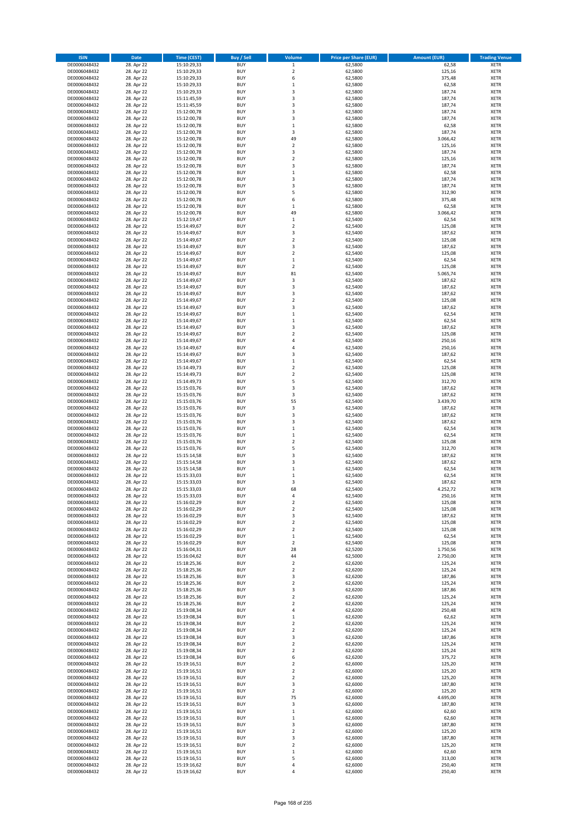| <b>ISIN</b>                  | <b>Date</b>              | <b>Time (CEST)</b>         | <b>Buy / Sell</b>        | Volume                                 | <b>Price per Share (EUR)</b> | <b>Amount (EUR)</b> | <b>Trading Venue</b>       |
|------------------------------|--------------------------|----------------------------|--------------------------|----------------------------------------|------------------------------|---------------------|----------------------------|
| DE0006048432                 | 28. Apr 22               | 15:10:29,33                | <b>BUY</b>               | $\,1$                                  | 62,5800                      | 62,58               | <b>XETR</b>                |
| DE0006048432                 | 28. Apr 22               | 15:10:29,33                | <b>BUY</b>               | $\mathbf 2$                            | 62,5800                      | 125,16              | <b>XETR</b>                |
| DE0006048432                 | 28. Apr 22               | 15:10:29,33                | <b>BUY</b>               | 6                                      | 62,5800                      | 375,48              | <b>XETR</b>                |
| DE0006048432<br>DE0006048432 | 28. Apr 22<br>28. Apr 22 | 15:10:29,33<br>15:10:29,33 | <b>BUY</b><br><b>BUY</b> | $\mathbf 1$<br>3                       | 62,5800<br>62,5800           | 62,58<br>187,74     | <b>XETR</b><br><b>XETR</b> |
| DE0006048432                 | 28. Apr 22               | 15:11:45,59                | <b>BUY</b>               | 3                                      | 62,5800                      | 187,74              | <b>XETR</b>                |
| DE0006048432                 | 28. Apr 22               | 15:11:45,59                | <b>BUY</b>               | 3                                      | 62,5800                      | 187,74              | <b>XETR</b>                |
| DE0006048432                 | 28. Apr 22               | 15:12:00,78                | <b>BUY</b>               | 3                                      | 62,5800                      | 187,74              | <b>XETR</b>                |
| DE0006048432                 | 28. Apr 22               | 15:12:00,78                | <b>BUY</b>               | 3                                      | 62,5800                      | 187,74              | <b>XETR</b>                |
| DE0006048432                 | 28. Apr 22               | 15:12:00,78                | <b>BUY</b>               | $\mathbf 1$                            | 62,5800                      | 62,58               | <b>XETR</b>                |
| DE0006048432                 | 28. Apr 22               | 15:12:00,78                | <b>BUY</b>               | 3                                      | 62,5800                      | 187,74              | <b>XETR</b>                |
| DE0006048432<br>DE0006048432 | 28. Apr 22<br>28. Apr 22 | 15:12:00,78<br>15:12:00,78 | <b>BUY</b><br><b>BUY</b> | 49<br>$\mathbf 2$                      | 62,5800<br>62,5800           | 3.066,42<br>125,16  | <b>XETR</b><br><b>XETR</b> |
| DE0006048432                 | 28. Apr 22               | 15:12:00,78                | <b>BUY</b>               | 3                                      | 62,5800                      | 187,74              | <b>XETR</b>                |
| DE0006048432                 | 28. Apr 22               | 15:12:00,78                | <b>BUY</b>               | $\overline{\mathbf{c}}$                | 62,5800                      | 125,16              | <b>XETR</b>                |
| DE0006048432                 | 28. Apr 22               | 15:12:00,78                | <b>BUY</b>               | 3                                      | 62,5800                      | 187,74              | <b>XETR</b>                |
| DE0006048432                 | 28. Apr 22               | 15:12:00,78                | <b>BUY</b>               | $\mathbf 1$                            | 62,5800                      | 62,58               | <b>XETR</b>                |
| DE0006048432                 | 28. Apr 22               | 15:12:00,78                | <b>BUY</b>               | 3                                      | 62,5800                      | 187,74              | <b>XETR</b>                |
| DE0006048432                 | 28. Apr 22               | 15:12:00,78                | <b>BUY</b>               | 3                                      | 62,5800                      | 187,74              | <b>XETR</b>                |
| DE0006048432                 | 28. Apr 22               | 15:12:00,78                | <b>BUY</b>               | 5                                      | 62,5800                      | 312,90              | <b>XETR</b>                |
| DE0006048432<br>DE0006048432 | 28. Apr 22<br>28. Apr 22 | 15:12:00,78<br>15:12:00,78 | <b>BUY</b><br><b>BUY</b> | 6<br>$\mathbf 1$                       | 62,5800<br>62,5800           | 375,48<br>62,58     | <b>XETR</b><br><b>XETR</b> |
| DE0006048432                 | 28. Apr 22               | 15:12:00,78                | <b>BUY</b>               | 49                                     | 62,5800                      | 3.066,42            | <b>XETR</b>                |
| DE0006048432                 | 28. Apr 22               | 15:12:19,47                | <b>BUY</b>               | $\mathbf 1$                            | 62,5400                      | 62,54               | <b>XETR</b>                |
| DE0006048432                 | 28. Apr 22               | 15:14:49,67                | <b>BUY</b>               | $\mathbf 2$                            | 62,5400                      | 125,08              | <b>XETR</b>                |
| DE0006048432                 | 28. Apr 22               | 15:14:49,67                | <b>BUY</b>               | 3                                      | 62,5400                      | 187,62              | <b>XETR</b>                |
| DE0006048432                 | 28. Apr 22               | 15:14:49,67                | <b>BUY</b>               | $\mathbf 2$                            | 62,5400                      | 125,08              | <b>XETR</b>                |
| DE0006048432                 | 28. Apr 22               | 15:14:49,67                | <b>BUY</b>               | 3                                      | 62,5400                      | 187,62              | <b>XETR</b>                |
| DE0006048432<br>DE0006048432 | 28. Apr 22<br>28. Apr 22 | 15:14:49,67<br>15:14:49,67 | <b>BUY</b><br><b>BUY</b> | $\mathbf 2$<br>$\mathbf 1$             | 62,5400<br>62,5400           | 125,08<br>62,54     | <b>XETR</b><br><b>XETR</b> |
| DE0006048432                 | 28. Apr 22               | 15:14:49,67                | <b>BUY</b>               | $\overline{2}$                         | 62,5400                      | 125,08              | <b>XETR</b>                |
| DE0006048432                 | 28. Apr 22               | 15:14:49,67                | <b>BUY</b>               | 81                                     | 62,5400                      | 5.065,74            | <b>XETR</b>                |
| DE0006048432                 | 28. Apr 22               | 15:14:49,67                | <b>BUY</b>               | 3                                      | 62,5400                      | 187,62              | <b>XETR</b>                |
| DE0006048432                 | 28. Apr 22               | 15:14:49,67                | <b>BUY</b>               | 3                                      | 62,5400                      | 187,62              | <b>XETR</b>                |
| DE0006048432                 | 28. Apr 22               | 15:14:49,67                | <b>BUY</b>               | 3                                      | 62,5400                      | 187,62              | <b>XETR</b>                |
| DE0006048432                 | 28. Apr 22               | 15:14:49,67                | <b>BUY</b>               | $\overline{\mathbf{c}}$                | 62,5400                      | 125,08              | <b>XETR</b>                |
| DE0006048432                 | 28. Apr 22               | 15:14:49,67                | <b>BUY</b><br><b>BUY</b> | 3<br>$\mathbf 1$                       | 62,5400<br>62,5400           | 187,62<br>62,54     | <b>XETR</b><br><b>XETR</b> |
| DE0006048432<br>DE0006048432 | 28. Apr 22<br>28. Apr 22 | 15:14:49,67<br>15:14:49,67 | <b>BUY</b>               | $\mathbf 1$                            | 62,5400                      | 62,54               | <b>XETR</b>                |
| DE0006048432                 | 28. Apr 22               | 15:14:49,67                | <b>BUY</b>               | 3                                      | 62,5400                      | 187,62              | <b>XETR</b>                |
| DE0006048432                 | 28. Apr 22               | 15:14:49,67                | <b>BUY</b>               | $\overline{\mathbf{c}}$                | 62,5400                      | 125,08              | <b>XETR</b>                |
| DE0006048432                 | 28. Apr 22               | 15:14:49,67                | <b>BUY</b>               | 4                                      | 62,5400                      | 250,16              | <b>XETR</b>                |
| DE0006048432                 | 28. Apr 22               | 15:14:49,67                | <b>BUY</b>               | 4                                      | 62,5400                      | 250,16              | <b>XETR</b>                |
| DE0006048432                 | 28. Apr 22               | 15:14:49,67                | <b>BUY</b>               | 3                                      | 62,5400                      | 187,62              | <b>XETR</b>                |
| DE0006048432                 | 28. Apr 22               | 15:14:49,67                | <b>BUY</b>               | $\mathbf 1$                            | 62,5400                      | 62,54               | <b>XETR</b>                |
| DE0006048432                 | 28. Apr 22               | 15:14:49,73                | <b>BUY</b><br><b>BUY</b> | $\overline{\mathbf{2}}$<br>$\mathbf 2$ | 62,5400<br>62,5400           | 125,08<br>125,08    | <b>XETR</b><br><b>XETR</b> |
| DE0006048432<br>DE0006048432 | 28. Apr 22<br>28. Apr 22 | 15:14:49,73<br>15:14:49,73 | <b>BUY</b>               | 5                                      | 62,5400                      | 312,70              | <b>XETR</b>                |
| DE0006048432                 | 28. Apr 22               | 15:15:03,76                | <b>BUY</b>               | 3                                      | 62,5400                      | 187,62              | <b>XETR</b>                |
| DE0006048432                 | 28. Apr 22               | 15:15:03,76                | <b>BUY</b>               | 3                                      | 62,5400                      | 187,62              | <b>XETR</b>                |
| DE0006048432                 | 28. Apr 22               | 15:15:03,76                | <b>BUY</b>               | 55                                     | 62,5400                      | 3.439,70            | <b>XETR</b>                |
| DE0006048432                 | 28. Apr 22               | 15:15:03,76                | <b>BUY</b>               | 3                                      | 62,5400                      | 187,62              | <b>XETR</b>                |
| DE0006048432                 | 28. Apr 22               | 15:15:03,76                | <b>BUY</b>               | 3                                      | 62,5400                      | 187,62              | <b>XETR</b>                |
| DE0006048432<br>DE0006048432 | 28. Apr 22<br>28. Apr 22 | 15:15:03,76<br>15:15:03,76 | <b>BUY</b><br><b>BUY</b> | 3<br>$\mathbf 1$                       | 62,5400<br>62,5400           | 187,62<br>62,54     | <b>XETR</b><br><b>XETR</b> |
| DE0006048432                 | 28. Apr 22               | 15:15:03,76                | <b>BUY</b>               | $\mathbf 1$                            | 62,5400                      | 62,54               | <b>XETR</b>                |
| DE0006048432                 | 28. Apr 22               | 15:15:03,76                | <b>BUY</b>               | $\overline{\mathbf{c}}$                | 62,5400                      | 125,08              | <b>XETR</b>                |
| DE0006048432                 | 28. Apr 22               | 15:15:03,76                | <b>BUY</b>               | 5                                      | 62,5400                      | 312,70              | <b>XETR</b>                |
| DE0006048432                 | 28. Apr 22               | 15:15:14,58                | <b>BUY</b>               | 3                                      | 62,5400                      | 187,62              | <b>XETR</b>                |
| DE0006048432                 | 28. Apr 22               | 15:15:14,58                | <b>BUY</b>               | 3                                      | 62,5400                      | 187,62              | <b>XETR</b>                |
| DE0006048432                 | 28. Apr 22               | 15:15:14,58                | <b>BUY</b>               | $\mathbf 1$                            | 62,5400                      | 62,54               | <b>XETR</b>                |
| DE0006048432<br>DE0006048432 | 28. Apr 22<br>28. Apr 22 | 15:15:33,03<br>15:15:33,03 | <b>BUY</b><br><b>BUY</b> | $\mathbf 1$<br>3                       | 62,5400<br>62,5400           | 62,54<br>187,62     | <b>XETR</b><br><b>XETR</b> |
| DE0006048432                 | 28. Apr 22               | 15:15:33,03                | <b>BUY</b>               | 68                                     | 62,5400                      | 4.252,72            | <b>XETR</b>                |
| DE0006048432                 | 28. Apr 22               | 15:15:33,03                | BUY                      | 4                                      | 62,5400                      | 250,16              | <b>XETR</b>                |
| DE0006048432                 | 28. Apr 22               | 15:16:02,29                | <b>BUY</b>               | $\mathbf 2$                            | 62,5400                      | 125,08              | <b>XETR</b>                |
| DE0006048432                 | 28. Apr 22               | 15:16:02,29                | <b>BUY</b>               | $\mathbf 2$                            | 62,5400                      | 125,08              | <b>XETR</b>                |
| DE0006048432                 | 28. Apr 22               | 15:16:02,29                | <b>BUY</b>               | 3                                      | 62,5400                      | 187,62              | XETR                       |
| DE0006048432                 | 28. Apr 22               | 15:16:02,29                | <b>BUY</b>               | $\mathbf 2$                            | 62,5400                      | 125,08              | <b>XETR</b>                |
| DE0006048432<br>DE0006048432 | 28. Apr 22<br>28. Apr 22 | 15:16:02,29<br>15:16:02,29 | <b>BUY</b><br><b>BUY</b> | $\mathbf 2$<br>$\mathbf 1$             | 62,5400<br>62,5400           | 125,08<br>62,54     | <b>XETR</b><br><b>XETR</b> |
| DE0006048432                 | 28. Apr 22               | 15:16:02,29                | <b>BUY</b>               | $\mathbf 2$                            | 62,5400                      | 125,08              | <b>XETR</b>                |
| DE0006048432                 | 28. Apr 22               | 15:16:04,31                | <b>BUY</b>               | 28                                     | 62,5200                      | 1.750,56            | <b>XETR</b>                |
| DE0006048432                 | 28. Apr 22               | 15:16:04,62                | <b>BUY</b>               | 44                                     | 62,5000                      | 2.750,00            | <b>XETR</b>                |
| DE0006048432                 | 28. Apr 22               | 15:18:25,36                | <b>BUY</b>               | $\mathbf 2$                            | 62,6200                      | 125,24              | <b>XETR</b>                |
| DE0006048432                 | 28. Apr 22               | 15:18:25,36                | <b>BUY</b>               | $\overline{2}$                         | 62,6200                      | 125,24              | <b>XETR</b>                |
| DE0006048432<br>DE0006048432 | 28. Apr 22<br>28. Apr 22 | 15:18:25,36<br>15:18:25,36 | <b>BUY</b><br><b>BUY</b> | 3<br>$\overline{\mathbf{2}}$           | 62,6200<br>62,6200           | 187,86<br>125,24    | <b>XETR</b><br><b>XETR</b> |
| DE0006048432                 | 28. Apr 22               | 15:18:25,36                | <b>BUY</b>               | 3                                      | 62,6200                      | 187,86              | <b>XETR</b>                |
| DE0006048432                 | 28. Apr 22               | 15:18:25,36                | <b>BUY</b>               | $\mathbf 2$                            | 62,6200                      | 125,24              | <b>XETR</b>                |
| DE0006048432                 | 28. Apr 22               | 15:18:25,36                | <b>BUY</b>               | $\mathbf 2$                            | 62,6200                      | 125,24              | <b>XETR</b>                |
| DE0006048432                 | 28. Apr 22               | 15:19:08,34                | <b>BUY</b>               | 4                                      | 62,6200                      | 250,48              | <b>XETR</b>                |
| DE0006048432                 | 28. Apr 22               | 15:19:08,34                | <b>BUY</b>               | $\mathbf 1$                            | 62,6200                      | 62,62               | XETR                       |
| DE0006048432                 | 28. Apr 22               | 15:19:08,34                | <b>BUY</b>               | $\mathbf 2$                            | 62,6200                      | 125,24              | <b>XETR</b>                |
| DE0006048432<br>DE0006048432 | 28. Apr 22<br>28. Apr 22 | 15:19:08,34<br>15:19:08,34 | <b>BUY</b><br><b>BUY</b> | $\overline{\mathbf{2}}$<br>3           | 62,6200<br>62,6200           | 125,24<br>187,86    | <b>XETR</b><br><b>XETR</b> |
| DE0006048432                 | 28. Apr 22               | 15:19:08,34                | <b>BUY</b>               | $\overline{\mathbf{c}}$                | 62,6200                      | 125,24              | <b>XETR</b>                |
| DE0006048432                 | 28. Apr 22               | 15:19:08,34                | <b>BUY</b>               | $\mathbf 2$                            | 62,6200                      | 125,24              | <b>XETR</b>                |
| DE0006048432                 | 28. Apr 22               | 15:19:08,34                | <b>BUY</b>               | 6                                      | 62,6200                      | 375,72              | <b>XETR</b>                |
| DE0006048432                 | 28. Apr 22               | 15:19:16,51                | <b>BUY</b>               | 2                                      | 62,6000                      | 125,20              | <b>XETR</b>                |
| DE0006048432                 | 28. Apr 22               | 15:19:16,51                | <b>BUY</b>               | $\mathbf 2$                            | 62,6000                      | 125,20              | <b>XETR</b>                |
| DE0006048432<br>DE0006048432 | 28. Apr 22<br>28. Apr 22 | 15:19:16,51<br>15:19:16,51 | <b>BUY</b><br><b>BUY</b> | $\overline{\mathbf{2}}$<br>3           | 62,6000<br>62,6000           | 125,20<br>187,80    | <b>XETR</b><br><b>XETR</b> |
| DE0006048432                 | 28. Apr 22               | 15:19:16,51                | <b>BUY</b>               | $\overline{\mathbf{2}}$                | 62,6000                      | 125,20              | <b>XETR</b>                |
| DE0006048432                 | 28. Apr 22               | 15:19:16,51                | <b>BUY</b>               | 75                                     | 62,6000                      | 4.695,00            | <b>XETR</b>                |
| DE0006048432                 | 28. Apr 22               | 15:19:16,51                | <b>BUY</b>               | 3                                      | 62,6000                      | 187,80              | <b>XETR</b>                |
| DE0006048432                 | 28. Apr 22               | 15:19:16,51                | <b>BUY</b>               | $\mathbf 1$                            | 62,6000                      | 62,60               | <b>XETR</b>                |
| DE0006048432                 | 28. Apr 22               | 15:19:16,51                | <b>BUY</b>               | $\mathbf 1$                            | 62,6000                      | 62,60               | <b>XETR</b>                |
| DE0006048432                 | 28. Apr 22               | 15:19:16,51                | <b>BUY</b>               | 3                                      | 62,6000                      | 187,80              | <b>XETR</b>                |
| DE0006048432<br>DE0006048432 | 28. Apr 22<br>28. Apr 22 | 15:19:16,51<br>15:19:16,51 | <b>BUY</b><br><b>BUY</b> | $\mathbf 2$<br>3                       | 62,6000<br>62,6000           | 125,20<br>187,80    | <b>XETR</b><br><b>XETR</b> |
| DE0006048432                 | 28. Apr 22               | 15:19:16,51                | <b>BUY</b>               | $\mathbf 2$                            | 62,6000                      | 125,20              | XETR                       |
| DE0006048432                 | 28. Apr 22               | 15:19:16,51                | <b>BUY</b>               | $\mathbf 1$                            | 62,6000                      | 62,60               | <b>XETR</b>                |
| DE0006048432                 | 28. Apr 22               | 15:19:16,51                | <b>BUY</b>               | 5                                      | 62,6000                      | 313,00              | <b>XETR</b>                |
| DE0006048432                 | 28. Apr 22               | 15:19:16,62                | <b>BUY</b>               | 4                                      | 62,6000                      | 250,40              | <b>XETR</b>                |
| DE0006048432                 | 28. Apr 22               | 15:19:16,62                | <b>BUY</b>               | 4                                      | 62,6000                      | 250,40              | <b>XETR</b>                |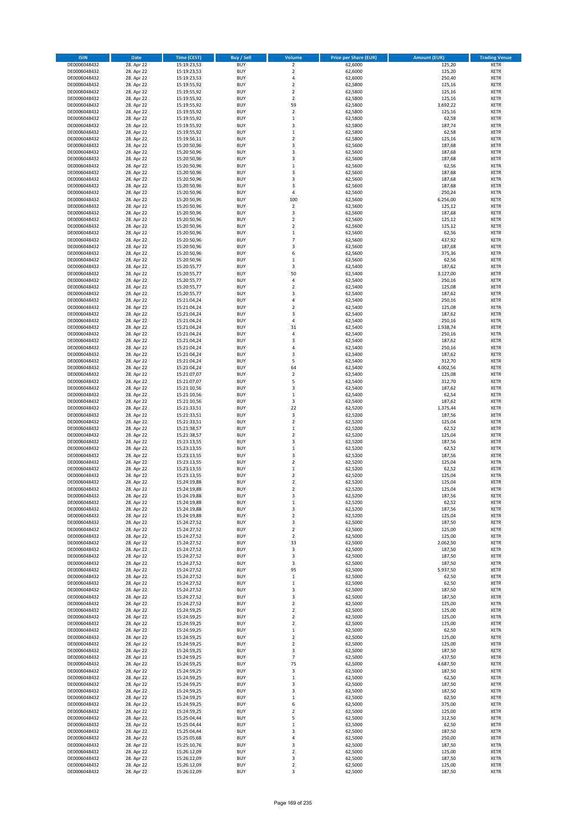| <b>ISIN</b>                  | <b>Date</b>              | <b>Time (CEST)</b>         | <b>Buy / Sell</b>        | <b>Volume</b>                          | <b>Price per Share (EUR)</b> | <b>Amount (EUR)</b> | <b>Trading Venue</b>       |
|------------------------------|--------------------------|----------------------------|--------------------------|----------------------------------------|------------------------------|---------------------|----------------------------|
| DE0006048432                 | 28. Apr 22               | 15:19:23,53                | <b>BUY</b>               | $\overline{\mathbf{2}}$                | 62,6000                      | 125,20              | <b>XETR</b>                |
| DE0006048432                 | 28. Apr 22               | 15:19:23,53                | <b>BUY</b>               | $\mathbf 2$                            | 62,6000                      | 125,20              | <b>XETR</b>                |
| DE0006048432                 | 28. Apr 22               | 15:19:23,53                | <b>BUY</b>               | 4                                      | 62,6000                      | 250,40              | <b>XETR</b>                |
| DE0006048432<br>DE0006048432 | 28. Apr 22<br>28. Apr 22 | 15:19:55,92<br>15:19:55,92 | <b>BUY</b><br><b>BUY</b> | $\mathbf 2$<br>$\overline{\mathbf{c}}$ | 62,5800<br>62,5800           | 125,16<br>125,16    | <b>XETR</b><br><b>XETR</b> |
| DE0006048432                 | 28. Apr 22               | 15:19:55,92                | <b>BUY</b>               | $\mathbf 2$                            | 62,5800                      | 125,16              | <b>XETR</b>                |
| DE0006048432                 | 28. Apr 22               | 15:19:55,92                | <b>BUY</b>               | 59                                     | 62,5800                      | 3.692,22            | <b>XETR</b>                |
| DE0006048432                 | 28. Apr 22               | 15:19:55,92                | <b>BUY</b>               | $\overline{\mathbf{c}}$                | 62,5800                      | 125,16              | <b>XETR</b>                |
| DE0006048432                 | 28. Apr 22               | 15:19:55,92                | <b>BUY</b>               | $\mathbf{1}$                           | 62,5800                      | 62,58               | <b>XETR</b>                |
| DE0006048432                 | 28. Apr 22               | 15:19:55,92                | <b>BUY</b>               | 3                                      | 62,5800                      | 187,74              | <b>XETR</b>                |
| DE0006048432                 | 28. Apr 22               | 15:19:55,92                | <b>BUY</b>               | $\mathbf 1$                            | 62,5800                      | 62,58               | <b>XETR</b>                |
| DE0006048432<br>DE0006048432 | 28. Apr 22<br>28. Apr 22 | 15:19:56,11<br>15:20:50,96 | <b>BUY</b><br><b>BUY</b> | $\overline{\mathbf{c}}$<br>3           | 62,5800<br>62,5600           | 125,16<br>187,68    | <b>XETR</b><br><b>XETR</b> |
| DE0006048432                 | 28. Apr 22               | 15:20:50,96                | <b>BUY</b>               | 3                                      | 62,5600                      | 187,68              | <b>XETR</b>                |
| DE0006048432                 | 28. Apr 22               | 15:20:50,96                | <b>BUY</b>               | 3                                      | 62,5600                      | 187,68              | <b>XETR</b>                |
| DE0006048432                 | 28. Apr 22               | 15:20:50,96                | <b>BUY</b>               | $\mathbf 1$                            | 62,5600                      | 62,56               | <b>XETR</b>                |
| DE0006048432                 | 28. Apr 22               | 15:20:50,96                | <b>BUY</b>               | 3                                      | 62,5600                      | 187,68              | <b>XETR</b>                |
| DE0006048432                 | 28. Apr 22               | 15:20:50,96                | <b>BUY</b>               | 3                                      | 62,5600                      | 187,68              | <b>XETR</b>                |
| DE0006048432                 | 28. Apr 22               | 15:20:50,96                | <b>BUY</b>               | 3                                      | 62,5600                      | 187,68              | <b>XETR</b>                |
| DE0006048432                 | 28. Apr 22               | 15:20:50,96                | <b>BUY</b>               | 4                                      | 62,5600                      | 250,24              | <b>XETR</b>                |
| DE0006048432<br>DE0006048432 | 28. Apr 22<br>28. Apr 22 | 15:20:50,96<br>15:20:50,96 | <b>BUY</b><br><b>BUY</b> | 100<br>$\mathbf 2$                     | 62,5600<br>62,5600           | 6.256,00<br>125,12  | <b>XETR</b><br><b>XETR</b> |
| DE0006048432                 | 28. Apr 22               | 15:20:50,96                | <b>BUY</b>               | 3                                      | 62,5600                      | 187,68              | <b>XETR</b>                |
| DE0006048432                 | 28. Apr 22               | 15:20:50,96                | <b>BUY</b>               | $\mathbf 2$                            | 62,5600                      | 125,12              | <b>XETR</b>                |
| DE0006048432                 | 28. Apr 22               | 15:20:50,96                | <b>BUY</b>               | $\mathbf 2$                            | 62,5600                      | 125,12              | <b>XETR</b>                |
| DE0006048432                 | 28. Apr 22               | 15:20:50,96                | <b>BUY</b>               | $\mathbf 1$                            | 62,5600                      | 62,56               | <b>XETR</b>                |
| DE0006048432                 | 28. Apr 22               | 15:20:50,96                | <b>BUY</b>               | $\overline{7}$                         | 62,5600                      | 437,92              | <b>XETR</b>                |
| DE0006048432                 | 28. Apr 22               | 15:20:50,96                | <b>BUY</b>               | 3                                      | 62,5600                      | 187,68              | <b>XETR</b>                |
| DE0006048432<br>DE0006048432 | 28. Apr 22<br>28. Apr 22 | 15:20:50,96<br>15:20:50,96 | <b>BUY</b><br><b>BUY</b> | 6<br>$\mathbf 1$                       | 62,5600<br>62,5600           | 375,36<br>62,56     | <b>XETR</b><br><b>XETR</b> |
| DE0006048432                 | 28. Apr 22               | 15:20:55,77                | <b>BUY</b>               | 3                                      | 62,5400                      | 187,62              | <b>XETR</b>                |
| DE0006048432                 | 28. Apr 22               | 15:20:55,77                | <b>BUY</b>               | 50                                     | 62,5400                      | 3.127,00            | <b>XETR</b>                |
| DE0006048432                 | 28. Apr 22               | 15:20:55,77                | <b>BUY</b>               | 4                                      | 62,5400                      | 250,16              | <b>XETR</b>                |
| DE0006048432                 | 28. Apr 22               | 15:20:55,77                | <b>BUY</b>               | $\overline{\mathbf{c}}$                | 62,5400                      | 125,08              | <b>XETR</b>                |
| DE0006048432                 | 28. Apr 22               | 15:20:55,77                | <b>BUY</b>               | 3                                      | 62,5400                      | 187,62              | <b>XETR</b>                |
| DE0006048432                 | 28. Apr 22               | 15:21:04,24                | <b>BUY</b>               | 4                                      | 62,5400                      | 250,16              | <b>XETR</b>                |
| DE0006048432                 | 28. Apr 22               | 15:21:04,24                | <b>BUY</b><br><b>BUY</b> | $\overline{\mathbf{c}}$<br>3           | 62,5400<br>62,5400           | 125,08<br>187,62    | <b>XETR</b><br><b>XETR</b> |
| DE0006048432<br>DE0006048432 | 28. Apr 22<br>28. Apr 22 | 15:21:04,24<br>15:21:04,24 | <b>BUY</b>               | 4                                      | 62,5400                      | 250,16              | <b>XETR</b>                |
| DE0006048432                 | 28. Apr 22               | 15:21:04,24                | <b>BUY</b>               | 31                                     | 62,5400                      | 1.938,74            | <b>XETR</b>                |
| DE0006048432                 | 28. Apr 22               | 15:21:04,24                | <b>BUY</b>               | 4                                      | 62,5400                      | 250,16              | <b>XETR</b>                |
| DE0006048432                 | 28. Apr 22               | 15:21:04,24                | <b>BUY</b>               | 3                                      | 62,5400                      | 187,62              | <b>XETR</b>                |
| DE0006048432                 | 28. Apr 22               | 15:21:04,24                | <b>BUY</b>               | 4                                      | 62,5400                      | 250,16              | <b>XETR</b>                |
| DE0006048432                 | 28. Apr 22               | 15:21:04,24                | <b>BUY</b>               | 3                                      | 62,5400                      | 187,62              | <b>XETR</b>                |
| DE0006048432                 | 28. Apr 22               | 15:21:04,24                | <b>BUY</b>               | 5                                      | 62,5400                      | 312,70              | <b>XETR</b>                |
| DE0006048432<br>DE0006048432 | 28. Apr 22<br>28. Apr 22 | 15:21:04,24<br>15:21:07,07 | <b>BUY</b><br><b>BUY</b> | 64<br>$\mathbf 2$                      | 62,5400<br>62,5400           | 4.002,56<br>125,08  | <b>XETR</b><br><b>XETR</b> |
| DE0006048432                 | 28. Apr 22               | 15:21:07,07                | <b>BUY</b>               | 5                                      | 62,5400                      | 312,70              | <b>XETR</b>                |
| DE0006048432                 | 28. Apr 22               | 15:21:10,56                | <b>BUY</b>               | 3                                      | 62,5400                      | 187,62              | <b>XETR</b>                |
| DE0006048432                 | 28. Apr 22               | 15:21:10,56                | <b>BUY</b>               | $\mathbf 1$                            | 62,5400                      | 62,54               | <b>XETR</b>                |
| DE0006048432                 | 28. Apr 22               | 15:21:10,56                | <b>BUY</b>               | 3                                      | 62,5400                      | 187,62              | <b>XETR</b>                |
| DE0006048432                 | 28. Apr 22               | 15:21:33,51                | <b>BUY</b>               | 22                                     | 62,5200                      | 1.375,44            | <b>XETR</b>                |
| DE0006048432                 | 28. Apr 22               | 15:21:33,51                | <b>BUY</b><br><b>BUY</b> | 3                                      | 62,5200                      | 187,56              | <b>XETR</b>                |
| DE0006048432<br>DE0006048432 | 28. Apr 22<br>28. Apr 22 | 15:21:33,51<br>15:21:38,57 | <b>BUY</b>               | $\mathbf 2$<br>$\mathbf 1$             | 62,5200<br>62,5200           | 125,04<br>62,52     | <b>XETR</b><br><b>XETR</b> |
| DE0006048432                 | 28. Apr 22               | 15:21:38,57                | <b>BUY</b>               | $\mathbf 2$                            | 62,5200                      | 125,04              | <b>XETR</b>                |
| DE0006048432                 | 28. Apr 22               | 15:23:13,55                | <b>BUY</b>               | 3                                      | 62,5200                      | 187,56              | <b>XETR</b>                |
| DE0006048432                 | 28. Apr 22               | 15:23:13,55                | <b>BUY</b>               | $\mathbf 1$                            | 62,5200                      | 62,52               | <b>XETR</b>                |
| DE0006048432                 | 28. Apr 22               | 15:23:13,55                | <b>BUY</b>               | 3                                      | 62,5200                      | 187,56              | <b>XETR</b>                |
| DE0006048432                 | 28. Apr 22               | 15:23:13,55                | <b>BUY</b>               | $\overline{\mathbf{2}}$                | 62,5200                      | 125,04              | <b>XETR</b>                |
| DE0006048432<br>DE0006048432 | 28. Apr 22               | 15:23:13,55<br>15:23:13,55 | <b>BUY</b><br><b>BUY</b> | $\mathbf 1$<br>$\overline{\mathbf{c}}$ | 62,5200                      | 62,52               | <b>XETR</b><br><b>XETR</b> |
| DE0006048432                 | 28. Apr 22<br>28. Apr 22 | 15:24:19,88                | <b>BUY</b>               | $\overline{\mathbf{c}}$                | 62,5200<br>62,5200           | 125,04<br>125,04    | <b>XETR</b>                |
| DE0006048432                 | 28. Apr 22               | 15:24:19,88                | <b>BUY</b>               | $\overline{2}$                         | 62,5200                      | 125,04              | <b>XETR</b>                |
| DE0006048432                 | 28. Apr 22               | 15:24:19,88                | BUY                      | 3                                      | 62,5200                      | 187,56              | <b>XETR</b>                |
| DE0006048432                 | 28. Apr 22               | 15:24:19,88                | <b>BUY</b>               | $\mathbf 1$                            | 62,5200                      | 62,52               | <b>XETR</b>                |
| DE0006048432                 | 28. Apr 22               | 15:24:19,88                | <b>BUY</b>               | 3                                      | 62,5200                      | 187,56              | <b>XETR</b>                |
| DE0006048432                 | 28. Apr 22               | 15:24:19,88                | <b>BUY</b>               | $\mathbf 2$                            | 62,5200                      | 125,04              | XETR                       |
| DE0006048432<br>DE0006048432 | 28. Apr 22<br>28. Apr 22 | 15:24:27,52<br>15:24:27,52 | <b>BUY</b><br><b>BUY</b> | 3<br>$\mathbf 2$                       | 62,5000<br>62,5000           | 187,50<br>125,00    | <b>XETR</b><br><b>XETR</b> |
| DE0006048432                 | 28. Apr 22               | 15:24:27,52                | <b>BUY</b>               | $\mathbf 2$                            | 62,5000                      | 125,00              | <b>XETR</b>                |
| DE0006048432                 | 28. Apr 22               | 15:24:27,52                | <b>BUY</b>               | 33                                     | 62,5000                      | 2.062,50            | <b>XETR</b>                |
| DE0006048432                 | 28. Apr 22               | 15:24:27,52                | <b>BUY</b>               | 3                                      | 62,5000                      | 187,50              | <b>XETR</b>                |
| DE0006048432                 | 28. Apr 22               | 15:24:27,52                | <b>BUY</b>               | 3                                      | 62,5000                      | 187,50              | <b>XETR</b>                |
| DE0006048432                 | 28. Apr 22               | 15:24:27,52                | <b>BUY</b>               | 3                                      | 62,5000                      | 187,50              | <b>XETR</b>                |
| DE0006048432<br>DE0006048432 | 28. Apr 22<br>28. Apr 22 | 15:24:27,52<br>15:24:27,52 | <b>BUY</b><br><b>BUY</b> | 95<br>$\,$ 1                           | 62,5000<br>62,5000           | 5.937,50<br>62,50   | <b>XETR</b><br><b>XETR</b> |
| DE0006048432                 | 28. Apr 22               | 15:24:27,52                | <b>BUY</b>               | $\mathbf 1$                            | 62,5000                      | 62,50               | <b>XETR</b>                |
| DE0006048432                 | 28. Apr 22               | 15:24:27,52                | <b>BUY</b>               | 3                                      | 62,5000                      | 187,50              | <b>XETR</b>                |
| DE0006048432                 | 28. Apr 22               | 15:24:27,52                | <b>BUY</b>               | 3                                      | 62,5000                      | 187,50              | <b>XETR</b>                |
| DE0006048432                 | 28. Apr 22               | 15:24:27,52                | <b>BUY</b>               | $\mathbf 2$                            | 62,5000                      | 125,00              | <b>XETR</b>                |
| DE0006048432                 | 28. Apr 22               | 15:24:59,25                | <b>BUY</b>               | $\mathbf 2$                            | 62,5000                      | 125,00              | <b>XETR</b>                |
| DE0006048432<br>DE0006048432 | 28. Apr 22<br>28. Apr 22 | 15:24:59,25<br>15:24:59,25 | <b>BUY</b><br><b>BUY</b> | $\mathbf 2$<br>$\mathbf 2$             | 62,5000<br>62,5000           | 125,00<br>125,00    | XETR<br><b>XETR</b>        |
| DE0006048432                 | 28. Apr 22               | 15:24:59,25                | <b>BUY</b>               | $\mathbf 1$                            | 62,5000                      | 62,50               | <b>XETR</b>                |
| DE0006048432                 | 28. Apr 22               | 15:24:59,25                | <b>BUY</b>               | $\mathbf 2$                            | 62,5000                      | 125,00              | <b>XETR</b>                |
| DE0006048432                 | 28. Apr 22               | 15:24:59,25                | <b>BUY</b>               | $\overline{2}$                         | 62,5000                      | 125,00              | <b>XETR</b>                |
| DE0006048432                 | 28. Apr 22               | 15:24:59,25                | <b>BUY</b>               | 3                                      | 62,5000                      | 187,50              | <b>XETR</b>                |
| DE0006048432                 | 28. Apr 22               | 15:24:59,25                | <b>BUY</b>               | 7                                      | 62,5000                      | 437,50              | <b>XETR</b>                |
| DE0006048432                 | 28. Apr 22               | 15:24:59,25                | <b>BUY</b>               | 75                                     | 62,5000                      | 4.687,50            | <b>XETR</b>                |
| DE0006048432                 | 28. Apr 22               | 15:24:59,25                | <b>BUY</b><br><b>BUY</b> | 3                                      | 62,5000                      | 187,50              | <b>XETR</b><br><b>XETR</b> |
| DE0006048432<br>DE0006048432 | 28. Apr 22<br>28. Apr 22 | 15:24:59,25<br>15:24:59,25 | <b>BUY</b>               | $\mathbf 1$<br>3                       | 62,5000<br>62,5000           | 62,50<br>187,50     | <b>XETR</b>                |
| DE0006048432                 | 28. Apr 22               | 15:24:59,25                | <b>BUY</b>               | 3                                      | 62,5000                      | 187,50              | <b>XETR</b>                |
| DE0006048432                 | 28. Apr 22               | 15:24:59,25                | <b>BUY</b>               | $\mathbf 1$                            | 62,5000                      | 62,50               | <b>XETR</b>                |
| DE0006048432                 | 28. Apr 22               | 15:24:59,25                | <b>BUY</b>               | 6                                      | 62,5000                      | 375,00              | <b>XETR</b>                |
| DE0006048432                 | 28. Apr 22               | 15:24:59,25                | <b>BUY</b>               | $\mathbf 2$                            | 62,5000                      | 125,00              | <b>XETR</b>                |
| DE0006048432                 | 28. Apr 22               | 15:25:04,44                | <b>BUY</b>               | 5                                      | 62,5000                      | 312,50              | <b>XETR</b>                |
| DE0006048432<br>DE0006048432 | 28. Apr 22<br>28. Apr 22 | 15:25:04,44<br>15:25:04,44 | <b>BUY</b><br><b>BUY</b> | $\mathbf 1$<br>3                       | 62,5000<br>62,5000           | 62,50<br>187,50     | <b>XETR</b><br><b>XETR</b> |
| DE0006048432                 | 28. Apr 22               | 15:25:05,68                | <b>BUY</b>               | 4                                      | 62,5000                      | 250,00              | <b>XETR</b>                |
| DE0006048432                 | 28. Apr 22               | 15:25:10,76                | <b>BUY</b>               | 3                                      | 62,5000                      | 187,50              | XETR                       |
| DE0006048432                 | 28. Apr 22               | 15:26:12,09                | <b>BUY</b>               | $\overline{2}$                         | 62,5000                      | 125,00              | <b>XETR</b>                |
| DE0006048432                 | 28. Apr 22               | 15:26:12,09                | <b>BUY</b>               | 3                                      | 62,5000                      | 187,50              | <b>XETR</b>                |
| DE0006048432                 | 28. Apr 22               | 15:26:12,09                | <b>BUY</b>               | $\mathbf 2$                            | 62,5000                      | 125,00              | <b>XETR</b>                |
| DE0006048432                 | 28. Apr 22               | 15:26:12,09                | <b>BUY</b>               | 3                                      | 62,5000                      | 187,50              | <b>XETR</b>                |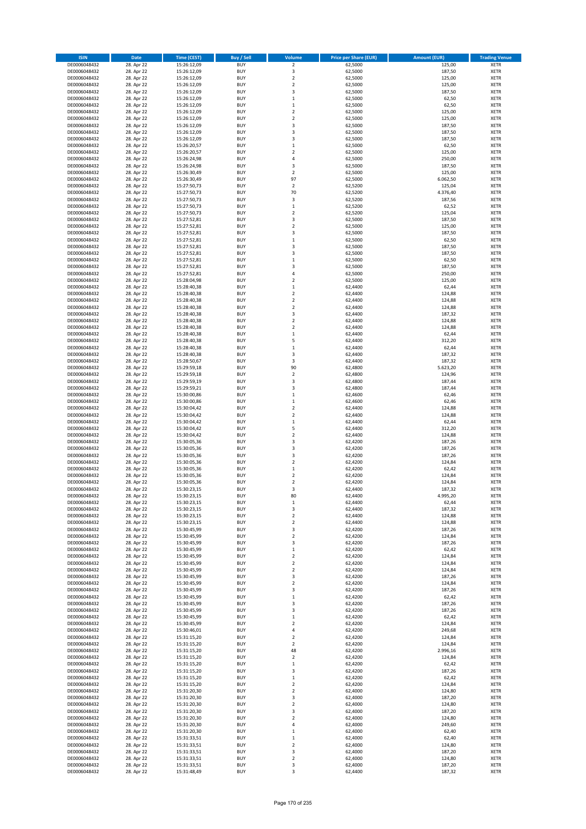| <b>ISIN</b>                  | <b>Date</b>              | <b>Time (CEST)</b>         | <b>Buy / Sell</b>        | <b>Volume</b>                          | <b>Price per Share (EUR)</b> | <b>Amount (EUR)</b> | <b>Trading Venue</b>       |
|------------------------------|--------------------------|----------------------------|--------------------------|----------------------------------------|------------------------------|---------------------|----------------------------|
| DE0006048432                 | 28. Apr 22               | 15:26:12,09                | <b>BUY</b>               | $\overline{\mathbf{2}}$                | 62,5000                      | 125,00              | <b>XETR</b>                |
| DE0006048432                 | 28. Apr 22               | 15:26:12,09                | <b>BUY</b>               | 3                                      | 62,5000                      | 187,50              | <b>XETR</b>                |
| DE0006048432                 | 28. Apr 22               | 15:26:12,09                | <b>BUY</b>               | $\mathbf 2$                            | 62,5000                      | 125,00              | <b>XETR</b>                |
| DE0006048432                 | 28. Apr 22               | 15:26:12,09                | <b>BUY</b>               | $\mathbf 2$                            | 62,5000                      | 125,00              | <b>XETR</b>                |
| DE0006048432<br>DE0006048432 | 28. Apr 22<br>28. Apr 22 | 15:26:12,09<br>15:26:12,09 | <b>BUY</b><br><b>BUY</b> | 3<br>$\mathbf 1$                       | 62,5000<br>62,5000           | 187,50<br>62,50     | <b>XETR</b><br><b>XETR</b> |
| DE0006048432                 | 28. Apr 22               | 15:26:12,09                | <b>BUY</b>               | $\mathbf 1$                            | 62,5000                      | 62,50               | <b>XETR</b>                |
| DE0006048432                 | 28. Apr 22               | 15:26:12,09                | <b>BUY</b>               | $\mathbf 2$                            | 62,5000                      | 125,00              | <b>XETR</b>                |
| DE0006048432                 | 28. Apr 22               | 15:26:12,09                | <b>BUY</b>               | $\overline{2}$                         | 62,5000                      | 125,00              | <b>XETR</b>                |
| DE0006048432                 | 28. Apr 22               | 15:26:12,09                | <b>BUY</b>               | 3                                      | 62,5000                      | 187,50              | <b>XETR</b>                |
| DE0006048432                 | 28. Apr 22               | 15:26:12,09                | <b>BUY</b>               | 3                                      | 62,5000                      | 187,50              | <b>XETR</b>                |
| DE0006048432                 | 28. Apr 22               | 15:26:12,09                | <b>BUY</b>               | 3                                      | 62,5000                      | 187,50              | <b>XETR</b><br><b>XETR</b> |
| DE0006048432<br>DE0006048432 | 28. Apr 22<br>28. Apr 22 | 15:26:20,57<br>15:26:20,57 | <b>BUY</b><br><b>BUY</b> | $\mathbf 1$<br>$\overline{\mathbf{c}}$ | 62,5000<br>62,5000           | 62,50<br>125,00     | <b>XETR</b>                |
| DE0006048432                 | 28. Apr 22               | 15:26:24,98                | <b>BUY</b>               | 4                                      | 62,5000                      | 250,00              | <b>XETR</b>                |
| DE0006048432                 | 28. Apr 22               | 15:26:24,98                | <b>BUY</b>               | 3                                      | 62,5000                      | 187,50              | <b>XETR</b>                |
| DE0006048432                 | 28. Apr 22               | 15:26:30,49                | <b>BUY</b>               | $\mathbf 2$                            | 62,5000                      | 125,00              | <b>XETR</b>                |
| DE0006048432                 | 28. Apr 22               | 15:26:30,49                | <b>BUY</b>               | 97                                     | 62,5000                      | 6.062,50            | <b>XETR</b>                |
| DE0006048432                 | 28. Apr 22               | 15:27:50,73                | <b>BUY</b>               | $\overline{\mathbf{c}}$                | 62,5200                      | 125,04              | <b>XETR</b>                |
| DE0006048432<br>DE0006048432 | 28. Apr 22<br>28. Apr 22 | 15:27:50,73                | <b>BUY</b><br><b>BUY</b> | 70<br>3                                | 62,5200<br>62,5200           | 4.376,40<br>187,56  | <b>XETR</b><br><b>XETR</b> |
| DE0006048432                 | 28. Apr 22               | 15:27:50,73<br>15:27:50,73 | <b>BUY</b>               | $\mathbf 1$                            | 62,5200                      | 62,52               | <b>XETR</b>                |
| DE0006048432                 | 28. Apr 22               | 15:27:50,73                | <b>BUY</b>               | $\mathbf 2$                            | 62,5200                      | 125,04              | <b>XETR</b>                |
| DE0006048432                 | 28. Apr 22               | 15:27:52,81                | <b>BUY</b>               | 3                                      | 62,5000                      | 187,50              | <b>XETR</b>                |
| DE0006048432                 | 28. Apr 22               | 15:27:52,81                | <b>BUY</b>               | $\mathbf 2$                            | 62,5000                      | 125,00              | <b>XETR</b>                |
| DE0006048432                 | 28. Apr 22               | 15:27:52,81                | <b>BUY</b>               | 3                                      | 62,5000                      | 187,50              | <b>XETR</b>                |
| DE0006048432                 | 28. Apr 22<br>28. Apr 22 | 15:27:52,81                | <b>BUY</b>               | $\mathbf 1$                            | 62,5000                      | 62,50               | <b>XETR</b>                |
| DE0006048432<br>DE0006048432 | 28. Apr 22               | 15:27:52,81<br>15:27:52,81 | <b>BUY</b><br><b>BUY</b> | 3<br>3                                 | 62,5000<br>62,5000           | 187,50<br>187,50    | <b>XETR</b><br><b>XETR</b> |
| DE0006048432                 | 28. Apr 22               | 15:27:52,81                | <b>BUY</b>               | $\mathbf 1$                            | 62,5000                      | 62,50               | <b>XETR</b>                |
| DE0006048432                 | 28. Apr 22               | 15:27:52,81                | <b>BUY</b>               | 3                                      | 62,5000                      | 187,50              | <b>XETR</b>                |
| DE0006048432                 | 28. Apr 22               | 15:27:52,81                | <b>BUY</b>               | 4                                      | 62,5000                      | 250,00              | <b>XETR</b>                |
| DE0006048432                 | 28. Apr 22               | 15:28:04,98                | <b>BUY</b>               | $\overline{\mathbf{c}}$                | 62,5000                      | 125,00              | <b>XETR</b>                |
| DE0006048432                 | 28. Apr 22               | 15:28:40,38                | <b>BUY</b>               | $\mathbf 1$                            | 62,4400                      | 62,44               | <b>XETR</b>                |
| DE0006048432<br>DE0006048432 | 28. Apr 22<br>28. Apr 22 | 15:28:40,38<br>15:28:40,38 | <b>BUY</b><br><b>BUY</b> | $\mathbf 2$<br>$\mathbf 2$             | 62,4400<br>62,4400           | 124,88<br>124,88    | <b>XETR</b><br><b>XETR</b> |
| DE0006048432                 | 28. Apr 22               | 15:28:40,38                | <b>BUY</b>               | $\overline{\mathbf{c}}$                | 62,4400                      | 124,88              | <b>XETR</b>                |
| DE0006048432                 | 28. Apr 22               | 15:28:40,38                | <b>BUY</b>               | 3                                      | 62,4400                      | 187,32              | <b>XETR</b>                |
| DE0006048432                 | 28. Apr 22               | 15:28:40,38                | <b>BUY</b>               | $\overline{\mathbf{c}}$                | 62,4400                      | 124,88              | <b>XETR</b>                |
| DE0006048432                 | 28. Apr 22               | 15:28:40,38                | <b>BUY</b>               | $\mathbf 2$                            | 62,4400                      | 124,88              | <b>XETR</b>                |
| DE0006048432                 | 28. Apr 22               | 15:28:40,38                | <b>BUY</b>               | $\mathbf 1$                            | 62,4400                      | 62,44               | <b>XETR</b>                |
| DE0006048432                 | 28. Apr 22               | 15:28:40,38                | <b>BUY</b><br><b>BUY</b> | 5                                      | 62,4400                      | 312,20              | <b>XETR</b>                |
| DE0006048432<br>DE0006048432 | 28. Apr 22<br>28. Apr 22 | 15:28:40,38<br>15:28:40,38 | <b>BUY</b>               | $\mathbf 1$<br>3                       | 62,4400<br>62,4400           | 62,44<br>187,32     | <b>XETR</b><br><b>XETR</b> |
| DE0006048432                 | 28. Apr 22               | 15:28:50,67                | <b>BUY</b>               | 3                                      | 62,4400                      | 187,32              | <b>XETR</b>                |
| DE0006048432                 | 28. Apr 22               | 15:29:59,18                | <b>BUY</b>               | 90                                     | 62,4800                      | 5.623,20            | <b>XETR</b>                |
| DE0006048432                 | 28. Apr 22               | 15:29:59,18                | <b>BUY</b>               | $\mathbf 2$                            | 62,4800                      | 124,96              | <b>XETR</b>                |
| DE0006048432                 | 28. Apr 22               | 15:29:59,19                | <b>BUY</b>               | 3                                      | 62,4800                      | 187,44              | <b>XETR</b>                |
| DE0006048432<br>DE0006048432 | 28. Apr 22               | 15:29:59,21                | <b>BUY</b><br><b>BUY</b> | 3<br>$\mathbf 1$                       | 62,4800                      | 187,44              | <b>XETR</b><br><b>XETR</b> |
| DE0006048432                 | 28. Apr 22<br>28. Apr 22 | 15:30:00,86<br>15:30:00,86 | <b>BUY</b>               | $\mathbf 1$                            | 62,4600<br>62,4600           | 62,46<br>62,46      | <b>XETR</b>                |
| DE0006048432                 | 28. Apr 22               | 15:30:04,42                | <b>BUY</b>               | $\mathbf 2$                            | 62,4400                      | 124,88              | <b>XETR</b>                |
| DE0006048432                 | 28. Apr 22               | 15:30:04,42                | <b>BUY</b>               | $\overline{2}$                         | 62,4400                      | 124,88              | <b>XETR</b>                |
| DE0006048432                 | 28. Apr 22               | 15:30:04,42                | <b>BUY</b>               | $\mathbf 1$                            | 62,4400                      | 62,44               | <b>XETR</b>                |
| DE0006048432                 | 28. Apr 22               | 15:30:04,42                | <b>BUY</b>               | 5                                      | 62,4400                      | 312,20              | <b>XETR</b>                |
| DE0006048432                 | 28. Apr 22               | 15:30:04,42                | <b>BUY</b>               | $\mathbf 2$                            | 62,4400                      | 124,88              | <b>XETR</b>                |
| DE0006048432<br>DE0006048432 | 28. Apr 22<br>28. Apr 22 | 15:30:05,36<br>15:30:05,36 | <b>BUY</b><br><b>BUY</b> | 3<br>3                                 | 62,4200<br>62,4200           | 187,26<br>187,26    | <b>XETR</b><br><b>XETR</b> |
| DE0006048432                 | 28. Apr 22               | 15:30:05,36                | <b>BUY</b>               | 3                                      | 62,4200                      | 187,26              | <b>XETR</b>                |
| DE0006048432                 | 28. Apr 22               | 15:30:05,36                | <b>BUY</b>               | $\overline{2}$                         | 62,4200                      | 124,84              | <b>XETR</b>                |
| DE0006048432                 | 28. Apr 22               | 15:30:05,36                | <b>BUY</b>               | $\mathbf 1$                            | 62,4200                      | 62,42               | <b>XETR</b>                |
| DE0006048432                 | 28. Apr 22               | 15:30:05,36                | <b>BUY</b>               | $\overline{\mathbf{c}}$                | 62,4200                      | 124,84              | <b>XETR</b>                |
| DE0006048432                 | 28. Apr 22               | 15:30:05,36                | <b>BUY</b>               | $\overline{\mathbf{c}}$                | 62,4200                      | 124,84              | <b>XETR</b>                |
| DE0006048432<br>DE0006048432 | 28. Apr 22<br>28. Apr 22 | 15:30:23,15<br>15:30:23,15 | <b>BUY</b><br>BUY        | 3<br>80                                | 62,4400<br>62,4400           | 187,32<br>4.995,20  | <b>XETR</b><br><b>XETR</b> |
| DE0006048432                 | 28. Apr 22               | 15:30:23,15                | <b>BUY</b>               | $\mathbf 1$                            | 62,4400                      | 62,44               | <b>XETR</b>                |
| DE0006048432                 | 28. Apr 22               | 15:30:23,15                | <b>BUY</b>               | 3                                      | 62,4400                      | 187,32              | <b>XETR</b>                |
| DE0006048432                 | 28. Apr 22               | 15:30:23,15                | <b>BUY</b>               | $\mathbf 2$                            | 62,4400                      | 124,88              | XETR                       |
| DE0006048432                 | 28. Apr 22               | 15:30:23,15                | <b>BUY</b>               | $\mathbf 2$                            | 62,4400                      | 124,88              | <b>XETR</b>                |
| DE0006048432                 | 28. Apr 22               | 15:30:45,99                | <b>BUY</b>               | 3                                      | 62,4200                      | 187,26              | <b>XETR</b>                |
| DE0006048432                 | 28. Apr 22               | 15:30:45,99                | <b>BUY</b>               | $\overline{2}$                         | 62,4200                      | 124,84              | <b>XETR</b>                |
| DE0006048432<br>DE0006048432 | 28. Apr 22<br>28. Apr 22 | 15:30:45,99<br>15:30:45,99 | <b>BUY</b><br><b>BUY</b> | 3<br>$\mathbf 1$                       | 62,4200<br>62,4200           | 187,26<br>62,42     | <b>XETR</b><br><b>XETR</b> |
| DE0006048432                 | 28. Apr 22               | 15:30:45,99                | <b>BUY</b>               | $\mathbf 2$                            | 62,4200                      | 124,84              | <b>XETR</b>                |
| DE0006048432                 | 28. Apr 22               | 15:30:45,99                | <b>BUY</b>               | $\mathbf 2$                            | 62,4200                      | 124,84              | <b>XETR</b>                |
| DE0006048432                 | 28. Apr 22               | 15:30:45,99                | <b>BUY</b>               | $\overline{2}$                         | 62,4200                      | 124,84              | <b>XETR</b>                |
| DE0006048432                 | 28. Apr 22               | 15:30:45,99                | <b>BUY</b>               | 3                                      | 62,4200                      | 187,26              | <b>XETR</b>                |
| DE0006048432                 | 28. Apr 22               | 15:30:45,99                | <b>BUY</b><br><b>BUY</b> | $\overline{\mathbf{c}}$                | 62,4200                      | 124,84              | <b>XETR</b>                |
| DE0006048432<br>DE0006048432 | 28. Apr 22<br>28. Apr 22 | 15:30:45,99<br>15:30:45,99 | <b>BUY</b>               | 3<br>$\mathbf 1$                       | 62,4200<br>62,4200           | 187,26<br>62,42     | <b>XETR</b><br><b>XETR</b> |
| DE0006048432                 | 28. Apr 22               | 15:30:45,99                | <b>BUY</b>               | 3                                      | 62,4200                      | 187,26              | <b>XETR</b>                |
| DE0006048432                 | 28. Apr 22               | 15:30:45,99                | <b>BUY</b>               | 3                                      | 62,4200                      | 187,26              | <b>XETR</b>                |
| DE0006048432                 | 28. Apr 22               | 15:30:45,99                | <b>BUY</b>               | $\mathbf 1$                            | 62,4200                      | 62,42               | XETR                       |
| DE0006048432                 | 28. Apr 22               | 15:30:45,99                | <b>BUY</b>               | $\mathbf 2$                            | 62,4200                      | 124,84              | <b>XETR</b>                |
| DE0006048432                 | 28. Apr 22               | 15:30:46,01                | <b>BUY</b>               | 4                                      | 62,4200                      | 249,68              | <b>XETR</b>                |
| DE0006048432<br>DE0006048432 | 28. Apr 22<br>28. Apr 22 | 15:31:15,20                | <b>BUY</b><br><b>BUY</b> | $\mathbf 2$<br>$\overline{2}$          | 62,4200<br>62,4200           | 124,84<br>124,84    | <b>XETR</b><br><b>XETR</b> |
| DE0006048432                 | 28. Apr 22               | 15:31:15,20<br>15:31:15,20 | <b>BUY</b>               | 48                                     | 62,4200                      | 2.996,16            | <b>XETR</b>                |
| DE0006048432                 | 28. Apr 22               | 15:31:15,20                | <b>BUY</b>               | $\mathbf 2$                            | 62,4200                      | 124,84              | <b>XETR</b>                |
| DE0006048432                 | 28. Apr 22               | 15:31:15,20                | <b>BUY</b>               | $\mathbf 1$                            | 62,4200                      | 62,42               | <b>XETR</b>                |
| DE0006048432                 | 28. Apr 22               | 15:31:15,20                | <b>BUY</b>               | 3                                      | 62,4200                      | 187,26              | <b>XETR</b>                |
| DE0006048432                 | 28. Apr 22               | 15:31:15,20                | <b>BUY</b>               | $\mathbf 1$                            | 62,4200                      | 62,42               | <b>XETR</b>                |
| DE0006048432                 | 28. Apr 22               | 15:31:15,20                | <b>BUY</b>               | $\mathbf 2$                            | 62,4200                      | 124,84              | <b>XETR</b>                |
| DE0006048432<br>DE0006048432 | 28. Apr 22<br>28. Apr 22 | 15:31:20,30<br>15:31:20,30 | <b>BUY</b><br><b>BUY</b> | $\overline{2}$<br>3                    | 62,4000<br>62,4000           | 124,80<br>187,20    | <b>XETR</b><br><b>XETR</b> |
| DE0006048432                 | 28. Apr 22               | 15:31:20,30                | <b>BUY</b>               | $\mathbf 2$                            | 62,4000                      | 124,80              | <b>XETR</b>                |
| DE0006048432                 | 28. Apr 22               | 15:31:20,30                | <b>BUY</b>               | 3                                      | 62,4000                      | 187,20              | <b>XETR</b>                |
| DE0006048432                 | 28. Apr 22               | 15:31:20,30                | <b>BUY</b>               | $\overline{\mathbf{c}}$                | 62,4000                      | 124,80              | <b>XETR</b>                |
| DE0006048432                 | 28. Apr 22               | 15:31:20,30                | <b>BUY</b>               | 4                                      | 62,4000                      | 249,60              | <b>XETR</b>                |
| DE0006048432                 | 28. Apr 22               | 15:31:20,30                | <b>BUY</b>               | $\mathbf 1$                            | 62,4000                      | 62,40               | <b>XETR</b>                |
| DE0006048432<br>DE0006048432 | 28. Apr 22<br>28. Apr 22 | 15:31:33,51<br>15:31:33,51 | <b>BUY</b><br><b>BUY</b> | $\mathbf 1$<br>$\mathbf 2$             | 62,4000<br>62,4000           | 62,40<br>124,80     | <b>XETR</b><br>XETR        |
| DE0006048432                 | 28. Apr 22               | 15:31:33,51                | <b>BUY</b>               | 3                                      | 62,4000                      | 187,20              | <b>XETR</b>                |
| DE0006048432                 | 28. Apr 22               | 15:31:33,51                | <b>BUY</b>               | $\mathbf 2$                            | 62,4000                      | 124,80              | <b>XETR</b>                |
| DE0006048432                 | 28. Apr 22               | 15:31:33,51                | <b>BUY</b>               | 3                                      | 62,4000                      | 187,20              | <b>XETR</b>                |
| DE0006048432                 | 28. Apr 22               | 15:31:48,49                | <b>BUY</b>               | 3                                      | 62,4400                      | 187,32              | <b>XETR</b>                |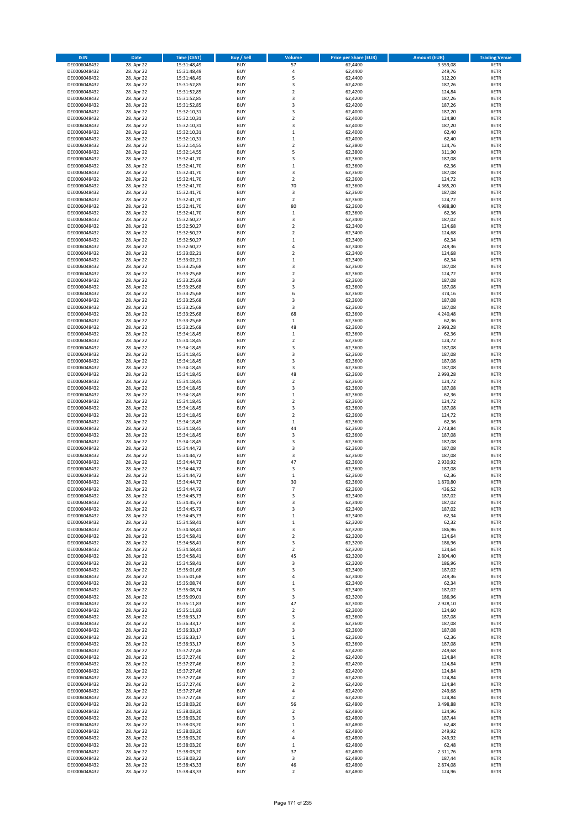| <b>ISIN</b>                  | Date                     | Time (CEST)                | <b>Buy / Sell</b>        | <b>Volume</b>                          | <b>Price per Share (EUR)</b> | <b>Amount (EUR)</b> | <b>Trading Venue</b>       |
|------------------------------|--------------------------|----------------------------|--------------------------|----------------------------------------|------------------------------|---------------------|----------------------------|
| DE0006048432                 | 28. Apr 22               | 15:31:48,49                | <b>BUY</b>               | 57                                     | 62,4400                      | 3.559,08            | <b>XETR</b>                |
| DE0006048432                 | 28. Apr 22               | 15:31:48,49                | <b>BUY</b>               | 4                                      | 62,4400                      | 249,76              | <b>XETR</b>                |
| DE0006048432                 | 28. Apr 22               | 15:31:48,49                | <b>BUY</b>               | 5                                      | 62,4400                      | 312,20              | <b>XETR</b>                |
| DE0006048432<br>DE0006048432 | 28. Apr 22<br>28. Apr 22 | 15:31:52,85<br>15:31:52,85 | <b>BUY</b><br><b>BUY</b> | 3<br>$\mathbf 2$                       | 62,4200<br>62,4200           | 187,26<br>124,84    | <b>XETR</b><br><b>XETR</b> |
| DE0006048432                 | 28. Apr 22               | 15:31:52,85                | <b>BUY</b>               | 3                                      | 62,4200                      | 187,26              | <b>XETR</b>                |
| DE0006048432                 | 28. Apr 22               | 15:31:52,85                | <b>BUY</b>               | 3                                      | 62,4200                      | 187,26              | <b>XETR</b>                |
| DE0006048432                 | 28. Apr 22               | 15:32:10,31                | <b>BUY</b>               | 3                                      | 62,4000                      | 187,20              | <b>XETR</b>                |
| DE0006048432                 | 28. Apr 22               | 15:32:10,31                | <b>BUY</b>               | $\mathbf 2$                            | 62,4000                      | 124,80              | <b>XETR</b>                |
| DE0006048432<br>DE0006048432 | 28. Apr 22<br>28. Apr 22 | 15:32:10,31                | <b>BUY</b><br><b>BUY</b> | 3<br>$\,1\,$                           | 62,4000<br>62,4000           | 187,20              | <b>XETR</b><br><b>XETR</b> |
| DE0006048432                 | 28. Apr 22               | 15:32:10,31<br>15:32:10,31 | <b>BUY</b>               | $\,$ 1                                 | 62,4000                      | 62,40<br>62,40      | <b>XETR</b>                |
| DE0006048432                 | 28. Apr 22               | 15:32:14,55                | <b>BUY</b>               | $\overline{2}$                         | 62,3800                      | 124,76              | <b>XETR</b>                |
| DE0006048432                 | 28. Apr 22               | 15:32:14,55                | <b>BUY</b>               | 5                                      | 62,3800                      | 311,90              | <b>XETR</b>                |
| DE0006048432                 | 28. Apr 22               | 15:32:41,70                | <b>BUY</b>               | 3                                      | 62,3600                      | 187,08              | <b>XETR</b>                |
| DE0006048432                 | 28. Apr 22               | 15:32:41,70                | <b>BUY</b>               | $\mathbf 1$                            | 62,3600                      | 62,36               | <b>XETR</b>                |
| DE0006048432                 | 28. Apr 22               | 15:32:41,70                | <b>BUY</b>               | 3                                      | 62,3600                      | 187,08              | <b>XETR</b>                |
| DE0006048432<br>DE0006048432 | 28. Apr 22<br>28. Apr 22 | 15:32:41,70<br>15:32:41,70 | <b>BUY</b><br><b>BUY</b> | $\mathbf 2$<br>70                      | 62,3600<br>62,3600           | 124,72<br>4.365,20  | <b>XETR</b><br><b>XETR</b> |
| DE0006048432                 | 28. Apr 22               | 15:32:41,70                | <b>BUY</b>               | 3                                      | 62,3600                      | 187,08              | <b>XETR</b>                |
| DE0006048432                 | 28. Apr 22               | 15:32:41,70                | <b>BUY</b>               | $\mathbf 2$                            | 62,3600                      | 124,72              | <b>XETR</b>                |
| DE0006048432                 | 28. Apr 22               | 15:32:41,70                | <b>BUY</b>               | 80                                     | 62,3600                      | 4.988,80            | <b>XETR</b>                |
| DE0006048432                 | 28. Apr 22               | 15:32:41,70                | <b>BUY</b>               | $\,$ 1                                 | 62,3600                      | 62,36               | <b>XETR</b>                |
| DE0006048432                 | 28. Apr 22               | 15:32:50,27                | <b>BUY</b>               | 3                                      | 62,3400                      | 187,02              | <b>XETR</b>                |
| DE0006048432<br>DE0006048432 | 28. Apr 22<br>28. Apr 22 | 15:32:50,27<br>15:32:50,27 | <b>BUY</b><br><b>BUY</b> | $\mathbf 2$<br>$\overline{\mathbf{c}}$ | 62,3400<br>62,3400           | 124,68<br>124,68    | <b>XETR</b><br><b>XETR</b> |
| DE0006048432                 | 28. Apr 22               | 15:32:50,27                | <b>BUY</b>               | $\,1\,$                                | 62,3400                      | 62,34               | <b>XETR</b>                |
| DE0006048432                 | 28. Apr 22               | 15:32:50,27                | <b>BUY</b>               | 4                                      | 62,3400                      | 249,36              | <b>XETR</b>                |
| DE0006048432                 | 28. Apr 22               | 15:33:02,21                | <b>BUY</b>               | $\overline{\mathbf{2}}$                | 62,3400                      | 124,68              | <b>XETR</b>                |
| DE0006048432                 | 28. Apr 22               | 15:33:02,21                | <b>BUY</b>               | $\,$ 1                                 | 62,3400                      | 62,34               | <b>XETR</b>                |
| DE0006048432                 | 28. Apr 22               | 15:33:25,68                | <b>BUY</b>               | 3                                      | 62,3600                      | 187,08              | <b>XETR</b>                |
| DE0006048432<br>DE0006048432 | 28. Apr 22               | 15:33:25,68                | <b>BUY</b><br><b>BUY</b> | $\mathbf 2$<br>3                       | 62,3600                      | 124,72              | <b>XETR</b><br><b>XETR</b> |
| DE0006048432                 | 28. Apr 22<br>28. Apr 22 | 15:33:25,68<br>15:33:25,68 | <b>BUY</b>               | 3                                      | 62,3600<br>62,3600           | 187,08<br>187,08    | <b>XETR</b>                |
| DE0006048432                 | 28. Apr 22               | 15:33:25,68                | <b>BUY</b>               | 6                                      | 62,3600                      | 374,16              | <b>XETR</b>                |
| DE0006048432                 | 28. Apr 22               | 15:33:25,68                | <b>BUY</b>               | 3                                      | 62,3600                      | 187,08              | <b>XETR</b>                |
| DE0006048432                 | 28. Apr 22               | 15:33:25,68                | <b>BUY</b>               | 3                                      | 62,3600                      | 187,08              | <b>XETR</b>                |
| DE0006048432                 | 28. Apr 22               | 15:33:25,68                | <b>BUY</b>               | 68                                     | 62,3600                      | 4.240,48            | <b>XETR</b>                |
| DE0006048432                 | 28. Apr 22               | 15:33:25,68                | <b>BUY</b>               | $\mathbf 1$                            | 62,3600                      | 62,36               | <b>XETR</b>                |
| DE0006048432<br>DE0006048432 | 28. Apr 22<br>28. Apr 22 | 15:33:25,68<br>15:34:18,45 | <b>BUY</b><br><b>BUY</b> | 48<br>$\mathbf 1$                      | 62,3600<br>62,3600           | 2.993,28<br>62,36   | <b>XETR</b><br><b>XETR</b> |
| DE0006048432                 | 28. Apr 22               | 15:34:18,45                | <b>BUY</b>               | $\overline{2}$                         | 62,3600                      | 124,72              | <b>XETR</b>                |
| DE0006048432                 | 28. Apr 22               | 15:34:18,45                | <b>BUY</b>               | 3                                      | 62,3600                      | 187,08              | <b>XETR</b>                |
| DE0006048432                 | 28. Apr 22               | 15:34:18,45                | <b>BUY</b>               | 3                                      | 62,3600                      | 187,08              | <b>XETR</b>                |
| DE0006048432                 | 28. Apr 22               | 15:34:18,45                | <b>BUY</b>               | 3                                      | 62,3600                      | 187,08              | <b>XETR</b>                |
| DE0006048432                 | 28. Apr 22               | 15:34:18,45                | <b>BUY</b>               | 3                                      | 62,3600                      | 187,08              | <b>XETR</b>                |
| DE0006048432                 | 28. Apr 22<br>28. Apr 22 | 15:34:18,45                | <b>BUY</b><br><b>BUY</b> | 48<br>$\overline{2}$                   | 62,3600<br>62,3600           | 2.993,28<br>124,72  | <b>XETR</b><br><b>XETR</b> |
| DE0006048432<br>DE0006048432 | 28. Apr 22               | 15:34:18,45<br>15:34:18,45 | <b>BUY</b>               | 3                                      | 62,3600                      | 187,08              | <b>XETR</b>                |
| DE0006048432                 | 28. Apr 22               | 15:34:18,45                | <b>BUY</b>               | $\mathbf{1}$                           | 62,3600                      | 62,36               | <b>XETR</b>                |
| DE0006048432                 | 28. Apr 22               | 15:34:18,45                | <b>BUY</b>               | $\mathbf 2$                            | 62,3600                      | 124,72              | <b>XETR</b>                |
| DE0006048432                 | 28. Apr 22               | 15:34:18,45                | <b>BUY</b>               | 3                                      | 62,3600                      | 187,08              | <b>XETR</b>                |
| DE0006048432                 | 28. Apr 22               | 15:34:18,45                | <b>BUY</b>               | $\mathbf 2$                            | 62,3600                      | 124,72              | <b>XETR</b>                |
| DE0006048432<br>DE0006048432 | 28. Apr 22<br>28. Apr 22 | 15:34:18,45<br>15:34:18,45 | <b>BUY</b><br><b>BUY</b> | $\,1\,$<br>44                          | 62,3600<br>62,3600           | 62,36<br>2.743,84   | <b>XETR</b><br><b>XETR</b> |
| DE0006048432                 | 28. Apr 22               | 15:34:18,45                | <b>BUY</b>               | 3                                      | 62,3600                      | 187,08              | <b>XETR</b>                |
| DE0006048432                 | 28. Apr 22               | 15:34:18,45                | <b>BUY</b>               | 3                                      | 62,3600                      | 187,08              | <b>XETR</b>                |
| DE0006048432                 | 28. Apr 22               | 15:34:44,72                | <b>BUY</b>               | 3                                      | 62,3600                      | 187,08              | <b>XETR</b>                |
| DE0006048432                 | 28. Apr 22               | 15:34:44,72                | <b>BUY</b>               | 3                                      | 62,3600                      | 187,08              | <b>XETR</b>                |
| DE0006048432                 | 28. Apr 22               | 15:34:44,72                | <b>BUY</b>               | 47                                     | 62,3600                      | 2.930,92            | <b>XETR</b>                |
| DE0006048432<br>DE0006048432 | 28. Apr 22<br>28. Apr 22 | 15:34:44.72                | <b>BUY</b><br><b>BUY</b> | 3<br>$\,1\,$                           | 62,3600                      | 187,08<br>62,36     | <b>XETR</b><br><b>XETR</b> |
| DE0006048432                 | 28. Apr 22               | 15:34:44,72<br>15:34:44.72 | <b>BUY</b>               | 30                                     | 62,3600<br>62,3600           | 1.870,80            | <b>XETR</b>                |
| DE0006048432                 | 28. Apr 22               | 15:34:44,72                | <b>BUY</b>               | $\overline{7}$                         | 62,3600                      | 436,52              | <b>XETR</b>                |
| DE0006048432                 | 28. Apr 22               | 15:34:45,73                | <b>BUY</b>               | 3                                      | 62,3400                      | 187,02              | <b>XETR</b>                |
| DE0006048432                 | 28. Apr 22               | 15:34:45,73                | <b>BUY</b>               | 3                                      | 62,3400                      | 187,02              | <b>XETR</b>                |
| DE0006048432                 | 28. Apr 22               | 15:34:45,73                | <b>BUY</b>               | 3                                      | 62,3400                      | 187,02              | <b>XETR</b>                |
| DE0006048432<br>DE0006048432 | 28. Apr 22               | 15:34:45,73<br>15:34:58,41 | <b>BUY</b>               | $\,1\,$                                | 62,3400                      | 62,34               | <b>XETR</b>                |
| DE0006048432                 | 28. Apr 22<br>28. Apr 22 | 15:34:58,41                | <b>BUY</b><br><b>BUY</b> | $\,$ 1<br>3                            | 62,3200<br>62,3200           | 62,32<br>186,96     | <b>XETR</b><br><b>XETR</b> |
| DE0006048432                 | 28. Apr 22               | 15:34:58,41                | <b>BUY</b>               | $\overline{2}$                         | 62,3200                      | 124,64              | <b>XETR</b>                |
| DE0006048432                 | 28. Apr 22               | 15:34:58,41                | <b>BUY</b>               | 3                                      | 62,3200                      | 186,96              | <b>XETR</b>                |
| DE0006048432                 | 28. Apr 22               | 15:34:58,41                | <b>BUY</b>               | $\overline{2}$                         | 62,3200                      | 124,64              | <b>XETR</b>                |
| DE0006048432                 | 28. Apr 22               | 15:34:58,41                | <b>BUY</b>               | 45                                     | 62,3200                      | 2.804,40            | <b>XETR</b>                |
| DE0006048432                 | 28. Apr 22<br>28. Apr 22 | 15:34:58,41                | <b>BUY</b><br><b>BUY</b> | 3<br>3                                 | 62,3200<br>62,3400           | 186,96<br>187,02    | <b>XETR</b>                |
| DE0006048432<br>DE0006048432 | 28. Apr 22               | 15:35:01,68<br>15:35:01,68 | <b>BUY</b>               | $\pmb{4}$                              | 62,3400                      | 249,36              | <b>XETR</b><br><b>XETR</b> |
| DE0006048432                 | 28. Apr 22               | 15:35:08,74                | <b>BUY</b>               | $\,$ 1                                 | 62,3400                      | 62,34               | <b>XETR</b>                |
| DE0006048432                 | 28. Apr 22               | 15:35:08,74                | <b>BUY</b>               | 3                                      | 62,3400                      | 187,02              | <b>XETR</b>                |
| DE0006048432                 | 28. Apr 22               | 15:35:09,01                | <b>BUY</b>               | 3                                      | 62,3200                      | 186,96              | <b>XETR</b>                |
| DE0006048432                 | 28. Apr 22               | 15:35:11,83                | <b>BUY</b>               | 47                                     | 62,3000                      | 2.928,10            | <b>XETR</b>                |
| DE0006048432                 | 28. Apr 22               | 15:35:11,83                | <b>BUY</b>               | $\mathbf 2$<br>3                       | 62,3000                      | 124,60              | <b>XETR</b>                |
| DE0006048432<br>DE0006048432 | 28. Apr 22<br>28. Apr 22 | 15:36:33,17<br>15:36:33,17 | <b>BUY</b><br><b>BUY</b> | 3                                      | 62,3600<br>62,3600           | 187,08<br>187,08    | <b>XETR</b><br><b>XETR</b> |
| DE0006048432                 | 28. Apr 22               | 15:36:33,17                | <b>BUY</b>               | 3                                      | 62,3600                      | 187,08              | <b>XETR</b>                |
| DE0006048432                 | 28. Apr 22               | 15:36:33,17                | <b>BUY</b>               | $\,1\,$                                | 62,3600                      | 62,36               | <b>XETR</b>                |
| DE0006048432                 | 28. Apr 22               | 15:36:33,17                | <b>BUY</b>               | 3                                      | 62,3600                      | 187,08              | <b>XETR</b>                |
| DE0006048432                 | 28. Apr 22               | 15:37:27,46                | <b>BUY</b>               | $\pmb{4}$                              | 62,4200                      | 249,68              | <b>XETR</b>                |
| DE0006048432                 | 28. Apr 22               | 15:37:27,46                | <b>BUY</b>               | $\mathbf 2$                            | 62,4200                      | 124,84              | <b>XETR</b>                |
| DE0006048432<br>DE0006048432 | 28. Apr 22<br>28. Apr 22 | 15:37:27,46<br>15:37:27,46 | <b>BUY</b><br><b>BUY</b> | $\overline{2}$<br>$\overline{2}$       | 62,4200<br>62,4200           | 124,84<br>124,84    | <b>XETR</b><br><b>XETR</b> |
| DE0006048432                 | 28. Apr 22               | 15:37:27,46                | <b>BUY</b>               | $\overline{2}$                         | 62,4200                      | 124,84              | <b>XETR</b>                |
| DE0006048432                 | 28. Apr 22               | 15:37:27,46                | <b>BUY</b>               | $\overline{2}$                         | 62,4200                      | 124,84              | <b>XETR</b>                |
| DE0006048432                 | 28. Apr 22               | 15:37:27,46                | <b>BUY</b>               | $\sqrt{4}$                             | 62,4200                      | 249,68              | <b>XETR</b>                |
| DE0006048432                 | 28. Apr 22               | 15:37:27,46                | <b>BUY</b>               | $\overline{2}$                         | 62,4200                      | 124,84              | <b>XETR</b>                |
| DE0006048432                 | 28. Apr 22               | 15:38:03,20                | <b>BUY</b>               | 56                                     | 62,4800                      | 3.498,88            | <b>XETR</b>                |
| DE0006048432<br>DE0006048432 | 28. Apr 22<br>28. Apr 22 | 15:38:03,20                | <b>BUY</b><br><b>BUY</b> | $\mathbf 2$<br>3                       | 62,4800<br>62,4800           | 124,96<br>187,44    | <b>XETR</b><br><b>XETR</b> |
| DE0006048432                 | 28. Apr 22               | 15:38:03,20<br>15:38:03,20 | <b>BUY</b>               | $\mathbf 1$                            | 62,4800                      | 62,48               | <b>XETR</b>                |
| DE0006048432                 | 28. Apr 22               | 15:38:03,20                | <b>BUY</b>               | $\overline{4}$                         | 62,4800                      | 249,92              | <b>XETR</b>                |
| DE0006048432                 | 28. Apr 22               | 15:38:03,20                | <b>BUY</b>               | $\overline{4}$                         | 62,4800                      | 249,92              | <b>XETR</b>                |
| DE0006048432                 | 28. Apr 22               | 15:38:03,20                | <b>BUY</b>               | $\mathbf 1$                            | 62,4800                      | 62,48               | <b>XETR</b>                |
| DE0006048432                 | 28. Apr 22               | 15:38:03,20                | <b>BUY</b>               | 37                                     | 62,4800                      | 2.311,76            | <b>XETR</b>                |
| DE0006048432                 | 28. Apr 22               | 15:38:03,22                | <b>BUY</b>               | $\mathsf 3$                            | 62,4800                      | 187,44              | <b>XETR</b>                |
| DE0006048432<br>DE0006048432 | 28. Apr 22<br>28. Apr 22 | 15:38:43,33<br>15:38:43,33 | <b>BUY</b><br><b>BUY</b> | 46<br>$\mathbf 2$                      | 62,4800<br>62,4800           | 2.874,08<br>124,96  | <b>XETR</b><br><b>XETR</b> |
|                              |                          |                            |                          |                                        |                              |                     |                            |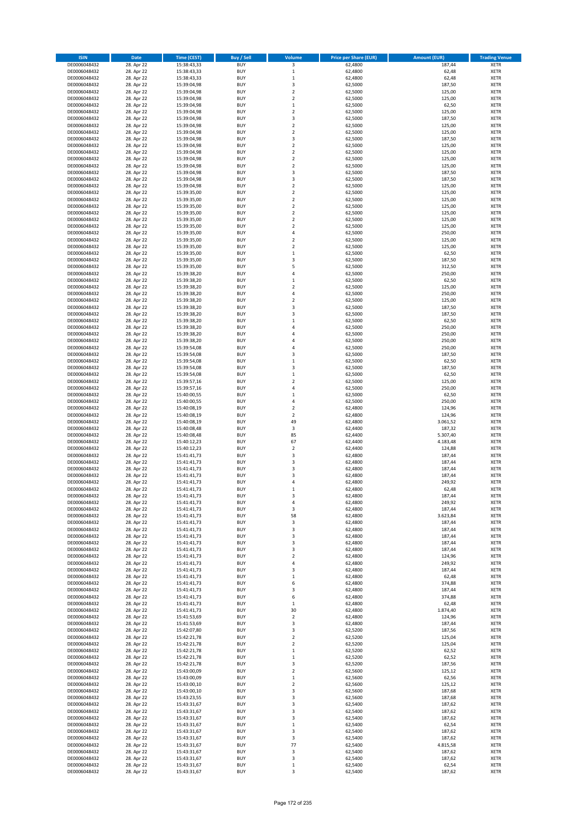| <b>ISIN</b>                  | Date                     | Time (CEST)                | <b>Buy / Sell</b>        | <b>Volume</b>                    | <b>Price per Share (EUR)</b> | <b>Amount (EUR)</b> | <b>Trading Venue</b>       |
|------------------------------|--------------------------|----------------------------|--------------------------|----------------------------------|------------------------------|---------------------|----------------------------|
| DE0006048432                 | 28. Apr 22               | 15:38:43,33                | <b>BUY</b>               | $\overline{\mathbf{3}}$          | 62,4800                      | 187,44              | <b>XETR</b>                |
| DE0006048432                 | 28. Apr 22               | 15:38:43,33                | <b>BUY</b>               | $\,$ 1                           | 62,4800                      | 62,48               | <b>XETR</b>                |
| DE0006048432                 | 28. Apr 22               | 15:38:43,33                | <b>BUY</b>               | $\mathbf 1$                      | 62,4800                      | 62,48               | XETR                       |
| DE0006048432<br>DE0006048432 | 28. Apr 22<br>28. Apr 22 | 15:39:04,98<br>15:39:04,98 | <b>BUY</b><br><b>BUY</b> | 3<br>$\mathbf 2$                 | 62,5000<br>62,5000           | 187,50<br>125,00    | <b>XETR</b><br><b>XETR</b> |
| DE0006048432                 | 28. Apr 22               | 15:39:04,98                | <b>BUY</b>               | $\overline{2}$                   | 62,5000                      | 125,00              | <b>XETR</b>                |
| DE0006048432                 | 28. Apr 22               | 15:39:04,98                | <b>BUY</b>               | $\mathbf{1}$                     | 62,5000                      | 62,50               | <b>XETR</b>                |
| DE0006048432                 | 28. Apr 22               | 15:39:04,98                | <b>BUY</b>               | $\mathbf 2$                      | 62,5000                      | 125,00              | <b>XETR</b>                |
| DE0006048432                 | 28. Apr 22               | 15:39:04,98                | <b>BUY</b><br><b>BUY</b> | 3<br>$\mathbf 2$                 | 62,5000                      | 187,50              | <b>XETR</b><br><b>XETR</b> |
| DE0006048432<br>DE0006048432 | 28. Apr 22<br>28. Apr 22 | 15:39:04,98<br>15:39:04,98 | <b>BUY</b>               | $\overline{2}$                   | 62,5000<br>62,5000           | 125,00<br>125,00    | <b>XETR</b>                |
| DE0006048432                 | 28. Apr 22               | 15:39:04,98                | <b>BUY</b>               | 3                                | 62,5000                      | 187,50              | <b>XETR</b>                |
| DE0006048432                 | 28. Apr 22               | 15:39:04,98                | <b>BUY</b>               | $\mathbf 2$                      | 62,5000                      | 125,00              | <b>XETR</b>                |
| DE0006048432                 | 28. Apr 22               | 15:39:04,98                | <b>BUY</b>               | $\mathbf 2$                      | 62,5000                      | 125,00              | <b>XETR</b>                |
| DE0006048432                 | 28. Apr 22               | 15:39:04,98                | <b>BUY</b>               | $\mathbf 2$                      | 62,5000                      | 125,00              | <b>XETR</b>                |
| DE0006048432<br>DE0006048432 | 28. Apr 22<br>28. Apr 22 | 15:39:04,98<br>15:39:04,98 | <b>BUY</b><br><b>BUY</b> | $\mathbf 2$<br>3                 | 62,5000<br>62,5000           | 125,00<br>187,50    | <b>XETR</b><br><b>XETR</b> |
| DE0006048432                 | 28. Apr 22               | 15:39:04,98                | <b>BUY</b>               | 3                                | 62,5000                      | 187,50              | <b>XETR</b>                |
| DE0006048432                 | 28. Apr 22               | 15:39:04,98                | <b>BUY</b>               | $\mathbf 2$                      | 62,5000                      | 125,00              | <b>XETR</b>                |
| DE0006048432                 | 28. Apr 22               | 15:39:35,00                | <b>BUY</b>               | $\mathbf 2$                      | 62,5000                      | 125,00              | <b>XETR</b>                |
| DE0006048432                 | 28. Apr 22               | 15:39:35,00                | <b>BUY</b>               | $\mathbf 2$                      | 62,5000                      | 125,00              | <b>XETR</b>                |
| DE0006048432<br>DE0006048432 | 28. Apr 22<br>28. Apr 22 | 15:39:35,00<br>15:39:35,00 | <b>BUY</b><br><b>BUY</b> | $\mathbf 2$<br>$\mathbf 2$       | 62,5000<br>62,5000           | 125,00<br>125,00    | <b>XETR</b><br><b>XETR</b> |
| DE0006048432                 | 28. Apr 22               | 15:39:35,00                | <b>BUY</b>               | $\overline{2}$                   | 62,5000                      | 125,00              | <b>XETR</b>                |
| DE0006048432                 | 28. Apr 22               | 15:39:35,00                | <b>BUY</b>               | $\mathbf 2$                      | 62,5000                      | 125,00              | <b>XETR</b>                |
| DE0006048432                 | 28. Apr 22               | 15:39:35,00                | <b>BUY</b>               | 4                                | 62,5000                      | 250,00              | <b>XETR</b>                |
| DE0006048432                 | 28. Apr 22               | 15:39:35,00                | <b>BUY</b>               | $\mathbf 2$                      | 62,5000                      | 125,00              | <b>XETR</b>                |
| DE0006048432<br>DE0006048432 | 28. Apr 22<br>28. Apr 22 | 15:39:35,00<br>15:39:35,00 | <b>BUY</b><br><b>BUY</b> | $\mathbf 2$<br>$\,1\,$           | 62,5000<br>62,5000           | 125,00<br>62,50     | <b>XETR</b><br><b>XETR</b> |
| DE0006048432                 | 28. Apr 22               | 15:39:35,00                | <b>BUY</b>               | 3                                | 62,5000                      | 187,50              | <b>XETR</b>                |
| DE0006048432                 | 28. Apr 22               | 15:39:35,00                | <b>BUY</b>               | 5                                | 62,5000                      | 312,50              | <b>XETR</b>                |
| DE0006048432                 | 28. Apr 22               | 15:39:38,20                | <b>BUY</b>               | 4                                | 62,5000                      | 250,00              | <b>XETR</b>                |
| DE0006048432                 | 28. Apr 22               | 15:39:38,20                | <b>BUY</b>               | $\mathbf 1$                      | 62,5000                      | 62,50               | <b>XETR</b>                |
| DE0006048432                 | 28. Apr 22               | 15:39:38,20                | <b>BUY</b>               | $\mathbf 2$<br>$\overline{4}$    | 62,5000                      | 125,00              | <b>XETR</b>                |
| DE0006048432<br>DE0006048432 | 28. Apr 22<br>28. Apr 22 | 15:39:38,20<br>15:39:38,20 | <b>BUY</b><br><b>BUY</b> | $\overline{\mathbf{2}}$          | 62,5000<br>62,5000           | 250,00<br>125,00    | <b>XETR</b><br><b>XETR</b> |
| DE0006048432                 | 28. Apr 22               | 15:39:38,20                | <b>BUY</b>               | 3                                | 62,5000                      | 187,50              | <b>XETR</b>                |
| DE0006048432                 | 28. Apr 22               | 15:39:38,20                | <b>BUY</b>               | 3                                | 62,5000                      | 187,50              | <b>XETR</b>                |
| DE0006048432                 | 28. Apr 22               | 15:39:38,20                | <b>BUY</b>               | $\mathbf 1$                      | 62,5000                      | 62,50               | <b>XETR</b>                |
| DE0006048432                 | 28. Apr 22               | 15:39:38,20                | <b>BUY</b>               | $\overline{4}$                   | 62,5000                      | 250,00              | <b>XETR</b>                |
| DE0006048432<br>DE0006048432 | 28. Apr 22<br>28. Apr 22 | 15:39:38,20                | <b>BUY</b><br><b>BUY</b> | $\overline{4}$<br>$\overline{4}$ | 62,5000<br>62,5000           | 250,00<br>250,00    | <b>XETR</b><br><b>XETR</b> |
| DE0006048432                 | 28. Apr 22               | 15:39:38,20<br>15:39:54,08 | <b>BUY</b>               | $\overline{a}$                   | 62,5000                      | 250,00              | <b>XETR</b>                |
| DE0006048432                 | 28. Apr 22               | 15:39:54,08                | <b>BUY</b>               | 3                                | 62,5000                      | 187,50              | <b>XETR</b>                |
| DE0006048432                 | 28. Apr 22               | 15:39:54,08                | <b>BUY</b>               | $\mathbf 1$                      | 62,5000                      | 62,50               | <b>XETR</b>                |
| DE0006048432                 | 28. Apr 22               | 15:39:54,08                | <b>BUY</b>               | 3                                | 62,5000                      | 187,50              | <b>XETR</b>                |
| DE0006048432                 | 28. Apr 22               | 15:39:54,08                | <b>BUY</b><br><b>BUY</b> | $\mathbf 1$<br>$\mathbf 2$       | 62,5000                      | 62,50               | <b>XETR</b>                |
| DE0006048432<br>DE0006048432 | 28. Apr 22<br>28. Apr 22 | 15:39:57,16<br>15:39:57,16 | <b>BUY</b>               | 4                                | 62,5000<br>62,5000           | 125,00<br>250,00    | <b>XETR</b><br><b>XETR</b> |
| DE0006048432                 | 28. Apr 22               | 15:40:00,55                | <b>BUY</b>               | $\mathbf{1}$                     | 62,5000                      | 62,50               | <b>XETR</b>                |
| DE0006048432                 | 28. Apr 22               | 15:40:00,55                | <b>BUY</b>               | $\overline{4}$                   | 62,5000                      | 250,00              | <b>XETR</b>                |
| DE0006048432                 | 28. Apr 22               | 15:40:08,19                | <b>BUY</b>               | $\overline{2}$                   | 62,4800                      | 124,96              | <b>XETR</b>                |
| DE0006048432<br>DE0006048432 | 28. Apr 22               | 15:40:08,19<br>15:40:08,19 | <b>BUY</b><br><b>BUY</b> | $\mathbf 2$<br>49                | 62,4800                      | 124,96              | <b>XETR</b><br><b>XETR</b> |
| DE0006048432                 | 28. Apr 22<br>28. Apr 22 | 15:40:08,48                | <b>BUY</b>               | $\mathsf 3$                      | 62,4800<br>62,4400           | 3.061,52<br>187,32  | <b>XETR</b>                |
| DE0006048432                 | 28. Apr 22               | 15:40:08,48                | <b>BUY</b>               | 85                               | 62,4400                      | 5.307,40            | <b>XETR</b>                |
| DE0006048432                 | 28. Apr 22               | 15:40:12,23                | <b>BUY</b>               | 67                               | 62,4400                      | 4.183,48            | <b>XETR</b>                |
| DE0006048432                 | 28. Apr 22               | 15:40:12,23                | <b>BUY</b>               | $\overline{2}$                   | 62,4400                      | 124,88              | <b>XETR</b>                |
| DE0006048432                 | 28. Apr 22               | 15:41:41,73<br>15:41:41,73 | <b>BUY</b>               | 3                                | 62,4800                      | 187,44              | <b>XETR</b>                |
| DE0006048432<br>DE0006048432 | 28. Apr 22<br>28. Apr 22 | 15:41:41,73                | <b>BUY</b><br><b>BUY</b> | 3<br>3                           | 62,4800<br>62,4800           | 187,44<br>187,44    | <b>XETR</b><br><b>XETR</b> |
| DE0006048432                 | 28. Apr 22               | 15:41:41,73                | <b>BUY</b>               | 3                                | 62,4800                      | 187,44              | <b>XETR</b>                |
| DE0006048432                 | 28. Apr 22               | 15:41:41,73                | <b>BUY</b>               | $\overline{a}$                   | 62,4800                      | 249,92              | <b>XETR</b>                |
| DE0006048432                 | 28. Apr 22               | 15:41:41,73                | <b>BUY</b>               | $\mathbf{1}$                     | 62.4800                      | 62,48               | <b>XETR</b>                |
| DE0006048432<br>DE0006048432 | 28. Apr 22<br>28. Apr 22 | 15:41:41,73<br>15:41:41,73 | <b>BUY</b><br><b>BUY</b> | 3<br>4                           | 62,4800<br>62,4800           | 187,44<br>249,92    | <b>XETR</b><br><b>XETR</b> |
| DE0006048432                 | 28. Apr 22               | 15:41:41,73                | <b>BUY</b>               | 3                                | 62,4800                      | 187,44              | XETR                       |
| DE0006048432                 | 28. Apr 22               | 15:41:41,73                | <b>BUY</b>               | 58                               | 62,4800                      | 3.623,84            | <b>XETR</b>                |
| DE0006048432                 | 28. Apr 22               | 15:41:41,73                | <b>BUY</b>               | 3                                | 62,4800                      | 187,44              | <b>XETR</b>                |
| DE0006048432                 | 28. Apr 22               | 15:41:41,73                | <b>BUY</b>               | 3                                | 62,4800                      | 187,44              | <b>XETR</b>                |
| DE0006048432<br>DE0006048432 | 28. Apr 22<br>28. Apr 22 | 15:41:41,73                | <b>BUY</b><br><b>BUY</b> | 3<br>3                           | 62,4800<br>62,4800           | 187,44              | <b>XETR</b><br><b>XETR</b> |
| DE0006048432                 | 28. Apr 22               | 15:41:41,73<br>15:41:41,73 | <b>BUY</b>               | 3                                | 62,4800                      | 187,44<br>187,44    | <b>XETR</b>                |
| DE0006048432                 | 28. Apr 22               | 15:41:41,73                | <b>BUY</b>               | $\mathbf 2$                      | 62,4800                      | 124,96              | <b>XETR</b>                |
| DE0006048432                 | 28. Apr 22               | 15:41:41,73                | <b>BUY</b>               | 4                                | 62,4800                      | 249,92              | <b>XETR</b>                |
| DE0006048432                 | 28. Apr 22               | 15:41:41,73                | <b>BUY</b>               | 3                                | 62,4800                      | 187,44              | <b>XETR</b>                |
| DE0006048432<br>DE0006048432 | 28. Apr 22<br>28. Apr 22 | 15:41:41,73<br>15:41:41,73 | <b>BUY</b><br><b>BUY</b> | $\mathbf 1$<br>6                 | 62,4800<br>62,4800           | 62,48<br>374,88     | <b>XETR</b><br><b>XETR</b> |
| DE0006048432                 | 28. Apr 22               | 15:41:41,73                | <b>BUY</b>               | 3                                | 62,4800                      | 187,44              | <b>XETR</b>                |
| DE0006048432                 | 28. Apr 22               | 15:41:41,73                | <b>BUY</b>               | 6                                | 62,4800                      | 374,88              | <b>XETR</b>                |
| DE0006048432                 | 28. Apr 22               | 15:41:41,73                | <b>BUY</b>               | $\mathbf 1$                      | 62,4800                      | 62,48               | XETR                       |
| DE0006048432                 | 28. Apr 22               | 15:41:41,73                | <b>BUY</b>               | 30                               | 62,4800                      | 1.874,40            | <b>XETR</b>                |
| DE0006048432<br>DE0006048432 | 28. Apr 22<br>28. Apr 22 | 15:41:53,69<br>15:41:53,69 | <b>BUY</b><br><b>BUY</b> | $\overline{2}$<br>3              | 62,4800<br>62,4800           | 124,96<br>187,44    | <b>XETR</b><br><b>XETR</b> |
| DE0006048432                 | 28. Apr 22               | 15:42:07,80                | <b>BUY</b>               | 3                                | 62,5200                      | 187,56              | <b>XETR</b>                |
| DE0006048432                 | 28. Apr 22               | 15:42:21,78                | <b>BUY</b>               | $\overline{2}$                   | 62,5200                      | 125,04              | <b>XETR</b>                |
| DE0006048432                 | 28. Apr 22               | 15:42:21,78                | <b>BUY</b>               | $\mathbf 2$                      | 62,5200                      | 125,04              | <b>XETR</b>                |
| DE0006048432                 | 28. Apr 22               | 15:42:21,78                | <b>BUY</b>               | $\mathbf 1$                      | 62,5200                      | 62,52               | <b>XETR</b>                |
| DE0006048432<br>DE0006048432 | 28. Apr 22<br>28. Apr 22 | 15:42:21,78<br>15:42:21,78 | <b>BUY</b><br><b>BUY</b> | $\,$ 1<br>3                      | 62,5200<br>62,5200           | 62,52<br>187,56     | <b>XETR</b><br><b>XETR</b> |
| DE0006048432                 | 28. Apr 22               | 15:43:00,09                | <b>BUY</b>               | $\overline{2}$                   | 62,5600                      | 125,12              | <b>XETR</b>                |
| DE0006048432                 | 28. Apr 22               | 15:43:00,09                | <b>BUY</b>               | $\,$ 1                           | 62,5600                      | 62,56               | <b>XETR</b>                |
| DE0006048432                 | 28. Apr 22               | 15:43:00,10                | <b>BUY</b>               | $\overline{2}$                   | 62,5600                      | 125,12              | <b>XETR</b>                |
| DE0006048432                 | 28. Apr 22               | 15:43:00,10                | <b>BUY</b>               | 3                                | 62,5600                      | 187,68              | XETR                       |
| DE0006048432<br>DE0006048432 | 28. Apr 22<br>28. Apr 22 | 15:43:23,55<br>15:43:31,67 | <b>BUY</b><br><b>BUY</b> | 3<br>3                           | 62,5600<br>62,5400           | 187,68<br>187,62    | <b>XETR</b><br><b>XETR</b> |
| DE0006048432                 | 28. Apr 22               | 15:43:31,67                | <b>BUY</b>               | 3                                | 62,5400                      | 187,62              | <b>XETR</b>                |
| DE0006048432                 | 28. Apr 22               | 15:43:31,67                | <b>BUY</b>               | 3                                | 62,5400                      | 187,62              | <b>XETR</b>                |
| DE0006048432                 | 28. Apr 22               | 15:43:31,67                | <b>BUY</b>               | $\mathbf 1$                      | 62,5400                      | 62,54               | <b>XETR</b>                |
| DE0006048432                 | 28. Apr 22               | 15:43:31,67                | <b>BUY</b>               | 3                                | 62,5400                      | 187,62              | <b>XETR</b>                |
| DE0006048432<br>DE0006048432 | 28. Apr 22<br>28. Apr 22 | 15:43:31,67<br>15:43:31,67 | <b>BUY</b><br><b>BUY</b> | 3<br>77                          | 62,5400<br>62,5400           | 187,62<br>4.815,58  | XETR<br><b>XETR</b>        |
| DE0006048432                 | 28. Apr 22               | 15:43:31,67                | <b>BUY</b>               | 3                                | 62,5400                      | 187,62              | XETR                       |
| DE0006048432                 | 28. Apr 22               | 15:43:31,67                | <b>BUY</b>               | 3                                | 62,5400                      | 187,62              | <b>XETR</b>                |
| DE0006048432                 | 28. Apr 22               | 15:43:31,67                | <b>BUY</b>               | $\mathbf 1$                      | 62,5400                      | 62,54               | <b>XETR</b>                |
| DE0006048432                 | 28. Apr 22               | 15:43:31,67                | <b>BUY</b>               | 3                                | 62,5400                      | 187,62              | <b>XETR</b>                |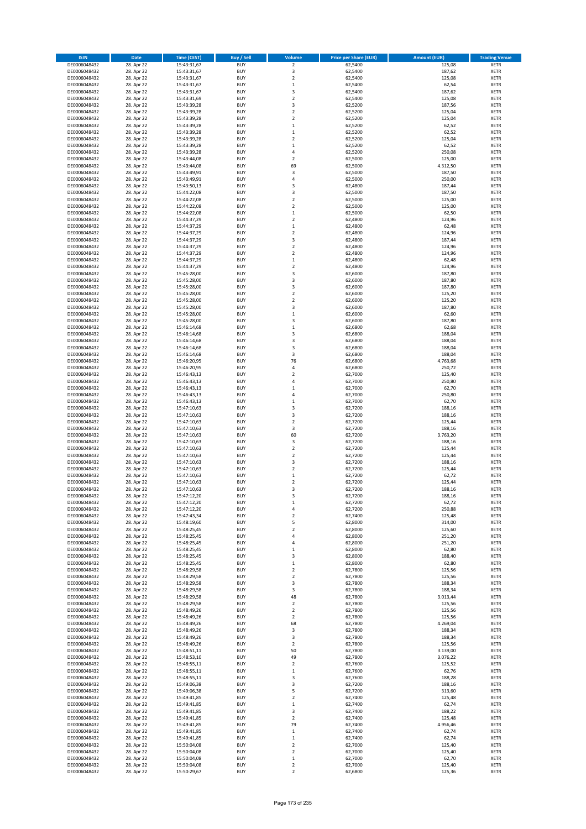| <b>ISIN</b>                  | <b>Date</b>              | <b>Time (CEST)</b>         | <b>Buy / Sell</b>        | <b>Volume</b>                          | <b>Price per Share (EUR)</b> | <b>Amount (EUR)</b> | <b>Trading Venue</b>       |
|------------------------------|--------------------------|----------------------------|--------------------------|----------------------------------------|------------------------------|---------------------|----------------------------|
| DE0006048432                 | 28. Apr 22               | 15:43:31,67                | <b>BUY</b>               | $\overline{\mathbf{2}}$                | 62,5400                      | 125,08              | <b>XETR</b>                |
| DE0006048432                 | 28. Apr 22               | 15:43:31,67                | <b>BUY</b>               | 3                                      | 62,5400                      | 187,62              | <b>XETR</b>                |
| DE0006048432                 | 28. Apr 22               | 15:43:31,67                | <b>BUY</b>               | $\mathbf 2$                            | 62,5400                      | 125,08              | <b>XETR</b>                |
| DE0006048432<br>DE0006048432 | 28. Apr 22<br>28. Apr 22 | 15:43:31,67<br>15:43:31,67 | <b>BUY</b><br><b>BUY</b> | $\mathbf 1$<br>3                       | 62,5400<br>62,5400           | 62,54<br>187,62     | <b>XETR</b><br><b>XETR</b> |
| DE0006048432                 | 28. Apr 22               | 15:43:31,69                | <b>BUY</b>               | $\mathbf 2$                            | 62,5400                      | 125,08              | <b>XETR</b>                |
| DE0006048432                 | 28. Apr 22               | 15:43:39,28                | <b>BUY</b>               | 3                                      | 62,5200                      | 187,56              | <b>XETR</b>                |
| DE0006048432                 | 28. Apr 22               | 15:43:39,28                | <b>BUY</b>               | $\overline{\mathbf{c}}$                | 62,5200                      | 125,04              | <b>XETR</b>                |
| DE0006048432                 | 28. Apr 22               | 15:43:39,28                | <b>BUY</b>               | $\overline{2}$                         | 62,5200                      | 125,04              | <b>XETR</b>                |
| DE0006048432                 | 28. Apr 22               | 15:43:39,28                | <b>BUY</b>               | $\mathbf 1$                            | 62,5200                      | 62,52               | <b>XETR</b>                |
| DE0006048432                 | 28. Apr 22               | 15:43:39,28                | <b>BUY</b>               | $\mathbf 1$                            | 62,5200                      | 62,52               | <b>XETR</b>                |
| DE0006048432<br>DE0006048432 | 28. Apr 22<br>28. Apr 22 | 15:43:39,28<br>15:43:39,28 | <b>BUY</b><br><b>BUY</b> | $\overline{\mathbf{c}}$<br>$\mathbf 1$ | 62,5200<br>62,5200           | 125,04<br>62,52     | <b>XETR</b><br><b>XETR</b> |
| DE0006048432                 | 28. Apr 22               | 15:43:39,28                | <b>BUY</b>               | 4                                      | 62,5200                      | 250,08              | <b>XETR</b>                |
| DE0006048432                 | 28. Apr 22               | 15:43:44,08                | <b>BUY</b>               | $\overline{\mathbf{c}}$                | 62,5000                      | 125,00              | <b>XETR</b>                |
| DE0006048432                 | 28. Apr 22               | 15:43:44,08                | <b>BUY</b>               | 69                                     | 62,5000                      | 4.312,50            | <b>XETR</b>                |
| DE0006048432                 | 28. Apr 22               | 15:43:49,91                | <b>BUY</b>               | 3                                      | 62,5000                      | 187,50              | <b>XETR</b>                |
| DE0006048432                 | 28. Apr 22               | 15:43:49,91                | <b>BUY</b>               | 4                                      | 62,5000                      | 250,00              | <b>XETR</b>                |
| DE0006048432                 | 28. Apr 22               | 15:43:50,13                | <b>BUY</b>               | 3                                      | 62,4800                      | 187,44              | <b>XETR</b>                |
| DE0006048432                 | 28. Apr 22               | 15:44:22,08                | <b>BUY</b>               | 3                                      | 62,5000                      | 187,50              | <b>XETR</b>                |
| DE0006048432<br>DE0006048432 | 28. Apr 22<br>28. Apr 22 | 15:44:22,08<br>15:44:22,08 | <b>BUY</b><br><b>BUY</b> | $\overline{\mathbf{c}}$<br>$\mathbf 2$ | 62,5000<br>62,5000           | 125,00<br>125,00    | <b>XETR</b><br><b>XETR</b> |
| DE0006048432                 | 28. Apr 22               | 15:44:22,08                | <b>BUY</b>               | $\mathbf 1$                            | 62,5000                      | 62,50               | <b>XETR</b>                |
| DE0006048432                 | 28. Apr 22               | 15:44:37,29                | <b>BUY</b>               | $\mathbf 2$                            | 62,4800                      | 124,96              | <b>XETR</b>                |
| DE0006048432                 | 28. Apr 22               | 15:44:37,29                | <b>BUY</b>               | $\mathbf 1$                            | 62,4800                      | 62,48               | <b>XETR</b>                |
| DE0006048432                 | 28. Apr 22               | 15:44:37,29                | <b>BUY</b>               | $\mathbf 2$                            | 62,4800                      | 124,96              | <b>XETR</b>                |
| DE0006048432                 | 28. Apr 22               | 15:44:37,29                | <b>BUY</b>               | 3                                      | 62,4800                      | 187,44              | <b>XETR</b>                |
| DE0006048432                 | 28. Apr 22               | 15:44:37,29                | <b>BUY</b>               | $\overline{\mathbf{c}}$                | 62,4800                      | 124,96              | <b>XETR</b>                |
| DE0006048432<br>DE0006048432 | 28. Apr 22<br>28. Apr 22 | 15:44:37,29<br>15:44:37,29 | <b>BUY</b><br><b>BUY</b> | $\mathbf 2$<br>$\mathbf 1$             | 62,4800<br>62,4800           | 124,96<br>62,48     | <b>XETR</b><br><b>XETR</b> |
| DE0006048432                 | 28. Apr 22               | 15:44:37,29                | <b>BUY</b>               | $\overline{a}$                         | 62,4800                      | 124,96              | <b>XETR</b>                |
| DE0006048432                 | 28. Apr 22               | 15:45:28,00                | <b>BUY</b>               | 3                                      | 62,6000                      | 187,80              | <b>XETR</b>                |
| DE0006048432                 | 28. Apr 22               | 15:45:28,00                | <b>BUY</b>               | 3                                      | 62,6000                      | 187,80              | <b>XETR</b>                |
| DE0006048432                 | 28. Apr 22               | 15:45:28,00                | <b>BUY</b>               | 3                                      | 62,6000                      | 187,80              | <b>XETR</b>                |
| DE0006048432                 | 28. Apr 22               | 15:45:28,00                | <b>BUY</b>               | $\mathbf 2$                            | 62,6000                      | 125,20              | <b>XETR</b>                |
| DE0006048432                 | 28. Apr 22               | 15:45:28,00                | <b>BUY</b>               | $\mathbf 2$                            | 62,6000                      | 125,20              | <b>XETR</b>                |
| DE0006048432                 | 28. Apr 22               | 15:45:28,00                | <b>BUY</b><br><b>BUY</b> | 3<br>$\mathbf 1$                       | 62,6000                      | 187,80              | <b>XETR</b>                |
| DE0006048432<br>DE0006048432 | 28. Apr 22<br>28. Apr 22 | 15:45:28,00<br>15:45:28,00 | <b>BUY</b>               | 3                                      | 62,6000<br>62,6000           | 62,60<br>187,80     | <b>XETR</b><br><b>XETR</b> |
| DE0006048432                 | 28. Apr 22               | 15:46:14,68                | <b>BUY</b>               | $\mathbf 1$                            | 62,6800                      | 62,68               | <b>XETR</b>                |
| DE0006048432                 | 28. Apr 22               | 15:46:14,68                | <b>BUY</b>               | 3                                      | 62,6800                      | 188,04              | <b>XETR</b>                |
| DE0006048432                 | 28. Apr 22               | 15:46:14,68                | <b>BUY</b>               | 3                                      | 62,6800                      | 188,04              | <b>XETR</b>                |
| DE0006048432                 | 28. Apr 22               | 15:46:14,68                | <b>BUY</b>               | 3                                      | 62,6800                      | 188,04              | <b>XETR</b>                |
| DE0006048432                 | 28. Apr 22               | 15:46:14,68                | <b>BUY</b>               | 3                                      | 62,6800                      | 188,04              | <b>XETR</b>                |
| DE0006048432                 | 28. Apr 22               | 15:46:20,95                | <b>BUY</b>               | 76                                     | 62,6800                      | 4.763,68            | <b>XETR</b>                |
| DE0006048432                 | 28. Apr 22               | 15:46:20,95                | <b>BUY</b>               | 4                                      | 62,6800                      | 250,72              | <b>XETR</b>                |
| DE0006048432<br>DE0006048432 | 28. Apr 22<br>28. Apr 22 | 15:46:43,13<br>15:46:43,13 | <b>BUY</b><br><b>BUY</b> | $\mathbf 2$<br>4                       | 62,7000<br>62,7000           | 125,40<br>250,80    | <b>XETR</b><br><b>XETR</b> |
| DE0006048432                 | 28. Apr 22               | 15:46:43,13                | <b>BUY</b>               | $\mathbf 1$                            | 62,7000                      | 62,70               | <b>XETR</b>                |
| DE0006048432                 | 28. Apr 22               | 15:46:43,13                | <b>BUY</b>               | 4                                      | 62,7000                      | 250,80              | <b>XETR</b>                |
| DE0006048432                 | 28. Apr 22               | 15:46:43,13                | <b>BUY</b>               | $\mathbf 1$                            | 62,7000                      | 62,70               | <b>XETR</b>                |
| DE0006048432                 | 28. Apr 22               | 15:47:10,63                | <b>BUY</b>               | 3                                      | 62,7200                      | 188,16              | <b>XETR</b>                |
| DE0006048432                 | 28. Apr 22               | 15:47:10,63                | <b>BUY</b>               | 3                                      | 62,7200                      | 188,16              | <b>XETR</b>                |
| DE0006048432                 | 28. Apr 22               | 15:47:10,63                | <b>BUY</b>               | $\mathbf 2$                            | 62,7200                      | 125,44              | <b>XETR</b>                |
| DE0006048432<br>DE0006048432 | 28. Apr 22<br>28. Apr 22 | 15:47:10,63                | <b>BUY</b><br><b>BUY</b> | 3<br>60                                | 62,7200<br>62,7200           | 188,16<br>3.763,20  | <b>XETR</b><br><b>XETR</b> |
| DE0006048432                 | 28. Apr 22               | 15:47:10,63<br>15:47:10,63 | <b>BUY</b>               | 3                                      | 62,7200                      | 188,16              | <b>XETR</b>                |
| DE0006048432                 | 28. Apr 22               | 15:47:10,63                | <b>BUY</b>               | $\overline{\mathbf{c}}$                | 62,7200                      | 125,44              | <b>XETR</b>                |
| DE0006048432                 | 28. Apr 22               | 15:47:10,63                | <b>BUY</b>               | $\overline{\mathbf{c}}$                | 62,7200                      | 125,44              | <b>XETR</b>                |
| DE0006048432                 | 28. Apr 22               | 15:47:10,63                | <b>BUY</b>               | 3                                      | 62,7200                      | 188,16              | <b>XETR</b>                |
| DE0006048432                 | 28. Apr 22               | 15:47:10,63                | <b>BUY</b>               | $\mathbf 2$                            | 62,7200                      | 125,44              | <b>XETR</b>                |
| DE0006048432                 | 28. Apr 22               | 15:47:10,63                | <b>BUY</b>               | $\mathbf 1$                            | 62,7200                      | 62,72               | <b>XETR</b>                |
| DE0006048432<br>DE0006048432 | 28. Apr 22<br>28. Apr 22 | 15:47:10,63<br>15:47:10,63 | <b>BUY</b><br><b>BUY</b> | $\overline{\mathbf{c}}$<br>3           | 62,7200<br>62,7200           | 125,44<br>188,16    | <b>XETR</b><br><b>XETR</b> |
| DE0006048432                 | 28. Apr 22               | 15:47:12,20                | BUY                      | 3                                      | 62,7200                      | 188,16              | <b>XETR</b>                |
| DE0006048432                 | 28. Apr 22               | 15:47:12,20                | <b>BUY</b>               | $\mathbf 1$                            | 62,7200                      | 62,72               | <b>XETR</b>                |
| DE0006048432                 | 28. Apr 22               | 15:47:12,20                | <b>BUY</b>               | 4                                      | 62,7200                      | 250,88              | <b>XETR</b>                |
| DE0006048432                 | 28. Apr 22               | 15:47:43,34                | <b>BUY</b>               | $\mathbf 2$                            | 62,7400                      | 125,48              | XETR                       |
| DE0006048432                 | 28. Apr 22               | 15:48:19,60                | <b>BUY</b>               | 5                                      | 62,8000                      | 314,00              | <b>XETR</b>                |
| DE0006048432                 | 28. Apr 22               | 15:48:25,45                | <b>BUY</b>               | $\mathbf 2$                            | 62,8000                      | 125,60              | <b>XETR</b>                |
| DE0006048432<br>DE0006048432 | 28. Apr 22<br>28. Apr 22 | 15:48:25,45<br>15:48:25,45 | <b>BUY</b><br><b>BUY</b> | 4<br>4                                 | 62,8000<br>62,8000           | 251,20<br>251,20    | <b>XETR</b><br><b>XETR</b> |
| DE0006048432                 | 28. Apr 22               | 15:48:25,45                | <b>BUY</b>               | $\mathbf 1$                            | 62,8000                      | 62,80               | <b>XETR</b>                |
| DE0006048432                 | 28. Apr 22               | 15:48:25,45                | <b>BUY</b>               | 3                                      | 62,8000                      | 188,40              | <b>XETR</b>                |
| DE0006048432                 | 28. Apr 22               | 15:48:25,45                | <b>BUY</b>               | $\mathbf 1$                            | 62,8000                      | 62,80               | <b>XETR</b>                |
| DE0006048432                 | 28. Apr 22               | 15:48:29,58                | <b>BUY</b>               | $\overline{2}$                         | 62,7800                      | 125,56              | <b>XETR</b>                |
| DE0006048432                 | 28. Apr 22               | 15:48:29,58                | <b>BUY</b>               | $\mathbf 2$                            | 62,7800                      | 125,56              | <b>XETR</b>                |
| DE0006048432<br>DE0006048432 | 28. Apr 22<br>28. Apr 22 | 15:48:29,58<br>15:48:29,58 | <b>BUY</b><br><b>BUY</b> | 3<br>3                                 | 62,7800<br>62,7800           | 188,34<br>188,34    | <b>XETR</b><br><b>XETR</b> |
| DE0006048432                 | 28. Apr 22               | 15:48:29,58                | <b>BUY</b>               | 48                                     | 62,7800                      | 3.013,44            | <b>XETR</b>                |
| DE0006048432                 | 28. Apr 22               | 15:48:29,58                | <b>BUY</b>               | $\mathbf 2$                            | 62,7800                      | 125,56              | <b>XETR</b>                |
| DE0006048432                 | 28. Apr 22               | 15:48:49,26                | <b>BUY</b>               | $\mathbf 2$                            | 62,7800                      | 125,56              | <b>XETR</b>                |
| DE0006048432                 | 28. Apr 22               | 15:48:49,26                | <b>BUY</b>               | $\mathbf 2$                            | 62,7800                      | 125,56              | XETR                       |
| DE0006048432                 | 28. Apr 22               | 15:48:49,26                | <b>BUY</b>               | 68                                     | 62,7800                      | 4.269,04            | <b>XETR</b>                |
| DE0006048432                 | 28. Apr 22               | 15:48:49,26                | <b>BUY</b>               | 3                                      | 62,7800                      | 188,34              | <b>XETR</b>                |
| DE0006048432<br>DE0006048432 | 28. Apr 22<br>28. Apr 22 | 15:48:49,26<br>15:48:49,26 | <b>BUY</b><br><b>BUY</b> | 3<br>$\overline{\mathbf{2}}$           | 62,7800<br>62,7800           | 188,34<br>125,56    | <b>XETR</b><br><b>XETR</b> |
| DE0006048432                 | 28. Apr 22               | 15:48:51,11                | <b>BUY</b>               | 50                                     | 62,7800                      | 3.139,00            | <b>XETR</b>                |
| DE0006048432                 | 28. Apr 22               | 15:48:53,10                | <b>BUY</b>               | 49                                     | 62,7800                      | 3.076,22            | <b>XETR</b>                |
| DE0006048432                 | 28. Apr 22               | 15:48:55,11                | <b>BUY</b>               | $\mathbf 2$                            | 62,7600                      | 125,52              | <b>XETR</b>                |
| DE0006048432                 | 28. Apr 22               | 15:48:55,11                | <b>BUY</b>               | $\mathbf 1$                            | 62,7600                      | 62,76               | <b>XETR</b>                |
| DE0006048432                 | 28. Apr 22               | 15:48:55,11                | <b>BUY</b>               | 3                                      | 62,7600                      | 188,28              | <b>XETR</b>                |
| DE0006048432                 | 28. Apr 22               | 15:49:06,38                | <b>BUY</b>               | 3                                      | 62,7200                      | 188,16              | <b>XETR</b>                |
| DE0006048432                 | 28. Apr 22               | 15:49:06,38                | <b>BUY</b>               | 5                                      | 62,7200                      | 313,60              | XETR                       |
| DE0006048432<br>DE0006048432 | 28. Apr 22<br>28. Apr 22 | 15:49:41,85<br>15:49:41,85 | <b>BUY</b><br><b>BUY</b> | $\mathbf 2$<br>$\mathbf 1$             | 62,7400<br>62,7400           | 125,48<br>62,74     | <b>XETR</b><br><b>XETR</b> |
| DE0006048432                 | 28. Apr 22               | 15:49:41,85                | <b>BUY</b>               | 3                                      | 62,7400                      | 188,22              | <b>XETR</b>                |
| DE0006048432                 | 28. Apr 22               | 15:49:41,85                | <b>BUY</b>               | $\overline{\mathbf{c}}$                | 62,7400                      | 125,48              | <b>XETR</b>                |
| DE0006048432                 | 28. Apr 22               | 15:49:41,85                | <b>BUY</b>               | 79                                     | 62,7400                      | 4.956,46            | <b>XETR</b>                |
| DE0006048432                 | 28. Apr 22               | 15:49:41,85                | <b>BUY</b>               | $\mathbf 1$                            | 62,7400                      | 62,74               | <b>XETR</b>                |
| DE0006048432                 | 28. Apr 22               | 15:49:41,85                | <b>BUY</b>               | $\mathbf 1$                            | 62,7400                      | 62,74               | <b>XETR</b>                |
| DE0006048432                 | 28. Apr 22               | 15:50:04,08                | <b>BUY</b>               | $\mathbf 2$                            | 62,7000                      | 125,40              | XETR                       |
| DE0006048432<br>DE0006048432 | 28. Apr 22<br>28. Apr 22 | 15:50:04,08<br>15:50:04,08 | <b>BUY</b><br><b>BUY</b> | $\overline{2}$<br>$\mathbf 1$          | 62,7000<br>62,7000           | 125,40<br>62,70     | <b>XETR</b><br><b>XETR</b> |
| DE0006048432                 | 28. Apr 22               | 15:50:04,08                | <b>BUY</b>               | $\mathbf 2$                            | 62,7000                      | 125,40              | <b>XETR</b>                |
| DE0006048432                 | 28. Apr 22               | 15:50:29,67                | <b>BUY</b>               | $\mathbf 2$                            | 62,6800                      | 125,36              | XETR                       |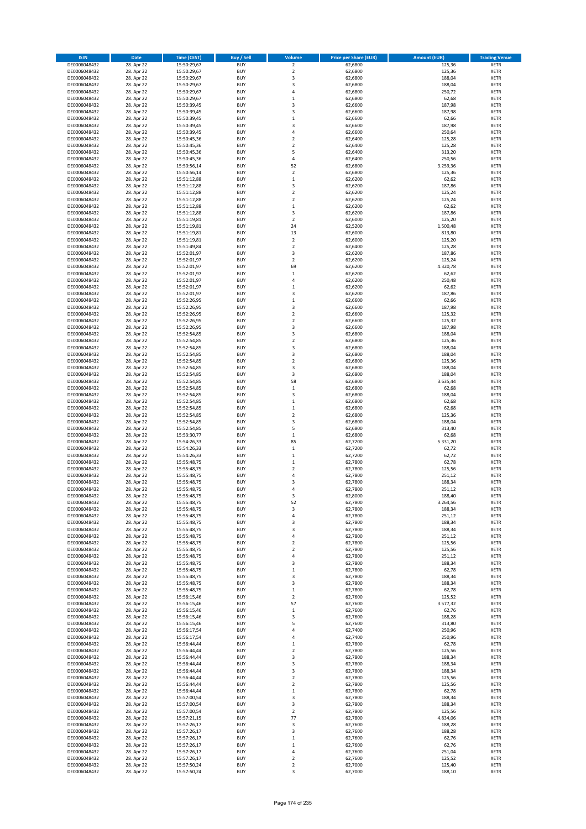| <b>ISIN</b>                  | <b>Date</b>              | <b>Time (CEST)</b>         | <b>Buy / Sell</b>        | Volume                        | <b>Price per Share (EUR)</b> | <b>Amount (EUR)</b> | <b>Trading Venue</b>       |
|------------------------------|--------------------------|----------------------------|--------------------------|-------------------------------|------------------------------|---------------------|----------------------------|
| DE0006048432                 | 28. Apr 22               | 15:50:29,67                | <b>BUY</b>               | $\overline{\mathbf{2}}$       | 62,6800                      | 125,36              | <b>XETR</b>                |
| DE0006048432                 | 28. Apr 22               | 15:50:29,67                | <b>BUY</b>               | $\mathbf 2$                   | 62,6800                      | 125,36              | <b>XETR</b>                |
| DE0006048432                 | 28. Apr 22               | 15:50:29,67                | <b>BUY</b>               | 3                             | 62,6800                      | 188,04              | <b>XETR</b>                |
| DE0006048432<br>DE0006048432 | 28. Apr 22<br>28. Apr 22 | 15:50:29,67<br>15:50:29,67 | <b>BUY</b><br><b>BUY</b> | 3<br>4                        | 62,6800<br>62,6800           | 188,04<br>250,72    | <b>XETR</b><br><b>XETR</b> |
| DE0006048432                 | 28. Apr 22               | 15:50:29,67                | <b>BUY</b>               | $\mathbf 1$                   | 62,6800                      | 62,68               | <b>XETR</b>                |
| DE0006048432                 | 28. Apr 22               | 15:50:39,45                | <b>BUY</b>               | $\overline{\mathbf{3}}$       | 62,6600                      | 187,98              | <b>XETR</b>                |
| DE0006048432                 | 28. Apr 22               | 15:50:39,45                | <b>BUY</b>               | 3                             | 62,6600                      | 187,98              | <b>XETR</b>                |
| DE0006048432                 | 28. Apr 22               | 15:50:39,45                | <b>BUY</b>               | $\mathbf{1}$                  | 62,6600                      | 62,66               | <b>XETR</b>                |
| DE0006048432                 | 28. Apr 22               | 15:50:39,45                | <b>BUY</b><br><b>BUY</b> | 3                             | 62,6600                      | 187,98              | <b>XETR</b>                |
| DE0006048432<br>DE0006048432 | 28. Apr 22<br>28. Apr 22 | 15:50:39,45<br>15:50:45,36 | <b>BUY</b>               | 4<br>$\overline{\mathbf{c}}$  | 62,6600<br>62,6400           | 250,64<br>125,28    | <b>XETR</b><br><b>XETR</b> |
| DE0006048432                 | 28. Apr 22               | 15:50:45,36                | <b>BUY</b>               | $\mathbf 2$                   | 62,6400                      | 125,28              | <b>XETR</b>                |
| DE0006048432                 | 28. Apr 22               | 15:50:45,36                | <b>BUY</b>               | 5                             | 62,6400                      | 313,20              | <b>XETR</b>                |
| DE0006048432                 | 28. Apr 22               | 15:50:45,36                | <b>BUY</b>               | 4                             | 62,6400                      | 250,56              | <b>XETR</b>                |
| DE0006048432                 | 28. Apr 22               | 15:50:56,14                | <b>BUY</b>               | 52                            | 62,6800                      | 3.259,36            | <b>XETR</b>                |
| DE0006048432<br>DE0006048432 | 28. Apr 22<br>28. Apr 22 | 15:50:56,14<br>15:51:12,88 | <b>BUY</b><br><b>BUY</b> | $\mathbf 2$<br>$\mathbf 1$    | 62,6800<br>62,6200           | 125,36<br>62,62     | <b>XETR</b><br><b>XETR</b> |
| DE0006048432                 | 28. Apr 22               | 15:51:12,88                | <b>BUY</b>               | 3                             | 62,6200                      | 187,86              | <b>XETR</b>                |
| DE0006048432                 | 28. Apr 22               | 15:51:12,88                | <b>BUY</b>               | $\mathbf 2$                   | 62,6200                      | 125,24              | <b>XETR</b>                |
| DE0006048432                 | 28. Apr 22               | 15:51:12,88                | <b>BUY</b>               | $\overline{\mathbf{c}}$       | 62,6200                      | 125,24              | <b>XETR</b>                |
| DE0006048432                 | 28. Apr 22               | 15:51:12,88                | <b>BUY</b>               | $\mathbf 1$                   | 62,6200                      | 62,62               | <b>XETR</b>                |
| DE0006048432                 | 28. Apr 22               | 15:51:12,88                | <b>BUY</b>               | 3                             | 62,6200                      | 187,86              | <b>XETR</b>                |
| DE0006048432<br>DE0006048432 | 28. Apr 22<br>28. Apr 22 | 15:51:19,81<br>15:51:19,81 | <b>BUY</b><br><b>BUY</b> | $\mathbf 2$<br>24             | 62,6000<br>62,5200           | 125,20<br>1.500,48  | <b>XETR</b><br><b>XETR</b> |
| DE0006048432                 | 28. Apr 22               | 15:51:19,81                | <b>BUY</b>               | 13                            | 62,6000                      | 813,80              | <b>XETR</b>                |
| DE0006048432                 | 28. Apr 22               | 15:51:19,81                | <b>BUY</b>               | $\mathbf 2$                   | 62,6000                      | 125,20              | <b>XETR</b>                |
| DE0006048432                 | 28. Apr 22               | 15:51:49,84                | <b>BUY</b>               | $\overline{\mathbf{c}}$       | 62,6400                      | 125,28              | <b>XETR</b>                |
| DE0006048432                 | 28. Apr 22               | 15:52:01,97                | <b>BUY</b>               | 3                             | 62,6200                      | 187,86              | <b>XETR</b>                |
| DE0006048432<br>DE0006048432 | 28. Apr 22<br>28. Apr 22 | 15:52:01,97<br>15:52:01,97 | <b>BUY</b><br><b>BUY</b> | $\overline{\mathbf{c}}$<br>69 | 62,6200<br>62,6200           | 125,24<br>4.320,78  | <b>XETR</b><br><b>XETR</b> |
| DE0006048432                 | 28. Apr 22               | 15:52:01,97                | <b>BUY</b>               | $\mathbf 1$                   | 62,6200                      | 62,62               | <b>XETR</b>                |
| DE0006048432                 | 28. Apr 22               | 15:52:01,97                | <b>BUY</b>               | 4                             | 62,6200                      | 250,48              | <b>XETR</b>                |
| DE0006048432                 | 28. Apr 22               | 15:52:01,97                | <b>BUY</b>               | $\mathbf 1$                   | 62,6200                      | 62,62               | <b>XETR</b>                |
| DE0006048432                 | 28. Apr 22               | 15:52:01,97                | <b>BUY</b>               | 3                             | 62,6200                      | 187,86              | <b>XETR</b>                |
| DE0006048432                 | 28. Apr 22<br>28. Apr 22 | 15:52:26,95                | <b>BUY</b>               | $\mathbf 1$                   | 62,6600                      | 62,66               | <b>XETR</b>                |
| DE0006048432<br>DE0006048432 | 28. Apr 22               | 15:52:26,95<br>15:52:26,95 | <b>BUY</b><br><b>BUY</b> | 3<br>$\mathbf 2$              | 62,6600<br>62,6600           | 187,98<br>125,32    | <b>XETR</b><br><b>XETR</b> |
| DE0006048432                 | 28. Apr 22               | 15:52:26,95                | <b>BUY</b>               | $\mathbf 2$                   | 62,6600                      | 125,32              | <b>XETR</b>                |
| DE0006048432                 | 28. Apr 22               | 15:52:26,95                | <b>BUY</b>               | 3                             | 62,6600                      | 187,98              | <b>XETR</b>                |
| DE0006048432                 | 28. Apr 22               | 15:52:54,85                | <b>BUY</b>               | 3                             | 62,6800                      | 188,04              | <b>XETR</b>                |
| DE0006048432                 | 28. Apr 22               | 15:52:54,85                | <b>BUY</b>               | $\mathbf 2$                   | 62,6800                      | 125,36              | <b>XETR</b>                |
| DE0006048432                 | 28. Apr 22               | 15:52:54,85                | <b>BUY</b>               | 3                             | 62,6800                      | 188,04              | <b>XETR</b>                |
| DE0006048432<br>DE0006048432 | 28. Apr 22<br>28. Apr 22 | 15:52:54,85<br>15:52:54,85 | <b>BUY</b><br><b>BUY</b> | 3<br>$\mathbf 2$              | 62,6800<br>62,6800           | 188,04<br>125,36    | <b>XETR</b><br><b>XETR</b> |
| DE0006048432                 | 28. Apr 22               | 15:52:54,85                | <b>BUY</b>               | 3                             | 62,6800                      | 188,04              | <b>XETR</b>                |
| DE0006048432                 | 28. Apr 22               | 15:52:54,85                | <b>BUY</b>               | 3                             | 62,6800                      | 188,04              | <b>XETR</b>                |
| DE0006048432                 | 28. Apr 22               | 15:52:54,85                | <b>BUY</b>               | 58                            | 62,6800                      | 3.635,44            | <b>XETR</b>                |
| DE0006048432                 | 28. Apr 22               | 15:52:54,85                | <b>BUY</b>               | $\mathbf 1$                   | 62,6800                      | 62,68               | <b>XETR</b>                |
| DE0006048432<br>DE0006048432 | 28. Apr 22<br>28. Apr 22 | 15:52:54,85<br>15:52:54,85 | <b>BUY</b><br><b>BUY</b> | 3<br>$\mathbf 1$              | 62,6800<br>62,6800           | 188,04<br>62,68     | <b>XETR</b><br><b>XETR</b> |
| DE0006048432                 | 28. Apr 22               | 15:52:54,85                | <b>BUY</b>               | $\mathbf 1$                   | 62,6800                      | 62,68               | <b>XETR</b>                |
| DE0006048432                 | 28. Apr 22               | 15:52:54,85                | <b>BUY</b>               | $\overline{2}$                | 62,6800                      | 125,36              | <b>XETR</b>                |
| DE0006048432                 | 28. Apr 22               | 15:52:54,85                | <b>BUY</b>               | 3                             | 62,6800                      | 188,04              | <b>XETR</b>                |
| DE0006048432                 | 28. Apr 22               | 15:52:54,85                | <b>BUY</b>               | 5                             | 62,6800                      | 313,40              | <b>XETR</b>                |
| DE0006048432<br>DE0006048432 | 28. Apr 22<br>28. Apr 22 | 15:53:30,77<br>15:54:26,33 | <b>BUY</b><br><b>BUY</b> | $\mathbf 1$<br>85             | 62,6800<br>62,7200           | 62,68<br>5.331,20   | <b>XETR</b><br><b>XETR</b> |
| DE0006048432                 | 28. Apr 22               | 15:54:26,33                | <b>BUY</b>               | $\mathbf 1$                   | 62,7200                      | 62,72               | <b>XETR</b>                |
| DE0006048432                 | 28. Apr 22               | 15:54:26,33                | <b>BUY</b>               | $\mathbf 1$                   | 62,7200                      | 62,72               | <b>XETR</b>                |
| DE0006048432                 | 28. Apr 22               | 15:55:48,75                | <b>BUY</b>               | $\mathbf 1$                   | 62,7800                      | 62,78               | <b>XETR</b>                |
| DE0006048432                 | 28. Apr 22               | 15:55:48,75                | <b>BUY</b>               | $\mathbf 2$                   | 62,7800                      | 125,56              | <b>XETR</b>                |
| DE0006048432<br>DE0006048432 | 28. Apr 22<br>28. Apr 22 | 15:55:48,75<br>15:55:48,75 | <b>BUY</b><br><b>BUY</b> | 4<br>3                        | 62,7800<br>62,7800           | 251,12<br>188,34    | <b>XETR</b><br><b>XETR</b> |
| DE0006048432                 | 28. Apr 22               | 15:55:48,75                | <b>BUY</b>               | 4                             | 62,7800                      | 251,12              | <b>XETR</b>                |
| DE0006048432                 | 28. Apr 22               | 15:55:48,75                | BUY                      | 3                             | 62,8000                      | 188,40              | <b>XETR</b>                |
| DE0006048432                 | 28. Apr 22               | 15:55:48,75                | <b>BUY</b>               | 52                            | 62,7800                      | 3.264,56            | <b>XETR</b>                |
| DE0006048432                 | 28. Apr 22               | 15:55:48,75                | <b>BUY</b>               | 3                             | 62,7800                      | 188,34              | <b>XETR</b>                |
| DE0006048432<br>DE0006048432 | 28. Apr 22<br>28. Apr 22 | 15:55:48,75                | <b>BUY</b><br><b>BUY</b> | 4<br>3                        | 62,7800<br>62,7800           | 251,12<br>188,34    | XETR<br><b>XETR</b>        |
| DE0006048432                 | 28. Apr 22               | 15:55:48,75<br>15:55:48,75 | <b>BUY</b>               | 3                             | 62,7800                      | 188,34              | <b>XETR</b>                |
| DE0006048432                 | 28. Apr 22               | 15:55:48,75                | <b>BUY</b>               | 4                             | 62,7800                      | 251,12              | <b>XETR</b>                |
| DE0006048432                 | 28. Apr 22               | 15:55:48,75                | <b>BUY</b>               | $\mathbf 2$                   | 62,7800                      | 125,56              | <b>XETR</b>                |
| DE0006048432                 | 28. Apr 22               | 15:55:48,75                | <b>BUY</b>               | $\overline{\mathbf{c}}$       | 62,7800                      | 125,56              | <b>XETR</b>                |
| DE0006048432                 | 28. Apr 22               | 15:55:48,75                | <b>BUY</b><br><b>BUY</b> | 4                             | 62,7800                      | 251,12              | <b>XETR</b>                |
| DE0006048432<br>DE0006048432 | 28. Apr 22<br>28. Apr 22 | 15:55:48,75<br>15:55:48,75 | <b>BUY</b>               | 3<br>$\mathbf 1$              | 62,7800<br>62,7800           | 188,34<br>62,78     | <b>XETR</b><br><b>XETR</b> |
| DE0006048432                 | 28. Apr 22               | 15:55:48,75                | <b>BUY</b>               | 3                             | 62,7800                      | 188,34              | <b>XETR</b>                |
| DE0006048432                 | 28. Apr 22               | 15:55:48,75                | <b>BUY</b>               | 3                             | 62,7800                      | 188,34              | <b>XETR</b>                |
| DE0006048432                 | 28. Apr 22               | 15:55:48,75                | <b>BUY</b>               | $\mathbf 1$                   | 62,7800                      | 62,78               | <b>XETR</b>                |
| DE0006048432                 | 28. Apr 22               | 15:56:15,46                | <b>BUY</b><br><b>BUY</b> | $\mathbf 2$<br>57             | 62,7600<br>62,7600           | 125,52              | <b>XETR</b><br><b>XETR</b> |
| DE0006048432<br>DE0006048432 | 28. Apr 22<br>28. Apr 22 | 15:56:15,46<br>15:56:15,46 | <b>BUY</b>               | $\,$ 1                        | 62,7600                      | 3.577,32<br>62,76   | <b>XETR</b>                |
| DE0006048432                 | 28. Apr 22               | 15:56:15,46                | <b>BUY</b>               | 3                             | 62,7600                      | 188,28              | <b>XETR</b>                |
| DE0006048432                 | 28. Apr 22               | 15:56:15,46                | <b>BUY</b>               | 5                             | 62,7600                      | 313,80              | <b>XETR</b>                |
| DE0006048432                 | 28. Apr 22               | 15:56:17,54                | <b>BUY</b>               | 4                             | 62,7400                      | 250,96              | <b>XETR</b>                |
| DE0006048432                 | 28. Apr 22               | 15:56:17,54                | <b>BUY</b><br><b>BUY</b> | 4                             | 62,7400                      | 250,96              | <b>XETR</b><br><b>XETR</b> |
| DE0006048432<br>DE0006048432 | 28. Apr 22<br>28. Apr 22 | 15:56:44,44<br>15:56:44,44 | <b>BUY</b>               | $\mathbf 1$<br>$\mathbf 2$    | 62,7800<br>62,7800           | 62,78<br>125,56     | <b>XETR</b>                |
| DE0006048432                 | 28. Apr 22               | 15:56:44,44                | <b>BUY</b>               | 3                             | 62,7800                      | 188,34              | <b>XETR</b>                |
| DE0006048432                 | 28. Apr 22               | 15:56:44,44                | <b>BUY</b>               | 3                             | 62,7800                      | 188,34              | <b>XETR</b>                |
| DE0006048432                 | 28. Apr 22               | 15:56:44,44                | <b>BUY</b>               | 3                             | 62,7800                      | 188,34              | <b>XETR</b>                |
| DE0006048432                 | 28. Apr 22               | 15:56:44,44                | <b>BUY</b>               | $\overline{2}$                | 62,7800                      | 125,56              | <b>XETR</b>                |
| DE0006048432<br>DE0006048432 | 28. Apr 22<br>28. Apr 22 | 15:56:44,44<br>15:56:44,44 | <b>BUY</b><br><b>BUY</b> | 2<br>$\mathbf 1$              | 62,7800<br>62,7800           | 125,56<br>62,78     | <b>XETR</b><br><b>XETR</b> |
| DE0006048432                 | 28. Apr 22               | 15:57:00,54                | <b>BUY</b>               | 3                             | 62,7800                      | 188,34              | <b>XETR</b>                |
| DE0006048432                 | 28. Apr 22               | 15:57:00,54                | <b>BUY</b>               | 3                             | 62,7800                      | 188,34              | <b>XETR</b>                |
| DE0006048432                 | 28. Apr 22               | 15:57:00,54                | <b>BUY</b>               | $\mathbf 2$                   | 62,7800                      | 125,56              | <b>XETR</b>                |
| DE0006048432                 | 28. Apr 22               | 15:57:21,15                | <b>BUY</b>               | 77                            | 62,7800                      | 4.834,06            | <b>XETR</b>                |
| DE0006048432<br>DE0006048432 | 28. Apr 22<br>28. Apr 22 | 15:57:26,17                | <b>BUY</b><br><b>BUY</b> | 3<br>3                        | 62,7600<br>62,7600           | 188,28<br>188,28    | <b>XETR</b><br><b>XETR</b> |
| DE0006048432                 | 28. Apr 22               | 15:57:26,17<br>15:57:26,17 | <b>BUY</b>               | $\mathbf 1$                   | 62,7600                      | 62,76               | <b>XETR</b>                |
| DE0006048432                 | 28. Apr 22               | 15:57:26,17                | <b>BUY</b>               | $\mathbf 1$                   | 62,7600                      | 62,76               | XETR                       |
| DE0006048432                 | 28. Apr 22               | 15:57:26,17                | <b>BUY</b>               | 4                             | 62,7600                      | 251,04              | <b>XETR</b>                |
| DE0006048432                 | 28. Apr 22               | 15:57:26,17                | <b>BUY</b>               | $\mathbf 2$                   | 62,7600                      | 125,52              | <b>XETR</b>                |
| DE0006048432<br>DE0006048432 | 28. Apr 22<br>28. Apr 22 | 15:57:50,24<br>15:57:50,24 | <b>BUY</b><br><b>BUY</b> | $\mathbf 2$<br>3              | 62,7000<br>62,7000           | 125,40<br>188,10    | <b>XETR</b><br>XETR        |
|                              |                          |                            |                          |                               |                              |                     |                            |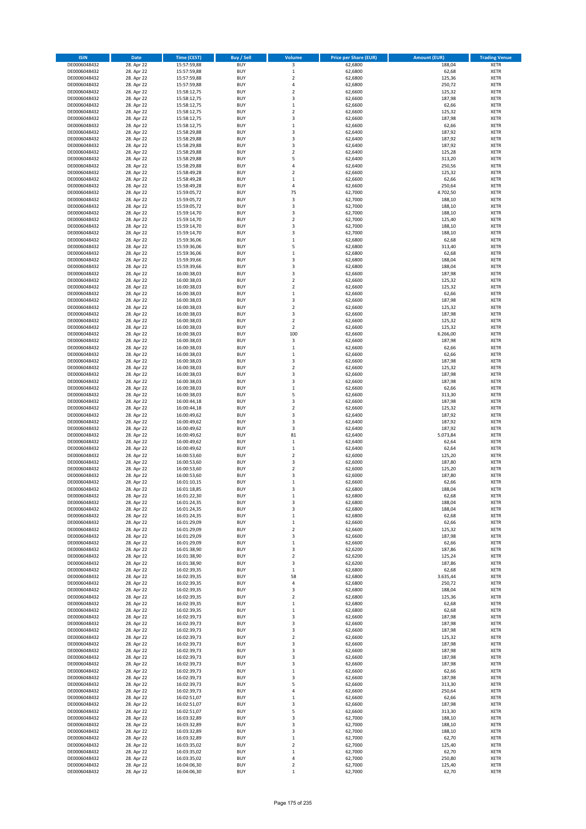| <b>ISIN</b>                  | <b>Date</b>              | <b>Time (CEST)</b>         | <b>Buy / Sell</b>        | <b>Volume</b>           | <b>Price per Share (EUR)</b> | <b>Amount (EUR)</b> | <b>Trading Venue</b>       |
|------------------------------|--------------------------|----------------------------|--------------------------|-------------------------|------------------------------|---------------------|----------------------------|
| DE0006048432                 | 28. Apr 22               | 15:57:59,88                | <b>BUY</b>               | 3                       | 62,6800                      | 188,04              | <b>XETR</b>                |
| DE0006048432                 | 28. Apr 22               | 15:57:59,88                | <b>BUY</b>               | $\mathbf 1$             | 62,6800                      | 62,68               | <b>XETR</b>                |
| DE0006048432                 | 28. Apr 22               | 15:57:59,88                | <b>BUY</b>               | $\overline{\mathbf{c}}$ | 62,6800                      | 125,36              | <b>XETR</b>                |
| DE0006048432                 | 28. Apr 22               | 15:57:59,88                | <b>BUY</b>               | 4                       | 62,6800                      | 250,72              | <b>XETR</b>                |
| DE0006048432                 | 28. Apr 22               | 15:58:12,75                | <b>BUY</b>               | $\overline{\mathbf{c}}$ | 62,6600                      | 125,32              | <b>XETR</b>                |
| DE0006048432                 | 28. Apr 22               | 15:58:12,75                | <b>BUY</b>               | 3                       | 62,6600                      | 187,98              | <b>XETR</b>                |
| DE0006048432                 | 28. Apr 22               | 15:58:12,75                | <b>BUY</b>               | $\mathbf 1$             | 62,6600                      | 62,66               | <b>XETR</b>                |
| DE0006048432                 | 28. Apr 22               | 15:58:12,75                | <b>BUY</b>               | $\overline{\mathbf{c}}$ | 62,6600                      | 125,32              | <b>XETR</b>                |
| DE0006048432                 | 28. Apr 22               | 15:58:12,75                | <b>BUY</b>               | 3                       | 62,6600                      | 187,98              | <b>XETR</b>                |
| DE0006048432                 | 28. Apr 22               | 15:58:12,75                | <b>BUY</b>               | $\mathbf 1$             | 62,6600                      | 62,66               | <b>XETR</b>                |
| DE0006048432                 | 28. Apr 22               | 15:58:29,88                | <b>BUY</b>               | 3                       | 62,6400                      | 187,92              | <b>XETR</b>                |
| DE0006048432                 | 28. Apr 22               | 15:58:29,88                | <b>BUY</b>               | 3                       | 62,6400                      | 187,92              | <b>XETR</b>                |
| DE0006048432                 | 28. Apr 22               | 15:58:29,88                | <b>BUY</b>               | 3                       | 62,6400                      | 187,92              | <b>XETR</b>                |
| DE0006048432                 | 28. Apr 22               | 15:58:29,88                | <b>BUY</b>               | $\overline{\mathbf{c}}$ | 62,6400                      | 125,28              | <b>XETR</b>                |
| DE0006048432                 | 28. Apr 22               | 15:58:29,88                | <b>BUY</b>               | 5                       | 62,6400                      | 313,20              | <b>XETR</b>                |
| DE0006048432                 | 28. Apr 22               | 15:58:29,88                | <b>BUY</b>               | 4                       | 62,6400                      | 250,56              | <b>XETR</b>                |
| DE0006048432                 | 28. Apr 22               | 15:58:49,28                | <b>BUY</b>               | $\overline{\mathbf{c}}$ | 62,6600                      | 125,32              | <b>XETR</b>                |
| DE0006048432                 | 28. Apr 22               | 15:58:49,28                | <b>BUY</b>               | $\mathbf 1$             | 62,6600                      | 62,66               | <b>XETR</b>                |
| DE0006048432                 | 28. Apr 22               | 15:58:49,28                | <b>BUY</b>               | 4                       | 62,6600                      | 250,64              | <b>XETR</b>                |
| DE0006048432                 | 28. Apr 22               | 15:59:05,72                | <b>BUY</b>               | 75                      | 62,7000                      | 4.702,50            | <b>XETR</b>                |
| DE0006048432                 | 28. Apr 22               | 15:59:05,72                | <b>BUY</b><br><b>BUY</b> | 3<br>3                  | 62,7000                      | 188,10<br>188,10    | <b>XETR</b><br><b>XETR</b> |
| DE0006048432<br>DE0006048432 | 28. Apr 22<br>28. Apr 22 | 15:59:05,72                | <b>BUY</b>               | 3                       | 62,7000<br>62,7000           |                     | <b>XETR</b>                |
| DE0006048432                 | 28. Apr 22               | 15:59:14,70<br>15:59:14,70 | <b>BUY</b>               | $\mathbf 2$             | 62,7000                      | 188,10<br>125,40    | <b>XETR</b>                |
| DE0006048432                 | 28. Apr 22               | 15:59:14,70                | <b>BUY</b>               | 3                       | 62,7000                      | 188,10              | <b>XETR</b>                |
| DE0006048432                 | 28. Apr 22               | 15:59:14,70                | <b>BUY</b>               | 3                       | 62,7000                      | 188,10              | <b>XETR</b>                |
| DE0006048432                 | 28. Apr 22               | 15:59:36,06                | <b>BUY</b>               | $\mathbf 1$             | 62,6800                      | 62,68               | <b>XETR</b>                |
| DE0006048432                 | 28. Apr 22               | 15:59:36,06                | <b>BUY</b>               | 5                       | 62,6800                      | 313,40              | <b>XETR</b>                |
| DE0006048432                 | 28. Apr 22               | 15:59:36,06                | <b>BUY</b>               | $\mathbf 1$             | 62,6800                      | 62,68               | <b>XETR</b>                |
| DE0006048432                 | 28. Apr 22               | 15:59:39,66                | <b>BUY</b>               | 3                       | 62,6800                      | 188,04              | <b>XETR</b>                |
| DE0006048432                 | 28. Apr 22               | 15:59:39,66                | <b>BUY</b>               | 3                       | 62,6800                      | 188,04              | <b>XETR</b>                |
| DE0006048432                 | 28. Apr 22               | 16:00:38,03                | <b>BUY</b>               | 3                       | 62,6600                      | 187,98              | <b>XETR</b>                |
| DE0006048432                 | 28. Apr 22               | 16:00:38,03                | <b>BUY</b>               | $\overline{\mathbf{c}}$ | 62,6600                      | 125,32              | <b>XETR</b>                |
| DE0006048432                 | 28. Apr 22               | 16:00:38,03                | <b>BUY</b>               | $\overline{\mathbf{c}}$ | 62,6600                      | 125,32              | <b>XETR</b>                |
| DE0006048432                 | 28. Apr 22               | 16:00:38,03                | <b>BUY</b>               | $\mathbf 1$             | 62,6600                      | 62,66               | <b>XETR</b>                |
| DE0006048432                 | 28. Apr 22               | 16:00:38,03                | <b>BUY</b>               | 3                       | 62,6600                      | 187,98              | <b>XETR</b>                |
| DE0006048432                 | 28. Apr 22               | 16:00:38,03                | <b>BUY</b>               | $\overline{\mathbf{c}}$ | 62,6600                      | 125,32              | <b>XETR</b>                |
| DE0006048432                 | 28. Apr 22               | 16:00:38,03                | <b>BUY</b>               | 3                       | 62,6600                      | 187,98              | <b>XETR</b>                |
| DE0006048432                 | 28. Apr 22               | 16:00:38,03                | <b>BUY</b>               | $\overline{\mathbf{c}}$ | 62,6600                      | 125,32              | <b>XETR</b>                |
| DE0006048432                 | 28. Apr 22               | 16:00:38,03                | <b>BUY</b>               | $\mathbf 2$             | 62,6600                      | 125,32              | <b>XETR</b>                |
| DE0006048432                 | 28. Apr 22               | 16:00:38,03                | <b>BUY</b>               | 100                     | 62,6600                      | 6.266,00            | <b>XETR</b>                |
| DE0006048432                 | 28. Apr 22               | 16:00:38,03                | <b>BUY</b>               | 3                       | 62,6600                      | 187,98              | <b>XETR</b>                |
| DE0006048432                 | 28. Apr 22               | 16:00:38,03                | <b>BUY</b>               | $\mathbf 1$             | 62,6600                      | 62,66               | <b>XETR</b>                |
| DE0006048432                 | 28. Apr 22               | 16:00:38,03                | <b>BUY</b>               | $\mathbf 1$             | 62,6600                      | 62,66               | <b>XETR</b>                |
| DE0006048432                 | 28. Apr 22               | 16:00:38,03                | <b>BUY</b>               | 3                       | 62,6600                      | 187,98              | <b>XETR</b>                |
| DE0006048432                 | 28. Apr 22               | 16:00:38,03                | <b>BUY</b>               | $\overline{2}$          | 62,6600                      | 125,32              | <b>XETR</b>                |
| DE0006048432                 | 28. Apr 22               | 16:00:38,03                | <b>BUY</b>               | 3                       | 62,6600                      | 187,98              | <b>XETR</b>                |
| DE0006048432                 | 28. Apr 22               | 16:00:38,03                | <b>BUY</b>               | 3                       | 62,6600                      | 187,98              | <b>XETR</b>                |
| DE0006048432                 | 28. Apr 22               | 16:00:38,03                | <b>BUY</b>               | $\mathbf 1$             | 62,6600                      | 62,66               | <b>XETR</b>                |
| DE0006048432                 | 28. Apr 22               | 16:00:38,03                | <b>BUY</b>               | 5                       | 62,6600                      | 313,30              | <b>XETR</b>                |
| DE0006048432                 | 28. Apr 22               | 16:00:44,18                | <b>BUY</b>               | 3                       | 62,6600                      | 187,98              | <b>XETR</b>                |
| DE0006048432<br>DE0006048432 | 28. Apr 22               | 16:00:44,18                | <b>BUY</b><br><b>BUY</b> | $\mathbf 2$<br>3        | 62,6600                      | 125,32              | <b>XETR</b><br><b>XETR</b> |
| DE0006048432                 | 28. Apr 22<br>28. Apr 22 | 16:00:49,62                | <b>BUY</b>               | 3                       | 62,6400<br>62,6400           | 187,92<br>187,92    | <b>XETR</b>                |
| DE0006048432                 | 28. Apr 22               | 16:00:49,62<br>16:00:49,62 | <b>BUY</b>               | 3                       | 62,6400                      | 187,92              | <b>XETR</b>                |
| DE0006048432                 | 28. Apr 22               | 16:00:49,62                | <b>BUY</b>               | 81                      | 62,6400                      | 5.073,84            | <b>XETR</b>                |
| DE0006048432                 | 28. Apr 22               | 16:00:49,62                | <b>BUY</b>               | $\mathbf 1$             | 62,6400                      | 62,64               | <b>XETR</b>                |
| DE0006048432                 | 28. Apr 22               | 16:00:49,62                | <b>BUY</b>               | $\mathbf 1$             | 62,6400                      | 62,64               | <b>XETR</b>                |
| DE0006048432                 | 28. Apr 22               | 16:00:53,60                | <b>BUY</b>               | $\overline{\mathbf{c}}$ | 62,6000                      | 125,20              | <b>XETR</b>                |
| DE0006048432                 | 28. Apr 22               | 16:00:53,60                | <b>BUY</b>               | 3                       | 62,6000                      | 187,80              | <b>XETR</b>                |
| DE0006048432                 | 28. Apr 22               | 16:00:53,60                | <b>BUY</b>               | $\mathbf 2$             | 62,6000                      | 125,20              | <b>XETR</b>                |
| DE0006048432                 | 28. Apr 22               | 16:00:53,60                | <b>BUY</b>               | 3                       | 62,6000                      | 187,80              | <b>XETR</b>                |
| DE0006048432                 | 28. Apr 22               | 16:01:10,15                | <b>BUY</b>               | $\mathbf 1$             | 62,6600                      | 62,66               | <b>XETR</b>                |
| DE0006048432                 | 28. Apr 22               | 16:01:18,85                | <b>BUY</b>               | 3                       | 62,6800                      | 188,04              | <b>XETR</b>                |
| DE0006048432                 | 28. Apr 22               | 16:01:22,30                | BUY                      | $\mathbf 1$             | 62,6800                      | 62,68               | <b>XETR</b>                |
| DE0006048432                 | 28. Apr 22               | 16:01:24,35                | <b>BUY</b>               | 3                       | 62,6800                      | 188,04              | <b>XETR</b>                |
| DE0006048432                 | 28. Apr 22               | 16:01:24,35                | <b>BUY</b>               | 3                       | 62,6800                      | 188,04              | <b>XETR</b>                |
| DE0006048432                 | 28. Apr 22               | 16:01:24,35                | <b>BUY</b>               | $\mathbf 1$             | 62,6800                      | 62,68               | <b>XETR</b>                |
| DE0006048432                 | 28. Apr 22               | 16:01:29,09                | <b>BUY</b>               | $\mathbf 1$             | 62,6600                      | 62,66               | <b>XETR</b>                |
| DE0006048432                 | 28. Apr 22               | 16:01:29,09                | <b>BUY</b>               | $\mathbf 2$             | 62,6600                      | 125,32              | <b>XETR</b>                |
| DE0006048432                 | 28. Apr 22               | 16:01:29,09                | <b>BUY</b>               | 3                       | 62,6600                      | 187,98              | <b>XETR</b>                |
| DE0006048432                 | 28. Apr 22               | 16:01:29,09                | <b>BUY</b>               | $\mathbf 1$             | 62,6600                      | 62,66               | <b>XETR</b>                |
| DE0006048432<br>DE0006048432 | 28. Apr 22               | 16:01:38,90<br>16:01:38,90 | <b>BUY</b><br><b>BUY</b> | 3                       | 62,6200                      | 187,86              | <b>XETR</b>                |
| DE0006048432                 | 28. Apr 22<br>28. Apr 22 | 16:01:38,90                | <b>BUY</b>               | $\mathbf 2$<br>3        | 62,6200<br>62,6200           | 125,24<br>187,86    | <b>XETR</b><br><b>XETR</b> |
| DE0006048432                 | 28. Apr 22               | 16:02:39,35                | <b>BUY</b>               | $\,1\,$                 | 62,6800                      | 62,68               | <b>XETR</b>                |
| DE0006048432                 | 28. Apr 22               | 16:02:39,35                | <b>BUY</b>               | 58                      | 62,6800                      | 3.635,44            | <b>XETR</b>                |
| DE0006048432                 | 28. Apr 22               | 16:02:39,35                | <b>BUY</b>               | 4                       | 62,6800                      | 250,72              | <b>XETR</b>                |
| DE0006048432                 | 28. Apr 22               | 16:02:39,35                | <b>BUY</b>               | 3                       | 62,6800                      | 188,04              | <b>XETR</b>                |
| DE0006048432                 | 28. Apr 22               | 16:02:39,35                | <b>BUY</b>               | $\overline{\mathbf{c}}$ | 62,6800                      | 125,36              | <b>XETR</b>                |
| DE0006048432                 | 28. Apr 22               | 16:02:39,35                | <b>BUY</b>               | $\mathbf 1$             | 62,6800                      | 62,68               | <b>XETR</b>                |
| DE0006048432                 | 28. Apr 22               | 16:02:39,35                | <b>BUY</b>               | $\mathbf 1$             | 62,6800                      | 62,68               | <b>XETR</b>                |
| DE0006048432                 | 28. Apr 22               | 16:02:39,73                | <b>BUY</b>               | 3                       | 62,6600                      | 187,98              | <b>XETR</b>                |
| DE0006048432                 | 28. Apr 22               | 16:02:39,73                | <b>BUY</b>               | 3                       | 62,6600                      | 187,98              | <b>XETR</b>                |
| DE0006048432                 | 28. Apr 22               | 16:02:39,73                | <b>BUY</b>               | 3                       | 62,6600                      | 187,98              | <b>XETR</b>                |
| DE0006048432                 | 28. Apr 22               | 16:02:39,73                | <b>BUY</b>               | $\mathbf 2$             | 62,6600                      | 125,32              | <b>XETR</b>                |
| DE0006048432                 | 28. Apr 22               | 16:02:39,73                | <b>BUY</b>               | 3                       | 62,6600                      | 187,98              | <b>XETR</b>                |
| DE0006048432                 | 28. Apr 22               | 16:02:39,73                | <b>BUY</b>               | 3                       | 62,6600                      | 187,98              | <b>XETR</b>                |
| DE0006048432                 | 28. Apr 22               | 16:02:39,73                | <b>BUY</b>               | 3                       | 62,6600                      | 187,98              | <b>XETR</b>                |
| DE0006048432                 | 28. Apr 22               | 16:02:39,73                | <b>BUY</b>               | 3                       | 62,6600                      | 187,98              | <b>XETR</b>                |
| DE0006048432                 | 28. Apr 22               | 16:02:39,73                | <b>BUY</b>               | $\mathbf 1$             | 62,6600                      | 62,66               | <b>XETR</b>                |
| DE0006048432                 | 28. Apr 22               | 16:02:39,73                | <b>BUY</b>               | 3                       | 62,6600                      | 187,98              | <b>XETR</b>                |
| DE0006048432                 | 28. Apr 22               | 16:02:39,73                | <b>BUY</b>               | 5                       | 62,6600                      | 313,30              | <b>XETR</b>                |
| DE0006048432                 | 28. Apr 22               | 16:02:39,73                | <b>BUY</b>               | 4                       | 62,6600                      | 250,64              | <b>XETR</b>                |
| DE0006048432                 | 28. Apr 22               | 16:02:51,07                | <b>BUY</b>               | $\mathbf 1$             | 62,6600                      | 62,66               | <b>XETR</b>                |
| DE0006048432                 | 28. Apr 22               | 16:02:51,07                | <b>BUY</b>               | 3                       | 62,6600                      | 187,98              | <b>XETR</b>                |
| DE0006048432                 | 28. Apr 22               | 16:02:51,07                | <b>BUY</b>               | 5                       | 62,6600                      | 313,30              | <b>XETR</b>                |
| DE0006048432                 | 28. Apr 22               | 16:03:32,89                | <b>BUY</b>               | 3                       | 62,7000                      | 188,10              | <b>XETR</b>                |
| DE0006048432<br>DE0006048432 | 28. Apr 22<br>28. Apr 22 | 16:03:32,89                | <b>BUY</b><br><b>BUY</b> | 3<br>3                  | 62,7000<br>62,7000           | 188,10<br>188,10    | <b>XETR</b><br><b>XETR</b> |
| DE0006048432                 | 28. Apr 22               | 16:03:32,89<br>16:03:32,89 | <b>BUY</b>               | $\mathbf 1$             | 62,7000                      | 62,70               | <b>XETR</b>                |
| DE0006048432                 | 28. Apr 22               | 16:03:35,02                | <b>BUY</b>               | $\mathbf 2$             | 62,7000                      | 125,40              | XETR                       |
| DE0006048432                 | 28. Apr 22               | 16:03:35,02                | <b>BUY</b>               | $\mathbf 1$             | 62,7000                      | 62,70               | <b>XETR</b>                |
| DE0006048432                 | 28. Apr 22               | 16:03:35,02                | <b>BUY</b>               | 4                       | 62,7000                      | 250,80              | <b>XETR</b>                |
| DE0006048432                 | 28. Apr 22               | 16:04:06,30                | <b>BUY</b>               | $\mathbf 2$             | 62,7000                      | 125,40              | <b>XETR</b>                |
| DE0006048432                 | 28. Apr 22               | 16:04:06,30                | <b>BUY</b>               | $\mathbf 1$             | 62,7000                      | 62,70               | <b>XETR</b>                |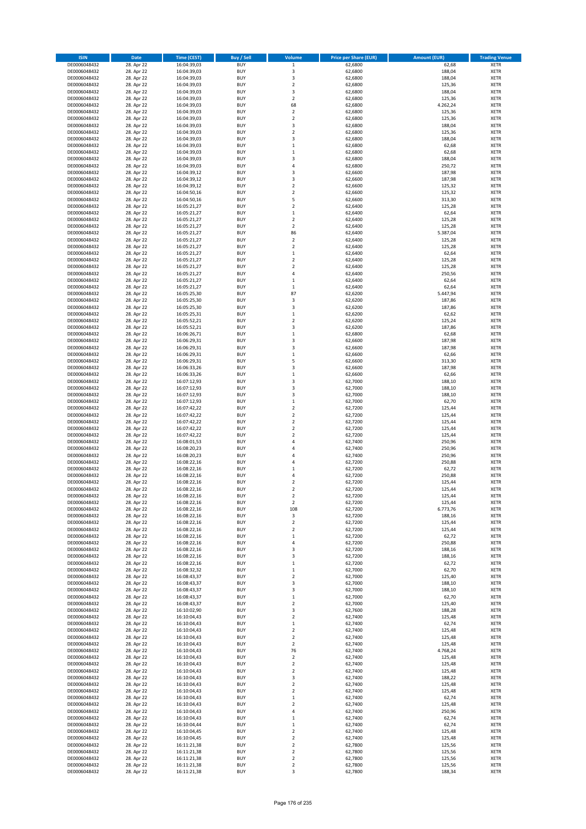| <b>ISIN</b>                  | <b>Date</b>              | <b>Time (CEST)</b>         | <b>Buy / Sell</b>        | Volume                        | <b>Price per Share (EUR)</b> | <b>Amount (EUR)</b> | <b>Trading Venue</b>       |
|------------------------------|--------------------------|----------------------------|--------------------------|-------------------------------|------------------------------|---------------------|----------------------------|
| DE0006048432                 | 28. Apr 22               | 16:04:39,03                | <b>BUY</b>               | $\mathbf 1$                   | 62,6800                      | 62,68               | <b>XETR</b>                |
| DE0006048432                 | 28. Apr 22               | 16:04:39,03                | <b>BUY</b>               | 3                             | 62,6800                      | 188,04              | <b>XETR</b>                |
| DE0006048432                 | 28. Apr 22               | 16:04:39,03                | <b>BUY</b>               | 3                             | 62,6800                      | 188,04              | <b>XETR</b>                |
| DE0006048432                 | 28. Apr 22               | 16:04:39,03                | <b>BUY</b>               | $\mathbf 2$                   | 62,6800                      | 125,36              | <b>XETR</b>                |
| DE0006048432<br>DE0006048432 | 28. Apr 22<br>28. Apr 22 | 16:04:39,03<br>16:04:39,03 | <b>BUY</b><br><b>BUY</b> | 3<br>$\mathbf 2$              | 62,6800<br>62,6800           | 188,04<br>125,36    | <b>XETR</b><br><b>XETR</b> |
| DE0006048432                 | 28. Apr 22               | 16:04:39,03                | <b>BUY</b>               | 68                            | 62,6800                      | 4.262,24            | <b>XETR</b>                |
| DE0006048432                 | 28. Apr 22               | 16:04:39,03                | <b>BUY</b>               | $\mathbf 2$                   | 62,6800                      | 125,36              | <b>XETR</b>                |
| DE0006048432                 | 28. Apr 22               | 16:04:39,03                | BUY                      | $\overline{2}$                | 62,6800                      | 125,36              | <b>XETR</b>                |
| DE0006048432                 | 28. Apr 22               | 16:04:39,03                | <b>BUY</b>               | 3                             | 62,6800                      | 188,04              | <b>XETR</b>                |
| DE0006048432                 | 28. Apr 22               | 16:04:39,03                | <b>BUY</b>               | $\mathbf 2$                   | 62,6800                      | 125,36              | <b>XETR</b>                |
| DE0006048432                 | 28. Apr 22               | 16:04:39,03                | <b>BUY</b>               | $\overline{\mathbf{3}}$       | 62,6800                      | 188,04              | <b>XETR</b>                |
| DE0006048432<br>DE0006048432 | 28. Apr 22<br>28. Apr 22 | 16:04:39,03<br>16:04:39,03 | BUY<br><b>BUY</b>        | $\,1\,$<br>$\mathbf{1}$       | 62,6800<br>62,6800           | 62,68<br>62,68      | <b>XETR</b><br><b>XETR</b> |
| DE0006048432                 | 28. Apr 22               | 16:04:39,03                | <b>BUY</b>               | $\overline{3}$                | 62,6800                      | 188,04              | <b>XETR</b>                |
| DE0006048432                 | 28. Apr 22               | 16:04:39,03                | BUY                      | $\overline{a}$                | 62,6800                      | 250,72              | <b>XETR</b>                |
| DE0006048432                 | 28. Apr 22               | 16:04:39,12                | <b>BUY</b>               | $\overline{3}$                | 62,6600                      | 187,98              | <b>XETR</b>                |
| DE0006048432                 | 28. Apr 22               | 16:04:39,12                | <b>BUY</b>               | 3                             | 62,6600                      | 187,98              | <b>XETR</b>                |
| DE0006048432                 | 28. Apr 22               | 16:04:39,12                | <b>BUY</b>               | $\overline{2}$                | 62.6600                      | 125,32              | <b>XETR</b>                |
| DE0006048432<br>DE0006048432 | 28. Apr 22<br>28. Apr 22 | 16:04:50,16<br>16:04:50,16 | <b>BUY</b><br><b>BUY</b> | $\overline{2}$<br>5           | 62,6600<br>62,6600           | 125,32<br>313,30    | <b>XETR</b><br><b>XETR</b> |
| DE0006048432                 | 28. Apr 22               | 16:05:21,27                | <b>BUY</b>               | $\mathbf 2$                   | 62,6400                      | 125,28              | <b>XETR</b>                |
| DE0006048432                 | 28. Apr 22               | 16:05:21,27                | BUY                      | $\mathbf{1}$                  | 62,6400                      | 62,64               | <b>XETR</b>                |
| DE0006048432                 | 28. Apr 22               | 16:05:21,27                | BUY                      | $\mathbf 2$                   | 62,6400                      | 125,28              | <b>XETR</b>                |
| DE0006048432                 | 28. Apr 22               | 16:05:21,27                | <b>BUY</b>               | $\mathbf 2$                   | 62,6400                      | 125,28              | <b>XETR</b>                |
| DE0006048432                 | 28. Apr 22               | 16:05:21,27                | <b>BUY</b>               | 86                            | 62,6400                      | 5.387,04            | <b>XETR</b>                |
| DE0006048432                 | 28. Apr 22               | 16:05:21,27                | <b>BUY</b><br><b>BUY</b> | $\mathbf 2$<br>$\overline{2}$ | 62,6400                      | 125,28              | <b>XETR</b><br><b>XETR</b> |
| DE0006048432<br>DE0006048432 | 28. Apr 22<br>28. Apr 22 | 16:05:21,27<br>16:05:21,27 | <b>BUY</b>               | 1                             | 62,6400<br>62,6400           | 125,28<br>62,64     | <b>XETR</b>                |
| DE0006048432                 | 28. Apr 22               | 16:05:21,27                | <b>BUY</b>               | $\overline{2}$                | 62,6400                      | 125,28              | <b>XETR</b>                |
| DE0006048432                 | 28. Apr 22               | 16:05:21,27                | <b>BUY</b>               | $\mathbf 2$                   | 62,6400                      | 125,28              | <b>XETR</b>                |
| DE0006048432                 | 28. Apr 22               | 16:05:21,27                | <b>BUY</b>               | $\overline{4}$                | 62,6400                      | 250,56              | <b>XETR</b>                |
| DE0006048432                 | 28. Apr 22               | 16:05:21,27                | <b>BUY</b>               | $\mathbf 1$                   | 62,6400                      | 62,64               | <b>XETR</b>                |
| DE0006048432                 | 28. Apr 22               | 16:05:21,27                | <b>BUY</b>               | $\mathbf 1$                   | 62,6400                      | 62,64               | <b>XETR</b>                |
| DE0006048432<br>DE0006048432 | 28. Apr 22<br>28. Apr 22 | 16:05:25,30<br>16:05:25,30 | <b>BUY</b><br><b>BUY</b> | 87<br>3                       | 62,6200<br>62,6200           | 5.447,94<br>187,86  | <b>XETR</b><br><b>XETR</b> |
| DE0006048432                 | 28. Apr 22               | 16:05:25,30                | <b>BUY</b>               | $\overline{3}$                | 62,6200                      | 187,86              | <b>XETR</b>                |
| DE0006048432                 | 28. Apr 22               | 16:05:25,31                | BUY                      | $\mathbf{1}$                  | 62,6200                      | 62,62               | <b>XETR</b>                |
| DE0006048432                 | 28. Apr 22               | 16:05:52,21                | <b>BUY</b>               | $\mathbf 2$                   | 62,6200                      | 125,24              | <b>XETR</b>                |
| DE0006048432                 | 28. Apr 22               | 16:05:52,21                | <b>BUY</b>               | 3                             | 62,6200                      | 187,86              | <b>XETR</b>                |
| DE0006048432                 | 28. Apr 22               | 16:06:26,71                | <b>BUY</b>               | $\,1\,$                       | 62,6800                      | 62,68               | <b>XETR</b>                |
| DE0006048432<br>DE0006048432 | 28. Apr 22<br>28. Apr 22 | 16:06:29,31                | <b>BUY</b><br><b>BUY</b> | 3<br>3                        | 62,6600<br>62,6600           | 187,98<br>187,98    | <b>XETR</b><br><b>XETR</b> |
| DE0006048432                 | 28. Apr 22               | 16:06:29,31<br>16:06:29,31 | <b>BUY</b>               | $\mathbf{1}$                  | 62,6600                      | 62,66               | <b>XETR</b>                |
| DE0006048432                 | 28. Apr 22               | 16:06:29,31                | <b>BUY</b>               | 5                             | 62,6600                      | 313,30              | <b>XETR</b>                |
| DE0006048432                 | 28. Apr 22               | 16:06:33,26                | <b>BUY</b>               | $\overline{\mathbf{3}}$       | 62,6600                      | 187,98              | <b>XETR</b>                |
| DE0006048432                 | 28. Apr 22               | 16:06:33,26                | <b>BUY</b>               | $\mathbf{1}$                  | 62,6600                      | 62,66               | <b>XETR</b>                |
| DE0006048432                 | 28. Apr 22               | 16:07:12,93                | <b>BUY</b>               | $\overline{\mathbf{3}}$       | 62,7000                      | 188,10              | <b>XETR</b>                |
| DE0006048432<br>DE0006048432 | 28. Apr 22<br>28. Apr 22 | 16:07:12,93<br>16:07:12,93 | <b>BUY</b><br><b>BUY</b> | $\overline{\mathbf{3}}$<br>3  | 62,7000<br>62,7000           | 188,10<br>188,10    | <b>XETR</b><br><b>XETR</b> |
| DE0006048432                 | 28. Apr 22               | 16:07:12,93                | <b>BUY</b>               | $\mathbf{1}$                  | 62,7000                      | 62,70               | <b>XETR</b>                |
| DE0006048432                 | 28. Apr 22               | 16:07:42,22                | <b>BUY</b>               | $\overline{2}$                | 62,7200                      | 125,44              | <b>XETR</b>                |
| DE0006048432                 | 28. Apr 22               | 16:07:42,22                | <b>BUY</b>               | $\overline{\mathbf{2}}$       | 62,7200                      | 125,44              | <b>XETR</b>                |
| DE0006048432                 | 28. Apr 22               | 16:07:42,22                | <b>BUY</b>               | $\mathbf 2$                   | 62,7200                      | 125,44              | <b>XETR</b>                |
| DE0006048432                 | 28. Apr 22               | 16:07:42,22                | <b>BUY</b>               | $\overline{\mathbf{2}}$       | 62,7200                      | 125,44              | <b>XETR</b>                |
| DE0006048432                 | 28. Apr 22               | 16:07:42,22                | <b>BUY</b>               | $\overline{2}$                | 62,7200                      | 125,44              | <b>XETR</b>                |
| DE0006048432<br>DE0006048432 | 28. Apr 22<br>28. Apr 22 | 16:08:01,53<br>16:08:20,23 | <b>BUY</b><br><b>BUY</b> | $\overline{a}$<br>4           | 62,7400<br>62,7400           | 250,96<br>250,96    | <b>XETR</b><br><b>XETR</b> |
| DE0006048432                 | 28. Apr 22               | 16:08:20,23                | BUY                      | $\overline{a}$                | 62,7400                      | 250,96              | <b>XETR</b>                |
| DE0006048432                 | 28. Apr 22               | 16:08:22,16                | <b>BUY</b>               | 4                             | 62,7200                      | 250,88              | <b>XETR</b>                |
| DE0006048432                 | 28. Apr 22               | 16:08:22,16                | <b>BUY</b>               | $\mathbf{1}$                  | 62,7200                      | 62,72               | <b>XETR</b>                |
| DE0006048432                 | 28. Apr 22               | 16:08:22,16                | BUY                      | 4                             | 62,7200                      | 250,88              | <b>XETR</b>                |
| DE0006048432                 | 28. Apr 22               | 16:08:22,16                | BUY                      | $\mathbf 2$                   | 62,7200                      | 125,44              | <b>XETR</b>                |
| DE0006048432<br>DE0006048432 | 28. Apr 22<br>28. Apr 22 | 16:08:22,16<br>16:08:22,16 | <b>BUY</b><br>BUY        | $\overline{2}$<br>2           | 62,7200<br>62,7200           | 125,44<br>125,44    | <b>XETR</b><br><b>XETR</b> |
| DE0006048432                 | 28. Apr 22               | 16:08:22,16                | <b>BUY</b>               | $\mathbf 2$                   | 62,7200                      | 125,44              | <b>XETR</b>                |
| DE0006048432                 | 28. Apr 22               | 16:08:22,16                | <b>BUY</b>               | 108                           | 62,7200                      | 6.773,76            | <b>XETR</b>                |
| DE0006048432                 | 28. Apr 22               | 16:08:22,16                | <b>BUY</b>               | 3                             | 62,7200                      | 188,16              | <b>XETR</b>                |
| DE0006048432                 | 28. Apr 22               | 16:08:22,16                | <b>BUY</b>               | $\mathbf 2$                   | 62,7200                      | 125,44              | <b>XETR</b>                |
| DE0006048432                 | 28. Apr 22               | 16:08:22,16                | <b>BUY</b><br><b>BUY</b> | $\mathbf 2$                   | 62,7200                      | 125,44              | <b>XETR</b>                |
| DE0006048432<br>DE0006048432 | 28. Apr 22<br>28. Apr 22 | 16:08:22,16<br>16:08:22,16 | <b>BUY</b>               | $\mathbf{1}$<br>4             | 62,7200<br>62,7200           | 62,72<br>250,88     | <b>XETR</b><br><b>XETR</b> |
| DE0006048432                 | 28. Apr 22               | 16:08:22,16                | <b>BUY</b>               | $\overline{\mathbf{3}}$       | 62,7200                      | 188,16              | <b>XETR</b>                |
| DE0006048432                 | 28. Apr 22               | 16:08:22,16                | <b>BUY</b>               | 3                             | 62,7200                      | 188,16              | <b>XETR</b>                |
| DE0006048432                 | 28. Apr 22               | 16:08:22,16                | <b>BUY</b>               | $\mathbf 1$                   | 62,7200                      | 62,72               | <b>XETR</b>                |
| DE0006048432                 | 28. Apr 22               | 16:08:32,32                | <b>BUY</b>               | $\mathbf{1}$                  | 62,7000                      | 62,70               | <b>XETR</b>                |
| DE0006048432<br>DE0006048432 | 28. Apr 22<br>28. Apr 22 | 16:08:43,37<br>16:08:43,37 | <b>BUY</b><br><b>BUY</b> | $\mathbf 2$<br>3              | 62,7000<br>62,7000           | 125,40<br>188,10    | <b>XETR</b>                |
| DE0006048432                 | 28. Apr 22               | 16:08:43,37                | <b>BUY</b>               | 3                             | 62,7000                      | 188,10              | <b>XETR</b><br><b>XETR</b> |
| DE0006048432                 | 28. Apr 22               | 16:08:43,37                | <b>BUY</b>               | $\,1\,$                       | 62,7000                      | 62,70               | <b>XETR</b>                |
| DE0006048432                 | 28. Apr 22               | 16:08:43,37                | <b>BUY</b>               | $\mathbf 2$                   | 62,7000                      | 125,40              | <b>XETR</b>                |
| DE0006048432                 | 28. Apr 22               | 16:10:02,90                | <b>BUY</b>               | 3                             | 62,7600                      | 188,28              | <b>XETR</b>                |
| DE0006048432                 | 28. Apr 22               | 16:10:04,43                | <b>BUY</b>               | $\mathbf 2$                   | 62,7400                      | 125,48              | <b>XETR</b>                |
| DE0006048432                 | 28. Apr 22               | 16:10:04,43                | <b>BUY</b>               | $\,$ 1                        | 62,7400                      | 62,74               | <b>XETR</b>                |
| DE0006048432<br>DE0006048432 | 28. Apr 22<br>28. Apr 22 | 16:10:04,43<br>16:10:04,43 | <b>BUY</b><br><b>BUY</b> | $\overline{2}$<br>2           | 62,7400<br>62,7400           | 125,48<br>125,48    | <b>XETR</b><br><b>XETR</b> |
| DE0006048432                 | 28. Apr 22               | 16:10:04,43                | <b>BUY</b>               | $\overline{2}$                | 62,7400                      | 125,48              | <b>XETR</b>                |
| DE0006048432                 | 28. Apr 22               | 16:10:04,43                | <b>BUY</b>               | 76                            | 62,7400                      | 4.768,24            | <b>XETR</b>                |
| DE0006048432                 | 28. Apr 22               | 16:10:04,43                | <b>BUY</b>               | $\mathbf 2$                   | 62,7400                      | 125,48              | <b>XETR</b>                |
| DE0006048432                 | 28. Apr 22               | 16:10:04,43                | <b>BUY</b>               | $\mathbf 2$                   | 62,7400                      | 125,48              | <b>XETR</b>                |
| DE0006048432                 | 28. Apr 22               | 16:10:04,43                | <b>BUY</b>               | $\overline{2}$                | 62,7400                      | 125,48              | <b>XETR</b>                |
| DE0006048432<br>DE0006048432 | 28. Apr 22<br>28. Apr 22 | 16:10:04,43<br>16:10:04,43 | <b>BUY</b><br><b>BUY</b> | $\overline{3}$                | 62,7400<br>62,7400           | 188,22<br>125,48    | <b>XETR</b><br><b>XETR</b> |
| DE0006048432                 | 28. Apr 22               | 16:10:04,43                | <b>BUY</b>               | 2<br>$\overline{2}$           | 62,7400                      | 125,48              | <b>XETR</b>                |
| DE0006048432                 | 28. Apr 22               | 16:10:04,43                | <b>BUY</b>               | $\mathbf{1}$                  | 62,7400                      | 62,74               | <b>XETR</b>                |
| DE0006048432                 | 28. Apr 22               | 16:10:04,43                | <b>BUY</b>               | $\overline{2}$                | 62,7400                      | 125,48              | <b>XETR</b>                |
| DE0006048432                 | 28. Apr 22               | 16:10:04,43                | <b>BUY</b>               | 4                             | 62,7400                      | 250,96              | <b>XETR</b>                |
| DE0006048432                 | 28. Apr 22               | 16:10:04,43                | <b>BUY</b>               | $\mathbf{1}$                  | 62,7400                      | 62,74               | <b>XETR</b>                |
| DE0006048432                 | 28. Apr 22               | 16:10:04,44                | <b>BUY</b>               | $\mathbf{1}$                  | 62,7400                      | 62,74               | <b>XETR</b>                |
| DE0006048432<br>DE0006048432 | 28. Apr 22<br>28. Apr 22 | 16:10:04,45<br>16:10:04,45 | <b>BUY</b><br><b>BUY</b> | $\mathbf 2$<br>$\overline{2}$ | 62,7400<br>62,7400           | 125,48<br>125,48    | <b>XETR</b><br><b>XETR</b> |
| DE0006048432                 | 28. Apr 22               | 16:11:21,38                | <b>BUY</b>               | $\mathbf 2$                   | 62,7800                      | 125,56              | <b>XETR</b>                |
| DE0006048432                 | 28. Apr 22               | 16:11:21,38                | <b>BUY</b>               | 2                             | 62,7800                      | 125,56              | <b>XETR</b>                |
| DE0006048432                 | 28. Apr 22               | 16:11:21,38                | <b>BUY</b>               | 2                             | 62,7800                      | 125,56              | <b>XETR</b>                |
| DE0006048432                 | 28. Apr 22               | 16:11:21,38                | <b>BUY</b>               | $\mathbf 2$                   | 62,7800                      | 125,56              | <b>XETR</b>                |
| DE0006048432                 | 28. Apr 22               | 16:11:21,38                | <b>BUY</b>               | 3                             | 62,7800                      | 188,34              | <b>XETR</b>                |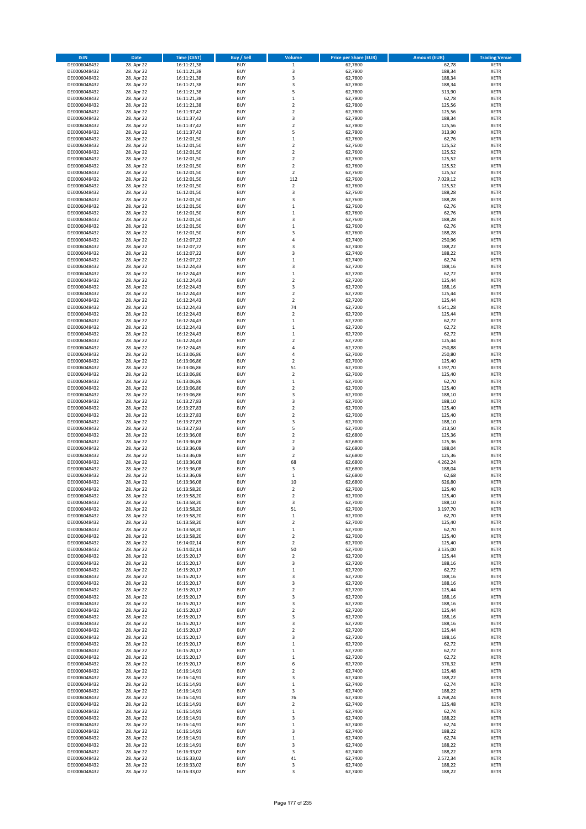| <b>ISIN</b>                  | <b>Date</b>              | <b>Time (CEST)</b>         | <b>Buy / Sell</b>        | Volume                        | <b>Price per Share (EUR)</b> | <b>Amount (EUR)</b> | <b>Trading Venue</b>       |
|------------------------------|--------------------------|----------------------------|--------------------------|-------------------------------|------------------------------|---------------------|----------------------------|
| DE0006048432                 | 28. Apr 22               | 16:11:21,38                | <b>BUY</b>               | $\,1$                         | 62,7800                      | 62,78               | <b>XETR</b>                |
| DE0006048432                 | 28. Apr 22               | 16:11:21,38                | <b>BUY</b>               | 3                             | 62,7800                      | 188,34              | <b>XETR</b>                |
| DE0006048432                 | 28. Apr 22               | 16:11:21,38                | <b>BUY</b>               | 3                             | 62,7800                      | 188,34              | <b>XETR</b>                |
| DE0006048432<br>DE0006048432 | 28. Apr 22<br>28. Apr 22 | 16:11:21,38<br>16:11:21,38 | <b>BUY</b><br><b>BUY</b> | 3<br>5                        | 62,7800<br>62,7800           | 188,34<br>313,90    | <b>XETR</b><br><b>XETR</b> |
| DE0006048432                 | 28. Apr 22               | 16:11:21,38                | <b>BUY</b>               | $\mathbf 1$                   | 62,7800                      | 62,78               | <b>XETR</b>                |
| DE0006048432                 | 28. Apr 22               | 16:11:21,38                | <b>BUY</b>               | $\mathbf 2$                   | 62,7800                      | 125,56              | <b>XETR</b>                |
| DE0006048432                 | 28. Apr 22               | 16:11:37,42                | <b>BUY</b>               | $\mathbf 2$                   | 62,7800                      | 125,56              | <b>XETR</b>                |
| DE0006048432                 | 28. Apr 22               | 16:11:37,42                | <b>BUY</b>               | 3                             | 62,7800                      | 188,34              | <b>XETR</b>                |
| DE0006048432                 | 28. Apr 22               | 16:11:37,42                | <b>BUY</b><br><b>BUY</b> | $\mathbf 2$<br>5              | 62,7800                      | 125,56              | <b>XETR</b>                |
| DE0006048432<br>DE0006048432 | 28. Apr 22<br>28. Apr 22 | 16:11:37,42<br>16:12:01,50 | <b>BUY</b>               | $\mathbf 1$                   | 62,7800<br>62,7600           | 313,90<br>62,76     | <b>XETR</b><br><b>XETR</b> |
| DE0006048432                 | 28. Apr 22               | 16:12:01,50                | <b>BUY</b>               | $\mathbf 2$                   | 62,7600                      | 125,52              | <b>XETR</b>                |
| DE0006048432                 | 28. Apr 22               | 16:12:01,50                | <b>BUY</b>               | $\overline{\mathbf{c}}$       | 62,7600                      | 125,52              | <b>XETR</b>                |
| DE0006048432                 | 28. Apr 22               | 16:12:01,50                | <b>BUY</b>               | $\overline{\mathbf{c}}$       | 62,7600                      | 125,52              | <b>XETR</b>                |
| DE0006048432                 | 28. Apr 22               | 16:12:01,50                | <b>BUY</b>               | $\overline{\mathbf{c}}$       | 62,7600                      | 125,52              | <b>XETR</b>                |
| DE0006048432<br>DE0006048432 | 28. Apr 22<br>28. Apr 22 | 16:12:01,50<br>16:12:01,50 | <b>BUY</b><br><b>BUY</b> | $\overline{2}$<br>112         | 62,7600<br>62,7600           | 125,52<br>7.029,12  | <b>XETR</b><br><b>XETR</b> |
| DE0006048432                 | 28. Apr 22               | 16:12:01,50                | <b>BUY</b>               | $\mathbf 2$                   | 62,7600                      | 125,52              | <b>XETR</b>                |
| DE0006048432                 | 28. Apr 22               | 16:12:01,50                | <b>BUY</b>               | 3                             | 62,7600                      | 188,28              | <b>XETR</b>                |
| DE0006048432                 | 28. Apr 22               | 16:12:01,50                | <b>BUY</b>               | 3                             | 62,7600                      | 188,28              | <b>XETR</b>                |
| DE0006048432                 | 28. Apr 22               | 16:12:01,50                | <b>BUY</b>               | $\mathbf 1$                   | 62,7600                      | 62,76               | <b>XETR</b>                |
| DE0006048432                 | 28. Apr 22               | 16:12:01,50                | <b>BUY</b>               | $\mathbf 1$                   | 62,7600                      | 62,76               | <b>XETR</b>                |
| DE0006048432<br>DE0006048432 | 28. Apr 22<br>28. Apr 22 | 16:12:01,50<br>16:12:01,50 | <b>BUY</b><br><b>BUY</b> | 3<br>$\mathbf 1$              | 62,7600<br>62,7600           | 188,28<br>62,76     | <b>XETR</b><br><b>XETR</b> |
| DE0006048432                 | 28. Apr 22               | 16:12:01,50                | <b>BUY</b>               | 3                             | 62,7600                      | 188,28              | <b>XETR</b>                |
| DE0006048432                 | 28. Apr 22               | 16:12:07,22                | <b>BUY</b>               | 4                             | 62,7400                      | 250,96              | <b>XETR</b>                |
| DE0006048432                 | 28. Apr 22               | 16:12:07,22                | <b>BUY</b>               | 3                             | 62,7400                      | 188,22              | <b>XETR</b>                |
| DE0006048432                 | 28. Apr 22               | 16:12:07,22                | <b>BUY</b>               | 3                             | 62,7400                      | 188,22              | <b>XETR</b>                |
| DE0006048432<br>DE0006048432 | 28. Apr 22<br>28. Apr 22 | 16:12:07,22<br>16:12:24,43 | <b>BUY</b><br><b>BUY</b> | $\mathbf 1$<br>3              | 62,7400<br>62,7200           | 62,74<br>188,16     | <b>XETR</b><br><b>XETR</b> |
| DE0006048432                 | 28. Apr 22               | 16:12:24,43                | <b>BUY</b>               | $\mathbf 1$                   | 62,7200                      | 62,72               | <b>XETR</b>                |
| DE0006048432                 | 28. Apr 22               | 16:12:24,43                | <b>BUY</b>               | $\mathbf 2$                   | 62,7200                      | 125,44              | <b>XETR</b>                |
| DE0006048432                 | 28. Apr 22               | 16:12:24,43                | <b>BUY</b>               | 3                             | 62,7200                      | 188,16              | <b>XETR</b>                |
| DE0006048432                 | 28. Apr 22               | 16:12:24,43                | <b>BUY</b>               | $\overline{\mathbf{c}}$       | 62.7200                      | 125,44              | <b>XETR</b>                |
| DE0006048432                 | 28. Apr 22               | 16:12:24,43                | <b>BUY</b>               | $\mathbf 2$                   | 62,7200                      | 125,44              | <b>XETR</b>                |
| DE0006048432<br>DE0006048432 | 28. Apr 22<br>28. Apr 22 | 16:12:24,43<br>16:12:24,43 | <b>BUY</b><br><b>BUY</b> | 74<br>$\mathbf 2$             | 62,7200<br>62,7200           | 4.641,28<br>125,44  | <b>XETR</b><br><b>XETR</b> |
| DE0006048432                 | 28. Apr 22               | 16:12:24,43                | <b>BUY</b>               | $\mathbf 1$                   | 62,7200                      | 62,72               | <b>XETR</b>                |
| DE0006048432                 | 28. Apr 22               | 16:12:24,43                | <b>BUY</b>               | $\mathbf 1$                   | 62,7200                      | 62,72               | <b>XETR</b>                |
| DE0006048432                 | 28. Apr 22               | 16:12:24,43                | <b>BUY</b>               | $\mathbf 1$                   | 62,7200                      | 62,72               | <b>XETR</b>                |
| DE0006048432                 | 28. Apr 22               | 16:12:24,43                | <b>BUY</b>               | $\overline{\mathbf{c}}$       | 62,7200                      | 125,44              | <b>XETR</b>                |
| DE0006048432                 | 28. Apr 22               | 16:12:24,45                | <b>BUY</b><br><b>BUY</b> | 4                             | 62,7200                      | 250,88              | <b>XETR</b><br><b>XETR</b> |
| DE0006048432<br>DE0006048432 | 28. Apr 22<br>28. Apr 22 | 16:13:06,86<br>16:13:06,86 | <b>BUY</b>               | 4<br>$\mathbf 2$              | 62,7000<br>62,7000           | 250,80<br>125,40    | <b>XETR</b>                |
| DE0006048432                 | 28. Apr 22               | 16:13:06,86                | <b>BUY</b>               | 51                            | 62,7000                      | 3.197,70            | <b>XETR</b>                |
| DE0006048432                 | 28. Apr 22               | 16:13:06,86                | <b>BUY</b>               | $\mathbf 2$                   | 62,7000                      | 125,40              | <b>XETR</b>                |
| DE0006048432                 | 28. Apr 22               | 16:13:06,86                | <b>BUY</b>               | $\mathbf 1$                   | 62,7000                      | 62,70               | <b>XETR</b>                |
| DE0006048432                 | 28. Apr 22               | 16:13:06,86                | <b>BUY</b>               | $\mathbf 2$                   | 62,7000                      | 125,40              | <b>XETR</b>                |
| DE0006048432<br>DE0006048432 | 28. Apr 22<br>28. Apr 22 | 16:13:06,86<br>16:13:27,83 | <b>BUY</b><br><b>BUY</b> | 3<br>3                        | 62,7000<br>62,7000           | 188,10<br>188,10    | <b>XETR</b><br><b>XETR</b> |
| DE0006048432                 | 28. Apr 22               | 16:13:27,83                | <b>BUY</b>               | $\mathbf 2$                   | 62,7000                      | 125,40              | <b>XETR</b>                |
| DE0006048432                 | 28. Apr 22               | 16:13:27,83                | <b>BUY</b>               | $\overline{2}$                | 62,7000                      | 125,40              | <b>XETR</b>                |
| DE0006048432                 | 28. Apr 22               | 16:13:27,83                | <b>BUY</b>               | 3                             | 62,7000                      | 188,10              | <b>XETR</b>                |
| DE0006048432                 | 28. Apr 22               | 16:13:27,83                | <b>BUY</b>               | 5                             | 62,7000                      | 313,50              | <b>XETR</b>                |
| DE0006048432                 | 28. Apr 22               | 16:13:36,08                | <b>BUY</b>               | $\mathbf 2$                   | 62,6800                      | 125,36              | <b>XETR</b>                |
| DE0006048432<br>DE0006048432 | 28. Apr 22<br>28. Apr 22 | 16:13:36,08<br>16:13:36,08 | <b>BUY</b><br><b>BUY</b> | $\overline{\mathbf{c}}$<br>3  | 62,6800<br>62,6800           | 125,36<br>188,04    | <b>XETR</b><br><b>XETR</b> |
| DE0006048432                 | 28. Apr 22               | 16:13:36,08                | <b>BUY</b>               | $\mathbf 2$                   | 62,6800                      | 125,36              | <b>XETR</b>                |
| DE0006048432                 | 28. Apr 22               | 16:13:36,08                | <b>BUY</b>               | 68                            | 62,6800                      | 4.262,24            | <b>XETR</b>                |
| DE0006048432                 | 28. Apr 22               | 16:13:36,08                | <b>BUY</b>               | 3                             | 62,6800                      | 188,04              | <b>XETR</b>                |
| DE0006048432                 | 28. Apr 22               | 16:13:36,08                | <b>BUY</b>               | $\mathbf 1$                   | 62,6800                      | 62,68               | <b>XETR</b>                |
| DE0006048432<br>DE0006048432 | 28. Apr 22<br>28. Apr 22 | 16:13:36,08<br>16:13:58,20 | <b>BUY</b><br><b>BUY</b> | 10<br>$\overline{2}$          | 62,6800<br>62,7000           | 626,80<br>125,40    | <b>XETR</b><br><b>XETR</b> |
| DE0006048432                 | 28. Apr 22               | 16:13:58,20                | BUY                      | 2                             | 62,7000                      | 125,40              | <b>XETR</b>                |
| DE0006048432                 | 28. Apr 22               | 16:13:58,20                | <b>BUY</b>               | 3                             | 62,7000                      | 188,10              | XETR                       |
| DE0006048432                 | 28. Apr 22               | 16:13:58,20                | <b>BUY</b>               | 51                            | 62,7000                      | 3.197,70            | XETR                       |
| DE0006048432                 | 28. Apr 22               | 16:13:58,20                | <b>BUY</b>               | $\mathbf 1$                   | 62,7000                      | 62,70               | XETR                       |
| DE0006048432                 | 28. Apr 22               | 16:13:58,20                | <b>BUY</b>               | $\overline{\mathbf{c}}$       | 62,7000<br>62,7000           | 125,40              | <b>XETR</b>                |
| DE0006048432<br>DE0006048432 | 28. Apr 22<br>28. Apr 22 | 16:13:58,20<br>16:13:58,20 | <b>BUY</b><br><b>BUY</b> | $\mathbf 1$<br>$\overline{2}$ | 62,7000                      | 62,70<br>125,40     | <b>XETR</b><br><b>XETR</b> |
| DE0006048432                 | 28. Apr 22               | 16:14:02,14                | <b>BUY</b>               | $\mathbf 2$                   | 62,7000                      | 125,40              | <b>XETR</b>                |
| DE0006048432                 | 28. Apr 22               | 16:14:02,14                | <b>BUY</b>               | 50                            | 62,7000                      | 3.135,00            | <b>XETR</b>                |
| DE0006048432                 | 28. Apr 22               | 16:15:20,17                | <b>BUY</b>               | $\mathbf 2$                   | 62,7200                      | 125,44              | <b>XETR</b>                |
| DE0006048432                 | 28. Apr 22               | 16:15:20,17                | <b>BUY</b>               | 3                             | 62,7200                      | 188,16              | XETR                       |
| DE0006048432<br>DE0006048432 | 28. Apr 22<br>28. Apr 22 | 16:15:20,17<br>16:15:20,17 | <b>BUY</b><br><b>BUY</b> | $\mathbf 1$<br>3              | 62,7200<br>62,7200           | 62,72<br>188,16     | <b>XETR</b><br><b>XETR</b> |
| DE0006048432                 | 28. Apr 22               | 16:15:20,17                | <b>BUY</b>               | 3                             | 62,7200                      | 188,16              | <b>XETR</b>                |
| DE0006048432                 | 28. Apr 22               | 16:15:20,17                | <b>BUY</b>               | $\mathbf 2$                   | 62,7200                      | 125,44              | <b>XETR</b>                |
| DE0006048432                 | 28. Apr 22               | 16:15:20,17                | <b>BUY</b>               | 3                             | 62,7200                      | 188,16              | <b>XETR</b>                |
| DE0006048432                 | 28. Apr 22               | 16:15:20,17                | <b>BUY</b>               | 3                             | 62,7200                      | 188,16              | <b>XETR</b>                |
| DE0006048432<br>DE0006048432 | 28. Apr 22<br>28. Apr 22 | 16:15:20,17<br>16:15:20,17 | <b>BUY</b><br><b>BUY</b> | $\mathbf 2$<br>3              | 62,7200<br>62,7200           | 125,44<br>188,16    | <b>XETR</b><br>XETR        |
| DE0006048432                 | 28. Apr 22               | 16:15:20,17                | <b>BUY</b>               | 3                             | 62,7200                      | 188,16              | <b>XETR</b>                |
| DE0006048432                 | 28. Apr 22               | 16:15:20,17                | <b>BUY</b>               | $\overline{2}$                | 62,7200                      | 125,44              | <b>XETR</b>                |
| DE0006048432                 | 28. Apr 22               | 16:15:20,17                | <b>BUY</b>               | 3                             | 62,7200                      | 188,16              | <b>XETR</b>                |
| DE0006048432                 | 28. Apr 22               | 16:15:20,17                | <b>BUY</b>               | $\mathbf 1$                   | 62,7200                      | 62,72               | <b>XETR</b>                |
| DE0006048432<br>DE0006048432 | 28. Apr 22<br>28. Apr 22 | 16:15:20,17<br>16:15:20,17 | <b>BUY</b><br><b>BUY</b> | $\mathbf 1$<br>$\mathbf 1$    | 62,7200<br>62,7200           | 62,72<br>62,72      | <b>XETR</b><br><b>XETR</b> |
| DE0006048432                 | 28. Apr 22               | 16:15:20,17                | <b>BUY</b>               | 6                             | 62,7200                      | 376,32              | XETR                       |
| DE0006048432                 | 28. Apr 22               | 16:16:14,91                | <b>BUY</b>               | $\mathbf 2$                   | 62,7400                      | 125,48              | <b>XETR</b>                |
| DE0006048432                 | 28. Apr 22               | 16:16:14,91                | <b>BUY</b>               | 3                             | 62,7400                      | 188,22              | <b>XETR</b>                |
| DE0006048432                 | 28. Apr 22               | 16:16:14,91                | <b>BUY</b>               | $\mathbf 1$                   | 62,7400                      | 62,74               | <b>XETR</b>                |
| DE0006048432                 | 28. Apr 22               | 16:16:14,91                | <b>BUY</b>               | 3                             | 62,7400                      | 188,22              | XETR                       |
| DE0006048432<br>DE0006048432 | 28. Apr 22<br>28. Apr 22 | 16:16:14,91<br>16:16:14,91 | <b>BUY</b><br><b>BUY</b> | 76<br>$\mathbf 2$             | 62,7400<br>62,7400           | 4.768,24<br>125,48  | <b>XETR</b><br><b>XETR</b> |
| DE0006048432                 | 28. Apr 22               | 16:16:14,91                | <b>BUY</b>               | $\mathbf 1$                   | 62,7400                      | 62,74               | <b>XETR</b>                |
| DE0006048432                 | 28. Apr 22               | 16:16:14,91                | <b>BUY</b>               | 3                             | 62,7400                      | 188,22              | <b>XETR</b>                |
| DE0006048432                 | 28. Apr 22               | 16:16:14,91                | <b>BUY</b>               | $\mathbf 1$                   | 62,7400                      | 62,74               | <b>XETR</b>                |
| DE0006048432                 | 28. Apr 22               | 16:16:14,91                | <b>BUY</b>               | 3                             | 62,7400                      | 188,22              | <b>XETR</b>                |
| DE0006048432<br>DE0006048432 | 28. Apr 22<br>28. Apr 22 | 16:16:14,91<br>16:16:14,91 | <b>BUY</b><br><b>BUY</b> | $\mathbf 1$<br>3              | 62,7400<br>62,7400           | 62,74<br>188,22     | <b>XETR</b><br>XETR        |
| DE0006048432                 | 28. Apr 22               | 16:16:33,02                | <b>BUY</b>               | 3                             | 62,7400                      | 188,22              | <b>XETR</b>                |
| DE0006048432                 | 28. Apr 22               | 16:16:33,02                | <b>BUY</b>               | 41                            | 62,7400                      | 2.572,34            | <b>XETR</b>                |
| DE0006048432                 | 28. Apr 22               | 16:16:33,02                | <b>BUY</b>               | 3                             | 62,7400                      | 188,22              | <b>XETR</b>                |
| DE0006048432                 | 28. Apr 22               | 16:16:33,02                | <b>BUY</b>               | 3                             | 62,7400                      | 188,22              | XETR                       |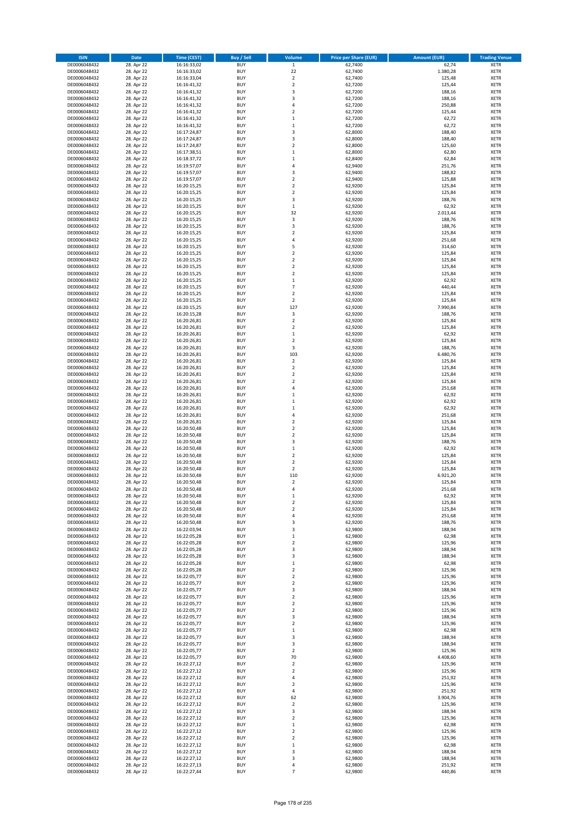| <b>ISIN</b>                  | <b>Date</b>              | <b>Time (CEST)</b>         | <b>Buy / Sell</b>        | Volume                                 | <b>Price per Share (EUR)</b> | <b>Amount (EUR)</b> | <b>Trading Venue</b>       |
|------------------------------|--------------------------|----------------------------|--------------------------|----------------------------------------|------------------------------|---------------------|----------------------------|
| DE0006048432                 | 28. Apr 22               | 16:16:33,02                | <b>BUY</b>               | $\overline{1}$                         | 62,7400                      | 62,74               | <b>XETR</b>                |
| DE0006048432                 | 28. Apr 22               | 16:16:33,02                | <b>BUY</b>               | 22                                     | 62,7400                      | 1.380,28            | <b>XETR</b>                |
| DE0006048432                 | 28. Apr 22               | 16:16:33,04                | <b>BUY</b>               | $\overline{2}$                         | 62,7400                      | 125,48              | <b>XETR</b>                |
| DE0006048432<br>DE0006048432 | 28. Apr 22<br>28. Apr 22 | 16:16:41,32<br>16:16:41,32 | <b>BUY</b><br><b>BUY</b> | $\mathbf 2$<br>3                       | 62,7200<br>62,7200           | 125,44<br>188,16    | <b>XETR</b><br><b>XETR</b> |
| DE0006048432                 | 28. Apr 22               | 16:16:41,32                | <b>BUY</b>               | 3                                      | 62,7200                      | 188,16              | <b>XETR</b>                |
| DE0006048432                 | 28. Apr 22               | 16:16:41,32                | <b>BUY</b>               | 4                                      | 62,7200                      | 250,88              | <b>XETR</b>                |
| DE0006048432                 | 28. Apr 22               | 16:16:41,32                | <b>BUY</b>               | $\overline{\mathbf{c}}$                | 62,7200                      | 125,44              | <b>XETR</b>                |
| DE0006048432                 | 28. Apr 22               | 16:16:41,32                | <b>BUY</b>               | $\mathbf{1}$                           | 62,7200                      | 62,72               | <b>XETR</b>                |
| DE0006048432                 | 28. Apr 22               | 16:16:41,32                | <b>BUY</b>               | $\mathbf 1$                            | 62,7200                      | 62,72               | <b>XETR</b>                |
| DE0006048432                 | 28. Apr 22               | 16:17:24,87                | <b>BUY</b>               | 3                                      | 62,8000                      | 188,40              | <b>XETR</b>                |
| DE0006048432<br>DE0006048432 | 28. Apr 22<br>28. Apr 22 | 16:17:24,87<br>16:17:24,87 | <b>BUY</b><br><b>BUY</b> | 3<br>$\mathbf 2$                       | 62,8000<br>62,8000           | 188,40<br>125,60    | <b>XETR</b><br><b>XETR</b> |
| DE0006048432                 | 28. Apr 22               | 16:17:38,51                | <b>BUY</b>               | $\mathbf 1$                            | 62,8000                      | 62,80               | <b>XETR</b>                |
| DE0006048432                 | 28. Apr 22               | 16:18:37,72                | <b>BUY</b>               | $\mathbf 1$                            | 62,8400                      | 62,84               | <b>XETR</b>                |
| DE0006048432                 | 28. Apr 22               | 16:19:57,07                | <b>BUY</b>               | 4                                      | 62,9400                      | 251,76              | <b>XETR</b>                |
| DE0006048432                 | 28. Apr 22               | 16:19:57,07                | <b>BUY</b>               | 3                                      | 62,9400                      | 188,82              | <b>XETR</b>                |
| DE0006048432                 | 28. Apr 22               | 16:19:57,07                | <b>BUY</b>               | $\mathbf 2$                            | 62,9400                      | 125,88              | <b>XETR</b>                |
| DE0006048432                 | 28. Apr 22               | 16:20:15,25                | <b>BUY</b>               | $\overline{\mathbf{c}}$                | 62,9200                      | 125,84              | <b>XETR</b>                |
| DE0006048432<br>DE0006048432 | 28. Apr 22<br>28. Apr 22 | 16:20:15,25<br>16:20:15,25 | <b>BUY</b><br><b>BUY</b> | $\mathbf 2$<br>3                       | 62,9200<br>62,9200           | 125,84<br>188,76    | <b>XETR</b><br><b>XETR</b> |
| DE0006048432                 | 28. Apr 22               | 16:20:15,25                | <b>BUY</b>               | $\mathbf 1$                            | 62,9200                      | 62,92               | <b>XETR</b>                |
| DE0006048432                 | 28. Apr 22               | 16:20:15,25                | <b>BUY</b>               | 32                                     | 62,9200                      | 2.013,44            | <b>XETR</b>                |
| DE0006048432                 | 28. Apr 22               | 16:20:15,25                | <b>BUY</b>               | 3                                      | 62,9200                      | 188,76              | <b>XETR</b>                |
| DE0006048432                 | 28. Apr 22               | 16:20:15,25                | <b>BUY</b>               | 3                                      | 62,9200                      | 188,76              | <b>XETR</b>                |
| DE0006048432                 | 28. Apr 22               | 16:20:15,25                | <b>BUY</b>               | $\mathbf 2$                            | 62,9200                      | 125,84              | <b>XETR</b>                |
| DE0006048432                 | 28. Apr 22               | 16:20:15,25                | <b>BUY</b>               | 4                                      | 62,9200                      | 251,68              | <b>XETR</b>                |
| DE0006048432                 | 28. Apr 22               | 16:20:15,25                | <b>BUY</b><br><b>BUY</b> | 5                                      | 62,9200                      | 314,60              | <b>XETR</b>                |
| DE0006048432<br>DE0006048432 | 28. Apr 22<br>28. Apr 22 | 16:20:15,25<br>16:20:15,25 | <b>BUY</b>               | $\mathbf 2$<br>$\overline{\mathbf{c}}$ | 62,9200<br>62,9200           | 125,84<br>125,84    | <b>XETR</b><br><b>XETR</b> |
| DE0006048432                 | 28. Apr 22               | 16:20:15,25                | <b>BUY</b>               | $\overline{2}$                         | 62,9200                      | 125,84              | <b>XETR</b>                |
| DE0006048432                 | 28. Apr 22               | 16:20:15,25                | <b>BUY</b>               | $\overline{\mathbf{c}}$                | 62,9200                      | 125,84              | <b>XETR</b>                |
| DE0006048432                 | 28. Apr 22               | 16:20:15,25                | <b>BUY</b>               | $\mathbf 1$                            | 62,9200                      | 62,92               | <b>XETR</b>                |
| DE0006048432                 | 28. Apr 22               | 16:20:15,25                | <b>BUY</b>               | $\overline{7}$                         | 62,9200                      | 440,44              | <b>XETR</b>                |
| DE0006048432                 | 28. Apr 22               | 16:20:15,25                | <b>BUY</b>               | $\mathbf 2$                            | 62,9200                      | 125,84              | <b>XETR</b>                |
| DE0006048432                 | 28. Apr 22               | 16:20:15,25                | <b>BUY</b>               | $\mathbf 2$                            | 62,9200                      | 125,84              | <b>XETR</b>                |
| DE0006048432                 | 28. Apr 22               | 16:20:15,25                | <b>BUY</b><br><b>BUY</b> | 127<br>3                               | 62,9200                      | 7.990,84            | <b>XETR</b>                |
| DE0006048432<br>DE0006048432 | 28. Apr 22<br>28. Apr 22 | 16:20:15,28<br>16:20:26,81 | <b>BUY</b>               | $\mathbf 2$                            | 62,9200<br>62,9200           | 188,76<br>125,84    | <b>XETR</b><br><b>XETR</b> |
| DE0006048432                 | 28. Apr 22               | 16:20:26,81                | <b>BUY</b>               | $\mathbf 2$                            | 62,9200                      | 125,84              | <b>XETR</b>                |
| DE0006048432                 | 28. Apr 22               | 16:20:26,81                | <b>BUY</b>               | $\mathbf 1$                            | 62,9200                      | 62,92               | <b>XETR</b>                |
| DE0006048432                 | 28. Apr 22               | 16:20:26,81                | <b>BUY</b>               | $\overline{\mathbf{c}}$                | 62,9200                      | 125,84              | <b>XETR</b>                |
| DE0006048432                 | 28. Apr 22               | 16:20:26,81                | <b>BUY</b>               | 3                                      | 62,9200                      | 188,76              | <b>XETR</b>                |
| DE0006048432                 | 28. Apr 22               | 16:20:26,81                | <b>BUY</b>               | 103                                    | 62,9200                      | 6.480,76            | <b>XETR</b>                |
| DE0006048432                 | 28. Apr 22               | 16:20:26,81                | <b>BUY</b>               | $\mathbf 2$                            | 62,9200                      | 125,84              | <b>XETR</b>                |
| DE0006048432                 | 28. Apr 22               | 16:20:26,81                | <b>BUY</b>               | $\overline{2}$                         | 62,9200                      | 125,84              | <b>XETR</b>                |
| DE0006048432<br>DE0006048432 | 28. Apr 22<br>28. Apr 22 | 16:20:26,81<br>16:20:26,81 | <b>BUY</b><br><b>BUY</b> | $\mathbf 2$<br>$\overline{\mathbf{c}}$ | 62,9200<br>62,9200           | 125,84<br>125,84    | <b>XETR</b><br><b>XETR</b> |
| DE0006048432                 | 28. Apr 22               | 16:20:26,81                | <b>BUY</b>               | 4                                      | 62,9200                      | 251,68              | <b>XETR</b>                |
| DE0006048432                 | 28. Apr 22               | 16:20:26,81                | <b>BUY</b>               | $\mathbf 1$                            | 62,9200                      | 62,92               | <b>XETR</b>                |
| DE0006048432                 | 28. Apr 22               | 16:20:26,81                | <b>BUY</b>               | $\mathbf 1$                            | 62,9200                      | 62,92               | <b>XETR</b>                |
| DE0006048432                 | 28. Apr 22               | 16:20:26,81                | <b>BUY</b>               | $\mathbf 1$                            | 62,9200                      | 62,92               | <b>XETR</b>                |
| DE0006048432                 | 28. Apr 22               | 16:20:26,81                | <b>BUY</b>               | 4                                      | 62,9200                      | 251,68              | <b>XETR</b>                |
| DE0006048432                 | 28. Apr 22               | 16:20:26,81                | <b>BUY</b>               | $\mathbf 2$                            | 62,9200                      | 125,84              | <b>XETR</b>                |
| DE0006048432                 | 28. Apr 22<br>28. Apr 22 | 16:20:50,48                | <b>BUY</b><br><b>BUY</b> | $\overline{\mathbf{c}}$<br>$\mathbf 2$ | 62,9200                      | 125,84              | <b>XETR</b><br><b>XETR</b> |
| DE0006048432<br>DE0006048432 | 28. Apr 22               | 16:20:50,48<br>16:20:50,48 | <b>BUY</b>               | 3                                      | 62,9200<br>62,9200           | 125,84<br>188,76    | <b>XETR</b>                |
| DE0006048432                 | 28. Apr 22               | 16:20:50,48                | <b>BUY</b>               | $\mathbf 1$                            | 62,9200                      | 62,92               | <b>XETR</b>                |
| DE0006048432                 | 28. Apr 22               | 16:20:50,48                | <b>BUY</b>               | $\overline{\mathbf{c}}$                | 62,9200                      | 125,84              | <b>XETR</b>                |
| DE0006048432                 | 28. Apr 22               | 16:20:50,48                | <b>BUY</b>               | $\overline{2}$                         | 62,9200                      | 125,84              | <b>XETR</b>                |
| DE0006048432                 | 28. Apr 22               | 16:20:50,48                | <b>BUY</b>               | $\mathbf 2$                            | 62,9200                      | 125,84              | <b>XETR</b>                |
| DE0006048432                 | 28. Apr 22               | 16:20:50,48                | <b>BUY</b>               | 110                                    | 62,9200                      | 6.921,20            | <b>XETR</b>                |
| DE0006048432                 | 28. Apr 22               | 16:20:50,48                | <b>BUY</b><br><b>BUY</b> | $\mathbf 2$<br>4                       | 62,9200                      | 125,84              | <b>XETR</b><br><b>XETR</b> |
| DE0006048432<br>DE0006048432 | 28. Apr 22<br>28. Apr 22 | 16:20:50,48<br>16:20:50,48 | BUY                      | $\mathbf 1$                            | 62,9200<br>62,9200           | 251,68<br>62,92     | <b>XETR</b>                |
| DE0006048432                 | 28. Apr 22               | 16:20:50,48                | <b>BUY</b>               | $\mathbf 2$                            | 62,9200                      | 125,84              | <b>XETR</b>                |
| DE0006048432                 | 28. Apr 22               | 16:20:50,48                | <b>BUY</b>               | $\mathbf 2$                            | 62,9200                      | 125,84              | <b>XETR</b>                |
| DE0006048432                 | 28. Apr 22               | 16:20:50,48                | <b>BUY</b>               | 4                                      | 62,9200                      | 251,68              | XETR                       |
| DE0006048432                 | 28. Apr 22               | 16:20:50,48                | <b>BUY</b>               | 3                                      | 62,9200                      | 188,76              | <b>XETR</b>                |
| DE0006048432                 | 28. Apr 22               | 16:22:03,94                | <b>BUY</b>               | 3                                      | 62,9800                      | 188,94              | <b>XETR</b>                |
| DE0006048432<br>DE0006048432 | 28. Apr 22<br>28. Apr 22 | 16:22:05,28<br>16:22:05,28 | <b>BUY</b><br><b>BUY</b> | $\mathbf 1$<br>$\mathbf 2$             | 62,9800<br>62,9800           | 62,98<br>125,96     | <b>XETR</b><br><b>XETR</b> |
| DE0006048432                 | 28. Apr 22               | 16:22:05,28                | <b>BUY</b>               | 3                                      | 62,9800                      | 188,94              | <b>XETR</b>                |
| DE0006048432                 | 28. Apr 22               | 16:22:05,28                | <b>BUY</b>               | 3                                      | 62,9800                      | 188,94              | <b>XETR</b>                |
| DE0006048432                 | 28. Apr 22               | 16:22:05,28                | <b>BUY</b>               | $\mathbf 1$                            | 62,9800                      | 62,98               | <b>XETR</b>                |
| DE0006048432                 | 28. Apr 22               | 16:22:05,28                | <b>BUY</b>               | $\mathbf 2$                            | 62.9800                      | 125,96              | <b>XETR</b>                |
| DE0006048432                 | 28. Apr 22               | 16:22:05,77                | <b>BUY</b>               | $\mathbf 2$                            | 62,9800                      | 125,96              | <b>XETR</b>                |
| DE0006048432<br>DE0006048432 | 28. Apr 22<br>28. Apr 22 | 16:22:05,77<br>16:22:05,77 | <b>BUY</b><br><b>BUY</b> | $\overline{\mathbf{2}}$<br>3           | 62,9800<br>62,9800           | 125,96<br>188,94    | <b>XETR</b><br><b>XETR</b> |
| DE0006048432                 | 28. Apr 22               | 16:22:05,77                | <b>BUY</b>               | $\mathbf 2$                            | 62,9800                      | 125,96              | <b>XETR</b>                |
| DE0006048432                 | 28. Apr 22               | 16:22:05,77                | <b>BUY</b>               | $\overline{2}$                         | 62,9800                      | 125,96              | <b>XETR</b>                |
| DE0006048432                 | 28. Apr 22               | 16:22:05,77                | <b>BUY</b>               | $\overline{\mathbf{2}}$                | 62,9800                      | 125,96              | <b>XETR</b>                |
| DE0006048432                 | 28. Apr 22               | 16:22:05,77                | <b>BUY</b>               | 3                                      | 62,9800                      | 188,94              | XETR                       |
| DE0006048432                 | 28. Apr 22               | 16:22:05,77                | <b>BUY</b>               | $\mathbf 2$                            | 62,9800                      | 125,96              | <b>XETR</b>                |
| DE0006048432                 | 28. Apr 22               | 16:22:05,77                | <b>BUY</b>               | $\mathbf 1$                            | 62,9800                      | 62,98               | <b>XETR</b>                |
| DE0006048432<br>DE0006048432 | 28. Apr 22<br>28. Apr 22 | 16:22:05,77<br>16:22:05,77 | <b>BUY</b><br><b>BUY</b> | 3<br>3                                 | 62,9800<br>62,9800           | 188,94<br>188,94    | <b>XETR</b><br><b>XETR</b> |
| DE0006048432                 | 28. Apr 22               | 16:22:05,77                | <b>BUY</b>               | $\mathbf 2$                            | 62,9800                      | 125,96              | <b>XETR</b>                |
| DE0006048432                 | 28. Apr 22               | 16:22:05,77                | <b>BUY</b>               | 70                                     | 62,9800                      | 4.408,60            | <b>XETR</b>                |
| DE0006048432                 | 28. Apr 22               | 16:22:27,12                | <b>BUY</b>               | $\mathbf 2$                            | 62,9800                      | 125,96              | <b>XETR</b>                |
| DE0006048432                 | 28. Apr 22               | 16:22:27,12                | <b>BUY</b>               | $\mathbf 2$                            | 62,9800                      | 125,96              | <b>XETR</b>                |
| DE0006048432                 | 28. Apr 22               | 16:22:27,12                | <b>BUY</b>               | 4                                      | 62,9800                      | 251,92              | <b>XETR</b>                |
| DE0006048432                 | 28. Apr 22               | 16:22:27,12                | <b>BUY</b>               | $\mathbf 2$                            | 62,9800                      | 125,96              | <b>XETR</b>                |
| DE0006048432                 | 28. Apr 22               | 16:22:27,12                | <b>BUY</b>               | 4                                      | 62,9800                      | 251,92              | XETR                       |
| DE0006048432<br>DE0006048432 | 28. Apr 22<br>28. Apr 22 | 16:22:27,12<br>16:22:27,12 | <b>BUY</b><br><b>BUY</b> | 62<br>$\mathbf 2$                      | 62,9800<br>62,9800           | 3.904,76<br>125,96  | <b>XETR</b><br><b>XETR</b> |
| DE0006048432                 | 28. Apr 22               | 16:22:27,12                | <b>BUY</b>               | 3                                      | 62,9800                      | 188,94              | <b>XETR</b>                |
| DE0006048432                 | 28. Apr 22               | 16:22:27,12                | <b>BUY</b>               | $\mathbf 2$                            | 62,9800                      | 125,96              | <b>XETR</b>                |
| DE0006048432                 | 28. Apr 22               | 16:22:27,12                | <b>BUY</b>               | $\mathbf 1$                            | 62,9800                      | 62,98               | <b>XETR</b>                |
| DE0006048432                 | 28. Apr 22               | 16:22:27,12                | <b>BUY</b>               | $\mathbf 2$                            | 62,9800                      | 125,96              | <b>XETR</b>                |
| DE0006048432                 | 28. Apr 22               | 16:22:27,12                | <b>BUY</b>               | $\overline{\mathbf{c}}$                | 62,9800                      | 125,96              | <b>XETR</b>                |
| DE0006048432<br>DE0006048432 | 28. Apr 22<br>28. Apr 22 | 16:22:27,12<br>16:22:27,12 | <b>BUY</b><br><b>BUY</b> | $\mathbf 1$<br>3                       | 62,9800<br>62,9800           | 62,98<br>188,94     | <b>XETR</b><br><b>XETR</b> |
| DE0006048432                 | 28. Apr 22               | 16:22:27,12                | <b>BUY</b>               | 3                                      | 62,9800                      | 188,94              | <b>XETR</b>                |
| DE0006048432                 | 28. Apr 22               | 16:22:27,13                | <b>BUY</b>               | 4                                      | 62,9800                      | 251,92              | <b>XETR</b>                |
| DE0006048432                 | 28. Apr 22               | 16:22:27,44                | <b>BUY</b>               | $\overline{7}$                         | 62,9800                      | 440,86              | <b>XETR</b>                |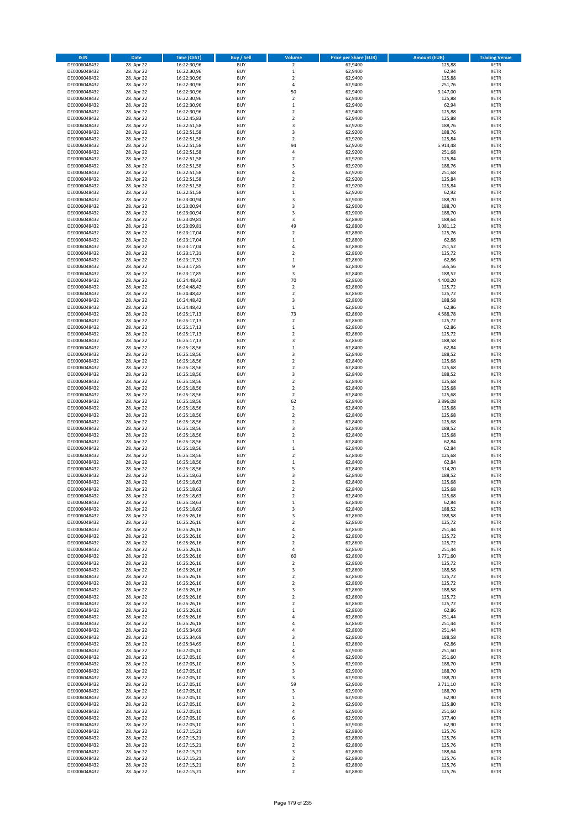| <b>ISIN</b>                  | <b>Date</b>              | <b>Time (CEST)</b>         | <b>Buy / Sell</b>        | Volume                                 | <b>Price per Share (EUR)</b> | <b>Amount (EUR)</b> | <b>Trading Venue</b>       |
|------------------------------|--------------------------|----------------------------|--------------------------|----------------------------------------|------------------------------|---------------------|----------------------------|
| DE0006048432                 | 28. Apr 22               | 16:22:30,96                | <b>BUY</b>               | $\overline{\mathbf{2}}$                | 62,9400                      | 125,88              | <b>XETR</b>                |
| DE0006048432                 | 28. Apr 22               | 16:22:30,96                | <b>BUY</b>               | $\mathbf 1$                            | 62,9400                      | 62,94               | <b>XETR</b>                |
| DE0006048432                 | 28. Apr 22               | 16:22:30,96                | <b>BUY</b>               | $\overline{2}$                         | 62,9400                      | 125,88              | <b>XETR</b>                |
| DE0006048432<br>DE0006048432 | 28. Apr 22<br>28. Apr 22 | 16:22:30,96<br>16:22:30,96 | <b>BUY</b><br><b>BUY</b> | 4<br>50                                | 62,9400<br>62,9400           | 251,76<br>3.147,00  | <b>XETR</b><br><b>XETR</b> |
| DE0006048432                 | 28. Apr 22               | 16:22:30,96                | <b>BUY</b>               | $\mathbf 2$                            | 62,9400                      | 125,88              | <b>XETR</b>                |
| DE0006048432                 | 28. Apr 22               | 16:22:30,96                | <b>BUY</b>               | $\mathbf 1$                            | 62,9400                      | 62,94               | <b>XETR</b>                |
| DE0006048432                 | 28. Apr 22               | 16:22:30,96                | <b>BUY</b>               | $\overline{\mathbf{c}}$                | 62,9400                      | 125,88              | <b>XETR</b>                |
| DE0006048432                 | 28. Apr 22               | 16:22:45,83                | <b>BUY</b>               | $\overline{2}$                         | 62,9400                      | 125,88              | <b>XETR</b>                |
| DE0006048432                 | 28. Apr 22               | 16:22:51,58                | <b>BUY</b>               | 3                                      | 62,9200                      | 188,76              | <b>XETR</b>                |
| DE0006048432                 | 28. Apr 22               | 16:22:51,58                | <b>BUY</b>               | 3                                      | 62,9200                      | 188,76              | <b>XETR</b>                |
| DE0006048432<br>DE0006048432 | 28. Apr 22<br>28. Apr 22 | 16:22:51,58<br>16:22:51,58 | <b>BUY</b><br><b>BUY</b> | $\overline{\mathbf{c}}$<br>94          | 62,9200<br>62,9200           | 125,84<br>5.914,48  | <b>XETR</b><br><b>XETR</b> |
| DE0006048432                 | 28. Apr 22               | 16:22:51,58                | <b>BUY</b>               | 4                                      | 62,9200                      | 251,68              | <b>XETR</b>                |
| DE0006048432                 | 28. Apr 22               | 16:22:51,58                | <b>BUY</b>               | $\overline{\mathbf{c}}$                | 62,9200                      | 125,84              | <b>XETR</b>                |
| DE0006048432                 | 28. Apr 22               | 16:22:51,58                | <b>BUY</b>               | 3                                      | 62,9200                      | 188,76              | <b>XETR</b>                |
| DE0006048432                 | 28. Apr 22               | 16:22:51,58                | <b>BUY</b>               | 4                                      | 62,9200                      | 251,68              | <b>XETR</b>                |
| DE0006048432                 | 28. Apr 22               | 16:22:51,58                | <b>BUY</b>               | $\mathbf 2$                            | 62,9200                      | 125,84              | <b>XETR</b>                |
| DE0006048432                 | 28. Apr 22               | 16:22:51,58                | <b>BUY</b>               | $\overline{\mathbf{c}}$                | 62,9200                      | 125,84              | <b>XETR</b>                |
| DE0006048432                 | 28. Apr 22               | 16:22:51,58                | <b>BUY</b>               | $\mathbf 1$                            | 62,9200                      | 62,92               | <b>XETR</b>                |
| DE0006048432<br>DE0006048432 | 28. Apr 22<br>28. Apr 22 | 16:23:00,94<br>16:23:00,94 | <b>BUY</b><br><b>BUY</b> | 3<br>3                                 | 62,9000<br>62,9000           | 188,70<br>188,70    | <b>XETR</b><br><b>XETR</b> |
| DE0006048432                 | 28. Apr 22               | 16:23:00,94                | <b>BUY</b>               | 3                                      | 62,9000                      | 188,70              | <b>XETR</b>                |
| DE0006048432                 | 28. Apr 22               | 16:23:09,81                | <b>BUY</b>               | 3                                      | 62,8800                      | 188,64              | <b>XETR</b>                |
| DE0006048432                 | 28. Apr 22               | 16:23:09,81                | <b>BUY</b>               | 49                                     | 62,8800                      | 3.081,12            | <b>XETR</b>                |
| DE0006048432                 | 28. Apr 22               | 16:23:17,04                | <b>BUY</b>               | $\mathbf 2$                            | 62,8800                      | 125,76              | <b>XETR</b>                |
| DE0006048432                 | 28. Apr 22               | 16:23:17,04                | <b>BUY</b>               | $\mathbf 1$                            | 62,8800                      | 62,88               | <b>XETR</b>                |
| DE0006048432                 | 28. Apr 22               | 16:23:17,04                | <b>BUY</b>               | 4                                      | 62,8800                      | 251,52              | <b>XETR</b>                |
| DE0006048432<br>DE0006048432 | 28. Apr 22<br>28. Apr 22 | 16:23:17,31<br>16:23:17,31 | <b>BUY</b><br><b>BUY</b> | $\mathbf 2$<br>$\mathbf 1$             | 62,8600<br>62,8600           | 125,72<br>62,86     | <b>XETR</b><br><b>XETR</b> |
| DE0006048432                 | 28. Apr 22               | 16:23:17,85                | <b>BUY</b>               | 9                                      | 62,8400                      | 565,56              | <b>XETR</b>                |
| DE0006048432                 | 28. Apr 22               | 16:23:17,85                | <b>BUY</b>               | 3                                      | 62,8400                      | 188,52              | <b>XETR</b>                |
| DE0006048432                 | 28. Apr 22               | 16:24:48,42                | <b>BUY</b>               | 70                                     | 62,8600                      | 4.400,20            | <b>XETR</b>                |
| DE0006048432                 | 28. Apr 22               | 16:24:48,42                | <b>BUY</b>               | $\overline{\mathbf{c}}$                | 62,8600                      | 125,72              | <b>XETR</b>                |
| DE0006048432                 | 28. Apr 22               | 16:24:48,42                | <b>BUY</b>               | $\mathbf 2$                            | 62,8600                      | 125,72              | <b>XETR</b>                |
| DE0006048432                 | 28. Apr 22               | 16:24:48,42                | <b>BUY</b>               | 3                                      | 62,8600                      | 188,58              | <b>XETR</b>                |
| DE0006048432                 | 28. Apr 22               | 16:24:48,42                | <b>BUY</b><br><b>BUY</b> | $\mathbf 1$<br>73                      | 62,8600<br>62,8600           | 62,86<br>4.588,78   | <b>XETR</b><br><b>XETR</b> |
| DE0006048432<br>DE0006048432 | 28. Apr 22<br>28. Apr 22 | 16:25:17,13<br>16:25:17,13 | <b>BUY</b>               | $\overline{\mathbf{c}}$                | 62,8600                      | 125,72              | <b>XETR</b>                |
| DE0006048432                 | 28. Apr 22               | 16:25:17,13                | <b>BUY</b>               | $\mathbf 1$                            | 62,8600                      | 62,86               | <b>XETR</b>                |
| DE0006048432                 | 28. Apr 22               | 16:25:17,13                | <b>BUY</b>               | $\overline{\mathbf{c}}$                | 62,8600                      | 125,72              | <b>XETR</b>                |
| DE0006048432                 | 28. Apr 22               | 16:25:17,13                | <b>BUY</b>               | 3                                      | 62,8600                      | 188,58              | <b>XETR</b>                |
| DE0006048432                 | 28. Apr 22               | 16:25:18,56                | <b>BUY</b>               | $\mathbf 1$                            | 62,8400                      | 62,84               | <b>XETR</b>                |
| DE0006048432                 | 28. Apr 22               | 16:25:18,56                | <b>BUY</b>               | 3                                      | 62,8400                      | 188,52              | <b>XETR</b>                |
| DE0006048432                 | 28. Apr 22               | 16:25:18,56                | <b>BUY</b>               | $\mathbf 2$                            | 62,8400                      | 125,68              | <b>XETR</b>                |
| DE0006048432                 | 28. Apr 22               | 16:25:18,56                | <b>BUY</b><br><b>BUY</b> | $\overline{\mathbf{2}}$<br>3           | 62,8400<br>62,8400           | 125,68<br>188,52    | <b>XETR</b><br><b>XETR</b> |
| DE0006048432<br>DE0006048432 | 28. Apr 22<br>28. Apr 22 | 16:25:18,56<br>16:25:18,56 | <b>BUY</b>               | $\mathbf 2$                            | 62,8400                      | 125,68              | <b>XETR</b>                |
| DE0006048432                 | 28. Apr 22               | 16:25:18,56                | <b>BUY</b>               | $\mathbf 2$                            | 62,8400                      | 125,68              | <b>XETR</b>                |
| DE0006048432                 | 28. Apr 22               | 16:25:18,56                | <b>BUY</b>               | $\mathbf 2$                            | 62,8400                      | 125,68              | <b>XETR</b>                |
| DE0006048432                 | 28. Apr 22               | 16:25:18,56                | <b>BUY</b>               | 62                                     | 62,8400                      | 3.896,08            | <b>XETR</b>                |
| DE0006048432                 | 28. Apr 22               | 16:25:18,56                | <b>BUY</b>               | $\mathbf 2$                            | 62,8400                      | 125,68              | <b>XETR</b>                |
| DE0006048432                 | 28. Apr 22               | 16:25:18,56                | <b>BUY</b>               | $\overline{2}$                         | 62,8400                      | 125,68              | <b>XETR</b>                |
| DE0006048432<br>DE0006048432 | 28. Apr 22<br>28. Apr 22 | 16:25:18,56<br>16:25:18,56 | <b>BUY</b><br><b>BUY</b> | $\mathbf 2$<br>3                       | 62,8400<br>62,8400           | 125,68<br>188,52    | <b>XETR</b><br><b>XETR</b> |
| DE0006048432                 | 28. Apr 22               | 16:25:18,56                | <b>BUY</b>               | $\mathbf 2$                            | 62,8400                      | 125,68              | <b>XETR</b>                |
| DE0006048432                 | 28. Apr 22               | 16:25:18,56                | <b>BUY</b>               | $\mathbf 1$                            | 62,8400                      | 62,84               | <b>XETR</b>                |
| DE0006048432                 | 28. Apr 22               | 16:25:18,56                | <b>BUY</b>               | $\mathbf 1$                            | 62,8400                      | 62,84               | <b>XETR</b>                |
| DE0006048432                 | 28. Apr 22               | 16:25:18,56                | <b>BUY</b>               | $\overline{\mathbf{c}}$                | 62,8400                      | 125,68              | <b>XETR</b>                |
| DE0006048432                 | 28. Apr 22               | 16:25:18,56                | <b>BUY</b>               | $\mathbf 1$                            | 62,8400                      | 62,84               | <b>XETR</b>                |
| DE0006048432                 | 28. Apr 22               | 16:25:18,56                | <b>BUY</b>               | 5                                      | 62,8400                      | 314,20              | <b>XETR</b>                |
| DE0006048432<br>DE0006048432 | 28. Apr 22<br>28. Apr 22 | 16:25:18,63<br>16:25:18,63 | <b>BUY</b><br><b>BUY</b> | 3<br>$\overline{\mathbf{c}}$           | 62,8400<br>62,8400           | 188,52<br>125,68    | <b>XETR</b><br><b>XETR</b> |
| DE0006048432                 | 28. Apr 22               | 16:25:18,63                | <b>BUY</b>               | $\overline{2}$                         | 62,8400                      | 125,68              | <b>XETR</b>                |
| DE0006048432                 | 28. Apr 22               | 16:25:18,63                | BUY                      | 2                                      | 62,8400                      | 125,68              | <b>XETR</b>                |
| DE0006048432                 | 28. Apr 22               | 16:25:18,63                | <b>BUY</b>               | $\mathbf 1$                            | 62,8400                      | 62,84               | <b>XETR</b>                |
| DE0006048432                 | 28. Apr 22               | 16:25:18,63                | <b>BUY</b>               | 3                                      | 62,8400                      | 188,52              | <b>XETR</b>                |
| DE0006048432                 | 28. Apr 22               | 16:25:26,16                | <b>BUY</b>               | 3                                      | 62,8600                      | 188,58              | XETR                       |
| DE0006048432                 | 28. Apr 22               | 16:25:26,16                | <b>BUY</b>               | $\overline{\mathbf{c}}$                | 62,8600                      | 125,72              | <b>XETR</b>                |
| DE0006048432<br>DE0006048432 | 28. Apr 22<br>28. Apr 22 | 16:25:26,16<br>16:25:26,16 | <b>BUY</b><br><b>BUY</b> | 4<br>$\overline{\mathbf{2}}$           | 62,8600<br>62,8600           | 251,44<br>125,72    | <b>XETR</b><br><b>XETR</b> |
| DE0006048432                 | 28. Apr 22               | 16:25:26,16                | <b>BUY</b>               | $\mathbf 2$                            | 62,8600                      | 125,72              | <b>XETR</b>                |
| DE0006048432                 | 28. Apr 22               | 16:25:26,16                | <b>BUY</b>               | 4                                      | 62,8600                      | 251,44              | <b>XETR</b>                |
| DE0006048432                 | 28. Apr 22               | 16:25:26,16                | <b>BUY</b>               | 60                                     | 62,8600                      | 3.771,60            | <b>XETR</b>                |
| DE0006048432                 | 28. Apr 22               | 16:25:26,16                | <b>BUY</b>               | $\mathbf 2$                            | 62,8600                      | 125,72              | <b>XETR</b>                |
| DE0006048432                 | 28. Apr 22               | 16:25:26,16                | <b>BUY</b>               | 3                                      | 62,8600                      | 188,58              | <b>XETR</b>                |
| DE0006048432<br>DE0006048432 | 28. Apr 22<br>28. Apr 22 | 16:25:26,16<br>16:25:26,16 | <b>BUY</b><br><b>BUY</b> | $\mathbf 2$<br>$\overline{\mathbf{c}}$ | 62,8600<br>62,8600           | 125,72<br>125,72    | <b>XETR</b><br><b>XETR</b> |
| DE0006048432                 | 28. Apr 22               | 16:25:26,16                | <b>BUY</b>               | 3                                      | 62,8600                      | 188,58              | <b>XETR</b>                |
| DE0006048432                 | 28. Apr 22               | 16:25:26,16                | <b>BUY</b>               | $\mathbf 2$                            | 62,8600                      | 125,72              | <b>XETR</b>                |
| DE0006048432                 | 28. Apr 22               | 16:25:26,16                | <b>BUY</b>               | $\mathbf 2$                            | 62,8600                      | 125,72              | <b>XETR</b>                |
| DE0006048432                 | 28. Apr 22               | 16:25:26,16                | <b>BUY</b>               | $\mathbf 1$                            | 62,8600                      | 62,86               | <b>XETR</b>                |
| DE0006048432                 | 28. Apr 22               | 16:25:26,16                | <b>BUY</b>               | 4                                      | 62,8600                      | 251,44              | XETR                       |
| DE0006048432<br>DE0006048432 | 28. Apr 22               | 16:25:26,18                | <b>BUY</b><br><b>BUY</b> | 4<br>4                                 | 62,8600                      | 251,44              | <b>XETR</b><br><b>XETR</b> |
| DE0006048432                 | 28. Apr 22<br>28. Apr 22 | 16:25:34,69<br>16:25:34,69 | <b>BUY</b>               | 3                                      | 62,8600<br>62,8600           | 251,44<br>188,58    | <b>XETR</b>                |
| DE0006048432                 | 28. Apr 22               | 16:25:34,69                | <b>BUY</b>               | $\mathbf 1$                            | 62,8600                      | 62,86               | <b>XETR</b>                |
| DE0006048432                 | 28. Apr 22               | 16:27:05,10                | <b>BUY</b>               | 4                                      | 62,9000                      | 251,60              | <b>XETR</b>                |
| DE0006048432                 | 28. Apr 22               | 16:27:05,10                | <b>BUY</b>               | 4                                      | 62,9000                      | 251,60              | <b>XETR</b>                |
| DE0006048432                 | 28. Apr 22               | 16:27:05,10                | <b>BUY</b>               | 3                                      | 62,9000                      | 188,70              | <b>XETR</b>                |
| DE0006048432                 | 28. Apr 22               | 16:27:05,10                | <b>BUY</b>               | 3                                      | 62,9000                      | 188,70              | <b>XETR</b>                |
| DE0006048432<br>DE0006048432 | 28. Apr 22<br>28. Apr 22 | 16:27:05,10<br>16:27:05,10 | <b>BUY</b><br><b>BUY</b> | 3<br>59                                | 62,9000<br>62,9000           | 188,70<br>3.711,10  | <b>XETR</b><br><b>XETR</b> |
| DE0006048432                 | 28. Apr 22               | 16:27:05,10                | <b>BUY</b>               | 3                                      | 62,9000                      | 188,70              | <b>XETR</b>                |
| DE0006048432                 | 28. Apr 22               | 16:27:05,10                | <b>BUY</b>               | $\mathbf 1$                            | 62,9000                      | 62,90               | <b>XETR</b>                |
| DE0006048432                 | 28. Apr 22               | 16:27:05,10                | <b>BUY</b>               | $\mathbf 2$                            | 62,9000                      | 125,80              | <b>XETR</b>                |
| DE0006048432                 | 28. Apr 22               | 16:27:05,10                | <b>BUY</b>               | 4                                      | 62,9000                      | 251,60              | <b>XETR</b>                |
| DE0006048432                 | 28. Apr 22               | 16:27:05,10                | <b>BUY</b>               | 6                                      | 62,9000                      | 377,40              | <b>XETR</b>                |
| DE0006048432                 | 28. Apr 22               | 16:27:05,10                | <b>BUY</b>               | $\mathbf 1$                            | 62,9000                      | 62,90               | <b>XETR</b>                |
| DE0006048432<br>DE0006048432 | 28. Apr 22<br>28. Apr 22 | 16:27:15,21<br>16:27:15,21 | <b>BUY</b><br><b>BUY</b> | $\mathbf 2$<br>$\overline{\mathbf{c}}$ | 62,8800<br>62,8800           | 125,76<br>125,76    | <b>XETR</b><br><b>XETR</b> |
| DE0006048432                 | 28. Apr 22               | 16:27:15,21                | <b>BUY</b>               | $\mathbf 2$                            | 62,8800                      | 125,76              | XETR                       |
| DE0006048432                 | 28. Apr 22               | 16:27:15,21                | <b>BUY</b>               | 3                                      | 62,8800                      | 188,64              | <b>XETR</b>                |
| DE0006048432                 | 28. Apr 22               | 16:27:15,21                | <b>BUY</b>               | $\mathbf 2$                            | 62,8800                      | 125,76              | <b>XETR</b>                |
| DE0006048432                 | 28. Apr 22               | 16:27:15,21                | <b>BUY</b>               | $\mathbf 2$                            | 62,8800                      | 125,76              | <b>XETR</b>                |
| DE0006048432                 | 28. Apr 22               | 16:27:15,21                | <b>BUY</b>               | $\mathbf 2$                            | 62,8800                      | 125,76              | <b>XETR</b>                |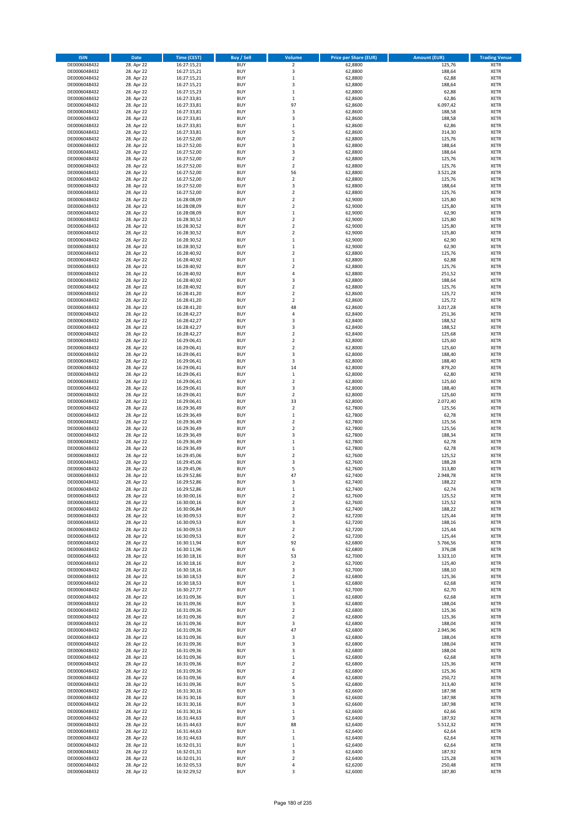| <b>ISIN</b>                  | <b>Date</b>              | <b>Time (CEST)</b>         | <b>Buy / Sell</b>        | Volume                                 | <b>Price per Share (EUR)</b> | <b>Amount (EUR)</b> | <b>Trading Venue</b>       |
|------------------------------|--------------------------|----------------------------|--------------------------|----------------------------------------|------------------------------|---------------------|----------------------------|
| DE0006048432                 | 28. Apr 22               | 16:27:15,21                | <b>BUY</b>               | $\overline{\mathbf{2}}$                | 62,8800                      | 125,76              | <b>XETR</b>                |
| DE0006048432                 | 28. Apr 22               | 16:27:15,21                | <b>BUY</b>               | 3                                      | 62,8800                      | 188,64              | <b>XETR</b>                |
| DE0006048432                 | 28. Apr 22               | 16:27:15,21                | <b>BUY</b>               | $\mathbf 1$                            | 62,8800                      | 62,88               | <b>XETR</b>                |
| DE0006048432<br>DE0006048432 | 28. Apr 22<br>28. Apr 22 | 16:27:15,21<br>16:27:15,23 | <b>BUY</b><br><b>BUY</b> | 3<br>$\mathbf 1$                       | 62,8800<br>62,8800           | 188,64<br>62,88     | <b>XETR</b><br><b>XETR</b> |
| DE0006048432                 | 28. Apr 22               | 16:27:33,81                | <b>BUY</b>               | $\,1\,$                                | 62,8600                      | 62,86               | <b>XETR</b>                |
| DE0006048432                 | 28. Apr 22               | 16:27:33,81                | <b>BUY</b>               | 97                                     | 62,8600                      | 6.097,42            | <b>XETR</b>                |
| DE0006048432                 | 28. Apr 22               | 16:27:33,81                | <b>BUY</b>               | 3                                      | 62,8600                      | 188,58              | <b>XETR</b>                |
| DE0006048432                 | 28. Apr 22               | 16:27:33,81                | <b>BUY</b>               | 3                                      | 62,8600                      | 188,58              | <b>XETR</b>                |
| DE0006048432                 | 28. Apr 22               | 16:27:33,81                | <b>BUY</b>               | $\mathbf 1$                            | 62,8600                      | 62,86               | <b>XETR</b>                |
| DE0006048432                 | 28. Apr 22               | 16:27:33,81                | <b>BUY</b>               | 5                                      | 62,8600                      | 314,30              | <b>XETR</b>                |
| DE0006048432                 | 28. Apr 22<br>28. Apr 22 | 16:27:52,00                | <b>BUY</b><br><b>BUY</b> | $\overline{\mathbf{c}}$<br>3           | 62,8800                      | 125,76              | <b>XETR</b><br><b>XETR</b> |
| DE0006048432<br>DE0006048432 | 28. Apr 22               | 16:27:52,00<br>16:27:52,00 | <b>BUY</b>               | 3                                      | 62,8800<br>62,8800           | 188,64<br>188,64    | <b>XETR</b>                |
| DE0006048432                 | 28. Apr 22               | 16:27:52,00                | <b>BUY</b>               | $\mathbf 2$                            | 62,8800                      | 125,76              | <b>XETR</b>                |
| DE0006048432                 | 28. Apr 22               | 16:27:52,00                | <b>BUY</b>               | $\overline{\mathbf{c}}$                | 62,8800                      | 125,76              | <b>XETR</b>                |
| DE0006048432                 | 28. Apr 22               | 16:27:52,00                | <b>BUY</b>               | 56                                     | 62,8800                      | 3.521,28            | <b>XETR</b>                |
| DE0006048432                 | 28. Apr 22               | 16:27:52,00                | <b>BUY</b>               | $\mathbf 2$                            | 62,8800                      | 125,76              | <b>XETR</b>                |
| DE0006048432                 | 28. Apr 22               | 16:27:52,00                | <b>BUY</b>               | 3                                      | 62,8800                      | 188,64              | <b>XETR</b>                |
| DE0006048432                 | 28. Apr 22               | 16:27:52,00                | <b>BUY</b>               | $\mathbf 2$                            | 62,8800                      | 125,76              | <b>XETR</b>                |
| DE0006048432<br>DE0006048432 | 28. Apr 22<br>28. Apr 22 | 16:28:08,09<br>16:28:08,09 | <b>BUY</b><br><b>BUY</b> | $\overline{\mathbf{c}}$<br>$\mathbf 2$ | 62,9000<br>62,9000           | 125,80<br>125,80    | <b>XETR</b><br><b>XETR</b> |
| DE0006048432                 | 28. Apr 22               | 16:28:08,09                | <b>BUY</b>               | $\mathbf 1$                            | 62,9000                      | 62,90               | <b>XETR</b>                |
| DE0006048432                 | 28. Apr 22               | 16:28:30,52                | <b>BUY</b>               | $\mathbf 2$                            | 62,9000                      | 125,80              | <b>XETR</b>                |
| DE0006048432                 | 28. Apr 22               | 16:28:30,52                | <b>BUY</b>               | $\mathbf 2$                            | 62,9000                      | 125,80              | <b>XETR</b>                |
| DE0006048432                 | 28. Apr 22               | 16:28:30,52                | <b>BUY</b>               | $\mathbf 2$                            | 62,9000                      | 125,80              | <b>XETR</b>                |
| DE0006048432                 | 28. Apr 22               | 16:28:30,52                | <b>BUY</b>               | $\mathbf 1$                            | 62,9000                      | 62,90               | <b>XETR</b>                |
| DE0006048432                 | 28. Apr 22               | 16:28:30,52                | <b>BUY</b>               | $\mathbf 1$                            | 62,9000                      | 62,90               | <b>XETR</b>                |
| DE0006048432<br>DE0006048432 | 28. Apr 22<br>28. Apr 22 | 16:28:40,92<br>16:28:40,92 | <b>BUY</b><br><b>BUY</b> | $\overline{\mathbf{c}}$<br>$\mathbf 1$ | 62,8800<br>62,8800           | 125,76<br>62,88     | <b>XETR</b><br><b>XETR</b> |
| DE0006048432                 | 28. Apr 22               | 16:28:40,92                | <b>BUY</b>               | $\mathbf 2$                            | 62,8800                      | 125,76              | <b>XETR</b>                |
| DE0006048432                 | 28. Apr 22               | 16:28:40,92                | <b>BUY</b>               | 4                                      | 62,8800                      | 251,52              | <b>XETR</b>                |
| DE0006048432                 | 28. Apr 22               | 16:28:40,92                | <b>BUY</b>               | 3                                      | 62,8800                      | 188,64              | <b>XETR</b>                |
| DE0006048432                 | 28. Apr 22               | 16:28:40,92                | <b>BUY</b>               | $\mathbf 2$                            | 62,8800                      | 125,76              | <b>XETR</b>                |
| DE0006048432                 | 28. Apr 22               | 16:28:41,20                | <b>BUY</b>               | $\overline{2}$                         | 62,8600                      | 125,72              | <b>XETR</b>                |
| DE0006048432                 | 28. Apr 22               | 16:28:41,20                | <b>BUY</b>               | $\mathbf 2$                            | 62,8600                      | 125,72              | <b>XETR</b>                |
| DE0006048432                 | 28. Apr 22               | 16:28:41,20                | <b>BUY</b><br><b>BUY</b> | 48<br>4                                | 62,8600                      | 3.017,28            | <b>XETR</b><br><b>XETR</b> |
| DE0006048432<br>DE0006048432 | 28. Apr 22<br>28. Apr 22 | 16:28:42,27<br>16:28:42,27 | <b>BUY</b>               | 3                                      | 62,8400<br>62,8400           | 251,36<br>188,52    | <b>XETR</b>                |
| DE0006048432                 | 28. Apr 22               | 16:28:42,27                | <b>BUY</b>               | 3                                      | 62,8400                      | 188,52              | <b>XETR</b>                |
| DE0006048432                 | 28. Apr 22               | 16:28:42,27                | <b>BUY</b>               | $\overline{\mathbf{c}}$                | 62,8400                      | 125,68              | <b>XETR</b>                |
| DE0006048432                 | 28. Apr 22               | 16:29:06,41                | <b>BUY</b>               | $\mathbf 2$                            | 62,8000                      | 125,60              | <b>XETR</b>                |
| DE0006048432                 | 28. Apr 22               | 16:29:06,41                | <b>BUY</b>               | $\mathbf 2$                            | 62,8000                      | 125,60              | <b>XETR</b>                |
| DE0006048432                 | 28. Apr 22               | 16:29:06,41                | <b>BUY</b>               | 3                                      | 62,8000                      | 188,40              | <b>XETR</b>                |
| DE0006048432                 | 28. Apr 22               | 16:29:06,41                | <b>BUY</b>               | 3                                      | 62,8000                      | 188,40              | <b>XETR</b>                |
| DE0006048432                 | 28. Apr 22               | 16:29:06,41                | <b>BUY</b>               | 14                                     | 62,8000                      | 879,20              | <b>XETR</b>                |
| DE0006048432<br>DE0006048432 | 28. Apr 22<br>28. Apr 22 | 16:29:06,41<br>16:29:06,41 | <b>BUY</b><br><b>BUY</b> | $\mathbf 1$<br>$\overline{\mathbf{c}}$ | 62,8000<br>62,8000           | 62,80<br>125,60     | <b>XETR</b><br><b>XETR</b> |
| DE0006048432                 | 28. Apr 22               | 16:29:06,41                | <b>BUY</b>               | 3                                      | 62,8000                      | 188,40              | <b>XETR</b>                |
| DE0006048432                 | 28. Apr 22               | 16:29:06,41                | <b>BUY</b>               | $\mathbf 2$                            | 62,8000                      | 125,60              | <b>XETR</b>                |
| DE0006048432                 | 28. Apr 22               | 16:29:06,41                | <b>BUY</b>               | 33                                     | 62,8000                      | 2.072,40            | <b>XETR</b>                |
| DE0006048432                 | 28. Apr 22               | 16:29:36,49                | <b>BUY</b>               | $\mathbf 2$                            | 62,7800                      | 125,56              | <b>XETR</b>                |
| DE0006048432                 | 28. Apr 22               | 16:29:36,49                | <b>BUY</b>               | $\mathbf 1$                            | 62,7800                      | 62,78               | <b>XETR</b>                |
| DE0006048432                 | 28. Apr 22               | 16:29:36,49                | <b>BUY</b>               | $\mathbf 2$                            | 62,7800                      | 125,56              | <b>XETR</b>                |
| DE0006048432<br>DE0006048432 | 28. Apr 22<br>28. Apr 22 | 16:29:36,49<br>16:29:36,49 | <b>BUY</b><br><b>BUY</b> | $\overline{\mathbf{c}}$<br>3           | 62,7800<br>62,7800           | 125,56<br>188,34    | <b>XETR</b><br><b>XETR</b> |
| DE0006048432                 | 28. Apr 22               | 16:29:36,49                | <b>BUY</b>               | $\mathbf 1$                            | 62,7800                      | 62,78               | <b>XETR</b>                |
| DE0006048432                 | 28. Apr 22               | 16:29:36,49                | <b>BUY</b>               | $\mathbf 1$                            | 62,7800                      | 62,78               | <b>XETR</b>                |
| DE0006048432                 | 28. Apr 22               | 16:29:45,06                | <b>BUY</b>               | $\overline{\mathbf{c}}$                | 62,7600                      | 125,52              | <b>XETR</b>                |
| DE0006048432                 | 28. Apr 22               | 16:29:45,06                | <b>BUY</b>               | 3                                      | 62,7600                      | 188,28              | <b>XETR</b>                |
| DE0006048432                 | 28. Apr 22               | 16:29:45,06                | <b>BUY</b>               | 5                                      | 62,7600                      | 313,80              | <b>XETR</b>                |
| DE0006048432                 | 28. Apr 22               | 16:29:52,86                | <b>BUY</b>               | 47                                     | 62.7400                      | 2.948,78            | <b>XETR</b>                |
| DE0006048432<br>DE0006048432 | 28. Apr 22<br>28. Apr 22 | 16:29:52,86<br>16:29:52,86 | <b>BUY</b><br><b>BUY</b> | 3<br>$\mathbf{1}$                      | 62,7400<br>62,7400           | 188,22<br>62,74     | <b>XETR</b><br><b>XETR</b> |
| DE0006048432                 | 28. Apr 22               | 16:30:00,16                | BUY                      | 2                                      | 62,7600                      | 125,52              | <b>XETR</b>                |
| DE0006048432                 | 28. Apr 22               | 16:30:00,16                | <b>BUY</b>               | $\mathbf 2$                            | 62,7600                      | 125,52              | <b>XETR</b>                |
| DE0006048432                 | 28. Apr 22               | 16:30:06,84                | <b>BUY</b>               | 3                                      | 62,7400                      | 188,22              | <b>XETR</b>                |
| DE0006048432                 | 28. Apr 22               | 16:30:09,53                | <b>BUY</b>               | $\mathbf 2$                            | 62,7200                      | 125,44              | XETR                       |
| DE0006048432                 | 28. Apr 22               | 16:30:09,53                | <b>BUY</b>               | 3                                      | 62,7200                      | 188,16              | <b>XETR</b>                |
| DE0006048432<br>DE0006048432 | 28. Apr 22               | 16:30:09,53                | <b>BUY</b>               | $\mathbf 2$                            | 62,7200                      | 125,44              | <b>XETR</b>                |
| DE0006048432                 | 28. Apr 22<br>28. Apr 22 | 16:30:09,53<br>16:30:11,94 | <b>BUY</b><br><b>BUY</b> | $\overline{2}$<br>92                   | 62,7200<br>62,6800           | 125,44<br>5.766,56  | <b>XETR</b><br><b>XETR</b> |
| DE0006048432                 | 28. Apr 22               | 16:30:11,96                | <b>BUY</b>               | 6                                      | 62,6800                      | 376,08              | <b>XETR</b>                |
| DE0006048432                 | 28. Apr 22               | 16:30:18,16                | <b>BUY</b>               | 53                                     | 62,7000                      | 3.323,10            | <b>XETR</b>                |
| DE0006048432                 | 28. Apr 22               | 16:30:18,16                | <b>BUY</b>               | $\mathbf 2$                            | 62,7000                      | 125,40              | <b>XETR</b>                |
| DE0006048432                 | 28. Apr 22               | 16:30:18,16                | <b>BUY</b>               | 3                                      | 62,7000                      | 188,10              | <b>XETR</b>                |
| DE0006048432                 | 28. Apr 22               | 16:30:18,53                | <b>BUY</b>               | $\mathbf 2$                            | 62,6800                      | 125,36              | <b>XETR</b>                |
| DE0006048432<br>DE0006048432 | 28. Apr 22<br>28. Apr 22 | 16:30:18,53<br>16:30:27,77 | <b>BUY</b><br><b>BUY</b> | $\mathbf 1$<br>$\mathbf 1$             | 62,6800<br>62,7000           | 62,68<br>62,70      | <b>XETR</b><br><b>XETR</b> |
| DE0006048432                 | 28. Apr 22               | 16:31:09,36                | <b>BUY</b>               | $\mathbf 1$                            | 62,6800                      | 62,68               | <b>XETR</b>                |
| DE0006048432                 | 28. Apr 22               | 16:31:09,36                | <b>BUY</b>               | 3                                      | 62,6800                      | 188,04              | <b>XETR</b>                |
| DE0006048432                 | 28. Apr 22               | 16:31:09,36                | <b>BUY</b>               | $\overline{2}$                         | 62,6800                      | 125,36              | <b>XETR</b>                |
| DE0006048432                 | 28. Apr 22               | 16:31:09,36                | <b>BUY</b>               | $\mathbf 2$                            | 62,6800                      | 125,36              | XETR                       |
| DE0006048432                 | 28. Apr 22               | 16:31:09,36                | <b>BUY</b>               | 3                                      | 62,6800                      | 188,04              | <b>XETR</b>                |
| DE0006048432                 | 28. Apr 22               | 16:31:09,36                | <b>BUY</b><br><b>BUY</b> | 47                                     | 62,6800                      | 2.945,96<br>188,04  | <b>XETR</b>                |
| DE0006048432<br>DE0006048432 | 28. Apr 22<br>28. Apr 22 | 16:31:09,36<br>16:31:09,36 | <b>BUY</b>               | 3<br>3                                 | 62,6800<br>62,6800           | 188,04              | <b>XETR</b><br><b>XETR</b> |
| DE0006048432                 | 28. Apr 22               | 16:31:09,36                | <b>BUY</b>               | 3                                      | 62,6800                      | 188,04              | <b>XETR</b>                |
| DE0006048432                 | 28. Apr 22               | 16:31:09,36                | <b>BUY</b>               | $\mathbf 1$                            | 62,6800                      | 62,68               | <b>XETR</b>                |
| DE0006048432                 | 28. Apr 22               | 16:31:09,36                | <b>BUY</b>               | $\mathbf 2$                            | 62,6800                      | 125,36              | <b>XETR</b>                |
| DE0006048432                 | 28. Apr 22               | 16:31:09,36                | <b>BUY</b>               | $\mathbf 2$                            | 62,6800                      | 125,36              | <b>XETR</b>                |
| DE0006048432                 | 28. Apr 22               | 16:31:09,36                | <b>BUY</b>               | 4                                      | 62,6800                      | 250,72              | <b>XETR</b>                |
| DE0006048432                 | 28. Apr 22               | 16:31:09,36                | <b>BUY</b><br><b>BUY</b> | 5<br>3                                 | 62,6800                      | 313,40              | <b>XETR</b>                |
| DE0006048432<br>DE0006048432 | 28. Apr 22<br>28. Apr 22 | 16:31:30,16<br>16:31:30,16 | <b>BUY</b>               | 3                                      | 62,6600<br>62,6600           | 187,98<br>187,98    | XETR<br><b>XETR</b>        |
| DE0006048432                 | 28. Apr 22               | 16:31:30,16                | <b>BUY</b>               | 3                                      | 62,6600                      | 187,98              | <b>XETR</b>                |
| DE0006048432                 | 28. Apr 22               | 16:31:30,16                | <b>BUY</b>               | $\mathbf 1$                            | 62,6600                      | 62,66               | <b>XETR</b>                |
| DE0006048432                 | 28. Apr 22               | 16:31:44,63                | <b>BUY</b>               | 3                                      | 62,6400                      | 187,92              | <b>XETR</b>                |
| DE0006048432                 | 28. Apr 22               | 16:31:44,63                | <b>BUY</b>               | 88                                     | 62,6400                      | 5.512,32            | <b>XETR</b>                |
| DE0006048432                 | 28. Apr 22               | 16:31:44,63                | <b>BUY</b>               | $\mathbf 1$                            | 62,6400                      | 62,64               | <b>XETR</b>                |
| DE0006048432                 | 28. Apr 22               | 16:31:44,63                | <b>BUY</b>               | $\mathbf 1$<br>$\mathbf 1$             | 62,6400                      | 62,64               | <b>XETR</b>                |
| DE0006048432<br>DE0006048432 | 28. Apr 22<br>28. Apr 22 | 16:32:01,31<br>16:32:01,31 | <b>BUY</b><br><b>BUY</b> | 3                                      | 62,6400<br>62,6400           | 62,64<br>187,92     | <b>XETR</b><br><b>XETR</b> |
| DE0006048432                 | 28. Apr 22               | 16:32:01,31                | <b>BUY</b>               | $\mathbf 2$                            | 62,6400                      | 125,28              | <b>XETR</b>                |
| DE0006048432                 | 28. Apr 22               | 16:32:05,53                | <b>BUY</b>               | 4                                      | 62,6200                      | 250,48              | <b>XETR</b>                |
| DE0006048432                 | 28. Apr 22               | 16:32:29,52                | <b>BUY</b>               | 3                                      | 62,6000                      | 187,80              | XETR                       |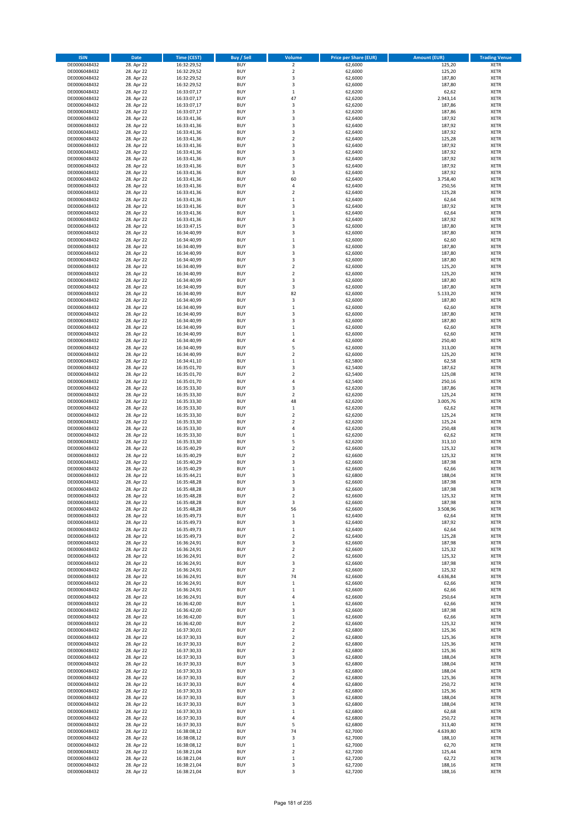| <b>ISIN</b>                  | <b>Date</b>              | <b>Time (CEST)</b>         | <b>Buy / Sell</b>        | Volume                        | <b>Price per Share (EUR)</b> | <b>Amount (EUR)</b> | <b>Trading Venue</b>       |
|------------------------------|--------------------------|----------------------------|--------------------------|-------------------------------|------------------------------|---------------------|----------------------------|
| DE0006048432                 | 28. Apr 22               | 16:32:29,52                | <b>BUY</b>               | $\overline{\mathbf{2}}$       | 62,6000                      | 125,20              | <b>XETR</b>                |
| DE0006048432                 | 28. Apr 22               | 16:32:29,52                | <b>BUY</b>               | $\mathbf 2$                   | 62,6000                      | 125,20              | <b>XETR</b>                |
| DE0006048432                 | 28. Apr 22               | 16:32:29,52                | <b>BUY</b>               | 3                             | 62,6000                      | 187,80              | <b>XETR</b>                |
| DE0006048432<br>DE0006048432 | 28. Apr 22<br>28. Apr 22 | 16:32:29,52<br>16:33:07,17 | <b>BUY</b><br><b>BUY</b> | 3<br>$\mathbf 1$              | 62,6000<br>62,6200           | 187,80<br>62,62     | <b>XETR</b><br><b>XETR</b> |
| DE0006048432                 | 28. Apr 22               | 16:33:07,17                | <b>BUY</b>               | 47                            | 62,6200                      | 2.943,14            | <b>XETR</b>                |
| DE0006048432                 | 28. Apr 22               | 16:33:07,17                | <b>BUY</b>               | 3                             | 62,6200                      | 187,86              | <b>XETR</b>                |
| DE0006048432                 | 28. Apr 22               | 16:33:07,17                | <b>BUY</b>               | 3                             | 62,6200                      | 187,86              | <b>XETR</b>                |
| DE0006048432                 | 28. Apr 22               | 16:33:41,36                | <b>BUY</b>               | 3                             | 62,6400                      | 187,92              | <b>XETR</b>                |
| DE0006048432                 | 28. Apr 22               | 16:33:41,36                | <b>BUY</b>               | 3                             | 62,6400                      | 187,92              | <b>XETR</b>                |
| DE0006048432                 | 28. Apr 22               | 16:33:41,36                | <b>BUY</b>               | 3                             | 62,6400                      | 187,92              | <b>XETR</b>                |
| DE0006048432<br>DE0006048432 | 28. Apr 22<br>28. Apr 22 | 16:33:41,36                | <b>BUY</b><br><b>BUY</b> | $\overline{\mathbf{c}}$<br>3  | 62,6400<br>62,6400           | 125,28<br>187,92    | <b>XETR</b><br><b>XETR</b> |
| DE0006048432                 | 28. Apr 22               | 16:33:41,36<br>16:33:41,36 | <b>BUY</b>               | 3                             | 62,6400                      | 187,92              | <b>XETR</b>                |
| DE0006048432                 | 28. Apr 22               | 16:33:41,36                | <b>BUY</b>               | 3                             | 62,6400                      | 187,92              | <b>XETR</b>                |
| DE0006048432                 | 28. Apr 22               | 16:33:41,36                | <b>BUY</b>               | 3                             | 62,6400                      | 187,92              | <b>XETR</b>                |
| DE0006048432                 | 28. Apr 22               | 16:33:41,36                | <b>BUY</b>               | 3                             | 62,6400                      | 187,92              | <b>XETR</b>                |
| DE0006048432                 | 28. Apr 22               | 16:33:41,36                | <b>BUY</b>               | 60                            | 62,6400                      | 3.758,40            | <b>XETR</b>                |
| DE0006048432                 | 28. Apr 22               | 16:33:41,36                | <b>BUY</b>               | 4                             | 62,6400                      | 250,56              | <b>XETR</b>                |
| DE0006048432                 | 28. Apr 22               | 16:33:41,36                | <b>BUY</b>               | $\mathbf 2$                   | 62,6400                      | 125,28              | <b>XETR</b>                |
| DE0006048432<br>DE0006048432 | 28. Apr 22<br>28. Apr 22 | 16:33:41,36<br>16:33:41,36 | <b>BUY</b><br><b>BUY</b> | $\mathbf 1$<br>3              | 62,6400<br>62,6400           | 62,64<br>187,92     | <b>XETR</b><br><b>XETR</b> |
| DE0006048432                 | 28. Apr 22               | 16:33:41,36                | <b>BUY</b>               | $\mathbf 1$                   | 62,6400                      | 62,64               | <b>XETR</b>                |
| DE0006048432                 | 28. Apr 22               | 16:33:41,36                | <b>BUY</b>               | 3                             | 62,6400                      | 187,92              | <b>XETR</b>                |
| DE0006048432                 | 28. Apr 22               | 16:33:47,15                | <b>BUY</b>               | 3                             | 62,6000                      | 187,80              | <b>XETR</b>                |
| DE0006048432                 | 28. Apr 22               | 16:34:40,99                | <b>BUY</b>               | 3                             | 62,6000                      | 187,80              | <b>XETR</b>                |
| DE0006048432                 | 28. Apr 22               | 16:34:40,99                | <b>BUY</b>               | $\mathbf 1$                   | 62,6000                      | 62,60               | <b>XETR</b>                |
| DE0006048432                 | 28. Apr 22               | 16:34:40,99                | <b>BUY</b>               | 3                             | 62,6000                      | 187,80              | <b>XETR</b>                |
| DE0006048432<br>DE0006048432 | 28. Apr 22<br>28. Apr 22 | 16:34:40,99<br>16:34:40,99 | <b>BUY</b><br><b>BUY</b> | 3<br>3                        | 62,6000<br>62,6000           | 187,80<br>187,80    | <b>XETR</b><br><b>XETR</b> |
| DE0006048432                 | 28. Apr 22               | 16:34:40,99                | <b>BUY</b>               | $\mathbf 2$                   | 62,6000                      | 125,20              | <b>XETR</b>                |
| DE0006048432                 | 28. Apr 22               | 16:34:40,99                | <b>BUY</b>               | $\overline{\mathbf{c}}$       | 62,6000                      | 125,20              | <b>XETR</b>                |
| DE0006048432                 | 28. Apr 22               | 16:34:40,99                | <b>BUY</b>               | 3                             | 62,6000                      | 187,80              | <b>XETR</b>                |
| DE0006048432                 | 28. Apr 22               | 16:34:40,99                | <b>BUY</b>               | 3                             | 62,6000                      | 187,80              | <b>XETR</b>                |
| DE0006048432                 | 28. Apr 22               | 16:34:40.99                | <b>BUY</b>               | 82                            | 62,6000                      | 5.133,20            | <b>XETR</b>                |
| DE0006048432                 | 28. Apr 22               | 16:34:40,99                | <b>BUY</b>               | 3                             | 62,6000                      | 187,80              | <b>XETR</b>                |
| DE0006048432                 | 28. Apr 22               | 16:34:40,99                | <b>BUY</b><br><b>BUY</b> | $\mathbf 1$<br>3              | 62,6000                      | 62,60               | <b>XETR</b>                |
| DE0006048432<br>DE0006048432 | 28. Apr 22<br>28. Apr 22 | 16:34:40,99<br>16:34:40,99 | <b>BUY</b>               | 3                             | 62,6000<br>62,6000           | 187,80<br>187,80    | <b>XETR</b><br><b>XETR</b> |
| DE0006048432                 | 28. Apr 22               | 16:34:40,99                | <b>BUY</b>               | $\mathbf 1$                   | 62,6000                      | 62,60               | <b>XETR</b>                |
| DE0006048432                 | 28. Apr 22               | 16:34:40,99                | <b>BUY</b>               | $\mathbf 1$                   | 62,6000                      | 62,60               | <b>XETR</b>                |
| DE0006048432                 | 28. Apr 22               | 16:34:40,99                | <b>BUY</b>               | 4                             | 62,6000                      | 250,40              | <b>XETR</b>                |
| DE0006048432                 | 28. Apr 22               | 16:34:40,99                | <b>BUY</b>               | 5                             | 62,6000                      | 313,00              | <b>XETR</b>                |
| DE0006048432                 | 28. Apr 22               | 16:34:40,99                | <b>BUY</b>               | $\overline{\mathbf{c}}$       | 62,6000                      | 125,20              | <b>XETR</b>                |
| DE0006048432                 | 28. Apr 22               | 16:34:41,10                | <b>BUY</b>               | $\mathbf 1$                   | 62,5800                      | 62,58               | <b>XETR</b>                |
| DE0006048432                 | 28. Apr 22               | 16:35:01,70                | <b>BUY</b><br><b>BUY</b> | 3<br>$\mathbf 2$              | 62,5400<br>62,5400           | 187,62<br>125,08    | <b>XETR</b><br><b>XETR</b> |
| DE0006048432<br>DE0006048432 | 28. Apr 22<br>28. Apr 22 | 16:35:01,70<br>16:35:01,70 | <b>BUY</b>               | 4                             | 62,5400                      | 250,16              | <b>XETR</b>                |
| DE0006048432                 | 28. Apr 22               | 16:35:33,30                | <b>BUY</b>               | 3                             | 62,6200                      | 187,86              | <b>XETR</b>                |
| DE0006048432                 | 28. Apr 22               | 16:35:33,30                | <b>BUY</b>               | $\mathbf 2$                   | 62,6200                      | 125,24              | <b>XETR</b>                |
| DE0006048432                 | 28. Apr 22               | 16:35:33,30                | <b>BUY</b>               | 48                            | 62,6200                      | 3.005,76            | <b>XETR</b>                |
| DE0006048432                 | 28. Apr 22               | 16:35:33,30                | <b>BUY</b>               | $\mathbf 1$                   | 62,6200                      | 62,62               | <b>XETR</b>                |
| DE0006048432                 | 28. Apr 22               | 16:35:33,30                | <b>BUY</b>               | $\overline{2}$                | 62,6200                      | 125,24              | <b>XETR</b>                |
| DE0006048432<br>DE0006048432 | 28. Apr 22<br>28. Apr 22 | 16:35:33,30<br>16:35:33,30 | <b>BUY</b><br><b>BUY</b> | $\overline{\mathbf{c}}$<br>4  | 62,6200<br>62,6200           | 125,24<br>250,48    | <b>XETR</b><br><b>XETR</b> |
| DE0006048432                 | 28. Apr 22               | 16:35:33,30                | <b>BUY</b>               | $\mathbf 1$                   | 62,6200                      | 62,62               | <b>XETR</b>                |
| DE0006048432                 | 28. Apr 22               | 16:35:33,30                | <b>BUY</b>               | 5                             | 62,6200                      | 313,10              | <b>XETR</b>                |
| DE0006048432                 | 28. Apr 22               | 16:35:40,29                | <b>BUY</b>               | $\overline{\mathbf{c}}$       | 62,6600                      | 125,32              | <b>XETR</b>                |
| DE0006048432                 | 28. Apr 22               | 16:35:40,29                | <b>BUY</b>               | $\overline{\mathbf{c}}$       | 62,6600                      | 125,32              | <b>XETR</b>                |
| DE0006048432                 | 28. Apr 22               | 16:35:40,29                | <b>BUY</b>               | 3                             | 62,6600                      | 187,98              | <b>XETR</b>                |
| DE0006048432                 | 28. Apr 22               | 16:35:40,29                | <b>BUY</b>               | $\mathbf 1$                   | 62,6600                      | 62,66               | <b>XETR</b>                |
| DE0006048432<br>DE0006048432 | 28. Apr 22<br>28. Apr 22 | 16:35:44,21<br>16:35:48,28 | <b>BUY</b><br><b>BUY</b> | $\overline{3}$<br>3           | 62,6800<br>62,6600           | 188,04<br>187,98    | <b>XETR</b><br><b>XETR</b> |
| DE0006048432                 | 28. Apr 22               | 16:35:48,28                | <b>BUY</b>               | 3                             | 62,6600                      | 187,98              | <b>XETR</b>                |
| DE0006048432                 | 28. Apr 22               | 16:35:48,28                | BUY                      | 2                             | 62,6600                      | 125,32              | <b>XETR</b>                |
| DE0006048432                 | 28. Apr 22               | 16:35:48,28                | <b>BUY</b>               | 3                             | 62,6600                      | 187,98              | <b>XETR</b>                |
| DE0006048432                 | 28. Apr 22               | 16:35:48,28                | <b>BUY</b>               | 56                            | 62,6600                      | 3.508,96            | <b>XETR</b>                |
| DE0006048432                 | 28. Apr 22               | 16:35:49,73                | <b>BUY</b>               | $\mathbf 1$                   | 62,6400                      | 62,64               | XETR                       |
| DE0006048432                 | 28. Apr 22               | 16:35:49,73                | <b>BUY</b>               | 3                             | 62,6400                      | 187,92              | <b>XETR</b>                |
| DE0006048432<br>DE0006048432 | 28. Apr 22<br>28. Apr 22 | 16:35:49,73<br>16:35:49,73 | <b>BUY</b><br><b>BUY</b> | $\mathbf 1$<br>$\overline{2}$ | 62,6400<br>62,6400           | 62,64<br>125,28     | <b>XETR</b><br><b>XETR</b> |
| DE0006048432                 | 28. Apr 22               | 16:36:24,91                | <b>BUY</b>               | 3                             | 62,6600                      | 187,98              | <b>XETR</b>                |
| DE0006048432                 | 28. Apr 22               | 16:36:24,91                | <b>BUY</b>               | $\mathbf 2$                   | 62,6600                      | 125,32              | <b>XETR</b>                |
| DE0006048432                 | 28. Apr 22               | 16:36:24,91                | <b>BUY</b>               | $\mathbf 2$                   | 62,6600                      | 125,32              | <b>XETR</b>                |
| DE0006048432                 | 28. Apr 22               | 16:36:24,91                | <b>BUY</b>               | 3                             | 62,6600                      | 187,98              | <b>XETR</b>                |
| DE0006048432                 | 28. Apr 22               | 16:36:24,91                | <b>BUY</b>               | $\overline{\mathbf{c}}$       | 62,6600                      | 125,32              | <b>XETR</b>                |
| DE0006048432<br>DE0006048432 | 28. Apr 22<br>28. Apr 22 | 16:36:24,91<br>16:36:24,91 | <b>BUY</b><br><b>BUY</b> | 74<br>$\mathbf 1$             | 62,6600<br>62,6600           | 4.636,84<br>62,66   | <b>XETR</b><br><b>XETR</b> |
| DE0006048432                 | 28. Apr 22               | 16:36:24,91                | <b>BUY</b>               | $\mathbf 1$                   | 62,6600                      | 62,66               | <b>XETR</b>                |
| DE0006048432                 | 28. Apr 22               | 16:36:24,91                | <b>BUY</b>               | 4                             | 62,6600                      | 250,64              | <b>XETR</b>                |
| DE0006048432                 | 28. Apr 22               | 16:36:42,00                | <b>BUY</b>               | $\mathbf 1$                   | 62,6600                      | 62,66               | <b>XETR</b>                |
| DE0006048432                 | 28. Apr 22               | 16:36:42,00                | <b>BUY</b>               | 3                             | 62,6600                      | 187,98              | <b>XETR</b>                |
| DE0006048432                 | 28. Apr 22               | 16:36:42,00                | <b>BUY</b>               | $\mathbf 1$                   | 62,6600                      | 62,66               | XETR                       |
| DE0006048432                 | 28. Apr 22               | 16:36:42,00                | <b>BUY</b>               | $\mathbf 2$                   | 62,6600                      | 125,32              | <b>XETR</b>                |
| DE0006048432<br>DE0006048432 | 28. Apr 22<br>28. Apr 22 | 16:37:30,01<br>16:37:30,33 | <b>BUY</b><br><b>BUY</b> | $\overline{2}$<br>$\mathbf 2$ | 62,6800<br>62,6800           | 125,36<br>125,36    | <b>XETR</b><br><b>XETR</b> |
| DE0006048432                 | 28. Apr 22               | 16:37:30,33                | <b>BUY</b>               | $\overline{\mathbf{c}}$       | 62,6800                      | 125,36              | <b>XETR</b>                |
| DE0006048432                 | 28. Apr 22               | 16:37:30,33                | <b>BUY</b>               | $\mathbf 2$                   | 62,6800                      | 125,36              | <b>XETR</b>                |
| DE0006048432                 | 28. Apr 22               | 16:37:30,33                | <b>BUY</b>               | 3                             | 62,6800                      | 188,04              | <b>XETR</b>                |
| DE0006048432                 | 28. Apr 22               | 16:37:30,33                | <b>BUY</b>               | 3                             | 62,6800                      | 188,04              | <b>XETR</b>                |
| DE0006048432                 | 28. Apr 22               | 16:37:30,33                | <b>BUY</b>               | 3                             | 62,6800                      | 188,04              | <b>XETR</b>                |
| DE0006048432<br>DE0006048432 | 28. Apr 22<br>28. Apr 22 | 16:37:30,33<br>16:37:30,33 | <b>BUY</b><br><b>BUY</b> | $\overline{\mathbf{c}}$<br>4  | 62,6800<br>62,6800           | 125,36<br>250,72    | <b>XETR</b><br><b>XETR</b> |
| DE0006048432                 | 28. Apr 22               | 16:37:30,33                | <b>BUY</b>               | $\overline{\mathbf{c}}$       | 62,6800                      | 125,36              | <b>XETR</b>                |
| DE0006048432                 | 28. Apr 22               | 16:37:30,33                | <b>BUY</b>               | 3                             | 62,6800                      | 188,04              | <b>XETR</b>                |
| DE0006048432                 | 28. Apr 22               | 16:37:30,33                | <b>BUY</b>               | 3                             | 62,6800                      | 188,04              | <b>XETR</b>                |
| DE0006048432                 | 28. Apr 22               | 16:37:30,33                | <b>BUY</b>               | $\mathbf 1$                   | 62,6800                      | 62,68               | <b>XETR</b>                |
| DE0006048432                 | 28. Apr 22               | 16:37:30,33                | <b>BUY</b>               | 4                             | 62,6800                      | 250,72              | <b>XETR</b>                |
| DE0006048432                 | 28. Apr 22               | 16:37:30,33                | <b>BUY</b>               | 5                             | 62,6800                      | 313,40              | <b>XETR</b>                |
| DE0006048432<br>DE0006048432 | 28. Apr 22<br>28. Apr 22 | 16:38:08,12<br>16:38:08,12 | <b>BUY</b><br><b>BUY</b> | 74<br>3                       | 62,7000<br>62,7000           | 4.639,80<br>188,10  | <b>XETR</b><br><b>XETR</b> |
| DE0006048432                 | 28. Apr 22               | 16:38:08,12                | <b>BUY</b>               | $\mathbf 1$                   | 62,7000                      | 62,70               | XETR                       |
| DE0006048432                 | 28. Apr 22               | 16:38:21,04                | <b>BUY</b>               | $\overline{2}$                | 62,7200                      | 125,44              | <b>XETR</b>                |
| DE0006048432                 | 28. Apr 22               | 16:38:21,04                | <b>BUY</b>               | $\mathbf 1$                   | 62,7200                      | 62,72               | <b>XETR</b>                |
| DE0006048432                 | 28. Apr 22               | 16:38:21,04                | <b>BUY</b>               | 3                             | 62,7200                      | 188,16              | <b>XETR</b>                |
| DE0006048432                 | 28. Apr 22               | 16:38:21,04                | <b>BUY</b>               | 3                             | 62,7200                      | 188,16              | <b>XETR</b>                |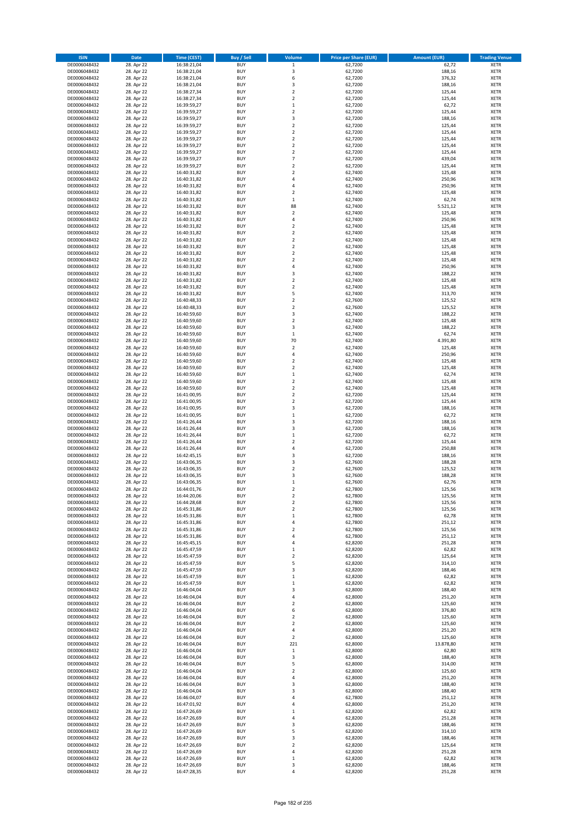| <b>ISIN</b>                  | <b>Date</b>              | <b>Time (CEST)</b>         | <b>Buy / Sell</b>        | <b>Volume</b>                          | <b>Price per Share (EUR)</b> | <b>Amount (EUR)</b> | <b>Trading Venue</b>       |
|------------------------------|--------------------------|----------------------------|--------------------------|----------------------------------------|------------------------------|---------------------|----------------------------|
| DE0006048432                 | 28. Apr 22               | 16:38:21,04                | <b>BUY</b>               | $\,1$                                  | 62,7200                      | 62,72               | <b>XETR</b>                |
| DE0006048432                 | 28. Apr 22               | 16:38:21,04                | <b>BUY</b>               | 3                                      | 62,7200                      | 188,16              | <b>XETR</b>                |
| DE0006048432                 | 28. Apr 22               | 16:38:21,04                | <b>BUY</b>               | 6                                      | 62,7200                      | 376,32              | <b>XETR</b>                |
| DE0006048432                 | 28. Apr 22               | 16:38:21,04                | <b>BUY</b>               | 3                                      | 62,7200                      | 188,16              | <b>XETR</b>                |
| DE0006048432                 | 28. Apr 22               | 16:38:27,34                | <b>BUY</b>               | $\overline{\mathbf{c}}$                | 62,7200                      | 125,44              | <b>XETR</b>                |
| DE0006048432                 | 28. Apr 22               | 16:38:27,34                | <b>BUY</b>               | $\mathbf 2$                            | 62,7200                      | 125,44              | <b>XETR</b>                |
| DE0006048432                 | 28. Apr 22               | 16:39:59,27                | <b>BUY</b>               | $\mathbf 1$                            | 62,7200                      | 62,72               | <b>XETR</b>                |
| DE0006048432                 | 28. Apr 22               | 16:39:59,27                | <b>BUY</b>               | $\overline{\mathbf{c}}$                | 62,7200                      | 125,44              | <b>XETR</b>                |
| DE0006048432                 | 28. Apr 22               | 16:39:59,27                | <b>BUY</b>               | 3                                      | 62,7200                      | 188,16              | <b>XETR</b>                |
| DE0006048432                 | 28. Apr 22               | 16:39:59,27                | <b>BUY</b>               | $\mathbf 2$                            | 62,7200                      | 125,44              | <b>XETR</b>                |
| DE0006048432                 | 28. Apr 22               | 16:39:59,27                | <b>BUY</b>               | $\mathbf 2$                            | 62,7200                      | 125,44              | <b>XETR</b>                |
| DE0006048432                 | 28. Apr 22               | 16:39:59,27                | <b>BUY</b>               | $\overline{\mathbf{c}}$                | 62,7200                      | 125,44              | <b>XETR</b>                |
| DE0006048432                 | 28. Apr 22               | 16:39:59,27                | <b>BUY</b>               | $\mathbf 2$                            | 62,7200                      | 125,44              | <b>XETR</b>                |
| DE0006048432                 | 28. Apr 22               | 16:39:59,27                | <b>BUY</b>               | $\overline{\mathbf{c}}$                | 62,7200                      | 125,44              | <b>XETR</b>                |
| DE0006048432                 | 28. Apr 22               | 16:39:59,27                | <b>BUY</b>               | $\overline{7}$                         | 62,7200                      | 439,04              | <b>XETR</b>                |
| DE0006048432                 | 28. Apr 22               | 16:39:59,27                | <b>BUY</b>               | $\overline{\mathbf{c}}$                | 62,7200                      | 125,44              | <b>XETR</b>                |
| DE0006048432                 | 28. Apr 22               | 16:40:31,82                | <b>BUY</b>               | $\mathbf 2$                            | 62,7400                      | 125,48              | <b>XETR</b>                |
| DE0006048432                 | 28. Apr 22               | 16:40:31,82                | <b>BUY</b>               | 4                                      | 62,7400                      | 250,96              | <b>XETR</b>                |
| DE0006048432                 | 28. Apr 22               | 16:40:31,82                | <b>BUY</b>               | 4                                      | 62,7400                      | 250,96              | <b>XETR</b>                |
| DE0006048432                 | 28. Apr 22               | 16:40:31,82                | <b>BUY</b>               | $\mathbf 2$                            | 62,7400                      | 125,48              | <b>XETR</b>                |
| DE0006048432                 | 28. Apr 22               | 16:40:31,82                | <b>BUY</b>               | $\mathbf 1$                            | 62,7400                      | 62,74               | <b>XETR</b>                |
| DE0006048432                 | 28. Apr 22               | 16:40:31,82                | <b>BUY</b>               | 88                                     | 62,7400                      | 5.521,12            | <b>XETR</b>                |
| DE0006048432                 | 28. Apr 22               | 16:40:31,82                | <b>BUY</b>               | $\mathbf 2$                            | 62,7400                      | 125,48              | <b>XETR</b>                |
| DE0006048432                 | 28. Apr 22               | 16:40:31,82                | <b>BUY</b>               | 4                                      | 62,7400                      | 250,96              | <b>XETR</b>                |
| DE0006048432                 | 28. Apr 22               | 16:40:31,82                | <b>BUY</b>               | $\mathbf 2$                            | 62,7400                      | 125,48              | <b>XETR</b>                |
| DE0006048432                 | 28. Apr 22               | 16:40:31,82                | <b>BUY</b>               | $\mathbf 2$                            | 62,7400                      | 125,48              | <b>XETR</b>                |
| DE0006048432                 | 28. Apr 22               | 16:40:31,82                | <b>BUY</b>               | $\mathbf 2$                            | 62,7400                      | 125,48              | <b>XETR</b>                |
| DE0006048432                 | 28. Apr 22               | 16:40:31,82                | <b>BUY</b><br><b>BUY</b> | $\overline{\mathbf{c}}$                | 62,7400                      | 125,48              | <b>XETR</b>                |
| DE0006048432                 | 28. Apr 22<br>28. Apr 22 | 16:40:31,82                | <b>BUY</b>               | $\mathbf 2$<br>$\overline{\mathbf{c}}$ | 62,7400                      | 125,48              | <b>XETR</b><br><b>XETR</b> |
| DE0006048432                 |                          | 16:40:31,82                |                          | 4                                      | 62,7400                      | 125,48              |                            |
| DE0006048432<br>DE0006048432 | 28. Apr 22<br>28. Apr 22 | 16:40:31,82                | <b>BUY</b><br><b>BUY</b> | 3                                      | 62,7400                      | 250,96<br>188,22    | <b>XETR</b><br><b>XETR</b> |
| DE0006048432                 | 28. Apr 22               | 16:40:31,82                | <b>BUY</b>               | $\mathbf 2$                            | 62,7400<br>62,7400           | 125,48              | <b>XETR</b>                |
| DE0006048432                 | 28. Apr 22               | 16:40:31,82<br>16:40:31,82 | <b>BUY</b>               | $\mathbf 2$                            | 62,7400                      | 125,48              | <b>XETR</b>                |
| DE0006048432                 | 28. Apr 22               | 16:40:31,82                | <b>BUY</b>               | 5                                      | 62.7400                      | 313,70              | <b>XETR</b>                |
| DE0006048432                 | 28. Apr 22               | 16:40:48,33                | <b>BUY</b>               | $\mathbf 2$                            | 62,7600                      | 125,52              | <b>XETR</b>                |
| DE0006048432                 | 28. Apr 22               | 16:40:48,33                | <b>BUY</b>               | $\overline{\mathbf{c}}$                | 62,7600                      | 125,52              | <b>XETR</b>                |
| DE0006048432                 | 28. Apr 22               | 16:40:59,60                | <b>BUY</b>               | 3                                      | 62,7400                      | 188,22              | <b>XETR</b>                |
| DE0006048432                 | 28. Apr 22               | 16:40:59,60                | <b>BUY</b>               | $\overline{\mathbf{c}}$                | 62,7400                      | 125,48              | <b>XETR</b>                |
| DE0006048432                 | 28. Apr 22               | 16:40:59,60                | <b>BUY</b>               | 3                                      | 62,7400                      | 188,22              | <b>XETR</b>                |
| DE0006048432                 | 28. Apr 22               | 16:40:59,60                | <b>BUY</b>               | $\mathbf 1$                            | 62,7400                      | 62,74               | <b>XETR</b>                |
| DE0006048432                 | 28. Apr 22               | 16:40:59,60                | <b>BUY</b>               | 70                                     | 62,7400                      | 4.391,80            | <b>XETR</b>                |
| DE0006048432                 | 28. Apr 22               | 16:40:59,60                | <b>BUY</b>               | $\mathbf 2$                            | 62,7400                      | 125,48              | <b>XETR</b>                |
| DE0006048432                 | 28. Apr 22               | 16:40:59,60                | <b>BUY</b>               | 4                                      | 62,7400                      | 250,96              | <b>XETR</b>                |
| DE0006048432                 | 28. Apr 22               | 16:40:59,60                | <b>BUY</b>               | $\mathbf 2$                            | 62,7400                      | 125,48              | <b>XETR</b>                |
| DE0006048432                 | 28. Apr 22               | 16:40:59,60                | <b>BUY</b>               | $\overline{2}$                         | 62,7400                      | 125,48              | <b>XETR</b>                |
| DE0006048432                 | 28. Apr 22               | 16:40:59,60                | <b>BUY</b>               | $\mathbf 1$                            | 62,7400                      | 62,74               | <b>XETR</b>                |
| DE0006048432                 | 28. Apr 22               | 16:40:59,60                | <b>BUY</b>               | $\mathbf 2$                            | 62,7400                      | 125,48              | <b>XETR</b>                |
| DE0006048432                 | 28. Apr 22               | 16:40:59,60                | <b>BUY</b>               | $\mathbf 2$                            | 62,7400                      | 125,48              | <b>XETR</b>                |
| DE0006048432                 | 28. Apr 22               | 16:41:00,95                | <b>BUY</b>               | $\mathbf 2$                            | 62,7200                      | 125,44              | <b>XETR</b>                |
| DE0006048432                 | 28. Apr 22               | 16:41:00,95                | <b>BUY</b>               | $\overline{\mathbf{c}}$                | 62,7200                      | 125,44              | <b>XETR</b>                |
| DE0006048432                 | 28. Apr 22               | 16:41:00,95                | <b>BUY</b>               | 3                                      | 62,7200                      | 188,16              | <b>XETR</b>                |
| DE0006048432                 | 28. Apr 22               | 16:41:00,95                | <b>BUY</b>               | $\mathbf 1$                            | 62,7200                      | 62,72               | <b>XETR</b>                |
| DE0006048432                 | 28. Apr 22               | 16:41:26,44                | <b>BUY</b>               | 3                                      | 62,7200                      | 188,16              | <b>XETR</b>                |
| DE0006048432                 | 28. Apr 22               | 16:41:26,44                | <b>BUY</b>               | 3                                      | 62,7200                      | 188,16              | <b>XETR</b>                |
| DE0006048432                 | 28. Apr 22               | 16:41:26,44                | <b>BUY</b>               | $\mathbf 1$                            | 62,7200                      | 62,72               | <b>XETR</b>                |
| DE0006048432                 | 28. Apr 22               | 16:41:26,44                | <b>BUY</b>               | $\overline{\mathbf{c}}$                | 62,7200                      | 125,44              | <b>XETR</b>                |
| DE0006048432                 | 28. Apr 22               | 16:41:26,44                | <b>BUY</b>               | 4                                      | 62,7200                      | 250,88              | <b>XETR</b>                |
| DE0006048432                 | 28. Apr 22               | 16:42:45,15                | <b>BUY</b>               | 3                                      | 62,7200                      | 188,16              | <b>XETR</b>                |
| DE0006048432                 | 28. Apr 22               | 16:43:06,35                | <b>BUY</b>               | 3                                      | 62,7600                      | 188,28              | <b>XETR</b>                |
| DE0006048432                 | 28. Apr 22               | 16:43:06,35                | <b>BUY</b>               | $\mathbf 2$                            | 62,7600                      | 125,52              | <b>XETR</b>                |
| DE0006048432                 | 28. Apr 22               | 16:43:06,35                | <b>BUY</b>               | 3                                      | 62,7600                      | 188,28              | <b>XETR</b>                |
| DE0006048432                 | 28. Apr 22               | 16:43:06,35                | <b>BUY</b>               | $\mathbf 1$                            | 62,7600                      | 62,76               | <b>XETR</b>                |
| DE0006048432                 | 28. Apr 22               | 16:44:01,76                | <b>BUY</b>               | $\overline{2}$                         | 62,7800                      | 125,56              | <b>XETR</b>                |
| DE0006048432                 | 28. Apr 22               | 16:44:20,06                | BUY                      | 2                                      | 62,7800                      | 125,56              | <b>XETR</b>                |
| DE0006048432                 | 28. Apr 22               | 16:44:28,68                | <b>BUY</b>               | $\mathbf 2$                            | 62,7800                      | 125,56              | <b>XETR</b>                |
| DE0006048432                 | 28. Apr 22               | 16:45:31,86                | <b>BUY</b>               | $\mathbf 2$                            | 62,7800                      | 125,56              | <b>XETR</b>                |
| DE0006048432                 | 28. Apr 22               | 16:45:31,86                | <b>BUY</b>               | $\mathbf 1$                            | 62,7800                      | 62,78               | XETR                       |
| DE0006048432                 | 28. Apr 22               | 16:45:31,86                | <b>BUY</b>               | 4                                      | 62,7800                      | 251,12              | <b>XETR</b>                |
| DE0006048432                 | 28. Apr 22               | 16:45:31,86                | <b>BUY</b>               | $\mathbf 2$                            | 62,7800                      | 125,56              | <b>XETR</b>                |
| DE0006048432                 | 28. Apr 22               | 16:45:31,86<br>16:45:45,15 | <b>BUY</b><br><b>BUY</b> | 4                                      | 62,7800                      | 251,12              | <b>XETR</b>                |
| DE0006048432<br>DE0006048432 | 28. Apr 22               |                            |                          | 4                                      | 62,8200                      | 251,28              | <b>XETR</b>                |
| DE0006048432                 | 28. Apr 22<br>28. Apr 22 | 16:45:47,59<br>16:45:47,59 | <b>BUY</b><br><b>BUY</b> | $\mathbf 1$<br>$\mathbf 2$             | 62,8200<br>62,8200           | 62,82<br>125,64     | <b>XETR</b><br><b>XETR</b> |
| DE0006048432                 | 28. Apr 22               | 16:45:47,59                | <b>BUY</b>               | 5                                      | 62,8200                      | 314,10              | <b>XETR</b>                |
| DE0006048432                 | 28. Apr 22               | 16:45:47,59                | <b>BUY</b>               | 3                                      | 62,8200                      | 188,46              | <b>XETR</b>                |
| DE0006048432                 | 28. Apr 22               | 16:45:47,59                | <b>BUY</b>               | $\mathbf 1$                            | 62,8200                      | 62,82               | <b>XETR</b>                |
| DE0006048432                 | 28. Apr 22               | 16:45:47,59                | <b>BUY</b>               | $\mathbf 1$                            | 62,8200                      | 62,82               | <b>XETR</b>                |
| DE0006048432                 | 28. Apr 22               | 16:46:04,04                | <b>BUY</b>               | 3                                      | 62,8000                      | 188,40              | <b>XETR</b>                |
| DE0006048432                 | 28. Apr 22               | 16:46:04,04                | <b>BUY</b>               | 4                                      | 62,8000                      | 251,20              | <b>XETR</b>                |
| DE0006048432                 | 28. Apr 22               | 16:46:04,04                | <b>BUY</b>               | $\mathbf 2$                            | 62,8000                      | 125,60              | <b>XETR</b>                |
| DE0006048432                 | 28. Apr 22               | 16:46:04,04                | <b>BUY</b>               | 6                                      | 62,8000                      | 376,80              | <b>XETR</b>                |
| DE0006048432                 | 28. Apr 22               | 16:46:04,04                | <b>BUY</b>               | $\mathbf 2$                            | 62,8000                      | 125,60              | XETR                       |
| DE0006048432                 | 28. Apr 22               | 16:46:04,04                | <b>BUY</b>               | $\mathbf 2$                            | 62,8000                      | 125,60              | <b>XETR</b>                |
| DE0006048432                 | 28. Apr 22               | 16:46:04,04                | <b>BUY</b>               | 4                                      | 62,8000                      | 251,20              | <b>XETR</b>                |
| DE0006048432                 | 28. Apr 22               | 16:46:04,04                | <b>BUY</b>               | $\mathbf 2$                            | 62,8000                      | 125,60              | <b>XETR</b>                |
| DE0006048432                 | 28. Apr 22               | 16:46:04,04                | <b>BUY</b>               | 221                                    | 62,8000                      | 13.878,80           | <b>XETR</b>                |
| DE0006048432                 | 28. Apr 22               | 16:46:04,04                | <b>BUY</b>               | $\,$ 1                                 | 62,8000                      | 62,80               | <b>XETR</b>                |
| DE0006048432                 | 28. Apr 22               | 16:46:04,04                | <b>BUY</b>               | 3                                      | 62,8000                      | 188,40              | <b>XETR</b>                |
| DE0006048432                 | 28. Apr 22               | 16:46:04,04                | <b>BUY</b>               | 5                                      | 62,8000                      | 314,00              | <b>XETR</b>                |
| DE0006048432                 | 28. Apr 22               | 16:46:04,04                | <b>BUY</b>               | $\mathbf 2$                            | 62,8000                      | 125,60              | <b>XETR</b>                |
| DE0006048432                 | 28. Apr 22               | 16:46:04,04                | <b>BUY</b>               | 4                                      | 62,8000                      | 251,20              | <b>XETR</b>                |
| DE0006048432                 | 28. Apr 22               | 16:46:04,04                | <b>BUY</b>               | 3                                      | 62,8000                      | 188,40              | <b>XETR</b>                |
| DE0006048432                 | 28. Apr 22               | 16:46:04,04                | <b>BUY</b>               | 3                                      | 62,8000                      | 188,40              | <b>XETR</b>                |
| DE0006048432                 | 28. Apr 22               | 16:46:04,07                | <b>BUY</b>               | 4                                      | 62,7800                      | 251,12              | <b>XETR</b>                |
| DE0006048432                 | 28. Apr 22               | 16:47:01,92                | <b>BUY</b>               | 4                                      | 62,8000                      | 251,20              | <b>XETR</b>                |
| DE0006048432                 | 28. Apr 22               | 16:47:26,69                | <b>BUY</b>               | $\mathbf 1$                            | 62,8200                      | 62,82               | <b>XETR</b>                |
| DE0006048432                 | 28. Apr 22               | 16:47:26,69                | <b>BUY</b>               | 4                                      | 62,8200                      | 251,28              | <b>XETR</b>                |
| DE0006048432                 | 28. Apr 22               | 16:47:26,69                | <b>BUY</b>               | 3                                      | 62,8200                      | 188,46              | <b>XETR</b>                |
| DE0006048432                 | 28. Apr 22               | 16:47:26,69                | <b>BUY</b>               | 5                                      | 62,8200                      | 314,10              | <b>XETR</b>                |
| DE0006048432<br>DE0006048432 | 28. Apr 22<br>28. Apr 22 | 16:47:26,69                | <b>BUY</b><br><b>BUY</b> | 3<br>$\mathbf 2$                       | 62,8200<br>62,8200           | 188,46<br>125,64    | <b>XETR</b><br>XETR        |
| DE0006048432                 | 28. Apr 22               | 16:47:26,69<br>16:47:26,69 | <b>BUY</b>               | 4                                      | 62,8200                      | 251,28              | <b>XETR</b>                |
| DE0006048432                 | 28. Apr 22               | 16:47:26,69                | <b>BUY</b>               | $\mathbf 1$                            | 62,8200                      | 62,82               | <b>XETR</b>                |
| DE0006048432                 | 28. Apr 22               | 16:47:26,69                | <b>BUY</b>               | 3                                      | 62,8200                      | 188,46              | <b>XETR</b>                |
| DE0006048432                 | 28. Apr 22               | 16:47:28,35                | <b>BUY</b>               | 4                                      | 62,8200                      | 251,28              | <b>XETR</b>                |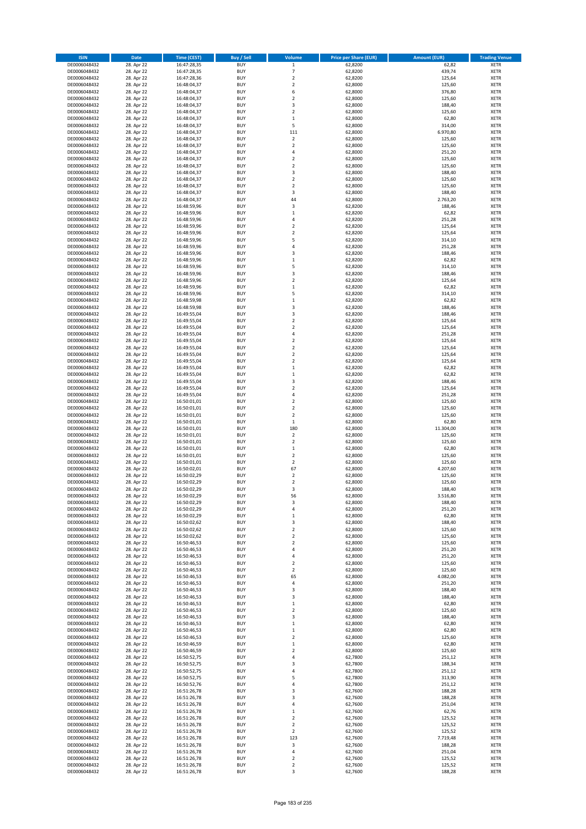| <b>ISIN</b>                  | <b>Date</b>              | <b>Time (CEST)</b>         | <b>Buy / Sell</b>        | <b>Volume</b>                          | <b>Price per Share (EUR)</b> | <b>Amount (EUR)</b> | <b>Trading Venue</b>       |
|------------------------------|--------------------------|----------------------------|--------------------------|----------------------------------------|------------------------------|---------------------|----------------------------|
| DE0006048432                 | 28. Apr 22               | 16:47:28,35                | <b>BUY</b>               | $\,1$                                  | 62,8200                      | 62,82               | <b>XETR</b>                |
| DE0006048432                 | 28. Apr 22               | 16:47:28,35                | <b>BUY</b>               | $\overline{7}$                         | 62,8200                      | 439,74              | <b>XETR</b>                |
| DE0006048432                 | 28. Apr 22               | 16:47:28,36                | <b>BUY</b>               | $\mathbf 2$                            | 62,8200                      | 125,64              | <b>XETR</b>                |
| DE0006048432<br>DE0006048432 | 28. Apr 22<br>28. Apr 22 | 16:48:04,37<br>16:48:04,37 | <b>BUY</b><br><b>BUY</b> | $\mathbf 2$<br>6                       | 62,8000<br>62,8000           | 125,60<br>376,80    | <b>XETR</b><br><b>XETR</b> |
| DE0006048432                 | 28. Apr 22               | 16:48:04,37                | <b>BUY</b>               | $\mathbf 2$                            | 62,8000                      | 125,60              | <b>XETR</b>                |
| DE0006048432                 | 28. Apr 22               | 16:48:04,37                | <b>BUY</b>               | 3                                      | 62,8000                      | 188,40              | <b>XETR</b>                |
| DE0006048432                 | 28. Apr 22               | 16:48:04,37                | <b>BUY</b>               | $\overline{\mathbf{c}}$                | 62,8000                      | 125,60              | <b>XETR</b>                |
| DE0006048432                 | 28. Apr 22               | 16:48:04,37                | <b>BUY</b>               | $\mathbf{1}$                           | 62,8000                      | 62,80               | <b>XETR</b>                |
| DE0006048432                 | 28. Apr 22               | 16:48:04,37                | <b>BUY</b>               | 5                                      | 62,8000                      | 314,00              | <b>XETR</b>                |
| DE0006048432                 | 28. Apr 22               | 16:48:04,37                | <b>BUY</b>               | 111                                    | 62,8000                      | 6.970,80            | <b>XETR</b>                |
| DE0006048432<br>DE0006048432 | 28. Apr 22<br>28. Apr 22 | 16:48:04,37                | <b>BUY</b><br><b>BUY</b> | $\overline{\mathbf{c}}$<br>$\mathbf 2$ | 62,8000<br>62,8000           | 125,60<br>125,60    | <b>XETR</b><br><b>XETR</b> |
| DE0006048432                 | 28. Apr 22               | 16:48:04,37<br>16:48:04,37 | <b>BUY</b>               | 4                                      | 62,8000                      | 251,20              | <b>XETR</b>                |
| DE0006048432                 | 28. Apr 22               | 16:48:04,37                | <b>BUY</b>               | $\overline{\mathbf{c}}$                | 62,8000                      | 125,60              | <b>XETR</b>                |
| DE0006048432                 | 28. Apr 22               | 16:48:04,37                | <b>BUY</b>               | $\overline{\mathbf{c}}$                | 62,8000                      | 125,60              | <b>XETR</b>                |
| DE0006048432                 | 28. Apr 22               | 16:48:04,37                | <b>BUY</b>               | 3                                      | 62,8000                      | 188,40              | <b>XETR</b>                |
| DE0006048432                 | 28. Apr 22               | 16:48:04,37                | <b>BUY</b>               | $\mathbf 2$                            | 62,8000                      | 125,60              | <b>XETR</b>                |
| DE0006048432                 | 28. Apr 22               | 16:48:04,37                | <b>BUY</b>               | $\overline{\mathbf{c}}$                | 62,8000                      | 125,60              | <b>XETR</b>                |
| DE0006048432                 | 28. Apr 22               | 16:48:04,37                | <b>BUY</b>               | 3                                      | 62,8000                      | 188,40              | <b>XETR</b>                |
| DE0006048432<br>DE0006048432 | 28. Apr 22<br>28. Apr 22 | 16:48:04,37<br>16:48:59,96 | <b>BUY</b><br><b>BUY</b> | 44<br>3                                | 62,8000<br>62,8200           | 2.763,20<br>188,46  | <b>XETR</b><br><b>XETR</b> |
| DE0006048432                 | 28. Apr 22               | 16:48:59,96                | <b>BUY</b>               | $\mathbf 1$                            | 62,8200                      | 62,82               | <b>XETR</b>                |
| DE0006048432                 | 28. Apr 22               | 16:48:59,96                | <b>BUY</b>               | 4                                      | 62,8200                      | 251,28              | <b>XETR</b>                |
| DE0006048432                 | 28. Apr 22               | 16:48:59,96                | <b>BUY</b>               | $\mathbf 2$                            | 62,8200                      | 125,64              | <b>XETR</b>                |
| DE0006048432                 | 28. Apr 22               | 16:48:59,96                | <b>BUY</b>               | $\mathbf 2$                            | 62,8200                      | 125,64              | <b>XETR</b>                |
| DE0006048432                 | 28. Apr 22               | 16:48:59,96                | <b>BUY</b>               | 5                                      | 62,8200                      | 314,10              | <b>XETR</b>                |
| DE0006048432                 | 28. Apr 22               | 16:48:59,96                | <b>BUY</b>               | 4                                      | 62,8200                      | 251,28              | <b>XETR</b>                |
| DE0006048432<br>DE0006048432 | 28. Apr 22<br>28. Apr 22 | 16:48:59,96<br>16:48:59,96 | <b>BUY</b><br><b>BUY</b> | 3<br>$\mathbf 1$                       | 62,8200<br>62,8200           | 188,46<br>62,82     | <b>XETR</b><br><b>XETR</b> |
| DE0006048432                 | 28. Apr 22               | 16:48:59,96                | <b>BUY</b>               | 5                                      | 62,8200                      | 314,10              | <b>XETR</b>                |
| DE0006048432                 | 28. Apr 22               | 16:48:59,96                | <b>BUY</b>               | 3                                      | 62,8200                      | 188,46              | <b>XETR</b>                |
| DE0006048432                 | 28. Apr 22               | 16:48:59,96                | <b>BUY</b>               | $\mathbf 2$                            | 62,8200                      | 125,64              | <b>XETR</b>                |
| DE0006048432                 | 28. Apr 22               | 16:48:59,96                | <b>BUY</b>               | $\mathbf 1$                            | 62,8200                      | 62,82               | <b>XETR</b>                |
| DE0006048432                 | 28. Apr 22               | 16:48:59,96                | <b>BUY</b>               | 5                                      | 62,8200                      | 314,10              | <b>XETR</b>                |
| DE0006048432                 | 28. Apr 22               | 16:48:59,98                | <b>BUY</b>               | $\mathbf 1$                            | 62,8200                      | 62,82               | <b>XETR</b>                |
| DE0006048432                 | 28. Apr 22               | 16:48:59,98                | <b>BUY</b>               | 3<br>3                                 | 62,8200                      | 188,46              | <b>XETR</b>                |
| DE0006048432<br>DE0006048432 | 28. Apr 22<br>28. Apr 22 | 16:49:55,04<br>16:49:55,04 | <b>BUY</b><br><b>BUY</b> | $\overline{\mathbf{c}}$                | 62,8200<br>62,8200           | 188,46<br>125,64    | <b>XETR</b><br><b>XETR</b> |
| DE0006048432                 | 28. Apr 22               | 16:49:55,04                | <b>BUY</b>               | $\overline{\mathbf{c}}$                | 62,8200                      | 125,64              | <b>XETR</b>                |
| DE0006048432                 | 28. Apr 22               | 16:49:55,04                | <b>BUY</b>               | 4                                      | 62,8200                      | 251,28              | <b>XETR</b>                |
| DE0006048432                 | 28. Apr 22               | 16:49:55,04                | <b>BUY</b>               | $\mathbf 2$                            | 62,8200                      | 125,64              | <b>XETR</b>                |
| DE0006048432                 | 28. Apr 22               | 16:49:55,04                | <b>BUY</b>               | $\mathbf 2$                            | 62,8200                      | 125,64              | <b>XETR</b>                |
| DE0006048432                 | 28. Apr 22               | 16:49:55,04                | <b>BUY</b>               | $\overline{\mathbf{c}}$                | 62,8200                      | 125,64              | <b>XETR</b>                |
| DE0006048432                 | 28. Apr 22               | 16:49:55,04                | <b>BUY</b>               | $\mathbf 2$                            | 62,8200                      | 125,64              | <b>XETR</b>                |
| DE0006048432                 | 28. Apr 22               | 16:49:55,04                | <b>BUY</b>               | $\mathbf 1$                            | 62,8200                      | 62,82               | <b>XETR</b>                |
| DE0006048432<br>DE0006048432 | 28. Apr 22<br>28. Apr 22 | 16:49:55,04<br>16:49:55,04 | <b>BUY</b><br><b>BUY</b> | $\mathbf 1$<br>3                       | 62,8200<br>62,8200           | 62,82<br>188,46     | <b>XETR</b><br><b>XETR</b> |
| DE0006048432                 | 28. Apr 22               | 16:49:55,04                | <b>BUY</b>               | $\mathbf 2$                            | 62,8200                      | 125,64              | <b>XETR</b>                |
| DE0006048432                 | 28. Apr 22               | 16:49:55,04                | <b>BUY</b>               | 4                                      | 62,8200                      | 251,28              | <b>XETR</b>                |
| DE0006048432                 | 28. Apr 22               | 16:50:01,01                | <b>BUY</b>               | $\overline{\mathbf{c}}$                | 62,8000                      | 125,60              | <b>XETR</b>                |
| DE0006048432                 | 28. Apr 22               | 16:50:01,01                | <b>BUY</b>               | $\mathbf 2$                            | 62,8000                      | 125,60              | <b>XETR</b>                |
| DE0006048432                 | 28. Apr 22               | 16:50:01,01                | <b>BUY</b>               | $\overline{2}$                         | 62,8000                      | 125,60              | <b>XETR</b>                |
| DE0006048432                 | 28. Apr 22               | 16:50:01,01                | <b>BUY</b>               | $\mathbf 1$                            | 62,8000                      | 62,80               | <b>XETR</b>                |
| DE0006048432<br>DE0006048432 | 28. Apr 22<br>28. Apr 22 | 16:50:01,01<br>16:50:01,01 | <b>BUY</b><br><b>BUY</b> | 180<br>$\mathbf 2$                     | 62,8000<br>62,8000           | 11.304,00<br>125,60 | <b>XETR</b><br><b>XETR</b> |
| DE0006048432                 | 28. Apr 22               | 16:50:01,01                | <b>BUY</b>               | $\overline{\mathbf{c}}$                | 62,8000                      | 125,60              | <b>XETR</b>                |
| DE0006048432                 | 28. Apr 22               | 16:50:01,01                | <b>BUY</b>               | $\mathbf 1$                            | 62,8000                      | 62,80               | <b>XETR</b>                |
| DE0006048432                 | 28. Apr 22               | 16:50:01,01                | <b>BUY</b>               | $\overline{\mathbf{c}}$                | 62,8000                      | 125,60              | <b>XETR</b>                |
| DE0006048432                 | 28. Apr 22               | 16:50:01,01                | <b>BUY</b>               | $\overline{2}$                         | 62,8000                      | 125,60              | <b>XETR</b>                |
| DE0006048432                 | 28. Apr 22               | 16:50:02,01                | <b>BUY</b>               | 67                                     | 62,8000                      | 4.207,60            | <b>XETR</b>                |
| DE0006048432                 | 28. Apr 22               | 16:50:02,29                | <b>BUY</b>               | $\overline{\mathbf{c}}$                | 62,8000                      | 125,60              | <b>XETR</b>                |
| DE0006048432<br>DE0006048432 | 28. Apr 22<br>28. Apr 22 | 16:50:02,29<br>16:50:02,29 | <b>BUY</b><br><b>BUY</b> | $\overline{\mathbf{c}}$<br>3           | 62,8000<br>62,8000           | 125,60<br>188,40    | <b>XETR</b><br><b>XETR</b> |
| DE0006048432                 | 28. Apr 22               | 16:50:02,29                | BUY                      | 56                                     | 62,8000                      | 3.516,80            | <b>XETR</b>                |
| DE0006048432                 | 28. Apr 22               | 16:50:02,29                | <b>BUY</b>               | 3                                      | 62,8000                      | 188,40              | <b>XETR</b>                |
| DE0006048432                 | 28. Apr 22               | 16:50:02,29                | <b>BUY</b>               | 4                                      | 62,8000                      | 251,20              | <b>XETR</b>                |
| DE0006048432                 | 28. Apr 22               | 16:50:02,29                | <b>BUY</b>               | $\mathbf 1$                            | 62,8000                      | 62,80               | <b>XETR</b>                |
| DE0006048432                 | 28. Apr 22               | 16:50:02,62                | <b>BUY</b>               | 3                                      | 62,8000                      | 188,40              | <b>XETR</b>                |
| DE0006048432<br>DE0006048432 | 28. Apr 22<br>28. Apr 22 | 16:50:02,62                | <b>BUY</b><br><b>BUY</b> | $\mathbf 2$<br>$\overline{2}$          | 62,8000<br>62,8000           | 125,60<br>125,60    | <b>XETR</b>                |
| DE0006048432                 | 28. Apr 22               | 16:50:02,62<br>16:50:46,53 | <b>BUY</b>               | $\mathbf 2$                            | 62,8000                      | 125,60              | <b>XETR</b><br><b>XETR</b> |
| DE0006048432                 | 28. Apr 22               | 16:50:46,53                | <b>BUY</b>               | 4                                      | 62,8000                      | 251,20              | <b>XETR</b>                |
| DE0006048432                 | 28. Apr 22               | 16:50:46,53                | <b>BUY</b>               | 4                                      | 62,8000                      | 251,20              | <b>XETR</b>                |
| DE0006048432                 | 28. Apr 22               | 16:50:46,53                | <b>BUY</b>               | $\mathbf 2$                            | 62,8000                      | 125,60              | <b>XETR</b>                |
| DE0006048432                 | 28. Apr 22               | 16:50:46,53                | <b>BUY</b>               | $\overline{2}$                         | 62,8000                      | 125,60              | <b>XETR</b>                |
| DE0006048432                 | 28. Apr 22               | 16:50:46,53                | <b>BUY</b>               | 65                                     | 62,8000                      | 4.082,00            | <b>XETR</b>                |
| DE0006048432<br>DE0006048432 | 28. Apr 22<br>28. Apr 22 | 16:50:46,53<br>16:50:46,53 | <b>BUY</b><br><b>BUY</b> | 4<br>3                                 | 62,8000<br>62,8000           | 251,20<br>188,40    | <b>XETR</b><br><b>XETR</b> |
| DE0006048432                 | 28. Apr 22               | 16:50:46,53                | <b>BUY</b>               | 3                                      | 62,8000                      | 188,40              | <b>XETR</b>                |
| DE0006048432                 | 28. Apr 22               | 16:50:46,53                | <b>BUY</b>               | $\mathbf 1$                            | 62,8000                      | 62,80               | <b>XETR</b>                |
| DE0006048432                 | 28. Apr 22               | 16:50:46,53                | <b>BUY</b>               | $\mathbf 2$                            | 62,8000                      | 125,60              | <b>XETR</b>                |
| DE0006048432                 | 28. Apr 22               | 16:50:46,53                | <b>BUY</b>               | 3                                      | 62,8000                      | 188,40              | XETR                       |
| DE0006048432                 | 28. Apr 22               | 16:50:46,53                | <b>BUY</b>               | $\mathbf 1$                            | 62,8000                      | 62,80               | <b>XETR</b>                |
| DE0006048432                 | 28. Apr 22               | 16:50:46,53                | <b>BUY</b>               | $\mathbf 1$                            | 62,8000                      | 62,80               | <b>XETR</b>                |
| DE0006048432<br>DE0006048432 | 28. Apr 22<br>28. Apr 22 | 16:50:46,53                | <b>BUY</b><br><b>BUY</b> | $\mathbf 2$<br>$\mathbf 1$             | 62,8000<br>62,8000           | 125,60<br>62,80     | <b>XETR</b><br><b>XETR</b> |
| DE0006048432                 | 28. Apr 22               | 16:50:46,59<br>16:50:46,59 | <b>BUY</b>               | $\mathbf 2$                            | 62,8000                      | 125,60              | <b>XETR</b>                |
| DE0006048432                 | 28. Apr 22               | 16:50:52,75                | <b>BUY</b>               | 4                                      | 62,7800                      | 251,12              | <b>XETR</b>                |
| DE0006048432                 | 28. Apr 22               | 16:50:52,75                | <b>BUY</b>               | 3                                      | 62,7800                      | 188,34              | <b>XETR</b>                |
| DE0006048432                 | 28. Apr 22               | 16:50:52,75                | <b>BUY</b>               | 4                                      | 62,7800                      | 251,12              | <b>XETR</b>                |
| DE0006048432                 | 28. Apr 22               | 16:50:52,75                | <b>BUY</b>               | 5                                      | 62,7800                      | 313,90              | <b>XETR</b>                |
| DE0006048432                 | 28. Apr 22               | 16:50:52,76                | <b>BUY</b>               | 4                                      | 62,7800                      | 251,12              | <b>XETR</b>                |
| DE0006048432<br>DE0006048432 | 28. Apr 22<br>28. Apr 22 | 16:51:26,78                | <b>BUY</b><br><b>BUY</b> | 3<br>3                                 | 62,7600<br>62,7600           | 188,28<br>188,28    | <b>XETR</b><br><b>XETR</b> |
| DE0006048432                 | 28. Apr 22               | 16:51:26,78<br>16:51:26,78 | <b>BUY</b>               | 4                                      | 62,7600                      | 251,04              | <b>XETR</b>                |
| DE0006048432                 | 28. Apr 22               | 16:51:26,78                | <b>BUY</b>               | $\mathbf 1$                            | 62,7600                      | 62,76               | <b>XETR</b>                |
| DE0006048432                 | 28. Apr 22               | 16:51:26,78                | <b>BUY</b>               | $\overline{\mathbf{c}}$                | 62,7600                      | 125,52              | <b>XETR</b>                |
| DE0006048432                 | 28. Apr 22               | 16:51:26,78                | <b>BUY</b>               | $\mathbf 2$                            | 62,7600                      | 125,52              | <b>XETR</b>                |
| DE0006048432                 | 28. Apr 22               | 16:51:26,78                | <b>BUY</b>               | $\mathbf 2$                            | 62,7600                      | 125,52              | <b>XETR</b>                |
| DE0006048432                 | 28. Apr 22               | 16:51:26,78                | <b>BUY</b>               | 123                                    | 62,7600                      | 7.719,48            | <b>XETR</b>                |
| DE0006048432                 | 28. Apr 22               | 16:51:26,78                | <b>BUY</b><br><b>BUY</b> | 3<br>4                                 | 62,7600                      | 188,28              | XETR<br><b>XETR</b>        |
| DE0006048432<br>DE0006048432 | 28. Apr 22<br>28. Apr 22 | 16:51:26,78<br>16:51:26,78 | <b>BUY</b>               | $\mathbf 2$                            | 62,7600<br>62,7600           | 251,04<br>125,52    | <b>XETR</b>                |
| DE0006048432                 | 28. Apr 22               | 16:51:26,78                | <b>BUY</b>               | $\overline{\mathbf{c}}$                | 62,7600                      | 125,52              | <b>XETR</b>                |
| DE0006048432                 | 28. Apr 22               | 16:51:26,78                | <b>BUY</b>               | 3                                      | 62,7600                      | 188,28              | <b>XETR</b>                |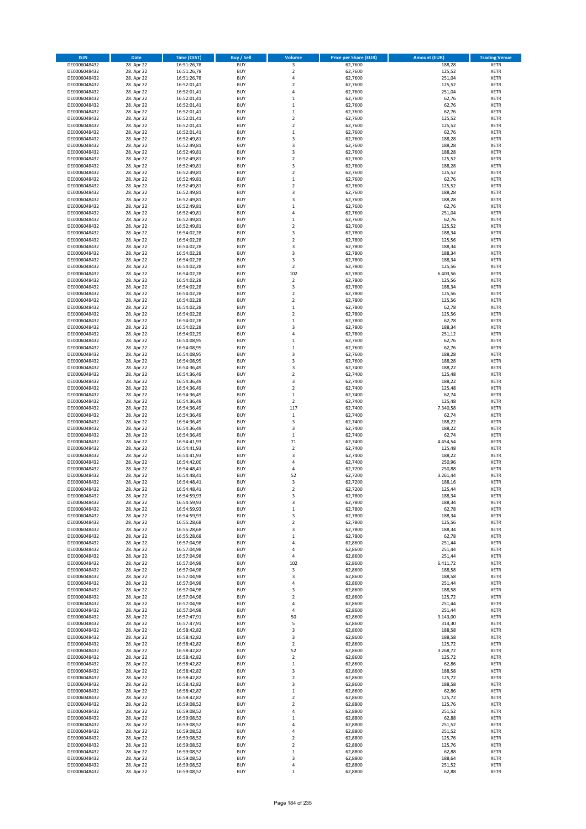| <b>ISIN</b>                  | <b>Date</b>              | <b>Time (CEST)</b>         | <b>Buy / Sell</b>        | <b>Volume</b>                                      | <b>Price per Share (EUR)</b> | <b>Amount (EUR)</b> | <b>Trading Venue</b>       |
|------------------------------|--------------------------|----------------------------|--------------------------|----------------------------------------------------|------------------------------|---------------------|----------------------------|
| DE0006048432                 | 28. Apr 22               | 16:51:26,78                | <b>BUY</b>               | 3                                                  | 62,7600                      | 188,28              | <b>XETR</b>                |
| DE0006048432                 | 28. Apr 22               | 16:51:26,78                | <b>BUY</b>               | $\mathbf 2$                                        | 62,7600                      | 125,52              | <b>XETR</b>                |
| DE0006048432                 | 28. Apr 22               | 16:51:26,78                | <b>BUY</b>               | 4                                                  | 62,7600                      | 251,04              | <b>XETR</b>                |
| DE0006048432                 | 28. Apr 22               | 16:52:01,41                | <b>BUY</b>               | $\mathbf 2$                                        | 62,7600                      | 125,52              | <b>XETR</b>                |
| DE0006048432<br>DE0006048432 | 28. Apr 22<br>28. Apr 22 | 16:52:01,41<br>16:52:01,41 | <b>BUY</b><br><b>BUY</b> | 4<br>$\mathbf{1}$                                  | 62,7600<br>62,7600           | 251,04<br>62,76     | <b>XETR</b><br><b>XETR</b> |
| DE0006048432                 | 28. Apr 22               | 16:52:01,41                | <b>BUY</b>               | $\mathbf 1$                                        | 62,7600                      | 62,76               | <b>XETR</b>                |
| DE0006048432                 | 28. Apr 22               | 16:52:01,41                | <b>BUY</b>               | $\mathbf 1$                                        | 62,7600                      | 62,76               | <b>XETR</b>                |
| DE0006048432                 | 28. Apr 22               | 16:52:01,41                | <b>BUY</b>               | $\overline{2}$                                     | 62,7600                      | 125,52              | <b>XETR</b>                |
| DE0006048432                 | 28. Apr 22               | 16:52:01,41                | <b>BUY</b>               | $\overline{2}$                                     | 62,7600                      | 125,52              | <b>XETR</b>                |
| DE0006048432                 | 28. Apr 22               | 16:52:01,41                | <b>BUY</b>               | $\mathbf 1$                                        | 62,7600                      | 62,76               | <b>XETR</b>                |
| DE0006048432                 | 28. Apr 22               | 16:52:49,81                | <b>BUY</b>               | 3<br>3                                             | 62,7600                      | 188,28              | <b>XETR</b><br><b>XETR</b> |
| DE0006048432<br>DE0006048432 | 28. Apr 22<br>28. Apr 22 | 16:52:49,81<br>16:52:49,81 | <b>BUY</b><br><b>BUY</b> | 3                                                  | 62,7600<br>62,7600           | 188,28<br>188,28    | <b>XETR</b>                |
| DE0006048432                 | 28. Apr 22               | 16:52:49,81                | <b>BUY</b>               | $\overline{\mathbf{c}}$                            | 62,7600                      | 125,52              | <b>XETR</b>                |
| DE0006048432                 | 28. Apr 22               | 16:52:49,81                | <b>BUY</b>               | 3                                                  | 62,7600                      | 188,28              | <b>XETR</b>                |
| DE0006048432                 | 28. Apr 22               | 16:52:49,81                | <b>BUY</b>               | $\mathbf 2$                                        | 62,7600                      | 125,52              | <b>XETR</b>                |
| DE0006048432                 | 28. Apr 22               | 16:52:49,81                | <b>BUY</b>               | $\mathbf 1$                                        | 62,7600                      | 62,76               | <b>XETR</b>                |
| DE0006048432                 | 28. Apr 22               | 16:52:49,81                | <b>BUY</b>               | $\overline{\mathbf{c}}$                            | 62,7600                      | 125,52              | <b>XETR</b>                |
| DE0006048432<br>DE0006048432 | 28. Apr 22<br>28. Apr 22 | 16:52:49,81<br>16:52:49,81 | <b>BUY</b><br><b>BUY</b> | 3<br>3                                             | 62,7600<br>62,7600           | 188,28<br>188,28    | <b>XETR</b><br><b>XETR</b> |
| DE0006048432                 | 28. Apr 22               | 16:52:49,81                | <b>BUY</b>               | $\mathbf 1$                                        | 62,7600                      | 62,76               | <b>XETR</b>                |
| DE0006048432                 | 28. Apr 22               | 16:52:49,81                | <b>BUY</b>               | 4                                                  | 62,7600                      | 251,04              | <b>XETR</b>                |
| DE0006048432                 | 28. Apr 22               | 16:52:49,81                | <b>BUY</b>               | $\mathbf 1$                                        | 62,7600                      | 62,76               | <b>XETR</b>                |
| DE0006048432                 | 28. Apr 22               | 16:52:49,81                | <b>BUY</b>               | $\mathbf 2$                                        | 62,7600                      | 125,52              | <b>XETR</b>                |
| DE0006048432                 | 28. Apr 22               | 16:54:02,28                | <b>BUY</b>               | 3                                                  | 62,7800                      | 188,34              | <b>XETR</b>                |
| DE0006048432<br>DE0006048432 | 28. Apr 22<br>28. Apr 22 | 16:54:02,28<br>16:54:02,28 | <b>BUY</b><br><b>BUY</b> | $\mathbf 2$<br>3                                   | 62,7800<br>62,7800           | 125,56<br>188,34    | <b>XETR</b><br><b>XETR</b> |
| DE0006048432                 | 28. Apr 22               | 16:54:02,28                | <b>BUY</b>               | 3                                                  | 62,7800                      | 188,34              | <b>XETR</b>                |
| DE0006048432                 | 28. Apr 22               | 16:54:02,28                | <b>BUY</b>               | 3                                                  | 62,7800                      | 188,34              | <b>XETR</b>                |
| DE0006048432                 | 28. Apr 22               | 16:54:02,28                | <b>BUY</b>               | $\mathbf 2$                                        | 62,7800                      | 125,56              | <b>XETR</b>                |
| DE0006048432                 | 28. Apr 22               | 16:54:02,28                | <b>BUY</b>               | 102                                                | 62,7800                      | 6.403,56            | <b>XETR</b>                |
| DE0006048432                 | 28. Apr 22               | 16:54:02,28                | <b>BUY</b>               | $\mathbf 2$                                        | 62,7800                      | 125,56              | <b>XETR</b>                |
| DE0006048432                 | 28. Apr 22               | 16:54:02,28                | <b>BUY</b>               | 3                                                  | 62,7800                      | 188,34              | <b>XETR</b>                |
| DE0006048432<br>DE0006048432 | 28. Apr 22<br>28. Apr 22 | 16:54:02,28<br>16:54:02,28 | <b>BUY</b><br><b>BUY</b> | $\overline{\mathbf{c}}$<br>$\overline{\mathbf{c}}$ | 62.7800<br>62,7800           | 125,56<br>125,56    | <b>XETR</b><br><b>XETR</b> |
| DE0006048432                 | 28. Apr 22               | 16:54:02,28                | <b>BUY</b>               | $\mathbf 1$                                        | 62,7800                      | 62,78               | <b>XETR</b>                |
| DE0006048432                 | 28. Apr 22               | 16:54:02,28                | <b>BUY</b>               | $\mathbf 2$                                        | 62,7800                      | 125,56              | <b>XETR</b>                |
| DE0006048432                 | 28. Apr 22               | 16:54:02,28                | <b>BUY</b>               | $\mathbf 1$                                        | 62,7800                      | 62,78               | <b>XETR</b>                |
| DE0006048432                 | 28. Apr 22               | 16:54:02,28                | <b>BUY</b>               | 3                                                  | 62,7800                      | 188,34              | <b>XETR</b>                |
| DE0006048432                 | 28. Apr 22               | 16:54:02,29                | <b>BUY</b>               | 4                                                  | 62,7800                      | 251,12              | <b>XETR</b>                |
| DE0006048432                 | 28. Apr 22<br>28. Apr 22 | 16:54:08,95                | <b>BUY</b><br><b>BUY</b> | $\mathbf 1$                                        | 62,7600<br>62,7600           | 62,76<br>62,76      | <b>XETR</b><br><b>XETR</b> |
| DE0006048432<br>DE0006048432 | 28. Apr 22               | 16:54:08,95<br>16:54:08,95 | <b>BUY</b>               | $\mathbf 1$<br>3                                   | 62,7600                      | 188,28              | <b>XETR</b>                |
| DE0006048432                 | 28. Apr 22               | 16:54:08,95                | <b>BUY</b>               | 3                                                  | 62,7600                      | 188,28              | <b>XETR</b>                |
| DE0006048432                 | 28. Apr 22               | 16:54:36,49                | <b>BUY</b>               | 3                                                  | 62,7400                      | 188,22              | <b>XETR</b>                |
| DE0006048432                 | 28. Apr 22               | 16:54:36,49                | <b>BUY</b>               | $\mathbf 2$                                        | 62,7400                      | 125,48              | <b>XETR</b>                |
| DE0006048432                 | 28. Apr 22               | 16:54:36,49                | <b>BUY</b>               | 3                                                  | 62,7400                      | 188,22              | <b>XETR</b>                |
| DE0006048432<br>DE0006048432 | 28. Apr 22<br>28. Apr 22 | 16:54:36,49<br>16:54:36,49 | <b>BUY</b><br><b>BUY</b> | $\overline{\mathbf{c}}$<br>$\mathbf 1$             | 62,7400<br>62,7400           | 125,48<br>62,74     | <b>XETR</b><br><b>XETR</b> |
| DE0006048432                 | 28. Apr 22               | 16:54:36,49                | <b>BUY</b>               | $\overline{2}$                                     | 62,7400                      | 125,48              | <b>XETR</b>                |
| DE0006048432                 | 28. Apr 22               | 16:54:36,49                | <b>BUY</b>               | 117                                                | 62,7400                      | 7.340,58            | <b>XETR</b>                |
| DE0006048432                 | 28. Apr 22               | 16:54:36,49                | <b>BUY</b>               | $\,1\,$                                            | 62,7400                      | 62,74               | <b>XETR</b>                |
| DE0006048432                 | 28. Apr 22               | 16:54:36,49                | <b>BUY</b>               | 3                                                  | 62,7400                      | 188,22              | <b>XETR</b>                |
| DE0006048432                 | 28. Apr 22               | 16:54:36,49                | <b>BUY</b>               | 3                                                  | 62,7400                      | 188,22              | <b>XETR</b>                |
| DE0006048432                 | 28. Apr 22               | 16:54:36,49                | <b>BUY</b>               | $\mathbf 1$<br>71                                  | 62,7400                      | 62,74               | <b>XETR</b>                |
| DE0006048432<br>DE0006048432 | 28. Apr 22<br>28. Apr 22 | 16:54:41,93<br>16:54:41,93 | <b>BUY</b><br><b>BUY</b> | $\mathbf 2$                                        | 62,7400<br>62,7400           | 4.454,54<br>125,48  | <b>XETR</b><br><b>XETR</b> |
| DE0006048432                 | 28. Apr 22               | 16:54:41,93                | <b>BUY</b>               | 3                                                  | 62,7400                      | 188,22              | <b>XETR</b>                |
| DE0006048432                 | 28. Apr 22               | 16:54:42,00                | <b>BUY</b>               | 4                                                  | 62,7400                      | 250,96              | <b>XETR</b>                |
| DE0006048432                 | 28. Apr 22               | 16:54:48,41                | <b>BUY</b>               | 4                                                  | 62,7200                      | 250,88              | <b>XETR</b>                |
| DE0006048432                 | 28. Apr 22               | 16:54:48,41                | <b>BUY</b>               | 52                                                 | 62,7200                      | 3.261,44            | <b>XETR</b>                |
| DE0006048432                 | 28. Apr 22               | 16:54:48,41                | <b>BUY</b>               | 3                                                  | 62,7200                      | 188,16              | <b>XETR</b>                |
| DE0006048432<br>DE0006048432 | 28. Apr 22<br>28. Apr 22 | 16:54:48,41<br>16:54:59,93 | <b>BUY</b><br>BUY        | $\overline{2}$<br>3                                | 62,7200<br>62,7800           | 125,44<br>188,34    | <b>XETR</b><br><b>XETR</b> |
| DE0006048432                 | 28. Apr 22               | 16:54:59,93                | <b>BUY</b>               | 3                                                  | 62,7800                      | 188,34              | <b>XETR</b>                |
| DE0006048432                 | 28. Apr 22               | 16:54:59,93                | <b>BUY</b>               | $\mathbf 1$                                        | 62,7800                      | 62,78               | <b>XETR</b>                |
| DE0006048432                 | 28. Apr 22               | 16:54:59,93                | <b>BUY</b>               | 3                                                  | 62,7800                      | 188,34              | <b>XETR</b>                |
| DE0006048432                 | 28. Apr 22               | 16:55:28,68                | <b>BUY</b>               | $\overline{\mathbf{c}}$                            | 62,7800                      | 125,56              | <b>XETR</b>                |
| DE0006048432                 | 28. Apr 22               | 16:55:28,68                | <b>BUY</b>               | 3                                                  | 62,7800                      | 188,34              | <b>XETR</b>                |
| DE0006048432<br>DE0006048432 | 28. Apr 22<br>28. Apr 22 | 16:55:28,68                | <b>BUY</b><br><b>BUY</b> | $\mathbf 1$<br>4                                   | 62,7800<br>62,8600           | 62,78<br>251,44     | <b>XETR</b>                |
| DE0006048432                 | 28. Apr 22               | 16:57:04,98<br>16:57:04,98 | <b>BUY</b>               | 4                                                  | 62,8600                      | 251,44              | <b>XETR</b><br><b>XETR</b> |
| DE0006048432                 | 28. Apr 22               | 16:57:04,98                | <b>BUY</b>               | 4                                                  | 62,8600                      | 251,44              | <b>XETR</b>                |
| DE0006048432                 | 28. Apr 22               | 16:57:04,98                | <b>BUY</b>               | 102                                                | 62,8600                      | 6.411,72            | <b>XETR</b>                |
| DE0006048432                 | 28. Apr 22               | 16:57:04,98                | <b>BUY</b>               | 3                                                  | 62,8600                      | 188,58              | <b>XETR</b>                |
| DE0006048432                 | 28. Apr 22               | 16:57:04,98                | <b>BUY</b>               | 3                                                  | 62,8600                      | 188,58              | <b>XETR</b>                |
| DE0006048432<br>DE0006048432 | 28. Apr 22<br>28. Apr 22 | 16:57:04,98<br>16:57:04,98 | <b>BUY</b><br><b>BUY</b> | 4<br>3                                             | 62,8600<br>62,8600           | 251,44<br>188,58    | <b>XETR</b><br><b>XETR</b> |
| DE0006048432                 | 28. Apr 22               | 16:57:04,98                | <b>BUY</b>               | $\overline{\mathbf{c}}$                            | 62,8600                      | 125,72              | <b>XETR</b>                |
| DE0006048432                 | 28. Apr 22               | 16:57:04,98                | <b>BUY</b>               | 4                                                  | 62,8600                      | 251,44              | <b>XETR</b>                |
| DE0006048432                 | 28. Apr 22               | 16:57:04,98                | <b>BUY</b>               | 4                                                  | 62,8600                      | 251,44              | <b>XETR</b>                |
| DE0006048432                 | 28. Apr 22               | 16:57:47,91                | <b>BUY</b>               | 50                                                 | 62,8600                      | 3.143,00            | <b>XETR</b>                |
| DE0006048432                 | 28. Apr 22               | 16:57:47,91                | <b>BUY</b>               | 5                                                  | 62,8600                      | 314,30              | <b>XETR</b>                |
| DE0006048432                 | 28. Apr 22               | 16:58:42,82                | <b>BUY</b>               | 3                                                  | 62,8600                      | 188,58              | <b>XETR</b>                |
| DE0006048432<br>DE0006048432 | 28. Apr 22<br>28. Apr 22 | 16:58:42,82<br>16:58:42,82 | <b>BUY</b><br><b>BUY</b> | 3<br>$\overline{2}$                                | 62,8600<br>62,8600           | 188,58<br>125,72    | <b>XETR</b><br><b>XETR</b> |
| DE0006048432                 | 28. Apr 22               | 16:58:42,82                | <b>BUY</b>               | 52                                                 | 62,8600                      | 3.268,72            | <b>XETR</b>                |
| DE0006048432                 | 28. Apr 22               | 16:58:42,82                | <b>BUY</b>               | 2                                                  | 62,8600                      | 125,72              | <b>XETR</b>                |
| DE0006048432                 | 28. Apr 22               | 16:58:42,82                | <b>BUY</b>               | $\mathbf 1$                                        | 62,8600                      | 62,86               | <b>XETR</b>                |
| DE0006048432                 | 28. Apr 22               | 16:58:42,82                | <b>BUY</b>               | 3                                                  | 62,8600                      | 188,58              | <b>XETR</b>                |
| DE0006048432                 | 28. Apr 22               | 16:58:42,82                | <b>BUY</b>               | $\overline{\mathbf{c}}$                            | 62,8600                      | 125,72              | <b>XETR</b>                |
| DE0006048432<br>DE0006048432 | 28. Apr 22<br>28. Apr 22 | 16:58:42,82<br>16:58:42,82 | <b>BUY</b><br><b>BUY</b> | 3<br>$\mathbf 1$                                   | 62,8600<br>62,8600           | 188,58<br>62,86     | <b>XETR</b><br><b>XETR</b> |
| DE0006048432                 | 28. Apr 22               | 16:58:42,82                | <b>BUY</b>               | $\mathbf 2$                                        | 62,8600                      | 125,72              | <b>XETR</b>                |
| DE0006048432                 | 28. Apr 22               | 16:59:08,52                | <b>BUY</b>               | $\mathbf 2$                                        | 62,8800                      | 125,76              | <b>XETR</b>                |
| DE0006048432                 | 28. Apr 22               | 16:59:08,52                | <b>BUY</b>               | 4                                                  | 62,8800                      | 251,52              | <b>XETR</b>                |
| DE0006048432                 | 28. Apr 22               | 16:59:08,52                | <b>BUY</b>               | $\mathbf 1$                                        | 62,8800                      | 62,88               | <b>XETR</b>                |
| DE0006048432                 | 28. Apr 22               | 16:59:08,52                | <b>BUY</b>               | 4                                                  | 62,8800                      | 251,52              | <b>XETR</b>                |
| DE0006048432<br>DE0006048432 | 28. Apr 22<br>28. Apr 22 | 16:59:08,52<br>16:59:08,52 | <b>BUY</b><br><b>BUY</b> | 4<br>$\overline{\mathbf{c}}$                       | 62,8800<br>62,8800           | 251,52<br>125,76    | <b>XETR</b><br><b>XETR</b> |
| DE0006048432                 | 28. Apr 22               | 16:59:08,52                | <b>BUY</b>               | $\mathbf 2$                                        | 62,8800                      | 125,76              | <b>XETR</b>                |
| DE0006048432                 | 28. Apr 22               | 16:59:08,52                | <b>BUY</b>               | $\mathbf 1$                                        | 62,8800                      | 62,88               | <b>XETR</b>                |
| DE0006048432                 | 28. Apr 22               | 16:59:08,52                | <b>BUY</b>               | 3                                                  | 62,8800                      | 188,64              | <b>XETR</b>                |
| DE0006048432                 | 28. Apr 22               | 16:59:08,52                | <b>BUY</b>               | 4                                                  | 62,8800                      | 251,52              | <b>XETR</b>                |
| DE0006048432                 | 28. Apr 22               | 16:59:08,52                | <b>BUY</b>               | $\mathbf 1$                                        | 62,8800                      | 62,88               | <b>XETR</b>                |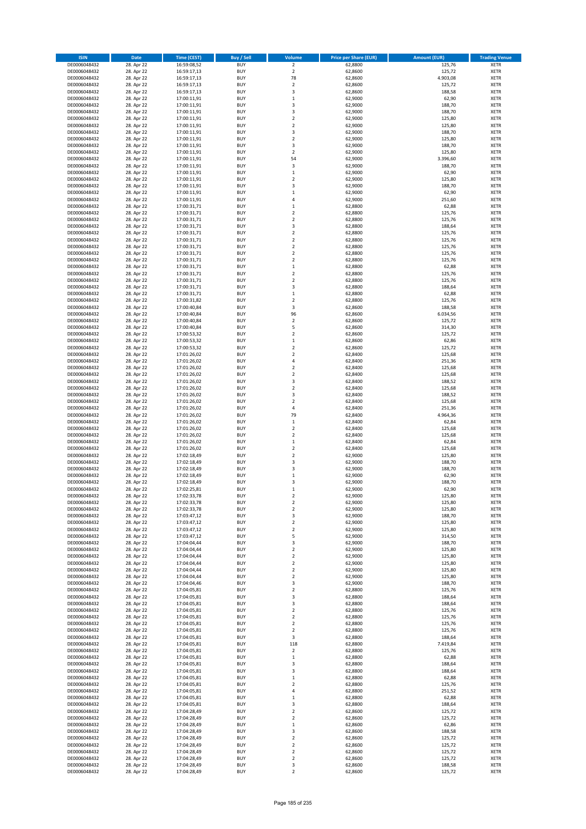| <b>ISIN</b>                  | Date                     | Time (CEST)                | <b>Buy / Sell</b>        | <b>Volume</b>                    | <b>Price per Share (EUR)</b> | <b>Amount (EUR)</b> | <b>Trading Venue</b>       |
|------------------------------|--------------------------|----------------------------|--------------------------|----------------------------------|------------------------------|---------------------|----------------------------|
| DE0006048432                 | 28. Apr 22               | 16:59:08,52                | <b>BUY</b>               | $\overline{2}$                   | 62,8800                      | 125,76              | <b>XETR</b>                |
| DE0006048432                 | 28. Apr 22               | 16:59:17,13                | <b>BUY</b>               | $\mathbf 2$                      | 62,8600                      | 125,72              | XETR                       |
| DE0006048432                 | 28. Apr 22               | 16:59:17,13                | <b>BUY</b>               | 78                               | 62,8600                      | 4.903,08            | <b>XETR</b>                |
| DE0006048432                 | 28. Apr 22               | 16:59:17,13                | <b>BUY</b>               | $\mathbf 2$                      | 62,8600                      | 125,72              | XETR                       |
| DE0006048432                 | 28. Apr 22               | 16:59:17,13                | <b>BUY</b>               | 3                                | 62,8600                      | 188,58              | <b>XETR</b>                |
| DE0006048432                 | 28. Apr 22               | 17:00:11,91                | <b>BUY</b>               | $\,1\,$                          | 62,9000                      | 62,90               | <b>XETR</b>                |
| DE0006048432                 | 28. Apr 22               | 17:00:11,91                | <b>BUY</b>               | 3                                | 62,9000                      | 188,70              | <b>XETR</b>                |
| DE0006048432                 | 28. Apr 22               | 17:00:11,91                | <b>BUY</b>               | 3                                | 62,9000                      | 188,70              | <b>XETR</b>                |
| DE0006048432                 | 28. Apr 22               | 17:00:11,91                | <b>BUY</b>               | $\overline{2}$                   | 62,9000                      | 125,80              | <b>XETR</b>                |
| DE0006048432                 | 28. Apr 22               | 17:00:11,91                | <b>BUY</b>               | $\overline{2}$                   | 62,9000                      | 125,80              | <b>XETR</b>                |
| DE0006048432                 | 28. Apr 22               | 17:00:11,91                | <b>BUY</b>               | $\mathsf 3$                      | 62,9000                      | 188,70              | <b>XETR</b>                |
| DE0006048432                 | 28. Apr 22               | 17:00:11,91                | <b>BUY</b>               | $\overline{2}$                   | 62,9000                      | 125,80              | <b>XETR</b>                |
| DE0006048432                 | 28. Apr 22               | 17:00:11,91                | <b>BUY</b>               | 3                                | 62,9000                      | 188,70              | <b>XETR</b>                |
| DE0006048432                 | 28. Apr 22<br>28. Apr 22 | 17:00:11,91                | <b>BUY</b><br><b>BUY</b> | $\overline{2}$<br>54             | 62,9000                      | 125,80<br>3.396,60  | <b>XETR</b><br><b>XETR</b> |
| DE0006048432<br>DE0006048432 | 28. Apr 22               | 17:00:11,91<br>17:00:11,91 | <b>BUY</b>               | 3                                | 62,9000<br>62,9000           | 188,70              | <b>XETR</b>                |
| DE0006048432                 | 28. Apr 22               | 17:00:11,91                | <b>BUY</b>               | $\,1\,$                          | 62,9000                      | 62,90               | <b>XETR</b>                |
| DE0006048432                 | 28. Apr 22               | 17:00:11,91                | <b>BUY</b>               | $\mathbf 2$                      | 62,9000                      | 125,80              | <b>XETR</b>                |
| DE0006048432                 | 28. Apr 22               | 17:00:11,91                | <b>BUY</b>               | 3                                | 62,9000                      | 188,70              | <b>XETR</b>                |
| DE0006048432                 | 28. Apr 22               | 17:00:11,91                | <b>BUY</b>               | $\,$ 1                           | 62,9000                      | 62,90               | <b>XETR</b>                |
| DE0006048432                 | 28. Apr 22               | 17:00:11,91                | <b>BUY</b>               | 4                                | 62,9000                      | 251,60              | <b>XETR</b>                |
| DE0006048432                 | 28. Apr 22               | 17:00:31,71                | <b>BUY</b>               | $\,$ 1                           | 62,8800                      | 62,88               | <b>XETR</b>                |
| DE0006048432                 | 28. Apr 22               | 17:00:31,71                | <b>BUY</b>               | $\overline{2}$                   | 62,8800                      | 125,76              | <b>XETR</b>                |
| DE0006048432                 | 28. Apr 22               | 17:00:31,71                | <b>BUY</b>               | $\mathbf 2$                      | 62,8800                      | 125,76              | <b>XETR</b>                |
| DE0006048432                 | 28. Apr 22               | 17:00:31,71                | <b>BUY</b>               | 3                                | 62,8800                      | 188,64              | <b>XETR</b>                |
| DE0006048432                 | 28. Apr 22               | 17:00:31,71                | <b>BUY</b>               | $\mathbf 2$                      | 62,8800                      | 125,76              | <b>XETR</b>                |
| DE0006048432                 | 28. Apr 22               | 17:00:31,71                | <b>BUY</b>               | $\mathbf 2$                      | 62,8800                      | 125,76              | <b>XETR</b>                |
| DE0006048432                 | 28. Apr 22               | 17:00:31,71                | <b>BUY</b>               | $\overline{2}$                   | 62,8800                      | 125,76              | <b>XETR</b>                |
| DE0006048432                 | 28. Apr 22               | 17:00:31,71                | <b>BUY</b>               | $\mathbf 2$                      | 62,8800                      | 125,76              | <b>XETR</b>                |
| DE0006048432                 | 28. Apr 22               | 17:00:31,71                | <b>BUY</b>               | $\overline{2}$                   | 62,8800                      | 125,76              | <b>XETR</b>                |
| DE0006048432                 | 28. Apr 22               | 17:00:31,71                | <b>BUY</b>               | $\,$ 1 $\,$                      | 62,8800                      | 62,88               | <b>XETR</b>                |
| DE0006048432                 | 28. Apr 22               | 17:00:31,71                | <b>BUY</b>               | $\mathbf 2$                      | 62,8800                      | 125,76              | <b>XETR</b>                |
| DE0006048432                 | 28. Apr 22               | 17:00:31,71                | <b>BUY</b>               | $\mathbf 2$                      | 62,8800                      | 125,76              | <b>XETR</b>                |
| DE0006048432                 | 28. Apr 22               | 17:00:31,71                | <b>BUY</b>               | 3                                | 62,8800                      | 188,64              | <b>XETR</b>                |
| DE0006048432                 | 28. Apr 22               | 17:00:31,71                | <b>BUY</b><br><b>BUY</b> | $\,1\,$<br>$\overline{2}$        | 62,8800                      | 62,88               | <b>XETR</b>                |
| DE0006048432<br>DE0006048432 | 28. Apr 22<br>28. Apr 22 | 17:00:31,82<br>17:00:40,84 | <b>BUY</b>               | 3                                | 62,8800<br>62,8600           | 125,76<br>188,58    | <b>XETR</b><br><b>XETR</b> |
| DE0006048432                 | 28. Apr 22               | 17:00:40,84                | <b>BUY</b>               | 96                               | 62,8600                      | 6.034,56            | <b>XETR</b>                |
| DE0006048432                 | 28. Apr 22               | 17:00:40,84                | <b>BUY</b>               | $\overline{2}$                   | 62,8600                      | 125,72              | <b>XETR</b>                |
| DE0006048432                 | 28. Apr 22               | 17:00:40,84                | <b>BUY</b>               | 5                                | 62,8600                      | 314,30              | <b>XETR</b>                |
| DE0006048432                 | 28. Apr 22               | 17:00:53,32                | <b>BUY</b>               | $\mathbf 2$                      | 62,8600                      | 125,72              | <b>XETR</b>                |
| DE0006048432                 | 28. Apr 22               | 17:00:53,32                | <b>BUY</b>               | $\,$ 1                           | 62,8600                      | 62,86               | <b>XETR</b>                |
| DE0006048432                 | 28. Apr 22               | 17:00:53,32                | <b>BUY</b>               | $\mathbf 2$                      | 62,8600                      | 125,72              | <b>XETR</b>                |
| DE0006048432                 | 28. Apr 22               | 17:01:26,02                | <b>BUY</b>               | $\overline{2}$                   | 62,8400                      | 125,68              | <b>XETR</b>                |
| DE0006048432                 | 28. Apr 22               | 17:01:26,02                | <b>BUY</b>               | $\sqrt{4}$                       | 62,8400                      | 251,36              | <b>XETR</b>                |
| DE0006048432                 | 28. Apr 22               | 17:01:26,02                | <b>BUY</b>               | $\overline{2}$                   | 62,8400                      | 125,68              | <b>XETR</b>                |
| DE0006048432                 | 28. Apr 22               | 17:01:26,02                | <b>BUY</b>               | $\mathbf 2$                      | 62,8400                      | 125,68              | <b>XETR</b>                |
| DE0006048432                 | 28. Apr 22               | 17:01:26,02                | <b>BUY</b>               | 3                                | 62,8400                      | 188,52              | <b>XETR</b>                |
| DE0006048432                 | 28. Apr 22               | 17:01:26,02                | <b>BUY</b>               | $\mathbf 2$                      | 62,8400                      | 125,68              | <b>XETR</b>                |
| DE0006048432                 | 28. Apr 22               | 17:01:26,02                | <b>BUY</b>               | 3                                | 62,8400                      | 188,52              | <b>XETR</b>                |
| DE0006048432                 | 28. Apr 22               | 17:01:26,02                | <b>BUY</b>               | $\overline{2}$                   | 62,8400                      | 125,68              | <b>XETR</b>                |
| DE0006048432                 | 28. Apr 22               | 17:01:26,02                | <b>BUY</b>               | $\overline{4}$                   | 62,8400                      | 251,36              | <b>XETR</b>                |
| DE0006048432                 | 28. Apr 22               | 17:01:26,02                | <b>BUY</b>               | 79                               | 62,8400                      | 4.964,36            | <b>XETR</b>                |
| DE0006048432<br>DE0006048432 | 28. Apr 22               | 17:01:26,02                | <b>BUY</b><br><b>BUY</b> | $\,$ 1<br>$\overline{2}$         | 62,8400                      | 62,84               | <b>XETR</b><br><b>XETR</b> |
|                              | 28. Apr 22               | 17:01:26,02                |                          | $\mathbf 2$                      | 62,8400                      | 125,68              |                            |
| DE0006048432<br>DE0006048432 | 28. Apr 22<br>28. Apr 22 | 17:01:26,02<br>17:01:26,02 | <b>BUY</b><br><b>BUY</b> | $\,1\,$                          | 62,8400<br>62,8400           | 125,68<br>62,84     | <b>XETR</b><br><b>XETR</b> |
| DE0006048432                 | 28. Apr 22               | 17:01:26,02                | <b>BUY</b>               | $\mathbf 2$                      | 62,8400                      | 125,68              | <b>XETR</b>                |
| DE0006048432                 | 28. Apr 22               | 17:02:18,49                | <b>BUY</b>               | $\mathbf 2$                      | 62,9000                      | 125,80              | <b>XETR</b>                |
| DE0006048432                 | 28. Apr 22               | 17:02:18,49                | <b>BUY</b>               | 3                                | 62,9000                      | 188,70              | <b>XETR</b>                |
| DE0006048432                 | 28. Apr 22               | 17:02:18,49                | <b>BUY</b>               | 3                                | 62,9000                      | 188,70              | <b>XETR</b>                |
| DE0006048432                 | 28. Apr 22               | 17:02:18,49                | <b>BUY</b>               | $\,1\,$                          | 62,9000                      | 62,90               | <b>XETR</b>                |
| DE0006048432                 | 28. Apr 22               | 17:02:18,49                | <b>BUY</b>               | 3                                | 62,9000                      | 188,70              | <b>XETR</b>                |
| DE0006048432                 | 28. Apr 22               | 17:02:25,81                | <b>BUY</b>               | $\mathbf{1}$                     | 62,9000                      | 62,90               | <b>XETR</b>                |
| DE0006048432                 | 28. Apr 22               | 17:02:33,78                | BUY                      | 2                                | 62,9000                      | 125,80              | XETR                       |
| DE0006048432                 | 28. Apr 22               | 17:02:33,78                | <b>BUY</b>               | $\mathbf 2$                      | 62,9000                      | 125,80              | <b>XETR</b>                |
| DE0006048432                 | 28. Apr 22               | 17:02:33,78                | <b>BUY</b>               | $\overline{2}$                   | 62,9000                      | 125,80              | <b>XETR</b>                |
| DE0006048432                 | 28. Apr 22               | 17:03:47,12                | <b>BUY</b>               | 3                                | 62,9000                      | 188,70              | XETR                       |
| DE0006048432                 | 28. Apr 22               | 17:03:47,12                | <b>BUY</b>               | $\overline{2}$                   | 62,9000                      | 125,80              | <b>XETR</b>                |
| DE0006048432                 | 28. Apr 22               | 17:03:47,12                | <b>BUY</b>               | $\overline{2}$                   | 62,9000                      | 125,80              | <b>XETR</b>                |
| DE0006048432                 | 28. Apr 22               | 17:03:47,12                | <b>BUY</b>               | 5                                | 62,9000                      | 314,50              | <b>XETR</b>                |
| DE0006048432                 | 28. Apr 22               | 17:04:04,44                | <b>BUY</b>               | 3                                | 62,9000                      | 188,70              | <b>XETR</b>                |
| DE0006048432                 | 28. Apr 22               | 17:04:04,44                | <b>BUY</b>               | $\overline{2}$                   | 62,9000                      | 125,80              | XETR                       |
| DE0006048432                 | 28. Apr 22               | 17:04:04,44                | <b>BUY</b>               | $\mathbf 2$                      | 62,9000                      | 125,80              | <b>XETR</b>                |
| DE0006048432<br>DE0006048432 | 28. Apr 22<br>28. Apr 22 | 17:04:04,44<br>17:04:04,44 | <b>BUY</b><br><b>BUY</b> | $\overline{2}$<br>$\overline{2}$ | 62,9000<br>62,9000           | 125,80<br>125,80    | XETR<br><b>XETR</b>        |
| DE0006048432                 | 28. Apr 22               | 17:04:04,44                | <b>BUY</b>               | $\mathbf 2$                      | 62,9000                      | 125,80              | XETR                       |
| DE0006048432                 | 28. Apr 22               | 17:04:04,46                | <b>BUY</b>               | 3                                | 62,9000                      | 188,70              | <b>XETR</b>                |
| DE0006048432                 | 28. Apr 22               | 17:04:05,81                | <b>BUY</b>               | $\mathbf 2$                      | 62,8800                      | 125,76              | XETR                       |
| DE0006048432                 | 28. Apr 22               | 17:04:05,81                | <b>BUY</b>               | 3                                | 62,8800                      | 188,64              | <b>XETR</b>                |
| DE0006048432                 | 28. Apr 22               | 17:04:05,81                | <b>BUY</b>               | 3                                | 62,8800                      | 188,64              | <b>XETR</b>                |
| DE0006048432                 | 28. Apr 22               | 17:04:05,81                | <b>BUY</b>               | $\overline{2}$                   | 62,8800                      | 125,76              | <b>XETR</b>                |
| DE0006048432                 | 28. Apr 22               | 17:04:05,81                | <b>BUY</b>               | $\mathbf 2$                      | 62,8800                      | 125,76              | XETR                       |
| DE0006048432                 | 28. Apr 22               | 17:04:05,81                | <b>BUY</b>               | $\overline{2}$                   | 62,8800                      | 125,76              | <b>XETR</b>                |
| DE0006048432                 | 28. Apr 22               | 17:04:05,81                | <b>BUY</b>               | $\overline{2}$                   | 62,8800                      | 125,76              | <b>XETR</b>                |
| DE0006048432                 | 28. Apr 22               | 17:04:05,81                | <b>BUY</b>               | 3                                | 62,8800                      | 188,64              | <b>XETR</b>                |
| DE0006048432                 | 28. Apr 22               | 17:04:05,81                | <b>BUY</b>               | 118                              | 62,8800                      | 7.419,84            | XETR                       |
| DE0006048432                 | 28. Apr 22               | 17:04:05,81                | <b>BUY</b>               | $\mathbf 2$                      | 62,8800                      | 125,76              | XETR                       |
| DE0006048432                 | 28. Apr 22               | 17:04:05,81                | <b>BUY</b>               | $\,$ 1                           | 62,8800                      | 62,88               | XETR                       |
| DE0006048432                 | 28. Apr 22               | 17:04:05,81                | <b>BUY</b>               | 3                                | 62,8800                      | 188,64              | <b>XETR</b>                |
| DE0006048432                 | 28. Apr 22               | 17:04:05,81                | <b>BUY</b>               | 3                                | 62,8800                      | 188,64              | <b>XETR</b>                |
| DE0006048432                 | 28. Apr 22               | 17:04:05,81                | <b>BUY</b>               | $\,1\,$                          | 62,8800                      | 62,88               | <b>XETR</b>                |
| DE0006048432                 | 28. Apr 22               | 17:04:05,81                | <b>BUY</b>               | $\mathbf 2$                      | 62,8800                      | 125,76              | <b>XETR</b>                |
| DE0006048432                 | 28. Apr 22               | 17:04:05,81                | <b>BUY</b>               | 4                                | 62,8800                      | 251,52              | <b>XETR</b>                |
| DE0006048432<br>DE0006048432 | 28. Apr 22<br>28. Apr 22 | 17:04:05,81<br>17:04:05,81 | <b>BUY</b><br><b>BUY</b> | $\,$ 1<br>3                      | 62,8800<br>62,8800           | 62,88<br>188,64     | XETR<br>XETR               |
| DE0006048432                 | 28. Apr 22               | 17:04:28,49                | <b>BUY</b>               | $\mathbf 2$                      | 62,8600                      | 125,72              | XETR                       |
| DE0006048432                 | 28. Apr 22               | 17:04:28,49                | <b>BUY</b>               | $\mathbf 2$                      | 62,8600                      | 125,72              | <b>XETR</b>                |
| DE0006048432                 | 28. Apr 22               | 17:04:28,49                | <b>BUY</b>               | $\,$ 1                           | 62,8600                      | 62,86               | <b>XETR</b>                |
| DE0006048432                 | 28. Apr 22               | 17:04:28,49                | <b>BUY</b>               | 3                                | 62,8600                      | 188,58              | XETR                       |
| DE0006048432                 | 28. Apr 22               | 17:04:28,49                | <b>BUY</b>               | $\overline{2}$                   | 62,8600                      | 125,72              | <b>XETR</b>                |
| DE0006048432                 | 28. Apr 22               | 17:04:28,49                | <b>BUY</b>               | $\mathbf 2$                      | 62,8600                      | 125,72              | XETR                       |
| DE0006048432                 | 28. Apr 22               | 17:04:28,49                | <b>BUY</b>               | $\overline{2}$                   | 62,8600                      | 125,72              | <b>XETR</b>                |
| DE0006048432                 | 28. Apr 22               | 17:04:28,49                | <b>BUY</b>               | $\mathbf 2$                      | 62,8600                      | 125,72              | XETR                       |
| DE0006048432                 | 28. Apr 22               | 17:04:28,49                | <b>BUY</b>               | 3                                | 62,8600                      | 188,58              | <b>XETR</b>                |
| DE0006048432                 | 28. Apr 22               | 17:04:28,49                | <b>BUY</b>               | $\mathbf 2$                      | 62,8600                      | 125,72              | XETR                       |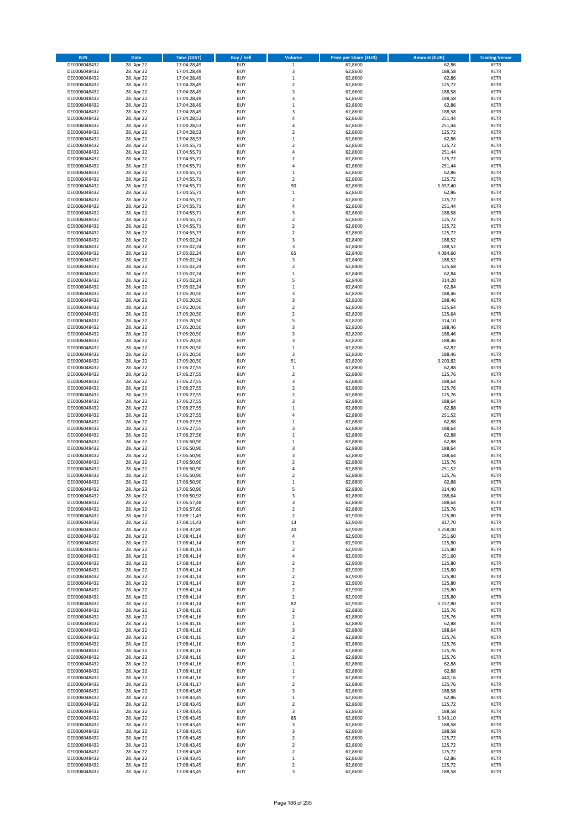| <b>ISIN</b>                  | <b>Date</b>              | <b>Time (CEST)</b>         | <b>Buy / Sell</b>        | Volume                        | <b>Price per Share (EUR)</b> | <b>Amount (EUR)</b> | <b>Trading Venue</b>       |
|------------------------------|--------------------------|----------------------------|--------------------------|-------------------------------|------------------------------|---------------------|----------------------------|
| DE0006048432                 | 28. Apr 22               | 17:04:28,49                | <b>BUY</b>               | $\,1$                         | 62,8600                      | 62,86               | <b>XETR</b>                |
| DE0006048432                 | 28. Apr 22               | 17:04:28,49                | <b>BUY</b>               | 3                             | 62,8600                      | 188,58              | <b>XETR</b>                |
| DE0006048432                 | 28. Apr 22               | 17:04:28,49                | <b>BUY</b>               | $\mathbf 1$                   | 62,8600                      | 62,86               | <b>XETR</b>                |
| DE0006048432                 | 28. Apr 22               | 17:04:28,49                | <b>BUY</b>               | $\mathbf 2$                   | 62,8600                      | 125,72              | <b>XETR</b>                |
| DE0006048432                 | 28. Apr 22               | 17:04:28,49                | <b>BUY</b>               | 3                             | 62,8600                      | 188,58              | <b>XETR</b>                |
| DE0006048432                 | 28. Apr 22               | 17:04:28,49                | <b>BUY</b>               | 3                             | 62,8600                      | 188,58              | <b>XETR</b>                |
| DE0006048432                 | 28. Apr 22               | 17:04:28,49                | <b>BUY</b>               | $\mathbf 1$                   | 62,8600                      | 62,86               | <b>XETR</b>                |
| DE0006048432                 | 28. Apr 22               | 17:04:28,49                | <b>BUY</b>               | 3                             | 62,8600                      | 188,58              | <b>XETR</b>                |
| DE0006048432                 | 28. Apr 22               | 17:04:28,53                | <b>BUY</b><br><b>BUY</b> | 4                             | 62,8600                      | 251,44              | <b>XETR</b><br><b>XETR</b> |
| DE0006048432<br>DE0006048432 | 28. Apr 22<br>28. Apr 22 | 17:04:28,53<br>17:04:28,53 | <b>BUY</b>               | 4<br>$\mathbf 2$              | 62,8600<br>62,8600           | 251,44<br>125,72    | <b>XETR</b>                |
| DE0006048432                 | 28. Apr 22               | 17:04:28,53                | <b>BUY</b>               | $\mathbf 1$                   | 62,8600                      | 62,86               | <b>XETR</b>                |
| DE0006048432                 | 28. Apr 22               | 17:04:55,71                | <b>BUY</b>               | $\mathbf 2$                   | 62,8600                      | 125,72              | <b>XETR</b>                |
| DE0006048432                 | 28. Apr 22               | 17:04:55,71                | <b>BUY</b>               | 4                             | 62,8600                      | 251,44              | <b>XETR</b>                |
| DE0006048432                 | 28. Apr 22               | 17:04:55,71                | <b>BUY</b>               | $\overline{\mathbf{c}}$       | 62,8600                      | 125,72              | <b>XETR</b>                |
| DE0006048432                 | 28. Apr 22               | 17:04:55,71                | <b>BUY</b>               | 4                             | 62,8600                      | 251,44              | <b>XETR</b>                |
| DE0006048432                 | 28. Apr 22               | 17:04:55,71                | <b>BUY</b>               | $\mathbf 1$                   | 62,8600                      | 62,86               | <b>XETR</b>                |
| DE0006048432                 | 28. Apr 22               | 17:04:55,71                | <b>BUY</b>               | $\mathbf 2$                   | 62,8600                      | 125,72              | <b>XETR</b>                |
| DE0006048432                 | 28. Apr 22               | 17:04:55,71                | <b>BUY</b>               | 90                            | 62,8600                      | 5.657,40            | <b>XETR</b>                |
| DE0006048432                 | 28. Apr 22               | 17:04:55,71                | <b>BUY</b>               | $\,$ 1                        | 62,8600                      | 62,86               | <b>XETR</b>                |
| DE0006048432                 | 28. Apr 22               | 17:04:55,71                | <b>BUY</b>               | $\overline{\mathbf{c}}$       | 62,8600                      | 125,72              | <b>XETR</b>                |
| DE0006048432<br>DE0006048432 | 28. Apr 22<br>28. Apr 22 | 17:04:55,71<br>17:04:55,71 | <b>BUY</b><br><b>BUY</b> | 4<br>3                        | 62,8600<br>62,8600           | 251,44<br>188,58    | <b>XETR</b><br><b>XETR</b> |
| DE0006048432                 | 28. Apr 22               | 17:04:55,71                | <b>BUY</b>               | $\mathbf 2$                   | 62,8600                      | 125,72              | <b>XETR</b>                |
| DE0006048432                 | 28. Apr 22               | 17:04:55,71                | <b>BUY</b>               | $\mathbf 2$                   | 62,8600                      | 125,72              | <b>XETR</b>                |
| DE0006048432                 | 28. Apr 22               | 17:04:55,73                | <b>BUY</b>               | $\mathbf 2$                   | 62,8600                      | 125,72              | <b>XETR</b>                |
| DE0006048432                 | 28. Apr 22               | 17:05:02,24                | <b>BUY</b>               | 3                             | 62,8400                      | 188,52              | <b>XETR</b>                |
| DE0006048432                 | 28. Apr 22               | 17:05:02,24                | <b>BUY</b>               | 3                             | 62,8400                      | 188,52              | <b>XETR</b>                |
| DE0006048432                 | 28. Apr 22               | 17:05:02,24                | <b>BUY</b>               | 65                            | 62,8400                      | 4.084,60            | <b>XETR</b>                |
| DE0006048432                 | 28. Apr 22               | 17:05:02,24                | <b>BUY</b>               | 3                             | 62,8400                      | 188,52              | <b>XETR</b>                |
| DE0006048432                 | 28. Apr 22               | 17:05:02,24                | <b>BUY</b>               | $\mathbf 2$                   | 62,8400                      | 125,68              | <b>XETR</b>                |
| DE0006048432                 | 28. Apr 22               | 17:05:02,24                | <b>BUY</b>               | $\mathbf 1$                   | 62,8400                      | 62,84               | <b>XETR</b>                |
| DE0006048432                 | 28. Apr 22               | 17:05:02,24                | <b>BUY</b><br><b>BUY</b> | 5<br>$\mathbf 1$              | 62,8400                      | 314,20              | <b>XETR</b><br><b>XETR</b> |
| DE0006048432<br>DE0006048432 | 28. Apr 22<br>28. Apr 22 | 17:05:02,24<br>17:05:20,50 | <b>BUY</b>               | 3                             | 62,8400<br>62.8200           | 62,84<br>188,46     | <b>XETR</b>                |
| DE0006048432                 | 28. Apr 22               | 17:05:20,50                | <b>BUY</b>               | 3                             | 62,8200                      | 188,46              | <b>XETR</b>                |
| DE0006048432                 | 28. Apr 22               | 17:05:20,50                | <b>BUY</b>               | $\overline{\mathbf{c}}$       | 62,8200                      | 125,64              | <b>XETR</b>                |
| DE0006048432                 | 28. Apr 22               | 17:05:20,50                | <b>BUY</b>               | $\mathbf 2$                   | 62,8200                      | 125,64              | <b>XETR</b>                |
| DE0006048432                 | 28. Apr 22               | 17:05:20,50                | <b>BUY</b>               | 5                             | 62,8200                      | 314,10              | <b>XETR</b>                |
| DE0006048432                 | 28. Apr 22               | 17:05:20,50                | <b>BUY</b>               | 3                             | 62,8200                      | 188,46              | <b>XETR</b>                |
| DE0006048432                 | 28. Apr 22               | 17:05:20,50                | <b>BUY</b>               | 3                             | 62,8200                      | 188,46              | <b>XETR</b>                |
| DE0006048432                 | 28. Apr 22               | 17:05:20,50                | <b>BUY</b>               | 3                             | 62,8200                      | 188,46              | <b>XETR</b>                |
| DE0006048432                 | 28. Apr 22               | 17:05:20,50                | <b>BUY</b>               | $\mathbf 1$                   | 62,8200                      | 62,82               | <b>XETR</b>                |
| DE0006048432                 | 28. Apr 22               | 17:05:20,50                | <b>BUY</b>               | 3                             | 62,8200                      | 188,46              | <b>XETR</b>                |
| DE0006048432                 | 28. Apr 22               | 17:05:20,50                | <b>BUY</b>               | 51                            | 62,8200                      | 3.203,82            | <b>XETR</b>                |
| DE0006048432                 | 28. Apr 22               | 17:06:27,55                | <b>BUY</b>               | $\,1\,$                       | 62,8800                      | 62,88               | <b>XETR</b>                |
| DE0006048432<br>DE0006048432 | 28. Apr 22<br>28. Apr 22 | 17:06:27,55<br>17:06:27,55 | <b>BUY</b><br><b>BUY</b> | $\mathbf 2$<br>3              | 62,8800<br>62,8800           | 125,76<br>188,64    | <b>XETR</b><br><b>XETR</b> |
| DE0006048432                 | 28. Apr 22               | 17:06:27,55                | <b>BUY</b>               | $\mathbf 2$                   | 62,8800                      | 125,76              | <b>XETR</b>                |
| DE0006048432                 | 28. Apr 22               | 17:06:27,55                | <b>BUY</b>               | $\mathbf 2$                   | 62,8800                      | 125,76              | <b>XETR</b>                |
| DE0006048432                 | 28. Apr 22               | 17:06:27,55                | <b>BUY</b>               | 3                             | 62,8800                      | 188,64              | <b>XETR</b>                |
| DE0006048432                 | 28. Apr 22               | 17:06:27,55                | <b>BUY</b>               | $\mathbf{1}$                  | 62,8800                      | 62,88               | <b>XETR</b>                |
| DE0006048432                 | 28. Apr 22               | 17:06:27,55                | <b>BUY</b>               | 4                             | 62,8800                      | 251,52              | <b>XETR</b>                |
| DE0006048432                 | 28. Apr 22               | 17:06:27,55                | <b>BUY</b>               | $\mathbf 1$                   | 62,8800                      | 62,88               | <b>XETR</b>                |
| DE0006048432                 | 28. Apr 22               | 17:06:27,55                | <b>BUY</b>               | 3                             | 62,8800                      | 188,64              | <b>XETR</b>                |
| DE0006048432                 | 28. Apr 22               | 17:06:27,56                | <b>BUY</b>               | $\mathbf 1$                   | 62,8800                      | 62,88               | <b>XETR</b>                |
| DE0006048432                 | 28. Apr 22               | 17:06:50,90                | <b>BUY</b>               | $\mathbf 1$                   | 62,8800                      | 62,88               | <b>XETR</b>                |
| DE0006048432                 | 28. Apr 22               | 17:06:50,90                | <b>BUY</b>               | 3                             | 62,8800                      | 188,64              | <b>XETR</b>                |
| DE0006048432<br>DE0006048432 | 28. Apr 22<br>28. Apr 22 | 17:06:50,90<br>17:06:50,90 | <b>BUY</b><br><b>BUY</b> | 3<br>$\overline{\mathbf{c}}$  | 62,8800<br>62,8800           | 188,64<br>125,76    | <b>XETR</b><br><b>XETR</b> |
| DE0006048432                 | 28. Apr 22               | 17:06:50,90                | <b>BUY</b>               | 4                             | 62,8800                      | 251,52              | <b>XETR</b>                |
| DE0006048432                 | 28. Apr 22               | 17:06:50,90                | <b>BUY</b>               | $\overline{\mathbf{c}}$       | 62,8800                      | 125,76              | <b>XETR</b>                |
| DE0006048432                 | 28. Apr 22               | 17:06:50,90                | <b>BUY</b>               | $\mathbf 1$                   | 62,8800                      | 62,88               | <b>XETR</b>                |
| DE0006048432                 | 28. Apr 22               | 17:06:50,90                | <b>BUY</b>               | 5                             | 62,8800                      | 314,40              | <b>XETR</b>                |
| DE0006048432                 | 28. Apr 22               | 17:06:50,92                | BUY                      | 3                             | 62,8800                      | 188,64              | <b>XETR</b>                |
| DE0006048432                 | 28. Apr 22               | 17:06:57,48                | <b>BUY</b>               | 3                             | 62,8800                      | 188,64              | <b>XETR</b>                |
| DE0006048432                 | 28. Apr 22               | 17:06:57,60                | <b>BUY</b>               | $\mathbf 2$                   | 62,8800                      | 125,76              | <b>XETR</b>                |
| DE0006048432                 | 28. Apr 22               | 17:08:11,43                | <b>BUY</b>               | $\mathbf 2$                   | 62,9000                      | 125,80              | <b>XETR</b>                |
| DE0006048432                 | 28. Apr 22               | 17:08:11,43                | <b>BUY</b>               | 13                            | 62,9000                      | 817,70              | <b>XETR</b>                |
| DE0006048432<br>DE0006048432 | 28. Apr 22<br>28. Apr 22 | 17:08:37,80<br>17:08:41,14 | <b>BUY</b><br><b>BUY</b> | 20<br>4                       | 62,9000<br>62,9000           | 1.258,00<br>251,60  | <b>XETR</b><br><b>XETR</b> |
| DE0006048432                 | 28. Apr 22               | 17:08:41,14                | <b>BUY</b>               | $\mathbf 2$                   | 62,9000                      | 125,80              | <b>XETR</b>                |
| DE0006048432                 | 28. Apr 22               | 17:08:41,14                | <b>BUY</b>               | $\mathbf 2$                   | 62,9000                      | 125,80              | <b>XETR</b>                |
| DE0006048432                 | 28. Apr 22               | 17:08:41,14                | <b>BUY</b>               | 4                             | 62,9000                      | 251,60              | <b>XETR</b>                |
| DE0006048432                 | 28. Apr 22               | 17:08:41,14                | <b>BUY</b>               | $\mathbf 2$                   | 62,9000                      | 125,80              | <b>XETR</b>                |
| DE0006048432                 | 28. Apr 22               | 17:08:41,14                | <b>BUY</b>               | $\overline{2}$                | 62,9000                      | 125,80              | <b>XETR</b>                |
| DE0006048432                 | 28. Apr 22               | 17:08:41,14                | <b>BUY</b>               | $\mathbf 2$                   | 62,9000                      | 125,80              | <b>XETR</b>                |
| DE0006048432                 | 28. Apr 22               | 17:08:41,14                | <b>BUY</b>               | $\overline{2}$                | 62,9000                      | 125,80              | <b>XETR</b>                |
| DE0006048432                 | 28. Apr 22               | 17:08:41,14                | <b>BUY</b>               | $\mathbf 2$                   | 62,9000                      | 125,80              | <b>XETR</b>                |
| DE0006048432                 | 28. Apr 22               | 17:08:41,14                | <b>BUY</b><br><b>BUY</b> | $\mathbf 2$<br>82             | 62,9000<br>62,9000           | 125,80              | <b>XETR</b><br><b>XETR</b> |
| DE0006048432<br>DE0006048432 | 28. Apr 22<br>28. Apr 22 | 17:08:41,14<br>17:08:41,16 | <b>BUY</b>               | $\mathbf 2$                   | 62,8800                      | 5.157,80<br>125,76  | <b>XETR</b>                |
| DE0006048432                 | 28. Apr 22               | 17:08:41,16                | <b>BUY</b>               | $\mathbf 2$                   | 62,8800                      | 125,76              | <b>XETR</b>                |
| DE0006048432                 | 28. Apr 22               | 17:08:41,16                | <b>BUY</b>               | $\mathbf 1$                   | 62,8800                      | 62,88               | <b>XETR</b>                |
| DE0006048432                 | 28. Apr 22               | 17:08:41,16                | <b>BUY</b>               | 3                             | 62,8800                      | 188,64              | <b>XETR</b>                |
| DE0006048432                 | 28. Apr 22               | 17:08:41,16                | <b>BUY</b>               | $\mathbf 2$                   | 62,8800                      | 125,76              | <b>XETR</b>                |
| DE0006048432                 | 28. Apr 22               | 17:08:41,16                | <b>BUY</b>               | $\overline{\mathbf{c}}$       | 62,8800                      | 125,76              | <b>XETR</b>                |
| DE0006048432                 | 28. Apr 22               | 17:08:41,16                | <b>BUY</b>               | $\mathbf 2$                   | 62,8800                      | 125,76              | <b>XETR</b>                |
| DE0006048432                 | 28. Apr 22               | 17:08:41,16                | <b>BUY</b>               | $\mathbf 2$                   | 62,8800                      | 125,76              | <b>XETR</b>                |
| DE0006048432                 | 28. Apr 22               | 17:08:41,16                | <b>BUY</b>               | $\mathbf 1$                   | 62,8800                      | 62,88               | <b>XETR</b>                |
| DE0006048432                 | 28. Apr 22               | 17:08:41,16                | <b>BUY</b>               | $\mathbf 1$                   | 62,8800                      | 62,88               | <b>XETR</b>                |
| DE0006048432                 | 28. Apr 22               | 17:08:41,16                | <b>BUY</b><br><b>BUY</b> | $\overline{7}$<br>$\mathbf 2$ | 62,8800<br>62,8800           | 440,16<br>125,76    | <b>XETR</b>                |
| DE0006048432<br>DE0006048432 | 28. Apr 22<br>28. Apr 22 | 17:08:41,17<br>17:08:43,45 | <b>BUY</b>               | 3                             | 62,8600                      | 188,58              | <b>XETR</b><br><b>XETR</b> |
| DE0006048432                 | 28. Apr 22               | 17:08:43,45                | <b>BUY</b>               | $\mathbf 1$                   | 62,8600                      | 62,86               | <b>XETR</b>                |
| DE0006048432                 | 28. Apr 22               | 17:08:43,45                | <b>BUY</b>               | $\mathbf 2$                   | 62,8600                      | 125,72              | <b>XETR</b>                |
| DE0006048432                 | 28. Apr 22               | 17:08:43,45                | <b>BUY</b>               | 3                             | 62,8600                      | 188,58              | <b>XETR</b>                |
| DE0006048432                 | 28. Apr 22               | 17:08:43,45                | <b>BUY</b>               | 85                            | 62,8600                      | 5.343,10            | <b>XETR</b>                |
| DE0006048432                 | 28. Apr 22               | 17:08:43,45                | <b>BUY</b>               | 3                             | 62,8600                      | 188,58              | <b>XETR</b>                |
| DE0006048432                 | 28. Apr 22               | 17:08:43,45                | <b>BUY</b>               | 3                             | 62,8600                      | 188,58              | <b>XETR</b>                |
| DE0006048432                 | 28. Apr 22               | 17:08:43,45                | <b>BUY</b>               | $\overline{\mathbf{c}}$       | 62,8600                      | 125,72              | <b>XETR</b>                |
| DE0006048432                 | 28. Apr 22               | 17:08:43,45                | <b>BUY</b>               | $\mathbf 2$                   | 62,8600                      | 125,72              | <b>XETR</b>                |
| DE0006048432                 | 28. Apr 22               | 17:08:43,45                | <b>BUY</b>               | $\overline{\mathbf{2}}$       | 62,8600                      | 125,72              | <b>XETR</b>                |
| DE0006048432<br>DE0006048432 | 28. Apr 22<br>28. Apr 22 | 17:08:43,45<br>17:08:43,45 | <b>BUY</b><br><b>BUY</b> | $\mathbf 1$<br>$\mathbf 2$    | 62,8600<br>62,8600           | 62,86<br>125,72     | <b>XETR</b><br><b>XETR</b> |
| DE0006048432                 | 28. Apr 22               | 17:08:43,45                | <b>BUY</b>               | 3                             | 62,8600                      | 188,58              | <b>XETR</b>                |
|                              |                          |                            |                          |                               |                              |                     |                            |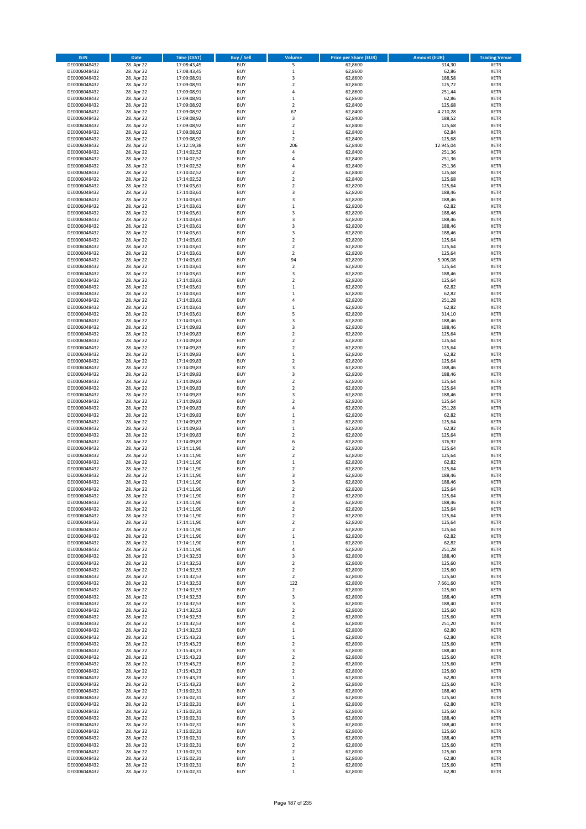| <b>ISIN</b>                  | <b>Date</b>              | <b>Time (CEST)</b>         | <b>Buy / Sell</b>        | Volume                                             | <b>Price per Share (EUR)</b> | <b>Amount (EUR)</b> | <b>Trading Venue</b>       |
|------------------------------|--------------------------|----------------------------|--------------------------|----------------------------------------------------|------------------------------|---------------------|----------------------------|
| DE0006048432                 | 28. Apr 22               | 17:08:43,45                | <b>BUY</b>               | 5                                                  | 62,8600                      | 314,30              | <b>XETR</b>                |
| DE0006048432                 | 28. Apr 22               | 17:08:43,45                | <b>BUY</b>               | $\mathbf 1$                                        | 62,8600                      | 62,86               | <b>XETR</b>                |
| DE0006048432                 | 28. Apr 22               | 17:09:08,91                | <b>BUY</b>               | 3                                                  | 62,8600                      | 188,58              | <b>XETR</b>                |
| DE0006048432<br>DE0006048432 | 28. Apr 22<br>28. Apr 22 | 17:09:08,91<br>17:09:08,91 | <b>BUY</b><br><b>BUY</b> | $\mathbf 2$<br>4                                   | 62,8600<br>62,8600           | 125,72<br>251,44    | <b>XETR</b><br><b>XETR</b> |
| DE0006048432                 | 28. Apr 22               | 17:09:08,91                | <b>BUY</b>               | $\mathbf 1$                                        | 62,8600                      | 62,86               | <b>XETR</b>                |
| DE0006048432                 | 28. Apr 22               | 17:09:08,92                | <b>BUY</b>               | $\mathbf 2$                                        | 62,8400                      | 125,68              | <b>XETR</b>                |
| DE0006048432                 | 28. Apr 22               | 17:09:08,92                | <b>BUY</b>               | 67                                                 | 62,8400                      | 4.210,28            | <b>XETR</b>                |
| DE0006048432                 | 28. Apr 22               | 17:09:08,92                | <b>BUY</b>               | 3                                                  | 62,8400                      | 188,52              | <b>XETR</b>                |
| DE0006048432                 | 28. Apr 22               | 17:09:08,92                | <b>BUY</b>               | $\mathbf 2$                                        | 62,8400                      | 125,68              | <b>XETR</b>                |
| DE0006048432                 | 28. Apr 22               | 17:09:08,92                | <b>BUY</b>               | $\mathbf 1$                                        | 62,8400                      | 62,84               | <b>XETR</b>                |
| DE0006048432                 | 28. Apr 22<br>28. Apr 22 | 17:09:08,92                | <b>BUY</b><br><b>BUY</b> | $\overline{\mathbf{c}}$<br>206                     | 62,8400                      | 125,68              | <b>XETR</b><br><b>XETR</b> |
| DE0006048432<br>DE0006048432 | 28. Apr 22               | 17:12:19,38<br>17:14:02,52 | <b>BUY</b>               | 4                                                  | 62,8400<br>62,8400           | 12.945,04<br>251,36 | <b>XETR</b>                |
| DE0006048432                 | 28. Apr 22               | 17:14:02,52                | <b>BUY</b>               | 4                                                  | 62,8400                      | 251,36              | <b>XETR</b>                |
| DE0006048432                 | 28. Apr 22               | 17:14:02,52                | <b>BUY</b>               | 4                                                  | 62,8400                      | 251,36              | <b>XETR</b>                |
| DE0006048432                 | 28. Apr 22               | 17:14:02,52                | <b>BUY</b>               | $\overline{\mathbf{c}}$                            | 62,8400                      | 125,68              | <b>XETR</b>                |
| DE0006048432                 | 28. Apr 22               | 17:14:02,52                | <b>BUY</b>               | $\mathbf 2$                                        | 62,8400                      | 125,68              | <b>XETR</b>                |
| DE0006048432                 | 28. Apr 22               | 17:14:03,61                | <b>BUY</b>               | $\overline{\mathbf{c}}$                            | 62,8200                      | 125,64              | <b>XETR</b>                |
| DE0006048432                 | 28. Apr 22               | 17:14:03,61                | <b>BUY</b>               | 3                                                  | 62,8200                      | 188,46              | <b>XETR</b>                |
| DE0006048432                 | 28. Apr 22               | 17:14:03,61                | <b>BUY</b>               | 3                                                  | 62,8200                      | 188,46              | <b>XETR</b>                |
| DE0006048432<br>DE0006048432 | 28. Apr 22<br>28. Apr 22 | 17:14:03,61<br>17:14:03,61 | <b>BUY</b><br><b>BUY</b> | $\mathbf 1$<br>3                                   | 62,8200<br>62,8200           | 62,82<br>188,46     | <b>XETR</b><br><b>XETR</b> |
| DE0006048432                 | 28. Apr 22               | 17:14:03,61                | <b>BUY</b>               | 3                                                  | 62,8200                      | 188,46              | <b>XETR</b>                |
| DE0006048432                 | 28. Apr 22               | 17:14:03,61                | <b>BUY</b>               | 3                                                  | 62,8200                      | 188,46              | <b>XETR</b>                |
| DE0006048432                 | 28. Apr 22               | 17:14:03,61                | <b>BUY</b>               | 3                                                  | 62,8200                      | 188,46              | <b>XETR</b>                |
| DE0006048432                 | 28. Apr 22               | 17:14:03,61                | <b>BUY</b>               | $\mathbf 2$                                        | 62,8200                      | 125,64              | <b>XETR</b>                |
| DE0006048432                 | 28. Apr 22               | 17:14:03,61                | <b>BUY</b>               | $\overline{\mathbf{c}}$                            | 62,8200                      | 125,64              | <b>XETR</b>                |
| DE0006048432                 | 28. Apr 22               | 17:14:03,61                | <b>BUY</b>               | $\mathbf 2$                                        | 62,8200                      | 125,64              | <b>XETR</b>                |
| DE0006048432                 | 28. Apr 22               | 17:14:03,61                | <b>BUY</b><br><b>BUY</b> | 94<br>$\overline{\mathbf{c}}$                      | 62,8200                      | 5.905,08            | <b>XETR</b><br><b>XETR</b> |
| DE0006048432<br>DE0006048432 | 28. Apr 22<br>28. Apr 22 | 17:14:03,61<br>17:14:03,61 | <b>BUY</b>               | 3                                                  | 62,8200<br>62,8200           | 125,64<br>188,46    | <b>XETR</b>                |
| DE0006048432                 | 28. Apr 22               | 17:14:03,61                | <b>BUY</b>               | $\mathbf 2$                                        | 62,8200                      | 125,64              | <b>XETR</b>                |
| DE0006048432                 | 28. Apr 22               | 17:14:03,61                | <b>BUY</b>               | $\mathbf 1$                                        | 62,8200                      | 62,82               | <b>XETR</b>                |
| DE0006048432                 | 28. Apr 22               | 17:14:03,61                | <b>BUY</b>               | $\mathbf 1$                                        | 62,8200                      | 62,82               | <b>XETR</b>                |
| DE0006048432                 | 28. Apr 22               | 17:14:03,61                | <b>BUY</b>               | 4                                                  | 62,8200                      | 251,28              | <b>XETR</b>                |
| DE0006048432                 | 28. Apr 22               | 17:14:03,61                | <b>BUY</b>               | $\mathbf 1$                                        | 62,8200                      | 62,82               | <b>XETR</b>                |
| DE0006048432                 | 28. Apr 22               | 17:14:03,61                | <b>BUY</b>               | 5                                                  | 62,8200                      | 314,10              | <b>XETR</b>                |
| DE0006048432                 | 28. Apr 22               | 17:14:03,61                | <b>BUY</b>               | 3                                                  | 62,8200                      | 188,46              | <b>XETR</b>                |
| DE0006048432<br>DE0006048432 | 28. Apr 22<br>28. Apr 22 | 17:14:09,83<br>17:14:09,83 | <b>BUY</b><br><b>BUY</b> | 3<br>$\overline{\mathbf{c}}$                       | 62,8200<br>62,8200           | 188,46<br>125,64    | <b>XETR</b><br><b>XETR</b> |
| DE0006048432                 | 28. Apr 22               | 17:14:09,83                | <b>BUY</b>               | $\mathbf 2$                                        | 62,8200                      | 125,64              | <b>XETR</b>                |
| DE0006048432                 | 28. Apr 22               | 17:14:09,83                | <b>BUY</b>               | $\mathbf 2$                                        | 62,8200                      | 125,64              | <b>XETR</b>                |
| DE0006048432                 | 28. Apr 22               | 17:14:09,83                | <b>BUY</b>               | $\mathbf 1$                                        | 62,8200                      | 62,82               | <b>XETR</b>                |
| DE0006048432                 | 28. Apr 22               | 17:14:09,83                | <b>BUY</b>               | $\mathbf 2$                                        | 62,8200                      | 125,64              | <b>XETR</b>                |
| DE0006048432                 | 28. Apr 22               | 17:14:09,83                | <b>BUY</b>               | 3                                                  | 62,8200                      | 188,46              | <b>XETR</b>                |
| DE0006048432                 | 28. Apr 22               | 17:14:09,83                | <b>BUY</b>               | 3                                                  | 62,8200                      | 188,46              | <b>XETR</b>                |
| DE0006048432                 | 28. Apr 22               | 17:14:09,83                | <b>BUY</b>               | $\mathbf 2$                                        | 62,8200                      | 125,64              | <b>XETR</b>                |
| DE0006048432<br>DE0006048432 | 28. Apr 22<br>28. Apr 22 | 17:14:09,83<br>17:14:09,83 | <b>BUY</b><br><b>BUY</b> | $\mathbf 2$<br>3                                   | 62,8200<br>62,8200           | 125,64<br>188,46    | <b>XETR</b><br><b>XETR</b> |
| DE0006048432                 | 28. Apr 22               | 17:14:09,83                | <b>BUY</b>               | $\overline{\mathbf{c}}$                            | 62,8200                      | 125,64              | <b>XETR</b>                |
| DE0006048432                 | 28. Apr 22               | 17:14:09,83                | <b>BUY</b>               | 4                                                  | 62,8200                      | 251,28              | <b>XETR</b>                |
| DE0006048432                 | 28. Apr 22               | 17:14:09,83                | <b>BUY</b>               | $\mathbf 1$                                        | 62,8200                      | 62,82               | <b>XETR</b>                |
| DE0006048432                 | 28. Apr 22               | 17:14:09,83                | <b>BUY</b>               | $\mathbf 2$                                        | 62,8200                      | 125,64              | <b>XETR</b>                |
| DE0006048432                 | 28. Apr 22               | 17:14:09,83                | <b>BUY</b>               | $\mathbf 1$                                        | 62,8200                      | 62,82               | <b>XETR</b>                |
| DE0006048432                 | 28. Apr 22               | 17:14:09,83                | <b>BUY</b>               | $\mathbf 2$                                        | 62,8200                      | 125,64              | <b>XETR</b>                |
| DE0006048432                 | 28. Apr 22               | 17:14:09,83                | <b>BUY</b>               | 6                                                  | 62,8200                      | 376,92              | <b>XETR</b>                |
| DE0006048432<br>DE0006048432 | 28. Apr 22<br>28. Apr 22 | 17:14:11,90<br>17:14:11,90 | <b>BUY</b><br><b>BUY</b> | $\overline{\mathbf{c}}$<br>$\overline{\mathbf{c}}$ | 62,8200<br>62,8200           | 125,64<br>125,64    | <b>XETR</b><br><b>XETR</b> |
| DE0006048432                 | 28. Apr 22               | 17:14:11,90                | <b>BUY</b>               | $\mathbf 1$                                        | 62,8200                      | 62,82               | <b>XETR</b>                |
| DE0006048432                 | 28. Apr 22               | 17:14:11,90                | <b>BUY</b>               | $\mathbf 2$                                        | 62,8200                      | 125,64              | <b>XETR</b>                |
| DE0006048432                 | 28. Apr 22               | 17:14:11,90                | <b>BUY</b>               | 3                                                  | 62,8200                      | 188,46              | <b>XETR</b>                |
| DE0006048432                 | 28. Apr 22               | 17:14:11,90                | <b>BUY</b>               | 3                                                  | 62,8200                      | 188,46              | <b>XETR</b>                |
| DE0006048432                 | 28. Apr 22               | 17:14:11,90                | <b>BUY</b>               | $\overline{2}$                                     | 62,8200                      | 125,64              | <b>XETR</b>                |
| DE0006048432                 | 28. Apr 22               | 17:14:11,90                | BUY                      | 2                                                  | 62,8200                      | 125,64              | <b>XETR</b>                |
| DE0006048432<br>DE0006048432 | 28. Apr 22<br>28. Apr 22 | 17:14:11,90<br>17:14:11,90 | <b>BUY</b><br><b>BUY</b> | 3<br>$\mathbf 2$                                   | 62,8200<br>62,8200           | 188,46<br>125,64    | <b>XETR</b><br><b>XETR</b> |
| DE0006048432                 | 28. Apr 22               | 17:14:11,90                | <b>BUY</b>               | $\mathbf 2$                                        | 62,8200                      | 125,64              | XETR                       |
| DE0006048432                 | 28. Apr 22               | 17:14:11,90                | <b>BUY</b>               | $\mathbf 2$                                        | 62,8200                      | 125,64              | <b>XETR</b>                |
| DE0006048432                 | 28. Apr 22               | 17:14:11,90                | <b>BUY</b>               | $\mathbf 2$                                        | 62,8200                      | 125,64              | <b>XETR</b>                |
| DE0006048432                 | 28. Apr 22               | 17:14:11,90                | <b>BUY</b>               | $\mathbf 1$                                        | 62,8200                      | 62,82               | <b>XETR</b>                |
| DE0006048432                 | 28. Apr 22               | 17:14:11,90                | <b>BUY</b>               | $\mathbf 1$                                        | 62,8200                      | 62,82               | <b>XETR</b>                |
| DE0006048432                 | 28. Apr 22               | 17:14:11,90                | <b>BUY</b>               | 4                                                  | 62,8200                      | 251,28              | <b>XETR</b>                |
| DE0006048432<br>DE0006048432 | 28. Apr 22<br>28. Apr 22 | 17:14:32,53<br>17:14:32,53 | <b>BUY</b><br><b>BUY</b> | 3<br>$\mathbf 2$                                   | 62,8000<br>62,8000           | 188,40<br>125,60    | XETR<br><b>XETR</b>        |
| DE0006048432                 | 28. Apr 22               | 17:14:32,53                | <b>BUY</b>               | $\overline{2}$                                     | 62,8000                      | 125,60              | <b>XETR</b>                |
| DE0006048432                 | 28. Apr 22               | 17:14:32,53                | <b>BUY</b>               | $\mathbf 2$                                        | 62,8000                      | 125,60              | <b>XETR</b>                |
| DE0006048432                 | 28. Apr 22               | 17:14:32,53                | <b>BUY</b>               | 122                                                | 62,8000                      | 7.661,60            | <b>XETR</b>                |
| DE0006048432                 | 28. Apr 22               | 17:14:32,53                | <b>BUY</b>               | $\mathbf 2$                                        | 62,8000                      | 125,60              | <b>XETR</b>                |
| DE0006048432                 | 28. Apr 22               | 17:14:32,53                | <b>BUY</b>               | 3                                                  | 62,8000                      | 188,40              | <b>XETR</b>                |
| DE0006048432                 | 28. Apr 22               | 17:14:32,53                | <b>BUY</b>               | 3                                                  | 62,8000                      | 188,40              | <b>XETR</b>                |
| DE0006048432<br>DE0006048432 | 28. Apr 22<br>28. Apr 22 | 17:14:32,53<br>17:14:32,53 | <b>BUY</b><br><b>BUY</b> | $\mathbf 2$<br>$\mathbf 2$                         | 62,8000<br>62,8000           | 125,60<br>125,60    | <b>XETR</b><br>XETR        |
| DE0006048432                 | 28. Apr 22               | 17:14:32,53                | <b>BUY</b>               | 4                                                  | 62,8000                      | 251,20              | <b>XETR</b>                |
| DE0006048432                 | 28. Apr 22               | 17:14:32,53                | <b>BUY</b>               | $\mathbf 1$                                        | 62,8000                      | 62,80               | <b>XETR</b>                |
| DE0006048432                 | 28. Apr 22               | 17:15:43,23                | <b>BUY</b>               | $\mathbf 1$                                        | 62,8000                      | 62,80               | <b>XETR</b>                |
| DE0006048432                 | 28. Apr 22               | 17:15:43,23                | <b>BUY</b>               | $\overline{\mathbf{c}}$                            | 62,8000                      | 125,60              | <b>XETR</b>                |
| DE0006048432                 | 28. Apr 22               | 17:15:43,23                | <b>BUY</b>               | 3                                                  | 62,8000                      | 188,40              | <b>XETR</b>                |
| DE0006048432                 | 28. Apr 22               | 17:15:43,23                | <b>BUY</b>               | $\mathbf 2$                                        | 62,8000                      | 125,60              | <b>XETR</b>                |
| DE0006048432<br>DE0006048432 | 28. Apr 22               | 17:15:43,23                | <b>BUY</b><br><b>BUY</b> | $\mathbf 2$<br>$\mathbf 2$                         | 62,8000<br>62,8000           | 125,60              | <b>XETR</b><br><b>XETR</b> |
| DE0006048432                 | 28. Apr 22<br>28. Apr 22 | 17:15:43,23<br>17:15:43,23 | <b>BUY</b>               | $\mathbf 1$                                        | 62,8000                      | 125,60<br>62,80     | <b>XETR</b>                |
| DE0006048432                 | 28. Apr 22               | 17:15:43,23                | <b>BUY</b>               | $\mathbf 2$                                        | 62,8000                      | 125,60              | <b>XETR</b>                |
| DE0006048432                 | 28. Apr 22               | 17:16:02,31                | <b>BUY</b>               | 3                                                  | 62,8000                      | 188,40              | XETR                       |
| DE0006048432                 | 28. Apr 22               | 17:16:02,31                | <b>BUY</b>               | $\mathbf 2$                                        | 62,8000                      | 125,60              | <b>XETR</b>                |
| DE0006048432                 | 28. Apr 22               | 17:16:02,31                | <b>BUY</b>               | $\mathbf 1$                                        | 62,8000                      | 62,80               | <b>XETR</b>                |
| DE0006048432                 | 28. Apr 22               | 17:16:02,31                | <b>BUY</b>               | $\mathbf 2$                                        | 62,8000                      | 125,60              | <b>XETR</b>                |
| DE0006048432                 | 28. Apr 22               | 17:16:02,31                | <b>BUY</b>               | 3                                                  | 62,8000                      | 188,40              | <b>XETR</b>                |
| DE0006048432<br>DE0006048432 | 28. Apr 22<br>28. Apr 22 | 17:16:02,31<br>17:16:02,31 | <b>BUY</b><br><b>BUY</b> | 3<br>$\mathbf 2$                                   | 62,8000<br>62,8000           | 188,40<br>125,60    | <b>XETR</b><br><b>XETR</b> |
| DE0006048432                 | 28. Apr 22               | 17:16:02,31                | <b>BUY</b>               | 3                                                  | 62,8000                      | 188,40              | <b>XETR</b>                |
| DE0006048432                 | 28. Apr 22               | 17:16:02,31                | <b>BUY</b>               | $\mathbf 2$                                        | 62,8000                      | 125,60              | XETR                       |
| DE0006048432                 | 28. Apr 22               | 17:16:02,31                | <b>BUY</b>               | $\overline{2}$                                     | 62,8000                      | 125,60              | <b>XETR</b>                |
| DE0006048432                 | 28. Apr 22               | 17:16:02,31                | <b>BUY</b>               | $\mathbf 1$                                        | 62,8000                      | 62,80               | <b>XETR</b>                |
| DE0006048432                 | 28. Apr 22               | 17:16:02,31                | <b>BUY</b>               | $\mathbf 2$                                        | 62,8000                      | 125,60              | <b>XETR</b>                |
| DE0006048432                 | 28. Apr 22               | 17:16:02,31                | <b>BUY</b>               | $\mathbf 1$                                        | 62,8000                      | 62,80               | XETR                       |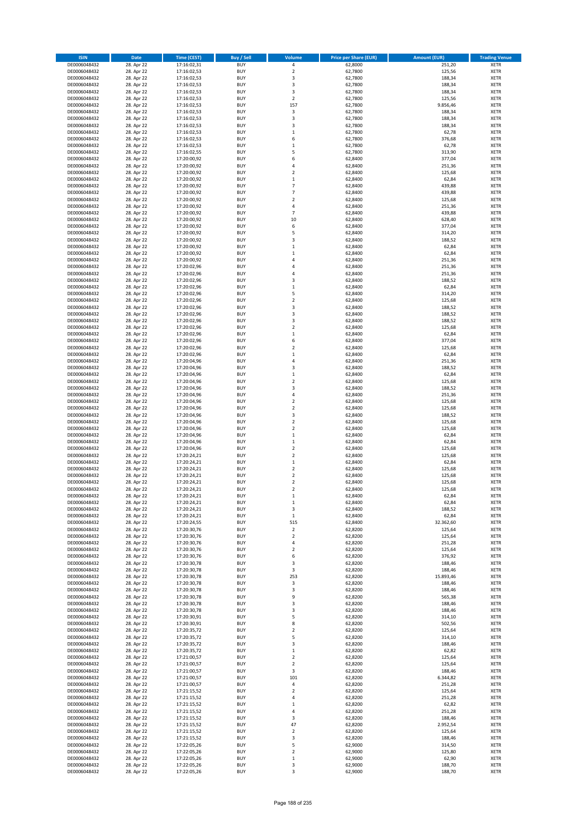| <b>ISIN</b>                  | <b>Date</b>              | <b>Time (CEST)</b>         | <b>Buy / Sell</b>        | Volume                       | <b>Price per Share (EUR)</b> | <b>Amount (EUR)</b> | <b>Trading Venue</b>       |
|------------------------------|--------------------------|----------------------------|--------------------------|------------------------------|------------------------------|---------------------|----------------------------|
| DE0006048432                 | 28. Apr 22               | 17:16:02,31                | <b>BUY</b>               | 4                            | 62,8000                      | 251,20              | <b>XETR</b>                |
| DE0006048432                 | 28. Apr 22               | 17:16:02,53                | <b>BUY</b>               | $\mathbf 2$                  | 62,7800                      | 125,56              | <b>XETR</b>                |
| DE0006048432                 | 28. Apr 22               | 17:16:02,53                | <b>BUY</b>               | 3                            | 62,7800                      | 188,34              | <b>XETR</b>                |
| DE0006048432                 | 28. Apr 22               | 17:16:02,53                | <b>BUY</b>               | 3                            | 62,7800                      | 188,34              | <b>XETR</b>                |
| DE0006048432                 | 28. Apr 22               | 17:16:02,53                | <b>BUY</b>               | 3                            | 62,7800                      | 188,34              | <b>XETR</b>                |
| DE0006048432                 | 28. Apr 22               | 17:16:02,53                | <b>BUY</b>               | $\mathbf 2$                  | 62,7800                      | 125,56              | <b>XETR</b>                |
| DE0006048432                 | 28. Apr 22               | 17:16:02,53                | <b>BUY</b>               | 157                          | 62,7800                      | 9.856,46            | <b>XETR</b>                |
| DE0006048432                 | 28. Apr 22               | 17:16:02,53                | <b>BUY</b>               | 3                            | 62,7800                      | 188,34              | <b>XETR</b>                |
| DE0006048432                 | 28. Apr 22               | 17:16:02,53                | BUY                      | $\overline{\mathbf{3}}$      | 62,7800                      | 188,34              | <b>XETR</b>                |
| DE0006048432                 | 28. Apr 22               | 17:16:02,53                | <b>BUY</b>               | 3                            | 62,7800                      | 188,34              | <b>XETR</b>                |
| DE0006048432                 | 28. Apr 22               | 17:16:02,53                | <b>BUY</b>               | $\mathbf 1$                  | 62,7800                      | 62,78               | <b>XETR</b>                |
| DE0006048432                 | 28. Apr 22               | 17:16:02,53                | <b>BUY</b>               | 6                            | 62,7800                      | 376,68              | <b>XETR</b>                |
| DE0006048432                 | 28. Apr 22               | 17:16:02,53                | <b>BUY</b>               | $\,1\,$<br>5                 | 62,7800                      | 62,78               | <b>XETR</b>                |
| DE0006048432                 | 28. Apr 22               | 17:16:02,55                | <b>BUY</b>               | 6                            | 62,7800                      | 313,90              | <b>XETR</b>                |
| DE0006048432<br>DE0006048432 | 28. Apr 22<br>28. Apr 22 | 17:20:00,92<br>17:20:00,92 | <b>BUY</b><br>BUY        | $\overline{a}$               | 62,8400<br>62,8400           | 377,04<br>251,36    | <b>XETR</b><br><b>XETR</b> |
| DE0006048432                 | 28. Apr 22               | 17:20:00,92                | <b>BUY</b>               | $\overline{2}$               | 62,8400                      | 125,68              | <b>XETR</b>                |
| DE0006048432                 | 28. Apr 22               | 17:20:00,92                | <b>BUY</b>               | $\mathbf 1$                  | 62,8400                      | 62,84               | <b>XETR</b>                |
| DE0006048432                 | 28. Apr 22               | 17:20:00,92                | <b>BUY</b>               | $\overline{7}$               | 62,8400                      | 439,88              | <b>XETR</b>                |
| DE0006048432                 | 28. Apr 22               | 17:20:00,92                | <b>BUY</b>               | $\overline{7}$               | 62,8400                      | 439,88              | <b>XETR</b>                |
| DE0006048432                 | 28. Apr 22               | 17:20:00,92                | <b>BUY</b>               | $\overline{\mathbf{2}}$      | 62,8400                      | 125,68              | <b>XETR</b>                |
| DE0006048432                 | 28. Apr 22               | 17:20:00,92                | <b>BUY</b>               | 4                            | 62,8400                      | 251,36              | <b>XETR</b>                |
| DE0006048432                 | 28. Apr 22               | 17:20:00,92                | <b>BUY</b>               | $\overline{7}$               | 62,8400                      | 439,88              | <b>XETR</b>                |
| DE0006048432                 | 28. Apr 22               | 17:20:00,92                | <b>BUY</b>               | 10                           | 62,8400                      | 628,40              | <b>XETR</b>                |
| DE0006048432                 | 28. Apr 22               | 17:20:00,92                | <b>BUY</b>               | 6                            | 62,8400                      | 377,04              | <b>XETR</b>                |
| DE0006048432                 | 28. Apr 22               | 17:20:00,92                | <b>BUY</b>               | 5                            | 62,8400                      | 314,20              | <b>XETR</b>                |
| DE0006048432                 | 28. Apr 22               | 17:20:00,92                | <b>BUY</b>               | $\overline{\mathbf{3}}$      | 62,8400                      | 188,52              | <b>XETR</b>                |
| DE0006048432                 | 28. Apr 22               | 17:20:00,92                | <b>BUY</b>               | $\mathbf{1}$                 | 62,8400                      | 62,84               | <b>XETR</b>                |
| DE0006048432                 | 28. Apr 22               | 17:20:00,92                | <b>BUY</b>               | $\mathbf{1}$                 | 62,8400                      | 62,84               | <b>XETR</b>                |
| DE0006048432                 | 28. Apr 22               | 17:20:00,92                | <b>BUY</b>               | 4                            | 62,8400                      | 251,36              | <b>XETR</b>                |
| DE0006048432                 | 28. Apr 22               | 17:20:02,96                | <b>BUY</b>               | 4                            | 62,8400                      | 251,36              | <b>XETR</b>                |
| DE0006048432<br>DE0006048432 | 28. Apr 22<br>28. Apr 22 | 17:20:02,96                | <b>BUY</b><br><b>BUY</b> | $\overline{4}$               | 62,8400                      | 251,36              | <b>XETR</b>                |
| DE0006048432                 | 28. Apr 22               | 17:20:02,96                | <b>BUY</b>               | 3<br>$\mathbf{1}$            | 62,8400<br>62,8400           | 188,52<br>62,84     | <b>XETR</b><br><b>XETR</b> |
| DE0006048432                 | 28. Apr 22               | 17:20:02,96<br>17:20:02,96 | <b>BUY</b>               | 5                            | 62,8400                      | 314,20              | <b>XETR</b>                |
| DE0006048432                 | 28. Apr 22               | 17:20:02,96                | <b>BUY</b>               | $\mathbf 2$                  | 62,8400                      | 125,68              | <b>XETR</b>                |
| DE0006048432                 | 28. Apr 22               | 17:20:02,96                | <b>BUY</b>               | $\overline{\mathbf{3}}$      | 62,8400                      | 188,52              | <b>XETR</b>                |
| DE0006048432                 | 28. Apr 22               | 17:20:02,96                | BUY                      | 3                            | 62,8400                      | 188,52              | <b>XETR</b>                |
| DE0006048432                 | 28. Apr 22               | 17:20:02,96                | <b>BUY</b>               | 3                            | 62,8400                      | 188,52              | <b>XETR</b>                |
| DE0006048432                 | 28. Apr 22               | 17:20:02,96                | <b>BUY</b>               | $\mathbf 2$                  | 62,8400                      | 125,68              | <b>XETR</b>                |
| DE0006048432                 | 28. Apr 22               | 17:20:02,96                | <b>BUY</b>               | $\,1\,$                      | 62,8400                      | 62,84               | <b>XETR</b>                |
| DE0006048432                 | 28. Apr 22               | 17:20:02,96                | <b>BUY</b>               | 6                            | 62,8400                      | 377,04              | <b>XETR</b>                |
| DE0006048432                 | 28. Apr 22               | 17:20:02,96                | <b>BUY</b>               | $\mathbf 2$                  | 62,8400                      | 125,68              | <b>XETR</b>                |
| DE0006048432                 | 28. Apr 22               | 17:20:02,96                | <b>BUY</b>               | $\mathbf{1}$                 | 62,8400                      | 62,84               | <b>XETR</b>                |
| DE0006048432                 | 28. Apr 22               | 17:20:04,96                | <b>BUY</b>               | $\overline{4}$               | 62,8400                      | 251,36              | <b>XETR</b>                |
| DE0006048432                 | 28. Apr 22               | 17:20:04,96                | <b>BUY</b>               | $\overline{\mathbf{3}}$      | 62,8400                      | 188,52              | <b>XETR</b>                |
| DE0006048432                 | 28. Apr 22               | 17:20:04,96                | <b>BUY</b>               | $\mathbf 1$                  | 62,8400                      | 62,84               | <b>XETR</b>                |
| DE0006048432                 | 28. Apr 22               | 17:20:04,96                | <b>BUY</b>               | $\overline{2}$               | 62,8400                      | 125,68              | <b>XETR</b>                |
| DE0006048432                 | 28. Apr 22               | 17:20:04,96                | <b>BUY</b>               | 3                            | 62,8400                      | 188,52              | <b>XETR</b>                |
| DE0006048432                 | 28. Apr 22               | 17:20:04,96                | <b>BUY</b>               | 4                            | 62,8400                      | 251,36              | <b>XETR</b>                |
| DE0006048432                 | 28. Apr 22               | 17:20:04,96                | <b>BUY</b>               | $\overline{2}$               | 62,8400                      | 125,68              | <b>XETR</b>                |
| DE0006048432                 | 28. Apr 22               | 17:20:04,96                | <b>BUY</b>               | $\overline{2}$               | 62,8400                      | 125,68              | <b>XETR</b>                |
| DE0006048432<br>DE0006048432 | 28. Apr 22<br>28. Apr 22 | 17:20:04,96<br>17:20:04,96 | <b>BUY</b><br><b>BUY</b> | 3<br>$\mathbf 2$             | 62,8400<br>62,8400           | 188,52<br>125,68    | <b>XETR</b><br><b>XETR</b> |
| DE0006048432                 | 28. Apr 22               | 17:20:04,96                | <b>BUY</b>               | $\overline{\mathbf{2}}$      | 62,8400                      | 125,68              | <b>XETR</b>                |
| DE0006048432                 | 28. Apr 22               | 17:20:04,96                | <b>BUY</b>               | $\mathbf{1}$                 | 62,8400                      | 62,84               | <b>XETR</b>                |
| DE0006048432                 | 28. Apr 22               | 17:20:04,96                | <b>BUY</b>               | $\mathbf{1}$                 | 62,8400                      | 62,84               | <b>XETR</b>                |
| DE0006048432                 | 28. Apr 22               | 17:20:04,96                | <b>BUY</b>               | $\overline{2}$               | 62,8400                      | 125,68              | <b>XETR</b>                |
| DE0006048432                 | 28. Apr 22               | 17:20:24,21                | BUY                      | $\overline{\mathbf{2}}$      | 62,8400                      | 125,68              | <b>XETR</b>                |
| DE0006048432                 | 28. Apr 22               | 17:20:24,21                | <b>BUY</b>               | $\mathbf 1$                  | 62,8400                      | 62,84               | <b>XETR</b>                |
| DE0006048432                 | 28. Apr 22               | 17:20:24,21                | <b>BUY</b>               | $\mathbf 2$                  | 62,8400                      | 125,68              | <b>XETR</b>                |
| DE0006048432                 | 28. Apr 22               | 17:20:24,21                | BUY                      | $\overline{\mathbf{2}}$      | 62,8400                      | 125,68              | <b>XETR</b>                |
| DE0006048432                 | 28. Apr 22               | 17:20:24,21                | BUY                      | $\mathbf 2$                  | 62,8400                      | 125,68              | <b>XETR</b>                |
| DE0006048432                 | 28. Apr 22               | 17:20:24,21                | <b>BUY</b>               | $\overline{2}$               | 62,8400                      | 125,68              | <b>XETR</b>                |
| DE0006048432                 | 28. Apr 22               | 17:20:24,21                | BUY                      | 1                            | 62,8400                      | 62,84               | <b>XETR</b>                |
| DE0006048432                 | 28. Apr 22               | 17:20:24,21                | <b>BUY</b>               | $\mathbf{1}$                 | 62,8400                      | 62,84               | <b>XETR</b>                |
| DE0006048432                 | 28. Apr 22               | 17:20:24,21                | <b>BUY</b>               | 3                            | 62,8400                      | 188,52              | <b>XETR</b>                |
| DE0006048432                 | 28. Apr 22               | 17:20:24,21                | <b>BUY</b>               | $\mathbf 1$                  | 62,8400                      | 62,84               | <b>XETR</b>                |
| DE0006048432                 | 28. Apr 22               | 17:20:24,55                | <b>BUY</b>               | 515                          | 62,8400                      | 32.362,60           | <b>XETR</b>                |
| DE0006048432                 | 28. Apr 22               | 17:20:30,76                | <b>BUY</b>               | $\mathbf 2$                  | 62,8200                      | 125,64              | <b>XETR</b>                |
| DE0006048432                 | 28. Apr 22               | 17:20:30,76                | <b>BUY</b>               | $\mathbf 2$                  | 62,8200                      | 125,64              | <b>XETR</b>                |
| DE0006048432<br>DE0006048432 | 28. Apr 22<br>28. Apr 22 | 17:20:30,76<br>17:20:30,76 | <b>BUY</b><br><b>BUY</b> | 4<br>$\mathbf 2$             | 62,8200<br>62,8200           | 251,28<br>125,64    | <b>XETR</b><br><b>XETR</b> |
| DE0006048432                 | 28. Apr 22               | 17:20:30,76                | <b>BUY</b>               | 6                            | 62,8200                      | 376,92              | <b>XETR</b>                |
| DE0006048432                 | 28. Apr 22               | 17:20:30,78                | <b>BUY</b>               | 3                            | 62,8200                      | 188,46              | <b>XETR</b>                |
| DE0006048432                 | 28. Apr 22               | 17:20:30,78                | <b>BUY</b>               | 3                            | 62,8200                      | 188,46              | <b>XETR</b>                |
| DE0006048432                 | 28. Apr 22               | 17:20:30,78                | <b>BUY</b>               | 253                          | 62,8200                      | 15.893,46           | <b>XETR</b>                |
| DE0006048432                 | 28. Apr 22               | 17:20:30,78                | <b>BUY</b>               | 3                            | 62,8200                      | 188,46              | <b>XETR</b>                |
| DE0006048432                 | 28. Apr 22               | 17:20:30,78                | <b>BUY</b>               | 3                            | 62,8200                      | 188,46              | <b>XETR</b>                |
| DE0006048432                 | 28. Apr 22               | 17:20:30,78                | <b>BUY</b>               | 9                            | 62,8200                      | 565,38              | <b>XETR</b>                |
| DE0006048432                 | 28. Apr 22               | 17:20:30,78                | <b>BUY</b>               | 3                            | 62,8200                      | 188,46              | <b>XETR</b>                |
| DE0006048432                 | 28. Apr 22               | 17:20:30,78                | <b>BUY</b>               | 3                            | 62,8200                      | 188,46              | <b>XETR</b>                |
| DE0006048432                 | 28. Apr 22               | 17:20:30,91                | <b>BUY</b>               | 5                            | 62,8200                      | 314,10              | <b>XETR</b>                |
| DE0006048432                 | 28. Apr 22               | 17:20:30,91                | <b>BUY</b>               | 8                            | 62,8200                      | 502,56              | <b>XETR</b>                |
| DE0006048432                 | 28. Apr 22               | 17:20:35,72                | <b>BUY</b>               | $\overline{2}$               | 62,8200                      | 125,64              | <b>XETR</b>                |
| DE0006048432<br>DE0006048432 | 28. Apr 22<br>28. Apr 22 | 17:20:35,72                | <b>BUY</b><br><b>BUY</b> | 5<br>$\overline{\mathbf{3}}$ | 62,8200<br>62,8200           | 314,10<br>188,46    | <b>XETR</b><br><b>XETR</b> |
| DE0006048432                 | 28. Apr 22               | 17:20:35,72<br>17:20:35,72 | <b>BUY</b>               | $\mathbf{1}$                 | 62,8200                      | 62,82               | <b>XETR</b>                |
| DE0006048432                 | 28. Apr 22               | 17:21:00,57                | <b>BUY</b>               | $\overline{2}$               | 62,8200                      | 125,64              | <b>XETR</b>                |
| DE0006048432                 | 28. Apr 22               | 17:21:00,57                | <b>BUY</b>               | $\overline{2}$               | 62,8200                      | 125,64              | <b>XETR</b>                |
| DE0006048432                 | 28. Apr 22               | 17:21:00,57                | <b>BUY</b>               | 3                            | 62,8200                      | 188,46              | <b>XETR</b>                |
| DE0006048432                 | 28. Apr 22               | 17:21:00,57                | <b>BUY</b>               | 101                          | 62,8200                      | 6.344,82            | <b>XETR</b>                |
| DE0006048432                 | 28. Apr 22               | 17:21:00,57                | <b>BUY</b>               | 4                            | 62,8200                      | 251,28              | <b>XETR</b>                |
| DE0006048432                 | 28. Apr 22               | 17:21:15,52                | <b>BUY</b>               | $\overline{2}$               | 62,8200                      | 125,64              | <b>XETR</b>                |
| DE0006048432                 | 28. Apr 22               | 17:21:15,52                | <b>BUY</b>               | 4                            | 62,8200                      | 251,28              | <b>XETR</b>                |
| DE0006048432                 | 28. Apr 22               | 17:21:15,52                | <b>BUY</b>               | $\mathbf{1}$                 | 62,8200                      | 62,82               | <b>XETR</b>                |
| DE0006048432                 | 28. Apr 22               | 17:21:15,52                | <b>BUY</b>               | 4                            | 62,8200                      | 251,28              | <b>XETR</b>                |
| DE0006048432                 | 28. Apr 22               | 17:21:15,52                | <b>BUY</b>               | $\overline{\mathbf{3}}$      | 62,8200                      | 188,46              | <b>XETR</b>                |
| DE0006048432                 | 28. Apr 22               | 17:21:15,52                | <b>BUY</b>               | 47                           | 62,8200                      | 2.952,54            | <b>XETR</b>                |
| DE0006048432                 | 28. Apr 22               | 17:21:15,52                | <b>BUY</b>               | $\mathbf 2$                  | 62,8200                      | 125,64              | <b>XETR</b>                |
| DE0006048432                 | 28. Apr 22               | 17:21:15,52                | <b>BUY</b>               | 3                            | 62,8200                      | 188,46              | <b>XETR</b>                |
| DE0006048432                 | 28. Apr 22               | 17:22:05,26                | <b>BUY</b>               | 5                            | 62,9000                      | 314,50              | <b>XETR</b>                |
| DE0006048432                 | 28. Apr 22               | 17:22:05,26                | <b>BUY</b>               | 2                            | 62,9000                      | 125,80              | <b>XETR</b>                |
| DE0006048432                 | 28. Apr 22               | 17:22:05,26                | <b>BUY</b>               | $\mathbf 1$                  | 62,9000                      | 62,90               | <b>XETR</b>                |
| DE0006048432                 | 28. Apr 22               | 17:22:05,26                | <b>BUY</b>               | 3                            | 62,9000                      | 188,70              | <b>XETR</b>                |
| DE0006048432                 | 28. Apr 22               | 17:22:05,26                | <b>BUY</b>               | 3                            | 62,9000                      | 188,70              | <b>XETR</b>                |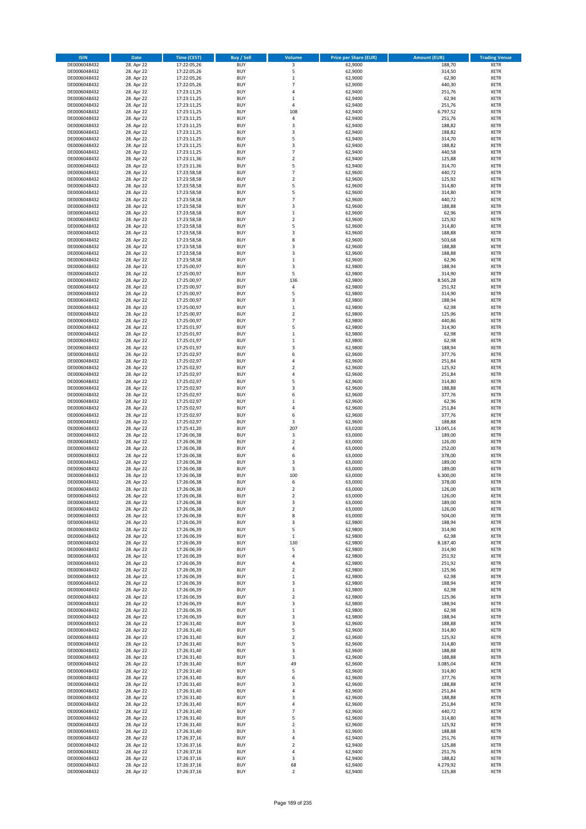| <b>ISIN</b>                  | <b>Date</b>              | <b>Time (CEST)</b>         | <b>Buy / Sell</b>        | Volume                   | <b>Price per Share (EUR)</b> | <b>Amount (EUR)</b> | <b>Trading Venue</b>       |
|------------------------------|--------------------------|----------------------------|--------------------------|--------------------------|------------------------------|---------------------|----------------------------|
| DE0006048432                 | 28. Apr 22               | 17:22:05,26                | <b>BUY</b>               | 3                        | 62,9000                      | 188,70              | <b>XETR</b>                |
| DE0006048432                 | 28. Apr 22               | 17:22:05,26                | <b>BUY</b>               | 5                        | 62,9000                      | 314,50              | <b>XETR</b>                |
| DE0006048432                 | 28. Apr 22               | 17:22:05,26                | <b>BUY</b>               | $\mathbf 1$              | 62,9000                      | 62,90               | <b>XETR</b>                |
| DE0006048432<br>DE0006048432 | 28. Apr 22<br>28. Apr 22 | 17:22:05,26<br>17:23:11,25 | <b>BUY</b><br><b>BUY</b> | $\overline{7}$<br>4      | 62,9000<br>62,9400           | 440,30<br>251,76    | <b>XETR</b><br><b>XETR</b> |
| DE0006048432                 | 28. Apr 22               | 17:23:11,25                | <b>BUY</b>               | $\mathbf{1}$             | 62,9400                      | 62,94               | <b>XETR</b>                |
| DE0006048432                 | 28. Apr 22               | 17:23:11,25                | <b>BUY</b>               | 4                        | 62,9400                      | 251,76              | <b>XETR</b>                |
| DE0006048432                 | 28. Apr 22               | 17:23:11,25                | <b>BUY</b>               | 108                      | 62,9400                      | 6.797,52            | <b>XETR</b>                |
| DE0006048432                 | 28. Apr 22               | 17:23:11,25                | <b>BUY</b>               | $\overline{4}$           | 62,9400                      | 251,76              | <b>XETR</b>                |
| DE0006048432                 | 28. Apr 22               | 17:23:11,25                | <b>BUY</b>               | 3                        | 62,9400                      | 188,82              | <b>XETR</b>                |
| DE0006048432                 | 28. Apr 22               | 17:23:11,25                | <b>BUY</b>               | 3                        | 62,9400                      | 188,82              | <b>XETR</b>                |
| DE0006048432<br>DE0006048432 | 28. Apr 22<br>28. Apr 22 | 17:23:11,25<br>17:23:11,25 | <b>BUY</b><br><b>BUY</b> | 5<br>3                   | 62,9400<br>62,9400           | 314,70<br>188,82    | <b>XETR</b><br><b>XETR</b> |
| DE0006048432                 | 28. Apr 22               | 17:23:11,25                | <b>BUY</b>               | $\overline{7}$           | 62,9400                      | 440,58              | <b>XETR</b>                |
| DE0006048432                 | 28. Apr 22               | 17:23:11,36                | <b>BUY</b>               | $\mathbf 2$              | 62,9400                      | 125,88              | <b>XETR</b>                |
| DE0006048432                 | 28. Apr 22               | 17:23:11,36                | <b>BUY</b>               | 5                        | 62,9400                      | 314,70              | <b>XETR</b>                |
| DE0006048432                 | 28. Apr 22               | 17:23:58,58                | <b>BUY</b>               | $\overline{7}$           | 62,9600                      | 440,72              | <b>XETR</b>                |
| DE0006048432                 | 28. Apr 22               | 17:23:58,58                | <b>BUY</b>               | $\mathbf 2$              | 62,9600                      | 125,92              | <b>XETR</b>                |
| DE0006048432                 | 28. Apr 22               | 17:23:58,58                | <b>BUY</b>               | 5                        | 62,9600                      | 314,80              | <b>XETR</b>                |
| DE0006048432                 | 28. Apr 22               | 17:23:58,58                | <b>BUY</b>               | 5                        | 62,9600                      | 314,80              | <b>XETR</b>                |
| DE0006048432                 | 28. Apr 22               | 17:23:58,58                | <b>BUY</b>               | $\overline{7}$           | 62,9600                      | 440,72              | <b>XETR</b>                |
| DE0006048432<br>DE0006048432 | 28. Apr 22<br>28. Apr 22 | 17:23:58,58<br>17:23:58,58 | <b>BUY</b><br><b>BUY</b> | 3<br>$\mathbf 1$         | 62,9600<br>62,9600           | 188,88<br>62,96     | <b>XETR</b><br><b>XETR</b> |
| DE0006048432                 | 28. Apr 22               | 17:23:58,58                | <b>BUY</b>               | $\mathbf 2$              | 62,9600                      | 125,92              | <b>XETR</b>                |
| DE0006048432                 | 28. Apr 22               | 17:23:58,58                | <b>BUY</b>               | 5                        | 62,9600                      | 314,80              | <b>XETR</b>                |
| DE0006048432                 | 28. Apr 22               | 17:23:58,58                | <b>BUY</b>               | 3                        | 62,9600                      | 188,88              | <b>XETR</b>                |
| DE0006048432                 | 28. Apr 22               | 17:23:58,58                | <b>BUY</b>               | 8                        | 62,9600                      | 503,68              | <b>XETR</b>                |
| DE0006048432                 | 28. Apr 22               | 17:23:58,58                | <b>BUY</b>               | 3                        | 62,9600                      | 188,88              | <b>XETR</b>                |
| DE0006048432                 | 28. Apr 22               | 17:23:58,58                | <b>BUY</b>               | 3                        | 62,9600                      | 188,88              | <b>XETR</b>                |
| DE0006048432                 | 28. Apr 22               | 17:23:58,58                | <b>BUY</b>               | $\mathbf 1$<br>3         | 62,9600                      | 62,96               | <b>XETR</b>                |
| DE0006048432<br>DE0006048432 | 28. Apr 22<br>28. Apr 22 | 17:25:00,97<br>17:25:00,97 | <b>BUY</b><br><b>BUY</b> | 5                        | 62,9800<br>62,9800           | 188,94<br>314,90    | <b>XETR</b><br><b>XETR</b> |
| DE0006048432                 | 28. Apr 22               | 17:25:00,97                | <b>BUY</b>               | 136                      | 62,9800                      | 8.565,28            | <b>XETR</b>                |
| DE0006048432                 | 28. Apr 22               | 17:25:00,97                | <b>BUY</b>               | 4                        | 62,9800                      | 251,92              | <b>XETR</b>                |
| DE0006048432                 | 28. Apr 22               | 17:25:00,97                | <b>BUY</b>               | 5                        | 62,9800                      | 314,90              | <b>XETR</b>                |
| DE0006048432                 | 28. Apr 22               | 17:25:00,97                | <b>BUY</b>               | 3                        | 62,9800                      | 188,94              | <b>XETR</b>                |
| DE0006048432                 | 28. Apr 22               | 17:25:00,97                | <b>BUY</b>               | $\mathbf 1$              | 62,9800                      | 62,98               | <b>XETR</b>                |
| DE0006048432                 | 28. Apr 22               | 17:25:00,97                | <b>BUY</b>               | $\mathbf 2$              | 62,9800                      | 125,96              | <b>XETR</b>                |
| DE0006048432                 | 28. Apr 22               | 17:25:00,97                | <b>BUY</b>               | $\overline{7}$           | 62,9800                      | 440,86              | <b>XETR</b>                |
| DE0006048432<br>DE0006048432 | 28. Apr 22<br>28. Apr 22 | 17:25:01,97<br>17:25:01,97 | <b>BUY</b><br><b>BUY</b> | 5<br>$\mathbf 1$         | 62,9800<br>62,9800           | 314,90<br>62,98     | <b>XETR</b><br><b>XETR</b> |
| DE0006048432                 | 28. Apr 22               | 17:25:01,97                | <b>BUY</b>               | $\mathbf 1$              | 62,9800                      | 62,98               | <b>XETR</b>                |
| DE0006048432                 | 28. Apr 22               | 17:25:01,97                | <b>BUY</b>               | 3                        | 62,9800                      | 188,94              | <b>XETR</b>                |
| DE0006048432                 | 28. Apr 22               | 17:25:02,97                | <b>BUY</b>               | 6                        | 62,9600                      | 377,76              | <b>XETR</b>                |
| DE0006048432                 | 28. Apr 22               | 17:25:02,97                | <b>BUY</b>               | 4                        | 62,9600                      | 251,84              | <b>XETR</b>                |
| DE0006048432                 | 28. Apr 22               | 17:25:02,97                | <b>BUY</b>               | $\overline{\mathbf{c}}$  | 62,9600                      | 125,92              | <b>XETR</b>                |
| DE0006048432                 | 28. Apr 22               | 17:25:02,97                | <b>BUY</b>               | 4                        | 62,9600                      | 251,84              | <b>XETR</b>                |
| DE0006048432                 | 28. Apr 22               | 17:25:02,97                | <b>BUY</b>               | 5                        | 62,9600                      | 314,80              | <b>XETR</b>                |
| DE0006048432<br>DE0006048432 | 28. Apr 22<br>28. Apr 22 | 17:25:02,97<br>17:25:02,97 | <b>BUY</b><br><b>BUY</b> | 3<br>6                   | 62,9600<br>62,9600           | 188,88<br>377,76    | <b>XETR</b><br><b>XETR</b> |
| DE0006048432                 | 28. Apr 22               | 17:25:02,97                | <b>BUY</b>               | $\mathbf 1$              | 62,9600                      | 62,96               | <b>XETR</b>                |
| DE0006048432                 | 28. Apr 22               | 17:25:02,97                | <b>BUY</b>               | 4                        | 62,9600                      | 251,84              | <b>XETR</b>                |
| DE0006048432                 | 28. Apr 22               | 17:25:02,97                | <b>BUY</b>               | 6                        | 62,9600                      | 377,76              | <b>XETR</b>                |
| DE0006048432                 | 28. Apr 22               | 17:25:02,97                | <b>BUY</b>               | 3                        | 62,9600                      | 188,88              | <b>XETR</b>                |
| DE0006048432                 | 28. Apr 22               | 17:25:41,20                | <b>BUY</b>               | 207                      | 63,0200                      | 13.045,14           | <b>XETR</b>                |
| DE0006048432                 | 28. Apr 22               | 17:26:06,38                | <b>BUY</b>               | 3                        | 63,0000                      | 189,00              | <b>XETR</b>                |
| DE0006048432                 | 28. Apr 22               | 17:26:06,38                | <b>BUY</b>               | $\overline{\mathbf{c}}$  | 63,0000                      | 126,00              | <b>XETR</b>                |
| DE0006048432<br>DE0006048432 | 28. Apr 22               | 17:26:06,38<br>17:26:06,38 | <b>BUY</b><br><b>BUY</b> | 4<br>6                   | 63,0000<br>63,0000           | 252,00<br>378,00    | <b>XETR</b><br><b>XETR</b> |
| DE0006048432                 | 28. Apr 22<br>28. Apr 22 | 17:26:06,38                | <b>BUY</b>               | 3                        | 63,0000                      | 189,00              | <b>XETR</b>                |
| DE0006048432                 | 28. Apr 22               | 17:26:06,38                | <b>BUY</b>               | 3                        | 63,0000                      | 189,00              | <b>XETR</b>                |
| DE0006048432                 | 28. Apr 22               | 17:26:06,38                | <b>BUY</b>               | 100                      | 63,0000                      | 6.300,00            | <b>XETR</b>                |
| DE0006048432                 | 28. Apr 22               | 17:26:06,38                | <b>BUY</b>               | 6                        | 63,0000                      | 378,00              | <b>XETR</b>                |
| DE0006048432                 | 28. Apr 22               | 17:26:06,38                | <b>BUY</b>               | $\overline{2}$           | 63,0000                      | 126,00              | <b>XETR</b>                |
| DE0006048432                 | 28. Apr 22               | 17:26:06,38                | BUY                      | 2                        | 63,0000                      | 126,00              | <b>XETR</b>                |
| DE0006048432<br>DE0006048432 | 28. Apr 22<br>28. Apr 22 | 17:26:06,38<br>17:26:06,38 | <b>BUY</b><br><b>BUY</b> | 3<br>$\mathbf 2$         | 63,0000<br>63,0000           | 189,00<br>126,00    | <b>XETR</b><br><b>XETR</b> |
| DE0006048432                 | 28. Apr 22               | 17:26:06,38                | <b>BUY</b>               | 8                        | 63,0000                      | 504,00              | XETR                       |
| DE0006048432                 | 28. Apr 22               | 17:26:06,39                | <b>BUY</b>               | 3                        | 62,9800                      | 188,94              | <b>XETR</b>                |
| DE0006048432                 | 28. Apr 22               | 17:26:06,39                | <b>BUY</b>               | 5                        | 62,9800                      | 314,90              | <b>XETR</b>                |
| DE0006048432                 | 28. Apr 22               | 17:26:06,39                | <b>BUY</b>               | $\mathbf 1$              | 62,9800                      | 62,98               | <b>XETR</b>                |
| DE0006048432                 | 28. Apr 22               | 17:26:06,39                | <b>BUY</b>               | 130                      | 62,9800                      | 8.187,40            | <b>XETR</b>                |
| DE0006048432                 | 28. Apr 22               | 17:26:06,39                | <b>BUY</b>               | 5                        | 62,9800                      | 314,90              | <b>XETR</b>                |
| DE0006048432<br>DE0006048432 | 28. Apr 22               | 17:26:06,39                | <b>BUY</b><br><b>BUY</b> | 4<br>4                   | 62,9800<br>62,9800           | 251,92<br>251,92    | <b>XETR</b><br><b>XETR</b> |
| DE0006048432                 | 28. Apr 22<br>28. Apr 22 | 17:26:06,39<br>17:26:06,39 | <b>BUY</b>               | $\overline{\mathbf{c}}$  | 62,9800                      | 125,96              | <b>XETR</b>                |
| DE0006048432                 | 28. Apr 22               | 17:26:06,39                | <b>BUY</b>               | $\mathbf 1$              | 62,9800                      | 62,98               | <b>XETR</b>                |
| DE0006048432                 | 28. Apr 22               | 17:26:06,39                | <b>BUY</b>               | 3                        | 62,9800                      | 188,94              | <b>XETR</b>                |
| DE0006048432                 | 28. Apr 22               | 17:26:06,39                | <b>BUY</b>               | $\mathbf 1$              | 62,9800                      | 62,98               | <b>XETR</b>                |
| DE0006048432                 | 28. Apr 22               | 17:26:06,39                | <b>BUY</b>               | $\mathbf 2$              | 62,9800                      | 125,96              | <b>XETR</b>                |
| DE0006048432                 | 28. Apr 22               | 17:26:06,39                | <b>BUY</b>               | 3                        | 62,9800                      | 188,94              | <b>XETR</b>                |
| DE0006048432<br>DE0006048432 | 28. Apr 22<br>28. Apr 22 | 17:26:06,39<br>17:26:06,39 | <b>BUY</b><br><b>BUY</b> | $\mathbf 1$<br>3         | 62,9800<br>62,9800           | 62,98<br>188,94     | <b>XETR</b><br>XETR        |
| DE0006048432                 | 28. Apr 22               | 17:26:31,40                | <b>BUY</b>               | 3                        | 62,9600                      | 188,88              | <b>XETR</b>                |
| DE0006048432                 | 28. Apr 22               | 17:26:31,40                | <b>BUY</b>               | 5                        | 62,9600                      | 314,80              | <b>XETR</b>                |
| DE0006048432                 | 28. Apr 22               | 17:26:31,40                | <b>BUY</b>               | $\mathbf 2$              | 62,9600                      | 125,92              | <b>XETR</b>                |
| DE0006048432                 | 28. Apr 22               | 17:26:31,40                | <b>BUY</b>               | 5                        | 62,9600                      | 314,80              | <b>XETR</b>                |
| DE0006048432                 | 28. Apr 22               | 17:26:31,40                | <b>BUY</b>               | 3                        | 62,9600                      | 188,88              | <b>XETR</b>                |
| DE0006048432                 | 28. Apr 22               | 17:26:31,40                | <b>BUY</b>               | 3                        | 62,9600                      | 188,88              | <b>XETR</b>                |
| DE0006048432<br>DE0006048432 | 28. Apr 22<br>28. Apr 22 | 17:26:31,40<br>17:26:31,40 | <b>BUY</b><br><b>BUY</b> | 49<br>5                  | 62,9600<br>62,9600           | 3.085,04<br>314,80  | <b>XETR</b><br><b>XETR</b> |
| DE0006048432                 | 28. Apr 22               | 17:26:31,40                | <b>BUY</b>               | 6                        | 62,9600                      | 377,76              | <b>XETR</b>                |
| DE0006048432                 | 28. Apr 22               | 17:26:31,40                | <b>BUY</b>               | 3                        | 62,9600                      | 188,88              | <b>XETR</b>                |
| DE0006048432                 | 28. Apr 22               | 17:26:31,40                | <b>BUY</b>               | 4                        | 62,9600                      | 251,84              | <b>XETR</b>                |
| DE0006048432                 | 28. Apr 22               | 17:26:31,40                | <b>BUY</b>               | 3                        | 62,9600                      | 188,88              | <b>XETR</b>                |
| DE0006048432                 | 28. Apr 22               | 17:26:31,40                | <b>BUY</b>               | 4                        | 62,9600                      | 251,84              | <b>XETR</b>                |
| DE0006048432                 | 28. Apr 22               | 17:26:31,40                | <b>BUY</b>               | $\overline{\phantom{a}}$ | 62,9600                      | 440,72              | <b>XETR</b>                |
| DE0006048432                 | 28. Apr 22               | 17:26:31,40                | <b>BUY</b>               | 5                        | 62,9600                      | 314,80              | <b>XETR</b>                |
| DE0006048432<br>DE0006048432 | 28. Apr 22<br>28. Apr 22 | 17:26:31,40<br>17:26:31,40 | <b>BUY</b><br><b>BUY</b> | $\mathbf 2$<br>3         | 62,9600<br>62,9600           | 125,92<br>188,88    | <b>XETR</b><br><b>XETR</b> |
| DE0006048432                 | 28. Apr 22               | 17:26:37,16                | <b>BUY</b>               | 4                        | 62,9400                      | 251,76              | <b>XETR</b>                |
| DE0006048432                 | 28. Apr 22               | 17:26:37,16                | <b>BUY</b>               | $\overline{\mathbf{c}}$  | 62,9400                      | 125,88              | XETR                       |
| DE0006048432                 | 28. Apr 22               | 17:26:37,16                | <b>BUY</b>               | 4                        | 62,9400                      | 251,76              | <b>XETR</b>                |
| DE0006048432                 | 28. Apr 22               | 17:26:37,16                | <b>BUY</b>               | 3                        | 62,9400                      | 188,82              | <b>XETR</b>                |
| DE0006048432                 | 28. Apr 22               | 17:26:37,16                | <b>BUY</b>               | 68                       | 62,9400                      | 4.279,92            | <b>XETR</b>                |
| DE0006048432                 | 28. Apr 22               | 17:26:37,16                | <b>BUY</b>               | $\mathbf 2$              | 62,9400                      | 125,88              | XETR                       |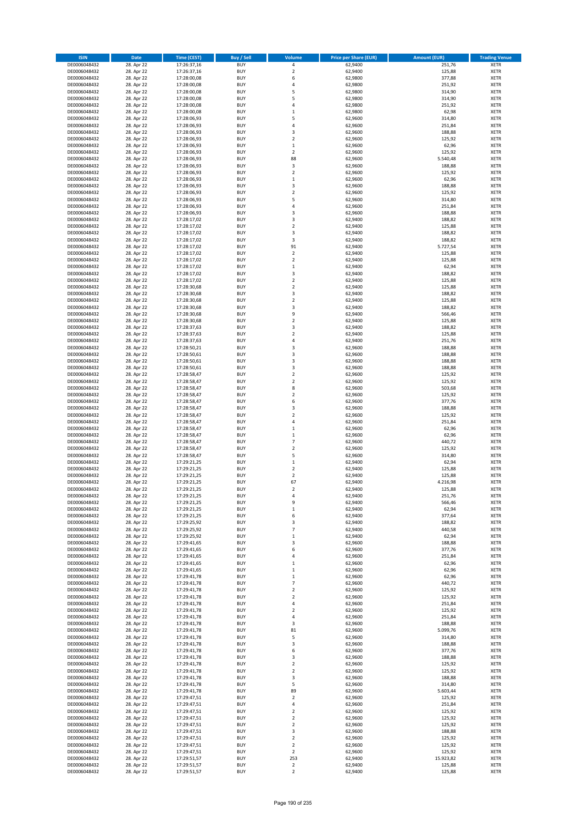| <b>ISIN</b>                  | <b>Date</b>              | <b>Time (CEST)</b>         | <b>Buy / Sell</b>        | <b>Volume</b>                          | <b>Price per Share (EUR)</b> | <b>Amount (EUR)</b> | <b>Trading Venue</b>       |
|------------------------------|--------------------------|----------------------------|--------------------------|----------------------------------------|------------------------------|---------------------|----------------------------|
| DE0006048432                 | 28. Apr 22               | 17:26:37,16                | <b>BUY</b>               | 4                                      | 62,9400                      | 251,76              | <b>XETR</b>                |
| DE0006048432                 | 28. Apr 22               | 17:26:37,16                | <b>BUY</b>               | $\mathbf 2$                            | 62,9400                      | 125,88              | <b>XETR</b>                |
| DE0006048432                 | 28. Apr 22               | 17:28:00,08                | <b>BUY</b>               | 6                                      | 62,9800                      | 377,88              | <b>XETR</b>                |
| DE0006048432<br>DE0006048432 | 28. Apr 22<br>28. Apr 22 | 17:28:00,08<br>17:28:00,08 | <b>BUY</b><br><b>BUY</b> | 4<br>5                                 | 62,9800<br>62,9800           | 251,92<br>314,90    | <b>XETR</b><br><b>XETR</b> |
| DE0006048432                 | 28. Apr 22               | 17:28:00,08                | <b>BUY</b>               | 5                                      | 62,9800                      | 314,90              | <b>XETR</b>                |
| DE0006048432                 | 28. Apr 22               | 17:28:00,08                | <b>BUY</b>               | 4                                      | 62,9800                      | 251,92              | <b>XETR</b>                |
| DE0006048432                 | 28. Apr 22               | 17:28:00,08                | <b>BUY</b>               | $\mathbf 1$                            | 62,9800                      | 62,98               | <b>XETR</b>                |
| DE0006048432                 | 28. Apr 22               | 17:28:06,93                | <b>BUY</b>               | 5                                      | 62,9600                      | 314,80              | <b>XETR</b>                |
| DE0006048432                 | 28. Apr 22               | 17:28:06,93                | <b>BUY</b>               | 4                                      | 62,9600                      | 251,84              | <b>XETR</b>                |
| DE0006048432                 | 28. Apr 22               | 17:28:06,93                | <b>BUY</b>               | 3                                      | 62,9600                      | 188,88              | <b>XETR</b>                |
| DE0006048432                 | 28. Apr 22<br>28. Apr 22 | 17:28:06,93                | <b>BUY</b><br><b>BUY</b> | $\overline{\mathbf{c}}$<br>$\mathbf 1$ | 62,9600                      | 125,92              | <b>XETR</b><br><b>XETR</b> |
| DE0006048432<br>DE0006048432 | 28. Apr 22               | 17:28:06,93<br>17:28:06,93 | <b>BUY</b>               | $\overline{\mathbf{c}}$                | 62,9600<br>62,9600           | 62,96<br>125,92     | <b>XETR</b>                |
| DE0006048432                 | 28. Apr 22               | 17:28:06,93                | <b>BUY</b>               | 88                                     | 62,9600                      | 5.540,48            | <b>XETR</b>                |
| DE0006048432                 | 28. Apr 22               | 17:28:06,93                | <b>BUY</b>               | 3                                      | 62,9600                      | 188,88              | <b>XETR</b>                |
| DE0006048432                 | 28. Apr 22               | 17:28:06,93                | <b>BUY</b>               | $\overline{\mathbf{c}}$                | 62,9600                      | 125,92              | <b>XETR</b>                |
| DE0006048432                 | 28. Apr 22               | 17:28:06,93                | <b>BUY</b>               | $\mathbf 1$                            | 62,9600                      | 62,96               | <b>XETR</b>                |
| DE0006048432                 | 28. Apr 22               | 17:28:06,93                | <b>BUY</b>               | 3                                      | 62,9600                      | 188,88              | <b>XETR</b>                |
| DE0006048432                 | 28. Apr 22               | 17:28:06,93                | <b>BUY</b>               | $\mathbf 2$                            | 62,9600                      | 125,92              | <b>XETR</b>                |
| DE0006048432<br>DE0006048432 | 28. Apr 22<br>28. Apr 22 | 17:28:06,93<br>17:28:06,93 | <b>BUY</b><br><b>BUY</b> | 5<br>4                                 | 62,9600<br>62,9600           | 314,80<br>251,84    | <b>XETR</b><br><b>XETR</b> |
| DE0006048432                 | 28. Apr 22               | 17:28:06,93                | <b>BUY</b>               | 3                                      | 62,9600                      | 188,88              | <b>XETR</b>                |
| DE0006048432                 | 28. Apr 22               | 17:28:17,02                | <b>BUY</b>               | 3                                      | 62,9400                      | 188,82              | <b>XETR</b>                |
| DE0006048432                 | 28. Apr 22               | 17:28:17,02                | <b>BUY</b>               | $\mathbf 2$                            | 62,9400                      | 125,88              | <b>XETR</b>                |
| DE0006048432                 | 28. Apr 22               | 17:28:17,02                | <b>BUY</b>               | 3                                      | 62,9400                      | 188,82              | <b>XETR</b>                |
| DE0006048432                 | 28. Apr 22               | 17:28:17,02                | <b>BUY</b>               | 3                                      | 62,9400                      | 188,82              | <b>XETR</b>                |
| DE0006048432                 | 28. Apr 22               | 17:28:17,02                | <b>BUY</b>               | 91                                     | 62,9400                      | 5.727,54            | <b>XETR</b>                |
| DE0006048432<br>DE0006048432 | 28. Apr 22<br>28. Apr 22 | 17:28:17,02<br>17:28:17,02 | <b>BUY</b><br><b>BUY</b> | $\mathbf 2$<br>$\overline{\mathbf{c}}$ | 62,9400<br>62,9400           | 125,88<br>125,88    | <b>XETR</b><br><b>XETR</b> |
| DE0006048432                 | 28. Apr 22               | 17:28:17,02                | <b>BUY</b>               | $\mathbf 1$                            | 62,9400                      | 62,94               | <b>XETR</b>                |
| DE0006048432                 | 28. Apr 22               | 17:28:17,02                | <b>BUY</b>               | 3                                      | 62,9400                      | 188,82              | <b>XETR</b>                |
| DE0006048432                 | 28. Apr 22               | 17:28:17,02                | <b>BUY</b>               | $\mathbf 2$                            | 62,9400                      | 125,88              | <b>XETR</b>                |
| DE0006048432                 | 28. Apr 22               | 17:28:30,68                | <b>BUY</b>               | $\mathbf 2$                            | 62,9400                      | 125,88              | <b>XETR</b>                |
| DE0006048432                 | 28. Apr 22               | 17:28:30,68                | <b>BUY</b>               | 3                                      | 62,9400                      | 188,82              | <b>XETR</b>                |
| DE0006048432                 | 28. Apr 22               | 17:28:30,68                | <b>BUY</b>               | $\mathbf 2$                            | 62,9400                      | 125,88              | <b>XETR</b>                |
| DE0006048432                 | 28. Apr 22               | 17:28:30,68                | <b>BUY</b>               | 3<br>9                                 | 62,9400                      | 188,82              | <b>XETR</b>                |
| DE0006048432<br>DE0006048432 | 28. Apr 22<br>28. Apr 22 | 17:28:30,68<br>17:28:30,68 | <b>BUY</b><br><b>BUY</b> | $\overline{\mathbf{c}}$                | 62,9400<br>62,9400           | 566,46<br>125,88    | <b>XETR</b><br><b>XETR</b> |
| DE0006048432                 | 28. Apr 22               | 17:28:37,63                | <b>BUY</b>               | 3                                      | 62,9400                      | 188,82              | <b>XETR</b>                |
| DE0006048432                 | 28. Apr 22               | 17:28:37,63                | <b>BUY</b>               | $\overline{\mathbf{c}}$                | 62,9400                      | 125,88              | <b>XETR</b>                |
| DE0006048432                 | 28. Apr 22               | 17:28:37,63                | <b>BUY</b>               | 4                                      | 62,9400                      | 251,76              | <b>XETR</b>                |
| DE0006048432                 | 28. Apr 22               | 17:28:50,21                | <b>BUY</b>               | 3                                      | 62,9600                      | 188,88              | <b>XETR</b>                |
| DE0006048432                 | 28. Apr 22               | 17:28:50,61                | <b>BUY</b>               | 3                                      | 62,9600                      | 188,88              | <b>XETR</b>                |
| DE0006048432                 | 28. Apr 22               | 17:28:50,61                | <b>BUY</b>               | 3                                      | 62,9600                      | 188,88              | <b>XETR</b>                |
| DE0006048432                 | 28. Apr 22               | 17:28:50,61                | <b>BUY</b>               | 3                                      | 62,9600                      | 188,88              | <b>XETR</b>                |
| DE0006048432<br>DE0006048432 | 28. Apr 22<br>28. Apr 22 | 17:28:58,47<br>17:28:58,47 | <b>BUY</b><br><b>BUY</b> | $\mathbf 2$<br>$\mathbf 2$             | 62,9600<br>62,9600           | 125,92<br>125,92    | <b>XETR</b><br><b>XETR</b> |
| DE0006048432                 | 28. Apr 22               | 17:28:58,47                | <b>BUY</b>               | 8                                      | 62,9600                      | 503,68              | <b>XETR</b>                |
| DE0006048432                 | 28. Apr 22               | 17:28:58,47                | <b>BUY</b>               | $\overline{\mathbf{c}}$                | 62,9600                      | 125,92              | <b>XETR</b>                |
| DE0006048432                 | 28. Apr 22               | 17:28:58,47                | <b>BUY</b>               | 6                                      | 62,9600                      | 377,76              | <b>XETR</b>                |
| DE0006048432                 | 28. Apr 22               | 17:28:58,47                | <b>BUY</b>               | 3                                      | 62,9600                      | 188,88              | <b>XETR</b>                |
| DE0006048432                 | 28. Apr 22               | 17:28:58,47                | <b>BUY</b>               | $\overline{\mathbf{c}}$                | 62,9600                      | 125,92              | <b>XETR</b>                |
| DE0006048432                 | 28. Apr 22               | 17:28:58,47                | <b>BUY</b>               | 4                                      | 62,9600                      | 251,84              | <b>XETR</b>                |
| DE0006048432                 | 28. Apr 22<br>28. Apr 22 | 17:28:58,47                | <b>BUY</b><br><b>BUY</b> | $\mathbf{1}$<br>$\mathbf 1$            | 62,9600                      | 62,96               | <b>XETR</b><br><b>XETR</b> |
| DE0006048432<br>DE0006048432 | 28. Apr 22               | 17:28:58,47<br>17:28:58,47 | <b>BUY</b>               | $\overline{7}$                         | 62,9600<br>62,9600           | 62,96<br>440,72     | <b>XETR</b>                |
| DE0006048432                 | 28. Apr 22               | 17:28:58,47                | <b>BUY</b>               | $\overline{\mathbf{c}}$                | 62,9600                      | 125,92              | <b>XETR</b>                |
| DE0006048432                 | 28. Apr 22               | 17:28:58,47                | <b>BUY</b>               | 5                                      | 62,9600                      | 314,80              | <b>XETR</b>                |
| DE0006048432                 | 28. Apr 22               | 17:29:21,25                | <b>BUY</b>               | $\mathbf 1$                            | 62,9400                      | 62,94               | <b>XETR</b>                |
| DE0006048432                 | 28. Apr 22               | 17:29:21,25                | <b>BUY</b>               | $\mathbf 2$                            | 62,9400                      | 125,88              | <b>XETR</b>                |
| DE0006048432                 | 28. Apr 22               | 17:29:21,25                | <b>BUY</b>               | $\overline{\mathbf{c}}$                | 62,9400                      | 125,88              | <b>XETR</b>                |
| DE0006048432                 | 28. Apr 22               | 17:29:21,25                | <b>BUY</b><br><b>BUY</b> | 67<br>$\overline{2}$                   | 62,9400                      | 4.216,98            | <b>XETR</b><br><b>XETR</b> |
| DE0006048432<br>DE0006048432 | 28. Apr 22<br>28. Apr 22 | 17:29:21,25<br>17:29:21,25 | BUY                      | 4                                      | 62,9400<br>62,9400           | 125,88<br>251,76    | <b>XETR</b>                |
| DE0006048432                 | 28. Apr 22               | 17:29:21,25                | <b>BUY</b>               | 9                                      | 62,9400                      | 566,46              | <b>XETR</b>                |
| DE0006048432                 | 28. Apr 22               | 17:29:21,25                | <b>BUY</b>               | $\mathbf 1$                            | 62,9400                      | 62,94               | <b>XETR</b>                |
| DE0006048432                 | 28. Apr 22               | 17:29:21,25                | <b>BUY</b>               | 6                                      | 62,9400                      | 377,64              | XETR                       |
| DE0006048432                 | 28. Apr 22               | 17:29:25,92                | <b>BUY</b>               | 3                                      | 62,9400                      | 188,82              | <b>XETR</b>                |
| DE0006048432                 | 28. Apr 22               | 17:29:25,92                | <b>BUY</b>               | $\overline{\phantom{a}}$               | 62,9400                      | 440,58              | <b>XETR</b>                |
| DE0006048432<br>DE0006048432 | 28. Apr 22<br>28. Apr 22 | 17:29:25,92<br>17:29:41,65 | <b>BUY</b><br><b>BUY</b> | $\mathbf 1$<br>3                       | 62,9400<br>62,9600           | 62,94<br>188,88     | <b>XETR</b><br><b>XETR</b> |
| DE0006048432                 | 28. Apr 22               | 17:29:41,65                | <b>BUY</b>               | 6                                      | 62,9600                      | 377,76              | <b>XETR</b>                |
| DE0006048432                 | 28. Apr 22               | 17:29:41,65                | <b>BUY</b>               | 4                                      | 62,9600                      | 251,84              | <b>XETR</b>                |
| DE0006048432                 | 28. Apr 22               | 17:29:41,65                | <b>BUY</b>               | $\mathbf 1$                            | 62,9600                      | 62,96               | <b>XETR</b>                |
| DE0006048432                 | 28. Apr 22               | 17:29:41,65                | <b>BUY</b>               | $\mathbf 1$                            | 62.9600                      | 62,96               | <b>XETR</b>                |
| DE0006048432                 | 28. Apr 22               | 17:29:41,78                | <b>BUY</b>               | $\mathbf 1$                            | 62,9600                      | 62,96               | <b>XETR</b>                |
| DE0006048432<br>DE0006048432 | 28. Apr 22<br>28. Apr 22 | 17:29:41,78<br>17:29:41,78 | <b>BUY</b><br><b>BUY</b> | $\overline{7}$<br>$\mathbf 2$          | 62,9600<br>62,9600           | 440,72<br>125,92    | <b>XETR</b><br><b>XETR</b> |
| DE0006048432                 | 28. Apr 22               | 17:29:41,78                | <b>BUY</b>               | $\mathbf 2$                            | 62,9600                      | 125,92              | <b>XETR</b>                |
| DE0006048432                 | 28. Apr 22               | 17:29:41,78                | <b>BUY</b>               | 4                                      | 62,9600                      | 251,84              | <b>XETR</b>                |
| DE0006048432                 | 28. Apr 22               | 17:29:41,78                | <b>BUY</b>               | $\overline{\mathbf{c}}$                | 62,9600                      | 125,92              | <b>XETR</b>                |
| DE0006048432                 | 28. Apr 22               | 17:29:41,78                | <b>BUY</b>               | 4                                      | 62,9600                      | 251,84              | XETR                       |
| DE0006048432                 | 28. Apr 22               | 17:29:41,78                | <b>BUY</b>               | 3                                      | 62,9600                      | 188,88              | <b>XETR</b>                |
| DE0006048432                 | 28. Apr 22               | 17:29:41,78                | <b>BUY</b>               | 81                                     | 62,9600                      | 5.099,76            | <b>XETR</b>                |
| DE0006048432<br>DE0006048432 | 28. Apr 22<br>28. Apr 22 | 17:29:41,78<br>17:29:41,78 | <b>BUY</b><br><b>BUY</b> | 5<br>3                                 | 62,9600<br>62,9600           | 314,80<br>188,88    | <b>XETR</b><br><b>XETR</b> |
| DE0006048432                 | 28. Apr 22               | 17:29:41,78                | <b>BUY</b>               | 6                                      | 62,9600                      | 377,76              | <b>XETR</b>                |
| DE0006048432                 | 28. Apr 22               | 17:29:41,78                | <b>BUY</b>               | 3                                      | 62,9600                      | 188,88              | <b>XETR</b>                |
| DE0006048432                 | 28. Apr 22               | 17:29:41,78                | <b>BUY</b>               | $\mathbf 2$                            | 62,9600                      | 125,92              | <b>XETR</b>                |
| DE0006048432                 | 28. Apr 22               | 17:29:41,78                | <b>BUY</b>               | $\mathbf 2$                            | 62,9600                      | 125,92              | <b>XETR</b>                |
| DE0006048432                 | 28. Apr 22               | 17:29:41,78                | <b>BUY</b>               | 3                                      | 62,9600                      | 188,88              | <b>XETR</b>                |
| DE0006048432                 | 28. Apr 22               | 17:29:41,78                | <b>BUY</b>               | 5                                      | 62,9600                      | 314,80              | <b>XETR</b>                |
| DE0006048432                 | 28. Apr 22               | 17:29:41,78                | <b>BUY</b>               | 89                                     | 62,9600                      | 5.603,44            | XETR                       |
| DE0006048432<br>DE0006048432 | 28. Apr 22<br>28. Apr 22 | 17:29:47,51<br>17:29:47,51 | <b>BUY</b><br><b>BUY</b> | $\mathbf 2$<br>4                       | 62,9600<br>62,9600           | 125,92<br>251,84    | <b>XETR</b><br><b>XETR</b> |
| DE0006048432                 | 28. Apr 22               | 17:29:47,51                | <b>BUY</b>               | $\mathbf 2$                            | 62,9600                      | 125,92              | <b>XETR</b>                |
| DE0006048432                 | 28. Apr 22               | 17:29:47,51                | <b>BUY</b>               | $\mathbf 2$                            | 62,9600                      | 125,92              | <b>XETR</b>                |
| DE0006048432                 | 28. Apr 22               | 17:29:47,51                | <b>BUY</b>               | $\mathbf 2$                            | 62,9600                      | 125,92              | <b>XETR</b>                |
| DE0006048432                 | 28. Apr 22               | 17:29:47,51                | <b>BUY</b>               | 3                                      | 62,9600                      | 188,88              | <b>XETR</b>                |
| DE0006048432                 | 28. Apr 22               | 17:29:47,51                | <b>BUY</b>               | $\overline{\mathbf{c}}$                | 62,9600                      | 125,92              | <b>XETR</b>                |
| DE0006048432<br>DE0006048432 | 28. Apr 22<br>28. Apr 22 | 17:29:47,51<br>17:29:47,51 | <b>BUY</b><br><b>BUY</b> | $\overline{2}$<br>$\overline{2}$       | 62,9600<br>62,9600           | 125,92<br>125,92    | XETR<br><b>XETR</b>        |
| DE0006048432                 | 28. Apr 22               | 17:29:51,57                | <b>BUY</b>               | 253                                    | 62,9400                      | 15.923,82           | <b>XETR</b>                |
| DE0006048432                 | 28. Apr 22               | 17:29:51,57                | <b>BUY</b>               | $\mathbf 2$                            | 62,9400                      | 125,88              | <b>XETR</b>                |
| DE0006048432                 | 28. Apr 22               | 17:29:51,57                | <b>BUY</b>               | $\mathbf 2$                            | 62,9400                      | 125,88              | XETR                       |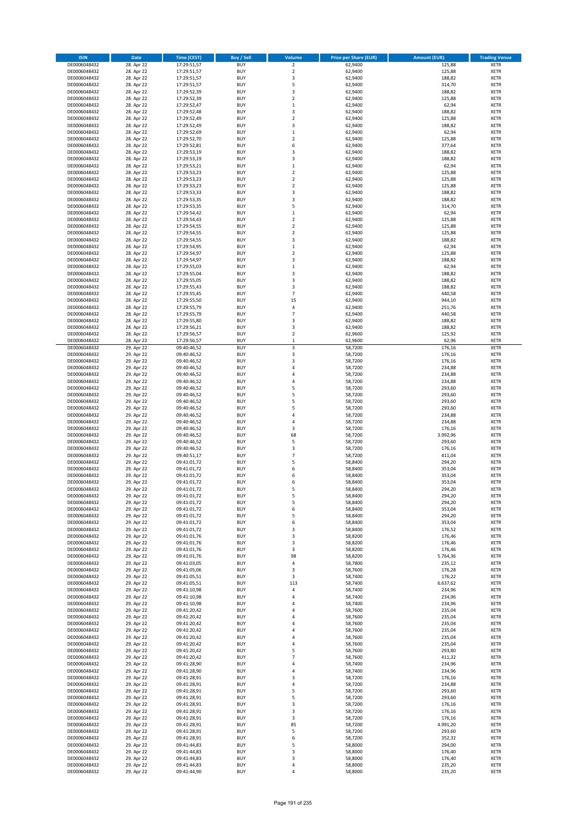| <b>ISIN</b>                  | <b>Date</b>              | Time (CEST)                | <b>Buy / Sell</b>        | <b>Volume</b>            | <b>Price per Share (EUR)</b> | <b>Amount (EUR)</b> | <b>Trading Venue</b>       |
|------------------------------|--------------------------|----------------------------|--------------------------|--------------------------|------------------------------|---------------------|----------------------------|
| DE0006048432                 | 28. Apr 22               | 17:29:51,57                | <b>BUY</b>               | 2                        | 62,9400                      | 125,88              | <b>XETR</b>                |
| DE0006048432                 | 28. Apr 22               | 17:29:51,57                | <b>BUY</b>               | $\mathbf 2$              | 62,9400                      | 125,88              | <b>XETR</b>                |
| DE0006048432                 | 28. Apr 22               | 17:29:51,57                | <b>BUY</b>               | 3                        | 62,9400                      | 188,82              | <b>XETR</b>                |
| DE0006048432                 | 28. Apr 22               | 17:29:51,57                | <b>BUY</b>               | 5                        | 62,9400                      | 314,70              | <b>XETR</b>                |
| DE0006048432                 | 28. Apr 22               | 17:29:52,39                | <b>BUY</b>               | 3                        | 62,9400                      | 188,82              | <b>XETR</b>                |
| DE0006048432                 | 28. Apr 22               | 17:29:52,39                | <b>BUY</b>               | $\mathbf 2$              | 62,9400                      | 125,88              | <b>XETR</b>                |
| DE0006048432                 | 28. Apr 22               | 17:29:52,47                | <b>BUY</b>               | $\mathbf{1}$             | 62,9400                      | 62,94               | <b>XETR</b>                |
| DE0006048432                 | 28. Apr 22               | 17:29:52,48                | <b>BUY</b>               | 3                        | 62,9400                      | 188,82              | <b>XETR</b>                |
| DE0006048432<br>DE0006048432 | 28. Apr 22<br>28. Apr 22 | 17:29:52,49<br>17:29:52,49 | <b>BUY</b><br><b>BUY</b> | $\overline{2}$<br>3      | 62,9400<br>62,9400           | 125,88<br>188,82    | <b>XETR</b><br><b>XETR</b> |
| DE0006048432                 | 28. Apr 22               | 17:29:52,69                | <b>BUY</b>               | $\mathbf 1$              | 62,9400                      | 62,94               | <b>XETR</b>                |
| DE0006048432                 | 28. Apr 22               | 17:29:52,70                | <b>BUY</b>               | $\overline{2}$           | 62,9400                      | 125,88              | <b>XETR</b>                |
| DE0006048432                 | 28. Apr 22               | 17:29:52,81                | <b>BUY</b>               | 6                        | 62,9400                      | 377,64              | <b>XETR</b>                |
| DE0006048432                 | 28. Apr 22               | 17:29:53,19                | <b>BUY</b>               | 3                        | 62,9400                      | 188,82              | <b>XETR</b>                |
| DE0006048432                 | 28. Apr 22               | 17:29:53,19                | <b>BUY</b>               | 3                        | 62,9400                      | 188,82              | <b>XETR</b>                |
| DE0006048432                 | 28. Apr 22               | 17:29:53,21                | <b>BUY</b>               | $\mathbf{1}$             | 62,9400                      | 62,94               | <b>XETR</b>                |
| DE0006048432                 | 28. Apr 22               | 17:29:53,23                | <b>BUY</b>               | $\overline{\mathbf{2}}$  | 62,9400                      | 125,88              | <b>XETR</b>                |
| DE0006048432                 | 28. Apr 22               | 17:29:53,23                | <b>BUY</b>               | $\overline{2}$           | 62,9400                      | 125,88              | <b>XETR</b>                |
| DE0006048432                 | 28. Apr 22               | 17:29:53,23                | <b>BUY</b>               | $\overline{2}$           | 62,9400                      | 125,88              | <b>XETR</b>                |
| DE0006048432                 | 28. Apr 22               | 17:29:53,33                | <b>BUY</b>               | 3                        | 62,9400                      | 188,82              | <b>XETR</b>                |
| DE0006048432<br>DE0006048432 | 28. Apr 22<br>28. Apr 22 | 17:29:53,35<br>17:29:53,35 | <b>BUY</b><br><b>BUY</b> | 3<br>5                   | 62,9400<br>62,9400           | 188,82<br>314,70    | <b>XETR</b><br><b>XETR</b> |
| DE0006048432                 | 28. Apr 22               | 17:29:54,42                | <b>BUY</b>               | $\mathbf{1}$             | 62,9400                      | 62,94               | <b>XETR</b>                |
| DE0006048432                 | 28. Apr 22               | 17:29:54,43                | <b>BUY</b>               | $\overline{\mathbf{2}}$  | 62,9400                      | 125,88              | <b>XETR</b>                |
| DE0006048432                 | 28. Apr 22               | 17:29:54,55                | <b>BUY</b>               | $\overline{2}$           | 62,9400                      | 125,88              | <b>XETR</b>                |
| DE0006048432                 | 28. Apr 22               | 17:29:54,55                | <b>BUY</b>               | $\mathbf 2$              | 62,9400                      | 125,88              | <b>XETR</b>                |
| DE0006048432                 | 28. Apr 22               | 17:29:54,55                | <b>BUY</b>               | 3                        | 62,9400                      | 188,82              | <b>XETR</b>                |
| DE0006048432                 | 28. Apr 22               | 17:29:54,95                | <b>BUY</b>               | $\mathbf 1$              | 62,9400                      | 62,94               | <b>XETR</b>                |
| DE0006048432                 | 28. Apr 22               | 17:29:54,97                | <b>BUY</b>               | $\mathbf 2$              | 62,9400                      | 125,88              | <b>XETR</b>                |
| DE0006048432                 | 28. Apr 22               | 17:29:54,97                | <b>BUY</b>               | 3                        | 62,9400                      | 188,82              | <b>XETR</b>                |
| DE0006048432<br>DE0006048432 | 28. Apr 22<br>28. Apr 22 | 17:29:55,03                | <b>BUY</b><br><b>BUY</b> | $\mathbf 1$<br>3         | 62,9400<br>62,9400           | 62,94               | <b>XETR</b><br><b>XETR</b> |
| DE0006048432                 | 28. Apr 22               | 17:29:55,04<br>17:29:55,05 | <b>BUY</b>               | 3                        | 62,9400                      | 188,82<br>188,82    | <b>XETR</b>                |
| DE0006048432                 | 28. Apr 22               | 17:29:55,43                | <b>BUY</b>               | 3                        | 62,9400                      | 188,82              | <b>XETR</b>                |
| DE0006048432                 | 28. Apr 22               | 17:29:55,45                | <b>BUY</b>               | $\overline{7}$           | 62,9400                      | 440,58              | <b>XETR</b>                |
| DE0006048432                 | 28. Apr 22               | 17:29:55,50                | <b>BUY</b>               | 15                       | 62,9400                      | 944,10              | <b>XETR</b>                |
| DE0006048432                 | 28. Apr 22               | 17:29:55,79                | <b>BUY</b>               | 4                        | 62,9400                      | 251,76              | <b>XETR</b>                |
| DE0006048432                 | 28. Apr 22               | 17:29:55,79                | <b>BUY</b>               | $\overline{\phantom{a}}$ | 62,9400                      | 440,58              | <b>XETR</b>                |
| DE0006048432                 | 28. Apr 22               | 17:29:55,80                | <b>BUY</b>               | 3                        | 62,9400                      | 188,82              | <b>XETR</b>                |
| DE0006048432                 | 28. Apr 22               | 17:29:56,21                | <b>BUY</b>               | 3                        | 62,9400                      | 188,82              | <b>XETR</b>                |
| DE0006048432                 | 28. Apr 22               | 17:29:56,57                | <b>BUY</b>               | $\mathbf 2$              | 62,9600                      | 125,92              | <b>XETR</b>                |
| DE0006048432                 | 28. Apr 22               | 17:29:56,57                | <b>BUY</b>               | $\mathbf{1}$             | 62,9600                      | 62,96               | <b>XETR</b>                |
| DE0006048432<br>DE0006048432 | 29. Apr 22<br>29. Apr 22 | 09:40:46,52<br>09:40:46,52 | <b>BUY</b><br><b>BUY</b> | 3<br>3                   | 58,7200                      | 176,16              | <b>XETR</b><br><b>XETR</b> |
| DE0006048432                 | 29. Apr 22               | 09:40:46,52                | <b>BUY</b>               | 3                        | 58,7200<br>58,7200           | 176,16<br>176,16    | <b>XETR</b>                |
| DE0006048432                 | 29. Apr 22               | 09:40:46,52                | <b>BUY</b>               | 4                        | 58,7200                      | 234,88              | <b>XETR</b>                |
| DE0006048432                 | 29. Apr 22               | 09:40:46,52                | <b>BUY</b>               | 4                        | 58,7200                      | 234,88              | <b>XETR</b>                |
| DE0006048432                 | 29. Apr 22               | 09:40:46,52                | <b>BUY</b>               | 4                        | 58,7200                      | 234,88              | <b>XETR</b>                |
| DE0006048432                 | 29. Apr 22               | 09:40:46,52                | <b>BUY</b>               | 5                        | 58,7200                      | 293,60              | <b>XETR</b>                |
| DE0006048432                 | 29. Apr 22               | 09:40:46,52                | <b>BUY</b>               | 5                        | 58,7200                      | 293,60              | <b>XETR</b>                |
| DE0006048432                 | 29. Apr 22               | 09:40:46,52                | <b>BUY</b>               | 5                        | 58,7200                      | 293,60              | <b>XETR</b>                |
| DE0006048432                 | 29. Apr 22               | 09:40:46,52                | <b>BUY</b>               | 5                        | 58,7200                      | 293,60              | <b>XETR</b>                |
| DE0006048432                 | 29. Apr 22               | 09:40:46,52                | <b>BUY</b>               | 4                        | 58,7200                      | 234,88              | <b>XETR</b>                |
| DE0006048432<br>DE0006048432 | 29. Apr 22<br>29. Apr 22 | 09:40:46,52<br>09:40:46,52 | <b>BUY</b><br><b>BUY</b> | 4<br>3                   | 58,7200<br>58,7200           | 234,88<br>176,16    | <b>XETR</b><br><b>XETR</b> |
| DE0006048432                 | 29. Apr 22               | 09:40:46,52                | <b>BUY</b>               | 68                       | 58,7200                      | 3.992,96            | <b>XETR</b>                |
| DE0006048432                 | 29. Apr 22               | 09:40:46,52                | <b>BUY</b>               | 5                        | 58,7200                      | 293,60              | <b>XETR</b>                |
| DE0006048432                 | 29. Apr 22               | 09:40:46,52                | <b>BUY</b>               | 3                        | 58,7200                      | 176,16              | <b>XETR</b>                |
| DE0006048432                 | 29. Apr 22               | 09:40:51,17                | <b>BUY</b>               | $\overline{7}$           | 58,7200                      | 411,04              | <b>XETR</b>                |
| DE0006048432                 | 29. Apr 22               | 09:41:01,72                | <b>BUY</b>               | 5                        | 58,8400                      | 294,20              | <b>XETR</b>                |
| DE0006048432                 | 29. Apr 22               | 09:41:01,72                | <b>BUY</b>               | 6                        | 58,8400                      | 353,04              | <b>XETR</b>                |
| DE0006048432                 | 29. Apr 22               | 09:41:01,72                | <b>BUY</b>               | 6                        | 58,8400                      | 353,04              | <b>XETR</b>                |
| DE0006048432                 | 29. Apr 22               | 09:41:01,72                | <b>BUY</b>               | 6                        | 58,8400                      | 353,04              | <b>XETR</b>                |
| DE0006048432                 | 29. Apr 22               | 09:41:01,72                | <b>BUY</b>               | 5                        | 58,8400                      | 294,20              | <b>XETR</b>                |
| DE0006048432<br>DE0006048432 | 29. Apr 22<br>29. Apr 22 | 09:41:01,72<br>09:41:01,72 | BUY<br><b>BUY</b>        | 5<br>5                   | 58,8400<br>58,8400           | 294,20<br>294,20    | XETR<br><b>XETR</b>        |
| DE0006048432                 | 29. Apr 22               | 09:41:01,72                | <b>BUY</b>               | 6                        | 58,8400                      | 353,04              | <b>XETR</b>                |
| DE0006048432                 | 29. Apr 22               | 09:41:01,72                | <b>BUY</b>               | 5                        | 58,8400                      | 294,20              | <b>XETR</b>                |
| DE0006048432                 | 29. Apr 22               | 09:41:01,72                | <b>BUY</b>               | 6                        | 58,8400                      | 353,04              | <b>XETR</b>                |
| DE0006048432                 | 29. Apr 22               | 09:41:01,72                | <b>BUY</b>               | 3                        | 58,8400                      | 176,52              | <b>XETR</b>                |
| DE0006048432                 | 29. Apr 22               | 09:41:01,76                | <b>BUY</b>               | 3                        | 58,8200                      | 176,46              | <b>XETR</b>                |
| DE0006048432                 | 29. Apr 22               | 09:41:01,76                | <b>BUY</b>               | 3                        | 58,8200                      | 176,46              | <b>XETR</b>                |
| DE0006048432<br>DE0006048432 | 29. Apr 22<br>29. Apr 22 | 09:41:01,76<br>09:41:01,76 | <b>BUY</b><br><b>BUY</b> | 3<br>98                  | 58,8200<br>58,8200           | 176,46<br>5.764,36  | <b>XETR</b><br>XETR        |
| DE0006048432                 | 29. Apr 22               | 09:41:03,05                | <b>BUY</b>               | 4                        | 58,7800                      | 235,12              | <b>XETR</b>                |
| DE0006048432                 | 29. Apr 22               | 09:41:05,06                | <b>BUY</b>               | 3                        | 58,7600                      | 176,28              | <b>XETR</b>                |
| DE0006048432                 | 29. Apr 22               | 09:41:05,51                | <b>BUY</b>               | 3                        | 58,7400                      | 176,22              | <b>XETR</b>                |
| DE0006048432                 | 29. Apr 22               | 09:41:05,51                | <b>BUY</b>               | 113                      | 58,7400                      | 6.637,62            | <b>XETR</b>                |
| DE0006048432                 | 29. Apr 22               | 09:41:10,98                | <b>BUY</b>               | 4                        | 58,7400                      | 234,96              | <b>XETR</b>                |
| DE0006048432                 | 29. Apr 22               | 09:41:10,98                | <b>BUY</b>               | 4                        | 58,7400                      | 234,96              | <b>XETR</b>                |
| DE0006048432                 | 29. Apr 22               | 09:41:10,98                | <b>BUY</b>               | 4                        | 58,7400                      | 234,96              | <b>XETR</b>                |
| DE0006048432                 | 29. Apr 22               | 09:41:20,42                | <b>BUY</b>               | 4                        | 58,7600                      | 235,04              | <b>XETR</b>                |
| DE0006048432<br>DE0006048432 | 29. Apr 22<br>29. Apr 22 | 09:41:20,42<br>09:41:20,42 | <b>BUY</b><br><b>BUY</b> | 4<br>4                   | 58,7600<br>58,7600           | 235,04<br>235,04    | <b>XETR</b><br><b>XETR</b> |
| DE0006048432                 | 29. Apr 22               | 09:41:20,42                | <b>BUY</b>               | 4                        | 58,7600                      | 235,04              | <b>XETR</b>                |
| DE0006048432                 | 29. Apr 22               | 09:41:20,42                | <b>BUY</b>               | 4                        | 58,7600                      | 235,04              | <b>XETR</b>                |
| DE0006048432                 | 29. Apr 22               | 09:41:20,42                | <b>BUY</b>               | 4                        | 58,7600                      | 235,04              | <b>XETR</b>                |
| DE0006048432                 | 29. Apr 22               | 09:41:20,42                | <b>BUY</b>               | 5                        | 58,7600                      | 293,80              | <b>XETR</b>                |
| DE0006048432                 | 29. Apr 22               | 09:41:20,42                | <b>BUY</b>               | $\overline{7}$           | 58,7600                      | 411,32              | <b>XETR</b>                |
| DE0006048432                 | 29. Apr 22               | 09:41:28,90                | <b>BUY</b>               | 4                        | 58,7400                      | 234,96              | <b>XETR</b>                |
| DE0006048432                 | 29. Apr 22               | 09:41:28,90                | <b>BUY</b>               | 4                        | 58,7400                      | 234,96              | <b>XETR</b>                |
| DE0006048432                 | 29. Apr 22               | 09:41:28,91                | <b>BUY</b>               | 3                        | 58,7200                      | 176,16              | <b>XETR</b>                |
| DE0006048432<br>DE0006048432 | 29. Apr 22<br>29. Apr 22 | 09:41:28,91<br>09:41:28,91 | <b>BUY</b><br><b>BUY</b> | 4<br>5                   | 58,7200<br>58,7200           | 234,88<br>293,60    | <b>XETR</b><br><b>XETR</b> |
| DE0006048432                 | 29. Apr 22               | 09:41:28,91                | <b>BUY</b>               | 5                        | 58,7200                      | 293,60              | XETR                       |
| DE0006048432                 | 29. Apr 22               | 09:41:28,91                | <b>BUY</b>               | 3                        | 58,7200                      | 176,16              | <b>XETR</b>                |
| DE0006048432                 | 29. Apr 22               | 09:41:28,91                | <b>BUY</b>               | 3                        | 58,7200                      | 176,16              | <b>XETR</b>                |
| DE0006048432                 | 29. Apr 22               | 09:41:28,91                | <b>BUY</b>               | 3                        | 58,7200                      | 176,16              | <b>XETR</b>                |
| DE0006048432                 | 29. Apr 22               | 09:41:28,91                | <b>BUY</b>               | 85                       | 58,7200                      | 4.991,20            | <b>XETR</b>                |
| DE0006048432                 | 29. Apr 22               | 09:41:28,91                | <b>BUY</b>               | 5                        | 58,7200                      | 293,60              | <b>XETR</b>                |
| DE0006048432                 | 29. Apr 22               | 09:41:28,91                | <b>BUY</b>               | 6                        | 58,7200                      | 352,32              | <b>XETR</b>                |
| DE0006048432                 | 29. Apr 22               | 09:41:44,83                | <b>BUY</b>               | 5                        | 58,8000                      | 294,00              | <b>XETR</b>                |
| DE0006048432                 | 29. Apr 22               | 09:41:44,83                | <b>BUY</b>               | 3                        | 58,8000                      | 176,40<br>176,40    | XETR                       |
| DE0006048432<br>DE0006048432 | 29. Apr 22<br>29. Apr 22 | 09:41:44,83<br>09:41:44,83 | <b>BUY</b><br><b>BUY</b> | 3<br>4                   | 58,8000<br>58,8000           | 235,20              | XETR<br><b>XETR</b>        |
| DE0006048432                 | 29. Apr 22               | 09:41:44,90                | <b>BUY</b>               | 4                        | 58,8000                      | 235,20              | <b>XETR</b>                |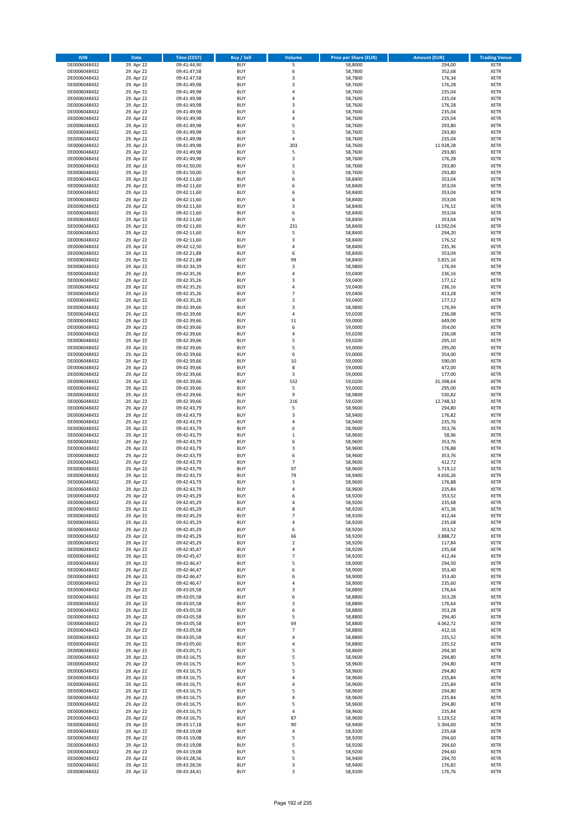| <b>ISIN</b>                  | <b>Date</b>              | <b>Time (CEST)</b>         | <b>Buy / Sell</b>        | Volume              | <b>Price per Share (EUR)</b> | <b>Amount (EUR)</b>  | <b>Trading Venue</b>       |
|------------------------------|--------------------------|----------------------------|--------------------------|---------------------|------------------------------|----------------------|----------------------------|
| DE0006048432                 | 29. Apr 22               | 09:41:44,90                | <b>BUY</b>               | 5                   | 58,8000                      | 294,00               | <b>XETR</b>                |
| DE0006048432                 | 29. Apr 22               | 09:41:47,58                | <b>BUY</b>               | 6                   | 58,7800                      | 352,68               | <b>XETR</b>                |
| DE0006048432                 | 29. Apr 22               | 09:41:47,58                | <b>BUY</b>               | 3                   | 58,7800                      | 176,34               | <b>XETR</b>                |
| DE0006048432<br>DE0006048432 | 29. Apr 22<br>29. Apr 22 | 09:41:49,98<br>09:41:49,98 | <b>BUY</b><br><b>BUY</b> | 3<br>4              | 58,7600<br>58,7600           | 176,28<br>235,04     | <b>XETR</b><br><b>XETR</b> |
| DE0006048432                 | 29. Apr 22               | 09:41:49,98                | <b>BUY</b>               | 4                   | 58,7600                      | 235,04               | <b>XETR</b>                |
| DE0006048432                 | 29. Apr 22               | 09:41:49,98                | <b>BUY</b>               | 3                   | 58,7600                      | 176,28               | <b>XETR</b>                |
| DE0006048432                 | 29. Apr 22               | 09:41:49,98                | <b>BUY</b>               | 4                   | 58,7600                      | 235,04               | <b>XETR</b>                |
| DE0006048432                 | 29. Apr 22               | 09:41:49,98                | <b>BUY</b>               | 4                   | 58,7600                      | 235,04               | <b>XETR</b>                |
| DE0006048432                 | 29. Apr 22               | 09:41:49,98                | <b>BUY</b><br><b>BUY</b> | 5<br>5              | 58,7600                      | 293,80               | <b>XETR</b>                |
| DE0006048432<br>DE0006048432 | 29. Apr 22<br>29. Apr 22 | 09:41:49,98<br>09:41:49,98 | <b>BUY</b>               | 4                   | 58,7600<br>58,7600           | 293,80<br>235,04     | <b>XETR</b><br><b>XETR</b> |
| DE0006048432                 | 29. Apr 22               | 09:41:49,98                | <b>BUY</b>               | 203                 | 58,7600                      | 11.928,28            | <b>XETR</b>                |
| DE0006048432                 | 29. Apr 22               | 09:41:49,98                | <b>BUY</b>               | 5                   | 58,7600                      | 293,80               | <b>XETR</b>                |
| DE0006048432                 | 29. Apr 22               | 09:41:49,98                | <b>BUY</b>               | 3                   | 58,7600                      | 176,28               | <b>XETR</b>                |
| DE0006048432                 | 29. Apr 22               | 09:41:50,00                | <b>BUY</b>               | 5                   | 58,7600                      | 293,80               | <b>XETR</b>                |
| DE0006048432                 | 29. Apr 22               | 09:41:50,00                | <b>BUY</b><br><b>BUY</b> | 5                   | 58,7600                      | 293,80               | <b>XETR</b><br><b>XETR</b> |
| DE0006048432<br>DE0006048432 | 29. Apr 22<br>29. Apr 22 | 09:42:11,60<br>09:42:11,60 | <b>BUY</b>               | 6<br>6              | 58,8400<br>58,8400           | 353,04<br>353,04     | <b>XETR</b>                |
| DE0006048432                 | 29. Apr 22               | 09:42:11,60                | <b>BUY</b>               | 6                   | 58,8400                      | 353,04               | <b>XETR</b>                |
| DE0006048432                 | 29. Apr 22               | 09:42:11,60                | <b>BUY</b>               | 6                   | 58,8400                      | 353,04               | <b>XETR</b>                |
| DE0006048432                 | 29. Apr 22               | 09:42:11,60                | <b>BUY</b>               | 3                   | 58,8400                      | 176,52               | <b>XETR</b>                |
| DE0006048432                 | 29. Apr 22               | 09:42:11,60                | <b>BUY</b>               | 6                   | 58,8400                      | 353,04               | <b>XETR</b>                |
| DE0006048432                 | 29. Apr 22               | 09:42:11,60                | <b>BUY</b>               | 6                   | 58,8400                      | 353,04               | <b>XETR</b>                |
| DE0006048432<br>DE0006048432 | 29. Apr 22<br>29. Apr 22 | 09:42:11,60<br>09:42:11,60 | <b>BUY</b><br><b>BUY</b> | 231<br>5            | 58,8400<br>58,8400           | 13.592,04<br>294,20  | <b>XETR</b><br><b>XETR</b> |
| DE0006048432                 | 29. Apr 22               | 09:42:11,60                | <b>BUY</b>               | 3                   | 58,8400                      | 176,52               | <b>XETR</b>                |
| DE0006048432                 | 29. Apr 22               | 09:42:12,50                | <b>BUY</b>               | 4                   | 58,8400                      | 235,36               | <b>XETR</b>                |
| DE0006048432                 | 29. Apr 22               | 09:42:21,88                | <b>BUY</b>               | 6                   | 58,8400                      | 353,04               | <b>XETR</b>                |
| DE0006048432                 | 29. Apr 22               | 09:42:21,88                | <b>BUY</b>               | 99                  | 58,8400                      | 5.825,16             | <b>XETR</b>                |
| DE0006048432<br>DE0006048432 | 29. Apr 22               | 09:42:34,39<br>09:42:35,26 | <b>BUY</b><br><b>BUY</b> | 3<br>4              | 58,9800                      | 176,94<br>236,16     | <b>XETR</b><br><b>XETR</b> |
| DE0006048432                 | 29. Apr 22<br>29. Apr 22 | 09:42:35,26                | <b>BUY</b>               | 3                   | 59,0400<br>59,0400           | 177,12               | <b>XETR</b>                |
| DE0006048432                 | 29. Apr 22               | 09:42:35,26                | <b>BUY</b>               | 4                   | 59,0400                      | 236,16               | <b>XETR</b>                |
| DE0006048432                 | 29. Apr 22               | 09:42:35,26                | <b>BUY</b>               | $\overline{7}$      | 59,0400                      | 413,28               | <b>XETR</b>                |
| DE0006048432                 | 29. Apr 22               | 09:42:35,26                | <b>BUY</b>               | 3                   | 59,0400                      | 177,12               | <b>XETR</b>                |
| DE0006048432                 | 29. Apr 22               | 09:42:39,66                | <b>BUY</b>               | 3                   | 58,9800                      | 176,94               | <b>XETR</b>                |
| DE0006048432                 | 29. Apr 22               | 09:42:39,66                | <b>BUY</b>               | 4                   | 59,0200                      | 236,08               | <b>XETR</b>                |
| DE0006048432<br>DE0006048432 | 29. Apr 22<br>29. Apr 22 | 09:42:39,66<br>09:42:39,66 | <b>BUY</b><br><b>BUY</b> | 11<br>6             | 59,0000<br>59,0000           | 649,00<br>354,00     | <b>XETR</b><br><b>XETR</b> |
| DE0006048432                 | 29. Apr 22               | 09:42:39,66                | <b>BUY</b>               | 4                   | 59,0200                      | 236,08               | <b>XETR</b>                |
| DE0006048432                 | 29. Apr 22               | 09:42:39,66                | <b>BUY</b>               | 5                   | 59,0200                      | 295,10               | <b>XETR</b>                |
| DE0006048432                 | 29. Apr 22               | 09:42:39,66                | <b>BUY</b>               | 5                   | 59,0000                      | 295,00               | <b>XETR</b>                |
| DE0006048432                 | 29. Apr 22               | 09:42:39,66                | <b>BUY</b>               | 6                   | 59,0000                      | 354,00               | <b>XETR</b>                |
| DE0006048432                 | 29. Apr 22               | 09:42:39,66                | <b>BUY</b>               | 10                  | 59,0000                      | 590,00               | <b>XETR</b>                |
| DE0006048432                 | 29. Apr 22<br>29. Apr 22 | 09:42:39,66                | <b>BUY</b><br><b>BUY</b> | 8<br>3              | 59,0000<br>59,0000           | 472,00<br>177,00     | <b>XETR</b><br><b>XETR</b> |
| DE0006048432<br>DE0006048432 | 29. Apr 22               | 09:42:39,66<br>09:42:39,66 | <b>BUY</b>               | 532                 | 59,0200                      | 31.398,64            | <b>XETR</b>                |
| DE0006048432                 | 29. Apr 22               | 09:42:39,66                | <b>BUY</b>               | 5                   | 59,0000                      | 295,00               | <b>XETR</b>                |
| DE0006048432                 | 29. Apr 22               | 09:42:39,66                | <b>BUY</b>               | 9                   | 58,9800                      | 530,82               | <b>XETR</b>                |
| DE0006048432                 | 29. Apr 22               | 09:42:39,66                | <b>BUY</b>               | 216                 | 59,0200                      | 12.748,32            | <b>XETR</b>                |
| DE0006048432                 | 29. Apr 22               | 09:42:43,79                | <b>BUY</b>               | 5                   | 58,9600                      | 294,80               | <b>XETR</b>                |
| DE0006048432                 | 29. Apr 22               | 09:42:43,79                | <b>BUY</b><br><b>BUY</b> | 3<br>4              | 58,9400                      | 176,82<br>235,76     | <b>XETR</b><br><b>XETR</b> |
| DE0006048432<br>DE0006048432 | 29. Apr 22<br>29. Apr 22 | 09:42:43,79<br>09:42:43,79 | <b>BUY</b>               | 6                   | 58,9400<br>58,9600           | 353,76               | <b>XETR</b>                |
| DE0006048432                 | 29. Apr 22               | 09:42:43,79                | <b>BUY</b>               | $\mathbf 1$         | 58,9600                      | 58,96                | <b>XETR</b>                |
| DE0006048432                 | 29. Apr 22               | 09:42:43,79                | <b>BUY</b>               | 6                   | 58,9600                      | 353,76               | <b>XETR</b>                |
| DE0006048432                 | 29. Apr 22               | 09:42:43,79                | <b>BUY</b>               | 3                   | 58,9600                      | 176,88               | <b>XETR</b>                |
| DE0006048432                 | 29. Apr 22               | 09:42:43,79                | <b>BUY</b>               | 6                   | 58,9600                      | 353,76               | <b>XETR</b>                |
| DE0006048432                 | 29. Apr 22               | 09:42:43,79                | <b>BUY</b>               | $\overline{7}$      | 58,9600                      | 412,72               | <b>XETR</b>                |
| DE0006048432<br>DE0006048432 | 29. Apr 22<br>29. Apr 22 | 09:42:43,79<br>09:42:43,79 | <b>BUY</b><br><b>BUY</b> | 97<br>79            | 58,9600<br>58,9400           | 5.719,12<br>4.656,26 | <b>XETR</b><br><b>XETR</b> |
| DE0006048432                 | 29. Apr 22               | 09:42:43,79                | <b>BUY</b>               | 3                   | 58,9600                      | 176,88               | <b>XETR</b>                |
| DE0006048432                 | 29. Apr 22               | 09:42:43,79                | <b>BUY</b>               | 4                   | 58,9600                      | 235,84               | <b>XETR</b>                |
| DE0006048432                 | 29. Apr 22               | 09:42:45,29                | BUY                      | 6                   | 58,9200                      | 353,52               | <b>XETR</b>                |
| DE0006048432                 | 29. Apr 22               | 09:42:45,29                | <b>BUY</b>               | 4                   | 58,9200                      | 235,68               | <b>XETR</b>                |
| DE0006048432                 | 29. Apr 22               | 09:42:45,29                | <b>BUY</b>               | 8                   | 58,9200                      | 471,36               | <b>XETR</b>                |
| DE0006048432<br>DE0006048432 | 29. Apr 22               | 09:42:45,29                | <b>BUY</b><br><b>BUY</b> | $\overline{7}$<br>4 | 58,9200                      | 412,44               | XETR<br><b>XETR</b>        |
| DE0006048432                 | 29. Apr 22<br>29. Apr 22 | 09:42:45,29<br>09:42:45,29 | <b>BUY</b>               | 6                   | 58,9200<br>58,9200           | 235,68<br>353,52     | <b>XETR</b>                |
| DE0006048432                 | 29. Apr 22               | 09:42:45,29                | <b>BUY</b>               | 66                  | 58,9200                      | 3.888,72             | <b>XETR</b>                |
| DE0006048432                 | 29. Apr 22               | 09:42:45,29                | <b>BUY</b>               | $\mathbf 2$         | 58,9200                      | 117,84               | <b>XETR</b>                |
| DE0006048432                 | 29. Apr 22               | 09:42:45,47                | <b>BUY</b>               | 4                   | 58,9200                      | 235,68               | <b>XETR</b>                |
| DE0006048432                 | 29. Apr 22               | 09:42:45,47                | <b>BUY</b>               | $\overline{7}$      | 58,9200                      | 412,44               | <b>XETR</b>                |
| DE0006048432<br>DE0006048432 | 29. Apr 22<br>29. Apr 22 | 09:42:46,47<br>09:42:46,47 | <b>BUY</b><br><b>BUY</b> | 5<br>6              | 58,9000<br>58.9000           | 294,50<br>353,40     | <b>XETR</b><br><b>XETR</b> |
| DE0006048432                 | 29. Apr 22               | 09:42:46,47                | <b>BUY</b>               | 6                   | 58,9000                      | 353,40               | <b>XETR</b>                |
| DE0006048432                 | 29. Apr 22               | 09:42:46,47                | <b>BUY</b>               | 4                   | 58,9000                      | 235,60               | <b>XETR</b>                |
| DE0006048432                 | 29. Apr 22               | 09:43:05,58                | <b>BUY</b>               | 3                   | 58,8800                      | 176,64               | <b>XETR</b>                |
| DE0006048432                 | 29. Apr 22               | 09:43:05,58                | <b>BUY</b>               | 6                   | 58,8800                      | 353,28               | <b>XETR</b>                |
| DE0006048432                 | 29. Apr 22               | 09:43:05,58                | <b>BUY</b>               | 3                   | 58,8800                      | 176,64               | <b>XETR</b>                |
| DE0006048432<br>DE0006048432 | 29. Apr 22<br>29. Apr 22 | 09:43:05,58<br>09:43:05,58 | <b>BUY</b><br><b>BUY</b> | 6<br>5              | 58,8800<br>58,8800           | 353,28<br>294,40     | <b>XETR</b><br>XETR        |
| DE0006048432                 | 29. Apr 22               | 09:43:05,58                | <b>BUY</b>               | 69                  | 58,8800                      | 4.062,72             | <b>XETR</b>                |
| DE0006048432                 | 29. Apr 22               | 09:43:05,58                | <b>BUY</b>               | $\overline{7}$      | 58,8800                      | 412,16               | <b>XETR</b>                |
| DE0006048432                 | 29. Apr 22               | 09:43:05,58                | <b>BUY</b>               | 4                   | 58,8800                      | 235,52               | <b>XETR</b>                |
| DE0006048432                 | 29. Apr 22               | 09:43:05,60                | <b>BUY</b>               | 4                   | 58,8800                      | 235,52               | <b>XETR</b>                |
| DE0006048432                 | 29. Apr 22               | 09:43:05,71                | <b>BUY</b>               | 5                   | 58,8600                      | 294,30               | <b>XETR</b>                |
| DE0006048432                 | 29. Apr 22               | 09:43:16,75                | <b>BUY</b>               | 5                   | 58,9600                      | 294,80               | <b>XETR</b>                |
| DE0006048432<br>DE0006048432 | 29. Apr 22<br>29. Apr 22 | 09:43:16,75                | <b>BUY</b><br><b>BUY</b> | 5<br>5              | 58,9600<br>58,9600           | 294,80<br>294,80     | <b>XETR</b><br><b>XETR</b> |
| DE0006048432                 | 29. Apr 22               | 09:43:16,75<br>09:43:16,75 | <b>BUY</b>               | 4                   | 58,9600                      | 235,84               | <b>XETR</b>                |
| DE0006048432                 | 29. Apr 22               | 09:43:16,75                | <b>BUY</b>               | 4                   | 58,9600                      | 235,84               | <b>XETR</b>                |
| DE0006048432                 | 29. Apr 22               | 09:43:16,75                | <b>BUY</b>               | 5                   | 58,9600                      | 294,80               | <b>XETR</b>                |
| DE0006048432                 | 29. Apr 22               | 09:43:16,75                | <b>BUY</b>               | 4                   | 58,9600                      | 235,84               | <b>XETR</b>                |
| DE0006048432                 | 29. Apr 22               | 09:43:16,75                | <b>BUY</b>               | 5                   | 58,9600                      | 294,80               | <b>XETR</b>                |
| DE0006048432<br>DE0006048432 | 29. Apr 22<br>29. Apr 22 | 09:43:16,75<br>09:43:16,75 | <b>BUY</b><br><b>BUY</b> | 4<br>87             | 58,9600<br>58,9600           | 235,84<br>5.129,52   | <b>XETR</b><br><b>XETR</b> |
| DE0006048432                 | 29. Apr 22               | 09:43:17,18                | <b>BUY</b>               | 90                  | 58,9400                      | 5.304,60             | <b>XETR</b>                |
| DE0006048432                 | 29. Apr 22               | 09:43:19,08                | <b>BUY</b>               | 4                   | 58,9200                      | 235,68               | <b>XETR</b>                |
| DE0006048432                 | 29. Apr 22               | 09:43:19,08                | <b>BUY</b>               | 5                   | 58,9200                      | 294,60               | <b>XETR</b>                |
| DE0006048432                 | 29. Apr 22               | 09:43:19,08                | <b>BUY</b>               | 5                   | 58,9200                      | 294,60               | XETR                       |
| DE0006048432                 | 29. Apr 22               | 09:43:19,08                | <b>BUY</b>               | 5                   | 58,9200                      | 294,60               | <b>XETR</b>                |
| DE0006048432<br>DE0006048432 | 29. Apr 22               | 09:43:28,56                | <b>BUY</b>               | 5                   | 58,9400                      | 294,70               | <b>XETR</b>                |
| DE0006048432                 | 29. Apr 22<br>29. Apr 22 | 09:43:28,56<br>09:43:34,41 | <b>BUY</b><br><b>BUY</b> | 3<br>3              | 58,9400<br>58,9200           | 176,82<br>176,76     | <b>XETR</b><br><b>XETR</b> |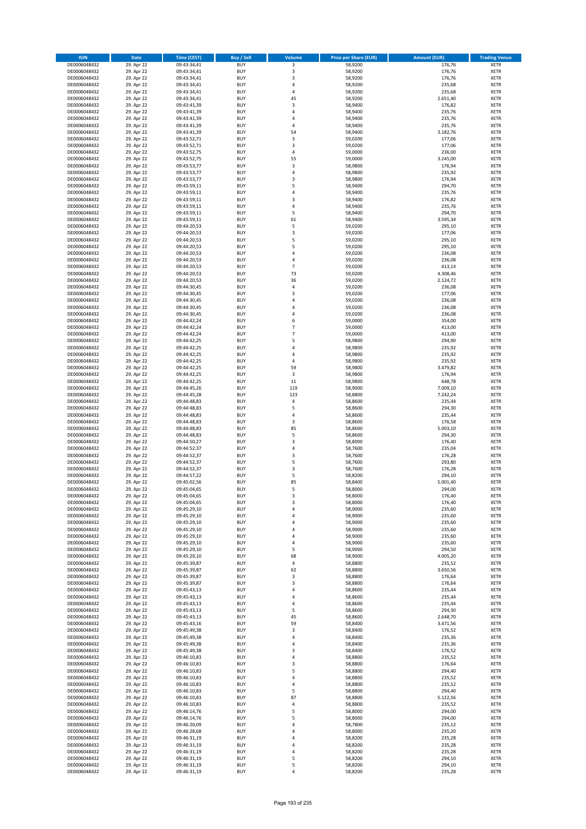| <b>ISIN</b>                  | <b>Date</b>              | <b>Time (CEST)</b>         | <b>Buy / Sell</b>        | Volume                           | <b>Price per Share (EUR)</b> | <b>Amount (EUR)</b> | <b>Trading Venue</b>       |
|------------------------------|--------------------------|----------------------------|--------------------------|----------------------------------|------------------------------|---------------------|----------------------------|
| DE0006048432                 | 29. Apr 22               | 09:43:34,41                | <b>BUY</b>               | 3                                | 58,9200                      | 176,76              | <b>XETR</b>                |
| DE0006048432                 | 29. Apr 22               | 09:43:34,41                | <b>BUY</b>               | 3                                | 58,9200                      | 176,76              | <b>XETR</b>                |
| DE0006048432                 | 29. Apr 22               | 09:43:34,41                | <b>BUY</b>               | 3                                | 58,9200                      | 176,76              | <b>XETR</b>                |
| DE0006048432<br>DE0006048432 | 29. Apr 22<br>29. Apr 22 | 09:43:34,41<br>09:43:34,41 | <b>BUY</b><br><b>BUY</b> | 4<br>4                           | 58,9200<br>58,9200           | 235,68<br>235,68    | <b>XETR</b><br><b>XETR</b> |
| DE0006048432                 | 29. Apr 22               | 09:43:34,41                | <b>BUY</b>               | 45                               | 58,9200                      | 2.651,40            | <b>XETR</b>                |
| DE0006048432                 | 29. Apr 22               | 09:43:41,39                | <b>BUY</b>               | 3                                | 58,9400                      | 176,82              | <b>XETR</b>                |
| DE0006048432                 | 29. Apr 22               | 09:43:41,39                | <b>BUY</b>               | 4                                | 58,9400                      | 235,76              | <b>XETR</b>                |
| DE0006048432                 | 29. Apr 22               | 09:43:41,39                | <b>BUY</b>               | 4                                | 58,9400                      | 235,76              | <b>XETR</b>                |
| DE0006048432                 | 29. Apr 22               | 09:43:41,39                | <b>BUY</b>               | 4                                | 58,9400                      | 235,76              | <b>XETR</b>                |
| DE0006048432                 | 29. Apr 22               | 09:43:41,39                | <b>BUY</b>               | 54                               | 58,9400                      | 3.182,76            | <b>XETR</b>                |
| DE0006048432<br>DE0006048432 | 29. Apr 22<br>29. Apr 22 | 09:43:52,71                | <b>BUY</b><br><b>BUY</b> | 3<br>3                           | 59,0200<br>59,0200           | 177,06<br>177,06    | <b>XETR</b><br><b>XETR</b> |
| DE0006048432                 | 29. Apr 22               | 09:43:52,71<br>09:43:52,75 | <b>BUY</b>               | 4                                | 59,0000                      | 236,00              | <b>XETR</b>                |
| DE0006048432                 | 29. Apr 22               | 09:43:52,75                | <b>BUY</b>               | 55                               | 59,0000                      | 3.245,00            | <b>XETR</b>                |
| DE0006048432                 | 29. Apr 22               | 09:43:53,77                | <b>BUY</b>               | 3                                | 58,9800                      | 176,94              | <b>XETR</b>                |
| DE0006048432                 | 29. Apr 22               | 09:43:53,77                | <b>BUY</b>               | 4                                | 58,9800                      | 235,92              | <b>XETR</b>                |
| DE0006048432                 | 29. Apr 22               | 09:43:53,77                | <b>BUY</b>               | 3                                | 58,9800                      | 176,94              | <b>XETR</b>                |
| DE0006048432                 | 29. Apr 22               | 09:43:59,11                | <b>BUY</b>               | 5                                | 58,9400                      | 294,70              | <b>XETR</b>                |
| DE0006048432                 | 29. Apr 22               | 09:43:59,11                | <b>BUY</b>               | 4                                | 58,9400                      | 235,76              | <b>XETR</b>                |
| DE0006048432                 | 29. Apr 22               | 09:43:59,11                | <b>BUY</b>               | 3                                | 58,9400                      | 176,82              | <b>XETR</b>                |
| DE0006048432<br>DE0006048432 | 29. Apr 22<br>29. Apr 22 | 09:43:59,11<br>09:43:59,11 | <b>BUY</b><br><b>BUY</b> | 4<br>5                           | 58,9400<br>58,9400           | 235,76<br>294,70    | <b>XETR</b><br><b>XETR</b> |
| DE0006048432                 | 29. Apr 22               | 09:43:59,11                | <b>BUY</b>               | 61                               | 58,9400                      | 3.595,34            | <b>XETR</b>                |
| DE0006048432                 | 29. Apr 22               | 09:44:20,53                | <b>BUY</b>               | 5                                | 59,0200                      | 295,10              | <b>XETR</b>                |
| DE0006048432                 | 29. Apr 22               | 09:44:20,53                | <b>BUY</b>               | 3                                | 59,0200                      | 177,06              | <b>XETR</b>                |
| DE0006048432                 | 29. Apr 22               | 09:44:20,53                | <b>BUY</b>               | 5                                | 59,0200                      | 295,10              | <b>XETR</b>                |
| DE0006048432                 | 29. Apr 22               | 09:44:20,53                | <b>BUY</b>               | 5                                | 59,0200                      | 295,10              | <b>XETR</b>                |
| DE0006048432                 | 29. Apr 22               | 09:44:20,53                | <b>BUY</b>               | 4                                | 59,0200                      | 236,08              | <b>XETR</b>                |
| DE0006048432                 | 29. Apr 22               | 09:44:20,53                | <b>BUY</b>               | 4                                | 59,0200                      | 236,08              | <b>XETR</b>                |
| DE0006048432<br>DE0006048432 | 29. Apr 22<br>29. Apr 22 | 09:44:20,53<br>09:44:20,53 | <b>BUY</b><br><b>BUY</b> | $\overline{7}$<br>73             | 59,0200<br>59,0200           | 413,14<br>4.308,46  | <b>XETR</b><br><b>XETR</b> |
| DE0006048432                 | 29. Apr 22               | 09:44:20,53                | <b>BUY</b>               | 36                               | 59,0200                      | 2.124,72            | <b>XETR</b>                |
| DE0006048432                 | 29. Apr 22               | 09:44:30,45                | <b>BUY</b>               | 4                                | 59,0200                      | 236,08              | <b>XETR</b>                |
| DE0006048432                 | 29. Apr 22               | 09:44:30,45                | <b>BUY</b>               | 3                                | 59,0200                      | 177,06              | <b>XETR</b>                |
| DE0006048432                 | 29. Apr 22               | 09:44:30,45                | <b>BUY</b>               | 4                                | 59,0200                      | 236,08              | <b>XETR</b>                |
| DE0006048432                 | 29. Apr 22               | 09:44:30,45                | <b>BUY</b>               | $\overline{a}$                   | 59,0200                      | 236,08              | <b>XETR</b>                |
| DE0006048432                 | 29. Apr 22               | 09:44:30,45                | <b>BUY</b>               | 4                                | 59,0200                      | 236,08              | <b>XETR</b>                |
| DE0006048432                 | 29. Apr 22               | 09:44:42,24                | <b>BUY</b>               | 6                                | 59,0000                      | 354,00              | <b>XETR</b>                |
| DE0006048432                 | 29. Apr 22               | 09:44:42,24                | <b>BUY</b>               | $\overline{7}$<br>$\overline{7}$ | 59,0000                      | 413,00              | <b>XETR</b>                |
| DE0006048432<br>DE0006048432 | 29. Apr 22<br>29. Apr 22 | 09:44:42,24<br>09:44:42,25 | <b>BUY</b><br><b>BUY</b> | 5                                | 59,0000<br>58,9800           | 413,00<br>294,90    | <b>XETR</b><br><b>XETR</b> |
| DE0006048432                 | 29. Apr 22               | 09:44:42,25                | <b>BUY</b>               | 4                                | 58,9800                      | 235,92              | <b>XETR</b>                |
| DE0006048432                 | 29. Apr 22               | 09:44:42,25                | <b>BUY</b>               | 4                                | 58,9800                      | 235,92              | <b>XETR</b>                |
| DE0006048432                 | 29. Apr 22               | 09:44:42,25                | <b>BUY</b>               | 4                                | 58,9800                      | 235,92              | <b>XETR</b>                |
| DE0006048432                 | 29. Apr 22               | 09:44:42,25                | <b>BUY</b>               | 59                               | 58,9800                      | 3.479,82            | <b>XETR</b>                |
| DE0006048432                 | 29. Apr 22               | 09:44:42,25                | <b>BUY</b>               | 3                                | 58,9800                      | 176,94              | <b>XETR</b>                |
| DE0006048432                 | 29. Apr 22               | 09:44:42,25                | <b>BUY</b>               | 11                               | 58,9800                      | 648,78              | <b>XETR</b>                |
| DE0006048432                 | 29. Apr 22               | 09:44:45,26                | <b>BUY</b>               | 119                              | 58,9000                      | 7.009,10            | <b>XETR</b>                |
| DE0006048432                 | 29. Apr 22               | 09:44:45,28                | <b>BUY</b>               | 123                              | 58,8800                      | 7.242,24            | <b>XETR</b>                |
| DE0006048432<br>DE0006048432 | 29. Apr 22<br>29. Apr 22 | 09:44:48,83<br>09:44:48,83 | <b>BUY</b><br><b>BUY</b> | 4<br>5                           | 58,8600<br>58,8600           | 235,44<br>294,30    | <b>XETR</b><br><b>XETR</b> |
| DE0006048432                 | 29. Apr 22               | 09:44:48,83                | <b>BUY</b>               | 4                                | 58,8600                      | 235,44              | <b>XETR</b>                |
| DE0006048432                 | 29. Apr 22               | 09:44:48,83                | <b>BUY</b>               | 3                                | 58,8600                      | 176,58              | <b>XETR</b>                |
| DE0006048432                 | 29. Apr 22               | 09:44:48,83                | <b>BUY</b>               | 85                               | 58,8600                      | 5.003,10            | <b>XETR</b>                |
| DE0006048432                 | 29. Apr 22               | 09:44:48,83                | <b>BUY</b>               | 5                                | 58,8600                      | 294,30              | <b>XETR</b>                |
| DE0006048432                 | 29. Apr 22               | 09:44:50,27                | <b>BUY</b>               | 3                                | 58,8000                      | 176,40              | <b>XETR</b>                |
| DE0006048432                 | 29. Apr 22               | 09:44:52,37                | <b>BUY</b>               | 4                                | 58,7600                      | 235,04              | <b>XETR</b>                |
| DE0006048432                 | 29. Apr 22               | 09:44:52,37                | <b>BUY</b>               | 3                                | 58,7600                      | 176,28              | <b>XETR</b>                |
| DE0006048432<br>DE0006048432 | 29. Apr 22               | 09:44:52,37                | <b>BUY</b><br><b>BUY</b> | 5                                | 58,7600                      | 293,80              | <b>XETR</b><br><b>XETR</b> |
| DE0006048432                 | 29. Apr 22<br>29. Apr 22 | 09:44:52,37<br>09:44:57,22 | <b>BUY</b>               | 3<br>5                           | 58,7600<br>58,8200           | 176,28<br>294,10    | <b>XETR</b>                |
| DE0006048432                 | 29. Apr 22               | 09:45:02,56                | <b>BUY</b>               | 85                               | 58,8400                      | 5.001,40            | <b>XETR</b>                |
| DE0006048432                 | 29. Apr 22               | 09:45:04,65                | <b>BUY</b>               | 5                                | 58,8000                      | 294,00              | <b>XETR</b>                |
| DE0006048432                 | 29. Apr 22               | 09:45:04,65                | BUY                      | 3                                | 58,8000                      | 176,40              | <b>XETR</b>                |
| DE0006048432                 | 29. Apr 22               | 09:45:04,65                | <b>BUY</b>               | 3                                | 58,8000                      | 176,40              | <b>XETR</b>                |
| DE0006048432                 | 29. Apr 22               | 09:45:29,10                | <b>BUY</b>               | 4                                | 58,9000                      | 235,60              | <b>XETR</b>                |
| DE0006048432                 | 29. Apr 22               | 09:45:29,10                | <b>BUY</b>               | 4                                | 58,9000                      | 235,60              | XETR                       |
| DE0006048432<br>DE0006048432 | 29. Apr 22<br>29. Apr 22 | 09:45:29,10<br>09:45:29,10 | <b>BUY</b><br><b>BUY</b> | 4<br>4                           | 58,9000<br>58,9000           | 235,60<br>235,60    | <b>XETR</b><br><b>XETR</b> |
| DE0006048432                 | 29. Apr 22               | 09:45:29,10                | <b>BUY</b>               | 4                                | 58,9000                      | 235,60              | <b>XETR</b>                |
| DE0006048432                 | 29. Apr 22               | 09:45:29,10                | <b>BUY</b>               | 4                                | 58,9000                      | 235,60              | <b>XETR</b>                |
| DE0006048432                 | 29. Apr 22               | 09:45:29,10                | <b>BUY</b>               | 5                                | 58,9000                      | 294,50              | <b>XETR</b>                |
| DE0006048432                 | 29. Apr 22               | 09:45:29,10                | <b>BUY</b>               | 68                               | 58,9000                      | 4.005,20            | <b>XETR</b>                |
| DE0006048432                 | 29. Apr 22               | 09:45:39,87                | <b>BUY</b>               | 4                                | 58,8800                      | 235,52              | <b>XETR</b>                |
| DE0006048432                 | 29. Apr 22               | 09:45:39,87                | <b>BUY</b>               | 62                               | 58,8800                      | 3.650,56            | <b>XETR</b>                |
| DE0006048432<br>DE0006048432 | 29. Apr 22               | 09:45:39,87                | <b>BUY</b><br><b>BUY</b> | 3<br>3                           | 58,8800                      | 176,64              | <b>XETR</b><br><b>XETR</b> |
| DE0006048432                 | 29. Apr 22<br>29. Apr 22 | 09:45:39,87<br>09:45:43,13 | <b>BUY</b>               | 4                                | 58,8800<br>58,8600           | 176,64<br>235,44    | <b>XETR</b>                |
| DE0006048432                 | 29. Apr 22               | 09:45:43,13                | <b>BUY</b>               | 4                                | 58,8600                      | 235,44              | <b>XETR</b>                |
| DE0006048432                 | 29. Apr 22               | 09:45:43,13                | <b>BUY</b>               | 4                                | 58,8600                      | 235,44              | <b>XETR</b>                |
| DE0006048432                 | 29. Apr 22               | 09:45:43,13                | <b>BUY</b>               | 5                                | 58,8600                      | 294,30              | <b>XETR</b>                |
| DE0006048432                 | 29. Apr 22               | 09:45:43,13                | <b>BUY</b>               | 45                               | 58,8600                      | 2.648,70            | XETR                       |
| DE0006048432                 | 29. Apr 22               | 09:45:43,16                | <b>BUY</b>               | 59                               | 58,8400                      | 3.471,56            | <b>XETR</b>                |
| DE0006048432                 | 29. Apr 22               | 09:45:49,38                | <b>BUY</b>               | 3                                | 58,8400                      | 176,52              | <b>XETR</b>                |
| DE0006048432                 | 29. Apr 22               | 09:45:49,38                | <b>BUY</b>               | 4                                | 58,8400                      | 235,36              | <b>XETR</b>                |
| DE0006048432<br>DE0006048432 | 29. Apr 22<br>29. Apr 22 | 09:45:49,38<br>09:45:49,38 | <b>BUY</b><br><b>BUY</b> | 4<br>3                           | 58,8400<br>58,8400           | 235,36<br>176,52    | <b>XETR</b><br><b>XETR</b> |
| DE0006048432                 | 29. Apr 22               | 09:46:10,83                | <b>BUY</b>               | 4                                | 58,8800                      | 235,52              | <b>XETR</b>                |
| DE0006048432                 | 29. Apr 22               | 09:46:10,83                | <b>BUY</b>               | 3                                | 58,8800                      | 176,64              | <b>XETR</b>                |
| DE0006048432                 | 29. Apr 22               | 09:46:10,83                | <b>BUY</b>               | 5                                | 58,8800                      | 294,40              | <b>XETR</b>                |
| DE0006048432                 | 29. Apr 22               | 09:46:10,83                | <b>BUY</b>               | 4                                | 58,8800                      | 235,52              | <b>XETR</b>                |
| DE0006048432                 | 29. Apr 22               | 09:46:10,83                | <b>BUY</b>               | 4                                | 58,8800                      | 235,52              | <b>XETR</b>                |
| DE0006048432                 | 29. Apr 22               | 09:46:10,83                | <b>BUY</b>               | 5                                | 58,8800                      | 294,40              | <b>XETR</b>                |
| DE0006048432                 | 29. Apr 22               | 09:46:10,83                | <b>BUY</b>               | 87                               | 58,8800                      | 5.122,56            | <b>XETR</b>                |
| DE0006048432<br>DE0006048432 | 29. Apr 22<br>29. Apr 22 | 09:46:10,83<br>09:46:14,76 | <b>BUY</b><br><b>BUY</b> | 4<br>5                           | 58,8800<br>58,8000           | 235,52<br>294,00    | <b>XETR</b><br><b>XETR</b> |
| DE0006048432                 | 29. Apr 22               | 09:46:14,76                | <b>BUY</b>               | 5                                | 58,8000                      | 294,00              | <b>XETR</b>                |
| DE0006048432                 | 29. Apr 22               | 09:46:20,09                | <b>BUY</b>               | 4                                | 58,7800                      | 235,12              | <b>XETR</b>                |
| DE0006048432                 | 29. Apr 22               | 09:46:28,68                | <b>BUY</b>               | 4                                | 58,8000                      | 235,20              | <b>XETR</b>                |
| DE0006048432                 | 29. Apr 22               | 09:46:31,19                | <b>BUY</b>               | $\overline{a}$                   | 58,8200                      | 235,28              | <b>XETR</b>                |
| DE0006048432                 | 29. Apr 22               | 09:46:31,19                | <b>BUY</b>               | 4                                | 58,8200                      | 235,28              | XETR                       |
| DE0006048432                 | 29. Apr 22               | 09:46:31,19                | <b>BUY</b>               | 4                                | 58,8200                      | 235,28              | <b>XETR</b>                |
| DE0006048432                 | 29. Apr 22               | 09:46:31,19                | <b>BUY</b>               | 5                                | 58,8200                      | 294,10              | <b>XETR</b>                |
| DE0006048432<br>DE0006048432 | 29. Apr 22<br>29. Apr 22 | 09:46:31,19<br>09:46:31,19 | <b>BUY</b><br><b>BUY</b> | 5<br>4                           | 58,8200<br>58,8200           | 294,10<br>235,28    | <b>XETR</b><br><b>XETR</b> |
|                              |                          |                            |                          |                                  |                              |                     |                            |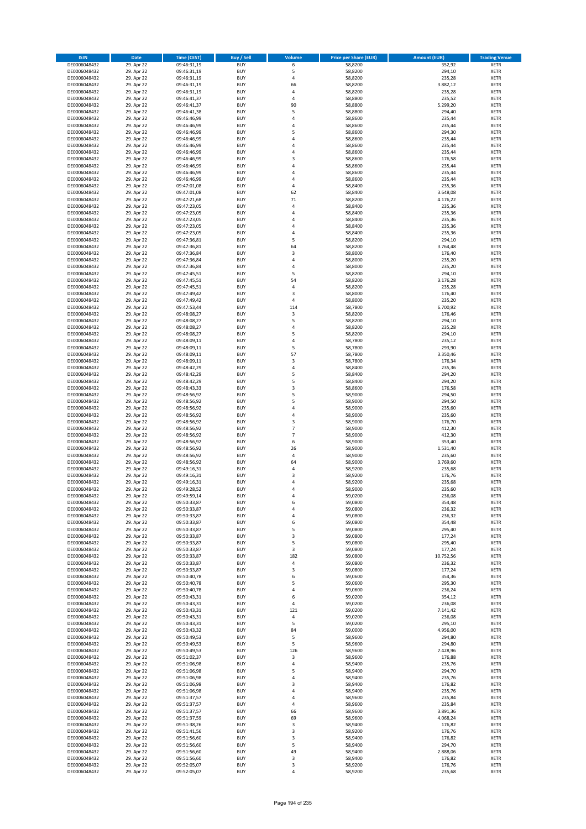| <b>ISIN</b>                  | Date                     | Time (CEST)                | <b>Buy / Sell</b>        | <b>Volume</b>       | <b>Price per Share (EUR)</b> | <b>Amount (EUR)</b> | <b>Trading Venue</b>       |
|------------------------------|--------------------------|----------------------------|--------------------------|---------------------|------------------------------|---------------------|----------------------------|
| DE0006048432                 | 29. Apr 22               | 09:46:31,19                | <b>BUY</b>               | 6                   | 58,8200                      | 352,92              | <b>XETR</b>                |
| DE0006048432                 | 29. Apr 22               | 09:46:31,19                | <b>BUY</b>               | 5                   | 58,8200                      | 294,10              | XETR                       |
| DE0006048432                 | 29. Apr 22               | 09:46:31,19                | <b>BUY</b>               | 4                   | 58,8200                      | 235,28              | <b>XETR</b>                |
| DE0006048432                 | 29. Apr 22               | 09:46:31,19                | <b>BUY</b>               | 66                  | 58,8200                      | 3.882,12            | XETR                       |
| DE0006048432                 | 29. Apr 22               | 09:46:31,19                | <b>BUY</b>               | 4                   | 58,8200                      | 235,28              | <b>XETR</b>                |
| DE0006048432                 | 29. Apr 22               | 09:46:41,37                | <b>BUY</b>               | $\overline{4}$      | 58,8800                      | 235,52              | <b>XETR</b>                |
| DE0006048432                 | 29. Apr 22               | 09:46:41,37                | <b>BUY</b>               | 90                  | 58,8800                      | 5.299,20            | <b>XETR</b>                |
| DE0006048432                 | 29. Apr 22               | 09:46:41,38                | <b>BUY</b>               | 5                   | 58,8800                      | 294,40              | <b>XETR</b>                |
| DE0006048432                 | 29. Apr 22               | 09:46:46,99                | <b>BUY</b>               | $\overline{4}$      | 58,8600                      | 235,44              | <b>XETR</b>                |
| DE0006048432                 | 29. Apr 22               | 09:46:46,99                | <b>BUY</b>               | 4                   | 58,8600                      | 235,44              | <b>XETR</b>                |
| DE0006048432                 | 29. Apr 22               | 09:46:46,99                | <b>BUY</b>               | 5                   | 58,8600                      | 294,30              | <b>XETR</b>                |
| DE0006048432                 | 29. Apr 22               | 09:46:46,99                | <b>BUY</b>               | 4                   | 58,8600                      | 235,44              | <b>XETR</b>                |
| DE0006048432                 | 29. Apr 22               | 09:46:46,99                | <b>BUY</b>               | $\overline{4}$      | 58,8600                      | 235,44              | <b>XETR</b>                |
| DE0006048432                 | 29. Apr 22               | 09:46:46,99                | <b>BUY</b>               | 4                   | 58,8600                      | 235,44              | <b>XETR</b>                |
| DE0006048432<br>DE0006048432 | 29. Apr 22<br>29. Apr 22 | 09:46:46,99<br>09:46:46,99 | <b>BUY</b><br><b>BUY</b> | 3<br>$\overline{a}$ | 58,8600<br>58,8600           | 176,58<br>235,44    | <b>XETR</b><br><b>XETR</b> |
| DE0006048432                 | 29. Apr 22               | 09:46:46,99                | <b>BUY</b>               | 4                   | 58,8600                      | 235,44              | <b>XETR</b>                |
| DE0006048432                 | 29. Apr 22               | 09:46:46,99                | <b>BUY</b>               | 4                   | 58,8600                      | 235,44              | <b>XETR</b>                |
| DE0006048432                 | 29. Apr 22               | 09:47:01,08                | <b>BUY</b>               | 4                   | 58,8400                      | 235,36              | <b>XETR</b>                |
| DE0006048432                 | 29. Apr 22               | 09:47:01,08                | <b>BUY</b>               | 62                  | 58,8400                      | 3.648,08            | <b>XETR</b>                |
| DE0006048432                 | 29. Apr 22               | 09:47:21,68                | <b>BUY</b>               | 71                  | 58,8200                      | 4.176,22            | <b>XETR</b>                |
| DE0006048432                 | 29. Apr 22               | 09:47:23,05                | <b>BUY</b>               | 4                   | 58,8400                      | 235,36              | <b>XETR</b>                |
| DE0006048432                 | 29. Apr 22               | 09:47:23,05                | <b>BUY</b>               | $\overline{4}$      | 58,8400                      | 235,36              | <b>XETR</b>                |
| DE0006048432                 | 29. Apr 22               | 09:47:23,05                | <b>BUY</b>               | 4                   | 58,8400                      | 235,36              | <b>XETR</b>                |
| DE0006048432                 | 29. Apr 22               | 09:47:23,05                | <b>BUY</b>               | 4                   | 58,8400                      | 235,36              | <b>XETR</b>                |
| DE0006048432                 | 29. Apr 22               | 09:47:23,05                | <b>BUY</b>               | 4                   | 58,8400                      | 235,36              | <b>XETR</b>                |
| DE0006048432                 | 29. Apr 22               | 09:47:36,81                | <b>BUY</b>               | 5                   | 58,8200                      | 294,10              | <b>XETR</b>                |
| DE0006048432                 | 29. Apr 22               | 09:47:36,81                | <b>BUY</b>               | 64                  | 58,8200                      | 3.764,48            | <b>XETR</b>                |
| DE0006048432                 | 29. Apr 22               | 09:47:36,84                | <b>BUY</b>               | 3                   | 58,8000                      | 176,40              | <b>XETR</b>                |
| DE0006048432                 | 29. Apr 22               | 09:47:36,84                | <b>BUY</b>               | $\overline{4}$      | 58,8000                      | 235,20              | <b>XETR</b>                |
| DE0006048432                 | 29. Apr 22               | 09:47:36,84                | <b>BUY</b>               | 4                   | 58,8000                      | 235,20              | <b>XETR</b>                |
| DE0006048432                 | 29. Apr 22               | 09:47:45,51                | <b>BUY</b>               | 5                   | 58,8200                      | 294,10              | <b>XETR</b>                |
| DE0006048432                 | 29. Apr 22               | 09:47:45,51                | <b>BUY</b>               | 54                  | 58,8200                      | 3.176,28            | <b>XETR</b>                |
| DE0006048432                 | 29. Apr 22               | 09:47:45,51                | <b>BUY</b>               | $\overline{4}$      | 58,8200                      | 235,28              | <b>XETR</b>                |
| DE0006048432                 | 29. Apr 22               | 09:47:49,42                | <b>BUY</b><br><b>BUY</b> | 3<br>$\sqrt{4}$     | 58,8000                      | 176,40              | <b>XETR</b>                |
| DE0006048432<br>DE0006048432 | 29. Apr 22<br>29. Apr 22 | 09:47:49,42<br>09:47:53,44 | <b>BUY</b>               | 114                 | 58,8000<br>58,7800           | 235,20<br>6.700,92  | <b>XETR</b><br><b>XETR</b> |
| DE0006048432                 | 29. Apr 22               | 09:48:08,27                | <b>BUY</b>               | 3                   | 58,8200                      | 176,46              | <b>XETR</b>                |
| DE0006048432                 | 29. Apr 22               | 09:48:08,27                | <b>BUY</b>               | 5                   | 58,8200                      | 294,10              | <b>XETR</b>                |
| DE0006048432                 | 29. Apr 22               | 09:48:08,27                | <b>BUY</b>               | 4                   | 58,8200                      | 235,28              | <b>XETR</b>                |
| DE0006048432                 | 29. Apr 22               | 09:48:08,27                | <b>BUY</b>               | 5                   | 58,8200                      | 294,10              | <b>XETR</b>                |
| DE0006048432                 | 29. Apr 22               | 09:48:09,11                | <b>BUY</b>               | 4                   | 58,7800                      | 235,12              | <b>XETR</b>                |
| DE0006048432                 | 29. Apr 22               | 09:48:09,11                | <b>BUY</b>               | 5                   | 58,7800                      | 293,90              | <b>XETR</b>                |
| DE0006048432                 | 29. Apr 22               | 09:48:09,11                | <b>BUY</b>               | 57                  | 58,7800                      | 3.350,46            | <b>XETR</b>                |
| DE0006048432                 | 29. Apr 22               | 09:48:09,11                | <b>BUY</b>               | $\mathsf 3$         | 58,7800                      | 176,34              | <b>XETR</b>                |
| DE0006048432                 | 29. Apr 22               | 09:48:42,29                | <b>BUY</b>               | 4                   | 58,8400                      | 235,36              | <b>XETR</b>                |
| DE0006048432                 | 29. Apr 22               | 09:48:42,29                | <b>BUY</b>               | 5                   | 58,8400                      | 294,20              | <b>XETR</b>                |
| DE0006048432                 | 29. Apr 22               | 09:48:42,29                | <b>BUY</b>               | 5                   | 58,8400                      | 294,20              | <b>XETR</b>                |
| DE0006048432                 | 29. Apr 22               | 09:48:43,33                | <b>BUY</b>               | 3                   | 58,8600                      | 176,58              | <b>XETR</b>                |
| DE0006048432                 | 29. Apr 22               | 09:48:56,92                | <b>BUY</b>               | 5                   | 58,9000                      | 294,50              | <b>XETR</b>                |
| DE0006048432                 | 29. Apr 22               | 09:48:56,92                | <b>BUY</b>               | 5                   | 58,9000                      | 294,50              | <b>XETR</b>                |
| DE0006048432                 | 29. Apr 22               | 09:48:56,92                | <b>BUY</b>               | $\overline{4}$      | 58,9000                      | 235,60              | <b>XETR</b>                |
| DE0006048432                 | 29. Apr 22               | 09:48:56,92                | <b>BUY</b>               | 4                   | 58,9000                      | 235,60              | <b>XETR</b>                |
| DE0006048432<br>DE0006048432 | 29. Apr 22               | 09:48:56,92                | <b>BUY</b><br><b>BUY</b> | 3<br>$\overline{7}$ | 58,9000                      | 176,70              | <b>XETR</b><br><b>XETR</b> |
|                              | 29. Apr 22               | 09:48:56,92                |                          | $\overline{7}$      | 58,9000                      | 412,30              |                            |
| DE0006048432<br>DE0006048432 | 29. Apr 22<br>29. Apr 22 | 09:48:56,92<br>09:48:56,92 | <b>BUY</b><br><b>BUY</b> | 6                   | 58,9000<br>58,9000           | 412,30<br>353,40    | <b>XETR</b><br><b>XETR</b> |
| DE0006048432                 | 29. Apr 22               | 09:48:56,92                | <b>BUY</b>               | 26                  | 58,9000                      | 1.531,40            | <b>XETR</b>                |
| DE0006048432                 | 29. Apr 22               | 09:48:56,92                | <b>BUY</b>               | $\overline{4}$      | 58,9000                      | 235,60              | <b>XETR</b>                |
| DE0006048432                 | 29. Apr 22               | 09:48:56,92                | <b>BUY</b>               | 64                  | 58,9000                      | 3.769,60            | <b>XETR</b>                |
| DE0006048432                 | 29. Apr 22               | 09:49:16,31                | <b>BUY</b>               | 4                   | 58,9200                      | 235,68              | <b>XETR</b>                |
| DE0006048432                 | 29. Apr 22               | 09:49:16,31                | <b>BUY</b>               | 3                   | 58,9200                      | 176,76              | <b>XETR</b>                |
| DE0006048432                 | 29. Apr 22               | 09:49:16,31                | <b>BUY</b>               | $\overline{4}$      | 58,9200                      | 235,68              | <b>XETR</b>                |
| DE0006048432                 | 29. Apr 22               | 09:49:28,52                | <b>BUY</b>               | $\overline{4}$      | 58,9000                      | 235,60              | <b>XETR</b>                |
| DE0006048432                 | 29. Apr 22               | 09:49:59,14                | BUY                      | 4                   | 59,0200                      | 236,08              | XETR                       |
| DE0006048432                 | 29. Apr 22               | 09:50:33,87                | <b>BUY</b>               | 6                   | 59,0800                      | 354,48              | <b>XETR</b>                |
| DE0006048432                 | 29. Apr 22               | 09:50:33,87                | <b>BUY</b>               | 4                   | 59,0800                      | 236,32              | <b>XETR</b>                |
| DE0006048432                 | 29. Apr 22               | 09:50:33,87                | <b>BUY</b>               | 4                   | 59,0800                      | 236,32              | XETR                       |
| DE0006048432                 | 29. Apr 22               | 09:50:33,87                | <b>BUY</b>               | 6                   | 59,0800                      | 354,48              | <b>XETR</b>                |
| DE0006048432                 | 29. Apr 22               | 09:50:33,87                | <b>BUY</b>               | 5                   | 59,0800                      | 295,40              | <b>XETR</b>                |
| DE0006048432                 | 29. Apr 22               | 09:50:33,87                | <b>BUY</b>               | 3                   | 59,0800                      | 177,24              | <b>XETR</b>                |
| DE0006048432                 | 29. Apr 22               | 09:50:33,87                | <b>BUY</b>               | 5                   | 59,0800                      | 295,40              | <b>XETR</b>                |
| DE0006048432                 | 29. Apr 22               | 09:50:33,87                | <b>BUY</b>               | 3                   | 59,0800                      | 177,24              | XETR                       |
| DE0006048432                 | 29. Apr 22               | 09:50:33,87                | <b>BUY</b>               | 182                 | 59,0800                      | 10.752,56           | <b>XETR</b>                |
| DE0006048432<br>DE0006048432 | 29. Apr 22               | 09:50:33,87                | <b>BUY</b><br><b>BUY</b> | $\pmb{4}$<br>3      | 59,0800<br>59,0800           | 236,32<br>177,24    | XETR<br><b>XETR</b>        |
| DE0006048432                 | 29. Apr 22<br>29. Apr 22 | 09:50:33,87<br>09:50:40,78 | <b>BUY</b>               | 6                   | 59,0600                      | 354,36              | XETR                       |
| DE0006048432                 | 29. Apr 22               | 09:50:40,78                | <b>BUY</b>               | 5                   | 59,0600                      | 295,30              | <b>XETR</b>                |
| DE0006048432                 | 29. Apr 22               | 09:50:40,78                | <b>BUY</b>               | $\sqrt{4}$          | 59,0600                      | 236,24              | XETR                       |
| DE0006048432                 | 29. Apr 22               | 09:50:43,31                | <b>BUY</b>               | 6                   | 59,0200                      | 354,12              | <b>XETR</b>                |
| DE0006048432                 | 29. Apr 22               | 09:50:43,31                | <b>BUY</b>               | 4                   | 59,0200                      | 236,08              | <b>XETR</b>                |
| DE0006048432                 | 29. Apr 22               | 09:50:43,31                | <b>BUY</b>               | 121                 | 59,0200                      | 7.141,42            | <b>XETR</b>                |
| DE0006048432                 | 29. Apr 22               | 09:50:43,31                | <b>BUY</b>               | 4                   | 59,0200                      | 236,08              | XETR                       |
| DE0006048432                 | 29. Apr 22               | 09:50:43,31                | <b>BUY</b>               | 5                   | 59,0200                      | 295,10              | <b>XETR</b>                |
| DE0006048432                 | 29. Apr 22               | 09:50:43,32                | <b>BUY</b>               | 84                  | 59,0000                      | 4.956,00            | <b>XETR</b>                |
| DE0006048432                 | 29. Apr 22               | 09:50:49,53                | <b>BUY</b>               | 5                   | 58,9600                      | 294,80              | <b>XETR</b>                |
| DE0006048432                 | 29. Apr 22               | 09:50:49,53                | <b>BUY</b>               | 5                   | 58,9600                      | 294,80              | XETR                       |
| DE0006048432                 | 29. Apr 22               | 09:50:49,53                | <b>BUY</b>               | 126                 | 58,9600                      | 7.428,96            | XETR                       |
| DE0006048432                 | 29. Apr 22               | 09:51:02,37                | <b>BUY</b>               | 3                   | 58,9600                      | 176,88              | XETR                       |
| DE0006048432                 | 29. Apr 22               | 09:51:06,98                | <b>BUY</b>               | 4                   | 58,9400                      | 235,76              | <b>XETR</b>                |
| DE0006048432                 | 29. Apr 22               | 09:51:06,98                | <b>BUY</b>               | 5                   | 58,9400                      | 294,70              | XETR                       |
| DE0006048432                 | 29. Apr 22               | 09:51:06,98                | <b>BUY</b>               | 4                   | 58,9400                      | 235,76              | <b>XETR</b>                |
| DE0006048432                 | 29. Apr 22               | 09:51:06,98                | <b>BUY</b>               | 3                   | 58,9400                      | 176,82              | XETR                       |
| DE0006048432                 | 29. Apr 22               | 09:51:06,98                | <b>BUY</b>               | 4                   | 58,9400                      | 235,76              | <b>XETR</b>                |
| DE0006048432                 | 29. Apr 22               | 09:51:37,57                | <b>BUY</b>               | 4                   | 58,9600                      | 235,84              | XETR                       |
| DE0006048432<br>DE0006048432 | 29. Apr 22<br>29. Apr 22 | 09:51:37,57                | <b>BUY</b><br><b>BUY</b> | $\sqrt{4}$          | 58,9600<br>58,9600           | 235,84<br>3.891,36  | XETR<br>XETR               |
| DE0006048432                 | 29. Apr 22               | 09:51:37,57<br>09:51:37,59 | <b>BUY</b>               | 66<br>69            | 58,9600                      | 4.068,24            | <b>XETR</b>                |
| DE0006048432                 | 29. Apr 22               | 09:51:38,26                | <b>BUY</b>               | 3                   | 58,9400                      | 176,82              | <b>XETR</b>                |
| DE0006048432                 | 29. Apr 22               | 09:51:41,56                | <b>BUY</b>               | $\mathsf 3$         | 58,9200                      | 176,76              | XETR                       |
| DE0006048432                 | 29. Apr 22               | 09:51:56,60                | <b>BUY</b>               | 3                   | 58,9400                      | 176,82              | <b>XETR</b>                |
| DE0006048432                 | 29. Apr 22               | 09:51:56,60                | <b>BUY</b>               | 5                   | 58,9400                      | 294,70              | XETR                       |
| DE0006048432                 | 29. Apr 22               | 09:51:56,60                | <b>BUY</b>               | 49                  | 58,9400                      | 2.888,06            | <b>XETR</b>                |
| DE0006048432                 | 29. Apr 22               | 09:51:56,60                | <b>BUY</b>               | 3                   | 58,9400                      | 176,82              | XETR                       |
| DE0006048432                 | 29. Apr 22               | 09:52:05,07                | <b>BUY</b>               | 3                   | 58,9200                      | 176,76              | <b>XETR</b>                |
| DE0006048432                 | 29. Apr 22               | 09:52:05,07                | <b>BUY</b>               | $\sqrt{4}$          | 58,9200                      | 235,68              | <b>XETR</b>                |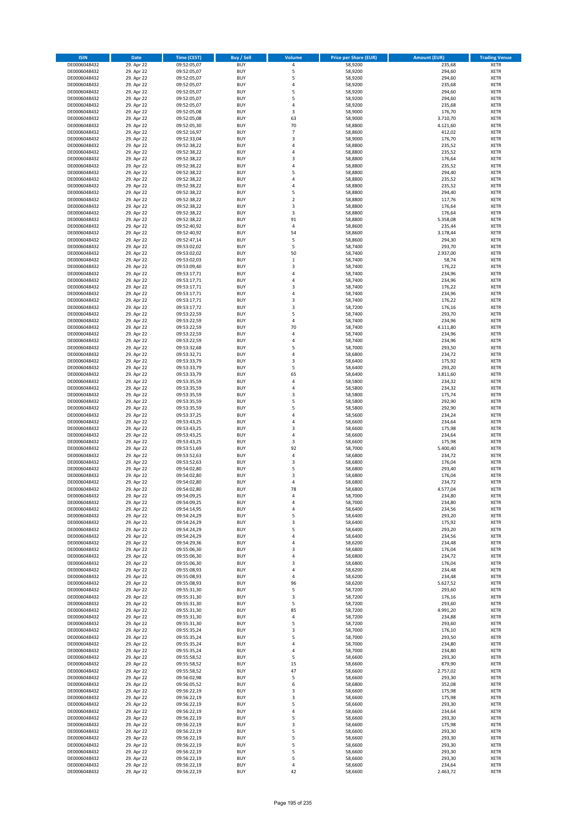| <b>ISIN</b>                  | <b>Date</b>              | <b>Time (CEST)</b>         | <b>Buy / Sell</b>        | <b>Volume</b>                | <b>Price per Share (EUR)</b> | <b>Amount (EUR)</b> | <b>Trading Venue</b>       |
|------------------------------|--------------------------|----------------------------|--------------------------|------------------------------|------------------------------|---------------------|----------------------------|
| DE0006048432                 | 29. Apr 22               | 09:52:05,07                | <b>BUY</b>               | 4                            | 58,9200                      | 235,68              | <b>XETR</b>                |
| DE0006048432                 | 29. Apr 22               | 09:52:05,07                | <b>BUY</b>               | 5                            | 58,9200                      | 294,60              | <b>XETR</b>                |
| DE0006048432                 | 29. Apr 22               | 09:52:05,07                | <b>BUY</b>               | 5                            | 58,9200                      | 294,60              | <b>XETR</b>                |
| DE0006048432                 | 29. Apr 22               | 09:52:05,07                | <b>BUY</b>               | 4                            | 58,9200                      | 235,68              | <b>XETR</b>                |
| DE0006048432<br>DE0006048432 | 29. Apr 22<br>29. Apr 22 | 09:52:05,07<br>09:52:05,07 | <b>BUY</b><br><b>BUY</b> | 5<br>5                       | 58,9200<br>58,9200           | 294,60<br>294,60    | <b>XETR</b><br><b>XETR</b> |
| DE0006048432                 | 29. Apr 22               | 09:52:05,07                | <b>BUY</b>               | 4                            | 58,9200                      | 235,68              | <b>XETR</b>                |
| DE0006048432                 | 29. Apr 22               | 09:52:05,08                | <b>BUY</b>               | 3                            | 58,9000                      | 176,70              | <b>XETR</b>                |
| DE0006048432                 | 29. Apr 22               | 09:52:05,08                | <b>BUY</b>               | 63                           | 58,9000                      | 3.710,70            | <b>XETR</b>                |
| DE0006048432                 | 29. Apr 22               | 09:52:05,30                | <b>BUY</b>               | 70                           | 58,8800                      | 4.121,60            | <b>XETR</b>                |
| DE0006048432                 | 29. Apr 22               | 09:52:16,97                | <b>BUY</b>               | $\overline{7}$               | 58,8600                      | 412,02              | <b>XETR</b>                |
| DE0006048432                 | 29. Apr 22               | 09:52:33,04                | <b>BUY</b>               | 3                            | 58,9000                      | 176,70              | <b>XETR</b>                |
| DE0006048432<br>DE0006048432 | 29. Apr 22<br>29. Apr 22 | 09:52:38,22<br>09:52:38,22 | <b>BUY</b><br><b>BUY</b> | 4<br>4                       | 58,8800<br>58,8800           | 235,52<br>235,52    | <b>XETR</b><br><b>XETR</b> |
| DE0006048432                 | 29. Apr 22               | 09:52:38,22                | <b>BUY</b>               | 3                            | 58,8800                      | 176,64              | <b>XETR</b>                |
| DE0006048432                 | 29. Apr 22               | 09:52:38,22                | <b>BUY</b>               | 4                            | 58,8800                      | 235,52              | <b>XETR</b>                |
| DE0006048432                 | 29. Apr 22               | 09:52:38,22                | <b>BUY</b>               | 5                            | 58,8800                      | 294,40              | <b>XETR</b>                |
| DE0006048432                 | 29. Apr 22               | 09:52:38,22                | <b>BUY</b>               | 4                            | 58,8800                      | 235,52              | <b>XETR</b>                |
| DE0006048432                 | 29. Apr 22               | 09:52:38,22                | <b>BUY</b>               | 4                            | 58,8800                      | 235,52              | <b>XETR</b>                |
| DE0006048432<br>DE0006048432 | 29. Apr 22<br>29. Apr 22 | 09:52:38,22<br>09:52:38,22 | <b>BUY</b><br><b>BUY</b> | 5<br>$\overline{\mathbf{c}}$ | 58,8800<br>58,8800           | 294,40<br>117,76    | <b>XETR</b><br><b>XETR</b> |
| DE0006048432                 | 29. Apr 22               | 09:52:38,22                | <b>BUY</b>               | 3                            | 58,8800                      | 176,64              | <b>XETR</b>                |
| DE0006048432                 | 29. Apr 22               | 09:52:38,22                | <b>BUY</b>               | 3                            | 58,8800                      | 176,64              | <b>XETR</b>                |
| DE0006048432                 | 29. Apr 22               | 09:52:38,22                | <b>BUY</b>               | 91                           | 58,8800                      | 5.358,08            | <b>XETR</b>                |
| DE0006048432                 | 29. Apr 22               | 09:52:40,92                | <b>BUY</b>               | 4                            | 58,8600                      | 235,44              | <b>XETR</b>                |
| DE0006048432                 | 29. Apr 22               | 09:52:40,92                | <b>BUY</b>               | 54                           | 58,8600                      | 3.178,44            | <b>XETR</b>                |
| DE0006048432<br>DE0006048432 | 29. Apr 22<br>29. Apr 22 | 09:52:47,14                | <b>BUY</b><br><b>BUY</b> | 5<br>5                       | 58,8600                      | 294,30              | <b>XETR</b><br><b>XETR</b> |
| DE0006048432                 | 29. Apr 22               | 09:53:02,02<br>09:53:02,02 | <b>BUY</b>               | 50                           | 58,7400<br>58,7400           | 293,70<br>2.937,00  | <b>XETR</b>                |
| DE0006048432                 | 29. Apr 22               | 09:53:02,03                | <b>BUY</b>               | $\mathbf 1$                  | 58,7400                      | 58,74               | <b>XETR</b>                |
| DE0006048432                 | 29. Apr 22               | 09:53:09,40                | <b>BUY</b>               | 3                            | 58,7400                      | 176,22              | <b>XETR</b>                |
| DE0006048432                 | 29. Apr 22               | 09:53:17,71                | <b>BUY</b>               | 4                            | 58,7400                      | 234,96              | <b>XETR</b>                |
| DE0006048432                 | 29. Apr 22               | 09:53:17,71                | <b>BUY</b>               | 4                            | 58,7400                      | 234,96              | <b>XETR</b>                |
| DE0006048432                 | 29. Apr 22               | 09:53:17,71                | <b>BUY</b>               | 3                            | 58,7400                      | 176,22              | <b>XETR</b>                |
| DE0006048432<br>DE0006048432 | 29. Apr 22<br>29. Apr 22 | 09:53:17,71<br>09:53:17,71 | <b>BUY</b><br><b>BUY</b> | 4<br>3                       | 58.7400<br>58,7400           | 234,96<br>176,22    | <b>XETR</b><br><b>XETR</b> |
| DE0006048432                 | 29. Apr 22               | 09:53:17,72                | <b>BUY</b>               | 3                            | 58,7200                      | 176,16              | <b>XETR</b>                |
| DE0006048432                 | 29. Apr 22               | 09:53:22,59                | <b>BUY</b>               | 5                            | 58,7400                      | 293,70              | <b>XETR</b>                |
| DE0006048432                 | 29. Apr 22               | 09:53:22,59                | <b>BUY</b>               | 4                            | 58,7400                      | 234,96              | <b>XETR</b>                |
| DE0006048432                 | 29. Apr 22               | 09:53:22,59                | <b>BUY</b>               | 70                           | 58,7400                      | 4.111,80            | <b>XETR</b>                |
| DE0006048432                 | 29. Apr 22               | 09:53:22,59                | <b>BUY</b>               | 4                            | 58,7400                      | 234,96              | <b>XETR</b>                |
| DE0006048432                 | 29. Apr 22<br>29. Apr 22 | 09:53:22,59                | <b>BUY</b><br><b>BUY</b> | 4<br>5                       | 58,7400<br>58,7000           | 234,96<br>293,50    | <b>XETR</b><br><b>XETR</b> |
| DE0006048432<br>DE0006048432 | 29. Apr 22               | 09:53:32,68<br>09:53:32,71 | <b>BUY</b>               | 4                            | 58,6800                      | 234,72              | <b>XETR</b>                |
| DE0006048432                 | 29. Apr 22               | 09:53:33,79                | <b>BUY</b>               | 3                            | 58,6400                      | 175,92              | <b>XETR</b>                |
| DE0006048432                 | 29. Apr 22               | 09:53:33,79                | <b>BUY</b>               | 5                            | 58,6400                      | 293,20              | <b>XETR</b>                |
| DE0006048432                 | 29. Apr 22               | 09:53:33,79                | <b>BUY</b>               | 65                           | 58,6400                      | 3.811,60            | <b>XETR</b>                |
| DE0006048432                 | 29. Apr 22               | 09:53:35,59                | <b>BUY</b>               | 4                            | 58,5800                      | 234,32              | <b>XETR</b>                |
| DE0006048432<br>DE0006048432 | 29. Apr 22<br>29. Apr 22 | 09:53:35,59<br>09:53:35,59 | <b>BUY</b><br><b>BUY</b> | 4<br>3                       | 58,5800<br>58,5800           | 234,32<br>175,74    | <b>XETR</b><br><b>XETR</b> |
| DE0006048432                 | 29. Apr 22               | 09:53:35,59                | <b>BUY</b>               | 5                            | 58,5800                      | 292,90              | <b>XETR</b>                |
| DE0006048432                 | 29. Apr 22               | 09:53:35,59                | <b>BUY</b>               | 5                            | 58,5800                      | 292,90              | <b>XETR</b>                |
| DE0006048432                 | 29. Apr 22               | 09:53:37,25                | <b>BUY</b>               | 4                            | 58,5600                      | 234,24              | <b>XETR</b>                |
| DE0006048432                 | 29. Apr 22               | 09:53:43,25                | <b>BUY</b>               | 4                            | 58,6600                      | 234,64              | <b>XETR</b>                |
| DE0006048432                 | 29. Apr 22               | 09:53:43,25                | <b>BUY</b>               | $\overline{3}$               | 58,6600                      | 175,98              | <b>XETR</b>                |
| DE0006048432                 | 29. Apr 22               | 09:53:43,25                | <b>BUY</b>               | 4                            | 58,6600                      | 234,64              | <b>XETR</b>                |
| DE0006048432<br>DE0006048432 | 29. Apr 22<br>29. Apr 22 | 09:53:43,25<br>09:53:51,69 | <b>BUY</b><br><b>BUY</b> | 3<br>92                      | 58,6600<br>58,7000           | 175,98<br>5.400,40  | <b>XETR</b><br><b>XETR</b> |
| DE0006048432                 | 29. Apr 22               | 09:53:52,63                | <b>BUY</b>               | 4                            | 58,6800                      | 234,72              | <b>XETR</b>                |
| DE0006048432                 | 29. Apr 22               | 09:53:52,63                | <b>BUY</b>               | 3                            | 58,6800                      | 176,04              | <b>XETR</b>                |
| DE0006048432                 | 29. Apr 22               | 09:54:02,80                | <b>BUY</b>               | 5                            | 58,6800                      | 293,40              | <b>XETR</b>                |
| DE0006048432                 | 29. Apr 22               | 09:54:02,80                | <b>BUY</b>               | $\overline{3}$               | 58,6800                      | 176,04              | <b>XETR</b>                |
| DE0006048432                 | 29. Apr 22               | 09:54:02,80                | <b>BUY</b>               | 4                            | 58,6800                      | 234,72              | <b>XETR</b>                |
| DE0006048432<br>DE0006048432 | 29. Apr 22<br>29. Apr 22 | 09:54:02,80<br>09:54:09,25 | <b>BUY</b><br>BUY        | 78<br>4                      | 58,6800<br>58,7000           | 4.577,04<br>234,80  | <b>XETR</b><br><b>XETR</b> |
| DE0006048432                 | 29. Apr 22               | 09:54:09,25                | <b>BUY</b>               | 4                            | 58,7000                      | 234,80              | <b>XETR</b>                |
| DE0006048432                 | 29. Apr 22               | 09:54:14,95                | <b>BUY</b>               | 4                            | 58,6400                      | 234,56              | <b>XETR</b>                |
| DE0006048432                 | 29. Apr 22               | 09:54:24,29                | <b>BUY</b>               | 5                            | 58,6400                      | 293,20              | <b>XETR</b>                |
| DE0006048432                 | 29. Apr 22               | 09:54:24,29                | <b>BUY</b>               | 3                            | 58,6400                      | 175,92              | <b>XETR</b>                |
| DE0006048432                 | 29. Apr 22               | 09:54:24,29                | <b>BUY</b>               | 5                            | 58,6400                      | 293,20              | <b>XETR</b>                |
| DE0006048432<br>DE0006048432 | 29. Apr 22<br>29. Apr 22 | 09:54:24,29<br>09:54:29,36 | <b>BUY</b><br><b>BUY</b> | 4<br>4                       | 58,6400<br>58,6200           | 234,56<br>234,48    | <b>XETR</b><br><b>XETR</b> |
| DE0006048432                 | 29. Apr 22               | 09:55:06,30                | <b>BUY</b>               | 3                            | 58,6800                      | 176,04              | <b>XETR</b>                |
| DE0006048432                 | 29. Apr 22               | 09:55:06,30                | <b>BUY</b>               | 4                            | 58,6800                      | 234,72              | <b>XETR</b>                |
| DE0006048432                 | 29. Apr 22               | 09:55:06,30                | <b>BUY</b>               | 3                            | 58,6800                      | 176,04              | <b>XETR</b>                |
| DE0006048432                 | 29. Apr 22               | 09:55:08,93                | <b>BUY</b>               | 4                            | 58,6200                      | 234,48              | <b>XETR</b>                |
| DE0006048432<br>DE0006048432 | 29. Apr 22<br>29. Apr 22 | 09:55:08,93<br>09:55:08,93 | <b>BUY</b><br><b>BUY</b> | 4<br>96                      | 58,6200<br>58,6200           | 234,48<br>5.627,52  | <b>XETR</b><br><b>XETR</b> |
| DE0006048432                 | 29. Apr 22               | 09:55:31,30                | <b>BUY</b>               | 5                            | 58,7200                      | 293,60              | <b>XETR</b>                |
| DE0006048432                 | 29. Apr 22               | 09:55:31,30                | <b>BUY</b>               | 3                            | 58,7200                      | 176,16              | <b>XETR</b>                |
| DE0006048432                 | 29. Apr 22               | 09:55:31,30                | <b>BUY</b>               | 5                            | 58,7200                      | 293,60              | <b>XETR</b>                |
| DE0006048432                 | 29. Apr 22               | 09:55:31,30                | <b>BUY</b>               | 85                           | 58,7200                      | 4.991,20            | <b>XETR</b>                |
| DE0006048432                 | 29. Apr 22               | 09:55:31,30                | <b>BUY</b>               | 4                            | 58,7200                      | 234,88              | <b>XETR</b>                |
| DE0006048432                 | 29. Apr 22               | 09:55:31,30                | <b>BUY</b>               | 5                            | 58,7200                      | 293,60              | <b>XETR</b>                |
| DE0006048432<br>DE0006048432 | 29. Apr 22<br>29. Apr 22 | 09:55:35,24<br>09:55:35,24 | <b>BUY</b><br><b>BUY</b> | 3<br>5                       | 58,7000<br>58,7000           | 176,10<br>293,50    | <b>XETR</b><br><b>XETR</b> |
| DE0006048432                 | 29. Apr 22               | 09:55:35,24                | <b>BUY</b>               | 4                            | 58,7000                      | 234,80              | <b>XETR</b>                |
| DE0006048432                 | 29. Apr 22               | 09:55:35,24                | <b>BUY</b>               | 4                            | 58,7000                      | 234,80              | <b>XETR</b>                |
| DE0006048432                 | 29. Apr 22               | 09:55:58,52                | <b>BUY</b>               | 5                            | 58,6600                      | 293,30              | <b>XETR</b>                |
| DE0006048432                 | 29. Apr 22               | 09:55:58,52                | <b>BUY</b>               | 15                           | 58,6600                      | 879,90              | <b>XETR</b>                |
| DE0006048432                 | 29. Apr 22               | 09:55:58,52                | <b>BUY</b>               | 47                           | 58,6600                      | 2.757,02            | <b>XETR</b>                |
| DE0006048432<br>DE0006048432 | 29. Apr 22<br>29. Apr 22 | 09:56:02,98<br>09:56:05,52 | <b>BUY</b><br><b>BUY</b> | 5<br>6                       | 58,6600<br>58,6800           | 293,30<br>352,08    | <b>XETR</b><br><b>XETR</b> |
| DE0006048432                 | 29. Apr 22               | 09:56:22,19                | <b>BUY</b>               | 3                            | 58,6600                      | 175,98              | <b>XETR</b>                |
| DE0006048432                 | 29. Apr 22               | 09:56:22,19                | <b>BUY</b>               | 3                            | 58,6600                      | 175,98              | <b>XETR</b>                |
| DE0006048432                 | 29. Apr 22               | 09:56:22,19                | <b>BUY</b>               | 5                            | 58,6600                      | 293,30              | <b>XETR</b>                |
| DE0006048432                 | 29. Apr 22               | 09:56:22,19                | <b>BUY</b>               | 4                            | 58,6600                      | 234,64              | <b>XETR</b>                |
| DE0006048432                 | 29. Apr 22               | 09:56:22,19                | <b>BUY</b>               | 5                            | 58,6600                      | 293,30              | <b>XETR</b>                |
| DE0006048432<br>DE0006048432 | 29. Apr 22<br>29. Apr 22 | 09:56:22,19<br>09:56:22,19 | <b>BUY</b><br><b>BUY</b> | 3<br>5                       | 58,6600<br>58,6600           | 175,98<br>293,30    | <b>XETR</b><br><b>XETR</b> |
| DE0006048432                 | 29. Apr 22               | 09:56:22,19                | <b>BUY</b>               | 5                            | 58,6600                      | 293,30              | <b>XETR</b>                |
| DE0006048432                 | 29. Apr 22               | 09:56:22,19                | <b>BUY</b>               | 5                            | 58,6600                      | 293,30              | XETR                       |
| DE0006048432                 | 29. Apr 22               | 09:56:22,19                | <b>BUY</b>               | 5                            | 58,6600                      | 293,30              | <b>XETR</b>                |
| DE0006048432                 | 29. Apr 22               | 09:56:22,19                | <b>BUY</b>               | 5                            | 58,6600                      | 293,30              | <b>XETR</b>                |
| DE0006048432                 | 29. Apr 22               | 09:56:22,19                | <b>BUY</b>               | 4                            | 58,6600                      | 234,64              | <b>XETR</b>                |
| DE0006048432                 | 29. Apr 22               | 09:56:22,19                | <b>BUY</b>               | 42                           | 58,6600                      | 2.463,72            | <b>XETR</b>                |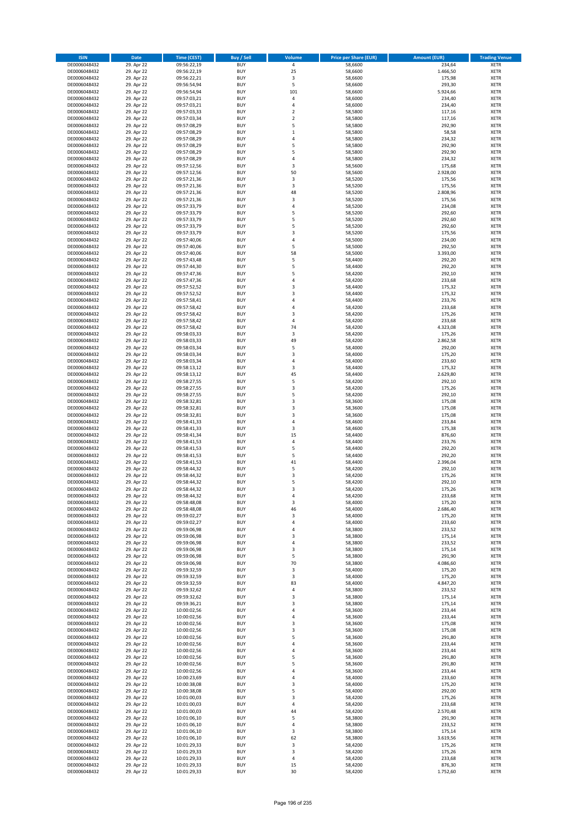| <b>ISIN</b>                  | Date                     | Time (CEST)                | <b>Buy / Sell</b>        | <b>Volume</b>       | <b>Price per Share (EUR)</b> | <b>Amount (EUR)</b> | <b>Trading Venue</b>       |
|------------------------------|--------------------------|----------------------------|--------------------------|---------------------|------------------------------|---------------------|----------------------------|
| DE0006048432                 | 29. Apr 22               | 09:56:22,19                | <b>BUY</b>               | $\pmb{4}$           | 58,6600                      | 234,64              | <b>XETR</b>                |
| DE0006048432                 | 29. Apr 22               | 09:56:22,19                | <b>BUY</b>               | 25                  | 58,6600                      | 1.466,50            | XETR                       |
| DE0006048432                 | 29. Apr 22               | 09:56:22,21                | <b>BUY</b>               | 3                   | 58,6600                      | 175,98              | <b>XETR</b>                |
| DE0006048432<br>DE0006048432 | 29. Apr 22<br>29. Apr 22 | 09:56:54,94<br>09:56:54,94 | <b>BUY</b><br><b>BUY</b> | 5<br>101            | 58,6600<br>58,6600           | 293,30<br>5.924,66  | XETR<br><b>XETR</b>        |
| DE0006048432                 | 29. Apr 22               | 09:57:03,21                | <b>BUY</b>               | 4                   | 58,6000                      | 234,40              | <b>XETR</b>                |
| DE0006048432                 | 29. Apr 22               | 09:57:03,21                | <b>BUY</b>               | $\overline{4}$      | 58,6000                      | 234,40              | <b>XETR</b>                |
| DE0006048432                 | 29. Apr 22               | 09:57:03,33                | <b>BUY</b>               | $\mathbf 2$         | 58,5800                      | 117,16              | <b>XETR</b>                |
| DE0006048432                 | 29. Apr 22               | 09:57:03,34                | <b>BUY</b>               | $\overline{2}$      | 58,5800                      | 117,16              | <b>XETR</b>                |
| DE0006048432                 | 29. Apr 22               | 09:57:08,29                | <b>BUY</b>               | 5                   | 58,5800                      | 292,90              | <b>XETR</b>                |
| DE0006048432<br>DE0006048432 | 29. Apr 22<br>29. Apr 22 | 09:57:08,29<br>09:57:08,29 | <b>BUY</b><br><b>BUY</b> | $\,1\,$<br>4        | 58,5800<br>58,5800           | 58,58<br>234,32     | <b>XETR</b><br><b>XETR</b> |
| DE0006048432                 | 29. Apr 22               | 09:57:08,29                | <b>BUY</b>               | 5                   | 58,5800                      | 292,90              | <b>XETR</b>                |
| DE0006048432                 | 29. Apr 22               | 09:57:08,29                | <b>BUY</b>               | 5                   | 58,5800                      | 292,90              | <b>XETR</b>                |
| DE0006048432                 | 29. Apr 22               | 09:57:08,29                | <b>BUY</b>               | 4                   | 58,5800                      | 234,32              | <b>XETR</b>                |
| DE0006048432                 | 29. Apr 22               | 09:57:12,56                | <b>BUY</b>               | 3                   | 58,5600                      | 175,68              | <b>XETR</b>                |
| DE0006048432                 | 29. Apr 22               | 09:57:12,56                | <b>BUY</b>               | 50                  | 58,5600                      | 2.928,00            | <b>XETR</b>                |
| DE0006048432                 | 29. Apr 22               | 09:57:21,36                | <b>BUY</b>               | 3                   | 58,5200                      | 175,56              | <b>XETR</b>                |
| DE0006048432<br>DE0006048432 | 29. Apr 22<br>29. Apr 22 | 09:57:21,36<br>09:57:21,36 | <b>BUY</b><br><b>BUY</b> | 3<br>48             | 58,5200<br>58,5200           | 175,56<br>2.808,96  | <b>XETR</b><br><b>XETR</b> |
| DE0006048432                 | 29. Apr 22               | 09:57:21,36                | <b>BUY</b>               | 3                   | 58,5200                      | 175,56              | <b>XETR</b>                |
| DE0006048432                 | 29. Apr 22               | 09:57:33,79                | <b>BUY</b>               | 4                   | 58,5200                      | 234,08              | <b>XETR</b>                |
| DE0006048432                 | 29. Apr 22               | 09:57:33,79                | <b>BUY</b>               | 5                   | 58,5200                      | 292,60              | <b>XETR</b>                |
| DE0006048432                 | 29. Apr 22               | 09:57:33,79                | <b>BUY</b>               | 5                   | 58,5200                      | 292,60              | <b>XETR</b>                |
| DE0006048432                 | 29. Apr 22               | 09:57:33,79                | <b>BUY</b>               | 5                   | 58,5200                      | 292,60              | <b>XETR</b>                |
| DE0006048432<br>DE0006048432 | 29. Apr 22<br>29. Apr 22 | 09:57:33,79<br>09:57:40,06 | <b>BUY</b><br><b>BUY</b> | 3<br>$\overline{4}$ | 58,5200<br>58,5000           | 175,56<br>234,00    | <b>XETR</b><br><b>XETR</b> |
| DE0006048432                 | 29. Apr 22               | 09:57:40,06                | <b>BUY</b>               | 5                   | 58,5000                      | 292,50              | <b>XETR</b>                |
| DE0006048432                 | 29. Apr 22               | 09:57:40,06                | <b>BUY</b>               | 58                  | 58,5000                      | 3.393,00            | <b>XETR</b>                |
| DE0006048432                 | 29. Apr 22               | 09:57:43,48                | <b>BUY</b>               | 5                   | 58,4400                      | 292,20              | <b>XETR</b>                |
| DE0006048432                 | 29. Apr 22               | 09:57:44,30                | <b>BUY</b>               | 5                   | 58,4400                      | 292,20              | <b>XETR</b>                |
| DE0006048432                 | 29. Apr 22               | 09:57:47,36                | <b>BUY</b>               | 5                   | 58,4200                      | 292,10              | <b>XETR</b>                |
| DE0006048432<br>DE0006048432 | 29. Apr 22               | 09:57:47,36<br>09:57:52,52 | <b>BUY</b><br><b>BUY</b> | 4<br>3              | 58,4200<br>58,4400           | 233,68<br>175,32    | <b>XETR</b><br><b>XETR</b> |
| DE0006048432                 | 29. Apr 22<br>29. Apr 22 | 09:57:52,52                | <b>BUY</b>               | 3                   | 58,4400                      | 175,32              | <b>XETR</b>                |
| DE0006048432                 | 29. Apr 22               | 09:57:58,41                | <b>BUY</b>               | 4                   | 58,4400                      | 233,76              | <b>XETR</b>                |
| DE0006048432                 | 29. Apr 22               | 09:57:58,42                | <b>BUY</b>               | $\overline{4}$      | 58,4200                      | 233,68              | <b>XETR</b>                |
| DE0006048432                 | 29. Apr 22               | 09:57:58,42                | <b>BUY</b>               | 3                   | 58,4200                      | 175,26              | <b>XETR</b>                |
| DE0006048432                 | 29. Apr 22               | 09:57:58,42                | <b>BUY</b>               | $\pmb{4}$           | 58,4200                      | 233,68              | <b>XETR</b>                |
| DE0006048432                 | 29. Apr 22               | 09:57:58,42                | <b>BUY</b>               | 74                  | 58,4200                      | 4.323,08            | <b>XETR</b>                |
| DE0006048432<br>DE0006048432 | 29. Apr 22<br>29. Apr 22 | 09:58:03,33<br>09:58:03,33 | <b>BUY</b><br><b>BUY</b> | 3<br>49             | 58,4200<br>58,4200           | 175,26<br>2.862,58  | <b>XETR</b><br><b>XETR</b> |
| DE0006048432                 | 29. Apr 22               | 09:58:03,34                | <b>BUY</b>               | 5                   | 58,4000                      | 292,00              | <b>XETR</b>                |
| DE0006048432                 | 29. Apr 22               | 09:58:03,34                | <b>BUY</b>               | 3                   | 58,4000                      | 175,20              | <b>XETR</b>                |
| DE0006048432                 | 29. Apr 22               | 09:58:03,34                | <b>BUY</b>               | 4                   | 58,4000                      | 233,60              | <b>XETR</b>                |
| DE0006048432                 | 29. Apr 22               | 09:58:13,12                | <b>BUY</b>               | 3                   | 58,4400                      | 175,32              | <b>XETR</b>                |
| DE0006048432                 | 29. Apr 22               | 09:58:13,12                | <b>BUY</b>               | 45                  | 58,4400                      | 2.629,80            | <b>XETR</b>                |
| DE0006048432<br>DE0006048432 | 29. Apr 22<br>29. Apr 22 | 09:58:27,55<br>09:58:27,55 | <b>BUY</b><br><b>BUY</b> | 5<br>3              | 58,4200<br>58,4200           | 292,10<br>175,26    | <b>XETR</b><br><b>XETR</b> |
| DE0006048432                 | 29. Apr 22               | 09:58:27,55                | <b>BUY</b>               | 5                   | 58,4200                      | 292,10              | <b>XETR</b>                |
| DE0006048432                 | 29. Apr 22               | 09:58:32,81                | <b>BUY</b>               | 3                   | 58,3600                      | 175,08              | <b>XETR</b>                |
| DE0006048432                 | 29. Apr 22               | 09:58:32,81                | <b>BUY</b>               | 3                   | 58,3600                      | 175,08              | <b>XETR</b>                |
| DE0006048432                 | 29. Apr 22               | 09:58:32,81                | <b>BUY</b>               | 3                   | 58,3600                      | 175,08              | <b>XETR</b>                |
| DE0006048432                 | 29. Apr 22               | 09:58:41,33                | <b>BUY</b>               | $\sqrt{4}$          | 58,4600                      | 233,84              | <b>XETR</b>                |
| DE0006048432<br>DE0006048432 | 29. Apr 22<br>29. Apr 22 | 09:58:41,33<br>09:58:41,34 | <b>BUY</b><br><b>BUY</b> | 3<br>15             | 58,4600<br>58,4400           | 175,38<br>876,60    | <b>XETR</b><br><b>XETR</b> |
| DE0006048432                 | 29. Apr 22               | 09:58:41,53                | <b>BUY</b>               | $\pmb{4}$           | 58,4400                      | 233,76              | <b>XETR</b>                |
| DE0006048432                 | 29. Apr 22               | 09:58:41,53                | <b>BUY</b>               | 5                   | 58,4400                      | 292,20              | <b>XETR</b>                |
| DE0006048432                 | 29. Apr 22               | 09:58:41,53                | <b>BUY</b>               | 5                   | 58,4400                      | 292,20              | <b>XETR</b>                |
| DE0006048432                 | 29. Apr 22               | 09:58:41,53                | <b>BUY</b>               | 41                  | 58,4400                      | 2.396,04            | <b>XETR</b>                |
| DE0006048432                 | 29. Apr 22               | 09:58:44,32                | <b>BUY</b>               | 5                   | 58,4200                      | 292,10              | <b>XETR</b>                |
| DE0006048432<br>DE0006048432 | 29. Apr 22<br>29. Apr 22 | 09:58:44,32<br>09:58:44,32 | <b>BUY</b><br><b>BUY</b> | 3<br>5              | 58,4200<br>58,4200           | 175,26<br>292,10    | <b>XETR</b><br><b>XETR</b> |
| DE0006048432                 | 29. Apr 22               | 09:58:44,32                | <b>BUY</b>               | 3                   | 58,4200                      | 175,26              | <b>XETR</b>                |
| DE0006048432                 | 29. Apr 22               | 09:58:44,32                | BUY                      | 4                   | 58,4200                      | 233,68              | XETR                       |
| DE0006048432                 | 29. Apr 22               | 09:58:48,08                | <b>BUY</b>               | 3                   | 58,4000                      | 175,20              | <b>XETR</b>                |
| DE0006048432                 | 29. Apr 22               | 09:58:48,08                | <b>BUY</b>               | 46                  | 58,4000                      | 2.686,40            | <b>XETR</b>                |
| DE0006048432                 | 29. Apr 22               | 09:59:02,27                | <b>BUY</b>               | 3                   | 58,4000                      | 175,20              | <b>XETR</b>                |
| DE0006048432<br>DE0006048432 | 29. Apr 22<br>29. Apr 22 | 09:59:02,27                | <b>BUY</b><br><b>BUY</b> | 4<br>4              | 58,4000                      | 233,60              | <b>XETR</b>                |
| DE0006048432                 | 29. Apr 22               | 09:59:06,98<br>09:59:06,98 | <b>BUY</b>               | 3                   | 58,3800<br>58,3800           | 233,52<br>175,14    | <b>XETR</b><br><b>XETR</b> |
| DE0006048432                 | 29. Apr 22               | 09:59:06,98                | <b>BUY</b>               | $\pmb{4}$           | 58,3800                      | 233,52              | <b>XETR</b>                |
| DE0006048432                 | 29. Apr 22               | 09:59:06,98                | <b>BUY</b>               | 3                   | 58,3800                      | 175,14              | XETR                       |
| DE0006048432                 | 29. Apr 22               | 09:59:06,98                | <b>BUY</b>               | 5                   | 58,3800                      | 291,90              | <b>XETR</b>                |
| DE0006048432                 | 29. Apr 22               | 09:59:06,98                | <b>BUY</b>               | 70                  | 58,3800                      | 4.086,60            | XETR                       |
| DE0006048432<br>DE0006048432 | 29. Apr 22<br>29. Apr 22 | 09:59:32,59<br>09:59:32,59 | <b>BUY</b><br><b>BUY</b> | 3<br>$\mathsf 3$    | 58,4000<br>58,4000           | 175,20<br>175,20    | <b>XETR</b><br>XETR        |
| DE0006048432                 | 29. Apr 22               | 09:59:32,59                | <b>BUY</b>               | 83                  | 58,4000                      | 4.847,20            | <b>XETR</b>                |
| DE0006048432                 | 29. Apr 22               | 09:59:32,62                | <b>BUY</b>               | 4                   | 58,3800                      | 233,52              | XETR                       |
| DE0006048432                 | 29. Apr 22               | 09:59:32,62                | <b>BUY</b>               | 3                   | 58,3800                      | 175,14              | <b>XETR</b>                |
| DE0006048432                 | 29. Apr 22               | 09:59:36,21                | <b>BUY</b>               | 3                   | 58,3800                      | 175,14              | <b>XETR</b>                |
| DE0006048432                 | 29. Apr 22               | 10:00:02,56                | <b>BUY</b>               | $\pmb{4}$           | 58,3600                      | 233,44              | <b>XETR</b>                |
| DE0006048432<br>DE0006048432 | 29. Apr 22<br>29. Apr 22 | 10:00:02,56<br>10:00:02,56 | <b>BUY</b><br><b>BUY</b> | 4<br>$\mathsf 3$    | 58,3600<br>58,3600           | 233,44<br>175,08    | XETR<br><b>XETR</b>        |
| DE0006048432                 | 29. Apr 22               | 10:00:02,56                | <b>BUY</b>               | 3                   | 58,3600                      | 175,08              | <b>XETR</b>                |
| DE0006048432                 | 29. Apr 22               | 10:00:02,56                | <b>BUY</b>               | 5                   | 58,3600                      | 291,80              | <b>XETR</b>                |
| DE0006048432                 | 29. Apr 22               | 10:00:02,56                | <b>BUY</b>               | 4                   | 58,3600                      | 233,44              | XETR                       |
| DE0006048432                 | 29. Apr 22               | 10:00:02,56                | <b>BUY</b>               | 4                   | 58,3600                      | 233,44              | <b>XETR</b>                |
| DE0006048432                 | 29. Apr 22               | 10:00:02,56                | <b>BUY</b>               | 5                   | 58,3600                      | 291,80              | XETR                       |
| DE0006048432                 | 29. Apr 22               | 10:00:02,56                | <b>BUY</b>               | 5                   | 58,3600                      | 291,80              | <b>XETR</b>                |
| DE0006048432<br>DE0006048432 | 29. Apr 22<br>29. Apr 22 | 10:00:02,56<br>10:00:23,69 | <b>BUY</b><br><b>BUY</b> | 4<br>4              | 58,3600<br>58,4000           | 233,44<br>233,60    | <b>XETR</b><br><b>XETR</b> |
| DE0006048432                 | 29. Apr 22               | 10:00:38,08                | <b>BUY</b>               | 3                   | 58,4000                      | 175,20              | <b>XETR</b>                |
| DE0006048432                 | 29. Apr 22               | 10:00:38,08                | <b>BUY</b>               | 5                   | 58,4000                      | 292,00              | <b>XETR</b>                |
| DE0006048432                 | 29. Apr 22               | 10:01:00,03                | <b>BUY</b>               | 3                   | 58,4200                      | 175,26              | XETR                       |
| DE0006048432                 | 29. Apr 22               | 10:01:00,03                | <b>BUY</b>               | 4                   | 58,4200                      | 233,68              | XETR                       |
| DE0006048432                 | 29. Apr 22               | 10:01:00,03                | <b>BUY</b>               | 44                  | 58,4200                      | 2.570,48            | XETR                       |
| DE0006048432                 | 29. Apr 22               | 10:01:06,10                | <b>BUY</b>               | 5<br>$\pmb{4}$      | 58,3800                      | 291,90              | <b>XETR</b>                |
| DE0006048432<br>DE0006048432 | 29. Apr 22<br>29. Apr 22 | 10:01:06,10<br>10:01:06,10 | <b>BUY</b><br><b>BUY</b> | $\mathsf 3$         | 58,3800<br>58,3800           | 233,52<br>175,14    | <b>XETR</b><br><b>XETR</b> |
| DE0006048432                 | 29. Apr 22               | 10:01:06,10                | <b>BUY</b>               | 62                  | 58,3800                      | 3.619,56            | <b>XETR</b>                |
| DE0006048432                 | 29. Apr 22               | 10:01:29,33                | <b>BUY</b>               | $\mathsf 3$         | 58,4200                      | 175,26              | XETR                       |
| DE0006048432                 | 29. Apr 22               | 10:01:29,33                | <b>BUY</b>               | 3                   | 58,4200                      | 175,26              | <b>XETR</b>                |
| DE0006048432                 | 29. Apr 22               | 10:01:29,33                | <b>BUY</b>               | 4                   | 58,4200                      | 233,68              | XETR                       |
| DE0006048432                 | 29. Apr 22               | 10:01:29,33                | <b>BUY</b>               | 15<br>30            | 58,4200                      | 876,30              | <b>XETR</b>                |
| DE0006048432                 | 29. Apr 22               | 10:01:29,33                | <b>BUY</b>               |                     | 58,4200                      | 1.752,60            | <b>XETR</b>                |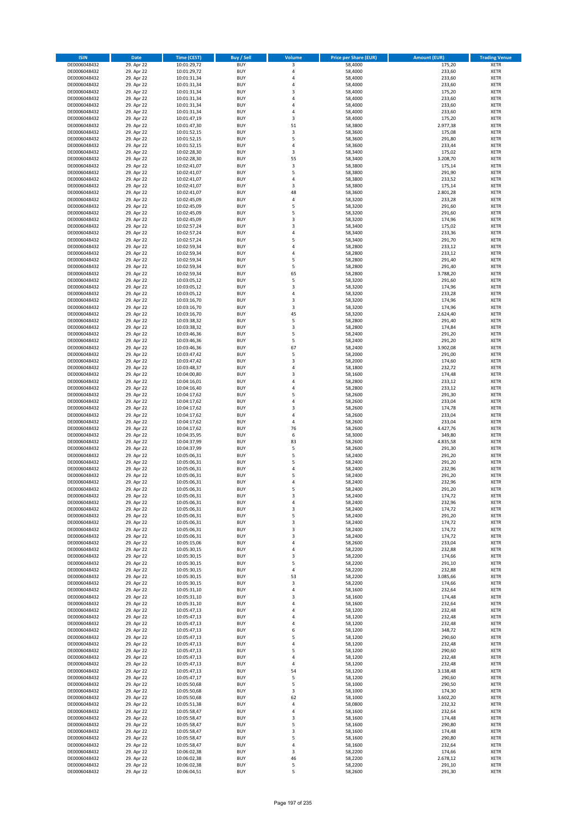| <b>ISIN</b>                  | <b>Date</b>              | <b>Time (CEST)</b>         | <b>Buy / Sell</b>        | <b>Volume</b> | <b>Price per Share (EUR)</b> | <b>Amount (EUR)</b> | <b>Trading Venue</b>       |
|------------------------------|--------------------------|----------------------------|--------------------------|---------------|------------------------------|---------------------|----------------------------|
| DE0006048432                 | 29. Apr 22               | 10:01:29,72                | <b>BUY</b>               | 3             | 58,4000                      | 175,20              | <b>XETR</b>                |
| DE0006048432                 | 29. Apr 22               | 10:01:29,72                | <b>BUY</b>               | 4             | 58,4000                      | 233,60              | <b>XETR</b>                |
| DE0006048432                 | 29. Apr 22               | 10:01:31,34                | <b>BUY</b>               | 4             | 58,4000                      | 233,60              | <b>XETR</b>                |
| DE0006048432<br>DE0006048432 | 29. Apr 22<br>29. Apr 22 | 10:01:31,34<br>10:01:31,34 | <b>BUY</b><br><b>BUY</b> | 4<br>3        | 58,4000<br>58,4000           | 233,60<br>175,20    | <b>XETR</b><br><b>XETR</b> |
| DE0006048432                 | 29. Apr 22               | 10:01:31,34                | <b>BUY</b>               | 4             | 58,4000                      | 233,60              | <b>XETR</b>                |
| DE0006048432                 | 29. Apr 22               | 10:01:31,34                | <b>BUY</b>               | 4             | 58,4000                      | 233,60              | <b>XETR</b>                |
| DE0006048432                 | 29. Apr 22               | 10:01:31,34                | <b>BUY</b>               | 4             | 58,4000                      | 233,60              | <b>XETR</b>                |
| DE0006048432                 | 29. Apr 22               | 10:01:47,19                | <b>BUY</b>               | 3             | 58,4000                      | 175,20              | <b>XETR</b>                |
| DE0006048432                 | 29. Apr 22               | 10:01:47,30                | <b>BUY</b>               | 51            | 58,3800                      | 2.977,38            | <b>XETR</b>                |
| DE0006048432                 | 29. Apr 22               | 10:01:52,15                | <b>BUY</b>               | 3             | 58,3600                      | 175,08              | <b>XETR</b>                |
| DE0006048432<br>DE0006048432 | 29. Apr 22<br>29. Apr 22 | 10:01:52,15                | <b>BUY</b><br><b>BUY</b> | 5<br>4        | 58,3600<br>58,3600           | 291,80<br>233,44    | <b>XETR</b><br><b>XETR</b> |
| DE0006048432                 | 29. Apr 22               | 10:01:52,15<br>10:02:28,30 | <b>BUY</b>               | 3             | 58,3400                      | 175,02              | <b>XETR</b>                |
| DE0006048432                 | 29. Apr 22               | 10:02:28,30                | <b>BUY</b>               | 55            | 58,3400                      | 3.208,70            | <b>XETR</b>                |
| DE0006048432                 | 29. Apr 22               | 10:02:41,07                | <b>BUY</b>               | 3             | 58,3800                      | 175,14              | <b>XETR</b>                |
| DE0006048432                 | 29. Apr 22               | 10:02:41,07                | <b>BUY</b>               | 5             | 58,3800                      | 291,90              | <b>XETR</b>                |
| DE0006048432                 | 29. Apr 22               | 10:02:41,07                | <b>BUY</b>               | 4             | 58,3800                      | 233,52              | <b>XETR</b>                |
| DE0006048432                 | 29. Apr 22               | 10:02:41,07                | <b>BUY</b>               | 3             | 58,3800                      | 175,14              | <b>XETR</b>                |
| DE0006048432                 | 29. Apr 22               | 10:02:41,07                | <b>BUY</b>               | 48            | 58,3600                      | 2.801,28            | <b>XETR</b>                |
| DE0006048432                 | 29. Apr 22               | 10:02:45,09                | <b>BUY</b><br><b>BUY</b> | 4<br>5        | 58,3200                      | 233,28<br>291,60    | <b>XETR</b><br><b>XETR</b> |
| DE0006048432<br>DE0006048432 | 29. Apr 22<br>29. Apr 22 | 10:02:45,09<br>10:02:45,09 | <b>BUY</b>               | 5             | 58,3200<br>58,3200           | 291,60              | <b>XETR</b>                |
| DE0006048432                 | 29. Apr 22               | 10:02:45,09                | <b>BUY</b>               | 3             | 58,3200                      | 174,96              | <b>XETR</b>                |
| DE0006048432                 | 29. Apr 22               | 10:02:57,24                | <b>BUY</b>               | 3             | 58,3400                      | 175,02              | <b>XETR</b>                |
| DE0006048432                 | 29. Apr 22               | 10:02:57,24                | <b>BUY</b>               | 4             | 58,3400                      | 233,36              | <b>XETR</b>                |
| DE0006048432                 | 29. Apr 22               | 10:02:57,24                | <b>BUY</b>               | 5             | 58,3400                      | 291,70              | <b>XETR</b>                |
| DE0006048432                 | 29. Apr 22               | 10:02:59,34                | <b>BUY</b>               | 4             | 58,2800                      | 233,12              | <b>XETR</b>                |
| DE0006048432                 | 29. Apr 22               | 10:02:59,34                | <b>BUY</b>               | 4             | 58,2800                      | 233,12              | <b>XETR</b>                |
| DE0006048432                 | 29. Apr 22               | 10:02:59,34                | <b>BUY</b><br><b>BUY</b> | 5<br>5        | 58,2800                      | 291,40              | <b>XETR</b><br><b>XETR</b> |
| DE0006048432<br>DE0006048432 | 29. Apr 22<br>29. Apr 22 | 10:02:59,34<br>10:02:59,34 | <b>BUY</b>               | 65            | 58,2800<br>58,2800           | 291,40<br>3.788,20  | <b>XETR</b>                |
| DE0006048432                 | 29. Apr 22               | 10:03:05,12                | <b>BUY</b>               | 5             | 58,3200                      | 291,60              | <b>XETR</b>                |
| DE0006048432                 | 29. Apr 22               | 10:03:05,12                | <b>BUY</b>               | 3             | 58,3200                      | 174,96              | <b>XETR</b>                |
| DE0006048432                 | 29. Apr 22               | 10:03:05,12                | <b>BUY</b>               | 4             | 58,3200                      | 233,28              | <b>XETR</b>                |
| DE0006048432                 | 29. Apr 22               | 10:03:16,70                | <b>BUY</b>               | 3             | 58,3200                      | 174,96              | <b>XETR</b>                |
| DE0006048432                 | 29. Apr 22               | 10:03:16,70                | <b>BUY</b>               | 3             | 58,3200                      | 174,96              | <b>XETR</b>                |
| DE0006048432                 | 29. Apr 22               | 10:03:16,70                | <b>BUY</b>               | 45            | 58,3200                      | 2.624,40            | <b>XETR</b>                |
| DE0006048432                 | 29. Apr 22               | 10:03:38,32                | <b>BUY</b>               | 5             | 58,2800                      | 291,40              | <b>XETR</b>                |
| DE0006048432<br>DE0006048432 | 29. Apr 22<br>29. Apr 22 | 10:03:38,32                | <b>BUY</b><br><b>BUY</b> | 3<br>5        | 58,2800<br>58,2400           | 174,84<br>291,20    | <b>XETR</b><br><b>XETR</b> |
| DE0006048432                 | 29. Apr 22               | 10:03:46,36<br>10:03:46,36 | <b>BUY</b>               | 5             | 58,2400                      | 291,20              | <b>XETR</b>                |
| DE0006048432                 | 29. Apr 22               | 10:03:46,36                | <b>BUY</b>               | 67            | 58,2400                      | 3.902,08            | <b>XETR</b>                |
| DE0006048432                 | 29. Apr 22               | 10:03:47,42                | <b>BUY</b>               | 5             | 58,2000                      | 291,00              | <b>XETR</b>                |
| DE0006048432                 | 29. Apr 22               | 10:03:47,42                | <b>BUY</b>               | 3             | 58,2000                      | 174,60              | <b>XETR</b>                |
| DE0006048432                 | 29. Apr 22               | 10:03:48,37                | <b>BUY</b>               | 4             | 58,1800                      | 232,72              | <b>XETR</b>                |
| DE0006048432                 | 29. Apr 22               | 10:04:00,80                | <b>BUY</b>               | 3             | 58,1600                      | 174,48              | <b>XETR</b>                |
| DE0006048432                 | 29. Apr 22               | 10:04:16,01                | <b>BUY</b>               | 4             | 58,2800                      | 233,12              | <b>XETR</b>                |
| DE0006048432                 | 29. Apr 22               | 10:04:16,40                | <b>BUY</b><br><b>BUY</b> | 4<br>5        | 58,2800                      | 233,12              | <b>XETR</b>                |
| DE0006048432<br>DE0006048432 | 29. Apr 22<br>29. Apr 22 | 10:04:17,62<br>10:04:17,62 | <b>BUY</b>               | 4             | 58,2600<br>58,2600           | 291,30<br>233,04    | <b>XETR</b><br><b>XETR</b> |
| DE0006048432                 | 29. Apr 22               | 10:04:17,62                | <b>BUY</b>               | 3             | 58,2600                      | 174,78              | <b>XETR</b>                |
| DE0006048432                 | 29. Apr 22               | 10:04:17,62                | <b>BUY</b>               | 4             | 58,2600                      | 233,04              | <b>XETR</b>                |
| DE0006048432                 | 29. Apr 22               | 10:04:17,62                | <b>BUY</b>               | 4             | 58,2600                      | 233,04              | <b>XETR</b>                |
| DE0006048432                 | 29. Apr 22               | 10:04:17,62                | <b>BUY</b>               | 76            | 58,2600                      | 4.427,76            | <b>XETR</b>                |
| DE0006048432                 | 29. Apr 22               | 10:04:35,95                | <b>BUY</b>               | 6             | 58,3000                      | 349,80              | <b>XETR</b>                |
| DE0006048432                 | 29. Apr 22               | 10:04:37,99                | <b>BUY</b>               | 83            | 58,2600                      | 4.835,58            | <b>XETR</b>                |
| DE0006048432                 | 29. Apr 22               | 10:04:37,99                | <b>BUY</b>               | 5             | 58,2600                      | 291,30              | <b>XETR</b>                |
| DE0006048432<br>DE0006048432 | 29. Apr 22<br>29. Apr 22 | 10:05:06,31<br>10:05:06,31 | <b>BUY</b><br><b>BUY</b> | 5<br>5        | 58,2400<br>58,2400           | 291,20<br>291,20    | <b>XETR</b><br><b>XETR</b> |
| DE0006048432                 | 29. Apr 22               | 10:05:06,31                | <b>BUY</b>               | 4             | 58,2400                      | 232,96              | <b>XETR</b>                |
| DE0006048432                 | 29. Apr 22               | 10:05:06,31                | <b>BUY</b>               | 5             | 58,2400                      | 291,20              | <b>XETR</b>                |
| DE0006048432                 | 29. Apr 22               | 10:05:06,31                | <b>BUY</b>               | 4             | 58,2400                      | 232,96              | <b>XETR</b>                |
| DE0006048432                 | 29. Apr 22               | 10:05:06,31                | <b>BUY</b>               | 5             | 58,2400                      | 291,20              | <b>XETR</b>                |
| DE0006048432                 | 29. Apr 22               | 10:05:06,31                | BUY                      | 3             | 58,2400                      | 174,72              | <b>XETR</b>                |
| DE0006048432                 | 29. Apr 22               | 10:05:06,31                | <b>BUY</b>               | 4             | 58,2400                      | 232,96              | <b>XETR</b>                |
| DE0006048432<br>DE0006048432 | 29. Apr 22<br>29. Apr 22 | 10:05:06,31<br>10:05:06,31 | <b>BUY</b><br><b>BUY</b> | 3<br>5        | 58,2400<br>58,2400           | 174,72<br>291,20    | <b>XETR</b><br>XETR        |
| DE0006048432                 | 29. Apr 22               | 10:05:06,31                | <b>BUY</b>               | 3             | 58,2400                      | 174,72              | <b>XETR</b>                |
| DE0006048432                 | 29. Apr 22               | 10:05:06,31                | <b>BUY</b>               | 3             | 58,2400                      | 174,72              | <b>XETR</b>                |
| DE0006048432                 | 29. Apr 22               | 10:05:06,31                | <b>BUY</b>               | 3             | 58,2400                      | 174,72              | <b>XETR</b>                |
| DE0006048432                 | 29. Apr 22               | 10:05:15,06                | <b>BUY</b>               | 4             | 58,2600                      | 233,04              | <b>XETR</b>                |
| DE0006048432                 | 29. Apr 22               | 10:05:30,15                | <b>BUY</b>               | 4             | 58,2200                      | 232,88              | <b>XETR</b>                |
| DE0006048432                 | 29. Apr 22               | 10:05:30,15                | <b>BUY</b>               | 3             | 58,2200                      | 174,66              | <b>XETR</b>                |
| DE0006048432<br>DE0006048432 | 29. Apr 22<br>29. Apr 22 | 10:05:30,15<br>10:05:30,15 | <b>BUY</b><br><b>BUY</b> | 5<br>4        | 58,2200<br>58,2200           | 291,10<br>232,88    | <b>XETR</b><br><b>XETR</b> |
| DE0006048432                 | 29. Apr 22               | 10:05:30,15                | <b>BUY</b>               | 53            | 58,2200                      | 3.085,66            | <b>XETR</b>                |
| DE0006048432                 | 29. Apr 22               | 10:05:30,15                | <b>BUY</b>               | 3             | 58,2200                      | 174,66              | <b>XETR</b>                |
| DE0006048432                 | 29. Apr 22               | 10:05:31,10                | <b>BUY</b>               | 4             | 58,1600                      | 232,64              | <b>XETR</b>                |
| DE0006048432                 | 29. Apr 22               | 10:05:31,10                | <b>BUY</b>               | 3             | 58,1600                      | 174,48              | <b>XETR</b>                |
| DE0006048432                 | 29. Apr 22               | 10:05:31,10                | <b>BUY</b>               | 4             | 58,1600                      | 232,64              | <b>XETR</b>                |
| DE0006048432                 | 29. Apr 22               | 10:05:47,13                | <b>BUY</b>               | 4             | 58,1200                      | 232,48              | <b>XETR</b>                |
| DE0006048432                 | 29. Apr 22               | 10:05:47,13                | <b>BUY</b>               | 4             | 58,1200                      | 232,48              | XETR                       |
| DE0006048432<br>DE0006048432 | 29. Apr 22<br>29. Apr 22 | 10:05:47,13<br>10:05:47,13 | <b>BUY</b><br><b>BUY</b> | 4<br>6        | 58,1200<br>58,1200           | 232,48<br>348,72    | <b>XETR</b><br><b>XETR</b> |
| DE0006048432                 | 29. Apr 22               | 10:05:47,13                | <b>BUY</b>               | 5             | 58,1200                      | 290,60              | <b>XETR</b>                |
| DE0006048432                 | 29. Apr 22               | 10:05:47,13                | <b>BUY</b>               | 4             | 58,1200                      | 232,48              | <b>XETR</b>                |
| DE0006048432                 | 29. Apr 22               | 10:05:47,13                | <b>BUY</b>               | 5             | 58,1200                      | 290,60              | <b>XETR</b>                |
| DE0006048432                 | 29. Apr 22               | 10:05:47,13                | <b>BUY</b>               | 4             | 58,1200                      | 232,48              | <b>XETR</b>                |
| DE0006048432                 | 29. Apr 22               | 10:05:47,13                | <b>BUY</b>               | 4             | 58,1200                      | 232,48              | <b>XETR</b>                |
| DE0006048432                 | 29. Apr 22               | 10:05:47,13                | <b>BUY</b>               | 54            | 58,1200                      | 3.138,48            | <b>XETR</b>                |
| DE0006048432                 | 29. Apr 22               | 10:05:47,17                | <b>BUY</b>               | 5             | 58,1200                      | 290,60              | <b>XETR</b>                |
| DE0006048432<br>DE0006048432 | 29. Apr 22<br>29. Apr 22 | 10:05:50,68<br>10:05:50,68 | <b>BUY</b><br><b>BUY</b> | 5<br>3        | 58,1000<br>58,1000           | 290,50<br>174,30    | <b>XETR</b><br><b>XETR</b> |
| DE0006048432                 | 29. Apr 22               | 10:05:50,68                | <b>BUY</b>               | 62            | 58,1000                      | 3.602,20            | <b>XETR</b>                |
| DE0006048432                 | 29. Apr 22               | 10:05:51,38                | <b>BUY</b>               | 4             | 58,0800                      | 232,32              | <b>XETR</b>                |
| DE0006048432                 | 29. Apr 22               | 10:05:58,47                | <b>BUY</b>               | 4             | 58,1600                      | 232,64              | <b>XETR</b>                |
| DE0006048432                 | 29. Apr 22               | 10:05:58,47                | <b>BUY</b>               | 3             | 58,1600                      | 174,48              | <b>XETR</b>                |
| DE0006048432                 | 29. Apr 22               | 10:05:58,47                | <b>BUY</b>               | 5             | 58,1600                      | 290,80              | <b>XETR</b>                |
| DE0006048432                 | 29. Apr 22               | 10:05:58,47                | <b>BUY</b>               | 3             | 58,1600                      | 174,48              | <b>XETR</b>                |
| DE0006048432                 | 29. Apr 22               | 10:05:58,47                | <b>BUY</b>               | 5<br>4        | 58,1600                      | 290,80<br>232,64    | <b>XETR</b>                |
| DE0006048432<br>DE0006048432 | 29. Apr 22<br>29. Apr 22 | 10:05:58,47<br>10:06:02,38 | <b>BUY</b><br><b>BUY</b> | 3             | 58,1600<br>58,2200           | 174,66              | XETR<br><b>XETR</b>        |
| DE0006048432                 | 29. Apr 22               | 10:06:02,38                | <b>BUY</b>               | 46            | 58,2200                      | 2.678,12            | <b>XETR</b>                |
| DE0006048432                 | 29. Apr 22               | 10:06:02,38                | <b>BUY</b>               | 5             | 58,2200                      | 291,10              | <b>XETR</b>                |
| DE0006048432                 | 29. Apr 22               | 10:06:04,51                | <b>BUY</b>               | 5             | 58,2600                      | 291,30              | <b>XETR</b>                |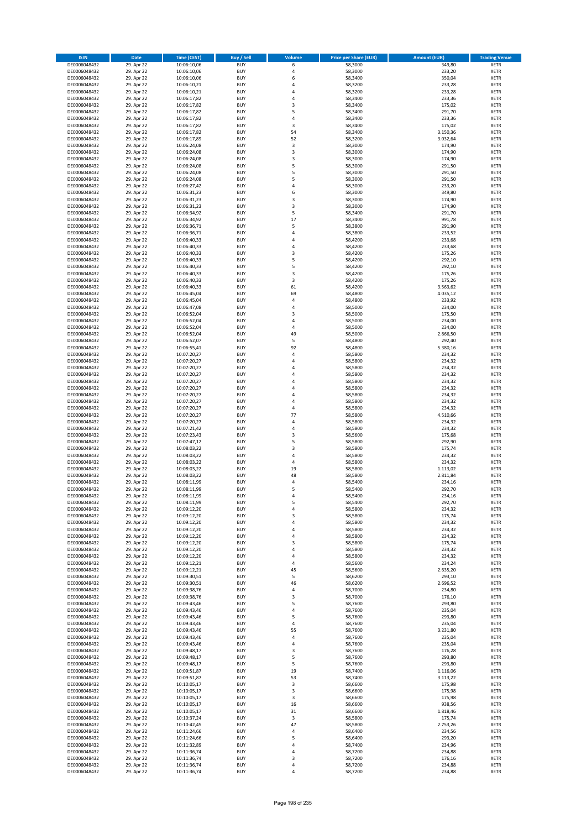| <b>ISIN</b>                  | <b>Date</b>              | <b>Time (CEST)</b>         | <b>Buy / Sell</b>        | Volume                           | <b>Price per Share (EUR)</b> | <b>Amount (EUR)</b> | <b>Trading Venue</b>       |
|------------------------------|--------------------------|----------------------------|--------------------------|----------------------------------|------------------------------|---------------------|----------------------------|
| DE0006048432                 | 29. Apr 22               | 10:06:10,06                | <b>BUY</b>               | 6                                | 58,3000                      | 349,80              | <b>XETR</b>                |
| DE0006048432                 | 29. Apr 22               | 10:06:10,06                | <b>BUY</b>               | $\overline{4}$                   | 58,3000                      | 233,20              | <b>XETR</b>                |
| DE0006048432                 | 29. Apr 22               | 10:06:10,06                | <b>BUY</b>               | 6                                | 58,3400                      | 350,04              | <b>XETR</b>                |
| DE0006048432                 | 29. Apr 22               | 10:06:10,21                | <b>BUY</b>               | 4                                | 58,3200                      | 233,28              | <b>XETR</b>                |
| DE0006048432<br>DE0006048432 | 29. Apr 22<br>29. Apr 22 | 10:06:10,21<br>10:06:17,82 | <b>BUY</b><br><b>BUY</b> | 4<br>$\overline{a}$              | 58,3200<br>58,3400           | 233,28<br>233,36    | <b>XETR</b><br><b>XETR</b> |
| DE0006048432                 | 29. Apr 22               | 10:06:17,82                | <b>BUY</b>               | $\overline{\mathbf{3}}$          | 58,3400                      | 175,02              | <b>XETR</b>                |
| DE0006048432                 | 29. Apr 22               | 10:06:17,82                | <b>BUY</b>               | 5                                | 58,3400                      | 291,70              | <b>XETR</b>                |
| DE0006048432                 | 29. Apr 22               | 10:06:17,82                | BUY                      | $\overline{a}$                   | 58,3400                      | 233,36              | <b>XETR</b>                |
| DE0006048432                 | 29. Apr 22               | 10:06:17,82                | <b>BUY</b>               | 3                                | 58,3400                      | 175,02              | <b>XETR</b>                |
| DE0006048432                 | 29. Apr 22               | 10:06:17,82                | <b>BUY</b>               | 54                               | 58,3400                      | 3.150,36            | <b>XETR</b>                |
| DE0006048432                 | 29. Apr 22               | 10:06:17,89                | <b>BUY</b>               | 52                               | 58,3200                      | 3.032,64            | <b>XETR</b>                |
| DE0006048432<br>DE0006048432 | 29. Apr 22<br>29. Apr 22 | 10:06:24,08<br>10:06:24,08 | <b>BUY</b><br><b>BUY</b> | 3<br>$\overline{\mathbf{3}}$     | 58,3000<br>58,3000           | 174,90<br>174,90    | <b>XETR</b><br><b>XETR</b> |
| DE0006048432                 | 29. Apr 22               | 10:06:24,08                | <b>BUY</b>               | 3                                | 58,3000                      | 174,90              | <b>XETR</b>                |
| DE0006048432                 | 29. Apr 22               | 10:06:24,08                | BUY                      | 5                                | 58,3000                      | 291,50              | <b>XETR</b>                |
| DE0006048432                 | 29. Apr 22               | 10:06:24,08                | <b>BUY</b>               | 5                                | 58,3000                      | 291,50              | <b>XETR</b>                |
| DE0006048432                 | 29. Apr 22               | 10:06:24,08                | <b>BUY</b>               | 5                                | 58,3000                      | 291,50              | <b>XETR</b>                |
| DE0006048432                 | 29. Apr 22               | 10:06:27,42                | <b>BUY</b>               | $\overline{4}$                   | 58,3000                      | 233,20              | <b>XETR</b>                |
| DE0006048432<br>DE0006048432 | 29. Apr 22<br>29. Apr 22 | 10:06:31,23<br>10:06:31,23 | <b>BUY</b><br><b>BUY</b> | 6<br>$\overline{\mathbf{3}}$     | 58,3000<br>58,3000           | 349,80<br>174,90    | <b>XETR</b><br><b>XETR</b> |
| DE0006048432                 | 29. Apr 22               | 10:06:31,23                | <b>BUY</b>               | $\overline{\mathbf{3}}$          | 58,3000                      | 174,90              | <b>XETR</b>                |
| DE0006048432                 | 29. Apr 22               | 10:06:34,92                | <b>BUY</b>               | 5                                | 58,3400                      | 291,70              | <b>XETR</b>                |
| DE0006048432                 | 29. Apr 22               | 10:06:34,92                | <b>BUY</b>               | 17                               | 58,3400                      | 991,78              | <b>XETR</b>                |
| DE0006048432                 | 29. Apr 22               | 10:06:36,71                | <b>BUY</b>               | 5                                | 58,3800                      | 291,90              | <b>XETR</b>                |
| DE0006048432                 | 29. Apr 22               | 10:06:36,71                | <b>BUY</b>               | 4                                | 58,3800                      | 233,52              | <b>XETR</b>                |
| DE0006048432                 | 29. Apr 22               | 10:06:40,33                | <b>BUY</b>               | $\overline{a}$                   | 58,4200                      | 233,68              | <b>XETR</b>                |
| DE0006048432<br>DE0006048432 | 29. Apr 22<br>29. Apr 22 | 10:06:40,33<br>10:06:40,33 | <b>BUY</b><br><b>BUY</b> | 4<br>$\overline{\mathbf{3}}$     | 58,4200<br>58,4200           | 233,68<br>175,26    | <b>XETR</b><br><b>XETR</b> |
| DE0006048432                 | 29. Apr 22               | 10:06:40,33                | <b>BUY</b>               | 5                                | 58,4200                      | 292,10              | <b>XETR</b>                |
| DE0006048432                 | 29. Apr 22               | 10:06:40,33                | <b>BUY</b>               | 5                                | 58,4200                      | 292,10              | <b>XETR</b>                |
| DE0006048432                 | 29. Apr 22               | 10:06:40,33                | <b>BUY</b>               | 3                                | 58,4200                      | 175,26              | <b>XETR</b>                |
| DE0006048432                 | 29. Apr 22               | 10:06:40,33                | <b>BUY</b>               | 3                                | 58,4200                      | 175,26              | <b>XETR</b>                |
| DE0006048432                 | 29. Apr 22               | 10:06:40,33                | <b>BUY</b>               | 61                               | 58,4200                      | 3.563,62            | <b>XETR</b>                |
| DE0006048432<br>DE0006048432 | 29. Apr 22<br>29. Apr 22 | 10:06:45,04<br>10:06:45,04 | <b>BUY</b><br><b>BUY</b> | 69<br>4                          | 58,4800<br>58,4800           | 4.035,12<br>233,92  | <b>XETR</b><br><b>XETR</b> |
| DE0006048432                 | 29. Apr 22               | 10:06:47,08                | <b>BUY</b>               | 4                                | 58,5000                      | 234,00              | <b>XETR</b>                |
| DE0006048432                 | 29. Apr 22               | 10:06:52,04                | BUY                      | $\overline{\mathbf{3}}$          | 58,5000                      | 175,50              | <b>XETR</b>                |
| DE0006048432                 | 29. Apr 22               | 10:06:52,04                | <b>BUY</b>               | $\overline{4}$                   | 58,5000                      | 234,00              | <b>XETR</b>                |
| DE0006048432                 | 29. Apr 22               | 10:06:52,04                | <b>BUY</b>               | 4                                | 58,5000                      | 234,00              | <b>XETR</b>                |
| DE0006048432                 | 29. Apr 22               | 10:06:52,04                | <b>BUY</b>               | 49                               | 58,5000                      | 2.866,50            | <b>XETR</b>                |
| DE0006048432                 | 29. Apr 22               | 10:06:52,07                | <b>BUY</b>               | 5<br>92                          | 58,4800                      | 292,40              | <b>XETR</b>                |
| DE0006048432<br>DE0006048432 | 29. Apr 22<br>29. Apr 22 | 10:06:55,41<br>10:07:20,27 | <b>BUY</b><br><b>BUY</b> | $\overline{4}$                   | 58,4800<br>58,5800           | 5.380,16<br>234,32  | <b>XETR</b><br><b>XETR</b> |
| DE0006048432                 | 29. Apr 22               | 10:07:20,27                | <b>BUY</b>               | $\overline{a}$                   | 58,5800                      | 234,32              | <b>XETR</b>                |
| DE0006048432                 | 29. Apr 22               | 10:07:20,27                | <b>BUY</b>               | $\overline{a}$                   | 58,5800                      | 234,32              | <b>XETR</b>                |
| DE0006048432                 | 29. Apr 22               | 10:07:20,27                | <b>BUY</b>               | 4                                | 58,5800                      | 234,32              | <b>XETR</b>                |
| DE0006048432                 | 29. Apr 22               | 10:07:20,27                | <b>BUY</b>               | $\overline{a}$                   | 58,5800                      | 234,32              | <b>XETR</b>                |
| DE0006048432<br>DE0006048432 | 29. Apr 22               | 10:07:20,27                | <b>BUY</b><br><b>BUY</b> | $\overline{a}$<br>$\overline{a}$ | 58,5800<br>58,5800           | 234,32<br>234,32    | <b>XETR</b><br><b>XETR</b> |
| DE0006048432                 | 29. Apr 22<br>29. Apr 22 | 10:07:20,27<br>10:07:20,27 | <b>BUY</b>               | $\overline{a}$                   | 58,5800                      | 234,32              | <b>XETR</b>                |
| DE0006048432                 | 29. Apr 22               | 10:07:20,27                | <b>BUY</b>               | $\overline{a}$                   | 58,5800                      | 234,32              | <b>XETR</b>                |
| DE0006048432                 | 29. Apr 22               | 10:07:20,27                | <b>BUY</b>               | 77                               | 58,5800                      | 4.510,66            | <b>XETR</b>                |
| DE0006048432                 | 29. Apr 22               | 10:07:20,27                | <b>BUY</b>               | $\overline{4}$                   | 58,5800                      | 234,32              | <b>XETR</b>                |
| DE0006048432                 | 29. Apr 22               | 10:07:21,42                | <b>BUY</b>               | $\overline{4}$                   | 58,5800                      | 234,32              | <b>XETR</b>                |
| DE0006048432                 | 29. Apr 22               | 10:07:23,43                | <b>BUY</b>               | $\overline{\mathbf{3}}$          | 58,5600                      | 175,68              | <b>XETR</b>                |
| DE0006048432<br>DE0006048432 | 29. Apr 22<br>29. Apr 22 | 10:07:47,12<br>10:08:03,22 | <b>BUY</b><br><b>BUY</b> | 5<br>3                           | 58,5800<br>58,5800           | 292,90<br>175,74    | <b>XETR</b><br><b>XETR</b> |
| DE0006048432                 | 29. Apr 22               | 10:08:03,22                | BUY                      | $\overline{a}$                   | 58,5800                      | 234,32              | <b>XETR</b>                |
| DE0006048432                 | 29. Apr 22               | 10:08:03,22                | <b>BUY</b>               | $\overline{4}$                   | 58,5800                      | 234,32              | <b>XETR</b>                |
| DE0006048432                 | 29. Apr 22               | 10:08:03,22                | <b>BUY</b>               | 19                               | 58,5800                      | 1.113,02            | <b>XETR</b>                |
| DE0006048432                 | 29. Apr 22               | 10:08:03,22                | BUY                      | 48                               | 58,5800                      | 2.811,84            | <b>XETR</b>                |
| DE0006048432                 | 29. Apr 22               | 10:08:11,99                | BUY                      | $\overline{4}$<br>5              | 58,5400                      | 234,16              | <b>XETR</b>                |
| DE0006048432<br>DE0006048432 | 29. Apr 22<br>29. Apr 22 | 10:08:11,99<br>10:08:11,99 | <b>BUY</b><br><b>BUY</b> | 4                                | 58,5400<br>58,5400           | 292,70<br>234,16    | <b>XETR</b><br><b>XETR</b> |
| DE0006048432                 | 29. Apr 22               | 10:08:11,99                | <b>BUY</b>               | 5                                | 58,5400                      | 292,70              | <b>XETR</b>                |
| DE0006048432                 | 29. Apr 22               | 10:09:12,20                | <b>BUY</b>               | 4                                | 58,5800                      | 234,32              | <b>XETR</b>                |
| DE0006048432                 | 29. Apr 22               | 10:09:12,20                | <b>BUY</b>               | 3                                | 58,5800                      | 175,74              | <b>XETR</b>                |
| DE0006048432                 | 29. Apr 22               | 10:09:12,20                | <b>BUY</b>               | 4                                | 58,5800                      | 234,32              | <b>XETR</b>                |
| DE0006048432                 | 29. Apr 22               | 10:09:12,20                | <b>BUY</b>               | 4                                | 58,5800                      | 234,32              | <b>XETR</b>                |
| DE0006048432<br>DE0006048432 | 29. Apr 22<br>29. Apr 22 | 10:09:12,20<br>10:09:12,20 | <b>BUY</b><br><b>BUY</b> | 4<br>3                           | 58,5800<br>58,5800           | 234,32<br>175,74    | <b>XETR</b><br><b>XETR</b> |
| DE0006048432                 | 29. Apr 22               | 10:09:12,20                | <b>BUY</b>               | $\overline{a}$                   | 58,5800                      | 234,32              | <b>XETR</b>                |
| DE0006048432                 | 29. Apr 22               | 10:09:12,20                | <b>BUY</b>               | 4                                | 58,5800                      | 234,32              | <b>XETR</b>                |
| DE0006048432                 | 29. Apr 22               | 10:09:12,21                | <b>BUY</b>               | 4                                | 58,5600                      | 234,24              | <b>XETR</b>                |
| DE0006048432                 | 29. Apr 22               | 10:09:12,21                | <b>BUY</b>               | 45                               | 58,5600                      | 2.635,20            | <b>XETR</b>                |
| DE0006048432<br>DE0006048432 | 29. Apr 22<br>29. Apr 22 | 10:09:30,51<br>10:09:30,51 | <b>BUY</b><br><b>BUY</b> | 5<br>46                          | 58,6200<br>58,6200           | 293,10<br>2.696,52  | <b>XETR</b><br><b>XETR</b> |
| DE0006048432                 | 29. Apr 22               | 10:09:38,76                | <b>BUY</b>               | 4                                | 58,7000                      | 234,80              | <b>XETR</b>                |
| DE0006048432                 | 29. Apr 22               | 10:09:38,76                | <b>BUY</b>               | 3                                | 58,7000                      | 176,10              | <b>XETR</b>                |
| DE0006048432                 | 29. Apr 22               | 10:09:43,46                | <b>BUY</b>               | 5                                | 58,7600                      | 293,80              | <b>XETR</b>                |
| DE0006048432                 | 29. Apr 22               | 10:09:43,46                | <b>BUY</b>               | 4                                | 58,7600                      | 235,04              | <b>XETR</b>                |
| DE0006048432                 | 29. Apr 22               | 10:09:43,46                | <b>BUY</b>               | 5                                | 58,7600                      | 293,80              | <b>XETR</b>                |
| DE0006048432                 | 29. Apr 22               | 10:09:43,46                | <b>BUY</b>               | $\overline{4}$                   | 58,7600                      | 235,04              | <b>XETR</b>                |
| DE0006048432<br>DE0006048432 | 29. Apr 22<br>29. Apr 22 | 10:09:43,46<br>10:09:43,46 | <b>BUY</b><br><b>BUY</b> | 55<br>4                          | 58,7600<br>58,7600           | 3.231,80<br>235,04  | <b>XETR</b><br><b>XETR</b> |
| DE0006048432                 | 29. Apr 22               | 10:09:43,46                | <b>BUY</b>               | 4                                | 58,7600                      | 235,04              | <b>XETR</b>                |
| DE0006048432                 | 29. Apr 22               | 10:09:48,17                | <b>BUY</b>               | $\overline{\mathbf{3}}$          | 58,7600                      | 176,28              | <b>XETR</b>                |
| DE0006048432                 | 29. Apr 22               | 10:09:48,17                | <b>BUY</b>               | 5                                | 58,7600                      | 293,80              | <b>XETR</b>                |
| DE0006048432                 | 29. Apr 22               | 10:09:48,17                | <b>BUY</b>               | 5                                | 58,7600                      | 293,80              | <b>XETR</b>                |
| DE0006048432                 | 29. Apr 22               | 10:09:51,87                | <b>BUY</b>               | 19                               | 58,7400                      | 1.116,06            | <b>XETR</b>                |
| DE0006048432                 | 29. Apr 22               | 10:09:51,87                | <b>BUY</b>               | 53                               | 58,7400                      | 3.113,22            | <b>XETR</b>                |
| DE0006048432<br>DE0006048432 | 29. Apr 22<br>29. Apr 22 | 10:10:05,17<br>10:10:05,17 | <b>BUY</b><br><b>BUY</b> | 3<br>3                           | 58,6600<br>58,6600           | 175,98<br>175,98    | <b>XETR</b><br><b>XETR</b> |
| DE0006048432                 | 29. Apr 22               | 10:10:05,17                | <b>BUY</b>               | 3                                | 58,6600                      | 175,98              | <b>XETR</b>                |
| DE0006048432                 | 29. Apr 22               | 10:10:05,17                | <b>BUY</b>               | 16                               | 58,6600                      | 938,56              | <b>XETR</b>                |
| DE0006048432                 | 29. Apr 22               | 10:10:05,17                | <b>BUY</b>               | 31                               | 58,6600                      | 1.818,46            | <b>XETR</b>                |
| DE0006048432                 | 29. Apr 22               | 10:10:37,24                | <b>BUY</b>               | 3                                | 58,5800                      | 175,74              | <b>XETR</b>                |
| DE0006048432                 | 29. Apr 22               | 10:10:42,45                | <b>BUY</b>               | 47                               | 58,5800                      | 2.753,26            | <b>XETR</b>                |
| DE0006048432<br>DE0006048432 | 29. Apr 22<br>29. Apr 22 | 10:11:24,66<br>10:11:24,66 | <b>BUY</b><br><b>BUY</b> | 4<br>5                           | 58,6400<br>58,6400           | 234,56<br>293,20    | <b>XETR</b><br><b>XETR</b> |
| DE0006048432                 | 29. Apr 22               | 10:11:32,89                | <b>BUY</b>               | 4                                | 58,7400                      | 234,96              | <b>XETR</b>                |
| DE0006048432                 | 29. Apr 22               | 10:11:36,74                | <b>BUY</b>               | 4                                | 58,7200                      | 234,88              | <b>XETR</b>                |
| DE0006048432                 | 29. Apr 22               | 10:11:36,74                | <b>BUY</b>               | 3                                | 58,7200                      | 176,16              | <b>XETR</b>                |
| DE0006048432                 | 29. Apr 22               | 10:11:36,74                | <b>BUY</b>               | $\overline{4}$                   | 58,7200                      | 234,88              | <b>XETR</b>                |
| DE0006048432                 | 29. Apr 22               | 10:11:36,74                | <b>BUY</b>               | 4                                | 58,7200                      | 234,88              | <b>XETR</b>                |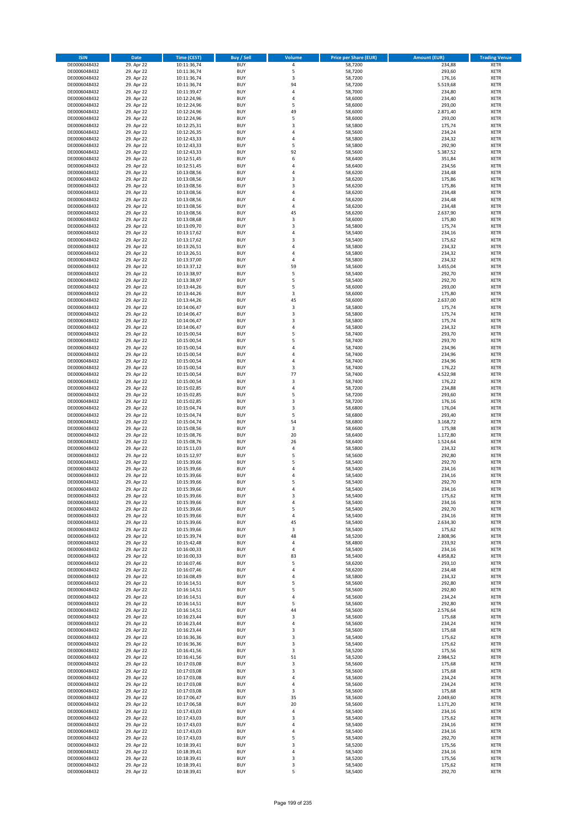| <b>ISIN</b>                  | <b>Date</b>              | <b>Time (CEST)</b>         | <b>Buy / Sell</b>        | Volume         | <b>Price per Share (EUR)</b> | <b>Amount (EUR)</b> | <b>Trading Venue</b>       |
|------------------------------|--------------------------|----------------------------|--------------------------|----------------|------------------------------|---------------------|----------------------------|
| DE0006048432                 | 29. Apr 22               | 10:11:36,74                | <b>BUY</b>               | 4              | 58,7200                      | 234,88              | <b>XETR</b>                |
| DE0006048432                 | 29. Apr 22               | 10:11:36,74                | <b>BUY</b>               | 5              | 58,7200                      | 293,60              | <b>XETR</b>                |
| DE0006048432                 | 29. Apr 22               | 10:11:36,74                | <b>BUY</b>               | 3              | 58,7200                      | 176,16              | <b>XETR</b>                |
| DE0006048432<br>DE0006048432 | 29. Apr 22<br>29. Apr 22 | 10:11:36,74<br>10:11:39,47 | <b>BUY</b><br><b>BUY</b> | 94<br>4        | 58,7200<br>58,7000           | 5.519,68<br>234,80  | <b>XETR</b><br><b>XETR</b> |
| DE0006048432                 | 29. Apr 22               | 10:12:24,96                | <b>BUY</b>               | 4              | 58,6000                      | 234,40              | <b>XETR</b>                |
| DE0006048432                 | 29. Apr 22               | 10:12:24,96                | <b>BUY</b>               | 5              | 58,6000                      | 293,00              | <b>XETR</b>                |
| DE0006048432                 | 29. Apr 22               | 10:12:24,96                | <b>BUY</b>               | 49             | 58,6000                      | 2.871,40            | <b>XETR</b>                |
| DE0006048432                 | 29. Apr 22               | 10:12:24,96                | <b>BUY</b>               | 5              | 58,6000                      | 293,00              | <b>XETR</b>                |
| DE0006048432                 | 29. Apr 22               | 10:12:25,31                | <b>BUY</b>               | 3              | 58,5800                      | 175,74              | <b>XETR</b>                |
| DE0006048432                 | 29. Apr 22               | 10:12:26,35                | <b>BUY</b>               | 4              | 58,5600                      | 234,24              | <b>XETR</b>                |
| DE0006048432<br>DE0006048432 | 29. Apr 22<br>29. Apr 22 | 10:12:43,33<br>10:12:43,33 | <b>BUY</b><br><b>BUY</b> | 4<br>5         | 58,5800<br>58,5800           | 234,32<br>292,90    | <b>XETR</b><br><b>XETR</b> |
| DE0006048432                 | 29. Apr 22               | 10:12:43,33                | <b>BUY</b>               | 92             | 58,5600                      | 5.387,52            | <b>XETR</b>                |
| DE0006048432                 | 29. Apr 22               | 10:12:51,45                | <b>BUY</b>               | 6              | 58,6400                      | 351,84              | <b>XETR</b>                |
| DE0006048432                 | 29. Apr 22               | 10:12:51,45                | <b>BUY</b>               | 4              | 58,6400                      | 234,56              | <b>XETR</b>                |
| DE0006048432                 | 29. Apr 22               | 10:13:08,56                | <b>BUY</b>               | 4              | 58,6200                      | 234,48              | <b>XETR</b>                |
| DE0006048432                 | 29. Apr 22               | 10:13:08,56                | <b>BUY</b>               | 3              | 58,6200                      | 175,86              | <b>XETR</b>                |
| DE0006048432                 | 29. Apr 22               | 10:13:08,56                | <b>BUY</b>               | 3              | 58,6200                      | 175,86              | <b>XETR</b>                |
| DE0006048432                 | 29. Apr 22               | 10:13:08,56                | <b>BUY</b>               | 4              | 58,6200                      | 234,48              | <b>XETR</b>                |
| DE0006048432                 | 29. Apr 22               | 10:13:08,56                | <b>BUY</b>               | 4              | 58,6200                      | 234,48              | <b>XETR</b>                |
| DE0006048432<br>DE0006048432 | 29. Apr 22<br>29. Apr 22 | 10:13:08,56<br>10:13:08,56 | <b>BUY</b><br><b>BUY</b> | 4<br>45        | 58,6200<br>58,6200           | 234,48<br>2.637,90  | <b>XETR</b><br><b>XETR</b> |
| DE0006048432                 | 29. Apr 22               | 10:13:08,68                | <b>BUY</b>               | 3              | 58,6000                      | 175,80              | <b>XETR</b>                |
| DE0006048432                 | 29. Apr 22               | 10:13:09,70                | <b>BUY</b>               | 3              | 58,5800                      | 175,74              | <b>XETR</b>                |
| DE0006048432                 | 29. Apr 22               | 10:13:17,62                | <b>BUY</b>               | 4              | 58,5400                      | 234,16              | <b>XETR</b>                |
| DE0006048432                 | 29. Apr 22               | 10:13:17,62                | <b>BUY</b>               | 3              | 58,5400                      | 175,62              | <b>XETR</b>                |
| DE0006048432                 | 29. Apr 22               | 10:13:26,51                | <b>BUY</b>               | 4              | 58,5800                      | 234,32              | <b>XETR</b>                |
| DE0006048432                 | 29. Apr 22               | 10:13:26,51                | <b>BUY</b>               | 4              | 58,5800                      | 234,32              | <b>XETR</b>                |
| DE0006048432                 | 29. Apr 22               | 10:13:37,00<br>10:13:37,12 | <b>BUY</b><br><b>BUY</b> | 4<br>59        | 58,5800                      | 234,32<br>3.455,04  | <b>XETR</b><br><b>XETR</b> |
| DE0006048432<br>DE0006048432 | 29. Apr 22<br>29. Apr 22 | 10:13:38,97                | <b>BUY</b>               | 5              | 58,5600<br>58,5400           | 292,70              | <b>XETR</b>                |
| DE0006048432                 | 29. Apr 22               | 10:13:38,97                | <b>BUY</b>               | 5              | 58,5400                      | 292,70              | <b>XETR</b>                |
| DE0006048432                 | 29. Apr 22               | 10:13:44,26                | <b>BUY</b>               | 5              | 58,6000                      | 293,00              | <b>XETR</b>                |
| DE0006048432                 | 29. Apr 22               | 10:13:44,26                | <b>BUY</b>               | 3              | 58,6000                      | 175,80              | <b>XETR</b>                |
| DE0006048432                 | 29. Apr 22               | 10:13:44,26                | <b>BUY</b>               | 45             | 58,6000                      | 2.637,00            | <b>XETR</b>                |
| DE0006048432                 | 29. Apr 22               | 10:14:06,47                | <b>BUY</b>               | 3              | 58,5800                      | 175,74              | <b>XETR</b>                |
| DE0006048432                 | 29. Apr 22               | 10:14:06,47                | <b>BUY</b>               | 3              | 58,5800                      | 175,74              | <b>XETR</b>                |
| DE0006048432                 | 29. Apr 22               | 10:14:06,47                | <b>BUY</b>               | 3              | 58,5800                      | 175,74              | <b>XETR</b>                |
| DE0006048432<br>DE0006048432 | 29. Apr 22<br>29. Apr 22 | 10:14:06,47<br>10:15:00,54 | <b>BUY</b><br><b>BUY</b> | 4<br>5         | 58,5800<br>58,7400           | 234,32<br>293,70    | <b>XETR</b><br><b>XETR</b> |
| DE0006048432                 | 29. Apr 22               | 10:15:00,54                | <b>BUY</b>               | 5              | 58,7400                      | 293,70              | <b>XETR</b>                |
| DE0006048432                 | 29. Apr 22               | 10:15:00,54                | <b>BUY</b>               | 4              | 58,7400                      | 234,96              | <b>XETR</b>                |
| DE0006048432                 | 29. Apr 22               | 10:15:00,54                | <b>BUY</b>               | $\overline{a}$ | 58,7400                      | 234,96              | <b>XETR</b>                |
| DE0006048432                 | 29. Apr 22               | 10:15:00,54                | <b>BUY</b>               | 4              | 58,7400                      | 234,96              | <b>XETR</b>                |
| DE0006048432                 | 29. Apr 22               | 10:15:00,54                | <b>BUY</b>               | 3              | 58,7400                      | 176,22              | <b>XETR</b>                |
| DE0006048432                 | 29. Apr 22               | 10:15:00,54                | <b>BUY</b>               | 77             | 58,7400                      | 4.522,98            | <b>XETR</b>                |
| DE0006048432                 | 29. Apr 22               | 10:15:00,54                | <b>BUY</b>               | 3              | 58,7400                      | 176,22              | <b>XETR</b>                |
| DE0006048432<br>DE0006048432 | 29. Apr 22<br>29. Apr 22 | 10:15:02,85<br>10:15:02,85 | <b>BUY</b><br><b>BUY</b> | 4<br>5         | 58,7200<br>58,7200           | 234,88<br>293,60    | <b>XETR</b><br><b>XETR</b> |
| DE0006048432                 | 29. Apr 22               | 10:15:02,85                | <b>BUY</b>               | 3              | 58,7200                      | 176,16              | <b>XETR</b>                |
| DE0006048432                 | 29. Apr 22               | 10:15:04,74                | <b>BUY</b>               | 3              | 58,6800                      | 176,04              | <b>XETR</b>                |
| DE0006048432                 | 29. Apr 22               | 10:15:04,74                | <b>BUY</b>               | 5              | 58,6800                      | 293,40              | <b>XETR</b>                |
| DE0006048432                 | 29. Apr 22               | 10:15:04,74                | <b>BUY</b>               | 54             | 58,6800                      | 3.168,72            | <b>XETR</b>                |
| DE0006048432                 | 29. Apr 22               | 10:15:08,56                | <b>BUY</b>               | 3              | 58,6600                      | 175,98              | <b>XETR</b>                |
| DE0006048432                 | 29. Apr 22               | 10:15:08,76                | <b>BUY</b>               | 20             | 58,6400                      | 1.172,80            | <b>XETR</b>                |
| DE0006048432                 | 29. Apr 22<br>29. Apr 22 | 10:15:08,76                | <b>BUY</b><br><b>BUY</b> | 26<br>4        | 58,6400<br>58,5800           | 1.524,64<br>234,32  | <b>XETR</b><br><b>XETR</b> |
| DE0006048432<br>DE0006048432 | 29. Apr 22               | 10:15:11,03<br>10:15:12,97 | <b>BUY</b>               | 5              | 58,5600                      | 292,80              | <b>XETR</b>                |
| DE0006048432                 | 29. Apr 22               | 10:15:39,66                | <b>BUY</b>               | 5              | 58,5400                      | 292,70              | <b>XETR</b>                |
| DE0006048432                 | 29. Apr 22               | 10:15:39,66                | <b>BUY</b>               | 4              | 58,5400                      | 234,16              | <b>XETR</b>                |
| DE0006048432                 | 29. Apr 22               | 10:15:39,66                | <b>BUY</b>               | 4              | 58,5400                      | 234,16              | <b>XETR</b>                |
| DE0006048432                 | 29. Apr 22               | 10:15:39,66                | <b>BUY</b>               | 5              | 58,5400                      | 292,70              | <b>XETR</b>                |
| DE0006048432                 | 29. Apr 22               | 10:15:39,66                | <b>BUY</b>               | 4              | 58,5400                      | 234,16              | <b>XETR</b>                |
| DE0006048432                 | 29. Apr 22               | 10:15:39,66                | BUY                      | 3              | 58,5400                      | 175,62              | <b>XETR</b>                |
| DE0006048432<br>DE0006048432 | 29. Apr 22<br>29. Apr 22 | 10:15:39,66<br>10:15:39,66 | <b>BUY</b><br><b>BUY</b> | 4<br>5         | 58,5400<br>58,5400           | 234,16<br>292,70    | <b>XETR</b><br><b>XETR</b> |
| DE0006048432                 | 29. Apr 22               | 10:15:39,66                | <b>BUY</b>               | 4              | 58,5400                      | 234,16              | XETR                       |
| DE0006048432                 | 29. Apr 22               | 10:15:39,66                | <b>BUY</b>               | 45             | 58,5400                      | 2.634,30            | <b>XETR</b>                |
| DE0006048432                 | 29. Apr 22               | 10:15:39,66                | <b>BUY</b>               | 3              | 58,5400                      | 175,62              | <b>XETR</b>                |
| DE0006048432                 | 29. Apr 22               | 10:15:39,74                | <b>BUY</b>               | 48             | 58,5200                      | 2.808,96            | <b>XETR</b>                |
| DE0006048432                 | 29. Apr 22               | 10:15:42,48                | <b>BUY</b>               | 4              | 58,4800                      | 233,92              | <b>XETR</b>                |
| DE0006048432<br>DE0006048432 | 29. Apr 22               | 10:16:00,33                | <b>BUY</b>               | 4              | 58,5400                      | 234,16              | <b>XETR</b>                |
| DE0006048432                 | 29. Apr 22<br>29. Apr 22 | 10:16:00,33<br>10:16:07,46 | <b>BUY</b><br><b>BUY</b> | 83<br>5        | 58,5400<br>58,6200           | 4.858,82<br>293,10  | <b>XETR</b><br><b>XETR</b> |
| DE0006048432                 | 29. Apr 22               | 10:16:07,46                | <b>BUY</b>               | 4              | 58,6200                      | 234,48              | <b>XETR</b>                |
| DE0006048432                 | 29. Apr 22               | 10:16:08,49                | <b>BUY</b>               | 4              | 58,5800                      | 234,32              | <b>XETR</b>                |
| DE0006048432                 | 29. Apr 22               | 10:16:14,51                | <b>BUY</b>               | 5              | 58,5600                      | 292,80              | <b>XETR</b>                |
| DE0006048432                 | 29. Apr 22               | 10:16:14,51                | <b>BUY</b>               | 5              | 58,5600                      | 292,80              | <b>XETR</b>                |
| DE0006048432                 | 29. Apr 22               | 10:16:14,51                | <b>BUY</b>               | 4              | 58,5600                      | 234,24              | <b>XETR</b>                |
| DE0006048432<br>DE0006048432 | 29. Apr 22<br>29. Apr 22 | 10:16:14,51<br>10:16:14,51 | <b>BUY</b><br><b>BUY</b> | 5<br>44        | 58,5600<br>58,5600           | 292,80<br>2.576,64  | <b>XETR</b><br><b>XETR</b> |
| DE0006048432                 | 29. Apr 22               | 10:16:23,44                | <b>BUY</b>               | 3              | 58,5600                      | 175,68              | XETR                       |
| DE0006048432                 | 29. Apr 22               | 10:16:23,44                | <b>BUY</b>               | 4              | 58,5600                      | 234,24              | <b>XETR</b>                |
| DE0006048432                 | 29. Apr 22               | 10:16:23,44                | <b>BUY</b>               | 3              | 58,5600                      | 175,68              | <b>XETR</b>                |
| DE0006048432                 | 29. Apr 22               | 10:16:36,36                | <b>BUY</b>               | 3              | 58,5400                      | 175,62              | <b>XETR</b>                |
| DE0006048432                 | 29. Apr 22               | 10:16:36,36                | <b>BUY</b>               | 3              | 58,5400                      | 175,62              | <b>XETR</b>                |
| DE0006048432                 | 29. Apr 22               | 10:16:41,56                | <b>BUY</b>               | 3              | 58,5200                      | 175,56              | <b>XETR</b>                |
| DE0006048432                 | 29. Apr 22               | 10:16:41,56                | <b>BUY</b>               | 51             | 58,5200                      | 2.984,52            | <b>XETR</b>                |
| DE0006048432<br>DE0006048432 | 29. Apr 22<br>29. Apr 22 | 10:17:03,08<br>10:17:03,08 | <b>BUY</b><br><b>BUY</b> | 3<br>3         | 58,5600<br>58,5600           | 175,68<br>175,68    | <b>XETR</b><br><b>XETR</b> |
| DE0006048432                 | 29. Apr 22               | 10:17:03,08                | <b>BUY</b>               | 4              | 58,5600                      | 234,24              | <b>XETR</b>                |
| DE0006048432                 | 29. Apr 22               | 10:17:03,08                | <b>BUY</b>               | 4              | 58,5600                      | 234,24              | <b>XETR</b>                |
| DE0006048432                 | 29. Apr 22               | 10:17:03,08                | <b>BUY</b>               | 3              | 58,5600                      | 175,68              | XETR                       |
| DE0006048432                 | 29. Apr 22               | 10:17:06,47                | <b>BUY</b>               | 35             | 58,5600                      | 2.049,60            | <b>XETR</b>                |
| DE0006048432                 | 29. Apr 22               | 10:17:06,58                | <b>BUY</b>               | 20             | 58,5600                      | 1.171,20            | <b>XETR</b>                |
| DE0006048432                 | 29. Apr 22               | 10:17:43,03                | <b>BUY</b>               | 4              | 58,5400                      | 234,16              | <b>XETR</b>                |
| DE0006048432                 | 29. Apr 22               | 10:17:43,03                | <b>BUY</b>               | 3              | 58,5400                      | 175,62              | <b>XETR</b>                |
| DE0006048432<br>DE0006048432 | 29. Apr 22<br>29. Apr 22 | 10:17:43,03<br>10:17:43,03 | <b>BUY</b><br><b>BUY</b> | 4<br>4         | 58,5400<br>58,5400           | 234,16<br>234,16    | <b>XETR</b><br><b>XETR</b> |
| DE0006048432                 | 29. Apr 22               | 10:17:43,03                | <b>BUY</b>               | 5              | 58,5400                      | 292,70              | <b>XETR</b>                |
| DE0006048432                 | 29. Apr 22               | 10:18:39,41                | <b>BUY</b>               | 3              | 58,5200                      | 175,56              | XETR                       |
| DE0006048432                 | 29. Apr 22               | 10:18:39,41                | <b>BUY</b>               | 4              | 58,5400                      | 234,16              | <b>XETR</b>                |
| DE0006048432                 | 29. Apr 22               | 10:18:39,41                | <b>BUY</b>               | 3              | 58,5200                      | 175,56              | <b>XETR</b>                |
| DE0006048432                 | 29. Apr 22               | 10:18:39,41                | <b>BUY</b>               | 3              | 58,5400                      | 175,62              | <b>XETR</b>                |
| DE0006048432                 | 29. Apr 22               | 10:18:39,41                | <b>BUY</b>               | 5              | 58,5400                      | 292,70              | <b>XETR</b>                |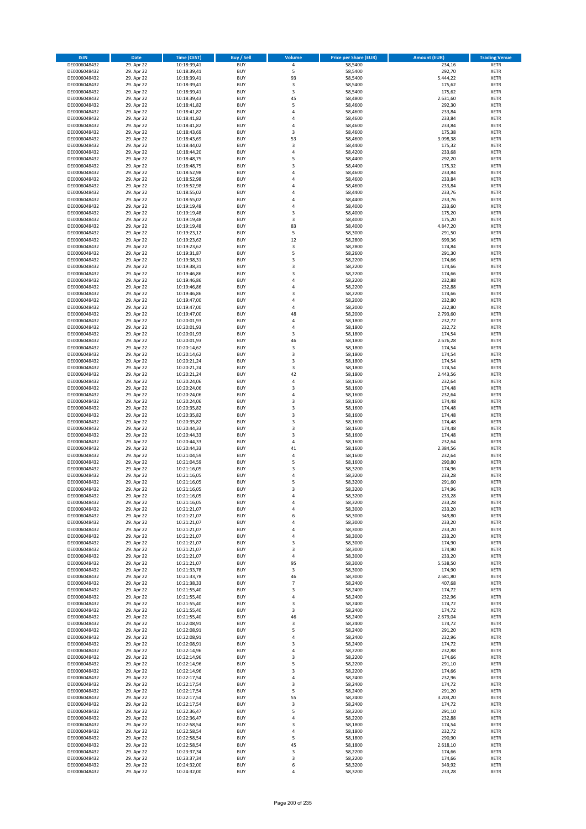| <b>ISIN</b>                  | Date                     | Time (CEST)                | <b>Buy / Sell</b>        | <b>Volume</b>                    | <b>Price per Share (EUR)</b> | <b>Amount (EUR)</b> | <b>Trading Venue</b>       |
|------------------------------|--------------------------|----------------------------|--------------------------|----------------------------------|------------------------------|---------------------|----------------------------|
| DE0006048432                 | 29. Apr 22               | 10:18:39,41                | <b>BUY</b>               | $\pmb{4}$                        | 58,5400                      | 234,16              | <b>XETR</b>                |
| DE0006048432                 | 29. Apr 22               | 10:18:39,41                | <b>BUY</b>               | 5                                | 58,5400                      | 292,70              | XETR                       |
| DE0006048432                 | 29. Apr 22               | 10:18:39,41                | <b>BUY</b>               | 93                               | 58,5400                      | 5.444,22            | <b>XETR</b>                |
| DE0006048432                 | 29. Apr 22               | 10:18:39,41                | <b>BUY</b>               | $\mathsf 3$                      | 58,5400                      | 175,62              | XETR                       |
| DE0006048432<br>DE0006048432 | 29. Apr 22<br>29. Apr 22 | 10:18:39,41<br>10:18:39,43 | <b>BUY</b><br><b>BUY</b> | 3<br>45                          | 58,5400<br>58,4800           | 175,62<br>2.631,60  | <b>XETR</b><br><b>XETR</b> |
| DE0006048432                 | 29. Apr 22               | 10:18:41,82                | <b>BUY</b>               | 5                                | 58,4600                      | 292,30              | <b>XETR</b>                |
| DE0006048432                 | 29. Apr 22               | 10:18:41,82                | <b>BUY</b>               | 4                                | 58,4600                      | 233,84              | <b>XETR</b>                |
| DE0006048432                 | 29. Apr 22               | 10:18:41,82                | <b>BUY</b>               | $\overline{4}$                   | 58,4600                      | 233,84              | <b>XETR</b>                |
| DE0006048432                 | 29. Apr 22               | 10:18:41,82                | <b>BUY</b>               | 4                                | 58,4600                      | 233,84              | <b>XETR</b>                |
| DE0006048432                 | 29. Apr 22               | 10:18:43,69                | <b>BUY</b>               | $\mathsf 3$                      | 58,4600                      | 175,38              | <b>XETR</b>                |
| DE0006048432                 | 29. Apr 22               | 10:18:43,69                | <b>BUY</b>               | 53<br>3                          | 58,4600                      | 3.098,38            | <b>XETR</b>                |
| DE0006048432<br>DE0006048432 | 29. Apr 22<br>29. Apr 22 | 10:18:44,02<br>10:18:44,20 | <b>BUY</b><br><b>BUY</b> | 4                                | 58,4400<br>58,4200           | 175,32<br>233,68    | <b>XETR</b><br><b>XETR</b> |
| DE0006048432                 | 29. Apr 22               | 10:18:48,75                | <b>BUY</b>               | 5                                | 58,4400                      | 292,20              | <b>XETR</b>                |
| DE0006048432                 | 29. Apr 22               | 10:18:48,75                | <b>BUY</b>               | 3                                | 58,4400                      | 175,32              | <b>XETR</b>                |
| DE0006048432                 | 29. Apr 22               | 10:18:52,98                | <b>BUY</b>               | 4                                | 58,4600                      | 233,84              | <b>XETR</b>                |
| DE0006048432                 | 29. Apr 22               | 10:18:52,98                | <b>BUY</b>               | 4                                | 58,4600                      | 233,84              | <b>XETR</b>                |
| DE0006048432                 | 29. Apr 22               | 10:18:52,98                | <b>BUY</b>               | 4                                | 58,4600                      | 233,84              | <b>XETR</b>                |
| DE0006048432<br>DE0006048432 | 29. Apr 22<br>29. Apr 22 | 10:18:55,02                | <b>BUY</b><br><b>BUY</b> | $\overline{4}$<br>$\overline{4}$ | 58,4400<br>58,4400           | 233,76<br>233,76    | <b>XETR</b><br><b>XETR</b> |
| DE0006048432                 | 29. Apr 22               | 10:18:55,02<br>10:19:19,48 | <b>BUY</b>               | 4                                | 58,4000                      | 233,60              | <b>XETR</b>                |
| DE0006048432                 | 29. Apr 22               | 10:19:19,48                | <b>BUY</b>               | 3                                | 58,4000                      | 175,20              | <b>XETR</b>                |
| DE0006048432                 | 29. Apr 22               | 10:19:19,48                | <b>BUY</b>               | 3                                | 58,4000                      | 175,20              | <b>XETR</b>                |
| DE0006048432                 | 29. Apr 22               | 10:19:19,48                | <b>BUY</b>               | 83                               | 58,4000                      | 4.847,20            | <b>XETR</b>                |
| DE0006048432                 | 29. Apr 22               | 10:19:23,12                | <b>BUY</b>               | 5                                | 58,3000                      | 291,50              | <b>XETR</b>                |
| DE0006048432<br>DE0006048432 | 29. Apr 22               | 10:19:23,62                | <b>BUY</b><br><b>BUY</b> | 12<br>3                          | 58,2800                      | 699,36              | <b>XETR</b><br><b>XETR</b> |
| DE0006048432                 | 29. Apr 22<br>29. Apr 22 | 10:19:23,62<br>10:19:31,87 | <b>BUY</b>               | 5                                | 58,2800<br>58,2600           | 174,84<br>291,30    | <b>XETR</b>                |
| DE0006048432                 | 29. Apr 22               | 10:19:38,31                | <b>BUY</b>               | 3                                | 58,2200                      | 174,66              | <b>XETR</b>                |
| DE0006048432                 | 29. Apr 22               | 10:19:38,31                | <b>BUY</b>               | 3                                | 58,2200                      | 174,66              | <b>XETR</b>                |
| DE0006048432                 | 29. Apr 22               | 10:19:46,86                | <b>BUY</b>               | 3                                | 58,2200                      | 174,66              | <b>XETR</b>                |
| DE0006048432                 | 29. Apr 22               | 10:19:46,86                | <b>BUY</b>               | 4                                | 58,2200                      | 232,88              | <b>XETR</b>                |
| DE0006048432                 | 29. Apr 22               | 10:19:46,86                | <b>BUY</b>               | $\overline{4}$                   | 58,2200                      | 232,88              | <b>XETR</b>                |
| DE0006048432<br>DE0006048432 | 29. Apr 22<br>29. Apr 22 | 10:19:46,86<br>10:19:47,00 | <b>BUY</b><br><b>BUY</b> | 3<br>4                           | 58,2200<br>58,2000           | 174,66<br>232,80    | <b>XETR</b><br><b>XETR</b> |
| DE0006048432                 | 29. Apr 22               | 10:19:47,00                | <b>BUY</b>               | 4                                | 58,2000                      | 232,80              | <b>XETR</b>                |
| DE0006048432                 | 29. Apr 22               | 10:19:47,00                | <b>BUY</b>               | 48                               | 58,2000                      | 2.793,60            | <b>XETR</b>                |
| DE0006048432                 | 29. Apr 22               | 10:20:01,93                | <b>BUY</b>               | 4                                | 58,1800                      | 232,72              | <b>XETR</b>                |
| DE0006048432                 | 29. Apr 22               | 10:20:01,93                | <b>BUY</b>               | 4                                | 58,1800                      | 232,72              | <b>XETR</b>                |
| DE0006048432                 | 29. Apr 22               | 10:20:01,93                | <b>BUY</b>               | 3                                | 58,1800                      | 174,54              | <b>XETR</b>                |
| DE0006048432                 | 29. Apr 22               | 10:20:01,93                | <b>BUY</b><br><b>BUY</b> | 46                               | 58,1800                      | 2.676,28            | <b>XETR</b>                |
| DE0006048432<br>DE0006048432 | 29. Apr 22<br>29. Apr 22 | 10:20:14,62<br>10:20:14,62 | <b>BUY</b>               | 3<br>3                           | 58,1800<br>58,1800           | 174,54<br>174,54    | <b>XETR</b><br><b>XETR</b> |
| DE0006048432                 | 29. Apr 22               | 10:20:21,24                | <b>BUY</b>               | 3                                | 58,1800                      | 174,54              | <b>XETR</b>                |
| DE0006048432                 | 29. Apr 22               | 10:20:21,24                | <b>BUY</b>               | 3                                | 58,1800                      | 174,54              | <b>XETR</b>                |
| DE0006048432                 | 29. Apr 22               | 10:20:21,24                | <b>BUY</b>               | 42                               | 58,1800                      | 2.443,56            | <b>XETR</b>                |
| DE0006048432                 | 29. Apr 22               | 10:20:24,06                | <b>BUY</b>               | 4                                | 58,1600                      | 232,64              | <b>XETR</b>                |
| DE0006048432<br>DE0006048432 | 29. Apr 22               | 10:20:24,06                | <b>BUY</b><br><b>BUY</b> | 3<br>$\pmb{4}$                   | 58,1600                      | 174,48              | <b>XETR</b><br><b>XETR</b> |
| DE0006048432                 | 29. Apr 22<br>29. Apr 22 | 10:20:24,06<br>10:20:24,06 | <b>BUY</b>               | 3                                | 58,1600<br>58,1600           | 232,64<br>174,48    | <b>XETR</b>                |
| DE0006048432                 | 29. Apr 22               | 10:20:35,82                | <b>BUY</b>               | 3                                | 58,1600                      | 174,48              | <b>XETR</b>                |
| DE0006048432                 | 29. Apr 22               | 10:20:35,82                | <b>BUY</b>               | 3                                | 58,1600                      | 174,48              | <b>XETR</b>                |
| DE0006048432                 | 29. Apr 22               | 10:20:35,82                | <b>BUY</b>               | $\mathsf 3$                      | 58,1600                      | 174,48              | <b>XETR</b>                |
| DE0006048432                 | 29. Apr 22               | 10:20:44,33                | <b>BUY</b>               | 3                                | 58,1600                      | 174,48              | <b>XETR</b>                |
| DE0006048432                 | 29. Apr 22               | 10:20:44,33                | <b>BUY</b>               | 3                                | 58,1600                      | 174,48              | <b>XETR</b>                |
| DE0006048432<br>DE0006048432 | 29. Apr 22<br>29. Apr 22 | 10:20:44,33<br>10:20:44,33 | <b>BUY</b><br><b>BUY</b> | $\overline{4}$<br>41             | 58,1600<br>58,1600           | 232,64<br>2.384,56  | <b>XETR</b><br><b>XETR</b> |
| DE0006048432                 | 29. Apr 22               | 10:21:04,59                | <b>BUY</b>               | 4                                | 58,1600                      | 232,64              | <b>XETR</b>                |
| DE0006048432                 | 29. Apr 22               | 10:21:04,59                | <b>BUY</b>               | 5                                | 58,1600                      | 290,80              | <b>XETR</b>                |
| DE0006048432                 | 29. Apr 22               | 10:21:16,05                | <b>BUY</b>               | 3                                | 58,3200                      | 174,96              | <b>XETR</b>                |
| DE0006048432                 | 29. Apr 22               | 10:21:16,05                | <b>BUY</b>               | 4                                | 58,3200                      | 233,28              | <b>XETR</b>                |
| DE0006048432                 | 29. Apr 22               | 10:21:16,05                | <b>BUY</b>               | 5                                | 58,3200                      | 291,60              | <b>XETR</b>                |
| DE0006048432<br>DE0006048432 | 29. Apr 22<br>29. Apr 22 | 10:21:16,05<br>10:21:16,05 | <b>BUY</b><br>BUY        | 3<br>4                           | 58,3200<br>58,3200           | 174,96              | <b>XETR</b><br>XETR        |
| DE0006048432                 | 29. Apr 22               | 10:21:16,05                | <b>BUY</b>               | $\overline{4}$                   | 58,3200                      | 233,28<br>233,28    | <b>XETR</b>                |
| DE0006048432                 | 29. Apr 22               | 10:21:21,07                | <b>BUY</b>               | 4                                | 58,3000                      | 233,20              | <b>XETR</b>                |
| DE0006048432                 | 29. Apr 22               | 10:21:21,07                | <b>BUY</b>               | 6                                | 58,3000                      | 349,80              | <b>XETR</b>                |
| DE0006048432                 | 29. Apr 22               | 10:21:21,07                | <b>BUY</b>               | 4                                | 58,3000                      | 233,20              | <b>XETR</b>                |
| DE0006048432                 | 29. Apr 22               | 10:21:21,07                | <b>BUY</b>               | 4                                | 58,3000                      | 233,20              | <b>XETR</b>                |
| DE0006048432                 | 29. Apr 22               | 10:21:21,07                | <b>BUY</b>               | 4                                | 58,3000                      | 233,20              | <b>XETR</b>                |
| DE0006048432<br>DE0006048432 | 29. Apr 22<br>29. Apr 22 | 10:21:21,07<br>10:21:21,07 | <b>BUY</b><br><b>BUY</b> | 3<br>3                           | 58,3000<br>58,3000           | 174,90<br>174,90    | <b>XETR</b><br>XETR        |
| DE0006048432                 | 29. Apr 22               | 10:21:21,07                | <b>BUY</b>               | $\pmb{4}$                        | 58,3000                      | 233,20              | <b>XETR</b>                |
| DE0006048432                 | 29. Apr 22               | 10:21:21,07                | <b>BUY</b>               | 95                               | 58,3000                      | 5.538,50            | XETR                       |
| DE0006048432                 | 29. Apr 22               | 10:21:33,78                | <b>BUY</b>               | 3                                | 58,3000                      | 174,90              | <b>XETR</b>                |
| DE0006048432                 | 29. Apr 22               | 10:21:33,78                | <b>BUY</b>               | 46                               | 58,3000                      | 2.681,80            | XETR                       |
| DE0006048432                 | 29. Apr 22               | 10:21:38,33                | <b>BUY</b>               | $\overline{7}$                   | 58,2400                      | 407,68              | <b>XETR</b>                |
| DE0006048432<br>DE0006048432 | 29. Apr 22<br>29. Apr 22 | 10:21:55,40<br>10:21:55,40 | <b>BUY</b><br><b>BUY</b> | 3<br>$\overline{4}$              | 58,2400<br>58,2400           | 174,72<br>232,96    | XETR<br><b>XETR</b>        |
| DE0006048432                 | 29. Apr 22               | 10:21:55,40                | <b>BUY</b>               | 3                                | 58,2400                      | 174,72              | <b>XETR</b>                |
| DE0006048432                 | 29. Apr 22               | 10:21:55,40                | <b>BUY</b>               | 3                                | 58,2400                      | 174,72              | <b>XETR</b>                |
| DE0006048432                 | 29. Apr 22               | 10:21:55,40                | <b>BUY</b>               | 46                               | 58,2400                      | 2.679,04            | XETR                       |
| DE0006048432                 | 29. Apr 22               | 10:22:08,91                | <b>BUY</b>               | $\mathsf 3$                      | 58,2400                      | 174,72              | XETR                       |
| DE0006048432                 | 29. Apr 22               | 10:22:08,91                | <b>BUY</b><br><b>BUY</b> | 5<br>$\sqrt{4}$                  | 58,2400                      | 291,20<br>232,96    | <b>XETR</b>                |
| DE0006048432<br>DE0006048432 | 29. Apr 22<br>29. Apr 22 | 10:22:08,91<br>10:22:08,91 | <b>BUY</b>               | 3                                | 58,2400<br>58,2400           | 174,72              | <b>XETR</b><br>XETR        |
| DE0006048432                 | 29. Apr 22               | 10:22:14,96                | <b>BUY</b>               | 4                                | 58,2200                      | 232,88              | <b>XETR</b>                |
| DE0006048432                 | 29. Apr 22               | 10:22:14,96                | <b>BUY</b>               | 3                                | 58,2200                      | 174,66              | XETR                       |
| DE0006048432                 | 29. Apr 22               | 10:22:14,96                | <b>BUY</b>               | 5                                | 58,2200                      | 291,10              | <b>XETR</b>                |
| DE0006048432                 | 29. Apr 22               | 10:22:14,96                | <b>BUY</b>               | 3                                | 58,2200                      | 174,66              | <b>XETR</b>                |
| DE0006048432                 | 29. Apr 22               | 10:22:17,54                | <b>BUY</b>               | $\sqrt{4}$                       | 58,2400                      | 232,96              | <b>XETR</b>                |
| DE0006048432<br>DE0006048432 | 29. Apr 22<br>29. Apr 22 | 10:22:17,54<br>10:22:17,54 | <b>BUY</b><br><b>BUY</b> | 3<br>5                           | 58,2400<br>58,2400           | 174,72<br>291,20    | <b>XETR</b><br><b>XETR</b> |
| DE0006048432                 | 29. Apr 22               | 10:22:17,54                | <b>BUY</b>               | 55                               | 58,2400                      | 3.203,20            | XETR                       |
| DE0006048432                 | 29. Apr 22               | 10:22:17,54                | <b>BUY</b>               | 3                                | 58,2400                      | 174,72              | XETR                       |
| DE0006048432                 | 29. Apr 22               | 10:22:36,47                | <b>BUY</b>               | 5                                | 58,2200                      | 291,10              | XETR                       |
| DE0006048432                 | 29. Apr 22               | 10:22:36,47                | <b>BUY</b>               | $\sqrt{4}$                       | 58,2200                      | 232,88              | <b>XETR</b>                |
| DE0006048432                 | 29. Apr 22               | 10:22:58,54                | <b>BUY</b>               | 3                                | 58,1800                      | 174,54              | <b>XETR</b>                |
| DE0006048432<br>DE0006048432 | 29. Apr 22<br>29. Apr 22 | 10:22:58,54<br>10:22:58,54 | <b>BUY</b><br><b>BUY</b> | $\sqrt{4}$<br>5                  | 58,1800<br>58,1800           | 232,72<br>290,90    | XETR<br>XETR               |
| DE0006048432                 | 29. Apr 22               | 10:22:58,54                | <b>BUY</b>               | 45                               | 58,1800                      | 2.618,10            | XETR                       |
| DE0006048432                 | 29. Apr 22               | 10:23:37,34                | <b>BUY</b>               | 3                                | 58,2200                      | 174,66              | <b>XETR</b>                |
| DE0006048432                 | 29. Apr 22               | 10:23:37,34                | <b>BUY</b>               | 3                                | 58,2200                      | 174,66              | XETR                       |
| DE0006048432                 | 29. Apr 22               | 10:24:32,00                | <b>BUY</b>               | 6                                | 58,3200                      | 349,92              | <b>XETR</b>                |
| DE0006048432                 | 29. Apr 22               | 10:24:32,00                | <b>BUY</b>               | $\sqrt{4}$                       | 58,3200                      | 233,28              | <b>XETR</b>                |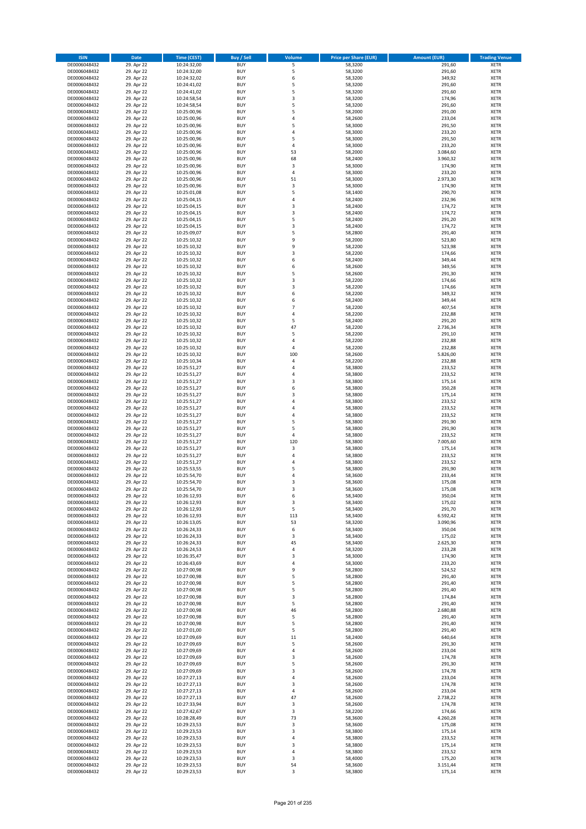| <b>ISIN</b>                  | <b>Date</b>              | <b>Time (CEST)</b>         | <b>Buy / Sell</b>        | Volume                  | <b>Price per Share (EUR)</b> | <b>Amount (EUR)</b> | <b>Trading Venue</b>       |
|------------------------------|--------------------------|----------------------------|--------------------------|-------------------------|------------------------------|---------------------|----------------------------|
| DE0006048432                 | 29. Apr 22               | 10:24:32,00                | <b>BUY</b>               | 5                       | 58,3200                      | 291,60              | <b>XETR</b>                |
| DE0006048432                 | 29. Apr 22               | 10:24:32,00                | <b>BUY</b>               | 5                       | 58,3200                      | 291,60              | <b>XETR</b>                |
| DE0006048432                 | 29. Apr 22               | 10:24:32,02                | <b>BUY</b>               | 6                       | 58,3200                      | 349,92              | <b>XETR</b>                |
| DE0006048432                 | 29. Apr 22               | 10:24:41,02                | <b>BUY</b>               | 5                       | 58,3200                      | 291,60              | <b>XETR</b>                |
| DE0006048432                 | 29. Apr 22               | 10:24:41,02                | <b>BUY</b>               | 5                       | 58,3200                      | 291,60              | <b>XETR</b>                |
| DE0006048432                 | 29. Apr 22               | 10:24:58,54                | <b>BUY</b>               | $\overline{\mathbf{3}}$ | 58,3200                      | 174,96              | <b>XETR</b>                |
| DE0006048432                 | 29. Apr 22               | 10:24:58,54                | <b>BUY</b>               | 5                       | 58,3200                      | 291,60              | <b>XETR</b>                |
| DE0006048432                 | 29. Apr 22               | 10:25:00,96                | <b>BUY</b>               | 5                       | 58,2000                      | 291,00              | <b>XETR</b>                |
| DE0006048432                 | 29. Apr 22               | 10:25:00,96                | BUY                      | $\overline{a}$          | 58,2600                      | 233,04              | <b>XETR</b>                |
| DE0006048432                 | 29. Apr 22               | 10:25:00,96                | <b>BUY</b>               | 5                       | 58,3000                      | 291,50              | <b>XETR</b>                |
| DE0006048432                 | 29. Apr 22               | 10:25:00,96                | <b>BUY</b>               | 4                       | 58,3000                      | 233,20              | <b>XETR</b>                |
| DE0006048432                 | 29. Apr 22               | 10:25:00,96                | <b>BUY</b>               | 5                       | 58,3000                      | 291,50              | <b>XETR</b>                |
| DE0006048432                 | 29. Apr 22               | 10:25:00,96                | <b>BUY</b>               | $\overline{a}$          | 58,3000                      | 233,20              | <b>XETR</b>                |
| DE0006048432                 | 29. Apr 22               | 10:25:00,96                | <b>BUY</b>               | 53<br>68                | 58,2000                      | 3.084,60            | <b>XETR</b>                |
| DE0006048432<br>DE0006048432 | 29. Apr 22<br>29. Apr 22 | 10:25:00,96<br>10:25:00,96 | <b>BUY</b><br>BUY        | 3                       | 58,2400<br>58,3000           | 3.960,32<br>174,90  | <b>XETR</b><br><b>XETR</b> |
| DE0006048432                 | 29. Apr 22               | 10:25:00,96                | <b>BUY</b>               | $\sqrt{4}$              | 58,3000                      | 233,20              | <b>XETR</b>                |
| DE0006048432                 | 29. Apr 22               | 10:25:00,96                | <b>BUY</b>               | 51                      | 58,3000                      | 2.973,30            | <b>XETR</b>                |
| DE0006048432                 | 29. Apr 22               | 10:25:00,96                | <b>BUY</b>               | 3                       | 58,3000                      | 174,90              | <b>XETR</b>                |
| DE0006048432                 | 29. Apr 22               | 10:25:01,08                | <b>BUY</b>               | 5                       | 58,1400                      | 290,70              | <b>XETR</b>                |
| DE0006048432                 | 29. Apr 22               | 10:25:04,15                | <b>BUY</b>               | $\overline{a}$          | 58,2400                      | 232,96              | <b>XETR</b>                |
| DE0006048432                 | 29. Apr 22               | 10:25:04,15                | <b>BUY</b>               | $\overline{\mathbf{3}}$ | 58,2400                      | 174,72              | <b>XETR</b>                |
| DE0006048432                 | 29. Apr 22               | 10:25:04,15                | <b>BUY</b>               | $\overline{\mathbf{3}}$ | 58,2400                      | 174,72              | <b>XETR</b>                |
| DE0006048432                 | 29. Apr 22               | 10:25:04,15                | <b>BUY</b>               | 5                       | 58,2400                      | 291,20              | <b>XETR</b>                |
| DE0006048432                 | 29. Apr 22               | 10:25:04,15                | <b>BUY</b>               | 3                       | 58,2400                      | 174,72              | <b>XETR</b>                |
| DE0006048432                 | 29. Apr 22               | 10:25:09,07                | <b>BUY</b>               | 5                       | 58,2800                      | 291,40              | <b>XETR</b>                |
| DE0006048432                 | 29. Apr 22               | 10:25:10,32                | <b>BUY</b>               | 9                       | 58,2000                      | 523,80              | <b>XETR</b>                |
| DE0006048432                 | 29. Apr 22               | 10:25:10,32                | <b>BUY</b>               | 9                       | 58,2200                      | 523,98              | <b>XETR</b>                |
| DE0006048432                 | 29. Apr 22               | 10:25:10,32                | <b>BUY</b>               | 3                       | 58,2200                      | 174,66              | <b>XETR</b>                |
| DE0006048432                 | 29. Apr 22               | 10:25:10,32                | <b>BUY</b>               | 6                       | 58,2400                      | 349,44              | <b>XETR</b>                |
| DE0006048432                 | 29. Apr 22               | 10:25:10,32                | <b>BUY</b>               | 6                       | 58,2600                      | 349,56              | <b>XETR</b>                |
| DE0006048432                 | 29. Apr 22               | 10:25:10,32                | <b>BUY</b>               | 5                       | 58,2600                      | 291,30              | <b>XETR</b>                |
| DE0006048432                 | 29. Apr 22               | 10:25:10,32                | <b>BUY</b>               | 3                       | 58,2200                      | 174,66              | <b>XETR</b>                |
| DE0006048432                 | 29. Apr 22               | 10:25:10,32                | <b>BUY</b>               | $\overline{\mathbf{3}}$ | 58,2200                      | 174,66              | <b>XETR</b>                |
| DE0006048432                 | 29. Apr 22               | 10:25:10,32                | <b>BUY</b>               | 6                       | 58,2200                      | 349,32              | <b>XETR</b>                |
| DE0006048432<br>DE0006048432 | 29. Apr 22<br>29. Apr 22 | 10:25:10,32<br>10:25:10,32 | <b>BUY</b><br><b>BUY</b> | 6<br>$\overline{7}$     | 58,2400<br>58,2200           | 349,44<br>407,54    | <b>XETR</b><br><b>XETR</b> |
| DE0006048432                 | 29. Apr 22               | 10:25:10,32                | BUY                      | 4                       | 58,2200                      | 232,88              | <b>XETR</b>                |
| DE0006048432                 | 29. Apr 22               | 10:25:10,32                | <b>BUY</b>               | 5                       | 58,2400                      | 291,20              | <b>XETR</b>                |
| DE0006048432                 | 29. Apr 22               | 10:25:10,32                | <b>BUY</b>               | 47                      | 58,2200                      | 2.736,34            | <b>XETR</b>                |
| DE0006048432                 | 29. Apr 22               | 10:25:10,32                | <b>BUY</b>               | 5                       | 58,2200                      | 291,10              | <b>XETR</b>                |
| DE0006048432                 | 29. Apr 22               | 10:25:10,32                | <b>BUY</b>               | 4                       | 58,2200                      | 232,88              | <b>XETR</b>                |
| DE0006048432                 | 29. Apr 22               | 10:25:10,32                | <b>BUY</b>               | 4                       | 58,2200                      | 232,88              | <b>XETR</b>                |
| DE0006048432                 | 29. Apr 22               | 10:25:10,32                | <b>BUY</b>               | 100                     | 58,2600                      | 5.826,00            | <b>XETR</b>                |
| DE0006048432                 | 29. Apr 22               | 10:25:10,34                | <b>BUY</b>               | 4                       | 58,2200                      | 232,88              | <b>XETR</b>                |
| DE0006048432                 | 29. Apr 22               | 10:25:51,27                | <b>BUY</b>               | $\overline{4}$          | 58,3800                      | 233,52              | <b>XETR</b>                |
| DE0006048432                 | 29. Apr 22               | 10:25:51,27                | <b>BUY</b>               | 4                       | 58,3800                      | 233,52              | <b>XETR</b>                |
| DE0006048432                 | 29. Apr 22               | 10:25:51,27                | <b>BUY</b>               | $\overline{\mathbf{3}}$ | 58,3800                      | 175,14              | <b>XETR</b>                |
| DE0006048432                 | 29. Apr 22               | 10:25:51,27                | <b>BUY</b>               | 6                       | 58,3800                      | 350,28              | <b>XETR</b>                |
| DE0006048432                 | 29. Apr 22               | 10:25:51,27                | <b>BUY</b>               | $\overline{\mathbf{3}}$ | 58,3800                      | 175,14              | <b>XETR</b>                |
| DE0006048432                 | 29. Apr 22               | 10:25:51,27                | <b>BUY</b>               | $\overline{a}$          | 58,3800                      | 233,52              | <b>XETR</b>                |
| DE0006048432                 | 29. Apr 22               | 10:25:51,27                | <b>BUY</b>               | $\overline{a}$          | 58,3800                      | 233,52              | <b>XETR</b>                |
| DE0006048432                 | 29. Apr 22               | 10:25:51,27                | <b>BUY</b>               | $\overline{4}$          | 58,3800                      | 233,52              | <b>XETR</b>                |
| DE0006048432<br>DE0006048432 | 29. Apr 22               | 10:25:51,27                | <b>BUY</b><br><b>BUY</b> | 5<br>5                  | 58,3800                      | 291,90              | <b>XETR</b><br><b>XETR</b> |
|                              | 29. Apr 22<br>29. Apr 22 | 10:25:51,27                | <b>BUY</b>               | $\overline{4}$          | 58,3800                      | 291,90              | <b>XETR</b>                |
| DE0006048432<br>DE0006048432 | 29. Apr 22               | 10:25:51,27<br>10:25:51,27 | <b>BUY</b>               | 120                     | 58,3800<br>58,3800           | 233,52<br>7.005,60  | <b>XETR</b>                |
| DE0006048432                 | 29. Apr 22               | 10:25:51,27                | <b>BUY</b>               | 3                       | 58,3800                      | 175,14              | <b>XETR</b>                |
| DE0006048432                 | 29. Apr 22               | 10:25:51,27                | BUY                      | $\overline{a}$          | 58,3800                      | 233,52              | <b>XETR</b>                |
| DE0006048432                 | 29. Apr 22               | 10:25:51,27                | <b>BUY</b>               | $\overline{4}$          | 58,3800                      | 233,52              | <b>XETR</b>                |
| DE0006048432                 | 29. Apr 22               | 10:25:53,55                | <b>BUY</b>               | 5                       | 58,3800                      | 291,90              | <b>XETR</b>                |
| DE0006048432                 | 29. Apr 22               | 10:25:54,70                | BUY                      | $\overline{a}$          | 58,3600                      | 233,44              | <b>XETR</b>                |
| DE0006048432                 | 29. Apr 22               | 10:25:54,70                | BUY                      | $\overline{\mathbf{3}}$ | 58,3600                      | 175,08              | <b>XETR</b>                |
| DE0006048432                 | 29. Apr 22               | 10:25:54,70                | <b>BUY</b>               | $\overline{3}$          | 58,3600                      | 175,08              | <b>XETR</b>                |
| DE0006048432                 | 29. Apr 22               | 10:26:12,93                | BUY                      | 6                       | 58,3400                      | 350,04              | <b>XETR</b>                |
| DE0006048432                 | 29. Apr 22               | 10:26:12,93                | <b>BUY</b>               | 3                       | 58,3400                      | 175,02              | <b>XETR</b>                |
| DE0006048432                 | 29. Apr 22               | 10:26:12,93                | <b>BUY</b>               | 5                       | 58,3400                      | 291,70              | <b>XETR</b>                |
| DE0006048432                 | 29. Apr 22               | 10:26:12,93                | <b>BUY</b>               | 113                     | 58,3400                      | 6.592,42            | <b>XETR</b>                |
| DE0006048432                 | 29. Apr 22               | 10:26:13,05                | <b>BUY</b>               | 53                      | 58,3200                      | 3.090,96            | <b>XETR</b>                |
| DE0006048432                 | 29. Apr 22               | 10:26:24,33                | <b>BUY</b>               | 6                       | 58,3400                      | 350,04              | <b>XETR</b>                |
| DE0006048432                 | 29. Apr 22               | 10:26:24,33                | <b>BUY</b>               | 3                       | 58,3400                      | 175,02              | <b>XETR</b>                |
| DE0006048432                 | 29. Apr 22               | 10:26:24,33                | <b>BUY</b>               | 45                      | 58,3400                      | 2.625,30            | <b>XETR</b>                |
| DE0006048432                 | 29. Apr 22               | 10:26:24,53                | <b>BUY</b>               | $\overline{4}$          | 58,3200                      | 233,28              | <b>XETR</b>                |
| DE0006048432<br>DE0006048432 | 29. Apr 22<br>29. Apr 22 | 10:26:35,47<br>10:26:43,69 | <b>BUY</b><br><b>BUY</b> | 3<br>4                  | 58,3000<br>58,3000           | 174,90<br>233,20    | <b>XETR</b><br><b>XETR</b> |
| DE0006048432                 | 29. Apr 22               |                            | <b>BUY</b>               | 9                       |                              |                     | <b>XETR</b>                |
| DE0006048432                 | 29. Apr 22               | 10:27:00,98<br>10:27:00,98 | <b>BUY</b>               | 5                       | 58,2800<br>58,2800           | 524,52<br>291,40    | <b>XETR</b>                |
| DE0006048432                 | 29. Apr 22               | 10:27:00,98                | <b>BUY</b>               | 5                       | 58,2800                      | 291,40              | <b>XETR</b>                |
| DE0006048432                 | 29. Apr 22               | 10:27:00,98                | <b>BUY</b>               | 5                       | 58,2800                      | 291,40              | <b>XETR</b>                |
| DE0006048432                 | 29. Apr 22               | 10:27:00,98                | <b>BUY</b>               | 3                       | 58,2800                      | 174,84              | <b>XETR</b>                |
| DE0006048432                 | 29. Apr 22               | 10:27:00,98                | <b>BUY</b>               | 5                       | 58,2800                      | 291,40              | <b>XETR</b>                |
| DE0006048432                 | 29. Apr 22               | 10:27:00,98                | <b>BUY</b>               | 46                      | 58,2800                      | 2.680,88            | <b>XETR</b>                |
| DE0006048432                 | 29. Apr 22               | 10:27:00,98                | <b>BUY</b>               | 5                       | 58,2800                      | 291,40              | <b>XETR</b>                |
| DE0006048432                 | 29. Apr 22               | 10:27:00,98                | <b>BUY</b>               | 5                       | 58,2800                      | 291,40              | <b>XETR</b>                |
| DE0006048432                 | 29. Apr 22               | 10:27:01,00                | <b>BUY</b>               | 5                       | 58,2800                      | 291,40              | <b>XETR</b>                |
| DE0006048432                 | 29. Apr 22               | 10:27:09,69                | <b>BUY</b>               | $11\,$                  | 58,2400                      | 640,64              | <b>XETR</b>                |
| DE0006048432                 | 29. Apr 22               | 10:27:09,69                | <b>BUY</b>               | 5                       | 58,2600                      | 291,30              | <b>XETR</b>                |
| DE0006048432                 | 29. Apr 22               | 10:27:09,69                | <b>BUY</b>               | $\overline{4}$          | 58,2600                      | 233,04              | <b>XETR</b>                |
| DE0006048432                 | 29. Apr 22               | 10:27:09,69                | <b>BUY</b>               | 3                       | 58,2600                      | 174,78              | <b>XETR</b>                |
| DE0006048432                 | 29. Apr 22               | 10:27:09,69                | <b>BUY</b>               | 5                       | 58,2600                      | 291,30              | <b>XETR</b>                |
| DE0006048432                 | 29. Apr 22               | 10:27:09,69                | <b>BUY</b>               | $\overline{\mathbf{3}}$ | 58,2600                      | 174,78              | <b>XETR</b>                |
| DE0006048432                 | 29. Apr 22               | 10:27:27,13                | <b>BUY</b>               | $\overline{4}$          | 58,2600                      | 233,04              | <b>XETR</b>                |
| DE0006048432                 | 29. Apr 22               | 10:27:27,13                | <b>BUY</b>               | 3                       | 58,2600                      | 174,78              | <b>XETR</b>                |
| DE0006048432                 | 29. Apr 22               | 10:27:27,13                | <b>BUY</b><br><b>BUY</b> | 4<br>47                 | 58,2600                      | 233,04              | <b>XETR</b>                |
| DE0006048432<br>DE0006048432 | 29. Apr 22<br>29. Apr 22 | 10:27:27,13<br>10:27:33,94 | <b>BUY</b>               | 3                       | 58,2600<br>58,2600           | 2.738,22<br>174,78  | <b>XETR</b><br><b>XETR</b> |
| DE0006048432                 | 29. Apr 22               | 10:27:42,67                | <b>BUY</b>               | 3                       | 58,2200                      | 174,66              | <b>XETR</b>                |
| DE0006048432                 | 29. Apr 22               | 10:28:28,49                | <b>BUY</b>               | 73                      | 58,3600                      | 4.260,28            | <b>XETR</b>                |
| DE0006048432                 | 29. Apr 22               | 10:29:23,53                | <b>BUY</b>               | 3                       | 58,3600                      | 175,08              | <b>XETR</b>                |
| DE0006048432                 | 29. Apr 22               | 10:29:23,53                | <b>BUY</b>               | 3                       | 58,3800                      | 175,14              | <b>XETR</b>                |
| DE0006048432                 | 29. Apr 22               | 10:29:23,53                | <b>BUY</b>               | 4                       | 58,3800                      | 233,52              | <b>XETR</b>                |
| DE0006048432                 | 29. Apr 22               | 10:29:23,53                | <b>BUY</b>               | 3                       | 58,3800                      | 175,14              | <b>XETR</b>                |
| DE0006048432                 | 29. Apr 22               | 10:29:23,53                | <b>BUY</b>               | 4                       | 58,3800                      | 233,52              | <b>XETR</b>                |
| DE0006048432                 | 29. Apr 22               | 10:29:23,53                | <b>BUY</b>               | 3                       | 58,4000                      | 175,20              | <b>XETR</b>                |
| DE0006048432                 | 29. Apr 22               | 10:29:23,53                | <b>BUY</b>               | 54                      | 58,3600                      | 3.151,44            | <b>XETR</b>                |
| DE0006048432                 | 29. Apr 22               | 10:29:23,53                | <b>BUY</b>               | 3                       | 58,3800                      | 175,14              | <b>XETR</b>                |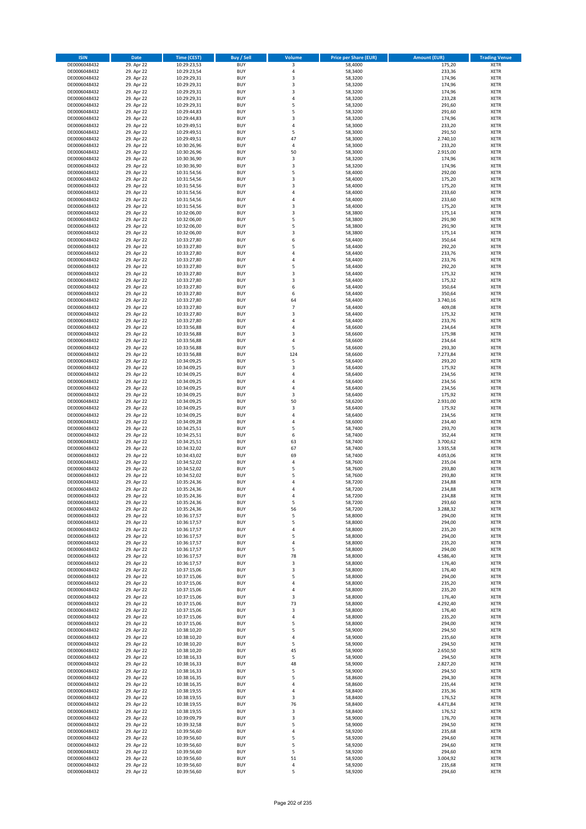| <b>ISIN</b>                  | <b>Date</b>              | <b>Time (CEST)</b>         | <b>Buy / Sell</b>        | <b>Volume</b>  | <b>Price per Share (EUR)</b> | <b>Amount (EUR)</b> | <b>Trading Venue</b>       |
|------------------------------|--------------------------|----------------------------|--------------------------|----------------|------------------------------|---------------------|----------------------------|
| DE0006048432                 | 29. Apr 22               | 10:29:23,53                | <b>BUY</b>               | 3              | 58,4000                      | 175,20              | <b>XETR</b>                |
| DE0006048432                 | 29. Apr 22               | 10:29:23,54                | <b>BUY</b>               | 4              | 58,3400                      | 233,36              | <b>XETR</b>                |
| DE0006048432                 | 29. Apr 22               | 10:29:29,31                | <b>BUY</b>               | 3              | 58,3200                      | 174,96              | <b>XETR</b>                |
| DE0006048432<br>DE0006048432 | 29. Apr 22<br>29. Apr 22 | 10:29:29,31<br>10:29:29,31 | <b>BUY</b><br><b>BUY</b> | 3<br>3         | 58,3200<br>58,3200           | 174,96<br>174,96    | <b>XETR</b><br><b>XETR</b> |
| DE0006048432                 | 29. Apr 22               | 10:29:29,31                | <b>BUY</b>               | 4              | 58,3200                      | 233,28              | <b>XETR</b>                |
| DE0006048432                 | 29. Apr 22               | 10:29:29,31                | <b>BUY</b>               | 5              | 58,3200                      | 291,60              | <b>XETR</b>                |
| DE0006048432                 | 29. Apr 22               | 10:29:44,83                | <b>BUY</b>               | 5              | 58,3200                      | 291,60              | <b>XETR</b>                |
| DE0006048432                 | 29. Apr 22               | 10:29:44,83                | <b>BUY</b>               | 3              | 58,3200                      | 174,96              | <b>XETR</b>                |
| DE0006048432                 | 29. Apr 22               | 10:29:49,51                | <b>BUY</b>               | 4              | 58,3000                      | 233,20              | <b>XETR</b>                |
| DE0006048432                 | 29. Apr 22               | 10:29:49,51                | <b>BUY</b>               | 5              | 58,3000                      | 291,50              | <b>XETR</b>                |
| DE0006048432<br>DE0006048432 | 29. Apr 22<br>29. Apr 22 | 10:29:49,51                | <b>BUY</b><br><b>BUY</b> | 47<br>4        | 58,3000<br>58,3000           | 2.740,10<br>233,20  | <b>XETR</b><br><b>XETR</b> |
| DE0006048432                 | 29. Apr 22               | 10:30:26,96<br>10:30:26,96 | <b>BUY</b>               | 50             | 58,3000                      | 2.915,00            | <b>XETR</b>                |
| DE0006048432                 | 29. Apr 22               | 10:30:36,90                | <b>BUY</b>               | 3              | 58,3200                      | 174,96              | <b>XETR</b>                |
| DE0006048432                 | 29. Apr 22               | 10:30:36,90                | <b>BUY</b>               | 3              | 58,3200                      | 174,96              | <b>XETR</b>                |
| DE0006048432                 | 29. Apr 22               | 10:31:54,56                | <b>BUY</b>               | 5              | 58,4000                      | 292,00              | <b>XETR</b>                |
| DE0006048432                 | 29. Apr 22               | 10:31:54,56                | <b>BUY</b>               | 3              | 58,4000                      | 175,20              | <b>XETR</b>                |
| DE0006048432                 | 29. Apr 22               | 10:31:54,56                | <b>BUY</b>               | 3              | 58,4000                      | 175,20              | <b>XETR</b>                |
| DE0006048432                 | 29. Apr 22               | 10:31:54,56                | <b>BUY</b>               | 4              | 58,4000                      | 233,60              | <b>XETR</b>                |
| DE0006048432                 | 29. Apr 22               | 10:31:54,56                | <b>BUY</b>               | 4              | 58,4000                      | 233,60              | <b>XETR</b>                |
| DE0006048432<br>DE0006048432 | 29. Apr 22<br>29. Apr 22 | 10:31:54,56<br>10:32:06,00 | <b>BUY</b><br><b>BUY</b> | 3<br>3         | 58,4000<br>58,3800           | 175,20<br>175,14    | <b>XETR</b><br><b>XETR</b> |
| DE0006048432                 | 29. Apr 22               | 10:32:06,00                | <b>BUY</b>               | 5              | 58,3800                      | 291,90              | <b>XETR</b>                |
| DE0006048432                 | 29. Apr 22               | 10:32:06,00                | <b>BUY</b>               | 5              | 58,3800                      | 291,90              | <b>XETR</b>                |
| DE0006048432                 | 29. Apr 22               | 10:32:06,00                | <b>BUY</b>               | 3              | 58,3800                      | 175,14              | <b>XETR</b>                |
| DE0006048432                 | 29. Apr 22               | 10:33:27,80                | <b>BUY</b>               | 6              | 58,4400                      | 350,64              | <b>XETR</b>                |
| DE0006048432                 | 29. Apr 22               | 10:33:27,80                | <b>BUY</b>               | 5              | 58,4400                      | 292,20              | <b>XETR</b>                |
| DE0006048432                 | 29. Apr 22               | 10:33:27,80                | <b>BUY</b>               | 4              | 58,4400                      | 233,76              | <b>XETR</b>                |
| DE0006048432                 | 29. Apr 22               | 10:33:27,80                | <b>BUY</b>               | 4<br>5         | 58,4400                      | 233,76              | <b>XETR</b>                |
| DE0006048432<br>DE0006048432 | 29. Apr 22<br>29. Apr 22 | 10:33:27,80<br>10:33:27,80 | <b>BUY</b><br><b>BUY</b> | 3              | 58,4400<br>58,4400           | 292,20<br>175,32    | <b>XETR</b><br><b>XETR</b> |
| DE0006048432                 | 29. Apr 22               | 10:33:27,80                | <b>BUY</b>               | 3              | 58,4400                      | 175,32              | <b>XETR</b>                |
| DE0006048432                 | 29. Apr 22               | 10:33:27,80                | <b>BUY</b>               | 6              | 58,4400                      | 350,64              | <b>XETR</b>                |
| DE0006048432                 | 29. Apr 22               | 10:33:27,80                | <b>BUY</b>               | 6              | 58,4400                      | 350,64              | <b>XETR</b>                |
| DE0006048432                 | 29. Apr 22               | 10:33:27,80                | <b>BUY</b>               | 64             | 58,4400                      | 3.740,16            | <b>XETR</b>                |
| DE0006048432                 | 29. Apr 22               | 10:33:27,80                | <b>BUY</b>               | $\overline{7}$ | 58,4400                      | 409,08              | <b>XETR</b>                |
| DE0006048432                 | 29. Apr 22               | 10:33:27,80                | <b>BUY</b>               | 3              | 58,4400                      | 175,32              | <b>XETR</b>                |
| DE0006048432                 | 29. Apr 22               | 10:33:27,80                | <b>BUY</b>               | 4              | 58,4400                      | 233,76              | <b>XETR</b>                |
| DE0006048432                 | 29. Apr 22               | 10:33:56,88                | <b>BUY</b><br><b>BUY</b> | 4<br>3         | 58,6600                      | 234,64              | <b>XETR</b><br><b>XETR</b> |
| DE0006048432<br>DE0006048432 | 29. Apr 22<br>29. Apr 22 | 10:33:56,88<br>10:33:56,88 | <b>BUY</b>               | 4              | 58,6600<br>58,6600           | 175,98<br>234,64    | <b>XETR</b>                |
| DE0006048432                 | 29. Apr 22               | 10:33:56,88                | <b>BUY</b>               | 5              | 58,6600                      | 293,30              | <b>XETR</b>                |
| DE0006048432                 | 29. Apr 22               | 10:33:56,88                | <b>BUY</b>               | 124            | 58,6600                      | 7.273,84            | <b>XETR</b>                |
| DE0006048432                 | 29. Apr 22               | 10:34:09,25                | <b>BUY</b>               | 5              | 58,6400                      | 293,20              | <b>XETR</b>                |
| DE0006048432                 | 29. Apr 22               | 10:34:09,25                | <b>BUY</b>               | 3              | 58,6400                      | 175,92              | <b>XETR</b>                |
| DE0006048432                 | 29. Apr 22               | 10:34:09,25                | <b>BUY</b>               | 4              | 58,6400                      | 234,56              | <b>XETR</b>                |
| DE0006048432                 | 29. Apr 22               | 10:34:09,25                | <b>BUY</b>               | 4              | 58,6400                      | 234,56              | <b>XETR</b>                |
| DE0006048432                 | 29. Apr 22               | 10:34:09,25                | <b>BUY</b>               | 4              | 58,6400                      | 234,56              | <b>XETR</b>                |
| DE0006048432<br>DE0006048432 | 29. Apr 22<br>29. Apr 22 | 10:34:09,25<br>10:34:09,25 | <b>BUY</b><br><b>BUY</b> | 3<br>50        | 58,6400<br>58,6200           | 175,92<br>2.931,00  | <b>XETR</b><br><b>XETR</b> |
| DE0006048432                 | 29. Apr 22               | 10:34:09,25                | <b>BUY</b>               | 3              | 58,6400                      | 175,92              | <b>XETR</b>                |
| DE0006048432                 | 29. Apr 22               | 10:34:09,25                | <b>BUY</b>               | 4              | 58,6400                      | 234,56              | <b>XETR</b>                |
| DE0006048432                 | 29. Apr 22               | 10:34:09,28                | <b>BUY</b>               | 4              | 58,6000                      | 234,40              | <b>XETR</b>                |
| DE0006048432                 | 29. Apr 22               | 10:34:25,51                | <b>BUY</b>               | 5              | 58,7400                      | 293,70              | <b>XETR</b>                |
| DE0006048432                 | 29. Apr 22               | 10:34:25,51                | <b>BUY</b>               | 6              | 58,7400                      | 352,44              | <b>XETR</b>                |
| DE0006048432                 | 29. Apr 22               | 10:34:25,51                | <b>BUY</b>               | 63             | 58,7400                      | 3.700,62            | <b>XETR</b>                |
| DE0006048432                 | 29. Apr 22               | 10:34:32,02                | <b>BUY</b>               | 67             | 58,7400                      | 3.935,58            | <b>XETR</b>                |
| DE0006048432<br>DE0006048432 | 29. Apr 22               | 10:34:43,02                | <b>BUY</b><br><b>BUY</b> | 69<br>4        | 58,7400                      | 4.053,06            | <b>XETR</b><br><b>XETR</b> |
| DE0006048432                 | 29. Apr 22<br>29. Apr 22 | 10:34:52,02<br>10:34:52,02 | <b>BUY</b>               | 5              | 58,7600<br>58,7600           | 235,04<br>293,80    | <b>XETR</b>                |
| DE0006048432                 | 29. Apr 22               | 10:34:52,02                | <b>BUY</b>               | 5              | 58,7600                      | 293,80              | <b>XETR</b>                |
| DE0006048432                 | 29. Apr 22               | 10:35:24,36                | <b>BUY</b>               | $\overline{a}$ | 58,7200                      | 234,88              | <b>XETR</b>                |
| DE0006048432                 | 29. Apr 22               | 10:35:24,36                | <b>BUY</b>               | 4              | 58,7200                      | 234,88              | <b>XETR</b>                |
| DE0006048432                 | 29. Apr 22               | 10:35:24,36                | BUY                      | 4              | 58,7200                      | 234,88              | <b>XETR</b>                |
| DE0006048432                 | 29. Apr 22               | 10:35:24,36                | <b>BUY</b>               | 5              | 58,7200                      | 293,60              | <b>XETR</b>                |
| DE0006048432                 | 29. Apr 22               | 10:35:24,36                | <b>BUY</b>               | 56             | 58,7200                      | 3.288,32            | <b>XETR</b>                |
| DE0006048432<br>DE0006048432 | 29. Apr 22<br>29. Apr 22 | 10:36:17,57<br>10:36:17,57 | <b>BUY</b><br><b>BUY</b> | 5<br>5         | 58,8000<br>58,8000           | 294,00<br>294,00    | <b>XETR</b><br><b>XETR</b> |
| DE0006048432                 | 29. Apr 22               | 10:36:17,57                | <b>BUY</b>               | 4              | 58,8000                      | 235,20              | <b>XETR</b>                |
| DE0006048432                 | 29. Apr 22               | 10:36:17,57                | <b>BUY</b>               | 5              | 58,8000                      | 294,00              | <b>XETR</b>                |
| DE0006048432                 | 29. Apr 22               | 10:36:17,57                | <b>BUY</b>               | 4              | 58,8000                      | 235,20              | <b>XETR</b>                |
| DE0006048432                 | 29. Apr 22               | 10:36:17,57                | <b>BUY</b>               | 5              | 58,8000                      | 294,00              | <b>XETR</b>                |
| DE0006048432                 | 29. Apr 22               | 10:36:17,57                | <b>BUY</b>               | 78             | 58,8000                      | 4.586,40            | <b>XETR</b>                |
| DE0006048432                 | 29. Apr 22               | 10:36:17,57                | <b>BUY</b>               | 3              | 58,8000                      | 176,40              | <b>XETR</b>                |
| DE0006048432<br>DE0006048432 | 29. Apr 22<br>29. Apr 22 | 10:37:15,06<br>10:37:15,06 | <b>BUY</b><br><b>BUY</b> | 3<br>5         | 58,8000<br>58,8000           | 176,40<br>294,00    | <b>XETR</b><br><b>XETR</b> |
| DE0006048432                 | 29. Apr 22               | 10:37:15,06                | <b>BUY</b>               | 4              | 58,8000                      | 235,20              | <b>XETR</b>                |
| DE0006048432                 | 29. Apr 22               | 10:37:15,06                | <b>BUY</b>               | 4              | 58,8000                      | 235,20              | <b>XETR</b>                |
| DE0006048432                 | 29. Apr 22               | 10:37:15,06                | <b>BUY</b>               | 3              | 58,8000                      | 176,40              | <b>XETR</b>                |
| DE0006048432                 | 29. Apr 22               | 10:37:15,06                | <b>BUY</b>               | 73             | 58,8000                      | 4.292,40            | <b>XETR</b>                |
| DE0006048432                 | 29. Apr 22               | 10:37:15,06                | <b>BUY</b>               | 3              | 58,8000                      | 176,40              | <b>XETR</b>                |
| DE0006048432                 | 29. Apr 22               | 10:37:15,06                | <b>BUY</b>               | 4              | 58,8000                      | 235,20              | XETR                       |
| DE0006048432<br>DE0006048432 | 29. Apr 22<br>29. Apr 22 | 10:37:15,06<br>10:38:10,20 | <b>BUY</b><br><b>BUY</b> | 5<br>5         | 58,8000<br>58,9000           | 294,00<br>294,50    | <b>XETR</b><br><b>XETR</b> |
| DE0006048432                 | 29. Apr 22               | 10:38:10,20                | <b>BUY</b>               | 4              | 58,9000                      | 235,60              | <b>XETR</b>                |
| DE0006048432                 | 29. Apr 22               | 10:38:10,20                | <b>BUY</b>               | 5              | 58,9000                      | 294,50              | <b>XETR</b>                |
| DE0006048432                 | 29. Apr 22               | 10:38:10,20                | <b>BUY</b>               | 45             | 58,9000                      | 2.650,50            | <b>XETR</b>                |
| DE0006048432                 | 29. Apr 22               | 10:38:16,33                | <b>BUY</b>               | 5              | 58,9000                      | 294,50              | <b>XETR</b>                |
| DE0006048432                 | 29. Apr 22               | 10:38:16,33                | <b>BUY</b>               | 48             | 58,9000                      | 2.827,20            | <b>XETR</b>                |
| DE0006048432                 | 29. Apr 22               | 10:38:16,33                | <b>BUY</b>               | 5              | 58,9000                      | 294,50              | <b>XETR</b>                |
| DE0006048432                 | 29. Apr 22               | 10:38:16,35                | <b>BUY</b>               | 5              | 58,8600                      | 294,30              | <b>XETR</b>                |
| DE0006048432<br>DE0006048432 | 29. Apr 22<br>29. Apr 22 | 10:38:16,35<br>10:38:19,55 | <b>BUY</b><br><b>BUY</b> | 4<br>4         | 58,8600<br>58,8400           | 235,44<br>235,36    | <b>XETR</b><br><b>XETR</b> |
| DE0006048432                 | 29. Apr 22               | 10:38:19,55                | <b>BUY</b>               | 3              | 58,8400                      | 176,52              | <b>XETR</b>                |
| DE0006048432                 | 29. Apr 22               | 10:38:19,55                | <b>BUY</b>               | 76             | 58,8400                      | 4.471,84            | <b>XETR</b>                |
| DE0006048432                 | 29. Apr 22               | 10:38:19,55                | <b>BUY</b>               | 3              | 58,8400                      | 176,52              | <b>XETR</b>                |
| DE0006048432                 | 29. Apr 22               | 10:39:09,79                | <b>BUY</b>               | 3              | 58,9000                      | 176,70              | <b>XETR</b>                |
| DE0006048432                 | 29. Apr 22               | 10:39:32,58                | <b>BUY</b>               | 5              | 58,9000                      | 294,50              | <b>XETR</b>                |
| DE0006048432                 | 29. Apr 22               | 10:39:56,60                | <b>BUY</b>               | 4              | 58,9200                      | 235,68              | <b>XETR</b>                |
| DE0006048432                 | 29. Apr 22               | 10:39:56,60                | <b>BUY</b>               | 5              | 58,9200                      | 294,60              | <b>XETR</b>                |
| DE0006048432<br>DE0006048432 | 29. Apr 22<br>29. Apr 22 | 10:39:56,60<br>10:39:56,60 | <b>BUY</b><br><b>BUY</b> | 5<br>5         | 58,9200<br>58,9200           | 294,60<br>294,60    | XETR<br><b>XETR</b>        |
| DE0006048432                 | 29. Apr 22               | 10:39:56,60                | <b>BUY</b>               | 51             | 58,9200                      | 3.004,92            | <b>XETR</b>                |
| DE0006048432                 | 29. Apr 22               | 10:39:56,60                | <b>BUY</b>               | 4              | 58,9200                      | 235,68              | <b>XETR</b>                |
| DE0006048432                 | 29. Apr 22               | 10:39:56,60                | <b>BUY</b>               | 5              | 58,9200                      | 294,60              | <b>XETR</b>                |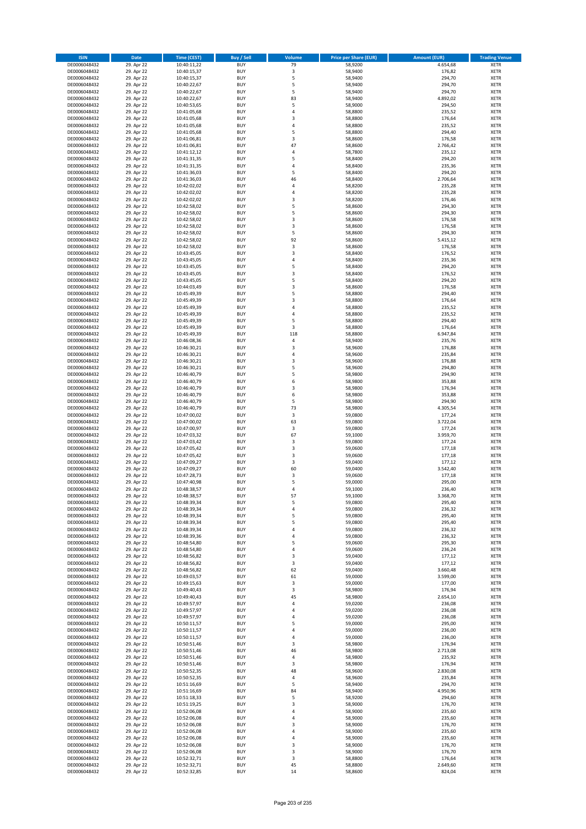| <b>ISIN</b>                  | <b>Date</b>              | <b>Time (CEST)</b>         | <b>Buy / Sell</b>        | Volume                       | <b>Price per Share (EUR)</b> | <b>Amount (EUR)</b> | <b>Trading Venue</b>       |
|------------------------------|--------------------------|----------------------------|--------------------------|------------------------------|------------------------------|---------------------|----------------------------|
| DE0006048432                 | 29. Apr 22               | 10:40:11,22                | <b>BUY</b>               | 79                           | 58,9200                      | 4.654,68            | <b>XETR</b>                |
| DE0006048432                 | 29. Apr 22               | 10:40:15,37                | <b>BUY</b>               | 3                            | 58,9400                      | 176,82              | <b>XETR</b>                |
| DE0006048432                 | 29. Apr 22               | 10:40:15,37                | <b>BUY</b>               | 5                            | 58,9400                      | 294,70              | <b>XETR</b>                |
| DE0006048432                 | 29. Apr 22               | 10:40:22,67                | <b>BUY</b>               | 5                            | 58,9400                      | 294,70              | <b>XETR</b>                |
| DE0006048432                 | 29. Apr 22               | 10:40:22,67                | <b>BUY</b>               | 5                            | 58,9400                      | 294,70              | <b>XETR</b>                |
| DE0006048432                 | 29. Apr 22               | 10:40:22,67                | <b>BUY</b>               | 83                           | 58,9400                      | 4.892,02            | <b>XETR</b>                |
| DE0006048432                 | 29. Apr 22               | 10:40:53,65                | <b>BUY</b>               | 5                            | 58,9000                      | 294,50              | <b>XETR</b>                |
| DE0006048432                 | 29. Apr 22               | 10:41:05,68                | <b>BUY</b>               | 4<br>$\overline{3}$          | 58,8800                      | 235,52              | <b>XETR</b>                |
| DE0006048432                 | 29. Apr 22<br>29. Apr 22 | 10:41:05,68                | BUY<br><b>BUY</b>        | 4                            | 58,8800<br>58,8800           | 176,64<br>235,52    | <b>XETR</b><br><b>XETR</b> |
| DE0006048432<br>DE0006048432 | 29. Apr 22               | 10:41:05,68<br>10:41:05,68 | <b>BUY</b>               | 5                            | 58,8800                      | 294,40              | <b>XETR</b>                |
| DE0006048432                 | 29. Apr 22               | 10:41:06,81                | <b>BUY</b>               | 3                            | 58,8600                      | 176,58              | <b>XETR</b>                |
| DE0006048432                 | 29. Apr 22               | 10:41:06,81                | <b>BUY</b>               | 47                           | 58,8600                      | 2.766,42            | <b>XETR</b>                |
| DE0006048432                 | 29. Apr 22               | 10:41:12,12                | <b>BUY</b>               | 4                            | 58,7800                      | 235,12              | <b>XETR</b>                |
| DE0006048432                 | 29. Apr 22               | 10:41:31,35                | <b>BUY</b>               | 5                            | 58,8400                      | 294,20              | <b>XETR</b>                |
| DE0006048432                 | 29. Apr 22               | 10:41:31,35                | BUY                      | $\overline{a}$               | 58,8400                      | 235,36              | <b>XETR</b>                |
| DE0006048432                 | 29. Apr 22               | 10:41:36,03                | <b>BUY</b>               | 5                            | 58,8400                      | 294,20              | <b>XETR</b>                |
| DE0006048432                 | 29. Apr 22               | 10:41:36,03                | <b>BUY</b>               | 46                           | 58,8400                      | 2.706,64            | <b>XETR</b>                |
| DE0006048432                 | 29. Apr 22               | 10:42:02,02                | <b>BUY</b>               | 4                            | 58,8200                      | 235,28              | <b>XETR</b>                |
| DE0006048432                 | 29. Apr 22               | 10:42:02,02                | <b>BUY</b>               | $\overline{a}$               | 58,8200                      | 235,28              | <b>XETR</b>                |
| DE0006048432                 | 29. Apr 22               | 10:42:02,02                | <b>BUY</b>               | $\overline{\mathbf{3}}$<br>5 | 58,8200                      | 176,46              | <b>XETR</b>                |
| DE0006048432                 | 29. Apr 22               | 10:42:58,02                | <b>BUY</b><br><b>BUY</b> | 5                            | 58,8600                      | 294,30              | <b>XETR</b><br><b>XETR</b> |
| DE0006048432<br>DE0006048432 | 29. Apr 22<br>29. Apr 22 | 10:42:58,02<br>10:42:58,02 | BUY                      | 3                            | 58,8600<br>58,8600           | 294,30<br>176,58    | <b>XETR</b>                |
| DE0006048432                 | 29. Apr 22               | 10:42:58,02                | <b>BUY</b>               | 3                            | 58,8600                      | 176,58              | <b>XETR</b>                |
| DE0006048432                 | 29. Apr 22               | 10:42:58,02                | <b>BUY</b>               | 5                            | 58,8600                      | 294,30              | <b>XETR</b>                |
| DE0006048432                 | 29. Apr 22               | 10:42:58,02                | <b>BUY</b>               | 92                           | 58,8600                      | 5.415,12            | <b>XETR</b>                |
| DE0006048432                 | 29. Apr 22               | 10:42:58,02                | <b>BUY</b>               | 3                            | 58,8600                      | 176,58              | <b>XETR</b>                |
| DE0006048432                 | 29. Apr 22               | 10:43:45,05                | <b>BUY</b>               | 3                            | 58,8400                      | 176,52              | <b>XETR</b>                |
| DE0006048432                 | 29. Apr 22               | 10:43:45,05                | <b>BUY</b>               | 4                            | 58,8400                      | 235,36              | <b>XETR</b>                |
| DE0006048432                 | 29. Apr 22               | 10:43:45,05                | <b>BUY</b>               | 5                            | 58,8400                      | 294,20              | <b>XETR</b>                |
| DE0006048432                 | 29. Apr 22               | 10:43:45,05                | <b>BUY</b>               | 3                            | 58,8400                      | 176,52              | <b>XETR</b>                |
| DE0006048432                 | 29. Apr 22               | 10:43:45,05                | <b>BUY</b>               | 5                            | 58,8400                      | 294,20              | <b>XETR</b>                |
| DE0006048432                 | 29. Apr 22               | 10:44:03,49                | <b>BUY</b>               | $\overline{\mathbf{3}}$      | 58,8600                      | 176,58              | <b>XETR</b>                |
| DE0006048432                 | 29. Apr 22               | 10:45:49,39                | <b>BUY</b>               | 5                            | 58,8800                      | 294,40              | <b>XETR</b>                |
| DE0006048432                 | 29. Apr 22               | 10:45:49,39                | <b>BUY</b><br><b>BUY</b> | 3<br>$\overline{a}$          | 58,8800                      | 176,64              | <b>XETR</b><br><b>XETR</b> |
| DE0006048432<br>DE0006048432 | 29. Apr 22<br>29. Apr 22 | 10:45:49,39<br>10:45:49,39 | BUY                      | $\overline{a}$               | 58,8800<br>58,8800           | 235,52<br>235,52    | <b>XETR</b>                |
| DE0006048432                 | 29. Apr 22               | 10:45:49,39                | <b>BUY</b>               | 5                            | 58,8800                      | 294,40              | <b>XETR</b>                |
| DE0006048432                 | 29. Apr 22               | 10:45:49,39                | <b>BUY</b>               | 3                            | 58,8800                      | 176,64              | <b>XETR</b>                |
| DE0006048432                 | 29. Apr 22               | 10:45:49,39                | <b>BUY</b>               | 118                          | 58,8800                      | 6.947,84            | <b>XETR</b>                |
| DE0006048432                 | 29. Apr 22               | 10:46:08,36                | <b>BUY</b>               | 4                            | 58,9400                      | 235,76              | <b>XETR</b>                |
| DE0006048432                 | 29. Apr 22               | 10:46:30,21                | <b>BUY</b>               | $\mathsf 3$                  | 58,9600                      | 176,88              | <b>XETR</b>                |
| DE0006048432                 | 29. Apr 22               | 10:46:30,21                | <b>BUY</b>               | $\overline{a}$               | 58,9600                      | 235,84              | <b>XETR</b>                |
| DE0006048432                 | 29. Apr 22               | 10:46:30,21                | <b>BUY</b>               | $\overline{\mathbf{3}}$      | 58,9600                      | 176,88              | <b>XETR</b>                |
| DE0006048432                 | 29. Apr 22               | 10:46:30,21                | <b>BUY</b>               | 5                            | 58,9600                      | 294,80              | <b>XETR</b>                |
| DE0006048432                 | 29. Apr 22               | 10:46:40,79                | <b>BUY</b>               | 5                            | 58,9800                      | 294,90              | <b>XETR</b>                |
| DE0006048432                 | 29. Apr 22               | 10:46:40,79                | <b>BUY</b>               | 6                            | 58,9800                      | 353,88              | <b>XETR</b>                |
| DE0006048432                 | 29. Apr 22               | 10:46:40,79                | <b>BUY</b>               | 3                            | 58,9800                      | 176,94              | <b>XETR</b>                |
| DE0006048432                 | 29. Apr 22               | 10:46:40,79                | <b>BUY</b>               | 6                            | 58,9800                      | 353,88              | <b>XETR</b>                |
| DE0006048432<br>DE0006048432 | 29. Apr 22<br>29. Apr 22 | 10:46:40,79<br>10:46:40,79 | <b>BUY</b><br><b>BUY</b> | 5<br>73                      | 58,9800<br>58,9800           | 294,90<br>4.305,54  | <b>XETR</b><br><b>XETR</b> |
| DE0006048432                 | 29. Apr 22               | 10:47:00,02                | <b>BUY</b>               | 3                            | 59,0800                      | 177,24              | <b>XETR</b>                |
| DE0006048432                 | 29. Apr 22               | 10:47:00,02                | <b>BUY</b>               | 63                           | 59,0800                      | 3.722,04            | <b>XETR</b>                |
| DE0006048432                 | 29. Apr 22               | 10:47:00,97                | <b>BUY</b>               | 3                            | 59,0800                      | 177,24              | <b>XETR</b>                |
| DE0006048432                 | 29. Apr 22               | 10:47:03,32                | <b>BUY</b>               | 67                           | 59,1000                      | 3.959,70            | <b>XETR</b>                |
| DE0006048432                 | 29. Apr 22               | 10:47:03,42                | <b>BUY</b>               | $\overline{\mathbf{3}}$      | 59,0800                      | 177,24              | <b>XETR</b>                |
| DE0006048432                 | 29. Apr 22               | 10:47:05,42                | <b>BUY</b>               | 3                            | 59,0600                      | 177,18              | <b>XETR</b>                |
| DE0006048432                 | 29. Apr 22               | 10:47:05,42                | BUY                      | $\overline{\mathbf{3}}$      | 59,0600                      | 177,18              | <b>XETR</b>                |
| DE0006048432                 | 29. Apr 22               | 10:47:09,27                | <b>BUY</b>               | 3                            | 59,0400                      | 177,12              | <b>XETR</b>                |
| DE0006048432                 | 29. Apr 22               | 10:47:09,27                | <b>BUY</b>               | 60                           | 59,0400                      | 3.542,40            | <b>XETR</b>                |
| DE0006048432                 | 29. Apr 22               | 10:47:28,73                | BUY                      | 3                            | 59,0600                      | 177,18              | <b>XETR</b>                |
| DE0006048432                 | 29. Apr 22               | 10:47:40,98                | BUY<br><b>BUY</b>        | 5<br>$\overline{a}$          | 59,0000                      | 295,00              | <b>XETR</b>                |
| DE0006048432<br>DE0006048432 | 29. Apr 22<br>29. Apr 22 | 10:48:38,57<br>10:48:38,57 | <b>BUY</b>               | 57                           | 59,1000<br>59,1000           | 236,40<br>3.368,70  | <b>XETR</b><br><b>XETR</b> |
| DE0006048432                 | 29. Apr 22               | 10:48:39,34                | <b>BUY</b>               | 5                            | 59,0800                      | 295,40              | <b>XETR</b>                |
| DE0006048432                 | 29. Apr 22               | 10:48:39,34                | <b>BUY</b>               | 4                            | 59,0800                      | 236,32              | <b>XETR</b>                |
| DE0006048432                 | 29. Apr 22               | 10:48:39,34                | <b>BUY</b>               | 5                            | 59,0800                      | 295,40              | <b>XETR</b>                |
| DE0006048432                 | 29. Apr 22               | 10:48:39,34                | <b>BUY</b>               | 5                            | 59,0800                      | 295,40              | <b>XETR</b>                |
| DE0006048432                 | 29. Apr 22               | 10:48:39,34                | <b>BUY</b>               | 4                            | 59,0800                      | 236,32              | <b>XETR</b>                |
| DE0006048432                 | 29. Apr 22               | 10:48:39,36                | <b>BUY</b>               | 4                            | 59,0800                      | 236,32              | <b>XETR</b>                |
| DE0006048432                 | 29. Apr 22               | 10:48:54,80                | <b>BUY</b>               | 5                            | 59,0600                      | 295,30              | <b>XETR</b>                |
| DE0006048432                 | 29. Apr 22               | 10:48:54,80                | <b>BUY</b>               | 4                            | 59,0600                      | 236,24              | <b>XETR</b>                |
| DE0006048432                 | 29. Apr 22               | 10:48:56,82                | <b>BUY</b>               | 3                            | 59,0400                      | 177,12              | <b>XETR</b>                |
| DE0006048432<br>DE0006048432 | 29. Apr 22<br>29. Apr 22 | 10:48:56,82<br>10:48:56,82 | <b>BUY</b><br><b>BUY</b> | 3<br>62                      | 59,0400<br>59,0400           | 177,12<br>3.660,48  | <b>XETR</b><br><b>XETR</b> |
| DE0006048432                 | 29. Apr 22               | 10:49:03,57                | <b>BUY</b>               | 61                           | 59,0000                      | 3.599,00            | <b>XETR</b>                |
| DE0006048432                 | 29. Apr 22               | 10:49:15,63                | <b>BUY</b>               | 3                            | 59,0000                      | 177,00              | <b>XETR</b>                |
| DE0006048432                 | 29. Apr 22               | 10:49:40,43                | <b>BUY</b>               | 3                            | 58,9800                      | 176,94              | <b>XETR</b>                |
| DE0006048432                 | 29. Apr 22               | 10:49:40,43                | <b>BUY</b>               | 45                           | 58,9800                      | 2.654,10            | <b>XETR</b>                |
| DE0006048432                 | 29. Apr 22               | 10:49:57,97                | <b>BUY</b>               | 4                            | 59,0200                      | 236,08              | <b>XETR</b>                |
| DE0006048432                 | 29. Apr 22               | 10:49:57,97                | <b>BUY</b>               | 4                            | 59,0200                      | 236,08              | <b>XETR</b>                |
| DE0006048432                 | 29. Apr 22               | 10:49:57,97                | <b>BUY</b>               | 4                            | 59,0200                      | 236,08              | <b>XETR</b>                |
| DE0006048432                 | 29. Apr 22               | 10:50:11,57                | <b>BUY</b>               | 5                            | 59,0000                      | 295,00              | <b>XETR</b>                |
| DE0006048432                 | 29. Apr 22               | 10:50:11,57                | <b>BUY</b>               | 4                            | 59,0000                      | 236,00              | <b>XETR</b>                |
| DE0006048432<br>DE0006048432 | 29. Apr 22<br>29. Apr 22 | 10:50:11,57<br>10:50:51,46 | <b>BUY</b><br><b>BUY</b> | 4<br>3                       | 59,0000<br>58,9800           | 236,00<br>176,94    | <b>XETR</b><br><b>XETR</b> |
| DE0006048432                 | 29. Apr 22               | 10:50:51,46                | <b>BUY</b>               | 46                           | 58,9800                      | 2.713,08            | <b>XETR</b>                |
| DE0006048432                 | 29. Apr 22               | 10:50:51,46                | <b>BUY</b>               | $\sqrt{4}$                   | 58,9800                      | 235,92              | <b>XETR</b>                |
| DE0006048432                 | 29. Apr 22               | 10:50:51,46                | <b>BUY</b>               | 3                            | 58,9800                      | 176,94              | <b>XETR</b>                |
| DE0006048432                 | 29. Apr 22               | 10:50:52,35                | <b>BUY</b>               | 48                           | 58,9600                      | 2.830,08            | <b>XETR</b>                |
| DE0006048432                 | 29. Apr 22               | 10:50:52,35                | <b>BUY</b>               | 4                            | 58,9600                      | 235,84              | <b>XETR</b>                |
| DE0006048432                 | 29. Apr 22               | 10:51:16,69                | <b>BUY</b>               | 5                            | 58,9400                      | 294,70              | <b>XETR</b>                |
| DE0006048432                 | 29. Apr 22               | 10:51:16,69                | <b>BUY</b>               | 84                           | 58,9400                      | 4.950,96            | <b>XETR</b>                |
| DE0006048432                 | 29. Apr 22               | 10:51:18,33                | <b>BUY</b>               | 5                            | 58,9200                      | 294,60              | <b>XETR</b>                |
| DE0006048432                 | 29. Apr 22               | 10:51:19,25                | <b>BUY</b>               | 3                            | 58,9000                      | 176,70              | <b>XETR</b>                |
| DE0006048432                 | 29. Apr 22               | 10:52:06,08                | <b>BUY</b>               | 4                            | 58,9000                      | 235,60              | <b>XETR</b>                |
| DE0006048432                 | 29. Apr 22               | 10:52:06,08                | <b>BUY</b>               | $\overline{a}$               | 58,9000                      | 235,60              | <b>XETR</b>                |
| DE0006048432                 | 29. Apr 22               | 10:52:06,08                | <b>BUY</b>               | 3                            | 58,9000                      | 176,70              | <b>XETR</b>                |
| DE0006048432                 | 29. Apr 22               | 10:52:06,08                | <b>BUY</b>               | 4                            | 58,9000                      | 235,60              | <b>XETR</b>                |
| DE0006048432<br>DE0006048432 | 29. Apr 22<br>29. Apr 22 | 10:52:06,08                | <b>BUY</b><br><b>BUY</b> | 4<br>3                       | 58,9000<br>58,9000           | 235,60<br>176,70    | <b>XETR</b><br><b>XETR</b> |
| DE0006048432                 | 29. Apr 22               | 10:52:06,08<br>10:52:06,08 | <b>BUY</b>               | 3                            | 58,9000                      | 176,70              | <b>XETR</b>                |
| DE0006048432                 | 29. Apr 22               | 10:52:32,71                | <b>BUY</b>               | 3                            | 58,8800                      | 176,64              | <b>XETR</b>                |
| DE0006048432                 | 29. Apr 22               | 10:52:32,71                | <b>BUY</b>               | 45                           | 58,8800                      | 2.649,60            | <b>XETR</b>                |
| DE0006048432                 | 29. Apr 22               | 10:52:32,85                | <b>BUY</b>               | 14                           | 58,8600                      | 824,04              | <b>XETR</b>                |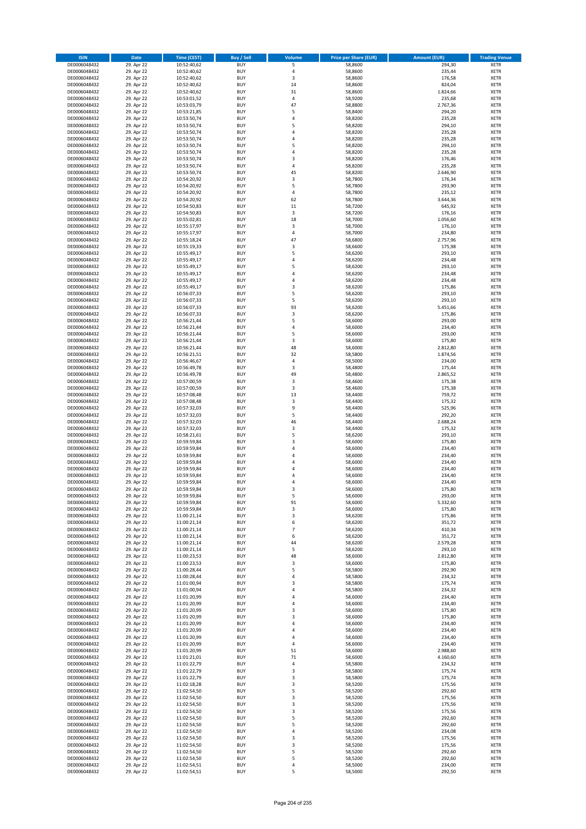| <b>ISIN</b>                  | Date                     | Time (CEST)                | <b>Buy / Sell</b>        | <b>Volume</b>        | <b>Price per Share (EUR)</b> | <b>Amount (EUR)</b>  | <b>Trading Venue</b>       |
|------------------------------|--------------------------|----------------------------|--------------------------|----------------------|------------------------------|----------------------|----------------------------|
| DE0006048432                 | 29. Apr 22               | 10:52:40,62                | <b>BUY</b>               | 5                    | 58,8600                      | 294,30               | <b>XETR</b>                |
| DE0006048432                 | 29. Apr 22               | 10:52:40,62                | <b>BUY</b>               | $\sqrt{4}$           | 58,8600                      | 235,44               | XETR                       |
| DE0006048432                 | 29. Apr 22               | 10:52:40,62                | <b>BUY</b>               | 3                    | 58,8600                      | 176,58               | <b>XETR</b>                |
| DE0006048432<br>DE0006048432 | 29. Apr 22<br>29. Apr 22 | 10:52:40,62<br>10:52:40,62 | <b>BUY</b><br><b>BUY</b> | 14<br>31             | 58,8600<br>58,8600           | 824,04<br>1.824,66   | XETR<br><b>XETR</b>        |
| DE0006048432                 | 29. Apr 22               | 10:53:01,52                | <b>BUY</b>               | 4                    | 58,9200                      | 235,68               | <b>XETR</b>                |
| DE0006048432                 | 29. Apr 22               | 10:53:03,79                | <b>BUY</b>               | 47                   | 58,8800                      | 2.767,36             | <b>XETR</b>                |
| DE0006048432                 | 29. Apr 22               | 10:53:21,85                | <b>BUY</b>               | 5                    | 58,8400                      | 294,20               | <b>XETR</b>                |
| DE0006048432                 | 29. Apr 22               | 10:53:50,74                | <b>BUY</b>               | $\overline{4}$<br>5  | 58,8200                      | 235,28               | <b>XETR</b>                |
| DE0006048432<br>DE0006048432 | 29. Apr 22<br>29. Apr 22 | 10:53:50,74<br>10:53:50,74 | <b>BUY</b><br><b>BUY</b> | $\sqrt{4}$           | 58,8200<br>58,8200           | 294,10<br>235,28     | <b>XETR</b><br><b>XETR</b> |
| DE0006048432                 | 29. Apr 22               | 10:53:50,74                | <b>BUY</b>               | 4                    | 58,8200                      | 235,28               | <b>XETR</b>                |
| DE0006048432                 | 29. Apr 22               | 10:53:50,74                | <b>BUY</b>               | 5                    | 58,8200                      | 294,10               | <b>XETR</b>                |
| DE0006048432                 | 29. Apr 22               | 10:53:50,74                | <b>BUY</b>               | 4                    | 58,8200                      | 235,28               | <b>XETR</b>                |
| DE0006048432                 | 29. Apr 22               | 10:53:50,74                | <b>BUY</b>               | 3                    | 58,8200                      | 176,46               | <b>XETR</b>                |
| DE0006048432<br>DE0006048432 | 29. Apr 22<br>29. Apr 22 | 10:53:50,74<br>10:53:50,74 | <b>BUY</b><br><b>BUY</b> | $\overline{4}$<br>45 | 58,8200<br>58,8200           | 235,28<br>2.646,90   | <b>XETR</b><br><b>XETR</b> |
| DE0006048432                 | 29. Apr 22               | 10:54:20,92                | <b>BUY</b>               | 3                    | 58,7800                      | 176,34               | <b>XETR</b>                |
| DE0006048432                 | 29. Apr 22               | 10:54:20,92                | <b>BUY</b>               | 5                    | 58,7800                      | 293,90               | <b>XETR</b>                |
| DE0006048432                 | 29. Apr 22               | 10:54:20,92                | <b>BUY</b>               | 4                    | 58,7800                      | 235,12               | <b>XETR</b>                |
| DE0006048432                 | 29. Apr 22               | 10:54:20,92                | <b>BUY</b>               | 62                   | 58,7800                      | 3.644,36             | <b>XETR</b>                |
| DE0006048432<br>DE0006048432 | 29. Apr 22<br>29. Apr 22 | 10:54:50,83<br>10:54:50,83 | <b>BUY</b><br><b>BUY</b> | 11<br>3              | 58,7200<br>58,7200           | 645,92<br>176,16     | <b>XETR</b><br><b>XETR</b> |
| DE0006048432                 | 29. Apr 22               | 10:55:02,81                | <b>BUY</b>               | 18                   | 58,7000                      | 1.056,60             | <b>XETR</b>                |
| DE0006048432                 | 29. Apr 22               | 10:55:17,97                | <b>BUY</b>               | 3                    | 58,7000                      | 176,10               | <b>XETR</b>                |
| DE0006048432                 | 29. Apr 22               | 10:55:17,97                | <b>BUY</b>               | $\sqrt{4}$           | 58,7000                      | 234,80               | <b>XETR</b>                |
| DE0006048432                 | 29. Apr 22               | 10:55:18,24                | <b>BUY</b>               | 47                   | 58,6800                      | 2.757,96             | <b>XETR</b>                |
| DE0006048432<br>DE0006048432 | 29. Apr 22<br>29. Apr 22 | 10:55:19,33<br>10:55:49,17 | <b>BUY</b><br><b>BUY</b> | 3<br>5               | 58,6600<br>58,6200           | 175,98<br>293,10     | <b>XETR</b><br><b>XETR</b> |
| DE0006048432                 | 29. Apr 22               | 10:55:49,17                | <b>BUY</b>               | 4                    | 58,6200                      | 234,48               | <b>XETR</b>                |
| DE0006048432                 | 29. Apr 22               | 10:55:49,17                | <b>BUY</b>               | 5                    | 58,6200                      | 293,10               | <b>XETR</b>                |
| DE0006048432                 | 29. Apr 22               | 10:55:49,17                | <b>BUY</b>               | $\sqrt{4}$           | 58,6200                      | 234,48               | <b>XETR</b>                |
| DE0006048432                 | 29. Apr 22               | 10:55:49,17                | <b>BUY</b>               | 4                    | 58,6200                      | 234,48               | <b>XETR</b>                |
| DE0006048432                 | 29. Apr 22               | 10:55:49,17                | <b>BUY</b>               | 3<br>5               | 58,6200                      | 175,86               | <b>XETR</b>                |
| DE0006048432<br>DE0006048432 | 29. Apr 22<br>29. Apr 22 | 10:56:07,33<br>10:56:07,33 | <b>BUY</b><br><b>BUY</b> | 5                    | 58,6200<br>58,6200           | 293,10<br>293,10     | <b>XETR</b><br><b>XETR</b> |
| DE0006048432                 | 29. Apr 22               | 10:56:07,33                | <b>BUY</b>               | 93                   | 58,6200                      | 5.451,66             | <b>XETR</b>                |
| DE0006048432                 | 29. Apr 22               | 10:56:07,33                | <b>BUY</b>               | $\mathsf 3$          | 58,6200                      | 175,86               | <b>XETR</b>                |
| DE0006048432                 | 29. Apr 22               | 10:56:21,44                | <b>BUY</b>               | 5                    | 58,6000                      | 293,00               | <b>XETR</b>                |
| DE0006048432                 | 29. Apr 22               | 10:56:21,44                | <b>BUY</b>               | 4                    | 58,6000                      | 234,40               | <b>XETR</b>                |
| DE0006048432<br>DE0006048432 | 29. Apr 22<br>29. Apr 22 | 10:56:21,44<br>10:56:21,44 | <b>BUY</b><br><b>BUY</b> | 5<br>3               | 58,6000<br>58,6000           | 293,00<br>175,80     | <b>XETR</b><br><b>XETR</b> |
| DE0006048432                 | 29. Apr 22               | 10:56:21,44                | <b>BUY</b>               | 48                   | 58,6000                      | 2.812,80             | <b>XETR</b>                |
| DE0006048432                 | 29. Apr 22               | 10:56:21,51                | <b>BUY</b>               | 32                   | 58,5800                      | 1.874,56             | <b>XETR</b>                |
| DE0006048432                 | 29. Apr 22               | 10:56:46,67                | <b>BUY</b>               | $\sqrt{4}$           | 58,5000                      | 234,00               | <b>XETR</b>                |
| DE0006048432                 | 29. Apr 22               | 10:56:49,78                | <b>BUY</b>               | 3                    | 58,4800                      | 175,44               | <b>XETR</b>                |
| DE0006048432<br>DE0006048432 | 29. Apr 22<br>29. Apr 22 | 10:56:49,78<br>10:57:00,59 | <b>BUY</b><br><b>BUY</b> | 49<br>3              | 58,4800<br>58,4600           | 2.865,52<br>175,38   | <b>XETR</b><br><b>XETR</b> |
| DE0006048432                 | 29. Apr 22               | 10:57:00,59                | <b>BUY</b>               | 3                    | 58,4600                      | 175,38               | <b>XETR</b>                |
| DE0006048432                 | 29. Apr 22               | 10:57:08,48                | <b>BUY</b>               | 13                   | 58,4400                      | 759,72               | <b>XETR</b>                |
| DE0006048432                 | 29. Apr 22               | 10:57:08,48                | <b>BUY</b>               | 3                    | 58,4400                      | 175,32               | <b>XETR</b>                |
| DE0006048432                 | 29. Apr 22               | 10:57:32,03                | <b>BUY</b>               | 9                    | 58,4400                      | 525,96               | <b>XETR</b>                |
| DE0006048432<br>DE0006048432 | 29. Apr 22<br>29. Apr 22 | 10:57:32,03<br>10:57:32,03 | <b>BUY</b><br><b>BUY</b> | 5<br>46              | 58,4400<br>58,4400           | 292,20<br>2.688,24   | <b>XETR</b><br><b>XETR</b> |
| DE0006048432                 | 29. Apr 22               | 10:57:32,03                | <b>BUY</b>               | 3                    | 58,4400                      | 175,32               | <b>XETR</b>                |
| DE0006048432                 | 29. Apr 22               | 10:58:21,61                | <b>BUY</b>               | 5                    | 58,6200                      | 293,10               | <b>XETR</b>                |
| DE0006048432                 | 29. Apr 22               | 10:59:59,84                | <b>BUY</b>               | 3                    | 58,6000                      | 175,80               | <b>XETR</b>                |
| DE0006048432                 | 29. Apr 22               | 10:59:59,84                | <b>BUY</b>               | 4                    | 58,6000                      | 234,40               | <b>XETR</b>                |
| DE0006048432<br>DE0006048432 | 29. Apr 22<br>29. Apr 22 | 10:59:59,84<br>10:59:59,84 | <b>BUY</b><br><b>BUY</b> | $\overline{a}$<br>4  | 58,6000<br>58,6000           | 234,40<br>234,40     | <b>XETR</b><br><b>XETR</b> |
| DE0006048432                 | 29. Apr 22               | 10:59:59,84                | <b>BUY</b>               | 4                    | 58,6000                      | 234,40               | <b>XETR</b>                |
| DE0006048432                 | 29. Apr 22               | 10:59:59,84                | <b>BUY</b>               | $\overline{a}$       | 58,6000                      | 234,40               | <b>XETR</b>                |
| DE0006048432                 | 29. Apr 22               | 10:59:59,84                | <b>BUY</b>               | $\overline{4}$       | 58,6000                      | 234,40               | <b>XETR</b>                |
| DE0006048432                 | 29. Apr 22               | 10:59:59,84                | <b>BUY</b>               | 3                    | 58,6000                      | 175,80               | <b>XETR</b>                |
| DE0006048432<br>DE0006048432 | 29. Apr 22<br>29. Apr 22 | 10:59:59,84<br>10:59:59,84 | BUY<br><b>BUY</b>        | 5<br>91              | 58,6000<br>58,6000           | 293,00<br>5.332,60   | XETR<br><b>XETR</b>        |
| DE0006048432                 | 29. Apr 22               | 10:59:59,84                | <b>BUY</b>               | 3                    | 58,6000                      | 175,80               | <b>XETR</b>                |
| DE0006048432                 | 29. Apr 22               | 11:00:21,14                | <b>BUY</b>               | 3                    | 58,6200                      | 175,86               | <b>XETR</b>                |
| DE0006048432                 | 29. Apr 22               | 11:00:21,14                | <b>BUY</b>               | 6                    | 58,6200                      | 351,72               | <b>XETR</b>                |
| DE0006048432                 | 29. Apr 22               | 11:00:21,14                | <b>BUY</b>               | $\overline{7}$       | 58,6200                      | 410,34               | <b>XETR</b>                |
| DE0006048432<br>DE0006048432 | 29. Apr 22<br>29. Apr 22 | 11:00:21,14<br>11:00:21,14 | <b>BUY</b><br><b>BUY</b> | 6<br>44              | 58,6200<br>58,6200           | 351,72<br>2.579,28   | <b>XETR</b><br><b>XETR</b> |
| DE0006048432                 | 29. Apr 22               | 11:00:21,14                | <b>BUY</b>               | 5                    | 58,6200                      | 293,10               | XETR                       |
| DE0006048432                 | 29. Apr 22               | 11:00:23,53                | <b>BUY</b>               | 48                   | 58,6000                      | 2.812,80             | <b>XETR</b>                |
| DE0006048432                 | 29. Apr 22               | 11:00:23,53                | <b>BUY</b>               | 3                    | 58,6000                      | 175,80               | XETR                       |
| DE0006048432<br>DE0006048432 | 29. Apr 22<br>29. Apr 22 | 11:00:28,44<br>11:00:28,44 | <b>BUY</b><br><b>BUY</b> | 5<br>4               | 58,5800<br>58,5800           | 292,90<br>234,32     | <b>XETR</b><br>XETR        |
| DE0006048432                 | 29. Apr 22               | 11:01:00,94                | <b>BUY</b>               | 3                    | 58,5800                      | 175,74               | <b>XETR</b>                |
| DE0006048432                 | 29. Apr 22               | 11:01:00,94                | <b>BUY</b>               | 4                    | 58,5800                      | 234,32               | <b>XETR</b>                |
| DE0006048432                 | 29. Apr 22               | 11:01:20,99                | <b>BUY</b>               | $\overline{a}$       | 58,6000                      | 234,40               | <b>XETR</b>                |
| DE0006048432                 | 29. Apr 22               | 11:01:20,99                | <b>BUY</b>               | 4                    | 58,6000                      | 234,40               | <b>XETR</b>                |
| DE0006048432<br>DE0006048432 | 29. Apr 22<br>29. Apr 22 | 11:01:20,99<br>11:01:20,99 | <b>BUY</b><br><b>BUY</b> | 3<br>3               | 58,6000<br>58,6000           | 175,80<br>175,80     | <b>XETR</b><br>XETR        |
| DE0006048432                 | 29. Apr 22               | 11:01:20,99                | <b>BUY</b>               | 4                    | 58,6000                      | 234,40               | <b>XETR</b>                |
| DE0006048432                 | 29. Apr 22               | 11:01:20,99                | <b>BUY</b>               | 4                    | 58,6000                      | 234,40               | <b>XETR</b>                |
| DE0006048432                 | 29. Apr 22               | 11:01:20,99                | <b>BUY</b>               | $\sqrt{4}$           | 58,6000                      | 234,40               | <b>XETR</b>                |
| DE0006048432                 | 29. Apr 22               | 11:01:20,99                | <b>BUY</b>               | 4                    | 58,6000                      | 234,40               | XETR                       |
| DE0006048432<br>DE0006048432 | 29. Apr 22<br>29. Apr 22 | 11:01:20,99<br>11:01:21,01 | <b>BUY</b><br><b>BUY</b> | 51<br>71             | 58,6000<br>58,6000           | 2.988,60<br>4.160,60 | <b>XETR</b><br>XETR        |
| DE0006048432                 | 29. Apr 22               | 11:01:22,79                | <b>BUY</b>               | 4                    | 58,5800                      | 234,32               | <b>XETR</b>                |
| DE0006048432                 | 29. Apr 22               | 11:01:22,79                | <b>BUY</b>               | 3                    | 58,5800                      | 175,74               | <b>XETR</b>                |
| DE0006048432                 | 29. Apr 22               | 11:01:22,79                | <b>BUY</b>               | 3                    | 58,5800                      | 175,74               | <b>XETR</b>                |
| DE0006048432                 | 29. Apr 22               | 11:02:18,28                | <b>BUY</b>               | 3                    | 58,5200                      | 175,56               | <b>XETR</b>                |
| DE0006048432<br>DE0006048432 | 29. Apr 22<br>29. Apr 22 | 11:02:54,50<br>11:02:54,50 | <b>BUY</b><br><b>BUY</b> | 5<br>3               | 58,5200<br>58,5200           | 292,60<br>175,56     | <b>XETR</b><br><b>XETR</b> |
| DE0006048432                 | 29. Apr 22               | 11:02:54,50                | <b>BUY</b>               | 3                    | 58,5200                      | 175,56               | XETR                       |
| DE0006048432                 | 29. Apr 22               | 11:02:54,50                | <b>BUY</b>               | 3                    | 58,5200                      | 175,56               | XETR                       |
| DE0006048432                 | 29. Apr 22               | 11:02:54,50                | <b>BUY</b>               | 5                    | 58,5200                      | 292,60               | <b>XETR</b>                |
| DE0006048432                 | 29. Apr 22               | 11:02:54,50                | <b>BUY</b>               | 5                    | 58,5200                      | 292,60               | <b>XETR</b>                |
| DE0006048432<br>DE0006048432 | 29. Apr 22<br>29. Apr 22 | 11:02:54,50<br>11:02:54,50 | <b>BUY</b><br><b>BUY</b> | $\sqrt{4}$<br>3      | 58,5200<br>58,5200           | 234,08<br>175,56     | <b>XETR</b><br><b>XETR</b> |
| DE0006048432                 | 29. Apr 22               | 11:02:54,50                | <b>BUY</b>               | $\mathsf 3$          | 58,5200                      | 175,56               | XETR                       |
| DE0006048432                 | 29. Apr 22               | 11:02:54,50                | <b>BUY</b>               | 5                    | 58,5200                      | 292,60               | <b>XETR</b>                |
| DE0006048432                 | 29. Apr 22               | 11:02:54,50                | <b>BUY</b>               | 5                    | 58,5200                      | 292,60               | XETR                       |
| DE0006048432                 | 29. Apr 22               | 11:02:54,51                | <b>BUY</b>               | $\sqrt{4}$           | 58,5000                      | 234,00               | <b>XETR</b>                |
| DE0006048432                 | 29. Apr 22               | 11:02:54,51                | <b>BUY</b>               | 5                    | 58,5000                      | 292,50               | <b>XETR</b>                |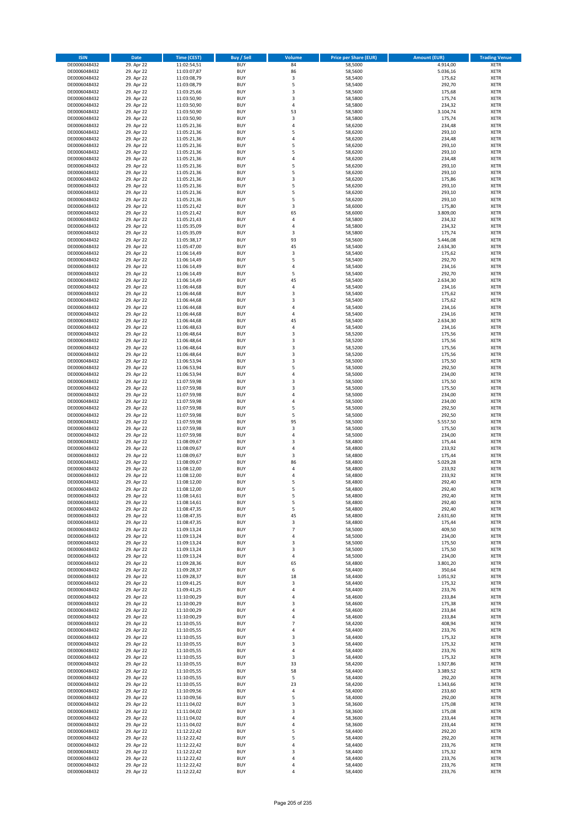| <b>ISIN</b>                  | <b>Date</b>              | <b>Time (CEST)</b>         | <b>Buy / Sell</b>        | <b>Volume</b>                 | <b>Price per Share (EUR)</b> | <b>Amount (EUR)</b> | <b>Trading Venue</b>       |
|------------------------------|--------------------------|----------------------------|--------------------------|-------------------------------|------------------------------|---------------------|----------------------------|
| DE0006048432                 | 29. Apr 22               | 11:02:54,51                | <b>BUY</b>               | 84                            | 58,5000                      | 4.914,00            | <b>XETR</b>                |
| DE0006048432                 | 29. Apr 22               | 11:03:07,87                | <b>BUY</b>               | 86                            | 58,5600                      | 5.036,16            | <b>XETR</b>                |
| DE0006048432                 | 29. Apr 22               | 11:03:08,79                | <b>BUY</b>               | 3                             | 58,5400                      | 175,62              | <b>XETR</b>                |
| DE0006048432<br>DE0006048432 | 29. Apr 22<br>29. Apr 22 | 11:03:08,79<br>11:03:25,66 | <b>BUY</b><br><b>BUY</b> | 5<br>3                        | 58,5400<br>58,5600           | 292,70<br>175,68    | <b>XETR</b><br><b>XETR</b> |
| DE0006048432                 | 29. Apr 22               | 11:03:50,90                | <b>BUY</b>               | 3                             | 58,5800                      | 175,74              | <b>XETR</b>                |
| DE0006048432                 | 29. Apr 22               | 11:03:50,90                | <b>BUY</b>               | 4                             | 58,5800                      | 234,32              | <b>XETR</b>                |
| DE0006048432                 | 29. Apr 22               | 11:03:50,90                | <b>BUY</b>               | 53                            | 58,5800                      | 3.104,74            | <b>XETR</b>                |
| DE0006048432                 | 29. Apr 22               | 11:03:50,90                | <b>BUY</b>               | 3                             | 58,5800                      | 175,74              | <b>XETR</b>                |
| DE0006048432                 | 29. Apr 22               | 11:05:21,36                | <b>BUY</b>               | 4                             | 58,6200                      | 234,48              | <b>XETR</b>                |
| DE0006048432                 | 29. Apr 22               | 11:05:21,36                | <b>BUY</b>               | 5                             | 58,6200                      | 293,10              | <b>XETR</b>                |
| DE0006048432                 | 29. Apr 22<br>29. Apr 22 | 11:05:21,36                | <b>BUY</b><br><b>BUY</b> | 4<br>5                        | 58,6200                      | 234,48<br>293,10    | <b>XETR</b><br><b>XETR</b> |
| DE0006048432<br>DE0006048432 | 29. Apr 22               | 11:05:21,36<br>11:05:21,36 | <b>BUY</b>               | 5                             | 58,6200<br>58,6200           | 293,10              | <b>XETR</b>                |
| DE0006048432                 | 29. Apr 22               | 11:05:21,36                | <b>BUY</b>               | 4                             | 58,6200                      | 234,48              | <b>XETR</b>                |
| DE0006048432                 | 29. Apr 22               | 11:05:21,36                | <b>BUY</b>               | 5                             | 58,6200                      | 293,10              | <b>XETR</b>                |
| DE0006048432                 | 29. Apr 22               | 11:05:21,36                | <b>BUY</b>               | 5                             | 58,6200                      | 293,10              | <b>XETR</b>                |
| DE0006048432                 | 29. Apr 22               | 11:05:21,36                | <b>BUY</b>               | 3                             | 58,6200                      | 175,86              | <b>XETR</b>                |
| DE0006048432                 | 29. Apr 22               | 11:05:21,36                | <b>BUY</b>               | 5                             | 58,6200                      | 293,10              | <b>XETR</b>                |
| DE0006048432                 | 29. Apr 22               | 11:05:21,36                | <b>BUY</b>               | 5                             | 58,6200                      | 293,10              | <b>XETR</b>                |
| DE0006048432<br>DE0006048432 | 29. Apr 22<br>29. Apr 22 | 11:05:21,36<br>11:05:21,42 | <b>BUY</b><br><b>BUY</b> | 5<br>3                        | 58,6200<br>58,6000           | 293,10<br>175,80    | <b>XETR</b><br><b>XETR</b> |
| DE0006048432                 | 29. Apr 22               | 11:05:21,42                | <b>BUY</b>               | 65                            | 58,6000                      | 3.809,00            | <b>XETR</b>                |
| DE0006048432                 | 29. Apr 22               | 11:05:21,43                | <b>BUY</b>               | 4                             | 58,5800                      | 234,32              | <b>XETR</b>                |
| DE0006048432                 | 29. Apr 22               | 11:05:35,09                | <b>BUY</b>               | 4                             | 58,5800                      | 234,32              | <b>XETR</b>                |
| DE0006048432                 | 29. Apr 22               | 11:05:35,09                | <b>BUY</b>               | 3                             | 58,5800                      | 175,74              | <b>XETR</b>                |
| DE0006048432                 | 29. Apr 22               | 11:05:38,17                | <b>BUY</b>               | 93                            | 58,5600                      | 5.446,08            | <b>XETR</b>                |
| DE0006048432                 | 29. Apr 22               | 11:05:47,00                | <b>BUY</b>               | 45                            | 58,5400                      | 2.634,30            | <b>XETR</b>                |
| DE0006048432<br>DE0006048432 | 29. Apr 22<br>29. Apr 22 | 11:06:14,49<br>11:06:14,49 | <b>BUY</b><br><b>BUY</b> | 3<br>5                        | 58,5400<br>58,5400           | 175,62<br>292,70    | <b>XETR</b><br><b>XETR</b> |
| DE0006048432                 | 29. Apr 22               | 11:06:14,49                | <b>BUY</b>               | 4                             | 58,5400                      | 234,16              | <b>XETR</b>                |
| DE0006048432                 | 29. Apr 22               | 11:06:14,49                | <b>BUY</b>               | 5                             | 58,5400                      | 292,70              | <b>XETR</b>                |
| DE0006048432                 | 29. Apr 22               | 11:06:14,49                | <b>BUY</b>               | 45                            | 58,5400                      | 2.634,30            | <b>XETR</b>                |
| DE0006048432                 | 29. Apr 22               | 11:06:44,68                | <b>BUY</b>               | 4                             | 58,5400                      | 234,16              | <b>XETR</b>                |
| DE0006048432                 | 29. Apr 22               | 11:06:44,68                | <b>BUY</b>               | 3                             | 58,5400                      | 175,62              | <b>XETR</b>                |
| DE0006048432                 | 29. Apr 22               | 11:06:44,68                | <b>BUY</b>               | 3                             | 58,5400                      | 175,62              | <b>XETR</b>                |
| DE0006048432                 | 29. Apr 22               | 11:06:44,68                | <b>BUY</b>               | 4                             | 58,5400                      | 234,16              | <b>XETR</b><br><b>XETR</b> |
| DE0006048432<br>DE0006048432 | 29. Apr 22<br>29. Apr 22 | 11:06:44,68<br>11:06:44,68 | <b>BUY</b><br><b>BUY</b> | 4<br>45                       | 58,5400<br>58,5400           | 234,16<br>2.634,30  | <b>XETR</b>                |
| DE0006048432                 | 29. Apr 22               | 11:06:48,63                | <b>BUY</b>               | 4                             | 58,5400                      | 234,16              | <b>XETR</b>                |
| DE0006048432                 | 29. Apr 22               | 11:06:48,64                | <b>BUY</b>               | 3                             | 58,5200                      | 175,56              | <b>XETR</b>                |
| DE0006048432                 | 29. Apr 22               | 11:06:48,64                | <b>BUY</b>               | 3                             | 58,5200                      | 175,56              | <b>XETR</b>                |
| DE0006048432                 | 29. Apr 22               | 11:06:48,64                | <b>BUY</b>               | 3                             | 58,5200                      | 175,56              | <b>XETR</b>                |
| DE0006048432                 | 29. Apr 22               | 11:06:48,64                | <b>BUY</b>               | 3                             | 58,5200                      | 175,56              | <b>XETR</b>                |
| DE0006048432                 | 29. Apr 22               | 11:06:53,94                | <b>BUY</b>               | 3                             | 58,5000                      | 175,50              | <b>XETR</b>                |
| DE0006048432                 | 29. Apr 22               | 11:06:53,94                | <b>BUY</b>               | 5                             | 58,5000                      | 292,50              | <b>XETR</b>                |
| DE0006048432<br>DE0006048432 | 29. Apr 22<br>29. Apr 22 | 11:06:53,94<br>11:07:59,98 | <b>BUY</b><br><b>BUY</b> | 4<br>3                        | 58,5000<br>58,5000           | 234,00<br>175,50    | <b>XETR</b><br><b>XETR</b> |
| DE0006048432                 | 29. Apr 22               | 11:07:59,98                | <b>BUY</b>               | 3                             | 58,5000                      | 175,50              | <b>XETR</b>                |
| DE0006048432                 | 29. Apr 22               | 11:07:59,98                | <b>BUY</b>               | 4                             | 58,5000                      | 234,00              | <b>XETR</b>                |
| DE0006048432                 | 29. Apr 22               | 11:07:59,98                | <b>BUY</b>               | 4                             | 58,5000                      | 234,00              | <b>XETR</b>                |
| DE0006048432                 | 29. Apr 22               | 11:07:59,98                | <b>BUY</b>               | 5                             | 58,5000                      | 292,50              | <b>XETR</b>                |
| DE0006048432                 | 29. Apr 22               | 11:07:59,98                | <b>BUY</b>               | 5                             | 58,5000                      | 292,50              | <b>XETR</b>                |
| DE0006048432                 | 29. Apr 22               | 11:07:59,98                | <b>BUY</b>               | 95                            | 58,5000                      | 5.557,50            | <b>XETR</b>                |
| DE0006048432<br>DE0006048432 | 29. Apr 22<br>29. Apr 22 | 11:07:59,98                | <b>BUY</b><br><b>BUY</b> | 3<br>4                        | 58,5000<br>58,5000           | 175,50<br>234,00    | <b>XETR</b><br><b>XETR</b> |
| DE0006048432                 | 29. Apr 22               | 11:07:59,98<br>11:08:09,67 | <b>BUY</b>               | 3                             | 58,4800                      | 175,44              | <b>XETR</b>                |
| DE0006048432                 | 29. Apr 22               | 11:08:09,67                | <b>BUY</b>               | 4                             | 58,4800                      | 233,92              | <b>XETR</b>                |
| DE0006048432                 | 29. Apr 22               | 11:08:09,67                | <b>BUY</b>               | 3                             | 58,4800                      | 175,44              | <b>XETR</b>                |
| DE0006048432                 | 29. Apr 22               | 11:08:09,67                | <b>BUY</b>               | 86                            | 58,4800                      | 5.029,28            | <b>XETR</b>                |
| DE0006048432                 | 29. Apr 22               | 11:08:12,00                | <b>BUY</b>               | 4                             | 58,4800                      | 233,92              | <b>XETR</b>                |
| DE0006048432                 | 29. Apr 22               | 11:08:12,00                | <b>BUY</b>               | 4                             | 58,4800                      | 233,92              | <b>XETR</b>                |
| DE0006048432<br>DE0006048432 | 29. Apr 22               | 11:08:12,00<br>11:08:12,00 | <b>BUY</b><br><b>BUY</b> | 5<br>5                        | 58,4800<br>58,4800           | 292,40<br>292,40    | <b>XETR</b><br><b>XETR</b> |
| DE0006048432                 | 29. Apr 22<br>29. Apr 22 | 11:08:14,61                | BUY                      | 5                             | 58,4800                      | 292,40              | <b>XETR</b>                |
| DE0006048432                 | 29. Apr 22               | 11:08:14,61                | <b>BUY</b>               | 5                             | 58,4800                      | 292,40              | <b>XETR</b>                |
| DE0006048432                 | 29. Apr 22               | 11:08:47,35                | <b>BUY</b>               | 5                             | 58,4800                      | 292,40              | <b>XETR</b>                |
| DE0006048432                 | 29. Apr 22               | 11:08:47,35                | <b>BUY</b>               | 45                            | 58,4800                      | 2.631,60            | XETR                       |
| DE0006048432                 | 29. Apr 22               | 11:08:47,35                | <b>BUY</b>               | 3                             | 58,4800                      | 175,44              | <b>XETR</b>                |
| DE0006048432<br>DE0006048432 | 29. Apr 22<br>29. Apr 22 | 11:09:13,24                | <b>BUY</b><br><b>BUY</b> | $\overline{\phantom{a}}$<br>4 | 58,5000<br>58,5000           | 409,50<br>234,00    | <b>XETR</b>                |
| DE0006048432                 | 29. Apr 22               | 11:09:13,24<br>11:09:13,24 | <b>BUY</b>               | 3                             | 58,5000                      | 175,50              | <b>XETR</b><br><b>XETR</b> |
| DE0006048432                 | 29. Apr 22               | 11:09:13,24                | <b>BUY</b>               | 3                             | 58,5000                      | 175,50              | <b>XETR</b>                |
| DE0006048432                 | 29. Apr 22               | 11:09:13,24                | <b>BUY</b>               | 4                             | 58,5000                      | 234,00              | <b>XETR</b>                |
| DE0006048432                 | 29. Apr 22               | 11:09:28,36                | <b>BUY</b>               | 65                            | 58,4800                      | 3.801,20            | <b>XETR</b>                |
| DE0006048432                 | 29. Apr 22               | 11:09:28,37                | <b>BUY</b>               | 6                             | 58,4400                      | 350,64              | <b>XETR</b>                |
| DE0006048432                 | 29. Apr 22               | 11:09:28,37                | <b>BUY</b>               | 18                            | 58,4400                      | 1.051,92            | <b>XETR</b>                |
| DE0006048432<br>DE0006048432 | 29. Apr 22<br>29. Apr 22 | 11:09:41,25<br>11:09:41,25 | <b>BUY</b><br><b>BUY</b> | 3<br>4                        | 58,4400<br>58,4400           | 175,32<br>233,76    | <b>XETR</b><br><b>XETR</b> |
| DE0006048432                 | 29. Apr 22               | 11:10:00,29                | <b>BUY</b>               | 4                             | 58,4600                      | 233,84              | <b>XETR</b>                |
| DE0006048432                 | 29. Apr 22               | 11:10:00,29                | <b>BUY</b>               | 3                             | 58,4600                      | 175,38              | <b>XETR</b>                |
| DE0006048432                 | 29. Apr 22               | 11:10:00,29                | <b>BUY</b>               | 4                             | 58,4600                      | 233,84              | <b>XETR</b>                |
| DE0006048432                 | 29. Apr 22               | 11:10:00,29                | <b>BUY</b>               | 4                             | 58,4600                      | 233,84              | XETR                       |
| DE0006048432                 | 29. Apr 22               | 11:10:05,55                | <b>BUY</b>               | $\overline{7}$                | 58,4200                      | 408,94              | <b>XETR</b>                |
| DE0006048432                 | 29. Apr 22               | 11:10:05,55                | <b>BUY</b>               | 4                             | 58,4400                      | 233,76              | <b>XETR</b>                |
| DE0006048432<br>DE0006048432 | 29. Apr 22<br>29. Apr 22 | 11:10:05,55<br>11:10:05,55 | <b>BUY</b><br><b>BUY</b> | 3<br>3                        | 58,4400<br>58,4400           | 175,32<br>175,32    | <b>XETR</b><br><b>XETR</b> |
| DE0006048432                 | 29. Apr 22               | 11:10:05,55                | <b>BUY</b>               | 4                             | 58,4400                      | 233,76              | <b>XETR</b>                |
| DE0006048432                 | 29. Apr 22               | 11:10:05,55                | <b>BUY</b>               | 3                             | 58,4400                      | 175,32              | <b>XETR</b>                |
| DE0006048432                 | 29. Apr 22               | 11:10:05,55                | <b>BUY</b>               | 33                            | 58,4200                      | 1.927,86            | <b>XETR</b>                |
| DE0006048432                 | 29. Apr 22               | 11:10:05,55                | <b>BUY</b>               | 58                            | 58,4400                      | 3.389,52            | <b>XETR</b>                |
| DE0006048432                 | 29. Apr 22               | 11:10:05,55                | <b>BUY</b>               | 5                             | 58,4400                      | 292,20              | <b>XETR</b>                |
| DE0006048432                 | 29. Apr 22               | 11:10:05,55                | <b>BUY</b>               | 23                            | 58,4200                      | 1.343,66            | <b>XETR</b>                |
| DE0006048432                 | 29. Apr 22               | 11:10:09,56                | <b>BUY</b><br><b>BUY</b> | 4<br>5                        | 58,4000<br>58,4000           | 233,60<br>292,00    | <b>XETR</b><br><b>XETR</b> |
| DE0006048432<br>DE0006048432 | 29. Apr 22<br>29. Apr 22 | 11:10:09,56<br>11:11:04,02 | <b>BUY</b>               | 3                             | 58,3600                      | 175,08              | <b>XETR</b>                |
| DE0006048432                 | 29. Apr 22               | 11:11:04,02                | <b>BUY</b>               | 3                             | 58,3600                      | 175,08              | <b>XETR</b>                |
| DE0006048432                 | 29. Apr 22               | 11:11:04,02                | <b>BUY</b>               | 4                             | 58,3600                      | 233,44              | <b>XETR</b>                |
| DE0006048432                 | 29. Apr 22               | 11:11:04,02                | <b>BUY</b>               | 4                             | 58,3600                      | 233,44              | <b>XETR</b>                |
| DE0006048432                 | 29. Apr 22               | 11:12:22,42                | <b>BUY</b>               | 5                             | 58,4400                      | 292,20              | <b>XETR</b>                |
| DE0006048432                 | 29. Apr 22               | 11:12:22,42                | <b>BUY</b>               | 5                             | 58,4400                      | 292,20              | <b>XETR</b>                |
| DE0006048432                 | 29. Apr 22               | 11:12:22,42                | <b>BUY</b><br><b>BUY</b> | 4<br>3                        | 58,4400                      | 233,76              | XETR<br><b>XETR</b>        |
| DE0006048432<br>DE0006048432 | 29. Apr 22<br>29. Apr 22 | 11:12:22,42<br>11:12:22,42 | <b>BUY</b>               | 4                             | 58,4400<br>58,4400           | 175,32<br>233,76    | <b>XETR</b>                |
| DE0006048432                 | 29. Apr 22               | 11:12:22,42                | <b>BUY</b>               | 4                             | 58,4400                      | 233,76              | <b>XETR</b>                |
| DE0006048432                 | 29. Apr 22               | 11:12:22,42                | <b>BUY</b>               | 4                             | 58,4400                      | 233,76              | <b>XETR</b>                |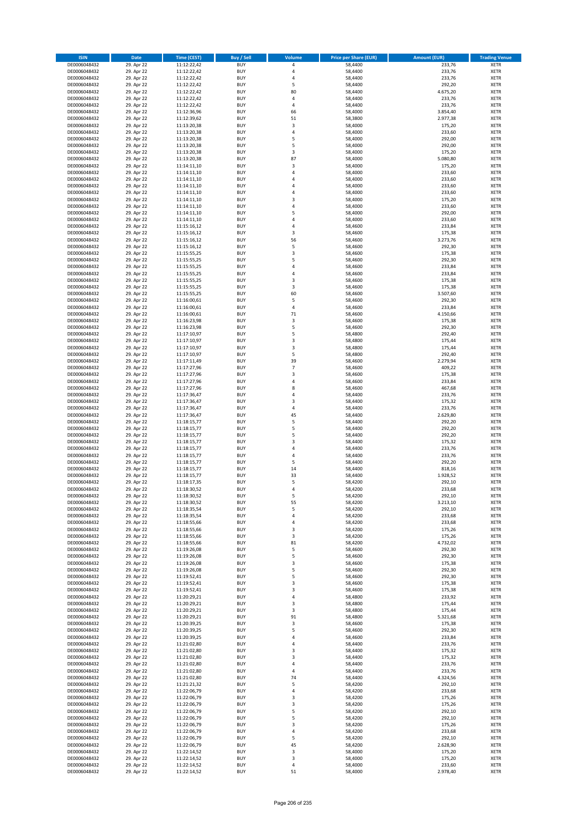| <b>ISIN</b>                  | <b>Date</b>              | Time (CEST)                | <b>Buy / Sell</b>        | Volume         | <b>Price per Share (EUR)</b> | <b>Amount (EUR)</b> | <b>Trading Venue</b>       |
|------------------------------|--------------------------|----------------------------|--------------------------|----------------|------------------------------|---------------------|----------------------------|
| DE0006048432                 | 29. Apr 22               | 11:12:22,42                | <b>BUY</b>               | 4              | 58,4400                      | 233,76              | <b>XETR</b>                |
| DE0006048432                 | 29. Apr 22               | 11:12:22,42                | <b>BUY</b>               | 4              | 58,4400                      | 233,76              | <b>XETR</b>                |
| DE0006048432                 | 29. Apr 22               | 11:12:22,42                | <b>BUY</b>               | 4              | 58,4400                      | 233,76              | <b>XETR</b>                |
| DE0006048432<br>DE0006048432 | 29. Apr 22<br>29. Apr 22 | 11:12:22,42<br>11:12:22,42 | <b>BUY</b><br><b>BUY</b> | 5<br>80        | 58,4400<br>58,4400           | 292,20<br>4.675,20  | <b>XETR</b><br><b>XETR</b> |
| DE0006048432                 | 29. Apr 22               | 11:12:22,42                | <b>BUY</b>               | 4              | 58,4400                      | 233,76              | <b>XETR</b>                |
| DE0006048432                 | 29. Apr 22               | 11:12:22,42                | <b>BUY</b>               | 4              | 58,4400                      | 233,76              | <b>XETR</b>                |
| DE0006048432                 | 29. Apr 22               | 11:12:36,96                | <b>BUY</b>               | 66             | 58,4000                      | 3.854,40            | <b>XETR</b>                |
| DE0006048432                 | 29. Apr 22               | 11:12:39,62                | <b>BUY</b>               | 51             | 58,3800                      | 2.977,38            | <b>XETR</b>                |
| DE0006048432                 | 29. Apr 22               | 11:13:20,38                | <b>BUY</b>               | 3              | 58,4000                      | 175,20              | <b>XETR</b>                |
| DE0006048432                 | 29. Apr 22               | 11:13:20,38                | <b>BUY</b>               | 4              | 58,4000                      | 233,60              | <b>XETR</b>                |
| DE0006048432<br>DE0006048432 | 29. Apr 22<br>29. Apr 22 | 11:13:20,38<br>11:13:20,38 | <b>BUY</b><br><b>BUY</b> | 5<br>5         | 58,4000<br>58,4000           | 292,00<br>292,00    | <b>XETR</b><br><b>XETR</b> |
| DE0006048432                 | 29. Apr 22               | 11:13:20,38                | <b>BUY</b>               | 3              | 58,4000                      | 175,20              | <b>XETR</b>                |
| DE0006048432                 | 29. Apr 22               | 11:13:20,38                | <b>BUY</b>               | 87             | 58,4000                      | 5.080,80            | <b>XETR</b>                |
| DE0006048432                 | 29. Apr 22               | 11:14:11,10                | <b>BUY</b>               | 3              | 58,4000                      | 175,20              | <b>XETR</b>                |
| DE0006048432                 | 29. Apr 22               | 11:14:11,10                | <b>BUY</b>               | 4              | 58,4000                      | 233,60              | <b>XETR</b>                |
| DE0006048432                 | 29. Apr 22               | 11:14:11,10                | <b>BUY</b>               | 4              | 58,4000                      | 233,60              | <b>XETR</b>                |
| DE0006048432                 | 29. Apr 22               | 11:14:11,10                | <b>BUY</b>               | 4              | 58,4000                      | 233,60              | <b>XETR</b>                |
| DE0006048432                 | 29. Apr 22               | 11:14:11,10                | <b>BUY</b>               | 4              | 58,4000                      | 233,60              | <b>XETR</b>                |
| DE0006048432                 | 29. Apr 22               | 11:14:11,10                | <b>BUY</b>               | 3              | 58,4000                      | 175,20              | <b>XETR</b>                |
| DE0006048432<br>DE0006048432 | 29. Apr 22<br>29. Apr 22 | 11:14:11,10<br>11:14:11,10 | <b>BUY</b><br><b>BUY</b> | 4<br>5         | 58,4000<br>58,4000           | 233,60<br>292,00    | <b>XETR</b><br><b>XETR</b> |
| DE0006048432                 | 29. Apr 22               | 11:14:11,10                | <b>BUY</b>               | 4              | 58,4000                      | 233,60              | <b>XETR</b>                |
| DE0006048432                 | 29. Apr 22               | 11:15:16,12                | <b>BUY</b>               | 4              | 58,4600                      | 233,84              | <b>XETR</b>                |
| DE0006048432                 | 29. Apr 22               | 11:15:16,12                | <b>BUY</b>               | 3              | 58,4600                      | 175,38              | <b>XETR</b>                |
| DE0006048432                 | 29. Apr 22               | 11:15:16,12                | <b>BUY</b>               | 56             | 58,4600                      | 3.273,76            | <b>XETR</b>                |
| DE0006048432                 | 29. Apr 22               | 11:15:16,12                | <b>BUY</b>               | 5              | 58,4600                      | 292,30              | <b>XETR</b>                |
| DE0006048432                 | 29. Apr 22               | 11:15:55,25                | <b>BUY</b>               | 3              | 58,4600                      | 175,38              | <b>XETR</b>                |
| DE0006048432                 | 29. Apr 22               | 11:15:55,25                | <b>BUY</b><br><b>BUY</b> | 5              | 58,4600                      | 292,30              | <b>XETR</b>                |
| DE0006048432<br>DE0006048432 | 29. Apr 22<br>29. Apr 22 | 11:15:55,25<br>11:15:55,25 | <b>BUY</b>               | 4<br>4         | 58,4600<br>58,4600           | 233,84<br>233,84    | <b>XETR</b><br><b>XETR</b> |
| DE0006048432                 | 29. Apr 22               | 11:15:55,25                | <b>BUY</b>               | 3              | 58,4600                      | 175,38              | <b>XETR</b>                |
| DE0006048432                 | 29. Apr 22               | 11:15:55,25                | <b>BUY</b>               | 3              | 58,4600                      | 175,38              | <b>XETR</b>                |
| DE0006048432                 | 29. Apr 22               | 11:15:55,25                | <b>BUY</b>               | 60             | 58,4600                      | 3.507,60            | <b>XETR</b>                |
| DE0006048432                 | 29. Apr 22               | 11:16:00,61                | <b>BUY</b>               | 5              | 58,4600                      | 292,30              | <b>XETR</b>                |
| DE0006048432                 | 29. Apr 22               | 11:16:00,61                | <b>BUY</b>               | 4              | 58,4600                      | 233,84              | <b>XETR</b>                |
| DE0006048432                 | 29. Apr 22               | 11:16:00,61                | <b>BUY</b>               | 71             | 58,4600                      | 4.150,66            | <b>XETR</b>                |
| DE0006048432                 | 29. Apr 22               | 11:16:23,98                | <b>BUY</b>               | 3              | 58,4600                      | 175,38              | <b>XETR</b>                |
| DE0006048432<br>DE0006048432 | 29. Apr 22<br>29. Apr 22 | 11:16:23,98<br>11:17:10,97 | <b>BUY</b><br><b>BUY</b> | 5<br>5         | 58,4600<br>58,4800           | 292,30<br>292,40    | <b>XETR</b><br><b>XETR</b> |
| DE0006048432                 | 29. Apr 22               | 11:17:10,97                | <b>BUY</b>               | 3              | 58,4800                      | 175,44              | <b>XETR</b>                |
| DE0006048432                 | 29. Apr 22               | 11:17:10,97                | <b>BUY</b>               | 3              | 58,4800                      | 175,44              | <b>XETR</b>                |
| DE0006048432                 | 29. Apr 22               | 11:17:10,97                | <b>BUY</b>               | 5              | 58,4800                      | 292,40              | <b>XETR</b>                |
| DE0006048432                 | 29. Apr 22               | 11:17:11,49                | <b>BUY</b>               | 39             | 58,4600                      | 2.279,94            | <b>XETR</b>                |
| DE0006048432                 | 29. Apr 22               | 11:17:27,96                | <b>BUY</b>               | $\overline{7}$ | 58,4600                      | 409,22              | <b>XETR</b>                |
| DE0006048432                 | 29. Apr 22               | 11:17:27,96                | <b>BUY</b>               | 3              | 58,4600                      | 175,38              | <b>XETR</b>                |
| DE0006048432                 | 29. Apr 22               | 11:17:27,96                | <b>BUY</b>               | 4              | 58,4600                      | 233,84              | <b>XETR</b>                |
| DE0006048432                 | 29. Apr 22               | 11:17:27,96                | <b>BUY</b>               | 8              | 58,4600                      | 467,68              | <b>XETR</b>                |
| DE0006048432<br>DE0006048432 | 29. Apr 22<br>29. Apr 22 | 11:17:36,47<br>11:17:36,47 | <b>BUY</b><br><b>BUY</b> | 4<br>3         | 58,4400<br>58,4400           | 233,76<br>175,32    | <b>XETR</b><br><b>XETR</b> |
| DE0006048432                 | 29. Apr 22               | 11:17:36,47                | <b>BUY</b>               | 4              | 58,4400                      | 233,76              | <b>XETR</b>                |
| DE0006048432                 | 29. Apr 22               | 11:17:36,47                | <b>BUY</b>               | 45             | 58,4400                      | 2.629,80            | <b>XETR</b>                |
| DE0006048432                 | 29. Apr 22               | 11:18:15,77                | <b>BUY</b>               | 5              | 58,4400                      | 292,20              | <b>XETR</b>                |
| DE0006048432                 | 29. Apr 22               | 11:18:15,77                | <b>BUY</b>               | 5              | 58,4400                      | 292,20              | <b>XETR</b>                |
| DE0006048432                 | 29. Apr 22               | 11:18:15,77                | <b>BUY</b>               | 5              | 58,4400                      | 292,20              | <b>XETR</b>                |
| DE0006048432                 | 29. Apr 22               | 11:18:15,77                | <b>BUY</b>               | 3              | 58,4400                      | 175,32              | <b>XETR</b>                |
| DE0006048432                 | 29. Apr 22               | 11:18:15,77                | <b>BUY</b>               | 4              | 58,4400                      | 233,76              | <b>XETR</b>                |
| DE0006048432<br>DE0006048432 | 29. Apr 22               | 11:18:15,77                | <b>BUY</b><br><b>BUY</b> | 4<br>5         | 58,4400                      | 233,76              | <b>XETR</b><br><b>XETR</b> |
| DE0006048432                 | 29. Apr 22<br>29. Apr 22 | 11:18:15,77<br>11:18:15,77 | <b>BUY</b>               | 14             | 58,4400<br>58,4400           | 292,20<br>818,16    | <b>XETR</b>                |
| DE0006048432                 | 29. Apr 22               | 11:18:15,77                | <b>BUY</b>               | 33             | 58,4400                      | 1.928,52            | <b>XETR</b>                |
| DE0006048432                 | 29. Apr 22               | 11:18:17,35                | <b>BUY</b>               | 5              | 58,4200                      | 292,10              | <b>XETR</b>                |
| DE0006048432                 | 29. Apr 22               | 11:18:30,52                | <b>BUY</b>               | 4              | 58,4200                      | 233,68              | <b>XETR</b>                |
| DE0006048432                 | 29. Apr 22               | 11:18:30,52                | BUY                      | 5              | 58,4200                      | 292,10              | <b>XETR</b>                |
| DE0006048432                 | 29. Apr 22               | 11:18:30,52                | <b>BUY</b>               | 55             | 58,4200                      | 3.213,10            | <b>XETR</b>                |
| DE0006048432                 | 29. Apr 22               | 11:18:35,54                | <b>BUY</b>               | 5              | 58,4200                      | 292,10              | <b>XETR</b>                |
| DE0006048432<br>DE0006048432 | 29. Apr 22<br>29. Apr 22 | 11:18:35,54<br>11:18:55,66 | <b>BUY</b><br><b>BUY</b> | 4<br>4         | 58,4200<br>58,4200           | 233,68<br>233,68    | XETR<br><b>XETR</b>        |
| DE0006048432                 | 29. Apr 22               | 11:18:55,66                | <b>BUY</b>               | 3              | 58,4200                      | 175,26              | <b>XETR</b>                |
| DE0006048432                 | 29. Apr 22               | 11:18:55,66                | <b>BUY</b>               | 3              | 58,4200                      | 175,26              | <b>XETR</b>                |
| DE0006048432                 | 29. Apr 22               | 11:18:55,66                | <b>BUY</b>               | 81             | 58,4200                      | 4.732,02            | <b>XETR</b>                |
| DE0006048432                 | 29. Apr 22               | 11:19:26,08                | <b>BUY</b>               | 5              | 58,4600                      | 292,30              | <b>XETR</b>                |
| DE0006048432                 | 29. Apr 22               | 11:19:26,08                | <b>BUY</b>               | 5              | 58,4600                      | 292,30              | <b>XETR</b>                |
| DE0006048432                 | 29. Apr 22               | 11:19:26,08                | <b>BUY</b>               | 3              | 58,4600                      | 175,38              | <b>XETR</b>                |
| DE0006048432<br>DE0006048432 | 29. Apr 22<br>29. Apr 22 | 11:19:26,08<br>11:19:52,41 | <b>BUY</b><br><b>BUY</b> | 5<br>5         | 58,4600<br>58,4600           | 292,30<br>292,30    | <b>XETR</b><br><b>XETR</b> |
| DE0006048432                 | 29. Apr 22               | 11:19:52,41                | <b>BUY</b>               | 3              | 58,4600                      | 175,38              | <b>XETR</b>                |
| DE0006048432                 | 29. Apr 22               | 11:19:52,41                | <b>BUY</b>               | 3              | 58,4600                      | 175,38              | <b>XETR</b>                |
| DE0006048432                 | 29. Apr 22               | 11:20:29,21                | <b>BUY</b>               | 4              | 58,4800                      | 233,92              | <b>XETR</b>                |
| DE0006048432                 | 29. Apr 22               | 11:20:29,21                | <b>BUY</b>               | 3              | 58,4800                      | 175,44              | <b>XETR</b>                |
| DE0006048432                 | 29. Apr 22               | 11:20:29,21                | <b>BUY</b>               | 3              | 58,4800                      | 175,44              | <b>XETR</b>                |
| DE0006048432                 | 29. Apr 22               | 11:20:29,21                | <b>BUY</b>               | 91             | 58,4800                      | 5.321,68            | XETR                       |
| DE0006048432                 | 29. Apr 22               | 11:20:39,25                | <b>BUY</b>               | 3              | 58,4600                      | 175,38              | <b>XETR</b>                |
| DE0006048432<br>DE0006048432 | 29. Apr 22<br>29. Apr 22 | 11:20:39,25<br>11:20:39,25 | <b>BUY</b><br><b>BUY</b> | 5<br>4         | 58,4600<br>58,4600           | 292,30<br>233,84    | <b>XETR</b><br><b>XETR</b> |
| DE0006048432                 | 29. Apr 22               | 11:21:02,80                | <b>BUY</b>               | 4              | 58,4400                      | 233,76              | <b>XETR</b>                |
| DE0006048432                 | 29. Apr 22               | 11:21:02,80                | <b>BUY</b>               | 3              | 58,4400                      | 175,32              | <b>XETR</b>                |
| DE0006048432                 | 29. Apr 22               | 11:21:02,80                | <b>BUY</b>               | 3              | 58,4400                      | 175,32              | <b>XETR</b>                |
| DE0006048432                 | 29. Apr 22               | 11:21:02,80                | <b>BUY</b>               | 4              | 58,4400                      | 233,76              | <b>XETR</b>                |
| DE0006048432                 | 29. Apr 22               | 11:21:02,80                | <b>BUY</b>               | 4              | 58,4400                      | 233,76              | <b>XETR</b>                |
| DE0006048432                 | 29. Apr 22               | 11:21:02,80                | <b>BUY</b>               | 74             | 58,4400                      | 4.324,56            | <b>XETR</b>                |
| DE0006048432                 | 29. Apr 22               | 11:21:21,32                | <b>BUY</b>               | 5              | 58,4200                      | 292,10              | <b>XETR</b>                |
| DE0006048432<br>DE0006048432 | 29. Apr 22<br>29. Apr 22 | 11:22:06,79<br>11:22:06,79 | <b>BUY</b><br><b>BUY</b> | 4<br>3         | 58,4200<br>58,4200           | 233,68<br>175,26    | XETR<br><b>XETR</b>        |
| DE0006048432                 | 29. Apr 22               | 11:22:06,79                | <b>BUY</b>               | 3              | 58,4200                      | 175,26              | <b>XETR</b>                |
| DE0006048432                 | 29. Apr 22               | 11:22:06,79                | <b>BUY</b>               | 5              | 58,4200                      | 292,10              | <b>XETR</b>                |
| DE0006048432                 | 29. Apr 22               | 11:22:06,79                | <b>BUY</b>               | 5              | 58,4200                      | 292,10              | <b>XETR</b>                |
| DE0006048432                 | 29. Apr 22               | 11:22:06,79                | <b>BUY</b>               | 3              | 58,4200                      | 175,26              | <b>XETR</b>                |
| DE0006048432                 | 29. Apr 22               | 11:22:06,79                | <b>BUY</b>               | 4              | 58,4200                      | 233,68              | <b>XETR</b>                |
| DE0006048432                 | 29. Apr 22               | 11:22:06,79                | <b>BUY</b>               | 5              | 58,4200                      | 292,10              | <b>XETR</b>                |
| DE0006048432<br>DE0006048432 | 29. Apr 22<br>29. Apr 22 | 11:22:06,79<br>11:22:14,52 | <b>BUY</b><br><b>BUY</b> | 45<br>3        | 58,4200<br>58,4000           | 2.628,90<br>175,20  | XETR<br><b>XETR</b>        |
| DE0006048432                 | 29. Apr 22               | 11:22:14,52                | <b>BUY</b>               | 3              | 58,4000                      | 175,20              | <b>XETR</b>                |
| DE0006048432                 | 29. Apr 22               | 11:22:14,52                | <b>BUY</b>               | 4              | 58,4000                      | 233,60              | <b>XETR</b>                |
| DE0006048432                 | 29. Apr 22               | 11:22:14,52                | <b>BUY</b>               | 51             | 58,4000                      | 2.978,40            | XETR                       |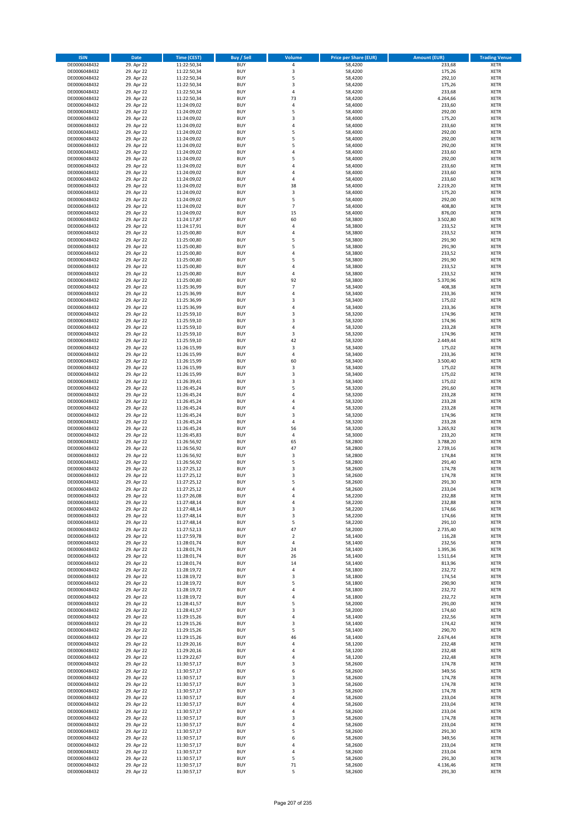| <b>ISIN</b>                  | <b>Date</b>              | <b>Time (CEST)</b>         | <b>Buy / Sell</b>        | Volume                        | <b>Price per Share (EUR)</b> | <b>Amount (EUR)</b> | <b>Trading Venue</b>       |
|------------------------------|--------------------------|----------------------------|--------------------------|-------------------------------|------------------------------|---------------------|----------------------------|
| DE0006048432                 | 29. Apr 22               | 11:22:50,34                | <b>BUY</b>               | 4                             | 58,4200                      | 233,68              | <b>XETR</b>                |
| DE0006048432                 | 29. Apr 22               | 11:22:50,34                | <b>BUY</b>               | 3                             | 58,4200                      | 175,26              | <b>XETR</b>                |
| DE0006048432                 | 29. Apr 22               | 11:22:50,34                | <b>BUY</b>               | 5                             | 58,4200                      | 292,10              | <b>XETR</b>                |
| DE0006048432<br>DE0006048432 | 29. Apr 22<br>29. Apr 22 | 11:22:50,34<br>11:22:50,34 | <b>BUY</b><br><b>BUY</b> | 3<br>4                        | 58,4200<br>58,4200           | 175,26<br>233,68    | <b>XETR</b><br><b>XETR</b> |
| DE0006048432                 | 29. Apr 22               | 11:22:50,34                | <b>BUY</b>               | 73                            | 58,4200                      | 4.264,66            | <b>XETR</b>                |
| DE0006048432                 | 29. Apr 22               | 11:24:09,02                | <b>BUY</b>               | 4                             | 58,4000                      | 233,60              | <b>XETR</b>                |
| DE0006048432                 | 29. Apr 22               | 11:24:09,02                | <b>BUY</b>               | 5                             | 58,4000                      | 292,00              | <b>XETR</b>                |
| DE0006048432                 | 29. Apr 22               | 11:24:09,02                | <b>BUY</b>               | 3                             | 58,4000                      | 175,20              | <b>XETR</b>                |
| DE0006048432                 | 29. Apr 22               | 11:24:09,02                | <b>BUY</b>               | 4                             | 58,4000                      | 233,60              | <b>XETR</b>                |
| DE0006048432                 | 29. Apr 22               | 11:24:09,02                | <b>BUY</b>               | 5                             | 58,4000                      | 292,00              | <b>XETR</b>                |
| DE0006048432                 | 29. Apr 22<br>29. Apr 22 | 11:24:09,02                | <b>BUY</b><br><b>BUY</b> | 5<br>5                        | 58,4000                      | 292,00<br>292,00    | <b>XETR</b><br><b>XETR</b> |
| DE0006048432<br>DE0006048432 | 29. Apr 22               | 11:24:09,02<br>11:24:09,02 | <b>BUY</b>               | 4                             | 58,4000<br>58,4000           | 233,60              | <b>XETR</b>                |
| DE0006048432                 | 29. Apr 22               | 11:24:09,02                | <b>BUY</b>               | 5                             | 58,4000                      | 292,00              | <b>XETR</b>                |
| DE0006048432                 | 29. Apr 22               | 11:24:09,02                | <b>BUY</b>               | 4                             | 58,4000                      | 233,60              | <b>XETR</b>                |
| DE0006048432                 | 29. Apr 22               | 11:24:09,02                | <b>BUY</b>               | 4                             | 58,4000                      | 233,60              | <b>XETR</b>                |
| DE0006048432                 | 29. Apr 22               | 11:24:09,02                | <b>BUY</b>               | 4                             | 58,4000                      | 233,60              | <b>XETR</b>                |
| DE0006048432                 | 29. Apr 22               | 11:24:09,02                | <b>BUY</b>               | 38                            | 58,4000                      | 2.219,20            | <b>XETR</b>                |
| DE0006048432                 | 29. Apr 22               | 11:24:09,02                | <b>BUY</b>               | 3                             | 58,4000                      | 175,20              | <b>XETR</b>                |
| DE0006048432<br>DE0006048432 | 29. Apr 22<br>29. Apr 22 | 11:24:09,02<br>11:24:09,02 | <b>BUY</b><br><b>BUY</b> | 5<br>$\overline{\phantom{a}}$ | 58,4000<br>58,4000           | 292,00<br>408,80    | <b>XETR</b><br><b>XETR</b> |
| DE0006048432                 | 29. Apr 22               | 11:24:09,02                | <b>BUY</b>               | 15                            | 58,4000                      | 876,00              | <b>XETR</b>                |
| DE0006048432                 | 29. Apr 22               | 11:24:17,87                | <b>BUY</b>               | 60                            | 58,3800                      | 3.502,80            | <b>XETR</b>                |
| DE0006048432                 | 29. Apr 22               | 11:24:17,91                | <b>BUY</b>               | 4                             | 58,3800                      | 233,52              | <b>XETR</b>                |
| DE0006048432                 | 29. Apr 22               | 11:25:00,80                | <b>BUY</b>               | 4                             | 58,3800                      | 233,52              | <b>XETR</b>                |
| DE0006048432                 | 29. Apr 22               | 11:25:00,80                | <b>BUY</b>               | 5                             | 58,3800                      | 291,90              | <b>XETR</b>                |
| DE0006048432                 | 29. Apr 22               | 11:25:00,80                | <b>BUY</b>               | 5                             | 58,3800                      | 291,90              | <b>XETR</b>                |
| DE0006048432<br>DE0006048432 | 29. Apr 22<br>29. Apr 22 | 11:25:00,80<br>11:25:00,80 | <b>BUY</b><br><b>BUY</b> | 4<br>5                        | 58,3800<br>58,3800           | 233,52<br>291,90    | <b>XETR</b><br><b>XETR</b> |
| DE0006048432                 | 29. Apr 22               | 11:25:00,80                | <b>BUY</b>               | 4                             | 58,3800                      | 233,52              | <b>XETR</b>                |
| DE0006048432                 | 29. Apr 22               | 11:25:00,80                | <b>BUY</b>               | 4                             | 58,3800                      | 233,52              | <b>XETR</b>                |
| DE0006048432                 | 29. Apr 22               | 11:25:00,80                | <b>BUY</b>               | 92                            | 58,3800                      | 5.370,96            | <b>XETR</b>                |
| DE0006048432                 | 29. Apr 22               | 11:25:36,99                | <b>BUY</b>               | $\overline{7}$                | 58,3400                      | 408,38              | <b>XETR</b>                |
| DE0006048432                 | 29. Apr 22               | 11:25:36,99                | <b>BUY</b>               | 4                             | 58,3400                      | 233,36              | <b>XETR</b>                |
| DE0006048432                 | 29. Apr 22               | 11:25:36,99                | <b>BUY</b>               | 3                             | 58,3400                      | 175,02              | <b>XETR</b>                |
| DE0006048432                 | 29. Apr 22               | 11:25:36,99                | <b>BUY</b><br><b>BUY</b> | 4<br>3                        | 58,3400                      | 233,36              | <b>XETR</b><br><b>XETR</b> |
| DE0006048432<br>DE0006048432 | 29. Apr 22<br>29. Apr 22 | 11:25:59,10<br>11:25:59,10 | <b>BUY</b>               | 3                             | 58,3200<br>58,3200           | 174,96<br>174,96    | <b>XETR</b>                |
| DE0006048432                 | 29. Apr 22               | 11:25:59,10                | <b>BUY</b>               | 4                             | 58,3200                      | 233,28              | <b>XETR</b>                |
| DE0006048432                 | 29. Apr 22               | 11:25:59,10                | <b>BUY</b>               | 3                             | 58,3200                      | 174,96              | <b>XETR</b>                |
| DE0006048432                 | 29. Apr 22               | 11:25:59,10                | <b>BUY</b>               | 42                            | 58,3200                      | 2.449,44            | <b>XETR</b>                |
| DE0006048432                 | 29. Apr 22               | 11:26:15,99                | <b>BUY</b>               | 3                             | 58,3400                      | 175,02              | <b>XETR</b>                |
| DE0006048432                 | 29. Apr 22               | 11:26:15,99                | <b>BUY</b>               | 4                             | 58,3400                      | 233,36              | <b>XETR</b>                |
| DE0006048432                 | 29. Apr 22               | 11:26:15,99                | <b>BUY</b>               | 60                            | 58,3400                      | 3.500,40            | <b>XETR</b>                |
| DE0006048432<br>DE0006048432 | 29. Apr 22<br>29. Apr 22 | 11:26:15,99                | <b>BUY</b><br><b>BUY</b> | 3<br>3                        | 58,3400<br>58,3400           | 175,02<br>175,02    | <b>XETR</b><br><b>XETR</b> |
| DE0006048432                 | 29. Apr 22               | 11:26:15,99<br>11:26:39,41 | <b>BUY</b>               | 3                             | 58,3400                      | 175,02              | <b>XETR</b>                |
| DE0006048432                 | 29. Apr 22               | 11:26:45,24                | <b>BUY</b>               | 5                             | 58,3200                      | 291,60              | <b>XETR</b>                |
| DE0006048432                 | 29. Apr 22               | 11:26:45,24                | <b>BUY</b>               | 4                             | 58,3200                      | 233,28              | <b>XETR</b>                |
| DE0006048432                 | 29. Apr 22               | 11:26:45,24                | <b>BUY</b>               | 4                             | 58,3200                      | 233,28              | <b>XETR</b>                |
| DE0006048432                 | 29. Apr 22               | 11:26:45,24                | <b>BUY</b>               | 4                             | 58,3200                      | 233,28              | <b>XETR</b>                |
| DE0006048432                 | 29. Apr 22               | 11:26:45,24                | <b>BUY</b>               | 3                             | 58,3200                      | 174,96              | <b>XETR</b>                |
| DE0006048432<br>DE0006048432 | 29. Apr 22<br>29. Apr 22 | 11:26:45,24<br>11:26:45,24 | <b>BUY</b><br><b>BUY</b> | 4<br>56                       | 58,3200<br>58,3200           | 233,28<br>3.265,92  | <b>XETR</b><br><b>XETR</b> |
| DE0006048432                 | 29. Apr 22               | 11:26:45,83                | <b>BUY</b>               | 4                             | 58,3000                      | 233,20              | <b>XETR</b>                |
| DE0006048432                 | 29. Apr 22               | 11:26:56,92                | <b>BUY</b>               | 65                            | 58,2800                      | 3.788,20            | <b>XETR</b>                |
| DE0006048432                 | 29. Apr 22               | 11:26:56,92                | <b>BUY</b>               | 47                            | 58,2800                      | 2.739,16            | <b>XETR</b>                |
| DE0006048432                 | 29. Apr 22               | 11:26:56,92                | <b>BUY</b>               | 3                             | 58,2800                      | 174,84              | <b>XETR</b>                |
| DE0006048432                 | 29. Apr 22               | 11:26:56,92                | <b>BUY</b>               | 5                             | 58,2800                      | 291,40              | <b>XETR</b>                |
| DE0006048432                 | 29. Apr 22               | 11:27:25,12                | <b>BUY</b>               | 3                             | 58,2600                      | 174,78              | <b>XETR</b>                |
| DE0006048432<br>DE0006048432 | 29. Apr 22<br>29. Apr 22 | 11:27:25,12<br>11:27:25,12 | <b>BUY</b><br><b>BUY</b> | 3<br>5                        | 58,2600<br>58,2600           | 174,78<br>291,30    | <b>XETR</b><br><b>XETR</b> |
| DE0006048432                 | 29. Apr 22               | 11:27:25,12                | <b>BUY</b>               | 4                             | 58,2600                      | 233,04              | <b>XETR</b>                |
| DE0006048432                 | 29. Apr 22               | 11:27:26,08                | BUY                      | 4                             | 58,2200                      | 232,88              | <b>XETR</b>                |
| DE0006048432                 | 29. Apr 22               | 11:27:48,14                | <b>BUY</b>               | 4                             | 58,2200                      | 232,88              | XETR                       |
| DE0006048432                 | 29. Apr 22               | 11:27:48,14                | <b>BUY</b>               | 3                             | 58,2200                      | 174,66              | <b>XETR</b>                |
| DE0006048432                 | 29. Apr 22               | 11:27:48,14                | <b>BUY</b>               | 3                             | 58,2200                      | 174,66              | XETR                       |
| DE0006048432                 | 29. Apr 22               | 11:27:48,14                | <b>BUY</b>               | 5                             | 58,2200                      | 291,10              | <b>XETR</b>                |
| DE0006048432<br>DE0006048432 | 29. Apr 22<br>29. Apr 22 | 11:27:52,13<br>11:27:59,78 | <b>BUY</b><br><b>BUY</b> | 47<br>$\overline{2}$          | 58,2000<br>58,1400           | 2.735,40<br>116,28  | <b>XETR</b><br><b>XETR</b> |
| DE0006048432                 | 29. Apr 22               | 11:28:01,74                | <b>BUY</b>               | 4                             | 58,1400                      | 232,56              | <b>XETR</b>                |
| DE0006048432                 | 29. Apr 22               | 11:28:01,74                | <b>BUY</b>               | 24                            | 58,1400                      | 1.395,36            | <b>XETR</b>                |
| DE0006048432                 | 29. Apr 22               | 11:28:01,74                | <b>BUY</b>               | 26                            | 58,1400                      | 1.511,64            | <b>XETR</b>                |
| DE0006048432                 | 29. Apr 22               | 11:28:01,74                | <b>BUY</b>               | 14                            | 58,1400                      | 813,96              | <b>XETR</b>                |
| DE0006048432                 | 29. Apr 22               | 11:28:19,72                | <b>BUY</b>               | 4                             | 58,1800                      | 232,72              | <b>XETR</b>                |
| DE0006048432<br>DE0006048432 | 29. Apr 22<br>29. Apr 22 | 11:28:19,72<br>11:28:19,72 | <b>BUY</b><br><b>BUY</b> | 3<br>5                        | 58,1800<br>58,1800           | 174,54<br>290,90    | <b>XETR</b><br><b>XETR</b> |
| DE0006048432                 | 29. Apr 22               | 11:28:19,72                | <b>BUY</b>               | 4                             | 58,1800                      | 232,72              | <b>XETR</b>                |
| DE0006048432                 | 29. Apr 22               | 11:28:19,72                | <b>BUY</b>               | 4                             | 58,1800                      | 232,72              | <b>XETR</b>                |
| DE0006048432                 | 29. Apr 22               | 11:28:41,57                | <b>BUY</b>               | 5                             | 58,2000                      | 291,00              | <b>XETR</b>                |
| DE0006048432                 | 29. Apr 22               | 11:28:41,57                | <b>BUY</b>               | 3                             | 58,2000                      | 174,60              | <b>XETR</b>                |
| DE0006048432                 | 29. Apr 22               | 11:29:15,26                | <b>BUY</b>               | 4                             | 58,1400                      | 232,56              | XETR                       |
| DE0006048432                 | 29. Apr 22               | 11:29:15,26                | <b>BUY</b>               | 3                             | 58,1400                      | 174,42              | <b>XETR</b>                |
| DE0006048432<br>DE0006048432 | 29. Apr 22<br>29. Apr 22 | 11:29:15,26<br>11:29:15,26 | <b>BUY</b><br><b>BUY</b> | 5<br>46                       | 58,1400<br>58,1400           | 290,70<br>2.674,44  | <b>XETR</b><br><b>XETR</b> |
| DE0006048432                 | 29. Apr 22               | 11:29:20,16                | <b>BUY</b>               | 4                             | 58,1200                      | 232,48              | <b>XETR</b>                |
| DE0006048432                 | 29. Apr 22               | 11:29:20,16                | <b>BUY</b>               | 4                             | 58,1200                      | 232,48              | <b>XETR</b>                |
| DE0006048432                 | 29. Apr 22               | 11:29:22,67                | <b>BUY</b>               | 4                             | 58,1200                      | 232,48              | <b>XETR</b>                |
| DE0006048432                 | 29. Apr 22               | 11:30:57,17                | <b>BUY</b>               | 3                             | 58,2600                      | 174,78              | <b>XETR</b>                |
| DE0006048432                 | 29. Apr 22               | 11:30:57,17                | <b>BUY</b>               | 6                             | 58,2600                      | 349,56              | <b>XETR</b>                |
| DE0006048432<br>DE0006048432 | 29. Apr 22<br>29. Apr 22 | 11:30:57,17<br>11:30:57,17 | <b>BUY</b><br><b>BUY</b> | 3<br>3                        | 58,2600<br>58,2600           | 174,78<br>174,78    | <b>XETR</b><br><b>XETR</b> |
| DE0006048432                 | 29. Apr 22               | 11:30:57,17                | <b>BUY</b>               | 3                             | 58,2600                      | 174,78              | XETR                       |
| DE0006048432                 | 29. Apr 22               | 11:30:57,17                | <b>BUY</b>               | 4                             | 58,2600                      | 233,04              | <b>XETR</b>                |
| DE0006048432                 | 29. Apr 22               | 11:30:57,17                | <b>BUY</b>               | 4                             | 58,2600                      | 233,04              | <b>XETR</b>                |
| DE0006048432                 | 29. Apr 22               | 11:30:57,17                | <b>BUY</b>               | 4                             | 58,2600                      | 233,04              | <b>XETR</b>                |
| DE0006048432                 | 29. Apr 22               | 11:30:57,17                | <b>BUY</b>               | 3                             | 58,2600                      | 174,78              | <b>XETR</b>                |
| DE0006048432                 | 29. Apr 22               | 11:30:57,17                | <b>BUY</b>               | 4                             | 58,2600                      | 233,04              | <b>XETR</b>                |
| DE0006048432<br>DE0006048432 | 29. Apr 22<br>29. Apr 22 | 11:30:57,17<br>11:30:57,17 | <b>BUY</b><br><b>BUY</b> | 5<br>6                        | 58,2600<br>58,2600           | 291,30<br>349,56    | <b>XETR</b><br><b>XETR</b> |
| DE0006048432                 | 29. Apr 22               | 11:30:57,17                | <b>BUY</b>               | 4                             | 58,2600                      | 233,04              | XETR                       |
| DE0006048432                 | 29. Apr 22               | 11:30:57,17                | <b>BUY</b>               | 4                             | 58,2600                      | 233,04              | <b>XETR</b>                |
| DE0006048432                 | 29. Apr 22               | 11:30:57,17                | <b>BUY</b>               | 5                             | 58,2600                      | 291,30              | <b>XETR</b>                |
| DE0006048432                 | 29. Apr 22               | 11:30:57,17                | <b>BUY</b>               | 71                            | 58,2600                      | 4.136,46            | <b>XETR</b>                |
| DE0006048432                 | 29. Apr 22               | 11:30:57,17                | <b>BUY</b>               | 5                             | 58,2600                      | 291,30              | XETR                       |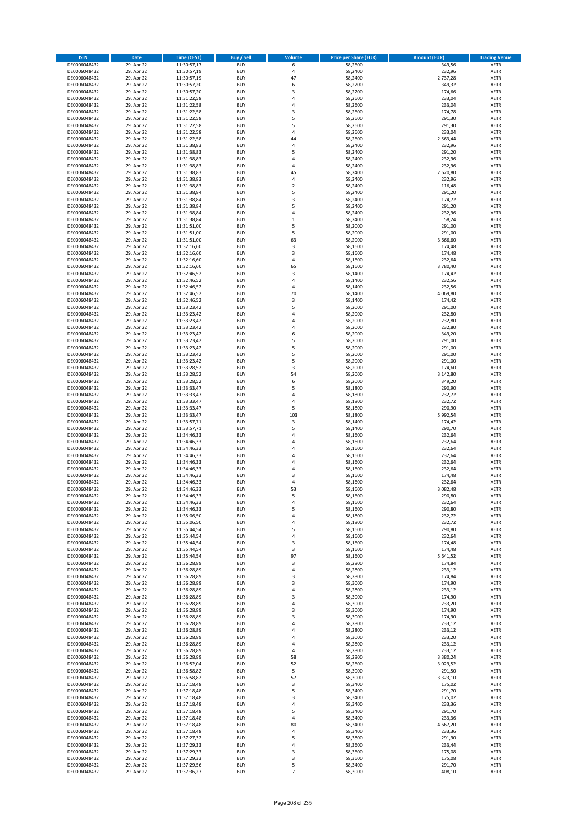| <b>ISIN</b>                  | <b>Date</b>              | <b>Time (CEST)</b>         | <b>Buy / Sell</b>        | <b>Volume</b>           | <b>Price per Share (EUR)</b> | <b>Amount (EUR)</b>  | <b>Trading Venue</b>       |
|------------------------------|--------------------------|----------------------------|--------------------------|-------------------------|------------------------------|----------------------|----------------------------|
| DE0006048432                 | 29. Apr 22               | 11:30:57,17                | <b>BUY</b>               | 6                       | 58,2600                      | 349,56               | <b>XETR</b>                |
| DE0006048432                 | 29. Apr 22               | 11:30:57,19                | <b>BUY</b>               | 4                       | 58,2400                      | 232,96               | <b>XETR</b>                |
| DE0006048432                 | 29. Apr 22               | 11:30:57,19                | <b>BUY</b>               | 47                      | 58,2400                      | 2.737,28             | <b>XETR</b>                |
| DE0006048432<br>DE0006048432 | 29. Apr 22<br>29. Apr 22 | 11:30:57,20<br>11:30:57,20 | <b>BUY</b><br><b>BUY</b> | 6<br>3                  | 58,2200<br>58,2200           | 349,32<br>174,66     | <b>XETR</b><br><b>XETR</b> |
| DE0006048432                 | 29. Apr 22               | 11:31:22,58                | <b>BUY</b>               | 4                       | 58,2600                      | 233,04               | <b>XETR</b>                |
| DE0006048432                 | 29. Apr 22               | 11:31:22,58                | <b>BUY</b>               | 4                       | 58,2600                      | 233,04               | <b>XETR</b>                |
| DE0006048432                 | 29. Apr 22               | 11:31:22,58                | <b>BUY</b>               | 3                       | 58,2600                      | 174,78               | <b>XETR</b>                |
| DE0006048432                 | 29. Apr 22               | 11:31:22,58                | <b>BUY</b>               | 5<br>5                  | 58,2600                      | 291,30               | <b>XETR</b>                |
| DE0006048432<br>DE0006048432 | 29. Apr 22<br>29. Apr 22 | 11:31:22,58<br>11:31:22,58 | <b>BUY</b><br><b>BUY</b> | 4                       | 58,2600<br>58,2600           | 291,30<br>233,04     | <b>XETR</b><br><b>XETR</b> |
| DE0006048432                 | 29. Apr 22               | 11:31:22,58                | <b>BUY</b>               | 44                      | 58,2600                      | 2.563,44             | <b>XETR</b>                |
| DE0006048432                 | 29. Apr 22               | 11:31:38,83                | <b>BUY</b>               | 4                       | 58,2400                      | 232,96               | <b>XETR</b>                |
| DE0006048432                 | 29. Apr 22               | 11:31:38,83                | <b>BUY</b>               | 5                       | 58,2400                      | 291,20               | <b>XETR</b>                |
| DE0006048432                 | 29. Apr 22               | 11:31:38,83                | <b>BUY</b>               | 4                       | 58,2400                      | 232,96               | <b>XETR</b>                |
| DE0006048432<br>DE0006048432 | 29. Apr 22<br>29. Apr 22 | 11:31:38,83<br>11:31:38,83 | <b>BUY</b><br><b>BUY</b> | 4<br>45                 | 58,2400<br>58,2400           | 232,96<br>2.620,80   | <b>XETR</b><br><b>XETR</b> |
| DE0006048432                 | 29. Apr 22               | 11:31:38,83                | <b>BUY</b>               | 4                       | 58,2400                      | 232,96               | <b>XETR</b>                |
| DE0006048432                 | 29. Apr 22               | 11:31:38,83                | <b>BUY</b>               | $\overline{\mathbf{c}}$ | 58,2400                      | 116,48               | <b>XETR</b>                |
| DE0006048432                 | 29. Apr 22               | 11:31:38,84                | <b>BUY</b>               | 5                       | 58,2400                      | 291,20               | <b>XETR</b>                |
| DE0006048432                 | 29. Apr 22               | 11:31:38,84                | <b>BUY</b>               | 3                       | 58,2400                      | 174,72               | <b>XETR</b>                |
| DE0006048432<br>DE0006048432 | 29. Apr 22<br>29. Apr 22 | 11:31:38,84<br>11:31:38,84 | <b>BUY</b><br><b>BUY</b> | 5<br>4                  | 58,2400<br>58,2400           | 291,20<br>232,96     | <b>XETR</b><br><b>XETR</b> |
| DE0006048432                 | 29. Apr 22               | 11:31:38,84                | <b>BUY</b>               | $\mathbf 1$             | 58,2400                      | 58,24                | <b>XETR</b>                |
| DE0006048432                 | 29. Apr 22               | 11:31:51,00                | <b>BUY</b>               | 5                       | 58,2000                      | 291,00               | <b>XETR</b>                |
| DE0006048432                 | 29. Apr 22               | 11:31:51,00                | <b>BUY</b>               | 5                       | 58,2000                      | 291,00               | <b>XETR</b>                |
| DE0006048432                 | 29. Apr 22               | 11:31:51,00                | <b>BUY</b>               | 63                      | 58,2000                      | 3.666,60             | <b>XETR</b>                |
| DE0006048432                 | 29. Apr 22<br>29. Apr 22 | 11:32:16,60                | <b>BUY</b><br><b>BUY</b> | 3                       | 58,1600                      | 174,48<br>174,48     | <b>XETR</b>                |
| DE0006048432<br>DE0006048432 | 29. Apr 22               | 11:32:16,60<br>11:32:16,60 | <b>BUY</b>               | 3<br>4                  | 58,1600<br>58,1600           | 232,64               | <b>XETR</b><br><b>XETR</b> |
| DE0006048432                 | 29. Apr 22               | 11:32:16,60                | <b>BUY</b>               | 65                      | 58,1600                      | 3.780,40             | <b>XETR</b>                |
| DE0006048432                 | 29. Apr 22               | 11:32:46,52                | <b>BUY</b>               | 3                       | 58,1400                      | 174,42               | <b>XETR</b>                |
| DE0006048432                 | 29. Apr 22               | 11:32:46,52                | <b>BUY</b>               | 4                       | 58,1400                      | 232,56               | <b>XETR</b>                |
| DE0006048432                 | 29. Apr 22               | 11:32:46,52                | <b>BUY</b>               | 4                       | 58,1400                      | 232,56               | <b>XETR</b>                |
| DE0006048432<br>DE0006048432 | 29. Apr 22<br>29. Apr 22 | 11:32:46,52<br>11:32:46,52 | <b>BUY</b><br><b>BUY</b> | 70<br>3                 | 58,1400<br>58,1400           | 4.069,80<br>174,42   | <b>XETR</b><br><b>XETR</b> |
| DE0006048432                 | 29. Apr 22               | 11:33:23,42                | <b>BUY</b>               | 5                       | 58,2000                      | 291,00               | <b>XETR</b>                |
| DE0006048432                 | 29. Apr 22               | 11:33:23,42                | <b>BUY</b>               | 4                       | 58,2000                      | 232,80               | <b>XETR</b>                |
| DE0006048432                 | 29. Apr 22               | 11:33:23,42                | <b>BUY</b>               | 4                       | 58,2000                      | 232,80               | <b>XETR</b>                |
| DE0006048432                 | 29. Apr 22               | 11:33:23,42                | <b>BUY</b>               | 4                       | 58,2000                      | 232,80               | <b>XETR</b>                |
| DE0006048432<br>DE0006048432 | 29. Apr 22<br>29. Apr 22 | 11:33:23,42<br>11:33:23,42 | <b>BUY</b><br><b>BUY</b> | 6<br>5                  | 58,2000<br>58,2000           | 349,20<br>291,00     | <b>XETR</b><br><b>XETR</b> |
| DE0006048432                 | 29. Apr 22               | 11:33:23,42                | <b>BUY</b>               | 5                       | 58,2000                      | 291,00               | <b>XETR</b>                |
| DE0006048432                 | 29. Apr 22               | 11:33:23,42                | <b>BUY</b>               | 5                       | 58,2000                      | 291,00               | <b>XETR</b>                |
| DE0006048432                 | 29. Apr 22               | 11:33:23,42                | <b>BUY</b>               | 5                       | 58,2000                      | 291,00               | <b>XETR</b>                |
| DE0006048432                 | 29. Apr 22               | 11:33:28,52                | <b>BUY</b>               | 3                       | 58,2000                      | 174,60               | <b>XETR</b>                |
| DE0006048432                 | 29. Apr 22               | 11:33:28,52                | <b>BUY</b><br><b>BUY</b> | 54<br>6                 | 58,2000                      | 3.142,80             | <b>XETR</b><br><b>XETR</b> |
| DE0006048432<br>DE0006048432 | 29. Apr 22<br>29. Apr 22 | 11:33:28,52<br>11:33:33,47 | <b>BUY</b>               | 5                       | 58,2000<br>58,1800           | 349,20<br>290,90     | <b>XETR</b>                |
| DE0006048432                 | 29. Apr 22               | 11:33:33,47                | <b>BUY</b>               | 4                       | 58,1800                      | 232,72               | <b>XETR</b>                |
| DE0006048432                 | 29. Apr 22               | 11:33:33,47                | <b>BUY</b>               | 4                       | 58,1800                      | 232,72               | <b>XETR</b>                |
| DE0006048432                 | 29. Apr 22               | 11:33:33,47                | <b>BUY</b>               | 5                       | 58,1800                      | 290,90               | <b>XETR</b>                |
| DE0006048432                 | 29. Apr 22               | 11:33:33,47                | <b>BUY</b><br><b>BUY</b> | 103<br>$\mathsf 3$      | 58,1800                      | 5.992,54<br>174,42   | <b>XETR</b>                |
| DE0006048432<br>DE0006048432 | 29. Apr 22<br>29. Apr 22 | 11:33:57,71<br>11:33:57,71 | <b>BUY</b>               | 5                       | 58,1400<br>58,1400           | 290,70               | <b>XETR</b><br><b>XETR</b> |
| DE0006048432                 | 29. Apr 22               | 11:34:46,33                | <b>BUY</b>               | 4                       | 58,1600                      | 232,64               | <b>XETR</b>                |
| DE0006048432                 | 29. Apr 22               | 11:34:46,33                | <b>BUY</b>               | 4                       | 58,1600                      | 232,64               | <b>XETR</b>                |
| DE0006048432                 | 29. Apr 22               | 11:34:46,33                | <b>BUY</b>               | 4                       | 58,1600                      | 232,64               | <b>XETR</b>                |
| DE0006048432                 | 29. Apr 22               | 11:34:46,33                | <b>BUY</b>               | 4                       | 58,1600                      | 232,64               | <b>XETR</b>                |
| DE0006048432<br>DE0006048432 | 29. Apr 22<br>29. Apr 22 | 11:34:46,33<br>11:34:46,33 | <b>BUY</b><br><b>BUY</b> | 4<br>4                  | 58,1600<br>58,1600           | 232,64<br>232,64     | <b>XETR</b><br><b>XETR</b> |
| DE0006048432                 | 29. Apr 22               | 11:34:46,33                | <b>BUY</b>               | 3                       | 58,1600                      | 174,48               | <b>XETR</b>                |
| DE0006048432                 | 29. Apr 22               | 11:34:46,33                | <b>BUY</b>               | 4                       | 58,1600                      | 232,64               | <b>XETR</b>                |
| DE0006048432                 | 29. Apr 22               | 11:34:46,33                | <b>BUY</b>               | 53                      | 58,1600                      | 3.082,48             | <b>XETR</b>                |
| DE0006048432                 | 29. Apr 22               | 11:34:46,33                | BUY                      | 5                       | 58,1600                      | 290,80               | <b>XETR</b>                |
| DE0006048432<br>DE0006048432 | 29. Apr 22<br>29. Apr 22 | 11:34:46,33<br>11:34:46,33 | <b>BUY</b><br><b>BUY</b> | 4<br>5                  | 58,1600<br>58,1600           | 232,64<br>290,80     | <b>XETR</b><br><b>XETR</b> |
| DE0006048432                 | 29. Apr 22               | 11:35:06,50                | <b>BUY</b>               | 4                       | 58,1800                      | 232,72               | XETR                       |
| DE0006048432                 | 29. Apr 22               | 11:35:06,50                | <b>BUY</b>               | 4                       | 58,1800                      | 232,72               | <b>XETR</b>                |
| DE0006048432                 | 29. Apr 22               | 11:35:44,54                | <b>BUY</b>               | 5                       | 58,1600                      | 290,80               | <b>XETR</b>                |
| DE0006048432                 | 29. Apr 22               | 11:35:44,54                | <b>BUY</b>               | 4                       | 58,1600                      | 232,64               | <b>XETR</b>                |
| DE0006048432<br>DE0006048432 | 29. Apr 22<br>29. Apr 22 | 11:35:44,54<br>11:35:44,54 | <b>BUY</b><br><b>BUY</b> | 3<br>3                  | 58,1600<br>58,1600           | 174,48<br>174,48     | <b>XETR</b><br><b>XETR</b> |
| DE0006048432                 | 29. Apr 22               | 11:35:44,54                | <b>BUY</b>               | 97                      | 58,1600                      | 5.641,52             | <b>XETR</b>                |
| DE0006048432                 | 29. Apr 22               | 11:36:28,89                | <b>BUY</b>               | 3                       | 58,2800                      | 174,84               | <b>XETR</b>                |
| DE0006048432                 | 29. Apr 22               | 11:36:28,89                | <b>BUY</b>               | 4                       | 58,2800                      | 233,12               | <b>XETR</b>                |
| DE0006048432                 | 29. Apr 22               | 11:36:28,89                | <b>BUY</b>               | 3                       | 58,2800                      | 174,84               | <b>XETR</b>                |
| DE0006048432<br>DE0006048432 | 29. Apr 22<br>29. Apr 22 | 11:36:28,89<br>11:36:28,89 | <b>BUY</b><br><b>BUY</b> | 3<br>4                  | 58,3000<br>58,2800           | 174,90<br>233,12     | <b>XETR</b><br><b>XETR</b> |
| DE0006048432                 | 29. Apr 22               | 11:36:28,89                | <b>BUY</b>               | 3                       | 58,3000                      | 174,90               | <b>XETR</b>                |
| DE0006048432                 | 29. Apr 22               | 11:36:28,89                | <b>BUY</b>               | 4                       | 58,3000                      | 233,20               | <b>XETR</b>                |
| DE0006048432                 | 29. Apr 22               | 11:36:28,89                | <b>BUY</b>               | 3                       | 58,3000                      | 174,90               | <b>XETR</b>                |
| DE0006048432                 | 29. Apr 22<br>29. Apr 22 | 11:36:28,89                | <b>BUY</b>               | 3<br>4                  | 58,3000<br>58,2800           | 174,90<br>233,12     | XETR<br><b>XETR</b>        |
| DE0006048432<br>DE0006048432 | 29. Apr 22               | 11:36:28,89<br>11:36:28,89 | <b>BUY</b><br><b>BUY</b> | 4                       | 58,2800                      | 233,12               | <b>XETR</b>                |
| DE0006048432                 | 29. Apr 22               | 11:36:28,89                | <b>BUY</b>               | 4                       | 58,3000                      | 233,20               | <b>XETR</b>                |
| DE0006048432                 | 29. Apr 22               | 11:36:28,89                | <b>BUY</b>               | 4                       | 58,2800                      | 233,12               | <b>XETR</b>                |
| DE0006048432                 | 29. Apr 22               | 11:36:28,89                | <b>BUY</b>               | 4                       | 58,2800                      | 233,12               | <b>XETR</b>                |
| DE0006048432<br>DE0006048432 | 29. Apr 22               | 11:36:28,89                | <b>BUY</b><br><b>BUY</b> | 58<br>52                | 58,2800<br>58,2600           | 3.380,24<br>3.029,52 | <b>XETR</b><br><b>XETR</b> |
| DE0006048432                 | 29. Apr 22<br>29. Apr 22 | 11:36:52,04<br>11:36:58,82 | <b>BUY</b>               | 5                       | 58,3000                      | 291,50               | <b>XETR</b>                |
| DE0006048432                 | 29. Apr 22               | 11:36:58,82                | <b>BUY</b>               | 57                      | 58,3000                      | 3.323,10             | <b>XETR</b>                |
| DE0006048432                 | 29. Apr 22               | 11:37:18,48                | <b>BUY</b>               | 3                       | 58,3400                      | 175,02               | <b>XETR</b>                |
| DE0006048432                 | 29. Apr 22               | 11:37:18,48                | <b>BUY</b>               | 5                       | 58,3400                      | 291,70               | XETR                       |
| DE0006048432                 | 29. Apr 22               | 11:37:18,48                | <b>BUY</b>               | 3                       | 58,3400                      | 175,02               | <b>XETR</b>                |
| DE0006048432<br>DE0006048432 | 29. Apr 22<br>29. Apr 22 | 11:37:18,48<br>11:37:18,48 | <b>BUY</b><br><b>BUY</b> | 4<br>5                  | 58,3400<br>58,3400           | 233,36<br>291,70     | <b>XETR</b><br><b>XETR</b> |
| DE0006048432                 | 29. Apr 22               | 11:37:18,48                | <b>BUY</b>               | 4                       | 58,3400                      | 233,36               | <b>XETR</b>                |
| DE0006048432                 | 29. Apr 22               | 11:37:18,48                | <b>BUY</b>               | 80                      | 58,3400                      | 4.667,20             | <b>XETR</b>                |
| DE0006048432                 | 29. Apr 22               | 11:37:18,48                | <b>BUY</b>               | 4                       | 58,3400                      | 233,36               | <b>XETR</b>                |
| DE0006048432                 | 29. Apr 22               | 11:37:27,32                | <b>BUY</b>               | 5                       | 58,3800                      | 291,90               | <b>XETR</b>                |
| DE0006048432<br>DE0006048432 | 29. Apr 22<br>29. Apr 22 | 11:37:29,33<br>11:37:29,33 | <b>BUY</b><br><b>BUY</b> | 4<br>3                  | 58,3600<br>58,3600           | 233,44<br>175,08     | XETR<br><b>XETR</b>        |
| DE0006048432                 | 29. Apr 22               | 11:37:29,33                | <b>BUY</b>               | 3                       | 58,3600                      | 175,08               | <b>XETR</b>                |
| DE0006048432                 | 29. Apr 22               | 11:37:29,56                | <b>BUY</b>               | 5                       | 58,3400                      | 291,70               | <b>XETR</b>                |
| DE0006048432                 | 29. Apr 22               | 11:37:36,27                | <b>BUY</b>               | $\overline{7}$          | 58,3000                      | 408,10               | <b>XETR</b>                |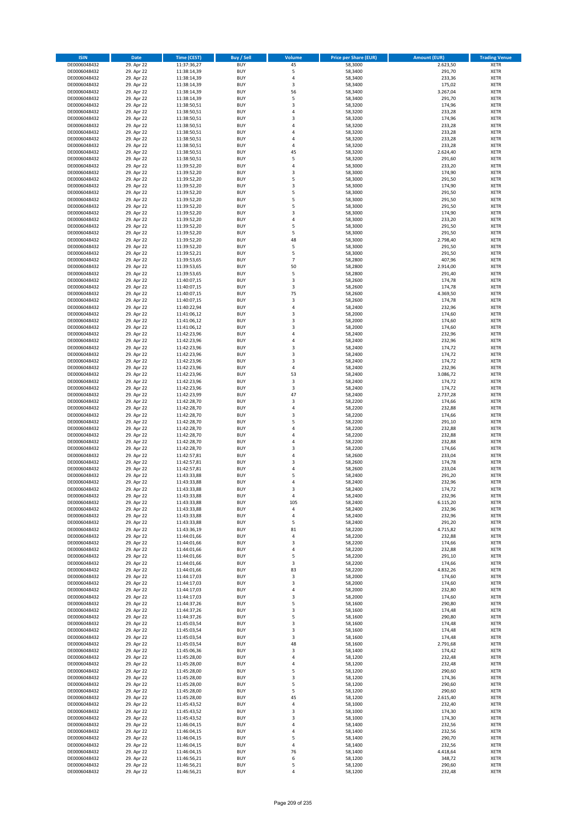| <b>ISIN</b>                  | <b>Date</b>              | <b>Time (CEST)</b>         | <b>Buy / Sell</b>        | Volume                  | <b>Price per Share (EUR)</b> | <b>Amount (EUR)</b> | <b>Trading Venue</b>       |
|------------------------------|--------------------------|----------------------------|--------------------------|-------------------------|------------------------------|---------------------|----------------------------|
| DE0006048432                 | 29. Apr 22               | 11:37:36,27                | <b>BUY</b>               | 45                      | 58,3000                      | 2.623,50            | <b>XETR</b>                |
| DE0006048432                 | 29. Apr 22               | 11:38:14,39                | <b>BUY</b>               | 5                       | 58,3400                      | 291,70              | <b>XETR</b>                |
| DE0006048432                 | 29. Apr 22               | 11:38:14,39                | <b>BUY</b>               | $\overline{4}$          | 58,3400                      | 233,36              | <b>XETR</b>                |
| DE0006048432                 | 29. Apr 22               | 11:38:14,39                | <b>BUY</b>               | 3                       | 58,3400                      | 175,02              | <b>XETR</b>                |
| DE0006048432                 | 29. Apr 22               | 11:38:14,39                | <b>BUY</b>               | 56                      | 58,3400                      | 3.267,04            | <b>XETR</b>                |
| DE0006048432                 | 29. Apr 22               | 11:38:14,39                | <b>BUY</b>               | 5                       | 58,3400                      | 291,70              | <b>XETR</b>                |
| DE0006048432                 | 29. Apr 22               | 11:38:50,51                | <b>BUY</b>               | 3                       | 58,3200                      | 174,96              | <b>XETR</b>                |
| DE0006048432                 | 29. Apr 22               | 11:38:50,51                | <b>BUY</b>               | 4                       | 58,3200                      | 233,28              | <b>XETR</b>                |
| DE0006048432                 | 29. Apr 22               | 11:38:50,51                | BUY                      | $\overline{3}$          | 58,3200                      | 174,96              | <b>XETR</b>                |
| DE0006048432                 | 29. Apr 22               | 11:38:50,51                | <b>BUY</b>               | 4                       | 58,3200                      | 233,28              | <b>XETR</b>                |
| DE0006048432                 | 29. Apr 22               | 11:38:50,51                | <b>BUY</b>               | $\overline{4}$          | 58,3200                      | 233,28              | <b>XETR</b>                |
| DE0006048432                 | 29. Apr 22               | 11:38:50,51                | <b>BUY</b>               | $\overline{4}$          | 58,3200                      | 233,28              | <b>XETR</b>                |
| DE0006048432                 | 29. Apr 22               | 11:38:50,51                | <b>BUY</b>               | $\overline{a}$          | 58,3200                      | 233,28              | <b>XETR</b>                |
| DE0006048432                 | 29. Apr 22               | 11:38:50,51                | <b>BUY</b><br><b>BUY</b> | 45<br>5                 | 58,3200                      | 2.624,40            | <b>XETR</b>                |
| DE0006048432<br>DE0006048432 | 29. Apr 22<br>29. Apr 22 | 11:38:50,51<br>11:39:52,20 | BUY                      | $\overline{a}$          | 58,3200<br>58,3000           | 291,60<br>233,20    | <b>XETR</b><br><b>XETR</b> |
| DE0006048432                 | 29. Apr 22               | 11:39:52,20                | <b>BUY</b>               | $\overline{3}$          | 58,3000                      | 174,90              | <b>XETR</b>                |
| DE0006048432                 | 29. Apr 22               | 11:39:52,20                | <b>BUY</b>               | 5                       | 58,3000                      | 291,50              | <b>XETR</b>                |
| DE0006048432                 | 29. Apr 22               | 11:39:52,20                | <b>BUY</b>               | 3                       | 58,3000                      | 174,90              | <b>XETR</b>                |
| DE0006048432                 | 29. Apr 22               | 11:39:52,20                | <b>BUY</b>               | 5                       | 58,3000                      | 291,50              | <b>XETR</b>                |
| DE0006048432                 | 29. Apr 22               | 11:39:52,20                | <b>BUY</b>               | 5                       | 58,3000                      | 291,50              | <b>XETR</b>                |
| DE0006048432                 | 29. Apr 22               | 11:39:52,20                | <b>BUY</b>               | 5                       | 58,3000                      | 291,50              | <b>XETR</b>                |
| DE0006048432                 | 29. Apr 22               | 11:39:52,20                | <b>BUY</b>               | $\overline{3}$          | 58,3000                      | 174,90              | <b>XETR</b>                |
| DE0006048432                 | 29. Apr 22               | 11:39:52,20                | <b>BUY</b>               | $\overline{4}$          | 58,3000                      | 233,20              | <b>XETR</b>                |
| DE0006048432                 | 29. Apr 22               | 11:39:52,20                | <b>BUY</b>               | 5                       | 58,3000                      | 291,50              | <b>XETR</b>                |
| DE0006048432                 | 29. Apr 22               | 11:39:52,20                | <b>BUY</b>               | 5                       | 58,3000                      | 291,50              | <b>XETR</b>                |
| DE0006048432                 | 29. Apr 22               | 11:39:52,20                | <b>BUY</b>               | 48                      | 58,3000                      | 2.798,40            | <b>XETR</b>                |
| DE0006048432                 | 29. Apr 22               | 11:39:52,20                | <b>BUY</b>               | 5                       | 58,3000                      | 291,50              | <b>XETR</b>                |
| DE0006048432                 | 29. Apr 22               | 11:39:52,21                | <b>BUY</b>               | 5                       | 58,3000                      | 291,50              | <b>XETR</b>                |
| DE0006048432                 | 29. Apr 22               | 11:39:53,65                | <b>BUY</b>               | $\overline{7}$          | 58,2800                      | 407,96              | <b>XETR</b>                |
| DE0006048432                 | 29. Apr 22               | 11:39:53,65                | <b>BUY</b>               | 50                      | 58,2800                      | 2.914,00            | <b>XETR</b>                |
| DE0006048432                 | 29. Apr 22               | 11:39:53,65                | <b>BUY</b>               | 5                       | 58,2800                      | 291,40              | <b>XETR</b>                |
| DE0006048432                 | 29. Apr 22               | 11:40:07,15                | <b>BUY</b>               | 3                       | 58,2600                      | 174,78              | <b>XETR</b>                |
| DE0006048432                 | 29. Apr 22               | 11:40:07,15                | <b>BUY</b>               | 3                       | 58,2600                      | 174,78              | <b>XETR</b>                |
| DE0006048432<br>DE0006048432 | 29. Apr 22               | 11:40:07,15                | <b>BUY</b>               | 75                      | 58,2600                      | 4.369,50            | <b>XETR</b>                |
| DE0006048432                 | 29. Apr 22<br>29. Apr 22 | 11:40:07,15<br>11:40:22,94 | <b>BUY</b><br><b>BUY</b> | 3<br>4                  | 58,2600<br>58,2400           | 174,78<br>232,96    | <b>XETR</b><br><b>XETR</b> |
| DE0006048432                 | 29. Apr 22               | 11:41:06,12                | <b>BUY</b>               | $\overline{\mathbf{3}}$ | 58,2000                      | 174,60              | <b>XETR</b>                |
| DE0006048432                 | 29. Apr 22               | 11:41:06,12                | <b>BUY</b>               | 3                       | 58,2000                      | 174,60              | <b>XETR</b>                |
| DE0006048432                 | 29. Apr 22               | 11:41:06,12                | <b>BUY</b>               | $\overline{\mathbf{3}}$ | 58,2000                      | 174,60              | <b>XETR</b>                |
| DE0006048432                 | 29. Apr 22               | 11:42:23,96                | <b>BUY</b>               | $\overline{a}$          | 58,2400                      | 232,96              | <b>XETR</b>                |
| DE0006048432                 | 29. Apr 22               | 11:42:23,96                | <b>BUY</b>               | $\overline{4}$          | 58,2400                      | 232,96              | <b>XETR</b>                |
| DE0006048432                 | 29. Apr 22               | 11:42:23,96                | <b>BUY</b>               | $\overline{\mathbf{3}}$ | 58,2400                      | 174,72              | <b>XETR</b>                |
| DE0006048432                 | 29. Apr 22               | 11:42:23,96                | <b>BUY</b>               | $\overline{\mathbf{3}}$ | 58,2400                      | 174,72              | <b>XETR</b>                |
| DE0006048432                 | 29. Apr 22               | 11:42:23,96                | <b>BUY</b>               | $\overline{\mathbf{3}}$ | 58,2400                      | 174,72              | <b>XETR</b>                |
| DE0006048432                 | 29. Apr 22               | 11:42:23,96                | <b>BUY</b>               | $\overline{4}$          | 58,2400                      | 232,96              | <b>XETR</b>                |
| DE0006048432                 | 29. Apr 22               | 11:42:23,96                | <b>BUY</b>               | 53                      | 58,2400                      | 3.086,72            | <b>XETR</b>                |
| DE0006048432                 | 29. Apr 22               | 11:42:23,96                | <b>BUY</b>               | 3                       | 58,2400                      | 174,72              | <b>XETR</b>                |
| DE0006048432                 | 29. Apr 22               | 11:42:23,96                | <b>BUY</b>               | 3                       | 58,2400                      | 174,72              | <b>XETR</b>                |
| DE0006048432                 | 29. Apr 22               | 11:42:23,99                | <b>BUY</b>               | 47                      | 58,2400                      | 2.737,28            | <b>XETR</b>                |
| DE0006048432                 | 29. Apr 22               | 11:42:28,70                | <b>BUY</b>               | 3                       | 58,2200                      | 174,66              | <b>XETR</b>                |
| DE0006048432                 | 29. Apr 22               | 11:42:28,70                | <b>BUY</b>               | $\overline{a}$          | 58,2200                      | 232,88              | <b>XETR</b>                |
| DE0006048432                 | 29. Apr 22               | 11:42:28,70                | <b>BUY</b>               | $\overline{\mathbf{3}}$ | 58,2200                      | 174,66              | <b>XETR</b>                |
| DE0006048432<br>DE0006048432 | 29. Apr 22               | 11:42:28,70                | <b>BUY</b><br><b>BUY</b> | 5<br>$\overline{a}$     | 58,2200                      | 291,10              | <b>XETR</b><br><b>XETR</b> |
|                              | 29. Apr 22<br>29. Apr 22 | 11:42:28,70                | <b>BUY</b>               | 4                       | 58,2200                      | 232,88              | <b>XETR</b>                |
| DE0006048432<br>DE0006048432 | 29. Apr 22               | 11:42:28,70<br>11:42:28,70 | <b>BUY</b>               | $\overline{a}$          | 58,2200<br>58,2200           | 232,88<br>232,88    | <b>XETR</b>                |
| DE0006048432                 | 29. Apr 22               | 11:42:28,70                | <b>BUY</b>               | 3                       | 58,2200                      | 174,66              | <b>XETR</b>                |
| DE0006048432                 | 29. Apr 22               | 11:42:57,81                | BUY                      | $\overline{a}$          | 58,2600                      | 233,04              | <b>XETR</b>                |
| DE0006048432                 | 29. Apr 22               | 11:42:57,81                | <b>BUY</b>               | $\overline{\mathbf{3}}$ | 58,2600                      | 174,78              | <b>XETR</b>                |
| DE0006048432                 | 29. Apr 22               | 11:42:57,81                | <b>BUY</b>               | 4                       | 58,2600                      | 233,04              | <b>XETR</b>                |
| DE0006048432                 | 29. Apr 22               | 11:43:33,88                | BUY                      | 5                       | 58,2400                      | 291,20              | <b>XETR</b>                |
| DE0006048432                 | 29. Apr 22               | 11:43:33,88                | BUY                      | $\overline{a}$          | 58,2400                      | 232,96              | <b>XETR</b>                |
| DE0006048432                 | 29. Apr 22               | 11:43:33,88                | <b>BUY</b>               | $\overline{3}$          | 58,2400                      | 174,72              | <b>XETR</b>                |
| DE0006048432                 | 29. Apr 22               | 11:43:33,88                | <b>BUY</b>               | 4                       | 58,2400                      | 232,96              | <b>XETR</b>                |
| DE0006048432                 | 29. Apr 22               | 11:43:33,88                | <b>BUY</b>               | 105                     | 58,2400                      | 6.115,20            | <b>XETR</b>                |
| DE0006048432                 | 29. Apr 22               | 11:43:33,88                | <b>BUY</b>               | 4                       | 58,2400                      | 232,96              | <b>XETR</b>                |
| DE0006048432                 | 29. Apr 22               | 11:43:33,88                | <b>BUY</b>               | 4                       | 58,2400                      | 232,96              | <b>XETR</b>                |
| DE0006048432                 | 29. Apr 22               | 11:43:33,88                | <b>BUY</b>               | 5                       | 58,2400                      | 291,20              | <b>XETR</b>                |
| DE0006048432                 | 29. Apr 22               | 11:43:36,19                | <b>BUY</b>               | 81                      | 58,2200                      | 4.715,82            | <b>XETR</b>                |
| DE0006048432                 | 29. Apr 22               | 11:44:01,66                | <b>BUY</b>               | 4                       | 58,2200                      | 232,88              | <b>XETR</b>                |
| DE0006048432                 | 29. Apr 22               | 11:44:01,66                | <b>BUY</b>               | 3                       | 58,2200                      | 174,66              | <b>XETR</b>                |
| DE0006048432                 | 29. Apr 22               | 11:44:01,66                | <b>BUY</b>               | $\overline{4}$          | 58,2200                      | 232,88              | <b>XETR</b>                |
| DE0006048432                 | 29. Apr 22               | 11:44:01,66                | <b>BUY</b>               | 5                       | 58,2200                      | 291,10              | <b>XETR</b>                |
| DE0006048432<br>DE0006048432 | 29. Apr 22<br>29. Apr 22 | 11:44:01,66<br>11:44:01,66 | <b>BUY</b><br><b>BUY</b> | 3<br>83                 | 58,2200<br>58,2200           | 174,66<br>4.832,26  | <b>XETR</b><br><b>XETR</b> |
| DE0006048432                 | 29. Apr 22               | 11:44:17,03                | <b>BUY</b>               | 3                       | 58,2000                      | 174,60              | <b>XETR</b>                |
| DE0006048432                 | 29. Apr 22               | 11:44:17,03                | <b>BUY</b>               | $\overline{\mathbf{3}}$ | 58,2000                      | 174,60              | <b>XETR</b>                |
| DE0006048432                 | 29. Apr 22               | 11:44:17,03                | <b>BUY</b>               | 4                       | 58,2000                      | 232,80              | <b>XETR</b>                |
| DE0006048432                 | 29. Apr 22               | 11:44:17,03                | <b>BUY</b>               | 3                       | 58,2000                      | 174,60              | <b>XETR</b>                |
| DE0006048432                 | 29. Apr 22               | 11:44:37,26                | <b>BUY</b>               | 5                       | 58,1600                      | 290,80              | <b>XETR</b>                |
| DE0006048432                 | 29. Apr 22               | 11:44:37,26                | <b>BUY</b>               | 3                       | 58,1600                      | 174,48              | <b>XETR</b>                |
| DE0006048432                 | 29. Apr 22               | 11:44:37,26                | <b>BUY</b>               | 5                       | 58,1600                      | 290,80              | <b>XETR</b>                |
| DE0006048432                 | 29. Apr 22               | 11:45:03,54                | <b>BUY</b>               | 3                       | 58,1600                      | 174,48              | <b>XETR</b>                |
| DE0006048432                 | 29. Apr 22               | 11:45:03,54                | <b>BUY</b>               | $\overline{\mathbf{3}}$ | 58,1600                      | 174,48              | <b>XETR</b>                |
| DE0006048432                 | 29. Apr 22               | 11:45:03,54                | <b>BUY</b>               | 3                       | 58,1600                      | 174,48              | <b>XETR</b>                |
| DE0006048432                 | 29. Apr 22               | 11:45:03,54                | <b>BUY</b>               | 48                      | 58,1600                      | 2.791,68            | <b>XETR</b>                |
| DE0006048432                 | 29. Apr 22               | 11:45:06,36                | <b>BUY</b>               | 3                       | 58,1400                      | 174,42              | <b>XETR</b>                |
| DE0006048432                 | 29. Apr 22               | 11:45:28,00                | <b>BUY</b>               | 4                       | 58,1200                      | 232,48              | <b>XETR</b>                |
| DE0006048432                 | 29. Apr 22               | 11:45:28,00                | <b>BUY</b>               | 4                       | 58,1200                      | 232,48              | <b>XETR</b>                |
| DE0006048432                 | 29. Apr 22               | 11:45:28,00                | <b>BUY</b>               | 5                       | 58,1200                      | 290,60              | <b>XETR</b>                |
| DE0006048432                 | 29. Apr 22               | 11:45:28,00                | <b>BUY</b>               | $\overline{\mathbf{3}}$ | 58,1200                      | 174,36              | <b>XETR</b>                |
| DE0006048432                 | 29. Apr 22               | 11:45:28,00                | <b>BUY</b>               | 5                       | 58,1200                      | 290,60              | <b>XETR</b>                |
| DE0006048432                 | 29. Apr 22               | 11:45:28,00                | <b>BUY</b>               | 5                       | 58,1200                      | 290,60              | <b>XETR</b>                |
| DE0006048432                 | 29. Apr 22               | 11:45:28,00                | <b>BUY</b>               | 45                      | 58,1200                      | 2.615,40            | <b>XETR</b>                |
| DE0006048432                 | 29. Apr 22<br>29. Apr 22 | 11:45:43,52                | <b>BUY</b><br><b>BUY</b> | 4<br>3                  | 58,1000<br>58,1000           | 232,40<br>174,30    | <b>XETR</b><br><b>XETR</b> |
| DE0006048432<br>DE0006048432 | 29. Apr 22               | 11:45:43,52<br>11:45:43,52 | <b>BUY</b>               | $\overline{\mathbf{3}}$ | 58,1000                      | 174,30              | <b>XETR</b>                |
| DE0006048432                 | 29. Apr 22               | 11:46:04,15                | <b>BUY</b>               | 4                       | 58,1400                      | 232,56              | <b>XETR</b>                |
| DE0006048432                 | 29. Apr 22               | 11:46:04,15                | <b>BUY</b>               | 4                       | 58,1400                      | 232,56              | <b>XETR</b>                |
| DE0006048432                 | 29. Apr 22               | 11:46:04,15                | <b>BUY</b>               | 5                       | 58,1400                      | 290,70              | <b>XETR</b>                |
| DE0006048432                 | 29. Apr 22               | 11:46:04,15                | <b>BUY</b>               | 4                       | 58,1400                      | 232,56              | <b>XETR</b>                |
| DE0006048432                 | 29. Apr 22               | 11:46:04,15                | <b>BUY</b>               | 76                      | 58,1400                      | 4.418,64            | <b>XETR</b>                |
| DE0006048432                 | 29. Apr 22               | 11:46:56,21                | <b>BUY</b>               | 6                       | 58,1200                      | 348,72              | <b>XETR</b>                |
| DE0006048432                 | 29. Apr 22               | 11:46:56,21                | <b>BUY</b>               | 5                       | 58,1200                      | 290,60              | <b>XETR</b>                |
| DE0006048432                 | 29. Apr 22               | 11:46:56,21                | <b>BUY</b>               | 4                       | 58,1200                      | 232,48              | <b>XETR</b>                |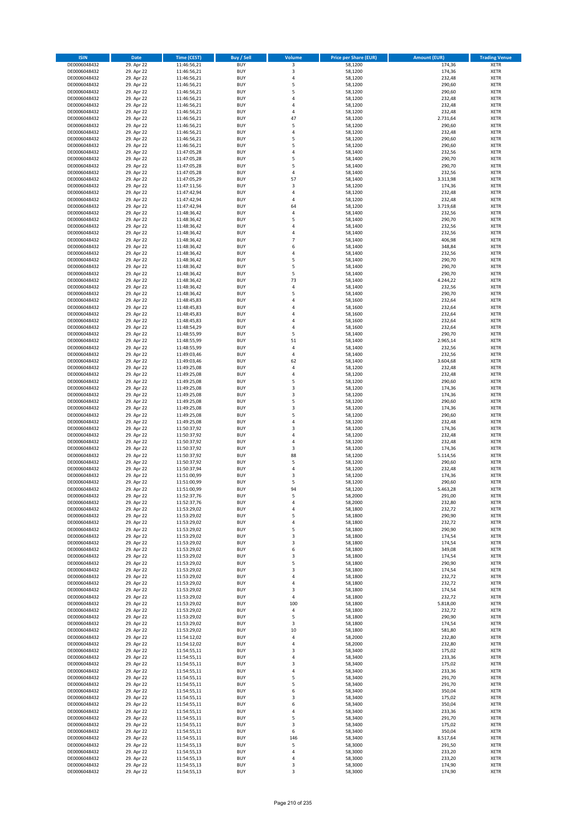| <b>ISIN</b>                  | <b>Date</b>              | <b>Time (CEST)</b>         | <b>Buy / Sell</b>        | <b>Volume</b>       | <b>Price per Share (EUR)</b> | <b>Amount (EUR)</b> | <b>Trading Venue</b>       |
|------------------------------|--------------------------|----------------------------|--------------------------|---------------------|------------------------------|---------------------|----------------------------|
| DE0006048432                 | 29. Apr 22               | 11:46:56,21                | <b>BUY</b>               | 3                   | 58,1200                      | 174,36              | <b>XETR</b>                |
| DE0006048432                 | 29. Apr 22               | 11:46:56,21                | <b>BUY</b>               | 3                   | 58,1200                      | 174,36              | <b>XETR</b>                |
| DE0006048432                 | 29. Apr 22               | 11:46:56,21                | <b>BUY</b>               | 4                   | 58,1200                      | 232,48              | <b>XETR</b>                |
| DE0006048432<br>DE0006048432 | 29. Apr 22<br>29. Apr 22 | 11:46:56,21<br>11:46:56,21 | <b>BUY</b><br><b>BUY</b> | 5<br>5              | 58,1200<br>58,1200           | 290,60<br>290,60    | <b>XETR</b><br><b>XETR</b> |
| DE0006048432                 | 29. Apr 22               | 11:46:56,21                | <b>BUY</b>               | 4                   | 58,1200                      | 232,48              | <b>XETR</b>                |
| DE0006048432                 | 29. Apr 22               | 11:46:56,21                | <b>BUY</b>               | 4                   | 58,1200                      | 232,48              | <b>XETR</b>                |
| DE0006048432                 | 29. Apr 22               | 11:46:56,21                | <b>BUY</b>               | 4                   | 58,1200                      | 232,48              | <b>XETR</b>                |
| DE0006048432                 | 29. Apr 22               | 11:46:56,21                | <b>BUY</b>               | 47                  | 58,1200                      | 2.731,64            | <b>XETR</b>                |
| DE0006048432                 | 29. Apr 22               | 11:46:56,21                | <b>BUY</b><br><b>BUY</b> | 5<br>4              | 58,1200                      | 290,60              | <b>XETR</b>                |
| DE0006048432<br>DE0006048432 | 29. Apr 22<br>29. Apr 22 | 11:46:56,21<br>11:46:56,21 | <b>BUY</b>               | 5                   | 58,1200<br>58,1200           | 232,48<br>290,60    | <b>XETR</b><br><b>XETR</b> |
| DE0006048432                 | 29. Apr 22               | 11:46:56,21                | <b>BUY</b>               | 5                   | 58,1200                      | 290,60              | <b>XETR</b>                |
| DE0006048432                 | 29. Apr 22               | 11:47:05,28                | <b>BUY</b>               | 4                   | 58,1400                      | 232,56              | <b>XETR</b>                |
| DE0006048432                 | 29. Apr 22               | 11:47:05,28                | <b>BUY</b>               | 5                   | 58,1400                      | 290,70              | <b>XETR</b>                |
| DE0006048432                 | 29. Apr 22               | 11:47:05,28                | <b>BUY</b>               | 5                   | 58,1400                      | 290,70              | <b>XETR</b>                |
| DE0006048432<br>DE0006048432 | 29. Apr 22<br>29. Apr 22 | 11:47:05,28<br>11:47:05,29 | <b>BUY</b><br><b>BUY</b> | 4<br>57             | 58,1400<br>58,1400           | 232,56<br>3.313,98  | <b>XETR</b><br><b>XETR</b> |
| DE0006048432                 | 29. Apr 22               | 11:47:11,56                | <b>BUY</b>               | 3                   | 58,1200                      | 174,36              | <b>XETR</b>                |
| DE0006048432                 | 29. Apr 22               | 11:47:42,94                | <b>BUY</b>               | 4                   | 58,1200                      | 232,48              | <b>XETR</b>                |
| DE0006048432                 | 29. Apr 22               | 11:47:42,94                | <b>BUY</b>               | 4                   | 58,1200                      | 232,48              | <b>XETR</b>                |
| DE0006048432                 | 29. Apr 22               | 11:47:42,94                | <b>BUY</b>               | 64                  | 58,1200                      | 3.719,68            | <b>XETR</b>                |
| DE0006048432                 | 29. Apr 22               | 11:48:36,42                | <b>BUY</b><br><b>BUY</b> | 4<br>5              | 58,1400                      | 232,56              | <b>XETR</b>                |
| DE0006048432<br>DE0006048432 | 29. Apr 22<br>29. Apr 22 | 11:48:36,42<br>11:48:36,42 | <b>BUY</b>               | 4                   | 58,1400<br>58,1400           | 290,70<br>232,56    | <b>XETR</b><br><b>XETR</b> |
| DE0006048432                 | 29. Apr 22               | 11:48:36,42                | <b>BUY</b>               | 4                   | 58,1400                      | 232,56              | <b>XETR</b>                |
| DE0006048432                 | 29. Apr 22               | 11:48:36,42                | <b>BUY</b>               | $\overline{7}$      | 58,1400                      | 406,98              | <b>XETR</b>                |
| DE0006048432                 | 29. Apr 22               | 11:48:36,42                | <b>BUY</b>               | 6                   | 58,1400                      | 348,84              | <b>XETR</b>                |
| DE0006048432                 | 29. Apr 22               | 11:48:36,42                | <b>BUY</b>               | 4                   | 58,1400                      | 232,56              | <b>XETR</b>                |
| DE0006048432<br>DE0006048432 | 29. Apr 22<br>29. Apr 22 | 11:48:36,42<br>11:48:36,42 | <b>BUY</b><br><b>BUY</b> | 5<br>5              | 58,1400<br>58,1400           | 290,70<br>290,70    | <b>XETR</b><br><b>XETR</b> |
| DE0006048432                 | 29. Apr 22               | 11:48:36,42                | <b>BUY</b>               | 5                   | 58,1400                      | 290,70              | <b>XETR</b>                |
| DE0006048432                 | 29. Apr 22               | 11:48:36,42                | <b>BUY</b>               | 73                  | 58,1400                      | 4.244,22            | <b>XETR</b>                |
| DE0006048432                 | 29. Apr 22               | 11:48:36,42                | <b>BUY</b>               | 4                   | 58,1400                      | 232,56              | <b>XETR</b>                |
| DE0006048432                 | 29. Apr 22               | 11:48:36,42                | <b>BUY</b>               | 5                   | 58,1400                      | 290,70              | <b>XETR</b>                |
| DE0006048432                 | 29. Apr 22               | 11:48:45,83<br>11:48:45,83 | <b>BUY</b><br><b>BUY</b> | 4<br>$\overline{a}$ | 58,1600                      | 232,64              | <b>XETR</b><br><b>XETR</b> |
| DE0006048432<br>DE0006048432 | 29. Apr 22<br>29. Apr 22 | 11:48:45,83                | <b>BUY</b>               | 4                   | 58,1600<br>58,1600           | 232,64<br>232,64    | <b>XETR</b>                |
| DE0006048432                 | 29. Apr 22               | 11:48:45,83                | <b>BUY</b>               | 4                   | 58,1600                      | 232,64              | <b>XETR</b>                |
| DE0006048432                 | 29. Apr 22               | 11:48:54,29                | <b>BUY</b>               | 4                   | 58,1600                      | 232,64              | <b>XETR</b>                |
| DE0006048432                 | 29. Apr 22               | 11:48:55,99                | <b>BUY</b>               | 5                   | 58,1400                      | 290,70              | <b>XETR</b>                |
| DE0006048432                 | 29. Apr 22               | 11:48:55,99                | <b>BUY</b>               | 51                  | 58,1400                      | 2.965,14            | <b>XETR</b>                |
| DE0006048432                 | 29. Apr 22               | 11:48:55,99                | <b>BUY</b>               | 4                   | 58,1400                      | 232,56              | <b>XETR</b>                |
| DE0006048432<br>DE0006048432 | 29. Apr 22<br>29. Apr 22 | 11:49:03,46<br>11:49:03,46 | <b>BUY</b><br><b>BUY</b> | 4<br>62             | 58,1400<br>58,1400           | 232,56<br>3.604,68  | <b>XETR</b><br><b>XETR</b> |
| DE0006048432                 | 29. Apr 22               | 11:49:25,08                | <b>BUY</b>               | 4                   | 58,1200                      | 232,48              | <b>XETR</b>                |
| DE0006048432                 | 29. Apr 22               | 11:49:25,08                | <b>BUY</b>               | 4                   | 58,1200                      | 232,48              | <b>XETR</b>                |
| DE0006048432                 | 29. Apr 22               | 11:49:25,08                | <b>BUY</b>               | 5                   | 58,1200                      | 290,60              | <b>XETR</b>                |
| DE0006048432                 | 29. Apr 22               | 11:49:25,08                | <b>BUY</b>               | 3                   | 58,1200                      | 174,36              | <b>XETR</b>                |
| DE0006048432<br>DE0006048432 | 29. Apr 22<br>29. Apr 22 | 11:49:25,08                | <b>BUY</b><br><b>BUY</b> | 3<br>5              | 58,1200<br>58,1200           | 174,36<br>290,60    | <b>XETR</b><br><b>XETR</b> |
| DE0006048432                 | 29. Apr 22               | 11:49:25,08<br>11:49:25,08 | <b>BUY</b>               | 3                   | 58,1200                      | 174,36              | <b>XETR</b>                |
| DE0006048432                 | 29. Apr 22               | 11:49:25,08                | <b>BUY</b>               | 5                   | 58,1200                      | 290,60              | <b>XETR</b>                |
| DE0006048432                 | 29. Apr 22               | 11:49:25,08                | <b>BUY</b>               | 4                   | 58,1200                      | 232,48              | <b>XETR</b>                |
| DE0006048432                 | 29. Apr 22               | 11:50:37,92                | <b>BUY</b>               | 3                   | 58,1200                      | 174,36              | <b>XETR</b>                |
| DE0006048432                 | 29. Apr 22               | 11:50:37,92                | <b>BUY</b>               | 4                   | 58,1200                      | 232,48              | <b>XETR</b>                |
| DE0006048432<br>DE0006048432 | 29. Apr 22<br>29. Apr 22 | 11:50:37,92<br>11:50:37,92 | <b>BUY</b><br><b>BUY</b> | 4<br>3              | 58,1200<br>58,1200           | 232,48<br>174,36    | <b>XETR</b><br><b>XETR</b> |
| DE0006048432                 | 29. Apr 22               | 11:50:37,92                | <b>BUY</b>               | 88                  | 58,1200                      | 5.114,56            | <b>XETR</b>                |
| DE0006048432                 | 29. Apr 22               | 11:50:37,92                | <b>BUY</b>               | 5                   | 58,1200                      | 290,60              | <b>XETR</b>                |
| DE0006048432                 | 29. Apr 22               | 11:50:37,94                | <b>BUY</b>               | 4                   | 58,1200                      | 232,48              | <b>XETR</b>                |
| DE0006048432                 | 29. Apr 22               | 11:51:00,99                | <b>BUY</b>               | 3                   | 58,1200                      | 174,36              | <b>XETR</b>                |
| DE0006048432<br>DE0006048432 | 29. Apr 22               | 11:51:00,99<br>11:51:00,99 | <b>BUY</b><br><b>BUY</b> | 5<br>94             | 58,1200<br>58,1200           | 290,60<br>5.463,28  | <b>XETR</b><br><b>XETR</b> |
| DE0006048432                 | 29. Apr 22<br>29. Apr 22 | 11:52:37,76                | BUY                      | 5                   | 58,2000                      | 291,00              | <b>XETR</b>                |
| DE0006048432                 | 29. Apr 22               | 11:52:37,76                | <b>BUY</b>               | 4                   | 58,2000                      | 232,80              | <b>XETR</b>                |
| DE0006048432                 | 29. Apr 22               | 11:53:29,02                | <b>BUY</b>               | 4                   | 58,1800                      | 232,72              | <b>XETR</b>                |
| DE0006048432                 | 29. Apr 22               | 11:53:29,02                | <b>BUY</b>               | 5                   | 58,1800                      | 290,90              | XETR                       |
| DE0006048432<br>DE0006048432 | 29. Apr 22<br>29. Apr 22 | 11:53:29,02<br>11:53:29,02 | <b>BUY</b><br><b>BUY</b> | 4<br>5              | 58,1800<br>58,1800           | 232,72<br>290,90    | <b>XETR</b><br><b>XETR</b> |
| DE0006048432                 | 29. Apr 22               | 11:53:29,02                | <b>BUY</b>               | 3                   | 58,1800                      | 174,54              | <b>XETR</b>                |
| DE0006048432                 | 29. Apr 22               | 11:53:29,02                | <b>BUY</b>               | 3                   | 58,1800                      | 174,54              | <b>XETR</b>                |
| DE0006048432                 | 29. Apr 22               | 11:53:29,02                | <b>BUY</b>               | 6                   | 58,1800                      | 349,08              | <b>XETR</b>                |
| DE0006048432                 | 29. Apr 22               | 11:53:29,02                | <b>BUY</b>               | 3                   | 58,1800                      | 174,54              | <b>XETR</b>                |
| DE0006048432<br>DE0006048432 | 29. Apr 22               | 11:53:29,02<br>11:53:29,02 | <b>BUY</b><br><b>BUY</b> | 5<br>3              | 58,1800                      | 290,90              | <b>XETR</b><br><b>XETR</b> |
| DE0006048432                 | 29. Apr 22<br>29. Apr 22 | 11:53:29,02                | <b>BUY</b>               | 4                   | 58,1800<br>58,1800           | 174,54<br>232,72    | <b>XETR</b>                |
| DE0006048432                 | 29. Apr 22               | 11:53:29,02                | <b>BUY</b>               | 4                   | 58,1800                      | 232,72              | <b>XETR</b>                |
| DE0006048432                 | 29. Apr 22               | 11:53:29,02                | <b>BUY</b>               | 3                   | 58,1800                      | 174,54              | <b>XETR</b>                |
| DE0006048432                 | 29. Apr 22               | 11:53:29,02                | <b>BUY</b>               | 4                   | 58,1800                      | 232,72              | <b>XETR</b>                |
| DE0006048432                 | 29. Apr 22               | 11:53:29,02                | <b>BUY</b>               | 100                 | 58,1800                      | 5.818,00            | <b>XETR</b>                |
| DE0006048432<br>DE0006048432 | 29. Apr 22<br>29. Apr 22 | 11:53:29,02<br>11:53:29,02 | <b>BUY</b><br><b>BUY</b> | 4<br>5              | 58,1800<br>58,1800           | 232,72<br>290,90    | <b>XETR</b><br><b>XETR</b> |
| DE0006048432                 | 29. Apr 22               | 11:53:29,02                | <b>BUY</b>               | 3                   | 58,1800                      | 174,54              | <b>XETR</b>                |
| DE0006048432                 | 29. Apr 22               | 11:53:29,02                | <b>BUY</b>               | 10                  | 58,1800                      | 581,80              | <b>XETR</b>                |
| DE0006048432                 | 29. Apr 22               | 11:54:12,02                | <b>BUY</b>               | 4                   | 58,2000                      | 232,80              | <b>XETR</b>                |
| DE0006048432                 | 29. Apr 22               | 11:54:12,02                | <b>BUY</b>               | 4                   | 58,2000                      | 232,80              | <b>XETR</b>                |
| DE0006048432<br>DE0006048432 | 29. Apr 22<br>29. Apr 22 | 11:54:55,11                | <b>BUY</b><br><b>BUY</b> | 3<br>4              | 58,3400<br>58,3400           | 175,02<br>233,36    | <b>XETR</b><br><b>XETR</b> |
| DE0006048432                 | 29. Apr 22               | 11:54:55,11<br>11:54:55,11 | <b>BUY</b>               | 3                   | 58,3400                      | 175,02              | <b>XETR</b>                |
| DE0006048432                 | 29. Apr 22               | 11:54:55,11                | <b>BUY</b>               | 4                   | 58,3400                      | 233,36              | <b>XETR</b>                |
| DE0006048432                 | 29. Apr 22               | 11:54:55,11                | <b>BUY</b>               | 5                   | 58,3400                      | 291,70              | <b>XETR</b>                |
| DE0006048432                 | 29. Apr 22               | 11:54:55,11                | <b>BUY</b>               | 5                   | 58,3400                      | 291,70              | <b>XETR</b>                |
| DE0006048432                 | 29. Apr 22               | 11:54:55,11                | <b>BUY</b>               | 6                   | 58,3400                      | 350,04              | <b>XETR</b>                |
| DE0006048432<br>DE0006048432 | 29. Apr 22               | 11:54:55,11                | <b>BUY</b><br><b>BUY</b> | 3<br>6              | 58,3400<br>58,3400           | 175,02              | <b>XETR</b><br><b>XETR</b> |
| DE0006048432                 | 29. Apr 22<br>29. Apr 22 | 11:54:55,11<br>11:54:55,11 | <b>BUY</b>               | 4                   | 58,3400                      | 350,04<br>233,36    | <b>XETR</b>                |
| DE0006048432                 | 29. Apr 22               | 11:54:55,11                | <b>BUY</b>               | 5                   | 58,3400                      | 291,70              | <b>XETR</b>                |
| DE0006048432                 | 29. Apr 22               | 11:54:55,11                | <b>BUY</b>               | 3                   | 58,3400                      | 175,02              | <b>XETR</b>                |
| DE0006048432                 | 29. Apr 22               | 11:54:55,11                | <b>BUY</b>               | 6                   | 58,3400                      | 350,04              | <b>XETR</b>                |
| DE0006048432<br>DE0006048432 | 29. Apr 22<br>29. Apr 22 | 11:54:55,11                | <b>BUY</b><br><b>BUY</b> | 146<br>5            | 58,3400<br>58,3000           | 8.517,64<br>291,50  | <b>XETR</b><br><b>XETR</b> |
| DE0006048432                 | 29. Apr 22               | 11:54:55,13<br>11:54:55,13 | <b>BUY</b>               | 4                   | 58,3000                      | 233,20              | <b>XETR</b>                |
| DE0006048432                 | 29. Apr 22               | 11:54:55,13                | <b>BUY</b>               | 4                   | 58,3000                      | 233,20              | <b>XETR</b>                |
| DE0006048432                 | 29. Apr 22               | 11:54:55,13                | <b>BUY</b>               | 3                   | 58,3000                      | 174,90              | <b>XETR</b>                |
| DE0006048432                 | 29. Apr 22               | 11:54:55,13                | <b>BUY</b>               | 3                   | 58,3000                      | 174,90              | <b>XETR</b>                |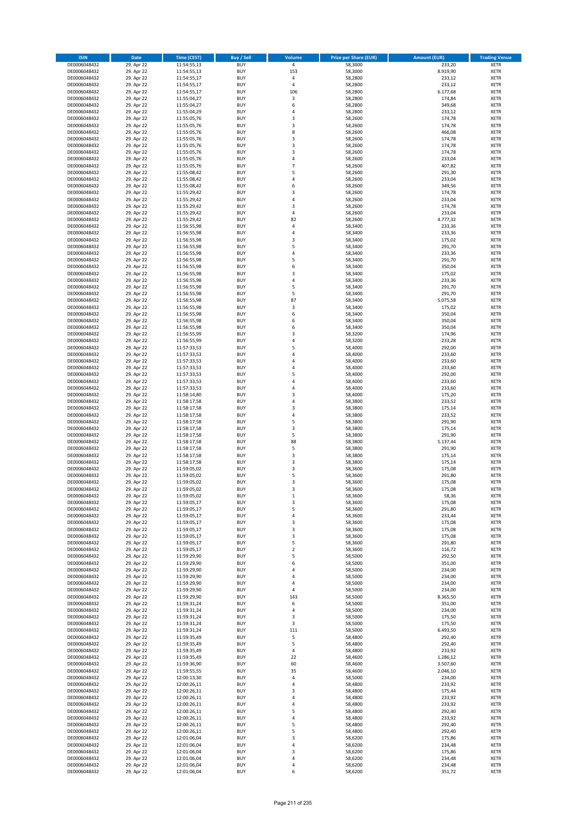| <b>ISIN</b>                  | <b>Date</b>              | <b>Time (CEST)</b>         | <b>Buy / Sell</b>        | <b>Volume</b>    | <b>Price per Share (EUR)</b> | <b>Amount (EUR)</b> | <b>Trading Venue</b>       |
|------------------------------|--------------------------|----------------------------|--------------------------|------------------|------------------------------|---------------------|----------------------------|
| DE0006048432                 | 29. Apr 22               | 11:54:55,13                | <b>BUY</b>               | $\overline{4}$   | 58,3000                      | 233,20              | <b>XETR</b>                |
| DE0006048432                 | 29. Apr 22               | 11:54:55,13                | <b>BUY</b>               | 153              | 58,3000                      | 8.919,90            | <b>XETR</b>                |
| DE0006048432                 | 29. Apr 22               | 11:54:55,17                | <b>BUY</b>               | 4                | 58,2800                      | 233,12              | <b>XETR</b>                |
| DE0006048432<br>DE0006048432 | 29. Apr 22<br>29. Apr 22 | 11:54:55,17<br>11:54:55,17 | <b>BUY</b><br><b>BUY</b> | 4<br>106         | 58,2800<br>58,2800           | 233,12<br>6.177,68  | <b>XETR</b><br><b>XETR</b> |
| DE0006048432                 | 29. Apr 22               | 11:55:04,27                | <b>BUY</b>               | 3                | 58,2800                      | 174,84              | <b>XETR</b>                |
| DE0006048432                 | 29. Apr 22               | 11:55:04,27                | <b>BUY</b>               | 6                | 58,2800                      | 349,68              | <b>XETR</b>                |
| DE0006048432                 | 29. Apr 22               | 11:55:04,29                | <b>BUY</b>               | 4                | 58,2800                      | 233,12              | <b>XETR</b>                |
| DE0006048432                 | 29. Apr 22               | 11:55:05,76                | <b>BUY</b>               | 3                | 58,2600                      | 174,78              | <b>XETR</b>                |
| DE0006048432                 | 29. Apr 22               | 11:55:05,76                | <b>BUY</b>               | 3                | 58,2600                      | 174,78              | <b>XETR</b>                |
| DE0006048432<br>DE0006048432 | 29. Apr 22<br>29. Apr 22 | 11:55:05,76<br>11:55:05,76 | <b>BUY</b><br><b>BUY</b> | 8<br>3           | 58,2600<br>58,2600           | 466,08<br>174,78    | <b>XETR</b><br><b>XETR</b> |
| DE0006048432                 | 29. Apr 22               | 11:55:05,76                | <b>BUY</b>               | 3                | 58,2600                      | 174,78              | <b>XETR</b>                |
| DE0006048432                 | 29. Apr 22               | 11:55:05,76                | <b>BUY</b>               | 3                | 58,2600                      | 174,78              | <b>XETR</b>                |
| DE0006048432                 | 29. Apr 22               | 11:55:05,76                | <b>BUY</b>               | 4                | 58,2600                      | 233,04              | <b>XETR</b>                |
| DE0006048432                 | 29. Apr 22               | 11:55:05,76                | <b>BUY</b>               | $\overline{7}$   | 58,2600                      | 407,82              | <b>XETR</b>                |
| DE0006048432                 | 29. Apr 22               | 11:55:08,42                | <b>BUY</b>               | 5                | 58,2600                      | 291,30              | <b>XETR</b>                |
| DE0006048432<br>DE0006048432 | 29. Apr 22<br>29. Apr 22 | 11:55:08,42<br>11:55:08,42 | <b>BUY</b><br><b>BUY</b> | 4<br>6           | 58,2600<br>58,2600           | 233,04<br>349,56    | <b>XETR</b><br><b>XETR</b> |
| DE0006048432                 | 29. Apr 22               | 11:55:29,42                | <b>BUY</b>               | 3                | 58,2600                      | 174,78              | <b>XETR</b>                |
| DE0006048432                 | 29. Apr 22               | 11:55:29,42                | <b>BUY</b>               | 4                | 58,2600                      | 233,04              | <b>XETR</b>                |
| DE0006048432                 | 29. Apr 22               | 11:55:29,42                | <b>BUY</b>               | 3                | 58,2600                      | 174,78              | <b>XETR</b>                |
| DE0006048432                 | 29. Apr 22               | 11:55:29,42                | <b>BUY</b>               | 4                | 58,2600                      | 233,04              | <b>XETR</b>                |
| DE0006048432<br>DE0006048432 | 29. Apr 22               | 11:55:29,42                | <b>BUY</b><br><b>BUY</b> | 82<br>4          | 58,2600<br>58,3400           | 4.777,32            | <b>XETR</b><br><b>XETR</b> |
| DE0006048432                 | 29. Apr 22<br>29. Apr 22 | 11:56:55,98<br>11:56:55,98 | <b>BUY</b>               | 4                | 58,3400                      | 233,36<br>233,36    | <b>XETR</b>                |
| DE0006048432                 | 29. Apr 22               | 11:56:55,98                | <b>BUY</b>               | 3                | 58,3400                      | 175,02              | <b>XETR</b>                |
| DE0006048432                 | 29. Apr 22               | 11:56:55,98                | <b>BUY</b>               | 5                | 58,3400                      | 291,70              | <b>XETR</b>                |
| DE0006048432                 | 29. Apr 22               | 11:56:55,98                | <b>BUY</b>               | 4                | 58,3400                      | 233,36              | <b>XETR</b>                |
| DE0006048432                 | 29. Apr 22               | 11:56:55,98                | <b>BUY</b>               | 5                | 58,3400                      | 291,70              | <b>XETR</b>                |
| DE0006048432<br>DE0006048432 | 29. Apr 22<br>29. Apr 22 | 11:56:55,98<br>11:56:55,98 | <b>BUY</b><br><b>BUY</b> | 6<br>3           | 58,3400<br>58,3400           | 350,04<br>175,02    | <b>XETR</b><br><b>XETR</b> |
| DE0006048432                 | 29. Apr 22               | 11:56:55,98                | <b>BUY</b>               | 4                | 58,3400                      | 233,36              | <b>XETR</b>                |
| DE0006048432                 | 29. Apr 22               | 11:56:55,98                | <b>BUY</b>               | 5                | 58,3400                      | 291,70              | <b>XETR</b>                |
| DE0006048432                 | 29. Apr 22               | 11:56:55,98                | <b>BUY</b>               | 5                | 58,3400                      | 291,70              | <b>XETR</b>                |
| DE0006048432                 | 29. Apr 22               | 11:56:55,98                | <b>BUY</b>               | 87               | 58,3400                      | 5.075,58            | <b>XETR</b>                |
| DE0006048432                 | 29. Apr 22               | 11:56:55,98                | <b>BUY</b>               | 3                | 58,3400                      | 175,02              | <b>XETR</b>                |
| DE0006048432<br>DE0006048432 | 29. Apr 22<br>29. Apr 22 | 11:56:55,98<br>11:56:55,98 | <b>BUY</b><br><b>BUY</b> | 6<br>6           | 58,3400<br>58,3400           | 350,04<br>350,04    | <b>XETR</b><br><b>XETR</b> |
| DE0006048432                 | 29. Apr 22               | 11:56:55,98                | <b>BUY</b>               | 6                | 58,3400                      | 350,04              | <b>XETR</b>                |
| DE0006048432                 | 29. Apr 22               | 11:56:55,99                | <b>BUY</b>               | 3                | 58,3200                      | 174,96              | <b>XETR</b>                |
| DE0006048432                 | 29. Apr 22               | 11:56:55,99                | <b>BUY</b>               | 4                | 58,3200                      | 233,28              | <b>XETR</b>                |
| DE0006048432                 | 29. Apr 22               | 11:57:33,53                | <b>BUY</b>               | 5                | 58,4000                      | 292,00              | <b>XETR</b>                |
| DE0006048432                 | 29. Apr 22               | 11:57:33,53                | <b>BUY</b>               | $\overline{a}$   | 58,4000                      | 233,60              | <b>XETR</b>                |
| DE0006048432<br>DE0006048432 | 29. Apr 22               | 11:57:33,53                | <b>BUY</b><br><b>BUY</b> | 4<br>4           | 58,4000<br>58,4000           | 233,60<br>233,60    | <b>XETR</b><br><b>XETR</b> |
| DE0006048432                 | 29. Apr 22<br>29. Apr 22 | 11:57:33,53<br>11:57:33,53 | <b>BUY</b>               | 5                | 58,4000                      | 292,00              | <b>XETR</b>                |
| DE0006048432                 | 29. Apr 22               | 11:57:33,53                | <b>BUY</b>               | 4                | 58,4000                      | 233,60              | <b>XETR</b>                |
| DE0006048432                 | 29. Apr 22               | 11:57:33,53                | <b>BUY</b>               | 4                | 58,4000                      | 233,60              | <b>XETR</b>                |
| DE0006048432                 | 29. Apr 22               | 11:58:14,80                | <b>BUY</b>               | 3                | 58,4000                      | 175,20              | <b>XETR</b>                |
| DE0006048432                 | 29. Apr 22               | 11:58:17,58                | <b>BUY</b>               | 4                | 58,3800                      | 233,52              | <b>XETR</b>                |
| DE0006048432                 | 29. Apr 22               | 11:58:17,58                | <b>BUY</b>               | 3                | 58,3800                      | 175,14              | <b>XETR</b>                |
| DE0006048432<br>DE0006048432 | 29. Apr 22<br>29. Apr 22 | 11:58:17,58<br>11:58:17,58 | <b>BUY</b><br><b>BUY</b> | 4<br>5           | 58,3800<br>58,3800           | 233,52<br>291,90    | <b>XETR</b><br><b>XETR</b> |
| DE0006048432                 | 29. Apr 22               | 11:58:17,58                | <b>BUY</b>               | 3                | 58,3800                      | 175,14              | <b>XETR</b>                |
| DE0006048432                 | 29. Apr 22               | 11:58:17,58                | <b>BUY</b>               | 5                | 58,3800                      | 291,90              | <b>XETR</b>                |
| DE0006048432                 | 29. Apr 22               | 11:58:17,58                | <b>BUY</b>               | 88               | 58,3800                      | 5.137,44            | <b>XETR</b>                |
| DE0006048432                 | 29. Apr 22               | 11:58:17,58                | <b>BUY</b>               | 5                | 58,3800                      | 291,90              | <b>XETR</b>                |
| DE0006048432                 | 29. Apr 22               | 11:58:17,58                | <b>BUY</b>               | 3                | 58,3800                      | 175,14              | <b>XETR</b>                |
| DE0006048432<br>DE0006048432 | 29. Apr 22<br>29. Apr 22 | 11:58:17,58<br>11:59:05,02 | <b>BUY</b><br><b>BUY</b> | 3<br>3           | 58,3800<br>58,3600           | 175,14<br>175,08    | <b>XETR</b><br><b>XETR</b> |
| DE0006048432                 | 29. Apr 22               | 11:59:05,02                | <b>BUY</b>               | 5                | 58,3600                      | 291,80              | <b>XETR</b>                |
| DE0006048432                 | 29. Apr 22               | 11:59:05,02                | <b>BUY</b>               | 3                | 58,3600                      | 175,08              | <b>XETR</b>                |
| DE0006048432                 | 29. Apr 22               | 11:59:05,02                | <b>BUY</b>               | 3                | 58,3600                      | 175,08              | <b>XETR</b>                |
| DE0006048432                 | 29. Apr 22               | 11:59:05,02                | BUY                      | $\mathbf 1$      | 58,3600                      | 58,36               | <b>XETR</b>                |
| DE0006048432                 | 29. Apr 22               | 11:59:05,17                | <b>BUY</b>               | 3                | 58,3600                      | 175,08              | <b>XETR</b>                |
| DE0006048432<br>DE0006048432 | 29. Apr 22<br>29. Apr 22 | 11:59:05,17<br>11:59:05,17 | <b>BUY</b><br><b>BUY</b> | 5<br>4           | 58,3600<br>58,3600           | 291,80<br>233,44    | <b>XETR</b><br>XETR        |
| DE0006048432                 | 29. Apr 22               | 11:59:05,17                | <b>BUY</b>               | 3                | 58,3600                      | 175,08              | <b>XETR</b>                |
| DE0006048432                 | 29. Apr 22               | 11:59:05,17                | <b>BUY</b>               | 3                | 58,3600                      | 175,08              | <b>XETR</b>                |
| DE0006048432                 | 29. Apr 22               | 11:59:05,17                | <b>BUY</b>               | 3                | 58,3600                      | 175,08              | <b>XETR</b>                |
| DE0006048432                 | 29. Apr 22               | 11:59:05,17                | <b>BUY</b>               | 5                | 58,3600                      | 291,80              | <b>XETR</b>                |
| DE0006048432<br>DE0006048432 | 29. Apr 22<br>29. Apr 22 | 11:59:05,17<br>11:59:29,90 | <b>BUY</b><br><b>BUY</b> | $\mathbf 2$<br>5 | 58,3600<br>58,5000           | 116,72<br>292,50    | <b>XETR</b><br><b>XETR</b> |
| DE0006048432                 | 29. Apr 22               | 11:59:29,90                | <b>BUY</b>               | 6                | 58,5000                      | 351,00              | <b>XETR</b>                |
| DE0006048432                 | 29. Apr 22               | 11:59:29,90                | <b>BUY</b>               | 4                | 58,5000                      | 234,00              | <b>XETR</b>                |
| DE0006048432                 | 29. Apr 22               | 11:59:29,90                | <b>BUY</b>               | 4                | 58,5000                      | 234,00              | <b>XETR</b>                |
| DE0006048432                 | 29. Apr 22               | 11:59:29,90                | <b>BUY</b>               | 4                | 58,5000                      | 234,00              | <b>XETR</b>                |
| DE0006048432                 | 29. Apr 22               | 11:59:29,90                | <b>BUY</b>               | 4                | 58,5000                      | 234,00              | <b>XETR</b>                |
| DE0006048432                 | 29. Apr 22<br>29. Apr 22 | 11:59:29,90                | <b>BUY</b><br><b>BUY</b> | 143              | 58,5000<br>58,5000           | 8.365,50            | <b>XETR</b><br><b>XETR</b> |
| DE0006048432<br>DE0006048432 | 29. Apr 22               | 11:59:31,24<br>11:59:31,24 | <b>BUY</b>               | 6<br>4           | 58,5000                      | 351,00<br>234,00    | <b>XETR</b>                |
| DE0006048432                 | 29. Apr 22               | 11:59:31,24                | <b>BUY</b>               | 3                | 58,5000                      | 175,50              | XETR                       |
| DE0006048432                 | 29. Apr 22               | 11:59:31,24                | <b>BUY</b>               | 3                | 58,5000                      | 175,50              | <b>XETR</b>                |
| DE0006048432                 | 29. Apr 22               | 11:59:31,24                | <b>BUY</b>               | 111              | 58,5000                      | 6.493,50            | <b>XETR</b>                |
| DE0006048432                 | 29. Apr 22               | 11:59:35,49                | <b>BUY</b>               | 5                | 58,4800                      | 292,40              | <b>XETR</b>                |
| DE0006048432                 | 29. Apr 22               | 11:59:35,49                | <b>BUY</b>               | 5                | 58,4800                      | 292,40              | <b>XETR</b>                |
| DE0006048432<br>DE0006048432 | 29. Apr 22<br>29. Apr 22 | 11:59:35,49<br>11:59:35,49 | <b>BUY</b><br><b>BUY</b> | 4<br>22          | 58,4800<br>58,4600           | 233,92<br>1.286,12  | <b>XETR</b><br><b>XETR</b> |
| DE0006048432                 | 29. Apr 22               | 11:59:36,90                | <b>BUY</b>               | 60               | 58,4600                      | 3.507,60            | <b>XETR</b>                |
| DE0006048432                 | 29. Apr 22               | 11:59:55,55                | <b>BUY</b>               | 35               | 58,4600                      | 2.046,10            | <b>XETR</b>                |
| DE0006048432                 | 29. Apr 22               | 12:00:13,30                | <b>BUY</b>               | 4                | 58,5000                      | 234,00              | <b>XETR</b>                |
| DE0006048432                 | 29. Apr 22               | 12:00:26,11                | <b>BUY</b>               | 4                | 58,4800                      | 233,92              | <b>XETR</b>                |
| DE0006048432                 | 29. Apr 22               | 12:00:26,11                | <b>BUY</b>               | 3<br>4           | 58,4800                      | 175,44<br>233,92    | <b>XETR</b>                |
| DE0006048432<br>DE0006048432 | 29. Apr 22<br>29. Apr 22 | 12:00:26,11<br>12:00:26,11 | <b>BUY</b><br><b>BUY</b> | 4                | 58,4800<br>58,4800           | 233,92              | <b>XETR</b><br><b>XETR</b> |
| DE0006048432                 | 29. Apr 22               | 12:00:26,11                | <b>BUY</b>               | 5                | 58,4800                      | 292,40              | <b>XETR</b>                |
| DE0006048432                 | 29. Apr 22               | 12:00:26,11                | <b>BUY</b>               | 4                | 58,4800                      | 233,92              | <b>XETR</b>                |
| DE0006048432                 | 29. Apr 22               | 12:00:26,11                | <b>BUY</b>               | 5                | 58,4800                      | 292,40              | <b>XETR</b>                |
| DE0006048432                 | 29. Apr 22               | 12:00:26,11                | <b>BUY</b>               | 5                | 58,4800                      | 292,40              | <b>XETR</b>                |
| DE0006048432<br>DE0006048432 | 29. Apr 22<br>29. Apr 22 | 12:01:06,04<br>12:01:06,04 | <b>BUY</b><br><b>BUY</b> | 3<br>4           | 58,6200<br>58,6200           | 175,86<br>234,48    | <b>XETR</b><br><b>XETR</b> |
| DE0006048432                 | 29. Apr 22               | 12:01:06,04                | <b>BUY</b>               | 3                | 58,6200                      | 175,86              | <b>XETR</b>                |
| DE0006048432                 | 29. Apr 22               | 12:01:06,04                | <b>BUY</b>               | 4                | 58,6200                      | 234,48              | <b>XETR</b>                |
| DE0006048432                 | 29. Apr 22               | 12:01:06,04                | <b>BUY</b>               | 4                | 58,6200                      | 234,48              | <b>XETR</b>                |
| DE0006048432                 | 29. Apr 22               | 12:01:06,04                | <b>BUY</b>               | 6                | 58,6200                      | 351,72              | <b>XETR</b>                |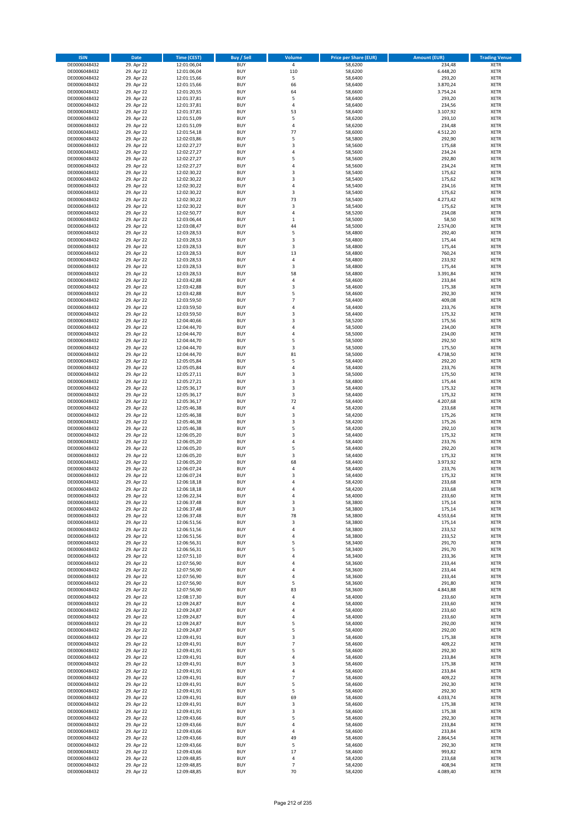| <b>ISIN</b>                  | Date                     | Time (CEST)                | <b>Buy / Sell</b>        | Volume              | <b>Price per Share (EUR)</b> | <b>Amount (EUR)</b>  | <b>Trading Venue</b>       |
|------------------------------|--------------------------|----------------------------|--------------------------|---------------------|------------------------------|----------------------|----------------------------|
| DE0006048432                 | 29. Apr 22               | 12:01:06,04                | <b>BUY</b>               | $\overline{4}$      | 58,6200                      | 234,48               | <b>XETR</b>                |
| DE0006048432                 | 29. Apr 22               | 12:01:06,04                | <b>BUY</b>               | 110                 | 58,6200                      | 6.448,20             | XETR                       |
| DE0006048432                 | 29. Apr 22               | 12:01:15,66                | <b>BUY</b>               | 5                   | 58,6400                      | 293,20               | <b>XETR</b>                |
| DE0006048432<br>DE0006048432 | 29. Apr 22<br>29. Apr 22 | 12:01:15,66<br>12:01:20,55 | <b>BUY</b><br><b>BUY</b> | 66<br>64            | 58,6400<br>58,6600           | 3.870,24<br>3.754,24 | <b>XETR</b><br><b>XETR</b> |
| DE0006048432                 | 29. Apr 22               | 12:01:37,81                | <b>BUY</b>               | 5                   | 58,6400                      | 293,20               | <b>XETR</b>                |
| DE0006048432                 | 29. Apr 22               | 12:01:37,81                | <b>BUY</b>               | $\sqrt{4}$          | 58,6400                      | 234,56               | <b>XETR</b>                |
| DE0006048432                 | 29. Apr 22               | 12:01:37,81                | <b>BUY</b>               | 53                  | 58,6400                      | 3.107,92             | <b>XETR</b>                |
| DE0006048432                 | 29. Apr 22               | 12:01:51,09                | <b>BUY</b><br><b>BUY</b> | 5                   | 58,6200                      | 293,10               | <b>XETR</b>                |
| DE0006048432<br>DE0006048432 | 29. Apr 22<br>29. Apr 22 | 12:01:51,09<br>12:01:54,18 | <b>BUY</b>               | $\sqrt{4}$<br>77    | 58,6200<br>58,6000           | 234,48<br>4.512,20   | <b>XETR</b><br><b>XETR</b> |
| DE0006048432                 | 29. Apr 22               | 12:02:03,86                | <b>BUY</b>               | 5                   | 58,5800                      | 292,90               | <b>XETR</b>                |
| DE0006048432                 | 29. Apr 22               | 12:02:27,27                | <b>BUY</b>               | 3                   | 58,5600                      | 175,68               | <b>XETR</b>                |
| DE0006048432                 | 29. Apr 22               | 12:02:27,27                | <b>BUY</b>               | $\overline{4}$      | 58,5600                      | 234,24               | <b>XETR</b>                |
| DE0006048432                 | 29. Apr 22               | 12:02:27,27                | <b>BUY</b>               | 5                   | 58,5600                      | 292,80               | <b>XETR</b>                |
| DE0006048432<br>DE0006048432 | 29. Apr 22<br>29. Apr 22 | 12:02:27,27<br>12:02:30,22 | <b>BUY</b><br><b>BUY</b> | $\overline{4}$<br>3 | 58,5600<br>58,5400           | 234,24<br>175,62     | <b>XETR</b><br><b>XETR</b> |
| DE0006048432                 | 29. Apr 22               | 12:02:30,22                | <b>BUY</b>               | 3                   | 58,5400                      | 175,62               | <b>XETR</b>                |
| DE0006048432                 | 29. Apr 22               | 12:02:30,22                | <b>BUY</b>               | 4                   | 58,5400                      | 234,16               | <b>XETR</b>                |
| DE0006048432                 | 29. Apr 22               | 12:02:30,22                | <b>BUY</b>               | $\mathsf 3$         | 58,5400                      | 175,62               | <b>XETR</b>                |
| DE0006048432                 | 29. Apr 22               | 12:02:30,22                | <b>BUY</b>               | 73                  | 58,5400                      | 4.273,42             | <b>XETR</b>                |
| DE0006048432<br>DE0006048432 | 29. Apr 22<br>29. Apr 22 | 12:02:30,22                | <b>BUY</b><br><b>BUY</b> | 3<br>$\overline{4}$ | 58,5400<br>58,5200           | 175,62<br>234,08     | <b>XETR</b><br><b>XETR</b> |
| DE0006048432                 | 29. Apr 22               | 12:02:50,77<br>12:03:06,44 | <b>BUY</b>               | $\,$ 1              | 58,5000                      | 58,50                | <b>XETR</b>                |
| DE0006048432                 | 29. Apr 22               | 12:03:08,47                | <b>BUY</b>               | 44                  | 58,5000                      | 2.574,00             | <b>XETR</b>                |
| DE0006048432                 | 29. Apr 22               | 12:03:28,53                | <b>BUY</b>               | 5                   | 58,4800                      | 292,40               | <b>XETR</b>                |
| DE0006048432                 | 29. Apr 22               | 12:03:28,53                | <b>BUY</b>               | 3                   | 58,4800                      | 175,44               | <b>XETR</b>                |
| DE0006048432                 | 29. Apr 22               | 12:03:28,53                | <b>BUY</b><br><b>BUY</b> | 3<br>13             | 58,4800                      | 175,44<br>760,24     | <b>XETR</b>                |
| DE0006048432<br>DE0006048432 | 29. Apr 22<br>29. Apr 22 | 12:03:28,53<br>12:03:28,53 | <b>BUY</b>               | 4                   | 58,4800<br>58,4800           | 233,92               | <b>XETR</b><br><b>XETR</b> |
| DE0006048432                 | 29. Apr 22               | 12:03:28,53                | <b>BUY</b>               | 3                   | 58,4800                      | 175,44               | <b>XETR</b>                |
| DE0006048432                 | 29. Apr 22               | 12:03:28,53                | <b>BUY</b>               | 58                  | 58,4800                      | 3.391,84             | <b>XETR</b>                |
| DE0006048432                 | 29. Apr 22               | 12:03:42,88                | <b>BUY</b>               | 4                   | 58,4600                      | 233,84               | <b>XETR</b>                |
| DE0006048432                 | 29. Apr 22               | 12:03:42,88                | <b>BUY</b>               | 3                   | 58,4600                      | 175,38               | <b>XETR</b>                |
| DE0006048432<br>DE0006048432 | 29. Apr 22<br>29. Apr 22 | 12:03:42,88<br>12:03:59,50 | <b>BUY</b><br><b>BUY</b> | 5<br>$\overline{7}$ | 58,4600<br>58,4400           | 292,30<br>409,08     | <b>XETR</b><br><b>XETR</b> |
| DE0006048432                 | 29. Apr 22               | 12:03:59,50                | <b>BUY</b>               | 4                   | 58,4400                      | 233,76               | <b>XETR</b>                |
| DE0006048432                 | 29. Apr 22               | 12:03:59,50                | <b>BUY</b>               | 3                   | 58,4400                      | 175,32               | <b>XETR</b>                |
| DE0006048432                 | 29. Apr 22               | 12:04:40,66                | <b>BUY</b>               | 3                   | 58,5200                      | 175,56               | <b>XETR</b>                |
| DE0006048432                 | 29. Apr 22               | 12:04:44,70                | <b>BUY</b>               | 4                   | 58,5000                      | 234,00               | <b>XETR</b>                |
| DE0006048432<br>DE0006048432 | 29. Apr 22<br>29. Apr 22 | 12:04:44,70<br>12:04:44,70 | <b>BUY</b><br><b>BUY</b> | $\overline{4}$<br>5 | 58,5000<br>58,5000           | 234,00<br>292,50     | <b>XETR</b><br><b>XETR</b> |
| DE0006048432                 | 29. Apr 22               | 12:04:44,70                | <b>BUY</b>               | 3                   | 58,5000                      | 175,50               | <b>XETR</b>                |
| DE0006048432                 | 29. Apr 22               | 12:04:44,70                | <b>BUY</b>               | 81                  | 58,5000                      | 4.738,50             | <b>XETR</b>                |
| DE0006048432                 | 29. Apr 22               | 12:05:05,84                | <b>BUY</b>               | 5                   | 58,4400                      | 292,20               | <b>XETR</b>                |
| DE0006048432                 | 29. Apr 22               | 12:05:05,84                | <b>BUY</b>               | 4                   | 58,4400                      | 233,76               | <b>XETR</b>                |
| DE0006048432                 | 29. Apr 22               | 12:05:27,11                | <b>BUY</b>               | 3<br>3              | 58,5000                      | 175,50               | <b>XETR</b><br><b>XETR</b> |
| DE0006048432<br>DE0006048432 | 29. Apr 22<br>29. Apr 22 | 12:05:27,21<br>12:05:36,17 | <b>BUY</b><br><b>BUY</b> | 3                   | 58,4800<br>58,4400           | 175,44<br>175,32     | <b>XETR</b>                |
| DE0006048432                 | 29. Apr 22               | 12:05:36,17                | <b>BUY</b>               | 3                   | 58,4400                      | 175,32               | <b>XETR</b>                |
| DE0006048432                 | 29. Apr 22               | 12:05:36,17                | <b>BUY</b>               | 72                  | 58,4400                      | 4.207,68             | <b>XETR</b>                |
| DE0006048432                 | 29. Apr 22               | 12:05:46,38                | <b>BUY</b>               | $\sqrt{4}$          | 58,4200                      | 233,68               | <b>XETR</b>                |
| DE0006048432                 | 29. Apr 22               | 12:05:46,38                | <b>BUY</b><br><b>BUY</b> | 3<br>$\mathsf 3$    | 58,4200                      | 175,26<br>175,26     | <b>XETR</b><br><b>XETR</b> |
| DE0006048432<br>DE0006048432 | 29. Apr 22<br>29. Apr 22 | 12:05:46,38<br>12:05:46,38 | <b>BUY</b>               | 5                   | 58,4200<br>58,4200           | 292,10               | <b>XETR</b>                |
| DE0006048432                 | 29. Apr 22               | 12:06:05,20                | <b>BUY</b>               | 3                   | 58,4400                      | 175,32               | <b>XETR</b>                |
| DE0006048432                 | 29. Apr 22               | 12:06:05,20                | <b>BUY</b>               | $\overline{4}$      | 58,4400                      | 233,76               | <b>XETR</b>                |
| DE0006048432                 | 29. Apr 22               | 12:06:05,20                | <b>BUY</b>               | 5                   | 58,4400                      | 292,20               | <b>XETR</b>                |
| DE0006048432                 | 29. Apr 22               | 12:06:05,20                | <b>BUY</b>               | 3                   | 58,4400                      | 175,32               | <b>XETR</b>                |
| DE0006048432<br>DE0006048432 | 29. Apr 22<br>29. Apr 22 | 12:06:05,20<br>12:06:07,24 | <b>BUY</b><br><b>BUY</b> | 68<br>4             | 58,4400<br>58,4400           | 3.973,92<br>233,76   | <b>XETR</b><br><b>XETR</b> |
| DE0006048432                 | 29. Apr 22               | 12:06:07,24                | <b>BUY</b>               | 3                   | 58,4400                      | 175,32               | <b>XETR</b>                |
| DE0006048432                 | 29. Apr 22               | 12:06:18,18                | <b>BUY</b>               | $\overline{4}$      | 58,4200                      | 233,68               | <b>XETR</b>                |
| DE0006048432                 | 29. Apr 22               | 12:06:18,18                | <b>BUY</b>               | $\overline{4}$      | 58,4200                      | 233,68               | <b>XETR</b>                |
| DE0006048432                 | 29. Apr 22               | 12:06:22,34                | BUY                      | 4                   | 58,4000                      | 233,60               | XETR                       |
| DE0006048432<br>DE0006048432 | 29. Apr 22<br>29. Apr 22 | 12:06:37,48<br>12:06:37,48 | <b>BUY</b><br><b>BUY</b> | 3<br>3              | 58,3800<br>58,3800           | 175,14<br>175,14     | <b>XETR</b><br><b>XETR</b> |
| DE0006048432                 | 29. Apr 22               | 12:06:37,48                | <b>BUY</b>               | 78                  | 58,3800                      | 4.553,64             | <b>XETR</b>                |
| DE0006048432                 | 29. Apr 22               | 12:06:51,56                | <b>BUY</b>               | 3                   | 58,3800                      | 175,14               | <b>XETR</b>                |
| DE0006048432                 | 29. Apr 22               | 12:06:51,56                | <b>BUY</b>               | 4                   | 58,3800                      | 233,52               | <b>XETR</b>                |
| DE0006048432                 | 29. Apr 22               | 12:06:51,56                | <b>BUY</b>               | 4                   | 58,3800                      | 233,52               | <b>XETR</b>                |
| DE0006048432<br>DE0006048432 | 29. Apr 22<br>29. Apr 22 | 12:06:56,31<br>12:06:56,31 | <b>BUY</b><br><b>BUY</b> | 5<br>5              | 58,3400<br>58,3400           | 291,70<br>291,70     | <b>XETR</b><br>XETR        |
| DE0006048432                 | 29. Apr 22               | 12:07:51,10                | <b>BUY</b>               | 4                   | 58,3400                      | 233,36               | <b>XETR</b>                |
| DE0006048432                 | 29. Apr 22               | 12:07:56,90                | <b>BUY</b>               | $\sqrt{4}$          | 58,3600                      | 233,44               | XETR                       |
| DE0006048432                 | 29. Apr 22               | 12:07:56,90                | <b>BUY</b>               | 4                   | 58,3600                      | 233,44               | <b>XETR</b>                |
| DE0006048432                 | 29. Apr 22               | 12:07:56,90                | <b>BUY</b>               | $\overline{4}$<br>5 | 58,3600                      | 233,44               | XETR                       |
| DE0006048432<br>DE0006048432 | 29. Apr 22<br>29. Apr 22 | 12:07:56,90<br>12:07:56,90 | <b>BUY</b><br><b>BUY</b> | 83                  | 58,3600<br>58,3600           | 291,80<br>4.843,88   | <b>XETR</b><br><b>XETR</b> |
| DE0006048432                 | 29. Apr 22               | 12:08:17,30                | <b>BUY</b>               | $\overline{4}$      | 58,4000                      | 233,60               | <b>XETR</b>                |
| DE0006048432                 | 29. Apr 22               | 12:09:24,87                | <b>BUY</b>               | 4                   | 58,4000                      | 233,60               | <b>XETR</b>                |
| DE0006048432                 | 29. Apr 22               | 12:09:24,87                | <b>BUY</b>               | $\sqrt{4}$          | 58,4000                      | 233,60               | <b>XETR</b>                |
| DE0006048432                 | 29. Apr 22<br>29. Apr 22 | 12:09:24,87                | <b>BUY</b><br><b>BUY</b> | 4<br>5              | 58,4000<br>58,4000           | 233,60<br>292,00     | XETR<br><b>XETR</b>        |
| DE0006048432<br>DE0006048432 | 29. Apr 22               | 12:09:24,87<br>12:09:24,87 | <b>BUY</b>               | 5                   | 58,4000                      | 292,00               | <b>XETR</b>                |
| DE0006048432                 | 29. Apr 22               | 12:09:41,91                | <b>BUY</b>               | 3                   | 58,4600                      | 175,38               | <b>XETR</b>                |
| DE0006048432                 | 29. Apr 22               | 12:09:41,91                | <b>BUY</b>               | $\overline{7}$      | 58,4600                      | 409,22               | XETR                       |
| DE0006048432                 | 29. Apr 22               | 12:09:41,91                | <b>BUY</b>               | 5                   | 58,4600                      | 292,30               | <b>XETR</b>                |
| DE0006048432                 | 29. Apr 22               | 12:09:41,91                | <b>BUY</b>               | 4                   | 58,4600                      | 233,84               | XETR                       |
| DE0006048432<br>DE0006048432 | 29. Apr 22<br>29. Apr 22 | 12:09:41,91<br>12:09:41,91 | <b>BUY</b><br><b>BUY</b> | 3<br>$\sqrt{4}$     | 58,4600<br>58,4600           | 175,38<br>233,84     | <b>XETR</b><br>XETR        |
| DE0006048432                 | 29. Apr 22               | 12:09:41,91                | <b>BUY</b>               | $\overline{7}$      | 58,4600                      | 409,22               | <b>XETR</b>                |
| DE0006048432                 | 29. Apr 22               | 12:09:41,91                | <b>BUY</b>               | 5                   | 58,4600                      | 292,30               | <b>XETR</b>                |
| DE0006048432                 | 29. Apr 22               | 12:09:41,91                | <b>BUY</b>               | 5                   | 58,4600                      | 292,30               | <b>XETR</b>                |
| DE0006048432                 | 29. Apr 22               | 12:09:41,91                | <b>BUY</b>               | 69                  | 58,4600                      | 4.033,74             | <b>XETR</b>                |
| DE0006048432                 | 29. Apr 22               | 12:09:41,91                | <b>BUY</b>               | 3                   | 58,4600                      | 175,38<br>175,38     | XETR                       |
| DE0006048432<br>DE0006048432 | 29. Apr 22<br>29. Apr 22 | 12:09:41,91<br>12:09:43,66 | <b>BUY</b><br><b>BUY</b> | 3<br>5              | 58,4600<br>58,4600           | 292,30               | XETR<br><b>XETR</b>        |
| DE0006048432                 | 29. Apr 22               | 12:09:43,66                | <b>BUY</b>               | $\sqrt{4}$          | 58,4600                      | 233,84               | <b>XETR</b>                |
| DE0006048432                 | 29. Apr 22               | 12:09:43,66                | <b>BUY</b>               | $\sqrt{4}$          | 58,4600                      | 233,84               | <b>XETR</b>                |
| DE0006048432                 | 29. Apr 22               | 12:09:43,66                | <b>BUY</b>               | 49                  | 58,4600                      | 2.864,54             | <b>XETR</b>                |
| DE0006048432<br>DE0006048432 | 29. Apr 22               | 12:09:43,66                | <b>BUY</b><br><b>BUY</b> | 5<br>17             | 58,4600<br>58,4600           | 292,30<br>993,82     | XETR<br><b>XETR</b>        |
| DE0006048432                 | 29. Apr 22<br>29. Apr 22 | 12:09:43,66<br>12:09:48,85 | <b>BUY</b>               | 4                   | 58,4200                      | 233,68               | XETR                       |
| DE0006048432                 | 29. Apr 22               | 12:09:48,85                | <b>BUY</b>               | $\overline{7}$      | 58,4200                      | 408,94               | <b>XETR</b>                |
| DE0006048432                 | 29. Apr 22               | 12:09:48,85                | <b>BUY</b>               | 70                  | 58,4200                      | 4.089,40             | <b>XETR</b>                |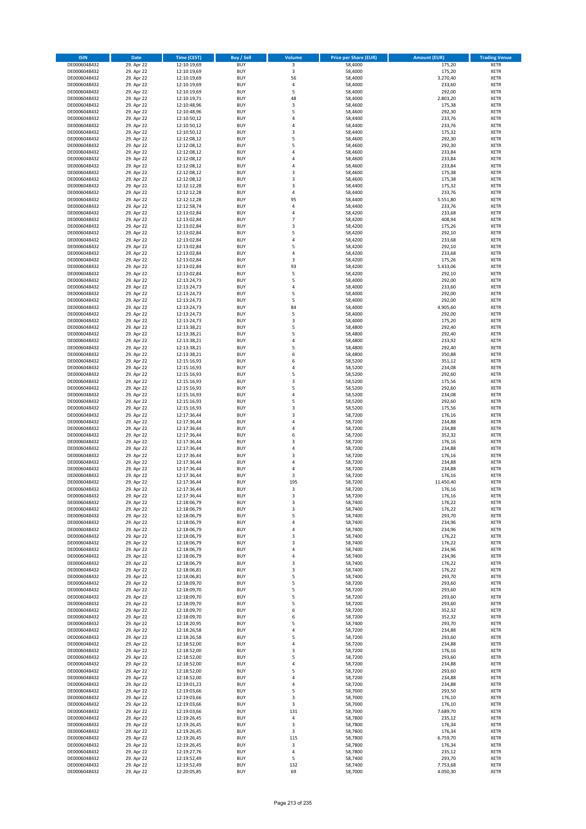| <b>ISIN</b>                  | Date                     | Time (CEST)                | <b>Buy / Sell</b>        | <b>Volume</b>           | <b>Price per Share (EUR)</b> | <b>Amount (EUR)</b> | <b>Trading Venue</b>       |
|------------------------------|--------------------------|----------------------------|--------------------------|-------------------------|------------------------------|---------------------|----------------------------|
| DE0006048432                 | 29. Apr 22               | 12:10:19,69                | <b>BUY</b>               | $\overline{\mathbf{3}}$ | 58,4000                      | 175,20              | <b>XETR</b>                |
| DE0006048432                 | 29. Apr 22               | 12:10:19,69                | <b>BUY</b>               | 3                       | 58,4000                      | 175,20              | XETR                       |
| DE0006048432                 | 29. Apr 22               | 12:10:19,69                | <b>BUY</b>               | 56                      | 58,4000                      | 3.270,40            | <b>XETR</b>                |
| DE0006048432                 | 29. Apr 22               | 12:10:19,69                | <b>BUY</b>               | $\pmb{4}$               | 58,4000                      | 233,60              | <b>XETR</b>                |
| DE0006048432<br>DE0006048432 | 29. Apr 22<br>29. Apr 22 | 12:10:19,69<br>12:10:19,71 | <b>BUY</b><br><b>BUY</b> | 5<br>48                 | 58,4000<br>58,4000           | 292,00<br>2.803,20  | <b>XETR</b><br><b>XETR</b> |
| DE0006048432                 | 29. Apr 22               | 12:10:48,96                | <b>BUY</b>               | 3                       | 58,4600                      | 175,38              | <b>XETR</b>                |
| DE0006048432                 | 29. Apr 22               | 12:10:48,96                | <b>BUY</b>               | 5                       | 58,4600                      | 292,30              | <b>XETR</b>                |
| DE0006048432                 | 29. Apr 22               | 12:10:50,12                | <b>BUY</b>               | $\overline{4}$          | 58,4400                      | 233,76              | <b>XETR</b>                |
| DE0006048432                 | 29. Apr 22               | 12:10:50,12                | <b>BUY</b>               | 4                       | 58,4400                      | 233,76              | <b>XETR</b>                |
| DE0006048432                 | 29. Apr 22               | 12:10:50,12                | <b>BUY</b>               | $\mathsf 3$             | 58,4400                      | 175,32              | <b>XETR</b>                |
| DE0006048432                 | 29. Apr 22               | 12:12:08,12                | <b>BUY</b>               | 5                       | 58,4600                      | 292,30              | <b>XETR</b>                |
| DE0006048432<br>DE0006048432 | 29. Apr 22<br>29. Apr 22 | 12:12:08,12<br>12:12:08,12 | <b>BUY</b><br><b>BUY</b> | 5<br>$\overline{4}$     | 58,4600<br>58,4600           | 292,30<br>233,84    | <b>XETR</b><br><b>XETR</b> |
| DE0006048432                 | 29. Apr 22               | 12:12:08,12                | <b>BUY</b>               | 4                       | 58,4600                      | 233,84              | <b>XETR</b>                |
| DE0006048432                 | 29. Apr 22               | 12:12:08,12                | <b>BUY</b>               | $\overline{4}$          | 58,4600                      | 233,84              | <b>XETR</b>                |
| DE0006048432                 | 29. Apr 22               | 12:12:08,12                | <b>BUY</b>               | 3                       | 58,4600                      | 175,38              | <b>XETR</b>                |
| DE0006048432                 | 29. Apr 22               | 12:12:08,12                | <b>BUY</b>               | 3                       | 58,4600                      | 175,38              | <b>XETR</b>                |
| DE0006048432                 | 29. Apr 22               | 12:12:12,28                | <b>BUY</b>               | 3                       | 58,4400                      | 175,32              | <b>XETR</b>                |
| DE0006048432<br>DE0006048432 | 29. Apr 22<br>29. Apr 22 | 12:12:12,28<br>12:12:12,28 | <b>BUY</b><br><b>BUY</b> | $\overline{4}$<br>95    | 58,4400<br>58,4400           | 233,76<br>5.551,80  | <b>XETR</b><br><b>XETR</b> |
| DE0006048432                 | 29. Apr 22               | 12:12:58,74                | <b>BUY</b>               | 4                       | 58,4400                      | 233,76              | <b>XETR</b>                |
| DE0006048432                 | 29. Apr 22               | 12:13:02,84                | <b>BUY</b>               | 4                       | 58,4200                      | 233,68              | <b>XETR</b>                |
| DE0006048432                 | 29. Apr 22               | 12:13:02,84                | <b>BUY</b>               | $\overline{7}$          | 58,4200                      | 408,94              | <b>XETR</b>                |
| DE0006048432                 | 29. Apr 22               | 12:13:02,84                | <b>BUY</b>               | 3                       | 58,4200                      | 175,26              | <b>XETR</b>                |
| DE0006048432                 | 29. Apr 22               | 12:13:02,84                | <b>BUY</b>               | 5                       | 58,4200                      | 292,10              | <b>XETR</b>                |
| DE0006048432<br>DE0006048432 | 29. Apr 22               | 12:13:02,84                | <b>BUY</b><br><b>BUY</b> | $\overline{4}$<br>5     | 58,4200                      | 233,68              | <b>XETR</b><br><b>XETR</b> |
| DE0006048432                 | 29. Apr 22<br>29. Apr 22 | 12:13:02,84<br>12:13:02,84 | <b>BUY</b>               | 4                       | 58,4200<br>58,4200           | 292,10<br>233,68    | <b>XETR</b>                |
| DE0006048432                 | 29. Apr 22               | 12:13:02,84                | <b>BUY</b>               | 3                       | 58,4200                      | 175,26              | <b>XETR</b>                |
| DE0006048432                 | 29. Apr 22               | 12:13:02,84                | <b>BUY</b>               | 93                      | 58,4200                      | 5.433,06            | <b>XETR</b>                |
| DE0006048432                 | 29. Apr 22               | 12:13:02,84                | <b>BUY</b>               | 5                       | 58,4200                      | 292,10              | <b>XETR</b>                |
| DE0006048432                 | 29. Apr 22               | 12:13:24,73                | <b>BUY</b>               | 5                       | 58,4000                      | 292,00              | <b>XETR</b>                |
| DE0006048432                 | 29. Apr 22               | 12:13:24,73                | <b>BUY</b>               | $\overline{4}$          | 58,4000                      | 233,60              | <b>XETR</b>                |
| DE0006048432<br>DE0006048432 | 29. Apr 22<br>29. Apr 22 | 12:13:24,73<br>12:13:24,73 | <b>BUY</b><br><b>BUY</b> | 5<br>5                  | 58,4000<br>58,4000           | 292,00<br>292,00    | <b>XETR</b><br><b>XETR</b> |
| DE0006048432                 | 29. Apr 22               | 12:13:24,73                | <b>BUY</b>               | 84                      | 58,4000                      | 4.905,60            | <b>XETR</b>                |
| DE0006048432                 | 29. Apr 22               | 12:13:24,73                | <b>BUY</b>               | 5                       | 58,4000                      | 292,00              | <b>XETR</b>                |
| DE0006048432                 | 29. Apr 22               | 12:13:24,73                | <b>BUY</b>               | 3                       | 58,4000                      | 175,20              | <b>XETR</b>                |
| DE0006048432                 | 29. Apr 22               | 12:13:38,21                | <b>BUY</b>               | 5                       | 58,4800                      | 292,40              | <b>XETR</b>                |
| DE0006048432                 | 29. Apr 22               | 12:13:38,21                | <b>BUY</b>               | 5                       | 58,4800                      | 292,40              | <b>XETR</b>                |
| DE0006048432                 | 29. Apr 22               | 12:13:38,21                | <b>BUY</b>               | 4                       | 58,4800                      | 233,92              | <b>XETR</b>                |
| DE0006048432<br>DE0006048432 | 29. Apr 22<br>29. Apr 22 | 12:13:38,21<br>12:13:38,21 | <b>BUY</b><br><b>BUY</b> | 5<br>6                  | 58,4800<br>58,4800           | 292,40<br>350,88    | <b>XETR</b><br><b>XETR</b> |
| DE0006048432                 | 29. Apr 22               | 12:15:16,93                | <b>BUY</b>               | 6                       | 58,5200                      | 351,12              | <b>XETR</b>                |
| DE0006048432                 | 29. Apr 22               | 12:15:16,93                | <b>BUY</b>               | 4                       | 58,5200                      | 234,08              | <b>XETR</b>                |
| DE0006048432                 | 29. Apr 22               | 12:15:16,93                | <b>BUY</b>               | 5                       | 58,5200                      | 292,60              | <b>XETR</b>                |
| DE0006048432                 | 29. Apr 22               | 12:15:16,93                | <b>BUY</b>               | 3                       | 58,5200                      | 175,56              | <b>XETR</b>                |
| DE0006048432                 | 29. Apr 22               | 12:15:16,93                | <b>BUY</b><br><b>BUY</b> | 5<br>4                  | 58,5200                      | 292,60              | <b>XETR</b>                |
| DE0006048432<br>DE0006048432 | 29. Apr 22<br>29. Apr 22 | 12:15:16,93<br>12:15:16,93 | <b>BUY</b>               | 5                       | 58,5200<br>58,5200           | 234,08<br>292,60    | <b>XETR</b><br><b>XETR</b> |
| DE0006048432                 | 29. Apr 22               | 12:15:16,93                | <b>BUY</b>               | 3                       | 58,5200                      | 175,56              | <b>XETR</b>                |
| DE0006048432                 | 29. Apr 22               | 12:17:36,44                | <b>BUY</b>               | 3                       | 58,7200                      | 176,16              | <b>XETR</b>                |
| DE0006048432                 | 29. Apr 22               | 12:17:36,44                | <b>BUY</b>               | 4                       | 58,7200                      | 234,88              | <b>XETR</b>                |
| DE0006048432                 | 29. Apr 22               | 12:17:36,44                | <b>BUY</b>               | $\overline{4}$          | 58,7200                      | 234,88              | <b>XETR</b>                |
| DE0006048432                 | 29. Apr 22               | 12:17:36,44                | <b>BUY</b>               | 6                       | 58,7200                      | 352,32              | <b>XETR</b>                |
| DE0006048432<br>DE0006048432 | 29. Apr 22<br>29. Apr 22 | 12:17:36,44<br>12:17:36,44 | <b>BUY</b><br><b>BUY</b> | 3<br>4                  | 58,7200<br>58,7200           | 176,16<br>234,88    | <b>XETR</b><br><b>XETR</b> |
| DE0006048432                 | 29. Apr 22               | 12:17:36,44                | <b>BUY</b>               | 3                       | 58,7200                      | 176,16              | <b>XETR</b>                |
| DE0006048432                 | 29. Apr 22               | 12:17:36,44                | <b>BUY</b>               | $\overline{4}$          | 58,7200                      | 234,88              | <b>XETR</b>                |
| DE0006048432                 | 29. Apr 22               | 12:17:36,44                | <b>BUY</b>               | 4                       | 58,7200                      | 234,88              | <b>XETR</b>                |
| DE0006048432                 | 29. Apr 22               | 12:17:36,44                | <b>BUY</b>               | 3                       | 58,7200                      | 176,16              | <b>XETR</b>                |
| DE0006048432                 | 29. Apr 22               | 12:17:36,44                | <b>BUY</b>               | 195                     | 58,7200                      | 11.450,40           | <b>XETR</b>                |
| DE0006048432                 | 29. Apr 22               | 12:17:36,44<br>12:17:36,44 | <b>BUY</b>               | 3                       | 58,7200                      | 176,16              | <b>XETR</b>                |
| DE0006048432<br>DE0006048432 | 29. Apr 22<br>29. Apr 22 | 12:18:06,79                | BUY<br><b>BUY</b>        | 3<br>3                  | 58,7200<br>58,7400           | 176,16<br>176,22    | XETR<br><b>XETR</b>        |
| DE0006048432                 | 29. Apr 22               | 12:18:06,79                | <b>BUY</b>               | 3                       | 58,7400                      | 176,22              | <b>XETR</b>                |
| DE0006048432                 | 29. Apr 22               | 12:18:06,79                | <b>BUY</b>               | 5                       | 58,7400                      | 293,70              | XETR                       |
| DE0006048432                 | 29. Apr 22               | 12:18:06,79                | <b>BUY</b>               | 4                       | 58,7400                      | 234,96              | <b>XETR</b>                |
| DE0006048432                 | 29. Apr 22               | 12:18:06,79                | <b>BUY</b>               | 4                       | 58,7400                      | 234,96              | <b>XETR</b>                |
| DE0006048432                 | 29. Apr 22               | 12:18:06,79                | <b>BUY</b>               | 3                       | 58,7400                      | 176,22              | <b>XETR</b>                |
| DE0006048432<br>DE0006048432 | 29. Apr 22<br>29. Apr 22 | 12:18:06,79<br>12:18:06,79 | <b>BUY</b><br><b>BUY</b> | 3<br>$\overline{4}$     | 58,7400<br>58,7400           | 176,22<br>234,96    | <b>XETR</b><br>XETR        |
| DE0006048432                 | 29. Apr 22               | 12:18:06,79                | <b>BUY</b>               | 4                       | 58,7400                      | 234,96              | <b>XETR</b>                |
| DE0006048432                 | 29. Apr 22               | 12:18:06,79                | <b>BUY</b>               | 3                       | 58,7400                      | 176,22              | XETR                       |
| DE0006048432                 | 29. Apr 22               | 12:18:06,81                | <b>BUY</b>               | 3                       | 58,7400                      | 176,22              | <b>XETR</b>                |
| DE0006048432                 | 29. Apr 22               | 12:18:06,81                | <b>BUY</b>               | 5                       | 58,7400                      | 293,70              | XETR                       |
| DE0006048432                 | 29. Apr 22               | 12:18:09,70                | <b>BUY</b>               | 5                       | 58,7200                      | 293,60              | <b>XETR</b>                |
| DE0006048432<br>DE0006048432 | 29. Apr 22<br>29. Apr 22 | 12:18:09,70<br>12:18:09,70 | <b>BUY</b><br><b>BUY</b> | 5<br>5                  | 58,7200<br>58,7200           | 293,60<br>293,60    | XETR<br><b>XETR</b>        |
| DE0006048432                 | 29. Apr 22               | 12:18:09,70                | <b>BUY</b>               | 5                       | 58,7200                      | 293,60              | <b>XETR</b>                |
| DE0006048432                 | 29. Apr 22               | 12:18:09,70                | <b>BUY</b>               | 6                       | 58,7200                      | 352,32              | <b>XETR</b>                |
| DE0006048432                 | 29. Apr 22               | 12:18:09,70                | <b>BUY</b>               | 6                       | 58,7200                      | 352,32              | XETR                       |
| DE0006048432                 | 29. Apr 22               | 12:18:20,95                | <b>BUY</b>               | 5                       | 58,7400                      | 293,70              | XETR                       |
| DE0006048432                 | 29. Apr 22               | 12:18:26,58                | <b>BUY</b>               | $\sqrt{4}$              | 58,7200                      | 234,88              | <b>XETR</b>                |
| DE0006048432<br>DE0006048432 | 29. Apr 22<br>29. Apr 22 | 12:18:26,58<br>12:18:52,00 | <b>BUY</b><br><b>BUY</b> | 5<br>$\sqrt{4}$         | 58,7200<br>58,7200           | 293,60<br>234,88    | <b>XETR</b><br>XETR        |
| DE0006048432                 | 29. Apr 22               | 12:18:52,00                | <b>BUY</b>               | 3                       | 58,7200                      | 176,16              | XETR                       |
| DE0006048432                 | 29. Apr 22               | 12:18:52,00                | <b>BUY</b>               | 5                       | 58,7200                      | 293,60              | XETR                       |
| DE0006048432                 | 29. Apr 22               | 12:18:52,00                | <b>BUY</b>               | 4                       | 58,7200                      | 234,88              | <b>XETR</b>                |
| DE0006048432                 | 29. Apr 22               | 12:18:52,00                | <b>BUY</b>               | 5                       | 58,7200                      | 293,60              | XETR                       |
| DE0006048432                 | 29. Apr 22               | 12:18:52,00                | <b>BUY</b>               | $\sqrt{4}$              | 58,7200                      | 234,88              | <b>XETR</b>                |
| DE0006048432<br>DE0006048432 | 29. Apr 22<br>29. Apr 22 | 12:19:01,23<br>12:19:03,66 | <b>BUY</b><br><b>BUY</b> | $\sqrt{4}$<br>5         | 58,7200<br>58,7000           | 234,88<br>293,50    | <b>XETR</b><br><b>XETR</b> |
| DE0006048432                 | 29. Apr 22               | 12:19:03,66                | <b>BUY</b>               | 3                       | 58,7000                      | 176,10              | XETR                       |
| DE0006048432                 | 29. Apr 22               | 12:19:03,66                | <b>BUY</b>               | 3                       | 58,7000                      | 176,10              | XETR                       |
| DE0006048432                 | 29. Apr 22               | 12:19:03,66                | <b>BUY</b>               | 131                     | 58,7000                      | 7.689,70            | XETR                       |
| DE0006048432                 | 29. Apr 22               | 12:19:26,45                | <b>BUY</b>               | $\sqrt{4}$              | 58,7800                      | 235,12              | <b>XETR</b>                |
| DE0006048432                 | 29. Apr 22               | 12:19:26,45                | <b>BUY</b>               | 3                       | 58,7800                      | 176,34              | <b>XETR</b>                |
| DE0006048432                 | 29. Apr 22               | 12:19:26,45                | <b>BUY</b>               | 3                       | 58,7800                      | 176,34              | XETR                       |
| DE0006048432<br>DE0006048432 | 29. Apr 22<br>29. Apr 22 | 12:19:26,45<br>12:19:26,45 | <b>BUY</b><br><b>BUY</b> | 115<br>$\mathsf 3$      | 58,7800<br>58,7800           | 6.759,70<br>176,34  | XETR<br>XETR               |
| DE0006048432                 | 29. Apr 22               | 12:19:27,76                | <b>BUY</b>               | $\sqrt{4}$              | 58,7800                      | 235,12              | <b>XETR</b>                |
| DE0006048432                 | 29. Apr 22               | 12:19:52,49                | <b>BUY</b>               | 5                       | 58,7400                      | 293,70              | XETR                       |
| DE0006048432                 | 29. Apr 22               | 12:19:52,49                | <b>BUY</b>               | 132                     | 58,7400                      | 7.753,68            | <b>XETR</b>                |
| DE0006048432                 | 29. Apr 22               | 12:20:05,85                | <b>BUY</b>               | 69                      | 58,7000                      | 4.050,30            | XETR                       |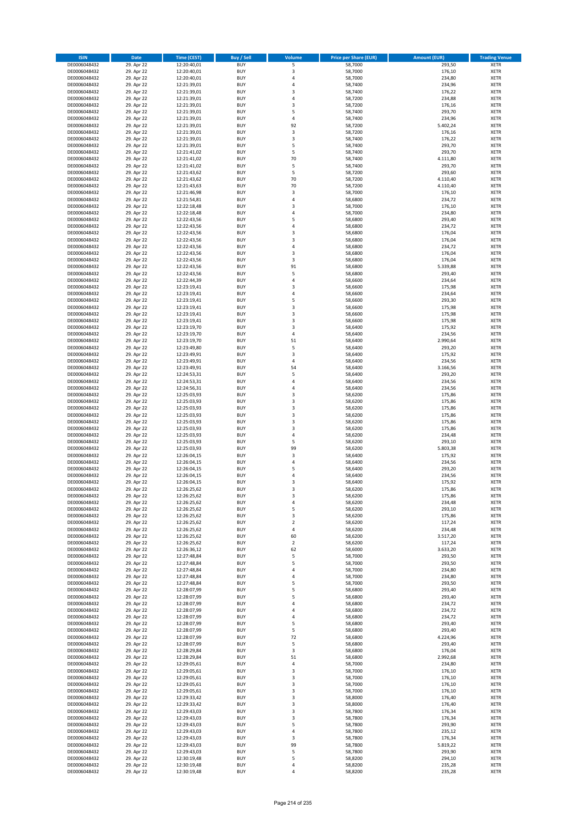| <b>ISIN</b>                  | <b>Date</b>              | <b>Time (CEST)</b>         | <b>Buy / Sell</b>        | <b>Volume</b>  | <b>Price per Share (EUR)</b> | <b>Amount (EUR)</b> | <b>Trading Venue</b>       |
|------------------------------|--------------------------|----------------------------|--------------------------|----------------|------------------------------|---------------------|----------------------------|
| DE0006048432                 | 29. Apr 22               | 12:20:40,01                | <b>BUY</b>               | 5              | 58,7000                      | 293,50              | <b>XETR</b>                |
| DE0006048432                 | 29. Apr 22               | 12:20:40,01                | <b>BUY</b>               | 3              | 58,7000                      | 176,10              | <b>XETR</b>                |
| DE0006048432                 | 29. Apr 22               | 12:20:40,01                | <b>BUY</b>               | 4              | 58,7000                      | 234,80              | <b>XETR</b>                |
| DE0006048432<br>DE0006048432 | 29. Apr 22<br>29. Apr 22 | 12:21:39,01<br>12:21:39,01 | <b>BUY</b><br><b>BUY</b> | 4<br>3         | 58,7400<br>58,7400           | 234,96<br>176,22    | <b>XETR</b><br><b>XETR</b> |
| DE0006048432                 | 29. Apr 22               | 12:21:39,01                | <b>BUY</b>               | 4              | 58,7200                      | 234,88              | <b>XETR</b>                |
| DE0006048432                 | 29. Apr 22               | 12:21:39,01                | <b>BUY</b>               | 3              | 58,7200                      | 176,16              | <b>XETR</b>                |
| DE0006048432                 | 29. Apr 22               | 12:21:39,01                | <b>BUY</b>               | 5              | 58,7400                      | 293,70              | <b>XETR</b>                |
| DE0006048432                 | 29. Apr 22               | 12:21:39,01                | <b>BUY</b>               | 4              | 58,7400                      | 234,96              | <b>XETR</b>                |
| DE0006048432                 | 29. Apr 22               | 12:21:39,01                | <b>BUY</b>               | 92             | 58,7200                      | 5.402,24            | <b>XETR</b>                |
| DE0006048432                 | 29. Apr 22               | 12:21:39,01                | <b>BUY</b>               | 3              | 58,7200                      | 176,16              | <b>XETR</b>                |
| DE0006048432                 | 29. Apr 22<br>29. Apr 22 | 12:21:39,01                | <b>BUY</b><br><b>BUY</b> | 3<br>5         | 58,7400                      | 176,22<br>293,70    | <b>XETR</b><br><b>XETR</b> |
| DE0006048432<br>DE0006048432 | 29. Apr 22               | 12:21:39,01<br>12:21:41,02 | <b>BUY</b>               | 5              | 58,7400<br>58,7400           | 293,70              | <b>XETR</b>                |
| DE0006048432                 | 29. Apr 22               | 12:21:41,02                | <b>BUY</b>               | 70             | 58,7400                      | 4.111,80            | <b>XETR</b>                |
| DE0006048432                 | 29. Apr 22               | 12:21:41,02                | <b>BUY</b>               | 5              | 58,7400                      | 293,70              | <b>XETR</b>                |
| DE0006048432                 | 29. Apr 22               | 12:21:43,62                | <b>BUY</b>               | 5              | 58,7200                      | 293,60              | <b>XETR</b>                |
| DE0006048432                 | 29. Apr 22               | 12:21:43,62                | <b>BUY</b>               | 70             | 58,7200                      | 4.110,40            | <b>XETR</b>                |
| DE0006048432                 | 29. Apr 22               | 12:21:43,63                | <b>BUY</b>               | 70             | 58,7200                      | 4.110,40            | <b>XETR</b>                |
| DE0006048432                 | 29. Apr 22               | 12:21:46,98                | <b>BUY</b>               | 3              | 58,7000                      | 176,10              | <b>XETR</b>                |
| DE0006048432                 | 29. Apr 22               | 12:21:54,81                | <b>BUY</b>               | 4              | 58,6800                      | 234,72              | <b>XETR</b>                |
| DE0006048432<br>DE0006048432 | 29. Apr 22<br>29. Apr 22 | 12:22:18,48<br>12:22:18,48 | <b>BUY</b><br><b>BUY</b> | 3<br>4         | 58,7000<br>58,7000           | 176,10<br>234,80    | <b>XETR</b><br><b>XETR</b> |
| DE0006048432                 | 29. Apr 22               | 12:22:43,56                | <b>BUY</b>               | 5              | 58,6800                      | 293,40              | <b>XETR</b>                |
| DE0006048432                 | 29. Apr 22               | 12:22:43,56                | <b>BUY</b>               | 4              | 58,6800                      | 234,72              | <b>XETR</b>                |
| DE0006048432                 | 29. Apr 22               | 12:22:43,56                | <b>BUY</b>               | 3              | 58,6800                      | 176,04              | <b>XETR</b>                |
| DE0006048432                 | 29. Apr 22               | 12:22:43,56                | <b>BUY</b>               | 3              | 58,6800                      | 176,04              | <b>XETR</b>                |
| DE0006048432                 | 29. Apr 22               | 12:22:43,56                | <b>BUY</b>               | 4              | 58,6800                      | 234,72              | <b>XETR</b>                |
| DE0006048432                 | 29. Apr 22               | 12:22:43,56                | <b>BUY</b>               | 3              | 58,6800                      | 176,04              | <b>XETR</b>                |
| DE0006048432                 | 29. Apr 22<br>29. Apr 22 | 12:22:43,56                | <b>BUY</b><br><b>BUY</b> | 3<br>91        | 58,6800<br>58,6800           | 176,04<br>5.339,88  | <b>XETR</b><br><b>XETR</b> |
| DE0006048432<br>DE0006048432 | 29. Apr 22               | 12:22:43,56<br>12:22:43,56 | <b>BUY</b>               | 5              | 58,6800                      | 293,40              | <b>XETR</b>                |
| DE0006048432                 | 29. Apr 22               | 12:22:44,39                | <b>BUY</b>               | 4              | 58,6600                      | 234,64              | <b>XETR</b>                |
| DE0006048432                 | 29. Apr 22               | 12:23:19,41                | <b>BUY</b>               | 3              | 58,6600                      | 175,98              | <b>XETR</b>                |
| DE0006048432                 | 29. Apr 22               | 12:23:19,41                | <b>BUY</b>               | 4              | 58,6600                      | 234,64              | <b>XETR</b>                |
| DE0006048432                 | 29. Apr 22               | 12:23:19,41                | <b>BUY</b>               | 5              | 58,6600                      | 293,30              | <b>XETR</b>                |
| DE0006048432                 | 29. Apr 22               | 12:23:19,41                | <b>BUY</b>               | 3              | 58,6600                      | 175,98              | <b>XETR</b>                |
| DE0006048432                 | 29. Apr 22               | 12:23:19,41                | <b>BUY</b>               | 3              | 58,6600                      | 175,98              | <b>XETR</b>                |
| DE0006048432                 | 29. Apr 22               | 12:23:19,41                | <b>BUY</b>               | 3              | 58,6600                      | 175,98              | <b>XETR</b>                |
| DE0006048432<br>DE0006048432 | 29. Apr 22<br>29. Apr 22 | 12:23:19,70<br>12:23:19,70 | <b>BUY</b><br><b>BUY</b> | 3<br>4         | 58,6400<br>58,6400           | 175,92<br>234,56    | <b>XETR</b><br><b>XETR</b> |
| DE0006048432                 | 29. Apr 22               | 12:23:19,70                | <b>BUY</b>               | 51             | 58,6400                      | 2.990,64            | <b>XETR</b>                |
| DE0006048432                 | 29. Apr 22               | 12:23:49,80                | <b>BUY</b>               | 5              | 58,6400                      | 293,20              | <b>XETR</b>                |
| DE0006048432                 | 29. Apr 22               | 12:23:49,91                | <b>BUY</b>               | 3              | 58,6400                      | 175,92              | <b>XETR</b>                |
| DE0006048432                 | 29. Apr 22               | 12:23:49,91                | <b>BUY</b>               | 4              | 58,6400                      | 234,56              | <b>XETR</b>                |
| DE0006048432                 | 29. Apr 22               | 12:23:49,91                | <b>BUY</b>               | 54             | 58,6400                      | 3.166,56            | <b>XETR</b>                |
| DE0006048432                 | 29. Apr 22               | 12:24:53,31                | <b>BUY</b>               | 5              | 58,6400                      | 293,20              | <b>XETR</b>                |
| DE0006048432                 | 29. Apr 22               | 12:24:53,31                | <b>BUY</b>               | 4              | 58,6400                      | 234,56              | <b>XETR</b>                |
| DE0006048432<br>DE0006048432 | 29. Apr 22<br>29. Apr 22 | 12:24:56,31<br>12:25:03,93 | <b>BUY</b><br><b>BUY</b> | 4<br>3         | 58,6400<br>58,6200           | 234,56<br>175,86    | <b>XETR</b><br><b>XETR</b> |
| DE0006048432                 | 29. Apr 22               | 12:25:03,93                | <b>BUY</b>               | 3              | 58,6200                      | 175,86              | <b>XETR</b>                |
| DE0006048432                 | 29. Apr 22               | 12:25:03,93                | <b>BUY</b>               | 3              | 58,6200                      | 175,86              | <b>XETR</b>                |
| DE0006048432                 | 29. Apr 22               | 12:25:03,93                | <b>BUY</b>               | 3              | 58,6200                      | 175,86              | <b>XETR</b>                |
| DE0006048432                 | 29. Apr 22               | 12:25:03,93                | <b>BUY</b>               | 3              | 58,6200                      | 175,86              | <b>XETR</b>                |
| DE0006048432                 | 29. Apr 22               | 12:25:03,93                | <b>BUY</b>               | 3              | 58,6200                      | 175,86              | <b>XETR</b>                |
| DE0006048432                 | 29. Apr 22               | 12:25:03,93                | <b>BUY</b>               | 4              | 58,6200                      | 234,48              | <b>XETR</b>                |
| DE0006048432                 | 29. Apr 22               | 12:25:03,93                | <b>BUY</b>               | 5              | 58,6200                      | 293,10              | <b>XETR</b>                |
| DE0006048432<br>DE0006048432 | 29. Apr 22<br>29. Apr 22 | 12:25:03,93<br>12:26:04,15 | <b>BUY</b><br><b>BUY</b> | 99<br>3        | 58,6200<br>58,6400           | 5.803,38<br>175,92  | <b>XETR</b><br><b>XETR</b> |
| DE0006048432                 | 29. Apr 22               | 12:26:04,15                | <b>BUY</b>               | 4              | 58,6400                      | 234,56              | <b>XETR</b>                |
| DE0006048432                 | 29. Apr 22               | 12:26:04,15                | <b>BUY</b>               | 5              | 58,6400                      | 293,20              | <b>XETR</b>                |
| DE0006048432                 | 29. Apr 22               | 12:26:04,15                | <b>BUY</b>               | 4              | 58,6400                      | 234,56              | <b>XETR</b>                |
| DE0006048432                 | 29. Apr 22               | 12:26:04,15                | <b>BUY</b>               | 3              | 58,6400                      | 175,92              | <b>XETR</b>                |
| DE0006048432                 | 29. Apr 22               | 12:26:25,62                | <b>BUY</b>               | 3              | 58,6200                      | 175,86              | <b>XETR</b>                |
| DE0006048432                 | 29. Apr 22               | 12:26:25,62                | BUY                      | 3              | 58,6200                      | 175,86              | <b>XETR</b>                |
| DE0006048432<br>DE0006048432 | 29. Apr 22<br>29. Apr 22 | 12:26:25,62<br>12:26:25,62 | <b>BUY</b><br><b>BUY</b> | 4<br>5         | 58,6200<br>58,6200           | 234,48<br>293,10    | <b>XETR</b><br><b>XETR</b> |
| DE0006048432                 | 29. Apr 22               | 12:26:25,62                | <b>BUY</b>               | 3              | 58,6200                      | 175,86              | XETR                       |
| DE0006048432                 | 29. Apr 22               | 12:26:25,62                | <b>BUY</b>               | $\overline{2}$ | 58,6200                      | 117,24              | <b>XETR</b>                |
| DE0006048432                 | 29. Apr 22               | 12:26:25,62                | <b>BUY</b>               | 4              | 58,6200                      | 234,48              | <b>XETR</b>                |
| DE0006048432                 | 29. Apr 22               | 12:26:25,62                | <b>BUY</b>               | 60             | 58,6200                      | 3.517,20            | <b>XETR</b>                |
| DE0006048432                 | 29. Apr 22               | 12:26:25,62                | <b>BUY</b>               | $\mathbf 2$    | 58,6200                      | 117,24              | <b>XETR</b>                |
| DE0006048432                 | 29. Apr 22               | 12:26:36,12                | <b>BUY</b>               | 62             | 58,6000                      | 3.633,20            | <b>XETR</b>                |
| DE0006048432<br>DE0006048432 | 29. Apr 22<br>29. Apr 22 | 12:27:48,84<br>12:27:48,84 | <b>BUY</b><br><b>BUY</b> | 5<br>5         | 58,7000<br>58,7000           | 293,50<br>293,50    | <b>XETR</b><br><b>XETR</b> |
| DE0006048432                 | 29. Apr 22               | 12:27:48,84                | <b>BUY</b>               | 4              | 58,7000                      | 234,80              | <b>XETR</b>                |
| DE0006048432                 | 29. Apr 22               | 12:27:48,84                | <b>BUY</b>               | 4              | 58,7000                      | 234,80              | <b>XETR</b>                |
| DE0006048432                 | 29. Apr 22               | 12:27:48.84                | <b>BUY</b>               | 5              | 58.7000                      | 293,50              | <b>XETR</b>                |
| DE0006048432                 | 29. Apr 22               | 12:28:07,99                | <b>BUY</b>               | 5              | 58,6800                      | 293,40              | <b>XETR</b>                |
| DE0006048432                 | 29. Apr 22               | 12:28:07,99                | <b>BUY</b>               | 5              | 58,6800                      | 293,40              | <b>XETR</b>                |
| DE0006048432                 | 29. Apr 22               | 12:28:07,99                | <b>BUY</b>               | 4              | 58,6800                      | 234,72              | <b>XETR</b>                |
| DE0006048432<br>DE0006048432 | 29. Apr 22<br>29. Apr 22 | 12:28:07,99<br>12:28:07,99 | <b>BUY</b><br><b>BUY</b> | 4<br>4         | 58,6800<br>58,6800           | 234,72<br>234,72    | <b>XETR</b><br>XETR        |
| DE0006048432                 | 29. Apr 22               | 12:28:07,99                | <b>BUY</b>               | 5              | 58,6800                      | 293,40              | <b>XETR</b>                |
| DE0006048432                 | 29. Apr 22               | 12:28:07,99                | <b>BUY</b>               | 5              | 58,6800                      | 293,40              | <b>XETR</b>                |
| DE0006048432                 | 29. Apr 22               | 12:28:07,99                | <b>BUY</b>               | 72             | 58,6800                      | 4.224,96            | <b>XETR</b>                |
| DE0006048432                 | 29. Apr 22               | 12:28:07,99                | <b>BUY</b>               | 5              | 58,6800                      | 293,40              | <b>XETR</b>                |
| DE0006048432                 | 29. Apr 22               | 12:28:29,84                | <b>BUY</b>               | 3              | 58,6800                      | 176,04              | <b>XETR</b>                |
| DE0006048432                 | 29. Apr 22               | 12:28:29,84                | <b>BUY</b>               | 51             | 58,6800                      | 2.992,68            | <b>XETR</b>                |
| DE0006048432<br>DE0006048432 | 29. Apr 22               | 12:29:05,61                | <b>BUY</b><br><b>BUY</b> | 4<br>3         | 58,7000<br>58,7000           | 234,80              | <b>XETR</b><br><b>XETR</b> |
| DE0006048432                 | 29. Apr 22<br>29. Apr 22 | 12:29:05,61<br>12:29:05,61 | <b>BUY</b>               | 3              | 58,7000                      | 176,10<br>176,10    | <b>XETR</b>                |
| DE0006048432                 | 29. Apr 22               | 12:29:05,61                | <b>BUY</b>               | 3              | 58,7000                      | 176,10              | <b>XETR</b>                |
| DE0006048432                 | 29. Apr 22               | 12:29:05,61                | <b>BUY</b>               | 3              | 58,7000                      | 176,10              | XETR                       |
| DE0006048432                 | 29. Apr 22               | 12:29:33,42                | <b>BUY</b>               | 3              | 58,8000                      | 176,40              | <b>XETR</b>                |
| DE0006048432                 | 29. Apr 22               | 12:29:33,42                | <b>BUY</b>               | 3              | 58,8000                      | 176,40              | <b>XETR</b>                |
| DE0006048432                 | 29. Apr 22               | 12:29:43,03                | <b>BUY</b>               | 3              | 58,7800                      | 176,34              | <b>XETR</b>                |
| DE0006048432                 | 29. Apr 22               | 12:29:43,03                | <b>BUY</b>               | 3              | 58,7800                      | 176,34              | <b>XETR</b>                |
| DE0006048432<br>DE0006048432 | 29. Apr 22<br>29. Apr 22 | 12:29:43,03<br>12:29:43,03 | <b>BUY</b><br><b>BUY</b> | 5<br>4         | 58,7800<br>58,7800           | 293,90<br>235,12    | <b>XETR</b><br><b>XETR</b> |
| DE0006048432                 | 29. Apr 22               | 12:29:43,03                | <b>BUY</b>               | 3              | 58,7800                      | 176,34              | <b>XETR</b>                |
| DE0006048432                 | 29. Apr 22               | 12:29:43,03                | <b>BUY</b>               | 99             | 58,7800                      | 5.819,22            | XETR                       |
| DE0006048432                 | 29. Apr 22               | 12:29:43,03                | <b>BUY</b>               | 5              | 58,7800                      | 293,90              | <b>XETR</b>                |
| DE0006048432                 | 29. Apr 22               | 12:30:19,48                | <b>BUY</b>               | 5              | 58,8200                      | 294,10              | <b>XETR</b>                |
| DE0006048432                 | 29. Apr 22               | 12:30:19,48                | <b>BUY</b>               | 4              | 58,8200                      | 235,28              | <b>XETR</b>                |
| DE0006048432                 | 29. Apr 22               | 12:30:19,48                | <b>BUY</b>               | 4              | 58,8200                      | 235,28              | XETR                       |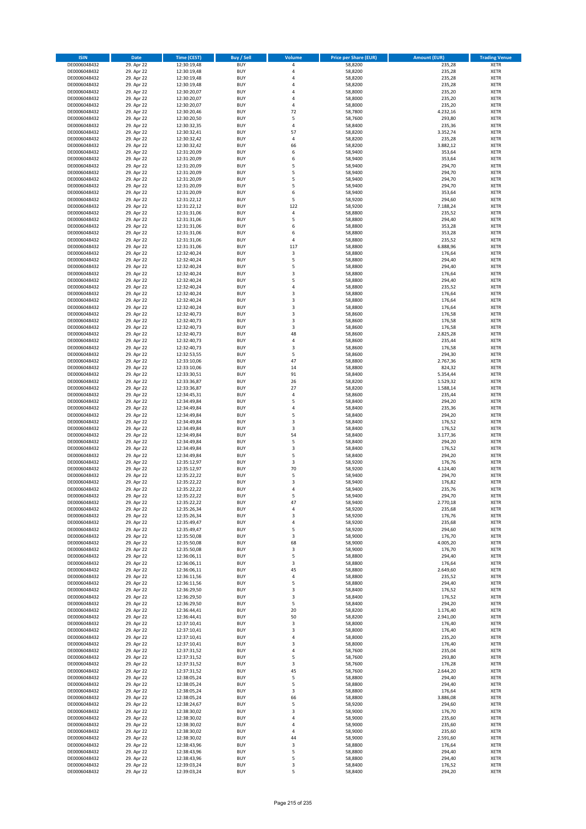| <b>ISIN</b>                  | <b>Date</b>              | <b>Time (CEST)</b>         | <b>Buy / Sell</b>        | <b>Volume</b> | <b>Price per Share (EUR)</b> | <b>Amount (EUR)</b>  | <b>Trading Venue</b>       |
|------------------------------|--------------------------|----------------------------|--------------------------|---------------|------------------------------|----------------------|----------------------------|
| DE0006048432                 | 29. Apr 22               | 12:30:19,48                | <b>BUY</b>               | 4             | 58,8200                      | 235,28               | <b>XETR</b>                |
| DE0006048432                 | 29. Apr 22               | 12:30:19,48                | <b>BUY</b>               | 4             | 58,8200                      | 235,28               | <b>XETR</b>                |
| DE0006048432                 | 29. Apr 22               | 12:30:19,48                | <b>BUY</b>               | 4             | 58,8200                      | 235,28               | <b>XETR</b>                |
| DE0006048432<br>DE0006048432 | 29. Apr 22<br>29. Apr 22 | 12:30:19,48<br>12:30:20,07 | <b>BUY</b><br><b>BUY</b> | 4<br>4        | 58,8200<br>58,8000           | 235,28<br>235,20     | <b>XETR</b><br><b>XETR</b> |
| DE0006048432                 | 29. Apr 22               | 12:30:20,07                | <b>BUY</b>               | 4             | 58,8000                      | 235,20               | <b>XETR</b>                |
| DE0006048432                 | 29. Apr 22               | 12:30:20,07                | <b>BUY</b>               | 4             | 58,8000                      | 235,20               | <b>XETR</b>                |
| DE0006048432                 | 29. Apr 22               | 12:30:20,46                | <b>BUY</b>               | 72            | 58,7800                      | 4.232,16             | <b>XETR</b>                |
| DE0006048432                 | 29. Apr 22               | 12:30:20,50                | <b>BUY</b>               | 5             | 58,7600                      | 293,80               | <b>XETR</b>                |
| DE0006048432                 | 29. Apr 22               | 12:30:32,35                | <b>BUY</b>               | 4             | 58,8400                      | 235,36               | <b>XETR</b>                |
| DE0006048432                 | 29. Apr 22               | 12:30:32,41                | <b>BUY</b>               | 57            | 58,8200                      | 3.352,74             | <b>XETR</b>                |
| DE0006048432                 | 29. Apr 22<br>29. Apr 22 | 12:30:32,42                | <b>BUY</b><br><b>BUY</b> | 4<br>66       | 58,8200                      | 235,28<br>3.882,12   | <b>XETR</b><br><b>XETR</b> |
| DE0006048432<br>DE0006048432 | 29. Apr 22               | 12:30:32,42<br>12:31:20,09 | <b>BUY</b>               | 6             | 58,8200<br>58,9400           | 353,64               | <b>XETR</b>                |
| DE0006048432                 | 29. Apr 22               | 12:31:20,09                | <b>BUY</b>               | 6             | 58,9400                      | 353,64               | <b>XETR</b>                |
| DE0006048432                 | 29. Apr 22               | 12:31:20,09                | <b>BUY</b>               | 5             | 58,9400                      | 294,70               | <b>XETR</b>                |
| DE0006048432                 | 29. Apr 22               | 12:31:20,09                | <b>BUY</b>               | 5             | 58,9400                      | 294,70               | <b>XETR</b>                |
| DE0006048432                 | 29. Apr 22               | 12:31:20,09                | <b>BUY</b>               | 5             | 58,9400                      | 294,70               | <b>XETR</b>                |
| DE0006048432                 | 29. Apr 22               | 12:31:20,09                | <b>BUY</b>               | 5             | 58,9400                      | 294,70               | <b>XETR</b>                |
| DE0006048432                 | 29. Apr 22               | 12:31:20,09                | <b>BUY</b>               | 6             | 58,9400                      | 353,64               | <b>XETR</b>                |
| DE0006048432<br>DE0006048432 | 29. Apr 22<br>29. Apr 22 | 12:31:22,12<br>12:31:22,12 | <b>BUY</b><br><b>BUY</b> | 5<br>122      | 58,9200<br>58,9200           | 294,60<br>7.188,24   | <b>XETR</b><br><b>XETR</b> |
| DE0006048432                 | 29. Apr 22               | 12:31:31,06                | <b>BUY</b>               | 4             | 58,8800                      | 235,52               | <b>XETR</b>                |
| DE0006048432                 | 29. Apr 22               | 12:31:31,06                | <b>BUY</b>               | 5             | 58,8800                      | 294,40               | <b>XETR</b>                |
| DE0006048432                 | 29. Apr 22               | 12:31:31,06                | <b>BUY</b>               | 6             | 58,8800                      | 353,28               | <b>XETR</b>                |
| DE0006048432                 | 29. Apr 22               | 12:31:31,06                | <b>BUY</b>               | 6             | 58,8800                      | 353,28               | <b>XETR</b>                |
| DE0006048432                 | 29. Apr 22               | 12:31:31,06                | <b>BUY</b>               | 4             | 58,8800                      | 235,52               | <b>XETR</b>                |
| DE0006048432                 | 29. Apr 22               | 12:31:31,06                | <b>BUY</b>               | 117           | 58,8800                      | 6.888,96             | <b>XETR</b>                |
| DE0006048432<br>DE0006048432 | 29. Apr 22<br>29. Apr 22 | 12:32:40,24<br>12:32:40,24 | <b>BUY</b><br><b>BUY</b> | 3<br>5        | 58,8800<br>58,8800           | 176,64<br>294,40     | <b>XETR</b><br><b>XETR</b> |
| DE0006048432                 | 29. Apr 22               | 12:32:40,24                | <b>BUY</b>               | 5             | 58,8800                      | 294,40               | <b>XETR</b>                |
| DE0006048432                 | 29. Apr 22               | 12:32:40,24                | <b>BUY</b>               | 3             | 58,8800                      | 176,64               | <b>XETR</b>                |
| DE0006048432                 | 29. Apr 22               | 12:32:40,24                | <b>BUY</b>               | 5             | 58,8800                      | 294,40               | <b>XETR</b>                |
| DE0006048432                 | 29. Apr 22               | 12:32:40,24                | <b>BUY</b>               | 4             | 58,8800                      | 235,52               | <b>XETR</b>                |
| DE0006048432                 | 29. Apr 22               | 12:32:40.24                | <b>BUY</b>               | 3             | 58,8800                      | 176,64               | <b>XETR</b>                |
| DE0006048432                 | 29. Apr 22               | 12:32:40,24                | <b>BUY</b>               | 3             | 58,8800                      | 176,64               | <b>XETR</b>                |
| DE0006048432                 | 29. Apr 22               | 12:32:40,24                | <b>BUY</b><br><b>BUY</b> | 3<br>3        | 58,8800                      | 176,64               | <b>XETR</b><br><b>XETR</b> |
| DE0006048432<br>DE0006048432 | 29. Apr 22<br>29. Apr 22 | 12:32:40,73<br>12:32:40,73 | <b>BUY</b>               | 3             | 58,8600<br>58,8600           | 176,58<br>176,58     | <b>XETR</b>                |
| DE0006048432                 | 29. Apr 22               | 12:32:40,73                | <b>BUY</b>               | 3             | 58,8600                      | 176,58               | <b>XETR</b>                |
| DE0006048432                 | 29. Apr 22               | 12:32:40,73                | <b>BUY</b>               | 48            | 58,8600                      | 2.825,28             | <b>XETR</b>                |
| DE0006048432                 | 29. Apr 22               | 12:32:40,73                | <b>BUY</b>               | 4             | 58,8600                      | 235,44               | <b>XETR</b>                |
| DE0006048432                 | 29. Apr 22               | 12:32:40,73                | <b>BUY</b>               | 3             | 58,8600                      | 176,58               | <b>XETR</b>                |
| DE0006048432                 | 29. Apr 22               | 12:32:53,55                | <b>BUY</b>               | 5             | 58,8600                      | 294,30               | <b>XETR</b>                |
| DE0006048432                 | 29. Apr 22               | 12:33:10,06                | <b>BUY</b>               | 47            | 58,8800                      | 2.767,36             | <b>XETR</b>                |
| DE0006048432                 | 29. Apr 22               | 12:33:10,06                | <b>BUY</b>               | 14            | 58,8800                      | 824,32               | <b>XETR</b>                |
| DE0006048432<br>DE0006048432 | 29. Apr 22<br>29. Apr 22 | 12:33:30,51<br>12:33:36,87 | <b>BUY</b><br><b>BUY</b> | 91<br>26      | 58,8400<br>58,8200           | 5.354,44<br>1.529,32 | <b>XETR</b><br><b>XETR</b> |
| DE0006048432                 | 29. Apr 22               | 12:33:36,87                | <b>BUY</b>               | 27            | 58,8200                      | 1.588,14             | <b>XETR</b>                |
| DE0006048432                 | 29. Apr 22               | 12:34:45,31                | <b>BUY</b>               | 4             | 58,8600                      | 235,44               | <b>XETR</b>                |
| DE0006048432                 | 29. Apr 22               | 12:34:49,84                | <b>BUY</b>               | 5             | 58,8400                      | 294,20               | <b>XETR</b>                |
| DE0006048432                 | 29. Apr 22               | 12:34:49,84                | <b>BUY</b>               | 4             | 58,8400                      | 235,36               | <b>XETR</b>                |
| DE0006048432                 | 29. Apr 22               | 12:34:49,84                | <b>BUY</b>               | 5             | 58,8400                      | 294,20               | <b>XETR</b>                |
| DE0006048432                 | 29. Apr 22               | 12:34:49,84                | <b>BUY</b>               | 3             | 58,8400                      | 176,52               | <b>XETR</b>                |
| DE0006048432<br>DE0006048432 | 29. Apr 22<br>29. Apr 22 | 12:34:49,84<br>12:34:49,84 | <b>BUY</b><br><b>BUY</b> | 3<br>54       | 58,8400<br>58,8400           | 176,52<br>3.177,36   | <b>XETR</b><br><b>XETR</b> |
| DE0006048432                 | 29. Apr 22               | 12:34:49,84                | <b>BUY</b>               | 5             | 58,8400                      | 294,20               | <b>XETR</b>                |
| DE0006048432                 | 29. Apr 22               | 12:34:49,84                | <b>BUY</b>               | 3             | 58,8400                      | 176,52               | <b>XETR</b>                |
| DE0006048432                 | 29. Apr 22               | 12:34:49,84                | <b>BUY</b>               | 5             | 58,8400                      | 294,20               | <b>XETR</b>                |
| DE0006048432                 | 29. Apr 22               | 12:35:12,97                | <b>BUY</b>               | 3             | 58,9200                      | 176,76               | <b>XETR</b>                |
| DE0006048432                 | 29. Apr 22               | 12:35:12,97                | <b>BUY</b>               | 70            | 58,9200                      | 4.124,40             | <b>XETR</b>                |
| DE0006048432                 | 29. Apr 22               | 12:35:22,22                | <b>BUY</b><br><b>BUY</b> | 5<br>3        | 58,9400                      | 294,70               | <b>XETR</b><br><b>XETR</b> |
| DE0006048432<br>DE0006048432 | 29. Apr 22<br>29. Apr 22 | 12:35:22,22<br>12:35:22,22 | <b>BUY</b>               | 4             | 58,9400<br>58,9400           | 176,82<br>235,76     | <b>XETR</b>                |
| DE0006048432                 | 29. Apr 22               | 12:35:22,22                | BUY                      | 5             | 58,9400                      | 294,70               | <b>XETR</b>                |
| DE0006048432                 | 29. Apr 22               | 12:35:22,22                | <b>BUY</b>               | 47            | 58,9400                      | 2.770,18             | <b>XETR</b>                |
| DE0006048432                 | 29. Apr 22               | 12:35:26,34                | <b>BUY</b>               | 4             | 58,9200                      | 235,68               | <b>XETR</b>                |
| DE0006048432                 | 29. Apr 22               | 12:35:26,34                | <b>BUY</b>               | 3             | 58,9200                      | 176,76               | XETR                       |
| DE0006048432                 | 29. Apr 22               | 12:35:49,47                | <b>BUY</b>               | 4             | 58,9200                      | 235,68               | <b>XETR</b>                |
| DE0006048432<br>DE0006048432 | 29. Apr 22<br>29. Apr 22 | 12:35:49,47<br>12:35:50,08 | <b>BUY</b><br><b>BUY</b> | 5<br>3        | 58,9200<br>58,9000           | 294,60<br>176,70     | <b>XETR</b><br><b>XETR</b> |
| DE0006048432                 | 29. Apr 22               | 12:35:50,08                | <b>BUY</b>               | 68            | 58,9000                      | 4.005,20             | <b>XETR</b>                |
| DE0006048432                 | 29. Apr 22               | 12:35:50,08                | <b>BUY</b>               | 3             | 58,9000                      | 176,70               | <b>XETR</b>                |
| DE0006048432                 | 29. Apr 22               | 12:36:06,11                | <b>BUY</b>               | 5             | 58,8800                      | 294,40               | <b>XETR</b>                |
| DE0006048432                 | 29. Apr 22               | 12:36:06,11                | <b>BUY</b>               | 3             | 58,8800                      | 176,64               | <b>XETR</b>                |
| DE0006048432                 | 29. Apr 22               | 12:36:06,11                | <b>BUY</b>               | 45            | 58,8800                      | 2.649,60             | <b>XETR</b>                |
| DE0006048432<br>DE0006048432 | 29. Apr 22<br>29. Apr 22 | 12:36:11,56<br>12:36:11,56 | <b>BUY</b><br><b>BUY</b> | 4<br>5        | 58,8800<br>58,8800           | 235,52<br>294,40     | <b>XETR</b><br><b>XETR</b> |
| DE0006048432                 | 29. Apr 22               | 12:36:29,50                | <b>BUY</b>               | 3             | 58,8400                      | 176,52               | <b>XETR</b>                |
| DE0006048432                 | 29. Apr 22               | 12:36:29,50                | <b>BUY</b>               | 3             | 58,8400                      | 176,52               | <b>XETR</b>                |
| DE0006048432                 | 29. Apr 22               | 12:36:29,50                | <b>BUY</b>               | 5             | 58,8400                      | 294,20               | <b>XETR</b>                |
| DE0006048432                 | 29. Apr 22               | 12:36:44,41                | <b>BUY</b>               | 20            | 58,8200                      | 1.176,40             | <b>XETR</b>                |
| DE0006048432                 | 29. Apr 22               | 12:36:44,41                | <b>BUY</b>               | 50            | 58,8200                      | 2.941,00             | XETR                       |
| DE0006048432                 | 29. Apr 22               | 12:37:10,41                | <b>BUY</b>               | 3             | 58,8000                      | 176,40               | <b>XETR</b>                |
| DE0006048432                 | 29. Apr 22               | 12:37:10,41                | <b>BUY</b>               | 3             | 58,8000                      | 176,40               | <b>XETR</b>                |
| DE0006048432<br>DE0006048432 | 29. Apr 22<br>29. Apr 22 | 12:37:10,41<br>12:37:10,41 | <b>BUY</b><br><b>BUY</b> | 4<br>3        | 58,8000<br>58,8000           | 235,20<br>176,40     | <b>XETR</b><br><b>XETR</b> |
| DE0006048432                 | 29. Apr 22               | 12:37:31,52                | <b>BUY</b>               | 4             | 58,7600                      | 235,04               | <b>XETR</b>                |
| DE0006048432                 | 29. Apr 22               | 12:37:31,52                | <b>BUY</b>               | 5             | 58,7600                      | 293,80               | <b>XETR</b>                |
| DE0006048432                 | 29. Apr 22               | 12:37:31,52                | <b>BUY</b>               | 3             | 58,7600                      | 176,28               | <b>XETR</b>                |
| DE0006048432                 | 29. Apr 22               | 12:37:31,52                | <b>BUY</b>               | 45            | 58,7600                      | 2.644,20             | <b>XETR</b>                |
| DE0006048432                 | 29. Apr 22               | 12:38:05,24                | <b>BUY</b>               | 5             | 58,8800                      | 294,40               | <b>XETR</b>                |
| DE0006048432                 | 29. Apr 22               | 12:38:05,24                | <b>BUY</b>               | 5             | 58,8800                      | 294,40               | <b>XETR</b>                |
| DE0006048432                 | 29. Apr 22               | 12:38:05,24                | <b>BUY</b>               | 3             | 58,8800                      | 176,64               | <b>XETR</b>                |
| DE0006048432<br>DE0006048432 | 29. Apr 22<br>29. Apr 22 | 12:38:05,24<br>12:38:24,67 | <b>BUY</b><br><b>BUY</b> | 66<br>5       | 58,8800<br>58,9200           | 3.886,08<br>294,60   | <b>XETR</b><br><b>XETR</b> |
| DE0006048432                 | 29. Apr 22               | 12:38:30,02                | <b>BUY</b>               | 3             | 58,9000                      | 176,70               | <b>XETR</b>                |
| DE0006048432                 | 29. Apr 22               | 12:38:30,02                | <b>BUY</b>               | 4             | 58,9000                      | 235,60               | <b>XETR</b>                |
| DE0006048432                 | 29. Apr 22               | 12:38:30,02                | <b>BUY</b>               | 4             | 58,9000                      | 235,60               | <b>XETR</b>                |
| DE0006048432                 | 29. Apr 22               | 12:38:30,02                | <b>BUY</b>               | 4             | 58,9000                      | 235,60               | <b>XETR</b>                |
| DE0006048432                 | 29. Apr 22               | 12:38:30,02                | <b>BUY</b>               | 44            | 58,9000                      | 2.591,60             | <b>XETR</b>                |
| DE0006048432<br>DE0006048432 | 29. Apr 22<br>29. Apr 22 | 12:38:43,96<br>12:38:43,96 | <b>BUY</b><br><b>BUY</b> | 3<br>5        | 58,8800<br>58,8800           | 176,64<br>294,40     | XETR<br><b>XETR</b>        |
| DE0006048432                 | 29. Apr 22               | 12:38:43,96                | <b>BUY</b>               | 5             | 58,8800                      | 294,40               | <b>XETR</b>                |
| DE0006048432                 | 29. Apr 22               | 12:39:03,24                | <b>BUY</b>               | 3             | 58,8400                      | 176,52               | <b>XETR</b>                |
| DE0006048432                 | 29. Apr 22               | 12:39:03,24                | <b>BUY</b>               | 5             | 58,8400                      | 294,20               | <b>XETR</b>                |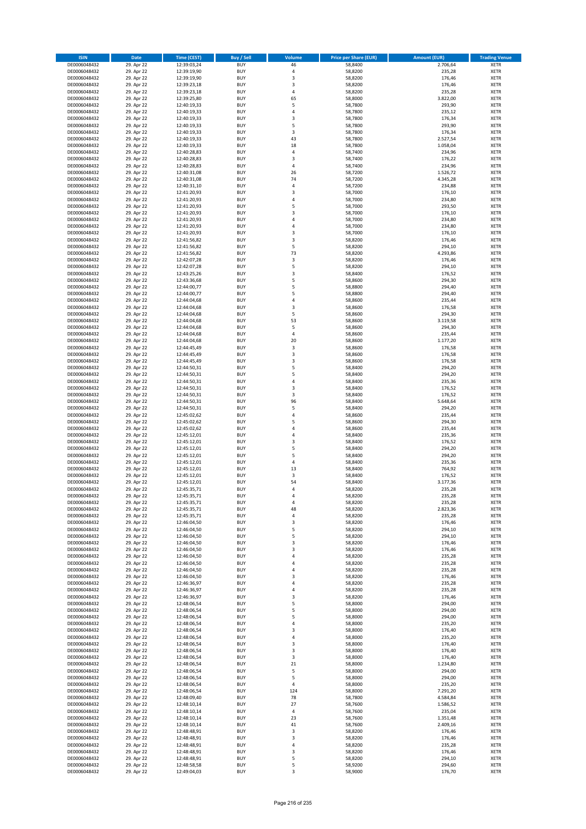| <b>ISIN</b>                  | <b>Date</b>              | <b>Time (CEST)</b>         | <b>Buy / Sell</b>        | <b>Volume</b> | <b>Price per Share (EUR)</b> | <b>Amount (EUR)</b>  | <b>Trading Venue</b>       |
|------------------------------|--------------------------|----------------------------|--------------------------|---------------|------------------------------|----------------------|----------------------------|
| DE0006048432                 | 29. Apr 22               | 12:39:03,24                | <b>BUY</b>               | 46            | 58,8400                      | 2.706,64             | <b>XETR</b>                |
| DE0006048432                 | 29. Apr 22               | 12:39:19,90                | <b>BUY</b>               | 4             | 58,8200                      | 235,28               | <b>XETR</b>                |
| DE0006048432                 | 29. Apr 22               | 12:39:19,90                | <b>BUY</b>               | 3             | 58,8200                      | 176,46               | <b>XETR</b>                |
| DE0006048432<br>DE0006048432 | 29. Apr 22<br>29. Apr 22 | 12:39:23,18<br>12:39:23,18 | <b>BUY</b><br><b>BUY</b> | 3<br>4        | 58,8200<br>58,8200           | 176,46<br>235,28     | <b>XETR</b><br><b>XETR</b> |
| DE0006048432                 | 29. Apr 22               | 12:39:25,80                | <b>BUY</b>               | 65            | 58,8000                      | 3.822,00             | <b>XETR</b>                |
| DE0006048432                 | 29. Apr 22               | 12:40:19,33                | <b>BUY</b>               | 5             | 58,7800                      | 293,90               | <b>XETR</b>                |
| DE0006048432                 | 29. Apr 22               | 12:40:19,33                | <b>BUY</b>               | 4             | 58,7800                      | 235,12               | <b>XETR</b>                |
| DE0006048432                 | 29. Apr 22               | 12:40:19,33                | <b>BUY</b>               | 3             | 58,7800                      | 176,34               | <b>XETR</b>                |
| DE0006048432                 | 29. Apr 22               | 12:40:19,33                | <b>BUY</b>               | 5             | 58,7800                      | 293,90               | <b>XETR</b>                |
| DE0006048432                 | 29. Apr 22               | 12:40:19,33                | <b>BUY</b>               | 3             | 58,7800                      | 176,34               | <b>XETR</b>                |
| DE0006048432                 | 29. Apr 22<br>29. Apr 22 | 12:40:19,33                | <b>BUY</b><br><b>BUY</b> | 43<br>18      | 58,7800                      | 2.527,54             | <b>XETR</b><br><b>XETR</b> |
| DE0006048432<br>DE0006048432 | 29. Apr 22               | 12:40:19,33<br>12:40:28,83 | <b>BUY</b>               | 4             | 58,7800<br>58,7400           | 1.058,04<br>234,96   | <b>XETR</b>                |
| DE0006048432                 | 29. Apr 22               | 12:40:28,83                | <b>BUY</b>               | 3             | 58,7400                      | 176,22               | <b>XETR</b>                |
| DE0006048432                 | 29. Apr 22               | 12:40:28,83                | <b>BUY</b>               | 4             | 58,7400                      | 234,96               | <b>XETR</b>                |
| DE0006048432                 | 29. Apr 22               | 12:40:31,08                | <b>BUY</b>               | 26            | 58,7200                      | 1.526,72             | <b>XETR</b>                |
| DE0006048432                 | 29. Apr 22               | 12:40:31,08                | <b>BUY</b>               | 74            | 58,7200                      | 4.345,28             | <b>XETR</b>                |
| DE0006048432                 | 29. Apr 22               | 12:40:31,10                | <b>BUY</b>               | 4             | 58,7200                      | 234,88               | <b>XETR</b>                |
| DE0006048432                 | 29. Apr 22               | 12:41:20,93                | <b>BUY</b>               | 3             | 58,7000                      | 176,10               | <b>XETR</b>                |
| DE0006048432<br>DE0006048432 | 29. Apr 22<br>29. Apr 22 | 12:41:20,93<br>12:41:20,93 | <b>BUY</b><br><b>BUY</b> | 4<br>5        | 58,7000<br>58,7000           | 234,80<br>293,50     | <b>XETR</b><br><b>XETR</b> |
| DE0006048432                 | 29. Apr 22               | 12:41:20,93                | <b>BUY</b>               | 3             | 58,7000                      | 176,10               | <b>XETR</b>                |
| DE0006048432                 | 29. Apr 22               | 12:41:20,93                | <b>BUY</b>               | 4             | 58,7000                      | 234,80               | <b>XETR</b>                |
| DE0006048432                 | 29. Apr 22               | 12:41:20,93                | <b>BUY</b>               | 4             | 58,7000                      | 234,80               | <b>XETR</b>                |
| DE0006048432                 | 29. Apr 22               | 12:41:20,93                | <b>BUY</b>               | 3             | 58,7000                      | 176,10               | <b>XETR</b>                |
| DE0006048432                 | 29. Apr 22               | 12:41:56,82                | <b>BUY</b>               | 3             | 58,8200                      | 176,46               | <b>XETR</b>                |
| DE0006048432                 | 29. Apr 22               | 12:41:56,82                | <b>BUY</b>               | 5             | 58,8200                      | 294,10               | <b>XETR</b>                |
| DE0006048432<br>DE0006048432 | 29. Apr 22<br>29. Apr 22 | 12:41:56,82<br>12:42:07,28 | <b>BUY</b><br><b>BUY</b> | 73<br>3       | 58,8200<br>58,8200           | 4.293,86<br>176,46   | <b>XETR</b><br><b>XETR</b> |
| DE0006048432                 | 29. Apr 22               | 12:42:07,28                | <b>BUY</b>               | 5             | 58,8200                      | 294,10               | <b>XETR</b>                |
| DE0006048432                 | 29. Apr 22               | 12:43:25,26                | <b>BUY</b>               | 3             | 58,8400                      | 176,52               | <b>XETR</b>                |
| DE0006048432                 | 29. Apr 22               | 12:43:36,68                | <b>BUY</b>               | 5             | 58,8600                      | 294,30               | <b>XETR</b>                |
| DE0006048432                 | 29. Apr 22               | 12:44:00,77                | <b>BUY</b>               | 5             | 58,8800                      | 294,40               | <b>XETR</b>                |
| DE0006048432                 | 29. Apr 22               | 12:44:00,77                | <b>BUY</b>               | 5             | 58,8800                      | 294,40               | <b>XETR</b>                |
| DE0006048432                 | 29. Apr 22               | 12:44:04,68                | <b>BUY</b>               | 4             | 58,8600                      | 235,44               | <b>XETR</b>                |
| DE0006048432                 | 29. Apr 22               | 12:44:04,68                | <b>BUY</b><br><b>BUY</b> | 3<br>5        | 58,8600                      | 176,58               | <b>XETR</b>                |
| DE0006048432<br>DE0006048432 | 29. Apr 22<br>29. Apr 22 | 12:44:04,68<br>12:44:04,68 | <b>BUY</b>               | 53            | 58,8600<br>58,8600           | 294,30<br>3.119,58   | <b>XETR</b><br><b>XETR</b> |
| DE0006048432                 | 29. Apr 22               | 12:44:04,68                | <b>BUY</b>               | 5             | 58,8600                      | 294,30               | <b>XETR</b>                |
| DE0006048432                 | 29. Apr 22               | 12:44:04,68                | <b>BUY</b>               | 4             | 58,8600                      | 235,44               | <b>XETR</b>                |
| DE0006048432                 | 29. Apr 22               | 12:44:04,68                | <b>BUY</b>               | 20            | 58,8600                      | 1.177,20             | <b>XETR</b>                |
| DE0006048432                 | 29. Apr 22               | 12:44:45,49                | <b>BUY</b>               | 3             | 58,8600                      | 176,58               | <b>XETR</b>                |
| DE0006048432                 | 29. Apr 22               | 12:44:45,49                | <b>BUY</b>               | 3             | 58,8600                      | 176,58               | <b>XETR</b>                |
| DE0006048432                 | 29. Apr 22               | 12:44:45,49                | <b>BUY</b>               | 3             | 58,8600                      | 176,58               | <b>XETR</b>                |
| DE0006048432                 | 29. Apr 22               | 12:44:50,31                | <b>BUY</b>               | 5             | 58,8400                      | 294,20               | <b>XETR</b>                |
| DE0006048432<br>DE0006048432 | 29. Apr 22<br>29. Apr 22 | 12:44:50,31<br>12:44:50,31 | <b>BUY</b><br><b>BUY</b> | 5<br>4        | 58,8400<br>58,8400           | 294,20<br>235,36     | <b>XETR</b><br><b>XETR</b> |
| DE0006048432                 | 29. Apr 22               | 12:44:50,31                | <b>BUY</b>               | 3             | 58,8400                      | 176,52               | <b>XETR</b>                |
| DE0006048432                 | 29. Apr 22               | 12:44:50,31                | <b>BUY</b>               | 3             | 58,8400                      | 176,52               | <b>XETR</b>                |
| DE0006048432                 | 29. Apr 22               | 12:44:50,31                | <b>BUY</b>               | 96            | 58,8400                      | 5.648,64             | <b>XETR</b>                |
| DE0006048432                 | 29. Apr 22               | 12:44:50,31                | <b>BUY</b>               | 5             | 58,8400                      | 294,20               | <b>XETR</b>                |
| DE0006048432                 | 29. Apr 22               | 12:45:02,62                | <b>BUY</b>               | 4             | 58,8600                      | 235,44               | <b>XETR</b>                |
| DE0006048432                 | 29. Apr 22               | 12:45:02,62                | <b>BUY</b>               | 5             | 58,8600                      | 294,30               | <b>XETR</b>                |
| DE0006048432<br>DE0006048432 | 29. Apr 22<br>29. Apr 22 | 12:45:02,62<br>12:45:12,01 | <b>BUY</b><br><b>BUY</b> | 4<br>4        | 58,8600<br>58,8400           | 235,44<br>235,36     | <b>XETR</b><br><b>XETR</b> |
| DE0006048432                 | 29. Apr 22               | 12:45:12,01                | <b>BUY</b>               | 3             | 58,8400                      | 176,52               | <b>XETR</b>                |
| DE0006048432                 | 29. Apr 22               | 12:45:12,01                | <b>BUY</b>               | 5             | 58,8400                      | 294,20               | <b>XETR</b>                |
| DE0006048432                 | 29. Apr 22               | 12:45:12,01                | <b>BUY</b>               | 5             | 58,8400                      | 294,20               | <b>XETR</b>                |
| DE0006048432                 | 29. Apr 22               | 12:45:12,01                | <b>BUY</b>               | 4             | 58,8400                      | 235,36               | <b>XETR</b>                |
| DE0006048432                 | 29. Apr 22               | 12:45:12,01                | <b>BUY</b>               | 13            | 58,8400                      | 764,92               | <b>XETR</b>                |
| DE0006048432                 | 29. Apr 22               | 12:45:12,01                | <b>BUY</b>               | 3             | 58,8400                      | 176,52               | <b>XETR</b>                |
| DE0006048432<br>DE0006048432 | 29. Apr 22               | 12:45:12,01<br>12:45:35,71 | <b>BUY</b><br><b>BUY</b> | 54<br>4       | 58,8400<br>58,8200           | 3.177,36<br>235,28   | <b>XETR</b><br><b>XETR</b> |
| DE0006048432                 | 29. Apr 22<br>29. Apr 22 | 12:45:35,71                | BUY                      | 4             | 58,8200                      | 235,28               | <b>XETR</b>                |
| DE0006048432                 | 29. Apr 22               | 12:45:35,71                | <b>BUY</b>               | 4             | 58,8200                      | 235,28               | <b>XETR</b>                |
| DE0006048432                 | 29. Apr 22               | 12:45:35,71                | <b>BUY</b>               | 48            | 58,8200                      | 2.823,36             | <b>XETR</b>                |
| DE0006048432                 | 29. Apr 22               | 12:45:35,71                | <b>BUY</b>               | 4             | 58,8200                      | 235,28               | XETR                       |
| DE0006048432                 | 29. Apr 22               | 12:46:04,50                | <b>BUY</b>               | 3             | 58,8200                      | 176,46               | <b>XETR</b>                |
| DE0006048432                 | 29. Apr 22               | 12:46:04,50                | <b>BUY</b>               | 5             | 58,8200                      | 294,10               | <b>XETR</b>                |
| DE0006048432<br>DE0006048432 | 29. Apr 22<br>29. Apr 22 | 12:46:04,50<br>12:46:04,50 | <b>BUY</b><br><b>BUY</b> | 5<br>3        | 58,8200<br>58,8200           | 294,10<br>176,46     | <b>XETR</b><br><b>XETR</b> |
| DE0006048432                 | 29. Apr 22               | 12:46:04,50                | <b>BUY</b>               | 3             | 58,8200                      | 176,46               | <b>XETR</b>                |
| DE0006048432                 | 29. Apr 22               | 12:46:04,50                | <b>BUY</b>               | 4             | 58,8200                      | 235,28               | <b>XETR</b>                |
| DE0006048432                 | 29. Apr 22               | 12:46:04,50                | <b>BUY</b>               | 4             | 58,8200                      | 235,28               | <b>XETR</b>                |
| DE0006048432                 | 29. Apr 22               | 12:46:04,50                | <b>BUY</b>               | 4             | 58,8200                      | 235,28               | <b>XETR</b>                |
| DE0006048432                 | 29. Apr 22               | 12:46:04,50                | <b>BUY</b>               | 3             | 58,8200                      | 176,46               | <b>XETR</b>                |
| DE0006048432<br>DE0006048432 | 29. Apr 22<br>29. Apr 22 | 12:46:36,97<br>12:46:36,97 | <b>BUY</b><br><b>BUY</b> | 4<br>4        | 58,8200<br>58,8200           | 235,28<br>235,28     | <b>XETR</b><br><b>XETR</b> |
| DE0006048432                 | 29. Apr 22               | 12:46:36,97                | <b>BUY</b>               | 3             | 58,8200                      | 176,46               | <b>XETR</b>                |
| DE0006048432                 | 29. Apr 22               | 12:48:06,54                | <b>BUY</b>               | 5             | 58,8000                      | 294,00               | <b>XETR</b>                |
| DE0006048432                 | 29. Apr 22               | 12:48:06,54                | <b>BUY</b>               | 5             | 58,8000                      | 294,00               | <b>XETR</b>                |
| DE0006048432                 | 29. Apr 22               | 12:48:06,54                | <b>BUY</b>               | 5             | 58,8000                      | 294,00               | XETR                       |
| DE0006048432                 | 29. Apr 22               | 12:48:06,54                | <b>BUY</b>               | 4             | 58,8000                      | 235,20               | <b>XETR</b>                |
| DE0006048432                 | 29. Apr 22               | 12:48:06,54                | <b>BUY</b>               | 3             | 58,8000                      | 176,40               | <b>XETR</b>                |
| DE0006048432<br>DE0006048432 | 29. Apr 22<br>29. Apr 22 | 12:48:06,54<br>12:48:06,54 | <b>BUY</b><br><b>BUY</b> | 4<br>3        | 58,8000<br>58,8000           | 235,20<br>176,40     | <b>XETR</b><br><b>XETR</b> |
| DE0006048432                 | 29. Apr 22               | 12:48:06,54                | <b>BUY</b>               | 3             | 58,8000                      | 176,40               | <b>XETR</b>                |
| DE0006048432                 | 29. Apr 22               | 12:48:06,54                | <b>BUY</b>               | 3             | 58,8000                      | 176,40               | <b>XETR</b>                |
| DE0006048432                 | 29. Apr 22               | 12:48:06,54                | <b>BUY</b>               | 21            | 58,8000                      | 1.234,80             | <b>XETR</b>                |
| DE0006048432                 | 29. Apr 22               | 12:48:06,54                | <b>BUY</b>               | 5             | 58,8000                      | 294,00               | <b>XETR</b>                |
| DE0006048432                 | 29. Apr 22               | 12:48:06,54                | <b>BUY</b>               | 5             | 58,8000                      | 294,00               | <b>XETR</b>                |
| DE0006048432                 | 29. Apr 22               | 12:48:06,54                | <b>BUY</b>               | 4             | 58,8000                      | 235,20               | <b>XETR</b>                |
| DE0006048432                 | 29. Apr 22               | 12:48:06,54                | <b>BUY</b>               | 124<br>78     | 58,8000                      | 7.291,20             | <b>XETR</b>                |
| DE0006048432<br>DE0006048432 | 29. Apr 22<br>29. Apr 22 | 12:48:09,40<br>12:48:10,14 | <b>BUY</b><br><b>BUY</b> | 27            | 58,7800<br>58,7600           | 4.584,84<br>1.586,52 | <b>XETR</b><br><b>XETR</b> |
| DE0006048432                 | 29. Apr 22               | 12:48:10,14                | <b>BUY</b>               | 4             | 58,7600                      | 235,04               | <b>XETR</b>                |
| DE0006048432                 | 29. Apr 22               | 12:48:10,14                | <b>BUY</b>               | 23            | 58,7600                      | 1.351,48             | <b>XETR</b>                |
| DE0006048432                 | 29. Apr 22               | 12:48:10,14                | <b>BUY</b>               | 41            | 58,7600                      | 2.409,16             | <b>XETR</b>                |
| DE0006048432                 | 29. Apr 22               | 12:48:48,91                | <b>BUY</b>               | 3             | 58,8200                      | 176,46               | <b>XETR</b>                |
| DE0006048432                 | 29. Apr 22               | 12:48:48,91                | <b>BUY</b>               | 3             | 58,8200                      | 176,46               | <b>XETR</b>                |
| DE0006048432<br>DE0006048432 | 29. Apr 22<br>29. Apr 22 | 12:48:48,91<br>12:48:48,91 | <b>BUY</b><br><b>BUY</b> | 4<br>3        | 58,8200<br>58,8200           | 235,28<br>176,46     | XETR<br><b>XETR</b>        |
| DE0006048432                 | 29. Apr 22               | 12:48:48,91                | <b>BUY</b>               | 5             | 58,8200                      | 294,10               | <b>XETR</b>                |
| DE0006048432                 | 29. Apr 22               | 12:48:58,58                | <b>BUY</b>               | 5             | 58,9200                      | 294,60               | <b>XETR</b>                |
| DE0006048432                 | 29. Apr 22               | 12:49:04,03                | <b>BUY</b>               | 3             | 58,9000                      | 176,70               | <b>XETR</b>                |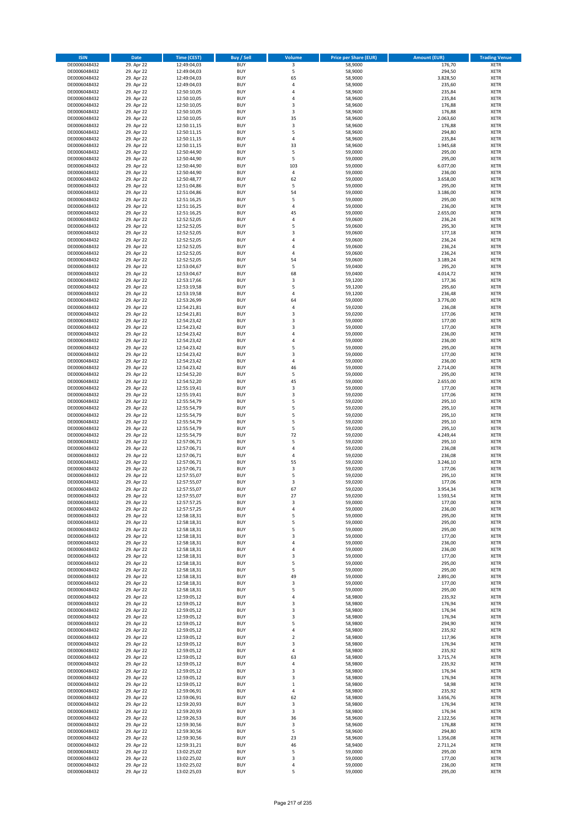| <b>ISIN</b>                  | Date                     | Time (CEST)                | <b>Buy / Sell</b>        | <b>Volume</b>            | <b>Price per Share (EUR)</b> | <b>Amount (EUR)</b>  | <b>Trading Venue</b>       |
|------------------------------|--------------------------|----------------------------|--------------------------|--------------------------|------------------------------|----------------------|----------------------------|
| DE0006048432                 | 29. Apr 22               | 12:49:04,03                | <b>BUY</b>               | $\overline{\mathbf{3}}$  | 58,9000                      | 176,70               | <b>XETR</b>                |
| DE0006048432                 | 29. Apr 22               | 12:49:04,03                | <b>BUY</b>               | 5                        | 58,9000                      | 294,50               | XETR                       |
| DE0006048432                 | 29. Apr 22               | 12:49:04,03                | <b>BUY</b>               | 65                       | 58,9000                      | 3.828,50             | <b>XETR</b>                |
| DE0006048432<br>DE0006048432 | 29. Apr 22<br>29. Apr 22 | 12:49:04,03<br>12:50:10,05 | <b>BUY</b><br><b>BUY</b> | $\sqrt{4}$<br>4          | 58,9000<br>58,9600           | 235,60<br>235,84     | <b>XETR</b><br><b>XETR</b> |
| DE0006048432                 | 29. Apr 22               | 12:50:10,05                | <b>BUY</b>               | $\overline{4}$           | 58,9600                      | 235,84               | <b>XETR</b>                |
| DE0006048432                 | 29. Apr 22               | 12:50:10,05                | <b>BUY</b>               | 3                        | 58,9600                      | 176,88               | <b>XETR</b>                |
| DE0006048432                 | 29. Apr 22               | 12:50:10,05                | <b>BUY</b>               | 3                        | 58,9600                      | 176,88               | <b>XETR</b>                |
| DE0006048432                 | 29. Apr 22               | 12:50:10,05                | <b>BUY</b>               | 35                       | 58,9600                      | 2.063,60             | <b>XETR</b>                |
| DE0006048432                 | 29. Apr 22               | 12:50:11,15                | <b>BUY</b>               | 3                        | 58,9600                      | 176,88               | <b>XETR</b>                |
| DE0006048432                 | 29. Apr 22               | 12:50:11,15                | <b>BUY</b>               | 5                        | 58,9600                      | 294,80               | <b>XETR</b>                |
| DE0006048432<br>DE0006048432 | 29. Apr 22<br>29. Apr 22 | 12:50:11,15<br>12:50:11,15 | <b>BUY</b><br><b>BUY</b> | 4<br>33                  | 58,9600<br>58,9600           | 235,84<br>1.945,68   | <b>XETR</b><br><b>XETR</b> |
| DE0006048432                 | 29. Apr 22               | 12:50:44,90                | <b>BUY</b>               | 5                        | 59,0000                      | 295,00               | <b>XETR</b>                |
| DE0006048432                 | 29. Apr 22               | 12:50:44,90                | <b>BUY</b>               | 5                        | 59,0000                      | 295,00               | <b>XETR</b>                |
| DE0006048432                 | 29. Apr 22               | 12:50:44,90                | <b>BUY</b>               | 103                      | 59,0000                      | 6.077,00             | <b>XETR</b>                |
| DE0006048432                 | 29. Apr 22               | 12:50:44,90                | <b>BUY</b>               | 4                        | 59,0000                      | 236,00               | <b>XETR</b>                |
| DE0006048432                 | 29. Apr 22               | 12:50:48,77                | <b>BUY</b>               | 62                       | 59,0000                      | 3.658,00             | <b>XETR</b>                |
| DE0006048432                 | 29. Apr 22               | 12:51:04,86                | <b>BUY</b>               | 5                        | 59,0000                      | 295,00               | <b>XETR</b>                |
| DE0006048432                 | 29. Apr 22               | 12:51:04,86                | <b>BUY</b>               | 54                       | 59,0000                      | 3.186,00             | <b>XETR</b>                |
| DE0006048432                 | 29. Apr 22               | 12:51:16,25                | <b>BUY</b>               | 5                        | 59,0000                      | 295,00               | <b>XETR</b>                |
| DE0006048432<br>DE0006048432 | 29. Apr 22<br>29. Apr 22 | 12:51:16,25<br>12:51:16,25 | <b>BUY</b><br><b>BUY</b> | 4<br>45                  | 59,0000<br>59,0000           | 236,00<br>2.655,00   | <b>XETR</b><br><b>XETR</b> |
| DE0006048432                 | 29. Apr 22               | 12:52:52,05                | <b>BUY</b>               | 4                        | 59,0600                      | 236,24               | <b>XETR</b>                |
| DE0006048432                 | 29. Apr 22               | 12:52:52,05                | <b>BUY</b>               | 5                        | 59,0600                      | 295,30               | <b>XETR</b>                |
| DE0006048432                 | 29. Apr 22               | 12:52:52,05                | <b>BUY</b>               | 3                        | 59,0600                      | 177,18               | <b>XETR</b>                |
| DE0006048432                 | 29. Apr 22               | 12:52:52,05                | <b>BUY</b>               | $\overline{4}$           | 59,0600                      | 236,24               | <b>XETR</b>                |
| DE0006048432                 | 29. Apr 22               | 12:52:52,05                | <b>BUY</b>               | 4                        | 59,0600                      | 236,24               | <b>XETR</b>                |
| DE0006048432                 | 29. Apr 22               | 12:52:52,05                | <b>BUY</b>               | 4                        | 59,0600                      | 236,24               | <b>XETR</b>                |
| DE0006048432                 | 29. Apr 22               | 12:52:52,05                | <b>BUY</b><br><b>BUY</b> | 54<br>5                  | 59,0600                      | 3.189,24             | <b>XETR</b>                |
| DE0006048432<br>DE0006048432 | 29. Apr 22<br>29. Apr 22 | 12:53:04,67<br>12:53:04,67 | <b>BUY</b>               | 68                       | 59,0400<br>59,0400           | 295,20<br>4.014,72   | <b>XETR</b><br><b>XETR</b> |
| DE0006048432                 | 29. Apr 22               | 12:53:17,66                | <b>BUY</b>               | 3                        | 59,1200                      | 177,36               | <b>XETR</b>                |
| DE0006048432                 | 29. Apr 22               | 12:53:19,58                | <b>BUY</b>               | 5                        | 59,1200                      | 295,60               | <b>XETR</b>                |
| DE0006048432                 | 29. Apr 22               | 12:53:19,58                | <b>BUY</b>               | 4                        | 59,1200                      | 236,48               | <b>XETR</b>                |
| DE0006048432                 | 29. Apr 22               | 12:53:26,99                | <b>BUY</b>               | 64                       | 59,0000                      | 3.776,00             | <b>XETR</b>                |
| DE0006048432                 | 29. Apr 22               | 12:54:21,81                | <b>BUY</b>               | 4                        | 59,0200                      | 236,08               | <b>XETR</b>                |
| DE0006048432                 | 29. Apr 22               | 12:54:21,81                | <b>BUY</b>               | 3                        | 59,0200                      | 177,06               | <b>XETR</b>                |
| DE0006048432                 | 29. Apr 22               | 12:54:23,42                | <b>BUY</b>               | 3                        | 59,0000                      | 177,00               | <b>XETR</b>                |
| DE0006048432                 | 29. Apr 22               | 12:54:23,42                | <b>BUY</b><br><b>BUY</b> | 3<br>$\overline{4}$      | 59,0000                      | 177,00               | <b>XETR</b><br><b>XETR</b> |
| DE0006048432<br>DE0006048432 | 29. Apr 22<br>29. Apr 22 | 12:54:23,42<br>12:54:23,42 | <b>BUY</b>               | 4                        | 59,0000<br>59,0000           | 236,00<br>236,00     | <b>XETR</b>                |
| DE0006048432                 | 29. Apr 22               | 12:54:23,42                | <b>BUY</b>               | 5                        | 59,0000                      | 295,00               | <b>XETR</b>                |
| DE0006048432                 | 29. Apr 22               | 12:54:23,42                | <b>BUY</b>               | 3                        | 59,0000                      | 177,00               | <b>XETR</b>                |
| DE0006048432                 | 29. Apr 22               | 12:54:23,42                | <b>BUY</b>               | $\overline{4}$           | 59,0000                      | 236,00               | <b>XETR</b>                |
| DE0006048432                 | 29. Apr 22               | 12:54:23,42                | <b>BUY</b>               | 46                       | 59,0000                      | 2.714,00             | <b>XETR</b>                |
| DE0006048432                 | 29. Apr 22               | 12:54:52,20                | <b>BUY</b>               | 5                        | 59,0000                      | 295,00               | <b>XETR</b>                |
| DE0006048432                 | 29. Apr 22               | 12:54:52,20                | <b>BUY</b>               | 45                       | 59,0000                      | 2.655,00             | <b>XETR</b>                |
| DE0006048432                 | 29. Apr 22               | 12:55:19,41                | <b>BUY</b>               | 3                        | 59,0000                      | 177,00               | <b>XETR</b>                |
| DE0006048432<br>DE0006048432 | 29. Apr 22<br>29. Apr 22 | 12:55:19,41<br>12:55:54,79 | <b>BUY</b><br><b>BUY</b> | 3<br>5                   | 59,0200<br>59,0200           | 177,06<br>295,10     | <b>XETR</b><br><b>XETR</b> |
| DE0006048432                 | 29. Apr 22               | 12:55:54,79                | <b>BUY</b>               | 5                        | 59,0200                      | 295,10               | <b>XETR</b>                |
| DE0006048432                 | 29. Apr 22               | 12:55:54,79                | <b>BUY</b>               | 5                        | 59,0200                      | 295,10               | <b>XETR</b>                |
| DE0006048432                 | 29. Apr 22               | 12:55:54,79                | <b>BUY</b>               | 5                        | 59,0200                      | 295,10               | <b>XETR</b>                |
| DE0006048432                 | 29. Apr 22               | 12:55:54,79                | <b>BUY</b>               | 5                        | 59,0200                      | 295,10               | <b>XETR</b>                |
| DE0006048432                 | 29. Apr 22               | 12:55:54,79                | <b>BUY</b>               | 72                       | 59,0200                      | 4.249,44             | <b>XETR</b>                |
| DE0006048432                 | 29. Apr 22               | 12:57:06,71                | <b>BUY</b>               | 5                        | 59,0200                      | 295,10               | <b>XETR</b>                |
| DE0006048432                 | 29. Apr 22               | 12:57:06,71                | <b>BUY</b>               | 4                        | 59,0200                      | 236,08               | <b>XETR</b>                |
| DE0006048432<br>DE0006048432 | 29. Apr 22               | 12:57:06,71                | <b>BUY</b><br><b>BUY</b> | $\overline{4}$<br>55     | 59,0200                      | 236,08               | <b>XETR</b><br><b>XETR</b> |
| DE0006048432                 | 29. Apr 22<br>29. Apr 22 | 12:57:06,71<br>12:57:06,71 | <b>BUY</b>               | $\mathsf 3$              | 59,0200<br>59,0200           | 3.246,10<br>177,06   | <b>XETR</b>                |
| DE0006048432                 | 29. Apr 22               | 12:57:55,07                | <b>BUY</b>               | 5                        | 59,0200                      | 295,10               | <b>XETR</b>                |
| DE0006048432                 | 29. Apr 22               | 12:57:55,07                | <b>BUY</b>               | 3                        | 59,0200                      | 177,06               | <b>XETR</b>                |
| DE0006048432                 | 29. Apr 22               | 12:57:55,07                | <b>BUY</b>               | 67                       | 59,0200                      | 3.954,34             | <b>XETR</b>                |
| DE0006048432                 | 29. Apr 22               | 12:57:55,07                | BUY                      | 27                       | 59,0200                      | 1.593,54             | XETR                       |
| DE0006048432                 | 29. Apr 22               | 12:57:57,25                | <b>BUY</b>               | 3                        | 59,0000                      | 177,00               | <b>XETR</b>                |
| DE0006048432                 | 29. Apr 22               | 12:57:57,25                | <b>BUY</b><br><b>BUY</b> | 4                        | 59,0000<br>59,0000           | 236,00<br>295,00     | <b>XETR</b>                |
| DE0006048432<br>DE0006048432 | 29. Apr 22<br>29. Apr 22 | 12:58:18,31<br>12:58:18,31 | <b>BUY</b>               | 5<br>5                   | 59,0000                      | 295,00               | XETR<br><b>XETR</b>        |
| DE0006048432                 | 29. Apr 22               | 12:58:18,31                | <b>BUY</b>               | 5                        | 59,0000                      | 295,00               | <b>XETR</b>                |
| DE0006048432                 | 29. Apr 22               | 12:58:18,31                | <b>BUY</b>               | 3                        | 59,0000                      | 177,00               | <b>XETR</b>                |
| DE0006048432                 | 29. Apr 22               | 12:58:18,31                | <b>BUY</b>               | $\pmb{4}$                | 59,0000                      | 236,00               | <b>XETR</b>                |
| DE0006048432                 | 29. Apr 22               | 12:58:18,31                | <b>BUY</b>               | 4                        | 59,0000                      | 236,00               | XETR                       |
| DE0006048432                 | 29. Apr 22               | 12:58:18,31                | <b>BUY</b>               | 3                        | 59,0000                      | 177,00               | <b>XETR</b>                |
| DE0006048432<br>DE0006048432 | 29. Apr 22               | 12:58:18,31                | <b>BUY</b><br><b>BUY</b> | 5<br>5                   | 59,0000                      | 295,00               | XETR<br><b>XETR</b>        |
| DE0006048432                 | 29. Apr 22<br>29. Apr 22 | 12:58:18,31<br>12:58:18,31 | <b>BUY</b>               | 49                       | 59,0000<br>59,0000           | 295,00<br>2.891,00   | XETR                       |
| DE0006048432                 | 29. Apr 22               | 12:58:18,31                | <b>BUY</b>               | 3                        | 59.0000                      | 177,00               | <b>XETR</b>                |
| DE0006048432                 | 29. Apr 22               | 12:58:18,31                | <b>BUY</b>               | 5                        | 59,0000                      | 295,00               | XETR                       |
| DE0006048432                 | 29. Apr 22               | 12:59:05,12                | <b>BUY</b>               | $\overline{4}$           | 58,9800                      | 235,92               | <b>XETR</b>                |
| DE0006048432                 | 29. Apr 22               | 12:59:05,12                | <b>BUY</b>               | 3                        | 58,9800                      | 176,94               | <b>XETR</b>                |
| DE0006048432                 | 29. Apr 22               | 12:59:05,12                | <b>BUY</b>               | 3                        | 58,9800                      | 176,94               | <b>XETR</b>                |
| DE0006048432                 | 29. Apr 22               | 12:59:05,12                | <b>BUY</b>               | 3<br>5                   | 58,9800                      | 176,94               | XETR                       |
| DE0006048432<br>DE0006048432 | 29. Apr 22<br>29. Apr 22 | 12:59:05,12<br>12:59:05,12 | <b>BUY</b><br><b>BUY</b> | $\pmb{4}$                | 58,9800<br>58,9800           | 294,90<br>235,92     | <b>XETR</b><br><b>XETR</b> |
| DE0006048432                 | 29. Apr 22               | 12:59:05,12                | <b>BUY</b>               | $\mathbf 2$              | 58,9800                      | 117,96               | <b>XETR</b>                |
| DE0006048432                 | 29. Apr 22               | 12:59:05,12                | <b>BUY</b>               | 3                        | 58,9800                      | 176,94               | XETR                       |
| DE0006048432                 | 29. Apr 22               | 12:59:05,12                | <b>BUY</b>               | 4                        | 58,9800                      | 235,92               | XETR                       |
| DE0006048432                 | 29. Apr 22               | 12:59:05,12                | <b>BUY</b>               | 63                       | 58,9800                      | 3.715,74             | XETR                       |
| DE0006048432                 | 29. Apr 22               | 12:59:05,12                | <b>BUY</b>               | 4                        | 58,9800                      | 235,92               | <b>XETR</b>                |
| DE0006048432                 | 29. Apr 22               | 12:59:05,12                | <b>BUY</b>               | 3                        | 58,9800                      | 176,94               | XETR                       |
| DE0006048432                 | 29. Apr 22               | 12:59:05,12                | <b>BUY</b><br><b>BUY</b> | 3                        | 58,9800                      | 176,94               | <b>XETR</b>                |
| DE0006048432<br>DE0006048432 | 29. Apr 22<br>29. Apr 22 | 12:59:05,12<br>12:59:06,91 | <b>BUY</b>               | $\mathbf 1$<br>$\pmb{4}$ | 58,9800<br>58,9800           | 58,98<br>235,92      | XETR<br><b>XETR</b>        |
| DE0006048432                 | 29. Apr 22               | 12:59:06,91                | <b>BUY</b>               | 62                       | 58,9800                      | 3.656,76             | XETR                       |
| DE0006048432                 | 29. Apr 22               | 12:59:20,93                | <b>BUY</b>               | 3                        | 58,9800                      | 176,94               | XETR                       |
| DE0006048432                 | 29. Apr 22               | 12:59:20,93                | <b>BUY</b>               | 3                        | 58,9800                      | 176,94               | XETR                       |
| DE0006048432                 | 29. Apr 22               | 12:59:26,53                | <b>BUY</b>               | 36                       | 58,9600                      | 2.122,56             | <b>XETR</b>                |
| DE0006048432                 | 29. Apr 22               | 12:59:30,56                | <b>BUY</b>               | 3                        | 58,9600                      | 176,88               | <b>XETR</b>                |
| DE0006048432                 | 29. Apr 22               | 12:59:30,56                | <b>BUY</b>               | 5                        | 58,9600                      | 294,80               | XETR                       |
| DE0006048432<br>DE0006048432 | 29. Apr 22<br>29. Apr 22 | 12:59:30,56<br>12:59:31,21 | <b>BUY</b><br><b>BUY</b> | 23<br>46                 | 58,9600<br>58,9400           | 1.356,08<br>2.711,24 | XETR<br>XETR               |
| DE0006048432                 | 29. Apr 22               | 13:02:25,02                | <b>BUY</b>               | 5                        | 59,0000                      | 295,00               | <b>XETR</b>                |
| DE0006048432                 | 29. Apr 22               | 13:02:25,02                | <b>BUY</b>               | 3                        | 59,0000                      | 177,00               | XETR                       |
| DE0006048432                 | 29. Apr 22               | 13:02:25,02                | <b>BUY</b>               | $\pmb{4}$                | 59,0000                      | 236,00               | <b>XETR</b>                |
| DE0006048432                 | 29. Apr 22               | 13:02:25,03                | <b>BUY</b>               | 5                        | 59,0000                      | 295,00               | XETR                       |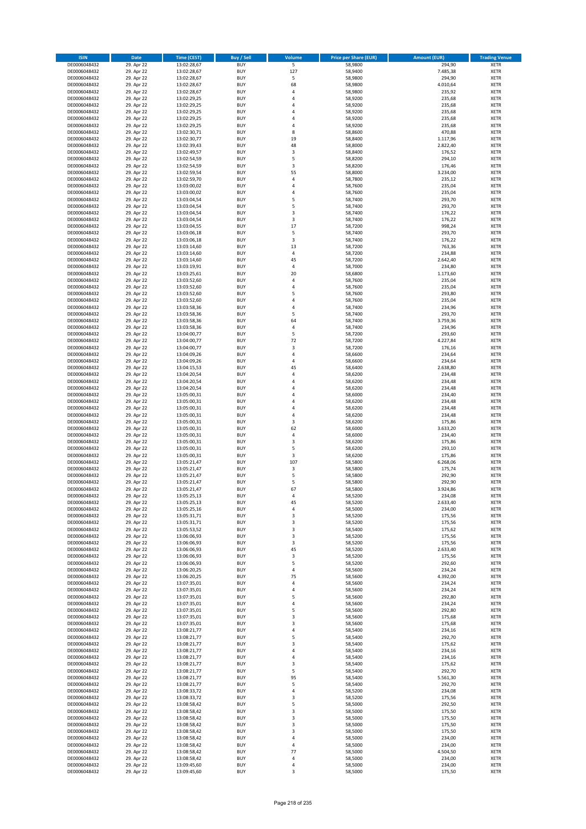| <b>ISIN</b>                  | Date                     | Time (CEST)                | <b>Buy / Sell</b>        | Volume                  | <b>Price per Share (EUR)</b> | <b>Amount (EUR)</b> | <b>Trading Venue</b>       |
|------------------------------|--------------------------|----------------------------|--------------------------|-------------------------|------------------------------|---------------------|----------------------------|
| DE0006048432                 | 29. Apr 22               | 13:02:28,67                | <b>BUY</b>               | $\overline{\mathbf{5}}$ | 58,9800                      | 294,90              | <b>XETR</b>                |
| DE0006048432                 | 29. Apr 22               | 13:02:28,67                | <b>BUY</b>               | 127                     | 58,9400                      | 7.485,38            | XETR                       |
| DE0006048432                 | 29. Apr 22               | 13:02:28,67                | <b>BUY</b>               | 5                       | 58,9800                      | 294,90              | <b>XETR</b>                |
| DE0006048432<br>DE0006048432 | 29. Apr 22<br>29. Apr 22 | 13:02:28,67<br>13:02:28,67 | <b>BUY</b><br><b>BUY</b> | 68<br>4                 | 58,9800<br>58,9800           | 4.010,64<br>235,92  | <b>XETR</b><br><b>XETR</b> |
| DE0006048432                 | 29. Apr 22               | 13:02:29,25                | <b>BUY</b>               | $\overline{4}$          | 58,9200                      | 235,68              | <b>XETR</b>                |
| DE0006048432                 | 29. Apr 22               | 13:02:29,25                | <b>BUY</b>               | $\overline{4}$          | 58,9200                      | 235,68              | <b>XETR</b>                |
| DE0006048432                 | 29. Apr 22               | 13:02:29,25                | <b>BUY</b>               | 4                       | 58,9200                      | 235,68              | <b>XETR</b>                |
| DE0006048432                 | 29. Apr 22               | 13:02:29,25                | <b>BUY</b>               | $\overline{a}$          | 58,9200                      | 235,68              | <b>XETR</b>                |
| DE0006048432                 | 29. Apr 22               | 13:02:29,25                | <b>BUY</b>               | 4                       | 58,9200                      | 235,68              | <b>XETR</b>                |
| DE0006048432<br>DE0006048432 | 29. Apr 22<br>29. Apr 22 | 13:02:30,71<br>13:02:30,77 | <b>BUY</b><br><b>BUY</b> | 8<br>19                 | 58,8600<br>58,8400           | 470,88<br>1.117,96  | <b>XETR</b><br><b>XETR</b> |
| DE0006048432                 | 29. Apr 22               | 13:02:39,43                | <b>BUY</b>               | 48                      | 58,8000                      | 2.822,40            | <b>XETR</b>                |
| DE0006048432                 | 29. Apr 22               | 13:02:49,57                | <b>BUY</b>               | 3                       | 58,8400                      | 176,52              | <b>XETR</b>                |
| DE0006048432                 | 29. Apr 22               | 13:02:54,59                | <b>BUY</b>               | 5                       | 58,8200                      | 294,10              | <b>XETR</b>                |
| DE0006048432                 | 29. Apr 22               | 13:02:54,59                | <b>BUY</b>               | 3                       | 58,8200                      | 176,46              | <b>XETR</b>                |
| DE0006048432                 | 29. Apr 22               | 13:02:59,54                | <b>BUY</b>               | 55                      | 58,8000                      | 3.234,00            | <b>XETR</b>                |
| DE0006048432                 | 29. Apr 22               | 13:02:59,70                | <b>BUY</b>               | 4                       | 58,7800                      | 235,12              | <b>XETR</b>                |
| DE0006048432<br>DE0006048432 | 29. Apr 22<br>29. Apr 22 | 13:03:00,02<br>13:03:00,02 | <b>BUY</b><br><b>BUY</b> | 4<br>4                  | 58,7600<br>58,7600           | 235,04<br>235,04    | <b>XETR</b><br><b>XETR</b> |
| DE0006048432                 | 29. Apr 22               | 13:03:04,54                | <b>BUY</b>               | 5                       | 58,7400                      | 293,70              | <b>XETR</b>                |
| DE0006048432                 | 29. Apr 22               | 13:03:04,54                | <b>BUY</b>               | 5                       | 58,7400                      | 293,70              | <b>XETR</b>                |
| DE0006048432                 | 29. Apr 22               | 13:03:04,54                | <b>BUY</b>               | 3                       | 58,7400                      | 176,22              | <b>XETR</b>                |
| DE0006048432                 | 29. Apr 22               | 13:03:04,54                | <b>BUY</b>               | 3                       | 58,7400                      | 176,22              | <b>XETR</b>                |
| DE0006048432                 | 29. Apr 22               | 13:03:04,55                | <b>BUY</b>               | 17                      | 58,7200                      | 998,24              | <b>XETR</b>                |
| DE0006048432<br>DE0006048432 | 29. Apr 22<br>29. Apr 22 | 13:03:06,18<br>13:03:06,18 | <b>BUY</b><br><b>BUY</b> | 5<br>$\mathsf 3$        | 58,7400<br>58,7400           | 293,70<br>176,22    | <b>XETR</b><br><b>XETR</b> |
| DE0006048432                 | 29. Apr 22               | 13:03:14,60                | <b>BUY</b>               | 13                      | 58,7200                      | 763,36              | <b>XETR</b>                |
| DE0006048432                 | 29. Apr 22               | 13:03:14,60                | <b>BUY</b>               | 4                       | 58,7200                      | 234,88              | <b>XETR</b>                |
| DE0006048432                 | 29. Apr 22               | 13:03:14,60                | <b>BUY</b>               | 45                      | 58,7200                      | 2.642,40            | <b>XETR</b>                |
| DE0006048432                 | 29. Apr 22               | 13:03:19,91                | <b>BUY</b>               | 4                       | 58,7000                      | 234,80              | <b>XETR</b>                |
| DE0006048432                 | 29. Apr 22               | 13:03:25,61                | <b>BUY</b>               | 20                      | 58,6800                      | 1.173,60            | <b>XETR</b>                |
| DE0006048432                 | 29. Apr 22               | 13:03:52,60                | <b>BUY</b>               | 4<br>$\overline{4}$     | 58,7600                      | 235,04              | <b>XETR</b>                |
| DE0006048432<br>DE0006048432 | 29. Apr 22<br>29. Apr 22 | 13:03:52,60<br>13:03:52,60 | <b>BUY</b><br><b>BUY</b> | 5                       | 58,7600<br>58,7600           | 235,04<br>293,80    | <b>XETR</b><br><b>XETR</b> |
| DE0006048432                 | 29. Apr 22               | 13:03:52,60                | <b>BUY</b>               | 4                       | 58,7600                      | 235,04              | <b>XETR</b>                |
| DE0006048432                 | 29. Apr 22               | 13:03:58,36                | <b>BUY</b>               | 4                       | 58,7400                      | 234,96              | <b>XETR</b>                |
| DE0006048432                 | 29. Apr 22               | 13:03:58,36                | <b>BUY</b>               | 5                       | 58,7400                      | 293,70              | <b>XETR</b>                |
| DE0006048432                 | 29. Apr 22               | 13:03:58,36                | <b>BUY</b>               | 64                      | 58,7400                      | 3.759,36            | <b>XETR</b>                |
| DE0006048432                 | 29. Apr 22               | 13:03:58,36                | <b>BUY</b>               | 4                       | 58,7400                      | 234,96              | <b>XETR</b>                |
| DE0006048432<br>DE0006048432 | 29. Apr 22<br>29. Apr 22 | 13:04:00,77<br>13:04:00,77 | <b>BUY</b><br><b>BUY</b> | 5<br>72                 | 58,7200<br>58,7200           | 293,60<br>4.227,84  | <b>XETR</b><br><b>XETR</b> |
| DE0006048432                 | 29. Apr 22               | 13:04:00,77                | <b>BUY</b>               | 3                       | 58,7200                      | 176,16              | <b>XETR</b>                |
| DE0006048432                 | 29. Apr 22               | 13:04:09,26                | <b>BUY</b>               | 4                       | 58,6600                      | 234,64              | <b>XETR</b>                |
| DE0006048432                 | 29. Apr 22               | 13:04:09,26                | <b>BUY</b>               | $\overline{4}$          | 58,6600                      | 234,64              | <b>XETR</b>                |
| DE0006048432                 | 29. Apr 22               | 13:04:15,53                | <b>BUY</b>               | 45                      | 58,6400                      | 2.638,80            | <b>XETR</b>                |
| DE0006048432                 | 29. Apr 22               | 13:04:20,54                | <b>BUY</b>               | 4                       | 58,6200                      | 234,48              | <b>XETR</b>                |
| DE0006048432                 | 29. Apr 22<br>29. Apr 22 | 13:04:20,54                | <b>BUY</b><br><b>BUY</b> | $\overline{a}$<br>4     | 58,6200                      | 234,48<br>234,48    | <b>XETR</b>                |
| DE0006048432<br>DE0006048432 | 29. Apr 22               | 13:04:20,54<br>13:05:00,31 | <b>BUY</b>               | $\overline{4}$          | 58,6200<br>58,6000           | 234,40              | <b>XETR</b><br><b>XETR</b> |
| DE0006048432                 | 29. Apr 22               | 13:05:00,31                | <b>BUY</b>               | $\overline{a}$          | 58,6200                      | 234,48              | <b>XETR</b>                |
| DE0006048432                 | 29. Apr 22               | 13:05:00,31                | <b>BUY</b>               | $\overline{4}$          | 58,6200                      | 234,48              | <b>XETR</b>                |
| DE0006048432                 | 29. Apr 22               | 13:05:00,31                | <b>BUY</b>               | 4                       | 58,6200                      | 234,48              | <b>XETR</b>                |
| DE0006048432                 | 29. Apr 22               | 13:05:00,31                | <b>BUY</b>               | $\mathsf 3$             | 58,6200                      | 175,86              | <b>XETR</b>                |
| DE0006048432<br>DE0006048432 | 29. Apr 22<br>29. Apr 22 | 13:05:00,31<br>13:05:00,31 | <b>BUY</b><br><b>BUY</b> | 62<br>4                 | 58,6000<br>58,6000           | 3.633,20<br>234,40  | <b>XETR</b><br><b>XETR</b> |
| DE0006048432                 | 29. Apr 22               | 13:05:00,31                | <b>BUY</b>               | 3                       | 58,6200                      | 175,86              | <b>XETR</b>                |
| DE0006048432                 | 29. Apr 22               | 13:05:00,31                | <b>BUY</b>               | 5                       | 58,6200                      | 293,10              | <b>XETR</b>                |
| DE0006048432                 | 29. Apr 22               | 13:05:00,31                | <b>BUY</b>               | 3                       | 58,6200                      | 175,86              | <b>XETR</b>                |
| DE0006048432                 | 29. Apr 22               | 13:05:21,47                | <b>BUY</b>               | 107                     | 58,5800                      | 6.268,06            | <b>XETR</b>                |
| DE0006048432                 | 29. Apr 22               | 13:05:21,47                | <b>BUY</b>               | $\mathsf 3$             | 58,5800                      | 175,74              | <b>XETR</b>                |
| DE0006048432<br>DE0006048432 | 29. Apr 22<br>29. Apr 22 | 13:05:21,47<br>13:05:21,47 | <b>BUY</b><br><b>BUY</b> | 5<br>5                  | 58,5800<br>58,5800           | 292,90<br>292,90    | <b>XETR</b><br><b>XETR</b> |
| DE0006048432                 | 29. Apr 22               | 13:05:21,47                | <b>BUY</b>               | 67                      | 58,5800                      | 3.924,86            | <b>XETR</b>                |
| DE0006048432                 | 29. Apr 22               | 13:05:25,13                | BUY                      | 4                       | 58,5200                      | 234,08              | XETR                       |
| DE0006048432                 | 29. Apr 22               | 13:05:25,13                | <b>BUY</b>               | 45                      | 58,5200                      | 2.633,40            | <b>XETR</b>                |
| DE0006048432                 | 29. Apr 22               | 13:05:25,16                | <b>BUY</b>               | 4                       | 58,5000                      | 234,00              | <b>XETR</b>                |
| DE0006048432                 | 29. Apr 22               | 13:05:31,71                | <b>BUY</b>               | 3                       | 58,5200                      | 175,56              | XETR                       |
| DE0006048432                 | 29. Apr 22               | 13:05:31,71                | <b>BUY</b>               | 3                       | 58,5200                      | 175,56              | <b>XETR</b>                |
| DE0006048432<br>DE0006048432 | 29. Apr 22<br>29. Apr 22 | 13:05:53,52<br>13:06:06,93 | <b>BUY</b><br><b>BUY</b> | 3<br>3                  | 58,5400<br>58,5200           | 175,62<br>175,56    | <b>XETR</b><br><b>XETR</b> |
| DE0006048432                 | 29. Apr 22               | 13:06:06,93                | <b>BUY</b>               | 3                       | 58,5200                      | 175,56              | <b>XETR</b>                |
| DE0006048432                 | 29. Apr 22               | 13:06:06,93                | <b>BUY</b>               | 45                      | 58,5200                      | 2.633,40            | XETR                       |
| DE0006048432                 | 29. Apr 22               | 13:06:06,93                | <b>BUY</b>               | 3                       | 58,5200                      | 175,56              | <b>XETR</b>                |
| DE0006048432                 | 29. Apr 22               | 13:06:06,93                | <b>BUY</b>               | 5                       | 58,5200                      | 292,60              | XETR                       |
| DE0006048432                 | 29. Apr 22<br>29. Apr 22 | 13:06:20,25                | <b>BUY</b><br><b>BUY</b> | $\pmb{4}$<br>75         | 58,5600                      | 234,24<br>4.392,00  | <b>XETR</b>                |
| DE0006048432<br>DE0006048432 | 29. Apr 22               | 13:06:20,25<br>13:07:35,01 | <b>BUY</b>               | 4                       | 58,5600<br>58,5600           | 234,24              | XETR<br><b>XETR</b>        |
| DE0006048432                 | 29. Apr 22               | 13:07:35,01                | <b>BUY</b>               | $\sqrt{4}$              | 58,5600                      | 234,24              | XETR                       |
| DE0006048432                 | 29. Apr 22               | 13:07:35,01                | <b>BUY</b>               | 5                       | 58,5600                      | 292,80              | <b>XETR</b>                |
| DE0006048432                 | 29. Apr 22               | 13:07:35,01                | <b>BUY</b>               | 4                       | 58,5600                      | 234,24              | <b>XETR</b>                |
| DE0006048432                 | 29. Apr 22               | 13:07:35,01                | <b>BUY</b>               | 5                       | 58,5600                      | 292,80              | <b>XETR</b>                |
| DE0006048432                 | 29. Apr 22               | 13:07:35,01                | <b>BUY</b>               | 3                       | 58,5600                      | 175,68              | XETR                       |
| DE0006048432<br>DE0006048432 | 29. Apr 22<br>29. Apr 22 | 13:07:35,01<br>13:08:21,77 | <b>BUY</b><br><b>BUY</b> | 3<br>$\pmb{4}$          | 58,5600<br>58,5400           | 175,68<br>234,16    | <b>XETR</b><br><b>XETR</b> |
| DE0006048432                 | 29. Apr 22               | 13:08:21,77                | <b>BUY</b>               | 5                       | 58,5400                      | 292,70              | <b>XETR</b>                |
| DE0006048432                 | 29. Apr 22               | 13:08:21,77                | <b>BUY</b>               | 3                       | 58,5400                      | 175,62              | XETR                       |
| DE0006048432                 | 29. Apr 22               | 13:08:21,77                | <b>BUY</b>               | 4                       | 58,5400                      | 234,16              | XETR                       |
| DE0006048432                 | 29. Apr 22               | 13:08:21,77                | <b>BUY</b>               | 4                       | 58,5400                      | 234,16              | XETR                       |
| DE0006048432                 | 29. Apr 22               | 13:08:21,77                | <b>BUY</b>               | 3                       | 58,5400                      | 175,62              | <b>XETR</b>                |
| DE0006048432                 | 29. Apr 22               | 13:08:21,77                | <b>BUY</b>               | 5                       | 58,5400                      | 292,70              | XETR                       |
| DE0006048432<br>DE0006048432 | 29. Apr 22<br>29. Apr 22 | 13:08:21,77<br>13:08:21,77 | <b>BUY</b><br><b>BUY</b> | 95<br>5                 | 58,5400<br>58,5400           | 5.561,30<br>292,70  | <b>XETR</b><br><b>XETR</b> |
| DE0006048432                 | 29. Apr 22               | 13:08:33,72                | <b>BUY</b>               | 4                       | 58,5200                      | 234,08              | <b>XETR</b>                |
| DE0006048432                 | 29. Apr 22               | 13:08:33,72                | <b>BUY</b>               | 3                       | 58,5200                      | 175,56              | XETR                       |
| DE0006048432                 | 29. Apr 22               | 13:08:58,42                | <b>BUY</b>               | 5                       | 58,5000                      | 292,50              | XETR                       |
| DE0006048432                 | 29. Apr 22               | 13:08:58,42                | <b>BUY</b>               | 3                       | 58,5000                      | 175,50              | XETR                       |
| DE0006048432                 | 29. Apr 22               | 13:08:58,42                | <b>BUY</b>               | 3                       | 58,5000                      | 175,50              | <b>XETR</b>                |
| DE0006048432                 | 29. Apr 22               | 13:08:58,42                | <b>BUY</b>               | 3                       | 58,5000                      | 175,50              | <b>XETR</b>                |
| DE0006048432<br>DE0006048432 | 29. Apr 22<br>29. Apr 22 | 13:08:58,42<br>13:08:58,42 | <b>BUY</b><br><b>BUY</b> | 3<br>4                  | 58,5000<br>58,5000           | 175,50<br>234,00    | XETR<br>XETR               |
| DE0006048432                 | 29. Apr 22               | 13:08:58,42                | <b>BUY</b>               | $\overline{4}$          | 58,5000                      | 234,00              | XETR                       |
| DE0006048432                 | 29. Apr 22               | 13:08:58,42                | <b>BUY</b>               | 77                      | 58,5000                      | 4.504,50            | <b>XETR</b>                |
| DE0006048432                 | 29. Apr 22               | 13:08:58,42                | <b>BUY</b>               | 4                       | 58,5000                      | 234,00              | XETR                       |
| DE0006048432                 | 29. Apr 22               | 13:09:45,60                | <b>BUY</b>               | $\pmb{4}$               | 58,5000                      | 234,00              | <b>XETR</b>                |
| DE0006048432                 | 29. Apr 22               | 13:09:45,60                | <b>BUY</b>               | 3                       | 58,5000                      | 175,50              | XETR                       |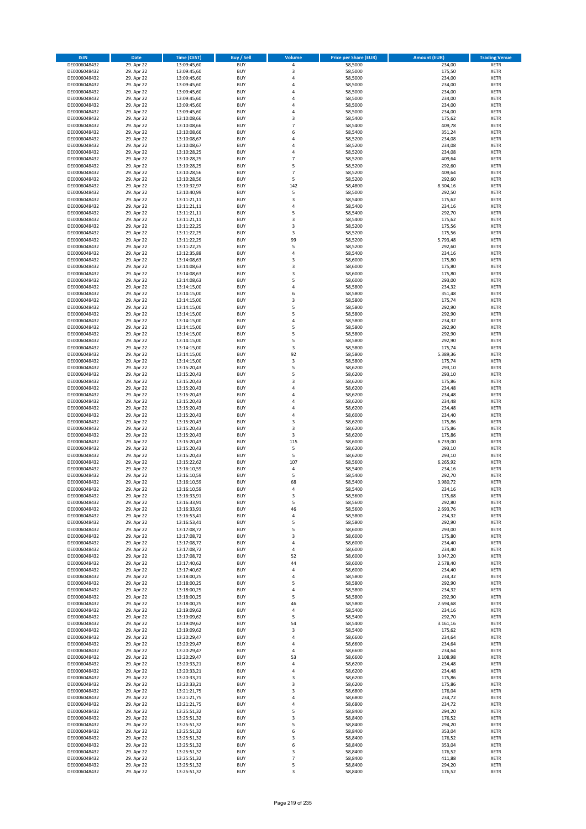| <b>ISIN</b>                  | <b>Date</b>              | <b>Time (CEST)</b>         | <b>Buy / Sell</b>        | <b>Volume</b>            | <b>Price per Share (EUR)</b> | <b>Amount (EUR)</b> | <b>Trading Venue</b>       |
|------------------------------|--------------------------|----------------------------|--------------------------|--------------------------|------------------------------|---------------------|----------------------------|
| DE0006048432                 | 29. Apr 22               | 13:09:45,60                | <b>BUY</b>               | 4                        | 58,5000                      | 234,00              | <b>XETR</b>                |
| DE0006048432                 | 29. Apr 22               | 13:09:45,60                | <b>BUY</b>               | 3                        | 58,5000                      | 175,50              | <b>XETR</b>                |
| DE0006048432                 | 29. Apr 22               | 13:09:45,60                | <b>BUY</b>               | 4                        | 58,5000                      | 234,00              | <b>XETR</b>                |
| DE0006048432<br>DE0006048432 | 29. Apr 22<br>29. Apr 22 | 13:09:45,60<br>13:09:45,60 | <b>BUY</b><br><b>BUY</b> | 4<br>4                   | 58,5000<br>58,5000           | 234,00<br>234,00    | <b>XETR</b><br><b>XETR</b> |
| DE0006048432                 | 29. Apr 22               | 13:09:45,60                | <b>BUY</b>               | 4                        | 58,5000                      | 234,00              | <b>XETR</b>                |
| DE0006048432                 | 29. Apr 22               | 13:09:45,60                | <b>BUY</b>               | 4                        | 58,5000                      | 234,00              | <b>XETR</b>                |
| DE0006048432                 | 29. Apr 22               | 13:09:45,60                | <b>BUY</b>               | 4                        | 58,5000                      | 234,00              | <b>XETR</b>                |
| DE0006048432                 | 29. Apr 22               | 13:10:08,66                | <b>BUY</b>               | 3                        | 58,5400                      | 175,62              | <b>XETR</b>                |
| DE0006048432                 | 29. Apr 22               | 13:10:08,66                | <b>BUY</b>               | $\overline{7}$           | 58,5400                      | 409,78              | <b>XETR</b>                |
| DE0006048432                 | 29. Apr 22               | 13:10:08,66                | <b>BUY</b>               | 6                        | 58,5400                      | 351,24              | <b>XETR</b>                |
| DE0006048432<br>DE0006048432 | 29. Apr 22<br>29. Apr 22 | 13:10:08,67<br>13:10:08,67 | <b>BUY</b><br><b>BUY</b> | 4<br>4                   | 58,5200<br>58,5200           | 234,08<br>234,08    | <b>XETR</b><br><b>XETR</b> |
| DE0006048432                 | 29. Apr 22               | 13:10:28,25                | <b>BUY</b>               | 4                        | 58,5200                      | 234,08              | <b>XETR</b>                |
| DE0006048432                 | 29. Apr 22               | 13:10:28,25                | <b>BUY</b>               | $\overline{7}$           | 58,5200                      | 409,64              | <b>XETR</b>                |
| DE0006048432                 | 29. Apr 22               | 13:10:28,25                | <b>BUY</b>               | 5                        | 58,5200                      | 292,60              | <b>XETR</b>                |
| DE0006048432                 | 29. Apr 22               | 13:10:28,56                | <b>BUY</b>               | $\overline{7}$           | 58,5200                      | 409,64              | <b>XETR</b>                |
| DE0006048432                 | 29. Apr 22               | 13:10:28,56                | <b>BUY</b>               | 5                        | 58,5200                      | 292,60              | <b>XETR</b>                |
| DE0006048432                 | 29. Apr 22               | 13:10:32,97                | <b>BUY</b>               | 142                      | 58,4800                      | 8.304,16            | <b>XETR</b>                |
| DE0006048432                 | 29. Apr 22               | 13:10:40,99                | <b>BUY</b>               | 5                        | 58,5000                      | 292,50              | <b>XETR</b>                |
| DE0006048432<br>DE0006048432 | 29. Apr 22<br>29. Apr 22 | 13:11:21,11<br>13:11:21,11 | <b>BUY</b><br><b>BUY</b> | 3<br>4                   | 58,5400<br>58,5400           | 175,62<br>234,16    | <b>XETR</b><br><b>XETR</b> |
| DE0006048432                 | 29. Apr 22               | 13:11:21,11                | <b>BUY</b>               | 5                        | 58,5400                      | 292,70              | <b>XETR</b>                |
| DE0006048432                 | 29. Apr 22               | 13:11:21,11                | <b>BUY</b>               | 3                        | 58,5400                      | 175,62              | <b>XETR</b>                |
| DE0006048432                 | 29. Apr 22               | 13:11:22,25                | <b>BUY</b>               | 3                        | 58,5200                      | 175,56              | <b>XETR</b>                |
| DE0006048432                 | 29. Apr 22               | 13:11:22,25                | <b>BUY</b>               | 3                        | 58,5200                      | 175,56              | <b>XETR</b>                |
| DE0006048432                 | 29. Apr 22               | 13:11:22,25                | <b>BUY</b>               | 99                       | 58,5200                      | 5.793,48            | <b>XETR</b>                |
| DE0006048432                 | 29. Apr 22               | 13:11:22,25                | <b>BUY</b>               | 5                        | 58,5200                      | 292,60              | <b>XETR</b>                |
| DE0006048432<br>DE0006048432 | 29. Apr 22<br>29. Apr 22 | 13:12:35,88<br>13:14:08,63 | <b>BUY</b><br><b>BUY</b> | 4<br>3                   | 58,5400<br>58,6000           | 234,16<br>175,80    | <b>XETR</b><br><b>XETR</b> |
| DE0006048432                 | 29. Apr 22               | 13:14:08,63                | <b>BUY</b>               | 3                        | 58,6000                      | 175,80              | <b>XETR</b>                |
| DE0006048432                 | 29. Apr 22               | 13:14:08,63                | <b>BUY</b>               | 3                        | 58,6000                      | 175,80              | <b>XETR</b>                |
| DE0006048432                 | 29. Apr 22               | 13:14:08,63                | <b>BUY</b>               | 5                        | 58,6000                      | 293,00              | <b>XETR</b>                |
| DE0006048432                 | 29. Apr 22               | 13:14:15,00                | <b>BUY</b>               | 4                        | 58,5800                      | 234,32              | <b>XETR</b>                |
| DE0006048432                 | 29. Apr 22               | 13:14:15,00                | <b>BUY</b>               | 6                        | 58,5800                      | 351,48              | <b>XETR</b>                |
| DE0006048432                 | 29. Apr 22               | 13:14:15,00                | <b>BUY</b>               | 3                        | 58,5800                      | 175,74              | <b>XETR</b>                |
| DE0006048432                 | 29. Apr 22               | 13:14:15,00                | <b>BUY</b><br><b>BUY</b> | 5<br>5                   | 58,5800                      | 292,90<br>292,90    | <b>XETR</b><br><b>XETR</b> |
| DE0006048432<br>DE0006048432 | 29. Apr 22<br>29. Apr 22 | 13:14:15,00<br>13:14:15,00 | <b>BUY</b>               | 4                        | 58,5800<br>58,5800           | 234,32              | <b>XETR</b>                |
| DE0006048432                 | 29. Apr 22               | 13:14:15,00                | <b>BUY</b>               | 5                        | 58,5800                      | 292,90              | <b>XETR</b>                |
| DE0006048432                 | 29. Apr 22               | 13:14:15,00                | <b>BUY</b>               | 5                        | 58,5800                      | 292,90              | <b>XETR</b>                |
| DE0006048432                 | 29. Apr 22               | 13:14:15,00                | <b>BUY</b>               | 5                        | 58,5800                      | 292,90              | <b>XETR</b>                |
| DE0006048432                 | 29. Apr 22               | 13:14:15,00                | <b>BUY</b>               | 3                        | 58,5800                      | 175,74              | <b>XETR</b>                |
| DE0006048432                 | 29. Apr 22               | 13:14:15,00                | <b>BUY</b>               | 92                       | 58,5800                      | 5.389,36            | <b>XETR</b>                |
| DE0006048432                 | 29. Apr 22               | 13:14:15,00                | <b>BUY</b>               | 3                        | 58,5800                      | 175,74              | <b>XETR</b>                |
| DE0006048432<br>DE0006048432 | 29. Apr 22<br>29. Apr 22 | 13:15:20,43                | <b>BUY</b><br><b>BUY</b> | 5<br>5                   | 58,6200<br>58,6200           | 293,10<br>293,10    | <b>XETR</b><br><b>XETR</b> |
| DE0006048432                 | 29. Apr 22               | 13:15:20,43<br>13:15:20,43 | <b>BUY</b>               | 3                        | 58,6200                      | 175,86              | <b>XETR</b>                |
| DE0006048432                 | 29. Apr 22               | 13:15:20,43                | <b>BUY</b>               | 4                        | 58,6200                      | 234,48              | <b>XETR</b>                |
| DE0006048432                 | 29. Apr 22               | 13:15:20,43                | <b>BUY</b>               | 4                        | 58,6200                      | 234,48              | <b>XETR</b>                |
| DE0006048432                 | 29. Apr 22               | 13:15:20,43                | <b>BUY</b>               | 4                        | 58,6200                      | 234,48              | <b>XETR</b>                |
| DE0006048432                 | 29. Apr 22               | 13:15:20,43                | <b>BUY</b>               | 4                        | 58,6200                      | 234,48              | <b>XETR</b>                |
| DE0006048432                 | 29. Apr 22               | 13:15:20,43                | <b>BUY</b>               | 4                        | 58,6000                      | 234,40              | <b>XETR</b>                |
| DE0006048432<br>DE0006048432 | 29. Apr 22<br>29. Apr 22 | 13:15:20,43<br>13:15:20,43 | <b>BUY</b><br><b>BUY</b> | 3<br>3                   | 58,6200<br>58,6200           | 175,86<br>175,86    | <b>XETR</b><br><b>XETR</b> |
| DE0006048432                 | 29. Apr 22               | 13:15:20,43                | <b>BUY</b>               | 3                        | 58,6200                      | 175,86              | <b>XETR</b>                |
| DE0006048432                 | 29. Apr 22               | 13:15:20,43                | <b>BUY</b>               | 115                      | 58,6000                      | 6.739,00            | <b>XETR</b>                |
| DE0006048432                 | 29. Apr 22               | 13:15:20,43                | <b>BUY</b>               | 5                        | 58,6200                      | 293,10              | <b>XETR</b>                |
| DE0006048432                 | 29. Apr 22               | 13:15:20,43                | <b>BUY</b>               | 5                        | 58,6200                      | 293,10              | <b>XETR</b>                |
| DE0006048432                 | 29. Apr 22               | 13:15:22,62                | <b>BUY</b>               | 107                      | 58,5600                      | 6.265,92            | <b>XETR</b>                |
| DE0006048432                 | 29. Apr 22               | 13:16:10,59                | <b>BUY</b>               | 4                        | 58,5400                      | 234,16              | <b>XETR</b>                |
| DE0006048432<br>DE0006048432 | 29. Apr 22<br>29. Apr 22 | 13:16:10,59<br>13:16:10,59 | <b>BUY</b><br><b>BUY</b> | 5<br>68                  | 58,5400<br>58,5400           | 292,70<br>3.980,72  | <b>XETR</b><br><b>XETR</b> |
| DE0006048432                 | 29. Apr 22               | 13:16:10,59                | <b>BUY</b>               | 4                        | 58,5400                      | 234,16              | <b>XETR</b>                |
| DE0006048432                 | 29. Apr 22               | 13:16:33,91                | BUY                      | 3                        | 58,5600                      | 175,68              | <b>XETR</b>                |
| DE0006048432                 | 29. Apr 22               | 13:16:33,91                | <b>BUY</b>               | 5                        | 58,5600                      | 292,80              | <b>XETR</b>                |
| DE0006048432                 | 29. Apr 22               | 13:16:33,91                | <b>BUY</b>               | 46                       | 58,5600                      | 2.693,76            | <b>XETR</b>                |
| DE0006048432                 | 29. Apr 22               | 13:16:53,41                | <b>BUY</b>               | 4                        | 58,5800                      | 234,32              | XETR                       |
| DE0006048432                 | 29. Apr 22               | 13:16:53,41                | <b>BUY</b>               | 5                        | 58,5800                      | 292,90              | <b>XETR</b>                |
| DE0006048432<br>DE0006048432 | 29. Apr 22<br>29. Apr 22 | 13:17:08,72<br>13:17:08,72 | <b>BUY</b><br><b>BUY</b> | 5<br>3                   | 58,6000<br>58,6000           | 293,00<br>175,80    | <b>XETR</b><br><b>XETR</b> |
| DE0006048432                 | 29. Apr 22               | 13:17:08,72                | <b>BUY</b>               | 4                        | 58,6000                      | 234,40              | <b>XETR</b>                |
| DE0006048432                 | 29. Apr 22               | 13:17:08,72                | <b>BUY</b>               | 4                        | 58,6000                      | 234,40              | <b>XETR</b>                |
| DE0006048432                 | 29. Apr 22               | 13:17:08,72                | <b>BUY</b>               | 52                       | 58,6000                      | 3.047,20            | <b>XETR</b>                |
| DE0006048432                 | 29. Apr 22               | 13:17:40,62                | <b>BUY</b>               | 44                       | 58,6000                      | 2.578,40            | <b>XETR</b>                |
| DE0006048432                 | 29. Apr 22               | 13:17:40,62                | <b>BUY</b>               | 4                        | 58,6000                      | 234,40              | <b>XETR</b>                |
| DE0006048432<br>DE0006048432 | 29. Apr 22<br>29. Apr 22 | 13:18:00,25<br>13:18:00,25 | <b>BUY</b><br><b>BUY</b> | 4<br>5                   | 58,5800<br>58,5800           | 234,32<br>292,90    | <b>XETR</b><br><b>XETR</b> |
| DE0006048432                 | 29. Apr 22               | 13:18:00,25                | <b>BUY</b>               | 4                        | 58,5800                      | 234,32              | <b>XETR</b>                |
| DE0006048432                 | 29. Apr 22               | 13:18:00,25                | <b>BUY</b>               | 5                        | 58,5800                      | 292,90              | <b>XETR</b>                |
| DE0006048432                 | 29. Apr 22               | 13:18:00,25                | <b>BUY</b>               | 46                       | 58,5800                      | 2.694,68            | <b>XETR</b>                |
| DE0006048432                 | 29. Apr 22               | 13:19:09,62                | <b>BUY</b>               | 4                        | 58,5400                      | 234,16              | <b>XETR</b>                |
| DE0006048432                 | 29. Apr 22               | 13:19:09,62                | <b>BUY</b>               | 5                        | 58,5400                      | 292,70              | XETR                       |
| DE0006048432                 | 29. Apr 22               | 13:19:09,62                | <b>BUY</b>               | 54                       | 58,5400                      | 3.161,16            | <b>XETR</b>                |
| DE0006048432<br>DE0006048432 | 29. Apr 22<br>29. Apr 22 | 13:19:09,62<br>13:20:29,47 | <b>BUY</b><br><b>BUY</b> | 3<br>4                   | 58,5400<br>58,6600           | 175,62<br>234,64    | <b>XETR</b><br><b>XETR</b> |
| DE0006048432                 | 29. Apr 22               | 13:20:29,47                | <b>BUY</b>               | 4                        | 58,6600                      | 234,64              | <b>XETR</b>                |
| DE0006048432                 | 29. Apr 22               | 13:20:29,47                | <b>BUY</b>               | 4                        | 58,6600                      | 234,64              | <b>XETR</b>                |
| DE0006048432                 | 29. Apr 22               | 13:20:29,47                | <b>BUY</b>               | 53                       | 58,6600                      | 3.108,98            | <b>XETR</b>                |
| DE0006048432                 | 29. Apr 22               | 13:20:33,21                | <b>BUY</b>               | 4                        | 58,6200                      | 234,48              | <b>XETR</b>                |
| DE0006048432                 | 29. Apr 22               | 13:20:33,21                | <b>BUY</b>               | 4                        | 58,6200                      | 234,48              | <b>XETR</b>                |
| DE0006048432<br>DE0006048432 | 29. Apr 22<br>29. Apr 22 | 13:20:33,21                | <b>BUY</b><br><b>BUY</b> | 3<br>3                   | 58,6200<br>58,6200           | 175,86<br>175,86    | <b>XETR</b><br><b>XETR</b> |
| DE0006048432                 | 29. Apr 22               | 13:20:33,21<br>13:21:21,75 | <b>BUY</b>               | 3                        | 58,6800                      | 176,04              | XETR                       |
| DE0006048432                 | 29. Apr 22               | 13:21:21,75                | <b>BUY</b>               | 4                        | 58,6800                      | 234,72              | <b>XETR</b>                |
| DE0006048432                 | 29. Apr 22               | 13:21:21,75                | <b>BUY</b>               | 4                        | 58,6800                      | 234,72              | <b>XETR</b>                |
| DE0006048432                 | 29. Apr 22               | 13:25:51,32                | <b>BUY</b>               | 5                        | 58,8400                      | 294,20              | <b>XETR</b>                |
| DE0006048432                 | 29. Apr 22               | 13:25:51,32                | <b>BUY</b>               | 3                        | 58,8400                      | 176,52              | <b>XETR</b>                |
| DE0006048432                 | 29. Apr 22               | 13:25:51,32                | <b>BUY</b>               | 5                        | 58,8400                      | 294,20              | <b>XETR</b>                |
| DE0006048432<br>DE0006048432 | 29. Apr 22<br>29. Apr 22 | 13:25:51,32<br>13:25:51,32 | <b>BUY</b><br><b>BUY</b> | 6<br>3                   | 58,8400<br>58,8400           | 353,04<br>176,52    | <b>XETR</b><br><b>XETR</b> |
| DE0006048432                 | 29. Apr 22               | 13:25:51,32                | <b>BUY</b>               | 6                        | 58,8400                      | 353,04              | XETR                       |
| DE0006048432                 | 29. Apr 22               | 13:25:51,32                | <b>BUY</b>               | 3                        | 58,8400                      | 176,52              | <b>XETR</b>                |
| DE0006048432                 | 29. Apr 22               | 13:25:51,32                | <b>BUY</b>               | $\overline{\phantom{a}}$ | 58,8400                      | 411,88              | <b>XETR</b>                |
| DE0006048432                 | 29. Apr 22               | 13:25:51,32                | <b>BUY</b>               | 5                        | 58,8400                      | 294,20              | <b>XETR</b>                |
| DE0006048432                 | 29. Apr 22               | 13:25:51,32                | <b>BUY</b>               | 3                        | 58,8400                      | 176,52              | XETR                       |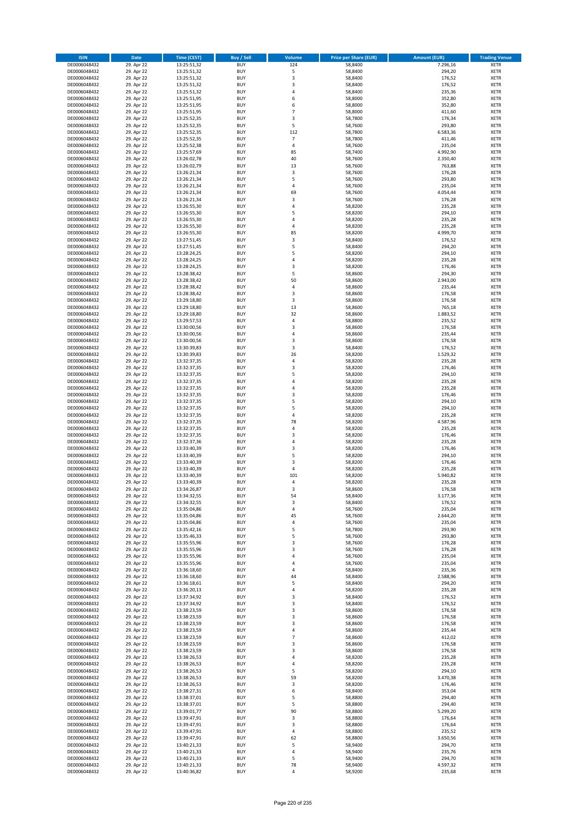| <b>ISIN</b>                  | <b>Date</b>              | <b>Time (CEST)</b>         | <b>Buy / Sell</b>        | <b>Volume</b>  | <b>Price per Share (EUR)</b> | <b>Amount (EUR)</b> | <b>Trading Venue</b>       |
|------------------------------|--------------------------|----------------------------|--------------------------|----------------|------------------------------|---------------------|----------------------------|
| DE0006048432                 | 29. Apr 22               | 13:25:51,32                | <b>BUY</b>               | 124            | 58,8400                      | 7.296,16            | <b>XETR</b>                |
| DE0006048432                 | 29. Apr 22               | 13:25:51,32                | <b>BUY</b>               | 5              | 58,8400                      | 294,20              | <b>XETR</b>                |
| DE0006048432                 | 29. Apr 22               | 13:25:51,32                | <b>BUY</b>               | 3              | 58,8400                      | 176,52              | <b>XETR</b>                |
| DE0006048432                 | 29. Apr 22               | 13:25:51,32                | <b>BUY</b>               | 3              | 58,8400                      | 176,52              | <b>XETR</b>                |
| DE0006048432<br>DE0006048432 | 29. Apr 22<br>29. Apr 22 | 13:25:51,32<br>13:25:51,95 | <b>BUY</b><br><b>BUY</b> | 4<br>6         | 58,8400<br>58,8000           | 235,36<br>352,80    | <b>XETR</b><br><b>XETR</b> |
| DE0006048432                 | 29. Apr 22               | 13:25:51,95                | <b>BUY</b>               | 6              | 58,8000                      | 352,80              | <b>XETR</b>                |
| DE0006048432                 | 29. Apr 22               | 13:25:51,95                | <b>BUY</b>               | $\overline{7}$ | 58,8000                      | 411,60              | <b>XETR</b>                |
| DE0006048432                 | 29. Apr 22               | 13:25:52,35                | <b>BUY</b>               | 3              | 58,7800                      | 176,34              | <b>XETR</b>                |
| DE0006048432                 | 29. Apr 22               | 13:25:52,35                | <b>BUY</b>               | 5              | 58,7600                      | 293,80              | <b>XETR</b>                |
| DE0006048432                 | 29. Apr 22               | 13:25:52,35                | <b>BUY</b>               | 112            | 58,7800                      | 6.583,36            | <b>XETR</b>                |
| DE0006048432                 | 29. Apr 22               | 13:25:52,35                | <b>BUY</b>               | $\overline{7}$ | 58,7800                      | 411,46              | <b>XETR</b>                |
| DE0006048432<br>DE0006048432 | 29. Apr 22<br>29. Apr 22 | 13:25:52,38<br>13:25:57,69 | <b>BUY</b><br><b>BUY</b> | 4<br>85        | 58,7600<br>58,7400           | 235,04<br>4.992,90  | <b>XETR</b><br><b>XETR</b> |
| DE0006048432                 | 29. Apr 22               | 13:26:02,78                | <b>BUY</b>               | 40             | 58,7600                      | 2.350,40            | <b>XETR</b>                |
| DE0006048432                 | 29. Apr 22               | 13:26:02,79                | <b>BUY</b>               | 13             | 58,7600                      | 763,88              | <b>XETR</b>                |
| DE0006048432                 | 29. Apr 22               | 13:26:21,34                | <b>BUY</b>               | 3              | 58,7600                      | 176,28              | <b>XETR</b>                |
| DE0006048432                 | 29. Apr 22               | 13:26:21,34                | <b>BUY</b>               | 5              | 58,7600                      | 293,80              | <b>XETR</b>                |
| DE0006048432                 | 29. Apr 22               | 13:26:21,34                | <b>BUY</b>               | 4              | 58,7600                      | 235,04              | <b>XETR</b>                |
| DE0006048432<br>DE0006048432 | 29. Apr 22<br>29. Apr 22 | 13:26:21,34<br>13:26:21,34 | <b>BUY</b><br><b>BUY</b> | 69<br>3        | 58,7600<br>58,7600           | 4.054,44<br>176,28  | <b>XETR</b><br><b>XETR</b> |
| DE0006048432                 | 29. Apr 22               | 13:26:55,30                | <b>BUY</b>               | 4              | 58,8200                      | 235,28              | <b>XETR</b>                |
| DE0006048432                 | 29. Apr 22               | 13:26:55,30                | <b>BUY</b>               | 5              | 58,8200                      | 294,10              | <b>XETR</b>                |
| DE0006048432                 | 29. Apr 22               | 13:26:55,30                | <b>BUY</b>               | 4              | 58,8200                      | 235,28              | <b>XETR</b>                |
| DE0006048432                 | 29. Apr 22               | 13:26:55,30                | <b>BUY</b>               | 4              | 58,8200                      | 235,28              | <b>XETR</b>                |
| DE0006048432                 | 29. Apr 22               | 13:26:55,30                | <b>BUY</b>               | 85             | 58,8200                      | 4.999,70            | <b>XETR</b>                |
| DE0006048432<br>DE0006048432 | 29. Apr 22               | 13:27:51,45                | <b>BUY</b><br><b>BUY</b> | 3<br>5         | 58,8400                      | 176,52              | <b>XETR</b><br><b>XETR</b> |
| DE0006048432                 | 29. Apr 22<br>29. Apr 22 | 13:27:51,45<br>13:28:24,25 | <b>BUY</b>               | 5              | 58,8400<br>58,8200           | 294,20<br>294,10    | <b>XETR</b>                |
| DE0006048432                 | 29. Apr 22               | 13:28:24,25                | <b>BUY</b>               | 4              | 58,8200                      | 235,28              | <b>XETR</b>                |
| DE0006048432                 | 29. Apr 22               | 13:28:24,25                | <b>BUY</b>               | 3              | 58,8200                      | 176,46              | <b>XETR</b>                |
| DE0006048432                 | 29. Apr 22               | 13:28:38,42                | <b>BUY</b>               | 5              | 58,8600                      | 294,30              | <b>XETR</b>                |
| DE0006048432                 | 29. Apr 22               | 13:28:38,42                | <b>BUY</b>               | 50             | 58,8600                      | 2.943,00            | <b>XETR</b>                |
| DE0006048432                 | 29. Apr 22               | 13:28:38,42                | <b>BUY</b>               | 4              | 58,8600                      | 235,44              | <b>XETR</b>                |
| DE0006048432<br>DE0006048432 | 29. Apr 22<br>29. Apr 22 | 13:28:38,42<br>13:29:18,80 | <b>BUY</b><br><b>BUY</b> | 3<br>3         | 58,8600<br>58,8600           | 176,58<br>176,58    | <b>XETR</b><br><b>XETR</b> |
| DE0006048432                 | 29. Apr 22               | 13:29:18,80                | <b>BUY</b>               | 13             | 58,8600                      | 765,18              | <b>XETR</b>                |
| DE0006048432                 | 29. Apr 22               | 13:29:18,80                | <b>BUY</b>               | 32             | 58,8600                      | 1.883,52            | <b>XETR</b>                |
| DE0006048432                 | 29. Apr 22               | 13:29:57,53                | <b>BUY</b>               | 4              | 58,8800                      | 235,52              | <b>XETR</b>                |
| DE0006048432                 | 29. Apr 22               | 13:30:00,56                | <b>BUY</b>               | 3              | 58,8600                      | 176,58              | <b>XETR</b>                |
| DE0006048432                 | 29. Apr 22               | 13:30:00,56                | <b>BUY</b>               | 4              | 58,8600                      | 235,44              | <b>XETR</b>                |
| DE0006048432                 | 29. Apr 22               | 13:30:00,56                | <b>BUY</b>               | 3              | 58,8600                      | 176,58              | <b>XETR</b>                |
| DE0006048432<br>DE0006048432 | 29. Apr 22<br>29. Apr 22 | 13:30:39,83<br>13:30:39,83 | <b>BUY</b><br><b>BUY</b> | 3<br>26        | 58,8400<br>58,8200           | 176,52<br>1.529,32  | <b>XETR</b><br><b>XETR</b> |
| DE0006048432                 | 29. Apr 22               | 13:32:37,35                | <b>BUY</b>               | 4              | 58,8200                      | 235,28              | <b>XETR</b>                |
| DE0006048432                 | 29. Apr 22               | 13:32:37,35                | <b>BUY</b>               | 3              | 58,8200                      | 176,46              | <b>XETR</b>                |
| DE0006048432                 | 29. Apr 22               | 13:32:37,35                | <b>BUY</b>               | 5              | 58,8200                      | 294,10              | <b>XETR</b>                |
| DE0006048432                 | 29. Apr 22               | 13:32:37,35                | <b>BUY</b>               | 4              | 58,8200                      | 235,28              | <b>XETR</b>                |
| DE0006048432                 | 29. Apr 22               | 13:32:37,35                | <b>BUY</b><br><b>BUY</b> | 4<br>3         | 58,8200                      | 235,28              | <b>XETR</b>                |
| DE0006048432<br>DE0006048432 | 29. Apr 22<br>29. Apr 22 | 13:32:37,35<br>13:32:37,35 | <b>BUY</b>               | 5              | 58,8200<br>58,8200           | 176,46<br>294,10    | <b>XETR</b><br><b>XETR</b> |
| DE0006048432                 | 29. Apr 22               | 13:32:37,35                | <b>BUY</b>               | 5              | 58,8200                      | 294,10              | <b>XETR</b>                |
| DE0006048432                 | 29. Apr 22               | 13:32:37,35                | <b>BUY</b>               | 4              | 58,8200                      | 235,28              | <b>XETR</b>                |
| DE0006048432                 | 29. Apr 22               | 13:32:37,35                | <b>BUY</b>               | 78             | 58,8200                      | 4.587,96            | <b>XETR</b>                |
| DE0006048432                 | 29. Apr 22               | 13:32:37,35                | <b>BUY</b>               | 4              | 58,8200                      | 235,28              | <b>XETR</b>                |
| DE0006048432                 | 29. Apr 22               | 13:32:37,35                | <b>BUY</b>               | 3              | 58,8200                      | 176,46              | <b>XETR</b>                |
| DE0006048432<br>DE0006048432 | 29. Apr 22<br>29. Apr 22 | 13:32:37,36<br>13:33:40,39 | <b>BUY</b><br><b>BUY</b> | 4<br>3         | 58,8200<br>58,8200           | 235,28<br>176,46    | <b>XETR</b><br><b>XETR</b> |
| DE0006048432                 | 29. Apr 22               | 13:33:40,39                | <b>BUY</b>               | 5              | 58,8200                      | 294,10              | <b>XETR</b>                |
| DE0006048432                 | 29. Apr 22               | 13:33:40,39                | <b>BUY</b>               | 3              | 58,8200                      | 176,46              | <b>XETR</b>                |
| DE0006048432                 | 29. Apr 22               | 13:33:40,39                | <b>BUY</b>               | 4              | 58,8200                      | 235,28              | <b>XETR</b>                |
| DE0006048432                 | 29. Apr 22               | 13:33:40,39                | <b>BUY</b>               | 101            | 58,8200                      | 5.940,82            | <b>XETR</b>                |
| DE0006048432                 | 29. Apr 22               | 13:33:40,39                | <b>BUY</b>               | 4              | 58,8200                      | 235,28              | <b>XETR</b>                |
| DE0006048432                 | 29. Apr 22               | 13:34:26,87<br>13:34:32,55 | <b>BUY</b>               | 3              | 58,8600<br>58,8400           | 176,58              | <b>XETR</b>                |
| DE0006048432<br>DE0006048432 | 29. Apr 22<br>29. Apr 22 | 13:34:32,55                | BUY<br><b>BUY</b>        | 54<br>3        | 58,8400                      | 3.177,36<br>176,52  | <b>XETR</b><br>XETR        |
| DE0006048432                 | 29. Apr 22               | 13:35:04,86                | <b>BUY</b>               | 4              | 58,7600                      | 235,04              | <b>XETR</b>                |
| DE0006048432                 | 29. Apr 22               | 13:35:04,86                | <b>BUY</b>               | 45             | 58,7600                      | 2.644,20            | XETR                       |
| DE0006048432                 | 29. Apr 22               | 13:35:04,86                | <b>BUY</b>               | 4              | 58,7600                      | 235,04              | <b>XETR</b>                |
| DE0006048432                 | 29. Apr 22               | 13:35:42,16                | <b>BUY</b>               | 5              | 58,7800                      | 293,90              | <b>XETR</b>                |
| DE0006048432                 | 29. Apr 22               | 13:35:46,33                | <b>BUY</b>               | 5              | 58,7600                      | 293,80              | <b>XETR</b>                |
| DE0006048432<br>DE0006048432 | 29. Apr 22<br>29. Apr 22 | 13:35:55,96<br>13:35:55,96 | <b>BUY</b><br><b>BUY</b> | 3<br>3         | 58,7600<br>58,7600           | 176,28<br>176,28    | <b>XETR</b><br><b>XETR</b> |
| DE0006048432                 | 29. Apr 22               | 13:35:55,96                | <b>BUY</b>               | 4              | 58,7600                      | 235,04              | XETR                       |
| DE0006048432                 | 29. Apr 22               | 13:35:55,96                | <b>BUY</b>               | 4              | 58,7600                      | 235,04              | XETR                       |
| DE0006048432                 | 29. Apr 22               | 13:36:18,60                | <b>BUY</b>               | 4              | 58,8400                      | 235,36              | <b>XETR</b>                |
| DE0006048432                 | 29. Apr 22               | 13:36:18,60                | <b>BUY</b>               | 44             | 58,8400                      | 2.588,96            | <b>XETR</b>                |
| DE0006048432                 | 29. Apr 22               | 13:36:18,61                | <b>BUY</b>               | 5              | 58,8400                      | 294,20              | <b>XETR</b>                |
| DE0006048432<br>DE0006048432 | 29. Apr 22<br>29. Apr 22 | 13:36:20,13<br>13:37:34,92 | <b>BUY</b><br><b>BUY</b> | 4<br>3         | 58,8200<br>58,8400           | 235,28<br>176,52    | <b>XETR</b><br><b>XETR</b> |
| DE0006048432                 | 29. Apr 22               | 13:37:34,92                | <b>BUY</b>               | 3              | 58,8400                      | 176,52              | <b>XETR</b>                |
| DE0006048432                 | 29. Apr 22               | 13:38:23,59                | <b>BUY</b>               | 3              | 58,8600                      | 176,58              | <b>XETR</b>                |
| DE0006048432                 | 29. Apr 22               | 13:38:23,59                | <b>BUY</b>               | 3              | 58,8600                      | 176,58              | XETR                       |
| DE0006048432                 | 29. Apr 22               | 13:38:23,59                | <b>BUY</b>               | 3              | 58,8600                      | 176,58              | <b>XETR</b>                |
| DE0006048432                 | 29. Apr 22               | 13:38:23,59                | <b>BUY</b>               | 4              | 58,8600                      | 235,44              | <b>XETR</b>                |
| DE0006048432                 | 29. Apr 22               | 13:38:23,59                | <b>BUY</b>               | $\overline{7}$ | 58,8600                      | 412,02              | <b>XETR</b>                |
| DE0006048432<br>DE0006048432 | 29. Apr 22<br>29. Apr 22 | 13:38:23,59<br>13:38:23,59 | <b>BUY</b><br><b>BUY</b> | 3<br>3         | 58,8600<br>58,8600           | 176,58<br>176,58    | <b>XETR</b><br><b>XETR</b> |
| DE0006048432                 | 29. Apr 22               | 13:38:26,53                | <b>BUY</b>               | 4              | 58,8200                      | 235,28              | <b>XETR</b>                |
| DE0006048432                 | 29. Apr 22               | 13:38:26,53                | <b>BUY</b>               | 4              | 58,8200                      | 235,28              | <b>XETR</b>                |
| DE0006048432                 | 29. Apr 22               | 13:38:26,53                | <b>BUY</b>               | 5              | 58,8200                      | 294,10              | <b>XETR</b>                |
| DE0006048432                 | 29. Apr 22               | 13:38:26,53                | <b>BUY</b>               | 59             | 58,8200                      | 3.470,38            | <b>XETR</b>                |
| DE0006048432                 | 29. Apr 22               | 13:38:26,53                | <b>BUY</b>               | 3              | 58,8200                      | 176,46              | <b>XETR</b>                |
| DE0006048432                 | 29. Apr 22               | 13:38:27,31                | <b>BUY</b>               | 6              | 58,8400                      | 353,04              | XETR                       |
| DE0006048432<br>DE0006048432 | 29. Apr 22<br>29. Apr 22 | 13:38:37,01<br>13:38:37,01 | <b>BUY</b><br><b>BUY</b> | 5<br>5         | 58,8800<br>58,8800           | 294,40<br>294,40    | <b>XETR</b><br><b>XETR</b> |
| DE0006048432                 | 29. Apr 22               | 13:39:01,77                | <b>BUY</b>               | 90             | 58,8800                      | 5.299,20            | <b>XETR</b>                |
| DE0006048432                 | 29. Apr 22               | 13:39:47,91                | <b>BUY</b>               | 3              | 58,8800                      | 176,64              | <b>XETR</b>                |
| DE0006048432                 | 29. Apr 22               | 13:39:47,91                | <b>BUY</b>               | 3              | 58,8800                      | 176,64              | <b>XETR</b>                |
| DE0006048432                 | 29. Apr 22               | 13:39:47,91                | <b>BUY</b>               | 4              | 58,8800                      | 235,52              | <b>XETR</b>                |
| DE0006048432                 | 29. Apr 22               | 13:39:47,91                | <b>BUY</b>               | 62             | 58,8800                      | 3.650,56            | <b>XETR</b>                |
| DE0006048432<br>DE0006048432 | 29. Apr 22<br>29. Apr 22 | 13:40:21,33<br>13:40:21,33 | <b>BUY</b><br><b>BUY</b> | 5<br>4         | 58,9400<br>58,9400           | 294,70<br>235,76    | XETR<br><b>XETR</b>        |
| DE0006048432                 | 29. Apr 22               | 13:40:21,33                | <b>BUY</b>               | 5              | 58,9400                      | 294,70              | <b>XETR</b>                |
| DE0006048432                 | 29. Apr 22               | 13:40:21,33                | <b>BUY</b>               | 78             | 58,9400                      | 4.597,32            | <b>XETR</b>                |
| DE0006048432                 | 29. Apr 22               | 13:40:36,82                | <b>BUY</b>               | 4              | 58,9200                      | 235,68              | XETR                       |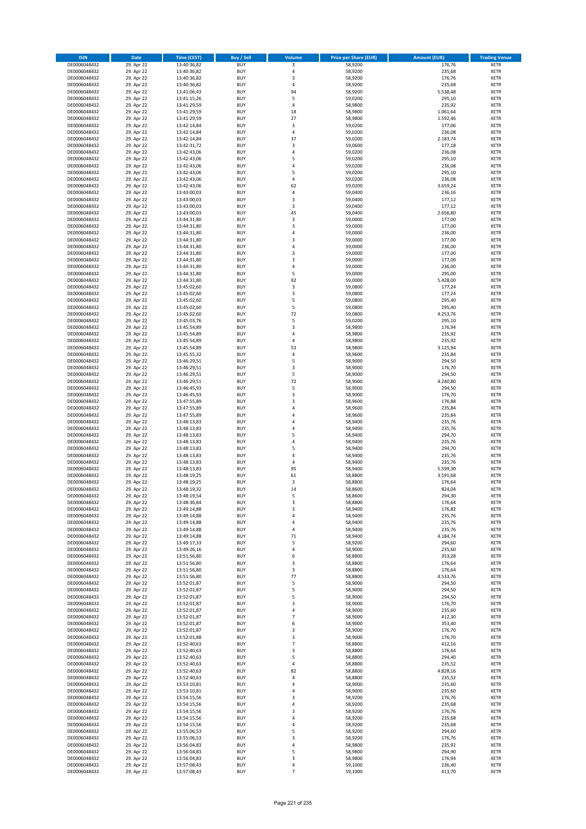| <b>ISIN</b>                  | <b>Date</b>              | <b>Time (CEST)</b>         | <b>Buy / Sell</b>        | Volume              | <b>Price per Share (EUR)</b> | <b>Amount (EUR)</b> | <b>Trading Venue</b>       |
|------------------------------|--------------------------|----------------------------|--------------------------|---------------------|------------------------------|---------------------|----------------------------|
| DE0006048432                 | 29. Apr 22               | 13:40:36,82                | <b>BUY</b>               | 3                   | 58,9200                      | 176,76              | <b>XETR</b>                |
| DE0006048432                 | 29. Apr 22               | 13:40:36,82                | <b>BUY</b>               | 4                   | 58,9200                      | 235,68              | <b>XETR</b>                |
| DE0006048432                 | 29. Apr 22               | 13:40:36,82                | <b>BUY</b>               | 3                   | 58,9200                      | 176,76              | <b>XETR</b>                |
| DE0006048432<br>DE0006048432 | 29. Apr 22<br>29. Apr 22 | 13:40:36,82<br>13:41:06,43 | <b>BUY</b><br><b>BUY</b> | 4<br>94             | 58,9200<br>58,9200           | 235,68<br>5.538,48  | <b>XETR</b><br><b>XETR</b> |
| DE0006048432                 | 29. Apr 22               | 13:41:15,26                | <b>BUY</b>               | 5                   | 59,0200                      | 295,10              | <b>XETR</b>                |
| DE0006048432                 | 29. Apr 22               | 13:41:29,59                | <b>BUY</b>               | 4                   | 58,9800                      | 235,92              | <b>XETR</b>                |
| DE0006048432                 | 29. Apr 22               | 13:41:29,59                | <b>BUY</b>               | 18                  | 58,9800                      | 1.061,64            | <b>XETR</b>                |
| DE0006048432                 | 29. Apr 22               | 13:41:29,59                | <b>BUY</b>               | 27                  | 58,9800                      | 1.592,46            | <b>XETR</b>                |
| DE0006048432                 | 29. Apr 22               | 13:42:14,84                | <b>BUY</b>               | 3                   | 59,0200                      | 177,06              | <b>XETR</b>                |
| DE0006048432                 | 29. Apr 22               | 13:42:14,84                | <b>BUY</b>               | 4                   | 59,0200                      | 236,08              | <b>XETR</b>                |
| DE0006048432                 | 29. Apr 22<br>29. Apr 22 | 13:42:14,84                | <b>BUY</b><br><b>BUY</b> | 37<br>3             | 59,0200                      | 2.183,74<br>177,18  | <b>XETR</b><br><b>XETR</b> |
| DE0006048432<br>DE0006048432 | 29. Apr 22               | 13:42:31,72<br>13:42:43,06 | <b>BUY</b>               | 4                   | 59,0600<br>59,0200           | 236,08              | <b>XETR</b>                |
| DE0006048432                 | 29. Apr 22               | 13:42:43,06                | <b>BUY</b>               | 5                   | 59,0200                      | 295,10              | <b>XETR</b>                |
| DE0006048432                 | 29. Apr 22               | 13:42:43,06                | <b>BUY</b>               | 4                   | 59,0200                      | 236,08              | <b>XETR</b>                |
| DE0006048432                 | 29. Apr 22               | 13:42:43,06                | <b>BUY</b>               | 5                   | 59,0200                      | 295,10              | <b>XETR</b>                |
| DE0006048432                 | 29. Apr 22               | 13:42:43,06                | <b>BUY</b>               | 4                   | 59,0200                      | 236,08              | <b>XETR</b>                |
| DE0006048432                 | 29. Apr 22               | 13:42:43,06                | <b>BUY</b>               | 62                  | 59,0200                      | 3.659,24            | <b>XETR</b>                |
| DE0006048432                 | 29. Apr 22               | 13:43:00,03                | <b>BUY</b>               | 4                   | 59,0400                      | 236,16              | <b>XETR</b>                |
| DE0006048432                 | 29. Apr 22               | 13:43:00,03                | <b>BUY</b>               | 3                   | 59,0400                      | 177,12              | <b>XETR</b>                |
| DE0006048432<br>DE0006048432 | 29. Apr 22<br>29. Apr 22 | 13:43:00,03<br>13:43:00,03 | <b>BUY</b><br><b>BUY</b> | 3<br>45             | 59,0400<br>59,0400           | 177,12<br>2.656,80  | <b>XETR</b><br><b>XETR</b> |
| DE0006048432                 | 29. Apr 22               | 13:44:31,80                | <b>BUY</b>               | 3                   | 59,0000                      | 177,00              | <b>XETR</b>                |
| DE0006048432                 | 29. Apr 22               | 13:44:31,80                | <b>BUY</b>               | 3                   | 59,0000                      | 177,00              | <b>XETR</b>                |
| DE0006048432                 | 29. Apr 22               | 13:44:31,80                | <b>BUY</b>               | 4                   | 59,0000                      | 236,00              | <b>XETR</b>                |
| DE0006048432                 | 29. Apr 22               | 13:44:31,80                | <b>BUY</b>               | 3                   | 59,0000                      | 177,00              | <b>XETR</b>                |
| DE0006048432                 | 29. Apr 22               | 13:44:31,80                | <b>BUY</b>               | 4                   | 59,0000                      | 236,00              | <b>XETR</b>                |
| DE0006048432                 | 29. Apr 22               | 13:44:31,80                | <b>BUY</b>               | 3                   | 59,0000                      | 177,00              | <b>XETR</b>                |
| DE0006048432                 | 29. Apr 22               | 13:44:31,80                | <b>BUY</b><br><b>BUY</b> | 3<br>4              | 59,0000                      | 177,00<br>236,00    | <b>XETR</b><br><b>XETR</b> |
| DE0006048432<br>DE0006048432 | 29. Apr 22<br>29. Apr 22 | 13:44:31,80<br>13:44:31,80 | <b>BUY</b>               | 5                   | 59,0000<br>59,0000           | 295,00              | <b>XETR</b>                |
| DE0006048432                 | 29. Apr 22               | 13:44:31,80                | <b>BUY</b>               | 92                  | 59,0000                      | 5.428,00            | <b>XETR</b>                |
| DE0006048432                 | 29. Apr 22               | 13:45:02,60                | <b>BUY</b>               | 3                   | 59,0800                      | 177,24              | <b>XETR</b>                |
| DE0006048432                 | 29. Apr 22               | 13:45:02,60                | <b>BUY</b>               | 3                   | 59,0800                      | 177,24              | <b>XETR</b>                |
| DE0006048432                 | 29. Apr 22               | 13:45:02,60                | <b>BUY</b>               | 5                   | 59,0800                      | 295,40              | <b>XETR</b>                |
| DE0006048432                 | 29. Apr 22               | 13:45:02,60                | <b>BUY</b>               | 5                   | 59,0800                      | 295,40              | <b>XETR</b>                |
| DE0006048432                 | 29. Apr 22               | 13:45:02,60                | <b>BUY</b>               | 72                  | 59,0800                      | 4.253,76            | <b>XETR</b>                |
| DE0006048432                 | 29. Apr 22               | 13:45:03,76                | <b>BUY</b>               | 5                   | 59,0200                      | 295,10              | <b>XETR</b>                |
| DE0006048432<br>DE0006048432 | 29. Apr 22<br>29. Apr 22 | 13:45:54,89<br>13:45:54,89 | <b>BUY</b><br><b>BUY</b> | 3<br>4              | 58,9800<br>58,9800           | 176,94<br>235,92    | <b>XETR</b><br><b>XETR</b> |
| DE0006048432                 | 29. Apr 22               | 13:45:54,89                | <b>BUY</b>               | 4                   | 58,9800                      | 235,92              | <b>XETR</b>                |
| DE0006048432                 | 29. Apr 22               | 13:45:54,89                | <b>BUY</b>               | 53                  | 58,9800                      | 3.125,94            | <b>XETR</b>                |
| DE0006048432                 | 29. Apr 22               | 13:45:55,32                | <b>BUY</b>               | 4                   | 58,9600                      | 235,84              | <b>XETR</b>                |
| DE0006048432                 | 29. Apr 22               | 13:46:29,51                | <b>BUY</b>               | 5                   | 58,9000                      | 294,50              | <b>XETR</b>                |
| DE0006048432                 | 29. Apr 22               | 13:46:29,51                | <b>BUY</b>               | 3                   | 58,9000                      | 176,70              | <b>XETR</b>                |
| DE0006048432                 | 29. Apr 22               | 13:46:29,51                | <b>BUY</b>               | 5                   | 58,9000                      | 294,50              | <b>XETR</b>                |
| DE0006048432                 | 29. Apr 22               | 13:46:29,51                | <b>BUY</b>               | 72                  | 58,9000                      | 4.240,80            | <b>XETR</b>                |
| DE0006048432<br>DE0006048432 | 29. Apr 22<br>29. Apr 22 | 13:46:45,93                | <b>BUY</b><br><b>BUY</b> | 5<br>3              | 58,9000<br>58,9000           | 294,50<br>176,70    | <b>XETR</b><br><b>XETR</b> |
| DE0006048432                 | 29. Apr 22               | 13:46:45,93<br>13:47:55,89 | <b>BUY</b>               | 3                   | 58,9600                      | 176,88              | <b>XETR</b>                |
| DE0006048432                 | 29. Apr 22               | 13:47:55,89                | <b>BUY</b>               | 4                   | 58,9600                      | 235,84              | <b>XETR</b>                |
| DE0006048432                 | 29. Apr 22               | 13:47:55,89                | <b>BUY</b>               | 4                   | 58,9600                      | 235,84              | <b>XETR</b>                |
| DE0006048432                 | 29. Apr 22               | 13:48:13,83                | <b>BUY</b>               | 4                   | 58,9400                      | 235,76              | <b>XETR</b>                |
| DE0006048432                 | 29. Apr 22               | 13:48:13,83                | <b>BUY</b>               | 4                   | 58,9400                      | 235,76              | <b>XETR</b>                |
| DE0006048432                 | 29. Apr 22               | 13:48:13,83                | <b>BUY</b>               | 5                   | 58,9400                      | 294,70              | <b>XETR</b>                |
| DE0006048432                 | 29. Apr 22               | 13:48:13,83                | <b>BUY</b>               | 4                   | 58,9400                      | 235,76              | <b>XETR</b>                |
| DE0006048432                 | 29. Apr 22               | 13:48:13,83                | <b>BUY</b><br><b>BUY</b> | 5<br>4              | 58,9400                      | 294,70              | <b>XETR</b><br><b>XETR</b> |
| DE0006048432<br>DE0006048432 | 29. Apr 22<br>29. Apr 22 | 13:48:13,83<br>13:48:13,83 | <b>BUY</b>               | 4                   | 58,9400<br>58,9400           | 235,76<br>235,76    | <b>XETR</b>                |
| DE0006048432                 | 29. Apr 22               | 13:48:13,83                | <b>BUY</b>               | 95                  | 58,9400                      | 5.599,30            | <b>XETR</b>                |
| DE0006048432                 | 29. Apr 22               | 13:48:19,25                | <b>BUY</b>               | 61                  | 58,8800                      | 3.591,68            | <b>XETR</b>                |
| DE0006048432                 | 29. Apr 22               | 13:48:19,25                | <b>BUY</b>               | 3                   | 58,8800                      | 176,64              | <b>XETR</b>                |
| DE0006048432                 | 29. Apr 22               | 13:48:19,32                | <b>BUY</b>               | 14                  | 58,8600                      | 824,04              | <b>XETR</b>                |
| DE0006048432                 | 29. Apr 22               | 13:48:19,54                | BUY                      | 5                   | 58,8600                      | 294,30              | <b>XETR</b>                |
| DE0006048432<br>DE0006048432 | 29. Apr 22               | 13:48:36,84                | <b>BUY</b><br><b>BUY</b> | 3                   | 58,8800<br>58,9400           | 176,64              | <b>XETR</b>                |
| DE0006048432                 | 29. Apr 22<br>29. Apr 22 | 13:49:14,88<br>13:49:14,88 | <b>BUY</b>               | 3<br>4              | 58,9400                      | 176,82<br>235,76    | <b>XETR</b><br>XETR        |
| DE0006048432                 | 29. Apr 22               | 13:49:14,88                | <b>BUY</b>               | 4                   | 58,9400                      | 235,76              | <b>XETR</b>                |
| DE0006048432                 | 29. Apr 22               | 13:49:14,88                | <b>BUY</b>               | 4                   | 58,9400                      | 235,76              | <b>XETR</b>                |
| DE0006048432                 | 29. Apr 22               | 13:49:14,88                | <b>BUY</b>               | 71                  | 58,9400                      | 4.184,74            | <b>XETR</b>                |
| DE0006048432                 | 29. Apr 22               | 13:49:17,33                | <b>BUY</b>               | 5                   | 58,9200                      | 294,60              | <b>XETR</b>                |
| DE0006048432                 | 29. Apr 22               | 13:49:26,16                | <b>BUY</b>               | 4                   | 58,9000                      | 235,60              | <b>XETR</b>                |
| DE0006048432                 | 29. Apr 22               | 13:51:56,80                | <b>BUY</b>               | 6                   | 58,8800                      | 353,28              | <b>XETR</b>                |
| DE0006048432<br>DE0006048432 | 29. Apr 22<br>29. Apr 22 | 13:51:56,80<br>13:51:56,80 | <b>BUY</b><br><b>BUY</b> | 3<br>3              | 58,8800<br>58,8800           | 176,64<br>176,64    | <b>XETR</b><br><b>XETR</b> |
| DE0006048432                 | 29. Apr 22               | 13:51:56,80                | <b>BUY</b>               | 77                  | 58,8800                      | 4.533,76            | <b>XETR</b>                |
| DE0006048432                 | 29. Apr 22               | 13:52:01,87                | <b>BUY</b>               | 5                   | 58,9000                      | 294,50              | <b>XETR</b>                |
| DE0006048432                 | 29. Apr 22               | 13:52:01,87                | <b>BUY</b>               | 5                   | 58,9000                      | 294,50              | <b>XETR</b>                |
| DE0006048432                 | 29. Apr 22               | 13:52:01,87                | <b>BUY</b>               | 5                   | 58,9000                      | 294,50              | <b>XETR</b>                |
| DE0006048432                 | 29. Apr 22               | 13:52:01,87                | <b>BUY</b>               | 3                   | 58,9000                      | 176,70              | <b>XETR</b>                |
| DE0006048432                 | 29. Apr 22<br>29. Apr 22 | 13:52:01,87<br>13:52:01,87 | <b>BUY</b>               | 4<br>$\overline{7}$ | 58,9000                      | 235,60              | <b>XETR</b>                |
| DE0006048432<br>DE0006048432 | 29. Apr 22               | 13:52:01,87                | <b>BUY</b><br><b>BUY</b> | 6                   | 58,9000<br>58,9000           | 412,30<br>353,40    | XETR<br><b>XETR</b>        |
| DE0006048432                 | 29. Apr 22               | 13:52:01,87                | <b>BUY</b>               | 3                   | 58,9000                      | 176,70              | <b>XETR</b>                |
| DE0006048432                 | 29. Apr 22               | 13:52:01,88                | <b>BUY</b>               | 3                   | 58,9000                      | 176,70              | <b>XETR</b>                |
| DE0006048432                 | 29. Apr 22               | 13:52:40,63                | <b>BUY</b>               | $\overline{7}$      | 58,8800                      | 412,16              | <b>XETR</b>                |
| DE0006048432                 | 29. Apr 22               | 13:52:40,63                | <b>BUY</b>               | 3                   | 58,8800                      | 176,64              | <b>XETR</b>                |
| DE0006048432                 | 29. Apr 22               | 13:52:40,63                | <b>BUY</b>               | 5                   | 58,8800                      | 294,40              | <b>XETR</b>                |
| DE0006048432                 | 29. Apr 22               | 13:52:40,63                | <b>BUY</b>               | 4                   | 58,8800                      | 235,52              | <b>XETR</b>                |
| DE0006048432                 | 29. Apr 22               | 13:52:40,63                | <b>BUY</b>               | 82                  | 58,8800                      | 4.828,16            | <b>XETR</b>                |
| DE0006048432<br>DE0006048432 | 29. Apr 22<br>29. Apr 22 | 13:52:40,63<br>13:53:10,81 | <b>BUY</b><br><b>BUY</b> | 4<br>4              | 58,8800<br>58,9000           | 235,52<br>235,60    | <b>XETR</b><br><b>XETR</b> |
| DE0006048432                 | 29. Apr 22               | 13:53:10,81                | <b>BUY</b>               | 4                   | 58,9000                      | 235,60              | <b>XETR</b>                |
| DE0006048432                 | 29. Apr 22               | 13:54:15,56                | <b>BUY</b>               | 3                   | 58,9200                      | 176,76              | <b>XETR</b>                |
| DE0006048432                 | 29. Apr 22               | 13:54:15,56                | <b>BUY</b>               | 4                   | 58,9200                      | 235,68              | <b>XETR</b>                |
| DE0006048432                 | 29. Apr 22               | 13:54:15,56                | <b>BUY</b>               | 3                   | 58,9200                      | 176,76              | <b>XETR</b>                |
| DE0006048432                 | 29. Apr 22               | 13:54:15,56                | <b>BUY</b>               | 4                   | 58,9200                      | 235,68              | <b>XETR</b>                |
| DE0006048432                 | 29. Apr 22               | 13:54:15,56                | <b>BUY</b>               | 4                   | 58,9200                      | 235,68              | <b>XETR</b>                |
| DE0006048432                 | 29. Apr 22               | 13:55:06,53                | <b>BUY</b>               | 5                   | 58,9200                      | 294,60              | <b>XETR</b>                |
| DE0006048432<br>DE0006048432 | 29. Apr 22<br>29. Apr 22 | 13:55:06,53<br>13:56:04,83 | <b>BUY</b><br><b>BUY</b> | 3<br>4              | 58,9200<br>58,9800           | 176,76<br>235,92    | <b>XETR</b><br>XETR        |
| DE0006048432                 | 29. Apr 22               | 13:56:04,83                | <b>BUY</b>               | 5                   | 58,9800                      | 294,90              | <b>XETR</b>                |
| DE0006048432                 | 29. Apr 22               | 13:56:04,83                | <b>BUY</b>               | 3                   | 58,9800                      | 176,94              | <b>XETR</b>                |
| DE0006048432                 | 29. Apr 22               | 13:57:08,43                | <b>BUY</b>               | 4                   | 59,1000                      | 236,40              | <b>XETR</b>                |
| DE0006048432                 | 29. Apr 22               | 13:57:08,43                | <b>BUY</b>               | $\overline{7}$      | 59,1000                      | 413,70              | <b>XETR</b>                |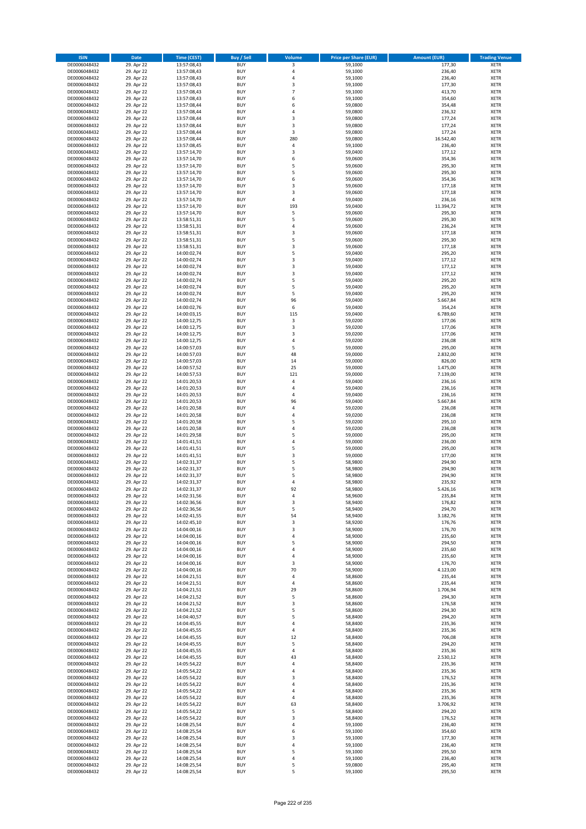| <b>ISIN</b>                  | <b>Date</b>              | <b>Time (CEST)</b>         | <b>Buy / Sell</b>        | Volume                       | <b>Price per Share (EUR)</b> | <b>Amount (EUR)</b>  | <b>Trading Venue</b>       |
|------------------------------|--------------------------|----------------------------|--------------------------|------------------------------|------------------------------|----------------------|----------------------------|
| DE0006048432                 | 29. Apr 22               | 13:57:08,43                | <b>BUY</b>               | 3                            | 59,1000                      | 177,30               | <b>XETR</b>                |
| DE0006048432                 | 29. Apr 22               | 13:57:08,43                | <b>BUY</b>               | $\overline{4}$               | 59,1000                      | 236,40               | <b>XETR</b>                |
| DE0006048432                 | 29. Apr 22               | 13:57:08,43                | <b>BUY</b>               | $\overline{4}$               | 59,1000                      | 236,40               | <b>XETR</b>                |
| DE0006048432<br>DE0006048432 | 29. Apr 22<br>29. Apr 22 | 13:57:08,43<br>13:57:08,43 | <b>BUY</b><br><b>BUY</b> | 3<br>$\overline{7}$          | 59,1000<br>59,1000           | 177,30<br>413,70     | <b>XETR</b><br><b>XETR</b> |
| DE0006048432                 | 29. Apr 22               | 13:57:08,43                | <b>BUY</b>               | 6                            | 59,1000                      | 354,60               | <b>XETR</b>                |
| DE0006048432                 | 29. Apr 22               | 13:57:08,44                | <b>BUY</b>               | 6                            | 59,0800                      | 354,48               | <b>XETR</b>                |
| DE0006048432                 | 29. Apr 22               | 13:57:08,44                | <b>BUY</b>               | 4                            | 59,0800                      | 236,32               | <b>XETR</b>                |
| DE0006048432                 | 29. Apr 22               | 13:57:08,44                | BUY                      | $\overline{3}$               | 59,0800                      | 177,24               | <b>XETR</b>                |
| DE0006048432                 | 29. Apr 22               | 13:57:08,44                | <b>BUY</b>               | 3                            | 59,0800                      | 177,24               | <b>XETR</b>                |
| DE0006048432                 | 29. Apr 22               | 13:57:08,44                | <b>BUY</b>               | 3                            | 59,0800                      | 177,24               | <b>XETR</b>                |
| DE0006048432<br>DE0006048432 | 29. Apr 22<br>29. Apr 22 | 13:57:08,44<br>13:57:08,45 | <b>BUY</b><br><b>BUY</b> | 280<br>4                     | 59,0800<br>59,1000           | 16.542,40<br>236,40  | <b>XETR</b><br><b>XETR</b> |
| DE0006048432                 | 29. Apr 22               | 13:57:14,70                | <b>BUY</b>               | 3                            | 59,0400                      | 177,12               | <b>XETR</b>                |
| DE0006048432                 | 29. Apr 22               | 13:57:14,70                | <b>BUY</b>               | 6                            | 59,0600                      | 354,36               | <b>XETR</b>                |
| DE0006048432                 | 29. Apr 22               | 13:57:14,70                | BUY                      | 5                            | 59,0600                      | 295,30               | <b>XETR</b>                |
| DE0006048432                 | 29. Apr 22               | 13:57:14,70                | <b>BUY</b>               | 5                            | 59,0600                      | 295,30               | <b>XETR</b>                |
| DE0006048432                 | 29. Apr 22               | 13:57:14,70                | <b>BUY</b>               | 6                            | 59,0600                      | 354,36               | <b>XETR</b>                |
| DE0006048432                 | 29. Apr 22               | 13:57:14,70                | <b>BUY</b>               | 3                            | 59,0600                      | 177,18               | <b>XETR</b>                |
| DE0006048432                 | 29. Apr 22               | 13:57:14,70                | <b>BUY</b>               | $\overline{\mathbf{3}}$      | 59,0600                      | 177,18               | <b>XETR</b>                |
| DE0006048432<br>DE0006048432 | 29. Apr 22<br>29. Apr 22 | 13:57:14,70<br>13:57:14,70 | <b>BUY</b><br><b>BUY</b> | $\overline{4}$<br>193        | 59,0400<br>59,0400           | 236,16<br>11.394,72  | <b>XETR</b><br><b>XETR</b> |
| DE0006048432                 | 29. Apr 22               | 13:57:14,70                | <b>BUY</b>               | 5                            | 59,0600                      | 295,30               | <b>XETR</b>                |
| DE0006048432                 | 29. Apr 22               | 13:58:51,31                | <b>BUY</b>               | 5                            | 59,0600                      | 295,30               | <b>XETR</b>                |
| DE0006048432                 | 29. Apr 22               | 13:58:51,31                | <b>BUY</b>               | 4                            | 59,0600                      | 236,24               | <b>XETR</b>                |
| DE0006048432                 | 29. Apr 22               | 13:58:51,31                | <b>BUY</b>               | 3                            | 59,0600                      | 177,18               | <b>XETR</b>                |
| DE0006048432                 | 29. Apr 22               | 13:58:51,31                | <b>BUY</b>               | 5                            | 59,0600                      | 295,30               | <b>XETR</b>                |
| DE0006048432                 | 29. Apr 22               | 13:58:51,31                | <b>BUY</b>               | $\overline{\mathbf{3}}$      | 59,0600                      | 177,18               | <b>XETR</b>                |
| DE0006048432<br>DE0006048432 | 29. Apr 22<br>29. Apr 22 | 14:00:02,74<br>14:00:02,74 | <b>BUY</b><br><b>BUY</b> | 5<br>$\overline{\mathbf{3}}$ | 59,0400<br>59,0400           | 295,20<br>177,12     | <b>XETR</b><br><b>XETR</b> |
| DE0006048432                 | 29. Apr 22               | 14:00:02,74                | <b>BUY</b>               | $\overline{\mathbf{3}}$      | 59,0400                      | 177,12               | <b>XETR</b>                |
| DE0006048432                 | 29. Apr 22               | 14:00:02,74                | <b>BUY</b>               | 3                            | 59,0400                      | 177,12               | <b>XETR</b>                |
| DE0006048432                 | 29. Apr 22               | 14:00:02,74                | <b>BUY</b>               | 5                            | 59,0400                      | 295,20               | <b>XETR</b>                |
| DE0006048432                 | 29. Apr 22               | 14:00:02,74                | <b>BUY</b>               | 5                            | 59,0400                      | 295,20               | <b>XETR</b>                |
| DE0006048432                 | 29. Apr 22               | 14:00:02,74                | <b>BUY</b>               | 5                            | 59,0400                      | 295,20               | <b>XETR</b>                |
| DE0006048432                 | 29. Apr 22               | 14:00:02,74                | <b>BUY</b>               | 96                           | 59,0400                      | 5.667,84             | <b>XETR</b>                |
| DE0006048432                 | 29. Apr 22               | 14:00:02,76                | <b>BUY</b><br>BUY        | 6<br>115                     | 59,0400<br>59,0400           | 354,24<br>6.789,60   | <b>XETR</b>                |
| DE0006048432<br>DE0006048432 | 29. Apr 22<br>29. Apr 22 | 14:00:03,15<br>14:00:12,75 | <b>BUY</b>               | 3                            | 59,0200                      | 177,06               | <b>XETR</b><br><b>XETR</b> |
| DE0006048432                 | 29. Apr 22               | 14:00:12,75                | <b>BUY</b>               | 3                            | 59,0200                      | 177,06               | <b>XETR</b>                |
| DE0006048432                 | 29. Apr 22               | 14:00:12,75                | <b>BUY</b>               | $\overline{\mathbf{3}}$      | 59,0200                      | 177,06               | <b>XETR</b>                |
| DE0006048432                 | 29. Apr 22               | 14:00:12,75                | <b>BUY</b>               | 4                            | 59,0200                      | 236,08               | <b>XETR</b>                |
| DE0006048432                 | 29. Apr 22               | 14:00:57,03                | <b>BUY</b>               | 5                            | 59,0000                      | 295,00               | <b>XETR</b>                |
| DE0006048432                 | 29. Apr 22               | 14:00:57,03                | <b>BUY</b>               | 48                           | 59,0000                      | 2.832,00             | <b>XETR</b>                |
| DE0006048432                 | 29. Apr 22               | 14:00:57,03                | <b>BUY</b>               | $14\,$                       | 59,0000                      | 826,00               | <b>XETR</b>                |
| DE0006048432<br>DE0006048432 | 29. Apr 22<br>29. Apr 22 | 14:00:57,52                | <b>BUY</b><br><b>BUY</b> | 25<br>121                    | 59,0000<br>59,0000           | 1.475,00<br>7.139,00 | <b>XETR</b><br><b>XETR</b> |
| DE0006048432                 | 29. Apr 22               | 14:00:57,53<br>14:01:20,53 | <b>BUY</b>               | $\overline{4}$               | 59,0400                      | 236,16               | <b>XETR</b>                |
| DE0006048432                 | 29. Apr 22               | 14:01:20,53                | <b>BUY</b>               | 4                            | 59,0400                      | 236,16               | <b>XETR</b>                |
| DE0006048432                 | 29. Apr 22               | 14:01:20,53                | <b>BUY</b>               | $\overline{a}$               | 59,0400                      | 236,16               | <b>XETR</b>                |
| DE0006048432                 | 29. Apr 22               | 14:01:20,53                | <b>BUY</b>               | 96                           | 59,0400                      | 5.667,84             | <b>XETR</b>                |
| DE0006048432                 | 29. Apr 22               | 14:01:20,58                | <b>BUY</b>               | $\overline{4}$               | 59,0200                      | 236,08               | <b>XETR</b>                |
| DE0006048432                 | 29. Apr 22               | 14:01:20,58                | <b>BUY</b>               | $\overline{4}$               | 59,0200                      | 236,08               | <b>XETR</b>                |
| DE0006048432<br>DE0006048432 | 29. Apr 22<br>29. Apr 22 | 14:01:20,58                | <b>BUY</b><br><b>BUY</b> | 5<br>$\overline{4}$          | 59,0200<br>59,0200           | 295,10<br>236,08     | <b>XETR</b><br><b>XETR</b> |
| DE0006048432                 | 29. Apr 22               | 14:01:20,58<br>14:01:29,58 | <b>BUY</b>               | 5                            | 59,0000                      | 295,00               | <b>XETR</b>                |
| DE0006048432                 | 29. Apr 22               | 14:01:41,51                | <b>BUY</b>               | $\overline{a}$               | 59,0000                      | 236,00               | <b>XETR</b>                |
| DE0006048432                 | 29. Apr 22               | 14:01:41,51                | <b>BUY</b>               | 5                            | 59,0000                      | 295,00               | <b>XETR</b>                |
| DE0006048432                 | 29. Apr 22               | 14:01:41,51                | BUY                      | $\overline{\mathbf{3}}$      | 59,0000                      | 177,00               | <b>XETR</b>                |
| DE0006048432                 | 29. Apr 22               | 14:02:31,37                | <b>BUY</b>               | 5                            | 58,9800                      | 294,90               | <b>XETR</b>                |
| DE0006048432                 | 29. Apr 22               | 14:02:31,37                | <b>BUY</b>               | 5                            | 58,9800                      | 294,90               | <b>XETR</b>                |
| DE0006048432<br>DE0006048432 | 29. Apr 22<br>29. Apr 22 | 14:02:31,37<br>14:02:31,37 | BUY<br>BUY               | 5<br>4                       | 58,9800<br>58,9800           | 294,90<br>235,92     | <b>XETR</b><br><b>XETR</b> |
| DE0006048432                 | 29. Apr 22               | 14:02:31,37                | <b>BUY</b>               | 92                           | 58,9800                      | 5.426,16             | <b>XETR</b>                |
| DE0006048432                 | 29. Apr 22               | 14:02:31,56                | <b>BUY</b>               | 4                            | 58,9600                      | 235,84               | <b>XETR</b>                |
| DE0006048432                 | 29. Apr 22               | 14:02:36,56                | <b>BUY</b>               | 3                            | 58,9400                      | 176,82               | <b>XETR</b>                |
| DE0006048432                 | 29. Apr 22               | 14:02:36,56                | <b>BUY</b>               | 5                            | 58,9400                      | 294,70               | <b>XETR</b>                |
| DE0006048432                 | 29. Apr 22               | 14:02:41,55                | <b>BUY</b>               | 54                           | 58,9400                      | 3.182,76             | <b>XETR</b>                |
| DE0006048432                 | 29. Apr 22               | 14:02:45,10                | <b>BUY</b>               | 3                            | 58,9200                      | 176,76               | <b>XETR</b>                |
| DE0006048432<br>DE0006048432 | 29. Apr 22<br>29. Apr 22 | 14:04:00,16<br>14:04:00,16 | <b>BUY</b><br><b>BUY</b> | 3<br>4                       | 58,9000<br>58,9000           | 176,70<br>235,60     | <b>XETR</b><br><b>XETR</b> |
| DE0006048432                 | 29. Apr 22               | 14:04:00,16                | <b>BUY</b>               | 5                            | 58,9000                      | 294,50               | <b>XETR</b>                |
| DE0006048432                 | 29. Apr 22               | 14:04:00,16                | <b>BUY</b>               | $\overline{a}$               | 58,9000                      | 235,60               | <b>XETR</b>                |
| DE0006048432                 | 29. Apr 22               | 14:04:00,16                | <b>BUY</b>               | 4                            | 58,9000                      | 235,60               | <b>XETR</b>                |
| DE0006048432                 | 29. Apr 22               | 14:04:00,16                | <b>BUY</b>               | 3                            | 58,9000                      | 176,70               | <b>XETR</b>                |
| DE0006048432                 | 29. Apr 22               | 14:04:00,16                | <b>BUY</b>               | 70                           | 58,9000                      | 4.123,00             | <b>XETR</b>                |
| DE0006048432<br>DE0006048432 | 29. Apr 22<br>29. Apr 22 | 14:04:21,51<br>14:04:21,51 | <b>BUY</b><br><b>BUY</b> | 4<br>4                       | 58,8600<br>58,8600           | 235,44<br>235,44     | <b>XETR</b><br><b>XETR</b> |
| DE0006048432                 | 29. Apr 22               | 14:04:21,51                | <b>BUY</b>               | 29                           | 58,8600                      | 1.706,94             | <b>XETR</b>                |
| DE0006048432                 | 29. Apr 22               | 14:04:21,52                | <b>BUY</b>               | 5                            | 58,8600                      | 294,30               | <b>XETR</b>                |
| DE0006048432                 | 29. Apr 22               | 14:04:21,52                | <b>BUY</b>               | 3                            | 58,8600                      | 176,58               | <b>XETR</b>                |
| DE0006048432                 | 29. Apr 22               | 14:04:21,52                | <b>BUY</b>               | 5                            | 58,8600                      | 294,30               | <b>XETR</b>                |
| DE0006048432                 | 29. Apr 22               | 14:04:40,57                | <b>BUY</b>               | 5                            | 58,8400                      | 294,20               | <b>XETR</b>                |
| DE0006048432                 | 29. Apr 22               | 14:04:45,55                | <b>BUY</b>               | 4                            | 58,8400                      | 235,36               | <b>XETR</b>                |
| DE0006048432<br>DE0006048432 | 29. Apr 22<br>29. Apr 22 | 14:04:45,55<br>14:04:45,55 | <b>BUY</b><br><b>BUY</b> | 4<br>12                      | 58,8400<br>58,8400           | 235,36<br>706,08     | <b>XETR</b><br><b>XETR</b> |
| DE0006048432                 | 29. Apr 22               | 14:04:45,55                | <b>BUY</b>               | 5                            | 58,8400                      | 294,20               | <b>XETR</b>                |
| DE0006048432                 | 29. Apr 22               | 14:04:45,55                | <b>BUY</b>               | 4                            | 58,8400                      | 235,36               | <b>XETR</b>                |
| DE0006048432                 | 29. Apr 22               | 14:04:45,55                | <b>BUY</b>               | 43                           | 58,8400                      | 2.530,12             | <b>XETR</b>                |
| DE0006048432                 | 29. Apr 22               | 14:05:54,22                | <b>BUY</b>               | 4                            | 58,8400                      | 235,36               | <b>XETR</b>                |
| DE0006048432                 | 29. Apr 22               | 14:05:54,22                | <b>BUY</b>               | $\overline{a}$               | 58,8400                      | 235,36               | <b>XETR</b>                |
| DE0006048432<br>DE0006048432 | 29. Apr 22<br>29. Apr 22 | 14:05:54,22<br>14:05:54,22 | <b>BUY</b><br><b>BUY</b> | $\overline{\mathbf{3}}$<br>4 | 58,8400<br>58,8400           | 176,52<br>235,36     | <b>XETR</b><br><b>XETR</b> |
| DE0006048432                 | 29. Apr 22               | 14:05:54,22                | <b>BUY</b>               | 4                            | 58,8400                      | 235,36               | <b>XETR</b>                |
| DE0006048432                 | 29. Apr 22               | 14:05:54,22                | <b>BUY</b>               | 4                            | 58,8400                      | 235,36               | <b>XETR</b>                |
| DE0006048432                 | 29. Apr 22               | 14:05:54,22                | <b>BUY</b>               | 63                           | 58,8400                      | 3.706,92             | <b>XETR</b>                |
| DE0006048432                 | 29. Apr 22               | 14:05:54,22                | <b>BUY</b>               | 5                            | 58,8400                      | 294,20               | <b>XETR</b>                |
| DE0006048432                 | 29. Apr 22               | 14:05:54,22                | <b>BUY</b>               | $\overline{\mathbf{3}}$      | 58,8400                      | 176,52               | <b>XETR</b>                |
| DE0006048432                 | 29. Apr 22               | 14:08:25,54                | <b>BUY</b>               | 4                            | 59,1000                      | 236,40               | <b>XETR</b>                |
| DE0006048432<br>DE0006048432 | 29. Apr 22<br>29. Apr 22 | 14:08:25,54<br>14:08:25,54 | <b>BUY</b><br><b>BUY</b> | 6<br>3                       | 59,1000<br>59,1000           | 354,60<br>177,30     | <b>XETR</b><br><b>XETR</b> |
| DE0006048432                 | 29. Apr 22               | 14:08:25,54                | <b>BUY</b>               | 4                            | 59,1000                      | 236,40               | <b>XETR</b>                |
| DE0006048432                 | 29. Apr 22               | 14:08:25,54                | <b>BUY</b>               | 5                            | 59,1000                      | 295,50               | <b>XETR</b>                |
| DE0006048432                 | 29. Apr 22               | 14:08:25,54                | <b>BUY</b>               | 4                            | 59,1000                      | 236,40               | <b>XETR</b>                |
| DE0006048432                 | 29. Apr 22               | 14:08:25,54                | <b>BUY</b>               | 5                            | 59,0800                      | 295,40               | <b>XETR</b>                |
| DE0006048432                 | 29. Apr 22               | 14:08:25,54                | <b>BUY</b>               | 5                            | 59,1000                      | 295,50               | <b>XETR</b>                |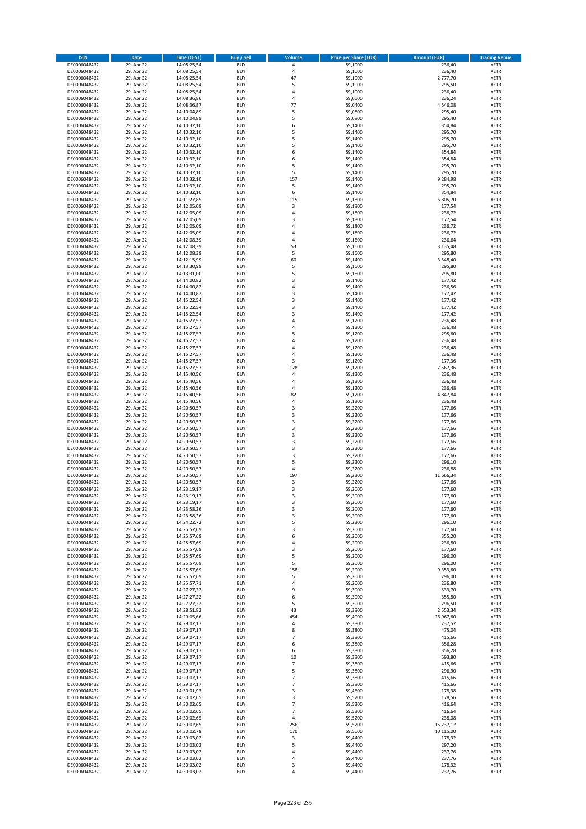| <b>ISIN</b>                  | Date                     | Time (CEST)                | <b>Buy / Sell</b>        | <b>Volume</b>         | <b>Price per Share (EUR)</b> | <b>Amount (EUR)</b> | <b>Trading Venue</b>       |
|------------------------------|--------------------------|----------------------------|--------------------------|-----------------------|------------------------------|---------------------|----------------------------|
| DE0006048432                 | 29. Apr 22               | 14:08:25,54                | <b>BUY</b>               | $\pmb{4}$             | 59,1000                      | 236,40              | <b>XETR</b>                |
| DE0006048432                 | 29. Apr 22               | 14:08:25,54                | <b>BUY</b>               | $\sqrt{4}$            | 59,1000                      | 236,40              | XETR                       |
| DE0006048432                 | 29. Apr 22               | 14:08:25,54                | <b>BUY</b>               | 47                    | 59,1000                      | 2.777,70            | <b>XETR</b>                |
| DE0006048432<br>DE0006048432 | 29. Apr 22<br>29. Apr 22 | 14:08:25,54<br>14:08:25,54 | <b>BUY</b><br><b>BUY</b> | 5<br>4                | 59,1000<br>59,1000           | 295,50<br>236,40    | XETR<br><b>XETR</b>        |
| DE0006048432                 | 29. Apr 22               | 14:08:36,86                | <b>BUY</b>               | $\overline{4}$        | 59,0600                      | 236,24              | <b>XETR</b>                |
| DE0006048432                 | 29. Apr 22               | 14:08:36,87                | <b>BUY</b>               | 77                    | 59,0400                      | 4.546,08            | <b>XETR</b>                |
| DE0006048432                 | 29. Apr 22               | 14:10:04,89                | <b>BUY</b>               | 5                     | 59,0800                      | 295,40              | <b>XETR</b>                |
| DE0006048432                 | 29. Apr 22               | 14:10:04,89                | <b>BUY</b>               | 5                     | 59,0800                      | 295,40              | <b>XETR</b>                |
| DE0006048432                 | 29. Apr 22               | 14:10:32,10                | <b>BUY</b>               | 6                     | 59,1400                      | 354,84              | <b>XETR</b>                |
| DE0006048432<br>DE0006048432 | 29. Apr 22<br>29. Apr 22 | 14:10:32,10<br>14:10:32,10 | <b>BUY</b><br><b>BUY</b> | 5<br>5                | 59,1400<br>59,1400           | 295,70<br>295,70    | <b>XETR</b><br><b>XETR</b> |
| DE0006048432                 | 29. Apr 22               | 14:10:32,10                | <b>BUY</b>               | 5                     | 59,1400                      | 295,70              | <b>XETR</b>                |
| DE0006048432                 | 29. Apr 22               | 14:10:32,10                | <b>BUY</b>               | 6                     | 59,1400                      | 354,84              | <b>XETR</b>                |
| DE0006048432                 | 29. Apr 22               | 14:10:32,10                | <b>BUY</b>               | 6                     | 59,1400                      | 354,84              | <b>XETR</b>                |
| DE0006048432                 | 29. Apr 22               | 14:10:32,10                | <b>BUY</b>               | 5                     | 59,1400                      | 295,70              | <b>XETR</b>                |
| DE0006048432                 | 29. Apr 22               | 14:10:32,10                | <b>BUY</b><br><b>BUY</b> | 5<br>157              | 59,1400                      | 295,70              | <b>XETR</b><br><b>XETR</b> |
| DE0006048432<br>DE0006048432 | 29. Apr 22<br>29. Apr 22 | 14:10:32,10<br>14:10:32,10 | <b>BUY</b>               | 5                     | 59,1400<br>59,1400           | 9.284,98<br>295,70  | <b>XETR</b>                |
| DE0006048432                 | 29. Apr 22               | 14:10:32,10                | <b>BUY</b>               | 6                     | 59,1400                      | 354,84              | <b>XETR</b>                |
| DE0006048432                 | 29. Apr 22               | 14:11:27,85                | <b>BUY</b>               | 115                   | 59,1800                      | 6.805,70            | <b>XETR</b>                |
| DE0006048432                 | 29. Apr 22               | 14:12:05,09                | <b>BUY</b>               | 3                     | 59,1800                      | 177,54              | <b>XETR</b>                |
| DE0006048432                 | 29. Apr 22               | 14:12:05,09                | <b>BUY</b>               | 4                     | 59,1800                      | 236,72              | <b>XETR</b>                |
| DE0006048432<br>DE0006048432 | 29. Apr 22               | 14:12:05,09<br>14:12:05,09 | <b>BUY</b><br><b>BUY</b> | 3<br>$\sqrt{4}$       | 59,1800                      | 177,54              | <b>XETR</b><br><b>XETR</b> |
| DE0006048432                 | 29. Apr 22<br>29. Apr 22 | 14:12:05,09                | <b>BUY</b>               | 4                     | 59,1800<br>59,1800           | 236,72<br>236,72    | <b>XETR</b>                |
| DE0006048432                 | 29. Apr 22               | 14:12:08,39                | <b>BUY</b>               | $\overline{4}$        | 59,1600                      | 236,64              | <b>XETR</b>                |
| DE0006048432                 | 29. Apr 22               | 14:12:08,39                | <b>BUY</b>               | 53                    | 59,1600                      | 3.135,48            | <b>XETR</b>                |
| DE0006048432                 | 29. Apr 22               | 14:12:08,39                | <b>BUY</b>               | 5                     | 59,1600                      | 295,80              | <b>XETR</b>                |
| DE0006048432                 | 29. Apr 22               | 14:12:15,99                | <b>BUY</b>               | 60                    | 59,1400                      | 3.548,40            | <b>XETR</b>                |
| DE0006048432<br>DE0006048432 | 29. Apr 22<br>29. Apr 22 | 14:13:30,99<br>14:13:31,00 | <b>BUY</b><br><b>BUY</b> | 5<br>5                | 59,1600<br>59,1600           | 295,80<br>295,80    | <b>XETR</b><br><b>XETR</b> |
| DE0006048432                 | 29. Apr 22               | 14:14:00,82                | <b>BUY</b>               | 3                     | 59,1400                      | 177,42              | <b>XETR</b>                |
| DE0006048432                 | 29. Apr 22               | 14:14:00,82                | <b>BUY</b>               | $\overline{4}$        | 59,1400                      | 236,56              | <b>XETR</b>                |
| DE0006048432                 | 29. Apr 22               | 14:14:00,82                | <b>BUY</b>               | 3                     | 59,1400                      | 177,42              | <b>XETR</b>                |
| DE0006048432                 | 29. Apr 22               | 14:15:22,54                | <b>BUY</b>               | 3                     | 59,1400                      | 177,42              | <b>XETR</b>                |
| DE0006048432                 | 29. Apr 22               | 14:15:22,54                | <b>BUY</b>               | 3                     | 59,1400                      | 177,42              | <b>XETR</b>                |
| DE0006048432<br>DE0006048432 | 29. Apr 22<br>29. Apr 22 | 14:15:22,54<br>14:15:27,57 | <b>BUY</b><br><b>BUY</b> | 3<br>$\sqrt{4}$       | 59,1400<br>59,1200           | 177,42<br>236,48    | <b>XETR</b><br><b>XETR</b> |
| DE0006048432                 | 29. Apr 22               | 14:15:27,57                | <b>BUY</b>               | 4                     | 59,1200                      | 236,48              | <b>XETR</b>                |
| DE0006048432                 | 29. Apr 22               | 14:15:27,57                | <b>BUY</b>               | 5                     | 59,1200                      | 295,60              | <b>XETR</b>                |
| DE0006048432                 | 29. Apr 22               | 14:15:27,57                | <b>BUY</b>               | 4                     | 59,1200                      | 236,48              | <b>XETR</b>                |
| DE0006048432                 | 29. Apr 22               | 14:15:27,57                | <b>BUY</b>               | 4                     | 59,1200                      | 236,48              | <b>XETR</b>                |
| DE0006048432                 | 29. Apr 22               | 14:15:27,57                | <b>BUY</b>               | 4                     | 59,1200                      | 236,48              | <b>XETR</b>                |
| DE0006048432<br>DE0006048432 | 29. Apr 22               | 14:15:27,57                | <b>BUY</b><br><b>BUY</b> | 3<br>128              | 59,1200                      | 177,36              | <b>XETR</b><br><b>XETR</b> |
| DE0006048432                 | 29. Apr 22<br>29. Apr 22 | 14:15:27,57<br>14:15:40,56 | <b>BUY</b>               | 4                     | 59,1200<br>59,1200           | 7.567,36<br>236,48  | <b>XETR</b>                |
| DE0006048432                 | 29. Apr 22               | 14:15:40,56                | <b>BUY</b>               | $\overline{4}$        | 59,1200                      | 236,48              | <b>XETR</b>                |
| DE0006048432                 | 29. Apr 22               | 14:15:40,56                | <b>BUY</b>               | 4                     | 59,1200                      | 236,48              | <b>XETR</b>                |
| DE0006048432                 | 29. Apr 22               | 14:15:40,56                | <b>BUY</b>               | 82                    | 59,1200                      | 4.847,84            | <b>XETR</b>                |
| DE0006048432                 | 29. Apr 22               | 14:15:40,56                | <b>BUY</b>               | 4                     | 59,1200                      | 236,48              | <b>XETR</b>                |
| DE0006048432<br>DE0006048432 | 29. Apr 22<br>29. Apr 22 | 14:20:50,57<br>14:20:50,57 | <b>BUY</b><br><b>BUY</b> | 3<br>3                | 59,2200<br>59,2200           | 177,66<br>177,66    | <b>XETR</b><br><b>XETR</b> |
| DE0006048432                 | 29. Apr 22               | 14:20:50,57                | <b>BUY</b>               | $\mathsf 3$           | 59,2200                      | 177,66              | <b>XETR</b>                |
| DE0006048432                 | 29. Apr 22               | 14:20:50,57                | <b>BUY</b>               | 3                     | 59,2200                      | 177,66              | <b>XETR</b>                |
| DE0006048432                 | 29. Apr 22               | 14:20:50,57                | <b>BUY</b>               | 3                     | 59,2200                      | 177,66              | <b>XETR</b>                |
| DE0006048432                 | 29. Apr 22               | 14:20:50,57                | <b>BUY</b>               | 3                     | 59,2200                      | 177,66              | <b>XETR</b>                |
| DE0006048432                 | 29. Apr 22               | 14:20:50,57                | <b>BUY</b>               | 3                     | 59,2200                      | 177,66              | <b>XETR</b>                |
| DE0006048432<br>DE0006048432 | 29. Apr 22<br>29. Apr 22 | 14:20:50,57<br>14:20:50,57 | <b>BUY</b><br><b>BUY</b> | 3<br>5                | 59,2200<br>59,2200           | 177,66<br>296,10    | <b>XETR</b><br><b>XETR</b> |
| DE0006048432                 | 29. Apr 22               | 14:20:50,57                | <b>BUY</b>               | $\sqrt{4}$            | 59,2200                      | 236,88              | <b>XETR</b>                |
| DE0006048432                 | 29. Apr 22               | 14:20:50,57                | <b>BUY</b>               | 197                   | 59,2200                      | 11.666,34           | <b>XETR</b>                |
| DE0006048432                 | 29. Apr 22               | 14:20:50,57                | <b>BUY</b>               | 3                     | 59,2200                      | 177,66              | <b>XETR</b>                |
| DE0006048432                 | 29. Apr 22               | 14:23:19,17                | <b>BUY</b>               | 3                     | 59,2000                      | 177,60              | <b>XETR</b>                |
| DE0006048432<br>DE0006048432 | 29. Apr 22<br>29. Apr 22 | 14:23:19,17                | BUY                      | 3                     | 59,2000                      | 177,60              | XETR                       |
| DE0006048432                 | 29. Apr 22               | 14:23:19,17<br>14:23:58,26 | <b>BUY</b><br><b>BUY</b> | 3<br>3                | 59,2000<br>59,2000           | 177,60<br>177,60    | <b>XETR</b><br><b>XETR</b> |
| DE0006048432                 | 29. Apr 22               | 14:23:58,26                | <b>BUY</b>               | 3                     | 59,2000                      | 177,60              | XETR                       |
| DE0006048432                 | 29. Apr 22               | 14:24:22,72                | <b>BUY</b>               | 5                     | 59,2200                      | 296,10              | <b>XETR</b>                |
| DE0006048432                 | 29. Apr 22               | 14:25:57,69                | <b>BUY</b>               | 3                     | 59,2000                      | 177,60              | <b>XETR</b>                |
| DE0006048432                 | 29. Apr 22               | 14:25:57,69                | <b>BUY</b>               | 6                     | 59,2000                      | 355,20              | <b>XETR</b>                |
| DE0006048432<br>DE0006048432 | 29. Apr 22<br>29. Apr 22 | 14:25:57,69<br>14:25:57,69 | <b>BUY</b><br><b>BUY</b> | 4<br>3                | 59,2000<br>59,2000           | 236,80<br>177,60    | <b>XETR</b><br>XETR        |
| DE0006048432                 | 29. Apr 22               | 14:25:57,69                | <b>BUY</b>               | 5                     | 59,2000                      | 296,00              | <b>XETR</b>                |
| DE0006048432                 | 29. Apr 22               | 14:25:57,69                | <b>BUY</b>               | 5                     | 59,2000                      | 296,00              | XETR                       |
| DE0006048432                 | 29. Apr 22               | 14:25:57,69                | <b>BUY</b>               | 158                   | 59,2000                      | 9.353,60            | <b>XETR</b>                |
| DE0006048432                 | 29. Apr 22               | 14:25:57,69                | <b>BUY</b>               | 5                     | 59,2000                      | 296,00              | XETR                       |
| DE0006048432<br>DE0006048432 | 29. Apr 22<br>29. Apr 22 | 14:25:57,71<br>14:27:27,22 | <b>BUY</b><br><b>BUY</b> | 4<br>9                | 59,2000<br>59,3000           | 236,80<br>533,70    | <b>XETR</b><br>XETR        |
| DE0006048432                 | 29. Apr 22               | 14:27:27,22                | <b>BUY</b>               | 6                     | 59,3000                      | 355,80              | <b>XETR</b>                |
| DE0006048432                 | 29. Apr 22               | 14:27:27,22                | <b>BUY</b>               | 5                     | 59,3000                      | 296,50              | <b>XETR</b>                |
| DE0006048432                 | 29. Apr 22               | 14:28:51,82                | <b>BUY</b>               | 43                    | 59,3800                      | 2.553,34            | <b>XETR</b>                |
| DE0006048432                 | 29. Apr 22               | 14:29:05,66                | <b>BUY</b>               | 454                   | 59,4000                      | 26.967,60           | XETR                       |
| DE0006048432<br>DE0006048432 | 29. Apr 22               | 14:29:07,17                | <b>BUY</b><br><b>BUY</b> | $\sqrt{4}$<br>8       | 59,3800                      | 237,52              | <b>XETR</b><br><b>XETR</b> |
| DE0006048432                 | 29. Apr 22<br>29. Apr 22 | 14:29:07,17<br>14:29:07,17 | <b>BUY</b>               | $\overline{7}$        | 59,3800<br>59,3800           | 475,04<br>415,66    | <b>XETR</b>                |
| DE0006048432                 | 29. Apr 22               | 14:29:07,17                | <b>BUY</b>               | 6                     | 59,3800                      | 356,28              | XETR                       |
| DE0006048432                 | 29. Apr 22               | 14:29:07,17                | <b>BUY</b>               | 6                     | 59,3800                      | 356,28              | XETR                       |
| DE0006048432                 | 29. Apr 22               | 14:29:07,17                | <b>BUY</b>               | $10\,$                | 59,3800                      | 593,80              | XETR                       |
| DE0006048432                 | 29. Apr 22               | 14:29:07,17                | <b>BUY</b>               | $\overline{7}$        | 59,3800                      | 415,66              | <b>XETR</b>                |
| DE0006048432<br>DE0006048432 | 29. Apr 22<br>29. Apr 22 | 14:29:07,17<br>14:29:07,17 | <b>BUY</b><br><b>BUY</b> | 5<br>$\overline{7}$   | 59,3800<br>59,3800           | 296,90<br>415,66    | XETR<br><b>XETR</b>        |
| DE0006048432                 | 29. Apr 22               | 14:29:07,17                | <b>BUY</b>               | $\overline{7}$        | 59,3800                      | 415,66              | <b>XETR</b>                |
| DE0006048432                 | 29. Apr 22               | 14:30:01,93                | <b>BUY</b>               | 3                     | 59,4600                      | 178,38              | <b>XETR</b>                |
| DE0006048432                 | 29. Apr 22               | 14:30:02,65                | <b>BUY</b>               | 3                     | 59,5200                      | 178,56              | XETR                       |
| DE0006048432                 | 29. Apr 22               | 14:30:02,65                | <b>BUY</b>               | $\overline{7}$        | 59,5200                      | 416,64              | XETR                       |
| DE0006048432                 | 29. Apr 22               | 14:30:02,65                | <b>BUY</b>               | $\overline{7}$        | 59,5200                      | 416,64              | XETR                       |
| DE0006048432<br>DE0006048432 | 29. Apr 22<br>29. Apr 22 | 14:30:02,65<br>14:30:02,65 | <b>BUY</b><br><b>BUY</b> | $\overline{4}$<br>256 | 59,5200<br>59,5200           | 238,08<br>15.237,12 | <b>XETR</b><br><b>XETR</b> |
| DE0006048432                 | 29. Apr 22               | 14:30:02,78                | <b>BUY</b>               | 170                   | 59,5000                      | 10.115,00           | XETR                       |
| DE0006048432                 | 29. Apr 22               | 14:30:03,02                | <b>BUY</b>               | 3                     | 59,4400                      | 178,32              | XETR                       |
| DE0006048432                 | 29. Apr 22               | 14:30:03,02                | <b>BUY</b>               | 5                     | 59,4400                      | 297,20              | XETR                       |
| DE0006048432                 | 29. Apr 22               | 14:30:03,02                | <b>BUY</b>               | 4                     | 59,4400                      | 237,76              | <b>XETR</b>                |
| DE0006048432                 | 29. Apr 22               | 14:30:03,02                | <b>BUY</b>               | 4                     | 59,4400                      | 237,76              | XETR                       |
| DE0006048432<br>DE0006048432 | 29. Apr 22<br>29. Apr 22 | 14:30:03,02<br>14:30:03,02 | <b>BUY</b><br><b>BUY</b> | 3<br>$\sqrt{4}$       | 59,4400<br>59,4400           | 178,32<br>237,76    | <b>XETR</b><br>XETR        |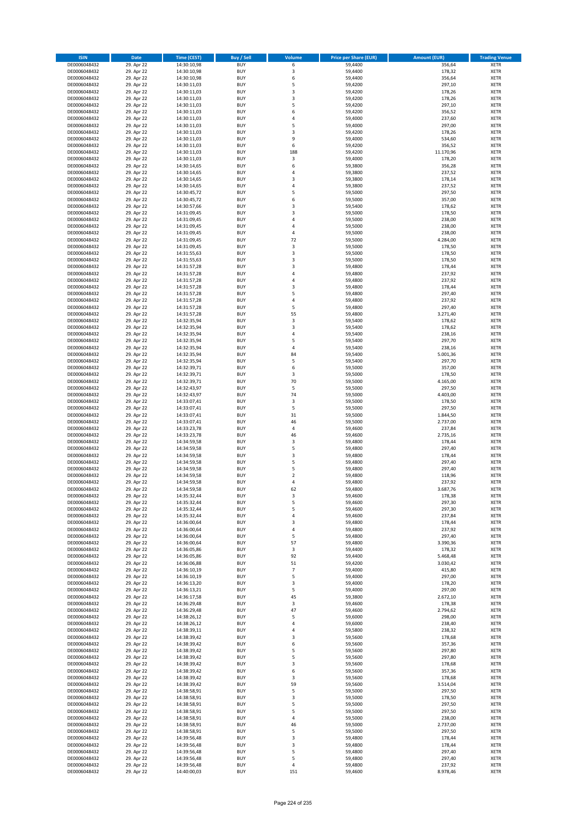| <b>ISIN</b>                  | <b>Date</b>              | <b>Time (CEST)</b>         | <b>Buy / Sell</b>        | <b>Volume</b>           | <b>Price per Share (EUR)</b> | <b>Amount (EUR)</b> | <b>Trading Venue</b>       |
|------------------------------|--------------------------|----------------------------|--------------------------|-------------------------|------------------------------|---------------------|----------------------------|
| DE0006048432                 | 29. Apr 22               | 14:30:10,98                | <b>BUY</b>               | 6                       | 59,4400                      | 356,64              | <b>XETR</b>                |
| DE0006048432                 | 29. Apr 22               | 14:30:10,98                | <b>BUY</b>               | 3                       | 59,4400                      | 178,32              | <b>XETR</b>                |
| DE0006048432                 | 29. Apr 22               | 14:30:10,98                | <b>BUY</b>               | 6                       | 59,4400                      | 356,64              | <b>XETR</b>                |
| DE0006048432<br>DE0006048432 | 29. Apr 22<br>29. Apr 22 | 14:30:11,03<br>14:30:11,03 | <b>BUY</b><br><b>BUY</b> | 5<br>3                  | 59,4200<br>59,4200           | 297,10<br>178,26    | <b>XETR</b><br><b>XETR</b> |
| DE0006048432                 | 29. Apr 22               | 14:30:11,03                | <b>BUY</b>               | 3                       | 59,4200                      | 178,26              | <b>XETR</b>                |
| DE0006048432                 | 29. Apr 22               | 14:30:11,03                | <b>BUY</b>               | 5                       | 59,4200                      | 297,10              | <b>XETR</b>                |
| DE0006048432                 | 29. Apr 22               | 14:30:11,03                | <b>BUY</b>               | 6                       | 59,4200                      | 356,52              | <b>XETR</b>                |
| DE0006048432                 | 29. Apr 22               | 14:30:11,03                | <b>BUY</b>               | 4                       | 59,4000                      | 237,60              | <b>XETR</b>                |
| DE0006048432                 | 29. Apr 22               | 14:30:11,03                | <b>BUY</b>               | 5                       | 59,4000                      | 297,00              | <b>XETR</b>                |
| DE0006048432                 | 29. Apr 22               | 14:30:11,03                | <b>BUY</b>               | 3                       | 59,4200                      | 178,26              | <b>XETR</b>                |
| DE0006048432<br>DE0006048432 | 29. Apr 22<br>29. Apr 22 | 14:30:11,03                | <b>BUY</b><br><b>BUY</b> | 9<br>6                  | 59,4000<br>59,4200           | 534,60<br>356,52    | <b>XETR</b><br><b>XETR</b> |
| DE0006048432                 | 29. Apr 22               | 14:30:11,03<br>14:30:11,03 | <b>BUY</b>               | 188                     | 59,4200                      | 11.170,96           | <b>XETR</b>                |
| DE0006048432                 | 29. Apr 22               | 14:30:11,03                | <b>BUY</b>               | 3                       | 59,4000                      | 178,20              | <b>XETR</b>                |
| DE0006048432                 | 29. Apr 22               | 14:30:14,65                | <b>BUY</b>               | 6                       | 59,3800                      | 356,28              | <b>XETR</b>                |
| DE0006048432                 | 29. Apr 22               | 14:30:14,65                | <b>BUY</b>               | 4                       | 59,3800                      | 237,52              | <b>XETR</b>                |
| DE0006048432                 | 29. Apr 22               | 14:30:14,65                | <b>BUY</b>               | 3                       | 59,3800                      | 178,14              | <b>XETR</b>                |
| DE0006048432                 | 29. Apr 22               | 14:30:14,65                | <b>BUY</b>               | 4                       | 59,3800                      | 237,52              | <b>XETR</b>                |
| DE0006048432                 | 29. Apr 22               | 14:30:45,72                | <b>BUY</b>               | 5                       | 59,5000                      | 297,50              | <b>XETR</b>                |
| DE0006048432                 | 29. Apr 22               | 14:30:45,72                | <b>BUY</b>               | 6                       | 59,5000                      | 357,00              | <b>XETR</b>                |
| DE0006048432<br>DE0006048432 | 29. Apr 22<br>29. Apr 22 | 14:30:57,66<br>14:31:09,45 | <b>BUY</b><br><b>BUY</b> | 3<br>3                  | 59,5400<br>59,5000           | 178,62<br>178,50    | <b>XETR</b><br><b>XETR</b> |
| DE0006048432                 | 29. Apr 22               | 14:31:09,45                | <b>BUY</b>               | 4                       | 59,5000                      | 238,00              | <b>XETR</b>                |
| DE0006048432                 | 29. Apr 22               | 14:31:09,45                | <b>BUY</b>               | 4                       | 59,5000                      | 238,00              | <b>XETR</b>                |
| DE0006048432                 | 29. Apr 22               | 14:31:09,45                | <b>BUY</b>               | 4                       | 59,5000                      | 238,00              | <b>XETR</b>                |
| DE0006048432                 | 29. Apr 22               | 14:31:09,45                | <b>BUY</b>               | 72                      | 59,5000                      | 4.284,00            | <b>XETR</b>                |
| DE0006048432                 | 29. Apr 22               | 14:31:09,45                | <b>BUY</b>               | 3                       | 59,5000                      | 178,50              | <b>XETR</b>                |
| DE0006048432                 | 29. Apr 22               | 14:31:55,63                | <b>BUY</b>               | 3                       | 59,5000                      | 178,50              | <b>XETR</b>                |
| DE0006048432                 | 29. Apr 22               | 14:31:55,63                | <b>BUY</b>               | 3<br>3                  | 59,5000                      | 178,50              | <b>XETR</b>                |
| DE0006048432<br>DE0006048432 | 29. Apr 22<br>29. Apr 22 | 14:31:57,28<br>14:31:57,28 | <b>BUY</b><br><b>BUY</b> | 4                       | 59,4800<br>59,4800           | 178,44<br>237,92    | <b>XETR</b><br><b>XETR</b> |
| DE0006048432                 | 29. Apr 22               | 14:31:57,28                | <b>BUY</b>               | 4                       | 59,4800                      | 237,92              | <b>XETR</b>                |
| DE0006048432                 | 29. Apr 22               | 14:31:57,28                | <b>BUY</b>               | 3                       | 59,4800                      | 178,44              | <b>XETR</b>                |
| DE0006048432                 | 29. Apr 22               | 14:31:57,28                | <b>BUY</b>               | 5                       | 59,4800                      | 297,40              | <b>XETR</b>                |
| DE0006048432                 | 29. Apr 22               | 14:31:57,28                | <b>BUY</b>               | 4                       | 59,4800                      | 237,92              | <b>XETR</b>                |
| DE0006048432                 | 29. Apr 22               | 14:31:57,28                | <b>BUY</b>               | 5                       | 59,4800                      | 297,40              | <b>XETR</b>                |
| DE0006048432                 | 29. Apr 22               | 14:31:57,28                | <b>BUY</b>               | 55                      | 59,4800                      | 3.271,40            | <b>XETR</b>                |
| DE0006048432                 | 29. Apr 22               | 14:32:35,94                | <b>BUY</b>               | 3                       | 59,5400                      | 178,62              | <b>XETR</b>                |
| DE0006048432<br>DE0006048432 | 29. Apr 22<br>29. Apr 22 | 14:32:35,94<br>14:32:35,94 | <b>BUY</b><br><b>BUY</b> | 3<br>4                  | 59,5400<br>59,5400           | 178,62<br>238,16    | <b>XETR</b><br><b>XETR</b> |
| DE0006048432                 | 29. Apr 22               | 14:32:35,94                | <b>BUY</b>               | 5                       | 59,5400                      | 297,70              | <b>XETR</b>                |
| DE0006048432                 | 29. Apr 22               | 14:32:35,94                | <b>BUY</b>               | 4                       | 59,5400                      | 238,16              | <b>XETR</b>                |
| DE0006048432                 | 29. Apr 22               | 14:32:35,94                | <b>BUY</b>               | 84                      | 59,5400                      | 5.001,36            | <b>XETR</b>                |
| DE0006048432                 | 29. Apr 22               | 14:32:35,94                | <b>BUY</b>               | 5                       | 59,5400                      | 297,70              | <b>XETR</b>                |
| DE0006048432                 | 29. Apr 22               | 14:32:39,71                | <b>BUY</b>               | 6                       | 59,5000                      | 357,00              | <b>XETR</b>                |
| DE0006048432                 | 29. Apr 22               | 14:32:39,71                | <b>BUY</b>               | 3                       | 59,5000                      | 178,50              | <b>XETR</b>                |
| DE0006048432                 | 29. Apr 22               | 14:32:39,71                | <b>BUY</b>               | 70                      | 59,5000                      | 4.165,00            | <b>XETR</b>                |
| DE0006048432<br>DE0006048432 | 29. Apr 22<br>29. Apr 22 | 14:32:43,97                | <b>BUY</b><br><b>BUY</b> | 5<br>74                 | 59,5000<br>59,5000           | 297,50<br>4.403,00  | <b>XETR</b><br><b>XETR</b> |
| DE0006048432                 | 29. Apr 22               | 14:32:43,97<br>14:33:07,41 | <b>BUY</b>               | 3                       | 59,5000                      | 178,50              | <b>XETR</b>                |
| DE0006048432                 | 29. Apr 22               | 14:33:07,41                | <b>BUY</b>               | 5                       | 59,5000                      | 297,50              | <b>XETR</b>                |
| DE0006048432                 | 29. Apr 22               | 14:33:07,41                | <b>BUY</b>               | 31                      | 59,5000                      | 1.844,50            | <b>XETR</b>                |
| DE0006048432                 | 29. Apr 22               | 14:33:07,41                | <b>BUY</b>               | 46                      | 59,5000                      | 2.737,00            | <b>XETR</b>                |
| DE0006048432                 | 29. Apr 22               | 14:33:23,78                | <b>BUY</b>               | 4                       | 59,4600                      | 237,84              | <b>XETR</b>                |
| DE0006048432                 | 29. Apr 22               | 14:33:23,78                | <b>BUY</b>               | 46                      | 59,4600                      | 2.735,16            | <b>XETR</b>                |
| DE0006048432                 | 29. Apr 22               | 14:34:59,58                | <b>BUY</b>               | 3                       | 59,4800                      | 178,44              | <b>XETR</b>                |
| DE0006048432                 | 29. Apr 22               | 14:34:59,58                | <b>BUY</b><br><b>BUY</b> | 5<br>3                  | 59,4800                      | 297,40              | <b>XETR</b><br><b>XETR</b> |
| DE0006048432<br>DE0006048432 | 29. Apr 22<br>29. Apr 22 | 14:34:59,58<br>14:34:59,58 | <b>BUY</b>               | 5                       | 59,4800<br>59,4800           | 178,44<br>297,40    | <b>XETR</b>                |
| DE0006048432                 | 29. Apr 22               | 14:34:59,58                | <b>BUY</b>               | 5                       | 59,4800                      | 297,40              | <b>XETR</b>                |
| DE0006048432                 | 29. Apr 22               | 14:34:59,58                | <b>BUY</b>               | $\overline{\mathbf{c}}$ | 59,4800                      | 118,96              | <b>XETR</b>                |
| DE0006048432                 | 29. Apr 22               | 14:34:59,58                | <b>BUY</b>               | 4                       | 59,4800                      | 237,92              | <b>XETR</b>                |
| DE0006048432                 | 29. Apr 22               | 14:34:59,58                | <b>BUY</b>               | 62                      | 59,4800                      | 3.687,76            | <b>XETR</b>                |
| DE0006048432                 | 29. Apr 22               | 14:35:32,44                | BUY                      | 3                       | 59,4600                      | 178,38              | <b>XETR</b>                |
| DE0006048432<br>DE0006048432 | 29. Apr 22               | 14:35:32,44                | <b>BUY</b>               | 5                       | 59,4600<br>59,4600           | 297,30              | <b>XETR</b>                |
| DE0006048432                 | 29. Apr 22<br>29. Apr 22 | 14:35:32,44<br>14:35:32,44 | <b>BUY</b><br><b>BUY</b> | 5<br>4                  | 59,4600                      | 297,30<br>237,84    | <b>XETR</b><br>XETR        |
| DE0006048432                 | 29. Apr 22               | 14:36:00,64                | <b>BUY</b>               | 3                       | 59.4800                      | 178,44              | <b>XETR</b>                |
| DE0006048432                 | 29. Apr 22               | 14:36:00,64                | <b>BUY</b>               | 4                       | 59,4800                      | 237,92              | <b>XETR</b>                |
| DE0006048432                 | 29. Apr 22               | 14:36:00,64                | <b>BUY</b>               | 5                       | 59,4800                      | 297,40              | <b>XETR</b>                |
| DE0006048432                 | 29. Apr 22               | 14:36:00,64                | <b>BUY</b>               | 57                      | 59,4800                      | 3.390,36            | <b>XETR</b>                |
| DE0006048432                 | 29. Apr 22               | 14:36:05,86                | <b>BUY</b>               | 3                       | 59,4400                      | 178,32              | <b>XETR</b>                |
| DE0006048432                 | 29. Apr 22               | 14:36:05,86                | <b>BUY</b>               | 92                      | 59,4400                      | 5.468,48            | <b>XETR</b>                |
| DE0006048432<br>DE0006048432 | 29. Apr 22<br>29. Apr 22 | 14:36:06,88<br>14:36:10,19 | <b>BUY</b><br><b>BUY</b> | 51<br>$\overline{7}$    | 59,4200<br>59,4000           | 3.030,42<br>415,80  | <b>XETR</b><br><b>XETR</b> |
| DE0006048432                 | 29. Apr 22               | 14:36:10,19                | <b>BUY</b>               | 5                       | 59,4000                      | 297,00              | <b>XETR</b>                |
| DE0006048432                 | 29. Apr 22               | 14:36:13,20                | <b>BUY</b>               | 3                       | 59,4000                      | 178,20              | <b>XETR</b>                |
| DE0006048432                 | 29. Apr 22               | 14:36:13,21                | <b>BUY</b>               | 5                       | 59,4000                      | 297,00              | <b>XETR</b>                |
| DE0006048432                 | 29. Apr 22               | 14:36:17,58                | <b>BUY</b>               | 45                      | 59,3800                      | 2.672,10            | <b>XETR</b>                |
| DE0006048432                 | 29. Apr 22               | 14:36:29,48                | <b>BUY</b>               | 3                       | 59,4600                      | 178,38              | <b>XETR</b>                |
| DE0006048432                 | 29. Apr 22               | 14:36:29,48                | <b>BUY</b>               | 47                      | 59,4600                      | 2.794,62            | <b>XETR</b>                |
| DE0006048432<br>DE0006048432 | 29. Apr 22<br>29. Apr 22 | 14:38:26,12                | <b>BUY</b><br><b>BUY</b> | 5<br>4                  | 59,6000<br>59,6000           | 298,00<br>238,40    | XETR<br><b>XETR</b>        |
| DE0006048432                 | 29. Apr 22               | 14:38:26,12<br>14:38:39,11 | <b>BUY</b>               | 4                       | 59,5800                      | 238,32              | <b>XETR</b>                |
| DE0006048432                 | 29. Apr 22               | 14:38:39,42                | <b>BUY</b>               | 3                       | 59,5600                      | 178,68              | <b>XETR</b>                |
| DE0006048432                 | 29. Apr 22               | 14:38:39,42                | <b>BUY</b>               | 6                       | 59,5600                      | 357,36              | <b>XETR</b>                |
| DE0006048432                 | 29. Apr 22               | 14:38:39,42                | <b>BUY</b>               | 5                       | 59,5600                      | 297,80              | <b>XETR</b>                |
| DE0006048432                 | 29. Apr 22               | 14:38:39,42                | <b>BUY</b>               | 5                       | 59,5600                      | 297,80              | <b>XETR</b>                |
| DE0006048432                 | 29. Apr 22               | 14:38:39,42                | <b>BUY</b>               | 3                       | 59,5600                      | 178,68              | <b>XETR</b>                |
| DE0006048432                 | 29. Apr 22               | 14:38:39,42                | <b>BUY</b>               | 6                       | 59,5600                      | 357,36              | <b>XETR</b>                |
| DE0006048432<br>DE0006048432 | 29. Apr 22<br>29. Apr 22 | 14:38:39,42                | <b>BUY</b><br><b>BUY</b> | 3<br>59                 | 59,5600<br>59,5600           | 178,68<br>3.514,04  | <b>XETR</b><br><b>XETR</b> |
| DE0006048432                 | 29. Apr 22               | 14:38:39,42<br>14:38:58,91 | <b>BUY</b>               | 5                       | 59,5000                      | 297,50              | <b>XETR</b>                |
| DE0006048432                 | 29. Apr 22               | 14:38:58,91                | <b>BUY</b>               | 3                       | 59,5000                      | 178,50              | <b>XETR</b>                |
| DE0006048432                 | 29. Apr 22               | 14:38:58,91                | <b>BUY</b>               | 5                       | 59,5000                      | 297,50              | <b>XETR</b>                |
| DE0006048432                 | 29. Apr 22               | 14:38:58,91                | <b>BUY</b>               | 5                       | 59,5000                      | 297,50              | <b>XETR</b>                |
| DE0006048432                 | 29. Apr 22               | 14:38:58,91                | <b>BUY</b>               | 4                       | 59,5000                      | 238,00              | <b>XETR</b>                |
| DE0006048432                 | 29. Apr 22               | 14:38:58,91                | <b>BUY</b>               | 46                      | 59,5000                      | 2.737,00            | <b>XETR</b>                |
| DE0006048432                 | 29. Apr 22               | 14:38:58,91                | <b>BUY</b>               | 5                       | 59,5000                      | 297,50              | <b>XETR</b>                |
| DE0006048432<br>DE0006048432 | 29. Apr 22<br>29. Apr 22 | 14:39:56,48<br>14:39:56,48 | <b>BUY</b><br><b>BUY</b> | 3<br>3                  | 59,4800<br>59,4800           | 178,44<br>178,44    | <b>XETR</b><br><b>XETR</b> |
| DE0006048432                 | 29. Apr 22               | 14:39:56,48                | <b>BUY</b>               | 5                       | 59,4800                      | 297,40              | <b>XETR</b>                |
| DE0006048432                 | 29. Apr 22               | 14:39:56,48                | <b>BUY</b>               | 5                       | 59,4800                      | 297,40              | <b>XETR</b>                |
| DE0006048432                 | 29. Apr 22               | 14:39:56,48                | <b>BUY</b>               | 4                       | 59,4800                      | 237,92              | <b>XETR</b>                |
| DE0006048432                 | 29. Apr 22               | 14:40:00,03                | <b>BUY</b>               | 151                     | 59,4600                      | 8.978,46            | <b>XETR</b>                |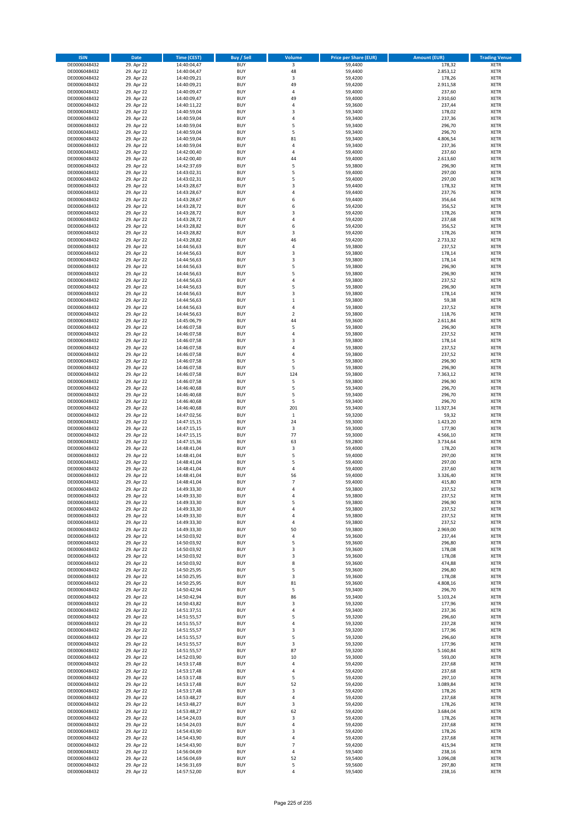| <b>ISIN</b>                  | <b>Date</b>              | <b>Time (CEST)</b>         | <b>Buy / Sell</b>        | Volume                  | <b>Price per Share (EUR)</b> | <b>Amount (EUR)</b> | <b>Trading Venue</b>       |
|------------------------------|--------------------------|----------------------------|--------------------------|-------------------------|------------------------------|---------------------|----------------------------|
| DE0006048432                 | 29. Apr 22               | 14:40:04,47                | <b>BUY</b>               | $\overline{\mathbf{3}}$ | 59,4400                      | 178,32              | <b>XETR</b>                |
| DE0006048432                 | 29. Apr 22               | 14:40:04,47                | <b>BUY</b>               | 48                      | 59,4400                      | 2.853,12            | <b>XETR</b>                |
| DE0006048432                 | 29. Apr 22               | 14:40:09,21                | <b>BUY</b>               | 3                       | 59,4200                      | 178,26              | <b>XETR</b>                |
| DE0006048432<br>DE0006048432 | 29. Apr 22<br>29. Apr 22 | 14:40:09,21<br>14:40:09,47 | <b>BUY</b><br><b>BUY</b> | 49<br>4                 | 59,4200<br>59,4000           | 2.911,58<br>237,60  | <b>XETR</b><br><b>XETR</b> |
| DE0006048432                 | 29. Apr 22               | 14:40:09,47                | <b>BUY</b>               | 49                      | 59,4000                      | 2.910,60            | <b>XETR</b>                |
| DE0006048432                 | 29. Apr 22               | 14:40:11,22                | <b>BUY</b>               | 4                       | 59,3600                      | 237,44              | <b>XETR</b>                |
| DE0006048432                 | 29. Apr 22               | 14:40:59,04                | <b>BUY</b>               | 3                       | 59,3400                      | 178,02              | <b>XETR</b>                |
| DE0006048432                 | 29. Apr 22               | 14:40:59,04                | <b>BUY</b>               | 4                       | 59,3400                      | 237,36              | <b>XETR</b>                |
| DE0006048432                 | 29. Apr 22               | 14:40:59,04                | <b>BUY</b>               | 5                       | 59,3400                      | 296,70              | <b>XETR</b>                |
| DE0006048432                 | 29. Apr 22               | 14:40:59,04                | <b>BUY</b>               | 5                       | 59,3400                      | 296,70              | <b>XETR</b>                |
| DE0006048432<br>DE0006048432 | 29. Apr 22<br>29. Apr 22 | 14:40:59,04<br>14:40:59,04 | <b>BUY</b><br><b>BUY</b> | 81<br>4                 | 59,3400<br>59,3400           | 4.806,54<br>237,36  | <b>XETR</b><br><b>XETR</b> |
| DE0006048432                 | 29. Apr 22               | 14:42:00,40                | <b>BUY</b>               | 4                       | 59,4000                      | 237,60              | <b>XETR</b>                |
| DE0006048432                 | 29. Apr 22               | 14:42:00,40                | <b>BUY</b>               | 44                      | 59,4000                      | 2.613,60            | <b>XETR</b>                |
| DE0006048432                 | 29. Apr 22               | 14:42:37,69                | <b>BUY</b>               | 5                       | 59,3800                      | 296,90              | <b>XETR</b>                |
| DE0006048432                 | 29. Apr 22               | 14:43:02,31                | <b>BUY</b>               | 5                       | 59,4000                      | 297,00              | <b>XETR</b>                |
| DE0006048432                 | 29. Apr 22               | 14:43:02,31                | <b>BUY</b>               | 5                       | 59,4000                      | 297,00              | <b>XETR</b>                |
| DE0006048432                 | 29. Apr 22               | 14:43:28,67                | <b>BUY</b>               | 3                       | 59.4400                      | 178,32              | <b>XETR</b>                |
| DE0006048432                 | 29. Apr 22               | 14:43:28,67                | <b>BUY</b>               | 4                       | 59,4400                      | 237,76              | <b>XETR</b>                |
| DE0006048432<br>DE0006048432 | 29. Apr 22<br>29. Apr 22 | 14:43:28,67<br>14:43:28,72 | <b>BUY</b><br><b>BUY</b> | 6<br>6                  | 59,4400<br>59,4200           | 356,64<br>356,52    | <b>XETR</b><br><b>XETR</b> |
| DE0006048432                 | 29. Apr 22               | 14:43:28,72                | <b>BUY</b>               | 3                       | 59,4200                      | 178,26              | <b>XETR</b>                |
| DE0006048432                 | 29. Apr 22               | 14:43:28,72                | <b>BUY</b>               | 4                       | 59,4200                      | 237,68              | <b>XETR</b>                |
| DE0006048432                 | 29. Apr 22               | 14:43:28,82                | <b>BUY</b>               | 6                       | 59,4200                      | 356,52              | <b>XETR</b>                |
| DE0006048432                 | 29. Apr 22               | 14:43:28,82                | <b>BUY</b>               | 3                       | 59,4200                      | 178,26              | <b>XETR</b>                |
| DE0006048432                 | 29. Apr 22               | 14:43:28,82                | <b>BUY</b>               | 46                      | 59,4200                      | 2.733,32            | <b>XETR</b>                |
| DE0006048432                 | 29. Apr 22               | 14:44:56,63                | <b>BUY</b>               | 4                       | 59,3800                      | 237,52              | <b>XETR</b>                |
| DE0006048432<br>DE0006048432 | 29. Apr 22<br>29. Apr 22 | 14:44:56,63<br>14:44:56,63 | <b>BUY</b><br><b>BUY</b> | 3<br>3                  | 59,3800<br>59,3800           | 178,14<br>178,14    | <b>XETR</b><br><b>XETR</b> |
| DE0006048432                 | 29. Apr 22               | 14:44:56,63                | <b>BUY</b>               | 5                       | 59,3800                      | 296,90              | <b>XETR</b>                |
| DE0006048432                 | 29. Apr 22               | 14:44:56,63                | <b>BUY</b>               | 5                       | 59,3800                      | 296,90              | <b>XETR</b>                |
| DE0006048432                 | 29. Apr 22               | 14:44:56,63                | <b>BUY</b>               | 4                       | 59,3800                      | 237,52              | <b>XETR</b>                |
| DE0006048432                 | 29. Apr 22               | 14:44:56,63                | <b>BUY</b>               | 5                       | 59,3800                      | 296,90              | <b>XETR</b>                |
| DE0006048432                 | 29. Apr 22               | 14:44:56,63                | <b>BUY</b>               | 3                       | 59,3800                      | 178,14              | <b>XETR</b>                |
| DE0006048432                 | 29. Apr 22               | 14:44:56,63                | <b>BUY</b>               | $\mathbf 1$             | 59,3800                      | 59,38               | <b>XETR</b>                |
| DE0006048432                 | 29. Apr 22               | 14:44:56,63                | <b>BUY</b><br><b>BUY</b> | 4<br>$\mathbf 2$        | 59,3800<br>59,3800           | 237,52<br>118,76    | <b>XETR</b><br><b>XETR</b> |
| DE0006048432<br>DE0006048432 | 29. Apr 22<br>29. Apr 22 | 14:44:56,63<br>14:45:06,79 | <b>BUY</b>               | 44                      | 59,3600                      | 2.611,84            | <b>XETR</b>                |
| DE0006048432                 | 29. Apr 22               | 14:46:07,58                | <b>BUY</b>               | 5                       | 59,3800                      | 296,90              | <b>XETR</b>                |
| DE0006048432                 | 29. Apr 22               | 14:46:07,58                | <b>BUY</b>               | 4                       | 59,3800                      | 237,52              | <b>XETR</b>                |
| DE0006048432                 | 29. Apr 22               | 14:46:07,58                | <b>BUY</b>               | 3                       | 59,3800                      | 178,14              | <b>XETR</b>                |
| DE0006048432                 | 29. Apr 22               | 14:46:07,58                | <b>BUY</b>               | 4                       | 59,3800                      | 237,52              | <b>XETR</b>                |
| DE0006048432                 | 29. Apr 22               | 14:46:07,58                | <b>BUY</b>               | 4                       | 59,3800                      | 237,52              | <b>XETR</b>                |
| DE0006048432                 | 29. Apr 22               | 14:46:07,58                | <b>BUY</b>               | 5                       | 59,3800                      | 296,90              | <b>XETR</b>                |
| DE0006048432<br>DE0006048432 | 29. Apr 22<br>29. Apr 22 | 14:46:07,58<br>14:46:07,58 | <b>BUY</b><br><b>BUY</b> | 5<br>124                | 59,3800<br>59,3800           | 296,90<br>7.363,12  | <b>XETR</b><br><b>XETR</b> |
| DE0006048432                 | 29. Apr 22               | 14:46:07,58                | <b>BUY</b>               | 5                       | 59,3800                      | 296,90              | <b>XETR</b>                |
| DE0006048432                 | 29. Apr 22               | 14:46:40,68                | <b>BUY</b>               | 5                       | 59,3400                      | 296,70              | <b>XETR</b>                |
| DE0006048432                 | 29. Apr 22               | 14:46:40,68                | <b>BUY</b>               | 5                       | 59,3400                      | 296,70              | <b>XETR</b>                |
| DE0006048432                 | 29. Apr 22               | 14:46:40,68                | <b>BUY</b>               | 5                       | 59,3400                      | 296,70              | <b>XETR</b>                |
| DE0006048432                 | 29. Apr 22               | 14:46:40,68                | <b>BUY</b>               | 201                     | 59,3400                      | 11.927,34           | <b>XETR</b>                |
| DE0006048432                 | 29. Apr 22               | 14:47:02,56                | <b>BUY</b>               | $\mathbf 1$             | 59,3200                      | 59,32               | <b>XETR</b>                |
| DE0006048432<br>DE0006048432 | 29. Apr 22<br>29. Apr 22 | 14:47:15,15<br>14:47:15,15 | <b>BUY</b><br><b>BUY</b> | 24<br>3                 | 59,3000<br>59,3000           | 1.423,20<br>177,90  | <b>XETR</b><br><b>XETR</b> |
| DE0006048432                 | 29. Apr 22               | 14:47:15,15                | <b>BUY</b>               | 77                      | 59,3000                      | 4.566,10            | <b>XETR</b>                |
| DE0006048432                 | 29. Apr 22               | 14:47:15,36                | <b>BUY</b>               | 63                      | 59,2800                      | 3.734,64            | <b>XETR</b>                |
| DE0006048432                 | 29. Apr 22               | 14:48:41,04                | <b>BUY</b>               | 3                       | 59,4000                      | 178,20              | <b>XETR</b>                |
| DE0006048432                 | 29. Apr 22               | 14:48:41,04                | <b>BUY</b>               | 5                       | 59,4000                      | 297,00              | <b>XETR</b>                |
| DE0006048432                 | 29. Apr 22               | 14:48:41,04                | <b>BUY</b>               | 5                       | 59,4000                      | 297,00              | <b>XETR</b>                |
| DE0006048432                 | 29. Apr 22               | 14:48:41,04                | <b>BUY</b>               | 4                       | 59,4000                      | 237,60              | <b>XETR</b>                |
| DE0006048432<br>DE0006048432 | 29. Apr 22<br>29. Apr 22 | 14:48:41,04<br>14:48:41,04 | <b>BUY</b><br><b>BUY</b> | 56<br>$\overline{7}$    | 59,4000<br>59,4000           | 3.326,40<br>415,80  | <b>XETR</b><br><b>XETR</b> |
| DE0006048432                 | 29. Apr 22               | 14:49:33,30                | <b>BUY</b>               | 4                       | 59,3800                      | 237,52              | <b>XETR</b>                |
| DE0006048432                 | 29. Apr 22               | 14:49:33,30                | BUY                      | 4                       | 59,3800                      | 237,52              | <b>XETR</b>                |
| DE0006048432                 | 29. Apr 22               | 14:49:33,30                | <b>BUY</b>               | 5                       | 59,3800                      | 296,90              | <b>XETR</b>                |
| DE0006048432                 | 29. Apr 22               | 14:49:33,30                | <b>BUY</b>               | 4                       | 59,3800                      | 237,52              | <b>XETR</b>                |
| DE0006048432                 | 29. Apr 22               | 14:49:33,30                | <b>BUY</b>               | 4                       | 59,3800                      | 237,52              | <b>XETR</b>                |
| DE0006048432                 | 29. Apr 22               | 14:49:33,30                | <b>BUY</b>               | 4                       | 59,3800                      | 237,52              | <b>XETR</b>                |
| DE0006048432<br>DE0006048432 | 29. Apr 22<br>29. Apr 22 | 14:49:33,30<br>14:50:03,92 | <b>BUY</b><br><b>BUY</b> | 50<br>4                 | 59,3800<br>59,3600           | 2.969,00<br>237,44  | <b>XETR</b><br><b>XETR</b> |
| DE0006048432                 | 29. Apr 22               | 14:50:03,92                | <b>BUY</b>               | 5                       | 59,3600                      | 296,80              | <b>XETR</b>                |
| DE0006048432                 | 29. Apr 22               | 14:50:03,92                | <b>BUY</b>               | 3                       | 59,3600                      | 178,08              | <b>XETR</b>                |
| DE0006048432                 | 29. Apr 22               | 14:50:03,92                | <b>BUY</b>               | 3                       | 59,3600                      | 178,08              | <b>XETR</b>                |
| DE0006048432                 | 29. Apr 22               | 14:50:03,92                | <b>BUY</b>               | 8                       | 59,3600                      | 474,88              | <b>XETR</b>                |
| DE0006048432                 | 29. Apr 22               | 14:50:25,95                | <b>BUY</b>               | 5                       | 59,3600                      | 296,80              | <b>XETR</b>                |
| DE0006048432<br>DE0006048432 | 29. Apr 22<br>29. Apr 22 | 14:50:25,95<br>14:50:25,95 | <b>BUY</b><br><b>BUY</b> | 3<br>81                 | 59,3600<br>59,3600           | 178,08<br>4.808,16  | <b>XETR</b><br><b>XETR</b> |
| DE0006048432                 | 29. Apr 22               | 14:50:42,94                | <b>BUY</b>               | 5                       | 59,3400                      | 296,70              | <b>XETR</b>                |
| DE0006048432                 | 29. Apr 22               | 14:50:42,94                | <b>BUY</b>               | 86                      | 59,3400                      | 5.103,24            | <b>XETR</b>                |
| DE0006048432                 | 29. Apr 22               | 14:50:43,82                | <b>BUY</b>               | 3                       | 59,3200                      | 177,96              | <b>XETR</b>                |
| DE0006048432                 | 29. Apr 22               | 14:51:37,51                | <b>BUY</b>               | 4                       | 59,3400                      | 237,36              | <b>XETR</b>                |
| DE0006048432                 | 29. Apr 22               | 14:51:55,57                | <b>BUY</b>               | 5                       | 59,3200                      | 296,60              | <b>XETR</b>                |
| DE0006048432<br>DE0006048432 | 29. Apr 22<br>29. Apr 22 | 14:51:55,57                | <b>BUY</b><br><b>BUY</b> | 4<br>3                  | 59,3200<br>59,3200           | 237,28<br>177,96    | <b>XETR</b><br><b>XETR</b> |
| DE0006048432                 | 29. Apr 22               | 14:51:55,57<br>14:51:55,57 | <b>BUY</b>               | 5                       | 59,3200                      | 296,60              | <b>XETR</b>                |
| DE0006048432                 | 29. Apr 22               | 14:51:55,57                | <b>BUY</b>               | 3                       | 59,3200                      | 177,96              | <b>XETR</b>                |
| DE0006048432                 | 29. Apr 22               | 14:51:55,57                | <b>BUY</b>               | 87                      | 59,3200                      | 5.160,84            | <b>XETR</b>                |
| DE0006048432                 | 29. Apr 22               | 14:52:03,90                | <b>BUY</b>               | 10                      | 59,3000                      | 593,00              | <b>XETR</b>                |
| DE0006048432                 | 29. Apr 22               | 14:53:17,48                | <b>BUY</b>               | 4                       | 59,4200                      | 237,68              | <b>XETR</b>                |
| DE0006048432                 | 29. Apr 22               | 14:53:17,48                | <b>BUY</b>               | 4                       | 59,4200                      | 237,68              | <b>XETR</b>                |
| DE0006048432                 | 29. Apr 22               | 14:53:17,48                | <b>BUY</b><br><b>BUY</b> | 5                       | 59,4200<br>59,4200           | 297,10<br>3.089,84  | <b>XETR</b>                |
| DE0006048432<br>DE0006048432 | 29. Apr 22<br>29. Apr 22 | 14:53:17,48<br>14:53:17,48 | <b>BUY</b>               | 52<br>3                 | 59,4200                      | 178,26              | <b>XETR</b><br><b>XETR</b> |
| DE0006048432                 | 29. Apr 22               | 14:53:48,27                | <b>BUY</b>               | 4                       | 59,4200                      | 237,68              | <b>XETR</b>                |
| DE0006048432                 | 29. Apr 22               | 14:53:48,27                | <b>BUY</b>               | 3                       | 59,4200                      | 178,26              | <b>XETR</b>                |
| DE0006048432                 | 29. Apr 22               | 14:53:48,27                | <b>BUY</b>               | 62                      | 59,4200                      | 3.684,04            | <b>XETR</b>                |
| DE0006048432                 | 29. Apr 22               | 14:54:24,03                | <b>BUY</b>               | 3                       | 59,4200                      | 178,26              | <b>XETR</b>                |
| DE0006048432                 | 29. Apr 22               | 14:54:24,03                | <b>BUY</b>               | 4                       | 59,4200                      | 237,68              | <b>XETR</b>                |
| DE0006048432<br>DE0006048432 | 29. Apr 22<br>29. Apr 22 | 14:54:43,90<br>14:54:43,90 | <b>BUY</b><br><b>BUY</b> | 3<br>4                  | 59,4200<br>59,4200           | 178,26<br>237,68    | <b>XETR</b><br><b>XETR</b> |
| DE0006048432                 | 29. Apr 22               | 14:54:43,90                | <b>BUY</b>               | $\overline{7}$          | 59,4200                      | 415,94              | <b>XETR</b>                |
| DE0006048432                 | 29. Apr 22               | 14:56:04,69                | <b>BUY</b>               | 4                       | 59,5400                      | 238,16              | <b>XETR</b>                |
| DE0006048432                 | 29. Apr 22               | 14:56:04,69                | <b>BUY</b>               | 52                      | 59,5400                      | 3.096,08            | <b>XETR</b>                |
| DE0006048432                 | 29. Apr 22               | 14:56:31,69                | <b>BUY</b>               | 5                       | 59,5600                      | 297,80              | <b>XETR</b>                |
| DE0006048432                 | 29. Apr 22               | 14:57:52,00                | <b>BUY</b>               | 4                       | 59,5400                      | 238,16              | <b>XETR</b>                |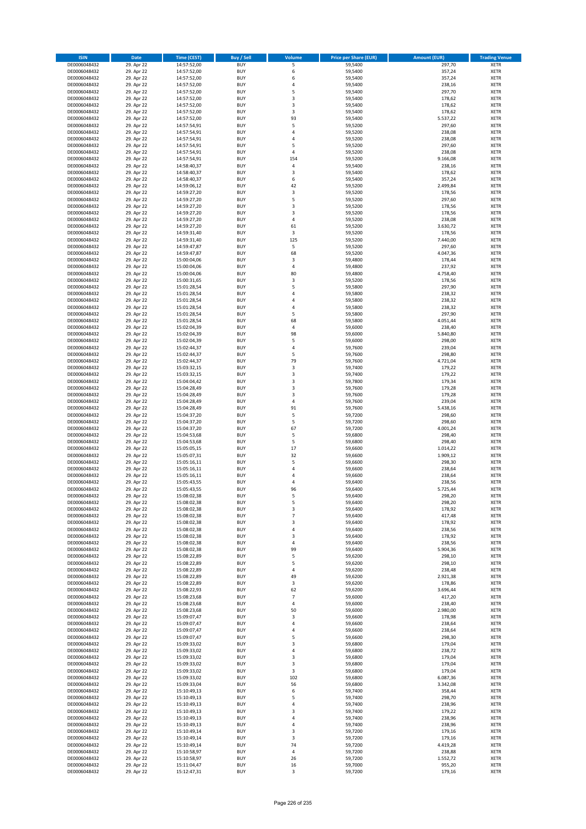| <b>ISIN</b>                  | Date                     | <b>Time (CEST)</b>         | <b>Buy / Sell</b>        | <b>Volume</b>                | <b>Price per Share (EUR)</b> | <b>Amount (EUR)</b> | <b>Trading Venue</b>       |
|------------------------------|--------------------------|----------------------------|--------------------------|------------------------------|------------------------------|---------------------|----------------------------|
| DE0006048432                 | 29. Apr 22               | 14:57:52,00                | <b>BUY</b>               | 5                            | 59,5400                      | 297,70              | <b>XETR</b>                |
| DE0006048432                 | 29. Apr 22               | 14:57:52,00                | <b>BUY</b>               | 6                            | 59,5400                      | 357,24              | XETR                       |
| DE0006048432                 | 29. Apr 22               | 14:57:52,00                | <b>BUY</b>               | 6                            | 59,5400                      | 357,24              | <b>XETR</b>                |
| DE0006048432<br>DE0006048432 | 29. Apr 22               | 14:57:52,00                | <b>BUY</b><br><b>BUY</b> | 4<br>5                       | 59,5400                      | 238,16              | <b>XETR</b><br><b>XETR</b> |
| DE0006048432                 | 29. Apr 22<br>29. Apr 22 | 14:57:52,00<br>14:57:52,00 | <b>BUY</b>               | 3                            | 59,5400<br>59,5400           | 297,70<br>178,62    | <b>XETR</b>                |
| DE0006048432                 | 29. Apr 22               | 14:57:52,00                | <b>BUY</b>               | 3                            | 59,5400                      | 178,62              | <b>XETR</b>                |
| DE0006048432                 | 29. Apr 22               | 14:57:52,00                | <b>BUY</b>               | 3                            | 59,5400                      | 178,62              | <b>XETR</b>                |
| DE0006048432                 | 29. Apr 22               | 14:57:52,00                | <b>BUY</b>               | 93                           | 59,5400                      | 5.537,22            | <b>XETR</b>                |
| DE0006048432                 | 29. Apr 22               | 14:57:54,91                | <b>BUY</b>               | 5                            | 59,5200                      | 297,60              | <b>XETR</b>                |
| DE0006048432                 | 29. Apr 22               | 14:57:54,91                | <b>BUY</b>               | $\sqrt{4}$                   | 59,5200                      | 238,08              | <b>XETR</b>                |
| DE0006048432<br>DE0006048432 | 29. Apr 22<br>29. Apr 22 | 14:57:54,91                | <b>BUY</b><br><b>BUY</b> | 4<br>5                       | 59,5200<br>59,5200           | 238,08<br>297,60    | <b>XETR</b><br><b>XETR</b> |
| DE0006048432                 | 29. Apr 22               | 14:57:54,91<br>14:57:54,91 | <b>BUY</b>               | 4                            | 59,5200                      | 238,08              | <b>XETR</b>                |
| DE0006048432                 | 29. Apr 22               | 14:57:54,91                | <b>BUY</b>               | 154                          | 59,5200                      | 9.166,08            | <b>XETR</b>                |
| DE0006048432                 | 29. Apr 22               | 14:58:40,37                | <b>BUY</b>               | 4                            | 59,5400                      | 238,16              | <b>XETR</b>                |
| DE0006048432                 | 29. Apr 22               | 14:58:40,37                | <b>BUY</b>               | 3                            | 59,5400                      | 178,62              | <b>XETR</b>                |
| DE0006048432                 | 29. Apr 22               | 14:58:40,37                | <b>BUY</b>               | 6                            | 59,5400                      | 357,24              | <b>XETR</b>                |
| DE0006048432                 | 29. Apr 22               | 14:59:06,12                | <b>BUY</b>               | 42                           | 59,5200                      | 2.499,84            | <b>XETR</b>                |
| DE0006048432                 | 29. Apr 22               | 14:59:27,20                | <b>BUY</b>               | 3                            | 59,5200                      | 178,56              | <b>XETR</b>                |
| DE0006048432<br>DE0006048432 | 29. Apr 22<br>29. Apr 22 | 14:59:27,20<br>14:59:27,20 | <b>BUY</b><br><b>BUY</b> | 5<br>3                       | 59,5200<br>59,5200           | 297,60<br>178,56    | <b>XETR</b><br><b>XETR</b> |
| DE0006048432                 | 29. Apr 22               | 14:59:27,20                | <b>BUY</b>               | 3                            | 59,5200                      | 178,56              | <b>XETR</b>                |
| DE0006048432                 | 29. Apr 22               | 14:59:27,20                | <b>BUY</b>               | 4                            | 59,5200                      | 238,08              | <b>XETR</b>                |
| DE0006048432                 | 29. Apr 22               | 14:59:27,20                | <b>BUY</b>               | 61                           | 59,5200                      | 3.630,72            | <b>XETR</b>                |
| DE0006048432                 | 29. Apr 22               | 14:59:31,40                | <b>BUY</b>               | 3                            | 59,5200                      | 178,56              | <b>XETR</b>                |
| DE0006048432                 | 29. Apr 22               | 14:59:31,40                | <b>BUY</b>               | 125                          | 59,5200                      | 7.440,00            | <b>XETR</b>                |
| DE0006048432                 | 29. Apr 22               | 14:59:47,87                | <b>BUY</b>               | 5                            | 59,5200                      | 297,60              | <b>XETR</b>                |
| DE0006048432<br>DE0006048432 | 29. Apr 22<br>29. Apr 22 | 14:59:47,87<br>15:00:04,06 | <b>BUY</b><br><b>BUY</b> | 68<br>3                      | 59,5200<br>59,4800           | 4.047,36<br>178,44  | <b>XETR</b><br><b>XETR</b> |
| DE0006048432                 | 29. Apr 22               | 15:00:04,06                | <b>BUY</b>               | 4                            | 59,4800                      | 237,92              | <b>XETR</b>                |
| DE0006048432                 | 29. Apr 22               | 15:00:04,06                | <b>BUY</b>               | 80                           | 59,4800                      | 4.758,40            | <b>XETR</b>                |
| DE0006048432                 | 29. Apr 22               | 15:00:31,65                | <b>BUY</b>               | 3                            | 59,5200                      | 178,56              | <b>XETR</b>                |
| DE0006048432                 | 29. Apr 22               | 15:01:28,54                | <b>BUY</b>               | 5                            | 59,5800                      | 297,90              | <b>XETR</b>                |
| DE0006048432                 | 29. Apr 22               | 15:01:28,54                | <b>BUY</b>               | $\overline{4}$               | 59,5800                      | 238,32              | <b>XETR</b>                |
| DE0006048432                 | 29. Apr 22               | 15:01:28,54                | <b>BUY</b>               | 4                            | 59,5800                      | 238,32              | <b>XETR</b>                |
| DE0006048432                 | 29. Apr 22               | 15:01:28,54                | <b>BUY</b>               | 4                            | 59,5800                      | 238,32              | <b>XETR</b>                |
| DE0006048432<br>DE0006048432 | 29. Apr 22<br>29. Apr 22 | 15:01:28,54<br>15:01:28,54 | <b>BUY</b><br><b>BUY</b> | 5<br>68                      | 59,5800<br>59,5800           | 297,90              | <b>XETR</b><br><b>XETR</b> |
| DE0006048432                 | 29. Apr 22               | 15:02:04,39                | <b>BUY</b>               | 4                            | 59,6000                      | 4.051,44<br>238,40  | <b>XETR</b>                |
| DE0006048432                 | 29. Apr 22               | 15:02:04,39                | <b>BUY</b>               | 98                           | 59,6000                      | 5.840,80            | <b>XETR</b>                |
| DE0006048432                 | 29. Apr 22               | 15:02:04,39                | <b>BUY</b>               | 5                            | 59,6000                      | 298,00              | <b>XETR</b>                |
| DE0006048432                 | 29. Apr 22               | 15:02:44,37                | <b>BUY</b>               | $\sqrt{4}$                   | 59,7600                      | 239,04              | <b>XETR</b>                |
| DE0006048432                 | 29. Apr 22               | 15:02:44,37                | <b>BUY</b>               | 5                            | 59,7600                      | 298,80              | <b>XETR</b>                |
| DE0006048432                 | 29. Apr 22               | 15:02:44,37                | <b>BUY</b>               | 79                           | 59,7600                      | 4.721,04            | <b>XETR</b>                |
| DE0006048432                 | 29. Apr 22               | 15:03:32,15                | <b>BUY</b>               | 3                            | 59,7400                      | 179,22              | <b>XETR</b>                |
| DE0006048432                 | 29. Apr 22               | 15:03:32,15                | <b>BUY</b>               | 3<br>3                       | 59,7400                      | 179,22              | <b>XETR</b><br><b>XETR</b> |
| DE0006048432<br>DE0006048432 | 29. Apr 22<br>29. Apr 22 | 15:04:04,42<br>15:04:28,49 | <b>BUY</b><br><b>BUY</b> | 3                            | 59,7800<br>59,7600           | 179,34<br>179,28    | <b>XETR</b>                |
| DE0006048432                 | 29. Apr 22               | 15:04:28,49                | <b>BUY</b>               | 3                            | 59,7600                      | 179,28              | <b>XETR</b>                |
| DE0006048432                 | 29. Apr 22               | 15:04:28,49                | <b>BUY</b>               | 4                            | 59,7600                      | 239,04              | <b>XETR</b>                |
| DE0006048432                 | 29. Apr 22               | 15:04:28,49                | <b>BUY</b>               | 91                           | 59,7600                      | 5.438,16            | <b>XETR</b>                |
| DE0006048432                 | 29. Apr 22               | 15:04:37,20                | <b>BUY</b>               | 5                            | 59,7200                      | 298,60              | <b>XETR</b>                |
| DE0006048432                 | 29. Apr 22               | 15:04:37,20                | <b>BUY</b>               | 5                            | 59,7200                      | 298,60              | <b>XETR</b>                |
| DE0006048432                 | 29. Apr 22               | 15:04:37,20                | <b>BUY</b>               | 67<br>5                      | 59,7200                      | 4.001,24            | <b>XETR</b>                |
| DE0006048432<br>DE0006048432 | 29. Apr 22<br>29. Apr 22 | 15:04:53,68<br>15:04:53,68 | <b>BUY</b><br><b>BUY</b> | 5                            | 59,6800<br>59,6800           | 298,40<br>298,40    | <b>XETR</b><br><b>XETR</b> |
| DE0006048432                 | 29. Apr 22               | 15:05:05,15                | <b>BUY</b>               | 17                           | 59,6600                      | 1.014,22            | <b>XETR</b>                |
| DE0006048432                 | 29. Apr 22               | 15:05:07,31                | <b>BUY</b>               | 32                           | 59,6600                      | 1.909,12            | <b>XETR</b>                |
| DE0006048432                 | 29. Apr 22               | 15:05:16,11                | <b>BUY</b>               | 5                            | 59,6600                      | 298,30              | <b>XETR</b>                |
| DE0006048432                 | 29. Apr 22               | 15:05:16,11                | <b>BUY</b>               | 4                            | 59,6600                      | 238,64              | <b>XETR</b>                |
| DE0006048432                 | 29. Apr 22               | 15:05:16,11                | <b>BUY</b>               | $\overline{a}$               | 59,6600                      | 238,64              | <b>XETR</b>                |
| DE0006048432                 | 29. Apr 22               | 15:05:43,55                | <b>BUY</b>               | $\overline{4}$               | 59,6400                      | 238,56              | <b>XETR</b>                |
| DE0006048432<br>DE0006048432 | 29. Apr 22<br>29. Apr 22 | 15:05:43,55<br>15:08:02,38 | <b>BUY</b><br>BUY        | 96<br>5                      | 59,6400<br>59,6400           | 5.725,44<br>298,20  | <b>XETR</b><br>XETR        |
| DE0006048432                 | 29. Apr 22               | 15:08:02,38                | <b>BUY</b>               | 5                            | 59,6400                      | 298,20              | <b>XETR</b>                |
| DE0006048432                 | 29. Apr 22               | 15:08:02,38                | <b>BUY</b>               | 3                            | 59,6400                      | 178,92              | <b>XETR</b>                |
| DE0006048432                 | 29. Apr 22               | 15:08:02,38                | <b>BUY</b>               | $\overline{7}$               | 59,6400                      | 417,48              | XETR                       |
| DE0006048432                 | 29. Apr 22               | 15:08:02,38                | <b>BUY</b>               | 3                            | 59,6400                      | 178,92              | <b>XETR</b>                |
| DE0006048432                 | 29. Apr 22               | 15:08:02,38                | <b>BUY</b>               | $\pmb{4}$                    | 59,6400                      | 238,56              | <b>XETR</b>                |
| DE0006048432                 | 29. Apr 22               | 15:08:02,38                | <b>BUY</b>               | 3                            | 59,6400                      | 178,92              | <b>XETR</b>                |
| DE0006048432<br>DE0006048432 | 29. Apr 22<br>29. Apr 22 | 15:08:02,38<br>15:08:02,38 | <b>BUY</b><br><b>BUY</b> | $\pmb{4}$<br>99              | 59,6400<br>59,6400           | 238,56<br>5.904,36  | <b>XETR</b><br>XETR        |
| DE0006048432                 | 29. Apr 22               | 15:08:22,89                | <b>BUY</b>               | 5                            | 59,6200                      | 298,10              | <b>XETR</b>                |
| DE0006048432                 | 29. Apr 22               | 15:08:22,89                | <b>BUY</b>               | 5                            | 59,6200                      | 298,10              | XETR                       |
| DE0006048432                 | 29. Apr 22               | 15:08:22,89                | <b>BUY</b>               | $\pmb{4}$                    | 59,6200                      | 238,48              | <b>XETR</b>                |
| DE0006048432                 | 29. Apr 22               | 15:08:22,89                | <b>BUY</b>               | 49                           | 59,6200                      | 2.921,38            | XETR                       |
| DE0006048432                 | 29. Apr 22               | 15:08:22,89                | <b>BUY</b>               | 3                            | 59,6200                      | 178,86              | <b>XETR</b>                |
| DE0006048432                 | 29. Apr 22               | 15:08:22,93                | <b>BUY</b>               | 62                           | 59,6200                      | 3.696,44            | XETR                       |
| DE0006048432<br>DE0006048432 | 29. Apr 22<br>29. Apr 22 | 15:08:23,68<br>15:08:23,68 | <b>BUY</b><br><b>BUY</b> | $\overline{7}$<br>$\sqrt{4}$ | 59,6000<br>59,6000           | 417,20<br>238,40    | <b>XETR</b><br><b>XETR</b> |
| DE0006048432                 | 29. Apr 22               | 15:08:23,68                | <b>BUY</b>               | 50                           | 59,6000                      | 2.980,00            | <b>XETR</b>                |
| DE0006048432                 | 29. Apr 22               | 15:09:07,47                | <b>BUY</b>               | 3                            | 59,6600                      | 178,98              | XETR                       |
| DE0006048432                 | 29. Apr 22               | 15:09:07,47                | <b>BUY</b>               | 4                            | 59,6600                      | 238,64              | <b>XETR</b>                |
| DE0006048432                 | 29. Apr 22               | 15:09:07,47                | <b>BUY</b>               | 4                            | 59,6600                      | 238,64              | <b>XETR</b>                |
| DE0006048432                 | 29. Apr 22               | 15:09:07,47                | <b>BUY</b>               | 5                            | 59,6600                      | 298,30              | <b>XETR</b>                |
| DE0006048432                 | 29. Apr 22               | 15:09:33,02                | <b>BUY</b>               | 3                            | 59,6800                      | 179,04              | XETR                       |
| DE0006048432<br>DE0006048432 | 29. Apr 22<br>29. Apr 22 | 15:09:33,02<br>15:09:33,02 | <b>BUY</b><br><b>BUY</b> | 4<br>3                       | 59,6800<br>59,6800           | 238,72<br>179,04    | XETR<br>XETR               |
| DE0006048432                 | 29. Apr 22               | 15:09:33,02                | <b>BUY</b>               | 3                            | 59,6800                      | 179,04              | XETR                       |
| DE0006048432                 | 29. Apr 22               | 15:09:33,02                | <b>BUY</b>               | 3                            | 59,6800                      | 179,04              | XETR                       |
| DE0006048432                 | 29. Apr 22               | 15:09:33,02                | <b>BUY</b>               | 102                          | 59,6800                      | 6.087,36            | <b>XETR</b>                |
| DE0006048432                 | 29. Apr 22               | 15:09:33,04                | <b>BUY</b>               | 56                           | 59,6800                      | 3.342,08            | XETR                       |
| DE0006048432                 | 29. Apr 22               | 15:10:49,13                | <b>BUY</b>               | 6                            | 59,7400                      | 358,44              | <b>XETR</b>                |
| DE0006048432                 | 29. Apr 22               | 15:10:49,13                | <b>BUY</b>               | 5                            | 59,7400                      | 298,70              | XETR                       |
| DE0006048432<br>DE0006048432 | 29. Apr 22<br>29. Apr 22 | 15:10:49,13                | <b>BUY</b><br><b>BUY</b> | 4<br>3                       | 59,7400<br>59,7400           | 238,96<br>179,22    | XETR<br>XETR               |
| DE0006048432                 | 29. Apr 22               | 15:10:49,13<br>15:10:49,13 | <b>BUY</b>               | 4                            | 59,7400                      | 238,96              | <b>XETR</b>                |
| DE0006048432                 | 29. Apr 22               | 15:10:49,13                | <b>BUY</b>               | 4                            | 59,7400                      | 238,96              | <b>XETR</b>                |
| DE0006048432                 | 29. Apr 22               | 15:10:49,14                | <b>BUY</b>               | $\mathsf 3$                  | 59,7200                      | 179,16              | XETR                       |
| DE0006048432                 | 29. Apr 22               | 15:10:49,14                | <b>BUY</b>               | 3                            | 59,7200                      | 179,16              | XETR                       |
| DE0006048432                 | 29. Apr 22               | 15:10:49,14                | <b>BUY</b>               | 74                           | 59,7200                      | 4.419,28            | XETR                       |
| DE0006048432                 | 29. Apr 22               | 15:10:58,97                | <b>BUY</b>               | 4                            | 59,7200                      | 238,88              | <b>XETR</b>                |
| DE0006048432<br>DE0006048432 | 29. Apr 22<br>29. Apr 22 | 15:10:58,97<br>15:11:04,47 | <b>BUY</b><br><b>BUY</b> | 26<br>16                     | 59,7200<br>59,7000           | 1.552,72<br>955,20  | XETR<br><b>XETR</b>        |
| DE0006048432                 | 29. Apr 22               | 15:12:47,31                | <b>BUY</b>               | 3                            | 59,7200                      | 179,16              | XETR                       |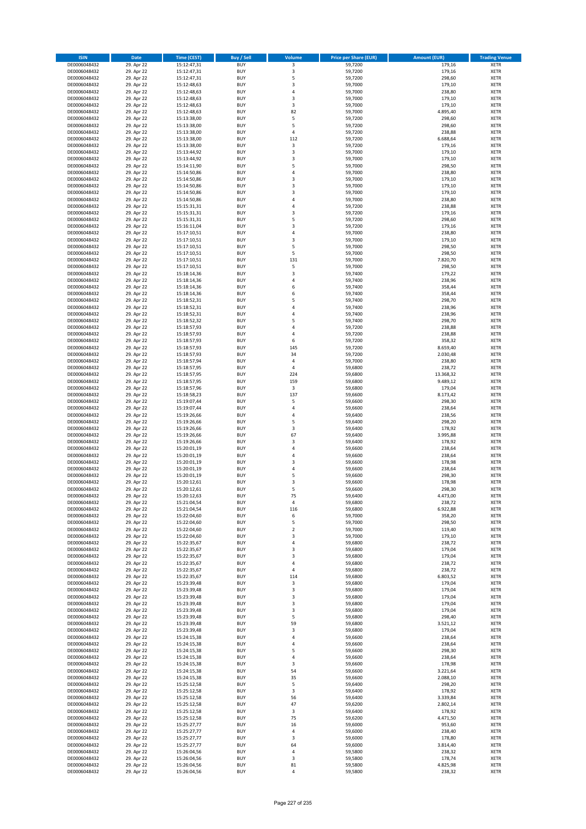| <b>ISIN</b>                  | <b>Date</b>              | <b>Time (CEST)</b>         | <b>Buy / Sell</b>        | Volume                                    | <b>Price per Share (EUR)</b> | <b>Amount (EUR)</b> | <b>Trading Venue</b>       |
|------------------------------|--------------------------|----------------------------|--------------------------|-------------------------------------------|------------------------------|---------------------|----------------------------|
| DE0006048432                 | 29. Apr 22               | 15:12:47,31                | <b>BUY</b>               | 3                                         | 59,7200                      | 179,16              | <b>XETR</b>                |
| DE0006048432                 | 29. Apr 22               | 15:12:47,31                | <b>BUY</b>               | 3                                         | 59,7200                      | 179,16              | <b>XETR</b>                |
| DE0006048432                 | 29. Apr 22               | 15:12:47,31                | <b>BUY</b>               | 5                                         | 59,7200                      | 298,60              | <b>XETR</b>                |
| DE0006048432                 | 29. Apr 22               | 15:12:48,63                | <b>BUY</b>               | $\mathsf 3$                               | 59,7000                      | 179,10              | <b>XETR</b>                |
| DE0006048432                 | 29. Apr 22               | 15:12:48,63                | <b>BUY</b>               | $\overline{4}$                            | 59,7000                      | 238,80              | <b>XETR</b>                |
| DE0006048432                 | 29. Apr 22               | 15:12:48,63                | <b>BUY</b>               | $\mathsf 3$                               | 59,7000                      | 179,10              | <b>XETR</b>                |
| DE0006048432                 | 29. Apr 22               | 15:12:48,63                | <b>BUY</b>               | 3                                         | 59,7000                      | 179,10              | <b>XETR</b>                |
| DE0006048432                 | 29. Apr 22               | 15:12:48,63                | <b>BUY</b>               | 82<br>5                                   | 59,7000                      | 4.895,40            | <b>XETR</b>                |
| DE0006048432<br>DE0006048432 | 29. Apr 22<br>29. Apr 22 | 15:13:38,00<br>15:13:38,00 | BUY<br><b>BUY</b>        | 5                                         | 59,7200<br>59,7200           | 298,60<br>298,60    | <b>XETR</b><br><b>XETR</b> |
| DE0006048432                 | 29. Apr 22               | 15:13:38,00                | <b>BUY</b>               | 4                                         | 59,7200                      | 238,88              | <b>XETR</b>                |
| DE0006048432                 | 29. Apr 22               | 15:13:38,00                | <b>BUY</b>               | 112                                       | 59,7200                      | 6.688,64            | <b>XETR</b>                |
| DE0006048432                 | 29. Apr 22               | 15:13:38,00                | <b>BUY</b>               | 3                                         | 59,7200                      | 179,16              | <b>XETR</b>                |
| DE0006048432                 | 29. Apr 22               | 15:13:44,92                | <b>BUY</b>               | $\overline{\mathbf{3}}$                   | 59,7000                      | 179,10              | <b>XETR</b>                |
| DE0006048432                 | 29. Apr 22               | 15:13:44,92                | <b>BUY</b>               | 3                                         | 59,7000                      | 179,10              | <b>XETR</b>                |
| DE0006048432                 | 29. Apr 22               | 15:14:11,90                | BUY                      | 5                                         | 59,7000                      | 298,50              | <b>XETR</b>                |
| DE0006048432                 | 29. Apr 22               | 15:14:50,86                | <b>BUY</b>               | $\overline{4}$                            | 59,7000                      | 238,80              | <b>XETR</b>                |
| DE0006048432                 | 29. Apr 22               | 15:14:50,86                | <b>BUY</b>               | $\overline{\mathbf{3}}$                   | 59,7000                      | 179,10              | <b>XETR</b>                |
| DE0006048432                 | 29. Apr 22               | 15:14:50,86                | <b>BUY</b>               | 3                                         | 59,7000                      | 179,10              | <b>XETR</b>                |
| DE0006048432<br>DE0006048432 | 29. Apr 22<br>29. Apr 22 | 15:14:50,86<br>15:14:50,86 | <b>BUY</b><br><b>BUY</b> | $\overline{\mathbf{3}}$<br>$\overline{a}$ | 59,7000<br>59,7000           | 179,10<br>238,80    | <b>XETR</b><br><b>XETR</b> |
| DE0006048432                 | 29. Apr 22               | 15:15:31,31                | <b>BUY</b>               | 4                                         | 59,7200                      | 238,88              | <b>XETR</b>                |
| DE0006048432                 | 29. Apr 22               | 15:15:31,31                | <b>BUY</b>               | $\overline{\mathbf{3}}$                   | 59,7200                      | 179,16              | <b>XETR</b>                |
| DE0006048432                 | 29. Apr 22               | 15:15:31,31                | <b>BUY</b>               | 5                                         | 59,7200                      | 298,60              | <b>XETR</b>                |
| DE0006048432                 | 29. Apr 22               | 15:16:11,04                | <b>BUY</b>               | 3                                         | 59,7200                      | 179,16              | <b>XETR</b>                |
| DE0006048432                 | 29. Apr 22               | 15:17:10,51                | <b>BUY</b>               | 4                                         | 59,7000                      | 238,80              | <b>XETR</b>                |
| DE0006048432                 | 29. Apr 22               | 15:17:10,51                | <b>BUY</b>               | $\overline{\mathbf{3}}$                   | 59,7000                      | 179,10              | <b>XETR</b>                |
| DE0006048432                 | 29. Apr 22               | 15:17:10,51                | <b>BUY</b>               | 5                                         | 59,7000                      | 298,50              | <b>XETR</b>                |
| DE0006048432                 | 29. Apr 22               | 15:17:10,51                | <b>BUY</b>               | 5                                         | 59,7000                      | 298,50              | <b>XETR</b>                |
| DE0006048432                 | 29. Apr 22               | 15:17:10,51<br>15:17:10,51 | <b>BUY</b><br><b>BUY</b> | 131<br>5                                  | 59,7000                      | 7.820,70            | <b>XETR</b>                |
| DE0006048432<br>DE0006048432 | 29. Apr 22<br>29. Apr 22 | 15:18:14,36                | <b>BUY</b>               | 3                                         | 59,7000<br>59,7400           | 298,50<br>179,22    | <b>XETR</b><br><b>XETR</b> |
| DE0006048432                 | 29. Apr 22               | 15:18:14,36                | <b>BUY</b>               | 4                                         | 59,7400                      | 238,96              | <b>XETR</b>                |
| DE0006048432                 | 29. Apr 22               | 15:18:14,36                | <b>BUY</b>               | 6                                         | 59,7400                      | 358,44              | <b>XETR</b>                |
| DE0006048432                 | 29. Apr 22               | 15:18:14,36                | <b>BUY</b>               | 6                                         | 59,7400                      | 358,44              | <b>XETR</b>                |
| DE0006048432                 | 29. Apr 22               | 15:18:52,31                | <b>BUY</b>               | 5                                         | 59,7400                      | 298,70              | <b>XETR</b>                |
| DE0006048432                 | 29. Apr 22               | 15:18:52,31                | <b>BUY</b>               | $\overline{a}$                            | 59,7400                      | 238,96              | <b>XETR</b>                |
| DE0006048432                 | 29. Apr 22               | 15:18:52,31                | <b>BUY</b>               | $\overline{a}$                            | 59,7400                      | 238,96              | <b>XETR</b>                |
| DE0006048432                 | 29. Apr 22               | 15:18:52,32                | <b>BUY</b>               | 5                                         | 59,7400                      | 298,70              | <b>XETR</b>                |
| DE0006048432                 | 29. Apr 22               | 15:18:57,93                | <b>BUY</b>               | 4                                         | 59,7200                      | 238,88              | <b>XETR</b>                |
| DE0006048432<br>DE0006048432 | 29. Apr 22<br>29. Apr 22 | 15:18:57,93                | <b>BUY</b><br><b>BUY</b> | $\overline{a}$<br>6                       | 59,7200<br>59,7200           | 238,88<br>358,32    | <b>XETR</b>                |
| DE0006048432                 | 29. Apr 22               | 15:18:57,93<br>15:18:57,93 | <b>BUY</b>               | 145                                       | 59,7200                      | 8.659,40            | <b>XETR</b><br><b>XETR</b> |
| DE0006048432                 | 29. Apr 22               | 15:18:57,93                | <b>BUY</b>               | 34                                        | 59,7200                      | 2.030,48            | <b>XETR</b>                |
| DE0006048432                 | 29. Apr 22               | 15:18:57,94                | <b>BUY</b>               | 4                                         | 59,7000                      | 238,80              | <b>XETR</b>                |
| DE0006048432                 | 29. Apr 22               | 15:18:57,95                | <b>BUY</b>               | $\overline{4}$                            | 59,6800                      | 238,72              | <b>XETR</b>                |
| DE0006048432                 | 29. Apr 22               | 15:18:57,95                | <b>BUY</b>               | 224                                       | 59,6800                      | 13.368,32           | <b>XETR</b>                |
| DE0006048432                 | 29. Apr 22               | 15:18:57,95                | <b>BUY</b>               | 159                                       | 59,6800                      | 9.489,12            | <b>XETR</b>                |
| DE0006048432                 | 29. Apr 22               | 15:18:57,96                | <b>BUY</b>               | 3                                         | 59,6800                      | 179,04              | <b>XETR</b>                |
| DE0006048432                 | 29. Apr 22               | 15:18:58,23                | <b>BUY</b>               | 137                                       | 59,6600                      | 8.173,42            | <b>XETR</b>                |
| DE0006048432                 | 29. Apr 22               | 15:19:07,44                | <b>BUY</b>               | 5                                         | 59,6600                      | 298,30              | <b>XETR</b>                |
| DE0006048432<br>DE0006048432 | 29. Apr 22               | 15:19:07,44                | <b>BUY</b><br><b>BUY</b> | $\overline{a}$<br>4                       | 59,6600                      | 238,64<br>238,56    | <b>XETR</b><br><b>XETR</b> |
| DE0006048432                 | 29. Apr 22<br>29. Apr 22 | 15:19:26,66<br>15:19:26,66 | <b>BUY</b>               | 5                                         | 59,6400<br>59,6400           | 298,20              | <b>XETR</b>                |
| DE0006048432                 | 29. Apr 22               | 15:19:26,66                | <b>BUY</b>               | 3                                         | 59,6400                      | 178,92              | <b>XETR</b>                |
| DE0006048432                 | 29. Apr 22               | 15:19:26,66                | <b>BUY</b>               | 67                                        | 59,6400                      | 3.995,88            | <b>XETR</b>                |
| DE0006048432                 | 29. Apr 22               | 15:19:26,66                | <b>BUY</b>               | $\overline{\mathbf{3}}$                   | 59,6400                      | 178,92              | <b>XETR</b>                |
| DE0006048432                 | 29. Apr 22               | 15:20:01,19                | <b>BUY</b>               | 4                                         | 59,6600                      | 238,64              | <b>XETR</b>                |
| DE0006048432                 | 29. Apr 22               | 15:20:01,19                | BUY                      | $\overline{a}$                            | 59,6600                      | 238,64              | <b>XETR</b>                |
| DE0006048432                 | 29. Apr 22               | 15:20:01,19                | <b>BUY</b>               | $\overline{\mathbf{3}}$                   | 59,6600                      | 178,98              | <b>XETR</b>                |
| DE0006048432                 | 29. Apr 22               | 15:20:01,19                | <b>BUY</b>               | 4                                         | 59,6600                      | 238,64              | <b>XETR</b>                |
| DE0006048432                 | 29. Apr 22               | 15:20:01,19                | BUY<br>BUY               | 5<br>$\overline{\mathbf{3}}$              | 59,6600                      | 298,30              | <b>XETR</b><br><b>XETR</b> |
| DE0006048432<br>DE0006048432 | 29. Apr 22<br>29. Apr 22 | 15:20:12,61<br>15:20:12,61 | <b>BUY</b>               | 5                                         | 59,6600<br>59,6600           | 178,98<br>298,30    | <b>XETR</b>                |
| DE0006048432                 | 29. Apr 22               | 15:20:12,63                | BUY                      | 75                                        | 59,6400                      | 4.473,00            | <b>XETR</b>                |
| DE0006048432                 | 29. Apr 22               | 15:21:04,54                | <b>BUY</b>               | $\pmb{4}$                                 | 59,6800                      | 238,72              | <b>XETR</b>                |
| DE0006048432                 | 29. Apr 22               | 15:21:04,54                | <b>BUY</b>               | 116                                       | 59,6800                      | 6.922,88            | <b>XETR</b>                |
| DE0006048432                 | 29. Apr 22               | 15:22:04,60                | <b>BUY</b>               | 6                                         | 59,7000                      | 358,20              | <b>XETR</b>                |
| DE0006048432                 | 29. Apr 22               | 15:22:04,60                | <b>BUY</b>               | 5                                         | 59,7000                      | 298,50              | <b>XETR</b>                |
| DE0006048432                 | 29. Apr 22               | 15:22:04,60                | <b>BUY</b>               | $\mathbf 2$                               | 59,7000                      | 119,40              | <b>XETR</b>                |
| DE0006048432                 | 29. Apr 22               | 15:22:04,60                | <b>BUY</b>               | 3                                         | 59,7000                      | 179,10              | <b>XETR</b>                |
| DE0006048432<br>DE0006048432 | 29. Apr 22               | 15:22:35,67                | <b>BUY</b><br><b>BUY</b> | 4<br>$\overline{\mathbf{3}}$              | 59,6800<br>59,6800           | 238,72              | <b>XETR</b><br><b>XETR</b> |
| DE0006048432                 | 29. Apr 22<br>29. Apr 22 | 15:22:35,67<br>15:22:35,67 | <b>BUY</b>               | 3                                         | 59,6800                      | 179,04<br>179,04    | <b>XETR</b>                |
| DE0006048432                 | 29. Apr 22               | 15:22:35,67                | <b>BUY</b>               | 4                                         | 59,6800                      | 238,72              | <b>XETR</b>                |
| DE0006048432                 | 29. Apr 22               | 15:22:35,67                | <b>BUY</b>               | 4                                         | 59,6800                      | 238,72              | <b>XETR</b>                |
| DE0006048432                 | 29. Apr 22               | 15:22:35,67                | <b>BUY</b>               | 114                                       | 59,6800                      | 6.803,52            | <b>XETR</b>                |
| DE0006048432                 | 29. Apr 22               | 15:23:39,48                | <b>BUY</b>               | 3                                         | 59,6800                      | 179,04              | <b>XETR</b>                |
| DE0006048432                 | 29. Apr 22               | 15:23:39,48                | <b>BUY</b>               | 3                                         | 59,6800                      | 179,04              | <b>XETR</b>                |
| DE0006048432                 | 29. Apr 22               | 15:23:39,48                | <b>BUY</b>               | 3                                         | 59,6800                      | 179,04              | <b>XETR</b>                |
| DE0006048432                 | 29. Apr 22               | 15:23:39,48                | <b>BUY</b>               | 3                                         | 59,6800                      | 179,04              | <b>XETR</b>                |
| DE0006048432<br>DE0006048432 | 29. Apr 22<br>29. Apr 22 | 15:23:39,48<br>15:23:39,48 | <b>BUY</b><br><b>BUY</b> | 3<br>5                                    | 59,6800<br>59,6800           | 179,04<br>298,40    | <b>XETR</b><br><b>XETR</b> |
| DE0006048432                 | 29. Apr 22               | 15:23:39,48                | <b>BUY</b>               | 59                                        | 59,6800                      | 3.521,12            | <b>XETR</b>                |
| DE0006048432                 | 29. Apr 22               | 15:23:39,48                | <b>BUY</b>               | 3                                         | 59,6800                      | 179,04              | <b>XETR</b>                |
| DE0006048432                 | 29. Apr 22               | 15:24:15,38                | <b>BUY</b>               | 4                                         | 59,6600                      | 238,64              | <b>XETR</b>                |
| DE0006048432                 | 29. Apr 22               | 15:24:15,38                | <b>BUY</b>               | 4                                         | 59,6600                      | 238,64              | <b>XETR</b>                |
| DE0006048432                 | 29. Apr 22               | 15:24:15,38                | <b>BUY</b>               | 5                                         | 59,6600                      | 298,30              | <b>XETR</b>                |
| DE0006048432                 | 29. Apr 22               | 15:24:15,38                | <b>BUY</b>               | 4                                         | 59,6600                      | 238,64              | <b>XETR</b>                |
| DE0006048432                 | 29. Apr 22               | 15:24:15,38                | <b>BUY</b>               | 3                                         | 59,6600                      | 178,98              | <b>XETR</b>                |
| DE0006048432                 | 29. Apr 22               | 15:24:15,38                | <b>BUY</b>               | 54                                        | 59,6600                      | 3.221,64            | <b>XETR</b>                |
| DE0006048432                 | 29. Apr 22               | 15:24:15,38                | <b>BUY</b>               | 35                                        | 59,6600                      | 2.088,10            | <b>XETR</b>                |
| DE0006048432<br>DE0006048432 | 29. Apr 22<br>29. Apr 22 | 15:25:12,58<br>15:25:12,58 | <b>BUY</b><br><b>BUY</b> | 5<br>3                                    | 59,6400<br>59,6400           | 298,20<br>178,92    | <b>XETR</b><br><b>XETR</b> |
| DE0006048432                 | 29. Apr 22               | 15:25:12,58                | <b>BUY</b>               | 56                                        | 59,6400                      | 3.339,84            | <b>XETR</b>                |
| DE0006048432                 | 29. Apr 22               | 15:25:12,58                | <b>BUY</b>               | 47                                        | 59,6200                      | 2.802,14            | <b>XETR</b>                |
| DE0006048432                 | 29. Apr 22               | 15:25:12,58                | <b>BUY</b>               | 3                                         | 59,6400                      | 178,92              | <b>XETR</b>                |
| DE0006048432                 | 29. Apr 22               | 15:25:12,58                | <b>BUY</b>               | 75                                        | 59,6200                      | 4.471,50            | <b>XETR</b>                |
| DE0006048432                 | 29. Apr 22               | 15:25:27,77                | <b>BUY</b>               | 16                                        | 59,6000                      | 953,60              | <b>XETR</b>                |
| DE0006048432                 | 29. Apr 22               | 15:25:27,77                | <b>BUY</b>               | 4                                         | 59,6000                      | 238,40              | <b>XETR</b>                |
| DE0006048432                 | 29. Apr 22               | 15:25:27,77                | <b>BUY</b>               | 3                                         | 59,6000                      | 178,80              | <b>XETR</b>                |
| DE0006048432                 | 29. Apr 22               | 15:25:27,77                | <b>BUY</b>               | 64                                        | 59,6000                      | 3.814,40            | <b>XETR</b>                |
| DE0006048432                 | 29. Apr 22               | 15:26:04,56                | <b>BUY</b>               | 4                                         | 59,5800                      | 238,32              | <b>XETR</b>                |
| DE0006048432<br>DE0006048432 | 29. Apr 22<br>29. Apr 22 | 15:26:04,56<br>15:26:04,56 | <b>BUY</b><br><b>BUY</b> | 3<br>81                                   | 59,5800<br>59,5800           | 178,74<br>4.825,98  | <b>XETR</b><br><b>XETR</b> |
| DE0006048432                 | 29. Apr 22               | 15:26:04,56                | <b>BUY</b>               | 4                                         | 59,5800                      | 238,32              | <b>XETR</b>                |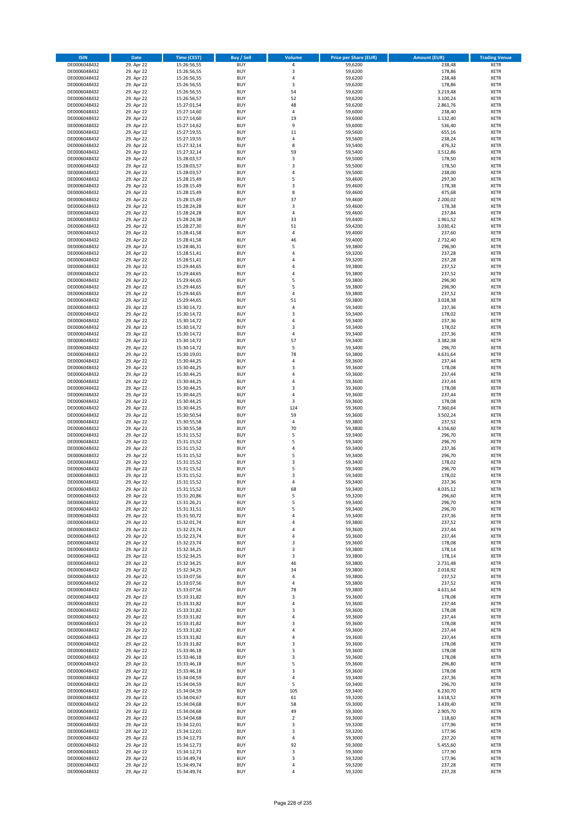| <b>ISIN</b>                  | <b>Date</b>              | <b>Time (CEST)</b>         | <b>Buy / Sell</b>        | Volume         | <b>Price per Share (EUR)</b> | <b>Amount (EUR)</b>  | <b>Trading Venue</b>       |
|------------------------------|--------------------------|----------------------------|--------------------------|----------------|------------------------------|----------------------|----------------------------|
| DE0006048432                 | 29. Apr 22               | 15:26:56,55                | <b>BUY</b>               | 4              | 59,6200                      | 238,48               | <b>XETR</b>                |
| DE0006048432                 | 29. Apr 22               | 15:26:56,55                | <b>BUY</b>               | 3              | 59,6200                      | 178,86               | <b>XETR</b>                |
| DE0006048432                 | 29. Apr 22               | 15:26:56,55                | <b>BUY</b>               | 4              | 59,6200                      | 238,48               | <b>XETR</b>                |
| DE0006048432<br>DE0006048432 | 29. Apr 22<br>29. Apr 22 | 15:26:56,55<br>15:26:56,55 | <b>BUY</b><br><b>BUY</b> | 3<br>54        | 59,6200<br>59,6200           | 178,86<br>3.219,48   | <b>XETR</b><br><b>XETR</b> |
| DE0006048432                 | 29. Apr 22               | 15:26:56,57                | <b>BUY</b>               | 52             | 59,6200                      | 3.100,24             | <b>XETR</b>                |
| DE0006048432                 | 29. Apr 22               | 15:27:01,54                | <b>BUY</b>               | 48             | 59,6200                      | 2.861,76             | <b>XETR</b>                |
| DE0006048432                 | 29. Apr 22               | 15:27:14,60                | <b>BUY</b>               | 4              | 59,6000                      | 238,40               | <b>XETR</b>                |
| DE0006048432                 | 29. Apr 22               | 15:27:14,60                | <b>BUY</b>               | 19             | 59,6000                      | 1.132,40             | <b>XETR</b>                |
| DE0006048432                 | 29. Apr 22               | 15:27:14,62                | <b>BUY</b><br><b>BUY</b> | 9              | 59,6000                      | 536,40               | <b>XETR</b>                |
| DE0006048432<br>DE0006048432 | 29. Apr 22<br>29. Apr 22 | 15:27:19,55<br>15:27:19,55 | <b>BUY</b>               | 11<br>4        | 59,5600<br>59,5600           | 655,16<br>238,24     | <b>XETR</b><br><b>XETR</b> |
| DE0006048432                 | 29. Apr 22               | 15:27:32,14                | <b>BUY</b>               | 8              | 59,5400                      | 476,32               | <b>XETR</b>                |
| DE0006048432                 | 29. Apr 22               | 15:27:32,14                | <b>BUY</b>               | 59             | 59,5400                      | 3.512,86             | <b>XETR</b>                |
| DE0006048432                 | 29. Apr 22               | 15:28:03,57                | <b>BUY</b>               | 3              | 59,5000                      | 178,50               | <b>XETR</b>                |
| DE0006048432                 | 29. Apr 22               | 15:28:03,57                | <b>BUY</b>               | 3              | 59,5000                      | 178,50               | <b>XETR</b>                |
| DE0006048432                 | 29. Apr 22               | 15:28:03,57                | <b>BUY</b><br><b>BUY</b> | 4              | 59,5000                      | 238,00               | <b>XETR</b><br><b>XETR</b> |
| DE0006048432<br>DE0006048432 | 29. Apr 22<br>29. Apr 22 | 15:28:15,49<br>15:28:15,49 | <b>BUY</b>               | 5<br>3         | 59,4600<br>59,4600           | 297,30<br>178,38     | <b>XETR</b>                |
| DE0006048432                 | 29. Apr 22               | 15:28:15,49                | <b>BUY</b>               | 8              | 59,4600                      | 475,68               | <b>XETR</b>                |
| DE0006048432                 | 29. Apr 22               | 15:28:15,49                | <b>BUY</b>               | 37             | 59,4600                      | 2.200,02             | <b>XETR</b>                |
| DE0006048432                 | 29. Apr 22               | 15:28:24,28                | <b>BUY</b>               | 3              | 59,4600                      | 178,38               | <b>XETR</b>                |
| DE0006048432                 | 29. Apr 22               | 15:28:24,28                | <b>BUY</b>               | 4              | 59,4600                      | 237,84               | <b>XETR</b>                |
| DE0006048432<br>DE0006048432 | 29. Apr 22               | 15:28:24,38                | <b>BUY</b><br><b>BUY</b> | 33<br>51       | 59,4400                      | 1.961,52             | <b>XETR</b><br><b>XETR</b> |
| DE0006048432                 | 29. Apr 22<br>29. Apr 22 | 15:28:27,30<br>15:28:41,58 | <b>BUY</b>               | 4              | 59,4200<br>59,4000           | 3.030,42<br>237,60   | <b>XETR</b>                |
| DE0006048432                 | 29. Apr 22               | 15:28:41,58                | <b>BUY</b>               | 46             | 59,4000                      | 2.732,40             | <b>XETR</b>                |
| DE0006048432                 | 29. Apr 22               | 15:28:46,31                | <b>BUY</b>               | 5              | 59,3800                      | 296,90               | <b>XETR</b>                |
| DE0006048432                 | 29. Apr 22               | 15:28:51,41                | <b>BUY</b>               | 4              | 59,3200                      | 237,28               | <b>XETR</b>                |
| DE0006048432                 | 29. Apr 22               | 15:28:51,41                | <b>BUY</b>               | $\overline{a}$ | 59,3200                      | 237,28               | <b>XETR</b>                |
| DE0006048432<br>DE0006048432 | 29. Apr 22<br>29. Apr 22 | 15:29:44,65<br>15:29:44,65 | <b>BUY</b><br><b>BUY</b> | 4<br>4         | 59,3800<br>59,3800           | 237,52<br>237,52     | <b>XETR</b><br><b>XETR</b> |
| DE0006048432                 | 29. Apr 22               | 15:29:44,65                | <b>BUY</b>               | 5              | 59,3800                      | 296,90               | <b>XETR</b>                |
| DE0006048432                 | 29. Apr 22               | 15:29:44,65                | <b>BUY</b>               | 5              | 59,3800                      | 296,90               | <b>XETR</b>                |
| DE0006048432                 | 29. Apr 22               | 15:29:44,65                | <b>BUY</b>               | 4              | 59,3800                      | 237,52               | <b>XETR</b>                |
| DE0006048432                 | 29. Apr 22               | 15:29:44,65                | <b>BUY</b>               | 51             | 59,3800                      | 3.028,38             | <b>XETR</b>                |
| DE0006048432                 | 29. Apr 22               | 15:30:14,72                | <b>BUY</b>               | 4              | 59,3400                      | 237,36               | <b>XETR</b>                |
| DE0006048432<br>DE0006048432 | 29. Apr 22<br>29. Apr 22 | 15:30:14,72<br>15:30:14,72 | <b>BUY</b><br><b>BUY</b> | 3<br>4         | 59,3400<br>59,3400           | 178,02<br>237,36     | <b>XETR</b><br><b>XETR</b> |
| DE0006048432                 | 29. Apr 22               | 15:30:14,72                | <b>BUY</b>               | 3              | 59,3400                      | 178,02               | <b>XETR</b>                |
| DE0006048432                 | 29. Apr 22               | 15:30:14,72                | <b>BUY</b>               | 4              | 59,3400                      | 237,36               | <b>XETR</b>                |
| DE0006048432                 | 29. Apr 22               | 15:30:14,72                | <b>BUY</b>               | 57             | 59,3400                      | 3.382,38             | <b>XETR</b>                |
| DE0006048432                 | 29. Apr 22               | 15:30:14,72                | <b>BUY</b>               | 5              | 59,3400                      | 296,70               | <b>XETR</b>                |
| DE0006048432                 | 29. Apr 22               | 15:30:19,01                | <b>BUY</b>               | 78             | 59,3800                      | 4.631,64             | <b>XETR</b>                |
| DE0006048432                 | 29. Apr 22               | 15:30:44,25                | <b>BUY</b><br><b>BUY</b> | 4<br>3         | 59,3600                      | 237,44               | <b>XETR</b><br><b>XETR</b> |
| DE0006048432<br>DE0006048432 | 29. Apr 22<br>29. Apr 22 | 15:30:44,25<br>15:30:44,25 | <b>BUY</b>               | 4              | 59,3600<br>59,3600           | 178,08<br>237,44     | <b>XETR</b>                |
| DE0006048432                 | 29. Apr 22               | 15:30:44,25                | <b>BUY</b>               | 4              | 59,3600                      | 237,44               | <b>XETR</b>                |
| DE0006048432                 | 29. Apr 22               | 15:30:44,25                | <b>BUY</b>               | 3              | 59,3600                      | 178,08               | <b>XETR</b>                |
| DE0006048432                 | 29. Apr 22               | 15:30:44,25                | <b>BUY</b>               | 4              | 59,3600                      | 237,44               | <b>XETR</b>                |
| DE0006048432                 | 29. Apr 22               | 15:30:44,25                | <b>BUY</b>               | 3              | 59,3600                      | 178,08               | <b>XETR</b>                |
| DE0006048432                 | 29. Apr 22               | 15:30:44,25                | <b>BUY</b>               | 124            | 59,3600                      | 7.360,64             | <b>XETR</b>                |
| DE0006048432<br>DE0006048432 | 29. Apr 22<br>29. Apr 22 | 15:30:50,54<br>15:30:55,58 | <b>BUY</b><br><b>BUY</b> | 59<br>4        | 59,3600<br>59,3800           | 3.502,24<br>237,52   | <b>XETR</b><br><b>XETR</b> |
| DE0006048432                 | 29. Apr 22               | 15:30:55,58                | <b>BUY</b>               | 70             | 59,3800                      | 4.156,60             | <b>XETR</b>                |
| DE0006048432                 | 29. Apr 22               | 15:31:15,52                | <b>BUY</b>               | 5              | 59,3400                      | 296,70               | <b>XETR</b>                |
| DE0006048432                 | 29. Apr 22               | 15:31:15,52                | <b>BUY</b>               | 5              | 59,3400                      | 296,70               | <b>XETR</b>                |
| DE0006048432                 | 29. Apr 22               | 15:31:15,52                | <b>BUY</b>               | 4              | 59,3400                      | 237,36               | <b>XETR</b>                |
| DE0006048432                 | 29. Apr 22               | 15:31:15,52                | <b>BUY</b>               | 5              | 59,3400                      | 296,70               | <b>XETR</b>                |
| DE0006048432<br>DE0006048432 | 29. Apr 22<br>29. Apr 22 | 15:31:15,52<br>15:31:15,52 | <b>BUY</b><br><b>BUY</b> | 3<br>5         | 59,3400<br>59,3400           | 178,02<br>296,70     | <b>XETR</b><br><b>XETR</b> |
| DE0006048432                 | 29. Apr 22               | 15:31:15,52                | <b>BUY</b>               | 3              | 59,3400                      | 178,02               | <b>XETR</b>                |
| DE0006048432                 | 29. Apr 22               | 15:31:15,52                | <b>BUY</b>               | 4              | 59,3400                      | 237,36               | <b>XETR</b>                |
| DE0006048432                 | 29. Apr 22               | 15:31:15,52                | <b>BUY</b>               | 68             | 59,3400                      | 4.035,12             | <b>XETR</b>                |
| DE0006048432                 | 29. Apr 22               | 15:31:20,86                | BUY                      | 5              | 59,3200                      | 296,60               | <b>XETR</b>                |
| DE0006048432                 | 29. Apr 22               | 15:31:26,21                | <b>BUY</b><br><b>BUY</b> | 5              | 59,3400                      | 296,70               | <b>XETR</b>                |
| DE0006048432<br>DE0006048432 | 29. Apr 22<br>29. Apr 22 | 15:31:31,51<br>15:31:50,72 | <b>BUY</b>               | 5<br>4         | 59,3400<br>59,3400           | 296,70<br>237,36     | <b>XETR</b><br>XETR        |
| DE0006048432                 | 29. Apr 22               | 15:32:01,74                | <b>BUY</b>               | 4              | 59,3800                      | 237,52               | <b>XETR</b>                |
| DE0006048432                 | 29. Apr 22               | 15:32:23,74                | <b>BUY</b>               | 4              | 59,3600                      | 237,44               | <b>XETR</b>                |
| DE0006048432                 | 29. Apr 22               | 15:32:23,74                | <b>BUY</b>               | 4              | 59,3600                      | 237,44               | <b>XETR</b>                |
| DE0006048432                 | 29. Apr 22               | 15:32:23,74                | <b>BUY</b>               | 3              | 59,3600                      | 178,08               | <b>XETR</b>                |
| DE0006048432<br>DE0006048432 | 29. Apr 22<br>29. Apr 22 | 15:32:34,25<br>15:32:34,25 | <b>BUY</b><br><b>BUY</b> | 3<br>3         | 59,3800<br>59,3800           | 178,14<br>178,14     | <b>XETR</b><br>XETR        |
| DE0006048432                 | 29. Apr 22               | 15:32:34,25                | <b>BUY</b>               | 46             | 59,3800                      | 2.731,48             | <b>XETR</b>                |
| DE0006048432                 | 29. Apr 22               | 15:32:34,25                | <b>BUY</b>               | 34             | 59,3800                      | 2.018,92             | <b>XETR</b>                |
| DE0006048432                 | 29. Apr 22               | 15:33:07,56                | <b>BUY</b>               | 4              | 59,3800                      | 237,52               | <b>XETR</b>                |
| DE0006048432                 | 29. Apr 22               | 15:33:07,56                | <b>BUY</b>               | 4              | 59,3800                      | 237,52               | <b>XETR</b>                |
| DE0006048432                 | 29. Apr 22               | 15:33:07,56                | <b>BUY</b>               | 78             | 59,3800                      | 4.631,64             | <b>XETR</b>                |
| DE0006048432<br>DE0006048432 | 29. Apr 22<br>29. Apr 22 | 15:33:31,82<br>15:33:31,82 | <b>BUY</b><br><b>BUY</b> | 3<br>4         | 59,3600<br>59,3600           | 178,08<br>237,44     | <b>XETR</b><br><b>XETR</b> |
| DE0006048432                 | 29. Apr 22               | 15:33:31,82                | <b>BUY</b>               | 3              | 59,3600                      | 178,08               | <b>XETR</b>                |
| DE0006048432                 | 29. Apr 22               | 15:33:31,82                | <b>BUY</b>               | 4              | 59,3600                      | 237,44               | XETR                       |
| DE0006048432                 | 29. Apr 22               | 15:33:31,82                | <b>BUY</b>               | 3              | 59,3600                      | 178,08               | <b>XETR</b>                |
| DE0006048432                 | 29. Apr 22               | 15:33:31,82                | <b>BUY</b>               | 4              | 59,3600                      | 237,44               | <b>XETR</b>                |
| DE0006048432<br>DE0006048432 | 29. Apr 22<br>29. Apr 22 | 15:33:31,82<br>15:33:31,82 | <b>BUY</b><br><b>BUY</b> | 4<br>3         | 59,3600<br>59,3600           | 237,44<br>178,08     | <b>XETR</b><br><b>XETR</b> |
| DE0006048432                 | 29. Apr 22               | 15:33:46,18                | <b>BUY</b>               | 3              | 59,3600                      | 178,08               | <b>XETR</b>                |
| DE0006048432                 | 29. Apr 22               | 15:33:46,18                | <b>BUY</b>               | 3              | 59,3600                      | 178,08               | <b>XETR</b>                |
| DE0006048432                 | 29. Apr 22               | 15:33:46,18                | <b>BUY</b>               | 5              | 59,3600                      | 296,80               | <b>XETR</b>                |
| DE0006048432                 | 29. Apr 22               | 15:33:46,18                | <b>BUY</b>               | 3              | 59,3600                      | 178,08               | <b>XETR</b>                |
| DE0006048432                 | 29. Apr 22               | 15:34:04,59                | <b>BUY</b>               | 4              | 59,3400                      | 237,36               | <b>XETR</b>                |
| DE0006048432                 | 29. Apr 22               | 15:34:04,59                | <b>BUY</b>               | 5              | 59,3400                      | 296,70               | <b>XETR</b>                |
| DE0006048432<br>DE0006048432 | 29. Apr 22<br>29. Apr 22 | 15:34:04,59<br>15:34:04,67 | <b>BUY</b><br><b>BUY</b> | 105<br>61      | 59,3400<br>59,3200           | 6.230,70<br>3.618,52 | XETR<br><b>XETR</b>        |
| DE0006048432                 | 29. Apr 22               | 15:34:04,68                | <b>BUY</b>               | 58             | 59,3000                      | 3.439,40             | <b>XETR</b>                |
| DE0006048432                 | 29. Apr 22               | 15:34:04,68                | <b>BUY</b>               | 49             | 59,3000                      | 2.905,70             | <b>XETR</b>                |
| DE0006048432                 | 29. Apr 22               | 15:34:04,68                | <b>BUY</b>               | $\mathbf 2$    | 59,3000                      | 118,60               | <b>XETR</b>                |
| DE0006048432                 | 29. Apr 22               | 15:34:12,01                | <b>BUY</b>               | 3              | 59,3200                      | 177,96               | <b>XETR</b>                |
| DE0006048432                 | 29. Apr 22               | 15:34:12,01                | <b>BUY</b>               | 3              | 59,3200                      | 177,96               | <b>XETR</b>                |
| DE0006048432<br>DE0006048432 | 29. Apr 22<br>29. Apr 22 | 15:34:12,73<br>15:34:12,73 | <b>BUY</b><br><b>BUY</b> | 4<br>92        | 59,3000<br>59,3000           | 237,20<br>5.455,60   | <b>XETR</b><br><b>XETR</b> |
| DE0006048432                 | 29. Apr 22               | 15:34:12,73                | <b>BUY</b>               | 3              | 59,3000                      | 177,90               | <b>XETR</b>                |
| DE0006048432                 | 29. Apr 22               | 15:34:49,74                | <b>BUY</b>               | 3              | 59,3200                      | 177,96               | <b>XETR</b>                |
| DE0006048432                 | 29. Apr 22               | 15:34:49,74                | <b>BUY</b>               | 4              | 59,3200                      | 237,28               | <b>XETR</b>                |
| DE0006048432                 | 29. Apr 22               | 15:34:49,74                | <b>BUY</b>               | 4              | 59,3200                      | 237,28               | XETR                       |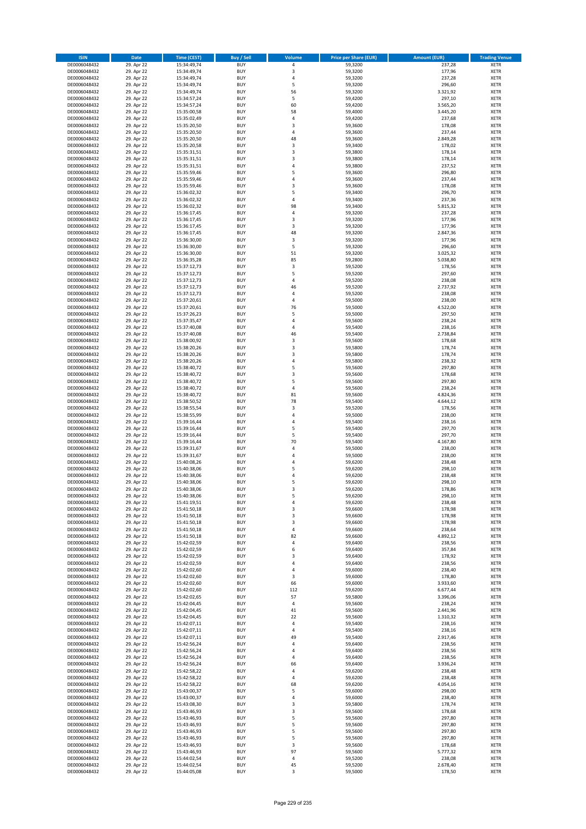| <b>ISIN</b>                  | Date                     | Time (CEST)                | <b>Buy / Sell</b>        | <b>Volume</b>     | <b>Price per Share (EUR)</b> | <b>Amount (EUR)</b>  | <b>Trading Venue</b>       |
|------------------------------|--------------------------|----------------------------|--------------------------|-------------------|------------------------------|----------------------|----------------------------|
| DE0006048432                 | 29. Apr 22               | 15:34:49,74                | <b>BUY</b>               | $\pmb{4}$         | 59,3200                      | 237,28               | <b>XETR</b>                |
| DE0006048432                 | 29. Apr 22               | 15:34:49,74                | <b>BUY</b>               | 3                 | 59,3200                      | 177,96               | XETR                       |
| DE0006048432                 | 29. Apr 22               | 15:34:49,74                | <b>BUY</b>               | 4                 | 59,3200                      | 237,28               | <b>XETR</b>                |
| DE0006048432<br>DE0006048432 | 29. Apr 22<br>29. Apr 22 | 15:34:49,74<br>15:34:49,74 | <b>BUY</b><br><b>BUY</b> | 5<br>56           | 59,3200<br>59,3200           | 296,60<br>3.321,92   | <b>XETR</b><br><b>XETR</b> |
| DE0006048432                 | 29. Apr 22               | 15:34:57,24                | <b>BUY</b>               | 5                 | 59,4200                      | 297,10               | <b>XETR</b>                |
| DE0006048432                 | 29. Apr 22               | 15:34:57,24                | <b>BUY</b>               | 60                | 59,4200                      | 3.565,20             | <b>XETR</b>                |
| DE0006048432                 | 29. Apr 22               | 15:35:00,58                | <b>BUY</b>               | 58                | 59,4000                      | 3.445,20             | <b>XETR</b>                |
| DE0006048432                 | 29. Apr 22               | 15:35:02,49                | <b>BUY</b>               | $\overline{4}$    | 59,4200                      | 237,68               | <b>XETR</b>                |
| DE0006048432                 | 29. Apr 22               | 15:35:20,50                | <b>BUY</b>               | 3                 | 59,3600                      | 178,08               | <b>XETR</b>                |
| DE0006048432                 | 29. Apr 22               | 15:35:20,50                | <b>BUY</b>               | $\sqrt{4}$        | 59,3600                      | 237,44               | <b>XETR</b>                |
| DE0006048432                 | 29. Apr 22<br>29. Apr 22 | 15:35:20,50                | <b>BUY</b>               | 48<br>$\mathsf 3$ | 59,3600                      | 2.849,28             | <b>XETR</b><br><b>XETR</b> |
| DE0006048432<br>DE0006048432 | 29. Apr 22               | 15:35:20,58<br>15:35:31,51 | <b>BUY</b><br><b>BUY</b> | 3                 | 59,3400<br>59,3800           | 178,02<br>178,14     | <b>XETR</b>                |
| DE0006048432                 | 29. Apr 22               | 15:35:31,51                | <b>BUY</b>               | 3                 | 59,3800                      | 178,14               | <b>XETR</b>                |
| DE0006048432                 | 29. Apr 22               | 15:35:31,51                | <b>BUY</b>               | $\overline{4}$    | 59,3800                      | 237,52               | <b>XETR</b>                |
| DE0006048432                 | 29. Apr 22               | 15:35:59,46                | <b>BUY</b>               | 5                 | 59,3600                      | 296,80               | <b>XETR</b>                |
| DE0006048432                 | 29. Apr 22               | 15:35:59,46                | <b>BUY</b>               | 4                 | 59,3600                      | 237,44               | <b>XETR</b>                |
| DE0006048432                 | 29. Apr 22               | 15:35:59,46                | <b>BUY</b>               | 3                 | 59,3600                      | 178,08               | <b>XETR</b>                |
| DE0006048432                 | 29. Apr 22               | 15:36:02,32                | <b>BUY</b>               | 5                 | 59,3400                      | 296,70               | <b>XETR</b>                |
| DE0006048432<br>DE0006048432 | 29. Apr 22<br>29. Apr 22 | 15:36:02,32<br>15:36:02,32 | <b>BUY</b><br><b>BUY</b> | 4<br>98           | 59,3400<br>59,3400           | 237,36<br>5.815,32   | <b>XETR</b><br><b>XETR</b> |
| DE0006048432                 | 29. Apr 22               | 15:36:17,45                | <b>BUY</b>               | 4                 | 59,3200                      | 237,28               | <b>XETR</b>                |
| DE0006048432                 | 29. Apr 22               | 15:36:17,45                | <b>BUY</b>               | 3                 | 59,3200                      | 177,96               | <b>XETR</b>                |
| DE0006048432                 | 29. Apr 22               | 15:36:17,45                | <b>BUY</b>               | 3                 | 59,3200                      | 177,96               | <b>XETR</b>                |
| DE0006048432                 | 29. Apr 22               | 15:36:17,45                | <b>BUY</b>               | 48                | 59,3200                      | 2.847,36             | <b>XETR</b>                |
| DE0006048432                 | 29. Apr 22               | 15:36:30,00                | <b>BUY</b>               | $\mathsf 3$       | 59,3200                      | 177,96               | <b>XETR</b>                |
| DE0006048432                 | 29. Apr 22               | 15:36:30,00                | <b>BUY</b>               | 5                 | 59,3200                      | 296,60               | <b>XETR</b>                |
| DE0006048432<br>DE0006048432 | 29. Apr 22<br>29. Apr 22 | 15:36:30,00<br>15:36:35,28 | <b>BUY</b><br><b>BUY</b> | 51<br>85          | 59,3200<br>59,2800           | 3.025,32<br>5.038,80 | <b>XETR</b><br><b>XETR</b> |
| DE0006048432                 | 29. Apr 22               | 15:37:12,73                | <b>BUY</b>               | $\mathsf 3$       | 59,5200                      | 178,56               | <b>XETR</b>                |
| DE0006048432                 | 29. Apr 22               | 15:37:12,73                | <b>BUY</b>               | 5                 | 59,5200                      | 297,60               | <b>XETR</b>                |
| DE0006048432                 | 29. Apr 22               | 15:37:12,73                | <b>BUY</b>               | $\pmb{4}$         | 59,5200                      | 238,08               | <b>XETR</b>                |
| DE0006048432                 | 29. Apr 22               | 15:37:12,73                | <b>BUY</b>               | 46                | 59,5200                      | 2.737,92             | <b>XETR</b>                |
| DE0006048432                 | 29. Apr 22               | 15:37:12,73                | <b>BUY</b>               | 4                 | 59,5200                      | 238,08               | <b>XETR</b>                |
| DE0006048432                 | 29. Apr 22               | 15:37:20,61                | <b>BUY</b>               | $\pmb{4}$         | 59,5000                      | 238,00               | <b>XETR</b>                |
| DE0006048432                 | 29. Apr 22               | 15:37:20,61                | <b>BUY</b><br><b>BUY</b> | 76<br>5           | 59,5000                      | 4.522,00             | <b>XETR</b>                |
| DE0006048432<br>DE0006048432 | 29. Apr 22<br>29. Apr 22 | 15:37:26,23<br>15:37:35,47 | <b>BUY</b>               | $\pmb{4}$         | 59,5000<br>59,5600           | 297,50<br>238,24     | <b>XETR</b><br><b>XETR</b> |
| DE0006048432                 | 29. Apr 22               | 15:37:40,08                | <b>BUY</b>               | 4                 | 59,5400                      | 238,16               | <b>XETR</b>                |
| DE0006048432                 | 29. Apr 22               | 15:37:40,08                | <b>BUY</b>               | 46                | 59,5400                      | 2.738,84             | <b>XETR</b>                |
| DE0006048432                 | 29. Apr 22               | 15:38:00,92                | <b>BUY</b>               | 3                 | 59,5600                      | 178,68               | <b>XETR</b>                |
| DE0006048432                 | 29. Apr 22               | 15:38:20,26                | <b>BUY</b>               | 3                 | 59,5800                      | 178,74               | <b>XETR</b>                |
| DE0006048432                 | 29. Apr 22               | 15:38:20,26                | <b>BUY</b>               | 3                 | 59,5800                      | 178,74               | <b>XETR</b>                |
| DE0006048432                 | 29. Apr 22               | 15:38:20,26                | <b>BUY</b>               | 4                 | 59,5800                      | 238,32               | <b>XETR</b>                |
| DE0006048432                 | 29. Apr 22<br>29. Apr 22 | 15:38:40,72                | <b>BUY</b><br><b>BUY</b> | 5<br>3            | 59,5600<br>59,5600           | 297,80<br>178,68     | <b>XETR</b><br><b>XETR</b> |
| DE0006048432<br>DE0006048432 | 29. Apr 22               | 15:38:40,72<br>15:38:40,72 | <b>BUY</b>               | 5                 | 59,5600                      | 297,80               | <b>XETR</b>                |
| DE0006048432                 | 29. Apr 22               | 15:38:40,72                | <b>BUY</b>               | 4                 | 59,5600                      | 238,24               | <b>XETR</b>                |
| DE0006048432                 | 29. Apr 22               | 15:38:40,72                | <b>BUY</b>               | 81                | 59,5600                      | 4.824,36             | <b>XETR</b>                |
| DE0006048432                 | 29. Apr 22               | 15:38:50,52                | <b>BUY</b>               | 78                | 59,5400                      | 4.644,12             | <b>XETR</b>                |
| DE0006048432                 | 29. Apr 22               | 15:38:55,54                | <b>BUY</b>               | 3                 | 59,5200                      | 178,56               | <b>XETR</b>                |
| DE0006048432                 | 29. Apr 22               | 15:38:55,99                | <b>BUY</b>               | 4                 | 59,5000                      | 238,00               | <b>XETR</b>                |
| DE0006048432<br>DE0006048432 | 29. Apr 22<br>29. Apr 22 | 15:39:16,44<br>15:39:16,44 | <b>BUY</b><br><b>BUY</b> | 4<br>5            | 59,5400<br>59,5400           | 238,16<br>297,70     | <b>XETR</b><br><b>XETR</b> |
| DE0006048432                 | 29. Apr 22               | 15:39:16,44                | <b>BUY</b>               | 5                 | 59,5400                      | 297,70               | <b>XETR</b>                |
| DE0006048432                 | 29. Apr 22               | 15:39:16,44                | <b>BUY</b>               | 70                | 59,5400                      | 4.167,80             | <b>XETR</b>                |
| DE0006048432                 | 29. Apr 22               | 15:39:31,67                | <b>BUY</b>               | 4                 | 59,5000                      | 238,00               | <b>XETR</b>                |
| DE0006048432                 | 29. Apr 22               | 15:39:31,67                | <b>BUY</b>               | $\overline{4}$    | 59,5000                      | 238,00               | <b>XETR</b>                |
| DE0006048432                 | 29. Apr 22               | 15:40:08,26                | <b>BUY</b>               | 4                 | 59,6200                      | 238,48               | <b>XETR</b>                |
| DE0006048432                 | 29. Apr 22               | 15:40:38,06                | <b>BUY</b>               | 5                 | 59,6200                      | 298,10               | <b>XETR</b>                |
| DE0006048432<br>DE0006048432 | 29. Apr 22<br>29. Apr 22 | 15:40:38,06<br>15:40:38,06 | <b>BUY</b><br><b>BUY</b> | 4<br>5            | 59,6200<br>59,6200           | 238,48<br>298,10     | <b>XETR</b><br><b>XETR</b> |
| DE0006048432                 | 29. Apr 22               | 15:40:38,06                | <b>BUY</b>               | 3                 | 59,6200                      | 178,86               | <b>XETR</b>                |
| DE0006048432                 | 29. Apr 22               | 15:40:38,06                | BUY                      | 5                 | 59,6200                      | 298,10               | XETR                       |
| DE0006048432                 | 29. Apr 22               | 15:41:19,51                | <b>BUY</b>               | 4                 | 59,6200                      | 238,48               | <b>XETR</b>                |
| DE0006048432                 | 29. Apr 22               | 15:41:50,18                | <b>BUY</b>               | 3                 | 59,6600                      | 178,98               | <b>XETR</b>                |
| DE0006048432                 | 29. Apr 22               | 15:41:50,18                | <b>BUY</b>               | 3                 | 59,6600                      | 178,98               | XETR                       |
| DE0006048432                 | 29. Apr 22               | 15:41:50,18                | <b>BUY</b>               | 3                 | 59,6600                      | 178,98               | <b>XETR</b>                |
| DE0006048432<br>DE0006048432 | 29. Apr 22<br>29. Apr 22 | 15:41:50,18<br>15:41:50,18 | <b>BUY</b><br><b>BUY</b> | $\pmb{4}$<br>82   | 59,6600<br>59,6600           | 238,64<br>4.892,12   | <b>XETR</b><br><b>XETR</b> |
| DE0006048432                 | 29. Apr 22               | 15:42:02,59                | <b>BUY</b>               | $\pmb{4}$         | 59,6400                      | 238,56               | <b>XETR</b>                |
| DE0006048432                 | 29. Apr 22               | 15:42:02,59                | <b>BUY</b>               | 6                 | 59,6400                      | 357,84               | XETR                       |
| DE0006048432                 | 29. Apr 22               | 15:42:02,59                | <b>BUY</b>               | 3                 | 59,6400                      | 178,92               | <b>XETR</b>                |
| DE0006048432                 | 29. Apr 22               | 15:42:02,59                | <b>BUY</b>               | $\pmb{4}$         | 59,6400                      | 238,56               | XETR                       |
| DE0006048432                 | 29. Apr 22               | 15:42:02,60                | <b>BUY</b>               | 4                 | 59,6000                      | 238,40               | <b>XETR</b>                |
| DE0006048432<br>DE0006048432 | 29. Apr 22<br>29. Apr 22 | 15:42:02,60<br>15:42:02,60 | <b>BUY</b><br><b>BUY</b> | 3<br>66           | 59,6000<br>59,6000           | 178,80<br>3.933,60   | XETR<br><b>XETR</b>        |
| DE0006048432                 | 29. Apr 22               | 15:42:02,60                | <b>BUY</b>               | 112               | 59,6200                      | 6.677,44             | XETR                       |
| DE0006048432                 | 29. Apr 22               | 15:42:02,65                | <b>BUY</b>               | 57                | 59,5800                      | 3.396,06             | <b>XETR</b>                |
| DE0006048432                 | 29. Apr 22               | 15:42:04,45                | <b>BUY</b>               | 4                 | 59,5600                      | 238,24               | <b>XETR</b>                |
| DE0006048432                 | 29. Apr 22               | 15:42:04,45                | <b>BUY</b>               | $41\,$            | 59,5600                      | 2.441,96             | <b>XETR</b>                |
| DE0006048432                 | 29. Apr 22               | 15:42:04,45                | <b>BUY</b>               | 22                | 59,5600                      | 1.310,32             | XETR                       |
| DE0006048432                 | 29. Apr 22               | 15:42:07,11                | <b>BUY</b>               | $\sqrt{4}$        | 59,5400                      | 238,16               | <b>XETR</b>                |
| DE0006048432<br>DE0006048432 | 29. Apr 22<br>29. Apr 22 | 15:42:07,11<br>15:42:07,11 | <b>BUY</b><br><b>BUY</b> | $\pmb{4}$<br>49   | 59,5400<br>59,5400           | 238,16<br>2.917,46   | <b>XETR</b><br><b>XETR</b> |
| DE0006048432                 | 29. Apr 22               | 15:42:56,24                | <b>BUY</b>               | 4                 | 59,6400                      | 238,56               | XETR                       |
| DE0006048432                 | 29. Apr 22               | 15:42:56,24                | <b>BUY</b>               | 4                 | 59,6400                      | 238,56               | XETR                       |
| DE0006048432                 | 29. Apr 22               | 15:42:56,24                | <b>BUY</b>               | $\pmb{4}$         | 59,6400                      | 238,56               | XETR                       |
| DE0006048432                 | 29. Apr 22               | 15:42:56,24                | <b>BUY</b>               | 66                | 59,6400                      | 3.936,24             | XETR                       |
| DE0006048432                 | 29. Apr 22               | 15:42:58,22                | <b>BUY</b>               | 4                 | 59,6200                      | 238,48               | XETR                       |
| DE0006048432                 | 29. Apr 22               | 15:42:58,22                | <b>BUY</b>               | $\pmb{4}$         | 59,6200                      | 238,48               | <b>XETR</b>                |
| DE0006048432<br>DE0006048432 | 29. Apr 22<br>29. Apr 22 | 15:42:58,22<br>15:43:00,37 | <b>BUY</b><br><b>BUY</b> | 68<br>5           | 59,6200<br>59,6000           | 4.054,16<br>298,00   | XETR<br><b>XETR</b>        |
| DE0006048432                 | 29. Apr 22               | 15:43:00,37                | <b>BUY</b>               | $\pmb{4}$         | 59,6000                      | 238,40               | XETR                       |
| DE0006048432                 | 29. Apr 22               | 15:43:08,30                | <b>BUY</b>               | 3                 | 59,5800                      | 178,74               | XETR                       |
| DE0006048432                 | 29. Apr 22               | 15:43:46,93                | <b>BUY</b>               | 3                 | 59,5600                      | 178,68               | XETR                       |
| DE0006048432                 | 29. Apr 22               | 15:43:46,93                | <b>BUY</b>               | 5                 | 59,5600                      | 297,80               | <b>XETR</b>                |
| DE0006048432                 | 29. Apr 22               | 15:43:46,93                | <b>BUY</b>               | 5                 | 59,5600                      | 297,80               | <b>XETR</b>                |
| DE0006048432                 | 29. Apr 22               | 15:43:46,93                | <b>BUY</b>               | 5                 | 59,5600                      | 297,80               | XETR                       |
| DE0006048432<br>DE0006048432 | 29. Apr 22<br>29. Apr 22 | 15:43:46,93<br>15:43:46,93 | <b>BUY</b><br><b>BUY</b> | 5<br>3            | 59,5600<br>59,5600           | 297,80<br>178,68     | XETR<br>XETR               |
| DE0006048432                 | 29. Apr 22               | 15:43:46,93                | <b>BUY</b>               | 97                | 59,5600                      | 5.777,32             | <b>XETR</b>                |
| DE0006048432                 | 29. Apr 22               | 15:44:02,54                | <b>BUY</b>               | 4                 | 59,5200                      | 238,08               | XETR                       |
| DE0006048432                 | 29. Apr 22               | 15:44:02,54                | <b>BUY</b>               | 45                | 59,5200                      | 2.678,40             | <b>XETR</b>                |
| DE0006048432                 | 29. Apr 22               | 15:44:05,08                | <b>BUY</b>               | 3                 | 59,5000                      | 178,50               | XETR                       |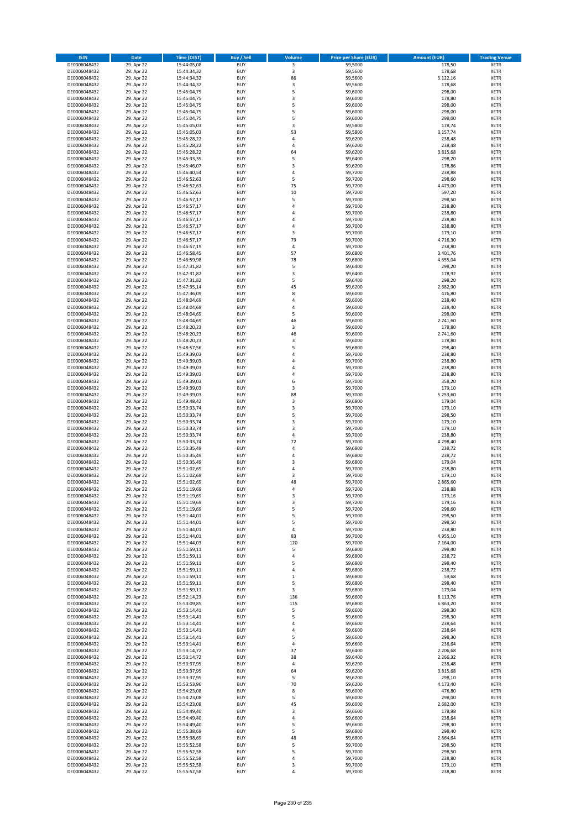| <b>ISIN</b>                  | Date                     | Time (CEST)                | <b>Buy / Sell</b>        | <b>Volume</b>           | <b>Price per Share (EUR)</b> | <b>Amount (EUR)</b> | <b>Trading Venue</b>       |
|------------------------------|--------------------------|----------------------------|--------------------------|-------------------------|------------------------------|---------------------|----------------------------|
| DE0006048432                 | 29. Apr 22               | 15:44:05,08                | <b>BUY</b>               | $\overline{\mathbf{3}}$ | 59,5000                      | 178,50              | <b>XETR</b>                |
| DE0006048432                 | 29. Apr 22               | 15:44:34,32                | <b>BUY</b>               | 3                       | 59,5600                      | 178,68              | XETR                       |
| DE0006048432                 | 29. Apr 22               | 15:44:34,32                | <b>BUY</b>               | 86                      | 59,5600                      | 5.122,16            | <b>XETR</b>                |
| DE0006048432                 | 29. Apr 22               | 15:44:34,32                | <b>BUY</b>               | $\mathsf 3$             | 59,5600                      | 178,68              | XETR                       |
| DE0006048432<br>DE0006048432 | 29. Apr 22<br>29. Apr 22 | 15:45:04,75<br>15:45:04,75 | <b>BUY</b><br><b>BUY</b> | 5<br>3                  | 59,6000<br>59,6000           | 298,00<br>178,80    | <b>XETR</b><br><b>XETR</b> |
| DE0006048432                 | 29. Apr 22               | 15:45:04,75                | <b>BUY</b>               | 5                       | 59,6000                      | 298,00              | <b>XETR</b>                |
| DE0006048432                 | 29. Apr 22               | 15:45:04,75                | <b>BUY</b>               | 5                       | 59,6000                      | 298,00              | <b>XETR</b>                |
| DE0006048432                 | 29. Apr 22               | 15:45:04,75                | <b>BUY</b>               | 5                       | 59,6000                      | 298,00              | <b>XETR</b>                |
| DE0006048432                 | 29. Apr 22               | 15:45:05,03                | <b>BUY</b>               | 3                       | 59,5800                      | 178,74              | <b>XETR</b>                |
| DE0006048432                 | 29. Apr 22               | 15:45:05,03                | <b>BUY</b>               | 53                      | 59,5800                      | 3.157,74            | <b>XETR</b>                |
| DE0006048432                 | 29. Apr 22               | 15:45:28,22                | <b>BUY</b>               | 4                       | 59,6200                      | 238,48              | <b>XETR</b>                |
| DE0006048432<br>DE0006048432 | 29. Apr 22<br>29. Apr 22 | 15:45:28,22<br>15:45:28,22 | <b>BUY</b><br><b>BUY</b> | $\overline{4}$<br>64    | 59,6200<br>59,6200           | 238,48<br>3.815,68  | <b>XETR</b><br><b>XETR</b> |
| DE0006048432                 | 29. Apr 22               | 15:45:33,35                | <b>BUY</b>               | 5                       | 59,6400                      | 298,20              | <b>XETR</b>                |
| DE0006048432                 | 29. Apr 22               | 15:45:46,07                | <b>BUY</b>               | 3                       | 59,6200                      | 178,86              | <b>XETR</b>                |
| DE0006048432                 | 29. Apr 22               | 15:46:40,54                | <b>BUY</b>               | 4                       | 59,7200                      | 238,88              | <b>XETR</b>                |
| DE0006048432                 | 29. Apr 22               | 15:46:52,63                | <b>BUY</b>               | 5                       | 59,7200                      | 298,60              | <b>XETR</b>                |
| DE0006048432                 | 29. Apr 22               | 15:46:52,63                | <b>BUY</b>               | 75                      | 59,7200                      | 4.479,00            | <b>XETR</b>                |
| DE0006048432<br>DE0006048432 | 29. Apr 22<br>29. Apr 22 | 15:46:52,63                | <b>BUY</b><br><b>BUY</b> | 10<br>5                 | 59,7200<br>59,7000           | 597,20<br>298,50    | <b>XETR</b><br><b>XETR</b> |
| DE0006048432                 | 29. Apr 22               | 15:46:57,17<br>15:46:57,17 | <b>BUY</b>               | 4                       | 59,7000                      | 238,80              | <b>XETR</b>                |
| DE0006048432                 | 29. Apr 22               | 15:46:57,17                | <b>BUY</b>               | $\overline{4}$          | 59,7000                      | 238,80              | <b>XETR</b>                |
| DE0006048432                 | 29. Apr 22               | 15:46:57,17                | <b>BUY</b>               | 4                       | 59,7000                      | 238,80              | <b>XETR</b>                |
| DE0006048432                 | 29. Apr 22               | 15:46:57,17                | <b>BUY</b>               | $\sqrt{4}$              | 59,7000                      | 238,80              | <b>XETR</b>                |
| DE0006048432                 | 29. Apr 22               | 15:46:57,17                | <b>BUY</b>               | 3                       | 59,7000                      | 179,10              | <b>XETR</b>                |
| DE0006048432<br>DE0006048432 | 29. Apr 22<br>29. Apr 22 | 15:46:57,17                | <b>BUY</b><br><b>BUY</b> | 79<br>4                 | 59,7000                      | 4.716,30            | <b>XETR</b><br><b>XETR</b> |
| DE0006048432                 | 29. Apr 22               | 15:46:57,19<br>15:46:58,45 | <b>BUY</b>               | 57                      | 59,7000<br>59,6800           | 238,80<br>3.401,76  | <b>XETR</b>                |
| DE0006048432                 | 29. Apr 22               | 15:46:59,98                | <b>BUY</b>               | 78                      | 59,6800                      | 4.655,04            | <b>XETR</b>                |
| DE0006048432                 | 29. Apr 22               | 15:47:31,82                | <b>BUY</b>               | 5                       | 59,6400                      | 298,20              | <b>XETR</b>                |
| DE0006048432                 | 29. Apr 22               | 15:47:31,82                | <b>BUY</b>               | 3                       | 59,6400                      | 178,92              | <b>XETR</b>                |
| DE0006048432                 | 29. Apr 22               | 15:47:31,82                | <b>BUY</b>               | 5                       | 59,6400                      | 298,20              | <b>XETR</b>                |
| DE0006048432                 | 29. Apr 22               | 15:47:35,14                | <b>BUY</b>               | 45                      | 59,6200                      | 2.682,90            | <b>XETR</b>                |
| DE0006048432<br>DE0006048432 | 29. Apr 22<br>29. Apr 22 | 15:47:36,09<br>15:48:04,69 | <b>BUY</b><br><b>BUY</b> | 8<br>4                  | 59,6000<br>59,6000           | 476,80<br>238,40    | <b>XETR</b><br><b>XETR</b> |
| DE0006048432                 | 29. Apr 22               | 15:48:04,69                | <b>BUY</b>               | 4                       | 59,6000                      | 238,40              | <b>XETR</b>                |
| DE0006048432                 | 29. Apr 22               | 15:48:04,69                | <b>BUY</b>               | 5                       | 59,6000                      | 298,00              | <b>XETR</b>                |
| DE0006048432                 | 29. Apr 22               | 15:48:04,69                | <b>BUY</b>               | 46                      | 59,6000                      | 2.741,60            | <b>XETR</b>                |
| DE0006048432                 | 29. Apr 22               | 15:48:20,23                | <b>BUY</b>               | 3                       | 59,6000                      | 178,80              | <b>XETR</b>                |
| DE0006048432                 | 29. Apr 22               | 15:48:20,23                | <b>BUY</b>               | 46                      | 59,6000                      | 2.741,60            | <b>XETR</b>                |
| DE0006048432                 | 29. Apr 22               | 15:48:20,23                | <b>BUY</b><br><b>BUY</b> | 3                       | 59,6000                      | 178,80              | <b>XETR</b>                |
| DE0006048432<br>DE0006048432 | 29. Apr 22<br>29. Apr 22 | 15:48:57,56<br>15:49:39,03 | <b>BUY</b>               | 5<br>4                  | 59,6800<br>59,7000           | 298,40<br>238,80    | <b>XETR</b><br><b>XETR</b> |
| DE0006048432                 | 29. Apr 22               | 15:49:39,03                | <b>BUY</b>               | $\overline{4}$          | 59,7000                      | 238,80              | <b>XETR</b>                |
| DE0006048432                 | 29. Apr 22               | 15:49:39,03                | <b>BUY</b>               | 4                       | 59,7000                      | 238,80              | <b>XETR</b>                |
| DE0006048432                 | 29. Apr 22               | 15:49:39,03                | <b>BUY</b>               | 4                       | 59,7000                      | 238,80              | <b>XETR</b>                |
| DE0006048432                 | 29. Apr 22               | 15:49:39,03                | <b>BUY</b>               | 6                       | 59,7000                      | 358,20              | <b>XETR</b>                |
| DE0006048432<br>DE0006048432 | 29. Apr 22               | 15:49:39,03                | <b>BUY</b><br><b>BUY</b> | 3<br>88                 | 59,7000<br>59,7000           | 179,10<br>5.253,60  | <b>XETR</b><br><b>XETR</b> |
| DE0006048432                 | 29. Apr 22<br>29. Apr 22 | 15:49:39,03<br>15:49:48,42 | <b>BUY</b>               | 3                       | 59,6800                      | 179,04              | <b>XETR</b>                |
| DE0006048432                 | 29. Apr 22               | 15:50:33,74                | <b>BUY</b>               | 3                       | 59,7000                      | 179,10              | <b>XETR</b>                |
| DE0006048432                 | 29. Apr 22               | 15:50:33,74                | <b>BUY</b>               | 5                       | 59,7000                      | 298,50              | <b>XETR</b>                |
| DE0006048432                 | 29. Apr 22               | 15:50:33,74                | <b>BUY</b>               | $\mathsf 3$             | 59,7000                      | 179,10              | <b>XETR</b>                |
| DE0006048432                 | 29. Apr 22               | 15:50:33,74                | <b>BUY</b>               | 3                       | 59,7000                      | 179,10              | <b>XETR</b>                |
| DE0006048432                 | 29. Apr 22               | 15:50:33,74                | <b>BUY</b>               | 4                       | 59,7000                      | 238,80              | <b>XETR</b>                |
| DE0006048432<br>DE0006048432 | 29. Apr 22<br>29. Apr 22 | 15:50:33,74<br>15:50:35,49 | <b>BUY</b><br><b>BUY</b> | 72<br>4                 | 59,7000<br>59,6800           | 4.298,40<br>238,72  | <b>XETR</b><br><b>XETR</b> |
| DE0006048432                 | 29. Apr 22               | 15:50:35,49                | <b>BUY</b>               | $\overline{4}$          | 59,6800                      | 238,72              | <b>XETR</b>                |
| DE0006048432                 | 29. Apr 22               | 15:50:35,49                | <b>BUY</b>               | 3                       | 59,6800                      | 179,04              | <b>XETR</b>                |
| DE0006048432                 | 29. Apr 22               | 15:51:02,69                | <b>BUY</b>               | $\sqrt{4}$              | 59,7000                      | 238,80              | <b>XETR</b>                |
| DE0006048432                 | 29. Apr 22               | 15:51:02,69                | <b>BUY</b>               | 3                       | 59,7000                      | 179,10              | <b>XETR</b>                |
| DE0006048432                 | 29. Apr 22               | 15:51:02,69                | <b>BUY</b>               | 48                      | 59,7000                      | 2.865,60            | <b>XETR</b>                |
| DE0006048432<br>DE0006048432 | 29. Apr 22<br>29. Apr 22 | 15:51:19,69<br>15:51:19,69 | <b>BUY</b><br>BUY        | $\overline{4}$<br>3     | 59,7200                      | 238,88              | <b>XETR</b><br>XETR        |
| DE0006048432                 | 29. Apr 22               | 15:51:19,69                | <b>BUY</b>               | 3                       | 59,7200<br>59,7200           | 179,16<br>179,16    | XETR                       |
| DE0006048432                 | 29. Apr 22               | 15:51:19,69                | <b>BUY</b>               | 5                       | 59,7200                      | 298,60              | <b>XETR</b>                |
| DE0006048432                 | 29. Apr 22               | 15:51:44,01                | <b>BUY</b>               | 5                       | 59,7000                      | 298,50              | XETR                       |
| DE0006048432                 | 29. Apr 22               | 15:51:44,01                | <b>BUY</b>               | 5                       | 59,7000                      | 298,50              | XETR                       |
| DE0006048432                 | 29. Apr 22               | 15:51:44,01                | <b>BUY</b>               | $\sqrt{4}$              | 59,7000                      | 238,80              | <b>XETR</b>                |
| DE0006048432                 | 29. Apr 22<br>29. Apr 22 | 15:51:44,01                | <b>BUY</b>               | 83                      | 59,7000                      | 4.955,10            | <b>XETR</b>                |
| DE0006048432<br>DE0006048432 | 29. Apr 22               | 15:51:44,03<br>15:51:59,11 | <b>BUY</b><br><b>BUY</b> | 120<br>5                | 59,7000<br>59,6800           | 7.164,00<br>298,40  | <b>XETR</b><br>XETR        |
| DE0006048432                 | 29. Apr 22               | 15:51:59,11                | <b>BUY</b>               | 4                       | 59,6800                      | 238,72              | <b>XETR</b>                |
| DE0006048432                 | 29. Apr 22               | 15:51:59,11                | <b>BUY</b>               | 5                       | 59,6800                      | 298,40              | XETR                       |
| DE0006048432                 | 29. Apr 22               | 15:51:59,11                | <b>BUY</b>               | 4                       | 59,6800                      | 238,72              | <b>XETR</b>                |
| DE0006048432                 | 29. Apr 22               | 15:51:59,11                | <b>BUY</b>               | $\,$ 1                  | 59,6800                      | 59,68               | XETR                       |
| DE0006048432<br>DE0006048432 | 29. Apr 22               | 15:51:59,11<br>15:51:59,11 | <b>BUY</b><br><b>BUY</b> | 5<br>3                  | 59,6800<br>59,6800           | 298,40<br>179,04    | <b>XETR</b><br><b>XETR</b> |
| DE0006048432                 | 29. Apr 22<br>29. Apr 22 | 15:52:14,23                | <b>BUY</b>               | 136                     | 59,6600                      | 8.113,76            | <b>XETR</b>                |
| DE0006048432                 | 29. Apr 22               | 15:53:09,85                | <b>BUY</b>               | 115                     | 59,6800                      | 6.863,20            | <b>XETR</b>                |
| DE0006048432                 | 29. Apr 22               | 15:53:14,41                | <b>BUY</b>               | 5                       | 59,6600                      | 298,30              | <b>XETR</b>                |
| DE0006048432                 | 29. Apr 22               | 15:53:14,41                | <b>BUY</b>               | 5                       | 59,6600                      | 298,30              | XETR                       |
| DE0006048432                 | 29. Apr 22               | 15:53:14,41                | <b>BUY</b>               | 4                       | 59,6600                      | 238,64              | XETR                       |
| DE0006048432                 | 29. Apr 22               | 15:53:14,41                | <b>BUY</b>               | 4                       | 59,6600                      | 238,64              | <b>XETR</b>                |
| DE0006048432<br>DE0006048432 | 29. Apr 22<br>29. Apr 22 | 15:53:14,41<br>15:53:14,41 | <b>BUY</b><br><b>BUY</b> | 5<br>$\sqrt{4}$         | 59,6600<br>59,6600           | 298,30<br>238,64    | <b>XETR</b><br>XETR        |
| DE0006048432                 | 29. Apr 22               | 15:53:14,72                | <b>BUY</b>               | 37                      | 59,6400                      | 2.206,68            | <b>XETR</b>                |
| DE0006048432                 | 29. Apr 22               | 15:53:14,72                | <b>BUY</b>               | 38                      | 59,6400                      | 2.266,32            | XETR                       |
| DE0006048432                 | 29. Apr 22               | 15:53:37,95                | <b>BUY</b>               | 4                       | 59,6200                      | 238,48              | <b>XETR</b>                |
| DE0006048432                 | 29. Apr 22               | 15:53:37,95                | <b>BUY</b>               | 64                      | 59,6200                      | 3.815,68            | XETR                       |
| DE0006048432                 | 29. Apr 22               | 15:53:37,95                | <b>BUY</b>               | 5                       | 59,6200                      | 298,10              | <b>XETR</b>                |
| DE0006048432<br>DE0006048432 | 29. Apr 22<br>29. Apr 22 | 15:53:53,96<br>15:54:23,08 | <b>BUY</b><br><b>BUY</b> | 70<br>8                 | 59,6200<br>59,6000           | 4.173,40<br>476,80  | <b>XETR</b><br>XETR        |
| DE0006048432                 | 29. Apr 22               | 15:54:23,08                | <b>BUY</b>               | 5                       | 59,6000                      | 298,00              | <b>XETR</b>                |
| DE0006048432                 | 29. Apr 22               | 15:54:23,08                | <b>BUY</b>               | 45                      | 59,6000                      | 2.682,00            | <b>XETR</b>                |
| DE0006048432                 | 29. Apr 22               | 15:54:49,40                | <b>BUY</b>               | 3                       | 59,6600                      | 178,98              | XETR                       |
| DE0006048432                 | 29. Apr 22               | 15:54:49,40                | <b>BUY</b>               | $\sqrt{4}$              | 59,6600                      | 238,64              | <b>XETR</b>                |
| DE0006048432                 | 29. Apr 22               | 15:54:49,40                | <b>BUY</b>               | 5                       | 59,6600                      | 298,30              | <b>XETR</b>                |
| DE0006048432                 | 29. Apr 22               | 15:55:38,69                | <b>BUY</b><br><b>BUY</b> | 5<br>48                 | 59,6800                      | 298,40              | <b>XETR</b>                |
| DE0006048432<br>DE0006048432 | 29. Apr 22<br>29. Apr 22 | 15:55:38,69<br>15:55:52,58 | <b>BUY</b>               | 5                       | 59,6800<br>59,7000           | 2.864,64<br>298,50  | XETR<br>XETR               |
| DE0006048432                 | 29. Apr 22               | 15:55:52,58                | <b>BUY</b>               | 5                       | 59,7000                      | 298,50              | <b>XETR</b>                |
| DE0006048432                 | 29. Apr 22               | 15:55:52,58                | <b>BUY</b>               | 4                       | 59,7000                      | 238,80              | XETR                       |
| DE0006048432                 | 29. Apr 22               | 15:55:52,58                | <b>BUY</b>               | 3                       | 59,7000                      | 179,10              | <b>XETR</b>                |
| DE0006048432                 | 29. Apr 22               | 15:55:52,58                | <b>BUY</b>               | $\sqrt{4}$              | 59,7000                      | 238,80              | <b>XETR</b>                |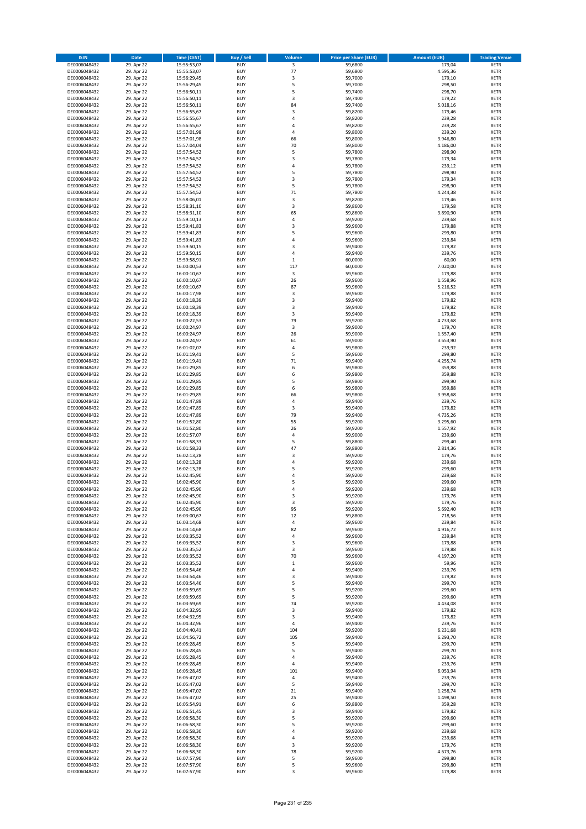| <b>ISIN</b>                  | Date                     | Time (CEST)                | <b>Buy / Sell</b>        | Volume                  | <b>Price per Share (EUR)</b> | <b>Amount (EUR)</b>  | <b>Trading Venue</b>       |
|------------------------------|--------------------------|----------------------------|--------------------------|-------------------------|------------------------------|----------------------|----------------------------|
| DE0006048432                 | 29. Apr 22               | 15:55:53,07                | <b>BUY</b>               | $\overline{\mathbf{3}}$ | 59,6800                      | 179,04               | <b>XETR</b>                |
| DE0006048432                 | 29. Apr 22               | 15:55:53,07                | <b>BUY</b>               | 77                      | 59,6800                      | 4.595,36             | XETR                       |
| DE0006048432                 | 29. Apr 22               | 15:56:29,45                | <b>BUY</b>               | 3                       | 59,7000                      | 179,10               | <b>XETR</b>                |
| DE0006048432                 | 29. Apr 22               | 15:56:29,45                | <b>BUY</b>               | 5                       | 59,7000                      | 298,50               | XETR                       |
| DE0006048432<br>DE0006048432 | 29. Apr 22<br>29. Apr 22 | 15:56:50,11<br>15:56:50,11 | <b>BUY</b><br><b>BUY</b> | 5<br>3                  | 59,7400<br>59,7400           | 298,70<br>179,22     | <b>XETR</b><br><b>XETR</b> |
| DE0006048432                 | 29. Apr 22               | 15:56:50,11                | <b>BUY</b>               | 84                      | 59,7400                      | 5.018,16             | <b>XETR</b>                |
| DE0006048432                 | 29. Apr 22               | 15:56:55,67                | <b>BUY</b>               | 3                       | 59,8200                      | 179,46               | <b>XETR</b>                |
| DE0006048432                 | 29. Apr 22               | 15:56:55,67                | <b>BUY</b>               | $\overline{4}$          | 59,8200                      | 239,28               | <b>XETR</b>                |
| DE0006048432                 | 29. Apr 22               | 15:56:55,67                | <b>BUY</b>               | 4                       | 59,8200                      | 239,28               | <b>XETR</b>                |
| DE0006048432                 | 29. Apr 22               | 15:57:01,98                | <b>BUY</b>               | $\sqrt{4}$              | 59,8000                      | 239,20               | <b>XETR</b>                |
| DE0006048432                 | 29. Apr 22               | 15:57:01,98                | <b>BUY</b>               | 66                      | 59,8000                      | 3.946,80             | <b>XETR</b>                |
| DE0006048432<br>DE0006048432 | 29. Apr 22<br>29. Apr 22 | 15:57:04,04<br>15:57:54,52 | <b>BUY</b><br><b>BUY</b> | 70<br>5                 | 59,8000<br>59,7800           | 4.186,00<br>298,90   | <b>XETR</b><br><b>XETR</b> |
| DE0006048432                 | 29. Apr 22               | 15:57:54,52                | <b>BUY</b>               | 3                       | 59,7800                      | 179,34               | <b>XETR</b>                |
| DE0006048432                 | 29. Apr 22               | 15:57:54,52                | <b>BUY</b>               | $\overline{4}$          | 59,7800                      | 239,12               | <b>XETR</b>                |
| DE0006048432                 | 29. Apr 22               | 15:57:54,52                | <b>BUY</b>               | 5                       | 59,7800                      | 298,90               | <b>XETR</b>                |
| DE0006048432                 | 29. Apr 22               | 15:57:54,52                | <b>BUY</b>               | 3                       | 59,7800                      | 179,34               | <b>XETR</b>                |
| DE0006048432                 | 29. Apr 22               | 15:57:54,52                | <b>BUY</b>               | 5                       | 59,7800                      | 298,90               | <b>XETR</b>                |
| DE0006048432<br>DE0006048432 | 29. Apr 22<br>29. Apr 22 | 15:57:54,52<br>15:58:06,01 | <b>BUY</b><br><b>BUY</b> | 71<br>3                 | 59,7800<br>59,8200           | 4.244,38<br>179,46   | <b>XETR</b><br><b>XETR</b> |
| DE0006048432                 | 29. Apr 22               | 15:58:31,10                | <b>BUY</b>               | 3                       | 59,8600                      | 179,58               | <b>XETR</b>                |
| DE0006048432                 | 29. Apr 22               | 15:58:31,10                | <b>BUY</b>               | 65                      | 59,8600                      | 3.890,90             | <b>XETR</b>                |
| DE0006048432                 | 29. Apr 22               | 15:59:10,13                | <b>BUY</b>               | 4                       | 59,9200                      | 239,68               | <b>XETR</b>                |
| DE0006048432                 | 29. Apr 22               | 15:59:41,83                | <b>BUY</b>               | $\mathsf 3$             | 59,9600                      | 179,88               | <b>XETR</b>                |
| DE0006048432                 | 29. Apr 22               | 15:59:41,83                | <b>BUY</b>               | 5                       | 59,9600                      | 299,80               | <b>XETR</b>                |
| DE0006048432<br>DE0006048432 | 29. Apr 22               | 15:59:41,83                | <b>BUY</b><br><b>BUY</b> | $\overline{4}$<br>3     | 59,9600                      | 239,84               | <b>XETR</b><br><b>XETR</b> |
| DE0006048432                 | 29. Apr 22<br>29. Apr 22 | 15:59:50,15<br>15:59:50,15 | <b>BUY</b>               | $\overline{4}$          | 59,9400<br>59,9400           | 179,82<br>239,76     | <b>XETR</b>                |
| DE0006048432                 | 29. Apr 22               | 15:59:58,91                | <b>BUY</b>               | $\,1\,$                 | 60,0000                      | 60,00                | <b>XETR</b>                |
| DE0006048432                 | 29. Apr 22               | 16:00:00,53                | <b>BUY</b>               | 117                     | 60,0000                      | 7.020,00             | <b>XETR</b>                |
| DE0006048432                 | 29. Apr 22               | 16:00:10,67                | <b>BUY</b>               | 3                       | 59,9600                      | 179,88               | <b>XETR</b>                |
| DE0006048432                 | 29. Apr 22               | 16:00:10,67                | <b>BUY</b>               | 26                      | 59,9600                      | 1.558,96             | <b>XETR</b>                |
| DE0006048432                 | 29. Apr 22               | 16:00:10,67                | <b>BUY</b>               | 87                      | 59,9600                      | 5.216,52             | <b>XETR</b>                |
| DE0006048432<br>DE0006048432 | 29. Apr 22<br>29. Apr 22 | 16:00:17,98<br>16:00:18,39 | <b>BUY</b><br><b>BUY</b> | 3<br>3                  | 59,9600<br>59,9400           | 179,88<br>179,82     | <b>XETR</b><br><b>XETR</b> |
| DE0006048432                 | 29. Apr 22               | 16:00:18,39                | <b>BUY</b>               | 3                       | 59,9400                      | 179,82               | <b>XETR</b>                |
| DE0006048432                 | 29. Apr 22               | 16:00:18,39                | <b>BUY</b>               | 3                       | 59,9400                      | 179,82               | <b>XETR</b>                |
| DE0006048432                 | 29. Apr 22               | 16:00:22,53                | <b>BUY</b>               | 79                      | 59,9200                      | 4.733,68             | <b>XETR</b>                |
| DE0006048432                 | 29. Apr 22               | 16:00:24,97                | <b>BUY</b>               | $\mathsf 3$             | 59,9000                      | 179,70               | <b>XETR</b>                |
| DE0006048432                 | 29. Apr 22               | 16:00:24,97                | <b>BUY</b>               | 26                      | 59,9000                      | 1.557,40             | <b>XETR</b>                |
| DE0006048432                 | 29. Apr 22               | 16:00:24,97                | <b>BUY</b><br><b>BUY</b> | 61                      | 59,9000                      | 3.653,90             | <b>XETR</b>                |
| DE0006048432<br>DE0006048432 | 29. Apr 22<br>29. Apr 22 | 16:01:02,07<br>16:01:19,41 | <b>BUY</b>               | 4<br>5                  | 59,9800<br>59,9600           | 239,92<br>299,80     | <b>XETR</b><br><b>XETR</b> |
| DE0006048432                 | 29. Apr 22               | 16:01:19,41                | <b>BUY</b>               | 71                      | 59,9400                      | 4.255,74             | <b>XETR</b>                |
| DE0006048432                 | 29. Apr 22               | 16:01:29,85                | <b>BUY</b>               | 6                       | 59,9800                      | 359,88               | <b>XETR</b>                |
| DE0006048432                 | 29. Apr 22               | 16:01:29,85                | <b>BUY</b>               | 6                       | 59,9800                      | 359,88               | <b>XETR</b>                |
| DE0006048432                 | 29. Apr 22               | 16:01:29,85                | <b>BUY</b>               | 5                       | 59,9800                      | 299,90               | <b>XETR</b>                |
| DE0006048432                 | 29. Apr 22               | 16:01:29,85                | <b>BUY</b><br><b>BUY</b> | 6<br>66                 | 59,9800                      | 359,88               | <b>XETR</b>                |
| DE0006048432<br>DE0006048432 | 29. Apr 22<br>29. Apr 22 | 16:01:29,85<br>16:01:47,89 | <b>BUY</b>               | 4                       | 59,9800<br>59,9400           | 3.958,68<br>239,76   | <b>XETR</b><br><b>XETR</b> |
| DE0006048432                 | 29. Apr 22               | 16:01:47,89                | <b>BUY</b>               | 3                       | 59,9400                      | 179,82               | <b>XETR</b>                |
| DE0006048432                 | 29. Apr 22               | 16:01:47,89                | <b>BUY</b>               | 79                      | 59,9400                      | 4.735,26             | <b>XETR</b>                |
| DE0006048432                 | 29. Apr 22               | 16:01:52,80                | <b>BUY</b>               | 55                      | 59,9200                      | 3.295,60             | <b>XETR</b>                |
| DE0006048432                 | 29. Apr 22               | 16:01:52,80                | <b>BUY</b>               | 26                      | 59,9200                      | 1.557,92             | <b>XETR</b>                |
| DE0006048432                 | 29. Apr 22               | 16:01:57,07                | <b>BUY</b>               | 4                       | 59,9000                      | 239,60               | <b>XETR</b>                |
| DE0006048432<br>DE0006048432 | 29. Apr 22<br>29. Apr 22 | 16:01:58,33<br>16:01:58,33 | <b>BUY</b><br><b>BUY</b> | 5<br>47                 | 59,8800<br>59,8800           | 299,40<br>2.814,36   | <b>XETR</b><br><b>XETR</b> |
| DE0006048432                 | 29. Apr 22               | 16:02:13,28                | <b>BUY</b>               | 3                       | 59,9200                      | 179,76               | <b>XETR</b>                |
| DE0006048432                 | 29. Apr 22               | 16:02:13,28                | <b>BUY</b>               | 4                       | 59,9200                      | 239,68               | <b>XETR</b>                |
| DE0006048432                 | 29. Apr 22               | 16:02:13,28                | <b>BUY</b>               | 5                       | 59,9200                      | 299,60               | <b>XETR</b>                |
| DE0006048432                 | 29. Apr 22               | 16:02:45,90                | <b>BUY</b>               | $\overline{4}$          | 59,9200                      | 239,68               | <b>XETR</b>                |
| DE0006048432                 | 29. Apr 22               | 16:02:45,90                | <b>BUY</b>               | 5                       | 59,9200                      | 299,60               | <b>XETR</b>                |
| DE0006048432                 | 29. Apr 22               | 16:02:45,90<br>16:02:45,90 | <b>BUY</b>               | $\overline{a}$          | 59,9200                      | 239,68               | <b>XETR</b>                |
| DE0006048432<br>DE0006048432 | 29. Apr 22<br>29. Apr 22 | 16:02:45,90                | BUY<br><b>BUY</b>        | 3<br>3                  | 59,9200<br>59,9200           | 179,76<br>179,76     | XETR<br><b>XETR</b>        |
| DE0006048432                 | 29. Apr 22               | 16:02:45,90                | <b>BUY</b>               | 95                      | 59,9200                      | 5.692,40             | <b>XETR</b>                |
| DE0006048432                 | 29. Apr 22               | 16:03:00,67                | <b>BUY</b>               | 12                      | 59,8800                      | 718,56               | XETR                       |
| DE0006048432                 | 29. Apr 22               | 16:03:14,68                | <b>BUY</b>               | $\sqrt{4}$              | 59,9600                      | 239,84               | <b>XETR</b>                |
| DE0006048432                 | 29. Apr 22               | 16:03:14,68                | <b>BUY</b>               | 82                      | 59,9600                      | 4.916,72             | <b>XETR</b>                |
| DE0006048432                 | 29. Apr 22               | 16:03:35,52                | <b>BUY</b>               | $\sqrt{4}$              | 59,9600                      | 239,84               | <b>XETR</b>                |
| DE0006048432<br>DE0006048432 | 29. Apr 22<br>29. Apr 22 | 16:03:35,52<br>16:03:35,52 | <b>BUY</b><br><b>BUY</b> | 3<br>3                  | 59,9600<br>59,9600           | 179,88<br>179,88     | <b>XETR</b><br>XETR        |
| DE0006048432                 | 29. Apr 22               | 16:03:35,52                | <b>BUY</b>               | 70                      | 59,9600                      | 4.197,20             | <b>XETR</b>                |
| DE0006048432                 | 29. Apr 22               | 16:03:35,52                | <b>BUY</b>               | $\,$ 1                  | 59,9600                      | 59,96                | XETR                       |
| DE0006048432                 | 29. Apr 22               | 16:03:54,46                | <b>BUY</b>               | 4                       | 59.9400                      | 239,76               | <b>XETR</b>                |
| DE0006048432                 | 29. Apr 22               | 16:03:54,46                | <b>BUY</b>               | $\mathsf 3$             | 59,9400                      | 179,82               | XETR                       |
| DE0006048432<br>DE0006048432 | 29. Apr 22<br>29. Apr 22 | 16:03:54,46<br>16:03:59,69 | <b>BUY</b><br><b>BUY</b> | 5<br>5                  | 59,9400<br>59,9200           | 299,70<br>299,60     | <b>XETR</b><br>XETR        |
| DE0006048432                 | 29. Apr 22               | 16:03:59,69                | <b>BUY</b>               | 5                       | 59,9200                      | 299,60               | <b>XETR</b>                |
| DE0006048432                 | 29. Apr 22               | 16:03:59,69                | <b>BUY</b>               | 74                      | 59,9200                      | 4.434,08             | <b>XETR</b>                |
| DE0006048432                 | 29. Apr 22               | 16:04:32,95                | <b>BUY</b>               | 3                       | 59,9400                      | 179,82               | <b>XETR</b>                |
| DE0006048432                 | 29. Apr 22               | 16:04:32,95                | <b>BUY</b>               | 3                       | 59,9400                      | 179,82               | XETR                       |
| DE0006048432                 | 29. Apr 22               | 16:04:32,96                | <b>BUY</b>               | $\sqrt{4}$              | 59,9400                      | 239,76               | <b>XETR</b>                |
| DE0006048432                 | 29. Apr 22               | 16:04:40,41                | <b>BUY</b>               | 104                     | 59,9200                      | 6.231,68             | <b>XETR</b>                |
| DE0006048432<br>DE0006048432 | 29. Apr 22<br>29. Apr 22 | 16:04:56,72                | <b>BUY</b><br><b>BUY</b> | 105<br>5                | 59,9400<br>59,9400           | 6.293,70<br>299,70   | <b>XETR</b><br>XETR        |
| DE0006048432                 | 29. Apr 22               | 16:05:28,45<br>16:05:28,45 | <b>BUY</b>               | 5                       | 59,9400                      | 299,70               | <b>XETR</b>                |
| DE0006048432                 | 29. Apr 22               | 16:05:28,45                | <b>BUY</b>               | 4                       | 59,9400                      | 239,76               | XETR                       |
| DE0006048432                 | 29. Apr 22               | 16:05:28,45                | <b>BUY</b>               | 4                       | 59,9400                      | 239,76               | <b>XETR</b>                |
| DE0006048432                 | 29. Apr 22               | 16:05:28,45                | <b>BUY</b>               | 101                     | 59,9400                      | 6.053,94             | XETR                       |
| DE0006048432                 | 29. Apr 22               | 16:05:47,02                | <b>BUY</b>               | $\sqrt{4}$              | 59,9400                      | 239,76               | <b>XETR</b>                |
| DE0006048432                 | 29. Apr 22               | 16:05:47,02                | <b>BUY</b><br><b>BUY</b> | 5<br>21                 | 59,9400                      | 299,70               | <b>XETR</b>                |
| DE0006048432<br>DE0006048432 | 29. Apr 22<br>29. Apr 22 | 16:05:47,02<br>16:05:47,02 | <b>BUY</b>               | 25                      | 59,9400<br>59,9400           | 1.258,74<br>1.498,50 | <b>XETR</b><br>XETR        |
| DE0006048432                 | 29. Apr 22               | 16:05:54,91                | <b>BUY</b>               | 6                       | 59,8800                      | 359,28               | XETR                       |
| DE0006048432                 | 29. Apr 22               | 16:06:51,45                | <b>BUY</b>               | 3                       | 59,9400                      | 179,82               | XETR                       |
| DE0006048432                 | 29. Apr 22               | 16:06:58,30                | <b>BUY</b>               | 5                       | 59,9200                      | 299,60               | <b>XETR</b>                |
| DE0006048432                 | 29. Apr 22               | 16:06:58,30                | <b>BUY</b>               | 5                       | 59,9200                      | 299,60               | <b>XETR</b>                |
| DE0006048432                 | 29. Apr 22               | 16:06:58,30                | <b>BUY</b>               | $\sqrt{4}$              | 59,9200                      | 239,68               | <b>XETR</b>                |
| DE0006048432<br>DE0006048432 | 29. Apr 22<br>29. Apr 22 | 16:06:58,30<br>16:06:58,30 | <b>BUY</b><br><b>BUY</b> | 4<br>3                  | 59,9200<br>59,9200           | 239,68<br>179,76     | XETR<br>XETR               |
| DE0006048432                 | 29. Apr 22               | 16:06:58,30                | <b>BUY</b>               | 78                      | 59,9200                      | 4.673,76             | <b>XETR</b>                |
| DE0006048432                 | 29. Apr 22               | 16:07:57,90                | <b>BUY</b>               | 5                       | 59,9600                      | 299,80               | XETR                       |
| DE0006048432                 | 29. Apr 22               | 16:07:57,90                | <b>BUY</b>               | 5                       | 59,9600                      | 299,80               | <b>XETR</b>                |
| DE0006048432                 | 29. Apr 22               | 16:07:57,90                | <b>BUY</b>               | 3                       | 59,9600                      | 179,88               | <b>XETR</b>                |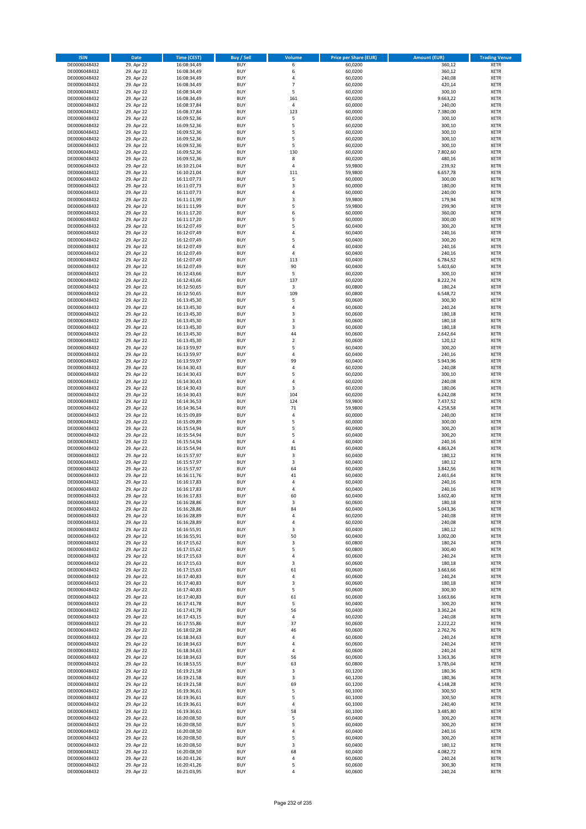| <b>ISIN</b>                  | Date                     | Time (CEST)                | <b>Buy / Sell</b>        | <b>Volume</b>        | <b>Price per Share (EUR)</b> | <b>Amount (EUR)</b> | <b>Trading Venue</b>       |
|------------------------------|--------------------------|----------------------------|--------------------------|----------------------|------------------------------|---------------------|----------------------------|
| DE0006048432                 | 29. Apr 22               | 16:08:34,49                | <b>BUY</b>               | 6                    | 60,0200                      | 360,12              | <b>XETR</b>                |
| DE0006048432                 | 29. Apr 22               | 16:08:34,49                | <b>BUY</b>               | 6                    | 60,0200                      | 360,12              | XETR                       |
| DE0006048432                 | 29. Apr 22               | 16:08:34,49                | <b>BUY</b>               | 4                    | 60,0200                      | 240,08              | <b>XETR</b>                |
| DE0006048432<br>DE0006048432 | 29. Apr 22<br>29. Apr 22 | 16:08:34,49<br>16:08:34,49 | <b>BUY</b><br><b>BUY</b> | $\overline{7}$<br>5  | 60,0200<br>60,0200           | 420,14<br>300,10    | XETR<br><b>XETR</b>        |
| DE0006048432                 | 29. Apr 22               | 16:08:34,49                | <b>BUY</b>               | 161                  | 60,0200                      | 9.663,22            | <b>XETR</b>                |
| DE0006048432                 | 29. Apr 22               | 16:08:37,84                | <b>BUY</b>               | 4                    | 60,0000                      | 240,00              | <b>XETR</b>                |
| DE0006048432                 | 29. Apr 22               | 16:08:37,84                | <b>BUY</b>               | 123                  | 60,0000                      | 7.380,00            | <b>XETR</b>                |
| DE0006048432                 | 29. Apr 22               | 16:09:52,36                | <b>BUY</b>               | 5                    | 60,0200                      | 300,10              | <b>XETR</b>                |
| DE0006048432                 | 29. Apr 22               | 16:09:52,36                | <b>BUY</b>               | 5                    | 60,0200                      | 300,10              | <b>XETR</b>                |
| DE0006048432                 | 29. Apr 22               | 16:09:52,36                | <b>BUY</b>               | 5                    | 60,0200                      | 300,10              | <b>XETR</b>                |
| DE0006048432<br>DE0006048432 | 29. Apr 22<br>29. Apr 22 | 16:09:52,36                | <b>BUY</b><br><b>BUY</b> | 5<br>5               | 60,0200<br>60,0200           | 300,10<br>300,10    | <b>XETR</b><br><b>XETR</b> |
| DE0006048432                 | 29. Apr 22               | 16:09:52,36<br>16:09:52,36 | <b>BUY</b>               | 130                  | 60,0200                      | 7.802,60            | <b>XETR</b>                |
| DE0006048432                 | 29. Apr 22               | 16:09:52,36                | <b>BUY</b>               | 8                    | 60,0200                      | 480,16              | <b>XETR</b>                |
| DE0006048432                 | 29. Apr 22               | 16:10:21,04                | <b>BUY</b>               | 4                    | 59,9800                      | 239,92              | <b>XETR</b>                |
| DE0006048432                 | 29. Apr 22               | 16:10:21,04                | <b>BUY</b>               | 111                  | 59,9800                      | 6.657,78            | <b>XETR</b>                |
| DE0006048432                 | 29. Apr 22               | 16:11:07,73                | <b>BUY</b>               | 5                    | 60,0000                      | 300,00              | <b>XETR</b>                |
| DE0006048432                 | 29. Apr 22               | 16:11:07,73                | <b>BUY</b>               | 3                    | 60,0000                      | 180,00              | <b>XETR</b>                |
| DE0006048432                 | 29. Apr 22               | 16:11:07,73                | <b>BUY</b>               | $\sqrt{4}$           | 60,0000                      | 240,00              | <b>XETR</b>                |
| DE0006048432<br>DE0006048432 | 29. Apr 22<br>29. Apr 22 | 16:11:11,99<br>16:11:11,99 | <b>BUY</b><br><b>BUY</b> | 3<br>5               | 59,9800<br>59,9800           | 179,94<br>299,90    | <b>XETR</b><br><b>XETR</b> |
| DE0006048432                 | 29. Apr 22               | 16:11:17,20                | <b>BUY</b>               | 6                    | 60,0000                      | 360,00              | <b>XETR</b>                |
| DE0006048432                 | 29. Apr 22               | 16:11:17,20                | <b>BUY</b>               | 5                    | 60,0000                      | 300,00              | <b>XETR</b>                |
| DE0006048432                 | 29. Apr 22               | 16:12:07,49                | <b>BUY</b>               | 5                    | 60,0400                      | 300,20              | <b>XETR</b>                |
| DE0006048432                 | 29. Apr 22               | 16:12:07,49                | <b>BUY</b>               | 4                    | 60,0400                      | 240,16              | <b>XETR</b>                |
| DE0006048432                 | 29. Apr 22               | 16:12:07,49                | <b>BUY</b>               | 5                    | 60,0400                      | 300,20              | <b>XETR</b>                |
| DE0006048432                 | 29. Apr 22               | 16:12:07,49                | <b>BUY</b>               | 4                    | 60,0400                      | 240,16              | <b>XETR</b>                |
| DE0006048432<br>DE0006048432 | 29. Apr 22<br>29. Apr 22 | 16:12:07,49<br>16:12:07,49 | <b>BUY</b><br><b>BUY</b> | $\sqrt{4}$<br>113    | 60,0400<br>60,0400           | 240,16<br>6.784,52  | <b>XETR</b><br><b>XETR</b> |
| DE0006048432                 | 29. Apr 22               | 16:12:07,49                | <b>BUY</b>               | 90                   | 60,0400                      | 5.403,60            | <b>XETR</b>                |
| DE0006048432                 | 29. Apr 22               | 16:12:43,66                | <b>BUY</b>               | 5                    | 60,0200                      | 300,10              | <b>XETR</b>                |
| DE0006048432                 | 29. Apr 22               | 16:12:43,66                | <b>BUY</b>               | 137                  | 60,0200                      | 8.222,74            | <b>XETR</b>                |
| DE0006048432                 | 29. Apr 22               | 16:12:50,65                | <b>BUY</b>               | 3                    | 60,0800                      | 180,24              | <b>XETR</b>                |
| DE0006048432                 | 29. Apr 22               | 16:12:50,65                | <b>BUY</b>               | 109                  | 60,0800                      | 6.548,72            | <b>XETR</b>                |
| DE0006048432                 | 29. Apr 22               | 16:13:45,30                | <b>BUY</b>               | 5                    | 60,0600                      | 300,30              | <b>XETR</b>                |
| DE0006048432                 | 29. Apr 22               | 16:13:45,30                | <b>BUY</b><br><b>BUY</b> | 4<br>3               | 60,0600                      | 240,24              | <b>XETR</b>                |
| DE0006048432<br>DE0006048432 | 29. Apr 22<br>29. Apr 22 | 16:13:45,30<br>16:13:45,30 | <b>BUY</b>               | 3                    | 60,0600<br>60,0600           | 180,18<br>180,18    | <b>XETR</b><br><b>XETR</b> |
| DE0006048432                 | 29. Apr 22               | 16:13:45,30                | <b>BUY</b>               | 3                    | 60,0600                      | 180,18              | <b>XETR</b>                |
| DE0006048432                 | 29. Apr 22               | 16:13:45,30                | <b>BUY</b>               | 44                   | 60,0600                      | 2.642,64            | <b>XETR</b>                |
| DE0006048432                 | 29. Apr 22               | 16:13:45,30                | <b>BUY</b>               | $\overline{2}$       | 60,0600                      | 120,12              | <b>XETR</b>                |
| DE0006048432                 | 29. Apr 22               | 16:13:59,97                | <b>BUY</b>               | 5                    | 60,0400                      | 300,20              | <b>XETR</b>                |
| DE0006048432                 | 29. Apr 22               | 16:13:59,97                | <b>BUY</b>               | 4                    | 60,0400                      | 240,16              | <b>XETR</b>                |
| DE0006048432                 | 29. Apr 22               | 16:13:59,97                | <b>BUY</b>               | 99                   | 60,0400                      | 5.943,96            | <b>XETR</b>                |
| DE0006048432                 | 29. Apr 22               | 16:14:30,43                | <b>BUY</b>               | 4<br>5               | 60,0200                      | 240,08              | <b>XETR</b>                |
| DE0006048432<br>DE0006048432 | 29. Apr 22<br>29. Apr 22 | 16:14:30,43<br>16:14:30,43 | <b>BUY</b><br><b>BUY</b> | $\overline{4}$       | 60,0200<br>60,0200           | 300,10<br>240,08    | <b>XETR</b><br><b>XETR</b> |
| DE0006048432                 | 29. Apr 22               | 16:14:30,43                | <b>BUY</b>               | 3                    | 60,0200                      | 180,06              | <b>XETR</b>                |
| DE0006048432                 | 29. Apr 22               | 16:14:30,43                | <b>BUY</b>               | 104                  | 60,0200                      | 6.242,08            | <b>XETR</b>                |
| DE0006048432                 | 29. Apr 22               | 16:14:36,53                | <b>BUY</b>               | 124                  | 59,9800                      | 7.437,52            | <b>XETR</b>                |
| DE0006048432                 | 29. Apr 22               | 16:14:36,54                | <b>BUY</b>               | 71                   | 59,9800                      | 4.258,58            | <b>XETR</b>                |
| DE0006048432                 | 29. Apr 22               | 16:15:09,89                | <b>BUY</b>               | 4                    | 60,0000                      | 240,00              | <b>XETR</b>                |
| DE0006048432<br>DE0006048432 | 29. Apr 22<br>29. Apr 22 | 16:15:09,89<br>16:15:54,94 | <b>BUY</b><br><b>BUY</b> | 5<br>5               | 60,0000<br>60,0400           | 300,00<br>300,20    | <b>XETR</b><br><b>XETR</b> |
| DE0006048432                 | 29. Apr 22               | 16:15:54,94                | <b>BUY</b>               | 5                    | 60,0400                      | 300,20              | <b>XETR</b>                |
| DE0006048432                 | 29. Apr 22               | 16:15:54,94                | <b>BUY</b>               | $\sqrt{4}$           | 60,0400                      | 240,16              | <b>XETR</b>                |
| DE0006048432                 | 29. Apr 22               | 16:15:54,94                | <b>BUY</b>               | 81                   | 60,0400                      | 4.863,24            | <b>XETR</b>                |
| DE0006048432                 | 29. Apr 22               | 16:15:57,97                | <b>BUY</b>               | 3                    | 60,0400                      | 180,12              | <b>XETR</b>                |
| DE0006048432                 | 29. Apr 22               | 16:15:57,97                | <b>BUY</b>               | 3                    | 60,0400                      | 180,12              | <b>XETR</b>                |
| DE0006048432                 | 29. Apr 22               | 16:15:57,97                | <b>BUY</b>               | 64                   | 60,0400                      | 3.842,56            | <b>XETR</b>                |
| DE0006048432<br>DE0006048432 | 29. Apr 22<br>29. Apr 22 | 16:16:11,76<br>16:16:17,83 | <b>BUY</b><br><b>BUY</b> | 41<br>$\overline{4}$ | 60,0400<br>60,0400           | 2.461,64<br>240,16  | <b>XETR</b><br><b>XETR</b> |
| DE0006048432                 | 29. Apr 22               | 16:16:17,83                | <b>BUY</b>               | $\overline{4}$       | 60,0400                      | 240,16              | <b>XETR</b>                |
| DE0006048432                 | 29. Apr 22               | 16:16:17,83                | BUY                      | 60                   | 60,0400                      | 3.602,40            | XETR                       |
| DE0006048432                 | 29. Apr 22               | 16:16:28,86                | <b>BUY</b>               | 3                    | 60,0600                      | 180,18              | <b>XETR</b>                |
| DE0006048432                 | 29. Apr 22               | 16:16:28,86                | <b>BUY</b>               | 84                   | 60,0400                      | 5.043,36            | <b>XETR</b>                |
| DE0006048432                 | 29. Apr 22               | 16:16:28,89                | <b>BUY</b>               | 4                    | 60,0200                      | 240,08              | XETR                       |
| DE0006048432                 | 29. Apr 22               | 16:16:28,89                | <b>BUY</b>               | 4                    | 60,0200                      | 240,08              | <b>XETR</b>                |
| DE0006048432<br>DE0006048432 | 29. Apr 22<br>29. Apr 22 | 16:16:55,91<br>16:16:55,91 | <b>BUY</b><br><b>BUY</b> | 3<br>50              | 60,0400<br>60,0400           | 180,12<br>3.002,00  | <b>XETR</b><br><b>XETR</b> |
| DE0006048432                 | 29. Apr 22               | 16:17:15,62                | <b>BUY</b>               | 3                    | 60,0800                      | 180,24              | <b>XETR</b>                |
| DE0006048432                 | 29. Apr 22               | 16:17:15,62                | <b>BUY</b>               | 5                    | 60,0800                      | 300,40              | XETR                       |
| DE0006048432                 | 29. Apr 22               | 16:17:15,63                | <b>BUY</b>               | $\sqrt{4}$           | 60,0600                      | 240,24              | <b>XETR</b>                |
| DE0006048432                 | 29. Apr 22               | 16:17:15,63                | <b>BUY</b>               | 3                    | 60,0600                      | 180,18              | XETR                       |
| DE0006048432                 | 29. Apr 22               | 16:17:15,63                | <b>BUY</b>               | 61                   | 60,0600                      | 3.663,66            | <b>XETR</b>                |
| DE0006048432<br>DE0006048432 | 29. Apr 22<br>29. Apr 22 | 16:17:40,83<br>16:17:40,83 | <b>BUY</b><br><b>BUY</b> | $\sqrt{4}$<br>3      | 60,0600<br>60,0600           | 240,24<br>180,18    | XETR<br><b>XETR</b>        |
| DE0006048432                 | 29. Apr 22               | 16:17:40,83                | <b>BUY</b>               | 5                    | 60,0600                      | 300,30              | <b>XETR</b>                |
| DE0006048432                 | 29. Apr 22               | 16:17:40,83                | <b>BUY</b>               | 61                   | 60,0600                      | 3.663,66            | <b>XETR</b>                |
| DE0006048432                 | 29. Apr 22               | 16:17:41,78                | <b>BUY</b>               | 5                    | 60,0400                      | 300,20              | <b>XETR</b>                |
| DE0006048432                 | 29. Apr 22               | 16:17:41,78                | <b>BUY</b>               | 56                   | 60,0400                      | 3.362,24            | <b>XETR</b>                |
| DE0006048432                 | 29. Apr 22               | 16:17:43,15                | <b>BUY</b>               | 4                    | 60,0200                      | 240,08              | XETR                       |
| DE0006048432                 | 29. Apr 22               | 16:17:55,86                | <b>BUY</b>               | 37                   | 60,0600                      | 2.222,22            | <b>XETR</b>                |
| DE0006048432<br>DE0006048432 | 29. Apr 22<br>29. Apr 22 | 16:18:02,28                | <b>BUY</b><br><b>BUY</b> | 46<br>4              | 60,0600<br>60,0600           | 2.762,76<br>240,24  | <b>XETR</b><br><b>XETR</b> |
| DE0006048432                 | 29. Apr 22               | 16:18:34,63<br>16:18:34,63 | <b>BUY</b>               | 4                    | 60,0600                      | 240,24              | XETR                       |
| DE0006048432                 | 29. Apr 22               | 16:18:34,63                | <b>BUY</b>               | 4                    | 60,0600                      | 240,24              | <b>XETR</b>                |
| DE0006048432                 | 29. Apr 22               | 16:18:34,63                | <b>BUY</b>               | 56                   | 60,0600                      | 3.363,36            | XETR                       |
| DE0006048432                 | 29. Apr 22               | 16:18:53,55                | <b>BUY</b>               | 63                   | 60,0800                      | 3.785,04            | <b>XETR</b>                |
| DE0006048432                 | 29. Apr 22               | 16:19:21,58                | <b>BUY</b>               | 3                    | 60,1200                      | 180,36              | XETR                       |
| DE0006048432                 | 29. Apr 22               | 16:19:21,58                | <b>BUY</b>               | 3                    | 60,1200                      | 180,36              | <b>XETR</b>                |
| DE0006048432<br>DE0006048432 | 29. Apr 22<br>29. Apr 22 | 16:19:21,58                | <b>BUY</b><br><b>BUY</b> | 69<br>5              | 60,1200<br>60,1000           | 4.148,28<br>300,50  | <b>XETR</b><br><b>XETR</b> |
| DE0006048432                 | 29. Apr 22               | 16:19:36,61<br>16:19:36,61 | <b>BUY</b>               | 5                    | 60,1000                      | 300,50              | <b>XETR</b>                |
| DE0006048432                 | 29. Apr 22               | 16:19:36,61                | <b>BUY</b>               | $\pmb{4}$            | 60,1000                      | 240,40              | XETR                       |
| DE0006048432                 | 29. Apr 22               | 16:19:36,61                | <b>BUY</b>               | 58                   | 60,1000                      | 3.485,80            | XETR                       |
| DE0006048432                 | 29. Apr 22               | 16:20:08,50                | <b>BUY</b>               | 5                    | 60,0400                      | 300,20              | <b>XETR</b>                |
| DE0006048432                 | 29. Apr 22               | 16:20:08,50                | <b>BUY</b>               | 5                    | 60,0400                      | 300,20              | <b>XETR</b>                |
| DE0006048432                 | 29. Apr 22               | 16:20:08,50                | <b>BUY</b>               | $\sqrt{4}$           | 60,0400                      | 240,16              | <b>XETR</b>                |
| DE0006048432<br>DE0006048432 | 29. Apr 22<br>29. Apr 22 | 16:20:08,50<br>16:20:08,50 | <b>BUY</b><br><b>BUY</b> | 5<br>$\mathsf 3$     | 60,0400<br>60,0400           | 300,20<br>180,12    | XETR<br>XETR               |
| DE0006048432                 | 29. Apr 22               | 16:20:08,50                | <b>BUY</b>               | 68                   | 60,0400                      | 4.082,72            | <b>XETR</b>                |
| DE0006048432                 | 29. Apr 22               | 16:20:41,26                | <b>BUY</b>               | 4                    | 60,0600                      | 240,24              | XETR                       |
| DE0006048432                 | 29. Apr 22               | 16:20:41,26                | <b>BUY</b>               | 5                    | 60,0600                      | 300,30              | <b>XETR</b>                |
| DE0006048432                 | 29. Apr 22               | 16:21:03,95                | <b>BUY</b>               | $\sqrt{4}$           | 60,0600                      | 240,24              | <b>XETR</b>                |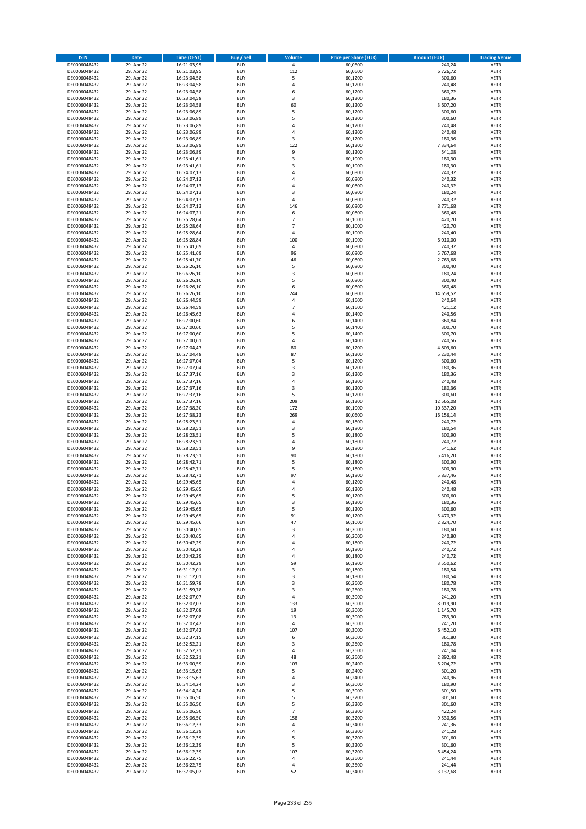| <b>ISIN</b>                  | Date                     | Time (CEST)                | <b>Buy / Sell</b>        | Volume                           | <b>Price per Share (EUR)</b> | <b>Amount (EUR)</b>  | <b>Trading Venue</b>       |
|------------------------------|--------------------------|----------------------------|--------------------------|----------------------------------|------------------------------|----------------------|----------------------------|
| DE0006048432                 | 29. Apr 22               | 16:21:03,95                | <b>BUY</b>               | $\overline{4}$                   | 60,0600                      | 240,24               | <b>XETR</b>                |
| DE0006048432                 | 29. Apr 22               | 16:21:03,95                | <b>BUY</b>               | 112                              | 60,0600                      | 6.726,72             | XETR                       |
| DE0006048432                 | 29. Apr 22               | 16:23:04,58                | <b>BUY</b>               | 5                                | 60,1200                      | 300,60               | <b>XETR</b>                |
| DE0006048432<br>DE0006048432 | 29. Apr 22<br>29. Apr 22 | 16:23:04,58<br>16:23:04,58 | <b>BUY</b><br><b>BUY</b> | $\sqrt{4}$<br>6                  | 60,1200<br>60,1200           | 240,48<br>360,72     | XETR<br><b>XETR</b>        |
| DE0006048432                 | 29. Apr 22               | 16:23:04,58                | <b>BUY</b>               | $\mathsf 3$                      | 60,1200                      | 180,36               | <b>XETR</b>                |
| DE0006048432                 | 29. Apr 22               | 16:23:04,58                | <b>BUY</b>               | 60                               | 60,1200                      | 3.607,20             | <b>XETR</b>                |
| DE0006048432                 | 29. Apr 22               | 16:23:06,89                | <b>BUY</b>               | 5                                | 60,1200                      | 300,60               | <b>XETR</b>                |
| DE0006048432                 | 29. Apr 22               | 16:23:06,89                | <b>BUY</b>               | 5                                | 60,1200                      | 300,60               | <b>XETR</b>                |
| DE0006048432                 | 29. Apr 22               | 16:23:06,89                | <b>BUY</b>               | 4                                | 60,1200                      | 240,48               | <b>XETR</b>                |
| DE0006048432                 | 29. Apr 22               | 16:23:06,89                | <b>BUY</b>               | $\sqrt{4}$                       | 60,1200                      | 240,48               | <b>XETR</b>                |
| DE0006048432<br>DE0006048432 | 29. Apr 22<br>29. Apr 22 | 16:23:06,89<br>16:23:06,89 | <b>BUY</b><br><b>BUY</b> | 3<br>122                         | 60,1200<br>60,1200           | 180,36<br>7.334,64   | <b>XETR</b><br><b>XETR</b> |
| DE0006048432                 | 29. Apr 22               | 16:23:06,89                | <b>BUY</b>               | 9                                | 60,1200                      | 541,08               | <b>XETR</b>                |
| DE0006048432                 | 29. Apr 22               | 16:23:41,61                | <b>BUY</b>               | 3                                | 60,1000                      | 180,30               | <b>XETR</b>                |
| DE0006048432                 | 29. Apr 22               | 16:23:41,61                | <b>BUY</b>               | 3                                | 60,1000                      | 180,30               | <b>XETR</b>                |
| DE0006048432                 | 29. Apr 22               | 16:24:07,13                | <b>BUY</b>               | 4                                | 60,0800                      | 240,32               | <b>XETR</b>                |
| DE0006048432                 | 29. Apr 22               | 16:24:07,13                | <b>BUY</b>               | 4                                | 60,0800                      | 240,32               | <b>XETR</b>                |
| DE0006048432                 | 29. Apr 22               | 16:24:07,13                | <b>BUY</b>               | 4                                | 60,0800                      | 240,32               | <b>XETR</b>                |
| DE0006048432<br>DE0006048432 | 29. Apr 22<br>29. Apr 22 | 16:24:07,13<br>16:24:07,13 | <b>BUY</b><br><b>BUY</b> | 3<br>4                           | 60,0800<br>60,0800           | 180,24<br>240,32     | <b>XETR</b><br><b>XETR</b> |
| DE0006048432                 | 29. Apr 22               | 16:24:07,13                | <b>BUY</b>               | 146                              | 60,0800                      | 8.771,68             | <b>XETR</b>                |
| DE0006048432                 | 29. Apr 22               | 16:24:07,21                | <b>BUY</b>               | 6                                | 60,0800                      | 360,48               | <b>XETR</b>                |
| DE0006048432                 | 29. Apr 22               | 16:25:28,64                | <b>BUY</b>               | $\overline{7}$                   | 60,1000                      | 420,70               | <b>XETR</b>                |
| DE0006048432                 | 29. Apr 22               | 16:25:28,64                | <b>BUY</b>               | $\overline{7}$                   | 60,1000                      | 420,70               | <b>XETR</b>                |
| DE0006048432                 | 29. Apr 22               | 16:25:28,64                | <b>BUY</b>               | 4                                | 60,1000                      | 240,40               | <b>XETR</b>                |
| DE0006048432<br>DE0006048432 | 29. Apr 22               | 16:25:28,84                | <b>BUY</b><br><b>BUY</b> | 100<br>$\sqrt{4}$                | 60,1000                      | 6.010,00             | <b>XETR</b><br><b>XETR</b> |
| DE0006048432                 | 29. Apr 22<br>29. Apr 22 | 16:25:41,69<br>16:25:41,69 | <b>BUY</b>               | 96                               | 60,0800<br>60,0800           | 240,32<br>5.767,68   | <b>XETR</b>                |
| DE0006048432                 | 29. Apr 22               | 16:25:41,70                | <b>BUY</b>               | 46                               | 60,0800                      | 2.763,68             | <b>XETR</b>                |
| DE0006048432                 | 29. Apr 22               | 16:26:26,10                | <b>BUY</b>               | 5                                | 60,0800                      | 300,40               | <b>XETR</b>                |
| DE0006048432                 | 29. Apr 22               | 16:26:26,10                | <b>BUY</b>               | 3                                | 60,0800                      | 180,24               | <b>XETR</b>                |
| DE0006048432                 | 29. Apr 22               | 16:26:26,10                | <b>BUY</b>               | 5                                | 60,0800                      | 300,40               | <b>XETR</b>                |
| DE0006048432                 | 29. Apr 22               | 16:26:26,10                | <b>BUY</b>               | 6                                | 60,0800                      | 360,48               | <b>XETR</b>                |
| DE0006048432                 | 29. Apr 22               | 16:26:26,10                | <b>BUY</b>               | 244                              | 60,0800                      | 14.659,52            | <b>XETR</b>                |
| DE0006048432                 | 29. Apr 22               | 16:26:44,59                | <b>BUY</b>               | 4                                | 60,1600                      | 240,64               | <b>XETR</b>                |
| DE0006048432<br>DE0006048432 | 29. Apr 22<br>29. Apr 22 | 16:26:44,59<br>16:26:45,63 | <b>BUY</b><br><b>BUY</b> | $\overline{7}$<br>$\overline{4}$ | 60,1600<br>60,1400           | 421,12<br>240,56     | <b>XETR</b><br><b>XETR</b> |
| DE0006048432                 | 29. Apr 22               | 16:27:00,60                | <b>BUY</b>               | 6                                | 60,1400                      | 360,84               | <b>XETR</b>                |
| DE0006048432                 | 29. Apr 22               | 16:27:00,60                | <b>BUY</b>               | 5                                | 60,1400                      | 300,70               | <b>XETR</b>                |
| DE0006048432                 | 29. Apr 22               | 16:27:00,60                | <b>BUY</b>               | 5                                | 60,1400                      | 300,70               | <b>XETR</b>                |
| DE0006048432                 | 29. Apr 22               | 16:27:00,61                | <b>BUY</b>               | 4                                | 60,1400                      | 240,56               | <b>XETR</b>                |
| DE0006048432                 | 29. Apr 22               | 16:27:04,47                | <b>BUY</b>               | 80                               | 60,1200                      | 4.809,60             | <b>XETR</b>                |
| DE0006048432                 | 29. Apr 22               | 16:27:04,48                | <b>BUY</b>               | 87                               | 60,1200                      | 5.230,44             | <b>XETR</b>                |
| DE0006048432                 | 29. Apr 22               | 16:27:07,04                | <b>BUY</b>               | 5                                | 60,1200                      | 300,60               | <b>XETR</b>                |
| DE0006048432                 | 29. Apr 22               | 16:27:07,04                | <b>BUY</b>               | 3                                | 60,1200                      | 180,36               | <b>XETR</b>                |
| DE0006048432<br>DE0006048432 | 29. Apr 22<br>29. Apr 22 | 16:27:37,16<br>16:27:37,16 | <b>BUY</b><br><b>BUY</b> | 3<br>$\overline{4}$              | 60,1200<br>60,1200           | 180,36<br>240,48     | <b>XETR</b><br><b>XETR</b> |
| DE0006048432                 | 29. Apr 22               | 16:27:37,16                | <b>BUY</b>               | 3                                | 60,1200                      | 180,36               | <b>XETR</b>                |
| DE0006048432                 | 29. Apr 22               | 16:27:37,16                | <b>BUY</b>               | 5                                | 60,1200                      | 300,60               | <b>XETR</b>                |
| DE0006048432                 | 29. Apr 22               | 16:27:37,16                | <b>BUY</b>               | 209                              | 60,1200                      | 12.565,08            | <b>XETR</b>                |
| DE0006048432                 | 29. Apr 22               | 16:27:38,20                | <b>BUY</b>               | 172                              | 60,1000                      | 10.337,20            | <b>XETR</b>                |
| DE0006048432                 | 29. Apr 22               | 16:27:38,23                | <b>BUY</b>               | 269                              | 60,0600                      | 16.156,14            | <b>XETR</b>                |
| DE0006048432                 | 29. Apr 22               | 16:28:23,51                | <b>BUY</b>               | $\pmb{4}$                        | 60,1800                      | 240,72               | <b>XETR</b>                |
| DE0006048432                 | 29. Apr 22               | 16:28:23,51                | <b>BUY</b>               | 3                                | 60,1800                      | 180,54               | <b>XETR</b>                |
| DE0006048432<br>DE0006048432 | 29. Apr 22<br>29. Apr 22 | 16:28:23,51<br>16:28:23,51 | <b>BUY</b><br><b>BUY</b> | 5<br>$\overline{4}$              | 60,1800<br>60,1800           | 300,90<br>240,72     | <b>XETR</b><br><b>XETR</b> |
| DE0006048432                 | 29. Apr 22               | 16:28:23,51                | <b>BUY</b>               | 9                                | 60,1800                      | 541,62               | <b>XETR</b>                |
| DE0006048432                 | 29. Apr 22               | 16:28:23,51                | <b>BUY</b>               | 90                               | 60,1800                      | 5.416,20             | <b>XETR</b>                |
| DE0006048432                 | 29. Apr 22               | 16:28:42,71                | <b>BUY</b>               | 5                                | 60,1800                      | 300,90               | <b>XETR</b>                |
| DE0006048432                 | 29. Apr 22               | 16:28:42,71                | <b>BUY</b>               | 5                                | 60,1800                      | 300,90               | <b>XETR</b>                |
| DE0006048432                 | 29. Apr 22               | 16:28:42,71                | <b>BUY</b>               | 97                               | 60,1800                      | 5.837,46             | <b>XETR</b>                |
| DE0006048432                 | 29. Apr 22               | 16:29:45,65                | <b>BUY</b>               | $\overline{4}$                   | 60,1200                      | 240,48               | <b>XETR</b>                |
| DE0006048432                 | 29. Apr 22               | 16:29:45,65                | <b>BUY</b>               | $\overline{4}$                   | 60,1200                      | 240,48               | <b>XETR</b>                |
| DE0006048432<br>DE0006048432 | 29. Apr 22<br>29. Apr 22 | 16:29:45,65<br>16:29:45,65 | BUY<br><b>BUY</b>        | 5<br>3                           | 60,1200<br>60,1200           | 300,60<br>180,36     | XETR<br><b>XETR</b>        |
| DE0006048432                 | 29. Apr 22               | 16:29:45,65                | <b>BUY</b>               | 5                                | 60,1200                      | 300,60               | <b>XETR</b>                |
| DE0006048432                 | 29. Apr 22               | 16:29:45,65                | <b>BUY</b>               | 91                               | 60,1200                      | 5.470,92             | XETR                       |
| DE0006048432                 | 29. Apr 22               | 16:29:45,66                | <b>BUY</b>               | 47                               | 60,1000                      | 2.824,70             | <b>XETR</b>                |
| DE0006048432                 | 29. Apr 22               | 16:30:40,65                | <b>BUY</b>               | 3                                | 60,2000                      | 180,60               | <b>XETR</b>                |
| DE0006048432                 | 29. Apr 22               | 16:30:40,65                | <b>BUY</b>               | 4                                | 60,2000                      | 240,80               | <b>XETR</b>                |
| DE0006048432                 | 29. Apr 22               | 16:30:42,29                | <b>BUY</b>               | $\sqrt{4}$                       | 60,1800                      | 240,72               | <b>XETR</b>                |
| DE0006048432<br>DE0006048432 | 29. Apr 22<br>29. Apr 22 | 16:30:42,29<br>16:30:42,29 | <b>BUY</b><br><b>BUY</b> | $\overline{4}$<br>$\sqrt{4}$     | 60,1800<br>60,1800           | 240,72<br>240,72     | XETR<br><b>XETR</b>        |
| DE0006048432                 | 29. Apr 22               | 16:30:42,29                | <b>BUY</b>               | 59                               | 60,1800                      | 3.550,62             | XETR                       |
| DE0006048432                 | 29. Apr 22               | 16:31:12,01                | <b>BUY</b>               | 3                                | 60,1800                      | 180,54               | <b>XETR</b>                |
| DE0006048432                 | 29. Apr 22               | 16:31:12,01                | <b>BUY</b>               | $\mathsf 3$                      | 60,1800                      | 180,54               | XETR                       |
| DE0006048432                 | 29. Apr 22               | 16:31:59,78                | <b>BUY</b>               | 3                                | 60,2600                      | 180,78               | <b>XETR</b>                |
| DE0006048432                 | 29. Apr 22               | 16:31:59,78                | <b>BUY</b>               | 3                                | 60,2600                      | 180,78               | XETR                       |
| DE0006048432                 | 29. Apr 22               | 16:32:07,07                | <b>BUY</b><br><b>BUY</b> | $\overline{4}$                   | 60,3000<br>60,3000           | 241,20               | <b>XETR</b><br><b>XETR</b> |
| DE0006048432<br>DE0006048432 | 29. Apr 22<br>29. Apr 22 | 16:32:07,07<br>16:32:07,08 | <b>BUY</b>               | 133<br>19                        | 60,3000                      | 8.019,90<br>1.145,70 | <b>XETR</b>                |
| DE0006048432                 | 29. Apr 22               | 16:32:07,08                | <b>BUY</b>               | 13                               | 60,3000                      | 783,90               | XETR                       |
| DE0006048432                 | 29. Apr 22               | 16:32:07,42                | <b>BUY</b>               | $\sqrt{4}$                       | 60,3000                      | 241,20               | <b>XETR</b>                |
| DE0006048432                 | 29. Apr 22               | 16:32:07,42                | <b>BUY</b>               | 107                              | 60,3000                      | 6.452,10             | <b>XETR</b>                |
| DE0006048432                 | 29. Apr 22               | 16:32:37,15                | <b>BUY</b>               | 6                                | 60,3000                      | 361,80               | <b>XETR</b>                |
| DE0006048432                 | 29. Apr 22               | 16:32:52,21                | <b>BUY</b>               | 3                                | 60,2600                      | 180,78               | XETR                       |
| DE0006048432                 | 29. Apr 22               | 16:32:52,21                | <b>BUY</b>               | 4                                | 60,2600                      | 241,04               | XETR                       |
| DE0006048432<br>DE0006048432 | 29. Apr 22<br>29. Apr 22 | 16:32:52,21<br>16:33:00,59 | <b>BUY</b><br><b>BUY</b> | 48<br>103                        | 60,2600<br>60,2400           | 2.892,48<br>6.204,72 | XETR<br>XETR               |
| DE0006048432                 | 29. Apr 22               | 16:33:15,63                | <b>BUY</b>               | 5                                | 60,2400                      | 301,20               | XETR                       |
| DE0006048432                 | 29. Apr 22               | 16:33:15,63                | <b>BUY</b>               | $\pmb{4}$                        | 60,2400                      | 240,96               | <b>XETR</b>                |
| DE0006048432                 | 29. Apr 22               | 16:34:14,24                | <b>BUY</b>               | 3                                | 60,3000                      | 180,90               | XETR                       |
| DE0006048432                 | 29. Apr 22               | 16:34:14,24                | <b>BUY</b>               | 5                                | 60,3000                      | 301,50               | <b>XETR</b>                |
| DE0006048432                 | 29. Apr 22               | 16:35:06,50                | <b>BUY</b>               | 5                                | 60,3200                      | 301,60               | XETR                       |
| DE0006048432                 | 29. Apr 22               | 16:35:06,50                | <b>BUY</b>               | 5                                | 60,3200                      | 301,60               | XETR                       |
| DE0006048432                 | 29. Apr 22               | 16:35:06,50                | <b>BUY</b>               | $\overline{7}$                   | 60,3200                      | 422,24               | XETR                       |
| DE0006048432                 | 29. Apr 22               | 16:35:06,50                | <b>BUY</b>               | 158                              | 60,3200                      | 9.530,56             | <b>XETR</b>                |
| DE0006048432<br>DE0006048432 | 29. Apr 22<br>29. Apr 22 | 16:36:12,33<br>16:36:12,39 | <b>BUY</b><br><b>BUY</b> | 4<br>$\sqrt{4}$                  | 60,3400<br>60,3200           | 241,36<br>241,28     | <b>XETR</b><br><b>XETR</b> |
| DE0006048432                 | 29. Apr 22               | 16:36:12,39                | <b>BUY</b>               | 5                                | 60,3200                      | 301,60               | XETR                       |
| DE0006048432                 | 29. Apr 22               | 16:36:12,39                | <b>BUY</b>               | 5                                | 60,3200                      | 301,60               | XETR                       |
| DE0006048432                 | 29. Apr 22               | 16:36:12,39                | <b>BUY</b>               | 107                              | 60,3200                      | 6.454,24             | <b>XETR</b>                |
| DE0006048432                 | 29. Apr 22               | 16:36:22,75                | <b>BUY</b>               | 4                                | 60,3600                      | 241,44               | XETR                       |
| DE0006048432                 | 29. Apr 22               | 16:36:22,75                | <b>BUY</b>               | $\pmb{4}$                        | 60,3600                      | 241,44               | <b>XETR</b>                |
| DE0006048432                 | 29. Apr 22               | 16:37:05,02                | <b>BUY</b>               | 52                               | 60,3400                      | 3.137,68             | XETR                       |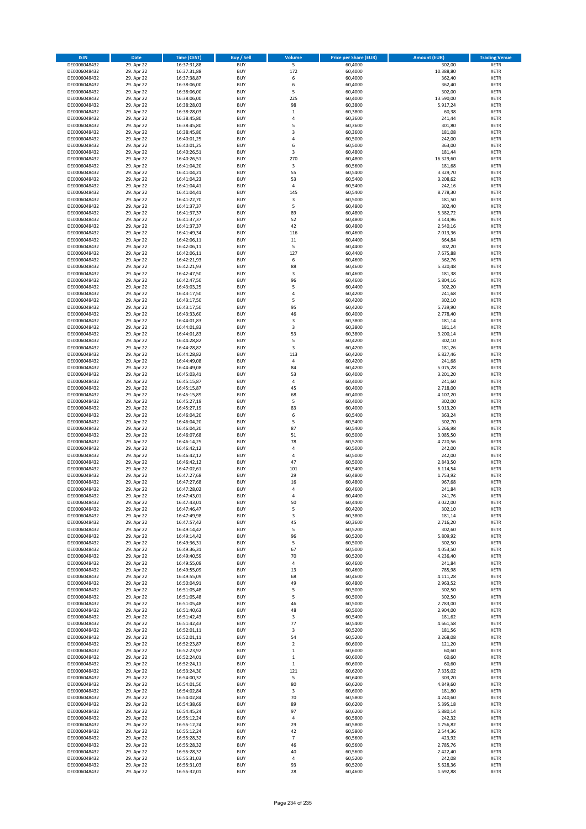| <b>ISIN</b>                  | Date                     | Time (CEST)                | <b>Buy / Sell</b>        | Volume                  | <b>Price per Share (EUR)</b> | <b>Amount (EUR)</b>  | <b>Trading Venue</b>       |
|------------------------------|--------------------------|----------------------------|--------------------------|-------------------------|------------------------------|----------------------|----------------------------|
| DE0006048432                 | 29. Apr 22               | 16:37:31,88                | <b>BUY</b>               | $\overline{\mathbf{5}}$ | 60,4000                      | 302,00               | <b>XETR</b>                |
| DE0006048432                 | 29. Apr 22               | 16:37:31,88                | <b>BUY</b>               | 172                     | 60,4000                      | 10.388,80            | XETR                       |
| DE0006048432                 | 29. Apr 22               | 16:37:38,87                | <b>BUY</b>               | 6                       | 60,4000                      | 362,40               | <b>XETR</b>                |
| DE0006048432<br>DE0006048432 | 29. Apr 22<br>29. Apr 22 | 16:38:06,00<br>16:38:06,00 | <b>BUY</b><br><b>BUY</b> | 6<br>5                  | 60,4000<br>60,4000           | 362,40<br>302,00     | XETR<br><b>XETR</b>        |
| DE0006048432                 | 29. Apr 22               | 16:38:06,00                | <b>BUY</b>               | 225                     | 60,4000                      | 13.590,00            | <b>XETR</b>                |
| DE0006048432                 | 29. Apr 22               | 16:38:28,03                | <b>BUY</b>               | 98                      | 60,3800                      | 5.917,24             | <b>XETR</b>                |
| DE0006048432                 | 29. Apr 22               | 16:38:28,03                | <b>BUY</b>               | $\,$ 1                  | 60,3800                      | 60,38                | <b>XETR</b>                |
| DE0006048432                 | 29. Apr 22               | 16:38:45,80                | <b>BUY</b>               | $\overline{4}$          | 60,3600                      | 241,44               | <b>XETR</b>                |
| DE0006048432                 | 29. Apr 22               | 16:38:45,80                | <b>BUY</b>               | 5                       | 60,3600                      | 301,80               | <b>XETR</b>                |
| DE0006048432                 | 29. Apr 22               | 16:38:45,80                | <b>BUY</b>               | $\mathsf 3$             | 60,3600                      | 181,08               | <b>XETR</b>                |
| DE0006048432<br>DE0006048432 | 29. Apr 22<br>29. Apr 22 | 16:40:01,25<br>16:40:01,25 | <b>BUY</b><br><b>BUY</b> | 4<br>6                  | 60,5000<br>60,5000           | 242,00<br>363,00     | <b>XETR</b><br><b>XETR</b> |
| DE0006048432                 | 29. Apr 22               | 16:40:26,51                | <b>BUY</b>               | 3                       | 60,4800                      | 181,44               | <b>XETR</b>                |
| DE0006048432                 | 29. Apr 22               | 16:40:26,51                | <b>BUY</b>               | 270                     | 60,4800                      | 16.329,60            | <b>XETR</b>                |
| DE0006048432                 | 29. Apr 22               | 16:41:04,20                | <b>BUY</b>               | 3                       | 60,5600                      | 181,68               | <b>XETR</b>                |
| DE0006048432                 | 29. Apr 22               | 16:41:04,21                | <b>BUY</b>               | 55                      | 60,5400                      | 3.329,70             | <b>XETR</b>                |
| DE0006048432                 | 29. Apr 22               | 16:41:04,23                | <b>BUY</b>               | 53                      | 60,5400                      | 3.208,62             | <b>XETR</b>                |
| DE0006048432                 | 29. Apr 22               | 16:41:04,41                | <b>BUY</b>               | 4                       | 60,5400                      | 242,16               | <b>XETR</b>                |
| DE0006048432                 | 29. Apr 22               | 16:41:04,41                | <b>BUY</b>               | 145                     | 60,5400                      | 8.778,30             | <b>XETR</b>                |
| DE0006048432<br>DE0006048432 | 29. Apr 22<br>29. Apr 22 | 16:41:22,70<br>16:41:37,37 | <b>BUY</b><br><b>BUY</b> | 3<br>5                  | 60,5000<br>60,4800           | 181,50<br>302,40     | <b>XETR</b><br><b>XETR</b> |
| DE0006048432                 | 29. Apr 22               | 16:41:37,37                | <b>BUY</b>               | 89                      | 60,4800                      | 5.382,72             | <b>XETR</b>                |
| DE0006048432                 | 29. Apr 22               | 16:41:37,37                | <b>BUY</b>               | 52                      | 60,4800                      | 3.144,96             | <b>XETR</b>                |
| DE0006048432                 | 29. Apr 22               | 16:41:37,37                | <b>BUY</b>               | 42                      | 60,4800                      | 2.540,16             | <b>XETR</b>                |
| DE0006048432                 | 29. Apr 22               | 16:41:49,34                | <b>BUY</b>               | 116                     | 60,4600                      | 7.013,36             | <b>XETR</b>                |
| DE0006048432                 | 29. Apr 22               | 16:42:06,11                | <b>BUY</b>               | 11                      | 60,4400                      | 664,84               | <b>XETR</b>                |
| DE0006048432                 | 29. Apr 22               | 16:42:06,11                | <b>BUY</b>               | 5                       | 60,4400                      | 302,20               | <b>XETR</b>                |
| DE0006048432<br>DE0006048432 | 29. Apr 22<br>29. Apr 22 | 16:42:06,11<br>16:42:21,93 | <b>BUY</b><br><b>BUY</b> | 127<br>6                | 60,4400<br>60,4600           | 7.675,88<br>362,76   | <b>XETR</b><br><b>XETR</b> |
| DE0006048432                 | 29. Apr 22               | 16:42:21,93                | <b>BUY</b>               | 88                      | 60,4600                      | 5.320,48             | <b>XETR</b>                |
| DE0006048432                 | 29. Apr 22               | 16:42:47,50                | <b>BUY</b>               | 3                       | 60,4600                      | 181,38               | <b>XETR</b>                |
| DE0006048432                 | 29. Apr 22               | 16:42:47,50                | <b>BUY</b>               | 96                      | 60,4600                      | 5.804,16             | <b>XETR</b>                |
| DE0006048432                 | 29. Apr 22               | 16:43:03,25                | <b>BUY</b>               | 5                       | 60,4400                      | 302,20               | <b>XETR</b>                |
| DE0006048432                 | 29. Apr 22               | 16:43:17,50                | <b>BUY</b>               | 4                       | 60,4200                      | 241,68               | <b>XETR</b>                |
| DE0006048432                 | 29. Apr 22               | 16:43:17,50                | <b>BUY</b>               | 5                       | 60,4200                      | 302,10               | <b>XETR</b>                |
| DE0006048432                 | 29. Apr 22               | 16:43:17,50                | <b>BUY</b>               | 95                      | 60,4200                      | 5.739,90             | <b>XETR</b>                |
| DE0006048432<br>DE0006048432 | 29. Apr 22<br>29. Apr 22 | 16:43:33,60<br>16:44:01,83 | <b>BUY</b><br><b>BUY</b> | 46<br>$\mathsf 3$       | 60,4000<br>60,3800           | 2.778,40<br>181,14   | <b>XETR</b><br><b>XETR</b> |
| DE0006048432                 | 29. Apr 22               | 16:44:01,83                | <b>BUY</b>               | 3                       | 60,3800                      | 181,14               | <b>XETR</b>                |
| DE0006048432                 | 29. Apr 22               | 16:44:01,83                | <b>BUY</b>               | 53                      | 60,3800                      | 3.200,14             | <b>XETR</b>                |
| DE0006048432                 | 29. Apr 22               | 16:44:28,82                | <b>BUY</b>               | 5                       | 60,4200                      | 302,10               | <b>XETR</b>                |
| DE0006048432                 | 29. Apr 22               | 16:44:28,82                | <b>BUY</b>               | 3                       | 60,4200                      | 181,26               | <b>XETR</b>                |
| DE0006048432                 | 29. Apr 22               | 16:44:28,82                | <b>BUY</b>               | 113                     | 60,4200                      | 6.827,46             | <b>XETR</b>                |
| DE0006048432                 | 29. Apr 22               | 16:44:49,08                | <b>BUY</b>               | $\sqrt{4}$              | 60,4200                      | 241,68               | <b>XETR</b>                |
| DE0006048432                 | 29. Apr 22               | 16:44:49,08                | <b>BUY</b>               | 84                      | 60,4200                      | 5.075,28             | <b>XETR</b>                |
| DE0006048432                 | 29. Apr 22               | 16:45:03,41                | <b>BUY</b><br><b>BUY</b> | 53<br>4                 | 60,4000                      | 3.201,20             | <b>XETR</b><br><b>XETR</b> |
| DE0006048432<br>DE0006048432 | 29. Apr 22<br>29. Apr 22 | 16:45:15,87<br>16:45:15,87 | <b>BUY</b>               | 45                      | 60,4000<br>60,4000           | 241,60<br>2.718,00   | <b>XETR</b>                |
| DE0006048432                 | 29. Apr 22               | 16:45:15,89                | <b>BUY</b>               | 68                      | 60,4000                      | 4.107,20             | <b>XETR</b>                |
| DE0006048432                 | 29. Apr 22               | 16:45:27,19                | <b>BUY</b>               | 5                       | 60,4000                      | 302,00               | <b>XETR</b>                |
| DE0006048432                 | 29. Apr 22               | 16:45:27,19                | <b>BUY</b>               | 83                      | 60,4000                      | 5.013,20             | <b>XETR</b>                |
| DE0006048432                 | 29. Apr 22               | 16:46:04,20                | <b>BUY</b>               | 6                       | 60,5400                      | 363,24               | <b>XETR</b>                |
| DE0006048432                 | 29. Apr 22               | 16:46:04,20                | <b>BUY</b>               | 5                       | 60,5400                      | 302,70               | <b>XETR</b>                |
| DE0006048432                 | 29. Apr 22               | 16:46:04,20                | <b>BUY</b>               | 87<br>51                | 60,5400                      | 5.266,98             | <b>XETR</b>                |
| DE0006048432<br>DE0006048432 | 29. Apr 22<br>29. Apr 22 | 16:46:07,68<br>16:46:14,25 | <b>BUY</b><br><b>BUY</b> | 78                      | 60,5000<br>60,5200           | 3.085,50<br>4.720,56 | <b>XETR</b><br><b>XETR</b> |
| DE0006048432                 | 29. Apr 22               | 16:46:42,12                | <b>BUY</b>               | 4                       | 60,5000                      | 242,00               | <b>XETR</b>                |
| DE0006048432                 | 29. Apr 22               | 16:46:42,12                | <b>BUY</b>               | $\overline{4}$          | 60,5000                      | 242,00               | <b>XETR</b>                |
| DE0006048432                 | 29. Apr 22               | 16:46:42,12                | <b>BUY</b>               | 47                      | 60,5000                      | 2.843,50             | <b>XETR</b>                |
| DE0006048432                 | 29. Apr 22               | 16:47:02,61                | <b>BUY</b>               | 101                     | 60,5400                      | 6.114,54             | <b>XETR</b>                |
| DE0006048432                 | 29. Apr 22               | 16:47:27,68                | <b>BUY</b>               | 29                      | 60,4800                      | 1.753,92             | <b>XETR</b>                |
| DE0006048432                 | 29. Apr 22               | 16:47:27,68                | <b>BUY</b>               | 16                      | 60,4800                      | 967,68               | <b>XETR</b>                |
| DE0006048432<br>DE0006048432 | 29. Apr 22<br>29. Apr 22 | 16:47:28,02<br>16:47:43,01 | <b>BUY</b><br>BUY        | $\overline{4}$<br>4     | 60,4600<br>60,4400           | 241,84<br>241,76     | <b>XETR</b><br>XETR        |
| DE0006048432                 | 29. Apr 22               | 16:47:43,01                | <b>BUY</b>               | 50                      | 60,4400                      | 3.022,00             | <b>XETR</b>                |
| DE0006048432                 | 29. Apr 22               | 16:47:46,47                | <b>BUY</b>               | 5                       | 60,4200                      | 302,10               | <b>XETR</b>                |
| DE0006048432                 | 29. Apr 22               | 16:47:49,98                | <b>BUY</b>               | 3                       | 60,3800                      | 181,14               | XETR                       |
| DE0006048432                 | 29. Apr 22               | 16:47:57,42                | <b>BUY</b>               | 45                      | 60,3600                      | 2.716,20             | <b>XETR</b>                |
| DE0006048432                 | 29. Apr 22               | 16:49:14,42                | <b>BUY</b>               | 5                       | 60,5200                      | 302,60               | <b>XETR</b>                |
| DE0006048432                 | 29. Apr 22               | 16:49:14,42                | <b>BUY</b>               | 96                      | 60,5200                      | 5.809,92             | <b>XETR</b>                |
| DE0006048432<br>DE0006048432 | 29. Apr 22<br>29. Apr 22 | 16:49:36,31<br>16:49:36,31 | <b>BUY</b><br><b>BUY</b> | 5<br>67                 | 60,5000<br>60,5000           | 302,50<br>4.053,50   | <b>XETR</b><br>XETR        |
| DE0006048432                 | 29. Apr 22               | 16:49:40,59                | <b>BUY</b>               | 70                      | 60,5200                      | 4.236,40             | <b>XETR</b>                |
| DE0006048432                 | 29. Apr 22               | 16:49:55,09                | <b>BUY</b>               | $\pmb{4}$               | 60,4600                      | 241,84               | XETR                       |
| DE0006048432                 | 29. Apr 22               | 16:49:55,09                | <b>BUY</b>               | 13                      | 60,4600                      | 785,98               | <b>XETR</b>                |
| DE0006048432                 | 29. Apr 22               | 16:49:55,09                | <b>BUY</b>               | 68                      | 60,4600                      | 4.111,28             | XETR                       |
| DE0006048432                 | 29. Apr 22               | 16:50:04,91                | <b>BUY</b>               | 49                      | 60,4800                      | 2.963,52             | <b>XETR</b>                |
| DE0006048432                 | 29. Apr 22               | 16:51:05,48                | <b>BUY</b>               | 5                       | 60,5000                      | 302,50               | XETR                       |
| DE0006048432<br>DE0006048432 | 29. Apr 22<br>29. Apr 22 | 16:51:05,48<br>16:51:05,48 | <b>BUY</b><br><b>BUY</b> | 5<br>46                 | 60,5000<br>60,5000           | 302,50<br>2.783,00   | <b>XETR</b><br><b>XETR</b> |
| DE0006048432                 | 29. Apr 22               | 16:51:40,63                | <b>BUY</b>               | 48                      | 60,5000                      | 2.904,00             | <b>XETR</b>                |
| DE0006048432                 | 29. Apr 22               | 16:51:42,43                | <b>BUY</b>               | 3                       | 60,5400                      | 181,62               | XETR                       |
| DE0006048432                 | 29. Apr 22               | 16:51:42,43                | <b>BUY</b>               | 77                      | 60,5400                      | 4.661,58             | XETR                       |
| DE0006048432                 | 29. Apr 22               | 16:52:01,11                | <b>BUY</b>               | 3                       | 60,5200                      | 181,56               | <b>XETR</b>                |
| DE0006048432                 | 29. Apr 22               | 16:52:01,11                | <b>BUY</b>               | 54                      | 60,5200                      | 3.268,08             | <b>XETR</b>                |
| DE0006048432                 | 29. Apr 22               | 16:52:23,87                | <b>BUY</b>               | $\overline{2}$          | 60,6000                      | 121,20               | XETR                       |
| DE0006048432<br>DE0006048432 | 29. Apr 22<br>29. Apr 22 | 16:52:23,92<br>16:52:24,01 | <b>BUY</b><br><b>BUY</b> | $\,$ 1<br>$\,$ 1        | 60,6000<br>60,6000           | 60,60<br>60,60       | <b>XETR</b><br>XETR        |
| DE0006048432                 | 29. Apr 22               | 16:52:24,11                | <b>BUY</b>               | $\,$ 1                  | 60,6000                      | 60,60                | XETR                       |
| DE0006048432                 | 29. Apr 22               | 16:53:24,30                | <b>BUY</b>               | 121                     | 60,6200                      | 7.335,02             | XETR                       |
| DE0006048432                 | 29. Apr 22               | 16:54:00,32                | <b>BUY</b>               | 5                       | 60,6400                      | 303,20               | <b>XETR</b>                |
| DE0006048432                 | 29. Apr 22               | 16:54:01,50                | <b>BUY</b>               | 80                      | 60,6200                      | 4.849,60             | XETR                       |
| DE0006048432                 | 29. Apr 22               | 16:54:02,84                | <b>BUY</b>               | 3                       | 60,6000                      | 181,80               | <b>XETR</b>                |
| DE0006048432                 | 29. Apr 22               | 16:54:02,84                | <b>BUY</b>               | 70                      | 60,5800                      | 4.240,60             | XETR                       |
| DE0006048432<br>DE0006048432 | 29. Apr 22<br>29. Apr 22 | 16:54:38,69                | <b>BUY</b><br><b>BUY</b> | 89<br>97                | 60,6200<br>60,6200           | 5.395,18<br>5.880,14 | XETR<br>XETR               |
| DE0006048432                 | 29. Apr 22               | 16:54:45,24<br>16:55:12,24 | <b>BUY</b>               | $\sqrt{4}$              | 60,5800                      | 242,32               | <b>XETR</b>                |
| DE0006048432                 | 29. Apr 22               | 16:55:12,24                | <b>BUY</b>               | 29                      | 60,5800                      | 1.756,82             | <b>XETR</b>                |
| DE0006048432                 | 29. Apr 22               | 16:55:12,24                | <b>BUY</b>               | 42                      | 60,5800                      | 2.544,36             | <b>XETR</b>                |
| DE0006048432                 | 29. Apr 22               | 16:55:28,32                | <b>BUY</b>               | $\overline{7}$          | 60,5600                      | 423,92               | XETR                       |
| DE0006048432                 | 29. Apr 22               | 16:55:28,32                | <b>BUY</b>               | 46                      | 60,5600                      | 2.785,76             | XETR                       |
| DE0006048432                 | 29. Apr 22               | 16:55:28,32                | <b>BUY</b>               | 40                      | 60,5600                      | 2.422,40             | <b>XETR</b>                |
| DE0006048432<br>DE0006048432 | 29. Apr 22<br>29. Apr 22 | 16:55:31,03<br>16:55:31,03 | <b>BUY</b><br><b>BUY</b> | $\pmb{4}$<br>93         | 60,5200<br>60,5200           | 242,08<br>5.628,36   | XETR<br><b>XETR</b>        |
| DE0006048432                 | 29. Apr 22               | 16:55:32,01                | <b>BUY</b>               | 28                      | 60,4600                      | 1.692,88             | <b>XETR</b>                |